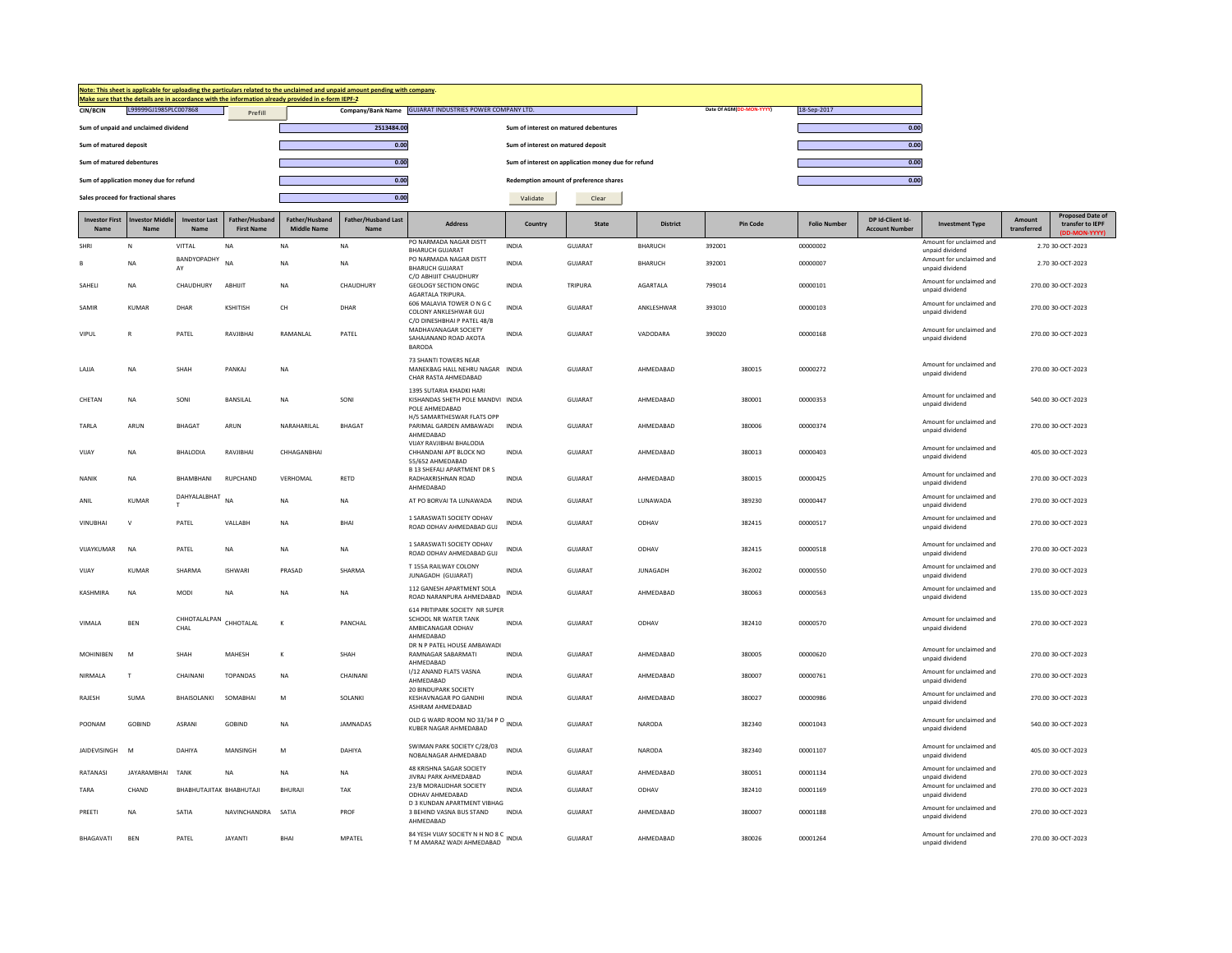|                               |                                         |                          |                                     | Make sure that the details are in accordance with the information already provided in e-form IEPF-2 | Note: This sheet is applicable for uploading the particulars related to the unclaimed and unpaid amount pending with company. |                                                                                          |                                    |                                                     |                 |        |                          |                     |                                           |                                             |                       |                                                            |
|-------------------------------|-----------------------------------------|--------------------------|-------------------------------------|-----------------------------------------------------------------------------------------------------|-------------------------------------------------------------------------------------------------------------------------------|------------------------------------------------------------------------------------------|------------------------------------|-----------------------------------------------------|-----------------|--------|--------------------------|---------------------|-------------------------------------------|---------------------------------------------|-----------------------|------------------------------------------------------------|
| CIN/BCIN                      | L99999GJ1985PLC007868                   |                          | Prefill                             |                                                                                                     |                                                                                                                               | Company/Bank Name GUJARAT INDUSTRIES POWER COMPANY LTD.                                  |                                    |                                                     |                 |        | Date Of AGM(DD-MON-YYYY) | 18-Sep-2017         |                                           |                                             |                       |                                                            |
|                               | Sum of unpaid and unclaimed dividend    |                          |                                     |                                                                                                     | 2513484.00                                                                                                                    |                                                                                          |                                    | Sum of interest on matured debentures               |                 |        |                          |                     | 0.00                                      |                                             |                       |                                                            |
| Sum of matured deposit        |                                         |                          |                                     |                                                                                                     | 0.00                                                                                                                          |                                                                                          | Sum of interest on matured deposit |                                                     |                 |        |                          |                     | 0.00                                      |                                             |                       |                                                            |
| Sum of matured debentures     |                                         |                          |                                     |                                                                                                     | 0.00                                                                                                                          |                                                                                          |                                    | Sum of interest on application money due for refund |                 |        |                          |                     | 0.00                                      |                                             |                       |                                                            |
|                               | Sum of application money due for refund |                          |                                     |                                                                                                     | 0.00                                                                                                                          |                                                                                          |                                    | Redemption amount of preference shares              |                 |        |                          |                     | 0.00                                      |                                             |                       |                                                            |
|                               | Sales proceed for fractional shares     |                          |                                     |                                                                                                     | 0.00                                                                                                                          |                                                                                          | Validate                           | Clear                                               |                 |        |                          |                     |                                           |                                             |                       |                                                            |
| <b>Investor First</b><br>Name | nvestor Middle<br>Name                  | <b>Investor Last</b>     | Father/Husband<br><b>First Name</b> | Father/Husband<br><b>Middle Name</b>                                                                | Father/Husband Last<br><b>Name</b>                                                                                            | <b>Address</b>                                                                           | Country                            | State                                               | <b>District</b> |        | Pin Code                 | <b>Folio Number</b> | DP Id-Client Id-<br><b>Account Number</b> | <b>Investment Type</b>                      | Amount<br>transferred | <b>Proposed Date of</b><br>transfer to IEPF<br>D-MON-YYYY) |
| SHRI                          | N                                       | VITTAL                   | NA                                  | NA                                                                                                  | <b>NA</b>                                                                                                                     | PO NARMADA NAGAR DISTT<br><b>BHARUCH GUJARAT</b>                                         | INDIA                              | GUJARAT                                             | BHARUCH         | 392001 |                          | 00000002            |                                           | Amount for unclaimed and<br>unpaid dividend |                       | 2.70 30-OCT-2023                                           |
|                               | <b>NA</b>                               | BANDYOPADHY<br>AY        | <b>NA</b>                           | <b>NA</b>                                                                                           | <b>NA</b>                                                                                                                     | PO NARMADA NAGAR DISTT<br><b>BHARUCH GUJARAT</b>                                         | <b>INDIA</b>                       | GUJARAT                                             | <b>BHARUCH</b>  | 392001 |                          | 00000007            |                                           | Amount for unclaimed and<br>unpaid dividend |                       | 2.70 30-OCT-2023                                           |
| SAHELI                        | NA                                      | CHAUDHURY                | ABHUIT                              | NA                                                                                                  | CHAUDHURY                                                                                                                     | C/O ABHIJIT CHAUDHURY<br><b>GEOLOGY SECTION ONGC</b>                                     | <b>INDIA</b>                       | TRIPURA                                             | AGARTALA        | 799014 |                          | 00000101            |                                           | Amount for unclaimed and                    |                       | 270.00 30-OCT-2023                                         |
|                               |                                         |                          |                                     |                                                                                                     |                                                                                                                               | AGARTALA TRIPURA.<br>606 MALAVIA TOWER ON GC                                             |                                    |                                                     |                 |        |                          |                     |                                           | unpaid dividend<br>Amount for unclaimed and |                       |                                                            |
| SAMIR                         | KUMAR                                   | DHAR                     | KSHITISH                            | CH                                                                                                  | DHAR                                                                                                                          | COLONY ANKLESHWAR GUJ<br>C/O DINESHBHAI P PATEL 48/B                                     | INDIA                              | GUJARAT                                             | ANKLESHWAR      | 393010 |                          | 00000103            |                                           | unpaid dividend                             |                       | 270.00 30-OCT-2023                                         |
| VIPUL                         | $\mathsf{R}$                            | PATEL                    | RAVJIBHAI                           | RAMANLAL                                                                                            | PATEL                                                                                                                         | MADHAVANAGAR SOCIETY<br>SAHAJANAND ROAD AKOTA<br><b>BARODA</b>                           | <b>INDIA</b>                       | GUJARAT                                             | VADODARA        | 390020 |                          | 00000168            |                                           | Amount for unclaimed and<br>unpaid dividend |                       | 270.00 30-OCT-2023                                         |
| LAJJA                         | NA                                      | SHAH                     | PANKAJ                              | $_{\sf NA}$                                                                                         |                                                                                                                               | 73 SHANTI TOWERS NEAR<br>MANEKBAG HALL NEHRU NAGAR INDIA<br>CHAR RASTA AHMEDABAD         |                                    | GUJARAT                                             | AHMEDABAD       |        | 380015                   | 00000272            |                                           | Amount for unclaimed and<br>unpaid dividend |                       | 270.00 30-OCT-2023                                         |
| CHETAN                        | NA                                      | SONI                     | BANSILAL                            | NA                                                                                                  | SONI                                                                                                                          | 1395 SUTARIA KHADKI HARI<br>KISHANDAS SHETH POLE MANDVI INDIA<br>POLE AHMEDABAD          |                                    | GUJARAT                                             | AHMEDABAD       |        | 380001                   | 00000353            |                                           | Amount for unclaimed and<br>unpaid dividend |                       | 540.00 30-OCT-2023                                         |
| <b>TARIA</b>                  | ARUN                                    | <b>BHAGAT</b>            | ARUN                                | NARAHARII AI                                                                                        | <b>BHAGAT</b>                                                                                                                 | H/5 SAMARTHESWAR FLATS OPP<br>PARIMAL GARDEN AMBAWADI<br>AHMEDABAD                       | <b>INDIA</b>                       | GUIARAT                                             | AHMEDARAD       |        | 380006                   | 00000374            |                                           | Amount for unclaimed and<br>unpaid dividend |                       | 270.00 30-OCT-2023                                         |
| VIJAY                         | <b>NA</b>                               | <b>BHALODIA</b>          | RAVJIBHAI                           | CHHAGANBHAI                                                                                         |                                                                                                                               | VIJAY RAVJIBHAI BHALODIA<br>CHHANDANI APT BLOCK NO<br>55/652 AHMEDABAD                   | INDIA                              | GUJARAT                                             | AHMEDABAD       |        | 380013                   | 00000403            |                                           | Amount for unclaimed and<br>unpaid dividend |                       | 405.00 30-OCT-2023                                         |
| NANIK                         | <b>NA</b>                               | BHAMBHANI                | RUPCHAND                            | VERHOMAL                                                                                            | RETD                                                                                                                          | <b>B 13 SHEFALI APARTMENT DR S</b><br>RADHAKRISHNAN ROAD<br>AHMEDABAD                    | INDIA                              | GUJARAT                                             | AHMEDABAD       |        | 380015                   | 00000425            |                                           | Amount for unclaimed and<br>unpaid dividend |                       | 270.00 30-OCT-2023                                         |
| ANIL                          | <b>KUMAR</b>                            | DAHYALALBHAT             | $N\Delta$                           | NA                                                                                                  | <b>NA</b>                                                                                                                     | AT PO BORVAI TA LUNAWADA                                                                 | <b>INDIA</b>                       | GUJARAT                                             | LUNAWADA        |        | 389230                   | 00000447            |                                           | Amount for unclaimed and<br>unnaid dividend |                       | 270.00 30-OCT-2023                                         |
| <b>VINUBHAI</b>               | $\mathsf{V}$                            | PATEL                    | VALLABH                             | <b>NA</b>                                                                                           | <b>BHAI</b>                                                                                                                   | 1 SARASWATI SOCIETY ODHAV<br>ROAD ODHAV AHMEDABAD GUJ                                    | <b>INDIA</b>                       | GUJARAT                                             | ODHAV           |        | 382415                   | 00000517            |                                           | Amount for unclaimed and<br>unpaid dividend |                       | 270.00 30-OCT-2023                                         |
| VIJAYKUMAR                    | <b>NA</b>                               | PATEL                    | <b>NA</b>                           | <b>NA</b>                                                                                           | <b>NA</b>                                                                                                                     | 1 SARASWATI SOCIETY ODHAV<br>ROAD ODHAV AHMEDABAD GUJ                                    | <b>INDIA</b>                       | GUIARAT                                             | ODHAV           |        | 382415                   | 00000518            |                                           | Amount for unclaimed and<br>unpaid dividend |                       | 270.00 30-OCT-2023                                         |
| VIJAY                         | KUMAR                                   | SHARMA                   | <b>ISHWARI</b>                      | PRASAD                                                                                              | SHARMA                                                                                                                        | T 155A RAILWAY COLONY<br>JUNAGADH (GUJARAT)                                              | <b>INDIA</b>                       | <b>GUJARAT</b>                                      | <b>JUNAGADH</b> |        | 362002                   | 00000550            |                                           | Amount for unclaimed and<br>unpaid dividend |                       | 270.00 30-OCT-2023                                         |
| KASHMIRA                      | NA                                      | MODI                     | <b>NA</b>                           | NA                                                                                                  | <b>NA</b>                                                                                                                     | 112 GANESH APARTMENT SOLA<br>ROAD NARANPURA AHMEDARAD                                    | <b>INDIA</b>                       | GUJARAT                                             | AHMEDABAD       |        | 380063                   | 00000563            |                                           | Amount for unclaimed and<br>unpaid dividend |                       | 135.00 30-OCT-2023                                         |
| VIMALA                        | <b>BEN</b>                              | CHHOTALALPAN<br>CHAL     | CHHOTALAL                           | К                                                                                                   | PANCHAL                                                                                                                       | 614 PRITIPARK SOCIETY NR SUPER<br>SCHOOL NR WATER TANK<br>AMBICANAGAR ODHAV<br>AHMEDABAD | INDIA                              | GUJARAT                                             | ODHAV           |        | 382410                   | 00000570            |                                           | Amount for unclaimed and<br>unpaid dividend |                       | 270.00 30-OCT-2023                                         |
| MOHINIBEN                     | M                                       | SHAH                     | MAHESH                              | к                                                                                                   | SHAH                                                                                                                          | DR N P PATEL HOUSE AMBAWADI<br><b>RAMNAGAR SABARMATI</b><br>AHMEDABAD                    | INDIA                              | GUJARAT                                             | AHMEDABAD       |        | 380005                   | 00000620            |                                           | Amount for unclaimed and<br>unnaid dividend |                       | 270.00 30-OCT-2023                                         |
| NIRMALA                       | T                                       | CHAINANI                 | <b>TOPANDAS</b>                     | <b>NA</b>                                                                                           | CHAINANI                                                                                                                      | I/12 ANAND FLATS VASNA<br>AHMEDABAD                                                      | <b>INDIA</b>                       | GUJARAT                                             | AHMEDABAD       |        | 380007                   | 00000761            |                                           | Amount for unclaimed and<br>unpaid dividend |                       | 270.00 30-OCT-2023                                         |
| <b>RAJESH</b>                 | <b>SUMA</b>                             | BHAISOLANKI              | SOMABHAI                            | M                                                                                                   | SOLANKI                                                                                                                       | 20 BINDUPARK SOCIETY<br>KESHAVNAGAR PO GANDHI<br>ASHRAM AHMEDABAD                        | <b>INDIA</b>                       | GUJARAT                                             | AHMEDABAD       |        | 380027                   | 00000986            |                                           | Amount for unclaimed and<br>unpaid dividend |                       | 270.00 30-OCT-2023                                         |
| POONAM                        | GOBIND                                  | ASRANI                   | GOBIND                              | <b>NA</b>                                                                                           | JAMNADAS                                                                                                                      | OLD G WARD ROOM NO 33/34 P O INDIA<br>KUBER NAGAR AHMEDABAD                              |                                    | GUJARAT                                             | NARODA          |        | 382340                   | 00001043            |                                           | Amount for unclaimed and<br>unpaid dividend |                       | 540.00 30-OCT-2023                                         |
| <b>JAIDEVISINGH</b>           | M                                       | DAHIYA                   | MANSINGH                            | M                                                                                                   | DAHIYA                                                                                                                        | SWIMAN PARK SOCIETY C/28/03<br>NOBALNAGAR AHMEDABAD                                      | <b>INDIA</b>                       | GUIARAT                                             | NARODA          |        | 382340                   | 00001107            |                                           | Amount for unclaimed and<br>unpaid dividend |                       | 405.00 30-OCT-2023                                         |
| RATANASI                      | JAYARAMBHAI                             | <b>TANK</b>              | <b>NA</b>                           | <b>NA</b>                                                                                           | <b>NA</b>                                                                                                                     | 48 KRISHNA SAGAR SOCIETY<br>JIVRAJ PARK AHMEDABAD                                        | INDIA                              | GUJARAT                                             | AHMEDABAD       |        | 380051                   | 00001134            |                                           | Amount for unclaimed and<br>unpaid dividend |                       | 270.00 30-OCT-2023                                         |
| TARA                          | CHAND                                   | BHABHUTAJITAK BHABHUTAJI |                                     | <b>BHURAJI</b>                                                                                      | TAK                                                                                                                           | 23/B MORALIDHAR SOCIETY<br>ODHAV AHMEDABAD                                               | <b>INDIA</b>                       | GUJARAT                                             | ODHAV           |        | 382410                   | 00001169            |                                           | Amount for unclaimed and<br>unpaid dividend |                       | 270.00 30-OCT-2023                                         |
| PREFTI                        | <b>NA</b>                               | SATIA                    | NAVINCHANDRA                        | SATIA                                                                                               | PROF                                                                                                                          | D 3 KUNDAN APARTMENT VIBHAG<br>3 BEHIND VASNA BUS STAND<br>AHMEDABAD                     | <b>INDIA</b>                       | GUIARAT                                             | AHMFDARAD       |        | 380007                   | 00001188            |                                           | Amount for unclaimed and<br>unpaid dividend |                       | 270.00 30-OCT-2023                                         |
| BHAGAVATI                     | <b>BEN</b>                              | PATEL                    | <b>JAYANTI</b>                      | <b>BHAI</b>                                                                                         | MPATEL                                                                                                                        | 84 YESH VIJAY SOCIETY N H NO 8 C INDIA<br>T M AMARAZ WADI AHMEDABAD                      |                                    | <b>GUJARAT</b>                                      | AHMEDARAD       |        | 380026                   | 00001264            |                                           | Amount for unclaimed and<br>unpaid dividend |                       | 270.00 30-OCT-2023                                         |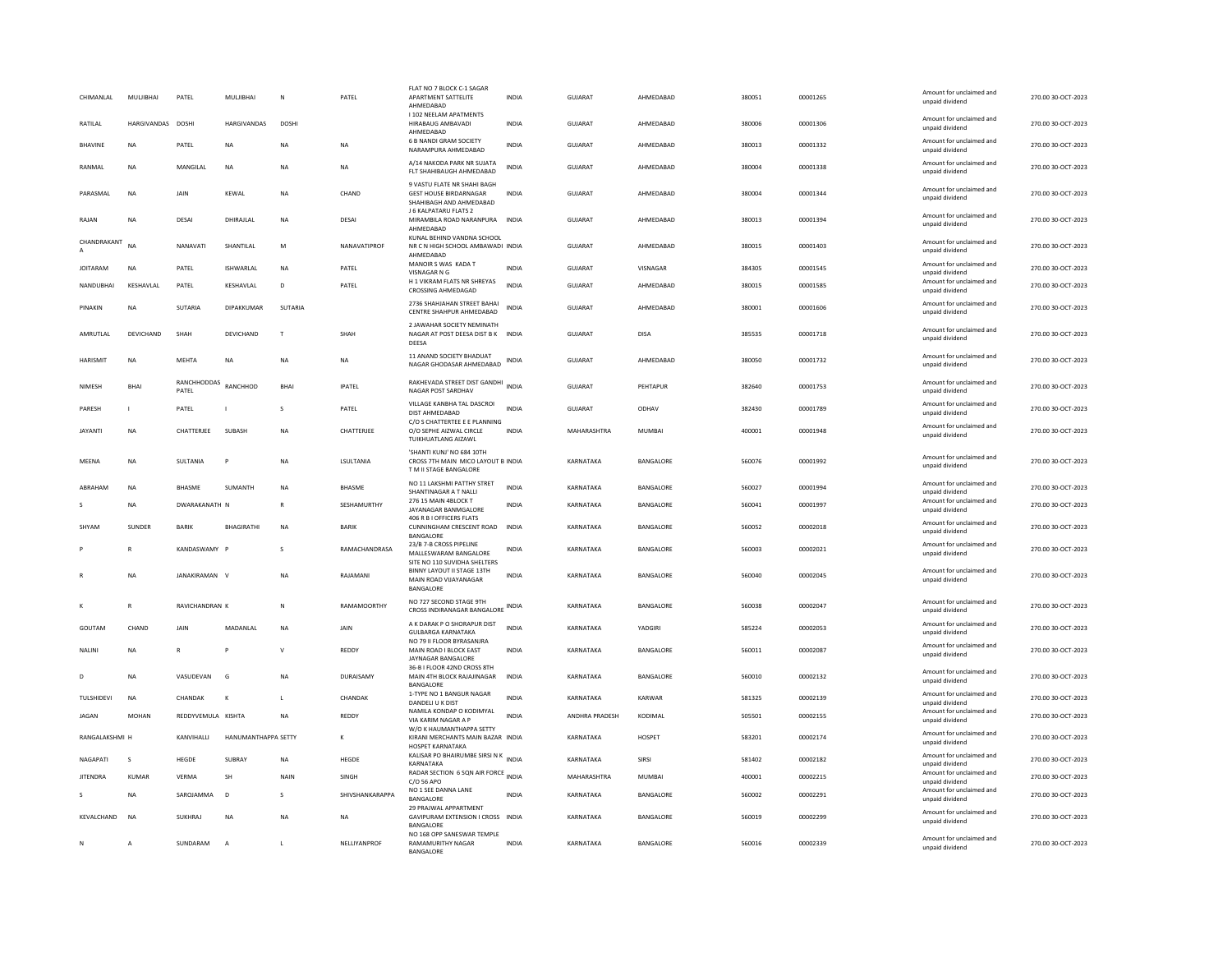| I 102 NEELAM APATMENTS<br>Amount for unclaimed and<br><b>HARGIVANDAS</b><br>GUIARAT<br>00001306<br>270.00 30-OCT-2023<br>RATILAI<br><b>DOSHI</b><br><b>HARGIVANDAS</b><br><b>DOSHI</b><br>HIRABAUG AMBAVADI<br><b>INDIA</b><br>AHMEDABAD<br>380006<br>unpaid dividend<br>AHMEDABAD<br>6 B NANDI GRAM SOCIETY<br>Amount for unclaimed and<br>GUJARAT<br>380013<br>00001332<br>270.00 30-OCT-2023<br>BHAVINE<br>NA<br>PATEL<br><b>NA</b><br><b>NA</b><br>NA<br><b>INDIA</b><br>AHMEDABAD<br>NARAMPURA AHMEDABAD<br>unpaid dividend<br>A/14 NAKODA PARK NR SUJATA<br>Amount for unclaimed and<br>270.00 30-OCT-2023<br>RANMAI<br><b>NA</b><br>MANGILAL<br><b>NA</b><br>NA<br><b>NA</b><br><b>INDIA</b><br>GUIARAT<br>AHMEDABAD<br>380004<br>00001338<br>FLT SHAHIBAUGH AHMEDABAD<br>unpaid dividend<br>9 VASTU FLATE NR SHAHI BAGH<br>Amount for unclaimed and<br>PARASMAL<br>NA<br>JAIN<br>KEWAL<br>NA<br>CHAND<br><b>GEST HOUSE BIRDARNAGAR</b><br><b>INDIA</b><br>GUJARAT<br>AHMEDABAD<br>380004<br>00001344<br>270.00 30-OCT-2023<br>unpaid dividend<br>SHAHIBAGH AND AHMEDABAD<br>J 6 KALPATARU FLATS 2<br>Amount for unclaimed and<br>DHIRAJLAL<br>270.00 30-OCT-2023<br>RAJAN<br><b>NA</b><br>DESAI<br>NA<br>DESAI<br>MIRAMBILA ROAD NARANPURA INDIA<br><b>GUJARAT</b><br>AHMEDABAD<br>380013<br>00001394<br>unpaid dividend<br>AHMEDABAD<br>KUNAL BEHIND VANDNA SCHOOL<br>CHANDRAKANT<br>Amount for unclaimed and<br><b>NA</b><br>NANAVATI<br>SHANTILAL<br>${\sf M}$<br>NANAVATIPROF<br>GUJARAT<br>AHMEDABAD<br>380015<br>00001403<br>270.00 30-OCT-2023<br>NR C N HIGH SCHOOL AMBAWADI INDIA<br>unpaid dividend<br>AHMEDABAD<br>MANOIR S WAS KADA T<br>Amount for unclaimed and<br><b>JOITARAM</b><br>PATEL<br>ISHWARLAL<br>NA<br>PATEL<br><b>INDIA</b><br>GUJARAT<br>VISNAGAR<br>384305<br>00001545<br>270.00 30-OCT-2023<br>NA<br>VISNAGAR N G<br>unnaid dividend<br>H 1 VIKRAM FLATS NR SHREYAS<br>Amount for unclaimed and<br>NANDUBHAI<br>KESHAVLAL<br>PATEL<br>KESHAVLAL<br>D<br>PATEL<br><b>INDIA</b><br><b>GUJARAT</b><br>AHMEDABAD<br>380015<br>00001585<br>270.00 30-OCT-2023<br><b>CROSSING AHMEDAGAD</b><br>unpaid dividend<br>2736 SHAHJAHAN STREET BAHAI<br>Amount for unclaimed and<br><b>SUTARIA</b><br>DIPAKKUMAR<br>SUTARIA<br><b>INDIA</b><br><b>GUJARAT</b><br>AHMEDABAD<br>380001<br>00001606<br>270.00 30-OCT-2023<br>PINAKIN<br><b>NA</b><br>CENTRE SHAHPUR AHMEDABAD<br>unpaid dividend<br>2 JAWAHAR SOCIETY NEMINATH<br>Amount for unclaimed and<br>DEVICHAND<br>NAGAR AT POST DEESA DIST B K INDIA<br>GUIARAT<br>385535<br>270.00 30-OCT-2023<br>AMRUTLAL<br>DEVICHAND<br>SHAH<br>$\mathbf{F}$<br>SHAH<br>DISA<br>00001718<br>unpaid dividend<br>DEESA<br>11 ANAND SOCIETY BHADUAT<br>Amount for unclaimed and<br>HARISMIT<br><b>NA</b><br>MEHTA<br><b>NA</b><br>NA<br>INDIA<br><b>GUJARAT</b><br>AHMEDABAD<br>380050<br>00001732<br>270.00 30-OCT-2023<br><b>NA</b><br>NAGAR GHODASAR AHMEDABAD<br>unpaid dividend<br>RANCHHODDAS<br>RAKHEVADA STREET DIST GANDHI<br>Amount for unclaimed and<br>RANCHHOD<br>BHAI<br><b>INDIA</b><br>GUJARAT<br>PEHTAPUR<br>382640<br>00001753<br>270.00 30-OCT-2023<br>NIMESH<br>BHAI<br><b>IPATEL</b><br>PATEL<br>NAGAR POST SARDHAV<br>unpaid dividend<br>VILLAGE KANBHA TAL DASCROI<br>Amount for unclaimed and<br>PATEL<br>PATEL<br><b>INDIA</b><br><b>GUJARAT</b><br>382430<br>270.00 30-OCT-2023<br>PARESH<br>ODHAV<br>00001789<br>$\mathbf{I}$<br>-S<br>-1<br>DIST AHMEDABAD<br>unpaid dividend<br>C/O S CHATTERTEE E E PLANNING<br>Amount for unclaimed and<br>MAHARASHTRA<br>270.00 30-OCT-2023<br><b>JAYANTI</b><br><b>NA</b><br>CHATTERJEE<br>SUBASH<br>NA<br>CHATTERJEE<br>O/O SEPHE AIZWAL CIRCLE<br><b>INDIA</b><br><b>MUMBAI</b><br>400001<br>00001948<br>unpaid dividend<br><b>TUIKHUATLANG AIZAWL</b><br>'SHANTI KUNJ' NO 684 10TH<br>Amount for unclaimed and<br>270.00 30-OCT-2023<br>MEENA<br><b>NA</b><br>SULTANIA<br>NA<br>LSULTANIA<br>CROSS 7TH MAIN MICO LAYOUT B INDIA<br>KARNATAKA<br>BANGALORE<br>560076<br>00001992<br>unpaid dividend<br>T M II STAGE BANGALORE<br>NO 11 LAKSHMI PATTHY STRET<br>Amount for unclaimed and<br><b>INDIA</b><br>560027<br>00001994<br>270.00 30-OCT-2023<br>ABRAHAM<br><b>BHASME</b><br>SUMANTH<br>NA<br><b>BHASME</b><br>KARNATAKA<br>BANGALORE<br><b>NA</b><br>SHANTINAGAR A T NALLI<br>unpaid dividend<br>276 15 MAIN 4BLOCK T<br>Amount for unclaimed and<br><b>NA</b><br>DWARAKANATH N<br>R<br>SESHAMURTHY<br><b>INDIA</b><br>KARNATAKA<br>BANGALORE<br>560041<br>00001997<br>270.00 30-OCT-2023<br>JAYANAGAR BANMGALORE<br>unpaid dividend<br>406 R B I OFFICERS FLATS<br>Amount for unclaimed and<br>SHYAM<br><b>SUNDER</b><br>RARIK<br><b>BHAGIRATHI</b><br>NA<br><b>BARIK</b><br>CUNNINGHAM CRESCENT ROAD INDIA<br>KARNATAKA<br>BANGALORE<br>560052<br>00002018<br>270.00 30-OCT-2023<br>unpaid dividend<br>BANGALORE<br>23/B 7-B CROSS PIPELINE<br>Amount for unclaimed and<br>KANDASWAMY<br>RAMACHANDRASA<br><b>INDIA</b><br>KARNATAKA<br>BANGALORE<br>560003<br>00002021<br>270.00 30-OCT-2023<br>MALLESWARAM BANGALORE<br>unpaid dividend<br>SITE NO 110 SUVIDHA SHELTERS<br><b>BINNY LAYOUT II STAGE 13TH</b><br>Amount for unclaimed and<br>JANAKIRAMAN V<br>N <sub>A</sub><br>RAJAMANI<br><b>INDIA</b><br>KARNATAKA<br>BANGALORE<br>560040<br>00002045<br>270.00 30-OCT-2023<br><b>NA</b><br>MAIN ROAD VIJAYANAGAR<br>unpaid dividend<br><b>BANGALORE</b><br>NO 727 SECOND STAGE 9TH<br>Amount for unclaimed and<br>270.00 30-OCT-2023<br>RAVICHANDRAN K<br>RAMAMOORTHY<br>KARNATAKA<br>BANGALORE<br>560038<br>00002047<br>R<br>N<br>CROSS INDIRANAGAR BANGALORE INDIA<br>unpaid dividend<br>A K DARAK P O SHORAPUR DIST<br>Amount for unclaimed and<br>GOUTAM<br>CHAND<br>JAIN<br>MADANLAL<br>NA<br><b>INDIA</b><br>KARNATAKA<br>YADGIRI<br>585224<br>00002053<br>270.00 30-OCT-2023<br>JAIN<br><b>GUI BARGA KARNATAKA</b><br>unpaid dividend<br>NO 79 II FLOOR BYRASANJRA<br>Amount for unclaimed and<br>KARNATAKA<br>BANGALORE<br>560011<br>270.00 30-OCT-2023<br>$\mathsf{V}$<br>REDDY<br><b>INDIA</b><br>00002087<br>NALINI<br><b>NA</b><br>$\mathbb{R}$<br>MAIN ROAD I BLOCK EAST<br>unpaid dividend<br>JAYNAGAR BANGALORE<br>36-B I FLOOR 42ND CROSS 8TH<br>Amount for unclaimed and<br>270.00 30-OCT-2023<br><b>NA</b><br>VASUDEVAN<br>G<br>NΑ<br>DURAISAMY<br>MAIN 4TH BLOCK RAJAJINAGAR<br><b>INDIA</b><br>KARNATAKA<br>BANGALORE<br>560010<br>00002132<br>D<br>unpaid dividend<br><b>BANGALORI</b><br>1-TYPE NO 1 BANGUR NAGAR<br>Amount for unclaimed and<br>CHANDAK<br>CHANDAK<br>INDIA<br>KARWAR<br>581325<br>00002139<br>270.00 30-OCT-2023<br>TULSHIDEVI<br><b>NA</b><br>KARNATAKA<br>$\mathbf{L}$<br>к<br>DANDELI U K DIST<br>unpaid dividend<br>NAMILA KONDAP O KODIMYAL<br>Amount for unclaimed and<br><b>JAGAN</b><br><b>MOHAN</b><br>REDDYVEMULA KISHTA<br><b>NA</b><br>REDDY<br><b>INDIA</b><br>ANDHRA PRADESH<br>KODIMAL<br>505501<br>00002155<br>270.00 30-OCT-2023<br>VIA KARIM NAGAR A P<br>unpaid dividend<br>W/O K HAUMANTHAPPA SETTY<br>Amount for unclaimed and<br>583201<br><b>RANGALAKSHML H</b><br><b>KANVIHALLI</b><br>HANUMANTHAPPA SETTY<br>KIRANI MERCHANTS MAIN BAZAR INDIA<br>KARNATAKA<br>HOSPET<br>00002174<br>270.00 30-OCT-2023<br>к<br>unpaid dividend<br><b>HOSPET KARNATAKA</b><br>KALISAR PO BHAIRUMBE SIRSI N K<br>INDIA<br>Amount for unclaimed and<br>NAGAPATI<br>s<br>HEGDE<br><b>SUBRAY</b><br><b>NA</b><br>HEGDE<br>KARNATAKA<br>SIRSI<br>581402<br>00002182<br>270.00 30-OCT-2023<br>unpaid dividend<br>KARNATAKA<br>RADAR SECTION 6 SON AIR FORCE INDIA<br>Amount for unclaimed and<br>KUMAR<br>VERMA<br>MAHARASHTRA<br>MUMBAI<br>400001<br>00002215<br>270.00 30-OCT-2023<br><b>JITENDRA</b><br>SH<br>NAIN<br>SINGH<br>C/O 56 APO<br>unpaid dividend<br>NO 1 SEE DANNA LANE<br>Amount for unclaimed and<br><b>NA</b><br>SAROJAMMA<br>D <sub>1</sub><br>SHIVSHANKARAPPA<br><b>INDIA</b><br>KARNATAKA<br>BANGALORE<br>560002<br>00002291<br>270.00 30-OCT-2023<br>$\zeta$<br><b>BANGALORE</b><br>unpaid dividend<br>29 PRAJWAL APPARTMENT<br>Amount for unclaimed and<br>KEVALCHAND<br><b>SUKHRAJ</b><br>N <sub>A</sub><br>GAVIPURAM EXTENSION I CROSS INDIA<br>KARNATAKA<br>BANGALORE<br>560019<br>00002299<br>270.00 30-OCT-2023<br><b>NA</b><br><b>NA</b><br><b>NA</b><br>unpaid dividend<br><b>BANGALORI</b><br>NO 168 OPP SANESWAR TEMPLE<br>Amount for unclaimed and<br>SUNDARAM<br>NELLIYANPROF<br>KARNATAKA<br><b>BANGALORE</b><br>560016<br>00002339<br>270.00 30-OCT-2023<br>$\overline{A}$<br>$\mathbf{A}$<br>$\mathbf{L}$<br><b>RAMAMURITHY NAGAR</b><br><b>INDIA</b><br>N<br>unpaid dividend<br><b>BANGALORE</b> | CHIMANLAL | MULJIBHAI | PATEL | <b>MULJIBHAI</b> | N | PATEL | FLAT NO 7 BLOCK C-1 SAGAR<br>APARTMENT SATTELITE<br>AHMEDABAD | <b>INDIA</b> | <b>GUJARAT</b> | AHMEDABAD | 380051 | 00001265 | Amount for unclaimed and<br>unpaid dividend | 270.00 30-OCT-2023 |
|----------------------------------------------------------------------------------------------------------------------------------------------------------------------------------------------------------------------------------------------------------------------------------------------------------------------------------------------------------------------------------------------------------------------------------------------------------------------------------------------------------------------------------------------------------------------------------------------------------------------------------------------------------------------------------------------------------------------------------------------------------------------------------------------------------------------------------------------------------------------------------------------------------------------------------------------------------------------------------------------------------------------------------------------------------------------------------------------------------------------------------------------------------------------------------------------------------------------------------------------------------------------------------------------------------------------------------------------------------------------------------------------------------------------------------------------------------------------------------------------------------------------------------------------------------------------------------------------------------------------------------------------------------------------------------------------------------------------------------------------------------------------------------------------------------------------------------------------------------------------------------------------------------------------------------------------------------------------------------------------------------------------------------------------------------------------------------------------------------------------------------------------------------------------------------------------------------------------------------------------------------------------------------------------------------------------------------------------------------------------------------------------------------------------------------------------------------------------------------------------------------------------------------------------------------------------------------------------------------------------------------------------------------------------------------------------------------------------------------------------------------------------------------------------------------------------------------------------------------------------------------------------------------------------------------------------------------------------------------------------------------------------------------------------------------------------------------------------------------------------------------------------------------------------------------------------------------------------------------------------------------------------------------------------------------------------------------------------------------------------------------------------------------------------------------------------------------------------------------------------------------------------------------------------------------------------------------------------------------------------------------------------------------------------------------------------------------------------------------------------------------------------------------------------------------------------------------------------------------------------------------------------------------------------------------------------------------------------------------------------------------------------------------------------------------------------------------------------------------------------------------------------------------------------------------------------------------------------------------------------------------------------------------------------------------------------------------------------------------------------------------------------------------------------------------------------------------------------------------------------------------------------------------------------------------------------------------------------------------------------------------------------------------------------------------------------------------------------------------------------------------------------------------------------------------------------------------------------------------------------------------------------------------------------------------------------------------------------------------------------------------------------------------------------------------------------------------------------------------------------------------------------------------------------------------------------------------------------------------------------------------------------------------------------------------------------------------------------------------------------------------------------------------------------------------------------------------------------------------------------------------------------------------------------------------------------------------------------------------------------------------------------------------------------------------------------------------------------------------------------------------------------------------------------------------------------------------------------------------------------------------------------------------------------------------------------------------------------------------------------------------------------------------------------------------------------------------------------------------------------------------------------------------------------------------------------------------------------------------------------------------------------------------------------------------------------------------------------------------------------------------------------------------------------------------------------------------------------------------------------------------------------------------------------------------------------------------------------------------------------------------------------------------------------------------------------------------------------------------------------------------------------------------------------------------------------------------------------------------------------------------------------------------------------------------------------------------------------------------------------------------------------------------------------------------------------------------------------------------------------------------------------------------------------------------------------------------------------------------------------------------------------------------------------------------------------------------------------------------------------------------------------------------------------------------------------------------------------------------------------------------------------------------------------------------------------------------------------------------------------------------------------------------------------------------------------------------------------------------------------------------------------------------------------------------------------------------------------------------------------------------------------------------------------------------------------------------------------------------------------------------------------------------------------------------------------------------------------------------------------------------------------------------------------------------------------------------------------------------------------------------------------------------------------------------------------------------------------------------------------------------------------------------------------------------------------------------------------------------------------------------------------------------------------------------------------------------------------------------------------------------|-----------|-----------|-------|------------------|---|-------|---------------------------------------------------------------|--------------|----------------|-----------|--------|----------|---------------------------------------------|--------------------|
|                                                                                                                                                                                                                                                                                                                                                                                                                                                                                                                                                                                                                                                                                                                                                                                                                                                                                                                                                                                                                                                                                                                                                                                                                                                                                                                                                                                                                                                                                                                                                                                                                                                                                                                                                                                                                                                                                                                                                                                                                                                                                                                                                                                                                                                                                                                                                                                                                                                                                                                                                                                                                                                                                                                                                                                                                                                                                                                                                                                                                                                                                                                                                                                                                                                                                                                                                                                                                                                                                                                                                                                                                                                                                                                                                                                                                                                                                                                                                                                                                                                                                                                                                                                                                                                                                                                                                                                                                                                                                                                                                                                                                                                                                                                                                                                                                                                                                                                                                                                                                                                                                                                                                                                                                                                                                                                                                                                                                                                                                                                                                                                                                                                                                                                                                                                                                                                                                                                                                                                                                                                                                                                                                                                                                                                                                                                                                                                                                                                                                                                                                                                                                                                                                                                                                                                                                                                                                                                                                                                                                                                                                                                                                                                                                                                                                                                                                                                                                                                                                                                                                                                                                                                                                                                                                                                                                                                                                                                                                                                                                                                                                                                                                                                                                                                                                                                                                                                                                                                                                                                                                                                                                                  |           |           |       |                  |   |       |                                                               |              |                |           |        |          |                                             |                    |
|                                                                                                                                                                                                                                                                                                                                                                                                                                                                                                                                                                                                                                                                                                                                                                                                                                                                                                                                                                                                                                                                                                                                                                                                                                                                                                                                                                                                                                                                                                                                                                                                                                                                                                                                                                                                                                                                                                                                                                                                                                                                                                                                                                                                                                                                                                                                                                                                                                                                                                                                                                                                                                                                                                                                                                                                                                                                                                                                                                                                                                                                                                                                                                                                                                                                                                                                                                                                                                                                                                                                                                                                                                                                                                                                                                                                                                                                                                                                                                                                                                                                                                                                                                                                                                                                                                                                                                                                                                                                                                                                                                                                                                                                                                                                                                                                                                                                                                                                                                                                                                                                                                                                                                                                                                                                                                                                                                                                                                                                                                                                                                                                                                                                                                                                                                                                                                                                                                                                                                                                                                                                                                                                                                                                                                                                                                                                                                                                                                                                                                                                                                                                                                                                                                                                                                                                                                                                                                                                                                                                                                                                                                                                                                                                                                                                                                                                                                                                                                                                                                                                                                                                                                                                                                                                                                                                                                                                                                                                                                                                                                                                                                                                                                                                                                                                                                                                                                                                                                                                                                                                                                                                                                  |           |           |       |                  |   |       |                                                               |              |                |           |        |          |                                             |                    |
|                                                                                                                                                                                                                                                                                                                                                                                                                                                                                                                                                                                                                                                                                                                                                                                                                                                                                                                                                                                                                                                                                                                                                                                                                                                                                                                                                                                                                                                                                                                                                                                                                                                                                                                                                                                                                                                                                                                                                                                                                                                                                                                                                                                                                                                                                                                                                                                                                                                                                                                                                                                                                                                                                                                                                                                                                                                                                                                                                                                                                                                                                                                                                                                                                                                                                                                                                                                                                                                                                                                                                                                                                                                                                                                                                                                                                                                                                                                                                                                                                                                                                                                                                                                                                                                                                                                                                                                                                                                                                                                                                                                                                                                                                                                                                                                                                                                                                                                                                                                                                                                                                                                                                                                                                                                                                                                                                                                                                                                                                                                                                                                                                                                                                                                                                                                                                                                                                                                                                                                                                                                                                                                                                                                                                                                                                                                                                                                                                                                                                                                                                                                                                                                                                                                                                                                                                                                                                                                                                                                                                                                                                                                                                                                                                                                                                                                                                                                                                                                                                                                                                                                                                                                                                                                                                                                                                                                                                                                                                                                                                                                                                                                                                                                                                                                                                                                                                                                                                                                                                                                                                                                                                                  |           |           |       |                  |   |       |                                                               |              |                |           |        |          |                                             |                    |
|                                                                                                                                                                                                                                                                                                                                                                                                                                                                                                                                                                                                                                                                                                                                                                                                                                                                                                                                                                                                                                                                                                                                                                                                                                                                                                                                                                                                                                                                                                                                                                                                                                                                                                                                                                                                                                                                                                                                                                                                                                                                                                                                                                                                                                                                                                                                                                                                                                                                                                                                                                                                                                                                                                                                                                                                                                                                                                                                                                                                                                                                                                                                                                                                                                                                                                                                                                                                                                                                                                                                                                                                                                                                                                                                                                                                                                                                                                                                                                                                                                                                                                                                                                                                                                                                                                                                                                                                                                                                                                                                                                                                                                                                                                                                                                                                                                                                                                                                                                                                                                                                                                                                                                                                                                                                                                                                                                                                                                                                                                                                                                                                                                                                                                                                                                                                                                                                                                                                                                                                                                                                                                                                                                                                                                                                                                                                                                                                                                                                                                                                                                                                                                                                                                                                                                                                                                                                                                                                                                                                                                                                                                                                                                                                                                                                                                                                                                                                                                                                                                                                                                                                                                                                                                                                                                                                                                                                                                                                                                                                                                                                                                                                                                                                                                                                                                                                                                                                                                                                                                                                                                                                                                  |           |           |       |                  |   |       |                                                               |              |                |           |        |          |                                             |                    |
|                                                                                                                                                                                                                                                                                                                                                                                                                                                                                                                                                                                                                                                                                                                                                                                                                                                                                                                                                                                                                                                                                                                                                                                                                                                                                                                                                                                                                                                                                                                                                                                                                                                                                                                                                                                                                                                                                                                                                                                                                                                                                                                                                                                                                                                                                                                                                                                                                                                                                                                                                                                                                                                                                                                                                                                                                                                                                                                                                                                                                                                                                                                                                                                                                                                                                                                                                                                                                                                                                                                                                                                                                                                                                                                                                                                                                                                                                                                                                                                                                                                                                                                                                                                                                                                                                                                                                                                                                                                                                                                                                                                                                                                                                                                                                                                                                                                                                                                                                                                                                                                                                                                                                                                                                                                                                                                                                                                                                                                                                                                                                                                                                                                                                                                                                                                                                                                                                                                                                                                                                                                                                                                                                                                                                                                                                                                                                                                                                                                                                                                                                                                                                                                                                                                                                                                                                                                                                                                                                                                                                                                                                                                                                                                                                                                                                                                                                                                                                                                                                                                                                                                                                                                                                                                                                                                                                                                                                                                                                                                                                                                                                                                                                                                                                                                                                                                                                                                                                                                                                                                                                                                                                                  |           |           |       |                  |   |       |                                                               |              |                |           |        |          |                                             |                    |
|                                                                                                                                                                                                                                                                                                                                                                                                                                                                                                                                                                                                                                                                                                                                                                                                                                                                                                                                                                                                                                                                                                                                                                                                                                                                                                                                                                                                                                                                                                                                                                                                                                                                                                                                                                                                                                                                                                                                                                                                                                                                                                                                                                                                                                                                                                                                                                                                                                                                                                                                                                                                                                                                                                                                                                                                                                                                                                                                                                                                                                                                                                                                                                                                                                                                                                                                                                                                                                                                                                                                                                                                                                                                                                                                                                                                                                                                                                                                                                                                                                                                                                                                                                                                                                                                                                                                                                                                                                                                                                                                                                                                                                                                                                                                                                                                                                                                                                                                                                                                                                                                                                                                                                                                                                                                                                                                                                                                                                                                                                                                                                                                                                                                                                                                                                                                                                                                                                                                                                                                                                                                                                                                                                                                                                                                                                                                                                                                                                                                                                                                                                                                                                                                                                                                                                                                                                                                                                                                                                                                                                                                                                                                                                                                                                                                                                                                                                                                                                                                                                                                                                                                                                                                                                                                                                                                                                                                                                                                                                                                                                                                                                                                                                                                                                                                                                                                                                                                                                                                                                                                                                                                                                  |           |           |       |                  |   |       |                                                               |              |                |           |        |          |                                             |                    |
|                                                                                                                                                                                                                                                                                                                                                                                                                                                                                                                                                                                                                                                                                                                                                                                                                                                                                                                                                                                                                                                                                                                                                                                                                                                                                                                                                                                                                                                                                                                                                                                                                                                                                                                                                                                                                                                                                                                                                                                                                                                                                                                                                                                                                                                                                                                                                                                                                                                                                                                                                                                                                                                                                                                                                                                                                                                                                                                                                                                                                                                                                                                                                                                                                                                                                                                                                                                                                                                                                                                                                                                                                                                                                                                                                                                                                                                                                                                                                                                                                                                                                                                                                                                                                                                                                                                                                                                                                                                                                                                                                                                                                                                                                                                                                                                                                                                                                                                                                                                                                                                                                                                                                                                                                                                                                                                                                                                                                                                                                                                                                                                                                                                                                                                                                                                                                                                                                                                                                                                                                                                                                                                                                                                                                                                                                                                                                                                                                                                                                                                                                                                                                                                                                                                                                                                                                                                                                                                                                                                                                                                                                                                                                                                                                                                                                                                                                                                                                                                                                                                                                                                                                                                                                                                                                                                                                                                                                                                                                                                                                                                                                                                                                                                                                                                                                                                                                                                                                                                                                                                                                                                                                                  |           |           |       |                  |   |       |                                                               |              |                |           |        |          |                                             |                    |
|                                                                                                                                                                                                                                                                                                                                                                                                                                                                                                                                                                                                                                                                                                                                                                                                                                                                                                                                                                                                                                                                                                                                                                                                                                                                                                                                                                                                                                                                                                                                                                                                                                                                                                                                                                                                                                                                                                                                                                                                                                                                                                                                                                                                                                                                                                                                                                                                                                                                                                                                                                                                                                                                                                                                                                                                                                                                                                                                                                                                                                                                                                                                                                                                                                                                                                                                                                                                                                                                                                                                                                                                                                                                                                                                                                                                                                                                                                                                                                                                                                                                                                                                                                                                                                                                                                                                                                                                                                                                                                                                                                                                                                                                                                                                                                                                                                                                                                                                                                                                                                                                                                                                                                                                                                                                                                                                                                                                                                                                                                                                                                                                                                                                                                                                                                                                                                                                                                                                                                                                                                                                                                                                                                                                                                                                                                                                                                                                                                                                                                                                                                                                                                                                                                                                                                                                                                                                                                                                                                                                                                                                                                                                                                                                                                                                                                                                                                                                                                                                                                                                                                                                                                                                                                                                                                                                                                                                                                                                                                                                                                                                                                                                                                                                                                                                                                                                                                                                                                                                                                                                                                                                                                  |           |           |       |                  |   |       |                                                               |              |                |           |        |          |                                             |                    |
|                                                                                                                                                                                                                                                                                                                                                                                                                                                                                                                                                                                                                                                                                                                                                                                                                                                                                                                                                                                                                                                                                                                                                                                                                                                                                                                                                                                                                                                                                                                                                                                                                                                                                                                                                                                                                                                                                                                                                                                                                                                                                                                                                                                                                                                                                                                                                                                                                                                                                                                                                                                                                                                                                                                                                                                                                                                                                                                                                                                                                                                                                                                                                                                                                                                                                                                                                                                                                                                                                                                                                                                                                                                                                                                                                                                                                                                                                                                                                                                                                                                                                                                                                                                                                                                                                                                                                                                                                                                                                                                                                                                                                                                                                                                                                                                                                                                                                                                                                                                                                                                                                                                                                                                                                                                                                                                                                                                                                                                                                                                                                                                                                                                                                                                                                                                                                                                                                                                                                                                                                                                                                                                                                                                                                                                                                                                                                                                                                                                                                                                                                                                                                                                                                                                                                                                                                                                                                                                                                                                                                                                                                                                                                                                                                                                                                                                                                                                                                                                                                                                                                                                                                                                                                                                                                                                                                                                                                                                                                                                                                                                                                                                                                                                                                                                                                                                                                                                                                                                                                                                                                                                                                                  |           |           |       |                  |   |       |                                                               |              |                |           |        |          |                                             |                    |
|                                                                                                                                                                                                                                                                                                                                                                                                                                                                                                                                                                                                                                                                                                                                                                                                                                                                                                                                                                                                                                                                                                                                                                                                                                                                                                                                                                                                                                                                                                                                                                                                                                                                                                                                                                                                                                                                                                                                                                                                                                                                                                                                                                                                                                                                                                                                                                                                                                                                                                                                                                                                                                                                                                                                                                                                                                                                                                                                                                                                                                                                                                                                                                                                                                                                                                                                                                                                                                                                                                                                                                                                                                                                                                                                                                                                                                                                                                                                                                                                                                                                                                                                                                                                                                                                                                                                                                                                                                                                                                                                                                                                                                                                                                                                                                                                                                                                                                                                                                                                                                                                                                                                                                                                                                                                                                                                                                                                                                                                                                                                                                                                                                                                                                                                                                                                                                                                                                                                                                                                                                                                                                                                                                                                                                                                                                                                                                                                                                                                                                                                                                                                                                                                                                                                                                                                                                                                                                                                                                                                                                                                                                                                                                                                                                                                                                                                                                                                                                                                                                                                                                                                                                                                                                                                                                                                                                                                                                                                                                                                                                                                                                                                                                                                                                                                                                                                                                                                                                                                                                                                                                                                                                  |           |           |       |                  |   |       |                                                               |              |                |           |        |          |                                             |                    |
|                                                                                                                                                                                                                                                                                                                                                                                                                                                                                                                                                                                                                                                                                                                                                                                                                                                                                                                                                                                                                                                                                                                                                                                                                                                                                                                                                                                                                                                                                                                                                                                                                                                                                                                                                                                                                                                                                                                                                                                                                                                                                                                                                                                                                                                                                                                                                                                                                                                                                                                                                                                                                                                                                                                                                                                                                                                                                                                                                                                                                                                                                                                                                                                                                                                                                                                                                                                                                                                                                                                                                                                                                                                                                                                                                                                                                                                                                                                                                                                                                                                                                                                                                                                                                                                                                                                                                                                                                                                                                                                                                                                                                                                                                                                                                                                                                                                                                                                                                                                                                                                                                                                                                                                                                                                                                                                                                                                                                                                                                                                                                                                                                                                                                                                                                                                                                                                                                                                                                                                                                                                                                                                                                                                                                                                                                                                                                                                                                                                                                                                                                                                                                                                                                                                                                                                                                                                                                                                                                                                                                                                                                                                                                                                                                                                                                                                                                                                                                                                                                                                                                                                                                                                                                                                                                                                                                                                                                                                                                                                                                                                                                                                                                                                                                                                                                                                                                                                                                                                                                                                                                                                                                                  |           |           |       |                  |   |       |                                                               |              |                |           |        |          |                                             |                    |
|                                                                                                                                                                                                                                                                                                                                                                                                                                                                                                                                                                                                                                                                                                                                                                                                                                                                                                                                                                                                                                                                                                                                                                                                                                                                                                                                                                                                                                                                                                                                                                                                                                                                                                                                                                                                                                                                                                                                                                                                                                                                                                                                                                                                                                                                                                                                                                                                                                                                                                                                                                                                                                                                                                                                                                                                                                                                                                                                                                                                                                                                                                                                                                                                                                                                                                                                                                                                                                                                                                                                                                                                                                                                                                                                                                                                                                                                                                                                                                                                                                                                                                                                                                                                                                                                                                                                                                                                                                                                                                                                                                                                                                                                                                                                                                                                                                                                                                                                                                                                                                                                                                                                                                                                                                                                                                                                                                                                                                                                                                                                                                                                                                                                                                                                                                                                                                                                                                                                                                                                                                                                                                                                                                                                                                                                                                                                                                                                                                                                                                                                                                                                                                                                                                                                                                                                                                                                                                                                                                                                                                                                                                                                                                                                                                                                                                                                                                                                                                                                                                                                                                                                                                                                                                                                                                                                                                                                                                                                                                                                                                                                                                                                                                                                                                                                                                                                                                                                                                                                                                                                                                                                                                  |           |           |       |                  |   |       |                                                               |              |                |           |        |          |                                             |                    |
|                                                                                                                                                                                                                                                                                                                                                                                                                                                                                                                                                                                                                                                                                                                                                                                                                                                                                                                                                                                                                                                                                                                                                                                                                                                                                                                                                                                                                                                                                                                                                                                                                                                                                                                                                                                                                                                                                                                                                                                                                                                                                                                                                                                                                                                                                                                                                                                                                                                                                                                                                                                                                                                                                                                                                                                                                                                                                                                                                                                                                                                                                                                                                                                                                                                                                                                                                                                                                                                                                                                                                                                                                                                                                                                                                                                                                                                                                                                                                                                                                                                                                                                                                                                                                                                                                                                                                                                                                                                                                                                                                                                                                                                                                                                                                                                                                                                                                                                                                                                                                                                                                                                                                                                                                                                                                                                                                                                                                                                                                                                                                                                                                                                                                                                                                                                                                                                                                                                                                                                                                                                                                                                                                                                                                                                                                                                                                                                                                                                                                                                                                                                                                                                                                                                                                                                                                                                                                                                                                                                                                                                                                                                                                                                                                                                                                                                                                                                                                                                                                                                                                                                                                                                                                                                                                                                                                                                                                                                                                                                                                                                                                                                                                                                                                                                                                                                                                                                                                                                                                                                                                                                                                                  |           |           |       |                  |   |       |                                                               |              |                |           |        |          |                                             |                    |
|                                                                                                                                                                                                                                                                                                                                                                                                                                                                                                                                                                                                                                                                                                                                                                                                                                                                                                                                                                                                                                                                                                                                                                                                                                                                                                                                                                                                                                                                                                                                                                                                                                                                                                                                                                                                                                                                                                                                                                                                                                                                                                                                                                                                                                                                                                                                                                                                                                                                                                                                                                                                                                                                                                                                                                                                                                                                                                                                                                                                                                                                                                                                                                                                                                                                                                                                                                                                                                                                                                                                                                                                                                                                                                                                                                                                                                                                                                                                                                                                                                                                                                                                                                                                                                                                                                                                                                                                                                                                                                                                                                                                                                                                                                                                                                                                                                                                                                                                                                                                                                                                                                                                                                                                                                                                                                                                                                                                                                                                                                                                                                                                                                                                                                                                                                                                                                                                                                                                                                                                                                                                                                                                                                                                                                                                                                                                                                                                                                                                                                                                                                                                                                                                                                                                                                                                                                                                                                                                                                                                                                                                                                                                                                                                                                                                                                                                                                                                                                                                                                                                                                                                                                                                                                                                                                                                                                                                                                                                                                                                                                                                                                                                                                                                                                                                                                                                                                                                                                                                                                                                                                                                                                  |           |           |       |                  |   |       |                                                               |              |                |           |        |          |                                             |                    |
|                                                                                                                                                                                                                                                                                                                                                                                                                                                                                                                                                                                                                                                                                                                                                                                                                                                                                                                                                                                                                                                                                                                                                                                                                                                                                                                                                                                                                                                                                                                                                                                                                                                                                                                                                                                                                                                                                                                                                                                                                                                                                                                                                                                                                                                                                                                                                                                                                                                                                                                                                                                                                                                                                                                                                                                                                                                                                                                                                                                                                                                                                                                                                                                                                                                                                                                                                                                                                                                                                                                                                                                                                                                                                                                                                                                                                                                                                                                                                                                                                                                                                                                                                                                                                                                                                                                                                                                                                                                                                                                                                                                                                                                                                                                                                                                                                                                                                                                                                                                                                                                                                                                                                                                                                                                                                                                                                                                                                                                                                                                                                                                                                                                                                                                                                                                                                                                                                                                                                                                                                                                                                                                                                                                                                                                                                                                                                                                                                                                                                                                                                                                                                                                                                                                                                                                                                                                                                                                                                                                                                                                                                                                                                                                                                                                                                                                                                                                                                                                                                                                                                                                                                                                                                                                                                                                                                                                                                                                                                                                                                                                                                                                                                                                                                                                                                                                                                                                                                                                                                                                                                                                                                                  |           |           |       |                  |   |       |                                                               |              |                |           |        |          |                                             |                    |
|                                                                                                                                                                                                                                                                                                                                                                                                                                                                                                                                                                                                                                                                                                                                                                                                                                                                                                                                                                                                                                                                                                                                                                                                                                                                                                                                                                                                                                                                                                                                                                                                                                                                                                                                                                                                                                                                                                                                                                                                                                                                                                                                                                                                                                                                                                                                                                                                                                                                                                                                                                                                                                                                                                                                                                                                                                                                                                                                                                                                                                                                                                                                                                                                                                                                                                                                                                                                                                                                                                                                                                                                                                                                                                                                                                                                                                                                                                                                                                                                                                                                                                                                                                                                                                                                                                                                                                                                                                                                                                                                                                                                                                                                                                                                                                                                                                                                                                                                                                                                                                                                                                                                                                                                                                                                                                                                                                                                                                                                                                                                                                                                                                                                                                                                                                                                                                                                                                                                                                                                                                                                                                                                                                                                                                                                                                                                                                                                                                                                                                                                                                                                                                                                                                                                                                                                                                                                                                                                                                                                                                                                                                                                                                                                                                                                                                                                                                                                                                                                                                                                                                                                                                                                                                                                                                                                                                                                                                                                                                                                                                                                                                                                                                                                                                                                                                                                                                                                                                                                                                                                                                                                                                  |           |           |       |                  |   |       |                                                               |              |                |           |        |          |                                             |                    |
|                                                                                                                                                                                                                                                                                                                                                                                                                                                                                                                                                                                                                                                                                                                                                                                                                                                                                                                                                                                                                                                                                                                                                                                                                                                                                                                                                                                                                                                                                                                                                                                                                                                                                                                                                                                                                                                                                                                                                                                                                                                                                                                                                                                                                                                                                                                                                                                                                                                                                                                                                                                                                                                                                                                                                                                                                                                                                                                                                                                                                                                                                                                                                                                                                                                                                                                                                                                                                                                                                                                                                                                                                                                                                                                                                                                                                                                                                                                                                                                                                                                                                                                                                                                                                                                                                                                                                                                                                                                                                                                                                                                                                                                                                                                                                                                                                                                                                                                                                                                                                                                                                                                                                                                                                                                                                                                                                                                                                                                                                                                                                                                                                                                                                                                                                                                                                                                                                                                                                                                                                                                                                                                                                                                                                                                                                                                                                                                                                                                                                                                                                                                                                                                                                                                                                                                                                                                                                                                                                                                                                                                                                                                                                                                                                                                                                                                                                                                                                                                                                                                                                                                                                                                                                                                                                                                                                                                                                                                                                                                                                                                                                                                                                                                                                                                                                                                                                                                                                                                                                                                                                                                                                                  |           |           |       |                  |   |       |                                                               |              |                |           |        |          |                                             |                    |
|                                                                                                                                                                                                                                                                                                                                                                                                                                                                                                                                                                                                                                                                                                                                                                                                                                                                                                                                                                                                                                                                                                                                                                                                                                                                                                                                                                                                                                                                                                                                                                                                                                                                                                                                                                                                                                                                                                                                                                                                                                                                                                                                                                                                                                                                                                                                                                                                                                                                                                                                                                                                                                                                                                                                                                                                                                                                                                                                                                                                                                                                                                                                                                                                                                                                                                                                                                                                                                                                                                                                                                                                                                                                                                                                                                                                                                                                                                                                                                                                                                                                                                                                                                                                                                                                                                                                                                                                                                                                                                                                                                                                                                                                                                                                                                                                                                                                                                                                                                                                                                                                                                                                                                                                                                                                                                                                                                                                                                                                                                                                                                                                                                                                                                                                                                                                                                                                                                                                                                                                                                                                                                                                                                                                                                                                                                                                                                                                                                                                                                                                                                                                                                                                                                                                                                                                                                                                                                                                                                                                                                                                                                                                                                                                                                                                                                                                                                                                                                                                                                                                                                                                                                                                                                                                                                                                                                                                                                                                                                                                                                                                                                                                                                                                                                                                                                                                                                                                                                                                                                                                                                                                                                  |           |           |       |                  |   |       |                                                               |              |                |           |        |          |                                             |                    |
|                                                                                                                                                                                                                                                                                                                                                                                                                                                                                                                                                                                                                                                                                                                                                                                                                                                                                                                                                                                                                                                                                                                                                                                                                                                                                                                                                                                                                                                                                                                                                                                                                                                                                                                                                                                                                                                                                                                                                                                                                                                                                                                                                                                                                                                                                                                                                                                                                                                                                                                                                                                                                                                                                                                                                                                                                                                                                                                                                                                                                                                                                                                                                                                                                                                                                                                                                                                                                                                                                                                                                                                                                                                                                                                                                                                                                                                                                                                                                                                                                                                                                                                                                                                                                                                                                                                                                                                                                                                                                                                                                                                                                                                                                                                                                                                                                                                                                                                                                                                                                                                                                                                                                                                                                                                                                                                                                                                                                                                                                                                                                                                                                                                                                                                                                                                                                                                                                                                                                                                                                                                                                                                                                                                                                                                                                                                                                                                                                                                                                                                                                                                                                                                                                                                                                                                                                                                                                                                                                                                                                                                                                                                                                                                                                                                                                                                                                                                                                                                                                                                                                                                                                                                                                                                                                                                                                                                                                                                                                                                                                                                                                                                                                                                                                                                                                                                                                                                                                                                                                                                                                                                                                                  |           |           |       |                  |   |       |                                                               |              |                |           |        |          |                                             |                    |
|                                                                                                                                                                                                                                                                                                                                                                                                                                                                                                                                                                                                                                                                                                                                                                                                                                                                                                                                                                                                                                                                                                                                                                                                                                                                                                                                                                                                                                                                                                                                                                                                                                                                                                                                                                                                                                                                                                                                                                                                                                                                                                                                                                                                                                                                                                                                                                                                                                                                                                                                                                                                                                                                                                                                                                                                                                                                                                                                                                                                                                                                                                                                                                                                                                                                                                                                                                                                                                                                                                                                                                                                                                                                                                                                                                                                                                                                                                                                                                                                                                                                                                                                                                                                                                                                                                                                                                                                                                                                                                                                                                                                                                                                                                                                                                                                                                                                                                                                                                                                                                                                                                                                                                                                                                                                                                                                                                                                                                                                                                                                                                                                                                                                                                                                                                                                                                                                                                                                                                                                                                                                                                                                                                                                                                                                                                                                                                                                                                                                                                                                                                                                                                                                                                                                                                                                                                                                                                                                                                                                                                                                                                                                                                                                                                                                                                                                                                                                                                                                                                                                                                                                                                                                                                                                                                                                                                                                                                                                                                                                                                                                                                                                                                                                                                                                                                                                                                                                                                                                                                                                                                                                                                  |           |           |       |                  |   |       |                                                               |              |                |           |        |          |                                             |                    |
|                                                                                                                                                                                                                                                                                                                                                                                                                                                                                                                                                                                                                                                                                                                                                                                                                                                                                                                                                                                                                                                                                                                                                                                                                                                                                                                                                                                                                                                                                                                                                                                                                                                                                                                                                                                                                                                                                                                                                                                                                                                                                                                                                                                                                                                                                                                                                                                                                                                                                                                                                                                                                                                                                                                                                                                                                                                                                                                                                                                                                                                                                                                                                                                                                                                                                                                                                                                                                                                                                                                                                                                                                                                                                                                                                                                                                                                                                                                                                                                                                                                                                                                                                                                                                                                                                                                                                                                                                                                                                                                                                                                                                                                                                                                                                                                                                                                                                                                                                                                                                                                                                                                                                                                                                                                                                                                                                                                                                                                                                                                                                                                                                                                                                                                                                                                                                                                                                                                                                                                                                                                                                                                                                                                                                                                                                                                                                                                                                                                                                                                                                                                                                                                                                                                                                                                                                                                                                                                                                                                                                                                                                                                                                                                                                                                                                                                                                                                                                                                                                                                                                                                                                                                                                                                                                                                                                                                                                                                                                                                                                                                                                                                                                                                                                                                                                                                                                                                                                                                                                                                                                                                                                                  |           |           |       |                  |   |       |                                                               |              |                |           |        |          |                                             |                    |
|                                                                                                                                                                                                                                                                                                                                                                                                                                                                                                                                                                                                                                                                                                                                                                                                                                                                                                                                                                                                                                                                                                                                                                                                                                                                                                                                                                                                                                                                                                                                                                                                                                                                                                                                                                                                                                                                                                                                                                                                                                                                                                                                                                                                                                                                                                                                                                                                                                                                                                                                                                                                                                                                                                                                                                                                                                                                                                                                                                                                                                                                                                                                                                                                                                                                                                                                                                                                                                                                                                                                                                                                                                                                                                                                                                                                                                                                                                                                                                                                                                                                                                                                                                                                                                                                                                                                                                                                                                                                                                                                                                                                                                                                                                                                                                                                                                                                                                                                                                                                                                                                                                                                                                                                                                                                                                                                                                                                                                                                                                                                                                                                                                                                                                                                                                                                                                                                                                                                                                                                                                                                                                                                                                                                                                                                                                                                                                                                                                                                                                                                                                                                                                                                                                                                                                                                                                                                                                                                                                                                                                                                                                                                                                                                                                                                                                                                                                                                                                                                                                                                                                                                                                                                                                                                                                                                                                                                                                                                                                                                                                                                                                                                                                                                                                                                                                                                                                                                                                                                                                                                                                                                                                  |           |           |       |                  |   |       |                                                               |              |                |           |        |          |                                             |                    |
|                                                                                                                                                                                                                                                                                                                                                                                                                                                                                                                                                                                                                                                                                                                                                                                                                                                                                                                                                                                                                                                                                                                                                                                                                                                                                                                                                                                                                                                                                                                                                                                                                                                                                                                                                                                                                                                                                                                                                                                                                                                                                                                                                                                                                                                                                                                                                                                                                                                                                                                                                                                                                                                                                                                                                                                                                                                                                                                                                                                                                                                                                                                                                                                                                                                                                                                                                                                                                                                                                                                                                                                                                                                                                                                                                                                                                                                                                                                                                                                                                                                                                                                                                                                                                                                                                                                                                                                                                                                                                                                                                                                                                                                                                                                                                                                                                                                                                                                                                                                                                                                                                                                                                                                                                                                                                                                                                                                                                                                                                                                                                                                                                                                                                                                                                                                                                                                                                                                                                                                                                                                                                                                                                                                                                                                                                                                                                                                                                                                                                                                                                                                                                                                                                                                                                                                                                                                                                                                                                                                                                                                                                                                                                                                                                                                                                                                                                                                                                                                                                                                                                                                                                                                                                                                                                                                                                                                                                                                                                                                                                                                                                                                                                                                                                                                                                                                                                                                                                                                                                                                                                                                                                                  |           |           |       |                  |   |       |                                                               |              |                |           |        |          |                                             |                    |
|                                                                                                                                                                                                                                                                                                                                                                                                                                                                                                                                                                                                                                                                                                                                                                                                                                                                                                                                                                                                                                                                                                                                                                                                                                                                                                                                                                                                                                                                                                                                                                                                                                                                                                                                                                                                                                                                                                                                                                                                                                                                                                                                                                                                                                                                                                                                                                                                                                                                                                                                                                                                                                                                                                                                                                                                                                                                                                                                                                                                                                                                                                                                                                                                                                                                                                                                                                                                                                                                                                                                                                                                                                                                                                                                                                                                                                                                                                                                                                                                                                                                                                                                                                                                                                                                                                                                                                                                                                                                                                                                                                                                                                                                                                                                                                                                                                                                                                                                                                                                                                                                                                                                                                                                                                                                                                                                                                                                                                                                                                                                                                                                                                                                                                                                                                                                                                                                                                                                                                                                                                                                                                                                                                                                                                                                                                                                                                                                                                                                                                                                                                                                                                                                                                                                                                                                                                                                                                                                                                                                                                                                                                                                                                                                                                                                                                                                                                                                                                                                                                                                                                                                                                                                                                                                                                                                                                                                                                                                                                                                                                                                                                                                                                                                                                                                                                                                                                                                                                                                                                                                                                                                                                  |           |           |       |                  |   |       |                                                               |              |                |           |        |          |                                             |                    |
|                                                                                                                                                                                                                                                                                                                                                                                                                                                                                                                                                                                                                                                                                                                                                                                                                                                                                                                                                                                                                                                                                                                                                                                                                                                                                                                                                                                                                                                                                                                                                                                                                                                                                                                                                                                                                                                                                                                                                                                                                                                                                                                                                                                                                                                                                                                                                                                                                                                                                                                                                                                                                                                                                                                                                                                                                                                                                                                                                                                                                                                                                                                                                                                                                                                                                                                                                                                                                                                                                                                                                                                                                                                                                                                                                                                                                                                                                                                                                                                                                                                                                                                                                                                                                                                                                                                                                                                                                                                                                                                                                                                                                                                                                                                                                                                                                                                                                                                                                                                                                                                                                                                                                                                                                                                                                                                                                                                                                                                                                                                                                                                                                                                                                                                                                                                                                                                                                                                                                                                                                                                                                                                                                                                                                                                                                                                                                                                                                                                                                                                                                                                                                                                                                                                                                                                                                                                                                                                                                                                                                                                                                                                                                                                                                                                                                                                                                                                                                                                                                                                                                                                                                                                                                                                                                                                                                                                                                                                                                                                                                                                                                                                                                                                                                                                                                                                                                                                                                                                                                                                                                                                                                                  |           |           |       |                  |   |       |                                                               |              |                |           |        |          |                                             |                    |
|                                                                                                                                                                                                                                                                                                                                                                                                                                                                                                                                                                                                                                                                                                                                                                                                                                                                                                                                                                                                                                                                                                                                                                                                                                                                                                                                                                                                                                                                                                                                                                                                                                                                                                                                                                                                                                                                                                                                                                                                                                                                                                                                                                                                                                                                                                                                                                                                                                                                                                                                                                                                                                                                                                                                                                                                                                                                                                                                                                                                                                                                                                                                                                                                                                                                                                                                                                                                                                                                                                                                                                                                                                                                                                                                                                                                                                                                                                                                                                                                                                                                                                                                                                                                                                                                                                                                                                                                                                                                                                                                                                                                                                                                                                                                                                                                                                                                                                                                                                                                                                                                                                                                                                                                                                                                                                                                                                                                                                                                                                                                                                                                                                                                                                                                                                                                                                                                                                                                                                                                                                                                                                                                                                                                                                                                                                                                                                                                                                                                                                                                                                                                                                                                                                                                                                                                                                                                                                                                                                                                                                                                                                                                                                                                                                                                                                                                                                                                                                                                                                                                                                                                                                                                                                                                                                                                                                                                                                                                                                                                                                                                                                                                                                                                                                                                                                                                                                                                                                                                                                                                                                                                                                  |           |           |       |                  |   |       |                                                               |              |                |           |        |          |                                             |                    |
|                                                                                                                                                                                                                                                                                                                                                                                                                                                                                                                                                                                                                                                                                                                                                                                                                                                                                                                                                                                                                                                                                                                                                                                                                                                                                                                                                                                                                                                                                                                                                                                                                                                                                                                                                                                                                                                                                                                                                                                                                                                                                                                                                                                                                                                                                                                                                                                                                                                                                                                                                                                                                                                                                                                                                                                                                                                                                                                                                                                                                                                                                                                                                                                                                                                                                                                                                                                                                                                                                                                                                                                                                                                                                                                                                                                                                                                                                                                                                                                                                                                                                                                                                                                                                                                                                                                                                                                                                                                                                                                                                                                                                                                                                                                                                                                                                                                                                                                                                                                                                                                                                                                                                                                                                                                                                                                                                                                                                                                                                                                                                                                                                                                                                                                                                                                                                                                                                                                                                                                                                                                                                                                                                                                                                                                                                                                                                                                                                                                                                                                                                                                                                                                                                                                                                                                                                                                                                                                                                                                                                                                                                                                                                                                                                                                                                                                                                                                                                                                                                                                                                                                                                                                                                                                                                                                                                                                                                                                                                                                                                                                                                                                                                                                                                                                                                                                                                                                                                                                                                                                                                                                                                                  |           |           |       |                  |   |       |                                                               |              |                |           |        |          |                                             |                    |
|                                                                                                                                                                                                                                                                                                                                                                                                                                                                                                                                                                                                                                                                                                                                                                                                                                                                                                                                                                                                                                                                                                                                                                                                                                                                                                                                                                                                                                                                                                                                                                                                                                                                                                                                                                                                                                                                                                                                                                                                                                                                                                                                                                                                                                                                                                                                                                                                                                                                                                                                                                                                                                                                                                                                                                                                                                                                                                                                                                                                                                                                                                                                                                                                                                                                                                                                                                                                                                                                                                                                                                                                                                                                                                                                                                                                                                                                                                                                                                                                                                                                                                                                                                                                                                                                                                                                                                                                                                                                                                                                                                                                                                                                                                                                                                                                                                                                                                                                                                                                                                                                                                                                                                                                                                                                                                                                                                                                                                                                                                                                                                                                                                                                                                                                                                                                                                                                                                                                                                                                                                                                                                                                                                                                                                                                                                                                                                                                                                                                                                                                                                                                                                                                                                                                                                                                                                                                                                                                                                                                                                                                                                                                                                                                                                                                                                                                                                                                                                                                                                                                                                                                                                                                                                                                                                                                                                                                                                                                                                                                                                                                                                                                                                                                                                                                                                                                                                                                                                                                                                                                                                                                                                  |           |           |       |                  |   |       |                                                               |              |                |           |        |          |                                             |                    |
|                                                                                                                                                                                                                                                                                                                                                                                                                                                                                                                                                                                                                                                                                                                                                                                                                                                                                                                                                                                                                                                                                                                                                                                                                                                                                                                                                                                                                                                                                                                                                                                                                                                                                                                                                                                                                                                                                                                                                                                                                                                                                                                                                                                                                                                                                                                                                                                                                                                                                                                                                                                                                                                                                                                                                                                                                                                                                                                                                                                                                                                                                                                                                                                                                                                                                                                                                                                                                                                                                                                                                                                                                                                                                                                                                                                                                                                                                                                                                                                                                                                                                                                                                                                                                                                                                                                                                                                                                                                                                                                                                                                                                                                                                                                                                                                                                                                                                                                                                                                                                                                                                                                                                                                                                                                                                                                                                                                                                                                                                                                                                                                                                                                                                                                                                                                                                                                                                                                                                                                                                                                                                                                                                                                                                                                                                                                                                                                                                                                                                                                                                                                                                                                                                                                                                                                                                                                                                                                                                                                                                                                                                                                                                                                                                                                                                                                                                                                                                                                                                                                                                                                                                                                                                                                                                                                                                                                                                                                                                                                                                                                                                                                                                                                                                                                                                                                                                                                                                                                                                                                                                                                                                                  |           |           |       |                  |   |       |                                                               |              |                |           |        |          |                                             |                    |
|                                                                                                                                                                                                                                                                                                                                                                                                                                                                                                                                                                                                                                                                                                                                                                                                                                                                                                                                                                                                                                                                                                                                                                                                                                                                                                                                                                                                                                                                                                                                                                                                                                                                                                                                                                                                                                                                                                                                                                                                                                                                                                                                                                                                                                                                                                                                                                                                                                                                                                                                                                                                                                                                                                                                                                                                                                                                                                                                                                                                                                                                                                                                                                                                                                                                                                                                                                                                                                                                                                                                                                                                                                                                                                                                                                                                                                                                                                                                                                                                                                                                                                                                                                                                                                                                                                                                                                                                                                                                                                                                                                                                                                                                                                                                                                                                                                                                                                                                                                                                                                                                                                                                                                                                                                                                                                                                                                                                                                                                                                                                                                                                                                                                                                                                                                                                                                                                                                                                                                                                                                                                                                                                                                                                                                                                                                                                                                                                                                                                                                                                                                                                                                                                                                                                                                                                                                                                                                                                                                                                                                                                                                                                                                                                                                                                                                                                                                                                                                                                                                                                                                                                                                                                                                                                                                                                                                                                                                                                                                                                                                                                                                                                                                                                                                                                                                                                                                                                                                                                                                                                                                                                                                  |           |           |       |                  |   |       |                                                               |              |                |           |        |          |                                             |                    |
|                                                                                                                                                                                                                                                                                                                                                                                                                                                                                                                                                                                                                                                                                                                                                                                                                                                                                                                                                                                                                                                                                                                                                                                                                                                                                                                                                                                                                                                                                                                                                                                                                                                                                                                                                                                                                                                                                                                                                                                                                                                                                                                                                                                                                                                                                                                                                                                                                                                                                                                                                                                                                                                                                                                                                                                                                                                                                                                                                                                                                                                                                                                                                                                                                                                                                                                                                                                                                                                                                                                                                                                                                                                                                                                                                                                                                                                                                                                                                                                                                                                                                                                                                                                                                                                                                                                                                                                                                                                                                                                                                                                                                                                                                                                                                                                                                                                                                                                                                                                                                                                                                                                                                                                                                                                                                                                                                                                                                                                                                                                                                                                                                                                                                                                                                                                                                                                                                                                                                                                                                                                                                                                                                                                                                                                                                                                                                                                                                                                                                                                                                                                                                                                                                                                                                                                                                                                                                                                                                                                                                                                                                                                                                                                                                                                                                                                                                                                                                                                                                                                                                                                                                                                                                                                                                                                                                                                                                                                                                                                                                                                                                                                                                                                                                                                                                                                                                                                                                                                                                                                                                                                                                                  |           |           |       |                  |   |       |                                                               |              |                |           |        |          |                                             |                    |
|                                                                                                                                                                                                                                                                                                                                                                                                                                                                                                                                                                                                                                                                                                                                                                                                                                                                                                                                                                                                                                                                                                                                                                                                                                                                                                                                                                                                                                                                                                                                                                                                                                                                                                                                                                                                                                                                                                                                                                                                                                                                                                                                                                                                                                                                                                                                                                                                                                                                                                                                                                                                                                                                                                                                                                                                                                                                                                                                                                                                                                                                                                                                                                                                                                                                                                                                                                                                                                                                                                                                                                                                                                                                                                                                                                                                                                                                                                                                                                                                                                                                                                                                                                                                                                                                                                                                                                                                                                                                                                                                                                                                                                                                                                                                                                                                                                                                                                                                                                                                                                                                                                                                                                                                                                                                                                                                                                                                                                                                                                                                                                                                                                                                                                                                                                                                                                                                                                                                                                                                                                                                                                                                                                                                                                                                                                                                                                                                                                                                                                                                                                                                                                                                                                                                                                                                                                                                                                                                                                                                                                                                                                                                                                                                                                                                                                                                                                                                                                                                                                                                                                                                                                                                                                                                                                                                                                                                                                                                                                                                                                                                                                                                                                                                                                                                                                                                                                                                                                                                                                                                                                                                                                  |           |           |       |                  |   |       |                                                               |              |                |           |        |          |                                             |                    |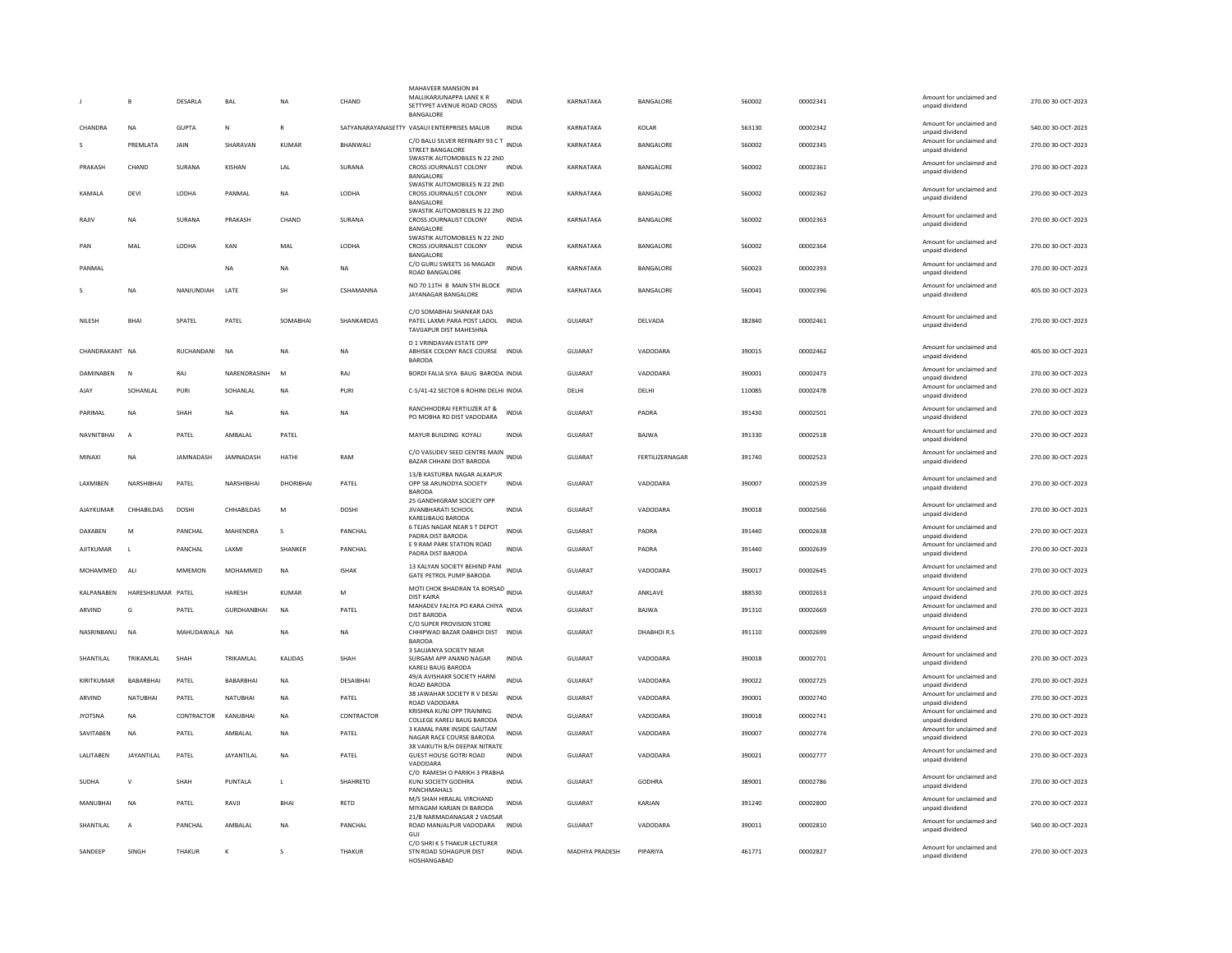|                  | <b>B</b>          | DESARLA       | BAL                | <b>NA</b>    | CHAND        | MAHAVEER MANSION #4<br>MALLIKARJUNAPPA LANE K R<br>SETTYPET AVENUE ROAD CROSS<br>BANGALORE | INDIA        | KARNATAKA             | BANGALORE       | 560002 | 00002341 | Amount for unclaimed and<br>unpaid dividend                    | 270.00 30-OCT-2023 |
|------------------|-------------------|---------------|--------------------|--------------|--------------|--------------------------------------------------------------------------------------------|--------------|-----------------------|-----------------|--------|----------|----------------------------------------------------------------|--------------------|
| CHANDRA          | <b>NA</b>         | <b>GUPTA</b>  | N                  | $\mathbb{R}$ |              | SATYANARAYANASETTY VASAUI ENTERPRISES MALUR                                                | <b>INDIA</b> | KARNATAKA             | KOLAR           | 563130 | 00002342 | Amount for unclaimed and                                       | 540.00 30-OCT-2023 |
|                  | PREMLATA          | JAIN          | SHARAVAN           | <b>KUMAR</b> | BHANWALI     | C/O BALU SILVER REFINARY 93 C T<br>INDIA<br>STREET BANGALORE                               |              | KARNATAKA             | BANGALORE       | 560002 | 00002345 | unnaid dividend<br>Amount for unclaimed and<br>unpaid dividend | 270.00 30-OCT-2023 |
| PRAKASH          | CHAND             | SURANA        | KISHAN             | LAL          | SURANA       | SWASTIK AUTOMOBILES N 22 2ND<br>CROSS JOURNALIST COLONY<br>BANGALORE                       | <b>INDIA</b> | KARNATAKA             | BANGALORE       | 560002 | 00002361 | Amount for unclaimed and<br>unpaid dividend                    | 270.00 30-OCT-2023 |
| KAMALA           | DEVI              | LODHA         | PANMAL             | <b>NA</b>    | LODHA        | SWASTIK AUTOMOBILES N 22 2ND<br>CROSS JOURNALIST COLONY<br>BANGALORE                       | INDIA        | KARNATAKA             | BANGALORE       | 560002 | 00002362 | Amount for unclaimed and<br>unpaid dividend                    | 270.00 30-OCT-2023 |
| RAJIV            | <b>NA</b>         | SURANA        | PRAKASH            | CHAND        | SURANA       | SWASTIK AUTOMOBILES N 22 2ND<br>CROSS JOURNALIST COLONY<br>BANGALORE                       | <b>INDIA</b> | KARNATAKA             | BANGALORE       | 560002 | 00002363 | Amount for unclaimed and<br>unpaid dividend                    | 270.00 30-OCT-2023 |
| PAN              | MAL               | LODHA         | KAN                | MAL          | LODHA        | SWASTIK AUTOMOBILES N 22 2ND<br>CROSS JOURNALIST COLONY<br><b>BANGALORE</b>                | <b>INDIA</b> | KARNATAKA             | BANGALORE       | 560002 | 00002364 | Amount for unclaimed and<br>unpaid dividend                    | 270.00 30-OCT-2023 |
| PANMAI           |                   |               | <b>NA</b>          | <b>NA</b>    | <b>NA</b>    | C/O GURU SWEETS 16 MAGADI<br><b>ROAD BANGALORE</b>                                         | <b>INDIA</b> | KARNATAKA             | BANGALORE       | 560023 | 00002393 | Amount for unclaimed and<br>unpaid dividend                    | 270.00 30-OCT-2023 |
|                  | <b>NA</b>         | NANJUNDIAH    | LATE               | <b>SH</b>    | CSHAMANNA    | NO 70 11TH B MAIN 5TH BLOCK<br>JAYANAGAR BANGALORE                                         | <b>INDIA</b> | KARNATAKA             | BANGALORE       | 560041 | 00002396 | Amount for unclaimed and<br>unpaid dividend                    | 405.00 30-OCT-2023 |
| NILESH           | <b>RHAI</b>       | SPATEL        | PATEL              | SOMABHAI     | SHANKARDAS   | C/O SOMABHAI SHANKAR DAS<br>PATEL LAXMI PARA POST LADOL INDIA<br>TAVIJAPUR DIST MAHESHNA   |              | <b>GUJARAT</b>        | DELVADA         | 382840 | 00002461 | Amount for unclaimed and<br>unpaid dividend                    | 270.00 30-OCT-2023 |
| CHANDRAKANT NA   |                   | RUCHANDANI    | <b>NA</b>          | <b>NA</b>    | <b>NA</b>    | <b>D 1 VRINDAVAN ESTATE OPF</b><br>ABHISEK COLONY RACE COURSE<br><b>BARODA</b>             | <b>INDIA</b> | <b>GUJARAT</b>        | VADODARA        | 390015 | 00002462 | Amount for unclaimed and<br>unpaid dividend                    | 405.00 30-OCT-2023 |
| DAMINABEN        | N                 | RAJ           | NARENDRASINH       | M            | RAJ          | BORDI FALIA SIYA BAUG BARODA INDIA                                                         |              | GUJARAT               | VADODARA        | 390001 | 00002473 | Amount for unclaimed and                                       | 270.00 30-OCT-2023 |
| AJAY             | SOHANLAL          | PURI          | SOHANLAL           | <b>NA</b>    | PURI         | C-5/41-42 SECTOR 6 ROHINI DELHI INDIA                                                      |              | DELHI                 | DELHI           | 110085 | 00002478 | unpaid dividend<br>Amount for unclaimed and<br>unpaid dividend | 270.00 30-OCT-2023 |
| PARIMAL          | NA                | SHAH          | NA                 | <b>NA</b>    | <b>NA</b>    | RANCHHODRAI FERTILIZER AT &<br>PO MOBHA RD DIST VADODARA                                   | <b>INDIA</b> | GUJARAT               | PADRA           | 391430 | 00002501 | Amount for unclaimed and<br>unpaid dividend                    | 270.00 30-OCT-2023 |
| NAVNITBHAI       | $\overline{A}$    | PATEL         | AMBALAL            | PATEL        |              | MAYUR BUILDING KOYALI                                                                      | <b>INDIA</b> | <b>GUJARAT</b>        | BAJWA           | 391330 | 00002518 | Amount for unclaimed and<br>unpaid dividend                    | 270.00 30-OCT-2023 |
| MINAXI           | <b>NA</b>         | JAMNADASH     | JAMNADASH          | HATHI        | RAM          | C/O VASUDEV SEED CENTRE MAIN INDIA<br>BAZAR CHHANI DIST BARODA                             |              | GUJARAT               | FERTILIZERNAGAR | 391740 | 00002523 | Amount for unclaimed and<br>unpaid dividend                    | 270.00 30-OCT-2023 |
| LAXMIBEN         | NARSHIBHAI        | PATEL         | NARSHIBHAI         | DHORIBHAI    | PATEL        | 13/B KASTURBA NAGAR ALKAPUR<br>OPP 58 ARUNODYA SOCIETY<br><b>BARODA</b>                    | <b>INDIA</b> | <b>GUJARAT</b>        | VADODARA        | 390007 | 00002539 | Amount for unclaimed and<br>unpaid dividend                    | 270.00 30-OCT-2023 |
| AJAYKUMAF        | CHHABILDAS        | <b>DOSHI</b>  | CHHABILDAS         | M            | DOSHI        | 25 GANDHIGRAM SOCIETY OPP<br>JIVANBHARATI SCHOOL<br>KARELIBAUG BARODA                      | <b>INDIA</b> | <b>GUJARAT</b>        | VADODARA        | 390018 | 00002566 | Amount for unclaimed and<br>unpaid dividend                    | 270.00 30-OCT-2023 |
| DAXABEN          | M                 | PANCHAL       | MAHENDRA           | s            | PANCHAL      | 6 TEJAS NAGAR NEAR S T DEPOT                                                               | <b>INDIA</b> | <b>GUJARAT</b>        | PADRA           | 391440 | 00002638 | Amount for unclaimed and                                       | 270.00 30-OCT-2023 |
| <b>AJITKUMAR</b> | $\mathbf{L}$      | PANCHAL       | LAXMI              | SHANKER      | PANCHAL      | PADRA DIST BARODA<br>E 9 RAM PARK STATION ROAD<br>PADRA DIST BARODA                        | <b>INDIA</b> | <b>GUJARAT</b>        | PADRA           | 391440 | 00002639 | unpaid dividend<br>Amount for unclaimed and<br>unpaid dividend | 270.00 30-OCT-2023 |
| MOHAMMED         | ALI               | <b>MMEMON</b> | MOHAMMED           | NA           | <b>ISHAK</b> | 13 KALYAN SOCIETY BEHIND PANI<br><b>GATE PETROL PUMP BARODA</b>                            | <b>INDIA</b> | GUJARAT               | VADODARA        | 390017 | 00002645 | Amount for unclaimed and<br>unpaid dividend                    | 270.00 30-OCT-2023 |
| KALPANABEN       | HARESHKUMAR PATEL |               | <b>HARESH</b>      | KUMAR        | M            | MOTI CHOK BHADRAN TA BORSAD INDIA<br><b>DIST KAIRA</b>                                     |              | <b>GUJARAT</b>        | ANKLAVE         | 388530 | 00002653 | Amount for unclaimed and<br>unpaid dividend                    | 270.00 30-OCT-2023 |
| ARVIND           | G                 | PATEL         | <b>GURDHANBHAI</b> | <b>NA</b>    | PATEL        | MAHADEV FALIYA PO KARA CHIYA INDIA<br><b>DIST BARODA</b>                                   |              | GUJARAT               | BAJWA           | 391310 | 00002669 | Amount for unclaimed and                                       | 270.00 30-OCT-2023 |
| NASRINBANU       | <b>NA</b>         | MAHUDAWALA NA |                    | <b>NA</b>    | <b>NA</b>    | C/O SUPER PROVISION STORE<br>CHHIPWAD BAZAR DABHOI DIST                                    | <b>INDIA</b> | <b>GUJARAT</b>        | DHABHOIR.S      | 391110 | 00002699 | unpaid dividend<br>Amount for unclaimed and<br>unpaid dividend | 270.00 30-OCT-2023 |
| SHANTILAL        | TRIKAMLAL         | SHAH          | TRIKAMLAL          | KALIDAS      | SHAH         | <b>BARODA</b><br>3 SAUJANYA SOCIETY NEAR<br>SURGAM APP ANAND NAGAR                         | <b>INDIA</b> | <b>GUJARAT</b>        | VADODARA        | 390018 | 00002701 | Amount for unclaimed and                                       | 270.00 30-OCT-2023 |
| KIRITKUMAR       | BABARBHAI         | PATEL         | BABARBHAI          | <b>NA</b>    | DESAIBHAI    | KARELI BAUG BARODA<br>49/A AVISHAKR SOCIETY HARNI                                          | <b>INDIA</b> | GUJARAT               | VADODARA        | 390022 | 00002725 | unpaid dividend<br>Amount for unclaimed and                    | 270.00 30-OCT-2023 |
| ARVIND           | <b>NATUBHAI</b>   | PATEL         | <b>NATUBHAI</b>    | <b>NA</b>    | PATEL        | ROAD BARODA<br>38 JAWAHAR SOCIETY R V DESAI                                                | <b>INDIA</b> | <b>GUJARAT</b>        | VADODARA        | 390001 | 00002740 | unpaid dividend<br>Amount for unclaimed and                    | 270.00 30-OCT-2023 |
| <b>JYOTSNA</b>   | <b>NA</b>         | CONTRACTOR    | KANUBHAI           | <b>NA</b>    | CONTRACTOR   | ROAD VADODARA<br>KRISHNA KUNJ OPP TRAINING                                                 | <b>INDIA</b> | <b>GUJARAT</b>        | VADODARA        | 390018 | 00002741 | unpaid dividend<br>Amount for unclaimed and                    | 270.00 30-OCT-2023 |
| SAVITABEN        | NA                | PATEL         | AMBALAL            | <b>NA</b>    | PATEL        | COLLEGE KARELI BAUG BARODA<br>3 KAMAL PARK INSIDE GAUTAM                                   | <b>INDIA</b> | <b>GUJARAT</b>        | VADODARA        | 390007 | 00002774 | unpaid dividend<br>Amount for unclaimed and                    | 270.00 30-OCT-2023 |
|                  |                   |               |                    |              |              | NAGAR RACE COURSE BARODA<br>38 VAIKUTH B/H DEEPAK NITRATE                                  |              |                       |                 |        |          | unpaid dividend<br>Amount for unclaimed and                    |                    |
| LALITABEN        | <b>JAYANTILAL</b> | PATEL         | JAYANTILAL         | <b>NA</b>    | PATEL        | <b>GUEST HOUSE GOTRI ROAD</b><br>VADODARA<br>C/O RAMESH O PARIKH 3 PRABHA                  | <b>INDIA</b> | GUIARAT               | VADODARA        | 390021 | 00002777 | unpaid dividend                                                | 270.00 30-OCT-2023 |
| SUDHA            | $\mathsf{V}$      | SHAH          | PUNTALA            | $\mathsf{L}$ | SHAHRETD     | KUNJ SOCIETY GODHRA<br>PANCHMAHALS                                                         | <b>INDIA</b> | <b>GUJARAT</b>        | <b>GODHRA</b>   | 389001 | 00002786 | Amount for unclaimed and<br>unpaid dividend                    | 270.00 30-OCT-2023 |
| MANUBHAI         | <b>NA</b>         | PATEL         | RAVJI              | BHAI         | RETD         | M/S SHAH HIRALAL VIRCHAND<br>MIYAGAM KARJAN DI BARODA                                      | INDIA        | GUJARAT               | KARJAN          | 391240 | 00002800 | Amount for unclaimed and<br>unpaid dividend                    | 270.00 30-OCT-2023 |
| SHANTILAL        | $\overline{A}$    | PANCHAL       | AMBALAL            | <b>NA</b>    | PANCHAL      | 21/B NARMADANAGAR 2 VADSAR<br>ROAD MANJALPUR VADODARA<br>GUJ                               | <b>INDIA</b> | GUJARAT               | VADODARA        | 390011 | 00002810 | Amount for unclaimed and<br>unpaid dividend                    | 540.00 30-OCT-2023 |
| SANDEEP          | <b>SINGH</b>      | THAKUR        | к                  | $\mathbf{S}$ | THAKUR       | C/O SHRI K S THAKUR LECTURER<br>STN ROAD SOHAGPUR DIST<br>HOSHANGABAD                      | <b>INDIA</b> | <b>MADHYA PRADESH</b> | PIPARIYA        | 461771 | 00002827 | Amount for unclaimed and<br>unpaid dividend                    | 270.00.30-QCT-2023 |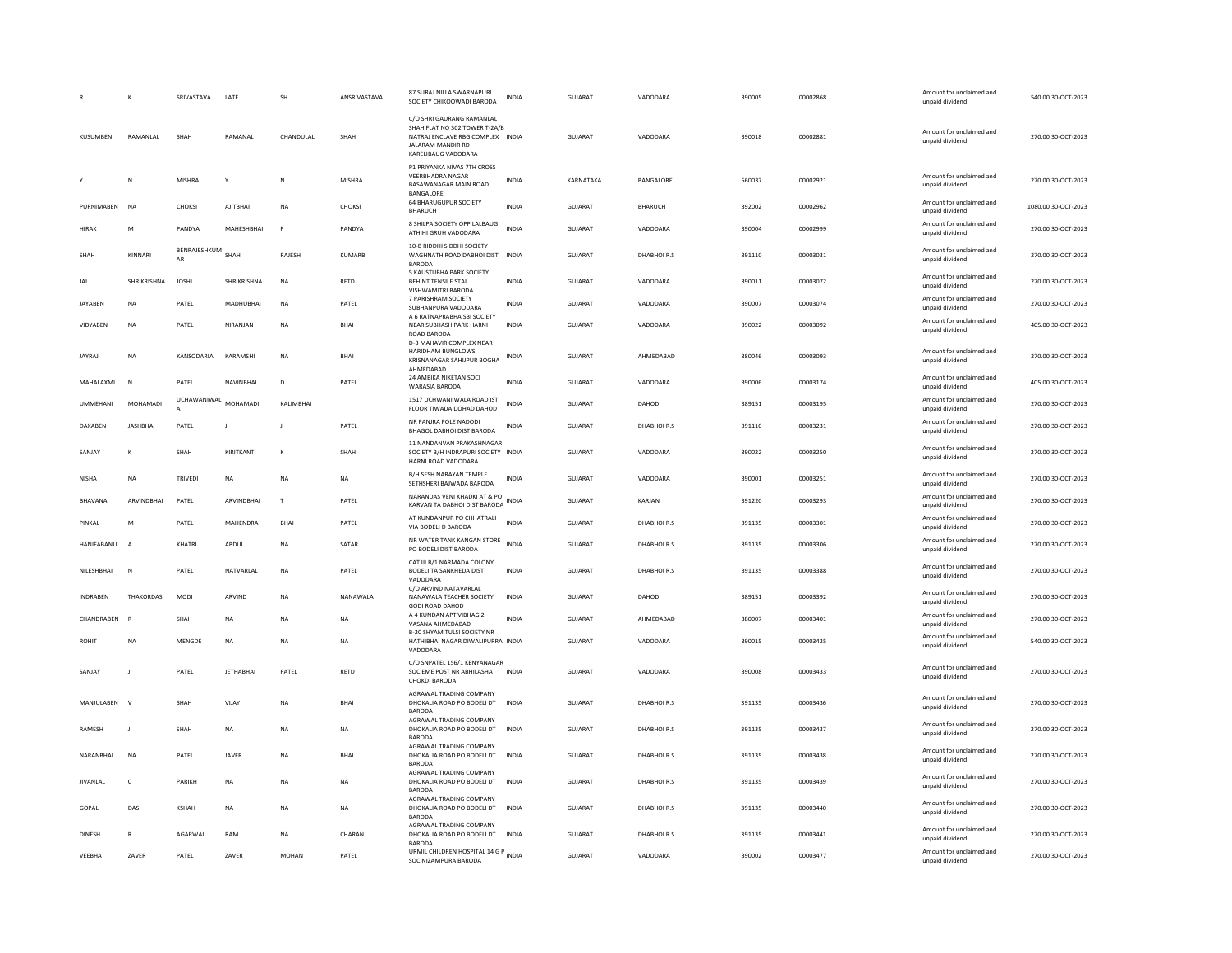|                   | $\kappa$         | SRIVASTAVA         | LATE             | <b>SH</b>    | ANSRIVASTAVA  | 87 SURAJ NILLA SWARNAPURI<br>SOCIETY CHIKOOWADI BARODA                                                                                             | <b>INDIA</b> | GUJARAT        | VADODARA    | 390005 | 00002868 | Amount for unclaimed and<br>unpaid dividend | 540.00 30-OCT-2023  |
|-------------------|------------------|--------------------|------------------|--------------|---------------|----------------------------------------------------------------------------------------------------------------------------------------------------|--------------|----------------|-------------|--------|----------|---------------------------------------------|---------------------|
| KUSUMBEN          | RAMANLAL         | SHAH               | RAMANAL          | CHANDULAL    | SHAH          | C/O SHRI GAURANG RAMANLAL<br>SHAH FLAT NO 302 TOWER T-2A/B<br>NATRAJ ENCLAVE RBG COMPLEX INDIA<br><b>IAI ARAM MANDIR RD</b><br>KARELIBAUG VADODARA |              | GUJARAT        | VADODARA    | 390018 | 00002881 | Amount for unclaimed and<br>unpaid dividend | 270.00 30-OCT-2023  |
|                   | N                | <b>MISHRA</b>      | Y                | N            | <b>MISHRA</b> | P1 PRIYANKA NIVAS 7TH CROSS<br><b>VEFRBHADRA NAGAR</b><br>BASAWANAGAR MAIN ROAD<br>BANGALORE                                                       | <b>INDIA</b> | KARNATAKA      | BANGALORE   | 560037 | 00002921 | Amount for unclaimed and<br>unpaid dividend | 270.00 30-OCT-2023  |
| PURNIMABEN        | <b>NA</b>        | CHOKSI             | AJITBHAI         | <b>NA</b>    | CHOKSI        | 64 BHARUGUPUR SOCIETY<br><b>BHARUCH</b>                                                                                                            | <b>INDIA</b> | GUJARAT        | BHARUCH     | 392002 | 00002962 | Amount for unclaimed and<br>unpaid dividend | 1080.00 30-OCT-2023 |
| <b>HIRAK</b>      | M                | PANDYA             | MAHESHBHAI       | P            | PANDYA        | 8 SHILPA SOCIETY OPP LALBAUG<br>ATHIHI GRUH VADODARA                                                                                               | <b>INDIA</b> | GUJARAT        | VADODARA    | 390004 | 00002999 | Amount for unclaimed and<br>unpaid dividend | 270.00 30-OCT-2023  |
| SHAH              | KINNARI          | BENRAJESHKUM<br>AR | SHAH             | RAJESH       | KUMARR        | 10-B RIDDHI SIDDHI SOCIETY<br>WAGHNATH ROAD DABHOI DIST INDIA<br><b>BARODA</b>                                                                     |              | <b>GUJARAT</b> | DHABHOIR.S  | 391110 | 00003031 | Amount for unclaimed and<br>unpaid dividend | 270.00 30-OCT-2023  |
| JAI               | SHRIKRISHNA      | <b>JOSHI</b>       | SHRIKRISHNA      | NA           | RETD          | 5 KAUSTUBHA PARK SOCIETY<br>BEHINT TENSILE STAL<br>VISHWAMITRI BARODA                                                                              | INDIA        | GUJARAT        | VADODARA    | 390011 | 00003072 | Amount for unclaimed and<br>unpaid dividend | 270.00 30-OCT-2023  |
| <b>JAYABEN</b>    | <b>NA</b>        | PATEL              | <b>MADHUBHAI</b> | <b>NA</b>    | PATEL         | 7 PARISHRAM SOCIETY<br>SUBHANPURA VADODARA                                                                                                         | <b>INDIA</b> | <b>GUJARAT</b> | VADODARA    | 390007 | 00003074 | Amount for unclaimed and<br>unpaid dividend | 270.00 30-OCT-2023  |
| VIDYABEN          | <b>NA</b>        | PATEL              | NIRANJAN         | <b>NA</b>    | BHAI          | A 6 RATNAPRABHA SBI SOCIETY<br>NEAR SUBHASH PARK HARNI<br><b>ROAD BARODA</b><br>D-3 MAHAVIR COMPLEX NEAR                                           | <b>INDIA</b> | GUJARAT        | VADODARA    | 390022 | 00003092 | Amount for unclaimed and<br>unpaid dividend | 405.00 30-OCT-2023  |
| <b>JAYRAJ</b>     | <b>NA</b>        | KANSODARIA         | KARAMSHI         | <b>NA</b>    | <b>BHAI</b>   | HARIDHAM BUNGLOWS<br>KRISNANAGAR SAHIJPUR BOGHA<br>AHMEDABAD                                                                                       | <b>INDIA</b> | <b>GUJARAT</b> | AHMEDABAD   | 380046 | 00003093 | Amount for unclaimed and<br>unpaid dividend | 270.00 30-OCT-2023  |
| MAHALAXMI         | N                | PATEL              | NAVINBHAI        | D            | PATEL         | 24 AMBIKA NIKETAN SOCI<br>WARASIA BARODA                                                                                                           | <b>INDIA</b> | GUJARAT        | VADODARA    | 390006 | 00003174 | Amount for unclaimed and<br>unpaid dividend | 405.00 30-OCT-2023  |
| <b>UMMEHANI</b>   | MOHAMADI         | UCHAWANIWAL        | MOHAMADI         | KALIMBHAI    |               | 1517 UCHWANI WALA ROAD IST<br>FLOOR TIWADA DOHAD DAHOD                                                                                             | <b>INDIA</b> | GUJARAT        | DAHOD       | 389151 | 00003195 | Amount for unclaimed and<br>unpaid dividend | 270.00 30-OCT-2023  |
| DAXABEN           | <b>JASHBHAI</b>  | PATEL              | $\blacksquare$   | $\mathbf{I}$ | PATEL         | NR PANJRA POLE NADODI<br>BHAGOL DABHOI DIST BARODA                                                                                                 | <b>INDIA</b> | <b>GUJARAT</b> | DHARHOLR S  | 391110 | 00003231 | Amount for unclaimed and<br>unpaid dividend | 270.00 30-OCT-2023  |
| SANJAY            | K                | SHAH               | KIRITKANT        | K            | SHAH          | 11 NANDANVAN PRAKASHNAGAR<br>SOCIETY B/H INDRAPURI SOCIETY INDIA<br>HARNI ROAD VADODARA                                                            |              | GUJARAT        | VADODARA    | 390022 | 00003250 | Amount for unclaimed and<br>unpaid dividend | 270.00 30-OCT-2023  |
| <b>NISHA</b>      | <b>NA</b>        | TRIVED             | <b>NA</b>        | <b>NA</b>    | <b>NA</b>     | B/H SESH NARAYAN TEMPLE<br>SETHSHERI BAJWADA BARODA                                                                                                | <b>INDIA</b> | <b>GUJARAT</b> | VADODARA    | 390001 | 00003251 | Amount for unclaimed and<br>unpaid dividend | 270.00 30-OCT-2023  |
| <b>BHAVANA</b>    | ARVINDBHAI       | PATEL              | ARVINDBHAI       | $\mathbf{I}$ | PATEL         | NARANDAS VENI KHADKI AT & PO<br>KARVAN TA DABHOI DIST BARODA                                                                                       | <b>INDIA</b> | <b>GUJARAT</b> | KARJAN      | 391220 | 00003293 | Amount for unclaimed and<br>unpaid dividend | 270.00 30-OCT-2023  |
| PINKAL            | M                | PATEL              | MAHENDRA         | BHAI         | PATEL         | AT KUNDANPUR PO CHHATRALI<br>VIA BODELI D BARODA                                                                                                   | <b>INDIA</b> | GUJARAT        | DHABHOIR.S  | 391135 | 00003301 | Amount for unclaimed and<br>unpaid dividend | 270.00 30-OCT-2023  |
| HANIFABANU        | $\overline{A}$   | KHATRI             | ABDUL            | <b>NA</b>    | SATAR         | NR WATER TANK KANGAN STORE<br>PO BODELI DIST BARODA                                                                                                | <b>INDIA</b> | <b>GUJARAT</b> | DHABHOIR.S  | 391135 | 00003306 | Amount for unclaimed and<br>unpaid dividend | 270.00 30-OCT-2023  |
| <b>NILESHRHAI</b> | N                | PATFI              | NATVARI AI       | NA           | PATFI         | CAT III B/1 NARMADA COLONY<br>BODELI TA SANKHEDA DIST<br>VADODARA                                                                                  | <b>INDIA</b> | GUIARAT        | DHARHOLR S  | 391135 | 00003388 | Amount for unclaimed and<br>unpaid dividend | 270.00.30-OCT-2023  |
| <b>INDRABEN</b>   | <b>THAKORDAS</b> | <b>MODI</b>        | ARVIND           | <b>NA</b>    | NANAWAI A     | C/O ARVIND NATAVARLAL<br>NANAWALA TEACHER SOCIETY<br><b>GODI ROAD DAHOD</b>                                                                        | <b>INDIA</b> | <b>GUJARAT</b> | DAHOD       | 389151 | 00003392 | Amount for unclaimed and<br>unpaid dividend | 270.00 30-OCT-2023  |
| CHANDRABEN        |                  | SHAH               | <b>NA</b>        | <b>NA</b>    | NA            | A 4 KUNDAN APT VIBHAG 2<br>VASANA AHMEDABAD                                                                                                        | <b>INDIA</b> | GUJARAT        | AHMEDABAD   | 380007 | 00003401 | Amount for unclaimed and<br>unpaid dividend | 270.00 30-OCT-2023  |
| <b>ROHIT</b>      | NA               | MENGDE             | <b>NA</b>        | <b>NA</b>    | <b>NA</b>     | B-20 SHYAM TULSI SOCIETY NR<br>HATHIBHAI NAGAR DIWALIPURRA INDIA<br>VADODARA                                                                       |              | <b>GUJARAT</b> | VADODARA    | 390015 | 00003425 | Amount for unclaimed and<br>unpaid dividend | 540.00 30-OCT-2023  |
| SANJAY            | - 1              | PATEL              | <b>JETHABHAI</b> | PATEL        | RETD          | C/O SNPATEL 156/1 KENYANAGAR<br>SOC EME POST NR ABHILASHA<br>CHOKDI BARODA                                                                         | <b>INDIA</b> | <b>GUJARAT</b> | VADODARA    | 390008 | 00003433 | Amount for unclaimed and<br>unpaid dividend | 270.00 30-OCT-2023  |
| MANJULABEN        | $\mathbf{v}$     | SHAH               | VIJAY            | <b>NA</b>    | BHAI          | AGRAWAL TRADING COMPANY<br>DHOKALIA ROAD PO BODELI DT<br><b>BARODA</b>                                                                             | <b>INDIA</b> | GUJARAT        | DHABHOIR.S  | 391135 | 00003436 | Amount for unclaimed and<br>unpaid dividend | 270.00 30-OCT-2023  |
| RAMESH            | $\mathbf{J}$     | SHAH               | NA               | NA           | <b>NA</b>     | AGRAWAL TRADING COMPANY<br>DHOKALIA ROAD PO BODELI DT<br><b>BARODA</b>                                                                             | <b>INDIA</b> | GUJARAT        | DHABHOIR.S  | 391135 | 00003437 | Amount for unclaimed and<br>unpaid dividend | 270.00 30-OCT-2023  |
| NARANBHAI         | <b>NA</b>        | PATEL              | <b>JAVER</b>     | <b>NA</b>    | BHAI          | AGRAWAL TRADING COMPANY<br>DHOKALIA ROAD PO BODELI DT<br><b>BARODA</b>                                                                             | <b>INDIA</b> | <b>GUJARAT</b> | DHABHOIR.S  | 391135 | 00003438 | Amount for unclaimed and<br>unpaid dividend | 270.00 30-OCT-2023  |
| <b>IIVANI AI</b>  | $\mathsf{C}$     | <b>PARIKH</b>      | <b>NA</b>        | <b>NA</b>    | <b>NA</b>     | AGRAWAL TRADING COMPANY<br>DHOKALIA ROAD PO BODELI DT<br><b>BARODA</b>                                                                             | <b>INDIA</b> | GUIARAT        | DHARHOLR.S. | 391135 | 00003439 | Amount for unclaimed and<br>unpaid dividend | 270.00 30-OCT-2023  |
| GOPAL             | DAS              | <b>KSHAH</b>       | <b>NA</b>        | NA           | NA            | AGRAWAL TRADING COMPANY<br>DHOKALIA ROAD PO BODELI DT<br><b>BARODA</b>                                                                             | <b>INDIA</b> | GUJARAT        | DHABHOIR.S  | 391135 | 00003440 | Amount for unclaimed and<br>unpaid dividend | 270.00 30-OCT-2023  |
| <b>DINESH</b>     | $\mathsf{R}$     | AGARWAL            | RAM              | NA           | CHARAN        | AGRAWAL TRADING COMPANY<br>DHOKALIA ROAD PO BODELI DT<br><b>BARODA</b>                                                                             | <b>INDIA</b> | GUJARAT        | DHABHOIR.S  | 391135 | 00003441 | Amount for unclaimed and<br>unpaid dividend | 270.00 30-OCT-2023  |
| VEEBHA            | ZAVER            | PATEL              | ZAVER            | <b>MOHAN</b> | PATEL         | URMIL CHILDREN HOSPITAL 14 G P INDIA<br>SOC NIZAMPURA BARODA                                                                                       |              | GUJARAT        | VADODARA    | 390002 | 00003477 | Amount for unclaimed and<br>unpaid dividend | 270.00 30-OCT-2023  |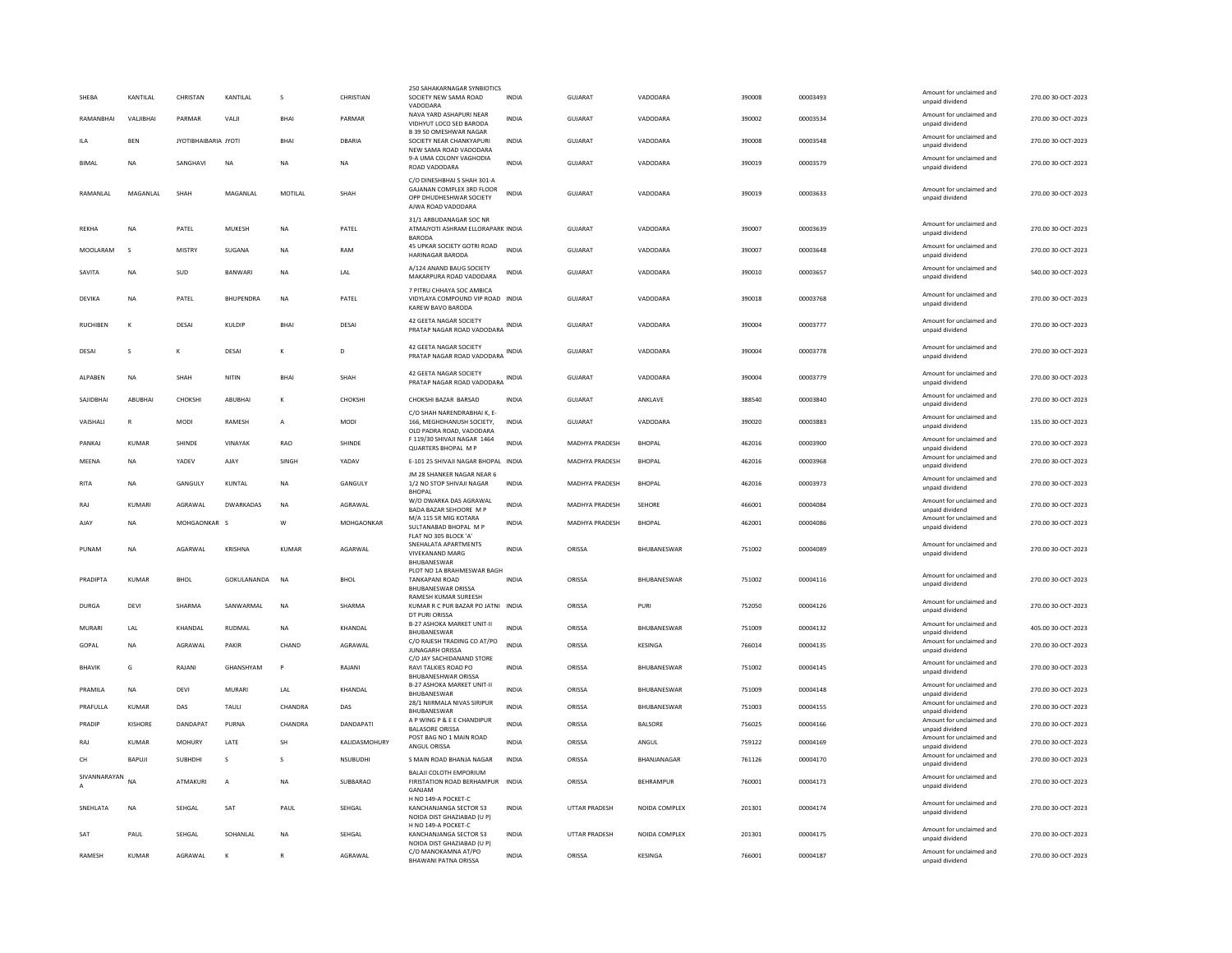| SHFRA           | <b>KANTILAI</b> | CHRISTAN             | <b>KANTILAI</b>  | $\mathbf{S}$   | CHRISTIAN        | 250 SAHAKARNAGAR SYNBIOTICS<br>SOCIETY NEW SAMA ROAD                                                      | <b>INDIA</b> | GUIARAT               | VADODARA           | 390008 | 00003493 | Amount for unclaimed and<br>unpaid dividend                    | 270.00.30-OCT-2023 |
|-----------------|-----------------|----------------------|------------------|----------------|------------------|-----------------------------------------------------------------------------------------------------------|--------------|-----------------------|--------------------|--------|----------|----------------------------------------------------------------|--------------------|
| RAMANBHAI       | VALJIBHAI       | PARMAR               | VALII            | BHA            | PARMAR           | VADODARA<br>NAVA YARD ASHAPURI NEAR<br>VIDHYUT LOCO SED BARODA                                            | INDIA        | GUJARAT               | VADODARA           | 390002 | 00003534 | Amount for unclaimed and<br>unpaid dividend                    | 270.00 30-OCT-2023 |
| II A            | BEN             | JYOTIBHAIBARIA JYOTI |                  | BHAI           | DBARIA           | B 39 50 OMESHWAR NAGAR<br>SOCIETY NEAR CHANKYAPURI<br>NEW SAMA ROAD VADODARA                              | <b>INDIA</b> | GUJARAT               | VADODARA           | 390008 | 00003548 | Amount for unclaimed and<br>unpaid dividend                    | 270.00 30-OCT-2023 |
| <b>BIMAL</b>    | <b>NA</b>       | SANGHAVI             | <b>NA</b>        | <b>NA</b>      | NA.              | 9-A UMA COLONY VAGHODIA<br>ROAD VADODARA                                                                  | <b>INDIA</b> | GUIARAT               | VADODARA           | 390019 | 00003579 | Amount for unclaimed and<br>unpaid dividend                    | 270.00 30-OCT-2023 |
| RAMANLAL        | MAGANLAL        | SHAH                 | MAGANLAL         | MOTILAL        | SHAH             | C/O DINESHBHAI S SHAH 301-A<br>GAJANAN COMPLEX 3RD FLOOR<br>OPP DHUDHESHWAR SOCIETY<br>AJWA ROAD VADODARA | <b>INDIA</b> | <b>GUJARAT</b>        | VADODARA           | 390019 | 00003633 | Amount for unclaimed and<br>unpaid dividend                    | 270.00 30-OCT-2023 |
| <b>REKHA</b>    | NA              | PATEL                | MUKESH           | <b>NA</b>      | PATEL            | 31/1 ARBUDANAGAR SOC NR<br>ATMAJYOTI ASHRAM ELLORAPARK INDIA<br><b>BARODA</b>                             |              | GUJARAT               | VADODARA           | 390007 | 00003639 | Amount for unclaimed and<br>unpaid dividend                    | 270.00 30-OCT-2023 |
| MOOLARAM        | $\mathbf{S}$    | <b>MISTRY</b>        | SUGANA           | NA             | RAM              | 45 UPKAR SOCIETY GOTRI ROAD<br>HARINAGAR BARODA                                                           | <b>INDIA</b> | GUJARAT               | VADODARA           | 390007 | 00003648 | Amount for unclaimed and<br>unpaid dividend                    | 270.00 30-OCT-2023 |
| SAVITA          | <b>NA</b>       | <b>SUD</b>           | <b>BANWARI</b>   | <b>NA</b>      | <b>IAI</b>       | A/124 ANAND BAUG SOCIETY<br>MAKARPURA ROAD VADODARA                                                       | <b>INDIA</b> | GUIARAT               | VADODARA           | 390010 | 00003657 | Amount for unclaimed and<br>unpaid dividend                    | 540.00 30-OCT-2023 |
| DEVIKA          | <b>NA</b>       | PATEL                | <b>RHUPFNDRA</b> | <b>NA</b>      | PATEL            | 7 PITRU CHHAYA SOC AMBICA<br>VIDYLAYA COMPOUND VIP ROAD INDIA<br>KAREW BAVO BARODA                        |              | GUIARAT               | VADODARA           | 390018 | 00003768 | Amount for unclaimed and<br>unpaid dividend                    | 270.00 30-OCT-2023 |
| <b>RUCHIBEN</b> | К               | DESAI                | KULDIP           | <b>BHA</b>     | DESAI            | 42 GEETA NAGAR SOCIETY<br>PRATAP NAGAR ROAD VADODARA INDIA                                                |              | GUJARAT               | VADODARA           | 390004 | 00003777 | Amount for unclaimed and<br>unpaid dividend                    | 270.00 30-OCT-2023 |
| DESAI           | s               |                      | DESAI            |                | D                | 42 GEETA NAGAR SOCIETY<br>PRATAP NAGAR ROAD VADODARA                                                      | INDIA        | GUJARAT               | VADODARA           | 390004 | 00003778 | Amount for unclaimed and<br>unpaid dividend                    | 270.00 30-OCT-2023 |
| ALPABEN         | NΑ              | SHAH                 | NITIN            | BHA            | SHAH             | 42 GEETA NAGAR SOCIETY<br>PRATAP NAGAR ROAD VADODARA INDIA                                                |              | GUJARAT               | VADODARA           | 390004 | 00003779 | Amount for unclaimed and<br>unpaid dividend                    | 270.00 30-OCT-2023 |
| SAJIDBHAI       | ABUBHAI         | CHOKSHI              | ABUBHAI          |                | CHOKSHI          | CHOKSHI BAZAR BARSAD                                                                                      | <b>INDIA</b> | GUJARAT               | ANKLAVE            | 388540 | 00003840 | Amount for unclaimed and<br>unpaid dividend                    | 270.00 30-OCT-2023 |
| VAISHALI        | R               | <b>MODI</b>          | RAMESH           | $\overline{A}$ | <b>MODI</b>      | C/O SHAH NARENDRABHAI K. E-<br>166, MEGHDHANUSH SOCIETY,<br>OLD PADRA ROAD, VADODARA                      | <b>INDIA</b> | GUJARAT               | VADODARA           | 390020 | 00003883 | Amount for unclaimed and<br>unpaid dividend                    | 135.00 30-OCT-2023 |
| PANKAJ          | KUMAR           | SHINDE               | VINAYAK          | RAO            | SHINDE           | F 119/30 SHIVAJI NAGAR 1464<br><b>QUARTERS BHOPAL MP</b>                                                  | INDIA        | MADHYA PRADESH        | <b>BHOPAL</b>      | 462016 | 00003900 | Amount for unclaimed and<br>unpaid dividend                    | 270.00 30-OCT-2023 |
| MEENA           | <b>NA</b>       | YADEV                | AJAY             | SINGH          | YADAV            | E-101 25 SHIVAJI NAGAR BHOPAL INDIA                                                                       |              | MADHYA PRADESH        | <b>BHOPAL</b>      | 462016 | 00003968 | Amount for unclaimed and<br>unpaid dividend                    | 270.00 30-OCT-2023 |
| <b>RITA</b>     | <b>NA</b>       | GANGULY              | KUNTAL           | <b>NA</b>      | GANGULY          | JM 28 SHANKER NAGAR NEAR 6<br>1/2 NO STOP SHIVAJI NAGAR<br><b>RHOPAL</b>                                  | <b>INDIA</b> | MADHYA PRADESH        | <b>BHOPAL</b>      | 462016 | 00003973 | Amount for unclaimed and<br>unpaid dividend                    | 270.00 30-OCT-2023 |
| RAJ             | KUMARI          | AGRAWAL              | <b>DWARKADAS</b> | <b>NA</b>      | AGRAWAI          | W/O DWARKA DAS AGRAWAL<br>BADA BAZAR SEHOORE M P                                                          | <b>INDIA</b> | <b>MADHYA PRADESH</b> | SEHORE             | 466001 | 00004084 | Amount for unclaimed and<br>unpaid dividend                    | 270.00 30-OCT-2023 |
| AJAY            | <b>NA</b>       | MOHGAONKAR S         |                  | W              | MOHGAONKAR       | M/A 115 SR MIG KOTARA<br>SULTANABAD BHOPAL M P<br>FLAT NO 305 BLOCK 'A'                                   | <b>INDIA</b> | MADHYA PRADESH        | <b>BHOPAL</b>      | 462001 | 00004086 | Amount for unclaimed and<br>unpaid dividend                    | 270.00 30-OCT-2023 |
| PUNAM           | <b>NA</b>       | AGARWAL              | <b>KRISHNA</b>   | KUMAR          | AGARWAL          | SNEHALATA APARTMENTS<br><b>VIVEKANAND MARG</b><br><b>BHURANESWAR</b>                                      | <b>INDIA</b> | ORISSA                | BHUBANESWAR        | 751002 | 00004089 | Amount for unclaimed and<br>unpaid dividend                    | 270.00 30-OCT-2023 |
| PRADIPTA        | KUMAR           | BHOL                 | GOKULANANDA      | NA             | BHOL             | PLOT NO 1A BRAHMESWAR BAGH<br><b>TANKAPANI ROAD</b><br><b>BHURANESWAR ORISSA</b>                          | <b>INDIA</b> | ORISSA                | BHUBANESWAR        | 751002 | 00004116 | Amount for unclaimed and<br>unpaid dividend                    | 270.00 30-OCT-2023 |
| <b>DURGA</b>    | DEVI            | SHARMA               | SANWARMAL        | <b>NA</b>      | SHARMA           | RAMESH KUMAR SUREESH<br>KUMAR R C PUR BAZAR PO JATNI INDIA                                                |              | ORISSA                | PURI               | 752050 | 00004126 | Amount for unclaimed and<br>unpaid dividend                    | 270.00 30-OCT-2023 |
| MURARI          | <b>I</b> AI     | KHANDAI              | RUDMAI           | <b>NA</b>      | KHANDAI          | DT PURI ORISSA<br>B-27 ASHOKA MARKET UNIT-II                                                              | <b>INDIA</b> | ORISSA                | <b>BHURANESWAR</b> | 751009 | 00004132 | Amount for unclaimed and                                       | 405.00 30-OCT-2023 |
| GOPAL           | NA              | AGRAWAL              | PAKIR            | CHAND          | AGRAWAL          | BHUBANESWAR<br>C/O RAJESH TRADING CO AT/PO<br><b>JUNAGARH ORISSA</b>                                      | <b>INDIA</b> | ORISSA                | KESINGA            | 766014 | 00004135 | unpaid dividend<br>Amount for unclaimed and<br>unpaid dividend | 270.00 30-OCT-2023 |
| <b>BHAVIK</b>   | G               | RAJANI               | GHANSHYAM        | <b>P</b>       | RAJANI           | C/O JAY SACHIDANAND STORE<br>RAVI TALKIES ROAD PO                                                         | INDIA        | ORISSA                | BHUBANESWAR        | 751002 | 00004145 | Amount for unclaimed and<br>unpaid dividend                    | 270.00 30-OCT-2023 |
| PRAMILA         | <b>NA</b>       | DEVI                 | MURARI           | LAL            | KHANDAL          | <b>BHUBANESHWAR ORISSA</b><br><b>B-27 ASHOKA MARKET UNIT-II</b><br>BHUBANESWAR                            | INDIA        | ORISSA                | BHUBANESWAR        | 751009 | 00004148 | Amount for unclaimed and<br>unpaid dividend                    | 270.00 30-OCT-2023 |
| PRAFULLA        | KUMAR           | DAS                  | TAULI            | CHANDRA        | DAS              | 28/1 NIIRMALA NIVAS SIRIPUR<br><b><i>RHURANESWAR</i></b>                                                  | <b>INDIA</b> | ORISSA                | BHUBANESWAR        | 751003 | 00004155 | Amount for unclaimed and<br>unnaid dividend                    | 270.00 30-OCT-2023 |
| PRADIP          | KISHORF         | DANDAPAT             | PURNA            | CHANDRA        | <b>DANDAPATI</b> | A P WING P & E E CHANDIPUR<br><b>BALASORE ORISSA</b>                                                      | <b>INDIA</b> | ORISSA                | <b>BALSORE</b>     | 756025 | 00004166 | Amount for unclaimed and<br>unpaid dividend                    | 270.00 30-OCT-2023 |
| RAJ             | <b>KUMAR</b>    | MOHURY               | LATE             | <b>SH</b>      | KALIDASMOHURY    | POST BAG NO 1 MAIN ROAD<br>ANGUL ORISSA                                                                   | <b>INDIA</b> | ORISSA                | ANGUL              | 759122 | 00004169 | Amount for unclaimed and<br>unpaid dividend                    | 270.00 30-OCT-2023 |
| CH              | <b>BAPUJ</b>    | SUBHDHI              | s                | s              | <b>NSUBUDHI</b>  | S MAIN ROAD BHANJA NAGAR                                                                                  | <b>INDIA</b> | ORISSA                | BHANJANAGAR        | 761126 | 00004170 | Amount for unclaimed and<br>unpaid dividend                    | 270.00 30-OCT-2023 |
| SIVANNARAYAN    | <b>NA</b>       | <b>ATMAKURI</b>      | $\mathsf{A}$     | <b>NA</b>      | SUBBARAO         | BALAJI COLOTH EMPORIUM<br>FIRISTATION ROAD BERHAMPUR<br>GANJAM                                            | <b>INDIA</b> | ORISSA                | <b>REHRAMPUR</b>   | 760001 | 00004173 | Amount for unclaimed and<br>unpaid dividend                    | 270.00 30-QCT-2023 |
| SNEHLATA        | <b>NA</b>       | SEHGAL               | SAT              | PAUL           | SEHGAL           | H NO 149-A POCKET-C<br>KANCHANJANGA SECTOR 53<br>NOIDA DIST GHAZIABAD (U P)                               | <b>INDIA</b> | <b>UTTAR PRADESH</b>  | NOIDA COMPLEX      | 201301 | 00004174 | Amount for unclaimed and<br>unpaid dividend                    | 270.00 30-OCT-2023 |
| SAT             | PAUL            | SFHGAI               | SOHANLAL         | <b>NA</b>      | SEHGAL           | H NO 149-A POCKET-C<br>KANCHANJANGA SECTOR 53<br>NOIDA DIST GHAZIABAD (U P)                               | <b>INDIA</b> | <b>UTTAR PRADESH</b>  | NOIDA COMPLEX      | 201301 | 00004175 | Amount for unclaimed and<br>unpaid dividend                    | 270.00 30-OCT-2023 |
| RAMESH          | <b>KUMAR</b>    | AGRAWAL              | K                | $\mathbb{R}$   | AGRAWAL          | C/O MANOKAMNA AT/PO<br><b>BHAWANI PATNA ORISSA</b>                                                        | <b>INDIA</b> | ORISSA                | KESINGA            | 766001 | 00004187 | Amount for unclaimed and<br>unpaid dividend                    | 270.00 30-OCT-2023 |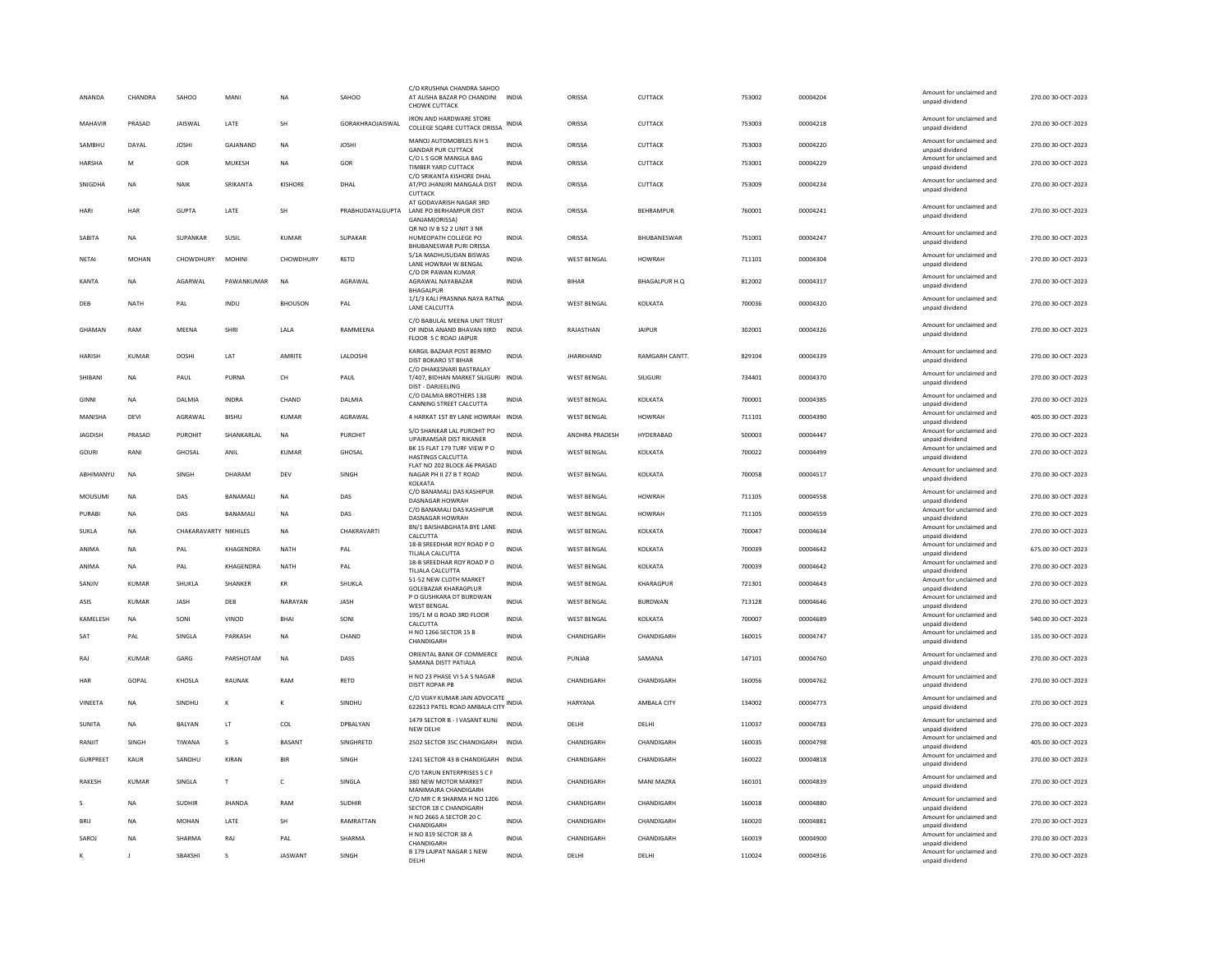| ANANDA          | CHANDRA      | SAHOO                 | MANI          | <b>NA</b>            | SAHOO                   | C/O KRUSHNA CHANDRA SAHOO<br>AT ALISHA BAZAR PO CHANDINI<br>CHOWK CUTTACK            | <b>INDIA</b> | ORISSA             | <b>CUTTACK</b>       | 753002 | 00004204 | Amount for unclaimed and<br>unpaid dividend | 270.00.30-OCT-2023 |
|-----------------|--------------|-----------------------|---------------|----------------------|-------------------------|--------------------------------------------------------------------------------------|--------------|--------------------|----------------------|--------|----------|---------------------------------------------|--------------------|
| MAHAVIR         | PRASAD       | <b>JAISWAI</b>        | <b>LATE</b>   | <b>SH</b>            | <b>GORAKHRAOJAISWAL</b> | <b>IRON AND HARDWARE STORE</b><br>COLLEGE SQARE CUTTACK ORISSA                       | <b>INDIA</b> | ORISSA             | <b>CUTTACK</b>       | 753003 | 00004218 | Amount for unclaimed and<br>unpaid dividend | 270.00.30-OCT-2023 |
| SAMBHU          | DAYAL        | <b>JOSHI</b>          | GAJANAND      | NA                   | <b>JOSHI</b>            | MANOJ AUTOMOBILES N H S<br><b>GANDAR PUR CUTTACK</b>                                 | <b>INDIA</b> | ORISSA             | CUTTACK              | 753003 | 00004220 | Amount for unclaimed and<br>unpaid dividend | 270.00 30-OCT-2023 |
| <b>HARSHA</b>   | M            | GOR                   | MUKESH        | <b>NA</b>            | GOR                     | C/O L S GOR MANGLA BAG<br>TIMBER YARD CUTTACK                                        | <b>INDIA</b> | ORISSA             | <b>CUTTACK</b>       | 753001 | 00004229 | Amount for unclaimed and<br>unpaid dividend | 270.00.30-OCT-2023 |
| SNIGDHA         | <b>NA</b>    | NAIK                  | SRIKANTA      | <b>KISHORE</b>       | DHAL                    | C/O SRIKANTA KISHORE DHAL<br>AT/PO JHANJIRI MANGALA DIST<br>CUTTACK                  | <b>INDIA</b> | ORISSA             | CUTTACK              | 753009 | 00004234 | Amount for unclaimed and<br>unpaid dividend | 270.00 30-OCT-2023 |
| <b>HARI</b>     | HAR          | <b>GUPTA</b>          | LATE          | SH                   | PRABHUDAYALGUPTA        | AT GODAVARISH NAGAR 3RD<br>LANE PO BERHAMPUR DIST<br>GANJAM(ORISSA)                  | <b>INDIA</b> | ORISSA             | <b>BEHRAMPUR</b>     | 760001 | 00004241 | Amount for unclaimed and<br>unpaid dividend | 270.00 30-OCT-2023 |
| SABITA          | <b>NA</b>    | SUPANKAR              | SUSIL         | <b>KUMAR</b>         | SUPAKAR                 | QR NO IV B 52 2 UNIT 3 NR<br>HUMEOPATH COLLEGE PO<br><b>BHUBANESWAR PURLORISSA</b>   | <b>INDIA</b> | ORISSA             | BHUBANESWAR          | 751001 | 00004247 | Amount for unclaimed and<br>unpaid dividend | 270.00 30-OCT-2023 |
| NETAI           | MOHAN        | CHOWDHURY             | <b>MOHINI</b> | CHOWDHURY            | <b>RETD</b>             | 5/1A MADHUSUDAN BISWAS<br>LANE HOWRAH W BENGAL<br>C/O DR PAWAN KUMAR                 | <b>INDIA</b> | <b>WEST BENGAL</b> | <b>HOWRAH</b>        | 711101 | 00004304 | Amount for unclaimed and<br>unpaid dividend | 270.00 30-OCT-2023 |
| KANTA           | <b>NA</b>    | AGARWAL               | PAWANKUMAR    | $_{\sf NA}$          | AGRAWAL                 | AGRAWAL NAYABAZAR<br><b>BHAGALPUR</b>                                                | <b>INDIA</b> | BIHAF              | BHAGALPUR H.Q        | 812002 | 00004317 | Amount for unclaimed and<br>unpaid dividend | 270.00 30-OCT-2023 |
| DEB             | <b>NATH</b>  | PAL                   | INDU          | <b>BHOUSON</b>       | PAL                     | 1/1/3 KALI PRASNNA NAYA RATNA<br>LANE CALCUTTA                                       | <b>INDIA</b> | <b>WEST BENGAL</b> | KOLKATA              | 700036 | 00004320 | Amount for unclaimed and<br>unpaid dividend | 270.00 30-OCT-2023 |
| <b>GHAMAN</b>   | RAM          | MEENA                 | SHRI          | LALA                 | RAMMEENA                | C/O BABULAL MEENA UNIT TRUST<br>OF INDIA ANAND BHAVAN IIIRD<br>FLOOR S C ROAD JAIPUR | <b>INDIA</b> | RAJASTHAN          | <b>JAIPUR</b>        | 302001 | 00004326 | Amount for unclaimed and<br>unpaid dividend | 270.00 30-OCT-2023 |
| <b>HARISH</b>   | KUMAR        | DOSHI                 | <b>IAT</b>    | AMRITE               | <b>LALDOSHI</b>         | KARGIL BAZAAR POST BERMO<br>DIST BOKARO ST BIHAR<br>C/O DHAKESNARI BASTRALAY         | <b>INDIA</b> | <b>IHARKHAND</b>   | <b>RAMGARH CANTT</b> | 829104 | 00004339 | Amount for unclaimed and<br>unpaid dividend | 270.00.30-OCT-2023 |
| SHIBANI         | <b>NA</b>    | PAUL                  | PURNA         | CH                   | PAUL                    | T/407, BIDHAN MARKET SILIGURI INDIA<br><b>DIST - DARJEELING</b>                      |              | <b>WEST BENGAL</b> | SILIGURI             | 734401 | 00004370 | Amount for unclaimed and<br>unpaid dividend | 270.00 30-OCT-2023 |
| <b>GINNI</b>    | <b>NA</b>    | DALMIA                | INDRA         | CHAND                | DALMIA                  | C/O DALMIA BROTHERS 138<br>CANNING STREET CALCUTTA                                   | <b>INDIA</b> | <b>WEST BENGAL</b> | KOLKATA              | 700001 | 00004385 | Amount for unclaimed and<br>unpaid dividend | 270.00 30-OCT-2023 |
| MANISHA         | DEVI         | AGRAWAL               | <b>BISHU</b>  | KUMAR                | AGRAWAL                 | 4 HARKAT 1ST BY LANE HOWRAH INDIA                                                    |              | <b>WEST BENGAL</b> | <b>HOWRAH</b>        | 711101 | 00004390 | Amount for unclaimed and<br>unpaid dividend | 405.00 30-OCT-2023 |
| <b>JAGDISH</b>  | PRASAD       | PUROHIT               | SHANKARLAL    | NA                   | <b>PUROHIT</b>          | S/O SHANKAR LAL PUROHIT PO<br><b>UPAIRAMSAR DIST RIKANER</b>                         | <b>INDIA</b> | ANDHRA PRADESH     | HYDERABAD            | 500003 | 00004447 | Amount for unclaimed and<br>boobivib bisonu | 270.00 30-OCT-2023 |
| GOURI           | RANI         | GHOSAL                | ANII          | KUMAR                | GHOSAL                  | BK 15 FLAT 179 TURF VIEW PO<br>HASTINGS CALCUTTA                                     | <b>INDIA</b> | <b>WEST BENGAL</b> | KOLKATA              | 700022 | 00004499 | Amount for unclaimed and<br>unpaid dividend | 270.00 30-OCT-2023 |
| ABHIMANYU       | <b>NA</b>    | SINGH                 | DHARAM        | DEV                  | SINGH                   | FLAT NO 202 BLOCK A6 PRASAD<br>NAGAR PH II 27 B T ROAD<br>KOLKATA                    | INDIA        | WEST BENGAL        | KOLKATA              | 700058 | 00004517 | Amount for unclaimed and<br>unpaid dividend | 270.00 30-OCT-2023 |
| MOUSUMI         | <b>NA</b>    | DAS                   | BANAMALI      | <b>NA</b>            | DAS                     | C/O BANAMALI DAS KASHIPUR<br>DASNAGAR HOWRAH                                         | <b>INDIA</b> | WEST BENGAL        | <b>HOWRAH</b>        | 711105 | 00004558 | Amount for unclaimed and<br>unpaid dividend | 270.00 30-OCT-2023 |
| PURABI          | <b>NA</b>    | DAS                   | BANAMALI      | <b>NA</b>            | DAS                     | C/O BANAMALI DAS KASHIPUR<br>DASNAGAR HOWRAH                                         | <b>INDIA</b> | <b>WEST BENGAL</b> | <b>HOWRAH</b>        | 711105 | 00004559 | Amount for unclaimed and<br>unpaid dividend | 270.00 30-OCT-2023 |
| SUKLA           | <b>NA</b>    | CHAKARAVARTY NIKHILES |               | <b>NA</b>            | CHAKRAVARTI             | 8N/1 BAISHABGHATA BYE LANE<br>CALCUTTA                                               | <b>INDIA</b> | <b>WEST BENGAL</b> | KOLKATA              | 700047 | 00004634 | Amount for unclaimed and<br>unpaid dividend | 270.00 30-OCT-2023 |
| ANIMA           | <b>NA</b>    | PAI                   | KHAGFNDRA     | <b>NATH</b>          | PAI                     | 18-B SREEDHAR ROY ROAD P O<br>TILIALA CALCUTTA                                       | <b>INDIA</b> | <b>WEST BENGAL</b> | KOI KATA             | 700039 | 00004642 | Amount for unclaimed and<br>unpaid dividend | 675.00 30-OCT-2023 |
| ANIMA           | <b>NA</b>    | PAL                   | KHAGENDRA     | NATH                 | PAL                     | 18-B SREEDHAR ROY ROAD PO<br>TILIALA CALCUTTA                                        | <b>INDIA</b> | WEST BENGAL        | KOLKATA              | 700039 | 00004642 | Amount for unclaimed and<br>unpaid dividend | 270.00 30-OCT-2023 |
| SANJIV          | <b>KUMAR</b> | SHUKLA                | SHANKER       | $\mathsf{KR}\xspace$ | SHUKLA                  | 51-52 NEW CLOTH MARKET<br>GOLEBAZAR KHARAGPLUR                                       | INDIA        | <b>WEST BENGAL</b> | KHARAGPUR            | 721301 | 00004643 | Amount for unclaimed and<br>unpaid dividend | 270.00 30-OCT-2023 |
| ASIS            | <b>KUMAR</b> | <b>JASH</b>           | DEB           | NARAYAN              | <b>JASH</b>             | P O GUSHKARA DT BURDWAN<br><b>WEST BENGAL</b>                                        | <b>INDIA</b> | <b>WEST BENGAL</b> | <b>BURDWAN</b>       | 713128 | 00004646 | Amount for unclaimed and<br>unpaid dividend | 270.00 30-OCT-2023 |
| KAMELESH        | <b>NA</b>    | SONI                  | VINOD         | <b>BHAI</b>          | SONI                    | 195/1 M G ROAD 3RD FLOOR<br>CALCUTTA                                                 | <b>INDIA</b> | <b>WEST BENGAL</b> | KOLKATA              | 700007 | 00004689 | Amount for unclaimed and<br>unpaid dividend | 540.00 30-OCT-2023 |
| SAT             | PAL          | SINGLA                | PARKASH       | <b>NA</b>            | CHAND                   | H NO 1266 SECTOR 15 B<br>CHANDIGARH                                                  | INDIA        | CHANDIGARH         | CHANDIGARH           | 160015 | 00004747 | Amount for unclaimed and<br>unpaid dividend | 135.00 30-OCT-2023 |
| RAI             | KUMAR        | GARG                  | PARSHOTAM     | <b>NA</b>            | DASS                    | ORIENTAL BANK OF COMMERCE<br>SAMANA DISTT PATIALA                                    | <b>INDIA</b> | PUNJAB             | SAMANA               | 147101 | 00004760 | Amount for unclaimed and<br>unpaid dividend | 270.00.30-OCT-2023 |
| HAR             | GOPAL        | KHOSLA                | RAUNAK        | RAM                  | RETD                    | H NO 23 PHASE VI S A S NAGAR<br><b>DISTT ROPAR PB</b>                                | <b>INDIA</b> | CHANDIGARE         | CHANDIGARH           | 160056 | 00004762 | Amount for unclaimed and<br>unpaid dividend | 270.00 30-OCT-2023 |
| VINEETA         | <b>NA</b>    | SINDHU                | К             | K                    | SINDHU                  | C/O VIJAY KUMAR JAIN ADVOCATE<br>622613 PATEL ROAD AMBALA CITY                       | INDIA        | HARYANA            | AMBALA CITY          | 134002 | 00004773 | Amount for unclaimed and<br>unpaid dividend | 270.00 30-OCT-2023 |
| SUNITA          | <b>NA</b>    | BALYAN                | LT            | COL                  | DPBALYAN                | 1479 SECTOR B - I VASANT KUNJ<br>NEW DELHI                                           | <b>INDIA</b> | DELHI              | DELHI                | 110037 | 00004783 | Amount for unclaimed and<br>unpaid dividend | 270.00 30-OCT-2023 |
| RANIIT          | SINGH        | TIWANA                | $\mathbf{S}$  | <b>BASANT</b>        | SINGHRETD               | 2502 SECTOR 35C CHANDIGARH                                                           | <b>INDIA</b> | CHANDIGARH         | CHANDIGARH           | 160035 | 00004798 | Amount for unclaimed and<br>unpaid dividend | 405.00 30-OCT-2023 |
| <b>GURPREET</b> | KAUR         | SANDHU                | KIRAN         | <b>BIR</b>           | SINGH                   | 1241 SECTOR 43 B CHANDIGARH                                                          | <b>INDIA</b> | CHANDIGARH         | CHANDIGARH           | 160022 | 00004818 | Amount for unclaimed and<br>unpaid dividend | 270.00 30-OCT-2023 |
| <b>RAKESH</b>   | <b>KUMAR</b> | SINGLA                | T             | c                    | SINGLA                  | C/O TARUN ENTERPRISES S C F<br>380 NEW MOTOR MARKET<br>MANIMAJRA CHANDIGARH          | INDIA        | CHANDIGARH         | <b>MANI MAZRA</b>    | 160101 | 00004839 | Amount for unclaimed and<br>unpaid dividend | 270.00 30-OCT-2023 |
|                 | <b>NA</b>    | <b>SUDHIR</b>         | JHANDA        | RAM                  | <b>SUDHIR</b>           | C/O MR C R SHARMA H NO 1206<br>SECTOR 18 C CHANDIGARH                                | INDIA        | CHANDIGARH         | CHANDIGARH           | 160018 | 00004880 | Amount for unclaimed and<br>unpaid dividend | 270.00 30-OCT-2023 |
| <b>BRIL</b>     | <b>NA</b>    | <b>MOHAN</b>          | LATE          | SH                   | RAMRATTAN               | H NO 2665 A SECTOR 20 C<br>CHANDIGARH                                                | <b>INDIA</b> | CHANDIGARH         | CHANDIGARH           | 160020 | 00004881 | Amount for unclaimed and<br>unpaid dividend | 270.00 30-OCT-2023 |
| SAROJ           | <b>NA</b>    | SHARMA                | RAJ           | PAL                  | SHARMA                  | H NO 819 SECTOR 38 A<br>CHANDIGARH                                                   | <b>INDIA</b> | CHANDIGARH         | CHANDIGARH           | 160019 | 00004900 | Amount for unclaimed and<br>unpaid dividend | 270.00 30-OCT-2023 |
| K               | $\mathbf{J}$ | SBAKSHI               | s             | <b>JASWANT</b>       | SINGH                   | <b>B 179 LAJPAT NAGAR 1 NEW</b><br>DELHI                                             | INDIA        | DELHI              | DELHI                | 110024 | 00004916 | Amount for unclaimed and<br>unpaid dividend | 270.00 30-OCT-2023 |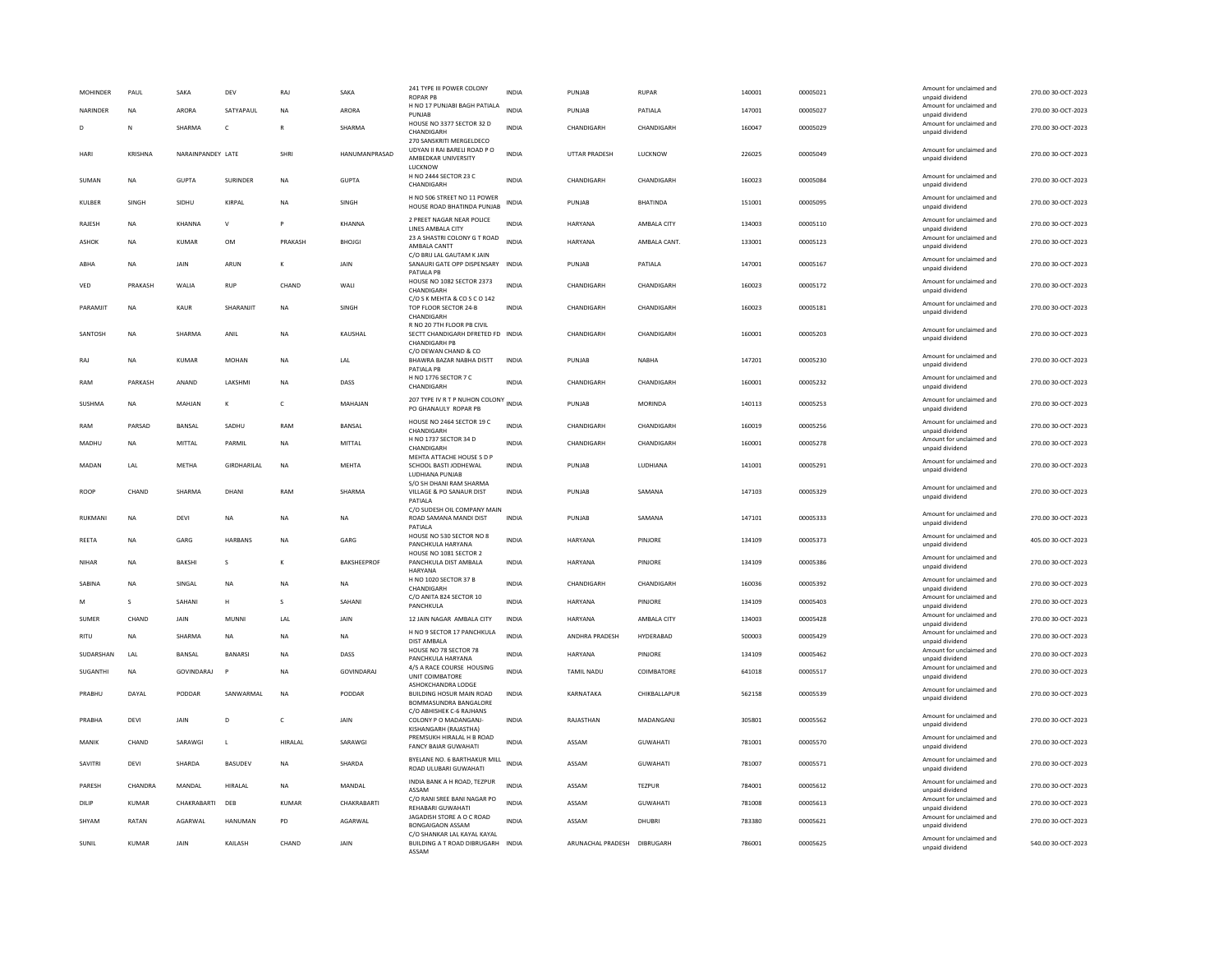| <b>MOHINDER</b> | PAUL           | SAKA              | DEV                | RAJ          | SAKA               | 241 TYPE III POWER COLONY<br><b>ROPAR PB</b>                                            | INDIA        | PUNJAR                | <b>RUPAR</b>    | 140001 | 00005021 | Amount for unclaimed and<br>unpaid dividend | 270.00 30-OCT-2023 |
|-----------------|----------------|-------------------|--------------------|--------------|--------------------|-----------------------------------------------------------------------------------------|--------------|-----------------------|-----------------|--------|----------|---------------------------------------------|--------------------|
| NARINDER        | <b>NA</b>      | <b>ARORA</b>      | SATYAPAUL          | <b>NA</b>    | ARORA              | H NO 17 PUNJABI BAGH PATIALA<br>PUNJAB                                                  | INDIA        | PUNJAB                | PATIALA         | 147001 | 00005027 | Amount for unclaimed and<br>unpaid dividend | 270.00 30-OCT-2023 |
| D               | N              | SHARMA            | $\mathsf{C}$       |              | SHARMA             | HOUSE NO 3377 SECTOR 32 D<br>CHANDIGARH                                                 | <b>INDIA</b> | CHANDIGARH            | CHANDIGARH      | 160047 | 00005029 | Amount for unclaimed and<br>unpaid dividend | 270.00 30-OCT-2023 |
| HARI            | <b>KRISHNA</b> | NARAINPANDEY LATE |                    | SHRI         | HANUMANPRASAD      | 270 SANSKRITI MERGELDECO<br>UDYAN II RAI BARELI ROAD P O<br>AMBEDKAR UNIVERSITY         | <b>INDIA</b> | <b>UTTAR PRADESH</b>  | LUCKNOW         | 226025 | 00005049 | Amount for unclaimed and<br>unpaid dividend | 270.00 30-OCT-2023 |
| SUMAN           | <b>NA</b>      | GUPTA             | <b>SURINDER</b>    | <b>NA</b>    | <b>GUPTA</b>       | LUCKNOW<br>H NO 2444 SECTOR 23 C<br>CHANDIGARH                                          | <b>INDIA</b> | CHANDIGARH            | CHANDIGARH      | 160023 | 00005084 | Amount for unclaimed and<br>unpaid dividend | 270.00 30-OCT-2023 |
| KULBER          | SINGH          | SIDHU             | KIRPAL             | <b>NA</b>    | SINGH              | H NO 506 STREET NO 11 POWER<br>HOUSE ROAD BHATINDA PUNJAB                               | INDIA        | PUNJAB                | <b>BHATINDA</b> | 151001 | 00005095 | Amount for unclaimed and<br>unpaid dividend | 270.00 30-OCT-2023 |
| RAJESH          | <b>NA</b>      | KHANNA            | $\mathsf{v}$       | P            | KHANNA             | 2 PREET NAGAR NEAR POLICE<br>LINES AMBALA CITY                                          | <b>INDIA</b> | <b>HARYANA</b>        | AMBALA CITY     | 134003 | 00005110 | Amount for unclaimed and<br>unpaid dividend | 270.00 30-OCT-2023 |
| <b>ASHOK</b>    | <b>NA</b>      | <b>KUMAR</b>      | <b>OM</b>          | PRAKASH      | <b>BHOJGI</b>      | 23 A SHASTRI COLONY G T ROAD<br>AMBALA CANTT<br>C/O BRIJ LAL GAUTAM K JAIN              | <b>INDIA</b> | <b>HARYANA</b>        | AMBALA CANT.    | 133001 | 00005123 | Amount for unclaimed and<br>unpaid dividend | 270.00 30-OCT-2023 |
| ABHA            | <b>NA</b>      | JAIN              | ARUN               | к            | JAIN               | SANAURI GATE OPP DISPENSARY<br>PATIALA PB                                               | <b>INDIA</b> | PUNJAB                | PATIALA         | 147001 | 00005167 | Amount for unclaimed and<br>unpaid dividend | 270.00 30-OCT-2023 |
| VED             | PRAKASH        | WALIA             | <b>RUP</b>         | CHAND        | WALI               | HOUSE NO 1082 SECTOR 2373<br>CHANDIGARH<br>C/O S K MEHTA & CO S C O 142                 | <b>INDIA</b> | CHANDIGARH            | CHANDIGARH      | 160023 | 00005172 | Amount for unclaimed and<br>unpaid dividend | 270.00 30-OCT-2023 |
| PARAMJIT        | <b>NA</b>      | <b>KAUR</b>       | SHARANJIT          | <b>NA</b>    | SINGH              | TOP FLOOR SECTOR 24-B<br>CHANDIGARH                                                     | <b>INDIA</b> | CHANDIGARH            | CHANDIGARH      | 160023 | 00005181 | Amount for unclaimed and<br>unpaid dividend | 270.00 30-OCT-2023 |
| SANTOSH         | <b>NA</b>      | SHARMA            | ANII               | <b>NA</b>    | KAUSHAL            | R NO 20 7TH FLOOR PB CIVIL<br>SECTT CHANDIGARH DFRETED FD INDIA<br><b>CHANDIGARH PB</b> |              | CHANDIGARH            | CHANDIGARH      | 160001 | 00005203 | Amount for unclaimed and<br>unpaid dividend | 270.00 30-OCT-2023 |
| RAJ             | NA             | <b>KUMAR</b>      | <b>MOHAN</b>       | <b>NA</b>    | LAL                | C/O DEWAN CHAND & CO<br>BHAWRA BAZAR NABHA DISTT<br>PATIALA PB                          | <b>INDIA</b> | PUNJAB                | <b>NABHA</b>    | 147201 | 00005230 | Amount for unclaimed and<br>unpaid dividend | 270.00 30-OCT-2023 |
| RAM             | PARKASH        | ANAND             | LAKSHMI            | <b>NA</b>    | DASS               | H NO 1776 SECTOR 7 C<br>CHANDIGARH                                                      | <b>INDIA</b> | CHANDIGARH            | CHANDIGARH      | 160001 | 00005232 | Amount for unclaimed and<br>unpaid dividend | 270.00 30-OCT-2023 |
| SUSHMA          | NA             | MAHJAN            | к                  | $\mathsf{C}$ | MAHAJAN            | 207 TYPE IV R T P NUHON COLONY<br>PO GHANAULY ROPAR PB                                  | <b>INDIA</b> | PUNJAB                | <b>MORINDA</b>  | 140113 | 00005253 | Amount for unclaimed and<br>unpaid dividend | 270.00 30-OCT-2023 |
| RAM             | PARSAD         | BANSAL            | SADHU              | RAM          | BANSAL             | HOUSE NO 2464 SECTOR 19 C<br>CHANDIGARH                                                 | <b>INDIA</b> | CHANDIGARH            | CHANDIGARH      | 160019 | 00005256 | Amount for unclaimed and<br>unpaid dividend | 270.00 30-OCT-2023 |
| MADHU           | NA             | MITTAL            | PARMIL             | <b>NA</b>    | MITTAL             | H NO 1737 SECTOR 34 D<br>CHANDIGARH                                                     | INDIA        | CHANDIGARH            | CHANDIGARH      | 160001 | 00005278 | Amount for unclaimed and<br>unpaid dividend | 270.00 30-OCT-2023 |
| MADAN           | <b>I</b> AI    | <b>MFTHA</b>      | <b>GIRDHARILAL</b> | <b>NA</b>    | <b>MFHTA</b>       | MEHTA ATTACHE HOUSE S D P<br>SCHOOL BASTI JODHEWAL<br>LUDHIANA PUNJAB                   | <b>INDIA</b> | PUNIAR                | <b>IUDHIANA</b> | 141001 | 00005291 | Amount for unclaimed and<br>unpaid dividend | 270.00 30-OCT-2023 |
| <b>ROOP</b>     | CHAND          | <b>SHARMA</b>     | DHANI              | RAM          | SHARMA             | S/O SH DHANI RAM SHARMA<br>VILLAGE & PO SANAUR DIST<br>PATIALA                          | <b>INDIA</b> | PUNJAB                | SAMANA          | 147103 | 00005329 | Amount for unclaimed and<br>unpaid dividend | 270.00 30-OCT-2023 |
| RUKMAN          | <b>NA</b>      | DEVI              | NA                 | NA           | NA                 | C/O SUDESH OIL COMPANY MAIN<br>ROAD SAMANA MANDI DIST<br>PATIAI A                       | INDIA        | PUNJAB                | SAMANA          | 147101 | 00005333 | Amount for unclaimed and<br>unpaid dividend | 270.00 30-OCT-2023 |
| REETA           | <b>NA</b>      | GARG              | HARRANS            | <b>NA</b>    | GARG               | HOUSE NO 530 SECTOR NO 8<br>PANCHKULA HARYANA                                           | <b>INDIA</b> | <b>HARYANA</b>        | PINIORE         | 134109 | 00005373 | Amount for unclaimed and<br>unpaid dividend | 405.00 30-OCT-2023 |
| NIHAR           | NA             | BAKSHI            | s                  | К            | <b>BAKSHEEPROF</b> | HOUSE NO 1081 SECTOR 2<br>PANCHKULA DIST AMBALA<br>HARYANA                              | <b>INDIA</b> | HARYANA               | PINJORE         | 134109 | 00005386 | Amount for unclaimed and<br>unpaid dividend | 270.00 30-OCT-2023 |
| SABINA          | <b>NA</b>      | SINGAL            | <b>NA</b>          | <b>NA</b>    | NA                 | H NO 1020 SECTOR 37 B<br>CHANDIGARH                                                     | <b>INDIA</b> | CHANDIGARH            | CHANDIGARH      | 160036 | 00005392 | Amount for unclaimed and<br>unpaid dividend | 270.00 30-OCT-2023 |
| M               | s              | SAHANI            | H                  | s            | SAHANI             | C/O ANITA 824 SECTOR 10<br>PANCHKULA                                                    | <b>INDIA</b> | <b>HARYANA</b>        | PINJORE         | 134109 | 00005403 | Amount for unclaimed and<br>unpaid dividend | 270.00 30-OCT-2023 |
| SUMER           | CHAND          | JAIN              | MUNNI              | LAL          | JAIN               | 12 JAIN NAGAR AMBALA CITY                                                               | INDIA        | HARYANA               | AMBALA CITY     | 134003 | 00005428 | Amount for unclaimed and<br>unpaid dividend | 270.00 30-OCT-2023 |
| <b>RITU</b>     | <b>NA</b>      | SHARMA            | <b>NA</b>          | <b>NA</b>    | <b>NA</b>          | H NO 9 SECTOR 17 PANCHKULA<br><b>DIST AMBALA</b>                                        | <b>INDIA</b> | <b>ANDHRA PRADESH</b> | HYDERABAD       | 500003 | 00005429 | Amount for unclaimed and<br>unpaid dividend | 270.00 30-OCT-2023 |
| SUDARSHAN       | LAL            | BANSAL            | <b>BANARS</b>      | <b>NA</b>    | DASS               | HOUSE NO 78 SECTOR 78<br>PANCHKULA HARYANA                                              | INDIA        | HARYANA               | PINJORE         | 134109 | 00005462 | Amount for unclaimed and<br>unpaid dividend | 270.00 30-OCT-2023 |
| SUGANTHI        | NA             | GOVINDARAJ        | $\mathsf{P}$       | <b>NA</b>    | GOVINDARAJ         | 4/5 A RACE COURSE HOUSING<br>UNIT COIMBATORE                                            | <b>INDIA</b> | TAMIL NADU            | COIMBATORE      | 641018 | 00005517 | Amount for unclaimed and<br>unpaid dividend | 270.00 30-OCT-2023 |
| PRABHU          | DAYAL          | PODDAR            | SANWARMAL          | NA           | PODDAR             | ASHOKCHANDRA LODGE<br><b>BUILDING HOSUR MAIN ROAD</b><br>BOMMASUNDRA BANGALORE          | <b>INDIA</b> | KARNATAKA             | CHIKBALLAPUR    | 562158 | 00005539 | Amount for unclaimed and<br>unpaid dividend | 270.00 30-OCT-2023 |
| PRARHA          | DFVI           | <b>JAIN</b>       | D.                 | $\epsilon$   | <b>JAIN</b>        | C/O ABHISHEK C-6 RAJHANS<br>COLONY P O MADANGANI-<br>KISHANGARH (RAJASTHA)              | <b>INDIA</b> | RAIASTHAN             | MADANGANI       | 305801 | 00005562 | Amount for unclaimed and<br>unpaid dividend | 270.00.30-OCT-2023 |
| MANIK           | CHAND          | SARAWGI           | $\mathsf{L}$       | HIRALAI      | SARAWGI            | PREMSUKH HIRALAL H B ROAD<br><b>FANCY BAIAR GUWAHATI</b>                                | <b>INDIA</b> | ASSAM                 | <b>GUWAHATI</b> | 781001 | 00005570 | Amount for unclaimed and<br>unpaid dividend | 270.00 30-OCT-2023 |
| SAVITRI         | DEVI           | SHARDA            | <b>BASUDEV</b>     | NA           | SHARDA             | BYELANE NO. 6 BARTHAKUR MILL<br>ROAD ULUBARI GUWAHATI                                   | <b>INDIA</b> | ASSAM                 | <b>GUWAHATI</b> | 781007 | 00005571 | Amount for unclaimed and<br>unpaid dividend | 270.00 30-OCT-2023 |
| PARESH          | CHANDRA        | MANDAL            | HIRALAL            | <b>NA</b>    | MANDAL             | INDIA BANK A H ROAD, TEZPUR<br>ASSAM                                                    | <b>INDIA</b> | ASSAM                 | <b>TEZPUR</b>   | 784001 | 00005612 | Amount for unclaimed and<br>unpaid dividend | 270.00 30-OCT-2023 |
| DILIP           | <b>KUMAR</b>   | CHAKRABARTI       | DEB                | KUMAR        | CHAKRABARTI        | C/O RANI SREE BANI NAGAR PO<br>REHABARI GUWAHATI                                        | INDIA        | ASSAM                 | <b>GUWAHATI</b> | 781008 | 00005613 | Amount for unclaimed and<br>unpaid dividend | 270.00 30-OCT-2023 |
| SHYAM           | RATAN          | <b>AGARWAI</b>    | HANUMAN            | PD           | AGARWAL            | JAGADISH STORE A O C ROAD<br><b>BONGAIGAON ASSAM</b>                                    | <b>INDIA</b> | ASSAM                 | DHUBRI          | 783380 | 00005621 | Amount for unclaimed and<br>unpaid dividend | 270.00 30-OCT-2023 |
| SUNIL           | <b>KUMAR</b>   | JAIN              | KAILASH            | CHAND        | JAIN               | C/O SHANKAR LAL KAYAL KAYAL<br>BUILDING A T ROAD DIBRUGARH INDIA<br>ASSAM               |              | ARUNACHAL PRADESH     | DIBRUGARH       | 786001 | 00005625 | Amount for unclaimed and<br>unpaid dividend | 540.00 30-OCT-2023 |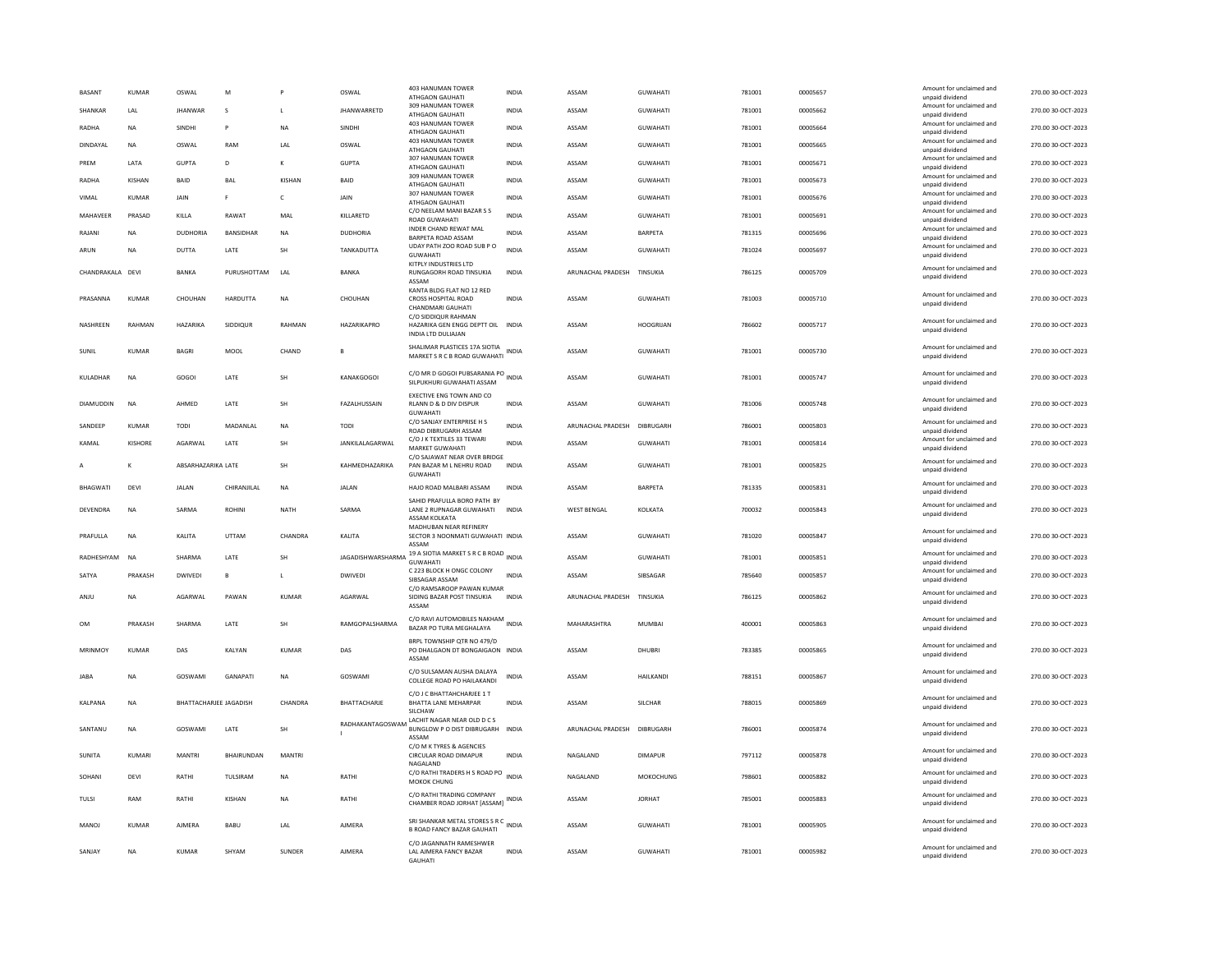| <b>BASANT</b>    | KUMAR          | OSWAL                         | M                | P             | OSWAL              | <b>403 HANUMAN TOWER</b><br><b>ATHGAON GAUHATI</b>                                                      | <b>INDIA</b> | ASSAM              | <b>GUWAHATI</b>  | 781001 | 00005657 | Amount for unclaimed and<br>unpaid dividend                             | 270.00 30-OCT-2023 |
|------------------|----------------|-------------------------------|------------------|---------------|--------------------|---------------------------------------------------------------------------------------------------------|--------------|--------------------|------------------|--------|----------|-------------------------------------------------------------------------|--------------------|
| SHANKAR          | LAL            | <b>JHANWAR</b>                | s                | L             | <b>JHANWARRETD</b> | 309 HANUMAN TOWER<br>ATHGAON GAUHATI                                                                    | INDIA        | ASSAM              | <b>GUWAHATI</b>  | 781001 | 00005662 | Amount for unclaimed and<br>unpaid dividend                             | 270.00 30-OCT-2023 |
| RADHA            | <b>NA</b>      | <b>SINDHI</b>                 | P                | <b>NA</b>     | <b>SINDHI</b>      | 403 HANUMAN TOWER<br>ATHGAON GAUHATI                                                                    | <b>INDIA</b> | ASSAM              | <b>GUWAHATI</b>  | 781001 | 00005664 | Amount for unclaimed and<br>unpaid dividend                             | 270.00 30-OCT-2023 |
| DINDAYAL         | NA             | OSWAL                         | RAM              | LAL           | OSWAL              | <b>403 HANUMAN TOWER</b><br>ATHGAON GAUHATI<br>307 HANUMAN TOWER                                        | <b>INDIA</b> | ASSAM              | <b>GUWAHATI</b>  | 781001 | 00005665 | Amount for unclaimed and<br>unpaid dividend                             | 270.00 30-OCT-2023 |
| PREM             | LATA           | <b>GUPTA</b>                  | D                | к             | <b>GUPTA</b>       | ATHGAON GAUHATI<br>309 HANUMAN TOWER                                                                    | INDIA        | ASSAM              | GUWAHATI         | 781001 | 00005671 | Amount for unclaimed and<br>unpaid dividend                             | 270.00 30-OCT-2023 |
| RADHA            | KISHAN         | <b>BAID</b>                   | BAL              | KISHAN        | BAID               | ATHGAON GAUHATI                                                                                         | <b>INDIA</b> | ASSAM              | <b>GUWAHATI</b>  | 781001 | 00005673 | Amount for unclaimed and<br>unpaid dividend                             | 270.00 30-OCT-2023 |
| VIMAL            | KUMAR          | JAIN                          | F                | c             | JAIN               | 307 HANUMAN TOWER<br>ATHGAON GAUHATI                                                                    | <b>INDIA</b> | ASSAM              | <b>GUWAHATI</b>  | 781001 | 00005676 | Amount for unclaimed and<br>unpaid dividend                             | 270.00 30-OCT-2023 |
| MAHAVEER         | PRASAD         | KILLA                         | RAWAT            | MAL           | KILLARETD          | C/O NEELAM MANI BAZAR S S<br>ROAD GUWAHATI<br>INDER CHAND REWAT MAL                                     | <b>INDIA</b> | ASSAM              | <b>GUWAHATI</b>  | 781001 | 00005691 | Amount for unclaimed and<br>unpaid dividend                             | 270.00 30-OCT-2023 |
| RAJANI           | NA             | DUDHORIA                      | <b>BANSIDHAR</b> | NA            | <b>DUDHORIA</b>    | <b>BARPETA ROAD ASSAM</b><br>UDAY PATH ZOO ROAD SUB P O                                                 | INDIA        | ASSAM              | <b>BARPETA</b>   | 781315 | 00005696 | Amount for unclaimed and<br>unpaid dividend<br>Amount for unclaimed and | 270.00 30-OCT-2023 |
| ARUN             | <b>NA</b>      | DUTTA                         | LATE             | <b>SH</b>     | TANKADUTTA         | <b>GUWAHATI</b><br>KITPLY INDUSTRIES LTD                                                                | <b>INDIA</b> | ASSAM              | <b>GUWAHATI</b>  | 781024 | 00005697 | unpaid dividend                                                         | 270.00 30-OCT-2023 |
| CHANDRAKALA DEVI |                | BANKA                         | PURUSHOTTAM      | LAL           | BANKA              | RUNGAGORH ROAD TINSUKIA<br>ASSAM                                                                        | INDIA        | ARUNACHAL PRADESH  | TINSUKIA         | 786125 | 00005709 | Amount for unclaimed and<br>unpaid dividend                             | 270.00 30-OCT-2023 |
| PRASANNA         | KUMAR          | CHOUHAN                       | HARDUTTA         | <b>NA</b>     | CHOUHAN            | KANTA BLDG FLAT NO 12 RED<br>CROSS HOSPITAL ROAD<br>CHANDMARI GAUHATI                                   | <b>INDIA</b> | ASSAM              | <b>GUWAHATI</b>  | 781003 | 00005710 | Amount for unclaimed and<br>unpaid dividend                             | 270.00 30-OCT-2023 |
| NASHREEN         | RAHMAN         | HAZARIKA                      | SIDDIQUR         | RAHMAN        | HAZARIKAPRO        | C/O SIDDIQUR RAHMAN<br>HAZARIKA GEN ENGG DEPTT OIL INDIA<br>INDIA LTD DULIAJAN                          |              | ASSAM              | <b>HOOGRIJAN</b> | 786602 | 00005717 | Amount for unclaimed and<br>unpaid dividend                             | 270.00 30-OCT-2023 |
| SUNIL            | <b>KUMAR</b>   | <b>BAGRI</b>                  | MOOL             | CHAND         | B                  | SHALIMAR PLASTICES 17A SIOTIA<br>MARKET S R C B ROAD GUWAHATI                                           | <b>INDIA</b> | ASSAM              | <b>GUWAHATI</b>  | 781001 | 00005730 | Amount for unclaimed and<br>unpaid dividend                             | 270.00 30-OCT-2023 |
| KULADHAR         | <b>NA</b>      | GOGOI                         | LATE             | SH            | <b>KANAKGOGOI</b>  | C/O MR D GOGOI PUBSARANIA PO<br>SILPUKHURI GUWAHATI ASSAM                                               | <b>INDIA</b> | ASSAM              | <b>GUWAHATI</b>  | 781001 | 00005747 | Amount for unclaimed and<br>unpaid dividend                             | 270.00 30-OCT-2023 |
| DIAMUDDIN        | <b>NA</b>      | AHMED                         | LATE             | SH            | FAZALHUSSAIN       | EXECTIVE ENG TOWN AND CO<br>RLANN D & D DIV DISPUR<br><b>GUWAHATI</b>                                   | <b>INDIA</b> | ASSAM              | <b>GUWAHATI</b>  | 781006 | 00005748 | Amount for unclaimed and<br>unpaid dividend                             | 270.00 30-OCT-2023 |
| SANDEEP          | KUMAR          | TODI                          | MADANLAL         | NA            | <b>TODI</b>        | C/O SANJAY ENTERPRISE H S<br>ROAD DIRRUGARH ASSAM                                                       | <b>INDIA</b> | ARUNACHAL PRADESH  | DIBRUGARH        | 786001 | 00005803 | Amount for unclaimed and<br>unnaid dividend                             | 270.00 30-OCT-2023 |
| KAMAL            | <b>KISHORE</b> | AGARWAL                       | LATE             | SH            | JANKILALAGARWAL    | C/O J K TEXTILES 33 TEWARI<br>MARKET GUWAHATI                                                           | <b>INDIA</b> | ASSAM              | <b>GUWAHATI</b>  | 781001 | 00005814 | Amount for unclaimed and<br>unpaid dividend                             | 270.00 30-OCT-2023 |
|                  | К              | ABSARHAZARIKA LATE            |                  | SH            | KAHMEDHAZARIKA     | C/O SAJAWAT NEAR OVER BRIDGE<br>PAN BAZAR M L NEHRU ROAD<br><b>GUWAHATI</b>                             | INDIA        | ASSAM              | GUWAHATI         | 781001 | 00005825 | Amount for unclaimed and<br>unpaid dividend                             | 270.00 30-OCT-2023 |
|                  |                |                               |                  |               |                    |                                                                                                         |              |                    |                  |        |          |                                                                         |                    |
| <b>BHAGWATI</b>  | DEVI           | <b>JALAN</b>                  | CHIRANJILAL      | <b>NA</b>     | <b>JALAN</b>       | HAJO ROAD MALBARI ASSAM                                                                                 | <b>INDIA</b> | ASSAM              | <b>BARPETA</b>   | 781335 | 00005831 | Amount for unclaimed and<br>unpaid dividend                             | 270.00 30-OCT-2023 |
| DEVENDRA         | <b>NA</b>      | SARMA                         | <b>ROHINI</b>    | <b>NATH</b>   | SARMA              | SAHID PRAFULLA BORO PATH BY<br>LANE 2 RUPNAGAR GUWAHATI<br>ASSAM KOLKATA                                | <b>INDIA</b> | <b>WEST BENGAL</b> | KOLKATA          | 700032 | 00005843 | Amount for unclaimed and<br>unpaid dividend                             | 270.00 30-OCT-2023 |
| PRAFULLA         | NA             | KALITA                        | UTTAM            | CHANDRA       | KALITA             | MADHURAN NEAR REFINERY<br>SECTOR 3 NOONMATI GUWAHATI INDIA<br>ASSAM                                     |              | ASSAM              | GUWAHATI         | 781020 | 00005847 | Amount for unclaimed and<br>unpaid dividend                             | 270.00 30-OCT-2023 |
| RADHESHYAM       | <b>NA</b>      | SHARMA                        | LATE             | SH            | JAGADISHWARSHARMA  | 19 A SIOTIA MARKET S R C B ROAD INDIA<br><b>GUWAHATI</b>                                                |              | ASSAM              | <b>GUWAHATI</b>  | 781001 | 00005851 | Amount for unclaimed and<br>unpaid dividend                             | 270.00 30-OCT-2023 |
| SATYA            | PRAKASH        | <b>DWIVEDI</b>                | B                |               | DWIVEDI            | C 223 BLOCK H ONGC COLONY<br>SIBSAGAR ASSAM                                                             | <b>INDIA</b> | ASSAM              | SIBSAGAR         | 785640 | 00005857 | Amount for unclaimed and<br>unpaid dividend                             | 270.00 30-OCT-2023 |
| ANJU             | <b>NA</b>      | AGARWAL                       | PAWAN            | <b>KUMAR</b>  | AGARWAL            | C/O RAMSAROOP PAWAN KUMAR<br>SIDING BAZAR POST TINSUKIA<br>ASSAM                                        | <b>INDIA</b> | ARUNACHAL PRADESH  | TINSUKIA         | 786125 | 00005862 | Amount for unclaimed and<br>unpaid dividend                             | 270.00 30-OCT-2023 |
| 0 <sub>M</sub>   | PRAKASH        | SHARMA                        | LATE             | <b>SH</b>     | RAMGOPALSHARMA     | C/O RAVI AUTOMOBILES NAKHAM<br>BAZAR PO TURA MEGHALAYA                                                  | INDIA        | MAHARASHTRA        | <b>MUMBAI</b>    | 400001 | 00005863 | Amount for unclaimed and<br>unpaid dividend                             | 270.00 30-OCT-2023 |
| MRINMOY          | KUMAR          | DAS                           | KALYAN           | <b>KUMAR</b>  | DAS                | BRPL TOWNSHIP OTR NO 479/D<br>PO DHALGAON DT BONGAIGAON INDIA                                           |              | ASSAM              | <b>DHUBRI</b>    | 783385 | 00005865 | Amount for unclaimed and<br>unpaid dividend                             | 270.00 30-OCT-2023 |
| <b>JARA</b>      | <b>NA</b>      | GOSWAMI                       | <b>GANAPATI</b>  | <b>NA</b>     | GOSWAMI            | ASSAM<br>C/O SULSAMAN AUSHA DALAYA<br>COLLEGE ROAD PO HAILAKANDI                                        | <b>INDIA</b> | ASSAM              | <b>HAILKANDI</b> | 788151 | 00005867 | Amount for unclaimed and<br>unpaid dividend                             | 270.00 30-QCT-2023 |
| <b>KAI PANA</b>  | <b>NA</b>      | <b>BHATTACHARJEE JAGADISH</b> |                  | CHANDRA       | BHATTACHARJE       | C/O J C BHATTAHCHARJEE 1 T<br>BHATTA LANE MEHARPAR<br>SILCHAV                                           | <b>INDIA</b> | ASSAM              | <b>SILCHAR</b>   | 788015 | 00005869 | Amount for unclaimed and<br>unpaid dividend                             | 270.00 30-OCT-2023 |
| SANTANU          | <b>NA</b>      | GOSWAMI                       | LATE             | <b>SH</b>     | RADHAKANTAGOSWAM   | LACHIT NAGAR NEAR OLD DCS<br>BUNGLOW P O DIST DIBRUGARH<br>ASSAM                                        | <b>INDIA</b> | ARUNACHAL PRADESH  | DIBRUGARH        | 786001 | 00005874 | Amount for unclaimed and<br>unpaid dividend                             | 270.00 30-OCT-2023 |
| SUNITA           | KUMARI         | MANTRI                        | BHAIRUNDAN       | <b>MANTRI</b> |                    | C/O M K TYRES & AGENCIES<br>CIRCULAR ROAD DIMAPUR<br>NAGALAND                                           | INDIA        | NAGALAND           | <b>DIMAPUR</b>   | 797112 | 00005878 | Amount for unclaimed and<br>unpaid dividend                             | 270.00 30-OCT-2023 |
| SOHANI           | DEVI           | RATHI                         | TULSIRAM         | NA            | RATHI              | C/O RATHI TRADERS H S ROAD PO INDIA<br>MOKOK CHUNG                                                      |              | NAGALAND           | MOKOCHUNG        | 798601 | 00005882 | Amount for unclaimed and<br>unpaid dividend                             | 270.00 30-OCT-2023 |
| TULSI            | RAM            | RATHI                         | <b>KISHAN</b>    | <b>NA</b>     | RATHI              | C/O RATHI TRADING COMPANY<br>CHAMBER ROAD JORHAT [ASSAM] INDIA                                          |              | ASSAM              | <b>JORHAT</b>    | 785001 | 00005883 | Amount for unclaimed and<br>unpaid dividend                             | 270.00 30-OCT-2023 |
| MANOJ            | KUMAR          | <b>AJMERA</b>                 | BABU             | LAL           | <b>AJMERA</b>      | SRI SHANKAR METAL STORES S R C<br>INDIA<br><b>B ROAD FANCY BAZAR GAUHATI</b><br>C/O JAGANNATH RAMESHWER |              | ASSAM              | <b>GUWAHATI</b>  | 781001 | 00005905 | Amount for unclaimed and<br>unpaid dividend                             | 270.00 30-OCT-2023 |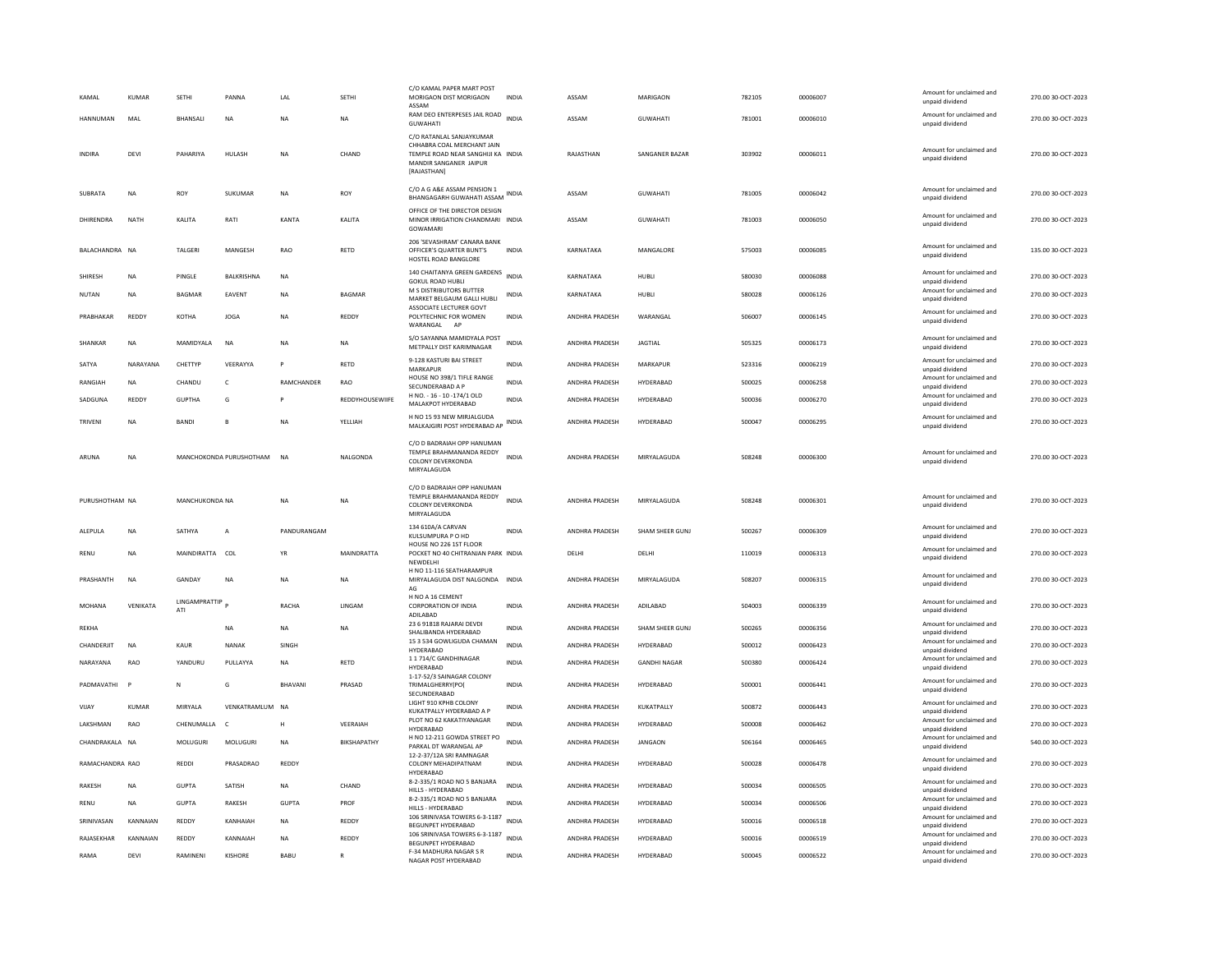| KAMAL           | <b>KUMAR</b> | <b>SETHI</b>                | PANNA                   | LAL           | <b>SETHI</b>       | C/O KAMAL PAPER MART POST<br>MORIGAON DIST MORIGAON<br>ASSAM<br>RAM DEO ENTERPESES JAIL ROAD              | <b>INDIA</b> | ASSAM                 | MARIGAON            | 782105 | 00006007 | Amount for unclaimed and<br>unpaid dividend<br>Amount for unclaimed and | 270.00 30-OCT-2023 |
|-----------------|--------------|-----------------------------|-------------------------|---------------|--------------------|-----------------------------------------------------------------------------------------------------------|--------------|-----------------------|---------------------|--------|----------|-------------------------------------------------------------------------|--------------------|
| HANNUMAN        | MAL          | BHANSALI                    | NA                      | <b>NA</b>     | NA                 | <b>GUWAHATI</b><br>C/O RATANLAL SANJAYKUMAR                                                               | <b>INDIA</b> | ASSAM                 | GUWAHATI            | 781001 | 00006010 | unpaid dividend                                                         | 270.00 30-OCT-2023 |
| <b>INDIRA</b>   | DEVI         | PAHARIYA                    | HULASH                  | <b>NA</b>     | CHAND              | CHHABRA COAL MERCHANT JAIN<br>TEMPLE ROAD NEAR SANGHIJI KA INDIA<br>MANDIR SANGANER JAIPUR<br>[RAJASTHAN] |              | RAJASTHAN             | SANGANER BAZAR      | 303902 | 00006011 | Amount for unclaimed and<br>unpaid dividend                             | 270.00 30-OCT-2023 |
| SUBRATA         | <b>NA</b>    | <b>ROY</b>                  | SUKUMAR                 | <b>NA</b>     | <b>ROY</b>         | C/O A G A&E ASSAM PENSION 1<br>BHANGAGARH GUWAHATI ASSAM                                                  | <b>INDIA</b> | ASSAM                 | <b>GUWAHATI</b>     | 781005 | 00006042 | Amount for unclaimed and<br>unpaid dividend                             | 270.00 30-OCT-2023 |
| DHIRFNDRA       | <b>NATH</b>  | <b>KAI ITA</b>              | RATI                    | KANTA         | <b>KAI ITA</b>     | OFFICE OF THE DIRECTOR DESIGN<br>MINOR IRRIGATION CHANDMARI INDIA<br>GOWAMARI                             |              | ASSAM                 | <b>GUWAHATI</b>     | 781003 | 00006050 | Amount for unclaimed and<br>unpaid dividend                             | 270.00 30-OCT-2023 |
| BALACHANDRA NA  |              | TALGERI                     | MANGESH                 | RAO           | RETD               | 206 'SEVASHRAM' CANARA BANK<br>OFFICER'S QUARTER BUNT'S<br>HOSTEL ROAD BANGLORE                           | <b>INDIA</b> | KARNATAKA             | MANGALORE           | 575003 | 00006085 | Amount for unclaimed and<br>unpaid dividend                             | 135.00 30-OCT-2023 |
| <b>SHIRESH</b>  | <b>NA</b>    | PINGLE                      | BALKRISHNA              | <b>NA</b>     |                    | 140 CHAITANYA GREEN GARDENS<br><b>GOKUL ROAD HUBLI</b>                                                    | <b>INDIA</b> | KARNATAKA             | HUBLI               | 580030 | 00006088 | Amount for unclaimed and<br>unpaid dividend                             | 270.00 30-OCT-2023 |
| NUTAN           | <b>NA</b>    | BAGMAR                      | EAVENT                  | <b>NA</b>     | <b>BAGMAR</b>      | M S DISTRIBUTORS BUTTER<br>MARKET BELGAUM GALLI HUBLI                                                     | INDIA        | KARNATAKA             | HUBLI               | 580028 | 00006126 | Amount for unclaimed and<br>unpaid dividend                             | 270.00 30-OCT-2023 |
| PRABHAKAR       | <b>REDDY</b> | KOTHA                       | <b>JOGA</b>             | <b>NA</b>     | REDDY              | ASSOCIATE LECTURER GOVT<br>POLYTECHNIC FOR WOMEN<br>WARANGAL AF                                           | <b>INDIA</b> | ANDHRA PRADESH        | WARANGAL            | 506007 | 00006145 | Amount for unclaimed and<br>unpaid dividend                             | 270.00 30-OCT-2023 |
| SHANKAR         | <b>NA</b>    | MAMIDYALA                   | <b>NA</b>               | <b>NA</b>     | NA                 | S/O SAYANNA MAMIDYALA POST<br>METPALLY DIST KARIMNAGAR                                                    | <b>INDIA</b> | ANDHRA PRADESH        | <b>JAGTIAL</b>      | 505325 | 00006173 | Amount for unclaimed and<br>unpaid dividend                             | 270.00 30-OCT-2023 |
| SATYA           | NARAYANA     | CHETTYP                     | VEERAYYA                | $\mathsf{P}$  | RETD               | 9-128 KASTURI BAI STREET<br>MARKAPUR                                                                      | INDIA        | ANDHRA PRADESH        | MARKAPUR            | 523316 | 00006219 | Amount for unclaimed and<br>unpaid dividend                             | 270.00 30-OCT-2023 |
| RANGIAH         | <b>NA</b>    | CHANDU                      | c                       | RAMCHANDER    | <b>RAO</b>         | HOUSE NO 398/1 TIFLE RANGE<br>SECUNDERABAD A P                                                            | <b>INDIA</b> | ANDHRA PRADESH        | HYDERABAD           | 500025 | 00006258 | Amount for unclaimed and<br>unpaid dividend                             | 270.00 30-OCT-2023 |
| SADGUNA         | <b>REDDY</b> | <b>GUPTHA</b>               | G                       |               | REDDYHOUSEWIIFE    | H NO. - 16 - 10 -174/1 OLD<br>MALAKPOT HYDERABAD                                                          | <b>INDIA</b> | ANDHRA PRADESH        | HYDERABAD           | 500036 | 00006270 | Amount for unclaimed and<br>unpaid dividend                             | 270.00 30-OCT-2023 |
| TRIVENI         | NA           | <b>BANDI</b>                | B                       | NA            | YELLIAH            | H NO 15 93 NEW MIRJALGUDA<br>MALKAJGIRI POST HYDERABAD AP                                                 | INDIA        | ANDHRA PRADESH        | HYDERABAD           | 500047 | 00006295 | Amount for unclaimed and<br>unpaid dividend                             | 270.00 30-OCT-2023 |
| ARUNA           | NA           |                             | MANCHOKONDA PURUSHOTHAM | <b>NA</b>     | NALGONDA           | C/O D BADRAIAH OPP HANUMAN<br>TEMPLE BRAHMANANDA REDDY<br>COLONY DEVERKONDA<br>MIRYALAGUDA                | <b>INDIA</b> | <b>ANDHRA PRADESH</b> | MIRYALAGUDA         | 508248 | 00006300 | Amount for unclaimed and<br>unpaid dividend                             | 270.00 30-OCT-2023 |
|                 |              |                             |                         |               |                    | C/O D BADRAIAH OPP HANUMAN                                                                                |              |                       |                     |        |          |                                                                         |                    |
| PURUSHOTHAM NA  |              | MANCHUKONDA NA              |                         | <b>NA</b>     | NA                 | TEMPLE BRAHMANANDA REDDY<br>COLONY DEVERKONDA<br>MIRYALAGUDA                                              | INDIA        | ANDHRA PRADESH        | MIRYALAGUDA         | 508248 | 00006301 | Amount for unclaimed and<br>unpaid dividend                             | 270.00 30-OCT-2023 |
| ALEPULA         | <b>NA</b>    | SATHYA                      | A                       | PANDURANGAM   |                    | 134 610A/A CARVAN<br>KUI SUMPURA P O HD                                                                   | <b>INDIA</b> | <b>ANDHRA PRADESH</b> | SHAM SHEER GUNJ     | 500267 | 00006309 | Amount for unclaimed and<br>unpaid dividend                             | 270.00 30-OCT-2023 |
| RENU            | NA           | MAINDIRATTA COL             |                         | YR            | MAINDRATTA         | HOUSE NO 226 1ST FLOOR<br>POCKET NO 40 CHITRANJAN PARK INDIA<br>NEWDELHI                                  |              | DELHI                 | DELHI               | 110019 | 00006313 | Amount for unclaimed and<br>unpaid dividend                             | 270.00 30-OCT-2023 |
| PRASHANTH       | <b>NA</b>    | GANDAY                      | <b>NA</b>               | <b>NA</b>     | <b>NA</b>          | H NO 11-116 SEATHARAMPUR<br>MIRYALAGUDA DIST NALGONDA INDIA                                               |              | ANDHRA PRADESH        | MIRYALAGUDA         | 508207 | 00006315 | Amount for unclaimed and<br>unpaid dividend                             | 270.00 30-OCT-2023 |
| <b>MOHANA</b>   | VENIKATA     | <b>LINGAMPRATTIP</b><br>ATI |                         | RACHA         | LINGAM             | AG<br>H NO A 16 CEMENT<br><b>CORPORATION OF INDIA</b>                                                     | <b>INDIA</b> | ANDHRA PRADESH        | ADILABAD            | 504003 | 00006339 | Amount for unclaimed and<br>unpaid dividend                             | 270.00 30-OCT-2023 |
| <b>REKHA</b>    |              |                             | <b>NA</b>               | <b>NA</b>     | <b>NA</b>          | ADILABAD<br>23 6 91818 RAJARAI DEVDI                                                                      | <b>INDIA</b> | <b>ANDHRA PRADESH</b> | SHAM SHEER GUNJ     | 500265 | 00006356 | Amount for unclaimed and                                                | 270.00 30-OCT-2023 |
| CHANDERJIT      | <b>NA</b>    | <b>KAUR</b>                 | <b>NANAK</b>            | SINGH         |                    | SHALIBANDA HYDERABAD<br>15 3 534 GOWLIGUDA CHAMAN                                                         | <b>INDIA</b> | ANDHRA PRADESH        | HYDERABAD           | 500012 | 00006423 | unpaid dividend<br>Amount for unclaimed and                             | 270.00 30-OCT-2023 |
| NARAYANA        | RAO          | YANDURU                     | PULLAYYA                | <b>NA</b>     | RETD               | HYDERABAD<br>11714/C GANDHINAGAR                                                                          | <b>INDIA</b> | ANDHRA PRADESH        | <b>GANDHI NAGAR</b> | 500380 | 00006424 | unpaid dividend<br>Amount for unclaimed and                             | 270.00 30-OCT-2023 |
| PADMAVATHI      | <b>P</b>     | N                           | G                       | <b>BHAVAN</b> | PRASAD             | HYDERABAD<br>1-17-52/3 SAINAGAR COLONY<br>TRIMALGHERRY(PO(                                                | <b>INDIA</b> | ANDHRA PRADESH        | HYDERABAD           | 500001 | 00006441 | unpaid dividend<br>Amount for unclaimed and<br>unpaid dividend          | 270.00 30-OCT-2023 |
| VIJAY           | <b>KUMAR</b> | MIRYALA                     | VENKATRAMLUM NA         |               |                    | SECUNDERABAD<br>LIGHT 910 KPHB COLONY<br>KUKATPALLY HYDERABAD A P                                         | INDIA        | ANDHRA PRADESH        | KUKATPALLY          | 500872 | 00006443 | Amount for unclaimed and<br>unpaid dividend                             | 270.00 30-OCT-2023 |
| LAKSHMAN        | RAO          | CHENUMALLA                  | $\mathsf{C}$            | H             | VEERAIAH           | PLOT NO 62 KAKATIYANAGAR                                                                                  | <b>INDIA</b> | ANDHRA PRADESH        | HYDERABAD           | 500008 | 00006462 | Amount for unclaimed and                                                | 270.00 30-OCT-2023 |
| CHANDRAKALA NA  |              | MOLUGURI                    | MOLUGURI                | <b>NA</b>     | <b>BIKSHAPATHY</b> | HYDERABAD<br>H NO 12-211 GOWDA STREET PO                                                                  | <b>INDIA</b> | ANDHRA PRADESH        | <b>JANGAON</b>      | 506164 | 00006465 | unpaid dividend<br>Amount for unclaimed and                             | 540.00 30-OCT-2023 |
| RAMACHANDRA RAO |              | REDDI                       | PRASADRAO               | REDDY         |                    | PARKAL DT WARANGAL AP<br>12-2-37/12A SRI RAMNAGAR<br>COLONY MEHADIPATNAM<br>HYDERABAD                     | INDIA        | ANDHRA PRADESH        | HYDERABAD           | 500028 | 00006478 | unpaid dividend<br>Amount for unclaimed and<br>unpaid dividend          | 270.00 30-OCT-2023 |
| <b>RAKESH</b>   | <b>NA</b>    | <b>GUPTA</b>                | SATISH                  | <b>NA</b>     | CHAND              | 8-2-335/1 ROAD NO 5 BANJARA<br>HILLS - HYDERABAD                                                          | <b>INDIA</b> | ANDHRA PRADESH        | HYDERABAD           | 500034 | 00006505 | Amount for unclaimed and<br>unpaid dividend                             | 270.00 30-OCT-2023 |
| RENU            | <b>NA</b>    | GUPTA                       | RAKESH                  | <b>GUPTA</b>  | PROF               | 8-2-335/1 ROAD NO 5 BANJARA<br>HILLS - HYDERABAD                                                          | <b>INDIA</b> | <b>ANDHRA PRADESH</b> | HYDERABAD           | 500034 | 00006506 | Amount for unclaimed and<br>unpaid dividend                             | 270.00 30-OCT-2023 |
| SRINIVASAN      | KANNAIAN     | REDDY                       | KANHAIAH                | NA            | REDDY              | 106 SRINIVASA TOWERS 6-3-1187<br><b>BEGUNPET HYDERABAD</b>                                                | <b>INDIA</b> | <b>ANDHRA PRADESH</b> | HYDERARAD           | 500016 | 00006518 | Amount for unclaimed and<br>unpaid dividend                             | 270.00 30-OCT-2023 |
| RAJASEKHAR      | KANNAIAN     | REDDY                       | KANNAIAH                | <b>NA</b>     | REDDY              | 106 SRINIVASA TOWERS 6-3-1187                                                                             | <b>INDIA</b> | ANDHRA PRADESH        | HYDERABAD           | 500016 | 00006519 | Amount for unclaimed and                                                | 270.00 30-OCT-2023 |
| RAMA            | DEVI         | RAMINENI                    | KISHORE                 | BABU          |                    | BEGUNPET HYDERABAD<br>F-34 MADHURA NAGAR S R<br>NAGAR POST HYDERABAD                                      | <b>INDIA</b> | <b>ANDHRA PRADESH</b> | HYDERABAD           | 500045 | 00006522 | unpaid dividend<br>Amount for unclaimed and<br>unpaid dividend          | 270.00 30-OCT-2023 |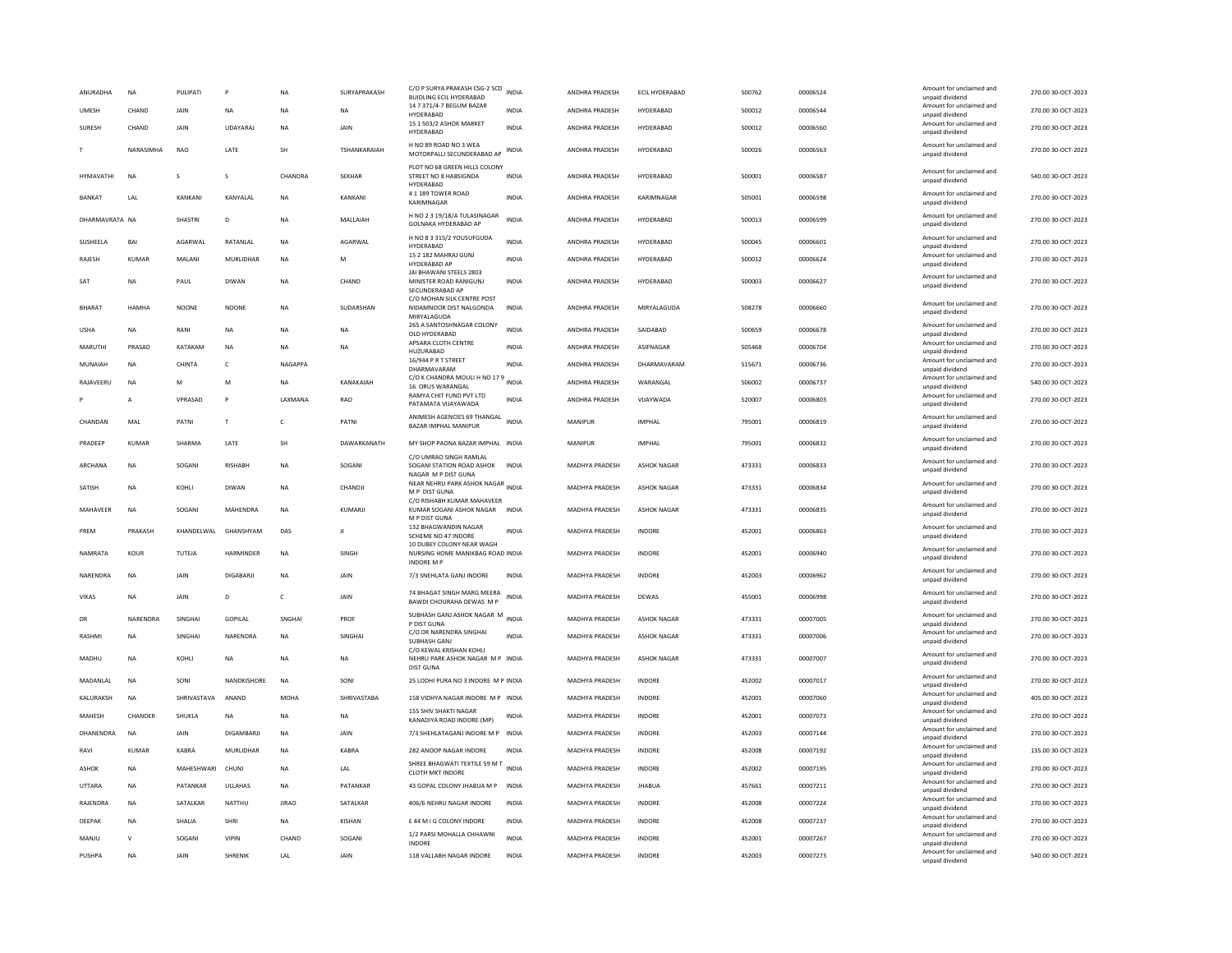| 14 7 371/4-7 BEGUM BAZAR<br>Amount for unclaimed and<br>HYDERABAD<br>00006544<br>270.00 30-OCT-2023<br><b>UMESH</b><br>CHAND<br><b>NA</b><br><b>NA</b><br><b>INDIA</b><br>ANDHRA PRADESH<br>500012<br>JAIN<br><b>NA</b><br>HYDERABAD<br>unpaid dividend<br>15 1 503/2 ASHOK MARKET<br>Amount for unclaimed and<br>SURESH<br>CHAND<br>JAIN<br>UDAYARAJ<br><b>NA</b><br><b>JAIN</b><br><b>INDIA</b><br>ANDHRA PRADESH<br>HYDERABAD<br>500012<br>00006560<br>270.00 30-OCT-2023<br>HYDERABAD<br>unpaid dividend<br>H NO 89 ROAD NO 3 WEA<br>Amount for unclaimed and<br>LATE<br>270.00 30-OCT-2023<br>NARASIMHA<br><b>RAO</b><br><b>SH</b><br>TSHANKARAIAH<br><b>INDIA</b><br>ANDHRA PRADESH<br>HYDERABAD<br>500026<br>00006563<br>MOTORPALLI SECUNDERABAD AP<br>unpaid dividend<br>PLOT NO 68 GREEN HILLS COLONY<br>Amount for unclaimed and<br>HYMAVATHI<br><b>NA</b><br>s<br>s<br>CHANDRA<br><b>SEKHAR</b><br>STREET NO 8 HABSIGNDA<br><b>INDIA</b><br>ANDHRA PRADESH<br>HYDERABAD<br>500001<br>00006587<br>540.00 30-OCT-2023<br>unpaid dividend<br>HYDERABAD<br>4 1 189 TOWER ROAD<br>Amount for unclaimed and<br>KANKANI<br>KANYALAL<br>KANKANI<br>INDIA<br>505001<br>00006598<br>270.00 30-OCT-2023<br>BANKAT<br>LAL<br>NA<br>ANDHRA PRADESH<br>KARIMNAGAR<br>KARIMNAGAR<br>unpaid dividend<br>H NO 2 3 19/18/A TULASINAGAR<br>Amount for unclaimed and<br><b>INDIA</b><br>500013<br>270.00 30-OCT-2023<br>DHARMAVRATA NA<br>SHASTRI<br><b>NA</b><br>MALLAIAH<br>ANDHRA PRADESH<br>HYDERABAD<br>00006599<br>D<br><b>GOLNAKA HYDERABAD AP</b><br>unpaid dividend<br>H NO 8 3 315/2 YOUSUFGUDA<br>Amount for unclaimed and<br>SUSHEELA<br>BAI<br>AGARWAL<br>AGARWAL<br><b>INDIA</b><br>HYDERABAD<br>500045<br>00006601<br>270.00 30-OCT-2023<br>RATANLAL<br>NA<br>ANDHRA PRADESH<br>HYDERARAD<br>unpaid dividend<br>15 2 182 MAHRAJ GUNJ<br>Amount for unclaimed and<br>270.00 30-OCT-2023<br>RAJESH<br>KUMAR<br>MALANI<br>MURLIDHAR<br><b>NA</b><br>M<br><b>INDIA</b><br>ANDHRA PRADESH<br>HYDERABAD<br>500012<br>00006624<br>HYDERABAD AP<br>unpaid dividend<br>JAI BHAWANI STEELS 2803<br>Amount for unclaimed and<br>HYDERABAD<br>500003<br>00006627<br>270.00 30-OCT-2023<br>SAT<br>NA<br>PAUL<br>DIWAN<br>NA<br>CHAND<br>MINISTER ROAD RANIGUNJ<br>INDIA<br>ANDHRA PRADESH<br>unpaid dividend<br>SECUNDERABAD AP<br>C/O MOHAN SILK CENTRE POST<br>Amount for unclaimed and<br><b>BHARAT</b><br><b>HAMHA</b><br><b>NOONE</b><br><b>NOONE</b><br><b>NA</b><br>SUDARSHAN<br>NIDAMNOOR DIST NALGONDA<br>INDIA<br>ANDHRA PRADESH<br>MIRYALAGUDA<br>508278<br>00006660<br>270.00 30-OCT-2023<br>unpaid dividend<br>MIRYALAGUDA<br>265 A SANTOSHNAGAR COLONY<br>Amount for unclaimed and<br><b>INDIA</b><br>ANDHRA PRADESH<br>SAIDABAD<br>500659<br>00006678<br>270.00 30-OCT-2023<br><b>USHA</b><br>NA<br>RANI<br><b>NA</b><br><b>NA</b><br><b>NA</b><br>OLD HYDERABAD<br>unpaid dividend<br>APSARA CLOTH CENTRE<br>Amount for unclaimed and<br>MARUTHI<br>PRASAD<br>KATAKAM<br><b>NA</b><br><b>INDIA</b><br>ANDHRA PRADESH<br>ASIFNAGAR<br>505468<br>00006704<br>270.00 30-OCT-2023<br><b>NA</b><br><b>NA</b><br>HUZURABAD<br>unpaid dividend<br>16/944 P R T STREET<br>Amount for unclaimed and<br>NA<br>CHINTA<br>NAGAPPA<br>INDIA<br>ANDHRA PRADESH<br>DHARMAVARAM<br>515671<br>00006736<br>270.00 30-OCT-2023<br>MUNAIAH<br>$\mathsf{C}$<br>DHARMAVARAM<br>unpaid dividend<br>C/O K CHANDRA MOULI H NO 17 9 INDIA<br>Amount for unclaimed and<br>540.00 30-OCT-2023<br>RAJAVEERU<br><b>NA</b><br>M<br>M<br><b>NA</b><br>KANAKAIAH<br>ANDHRA PRADESH<br>WARANGAL<br>506002<br>00006737<br>16 ORUS WARANGAL<br>unpaid dividend<br>RAMYA CHIT FUND PVT LTD<br>Amount for unclaimed and<br>VPRASAD<br>LAXMANA<br>VIJAYWADA<br>520007<br>00006803<br>RAO<br><b>INDIA</b><br>ANDHRA PRADESH<br>270.00 30-OCT-2023<br>P<br>A<br>PATAMATA VIJAYAWADA<br>unpaid dividend<br>ANIMESH AGENCIES 69 THANGAL<br>Amount for unclaimed and<br>CHANDAN<br>MAL<br>PATNI<br>$\mathsf{T}$<br>$\mathsf{C}$<br>PATNI<br><b>INDIA</b><br>MANIPUR<br><b>IMPHAL</b><br>795001<br>00006819<br>270.00 30-OCT-2023<br>BAZAR IMPHAL MANIPUR<br>unpaid dividend<br>Amount for unclaimed and<br>PRADEEP<br><b>KUMAR</b><br>SHARMA<br>LATE<br>SH<br>DAWARKANATH<br>MY SHOP PAONA BAZAR IMPHAL INDIA<br>MANIPUR<br><b>IMPHAL</b><br>795001<br>00006832<br>270.00 30-OCT-2023<br>unpaid dividend<br>C/O UMRAO SINGH RAMLAL<br>Amount for unclaimed and<br>473331<br>270.00.30-OCT-2023<br>ARCHANA<br><b>NA</b><br>SOGANI<br><b>RISHARK</b><br><b>NA</b><br>SOGANI<br>SOGANI STATION ROAD ASHOK<br><b>INDIA</b><br><b>MADHYA PRADESH</b><br><b>ASHOK NAGAR</b><br>00006833<br>unpaid dividend<br>NAGAR M P DIST GUNA<br>NASAN WILLER<br>NEAR NEHRU PARK ASHOK NAGAR<br>Amount for unclaimed and<br>270.00 30-OCT-2023<br>SATISH<br><b>NA</b><br>KOHLI<br><b>DIWAN</b><br><b>NA</b><br>CHANDJI<br><b>MADHYA PRADESH</b><br><b>ASHOK NAGAR</b><br>473331<br>00006834<br>M P DIST GUNA<br>unpaid dividend<br>C/O RISHABH KUMAR MAHAVEER<br>Amount for unclaimed and<br>MAHENDRA<br><b>NA</b><br><b>ASHOK NAGAR</b><br>473331<br>00006835<br>270.00 30-OCT-2023<br>MAHAVEER<br><b>NA</b><br>SOGANI<br>KUMARJI<br><b>INDIA</b><br>MADHYA PRADESH<br>KUMAR SOGANI ASHOK NAGAR<br>unpaid dividend<br>M P DIST GUNA<br>132 BHAGWANDIN NAGAR<br>Amount for unclaimed and<br>PRFM<br>PRAKASH<br>KHANDELWAL<br>GHANSHYAM<br>DAS<br><b>INDIA</b><br>MADHYA PRADESH<br><b>INDORE</b><br>452001<br>00006863<br>270.00 30-OCT-2023<br>Л<br>SCHEME NO 47 INDORE<br>unpaid dividend<br>10 DUBEY COLONY NEAR WAGH<br>Amount for unclaimed and<br>270.00 30-OCT-2023<br>NAMRATA<br>KOUR<br>TUTEJA<br><b>HARMINDER</b><br><b>NA</b><br>SINGH<br>NURSING HOME MANIKBAG ROAD INDIA<br><b>MADHYA PRADESH</b><br>INDORE<br>452001<br>00006940<br>unpaid dividend<br><b>INDORE M P</b><br>Amount for unclaimed and<br>452003<br>270.00 30-OCT-2023<br>NARFNDRA<br><b>NA</b><br><b>JAIN</b><br>DIGARARII<br><b>NA</b><br><b>JAIN</b><br>7/3 SNEHLATA GANJ INDORE<br>INDIA<br>MADHYA PRADESH<br><b>INDORF</b><br>00006962<br>unpaid dividend<br>74 BHAGAT SINGH MARG MEERA<br>Amount for unclaimed and<br><b>VIKAS</b><br><b>NA</b><br>JAIN<br>D<br>$\mathsf{C}$<br><b>JAIN</b><br><b>INDIA</b><br>MADHYA PRADESH<br><b>DEWAS</b><br>455001<br>00006998<br>270.00 30-OCT-2023<br>BAWDI CHOURAHA DEWAS M P<br>unpaid dividend<br>SUBHASH GANJ ASHOK NAGAR M<br>Amount for unclaimed and<br><b>INDIA</b><br>NARENDRA<br>SINGHAI<br>GOPILAL<br>SNGHAI<br>PROF<br>MADHYA PRADESH<br><b>ASHOK NAGAR</b><br>473331<br>00007005<br>270.00 30-OCT-2023<br>DR<br>P DIST GUNA<br>unpaid dividend<br>C/O DR NARFNDRA SINGHAI<br>Amount for unclaimed and<br>RASHMI<br><b>NA</b><br>SINGHAI<br>NARENDRA<br><b>NA</b><br>SINGHAI<br><b>INDIA</b><br><b>MADHYA PRADESH</b><br><b>ASHOK NAGAR</b><br>473331<br>00007006<br>270.00 30-OCT-2023<br>SUBHASH GANJ<br>unpaid dividend<br>C/O KEWAL KRISHAN KOHLI<br>Amount for unclaimed and<br>473331<br>270.00 30-OCT-2023<br>MADHU<br><b>NA</b><br>KOHII<br><b>NA</b><br><b>NA</b><br><b>NA</b><br>NEHRU PARK ASHOK NAGAR M P INDIA<br><b>MADHYA PRADESH</b><br><b>ASHOK NAGAR</b><br>00007007<br>unpaid dividend<br>DIST GUNA<br>Amount for unclaimed and<br>MADANLAL<br><b>NA</b><br>SONI<br>NANDKISHORE<br><b>NA</b><br>SONI<br>25 LODHI PURA NO 3 INDORE M P INDIA<br><b>MADHYA PRADESH</b><br>INDORE<br>452002<br>00007017<br>270.00 30-OCT-2023<br>unpaid dividend<br>Amount for unclaimed and<br>KALURAKSH<br><b>NA</b><br>SHRIVASTAVA<br>ANAND<br>MOHA<br>SHRIVASTABA<br>158 VIDHYA NAGAR INDORE M P INDIA<br>MADHYA PRADESH<br>INDORE<br>452001<br>00007060<br>405.00 30-OCT-2023<br>unpaid dividend<br><b>155 SHIV SHAKTI NAGAR</b><br>Amount for unclaimed and<br>270.00 30-OCT-2023<br>MAHESH<br>CHANDER<br><b>NA</b><br>MADHYA PRADESH<br><b>INDORE</b><br>452001<br>00007073<br>SHUKLA<br><b>NA</b><br><b>NA</b><br><b>INDIA</b><br>KANADIYA ROAD INDORE (MP)<br>unpaid dividend<br>Amount for unclaimed and<br>DHANENDRA<br><b>NA</b><br>JAIN<br>DIGAMBARJI<br><b>NA</b><br><b>JAIN</b><br>7/3 SHEHLATAGANJ INDORE M P INDIA<br>MADHYA PRADESH<br>INDORE<br>452003<br>00007144<br>270.00 30-OCT-2023<br>unpaid dividend<br>Amount for unclaimed and<br><b>KUMAR</b><br>KABRA<br>MURLIDHAR<br><b>NA</b><br>KABRA<br>282 ANOOP NAGAR INDORE<br>INDIA<br>MADHYA PRADESH<br>INDORE<br>452008<br>00007192<br>135.00 30-OCT-2023<br>RAVI<br>unpaid dividend<br>SHREE BHAGWATI TEXTILE 59 M T INDIA<br>Amount for unclaimed and<br>270.00 30-OCT-2023<br>ASHOK<br><b>NA</b><br>MAHESHWARI CHUNI<br><b>NA</b><br>LAL<br>MADHYA PRADESH<br><b>INDORF</b><br>452002<br>00007195<br><b>CLOTH MKT INDORE</b><br>unpaid dividend<br>Amount for unclaimed and<br>43 GOPAL COLONY JHABUA M P<br>00007211<br>270.00 30-OCT-2023<br>UTTARA<br>PATANKAR<br>ULLAHAS<br><b>NA</b><br>PATANKAR<br><b>INDIA</b><br>MADHYA PRADESH<br><b>JHABUA</b><br>457661<br><b>NA</b><br>unpaid dividend<br>Amount for unclaimed and<br>270.00 30-OCT-2023<br>RAJENDRA<br>NA<br>SATALKAR<br>NATTHU<br>JIRAC<br>SATALKAR<br>406/6 NEHRU NAGAR INDORE<br>INDIA<br>MADHYA PRADESH<br>INDORE<br>452008<br>00007224<br>unpaid dividend<br>Amount for unclaimed and<br>DEEPAK<br><b>NA</b><br>SHALIA<br><b>SHRI</b><br><b>NA</b><br>KISHAN<br>E 44 M I G COLONY INDORE<br><b>INDIA</b><br>MADHYA PRADESH<br><b>INDORE</b><br>452008<br>00007237<br>270.00 30-OCT-2023<br>unpaid dividend<br>1/2 PARSI MOHALLA CHHAWNI<br>Amount for unclaimed and<br><b>INDIA</b><br>270.00 30-OCT-2023<br>MANJU<br>$\mathsf{v}$<br>SOGANI<br>VIPIN<br>CHAND<br>SOGANI<br><b>MADHYA PRADESH</b><br><b>INDORE</b><br>452001<br>00007267<br><b>INDORE</b><br>unpaid dividend<br>Amount for unclaimed and<br><b>PUSHPA</b><br><b>NA</b><br>JAIN<br>SHRENIK<br>LAL<br><b>JAIN</b><br>118 VALLABH NAGAR INDORE<br><b>INDIA</b><br><b>MADHYA PRADESH</b><br>INDORE<br>452003<br>00007273<br>540.00 30-OCT-2023<br>unpaid dividend | ANURADHA | <b>NA</b> | PULIPAT | NA | SURYAPRAKASH | C/O P SURYA PRAKASH CSG-2 SCD<br><b>BUIDLING FCIL HYDERABAD</b> | <b>INDIA</b> | ANDHRA PRADESH | ECIL HYDERABAD | 500762 | 00006524 | Amount for unclaimed and<br>unnaid dividend | 270.00 30-OCT-2023 |
|------------------------------------------------------------------------------------------------------------------------------------------------------------------------------------------------------------------------------------------------------------------------------------------------------------------------------------------------------------------------------------------------------------------------------------------------------------------------------------------------------------------------------------------------------------------------------------------------------------------------------------------------------------------------------------------------------------------------------------------------------------------------------------------------------------------------------------------------------------------------------------------------------------------------------------------------------------------------------------------------------------------------------------------------------------------------------------------------------------------------------------------------------------------------------------------------------------------------------------------------------------------------------------------------------------------------------------------------------------------------------------------------------------------------------------------------------------------------------------------------------------------------------------------------------------------------------------------------------------------------------------------------------------------------------------------------------------------------------------------------------------------------------------------------------------------------------------------------------------------------------------------------------------------------------------------------------------------------------------------------------------------------------------------------------------------------------------------------------------------------------------------------------------------------------------------------------------------------------------------------------------------------------------------------------------------------------------------------------------------------------------------------------------------------------------------------------------------------------------------------------------------------------------------------------------------------------------------------------------------------------------------------------------------------------------------------------------------------------------------------------------------------------------------------------------------------------------------------------------------------------------------------------------------------------------------------------------------------------------------------------------------------------------------------------------------------------------------------------------------------------------------------------------------------------------------------------------------------------------------------------------------------------------------------------------------------------------------------------------------------------------------------------------------------------------------------------------------------------------------------------------------------------------------------------------------------------------------------------------------------------------------------------------------------------------------------------------------------------------------------------------------------------------------------------------------------------------------------------------------------------------------------------------------------------------------------------------------------------------------------------------------------------------------------------------------------------------------------------------------------------------------------------------------------------------------------------------------------------------------------------------------------------------------------------------------------------------------------------------------------------------------------------------------------------------------------------------------------------------------------------------------------------------------------------------------------------------------------------------------------------------------------------------------------------------------------------------------------------------------------------------------------------------------------------------------------------------------------------------------------------------------------------------------------------------------------------------------------------------------------------------------------------------------------------------------------------------------------------------------------------------------------------------------------------------------------------------------------------------------------------------------------------------------------------------------------------------------------------------------------------------------------------------------------------------------------------------------------------------------------------------------------------------------------------------------------------------------------------------------------------------------------------------------------------------------------------------------------------------------------------------------------------------------------------------------------------------------------------------------------------------------------------------------------------------------------------------------------------------------------------------------------------------------------------------------------------------------------------------------------------------------------------------------------------------------------------------------------------------------------------------------------------------------------------------------------------------------------------------------------------------------------------------------------------------------------------------------------------------------------------------------------------------------------------------------------------------------------------------------------------------------------------------------------------------------------------------------------------------------------------------------------------------------------------------------------------------------------------------------------------------------------------------------------------------------------------------------------------------------------------------------------------------------------------------------------------------------------------------------------------------------------------------------------------------------------------------------------------------------------------------------------------------------------------------------------------------------------------------------------------------------------------------------------------------------------------------------------------------------------------------------------------------------------------------------------------------------------------------------------------------------------------------------------------------------------------------------------------------------------------------------------------------------------------------------------------------------------------------------------------------------------------------------------------------------------------------------------------------------------------------------------------------------------------------------------------------------------------------------------------------------------------------------------------------------------------------------------------------------------------------------------------------------------------------------------------------------------------------------------------------------------------------------------------------------------------------------------------------------------------------------------------------------------------------------------------------------------------------------------------------------------------------------------------------------------------------------------------------------------------------------------------------------------------------------------------------------------------------------------------------------------------------------------------------------------------------------------------------------------------------------------------------------------------------------------------------------------------------------------------------------------------------------------------------------------------------------------------------------------------------------------------------------------------------------------------------------------------------------------------------------------------------------------------------------------------------------------------------------------------------------------------------------------------------------------------------------------------------------------------------------------------------------------------------------------------------------------------------------------------------------------------------------------------------------------------------------------------------------------------------------------------------------------------------------------------------|----------|-----------|---------|----|--------------|-----------------------------------------------------------------|--------------|----------------|----------------|--------|----------|---------------------------------------------|--------------------|
|                                                                                                                                                                                                                                                                                                                                                                                                                                                                                                                                                                                                                                                                                                                                                                                                                                                                                                                                                                                                                                                                                                                                                                                                                                                                                                                                                                                                                                                                                                                                                                                                                                                                                                                                                                                                                                                                                                                                                                                                                                                                                                                                                                                                                                                                                                                                                                                                                                                                                                                                                                                                                                                                                                                                                                                                                                                                                                                                                                                                                                                                                                                                                                                                                                                                                                                                                                                                                                                                                                                                                                                                                                                                                                                                                                                                                                                                                                                                                                                                                                                                                                                                                                                                                                                                                                                                                                                                                                                                                                                                                                                                                                                                                                                                                                                                                                                                                                                                                                                                                                                                                                                                                                                                                                                                                                                                                                                                                                                                                                                                                                                                                                                                                                                                                                                                                                                                                                                                                                                                                                                                                                                                                                                                                                                                                                                                                                                                                                                                                                                                                                                                                                                                                                                                                                                                                                                                                                                                                                                                                                                                                                                                                                                                                                                                                                                                                                                                                                                                                                                                                                                                                                                                                                                                                                                                                                                                                                                                                                                                                                                                                                                                                                                                                                                                                                                                                                                                                                                                                                                                                                                                                                                                                                                                                                                                                                                                                                                                                                                                                                                                                                                                                                                                                                                                                                                                                                                                                                                                                                                                                                                                                                                                                                                                                                                                                                                                                                                                                            |          |           |         |    |              |                                                                 |              |                |                |        |          |                                             |                    |
|                                                                                                                                                                                                                                                                                                                                                                                                                                                                                                                                                                                                                                                                                                                                                                                                                                                                                                                                                                                                                                                                                                                                                                                                                                                                                                                                                                                                                                                                                                                                                                                                                                                                                                                                                                                                                                                                                                                                                                                                                                                                                                                                                                                                                                                                                                                                                                                                                                                                                                                                                                                                                                                                                                                                                                                                                                                                                                                                                                                                                                                                                                                                                                                                                                                                                                                                                                                                                                                                                                                                                                                                                                                                                                                                                                                                                                                                                                                                                                                                                                                                                                                                                                                                                                                                                                                                                                                                                                                                                                                                                                                                                                                                                                                                                                                                                                                                                                                                                                                                                                                                                                                                                                                                                                                                                                                                                                                                                                                                                                                                                                                                                                                                                                                                                                                                                                                                                                                                                                                                                                                                                                                                                                                                                                                                                                                                                                                                                                                                                                                                                                                                                                                                                                                                                                                                                                                                                                                                                                                                                                                                                                                                                                                                                                                                                                                                                                                                                                                                                                                                                                                                                                                                                                                                                                                                                                                                                                                                                                                                                                                                                                                                                                                                                                                                                                                                                                                                                                                                                                                                                                                                                                                                                                                                                                                                                                                                                                                                                                                                                                                                                                                                                                                                                                                                                                                                                                                                                                                                                                                                                                                                                                                                                                                                                                                                                                                                                                                                                            |          |           |         |    |              |                                                                 |              |                |                |        |          |                                             |                    |
|                                                                                                                                                                                                                                                                                                                                                                                                                                                                                                                                                                                                                                                                                                                                                                                                                                                                                                                                                                                                                                                                                                                                                                                                                                                                                                                                                                                                                                                                                                                                                                                                                                                                                                                                                                                                                                                                                                                                                                                                                                                                                                                                                                                                                                                                                                                                                                                                                                                                                                                                                                                                                                                                                                                                                                                                                                                                                                                                                                                                                                                                                                                                                                                                                                                                                                                                                                                                                                                                                                                                                                                                                                                                                                                                                                                                                                                                                                                                                                                                                                                                                                                                                                                                                                                                                                                                                                                                                                                                                                                                                                                                                                                                                                                                                                                                                                                                                                                                                                                                                                                                                                                                                                                                                                                                                                                                                                                                                                                                                                                                                                                                                                                                                                                                                                                                                                                                                                                                                                                                                                                                                                                                                                                                                                                                                                                                                                                                                                                                                                                                                                                                                                                                                                                                                                                                                                                                                                                                                                                                                                                                                                                                                                                                                                                                                                                                                                                                                                                                                                                                                                                                                                                                                                                                                                                                                                                                                                                                                                                                                                                                                                                                                                                                                                                                                                                                                                                                                                                                                                                                                                                                                                                                                                                                                                                                                                                                                                                                                                                                                                                                                                                                                                                                                                                                                                                                                                                                                                                                                                                                                                                                                                                                                                                                                                                                                                                                                                                                                            |          |           |         |    |              |                                                                 |              |                |                |        |          |                                             |                    |
|                                                                                                                                                                                                                                                                                                                                                                                                                                                                                                                                                                                                                                                                                                                                                                                                                                                                                                                                                                                                                                                                                                                                                                                                                                                                                                                                                                                                                                                                                                                                                                                                                                                                                                                                                                                                                                                                                                                                                                                                                                                                                                                                                                                                                                                                                                                                                                                                                                                                                                                                                                                                                                                                                                                                                                                                                                                                                                                                                                                                                                                                                                                                                                                                                                                                                                                                                                                                                                                                                                                                                                                                                                                                                                                                                                                                                                                                                                                                                                                                                                                                                                                                                                                                                                                                                                                                                                                                                                                                                                                                                                                                                                                                                                                                                                                                                                                                                                                                                                                                                                                                                                                                                                                                                                                                                                                                                                                                                                                                                                                                                                                                                                                                                                                                                                                                                                                                                                                                                                                                                                                                                                                                                                                                                                                                                                                                                                                                                                                                                                                                                                                                                                                                                                                                                                                                                                                                                                                                                                                                                                                                                                                                                                                                                                                                                                                                                                                                                                                                                                                                                                                                                                                                                                                                                                                                                                                                                                                                                                                                                                                                                                                                                                                                                                                                                                                                                                                                                                                                                                                                                                                                                                                                                                                                                                                                                                                                                                                                                                                                                                                                                                                                                                                                                                                                                                                                                                                                                                                                                                                                                                                                                                                                                                                                                                                                                                                                                                                                                            |          |           |         |    |              |                                                                 |              |                |                |        |          |                                             |                    |
|                                                                                                                                                                                                                                                                                                                                                                                                                                                                                                                                                                                                                                                                                                                                                                                                                                                                                                                                                                                                                                                                                                                                                                                                                                                                                                                                                                                                                                                                                                                                                                                                                                                                                                                                                                                                                                                                                                                                                                                                                                                                                                                                                                                                                                                                                                                                                                                                                                                                                                                                                                                                                                                                                                                                                                                                                                                                                                                                                                                                                                                                                                                                                                                                                                                                                                                                                                                                                                                                                                                                                                                                                                                                                                                                                                                                                                                                                                                                                                                                                                                                                                                                                                                                                                                                                                                                                                                                                                                                                                                                                                                                                                                                                                                                                                                                                                                                                                                                                                                                                                                                                                                                                                                                                                                                                                                                                                                                                                                                                                                                                                                                                                                                                                                                                                                                                                                                                                                                                                                                                                                                                                                                                                                                                                                                                                                                                                                                                                                                                                                                                                                                                                                                                                                                                                                                                                                                                                                                                                                                                                                                                                                                                                                                                                                                                                                                                                                                                                                                                                                                                                                                                                                                                                                                                                                                                                                                                                                                                                                                                                                                                                                                                                                                                                                                                                                                                                                                                                                                                                                                                                                                                                                                                                                                                                                                                                                                                                                                                                                                                                                                                                                                                                                                                                                                                                                                                                                                                                                                                                                                                                                                                                                                                                                                                                                                                                                                                                                                                            |          |           |         |    |              |                                                                 |              |                |                |        |          |                                             |                    |
|                                                                                                                                                                                                                                                                                                                                                                                                                                                                                                                                                                                                                                                                                                                                                                                                                                                                                                                                                                                                                                                                                                                                                                                                                                                                                                                                                                                                                                                                                                                                                                                                                                                                                                                                                                                                                                                                                                                                                                                                                                                                                                                                                                                                                                                                                                                                                                                                                                                                                                                                                                                                                                                                                                                                                                                                                                                                                                                                                                                                                                                                                                                                                                                                                                                                                                                                                                                                                                                                                                                                                                                                                                                                                                                                                                                                                                                                                                                                                                                                                                                                                                                                                                                                                                                                                                                                                                                                                                                                                                                                                                                                                                                                                                                                                                                                                                                                                                                                                                                                                                                                                                                                                                                                                                                                                                                                                                                                                                                                                                                                                                                                                                                                                                                                                                                                                                                                                                                                                                                                                                                                                                                                                                                                                                                                                                                                                                                                                                                                                                                                                                                                                                                                                                                                                                                                                                                                                                                                                                                                                                                                                                                                                                                                                                                                                                                                                                                                                                                                                                                                                                                                                                                                                                                                                                                                                                                                                                                                                                                                                                                                                                                                                                                                                                                                                                                                                                                                                                                                                                                                                                                                                                                                                                                                                                                                                                                                                                                                                                                                                                                                                                                                                                                                                                                                                                                                                                                                                                                                                                                                                                                                                                                                                                                                                                                                                                                                                                                                                            |          |           |         |    |              |                                                                 |              |                |                |        |          |                                             |                    |
|                                                                                                                                                                                                                                                                                                                                                                                                                                                                                                                                                                                                                                                                                                                                                                                                                                                                                                                                                                                                                                                                                                                                                                                                                                                                                                                                                                                                                                                                                                                                                                                                                                                                                                                                                                                                                                                                                                                                                                                                                                                                                                                                                                                                                                                                                                                                                                                                                                                                                                                                                                                                                                                                                                                                                                                                                                                                                                                                                                                                                                                                                                                                                                                                                                                                                                                                                                                                                                                                                                                                                                                                                                                                                                                                                                                                                                                                                                                                                                                                                                                                                                                                                                                                                                                                                                                                                                                                                                                                                                                                                                                                                                                                                                                                                                                                                                                                                                                                                                                                                                                                                                                                                                                                                                                                                                                                                                                                                                                                                                                                                                                                                                                                                                                                                                                                                                                                                                                                                                                                                                                                                                                                                                                                                                                                                                                                                                                                                                                                                                                                                                                                                                                                                                                                                                                                                                                                                                                                                                                                                                                                                                                                                                                                                                                                                                                                                                                                                                                                                                                                                                                                                                                                                                                                                                                                                                                                                                                                                                                                                                                                                                                                                                                                                                                                                                                                                                                                                                                                                                                                                                                                                                                                                                                                                                                                                                                                                                                                                                                                                                                                                                                                                                                                                                                                                                                                                                                                                                                                                                                                                                                                                                                                                                                                                                                                                                                                                                                                                            |          |           |         |    |              |                                                                 |              |                |                |        |          |                                             |                    |
|                                                                                                                                                                                                                                                                                                                                                                                                                                                                                                                                                                                                                                                                                                                                                                                                                                                                                                                                                                                                                                                                                                                                                                                                                                                                                                                                                                                                                                                                                                                                                                                                                                                                                                                                                                                                                                                                                                                                                                                                                                                                                                                                                                                                                                                                                                                                                                                                                                                                                                                                                                                                                                                                                                                                                                                                                                                                                                                                                                                                                                                                                                                                                                                                                                                                                                                                                                                                                                                                                                                                                                                                                                                                                                                                                                                                                                                                                                                                                                                                                                                                                                                                                                                                                                                                                                                                                                                                                                                                                                                                                                                                                                                                                                                                                                                                                                                                                                                                                                                                                                                                                                                                                                                                                                                                                                                                                                                                                                                                                                                                                                                                                                                                                                                                                                                                                                                                                                                                                                                                                                                                                                                                                                                                                                                                                                                                                                                                                                                                                                                                                                                                                                                                                                                                                                                                                                                                                                                                                                                                                                                                                                                                                                                                                                                                                                                                                                                                                                                                                                                                                                                                                                                                                                                                                                                                                                                                                                                                                                                                                                                                                                                                                                                                                                                                                                                                                                                                                                                                                                                                                                                                                                                                                                                                                                                                                                                                                                                                                                                                                                                                                                                                                                                                                                                                                                                                                                                                                                                                                                                                                                                                                                                                                                                                                                                                                                                                                                                                                            |          |           |         |    |              |                                                                 |              |                |                |        |          |                                             |                    |
|                                                                                                                                                                                                                                                                                                                                                                                                                                                                                                                                                                                                                                                                                                                                                                                                                                                                                                                                                                                                                                                                                                                                                                                                                                                                                                                                                                                                                                                                                                                                                                                                                                                                                                                                                                                                                                                                                                                                                                                                                                                                                                                                                                                                                                                                                                                                                                                                                                                                                                                                                                                                                                                                                                                                                                                                                                                                                                                                                                                                                                                                                                                                                                                                                                                                                                                                                                                                                                                                                                                                                                                                                                                                                                                                                                                                                                                                                                                                                                                                                                                                                                                                                                                                                                                                                                                                                                                                                                                                                                                                                                                                                                                                                                                                                                                                                                                                                                                                                                                                                                                                                                                                                                                                                                                                                                                                                                                                                                                                                                                                                                                                                                                                                                                                                                                                                                                                                                                                                                                                                                                                                                                                                                                                                                                                                                                                                                                                                                                                                                                                                                                                                                                                                                                                                                                                                                                                                                                                                                                                                                                                                                                                                                                                                                                                                                                                                                                                                                                                                                                                                                                                                                                                                                                                                                                                                                                                                                                                                                                                                                                                                                                                                                                                                                                                                                                                                                                                                                                                                                                                                                                                                                                                                                                                                                                                                                                                                                                                                                                                                                                                                                                                                                                                                                                                                                                                                                                                                                                                                                                                                                                                                                                                                                                                                                                                                                                                                                                                                            |          |           |         |    |              |                                                                 |              |                |                |        |          |                                             |                    |
|                                                                                                                                                                                                                                                                                                                                                                                                                                                                                                                                                                                                                                                                                                                                                                                                                                                                                                                                                                                                                                                                                                                                                                                                                                                                                                                                                                                                                                                                                                                                                                                                                                                                                                                                                                                                                                                                                                                                                                                                                                                                                                                                                                                                                                                                                                                                                                                                                                                                                                                                                                                                                                                                                                                                                                                                                                                                                                                                                                                                                                                                                                                                                                                                                                                                                                                                                                                                                                                                                                                                                                                                                                                                                                                                                                                                                                                                                                                                                                                                                                                                                                                                                                                                                                                                                                                                                                                                                                                                                                                                                                                                                                                                                                                                                                                                                                                                                                                                                                                                                                                                                                                                                                                                                                                                                                                                                                                                                                                                                                                                                                                                                                                                                                                                                                                                                                                                                                                                                                                                                                                                                                                                                                                                                                                                                                                                                                                                                                                                                                                                                                                                                                                                                                                                                                                                                                                                                                                                                                                                                                                                                                                                                                                                                                                                                                                                                                                                                                                                                                                                                                                                                                                                                                                                                                                                                                                                                                                                                                                                                                                                                                                                                                                                                                                                                                                                                                                                                                                                                                                                                                                                                                                                                                                                                                                                                                                                                                                                                                                                                                                                                                                                                                                                                                                                                                                                                                                                                                                                                                                                                                                                                                                                                                                                                                                                                                                                                                                                                            |          |           |         |    |              |                                                                 |              |                |                |        |          |                                             |                    |
|                                                                                                                                                                                                                                                                                                                                                                                                                                                                                                                                                                                                                                                                                                                                                                                                                                                                                                                                                                                                                                                                                                                                                                                                                                                                                                                                                                                                                                                                                                                                                                                                                                                                                                                                                                                                                                                                                                                                                                                                                                                                                                                                                                                                                                                                                                                                                                                                                                                                                                                                                                                                                                                                                                                                                                                                                                                                                                                                                                                                                                                                                                                                                                                                                                                                                                                                                                                                                                                                                                                                                                                                                                                                                                                                                                                                                                                                                                                                                                                                                                                                                                                                                                                                                                                                                                                                                                                                                                                                                                                                                                                                                                                                                                                                                                                                                                                                                                                                                                                                                                                                                                                                                                                                                                                                                                                                                                                                                                                                                                                                                                                                                                                                                                                                                                                                                                                                                                                                                                                                                                                                                                                                                                                                                                                                                                                                                                                                                                                                                                                                                                                                                                                                                                                                                                                                                                                                                                                                                                                                                                                                                                                                                                                                                                                                                                                                                                                                                                                                                                                                                                                                                                                                                                                                                                                                                                                                                                                                                                                                                                                                                                                                                                                                                                                                                                                                                                                                                                                                                                                                                                                                                                                                                                                                                                                                                                                                                                                                                                                                                                                                                                                                                                                                                                                                                                                                                                                                                                                                                                                                                                                                                                                                                                                                                                                                                                                                                                                                                            |          |           |         |    |              |                                                                 |              |                |                |        |          |                                             |                    |
|                                                                                                                                                                                                                                                                                                                                                                                                                                                                                                                                                                                                                                                                                                                                                                                                                                                                                                                                                                                                                                                                                                                                                                                                                                                                                                                                                                                                                                                                                                                                                                                                                                                                                                                                                                                                                                                                                                                                                                                                                                                                                                                                                                                                                                                                                                                                                                                                                                                                                                                                                                                                                                                                                                                                                                                                                                                                                                                                                                                                                                                                                                                                                                                                                                                                                                                                                                                                                                                                                                                                                                                                                                                                                                                                                                                                                                                                                                                                                                                                                                                                                                                                                                                                                                                                                                                                                                                                                                                                                                                                                                                                                                                                                                                                                                                                                                                                                                                                                                                                                                                                                                                                                                                                                                                                                                                                                                                                                                                                                                                                                                                                                                                                                                                                                                                                                                                                                                                                                                                                                                                                                                                                                                                                                                                                                                                                                                                                                                                                                                                                                                                                                                                                                                                                                                                                                                                                                                                                                                                                                                                                                                                                                                                                                                                                                                                                                                                                                                                                                                                                                                                                                                                                                                                                                                                                                                                                                                                                                                                                                                                                                                                                                                                                                                                                                                                                                                                                                                                                                                                                                                                                                                                                                                                                                                                                                                                                                                                                                                                                                                                                                                                                                                                                                                                                                                                                                                                                                                                                                                                                                                                                                                                                                                                                                                                                                                                                                                                                                            |          |           |         |    |              |                                                                 |              |                |                |        |          |                                             |                    |
|                                                                                                                                                                                                                                                                                                                                                                                                                                                                                                                                                                                                                                                                                                                                                                                                                                                                                                                                                                                                                                                                                                                                                                                                                                                                                                                                                                                                                                                                                                                                                                                                                                                                                                                                                                                                                                                                                                                                                                                                                                                                                                                                                                                                                                                                                                                                                                                                                                                                                                                                                                                                                                                                                                                                                                                                                                                                                                                                                                                                                                                                                                                                                                                                                                                                                                                                                                                                                                                                                                                                                                                                                                                                                                                                                                                                                                                                                                                                                                                                                                                                                                                                                                                                                                                                                                                                                                                                                                                                                                                                                                                                                                                                                                                                                                                                                                                                                                                                                                                                                                                                                                                                                                                                                                                                                                                                                                                                                                                                                                                                                                                                                                                                                                                                                                                                                                                                                                                                                                                                                                                                                                                                                                                                                                                                                                                                                                                                                                                                                                                                                                                                                                                                                                                                                                                                                                                                                                                                                                                                                                                                                                                                                                                                                                                                                                                                                                                                                                                                                                                                                                                                                                                                                                                                                                                                                                                                                                                                                                                                                                                                                                                                                                                                                                                                                                                                                                                                                                                                                                                                                                                                                                                                                                                                                                                                                                                                                                                                                                                                                                                                                                                                                                                                                                                                                                                                                                                                                                                                                                                                                                                                                                                                                                                                                                                                                                                                                                                                                            |          |           |         |    |              |                                                                 |              |                |                |        |          |                                             |                    |
|                                                                                                                                                                                                                                                                                                                                                                                                                                                                                                                                                                                                                                                                                                                                                                                                                                                                                                                                                                                                                                                                                                                                                                                                                                                                                                                                                                                                                                                                                                                                                                                                                                                                                                                                                                                                                                                                                                                                                                                                                                                                                                                                                                                                                                                                                                                                                                                                                                                                                                                                                                                                                                                                                                                                                                                                                                                                                                                                                                                                                                                                                                                                                                                                                                                                                                                                                                                                                                                                                                                                                                                                                                                                                                                                                                                                                                                                                                                                                                                                                                                                                                                                                                                                                                                                                                                                                                                                                                                                                                                                                                                                                                                                                                                                                                                                                                                                                                                                                                                                                                                                                                                                                                                                                                                                                                                                                                                                                                                                                                                                                                                                                                                                                                                                                                                                                                                                                                                                                                                                                                                                                                                                                                                                                                                                                                                                                                                                                                                                                                                                                                                                                                                                                                                                                                                                                                                                                                                                                                                                                                                                                                                                                                                                                                                                                                                                                                                                                                                                                                                                                                                                                                                                                                                                                                                                                                                                                                                                                                                                                                                                                                                                                                                                                                                                                                                                                                                                                                                                                                                                                                                                                                                                                                                                                                                                                                                                                                                                                                                                                                                                                                                                                                                                                                                                                                                                                                                                                                                                                                                                                                                                                                                                                                                                                                                                                                                                                                                                                            |          |           |         |    |              |                                                                 |              |                |                |        |          |                                             |                    |
|                                                                                                                                                                                                                                                                                                                                                                                                                                                                                                                                                                                                                                                                                                                                                                                                                                                                                                                                                                                                                                                                                                                                                                                                                                                                                                                                                                                                                                                                                                                                                                                                                                                                                                                                                                                                                                                                                                                                                                                                                                                                                                                                                                                                                                                                                                                                                                                                                                                                                                                                                                                                                                                                                                                                                                                                                                                                                                                                                                                                                                                                                                                                                                                                                                                                                                                                                                                                                                                                                                                                                                                                                                                                                                                                                                                                                                                                                                                                                                                                                                                                                                                                                                                                                                                                                                                                                                                                                                                                                                                                                                                                                                                                                                                                                                                                                                                                                                                                                                                                                                                                                                                                                                                                                                                                                                                                                                                                                                                                                                                                                                                                                                                                                                                                                                                                                                                                                                                                                                                                                                                                                                                                                                                                                                                                                                                                                                                                                                                                                                                                                                                                                                                                                                                                                                                                                                                                                                                                                                                                                                                                                                                                                                                                                                                                                                                                                                                                                                                                                                                                                                                                                                                                                                                                                                                                                                                                                                                                                                                                                                                                                                                                                                                                                                                                                                                                                                                                                                                                                                                                                                                                                                                                                                                                                                                                                                                                                                                                                                                                                                                                                                                                                                                                                                                                                                                                                                                                                                                                                                                                                                                                                                                                                                                                                                                                                                                                                                                                                            |          |           |         |    |              |                                                                 |              |                |                |        |          |                                             |                    |
|                                                                                                                                                                                                                                                                                                                                                                                                                                                                                                                                                                                                                                                                                                                                                                                                                                                                                                                                                                                                                                                                                                                                                                                                                                                                                                                                                                                                                                                                                                                                                                                                                                                                                                                                                                                                                                                                                                                                                                                                                                                                                                                                                                                                                                                                                                                                                                                                                                                                                                                                                                                                                                                                                                                                                                                                                                                                                                                                                                                                                                                                                                                                                                                                                                                                                                                                                                                                                                                                                                                                                                                                                                                                                                                                                                                                                                                                                                                                                                                                                                                                                                                                                                                                                                                                                                                                                                                                                                                                                                                                                                                                                                                                                                                                                                                                                                                                                                                                                                                                                                                                                                                                                                                                                                                                                                                                                                                                                                                                                                                                                                                                                                                                                                                                                                                                                                                                                                                                                                                                                                                                                                                                                                                                                                                                                                                                                                                                                                                                                                                                                                                                                                                                                                                                                                                                                                                                                                                                                                                                                                                                                                                                                                                                                                                                                                                                                                                                                                                                                                                                                                                                                                                                                                                                                                                                                                                                                                                                                                                                                                                                                                                                                                                                                                                                                                                                                                                                                                                                                                                                                                                                                                                                                                                                                                                                                                                                                                                                                                                                                                                                                                                                                                                                                                                                                                                                                                                                                                                                                                                                                                                                                                                                                                                                                                                                                                                                                                                                                            |          |           |         |    |              |                                                                 |              |                |                |        |          |                                             |                    |
|                                                                                                                                                                                                                                                                                                                                                                                                                                                                                                                                                                                                                                                                                                                                                                                                                                                                                                                                                                                                                                                                                                                                                                                                                                                                                                                                                                                                                                                                                                                                                                                                                                                                                                                                                                                                                                                                                                                                                                                                                                                                                                                                                                                                                                                                                                                                                                                                                                                                                                                                                                                                                                                                                                                                                                                                                                                                                                                                                                                                                                                                                                                                                                                                                                                                                                                                                                                                                                                                                                                                                                                                                                                                                                                                                                                                                                                                                                                                                                                                                                                                                                                                                                                                                                                                                                                                                                                                                                                                                                                                                                                                                                                                                                                                                                                                                                                                                                                                                                                                                                                                                                                                                                                                                                                                                                                                                                                                                                                                                                                                                                                                                                                                                                                                                                                                                                                                                                                                                                                                                                                                                                                                                                                                                                                                                                                                                                                                                                                                                                                                                                                                                                                                                                                                                                                                                                                                                                                                                                                                                                                                                                                                                                                                                                                                                                                                                                                                                                                                                                                                                                                                                                                                                                                                                                                                                                                                                                                                                                                                                                                                                                                                                                                                                                                                                                                                                                                                                                                                                                                                                                                                                                                                                                                                                                                                                                                                                                                                                                                                                                                                                                                                                                                                                                                                                                                                                                                                                                                                                                                                                                                                                                                                                                                                                                                                                                                                                                                                                            |          |           |         |    |              |                                                                 |              |                |                |        |          |                                             |                    |
|                                                                                                                                                                                                                                                                                                                                                                                                                                                                                                                                                                                                                                                                                                                                                                                                                                                                                                                                                                                                                                                                                                                                                                                                                                                                                                                                                                                                                                                                                                                                                                                                                                                                                                                                                                                                                                                                                                                                                                                                                                                                                                                                                                                                                                                                                                                                                                                                                                                                                                                                                                                                                                                                                                                                                                                                                                                                                                                                                                                                                                                                                                                                                                                                                                                                                                                                                                                                                                                                                                                                                                                                                                                                                                                                                                                                                                                                                                                                                                                                                                                                                                                                                                                                                                                                                                                                                                                                                                                                                                                                                                                                                                                                                                                                                                                                                                                                                                                                                                                                                                                                                                                                                                                                                                                                                                                                                                                                                                                                                                                                                                                                                                                                                                                                                                                                                                                                                                                                                                                                                                                                                                                                                                                                                                                                                                                                                                                                                                                                                                                                                                                                                                                                                                                                                                                                                                                                                                                                                                                                                                                                                                                                                                                                                                                                                                                                                                                                                                                                                                                                                                                                                                                                                                                                                                                                                                                                                                                                                                                                                                                                                                                                                                                                                                                                                                                                                                                                                                                                                                                                                                                                                                                                                                                                                                                                                                                                                                                                                                                                                                                                                                                                                                                                                                                                                                                                                                                                                                                                                                                                                                                                                                                                                                                                                                                                                                                                                                                                                            |          |           |         |    |              |                                                                 |              |                |                |        |          |                                             |                    |
|                                                                                                                                                                                                                                                                                                                                                                                                                                                                                                                                                                                                                                                                                                                                                                                                                                                                                                                                                                                                                                                                                                                                                                                                                                                                                                                                                                                                                                                                                                                                                                                                                                                                                                                                                                                                                                                                                                                                                                                                                                                                                                                                                                                                                                                                                                                                                                                                                                                                                                                                                                                                                                                                                                                                                                                                                                                                                                                                                                                                                                                                                                                                                                                                                                                                                                                                                                                                                                                                                                                                                                                                                                                                                                                                                                                                                                                                                                                                                                                                                                                                                                                                                                                                                                                                                                                                                                                                                                                                                                                                                                                                                                                                                                                                                                                                                                                                                                                                                                                                                                                                                                                                                                                                                                                                                                                                                                                                                                                                                                                                                                                                                                                                                                                                                                                                                                                                                                                                                                                                                                                                                                                                                                                                                                                                                                                                                                                                                                                                                                                                                                                                                                                                                                                                                                                                                                                                                                                                                                                                                                                                                                                                                                                                                                                                                                                                                                                                                                                                                                                                                                                                                                                                                                                                                                                                                                                                                                                                                                                                                                                                                                                                                                                                                                                                                                                                                                                                                                                                                                                                                                                                                                                                                                                                                                                                                                                                                                                                                                                                                                                                                                                                                                                                                                                                                                                                                                                                                                                                                                                                                                                                                                                                                                                                                                                                                                                                                                                                                            |          |           |         |    |              |                                                                 |              |                |                |        |          |                                             |                    |
|                                                                                                                                                                                                                                                                                                                                                                                                                                                                                                                                                                                                                                                                                                                                                                                                                                                                                                                                                                                                                                                                                                                                                                                                                                                                                                                                                                                                                                                                                                                                                                                                                                                                                                                                                                                                                                                                                                                                                                                                                                                                                                                                                                                                                                                                                                                                                                                                                                                                                                                                                                                                                                                                                                                                                                                                                                                                                                                                                                                                                                                                                                                                                                                                                                                                                                                                                                                                                                                                                                                                                                                                                                                                                                                                                                                                                                                                                                                                                                                                                                                                                                                                                                                                                                                                                                                                                                                                                                                                                                                                                                                                                                                                                                                                                                                                                                                                                                                                                                                                                                                                                                                                                                                                                                                                                                                                                                                                                                                                                                                                                                                                                                                                                                                                                                                                                                                                                                                                                                                                                                                                                                                                                                                                                                                                                                                                                                                                                                                                                                                                                                                                                                                                                                                                                                                                                                                                                                                                                                                                                                                                                                                                                                                                                                                                                                                                                                                                                                                                                                                                                                                                                                                                                                                                                                                                                                                                                                                                                                                                                                                                                                                                                                                                                                                                                                                                                                                                                                                                                                                                                                                                                                                                                                                                                                                                                                                                                                                                                                                                                                                                                                                                                                                                                                                                                                                                                                                                                                                                                                                                                                                                                                                                                                                                                                                                                                                                                                                                                            |          |           |         |    |              |                                                                 |              |                |                |        |          |                                             |                    |
|                                                                                                                                                                                                                                                                                                                                                                                                                                                                                                                                                                                                                                                                                                                                                                                                                                                                                                                                                                                                                                                                                                                                                                                                                                                                                                                                                                                                                                                                                                                                                                                                                                                                                                                                                                                                                                                                                                                                                                                                                                                                                                                                                                                                                                                                                                                                                                                                                                                                                                                                                                                                                                                                                                                                                                                                                                                                                                                                                                                                                                                                                                                                                                                                                                                                                                                                                                                                                                                                                                                                                                                                                                                                                                                                                                                                                                                                                                                                                                                                                                                                                                                                                                                                                                                                                                                                                                                                                                                                                                                                                                                                                                                                                                                                                                                                                                                                                                                                                                                                                                                                                                                                                                                                                                                                                                                                                                                                                                                                                                                                                                                                                                                                                                                                                                                                                                                                                                                                                                                                                                                                                                                                                                                                                                                                                                                                                                                                                                                                                                                                                                                                                                                                                                                                                                                                                                                                                                                                                                                                                                                                                                                                                                                                                                                                                                                                                                                                                                                                                                                                                                                                                                                                                                                                                                                                                                                                                                                                                                                                                                                                                                                                                                                                                                                                                                                                                                                                                                                                                                                                                                                                                                                                                                                                                                                                                                                                                                                                                                                                                                                                                                                                                                                                                                                                                                                                                                                                                                                                                                                                                                                                                                                                                                                                                                                                                                                                                                                                                            |          |           |         |    |              |                                                                 |              |                |                |        |          |                                             |                    |
|                                                                                                                                                                                                                                                                                                                                                                                                                                                                                                                                                                                                                                                                                                                                                                                                                                                                                                                                                                                                                                                                                                                                                                                                                                                                                                                                                                                                                                                                                                                                                                                                                                                                                                                                                                                                                                                                                                                                                                                                                                                                                                                                                                                                                                                                                                                                                                                                                                                                                                                                                                                                                                                                                                                                                                                                                                                                                                                                                                                                                                                                                                                                                                                                                                                                                                                                                                                                                                                                                                                                                                                                                                                                                                                                                                                                                                                                                                                                                                                                                                                                                                                                                                                                                                                                                                                                                                                                                                                                                                                                                                                                                                                                                                                                                                                                                                                                                                                                                                                                                                                                                                                                                                                                                                                                                                                                                                                                                                                                                                                                                                                                                                                                                                                                                                                                                                                                                                                                                                                                                                                                                                                                                                                                                                                                                                                                                                                                                                                                                                                                                                                                                                                                                                                                                                                                                                                                                                                                                                                                                                                                                                                                                                                                                                                                                                                                                                                                                                                                                                                                                                                                                                                                                                                                                                                                                                                                                                                                                                                                                                                                                                                                                                                                                                                                                                                                                                                                                                                                                                                                                                                                                                                                                                                                                                                                                                                                                                                                                                                                                                                                                                                                                                                                                                                                                                                                                                                                                                                                                                                                                                                                                                                                                                                                                                                                                                                                                                                                                            |          |           |         |    |              |                                                                 |              |                |                |        |          |                                             |                    |
|                                                                                                                                                                                                                                                                                                                                                                                                                                                                                                                                                                                                                                                                                                                                                                                                                                                                                                                                                                                                                                                                                                                                                                                                                                                                                                                                                                                                                                                                                                                                                                                                                                                                                                                                                                                                                                                                                                                                                                                                                                                                                                                                                                                                                                                                                                                                                                                                                                                                                                                                                                                                                                                                                                                                                                                                                                                                                                                                                                                                                                                                                                                                                                                                                                                                                                                                                                                                                                                                                                                                                                                                                                                                                                                                                                                                                                                                                                                                                                                                                                                                                                                                                                                                                                                                                                                                                                                                                                                                                                                                                                                                                                                                                                                                                                                                                                                                                                                                                                                                                                                                                                                                                                                                                                                                                                                                                                                                                                                                                                                                                                                                                                                                                                                                                                                                                                                                                                                                                                                                                                                                                                                                                                                                                                                                                                                                                                                                                                                                                                                                                                                                                                                                                                                                                                                                                                                                                                                                                                                                                                                                                                                                                                                                                                                                                                                                                                                                                                                                                                                                                                                                                                                                                                                                                                                                                                                                                                                                                                                                                                                                                                                                                                                                                                                                                                                                                                                                                                                                                                                                                                                                                                                                                                                                                                                                                                                                                                                                                                                                                                                                                                                                                                                                                                                                                                                                                                                                                                                                                                                                                                                                                                                                                                                                                                                                                                                                                                                                                            |          |           |         |    |              |                                                                 |              |                |                |        |          |                                             |                    |
|                                                                                                                                                                                                                                                                                                                                                                                                                                                                                                                                                                                                                                                                                                                                                                                                                                                                                                                                                                                                                                                                                                                                                                                                                                                                                                                                                                                                                                                                                                                                                                                                                                                                                                                                                                                                                                                                                                                                                                                                                                                                                                                                                                                                                                                                                                                                                                                                                                                                                                                                                                                                                                                                                                                                                                                                                                                                                                                                                                                                                                                                                                                                                                                                                                                                                                                                                                                                                                                                                                                                                                                                                                                                                                                                                                                                                                                                                                                                                                                                                                                                                                                                                                                                                                                                                                                                                                                                                                                                                                                                                                                                                                                                                                                                                                                                                                                                                                                                                                                                                                                                                                                                                                                                                                                                                                                                                                                                                                                                                                                                                                                                                                                                                                                                                                                                                                                                                                                                                                                                                                                                                                                                                                                                                                                                                                                                                                                                                                                                                                                                                                                                                                                                                                                                                                                                                                                                                                                                                                                                                                                                                                                                                                                                                                                                                                                                                                                                                                                                                                                                                                                                                                                                                                                                                                                                                                                                                                                                                                                                                                                                                                                                                                                                                                                                                                                                                                                                                                                                                                                                                                                                                                                                                                                                                                                                                                                                                                                                                                                                                                                                                                                                                                                                                                                                                                                                                                                                                                                                                                                                                                                                                                                                                                                                                                                                                                                                                                                                                            |          |           |         |    |              |                                                                 |              |                |                |        |          |                                             |                    |
|                                                                                                                                                                                                                                                                                                                                                                                                                                                                                                                                                                                                                                                                                                                                                                                                                                                                                                                                                                                                                                                                                                                                                                                                                                                                                                                                                                                                                                                                                                                                                                                                                                                                                                                                                                                                                                                                                                                                                                                                                                                                                                                                                                                                                                                                                                                                                                                                                                                                                                                                                                                                                                                                                                                                                                                                                                                                                                                                                                                                                                                                                                                                                                                                                                                                                                                                                                                                                                                                                                                                                                                                                                                                                                                                                                                                                                                                                                                                                                                                                                                                                                                                                                                                                                                                                                                                                                                                                                                                                                                                                                                                                                                                                                                                                                                                                                                                                                                                                                                                                                                                                                                                                                                                                                                                                                                                                                                                                                                                                                                                                                                                                                                                                                                                                                                                                                                                                                                                                                                                                                                                                                                                                                                                                                                                                                                                                                                                                                                                                                                                                                                                                                                                                                                                                                                                                                                                                                                                                                                                                                                                                                                                                                                                                                                                                                                                                                                                                                                                                                                                                                                                                                                                                                                                                                                                                                                                                                                                                                                                                                                                                                                                                                                                                                                                                                                                                                                                                                                                                                                                                                                                                                                                                                                                                                                                                                                                                                                                                                                                                                                                                                                                                                                                                                                                                                                                                                                                                                                                                                                                                                                                                                                                                                                                                                                                                                                                                                                                                            |          |           |         |    |              |                                                                 |              |                |                |        |          |                                             |                    |
|                                                                                                                                                                                                                                                                                                                                                                                                                                                                                                                                                                                                                                                                                                                                                                                                                                                                                                                                                                                                                                                                                                                                                                                                                                                                                                                                                                                                                                                                                                                                                                                                                                                                                                                                                                                                                                                                                                                                                                                                                                                                                                                                                                                                                                                                                                                                                                                                                                                                                                                                                                                                                                                                                                                                                                                                                                                                                                                                                                                                                                                                                                                                                                                                                                                                                                                                                                                                                                                                                                                                                                                                                                                                                                                                                                                                                                                                                                                                                                                                                                                                                                                                                                                                                                                                                                                                                                                                                                                                                                                                                                                                                                                                                                                                                                                                                                                                                                                                                                                                                                                                                                                                                                                                                                                                                                                                                                                                                                                                                                                                                                                                                                                                                                                                                                                                                                                                                                                                                                                                                                                                                                                                                                                                                                                                                                                                                                                                                                                                                                                                                                                                                                                                                                                                                                                                                                                                                                                                                                                                                                                                                                                                                                                                                                                                                                                                                                                                                                                                                                                                                                                                                                                                                                                                                                                                                                                                                                                                                                                                                                                                                                                                                                                                                                                                                                                                                                                                                                                                                                                                                                                                                                                                                                                                                                                                                                                                                                                                                                                                                                                                                                                                                                                                                                                                                                                                                                                                                                                                                                                                                                                                                                                                                                                                                                                                                                                                                                                                                            |          |           |         |    |              |                                                                 |              |                |                |        |          |                                             |                    |
|                                                                                                                                                                                                                                                                                                                                                                                                                                                                                                                                                                                                                                                                                                                                                                                                                                                                                                                                                                                                                                                                                                                                                                                                                                                                                                                                                                                                                                                                                                                                                                                                                                                                                                                                                                                                                                                                                                                                                                                                                                                                                                                                                                                                                                                                                                                                                                                                                                                                                                                                                                                                                                                                                                                                                                                                                                                                                                                                                                                                                                                                                                                                                                                                                                                                                                                                                                                                                                                                                                                                                                                                                                                                                                                                                                                                                                                                                                                                                                                                                                                                                                                                                                                                                                                                                                                                                                                                                                                                                                                                                                                                                                                                                                                                                                                                                                                                                                                                                                                                                                                                                                                                                                                                                                                                                                                                                                                                                                                                                                                                                                                                                                                                                                                                                                                                                                                                                                                                                                                                                                                                                                                                                                                                                                                                                                                                                                                                                                                                                                                                                                                                                                                                                                                                                                                                                                                                                                                                                                                                                                                                                                                                                                                                                                                                                                                                                                                                                                                                                                                                                                                                                                                                                                                                                                                                                                                                                                                                                                                                                                                                                                                                                                                                                                                                                                                                                                                                                                                                                                                                                                                                                                                                                                                                                                                                                                                                                                                                                                                                                                                                                                                                                                                                                                                                                                                                                                                                                                                                                                                                                                                                                                                                                                                                                                                                                                                                                                                                                            |          |           |         |    |              |                                                                 |              |                |                |        |          |                                             |                    |
|                                                                                                                                                                                                                                                                                                                                                                                                                                                                                                                                                                                                                                                                                                                                                                                                                                                                                                                                                                                                                                                                                                                                                                                                                                                                                                                                                                                                                                                                                                                                                                                                                                                                                                                                                                                                                                                                                                                                                                                                                                                                                                                                                                                                                                                                                                                                                                                                                                                                                                                                                                                                                                                                                                                                                                                                                                                                                                                                                                                                                                                                                                                                                                                                                                                                                                                                                                                                                                                                                                                                                                                                                                                                                                                                                                                                                                                                                                                                                                                                                                                                                                                                                                                                                                                                                                                                                                                                                                                                                                                                                                                                                                                                                                                                                                                                                                                                                                                                                                                                                                                                                                                                                                                                                                                                                                                                                                                                                                                                                                                                                                                                                                                                                                                                                                                                                                                                                                                                                                                                                                                                                                                                                                                                                                                                                                                                                                                                                                                                                                                                                                                                                                                                                                                                                                                                                                                                                                                                                                                                                                                                                                                                                                                                                                                                                                                                                                                                                                                                                                                                                                                                                                                                                                                                                                                                                                                                                                                                                                                                                                                                                                                                                                                                                                                                                                                                                                                                                                                                                                                                                                                                                                                                                                                                                                                                                                                                                                                                                                                                                                                                                                                                                                                                                                                                                                                                                                                                                                                                                                                                                                                                                                                                                                                                                                                                                                                                                                                                                            |          |           |         |    |              |                                                                 |              |                |                |        |          |                                             |                    |
|                                                                                                                                                                                                                                                                                                                                                                                                                                                                                                                                                                                                                                                                                                                                                                                                                                                                                                                                                                                                                                                                                                                                                                                                                                                                                                                                                                                                                                                                                                                                                                                                                                                                                                                                                                                                                                                                                                                                                                                                                                                                                                                                                                                                                                                                                                                                                                                                                                                                                                                                                                                                                                                                                                                                                                                                                                                                                                                                                                                                                                                                                                                                                                                                                                                                                                                                                                                                                                                                                                                                                                                                                                                                                                                                                                                                                                                                                                                                                                                                                                                                                                                                                                                                                                                                                                                                                                                                                                                                                                                                                                                                                                                                                                                                                                                                                                                                                                                                                                                                                                                                                                                                                                                                                                                                                                                                                                                                                                                                                                                                                                                                                                                                                                                                                                                                                                                                                                                                                                                                                                                                                                                                                                                                                                                                                                                                                                                                                                                                                                                                                                                                                                                                                                                                                                                                                                                                                                                                                                                                                                                                                                                                                                                                                                                                                                                                                                                                                                                                                                                                                                                                                                                                                                                                                                                                                                                                                                                                                                                                                                                                                                                                                                                                                                                                                                                                                                                                                                                                                                                                                                                                                                                                                                                                                                                                                                                                                                                                                                                                                                                                                                                                                                                                                                                                                                                                                                                                                                                                                                                                                                                                                                                                                                                                                                                                                                                                                                                                                            |          |           |         |    |              |                                                                 |              |                |                |        |          |                                             |                    |
|                                                                                                                                                                                                                                                                                                                                                                                                                                                                                                                                                                                                                                                                                                                                                                                                                                                                                                                                                                                                                                                                                                                                                                                                                                                                                                                                                                                                                                                                                                                                                                                                                                                                                                                                                                                                                                                                                                                                                                                                                                                                                                                                                                                                                                                                                                                                                                                                                                                                                                                                                                                                                                                                                                                                                                                                                                                                                                                                                                                                                                                                                                                                                                                                                                                                                                                                                                                                                                                                                                                                                                                                                                                                                                                                                                                                                                                                                                                                                                                                                                                                                                                                                                                                                                                                                                                                                                                                                                                                                                                                                                                                                                                                                                                                                                                                                                                                                                                                                                                                                                                                                                                                                                                                                                                                                                                                                                                                                                                                                                                                                                                                                                                                                                                                                                                                                                                                                                                                                                                                                                                                                                                                                                                                                                                                                                                                                                                                                                                                                                                                                                                                                                                                                                                                                                                                                                                                                                                                                                                                                                                                                                                                                                                                                                                                                                                                                                                                                                                                                                                                                                                                                                                                                                                                                                                                                                                                                                                                                                                                                                                                                                                                                                                                                                                                                                                                                                                                                                                                                                                                                                                                                                                                                                                                                                                                                                                                                                                                                                                                                                                                                                                                                                                                                                                                                                                                                                                                                                                                                                                                                                                                                                                                                                                                                                                                                                                                                                                                                            |          |           |         |    |              |                                                                 |              |                |                |        |          |                                             |                    |
|                                                                                                                                                                                                                                                                                                                                                                                                                                                                                                                                                                                                                                                                                                                                                                                                                                                                                                                                                                                                                                                                                                                                                                                                                                                                                                                                                                                                                                                                                                                                                                                                                                                                                                                                                                                                                                                                                                                                                                                                                                                                                                                                                                                                                                                                                                                                                                                                                                                                                                                                                                                                                                                                                                                                                                                                                                                                                                                                                                                                                                                                                                                                                                                                                                                                                                                                                                                                                                                                                                                                                                                                                                                                                                                                                                                                                                                                                                                                                                                                                                                                                                                                                                                                                                                                                                                                                                                                                                                                                                                                                                                                                                                                                                                                                                                                                                                                                                                                                                                                                                                                                                                                                                                                                                                                                                                                                                                                                                                                                                                                                                                                                                                                                                                                                                                                                                                                                                                                                                                                                                                                                                                                                                                                                                                                                                                                                                                                                                                                                                                                                                                                                                                                                                                                                                                                                                                                                                                                                                                                                                                                                                                                                                                                                                                                                                                                                                                                                                                                                                                                                                                                                                                                                                                                                                                                                                                                                                                                                                                                                                                                                                                                                                                                                                                                                                                                                                                                                                                                                                                                                                                                                                                                                                                                                                                                                                                                                                                                                                                                                                                                                                                                                                                                                                                                                                                                                                                                                                                                                                                                                                                                                                                                                                                                                                                                                                                                                                                                                            |          |           |         |    |              |                                                                 |              |                |                |        |          |                                             |                    |
|                                                                                                                                                                                                                                                                                                                                                                                                                                                                                                                                                                                                                                                                                                                                                                                                                                                                                                                                                                                                                                                                                                                                                                                                                                                                                                                                                                                                                                                                                                                                                                                                                                                                                                                                                                                                                                                                                                                                                                                                                                                                                                                                                                                                                                                                                                                                                                                                                                                                                                                                                                                                                                                                                                                                                                                                                                                                                                                                                                                                                                                                                                                                                                                                                                                                                                                                                                                                                                                                                                                                                                                                                                                                                                                                                                                                                                                                                                                                                                                                                                                                                                                                                                                                                                                                                                                                                                                                                                                                                                                                                                                                                                                                                                                                                                                                                                                                                                                                                                                                                                                                                                                                                                                                                                                                                                                                                                                                                                                                                                                                                                                                                                                                                                                                                                                                                                                                                                                                                                                                                                                                                                                                                                                                                                                                                                                                                                                                                                                                                                                                                                                                                                                                                                                                                                                                                                                                                                                                                                                                                                                                                                                                                                                                                                                                                                                                                                                                                                                                                                                                                                                                                                                                                                                                                                                                                                                                                                                                                                                                                                                                                                                                                                                                                                                                                                                                                                                                                                                                                                                                                                                                                                                                                                                                                                                                                                                                                                                                                                                                                                                                                                                                                                                                                                                                                                                                                                                                                                                                                                                                                                                                                                                                                                                                                                                                                                                                                                                                                            |          |           |         |    |              |                                                                 |              |                |                |        |          |                                             |                    |
|                                                                                                                                                                                                                                                                                                                                                                                                                                                                                                                                                                                                                                                                                                                                                                                                                                                                                                                                                                                                                                                                                                                                                                                                                                                                                                                                                                                                                                                                                                                                                                                                                                                                                                                                                                                                                                                                                                                                                                                                                                                                                                                                                                                                                                                                                                                                                                                                                                                                                                                                                                                                                                                                                                                                                                                                                                                                                                                                                                                                                                                                                                                                                                                                                                                                                                                                                                                                                                                                                                                                                                                                                                                                                                                                                                                                                                                                                                                                                                                                                                                                                                                                                                                                                                                                                                                                                                                                                                                                                                                                                                                                                                                                                                                                                                                                                                                                                                                                                                                                                                                                                                                                                                                                                                                                                                                                                                                                                                                                                                                                                                                                                                                                                                                                                                                                                                                                                                                                                                                                                                                                                                                                                                                                                                                                                                                                                                                                                                                                                                                                                                                                                                                                                                                                                                                                                                                                                                                                                                                                                                                                                                                                                                                                                                                                                                                                                                                                                                                                                                                                                                                                                                                                                                                                                                                                                                                                                                                                                                                                                                                                                                                                                                                                                                                                                                                                                                                                                                                                                                                                                                                                                                                                                                                                                                                                                                                                                                                                                                                                                                                                                                                                                                                                                                                                                                                                                                                                                                                                                                                                                                                                                                                                                                                                                                                                                                                                                                                                                            |          |           |         |    |              |                                                                 |              |                |                |        |          |                                             |                    |
|                                                                                                                                                                                                                                                                                                                                                                                                                                                                                                                                                                                                                                                                                                                                                                                                                                                                                                                                                                                                                                                                                                                                                                                                                                                                                                                                                                                                                                                                                                                                                                                                                                                                                                                                                                                                                                                                                                                                                                                                                                                                                                                                                                                                                                                                                                                                                                                                                                                                                                                                                                                                                                                                                                                                                                                                                                                                                                                                                                                                                                                                                                                                                                                                                                                                                                                                                                                                                                                                                                                                                                                                                                                                                                                                                                                                                                                                                                                                                                                                                                                                                                                                                                                                                                                                                                                                                                                                                                                                                                                                                                                                                                                                                                                                                                                                                                                                                                                                                                                                                                                                                                                                                                                                                                                                                                                                                                                                                                                                                                                                                                                                                                                                                                                                                                                                                                                                                                                                                                                                                                                                                                                                                                                                                                                                                                                                                                                                                                                                                                                                                                                                                                                                                                                                                                                                                                                                                                                                                                                                                                                                                                                                                                                                                                                                                                                                                                                                                                                                                                                                                                                                                                                                                                                                                                                                                                                                                                                                                                                                                                                                                                                                                                                                                                                                                                                                                                                                                                                                                                                                                                                                                                                                                                                                                                                                                                                                                                                                                                                                                                                                                                                                                                                                                                                                                                                                                                                                                                                                                                                                                                                                                                                                                                                                                                                                                                                                                                                                                            |          |           |         |    |              |                                                                 |              |                |                |        |          |                                             |                    |
|                                                                                                                                                                                                                                                                                                                                                                                                                                                                                                                                                                                                                                                                                                                                                                                                                                                                                                                                                                                                                                                                                                                                                                                                                                                                                                                                                                                                                                                                                                                                                                                                                                                                                                                                                                                                                                                                                                                                                                                                                                                                                                                                                                                                                                                                                                                                                                                                                                                                                                                                                                                                                                                                                                                                                                                                                                                                                                                                                                                                                                                                                                                                                                                                                                                                                                                                                                                                                                                                                                                                                                                                                                                                                                                                                                                                                                                                                                                                                                                                                                                                                                                                                                                                                                                                                                                                                                                                                                                                                                                                                                                                                                                                                                                                                                                                                                                                                                                                                                                                                                                                                                                                                                                                                                                                                                                                                                                                                                                                                                                                                                                                                                                                                                                                                                                                                                                                                                                                                                                                                                                                                                                                                                                                                                                                                                                                                                                                                                                                                                                                                                                                                                                                                                                                                                                                                                                                                                                                                                                                                                                                                                                                                                                                                                                                                                                                                                                                                                                                                                                                                                                                                                                                                                                                                                                                                                                                                                                                                                                                                                                                                                                                                                                                                                                                                                                                                                                                                                                                                                                                                                                                                                                                                                                                                                                                                                                                                                                                                                                                                                                                                                                                                                                                                                                                                                                                                                                                                                                                                                                                                                                                                                                                                                                                                                                                                                                                                                                                                            |          |           |         |    |              |                                                                 |              |                |                |        |          |                                             |                    |
|                                                                                                                                                                                                                                                                                                                                                                                                                                                                                                                                                                                                                                                                                                                                                                                                                                                                                                                                                                                                                                                                                                                                                                                                                                                                                                                                                                                                                                                                                                                                                                                                                                                                                                                                                                                                                                                                                                                                                                                                                                                                                                                                                                                                                                                                                                                                                                                                                                                                                                                                                                                                                                                                                                                                                                                                                                                                                                                                                                                                                                                                                                                                                                                                                                                                                                                                                                                                                                                                                                                                                                                                                                                                                                                                                                                                                                                                                                                                                                                                                                                                                                                                                                                                                                                                                                                                                                                                                                                                                                                                                                                                                                                                                                                                                                                                                                                                                                                                                                                                                                                                                                                                                                                                                                                                                                                                                                                                                                                                                                                                                                                                                                                                                                                                                                                                                                                                                                                                                                                                                                                                                                                                                                                                                                                                                                                                                                                                                                                                                                                                                                                                                                                                                                                                                                                                                                                                                                                                                                                                                                                                                                                                                                                                                                                                                                                                                                                                                                                                                                                                                                                                                                                                                                                                                                                                                                                                                                                                                                                                                                                                                                                                                                                                                                                                                                                                                                                                                                                                                                                                                                                                                                                                                                                                                                                                                                                                                                                                                                                                                                                                                                                                                                                                                                                                                                                                                                                                                                                                                                                                                                                                                                                                                                                                                                                                                                                                                                                                                            |          |           |         |    |              |                                                                 |              |                |                |        |          |                                             |                    |
|                                                                                                                                                                                                                                                                                                                                                                                                                                                                                                                                                                                                                                                                                                                                                                                                                                                                                                                                                                                                                                                                                                                                                                                                                                                                                                                                                                                                                                                                                                                                                                                                                                                                                                                                                                                                                                                                                                                                                                                                                                                                                                                                                                                                                                                                                                                                                                                                                                                                                                                                                                                                                                                                                                                                                                                                                                                                                                                                                                                                                                                                                                                                                                                                                                                                                                                                                                                                                                                                                                                                                                                                                                                                                                                                                                                                                                                                                                                                                                                                                                                                                                                                                                                                                                                                                                                                                                                                                                                                                                                                                                                                                                                                                                                                                                                                                                                                                                                                                                                                                                                                                                                                                                                                                                                                                                                                                                                                                                                                                                                                                                                                                                                                                                                                                                                                                                                                                                                                                                                                                                                                                                                                                                                                                                                                                                                                                                                                                                                                                                                                                                                                                                                                                                                                                                                                                                                                                                                                                                                                                                                                                                                                                                                                                                                                                                                                                                                                                                                                                                                                                                                                                                                                                                                                                                                                                                                                                                                                                                                                                                                                                                                                                                                                                                                                                                                                                                                                                                                                                                                                                                                                                                                                                                                                                                                                                                                                                                                                                                                                                                                                                                                                                                                                                                                                                                                                                                                                                                                                                                                                                                                                                                                                                                                                                                                                                                                                                                                                                            |          |           |         |    |              |                                                                 |              |                |                |        |          |                                             |                    |
|                                                                                                                                                                                                                                                                                                                                                                                                                                                                                                                                                                                                                                                                                                                                                                                                                                                                                                                                                                                                                                                                                                                                                                                                                                                                                                                                                                                                                                                                                                                                                                                                                                                                                                                                                                                                                                                                                                                                                                                                                                                                                                                                                                                                                                                                                                                                                                                                                                                                                                                                                                                                                                                                                                                                                                                                                                                                                                                                                                                                                                                                                                                                                                                                                                                                                                                                                                                                                                                                                                                                                                                                                                                                                                                                                                                                                                                                                                                                                                                                                                                                                                                                                                                                                                                                                                                                                                                                                                                                                                                                                                                                                                                                                                                                                                                                                                                                                                                                                                                                                                                                                                                                                                                                                                                                                                                                                                                                                                                                                                                                                                                                                                                                                                                                                                                                                                                                                                                                                                                                                                                                                                                                                                                                                                                                                                                                                                                                                                                                                                                                                                                                                                                                                                                                                                                                                                                                                                                                                                                                                                                                                                                                                                                                                                                                                                                                                                                                                                                                                                                                                                                                                                                                                                                                                                                                                                                                                                                                                                                                                                                                                                                                                                                                                                                                                                                                                                                                                                                                                                                                                                                                                                                                                                                                                                                                                                                                                                                                                                                                                                                                                                                                                                                                                                                                                                                                                                                                                                                                                                                                                                                                                                                                                                                                                                                                                                                                                                                                                            |          |           |         |    |              |                                                                 |              |                |                |        |          |                                             |                    |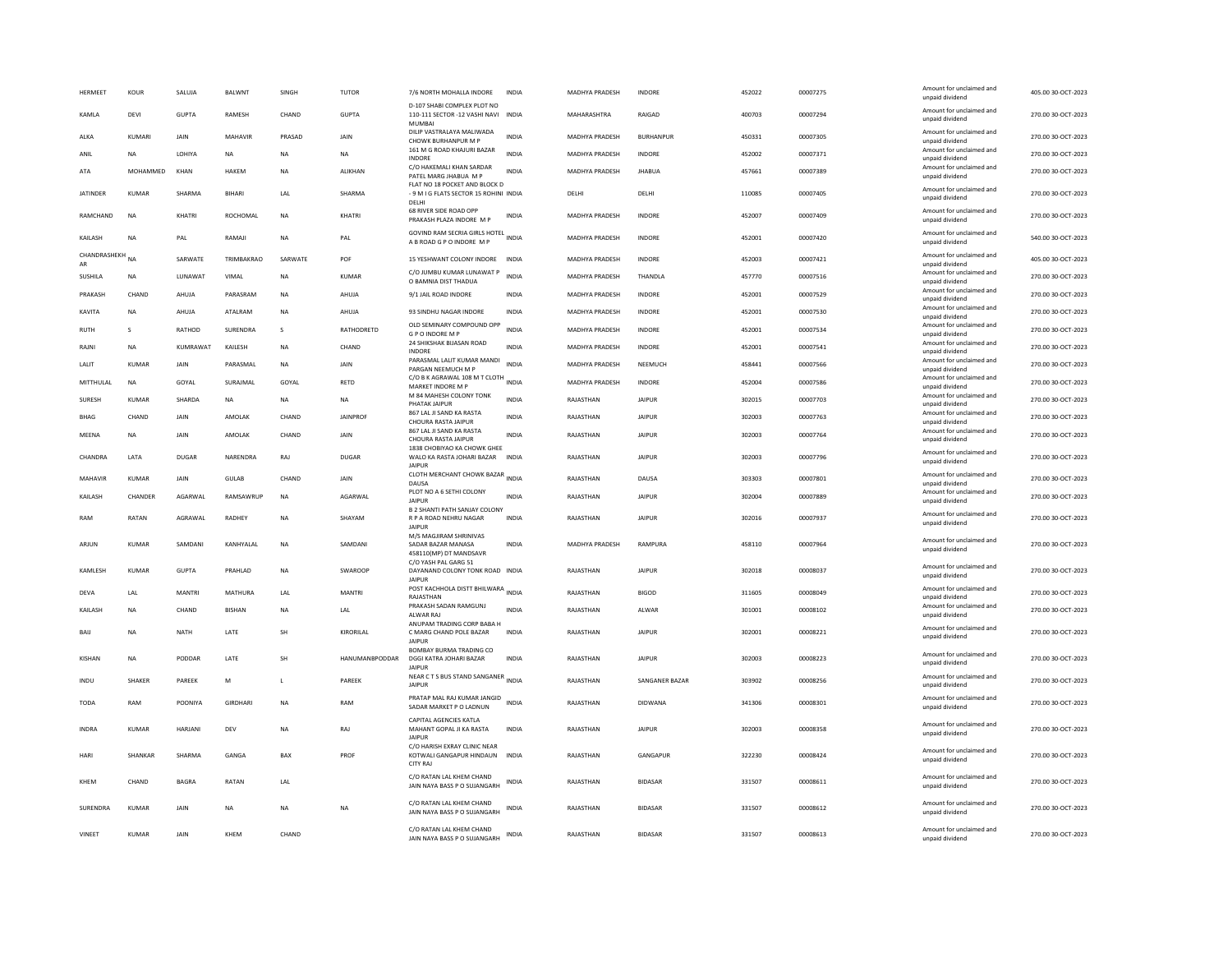| HERMEET            | KOUR          | SALUJA         | BALWNT          | SINGH        | <b>TUTOR</b>          | 7/6 NORTH MOHALLA INDORE                                                         | <b>INDIA</b> | MADHYA PRADESH        | INDORE           | 452022 | 00007275 | Amount for unclaimed and<br>unpaid dividend | 405.00 30-OCT-2023 |
|--------------------|---------------|----------------|-----------------|--------------|-----------------------|----------------------------------------------------------------------------------|--------------|-----------------------|------------------|--------|----------|---------------------------------------------|--------------------|
| <b>KAMIA</b>       | <b>DFVI</b>   | GUPTA          | <b>RAMFSH</b>   | CHAND        | <b>GUPTA</b>          | D-107 SHABI COMPLEX PLOT NO<br>110-111 SECTOR -12 VASHI NAVI<br><b>MUMBA</b>     | <b>INDIA</b> | MAHARASHTRA           | <b>RAIGAD</b>    | 400703 | 00007294 | Amount for unclaimed and<br>unpaid dividend | 270.00.30-QCT-2023 |
| ALKA               | KUMARI        | JAIN           | MAHAVIR         | PRASAD       | JAIN                  | DILIP VASTRALAYA MALIWADA<br>CHOWK BURHANPUR M P                                 | <b>INDIA</b> | MADHYA PRADESH        | <b>BURHANPUR</b> | 450331 | 00007305 | Amount for unclaimed and<br>unpaid dividend | 270.00 30-OCT-2023 |
| ANIL               | NA            | LOHIYA         | NA              | NA           | NA                    | 161 M G ROAD KHAJURI BAZAR<br><b>INDORE</b>                                      | INDIA        | MADHYA PRADESH        | INDORE           | 452002 | 00007371 | Amount for unclaimed and<br>unpaid dividend | 270.00 30-OCT-2023 |
| ATA                | MOHAMMED      | KHAN           | HAKEM           | NA           | <b>ALIKHAN</b>        | C/O HAKEMALI KHAN SARDAR<br>PATEL MARG JHABUA M P                                | <b>INDIA</b> | MADHYA PRADESH        | <b>JHABUA</b>    | 457661 | 00007389 | Amount for unclaimed and<br>unpaid dividend | 270.00 30-OCT-2023 |
| <b>IATINDER</b>    | KUMAR         | SHARMA         | <b>BIHARI</b>   | LAL          | SHARMA                | FLAT NO 18 POCKET AND BLOCK D<br>- 9 M I G FLATS SECTOR 15 ROHINI INDIA<br>DELHI |              | DELHI                 | DELHI            | 110085 | 00007405 | Amount for unclaimed and<br>unpaid dividend | 270.00 30-OCT-2023 |
| RAMCHAND           | <b>NA</b>     | KHATRI         | ROCHOMAL        | <b>NA</b>    | KHATRI                | 68 RIVER SIDE ROAD OPP<br>PRAKASH PLAZA INDORE M P                               | <b>INDIA</b> | MADHYA PRADESH        | <b>INDORE</b>    | 452007 | 00007409 | Amount for unclaimed and<br>unpaid dividend | 270.00 30-OCT-2023 |
| KAILASH            | <b>NA</b>     | PAL            | RAMAJI          | <b>NA</b>    | PAL                   | GOVIND RAM SECRIA GIRLS HOTEL INDIA<br>A B ROAD G P O INDORE M P                 |              | MADHYA PRADESH        | INDORE           | 452001 | 00007420 | Amount for unclaimed and<br>unpaid dividend | 540.00 30-OCT-2023 |
| CHANDRASHEKH<br>AR | <b>NA</b>     | SARWATE        | TRIMBAKRAO      | SARWATE      | POF                   | 15 YESHWANT COLONY INDORE                                                        | <b>INDIA</b> | <b>MADHYA PRADESH</b> | <b>INDORF</b>    | 452003 | 00007421 | Amount for unclaimed and<br>unpaid dividend | 405.00 30-OCT-2023 |
| <b>SUSHILA</b>     | <b>NA</b>     | LUNAWAT        | VIMAL           | <b>NA</b>    | <b>KUMAR</b>          | C/O JUMBU KUMAR LUNAWAT P<br>O BAMNIA DIST THADUA                                | <b>INDIA</b> | <b>MADHYA PRADESH</b> | THANDLA          | 457770 | 00007516 | Amount for unclaimed and<br>unpaid dividend | 270.00 30-OCT-2023 |
| PRAKASH            | CHAND         | AHUJA          | PARASRAM        | <b>NA</b>    | AHUJA                 | 9/1 JAIL ROAD INDORE                                                             | <b>INDIA</b> | MADHYA PRADESH        | INDORE           | 452001 | 00007529 | Amount for unclaimed and<br>unpaid dividend | 270.00 30-OCT-2023 |
| KAVITA             | <b>NA</b>     | AHUJA          | ATALRAM         | <b>NA</b>    | AHUJA                 | 93 SINDHU NAGAR INDORE                                                           | INDIA        | MADHYA PRADESH        | INDORE           | 452001 | 00007530 | Amount for unclaimed and<br>unpaid dividend | 270.00 30-OCT-2023 |
| RUTH               | $\mathsf{s}$  | RATHOD         | SURENDRA        | s            | RATHODRETD            | OLD SEMINARY COMPOUND OPP<br><b>GPO INDORE MP</b>                                | <b>INDIA</b> | MADHYA PRADESH        | <b>INDORE</b>    | 452001 | 00007534 | Amount for unclaimed and<br>unpaid dividend | 270.00 30-OCT-2023 |
| RAJNI              | <b>NA</b>     | KUMRAWAT       | KAILESH         | <b>NA</b>    | CHAND                 | 24 SHIKSHAK BIJASAN ROAD<br><b>INDORE</b>                                        | <b>INDIA</b> | <b>MADHYA PRADESH</b> | <b>INDORE</b>    | 452001 | 00007541 | Amount for unclaimed and<br>unpaid dividend | 270.00 30-OCT-2023 |
| LALIT              | KUMAR         | JAIN           | PARASMAL        | NA           | JAIN                  | PARASMAL LALIT KUMAR MANDI                                                       | <b>INDIA</b> | MADHYA PRADESH        | NEEMUCH          | 458441 | 00007566 | Amount for unclaimed and                    | 270.00 30-OCT-2023 |
| MITTHULAL          | NA            | GOYAL          | SURAJMAL        | GOYAL        | RETD                  | PARGAN NEEMUCH M P<br>C/O B K AGRAWAL 108 M T CLOTH INDIA                        |              | MADHYA PRADESH        | INDORE           | 452004 | 00007586 | unpaid dividend<br>Amount for unclaimed and | 270.00 30-OCT-2023 |
| SURESH             | KUMAR         | SHARDA         | NA              | NA           | NA                    | MARKET INDORE M P<br>M 84 MAHESH COLONY TONK                                     | <b>INDIA</b> | RAJASTHAN             | <b>JAIPUR</b>    | 302015 | 00007703 | unpaid dividend<br>Amount for unclaimed and | 270.00 30-OCT-2023 |
| <b>BHAG</b>        | CHAND         | <b>JAIN</b>    | AMOLAK          | CHAND        | <b>JAINPROF</b>       | PHATAK IAIPUR<br>867 LAL JI SAND KA RASTA                                        | <b>INDIA</b> | RAJASTHAN             | <b>JAIPUR</b>    | 302003 | 00007763 | unpaid dividend<br>Amount for unclaimed and | 270.00 30-OCT-2023 |
| MFFNA              | <b>NA</b>     | <b>JAIN</b>    | AMOI AK         | CHAND        | <b>JAIN</b>           | CHOURA RASTA JAIPUR<br>867 LAL JI SAND KA RASTA                                  | <b>INDIA</b> | RAIASTHAN             | <b>JAIPUR</b>    | 302003 | 00007764 | unnaid dividend<br>Amount for unclaimed and | 270.00 30-OCT-2023 |
|                    |               |                |                 |              |                       | CHOURA RASTA JAIPUR<br>1838 CHOBIYAO KA CHOWK GHEE                               |              |                       |                  |        |          | unpaid dividend<br>Amount for unclaimed and |                    |
| CHANDRA            | LATA          | DUGAR          | NARENDRA        | RAJ          | DUGAR                 | WALO KA RASTA JOHARI BAZAR<br><b>JAIPUF</b>                                      | <b>INDIA</b> | RAJASTHAN             | <b>JAIPUR</b>    | 302003 | 00007796 | unpaid dividend                             | 270.00 30-OCT-2023 |
| MAHAVIR            | KUMAR         | <b>JAIN</b>    | <b>GULAB</b>    | CHAND        | JAIN                  | CLOTH MERCHANT CHOWK BAZAR INDIA<br>DAUSA                                        |              | RAJASTHAN             | DAUSA            | 303303 | 00007801 | Amount for unclaimed and<br>unpaid dividend | 270.00 30-OCT-2023 |
| KAILASH            | CHANDER       | AGARWAL        | RAMSAWRUP       | $_{\sf NA}$  | AGARWAL               | PLOT NO A 6 SETHI COLONY<br><b>JAIPUR</b>                                        | <b>INDIA</b> | RAJASTHAN             | <b>JAIPUR</b>    | 302004 | 00007889 | Amount for unclaimed and<br>unpaid dividend | 270.00 30-OCT-2023 |
| RAM                | RATAN         | AGRAWAL        | RADHEY          | <b>NA</b>    | SHAYAM                | <b>B 2 SHANTI PATH SANJAY COLONY</b><br>R P A ROAD NEHRU NAGAR                   | <b>INDIA</b> | RAJASTHAN             | <b>JAIPUR</b>    | 302016 | 00007937 | Amount for unclaimed and                    | 270.00 30-OCT-2023 |
|                    |               |                |                 |              |                       | <b>JAIPUR</b><br>M/S MAGIIRAM SHRINIVAS                                          |              |                       |                  |        |          | unpaid dividend                             |                    |
| ARJUN              | KUMAR         | SAMDANI        | KANHYALAL       | NA           | SAMDANI               | SADAR BAZAR MANASA<br>458110(MP) DT MANDSAVR<br>C/O YASH PAL GARG 51             | <b>INDIA</b> | MADHYA PRADESH        | RAMPURA          | 458110 | 00007964 | Amount for unclaimed and<br>unpaid dividend | 270.00 30-OCT-2023 |
| KAMLESH            | <b>KUMAR</b>  | <b>GUPTA</b>   | PRAHLAD         | <b>NA</b>    | SWAROOP               | DAYANAND COLONY TONK ROAD INDIA<br><b>JAIPUR</b>                                 |              | RAJASTHAN             | <b>JAIPUR</b>    | 302018 | 00008037 | Amount for unclaimed and<br>unpaid dividend | 270.00 30-OCT-2023 |
| DEVA               | LAL           | MANTRI         | MATHURA         | LAL          | <b>MANTRI</b>         | POST KACHHOLA DISTT BHILWARA INDIA<br>RAJASTHAN                                  |              | RAJASTHAN             | <b>BIGOD</b>     | 311605 | 00008049 | Amount for unclaimed and<br>unpaid dividend | 270.00 30-OCT-2023 |
| KAILASH            | <b>NA</b>     | CHAND          | <b>BISHAN</b>   | NA           | LAL                   | PRAKASH SADAN RAMGUNJ<br>ALWAR RAJ                                               | <b>INDIA</b> | RAJASTHAN             | ALWAR            | 301001 | 00008102 | Amount for unclaimed and<br>unpaid dividend | 270.00 30-OCT-2023 |
| BAIJ               | <b>NA</b>     | <b>NATH</b>    | LATE            | SH           | KIRORILAL             | ANUPAM TRADING CORP BABA H<br>C MARG CHAND POLE BAZAR<br><b>JAIPUF</b>           | <b>INDIA</b> | RAJASTHAN             | <b>JAIPUR</b>    | 302001 | 00008221 | Amount for unclaimed and<br>unpaid dividend | 270.00 30-OCT-2023 |
| <b>KISHAN</b>      | <b>NA</b>     | PODDAR         | LATE            | SH           | <b>HANUMANBPODDAR</b> | <b>BOMBAY BURMA TRADING CO</b><br>DGGI KATRA JOHARI BAZAR<br><b>JAIPUF</b>       | INDIA        | RAJASTHAN             | <b>JAIPUR</b>    | 302003 | 00008223 | Amount for unclaimed and<br>unpaid dividend | 270.00 30-OCT-2023 |
| INDU               | <b>SHAKER</b> | PARFFK         | M               | $\mathbf{L}$ | PARFFK                | NEAR C T S BUS STAND SANGANER<br>INDIA<br>JAIPUR                                 |              | RAIASTHAN             | SANGANER BAZAR   | 303902 | 00008256 | Amount for unclaimed and<br>unpaid dividend | 270.00.30-QCT-2023 |
| <b>TODA</b>        | RAM           | POONIYA        | <b>GIRDHARI</b> | <b>NA</b>    | RAM                   | PRATAP MAL RAJ KUMAR JANGID<br>SADAR MARKET P O LADNUN                           | INDIA        | RAJASTHAN             | <b>DIDWANA</b>   | 341306 | 00008301 | Amount for unclaimed and<br>unpaid dividend | 270.00 30-OCT-2023 |
| <b>INDRA</b>       | <b>KUMAR</b>  | <b>HARJANI</b> | DEV             | <b>NA</b>    | RAJ                   | CAPITAL AGENCIES KATLA<br>MAHANT GOPAL JI KA RASTA<br><b>JAIPUF</b>              | <b>INDIA</b> | RAJASTHAN             | <b>JAIPUR</b>    | 302003 | 00008358 | Amount for unclaimed and<br>unpaid dividend | 270.00 30-OCT-2023 |
| HARI               | SHANKAR       | SHARMA         | GANGA           | BAX          | PROF                  | C/O HARISH EXRAY CLINIC NEAR<br>KOTWALI GANGAPUR HINDAUN<br><b>CITY RAJ</b>      | <b>INDIA</b> | RAJASTHAN             | GANGAPUR         | 322230 | 00008424 | Amount for unclaimed and<br>unpaid dividend | 270.00 30-OCT-2023 |
| KHEM               | CHAND         | <b>BAGRA</b>   | RATAN           | LAL          |                       | C/O RATAN LAL KHEM CHAND<br>JAIN NAYA BASS P O SUJANGARH                         | <b>INDIA</b> | RAJASTHAN             | <b>BIDASAR</b>   | 331507 | 00008611 | Amount for unclaimed and<br>unpaid dividend | 270.00 30-OCT-2023 |
| SURENDRA           | KUMAR         | <b>JAIN</b>    | <b>NA</b>       | <b>NA</b>    | NA                    | C/O RATAN LAL KHEM CHAND<br>JAIN NAYA BASS P O SUJANGARH                         | INDIA        | RAJASTHAN             | <b>BIDASAR</b>   | 331507 | 00008612 | Amount for unclaimed and<br>unpaid dividend | 270.00 30-OCT-2023 |
| VINEET             | <b>KUMAR</b>  | JAIN           | KHEM            | CHAND        |                       | C/O RATAN LAL KHEM CHAND<br>JAIN NAYA BASS P O SUJANGARH                         | <b>INDIA</b> | RAJASTHAN             | <b>BIDASAR</b>   | 331507 | 00008613 | Amount for unclaimed and<br>unpaid dividend | 270.00 30-OCT-2023 |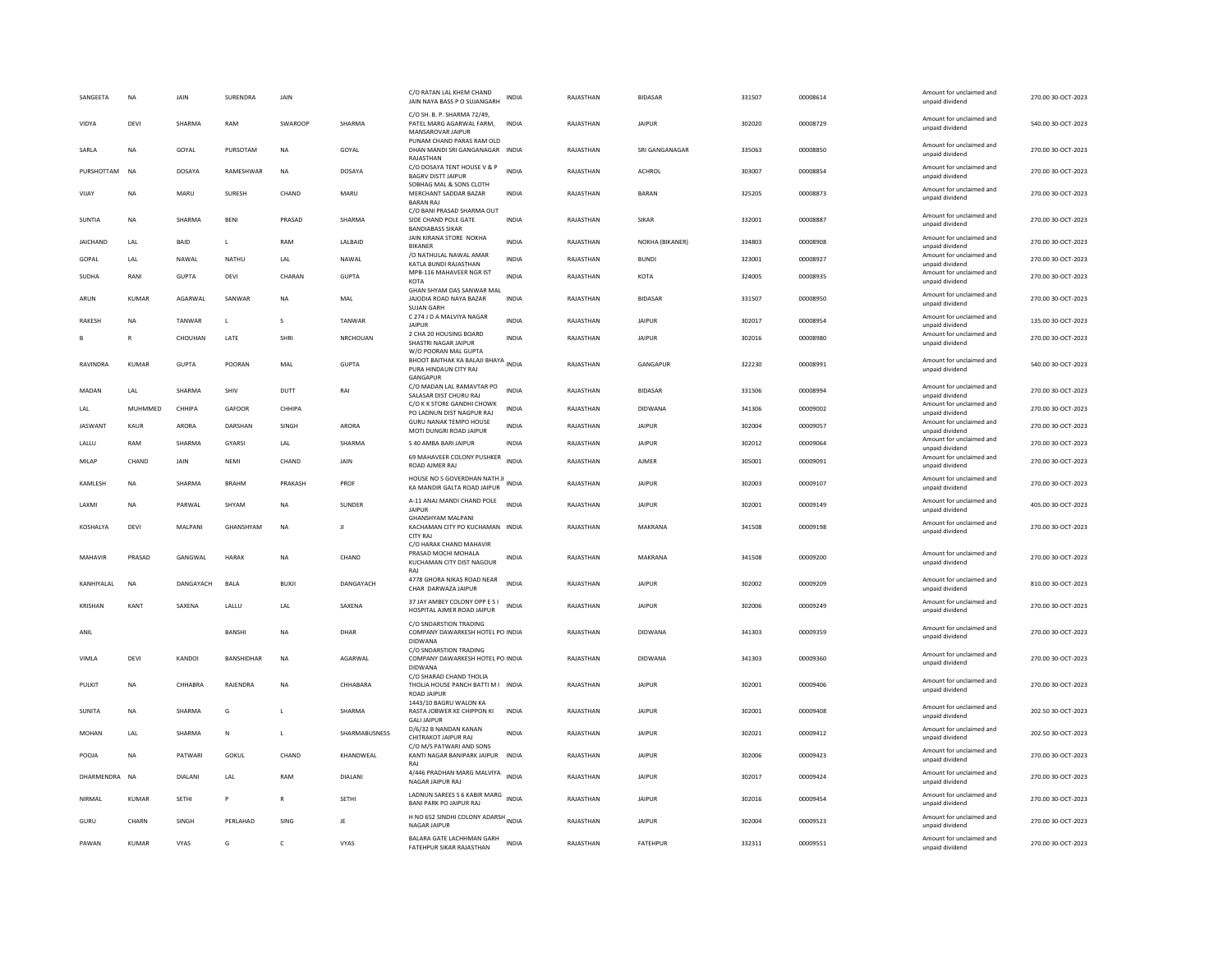| SANGEETA        | <b>NA</b>    | <b>JAIN</b>      | SURENDRA     | JAIN           |                 | C/O RATAN LAL KHEM CHAND<br>JAIN NAYA BASS P O SUJANGARH                            | INDIA        | RAJASTHAN | <b>BIDASAR</b>  | 331507 | 00008614 | Amount for unclaimed and<br>unpaid dividend | 270.00 30-OCT-2023 |
|-----------------|--------------|------------------|--------------|----------------|-----------------|-------------------------------------------------------------------------------------|--------------|-----------|-----------------|--------|----------|---------------------------------------------|--------------------|
| <b>VIDYA</b>    | DFVI         | SHARMA           | RAM          | <b>SWAROOP</b> | SHARMA          | C/O SH. B. P. SHARMA 72/49,<br>PATEL MARG AGARWAL FARM.<br>MANSAROVAR JAIPUR        | <b>INDIA</b> | RAIASTHAN | <b>JAIPUR</b>   | 302020 | 00008729 | Amount for unclaimed and<br>unpaid dividend | 540.00.30-QCT-2023 |
| SARLA           | <b>NA</b>    | GOYAL            | PURSOTAM     | <b>NA</b>      | GOYAL           | PUNAM CHAND PARAS RAM OLD<br>DHAN MANDI SRI GANGANAGAR INDIA<br>RAJASTHAN           |              | RAJASTHAN | SRI GANGANAGAR  | 335063 | 00008850 | Amount for unclaimed and<br>unpaid dividend | 270.00 30-OCT-2023 |
| PURSHOTTAM      | <b>NA</b>    | DOSAYA           | RAMESHWAR    | <b>NA</b>      | DOSAYA          | C/O DOSAYA TENT HOUSE V & P<br><b>BAGRV DISTT JAIPUR</b>                            | <b>INDIA</b> | RAJASTHAN | ACHROL          | 303007 | 00008854 | Amount for unclaimed and<br>unpaid dividend | 270.00 30-OCT-2023 |
| VIJAY           | <b>NA</b>    | MARU             | SURESH       | CHAND          | MARU            | SOBHAG MAL & SONS CLOTH<br>MERCHANT SADDAR BAZAR<br><b>BARAN RAJ</b>                | <b>INDIA</b> | RAJASTHAN | <b>BARAN</b>    | 325205 | 00008873 | Amount for unclaimed and<br>unpaid dividend | 270.00 30-OCT-2023 |
| SUNTIA          | NA           | SHARMA           | <b>BENI</b>  | PRASAD         | SHARMA          | C/O BANI PRASAD SHARMA OUT<br>SIDE CHAND POLE GATE<br><b>BANDIABASS SIKAR</b>       | <b>INDIA</b> | RAJASTHAN | <b>SIKAR</b>    | 332001 | 00008887 | Amount for unclaimed and<br>unpaid dividend | 270.00 30-OCT-2023 |
| <b>JAICHAND</b> | LAL          | BAID             | L            | RAM            | LALBAID         | JAIN KIRANA STORE NOKHA<br><b>BIKANER</b>                                           | <b>INDIA</b> | RAJASTHAN | NOKHA (BIKANER) | 334803 | 00008908 | Amount for unclaimed and<br>unpaid dividend | 270.00 30-OCT-2023 |
| GOPAL           | LAL          | NAWAL            | <b>NATHU</b> | LAL            | NAWAL           | /O NATHULAL NAWAL AMAR<br>KATLA BUNDI RAJASTHAN                                     | <b>INDIA</b> | RAJASTHAN | <b>BUNDI</b>    | 323001 | 00008927 | Amount for unclaimed and<br>unpaid dividend | 270.00 30-OCT-2023 |
| SUDHA           | RANI         | <b>GUPTA</b>     | DFVI         | CHARAN         | <b>GUPTA</b>    | MPB-116 MAHAVEER NGR IST<br>KOTA                                                    | <b>INDIA</b> | RAIASTHAN | KOTA            | 324005 | 00008935 | Amount for unclaimed and<br>unpaid dividend | 270.00.30-QCT-2023 |
| ARUN            | KUMAR        | AGARWAL          | SANWAR       | NA             | MAL             | GHAN SHYAM DAS SANWAR MAL<br>JAJODIA ROAD NAYA BAZAR<br><b>SUIAN GARH</b>           | INDIA        | RAJASTHAN | <b>BIDASAR</b>  | 331507 | 00008950 | Amount for unclaimed and<br>unpaid dividend | 270.00 30-OCT-2023 |
| <b>RAKESH</b>   | <b>NA</b>    | TANWAR           | $\mathbf{L}$ | s              | <b>TANWAR</b>   | C 274 J D A MALVIYA NAGAR<br><b>JAIPUR</b>                                          | <b>INDIA</b> | RAJASTHAN | <b>JAIPUR</b>   | 302017 | 00008954 | Amount for unclaimed and<br>unpaid dividend | 135.00 30-OCT-2023 |
|                 | $\mathbb{R}$ | CHOUHAN          | LATE         | SHRI           | <b>NRCHOUAN</b> | 2 CHA 20 HOUSING BOARD<br>SHASTRI NAGAR JAIPUR<br>W/O POORAN MAL GUPTA              | <b>INDIA</b> | RAJASTHAN | <b>JAIPUR</b>   | 302016 | 00008980 | Amount for unclaimed and<br>unpaid dividend | 270.00 30-OCT-2023 |
| RAVINDRA        | <b>KUMAR</b> | <b>GUPTA</b>     | POORAN       | MAL            | <b>GUPTA</b>    | BHOOT BAITHAK KA BALAJI BHAYA INDIA<br>PURA HINDAUN CITY RAJ<br>GANGAPUR            |              | RAJASTHAN | GANGAPUR        | 322230 | 00008991 | Amount for unclaimed and<br>unpaid dividend | 540.00 30-OCT-2023 |
| MADAN           | LAL          | SHARMA           | SHIV         | DUTT           | RAI             | C/O MADAN LAL RAMAVTAR PO<br>SALASAR DIST CHURU RAJ                                 | INDIA        | RAJASTHAN | <b>BIDASAR</b>  | 331506 | 00008994 | Amount for unclaimed and<br>unpaid dividend | 270.00 30-OCT-2023 |
| LAL             | MUHMMED      | CHHIPA           | GAFOOR       | <b>CHHIPA</b>  |                 | C/O K K STORE GANDHI CHOWK<br>PO LADNUN DIST NAGPUR RAJ                             | <b>INDIA</b> | RAJASTHAN | DIDWANA         | 341306 | 00009002 | Amount for unclaimed and<br>unpaid dividend | 270.00 30-OCT-2023 |
| <b>JASWANT</b>  | KAUR         | <b>ARORA</b>     | DARSHAN      | SINGH          | <b>ARORA</b>    | <b>GURU NANAK TEMPO HOUSE</b><br>MOTI DUNGRI ROAD JAIPUR                            | <b>INDIA</b> | RAJASTHAN | <b>JAIPUR</b>   | 302004 | 00009057 | Amount for unclaimed and<br>unpaid dividend | 270.00 30-OCT-2023 |
| LALLU           | RAM          | SHARMA           | GYARSI       | LAL            | SHARMA          | S 40 AMBA BARI JAIPUR                                                               | <b>INDIA</b> | RAJASTHAN | <b>JAIPUR</b>   | 302012 | 00009064 | Amount for unclaimed and<br>unpaid dividend | 270.00 30-OCT-2023 |
| MILAP           | CHAND        | <b>JAIN</b>      | NFMI         | CHAND          | <b>JAIN</b>     | 69 MAHAVEER COLONY PUSHKER<br>ROAD AJMER RAJ                                        | <b>INDIA</b> | RAJASTHAN | AIMFR           | 305001 | 00009091 | Amount for unclaimed and<br>unpaid dividend | 270.00 30-OCT-2023 |
|                 |              |                  |              |                |                 |                                                                                     |              |           |                 |        |          |                                             |                    |
| KAMLESH         | <b>NA</b>    | SHARMA           | <b>BRAHM</b> | PRAKASH        | PROF            | HOUSE NO 5 GOVERDHAN NATH JI<br>KA MANDIR GALTA ROAD JAIPUR                         |              | RAJASTHAN | <b>JAIPUR</b>   | 302003 | 00009107 | Amount for unclaimed and<br>unpaid dividend | 270.00 30-OCT-2023 |
| LAXMI           | <b>NA</b>    | PARWAL           | SHYAM        | <b>NA</b>      | SUNDER          | A-11 ANAJ MANDI CHAND POLE<br><b>JAIPUR</b>                                         | <b>INDIA</b> | RAJASTHAN | <b>JAIPUR</b>   | 302001 | 00009149 | Amount for unclaimed and<br>unpaid dividend | 405.00 30-OCT-2023 |
| KOSHALYA        | DEVI         | MALPANI          | GHANSHYAM    | <b>NA</b>      | Л               | GHANSHYAM MALPANI<br>KACHAMAN CITY PO KUCHAMAN INDIA<br><b>CITY RAJ</b>             |              | RAJASTHAN | MAKRANA         | 341508 | 00009198 | Amount for unclaimed and<br>unpaid dividend | 270.00 30-OCT-2023 |
| MAHAVIR         | PRASAD       | GANGWAL          | <b>HARAK</b> | <b>NA</b>      | CHAND           | C/O HARAK CHAND MAHAVIR<br>PRASAD MOCHI MOHALA<br>KUCHAMAN CITY DIST NAGOUR         | INDIA        | RAJASTHAN | MAKRANA         | 341508 | 00009200 | Amount for unclaimed and<br>unpaid dividend | 270.00 30-OCT-2023 |
| KANHIYALAL      | <b>NA</b>    | <b>DANGAYACH</b> | <b>BAIA</b>  | <b>BUXII</b>   | DANGAYACH       | RAI<br>4778 GHORA NIKAS ROAD NEAR<br>CHAR DARWAZA JAIPUR                            | <b>INDIA</b> | RAIASTHAN | <b>JAIPUR</b>   | 302002 | 00009209 | Amount for unclaimed and<br>unpaid dividend | 810.00.30-QCT-2023 |
|                 |              |                  |              |                |                 | 37 JAY AMBEY COLONY OPP E S I                                                       | <b>INDIA</b> |           | <b>JAIPUR</b>   |        |          | Amount for unclaimed and                    |                    |
| KRISHAN         | KANT         | SAXENA           | LALLU        | LAL            | SAXENA          | HOSPITAL AJMER ROAD JAIPUR<br>C/O SNDARSTION TRADING                                |              | RAJASTHAN |                 | 302006 | 00009249 | unpaid dividend                             | 270.00 30-OCT-2023 |
| ANIL            |              |                  | BANSHI       | <b>NA</b>      | DHAR            | COMPANY DAWARKESH HOTEL PO INDIA<br>DIDWANA                                         |              | RAJASTHAN | <b>DIDWANA</b>  | 341303 | 00009359 | Amount for unclaimed and<br>unpaid dividend | 270.00 30-OCT-2023 |
| VIMLA           | DEVI         | KANDOI           | BANSHIDHAR   | <b>NA</b>      | AGARWAL         | C/O SNDARSTION TRADING<br>COMPANY DAWARKESH HOTEL PO INDIA<br><b>DIDWANA</b>        |              | RAJASTHAN | <b>DIDWANA</b>  | 341303 | 00009360 | Amount for unclaimed and<br>unpaid dividend | 270.00 30-OCT-2023 |
| PULKIT          | <b>NA</b>    | CHHABRA          | RAJENDRA     | NA             | CHHABARA        | C/O SHARAD CHAND THOLIA<br>THOLIA HOUSE PANCH BATTI M I INDIA<br><b>ROAD JAIPUR</b> |              | RAJASTHAN | <b>JAIPUR</b>   | 302001 | 00009406 | Amount for unclaimed and<br>unpaid dividend | 270.00 30-OCT-2023 |
| SUNITA          | NA           | SHARMA           | G            | $\mathbf{L}$   | SHARMA          | 1443/10 BAGRU WALON KA<br>RASTA JOBWER KE CHIPPON KI<br><b>GALI JAIPUR</b>          | INDIA        | RAJASTHAN | <b>JAIPUR</b>   | 302001 | 00009408 | Amount for unclaimed and<br>unpaid dividend | 202.50 30-OCT-2023 |
| MOHAN           | LAL          | SHARMA           | ${\sf N}$    | L              | SHARMABUSNESS   | D/6/32 B NANDAN KANAN<br>CHITRAKOT JAIPUR RAJ                                       | INDIA        | RAJASTHAN | <b>JAIPUR</b>   | 302021 | 00009412 | Amount for unclaimed and<br>unpaid dividend | 202.50 30-OCT-2023 |
| POOIA           | <b>NA</b>    | PATWARI          | GOKUL        | CHAND          | KHANDWFAI       | C/O M/S PATWARI AND SONS<br>KANTI NAGAR BANIPARK JAIPUR INDIA<br>RAJ                |              | RAJASTHAN | <b>JAIPUR</b>   | 302006 | 00009423 | Amount for unclaimed and<br>unpaid dividend | 270.00 30-OCT-2023 |
| DHARMENDRA      | <b>NA</b>    | <b>DIALANI</b>   | LAL          | RAM            | <b>DIALANI</b>  | 4/446 PRADHAN MARG MALVIYA INDIA<br>NAGAR JAIPUR RAJ                                |              | RAJASTHAN | <b>JAIPUR</b>   | 302017 | 00009424 | Amount for unclaimed and<br>unpaid dividend | 270.00 30-OCT-2023 |
| NIRMAL          | <b>KUMAR</b> | <b>SETHI</b>     | P            | $\mathbb{R}$   | SETHI           | LADNUN SAREES S 6 KABIR MARG<br><b>BANI PARK PO JAIPUR RAJ</b>                      | <b>INDIA</b> | RAJASTHAN | <b>JAIPUR</b>   | 302016 | 00009454 | Amount for unclaimed and<br>unpaid dividend | 270.00 30-OCT-2023 |
| GURU            | CHARN        | SINGH            | PERLAHAD     | SING           | JE              | H NO 652 SINDHI COLONY ADARSH INDIA<br><b>NAGAR JAIPUR</b>                          |              | RAJASTHAN | <b>JAIPUR</b>   | 302004 | 00009523 | Amount for unclaimed and<br>unpaid dividend | 270.00 30-OCT-2023 |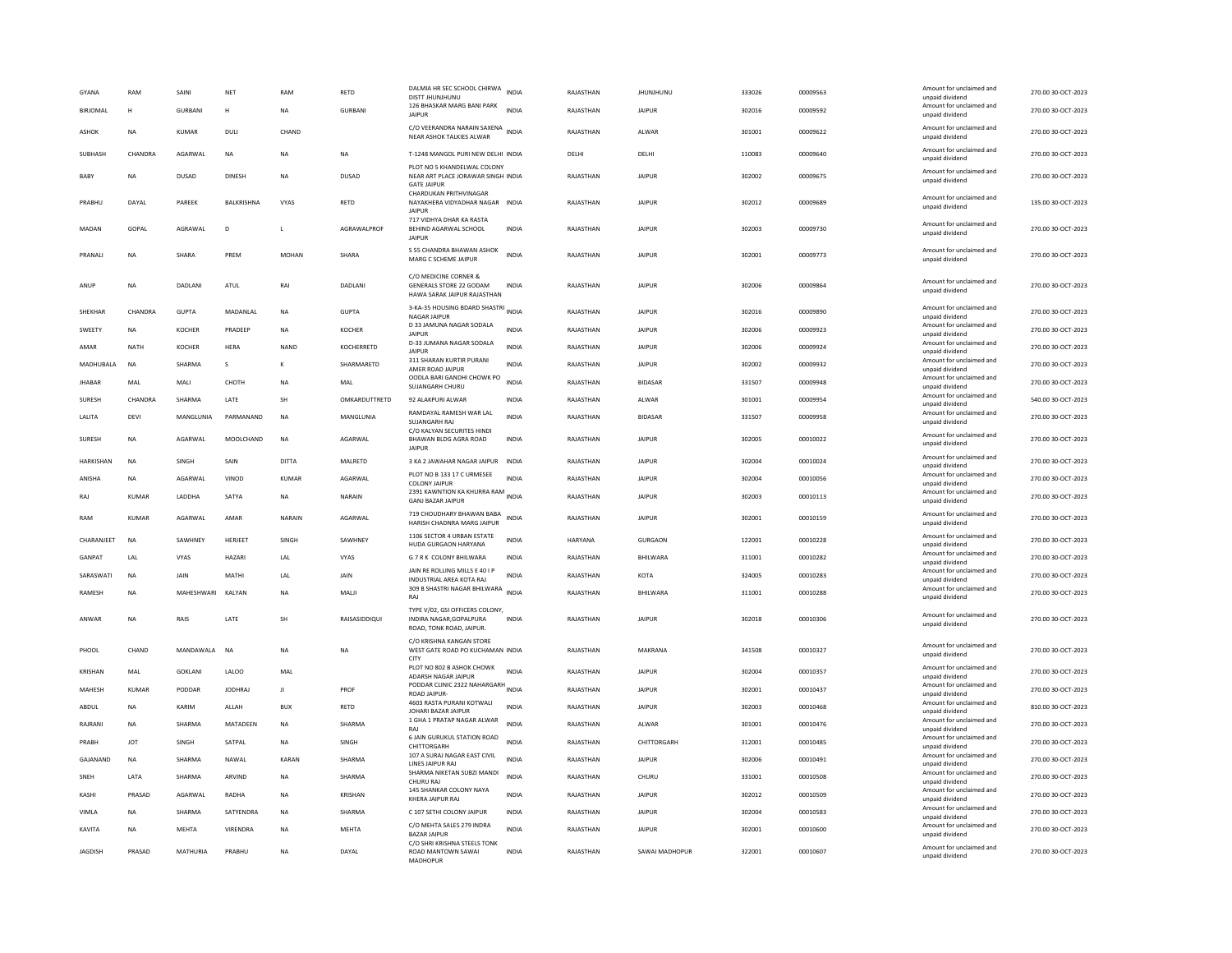| GYANA<br><b>BIRIOMAL</b> | RAM<br>H     | SAINI<br><b>GURBANI</b> | NET<br>H       | RAM<br><b>NA</b> | RETD<br><b>GURBANI</b> | DALMIA HR SEC SCHOOL CHIRWA INDIA<br>DISTT JHUNJHUNU<br>126 BHASKAR MARG BANI PARK<br><b>JAIPUR</b> | <b>INDIA</b> | RAJASTHAN<br>RAJASTHAN | <b>JHUNJHUNU</b><br><b>JAIPUR</b> | 333026<br>302016 | 00009563<br>00009592 | Amount for unclaimed and<br>unpaid dividend<br>Amount for unclaimed and<br>unpaid dividend | 270.00 30-OCT-2023<br>270.00 30-OCT-2023 |
|--------------------------|--------------|-------------------------|----------------|------------------|------------------------|-----------------------------------------------------------------------------------------------------|--------------|------------------------|-----------------------------------|------------------|----------------------|--------------------------------------------------------------------------------------------|------------------------------------------|
| <b>ASHOK</b>             | <b>NA</b>    | <b>KUMAR</b>            | <b>DULI</b>    | CHAND            |                        | C/O VEERANDRA NARAIN SAXENA<br>NEAR ASHOK TALKIES ALWAR                                             |              | RAJASTHAN              | ALWAR                             | 301001           | 00009622             | Amount for unclaimed and<br>unpaid dividend                                                | 270.00 30-OCT-2023                       |
| SUBHASH                  | CHANDRA      | AGARWAL                 | <b>NA</b>      | <b>NA</b>        | <b>NA</b>              | T-1248 MANGOL PURI NEW DELHI INDIA                                                                  |              | DELHI                  | DELHI                             | 110083           | 00009640             | Amount for unclaimed and                                                                   | 270.00 30-OCT-2023                       |
| BABY                     | <b>NA</b>    | DUSAD                   | DINESH         | <b>NA</b>        | DUSAD                  | PLOT NO 5 KHANDELWAL COLONY<br>NEAR ART PLACE JORAWAR SINGH INDIA<br><b>GATE JAIPUR</b>             |              | RAJASTHAN              | <b>JAIPUR</b>                     | 302002           | 00009675             | unpaid dividend<br>Amount for unclaimed and<br>unpaid dividend                             | 270.00 30-OCT-2023                       |
| PRABHU                   | DAYAL        | PAREEK                  | BALKRISHNA     | VYAS             | RETD                   | CHARDUKAN PRITHVINAGAR<br>NAYAKHERA VIDYADHAR NAGAR INDIA<br><b>JAIPUR</b>                          |              | RAJASTHAN              | <b>JAIPUR</b>                     | 302012           | 00009689             | Amount for unclaimed and<br>unpaid dividend                                                | 135.00 30-OCT-2023                       |
| MADAN                    | GOPAL        | AGRAWAL                 | D              |                  | AGRAWALPROF            | 717 VIDHYA DHAR KA RASTA<br>BEHIND AGARWAL SCHOOL<br><b>JAIPUR</b>                                  | <b>INDIA</b> | RAJASTHAN              | <b>JAIPUR</b>                     | 302003           | 00009730             | Amount for unclaimed and<br>unpaid dividend                                                | 270.00 30-OCT-2023                       |
| PRANALI                  | <b>NA</b>    | SHARA                   | PREM           | <b>MOHAN</b>     | SHARA                  | S 55 CHANDRA BHAWAN ASHOK<br>MARG C SCHEME JAIPUR                                                   | <b>INDIA</b> | RAJASTHAN              | <b>JAIPUR</b>                     | 302001           | 00009773             | Amount for unclaimed and<br>unpaid dividend                                                | 270.00 30-OCT-2023                       |
| ANUP                     | NA           | DADLANI                 | ATUL           | RAI              | DADLANI                | C/O MEDICINE CORNER &<br>GENERALS STORE 22 GODAM<br>HAWA SARAK JAIPUR RAJASTHAN                     | INDIA        | RAJASTHAN              | <b>JAIPUR</b>                     | 302006           | 00009864             | Amount for unclaimed and<br>unpaid dividend                                                | 270.00 30-OCT-2023                       |
| SHEKHAR                  | CHANDRA      | <b>GUPTA</b>            | MADANLAL       | NA               | <b>GUPTA</b>           | 3-KA-35 HOUSING BDARD SHASTRI INDIA<br><b>NAGAR JAIPUR</b>                                          |              | RAJASTHAN              | <b>JAIPUR</b>                     | 302016           | 00009890             | Amount for unclaimed and<br>unpaid dividend                                                | 270.00 30-OCT-2023                       |
| SWEETY                   | NA           | KOCHER                  | PRADEEP        | NA               | <b>KOCHER</b>          | D 33 JAMUNA NAGAR SODALA<br><b>JAIPUR</b>                                                           | <b>INDIA</b> | RAJASTHAN              | <b>JAIPUR</b>                     | 302006           | 00009923             | Amount for unclaimed and<br>unpaid dividend                                                | 270.00 30-OCT-2023                       |
| AMAR                     | <b>NATH</b>  | <b>KOCHER</b>           | <b>HERA</b>    | <b>NAND</b>      | KOCHERRETD             | D-33 JUMANA NAGAR SODALA<br>JAIPUR                                                                  | <b>INDIA</b> | RAJASTHAN              | <b>JAIPUR</b>                     | 302006           | 00009924             | Amount for unclaimed and<br>unpaid dividend                                                | 270.00 30-OCT-2023                       |
| MADHUBALA                | <b>NA</b>    | SHARMA                  | s              | К                | SHARMARETD             | 311 SHARAN KURTIR PURANI<br>AMER ROAD JAIPUR                                                        | <b>INDIA</b> | RAJASTHAN              | <b>JAIPUR</b>                     | 302002           | 00009932             | Amount for unclaimed and<br>unpaid dividend                                                | 270.00 30-OCT-2023                       |
| <b>JHABAR</b>            | MAI          | MALI                    | СНОТН          | NA               | MAL                    | OODLA BARI GANDHI CHOWK PO<br>SUJANGARH CHURU                                                       | <b>INDIA</b> | RAJASTHAN              | <b>BIDASAR</b>                    | 331507           | 00009948             | Amount for unclaimed and<br>unpaid dividend                                                | 270.00 30-OCT-2023                       |
| SURESH                   | CHANDRA      | SHARMA                  | <b>I ATF</b>   | <b>SH</b>        | OMKARDUTTRETD          | 92 ALAKPURI ALWAR                                                                                   | <b>INDIA</b> | RAJASTHAN              | ALWAR                             | 301001           | 00009954             | Amount for unclaimed and                                                                   | 540.00 30-OCT-2023                       |
| LALITA                   | DEVI         | MANGLUNIA               | PARMANAND      | <b>NA</b>        | MANGLUNIA              | RAMDAYAL RAMESH WAR LAL                                                                             | <b>INDIA</b> | RAJASTHAN              | <b>BIDASAR</b>                    | 331507           | 00009958             | unpaid dividend<br>Amount for unclaimed and                                                | 270.00 30-OCT-2023                       |
| SURESH                   | <b>NA</b>    | AGARWAL                 | MOOLCHAND      | <b>NA</b>        | AGARWAL                | SUJANGARH RAJ<br>C/O KALYAN SECURITES HINDI<br>BHAWAN BLDG AGRA ROAD                                | <b>INDIA</b> | RAJASTHAN              | <b>JAIPUR</b>                     | 302005           | 00010022             | unpaid dividend<br>Amount for unclaimed and<br>unpaid dividend                             | 270.00 30-OCT-2023                       |
| HARKISHAN                | <b>NA</b>    | SINGH                   | SAIN           | DITTA            | MALRETD                | <b>JAIPUR</b><br>3 KA 2 JAWAHAR NAGAR JAIPUR INDIA                                                  |              | RAJASTHAN              | <b>JAIPUR</b>                     | 302004           | 00010024             | Amount for unclaimed and                                                                   | 270.00 30-OCT-2023                       |
| ANISHA                   | NA           | AGARWAL                 | VINOD          | KUMAR            | AGARWAL                | PLOT NO B 133 17 C URMESEE                                                                          | <b>INDIA</b> | RAJASTHAN              | <b>JAIPUR</b>                     | 302004           | 00010056             | unpaid dividend<br>Amount for unclaimed and                                                | 270.00 30-OCT-2023                       |
| RAI                      | KUMAR        |                         | SATYA          |                  | <b>NARAIN</b>          | <b>COLONY JAIPUR</b><br>2391 KAWNTION KA KHURRA RAM                                                 |              |                        | <b>JAIPUR</b>                     |                  |                      | unpaid dividend<br>Amount for unclaimed and                                                | 270.00 30-OCT-2023                       |
|                          |              | LADDHA                  |                | <b>NA</b>        |                        | <b>GANJ BAZAR JAIPUR</b>                                                                            |              | RAJASTHAN              |                                   | 302003           | 00010113             | unpaid dividend                                                                            |                                          |
| RAM                      | KUMAR        | AGARWAL                 | AMAR           | NARAIN           | AGARWAL                | 719 CHOUDHARY BHAWAN BABA<br>HARISH CHADNRA MARG JAIPUR                                             | INDIA        | RAJASTHAN              | <b>JAIPUR</b>                     | 302001           | 00010159             | Amount for unclaimed and<br>unpaid dividend                                                | 270.00 30-OCT-2023                       |
| CHARANJEET               | <b>NA</b>    | SAWHNEY                 | HERJEET        | SINGH            | SAWHNEY                | 1106 SECTOR 4 URBAN ESTATE<br>HUDA GURGAON HARYANA                                                  | <b>INDIA</b> | <b>HARYANA</b>         | <b>GURGAON</b>                    | 122001           | 00010228             | Amount for unclaimed and<br>unpaid dividend                                                | 270.00 30-OCT-2023                       |
| GANPAT                   | LAL          | <b>VYAS</b>             | <b>HAZARI</b>  | LAL              | VYAS                   | G 7 R K COLONY BHILWARA                                                                             | <b>INDIA</b> | RAJASTHAN              | BHILWARA                          | 311001           | 00010282             | Amount for unclaimed and<br>unpaid dividend                                                | 270.00 30-OCT-2023                       |
| SARASWATI                | <b>NA</b>    | JAIN                    | MATHI          | LAL              | JAIN                   | JAIN RE ROLLING MILLS E 40 I P<br><b>INDUSTRIAL AREA KOTA RAJ</b>                                   | <b>INDIA</b> | RAJASTHAN              | KOTA                              | 324005           | 00010283             | Amount for unclaimed and<br>unpaid dividend                                                | 270.00 30-OCT-2023                       |
| <b>RAMESH</b>            | <b>NA</b>    | MAHESHWARI KAIYAN       |                | <b>NA</b>        | MAI II                 | 309 B SHASTRI NAGAR BHILWARA INDIA<br>RAI                                                           |              | RAIASTHAN              | <b>RHII WARA</b>                  | 311001           | 00010288             | Amount for unclaimed and<br>unpaid dividend                                                | 270.00 30-OCT-2023                       |
| ANWAR                    | <b>NA</b>    | RAIS                    | <b>I ATF</b>   | <b>SH</b>        | RAISASIDDIQUI          | TYPE V/02, GSI OFFICERS COLONY,<br>INDIRA NAGAR.GOPALPURA<br>ROAD, TONK ROAD, JAIPUR.               | <b>INDIA</b> | RAJASTHAN              | <b>JAIPUR</b>                     | 302018           | 00010306             | Amount for unclaimed and<br>unpaid dividend                                                | 270.00 30-OCT-2023                       |
| PHOOL                    | CHAND        | MANDAWALA               | <b>NA</b>      | <b>NA</b>        | <b>NA</b>              | C/O KRISHNA KANGAN STORE<br>WEST GATE ROAD PO KUCHAMAN INDIA<br>CITY                                |              | RAJASTHAN              | MAKRANA                           | 341508           | 00010327             | Amount for unclaimed and<br>unpaid dividend                                                | 270.00 30-OCT-2023                       |
| KRISHAN                  | MAL          | <b>GOKLANI</b>          | LALOO          | MAL              |                        | PLOT NO 802 B ASHOK CHOWK<br>ADARSH NAGAR JAIPUR                                                    | <b>INDIA</b> | RAJASTHAN              | <b>JAIPUR</b>                     | 302004           | 00010357             | Amount for unclaimed and<br>unpaid dividend                                                | 270.00 30-OCT-2023                       |
| MAHESH                   | <b>KUMAR</b> | PODDAR                  | <b>IODHRAI</b> | $\mathbf{H}$     | PROF                   | PODDAR CLINIC 2322 NAHARGARH<br><b>ROAD JAIPUR</b>                                                  | <b>INDIA</b> | RAJASTHAN              | <b>JAIPUR</b>                     | 302001           | 00010437             | Amount for unclaimed and<br>unpaid dividend                                                | 270.00 30-OCT-2023                       |
| ABDUL                    | <b>NA</b>    | KARIM                   | ALLAH          | <b>BUX</b>       | RETD                   | 4603 RASTA PURANI KOTWALI<br>JOHARI BAZAR JAIPUR                                                    | <b>INDIA</b> | RAJASTHAN              | <b>JAIPUR</b>                     | 302003           | 00010468             | Amount for unclaimed and<br>unpaid dividend                                                | 810.00 30-OCT-2023                       |
| RAJRANI                  | <b>NA</b>    | SHARMA                  | MATADEEN       | <b>NA</b>        | SHARMA                 | 1 GHA 1 PRATAP NAGAR ALWAR<br>RAI                                                                   | <b>INDIA</b> | RAJASTHAN              | ALWAR                             | 301001           | 00010476             | Amount for unclaimed and<br>unpaid dividend                                                | 270.00 30-OCT-2023                       |
| PRABH                    | <b>IOT</b>   | SINGH                   | SATPAL         | NA               | SINGH                  | 6 JAIN GURUKUL STATION ROAD                                                                         | <b>INDIA</b> | RAJASTHAN              | CHITTORGARH                       | 312001           | 00010485             | Amount for unclaimed and                                                                   | 270.00 30-OCT-2023                       |
| GAJANAND                 | <b>NA</b>    | SHARMA                  | NAWAL          | KARAN            | SHARMA                 | CHITTORGARH<br>107 A SURAJ NAGAR EAST CIVIL                                                         | <b>INDIA</b> | RAJASTHAN              | <b>JAIPUR</b>                     | 302006           | 00010491             | unpaid dividend<br>Amount for unclaimed and                                                | 270.00 30-OCT-2023                       |
| SNEH                     | LATA         | SHARMA                  | ARVIND         | NA               | SHARMA                 | LINES JAIPUR RAJ<br>SHARMA NIKETAN SUBZI MANDI                                                      | <b>INDIA</b> | RAJASTHAN              | CHURU                             | 331001           | 00010508             | unpaid dividend<br>Amount for unclaimed and                                                | 270.00 30-OCT-2023                       |
| KASHI                    | PRASAD       | AGARWAL                 | RADHA          | <b>NA</b>        | KRISHAN                | CHURU RA<br>145 SHANKAR COLONY NAYA                                                                 | <b>INDIA</b> | RAJASTHAN              | <b>JAIPUR</b>                     | 302012           | 00010509             | unpaid dividend<br>Amount for unclaimed and                                                | 270.00 30-OCT-2023                       |
|                          |              |                         |                |                  |                        | KHERA JAIPUR RAJ                                                                                    |              |                        |                                   |                  |                      | unpaid dividend<br>Amount for unclaimed and                                                |                                          |
| VIMLA                    | <b>NA</b>    | SHARMA                  | SATYENDRA      | <b>NA</b>        | SHARMA                 | C 107 SETHI COLONY JAIPUR<br>C/O MEHTA SALES 279 INDRA                                              | <b>INDIA</b> | RAJASTHAN              | <b>JAIPUR</b>                     | 302004           | 00010583             | unpaid dividend<br>Amount for unclaimed and                                                | 270.00 30-OCT-2023                       |
| KAVITA                   | <b>NA</b>    | <b>MEHTA</b>            | VIRENDRA       | <b>NA</b>        | <b>MEHTA</b>           | <b>BAZAR JAIPUR</b><br>C/O SHRI KRISHNA STEELS TONK                                                 | <b>INDIA</b> | RAJASTHAN              | <b>JAIPUR</b>                     | 302001           | 00010600             | unpaid dividend                                                                            | 270.00 30-OCT-2023                       |
| <b>JAGDISH</b>           | PRASAD       | MATHURIA                | PRARHU         | <b>NA</b>        | DAYAL                  | ROAD MANTOWN SAWAI<br>MADHOPUF                                                                      | <b>INDIA</b> | RAJASTHAN              | SAWAI MADHOPUR                    | 322001           | 00010607             | Amount for unclaimed and<br>unpaid dividend                                                | 270.00 30-OCT-2023                       |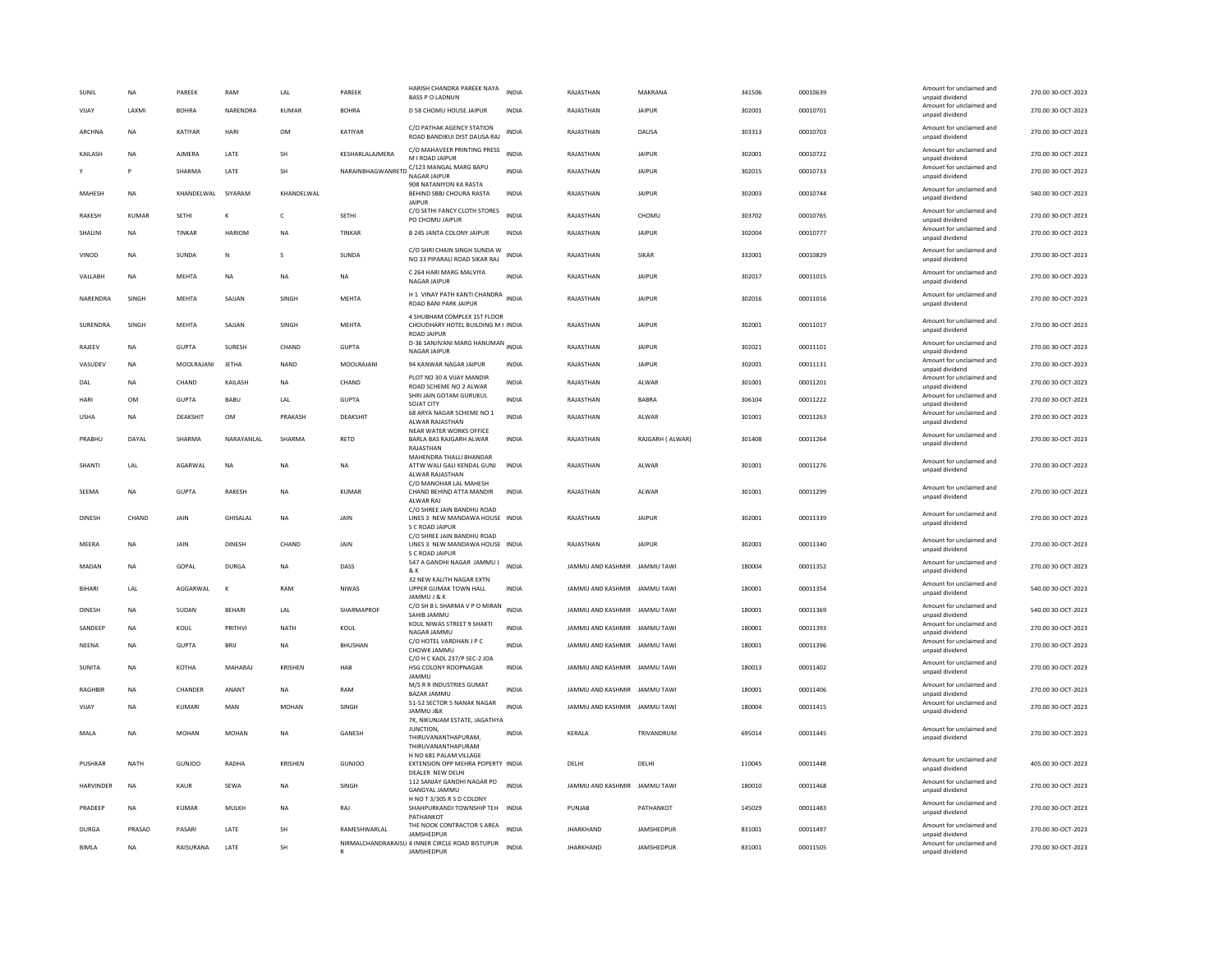| SUNIL            | NA        | PAREEK        | RAM           | LAL          | PAREEK          | HARISH CHANDRA PAREEK NAYA<br><b>BASS P O LADNUN</b>                                               | INDIA        | RAJASTHAN                    | MAKRANA         | 341506 | 00010639 | Amount for unclaimed and<br>unpaid dividend                    | 270.00 30-OCT-2023 |
|------------------|-----------|---------------|---------------|--------------|-----------------|----------------------------------------------------------------------------------------------------|--------------|------------------------------|-----------------|--------|----------|----------------------------------------------------------------|--------------------|
| VIJAY            | LAXMI     | <b>BOHRA</b>  | NARENDRA      | KUMAR        | <b>BOHRA</b>    | D 58 CHOMU HOUSE JAIPUR                                                                            | INDIA        | RAJASTHAN                    | <b>JAIPUR</b>   | 302001 | 00010701 | Amount for unclaimed and<br>unpaid dividend                    | 270.00 30-OCT-2023 |
| ARCHNA           | <b>NA</b> | KATIYAR       | HARI          | <b>OM</b>    | KATIYAR         | C/O PATHAK AGENCY STATION<br>ROAD BANDIKUI DIST DAUSA RAJ                                          | <b>INDIA</b> | RAJASTHAN                    | DAUSA           | 303313 | 00010703 | Amount for unclaimed and<br>unpaid dividend                    | 270.00 30-OCT-2023 |
| KAILASH          | <b>NA</b> | AJMERA        | LATE          | SH           | KESHARLALAJMERA | C/O MAHAVEER PRINTING PRESS<br>M I ROAD IAIPUR                                                     | <b>INDIA</b> | RAJASTHAN                    | <b>JAIPUR</b>   | 302001 | 00010722 | Amount for unclaimed and<br>unnaid dividend                    | 270.00 30-OCT-2023 |
|                  | P         | SHARMA        | LATE          | SH           |                 | NARAINBHAGWANRETD C/123 MANGAL MARG BAPU<br>NAGAR JAIPUR                                           | <b>INDIA</b> | RAJASTHAN                    | <b>JAIPUR</b>   | 302015 | 00010733 | Amount for unclaimed and<br>unpaid dividend                    | 270.00 30-OCT-2023 |
| MAHESH           | <b>NA</b> | KHANDELWAL    | SIYARAM       | KHANDELWAL   |                 | 908 NATANIYON KA RASTA<br>BEHIND SBBJ CHOURA RASTA<br><b>JAIPUR</b>                                | <b>INDIA</b> | RAJASTHAN                    | <b>JAIPUR</b>   | 302003 | 00010744 | Amount for unclaimed and<br>unpaid dividend                    | 540.00 30-OCT-2023 |
| <b>RAKESH</b>    | KUMAR     | <b>SETHI</b>  | К             | $\mathsf{C}$ | <b>SETHI</b>    | C/O SETHI FANCY CLOTH STORES<br>PO CHOMU JAIPUR                                                    | <b>INDIA</b> | RAJASTHAN                    | CHOMU           | 303702 | 00010765 | Amount for unclaimed and<br>unpaid dividend                    | 270.00 30-OCT-2023 |
| SHALINI          | <b>NA</b> | TINKAR        | <b>HARIOM</b> | <b>NA</b>    | <b>TINKAR</b>   | <b>B 245 JANTA COLONY JAIPUR</b>                                                                   | <b>INDIA</b> | RAJASTHAN                    | <b>JAIPUR</b>   | 302004 | 00010777 | Amount for unclaimed and<br>unpaid dividend                    | 270.00 30-OCT-2023 |
| VINOD            | <b>NA</b> | SUNDA         | $\mathsf{N}$  | s            | SUNDA           | C/O SHRI CHAIN SINGH SUNDA W<br>NO 33 PIPARALI ROAD SIKAR RAJ                                      | <b>INDIA</b> | RAJASTHAN                    | SIKAR           | 332001 | 00010829 | Amount for unclaimed and<br>unpaid dividend                    | 270.00 30-OCT-2023 |
| VALLABH          | <b>NA</b> | <b>MEHTA</b>  | <b>NA</b>     | <b>NA</b>    | <b>NA</b>       | C 264 HARI MARG MALVIYA<br>NAGAR JAIPUR                                                            | <b>INDIA</b> | RAJASTHAN                    | <b>JAIPUR</b>   | 302017 | 00011015 | Amount for unclaimed and<br>unpaid dividend                    | 270.00 30-OCT-2023 |
| NARENDRA         | SINGH     | MEHTA         | SAJJAN        | SINGH        | <b>MEHTA</b>    | H 1 VINAY PATH KANTI CHANDRA INDIA<br>ROAD BANI PARK JAIPUR                                        |              | RAJASTHAN                    | <b>JAIPUR</b>   | 302016 | 00011016 | Amount for unclaimed and<br>unpaid dividend                    | 270.00 30-OCT-2023 |
| SURENDRA         | SINGH     | <b>MEHTA</b>  | SAJJAN        | SINGH        | <b>MEHTA</b>    | 4 SHUBHAM COMPLEX 1ST FLOOR<br>CHOUDHARY HOTEL BUILDING M I INDIA<br><b>ROAD IAIPUR</b>            |              | RAJASTHAN                    | <b>JAIPUR</b>   | 302001 | 00011017 | Amount for unclaimed and<br>unpaid dividend                    | 270.00 30-OCT-2023 |
| RAJEEV           | <b>NA</b> | <b>GUPTA</b>  | SURESH        | CHAND        | <b>GUPTA</b>    | D-36 SANJIVANI MARG HANUMAN INDIA<br>NAGAR JAIPUR                                                  |              | RAJASTHAN                    | <b>JAIPUR</b>   | 302021 | 00011101 | Amount for unclaimed and<br>unpaid dividend                    | 270.00 30-OCT-2023 |
| VASUDEV          | NA        | MOOLRAJANI    | <b>JETHA</b>  | NAND         | MOOLRAJANI      | 94 KANWAR NAGAR JAIPUR                                                                             | INDIA        | RAJASTHAN                    | JAIPUR          | 302001 | 00011131 | Amount for unclaimed and<br>unpaid dividend                    | 270.00 30-OCT-2023 |
| DAL              | <b>NA</b> | CHAND         | KAILASH       | <b>NA</b>    | CHAND           | PLOT NO 30 A VIJAY MANDIR                                                                          | <b>INDIA</b> | RAJASTHAN                    | ALWAR           | 301001 | 00011201 | Amount for unclaimed and                                       | 270.00 30-OCT-2023 |
| HARI             | OM        | <b>GUPTA</b>  | BABU          | LAL          | <b>GUPTA</b>    | ROAD SCHEME NO 2 ALWAR<br>SHRI JAIN GOTAM GURUKUL                                                  | <b>INDIA</b> | RAJASTHAN                    | <b>BABRA</b>    | 306104 | 00011222 | unpaid dividend<br>Amount for unclaimed and                    | 270.00 30-OCT-2023 |
| <b>USHA</b>      | <b>NA</b> | DEAKSHIT      | OM            | PRAKASH      | DEAKSHIT        | SOJAT CITY<br>68 ARYA NAGAR SCHEME NO 1<br>ALWAR RAJASTHAN                                         | <b>INDIA</b> | RAJASTHAN                    | ALWAR           | 301001 | 00011263 | unpaid dividend<br>Amount for unclaimed and<br>unpaid dividend | 270.00 30-OCT-2023 |
| PRABHU           | DAYAL     | SHARMA        | NARAYANLAL    | SHARMA       | RETD            | NEAR WATER WORKS OFFICE<br>BARLA BAS RAJGARH ALWAR                                                 | INDIA        | RAJASTHAN                    | RAJGARH (ALWAR) | 301408 | 00011264 | Amount for unclaimed and                                       | 270.00 30-OCT-2023 |
|                  |           |               |               |              |                 | RAJASTHAN                                                                                          |              |                              |                 |        |          | unpaid dividend                                                |                    |
| SHANTI           | LAL       | AGARWAL       | <b>NA</b>     | <b>NA</b>    | <b>NA</b>       | MAHENDRA THALLI BHANDAR<br>ATTW WALI GALI KENDAL GUNJ<br>ALWAR RAJASTHAN<br>C/O MANOHAR LAL MAHESH | <b>INDIA</b> | RAJASTHAN                    | ALWAR           | 301001 | 00011276 | Amount for unclaimed and<br>unpaid dividend                    | 270.00 30-OCT-2023 |
| SFFMA            | <b>NA</b> | GUPTA         | <b>RAKESH</b> | <b>NA</b>    | KUMAR           | CHAND BEHIND ATTA MANDIR<br>ALWAR RA.                                                              | <b>INDIA</b> | RAIASTHAN                    | AI WAR          | 301001 | 00011299 | Amount for unclaimed and<br>unpaid dividend                    | 270.00.30-OCT-2023 |
| DINESE           | CHAND     | <b>JAIN</b>   | GHISALAL      | <b>NA</b>    | <b>JAIN</b>     | C/O SHREE JAIN BANDHU ROAD<br>LINES 3 NEW MANDAWA HOUSE INDIA<br>S C ROAD JAIPUR                   |              | RAJASTHAN                    | <b>JAIPUR</b>   | 302001 | 00011339 | Amount for unclaimed and<br>unpaid dividend                    | 270.00 30-OCT-2023 |
| MEERA            | <b>NA</b> | JAIN          | <b>DINESH</b> | CHAND        | JAIN            | C/O SHREE JAIN BANDHU ROAD<br>LINES 3 NEW MANDAWA HOUSE INDIA<br>S C ROAD JAIPUR                   |              | RAJASTHAN                    | <b>JAIPUR</b>   | 302001 | 00011340 | Amount for unclaimed and<br>unpaid dividend                    | 270.00 30-OCT-2023 |
| MADAN            | <b>NA</b> | GOPAL         | <b>DURGA</b>  | <b>NA</b>    | DASS            | 547 A GANDHI NAGAR JAMMU J<br>& K                                                                  | <b>INDIA</b> | JAMMU AND KASHMIR JAMMU TAWI |                 | 180004 | 00011352 | Amount for unclaimed and<br>unpaid dividend                    | 270.00 30-OCT-2023 |
| <b>BIHARI</b>    | LAL       | AGGARWAL      | К             | RAM          | NIWAS           | 32 NEW KALITH NAGAR EXTN<br>UPPER GUMAK TOWN HALL                                                  | <b>INDIA</b> | JAMMU AND KASHMIR JAMMU TAWI |                 | 180001 | 00011354 | Amount for unclaimed and<br>unpaid dividend                    | 540.00 30-OCT-2023 |
| <b>DINESH</b>    | <b>NA</b> | SUDAN         | <b>BEHARI</b> | LAL          | SHARMAPROF      | JAMMU J & K<br>C/O SH B L SHARMA V P O MIRAN<br>SAHIB JAMMU                                        | <b>INDIA</b> | JAMMU AND KASHMIR JAMMU TAWI |                 | 180001 | 00011369 | Amount for unclaimed and<br>unpaid dividend                    | 540.00 30-OCT-2023 |
| SANDEEP          | <b>NA</b> | KOUL          | PRITHVI       | <b>NATH</b>  | KOUL            | KOUL NIWAS STREET 9 SHAKTI                                                                         | <b>INDIA</b> | JAMMU AND KASHMIR JAMMU TAWI |                 | 180001 | 00011393 | Amount for unclaimed and                                       | 270.00 30-OCT-2023 |
| NEENA            | NA        | <b>GUPTA</b>  | BRIJ          | NA           | BHUSHAN         | NAGAR JAMMU<br>C/O HOTEL VARDHAN J P C<br>CHOWK JAMMU                                              | INDIA        | JAMMU AND KASHMIR JAMMU TAWI |                 | 180001 | 00011396 | unpaid dividend<br>Amount for unclaimed and<br>unpaid dividend | 270.00 30-OCT-2023 |
| SUNITA           | <b>NA</b> | КОТНА         | MAHARAI       | KRISHEN      | HAR             | C/O H C KADL 237/P SEC-2 JDA<br>HSG COLONY ROOPNAGAR                                               | <b>INDIA</b> | IAMMU AND KASHMIR IAMMU TAWI |                 | 180013 | 00011402 | Amount for unclaimed and<br>unpaid dividend                    | 270.00.30-OCT-2023 |
| <b>RAGHBIF</b>   | <b>NA</b> | CHANDER       | ANANT         | <b>NA</b>    | RAM             | JAMMU<br>M/S R R INDUSTRIES GUMAT                                                                  | <b>INDIA</b> | JAMMU AND KASHMIR JAMMU TAWI |                 | 180001 | 00011406 | Amount for unclaimed and                                       | 270.00 30-OCT-2023 |
| VIJAY            | NA        | KUMARI        | MAN           | <b>MOHAN</b> | SINGH           | BAZAR JAMMU<br>51-52 SECTOR 5 NANAK NAGAR                                                          | <b>INDIA</b> | JAMMU AND KASHMIR JAMMU TAWI |                 | 180004 | 00011415 | unpaid dividend<br>Amount for unclaimed and                    | 270.00 30-OCT-2023 |
|                  |           |               |               |              |                 | JAMMU J&K<br>7K, NIKUNJAM ESTATE, JAGATHYA<br>JUNCTION,                                            |              |                              |                 |        |          | unpaid dividend<br>Amount for unclaimed and                    |                    |
| MALA             | <b>NA</b> | <b>MOHAN</b>  | <b>MOHAN</b>  | <b>NA</b>    | <b>GANESH</b>   | THIRUVANANTHAPURAM.<br>THIRUVANANTHAPURAM                                                          | <b>INDIA</b> | KERALA                       | TRIVANDRUM      | 695014 | 00011445 | unpaid dividend                                                | 270.00 30-OCT-2023 |
| PUSHKAR          | NATH      | <b>GUNJOO</b> | RADHA         | KRISHEN      | <b>GUNJOO</b>   | H NO 681 PALAM VILLAGE<br>EXTENSION OPP MEHRA POPERTY INDIA<br>DEALER NEW DELHI                    |              | DELHI                        | DELHI           | 110045 | 00011448 | Amount for unclaimed and<br>unpaid dividend                    | 405.00 30-OCT-2023 |
| <b>HARVINDER</b> | <b>NA</b> | <b>KAUR</b>   | <b>SEWA</b>   | <b>NA</b>    | SINGH           | 112 SANJAY GANDHI NAGAR PO<br><b>GANGYAL JAMMU</b>                                                 | <b>INDIA</b> | JAMMU AND KASHMIR JAMMU TAWI |                 | 180010 | 00011468 | Amount for unclaimed and<br>unpaid dividend                    | 270.00 30-OCT-2023 |
| PRADEEP          | NA        | KUMAR         | MULKH         | NA           | RAJ             | H NO T 3/305 R S D COLONY<br>SHAHPURKANDI TOWNSHIP TEH INDIA<br>PATHANKOT                          |              | PUNJAB                       | PATHANKOT       | 145029 | 00011483 | Amount for unclaimed and<br>unpaid dividend                    | 270.00 30-OCT-2023 |
| <b>DURGA</b>     | PRASAD    | PASARI        | LATE          | <b>SH</b>    | RAMESHWARLAL    | THE NOOK CONTRACTOR S AREA<br>JAMSHEDPUR                                                           | <b>INDIA</b> | <b>JHARKHAND</b>             | JAMSHEDPUR      | 831001 | 00011497 | Amount for unclaimed and<br>unpaid dividend                    | 270.00 30-OCT-2023 |
| <b>BIMLA</b>     | <b>NA</b> | RAISURANA     | LATE          | SH           |                 | NIRMALCHANDRARAISU 4 INNER CIRCLE ROAD BISTUPUR<br>JAMSHEDPUR                                      | <b>INDIA</b> | <b>JHARKHAND</b>             | JAMSHEDPUR      | 831001 | 00011505 | Amount for unclaimed and<br>unpaid dividend                    | 270.00 30-OCT-2023 |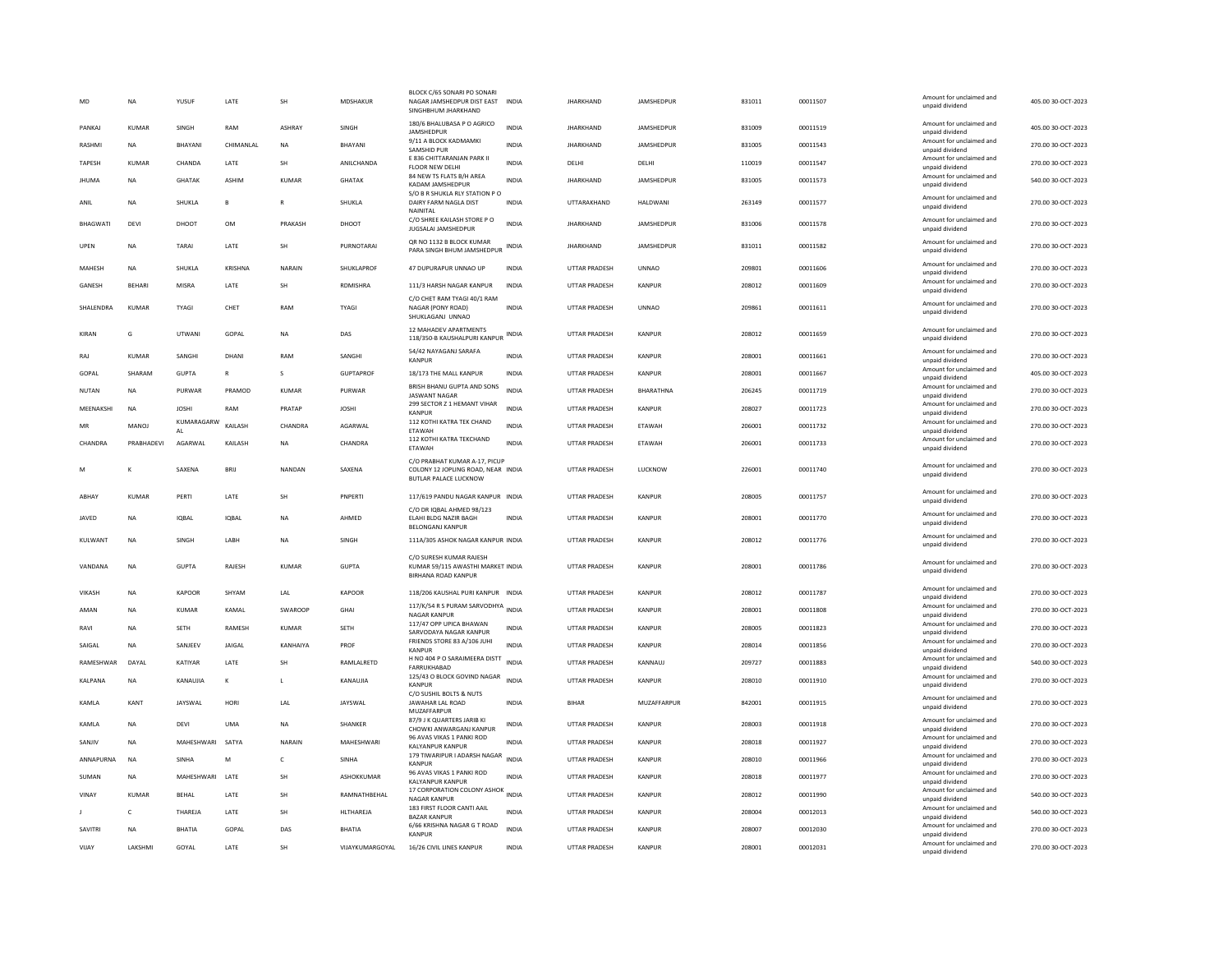| MD              | <b>NA</b>     | YUSUF            | LATE         | SH             | MDSHAKUR         | BLOCK C/65 SONARI PO SONARI<br>NAGAR JAMSHEDPUR DIST EAST<br>SINGHBHUM JHARKHAND           | <b>INDIA</b> | <b>JHARKHAND</b>     | JAMSHEDPUR        | 831011 | 00011507 | Amount for unclaimed and<br>unpaid dividend | 405.00 30-OCT-2023 |
|-----------------|---------------|------------------|--------------|----------------|------------------|--------------------------------------------------------------------------------------------|--------------|----------------------|-------------------|--------|----------|---------------------------------------------|--------------------|
| PANKAJ          | <b>KUMAR</b>  | SINGH            | RAM          | ASHRAY         | SINGH            | 180/6 BHALUBASA P O AGRICO<br>JAMSHEDPUR                                                   | <b>INDIA</b> | <b>JHARKHAND</b>     | JAMSHEDPUR        | 831009 | 00011519 | Amount for unclaimed and<br>unpaid dividend | 405.00 30-OCT-2023 |
| RASHMI          | NA            | <b>BHAYAN</b>    | CHIMANLAL    | NA             | BHAYANI          | 9/11 A BLOCK KADMAMKI<br>SAMSHID PUR                                                       | <b>INDIA</b> | <b>JHARKHAND</b>     | JAMSHEDPUR        | 831005 | 00011543 | Amount for unclaimed and<br>unpaid dividend | 270.00 30-OCT-2023 |
| TAPESH          | <b>KUMAR</b>  | CHANDA           | LATE         | <b>SH</b>      | ANILCHANDA       | E 836 CHITTARANJAN PARK II<br><b>FLOOR NEW DELHI</b>                                       | <b>INDIA</b> | DELHI                | DELHI             | 110019 | 00011547 | Amount for unclaimed and<br>unpaid dividend | 270.00 30-OCT-2023 |
| <b>JHUMA</b>    | <b>NA</b>     | <b>GHATAK</b>    | <b>ASHIM</b> | <b>KUMAR</b>   | <b>GHATAK</b>    | 84 NEW TS FLATS B/H AREA<br>KADAM JAMSHEDPUR                                               | <b>INDIA</b> | <b>JHARKHAND</b>     | <b>JAMSHEDPUR</b> | 831005 | 00011573 | Amount for unclaimed and<br>unpaid dividend | 540.00 30-OCT-2023 |
| ANIL            | <b>NA</b>     | <b>SHUKLA</b>    | $\mathsf{B}$ | $\mathbb{R}$   | SHUKLA           | S/O B R SHUKLA RLY STATION P O<br>DAIRY FARM NAGLA DIST<br>NAINITAL                        | <b>INDIA</b> | UTTARAKHAND          | <b>HALDWANI</b>   | 263149 | 00011577 | Amount for unclaimed and<br>unpaid dividend | 270.00 30-OCT-2023 |
| <b>BHAGWATI</b> | DEVI          | DHOOT            | <b>OM</b>    | PRAKASH        | DHOOT            | C/O SHREE KAILASH STORE P O<br><b>JUGSALAI JAMSHEDPUR</b>                                  | <b>INDIA</b> | <b>IHARKHAND</b>     | <b>IAMSHEDPUR</b> | 831006 | 00011578 | Amount for unclaimed and<br>unpaid dividend | 270.00 30-OCT-2023 |
| UPEN            | <b>NA</b>     | TARAI            | LATE         | <b>SH</b>      | PURNOTARAI       | QR NO 1132 B BLOCK KUMAR<br>PARA SINGH BHUM JAMSHEDPUR                                     | <b>INDIA</b> | <b>JHARKHAND</b>     | JAMSHEDPUR        | 831011 | 00011582 | Amount for unclaimed and<br>unpaid dividend | 270.00 30-OCT-2023 |
| MAHESH          | <b>NA</b>     | SHUKLA           | KRISHNA      | NARAIN         | SHUKLAPROF       | 47 DUPURAPUR UNNAO UP                                                                      | INDIA        | UTTAR PRADESH        | <b>UNNAO</b>      | 209801 | 00011606 | Amount for unclaimed and<br>unpaid dividend | 270.00 30-OCT-2023 |
| GANESH          | <b>BEHARI</b> | MISRA            | LATE         | <b>SH</b>      | RDMISHRA         | 111/3 HARSH NAGAR KANPUR                                                                   | INDIA        | UTTAR PRADESH        | KANPUR            | 208012 | 00011609 | Amount for unclaimed and<br>unpaid dividend | 270.00 30-OCT-2023 |
| SHALENDRA       | <b>KUMAR</b>  | TYAGI            | CHET         | RAM            | TYAGI            | C/O CHET RAM TYAGI 40/1 RAM<br>NAGAR (PONY ROAD)<br>SHUKLAGANJ UNNAO                       | <b>INDIA</b> | UTTAR PRADESH        | <b>UNNAO</b>      | 209861 | 00011611 | Amount for unclaimed and<br>unpaid dividend | 270.00 30-OCT-2023 |
| KIRAN           | G             | <b>UTWANI</b>    | GOPAL        | <b>NA</b>      | DAS              | 12 MAHADEV APARTMENTS<br>118/350-B KAUSHALPURI KANPUR                                      | INDIA        | UTTAR PRADESH        | KANPUR            | 208012 | 00011659 | Amount for unclaimed and<br>unpaid dividend | 270.00 30-OCT-2023 |
| RAJ             | <b>KUMAR</b>  | SANGHI           | DHANI        | RAM            | SANGHI           | 54/42 NAYAGANJ SARAFA<br><b>KANPUF</b>                                                     | <b>INDIA</b> | <b>UTTAR PRADESH</b> | KANPUR            | 208001 | 00011661 | Amount for unclaimed and<br>unpaid dividend | 270.00 30-OCT-2023 |
| GOPAL           | SHARAM        | <b>GUPTA</b>     | $\mathsf R$  | s              | <b>GUPTAPROF</b> | 18/173 THE MALL KANPUR                                                                     | INDIA        | UTTAR PRADESH        | KANPUR            | 208001 | 00011667 | Amount for unclaimed and<br>unpaid dividend | 405.00 30-OCT-2023 |
| NUTAN           | <b>NA</b>     | PURWAR           | PRAMOD       | KUMAR          | PURWAR           | BRISH BHANU GUPTA AND SONS<br><b>JASWANT NAGAR</b>                                         | <b>INDIA</b> | UTTAR PRADESH        | BHARATHNA         | 206245 | 00011719 | Amount for unclaimed and<br>unpaid dividend | 270.00 30-OCT-2023 |
| MEENAKSHI       | <b>NA</b>     | <b>IOSHI</b>     | RAM          | PRATAP         | <b>JOSHI</b>     | 299 SECTOR Z 1 HEMANT VIHAR<br><b>KANPUR</b>                                               | <b>INDIA</b> | <b>UTTAR PRADESH</b> | KANPUR            | 208027 | 00011723 | Amount for unclaimed and<br>unpaid dividend | 270.00 30-OCT-2023 |
| MR              | <b>MANOJ</b>  | KUMARAGARW<br>AI | KAILASH      | CHANDRA        | AGARWAL          | 112 KOTHI KATRA TEK CHAND<br>ETAWAH                                                        | <b>INDIA</b> | UTTAR PRADESH        | ETAWAH            | 206001 | 00011732 | Amount for unclaimed and                    | 270.00 30-OCT-2023 |
| CHANDRA         | PRABHADEVI    | AGARWAL          | KAILASH      | <b>NA</b>      | CHANDRA          | 112 KOTHI KATRA TEKCHAND                                                                   | <b>INDIA</b> | UTTAR PRADESH        | ETAWAH            | 206001 | 00011733 | unpaid dividend<br>Amount for unclaimed and | 270.00 30-OCT-2023 |
|                 |               |                  |              |                |                  | ETAWAH<br>C/O PRABHAT KUMAR A-17, PICUP                                                    |              |                      |                   |        |          | unpaid dividend<br>Amount for unclaimed and |                    |
| M               | ĸ             | SAXENA           | <b>BRII</b>  | <b>NANDAN</b>  | SAXENA           | COLONY 12 JOPLING ROAD, NEAR INDIA<br><b>BUTLAR PALACE LUCKNOW</b>                         |              | <b>UTTAR PRADESH</b> | LUCKNOW           | 226001 | 00011740 | unpaid dividend                             | 270.00 30-OCT-2023 |
| ABHAY           | <b>KUMAR</b>  | PERTI            | LATE         | SH             | PNPERTI          | 117/619 PANDU NAGAR KANPUR INDIA                                                           |              | UTTAR PRADESH        | KANPUR            | 208005 | 00011757 | Amount for unclaimed and<br>unpaid dividend | 270.00 30-OCT-2023 |
| JAVED           | <b>NA</b>     | <b>IQBAL</b>     | <b>IOBAL</b> | <b>NA</b>      | AHMED            | C/O DR IQBAL AHMED 98/123<br>ELAHI BLDG NAZIR BAGH<br><b>BELONGANJ KANPUR</b>              | <b>INDIA</b> | <b>UTTAR PRADESH</b> | KANPUR            | 208001 | 00011770 | Amount for unclaimed and<br>unpaid dividend | 270.00 30-OCT-2023 |
| KULWANT         | <b>NA</b>     | SINGH            | LABH         | <b>NA</b>      | SINGH            | 111A/305 ASHOK NAGAR KANPUR INDIA                                                          |              | <b>UTTAR PRADESH</b> | KANPUR            | 208012 | 00011776 | Amount for unclaimed and<br>unpaid dividend | 270.00 30-OCT-2023 |
| VANDANA         | <b>NA</b>     | <b>GUPTA</b>     | RAJESH       | KUMAR          | <b>GUPTA</b>     | C/O SURESH KUMAR RAJESH<br>KUMAR 59/115 AWASTHI MARKET INDIA<br><b>BIRHANA ROAD KANPUR</b> |              | <b>UTTAR PRADESH</b> | KANPUR            | 208001 | 00011786 | Amount for unclaimed and<br>unpaid dividend | 270.00 30-OCT-2023 |
| VIKASH          | <b>NA</b>     | KAPOOR           | SHYAM        | LAL            | KAPOOR           | 118/206 KAUSHAL PURI KANPUR INDIA                                                          |              | UTTAR PRADESH        | KANPUR            | 208012 | 00011787 | Amount for unclaimed and<br>unpaid dividend | 270.00 30-OCT-2023 |
| AMAN            | <b>NA</b>     | KUMAR            | KAMAI        | <b>SWAROOP</b> | <b>GHA</b>       | 117/K/54 R S PURAM SARVODHYA INDIA<br><b>NAGAR KANPUR</b>                                  |              | UTTAR PRADESH        | KANPUR            | 208001 | 00011808 | Amount for unclaimed and<br>unpaid dividend | 270.00 30-OCT-2023 |
| RAVI            | <b>NA</b>     | <b>SETH</b>      | RAMESH       | <b>KUMAR</b>   | SETH             | 117/47 OPP UPICA BHAWAN<br>SARVODAYA NAGAR KANPUR                                          | <b>INDIA</b> | <b>UTTAR PRADESH</b> | KANPUR            | 208005 | 00011823 | Amount for unclaimed and<br>unpaid dividend | 270.00 30-OCT-2023 |
| SAIGAL          | <b>NA</b>     | SANJEEV          | JAIGAL       | KANHAIYA       | PROF             | FRIENDS STORE 83 A/106 JUHI<br><b>KANPUR</b>                                               | <b>INDIA</b> | UTTAR PRADESH        | KANPUR            | 208014 | 00011856 | Amount for unclaimed and<br>unpaid dividend | 270.00 30-OCT-2023 |
| RAMESHWAR       | DAYAL         | KATIYAR          | LATE         | SH             | RAMLALRETD       | H NO 404 P O SARAIMEERA DISTT<br><b>FARRUKHABAD</b>                                        | <b>INDIA</b> | UTTAR PRADESH        | KANNAUJ           | 209727 | 00011883 | Amount for unclaimed and<br>unpaid dividend | 540.00 30-OCT-2023 |
| KALPANA         | <b>NA</b>     | KANAUJIA         | К            | $\mathsf L$    | KANAUJIA         | 125/43 O BLOCK GOVIND NAGAR<br><b>KANPUR</b>                                               | INDIA        | UTTAR PRADESH        | KANPUR            | 208010 | 00011910 | Amount for unclaimed and<br>unpaid dividend | 270.00 30-OCT-2023 |
| <b>KAMIA</b>    | KANT          | <b>JAYSWAI</b>   | HORI         | <b>IAI</b>     | <b>IAYSWAI</b>   | C/O SUSHIL BOLTS & NUTS<br><b>JAWAHAR LAL ROAD</b><br>MUZAFFARPUR                          | <b>INDIA</b> | <b>BIHAR</b>         | MUZAFFARPUR       | 842001 | 00011915 | Amount for unclaimed and<br>unpaid dividend | 270.00 30-OCT-2023 |
| KAMLA           | <b>NA</b>     | DEVI             | <b>UMA</b>   | NA             | SHANKER          | 87/9 J K QUARTERS JARIB KI<br>CHOWKI ANWARGANJ KANPUR                                      | <b>INDIA</b> | UTTAR PRADESH        | KANPUR            | 208003 | 00011918 | Amount for unclaimed and<br>unpaid dividend | 270.00 30-OCT-2023 |
| SANJIV          | <b>NA</b>     | MAHESHWARI       | SATYA        | NARAIN         | MAHESHWARI       | 96 AVAS VIKAS 1 PANKI ROD<br>KALYANPUR KANPUR                                              | <b>INDIA</b> | UTTAR PRADESH        | KANPUR            | 208018 | 00011927 | Amount for unclaimed and<br>unpaid dividend | 270.00 30-OCT-2023 |
| ANNAPURNA       | NA            | SINHA            | M            | $\mathsf{C}$   | SINHA            | 179 TIWARIPUR I ADARSH NAGAR<br><b>KANPUR</b>                                              | <b>INDIA</b> | UTTAR PRADESH        | KANPUR            | 208010 | 00011966 | Amount for unclaimed and<br>unpaid dividend | 270.00 30-OCT-2023 |
| SUMAN           | <b>NA</b>     | MAHESHWARI       | LATE         | SH             | ASHOKKUMAR       | 96 AVAS VIKAS 1 PANKI ROD<br><b>KALYANPUR KANPUR</b>                                       | <b>INDIA</b> | UTTAR PRADESH        | KANPUR            | 208018 | 00011977 | Amount for unclaimed and<br>unpaid dividend | 270.00 30-OCT-2023 |
| VINAY           | KUMAR         | <b>BEHAL</b>     | <b>I ATF</b> | <b>SH</b>      | RAMNATHREHAI     | 17 CORPORATION COLONY ASHOK INDIA<br><b>NAGAR KANPUR</b>                                   |              | UTTAR PRADESH        | KANPUR            | 208012 | 00011990 | Amount for unclaimed and                    | 540.00 30-OCT-2023 |
|                 | $\mathsf{C}$  | THAREJA          | LATE         | SH             | <b>HLTHAREJA</b> | 183 FIRST FLOOR CANTI AAIL<br><b>BAZAR KANPUR</b>                                          | <b>INDIA</b> | <b>UTTAR PRADESH</b> | KANPUR            | 208004 | 00012013 | unpaid dividend<br>Amount for unclaimed and | 540.00 30-OCT-2023 |
| SAVITRI         | <b>NA</b>     | <b>BHATIA</b>    | GOPAL        | DAS            | BHATIA           | 6/66 KRISHNA NAGAR G T ROAD                                                                | <b>INDIA</b> | UTTAR PRADESH        | KANPUR            | 208007 | 00012030 | unpaid dividend<br>Amount for unclaimed and | 270.00 30-OCT-2023 |
| VIJAY           | LAKSHMI       | GOYAL            | LATE         | SH             | VIJAYKUMARGOYAL  | <b>KANPUR</b><br>16/26 CIVIL LINES KANPUR                                                  | <b>INDIA</b> | UTTAR PRADESH        | KANPUR            | 208001 | 00012031 | unpaid dividend<br>Amount for unclaimed and | 270.00 30-OCT-2023 |
|                 |               |                  |              |                |                  |                                                                                            |              |                      |                   |        |          | unpaid dividend                             |                    |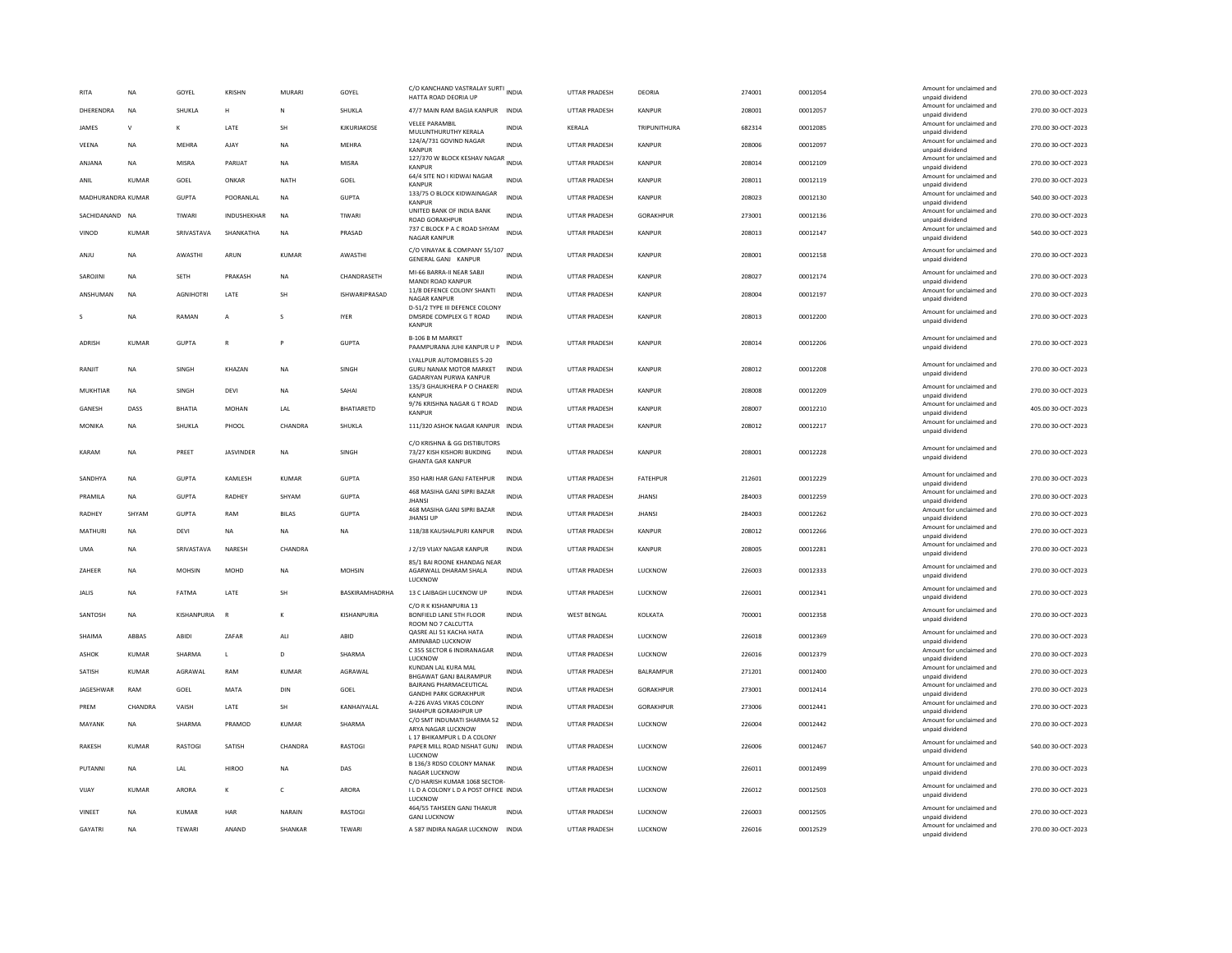| RITA              | <b>NA</b>    | GOYEL            | KRISHN           | <b>MURARI</b>  | GOYEL                | C/O KANCHAND VASTRALAY SURTI INDIA<br>HATTA ROAD DEORIA UP                                |              | <b>UTTAR PRADESH</b> | DEORIA        | 274001 | 00012054 | Amount for unclaimed and<br>unpaid dividend                    | 270.00 30-OCT-2023 |
|-------------------|--------------|------------------|------------------|----------------|----------------------|-------------------------------------------------------------------------------------------|--------------|----------------------|---------------|--------|----------|----------------------------------------------------------------|--------------------|
| DHERENDRA         | <b>NA</b>    | SHUKLA           | н                | $\mathbf N$    | <b>SHUKLA</b>        | 47/7 MAIN RAM BAGIA KANPUR                                                                | <b>INDIA</b> | <b>UTTAR PRADESH</b> | KANPUR        | 208001 | 00012057 | Amount for unclaimed and<br>unpaid dividend                    | 270.00 30-OCT-2023 |
| <b>JAMES</b>      | $\mathsf{V}$ | к                | <b>I ATF</b>     | <b>SH</b>      | KIKURIAKOSE          | <b>VELEE PARAMBIL</b><br>MULUNTHURUTHY KERALA                                             | <b>INDIA</b> | <b>KFRAIA</b>        | TRIPUNITHURA  | 682314 | 00012085 | Amount for unclaimed and<br>unpaid dividend                    | 270.00 30-OCT-2023 |
| VEENA             | <b>NA</b>    | MEHRA            | AJAY             | <b>NA</b>      | <b>MEHRA</b>         | 124/A/731 GOVIND NAGAR<br>KANPUR                                                          | <b>INDIA</b> | <b>UTTAR PRADESH</b> | KANPUR        | 208006 | 00012097 | Amount for unclaimed and<br>unpaid dividend                    | 270.00 30-OCT-2023 |
| ANJANA            | <b>NA</b>    | MISRA            | PARUAT           | <b>NA</b>      | MISRA                | 127/370 W BLOCK KESHAV NAGAR INDIA<br>KANPUR                                              |              | <b>UTTAR PRADESH</b> | KANPUR        | 208014 | 00012109 | Amount for unclaimed and<br>unpaid dividend                    | 270.00 30-OCT-2023 |
| ANIL              | <b>KUMAR</b> | GOEL             | ONKAR            | <b>NATH</b>    | GOEL                 | 64/4 SITE NO I KIDWAI NAGAR<br><b>KANPUF</b>                                              | <b>INDIA</b> | <b>UTTAR PRADESH</b> | KANPUR        | 208011 | 00012119 | Amount for unclaimed and<br>unpaid dividend                    | 270.00 30-OCT-2023 |
| MADHURANDRA KUMAR |              | <b>GUPTA</b>     | POORANLAL        | NA             | <b>GUPTA</b>         | 133/75 O BLOCK KIDWAINAGAR<br><b>KANPUR</b>                                               | <b>INDIA</b> | UTTAR PRADESH        | KANPUR        | 208023 | 00012130 | Amount for unclaimed and<br>unpaid dividend                    | 540.00 30-OCT-2023 |
| SACHIDANAND NA    |              | TIWARI           | INDUSHEKHAR      | <b>NA</b>      | TIWARI               | UNITED BANK OF INDIA BANK<br><b>ROAD GORAKHPUF</b>                                        | <b>INDIA</b> | UTTAR PRADESH        | GORAKHPUR     | 273001 | 00012136 | Amount for unclaimed and                                       | 270.00 30-OCT-2023 |
| VINOD             | <b>KUMAR</b> | SRIVASTAVA       | SHANKATHA        | <b>NA</b>      | PRASAD               | 737 C BLOCK P A C ROAD SHYAM                                                              | <b>INDIA</b> | <b>UTTAR PRADESH</b> | KANPUR        | 208013 | 00012147 | unpaid dividend<br>Amount for unclaimed and                    | 540.00 30-OCT-2023 |
| ANJU              | <b>NA</b>    | AWASTHI          | ARUN             | KUMAR          | AWASTHI              | <b>NAGAR KANPUR</b><br>C/O VINAYAK & COMPANY 55/107 INDIA<br>GENERAL GANJ KANPUR          |              | UTTAR PRADESH        | KANPUR        | 208001 | 00012158 | unpaid dividend<br>Amount for unclaimed and<br>unpaid dividend | 270.00 30-OCT-2023 |
| SAROJINI          | <b>NA</b>    | <b>SETH</b>      | PRAKASH          | <b>NA</b>      | CHANDRASETH          | MI-66 BARRA-II NEAR SABJI                                                                 | <b>INDIA</b> | UTTAR PRADESH        | KANPUR        | 208027 | 00012174 | Amount for unclaimed and                                       | 270.00 30-OCT-2023 |
| ANSHUMAN          | <b>NA</b>    | <b>AGNIHOTRI</b> | LATE             | SH             | <b>ISHWARIPRASAD</b> | MANDI ROAD KANPUR<br>11/8 DEFENCE COLONY SHANTI                                           | <b>INDIA</b> | <b>UTTAR PRADESH</b> | KANPUR        | 208004 | 00012197 | unpaid dividend<br>Amount for unclaimed and                    | 270.00 30-OCT-2023 |
|                   |              |                  |                  |                |                      | NAGAR KANPUR<br>D-51/2 TYPE III DEFENCE COLONY                                            |              |                      |               |        |          | unpaid dividend<br>Amount for unclaimed and                    |                    |
| s                 | <b>NA</b>    | RAMAN            | $\overline{A}$   | s              | <b>IYER</b>          | DMSRDE COMPLEX G T ROAD<br>KANPUR                                                         | <b>INDIA</b> | <b>UTTAR PRADESH</b> | KANPUR        | 208013 | 00012200 | unpaid dividend                                                | 270.00 30-OCT-2023 |
| ADRISH            | <b>KUMAR</b> | <b>GUPTA</b>     | $\mathsf{R}$     |                | <b>GUPTA</b>         | <b>B-106 B M MARKET</b><br>PAAMPURANA JUHI KANPUR U P                                     | <b>INDIA</b> | UTTAR PRADESH        | KANPUR        | 208014 | 00012206 | Amount for unclaimed and<br>unpaid dividend                    | 270.00 30-OCT-2023 |
| RANJIT            | <b>NA</b>    | SINGH            | KHAZAN           | NA             | SINGH                | LYALLPUR AUTOMOBILES S-20<br>GURU NANAK MOTOR MARKET<br><b>GADARIYAN PURWA KANPUR</b>     | <b>INDIA</b> | UTTAR PRADESH        | KANPUR        | 208012 | 00012208 | Amount for unclaimed and<br>unpaid dividend                    | 270.00 30-OCT-2023 |
| MUKHTIAR          | NA           | SINGH            | DEVI             | NA             | SAHAI                | 135/3 GHAUKHERA P O CHAKERI<br>KANPUR                                                     | <b>INDIA</b> | UTTAR PRADESH        | KANPUR        | 208008 | 00012209 | Amount for unclaimed and<br>unpaid dividend                    | 270.00 30-OCT-2023 |
| GANESH            | DASS         | BHATIA           | MOHAN            | LAL            | <b>BHATIARETD</b>    | 9/76 KRISHNA NAGAR G T ROAD<br><b>KANPUR</b>                                              | <b>INDIA</b> | <b>UTTAR PRADESH</b> | KANPUR        | 208007 | 00012210 | Amount for unclaimed and<br>unpaid dividend                    | 405.00 30-OCT-2023 |
| MONIKA            | <b>NA</b>    | SHUKLA           | PHOOL            | CHANDRA        | SHUKLA               | 111/320 ASHOK NAGAR KANPUR INDIA                                                          |              | <b>UTTAR PRADESH</b> | KANPUR        | 208012 | 00012217 | Amount for unclaimed and<br>unpaid dividend                    | 270.00 30-OCT-2023 |
| KARAM             | <b>NA</b>    | PREET            | <b>JASVINDER</b> | <b>NA</b>      | SINGH                | C/O KRISHNA & GG DISTIBUTORS<br>73/27 KISH KISHORI BUKDING<br><b>GHANTA GAR KANPUR</b>    | <b>INDIA</b> | <b>UTTAR PRADESH</b> | KANPUR        | 208001 | 00012228 | Amount for unclaimed and<br>unpaid dividend                    | 270.00 30-OCT-2023 |
| SANDHYA           | <b>NA</b>    | <b>GUPTA</b>     | KAMLESH          | KUMAR          | <b>GUPTA</b>         | 350 HARI HAR GANJ FATEHPUR                                                                | <b>INDIA</b> | UTTAR PRADESH        | FATEHPUR      | 212601 | 00012229 | Amount for unclaimed and<br>unpaid dividend                    | 270.00 30-OCT-2023 |
| PRAMILA           | <b>NA</b>    | <b>GUPTA</b>     | RADHEY           | SHYAM          | <b>GUPTA</b>         | 468 MASIHA GANJ SIPRI BAZAR<br><b>JHANSI</b>                                              | <b>INDIA</b> | UTTAR PRADESH        | <b>JHANSI</b> | 284003 | 00012259 | Amount for unclaimed and<br>unpaid dividend                    | 270.00 30-OCT-2023 |
| RADHEY            | SHYAM        | GUPTA            | RAM              | <b>BILAS</b>   | <b>GUPTA</b>         | 468 MASIHA GANJ SIPRI BAZAR<br><b>JHANSI UP</b>                                           | <b>INDIA</b> | <b>UTTAR PRADESH</b> | <b>IHANSI</b> | 284003 | 00012262 | Amount for unclaimed and<br>unpaid dividend                    | 270.00 30-OCT-2023 |
| MATHURI           | <b>NA</b>    | DFVI             | <b>NA</b>        | <b>NA</b>      | <b>NA</b>            | 118/38 KAUSHALPURI KANPUR                                                                 | <b>INDIA</b> | <b>UTTAR PRADESH</b> | KANPUR        | 208012 | 00012266 | Amount for unclaimed and<br>unpaid dividend                    | 270.00 30-OCT-2023 |
| <b>IJMA</b>       | <b>NA</b>    | SRIVASTAVA       | <b>NARFSH</b>    | CHANDRA        |                      | <b>12/19 VIIAY NAGAR KANPUR</b>                                                           | <b>INDIA</b> | <b>UTTAR PRADESH</b> | KANPUR        | 208005 | 00012281 | Amount for unclaimed and<br>unpaid dividend                    | 270.00.30-OCT-2023 |
| ZAHEER            | <b>NA</b>    | <b>MOHSIN</b>    | MOHD             | <b>NA</b>      | <b>MOHSIN</b>        | 85/1 BAI ROONE KHANDAG NEAR<br>AGARWALL DHARAM SHALA<br>LUCKNOW                           | INDIA        | UTTAR PRADESH        | LUCKNOW       | 226003 | 00012333 | Amount for unclaimed and<br>unpaid dividend                    | 270.00 30-OCT-2023 |
| <b>JALIS</b>      | <b>NA</b>    | FATMA            | LATE             | SH             | BASKIRAMHADRHA       | 13 C LAIBAGH LUCKNOW UP                                                                   | INDIA        | UTTAR PRADESH        | LUCKNOW       | 226001 | 00012341 | Amount for unclaimed and                                       | 270.00 30-OCT-2023 |
| SANTOSH           | <b>NA</b>    | KISHANPURIA      | $\mathbb{R}$     | $\kappa$       | KISHANPURIA          | C/O R K KISHANPURIA 13<br>BONFIELD LANE 5TH FLOOR                                         | <b>INDIA</b> | <b>WEST BENGAL</b>   | KOLKATA       | 700001 | 00012358 | unpaid dividend<br>Amount for unclaimed and                    | 270.00 30-OCT-2023 |
|                   |              |                  |                  |                |                      | ROOM NO 7 CALCUTTA<br>QASRE ALI 51 KACHA HATA                                             |              |                      |               |        |          | unpaid dividend<br>Amount for unclaimed and                    |                    |
| SHAIMA            | ABBAS        | ABIDI            | ZAFAR            | ALI            | ABID                 | AMINABAD LUCKNOW<br>C 355 SECTOR 6 INDIRANAGAR                                            | INDIA        | UTTAR PRADESH        | LUCKNOW       | 226018 | 00012369 | unpaid dividend<br>Amount for unclaimed and                    | 270.00 30-OCT-2023 |
| ASHOK             | <b>KUMAR</b> | <b>SHARMA</b>    | L.               | D              | SHARMA               | LUCKNOW<br>KUNDAN LAL KURA MAL                                                            | <b>INDIA</b> | UTTAR PRADESH        | LUCKNOW       | 226016 | 00012379 | unpaid dividend<br>Amount for unclaimed and                    | 270.00 30-OCT-2023 |
| SATISH            | <b>KUMAR</b> | AGRAWAL          | RAM              | KUMAR          | AGRAWAL              | BHGAWAT GANJ BALRAMPUR<br><b>BAJRANG PHARMACEUTICAL</b>                                   | <b>INDIA</b> | UTTAR PRADESH        | BALRAMPUR     | 271201 | 00012400 | unpaid dividend                                                | 270.00 30-OCT-2023 |
| JAGESHWAR         | RAM          | GOEL             | MATA             | DIN            | GOEL                 | <b>GANDHI PARK GORAKHPUR</b><br>A-226 AVAS VIKAS COLONY                                   | <b>INDIA</b> | UTTAR PRADESH        | GORAKHPUR     | 273001 | 00012414 | Amount for unclaimed and<br>unpaid dividend                    | 270.00 30-OCT-2023 |
| PREM              | CHANDRA      | VAISH            | LATE             | SH             | KANHAIYALAL          | SHAHPUR GORAKHPUR UP                                                                      | <b>INDIA</b> | UTTAR PRADESH        | GORAKHPUR     | 273006 | 00012441 | Amount for unclaimed and<br>unpaid dividend                    | 270.00 30-OCT-2023 |
| MAYANK            | <b>NA</b>    | <b>SHARMA</b>    | PRAMOD           | <b>KUMAR</b>   | SHARMA               | C/O SMT INDUMATI SHARMA 52<br>ARYA NAGAR LUCKNOW<br>L 17 BHIKAMPUR L D A COLONY           | <b>INDIA</b> | UTTAR PRADESH        | LUCKNOW       | 226004 | 00012442 | Amount for unclaimed and<br>unpaid dividend                    | 270.00 30-OCT-2023 |
| RAKESH            | <b>KUMAR</b> | RASTOGI          | SATISH           | CHANDRA        | RASTOGI              | PAPER MILL ROAD NISHAT GUNJ<br>LUCKNOW                                                    | <b>INDIA</b> | UTTAR PRADESH        | LUCKNOW       | 226006 | 00012467 | Amount for unclaimed and<br>unpaid dividend                    | 540.00 30-OCT-2023 |
| PUTANNI           | <b>NA</b>    | LAL              | <b>HIROO</b>     | <b>NA</b>      | DAS                  | B 136/3 RDSO COLONY MANAK<br>NAGAR LUCKNOW                                                | <b>INDIA</b> | <b>UTTAR PRADESH</b> | LUCKNOW       | 226011 | 00012499 | Amount for unclaimed and<br>unpaid dividend                    | 270.00 30-OCT-2023 |
| VIJAY             | <b>KUMAR</b> | ARORA            | к                | $\epsilon$     | ARORA                | C/O HARISH KUMAR 1068 SECTOR-<br>I L D A COLONY L D A POST OFFICE INDIA<br><b>IUCKNOW</b> |              | <b>UTTAR PRADESH</b> | LUCKNOW       | 226012 | 00012503 | Amount for unclaimed and<br>unpaid dividend                    | 270.00 30-OCT-2023 |
| <b>VINEET</b>     | NA           | <b>KUMAR</b>     | HAR              | NARAIN         | RASTOGI              | 464/55 TAHSEEN GANJ THAKUR<br><b>GANJ LUCKNOW</b>                                         | <b>INDIA</b> | <b>UTTAR PRADESH</b> | LUCKNOW       | 226003 | 00012505 | Amount for unclaimed and<br>unpaid dividend                    | 270.00 30-OCT-2023 |
| GAYATRI           | <b>NA</b>    | TFWARI           | ANAND            | <b>SHANKAR</b> | <b>TEWARI</b>        | A 587 INDIRA NAGAR LUCKNOW INDIA                                                          |              | <b>UTTAR PRADESH</b> | LUCKNOW       | 226016 | 00012529 | Amount for unclaimed and<br>unpaid dividend                    | 270.00 30-OCT-2023 |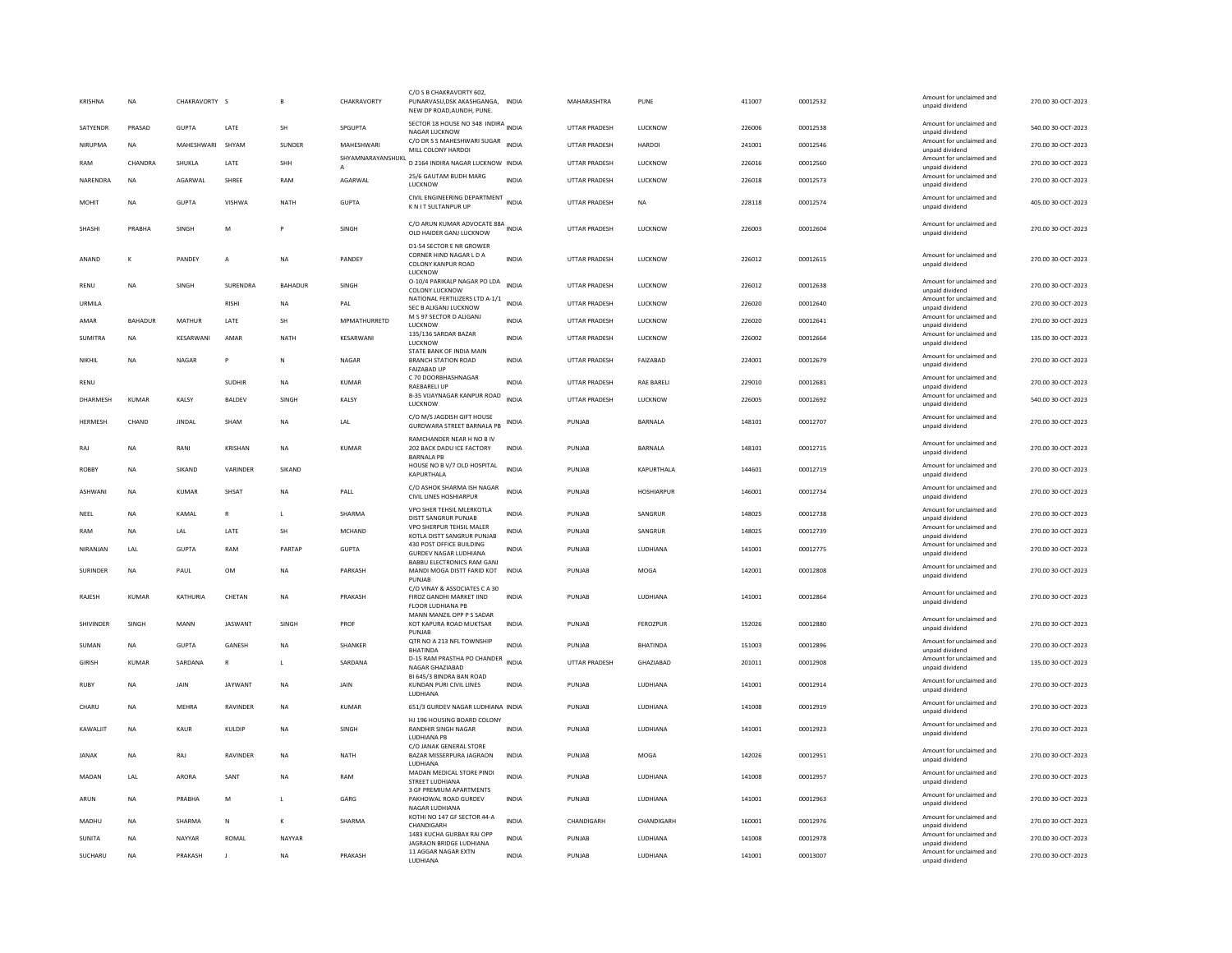| <b>KRISHNA</b> | <b>NA</b>      | CHAKRAVORTY S |                | B.             | CHAKRAVORTY       | C/O S B CHAKRAVORTY 602,<br>PUNARVASU, DSK AKASHGANGA,<br>NEW DP ROAD, AUNDH, PUNE.  | <b>INDIA</b> | MAHARASHTRA          | PUNE              | 411007 | 00012532 | Amount for unclaimed and<br>unpaid dividend                    | 270.00 30-OCT-2023 |
|----------------|----------------|---------------|----------------|----------------|-------------------|--------------------------------------------------------------------------------------|--------------|----------------------|-------------------|--------|----------|----------------------------------------------------------------|--------------------|
| SATYENDR       | PRASAD         | <b>GUPTA</b>  | LATE           | SH             | SPGUPTA           | SECTOR 18 HOUSE NO 348 INDIRA INDIA<br>NAGAR LUCKNOW                                 |              | <b>UTTAR PRADESH</b> | LUCKNOW           | 226006 | 00012538 | Amount for unclaimed and<br>unpaid dividend                    | 540.00 30-OCT-2023 |
| NIRUPMA        | <b>NA</b>      | MAHESHWARI    | SHYAM          | <b>SUNDER</b>  | MAHFSHWARI        | C/O DR S S MAHESHWARI SUGAR<br>MILL COLONY HARDOI                                    | <b>INDIA</b> | UTTAR PRADESH        | HARDOI            | 241001 | 00012546 | Amount for unclaimed and<br>unpaid dividend                    | 270.00 30-OCT-2023 |
| RAM            | CHANDRA        | SHUKLA        | LATE           | SHH            | SHYAMNARAYANSHUKL | D 2164 INDIRA NAGAR LUCKNOW INDIA                                                    |              | <b>UTTAR PRADESH</b> | LUCKNOW           | 226016 | 00012560 | Amount for unclaimed and<br>unpaid dividend                    | 270.00 30-OCT-2023 |
| NARENDRA       | <b>NA</b>      | AGARWAL       | <b>SHREE</b>   | RAM            | AGARWAL           | 25/6 GAUTAM BUDH MARG<br>LUCKNOW                                                     | <b>INDIA</b> | <b>UTTAR PRADESH</b> | LUCKNOW           | 226018 | 00012573 | Amount for unclaimed and<br>unpaid dividend                    | 270.00 30-OCT-2023 |
| MOHIT          | <b>NA</b>      | <b>GUPTA</b>  | <b>VISHWA</b>  | <b>NATH</b>    | <b>GUPTA</b>      | CIVIL ENGINEERING DEPARTMENT<br>K N I T SULTANPUR UP                                 | <b>INDIA</b> | <b>UTTAR PRADESH</b> | <b>NA</b>         | 228118 | 00012574 | Amount for unclaimed and<br>unpaid dividend                    | 405.00 30-OCT-2023 |
| SHASHI         | PRABHA         | SINGH         | M              |                | SINGH             | C/O ARUN KUMAR ADVOCATE 88A<br>OLD HAIDER GANJ LUCKNOW                               |              | UTTAR PRADESH        | LUCKNOW           | 226003 | 00012604 | Amount for unclaimed and<br>unpaid dividend                    | 270.00 30-OCT-2023 |
| ANAND          | к              | PANDEY        | A              | <b>NA</b>      | PANDEY            | D1-54 SECTOR E NR GROWER<br>CORNER HIND NAGAR L D A<br>COLONY KANPUR ROAD<br>LUCKNOW | <b>INDIA</b> | UTTAR PRADESH        | LUCKNOW           | 226012 | 00012615 | Amount for unclaimed and<br>unpaid dividend                    | 270.00 30-OCT-2023 |
| RENU           | <b>NA</b>      | SINGH         | SURENDRA       | <b>BAHADUR</b> | SINGH             | 0-10/4 PARIKALP NAGAR PO LDA<br>COLONY LUCKNOW                                       | <b>INDIA</b> | <b>UTTAR PRADESH</b> | LUCKNOW           | 226012 | 00012638 | Amount for unclaimed and<br>unpaid dividend                    | 270.00 30-OCT-2023 |
| <b>URMILA</b>  |                |               | <b>RISHI</b>   | <b>NA</b>      | PAI               | NATIONAL FERTILIZERS LTD A-1/1<br>SEC B ALIGANJ LUCKNOW                              | <b>INDIA</b> | <b>UTTAR PRADESH</b> | LUCKNOW           | 226020 | 00012640 | Amount for unclaimed and<br>unpaid dividend                    | 270.00 30-OCT-2023 |
| AMAR           | <b>BAHADUR</b> | <b>MATHUR</b> | LATE           | SH             | MPMATHURRETD      | M S 97 SECTOR D ALIGANJ                                                              | <b>INDIA</b> | <b>UTTAR PRADESH</b> | <b>LUCKNOW</b>    | 226020 | 00012641 | Amount for unclaimed and                                       | 270.00 30-OCT-2023 |
| SUMITRA        | <b>NA</b>      | KESARWANI     | AMAR           | <b>NATH</b>    | KESARWANI         | LUCKNOW<br>135/136 SARDAR BAZAR                                                      | <b>INDIA</b> | <b>UTTAR PRADESH</b> | LUCKNOW           | 226002 | 00012664 | unpaid dividend<br>Amount for unclaimed and                    | 135.00 30-OCT-2023 |
|                |                |               |                |                |                   | LUCKNOW<br>STATE BANK OF INDIA MAIN                                                  |              |                      |                   |        |          | unpaid dividend<br>Amount for unclaimed and                    |                    |
| NIKHII         | <b>NA</b>      | <b>NAGAR</b>  | P              | $\mathbb{N}$   | <b>NAGAR</b>      | <b>BRANCH STATION ROAD</b><br><b>FAIZABAD UP</b>                                     | <b>INDIA</b> | <b>UTTAR PRADESH</b> | <b>FAIZARAD</b>   | 224001 | 00012679 | unpaid dividend                                                | 270.00 30-OCT-2023 |
| RENU           |                |               | <b>SUDHIR</b>  | NA             | <b>KUMAR</b>      | C 70 DOORBHASHNAGAR<br>RAEBARELI UP                                                  | INDIA        | UTTAR PRADESH        | RAE BARELI        | 229010 | 00012681 | Amount for unclaimed and<br>unpaid dividend                    | 270.00 30-OCT-2023 |
| DHARMESH       | KIIMAR         | KALSY         | <b>BALDEV</b>  | SINGH          | KALSY             | B-35 VIJAYNAGAR KANPUR ROAD<br>LUCKNOW                                               | <b>INDIA</b> | <b>UTTAR PRADESH</b> | LUCKNOW           | 226005 | 00012692 | Amount for unclaimed and<br>unpaid dividend                    | 540.00 30-OCT-2023 |
| HERMESH        | CHAND          | <b>JINDAL</b> | SHAM           | <b>NA</b>      | LAL               | C/O M/S IAGDISH GIFT HOUSE<br>GURDWARA STREET BARNALA PB                             | <b>INDIA</b> | PUNJAB               | <b>BARNALA</b>    | 148101 | 00012707 | Amount for unclaimed and<br>unpaid dividend                    | 270.00 30-OCT-2023 |
| RAJ            | <b>NA</b>      | RANI          | <b>KRISHAN</b> | <b>NA</b>      | <b>KUMAR</b>      | RAMCHANDER NEAR H NO B IV<br>202 BACK DADU ICE FACTORY<br><b>BARNALA PE</b>          | <b>INDIA</b> | PUNJAB               | <b>BARNALA</b>    | 148101 | 00012715 | Amount for unclaimed and<br>unpaid dividend                    | 270.00 30-OCT-2023 |
| ROBBY          | <b>NA</b>      | SIKAND        | VARINDER       | SIKAND         |                   | HOUSE NO B V/7 OLD HOSPITAL<br>KAPURTHALA                                            | <b>INDIA</b> | PUNJAB               | KAPURTHALA        | 144601 | 00012719 | Amount for unclaimed and<br>unpaid dividend                    | 270.00 30-OCT-2023 |
| <b>ASHWAN</b>  | <b>NA</b>      | <b>KUMAR</b>  | SHSAT          | <b>NA</b>      | PALL              | C/O ASHOK SHARMA ISH NAGAR<br><b>CIVIL LINES HOSHIARPUR</b>                          | <b>INDIA</b> | PUNJAB               | <b>HOSHIARPUR</b> | 146001 | 00012734 | Amount for unclaimed and<br>unpaid dividend                    | 270.00 30-OCT-2023 |
| NEEL           | <b>NA</b>      | KAMAL         | ${\sf R}$      | L              | SHARMA            | VPO SHER TEHSIL MLERKOTLA<br>DISTT SANGRUR PUNJAB                                    | <b>INDIA</b> | PUNJAB               | SANGRUR           | 148025 | 00012738 | Amount for unclaimed and<br>unpaid dividend                    | 270.00 30-OCT-2023 |
| RAM            | <b>NA</b>      | LAL           | LATE           | SH             | <b>MCHAND</b>     | VPO SHERPUR TEHSIL MALER                                                             | <b>INDIA</b> | PUNJAB               | SANGRUR           | 148025 | 00012739 | Amount for unclaimed and                                       | 270.00 30-OCT-2023 |
| NIRANJAN       | LAL            | <b>GUPTA</b>  | RAM            | PARTAP         | <b>GUPTA</b>      | KOTLA DISTT SANGRUR PUNJAB<br>430 POST OFFICE BUILDING                               | <b>INDIA</b> | PUNJAB               | LUDHIANA          | 141001 | 00012775 | unpaid dividend<br>Amount for unclaimed and                    | 270.00 30-OCT-2023 |
|                |                |               |                |                |                   | <b>GURDEV NAGAR LUDHIANA</b><br>BABBU ELECTRONICS RAM GANJ                           |              |                      |                   |        |          | unpaid dividend<br>Amount for unclaimed and                    |                    |
| SURINDER       | <b>NA</b>      | PAUL          | OM             | NA             | PARKASH           | MANDI MOGA DISTT FARID KOT<br>PUNJAB                                                 | INDIA        | PUNJAB               | MOGA              | 142001 | 00012808 | unpaid dividend                                                | 270.00 30-OCT-2023 |
| RAJESH         | <b>KUMAR</b>   | KATHURIA      | CHETAN         | <b>NA</b>      | PRAKASH           | C/O VINAY & ASSOCIATES C A 30<br>FIROZ GANDHI MARKET IIND<br>FLOOR LUDHIANA PB       | <b>INDIA</b> | PUNJAB               | LUDHIANA          | 141001 | 00012864 | Amount for unclaimed and<br>unpaid dividend                    | 270.00 30-OCT-2023 |
| SHIVINDER      | SINGH          | MANN          | <b>JASWANT</b> | SINGH          | PROF              | MANN MANZIL OPP P S SADAR<br>KOT KAPURA ROAD MUKTSAR<br>PUNJAB                       | INDIA        | PUNJAB               | FEROZPUR          | 152026 | 00012880 | Amount for unclaimed and<br>unpaid dividend                    | 270.00 30-OCT-2023 |
| SUMAN          | <b>NA</b>      | <b>GUPTA</b>  | <b>GANESH</b>  | <b>NA</b>      | <b>SHANKER</b>    | QTR NO A 213 NFL TOWNSHIP<br><b>BHATINDA</b>                                         | <b>INDIA</b> | PUNJAB               | <b>BHATINDA</b>   | 151003 | 00012896 | Amount for unclaimed and<br>unpaid dividend                    | 270.00 30-OCT-2023 |
| <b>GIRISH</b>  | <b>KUMAR</b>   | SARDANA       | $\mathbb{R}$   | L.             | SARDANA           | D-15 RAM PRASTHA PO CHANDER                                                          | <b>INDIA</b> | UTTAR PRADESH        | GHAZIABAD         | 201011 | 00012908 | Amount for unclaimed and                                       | 135.00 30-OCT-2023 |
| <b>RUBY</b>    | <b>NA</b>      | JAIN          | <b>JAYWANT</b> | NA             | JAIN              | NAGAR GHAZIABAD<br>BL645/3 BINDRA BAN ROAD<br>KUNDAN PURI CIVIL LINES                | INDIA        | PUNJAB               | LUDHIANA          | 141001 | 00012914 | unpaid dividend<br>Amount for unclaimed and<br>unpaid dividend | 270.00 30-OCT-2023 |
| CHARU          | <b>NA</b>      | MEHRA         | RAVINDER       | <b>NA</b>      | <b>KUMAR</b>      | LUDHIANA<br>651/3 GURDEV NAGAR LUDHIANA INDIA                                        |              | PUNJAB               | LUDHIANA          | 141008 | 00012919 | Amount for unclaimed and                                       | 270.00 30-OCT-2023 |
|                |                |               |                |                |                   | HJ 196 HOUSING BOARD COLONY                                                          |              |                      |                   |        |          | unpaid dividend                                                |                    |
| KAWALIT        | <b>NA</b>      | KAUR          | KULDIP         | <b>NA</b>      | SINGH             | RANDHIR SINGH NAGAR<br>LUDHIANA PE<br>C/O JANAK GENERAL STORE                        | <b>INDIA</b> | PUNJAB               | LUDHIANA          | 141001 | 00012923 | Amount for unclaimed and<br>unpaid dividend                    | 270.00 30-OCT-2023 |
| <b>JANAK</b>   | <b>NA</b>      | RAJ           | RAVINDER       | <b>NA</b>      | <b>NATH</b>       | BAZAR MISSERPURA JAGRAON<br><b>IUDHIANA</b>                                          | <b>INDIA</b> | PUNJAB               | MOGA              | 142026 | 00012951 | Amount for unclaimed and<br>unpaid dividend                    | 270.00 30-OCT-2023 |
| MADAN          | LAL            | ARORA         | SANT           | <b>NA</b>      | RAM               | MADAN MEDICAL STORE PINDI<br><b>STREET LUDHIANA</b>                                  | <b>INDIA</b> | PUNJAB               | LUDHIANA          | 141008 | 00012957 | Amount for unclaimed and<br>unpaid dividend                    | 270.00 30-OCT-2023 |
| ARUN           | <b>NA</b>      | PRABHA        | M              | L              | GARG              | 3 GF PREMIUM APARTMENTS<br>PAKHOWAL ROAD GURDEV<br>NAGAR LUDHIANA                    | INDIA        | PUNJAB               | LUDHIANA          | 141001 | 00012963 | Amount for unclaimed and<br>unpaid dividend                    | 270.00 30-OCT-2023 |
|                |                |               |                |                |                   | KOTHI NO 147 GF SECTOR 44-A                                                          |              |                      |                   |        | 00012976 | Amount for unclaimed and                                       | 270.00 30-OCT-2023 |
| MADHU          | <b>NA</b>      | SHARMA        | N              | к              | SHARMA            | CHANDIGARH                                                                           | <b>INDIA</b> | CHANDIGARH           | CHANDIGARH        | 160001 |          |                                                                |                    |
| <b>SUNITA</b>  | <b>NA</b>      | NAYYAR        | ROMAL          | NAYYAR         |                   | 1483 KUCHA GURBAX RAI OPP                                                            | <b>INDIA</b> | PUNJAB               | LUDHIANA          | 141008 | 00012978 | unpaid dividend<br>Amount for unclaimed and                    | 270.00 30-OCT-2023 |
| SUCHARU        | <b>NA</b>      | PRAKASH       | J              | <b>NA</b>      | PRAKASH           | JAGRAON BRIDGE LUDHIANA<br>11 AGGAR NAGAR EXTN<br>LUDHIANA                           | <b>INDIA</b> | PUNJAB               | LUDHIANA          | 141001 | 00013007 | unpaid dividend<br>Amount for unclaimed and<br>unpaid dividend | 270.00 30-OCT-2023 |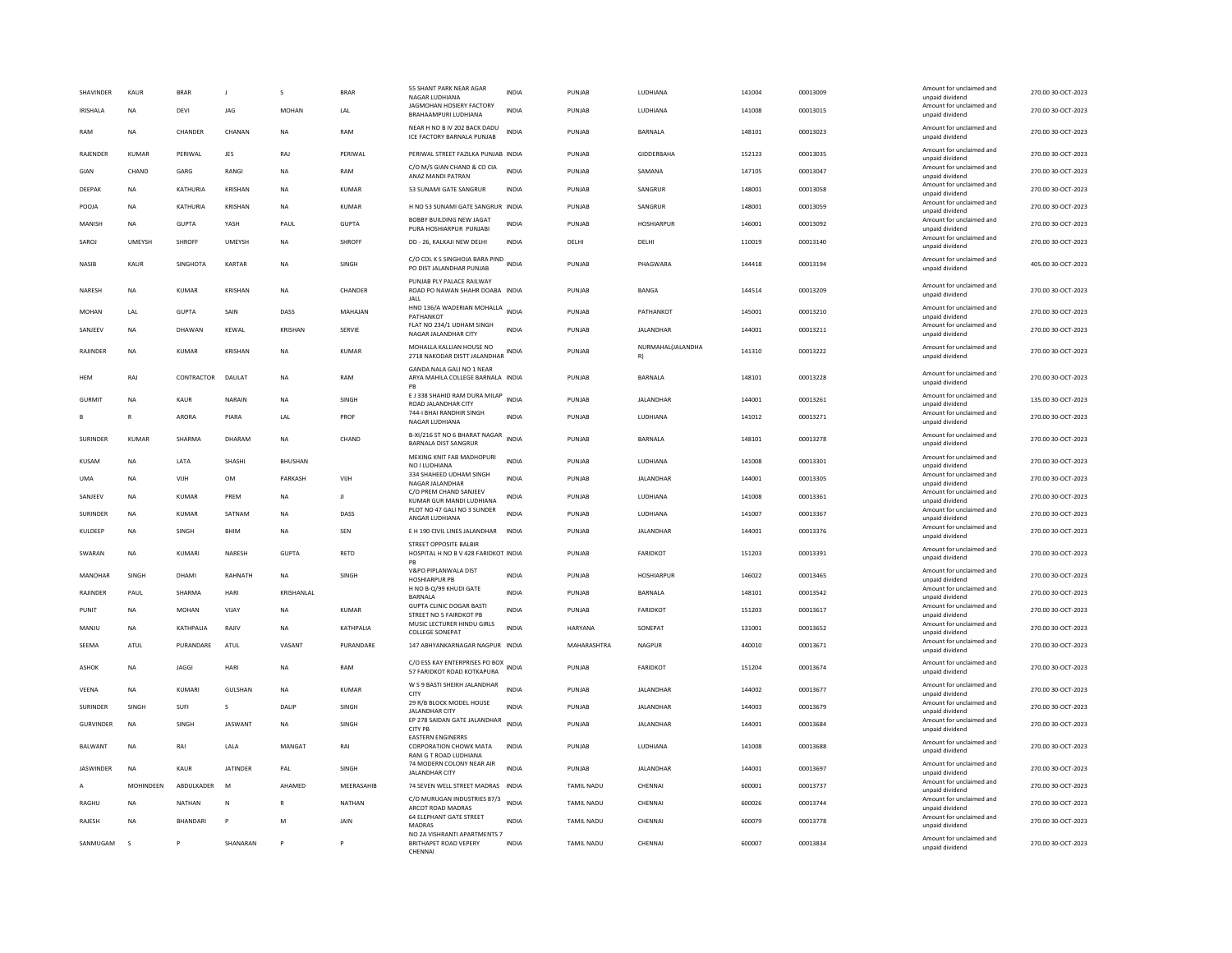| <b>SHAVINDER</b> | KAUR          | <b>BRAR</b>       | $\blacksquare$  | s              | <b>BRAR</b>  | 55 SHANT PARK NEAR AGAR<br>NAGAR LUDHIANA                                    | <b>INDIA</b> | PUNJAR            | <b>I UDHIANA</b>        | 141004 | 00013009 | Amount for unclaimed and<br>unpaid dividend | 270.00 30-OCT-2023 |
|------------------|---------------|-------------------|-----------------|----------------|--------------|------------------------------------------------------------------------------|--------------|-------------------|-------------------------|--------|----------|---------------------------------------------|--------------------|
| <b>IRISHALA</b>  | <b>NA</b>     | DEVI              | JAG             | <b>MOHAN</b>   | LAL          | JAGMOHAN HOSIERY FACTORY<br>BRAHAAMPURI LUDHIANA                             | <b>INDIA</b> | PUNJAB            | LUDHIANA                | 141008 | 00013015 | Amount for unclaimed and<br>unpaid dividend | 270.00 30-OCT-2023 |
| RAM              | <b>NA</b>     | CHANDER           | CHANAN          | <b>NA</b>      | RAM          | NEAR H NO B IV 202 BACK DADU<br>ICE FACTORY BARNALA PUNJAB                   | INDIA        | PUNJAB            | BARNALA                 | 148101 | 00013023 | Amount for unclaimed and<br>unpaid dividend | 270.00 30-OCT-2023 |
| RAJENDER         | <b>KUMAR</b>  | PERIWAL           | JES             | RAJ            | PERIWAL      | PERIWAL STREET FAZILKA PUNJAB INDIA                                          |              | PUNJAB            | <b>GIDDERBAHA</b>       | 152123 | 00013035 | Amount for unclaimed and<br>unpaid dividend | 270.00 30-OCT-2023 |
| GIAN             | CHAND         | GARG              | RANGI           | <b>NA</b>      | RAM          | C/O M/S GIAN CHAND & CO CIA<br>ANAZ MANDI PATRAN                             | <b>INDIA</b> | PUNJAB            | SAMANA                  | 147105 | 00013047 | Amount for unclaimed and<br>unpaid dividend | 270.00 30-OCT-2023 |
| DEEPAK           | <b>NA</b>     | KATHURIA          | KRISHAN         | <b>NA</b>      | <b>KUMAR</b> | 53 SUNAMI GATE SANGRUR                                                       | INDIA        | PUNJAB            | SANGRUR                 | 148001 | 00013058 | Amount for unclaimed and<br>unpaid dividend | 270.00 30-OCT-2023 |
| POOJA            | <b>NA</b>     | KATHURIA          | KRISHAN         | NA             | <b>KUMAR</b> | H NO 53 SUNAMI GATE SANGRUR INDIA                                            |              | PUNJAB            | SANGRUR                 | 148001 | 00013059 | Amount for unclaimed and<br>unpaid dividend | 270.00 30-OCT-2023 |
| MANISH           | <b>NA</b>     | <b>GUPTA</b>      | YASH            | PAUL           | <b>GUPTA</b> | BOBBY BUILDING NEW JAGAT<br>PURA HOSHIARPUR PUNJABI                          | <b>INDIA</b> | PUNJAB            | <b>HOSHIARPUR</b>       | 146001 | 00013092 | Amount for unclaimed and<br>unpaid dividend | 270.00 30-OCT-2023 |
| SAROJ            | <b>UMEYSH</b> | SHROFF            | UMEYSH          | <b>NA</b>      | SHROFF       | DD - 26, KALKAJI NEW DELHI                                                   | <b>INDIA</b> | DELHI             | DELHI                   | 110019 | 00013140 | Amount for unclaimed and<br>unpaid dividend | 270.00 30-OCT-2023 |
| NASIB            | KAUR          | <b>SINGHOTA</b>   | KARTAR          | <b>NA</b>      | SINGH        | C/O COL K S SINGHOJA BARA PIND INDIA<br>PO DIST JALANDHAR PUNJAB             |              | PUNJAB            | PHAGWARA                | 144418 | 00013194 | Amount for unclaimed and<br>unpaid dividend | 405.00 30-OCT-2023 |
| NARESH           | <b>NA</b>     | KUMAR             | KRISHAN         | <b>NA</b>      | CHANDER      | PUNJAB PLY PALACE RAILWAY<br>ROAD PO NAWAN SHAHR DOABA INDIA<br><b>JALL</b>  |              | PUNJAB            | BANGA                   | 144514 | 00013209 | Amount for unclaimed and<br>unpaid dividend | 270.00 30-OCT-2023 |
| MOHAN            | LAL           | <b>GUPTA</b>      | SAIN            | DASS           | MAHAJAN      | HNO 136/A WADERIAN MOHALLA<br>PATHANKOT                                      | <b>INDIA</b> | PUNJAB            | PATHANKOT               | 145001 | 00013210 | Amount for unclaimed and<br>unpaid dividend | 270.00 30-OCT-2023 |
| SANJEEV          | <b>NA</b>     | DHAWAN            | KEWAL           | <b>KRISHAN</b> | SERVIE       | FLAT NO 234/1 UDHAM SINGH<br>NAGAR JALANDHAR CITY                            | <b>INDIA</b> | PUNJAB            | JALANDHAR               | 144001 | 00013211 | Amount for unclaimed and<br>unpaid dividend | 270.00 30-OCT-2023 |
| RAJINDER         | <b>NA</b>     | <b>KUMAR</b>      | KRISHAN         | <b>NA</b>      | <b>KUMAR</b> | MOHALLA KALLIAN HOUSE NO<br>2718 NAKODAR DISTT JALANDHAR                     | <b>INDIA</b> | PUNJAB            | NURMAHAL(JALANDHA<br>R) | 141310 | 00013222 | Amount for unclaimed and<br>unpaid dividend | 270.00 30-OCT-2023 |
| <b>HFM</b>       | RAI           | CONTRACTOR DAULAT |                 | <b>NA</b>      | RAM          | GANDA NALA GALI NO 1 NEAR                                                    |              | PUNIAR            | <b>BARNALA</b>          | 148101 | 00013228 | Amount for unclaimed and                    | 270.00 30-OCT-2023 |
|                  |               |                   |                 |                |              | ARYA MAHILA COLLEGE BARNALA INDIA<br>E J 338 SHAHID RAM DURA MILAP INDIA     |              |                   |                         |        |          | unpaid dividend<br>Amount for unclaimed and |                    |
| <b>GURMIT</b>    | <b>NA</b>     | KAUR              | NARAIN          | <b>NA</b>      | SINGH        | ROAD JALANDHAR CITY<br>744-I BHAI RANDHIR SINGH                              |              | PUNJAB            | JALANDHAR               | 144001 | 00013261 | unpaid dividend<br>Amount for unclaimed and | 135.00 30-OCT-2023 |
|                  | R             | ARORA             | PIARA           | LAL            | PROF         | NAGAR LUDHIANA                                                               | <b>INDIA</b> | PUNJAB            | LUDHIANA                | 141012 | 00013271 | unpaid dividend                             | 270.00 30-OCT-2023 |
| SURINDER         | <b>KUMAR</b>  | SHARMA            | DHARAM          | <b>NA</b>      | CHAND        | B-XI/216 ST NO 6 BHARAT NAGAR<br><b>BARNALA DIST SANGRUR</b>                 | INDIA        | PUNJAB            | <b>BARNALA</b>          | 148101 | 00013278 | Amount for unclaimed and<br>unpaid dividend | 270.00 30-OCT-2023 |
| KUSAM            | <b>NA</b>     | LATA              | SHASHI          | BHUSHAN        |              | MEKING KNIT FAB MADHOPURI<br>NO I LUDHIANA                                   | <b>INDIA</b> | PUNJAB            | LUDHIANA                | 141008 | 00013301 | Amount for unclaimed and<br>unpaid dividend | 270.00 30-OCT-2023 |
| <b>UMA</b>       | <b>NA</b>     | VIIH              | <b>OM</b>       | PARKASH        | VIJH         | 334 SHAHEED UDHAM SINGH<br>NAGAR JALANDHAR                                   | <b>INDIA</b> | PUNJAB            | <b>JALANDHAR</b>        | 144001 | 00013305 | Amount for unclaimed and<br>unpaid dividend | 270.00 30-OCT-2023 |
| SANIFFV          | <b>NA</b>     | KUMAR             | PRFM            | <b>NA</b>      | $\mathbf{H}$ | C/O PREM CHAND SANJEEV<br>KUMAR GUR MANDI LUDHIANA                           | <b>INDIA</b> | PUNJAB            | LUDHIANA                | 141008 | 00013361 | Amount for unclaimed and<br>unpaid dividend | 270.00 30-OCT-2023 |
| SURINDER         | <b>NA</b>     | <b>KUMAR</b>      | SATNAM          | <b>NA</b>      | DASS         | PLOT NO 47 GALI NO 3 SUNDER<br>ANGAR LUDHIANA                                | <b>INDIA</b> | PUNJAB            | LUDHIANA                | 141007 | 00013367 | Amount for unclaimed and<br>unpaid dividend | 270.00 30-OCT-2023 |
| KULDEEP          | NA            | SINGH             | <b>BHIM</b>     | <b>NA</b>      | SEN          | E H 190 CIVIL LINES JALANDHAR                                                | <b>INDIA</b> | PUNJAB            | JALANDHAR               | 144001 | 00013376 | Amount for unclaimed and<br>unpaid dividend | 270.00 30-OCT-2023 |
| SWARAN           | <b>NA</b>     | KUMARI            | <b>NARESH</b>   | GUPTA          | RETD         | <b>STREET OPPOSITE BALBIR</b><br>HOSPITAL H NO B V 428 FARIDKOT INDIA        |              | PUNJAB            | <b>FARIDKOT</b>         | 151203 | 00013391 | Amount for unclaimed and<br>unpaid dividend | 270.00 30-OCT-2023 |
| MANOHAR          | SINGH         | DHAMI             | RAHNATH         | NA             | SINGH        | V&PO PIPLANWALA DIST<br><b>HOSHIARPUR PB</b>                                 | <b>INDIA</b> | PUNJAB            | <b>HOSHIARPUR</b>       | 146022 | 00013465 | Amount for unclaimed and<br>unpaid dividend | 270.00 30-OCT-2023 |
| RAJINDER         | PAUL          | SHARMA            | HARI            | KRISHANLAL     |              | H NO B-Q/99 KHUDI GATE<br>BARNALA                                            | <b>INDIA</b> | PUNJAB            | BARNALA                 | 148101 | 00013542 | Amount for unclaimed and<br>unpaid dividend | 270.00 30-OCT-2023 |
| PUNIT            | <b>NA</b>     | <b>MOHAN</b>      | VIJAY           | <b>NA</b>      | KUMAR        | <b>GUPTA CLINIC DOGAR BASTI</b><br>STREET NO 5 FAIRDKOT PB                   | <b>INDIA</b> | PUNJAB            | FARIDKOT                | 151203 | 00013617 | Amount for unclaimed and<br>unpaid dividend | 270.00 30-OCT-2023 |
| MANJU            | <b>NA</b>     | KATHPALIA         | RAJIV           | <b>NA</b>      | KATHPALIA    | MUSIC LECTURER HINDU GIRLS<br><b>COLLEGE SONEPAT</b>                         | <b>INDIA</b> | <b>HARYANA</b>    | SONEPAT                 | 131001 | 00013652 | Amount for unclaimed and<br>unpaid dividend | 270.00 30-OCT-2023 |
| SEEMA            | ATUL          | PURANDARE         | ATUL            | VASANT         | PURANDARE    | 147 ABHYANKARNAGAR NAGPUR INDIA                                              |              | MAHARASHTRA       | <b>NAGPUR</b>           | 440010 | 00013671 | Amount for unclaimed and<br>unpaid dividend | 270.00 30-OCT-2023 |
| <b>ASHOK</b>     | <b>NA</b>     | <b>JAGGI</b>      | HARI            | <b>NA</b>      | RAM          | C/O ESS KAY ENTERPRISES PO BOX<br>57 FARIDKOT ROAD KOTKAPURA                 | <b>INDIA</b> | PUNJAB            | <b>FARIDKOT</b>         | 151204 | 00013674 | Amount for unclaimed and<br>unpaid dividend | 270.00 30-OCT-2023 |
| VEENA            | <b>NA</b>     | KUMARI            | GULSHAN         | <b>NA</b>      | <b>KUMAR</b> | W S 9 BASTI SHEIKH JALANDHAR<br>CITY                                         | <b>INDIA</b> | PUNJAB            | <b>JALANDHAR</b>        | 144002 | 00013677 | Amount for unclaimed and<br>unpaid dividend | 270.00 30-OCT-2023 |
| <b>SURINDER</b>  | SINGH         | SUFI              | $\mathcal{S}$   | <b>DALIP</b>   | <b>SINGH</b> | 29 R/B BLOCK MODEL HOUSE<br><b>JALANDHAR CITY</b>                            | <b>INDIA</b> | PUNIAR            | <b>IAI ANDHAR</b>       | 144003 | 00013679 | Amount for unclaimed and<br>unpaid dividend | 270.00 30-OCT-2023 |
| <b>GURVINDER</b> | <b>NA</b>     | SINGH             | JASWANT         | <b>NA</b>      | SINGH        | EP 278 SAIDAN GATE JALANDHAR<br>CITY PB                                      | <b>INDIA</b> | PUNJAB            | <b>JALANDHAR</b>        | 144001 | 00013684 | Amount for unclaimed and<br>unpaid dividend | 270.00 30-OCT-2023 |
| BALWANT          | <b>NA</b>     | RAI               | LALA            | MANGAT         | RAI          | <b>EASTERN ENGINERRS</b><br>CORPORATION CHOWK MATA<br>RANI G T ROAD LUDHIANA | INDIA        | PUNJAB            | LUDHIANA                | 141008 | 00013688 | Amount for unclaimed and<br>unpaid dividend | 270.00 30-OCT-2023 |
| <b>JASWINDER</b> | <b>NA</b>     | KAUR              | <b>JATINDER</b> | PAL            | SINGH        | 74 MODERN COLONY NEAR AIR<br><b>JALANDHAR CITY</b>                           | <b>INDIA</b> | PUNJAB            | <b>JALANDHAR</b>        | 144001 | 00013697 | Amount for unclaimed and<br>unpaid dividend | 270.00 30-OCT-2023 |
|                  | MOHINDEEN     | ABDULKADER        | M               | AHAMED         | MEERASAHIB   | 74 SEVEN WELL STREET MADRAS INDIA                                            |              | TAMIL NADU        | CHENNAL                 | 600001 | 00013737 | Amount for unclaimed and<br>unpaid dividend | 270.00 30-OCT-2023 |
| RAGHU            | NΑ            | NATHAN            | N               |                | NATHAN       | C/O MURUGAN INDUSTRIES 87/3<br>ARCOT ROAD MADRAS                             | <b>INDIA</b> | TAMIL NADU        | CHENNAI                 | 600026 | 00013744 | Amount for unclaimed and<br>unpaid dividend | 270.00 30-OCT-2023 |
| <b>RAIFSH</b>    | <b>NA</b>     | BHANDARI          | P               | M              | <b>JAIN</b>  | <b>64 ELEPHANT GATE STREET</b><br><b>MADRAS</b>                              | <b>INDIA</b> | <b>TAMIL NADU</b> | CHENNAI                 | 600079 | 00013778 | Amount for unclaimed and<br>unpaid dividend | 270.00 30-OCT-2023 |
| SANMUGAM         | s.            |                   | SHANARAN        |                | P            | NO 2A VISHRANTI APARTMENTS 7<br>BRITHAPET ROAD VEPERY<br>CHENNAI             | <b>INDIA</b> | <b>TAMIL NADU</b> | CHENNAL                 | 600007 | 00013834 | Amount for unclaimed and<br>unpaid dividend | 270.00 30-OCT-2023 |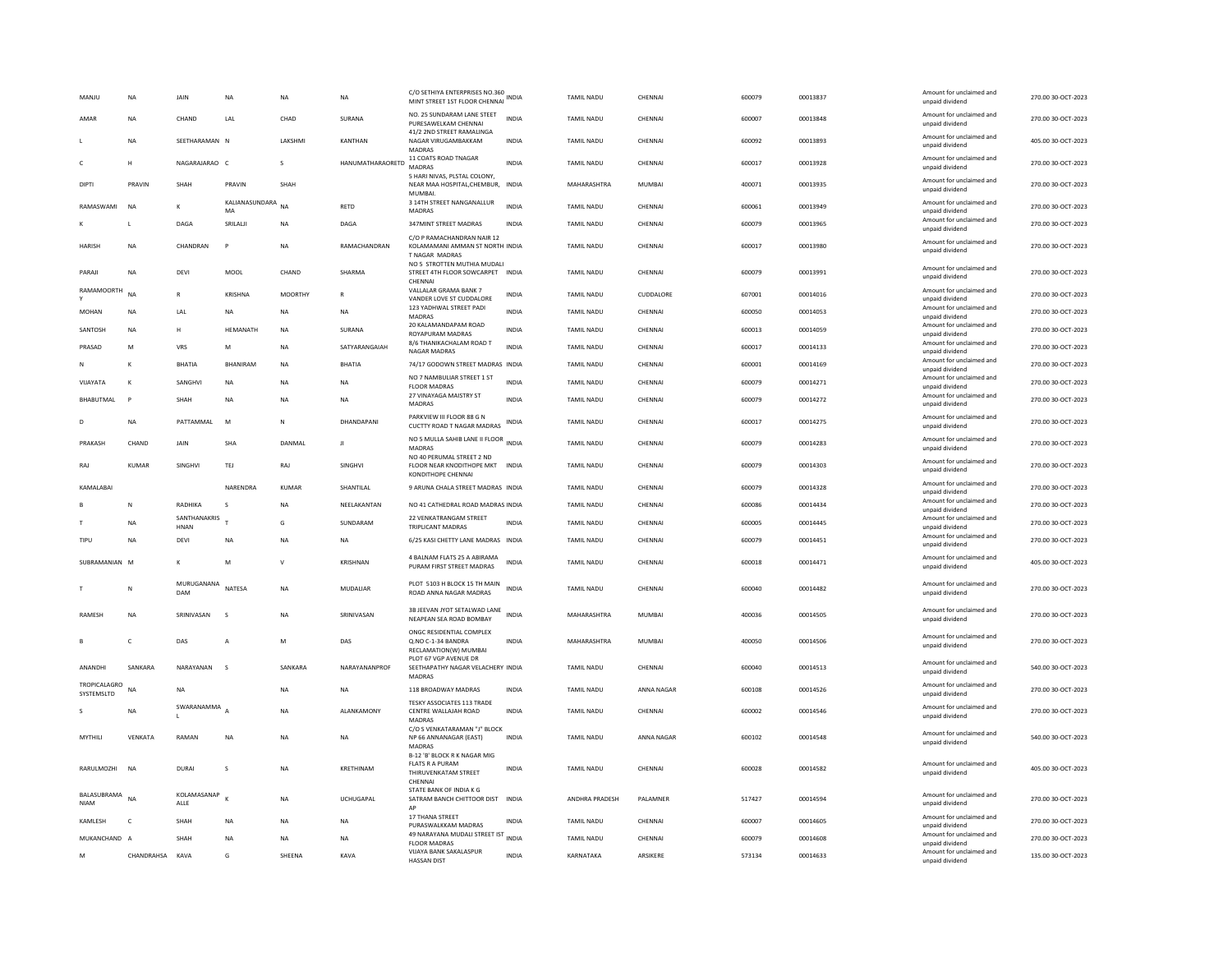| MANJU                      | <b>NA</b>    | JAIN                | <b>NA</b>               | <b>NA</b>           | <b>NA</b>         | C/O SETHIYA ENTERPRISES NO.360<br>MINT STREET 1ST FLOOR CHENNAI                                                | <b>INDIA</b>                 | <b>TAMIL NADU</b>              | CHENNAL             | 600079           | 00013837             | Amount for unclaimed and<br>unpaid dividend | 270.00 30-OCT-2023                       |
|----------------------------|--------------|---------------------|-------------------------|---------------------|-------------------|----------------------------------------------------------------------------------------------------------------|------------------------------|--------------------------------|---------------------|------------------|----------------------|---------------------------------------------|------------------------------------------|
| AMAR                       | <b>NA</b>    | CHAND               | LAL                     | CHAD                | SURANA            | NO. 25 SUNDARAM LANE STEET<br>PURESAWELKAM CHENNAI                                                             | <b>INDIA</b>                 | <b>TAMIL NADU</b>              | CHENNAL             | 600007           | 00013848             | Amount for unclaimed and<br>unpaid dividend | 270.00 30-OCT-2023                       |
|                            | <b>NA</b>    | SEETHARAMAN N       |                         | LAKSHMI             | KANTHAN           | 41/2 2ND STREET RAMALINGA<br>NAGAR VIRUGAMBAKKAM<br><b>MADRAS</b>                                              | INDIA                        | TAMIL NADU                     | CHENNAI             | 600092           | 00013893             | Amount for unclaimed and<br>unpaid dividend | 405.00 30-OCT-2023                       |
| c                          | н            | NAGARAJARAO C       |                         | $\sim$              | HANUMATHARAORETD  | 11 COATS ROAD TNAGAR<br><b>MADRAS</b>                                                                          | <b>INDIA</b>                 | <b>TAMIL NADU</b>              | CHENNAL             | 600017           | 00013928             | Amount for unclaimed and<br>unpaid dividend | 270.00 30-OCT-2023                       |
| DIPTI                      | PRAVIN       | SHAH                | PRAVIN                  | SHAH                |                   | 5 HARI NIVAS, PLSTAL COLONY<br>NEAR MAA HOSPITAL, CHEMBUR, INDIA<br><b>MUMBAL</b>                              |                              | MAHARASHTRA                    | <b>MUMBAI</b>       | 400071           | 00013935             | Amount for unclaimed and<br>unpaid dividend | 270.00 30-OCT-2023                       |
| RAMASWAMI                  | <b>NA</b>    | к                   | KALIANASUNDARA NA<br>MA |                     | RETD              | 3 14TH STREET NANGANALLUR<br><b>MADRAS</b>                                                                     | <b>INDIA</b>                 | <b>TAMIL NADU</b>              | CHENNAL             | 600061           | 00013949             | Amount for unclaimed and<br>unpaid dividend | 270.00 30-OCT-2023                       |
|                            | L            | DAGA                | SRILALJI                | <b>NA</b>           | DAGA              | 347MINT STREET MADRAS                                                                                          | <b>INDIA</b>                 | <b>TAMIL NADU</b>              | CHENNAL             | 600079           | 00013965             | Amount for unclaimed and<br>unpaid dividend | 270.00 30-OCT-2023                       |
| <b>HARISH</b>              | <b>NA</b>    | CHANDRAN            | P                       | <b>NA</b>           | RAMACHANDRAN      | C/O P RAMACHANDRAN NAIR 12<br>KOLAMAMANI AMMAN ST NORTH INDIA<br>T NAGAR MADRAS<br>NO 5 STROTTEN MUTHIA MUDALI |                              | <b>TAMIL NADU</b>              | CHENNAL             | 600017           | 00013980             | Amount for unclaimed and<br>unpaid dividend | 270.00 30-OCT-2023                       |
| PARAJI                     | NA           | DEVI                | MOOL                    | CHAND               | SHARMA            | STREET 4TH FLOOR SOWCARPET INDIA<br>CHENNAI                                                                    |                              | TAMIL NADU                     | CHENNAL             | 600079           | 00013991             | Amount for unclaimed and<br>unpaid dividend | 270.00 30-OCT-2023                       |
| <b>RAMAMOORTH</b>          | <b>NA</b>    | $\mathbb{R}$        | KRISHNA                 | <b>MOORTHY</b>      |                   | VALLALAR GRAMA BANK 7<br>VANDER LOVE ST CUDDALORE                                                              | <b>INDIA</b>                 | TAMIL NADU                     | CUDDALORE           | 607001           | 00014016             | Amount for unclaimed and<br>unpaid dividend | 270.00 30-OCT-2023                       |
| MOHAN                      | NA           | LAL                 | <b>NA</b>               | NA                  | NA                | 123 YADHWAL STREET PADI<br>MADRAS                                                                              | <b>INDIA</b>                 | TAMIL NADU                     | CHENNAI             | 600050           | 00014053             | Amount for unclaimed and<br>unpaid dividend | 270.00 30-OCT-2023                       |
| SANTOSH                    | NA           | H                   | HEMANATH                | NA                  | SURANA            | 20 KALAMANDAPAM ROAD<br>ROYAPURAM MADRAS                                                                       | <b>INDIA</b>                 | TAMIL NADU                     | CHENNAI             | 600013           | 00014059             | Amount for unclaimed and<br>unpaid dividend | 270.00 30-OCT-2023                       |
| PRASAD                     | M            | VRS                 | M                       | <b>NA</b>           | SATYARANGAIAH     | 8/6 THANIKACHALAM ROAD T<br>NAGAR MADRAS                                                                       | <b>INDIA</b>                 | <b>TAMIL NADU</b>              | CHENNAL             | 600017           | 00014133             | Amount for unclaimed and<br>unpaid dividend | 270.00 30-OCT-2023                       |
|                            | K            | <b>BHATIA</b>       | <b>BHANIRAM</b>         | <b>NA</b>           | BHATIA            | 74/17 GODOWN STREET MADRAS INDIA                                                                               |                              | TAMIL NADU                     | CHENNAI             | 600001           | 00014169             | Amount for unclaimed and                    | 270.00 30-OCT-2023                       |
| VIJAYATA                   | K            | SANGHVI             | <b>NA</b>               | NA                  | NA                | NO 7 NAMBULIAR STREET 1 ST                                                                                     | <b>INDIA</b>                 | TAMIL NADU                     | CHENNAI             | 600079           | 00014271             | unpaid dividend<br>Amount for unclaimed and | 270.00 30-OCT-2023                       |
|                            |              |                     |                         |                     |                   | <b>FLOOR MADRAS</b><br>27 VINAYAGA MAISTRY ST                                                                  |                              |                                |                     |                  |                      | unpaid dividend<br>Amount for unclaimed and |                                          |
| BHABUTMAL                  | P            | <b>SHAH</b>         | <b>NA</b>               | <b>NA</b>           | <b>NA</b>         | MADRAS                                                                                                         | <b>INDIA</b>                 | <b>TAMIL NADU</b>              | CHENNAL             | 600079           | 00014272             | unpaid dividend                             | 270.00 30-OCT-2023                       |
| D                          | <b>NA</b>    | PATTAMMAL           | M                       | $\mathbb{N}$        | DHANDAPANI        | PARKVIEW III FLOOR 88 G N<br>CUCTTY ROAD T NAGAR MADRAS                                                        | <b>INDIA</b>                 | TAMIL NADU                     | CHENNAI             | 600017           | 00014275             | Amount for unclaimed and<br>unpaid dividend | 270.00 30-OCT-2023                       |
| PRAKASH                    | CHAND        | JAIN                | <b>SHA</b>              | DANMAL              | л                 | NO 5 MULLA SAHIB LANE II FLOOR INDIA<br>MADRAS<br>NO 40 PERUMAL STREET 2 ND                                    |                              | <b>TAMIL NADU</b>              | CHENNAL             | 600079           | 00014283             | Amount for unclaimed and<br>unpaid dividend | 270.00 30-OCT-2023                       |
| RAJ                        | <b>KUMAR</b> | SINGHVI             | TEJ                     | RAJ                 | SINGHVI           | FLOOR NEAR KNODITHOPE MKT INDIA<br><b>KONDITHOPE CHENNAL</b>                                                   |                              | TAMIL NADU                     | CHENNAI             | 600079           | 00014303             | Amount for unclaimed and<br>unpaid dividend | 270.00 30-OCT-2023                       |
|                            |              |                     |                         |                     |                   |                                                                                                                |                              |                                |                     |                  |                      |                                             |                                          |
| KAMAI ARAI                 |              |                     | NARENDRA                | KUMAR               | SHANTILAI         | 9 ARUNA CHALA STREET MADRAS INDIA                                                                              |                              | <b>TAMIL NADU</b>              | CHENNAL             | 600079           | 00014328             | Amount for unclaimed and                    | 270.00 30-OCT-2023                       |
|                            | N            | RADHIKA             | <b>S</b>                | NA                  | NEELAKANTAN       | NO 41 CATHEDRAL ROAD MADRAS INDIA                                                                              |                              | <b>TAMIL NADU</b>              | CHENNAI             | 600086           | 00014434             | unpaid dividend<br>Amount for unclaimed and | 270.00 30-OCT-2023                       |
|                            |              | SANTHANAKRIS        |                         |                     |                   | 22 VENKATRANGAM STREET                                                                                         |                              |                                |                     |                  |                      | unpaid dividend<br>Amount for unclaimed and |                                          |
|                            | NA           | <b>HNAN</b>         |                         | G                   | SUNDARAM          | <b>TRIPLICANT MADRAS</b>                                                                                       | <b>INDIA</b>                 | TAMIL NADU                     | CHENNAI             | 600005           | 00014445             | unpaid dividend<br>Amount for unclaimed and | 270.00 30-OCT-2023                       |
| TIPU                       | NA           | DEVI                | <b>NA</b>               | NA                  | NA                | 6/25 KASI CHETTY LANE MADRAS INDIA                                                                             |                              | TAMIL NADU                     | CHENNAI             | 600079           | 00014451             | unpaid dividend                             | 270.00 30-OCT-2023                       |
| SUBRAMANIAN M              |              | к                   | M                       | $\vee$              | KRISHNAN          | 4 BALNAM FLATS 25 A ABIRAMA<br>PURAM FIRST STREET MADRAS                                                       | <b>INDIA</b>                 | TAMIL NADU                     | CHENNAI             | 600018           | 00014471             | Amount for unclaimed and<br>unpaid dividend | 405.00 30-OCT-2023                       |
|                            | N            | MURUGANANA<br>DAM   | NATESA                  | <b>NA</b>           | <b>MUDALIAR</b>   | PLOT 5103 H BLOCK 15 TH MAIN<br>ROAD ANNA NAGAR MADRAS                                                         | <b>INDIA</b>                 | <b>TAMIL NADU</b>              | CHENNAL             | 600040           | 00014482             | Amount for unclaimed and<br>unpaid dividend | 270.00 30-OCT-2023                       |
| RAMESH                     | <b>NA</b>    | SRINIVASAN          | $\sim$                  | <b>NA</b>           | SRINIVASAN        | 3B JEEVAN JYOT SETALWAD LANE<br>NEAPEAN SEA ROAD BOMBAY                                                        | <b>INDIA</b>                 | MAHARASHTRA                    | MUMBAI              | 400036           | 00014505             | Amount for unclaimed and                    | 270.00 30-OCT-2023                       |
|                            |              |                     |                         |                     |                   | ONGC RESIDENTIAL COMPLEX                                                                                       |                              |                                |                     |                  |                      | unpaid dividend                             |                                          |
| <b>B</b>                   | $\epsilon$   | DAS                 | A                       | M                   | DAS               | O.NO C-1-34 BANDRA                                                                                             | <b>INDIA</b>                 | MAHARASHTRA                    | MUMBAI              | 400050           | 00014506             | Amount for unclaimed and<br>unpaid dividend | 270.00.30-OCT-2023                       |
| ANANDHI                    | SANKARA      | NARAYANAN           | $\sim$                  | SANKARA             | NARAYANANPROF     | RECLAMATION(W) MUMBAI<br>PLOT 67 VGP AVENUE DR<br>SEETHAPATHY NAGAR VELACHERY INDIA                            |                              | <b>TAMIL NADU</b>              | CHENNAL             | 600040           | 00014513             | Amount for unclaimed and<br>unpaid dividend | 540.00 30-OCT-2023                       |
| TROPICALAGRO<br>SYSTEMSLTD | <b>NA</b>    | <b>NA</b>           |                         | NA                  | NA                | MADRAS<br>118 BROADWAY MADRAS                                                                                  | INDIA                        | TAMIL NADU                     | ANNA NAGAR          | 600108           | 00014526             | Amount for unclaimed and<br>unpaid dividend | 270.00 30-OCT-2023                       |
|                            | NA           | SWARANAMMA          |                         | <b>NA</b>           | <b>ALANKAMONY</b> | TESKY ASSOCIATES 113 TRADE<br>CENTRE WALLAJAH ROAD                                                             | <b>INDIA</b>                 | <b>TAMIL NADU</b>              | CHENNAL             | 600002           | 00014546             | Amount for unclaimed and<br>unpaid dividend | 270.00 30-OCT-2023                       |
| <b>MYTHILL</b>             | VFNKATA      | RAMAN               | <b>NA</b>               | <b>NA</b>           | <b>NA</b>         | <b>MADRAS</b><br>C/O S VENKATARAMAN "J" BLOCK<br>NP 66 ANNANAGAR (EAST)                                        | <b>INDIA</b>                 | <b>TAMIL NADU</b>              | ANNA NAGAR          | 600102           | 00014548             | Amount for unclaimed and<br>unpaid dividend | 540.00 30-OCT-2023                       |
|                            |              |                     |                         |                     |                   | <b>MADRAS</b><br>B-12 'B' BLOCK R K NAGAR MIG                                                                  |                              |                                |                     |                  |                      |                                             |                                          |
| RARULMOZHI                 | <b>NA</b>    | <b>DURAI</b>        | s                       | <b>NA</b>           | KRETHINAM         | <b>FLATS R A PURAM</b><br>THIRUVENKATAM STREET<br>CHENNAL                                                      | <b>INDIA</b>                 | <b>TAMIL NADU</b>              | CHENNAL             | 600028           | 00014582             | Amount for unclaimed and<br>unpaid dividend | 405.00 30-OCT-2023                       |
| BALASUBRAMA<br><b>NIAM</b> | <b>NA</b>    | KOLAMASANAP<br>ALLE |                         | <b>NA</b>           | <b>UCHUGAPAL</b>  | STATE BANK OF INDIA K G<br>SATRAM BANCH CHITTOOR DIST INDIA                                                    |                              | ANDHRA PRADESH                 | PALAMNER            | 517427           | 00014594             | Amount for unclaimed and<br>unpaid dividend | 270.00 30-OCT-2023                       |
| KAMLESH                    | $\mathsf{C}$ | SHAH                | <b>NA</b>               | <b>NA</b>           | <b>NA</b>         | 17 THANA STREET                                                                                                | <b>INDIA</b>                 | TAMIL NADU                     | CHENNAL             | 600007           | 00014605             | Amount for unclaimed and                    | 270.00 30-OCT-2023                       |
|                            |              |                     |                         |                     |                   | PURASWALKKAM MADRAS<br>49 NARAYANA MUDALI STREET IST                                                           |                              |                                |                     |                  |                      | unpaid dividend<br>Amount for unclaimed and |                                          |
| MUKANCHAND A               | CHANDRAHSA   | SHAH<br>KAVA        | <b>NA</b><br>G          | <b>NA</b><br>SHEENA | <b>NA</b><br>KAVA | <b>FLOOR MADRAS</b><br><b>VUAYA BANK SAKALASPUR</b>                                                            | <b>INDIA</b><br><b>INDIA</b> | <b>TAMIL NADU</b><br>KARNATAKA | CHENNAL<br>ARSIKERE | 600079<br>573134 | 00014608<br>00014633 | unpaid dividend<br>Amount for unclaimed and | 270.00 30-OCT-2023<br>135.00 30-OCT-2023 |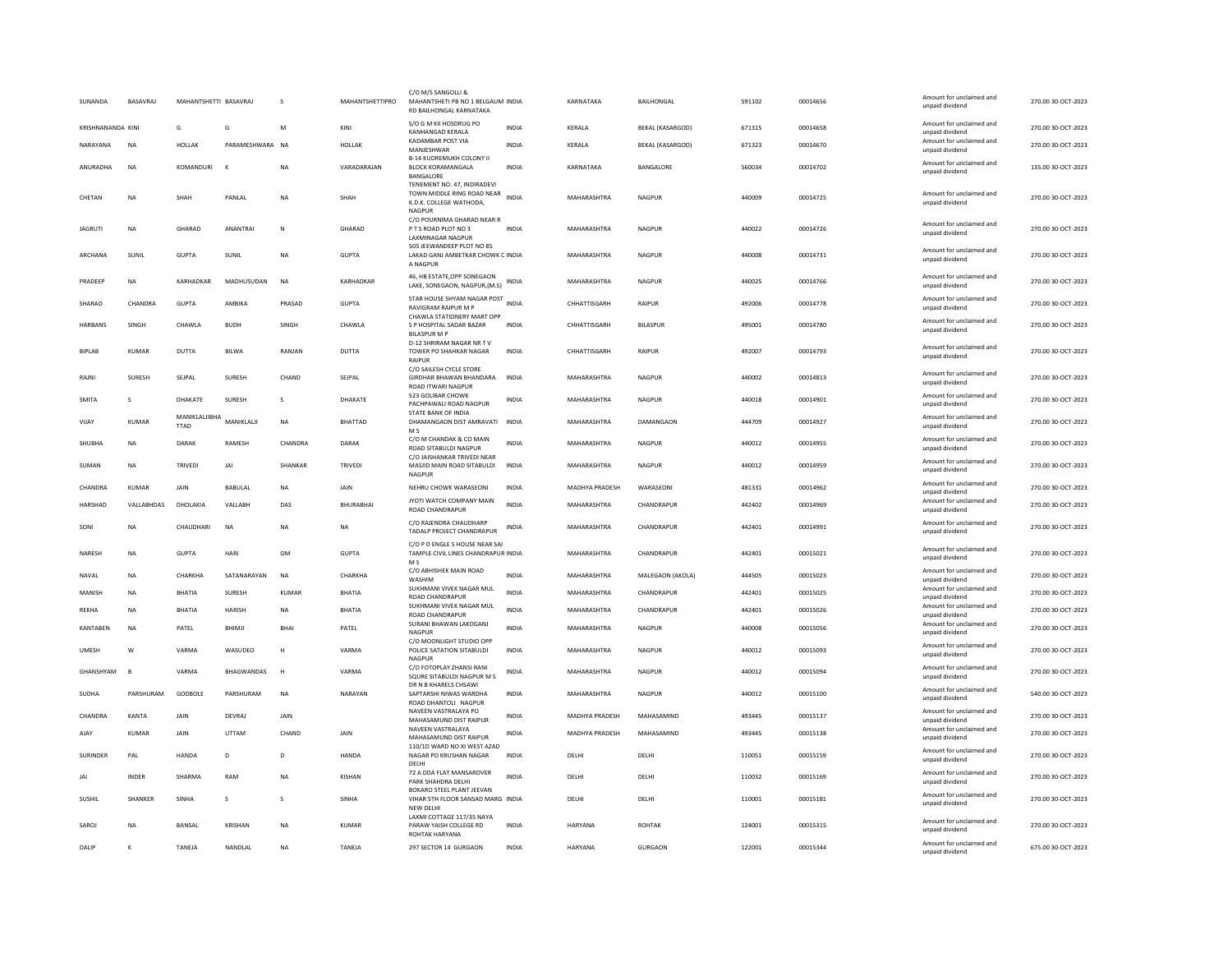| SUNANDA           | BASAVRAJ       | MAHANTSHETTI BASAVRAJ        |                   | S            | MAHANTSHETTIPRO  | C/O M/S SANGOLLI &<br>MAHANTSHETI PB NO 1 BELGAUM INDIA<br>RD BAILHONGAL KARNATAKA                   |              | KARNATAKA             | <b>BAILHONGAL</b>       | 591102 | 00014656 | Amount for unclaimed and<br>unpaid dividend | 270.00 30-OCT-2023 |
|-------------------|----------------|------------------------------|-------------------|--------------|------------------|------------------------------------------------------------------------------------------------------|--------------|-----------------------|-------------------------|--------|----------|---------------------------------------------|--------------------|
| KRISHNANANDA KINI |                | G                            | G                 | M            | KINI             | S/O G M KII HOSDRUG PO<br>KANHANGAD KERALA                                                           | <b>INDIA</b> | KERALA                | <b>BEKAL (KASARGOD)</b> | 671315 | 00014658 | Amount for unclaimed and<br>unpaid dividend | 270.00 30-OCT-2023 |
| NARAYANA          | <b>NA</b>      | <b>HOLLAK</b>                | PARAMESHWARA NA   |              | HOLLAK           | KADAMBAR POST VIA<br>MANJESHWAR                                                                      | <b>INDIA</b> | KERALA                | <b>BEKAL (KASARGOD)</b> | 671323 | 00014670 | Amount for unclaimed and<br>unpaid dividend | 270.00 30-OCT-2023 |
| ANURADHA          | <b>NA</b>      | <b>KOMANDURI</b>             | К                 | <b>NA</b>    | VARADARAJAN      | <b>B-14 KUDREMUKH COLONY II</b><br><b>BLOCK KORAMANGALA</b><br><b>BANGALORE</b>                      | <b>INDIA</b> | KARNATAKA             | BANGALORE               | 560034 | 00014702 | Amount for unclaimed and<br>unpaid dividend | 135.00 30-OCT-2023 |
| CHFTAN            | <b>NA</b>      | <b>SHAH</b>                  | PANI AI           | <b>NA</b>    | SHAH             | TENEMENT NO. 47, INDIRADEVI<br>TOWN MIDDLE RING ROAD NEAR INDIA<br>K.D.K. COLLEGE WATHODA.<br>NAGPUR |              | MAHARASHTRA           | NAGPUR                  | 440009 | 00014725 | Amount for unclaimed and<br>unpaid dividend | 270.00 30-OCT-2023 |
| <b>JAGRUTI</b>    | <b>NA</b>      | GHARAD                       | <b>ANANTRAI</b>   | $\mathbb{N}$ | GHARAD           | C/O POURNIMA GHARAD NEAR R<br>PTS ROAD PLOT NO 3<br>LAXMINAGAR NAGPUR<br>505 JEEWANDEEP PLOT NO 85   | <b>INDIA</b> | MAHARASHTRA           | NAGPUR                  | 440022 | 00014726 | Amount for unclaimed and<br>unpaid dividend | 270.00 30-OCT-2023 |
| ARCHANA           | SUNIL          | <b>GUPTA</b>                 | SUNIL             | NA           | <b>GUPTA</b>     | LAKAD GANJ AMBETKAR CHOWK C INDIA<br>A NAGPUR                                                        |              | MAHARASHTRA           | <b>NAGPUR</b>           | 440008 | 00014731 | Amount for unclaimed and<br>unpaid dividend | 270.00 30-OCT-2023 |
| PRADEEP           | <b>NA</b>      | KARHADKAR                    | MADHUSUDAN        | <b>NA</b>    | KARHADKAR        | 46, HB ESTATE, OPP SONEGAON<br>LAKE, SONEGAON, NAGPUR, (M.S)                                         | <b>INDIA</b> | MAHARASHTRA           | NAGPUR                  | 440025 | 00014766 | Amount for unclaimed and<br>unpaid dividend | 270.00 30-OCT-2023 |
| SHARAD            | CHANDRA        | <b>GUPTA</b>                 | AMBIKA            | PRASAD       | <b>GUPTA</b>     | STAR HOUSE SHYAM NAGAR POST<br><b>RAVIGRAM RAIPUR M P</b>                                            | <b>INDIA</b> | CHHATTISGARH          | RAIPUR                  | 492006 | 00014778 | Amount for unclaimed and<br>unpaid dividend | 270.00 30-OCT-2023 |
| <b>HARBANS</b>    | SINGH          | CHAWLA                       | <b>BUDH</b>       | SINGH        | CHAWLA           | CHAWLA STATIONERY MART OPP<br>S P HOSPITAL SADAR BAZAR<br><b>BILASPUR M F</b>                        | <b>INDIA</b> | CHHATTISGARH          | <b>BILASPUR</b>         | 495001 | 00014780 | Amount for unclaimed and<br>unpaid dividend | 270.00 30-OCT-2023 |
| <b>BIPLAB</b>     | KUMAR          | DUTTA                        | BILWA             | RANJAN       | <b>DUTTA</b>     | D-12 SHRIRAM NAGAR NR TV<br>TOWER PO SHAHKAR NAGAR<br><b>RAIPUF</b>                                  | <b>INDIA</b> | CHHATTISGARH          | RAIPUR                  | 492007 | 00014793 | Amount for unclaimed and<br>unpaid dividend | 270.00 30-OCT-2023 |
| RAJNI             | SURESH         | SEJPAL                       | <b>SURESH</b>     | CHAND        | SEJPAL           | C/O SAILESH CYCLE STORE<br>GIRDHAR BHAWAN BHANDARA<br><b>ROAD ITWARI NAGPUR</b>                      | INDIA        | MAHARASHTRA           | <b>NAGPUR</b>           | 440002 | 00014813 | Amount for unclaimed and<br>unpaid dividend | 270.00 30-OCT-2023 |
| <b>SMITA</b>      | s              | DHAKATE                      | SURESH            | $\mathbf{S}$ | DHAKATE          | 523 GOLIBAR CHOWK<br>PACHPAWALI ROAD NAGPUR                                                          | <b>INDIA</b> | MAHARASHTRA           | <b>NAGPUR</b>           | 440018 | 00014901 | Amount for unclaimed and<br>unpaid dividend | 270.00 30-OCT-2023 |
| VIJAY             | KUMAR          | MANIKLALJIBHA<br><b>TTAD</b> | MANIKLALJI        | NA           | BHATTAD          | STATE BANK OF INDIA<br>DHAMANGAON DIST AMRAVATI<br>M <sub>S</sub>                                    | INDIA        | MAHARASHTRA           | DAMANGAON               | 444709 | 00014927 | Amount for unclaimed and<br>unpaid dividend | 270.00 30-OCT-2023 |
| SHUBHA            | <b>NA</b>      | <b>DARAK</b>                 | RAMESH            | CHANDRA      | DARAK            | C/O M CHANDAK & CO MAIN<br>ROAD SITABULDI NAGPUR                                                     | <b>INDIA</b> | MAHARASHTRA           | NAGPUR                  | 440012 | 00014955 | Amount for unclaimed and<br>unpaid dividend | 270.00 30-OCT-2023 |
| SUMAN             | <b>NA</b>      | TRIVED                       | JAI               | SHANKAR      | <b>TRIVEDI</b>   | C/O JAISHANKAR TRIVEDI NEAR<br>MASJID MAIN ROAD SITABULDI<br>NAGPUR                                  | <b>INDIA</b> | MAHARASHTRA           | NAGPUR                  | 440012 | 00014959 | Amount for unclaimed and<br>unpaid dividend | 270.00 30-OCT-2023 |
| CHANDRA           | KLIMAR         | <b>JAIN</b>                  | BABULAL           | <b>NA</b>    | JAIN             | NEHRU CHOWK WARASEONI                                                                                | <b>INDIA</b> | <b>MADHYA PRADESH</b> | WARASEONI               | 481331 | 00014962 | Amount for unclaimed and<br>unpaid dividend | 270.00 30-OCT-2023 |
| HARSHAD           | VALLABHDAS     | <b>DHOLAKIA</b>              | VALLABH           | DAS          | <b>BHURABHAL</b> | JYOTI WATCH COMPANY MAIN<br>ROAD CHANDRAPUR                                                          | <b>INDIA</b> | MAHARASHTRA           | CHANDRAPUR              | 442402 | 00014969 | Amount for unclaimed and<br>unpaid dividend | 270.00.30-QCT-2023 |
| SONI              | NA             | CHAUDHARI                    | $_{\sf NA}$       | NA           | <b>NA</b>        | C/O RAJENDRA CHAUDHARP<br>TADALP PROJECT CHANDRAPUR                                                  | INDIA        | MAHARASHTRA           | CHANDRAPUR              | 442401 | 00014991 | Amount for unclaimed and<br>unpaid dividend | 270.00 30-OCT-2023 |
| NARESH            | <b>NA</b>      | <b>GUPTA</b>                 | HARI              | <b>OM</b>    | <b>GUPTA</b>     | C/O P D ENGLE S HOUSE NEAR SAI<br>TAMPLE CIVIL LINES CHANDRAPUR INDIA<br>M S                         |              | MAHARASHTRA           | CHANDRAPUR              | 442401 | 00015021 | Amount for unclaimed and<br>unpaid dividend | 270.00 30-OCT-2023 |
| NAVAL             | NA             | CHARKHA                      | SATANARAYAN       | $\sf NA$     | CHARKHA          | C/O ABHISHEK MAIN ROAD<br>WASHIN                                                                     | <b>INDIA</b> | MAHARASHTRA           | MALEGAON (AKOLA)        | 444505 | 00015023 | Amount for unclaimed and<br>unpaid dividend | 270.00 30-OCT-2023 |
| MANISH            | <b>NA</b>      | BHATIA                       | <b>SURESH</b>     | KUMAR        | <b>BHATIA</b>    | SUKHMANI VIVEK NAGAR MUL<br>ROAD CHANDRAPUR                                                          | <b>INDIA</b> | MAHARASHTRA           | CHANDRAPUR              | 442401 | 00015025 | Amount for unclaimed and<br>unpaid dividend | 270.00 30-OCT-2023 |
| <b>RFKHA</b>      | <b>NA</b>      | <b>RHATIA</b>                | <b>HARISH</b>     | <b>NA</b>    | <b>BHATIA</b>    | SUKHMANI VIVEK NAGAR MUL<br><b>ROAD CHANDRAPUR</b>                                                   | <b>INDIA</b> | MAHARASHTRA           | CHANDRAPUR              | 442401 | 00015026 | Amount for unclaimed and<br>unpaid dividend | 270.00 30-OCT-2023 |
| <b>KANTABEN</b>   | <b>NA</b>      | PATEL                        | BHIMJI            | BHAI         | PATEL            | SURANI BHAWAN LAKDGANJ<br>NAGPUR                                                                     | <b>INDIA</b> | MAHARASHTRA           | NAGPUR                  | 440008 | 00015056 | Amount for unclaimed and<br>unpaid dividend | 270.00 30-OCT-2023 |
| <b>UMESH</b>      | W              | VARMA                        | WASUDEO           | н            | VARMA            | C/O MOONLIGHT STUDIO OPP<br>POLICE SATATION SITABULDI<br><b>NAGPUR</b>                               | <b>INDIA</b> | MAHARASHTRA           | NAGPUR                  | 440012 | 00015093 | Amount for unclaimed and<br>unpaid dividend | 270.00 30-OCT-2023 |
| GHANSHYAM         | $\overline{B}$ | VARMA                        | <b>BHAGWANDAS</b> | H            | VARMA            | C/O FOTOPLAY ZHANSI RANI<br>SQURE SITABULDI NAGPUR M S                                               | <b>INDIA</b> | MAHARASHTRA           | NAGPUR                  | 440012 | 00015094 | Amount for unclaimed and<br>unpaid dividend | 270.00 30-OCT-2023 |
| SUDHA             | PARSHURAM      | GODBOLE                      | PARSHURAM         | <b>NA</b>    | NARAYAN          | DR N B KHARELS CHSAWI<br>SAPTARSHI NIWAS WARDHA<br>ROAD DHANTOLI NAGPUR                              | <b>INDIA</b> | MAHARASHTRA           | <b>NAGPUR</b>           | 440012 | 00015100 | Amount for unclaimed and<br>unpaid dividend | 540.00 30-OCT-2023 |
| CHANDRA           | KANTA          | <b>JAIN</b>                  | DEVRAJ            | JAIN         |                  | NAVEEN VASTRALAYA PO<br>MAHASAMUND DIST RAIPUR                                                       | <b>INDIA</b> | MADHYA PRADESH        | MAHASAMIND              | 493445 | 00015137 | Amount for unclaimed and<br>unpaid dividend | 270.00 30-OCT-2023 |
| AJAY              | KUMAR          | <b>JAIN</b>                  | UTTAM             | CHAND        | <b>JAIN</b>      | NAVEEN VASTRALAYA<br>MAHASAMUND DIST RAIPUR                                                          | <b>INDIA</b> | <b>MADHYA PRADESH</b> | MAHASAMIND              | 493445 | 00015138 | Amount for unclaimed and<br>unpaid dividend | 270.00 30-OCT-2023 |
| <b>SURINDER</b>   | PAL            | HANDA                        | D                 | D            | HANDA            | 110/1D WARD NO XI WEST AZAD<br>NAGAR PO KRUSHAN NAGAR<br>DELHI                                       | <b>INDIA</b> | DELHI                 | DELHI                   | 110051 | 00015159 | Amount for unclaimed and<br>unpaid dividend | 270.00 30-OCT-2023 |
| JAI               | <b>INDER</b>   | SHARMA                       | RAM               | <b>NA</b>    | KISHAN           | 72 A DDA FLAT MANSAROVER<br><b>PARK SHAHDRA DELHI</b>                                                | <b>INDIA</b> | DELHI                 | DELHI                   | 110032 | 00015169 | Amount for unclaimed and<br>unpaid dividend | 270.00 30-OCT-2023 |
| SUSHIL            | SHANKER        | SINHA                        | s                 | s            | SINHA            | BOKARO STEEL PLANT JEEVAN<br>VIHAR 5TH FLOOR SANSAD MARG INDIA<br><b>NEW DELHI</b>                   |              | DELHI                 | DELHI                   | 110001 | 00015181 | Amount for unclaimed and<br>unpaid dividend | 270.00 30-OCT-2023 |
| SAROL             | <b>NA</b>      | <b>BANSAI</b>                | KRISHAN           | <b>NA</b>    | KUMAR            | LAXMI COTTAGE 117/35 NAYA<br>PARAW YAISH COLLEGE RD<br><b>ROHTAK HARYANA</b>                         | <b>INDIA</b> | HARYANA               | <b>ROHTAK</b>           | 124001 | 00015315 | Amount for unclaimed and<br>unpaid dividend | 270.00.30-QCT-2023 |
| DALIP             | $\kappa$       | TANEJA                       | NANDLAL           | <b>NA</b>    | TANEJA           | 297 SECTOR 14 GURGAON                                                                                | <b>INDIA</b> | HARYANA               | <b>GURGAON</b>          | 122001 | 00015344 | Amount for unclaimed and<br>unpaid dividend | 675.00 30-OCT-2023 |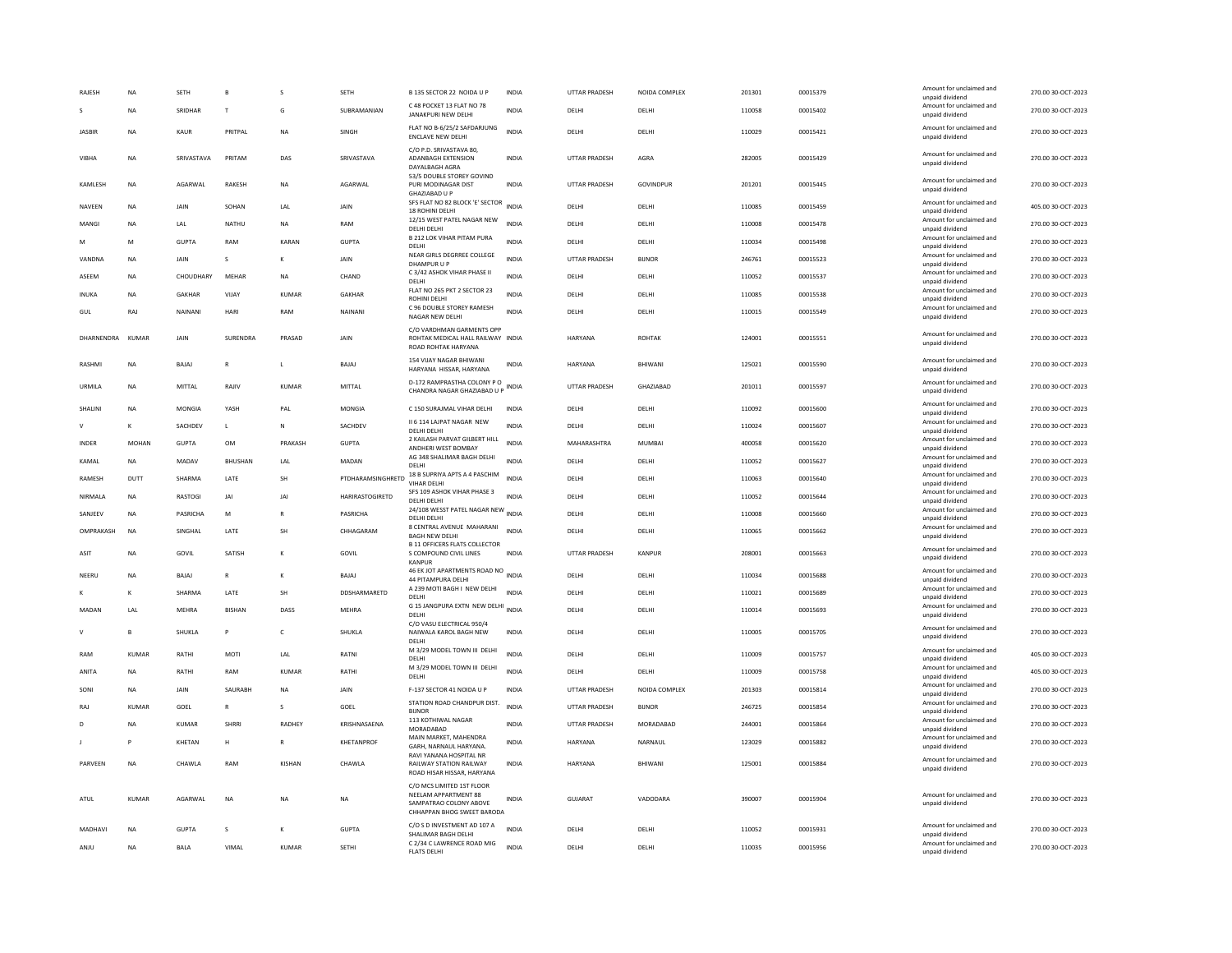| <b>RAJESH</b>    | <b>NA</b>      | <b>SFTH</b>  | $\mathbf{B}$   |               | <b>SETH</b>       | B 135 SECTOR 22 NOIDA U P                                                                                 | <b>INDIA</b> | <b>UTTAR PRADESH</b> | NOIDA COMPLEX | 201301 | 00015379 | Amount for unclaimed and<br>unpaid dividend | 270.00 30-OCT-2023 |
|------------------|----------------|--------------|----------------|---------------|-------------------|-----------------------------------------------------------------------------------------------------------|--------------|----------------------|---------------|--------|----------|---------------------------------------------|--------------------|
| s                | <b>NA</b>      | SRIDHAR      | T              | G             | SUBRAMANIAN       | C 48 POCKET 13 FLAT NO 78<br>JANAKPURI NEW DELHI                                                          | <b>INDIA</b> | DELHI                | DELHI         | 110058 | 00015402 | Amount for unclaimed and<br>unpaid dividend | 270.00 30-OCT-2023 |
| JASBIR           | NA             | KAUR         | PRITPAL        | NA            | SINGH             | FLAT NO B-6/25/2 SAFDARJUNG<br><b>ENCLAVE NEW DELHI</b>                                                   | <b>INDIA</b> | DELHI                | DELHI         | 110029 | 00015421 | Amount for unclaimed and<br>unpaid dividend | 270.00 30-OCT-2023 |
| <b>VIBHA</b>     | <b>NA</b>      | SRIVASTAVA   | PRITAM         | DAS           | SRIVASTAVA        | C/O P.D. SRIVASTAVA 80.<br><b>ADANBAGH EXTENSION</b><br>DAYALBAGH AGRA                                    | <b>INDIA</b> | UTTAR PRADESH        | AGRA          | 282005 | 00015429 | Amount for unclaimed and<br>unpaid dividend | 270.00 30-OCT-2023 |
| KAMLESH          | NA             | AGARWAL      | RAKESH         | <b>NA</b>     | AGARWAL           | 53/5 DOUBLE STOREY GOVIND<br>PURI MODINAGAR DIST<br>GHAZIARAD U P                                         | <b>INDIA</b> | UTTAR PRADESH        | GOVINDPUR     | 201201 | 00015445 | Amount for unclaimed and<br>unpaid dividend | 270.00 30-OCT-2023 |
| <b>NAVFFN</b>    | <b>NA</b>      | <b>JAIN</b>  | SOHAN          | <b>IAI</b>    | <b>JAIN</b>       | SFS FLAT NO 82 BLOCK 'E' SECTOR<br>18 ROHINI DELHI                                                        | <b>INDIA</b> | <b>DELHI</b>         | DELHI         | 110085 | 00015459 | Amount for unclaimed and<br>unpaid dividend | 405.00 30-OCT-2023 |
| MANGI            | <b>NA</b>      | LAL          | NATHU          | <b>NA</b>     | RAM               | 12/15 WEST PATEL NAGAR NEW<br>DELHI DELHI                                                                 | <b>INDIA</b> | DELHI                | DELHI         | 110008 | 00015478 | Amount for unclaimed and<br>unpaid dividend | 270.00 30-OCT-2023 |
| м                | M              | <b>GUPTA</b> | RAM            | KARAN         | <b>GUPTA</b>      | <b>B 212 LOK VIHAR PITAM PURA</b><br>DELHI                                                                | INDIA        | DELHI                | DELHI         | 110034 | 00015498 | Amount for unclaimed and<br>unpaid dividend | 270.00 30-OCT-2023 |
| VANDNA           | <b>NA</b>      | JAIN         | $\mathsf{s}$   | K             | JAIN              | NEAR GIRLS DEGRREE COLLEGE<br>DHAMPUR U P                                                                 | <b>INDIA</b> | <b>UTTAR PRADESH</b> | <b>BIJNOR</b> | 246761 | 00015523 | Amount for unclaimed and<br>unpaid dividend | 270.00 30-OCT-2023 |
| ASEEM            | NA             | CHOUDHARY    | MEHAR          | ΝA            | CHAND             | C 3/42 ASHOK VIHAR PHASE II<br>DELHI                                                                      | <b>INDIA</b> | DELHI                | DELHI         | 110052 | 00015537 | Amount for unclaimed and<br>unpaid dividend | 270.00 30-OCT-2023 |
| INUKA            | <b>NA</b>      | GAKHAR       | VIJAY          | KUMAR         | <b>GAKHAR</b>     | FLAT NO 265 PKT 2 SECTOR 23<br>ROHINI DELHI                                                               | <b>INDIA</b> | DELHI                | DELHI         | 110085 | 00015538 | Amount for unclaimed and<br>unpaid dividend | 270.00 30-OCT-2023 |
| GUL              | RAJ            | NAINANI      | HARI           | RAM           | NAINANI           | C 96 DOUBLE STOREY RAMESH                                                                                 | <b>INDIA</b> | DELHI                | DELHI         | 110015 | 00015549 | Amount for unclaimed and                    | 270.00 30-OCT-2023 |
|                  |                |              |                |               |                   | NAGAR NEW DELHI<br>C/O VARDHMAN GARMENTS OPP                                                              |              |                      |               |        |          | unpaid dividend                             |                    |
| DHARNENDRA KUMAR |                | <b>JAIN</b>  | SURFNDRA       | PRASAD        | <b>JAIN</b>       | ROHTAK MEDICAL HALL RAILWAY INDIA<br>ROAD ROHTAK HARYANA                                                  |              | HARYANA              | ROHTAK        | 124001 | 00015551 | Amount for unclaimed and<br>unpaid dividend | 270.00 30-OCT-2023 |
| RASHMI           | <b>NA</b>      | BAJAJ        | R              | L.            | BAJAJ             | 154 VIJAY NAGAR BHIWANI<br>HARYANA HISSAR, HARYANA                                                        | <b>INDIA</b> | HARYANA              | BHIWANI       | 125021 | 00015590 | Amount for unclaimed and<br>unpaid dividend | 270.00 30-OCT-2023 |
| URMILA           | <b>NA</b>      | MITTAL       | RAJIV          | <b>KUMAR</b>  | <b>MITTAL</b>     | D-172 RAMPRASTHA COLONY P.O.<br>CHANDRA NAGAR GHAZIABAD U P                                               | <b>INDIA</b> | UTTAR PRADESH        | GHAZIABAD     | 201011 | 00015597 | Amount for unclaimed and<br>unpaid dividend | 270.00 30-OCT-2023 |
| SHALINI          | <b>NA</b>      | MONGIA       | YASH           | PAL           | <b>MONGIA</b>     | C 150 SURAJMAL VIHAR DELHI                                                                                | <b>INDIA</b> | DELHI                | DELHI         | 110092 | 00015600 | Amount for unclaimed and<br>unpaid dividend | 270.00 30-OCT-2023 |
| $\vee$           | К              | SACHDEV      | L.             | N             | SACHDEV           | II 6 114 LAJPAT NAGAR NEW<br>DELHI DELHI                                                                  | <b>INDIA</b> | DELHI                | DELHI         | 110024 | 00015607 | Amount for unclaimed and<br>unpaid dividend | 270.00 30-OCT-2023 |
| INDER            | MOHAN          | GUPTA        | OM             | PRAKASH       | <b>GUPTA</b>      | 2 KAILASH PARVAT GILBERT HILL<br>ANDHERI WEST BOMBAY                                                      | <b>INDIA</b> | MAHARASHTRA          | MUMBAI        | 400058 | 00015620 | Amount for unclaimed and<br>unpaid dividend | 270.00 30-OCT-2023 |
| KAMAL            | NA             | MADAV        | <b>BHUSHAN</b> | LAL           | MADAN             | AG 348 SHALIMAR BAGH DELHI<br>DELHI                                                                       | <b>INDIA</b> | DELHI                | DELHI         | 110052 | 00015627 | Amount for unclaimed and                    | 270.00 30-OCT-2023 |
| RAMESH           | DUTT           | SHARMA       | LATE           | SH            | PTDHARAMSINGHRETD | 18 B SUPRIYA APTS A 4 PASCHIM                                                                             | <b>INDIA</b> | DELHI                | DELHI         | 110063 | 00015640 | unpaid dividend<br>Amount for unclaimed and | 270.00 30-OCT-2023 |
| NIRMALA          | NA             | RASTOGI      | JAI            | JAI           | HARIRASTOGIRETD   | VIHAR DELHI<br>SFS 109 ASHOK VIHAR PHASE 3                                                                | <b>INDIA</b> | DELHI                | DELHI         | 110052 | 00015644 | unpaid dividend<br>Amount for unclaimed and | 270.00 30-OCT-2023 |
|                  |                | PASRICHA     |                |               | PASRICHA          | DELHI DELHI<br>24/108 WESST PATEL NAGAR NEW INDIA                                                         |              | DFI HI               |               | 110008 | 00015660 | unpaid dividend<br>Amount for unclaimed and |                    |
| SANIFFV          | <b>NA</b>      |              | M              | $\mathbb{R}$  |                   | DELHI DELHI<br>8 CENTRAL AVENUE MAHARANI                                                                  |              |                      | DELHI         |        |          | unpaid dividend<br>Amount for unclaimed and | 270.00 30-OCT-2023 |
| OMPRAKASH        | <b>NA</b>      | SINGHAL      | LATE           | SH            | CHHAGARAM         | <b>BAGH NEW DELHI</b><br><b>B 11 OFFICERS FLATS COLLECTOR</b>                                             | <b>INDIA</b> | DELHI                | DELHI         | 110065 | 00015662 | unpaid dividend                             | 270.00 30-OCT-2023 |
| ASIT             | NA             | GOVIL        | SATISH         | K             | GOVIL             | S COMPOUND CIVIL LINES<br>KANPUR                                                                          | <b>INDIA</b> | UTTAR PRADESH        | KANPUR        | 208001 | 00015663 | Amount for unclaimed and<br>unpaid dividend | 270.00 30-OCT-2023 |
| NEERU            | NA             | BAJAJ        | $\mathsf{R}$   | К             | BAJAJ             | 46 EK JOT APARTMENTS ROAD NO INDIA<br>44 PITAMPURA DELHI                                                  |              | DELHI                | DELHI         | 110034 | 00015688 | Amount for unclaimed and<br>unpaid dividend | 270.00 30-OCT-2023 |
|                  | K              | SHARMA       | LATE           | SH            | DDSHARMARETD      | A 239 MOTI BAGH I NEW DELHI<br>DELHI                                                                      | <b>INDIA</b> | DELHI                | DELHI         | 110021 | 00015689 | Amount for unclaimed and<br>unpaid dividend | 270.00 30-OCT-2023 |
| MADAN            | LAL            | MEHRA        | <b>BISHAN</b>  | DASS          | MEHRA             | G 15 JANGPURA EXTN NEW DELHI INDIA<br><b>DELHI</b>                                                        |              | DELHI                | DELHI         | 110014 | 00015693 | Amount for unclaimed and<br>unpaid dividend | 270.00 30-OCT-2023 |
| $\vee$           | $\overline{B}$ | SHUKLA       | P              | $\mathsf{C}$  | SHUKLA            | C/O VASU ELECTRICAL 950/4<br>NAIWALA KAROL BAGH NEW<br>DELHI                                              | <b>INDIA</b> | DELHI                | DELHI         | 110005 | 00015705 | Amount for unclaimed and<br>unpaid dividend | 270.00 30-OCT-2023 |
| RAM              | <b>KUMAR</b>   | RATHI        | MOTI           | LAL           | RATNI             | M 3/29 MODEL TOWN III DELHI<br><b>DELHI</b>                                                               | <b>INDIA</b> | DELHI                | DELHI         | 110009 | 00015757 | Amount for unclaimed and<br>unnaid dividend | 405.00 30-OCT-2023 |
| ANITA            | <b>NA</b>      | RATHI        | RAM            | KUMAR         | RATHI             | M 3/29 MODEL TOWN III DELHI<br>DELHI                                                                      | <b>INDIA</b> | DELHI                | DELHI         | 110009 | 00015758 | Amount for unclaimed and<br>unpaid dividend | 405.00 30-OCT-2023 |
| SONI             | <b>NA</b>      | JAIN         | SAURABH        | <b>NA</b>     | JAIN              | F-137 SECTOR 41 NOIDA U P                                                                                 | <b>INDIA</b> | UTTAR PRADESH        | NOIDA COMPLEX | 201303 | 00015814 | Amount for unclaimed and                    | 270.00 30-OCT-2023 |
| RAJ              | KUMAR          | GOEL         |                |               | GOEL              | STATION ROAD CHANDPUR DIST.                                                                               | <b>INDIA</b> | UTTAR PRADESH        | <b>BIJNOR</b> | 246725 | 00015854 | unpaid dividend<br>Amount for unclaimed and | 270.00 30-OCT-2023 |
| D                | NA             | <b>KUMAR</b> | SHRRI          | RADHEY        | KRISHNASAENA      | <b>BUNOR</b><br>113 KOTHIWAL NAGAR                                                                        | <b>INDIA</b> | UTTAR PRADESH        | MORADABAD     | 244001 | 00015864 | unpaid dividend<br>Amount for unclaimed and | 270.00 30-OCT-2023 |
|                  | P              | KHETAN       | H              | R             | KHETANPROF        | MORADABAD<br>MAIN MARKET, MAHENDRA                                                                        | <b>INDIA</b> | HARYANA              | NARNAUL       | 123029 |          | unpaid dividend<br>Amount for unclaimed and | 270.00 30-OCT-2023 |
|                  |                |              |                |               |                   | GARH, NARNAUL HARYANA<br>RAVI YANANA HOSPITAL NR                                                          |              |                      |               |        | 00015882 | unpaid dividend<br>Amount for unclaimed and |                    |
| PARVEEN          | <b>NA</b>      | CHAWLA       | RAM            | <b>KISHAN</b> | CHAWLA            | RAILWAY STATION RAILWAY<br>ROAD HISAR HISSAR, HARYANA                                                     | <b>INDIA</b> | HARYANA              | BHIWANI       | 125001 | 00015884 | unpaid dividend                             | 270.00 30-OCT-2023 |
| ATUL             | KUMAR          | AGARWAL      | NA             | NΑ            | NA                | C/O MCS LIMITED 1ST FLOOR<br>NEELAM APPARTMENT 88<br>SAMPATRAO COLONY ABOVE<br>CHHAPPAN BHOG SWEET BARODA | <b>INDIA</b> | GUJARAT              | VADODARA      | 390007 | 00015904 | Amount for unclaimed and<br>unpaid dividend | 270.00 30-OCT-2023 |
| MADHAVI          | <b>NA</b>      | GUPTA        | $\mathcal{S}$  | K             | GUPTA             | C/O S D INVESTMENT AD 107 A<br>SHALIMAR BAGH DELHI                                                        | <b>INDIA</b> | DELHI                | DELHI         | 110052 | 00015931 | Amount for unclaimed and<br>unpaid dividend | 270.00.30-OCT-2023 |
| ANJU             | <b>NA</b>      | <b>BALA</b>  | VIMAL          | <b>KUMAR</b>  | <b>SETHI</b>      | C 2/34 C LAWRENCE ROAD MIG<br><b>FLATS DELHI</b>                                                          | <b>INDIA</b> | DELHI                | DELHI         | 110035 | 00015956 | Amount for unclaimed and<br>unpaid dividend | 270.00 30-OCT-2023 |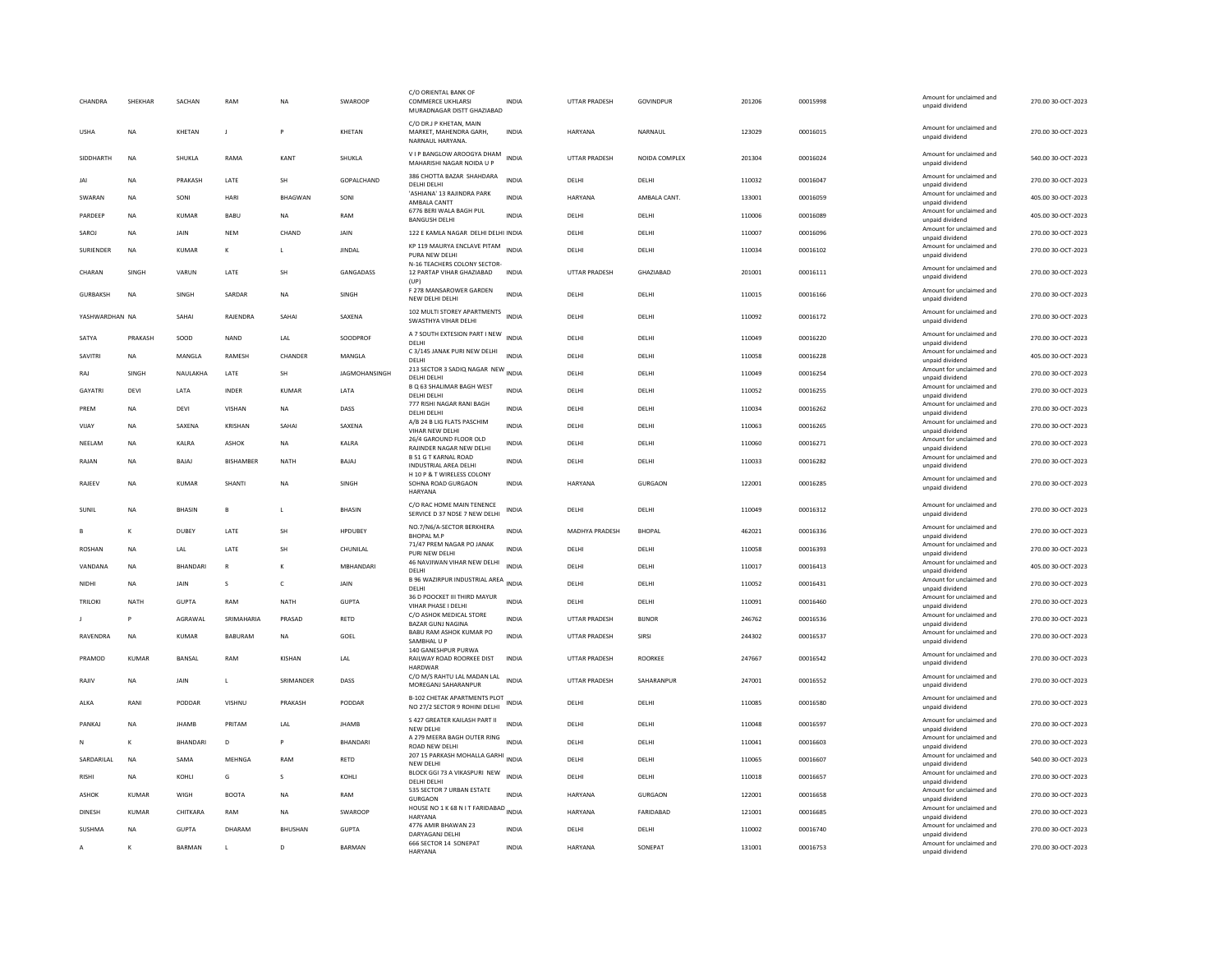| CHANDRA          | SHEKHAR      | SACHAN          | RAM              | <b>NA</b>      | SWAROOP           | C/O ORIENTAL BANK OF<br><b>COMMERCE UKHLARSI</b><br>MURADNAGAR DISTT GHAZIABAD | <b>INDIA</b> | <b>UTTAR PRADESH</b>  | GOVINDPUR        | 201206 | 00015998 | Amount for unclaimed and<br>unpaid dividend                    | 270.00 30-OCT-2023 |
|------------------|--------------|-----------------|------------------|----------------|-------------------|--------------------------------------------------------------------------------|--------------|-----------------------|------------------|--------|----------|----------------------------------------------------------------|--------------------|
| <b>USHA</b>      | <b>NA</b>    | KHETAN          | J.               |                | KHETAN            | C/O DR.J P KHETAN, MAIN<br>MARKET, MAHENDRA GARH,<br>NARNAUL HARYANA.          | <b>INDIA</b> | HARYANA               | NARNAUL          | 123029 | 00016015 | Amount for unclaimed and<br>unpaid dividend                    | 270.00 30-OCT-2023 |
| SIDDHARTH        | <b>NA</b>    | SHUKLA          | RAMA             | KANT           | SHUKLA            | V I P BANGLOW AROOGYA DHAM<br>MAHARISHI NAGAR NOIDA U P                        | <b>INDIA</b> | UTTAR PRADESH         | NOIDA COMPLEX    | 201304 | 00016024 | Amount for unclaimed and<br>unpaid dividend                    | 540.00 30-OCT-2023 |
| JAI              | <b>NA</b>    | PRAKASH         | LATE             | SH             | <b>GOPALCHAND</b> | 386 CHOTTA BAZAR SHAHDARA<br>DELHI DELHI                                       | <b>INDIA</b> | DELHI                 | DELHI            | 110032 | 00016047 | Amount for unclaimed and<br>unpaid dividend                    | 270.00 30-OCT-2023 |
| SWARAN           | <b>NA</b>    | SONI            | HARI             | <b>BHAGWAN</b> | SONI              | 'ASHIANA' 13 RAJINDRA PARK<br>AMBALA CANTT                                     | <b>INDIA</b> | HARYANA               | AMBALA CANT.     | 133001 | 00016059 | Amount for unclaimed and<br>unpaid dividend                    | 405.00 30-OCT-2023 |
| PARDEEP          | <b>NA</b>    | <b>KUMAR</b>    | BABU             | <b>NA</b>      | RAM               | 6776 BERI WALA BAGH PUL<br><b>BANGUSH DELHI</b>                                | <b>INDIA</b> | DELHI                 | DELHI            | 110006 | 00016089 | Amount for unclaimed and<br>unpaid dividend                    | 405.00 30-OCT-2023 |
| SAROJ            | NA           | JAIN            | <b>NEM</b>       | CHAND          | JAIN              | 122 E KAMLA NAGAR DELHI DELHI INDIA                                            |              | DELHI                 | DELHI            | 110007 | 00016096 | Amount for unclaimed and<br>unpaid dividend                    | 270.00 30-OCT-2023 |
| <b>SURIENDER</b> | <b>NA</b>    | <b>KUMAR</b>    | К                |                | <b>JINDAL</b>     | KP 119 MAURYA ENCLAVE PITAM<br>PURA NEW DELHI<br>N-16 TEACHERS COLONY SECTOR   | <b>INDIA</b> | DELHI                 | DELHI            | 110034 | 00016102 | Amount for unclaimed and<br>unpaid dividend                    | 270.00 30-OCT-2023 |
| CHARAN           | <b>SINGH</b> | VARUN           | <b>I ATF</b>     | <b>SH</b>      | <b>GANGADASS</b>  | 12 PARTAP VIHAR GHAZIABAD<br>(UP)                                              | <b>INDIA</b> | <b>UTTAR PRADESH</b>  | <b>GHAZIARAD</b> | 201001 | 00016111 | Amount for unclaimed and<br>unpaid dividend                    | 270.00.30-OCT-2023 |
| <b>GURBAKSH</b>  | <b>NA</b>    | SINGH           | SARDAR           | <b>NA</b>      | SINGH             | F 278 MANSAROWER GARDEN<br>NEW DELHI DELHI                                     | <b>INDIA</b> | DELHI                 | DELHI            | 110015 | 00016166 | Amount for unclaimed and<br>unpaid dividend                    | 270.00 30-OCT-2023 |
| YASHWARDHAN NA   |              | SAHAI           | RAJENDRA         | <b>SAHA</b>    | SAXENA            | 102 MULTI STOREY APARTMENTS<br>SWASTHYA VIHAR DELHI                            | <b>INDIA</b> | DELHI                 | DELHI            | 110092 | 00016172 | Amount for unclaimed and<br>unpaid dividend                    | 270.00 30-OCT-2023 |
| SATYA            | PRAKASH      | SOOD            | <b>NAND</b>      | LAL            | SOODPROF          | A 7 SOUTH EXTESION PART I NEW INDIA<br>DELHI                                   |              | DELHI                 | DELHI            | 110049 | 00016220 | Amount for unclaimed and<br>unpaid dividend                    | 270.00 30-OCT-2023 |
| SAVITRI          | <b>NA</b>    | MANGLA          | RAMESH           | CHANDER        | MANGLA            | C 3/145 JANAK PURI NEW DELHI<br>DELHI                                          | <b>INDIA</b> | DELHI                 | DELHI            | 110058 | 00016228 | Amount for unclaimed and<br>unpaid dividend                    | 405.00 30-OCT-2023 |
| RAJ              | SINGH        | NAULAKHA        | LATE             | SH             | JAGMOHANSINGH     | 213 SECTOR 3 SADIQ NAGAR NEW INDIA<br>DELHI DELHI                              |              | DELHI                 | DELHI            | 110049 | 00016254 | Amount for unclaimed and<br>unpaid dividend                    | 270.00 30-OCT-2023 |
| GAYATRI          | DEVI         | LATA            | INDER            | KUMAR          | LATA              | B Q 63 SHALIMAR BAGH WEST<br>DELHI DELHI                                       | <b>INDIA</b> | DELHI                 | DELHI            | 110052 | 00016255 | Amount for unclaimed and<br>unpaid dividend                    | 270.00 30-OCT-2023 |
| PRFM             | <b>NA</b>    | DFVI            | VISHAN           | <b>NA</b>      | DASS              | 777 RISHI NAGAR RANI BAGH<br>DELHI DELHI                                       | <b>INDIA</b> | DELHI                 | DELHI            | 110034 | 00016262 | Amount for unclaimed and<br>unpaid dividend                    | 270.00 30-OCT-2023 |
| VIJAY            | NA           | SAXENA          | KRISHAN          | <b>SAHA</b>    | SAXENA            | A/B 24 B LIG FLATS PASCHIM<br>VIHAR NEW DELHI                                  | <b>INDIA</b> | DELHI                 | DELHI            | 110063 | 00016265 | Amount for unclaimed and<br>unpaid dividend                    | 270.00 30-OCT-2023 |
| NEELAM           | <b>NA</b>    | KALRA           | <b>ASHOK</b>     | <b>NA</b>      | KALRA             | 26/4 GAROUND FLOOR OLD<br>RAJINDER NAGAR NEW DELHI                             | <b>INDIA</b> | DELHI                 | DELHI            | 110060 | 00016271 | Amount for unclaimed and<br>unpaid dividend                    | 270.00 30-OCT-2023 |
| RAJAN            | <b>NA</b>    | BAJAJ           | <b>BISHAMBER</b> | NATH           | BAJAJ             | <b>B51 GT KARNAL ROAD</b><br>INDUSTRIAL AREA DELHI                             | <b>INDIA</b> | DELHI                 | DELHI            | 110033 | 00016282 | Amount for unclaimed and<br>unpaid dividend                    | 270.00 30-OCT-2023 |
| RAJEEV           | NA           | <b>KUMAR</b>    | <b>SHANTI</b>    | <b>NA</b>      | SINGH             | H 10 P & T WIRELESS COLONY<br>SOHNA ROAD GURGAON<br>HARYANA                    | <b>INDIA</b> | HARYANA               | GURGAON          | 122001 | 00016285 | Amount for unclaimed and<br>unpaid dividend                    | 270.00 30-OCT-2023 |
| SUNI             | <b>NA</b>    | <b>BHASIN</b>   | $\mathsf{B}$     | L.             | <b>BHASIN</b>     | C/O RAC HOME MAIN TENENCE<br>SERVICE D 37 NDSE 7 NEW DELHI                     | <b>INDIA</b> | DELHI                 | DELHI            | 110049 | 00016312 | Amount for unclaimed and<br>unpaid dividend                    | 270.00 30-OCT-2023 |
|                  | K            | DUBEY           | LATE             | SH             | <b>HPDUBEY</b>    | NO.7/N6/A-SECTOR BERKHERA<br><b>BHOPAL M.P.</b>                                | <b>INDIA</b> | <b>MADHYA PRADESH</b> | <b>BHOPAL</b>    | 462021 | 00016336 | Amount for unclaimed and<br>unpaid dividend                    | 270.00 30-OCT-2023 |
| <b>ROSHAN</b>    | <b>NA</b>    | <b>IAI</b>      | <b>I ATF</b>     | <b>SH</b>      | CHUNILAI          | 71/47 PREM NAGAR PO JANAK<br>PURI NEW DELHI                                    | <b>INDIA</b> | DELHI                 | DELHI            | 110058 | 00016393 | Amount for unclaimed and<br>unpaid dividend                    | 270.00 30-OCT-2023 |
| VANDANA          | <b>NA</b>    | <b>BHANDARI</b> | $\mathbb{R}$     | K              | MBHANDARI         | 46 NAVJIWAN VIHAR NEW DELHI<br>DELHI                                           | <b>INDIA</b> | DELHI                 | DELHI            | 110017 | 00016413 | Amount for unclaimed and<br>unpaid dividend                    | 405.00 30-OCT-2023 |
| NIDHI            | NA           | JAIN            | s                | $\mathsf{C}$   | JAIN              | B 96 WAZIRPUR INDUSTRIAL AREA INDIA<br>DELHI                                   |              | DELHI                 | DELHI            | 110052 | 00016431 | Amount for unclaimed and<br>unpaid dividend                    | 270.00 30-OCT-2023 |
| <b>TRILOKI</b>   | <b>NATH</b>  | <b>GUPTA</b>    | RAM              | <b>NATH</b>    | <b>GUPTA</b>      | 36 D POOCKET III THIRD MAYUR<br>VIHAR PHASE I DELHI                            | <b>INDIA</b> | DELHI                 | DELHI            | 110091 | 00016460 | Amount for unclaimed and<br>unpaid dividend                    | 270.00 30-OCT-2023 |
|                  | P            | AGRAWAL         | SRIMAHARIA       | PRASAD         | RETD              | C/O ASHOK MEDICAL STORE<br>BAZAR GUNJ NAGINA                                   | <b>INDIA</b> | UTTAR PRADESH         | <b>BIJNOR</b>    | 246762 | 00016536 | Amount for unclaimed and<br>unpaid dividend                    | 270.00 30-OCT-2023 |
| RAVENDRA         | NA           | KUMAR           | <b>BABURAM</b>   | <b>NA</b>      | GOEL              | BABU RAM ASHOK KUMAR PO<br>SAMBHAL U P                                         | <b>INDIA</b> | UTTAR PRADESH         | SIRSI            | 244302 | 00016537 | Amount for unclaimed and<br>unpaid dividend                    | 270.00 30-OCT-2023 |
| PRAMOD           | <b>KUMAR</b> | <b>BANSAL</b>   | RAM              | KISHAN         | LAL               | 140 GANESHPUR PURWA<br>RAILWAY ROAD ROORKEE DIST                               | <b>INDIA</b> | <b>UTTAR PRADESH</b>  | ROORKEE          | 247667 | 00016542 | Amount for unclaimed and<br>unpaid dividend                    | 270.00 30-OCT-2023 |
| RAJIV            | <b>NA</b>    | JAIN            | L                | SRIMANDER      | DASS              | <b>HARDWAR</b><br>C/O M/S RAHTU LAL MADAN LAL<br>MOREGANJ SAHARANPUR           | <b>INDIA</b> | <b>UTTAR PRADESH</b>  | SAHARANPUR       | 247001 | 00016552 | Amount for unclaimed and<br>unpaid dividend                    | 270.00 30-OCT-2023 |
| ALKA             |              |                 |                  |                |                   |                                                                                |              |                       |                  |        |          |                                                                |                    |
|                  | RANI         | PODDAR          | VISHNU           | PRAKASH        | PODDAR            | B-102 CHETAK APARTMENTS PLOT<br>NO 27/2 SECTOR 9 ROHINI DELHI                  |              | <b>DELHI</b>          | <b>DELHI</b>     | 110085 | 00016580 | Amount for unclaimed and<br>unpaid dividend                    | 270.00 30-OCT-2023 |
| PANKAJ           | NA           | <b>JHAMB</b>    | PRITAM           | LAL            | JHAMB             | S 427 GREATER KAILASH PART II                                                  | <b>INDIA</b> | DELHI                 | DELHI            | 110048 | 00016597 | Amount for unclaimed and                                       | 270.00 30-OCT-2023 |
| N                | K            | BHANDARI        | D                |                | <b>BHANDARI</b>   | NEW DELHI<br>A 279 MEERA BAGH OUTER RING                                       | <b>INDIA</b> | DELHI                 | DELHI            | 110041 | 00016603 | unpaid dividend<br>Amount for unclaimed and                    | 270.00 30-OCT-2023 |
| SARDARILAL       | NA           | SAMA            | MEHNGA           | RAM            | RETD              | ROAD NEW DELHI<br>207 15 PARKASH MOHALLA GARHI                                 | <b>INDIA</b> | DELHI                 | DELHI            | 110065 | 00016607 | unpaid dividend<br>Amount for unclaimed and                    | 540.00 30-OCT-2023 |
| <b>RISHI</b>     | <b>NA</b>    | KOHLI           | G                | s              | KOHLI             | NEW DELHI<br>BLOCK GGI 73 A VIKASPURI NEW<br>DELHL DELHL                       | <b>INDIA</b> | DELHI                 | DELHI            | 110018 | 00016657 | unpaid dividend<br>Amount for unclaimed and<br>unpaid dividend | 270.00 30-OCT-2023 |
| ASHOK            | KUMAR        | <b>WIGH</b>     | <b>BOOTA</b>     | <b>NA</b>      | RAM               | 535 SECTOR 7 URBAN ESTATE<br><b>GURGAON</b>                                    | <b>INDIA</b> | <b>HARYANA</b>        | GURGAON          | 122001 | 00016658 | Amount for unclaimed and<br>unpaid dividend                    | 270.00 30-OCT-2023 |
| <b>DINESH</b>    | <b>KUMAR</b> | CHITKARA        | RAM              | <b>NA</b>      | SWAROOP           | HOUSE NO 1 K 68 N I T FARIDABAD INDIA<br>HARYANA                               |              | HARYANA               | FARIDABAD        | 121001 | 00016685 | Amount for unclaimed and<br>unpaid dividend                    | 270.00 30-OCT-2023 |
| SUSHMA           | <b>NA</b>    | <b>GUPTA</b>    | DHARAM           | BHUSHAN        | <b>GUPTA</b>      | 4776 AMIR RHAWAN 23<br>DARYAGANJ DELHI                                         | <b>INDIA</b> | DELHI                 | DELHI            | 110002 | 00016740 | Amount for unclaimed and<br>unpaid dividend                    | 270.00 30-OCT-2023 |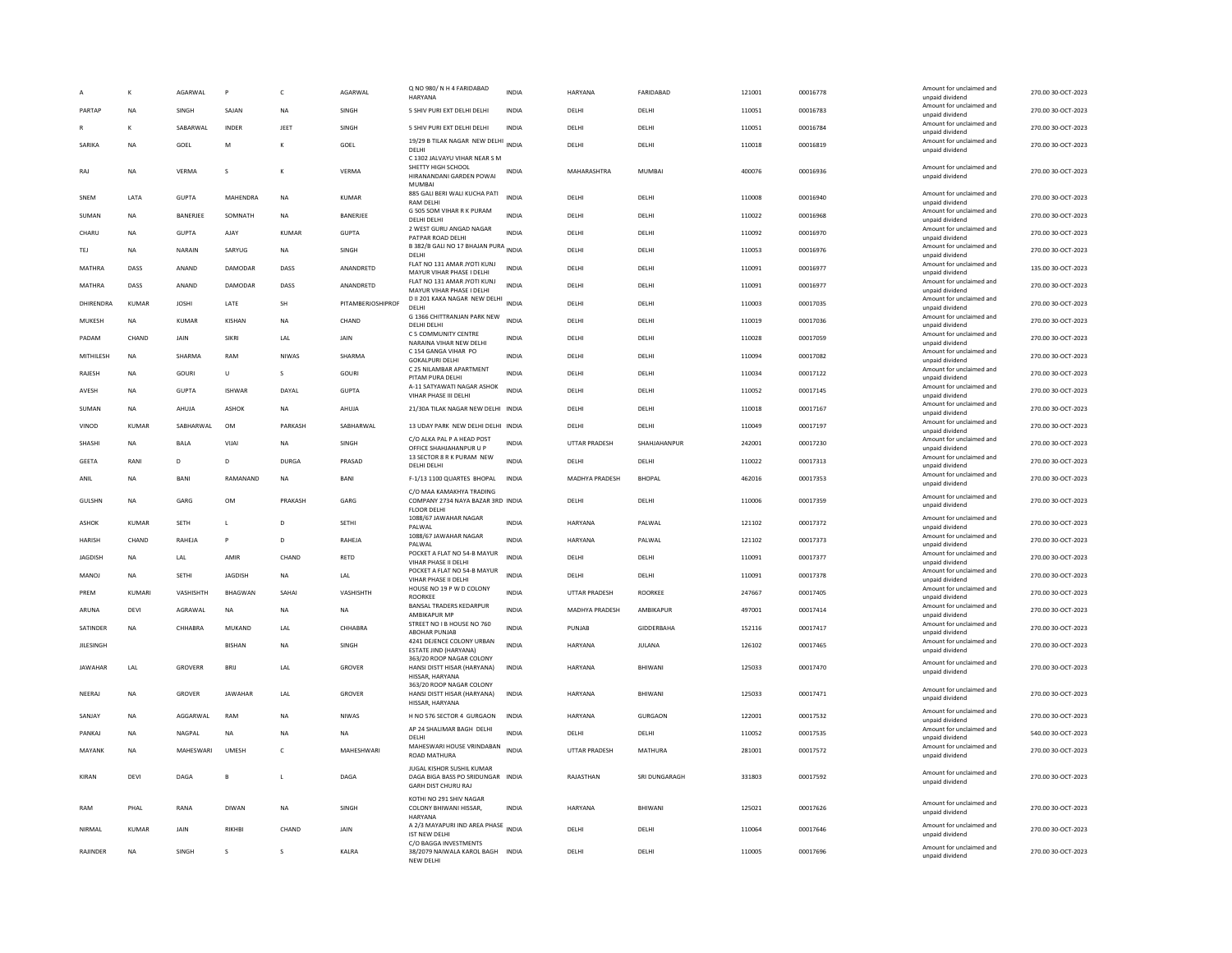|                   |               | AGARWAL        | P              | $\mathsf{C}$ | AGARWAL           | Q NO 980/N H 4 FARIDABAD<br>HARYANA                                                          | <b>INDIA</b> | HARYANA              | FARIDABAD         | 121001 | 00016778 | Amount for unclaimed and<br>unpaid dividend                    | 270.00 30-OCT-2023 |
|-------------------|---------------|----------------|----------------|--------------|-------------------|----------------------------------------------------------------------------------------------|--------------|----------------------|-------------------|--------|----------|----------------------------------------------------------------|--------------------|
| PARTAP            | <b>NA</b>     | SINGH          | SAJAN          | <b>NA</b>    | SINGH             | 5 SHIV PURI EXT DELHI DELHI                                                                  | <b>INDIA</b> | DELHI                | DELHI             | 110051 | 00016783 | Amount for unclaimed and                                       | 270.00 30-OCT-2023 |
|                   | K             | SABARWAL       | INDER          | JEET         | SINGH             | 5 SHIV PURI EXT DELHI DELHI                                                                  | <b>INDIA</b> | DELHI                | DELHI             | 110051 | 00016784 | unpaid dividend<br>Amount for unclaimed and                    | 270.00 30-OCT-2023 |
| SARIKA            |               |                | M              | K            |                   | 19/29 B TILAK NAGAR NEW DELHI INDIA                                                          |              | DELHI                |                   |        |          | unpaid dividend<br>Amount for unclaimed and                    | 270.00 30-OCT-2023 |
|                   | ΝA            | GOEL           |                |              | GOEL              | DELHI<br>C 1302 JALVAYU VIHAR NEAR S M                                                       |              |                      | DELHI             | 110018 | 00016819 | unpaid dividend                                                |                    |
| RAJ               | <b>NA</b>     | VERMA          | s              | К            | VERMA             | SHETTY HIGH SCHOOL<br>HIRANANDANI GARDEN POWAI<br><b>MUMBA</b>                               | <b>INDIA</b> | MAHARASHTRA          | MUMBAI            | 400076 | 00016936 | Amount for unclaimed and<br>unpaid dividend                    | 270.00 30-OCT-2023 |
| SNEM              | LATA          | <b>GUPTA</b>   | MAHENDRA       | <b>NA</b>    | KUMAR             | 885 GALI BERI WALI KUCHA PATI<br><b>RAM DELHI</b>                                            | <b>INDIA</b> | DELH                 | DELHI             | 110008 | 00016940 | Amount for unclaimed and<br>unpaid dividend                    | 270.00 30-OCT-2023 |
| SUMAN             | <b>NA</b>     | BANERJEE       | SOMNATH        | <b>NA</b>    | BANERJEE          | G 505 SOM VIHAR R K PURAM<br>DELHI DELHI                                                     | <b>INDIA</b> | DELHI                | DELHI             | 110022 | 00016968 | Amount for unclaimed and                                       | 270.00 30-OCT-2023 |
| CHARU             | <b>NA</b>     | <b>GUPTA</b>   | AJAY           | KUMAR        | <b>GUPTA</b>      | 2 WEST GURU ANGAD NAGAR<br>PATPAR ROAD DELHI                                                 | <b>INDIA</b> | DELHI                | DELHI             | 110092 | 00016970 | unpaid dividend<br>Amount for unclaimed and<br>unpaid dividend | 270.00 30-OCT-2023 |
| TEJ               | <b>NA</b>     | NARAIN         | SARYUG         | <b>NA</b>    | SINGH             | B 382/B GALI NO 17 BHAJAN PURA INDIA                                                         |              | DELHI                | DELHI             | 110053 | 00016976 | Amount for unclaimed and                                       | 270.00 30-OCT-2023 |
| MATHRA            | DASS          | ANAND          | DAMODAR        | DASS         | ANANDRETD         | DELHI<br>FLAT NO 131 AMAR JYOTI KUNJ                                                         | <b>INDIA</b> | DELHI                | DELHI             | 110091 | 00016977 | unpaid dividend<br>Amount for unclaimed and                    | 135.00 30-OCT-2023 |
|                   |               |                |                |              |                   | MAYUR VIHAR PHASE I DELHI<br>FLAT NO 131 AMAR JYOTI KUNJ                                     |              |                      |                   |        |          | unpaid dividend<br>Amount for unclaimed and                    |                    |
| MATHRA            | DASS          | ANAND          | DAMODAR        | DASS         | ANANDRETD         | MAYUR VIHAR PHASE I DELHI<br>D II 201 KAKA NAGAR NEW DELHI                                   | INDIA        | DELHI                | DELHI             | 110091 | 00016977 | unpaid dividend<br>Amount for unclaimed and                    | 270.00 30-OCT-2023 |
| DHIRENDRA         | <b>KUMAR</b>  | <b>JOSHI</b>   | LATE           | SH           | PITAMBERJOSHIPROF | <b>DELHI</b>                                                                                 | <b>INDIA</b> | DELHI                | DELHI             | 110003 | 00017035 | unpaid dividend                                                | 270.00 30-OCT-2023 |
| MUKESH            | NA            | <b>KUMAR</b>   | KISHAN         | <b>NA</b>    | CHAND             | G 1366 CHITTRANJAN PARK NEW<br>DELHI DELHI                                                   | <b>INDIA</b> | DELHI                | DELHI             | 110019 | 00017036 | Amount for unclaimed and<br>unpaid dividend                    | 270.00 30-OCT-2023 |
| PADAM             | CHAND         | JAIN           | <b>SIKRI</b>   | LAL          | JAIN              | C 5 COMMUNITY CENTRE<br>NARAINA VIHAR NEW DELHI                                              | <b>INDIA</b> | DELHI                | DELHI             | 110028 | 00017059 | Amount for unclaimed and<br>unpaid dividend                    | 270.00 30-OCT-2023 |
| MITHILESH         | <b>NA</b>     | SHARMA         | RAM            | <b>NIWAS</b> | SHARMA            | C 154 GANGA VIHAR PO<br><b>GOKALPURI DELHI</b>                                               | <b>INDIA</b> | <b>DELHI</b>         | DELHI             | 110094 | 00017082 | Amount for unclaimed and<br>unpaid dividend                    | 270.00 30-OCT-2023 |
| RAJESH            | <b>NA</b>     | GOURI          | U              | s            | <b>GOURI</b>      | C 25 NILAMBAR APARTMENT<br>PITAM PURA DELHI                                                  | <b>INDIA</b> | DELHI                | DELHI             | 110034 | 00017122 | Amount for unclaimed and<br>unpaid dividend                    | 270.00 30-OCT-2023 |
| AVESH             | <b>NA</b>     | <b>GUPTA</b>   | <b>ISHWAR</b>  | DAYAL        | GUPTA             | A-11 SATYAWATI NAGAR ASHOK                                                                   | <b>INDIA</b> | DELHI                | DELHI             | 110052 | 00017145 | Amount for unclaimed and                                       | 270.00 30-OCT-2023 |
| SUMAN             | <b>NA</b>     | AHUJA          | ASHOK          | <b>NA</b>    | AHUJA             | VIHAR PHASE III DELHI<br>21/30A TILAK NAGAR NEW DELHI INDIA                                  |              | DELHI                | DELHI             | 110018 | 00017167 | unpaid dividend<br>Amount for unclaimed and                    | 270.00 30-OCT-2023 |
|                   |               |                |                |              |                   |                                                                                              |              |                      |                   |        |          | unpaid dividend<br>Amount for unclaimed and                    |                    |
| VINOD             | <b>KUMAR</b>  | SABHARWAL      | OM             | PARKASH      | SABHARWAL         | 13 UDAY PARK NEW DELHI DELHI INDIA<br>C/O ALKA PAL P A HEAD POST                             |              | DELHI                | DELHI             | 110049 | 00017197 | unpaid dividend<br>Amount for unclaimed and                    | 270.00 30-OCT-2023 |
| SHASHI            | NA            | <b>BALA</b>    | VIJA           | NA           | SINGH             | OFFICE SHAHJAHANPUR U P<br>13 SECTOR 8 R K PURAM NEW                                         | <b>INDIA</b> | <b>UTTAR PRADESH</b> | SHAHJAHANPUR      | 242001 | 00017230 | unpaid dividend                                                | 270.00 30-OCT-2023 |
| <b>GEETA</b>      | RANI          | D              | D              | <b>DURGA</b> | PRASAD            | DELHI DELHI                                                                                  | <b>INDIA</b> | DELHI                | DELHI             | 110022 | 00017313 | Amount for unclaimed and<br>unpaid dividend                    | 270.00 30-OCT-2023 |
| ANIL              | NA            | BANI           | RAMANAND       | <b>NA</b>    | BANI              | F-1/13 1100 QUARTES BHOPAL                                                                   | <b>INDIA</b> | MADHYA PRADESH       | <b>BHOPAL</b>     | 462016 | 00017353 | Amount for unclaimed and<br>unpaid dividend                    | 270.00 30-OCT-2023 |
| <b>GULSHN</b>     | <b>NA</b>     | GARG           | <b>OM</b>      | PRAKASH      | GARG              | C/O MAA KAMAKHYA TRADING<br>COMPANY 2734 NAYA BAZAR 3RD INDIA<br><b>FLOOR DELHI</b>          |              | DELHI                | DELHI             | 110006 | 00017359 | Amount for unclaimed and<br>unpaid dividend                    | 270.00 30-OCT-2023 |
| ASHOK             | KUMAR         | <b>SFTH</b>    | $\mathbf{L}$   | D.           | SETHI             | 1088/67 JAWAHAR NAGAR<br>PALWAL                                                              | <b>INDIA</b> | <b>HARYANA</b>       | PAI WAI           | 121102 | 00017372 | Amount for unclaimed and<br>unpaid dividend                    | 270.00 30-QCT-2023 |
| <b>HARISH</b>     | CHAND         | RAHEJA         | P              | $\mathbf{D}$ | RAHEJA            | 1088/67 JAWAHAR NAGAR<br>PALWAL                                                              | <b>INDIA</b> | HARYANA              | PALWAL            | 121102 | 00017373 | Amount for unclaimed and<br>unpaid dividend                    | 270.00 30-OCT-2023 |
| JAGDISH           | NA            | LAL            | AMIR           | CHAND        | RETD              | POCKET A FLAT NO 54-B MAYUR                                                                  | <b>INDIA</b> | DELHI                | DELHI             | 110091 | 00017377 | Amount for unclaimed and                                       | 270.00 30-OCT-2023 |
| MANOJ             | <b>NA</b>     | <b>SETHI</b>   | <b>JAGDISH</b> | <b>NA</b>    | LAL               | VIHAR PHASE II DELHI<br>POCKET A FLAT NO 54-B MAYUR                                          | <b>INDIA</b> | DELHI                | DELHI             | 110091 | 00017378 | unpaid dividend<br>Amount for unclaimed and                    | 270.00 30-OCT-2023 |
| PREM              | <b>KUMARI</b> | VASHISHTH      | <b>BHAGWAN</b> | SAHAI        | VASHISHTH         | <b>VIHAR PHASE II DELHI</b><br>HOUSE NO 19 P W D COLONY                                      | <b>INDIA</b> | <b>UTTAR PRADESH</b> | ROORKEE           | 247667 | 00017405 | unpaid dividend<br>Amount for unclaimed and                    | 270.00 30-OCT-2023 |
|                   |               |                |                |              |                   | ROORKEE<br><b>BANSAL TRADERS KEDARPUR</b>                                                    |              |                      |                   |        |          | unpaid dividend<br>Amount for unclaimed and                    |                    |
| ARUNA             | DEVI          | AGRAWAL        | NA             | <b>NA</b>    | NA                | AMBIKAPUR MP<br>STREET NO I B HOUSE NO 760                                                   | <b>INDIA</b> | MADHYA PRADESH       | AMBIKAPUR         | 497001 | 00017414 | unpaid dividend<br>Amount for unclaimed and                    | 270.00 30-OCT-2023 |
| SATINDER          | <b>NA</b>     | CHHABRA        | MUKAND         | LAL          | CHHABRA           | <b>ABOHAR PUNJAB</b>                                                                         | <b>INDIA</b> | PUNJAB               | <b>GIDDERBAHA</b> | 152116 | 00017417 | unpaid dividend                                                | 270.00 30-OCT-2023 |
| <b>III ESINGH</b> |               |                | <b>RISHAN</b>  | <b>NA</b>    | <b>SINGH</b>      | 4241 DEJENCE COLONY URBAN<br>ESTATE JIND (HARYANA)                                           | <b>INDIA</b> | HARYANA              | <b>IUI ANA</b>    | 126102 | 00017465 | Amount for unclaimed and<br>unpaid dividend                    | 270.00 30-OCT-2023 |
| <b>JAWAHAR</b>    | LAL           | <b>GROVERR</b> | BRIJ           | LAL          | <b>GROVER</b>     | 363/20 ROOP NAGAR COLONY<br>HANSI DISTT HISAR (HARYANA)<br>HISSAR, HARYANA                   | <b>INDIA</b> | HARYANA              | BHIWANI           | 125033 | 00017470 | Amount for unclaimed and<br>unpaid dividend                    | 270.00 30-OCT-2023 |
| NEERAJ            | <b>NA</b>     | GROVER         | <b>JAWAHAR</b> | LAL          | GROVER            | 363/20 ROOP NAGAR COLONY<br>HANSI DISTT HISAR (HARYANA)<br>HISSAR, HARYANA                   | <b>INDIA</b> | <b>HARYANA</b>       | BHIWANI           | 125033 | 00017471 | Amount for unclaimed and<br>unpaid dividend                    | 270.00 30-OCT-2023 |
| SANJAY            | <b>NA</b>     | AGGARWAL       | RAM            | <b>NA</b>    | <b>NIWAS</b>      | H NO 576 SECTOR 4 GURGAON                                                                    | INDIA        | <b>HARYANA</b>       | GURGAON           | 122001 | 00017532 | Amount for unclaimed and<br>unpaid dividend                    | 270.00 30-OCT-2023 |
| PANKAJ            | <b>NA</b>     | NAGPAL         | <b>NA</b>      | <b>NA</b>    | <b>NA</b>         | AP 24 SHALIMAR BAGH DELHI<br>DELHI                                                           | <b>INDIA</b> | DELHI                | DELHI             | 110052 | 00017535 | Amount for unclaimed and<br>unpaid dividend                    | 540.00 30-OCT-2023 |
| MAYANK            | <b>NA</b>     | MAHESWARI      | UMESH          | $\mathsf{C}$ | MAHESHWARI        | MAHESWARI HOUSE VRINDABAN<br><b>ROAD MATHURA</b>                                             | <b>INDIA</b> | <b>UTTAR PRADESH</b> | MATHURA           | 281001 | 00017572 | Amount for unclaimed and<br>unpaid dividend                    | 270.00 30-OCT-2023 |
| KIRAN             | DEVI          | DAGA           | B              | $\mathsf{L}$ | DAGA              | JUGAL KISHOR SUSHIL KUMAR<br>DAGA BIGA BASS PO SRIDUNGAR INDIA<br><b>GARH DIST CHURU RAJ</b> |              | RAJASTHAN            | SRI DUNGARAGH     | 331803 | 00017592 | Amount for unclaimed and<br>unpaid dividend                    | 270.00 30-OCT-2023 |
| RAM               | PHAL          | RANA           | DIWAN          | <b>NA</b>    | SINGH             | KOTHI NO 291 SHIV NAGAR<br>COLONY BHIWANI HISSAR,<br>HARYANA                                 | <b>INDIA</b> | HARYANA              | BHIWANI           | 125021 | 00017626 | Amount for unclaimed and<br>unpaid dividend                    | 270.00 30-OCT-2023 |
| NIRMAI            | <b>KUMAR</b>  | <b>JAIN</b>    | RIKHRI         | CHAND        | JAIN              | A 2/3 MAYAPURI IND AREA PHASE INDIA<br><b>IST NEW DELHI</b>                                  |              | <b>DELHI</b>         | DELHI             | 110064 | 00017646 | Amount for unclaimed and<br>unpaid dividend                    | 270.00 30-OCT-2023 |
| RAJINDER          | <b>NA</b>     | SINGH          | s              | s            | <b>KAIRA</b>      | C/O BAGGA INVESTMENTS<br>38/2079 NAIWALA KAROL BAGH INDIA<br>NEW DELH                        |              | <b>DELHI</b>         | <b>DELHI</b>      | 110005 | 00017696 | Amount for unclaimed and<br>unpaid dividend                    | 270.00 30-OCT-2023 |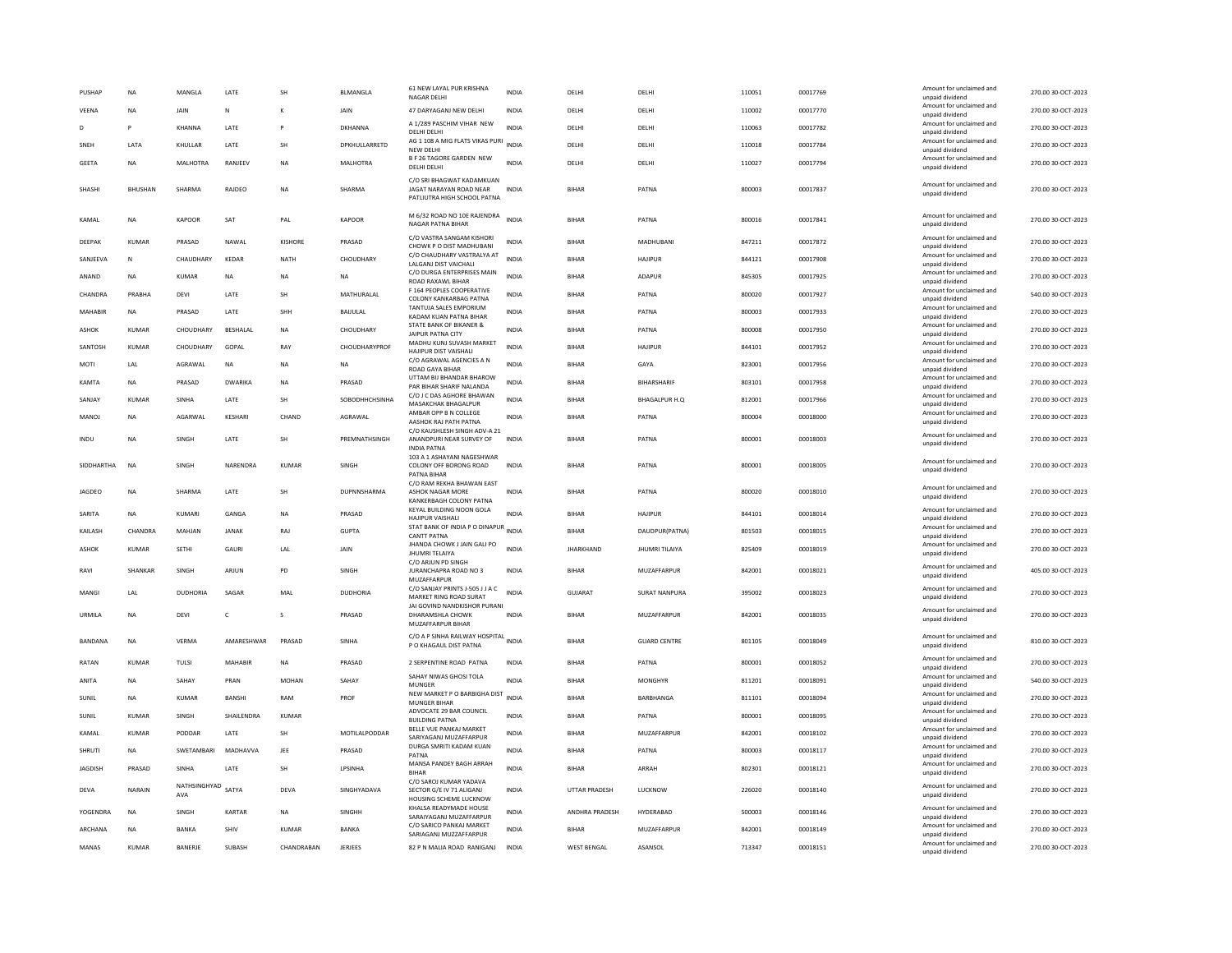| Amount for unclaimed and<br>VEENA<br>NA<br>JAIN<br>JAIN<br>47 DARYAGANJ NEW DELHI<br>INDIA<br>DELHI<br>DELHI<br>110002<br>00017770<br>N<br>unpaid dividend<br>A 1/289 PASCHIM VIHAR NEW<br>Amount for unclaimed and<br>KHANNA<br>DKHANNA<br><b>INDIA</b><br>110063<br>00017782<br>D<br>P<br>LATE<br>P<br>DELHI<br>DELHI<br>DELHI DELHI<br>unpaid dividend<br>AG 1 108 A MIG FLATS VIKAS PURI<br>Amount for unclaimed and<br>SNEH<br>LATA<br>KHULLAR<br>LATE<br>SH<br>DPKHULLARRETD<br><b>INDIA</b><br>DELHI<br>DELHI<br>110018<br>00017784<br>NEW DELHI<br>unpaid dividend<br><b>B F 26 TAGORE GARDEN NEW</b><br>Amount for unclaimed and<br>110027<br><b>GFFTA</b><br>MAI HOTRA<br>RANIFFV<br><b>NA</b><br><b>MAI HOTRA</b><br><b>INDIA</b><br><b>DELHI</b><br>00017794<br><b>NA</b><br>DELHI<br>DELHI DELHI<br>unpaid dividend<br>C/O SRI BHAGWAT KADAMKUAN<br>Amount for unclaimed and<br>SHASHI<br><b>BHUSHAN</b><br>SHARMA<br>RAJDEO<br><b>NA</b><br>SHARMA<br>JAGAT NARAYAN ROAD NEAR<br><b>INDIA</b><br><b>BIHAR</b><br>PATNA<br>800003<br>00017837 | 270.00 30-OCT-2023<br>270.00 30-OCT-2023 |
|------------------------------------------------------------------------------------------------------------------------------------------------------------------------------------------------------------------------------------------------------------------------------------------------------------------------------------------------------------------------------------------------------------------------------------------------------------------------------------------------------------------------------------------------------------------------------------------------------------------------------------------------------------------------------------------------------------------------------------------------------------------------------------------------------------------------------------------------------------------------------------------------------------------------------------------------------------------------------------------------------------------------------------------------------------|------------------------------------------|
|                                                                                                                                                                                                                                                                                                                                                                                                                                                                                                                                                                                                                                                                                                                                                                                                                                                                                                                                                                                                                                                            |                                          |
|                                                                                                                                                                                                                                                                                                                                                                                                                                                                                                                                                                                                                                                                                                                                                                                                                                                                                                                                                                                                                                                            |                                          |
|                                                                                                                                                                                                                                                                                                                                                                                                                                                                                                                                                                                                                                                                                                                                                                                                                                                                                                                                                                                                                                                            | 270.00 30-OCT-2023                       |
|                                                                                                                                                                                                                                                                                                                                                                                                                                                                                                                                                                                                                                                                                                                                                                                                                                                                                                                                                                                                                                                            | 270.00.30-OCT-2023                       |
| unpaid dividend<br>PATLIUTRA HIGH SCHOOL PATNA                                                                                                                                                                                                                                                                                                                                                                                                                                                                                                                                                                                                                                                                                                                                                                                                                                                                                                                                                                                                             | 270.00 30-OCT-2023                       |
| M 6/32 ROAD NO 10E RAJENDRA<br>Amount for unclaimed and<br>KAPOOR<br>KAPOOR<br><b>INDIA</b><br>800016<br>00017841<br>KAMAI<br><b>NA</b><br>SAT<br>PAI<br><b>BIHAR</b><br>PATNA<br>NAGAR PATNA BIHAR<br>unpaid dividend                                                                                                                                                                                                                                                                                                                                                                                                                                                                                                                                                                                                                                                                                                                                                                                                                                     | 270.00 30-OCT-2023                       |
| C/O VASTRA SANGAM KISHORI<br>Amount for unclaimed and<br>DEEPAK<br><b>KUMAR</b><br>PRASAD<br>NAWAL<br>KISHORE<br>PRASAD<br><b>INDIA</b><br><b>BIHAR</b><br><b>MADHUBAN</b><br>847211<br>00017872<br>CHOWK P O DIST MADHUBANI<br>unpaid dividend                                                                                                                                                                                                                                                                                                                                                                                                                                                                                                                                                                                                                                                                                                                                                                                                            | 270.00 30-OCT-2023                       |
| C/O CHAUDHARY VASTRALYA AT<br>Amount for unclaimed and<br>KEDAR<br><b>INDIA</b><br>HAJIPUR<br>844121<br>00017908<br>SANJEEVA<br>N<br><b>CHAUDHARY</b><br>NATH<br>CHOUDHARY<br>BIHAR<br><b>JAIGANI DIST VAICHALL</b><br>unpaid dividend                                                                                                                                                                                                                                                                                                                                                                                                                                                                                                                                                                                                                                                                                                                                                                                                                     | 270.00 30-OCT-2023                       |
| C/O DURGA ENTERPRISES MAIN<br>Amount for unclaimed and<br>ANAND<br><b>NA</b><br><b>KUMAR</b><br>NA<br><b>NA</b><br>NA<br><b>INDIA</b><br><b>BIHAR</b><br>ADAPUR<br>845305<br>00017925<br>ROAD RAXAWL BIHAR<br>unpaid dividend                                                                                                                                                                                                                                                                                                                                                                                                                                                                                                                                                                                                                                                                                                                                                                                                                              | 270.00 30-OCT-2023                       |
| F 164 PEOPLES COOPERATIVE<br>Amount for unclaimed and<br>PRABHA<br>LATE<br>SH<br>MATHURALAL<br>800020<br>00017927<br>CHANDRA<br><b>DEVI</b><br><b>INDIA</b><br><b>BIHAR</b><br>PATNA<br>COLONY KANKARBAG PATNA<br>unpaid dividend                                                                                                                                                                                                                                                                                                                                                                                                                                                                                                                                                                                                                                                                                                                                                                                                                          | 540.00 30-OCT-2023                       |
| TANTUJA SALES EMPORIUM<br>Amount for unclaimed and<br>MAHABIR<br>PRASAD<br>LATE<br>SHH<br>BIHAR<br>PATNA<br>800003<br>00017933<br>NA<br>BAIJULAL<br>INDIA<br>KADAM KUAN PATNA BIHAR<br>unpaid dividend                                                                                                                                                                                                                                                                                                                                                                                                                                                                                                                                                                                                                                                                                                                                                                                                                                                     | 270.00 30-OCT-2023                       |
| STATE BANK OF BIKANER &<br>Amount for unclaimed and<br>ASHOK<br><b>KUMAR</b><br>CHOUDHARY<br><b>BESHALAI</b><br>NA<br>CHOUDHARY<br>INDIA<br>BIHAR<br>PATNA<br>800008<br>00017950<br>JAIPUR PATNA CITY<br>unpaid dividend                                                                                                                                                                                                                                                                                                                                                                                                                                                                                                                                                                                                                                                                                                                                                                                                                                   | 270.00 30-OCT-2023                       |
| MADHU KUNJ SUVASH MARKET<br>Amount for unclaimed and<br>SANTOSH<br><b>KUMAR</b><br>CHOUDHARY<br>GOPAL<br>RAY<br>CHOUDHARYPROF<br><b>INDIA</b><br><b>BIHAR</b><br><b>HAJIPUR</b><br>844101<br>00017952<br>HAJIPUR DIST VAISHALI<br>unpaid dividend                                                                                                                                                                                                                                                                                                                                                                                                                                                                                                                                                                                                                                                                                                                                                                                                          | 270.00 30-OCT-2023                       |
| C/O AGRAWAL AGENCIES A N<br>Amount for unclaimed and<br>AGRAWAI<br>823001<br>MOTI<br>I AI<br><b>NA</b><br><b>NA</b><br><b>NA</b><br><b>INDIA</b><br><b>BIHAR</b><br>GAYA<br>00017956<br><b>ROAD GAYA BIHAR</b><br>unpaid dividend                                                                                                                                                                                                                                                                                                                                                                                                                                                                                                                                                                                                                                                                                                                                                                                                                          | 270.00 30-OCT-2023                       |
| UTTAM BIJ BHANDAR BHAROW<br>Amount for unclaimed and<br><b>KAMTA</b><br>PRASAD<br><b>DWARIKA</b><br>PRASAD<br><b>INDIA</b><br><b>BIHAR</b><br>BIHARSHARIF<br>803101<br>00017958<br><b>NA</b><br><b>NA</b><br>PAR BIHAR SHARIF NALANDA<br>unpaid dividend                                                                                                                                                                                                                                                                                                                                                                                                                                                                                                                                                                                                                                                                                                                                                                                                   | 270.00 30-OCT-2023                       |
| C/O J C DAS AGHORE BHAWAN<br>Amount for unclaimed and<br>SANJAY<br><b>KUMAR</b><br>SINHA<br>LATE<br>SH<br>SOBODHHCHSINHA<br><b>INDIA</b><br><b>BIHAR</b><br><b>BHAGALPUR H.Q</b><br>812001<br>00017966<br>MASAKCHAK BHAGALPUR<br>unpaid dividend                                                                                                                                                                                                                                                                                                                                                                                                                                                                                                                                                                                                                                                                                                                                                                                                           | 270.00 30-OCT-2023                       |
| AMBAR OPP B N COLLEGE<br>Amount for unclaimed and<br>MANOJ<br>AGARWAL<br><b>KESHAR</b><br>CHAND<br>AGRAWAL<br><b>BIHAR</b><br>PATNA<br>800004<br>00018000<br>NA<br><b>INDIA</b><br>AASHOK RAJ PATH PATNA                                                                                                                                                                                                                                                                                                                                                                                                                                                                                                                                                                                                                                                                                                                                                                                                                                                   | 270.00 30-OCT-2023                       |
| unpaid dividend<br>C/O KAUSHLESH SINGH ADV-A 21<br>Amount for unclaimed and<br>SH<br>800001<br>00018003<br><b>NA</b><br>SINGH<br>LATE<br>PREMNATHSINGH<br><b>INDIA</b><br><b>BIHAR</b><br>PATNA                                                                                                                                                                                                                                                                                                                                                                                                                                                                                                                                                                                                                                                                                                                                                                                                                                                            | 270.00 30-OCT-2023                       |
| ANANDPURI NEAR SURVEY OF<br>INDU<br>unpaid dividend<br><b>INDIA PATNA</b>                                                                                                                                                                                                                                                                                                                                                                                                                                                                                                                                                                                                                                                                                                                                                                                                                                                                                                                                                                                  |                                          |
| 103 A 1 ASHAYANI NAGESHWAR<br>Amount for unclaimed and<br>NARENDRA<br>800001<br><b>SIDDHARTHA</b><br><b>NA</b><br><b>SINGH</b><br>KUMAR<br><b>SINGH</b><br>COLONY OFF BORONG ROAD<br><b>INDIA</b><br><b>BIHAR</b><br>PATNA<br>00018005<br>unpaid dividend<br>PATNA BIHAF<br>C/O RAM REKHA BHAWAN EAST                                                                                                                                                                                                                                                                                                                                                                                                                                                                                                                                                                                                                                                                                                                                                      | 270.00 30-OCT-2023                       |
| Amount for unclaimed and<br><b>JAGDEO</b><br><b>NA</b><br>SHARMA<br>LATE<br>SH<br>DUPNNSHARMA<br>ASHOK NAGAR MORE<br><b>INDIA</b><br><b>BIHAR</b><br>PATNA<br>800020<br>00018010<br>unpaid dividend<br>KANKERBAGH COLONY PATNA                                                                                                                                                                                                                                                                                                                                                                                                                                                                                                                                                                                                                                                                                                                                                                                                                             | 270.00 30-OCT-2023                       |
| KEYAL BUILDING NOON GOLA<br>Amount for unclaimed and<br>SARITA<br>INDIA<br>HAJIPUR<br>844101<br>00018014<br>KUMARI<br>GANGA<br><b>NA</b><br>PRASAD<br><b>BIHAR</b><br><b>NA</b><br>HAJIPUR VAISHALI<br>unpaid dividend                                                                                                                                                                                                                                                                                                                                                                                                                                                                                                                                                                                                                                                                                                                                                                                                                                     | 270.00 30-OCT-2023                       |
| STAT BANK OF INDIA P O DINAPUR INDIA<br>Amount for unclaimed and<br>KAILASH<br>CHANDRA<br>MAHJAN<br><b>JANAK</b><br>RAJ<br><b>GUPTA</b><br><b>BIHAR</b><br>DAUDPUR(PATNA)<br>801503<br>00018015<br><b>CANTT PATNA</b><br>unpaid dividend                                                                                                                                                                                                                                                                                                                                                                                                                                                                                                                                                                                                                                                                                                                                                                                                                   | 270.00 30-OCT-2023                       |
| JHANDA CHOWK J JAIN GALI PO<br>Amount for unclaimed and<br><b>ASHOK</b><br><b>KUMAR</b><br><b>SETHI</b><br>GAURI<br>LAL<br>JAIN<br><b>INDIA</b><br><b>JHARKHAND</b><br><b>JHUMRI TILAIYA</b><br>825409<br>00018019<br><b>JHUMRI TELAIYA</b><br>unpaid dividend<br>C/O ARJUN PD SING                                                                                                                                                                                                                                                                                                                                                                                                                                                                                                                                                                                                                                                                                                                                                                        | 270.00 30-OCT-2023                       |
| Amount for unclaimed and<br>SHANKAR<br>SINGH<br>PD<br>JURANCHAPRA ROAD NO 3<br><b>BIHAR</b><br>MUZAFFARPUR<br>842001<br>00018021<br>RAVI<br>ARJUN<br>SINGH<br><b>INDIA</b><br>unpaid dividend<br>MUZAFFARPUR                                                                                                                                                                                                                                                                                                                                                                                                                                                                                                                                                                                                                                                                                                                                                                                                                                               | 405.00 30-OCT-2023                       |
| C/O SANJAY PRINTS J-505 J J A C<br>Amount for unclaimed and<br>MANGI<br>LAL<br>DUDHORIA<br>SAGAR<br>MAL<br><b>DUDHORIA</b><br><b>INDIA</b><br><b>GUJARAT</b><br><b>SURAT NANPURA</b><br>395002<br>00018023<br>MARKET RING ROAD SURAT<br>unpaid dividend                                                                                                                                                                                                                                                                                                                                                                                                                                                                                                                                                                                                                                                                                                                                                                                                    | 270.00 30-OCT-2023                       |
| JAI GOVIND NANDKISHOR PURANI<br>Amount for unclaimed and<br>842001<br>00018035<br>URMILA<br><b>NA</b><br><b>DEVI</b><br>PRASAD<br>DHARAMSHLA CHOWK<br><b>BIHAR</b><br>MUZAFFARPUR<br>c<br>$\mathbf{S}$<br><b>INDIA</b><br>unpaid dividend<br>MUZAFFARPUR BIHAR                                                                                                                                                                                                                                                                                                                                                                                                                                                                                                                                                                                                                                                                                                                                                                                             | 270.00 30-OCT-2023                       |
| C/O A P SINHA RAILWAY HOSPITAL INDIA<br>Amount for unclaimed and<br>VERMA<br>AMARESHWAR<br>PRASAD<br><b>BIHAR</b><br><b>GUARD CENTRE</b><br>801105<br>00018049<br>BANDANA<br><b>NA</b><br>SINHA<br>P O KHAGAUL DIST PATNA<br>unpaid dividend                                                                                                                                                                                                                                                                                                                                                                                                                                                                                                                                                                                                                                                                                                                                                                                                               | 810.00 30-OCT-2023                       |
| Amount for unclaimed and<br>RATAN<br><b>KUMAR</b><br>TULSI<br>MAHABIR<br>NA<br>PRASAD<br>2 SERPENTINE ROAD PATNA<br><b>INDIA</b><br><b>BIHAR</b><br>PATNA<br>800001<br>00018052                                                                                                                                                                                                                                                                                                                                                                                                                                                                                                                                                                                                                                                                                                                                                                                                                                                                            | 270.00 30-OCT-2023                       |
| unpaid dividend<br>SAHAY NIWAS GHOSI TOLA<br>Amount for unclaimed and<br>ANITA<br><b>NA</b><br>SAHAY<br>PRAN<br><b>MOHAN</b><br>SAHAY<br><b>INDIA</b><br><b>BIHAR</b><br><b>MONGHYR</b><br>811201<br>00018091                                                                                                                                                                                                                                                                                                                                                                                                                                                                                                                                                                                                                                                                                                                                                                                                                                              | 540.00 30-OCT-2023                       |
| MUNGER<br>unpaid dividend<br>NEW MARKET P O BARBIGHA DIST<br>Amount for unclaimed and<br><b>INDIA</b><br>SUNIL<br><b>NA</b><br>KUMAR<br><b>BANSHI</b><br>RAM<br>PROF<br><b>BIHAR</b><br>BARBHANGA<br>811101<br>00018094                                                                                                                                                                                                                                                                                                                                                                                                                                                                                                                                                                                                                                                                                                                                                                                                                                    | 270.00 30-OCT-2023                       |
| <b>MUNGER BIHAR</b><br>unpaid dividend<br>ADVOCATE 29 BAR COUNCIL<br>Amount for unclaimed and<br>800001<br>SINGH<br>SHAILENDRA<br><b>KUMAR</b><br><b>INDIA</b><br><b>BIHAR</b><br>PATNA<br>00018095<br>SUNIL<br><b>KUMAR</b>                                                                                                                                                                                                                                                                                                                                                                                                                                                                                                                                                                                                                                                                                                                                                                                                                               | 270.00 30-OCT-2023                       |
| <b>BUILDING PATNA</b><br>unpaid dividend<br>BELLE VUE PANKAJ MARKET<br>Amount for unclaimed and<br>KAMAL<br><b>KUMAR</b><br>PODDAR<br>LATE<br>SH<br>MOTILALPODDAR<br><b>INDIA</b><br><b>BIHAR</b><br>MUZAFFARPUR<br>842001<br>00018102                                                                                                                                                                                                                                                                                                                                                                                                                                                                                                                                                                                                                                                                                                                                                                                                                     | 270.00 30-OCT-2023                       |
| SARIYAGANJ MUZAFFARPUR<br>unpaid dividend<br>DURGA SMRITI KADAM KUAN<br>Amount for unclaimed and                                                                                                                                                                                                                                                                                                                                                                                                                                                                                                                                                                                                                                                                                                                                                                                                                                                                                                                                                           |                                          |
| SHRUTI<br>NA<br>SWETAMBARI<br>MADHAVVA<br>JEE<br>PRASAD<br><b>INDIA</b><br><b>BIHAR</b><br>PATNA<br>800003<br>00018117<br>PATNA<br>unpaid dividend<br>MANSA PANDEY BAGH ARRAH<br>Amount for unclaimed and                                                                                                                                                                                                                                                                                                                                                                                                                                                                                                                                                                                                                                                                                                                                                                                                                                                  | 270.00 30-OCT-2023                       |
| <b>JAGDISH</b><br>PRASAD<br><b>SINHA</b><br>LATE<br>SH<br><b>I PSINHA</b><br><b>INDIA</b><br><b>BIHAR</b><br>ARRAH<br>802301<br>00018121<br><b>BIHAR</b><br>unpaid dividend<br>C/O SAROJ KUMAR YADAVA                                                                                                                                                                                                                                                                                                                                                                                                                                                                                                                                                                                                                                                                                                                                                                                                                                                      | 270.00 30-OCT-2023                       |
| NATHSINGHYAD SATYA<br>Amount for unclaimed and<br>DEVA<br><b>NARAIN</b><br>DEVA<br>SINGHYADAVA<br>SECTOR G/E IV 71 ALIGANJ<br><b>INDIA</b><br>UTTAR PRADESH<br>LUCKNOW<br>226020<br>00018140<br>unpaid dividend<br><b>AVA</b><br>HOUSING SCHEME LUCKNOW                                                                                                                                                                                                                                                                                                                                                                                                                                                                                                                                                                                                                                                                                                                                                                                                    | 270.00 30-OCT-2023                       |
| KHALSA READYMADE HOUSE<br>Amount for unclaimed and<br>HYDERARAD<br>00018146<br>YOGENDRA<br><b>NA</b><br><b>SINGH</b><br>KARTAR<br><b>NA</b><br><b>SINGHH</b><br><b>INDIA</b><br>ANDHRA PRADESH<br>500003                                                                                                                                                                                                                                                                                                                                                                                                                                                                                                                                                                                                                                                                                                                                                                                                                                                   | 270.00 30-OCT-2023                       |
| SARAIYAGANJ MUZAFFARPUR<br>unpaid dividend                                                                                                                                                                                                                                                                                                                                                                                                                                                                                                                                                                                                                                                                                                                                                                                                                                                                                                                                                                                                                 | 270.00 30-OCT-2023                       |
| C/O SARICO PANKAJ MARKET<br>Amount for unclaimed and<br><b>KUMAR</b><br><b>BANKA</b><br><b>INDIA</b><br><b>BIHAR</b><br>MUZAFFARPUR<br>842001<br>00018149<br>ARCHANA<br><b>NA</b><br>BANKA<br>SHIV<br>SARIAGANJ MUZZAFFARPUR<br>unpaid dividend                                                                                                                                                                                                                                                                                                                                                                                                                                                                                                                                                                                                                                                                                                                                                                                                            | Amount for unclaimed and                 |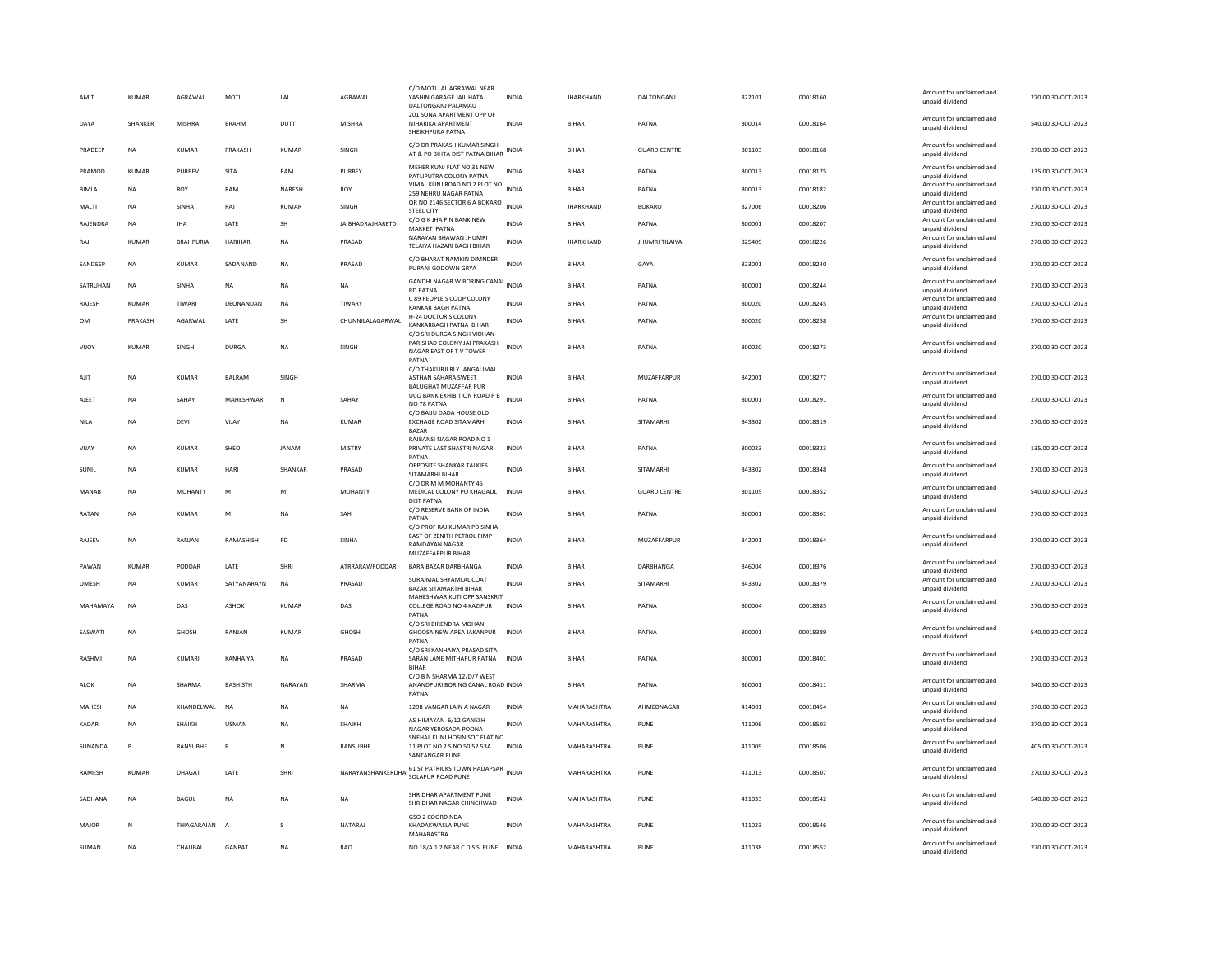| C/O DR PRAKASH KUMAR SINGH<br>Amount for unclaimed and<br>PRADEEP<br><b>NA</b><br><b>KUMAR</b><br>PRAKASH<br><b>KUMAR</b><br>SINGH<br><b>INDIA</b><br><b>BIHAR</b><br><b>GUARD CENTRE</b><br>801103<br>00018168<br>270.00 30-OCT-2023<br>AT & PO BIHTA DIST PATNA BIHAR<br>unpaid dividend<br>MEHER KUNJ FLAT NO 31 NEW<br>Amount for unclaimed and<br><b>INDIA</b><br>800013<br>00018175<br>135.00 30-OCT-2023<br>PURBEV<br><b>SITA</b><br>RAM<br>PURBEY<br><b>BIHAR</b><br>PRAMOD<br><b>KUMAR</b><br>PATNA<br>PATLIPUTRA COLONY PATNA<br>unpaid dividend<br>VIMAL KUNJ ROAD NO 2 PLOT NO<br>Amount for unclaimed and<br>ROY<br>NARESH<br>ROY<br><b>INDIA</b><br>BIHAR<br>PATNA<br>800013<br>00018182<br>270.00 30-OCT-2023<br><b>BIMLA</b><br><b>NA</b><br>RAM<br>259 NEHRU NAGAR PATNA<br>unpaid dividend<br>QR NO 2146 SECTOR 6 A BOKARO<br>Amount for unclaimed and<br>INDIA<br><b>JHARKHAND</b><br><b>BOKARO</b><br>00018206<br>270.00 30-OCT-2023<br>MALTI<br><b>NA</b><br>SINHA<br>RAJ<br><b>KUMAR</b><br>SINGH<br>827006<br><b>STEEL CITY</b><br>unpaid dividend<br>C/O G K JHA P N BANK NEW<br>Amount for unclaimed and<br>RAJENDRA<br>NA<br>LATE<br><b>SH</b><br><b>JAIBHADRAJHARETD</b><br><b>INDIA</b><br><b>BIHAR</b><br>PATNA<br>800001<br>00018207<br>270.00 30-OCT-2023<br><b>JHA</b><br>MARKET PATNA<br>unpaid dividend<br>NARAYAN BHAWAN JHUMRI<br>Amount for unclaimed and<br>KUMAR<br><b>BRAHPURIA</b><br><b>HARIHAR</b><br><b>NA</b><br>PRASAD<br><b>INDIA</b><br><b>JHARKHAND</b><br>JHUMRI TILAIYA<br>825409<br>00018226<br>270.00 30-OCT-2023<br>RAJ<br>TELAIYA HAZARI BAGH BIHAR<br>unpaid dividend<br>C/O BHARAT NAMKIN DIMNDER<br>Amount for unclaimed and<br>SANDEEP<br><b>NA</b><br><b>KUMAR</b><br>SADANAND<br><b>NA</b><br>PRASAD<br><b>INDIA</b><br><b>BIHAR</b><br>GAYA<br>823001<br>00018240<br>270.00 30-OCT-2023<br>PURANI GODOWN GRYA<br>unpaid dividend<br>GANDHI NAGAR W BORING CANAL INDIA<br>Amount for unclaimed and<br>SATRUHAN<br><b>NA</b><br>SINHA<br>NA<br><b>NA</b><br>NA<br><b>BIHAR</b><br>PATNA<br>800001<br>00018244<br>270.00 30-OCT-2023<br><b>RD PATNA</b><br>unpaid dividend<br>C 89 PEOPLE S COOP COLONY<br>Amount for unclaimed and<br>DEONANDAN<br>TIWARY<br><b>INDIA</b><br><b>BIHAR</b><br>800020<br>00018245<br>270.00 30-OCT-2023<br>RAJESH<br><b>KUMAR</b><br>TIWARI<br><b>NA</b><br>PATNA<br>KANKAR BAGH PATNA<br>unpaid dividend<br>H-24 DOCTOR'S COLONY<br>Amount for unclaimed and<br>PRAKASH<br>AGARWAL<br>LATE<br><b>SH</b><br>CHUNNILALAGARWAL<br>BIHAR<br>PATNA<br>800020<br>00018258<br>270.00 30-OCT-2023<br>OM<br><b>INDIA</b><br>KANKARBAGH PATNA BIHAR<br>unpaid dividend<br>C/O SRI DURGA SINGH VIDHAN<br>PARISHAD COLONY JAI PRAKASH<br>Amount for unclaimed and<br><b>KUMAR</b><br><b>DURGA</b><br><b>INDIA</b><br><b>BIHAR</b><br>800020<br>00018273<br>270.00 30-OCT-2023<br>VIJOY<br>SINGH<br><b>NA</b><br>SINGH<br>PATNA<br>NAGAR EAST OF TV TOWER<br>unpaid dividend<br>PATNA<br>C/O THAKURJI RLY JANGALIMAI<br>Amount for unclaimed and<br>842001<br>SINGH<br>MUZAFFARPUR<br>00018277<br>270.00 30-OCT-2023<br>AJIT<br><b>KUMAR</b><br><b>BALRAM</b><br><b>ASTHAN SAHARA SWEET</b><br><b>INDIA</b><br><b>BIHAR</b><br><b>NA</b><br>unpaid dividend<br><b>BALUGHAT MUZAFFAR PUR</b><br>UCO BANK EXHIBITION ROAD P B<br>Amount for unclaimed and<br>AJEET<br><b>NA</b><br>SAHAY<br>MAHESHWARI<br>N<br>SAHAY<br><b>INDIA</b><br>RIHAR<br>PATNA<br>800001<br>00018291<br>270.00 30-OCT-2023<br>NO 78 PATNA<br>unpaid dividend<br>C/O BAIJU DADA HOUSE OLD<br>Amount for unclaimed and<br>843302<br>00018319<br>270.00 30-OCT-2023<br><b>NA</b><br>DEVI<br>VIJAY<br><b>NA</b><br><b>KUMAR</b><br><b>EXCHAGE ROAD SITAMARHI</b><br><b>INDIA</b><br><b>BIHAR</b><br>SITAMARHI<br><b>NILA</b><br>unpaid dividend<br><b>BAZAR</b><br>RAJBANSI NAGAR ROAD NO 1<br>Amount for unclaimed and<br>800023<br>00018323<br>135.00 30-OCT-2023<br><b>KUMAR</b><br>SHEO<br>JANAM<br><b>MISTRY</b><br>PRIVATE LAST SHASTRI NAGAR<br><b>INDIA</b><br><b>BIHAR</b><br>VIJAY<br><b>NA</b><br>PATNA<br>unpaid dividend<br>PATNA<br>OPPOSITE SHANKAR TALKIES<br>Amount for unclaimed and<br>INDIA<br>00018348<br>270.00 30-OCT-2023<br>SUNIL<br><b>NA</b><br><b>KUMAR</b><br>HAR<br>SHANKAR<br>PRASAD<br><b>BIHAR</b><br>SITAMARHI<br>843302<br>SITAMARHI BIHAR<br>unpaid dividend<br>C/O DR M M MOHANTY 45<br>Amount for unclaimed and<br><b>MOHANTY</b><br><b>BIHAR</b><br><b>GUARD CENTRE</b><br>801105<br>00018352<br>540.00 30-OCT-2023<br>MANAB<br><b>NA</b><br><b>MOHANTY</b><br>M<br>MEDICAL COLONY PO KHAGAUL<br><b>INDIA</b><br>M<br>unpaid dividend<br><b>DIST PATNA</b><br>C/O RESERVE BANK OF INDIA<br>Amount for unclaimed and<br>INDIA<br>800001<br>270.00 30-OCT-2023<br>RATAN<br><b>NA</b><br><b>KUMAF</b><br>M<br><b>NA</b><br>SAH<br>BIHAR<br>PATNA<br>00018361<br>PATNA<br>unpaid dividend<br>C/O PROF RAJ KUMAR PD SINHA<br>EAST OF ZENITH PETROL PIMP<br>Amount for unclaimed and<br>RAJEEV<br>NA<br>RANJAN<br>RAMASHISH<br>PD<br>SINHA<br><b>INDIA</b><br><b>BIHAR</b><br>MUZAFFARPUR<br>842001<br>00018364<br>270.00 30-OCT-2023<br>RAMDAYAN NAGAR<br>unpaid dividend<br>MUZAFFARPUR BIHAR<br>Amount for unclaimed and<br>KUMAR<br>PODDAR<br>LATE<br><b>SHRI</b><br>ATRRARAWPODDAR<br>BARA BAZAR DARBHANGA<br>INDIA<br>DARBHANGA<br>846004<br>00018376<br>270.00 30-OCT-2023<br>PAWAN<br><b>BIHAR</b><br>unpaid dividend<br>SURAJMAL SHYAMLAL COAT<br>Amount for unclaimed and<br>00018379<br>270.00 30-OCT-2023<br><b>UMESH</b><br><b>NA</b><br><b>KUMAR</b><br>SATYANARAYN<br><b>NA</b><br>PRASAD<br><b>INDIA</b><br><b>BIHAR</b><br>SITAMARHI<br>843302<br>BAZAR SITAMARTHI BIHAR<br>unpaid dividend<br>MAHESHWAR KUTI OPP SANSKRIT<br>Amount for unclaimed and<br>MAHAMAYA<br><b>NA</b><br>DAS<br>ASHOK<br>KUMAR<br>DAS<br>COLLEGE ROAD NO 4 KAZIPUR<br><b>INDIA</b><br><b>BIHAR</b><br>PATNA<br>800004<br>00018385<br>270.00 30-OCT-2023<br>unpaid dividend<br>PATNA<br>C/O SRI BIRENDRA MOHAN<br>Amount for unclaimed and<br>SASWATI<br><b>NA</b><br><b>GHOSH</b><br>RANJAN<br>KUMAR<br><b>GHOSH</b><br>GHOOSA NEW AREA JAKANPUR<br><b>INDIA</b><br><b>BIHAR</b><br>PATNA<br>800001<br>00018389<br>540.00 30-OCT-2023<br>unpaid dividend<br>PATNA<br>C/O SRI KANHAIYA PRASAD SITA<br>Amount for unclaimed and<br>KUMARI<br>KANHAIYA<br>SARAN LANE MITHAPUR PATNA<br>800001<br>270.00 30-OCT-2023<br>RASHMI<br><b>NA</b><br><b>NA</b><br>PRASAD<br><b>INDIA</b><br>BIHAR<br>PATNA<br>00018401<br>unpaid dividend<br><b>BIHAR</b><br>C/O B N SHARMA 12/D/7 WEST<br>Amount for unclaimed and<br>ALOK<br>NA<br><b>SHARMA</b><br><b>BASHISTH</b><br>NARAYAN<br>SHARMA<br>ANANDPURI BORING CANAL ROAD INDIA<br><b>BIHAR</b><br>PATNA<br>800001<br>00018411<br>540.00 30-OCT-2023<br>unpaid dividend<br>PATNA<br>Amount for unclaimed and<br>MAHESH<br><b>NA</b><br>KHANDELWAL<br>NA<br><b>NA</b><br><b>NA</b><br>1298 VANGAR LAIN A NAGAR<br><b>INDIA</b><br>MAHARASHTRA<br>AHMEDNAGAR<br>414001<br>00018454<br>270.00 30-OCT-2023<br>unpaid dividend<br>AS HIMAYAN 6/12 GANESH<br>Amount for unclaimed and<br>SHAIKH<br><b>USMAN</b><br><b>INDIA</b><br>MAHARASHTRA<br>411006<br>00018503<br>270.00 30-OCT-2023<br><b>KADAR</b><br><b>NA</b><br><b>NA</b><br><b>SHAIKH</b><br>PUNE<br>NAGAR YEROSADA POONA<br>unpaid dividend<br>SNEHAL KUNJ HOSIN SOC FLAT NO<br>Amount for unclaimed and<br>405.00 30-OCT-2023<br>SUNANDA<br>Þ<br>RANSUBHE<br>P<br>RANSUBHE<br>11 PLOT NO 2 S NO 50 52 53A<br><b>INDIA</b><br>MAHARASHTRA<br>PUNE<br>411009<br>00018506<br>unpaid dividend<br><b>SANTANGAR PUNE</b><br>61 ST PATRICKS TOWN HADAPSAR INDIA<br>Amount for unclaimed and<br>RAMESH<br>KUMAR<br>DHAGAT<br>LATE<br>SHRI<br>NARAYANSHANKERDHA SOLAPUR ROAD PUNE<br>MAHARASHTRA<br>PUNE<br>411013<br>00018507<br>270.00 30-OCT-2023<br>unpaid dividend<br>SHRIDHAR APARTMENT PUNE<br>Amount for unclaimed and<br>540.00 30-OCT-2023<br><b>BAGUL</b><br>MAHARASHTRA<br>411033<br>00018542<br>SADHANA<br><b>NA</b><br><b>NA</b><br><b>NA</b><br><b>INDIA</b><br>PUNE<br><b>NA</b><br>SHRIDHAR NAGAR CHINCHWAD<br>unpaid dividend<br>GSO 2 COORD NDA<br>Amount for unclaimed and<br>NATARAI<br><b>INDIA</b><br>MAHARASHTRA<br>411023<br>00018546<br>270.00 30-OCT-2023<br>MAIOR<br>N<br>THIAGARAIAN<br>$\overline{A}$<br>$\mathcal{S}$<br>KHADAKWASLA PUNE<br>PUNE<br>unpaid dividend<br>MAHARASTRA<br>Amount for unclaimed and<br>SUMAN<br><b>NA</b><br>CHAUBAL<br>GANPAT<br><b>NA</b><br>RAO<br>NO 18/A 1 2 NEAR CD S S PUNE INDIA<br>MAHARASHTRA<br>PUNE<br>411038<br>00018552<br>270.00 30-OCT-2023<br>unpaid dividend | AMIT<br>DAYA | <b>KUMAR</b><br>SHANKER | AGRAWAL<br>MISHRA | MOTI<br><b>BRAHM</b> | LAL<br>DUTT | AGRAWAL<br><b>MISHRA</b> | C/O MOTI LAL AGRAWAL NEAR<br>YASHIN GARAGE JAIL HATA<br>DALTONGANJ PALAMAU<br>201 SONA APARTMENT OPP OF<br>NIHARIKA APARTMENT<br>SHEIKHPURA PATNA | <b>INDIA</b><br>INDIA | <b>JHARKHAND</b><br>BIHAR | DALTONGANI<br>PATNA | 822101<br>800014 | 00018160<br>00018164 | Amount for unclaimed and<br>unpaid dividend<br>Amount for unclaimed and<br>unpaid dividend | 270.00 30-OCT-2023<br>540.00 30-OCT-2023 |
|-----------------------------------------------------------------------------------------------------------------------------------------------------------------------------------------------------------------------------------------------------------------------------------------------------------------------------------------------------------------------------------------------------------------------------------------------------------------------------------------------------------------------------------------------------------------------------------------------------------------------------------------------------------------------------------------------------------------------------------------------------------------------------------------------------------------------------------------------------------------------------------------------------------------------------------------------------------------------------------------------------------------------------------------------------------------------------------------------------------------------------------------------------------------------------------------------------------------------------------------------------------------------------------------------------------------------------------------------------------------------------------------------------------------------------------------------------------------------------------------------------------------------------------------------------------------------------------------------------------------------------------------------------------------------------------------------------------------------------------------------------------------------------------------------------------------------------------------------------------------------------------------------------------------------------------------------------------------------------------------------------------------------------------------------------------------------------------------------------------------------------------------------------------------------------------------------------------------------------------------------------------------------------------------------------------------------------------------------------------------------------------------------------------------------------------------------------------------------------------------------------------------------------------------------------------------------------------------------------------------------------------------------------------------------------------------------------------------------------------------------------------------------------------------------------------------------------------------------------------------------------------------------------------------------------------------------------------------------------------------------------------------------------------------------------------------------------------------------------------------------------------------------------------------------------------------------------------------------------------------------------------------------------------------------------------------------------------------------------------------------------------------------------------------------------------------------------------------------------------------------------------------------------------------------------------------------------------------------------------------------------------------------------------------------------------------------------------------------------------------------------------------------------------------------------------------------------------------------------------------------------------------------------------------------------------------------------------------------------------------------------------------------------------------------------------------------------------------------------------------------------------------------------------------------------------------------------------------------------------------------------------------------------------------------------------------------------------------------------------------------------------------------------------------------------------------------------------------------------------------------------------------------------------------------------------------------------------------------------------------------------------------------------------------------------------------------------------------------------------------------------------------------------------------------------------------------------------------------------------------------------------------------------------------------------------------------------------------------------------------------------------------------------------------------------------------------------------------------------------------------------------------------------------------------------------------------------------------------------------------------------------------------------------------------------------------------------------------------------------------------------------------------------------------------------------------------------------------------------------------------------------------------------------------------------------------------------------------------------------------------------------------------------------------------------------------------------------------------------------------------------------------------------------------------------------------------------------------------------------------------------------------------------------------------------------------------------------------------------------------------------------------------------------------------------------------------------------------------------------------------------------------------------------------------------------------------------------------------------------------------------------------------------------------------------------------------------------------------------------------------------------------------------------------------------------------------------------------------------------------------------------------------------------------------------------------------------------------------------------------------------------------------------------------------------------------------------------------------------------------------------------------------------------------------------------------------------------------------------------------------------------------------------------------------------------------------------------------------------------------------------------------------------------------------------------------------------------------------------------------------------------------------------------------------------------------------------------------------------------------------------------------------------------------------------------------------------------------------------------------------------------------------------------------------------------------------------------------------------------------------------------------------------------------------------------------------------------------------------------------------------------------------------------------------------------------------------------------------------------------------------------------------------------------------------------------------------------------------------------------------------------------------------------------------------------------------------------------------------------------------------------------------------------------------------------------------------------------------------------------------------------------------------------------------------------------------------------------------------------------------------------------------------------------------------------------------------------------------------------------------------------------------------------------------------------------------------------------------------------------------------------------------------------------------------------------------------------------------------------|--------------|-------------------------|-------------------|----------------------|-------------|--------------------------|---------------------------------------------------------------------------------------------------------------------------------------------------|-----------------------|---------------------------|---------------------|------------------|----------------------|--------------------------------------------------------------------------------------------|------------------------------------------|
|                                                                                                                                                                                                                                                                                                                                                                                                                                                                                                                                                                                                                                                                                                                                                                                                                                                                                                                                                                                                                                                                                                                                                                                                                                                                                                                                                                                                                                                                                                                                                                                                                                                                                                                                                                                                                                                                                                                                                                                                                                                                                                                                                                                                                                                                                                                                                                                                                                                                                                                                                                                                                                                                                                                                                                                                                                                                                                                                                                                                                                                                                                                                                                                                                                                                                                                                                                                                                                                                                                                                                                                                                                                                                                                                                                                                                                                                                                                                                                                                                                                                                                                                                                                                                                                                                                                                                                                                                                                                                                                                                                                                                                                                                                                                                                                                                                                                                                                                                                                                                                                                                                                                                                                                                                                                                                                                                                                                                                                                                                                                                                                                                                                                                                                                                                                                                                                                                                                                                                                                                                                                                                                                                                                                                                                                                                                                                                                                                                                                                                                                                                                                                                                                                                                                                                                                                                                                                                                                                                                                                                                                                                                                                                                                                                                                                                                                                                                                                                                                                                                                                                                                                                                                                                                                                                                                                                                                                                                                                                                                                                                                                                                                                                                                                                                                                                                                                                                                                                                                                                                                                                                                           |              |                         |                   |                      |             |                          |                                                                                                                                                   |                       |                           |                     |                  |                      |                                                                                            |                                          |
|                                                                                                                                                                                                                                                                                                                                                                                                                                                                                                                                                                                                                                                                                                                                                                                                                                                                                                                                                                                                                                                                                                                                                                                                                                                                                                                                                                                                                                                                                                                                                                                                                                                                                                                                                                                                                                                                                                                                                                                                                                                                                                                                                                                                                                                                                                                                                                                                                                                                                                                                                                                                                                                                                                                                                                                                                                                                                                                                                                                                                                                                                                                                                                                                                                                                                                                                                                                                                                                                                                                                                                                                                                                                                                                                                                                                                                                                                                                                                                                                                                                                                                                                                                                                                                                                                                                                                                                                                                                                                                                                                                                                                                                                                                                                                                                                                                                                                                                                                                                                                                                                                                                                                                                                                                                                                                                                                                                                                                                                                                                                                                                                                                                                                                                                                                                                                                                                                                                                                                                                                                                                                                                                                                                                                                                                                                                                                                                                                                                                                                                                                                                                                                                                                                                                                                                                                                                                                                                                                                                                                                                                                                                                                                                                                                                                                                                                                                                                                                                                                                                                                                                                                                                                                                                                                                                                                                                                                                                                                                                                                                                                                                                                                                                                                                                                                                                                                                                                                                                                                                                                                                                                           |              |                         |                   |                      |             |                          |                                                                                                                                                   |                       |                           |                     |                  |                      |                                                                                            |                                          |
|                                                                                                                                                                                                                                                                                                                                                                                                                                                                                                                                                                                                                                                                                                                                                                                                                                                                                                                                                                                                                                                                                                                                                                                                                                                                                                                                                                                                                                                                                                                                                                                                                                                                                                                                                                                                                                                                                                                                                                                                                                                                                                                                                                                                                                                                                                                                                                                                                                                                                                                                                                                                                                                                                                                                                                                                                                                                                                                                                                                                                                                                                                                                                                                                                                                                                                                                                                                                                                                                                                                                                                                                                                                                                                                                                                                                                                                                                                                                                                                                                                                                                                                                                                                                                                                                                                                                                                                                                                                                                                                                                                                                                                                                                                                                                                                                                                                                                                                                                                                                                                                                                                                                                                                                                                                                                                                                                                                                                                                                                                                                                                                                                                                                                                                                                                                                                                                                                                                                                                                                                                                                                                                                                                                                                                                                                                                                                                                                                                                                                                                                                                                                                                                                                                                                                                                                                                                                                                                                                                                                                                                                                                                                                                                                                                                                                                                                                                                                                                                                                                                                                                                                                                                                                                                                                                                                                                                                                                                                                                                                                                                                                                                                                                                                                                                                                                                                                                                                                                                                                                                                                                                                           |              |                         |                   |                      |             |                          |                                                                                                                                                   |                       |                           |                     |                  |                      |                                                                                            |                                          |
|                                                                                                                                                                                                                                                                                                                                                                                                                                                                                                                                                                                                                                                                                                                                                                                                                                                                                                                                                                                                                                                                                                                                                                                                                                                                                                                                                                                                                                                                                                                                                                                                                                                                                                                                                                                                                                                                                                                                                                                                                                                                                                                                                                                                                                                                                                                                                                                                                                                                                                                                                                                                                                                                                                                                                                                                                                                                                                                                                                                                                                                                                                                                                                                                                                                                                                                                                                                                                                                                                                                                                                                                                                                                                                                                                                                                                                                                                                                                                                                                                                                                                                                                                                                                                                                                                                                                                                                                                                                                                                                                                                                                                                                                                                                                                                                                                                                                                                                                                                                                                                                                                                                                                                                                                                                                                                                                                                                                                                                                                                                                                                                                                                                                                                                                                                                                                                                                                                                                                                                                                                                                                                                                                                                                                                                                                                                                                                                                                                                                                                                                                                                                                                                                                                                                                                                                                                                                                                                                                                                                                                                                                                                                                                                                                                                                                                                                                                                                                                                                                                                                                                                                                                                                                                                                                                                                                                                                                                                                                                                                                                                                                                                                                                                                                                                                                                                                                                                                                                                                                                                                                                                                           |              |                         |                   |                      |             |                          |                                                                                                                                                   |                       |                           |                     |                  |                      |                                                                                            |                                          |
|                                                                                                                                                                                                                                                                                                                                                                                                                                                                                                                                                                                                                                                                                                                                                                                                                                                                                                                                                                                                                                                                                                                                                                                                                                                                                                                                                                                                                                                                                                                                                                                                                                                                                                                                                                                                                                                                                                                                                                                                                                                                                                                                                                                                                                                                                                                                                                                                                                                                                                                                                                                                                                                                                                                                                                                                                                                                                                                                                                                                                                                                                                                                                                                                                                                                                                                                                                                                                                                                                                                                                                                                                                                                                                                                                                                                                                                                                                                                                                                                                                                                                                                                                                                                                                                                                                                                                                                                                                                                                                                                                                                                                                                                                                                                                                                                                                                                                                                                                                                                                                                                                                                                                                                                                                                                                                                                                                                                                                                                                                                                                                                                                                                                                                                                                                                                                                                                                                                                                                                                                                                                                                                                                                                                                                                                                                                                                                                                                                                                                                                                                                                                                                                                                                                                                                                                                                                                                                                                                                                                                                                                                                                                                                                                                                                                                                                                                                                                                                                                                                                                                                                                                                                                                                                                                                                                                                                                                                                                                                                                                                                                                                                                                                                                                                                                                                                                                                                                                                                                                                                                                                                                           |              |                         |                   |                      |             |                          |                                                                                                                                                   |                       |                           |                     |                  |                      |                                                                                            |                                          |
|                                                                                                                                                                                                                                                                                                                                                                                                                                                                                                                                                                                                                                                                                                                                                                                                                                                                                                                                                                                                                                                                                                                                                                                                                                                                                                                                                                                                                                                                                                                                                                                                                                                                                                                                                                                                                                                                                                                                                                                                                                                                                                                                                                                                                                                                                                                                                                                                                                                                                                                                                                                                                                                                                                                                                                                                                                                                                                                                                                                                                                                                                                                                                                                                                                                                                                                                                                                                                                                                                                                                                                                                                                                                                                                                                                                                                                                                                                                                                                                                                                                                                                                                                                                                                                                                                                                                                                                                                                                                                                                                                                                                                                                                                                                                                                                                                                                                                                                                                                                                                                                                                                                                                                                                                                                                                                                                                                                                                                                                                                                                                                                                                                                                                                                                                                                                                                                                                                                                                                                                                                                                                                                                                                                                                                                                                                                                                                                                                                                                                                                                                                                                                                                                                                                                                                                                                                                                                                                                                                                                                                                                                                                                                                                                                                                                                                                                                                                                                                                                                                                                                                                                                                                                                                                                                                                                                                                                                                                                                                                                                                                                                                                                                                                                                                                                                                                                                                                                                                                                                                                                                                                                           |              |                         |                   |                      |             |                          |                                                                                                                                                   |                       |                           |                     |                  |                      |                                                                                            |                                          |
|                                                                                                                                                                                                                                                                                                                                                                                                                                                                                                                                                                                                                                                                                                                                                                                                                                                                                                                                                                                                                                                                                                                                                                                                                                                                                                                                                                                                                                                                                                                                                                                                                                                                                                                                                                                                                                                                                                                                                                                                                                                                                                                                                                                                                                                                                                                                                                                                                                                                                                                                                                                                                                                                                                                                                                                                                                                                                                                                                                                                                                                                                                                                                                                                                                                                                                                                                                                                                                                                                                                                                                                                                                                                                                                                                                                                                                                                                                                                                                                                                                                                                                                                                                                                                                                                                                                                                                                                                                                                                                                                                                                                                                                                                                                                                                                                                                                                                                                                                                                                                                                                                                                                                                                                                                                                                                                                                                                                                                                                                                                                                                                                                                                                                                                                                                                                                                                                                                                                                                                                                                                                                                                                                                                                                                                                                                                                                                                                                                                                                                                                                                                                                                                                                                                                                                                                                                                                                                                                                                                                                                                                                                                                                                                                                                                                                                                                                                                                                                                                                                                                                                                                                                                                                                                                                                                                                                                                                                                                                                                                                                                                                                                                                                                                                                                                                                                                                                                                                                                                                                                                                                                                           |              |                         |                   |                      |             |                          |                                                                                                                                                   |                       |                           |                     |                  |                      |                                                                                            |                                          |
|                                                                                                                                                                                                                                                                                                                                                                                                                                                                                                                                                                                                                                                                                                                                                                                                                                                                                                                                                                                                                                                                                                                                                                                                                                                                                                                                                                                                                                                                                                                                                                                                                                                                                                                                                                                                                                                                                                                                                                                                                                                                                                                                                                                                                                                                                                                                                                                                                                                                                                                                                                                                                                                                                                                                                                                                                                                                                                                                                                                                                                                                                                                                                                                                                                                                                                                                                                                                                                                                                                                                                                                                                                                                                                                                                                                                                                                                                                                                                                                                                                                                                                                                                                                                                                                                                                                                                                                                                                                                                                                                                                                                                                                                                                                                                                                                                                                                                                                                                                                                                                                                                                                                                                                                                                                                                                                                                                                                                                                                                                                                                                                                                                                                                                                                                                                                                                                                                                                                                                                                                                                                                                                                                                                                                                                                                                                                                                                                                                                                                                                                                                                                                                                                                                                                                                                                                                                                                                                                                                                                                                                                                                                                                                                                                                                                                                                                                                                                                                                                                                                                                                                                                                                                                                                                                                                                                                                                                                                                                                                                                                                                                                                                                                                                                                                                                                                                                                                                                                                                                                                                                                                                           |              |                         |                   |                      |             |                          |                                                                                                                                                   |                       |                           |                     |                  |                      |                                                                                            |                                          |
|                                                                                                                                                                                                                                                                                                                                                                                                                                                                                                                                                                                                                                                                                                                                                                                                                                                                                                                                                                                                                                                                                                                                                                                                                                                                                                                                                                                                                                                                                                                                                                                                                                                                                                                                                                                                                                                                                                                                                                                                                                                                                                                                                                                                                                                                                                                                                                                                                                                                                                                                                                                                                                                                                                                                                                                                                                                                                                                                                                                                                                                                                                                                                                                                                                                                                                                                                                                                                                                                                                                                                                                                                                                                                                                                                                                                                                                                                                                                                                                                                                                                                                                                                                                                                                                                                                                                                                                                                                                                                                                                                                                                                                                                                                                                                                                                                                                                                                                                                                                                                                                                                                                                                                                                                                                                                                                                                                                                                                                                                                                                                                                                                                                                                                                                                                                                                                                                                                                                                                                                                                                                                                                                                                                                                                                                                                                                                                                                                                                                                                                                                                                                                                                                                                                                                                                                                                                                                                                                                                                                                                                                                                                                                                                                                                                                                                                                                                                                                                                                                                                                                                                                                                                                                                                                                                                                                                                                                                                                                                                                                                                                                                                                                                                                                                                                                                                                                                                                                                                                                                                                                                                                           |              |                         |                   |                      |             |                          |                                                                                                                                                   |                       |                           |                     |                  |                      |                                                                                            |                                          |
|                                                                                                                                                                                                                                                                                                                                                                                                                                                                                                                                                                                                                                                                                                                                                                                                                                                                                                                                                                                                                                                                                                                                                                                                                                                                                                                                                                                                                                                                                                                                                                                                                                                                                                                                                                                                                                                                                                                                                                                                                                                                                                                                                                                                                                                                                                                                                                                                                                                                                                                                                                                                                                                                                                                                                                                                                                                                                                                                                                                                                                                                                                                                                                                                                                                                                                                                                                                                                                                                                                                                                                                                                                                                                                                                                                                                                                                                                                                                                                                                                                                                                                                                                                                                                                                                                                                                                                                                                                                                                                                                                                                                                                                                                                                                                                                                                                                                                                                                                                                                                                                                                                                                                                                                                                                                                                                                                                                                                                                                                                                                                                                                                                                                                                                                                                                                                                                                                                                                                                                                                                                                                                                                                                                                                                                                                                                                                                                                                                                                                                                                                                                                                                                                                                                                                                                                                                                                                                                                                                                                                                                                                                                                                                                                                                                                                                                                                                                                                                                                                                                                                                                                                                                                                                                                                                                                                                                                                                                                                                                                                                                                                                                                                                                                                                                                                                                                                                                                                                                                                                                                                                                                           |              |                         |                   |                      |             |                          |                                                                                                                                                   |                       |                           |                     |                  |                      |                                                                                            |                                          |
|                                                                                                                                                                                                                                                                                                                                                                                                                                                                                                                                                                                                                                                                                                                                                                                                                                                                                                                                                                                                                                                                                                                                                                                                                                                                                                                                                                                                                                                                                                                                                                                                                                                                                                                                                                                                                                                                                                                                                                                                                                                                                                                                                                                                                                                                                                                                                                                                                                                                                                                                                                                                                                                                                                                                                                                                                                                                                                                                                                                                                                                                                                                                                                                                                                                                                                                                                                                                                                                                                                                                                                                                                                                                                                                                                                                                                                                                                                                                                                                                                                                                                                                                                                                                                                                                                                                                                                                                                                                                                                                                                                                                                                                                                                                                                                                                                                                                                                                                                                                                                                                                                                                                                                                                                                                                                                                                                                                                                                                                                                                                                                                                                                                                                                                                                                                                                                                                                                                                                                                                                                                                                                                                                                                                                                                                                                                                                                                                                                                                                                                                                                                                                                                                                                                                                                                                                                                                                                                                                                                                                                                                                                                                                                                                                                                                                                                                                                                                                                                                                                                                                                                                                                                                                                                                                                                                                                                                                                                                                                                                                                                                                                                                                                                                                                                                                                                                                                                                                                                                                                                                                                                                           |              |                         |                   |                      |             |                          |                                                                                                                                                   |                       |                           |                     |                  |                      |                                                                                            |                                          |
|                                                                                                                                                                                                                                                                                                                                                                                                                                                                                                                                                                                                                                                                                                                                                                                                                                                                                                                                                                                                                                                                                                                                                                                                                                                                                                                                                                                                                                                                                                                                                                                                                                                                                                                                                                                                                                                                                                                                                                                                                                                                                                                                                                                                                                                                                                                                                                                                                                                                                                                                                                                                                                                                                                                                                                                                                                                                                                                                                                                                                                                                                                                                                                                                                                                                                                                                                                                                                                                                                                                                                                                                                                                                                                                                                                                                                                                                                                                                                                                                                                                                                                                                                                                                                                                                                                                                                                                                                                                                                                                                                                                                                                                                                                                                                                                                                                                                                                                                                                                                                                                                                                                                                                                                                                                                                                                                                                                                                                                                                                                                                                                                                                                                                                                                                                                                                                                                                                                                                                                                                                                                                                                                                                                                                                                                                                                                                                                                                                                                                                                                                                                                                                                                                                                                                                                                                                                                                                                                                                                                                                                                                                                                                                                                                                                                                                                                                                                                                                                                                                                                                                                                                                                                                                                                                                                                                                                                                                                                                                                                                                                                                                                                                                                                                                                                                                                                                                                                                                                                                                                                                                                                           |              |                         |                   |                      |             |                          |                                                                                                                                                   |                       |                           |                     |                  |                      |                                                                                            |                                          |
|                                                                                                                                                                                                                                                                                                                                                                                                                                                                                                                                                                                                                                                                                                                                                                                                                                                                                                                                                                                                                                                                                                                                                                                                                                                                                                                                                                                                                                                                                                                                                                                                                                                                                                                                                                                                                                                                                                                                                                                                                                                                                                                                                                                                                                                                                                                                                                                                                                                                                                                                                                                                                                                                                                                                                                                                                                                                                                                                                                                                                                                                                                                                                                                                                                                                                                                                                                                                                                                                                                                                                                                                                                                                                                                                                                                                                                                                                                                                                                                                                                                                                                                                                                                                                                                                                                                                                                                                                                                                                                                                                                                                                                                                                                                                                                                                                                                                                                                                                                                                                                                                                                                                                                                                                                                                                                                                                                                                                                                                                                                                                                                                                                                                                                                                                                                                                                                                                                                                                                                                                                                                                                                                                                                                                                                                                                                                                                                                                                                                                                                                                                                                                                                                                                                                                                                                                                                                                                                                                                                                                                                                                                                                                                                                                                                                                                                                                                                                                                                                                                                                                                                                                                                                                                                                                                                                                                                                                                                                                                                                                                                                                                                                                                                                                                                                                                                                                                                                                                                                                                                                                                                                           |              |                         |                   |                      |             |                          |                                                                                                                                                   |                       |                           |                     |                  |                      |                                                                                            |                                          |
|                                                                                                                                                                                                                                                                                                                                                                                                                                                                                                                                                                                                                                                                                                                                                                                                                                                                                                                                                                                                                                                                                                                                                                                                                                                                                                                                                                                                                                                                                                                                                                                                                                                                                                                                                                                                                                                                                                                                                                                                                                                                                                                                                                                                                                                                                                                                                                                                                                                                                                                                                                                                                                                                                                                                                                                                                                                                                                                                                                                                                                                                                                                                                                                                                                                                                                                                                                                                                                                                                                                                                                                                                                                                                                                                                                                                                                                                                                                                                                                                                                                                                                                                                                                                                                                                                                                                                                                                                                                                                                                                                                                                                                                                                                                                                                                                                                                                                                                                                                                                                                                                                                                                                                                                                                                                                                                                                                                                                                                                                                                                                                                                                                                                                                                                                                                                                                                                                                                                                                                                                                                                                                                                                                                                                                                                                                                                                                                                                                                                                                                                                                                                                                                                                                                                                                                                                                                                                                                                                                                                                                                                                                                                                                                                                                                                                                                                                                                                                                                                                                                                                                                                                                                                                                                                                                                                                                                                                                                                                                                                                                                                                                                                                                                                                                                                                                                                                                                                                                                                                                                                                                                                           |              |                         |                   |                      |             |                          |                                                                                                                                                   |                       |                           |                     |                  |                      |                                                                                            |                                          |
|                                                                                                                                                                                                                                                                                                                                                                                                                                                                                                                                                                                                                                                                                                                                                                                                                                                                                                                                                                                                                                                                                                                                                                                                                                                                                                                                                                                                                                                                                                                                                                                                                                                                                                                                                                                                                                                                                                                                                                                                                                                                                                                                                                                                                                                                                                                                                                                                                                                                                                                                                                                                                                                                                                                                                                                                                                                                                                                                                                                                                                                                                                                                                                                                                                                                                                                                                                                                                                                                                                                                                                                                                                                                                                                                                                                                                                                                                                                                                                                                                                                                                                                                                                                                                                                                                                                                                                                                                                                                                                                                                                                                                                                                                                                                                                                                                                                                                                                                                                                                                                                                                                                                                                                                                                                                                                                                                                                                                                                                                                                                                                                                                                                                                                                                                                                                                                                                                                                                                                                                                                                                                                                                                                                                                                                                                                                                                                                                                                                                                                                                                                                                                                                                                                                                                                                                                                                                                                                                                                                                                                                                                                                                                                                                                                                                                                                                                                                                                                                                                                                                                                                                                                                                                                                                                                                                                                                                                                                                                                                                                                                                                                                                                                                                                                                                                                                                                                                                                                                                                                                                                                                                           |              |                         |                   |                      |             |                          |                                                                                                                                                   |                       |                           |                     |                  |                      |                                                                                            |                                          |
|                                                                                                                                                                                                                                                                                                                                                                                                                                                                                                                                                                                                                                                                                                                                                                                                                                                                                                                                                                                                                                                                                                                                                                                                                                                                                                                                                                                                                                                                                                                                                                                                                                                                                                                                                                                                                                                                                                                                                                                                                                                                                                                                                                                                                                                                                                                                                                                                                                                                                                                                                                                                                                                                                                                                                                                                                                                                                                                                                                                                                                                                                                                                                                                                                                                                                                                                                                                                                                                                                                                                                                                                                                                                                                                                                                                                                                                                                                                                                                                                                                                                                                                                                                                                                                                                                                                                                                                                                                                                                                                                                                                                                                                                                                                                                                                                                                                                                                                                                                                                                                                                                                                                                                                                                                                                                                                                                                                                                                                                                                                                                                                                                                                                                                                                                                                                                                                                                                                                                                                                                                                                                                                                                                                                                                                                                                                                                                                                                                                                                                                                                                                                                                                                                                                                                                                                                                                                                                                                                                                                                                                                                                                                                                                                                                                                                                                                                                                                                                                                                                                                                                                                                                                                                                                                                                                                                                                                                                                                                                                                                                                                                                                                                                                                                                                                                                                                                                                                                                                                                                                                                                                                           |              |                         |                   |                      |             |                          |                                                                                                                                                   |                       |                           |                     |                  |                      |                                                                                            |                                          |
|                                                                                                                                                                                                                                                                                                                                                                                                                                                                                                                                                                                                                                                                                                                                                                                                                                                                                                                                                                                                                                                                                                                                                                                                                                                                                                                                                                                                                                                                                                                                                                                                                                                                                                                                                                                                                                                                                                                                                                                                                                                                                                                                                                                                                                                                                                                                                                                                                                                                                                                                                                                                                                                                                                                                                                                                                                                                                                                                                                                                                                                                                                                                                                                                                                                                                                                                                                                                                                                                                                                                                                                                                                                                                                                                                                                                                                                                                                                                                                                                                                                                                                                                                                                                                                                                                                                                                                                                                                                                                                                                                                                                                                                                                                                                                                                                                                                                                                                                                                                                                                                                                                                                                                                                                                                                                                                                                                                                                                                                                                                                                                                                                                                                                                                                                                                                                                                                                                                                                                                                                                                                                                                                                                                                                                                                                                                                                                                                                                                                                                                                                                                                                                                                                                                                                                                                                                                                                                                                                                                                                                                                                                                                                                                                                                                                                                                                                                                                                                                                                                                                                                                                                                                                                                                                                                                                                                                                                                                                                                                                                                                                                                                                                                                                                                                                                                                                                                                                                                                                                                                                                                                                           |              |                         |                   |                      |             |                          |                                                                                                                                                   |                       |                           |                     |                  |                      |                                                                                            |                                          |
|                                                                                                                                                                                                                                                                                                                                                                                                                                                                                                                                                                                                                                                                                                                                                                                                                                                                                                                                                                                                                                                                                                                                                                                                                                                                                                                                                                                                                                                                                                                                                                                                                                                                                                                                                                                                                                                                                                                                                                                                                                                                                                                                                                                                                                                                                                                                                                                                                                                                                                                                                                                                                                                                                                                                                                                                                                                                                                                                                                                                                                                                                                                                                                                                                                                                                                                                                                                                                                                                                                                                                                                                                                                                                                                                                                                                                                                                                                                                                                                                                                                                                                                                                                                                                                                                                                                                                                                                                                                                                                                                                                                                                                                                                                                                                                                                                                                                                                                                                                                                                                                                                                                                                                                                                                                                                                                                                                                                                                                                                                                                                                                                                                                                                                                                                                                                                                                                                                                                                                                                                                                                                                                                                                                                                                                                                                                                                                                                                                                                                                                                                                                                                                                                                                                                                                                                                                                                                                                                                                                                                                                                                                                                                                                                                                                                                                                                                                                                                                                                                                                                                                                                                                                                                                                                                                                                                                                                                                                                                                                                                                                                                                                                                                                                                                                                                                                                                                                                                                                                                                                                                                                                           |              |                         |                   |                      |             |                          |                                                                                                                                                   |                       |                           |                     |                  |                      |                                                                                            |                                          |
|                                                                                                                                                                                                                                                                                                                                                                                                                                                                                                                                                                                                                                                                                                                                                                                                                                                                                                                                                                                                                                                                                                                                                                                                                                                                                                                                                                                                                                                                                                                                                                                                                                                                                                                                                                                                                                                                                                                                                                                                                                                                                                                                                                                                                                                                                                                                                                                                                                                                                                                                                                                                                                                                                                                                                                                                                                                                                                                                                                                                                                                                                                                                                                                                                                                                                                                                                                                                                                                                                                                                                                                                                                                                                                                                                                                                                                                                                                                                                                                                                                                                                                                                                                                                                                                                                                                                                                                                                                                                                                                                                                                                                                                                                                                                                                                                                                                                                                                                                                                                                                                                                                                                                                                                                                                                                                                                                                                                                                                                                                                                                                                                                                                                                                                                                                                                                                                                                                                                                                                                                                                                                                                                                                                                                                                                                                                                                                                                                                                                                                                                                                                                                                                                                                                                                                                                                                                                                                                                                                                                                                                                                                                                                                                                                                                                                                                                                                                                                                                                                                                                                                                                                                                                                                                                                                                                                                                                                                                                                                                                                                                                                                                                                                                                                                                                                                                                                                                                                                                                                                                                                                                                           |              |                         |                   |                      |             |                          |                                                                                                                                                   |                       |                           |                     |                  |                      |                                                                                            |                                          |
|                                                                                                                                                                                                                                                                                                                                                                                                                                                                                                                                                                                                                                                                                                                                                                                                                                                                                                                                                                                                                                                                                                                                                                                                                                                                                                                                                                                                                                                                                                                                                                                                                                                                                                                                                                                                                                                                                                                                                                                                                                                                                                                                                                                                                                                                                                                                                                                                                                                                                                                                                                                                                                                                                                                                                                                                                                                                                                                                                                                                                                                                                                                                                                                                                                                                                                                                                                                                                                                                                                                                                                                                                                                                                                                                                                                                                                                                                                                                                                                                                                                                                                                                                                                                                                                                                                                                                                                                                                                                                                                                                                                                                                                                                                                                                                                                                                                                                                                                                                                                                                                                                                                                                                                                                                                                                                                                                                                                                                                                                                                                                                                                                                                                                                                                                                                                                                                                                                                                                                                                                                                                                                                                                                                                                                                                                                                                                                                                                                                                                                                                                                                                                                                                                                                                                                                                                                                                                                                                                                                                                                                                                                                                                                                                                                                                                                                                                                                                                                                                                                                                                                                                                                                                                                                                                                                                                                                                                                                                                                                                                                                                                                                                                                                                                                                                                                                                                                                                                                                                                                                                                                                                           |              |                         |                   |                      |             |                          |                                                                                                                                                   |                       |                           |                     |                  |                      |                                                                                            |                                          |
|                                                                                                                                                                                                                                                                                                                                                                                                                                                                                                                                                                                                                                                                                                                                                                                                                                                                                                                                                                                                                                                                                                                                                                                                                                                                                                                                                                                                                                                                                                                                                                                                                                                                                                                                                                                                                                                                                                                                                                                                                                                                                                                                                                                                                                                                                                                                                                                                                                                                                                                                                                                                                                                                                                                                                                                                                                                                                                                                                                                                                                                                                                                                                                                                                                                                                                                                                                                                                                                                                                                                                                                                                                                                                                                                                                                                                                                                                                                                                                                                                                                                                                                                                                                                                                                                                                                                                                                                                                                                                                                                                                                                                                                                                                                                                                                                                                                                                                                                                                                                                                                                                                                                                                                                                                                                                                                                                                                                                                                                                                                                                                                                                                                                                                                                                                                                                                                                                                                                                                                                                                                                                                                                                                                                                                                                                                                                                                                                                                                                                                                                                                                                                                                                                                                                                                                                                                                                                                                                                                                                                                                                                                                                                                                                                                                                                                                                                                                                                                                                                                                                                                                                                                                                                                                                                                                                                                                                                                                                                                                                                                                                                                                                                                                                                                                                                                                                                                                                                                                                                                                                                                                                           |              |                         |                   |                      |             |                          |                                                                                                                                                   |                       |                           |                     |                  |                      |                                                                                            |                                          |
|                                                                                                                                                                                                                                                                                                                                                                                                                                                                                                                                                                                                                                                                                                                                                                                                                                                                                                                                                                                                                                                                                                                                                                                                                                                                                                                                                                                                                                                                                                                                                                                                                                                                                                                                                                                                                                                                                                                                                                                                                                                                                                                                                                                                                                                                                                                                                                                                                                                                                                                                                                                                                                                                                                                                                                                                                                                                                                                                                                                                                                                                                                                                                                                                                                                                                                                                                                                                                                                                                                                                                                                                                                                                                                                                                                                                                                                                                                                                                                                                                                                                                                                                                                                                                                                                                                                                                                                                                                                                                                                                                                                                                                                                                                                                                                                                                                                                                                                                                                                                                                                                                                                                                                                                                                                                                                                                                                                                                                                                                                                                                                                                                                                                                                                                                                                                                                                                                                                                                                                                                                                                                                                                                                                                                                                                                                                                                                                                                                                                                                                                                                                                                                                                                                                                                                                                                                                                                                                                                                                                                                                                                                                                                                                                                                                                                                                                                                                                                                                                                                                                                                                                                                                                                                                                                                                                                                                                                                                                                                                                                                                                                                                                                                                                                                                                                                                                                                                                                                                                                                                                                                                                           |              |                         |                   |                      |             |                          |                                                                                                                                                   |                       |                           |                     |                  |                      |                                                                                            |                                          |
|                                                                                                                                                                                                                                                                                                                                                                                                                                                                                                                                                                                                                                                                                                                                                                                                                                                                                                                                                                                                                                                                                                                                                                                                                                                                                                                                                                                                                                                                                                                                                                                                                                                                                                                                                                                                                                                                                                                                                                                                                                                                                                                                                                                                                                                                                                                                                                                                                                                                                                                                                                                                                                                                                                                                                                                                                                                                                                                                                                                                                                                                                                                                                                                                                                                                                                                                                                                                                                                                                                                                                                                                                                                                                                                                                                                                                                                                                                                                                                                                                                                                                                                                                                                                                                                                                                                                                                                                                                                                                                                                                                                                                                                                                                                                                                                                                                                                                                                                                                                                                                                                                                                                                                                                                                                                                                                                                                                                                                                                                                                                                                                                                                                                                                                                                                                                                                                                                                                                                                                                                                                                                                                                                                                                                                                                                                                                                                                                                                                                                                                                                                                                                                                                                                                                                                                                                                                                                                                                                                                                                                                                                                                                                                                                                                                                                                                                                                                                                                                                                                                                                                                                                                                                                                                                                                                                                                                                                                                                                                                                                                                                                                                                                                                                                                                                                                                                                                                                                                                                                                                                                                                                           |              |                         |                   |                      |             |                          |                                                                                                                                                   |                       |                           |                     |                  |                      |                                                                                            |                                          |
|                                                                                                                                                                                                                                                                                                                                                                                                                                                                                                                                                                                                                                                                                                                                                                                                                                                                                                                                                                                                                                                                                                                                                                                                                                                                                                                                                                                                                                                                                                                                                                                                                                                                                                                                                                                                                                                                                                                                                                                                                                                                                                                                                                                                                                                                                                                                                                                                                                                                                                                                                                                                                                                                                                                                                                                                                                                                                                                                                                                                                                                                                                                                                                                                                                                                                                                                                                                                                                                                                                                                                                                                                                                                                                                                                                                                                                                                                                                                                                                                                                                                                                                                                                                                                                                                                                                                                                                                                                                                                                                                                                                                                                                                                                                                                                                                                                                                                                                                                                                                                                                                                                                                                                                                                                                                                                                                                                                                                                                                                                                                                                                                                                                                                                                                                                                                                                                                                                                                                                                                                                                                                                                                                                                                                                                                                                                                                                                                                                                                                                                                                                                                                                                                                                                                                                                                                                                                                                                                                                                                                                                                                                                                                                                                                                                                                                                                                                                                                                                                                                                                                                                                                                                                                                                                                                                                                                                                                                                                                                                                                                                                                                                                                                                                                                                                                                                                                                                                                                                                                                                                                                                                           |              |                         |                   |                      |             |                          |                                                                                                                                                   |                       |                           |                     |                  |                      |                                                                                            |                                          |
|                                                                                                                                                                                                                                                                                                                                                                                                                                                                                                                                                                                                                                                                                                                                                                                                                                                                                                                                                                                                                                                                                                                                                                                                                                                                                                                                                                                                                                                                                                                                                                                                                                                                                                                                                                                                                                                                                                                                                                                                                                                                                                                                                                                                                                                                                                                                                                                                                                                                                                                                                                                                                                                                                                                                                                                                                                                                                                                                                                                                                                                                                                                                                                                                                                                                                                                                                                                                                                                                                                                                                                                                                                                                                                                                                                                                                                                                                                                                                                                                                                                                                                                                                                                                                                                                                                                                                                                                                                                                                                                                                                                                                                                                                                                                                                                                                                                                                                                                                                                                                                                                                                                                                                                                                                                                                                                                                                                                                                                                                                                                                                                                                                                                                                                                                                                                                                                                                                                                                                                                                                                                                                                                                                                                                                                                                                                                                                                                                                                                                                                                                                                                                                                                                                                                                                                                                                                                                                                                                                                                                                                                                                                                                                                                                                                                                                                                                                                                                                                                                                                                                                                                                                                                                                                                                                                                                                                                                                                                                                                                                                                                                                                                                                                                                                                                                                                                                                                                                                                                                                                                                                                                           |              |                         |                   |                      |             |                          |                                                                                                                                                   |                       |                           |                     |                  |                      |                                                                                            |                                          |
|                                                                                                                                                                                                                                                                                                                                                                                                                                                                                                                                                                                                                                                                                                                                                                                                                                                                                                                                                                                                                                                                                                                                                                                                                                                                                                                                                                                                                                                                                                                                                                                                                                                                                                                                                                                                                                                                                                                                                                                                                                                                                                                                                                                                                                                                                                                                                                                                                                                                                                                                                                                                                                                                                                                                                                                                                                                                                                                                                                                                                                                                                                                                                                                                                                                                                                                                                                                                                                                                                                                                                                                                                                                                                                                                                                                                                                                                                                                                                                                                                                                                                                                                                                                                                                                                                                                                                                                                                                                                                                                                                                                                                                                                                                                                                                                                                                                                                                                                                                                                                                                                                                                                                                                                                                                                                                                                                                                                                                                                                                                                                                                                                                                                                                                                                                                                                                                                                                                                                                                                                                                                                                                                                                                                                                                                                                                                                                                                                                                                                                                                                                                                                                                                                                                                                                                                                                                                                                                                                                                                                                                                                                                                                                                                                                                                                                                                                                                                                                                                                                                                                                                                                                                                                                                                                                                                                                                                                                                                                                                                                                                                                                                                                                                                                                                                                                                                                                                                                                                                                                                                                                                                           |              |                         |                   |                      |             |                          |                                                                                                                                                   |                       |                           |                     |                  |                      |                                                                                            |                                          |
|                                                                                                                                                                                                                                                                                                                                                                                                                                                                                                                                                                                                                                                                                                                                                                                                                                                                                                                                                                                                                                                                                                                                                                                                                                                                                                                                                                                                                                                                                                                                                                                                                                                                                                                                                                                                                                                                                                                                                                                                                                                                                                                                                                                                                                                                                                                                                                                                                                                                                                                                                                                                                                                                                                                                                                                                                                                                                                                                                                                                                                                                                                                                                                                                                                                                                                                                                                                                                                                                                                                                                                                                                                                                                                                                                                                                                                                                                                                                                                                                                                                                                                                                                                                                                                                                                                                                                                                                                                                                                                                                                                                                                                                                                                                                                                                                                                                                                                                                                                                                                                                                                                                                                                                                                                                                                                                                                                                                                                                                                                                                                                                                                                                                                                                                                                                                                                                                                                                                                                                                                                                                                                                                                                                                                                                                                                                                                                                                                                                                                                                                                                                                                                                                                                                                                                                                                                                                                                                                                                                                                                                                                                                                                                                                                                                                                                                                                                                                                                                                                                                                                                                                                                                                                                                                                                                                                                                                                                                                                                                                                                                                                                                                                                                                                                                                                                                                                                                                                                                                                                                                                                                                           |              |                         |                   |                      |             |                          |                                                                                                                                                   |                       |                           |                     |                  |                      |                                                                                            |                                          |
|                                                                                                                                                                                                                                                                                                                                                                                                                                                                                                                                                                                                                                                                                                                                                                                                                                                                                                                                                                                                                                                                                                                                                                                                                                                                                                                                                                                                                                                                                                                                                                                                                                                                                                                                                                                                                                                                                                                                                                                                                                                                                                                                                                                                                                                                                                                                                                                                                                                                                                                                                                                                                                                                                                                                                                                                                                                                                                                                                                                                                                                                                                                                                                                                                                                                                                                                                                                                                                                                                                                                                                                                                                                                                                                                                                                                                                                                                                                                                                                                                                                                                                                                                                                                                                                                                                                                                                                                                                                                                                                                                                                                                                                                                                                                                                                                                                                                                                                                                                                                                                                                                                                                                                                                                                                                                                                                                                                                                                                                                                                                                                                                                                                                                                                                                                                                                                                                                                                                                                                                                                                                                                                                                                                                                                                                                                                                                                                                                                                                                                                                                                                                                                                                                                                                                                                                                                                                                                                                                                                                                                                                                                                                                                                                                                                                                                                                                                                                                                                                                                                                                                                                                                                                                                                                                                                                                                                                                                                                                                                                                                                                                                                                                                                                                                                                                                                                                                                                                                                                                                                                                                                                           |              |                         |                   |                      |             |                          |                                                                                                                                                   |                       |                           |                     |                  |                      |                                                                                            |                                          |
|                                                                                                                                                                                                                                                                                                                                                                                                                                                                                                                                                                                                                                                                                                                                                                                                                                                                                                                                                                                                                                                                                                                                                                                                                                                                                                                                                                                                                                                                                                                                                                                                                                                                                                                                                                                                                                                                                                                                                                                                                                                                                                                                                                                                                                                                                                                                                                                                                                                                                                                                                                                                                                                                                                                                                                                                                                                                                                                                                                                                                                                                                                                                                                                                                                                                                                                                                                                                                                                                                                                                                                                                                                                                                                                                                                                                                                                                                                                                                                                                                                                                                                                                                                                                                                                                                                                                                                                                                                                                                                                                                                                                                                                                                                                                                                                                                                                                                                                                                                                                                                                                                                                                                                                                                                                                                                                                                                                                                                                                                                                                                                                                                                                                                                                                                                                                                                                                                                                                                                                                                                                                                                                                                                                                                                                                                                                                                                                                                                                                                                                                                                                                                                                                                                                                                                                                                                                                                                                                                                                                                                                                                                                                                                                                                                                                                                                                                                                                                                                                                                                                                                                                                                                                                                                                                                                                                                                                                                                                                                                                                                                                                                                                                                                                                                                                                                                                                                                                                                                                                                                                                                                                           |              |                         |                   |                      |             |                          |                                                                                                                                                   |                       |                           |                     |                  |                      |                                                                                            |                                          |
|                                                                                                                                                                                                                                                                                                                                                                                                                                                                                                                                                                                                                                                                                                                                                                                                                                                                                                                                                                                                                                                                                                                                                                                                                                                                                                                                                                                                                                                                                                                                                                                                                                                                                                                                                                                                                                                                                                                                                                                                                                                                                                                                                                                                                                                                                                                                                                                                                                                                                                                                                                                                                                                                                                                                                                                                                                                                                                                                                                                                                                                                                                                                                                                                                                                                                                                                                                                                                                                                                                                                                                                                                                                                                                                                                                                                                                                                                                                                                                                                                                                                                                                                                                                                                                                                                                                                                                                                                                                                                                                                                                                                                                                                                                                                                                                                                                                                                                                                                                                                                                                                                                                                                                                                                                                                                                                                                                                                                                                                                                                                                                                                                                                                                                                                                                                                                                                                                                                                                                                                                                                                                                                                                                                                                                                                                                                                                                                                                                                                                                                                                                                                                                                                                                                                                                                                                                                                                                                                                                                                                                                                                                                                                                                                                                                                                                                                                                                                                                                                                                                                                                                                                                                                                                                                                                                                                                                                                                                                                                                                                                                                                                                                                                                                                                                                                                                                                                                                                                                                                                                                                                                                           |              |                         |                   |                      |             |                          |                                                                                                                                                   |                       |                           |                     |                  |                      |                                                                                            |                                          |
|                                                                                                                                                                                                                                                                                                                                                                                                                                                                                                                                                                                                                                                                                                                                                                                                                                                                                                                                                                                                                                                                                                                                                                                                                                                                                                                                                                                                                                                                                                                                                                                                                                                                                                                                                                                                                                                                                                                                                                                                                                                                                                                                                                                                                                                                                                                                                                                                                                                                                                                                                                                                                                                                                                                                                                                                                                                                                                                                                                                                                                                                                                                                                                                                                                                                                                                                                                                                                                                                                                                                                                                                                                                                                                                                                                                                                                                                                                                                                                                                                                                                                                                                                                                                                                                                                                                                                                                                                                                                                                                                                                                                                                                                                                                                                                                                                                                                                                                                                                                                                                                                                                                                                                                                                                                                                                                                                                                                                                                                                                                                                                                                                                                                                                                                                                                                                                                                                                                                                                                                                                                                                                                                                                                                                                                                                                                                                                                                                                                                                                                                                                                                                                                                                                                                                                                                                                                                                                                                                                                                                                                                                                                                                                                                                                                                                                                                                                                                                                                                                                                                                                                                                                                                                                                                                                                                                                                                                                                                                                                                                                                                                                                                                                                                                                                                                                                                                                                                                                                                                                                                                                                                           |              |                         |                   |                      |             |                          |                                                                                                                                                   |                       |                           |                     |                  |                      |                                                                                            |                                          |
|                                                                                                                                                                                                                                                                                                                                                                                                                                                                                                                                                                                                                                                                                                                                                                                                                                                                                                                                                                                                                                                                                                                                                                                                                                                                                                                                                                                                                                                                                                                                                                                                                                                                                                                                                                                                                                                                                                                                                                                                                                                                                                                                                                                                                                                                                                                                                                                                                                                                                                                                                                                                                                                                                                                                                                                                                                                                                                                                                                                                                                                                                                                                                                                                                                                                                                                                                                                                                                                                                                                                                                                                                                                                                                                                                                                                                                                                                                                                                                                                                                                                                                                                                                                                                                                                                                                                                                                                                                                                                                                                                                                                                                                                                                                                                                                                                                                                                                                                                                                                                                                                                                                                                                                                                                                                                                                                                                                                                                                                                                                                                                                                                                                                                                                                                                                                                                                                                                                                                                                                                                                                                                                                                                                                                                                                                                                                                                                                                                                                                                                                                                                                                                                                                                                                                                                                                                                                                                                                                                                                                                                                                                                                                                                                                                                                                                                                                                                                                                                                                                                                                                                                                                                                                                                                                                                                                                                                                                                                                                                                                                                                                                                                                                                                                                                                                                                                                                                                                                                                                                                                                                                                           |              |                         |                   |                      |             |                          |                                                                                                                                                   |                       |                           |                     |                  |                      |                                                                                            |                                          |
|                                                                                                                                                                                                                                                                                                                                                                                                                                                                                                                                                                                                                                                                                                                                                                                                                                                                                                                                                                                                                                                                                                                                                                                                                                                                                                                                                                                                                                                                                                                                                                                                                                                                                                                                                                                                                                                                                                                                                                                                                                                                                                                                                                                                                                                                                                                                                                                                                                                                                                                                                                                                                                                                                                                                                                                                                                                                                                                                                                                                                                                                                                                                                                                                                                                                                                                                                                                                                                                                                                                                                                                                                                                                                                                                                                                                                                                                                                                                                                                                                                                                                                                                                                                                                                                                                                                                                                                                                                                                                                                                                                                                                                                                                                                                                                                                                                                                                                                                                                                                                                                                                                                                                                                                                                                                                                                                                                                                                                                                                                                                                                                                                                                                                                                                                                                                                                                                                                                                                                                                                                                                                                                                                                                                                                                                                                                                                                                                                                                                                                                                                                                                                                                                                                                                                                                                                                                                                                                                                                                                                                                                                                                                                                                                                                                                                                                                                                                                                                                                                                                                                                                                                                                                                                                                                                                                                                                                                                                                                                                                                                                                                                                                                                                                                                                                                                                                                                                                                                                                                                                                                                                                           |              |                         |                   |                      |             |                          |                                                                                                                                                   |                       |                           |                     |                  |                      |                                                                                            |                                          |
|                                                                                                                                                                                                                                                                                                                                                                                                                                                                                                                                                                                                                                                                                                                                                                                                                                                                                                                                                                                                                                                                                                                                                                                                                                                                                                                                                                                                                                                                                                                                                                                                                                                                                                                                                                                                                                                                                                                                                                                                                                                                                                                                                                                                                                                                                                                                                                                                                                                                                                                                                                                                                                                                                                                                                                                                                                                                                                                                                                                                                                                                                                                                                                                                                                                                                                                                                                                                                                                                                                                                                                                                                                                                                                                                                                                                                                                                                                                                                                                                                                                                                                                                                                                                                                                                                                                                                                                                                                                                                                                                                                                                                                                                                                                                                                                                                                                                                                                                                                                                                                                                                                                                                                                                                                                                                                                                                                                                                                                                                                                                                                                                                                                                                                                                                                                                                                                                                                                                                                                                                                                                                                                                                                                                                                                                                                                                                                                                                                                                                                                                                                                                                                                                                                                                                                                                                                                                                                                                                                                                                                                                                                                                                                                                                                                                                                                                                                                                                                                                                                                                                                                                                                                                                                                                                                                                                                                                                                                                                                                                                                                                                                                                                                                                                                                                                                                                                                                                                                                                                                                                                                                                           |              |                         |                   |                      |             |                          |                                                                                                                                                   |                       |                           |                     |                  |                      |                                                                                            |                                          |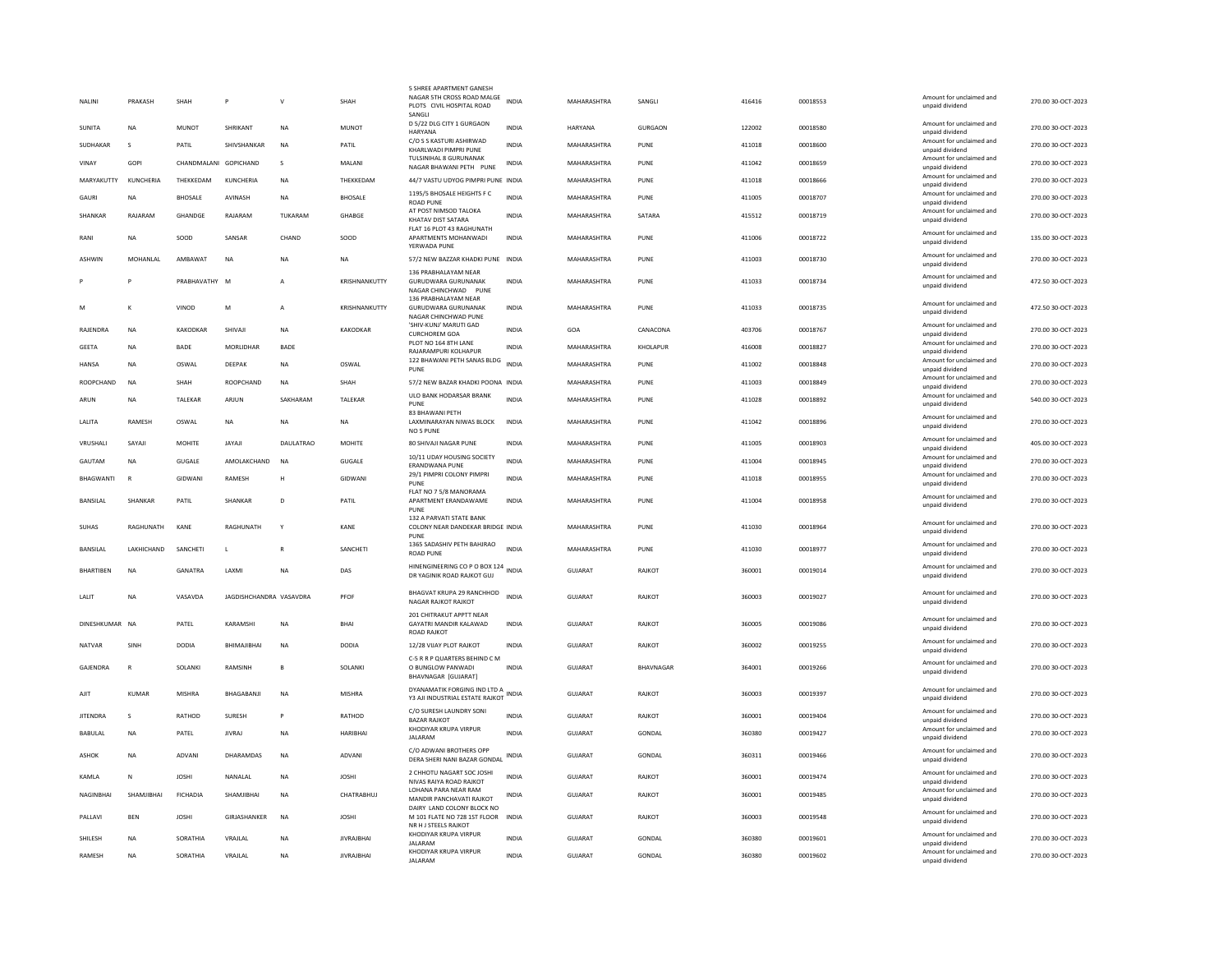|   | NALINI           | PRAKASH      | SHAH                  | P                       | V                | SHAH              | 5 SHREE APARTMENT GANESI<br>NAGAR 5TH CROSS ROAD MALGE<br>PLOTS CIVIL HOSPITAL ROAD<br>SANGLI      | INDIA        | MAHARASHTRA    | SANGLI         | 416416 | 00018553 | Amount for unclaimed and<br>unpaid dividend | 270.00 30-OCT-2023 |
|---|------------------|--------------|-----------------------|-------------------------|------------------|-------------------|----------------------------------------------------------------------------------------------------|--------------|----------------|----------------|--------|----------|---------------------------------------------|--------------------|
|   | <b>SUNITA</b>    | <b>NA</b>    | <b>MUNOT</b>          | SHRIKANT                | <b>NA</b>        | <b>MUNOT</b>      | D 5/22 DLG CITY 1 GURGAON<br>HARYANA                                                               | <b>INDIA</b> | <b>HARYANA</b> | <b>GURGAON</b> | 122002 | 00018580 | Amount for unclaimed and<br>unpaid dividend | 270.00 30-OCT-2023 |
|   | SUDHAKAR         | s            | PATIL                 | SHIVSHANKAR             | <b>NA</b>        | PATIL             | C/O S S KASTURI ASHIRWAD<br>KHARI WADI PIMPRI PLINE                                                | <b>INDIA</b> | MAHARASHTRA    | PUNE           | 411018 | 00018600 | Amount for unclaimed and<br>unpaid dividend | 270.00 30-OCT-2023 |
|   | VINAY            | GOPI         | CHANDMALANI GOPICHAND |                         | $\mathbf{S}$     | MAIANI            | TULSINIHAL 8 GURUNANAK<br>NAGAR BHAWANI PETH PUNE                                                  | <b>INDIA</b> | MAHARASHTRA    | PUNE           | 411042 | 00018659 | Amount for unclaimed and<br>unpaid dividend | 270.00 30-OCT-2023 |
|   | MARYAKUTTY       | KUNCHERIA    | THEKKEDAM             | KUNCHERIA               | NA               | THEKKEDAM         | 44/7 VASTU UDYOG PIMPRI PUNE INDIA                                                                 |              | MAHARASHTRA    | PUNE           | 411018 | 00018666 | Amount for unclaimed and<br>unpaid dividend | 270.00 30-OCT-2023 |
|   | GAURI            | <b>NA</b>    | <b>BHOSALE</b>        | AVINASH                 | NA               | <b>BHOSALE</b>    | 1195/5 BHOSALE HEIGHTS F C<br><b>ROAD PUNE</b>                                                     | <b>INDIA</b> | MAHARASHTRA    | PUNE           | 411005 | 00018707 | Amount for unclaimed and<br>unpaid dividend | 270.00 30-OCT-2023 |
|   | SHANKAR          | RAJARAM      | GHANDGE               | RAJARAM                 | TUKARAM          | GHABGE            | AT POST NIMSOD TALOKA<br>KHATAV DIST SATARA                                                        | <b>INDIA</b> | MAHARASHTRA    | SATARA         | 415512 | 00018719 | Amount for unclaimed and<br>unpaid dividend | 270.00 30-OCT-2023 |
|   | RANI             | NA           | SOOD                  | SANSAR                  | CHAND            | SOOD              | FLAT 16 PLOT 43 RAGHUNATH<br>APARTMENTS MOHANWADI<br>YERWADA PUNE                                  | <b>INDIA</b> | MAHARASHTRA    | PUNE           | 411006 | 00018722 | Amount for unclaimed and<br>unpaid dividend | 135.00 30-OCT-2023 |
|   | ASHWIN           | MOHANLAL     | AMBAWAT               | <b>NA</b>               | <b>NA</b>        | <b>NA</b>         | 57/2 NEW BAZZAR KHADKI PUNE INDIA                                                                  |              | MAHARASHTRA    | PUNE           | 411003 | 00018730 | Amount for unclaimed and<br>unpaid dividend | 270.00 30-OCT-2023 |
|   |                  |              | PRABHAVATHY M         |                         | A                | KRISHNANKUTTY     | 136 PRABHALAYAM NEAR<br><b>GURUDWARA GURUNANAK</b><br>NAGAR CHINCHWAD PUNE<br>136 PRABHALAYAM NEAR | <b>INDIA</b> | MAHARASHTRA    | PUNE           | 411033 | 00018734 | Amount for unclaimed and<br>unpaid dividend | 472.50 30-OCT-2023 |
| M |                  |              | VINOD                 | M                       | $\overline{A}$   | KRISHNANKUTTY     | <b>GURUDWARA GURUNANAK</b><br>NAGAR CHINCHWAD PUNE                                                 | <b>INDIA</b> | MAHARASHTRA    | PUNE           | 411033 | 00018735 | Amount for unclaimed and<br>unpaid dividend | 472.50 30-OCT-2023 |
|   | RAJENDRA         | <b>NA</b>    | <b>KAKODKAR</b>       | SHIVAJI                 | <b>NA</b>        | <b>KAKODKAR</b>   | 'SHIV-KUNJ' MARUTI GAD<br><b>CURCHOREM GOA</b>                                                     | <b>INDIA</b> | GOA            | CANACONA       | 403706 | 00018767 | Amount for unclaimed and<br>unnaid dividend | 270.00 30-OCT-2023 |
|   | <b>GEETA</b>     | <b>NA</b>    | <b>BADE</b>           | MORLIDHAR               | BADE             |                   | PLOT NO 164 8TH LANE<br>RAJARAMPURI KOLHAPUR                                                       | <b>INDIA</b> | MAHARASHTRA    | KHOLAPUR       | 416008 | 00018827 | Amount for unclaimed and<br>unpaid dividend | 270.00 30-OCT-2023 |
|   | <b>HANSA</b>     | <b>NA</b>    | OSWAL                 | DEEPAK                  | <b>NA</b>        | OSWAL             | 122 BHAWANI PETH SANAS BLDG<br>PUNE                                                                | <b>INDIA</b> | MAHARASHTRA    | PUNE           | 411002 | 00018848 | Amount for unclaimed and<br>unpaid dividend | 270.00 30-OCT-2023 |
|   | ROOPCHAND        | <b>NA</b>    | SHAH                  | ROOPCHAND               | NA               | SHAH              | 57/2 NEW BAZAR KHADKI POONA INDIA                                                                  |              | MAHARASHTRA    | PUNE           | 411003 | 00018849 | Amount for unclaimed and<br>unpaid dividend | 270.00 30-OCT-2023 |
|   | ARUN             | <b>NA</b>    | TALEKAR               | ARJUN                   | SAKHARAM         | TALEKAR           | ULO BANK HODARSAR BRANK<br>PUNE                                                                    | <b>INDIA</b> | MAHARASHTRA    | PUNE           | 411028 | 00018892 | Amount for unclaimed and<br>unpaid dividend | 540.00 30-OCT-2023 |
|   | LALITA           | RAMESH       | OSWAL                 | <b>NA</b>               | <b>NA</b>        | <b>NA</b>         | 83 BHAWANI PETH<br>LAXMINARAYAN NIWAS BLOCK<br><b>NO 5 PUNE</b>                                    | <b>INDIA</b> | MAHARASHTRA    | PUNE           | 411042 | 00018896 | Amount for unclaimed and<br>unpaid dividend | 270.00 30-OCT-2023 |
|   | VRUSHAL          | SAYAJI       | <b>MOHITE</b>         | JAYAJI                  | <b>DAULATRAO</b> | <b>MOHITE</b>     | 80 SHIVAJI NAGAR PUNE                                                                              | <b>INDIA</b> | MAHARASHTRA    | PUNE           | 411005 | 00018903 | Amount for unclaimed and<br>unpaid dividend | 405.00 30-OCT-2023 |
|   | GAUTAM           | <b>NA</b>    | <b>GUGALE</b>         | AMOLAKCHAND             | <b>NA</b>        | GUGALE            | 10/11 UDAY HOUSING SOCIETY<br>ERANDWANA PUNE                                                       | <b>INDIA</b> | MAHARASHTRA    | PUNE           | 411004 | 00018945 | Amount for unclaimed and<br>unpaid dividend | 270.00 30-OCT-2023 |
|   | BHAGWANTI        |              | GIDWANI               | <b>RAMESH</b>           | н                | GIDWANI           | 29/1 PIMPRI COLONY PIMPRI<br>PUNE                                                                  | <b>INDIA</b> | MAHARASHTRA    | PUNE           | 411018 | 00018955 | Amount for unclaimed and<br>unpaid dividend | 270.00 30-OCT-2023 |
|   | <b>BANSILAL</b>  | SHANKAR      | PATIL                 | SHANKAR                 | D                | PATIL             | FLAT NO 7 5/8 MANORAMA<br>APARTMENT ERANDAWAME<br>PUNE                                             | <b>INDIA</b> | MAHARASHTRA    | PUNE           | 411004 | 00018958 | Amount for unclaimed and<br>unpaid dividend | 270.00 30-OCT-2023 |
|   | SUHAS            | RAGHUNATH    | KANE                  | RAGHUNATH               | Y                | KANE              | 132 A PARVATI STATE BANK<br>COLONY NEAR DANDEKAR BRIDGE INDIA                                      |              | MAHARASHTRA    | PUNE           | 411030 | 00018964 | Amount for unclaimed and<br>unpaid dividend | 270.00 30-OCT-2023 |
|   | <b>BANSILAL</b>  | LAKHICHAND   | SANCHETI              | L                       | $\overline{R}$   | SANCHETI          | PUNE<br>1365 SADASHIV PETH BAHJRAO<br><b>ROAD PUNE</b>                                             | <b>INDIA</b> | MAHARASHTRA    | PUNE           | 411030 | 00018977 | Amount for unclaimed and<br>unpaid dividend | 270.00 30-OCT-2023 |
|   | <b>BHARTIBEN</b> | <b>NA</b>    | GANATRA               | <b>I AXMI</b>           | <b>NA</b>        | DAS               | HINENGINEERING CO P O BOX 124 INDIA                                                                |              | GUIARAT        | RAIKOT         | 360001 | 00019014 | Amount for unclaimed and                    | 270.00 30-OCT-2023 |
|   | LALIT            | <b>NA</b>    | VASAVDA               | JAGDISHCHANDRA VASAVDRA |                  | PFOF              | DR YAGINIK ROAD RAJKOT GUJ<br>BHAGVAT KRUPA 29 RANCHHOD                                            | <b>INDIA</b> | <b>GUJARAT</b> | RAJKOT         | 360003 | 00019027 | unpaid dividend<br>Amount for unclaimed and | 270.00 30-OCT-2023 |
|   |                  |              |                       |                         |                  |                   | <b>NAGAR RAJKOT RAJKOT</b><br>201 CHITRAKUT APPTT NEAR                                             |              |                |                |        |          | unpaid dividend                             |                    |
|   | DINESHKUMAR      | <b>NA</b>    | PATEL                 | KARAMSHI                | <b>NA</b>        | <b>BHAI</b>       | GAYATRI MANDIR KALAWAD<br>ROAD RAJKOT                                                              | <b>INDIA</b> | <b>GUJARAT</b> | RAJKOT         | 360005 | 00019086 | Amount for unclaimed and<br>unpaid dividend | 270.00 30-OCT-2023 |
|   | <b>NATVAR</b>    | SINH         | <b>DODIA</b>          | BHIMAJIBHAI             | <b>NA</b>        | <b>DODIA</b>      | 12/28 VIJAY PLOT RAJKOT                                                                            | <b>INDIA</b> | <b>GUJARAT</b> | RAJKOT         | 360002 | 00019255 | Amount for unclaimed and<br>unpaid dividend | 270.00 30-OCT-2023 |
|   | GAJENDRA         | $\mathbb{R}$ | SOLANKI               | RAMSINH                 | $\mathbf{B}$     | SOLANKI           | C-5 R R P QUARTERS BEHIND C M<br>O BUNGLOW PANWADI<br>BHAVNAGAR [GUJARAT]                          | <b>INDIA</b> | <b>GUJARAT</b> | BHAVNAGAR      | 364001 | 00019266 | Amount for unclaimed and<br>unpaid dividend | 270.00 30-OCT-2023 |
|   | AJIT             | <b>KUMAR</b> | <b>MISHRA</b>         | BHAGABANJI              | <b>NA</b>        | <b>MISHRA</b>     | DYANAMATIK FORGING IND LTD A INDIA<br>Y3 AJI INDUSTRIAL ESTATE RAJKOT                              |              | <b>GUJARAT</b> | RAJKOT         | 360003 | 00019397 | Amount for unclaimed and<br>unpaid dividend | 270.00 30-OCT-2023 |
|   | <b>JITENDRA</b>  | $\mathbf{S}$ | RATHOD                | SURESH                  | Þ                | RATHOD            | C/O SURESH LAUNDRY SONI<br><b>BAZAR RAJKOT</b>                                                     | <b>INDIA</b> | GUJARAT        | RAJKOT         | 360001 | 00019404 | Amount for unclaimed and<br>unpaid dividend | 270.00 30-OCT-2023 |
|   | BABULAL          | <b>NA</b>    | PATEL                 | <b>JIVRAJ</b>           | NA               | HARIBHAI          | KHODIYAR KRUPA VIRPUR<br><b>JAI ARAM</b>                                                           | <b>INDIA</b> | GUJARAT        | GONDAL         | 360380 | 00019427 | Amount for unclaimed and<br>unpaid dividend | 270.00 30-OCT-2023 |
|   | ASHOK            | <b>NA</b>    | ADVANI                | <b>DHARAMDAS</b>        | <b>NA</b>        | ADVANI            | C/O ADWANI BROTHERS OPP<br>DERA SHERI NANI BAZAR GONDAL                                            | INDIA        | GUIARAT        | GONDAL         | 360311 | 00019466 | Amount for unclaimed and<br>unpaid dividend | 270.00 30-OCT-2023 |
|   | KAMLA            | N            | <b>JOSHI</b>          | NANALAL                 | <b>NA</b>        | <b>JOSHI</b>      | 2 CHHOTU NAGART SOC JOSHI<br>NIVAS RAIYA ROAD RAJKOT                                               | <b>INDIA</b> | <b>GUJARAT</b> | RAJKOT         | 360001 | 00019474 | Amount for unclaimed and<br>unpaid dividend | 270.00 30-OCT-2023 |
|   | <b>NAGINBHAI</b> | SHAMIIRHAI   | <b>FICHADIA</b>       | SHAMIIRHAI              | <b>NA</b>        | CHATRABHUI        | LOHANA PARA NEAR RAM<br>MANDIR PANCHAVATI RAJKOT                                                   | <b>INDIA</b> | GUIARAT        | RAIKOT         | 360001 | 00019485 | Amount for unclaimed and<br>unpaid dividend | 270.00 30-OCT-2023 |
|   | PALLAVI          | <b>BEN</b>   | <b>JOSHI</b>          | GIRJASHANKER            | <b>NA</b>        | <b>JOSHI</b>      | DAIRY LAND COLONY BLOCK NO<br>M 101 FLATE NO 728 1ST FLOOR                                         | <b>INDIA</b> | <b>GUJARAT</b> | RAJKOT         | 360003 | 00019548 | Amount for unclaimed and<br>unpaid dividend | 270.00 30-OCT-2023 |
|   | SHILESH          | <b>NA</b>    | SORATHIA              | VRAJLAL                 | <b>NA</b>        | <b>JIVRAJBHAI</b> | NR H J STEELS RAJKOT<br>KHODIYAR KRUPA VIRPUR<br><b>JALARAM</b>                                    | <b>INDIA</b> | <b>GUJARAT</b> | GONDAL         | 360380 | 00019601 | Amount for unclaimed and<br>unpaid dividend | 270.00 30-OCT-2023 |
|   | RAMESH           | <b>NA</b>    | SORATHIA              | VRAJLAL                 | <b>NA</b>        | <b>JIVRAJBHAI</b> | KHODIYAR KRUPA VIRPUR<br><b>JALARAM</b>                                                            | <b>INDIA</b> | GUJARAT        | GONDAL         | 360380 | 00019602 | Amount for unclaimed and<br>unpaid dividend | 270.00 30-OCT-2023 |
|   |                  |              |                       |                         |                  |                   |                                                                                                    |              |                |                |        |          |                                             |                    |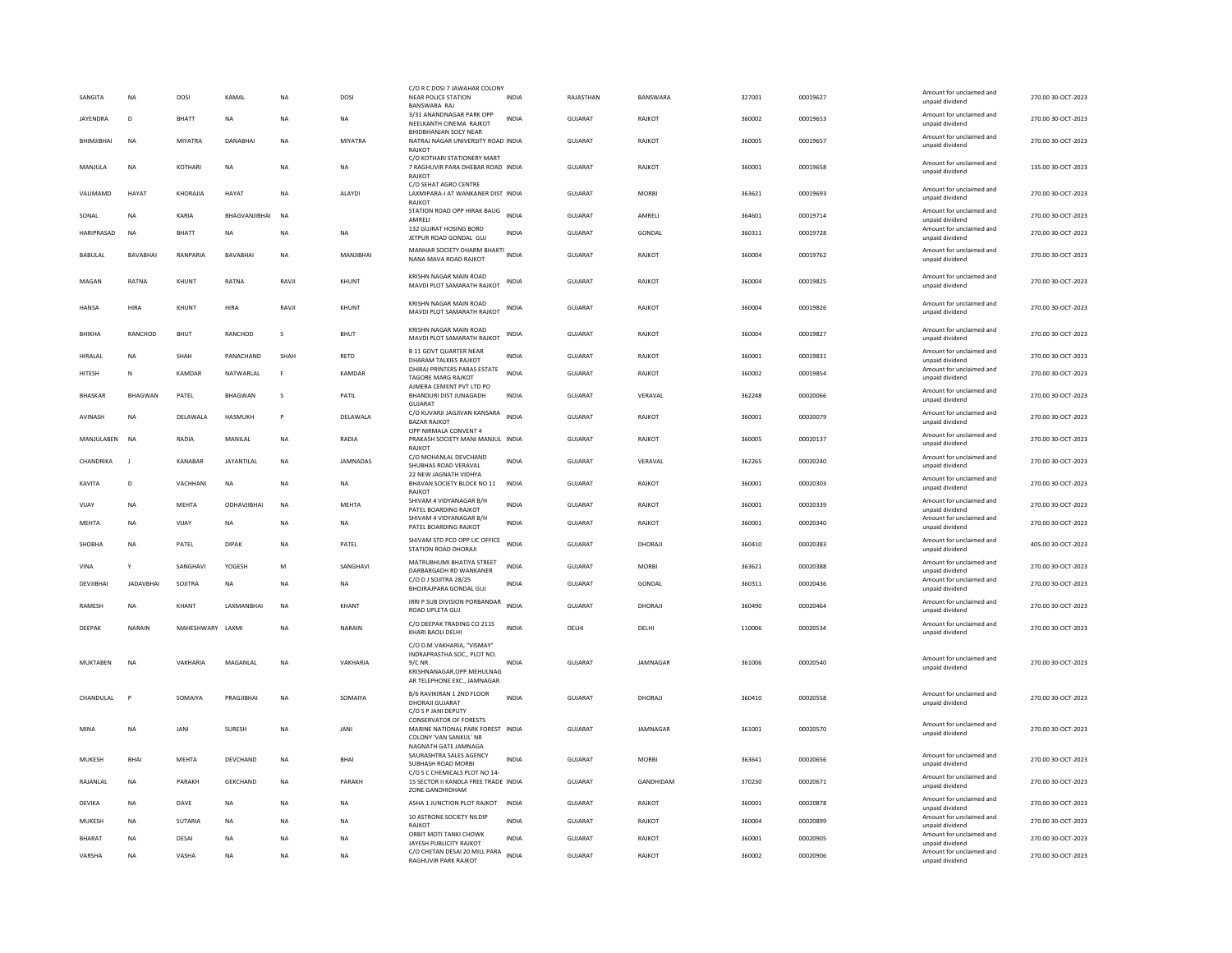| SANGITA                 | <b>NA</b>        | DOSI             | KAMAL                  | <b>NA</b>              | DOSI            | C/O R C DOSI 7 JAWAHAR COLONY<br><b>NEAR POLICE STATION</b><br><b>BANSWARA RAJ</b>                                  | <b>INDIA</b> | RAJASTHAN          | BANSWARA         | 327001           | 00019627             | Amount for unclaimed and<br>unpaid dividend                    | 270.00 30-OCT-2023                       |
|-------------------------|------------------|------------------|------------------------|------------------------|-----------------|---------------------------------------------------------------------------------------------------------------------|--------------|--------------------|------------------|------------------|----------------------|----------------------------------------------------------------|------------------------------------------|
| <b>IAYENDRA</b>         | $\mathsf{D}$     | <b>BHATT</b>     | <b>NA</b>              | <b>NA</b>              | <b>NA</b>       | 3/31 ANANDNAGAR PARK OPP<br>NEELKANTH CINEMA RAJKOT                                                                 | <b>INDIA</b> | GUIARAT            | RAIKOT           | 360002           | 00019653             | Amount for unclaimed and<br>unpaid dividend                    | 270.00.30-OCT-2023                       |
| BHIMJIBHAI              | <b>NA</b>        | MIYATRA          | <b>DANABHAI</b>        | <b>NA</b>              | MIYATRA         | <b>BHIDBHANJAN SOCY NEAR</b><br>NATRAJ NAGAR UNIVERSITY ROAD INDIA<br>RAJKOT                                        |              | <b>GUJARAT</b>     | <b>RAJKOT</b>    | 360005           | 00019657             | Amount for unclaimed and<br>unpaid dividend                    | 270.00 30-OCT-2023                       |
| MANJULA                 | <b>NA</b>        | KOTHARI          | <b>NA</b>              | <b>NA</b>              | <b>NA</b>       | C/O KOTHARI STATIONERY MART<br>7 RAGHUVIR PARA DHEBAR ROAD INDIA<br><b>RAJKOT</b>                                   |              | <b>GUJARAT</b>     | RAJKOT           | 360001           | 00019658             | Amount for unclaimed and<br>unpaid dividend                    | 135.00 30-OCT-2023                       |
| VALIMAMD                | HAYAT            | KHORAJIA         | <b>HAYAT</b>           | <b>NA</b>              | ALAYDI          | C/O SEHAT AGRO CENTRE<br>LAXMIPARA-I AT WANKANER DIST INDIA<br>RAJKOT                                               |              | GUJARAT            | <b>MORBI</b>     | 363621           | 00019693             | Amount for unclaimed and<br>unpaid dividend                    | 270.00 30-OCT-2023                       |
| SONAL                   | <b>NA</b>        | KARIA            | BHAGVANJIBHAI          | <b>NA</b>              |                 | STATION ROAD OPP HIRAK BAUG INDIA<br>AMRELI                                                                         |              | <b>GUJARAT</b>     | AMRELI           | 364601           | 00019714             | Amount for unclaimed and<br>unpaid dividend                    | 270.00 30-OCT-2023                       |
| HARIPRASAD              | <b>NA</b>        | <b>BHATT</b>     | <b>NA</b>              | <b>NA</b>              | <b>NA</b>       | 132 GUJRAT HOSING BORD<br>JETPUR ROAD GONDAL GUJ                                                                    | <b>INDIA</b> | GUJARAT            | GONDAL           | 360311           | 00019728             | Amount for unclaimed and<br>unpaid dividend                    | 270.00 30-OCT-2023                       |
| BABULAL                 | <b>BAVARHAI</b>  | RANPARIA         | <b>RAVARHAI</b>        | <b>NA</b>              | MANIIRHAI       | MANHAR SOCIETY DHARM BHAKTI INDIA<br>NANA MAVA ROAD RAJKOT                                                          |              | GUJARAT            | RAIKOT           | 360004           | 00019762             | Amount for unclaimed and<br>unpaid dividend                    | 270.00 30-OCT-2023                       |
| MAGAN                   | RATNA            | KHUNT            | RATNA                  | RAVJI                  | KHUNT           | KRISHN NAGAR MAIN ROAD<br>MAVDI PLOT SAMARATH RAJKOT                                                                | INDIA        | GUIARAT            | RAJKOT           | 360004           | 00019825             | Amount for unclaimed and<br>unpaid dividend                    | 270.00 30-OCT-2023                       |
| <b>HANSA</b>            | HIRA             | KHUNT            | HIRA                   | RAVJI                  | KHUNT           | KRISHN NAGAR MAIN ROAD<br>MAVDI PLOT SAMARATH RAJKOT                                                                | INDIA        | GUJARAT            | RAJKOT           | 360004           | 00019826             | Amount for unclaimed and<br>unpaid dividend                    | 270.00 30-OCT-2023                       |
| <b>BHIKHA</b>           | RANCHOD          | <b>BHUT</b>      | RANCHOD                | s                      | BHUT            | KRISHN NAGAR MAIN ROAD<br>MAVDI PLOT SAMARATH RAJKOT                                                                | INDIA        | GUJARAT            | RAJKOT           | 360004           | 00019827             | Amount for unclaimed and<br>unnaid dividend                    | 270.00 30-OCT-2023                       |
| HIRALAL                 | <b>NA</b>        | SHAH             | PANACHAND              | SHAH                   | RETD            | <b>B 11 GOVT QUARTER NEAR</b><br>DHARAM TALKIES RAJKOT                                                              | INDIA        | GUJARAT            | RAJKOT           | 360001           | 00019831             | Amount for unclaimed and<br>unpaid dividend                    | 270.00 30-OCT-2023                       |
| HITESH                  | N                | KAMDAR           | NATWARLAL              | F                      | KAMDAR          | DHIRAJ PRINTERS PARAS ESTATE<br><b>TAGORE MARG RAJKOT</b>                                                           | <b>INDIA</b> | GUJARAT            | RAJKOT           | 360002           | 00019854             | Amount for unclaimed and<br>unpaid dividend                    | 270.00 30-OCT-2023                       |
| <b>BHASKAR</b>          | <b>BHAGWAN</b>   | PATEL            | <b>BHAGWAN</b>         | s.                     | PATIL           | AJMERA CEMENT PVT LTD PO<br>BHANDURI DIST JUNAGADH<br><b>GUJARAT</b>                                                | <b>INDIA</b> | GUJARAT            | VERAVAL          | 362248           | 00020066             | Amount for unclaimed and<br>unpaid dividend                    | 270.00 30-OCT-2023                       |
| AVINASH                 | <b>NA</b>        | DELAWALA         | HASMUKH                | P                      | DELAWALA        | C/O KUVARJI JAGJIVAN KANSARA<br><b>BAZAR RAJKOT</b>                                                                 | <b>INDIA</b> | GUJARAT            | RAJKOT           | 360001           | 00020079             | Amount for unclaimed and<br>unpaid dividend                    | 270.00 30-OCT-2023                       |
| MANJULABEN              | <b>NA</b>        | RADIA            | MANILAL                | NA                     | RADIA           | OPP NIRMALA CONVENT 4<br>PRAKASH SOCIETY MANI MANJUL INDIA<br>RAIKOT                                                |              | GUJARAT            | RAJKOT           | 360005           | 00020137             | Amount for unclaimed and<br>unpaid dividend                    | 270.00 30-OCT-2023                       |
| CHANDRIKA               | -11              | KANABAR          | JAYANTILAL             | <b>NA</b>              | <b>JAMNADAS</b> | C/O MOHANLAL DEVCHAND<br>SHUBHAS ROAD VERAVAL                                                                       | <b>INDIA</b> | <b>GUJARAT</b>     | VERAVAL          | 362265           | 00020240             | Amount for unclaimed and<br>unpaid dividend                    | 270.00 30-OCT-2023                       |
|                         |                  |                  |                        |                        |                 |                                                                                                                     |              |                    |                  |                  |                      |                                                                |                                          |
| <b>KAVITA</b>           | D                | VACHHANI         | NA                     | <b>NA</b>              | NA              | 22 NEW IAGNATH VIDHYA<br>BHAVAN SOCIETY BLOCK NO 11<br>RAJKOT                                                       | <b>INDIA</b> | GUJARAT            | RAJKOT           | 360001           | 00020303             | Amount for unclaimed and<br>unpaid dividend                    | 270.00 30-OCT-2023                       |
| VIJAY                   | <b>NA</b>        | <b>MEHTA</b>     | ODHAVJIBHAI            | <b>NA</b>              | MEHTA           | SHIVAM 4 VIDYANAGAR B/H                                                                                             | <b>INDIA</b> | GUJARAT            | RAJKOT           | 360001           | 00020339             | Amount for unclaimed and                                       | 270.00 30-OCT-2023                       |
| MEHTA                   | <b>NA</b>        | VIJAY            | NA                     | <b>NA</b>              | <b>NA</b>       | PATEL BOARDING RAJKOT<br>SHIVAM 4 VIDYANAGAR B/H<br>PATEL BOARDING RAJKOT                                           | <b>INDIA</b> | <b>GUJARAT</b>     | RAJKOT           | 360001           | 00020340             | unpaid dividend<br>Amount for unclaimed and<br>unpaid dividend | 270.00 30-OCT-2023                       |
| SHORHA                  | <b>NA</b>        | PATEL            | DIPAK                  | <b>NA</b>              | PATEL           | SHIVAM STD PCO OPP LIC OFFICE<br>STATION ROAD DHORAJI                                                               | <b>INDIA</b> | GUIARAT            | DHORAJI          | 360410           | 00020383             | Amount for unclaimed and<br>unpaid dividend                    | 405.00 30-OCT-2023                       |
| VINA                    | Y                | SANGHAVI         | YOGESH                 | M                      | SANGHAVI        | MATRUBHUMI BHATIYA STREET                                                                                           | <b>INDIA</b> | GUJARAT            | <b>MORBI</b>     | 363621           | 00020388             | Amount for unclaimed and                                       | 270.00 30-OCT-2023                       |
| DEVIIBHAI               | <b>IADAVRHAI</b> | SOIITRA          | <b>NA</b>              | <b>NA</b>              | <b>NA</b>       | DARBARGADH RD WANKANER<br>C/O D J SOJITRA 28/25<br>BHOJRAJPARA GONDAL GUJ                                           | <b>INDIA</b> | GUIARAT            | GONDAL           | 360311           | 00020436             | unpaid dividend<br>Amount for unclaimed and<br>unpaid dividend | 270.00 30-OCT-2023                       |
| <b>RAMESH</b>           | <b>NA</b>        | KHANT            | LAXMANBHAI             | <b>NA</b>              | <b>KHANT</b>    | IRRI P SUB DIVISION PORBANDAR<br><b>ROAD UPLETA GUJ</b>                                                             | INDIA        | <b>GUJARAT</b>     | DHORAJI          | 360490           | 00020464             | Amount for unclaimed and<br>unpaid dividend                    | 270.00 30-OCT-2023                       |
| DEEPAK                  | NARAIN           | MAHESHWARY LAXMI |                        | <b>NA</b>              | NARAIN          | C/O DEEPAK TRADING CO 2115<br>KHARI BAOLI DELHI                                                                     | INDIA        | DELHI              | DELHI            | 110006           | 00020534             | Amount for unclaimed and<br>unpaid dividend                    | 270.00 30-OCT-2023                       |
|                         |                  |                  |                        |                        |                 | C/O D.M.VAKHARIA, "VISMAY"                                                                                          |              |                    |                  |                  |                      |                                                                |                                          |
| MUKTABEN                | <b>NA</b>        | VAKHARIA         | MAGANLAL               | <b>NA</b>              | VAKHARIA        | INDRAPRASTHA SOC., PLOT NO.<br>$9/C$ NR<br>KRISHNANAGAR, OPP. MEHULNAG<br>AR TELEPHONE EXC., JAMNAGAR               | INDIA        | GUJARAT            | JAMNAGAR         | 361006           | 00020540             | Amount for unclaimed and<br>unpaid dividend                    | 270.00 30-OCT-2023                       |
| CHANDULAL               |                  | SOMAIYA          | PRAGJIBHAI             | <b>NA</b>              | SOMAIYA         | B/6 RAVIKIRAN 1 2ND FLOOR<br>DHORAJI GUJARAT                                                                        | <b>INDIA</b> | GUJARAT            | DHORAJI          | 360410           | 00020558             | Amount for unclaimed and<br>unpaid dividend                    | 270.00 30-OCT-2023                       |
| MINA                    | <b>NA</b>        | JANI             | SURESH                 | <b>NA</b>              | JANI            | C/O S P JANI DEPUTY<br><b>CONSERVATOR OF FORESTS</b><br>MARINE NATIONAL PARK FOREST INDIA<br>COLONY 'VAN SANKUL' NR |              | GUJARAT            | JAMNAGAR         | 361001           | 00020570             | Amount for unclaimed and<br>unpaid dividend                    | 270.00 30-OCT-2023                       |
| MUKESH                  | <b>BHAI</b>      | <b>MEHTA</b>     | DEVCHAND               | $_{\sf NA}$            | <b>BHAI</b>     | NAGNATH GATE JAMNAGA<br>SAURASHTRA SALES AGENCY<br><b>SUBHASH ROAD MORBI</b>                                        | <b>INDIA</b> | <b>GUJARAT</b>     | <b>MORRI</b>     | 363641           | 00020656             | Amount for unclaimed and<br>unpaid dividend                    | 270.00 30-OCT-2023                       |
| RAJANLAL                | <b>NA</b>        | PARAKH           | <b>GEKCHAND</b>        | <b>NA</b>              | PARAKH          | C/O S C CHEMICALS PLOT NO 14-<br>15 SECTOR II KANDLA FREE TRADE INDIA                                               |              | GUJARAT            | GANDHIDAM        | 370230           | 00020671             | Amount for unclaimed and<br>unpaid dividend                    | 270.00 30-OCT-2023                       |
| DEVIKA                  | <b>NA</b>        | DAVE             | <b>NA</b>              | <b>NA</b>              | <b>NA</b>       | ZONE GANDHIDHAM                                                                                                     | <b>INDIA</b> | GUIARAT            | <b>RAJKOT</b>    | 360001           | 00020878             | Amount for unclaimed and                                       | 270.00 30-OCT-2023                       |
| MUKESH                  | NA               | SUTARIA          | NA                     | NA                     | NA              | ASHA 1 JUNCTION PLOT RAJKOT<br>10 ASTRONE SOCIETY NILDIP                                                            | INDIA        | GUJARAT            | RAJKOT           | 360004           | 00020899             | unpaid dividend<br>Amount for unclaimed and                    | 270.00 30-OCT-2023                       |
|                         |                  |                  |                        |                        |                 | <b>RAJKOT</b><br>ORBIT MOTI TANKI CHOWK                                                                             |              |                    |                  |                  |                      | unpaid dividend<br>Amount for unclaimed and                    |                                          |
| <b>BHARAT</b><br>VARSHA | NA<br><b>NA</b>  | DESAI<br>VASHA   | <b>NA</b><br><b>NA</b> | <b>NA</b><br><b>NA</b> | NA<br><b>NA</b> | JAYESH PUBLICITY RAJKOT<br>C/O CHETAN DESAI 20 MILL PARA INDIA                                                      | INDIA        | GUJARAT<br>GUIARAT | RAJKOT<br>RAIKOT | 360001<br>360002 | 00020905<br>00020906 | unpaid dividend<br>Amount for unclaimed and                    | 270.00 30-OCT-2023<br>270.00 30-OCT-2023 |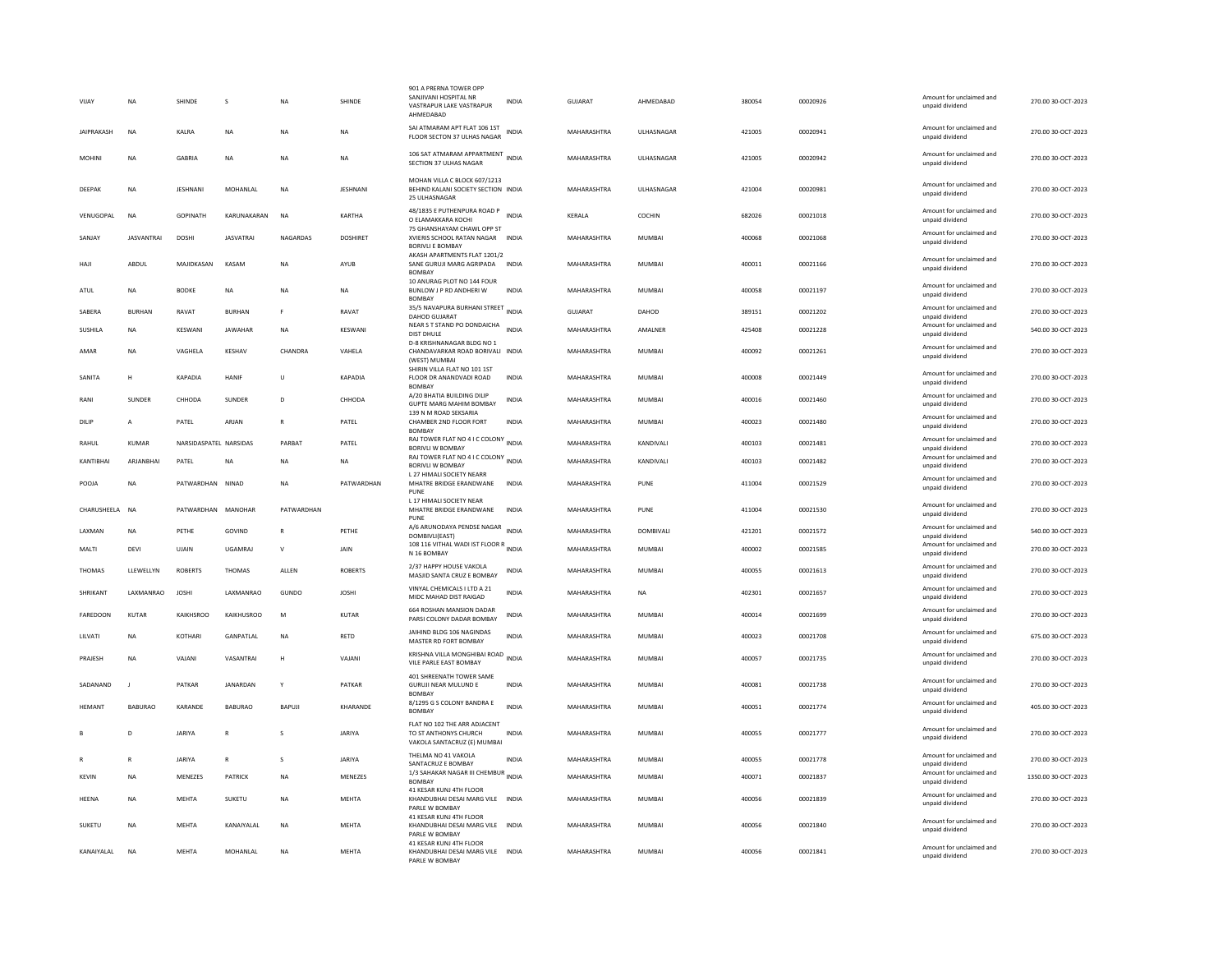| VIJAY             | <b>NA</b>         | SHINDE                 | s                | <b>NA</b>    | SHINDE          | 901 A PRERNA TOWER OPF<br>SANJIVANI HOSPITAL NR<br>VASTRAPUR LAKE VASTRAPUR<br>AHMFDARAD | <b>INDIA</b> | GUJARAT            | AHMEDABAD        | 380054 | 00020926 | Amount for unclaimed and<br>unpaid dividend                    | 270.00 30-OCT-2023  |
|-------------------|-------------------|------------------------|------------------|--------------|-----------------|------------------------------------------------------------------------------------------|--------------|--------------------|------------------|--------|----------|----------------------------------------------------------------|---------------------|
| <b>JAIPRAKASH</b> | <b>NA</b>         | KALRA                  | <b>NA</b>        | <b>NA</b>    | <b>NA</b>       | SAI ATMARAM APT FLAT 106 1ST<br>FLOOR SECTON 37 ULHAS NAGAR                              | <b>INDIA</b> | MAHARASHTRA        | ULHASNAGAR       | 421005 | 00020941 | Amount for unclaimed and<br>unpaid dividend                    | 270.00 30-OCT-2023  |
| MOHINI            | <b>NA</b>         | <b>GABRIA</b>          | <b>NA</b>        | <b>NA</b>    | <b>NA</b>       | 106 SAT ATMARAM APPARTMENT<br>SECTION 37 ULHAS NAGAR                                     | <b>INDIA</b> | MAHARASHTRA        | ULHASNAGAR       | 421005 | 00020942 | Amount for unclaimed and<br>unpaid dividend                    | 270.00 30-OCT-2023  |
| DEEPAK            | <b>NA</b>         | JESHNANI               | MOHANLAL         | <b>NA</b>    | <b>JESHNANI</b> | MOHAN VILLA C BLOCK 607/1213<br>BEHIND KALANI SOCIETY SECTION INDIA<br>25 ULHASNAGAR     |              | MAHARASHTRA        | ULHASNAGAR       | 421004 | 00020981 | Amount for unclaimed and<br>unpaid dividend                    | 270.00 30-OCT-2023  |
| VENUGOPAL         | <b>NA</b>         | <b>GOPINATH</b>        | KARUNAKARAN      | <b>NA</b>    | KARTHA          | 48/1835 E PUTHENPURA ROAD P<br>O ELAMAKKARA KOCHI<br>75 GHANSHAYAM CHAWL OPP ST          | <b>INDIA</b> | KERALA             | COCHIN           | 682026 | 00021018 | Amount for unclaimed and<br>unpaid dividend                    | 270.00 30-OCT-2023  |
| SANJAY            | <b>JASVANTRAI</b> | DOSHI                  | <b>JASVATRAI</b> | NAGARDAS     | <b>DOSHIRFT</b> | XVIERIS SCHOOL RATAN NAGAR INDIA<br><b>BORIVLI E BOMBAY</b>                              |              | MAHARASHTRA        | MUMBAI           | 400068 | 00021068 | Amount for unclaimed and<br>unpaid dividend                    | 270.00 30-OCT-2023  |
| HAJI              | ABDUL             | MAJIDKASAN             | KASAM            | <b>NA</b>    | AYUB            | AKASH APARTMENTS FLAT 1201/2<br>SANE GURUJI MARG AGRIPADA<br><b>BOMBAY</b>               | <b>INDIA</b> | MAHARASHTRA        | MUMBAI           | 400011 | 00021166 | Amount for unclaimed and<br>unpaid dividend                    | 270.00 30-OCT-2023  |
| ATUL              | NA                | <b>BODKE</b>           | <b>NA</b>        | <b>NA</b>    | <b>NA</b>       | 10 ANURAG PLOT NO 144 FOUR<br>BUNLOW J P RD ANDHERI W<br><b>BOMBA</b>                    | <b>INDIA</b> | MAHARASHTRA        | <b>MUMBAI</b>    | 400058 | 00021197 | Amount for unclaimed and<br>unpaid dividend                    | 270.00 30-OCT-2023  |
| SABERA            | <b>BURHAN</b>     | RAVAT                  | <b>BURHAN</b>    | F            | RAVAT           | 35/5 NAVAPURA BURHANI STREET INDIA<br>DAHOD GUJARAT                                      |              | <b>GUJARAT</b>     | DAHOD            | 389151 | 00021202 | Amount for unclaimed and<br>unpaid dividend                    | 270.00 30-OCT-2023  |
| <b>SUSHILA</b>    | NA                | KESWANI                | <b>JAWAHAR</b>   | <b>NA</b>    | KESWANI         | NEAR S T STAND PO DONDAICHA<br>DIST DHULE<br>D-8 KRISHNANAGAR BLDG NO 1                  | <b>INDIA</b> | MAHARASHTRA        | AMALNER          | 425408 | 00021228 | Amount for unclaimed and<br>unpaid dividend                    | 540.00 30-OCT-2023  |
| AMAR              | <b>NA</b>         | VAGHELA                | KFSHAV           | CHANDRA      | <b>VAHFIA</b>   | CHANDAVARKAR ROAD BORIVALI INDIA<br>(WEST) MUMBAI                                        |              | MAHARASHTRA        | MUMBAI           | 400092 | 00021261 | Amount for unclaimed and<br>unpaid dividend                    | 270.00 30-QCT-2023  |
| SANITA            | н                 | KAPADIA                | HANIF            | U            | KAPADIA         | SHIRIN VILLA FLAT NO 101 1ST<br>FLOOR DR ANANDVADI ROAD<br><b>BOMBAY</b>                 | <b>INDIA</b> | MAHARASHTRA        | MUMBAI           | 400008 | 00021449 | Amount for unclaimed and<br>unpaid dividend                    | 270.00 30-OCT-2023  |
| RANI              | SUNDER            | CHHODA                 | SUNDER           | D            | CHHODA          | A/20 BHATIA BUILDING DILIP<br><b>GUPTE MARG MAHIM BOMBAY</b>                             | INDIA        | MAHARASHTRA        | MUMBAI           | 400016 | 00021460 | Amount for unclaimed and<br>unpaid dividend                    | 270.00 30-OCT-2023  |
| DILIP             | A                 | PATEL                  | ARJAN            | R            | PATEL           | 139 N M ROAD SEKSARIA<br>CHAMBER 2ND FLOOR FORT<br><b>BOMBAY</b>                         | <b>INDIA</b> | MAHARASHTRA        | <b>MUMBAI</b>    | 400023 | 00021480 | Amount for unclaimed and<br>unpaid dividend                    | 270.00 30-OCT-2023  |
| RAHUL             | <b>KUMAR</b>      | NARSIDASPATEL NARSIDAS |                  | PARBAT       | PATEL           | RAJ TOWER FLAT NO 4 I C COLONY INDIA<br><b>BORIVI I W BOMBAY</b>                         |              | MAHARASHTRA        | KANDIVALI        | 400103 | 00021481 | Amount for unclaimed and<br>unnaid dividend                    | 270.00 30-OCT-2023  |
| KANTIBHAI         | ARJANBHAI         | PATEL                  | <b>NA</b>        | <b>NA</b>    | <b>NA</b>       | RAJ TOWER FLAT NO 4 I C COLONY INDIA<br><b>BORIVLI W BOMBAY</b>                          |              | <b>MAHARASHTRA</b> | <b>KANDIVALI</b> | 400103 | 00021482 | Amount for unclaimed and<br>unpaid dividend                    | 270.00 30-OCT-2023  |
|                   |                   |                        |                  |              |                 | <b>127 HIMALI SOCIETY NEARR</b>                                                          |              |                    |                  |        |          |                                                                |                     |
| POOJA             | <b>NA</b>         | PATWARDHAN NINAD       |                  | <b>NA</b>    | PATWARDHAN      | MHATRE BRIDGE ERANDWANE                                                                  | <b>INDIA</b> | MAHARASHTRA        | PUNE             | 411004 | 00021529 | Amount for unclaimed and<br>unpaid dividend                    | 270.00 30-OCT-2023  |
| CHARUSHEELA NA    |                   | PATWARDHAN MANOHAR     |                  | PATWARDHAN   |                 | PUNE<br>L 17 HIMALI SOCIETY NEAR<br>MHATRE BRIDGE ERANDWANE                              | <b>INDIA</b> | MAHARASHTRA        | PUNE             | 411004 | 00021530 | Amount for unclaimed and<br>unpaid dividend                    | 270.00 30-OCT-2023  |
| <b>I AXMAN</b>    | <b>NA</b>         | PFTHF                  | GOVIND           | $\mathbb{R}$ | PFTHF           | PUNE<br>A/6 ARUNODAYA PENDSE NAGAR INDIA                                                 |              | MAHARASHTRA        | <b>DOMBIVALL</b> | 421201 | 00021572 | Amount for unclaimed and                                       | 540.00 30-OCT-2023  |
| MALTI             | DEVI              | UJAIN                  | UGAMRAJ          | $\mathbf{v}$ | JAIN            | DOMBIVLI(EAST)<br>108 116 VITHAL WADI IST FLOOR R<br>INDIA<br>N 16 BOMBAY                |              | MAHARASHTRA        | MUMBAI           | 400002 | 00021585 | unpaid dividend<br>Amount for unclaimed and<br>unpaid dividend | 270.00 30-OCT-2023  |
| THOMAS            | LLEWELLYN         | <b>ROBERTS</b>         | <b>THOMAS</b>    | ALLEN        | <b>ROBERTS</b>  | 2/37 HAPPY HOUSE VAKOLA<br>MASJID SANTA CRUZ E BOMBAY                                    | <b>INDIA</b> | MAHARASHTRA        | MUMBAI           | 400055 | 00021613 | Amount for unclaimed and<br>unpaid dividend                    | 270.00 30-OCT-2023  |
| SHRIKANT          | LAXMANRAO         | <b>JOSHI</b>           | LAXMANRAO        | GUNDO        | <b>JOSHI</b>    | VINYAL CHEMICALS I LTD A 21<br>MIDC MAHAD DIST RAIGAD                                    | <b>INDIA</b> | MAHARASHTRA        | <b>NA</b>        | 402301 | 00021657 | Amount for unclaimed and<br>unpaid dividend                    | 270.00 30-OCT-2023  |
| <b>FAREDOON</b>   | KUTAR             | KAIKHSROO              | KAIKHUSROO       | M            | KUTAR           | 664 ROSHAN MANSION DADAR<br>PARSI COLONY DADAR BOMBAY                                    | <b>INDIA</b> | MAHARASHTRA        | MUMBAI           | 400014 | 00021699 | Amount for unclaimed and<br>unpaid dividend                    | 270.00 30-OCT-2023  |
| LILVATI           | NA                | KOTHARI                | GANPATLAL        | NA           | RETD            | JAIHIND BLDG 106 NAGINDAS<br>MASTER RD FORT BOMBAY                                       | <b>INDIA</b> | MAHARASHTRA        | <b>MUMBAI</b>    | 400023 | 00021708 | Amount for unclaimed and<br>unpaid dividend                    | 675.00 30-OCT-2023  |
| PRAJESH           | <b>NA</b>         | VAJANI                 | VASANTRAI        | H            | VAJANI          | KRISHNA VILLA MONGHIBAI ROAD<br>VILE PARLE EAST BOMBAY                                   | <b>INDIA</b> | MAHARASHTRA        | <b>MUMBAI</b>    | 400057 | 00021735 | Amount for unclaimed and<br>unpaid dividend                    | 270.00 30-OCT-2023  |
| SADANAND          | $\mathbf{I}$      | PATKAR                 | JANARDAN         | Y            | PATKAR          | 401 SHREENATH TOWER SAME<br><b>GURUJI NEAR MULUND E</b>                                  | <b>INDIA</b> | MAHARASHTRA        | <b>MUMBAI</b>    | 400081 | 00021738 | Amount for unclaimed and<br>unpaid dividend                    | 270.00 30-OCT-2023  |
| HEMANT            | <b>BABURAO</b>    | KARANDE                | <b>BABURAO</b>   | BAPUJI       | KHARANDE        | <b>BOMBAY</b><br>8/1295 G S COLONY BANDRA E<br><b>BOMBAY</b>                             | <b>INDIA</b> | MAHARASHTRA        | MUMBAI           | 400051 | 00021774 | Amount for unclaimed and<br>unpaid dividend                    | 405.00 30-OCT-2023  |
|                   | D                 | <b>JARIYA</b>          |                  |              | JARIYA          | FLAT NO 102 THE ARR ADJACENT<br>TO ST ANTHONYS CHURCH<br>VAKOLA SANTACRUZ (E) MUMBAI     | <b>INDIA</b> | MAHARASHTRA        | <b>MUMBAI</b>    | 400055 | 00021777 | Amount for unclaimed and<br>unpaid dividend                    | 270.00 30-OCT-2023  |
|                   | R                 | <b>JARIYA</b>          |                  | s            | <b>JARIYA</b>   | THELMA NO 41 VAKOLA                                                                      | <b>INDIA</b> | MAHARASHTRA        | <b>MUMBAI</b>    | 400055 | 00021778 | Amount for unclaimed and<br>unpaid dividend                    | 270.00 30-OCT-2023  |
| KEVIN             | NA                | MENEZES                | PATRICK          | ΝA           | MENEZES         | SANTACRUZ E BOMBAY<br>1/3 SAHAKAR NAGAR III CHEMBUR INDIA<br><b>BOMBAY</b>               |              | MAHARASHTRA        | <b>MUMBAI</b>    | 400071 | 00021837 | Amount for unclaimed and<br>unpaid dividend                    | 1350.00 30-OCT-2023 |
| <b>HEENA</b>      | <b>NA</b>         | <b>MEHTA</b>           | <b>SUKETU</b>    | <b>NA</b>    | <b>MEHTA</b>    | 41 KESAR KUNJ 4TH FLOOR<br>KHANDUBHAI DESAI MARG VILE INDIA<br>PARLE W BOMBAY            |              | MAHARASHTRA        | <b>MUMBAI</b>    | 400056 | 00021839 | Amount for unclaimed and<br>unpaid dividend                    | 270.00 30-OCT-2023  |
| SUKETU            | <b>NA</b>         | <b>MEHTA</b>           | KANAIYALAL       | <b>NA</b>    | <b>MEHTA</b>    | 41 KESAR KUNJ 4TH FLOOR<br>KHANDUBHAI DESAI MARG VILE INDIA<br>PARLE W BOMBAY            |              | MAHARASHTRA        | <b>MUMBAI</b>    | 400056 | 00021840 | Amount for unclaimed and<br>unpaid dividend                    | 270.00 30-OCT-2023  |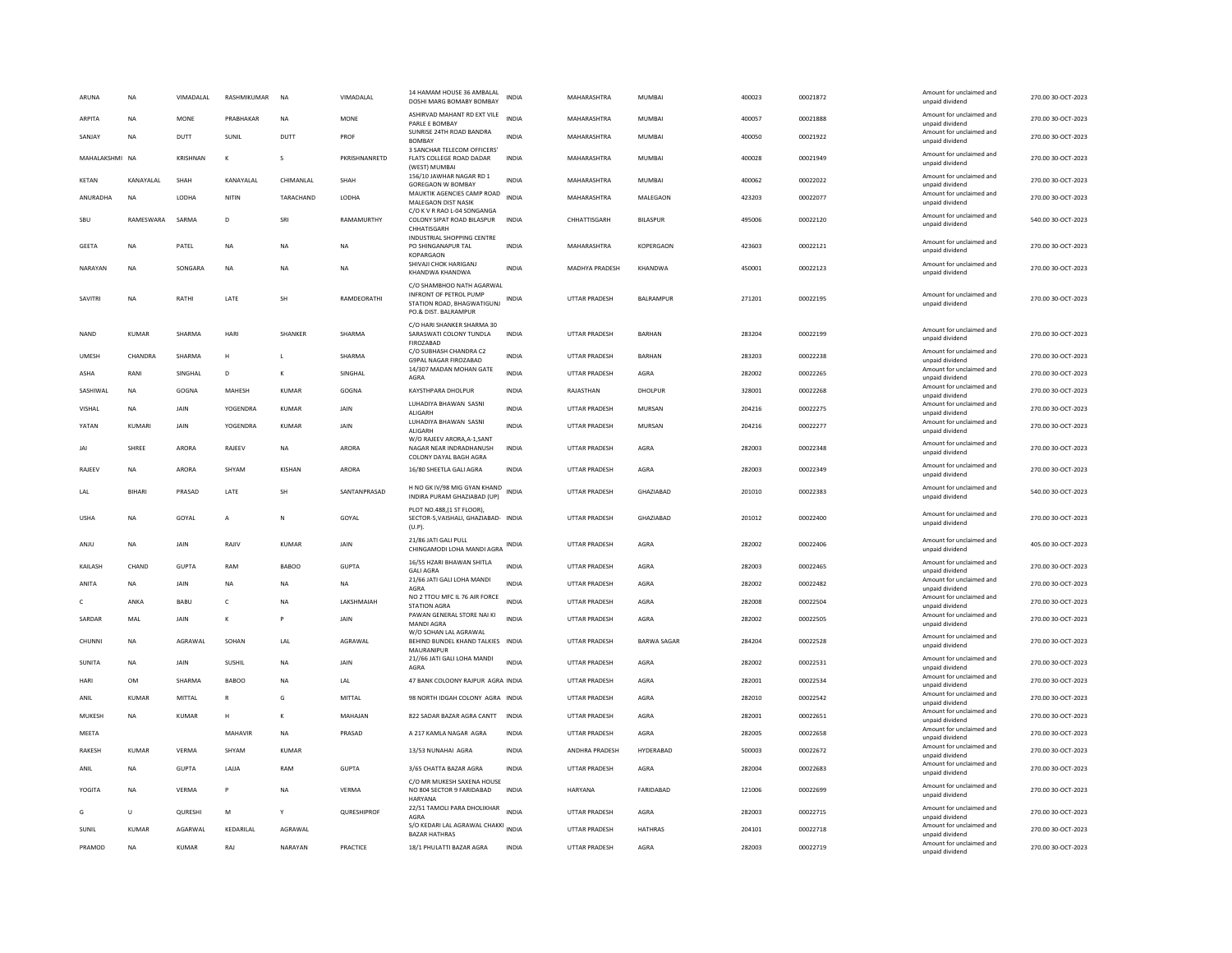| ARUNA          | NA            | VIMADALAL      | RASHMIKUMAR    | <b>NA</b>     | VIMADALAL     | 14 HAMAM HOUSE 36 AMBALAL<br>DOSHI MARG BOMABY BOMBAY                                                     | INDIA        | MAHARASHTRA           | MUMBAI             | 400023 | 00021872 | Amount for unclaimed and<br>unpaid dividend | 270.00 30-OCT-2023 |
|----------------|---------------|----------------|----------------|---------------|---------------|-----------------------------------------------------------------------------------------------------------|--------------|-----------------------|--------------------|--------|----------|---------------------------------------------|--------------------|
| <b>ARPITA</b>  | <b>NA</b>     | MONE           | PRABHAKAR      | <b>NA</b>     | MONE          | ASHIRVAD MAHANT RD EXT VILE<br>PARLE E BOMBA'                                                             | <b>INDIA</b> | MAHARASHTRA           | <b>MUMBAI</b>      | 400057 | 00021888 | Amount for unclaimed and<br>unpaid dividend | 270.00 30-OCT-2023 |
| SANJAY         | <b>NA</b>     | DUTT           | SUNIL          | DUTT          | PROF          | SUNRISE 24TH ROAD BANDRA<br><b>BOMBAY</b>                                                                 | INDIA        | MAHARASHTRA           | <b>MUMBAI</b>      | 400050 | 00021922 | Amount for unclaimed and<br>unpaid dividend | 270.00 30-OCT-2023 |
| MAHALAKSHMI NA |               | KRISHNAN       | $\kappa$       | s             | PKRISHNANRETD | 3 SANCHAR TELECOM OFFICERS'<br>FLATS COLLEGE ROAD DADAR<br>(WEST) MUMBAI                                  | <b>INDIA</b> | MAHARASHTRA           | <b>MUMBAI</b>      | 400028 | 00021949 | Amount for unclaimed and<br>unpaid dividend | 270.00 30-OCT-2023 |
| KETAN          | KANAYALAL     | SHAH           | KANAYALAL      | CHIMANLAL     | SHAH          | 156/10 JAWHAR NAGAR RD 1<br><b>GOREGAON W BOMBAY</b>                                                      | <b>INDIA</b> | MAHARASHTRA           | <b>MUMBAI</b>      | 400062 | 00022022 | Amount for unclaimed and<br>unpaid dividend | 270.00 30-OCT-2023 |
| ANURADHA       | NA            | LODHA          | NITIN          | TARACHAND     | LODHA         | MAUKTIK AGENCIES CAMP ROAD<br>MALEGAON DIST NASIK                                                         | <b>INDIA</b> | MAHARASHTRA           | MALEGAON           | 423203 | 00022077 | Amount for unclaimed and<br>unpaid dividend | 270.00 30-OCT-2023 |
| SBU            | RAMFSWARA     | SARMA          | D.             | SRI           | RAMAMURTHY    | C/O K V R RAO L-04 SONGANGA<br>COLONY SIPAT ROAD BILASPUR<br>CHHATISGARH                                  | INDIA        | CHHATTISGARH          | <b>BILASPUR</b>    | 495006 | 00022120 | Amount for unclaimed and<br>unpaid dividend | 540.00 30-OCT-2023 |
| GEETA          | <b>NA</b>     | PATEL          | $_{\sf NA}$    | <b>NA</b>     | <b>NA</b>     | <b>INDUSTRIAL SHOPPING CENTRE</b><br>PO SHINGANAPUR TAL                                                   | <b>INDIA</b> | MAHARASHTRA           | <b>KOPERGAON</b>   | 423603 | 00022121 | Amount for unclaimed and<br>unpaid dividend | 270.00 30-OCT-2023 |
| NARAYAN        | <b>NA</b>     | SONGARA        | <b>NA</b>      | <b>NA</b>     | <b>NA</b>     | KOPARGAON<br>SHIVAJI CHOK HARIGANJ<br>KHANDWA KHANDWA                                                     | <b>INDIA</b> | MADHYA PRADESH        | <b>KHANDWA</b>     | 450001 | 00022123 | Amount for unclaimed and<br>unpaid dividend | 270.00 30-OCT-2023 |
| SAVITRI        | NA            | RATHI          | LATE           | SH            | RAMDEORATHI   | C/O SHAMBHOO NATH AGARWAL<br>INFRONT OF PETROL PUMP<br>STATION ROAD, BHAGWATIGUNJ<br>PO.& DIST. BALRAMPUR | INDIA        | UTTAR PRADESH         | BALRAMPUR          | 271201 | 00022195 | Amount for unclaimed and<br>unpaid dividend | 270.00 30-OCT-2023 |
| <b>NAND</b>    | <b>KUMAR</b>  | SHARMA         | HARI           | SHANKER       | SHARMA        | C/O HARI SHANKER SHARMA 30<br>SARASWATI COLONY TUNDLA<br><b>FIROZABAD</b>                                 | <b>INDIA</b> | <b>UTTAR PRADESH</b>  | <b>BARHAN</b>      | 283204 | 00022199 | Amount for unclaimed and<br>unpaid dividend | 270.00 30-OCT-2023 |
| <b>UMFSH</b>   | CHANDRA       | SHARMA         | H              | $\mathbf{L}$  | SHARMA        | C/O SUBHASH CHANDRA C2<br><b>G9PAL NAGAR FIROZABAD</b>                                                    | <b>INDIA</b> | <b>UTTAR PRADESH</b>  | <b>BARHAN</b>      | 283203 | 00022238 | Amount for unclaimed and<br>unpaid dividend | 270.00 30-OCT-2023 |
| <b>ASHA</b>    | RANI          | SINGHAL        | D              | $\kappa$      | SINGHAL       | 14/307 MADAN MOHAN GATE<br>AGRA                                                                           | <b>INDIA</b> | <b>UTTAR PRADESH</b>  | AGRA               | 282002 | 00022265 | Amount for unclaimed and<br>unpaid dividend | 270.00 30-OCT-2023 |
| SASHIWAL       | NA            | GOGNA          | MAHESH         | KUMAR         | GOGNA         | KAYSTHPARA DHOLPUR                                                                                        | INDIA        | RAJASTHAN             | DHOLPUR            | 328001 | 00022268 | Amount for unclaimed and<br>unpaid dividend | 270.00 30-OCT-2023 |
| VISHAL         | <b>NA</b>     | JAIN           | YOGENDRA       | KUMAR         | JAIN          | LUHADIYA BHAWAN SASNI<br>ALIGARH                                                                          | <b>INDIA</b> | UTTAR PRADESH         | <b>MURSAN</b>      | 204216 | 00022275 | Amount for unclaimed and<br>unpaid dividend | 270.00 30-OCT-2023 |
| YATAN          | KUMARI        | JAIN           | YOGENDRA       | <b>KUMAR</b>  | JAIN          | LUHADIYA BHAWAN SASNI<br><b>ALIGARH</b>                                                                   | <b>INDIA</b> | UTTAR PRADESH         | MURSAN             | 204216 | 00022277 | Amount for unclaimed and<br>unpaid dividend | 270.00 30-OCT-2023 |
| JAI            | <b>SHREE</b>  | ARORA          | RAJEEV         | NA            | ARORA         | W/O RAJEEV ARORA, A-1, SANT<br>NAGAR NEAR INDRADHANUSH<br>COLONY DAYAL BAGH AGRA                          | <b>INDIA</b> | <b>UTTAR PRADESH</b>  | AGRA               | 282003 | 00022348 | Amount for unclaimed and<br>unpaid dividend | 270.00 30-OCT-2023 |
| RAJEEV         | <b>NA</b>     | ARORA          | SHYAM          | <b>KISHAN</b> | ARORA         | 16/80 SHEETLA GALI AGRA                                                                                   | <b>INDIA</b> | UTTAR PRADESH         | AGRA               | 282003 | 00022349 | Amount for unclaimed and<br>unpaid dividend | 270.00 30-OCT-2023 |
| LAL            | <b>BIHARI</b> | PRASAD         | LATE           | <b>SH</b>     | SANTANPRASAD  | H NO GK IV/98 MIG GYAN KHAND<br>INDIRA PURAM GHAZIABAD (UP)                                               | <b>INDIA</b> | <b>UTTAR PRADESH</b>  | <b>GHAZIARAD</b>   | 201010 | 00022383 | Amount for unclaimed and<br>unpaid dividend | 540.00 30-OCT-2023 |
| <b>USHA</b>    | <b>NA</b>     | GOYAL          | $\overline{A}$ | N             | GOYAL         | PLOT NO.488.(1 ST FLOOR)<br>SECTOR-5, VAISHALI, GHAZIABAD- INDIA<br>$(U.P)$ .                             |              | <b>UTTAR PRADESH</b>  | GHAZIABAD          | 201012 | 00022400 | Amount for unclaimed and<br>unpaid dividend | 270.00 30-OCT-2023 |
| ANJU           | NA            | JAIN           | RAJIV          | <b>KUMAR</b>  | JAIN          | 21/86 JATI GALI PULL<br>CHINGAMODI LOHA MANDI AGRA                                                        | <b>INDIA</b> | UTTAR PRADESH         | AGRA               | 282002 | 00022406 | Amount for unclaimed and<br>unpaid dividend | 405.00 30-OCT-2023 |
| KAILASH        | CHAND         | <b>GUPTA</b>   | RAM            | <b>BABOO</b>  | <b>GUPTA</b>  | 16/55 HZARI BHAWAN SHITLA<br><b>GALI AGRA</b>                                                             | <b>INDIA</b> | UTTAR PRADESH         | AGRA               | 282003 | 00022465 | Amount for unclaimed and<br>unpaid dividend | 270.00 30-OCT-2023 |
| ANITA          | NA            | JAIN           | <b>NA</b>      | <b>NA</b>     | <b>NA</b>     | 21/66 JATI GALI LOHA MANDI<br>AGRA                                                                        | <b>INDIA</b> | UTTAR PRADESH         | AGRA               | 282002 | 00022482 | Amount for unclaimed and<br>unpaid dividend | 270.00 30-OCT-2023 |
| c              | ANKA          | BABU           | c              | <b>NA</b>     | LAKSHMAIAH    | NO 2 TTOU MFC IL 76 AIR FORCE<br><b>STATION AGRA</b>                                                      | <b>INDIA</b> | <b>UTTAR PRADESH</b>  | AGRA               | 282008 | 00022504 | Amount for unclaimed and<br>unpaid dividend | 270.00 30-OCT-2023 |
| SARDAR         | MAL           | JAIN           | К              | P             | JAIN          | PAWAN GENERAL STORE NAI KI<br>MANDI AGRA                                                                  | <b>INDIA</b> | UTTAR PRADESH         | AGRA               | 282002 | 00022505 | Amount for unclaimed and<br>unpaid dividend | 270.00 30-OCT-2023 |
| CHUNNI         | <b>NA</b>     | AGRAWAI        | SOHAN          | LAL           | AGRAWAL       | W/O SOHAN LAL AGRAWAL<br>BEHIND BUNDEL KHAND TALKIES INDIA<br>MAURANIPUR                                  |              | <b>UTTAR PRADESH</b>  | <b>BARWA SAGAR</b> | 284204 | 00022528 | Amount for unclaimed and<br>unpaid dividend | 270.00 30-OCT-2023 |
| SUNITA         | NA            | JAIN           | <b>SUSHIL</b>  | NA            | JAIN          | 21//66 JATI GALI LOHA MANDI<br>AGRA                                                                       | <b>INDIA</b> | UTTAR PRADESH         | AGRA               | 282002 | 00022531 | Amount for unclaimed and<br>unpaid dividend | 270.00 30-OCT-2023 |
| HARI           | OM            | SHARMA         | <b>BABOO</b>   | <b>NA</b>     | LAL           | 47 BANK COLOONY RAJPUR AGRA INDIA                                                                         |              | UTTAR PRADESH         | AGRA               | 282001 | 00022534 | Amount for unclaimed and<br>unpaid dividend | 270.00 30-OCT-2023 |
| ANIL           | <b>KUMAR</b>  | MITTAL         |                | G             | <b>MITTAL</b> | 98 NORTH IDGAH COLONY AGRA INDIA                                                                          |              | <b>UTTAR PRADESH</b>  | AGRA               | 282010 | 00022542 | Amount for unclaimed and<br>unpaid dividend | 270.00 30-OCT-2023 |
| MUKESH         | NA            | KUMAR          | H              | $\kappa$      | MAHAJAN       | 822 SADAR BAZAR AGRA CANTT INDIA                                                                          |              | UTTAR PRADESH         | AGRA               | 282001 | 00022651 | Amount for unclaimed and<br>unpaid dividend | 270.00 30-OCT-2023 |
| MEETA          |               |                | MAHAVIR        | <b>NA</b>     | PRASAD        | A 217 KAMLA NAGAR AGRA                                                                                    | <b>INDIA</b> | UTTAR PRADESH         | AGRA               | 282005 | 00022658 | Amount for unclaimed and<br>unpaid dividend | 270.00 30-OCT-2023 |
| <b>RAKESH</b>  | KUMAR         | VFRMA          | SHYAM          | KUMAR         |               | 13/53 NUNAHAI AGRA                                                                                        | <b>INDIA</b> | <b>ANDHRA PRADESH</b> | HYDERABAD          | 500003 | 00022672 | Amount for unclaimed and<br>unpaid dividend | 270.00 30-OCT-2023 |
| ANIL           | <b>NA</b>     | <b>GUPTA</b>   | LAJJA          | RAM           | <b>GUPTA</b>  | 3/65 CHATTA BAZAR AGRA                                                                                    | <b>INDIA</b> | <b>UTTAR PRADESH</b>  | AGRA               | 282004 | 00022683 | Amount for unclaimed and<br>unpaid dividend | 270.00 30-OCT-2023 |
| YOGITA         | NA            | VERMA          | P              | NA            | VERMA         | C/O MR MUKESH SAXENA HOUSE<br>NO 804 SECTOR 9 FARIDABAD<br>HARYANA                                        | <b>INDIA</b> | HARYANA               | FARIDABAD          | 121006 | 00022699 | Amount for unclaimed and<br>unpaid dividend | 270.00 30-OCT-2023 |
| G              | U             | <b>QURESHI</b> | M              | Y             | QURESHIPROF   | 22/51 TAMOLI PARA DHOLIKHAR<br>AGRA                                                                       | <b>INDIA</b> | <b>UTTAR PRADESH</b>  | AGRA               | 282003 | 00022715 | Amount for unclaimed and<br>unpaid dividend | 270.00 30-OCT-2023 |
| SUNIL          | <b>KUMAR</b>  | AGARWAL        | KEDARILAL      | AGRAWAL       |               | S/O KEDARI LAL AGRAWAL CHAKKI INDIA<br><b>BAZAR HATHRAS</b>                                               |              | UTTAR PRADESH         | <b>HATHRAS</b>     | 204101 | 00022718 | Amount for unclaimed and<br>unpaid dividend | 270.00 30-OCT-2023 |
| PRAMOD         | <b>NA</b>     | KUMAR          | RAJ            | NARAYAN       | PRACTICE      | 18/1 PHULATTI BAZAR AGRA                                                                                  | <b>INDIA</b> | UTTAR PRADESH         | AGRA               | 282003 | 00022719 | Amount for unclaimed and<br>unpaid dividend | 270.00 30-OCT-2023 |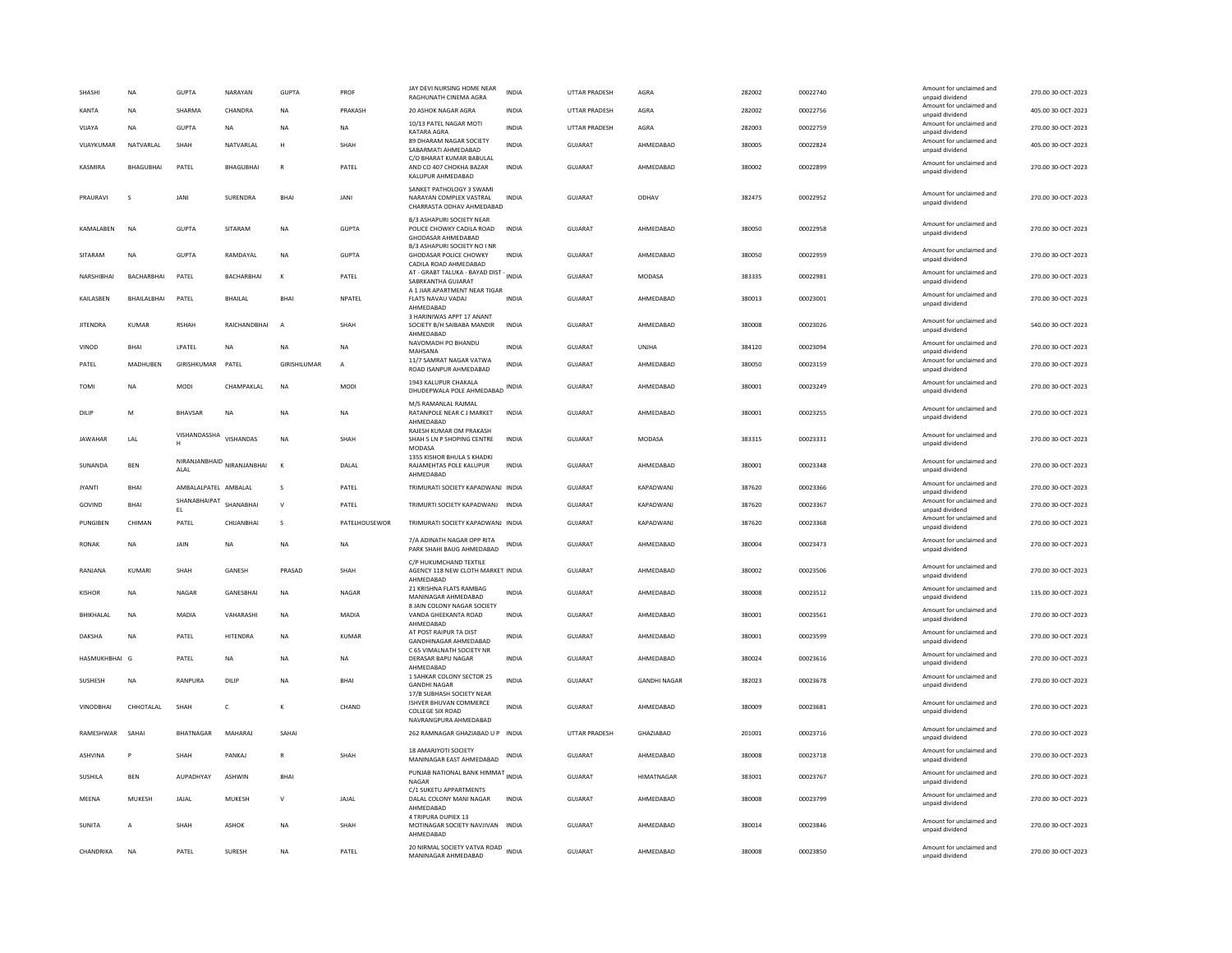| SHASH            | NA                | <b>GUPTA</b>         | NARAYAN                                                                        | <b>GUPTA</b>   | PROF          | JAY DEVI NURSING HOME NEAR<br>RAGHUNATH CINEMA AGRA                                                          | <b>INDIA</b> | UTTAR PRADESH        | AGRA                | 282002 | 00022740 | Amount for unclaimed and<br>unnaid dividend                    | 270.00 30-OCT-2023 |
|------------------|-------------------|----------------------|--------------------------------------------------------------------------------|----------------|---------------|--------------------------------------------------------------------------------------------------------------|--------------|----------------------|---------------------|--------|----------|----------------------------------------------------------------|--------------------|
| KANTA            | <b>NA</b>         | SHARMA               | CHANDRA                                                                        | <b>NA</b>      | PRAKASH       | 20 ASHOK NAGAR AGRA                                                                                          | <b>INDIA</b> | <b>UTTAR PRADESH</b> | AGRA                | 282002 | 00022756 | Amount for unclaimed and<br>unpaid dividend                    | 405.00 30-OCT-2023 |
| VIJAYA           | <b>NA</b>         | <b>GUPTA</b>         | <b>NA</b>                                                                      | <b>NA</b>      | NA            | 10/13 PATEL NAGAR MOTI<br>KATARA AGRA                                                                        | <b>INDIA</b> | UTTAR PRADESH        | AGRA                | 282003 | 00022759 | Amount for unclaimed and<br>unpaid dividend                    | 270.00 30-OCT-2023 |
| VIJAYKUMAR       | NATVARLAL         | SHAH                 | NATVARLAL                                                                      | Н              | SHAH          | 89 DHARAM NAGAR SOCIETY<br>SABARMATI AHMEDABAD                                                               | INDIA        | GUJARAT              | AHMEDABAD           | 380005 | 00022824 | Amount for unclaimed and<br>unpaid dividend                    | 405.00 30-OCT-2023 |
| KASMIRA          | <b>BHAGUBHAI</b>  | PATEL                | <b>BHAGUBHAI</b>                                                               | $\mathsf{R}$   | PATEL         | C/O BHARAT KUMAR BABULAL<br>AND CO 407 CHOKHA BAZAR<br>KALUPUR AHMEDABAD                                     | <b>INDIA</b> | <b>GUJARAT</b>       | AHMEDABAD           | 380002 | 00022899 | Amount for unclaimed and<br>unpaid dividend                    | 270.00 30-OCT-2023 |
| PRAURAVI         |                   | JANI                 | SURENDRA                                                                       | <b>BHAI</b>    | JANI          | SANKET PATHOLOGY 3 SWAMI<br>NARAYAN COMPLEX VASTRAL<br>CHARRASTA ODHAV AHMEDABAD                             | <b>INDIA</b> | <b>GUJARAT</b>       | ODHAV               | 382475 | 00022952 | Amount for unclaimed and<br>unpaid dividend                    | 270.00 30-OCT-2023 |
| KAMALABEN        | NA                | <b>GUPTA</b>         | SITARAM                                                                        | <b>NA</b>      | <b>GUPTA</b>  | B/3 ASHAPURI SOCIETY NEAR<br>POLICE CHOWKY CADILA ROAD<br>GHODASAR AHMEDABAD<br>B/3 ASHAPURI SOCIETY NO I NR | INDIA        | GUJARAT              | AHMEDABAD           | 380050 | 00022958 | Amount for unclaimed and<br>unpaid dividend                    | 270.00 30-OCT-2023 |
| SITARAM          | <b>NA</b>         | <b>GUPTA</b>         | RAMDAYAL                                                                       | <b>NA</b>      | <b>GUPTA</b>  | <b>GHODASAR POLICE CHOWKY</b><br>CADILA ROAD AHMEDABAD                                                       | <b>INDIA</b> | <b>GUJARAT</b>       | AHMEDABAD           | 380050 | 00022959 | Amount for unclaimed and<br>unpaid dividend                    | 270.00 30-OCT-2023 |
| NARSHIBHAI       | <b>BACHARBHAI</b> | PATEL                | <b>BACHARBHAI</b>                                                              | $\kappa$       | PATEL         | AT - GRABT TALUKA - BAYAD DIST -<br>SABRKANTHA GUJARAT                                                       | <b>INDIA</b> | GUIARAT              | MODASA              | 383335 | 00022981 | Amount for unclaimed and<br>unpaid dividend                    | 270.00 30-OCT-2023 |
| KAILASBEN        | BHAILALBHAI       | PATEL                | <b>BHAILAL</b>                                                                 | BHAI           | NPATEL        | A 1 JIAR APARTMENT NEAR TIGAR<br>FLATS NAVAU VADAJ<br>AHMEDABAD                                              | <b>INDIA</b> | GUJARAT              | AHMEDABAD           | 380013 | 00023001 | Amount for unclaimed and<br>unpaid dividend                    | 270.00 30-OCT-2023 |
| <b>JITENDRA</b>  | KUMAR             | <b>RSHAH</b>         | RAICHANDBHAI                                                                   | $\overline{A}$ | SHAH          | 3 HARINIWAS APPT 17 ANANT<br>SOCIETY B/H SAIBABA MANDIR<br>AHMFDARAD                                         | INDIA        | GUJARAT              | AHMEDABAD           | 380008 | 00023026 | Amount for unclaimed and<br>unpaid dividend                    | 540.00 30-OCT-2023 |
| VINOD            | <b>BHAI</b>       | LPATEL               | <b>NA</b>                                                                      | <b>NA</b>      | <b>NA</b>     | NAVOMADH PO BHANDU<br>MAHSANA                                                                                | <b>INDIA</b> | <b>GUJARAT</b>       | <b>UNJHA</b>        | 384120 | 00023094 | Amount for unclaimed and<br>unpaid dividend                    | 270.00 30-OCT-2023 |
| PATEL            | MADHUBEN          | GIRISHKUMAR          | PATEL                                                                          | GIRISHILUMAR   | A             | 11/7 SAMRAT NAGAR VATWA<br>ROAD ISANPUR AHMEDABAD                                                            | INDIA        | GUJARAT              | AHMEDABAD           | 380050 | 00023159 | Amount for unclaimed and<br>unpaid dividend                    | 270.00 30-OCT-2023 |
| <b>TOMI</b>      | <b>NA</b>         | <b>MODI</b>          | CHAMPAKLAL                                                                     | <b>NA</b>      | <b>MODI</b>   | 1943 KALUPUR CHAKALA<br>DHUDEPWALA POLE AHMEDABAD INDIA                                                      |              | GUJARAT              | AHMEDABAD           | 380001 | 00023249 | Amount for unclaimed and<br>unpaid dividend                    | 270.00 30-OCT-2023 |
| DILIF            | M                 | <b>BHAVSAR</b>       | NA                                                                             | <b>NA</b>      | <b>NA</b>     | M/S RAMANLAL RAJMAL<br>RATANPOLE NEAR C J MARKET<br>AHMEDABAD                                                | <b>INDIA</b> | <b>GUJARAT</b>       | AHMEDABAD           | 380001 | 00023255 | Amount for unclaimed and<br>unpaid dividend                    | 270.00 30-OCT-2023 |
| <b>JAWAHAR</b>   | LAL               | VISHANDASSHA<br>H    | VISHANDAS                                                                      | NA             | SHAH          | RAJESH KUMAR OM PRAKASH<br>SHAH 5 LN P SHOPING CENTRE<br>MODASA                                              | INDIA        | GUJARAT              | MODASA              | 383315 | 00023331 | Amount for unclaimed and<br>unpaid dividend                    | 270.00 30-OCT-2023 |
| SUNANDA          | BEN               | ALAL                 | $\hbox{\small NIRANJANBHAID} \begin{tabular}{c} NIRANJANBHAI \\ \end{tabular}$ | к              | DALAL         | 1355 KISHOR BHULA S KHADKI<br>RAJAMEHTAS POLE KALUPUR<br>AHMEDABAD                                           | INDIA        | GUJARAT              | AHMEDABAD           | 380001 | 00023348 | Amount for unclaimed and<br>unpaid dividend                    | 270.00 30-OCT-2023 |
| <b>IYANTI</b>    |                   |                      |                                                                                |                |               |                                                                                                              |              |                      |                     |        |          |                                                                |                    |
|                  | <b>BHAI</b>       | AMBALALPATEL AMBALAL |                                                                                | $\mathbf{S}$   | PATEL         | TRIMURATI SOCIETY KAPADWANJ INDIA                                                                            |              | GUIARAT              | KAPADWANJ           | 387620 | 00023366 | Amount for unclaimed and<br>unpaid dividend                    | 270.00 30-OCT-2023 |
| GOVIND           | BHAI              | SHANABHAIPAT<br>EL   | SHANABHAI                                                                      | $\mathbf{v}$   | PATEL         | TRIMURTI SOCIETY KAPADWANJ INDIA                                                                             |              | GUJARAT              | KAPADWANJ           | 387620 | 00023367 | Amount for unclaimed and<br>unpaid dividend                    | 270.00 30-OCT-2023 |
| PUNGIBEN         | CHIMAN            | PATEL                | CHIJANBHAI                                                                     | s              | PATELHOUSEWOR | TRIMURATI SOCIETY KAPADWANJ INDIA                                                                            |              | GUJARAT              | KAPADWANJ           | 387620 | 00023368 | Amount for unclaimed and<br>unpaid dividend                    | 270.00 30-OCT-2023 |
| RONAK            | <b>NA</b>         | <b>JAIN</b>          | <b>NA</b>                                                                      | <b>NA</b>      | NA.           | 7/A ADINATH NAGAR OPP RITA<br>PARK SHAHI BAUG AHMEDABAD                                                      | INDIA        | GUIARAT              | AHMEDARAD           | 380004 | 00023473 | Amount for unclaimed and<br>unpaid dividend                    | 270.00 30-OCT-2023 |
| RANIANA          | KUMARI            | <b>SHAH</b>          | GANESH                                                                         | PRASAD         | SHAH          | C/P HUKUMCHAND TEXTILE<br>AGENCY 118 NEW CLOTH MARKET INDIA<br>AHMEDABAD                                     |              | GUIARAT              | AHMEDABAD           | 380002 | 00023506 | Amount for unclaimed and<br>unpaid dividend                    | 270.00 30-OCT-2023 |
| <b>KISHOR</b>    | ΝA                | NAGAR                | GANESBHAI                                                                      | <b>NA</b>      | NAGAR         | 21 KRISHNA FLATS RAMBAG<br>MANINAGAR AHMEDABAD                                                               | INDIA        | GUJARAT              | AHMEDABAD           | 380008 | 00023512 | Amount for unclaimed and<br>unpaid dividend                    | 135.00 30-OCT-2023 |
| BHIKHALAL        | <b>NA</b>         | <b>MADIA</b>         | VAHARASHI                                                                      | <b>NA</b>      | <b>MADIA</b>  | 8 JAIN COLONY NAGAR SOCIETY<br>VANDA GHEEKANTA ROAD                                                          | <b>INDIA</b> | GUJARAT              | AHMEDABAD           | 380001 | 00023561 | Amount for unclaimed and<br>unpaid dividend                    | 270.00 30-OCT-2023 |
| <b>DAKSHA</b>    | <b>NA</b>         | PATEL                | <b>HITENDRA</b>                                                                | <b>NA</b>      | KUMAR         | AHMFDARAD<br>AT POST RAIPUR TA DIST<br>GANDHINAGAR AHMEDABAD                                                 | <b>INDIA</b> | <b>GUJARAT</b>       | AHMEDABAD           | 380001 | 00023599 | Amount for unclaimed and<br>unpaid dividend                    | 270.00 30-OCT-2023 |
| HASMUKHBHAI G    |                   | PATEL                | NA                                                                             | <b>NA</b>      | NA            | C 65 VIMALNATH SOCIETY NR<br>DERASAR BAPU NAGAR                                                              | INDIA        | GUJARAT              | AHMEDABAD           | 380024 | 00023616 | Amount for unclaimed and                                       | 270.00 30-OCT-2023 |
| SUSHESH          | <b>NA</b>         | RANPURA              | DILIP                                                                          | <b>NA</b>      | <b>BHA</b>    | AHMEDABAD<br>1 SAHKAR COLONY SECTOR 25<br><b>GANDHI NAGAR</b>                                                | <b>INDIA</b> | <b>GUJARAT</b>       | <b>GANDHI NAGAR</b> | 382023 | 00023678 | unpaid dividend<br>Amount for unclaimed and<br>unpaid dividend | 270.00 30-OCT-2023 |
| <b>VINODBHAI</b> | CHHOTAL AL        | SHAH                 | $\mathsf{C}$                                                                   | K              | CHAND         | 17/B SUBHASH SOCIETY NEAR<br><b>ISHVER BHUVAN COMMERCE</b><br>COLLEGE SIX ROAD                               | <b>INDIA</b> | <b>GUJARAT</b>       | AHMEDABAD           | 380009 | 00023681 | Amount for unclaimed and<br>unpaid dividend                    | 270.00 30-OCT-2023 |
| RAMESHWAR        | SAHAI             | BHATNAGAR            | MAHARAJ                                                                        | SAHAI          |               | NAVRANGPURA AHMEDABAD<br>262 RAMNAGAR GHAZIABAD U P INDIA                                                    |              | UTTAR PRADESH        | GHAZIABAD           | 201001 | 00023716 | Amount for unclaimed and<br>unpaid dividend                    | 270.00 30-OCT-2023 |
| <b>ASHVINA</b>   | P                 | SHAH                 | PANKAJ                                                                         | $\mathbb{R}$   | SHAH          | 18 AMARJYOTI SOCIETY<br>MANINAGAR EAST AHMEDABAD                                                             | INDIA        | <b>GUJARAT</b>       | AHMEDABAD           | 380008 | 00023718 | Amount for unclaimed and<br>unpaid dividend                    | 270.00 30-OCT-2023 |
| SUSHILA          | <b>BEN</b>        | AUPADHYAY            | ASHWIN                                                                         | BHAI           |               | PUNJAB NATIONAL BANK HIMMAT INDIA<br>NAGAR                                                                   |              | GUJARAT              | <b>HIMATNAGAR</b>   | 383001 | 00023767 | Amount for unclaimed and<br>unpaid dividend                    | 270.00 30-OCT-2023 |
| MEENA            | MUKESH            | JAJAL                | MUKESH                                                                         | $\mathsf{v}$   | JAJAL         | C/1 SUKETU APPARTMENTS<br>DALAL COLONY MANI NAGAR<br>AHMFDARAD                                               | <b>INDIA</b> | GUJARAT              | AHMEDABAD           | 380008 | 00023799 | Amount for unclaimed and<br>unpaid dividend                    | 270.00 30-OCT-2023 |
| <b>SUNITA</b>    | $\overline{A}$    | <b>SHAH</b>          | ASHOK                                                                          | <b>NA</b>      | SHAH          | 4 TRIPURA DUPIEX 13<br>MOTINAGAR SOCIETY NAVJIVAN INDIA<br>AHMEDABAD                                         |              | GUJARAT              | AHMEDABAD           | 380014 | 00023846 | Amount for unclaimed and<br>unpaid dividend                    | 270.00 30-OCT-2023 |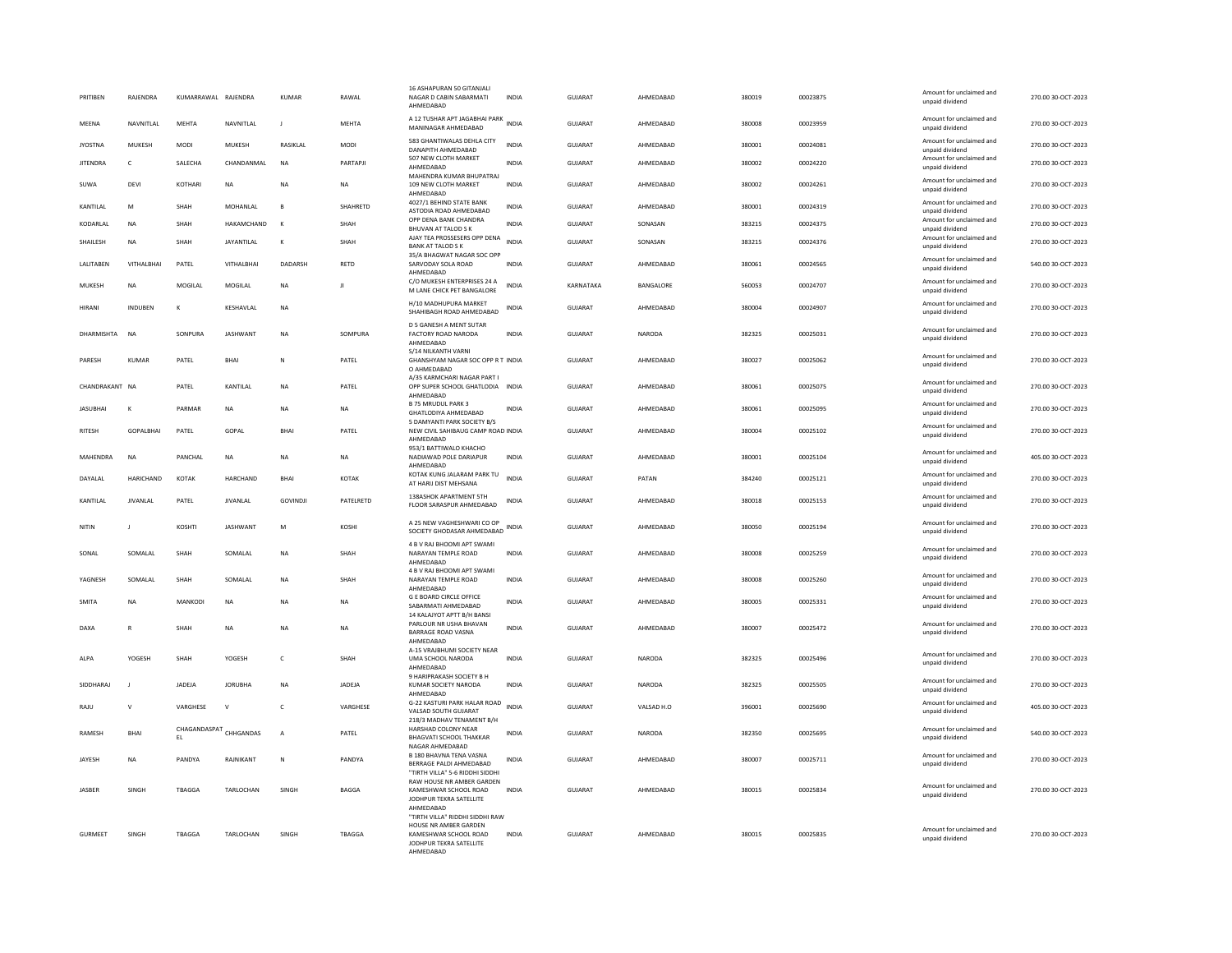| PRITIBEN        | RAJENDRA        | KUMARRAWAL RAJENDRA |                 | <b>KUMAR</b> | RAWAL        | 16 ASHAPURAN 50 GITANJALI<br>NAGAR D CABIN SABARMATI<br>AHMFDARAD                                                         | <b>INDIA</b> | GUJARAT        | AHMEDABAD        | 380019 | 00023875 | Amount for unclaimed and<br>unpaid dividend | 270.00 30-OCT-2023 |
|-----------------|-----------------|---------------------|-----------------|--------------|--------------|---------------------------------------------------------------------------------------------------------------------------|--------------|----------------|------------------|--------|----------|---------------------------------------------|--------------------|
| MEENA           | NAVNITLAL       | <b>MEHTA</b>        | NAVNITLAL       | $\mathbf{J}$ | <b>MEHTA</b> | A 12 TUSHAR APT JAGABHAI PARK INDIA<br>MANINAGAR AHMEDABAD                                                                |              | GUJARAT        | AHMEDABAD        | 380008 | 00023959 | Amount for unclaimed and<br>unpaid dividend | 270.00 30-OCT-2023 |
| <b>JYOSTNA</b>  | <b>MUKESH</b>   | <b>MODI</b>         | MUKESH          | RASIKLAL     | <b>MODI</b>  | 583 GHANTIWALAS DEHLA CITY<br>DANAPITH AHMEDARAD                                                                          | <b>INDIA</b> | GUJARAT        | AHMEDABAD        | 380001 | 00024081 | Amount for unclaimed and<br>unnaid dividend | 270.00 30-OCT-2023 |
| <b>JITENDRA</b> | $\mathsf{C}$    | SALECHA             | CHANDANMAL      | <b>NA</b>    | PARTAPIL     | 507 NEW CLOTH MARKET<br>AHMEDABAD                                                                                         | <b>INDIA</b> | <b>GUJARAT</b> | AHMEDABAD        | 380002 | 00024220 | Amount for unclaimed and<br>unpaid dividend | 270.00 30-OCT-2023 |
| SUWA            | DEVI            | KOTHARI             | NA              | NA           | <b>NA</b>    | MAHENDRA KUMAR BHUPATRAJ<br>109 NEW CLOTH MARKET<br>AHMFDARAD                                                             | INDIA        | GUJARAT        | AHMEDABAD        | 380002 | 00024261 | Amount for unclaimed and<br>unpaid dividend | 270.00 30-OCT-2023 |
| KANTILAL        | M               | SHAH                | MOHANI AI       | $\mathbf{B}$ | SHAHRETD     | 4027/1 BEHIND STATE BANK<br>ASTODIA ROAD AHMEDABAD                                                                        | <b>INDIA</b> | <b>GUJARAT</b> | AHMFDARAD        | 380001 | 00024319 | Amount for unclaimed and<br>unpaid dividend | 270.00 30-OCT-2023 |
| KODARLAL        | <b>NA</b>       | SHAH                | HAKAMCHAND      | $\mathbf{K}$ | SHAH         | OPP DENA BANK CHANDRA<br>BHUVAN AT TALOD S K                                                                              | <b>INDIA</b> | <b>GUJARAT</b> | SONASAN          | 383215 | 00024375 | Amount for unclaimed and<br>unpaid dividend | 270.00 30-OCT-2023 |
| SHAILESH        | <b>NA</b>       | SHAH                | JAYANTILAL      | К            | SHAH         | AJAY TEA PROSSESERS OPP DENA<br><b>BANK AT TALOD S K</b><br>35/A BHAGWAT NAGAR SOC OPP                                    | <b>INDIA</b> | <b>GUJARAT</b> | SONASAN          | 383215 | 00024376 | Amount for unclaimed and<br>unpaid dividend | 270.00 30-OCT-2023 |
| LALITABEN       | VITHALBHAI      | PATEL               | VITHALBHAI      | DADARSH      | RETD         | SARVODAY SOLA ROAD<br>AHMEDABAD                                                                                           | <b>INDIA</b> | GUJARAT        | AHMEDABAD        | 380061 | 00024565 | Amount for unclaimed and<br>unpaid dividend | 540.00 30-OCT-2023 |
| MUKESH          | NA              | MOGILAL             | <b>MOGILAL</b>  | <b>NA</b>    | $\mathbf{H}$ | C/O MUKESH ENTERPRISES 24 A<br>M LANE CHICK PET BANGALORE                                                                 | <b>INDIA</b> | KARNATAKA      | <b>BANGALORE</b> | 560053 | 00024707 | Amount for unclaimed and<br>unpaid dividend | 270.00.30-OCT-2023 |
| HIRANI          | <b>INDUBEN</b>  | K                   | KESHAVLAL       | NA           |              | H/10 MADHUPURA MARKET<br>SHAHIBAGH ROAD AHMEDABAD                                                                         | INDIA        | <b>GUJARAT</b> | AHMEDABAD        | 380004 | 00024907 | Amount for unclaimed and<br>unpaid dividend | 270.00 30-OCT-2023 |
| DHARMISHTA      | <b>NA</b>       | SONPURA             | <b>JASHWANT</b> | <b>NA</b>    | SOMPURA      | D 5 GANESH A MENT SUTAR<br><b>FACTORY ROAD NARODA</b><br>AHMEDABAD                                                        | <b>INDIA</b> | GUJARAT        | <b>NARODA</b>    | 382325 | 00025031 | Amount for unclaimed and<br>unpaid dividend | 270.00 30-OCT-2023 |
| PARESH          | KUMAR           | PATEL               | <b>BHAI</b>     | N            | PATEL        | S/14 NILKANTH VARNI<br>GHANSHYAM NAGAR SOC OPP RT INDIA<br>O AHMEDABAD                                                    |              | GUIARAT        | AHMEDARAD        | 380027 | 00025062 | Amount for unclaimed and<br>unpaid dividend | 270.00 30-OCT-2023 |
| CHANDRAKANT NA  |                 | PATEL               | KANTILAL        | <b>NA</b>    | PATEL        | A/35 KARMCHARI NAGAR PART I<br>OPP SUPER SCHOOL GHATLODIA INDIA                                                           |              | <b>GUJARAT</b> | AHMEDABAD        | 380061 | 00025075 | Amount for unclaimed and<br>unpaid dividend | 270.00 30-OCT-2023 |
| <b>JASUBHAI</b> | к               | PARMAR              | NA              | <b>NA</b>    | <b>NA</b>    | AHMEDABAD<br><b>B 75 MRUDUL PARK 3</b><br>GHATLODIYA AHMEDABAD                                                            | <b>INDIA</b> | GUJARAT        | AHMEDABAD        | 380061 | 00025095 | Amount for unclaimed and<br>unpaid dividend | 270.00 30-OCT-2023 |
| RITESH          | GOPALBHAI       | PATEL               | GOPAL           | <b>BHA</b>   | PATEL        | 5 DAMYANTI PARK SOCIETY B/S<br>NEW CIVIL SAHIBAUG CAMP ROAD INDIA<br>AHMEDABAD                                            |              | <b>GUJARAT</b> | AHMEDABAD        | 380004 | 00025102 | Amount for unclaimed and<br>unpaid dividend | 270.00 30-OCT-2023 |
| MAHENDRA        | <b>NA</b>       | PANCHAL             | <b>NA</b>       | <b>NA</b>    | <b>NA</b>    | 953/1 BATTIWALO KHACHO<br>NADIAWAD POLE DARIAPUR                                                                          | <b>INDIA</b> | <b>GUJARAT</b> | AHMEDABAD        | 380001 | 00025104 | Amount for unclaimed and<br>unpaid dividend | 405.00 30-OCT-2023 |
| DAYALAL         | HARICHAND       | KOTAK               | HARCHAND        | <b>BHAI</b>  | <b>KOTAK</b> | AHMEDABAD<br>KOTAK KUNG JALARAM PARK TU<br>AT HARIJ DIST MEHSANA                                                          | <b>INDIA</b> | GUJARAT        | PATAN            | 384240 | 00025121 | Amount for unclaimed and<br>unpaid dividend | 270.00 30-OCT-2023 |
| KANTILAL        | <b>JIVANLAL</b> | PATEL               | <b>JIVANLAL</b> | GOVINDJI     | PATELRETD    | 138ASHOK APARTMENT 5TH<br>FLOOR SARASPUR AHMEDABAD                                                                        | <b>INDIA</b> | <b>GUJARAT</b> | AHMEDABAD        | 380018 | 00025153 | Amount for unclaimed and<br>unpaid dividend | 270.00 30-OCT-2023 |
| NITIN           | $\mathbf{I}$    | KOSHTI              | <b>IASHWANT</b> | M            | KOSHI        | A 25 NEW VAGHESHWARI CO OP<br>SOCIETY GHODASAR AHMEDABAD INDIA                                                            |              | GUIARAT        | AHMFDARAD        | 380050 | 00025194 | Amount for unclaimed and<br>unpaid dividend | 270.00.30-OCT-2023 |
| SONAL           | SOMALAL         | SHAH                | SOMALAL         | NA           | SHAH         | 4 B V RAJ BHOOMI APT SWAMI<br>NARAYAN TEMPLE ROAD<br>AHMEDABAD                                                            | <b>INDIA</b> | GUJARAT        | AHMEDABAD        | 380008 | 00025259 | Amount for unclaimed and<br>unpaid dividend | 270.00 30-OCT-2023 |
| YAGNESH         | SOMALAL         | SHAH                | SOMALAL         | NA           | SHAH         | 4 B V RAJ BHOOMI APT SWAMI<br>NARAYAN TEMPLE ROAD<br>AHMEDABAD                                                            | INDIA        | GUJARAT        | AHMEDABAD        | 380008 | 00025260 | Amount for unclaimed and<br>unpaid dividend | 270.00 30-OCT-2023 |
| <b>SMITA</b>    | <b>NA</b>       | <b>MANKODI</b>      | <b>NA</b>       | <b>NA</b>    | <b>NA</b>    | <b>G E BOARD CIRCLE OFFICE</b><br>SABARMATI AHMEDABAD                                                                     | <b>INDIA</b> | GUJARAT        | AHMEDABAD        | 380005 | 00025331 | Amount for unclaimed and<br>unpaid dividend | 270.00 30-OCT-2023 |
| DAXA            | $\mathbb{R}$    | <b>SHAH</b>         | <b>NA</b>       | <b>NA</b>    | <b>NA</b>    | 14 KALAJYOT APTT B/H BANSI<br>PARLOUR NR USHA BHAVAN<br><b>BARRAGE ROAD VASNA</b>                                         | <b>INDIA</b> | GUIARAT        | AHMEDARAD        | 380007 | 00025472 | Amount for unclaimed and<br>unpaid dividend | 270.00 30-OCT-2023 |
| ALPA            | YOGESH          | SHAH                | YOGESH          | $\mathsf{C}$ | SHAH         | AHMEDABAD<br>A-15 VRAJBHUMI SOCIETY NEAR<br>UMA SCHOOL NARODA<br>AHMEDABAD                                                | <b>INDIA</b> | GUIARAT        | <b>NARODA</b>    | 382325 | 00025496 | Amount for unclaimed and<br>unpaid dividend | 270.00 30-OCT-2023 |
| SIDDHARAJ       | J               | JADEJA              | <b>JORUBHA</b>  | NA           | JADEJA       | 9 HARIPRAKASH SOCIETY B H<br>KUMAR SOCIETY NARODA                                                                         | <b>INDIA</b> | GUJARAT        | NARODA           | 382325 | 00025505 | Amount for unclaimed and<br>unpaid dividend | 270.00 30-OCT-2023 |
| RAJU            | $\mathsf{V}$    | VARGHESE            | $\mathsf{v}$    | $\mathsf{C}$ | VARGHESE     | AHMEDABAD<br>G-22 KASTURI PARK HALAR ROAD<br>VALSAD SOUTH GUJARAT                                                         | <b>INDIA</b> | <b>GUJARAT</b> | VALSAD H.O       | 396001 | 00025690 | Amount for unclaimed and<br>unpaid dividend | 405.00 30-OCT-2023 |
| <b>RAMESH</b>   | BHAI            | CHAGANDASPAT<br>EL. | CHHGANDAS       | А            | PATEL        | 218/3 MADHAV TENAMENT B/H<br>HARSHAD COLONY NEAR<br><b>BHAGVATI SCHOOL THAKKAR</b>                                        | INDIA        | GUJARAT        | <b>NARODA</b>    | 382350 | 00025695 | Amount for unclaimed and<br>unpaid dividend | 540.00 30-OCT-2023 |
| JAYESH          | <b>NA</b>       | PANDYA              | RAJNIKANT       | ${\sf N}$    | PANDYA       | NAGAR AHMEDABAD<br>B 180 BHAVNA TENA VASNA<br>BERRAGE PALDI AHMEDABAD                                                     | INDIA        | GUJARAT        | AHMEDABAD        | 380007 | 00025711 | Amount for unclaimed and<br>unpaid dividend | 270.00 30-OCT-2023 |
|                 |                 |                     |                 |              |              | "TIRTH VILLA" 5-6 RIDDHI SIDDHI<br>RAW HOUSE NR AMBER GARDEN                                                              |              |                |                  |        |          | Amount for unclaimed and                    |                    |
| JASBER          | SINGH           | TBAGGA              | TARLOCHAN       | SINGH        | BAGGA        | KAMESHWAR SCHOOL ROAD<br>JODHPUR TEKRA SATELLITE<br>AHMEDABAD                                                             | INDIA        | GUJARAT        | AHMEDABAD        | 380015 | 00025834 | unpaid dividend                             | 270.00 30-OCT-2023 |
| GURMEET         | SINGH           | TBAGGA              | TARLOCHAN       | SINGH        | TBAGGA       | "TIRTH VILLA" RIDDHI SIDDHI RAW<br>HOUSE NR AMBER GARDEN<br>KAMESHWAR SCHOOL ROAD<br>JODHPUR TEKRA SATELLITE<br>AHMEDABAD | INDIA        | GUJARAT        | AHMEDABAD        | 380015 | 00025835 | Amount for unclaimed and<br>unnaid dividend | 270.00 30-OCT-2023 |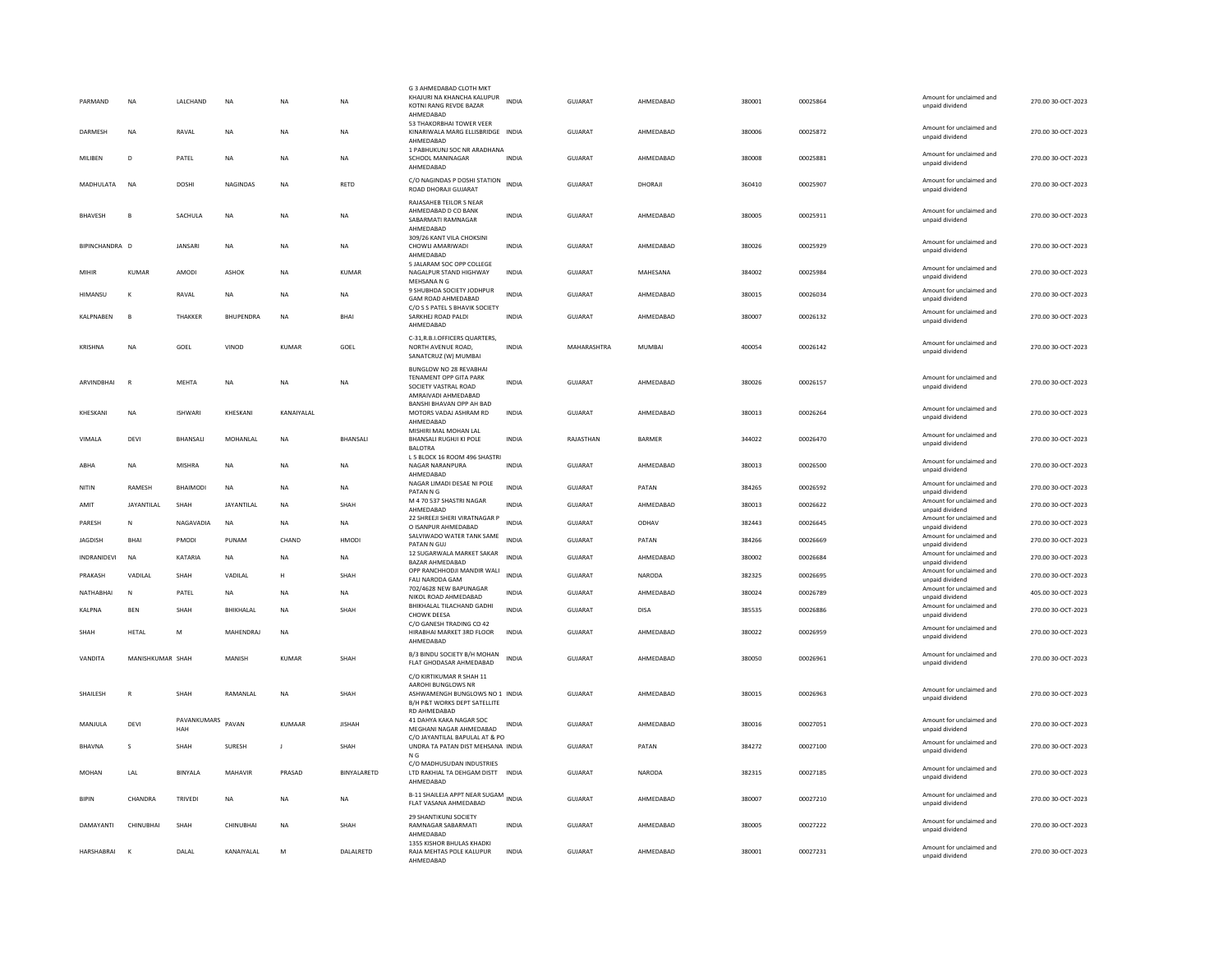| PARMAND        | NA                | LALCHAND           | NA               | NΑ             | <b>NA</b>     | G 3 AHMEDABAD CLOTH MKT<br>KHAJURI NA KHANCHA KALUPUR<br>KOTNI RANG REVDE BAZAR<br>AHMEDABAD    | <b>INDIA</b> | GUJARAT        | AHMEDABAD     | 380001 | 00025864 | Amount for unclaimed and<br>unpaid dividend                    | 270.00 30-OCT-2023 |
|----------------|-------------------|--------------------|------------------|----------------|---------------|-------------------------------------------------------------------------------------------------|--------------|----------------|---------------|--------|----------|----------------------------------------------------------------|--------------------|
| <b>DARMESH</b> | <b>NA</b>         | RAVAL              | <b>NA</b>        | NA             | <b>NA</b>     | 53 THAKORBHAI TOWER VEER<br>KINARIWALA MARG ELLISBRIDGE INDIA<br>AHMEDABAD                      |              | GUJARAT        | AHMEDABAD     | 380006 | 00025872 | Amount for unclaimed and<br>unpaid dividend                    | 270.00 30-OCT-2023 |
| MILIBEN        | D                 | PATEL              | <b>NA</b>        | ΝA             | <b>NA</b>     | 1 PABHUKUNJ SOC NR ARADHANA<br>SCHOOL MANINAGAR<br>AHMEDABAD                                    | <b>INDIA</b> | <b>GUJARAT</b> | AHMEDABAD     | 380008 | 00025881 | Amount for unclaimed and<br>unpaid dividend                    | 270.00 30-OCT-2023 |
| MADHULATA      | <b>NA</b>         | DOSHI              | <b>NAGINDAS</b>  | <b>NA</b>      | RETD          | C/O NAGINDAS P DOSHI STATION<br>ROAD DHORAJI GUJARAT                                            | <b>INDIA</b> | GUJARAT        | DHORAJI       | 360410 | 00025907 | Amount for unclaimed and<br>unpaid dividend                    | 270.00 30-OCT-2023 |
| <b>BHAVESH</b> | B                 | SACHULA            | NA               | NA             | NA            | RAJASAHEB TEILOR S NEAR<br>AHMEDABAD D CO BANK<br>SARARMATI RAMNAGAR<br>AHMEDABAD               | <b>INDIA</b> | GUJARAT        | AHMEDABAD     | 380005 | 00025911 | Amount for unclaimed and<br>unpaid dividend                    | 270.00 30-OCT-2023 |
| BIPINCHANDRA D |                   | <b>JANSARI</b>     | <b>NA</b>        | NA             | <b>NA</b>     | 309/26 KANT VILA CHOKSINI<br>CHOWLI AMARIWADI<br>AHMEDABAD                                      | <b>INDIA</b> | <b>GUJARAT</b> | AHMEDABAD     | 380026 | 00025929 | Amount for unclaimed and<br>unpaid dividend                    | 270.00 30-OCT-2023 |
| MIHIR          | <b>KUMAR</b>      | AMODI              | ASHOK            | NA             | <b>KUMAR</b>  | 5 JALARAM SOC OPP COLLEGE<br>NAGALPUR STAND HIGHWAY<br>MEHSANA N G                              | <b>INDIA</b> | <b>GUJARAT</b> | MAHESANA      | 384002 | 00025984 | Amount for unclaimed and<br>unpaid dividend                    | 270.00 30-OCT-2023 |
| HIMANSU        | к                 | RAVAL              | <b>NA</b>        | <b>NA</b>      | <b>NA</b>     | 9 SHUBHDA SOCIETY JODHPUR<br>GAM ROAD AHMEDABAD                                                 | INDIA        | GUJARAT        | AHMEDABAD     | 380015 | 00026034 | Amount for unclaimed and<br>unpaid dividend                    | 270.00 30-OCT-2023 |
| KALPNABEN      | B                 | THAKKER            | <b>BHUPENDRA</b> | N <sub>A</sub> | <b>BHAI</b>   | C/O S S PATEL S BHAVIK SOCIETY<br>SARKHEJ ROAD PALDI<br>AHMEDABAD                               | <b>INDIA</b> | <b>GUJARAT</b> | AHMEDABAD     | 380007 | 00026132 | Amount for unclaimed and<br>unpaid dividend                    | 270.00 30-OCT-2023 |
| <b>KRISHNA</b> | <b>NA</b>         | GOEL               | VINOD            | KUMAR          | GOEL          | C-31, R.B.I.OFFICERS QUARTERS,<br>NORTH AVENUE ROAD.<br>SANATCRUZ (W) MUMBAI                    | <b>INDIA</b> | MAHARASHTRA    | MUMBAI        | 400054 | 00026142 | Amount for unclaimed and<br>unpaid dividend                    | 270.00 30-OCT-2023 |
| ARVINDBHAI     | $\overline{R}$    | MEHTA              | NA               | ΝA             | NA            | BUNGLOW NO 28 REVABHAI<br>TENAMENT OPP GITA PARK<br>SOCIETY VASTRAL ROAD<br>AMRAIVADI AHMEDABAD | <b>INDIA</b> | GUJARAT        | AHMEDABAD     | 380026 | 00026157 | Amount for unclaimed and<br>unpaid dividend                    | 270.00 30-OCT-2023 |
| KHESKANI       | NA                | <b>ISHWARI</b>     | KHESKANI         | KANAIYALAL     |               | BANSHI BHAVAN OPP AH BAD<br>MOTORS VADAJ ASHRAM RD<br>AHMEDABAD                                 | <b>INDIA</b> | GUJARAT        | AHMEDABAD     | 380013 | 00026264 | Amount for unclaimed and<br>unpaid dividend                    | 270.00 30-OCT-2023 |
| VIMALA         | DEVI              | BHANSALI           | MOHANLAL         | <b>NA</b>      | BHANSALI      | MISHIRI MAL MOHAN LAL<br>BHANSALI RUGHJI KI POLE<br><b>BALOTRA</b>                              | <b>INDIA</b> | RAJASTHAN      | <b>BARMER</b> | 344022 | 00026470 | Amount for unclaimed and<br>unpaid dividend                    | 270.00 30-OCT-2023 |
| ABHA           | NA                | MISHRA             | NA               | NA             | NA            | L 5 BLOCK 16 ROOM 496 SHASTR<br>NAGAR NARANPURA<br>AHMEDABAD                                    | INDIA        | GUJARAT        | AHMEDABAD     | 380013 | 00026500 | Amount for unclaimed and<br>unpaid dividend                    | 270.00 30-OCT-2023 |
|                |                   | <b>BHAIMODI</b>    |                  | <b>NA</b>      | <b>NA</b>     | NAGAR LIMADI DESAE NI POLE                                                                      | <b>INDIA</b> |                |               |        |          | Amount for unclaimed and                                       | 270.00 30-OCT-2023 |
| NITIN          | RAMESH            |                    | <b>NA</b>        |                |               | PATAN N G                                                                                       |              | GUJARAT        | PATAN         | 384265 | 00026592 | unpaid dividend                                                |                    |
| AMIT           | <b>JAYANTILAL</b> | SHAH               | JAYANTILAL       | NA             | SHAH          | M 4 70 537 SHASTRI NAGAR<br>AHMEDABAD                                                           | <b>INDIA</b> | GUJARAT        | AHMEDABAD     | 380013 | 00026622 | Amount for unclaimed and<br>unpaid dividend                    | 270.00 30-OCT-2023 |
| PARESH         | N                 | NAGAVADIA          | NA               | ΝA             | NA            | 22 SHREEJI SHERI VIRATNAGAR P<br>O ISANPUR AHMEDABAD                                            | <b>INDIA</b> | <b>GUJARAT</b> | ODHAV         | 382443 | 00026645 | Amount for unclaimed and<br>unpaid dividend                    | 270.00 30-OCT-2023 |
| <b>IAGDISH</b> | <b>BHAI</b>       | <b>PMODI</b>       | PUNAM            | CHAND          | HMODI         | SALVIWADO WATER TANK SAME<br>PATAN N GUJ                                                        | <b>INDIA</b> | GUIARAT        | PATAN         | 384266 | 00026669 | Amount for unclaimed and<br>unpaid dividend                    | 270.00 30-OCT-2023 |
| INDRANIDEVI    | NA                | KATARIA            | <b>NA</b>        | NA             | NA            | 12 SUGARWALA MARKET SAKAR                                                                       | <b>INDIA</b> | GUJARAT        | AHMEDABAD     | 380002 | 00026684 | Amount for unclaimed and                                       | 270.00 30-OCT-2023 |
| PRAKASH        | VADILAL           | SHAH               | VADILAL          | н              | SHAH          | BAZAR AHMEDABAD<br>OPP RANCHHODJI MANDIR WALI                                                   | <b>INDIA</b> | GUJARAT        | NARODA        | 382325 | 00026695 | unpaid dividend<br>Amount for unclaimed and                    | 270.00 30-OCT-2023 |
| NATHABHAI      | N                 | PATEL              | NA               | <b>NA</b>      | NA            | FALI NARODA GAM<br>702/4628 NEW BAPUNAGAR                                                       | <b>INDIA</b> | <b>GUJARAT</b> | AHMEDABAD     | 380024 | 00026789 | unpaid dividend<br>Amount for unclaimed and                    | 405.00 30-OCT-2023 |
| <b>KALPNA</b>  | <b>BEN</b>        | SHAH               | BHIKHALAL        | <b>NA</b>      | SHAH          | NIKOL ROAD AHMEDABAD<br>BHIKHALAL TILACHAND GADHI                                               | <b>INDIA</b> | GUJARAT        | <b>DISA</b>   | 385535 | 00026886 | unpaid dividend<br>Amount for unclaimed and                    | 270.00 30-OCT-2023 |
| SHAH           | HETAL             | M                  | MAHENDRAJ        | <b>NA</b>      |               | CHOWK DEESA<br>C/O GANESH TRADING CO 42<br>HIRABHAI MARKET 3RD FLOOR                            | INDIA        | GUJARAT        | AHMEDABAD     | 380022 | 00026959 | unpaid dividend<br>Amount for unclaimed and<br>unpaid dividend | 270.00 30-OCT-2023 |
| VANDITA        | MANISHKUMAR SHAH  |                    | MANISH           | KUMAR          | SHAH          | AHMEDABAD<br>B/3 BINDU SOCIETY B/H MOHAN<br>FLAT GHODASAR AHMEDABAD                             | INDIA        | GUJARAT        | AHMEDABAD     | 380050 | 00026961 | Amount for unclaimed and<br>unpaid dividend                    | 270.00 30-OCT-2023 |
|                |                   |                    |                  |                |               | C/O KIRTIKUMAR R SHAH 11                                                                        |              |                |               |        |          |                                                                |                    |
| SHAILESH       | $\mathbb{R}$      | SHAH               | RAMANLAL         | <b>NA</b>      | SHAH          | AAROHI BUNGLOWS NR<br>ASHWAMENGH BUNGLOWS NO 1 INDIA<br>B/H P&T WORKS DEPT SATELLITE            |              | GUJARAT        | AHMEDABAD     | 380015 | 00026963 | Amount for unclaimed and<br>unpaid dividend                    | 270.00 30-OCT-2023 |
| MANJULA        | DEVI              | PAVANKUMARS<br>HAH | PAVAN            | KUMAAR         | <b>JISHAH</b> | RD AHMEDABAD<br>41 DAHYA KAKA NAGAR SOC<br>MEGHANI NAGAR AHMEDABAD                              | <b>INDIA</b> | GUJARAT        | AHMEDABAD     | 380016 | 00027051 | Amount for unclaimed and<br>unpaid dividend                    | 270.00 30-OCT-2023 |
| <b>BHAVNA</b>  | s                 | SHAH               | SURESH           | $\mathbf{I}$   | SHAH          | C/O JAYANTILAL BAPULAL AT & PO<br>UNDRA TA PATAN DIST MEHSANA INDIA                             |              | GUJARAT        | PATAN         | 384272 | 00027100 | Amount for unclaimed and<br>unpaid dividend                    | 270.00 30-OCT-2023 |
| MOHAN          | LAL               | BINYALA            | MAHAVIR          | PRASAD         | BINYALARETD   | N G<br>C/O MADHUSUDAN INDUSTRIES<br>LTD RAKHIAL TA DEHGAM DISTT INDIA                           |              | GUJARAT        | NARODA        | 382315 | 00027185 | Amount for unclaimed and<br>unpaid dividend                    | 270.00 30-OCT-2023 |
| BIPIN          | CHANDRA           | TRIVEDI            | NA               | <b>NA</b>      | NA            | AHMEDABAD<br>B-11 SHAILEJA APPT NEAR SUGAM<br>FLAT VASANA AHMEDABAD                             |              | GUJARAT        | AHMEDABAD     | 380007 | 00027210 | Amount for unclaimed and<br>unpaid dividend                    | 270.00 30-OCT-2023 |
| DAMAYANTI      | CHINUBHAI         | SHAH               | CHINUBHAI        | <b>NA</b>      | SHAH          | 29 SHANTIKUNJ SOCIETY<br>RAMNAGAR SABARMATI<br>AHMEDABAD                                        | <b>INDIA</b> | GUJARAT        | AHMEDABAD     | 380005 | 00027222 | Amount for unclaimed and<br>unpaid dividend                    | 270.00 30-OCT-2023 |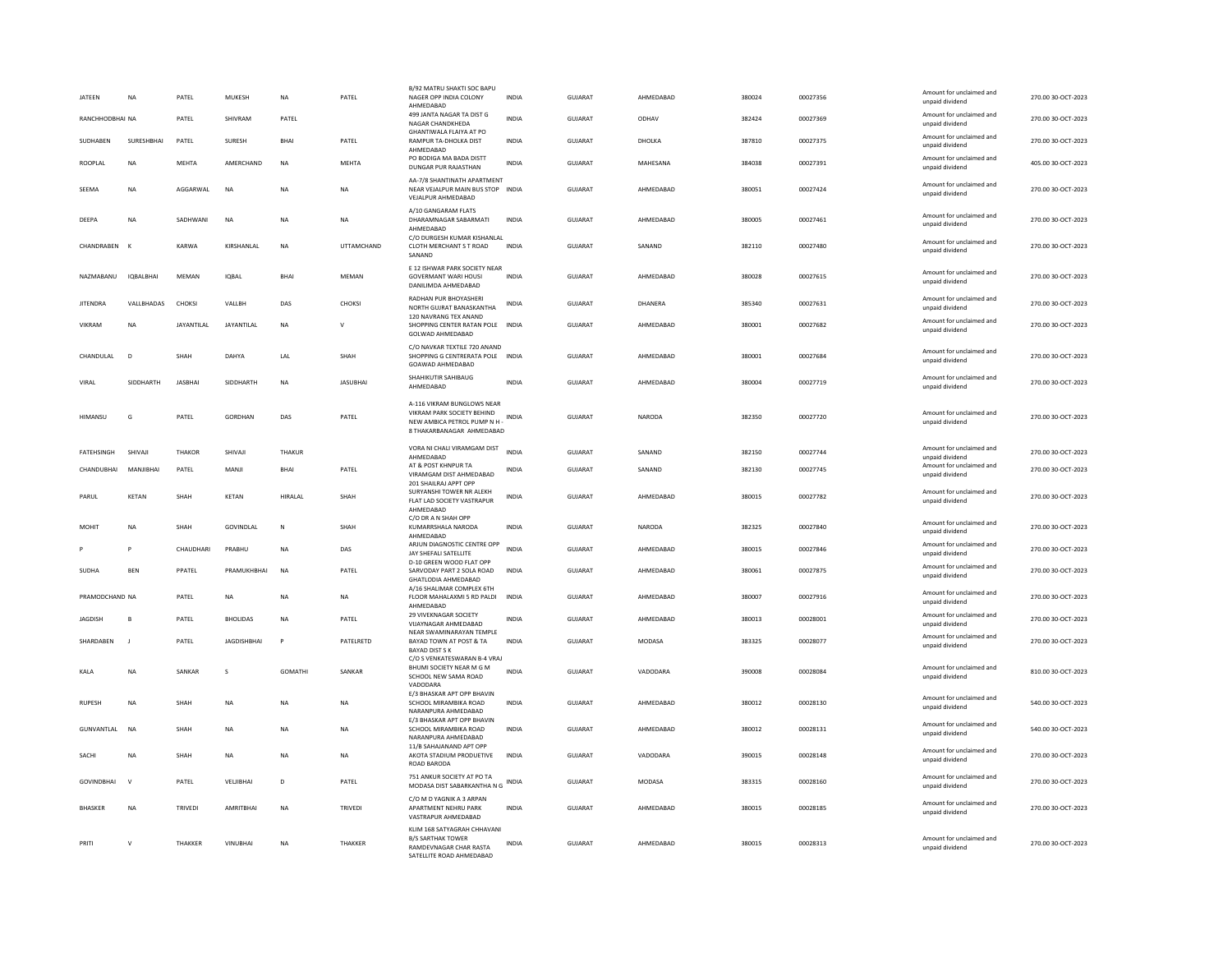| <b>JATEEN</b>     | <b>NA</b>      | PATEL          | MUKESH             | <b>NA</b>       | PATEL             | B/92 MATRU SHAKTI SOC BAPU<br>NAGER OPP INDIA COLONY<br>AHMEDABAD                                                     | <b>INDIA</b> | GUJARAT        | AHMEDABAD     | 380024 | 00027356 | Amount for unclaimed and<br>unpaid dividend | 270.00 30-OCT-2023 |
|-------------------|----------------|----------------|--------------------|-----------------|-------------------|-----------------------------------------------------------------------------------------------------------------------|--------------|----------------|---------------|--------|----------|---------------------------------------------|--------------------|
| RANCHHODBHAI NA   |                | PATEL          | SHIVRAM            | PATEL           |                   | 499 JANTA NAGAR TA DIST G<br>NAGAR CHANDKHEDA                                                                         | <b>INDIA</b> | <b>GUJARAT</b> | ODHAV         | 382424 | 00027369 | Amount for unclaimed and<br>unpaid dividend | 270.00 30-OCT-2023 |
| SUDHABEN          | SURESHBHAI     | PATEL          | SURESH             | BHAI            | PATEL             | <b>GHANTIWALA FLAIYA AT PO</b><br>RAMPUR TA-DHOLKA DIST<br>AHMEDABAD                                                  | INDIA        | GUJARAT        | DHOLKA        | 387810 | 00027375 | Amount for unclaimed and<br>unpaid dividend | 270.00 30-OCT-2023 |
| ROOPLAL           | <b>NA</b>      | <b>MFHTA</b>   | AMERCHAND          | <b>NA</b>       | <b>MFHTA</b>      | PO BODIGA MA BADA DISTT<br><b>DUNGAR PUR RAJASTHAN</b>                                                                | <b>INDIA</b> | GUIARAT        | MAHESANA      | 384038 | 00027391 | Amount for unclaimed and<br>unpaid dividend | 405.00 30-OCT-2023 |
| SEEMA             | NA             | AGGARWAL       | <b>NA</b>          | NΑ              | <b>NA</b>         | AA-7/8 SHANTINATH APARTMENT<br>NEAR VEJALPUR MAIN BUS STOP INDIA<br>VEJALPUR AHMEDABAD                                |              | <b>GUJARAT</b> | AHMEDABAD     | 380051 | 00027424 | Amount for unclaimed and<br>unnaid dividend | 270.00 30-OCT-2023 |
| DEEPA             | <b>NA</b>      | SADHWANI       | <b>NA</b>          | NA              | <b>NA</b>         | A/10 GANGARAM FLATS<br>DHARAMNAGAR SABARMATI<br>AHMEDABAD                                                             | <b>INDIA</b> | <b>GUJARAT</b> | AHMEDABAD     | 380005 | 00027461 | Amount for unclaimed and<br>unpaid dividend | 270.00 30-OCT-2023 |
| CHANDRABEN        | $\mathsf{K}$   | KARWA          | KIRSHANLAL         | <b>NA</b>       | <b>UTTAMCHAND</b> | C/O DURGESH KUMAR KISHANLAL<br>CLOTH MERCHANT S T ROAD<br>SANAND                                                      | <b>INDIA</b> | GUJARAT        | SANAND        | 382110 | 00027480 | Amount for unclaimed and<br>unpaid dividend | 270.00 30-OCT-2023 |
| NAZMABANU         | IQBALBHAI      | MEMAN          | IQBAL              | <b>RHAI</b>     | MFMAN             | E 12 ISHWAR PARK SOCIETY NEAR<br><b>GOVERMANT WARI HOUSI</b><br>DANILIMDA AHMEDABAD                                   | <b>INDIA</b> | <b>GUJARAT</b> | AHMEDABAD     | 380028 | 00027615 | Amount for unclaimed and<br>unpaid dividend | 270.00 30-OCT-2023 |
| <b>JITENDRA</b>   | VALLBHADAS     | CHOKSI         | VALLBH             | DAS             | CHOKSI            | RADHAN PUR BHOYASHERI<br>NORTH GUJRAT BANASKANTHA                                                                     | INDIA        | GUJARAT        | DHANERA       | 385340 | 00027631 | Amount for unclaimed and<br>unpaid dividend | 270.00 30-OCT-2023 |
| <b>VIKRAM</b>     | <b>NA</b>      | JAYANTILAL     | JAYANTILAL         | <b>NA</b>       | $\mathsf{v}$      | 120 NAVRANG TEX ANAND<br>SHOPPING CENTER RATAN POLE INDIA<br>GOLWAD AHMEDABAD                                         |              | <b>GUJARAT</b> | AHMEDABAD     | 380001 | 00027682 | Amount for unclaimed and<br>unpaid dividend | 270.00 30-OCT-2023 |
| CHANDULAL         | D              | SHAH           | DAHYA              | LAL             | SHAH              | C/O NAVKAR TEXTILE 720 ANAND<br>SHOPPING G CENTRERATA POLE INDIA<br>GOAWAD AHMEDABAD                                  |              | GUJARAT        | AHMEDABAD     | 380001 | 00027684 | Amount for unclaimed and<br>unpaid dividend | 270.00 30-OCT-2023 |
| VIRAL             | SIDDHARTH      | <b>JASBHAI</b> | SIDDHARTH          | <b>NA</b>       | <b>JASUBHAI</b>   | SHAHIKUTIR SAHIBAUG<br>AHMEDABAD                                                                                      | <b>INDIA</b> | GUJARAT        | AHMEDABAD     | 380004 | 00027719 | Amount for unclaimed and<br>unpaid dividend | 270.00 30-OCT-2023 |
| HIMANSU           | G              | PATEL          | GORDHAN            | DAS             | PATEL             | A-116 VIKRAM BUNGLOWS NEAR<br>VIKRAM PARK SOCIETY BEHIND<br>NEW AMBICA PETROL PUMP N H -<br>8 THAKARBANAGAR AHMEDABAD | INDIA        | GUJARAT        | NARODA        | 382350 | 00027720 | Amount for unclaimed and<br>unpaid dividend | 270.00 30-OCT-2023 |
| <b>FATEHSINGH</b> | SHIVAII        | <b>THAKOR</b>  | SHIVAJI            | THAKUR          |                   | VORA NI CHALI VIRAMGAM DIST<br>AHMEDABAD                                                                              | <b>INDIA</b> | GUJARAT        | SANAND        | 382150 | 00027744 | Amount for unclaimed and<br>unpaid dividend | 270.00 30-OCT-2023 |
| CHANDUBHAI        | MANJIBHAI      | PATEL          | MANJI              | <b>BHAI</b>     | PATEL             | AT & POST KHNPUR TA<br>VIRAMGAM DIST AHMEDABAD<br>201 SHAILRAJ APPT OPP                                               | <b>INDIA</b> | <b>GUJARAT</b> | SANAND        | 382130 | 00027745 | Amount for unclaimed and<br>unpaid dividend | 270.00 30-OCT-2023 |
| PARUL             | <b>KFTAN</b>   | <b>SHAH</b>    | KFTAN              | <b>HIRAI AI</b> | SHAH              | SURYANSHI TOWER NR ALEKH<br>FLAT LAD SOCIETY VASTRAPUR<br>AHMEDABAD                                                   | <b>INDIA</b> | GUIARAT        | AHMEDARAD     | 380015 | 00027782 | Amount for unclaimed and<br>unpaid dividend | 270.00 30-OCT-2023 |
| MOHIT             | <b>NA</b>      | SHAH           | GOVINDLAL          | N               | SHAH              | C/O DR A N SHAH OPP<br>KUMARRSHALA NARODA<br>AHMEDABAD                                                                | <b>INDIA</b> | <b>GUJARAT</b> | <b>NARODA</b> | 382325 | 00027840 | Amount for unclaimed and<br>unpaid dividend | 270.00 30-OCT-2023 |
|                   | Þ              | CHAUDHAR       | PRABHU             | NA              | DAS               | ARJUN DIAGNOSTIC CENTRE OPP<br>JAY SHEFALI SATELLITE<br>D-10 GREEN WOOD FLAT OPP                                      | <b>INDIA</b> | <b>GUJARAT</b> | AHMEDABAD     | 380015 | 00027846 | Amount for unclaimed and<br>unpaid dividend | 270.00 30-OCT-2023 |
| <b>SUDHA</b>      | <b>BEN</b>     | PPATEL         | PRAMUKHBHAI        | N <sub>A</sub>  | PATEL             | SARVODAY PART 2 SOLA ROAD<br>GHATLODIA AHMEDABAD                                                                      | <b>INDIA</b> | GUJARAT        | AHMEDABAD     | 380061 | 00027875 | Amount for unclaimed and<br>unpaid dividend | 270.00 30-OCT-2023 |
| PRAMODCHAND NA    |                | PATEL          | <b>NA</b>          | <b>NA</b>       | <b>NA</b>         | A/16 SHALIMAR COMPLEX 6TH<br>FLOOR MAHALAXMI 5 RD PALDI<br>AHMEDABAD                                                  | <b>INDIA</b> | <b>GUJARAT</b> | AHMEDABAD     | 380007 | 00027916 | Amount for unclaimed and<br>unpaid dividend | 270.00 30-OCT-2023 |
| JAGDISH           | B              | PATEL          | <b>BHOLIDAS</b>    | ΝA              | PATEL             | 29 VIVEKNAGAR SOCIETY<br>VUAYNAGAR AHMEDABAD                                                                          | <b>INDIA</b> | GUJARAT        | AHMEDABAD     | 380013 | 00028001 | Amount for unclaimed and<br>unpaid dividend | 270.00 30-OCT-2023 |
| SHARDABEN         | $\blacksquare$ | PATEL          | <b>JAGDISHBHAI</b> | P               | PATELRETD         | NEAR SWAMINARAYAN TEMPLE<br>BAYAD TOWN AT POST & TA<br><b>BAYAD DIST S K</b><br>C/O S VENKATESWARAN B-4 VRAJ          | <b>INDIA</b> | GUJARAT        | <b>MODASA</b> | 383325 | 00028077 | Amount for unclaimed and<br>unpaid dividend | 270.00 30-OCT-2023 |
| KALA              | <b>NA</b>      | SANKAR         | $\mathsf{s}$       | <b>GOMATHI</b>  | SANKAR            | BHUMI SOCIETY NEAR M G M<br>SCHOOL NEW SAMA ROAD<br>VADODARA                                                          | <b>INDIA</b> | GUJARAT        | VADODARA      | 390008 | 00028084 | Amount for unclaimed and<br>unpaid dividend | 810.00 30-OCT-2023 |
| <b>RUPESH</b>     | <b>NA</b>      | SHAH           | <b>NA</b>          | NA              | <b>NA</b>         | E/3 BHASKAR APT OPP BHAVIN<br>SCHOOL MIRAMBIKA ROAD<br>NARANPURA AHMEDABAD                                            | <b>INDIA</b> | <b>GUJARAT</b> | AHMEDABAD     | 380012 | 00028130 | Amount for unclaimed and<br>unpaid dividend | 540.00 30-OCT-2023 |
| GUNVANTLAL        | NA             | SHAH           | NA                 | NA              | NA                | E/3 BHASKAR APT OPP BHAVIN<br>SCHOOL MIRAMBIKA ROAD<br>NARANPURA AHMEDABAD                                            | INDIA        | GUJARAT        | AHMEDABAD     | 380012 | 00028131 | Amount for unclaimed and<br>unpaid dividend | 540.00 30-OCT-2023 |
| SACHI             | <b>NA</b>      | SHAH           | <b>NA</b>          | <b>NA</b>       | <b>NA</b>         | 11/B SAHAJANAND APT OPP<br>AKOTA STADIUM PRODUETIVE<br>ROAD BARODA                                                    | <b>INDIA</b> | GUIARAT        | VADODARA      | 390015 | 00028148 | Amount for unclaimed and<br>unpaid dividend | 270.00 30-OCT-2023 |
| <b>GOVINDBHAI</b> | $\mathbf{v}$   | PATEL          | VELJIBHAI          | D               | PATEL             | 751 ANKUR SOCIETY AT PO TA<br>MODASA DIST SABARKANTHA N G INDIA                                                       |              | GUJARAT        | MODASA        | 383315 | 00028160 | Amount for unclaimed and<br>unpaid dividend | 270.00 30-OCT-2023 |
| BHASKER           | NA             | TRIVEDI        | AMRITBHAI          | <b>NA</b>       | TRIVEDI           | C/O M D YAGNIK A 3 ARPAN<br>APARTMENT NEHRU PARK<br>VASTRAPUR AHMEDABAD                                               | INDIA        | GUJARAT        | AHMEDABAD     | 380015 | 00028185 | Amount for unclaimed and<br>unpaid dividend | 270.00 30-OCT-2023 |
| PRITI             | $\vee$         | THAKKER        | <b>VINUBHAI</b>    | <b>NA</b>       | THAKKER           | KLIM 168 SATYAGRAH CHHAVANI<br><b>B/S SARTHAK TOWER</b><br>RAMDEVNAGAR CHAR RASTA<br>SATELLITE ROAD AHMEDABAD         | <b>INDIA</b> | <b>GUJARAT</b> | AHMEDABAD     | 380015 | 00028313 | Amount for unclaimed and<br>unpaid dividend | 270.00 30-OCT-2023 |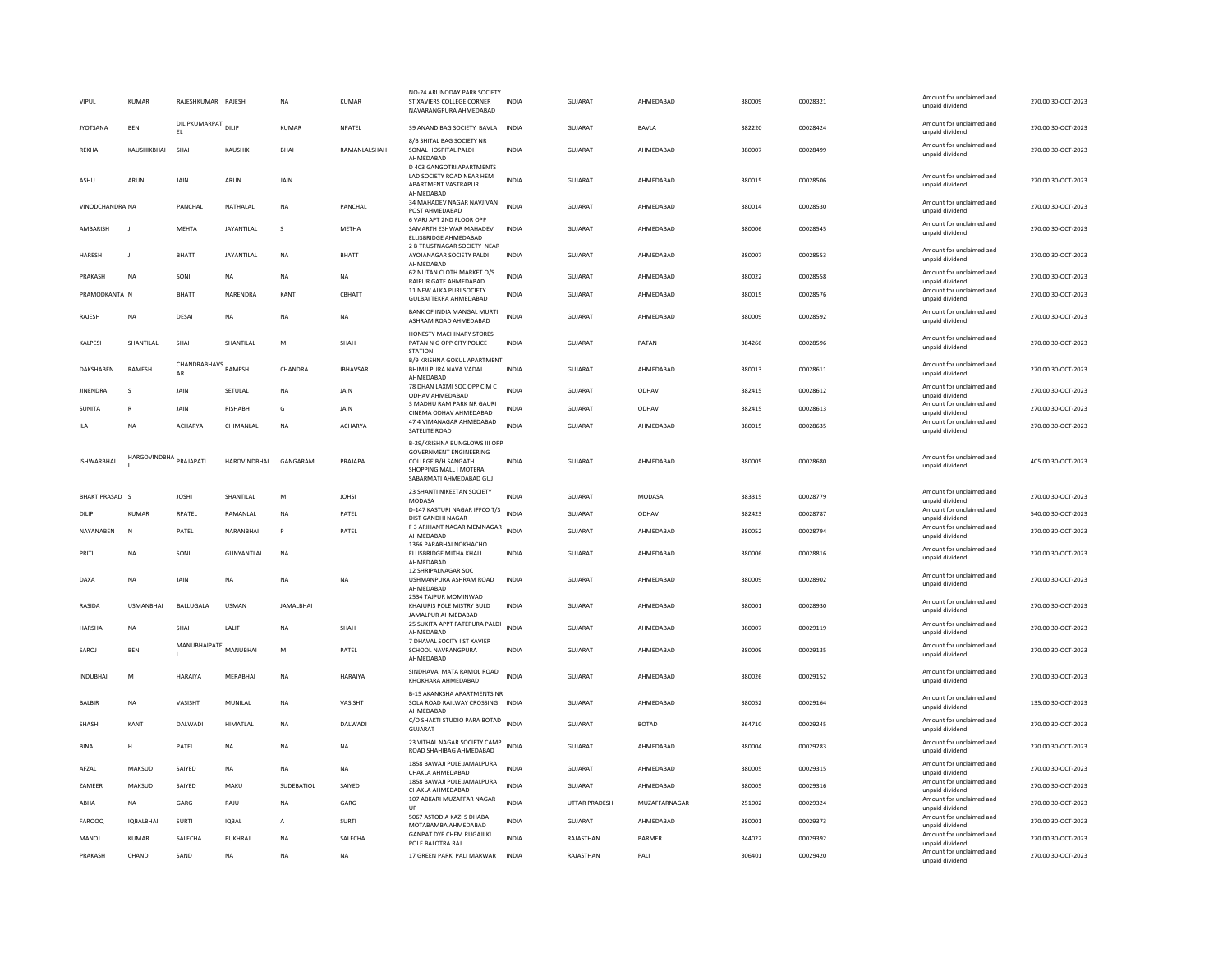| VIPUL             | <b>KUMAR</b>     | RAJESHKUMAR RAJESH         |                     | <b>NA</b>         | <b>KUMAR</b>    | NO-24 ARUNODAY PARK SOCIET<br>ST XAVIERS COLLEGE CORNER<br>NAVARANGPURA AHMEDABAD                                                          | <b>INDIA</b> | <b>GUJARAT</b> | AHMEDABAD     | 380009 | 00028321 | Amount for unclaimed and<br>unpaid dividend                    | 270.00 30-OCT-2023 |
|-------------------|------------------|----------------------------|---------------------|-------------------|-----------------|--------------------------------------------------------------------------------------------------------------------------------------------|--------------|----------------|---------------|--------|----------|----------------------------------------------------------------|--------------------|
| <b>JYOTSANA</b>   | <b>BFN</b>       | DILIPKUMARPAT DILIP<br>EL. |                     | KUMAR             | NPATEL          | 39 ANAND BAG SOCIETY BAVLA                                                                                                                 | <b>INDIA</b> | GUIARAT        | BAVLA         | 382220 | 00028424 | Amount for unclaimed and<br>unpaid dividend                    | 270.00 30-OCT-2023 |
| <b>REKHA</b>      | KAUSHIKBHAI      | SHAH                       | KAUSHIK             | <b>BHAI</b>       | RAMANLALSHAH    | 8/B SHITAL BAG SOCIETY NR<br>SONAL HOSPITAL PALDI<br>AHMFDARAD<br>D 403 GANGOTRI APARTMENTS                                                | <b>INDIA</b> | GUJARAT        | AHMEDABAD     | 380007 | 00028499 | Amount for unclaimed and<br>unpaid dividend                    | 270.00 30-OCT-2023 |
| <b>ASHU</b>       | ARUN             | JAIN                       | ARUN                | JAIN              |                 | LAD SOCIETY ROAD NEAR HEM<br>APARTMENT VASTRAPUR<br>AHMEDABAD                                                                              | <b>INDIA</b> | GUJARAT        | AHMEDABAD     | 380015 | 00028506 | Amount for unclaimed and<br>unpaid dividend                    | 270.00 30-OCT-2023 |
| VINODCHANDRA NA   |                  | PANCHAL                    | NATHALAL            | <b>NA</b>         | PANCHAL         | 34 MAHADEV NAGAR NAVJIVAN<br>POST AHMEDABAD                                                                                                | <b>INDIA</b> | <b>GUJARAT</b> | AHMEDABAD     | 380014 | 00028530 | Amount for unclaimed and<br>unpaid dividend                    | 270.00 30-OCT-2023 |
| <b>AMRARISH</b>   | $\blacksquare$   | MEHTA                      | JAYANTILAL          | $\mathbf{S}$      | <b>MFTHA</b>    | 6 VARJ APT 2ND FLOOR OPP<br>SAMARTH ESHWAR MAHADEV<br>ELLISBRIDGE AHMEDABAD                                                                | <b>INDIA</b> | GUIARAT        | AHMEDARAD     | 380006 | 00028545 | Amount for unclaimed and<br>unpaid dividend                    | 270.00 30-OCT-2023 |
| HARESH            | $\mathbf{I}$     | BHATT                      | JAYANTILAL          | NA                | BHATT           | 2 B TRUSTNAGAR SOCIETY NEAR<br>AYOJANAGAR SOCIETY PALDI<br>AHMEDABAD                                                                       | <b>INDIA</b> | <b>GUJARAT</b> | AHMEDABAD     | 380007 | 00028553 | Amount for unclaimed and<br>unpaid dividend                    | 270.00 30-OCT-2023 |
| PRAKASH           | <b>NA</b>        | SONI                       | <b>NA</b>           | <b>NA</b>         | <b>NA</b>       | 62 NUTAN CLOTH MARKET O/S<br>RAIPUR GATE AHMEDABAD                                                                                         | <b>INDIA</b> | <b>GUJARAT</b> | AHMEDABAD     | 380022 | 00028558 | Amount for unclaimed and<br>unpaid dividend                    | 270.00 30-OCT-2023 |
| PRAMODKANTA N     |                  | <b>BHATT</b>               | NARENDRA            | KANT              | CBHATT          | 11 NEW ALKA PURI SOCIETY<br><b>GULBAI TEKRA AHMEDABAD</b>                                                                                  | <b>INDIA</b> | GUJARAT        | AHMEDABAD     | 380015 | 00028576 | Amount for unclaimed and<br>unpaid dividend                    | 270.00 30-OCT-2023 |
| RAJESH            | <b>NA</b>        | DESAI                      | <b>NA</b>           | <b>NA</b>         | <b>NA</b>       | BANK OF INDIA MANGAL MURTI<br>ASHRAM ROAD AHMEDABAD                                                                                        | <b>INDIA</b> | <b>GUJARAT</b> | AHMEDABAD     | 380009 | 00028592 | Amount for unclaimed and<br>unpaid dividend                    | 270.00 30-OCT-2023 |
| KALPESH           | SHANTILAL        | SHAH                       | SHANTILAL           | M                 | SHAH            | HONESTY MACHINARY STORES<br>PATAN N G OPP CITY POLICE<br><b>STATION</b>                                                                    | <b>INDIA</b> | GUJARAT        | PATAN         | 384266 | 00028596 | Amount for unclaimed and<br>unpaid dividend                    | 270.00 30-OCT-2023 |
| DAKSHABEN         | RAMESH           | CHANDRABHAVS RAMESH        |                     | CHANDRA           | <b>IBHAVSAR</b> | B/9 KRISHNA GOKUL APARTMENT<br>BHIMJI PURA NAVA VADAJ<br>AHMEDABAD                                                                         | INDIA        | GUJARAT        | AHMEDABAD     | 380013 | 00028611 | Amount for unclaimed and<br>unpaid dividend                    | 270.00 30-OCT-2023 |
| <b>JINENDRA</b>   | -S               | JAIN                       | SETULAL             | <b>NA</b>         | JAIN            | 78 DHAN LAXMI SOC OPP C M C<br>ODHAV AHMEDABAD                                                                                             | <b>INDIA</b> | GUJARAT        | ODHAV         | 382415 | 00028612 | Amount for unclaimed and<br>unpaid dividend                    | 270.00 30-OCT-2023 |
| <b>SUNITA</b>     | $\overline{R}$   | JAIN                       | <b>RISHABH</b>      | G                 | JAIN            | 3 MADHU RAM PARK NR GAURI<br>CINEMA ODHAV AHMEDABAD                                                                                        | <b>INDIA</b> | <b>GUJARAT</b> | ODHAV         | 382415 | 00028613 | Amount for unclaimed and<br>unpaid dividend                    | 270.00 30-OCT-2023 |
| ILA               | <b>NA</b>        | ACHARYA                    | CHIMANLAL           | NA                | <b>ACHARYA</b>  | 47 4 VIMANAGAR AHMEDABAD<br>SATELITE ROAD                                                                                                  | <b>INDIA</b> | GUJARAT        | AHMEDABAD     | 380015 | 00028635 | Amount for unclaimed and<br>unpaid dividend                    | 270.00 30-OCT-2023 |
| <b>ISHWARRHAI</b> | HARGOVINDBHA     | PRAIAPATI                  | <b>HAROVINDRHAI</b> | GANGARAM          | PRAIAPA         | B-29/KRISHNA BUNGLOWS III OPP<br><b>GOVERNMENT ENGINEERING</b><br>COLLEGE B/H SANGATH<br>SHOPPING MALL I MOTERA<br>SABARMATI AHMEDABAD GUJ | <b>INDIA</b> | <b>GUJARAT</b> | AHMEDARAD     | 380005 | 00028680 | Amount for unclaimed and<br>unpaid dividend                    | 405.00 30-OCT-2023 |
| BHAKTIPRASAD S    |                  | <b>JOSHI</b>               | SHANTILAL           | M                 | JOHSI           | 23 SHANTI NIKEETAN SOCIETY<br>MODASA                                                                                                       | <b>INDIA</b> | <b>GUJARAT</b> | MODASA        | 383315 | 00028779 | Amount for unclaimed and<br>unpaid dividend                    | 270.00 30-OCT-2023 |
| DILIF             | <b>KUMAR</b>     | RPATEL                     | RAMANLAL            | <b>NA</b>         | PATEL           | D-147 KASTURI NAGAR IFFCO T/S<br>DIST GANDHI NAGAR                                                                                         | <b>INDIA</b> | GUJARAT        | ODHAV         | 382423 | 00028787 | Amount for unclaimed and<br>unpaid dividend                    | 540.00 30-OCT-2023 |
| NAYANABEN         | <b>N</b>         | PATEL                      | NARANBHAI           | $\mathsf{P}$      | PATEL           | F 3 ARIHANT NAGAR MEMNAGAR INDIA<br>AHMEDABAD                                                                                              |              | <b>GUJARAT</b> |               |        |          |                                                                |                    |
|                   |                  |                            |                     |                   |                 |                                                                                                                                            |              |                | AHMEDARAD     | 380052 | 00028794 | Amount for unclaimed and<br>unpaid dividend                    | 270.00 30-OCT-2023 |
| PRITI             | NA               | SONI                       | GUNYANTLAL          | NA                |                 | 1366 PARABHAI NOKHACHO<br>ELLISBRIDGE MITHA KHALI<br>AHMEDABAD                                                                             | INDIA        | GUJARAT        | AHMEDABAD     | 380006 | 00028816 | Amount for unclaimed and<br>unpaid dividend                    | 270.00 30-OCT-2023 |
| <b>DAXA</b>       | <b>NA</b>        | JAIN                       | <b>NA</b>           | <b>NA</b>         | <b>NA</b>       | 12 SHRIPALNAGAR SOC<br>USHMANPURA ASHRAM ROAD<br>AHMEDABAD                                                                                 | <b>INDIA</b> | <b>GUJARAT</b> | AHMEDABAD     | 380009 | 00028902 | Amount for unclaimed and<br>unpaid dividend                    | 270.00 30-OCT-2023 |
| RASIDA            | <b>LISMANRHA</b> | <b>BAILUGALA</b>           | <b>USMAN</b>        | <b>JAMAI BHAI</b> |                 | 2534 TAJPUR MOMINWAD<br>KHAJURIS POLE MISTRY BULD<br>JAMALPUR AHMEDABAD                                                                    | <b>INDIA</b> | GUIARAT        | AHMFDARAD     | 380001 | 00028930 | Amount for unclaimed and<br>unpaid dividend                    | 270.00.30-OCT-2023 |
| HARSHA            | <b>NA</b>        | SHAH                       | LALIT               | NA                | SHAH            | 25 SUKITA APPT FATEPURA PALDI<br>AHMEDABAD                                                                                                 | <b>INDIA</b> | GUJARAT        | AHMEDABAD     | 380007 | 00029119 | Amount for unclaimed and<br>unpaid dividend                    | 270.00 30-OCT-2023 |
| SAROJ             | <b>BEN</b>       | MANUBHAIPATE               | MANUBHAI            | M                 | PATEL           | 7 DHAVAL SOCITY I ST XAVIER<br>SCHOOL NAVRANGPURA<br>AHMEDABAD                                                                             | <b>INDIA</b> | <b>GUJARAT</b> | AHMEDABAD     | 380009 | 00029135 | Amount for unclaimed and<br>unpaid dividend                    | 270.00 30-OCT-2023 |
| <b>INDUBHAI</b>   | M                | HARAIYA                    | MERABHAI            | <b>NA</b>         | <b>HARAIYA</b>  | SINDHAVAI MATA RAMOL ROAD<br>KHOKHARA AHMEDABAD                                                                                            | <b>INDIA</b> | GUJARAT        | AHMEDABAD     | 380026 | 00029152 | Amount for unclaimed and<br>unpaid dividend                    | 270.00 30-OCT-2023 |
| <b>BALBIR</b>     | NA               | VASISHT                    | MUNILAL             | NA                | VASISHT         | <b>B-15 AKANKSHA APARTMENTS NR</b><br>SOLA ROAD RAILWAY CROSSING INDIA<br>AHMEDABAD                                                        |              | <b>GUJARAT</b> | AHMEDABAD     | 380052 | 00029164 | Amount for unclaimed and<br>unpaid dividend                    | 135.00 30-OCT-2023 |
| SHASHI            | KANT             | DALWADI                    | <b>HIMATLAL</b>     | <b>NA</b>         | DALWADI         | C/O SHAKTI STUDIO PARA BOTAD<br>GUJARAT                                                                                                    | <b>INDIA</b> | <b>GUJARAT</b> | <b>BOTAD</b>  | 364710 | 00029245 | Amount for unclaimed and<br>unpaid dividend                    | 270.00 30-OCT-2023 |
| <b>BINA</b>       | Н                | PATEL                      | NA                  | <b>NA</b>         | NA              | 23 VITHAL NAGAR SOCIETY CAMP<br>ROAD SHAHIBAG AHMEDABAD                                                                                    | INDIA        | GUJARAT        | AHMEDABAD     | 380004 | 00029283 | Amount for unclaimed and<br>unpaid dividend                    | 270.00 30-OCT-2023 |
| AFZAL             | MAKSUD           | SAIYED                     | NA                  | NA                | NA              | 1858 BAWAJI POLE JAMALPURA<br>CHAKLA AHMEDABAD                                                                                             | <b>INDIA</b> | GUJARAT        | AHMEDABAD     | 380005 | 00029315 | Amount for unclaimed and                                       | 270.00 30-OCT-2023 |
| ZAMEER            | MAKSUD           | SAIYED                     | MAKU                | SUDEBATIOL        | SAIYED          | 1858 BAWAJI POLE JAMALPURA<br>CHAKLA AHMEDABAD                                                                                             | INDIA        | GUJARAT        | AHMEDABAD     | 380005 | 00029316 | unpaid dividend<br>Amount for unclaimed and<br>unpaid dividend | 270.00 30-OCT-2023 |
| ABHA              | <b>NA</b>        | GARG                       | RAJU                | <b>NA</b>         | GARG            | 107 ABKARI MUZAFFAR NAGAR<br>UP                                                                                                            | <b>INDIA</b> | UTTAR PRADESH  | MUZAFFARNAGAR | 251002 | 00029324 | Amount for unclaimed and<br>unpaid dividend                    | 270.00 30-OCT-2023 |
| <b>FAROOQ</b>     | <b>IOBALBHAI</b> | SURTI                      | <b>IOBAI</b>        | $\mathbf{A}$      | SURTI           | 5067 ASTODIA KAZI S DHABA<br>MOTABAMBA AHMEDABAD                                                                                           | <b>INDIA</b> | GUIARAT        | AHMEDABAD     | 380001 | 00029373 | Amount for unclaimed and<br>unpaid dividend                    | 270.00 30-OCT-2023 |
| MANOJ             | <b>KUMAR</b>     | SALECHA                    | PUKHRAJ             | <b>NA</b>         | SALECHA         | <b>GANPAT DYE CHEM RUGAJI KI</b><br>POLE BALOTRA RAJ                                                                                       | <b>INDIA</b> | RAJASTHAN      | <b>BARMER</b> | 344022 | 00029392 | Amount for unclaimed and<br>unpaid dividend                    | 270.00 30-OCT-2023 |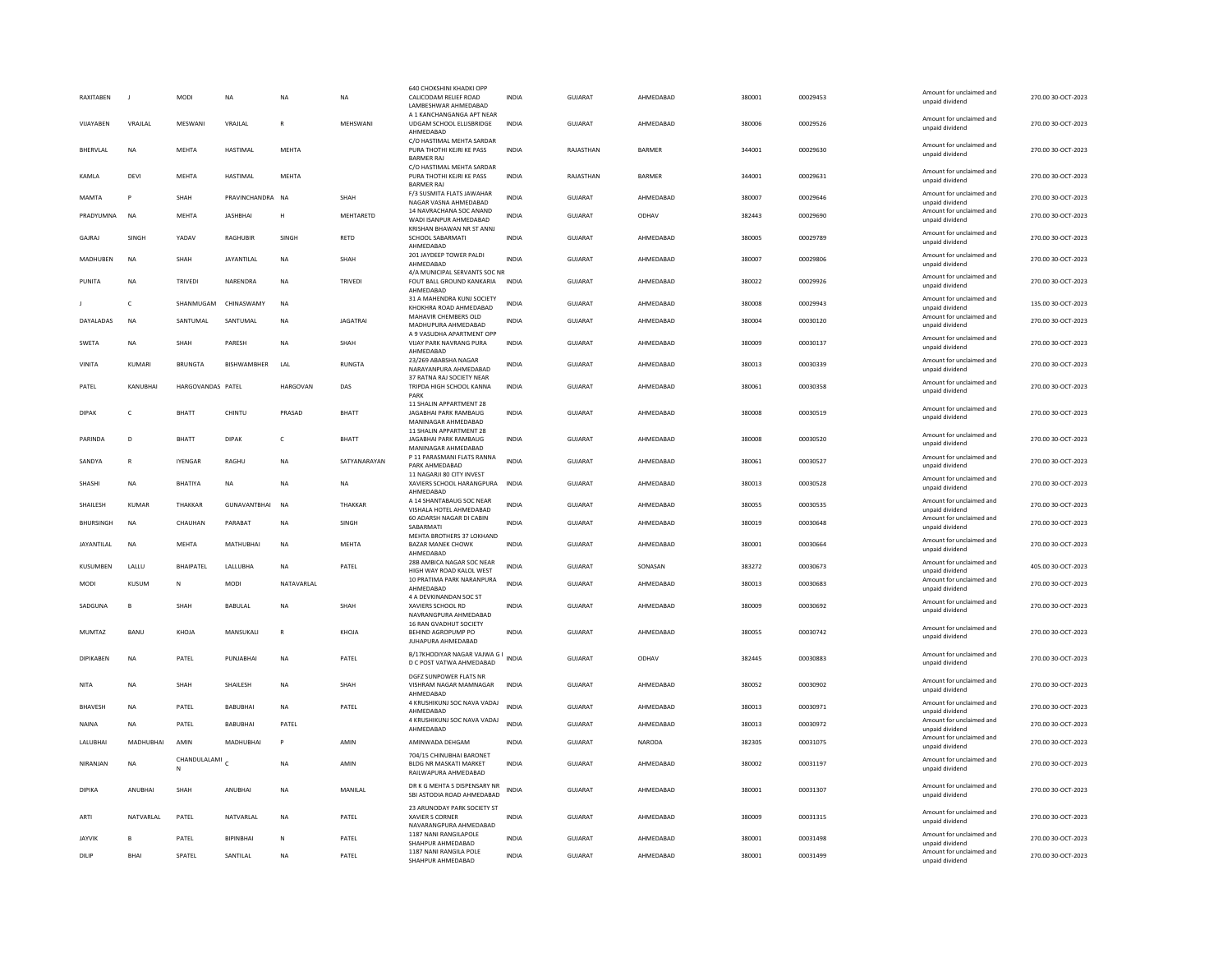| <b>RAXITABEN</b>       |                  | MODI              | <b>NA</b>             | <b>NA</b>      | <b>NA</b>       | <b>640 CHOKSHINI KHADKI OPP</b><br>CALICODAM RELIEF ROAD                          | <b>INDIA</b>          | <b>GUJARAT</b>            | AHMEDABAD              | 380001           | 00029453             | Amount for unclaimed and<br>unpaid dividend                    | 270.00 30-OCT-2023                       |
|------------------------|------------------|-------------------|-----------------------|----------------|-----------------|-----------------------------------------------------------------------------------|-----------------------|---------------------------|------------------------|------------------|----------------------|----------------------------------------------------------------|------------------------------------------|
|                        |                  |                   |                       |                |                 | LAMBESHWAR AHMEDABAD<br>A 1 KANCHANGANGA APT NEAR                                 |                       |                           |                        |                  |                      |                                                                |                                          |
| VIJAYABEN              | VRAJLAL          | MESWANI           | VRAJLAL               |                | MEHSWANI        | UDGAM SCHOOL ELLISBRIDGE<br>AHMEDABAD                                             | <b>INDIA</b>          | <b>GUJARAT</b>            | AHMEDABAD              | 380006           | 00029526             | Amount for unclaimed and<br>unpaid dividend                    | 270.00 30-OCT-2023                       |
| BHERVLAL               | <b>NA</b>        | <b>MEHTA</b>      | HASTIMAL              | MEHTA          |                 | C/O HASTIMAL MEHTA SARDAR<br>PURA THOTHI KEJRI KE PASS<br><b>BARMER RAI</b>       | <b>INDIA</b>          | RAJASTHAN                 | <b>BARMER</b>          | 344001           | 00029630             | Amount for unclaimed and<br>unpaid dividend                    | 270.00 30-OCT-2023                       |
| KAMLA                  | DEVI             | MEHTA             | HASTIMAL              | MEHTA          |                 | C/O HASTIMAL MEHTA SARDAR<br>PURA THOTHI KEJRI KE PASS<br><b>BARMER RAI</b>       | <b>INDIA</b>          | RAJASTHAN                 | BARMER                 | 344001           | 00029631             | Amount for unclaimed and<br>unpaid dividend                    | 270.00 30-OCT-2023                       |
| <b>MAMTA</b>           | P                | <b>SHAH</b>       | PRAVINCHANDRA NA      |                | SHAH            | F/3 SUSMITA FLATS JAWAHAR<br>NAGAR VASNA AHMEDABAD                                | <b>INDIA</b>          | GUIARAT                   | AHMEDARAD              | 380007           | 00029646             | Amount for unclaimed and<br>unpaid dividend                    | 270.00 30-OCT-2023                       |
| PRADYUMNA              | <b>NA</b>        | MEHTA             | JASHBHAI              | H              | MEHTARETD       | 14 NAVRACHANA SOC ANAND<br>WADI ISANPUR AHMEDABAD                                 | INDIA                 | GUJARAT                   | ODHAV                  | 382443           | 00029690             | Amount for unclaimed and<br>unpaid dividend                    | 270.00 30-OCT-2023                       |
| GAJRAJ                 | SINGH            | YADAV             | RAGHUBIR              | SINGH          | RETD            | KRISHAN BHAWAN NR ST ANNJ<br>SCHOOL SABARMATI                                     | <b>INDIA</b>          | GUJARAT                   | AHMEDABAD              | 380005           | 00029789             | Amount for unclaimed and<br>unpaid dividend                    | 270.00 30-OCT-2023                       |
| MADHUBEN               | NA               | SHAH              | JAYANTILAL            | NA             | SHAH            | AHMEDABAD<br>201 JAYDEEP TOWER PALDI<br>AHMEDABAD                                 | <b>INDIA</b>          | GUJARAT                   | AHMEDABAD              | 380007           | 00029806             | Amount for unclaimed and<br>unpaid dividend                    | 270.00 30-OCT-2023                       |
| PUNITA                 | <b>NA</b>        | <b>TRIVEDI</b>    | NARENDRA              | <b>NA</b>      | <b>TRIVEDI</b>  | 4/A MUNICIPAL SERVANTS SOC NR<br>FOUT BALL GROUND KANKARIA<br>AHMEDABAD           | <b>INDIA</b>          | GUJARAT                   | AHMEDABAD              | 380022           | 00029926             | Amount for unclaimed and<br>unpaid dividend                    | 270.00 30-OCT-2023                       |
|                        | c                | SHANMUGAM         | CHINASWAMY            | NA             |                 | 31 A MAHENDRA KUNJ SOCIETY                                                        | INDIA                 | GUJARAT                   | AHMEDABAD              | 380008           | 00029943             | Amount for unclaimed and                                       | 135.00 30-OCT-2023                       |
| DAYALADAS              | <b>NA</b>        | SANTUMAL          | SANTUMAL              | <b>NA</b>      | <b>JAGATRAI</b> | KHOKHRA ROAD AHMEDABAD<br>MAHAVIR CHEMBERS OLD<br>MADHUPURA AHMEDABAD             | <b>INDIA</b>          | <b>GUJARAT</b>            | AHMEDABAD              | 380004           | 00030120             | unpaid dividend<br>Amount for unclaimed and<br>unpaid dividend | 270.00 30-OCT-2023                       |
|                        |                  |                   |                       |                |                 | A 9 VASUDHA APARTMENT OPP                                                         |                       |                           |                        |                  |                      | Amount for unclaimed and                                       |                                          |
| SWETA                  | NA               | SHAH              | PARESH                | NA             | SHAH            | VIJAY PARK NAVRANG PURA<br>AHMFDARAD                                              | <b>INDIA</b>          | GUJARAT                   | AHMEDABAD              | 380009           | 00030137             | unpaid dividend                                                | 270.00 30-OCT-2023                       |
| VINITA                 | <b>KUMARI</b>    | <b>BRUNGTA</b>    | <b>BISHWAMBHER</b>    | LAL            | <b>RUNGTA</b>   | 23/269 ABABSHA NAGAR<br>NARAYANPURA AHMEDABAD<br>37 RATNA RAJ SOCIETY NEAR        | <b>INDIA</b>          | <b>GUJARAT</b>            | AHMEDABAD              | 380013           | 00030339             | Amount for unclaimed and<br>unpaid dividend                    | 270.00 30-OCT-2023                       |
| PATEL                  | KANUBHAI         | HARGOVANDAS PATEL |                       | HARGOVAN       | DAS             | TRIPDA HIGH SCHOOL KANNA<br>PARK                                                  | <b>INDIA</b>          | GUJARAT                   | AHMEDABAD              | 380061           | 00030358             | Amount for unclaimed and<br>unpaid dividend                    | 270.00 30-OCT-2023                       |
| <b>DIPAK</b>           | c                | BHATT             | CHINTU                | PRASAD         | BHATT           | 11 SHALIN APPARTMENT 28<br>JAGABHAI PARK RAMBAUG                                  | INDIA                 | GUJARAT                   | AHMEDABAD              | 380008           | 00030519             | Amount for unclaimed and                                       | 270.00 30-OCT-2023                       |
|                        |                  |                   |                       |                |                 | MANINAGAR AHMEDABAD<br>11 SHALIN APPARTMENT 28                                    |                       |                           |                        |                  |                      | unpaid dividend                                                |                                          |
| PARINDA                | D                | <b>BHATT</b>      | <b>DIPAK</b>          | $\mathsf{C}$   | <b>BHATT</b>    | JAGABHAI PARK RAMBAUG<br>MANINAGAR AHMEDABAD                                      | <b>INDIA</b>          | <b>GUJARAT</b>            | AHMEDABAD              | 380008           | 00030520             | Amount for unclaimed and<br>unpaid dividend                    | 270.00 30-OCT-2023                       |
| SANDYA                 | $\mathbb{R}$     | <b>IYENGAR</b>    | RAGHU                 | <b>NA</b>      | SATYANARAYAN    | P 11 PARASMANI FLATS RANNA<br>PARK AHMEDABAD                                      | <b>INDIA</b>          | GUIARAT                   | AHMEDARAD              | 380061           | 00030527             | Amount for unclaimed and<br>unpaid dividend                    | 270.00 30-OCT-2023                       |
|                        |                  |                   |                       |                |                 |                                                                                   |                       |                           |                        |                  |                      |                                                                |                                          |
| SHASHI                 | NA               | <b>BHATIYA</b>    | <b>NA</b>             | <b>NA</b>      | <b>NA</b>       | 11 NAGARJI 80 CITY INVEST<br>XAVIERS SCHOOL HARANGPURA                            | <b>INDIA</b>          | GUJARAT                   | AHMEDABAD              | 380013           | 00030528             | Amount for unclaimed and<br>unpaid dividend                    | 270.00 30-OCT-2023                       |
| SHAILESH               | <b>KUMAR</b>     | THAKKAR           | <b>GUNAVANTBHAI</b>   | <b>NA</b>      | THAKKAR         | AHMEDABAD<br>A 14 SHANTARAUG SOC NEAR                                             | <b>INDIA</b>          | GUJARAT                   | AHMEDABAD              | 380055           | 00030535             | Amount for unclaimed and                                       | 270.00 30-OCT-2023                       |
| <b>BHURSINGH</b>       | <b>NA</b>        | CHAUHAN           | PARABAT               | <b>NA</b>      | SINGH           | VISHALA HOTEL AHMEDABAD<br>60 ADARSH NAGAR DI CABIN<br>SABARMATI                  | <b>INDIA</b>          | <b>GUJARAT</b>            | AHMEDABAD              | 380019           | 00030648             | unpaid dividend<br>Amount for unclaimed and<br>unpaid dividend | 270.00 30-OCT-2023                       |
| <b>JAYANTILAI</b>      | <b>NA</b>        | <b>MFHTA</b>      | MATHURHAI             | <b>NA</b>      | MFHTA           | MEHTA BROTHERS 37 LOKHAND<br><b>BAZAR MANEK CHOWK</b>                             | <b>INDIA</b>          | GUIARAT                   | AHMEDARAD              | 380001           | 00030664             | Amount for unclaimed and<br>unpaid dividend                    | 270.00 30-QCT-2023                       |
| KUSUMBEN               | LALLU            | <b>BHAIPATEL</b>  | LALLUBHA              | <b>NA</b>      | PATEL           | AHMEDABAD<br>28B AMBICA NAGAR SOC NEAR                                            | <b>INDIA</b>          | <b>GUJARAT</b>            | SONASAN                | 383272           | 00030673             | Amount for unclaimed and                                       | 405.00 30-OCT-2023                       |
| MODI                   | KUSUM            | N                 | <b>MODI</b>           | NATAVARI AI    |                 | HIGH WAY ROAD KALOL WEST<br>10 PRATIMA PARK NARANPURA                             | <b>INDIA</b>          | GUIARAT                   | AHMEDARAD              | 380013           | 00030683             | unpaid dividend<br>Amount for unclaimed and                    | 270.00 30-OCT-2023                       |
|                        |                  |                   |                       |                |                 | AHMEDABAD<br>4 A DEVKINANDAN SOC ST                                               |                       |                           |                        |                  |                      | unpaid dividend<br>Amount for unclaimed and                    |                                          |
| SADGUNA                | B                | SHAH              | <b>BABULAL</b>        | NA             | SHAH            | XAVIERS SCHOOL RD<br>NAVRANGPURA AHMEDABAD                                        | INDIA                 | GUJARAT                   | AHMEDABAD              | 380009           | 00030692             | unpaid dividend                                                | 270.00 30-OCT-2023                       |
| <b>MUMTAZ</b>          | BANU             | KHOJA             | MANSUKALI             | $\mathsf{R}$   | KHOJA           | 16 RAN GVADHUT SOCIETY<br>BEHIND AGROPUMP PO<br>JUHAPURA AHMEDABAD                | <b>INDIA</b>          | <b>GUJARAT</b>            | AHMEDABAD              | 380055           | 00030742             | Amount for unclaimed and<br>unpaid dividend                    | 270.00 30-OCT-2023                       |
| <b>DIPIKABEN</b>       | <b>NA</b>        | PATEL             | PUNJABHAI             | <b>NA</b>      | PATEL           | B/17KHODIYAR NAGAR VAJWA G I<br>D C POST VATWA AHMEDABAD                          |                       | <b>GUJARAT</b>            | ODHAV                  | 382445           | 00030883             | Amount for unclaimed and<br>unpaid dividend                    | 270.00 30-OCT-2023                       |
| <b>NITA</b>            | <b>NA</b>        | SHAH              | SHAILESH              | <b>NA</b>      | SHAH            | DGFZ SUNPOWER FLATS NR<br>VISHRAM NAGAR MAMNAGAR                                  | <b>INDIA</b>          | GUJARAT                   | AHMEDABAD              | 380052           | 00030902             | Amount for unclaimed and                                       | 270.00 30-OCT-2023                       |
|                        |                  |                   |                       |                |                 | AHMFDARAD<br>4 KRUSHIKUNJ SOC NAVA VADAJ                                          | <b>INDIA</b>          |                           |                        |                  |                      | unpaid dividend<br>Amount for unclaimed and                    |                                          |
| <b>BHAVESH</b>         | <b>NA</b>        | PATEL             | <b>BABUBHAI</b>       | <b>NA</b>      | PATEL           | AHMEDABAD<br>4 KRUSHIKUNJ SOC NAVA VADAJ                                          |                       | GUJARAT                   | AHMEDABAD              | 380013           | 00030971             | unpaid dividend<br>Amount for unclaimed and                    | 270.00 30-OCT-2023                       |
| <b>NAINA</b>           | NA               | PATEL             | <b>BABUBHAI</b>       | PATEL          |                 | AHMEDABAD                                                                         | INDIA                 | GUJARAT                   | AHMEDABAD              | 380013           | 00030972             | unpaid dividend<br>Amount for unclaimed and                    | 270.00 30-OCT-2023                       |
| LALUBHAI               | MADHUBHAI        | AMIN              | MADHUBHAI             | $\mathsf{P}$   | AMIN            | AMINWADA DEHGAM                                                                   | <b>INDIA</b>          | <b>GUJARAT</b>            | <b>NARODA</b>          | 382305           | 00031075             | unpaid dividend                                                | 270.00 30-OCT-2023                       |
| NIRANIAN               | <b>NA</b>        | CHANDULALAMI<br>N |                       | <b>NA</b>      | AMIN            | 704/15 CHINUBHAI BARONET<br><b>BLDG NR MASKATI MARKET</b><br>RAILWAPURA AHMEDABAD | <b>INDIA</b>          | GUIARAT                   | AHMFDARAD              | 380002           | 00031197             | Amount for unclaimed and<br>unpaid dividend                    | 270.00 30-QCT-2023                       |
| DIPIKA                 | ANUBHAI          | SHAH              | ANUBHAI               | <b>NA</b>      | MANILAL         | DR K G MEHTA S DISPENSARY NR<br>SBI ASTODIA ROAD AHMEDABAD                        | <b>INDIA</b>          | GUJARAT                   | AHMEDABAD              | 380001           | 00031307             | Amount for unclaimed and<br>unpaid dividend                    | 270.00 30-OCT-2023                       |
| ARTI                   | NATVARLAL        | PATEL             | NATVARLAL             | <b>NA</b>      | PATEL           | 23 ARUNODAY PARK SOCIETY ST<br><b>XAVIER S CORNER</b>                             | <b>INDIA</b>          | GUJARAT                   | AHMEDABAD              | 380009           | 00031315             | Amount for unclaimed and<br>unpaid dividend                    | 270.00 30-OCT-2023                       |
|                        |                  |                   |                       |                |                 | NAVARANGPURA AHMEDABAD<br>1187 NANI RANGILAPOLE                                   |                       |                           |                        |                  |                      | Amount for unclaimed and                                       |                                          |
| <b>JAYVIK</b><br>DILIP | B<br><b>BHAI</b> | PATEL<br>SPATEL   | BIPINBHAI<br>SANTILAI | N<br><b>NA</b> | PATEL<br>PATEL  | SHAHPUR AHMEDARAD<br>1187 NANI RANGILA POLE                                       | INDIA<br><b>INDIA</b> | <b>GUJARAT</b><br>GUIARAT | AHMEDABAD<br>AHMFDARAD | 380001<br>380001 | 00031498<br>00031499 | unpaid dividend<br>Amount for unclaimed and                    | 270.00 30-OCT-2023<br>270.00 30-OCT-2023 |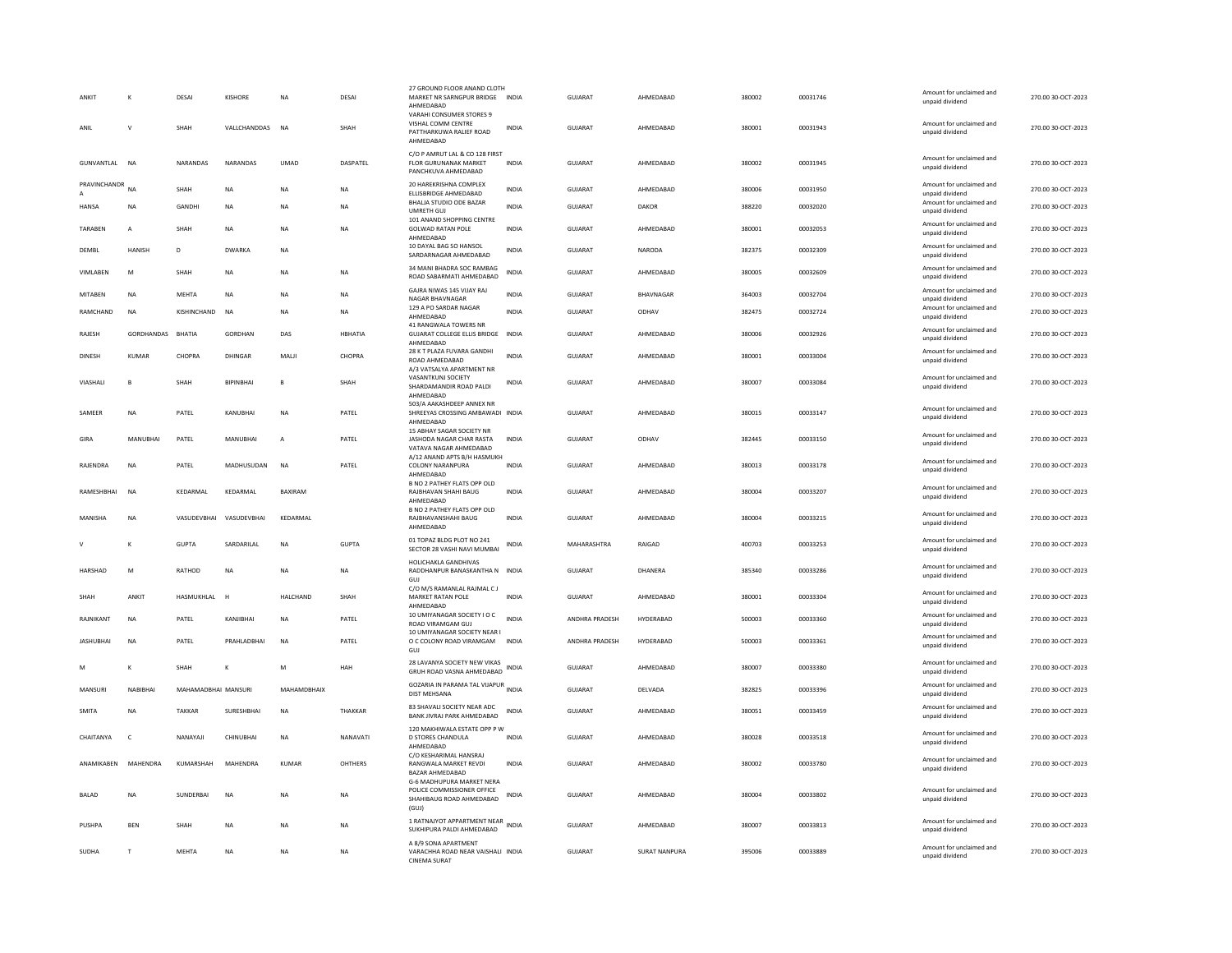| ANKIT            |            | DESAI               | KISHORE          | NΑ             | DESAI        | 27 GROUND FLOOR ANAND CLOTH<br>MARKET NR SARNGPUR BRIDGE INDIA<br>AHMEDABAD<br>VARAHI CONSUMER STORES 9 |              | <b>GUJARAT</b> | AHMEDABAD     | 380002 | 00031746 | Amount for unclaimed and<br>unpaid dividend | 270.00 30-OCT-2023 |
|------------------|------------|---------------------|------------------|----------------|--------------|---------------------------------------------------------------------------------------------------------|--------------|----------------|---------------|--------|----------|---------------------------------------------|--------------------|
| ANIL             | V          | SHAH                | VALLCHANDDAS     | <b>NA</b>      | SHAH         | VISHAL COMM CENTRE<br>PATTHARKUWA RALIEF ROAD<br>AHMEDABAD                                              | <b>INDIA</b> | GUJARAT        | AHMEDABAD     | 380001 | 00031943 | Amount for unclaimed and<br>unpaid dividend | 270.00 30-OCT-2023 |
| GUNVANTLAL NA    |            | NARANDAS            | NARANDAS         | <b>UMAD</b>    | DASPATEL     | C/O P AMRUT LAL & CO 128 FIRST<br><b>FLOR GURUNANAK MARKET</b><br>PANCHKUVA AHMEDABAD                   | <b>INDIA</b> | <b>GUJARAT</b> | AHMEDABAD     | 380002 | 00031945 | Amount for unclaimed and<br>unpaid dividend | 270.00 30-OCT-2023 |
| PRAVINCHANDR     | <b>NA</b>  | SHAH                | <b>NA</b>        | <b>NA</b>      | <b>NA</b>    | 20 HAREKRISHNA COMPLEX<br>ELLISBRIDGE AHMEDABAD                                                         | <b>INDIA</b> | <b>GUJARAT</b> | AHMEDABAD     | 380006 | 00031950 | Amount for unclaimed and<br>unpaid dividend | 270.00 30-OCT-2023 |
| <b>HANSA</b>     | NA         | GANDHI              | NA               | NA             | NA           | <b>BHALIA STUDIO ODE BAZAR</b><br>UMRETH GU.                                                            | <b>INDIA</b> | GUJARAT        | DAKOR         | 388220 | 00032020 | Amount for unclaimed and<br>unpaid dividend | 270.00 30-OCT-2023 |
| TARABEN          | A          | SHAH                | <b>NA</b>        | <b>NA</b>      | NA           | 101 ANAND SHOPPING CENTRE<br>GOLWAD RATAN POLE<br>AHMEDABAD                                             | <b>INDIA</b> | <b>GUJARAT</b> | AHMEDABAD     | 380001 | 00032053 | Amount for unclaimed and<br>unpaid dividend | 270.00 30-OCT-2023 |
| DEMBL            | HANISH     | D                   | <b>DWARKA</b>    | <b>NA</b>      |              | 10 DAYAL BAG SO HANSOL<br>SARDARNAGAR AHMEDABAD                                                         | <b>INDIA</b> | GUJARAT        | NARODA        | 382375 | 00032309 | Amount for unclaimed and<br>unpaid dividend | 270.00 30-OCT-2023 |
| <b>VIMI AREN</b> | M          | <b>SHAH</b>         | <b>NA</b>        | <b>NA</b>      | <b>NA</b>    | 34 MANI BHADRA SOC RAMBAG<br>ROAD SABARMATI AHMEDABAD                                                   | <b>INDIA</b> | GUIARAT        | AHMEDARAD     | 380005 | 00032609 | Amount for unclaimed and<br>unpaid dividend | 270.00.30-OCT-2023 |
| MITABEN          | <b>NA</b>  | <b>MEHTA</b>        | <b>NA</b>        | NA             | <b>NA</b>    | GAJRA NIWAS 145 VIJAY RAJ<br>NAGAR BHAVNAGAR                                                            | <b>INDIA</b> | <b>GUJARAT</b> | BHAVNAGAR     | 364003 | 00032704 | Amount for unclaimed and<br>unpaid dividend | 270.00 30-OCT-2023 |
| RAMCHAND         | NA         | KISHINCHAND         | <b>NA</b>        | NΑ             | NA           | 129 A PO SARDAR NAGAR<br>AHMFDARAD                                                                      | <b>INDIA</b> | <b>GUJARAT</b> | ODHAV         | 382475 | 00032724 | Amount for unclaimed and<br>unpaid dividend | 270.00 30-OCT-2023 |
| RAJESH           | GORDHANDAS | <b>BHATIA</b>       | GORDHAN          | DAS            | HBHATIA      | 41 RANGWALA TOWERS NR<br><b>GUJARAT COLLEGE ELLIS BRIDGE</b><br>AHMFDARAD                               | INDIA        | GUJARAT        | AHMEDABAD     | 380006 | 00032926 | Amount for unclaimed and<br>unpaid dividend | 270.00 30-OCT-2023 |
| <b>DINESH</b>    | KUMAR      | CHOPRA              | DHINGAR          | MAI II         | CHOPRA       | 28 K T PLAZA FUVARA GANDHI<br>ROAD AHMEDABAD<br>A/3 VATSALYA APARTMENT NR                               | <b>INDIA</b> | GUIARAT        | AHMEDARAD     | 380001 | 00033004 | Amount for unclaimed and<br>unpaid dividend | 270.00 30-QCT-2023 |
| VIASHALI         | B          | SHAH                | <b>BIPINBHAI</b> | B              | SHAH         | VASANTKUNJ SOCIETY<br>SHARDAMANDIR ROAD PALDI<br>AHMEDABAD                                              | <b>INDIA</b> | <b>GUJARAT</b> | AHMEDABAD     | 380007 | 00033084 | Amount for unclaimed and<br>unpaid dividend | 270.00 30-OCT-2023 |
| SAMFFR           | <b>NA</b>  | PATFI               | KANURHAI         | <b>NA</b>      | PATFI        | 503/A AAKASHDEEP ANNEX NR<br>SHREEYAS CROSSING AMBAWADI INDIA<br>AHMEDABAD                              |              | GUIARAT        | AHMEDARAD     | 380015 | 00033147 | Amount for unclaimed and<br>unpaid dividend | 270.00 30-OCT-2023 |
| GIRA             | MANURHAI   | PATEL               | MANURHAI         | $\overline{A}$ | PATEL        | 15 ABHAY SAGAR SOCIETY NR<br>JASHODA NAGAR CHAR RASTA<br>VATAVA NAGAR AHMEDABAD                         | <b>INDIA</b> | GUIARAT        | ODHAV         | 382445 | 00033150 | Amount for unclaimed and<br>unpaid dividend | 270.00 30-QCT-2023 |
| RAJENDRA         | NA         | PATEL               | MADHUSUDAN       | <b>NA</b>      | PATEL        | A/12 ANAND APTS B/H HASMUKH<br><b>COLONY NARANPURA</b><br>AHMEDABAD                                     | <b>INDIA</b> | <b>GUJARAT</b> | AHMEDABAD     | 380013 | 00033178 | Amount for unclaimed and<br>unpaid dividend | 270.00 30-OCT-2023 |
| RAMESHBHAI       | <b>NA</b>  | KEDARMAL            | KEDARMAL         | <b>BAXIRAM</b> |              | <b>B NO 2 PATHEY FLATS OPP OLD</b><br>RAJBHAVAN SHAHI BAUG<br>AHMEDABAD                                 | <b>INDIA</b> | <b>GUJARAT</b> | AHMEDABAD     | 380004 | 00033207 | Amount for unclaimed and<br>unpaid dividend | 270.00 30-OCT-2023 |
| MANISHA          | NA         | VASUDEVBHAI         | VASUDEVBHAI      | KEDARMAL       |              | B NO 2 PATHEY FLATS OPP OLD<br>RAJBHAVANSHAHI BAUG<br>AHMEDABAD                                         | <b>INDIA</b> | GUJARAT        | AHMEDABAD     | 380004 | 00033215 | Amount for unclaimed and<br>unpaid dividend | 270.00 30-OCT-2023 |
|                  |            | <b>GUPTA</b>        | SARDARILAL       | NA             | <b>GUPTA</b> | 01 TOPAZ BLDG PLOT NO 241<br>SECTOR 28 VASHI NAVI MUMBAI<br>HOLICHAKLA GANDHIVAS                        | <b>INDIA</b> | MAHARASHTRA    | RAIGAD        | 400703 | 00033253 | Amount for unclaimed and<br>unpaid dividend | 270.00 30-OCT-2023 |
| HARSHAD          | M          | RATHOD              | <b>NA</b>        | NA             | NA           | RADDHANPUR BANASKANTHA N INDIA<br>GUI<br>C/O M/S RAMANLAL RAJMAL C J                                    |              | GUJARAT        | DHANERA       | 385340 | 00033286 | Amount for unclaimed and<br>unpaid dividend | 270.00 30-OCT-2023 |
| SHAH             | ANKIT      | HASMUKHLAL H        |                  | HALCHAND       | SHAH         | MARKET RATAN POLE<br>AHMEDABAD                                                                          | <b>INDIA</b> | GUJARAT        | AHMEDABAD     | 380001 | 00033304 | Amount for unclaimed and<br>unpaid dividend | 270.00 30-OCT-2023 |
| RAJNIKANT        | <b>NA</b>  | PATEL               | KANIIRHAI        | NA             | PATEL        | 10 UMIYANAGAR SOCIETY I O C<br><b>ROAD VIRAMGAM GUJ</b>                                                 | <b>INDIA</b> | ANDHRA PRADESH | HYDERABAD     | 500003 | 00033360 | Amount for unclaimed and<br>unpaid dividend | 270.00 30-OCT-2023 |
| <b>JASHUBHAI</b> | <b>NA</b>  | PATEL               | PRAHLADBHAI      | NA             | PATEL        | 10 UMIYANAGAR SOCIETY NEAR I<br>O C COLONY ROAD VIRAMGAM<br>GUJ                                         | <b>INDIA</b> | ANDHRA PRADESH | HYDERABAD     | 500003 | 00033361 | Amount for unclaimed and<br>unpaid dividend | 270.00 30-OCT-2023 |
|                  | K          | SHAH                |                  | М              | HAH          | 28 LAVANYA SOCIETY NEW VIKAS<br>GRUH ROAD VASNA AHMEDABAD                                               | INDIA        | GUJARAT        | AHMEDABAD     | 380007 | 00033380 | Amount for unclaimed and<br>unpaid dividend | 270.00 30-OCT-2023 |
| MANSURI          | NABIBHAI   | MAHAMADBHAI MANSURI |                  | MAHAMDBHAIX    |              | GOZARIA IN PARAMA TAL VIJAPUR<br><b>DIST MEHSANA</b>                                                    | <b>INDIA</b> | <b>GUJARAT</b> | DELVADA       | 382825 | 00033396 | Amount for unclaimed and<br>unpaid dividend | 270.00 30-OCT-2023 |
| SMITA            | NA         | <b>TAKKAR</b>       | SURESHBHAI       | NA             | THAKKAR      | 83 SHAVALI SOCIETY NEAR ADC<br>BANK JIVRAJ PARK AHMEDABAD                                               | INDIA        | GUJARAT        | AHMEDABAD     | 380051 | 00033459 | Amount for unclaimed and<br>unpaid dividend | 270.00 30-OCT-2023 |
| CHAITANYA        | $\epsilon$ | NANAYAJI            | CHINUBHAI        | N <sub>A</sub> | NANAVATI     | 120 MAKHIWALA ESTATE OPP P W<br>D STORES CHANDULA<br>AHMEDABAD                                          | <b>INDIA</b> | <b>GUJARAT</b> | AHMEDABAD     | 380028 | 00033518 | Amount for unclaimed and<br>unpaid dividend | 270.00 30-OCT-2023 |
| ANAMIKABEN       | MAHENDRA   | KUMARSHAH           | MAHENDRA         | KUMAR          | OHTHERS      | C/O KESHARIMAL HANSRAJ<br>RANGWALA MARKET REVDI<br>BAZAR AHMEDABAD                                      | <b>INDIA</b> | <b>GUJARAT</b> | AHMEDABAD     | 380002 | 00033780 | Amount for unclaimed and<br>unpaid dividend | 270.00 30-OCT-2023 |
| BALAD            | <b>NA</b>  | SUNDERBAI           | <b>NA</b>        | NA             | <b>NA</b>    | G-6 MADHUPURA MARKET NERA<br>POLICE COMMISSIONER OFFICE<br>SHAHIBAUG ROAD AHMEDABAD<br>(GUI)            | <b>INDIA</b> | <b>GUJARAT</b> | AHMEDABAD     | 380004 | 00033802 | Amount for unclaimed and<br>unpaid dividend | 270.00 30-OCT-2023 |
| PUSHPA           | <b>BEN</b> | SHAH                | <b>NA</b>        | NΑ             | NA           | 1 RATNAJYOT APPARTMENT NEAR<br>SUKHIPURA PALDI AHMEDABAD                                                | <b>INDIA</b> | GUJARAT        | AHMEDABAD     | 380007 | 00033813 | Amount for unclaimed and<br>unpaid dividend | 270.00 30-OCT-2023 |
| SUDHA            | T          | <b>MEHTA</b>        | <b>NA</b>        | NΑ             | NA           | A 8/9 SONA APARTMENT<br>VARACHHA ROAD NEAR VAISHALI INDIA<br><b>CINEMA SURAT</b>                        |              | GUJARAT        | SURAT NANPURA | 395006 | 00033889 | Amount for unclaimed and<br>unpaid dividend | 270.00 30-OCT-2023 |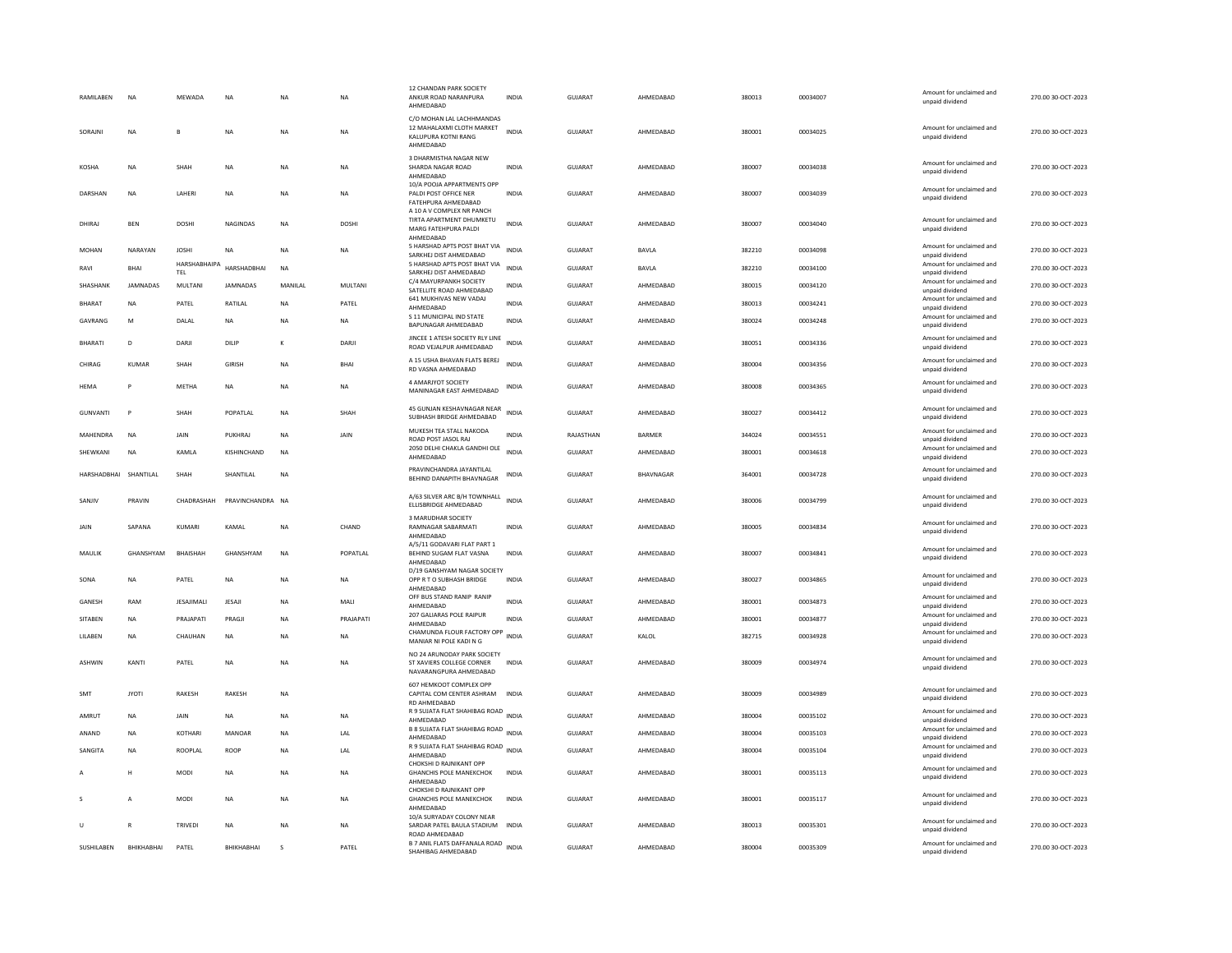| RAMILABEN             | <b>NA</b>    | MEWADA              | <b>NA</b>        | <b>NA</b> | <b>NA</b>   | 12 CHANDAN PARK SOCIETY<br>ANKUR ROAD NARANPURA<br>AHMFDARAD                               | <b>INDIA</b> | GUJARAT        | AHMEDABAD | 380013 | 00034007 | Amount for unclaimed and<br>unpaid dividend                    | 270.00 30-OCT-2023 |
|-----------------------|--------------|---------------------|------------------|-----------|-------------|--------------------------------------------------------------------------------------------|--------------|----------------|-----------|--------|----------|----------------------------------------------------------------|--------------------|
| SORAJNI               | NA           |                     | NA               | <b>NA</b> | <b>NA</b>   | C/O MOHAN LAL LACHHMANDAS<br>12 MAHALAXMI CLOTH MARKET<br>KALUPURA KOTNI RANG<br>AHMEDABAD | <b>INDIA</b> | <b>GUJARAT</b> | AHMEDABAD | 380001 | 00034025 | Amount for unclaimed and<br>unpaid dividend                    | 270.00 30-OCT-2023 |
| <b>KOSHA</b>          | <b>NA</b>    | SHAH                | <b>NA</b>        | <b>NA</b> | <b>NA</b>   | 3 DHARMISTHA NAGAR NEW<br>SHARDA NAGAR ROAD<br>AHMEDABAD                                   | <b>INDIA</b> | GUJARAT        | AHMEDABAD | 380007 | 00034038 | Amount for unclaimed and<br>unpaid dividend                    | 270.00 30-OCT-2023 |
| DARSHAN               | NA           | LAHERI              | <b>NA</b>        | <b>NA</b> | <b>NA</b>   | 10/A POOJA APPARTMENTS OPP<br>PALDI POST OFFICE NER<br>FATEHPURA AHMEDABAD                 | <b>INDIA</b> | <b>GUJARAT</b> | AHMEDABAD | 380007 | 00034039 | Amount for unclaimed and<br>unpaid dividend                    | 270.00 30-OCT-2023 |
| DHIRAJ                | BEN          | DOSHI               | NAGINDAS         | NA        | DOSHI       | A 10 A V COMPLEX NR PANCH<br>TIRTA APARTMENT DHUMKETU<br>MARG FATEHPURA PALDI<br>AHMEDABAD | <b>INDIA</b> | GUJARAT        | AHMEDABAD | 380007 | 00034040 | Amount for unclaimed and<br>unpaid dividend                    | 270.00 30-OCT-2023 |
| <b>MOHAN</b>          | NARAYAN      | <b>JOSHI</b>        | <b>NA</b>        | <b>NA</b> | <b>NA</b>   | 5 HARSHAD APTS POST BHAT VIA<br>SARKHEJ DIST AHMEDABAD                                     | <b>INDIA</b> | GUIARAT        | BAVLA     | 382210 | 00034098 | Amount for unclaimed and<br>unpaid dividend                    | 270.00 30-OCT-2023 |
| RAVI                  | <b>BHAI</b>  | HARSHABHAIPA<br>TEL | HARSHADBHAI      | <b>NA</b> |             | 5 HARSHAD APTS POST BHAT VIA<br>SARKHEJ DIST AHMEDABAD                                     | <b>INDIA</b> | <b>GUJARAT</b> | BAVLA     | 382210 | 00034100 | Amount for unclaimed and<br>unpaid dividend                    | 270.00 30-OCT-2023 |
| SHASHANK              | JAMNADAS     | MULTANI             | JAMNADAS         | MANILAL   | MULTANI     | C/4 MAYURPANKH SOCIETY                                                                     | <b>INDIA</b> | GUJARAT        | AHMEDABAD | 380015 | 00034120 | Amount for unclaimed and                                       | 270.00 30-OCT-2023 |
| <b>BHARAT</b>         | NA           | PATEL               | RATILAL          | <b>NA</b> | PATEL       | SATELLITE ROAD AHMEDABAD<br>641 MUKHIVAS NEW VADAJ                                         | <b>INDIA</b> | GUJARAT        | AHMEDABAD | 380013 | 00034241 | unpaid dividend<br>Amount for unclaimed and                    | 270.00 30-OCT-2023 |
| GAVRANG               | M            | DALAL               | NA               | NA        | NA          | AHMEDABAD<br>S 11 MUNICIPAL IND STATE                                                      | <b>INDIA</b> | <b>GUJARAT</b> | AHMEDABAD | 380024 | 00034248 | unpaid dividend<br>Amount for unclaimed and                    | 270.00 30-OCT-2023 |
|                       |              |                     |                  |           |             | BAPUNAGAR AHMEDABAD<br>JINCEE 1 ATESH SOCIETY RLY LINE                                     |              |                |           |        |          | unpaid dividend<br>Amount for unclaimed and                    |                    |
| <b>BHARATI</b>        | D            | DARJI               | DILIP            | к         | DARJI       | ROAD VEJALPUR AHMEDABAD                                                                    | <b>INDIA</b> | <b>GUJARAT</b> | AHMEDABAD | 380051 | 00034336 | unpaid dividend                                                | 270.00 30-OCT-2023 |
| CHIRAG                | <b>KUMAR</b> | SHAH                | GIRISH           | <b>NA</b> | <b>BHAI</b> | A 15 USHA BHAVAN FLATS BEREJ<br>RD VASNA AHMEDABAD                                         | <b>INDIA</b> | GUJARAT        | AHMEDABAD | 380004 | 00034356 | Amount for unclaimed and<br>unpaid dividend                    | 270.00 30-OCT-2023 |
| HEMA                  |              | METHA               | <b>NA</b>        | <b>NA</b> | <b>NA</b>   | 4 AMARIYOT SOCIETY<br>MANINAGAR EAST AHMEDABAD                                             | <b>INDIA</b> | <b>GUJARAT</b> | AHMEDABAD | 380008 | 00034365 | Amount for unclaimed and<br>unpaid dividend                    | 270.00 30-OCT-2023 |
| GUNVANTI              | P            | SHAH                | POPATI AI        | <b>NA</b> | SHAH        | 45 GUNJAN KESHAVNAGAR NEAR<br>SUBHASH BRIDGE AHMEDABAD                                     | <b>INDIA</b> | GUIARAT        | AHMEDARAD | 380027 | 00034412 | Amount for unclaimed and<br>unpaid dividend                    | 270.00 30-OCT-2023 |
| MAHENDRA              | NA           | JAIN                | PUKHRAJ          | NA        | JAIN        | MUKESH TEA STALL NAKODA<br>ROAD POST JASOL RAJ                                             | <b>INDIA</b> | RAJASTHAN      | BARMER    | 344024 | 00034551 | Amount for unclaimed and<br>unpaid dividend                    | 270.00 30-OCT-2023 |
| SHEWKANI              | NA           | KAMLA               | KISHINCHAND      | NA        |             | 2050 DELHI CHAKLA GANDHI OLE<br>AHMEDABAD                                                  | <b>INDIA</b> | GUJARAT        | AHMEDABAD | 380001 | 00034618 | Amount for unclaimed and<br>unpaid dividend                    | 270.00 30-OCT-2023 |
| HARSHADBHAI SHANTILAL |              | SHAH                | SHANTILAL        | <b>NA</b> |             | PRAVINCHANDRA JAYANTILAL<br>BEHIND DANAPITH BHAVNAGAR                                      | <b>INDIA</b> | GUJARAT        | BHAVNAGAR | 364001 | 00034728 | Amount for unclaimed and<br>unpaid dividend                    | 270.00 30-OCT-2023 |
| SANJIV                | PRAVIN       | CHADRASHAH          | PRAVINCHANDRA NA |           |             | A/63 SILVER ARC B/H TOWNHALL<br>ELLISBRIDGE AHMEDABAD                                      | <b>INDIA</b> | <b>GUJARAT</b> | AHMEDABAD | 380006 | 00034799 | Amount for unclaimed and<br>unpaid dividend                    | 270.00 30-OCT-2023 |
| JAIN                  | SAPANA       | KUMARI              | KAMAL            | NA        | CHAND       | 3 MARUDHAR SOCIETY<br>RAMNAGAR SABARMATI<br>AHMEDABAD                                      | <b>INDIA</b> | GUJARAT        | AHMEDABAD | 380005 | 00034834 | Amount for unclaimed and<br>unpaid dividend                    | 270.00 30-OCT-2023 |
| MAULIK                | GHANSHYAM    | <b>BHAISHAH</b>     | GHANSHYAM        | <b>NA</b> | POPATLAL    | A/5/11 GODAVARI FLAT PART 1<br>BEHIND SUGAM FLAT VASNA<br>AHMEDABAD                        | <b>INDIA</b> | GUJARAT        | AHMEDABAD | 380007 | 00034841 | Amount for unclaimed and<br>unpaid dividend                    | 270.00 30-OCT-2023 |
| SONA                  | NA           | PATEL               | NA               | NA        | NA          | D/19 GANSHYAM NAGAR SOCIETY<br>OPP R T O SUBHASH BRIDGE<br>AHMEDABAD                       | <b>INDIA</b> | GUJARAT        | AHMEDABAD | 380027 | 00034865 | Amount for unclaimed and<br>unpaid dividend                    | 270.00 30-OCT-2023 |
| <b>GANESH</b>         | RAM          | <b>IFSAIIMALI</b>   | <b>IFSAIL</b>    | <b>NA</b> | MALI        | OFF BUS STAND RANIP RANIP<br>AHMEDABAD                                                     | <b>INDIA</b> | <b>GUJARAT</b> | AHMEDABAD | 380001 | 00034873 | Amount for unclaimed and<br>unpaid dividend                    | 270.00 30-OCT-2023 |
| <b>SITABEN</b>        | <b>NA</b>    | PRAJAPATI           | PRAGJI           | <b>NA</b> | PRAJAPATI   | 207 GALIARAS POLE RAIPUR<br>AHMEDABAD                                                      | <b>INDIA</b> | <b>GUJARAT</b> | AHMEDABAD | 380001 | 00034877 | Amount for unclaimed and<br>unpaid dividend                    | 270.00 30-OCT-2023 |
| LILABEN               | NA           | CHAUHAN             | NA               | NA        | <b>NA</b>   | CHAMUNDA FLOUR FACTORY OPP INDIA                                                           |              | GUJARAT        | KALOL     | 382715 | 00034928 | Amount for unclaimed and                                       | 270.00 30-OCT-2023 |
| <b>ASHWIN</b>         | KANTI        | PATEL               | <b>NA</b>        | <b>NA</b> | <b>NA</b>   | MANIAR NI POLE KADI N G<br>NO 24 ARUNODAY PARK SOCIETY<br>ST XAVIERS COLLEGE CORNER        | <b>INDIA</b> | <b>GUJARAT</b> | AHMEDABAD | 380009 | 00034974 | unpaid dividend<br>Amount for unclaimed and<br>unpaid dividend | 270.00 30-OCT-2023 |
| SMT                   | <b>JYOTI</b> | RAKESH              | RAKESH           | <b>NA</b> |             | NAVARANGPURA AHMEDABAD<br>607 HEMKOOT COMPLEX OPP<br>CAPITAL COM CENTER ASHRAM             | <b>INDIA</b> | <b>GUJARAT</b> | AHMEDABAD | 380009 | 00034989 | Amount for unclaimed and<br>unpaid dividend                    | 270.00 30-OCT-2023 |
| AMRUT                 | NA           | JAIN                | NA               | <b>NA</b> | NA          | RD AHMEDABAD<br>R 9 SUJATA FLAT SHAHIBAG ROAD                                              | <b>INDIA</b> | GUJARAT        | AHMEDABAD | 380004 | 00035102 | Amount for unclaimed and                                       | 270.00 30-OCT-2023 |
| ANAND                 | NA           | KOTHARI             | MANOAR           | <b>NA</b> |             | AHMEDABAD<br><b>B 8 SUJATA FLAT SHAHIBAG ROAD</b>                                          | <b>INDIA</b> | GUJARAT        | AHMEDABAD | 380004 | 00035103 | unpaid dividend<br>Amount for unclaimed and                    | 270.00 30-OCT-2023 |
|                       |              |                     |                  |           | LAL         | AHMEDABAD<br>R 9 SUJATA FLAT SHAHIBAG ROAD INDIA                                           |              |                |           |        |          | unpaid dividend<br>Amount for unclaimed and                    |                    |
| SANGITA               | <b>NA</b>    | ROOPLAL             | <b>ROOP</b>      | <b>NA</b> | 1 Al        | AHMEDABAD<br>CHOKSHI D RAJNIKANT OPP                                                       |              | GUIARAT        | AHMEDARAD | 380004 | 00035104 | unpaid dividend                                                | 270.00 30-OCT-2023 |
|                       | н            | MODI                | <b>NA</b>        | <b>NA</b> | <b>NA</b>   | <b>GHANCHIS POLE MANEKCHOK</b><br>AHMFDARAD<br>CHOKSHI D RAJNIKANT OPP                     | <b>INDIA</b> | <b>GUJARAT</b> | AHMEDABAD | 380001 | 00035113 | Amount for unclaimed and<br>unpaid dividend                    | 270.00 30-OCT-2023 |
|                       | A            | MODI                | <b>NA</b>        | <b>NA</b> | <b>NA</b>   | <b>GHANCHIS POLE MANEKCHOK</b><br>AHMEDABAD<br>10/A SURYADAY COLONY NEAR                   | <b>INDIA</b> | GUJARAT        | AHMEDABAD | 380001 | 00035117 | Amount for unclaimed and<br>unpaid dividend                    | 270.00 30-OCT-2023 |
| п                     | R            | <b>TRIVEDI</b>      | NA               | <b>NA</b> | <b>NA</b>   | SARDAR PATEL BAULA STADIUM INDIA<br>ROAD AHMEDABAD                                         |              | <b>GUJARAT</b> | AHMEDABAD | 380013 | 00035301 | Amount for unclaimed and<br>unpaid dividend                    | 270.00 30-OCT-2023 |
| SUSHILABEN            | ВНІКНАВНАІ   | PATEL               | BHIKHABHAI       | s         | PATEL       | B 7 ANIL FLATS DAFFANALA ROAD INDIA<br>SHAHIBAG AHMEDABAD                                  |              | <b>GUJARAT</b> | AHMEDABAD | 380004 | 00035309 | Amount for unclaimed and<br>unpaid dividend                    | 270.00 30-OCT-2023 |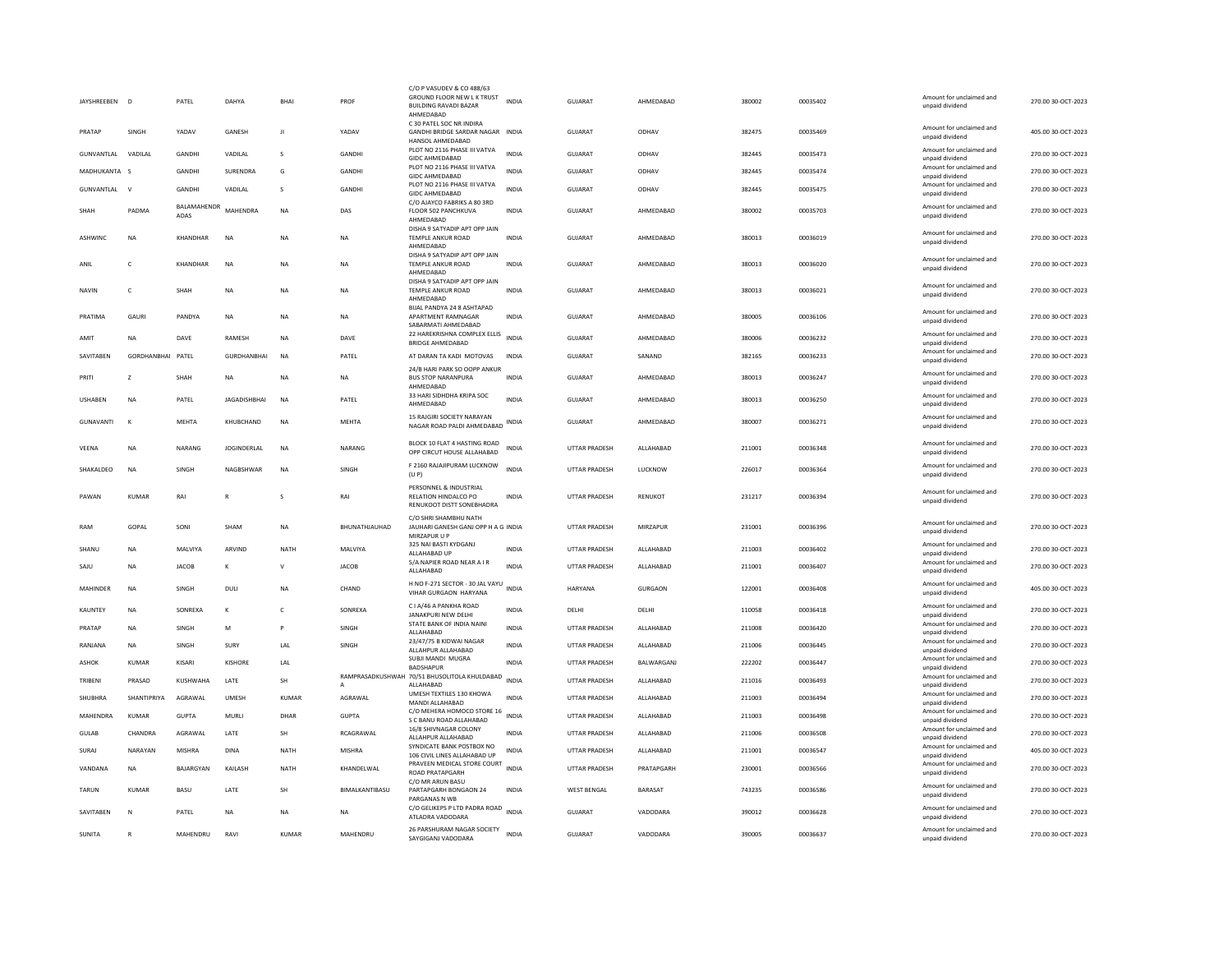| JAYSHREEBEN D    |                    | PATEL           | <b>DAHYA</b>        | BHAI         | PROF           | C/O P VASUDEV & CO 488/63<br>GROUND FLOOR NEW L K TRUST<br>BUILDING RAVADI BAZAR<br>AHMEDABAD | <b>INDIA</b> | GUJARAT              | AHMEDABAD          | 380002 | 00035402 | Amount for unclaimed and<br>unpaid dividend                    | 270.00 30-OCT-2023 |
|------------------|--------------------|-----------------|---------------------|--------------|----------------|-----------------------------------------------------------------------------------------------|--------------|----------------------|--------------------|--------|----------|----------------------------------------------------------------|--------------------|
| PRATAP           | SINGH              | YADAV           | <b>GANESH</b>       | $\mathbf{H}$ | YADAV          | C 30 PATEL SOC NR INDIRA<br>GANDHI BRIDGE SARDAR NAGAR INDIA<br>HANSOL AHMEDABAD              |              | GUIARAT              | ODHAV              | 382475 | 00035469 | Amount for unclaimed and<br>unpaid dividend                    | 405.00.30-OCT-2023 |
| GUNVANTLAL       | VADILAL            | GANDHI          | VADILAL             | s            | GANDHI         | PLOT NO 2116 PHASE III VATVA<br><b>GIDC AHMEDABAD</b>                                         | <b>INDIA</b> | GUJARAT              | ODHAV              | 382445 | 00035473 | Amount for unclaimed and<br>unpaid dividend                    | 270.00 30-OCT-2023 |
| MADHUKANTA       | <b>S</b>           | GANDHI          | SURENDRA            | G            | GANDHI         | PLOT NO 2116 PHASE III VATVA<br><b>GIDC AHMEDABAD</b>                                         | <b>INDIA</b> | <b>GUJARAT</b>       | ODHAV              | 382445 | 00035474 | Amount for unclaimed and<br>unpaid dividend                    | 270.00 30-OCT-2023 |
| GUNVANTLAL V     |                    | GANDHI          | VADILAL             | s            | GANDHI         | PLOT NO 2116 PHASE III VATVA<br>GIDC AHMEDARAD                                                | <b>INDIA</b> | <b>GUJARAT</b>       | ODHAV              | 382445 | 00035475 | Amount for unclaimed and<br>unpaid dividend                    | 270.00 30-OCT-2023 |
|                  |                    | BALAMAHENDR     |                     |              |                | C/O AJAYCO FABRIKS A 80 3RD                                                                   |              |                      |                    |        |          | Amount for unclaimed and                                       |                    |
| SHAH             | PADMA              | ADAS            | MAHENDRA            | <b>NA</b>    | DAS            | FLOOR 502 PANCHKUVA<br>AHMEDABAD                                                              | <b>INDIA</b> | <b>GUJARAT</b>       | AHMEDABAD          | 380002 | 00035703 | unpaid dividend                                                | 270.00 30-OCT-2023 |
| ASHWINC          | <b>NA</b>          | KHANDHAR        | <b>NA</b>           | <b>NA</b>    | <b>NA</b>      | DISHA 9 SATYADIP APT OPP JAIN<br>TEMPLE ANKUR ROAD<br>AHMEDABAD                               | <b>INDIA</b> | GUJARAT              | AHMEDABAD          | 380013 | 00036019 | Amount for unclaimed and<br>unpaid dividend                    | 270.00 30-OCT-2023 |
| ANIL             | $\mathsf{C}$       | KHANDHAR        | <b>NA</b>           | <b>NA</b>    | <b>NA</b>      | DISHA 9 SATYADIP APT OPP JAIN<br><b>TEMPLE ANKUR ROAD</b><br>AHMEDABAD                        | INDIA        | GUJARAT              | AHMEDABAD          | 380013 | 00036020 | Amount for unclaimed and<br>unpaid dividend                    | 270.00 30-OCT-2023 |
| <b>NAVIN</b>     | $\mathsf{C}$       | SHAH            | <b>NA</b>           | <b>NA</b>    | <b>NA</b>      | DISHA 9 SATYADIP APT OPP JAIN<br><b>TEMPLE ANKUR ROAD</b><br>AHMEDABAD                        | <b>INDIA</b> | GUJARAT              | AHMEDABAD          | 380013 | 00036021 | Amount for unclaimed and<br>unpaid dividend                    | 270.00 30-OCT-2023 |
| PRATIMA          | GAURI              | PANDYA          | <b>NA</b>           | <b>NA</b>    | <b>NA</b>      | BIJAL PANDYA 24 8 ASHTAPAD<br>APARTMENT RAMNAGAR<br>SABARMATI AHMEDABAD                       | INDIA        | GUJARAT              | AHMEDABAD          | 380005 | 00036106 | Amount for unclaimed and<br>unpaid dividend                    | 270.00 30-OCT-2023 |
| AMIT             | <b>NA</b>          | DAVE            | RAMESH              | <b>NA</b>    | DAVE           | 22 HAREKRISHNA COMPLEX ELLIS<br>BRIDGE AHMEDABAD                                              | <b>INDIA</b> | GUJARAT              | AHMEDABAD          | 380006 | 00036232 | Amount for unclaimed and<br>unpaid dividend                    | 270.00 30-OCT-2023 |
| SAVITABEN        | <b>GORDHANBHAI</b> | PATEL           | <b>GURDHANBHAI</b>  | <b>NA</b>    | PATEL          | AT DARAN TA KADI MOTOVAS                                                                      | INDIA        | GUJARAT              | SANAND             | 382165 | 00036233 | Amount for unclaimed and<br>unpaid dividend                    | 270.00 30-OCT-2023 |
| PRITI            | z                  | SHAH            | NA                  | <b>NA</b>    | <b>NA</b>      | 24/B HARI PARK SO OOPP ANKUR<br><b>BUS STOP NARANPURA</b><br>AHMEDABAD                        | INDIA        | GUJARAT              | AHMEDABAD          | 380013 | 00036247 | Amount for unclaimed and<br>unpaid dividend                    | 270.00 30-OCT-2023 |
| <b>USHABEN</b>   | <b>NA</b>          | PATEL           | <b>JAGADISHBHAI</b> | <b>NA</b>    | PATEL          | 33 HARI SIDHDHA KRIPA SOC                                                                     | <b>INDIA</b> | GUJARAT              | AHMEDABAD          | 380013 | 00036250 | Amount for unclaimed and                                       | 270.00 30-OCT-2023 |
| <b>GUNAVANTI</b> | $\kappa$           | <b>MEHTA</b>    | KHUBCHAND           | <b>NA</b>    | <b>MEHTA</b>   | AHMEDABAD<br>15 RAJGIRI SOCIETY NARAYAN<br>NAGAR ROAD PALDI AHMEDABAD INDIA                   |              | GUJARAT              | AHMEDABAD          | 380007 | 00036271 | unpaid dividend<br>Amount for unclaimed and<br>unpaid dividend | 270.00 30-OCT-2023 |
| VEENA            | <b>NA</b>          | NARANG          | <b>JOGINDERLAL</b>  | <b>NA</b>    | NARANG         | BLOCK 10 FLAT 4 HASTING ROAD<br>OPP CIRCUT HOUSE ALLAHABAD                                    | <b>INDIA</b> | <b>UTTAR PRADESH</b> | ALLAHABAD          | 211001 | 00036348 | Amount for unclaimed and<br>unpaid dividend                    | 270.00 30-OCT-2023 |
| SHAKALDEO        | <b>NA</b>          | SINGH           | NAGBSHWAR           | <b>NA</b>    | SINGH          | F 2160 RAJAJIPURAM LUCKNOW                                                                    | INDIA        | UTTAR PRADESH        | LUCKNOW            | 226017 | 00036364 | Amount for unclaimed and                                       | 270.00 30-OCT-2023 |
|                  |                    |                 |                     |              |                | (U P)<br>PERSONNEL & INDUSTRIAL                                                               |              |                      |                    |        |          | unpaid dividend                                                |                    |
| PAWAN            | KUMAR              | RAI             | R                   | s            | RAI            | RELATION HINDALCO PO<br>RENUKOOT DISTT SONEBHADRA                                             | <b>INDIA</b> | UTTAR PRADESH        | RENUKOT            | 231217 | 00036394 | Amount for unclaimed and<br>unpaid dividend                    | 270.00 30-OCT-2023 |
| RAM              | GOPAL              | SONI            | SHAM                | <b>NA</b>    | BHUNATHJAUHAD  | C/O SHRI SHAMBHU NATH<br>JAUHARI GANESH GANJ OPP H A G INDIA<br>MIRZAPUR U P                  |              | <b>UTTAR PRADESH</b> | MIRZAPUR           | 231001 | 00036396 | Amount for unclaimed and<br>unpaid dividend                    | 270.00 30-OCT-2023 |
| SHANU            | <b>NA</b>          | MALVIYA         | ARVIND              | NATH         | MALVIYA        | 325 NAI BASTI KYDGANJ<br>ALLAHABAD UP                                                         | INDIA        | UTTAR PRADESH        | ALLAHABAD          | 211003 | 00036402 | Amount for unclaimed and<br>unpaid dividend                    | 270.00 30-OCT-2023 |
| SAJU             | <b>NA</b>          | <b>JACOB</b>    | к                   | v            | <b>JACOB</b>   | 5/A NAPIER ROAD NEAR A I R<br>ALLAHABAD                                                       | <b>INDIA</b> | <b>UTTAR PRADESH</b> | ALLAHABAD          | 211001 | 00036407 | Amount for unclaimed and<br>unpaid dividend                    | 270.00 30-OCT-2023 |
| <b>MAHINDER</b>  | <b>NA</b>          | SINGH           | DULI                | <b>NA</b>    | CHAND          | H NO F-271 SECTOR - 30 JAL VAYU                                                               | <b>INDIA</b> | HARYANA              | <b>GURGAON</b>     | 122001 | 00036408 | Amount for unclaimed and                                       | 405.00 30-OCT-2023 |
|                  |                    |                 |                     |              |                | <b>VIHAR GURGAON HARYANA</b><br>C I A/46 A PANKHA ROAD                                        |              |                      |                    |        |          | unpaid dividend<br>Amount for unclaimed and                    |                    |
| KAUNTEY          | <b>NA</b>          | SONREXA         | К                   | c            | SONREXA        | JANAKPURI NEW DELHI<br>STATE BANK OF INDIA NAINI                                              | INDIA        | DELHI                | DELHI              | 110058 | 00036418 | unpaid dividend<br>Amount for unclaimed and                    | 270.00 30-OCT-2023 |
| PRATAP           | <b>NA</b>          | SINGH           | M                   | Þ            | SINGH          | ALLAHABAD<br>23/47/75 B KIDWAI NAGAR                                                          | <b>INDIA</b> | UTTAR PRADESH        | ALLAHABAD          | 211008 | 00036420 | unpaid dividend<br>Amount for unclaimed and                    | 270.00 30-OCT-2023 |
| RANJANA          | <b>NA</b>          | SINGH           | SURY                | LAL          | SINGH          | ALLAHPUR ALLAHARAD                                                                            | <b>INDIA</b> | UTTAR PRADESH        | ALLAHABAD          | 211006 | 00036445 | unnaid dividend                                                | 270.00 30-OCT-2023 |
| <b>ASHOK</b>     | KUMAR              | KISARI          | KISHORF             | <b>IAI</b>   |                | SUBJI MANDI MUGRA<br><b>BADSHAPUR</b>                                                         | <b>INDIA</b> | <b>UTTAR PRADESH</b> | <b>BAI WARGANI</b> | 222202 | 00036447 | Amount for unclaimed and<br>unpaid dividend                    | 270.00 30-OCT-2023 |
| TRIBENI          | PRASAD             | <b>KUSHWAHA</b> | LATE                | SH           | A              | RAMPRASADKUSHWAH 70/51 BHUSOLITOLA KHULDABAD<br>ALLAHABAD                                     | <b>INDIA</b> | <b>UTTAR PRADESH</b> | ALLAHABAD          | 211016 | 00036493 | Amount for unclaimed and<br>unpaid dividend                    | 270.00 30-OCT-2023 |
| SHUBHRA          | SHANTIPRIYA        | AGRAWAL         | UMESH               | KUMAR        | AGRAWAL        | UMESH TEXTILES 130 KHOWA<br>MANDI ALLAHABAD                                                   | <b>INDIA</b> | <b>UTTAR PRADESH</b> | ALLAHABAD          | 211003 | 00036494 | Amount for unclaimed and<br>unpaid dividend                    | 270.00 30-OCT-2023 |
| MAHENDRA         | <b>KUMAR</b>       | <b>GUPTA</b>    | MURLI               | DHAR         | <b>GUPTA</b>   | C/O MEHERA HOMOCO STORE 16<br>S C BANU ROAD ALLAHABAD                                         | <b>INDIA</b> | <b>UTTAR PRADESH</b> | ALLAHABAD          | 211003 | 00036498 | Amount for unclaimed and<br>unpaid dividend                    | 270.00 30-OCT-2023 |
| GULAB            | CHANDRA            | AGRAWAL         | LATE                | SH           | RCAGRAWAL      | 16/8 SHIVNAGAR COLONY<br>ALLAHPUR ALLAHABAD                                                   | <b>INDIA</b> | UTTAR PRADESH        | ALLAHABAD          | 211006 | 00036508 | Amount for unclaimed and<br>unpaid dividend                    | 270.00 30-OCT-2023 |
| SURAJ            | NARAYAN            | <b>MISHRA</b>   | <b>DINA</b>         | <b>NATH</b>  | <b>MISHRA</b>  | SYNDICATE BANK POSTBOX NO<br>106 CIVIL LINES ALLAHABAD UP                                     | <b>INDIA</b> | <b>UTTAR PRADESH</b> | ALLAHABAD          | 211001 | 00036547 | Amount for unclaimed and<br>unpaid dividend                    | 405.00 30-OCT-2023 |
| VANDANA          | <b>NA</b>          | BAJARGYAN       | KAILASH             | NATH         | KHANDELWAL     | PRAVEEN MEDICAL STORE COURT<br><b>ROAD PRATAPGARH</b>                                         | <b>INDIA</b> | UTTAR PRADESH        | PRATAPGARH         | 230001 | 00036566 | Amount for unclaimed and<br>unpaid dividend                    | 270.00 30-OCT-2023 |
| <b>TARUN</b>     | KUMAR              | BASU            | LATE                | <b>SH</b>    | BIMALKANTIBASU | C/O MR ARUN BASU<br>PARTAPGARH BONGAON 24<br>PARGANAS N WE                                    | <b>INDIA</b> | <b>WEST BENGAL</b>   | BARASAT            | 743235 | 00036586 | Amount for unclaimed and<br>unpaid dividend                    | 270.00 30-OCT-2023 |
| SAVITABEN        | $\mathsf{N}$       | PATEL           | <b>NA</b>           | <b>NA</b>    | <b>NA</b>      | C/O GELIKEPS P LTD PADRA ROAD INDIA<br>ATLADRA VADODARA                                       |              | <b>GUJARAT</b>       | VADODARA           | 390012 | 00036628 | Amount for unclaimed and<br>unpaid dividend                    | 270.00 30-OCT-2023 |
| SUNITA           | $\mathbb{R}$       | MAHENDRU        | RAVI                | KUMAR        | MAHENDRU       | 26 PARSHURAM NAGAR SOCIETY<br>SAYGIGANJ VADODARA                                              | <b>INDIA</b> | GUIARAT              | VADODARA           | 390005 | 00036637 | Amount for unclaimed and<br>unpaid dividend                    | 270.00 30-OCT-2023 |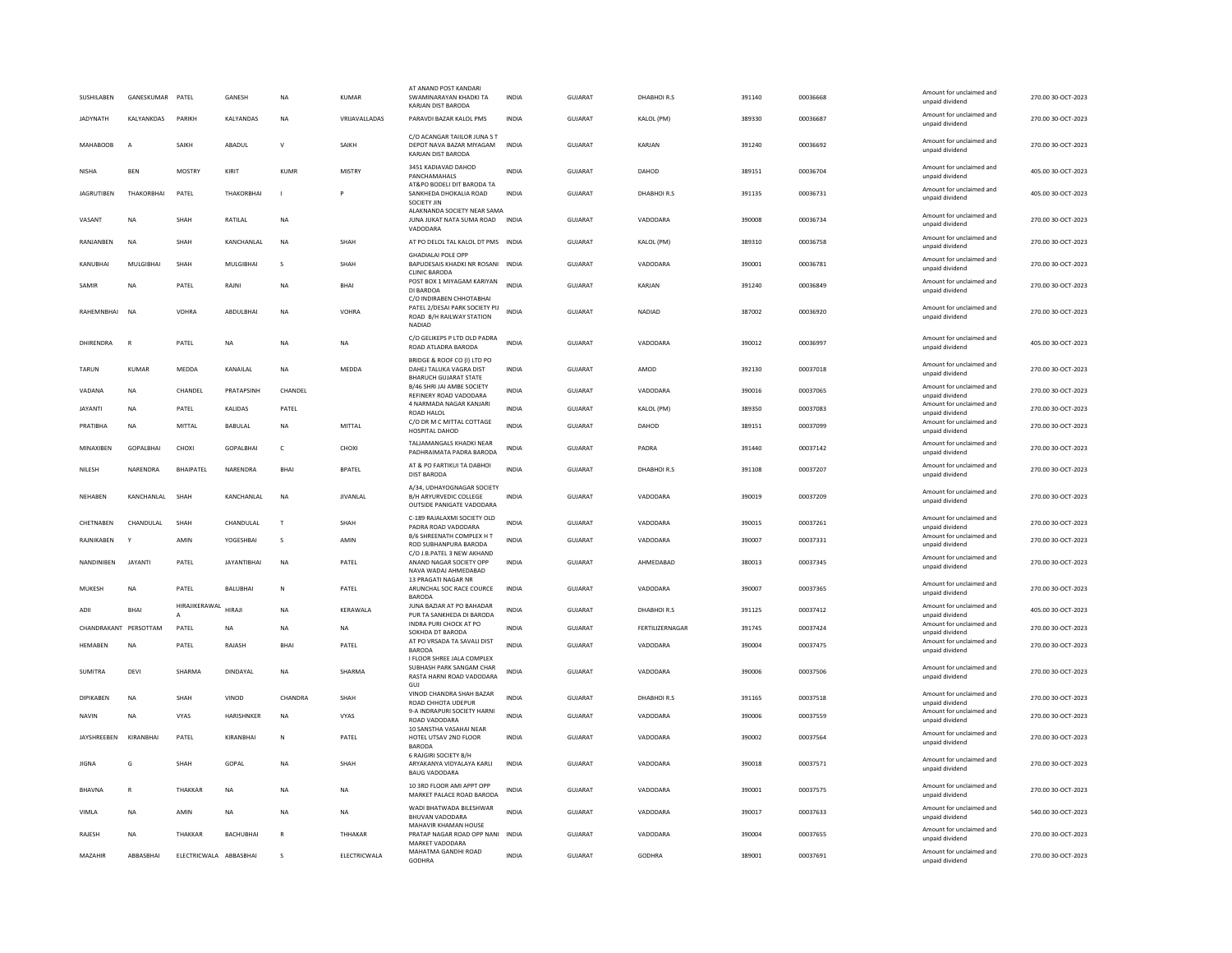| SUSHILABEN            | GANESKUMAR PATEL |                        | <b>GANESH</b>      | <b>NA</b>    | KUMAR           | AT ANAND POST KANDARI<br>SWAMINARAYAN KHADKI TA<br>KARJAN DIST BARODA                            | <b>INDIA</b> | GUIARAT        | DHARHOLR.S      | 391140 | 00036668 | Amount for unclaimed and<br>unpaid dividend                    | 270.00.30-OCT-2023 |
|-----------------------|------------------|------------------------|--------------------|--------------|-----------------|--------------------------------------------------------------------------------------------------|--------------|----------------|-----------------|--------|----------|----------------------------------------------------------------|--------------------|
| <b>JADYNATH</b>       | KALYANKDAS       | PARIKH                 | KALYANDAS          | <b>NA</b>    | VRIJAVALLADAS   | PARAVDI BAZAR KALOL PMS                                                                          | <b>INDIA</b> | GUJARAT        | KALOL (PM)      | 389330 | 00036687 | Amount for unclaimed and<br>unpaid dividend                    | 270.00 30-OCT-2023 |
| <b>MAHABOOB</b>       | $\overline{A}$   | SAIKH                  | ABADUL             | $\mathsf{v}$ | SAIKH           | C/O ACANGAR TAILLOR JUNA S T<br>DEPOT NAVA BAZAR MIYAGAM<br>KARJAN DIST BARODA                   | <b>INDIA</b> | <b>GUJARAT</b> | KARJAN          | 391240 | 00036692 | Amount for unclaimed and<br>unpaid dividend                    | 270.00 30-OCT-2023 |
| NISHA                 | <b>BEN</b>       | <b>MOSTRY</b>          | KIRIT              | <b>KUMF</b>  | MISTRY          | 3451 KADIAVAD DAHOD<br>PANCHAMAHALS                                                              | <b>INDIA</b> | GUJARAT        | DAHOD           | 389151 | 00036704 | Amount for unclaimed and<br>unpaid dividend                    | 405.00 30-OCT-2023 |
| <b>JAGRUTIBEN</b>     | THAKORBHAI       | PATEL                  | THAKORBHAI         | $\mathbf{I}$ | P               | AT&PO BODELI DIT BARODA TA<br>SANKHEDA DHOKALIA ROAD<br>SOCIETY JIN                              | <b>INDIA</b> | <b>GUJARAT</b> | DHABHOIR.S      | 391135 | 00036731 | Amount for unclaimed and<br>unpaid dividend                    | 405.00 30-OCT-2023 |
| VASANT                | <b>NA</b>        | SHAH                   | RATILAL            | <b>NA</b>    |                 | ALAKNANDA SOCIETY NEAR SAMA<br>JUNA JUKAT NATA SUMA ROAD<br>VADODARA                             | <b>INDIA</b> | GUJARAT        | VADODARA        | 390008 | 00036734 | Amount for unclaimed and<br>unpaid dividend                    | 270.00 30-OCT-2023 |
| RANJANBEN             | <b>NA</b>        | SHAH                   | KANCHANLAL         | <b>NA</b>    | SHAH            | AT PO DELOL TAL KALOL DT PMS INDIA                                                               |              | GUJARAT        | KALOL (PM)      | 389310 | 00036758 | Amount for unclaimed and<br>unpaid dividend                    | 270.00 30-OCT-2023 |
| KANUBHAI              | MULGIBHAI        | SHAH                   | MULGIBHAI          | s            | SHAH            | <b>GHADIALAI POLE OPF</b><br>BAPUDESAIS KHADKI NR ROSANI INDIA<br><b>CLINIC BARODA</b>           |              | GUJARAT        | VADODARA        | 390001 | 00036781 | Amount for unclaimed and<br>unpaid dividend                    | 270.00 30-OCT-2023 |
| SAMIR                 | <b>NA</b>        | PATEL                  | RAJNI              | <b>NA</b>    | BHAI            | POST BOX 1 MIYAGAM KARIYAN<br>DI BARDOA                                                          | <b>INDIA</b> | GUJARAT        | KARJAN          | 391240 | 00036849 | Amount for unclaimed and<br>unpaid dividend                    | 270.00 30-OCT-2023 |
| RAHFMNRHAI            | N <sub>A</sub>   | VOHRA                  | ABDULBHAI          | <b>NA</b>    | VOHRA           | C/O INDIRABEN CHHOTABHAI<br>PATEL 2/DESAI PARK SOCIETY PIJ<br>ROAD B/H RAILWAY STATION<br>NADIAD | <b>INDIA</b> | GUJARAT        | <b>NADIAD</b>   | 387002 | 00036920 | Amount for unclaimed and<br>unpaid dividend                    | 270.00 30-OCT-2023 |
| DHIRFNDRA             | $\mathbb{R}$     | PATEL                  | <b>NA</b>          | <b>NA</b>    | <b>NA</b>       | C/O GELIKEPS P LTD OLD PADRA<br>ROAD ATLADRA BARODA                                              | <b>INDIA</b> | GUIARAT        | VADODARA        | 390012 | 00036997 | Amount for unclaimed and<br>unpaid dividend                    | 405.00 30-OCT-2023 |
| <b>TARUN</b>          | <b>KUMAR</b>     | MEDDA                  | KANAILAL           | <b>NA</b>    | MEDDA           | BRIDGE & ROOF CO (I) LTD PO<br>DAHEJ TALUKA VAGRA DIST<br><b>BHARUCH GUJARAT STATE</b>           | <b>INDIA</b> | GUJARAT        | AMOD            | 392130 | 00037018 | Amount for unclaimed and<br>unpaid dividend                    | 270.00 30-OCT-2023 |
| VADANA                | <b>NA</b>        | CHANDEL                | PRATAPSINH         | CHANDEL      |                 | B/46 SHRI JAI AMBE SOCIETY<br>REFINERY ROAD VADODARA                                             | INDIA        | GUJARAT        | VADODARA        | 390016 | 00037065 | Amount for unclaimed and<br>unpaid dividend                    | 270.00 30-OCT-2023 |
| <b>JAYANTI</b>        | <b>NA</b>        | PATEL                  | KALIDAS            | PATEL        |                 | 4 NARMADA NAGAR KANJARI<br><b>ROAD HALOL</b>                                                     | <b>INDIA</b> | <b>GUJARAT</b> | KALOL (PM)      | 389350 | 00037083 | Amount for unclaimed and<br>unpaid dividend                    | 270.00 30-OCT-2023 |
| PRATIBHA              | <b>NA</b>        | MITTAL                 | <b>BABULAL</b>     | <b>NA</b>    | <b>MITTAL</b>   | C/O DR M C MITTAL COTTAGE<br>HOSPITAL DAHOD                                                      | <b>INDIA</b> | <b>GUJARAT</b> | DAHOD           | 389151 | 00037099 | Amount for unclaimed and<br>unpaid dividend                    | 270.00 30-OCT-2023 |
| MINAXIBEN             | <b>GOPALBHAI</b> | CHOXI                  | GOPALBHAI          | $\mathsf{C}$ | CHOXI           | TALJAMANGALS KHADKI NEAR<br>PADHRAIMATA PADRA BARODA                                             | INDIA        | <b>GUJARAT</b> | PADRA           | 391440 | 00037142 | Amount for unclaimed and<br>unpaid dividend                    | 270.00 30-OCT-2023 |
| NILESH                | NARENDRA         | <b>BHAIPATEL</b>       | NARENDRA           | BHAI         | <b>BPATEL</b>   | AT & PO FARTIKUI TA DABHOI<br><b>DIST BARODA</b>                                                 | <b>INDIA</b> | <b>GUJARAT</b> | DHABHOIR.S      | 391108 | 00037207 | Amount for unclaimed and<br>unpaid dividend                    | 270.00 30-OCT-2023 |
| NEHABEN               | KANCHANLAL       | SHAH                   | KANCHANLAL         | <b>NA</b>    | <b>JIVANLAL</b> | A/34, UDHAYOGNAGAR SOCIETY<br><b>B/H ARYURVEDIC COLLEGE</b><br>OUTSIDE PANIGATE VADODARA         | <b>INDIA</b> | <b>GUJARAT</b> | VADODARA        | 390019 | 00037209 | Amount for unclaimed and<br>unpaid dividend                    | 270.00 30-OCT-2023 |
| CHETNABEN             | CHANDULAL        | SHAH                   | CHANDULAL          | T            | SHAH            | C-189 RAJALAXMI SOCIETY OLD<br>PADRA ROAD VADODARA                                               | <b>INDIA</b> | <b>GUJARAT</b> | VADODARA        | 390015 | 00037261 | Amount for unclaimed and<br>unpaid dividend                    | 270.00 30-OCT-2023 |
| RAJNIKABEN            |                  | AMIN                   | YOGESHBAI          | s            | AMIN            | B/6 SHREENATH COMPLEX HT<br>ROD SUBHANPURA BARODA                                                | <b>INDIA</b> | GUJARAT        | VADODARA        | 390007 | 00037331 | Amount for unclaimed and<br>unpaid dividend                    | 270.00 30-OCT-2023 |
| <b>NANDINIREN</b>     | <b>JAYANTI</b>   | PATEL                  | <b>IAYANTIRHAI</b> | <b>NA</b>    | PATEL           | C/O J.B.PATEL 3 NEW AKHAND<br>ANAND NAGAR SOCIETY OPP<br>NAVA WADAJ AHMEDABAD                    | <b>INDIA</b> | GUIARAT        | AHMEDABAD       | 380013 | 00037345 | Amount for unclaimed and<br>unpaid dividend                    | 270.00 30-OCT-2023 |
| MUKESH                | NA               | PATEL                  | BALUBHAI           | N            | PATEL           | 13 PRAGATI NAGAR NR<br>ARUNCHAL SOC RACE COURCE<br><b>BARODA</b>                                 | INDIA        | GUJARAT        | VADODARA        | 390007 | 00037365 | Amount for unclaimed and<br>unpaid dividend                    | 270.00 30-OCT-2023 |
| ADII                  | BHAI             | HIRAJIKERAWAL          | HIRAJI             | <b>NA</b>    | KERAWALA        | JUNA BAZIAR AT PO BAHADAR<br>PUR TA SANKHEDA DI BARODA                                           | INDIA        | GUJARAT        | DHABHOIR.S      | 391125 | 00037412 | Amount for unclaimed and<br>unpaid dividend                    | 405.00 30-OCT-2023 |
| CHANDRAKANT PERSOTTAM |                  | PATEL                  | NA                 | <b>NA</b>    | NA              | INDRA PURI CHOCK AT PO<br>SOKHDA DT BARODA                                                       | <b>INDIA</b> | <b>GUJARAT</b> | FERTILIZERNAGAR | 391745 | 00037424 | Amount for unclaimed and<br>unnaid dividend                    | 270.00 30-OCT-2023 |
| <b>HEMABEN</b>        | <b>NA</b>        | PATEL                  | RAJASH             | BHAI         | PATEL           | AT PO VRSADA TA SAVALI DIST<br><b>BARODA</b>                                                     | <b>INDIA</b> | <b>GUJARAT</b> | VADODARA        | 390004 | 00037475 | Amount for unclaimed and<br>unpaid dividend                    | 270.00 30-OCT-2023 |
| SUMITRA               | <b>DEVI</b>      | SHARMA                 | DINDAYAL           | <b>NA</b>    | SHARMA          | LELOOR SHREE JALA COMPLEX<br>SUBHASH PARK SANGAM CHAR<br>RASTA HARNI ROAD VADODARA               | INDIA        | GUJARAT        | VADODARA        | 390006 | 00037506 | Amount for unclaimed and<br>unpaid dividend                    | 270.00 30-OCT-2023 |
| DIPIKABEN             | <b>NA</b>        | SHAH                   | VINOD              | CHANDRA      | SHAH            | GUI<br>VINOD CHANDRA SHAH BAZAR                                                                  | <b>INDIA</b> | GUJARAT        | DHABHOIR.S      | 391165 | 00037518 | Amount for unclaimed and                                       | 270.00 30-OCT-2023 |
| <b>NAVIN</b>          | <b>NA</b>        | <b>VYAS</b>            | HARISHNKER         | <b>NA</b>    | <b>VYAS</b>     | ROAD CHHOTA UDEPUR<br>9-A INDRAPURI SOCIETY HARNI<br>ROAD VADODARA                               | <b>INDIA</b> | <b>GUJARAT</b> | VADODARA        | 390006 | 00037559 | unpaid dividend<br>Amount for unclaimed and<br>unpaid dividend | 270.00 30-OCT-2023 |
| JAYSHREEBEN           | KIRANBHAI        | PATEL                  | KIRANBHAI          | N            | PATEL           | 10 SANSTHA VASAHAI NEAR<br>HOTEL UTSAV 2ND FLOOR                                                 | INDIA        | GUJARAT        | VADODARA        | 390002 | 00037564 | Amount for unclaimed and                                       | 270.00 30-OCT-2023 |
| JIGNA                 | G                | SHAH                   | GOPAL              | <b>NA</b>    | SHAH            | <b>BARODA</b><br>6 RAJGIRI SOCIETY B/H<br>ARYAKANYA VIDYALAYA KARLI                              | INDIA        | GUJARAT        | VADODARA        | 390018 | 00037571 | unpaid dividend<br>Amount for unclaimed and<br>unpaid dividend | 270.00 30-OCT-2023 |
| <b>BHAVNA</b>         | $\mathsf{R}$     | THAKKAF                | <b>NA</b>          | <b>NA</b>    | <b>NA</b>       | <b>BAUG VADODARA</b><br>10 3RD FLOOR AMI APPT OPP<br>MARKET PALACE ROAD BARODA                   | <b>INDIA</b> | <b>GUJARAT</b> | VADODARA        | 390001 | 00037575 | Amount for unclaimed and<br>unpaid dividend                    | 270.00 30-OCT-2023 |
| VIMLA                 | <b>NA</b>        | AMIN                   | <b>NA</b>          | <b>NA</b>    | <b>NA</b>       | WADI BHATWADA BILESHWAR<br><b>BHUVAN VADODARA</b>                                                | <b>INDIA</b> | <b>GUJARAT</b> | VADODARA        | 390017 | 00037633 | Amount for unclaimed and<br>unpaid dividend                    | 540.00 30-OCT-2023 |
| RAJESH                | <b>NA</b>        | ТНАККАР                | <b>BACHUBHAI</b>   | $\mathbb{R}$ | THHAKAR         | MAHAVIR KHAMAN HOUSE<br>PRATAP NAGAR ROAD OPP NANI                                               | <b>INDIA</b> | <b>GUJARAT</b> | VADODARA        | 390004 | 00037655 | Amount for unclaimed and<br>unpaid dividend                    | 270.00 30-OCT-2023 |
| MAZAHIR               | ABBASBHAI        | ELECTRICWALA ABBASBHAI |                    | s            | ELECTRICWALA    | MARKET VADODARA<br>MAHATMA GANDHI ROAD                                                           | <b>INDIA</b> | GUJARAT        | GODHRA          | 389001 | 00037691 | Amount for unclaimed and                                       | 270.00 30-OCT-2023 |
|                       |                  |                        |                    |              |                 | GODHRA                                                                                           |              |                |                 |        |          | unpaid dividend                                                |                    |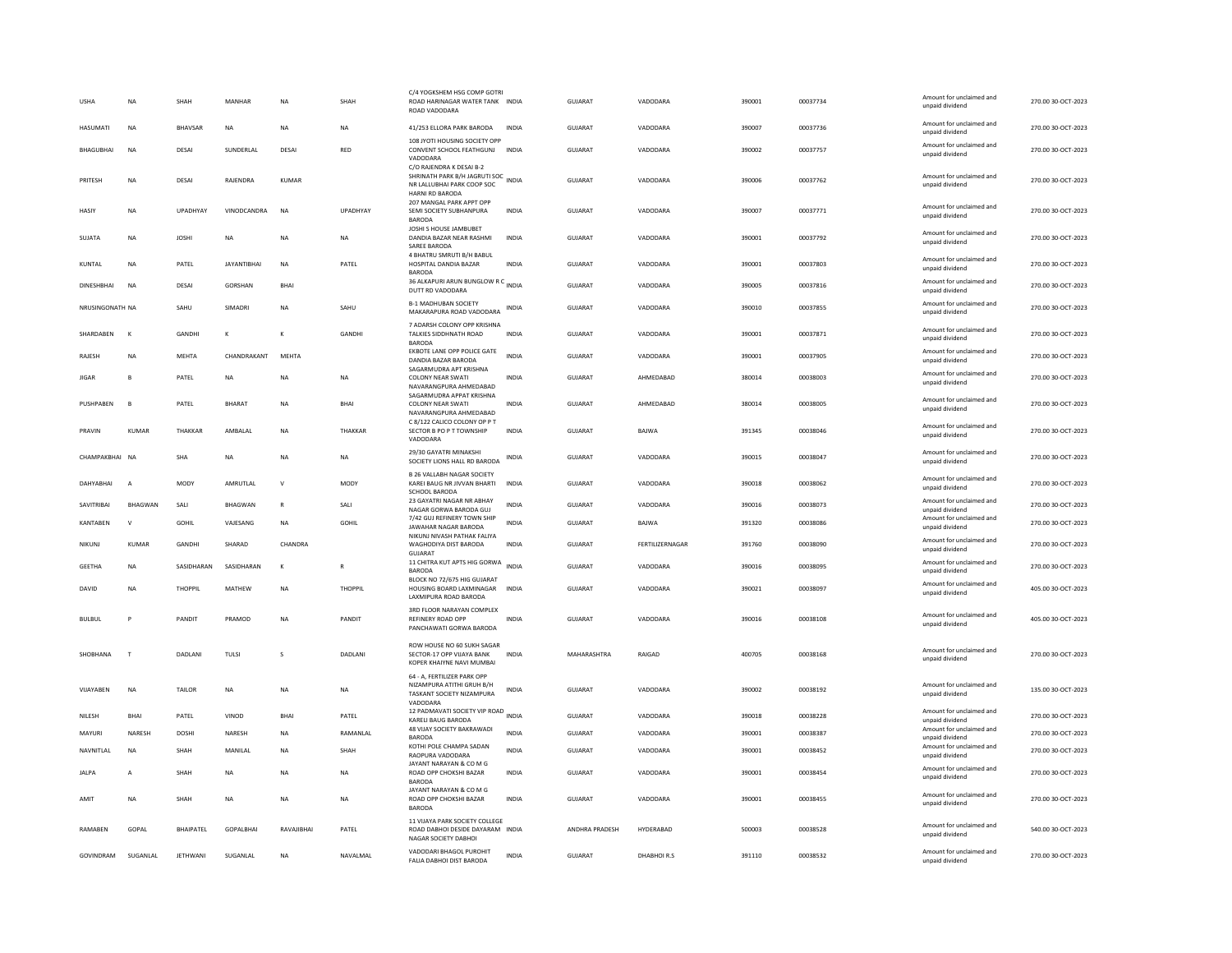| <b>USHA</b>       | <b>NA</b>      | SHAH             | MANHAR             | <b>NA</b>               | SHAH            | C/4 YOGKSHEM HSG COMP GOTRI<br>ROAD HARINAGAR WATER TANK INDIA<br>ROAD VADODARA                         |              | <b>GUJARAT</b> | VADODARA        | 390001 | 00037734 | Amount for unclaimed and<br>unpaid dividend | 270.00 30-OCT-2023 |
|-------------------|----------------|------------------|--------------------|-------------------------|-----------------|---------------------------------------------------------------------------------------------------------|--------------|----------------|-----------------|--------|----------|---------------------------------------------|--------------------|
| <b>HASUMATI</b>   | <b>NA</b>      | <b>BHAVSAR</b>   | <b>NA</b>          | <b>NA</b>               | <b>NA</b>       | 41/253 ELLORA PARK BARODA                                                                               | <b>INDIA</b> | GUIARAT        | VADODARA        | 390007 | 00037736 | Amount for unclaimed and<br>unpaid dividend | 270.00 30-OCT-2023 |
| BHAGUBHAI         | <b>NA</b>      | DESA             | SUNDERLAL          | DESA                    | <b>RED</b>      | 108 JYOTI HOUSING SOCIETY OPP<br>CONVENT SCHOOL FEATHGUNJ INDIA<br>VADODARA<br>C/O RAJENDRA K DESAI B-2 |              | <b>GUJARAT</b> | VADODARA        | 390002 | 00037757 | Amount for unclaimed and<br>unpaid dividend | 270.00 30-OCT-2023 |
| PRITESH           | NA             | DESA             | RAJENDRA           | <b>KUMAR</b>            |                 | SHRINATH PARK B/H JAGRUTI SOC INDIA<br>NR LALLUBHAI PARK COOP SOC<br>HARNI RD BARODA                    |              | <b>GUJARAT</b> | VADODARA        | 390006 | 00037762 | Amount for unclaimed and<br>unpaid dividend | 270.00 30-OCT-2023 |
| HASIY             | <b>NA</b>      | UPADHYAY         | VINODCANDRA        | <b>NA</b>               | <b>UPADHYAY</b> | 207 MANGAL PARK APPT OPP<br>SEMI SOCIETY SUBHANPURA<br><b>BARODA</b>                                    | <b>INDIA</b> | GUJARAT        | VADODARA        | 390007 | 00037771 | Amount for unclaimed and<br>unpaid dividend | 270.00 30-OCT-2023 |
| SUJATA            | NA             | <b>JOSHI</b>     | <b>NA</b>          | NA                      | <b>NA</b>       | JOSHI S HOUSE JAMBUBET<br>DANDIA BAZAR NEAR RASHMI<br>SAREE BARODA                                      | <b>INDIA</b> | <b>GUJARAT</b> | VADODARA        | 390001 | 00037792 | Amount for unclaimed and<br>unpaid dividend | 270.00 30-OCT-2023 |
| KUNTAL            | NA             | PATEL            | <b>JAYANTIBHAI</b> | <b>NA</b>               | PATEL           | 4 BHATRU SMRUTI B/H BABUL<br>HOSPITAL DANDIA BAZAR<br><b>BARODA</b>                                     | INDIA        | GUJARAT        | VADODARA        | 390001 | 00037803 | Amount for unclaimed and<br>unpaid dividend | 270.00 30-OCT-2023 |
| <b>DINESHBHAI</b> | <b>NA</b>      | DESA             | <b>GORSHAN</b>     | <b>BHAI</b>             |                 | 36 ALKAPURI ARUN BUNGLOW R C INDIA<br>DUTT RD VADODARA                                                  |              | <b>GUJARAT</b> | VADODARA        | 390005 | 00037816 | Amount for unclaimed and<br>unpaid dividend | 270.00 30-OCT-2023 |
| NRUSINGONATH NA   |                | SAHU             | SIMADRI            | <b>NA</b>               | SAHU            | <b>B-1 MADHUBAN SOCIETY</b><br>MAKARAPURA ROAD VADODARA                                                 | INDIA        | GUJARAT        | VADODARA        | 390010 | 00037855 | Amount for unclaimed and<br>unpaid dividend | 270.00 30-OCT-2023 |
| SHARDABEN         | $\mathbf k$    | GANDHI           | $\mathbf{K}$       | K                       | GANDHI          | 7 ADARSH COLONY OPP KRISHNA<br>TALKIES SIDDHNATH ROAD<br><b>BARODA</b>                                  | <b>INDIA</b> | <b>GUJARAT</b> | VADODARA        | 390001 | 00037871 | Amount for unclaimed and<br>unpaid dividend | 270.00 30-OCT-2023 |
| RAJESH            | <b>NA</b>      | <b>MEHTA</b>     | CHANDRAKANT        | MEHTA                   |                 | EKBOTE LANE OPP POLICE GATE<br>DANDIA BAZAR BARODA                                                      | <b>INDIA</b> | <b>GUJARAT</b> | VADODARA        | 390001 | 00037905 | Amount for unclaimed and<br>unpaid dividend | 270.00 30-OCT-2023 |
| <b>JIGAR</b>      | B              | PATEL            | <b>NA</b>          | NA                      | NA              | SAGARMUDRA APT KRISHNA<br><b>COLONY NEAR SWATI</b><br>NAVARANGPURA AHMEDABAD                            | INDIA        | <b>GUJARAT</b> | AHMEDABAD       | 380014 | 00038003 | Amount for unclaimed and<br>unpaid dividend | 270.00 30-OCT-2023 |
| PUSHPABEN         | E              | PATEL            | BHARAT             | <b>NA</b>               | <b>BHAI</b>     | SAGARMUDRA APPAT KRISHNA<br>COLONY NEAR SWATI<br>NAVARANGPURA AHMEDARAD                                 | <b>INDIA</b> | GUJARAT        | AHMEDABAD       | 380014 | 00038005 | Amount for unclaimed and<br>unpaid dividend | 270.00 30-OCT-2023 |
| PRAVIN            | <b>KUMAR</b>   | THAKKAR          | AMBALAL            | <b>NA</b>               | THAKKAR         | C 8/122 CALICO COLONY OP P T<br>SECTOR B PO P T TOWNSHIP<br>VADODARA                                    | <b>INDIA</b> | GUJARAT        | BAJWA           | 391345 | 00038046 | Amount for unclaimed and<br>unpaid dividend | 270.00 30-OCT-2023 |
| CHAMPAKBHAI NA    |                | <b>SHA</b>       | <b>NA</b>          | <b>NA</b>               | <b>NA</b>       | 29/30 GAYATRI MINAKSHI<br>SOCIETY LIONS HALL RD BARODA                                                  | <b>INDIA</b> | <b>GUJARAT</b> | VADODARA        | 390015 | 00038047 | Amount for unclaimed and<br>unpaid dividend | 270.00 30-OCT-2023 |
| <b>DAHYABHAI</b>  | $\overline{A}$ | MODY             | AMRUTLAL           | $\mathsf{v}$            | <b>MODY</b>     | <b>B 26 VALLABH NAGAR SOCIETY</b><br>KAREI BAUG NR JIVVAN BHARTI<br>SCHOOL BARODA                       | <b>INDIA</b> | <b>GUJARAT</b> | VADODARA        | 390018 | 00038062 | Amount for unclaimed and<br>unpaid dividend | 270.00 30-OCT-2023 |
| SAVITRIBAI        | <b>BHAGWAN</b> | SALI             | <b>BHAGWAN</b>     | $\overline{\mathsf{R}}$ | SALI            | 23 GAYATRI NAGAR NR ABHAY<br>NAGAR GORWA BARODA GUJ                                                     | <b>INDIA</b> | <b>GUJARAT</b> | VADODARA        | 390016 | 00038073 | Amount for unclaimed and<br>unpaid dividend | 270.00 30-OCT-2023 |
| KANTABEN          | $\mathsf{V}$   | <b>GOHIL</b>     | VAJESANG           | NA                      | <b>GOHIL</b>    | 7/42 GUJ REFINERY TOWN SHIP<br>JAWAHAR NAGAR BARODA<br>NIKUNJ NIVASH PATHAK FALIYA                      | <b>INDIA</b> | <b>GUJARAT</b> | <b>BAJWA</b>    | 391320 | 00038086 | Amount for unclaimed and<br>unpaid dividend | 270.00 30-OCT-2023 |
| NIKUNJ            | <b>KUMAR</b>   | GANDHI           | SHARAD             | CHANDRA                 |                 | WAGHODIYA DIST BARODA<br>GUJARAT                                                                        | <b>INDIA</b> | <b>GUJARAT</b> | FERTILIZERNAGAR | 391760 | 00038090 | Amount for unclaimed and<br>unpaid dividend | 270.00 30-OCT-2023 |
| <b>GEETHA</b>     | <b>NA</b>      | SASIDHARAN       | SASIDHARAN         | $\kappa$                | $\mathbb{R}$    | 11 CHITRA KUT APTS HIG GORWA INDIA<br><b>BARODA</b>                                                     |              | GUJARAT        | VADODARA        | 390016 | 00038095 | Amount for unclaimed and<br>unpaid dividend | 270.00 30-OCT-2023 |
| DAVID             | NA             | THOPPIL          | MATHEW             | <b>NA</b>               | THOPPIL         | BLOCK NO 72/675 HIG GUJARAT<br>HOUSING BOARD LAXMINAGAR<br>LAXMIPURA ROAD BARODA                        | <b>INDIA</b> | <b>GUJARAT</b> | VADODARA        | 390021 | 00038097 | Amount for unclaimed and<br>unpaid dividend | 405.00 30-OCT-2023 |
| <b>BULBUL</b>     | P              | PANDIT           | PRAMOD             | NA                      | PANDIT          | 3RD FLOOR NARAYAN COMPLEX<br>REFINERY ROAD OPP<br>PANCHAWATI GORWA BARODA                               | INDIA        | GUJARAT        | VADODARA        | 390016 | 00038108 | Amount for unclaimed and<br>unpaid dividend | 405.00 30-OCT-2023 |
| SHOBHANA          | $\mathbf{r}$   | DADLANI          | TULSI              |                         | <b>DADLANI</b>  | ROW HOUSE NO 60 SUKH SAGAR<br>SECTOR-17 OPP VIJAYA BANK<br>KOPER KHAIYNE NAVI MUMBAI                    | <b>INDIA</b> | MAHARASHTRA    | RAIGAD          | 400705 | 00038168 | Amount for unclaimed and<br>unpaid dividend | 270.00 30-OCT-2023 |
| VIJAYABEN         | NA             | TAILOR           | <b>NA</b>          | <b>NA</b>               | <b>NA</b>       | 64 - A, FERTILIZER PARK OPF<br>NIZAMPURA ATITHI GRUH B/H<br>TASKANT SOCIETY NIZAMPURA<br>VADODARA       | <b>INDIA</b> | <b>GUJARAT</b> | VADODARA        | 390002 | 00038192 | Amount for unclaimed and<br>unpaid dividend | 135.00 30-OCT-2023 |
| NILESH            | BHAI           | PATEL            | VINOD              | BHAI                    | PATEL           | 12 PADMAVATI SOCIETY VIP ROAD<br>KARELI BAUG BARODA                                                     | <b>INDIA</b> | GUJARAT        | VADODARA        | 390018 | 00038228 | Amount for unclaimed and<br>unpaid dividend | 270.00 30-OCT-2023 |
| MAYURI            | NARESH         | DOSHI            | NARESH             | <b>NA</b>               | RAMANLAL        | 48 VIJAY SOCIETY BAKRAWADI<br><b>BARODA</b>                                                             | INDIA        | GUJARAT        | VADODARA        | 390001 | 00038387 | Amount for unclaimed and<br>unnaid dividend | 270.00 30-OCT-2023 |
| NAVNITLAL         | NA             | SHAH             | MANILAL            | <b>NA</b>               | SHAH            | KOTHI POLE CHAMPA SADAN<br>RAOPURA VADODARA                                                             | <b>INDIA</b> | GUJARAT        | VADODARA        | 390001 | 00038452 | Amount for unclaimed and<br>unpaid dividend | 270.00 30-OCT-2023 |
| <b>JALPA</b>      | A              | SHAH             | <b>NA</b>          | NA                      | NA              | JAYANT NARAYAN & CO M G<br>ROAD OPP CHOKSHI BAZAR<br><b>BARODA</b>                                      | <b>INDIA</b> | GUJARAT        | VADODARA        | 390001 | 00038454 | Amount for unclaimed and<br>unpaid dividend | 270.00 30-OCT-2023 |
| AMIT              | <b>NA</b>      | SHAH             | <b>NA</b>          | <b>NA</b>               | <b>NA</b>       | JAYANT NARAYAN & CO M G<br>ROAD OPP CHOKSHI BAZAR<br><b>BARODA</b>                                      | <b>INDIA</b> | <b>GUJARAT</b> | VADODARA        | 390001 | 00038455 | Amount for unclaimed and<br>unpaid dividend | 270.00 30-OCT-2023 |
| RAMABEN           | GOPAL          | <b>BHAIPATEL</b> | GOPALBHAI          | RAVAJIBHAI              | PATEL           | 11 VIJAYA PARK SOCIETY COLLEGE<br>ROAD DABHOI DESIDE DAYARAM INDIA<br>NAGAR SOCIETY DABHOI              |              | ANDHRA PRADESH | HYDERABAD       | 500003 | 00038528 | Amount for unclaimed and<br>unpaid dividend | 540.00 30-OCT-2023 |
| GOVINDRAM         | SUGANLAL       | JETHWANI         | SUGANLAL           | ΝA                      | NAVALMAL        | VADODARI BHAGOL PUROHIT<br>FALIA DABHOI DIST BARODA                                                     | <b>INDIA</b> | <b>GUJARAT</b> | DHABHOIR.S      | 391110 | 00038532 | Amount for unclaimed and<br>unpaid dividend | 270.00 30-OCT-2023 |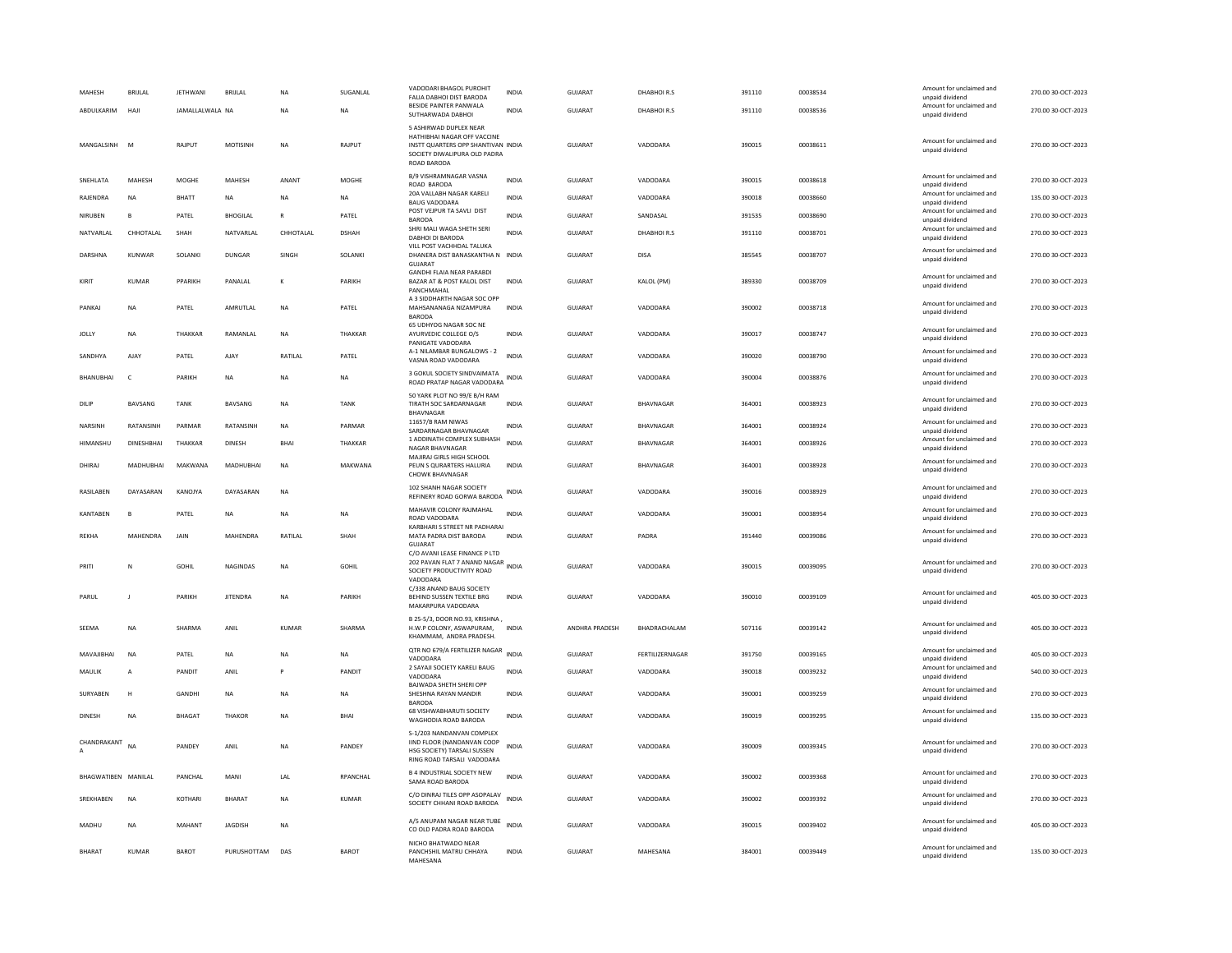| MAHESH<br>ABDULKARIM | <b>BRIJLAL</b><br>HAJI | <b>JETHWANI</b><br>JAMALLALWALA NA | <b>BRIJLAL</b>  | <b>NA</b><br>NA | SUGANLAL<br>NA | VADODARI BHAGOL PUROHIT<br>FALIA DABHOI DIST BARODA<br>BESIDE PAINTER PANWALA<br>SUTHARWADA DABHOI                                         | <b>INDIA</b><br><b>INDIA</b> | GUJARAT<br>GUJARAT        | DHABHOIR.S<br>DHABHOIR.S | 391110<br>391110 | 00038534<br>00038536 | Amount for unclaimed and<br>unpaid dividend<br>Amount for unclaimed and<br>unpaid dividend | 270.00 30-OCT-2023<br>270.00 30-OCT-2023 |
|----------------------|------------------------|------------------------------------|-----------------|-----------------|----------------|--------------------------------------------------------------------------------------------------------------------------------------------|------------------------------|---------------------------|--------------------------|------------------|----------------------|--------------------------------------------------------------------------------------------|------------------------------------------|
| MANGALSINH           | M                      | RAJPUT                             | <b>MOTISINH</b> | <b>NA</b>       | RAJPUT         | 5 ASHIRWAD DUPLEX NEAR<br>HATHIBHAI NAGAR OFF VACCINE<br>INSTT QUARTERS OPP SHANTIVAN INDIA<br>SOCIETY DIWALIPURA OLD PADRA<br>ROAD BARODA |                              | GUJARAT                   | VADODARA                 | 390015           | 00038611             | Amount for unclaimed and<br>unpaid dividend                                                | 270.00 30-OCT-2023                       |
| SNEHLATA             | MAHESH                 | MOGHE                              | MAHESH          | ANANT           | MOGHE          | B/9 VISHRAMNAGAR VASNA<br>ROAD BARODA                                                                                                      | <b>INDIA</b>                 | <b>GUJARAT</b>            | VADODARA                 | 390015           | 00038618             | Amount for unclaimed and<br>unpaid dividend                                                | 270.00 30-OCT-2023                       |
| RAJENDRA             | <b>NA</b>              | <b>BHATT</b>                       | <b>NA</b>       | <b>NA</b>       | <b>NA</b>      | 20A VALLABH NAGAR KARELI<br><b>BAUG VADODARA</b>                                                                                           | <b>INDIA</b>                 | <b>GUJARAT</b>            | VADODARA                 | 390018           | 00038660             | Amount for unclaimed and<br>unpaid dividend                                                | 135.00 30-OCT-2023                       |
| <b>NIRUBEN</b>       | E                      | PATEL                              | <b>BHOGILAL</b> | R               | PATEL          | POST VEJPUR TA SAVLI DIST<br><b>BARODA</b>                                                                                                 | INDIA                        | <b>GUJARAT</b>            | SANDASAL                 | 391535           | 00038690             | Amount for unclaimed and<br>unpaid dividend                                                | 270.00 30-OCT-2023                       |
| NATVARLAL            | CHHOTALAL              | SHAH                               | NATVARLAL       | CHHOTALAL       | <b>DSHAH</b>   | SHRI MALI WAGA SHETH SERI<br>DABHOLDI BARODA                                                                                               | <b>INDIA</b>                 | GUJARAT                   | DHABHOIR.S               | 391110           | 00038701             | Amount for unclaimed and<br>unpaid dividend                                                | 270.00 30-OCT-2023                       |
| DARSHNA              | KUNWAR                 | SOLANKI                            | DUNGAR          | SINGH           | SOLANKI        | VILL POST VACHHDAL TALUKA<br>DHANERA DIST BANASKANTHA N INDIA<br>GUIARAT                                                                   |                              | GUJARAT                   | DISA                     | 385545           | 00038707             | Amount for unclaimed and<br>unpaid dividend                                                | 270.00 30-OCT-2023                       |
| KIRIT                | KUMAR                  | PPARIKH                            | PANALAL         | к               | PARIKH         | <b>GANDHI FLAIA NEAR PARABDI</b><br>BAZAR AT & POST KALOL DIST<br>PANCHMAHAI                                                               | <b>INDIA</b>                 | GUJARAT                   | KALOL (PM)               | 389330           | 00038709             | Amount for unclaimed and<br>unpaid dividend                                                | 270.00 30-OCT-2023                       |
| PANKAI               | <b>NA</b>              | PATFI                              | AMRUTI AI       | <b>NA</b>       | PATFI          | A 3 SIDDHARTH NAGAR SOC OPP<br>MAHSANANAGA NIZAMPURA<br><b>BARODA</b>                                                                      | <b>INDIA</b>                 | GUIARAT                   | VADODARA                 | 390002           | 00038718             | Amount for unclaimed and<br>unpaid dividend                                                | 270.00 30-OCT-2023                       |
| <b>JOLLY</b>         | <b>NA</b>              | THAKKAR                            | RAMANI AI       | <b>NA</b>       | THAKKAR        | 65 UDHYOG NAGAR SOC NE<br>AYURVEDIC COLLEGE O/S<br>PANIGATE VADODARA                                                                       | <b>INDIA</b>                 | GUIARAT                   | VADODARA                 | 390017           | 00038747             | Amount for unclaimed and<br>unpaid dividend                                                | 270.00 30-OCT-2023                       |
| SANDHYA              | <b>AJAY</b>            | PATEL                              | AJAY            | RATILAL         | PATEL          | A-1 NILAMBAR BUNGALOWS - 2<br>VASNA ROAD VADODARA                                                                                          | <b>INDIA</b>                 | <b>GUJARAT</b>            | VADODARA                 | 390020           | 00038790             | Amount for unclaimed and<br>unpaid dividend                                                | 270.00 30-OCT-2023                       |
| <b>BHANUBHAI</b>     | $\epsilon$             | PARIKH                             | <b>NA</b>       | <b>NA</b>       | <b>NA</b>      | 3 GOKUL SOCIETY SINDVAIMATA<br>ROAD PRATAP NAGAR VADODARA INDIA                                                                            |                              | <b>GUJARAT</b>            | VADODARA                 | 390004           | 00038876             | Amount for unclaimed and<br>unpaid dividend                                                | 270.00 30-OCT-2023                       |
| DILIP                | BAVSANG                | <b>TANK</b>                        | BAVSANG         | <b>NA</b>       | <b>TANK</b>    | 50 YARK PLOT NO 99/E B/H RAM<br>TIRATH SOC SARDARNAGAR<br><b>BHAVNAGAR</b>                                                                 | <b>INDIA</b>                 | <b>GUJARAT</b>            | <b>BHAVNAGAR</b>         | 364001           | 00038923             | Amount for unclaimed and<br>unpaid dividend                                                | 270.00 30-OCT-2023                       |
| <b>NARSINH</b>       | RATANSINH              | PARMAR                             | RATANSINH       | <b>NA</b>       | PARMAR         | 11657/B RAM NIWAS<br>SARDARNAGAR BHAVNAGAR                                                                                                 | <b>INDIA</b>                 | <b>GUJARAT</b>            | BHAVNAGAR                | 364001           | 00038924             | Amount for unclaimed and<br>unpaid dividend                                                | 270.00 30-OCT-2023                       |
| HIMANSHU             | <b>DINESHBHAI</b>      | THAKKAR                            | <b>DINESH</b>   | <b>BHAI</b>     | THAKKAR        | 1 ADDINATH COMPLEX SUBHASH<br>NAGAR BHAVNAGAR                                                                                              | <b>INDIA</b>                 | GUJARAT                   | <b>BHAVNAGAR</b>         | 364001           | 00038926             | Amount for unclaimed and<br>unpaid dividend                                                | 270.00 30-OCT-2023                       |
| DHIRAJ               | MADHUBHAI              | MAKWANA                            | MADHUBHAI       | <b>NA</b>       | MAKWANA        | MAJIRAJ GIRLS HIGH SCHOOL<br>PEUN S QURARTERS HALURIA<br>CHOWK BHAVNAGAR                                                                   | <b>INDIA</b>                 | <b>GUJARAT</b>            | BHAVNAGAR                | 364001           | 00038928             | Amount for unclaimed and<br>unpaid dividend                                                | 270.00 30-OCT-2023                       |
| RASILABEN            | DAYASARAN              | KANOJYA                            | DAYASARAN       | <b>NA</b>       |                | 102 SHANH NAGAR SOCIETY<br>REFINERY ROAD GORWA BARODA                                                                                      | INDIA                        | GUJARAT                   | VADODARA                 | 390016           | 00038929             | Amount for unclaimed and<br>unpaid dividend                                                | 270.00 30-OCT-2023                       |
| <b>KANTABEN</b>      | P                      | PATEL                              | <b>NA</b>       | <b>NA</b>       | <b>NA</b>      | MAHAVIR COLONY RAJMAHAL<br>ROAD VADODARA                                                                                                   | <b>INDIA</b>                 | <b>GUJARAT</b>            | VADODARA                 | 390001           | 00038954             | Amount for unclaimed and<br>unpaid dividend                                                | 270.00 30-OCT-2023                       |
| <b>REKHA</b>         | MAHENDRA               | JAIN                               | <b>MAHFNDRA</b> | RATILAL         | SHAH           | KARBHARI S STREET NR PADHARAI<br>MATA PADRA DIST BARODA<br><b>GUJARAT</b>                                                                  | <b>INDIA</b>                 | <b>GUJARAT</b>            | PADRA                    | 391440           | 00039086             | Amount for unclaimed and<br>unpaid dividend                                                | 270.00 30-OCT-2023                       |
| PRIT                 | N                      | GOHIL                              | <b>NAGINDAS</b> | <b>NA</b>       | <b>GOHIL</b>   | C/O AVANI LEASE FINANCE P LTD<br>202 PAVAN FLAT 7 ANAND NAGAR<br>INDIA<br>SOCIETY PRODUCTIVITY ROAD                                        |                              | <b>GUJARAT</b>            | VADODARA                 | 390015           | 00039095             | Amount for unclaimed and<br>unpaid dividend                                                | 270.00 30-OCT-2023                       |
| PARUL                | J                      | PARIKH                             | <b>JITENDRA</b> | <b>NA</b>       | PARIKH         | VADODARA<br>C/338 ANAND BAUG SOCIETY<br>BEHIND SUSSEN TEXTILE BRG<br>MAKARPURA VADODARA                                                    | <b>INDIA</b>                 | GUJARAT                   | VADODARA                 | 390010           | 00039109             | Amount for unclaimed and<br>unpaid dividend                                                | 405.00 30-OCT-2023                       |
| SEEMA                | NA                     | SHARMA                             | ANIL            | <b>KUMAR</b>    | SHARMA         | B 25-5/3, DOOR NO.93, KRISHNA,<br>H.W.P COLONY, ASWAPURAM,                                                                                 | <b>INDIA</b>                 | ANDHRA PRADESH            | BHADRACHALAM             | 507116           | 00039142             | Amount for unclaimed and<br>unpaid dividend                                                | 405.00 30-OCT-2023                       |
|                      |                        |                                    |                 |                 |                | KHAMMAM, ANDRA PRADESH.<br>QTR NO 679/A FERTILIZER NAGAR INDIA                                                                             |                              |                           |                          |                  |                      | Amount for unclaimed and                                                                   |                                          |
| MAVAJIBHAI           | NA                     | PATEL<br>PANDIT                    | NA<br>ANIL      | NA<br>P         | NA<br>PANDIT   | VADODARA<br>2 SAYAJI SOCIETY KARELI BAUG                                                                                                   | <b>INDIA</b>                 | GUJARAT<br><b>GUJARAT</b> | FERTILIZERNAGAR          | 391750           | 00039165             | unpaid dividend<br>Amount for unclaimed and                                                | 405.00 30-OCT-2023                       |
| MAULIK               | A                      |                                    |                 |                 |                | VADODARA<br><b>BAJWADA SHETH SHERI OPP</b>                                                                                                 |                              |                           | VADODARA                 | 390018           | 00039232             | unpaid dividend                                                                            | 540.00 30-OCT-2023                       |
| SURYABEN             | н                      | <b>GANDHI</b>                      | <b>NA</b>       | <b>NA</b>       | <b>NA</b>      | SHESHNA RAYAN MANDIR<br>BARODA                                                                                                             | <b>INDIA</b>                 | <b>GUJARAT</b>            | VADODARA                 | 390001           | 00039259             | Amount for unclaimed and<br>unpaid dividend                                                | 270.00 30-OCT-2023                       |
| <b>DINESH</b>        | <b>NA</b>              | <b>BHAGAT</b>                      | THAKOR          | <b>NA</b>       | <b>RHAI</b>    | 68 VISHWABHARUTI SOCIETY<br>WAGHODIA ROAD BARODA<br>S-1/203 NANDANVAN COMPLEX                                                              | <b>INDIA</b>                 | GUIARAT                   | VADODARA                 | 390019           | 00039295             | Amount for unclaimed and<br>unpaid dividend                                                | 135.00.30-QCT-2023                       |
| CHANDRAKANT          | NA                     | PANDEY                             | ANIL            | <b>NA</b>       | PANDEY         | IIND FLOOR (NANDANVAN COOP<br>HSG SOCIETY) TARSALI SUSSEN<br>RING ROAD TARSALI VADODARA                                                    | <b>INDIA</b>                 | <b>GUJARAT</b>            | VADODARA                 | 390009           | 00039345             | Amount for unclaimed and<br>unpaid dividend                                                | 270.00 30-OCT-2023                       |
| BHAGWATIBEN MANILAL  |                        | PANCHAL                            | MANI            | LAL             | RPANCHAL       | <b>B 4 INDUSTRIAL SOCIETY NEW</b><br>SAMA ROAD BARODA                                                                                      | <b>INDIA</b>                 | GUJARAT                   | VADODARA                 | 390002           | 00039368             | Amount for unclaimed and<br>unpaid dividend                                                | 270.00 30-OCT-2023                       |
| SREKHABEN            | <b>NA</b>              | KOTHARI                            | <b>BHARAT</b>   | <b>NA</b>       | <b>KUMAR</b>   | C/O DINRAJ TILES OPP ASOPALAV<br>SOCIETY CHHANI ROAD BARODA                                                                                | <b>INDIA</b>                 | <b>GUJARAT</b>            | VADODARA                 | 390002           | 00039392             | Amount for unclaimed and<br>unpaid dividend                                                | 270.00 30-OCT-2023                       |
| MADHU                | <b>NA</b>              | MAHANT                             | <b>IAGDISH</b>  | <b>NA</b>       |                | A/5 ANUPAM NAGAR NEAR TUBE<br>CO OLD PADRA ROAD BARODA                                                                                     | <b>INDIA</b>                 | GUIARAT                   | VADODARA                 | 390015           | 00039402             | Amount for unclaimed and<br>unpaid dividend                                                | 405.00 30-OCT-2023                       |
| <b>BHARAT</b>        | KUMAR                  | <b>BAROT</b>                       | PURUSHOTTAM     | DAS             | <b>BAROT</b>   | NICHO BHATWADO NEAR<br>PANCHSHIL MATRU CHHAYA<br>MAHESANA                                                                                  | <b>INDIA</b>                 | GUIARAT                   | MAHESANA                 | 384001           | 00039449             | Amount for unclaimed and<br>unpaid dividend                                                | 135.00 30-OCT-2023                       |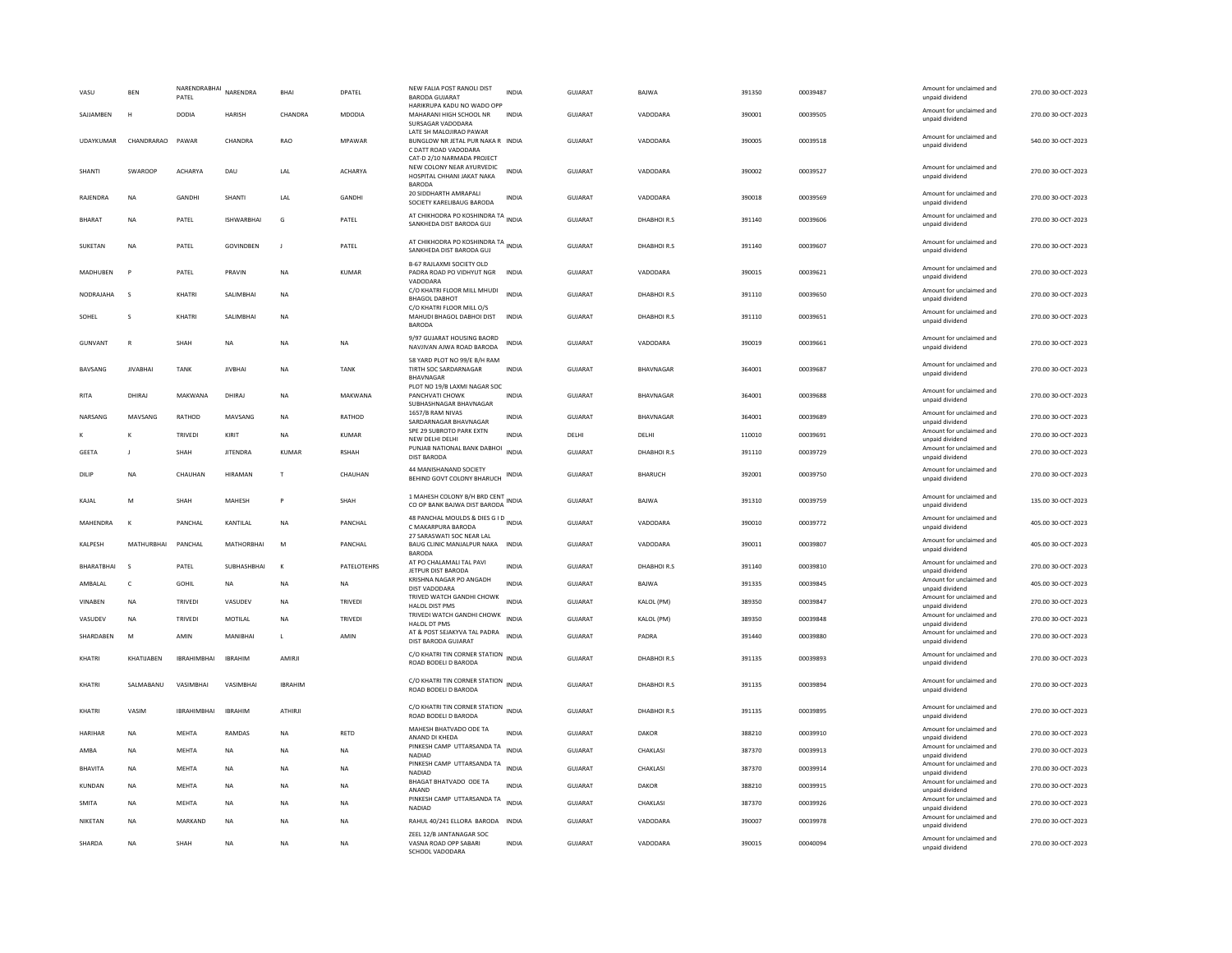| Amount for unclaimed and<br>CHANDRA<br>VADODARA<br>SAJJAMBEN<br>H<br><b>DODIA</b><br><b>HARISH</b><br>MDODIA<br>MAHARANI HIGH SCHOOL NR<br><b>INDIA</b><br><b>GUJARAT</b><br>390001<br>00039505<br>270.00 30-OCT-2023<br>unpaid dividend<br>SURSAGAR VADODARA<br>LATE SH MALOJIRAO PAWAR<br>Amount for unclaimed and<br>UDAYKUMAR<br>CHANDRARAO<br>PAWAR<br>CHANDRA<br>RAO<br>MPAWAR<br>BUNGLOW NR JETAL PUR NAKA R INDIA<br>GUJARAT<br>VADODARA<br>390005<br>00039518<br>540.00 30-OCT-2023<br>unpaid dividend<br>C DATT ROAD VADODARA<br>CAT-D 2/10 NARMADA PROJECT<br>NEW COLONY NEAR AYURVEDIC<br>Amount for unclaimed and<br>SWAROOP<br>ACHARYA<br>ACHARYA<br><b>INDIA</b><br>GUJARAT<br>VADODARA<br>390002<br>270.00 30-OCT-2023<br>SHANTI<br>DAU<br>LAI<br>00039527<br>HOSPITAL CHHANI JAKAT NAKA<br>unpaid dividend<br><b>BARODA</b><br>20 SIDDHARTH AMRAPALI<br>Amount for unclaimed and<br>RAJENDRA<br>NA<br><b>GANDHI</b><br><b>SHANTI</b><br>LAL<br>GANDHI<br>INDIA<br>GUJARAT<br>VADODARA<br>390018<br>00039569<br>270.00 30-OCT-2023<br>SOCIETY KARELIBAUG BARODA<br>unpaid dividend<br>AT CHIKHODRA PO KOSHINDRA TA<br>Amount for unclaimed and<br>BHARAT<br><b>NA</b><br>PATEL<br><b>ISHWARRHAI</b><br>G<br>PATEL<br>GUJARAT<br>DHABHOIR.S<br>391140<br>00039606<br>270.00 30-OCT-2023<br>SANKHEDA DIST BARODA GUJ<br>unpaid dividend<br>AT CHIKHODRA PO KOSHINDRA TA INDIA<br>Amount for unclaimed and<br>GOVINDBEN<br>PATEL<br>GUJARAT<br>DHABHOIR.S<br>391140<br>00039607<br>270.00 30-OCT-2023<br>SUKETAN<br><b>NA</b><br>PATEL<br>$\mathsf J$<br>SANKHEDA DIST BARODA GUJ<br>unpaid dividend<br>B-67 RAJLAXMI SOCIETY OLD<br>Amount for unclaimed and<br>MADHUBEN<br>PATEL<br>PRAVIN<br><b>NA</b><br><b>KUMAR</b><br>PADRA ROAD PO VIDHYUT NGR<br><b>INDIA</b><br><b>GUJARAT</b><br>VADODARA<br>390015<br>00039621<br>270.00 30-OCT-2023<br>unpaid dividend<br>VADODARA<br>C/O KHATRI FLOOR MILL MHUDI<br>Amount for unclaimed and<br>NODRAJAHA<br>$\zeta$<br>KHATRI<br>SALIMBHAI<br><b>NA</b><br><b>INDIA</b><br>GUJARAT<br>DHABHOIR.S<br>391110<br>00039650<br>270.00 30-OCT-2023<br><b>BHAGOL DABHOT</b><br>unpaid dividend<br>C/O KHATRI FLOOR MILL O/S<br>Amount for unclaimed and<br>KHATRI<br>SALIMBHAI<br>GUJARAT<br>DHABHOIR.S<br>391110<br>00039651<br>270.00 30-OCT-2023<br>$\mathbf{s}$<br><b>NA</b><br>MAHUDI BHAGOL DABHOI DIST<br><b>INDIA</b><br>SOHEL<br>unpaid dividend<br>BARODA<br>9/97 GUJARAT HOUSING BAORD<br>Amount for unclaimed and<br>GUIARAT<br>SHAH<br>VADODARA<br>390019<br>00039661<br>270.00 30-OCT-2023<br>GUNVANT<br>$\mathbb{R}$<br><b>NA</b><br><b>NA</b><br><b>NA</b><br><b>INDIA</b><br>NAVJIVAN AJWA ROAD BARODA<br>unpaid dividend<br>58 YARD PLOT NO 99/E B/H RAM<br>Amount for unclaimed and<br>BAVSANG<br><b>JIVABHAI</b><br><b>TANK</b><br><b>JIVBHAI</b><br><b>NA</b><br><b>TANK</b><br>TIRTH SOC SARDARNAGAR<br><b>INDIA</b><br><b>GUJARAT</b><br>BHAVNAGAR<br>364001<br>00039687<br>270.00 30-OCT-2023<br>unpaid dividend<br><b>BHAVNAGAR</b><br>PLOT NO 19/B LAXMI NAGAR SOC<br>Amount for unclaimed and<br>DHIRAJ<br>MAKWANA<br>DHIRAJ<br>NA<br>MAKWANA<br>PANCHVATI CHOWK<br>GUJARAT<br>BHAVNAGAR<br>364001<br>00039688<br>270.00 30-OCT-2023<br><b>RITA</b><br><b>INDIA</b><br>unpaid dividend<br>SUBHASHNAGAR BHAVNAGAR<br>1657/B RAM NIVAS<br>Amount for unclaimed and<br>NARSANG<br>MAVSANG<br>RATHOD<br>MAVSANG<br>NA<br>RATHOD<br>GUJARAT<br>BHAVNAGAR<br>364001<br>00039689<br>270.00 30-OCT-2023<br><b>INDIA</b><br>SARDARNAGAR BHAVNAGAR<br>unpaid dividend<br>SPE 29 SUBROTO PARK EXTN<br>Amount for unclaimed and<br>270.00 30-OCT-2023<br>TRIVEDI<br>KIRIT<br><b>NA</b><br><b>KUMAR</b><br><b>INDIA</b><br>DELHI<br>DELHI<br>110010<br>00039691<br>NEW DELHI DELHI<br>unpaid dividend<br>PUNJAB NATIONAL BANK DABHOI<br>Amount for unclaimed and<br>INDIA<br>GUJARAT<br>DHABHOIR.S<br><b>GEETA</b><br>SHAH<br><b>JITENDRA</b><br>KUMAR<br><b>RSHAH</b><br>391110<br>00039729<br>270.00 30-OCT-2023<br>DIST BARODA<br>unpaid dividend<br>44 MANISHANAND SOCIETY<br>Amount for unclaimed and<br><b>GUJARAT</b><br><b>BHARUCH</b><br>392001<br>270.00 30-OCT-2023<br><b>NA</b><br>CHAUHAN<br><b>HIRAMAN</b><br>T<br>CHAUHAN<br>00039750<br>DILIF<br><b>INDIA</b><br>BEHIND GOVT COLONY BHARUCH<br>unpaid dividend<br>1 MAHESH COLONY B/H BRD CENT INDIA<br>Amount for unclaimed and<br>GUIARAT<br>391310<br>135.00 30-OCT-2023<br>KAJAL<br>M<br>SHAH<br>MAHESH<br>P<br>SHAH<br><b>BAIWA</b><br>00039759<br>CO OP BANK BAJWA DIST BARODA<br>unpaid dividend<br>48 PANCHAL MOULDS & DIES G I D INDIA<br>Amount for unclaimed and<br>MAHENDRA<br>$\kappa$<br>PANCHAL<br>KANTILAL<br><b>NA</b><br>PANCHAL<br>GUJARAT<br>VADODARA<br>390010<br>00039772<br>405.00 30-OCT-2023<br>C MAKARPURA BARODA<br>unpaid dividend<br>27 SARASWATI SOC NEAR LAL<br>Amount for unclaimed and<br>KALPESH<br><b>MATHURBHAI</b><br>PANCHAL<br>MATHORRHAI<br>M<br>PANCHAL<br>BAUG CLINIC MANJALPUR NAKA<br><b>INDIA</b><br><b>GUJARAT</b><br>VADODARA<br>390011<br>00039807<br>405.00 30-OCT-2023<br>unpaid dividend<br><b>BARODA</b><br>AT PO CHALAMALI TAL PAVI<br>Amount for unclaimed and<br>BHARATBHAI<br>PATEL<br>SUBHASHBHAI<br>PATELOTEHRS<br><b>INDIA</b><br><b>GUJARAT</b><br>DHABHOIR.S<br>391140<br>00039810<br>270.00 30-OCT-2023<br>$\kappa$<br>JETPUR DIST BARODA<br>unpaid dividend<br>KRISHNA NAGAR PO ANGADH<br>Amount for unclaimed and<br><b>INDIA</b><br>GUJARAT<br>391335<br>00039845<br>405.00 30-OCT-2023<br>AMBALAL<br>c<br>GOHIL<br>NA<br><b>NA</b><br>NA<br>BAJWA<br>DIST VADODARA<br>unpaid dividend<br>TRIVED WATCH GANDHI CHOWK<br>Amount for unclaimed and<br>VINABEN<br><b>NA</b><br>TRIVEDI<br>VASUDEV<br><b>NA</b><br><b>TRIVEDI</b><br><b>INDIA</b><br>GUJARAT<br>KALOL (PM)<br>389350<br>00039847<br>270.00 30-OCT-2023<br><b>HALOL DIST PMS</b><br>unpaid dividend<br>TRIVEDI WATCH GANDHI CHOWK<br>Amount for unclaimed and<br><b>INDIA</b><br>MOTILAL<br>GUIARAT<br>KALOL (PM)<br>389350<br>270.00 30-OCT-2023<br>VASUDEV<br><b>NA</b><br><b>TRIVEDI</b><br><b>NA</b><br><b>TRIVEDI</b><br>00039848<br>HALOL DT PMS<br>unpaid dividend<br>AT & POST SEJAKYVA TAL PADRA<br>Amount for unclaimed and<br>SHARDABEN<br>M<br>AMIN<br>MANIBHAI<br><b>INDIA</b><br>GUJARAT<br>391440<br>AMIN<br>PADRA<br>00039880<br>270.00 30-OCT-2023<br>$\mathbf{L}$<br>DIST BARODA GUJARAT<br>unpaid dividend<br>C/O KHATRI TIN CORNER STATION<br>Amount for unclaimed and<br>KHATIJABEN<br><b>IRRAHIMBHAI</b><br><b>IBRAHIM</b><br>AMIRJI<br><b>INDIA</b><br>GUJARAT<br>DHABHOIR.S<br>391135<br>00039893<br>270.00 30-OCT-2023<br>KHATRI<br>ROAD BODELI D BARODA<br>unpaid dividend<br>C/O KHATRI TIN CORNER STATION INDIA<br>Amount for unclaimed and<br>270.00 30-OCT-2023<br>KHATRI<br>SALMABANU<br>VASIMBHAI<br>VASIMBHAI<br><b>IBRAHIM</b><br><b>GUJARAT</b><br>DHABHOIR.S<br>391135<br>00039894<br>ROAD BODELI D BARODA<br>unpaid dividend<br>C/O KHATRI TIN CORNER STATION INDIA<br>Amount for unclaimed and<br>VASIM<br><b>IBRAHIMBHAI</b><br><b>IRRAHIM</b><br>ATHIRJI<br>GUJARAT<br>DHABHOIR.S<br>391135<br>00039895<br>270.00 30-OCT-2023<br>KHATRI<br>ROAD BODELI D BARODA<br>unpaid dividend<br>MAHESH BHATVADO ODE TA<br>Amount for unclaimed and<br>HARIHAR<br>MEHTA<br>RAMDAS<br>RETD<br><b>INDIA</b><br>GUJARAT<br>DAKOR<br>388210<br>00039910<br>270.00 30-OCT-2023<br><b>NA</b><br><b>NA</b><br>ANAND DI KHEDA<br>unpaid dividend<br>PINKESH CAMP UTTARSANDA TA<br>Amount for unclaimed and<br><b>INDIA</b><br><b>GUJARAT</b><br>AMBA<br><b>NA</b><br><b>MEHTA</b><br>NA<br><b>NA</b><br><b>NA</b><br>CHAKLASI<br>387370<br>00039913<br>270.00 30-OCT-2023<br><b>NADIAD</b><br>unpaid dividend<br>PINKESH CAMP UTTARSANDA TA INDIA<br>Amount for unclaimed and<br><b>GUJARAT</b><br>387370<br>270.00 30-OCT-2023<br><b>MEHTA</b><br>CHAKLASI<br>00039914<br><b>BHAVITA</b><br><b>NA</b><br><b>NA</b><br><b>NA</b><br><b>NA</b><br>NADIAD<br>unpaid dividend<br>BHAGAT BHATVADO ODE TA<br>Amount for unclaimed and<br>KUNDAN<br>MEHTA<br><b>INDIA</b><br>GUJARAT<br>DAKOR<br>388210<br>00039915<br>270.00 30-OCT-2023<br><b>NA</b><br>NA<br><b>NA</b><br><b>NA</b><br>ANAND<br>unpaid dividend<br>PINKESH CAMP UTTARSANDA TA<br>Amount for unclaimed and<br><b>INDIA</b><br>GUJARAT<br>SMITA<br><b>NA</b><br>MEHTA<br>NA<br><b>NA</b><br>NA<br>CHAKLASI<br>387370<br>00039926<br>270.00 30-OCT-2023<br>NADIAD<br>unpaid dividend<br>Amount for unclaimed and<br>NIKETAN<br><b>NA</b><br>MARKAND<br><b>NA</b><br><b>NA</b><br><b>NA</b><br>RAHUL 40/241 ELLORA BARODA INDIA<br><b>GUJARAT</b><br>VADODARA<br>390007<br>00039978<br>270.00 30-OCT-2023<br>unpaid dividend<br>ZEEL 12/B JANTANAGAR SOC<br>Amount for unclaimed and<br>SHARDA<br>GUJARAT<br><b>NA</b><br>SHAH<br>VASNA ROAD OPP SABARI<br><b>INDIA</b><br>VADODARA<br>390015<br>00040094<br>270.00 30-OCT-2023<br><b>NA</b><br><b>NA</b><br><b>NA</b> | VASU | <b>BEN</b> | NARENDRABHAI<br>PATEL | NARENDRA | BHAI | DPATEL | NEW FALIA POST RANOLI DIST<br><b>BARODA GUJARAT</b> | <b>INDIA</b> | <b>GUJARAT</b> | BAJWA | 391350 | 00039487 | Amount for unclaimed and<br>unpaid dividend | 270.00 30-OCT-2023 |
|--------------------------------------------------------------------------------------------------------------------------------------------------------------------------------------------------------------------------------------------------------------------------------------------------------------------------------------------------------------------------------------------------------------------------------------------------------------------------------------------------------------------------------------------------------------------------------------------------------------------------------------------------------------------------------------------------------------------------------------------------------------------------------------------------------------------------------------------------------------------------------------------------------------------------------------------------------------------------------------------------------------------------------------------------------------------------------------------------------------------------------------------------------------------------------------------------------------------------------------------------------------------------------------------------------------------------------------------------------------------------------------------------------------------------------------------------------------------------------------------------------------------------------------------------------------------------------------------------------------------------------------------------------------------------------------------------------------------------------------------------------------------------------------------------------------------------------------------------------------------------------------------------------------------------------------------------------------------------------------------------------------------------------------------------------------------------------------------------------------------------------------------------------------------------------------------------------------------------------------------------------------------------------------------------------------------------------------------------------------------------------------------------------------------------------------------------------------------------------------------------------------------------------------------------------------------------------------------------------------------------------------------------------------------------------------------------------------------------------------------------------------------------------------------------------------------------------------------------------------------------------------------------------------------------------------------------------------------------------------------------------------------------------------------------------------------------------------------------------------------------------------------------------------------------------------------------------------------------------------------------------------------------------------------------------------------------------------------------------------------------------------------------------------------------------------------------------------------------------------------------------------------------------------------------------------------------------------------------------------------------------------------------------------------------------------------------------------------------------------------------------------------------------------------------------------------------------------------------------------------------------------------------------------------------------------------------------------------------------------------------------------------------------------------------------------------------------------------------------------------------------------------------------------------------------------------------------------------------------------------------------------------------------------------------------------------------------------------------------------------------------------------------------------------------------------------------------------------------------------------------------------------------------------------------------------------------------------------------------------------------------------------------------------------------------------------------------------------------------------------------------------------------------------------------------------------------------------------------------------------------------------------------------------------------------------------------------------------------------------------------------------------------------------------------------------------------------------------------------------------------------------------------------------------------------------------------------------------------------------------------------------------------------------------------------------------------------------------------------------------------------------------------------------------------------------------------------------------------------------------------------------------------------------------------------------------------------------------------------------------------------------------------------------------------------------------------------------------------------------------------------------------------------------------------------------------------------------------------------------------------------------------------------------------------------------------------------------------------------------------------------------------------------------------------------------------------------------------------------------------------------------------------------------------------------------------------------------------------------------------------------------------------------------------------------------------------------------------------------------------------------------------------------------------------------------------------------------------------------------------------------------------------------------------------------------------------------------------------------------------------------------------------------------------------------------------------------------------------------------------------------------------------------------------------------------------------------------------------------------------------------------------------------------------------------------------------------------------------------------------------------------------------------------------------------------------------------------------------------------------------------------------------------------------------------------------------------------------------------------------------------------------------------------------------------------------------------------------------------------------------------------------------------------------------------------------------------------------------------------------------------------------------------------------------------------------------------------------------------------------------------------------------------------------------------------------------------------------------------------------------------------------------------------------------------------------------------------------------------------------------------------------------------------------------------------------------------------------------------------------------------------------------------------------------------------------------------------------------------------------------------------------------------------------------------------------------------------------------------------------------------------------------------------------------------------------------------------------------------------------------------------------------------------------------------------------------------------------------------------------------------------------------------------------------------------------------------------------------------------------------------------------------------------------------------------------------------------------------------------------------------------------------------------------------------------------------------------------------------------------------------------------------------------------|------|------------|-----------------------|----------|------|--------|-----------------------------------------------------|--------------|----------------|-------|--------|----------|---------------------------------------------|--------------------|
|                                                                                                                                                                                                                                                                                                                                                                                                                                                                                                                                                                                                                                                                                                                                                                                                                                                                                                                                                                                                                                                                                                                                                                                                                                                                                                                                                                                                                                                                                                                                                                                                                                                                                                                                                                                                                                                                                                                                                                                                                                                                                                                                                                                                                                                                                                                                                                                                                                                                                                                                                                                                                                                                                                                                                                                                                                                                                                                                                                                                                                                                                                                                                                                                                                                                                                                                                                                                                                                                                                                                                                                                                                                                                                                                                                                                                                                                                                                                                                                                                                                                                                                                                                                                                                                                                                                                                                                                                                                                                                                                                                                                                                                                                                                                                                                                                                                                                                                                                                                                                                                                                                                                                                                                                                                                                                                                                                                                                                                                                                                                                                                                                                                                                                                                                                                                                                                                                                                                                                                                                                                                                                                                                                                                                                                                                                                                                                                                                                                                                                                                                                                                                                                                                                                                                                                                                                                                                                                                                                                                                                                                                                                                                                                                                                                                                                                                                                                                                                                                                                                                                                                                                                                                                                                                                                                                                                                                                                                                                                                                                                                                                                                                                                                                                                                                                                                                                                                                                                                                                                                                                                                                                                                                                                                                                                                                                                                                                                                    |      |            |                       |          |      |        | HARIKRUPA KADU NO WADO OPF                          |              |                |       |        |          |                                             |                    |
|                                                                                                                                                                                                                                                                                                                                                                                                                                                                                                                                                                                                                                                                                                                                                                                                                                                                                                                                                                                                                                                                                                                                                                                                                                                                                                                                                                                                                                                                                                                                                                                                                                                                                                                                                                                                                                                                                                                                                                                                                                                                                                                                                                                                                                                                                                                                                                                                                                                                                                                                                                                                                                                                                                                                                                                                                                                                                                                                                                                                                                                                                                                                                                                                                                                                                                                                                                                                                                                                                                                                                                                                                                                                                                                                                                                                                                                                                                                                                                                                                                                                                                                                                                                                                                                                                                                                                                                                                                                                                                                                                                                                                                                                                                                                                                                                                                                                                                                                                                                                                                                                                                                                                                                                                                                                                                                                                                                                                                                                                                                                                                                                                                                                                                                                                                                                                                                                                                                                                                                                                                                                                                                                                                                                                                                                                                                                                                                                                                                                                                                                                                                                                                                                                                                                                                                                                                                                                                                                                                                                                                                                                                                                                                                                                                                                                                                                                                                                                                                                                                                                                                                                                                                                                                                                                                                                                                                                                                                                                                                                                                                                                                                                                                                                                                                                                                                                                                                                                                                                                                                                                                                                                                                                                                                                                                                                                                                                                                                    |      |            |                       |          |      |        |                                                     |              |                |       |        |          |                                             |                    |
|                                                                                                                                                                                                                                                                                                                                                                                                                                                                                                                                                                                                                                                                                                                                                                                                                                                                                                                                                                                                                                                                                                                                                                                                                                                                                                                                                                                                                                                                                                                                                                                                                                                                                                                                                                                                                                                                                                                                                                                                                                                                                                                                                                                                                                                                                                                                                                                                                                                                                                                                                                                                                                                                                                                                                                                                                                                                                                                                                                                                                                                                                                                                                                                                                                                                                                                                                                                                                                                                                                                                                                                                                                                                                                                                                                                                                                                                                                                                                                                                                                                                                                                                                                                                                                                                                                                                                                                                                                                                                                                                                                                                                                                                                                                                                                                                                                                                                                                                                                                                                                                                                                                                                                                                                                                                                                                                                                                                                                                                                                                                                                                                                                                                                                                                                                                                                                                                                                                                                                                                                                                                                                                                                                                                                                                                                                                                                                                                                                                                                                                                                                                                                                                                                                                                                                                                                                                                                                                                                                                                                                                                                                                                                                                                                                                                                                                                                                                                                                                                                                                                                                                                                                                                                                                                                                                                                                                                                                                                                                                                                                                                                                                                                                                                                                                                                                                                                                                                                                                                                                                                                                                                                                                                                                                                                                                                                                                                                                                    |      |            |                       |          |      |        |                                                     |              |                |       |        |          |                                             |                    |
|                                                                                                                                                                                                                                                                                                                                                                                                                                                                                                                                                                                                                                                                                                                                                                                                                                                                                                                                                                                                                                                                                                                                                                                                                                                                                                                                                                                                                                                                                                                                                                                                                                                                                                                                                                                                                                                                                                                                                                                                                                                                                                                                                                                                                                                                                                                                                                                                                                                                                                                                                                                                                                                                                                                                                                                                                                                                                                                                                                                                                                                                                                                                                                                                                                                                                                                                                                                                                                                                                                                                                                                                                                                                                                                                                                                                                                                                                                                                                                                                                                                                                                                                                                                                                                                                                                                                                                                                                                                                                                                                                                                                                                                                                                                                                                                                                                                                                                                                                                                                                                                                                                                                                                                                                                                                                                                                                                                                                                                                                                                                                                                                                                                                                                                                                                                                                                                                                                                                                                                                                                                                                                                                                                                                                                                                                                                                                                                                                                                                                                                                                                                                                                                                                                                                                                                                                                                                                                                                                                                                                                                                                                                                                                                                                                                                                                                                                                                                                                                                                                                                                                                                                                                                                                                                                                                                                                                                                                                                                                                                                                                                                                                                                                                                                                                                                                                                                                                                                                                                                                                                                                                                                                                                                                                                                                                                                                                                                                                    |      |            |                       |          |      |        |                                                     |              |                |       |        |          |                                             |                    |
|                                                                                                                                                                                                                                                                                                                                                                                                                                                                                                                                                                                                                                                                                                                                                                                                                                                                                                                                                                                                                                                                                                                                                                                                                                                                                                                                                                                                                                                                                                                                                                                                                                                                                                                                                                                                                                                                                                                                                                                                                                                                                                                                                                                                                                                                                                                                                                                                                                                                                                                                                                                                                                                                                                                                                                                                                                                                                                                                                                                                                                                                                                                                                                                                                                                                                                                                                                                                                                                                                                                                                                                                                                                                                                                                                                                                                                                                                                                                                                                                                                                                                                                                                                                                                                                                                                                                                                                                                                                                                                                                                                                                                                                                                                                                                                                                                                                                                                                                                                                                                                                                                                                                                                                                                                                                                                                                                                                                                                                                                                                                                                                                                                                                                                                                                                                                                                                                                                                                                                                                                                                                                                                                                                                                                                                                                                                                                                                                                                                                                                                                                                                                                                                                                                                                                                                                                                                                                                                                                                                                                                                                                                                                                                                                                                                                                                                                                                                                                                                                                                                                                                                                                                                                                                                                                                                                                                                                                                                                                                                                                                                                                                                                                                                                                                                                                                                                                                                                                                                                                                                                                                                                                                                                                                                                                                                                                                                                                                                    |      |            |                       |          |      |        |                                                     |              |                |       |        |          |                                             |                    |
|                                                                                                                                                                                                                                                                                                                                                                                                                                                                                                                                                                                                                                                                                                                                                                                                                                                                                                                                                                                                                                                                                                                                                                                                                                                                                                                                                                                                                                                                                                                                                                                                                                                                                                                                                                                                                                                                                                                                                                                                                                                                                                                                                                                                                                                                                                                                                                                                                                                                                                                                                                                                                                                                                                                                                                                                                                                                                                                                                                                                                                                                                                                                                                                                                                                                                                                                                                                                                                                                                                                                                                                                                                                                                                                                                                                                                                                                                                                                                                                                                                                                                                                                                                                                                                                                                                                                                                                                                                                                                                                                                                                                                                                                                                                                                                                                                                                                                                                                                                                                                                                                                                                                                                                                                                                                                                                                                                                                                                                                                                                                                                                                                                                                                                                                                                                                                                                                                                                                                                                                                                                                                                                                                                                                                                                                                                                                                                                                                                                                                                                                                                                                                                                                                                                                                                                                                                                                                                                                                                                                                                                                                                                                                                                                                                                                                                                                                                                                                                                                                                                                                                                                                                                                                                                                                                                                                                                                                                                                                                                                                                                                                                                                                                                                                                                                                                                                                                                                                                                                                                                                                                                                                                                                                                                                                                                                                                                                                                                    |      |            |                       |          |      |        |                                                     |              |                |       |        |          |                                             |                    |
|                                                                                                                                                                                                                                                                                                                                                                                                                                                                                                                                                                                                                                                                                                                                                                                                                                                                                                                                                                                                                                                                                                                                                                                                                                                                                                                                                                                                                                                                                                                                                                                                                                                                                                                                                                                                                                                                                                                                                                                                                                                                                                                                                                                                                                                                                                                                                                                                                                                                                                                                                                                                                                                                                                                                                                                                                                                                                                                                                                                                                                                                                                                                                                                                                                                                                                                                                                                                                                                                                                                                                                                                                                                                                                                                                                                                                                                                                                                                                                                                                                                                                                                                                                                                                                                                                                                                                                                                                                                                                                                                                                                                                                                                                                                                                                                                                                                                                                                                                                                                                                                                                                                                                                                                                                                                                                                                                                                                                                                                                                                                                                                                                                                                                                                                                                                                                                                                                                                                                                                                                                                                                                                                                                                                                                                                                                                                                                                                                                                                                                                                                                                                                                                                                                                                                                                                                                                                                                                                                                                                                                                                                                                                                                                                                                                                                                                                                                                                                                                                                                                                                                                                                                                                                                                                                                                                                                                                                                                                                                                                                                                                                                                                                                                                                                                                                                                                                                                                                                                                                                                                                                                                                                                                                                                                                                                                                                                                                                                    |      |            |                       |          |      |        |                                                     |              |                |       |        |          |                                             |                    |
|                                                                                                                                                                                                                                                                                                                                                                                                                                                                                                                                                                                                                                                                                                                                                                                                                                                                                                                                                                                                                                                                                                                                                                                                                                                                                                                                                                                                                                                                                                                                                                                                                                                                                                                                                                                                                                                                                                                                                                                                                                                                                                                                                                                                                                                                                                                                                                                                                                                                                                                                                                                                                                                                                                                                                                                                                                                                                                                                                                                                                                                                                                                                                                                                                                                                                                                                                                                                                                                                                                                                                                                                                                                                                                                                                                                                                                                                                                                                                                                                                                                                                                                                                                                                                                                                                                                                                                                                                                                                                                                                                                                                                                                                                                                                                                                                                                                                                                                                                                                                                                                                                                                                                                                                                                                                                                                                                                                                                                                                                                                                                                                                                                                                                                                                                                                                                                                                                                                                                                                                                                                                                                                                                                                                                                                                                                                                                                                                                                                                                                                                                                                                                                                                                                                                                                                                                                                                                                                                                                                                                                                                                                                                                                                                                                                                                                                                                                                                                                                                                                                                                                                                                                                                                                                                                                                                                                                                                                                                                                                                                                                                                                                                                                                                                                                                                                                                                                                                                                                                                                                                                                                                                                                                                                                                                                                                                                                                                                                    |      |            |                       |          |      |        |                                                     |              |                |       |        |          |                                             |                    |
|                                                                                                                                                                                                                                                                                                                                                                                                                                                                                                                                                                                                                                                                                                                                                                                                                                                                                                                                                                                                                                                                                                                                                                                                                                                                                                                                                                                                                                                                                                                                                                                                                                                                                                                                                                                                                                                                                                                                                                                                                                                                                                                                                                                                                                                                                                                                                                                                                                                                                                                                                                                                                                                                                                                                                                                                                                                                                                                                                                                                                                                                                                                                                                                                                                                                                                                                                                                                                                                                                                                                                                                                                                                                                                                                                                                                                                                                                                                                                                                                                                                                                                                                                                                                                                                                                                                                                                                                                                                                                                                                                                                                                                                                                                                                                                                                                                                                                                                                                                                                                                                                                                                                                                                                                                                                                                                                                                                                                                                                                                                                                                                                                                                                                                                                                                                                                                                                                                                                                                                                                                                                                                                                                                                                                                                                                                                                                                                                                                                                                                                                                                                                                                                                                                                                                                                                                                                                                                                                                                                                                                                                                                                                                                                                                                                                                                                                                                                                                                                                                                                                                                                                                                                                                                                                                                                                                                                                                                                                                                                                                                                                                                                                                                                                                                                                                                                                                                                                                                                                                                                                                                                                                                                                                                                                                                                                                                                                                                                    |      |            |                       |          |      |        |                                                     |              |                |       |        |          |                                             |                    |
|                                                                                                                                                                                                                                                                                                                                                                                                                                                                                                                                                                                                                                                                                                                                                                                                                                                                                                                                                                                                                                                                                                                                                                                                                                                                                                                                                                                                                                                                                                                                                                                                                                                                                                                                                                                                                                                                                                                                                                                                                                                                                                                                                                                                                                                                                                                                                                                                                                                                                                                                                                                                                                                                                                                                                                                                                                                                                                                                                                                                                                                                                                                                                                                                                                                                                                                                                                                                                                                                                                                                                                                                                                                                                                                                                                                                                                                                                                                                                                                                                                                                                                                                                                                                                                                                                                                                                                                                                                                                                                                                                                                                                                                                                                                                                                                                                                                                                                                                                                                                                                                                                                                                                                                                                                                                                                                                                                                                                                                                                                                                                                                                                                                                                                                                                                                                                                                                                                                                                                                                                                                                                                                                                                                                                                                                                                                                                                                                                                                                                                                                                                                                                                                                                                                                                                                                                                                                                                                                                                                                                                                                                                                                                                                                                                                                                                                                                                                                                                                                                                                                                                                                                                                                                                                                                                                                                                                                                                                                                                                                                                                                                                                                                                                                                                                                                                                                                                                                                                                                                                                                                                                                                                                                                                                                                                                                                                                                                                                    |      |            |                       |          |      |        |                                                     |              |                |       |        |          |                                             |                    |
|                                                                                                                                                                                                                                                                                                                                                                                                                                                                                                                                                                                                                                                                                                                                                                                                                                                                                                                                                                                                                                                                                                                                                                                                                                                                                                                                                                                                                                                                                                                                                                                                                                                                                                                                                                                                                                                                                                                                                                                                                                                                                                                                                                                                                                                                                                                                                                                                                                                                                                                                                                                                                                                                                                                                                                                                                                                                                                                                                                                                                                                                                                                                                                                                                                                                                                                                                                                                                                                                                                                                                                                                                                                                                                                                                                                                                                                                                                                                                                                                                                                                                                                                                                                                                                                                                                                                                                                                                                                                                                                                                                                                                                                                                                                                                                                                                                                                                                                                                                                                                                                                                                                                                                                                                                                                                                                                                                                                                                                                                                                                                                                                                                                                                                                                                                                                                                                                                                                                                                                                                                                                                                                                                                                                                                                                                                                                                                                                                                                                                                                                                                                                                                                                                                                                                                                                                                                                                                                                                                                                                                                                                                                                                                                                                                                                                                                                                                                                                                                                                                                                                                                                                                                                                                                                                                                                                                                                                                                                                                                                                                                                                                                                                                                                                                                                                                                                                                                                                                                                                                                                                                                                                                                                                                                                                                                                                                                                                                                    |      |            |                       |          |      |        |                                                     |              |                |       |        |          |                                             |                    |
|                                                                                                                                                                                                                                                                                                                                                                                                                                                                                                                                                                                                                                                                                                                                                                                                                                                                                                                                                                                                                                                                                                                                                                                                                                                                                                                                                                                                                                                                                                                                                                                                                                                                                                                                                                                                                                                                                                                                                                                                                                                                                                                                                                                                                                                                                                                                                                                                                                                                                                                                                                                                                                                                                                                                                                                                                                                                                                                                                                                                                                                                                                                                                                                                                                                                                                                                                                                                                                                                                                                                                                                                                                                                                                                                                                                                                                                                                                                                                                                                                                                                                                                                                                                                                                                                                                                                                                                                                                                                                                                                                                                                                                                                                                                                                                                                                                                                                                                                                                                                                                                                                                                                                                                                                                                                                                                                                                                                                                                                                                                                                                                                                                                                                                                                                                                                                                                                                                                                                                                                                                                                                                                                                                                                                                                                                                                                                                                                                                                                                                                                                                                                                                                                                                                                                                                                                                                                                                                                                                                                                                                                                                                                                                                                                                                                                                                                                                                                                                                                                                                                                                                                                                                                                                                                                                                                                                                                                                                                                                                                                                                                                                                                                                                                                                                                                                                                                                                                                                                                                                                                                                                                                                                                                                                                                                                                                                                                                                                    |      |            |                       |          |      |        |                                                     |              |                |       |        |          |                                             |                    |
|                                                                                                                                                                                                                                                                                                                                                                                                                                                                                                                                                                                                                                                                                                                                                                                                                                                                                                                                                                                                                                                                                                                                                                                                                                                                                                                                                                                                                                                                                                                                                                                                                                                                                                                                                                                                                                                                                                                                                                                                                                                                                                                                                                                                                                                                                                                                                                                                                                                                                                                                                                                                                                                                                                                                                                                                                                                                                                                                                                                                                                                                                                                                                                                                                                                                                                                                                                                                                                                                                                                                                                                                                                                                                                                                                                                                                                                                                                                                                                                                                                                                                                                                                                                                                                                                                                                                                                                                                                                                                                                                                                                                                                                                                                                                                                                                                                                                                                                                                                                                                                                                                                                                                                                                                                                                                                                                                                                                                                                                                                                                                                                                                                                                                                                                                                                                                                                                                                                                                                                                                                                                                                                                                                                                                                                                                                                                                                                                                                                                                                                                                                                                                                                                                                                                                                                                                                                                                                                                                                                                                                                                                                                                                                                                                                                                                                                                                                                                                                                                                                                                                                                                                                                                                                                                                                                                                                                                                                                                                                                                                                                                                                                                                                                                                                                                                                                                                                                                                                                                                                                                                                                                                                                                                                                                                                                                                                                                                                                    |      |            |                       |          |      |        |                                                     |              |                |       |        |          |                                             |                    |
|                                                                                                                                                                                                                                                                                                                                                                                                                                                                                                                                                                                                                                                                                                                                                                                                                                                                                                                                                                                                                                                                                                                                                                                                                                                                                                                                                                                                                                                                                                                                                                                                                                                                                                                                                                                                                                                                                                                                                                                                                                                                                                                                                                                                                                                                                                                                                                                                                                                                                                                                                                                                                                                                                                                                                                                                                                                                                                                                                                                                                                                                                                                                                                                                                                                                                                                                                                                                                                                                                                                                                                                                                                                                                                                                                                                                                                                                                                                                                                                                                                                                                                                                                                                                                                                                                                                                                                                                                                                                                                                                                                                                                                                                                                                                                                                                                                                                                                                                                                                                                                                                                                                                                                                                                                                                                                                                                                                                                                                                                                                                                                                                                                                                                                                                                                                                                                                                                                                                                                                                                                                                                                                                                                                                                                                                                                                                                                                                                                                                                                                                                                                                                                                                                                                                                                                                                                                                                                                                                                                                                                                                                                                                                                                                                                                                                                                                                                                                                                                                                                                                                                                                                                                                                                                                                                                                                                                                                                                                                                                                                                                                                                                                                                                                                                                                                                                                                                                                                                                                                                                                                                                                                                                                                                                                                                                                                                                                                                                    |      |            |                       |          |      |        |                                                     |              |                |       |        |          |                                             |                    |
|                                                                                                                                                                                                                                                                                                                                                                                                                                                                                                                                                                                                                                                                                                                                                                                                                                                                                                                                                                                                                                                                                                                                                                                                                                                                                                                                                                                                                                                                                                                                                                                                                                                                                                                                                                                                                                                                                                                                                                                                                                                                                                                                                                                                                                                                                                                                                                                                                                                                                                                                                                                                                                                                                                                                                                                                                                                                                                                                                                                                                                                                                                                                                                                                                                                                                                                                                                                                                                                                                                                                                                                                                                                                                                                                                                                                                                                                                                                                                                                                                                                                                                                                                                                                                                                                                                                                                                                                                                                                                                                                                                                                                                                                                                                                                                                                                                                                                                                                                                                                                                                                                                                                                                                                                                                                                                                                                                                                                                                                                                                                                                                                                                                                                                                                                                                                                                                                                                                                                                                                                                                                                                                                                                                                                                                                                                                                                                                                                                                                                                                                                                                                                                                                                                                                                                                                                                                                                                                                                                                                                                                                                                                                                                                                                                                                                                                                                                                                                                                                                                                                                                                                                                                                                                                                                                                                                                                                                                                                                                                                                                                                                                                                                                                                                                                                                                                                                                                                                                                                                                                                                                                                                                                                                                                                                                                                                                                                                                                    |      |            |                       |          |      |        |                                                     |              |                |       |        |          |                                             |                    |
|                                                                                                                                                                                                                                                                                                                                                                                                                                                                                                                                                                                                                                                                                                                                                                                                                                                                                                                                                                                                                                                                                                                                                                                                                                                                                                                                                                                                                                                                                                                                                                                                                                                                                                                                                                                                                                                                                                                                                                                                                                                                                                                                                                                                                                                                                                                                                                                                                                                                                                                                                                                                                                                                                                                                                                                                                                                                                                                                                                                                                                                                                                                                                                                                                                                                                                                                                                                                                                                                                                                                                                                                                                                                                                                                                                                                                                                                                                                                                                                                                                                                                                                                                                                                                                                                                                                                                                                                                                                                                                                                                                                                                                                                                                                                                                                                                                                                                                                                                                                                                                                                                                                                                                                                                                                                                                                                                                                                                                                                                                                                                                                                                                                                                                                                                                                                                                                                                                                                                                                                                                                                                                                                                                                                                                                                                                                                                                                                                                                                                                                                                                                                                                                                                                                                                                                                                                                                                                                                                                                                                                                                                                                                                                                                                                                                                                                                                                                                                                                                                                                                                                                                                                                                                                                                                                                                                                                                                                                                                                                                                                                                                                                                                                                                                                                                                                                                                                                                                                                                                                                                                                                                                                                                                                                                                                                                                                                                                                                    |      |            |                       |          |      |        |                                                     |              |                |       |        |          |                                             |                    |
|                                                                                                                                                                                                                                                                                                                                                                                                                                                                                                                                                                                                                                                                                                                                                                                                                                                                                                                                                                                                                                                                                                                                                                                                                                                                                                                                                                                                                                                                                                                                                                                                                                                                                                                                                                                                                                                                                                                                                                                                                                                                                                                                                                                                                                                                                                                                                                                                                                                                                                                                                                                                                                                                                                                                                                                                                                                                                                                                                                                                                                                                                                                                                                                                                                                                                                                                                                                                                                                                                                                                                                                                                                                                                                                                                                                                                                                                                                                                                                                                                                                                                                                                                                                                                                                                                                                                                                                                                                                                                                                                                                                                                                                                                                                                                                                                                                                                                                                                                                                                                                                                                                                                                                                                                                                                                                                                                                                                                                                                                                                                                                                                                                                                                                                                                                                                                                                                                                                                                                                                                                                                                                                                                                                                                                                                                                                                                                                                                                                                                                                                                                                                                                                                                                                                                                                                                                                                                                                                                                                                                                                                                                                                                                                                                                                                                                                                                                                                                                                                                                                                                                                                                                                                                                                                                                                                                                                                                                                                                                                                                                                                                                                                                                                                                                                                                                                                                                                                                                                                                                                                                                                                                                                                                                                                                                                                                                                                                                                    |      |            |                       |          |      |        |                                                     |              |                |       |        |          |                                             |                    |
|                                                                                                                                                                                                                                                                                                                                                                                                                                                                                                                                                                                                                                                                                                                                                                                                                                                                                                                                                                                                                                                                                                                                                                                                                                                                                                                                                                                                                                                                                                                                                                                                                                                                                                                                                                                                                                                                                                                                                                                                                                                                                                                                                                                                                                                                                                                                                                                                                                                                                                                                                                                                                                                                                                                                                                                                                                                                                                                                                                                                                                                                                                                                                                                                                                                                                                                                                                                                                                                                                                                                                                                                                                                                                                                                                                                                                                                                                                                                                                                                                                                                                                                                                                                                                                                                                                                                                                                                                                                                                                                                                                                                                                                                                                                                                                                                                                                                                                                                                                                                                                                                                                                                                                                                                                                                                                                                                                                                                                                                                                                                                                                                                                                                                                                                                                                                                                                                                                                                                                                                                                                                                                                                                                                                                                                                                                                                                                                                                                                                                                                                                                                                                                                                                                                                                                                                                                                                                                                                                                                                                                                                                                                                                                                                                                                                                                                                                                                                                                                                                                                                                                                                                                                                                                                                                                                                                                                                                                                                                                                                                                                                                                                                                                                                                                                                                                                                                                                                                                                                                                                                                                                                                                                                                                                                                                                                                                                                                                                    |      |            |                       |          |      |        |                                                     |              |                |       |        |          |                                             |                    |
|                                                                                                                                                                                                                                                                                                                                                                                                                                                                                                                                                                                                                                                                                                                                                                                                                                                                                                                                                                                                                                                                                                                                                                                                                                                                                                                                                                                                                                                                                                                                                                                                                                                                                                                                                                                                                                                                                                                                                                                                                                                                                                                                                                                                                                                                                                                                                                                                                                                                                                                                                                                                                                                                                                                                                                                                                                                                                                                                                                                                                                                                                                                                                                                                                                                                                                                                                                                                                                                                                                                                                                                                                                                                                                                                                                                                                                                                                                                                                                                                                                                                                                                                                                                                                                                                                                                                                                                                                                                                                                                                                                                                                                                                                                                                                                                                                                                                                                                                                                                                                                                                                                                                                                                                                                                                                                                                                                                                                                                                                                                                                                                                                                                                                                                                                                                                                                                                                                                                                                                                                                                                                                                                                                                                                                                                                                                                                                                                                                                                                                                                                                                                                                                                                                                                                                                                                                                                                                                                                                                                                                                                                                                                                                                                                                                                                                                                                                                                                                                                                                                                                                                                                                                                                                                                                                                                                                                                                                                                                                                                                                                                                                                                                                                                                                                                                                                                                                                                                                                                                                                                                                                                                                                                                                                                                                                                                                                                                                                    |      |            |                       |          |      |        |                                                     |              |                |       |        |          |                                             |                    |
|                                                                                                                                                                                                                                                                                                                                                                                                                                                                                                                                                                                                                                                                                                                                                                                                                                                                                                                                                                                                                                                                                                                                                                                                                                                                                                                                                                                                                                                                                                                                                                                                                                                                                                                                                                                                                                                                                                                                                                                                                                                                                                                                                                                                                                                                                                                                                                                                                                                                                                                                                                                                                                                                                                                                                                                                                                                                                                                                                                                                                                                                                                                                                                                                                                                                                                                                                                                                                                                                                                                                                                                                                                                                                                                                                                                                                                                                                                                                                                                                                                                                                                                                                                                                                                                                                                                                                                                                                                                                                                                                                                                                                                                                                                                                                                                                                                                                                                                                                                                                                                                                                                                                                                                                                                                                                                                                                                                                                                                                                                                                                                                                                                                                                                                                                                                                                                                                                                                                                                                                                                                                                                                                                                                                                                                                                                                                                                                                                                                                                                                                                                                                                                                                                                                                                                                                                                                                                                                                                                                                                                                                                                                                                                                                                                                                                                                                                                                                                                                                                                                                                                                                                                                                                                                                                                                                                                                                                                                                                                                                                                                                                                                                                                                                                                                                                                                                                                                                                                                                                                                                                                                                                                                                                                                                                                                                                                                                                                                    |      |            |                       |          |      |        |                                                     |              |                |       |        |          |                                             |                    |
|                                                                                                                                                                                                                                                                                                                                                                                                                                                                                                                                                                                                                                                                                                                                                                                                                                                                                                                                                                                                                                                                                                                                                                                                                                                                                                                                                                                                                                                                                                                                                                                                                                                                                                                                                                                                                                                                                                                                                                                                                                                                                                                                                                                                                                                                                                                                                                                                                                                                                                                                                                                                                                                                                                                                                                                                                                                                                                                                                                                                                                                                                                                                                                                                                                                                                                                                                                                                                                                                                                                                                                                                                                                                                                                                                                                                                                                                                                                                                                                                                                                                                                                                                                                                                                                                                                                                                                                                                                                                                                                                                                                                                                                                                                                                                                                                                                                                                                                                                                                                                                                                                                                                                                                                                                                                                                                                                                                                                                                                                                                                                                                                                                                                                                                                                                                                                                                                                                                                                                                                                                                                                                                                                                                                                                                                                                                                                                                                                                                                                                                                                                                                                                                                                                                                                                                                                                                                                                                                                                                                                                                                                                                                                                                                                                                                                                                                                                                                                                                                                                                                                                                                                                                                                                                                                                                                                                                                                                                                                                                                                                                                                                                                                                                                                                                                                                                                                                                                                                                                                                                                                                                                                                                                                                                                                                                                                                                                                                                    |      |            |                       |          |      |        |                                                     |              |                |       |        |          |                                             |                    |
|                                                                                                                                                                                                                                                                                                                                                                                                                                                                                                                                                                                                                                                                                                                                                                                                                                                                                                                                                                                                                                                                                                                                                                                                                                                                                                                                                                                                                                                                                                                                                                                                                                                                                                                                                                                                                                                                                                                                                                                                                                                                                                                                                                                                                                                                                                                                                                                                                                                                                                                                                                                                                                                                                                                                                                                                                                                                                                                                                                                                                                                                                                                                                                                                                                                                                                                                                                                                                                                                                                                                                                                                                                                                                                                                                                                                                                                                                                                                                                                                                                                                                                                                                                                                                                                                                                                                                                                                                                                                                                                                                                                                                                                                                                                                                                                                                                                                                                                                                                                                                                                                                                                                                                                                                                                                                                                                                                                                                                                                                                                                                                                                                                                                                                                                                                                                                                                                                                                                                                                                                                                                                                                                                                                                                                                                                                                                                                                                                                                                                                                                                                                                                                                                                                                                                                                                                                                                                                                                                                                                                                                                                                                                                                                                                                                                                                                                                                                                                                                                                                                                                                                                                                                                                                                                                                                                                                                                                                                                                                                                                                                                                                                                                                                                                                                                                                                                                                                                                                                                                                                                                                                                                                                                                                                                                                                                                                                                                                                    |      |            |                       |          |      |        |                                                     |              |                |       |        |          |                                             |                    |
|                                                                                                                                                                                                                                                                                                                                                                                                                                                                                                                                                                                                                                                                                                                                                                                                                                                                                                                                                                                                                                                                                                                                                                                                                                                                                                                                                                                                                                                                                                                                                                                                                                                                                                                                                                                                                                                                                                                                                                                                                                                                                                                                                                                                                                                                                                                                                                                                                                                                                                                                                                                                                                                                                                                                                                                                                                                                                                                                                                                                                                                                                                                                                                                                                                                                                                                                                                                                                                                                                                                                                                                                                                                                                                                                                                                                                                                                                                                                                                                                                                                                                                                                                                                                                                                                                                                                                                                                                                                                                                                                                                                                                                                                                                                                                                                                                                                                                                                                                                                                                                                                                                                                                                                                                                                                                                                                                                                                                                                                                                                                                                                                                                                                                                                                                                                                                                                                                                                                                                                                                                                                                                                                                                                                                                                                                                                                                                                                                                                                                                                                                                                                                                                                                                                                                                                                                                                                                                                                                                                                                                                                                                                                                                                                                                                                                                                                                                                                                                                                                                                                                                                                                                                                                                                                                                                                                                                                                                                                                                                                                                                                                                                                                                                                                                                                                                                                                                                                                                                                                                                                                                                                                                                                                                                                                                                                                                                                                                                    |      |            |                       |          |      |        |                                                     |              |                |       |        |          |                                             |                    |
|                                                                                                                                                                                                                                                                                                                                                                                                                                                                                                                                                                                                                                                                                                                                                                                                                                                                                                                                                                                                                                                                                                                                                                                                                                                                                                                                                                                                                                                                                                                                                                                                                                                                                                                                                                                                                                                                                                                                                                                                                                                                                                                                                                                                                                                                                                                                                                                                                                                                                                                                                                                                                                                                                                                                                                                                                                                                                                                                                                                                                                                                                                                                                                                                                                                                                                                                                                                                                                                                                                                                                                                                                                                                                                                                                                                                                                                                                                                                                                                                                                                                                                                                                                                                                                                                                                                                                                                                                                                                                                                                                                                                                                                                                                                                                                                                                                                                                                                                                                                                                                                                                                                                                                                                                                                                                                                                                                                                                                                                                                                                                                                                                                                                                                                                                                                                                                                                                                                                                                                                                                                                                                                                                                                                                                                                                                                                                                                                                                                                                                                                                                                                                                                                                                                                                                                                                                                                                                                                                                                                                                                                                                                                                                                                                                                                                                                                                                                                                                                                                                                                                                                                                                                                                                                                                                                                                                                                                                                                                                                                                                                                                                                                                                                                                                                                                                                                                                                                                                                                                                                                                                                                                                                                                                                                                                                                                                                                                                                    |      |            |                       |          |      |        |                                                     |              |                |       |        |          |                                             |                    |
|                                                                                                                                                                                                                                                                                                                                                                                                                                                                                                                                                                                                                                                                                                                                                                                                                                                                                                                                                                                                                                                                                                                                                                                                                                                                                                                                                                                                                                                                                                                                                                                                                                                                                                                                                                                                                                                                                                                                                                                                                                                                                                                                                                                                                                                                                                                                                                                                                                                                                                                                                                                                                                                                                                                                                                                                                                                                                                                                                                                                                                                                                                                                                                                                                                                                                                                                                                                                                                                                                                                                                                                                                                                                                                                                                                                                                                                                                                                                                                                                                                                                                                                                                                                                                                                                                                                                                                                                                                                                                                                                                                                                                                                                                                                                                                                                                                                                                                                                                                                                                                                                                                                                                                                                                                                                                                                                                                                                                                                                                                                                                                                                                                                                                                                                                                                                                                                                                                                                                                                                                                                                                                                                                                                                                                                                                                                                                                                                                                                                                                                                                                                                                                                                                                                                                                                                                                                                                                                                                                                                                                                                                                                                                                                                                                                                                                                                                                                                                                                                                                                                                                                                                                                                                                                                                                                                                                                                                                                                                                                                                                                                                                                                                                                                                                                                                                                                                                                                                                                                                                                                                                                                                                                                                                                                                                                                                                                                                                                    |      |            |                       |          |      |        |                                                     |              |                |       |        |          |                                             |                    |
|                                                                                                                                                                                                                                                                                                                                                                                                                                                                                                                                                                                                                                                                                                                                                                                                                                                                                                                                                                                                                                                                                                                                                                                                                                                                                                                                                                                                                                                                                                                                                                                                                                                                                                                                                                                                                                                                                                                                                                                                                                                                                                                                                                                                                                                                                                                                                                                                                                                                                                                                                                                                                                                                                                                                                                                                                                                                                                                                                                                                                                                                                                                                                                                                                                                                                                                                                                                                                                                                                                                                                                                                                                                                                                                                                                                                                                                                                                                                                                                                                                                                                                                                                                                                                                                                                                                                                                                                                                                                                                                                                                                                                                                                                                                                                                                                                                                                                                                                                                                                                                                                                                                                                                                                                                                                                                                                                                                                                                                                                                                                                                                                                                                                                                                                                                                                                                                                                                                                                                                                                                                                                                                                                                                                                                                                                                                                                                                                                                                                                                                                                                                                                                                                                                                                                                                                                                                                                                                                                                                                                                                                                                                                                                                                                                                                                                                                                                                                                                                                                                                                                                                                                                                                                                                                                                                                                                                                                                                                                                                                                                                                                                                                                                                                                                                                                                                                                                                                                                                                                                                                                                                                                                                                                                                                                                                                                                                                                                                    |      |            |                       |          |      |        |                                                     |              |                |       |        |          |                                             |                    |
|                                                                                                                                                                                                                                                                                                                                                                                                                                                                                                                                                                                                                                                                                                                                                                                                                                                                                                                                                                                                                                                                                                                                                                                                                                                                                                                                                                                                                                                                                                                                                                                                                                                                                                                                                                                                                                                                                                                                                                                                                                                                                                                                                                                                                                                                                                                                                                                                                                                                                                                                                                                                                                                                                                                                                                                                                                                                                                                                                                                                                                                                                                                                                                                                                                                                                                                                                                                                                                                                                                                                                                                                                                                                                                                                                                                                                                                                                                                                                                                                                                                                                                                                                                                                                                                                                                                                                                                                                                                                                                                                                                                                                                                                                                                                                                                                                                                                                                                                                                                                                                                                                                                                                                                                                                                                                                                                                                                                                                                                                                                                                                                                                                                                                                                                                                                                                                                                                                                                                                                                                                                                                                                                                                                                                                                                                                                                                                                                                                                                                                                                                                                                                                                                                                                                                                                                                                                                                                                                                                                                                                                                                                                                                                                                                                                                                                                                                                                                                                                                                                                                                                                                                                                                                                                                                                                                                                                                                                                                                                                                                                                                                                                                                                                                                                                                                                                                                                                                                                                                                                                                                                                                                                                                                                                                                                                                                                                                                                                    |      |            |                       |          |      |        |                                                     |              |                |       |        |          |                                             |                    |
|                                                                                                                                                                                                                                                                                                                                                                                                                                                                                                                                                                                                                                                                                                                                                                                                                                                                                                                                                                                                                                                                                                                                                                                                                                                                                                                                                                                                                                                                                                                                                                                                                                                                                                                                                                                                                                                                                                                                                                                                                                                                                                                                                                                                                                                                                                                                                                                                                                                                                                                                                                                                                                                                                                                                                                                                                                                                                                                                                                                                                                                                                                                                                                                                                                                                                                                                                                                                                                                                                                                                                                                                                                                                                                                                                                                                                                                                                                                                                                                                                                                                                                                                                                                                                                                                                                                                                                                                                                                                                                                                                                                                                                                                                                                                                                                                                                                                                                                                                                                                                                                                                                                                                                                                                                                                                                                                                                                                                                                                                                                                                                                                                                                                                                                                                                                                                                                                                                                                                                                                                                                                                                                                                                                                                                                                                                                                                                                                                                                                                                                                                                                                                                                                                                                                                                                                                                                                                                                                                                                                                                                                                                                                                                                                                                                                                                                                                                                                                                                                                                                                                                                                                                                                                                                                                                                                                                                                                                                                                                                                                                                                                                                                                                                                                                                                                                                                                                                                                                                                                                                                                                                                                                                                                                                                                                                                                                                                                                                    |      |            |                       |          |      |        |                                                     |              |                |       |        |          |                                             |                    |
|                                                                                                                                                                                                                                                                                                                                                                                                                                                                                                                                                                                                                                                                                                                                                                                                                                                                                                                                                                                                                                                                                                                                                                                                                                                                                                                                                                                                                                                                                                                                                                                                                                                                                                                                                                                                                                                                                                                                                                                                                                                                                                                                                                                                                                                                                                                                                                                                                                                                                                                                                                                                                                                                                                                                                                                                                                                                                                                                                                                                                                                                                                                                                                                                                                                                                                                                                                                                                                                                                                                                                                                                                                                                                                                                                                                                                                                                                                                                                                                                                                                                                                                                                                                                                                                                                                                                                                                                                                                                                                                                                                                                                                                                                                                                                                                                                                                                                                                                                                                                                                                                                                                                                                                                                                                                                                                                                                                                                                                                                                                                                                                                                                                                                                                                                                                                                                                                                                                                                                                                                                                                                                                                                                                                                                                                                                                                                                                                                                                                                                                                                                                                                                                                                                                                                                                                                                                                                                                                                                                                                                                                                                                                                                                                                                                                                                                                                                                                                                                                                                                                                                                                                                                                                                                                                                                                                                                                                                                                                                                                                                                                                                                                                                                                                                                                                                                                                                                                                                                                                                                                                                                                                                                                                                                                                                                                                                                                                                                    |      |            |                       |          |      |        |                                                     |              |                |       |        |          |                                             |                    |
|                                                                                                                                                                                                                                                                                                                                                                                                                                                                                                                                                                                                                                                                                                                                                                                                                                                                                                                                                                                                                                                                                                                                                                                                                                                                                                                                                                                                                                                                                                                                                                                                                                                                                                                                                                                                                                                                                                                                                                                                                                                                                                                                                                                                                                                                                                                                                                                                                                                                                                                                                                                                                                                                                                                                                                                                                                                                                                                                                                                                                                                                                                                                                                                                                                                                                                                                                                                                                                                                                                                                                                                                                                                                                                                                                                                                                                                                                                                                                                                                                                                                                                                                                                                                                                                                                                                                                                                                                                                                                                                                                                                                                                                                                                                                                                                                                                                                                                                                                                                                                                                                                                                                                                                                                                                                                                                                                                                                                                                                                                                                                                                                                                                                                                                                                                                                                                                                                                                                                                                                                                                                                                                                                                                                                                                                                                                                                                                                                                                                                                                                                                                                                                                                                                                                                                                                                                                                                                                                                                                                                                                                                                                                                                                                                                                                                                                                                                                                                                                                                                                                                                                                                                                                                                                                                                                                                                                                                                                                                                                                                                                                                                                                                                                                                                                                                                                                                                                                                                                                                                                                                                                                                                                                                                                                                                                                                                                                                                                    |      |            |                       |          |      |        |                                                     |              |                |       |        |          |                                             |                    |
|                                                                                                                                                                                                                                                                                                                                                                                                                                                                                                                                                                                                                                                                                                                                                                                                                                                                                                                                                                                                                                                                                                                                                                                                                                                                                                                                                                                                                                                                                                                                                                                                                                                                                                                                                                                                                                                                                                                                                                                                                                                                                                                                                                                                                                                                                                                                                                                                                                                                                                                                                                                                                                                                                                                                                                                                                                                                                                                                                                                                                                                                                                                                                                                                                                                                                                                                                                                                                                                                                                                                                                                                                                                                                                                                                                                                                                                                                                                                                                                                                                                                                                                                                                                                                                                                                                                                                                                                                                                                                                                                                                                                                                                                                                                                                                                                                                                                                                                                                                                                                                                                                                                                                                                                                                                                                                                                                                                                                                                                                                                                                                                                                                                                                                                                                                                                                                                                                                                                                                                                                                                                                                                                                                                                                                                                                                                                                                                                                                                                                                                                                                                                                                                                                                                                                                                                                                                                                                                                                                                                                                                                                                                                                                                                                                                                                                                                                                                                                                                                                                                                                                                                                                                                                                                                                                                                                                                                                                                                                                                                                                                                                                                                                                                                                                                                                                                                                                                                                                                                                                                                                                                                                                                                                                                                                                                                                                                                                                                    |      |            |                       |          |      |        |                                                     |              |                |       |        |          |                                             |                    |
|                                                                                                                                                                                                                                                                                                                                                                                                                                                                                                                                                                                                                                                                                                                                                                                                                                                                                                                                                                                                                                                                                                                                                                                                                                                                                                                                                                                                                                                                                                                                                                                                                                                                                                                                                                                                                                                                                                                                                                                                                                                                                                                                                                                                                                                                                                                                                                                                                                                                                                                                                                                                                                                                                                                                                                                                                                                                                                                                                                                                                                                                                                                                                                                                                                                                                                                                                                                                                                                                                                                                                                                                                                                                                                                                                                                                                                                                                                                                                                                                                                                                                                                                                                                                                                                                                                                                                                                                                                                                                                                                                                                                                                                                                                                                                                                                                                                                                                                                                                                                                                                                                                                                                                                                                                                                                                                                                                                                                                                                                                                                                                                                                                                                                                                                                                                                                                                                                                                                                                                                                                                                                                                                                                                                                                                                                                                                                                                                                                                                                                                                                                                                                                                                                                                                                                                                                                                                                                                                                                                                                                                                                                                                                                                                                                                                                                                                                                                                                                                                                                                                                                                                                                                                                                                                                                                                                                                                                                                                                                                                                                                                                                                                                                                                                                                                                                                                                                                                                                                                                                                                                                                                                                                                                                                                                                                                                                                                                                                    |      |            |                       |          |      |        |                                                     |              |                |       |        |          |                                             |                    |
|                                                                                                                                                                                                                                                                                                                                                                                                                                                                                                                                                                                                                                                                                                                                                                                                                                                                                                                                                                                                                                                                                                                                                                                                                                                                                                                                                                                                                                                                                                                                                                                                                                                                                                                                                                                                                                                                                                                                                                                                                                                                                                                                                                                                                                                                                                                                                                                                                                                                                                                                                                                                                                                                                                                                                                                                                                                                                                                                                                                                                                                                                                                                                                                                                                                                                                                                                                                                                                                                                                                                                                                                                                                                                                                                                                                                                                                                                                                                                                                                                                                                                                                                                                                                                                                                                                                                                                                                                                                                                                                                                                                                                                                                                                                                                                                                                                                                                                                                                                                                                                                                                                                                                                                                                                                                                                                                                                                                                                                                                                                                                                                                                                                                                                                                                                                                                                                                                                                                                                                                                                                                                                                                                                                                                                                                                                                                                                                                                                                                                                                                                                                                                                                                                                                                                                                                                                                                                                                                                                                                                                                                                                                                                                                                                                                                                                                                                                                                                                                                                                                                                                                                                                                                                                                                                                                                                                                                                                                                                                                                                                                                                                                                                                                                                                                                                                                                                                                                                                                                                                                                                                                                                                                                                                                                                                                                                                                                                                                    |      |            |                       |          |      |        |                                                     |              |                |       |        |          |                                             |                    |
| SCHOOL VADODARA                                                                                                                                                                                                                                                                                                                                                                                                                                                                                                                                                                                                                                                                                                                                                                                                                                                                                                                                                                                                                                                                                                                                                                                                                                                                                                                                                                                                                                                                                                                                                                                                                                                                                                                                                                                                                                                                                                                                                                                                                                                                                                                                                                                                                                                                                                                                                                                                                                                                                                                                                                                                                                                                                                                                                                                                                                                                                                                                                                                                                                                                                                                                                                                                                                                                                                                                                                                                                                                                                                                                                                                                                                                                                                                                                                                                                                                                                                                                                                                                                                                                                                                                                                                                                                                                                                                                                                                                                                                                                                                                                                                                                                                                                                                                                                                                                                                                                                                                                                                                                                                                                                                                                                                                                                                                                                                                                                                                                                                                                                                                                                                                                                                                                                                                                                                                                                                                                                                                                                                                                                                                                                                                                                                                                                                                                                                                                                                                                                                                                                                                                                                                                                                                                                                                                                                                                                                                                                                                                                                                                                                                                                                                                                                                                                                                                                                                                                                                                                                                                                                                                                                                                                                                                                                                                                                                                                                                                                                                                                                                                                                                                                                                                                                                                                                                                                                                                                                                                                                                                                                                                                                                                                                                                                                                                                                                                                                                                                    |      |            |                       |          |      |        |                                                     |              |                |       |        |          | unpaid dividend                             |                    |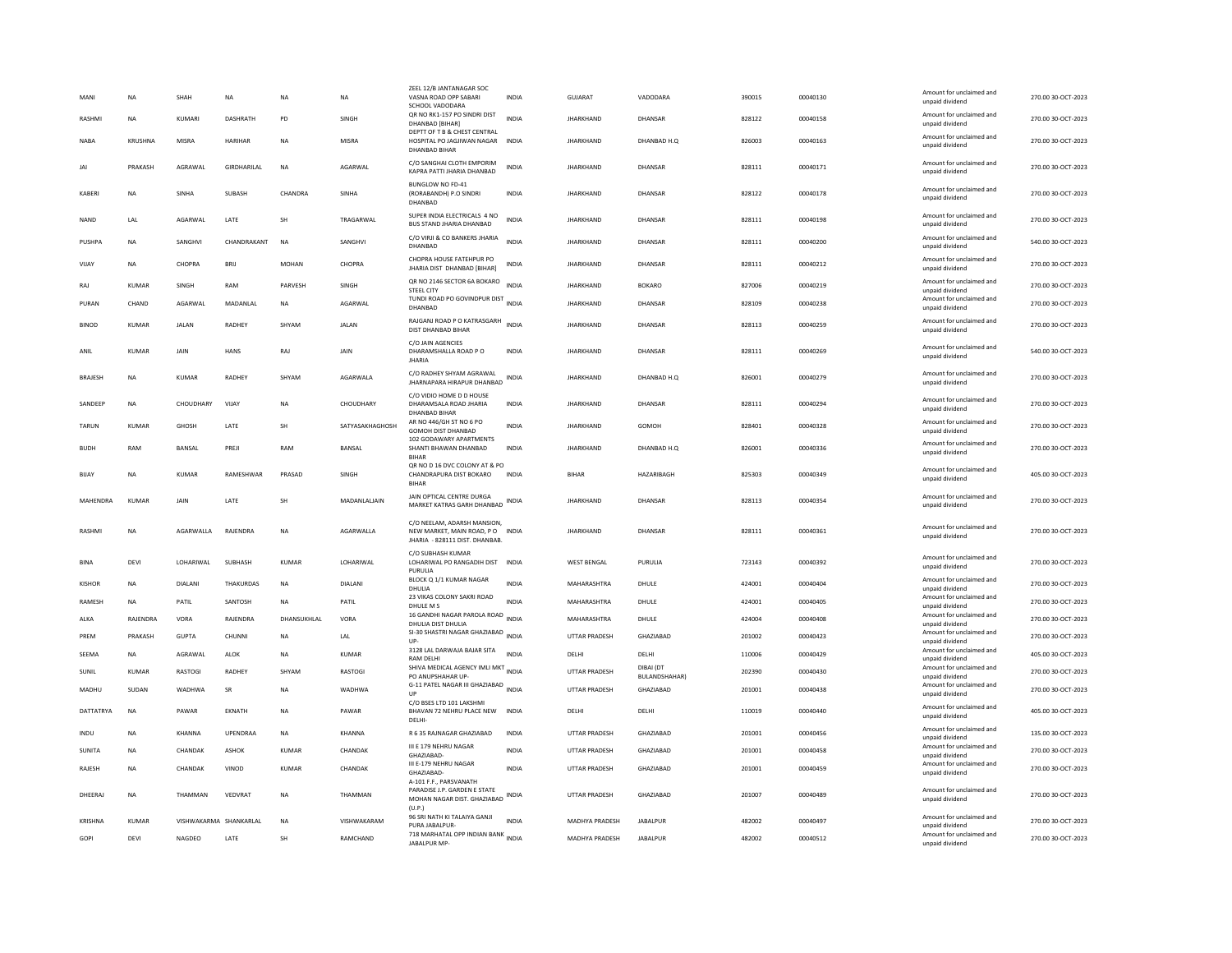| MANI           | <b>NA</b>    | SHAH                   | <b>NA</b>      | <b>NA</b>    | <b>NA</b>       | ZEEL 12/B JANTANAGAR SOC<br>VASNA ROAD OPP SABARI<br>SCHOOL VADODARA<br>QR NO RK1-157 PO SINDRI DIST | <b>INDIA</b> | <b>GUJARAT</b>       | VADODARA                          | 390015 | 00040130 | Amount for unclaimed and<br>unpaid dividend<br>Amount for unclaimed and | 270.00 30-OCT-2023 |
|----------------|--------------|------------------------|----------------|--------------|-----------------|------------------------------------------------------------------------------------------------------|--------------|----------------------|-----------------------------------|--------|----------|-------------------------------------------------------------------------|--------------------|
| <b>RASHM</b>   | <b>NA</b>    | KUMARI                 | DASHRATH       | PD           | SINGH           | DHANBAD [BIHAR]<br>DEPTT OF T B & CHEST CENTRAL                                                      | <b>INDIA</b> | <b>JHARKHAND</b>     | DHANSAR                           | 828122 | 00040158 | unpaid dividend                                                         | 270.00 30-OCT-2023 |
| <b>NABA</b>    | KRUSHNA      | MISRA                  | <b>HARIHAR</b> | <b>NA</b>    | MISRA           | HOSPITAL PO JAGJIWAN NAGAR<br><b>DHANBAD BIHAR</b>                                                   | <b>INDIA</b> | <b>JHARKHAND</b>     | DHANBAD H.O.                      | 826003 | 00040163 | Amount for unclaimed and<br>unpaid dividend                             | 270.00 30-OCT-2023 |
| JAI            | PRAKASH      | AGRAWAL                | GIRDHARILAL    | <b>NA</b>    | AGARWAL         | C/O SANGHAI CLOTH EMPORIM<br>KAPRA PATTI JHARIA DHANBAD                                              | <b>INDIA</b> | <b>JHARKHAND</b>     | DHANSAR                           | 828111 | 00040171 | Amount for unclaimed and<br>unpaid dividend                             | 270.00 30-OCT-2023 |
| KABERI         | <b>NA</b>    | SINHA                  | SUBASH         | CHANDRA      | SINHA           | BUNGLOW NO FD-41<br>(RORABANDH) P.O SINDRI<br>DHANBAD                                                | <b>INDIA</b> | <b>JHARKHAND</b>     | DHANSAR                           | 828122 | 00040178 | Amount for unclaimed and<br>unpaid dividend                             | 270.00 30-OCT-2023 |
| <b>NAND</b>    | LAL          | <b>AGARWAI</b>         | LATE           | <b>SH</b>    | TRAGARWAI       | SUPER INDIA ELECTRICALS 4 NO<br>BUS STAND JHARIA DHANBAD                                             | <b>INDIA</b> | <b>JHARKHAND</b>     | DHANSAR                           | 828111 | 00040198 | Amount for unclaimed and<br>unpaid dividend                             | 270.00 30-OCT-2023 |
| PUSHPA         | <b>NA</b>    | SANGHVI                | CHANDRAKANT    | <b>NA</b>    | SANGHVI         | C/O VIRJI & CO BANKERS JHARIA<br>DHANBAD                                                             | INDIA        | <b>JHARKHAND</b>     | DHANSAR                           | 828111 | 00040200 | Amount for unclaimed and<br>unpaid dividend                             | 540.00 30-OCT-2023 |
| VIJAY          | NA           | CHOPRA                 | BRIJ           | <b>MOHAN</b> | CHOPRA          | CHOPRA HOUSE FATEHPUR PO<br>JHARIA DIST DHANBAD [BIHAR]                                              | <b>INDIA</b> | <b>JHARKHAND</b>     | DHANSAR                           | 828111 | 00040212 | Amount for unclaimed and<br>unpaid dividend                             | 270.00 30-OCT-2023 |
| RAI            | KUMAR        | <b>SINGH</b>           | RAM            | PARVESH      | <b>SINGH</b>    | QR NO 2146 SECTOR 6A BOKARO<br><b>STEEL CITY</b>                                                     | <b>INDIA</b> | <b>IHARKHAND</b>     | <b>BOKARO</b>                     | 827006 | 00040219 | Amount for unclaimed and<br>unpaid dividend                             | 270.00 30-OCT-2023 |
| PURAN          | CHAND        | AGARWAL                | MADANLAL       | <b>NA</b>    | AGARWAL         | TUNDI ROAD PO GOVINDPUR DIST<br>DHANBAD                                                              | <b>INDIA</b> | <b>JHARKHAND</b>     | DHANSAR                           | 828109 | 00040238 | Amount for unclaimed and<br>unpaid dividend                             | 270.00 30-OCT-2023 |
| <b>BINOD</b>   | <b>KUMAR</b> | <b>JALAN</b>           | RADHEY         | SHYAM        | <b>JALAN</b>    | RAJGANJ ROAD P O KATRASGARH<br>DIST DHANBAD BIHAR                                                    | <b>INDIA</b> | <b>JHARKHAND</b>     | DHANSAR                           | 828113 | 00040259 | Amount for unclaimed and<br>unpaid dividend                             | 270.00 30-OCT-2023 |
| ANIL           | <b>KUMAR</b> | JAIN                   | <b>HANS</b>    | RAJ          | <b>JAIN</b>     | C/O JAIN AGENCIES<br>DHARAMSHALLA ROAD PO<br><b>IHARIA</b>                                           | <b>INDIA</b> | <b>JHARKHAND</b>     | DHANSAR                           | 828111 | 00040269 | Amount for unclaimed and<br>unpaid dividend                             | 540.00 30-OCT-2023 |
| <b>BRAJESH</b> | <b>NA</b>    | KUMAR                  | <b>RADHEY</b>  | SHYAM        | AGARWALA        | C/O RADHEY SHYAM AGRAWAL<br>JHARNAPARA HIRAPUR DHANBAD                                               | <b>INDIA</b> | <b>IHARKHAND</b>     | DHANBAD H.O.                      | 826001 | 00040279 | Amount for unclaimed and<br>unpaid dividend                             | 270.00 30-OCT-2023 |
| SANDEEP        | NA           | CHOUDHARY              | VIJAY          | <b>NA</b>    | CHOUDHARY       | C/O VIDIO HOME D D HOUSE<br>DHARAMSALA ROAD JHARIA<br><b>DHANBAD BIHAR</b>                           | INDIA        | <b>JHARKHAND</b>     | DHANSAR                           | 828111 | 00040294 | Amount for unclaimed and<br>unpaid dividend                             | 270.00 30-OCT-2023 |
| <b>TARUN</b>   | <b>KUMAR</b> | <b>GHOSH</b>           | LATE           | SH           | SATYASAKHAGHOSH | AR NO 446/GH ST NO 6 PO<br>GOMOH DIST DHANBAD                                                        | <b>INDIA</b> | <b>JHARKHAND</b>     | GOMOH                             | 828401 | 00040328 | Amount for unclaimed and<br>unpaid dividend                             | 270.00 30-OCT-2023 |
| <b>BUDH</b>    | RAM          | BANSAL                 | PREJI          | RAM          | <b>BANSAL</b>   | 102 GODAWARY APARTMENTS<br>SHANTI BHAWAN DHANBAD<br><b>BIHAR</b>                                     | <b>INDIA</b> | <b>JHARKHAND</b>     | DHANBAD H.O.                      | 826001 | 00040336 | Amount for unclaimed and<br>unpaid dividend                             | 270.00 30-OCT-2023 |
| BIJAY          | <b>NA</b>    | <b>KUMAR</b>           | RAMESHWAR      | PRASAD       | SINGH           | QR NO D 16 DVC COLONY AT & PO<br>CHANDRAPURA DIST BOKARO<br><b>BIHAR</b>                             | <b>INDIA</b> | <b>BIHAR</b>         | HAZARIBAGH                        | 825303 | 00040349 | Amount for unclaimed and<br>unpaid dividend                             | 405.00 30-OCT-2023 |
| MAHENDRA       | <b>KUMAR</b> | JAIN                   | LATE           | <b>SH</b>    | MADANLALJAIN    | JAIN OPTICAL CENTRE DURGA<br>MARKET KATRAS GARH DHANBAD                                              | <b>INDIA</b> | <b>JHARKHAND</b>     | DHANSAR                           | 828113 | 00040354 | Amount for unclaimed and<br>unpaid dividend                             | 270.00 30-OCT-2023 |
| <b>RASHM</b>   | <b>NA</b>    | AGARWALLA              | RAJENDRA       | <b>NA</b>    | AGARWALLA       | C/O NEELAM, ADARSH MANSION,<br>NEW MARKET, MAIN ROAD, PO INDIA<br>JHARIA - 828111 DIST. DHANBAB.     |              | <b>JHARKHAND</b>     | DHANSAR                           | 828111 | 00040361 | Amount for unclaimed and<br>unpaid dividend                             | 270.00 30-OCT-2023 |
| <b>BINA</b>    | DEVI         | LOHARIWAL              | SUBHASH        | <b>KUMAR</b> | LOHARIWAL       | C/O SUBHASH KUMAR<br>LOHARIWAL PO RANGADIH DIST<br>PURULIA                                           | INDIA        | <b>WEST BENGAL</b>   | PURULIA                           | 723143 | 00040392 | Amount for unclaimed and<br>unpaid dividend                             | 270.00 30-OCT-2023 |
| <b>KISHOR</b>  | <b>NA</b>    | <b>DIALANI</b>         | THAKURDAS      | <b>NA</b>    | <b>DIALANI</b>  | BLOCK Q 1/1 KUMAR NAGAR<br>DHULIA                                                                    | <b>INDIA</b> | MAHARASHTRA          | DHULE                             | 424001 | 00040404 | Amount for unclaimed and<br>unpaid dividend                             | 270.00 30-OCT-2023 |
| RAMESH         | <b>NA</b>    | PATIL                  | SANTOSH        | NA           | PATIL           | 23 VIKAS COLONY SAKRI ROAD<br>DHULE M S                                                              | <b>INDIA</b> | MAHARASHTRA          | DHULE                             | 424001 | 00040405 | Amount for unclaimed and<br>unpaid dividend                             | 270.00 30-OCT-2023 |
| ALKA           | RAJENDRA     | VORA                   | RAJENDRA       | DHANSUKHLAL  | VORA            | 16 GANDHI NAGAR PAROLA ROAD<br>DHULIA DIST DHULIA                                                    | <b>INDIA</b> | MAHARASHTRA          | DHULE                             | 424004 | 00040408 | Amount for unclaimed and<br>unpaid dividend                             | 270.00 30-OCT-2023 |
| PREM           | PRAKASH      | <b>GUPTA</b>           | CHUNNI         | <b>NA</b>    | LAL             | SI-30 SHASTRI NAGAR GHAZIABAD<br>UP-                                                                 | <b>INDIA</b> | UTTAR PRADESH        | GHAZIABAD                         | 201002 | 00040423 | Amount for unclaimed and<br>unpaid dividend                             | 270.00 30-OCT-2023 |
| SEEMA          | <b>NA</b>    | AGRAWAI                | <b>ALOK</b>    | <b>NA</b>    | <b>KUMAR</b>    | 3128 LAL DARWAJA BAJAR SITA<br><b>RAM DELHI</b>                                                      | <b>INDIA</b> | DELHI                | DELHI                             | 110006 | 00040429 | Amount for unclaimed and<br>unpaid dividend                             | 405.00 30-OCT-2023 |
| SUNIL          | <b>KUMAR</b> | RASTOGI                | RADHEY         | SHYAM        | RASTOGI         | SHIVA MEDICAL AGENCY IMLI MKT INDIA<br>PO ANUPSHAHAR UP-                                             |              | <b>UTTAR PRADESH</b> | DIBAI (DT<br><b>BULANDSHAHAR)</b> | 202390 | 00040430 | Amount for unclaimed and<br>unpaid dividend                             | 270.00 30-OCT-2023 |
| MADHU          | SUDAN        | WADHWA                 | SR             | NA           | WADHWA          | G-11 PATEL NAGAR III GHAZIABAD<br>UP                                                                 | <b>INDIA</b> | UTTAR PRADESH        | GHAZIABAD                         | 201001 | 00040438 | Amount for unclaimed and<br>unpaid dividend                             | 270.00 30-OCT-2023 |
| DATTATRYA      | <b>NA</b>    | PAWAR                  | EKNATH         | <b>NA</b>    | PAWAR           | C/O BSES LTD 101 LAKSHMI<br>BHAVAN 72 NEHRU PLACE NEW<br><b>DELHI</b>                                | <b>INDIA</b> | DELHI                | DELHI                             | 110019 | 00040440 | Amount for unclaimed and<br>unpaid dividend                             | 405.00 30-OCT-2023 |
| INDU           | NA           | KHANNA                 | UPENDRAA       | $_{\sf NA}$  | KHANNA          | R 6 35 RAJNAGAR GHAZIABAD                                                                            | INDIA        | UTTAR PRADESH        | GHAZIABAD                         | 201001 | 00040456 | Amount for unclaimed and<br>unpaid dividend                             | 135.00 30-OCT-2023 |
| SUNITA         | NA           | CHANDAK                | ASHOK          | KUMAR        | CHANDAK         | III E 179 NEHRU NAGAR<br>GHAZIARAD-                                                                  | INDIA        | <b>UTTAR PRADESH</b> | GHAZIABAD                         | 201001 | 00040458 | Amount for unclaimed and<br>unpaid dividend                             | 270.00 30-OCT-2023 |
| <b>RAIFSH</b>  | <b>NA</b>    | CHANDAK                | VINOD          | KUMAR        | CHANDAK         | III E-179 NEHRU NAGAR<br>GHAZIABAD-<br>A-101 F.F., PARSVANATH                                        | <b>INDIA</b> | <b>UTTAR PRADESH</b> | GHAZIABAD                         | 201001 | 00040459 | Amount for unclaimed and<br>unpaid dividend                             | 270.00 30-OCT-2023 |
| DHEERAJ        | NA           | THAMMAN                | VEDVRAT        | NA           | THAMMAN         | PARADISE J.P. GARDEN E STATE<br>MOHAN NAGAR DIST. GHAZIABAD<br>(U.P.)                                | INDIA        | UTTAR PRADESH        | GHAZIABAD                         | 201007 | 00040489 | Amount for unclaimed and<br>unpaid dividend                             | 270.00 30-OCT-2023 |
| <b>KRISHNA</b> | KUMAR        | VISHWAKARMA SHANKARLAL |                | <b>NA</b>    | VISHWAKARAM     | 96 SRI NATH KI TALAIYA GANJI<br>PURA JABALPUR-                                                       | <b>INDIA</b> | MADHYA PRADESH       | <b>JABALPUR</b>                   | 482002 | 00040497 | Amount for unclaimed and<br>unpaid dividend                             | 270.00 30-OCT-2023 |
| GOPI           | DEVI         | NAGDEO                 | LATE           | SH           | RAMCHAND        | 718 MARHATAL OPP INDIAN BANK INDIA<br>JABALPUR MP-                                                   |              | MADHYA PRADESH       | <b>JABALPUR</b>                   | 482002 | 00040512 | Amount for unclaimed and<br>unpaid dividend                             | 270.00 30-OCT-2023 |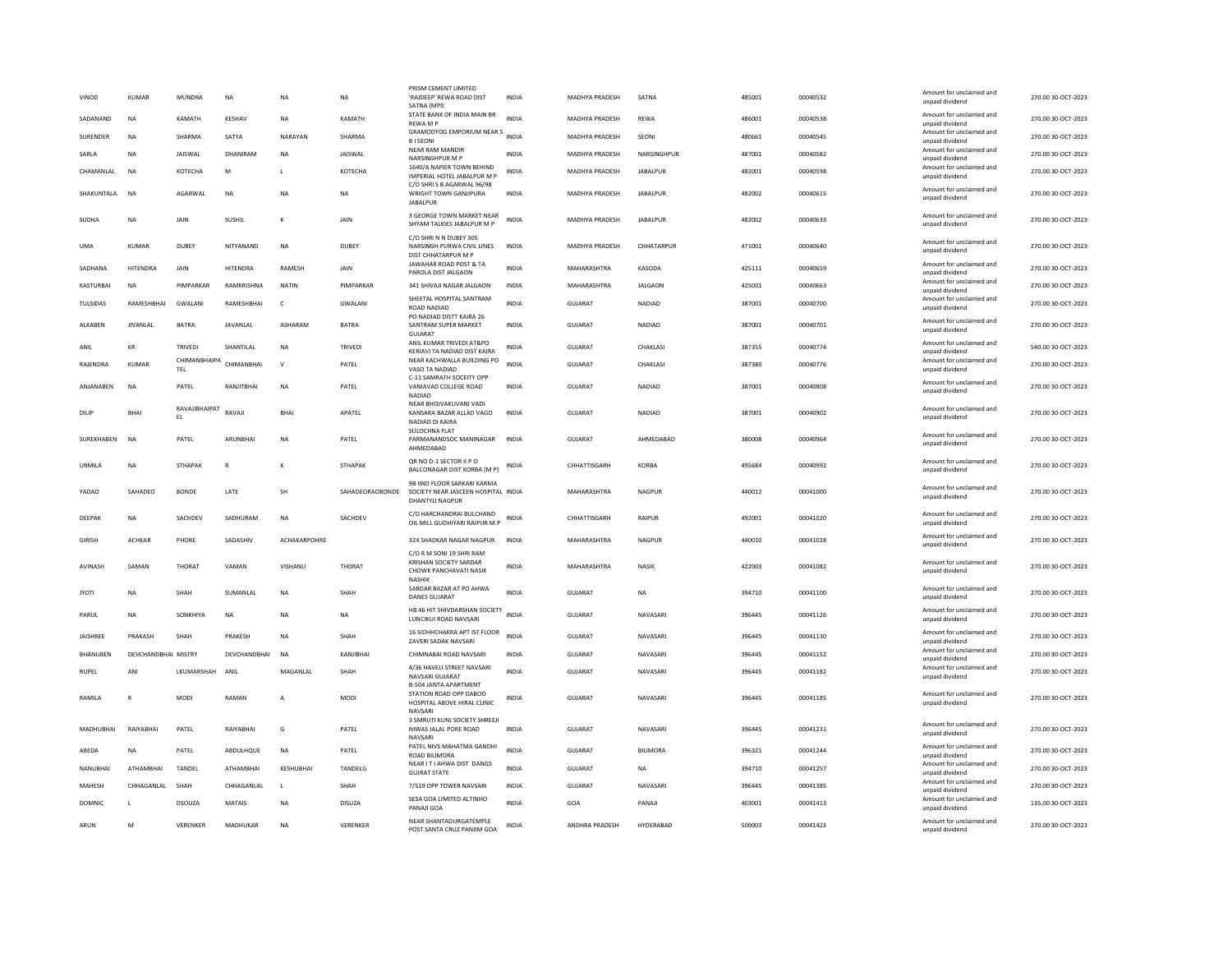| VINOD           | KUMAR               | MUNDRA              | <b>NA</b>           | <b>NA</b>    | <b>NA</b>       | PRISM CEMENT LIMITED<br>'RAJDEEP' REWA ROAD DIST<br>SATNA (MPO                                         | <b>INDIA</b> | <b>MADHYA PRADESH</b> | SATNA           | 485001 | 00040532 | Amount for unclaimed and<br>unpaid dividend                    | 270.00 30-QCT-2023 |
|-----------------|---------------------|---------------------|---------------------|--------------|-----------------|--------------------------------------------------------------------------------------------------------|--------------|-----------------------|-----------------|--------|----------|----------------------------------------------------------------|--------------------|
| SADANAND        | <b>NA</b>           | KAMATH              | KESHAV              | <b>NA</b>    | KAMATH          | STATE BANK OF INDIA MAIN BR<br>REWA M P                                                                | <b>INDIA</b> | MADHYA PRADESH        | <b>REWA</b>     | 486001 | 00040538 | Amount for unclaimed and<br>unpaid dividend                    | 270.00 30-OCT-2023 |
| SURENDER        | NA                  | <b>SHARMA</b>       | SATYA               | NARAYAN      | SHARMA          | GRAMODYOG EMPORIUM NEAR S<br><b>BISEONI</b>                                                            | INDIA        | MADHYA PRADESH        | SEONI           | 480661 | 00040545 | Amount for unclaimed and<br>unpaid dividend                    | 270.00 30-OCT-2023 |
| SARLA           | <b>NA</b>           | <b>JAISWAL</b>      | DHANIRAM            | <b>NA</b>    | <b>JAISWAL</b>  | <b>NEAR RAM MANDIR</b>                                                                                 | <b>INDIA</b> | <b>MADHYA PRADESH</b> | NARSINGHPUR     | 487001 | 00040582 | Amount for unclaimed and                                       | 270.00 30-OCT-2023 |
| CHAMANLAL       | <b>NA</b>           | КОТЕСНА             | M                   |              | KOTECHA         | NARSINGHPUR M P<br>1640/A NAPIER TOWN BEHIND                                                           | <b>INDIA</b> | MADHYA PRADESH        | <b>JABALPUR</b> | 482001 | 00040598 | unpaid dividend<br>Amount for unclaimed and                    | 270.00 30-OCT-2023 |
| SHAKUNTALA      | NA                  | AGARWAL             | NA                  | NA           | NA              | IMPERIAL HOTEL JABALPUR M P<br>C/O SHRI S B AGARWAL 96/98<br>WRIGHT TOWN GANJIPURA                     | INDIA        | MADHYA PRADESH        | <b>JABALPUR</b> | 482002 | 00040615 | unpaid dividend<br>Amount for unclaimed and<br>unpaid dividend | 270.00 30-OCT-2023 |
| SUDHA           | <b>NA</b>           | JAIN                | SUSHIL              | к            | JAIN            | <b>JABALPUR</b><br>3 GEORGE TOWN MARKET NEAR<br>SHYAM TALKIES JABALPUR M P                             | <b>INDIA</b> | MADHYA PRADESH        | <b>JABALPUR</b> | 482002 | 00040633 | Amount for unclaimed and<br>unpaid dividend                    | 270.00 30-OCT-2023 |
|                 |                     |                     |                     |              |                 | C/O SHRI N N DUBEY 305                                                                                 |              |                       |                 |        |          | Amount for unclaimed and                                       |                    |
| <b>UMA</b>      | KUMAR               | DUBEY               | NITYANAND           | <b>NA</b>    | DUBEY           | NARSINGH PURWA CIVIL LINES<br>DIST CHHATARPUR M P<br>JAWAHAR ROAD POST & TA                            | INDIA        | MADHYA PRADESH        | CHHATARPUR      | 471001 | 00040640 | unpaid dividend<br>Amount for unclaimed and                    | 270.00 30-OCT-2023 |
| SADHANA         | <b>HITENDRA</b>     | JAIN                | <b>HITENDRA</b>     | RAMESH       | JAIN            | PAROLA DIST JALGAON                                                                                    | <b>INDIA</b> | MAHARASHTRA           | KASODA          | 425111 | 00040659 | unpaid dividend<br>Amount for unclaimed and                    | 270.00 30-OCT-2023 |
| KASTURBAI       | <b>NA</b>           | PIMPARKAR           | RAMKRISHNA          | <b>NATIN</b> | PIMPARKAR       | 341 SHIVAJI NAGAR JALGAON                                                                              | INDIA        | MAHARASHTRA           | <b>JALGAON</b>  | 425001 | 00040663 | unpaid dividend                                                | 270.00 30-OCT-2023 |
| TULSIDAS        | RAMESHBHAI          | GWALANI             | RAMESHBHAI          | $\mathsf{C}$ | GWALANI         | SHEETAL HOSPITAL SANTRAM<br>ROAD NADIAD<br>PO NADIAD DISTT KAIRA 26                                    | <b>INDIA</b> | <b>GUJARAT</b>        | <b>NADIAD</b>   | 387001 | 00040700 | Amount for unclaimed and<br>unpaid dividend                    | 270.00 30-OCT-2023 |
| <b>AI KARFN</b> | <b>IIVANI AI</b>    | <b>BATRA</b>        | <b>JAVANI AI</b>    | ASHARAM      | <b>BATRA</b>    | SANTRAM SUPER MARKET<br><b>GUJARA1</b>                                                                 | <b>INDIA</b> | GUIARAT               | <b>NADIAD</b>   | 387001 | 00040701 | Amount for unclaimed and<br>unpaid dividend                    | 270.00 30-OCT-2023 |
| ANIL            | KR                  | TRIVEDI             | SHANTILAL           | <b>NA</b>    | TRIVEDI         | ANII KUMAR TRIVEDI AT&PO<br>KERIAVI TA NADIAD DIST KAIRA                                               | <b>INDIA</b> | GUJARAT               | CHAKLASI        | 387355 | 00040774 | Amount for unclaimed and<br>unpaid dividend                    | 540.00 30-OCT-2023 |
| RAJENDRA        | <b>KUMAR</b>        | CHIMANBHAIPA<br>TEL | CHIMANBHAI          | $\mathsf{V}$ | PATEL           | NEAR KACHWALLA BUILDING PO<br>VASO TA NADIAD                                                           | INDIA        | <b>GUJARAT</b>        | CHAKLASI        | 387380 | 00040776 | Amount for unclaimed and<br>unpaid dividend                    | 270.00 30-OCT-2023 |
| ANJANABEN       | <b>NA</b>           | PATEL               | RANJITBHAI          | NA           | PATEL           | C-11 SAMRATH SOCEITY OPF<br>VANIAVAD COLLEGE ROAD<br><b>NADIAD</b>                                     | INDIA        | GUJARAT               | NADIAD          | 387001 | 00040808 | Amount for unclaimed and<br>unpaid dividend                    | 270.00 30-OCT-2023 |
| DILIF           | <b>BHAI</b>         | RAVAJIBHAIPAT<br>EL | RAVAJI              | <b>BHAI</b>  | APATEL          | NEAR BHOJVAKUVANI VADI<br>KANSARA BAZAR ALLAD VAGO<br>NADIAD DI KAIRA                                  | <b>INDIA</b> | <b>GUJARAT</b>        | <b>NADIAD</b>   | 387001 | 00040902 | Amount for unclaimed and<br>unpaid dividend                    | 270.00 30-OCT-2023 |
| SUREKHABEN      | NA                  | PATEL               | ARUNBHAI            | <b>NA</b>    | PATEL           | SULOCHNA FLAT<br>PARMANANDSOC MANINAGAR<br>AHMEDABAD                                                   | <b>INDIA</b> | GUJARAT               | AHMEDABAD       | 380008 | 00040964 | Amount for unclaimed and<br>unpaid dividend                    | 270.00 30-OCT-2023 |
| URMILA          | <b>NA</b>           | <b>STHAPAK</b>      | R                   | к            | <b>STHAPAK</b>  | QR NO D-1 SECTOR II P O<br>BALCONAGAR DIST KORBA [M P]                                                 | <b>INDIA</b> | CHHATTISGARH          | <b>KORBA</b>    | 495684 | 00040992 | Amount for unclaimed and<br>unpaid dividend                    | 270.00 30-OCT-2023 |
| YADAO           | SAHADEO             | <b>BONDE</b>        | LATE                | SH           | SAHADEORAOBONDE | 9B IIND FLOOR SARKARI KARMA<br>SOCIETY NEAR JASCEEN HOSPITAL INDIA<br><b>DHANTYLI NAGPUR</b>           |              | MAHARASHTRA           | NAGPUR          | 440012 | 00041000 | Amount for unclaimed and<br>unpaid dividend                    | 270.00 30-OCT-2023 |
| DEEPAK          | <b>NA</b>           | SACHDEV             | SADHURAM            | <b>NA</b>    | SACHDEV         | C/O HARCHANDRAI BULCHAND<br>OIL MILL GUDHIYARI RAIPUR M.P                                              | <b>INDIA</b> | CHHATTISGARH          | RAIPUR          | 492001 | 00041020 | Amount for unclaimed and<br>unpaid dividend                    | 270.00 30-OCT-2023 |
| <b>GIRISH</b>   | <b>ACHKAR</b>       | PHORE               | SADASHIV            | ACHAKARPOHRE |                 | 324 SHADKAR NAGAR NAGPUR                                                                               | INDIA        | MAHARASHTRA           | <b>NAGPUR</b>   | 440010 | 00041028 | Amount for unclaimed and<br>unpaid dividend                    | 270.00 30-OCT-2023 |
| <b>AVINASH</b>  | SAMAN               | THORAT              | VAMAN               | VISHANU      | THORAT          | C/O R M SONI 19 SHRI RAM<br>KRISHAN SOCIETY SARDAR<br>CHOWK PANCHAVATI NASIK<br><b>NASHIP</b>          | <b>INDIA</b> | MAHARASHTRA           | <b>NASIK</b>    | 422003 | 00041082 | Amount for unclaimed and<br>unpaid dividend                    | 270.00 30-OCT-2023 |
| <b>JYOTI</b>    | <b>NA</b>           | SHAH                | SUMANLAL            | <b>NA</b>    | SHAH            | SARDAR BAZAR AT PO AHWA<br><b>DANES GUJARAT</b>                                                        | INDIA        | GUJARAT               | <b>NA</b>       | 394710 | 00041100 | Amount for unclaimed and<br>unpaid dividend                    | 270.00 30-OCT-2023 |
| PARUL           | <b>NA</b>           | SONKHIYA            | NA                  | <b>NA</b>    | NA              | HB 46 HIT SHIVDARSHAN SOCIETY<br>LUNCIKUI ROAD NAVSARI                                                 | <b>INDIA</b> | GUJARAT               | NAVASARI        | 396445 | 00041126 | Amount for unclaimed and<br>unpaid dividend                    | 270.00 30-OCT-2023 |
| <b>IAISHRFF</b> | PRAKASH             | SHAH                | PRAKESH             | <b>NA</b>    | SHAH            | 16 SIDHHCHAKRA APT IST FLOOR<br>ZAVERI SADAK NAVSARI                                                   | <b>INDIA</b> | GUIARAT               | NAVASARI        | 396445 | 00041130 | Amount for unclaimed and<br>unpaid dividend                    | 270.00 30-OCT-2023 |
| <b>BHANUREN</b> | DEVCHANDRHAI MISTRY |                     | <b>DEVCHANDRHAI</b> | NA           | KANIIRHAI       | CHIMNABAI ROAD NAVSARI                                                                                 | <b>INDIA</b> | GUIARAT               | NAVASARI        | 396445 | 00041152 | Amount for unclaimed and<br>unpaid dividend                    | 270.00 30-OCT-2023 |
| <b>RUPEL</b>    | ANI                 | LKUMARSHAH          | ANII                | MAGANLAL     | SHAH            | 4/36 HAVELI STREET NAVSARI<br>NAVSARI GUJARAT                                                          | <b>INDIA</b> | <b>GUJARAT</b>        | NAVASARI        | 396445 | 00041182 | Amount for unclaimed and<br>unpaid dividend                    | 270.00 30-OCT-2023 |
| RAMILA          |                     | MODI                | RAMAN               | $\mathbf{A}$ | MODI            | <b>B-504 JANTA APARTMENT</b><br>STATION ROAD OPP DABOO<br>HOSPITAL ABOVE HIRAL CLINIC<br><b>NAVSAR</b> | INDIA        | GUJARAT               | NAVASARI        | 396445 | 00041185 | Amount for unclaimed and<br>unpaid dividend                    | 270.00 30-OCT-2023 |
| MADHUBHAI       | RAIYABHAI           | PATEL               | RAIYABHAI           | G            | PATEL           | 3 SMRUTI KUNJ SOCIETY SHREEJI<br>NIWAS JALAL PORE ROAD<br>NAVSARI                                      | <b>INDIA</b> | GUJARAT               | NAVASARI        | 396445 | 00041231 | Amount for unclaimed and<br>unpaid dividend                    | 270.00 30-OCT-2023 |
| ABEDA           | <b>NA</b>           | PATEL               | ABDULHQUE           | NA           | PATEL           | PATEL NIVS MAHATMA GANDHI<br>ROAD BILIMORA                                                             | <b>INDIA</b> | GUJARAT               | <b>BILIMORA</b> | 396321 | 00041244 | Amount for unclaimed and<br>unpaid dividend                    | 270.00 30-OCT-2023 |
| NANUBHAI        | ATHAMBHAI           | TANDEL              | ATHAMBHAI           | KESHUBHAI    | TANDELG         | NEAR IT I AHWA DIST DANGS<br><b>GUJRAT STATE</b>                                                       | <b>INDIA</b> | GUJARAT               | <b>NA</b>       | 394710 | 00041257 | Amount for unclaimed and<br>unpaid dividend                    | 270.00 30-OCT-2023 |
| MAHESH          | CHHAGANLAL          | SHAH                | CHHAGANLAL          | L            | SHAH            | 7/519 OPP TOWER NAVSARI                                                                                | <b>INDIA</b> | <b>GUJARAT</b>        | NAVASARI        | 396445 | 00041385 | Amount for unclaimed and<br>unpaid dividend                    | 270.00 30-OCT-2023 |
| <b>DOMNIC</b>   |                     | DSOUZA              | <b>MATAIS</b>       | <b>NA</b>    | DISUZA          | SESA GOA LIMITED ALTINHO<br>PANAJI GOA                                                                 | <b>INDIA</b> | GOA                   | PANAJI          | 403001 | 00041413 | Amount for unclaimed and<br>unpaid dividend                    | 135.00 30-OCT-2023 |
| ARUN            | M                   | VERENKER            | MADHUKAR            | NA           | VERENKER        | NEAR SHANTADURGATEMPLE<br>POST SANTA CRUZ PANJIM GOA                                                   | INDIA        | ANDHRA PRADESH        | HYDERABAD       | 500003 | 00041423 | Amount for unclaimed and<br>unpaid dividend                    | 270.00 30-OCT-2023 |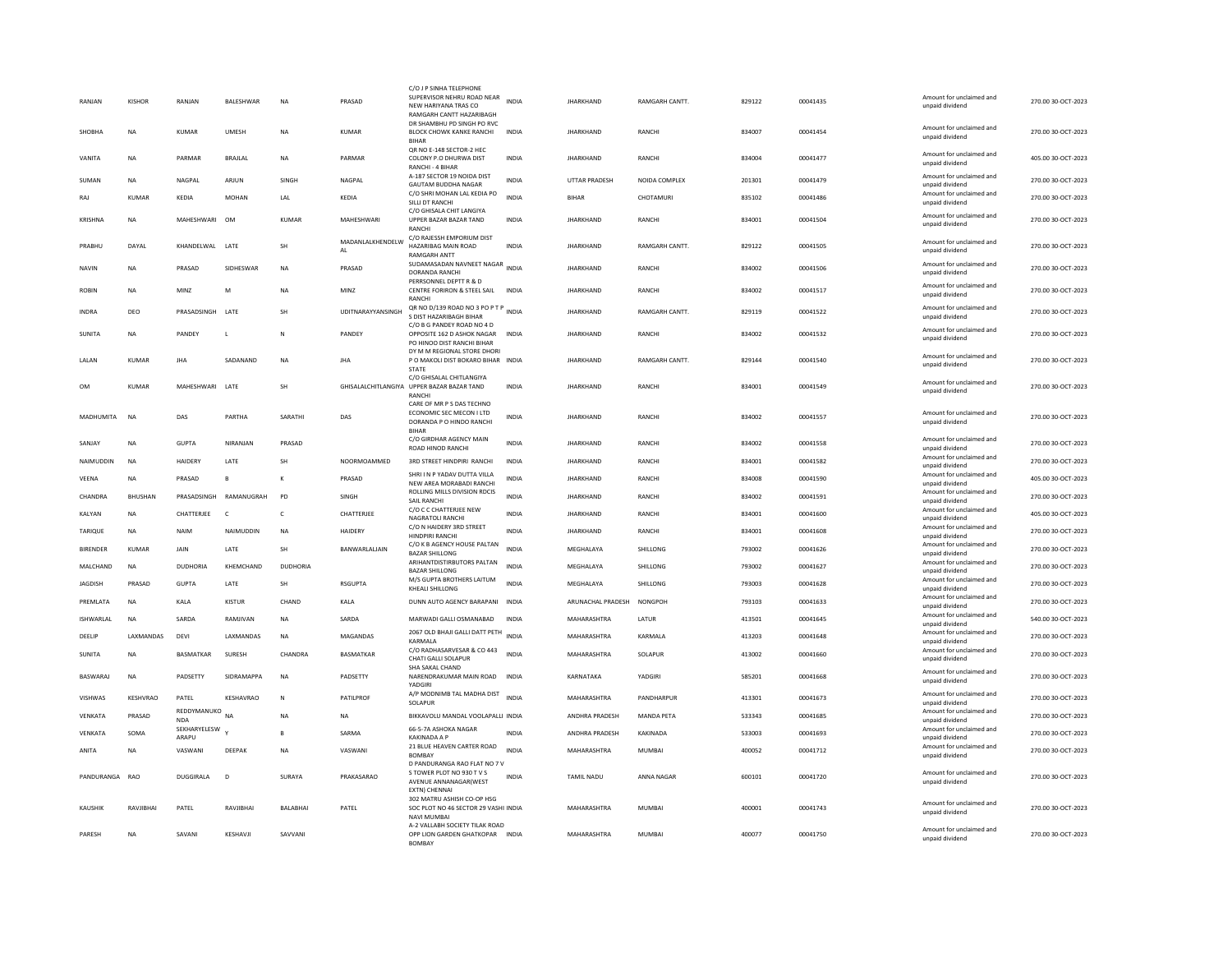| RANJAN           | <b>KISHOR</b>     | RANJAN                    | BALESHWAR         | <b>NA</b>    | PRASAD                 | C/O J P SINHA TELEPHONE<br>SUPERVISOR NEHRU ROAD NEAR INDIA                                        |              | <b>JHARKHAND</b>  | RAMGARH CANTT.       | 829122 | 00041435 | Amount for unclaimed and                    | 270.00 30-OCT-2023 |
|------------------|-------------------|---------------------------|-------------------|--------------|------------------------|----------------------------------------------------------------------------------------------------|--------------|-------------------|----------------------|--------|----------|---------------------------------------------|--------------------|
|                  |                   |                           |                   |              |                        | NEW HARIYANA TRAS CO<br>RAMGARH CANTT HAZARIBAGH                                                   |              |                   |                      |        |          | unpaid dividend                             |                    |
| <b>SHOBHA</b>    | NA                | KUMAR                     | <b>UMFSH</b>      | <b>NA</b>    | KUMAR                  | DR SHAMBHU PD SINGH PO RVC<br>BLOCK CHOWK KANKE RANCHI<br><b>BIHAF</b>                             | <b>INDIA</b> | <b>IHARKHAND</b>  | RANCHI               | 834007 | 00041454 | Amount for unclaimed and<br>unpaid dividend | 270.00 30-OCT-2023 |
| VANITA           | NA                | PARMAR                    | BRAJLAL           | <b>NA</b>    | PARMAR                 | OR NO E-148 SECTOR-2 HEC<br>COLONY P.O DHURWA DIST<br>RANCHI - 4 BIHAR                             | INDIA        | <b>JHARKHAND</b>  | RANCHI               | 834004 | 00041477 | Amount for unclaimed and<br>unpaid dividend | 405.00 30-OCT-2023 |
| SUMAN            | NA                | NAGPAL                    | ARJUN             | SINGH        | NAGPAL                 | A-187 SECTOR 19 NOIDA DIST<br><b>GAUTAM BUDDHA NAGAR</b>                                           | <b>INDIA</b> | UTTAR PRADESH     | NOIDA COMPLEX        | 201301 | 00041479 | Amount for unclaimed and<br>unpaid dividend | 270.00 30-OCT-2023 |
| RAJ              | <b>KUMAR</b>      | KEDIA                     | <b>MOHAN</b>      | LAL          | KEDIA                  | C/O SHRI MOHAN LAL KEDIA PO<br>SILLI DT RANCH                                                      | <b>INDIA</b> | <b>BIHAR</b>      | CHOTAMURI            | 835102 | 00041486 | Amount for unclaimed and<br>unpaid dividend | 270.00 30-OCT-2023 |
| KRISHNA          | <b>NA</b>         | MAHESHWARI                | OM                | <b>KUMAR</b> | MAHESHWARI             | C/O GHISALA CHIT LANGIYA<br>UPPER BAZAR BAZAR TAND<br>RANCH                                        | <b>INDIA</b> | <b>JHARKHAND</b>  | <b>RANCHI</b>        | 834001 | 00041504 | Amount for unclaimed and<br>unpaid dividend | 270.00 30-OCT-2023 |
| PRABHU           | DAYAL             | KHANDELWAL                | LATE              | SH           | MADANLALKHENDELW<br>AL | C/O RAJESSH EMPORIUM DIST<br>HAZARIBAG MAIN ROAD<br><b>RAMGARH ANTT</b>                            | INDIA        | <b>JHARKHAND</b>  | <b>RAMGARH CANTT</b> | 829122 | 00041505 | Amount for unclaimed and<br>unpaid dividend | 270.00 30-OCT-2023 |
| NAVIN            | NA                | PRASAD                    | SIDHESWAR         | NA           | PRASAD                 | SUDAMASADAN NAVNEET NAGAR<br>DORANDA RANCHI                                                        | <b>INDIA</b> | <b>JHARKHAND</b>  | RANCHI               | 834002 | 00041506 | Amount for unclaimed and<br>unpaid dividend | 270.00 30-OCT-2023 |
| ROBIN            | NA                | MIN7                      | M                 | NA           | MINZ                   | PERRSONNEL DEPTT R & D<br>CENTRE FORIRON & STEEL SAIL<br><b>RANCH</b>                              | <b>INDIA</b> | <b>IHARKHAND</b>  | RANCHI               | 834002 | 00041517 | Amount for unclaimed and<br>unpaid dividend | 270.00 30-OCT-2023 |
| <b>INDRA</b>     | DFO               | PRASADSINGH LATE          |                   | <b>SH</b>    | UDITNARAYYANSINGH      | QR NO D/139 ROAD NO 3 PO P T P<br>S DIST HAZARIBAGH BIHAR                                          | <b>INDIA</b> | <b>IHARKHAND</b>  | <b>RAMGARH CANTT</b> | 829119 | 00041522 | Amount for unclaimed and<br>unpaid dividend | 270.00.30-OCT-2023 |
| <b>SUNITA</b>    | NA                | PANDEY                    | л.                | N            | PANDEY                 | C/O B G PANDEY ROAD NO 4 D<br>OPPOSITE 162 D ASHOK NAGAR                                           | <b>INDIA</b> | <b>JHARKHAND</b>  | RANCHI               | 834002 | 00041532 | Amount for unclaimed and<br>unpaid dividend | 270.00 30-OCT-2023 |
|                  |                   |                           |                   |              |                        | PO HINOO DIST RANCHI BIHAR<br>DY M M REGIONAL STORE DHORI                                          |              |                   |                      |        |          | Amount for unclaimed and                    |                    |
| LALAN            | KUMAR             | <b>IHA</b>                | SADANAND          | <b>NA</b>    | <b>IHA</b>             | P O MAKOLI DIST BOKARO BIHAR INDIA<br><b>STATE</b>                                                 |              | <b>IHARKHAND</b>  | <b>RAMGARH CANTT</b> | 829144 | 00041540 | unpaid dividend                             | 270.00 30-OCT-2023 |
| OM               | KUMAR             | MAHESHWARI                | LATE              | SH           |                        | C/O GHISALAL CHITLANGIYA<br>GHISALALCHITLANGIYA UPPER BAZAR BAZAR TAND<br><b>RANCH</b>             | INDIA        | <b>JHARKHAND</b>  | RANCHI               | 834001 | 00041549 | Amount for unclaimed and<br>unpaid dividend | 270.00 30-OCT-2023 |
| MADHUMITA        | NA                | DAS                       | PARTHA            | SARATH       | DAS                    | CARE OF MR P S DAS TECHNO<br>ECONOMIC SEC MECON I LTD<br>DORANDA P O HINDO RANCHI<br><b>BIHAF</b>  | <b>INDIA</b> | <b>JHARKHAND</b>  | RANCHI               | 834002 | 00041557 | Amount for unclaimed and<br>unpaid dividend | 270.00 30-OCT-2023 |
| SANJAY           | <b>NA</b>         | <b>GUPTA</b>              | NIRANJAN          | PRASAD       |                        | C/O GIRDHAR AGENCY MAIN<br>ROAD HINOD RANCHI                                                       | <b>INDIA</b> | <b>JHARKHAND</b>  | RANCHI               | 834002 | 00041558 | Amount for unclaimed and<br>unpaid dividend | 270.00 30-OCT-2023 |
| NAIMUDDIN        | <b>NA</b>         | <b>HAIDERY</b>            | LATE              | SH           | NOORMOAMMED            | 3RD STREET HINDPIRI RANCHI                                                                         | <b>INDIA</b> | <b>JHARKHAND</b>  | RANCHI               | 834001 | 00041582 | Amount for unclaimed and<br>unpaid dividend | 270.00 30-OCT-2023 |
| VEENA            | <b>NA</b>         | PRASAD                    | $\mathbf{B}$      | К            | PRASAD                 | SHRI I N P YADAV DUTTA VII I A<br>NEW AREA MORABADI RANCHI                                         | <b>INDIA</b> | <b>JHARKHAND</b>  | RANCHI               | 834008 | 00041590 | Amount for unclaimed and<br>unpaid dividend | 405.00 30-OCT-2023 |
| CHANDRA          | BHUSHAN           | PRASADSINGH               | RAMANUGRAH        | <b>PD</b>    | SINGH                  | ROLLING MILLS DIVISION RDCIS<br>SAIL RANCHI                                                        | INDIA        | <b>JHARKHAND</b>  | RANCHI               | 834002 | 00041591 | Amount for unclaimed and<br>unpaid dividend | 270.00 30-OCT-2023 |
| KALYAN           | <b>NA</b>         | CHATTERJEE                | $\epsilon$        | $\mathsf{C}$ | CHATTERJEE             | C/O C C CHATTERJEE NEW<br>NAGRATOLI RANCHI                                                         | <b>INDIA</b> | <b>JHARKHAND</b>  | RANCHI               | 834001 | 00041600 | Amount for unclaimed and<br>unpaid dividend | 405.00 30-OCT-2023 |
| TARIQUE          | <b>NA</b>         | <b>NAIM</b>               | NAIMUDDIN         | <b>NA</b>    | HAIDERY                | C/O N HAIDERY 3RD STREET<br>HINDPIRI RANCHI                                                        | <b>INDIA</b> | <b>JHARKHAND</b>  | RANCHI               | 834001 | 00041608 | Amount for unclaimed and<br>unpaid dividend | 270.00 30-OCT-2023 |
| BIRENDER         | <b>KUMAR</b>      | JAIN                      | LATE              | SH           | BANWARLALJAIN          | C/O K B AGENCY HOUSE PALTAN<br><b>BAZAR SHILLONG</b>                                               | <b>INDIA</b> | MEGHALAYA         | SHILLONG             | 793002 | 00041626 | Amount for unclaimed and<br>unpaid dividend | 270.00 30-OCT-2023 |
| MALCHAND         | NA                | <b>DUDHORIA</b>           | KHEMCHAND         | DUDHORIA     |                        | ARIHANTDISTIRBUTORS PALTAN<br><b>BAZAR SHILLONG</b>                                                | <b>INDIA</b> | MEGHALAYA         | SHILLONG             | 793002 | 00041627 | Amount for unclaimed and<br>unpaid dividend | 270.00 30-OCT-2023 |
| <b>JAGDISH</b>   | PRASAD            | <b>GUPTA</b>              | LATE              | SH           | <b>RSGUPTA</b>         | M/S GUPTA BROTHERS LAITUM<br>KHEALI SHILLONG                                                       | <b>INDIA</b> | MEGHALAYA         | SHILLONG             | 793003 | 00041628 | Amount for unclaimed and<br>unpaid dividend | 270.00 30-OCT-2023 |
| PREMLATA         | <b>NA</b>         | KALA                      | KISTUR            | CHAND        | KALA                   | DUNN AUTO AGENCY BARAPANI                                                                          | <b>INDIA</b> | ARUNACHAL PRADESH | <b>NONGPOH</b>       | 793103 | 00041633 | Amount for unclaimed and<br>unpaid dividend | 270.00 30-OCT-2023 |
| <b>ISHWARLAL</b> | <b>NA</b>         | SARDA                     | RAMJIVAN          | <b>NA</b>    | SARDA                  | MARWADI GALLI OSMANABAD                                                                            | INDIA        | MAHARASHTRA       | LATUR                | 413501 | 00041645 | Amount for unclaimed and<br>unpaid dividend | 540.00 30-OCT-2023 |
| DEELIP           | <b>I AXMANDAS</b> | DFVI                      | <b>I AXMANDAS</b> | <b>NA</b>    | <b>MAGANDAS</b>        | 2067 OLD BHAJI GALLI DATT PETH INDIA<br>KARMALA                                                    |              | MAHARASHTRA       | <b>KARMALA</b>       | 413203 | 00041648 | Amount for unclaimed and<br>unpaid dividend | 270.00 30-OCT-2023 |
| <b>SUNITA</b>    | <b>NA</b>         | <b>BASMATKAR</b>          | SURESH            | CHANDRA      | <b>BASMATKAR</b>       | C/O RADHASARVESAR & CO 443<br>CHATI GALLI SOLAPUR                                                  | <b>INDIA</b> | MAHARASHTRA       | SOLAPUR              | 413002 | 00041660 | Amount for unclaimed and<br>unpaid dividend | 270.00 30-OCT-2023 |
| BASWARAJ         | <b>NA</b>         | PADSETTY                  | <b>SIDRAMAPPA</b> | <b>NA</b>    | PADSETTY               | SHA SAKAL CHAND<br>NARENDRAKUMAR MAIN ROAD<br>YADGIRI                                              | <b>INDIA</b> | KARNATAKA         | YADGIRI              | 585201 | 00041668 | Amount for unclaimed and<br>unpaid dividend | 270.00 30-OCT-2023 |
| VISHWAS          | KESHVRAO          | PATEL                     | KESHAVRAO         | N            | PATILPROF              | A/P MODNIMB TAL MADHA DIST<br>SOLAPUR                                                              | <b>INDIA</b> | MAHARASHTRA       | PANDHARPUR           | 413301 | 00041673 | Amount for unclaimed and<br>unpaid dividend | 270.00 30-OCT-2023 |
| VENKATA          | PRASAD            | REDDYMANUKO<br><b>NDA</b> | <b>NA</b>         | <b>NA</b>    | NA                     | BIKKAVOLU MANDAL VOOLAPALLI INDIA                                                                  |              | ANDHRA PRADESH    | MANDA PETA           | 533343 | 00041685 | Amount for unclaimed and<br>unpaid dividend | 270.00 30-OCT-2023 |
| VENKATA          | SOMA              | SEKHARYELESW<br>ARAPU     |                   | <b>R</b>     | SARMA                  | 66-5-7A ASHOKA NAGAR<br><b>KAKINADA A P</b>                                                        | <b>INDIA</b> | ANDHRA PRADESH    | KAKINADA             | 533003 | 00041693 | Amount for unclaimed and<br>unpaid dividend | 270.00 30-OCT-2023 |
| ANITA            | <b>NA</b>         | VASWANI                   | DEEPAK            | <b>NA</b>    | VASWANI                | 21 BLUE HEAVEN CARTER ROAD<br><b>BOMBAY</b>                                                        | <b>INDIA</b> | MAHARASHTRA       | <b>MUMBAI</b>        | 400052 | 00041712 | Amount for unclaimed and<br>unpaid dividend | 270.00 30-OCT-2023 |
| PANDURANGA       | RAO               | DUGGIRALA                 | D                 | SURAYA       | PRAKASARAO             | D PANDURANGA RAO FLAT NO 7 V<br>S TOWER PLOT NO 930 T V S<br>AVENUE ANNANAGAR(WEST<br>EXTN) CHENNA | INDIA        | <b>TAMIL NADU</b> | ANNA NAGAR           | 600101 | 00041720 | Amount for unclaimed and<br>unpaid dividend | 270.00 30-OCT-2023 |
| KAUSHIK          | RAVJIBHA          | PATEL                     | RAVJIBHAI         | BALABHAI     | PATEL                  | 302 MATRU ASHISH CO-OP HSG<br>SOC PLOT NO 46 SECTOR 29 VASHI INDIA<br><b>NAVI MUMBA</b>            |              | MAHARASHTRA       | <b>MUMBAI</b>        | 400001 | 00041743 | Amount for unclaimed and<br>unpaid dividend | 270.00 30-OCT-2023 |
| PARFSH           | NA.               | SAVANI                    | KFSHAVII          | SAWANI       |                        | A-2 VALLABH SOCIETY TILAK ROAD<br>OPP LION GARDEN GHATKOPAR INDIA<br><b>BOMBAY</b>                 |              | MAHARASHTRA       | MUMBAI               | 400077 | 00041750 | Amount for unclaimed and<br>unpaid dividend | 270.00 30-OCT-2023 |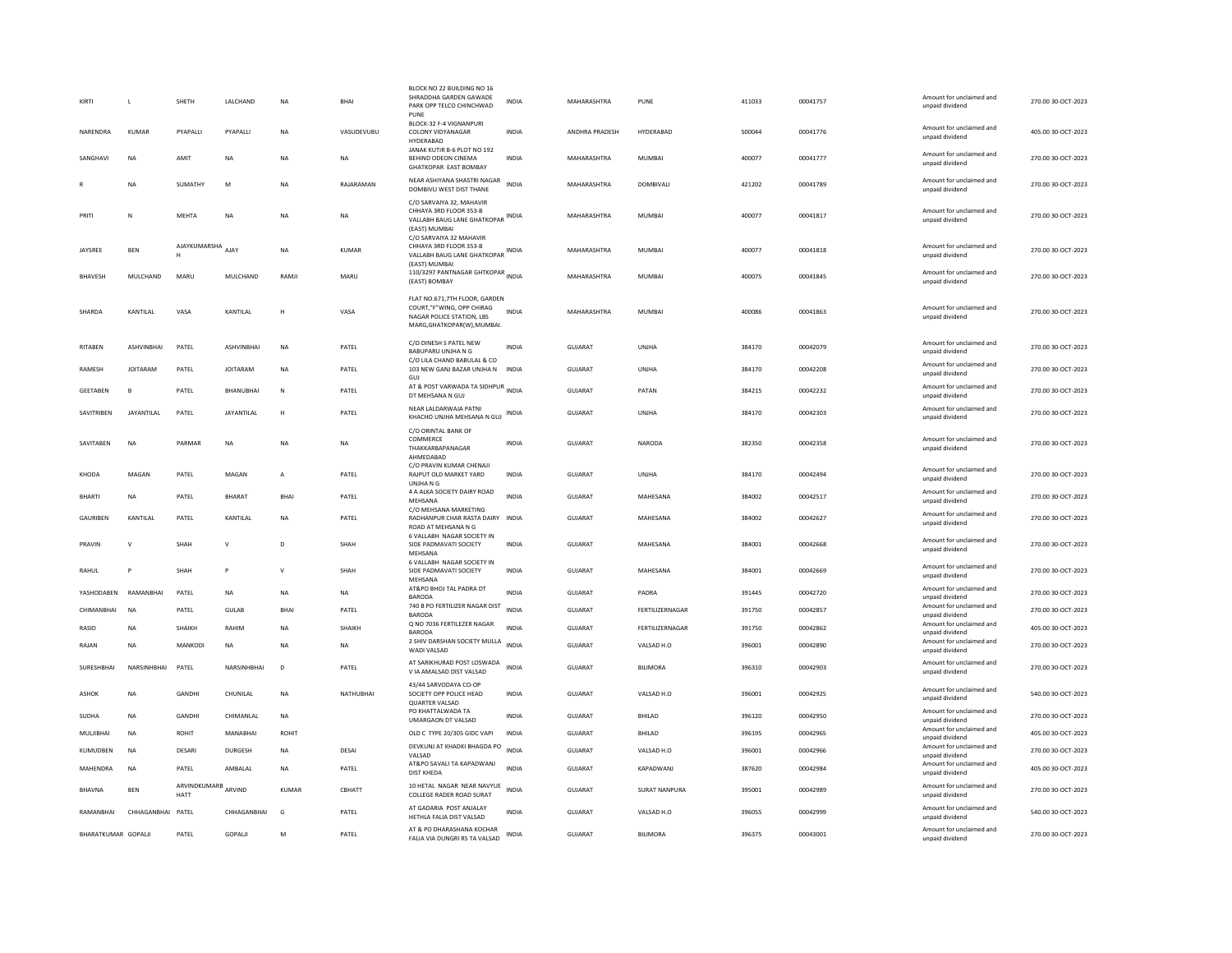| KIRTI               | $\mathbf{I}$      | SHFTH                | LALCHAND          | <b>NA</b>    | <b>BHAI</b>  | BLOCK NO 22 BUILDING NO 16<br>SHRADDHA GARDEN GAWADE<br>PARK OPP TELCO CHINCHWAD                                                    | <b>INDIA</b> | MAHARASHTRA        | PUNE                 | 411033 | 00041757 | Amount for unclaimed and<br>unpaid dividend | 270.00 30-OCT-2023 |
|---------------------|-------------------|----------------------|-------------------|--------------|--------------|-------------------------------------------------------------------------------------------------------------------------------------|--------------|--------------------|----------------------|--------|----------|---------------------------------------------|--------------------|
| NARENDRA            | <b>KUMAR</b>      | PYAPALLI             | PYAPALLI          | NA           | VASUDEVUBU   | PUNE<br>BLOCK-32 F-4 VIGNANPURI<br>COLONY VIDYANAGAR<br>HYDERABAD                                                                   | <b>INDIA</b> | ANDHRA PRADESH     | HYDERABAD            | 500044 | 00041776 | Amount for unclaimed and<br>unpaid dividend | 405.00 30-OCT-2023 |
| SANGHAVI            | NA                | AMIT                 | NA                | <b>NA</b>    | <b>NA</b>    | JANAK KUTIR B-6 PLOT NO 192<br>BEHIND ODEON CINEMA<br><b>GHATKOPAR EAST BOMBAY</b>                                                  | <b>INDIA</b> | MAHARASHTRA        | MUMBAI               | 400077 | 00041777 | Amount for unclaimed and<br>unpaid dividend | 270.00 30-OCT-2023 |
|                     | <b>NA</b>         | SUMATHY              | M                 | <b>NA</b>    | RAIARAMAN    | NEAR ASHIYANA SHASTRI NAGAR<br>DOMBIVLI WEST DIST THANE                                                                             | <b>INDIA</b> | MAHARASHTRA        | DOMBIVALI            | 421202 | 00041789 | Amount for unclaimed and<br>unpaid dividend | 270.00 30-OCT-2023 |
| PRITI               | $\mathbb N$       | <b>MFHTA</b>         | <b>NA</b>         | <b>NA</b>    | <b>NA</b>    | C/O SARVAIYA 32, MAHAVIR<br>CHHAYA 3RD FLOOR 353-B<br>VALLABH BAUG LANE GHATKOPAR INDIA<br>(EAST) MUMBAI<br>C/O SARVAIYA 32 MAHAVIR |              | <b>MAHARASHTRA</b> | MUMBAI               | 400077 | 00041817 | Amount for unclaimed and<br>unpaid dividend | 270.00.30-OCT-2023 |
| <b>IAYSREE</b>      | <b>BEN</b>        | AJAYKUMARSHA AJAY    |                   | <b>NA</b>    | KUMAR        | CHHAYA 3RD FLOOR 353-B<br>VALLABH BAUG LANE GHATKOPAR INDIA<br>(EAST) MUMBAI                                                        |              | MAHARASHTRA        | MUMBAI               | 400077 | 00041818 | Amount for unclaimed and<br>unpaid dividend | 270.00 30-OCT-2023 |
| <b>BHAVESH</b>      | MULCHAND          | MARU                 | MULCHAND          | RAMJI        | MARU         | 110/3297 PANTNAGAR GHTKOPAR<br>(EAST) BOMBAY                                                                                        |              | MAHARASHTRA        | MUMBAI               | 400075 | 00041845 | Amount for unclaimed and<br>unpaid dividend | 270.00 30-OCT-2023 |
| SHARDA              | KANTILAL          | VASA                 | KANTILAL          | Н            | VASA         | FLAT NO.671,7TH FLOOR, GARDEN<br>COURT,"F"WING, OPP CHIRAG<br>NAGAR POLICE STATION, LBS<br>MARG, GHATKOPAR(W), MUMBAI.              | <b>INDIA</b> | MAHARASHTRA        | <b>MUMBAI</b>        | 400086 | 00041863 | Amount for unclaimed and<br>unpaid dividend | 270.00 30-OCT-2023 |
| RITABEN             | <b>ASHVINRHAI</b> | PATEL                | <b>ASHVINBHAI</b> | <b>NA</b>    | PATEL        | C/O DINESH S PATEL NEW<br>BABUPARU UNJHA N G                                                                                        | <b>INDIA</b> | <b>GUJARAT</b>     | UNJHA                | 384170 | 00042079 | Amount for unclaimed and<br>unpaid dividend | 270.00 30-OCT-2023 |
| RAMESH              | <b>JOITARAM</b>   | PATEL                | <b>JOITARAM</b>   | <b>NA</b>    | PATEL        | C/O LILA CHAND BABULAL & CO<br>103 NEW GANJ BAZAR UNJHA N<br>GUJ                                                                    | <b>INDIA</b> | <b>GUJARAT</b>     | UNJHA                | 384170 | 00042208 | Amount for unclaimed and<br>unpaid dividend | 270.00 30-OCT-2023 |
| GEETABEN            | E                 | PATEL                | BHANUBHAI         | N            | PATEL        | AT & POST VARWADA TA SIDHPUR INDIA<br>DT MEHSANA N GUJ                                                                              |              | GUJARAT            | PATAN                | 384215 | 00042232 | Amount for unclaimed and<br>unpaid dividend | 270.00 30-OCT-2023 |
| SAVITRIBEN          | <b>JAYANTILAL</b> | PATEL                | JAYANTILAL        | Н            | PATEL        | NEAR LALDARWAJA PATNI<br>KHACHO UNJHA MEHSANA N GUJ                                                                                 | <b>INDIA</b> | GUJARAT            | UNJHA                | 384170 | 00042303 | Amount for unclaimed and<br>unpaid dividend | 270.00 30-OCT-2023 |
| SAVITAREN           | <b>NA</b>         | PARMAR               | <b>NA</b>         | <b>NA</b>    | <b>NA</b>    | C/O ORINTAL BANK OF<br>COMMERCE<br>THAKKARBAPANAGAR<br>AHMEDABAD                                                                    | <b>INDIA</b> | <b>GUJARAT</b>     | NARODA               | 382350 | 00042358 | Amount for unclaimed and<br>unpaid dividend | 270.00 30-OCT-2023 |
| KHODA               | MAGAN             | PATEL                | MAGAN             | A            | PATEL        | C/O PRAVIN KUMAR CHENAJI<br>RAJPUT OLD MARKET YARD<br>UNJHA N G                                                                     | <b>INDIA</b> | <b>GUJARAT</b>     | UNJHA                | 384170 | 00042494 | Amount for unclaimed and<br>unpaid dividend | 270.00 30-OCT-2023 |
| <b>BHARTI</b>       | <b>NA</b>         | PATFI                | <b>BHARAT</b>     | <b>BHAI</b>  | PATEL        | 4 A ALKA SOCIETY DAIRY ROAD<br>MEHSANA                                                                                              | <b>INDIA</b> | GUIARAT            | MAHESANA             | 384002 | 00042517 | Amount for unclaimed and<br>unpaid dividend | 270.00 30-OCT-2023 |
| <b>GAURIBEN</b>     | KANTILAL          | PATEL                | KANTILAL          | <b>NA</b>    | PATEL        | C/O MEHSANA MARKETING<br>RADHANPUR CHAR RASTA DAIRY INDIA<br>ROAD AT MEHSANA N G                                                    |              | <b>GUJARAT</b>     | MAHESANA             | 384002 | 00042627 | Amount for unclaimed and<br>unpaid dividend | 270.00 30-OCT-2023 |
| PRAVIN              | $\mathbf{v}$      | SHAH                 | $\vee$            | D            | SHAH         | 6 VALLABH NAGAR SOCIETY IN<br>SIDE PADMAVATI SOCIETY<br>MEHSANA                                                                     | <b>INDIA</b> | GUJARAT            | MAHESANA             | 384001 | 00042668 | Amount for unclaimed and<br>unpaid dividend | 270.00 30-OCT-2023 |
| RAHUL               |                   | SHAH                 | P                 | V            | SHAH         | 6 VALLABH NAGAR SOCIETY IN<br>SIDE PADMAVATI SOCIETY<br>MFHSANA                                                                     | <b>INDIA</b> | <b>GUJARAT</b>     | MAHESANA             | 384001 | 00042669 | Amount for unclaimed and<br>unpaid dividend | 270.00 30-OCT-2023 |
| YASHODABEN          | RAMANRHAI         | PATEL                | <b>NA</b>         | <b>NA</b>    | <b>NA</b>    | AT&PO BHOJ TAL PADRA DT<br>BARODA                                                                                                   | <b>INDIA</b> | <b>GUJARAT</b>     | PADRA                | 391445 | 00042720 | Amount for unclaimed and<br>unpaid dividend | 270.00 30-OCT-2023 |
| CHIMANRHAI          | <b>NA</b>         | PATEL                | GUIAR             | <b>BHAI</b>  | PATEL        | 740 B PO FERTILIZER NAGAR DIST<br><b>BARODA</b>                                                                                     | <b>INDIA</b> | GUIARAT            | FERTILIZERNAGAR      | 391750 | 00042857 | Amount for unclaimed and<br>unpaid dividend | 270.00 30-OCT-2023 |
| RASID               | <b>NA</b>         | SHAIKH               | RAHIM             | <b>NA</b>    | SHAIKH       | Q NO 7036 FERTILEZER NAGAR<br><b>BARODA</b>                                                                                         | <b>INDIA</b> | GUJARAT            | FERTILIZERNAGAR      | 391750 | 00042862 | Amount for unclaimed and<br>unpaid dividend | 405.00 30-OCT-2023 |
| RAJAN               | <b>NA</b>         | <b>MANKODI</b>       | <b>NA</b>         | <b>NA</b>    | <b>NA</b>    | 2 SHIV DARSHAN SOCIETY MULLA<br>WADI VALSAD                                                                                         | <b>INDIA</b> | GUJARAT            | VALSAD H.O           | 396001 | 00042890 | Amount for unclaimed and<br>unpaid dividend | 270.00 30-OCT-2023 |
| <b>SURESHBHAI</b>   | NARSINHBHAI       | PATEL                | NARSINHBHAI       | D            | PATEL        | AT SARIKHURAD POST LOSWADA<br>V IA AMALSAD DIST VALSAD                                                                              | <b>INDIA</b> | <b>GUJARAT</b>     | <b>BILIMORA</b>      | 396310 | 00042903 | Amount for unclaimed and<br>unpaid dividend | 270.00 30-OCT-2023 |
| <b>ASHOK</b>        | <b>NA</b>         | GANDHI               | CHUNILAL          | <b>NA</b>    | NATHUBHAI    | 43/44 SARVODAYA CO-OP<br>SOCIETY OPP POLICE HEAD<br><b>QUARTER VALSAD</b>                                                           | <b>INDIA</b> | <b>GUJARAT</b>     | VALSAD H.O.          | 396001 | 00042925 | Amount for unclaimed and<br>unpaid dividend | 540.00 30-OCT-2023 |
| SUDHA               | NA                | GANDHI               | CHIMANLAL         | NA           |              | PO KHATTALWADA TA<br><b>UMARGAON DT VALSAD</b>                                                                                      | INDIA        | GUJARAT            | BHILAD               | 396120 | 00042950 | Amount for unclaimed and<br>unpaid dividend | 270.00 30-OCT-2023 |
| MULJIBHAI           | <b>NA</b>         | ROHIT                | <b>MANABHAI</b>   | <b>ROHIT</b> |              | OLD C TYPE 20/305 GIDC VAPI                                                                                                         | <b>INDIA</b> | GUJARAT            | BHILAD               | 396195 | 00042965 | Amount for unclaimed and<br>unpaid dividend | 405.00 30-OCT-2023 |
| KUMUDBEN            | <b>NA</b>         | DESARI               | <b>DURGESH</b>    | <b>NA</b>    | <b>DESAI</b> | DEVKUNJ AT KHADKI BHAGDA PO<br>VALSAD                                                                                               | <b>INDIA</b> | <b>GUJARAT</b>     | VALSAD H.O.          | 396001 | 00042966 | Amount for unclaimed and<br>unpaid dividend | 270.00 30-OCT-2023 |
| MAHENDRA            | NA                | PATEL                | AMBALAL           | NA           | PATEL        | AT&PO SAVALI TA KAPADWANJ<br><b>DIST KHEDA</b>                                                                                      | <b>INDIA</b> | GUJARAT            | KAPADWANJ            | 387620 | 00042984 | Amount for unclaimed and<br>unpaid dividend | 405.00 30-OCT-2023 |
| BHAVNA              | BEN               | ARVINDKUMARB<br>HATT | ARVIND            | <b>KUMAR</b> | CBHATT       | 10 HETAL NAGAR NEAR NAVYUE<br>COLLEGE RADER ROAD SURAT                                                                              | <b>INDIA</b> | GUJARAT            | <b>SURAT NANPURA</b> | 395001 | 00042989 | Amount for unclaimed and<br>unpaid dividend | 270.00 30-OCT-2023 |
| RAMANBHAI           | CHHAGANBHAI       | PATEL                | CHHAGANBHAI       | G            | PATEL        | AT GADARIA POST ANJALAY<br>HETHLA FALIA DIST VALSAD                                                                                 | <b>INDIA</b> | GUJARAT            | VALSAD H.O           | 396055 | 00042999 | Amount for unclaimed and<br>unpaid dividend | 540.00 30-OCT-2023 |
| BHARATKUMAR GOPALJI |                   | PATEL                | GOPALJI           | М            | PATEL        | AT & PO DHARASHANA KOCHAR<br>FALIA VIA DUNGRI RS TA VALSAD                                                                          | <b>INDIA</b> | GUJARAT            | <b>BILIMORA</b>      | 396375 | 00043001 | Amount for unclaimed and<br>unpaid dividend | 270.00 30-OCT-2023 |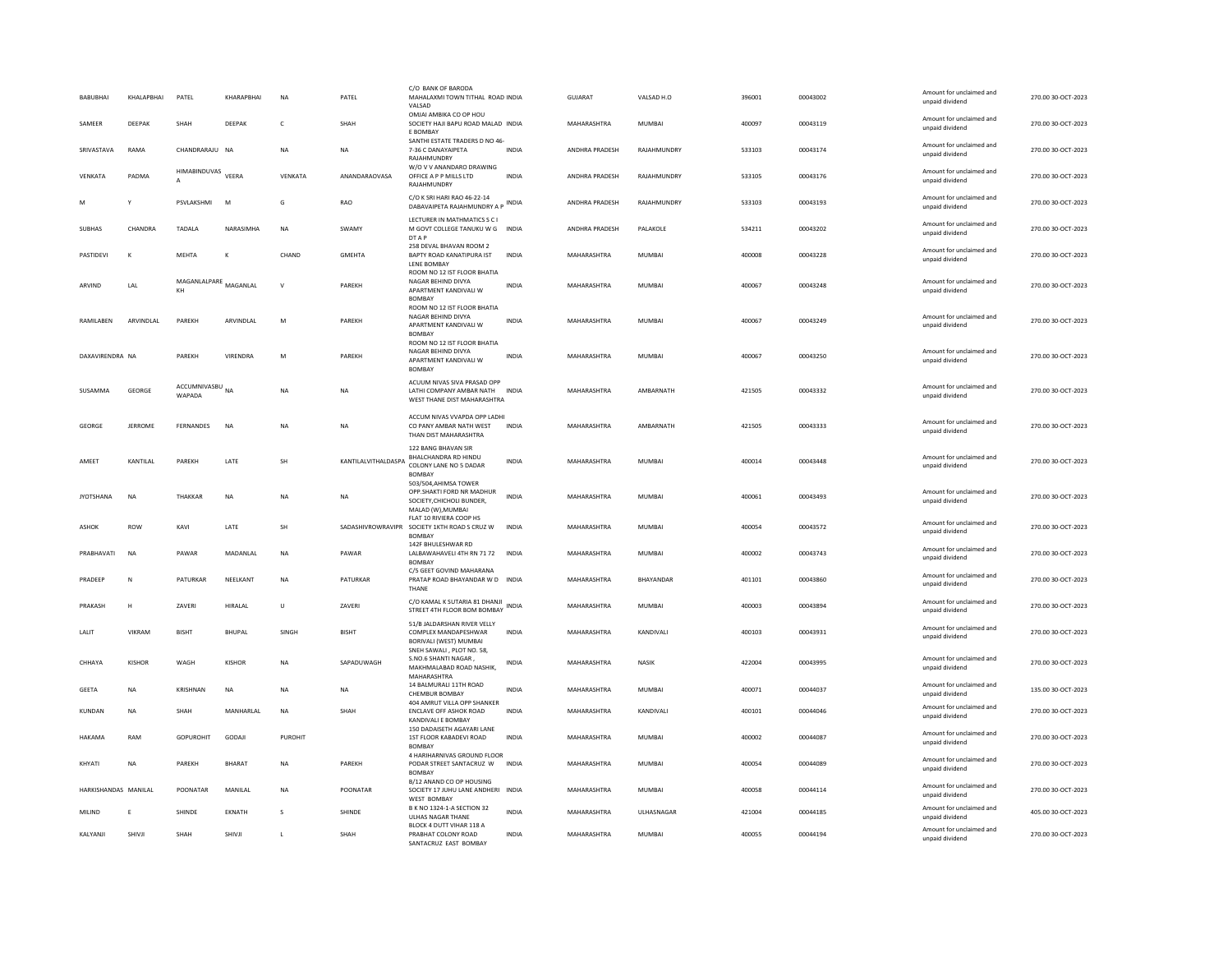| BABUBHAI             | KHALAPBHAI    | PATEL                              | KHARAPBHAI    | N <sub>A</sub> | PATEL               | C/O BANK OF BARODA<br>MAHALAXMI TOWN TITHAL ROAD INDIA<br>VALSAD                                     |              | GUJARAT               | VALSAD H.O    | 396001 | 00043002 | Amount for unclaimed and<br>unpaid dividend | 270.00 30-OCT-2023 |
|----------------------|---------------|------------------------------------|---------------|----------------|---------------------|------------------------------------------------------------------------------------------------------|--------------|-----------------------|---------------|--------|----------|---------------------------------------------|--------------------|
| SAMEER               | DEEPAK        | SHAH                               | DEEPAK        | $\mathsf{C}$   | SHAH                | OMJAI AMBIKA CO OP HOU<br>SOCIETY HAJI BAPU ROAD MALAD INDIA<br>E BOMBAY                             |              | MAHARASHTRA           | MUMBAI        | 400097 | 00043119 | Amount for unclaimed and<br>unpaid dividend | 270.00 30-OCT-2023 |
| SRIVASTAVA           | RAMA          | CHANDRARAILI NA                    |               | <b>NA</b>      | <b>NA</b>           | SANTHI ESTATE TRADERS D NO 46-<br>7-36 C DANAYAIPETA<br>RAJAHMUNDRY                                  | <b>INDIA</b> | <b>ANDHRA PRADESH</b> | RAIAHMUNDRY   | 533103 | 00043174 | Amount for unclaimed and<br>unpaid dividend | 270.00 30-OCT-2023 |
| VENKATA              | PADMA         | HIMABINDUVAS VEERA<br>$\mathsf{A}$ |               | VENKATA        | ANANDARAOVASA       | W/O V V ANANDARO DRAWING<br>OFFICE A P P MILLS LTD<br>RAJAHMUNDRY                                    | <b>INDIA</b> | ANDHRA PRADESH        | RAJAHMUNDRY   | 533105 | 00043176 | Amount for unclaimed and<br>unnaid dividend | 270.00 30-OCT-2023 |
| M                    | Y             | PSVLAKSHMI                         | M             | G              | RAO                 | C/O K SRI HARI RAO 46-22-14<br>DABAVAIPETA RAJAHMUNDRY A P                                           | <b>INDIA</b> | ANDHRA PRADESH        | RAJAHMUNDRY   | 533103 | 00043193 | Amount for unclaimed and<br>unpaid dividend | 270.00 30-OCT-2023 |
| <b>SUBHAS</b>        | CHANDRA       | <b>TADAIA</b>                      | NARASIMHA     | <b>NA</b>      | <b>SWAMY</b>        | LECTURER IN MATHMATICS S C I<br>M GOVT COLLEGE TANUKU W G INDIA<br>DT A P                            |              | <b>ANDHRA PRADESH</b> | PALAKOLE      | 534211 | 00043202 | Amount for unclaimed and<br>unpaid dividend | 270.00.30-OCT-2023 |
| PASTIDEVI            | K             | MEHTA                              |               | CHAND          | GMEHTA              | 258 DEVAL BHAVAN ROOM 2<br>BAPTY ROAD KANATIPURA IST<br>LENE BOMBAY                                  | INDIA        | MAHARASHTRA           | MUMBAI        | 400008 | 00043228 | Amount for unclaimed and<br>unpaid dividend | 270.00 30-OCT-2023 |
| ARVIND               | LAL           | MAGANLALPARE<br>KH                 | MAGANLAL      | $\mathsf{V}$   | PAREKH              | ROOM NO 12 IST FLOOR BHATIA<br>NAGAR BEHIND DIVYA<br>APARTMENT KANDIVALI W<br><b>BOMBAY</b>          | <b>INDIA</b> | MAHARASHTRA           | <b>MUMBAI</b> | 400067 | 00043248 | Amount for unclaimed and<br>unpaid dividend | 270.00 30-OCT-2023 |
| RAMILABEN            | ARVINDLAL     | PAREKH                             | ARVINDLAL     | M              | PAREKH              | ROOM NO 12 IST FLOOR BHATIA<br>NAGAR BEHIND DIVYA<br>APARTMENT KANDIVALI W<br><b>BOMBAY</b>          | <b>INDIA</b> | MAHARASHTRA           | <b>MUMBAI</b> | 400067 | 00043249 | Amount for unclaimed and<br>unpaid dividend | 270.00 30-OCT-2023 |
| DAXAVIRENDRA NA      |               | PARFKH                             | VIRENDRA      | M              | PARFKH              | ROOM NO 12 IST FLOOR BHATIA<br>NAGAR BEHIND DIVYA<br>APARTMENT KANDIVALI W<br><b>BOMBAY</b>          | <b>INDIA</b> | MAHARASHTRA           | MUMBAI        | 400067 | 00043250 | Amount for unclaimed and<br>unpaid dividend | 270.00 30-OCT-2023 |
| SUSAMMA              | GEORGE        | ACCUMNIVASBU<br>WAPADA             | <b>NA</b>     | NA             | <b>NA</b>           | ACUUM NIVAS SIVA PRASAD OPP<br>LATHI COMPANY AMBAR NATH INDIA<br>WEST THANE DIST MAHARASHTRA         |              | MAHARASHTRA           | AMBARNATH     | 421505 | 00043332 | Amount for unclaimed and<br>unpaid dividend | 270.00 30-OCT-2023 |
| GEORGE               | JERROME       | FERNANDES                          | <b>NA</b>     | NA             | <b>NA</b>           | ACCUM NIVAS VVAPDA OPP LADHI<br>CO PANY AMBAR NATH WEST<br>THAN DIST MAHARASHTRA                     | <b>INDIA</b> | MAHARASHTRA           | AMBARNATH     | 421505 | 00043333 | Amount for unclaimed and<br>unpaid dividend | 270.00 30-OCT-2023 |
| AMEET                | KANTILAL      | PAREKH                             | LATE          | SH             | KANTILALVITHALDASPA | 122 BANG BHAVAN SIR<br>BHALCHANDRA RD HINDU<br>COLONY LANE NO 5 DADAR<br><b>BOMBA</b>                | <b>INDIA</b> | MAHARASHTRA           | <b>MUMBAI</b> | 400014 | 00043448 | Amount for unclaimed and<br>unpaid dividend | 270.00 30-OCT-2023 |
| <b>JYOTSHANA</b>     | NA            | THAKKAR                            | NA            | NA             | NA                  | 503/504, AHIMSA TOWER<br>OPP.SHAKTI FORD NR MADHUR<br>SOCIETY, CHICHOLI BUNDER,<br>MALAD (W), MUMBAI | <b>INDIA</b> | MAHARASHTRA           | MUMBAI        | 400061 | 00043493 | Amount for unclaimed and<br>unnaid dividend | 270.00 30-OCT-2023 |
| <b>ASHOK</b>         | ROW           | KAVI                               | LATE          | SH             | SADASHIVROWRAVIPR   | FLAT 10 RIVIERA COOP HS<br>SOCIETY 1KTH ROAD S CRUZ W<br><b>BOMBAY</b>                               | <b>INDIA</b> | MAHARASHTRA           | MUMBAI        | 400054 | 00043572 | Amount for unclaimed and<br>unpaid dividend | 270.00 30-OCT-2023 |
| PRABHAVATI           | <b>NA</b>     | PAWAR                              | MADANLAL      | N <sub>A</sub> | PAWAR               | 142F BHULESHWAR RD<br>LALBAWAHAVELI 4TH RN 71 72 INDIA<br><b>BOMBAY</b>                              |              | MAHARASHTRA           | <b>MUMBAI</b> | 400002 | 00043743 | Amount for unclaimed and<br>unpaid dividend | 270.00 30-OCT-2023 |
| PRADEEP              | N             | PATURKAR                           | NEELKANT      | <b>NA</b>      | PATURKAR            | C/5 GEET GOVIND MAHARANA<br>PRATAP ROAD BHAYANDAR W D INDIA<br>THANE                                 |              | MAHARASHTRA           | BHAYANDAR     | 401101 | 00043860 | Amount for unclaimed and<br>unpaid dividend | 270.00 30-OCT-2023 |
| PRAKASH              | н             | ZAVERI                             | HIRALAL       | $\cup$         | ZAVERI              | C/O KAMAL K SUTARIA 81 DHANJI<br>STREET 4TH FLOOR BOM BOMBAY                                         | <b>INDIA</b> | MAHARASHTRA           | <b>MUMBAI</b> | 400003 | 00043894 | Amount for unclaimed and<br>unpaid dividend | 270.00 30-OCT-2023 |
| LALIT                | VIKRAM        | <b>BISHT</b>                       | <b>BHUPAL</b> | SINGH          | <b>BISHT</b>        | 51/B JALDARSHAN RIVER VELLY<br>COMPLEX MANDAPESHWAR<br>BORIVALI (WEST) MUMBAI                        | <b>INDIA</b> | MAHARASHTRA           | KANDIVALI     | 400103 | 00043931 | Amount for unclaimed and<br>unpaid dividend | 270.00 30-OCT-2023 |
| CHHAYA               | <b>KISHOR</b> | WAGH                               | KISHOR        | <b>NA</b>      | SAPADUWAGH          | SNEH SAWALI, PLOT NO. 58,<br>S.NO.6 SHANTI NAGAR<br>MAKHMALABAD ROAD NASHIK,<br>MAHARASHTRA          | <b>INDIA</b> | MAHARASHTRA           | <b>NASIK</b>  | 422004 | 00043995 | Amount for unclaimed and<br>unpaid dividend | 270.00 30-OCT-2023 |
| GEETA                | NA            | KRISHNAN                           | NA            | ΝA             | NA                  | 14 BALMURALI 11TH ROAD<br><b>CHEMBUR BOMBAY</b>                                                      | <b>INDIA</b> | MAHARASHTRA           | MUMBAI        | 400071 | 00044037 | Amount for unclaimed and<br>unpaid dividend | 135.00 30-OCT-2023 |
| <b>KUNDAN</b>        | <b>NA</b>     | SHAH                               | MANHARLAL     | <b>NA</b>      | SHAH                | 404 AMRUT VILLA OPP SHANKER<br><b>ENCLAVE OFF ASHOK ROAD</b><br>KANDIVALI E BOMBAY                   | <b>INDIA</b> | MAHARASHTRA           | KANDIVALI     | 400101 | 00044046 | Amount for unclaimed and<br>unpaid dividend | 270.00 30-OCT-2023 |
| HAKAMA               | RAM           | GOPUROHIT                          | GODAJI        | PUROHIT        |                     | 150 DADAISETH AGAYARI LANE<br>1ST FLOOR KABADEVI ROAD<br>BOMBAY                                      | <b>INDIA</b> | MAHARASHTRA           | MUMBAI        | 400002 | 00044087 | Amount for unclaimed and<br>unpaid dividend | 270.00 30-OCT-2023 |
| KHYATI               | NA            | PAREKH                             | BHARAT        | <b>NA</b>      | PAREKH              | 4 HARIHARNIVAS GROUND FLOOR<br>PODAR STREET SANTACRUZ W<br>BOMBAY                                    | <b>INDIA</b> | MAHARASHTRA           | MUMBAI        | 400054 | 00044089 | Amount for unclaimed and<br>unpaid dividend | 270.00 30-OCT-2023 |
| HARKISHANDAS MANILAI |               | POONATAR                           | MANILAL       | <b>NA</b>      | POONATAR            | B/12 ANAND CO OP HOUSING<br>SOCIETY 17 JUHU LANE ANDHERI INDIA<br><b>WEST BOMBAY</b>                 |              | MAHARASHTRA           | MUMBAI        | 400058 | 00044114 | Amount for unclaimed and<br>unpaid dividend | 270.00 30-OCT-2023 |
| MILIND               | E             | SHINDE                             | EKNATH        | s              | SHINDE              | B K NO 1324-1-A SECTION 32<br><b>ULHAS NAGAR THANE</b>                                               | <b>INDIA</b> | MAHARASHTRA           | ULHASNAGAR    | 421004 | 00044185 | Amount for unclaimed and<br>unpaid dividend | 405.00 30-OCT-2023 |
| KALYANJI             | SHIVJI        | SHAH                               | SHIVJI        | $\mathbf{L}$   | SHAH                | BLOCK 4 DUTT VIHAR 118 A<br>PRABHAT COLONY ROAD<br>SANTACRUZ FAST ROMRAY                             | <b>INDIA</b> | MAHARASHTRA           | MUMBAI        | 400055 | 00044194 | Amount for unclaimed and<br>unpaid dividend | 270.00 30-OCT-2023 |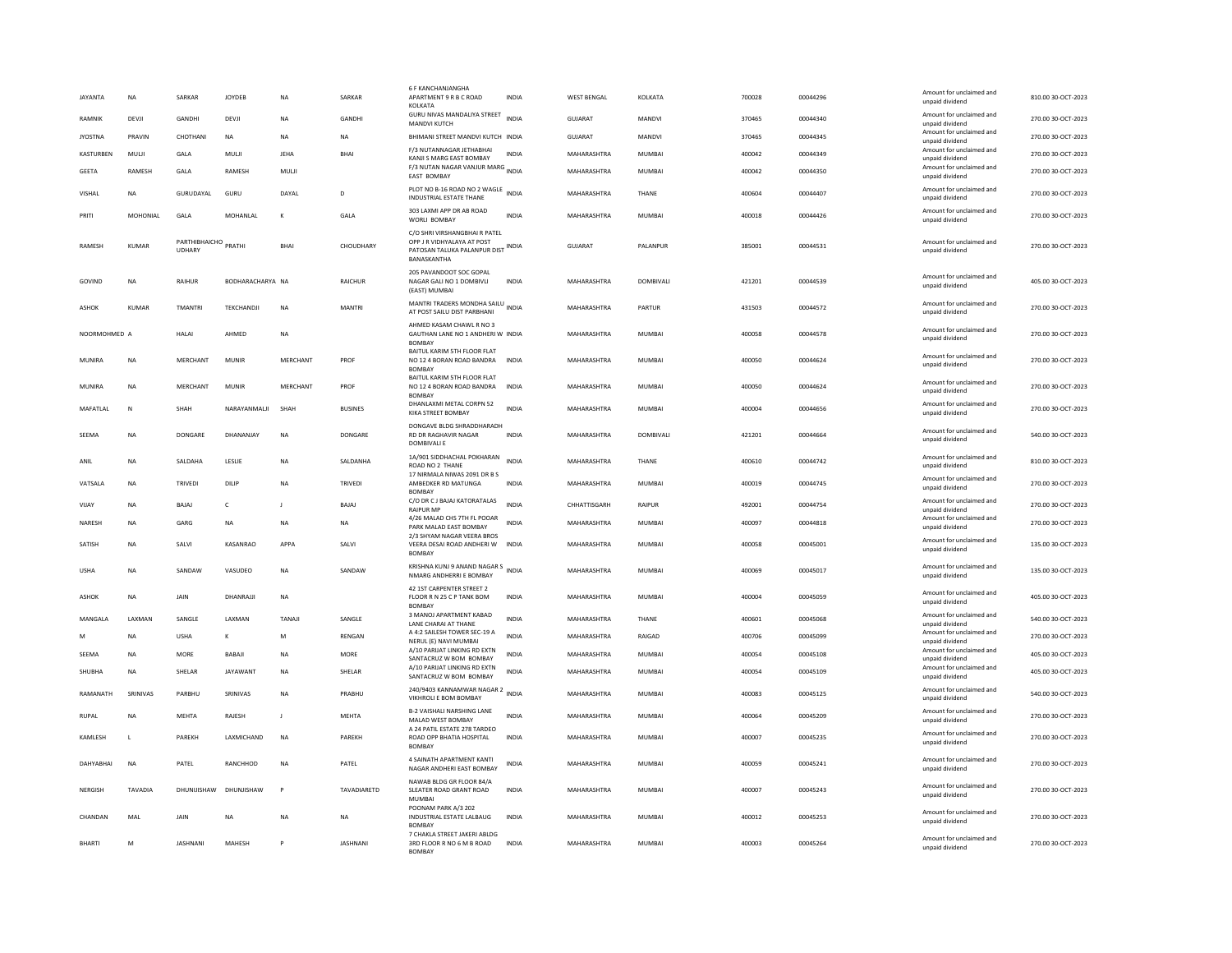| <b>JAYANTA</b> | <b>NA</b>      | SARKAR                                | <b>JOYDEB</b>    | <b>NA</b>    | SARKAR          | <b>6 F KANCHANJANGHA</b><br>APARTMENT 9 R B C ROAD<br>KOLKATA                                                    | <b>INDIA</b> | <b>WEST BENGAL</b> | KOLKATA       | 700028 | 00044296 | Amount for unclaimed and<br>unpaid dividend | 810.00 30-OCT-2023 |
|----------------|----------------|---------------------------------------|------------------|--------------|-----------------|------------------------------------------------------------------------------------------------------------------|--------------|--------------------|---------------|--------|----------|---------------------------------------------|--------------------|
| <b>RAMNIK</b>  | DEVJI          | <b>GANDHI</b>                         | DEVJI            | <b>NA</b>    | GANDHI          | GURU NIVAS MANDALIYA STREET INDIA<br>MANDVI KUTCH                                                                |              | <b>GUJARAT</b>     | MANDVI        | 370465 | 00044340 | Amount for unclaimed and<br>unpaid dividend | 270.00 30-OCT-2023 |
| <b>JYOSTNA</b> | PRAVIN         | CHOTHANI                              | NA               | <b>NA</b>    | NA              | BHIMANI STREET MANDVI KUTCH INDIA                                                                                |              | GUJARAT            | MANDVI        | 370465 | 00044345 | Amount for unclaimed and<br>unpaid dividend | 270.00 30-OCT-2023 |
| KASTURBEN      | MULJI          | GALA                                  | MULI             | <b>JEHA</b>  | BHAI            | F/3 NUTANNAGAR JETHABHAI<br>KANJI S MARG EAST BOMBAY                                                             | <b>INDIA</b> | MAHARASHTRA        | MUMBAI        | 400042 | 00044349 | Amount for unclaimed and<br>unpaid dividend | 270.00 30-OCT-2023 |
| GEETA          | RAMESH         | GALA                                  | RAMESH           | MULI         |                 | F/3 NUTAN NAGAR VANJUR MARG INDIA<br><b>EAST BOMBAY</b>                                                          |              | MAHARASHTRA        | MUMBAI        | 400042 | 00044350 | Amount for unclaimed and<br>unpaid dividend | 270.00 30-OCT-2023 |
| VISHAL         | <b>NA</b>      | GURUDAYAL                             | GURU             | DAYAL        | D               | PLOT NO B-16 ROAD NO 2 WAGLE<br>INDUSTRIAL ESTATE THANE                                                          | <b>INDIA</b> | MAHARASHTRA        | THANE         | 400604 | 00044407 | Amount for unclaimed and<br>unpaid dividend | 270.00 30-OCT-2023 |
| PRITI          | MOHONIAL       | GALA                                  | MOHANLAL         | К            | GALA            | 303 LAXMI APP DR AB ROAD<br>WORLI BOMBAY                                                                         | <b>INDIA</b> | MAHARASHTRA        | <b>MUMBAI</b> | 400018 | 00044426 | Amount for unclaimed and<br>unpaid dividend | 270.00 30-OCT-2023 |
| <b>RAMESH</b>  | <b>KUMAR</b>   | PARTHIBHAICHO PRATHI<br><b>UDHARY</b> |                  | <b>BHA</b>   | CHOUDHARY       | C/O SHRI VIRSHANGBHAI R PATEL<br>OPP J R VIDHYALAYA AT POST<br>PATOSAN TALUKA PALANPUR DIST INDIA<br>BANASKANTHA |              | <b>GUJARAT</b>     | PALANPUR      | 385001 | 00044531 | Amount for unclaimed and<br>unpaid dividend | 270.00 30-OCT-2023 |
| GOVIND         | <b>NA</b>      | RAIHUR                                | BODHARACHARYA NA |              | <b>RAICHUR</b>  | 205 PAVANDOOT SOC GOPAL<br>NAGAR GALI NO 1 DOMBIVLI<br>(EAST) MUMBAI                                             | <b>INDIA</b> | MAHARASHTRA        | DOMBIVALI     | 421201 | 00044539 | Amount for unclaimed and<br>unpaid dividend | 405.00 30-OCT-2023 |
| ASHOK          | <b>KUMAR</b>   | TMANTR                                | TEKCHANDJI       | NA           | <b>MANTRI</b>   | MANTRI TRADERS MONDHA SAILU<br>AT POST SAILU DIST PARBHANI                                                       | <b>INDIA</b> | MAHARASHTRA        | PARTUR        | 431503 | 00044572 | Amount for unclaimed and<br>unpaid dividend | 270.00 30-OCT-2023 |
| NOORMOHMED A   |                | <b>HALAI</b>                          | AHMED            | <b>NA</b>    |                 | AHMED KASAM CHAWL R NO 3<br>GAUTHAN LANE NO 1 ANDHERI W INDIA<br><b>BOMBAY</b>                                   |              | MAHARASHTRA        | <b>MUMBAI</b> | 400058 | 00044578 | Amount for unclaimed and<br>unpaid dividend | 270.00 30-OCT-2023 |
| MUNIRA         | <b>NA</b>      | MERCHANT                              | MUNIR            | MERCHANT     | PROF            | BAITUL KARIM 5TH FLOOR FLAT<br>NO 12 4 BORAN ROAD BANDRA<br><b>BOMBAY</b>                                        | <b>INDIA</b> | MAHARASHTRA        | MUMBAI        | 400050 | 00044624 | Amount for unclaimed and<br>unpaid dividend | 270.00 30-OCT-2023 |
| MUNIRA         | <b>NA</b>      | MERCHANT                              | <b>MUNIR</b>     | MERCHANT     | PROF            | BAITUL KARIM 5TH FLOOR FLAT<br>NO 12 4 BORAN ROAD BANDRA<br><b>BOMBAY</b>                                        | <b>INDIA</b> | MAHARASHTRA        | MUMBAI        | 400050 | 00044624 | Amount for unclaimed and<br>unpaid dividend | 270.00 30-OCT-2023 |
| MAFATLAL       | ${\sf N}$      | SHAH                                  | NARAYANMALJI     | SHAH         | <b>BUSINES</b>  | DHANLAXMI METAL CORPN 52<br>KIKA STREET BOMBAY                                                                   | <b>INDIA</b> | MAHARASHTRA        | <b>MUMBAI</b> | 400004 | 00044656 | Amount for unclaimed and<br>unpaid dividend | 270.00 30-OCT-2023 |
| SEEMA          | NΑ             | <b>DONGARE</b>                        | DHANANJAY        | <b>NA</b>    | DONGARE         | DONGAVE BLDG SHRADDHARADH<br>RD DR RAGHAVIR NAGAR<br><b>DOMBIVALI E</b>                                          | INDIA        | MAHARASHTRA        | DOMBIVALI     | 421201 | 00044664 | Amount for unclaimed and<br>unpaid dividend | 540.00 30-OCT-2023 |
| ANIL           | <b>NA</b>      | SALDAHA                               | LESLIE           | <b>NA</b>    | SALDANHA        | 1A/901 SIDDHACHAL POKHARAN<br>ROAD NO 2 THANE                                                                    | <b>INDIA</b> | MAHARASHTRA        | THANE         | 400610 | 00044742 | Amount for unclaimed and<br>unpaid dividend | 810.00 30-OCT-2023 |
| VATSALA        | <b>NA</b>      | TRIVEDI                               | DILIP            | NA           | TRIVEDI         | 17 NIRMALA NIWAS 2091 DR B S<br>AMBEDKER RD MATUNGA<br>BOMBAY                                                    | <b>INDIA</b> | MAHARASHTRA        | <b>MUMBAI</b> | 400019 | 00044745 | Amount for unclaimed and<br>unpaid dividend | 270.00 30-OCT-2023 |
| VIJAY          | <b>NA</b>      | BAJAJ                                 | c                | J.           | BAJAJ           | C/O DR C J BAJAJ KATORATALAS<br><b>RAIPUR MF</b>                                                                 | <b>INDIA</b> | CHHATTISGARH       | RAIPUR        | 492001 | 00044754 | Amount for unclaimed and<br>unpaid dividend | 270.00 30-OCT-2023 |
| NARESH         | <b>NA</b>      | GARG                                  | NA               | NA           | NA              | 4/26 MALAD CHS 7TH FL POOAR<br>PARK MALAD EAST BOMBAY                                                            | <b>INDIA</b> | MAHARASHTRA        | MUMBAI        | 400097 | 00044818 | Amount for unclaimed and<br>unpaid dividend | 270.00 30-OCT-2023 |
| SATISH         | ΝA             | SALVI                                 | KASANRAO         | APPA         | SALVI           | 2/3 SHYAM NAGAR VEERA BROS<br>VEERA DESAI ROAD ANDHERI W<br>BOMBAY                                               | <b>INDIA</b> | MAHARASHTRA        | <b>MUMBAI</b> | 400058 | 00045001 | Amount for unclaimed and<br>unpaid dividend | 135.00 30-OCT-2023 |
| <b>USHA</b>    | <b>NA</b>      | SANDAW                                | VASUDEO          | NA           | SANDAW          | KRISHNA KUNJ 9 ANAND NAGAR S<br>NMARG ANDHERRI E BOMBAY                                                          |              | MAHARASHTRA        | <b>MUMBAI</b> | 400069 | 00045017 | Amount for unclaimed and<br>unpaid dividend | 135.00 30-OCT-2023 |
| ASHOK          | <b>NA</b>      | JAIN                                  | DHANRAJJI        | <b>NA</b>    |                 | 42 1ST CARPENTER STREET 2<br>FLOOR R N 25 C P TANK BOM<br><b>BOMBAY</b>                                          | INDIA        | MAHARASHTRA        | MUMBAI        | 400004 | 00045059 | Amount for unclaimed and<br>unpaid dividend | 405.00 30-OCT-2023 |
| MANGALA        | <b>I AXMAN</b> | <b>SANGLE</b>                         | <b>I AXMAN</b>   | TANAIL       | SANGLE          | 3 MANOJ APARTMENT KABAD<br><b>LANE CHARAI AT THANE</b>                                                           | <b>INDIA</b> | <b>MAHARASHTRA</b> | THANF         | 400601 | 00045068 | Amount for unclaimed and<br>unpaid dividend | 540.00 30-OCT-2023 |
| M              | <b>NA</b>      | <b>USHA</b>                           | к                | M            | RENGAN          | A 4:2 SAILESH TOWER SEC-19 A<br>NERUL (E) NAVI MUMBAI                                                            | <b>INDIA</b> | MAHARASHTRA        | RAIGAD        | 400706 | 00045099 | Amount for unclaimed and<br>unpaid dividend | 270.00 30-OCT-2023 |
| SEEMA          | <b>NA</b>      | <b>MORE</b>                           | BABAJI           | NA           | <b>MORE</b>     | A/10 PARUAT LINKING RD EXTN<br>SANTACRUZ W BOM BOMBAY                                                            | <b>INDIA</b> | MAHARASHTRA        | MUMBAI        | 400054 | 00045108 | Amount for unclaimed and<br>unpaid dividend | 405.00 30-OCT-2023 |
| SHUBHA         | <b>NA</b>      | SHELAR                                | <b>JAYAWANT</b>  | <b>NA</b>    | SHELAR          | A/10 PARUAT LINKING RD EXTN<br>SANTACRUZ W BOM BOMBAY                                                            | INDIA        | MAHARASHTRA        | MUMBAI        | 400054 | 00045109 | Amount for unclaimed and<br>unpaid dividend | 405.00 30-OCT-2023 |
| RAMANATH       | SRINIVAS       | PARRHIJ                               | SRINIVAS         | <b>NA</b>    | PRABHU          | 240/9403 KANNAMWAR NAGAR 2 INDIA<br>VIKHROLI E BOM BOMBAY                                                        |              | MAHARASHTRA        | MUMBAI        | 400083 | 00045125 | Amount for unclaimed and<br>unpaid dividend | 540.00 30-OCT-2023 |
| <b>RUPAL</b>   | NΑ             | MEHTA                                 | RAJESH           | $\mathbf{J}$ | MEHTA           | <b>B-2 VAISHALI NARSHING LANE</b><br>MALAD WEST BOMBAY                                                           | <b>INDIA</b> | MAHARASHTRA        | MUMBAI        | 400064 | 00045209 | Amount for unclaimed and<br>unpaid dividend | 270.00 30-OCT-2023 |
| KAMLESH        | $\mathbf{L}$   | PARFKH                                | LAXMICHAND       | <b>NA</b>    | PARFKH          | A 24 PATIL ESTATE 278 TARDEO<br>ROAD OPP BHATIA HOSPITAL<br><b>BOMBA</b>                                         | <b>INDIA</b> | MAHARASHTRA        | MUMBAI        | 400007 | 00045235 | Amount for unclaimed and<br>unpaid dividend | 270.00 30-OCT-2023 |
| DAHYABHAI      | N <sub>A</sub> | PATEL                                 | RANCHHOD         | <b>NA</b>    | PATEL           | 4 SAINATH APARTMENT KANTI<br>NAGAR ANDHERI EAST BOMBAY                                                           | <b>INDIA</b> | MAHARASHTRA        | <b>MUMBAI</b> | 400059 | 00045241 | Amount for unclaimed and<br>unpaid dividend | 270.00 30-OCT-2023 |
| NERGISH        | TAVADIA        | DHUNIJISHAW                           | DHUNJISHAW       | P            | TAVADIARETD     | NAWAB BLDG GR FLOOR 84/A<br>SLEATER ROAD GRANT ROAD<br>MUMBAI                                                    | INDIA        | MAHARASHTRA        | MUMBAI        | 400007 | 00045243 | Amount for unclaimed and<br>unpaid dividend | 270.00 30-OCT-2023 |
| CHANDAN        | MAL            | JAIN                                  | <b>NA</b>        | <b>NA</b>    | <b>NA</b>       | POONAM PARK A/3 202<br>INDUSTRIAL ESTATE LALBAUG<br><b>BOMBAY</b>                                                | <b>INDIA</b> | MAHARASHTRA        | <b>MUMBAI</b> | 400012 | 00045253 | Amount for unclaimed and<br>unpaid dividend | 270.00 30-OCT-2023 |
| <b>BHARTI</b>  | M              | <b>IASHNANI</b>                       | MAHESH           |              | <b>IASHNANI</b> | 7 CHAKLA STREET JAKERI ABLDG<br>3RD FLOOR R NO 6 M B ROAD<br><b>BOMBAY</b>                                       | <b>INDIA</b> | MAHARASHTRA        | MUMBAI        | 400003 | 00045264 | Amount for unclaimed and<br>unpaid dividend | 270.00 30-OCT-2023 |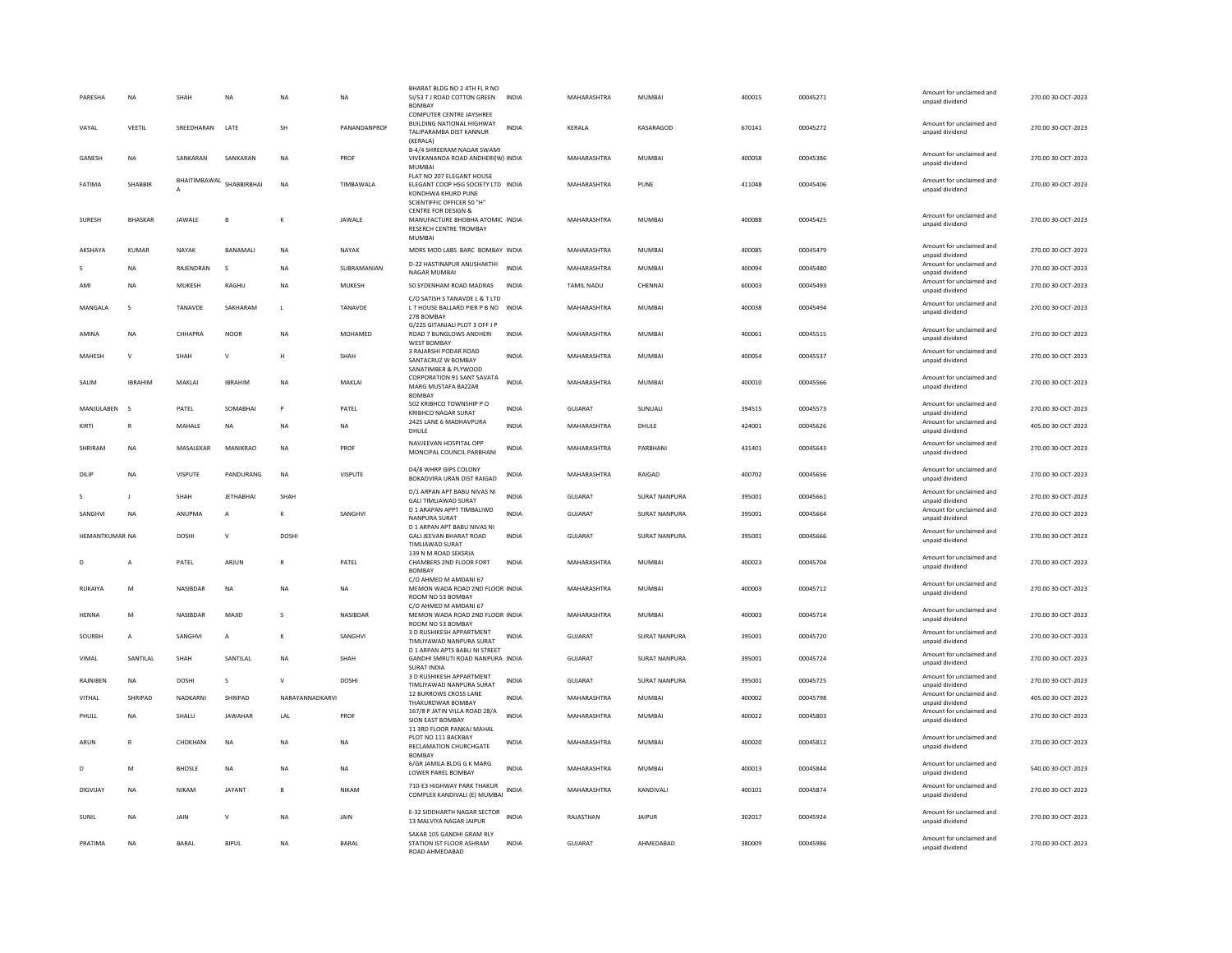| PARESHA        | <b>NA</b>      | SHAH            | <b>NA</b>        | NΑ             | <b>NA</b>    | BHARAT BLDG NO 2 4TH FL R NO<br>5I/53 T J ROAD COTTON GREEN<br>BOMBAY<br><b>COMPUTER CENTRE JAYSHREE</b><br><b>BUILDING NATIONAL HIGHWAY</b> | <b>INDIA</b> | MAHARASHTRA    | MUMBAI               | 400015 | 00045271 | Amount for unclaimed and<br>unpaid dividend<br>Amount for unclaimed and | 270.00 30-OCT-2023 |
|----------------|----------------|-----------------|------------------|----------------|--------------|----------------------------------------------------------------------------------------------------------------------------------------------|--------------|----------------|----------------------|--------|----------|-------------------------------------------------------------------------|--------------------|
| VAYAL          | VEETIL         | SREEDHARAN      | LATE             | <b>SH</b>      | PANANDANPROF | TALIPARAMBA DIST KANNUR<br>(KFRAIA)<br><b>B-4/4 SHREERAM NAGAR SWAMI</b>                                                                     | <b>INDIA</b> | KERALA         | KASARAGOD            | 670141 | 00045272 | unpaid dividend                                                         | 270.00 30-OCT-2023 |
| GANESH         | <b>NA</b>      | SANKARAN        | SANKARAN         | <b>NA</b>      | PROF         | VIVEKANANDA ROAD ANDHERI(W) INDIA<br><b>MUMBAI</b><br>FLAT NO 207 ELEGANT HOUSE                                                              |              | MAHARASHTRA    | <b>MUMBAI</b>        | 400058 | 00045386 | Amount for unclaimed and<br>unpaid dividend                             | 270.00 30-OCT-2023 |
| FATIMA         | SHARRIR        | BHAITIMBAWAL    | SHARRIRRHAI      | <b>NA</b>      | TIMBAWALA    | ELEGANT COOP HSG SOCIETY LTD INDIA<br>KONDHWA KHURD PUNE<br>SCIENTIFFIC OFFICER 50 "H"                                                       |              | MAHARASHTRA    | PUNE                 | 411048 | 00045406 | Amount for unclaimed and<br>unpaid dividend                             | 270.00 30-OCT-2023 |
| SURESH         | <b>BHASKAR</b> | JAWALE          | B                | K              | JAWALE       | CENTRE FOR DESIGN &<br>MANUFACTURE BHOBHA ATOMIC INDIA<br>RESERCH CENTRE TROMBAY<br><b>MUMBA</b>                                             |              | MAHARASHTRA    | MUMBAI               | 400088 | 00045425 | Amount for unclaimed and<br>unpaid dividend                             | 270.00 30-OCT-2023 |
| AKSHAYA        | <b>KUMAR</b>   | NAYAK           | <b>BANAMAL</b>   | <b>NA</b>      | NAYAK        | MDRS MOD LABS BARC BOMBAY INDIA                                                                                                              |              | MAHARASHTRA    | MUMBAI               | 400085 | 00045479 | Amount for unclaimed and<br>unpaid dividend                             | 270.00 30-OCT-2023 |
|                | <b>NA</b>      | RAJENDRAN       |                  | NA             | SUBRAMANIAN  | D-22 HASTINAPUR ANUSHAKTHI<br>NAGAR MUMBAI                                                                                                   | <b>INDIA</b> | MAHARASHTRA    | <b>MUMBAI</b>        | 400094 | 00045480 | Amount for unclaimed and<br>unpaid dividend                             | 270.00 30-OCT-2023 |
| AMI            | NA             | MUKESH          | RAGHU            | NA             | MUKESH       | 50 SYDENHAM ROAD MADRAS                                                                                                                      | INDIA        | TAMIL NADU     | CHENNAI              | 600003 | 00045493 | Amount for unclaimed and<br>unpaid dividend                             | 270.00 30-OCT-2023 |
| MANGALA        | $\mathbf{S}$   | <b>TANAVDE</b>  | SAKHARAM         | $\mathbf{L}$   | TANAVDE      | C/O SATISH S TANAVDE L & T LTD<br>LT HOUSE BALLARD PIER P B NO INDIA<br>278 BOMBAY<br>G/225 GITANJALI PLOT 3 OFF J P                         |              | MAHARASHTRA    | MUMBAI               | 400038 | 00045494 | Amount for unclaimed and<br>unpaid dividend                             | 270.00 30-OCT-2023 |
| AMINA          | NA             | CHHAPRA         | <b>NOOR</b>      | <b>NA</b>      | MOHAMED      | ROAD 7 BUNGLOWS ANDHERI<br><b>WEST BOMBAY</b>                                                                                                | <b>INDIA</b> | MAHARASHTRA    | <b>MUMBAI</b>        | 400061 | 00045515 | Amount for unclaimed and<br>unpaid dividend                             | 270.00 30-OCT-2023 |
| MAHESH         | $\mathsf{v}$   | SHAH            | v                | H              | SHAH         | 3 RAJARSHI PODAR ROAD<br>SANTACRUZ W BOMBAY<br>SANATIMBER & PLYWOOD                                                                          | <b>INDIA</b> | MAHARASHTRA    | <b>MUMBA</b>         | 400054 | 00045537 | Amount for unclaimed and<br>unpaid dividend                             | 270.00 30-OCT-2023 |
| SALIM          | <b>IBRAHIM</b> | MAKLAI          | <b>IBRAHIM</b>   | <b>NA</b>      | MAKLAI       | CORPORATION 91 SANT SAVATA<br>MARG MUSTAFA BAZZAR<br><b>BOMBAY</b>                                                                           | <b>INDIA</b> | MAHARASHTRA    | <b>MUMBAI</b>        | 400010 | 00045566 | Amount for unclaimed and<br>unpaid dividend                             | 270.00 30-OCT-2023 |
| MANJULABEN     | $\sim$         | PATFI           | SOMARHAI         | P              | PATFI        | 502 KRIBHCO TOWNSHIP P O<br>KRIBHCO NAGAR SURAT                                                                                              | <b>INDIA</b> | GUIARAT        | <b>SUNUALL</b>       | 394515 | 00045573 | Amount for unclaimed and<br>unpaid dividend                             | 270.00 30-OCT-2023 |
| KIRTI          | $\mathbb{R}$   | MAHALE          | <b>NA</b>        | <b>NA</b>      | <b>NA</b>    | 2425 LANE 6 MADHAVPURA<br>DHULE                                                                                                              | <b>INDIA</b> | MAHARASHTRA    | DHULE                | 424001 | 00045626 | Amount for unclaimed and<br>unpaid dividend                             | 405.00 30-OCT-2023 |
| SHRIRAM        | NA             | MASALEKAR       | MANIKRAO         | <b>NA</b>      | PROF         | NAVJEEVAN HOSPITAL OPP<br>MONCIPAL COUNCIL PARBHANI                                                                                          | <b>INDIA</b> | MAHARASHTRA    | PARBHANI             | 431401 | 00045643 | Amount for unclaimed and<br>unpaid dividend                             | 270.00 30-OCT-2023 |
| DILIF          | NA             | <b>VISPUTE</b>  | PANDURANG        | NA             | VISPUTE      | D4/8 WHRP GIPS COLONY<br>BOKADVIRA URAN DIST RAIGAD                                                                                          | INDIA        | MAHARASHTRA    | RAIGAD               | 400702 | 00045656 | Amount for unclaimed and<br>unpaid dividend                             | 270.00 30-OCT-2023 |
| S              | $\mathbf{J}$   | SHAH            | <b>JETHABHAI</b> | SHAH           |              | D/1 ARPAN APT BABU NIVAS NI<br><b>GALI TIMLIAWAD SURAT</b>                                                                                   | <b>INDIA</b> | <b>GUJARAT</b> | <b>SURAT NANPURA</b> | 395001 | 00045661 | Amount for unclaimed and<br>unpaid dividend                             | 270.00 30-OCT-2023 |
| SANGHVI        | <b>NA</b>      | ANUPMA          | A                | К              | SANGHVI      | D 1 ARAPAN APPT TIMBALIWD<br>NANPURA SURAT                                                                                                   | <b>INDIA</b> | <b>GUJARAT</b> | <b>SURAT NANPURA</b> | 395001 | 00045664 | Amount for unclaimed and<br>unpaid dividend                             | 270.00 30-OCT-2023 |
| HEMANTKUMAR NA |                | <b>DOSHI</b>    | $\mathsf{V}$     | <b>DOSHI</b>   |              | D 1 ARPAN APT BABU NIVAS NI<br>GALI JEEVAN BHARAT ROAD<br>TIMLIAWAD SURAT                                                                    | <b>INDIA</b> | GUJARAT        | SURAT NANPURA        | 395001 | 00045666 | Amount for unclaimed and<br>unpaid dividend                             | 270.00 30-OCT-2023 |
| D              | $\overline{A}$ | PATEL           | ARJUN            | R              | PATEL        | 139 N M ROAD SEKSRIA<br>CHAMBERS 2ND FLOOR FORT<br><b>BOMBAY</b>                                                                             | <b>INDIA</b> | MAHARASHTRA    | <b>MUMBAI</b>        | 400023 | 00045704 | Amount for unclaimed and<br>unpaid dividend                             | 270.00 30-OCT-2023 |
| RUKAIYA        | M              | <b>NASIBDAR</b> | <b>NA</b>        | <b>NA</b>      | <b>NA</b>    | C/O AHMED M AMDANI 67<br>MEMON WADA ROAD 2ND FLOOR INDIA<br>ROOM NO 53 BOMBAY                                                                |              | MAHARASHTRA    | MUMBAI               | 400003 | 00045712 | Amount for unclaimed and<br>unpaid dividend                             | 270.00 30-OCT-2023 |
| HENNA          | M              | NASIBDAR        | MAJID            | s              | NASIBDAR     | C/O AHMED M AMDANI 67<br>MEMON WADA ROAD 2ND FLOOR INDIA<br>ROOM NO 53 BOMBAY                                                                |              | MAHARASHTRA    | MUMBAI               | 400003 | 00045714 | Amount for unclaimed and<br>unpaid dividend                             | 270.00 30-OCT-2023 |
| SOURBH         | $\mathsf{A}$   | SANGHVI         | $\overline{A}$   | K              | SANGHVI      | 3 D RUSHIKESH APPARTMENT<br>TIMLIYAWAD NANPURA SURAT                                                                                         | <b>INDIA</b> | GUJARAT        | SURAT NANPURA        | 395001 | 00045720 | Amount for unclaimed and<br>unpaid dividend                             | 270.00 30-OCT-2023 |
| VIMAL          | SANTILAL       | SHAH            | SANTILAL         | ΝA             | SHAH         | D 1 ARPAN APTS BARU NI STREET<br>GANDHI SMRUTI ROAD NANPURA INDIA<br><b>SURAT INDIA</b>                                                      |              | GUJARAT        | <b>SURAT NANPURA</b> | 395001 | 00045724 | Amount for unclaimed and<br>unpaid dividend                             | 270.00 30-OCT-2023 |
| RAINIRFN       | NA             | <b>DOSHI</b>    | $\sim$           | $\mathsf{V}$   | <b>DOSHI</b> | 3 D RUSHIKESH APPARTMENT<br>TIMLIYAWAD NANPURA SURAT                                                                                         | <b>INDIA</b> | GUIARAT        | <b>SURAT NANPURA</b> | 395001 | 00045725 | Amount for unclaimed and<br>unpaid dividend                             | 270.00.30-OCT-2023 |
| VITHAL         | SHRIPAD        | NADKARNI        | SHRIPAD          | NARAYANNADKARV |              | 12 BURROWS CROSS LANE<br>THAKURDWAR BOMBAY                                                                                                   | <b>INDIA</b> | MAHARASHTRA    | <b>MUMBAI</b>        | 400002 | 00045798 | Amount for unclaimed and<br>unpaid dividend                             | 405.00 30-OCT-2023 |
| PHULL          | <b>NA</b>      | SHALU           | <b>JAWAHAR</b>   | LAL            | PROF         | 167/8 P JATIN VILLA ROAD 28/A<br>SION EAST BOMBAY                                                                                            | <b>INDIA</b> | MAHARASHTRA    | <b>MUMBAI</b>        | 400022 | 00045803 | Amount for unclaimed and<br>unpaid dividend                             | 270.00 30-OCT-2023 |
| ARUN           | $\mathbb{R}$   | CHOKHANI        | <b>NA</b>        | <b>NA</b>      | <b>NA</b>    | 11 3RD FLOOR PANKAJ MAHAL<br>PLOT NO 111 BACKBAY<br>RECLAMATION CHURCHGATE<br><b>BOMBAY</b>                                                  | <b>INDIA</b> | MAHARASHTRA    | <b>MUMBAI</b>        | 400020 | 00045812 | Amount for unclaimed and<br>unpaid dividend                             | 270.00 30-OCT-2023 |
| D.             | M              | <b>BHOSLE</b>   | <b>NA</b>        | <b>NA</b>      | <b>NA</b>    | 6/GR JAMILA BLDG G K MARG<br>LOWER PAREL BOMBAY                                                                                              | <b>INDIA</b> | MAHARASHTRA    | MUMBAI               | 400013 | 00045844 | Amount for unclaimed and<br>unpaid dividend                             | 540.00 30-OCT-2023 |
| DIGVIJAY       | NA             | <b>NIKAM</b>    | JAYANT           | B              | NIKAM        | 710-E3 HIGHWAY PARK THAKUR<br>COMPLEX KANDIVALI (E) MUMBAI INDIA                                                                             |              | MAHARASHTRA    | KANDIVALI            | 400101 | 00045874 | Amount for unclaimed and<br>unpaid dividend                             | 270.00 30-OCT-2023 |
| SUNIL          | <b>NA</b>      | JAIN            | v                | <b>NA</b>      | JAIN         | E-32 SIDDHARTH NAGAR SECTOR<br>13 MALVIYA NAGAR JAIPUR                                                                                       | <b>INDIA</b> | RAJASTHAN      | <b>JAIPUR</b>        | 302017 | 00045924 | Amount for unclaimed and<br>unpaid dividend                             | 270.00 30-OCT-2023 |
| PRATIMA        | <b>NA</b>      | <b>BARAL</b>    | <b>BIPUI</b>     | <b>NA</b>      | <b>BARAL</b> | SAKAR 105 GANDHI GRAM RLY<br>STATION IST FLOOR ASHRAM<br>ROAD AHMEDARAD                                                                      | <b>INDIA</b> | GUIARAT        | AHMEDARAD            | 380009 | 00045986 | Amount for unclaimed and<br>unpaid dividend                             | 270.00 30-OCT-2023 |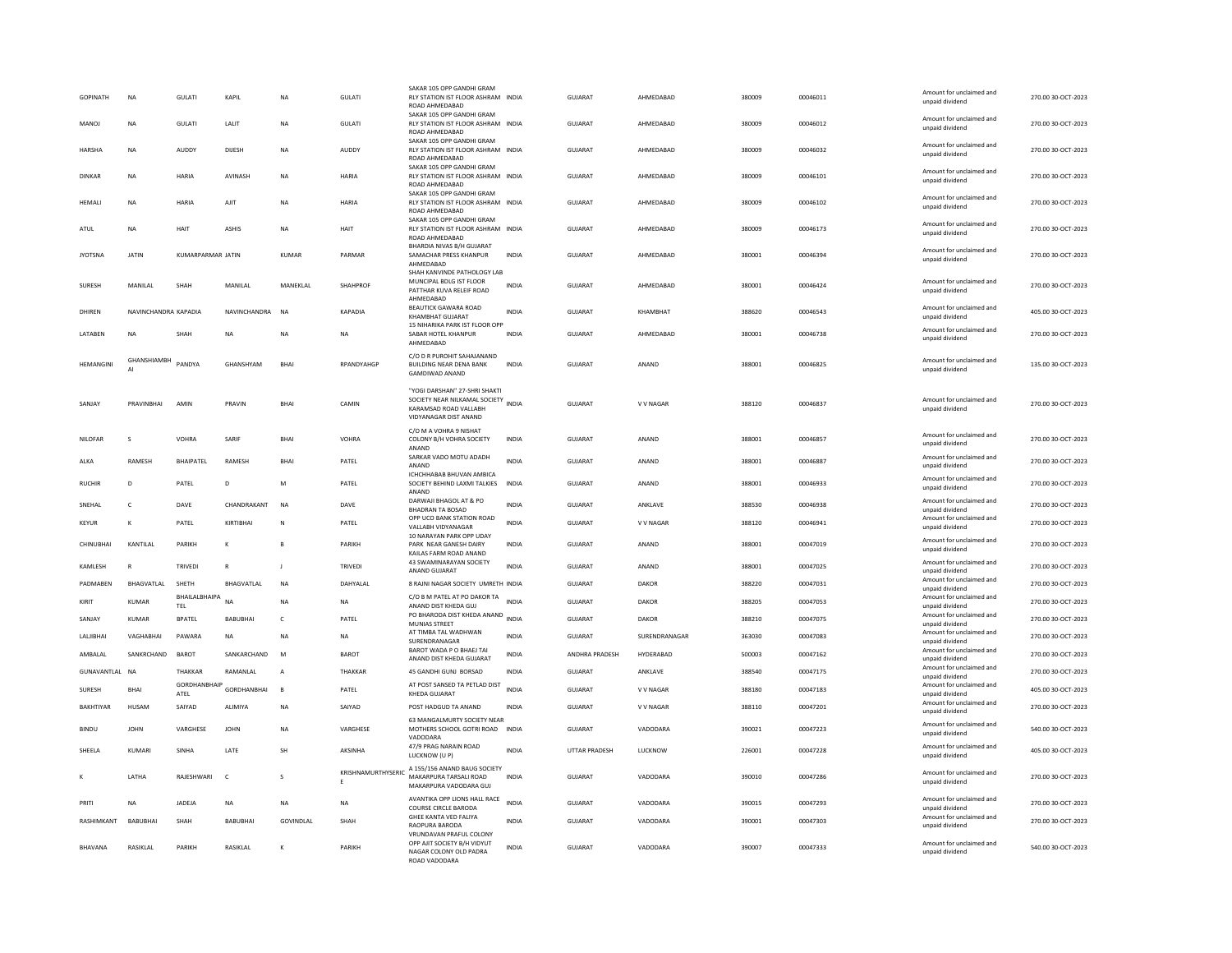| <b>GOPINATH</b>  | <b>NA</b>            | <b>GULATI</b>            | <b>KAPIL</b>     | <b>NA</b>         | <b>GULATI</b>           | SAKAR 105 OPP GANDHI GRAM<br>RLY STATION IST FLOOR ASHRAM INDIA<br>ROAD AHMEDABAD                                         |              | <b>GUJARAT</b>       | AHMEDABAD       | 380009 | 00046011 | Amount for unclaimed and<br>unpaid dividend                    | 270.00 30-OCT-2023 |
|------------------|----------------------|--------------------------|------------------|-------------------|-------------------------|---------------------------------------------------------------------------------------------------------------------------|--------------|----------------------|-----------------|--------|----------|----------------------------------------------------------------|--------------------|
| <b>MANOJ</b>     | NA                   | GULATI                   | LALIT            | <b>NA</b>         | GULATI                  | SAKAR 105 OPP GANDHI GRAM<br>RLY STATION IST FLOOR ASHRAM INDIA                                                           |              | GUJARAT              | AHMEDABAD       | 380009 | 00046012 | Amount for unclaimed and                                       | 270.00 30-OCT-2023 |
|                  |                      |                          |                  |                   |                         | ROAD AHMEDABAD<br>SAKAR 105 OPP GANDHI GRAM                                                                               |              |                      |                 |        |          | unpaid dividend                                                |                    |
| HARSHA           | NA                   | AUDDY                    | DIJESH           | NA                | AUDDY                   | RLY STATION IST FLOOR ASHRAM INDIA<br>ROAD AHMEDABAD                                                                      |              | GUJARAT              | AHMEDABAD       | 380009 | 00046032 | Amount for unclaimed and<br>unpaid dividend                    | 270.00 30-OCT-2023 |
| DINKAR           | NA                   | HARIA                    | AVINASH          | <b>NA</b>         | HARIA                   | SAKAR 105 OPP GANDHI GRAM<br>RLY STATION IST FLOOR ASHRAM INDIA<br>ROAD AHMEDABAD                                         |              | <b>GUJARAT</b>       | AHMEDABAD       | 380009 | 00046101 | Amount for unclaimed and<br>unpaid dividend                    | 270.00 30-OCT-2023 |
| HEMALI           | <b>NA</b>            | <b>HARIA</b>             | <b>AJIT</b>      | NA                | <b>HARIA</b>            | SAKAR 105 OPP GANDHI GRAM<br>RLY STATION IST FLOOR ASHRAM INDIA<br>ROAD AHMEDARAD                                         |              | <b>GUJARAT</b>       | AHMEDABAD       | 380009 | 00046102 | Amount for unclaimed and<br>unpaid dividend                    | 270.00 30-OCT-2023 |
| ATUL             | NA                   | HAIT                     | ASHIS            | <b>NA</b>         | HAIT                    | SAKAR 105 OPP GANDHI GRAM<br>RLY STATION IST FLOOR ASHRAM INDIA<br>ROAD AHMEDABAD                                         |              | GUJARAT              | AHMEDABAD       | 380009 | 00046173 | Amount for unclaimed and<br>unpaid dividend                    | 270.00 30-OCT-2023 |
| <b>JYOTSNA</b>   | <b>JATIN</b>         | <b>KUMARPARMAR JATIN</b> |                  | KUMAR             | PARMAR                  | BHARDIA NIVAS B/H GUJARAT<br>SAMACHAR PRESS KHANPUR<br>AHMEDABAD                                                          | <b>INDIA</b> | <b>GUJARAT</b>       | AHMEDABAD       | 380001 | 00046394 | Amount for unclaimed and<br>unpaid dividend                    | 270.00 30-OCT-2023 |
|                  |                      |                          |                  |                   |                         | SHAH KANVINDE PATHOLOGY LAB<br>MUNCIPAL BDLG IST FLOOR                                                                    |              |                      |                 |        |          | Amount for unclaimed and                                       |                    |
| SURESH           | MANILAL              | SHAH                     | MANILAL          | MANEKLAL          | SHAHPROF                | PATTHAR KUVA RELEIF ROAD<br>AHMEDABAD                                                                                     | <b>INDIA</b> | GUJARAT              | AHMEDABAD       | 380001 | 00046424 | unpaid dividend                                                | 270.00 30-OCT-2023 |
| DHIREN           | NAVINCHANDRA KAPADIA |                          | NAVINCHANDRA     | <b>NA</b>         | <b>KAPADIA</b>          | BEAUTICK GAWARA ROAD<br>KHAMBHAT GUJARAT<br>15 NIHARIKA PARK IST FLOOR OPP                                                | <b>INDIA</b> | <b>GUJARAT</b>       | KHAMBHAT        | 388620 | 00046543 | Amount for unclaimed and<br>unpaid dividend                    | 405.00 30-OCT-2023 |
| LATABEN          | NA                   | SHAH                     | <b>NA</b>        | <b>NA</b>         | NA                      | SABAR HOTEL KHANPUR<br>AHMEDABAD                                                                                          | <b>INDIA</b> | GUJARAT              | AHMEDABAD       | 380001 | 00046738 | Amount for unclaimed and<br>unpaid dividend                    | 270.00 30-OCT-2023 |
| <b>HFMANGINI</b> | <b>GHANSHIAMBH</b>   | PANDYA                   | GHANSHYAM        | <b>RHAI</b>       | RPANDYAHGP              | C/O D R PUROHIT SAHAJANAND<br>BUILDING NEAR DENA BANK<br><b>GAMDIWAD ANAND</b>                                            | <b>INDIA</b> | <b>GUJARAT</b>       | ANAND           | 388001 | 00046825 | Amount for unclaimed and<br>unpaid dividend                    | 135.00 30-OCT-2023 |
| SANJAY           | PRAVINBHAI           | AMIN                     | PRAVIN           | <b>BHAI</b>       | CAMIN                   | "YOGI DARSHAN" 27-SHRI SHAKTI<br>SOCIETY NEAR NILKAMAL SOCIETY<br>INDIA<br>KARAMSAD ROAD VALLARH<br>VIDYANAGAR DIST ANAND |              | GUJARAT              | V V NAGAR       | 388120 | 00046837 | Amount for unclaimed and<br>unpaid dividend                    | 270.00 30-OCT-2023 |
| <b>NILOFAR</b>   | s                    | VOHRA                    | SARIF            | <b>BHAI</b>       | VOHRA                   | C/O M A VOHRA 9 NISHAT<br>COLONY B/H VOHRA SOCIETY<br>ANAND                                                               | <b>INDIA</b> | <b>GUJARAT</b>       | ANAND           | 388001 | 00046857 | Amount for unclaimed and<br>unpaid dividend                    | 270.00 30-OCT-2023 |
| ALKA             | RAMESH               | BHAIPATEL                | RAMESH           | BHAI              | PATEL                   | SARKAR VADO MOTU ADADH<br>ANAND                                                                                           | INDIA        | GUJARAT              | ANAND           | 388001 | 00046887 | Amount for unclaimed and<br>unpaid dividend                    | 270.00 30-OCT-2023 |
| <b>RUCHIR</b>    | $\overline{D}$       | PATEL                    | $\overline{D}$   | M                 | PATEL                   | ICHCHHABAB BHUVAN AMBICA<br>SOCIETY BEHIND LAXMI TALKIES INDIA<br>ANAND                                                   |              | GUJARAT              | ANAND           | 388001 | 00046933 | Amount for unclaimed and<br>unpaid dividend                    | 270.00 30-OCT-2023 |
| SNEHAL           | c                    | DAVE                     | CHANDRAKANT      | <b>NA</b>         | DAVE                    | DARWAJI BHAGOL AT & PO<br><b>BHADRAN TA BOSAD</b>                                                                         | <b>INDIA</b> | GUJARAT              | ANKLAVE         | 388530 | 00046938 | Amount for unclaimed and<br>unpaid dividend                    | 270.00 30-OCT-2023 |
| KFYLIR           | K                    | PATFI                    | KIRTIBHAI        | N                 | PATFI                   | OPP UCO BANK STATION ROAD<br>VALLABH VIDYANAGAR                                                                           | <b>INDIA</b> | GUIARAT              | V V NAGAR       | 388120 | 00046941 | Amount for unclaimed and<br>unpaid dividend                    | 270.00 30-OCT-2023 |
| CHINUBHAI        | KANTILAL             | PARIKH                   |                  |                   | PARIKH                  | 10 NARAYAN PARK OPP UDAY<br>PARK NEAR GANESH DAIRY<br>KAILAS FARM ROAD ANAND                                              | <b>INDIA</b> | <b>GUJARAT</b>       | ANAND           | 388001 | 00047019 | Amount for unclaimed and<br>unpaid dividend                    | 270.00 30-OCT-2023 |
| KAMLESH          | R                    | <b>TRIVEDI</b>           | $\mathbb{R}$     | - 1               | <b>TRIVEDI</b>          | 43 SWAMINARAYAN SOCIETY<br>ANAND GUJARAT                                                                                  | <b>INDIA</b> | <b>GUJARAT</b>       | ANAND           | 388001 | 00047025 | Amount for unclaimed and<br>unpaid dividend                    | 270.00 30-OCT-2023 |
| PADMABEN         | BHAGVATLAL           | SHETH                    | BHAGVATLAL       | NA                | DAHYALAL                | 8 RAJNI NAGAR SOCIETY UMRETH INDIA                                                                                        |              | GUJARAT              | DAKOR           | 388220 | 00047031 | Amount for unclaimed and<br>unpaid dividend                    | 270.00 30-OCT-2023 |
| KIRIT            | KUMAR                | BHAILALBHAIPA<br>TEL     | <b>NA</b>        | NΑ                | NA                      | C/O B M PATEL AT PO DAKOR TAN<br>ANAND DIST KHEDA GUJ                                                                     |              | GUJARAT              | DAKOR           | 388205 | 00047053 | Amount for unclaimed and<br>unpaid dividend                    | 270.00 30-OCT-2023 |
| SANJAY           | <b>KUMAR</b>         | <b>BPATEL</b>            | BABUBHAI         | c                 | PATEL                   | PO BHARODA DIST KHEDA ANAND<br><b>MUNIAS STREET</b>                                                                       | <b>INDIA</b> | <b>GUJARAT</b>       | <b>DAKOR</b>    | 388210 | 00047075 | Amount for unclaimed and<br>unpaid dividend                    | 270.00 30-OCT-2023 |
| LALIBHAI         | VAGHABHAI            | PAWARA                   | <b>NA</b>        | <b>NA</b>         | <b>NA</b>               | AT TIMBA TAL WADHWAN<br>SURENDRANAGAR                                                                                     | <b>INDIA</b> | <b>GUJARAT</b>       | SURENDRANAGAR   | 363030 | 00047083 | Amount for unclaimed and<br>unpaid dividend                    | 270.00 30-OCT-2023 |
| AMBALAL          | SANKRCHAND           | <b>BAROT</b>             | SANKARCHAND      | M                 | BAROT                   | BAROT WADA P O BHAEJ TAI<br>ANAND DIST KHEDA GUJARAT                                                                      | INDIA        | ANDHRA PRADESH       | HYDERABAD       | 500003 | 00047162 | Amount for unclaimed and<br>unpaid dividend                    | 270.00 30-OCT-2023 |
| GUNAVANTLAL NA   |                      | THAKKAR                  | RAMANLAL         | $\overline{A}$    | THAKKAR                 | 45 GANDHI GUNJ BORSAD                                                                                                     | INDIA        | GUJARAT              | ANKLAVE         | 388540 | 00047175 | Amount for unclaimed and                                       | 270.00 30-OCT-2023 |
| SURESH           | <b>BHAI</b>          | GORDHANBHAIP             | GORDHANBHAI      | B                 | PATEL                   | AT POST SANSED TA PETLAD DIST                                                                                             | <b>INDIA</b> | GUJARAT              | V V NAGAR       | 388180 | 00047183 | unpaid dividend<br>Amount for unclaimed and                    | 405.00 30-OCT-2023 |
| <b>BAKHTIYAR</b> | HUSAM                | ATEL<br>SAIYAD           | <b>ALIMIYA</b>   | <b>NA</b>         | SAIYAD                  | <b>KHEDA GUJARAT</b><br>POST HADGUD TA ANAND                                                                              | <b>INDIA</b> | <b>GUJARAT</b>       | V V NAGAR       | 388110 | 00047201 | unpaid dividend<br>Amount for unclaimed and                    | 270.00 30-OCT-2023 |
| <b>BINDU</b>     | <b>JOHN</b>          | VARGHESE                 | <b>JOHN</b>      | NΑ                | VARGHESE                | 63 MANGALMURTY SOCIETY NEAR<br>MOTHERS SCHOOL GOTRI ROAD                                                                  | <b>INDIA</b> | GUJARAT              | VADODARA        | 390021 | 00047223 | unpaid dividend<br>Amount for unclaimed and<br>unpaid dividend | 540.00 30-OCT-2023 |
| SHEELA           | KUMARI               | SINHA                    | <b>I ATF</b>     | <b>SH</b>         | <b>AKSINHA</b>          | VADODARA<br>47/9 PRAG NARAIN ROAD<br>LUCKNOW (U P)                                                                        | <b>INDIA</b> | <b>UTTAR PRADESH</b> | <b>ILICKNOW</b> | 226001 | 00047228 | Amount for unclaimed and<br>unpaid dividend                    | 405.00.30-OCT-2023 |
|                  | <b>I ATHA</b>        | RAJESHWARI               | $\mathsf{C}$     | s                 | KRISHNAMURTHYSERIC<br>E | A 155/156 ANAND BAUG SOCIETY<br>MAKARPURA TARSALI ROAD<br>MAKARPURA VADODARA GUJ                                          | <b>INDIA</b> | <b>GUJARAT</b>       | VADODARA        | 390010 | 00047286 | Amount for unclaimed and<br>unpaid dividend                    | 270.00 30-OCT-2023 |
| PRITI            | NA                   | JADEJA                   | <b>NA</b>        | <b>NA</b>         | NA                      | AVANTIKA OPP LIONS HALL RACE<br>COURSE CIRCLE BARODA                                                                      | <b>INDIA</b> | <b>GUJARAT</b>       | VADODARA        | 390015 | 00047293 | Amount for unclaimed and<br>unpaid dividend                    | 270.00 30-OCT-2023 |
| RASHIMKANT       | <b>BABURHAL</b>      | <b>SHAH</b>              | <b>BABURHAI</b>  | <b>GOVINDI AI</b> | SHAH                    | GHEE KANTA VED FALIYA<br>RAOPURA BARODA                                                                                   | <b>INDIA</b> | GUIARAT              | VADODARA        | 390001 | 00047303 | Amount for unclaimed and<br>unpaid dividend                    | 270.00.30-OCT-2023 |
| <b>RHAVANA</b>   | <b>RASIKI AI</b>     | PARIKH                   | <b>RASIKI AI</b> | ĸ                 | PARIKH                  | VRUNDAVAN PRAFUL COLONY<br>OPP AJIT SOCIETY B/H VIDYUT<br>NAGAR COLONY OLD PADRA<br>ROAD VADODARA                         | <b>INDIA</b> | GUIARAT              | VADODARA        | 390007 | 00047333 | Amount for unclaimed and<br>unpaid dividend                    | 540.00 30-OCT-2023 |
|                  |                      |                          |                  |                   |                         |                                                                                                                           |              |                      |                 |        |          |                                                                |                    |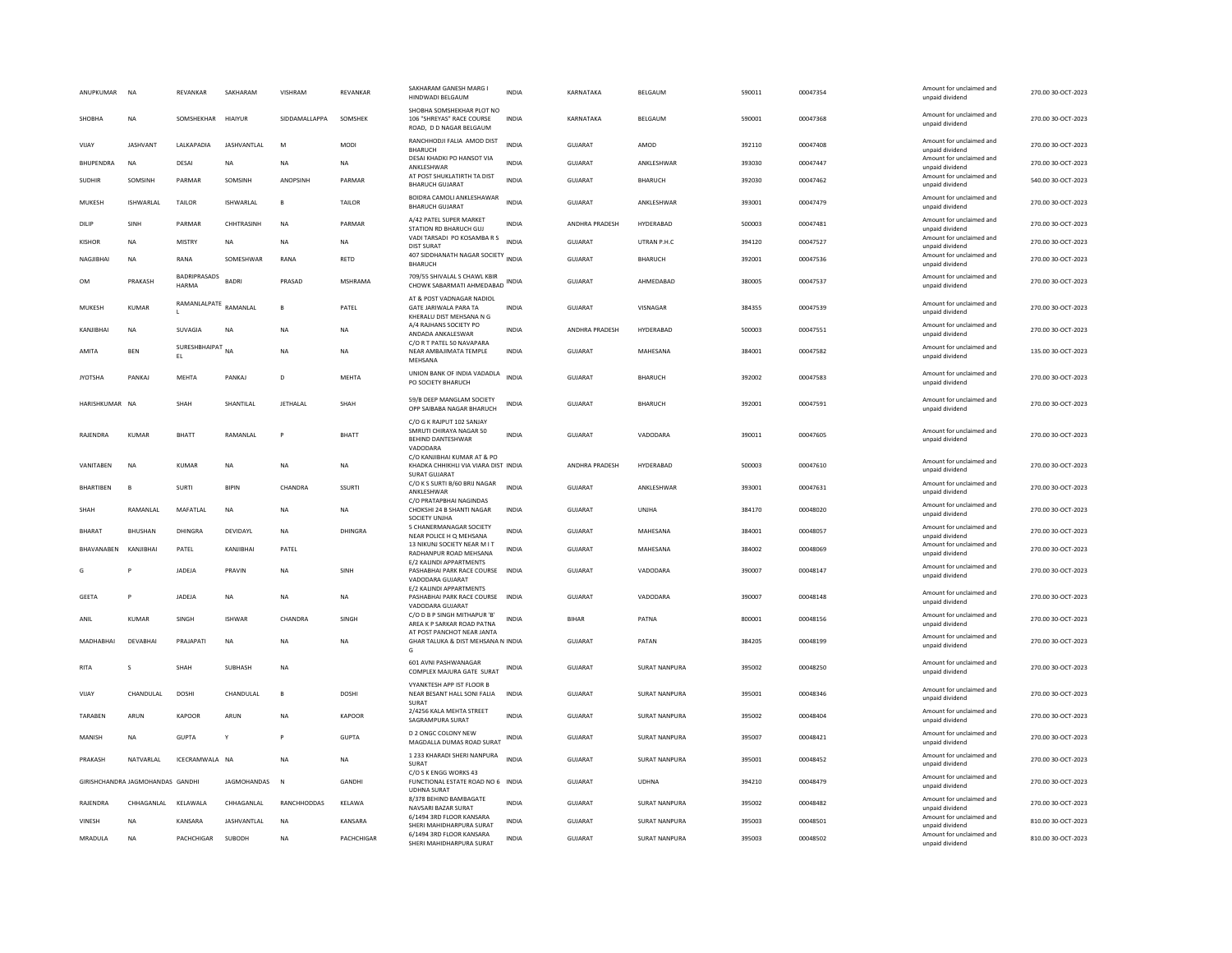| ANUPKUMAR         | <b>NA</b>                        | REVANKAR                   | SAKHARAM           | VISHRAM         | REVANKAR       | SAKHARAM GANESH MARG I<br>HINDWADI BELGAUM                                                  | <b>INDIA</b> | KARNATAKA      | BELGAUM              | 590011 | 00047354 | Amount for unclaimed and<br>unpaid dividend | 270.00 30-OCT-2023 |
|-------------------|----------------------------------|----------------------------|--------------------|-----------------|----------------|---------------------------------------------------------------------------------------------|--------------|----------------|----------------------|--------|----------|---------------------------------------------|--------------------|
| SHOBHA            | <b>NA</b>                        | SOMSHEKHAR                 | <b>HIAIYUR</b>     | SIDDAMALLAPPA   | SOMSHEK        | SHOBHA SOMSHEKHAR PLOT NO<br>106 "SHREYAS" RACE COURSE<br>ROAD. D D NAGAR BELGAUM           | <b>INDIA</b> | KARNATAKA      | BELGAUM              | 590001 | 00047368 | Amount for unclaimed and<br>unpaid dividend | 270.00 30-OCT-2023 |
| VIJAY             | <b>JASHVANT</b>                  | LALKAPADIA                 | <b>JASHVANTLAL</b> | M               | <b>MODI</b>    | RANCHHODJI FALIA AMOD DIST<br><b>BHARUCH</b>                                                | INDIA        | <b>GUJARAT</b> | AMOD                 | 392110 | 00047408 | Amount for unclaimed and<br>unpaid dividend | 270.00 30-OCT-2023 |
| BHUPENDRA         | <b>NA</b>                        | DESAI                      | NA                 | <b>NA</b>       | NA             | DESAI KHADKI PO HANSOT VIA<br>ANKLESHWAR                                                    | INDIA        | GUJARAT        | ANKLESHWAR           | 393030 | 00047447 | Amount for unclaimed and<br>unpaid dividend | 270.00 30-OCT-2023 |
| <b>SUDHIR</b>     | SOMSINH                          | PARMAR                     | SOMSINH            | ANOPSINH        | PARMAR         | AT POST SHUKLATIRTH TA DIST<br><b>BHARUCH GUJARAT</b>                                       | <b>INDIA</b> | <b>GUJARAT</b> | BHARUCH              | 392030 | 00047462 | Amount for unclaimed and<br>unpaid dividend | 540.00 30-OCT-2023 |
| MUKESH            | <b>ISHWARLAL</b>                 | TAILOR                     | ISHWARLAL          | $\mathbf{B}$    | TAILOR         | BOIDRA CAMOLI ANKLESHAWAR<br><b>BHARUCH GUJARAT</b>                                         | <b>INDIA</b> | GUJARAT        | ANKLESHWAR           | 393001 | 00047479 | Amount for unclaimed and<br>unpaid dividend | 270.00 30-OCT-2023 |
| DILIP             | SINH                             | PARMAR                     | CHHTRASINH         | <b>NA</b>       | PARMAR         | A/42 PATEL SUPER MARKET<br>STATION RD BHARUCH GUJ                                           | INDIA        | ANDHRA PRADESH | HYDERABAD            | 500003 | 00047481 | Amount for unclaimed and<br>unpaid dividend | 270.00 30-OCT-2023 |
| <b>KISHOR</b>     | <b>NA</b>                        | <b>MISTRY</b>              | <b>NA</b>          | <b>NA</b>       | <b>NA</b>      | VADI TARSADI PO KOSAMBA R S<br><b>DIST SURAT</b>                                            | <b>INDIA</b> | <b>GUJARAT</b> | UTRAN P.H.C          | 394120 | 00047527 | Amount for unclaimed and<br>unpaid dividend | 270.00 30-OCT-2023 |
| NAGJIBHAI         | <b>NA</b>                        | RANA                       | SOMESHWAR          | RANA            | RETD           | 407 SIDDHANATH NAGAR SOCIETY<br><b>BHARUCH</b>                                              | <b>INDIA</b> | GUJARAT        | BHARUCH              | 392001 | 00047536 | Amount for unclaimed and<br>unpaid dividend | 270.00 30-OCT-2023 |
| OM                | PRAKASH                          | BADRIPRASADS<br>HARMA      | <b>BADR</b>        | PRASAD          | <b>MSHRAMA</b> | 709/55 SHIVALAL S CHAWL KBIR<br>CHOWK SABARMATI AHMEDABAD                                   | INDIA        | GUJARAT        | AHMEDABAD            | 380005 | 00047537 | Amount for unclaimed and<br>unpaid dividend | 270.00 30-OCT-2023 |
| MUKESH            | <b>KUMAR</b>                     | RAMANLALPATE               | RAMANLAL           |                 | PATEL          | AT & POST VADNAGAR NADIOL<br>GATE JARIWALA PARA TA<br>KHERALU DIST MEHSANA N G              | <b>INDIA</b> | <b>GUJARAT</b> | VISNAGAR             | 384355 | 00047539 | Amount for unclaimed and<br>unpaid dividend | 270.00 30-OCT-2023 |
| KANJIBHAI         | <b>NA</b>                        | SUVAGIA                    | <b>NA</b>          | <b>NA</b>       | <b>NA</b>      | A/4 RAJHANS SOCIETY PO<br>ANDADA ANKALESWAR                                                 | <b>INDIA</b> | ANDHRA PRADESH | HYDERABAD            | 500003 | 00047551 | Amount for unclaimed and<br>unpaid dividend | 270.00 30-OCT-2023 |
| AMITA             | <b>BEN</b>                       | <b>SURFSHRHAIPAT</b><br>EL | <b>NA</b>          | <b>NA</b>       | NA.            | C/O R T PATEL 50 NAVAPARA<br>NEAR AMBAJIMATA TEMPLE<br>MEHSANA                              | <b>INDIA</b> | <b>GUJARAT</b> | MAHESANA             | 384001 | 00047582 | Amount for unclaimed and<br>unpaid dividend | 135.00 30-OCT-2023 |
| <b>JYOTSHA</b>    | PANKAI                           | MEHTA                      | PANKAJ             | D               | MEHTA          | UNION BANK OF INDIA VADADLA<br>PO SOCIETY BHARUCH                                           | <b>INDIA</b> | GUIARAT        | BHARUCH              | 392002 | 00047583 | Amount for unclaimed and<br>unpaid dividend | 270.00 30-OCT-2023 |
| HARISHKUMAR NA    |                                  | SHAH                       | SHANTILAL          | <b>JETHALAL</b> | SHAH           | 59/B DEEP MANGLAM SOCIETY<br>OPP SAIBABA NAGAR BHARLICH                                     | INDIA        | GUJARAT        | BHARUCH              | 392001 | 00047591 | Amount for unclaimed and<br>unpaid dividend | 270.00 30-OCT-2023 |
| RAJENDRA          | <b>KUMAR</b>                     | BHATT                      | RAMANLAL           |                 | <b>BHATT</b>   | C/O G K RAJPUT 102 SANJAY<br>SMRUTI CHIRAYA NAGAR 50<br>BEHIND DANTESHWAR<br>VADODARA       | <b>INDIA</b> | <b>GUJARAT</b> | VADODARA             | 390011 | 00047605 | Amount for unclaimed and<br>unpaid dividend | 270.00 30-OCT-2023 |
| VANITABEN         | <b>NA</b>                        | KUMAR                      | NA                 | <b>NA</b>       | NA             | C/O KANJIBHAI KUMAR AT & PO<br>KHADKA CHHIKHLI VIA VIARA DIST INDIA<br><b>SURAT GUJARAT</b> |              | ANDHRA PRADESH | HYDERABAD            | 500003 | 00047610 | Amount for unclaimed and<br>unpaid dividend | 270.00 30-OCT-2023 |
| <b>BHARTIBEN</b>  | $\overline{B}$                   | SURTI                      | <b>BIPIN</b>       | CHANDRA         | SSURTI         | C/O K S SURTI B/60 BRIJ NAGAR<br>ANKLESHWAR                                                 | <b>INDIA</b> | GUIARAT        | ANKLESHWAR           | 393001 | 00047631 | Amount for unclaimed and<br>unpaid dividend | 270.00 30-OCT-2023 |
| SHAH              | RAMANLAL                         | MAFATLAL                   | <b>NA</b>          | <b>NA</b>       | <b>NA</b>      | C/O PRATAPBHAI NAGINDAS<br>CHOKSHI 24 B SHANTI NAGAR<br>SOCIETY UNIHA                       | <b>INDIA</b> | <b>GUJARAT</b> | UNJHA                | 384170 | 00048020 | Amount for unclaimed and<br>unpaid dividend | 270.00 30-OCT-2023 |
| BHARAT            | <b>BHUSHAN</b>                   | DHINGRA                    | DEVIDAYI           | <b>NA</b>       | DHINGRA        | 5 CHANERMANAGAR SOCIETY<br>NEAR POLICE H O MEHSANA                                          | <b>INDIA</b> | <b>GUJARAT</b> | MAHESANA             | 384001 | 00048057 | Amount for unclaimed and<br>unpaid dividend | 270.00 30-OCT-2023 |
| <b>BHAVANAREN</b> | KANIIRHAI                        | PATEL                      | KANIIRHAI          | PATFI           |                | 13 NIKUNJ SOCIETY NEAR M I T<br>RADHANPUR ROAD MEHSANA                                      | <b>INDIA</b> | GUIARAT        | MAHESANA             | 384002 | 00048069 | Amount for unclaimed and<br>unpaid dividend | 270.00 30-OCT-2023 |
| G                 |                                  | JADEJA                     | PRAVIN             | <b>NA</b>       | SINH           | E/2 KALINDI APPARTMENTS<br>PASHABHAI PARK RACE COURSE<br>VADODARA GUJARAT                   | <b>INDIA</b> | GUJARAT        | VADODARA             | 390007 | 00048147 | Amount for unclaimed and<br>unpaid dividend | 270.00 30-OCT-2023 |
| <b>GEETA</b>      | P                                | <b>JADEJA</b>              | <b>NA</b>          | <b>NA</b>       | <b>NA</b>      | E/2 KALINDI APPARTMENTS<br>PASHABHAI PARK RACE COURSE INDIA<br>VADODARA GUJARAT             |              | GUIARAT        | VADODARA             | 390007 | 00048148 | Amount for unclaimed and<br>unpaid dividend | 270.00 30-OCT-2023 |
| ANIL              | <b>KUMAR</b>                     | SINGH                      | <b>ISHWAR</b>      | CHANDRA         | SINGH          | C/O D B P SINGH MITHAPUR 'B'<br>AREA K P SARKAR ROAD PATNA                                  | <b>INDIA</b> | <b>BIHAR</b>   | PATNA                | 800001 | 00048156 | Amount for unclaimed and<br>unpaid dividend | 270.00 30-OCT-2023 |
| MADHARHAI         | DFVARHAI                         | PRAJAPATI                  | NA                 | <b>NA</b>       | NA             | AT POST PANCHOT NEAR JANTA<br>GHAR TALUKA & DIST MEHSANA N INDIA<br>G                       |              | <b>GUJARAT</b> | PATAN                | 384205 | 00048199 | Amount for unclaimed and<br>unpaid dividend | 270.00 30-OCT-2023 |
| <b>RITA</b>       | S                                | SHAH                       | SUBHASH            | <b>NA</b>       |                | 601 AVNI PASHWANAGAR<br>COMPLEX MAJURA GATE SURAT                                           | INDIA        | <b>GUJARAT</b> | <b>SURAT NANPURA</b> | 395002 | 00048250 | Amount for unclaimed and<br>unpaid dividend | 270.00 30-OCT-2023 |
| VIJAY             | CHANDULAL                        | <b>DOSHI</b>               | CHANDULAL          | $\mathbf{B}$    | <b>DOSHI</b>   | VYANKTESH APP IST FLOOR B<br>NEAR BESANT HALL SONI FALIA<br>SURAT                           | <b>INDIA</b> | <b>GUJARAT</b> | <b>SURAT NANPURA</b> | 395001 | 00048346 | Amount for unclaimed and<br>unpaid dividend | 270.00 30-OCT-2023 |
| TARABEN           | ARUN                             | KAPOOR                     | ARUN               | <b>NA</b>       | <b>KAPOOR</b>  | 2/4256 KALA MEHTA STREET<br>SAGRAMPURA SURAT                                                | <b>INDIA</b> | <b>GUJARAT</b> | <b>SURAT NANPURA</b> | 395002 | 00048404 | Amount for unclaimed and<br>unpaid dividend | 270.00 30-OCT-2023 |
| MANISH            | <b>NA</b>                        | <b>GUPTA</b>               | v                  |                 | <b>GUPTA</b>   | <b>D 2 ONGC COLONY NEW</b><br>MAGDALLA DUMAS ROAD SURAT                                     | INDIA        | <b>GUJARAT</b> | <b>SURAT NANPURA</b> | 395007 | 00048421 | Amount for unclaimed and<br>unpaid dividend | 270.00 30-OCT-2023 |
| PRAKASH           | NATVARLAL                        | ICECRAMWALA NA             |                    | <b>NA</b>       | <b>NA</b>      | 1 233 KHARADI SHERI NANPURA<br>SURAT                                                        | <b>INDIA</b> | <b>GUJARAT</b> | <b>SURAT NANPURA</b> | 395001 | 00048452 | Amount for unclaimed and<br>unpaid dividend | 270.00 30-OCT-2023 |
|                   | GIRISHCHANDRA JAGMOHANDAS GANDHI |                            | JAGMOHANDAS        | $\mathbb{N}$    | <b>GANDHI</b>  | C/O S K ENGG WORKS 43<br>FUNCTIONAL ESTATE ROAD NO 6 INDIA<br><b>UDHNA SURAT</b>            |              | GUJARAT        | <b>UDHNA</b>         | 394210 | 00048479 | Amount for unclaimed and<br>unpaid dividend | 270.00 30-OCT-2023 |
| RAJENDRA          | CHHAGANLAL                       | KELAWALA                   | CHHAGANLAL         | RANCHHODDAS     | KELAWA         | 8/378 BEHIND BAMBAGATE<br>NAVSARI BAZAR SURAT                                               | <b>INDIA</b> | <b>GUJARAT</b> | <b>SURAT NANPURA</b> | 395002 | 00048482 | Amount for unclaimed and<br>unpaid dividend | 270.00 30-OCT-2023 |
| VINESH            | <b>NA</b>                        | KANSARA                    | JASHVANTLAL        | <b>NA</b>       | KANSARA        | 6/1494 3RD FLOOR KANSARA<br>SHERI MAHIDHARPURA SURAT                                        | <b>INDIA</b> | GUJARAT        | <b>SURAT NANPURA</b> | 395003 | 00048501 | Amount for unclaimed and<br>unpaid dividend | 810.00 30-OCT-2023 |
| MRADULA           | <b>NA</b>                        | PACHCHIGAR                 | SUBODH             | <b>NA</b>       | PACHCHIGAR     | 6/1494 3RD FLOOR KANSARA<br>SHERI MAHIDHARPURA SURAT                                        | <b>INDIA</b> | GUJARAT        | SURAT NANPURA        | 395003 | 00048502 | Amount for unclaimed and<br>unpaid dividend | 810.00 30-OCT-2023 |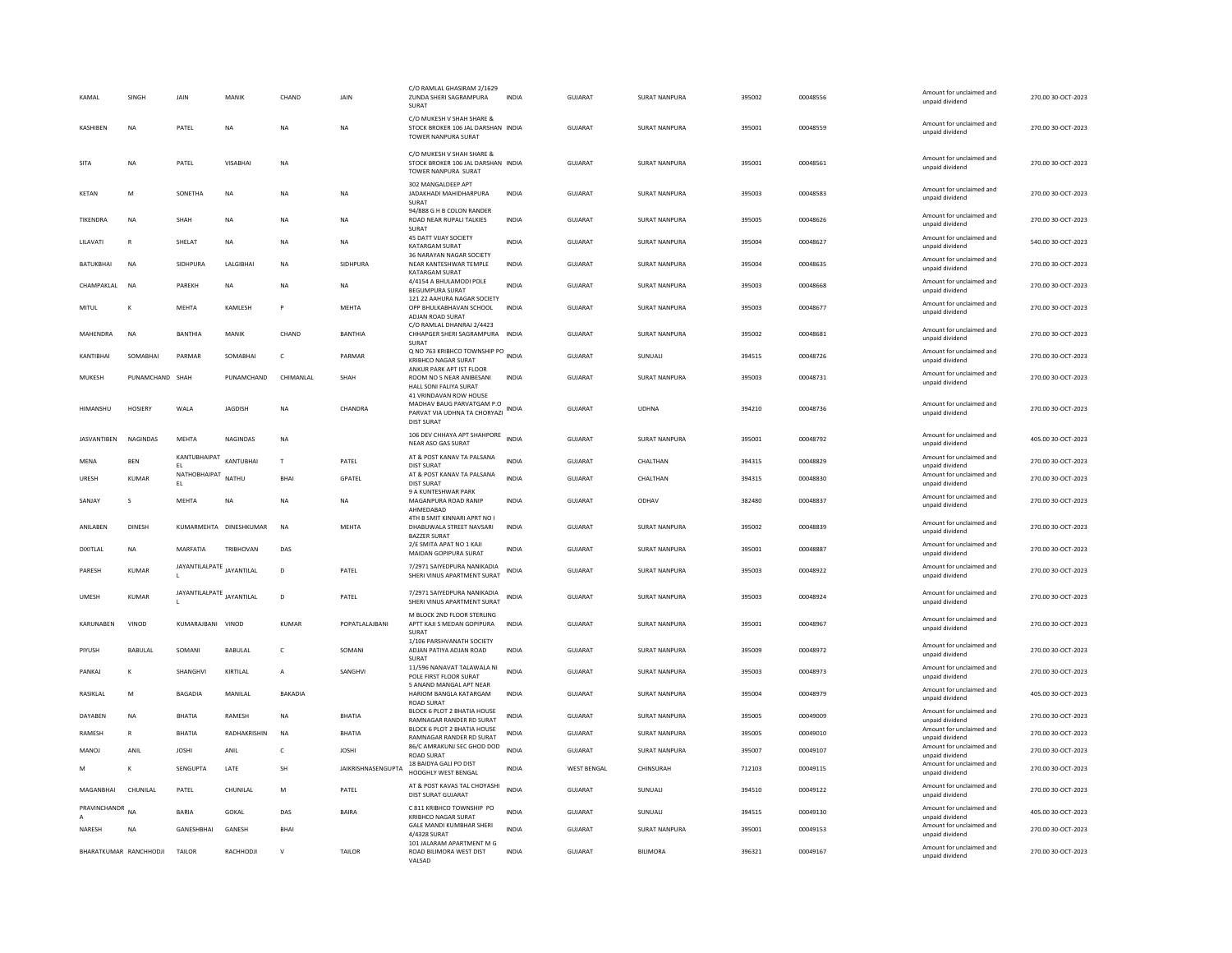| KAMAI              | SINGH                  | JAIN                      | MANIK                  | CHAND          | JAIN                      | C/O RAMLAL GHASIRAM 2/1629<br>ZUNDA SHERI SAGRAMPURA<br>SURAT                                            | <b>INDIA</b> | <b>GUJARAT</b>     | <b>SURAT NANPURA</b> | 395002 | 00048556 | Amount for unclaimed and<br>unpaid dividend | 270.00 30-OCT-2023 |
|--------------------|------------------------|---------------------------|------------------------|----------------|---------------------------|----------------------------------------------------------------------------------------------------------|--------------|--------------------|----------------------|--------|----------|---------------------------------------------|--------------------|
| KASHIREN           | <b>NA</b>              | PATEL                     | NA                     | <b>NA</b>      | NA                        | C/O MUKESH V SHAH SHARE &<br>STOCK BROKER 106 JAL DARSHAN INDIA<br><b>TOWER NANPURA SURAT</b>            |              | <b>GUJARAT</b>     | <b>SURAT NANPURA</b> | 395001 | 00048559 | Amount for unclaimed and<br>unnaid dividend | 270.00 30-OCT-2023 |
| SITA               | NA                     | PATEL                     | VISABHAI               | NA             |                           | C/O MUKESH V SHAH SHARE &<br>STOCK BROKER 106 JAL DARSHAN INDIA<br>TOWER NANPURA SURAT                   |              | GUJARAT            | SURAT NANPURA        | 395001 | 00048561 | Amount for unclaimed and<br>unpaid dividend | 270.00 30-OCT-2023 |
| KETAN              | M                      | SONETHA                   | <b>NA</b>              | <b>NA</b>      | <b>NA</b>                 | 302 MANGALDEEP APT<br>JADAKHADI MAHIDHARPURA<br>SURAT                                                    | <b>INDIA</b> | <b>GUJARAT</b>     | <b>SURAT NANPURA</b> | 395003 | 00048583 | Amount for unclaimed and<br>unpaid dividend | 270.00 30-OCT-2023 |
| TIKENDRA           | NA                     | SHAH                      | NA                     | <b>NA</b>      | NA                        | 94/888 G H B COLON RANDER<br>ROAD NEAR RUPALI TALKIES<br>SURAT                                           | INDIA        | GUJARAT            | SURAT NANPURA        | 395005 | 00048626 | Amount for unclaimed and<br>unpaid dividend | 270.00 30-OCT-2023 |
| LILAVATI           | R                      | SHELAT                    | NA                     | <b>NA</b>      | NA                        | 45 DATT VIJAY SOCIETY<br>KATARGAM SURAT                                                                  | <b>INDIA</b> | <b>GUJARAT</b>     | <b>SURAT NANPURA</b> | 395004 | 00048627 | Amount for unclaimed and<br>unpaid dividend | 540.00 30-OCT-2023 |
| BATUKBHAI          | <b>NA</b>              | SIDHPURA                  | LALGIBHA               | <b>NA</b>      | SIDHPURA                  | 36 NARAYAN NAGAR SOCIETY<br>NEAR KANTESHWAR TEMPLE<br><b>KATARGAM SURAT</b>                              | <b>INDIA</b> | <b>GUJARAT</b>     | <b>SURAT NANPURA</b> | 395004 | 00048635 | Amount for unclaimed and<br>unpaid dividend | 270.00 30-OCT-2023 |
| CHAMPAKI AI        | <b>NA</b>              | PARFKH                    | <b>NA</b>              | <b>NA</b>      | <b>NA</b>                 | 4/4154 A BHULAMODI POLE<br>BEGUMPURA SURAT                                                               | <b>INDIA</b> | GUIARAT            | SURAT NANPURA        | 395003 | 00048668 | Amount for unclaimed and<br>unpaid dividend | 270.00 30-OCT-2023 |
| <b>MITUL</b>       | K                      | <b>MEHTA</b>              | KAMLESH                |                | MEHTA                     | 121 22 AAHURA NAGAR SOCIETY<br>OPP BHULKABHAVAN SCHOOL<br>ADJAN ROAD SURAT                               | <b>INDIA</b> | <b>GUJARAT</b>     | <b>SURAT NANPURA</b> | 395003 | 00048677 | Amount for unclaimed and<br>unpaid dividend | 270.00 30-OCT-2023 |
| MAHENDRA           | <b>NA</b>              | <b>BANTHIA</b>            | MANIK                  | CHAND          | <b>BANTHIA</b>            | C/O RAMLAL DHANRAJ 2/4423<br>CHHAPGER SHERI SAGRAMPURA<br>SURAT                                          | <b>INDIA</b> | <b>GUJARAT</b>     | <b>SURAT NANPURA</b> | 395002 | 00048681 | Amount for unclaimed and<br>unpaid dividend | 270.00 30-OCT-2023 |
| KANTIBHAI          | SOMABHAI               | PARMAR                    | SOMABHAI               | c              | PARMAR                    | Q NO 763 KRIBHCO TOWNSHIP PO INDIA<br><b>KRIBHCO NAGAR SURAT</b>                                         |              | <b>GUJARAT</b>     | SUNUALI              | 394515 | 00048726 | Amount for unclaimed and<br>unpaid dividend | 270.00 30-OCT-2023 |
| MUKESH             | PUNAMCHAND SHAH        |                           | PUNAMCHAND             | CHIMANLAL      | SHAH                      | ANKUR PARK APT IST FLOOR<br>ROOM NO 5 NEAR ANIBESANI<br>HALL SONI FALIYA SURAT                           | INDIA        | GUJARAT            | SURAT NANPURA        | 395003 | 00048731 | Amount for unclaimed and<br>unpaid dividend | 270.00 30-OCT-2023 |
| HIMANSHU           | <b>HOSIERY</b>         | WALA                      | <b>JAGDISH</b>         | <b>NA</b>      | CHANDRA                   | 41 VRINDAVAN ROW HOUSE<br>MADHAV BAUG PARVATGAM P.O<br>PARVAT VIA UDHNA TA CHORYAZI<br><b>DIST SURAT</b> | <b>INDIA</b> | <b>GUJARAT</b>     | <b>UDHNA</b>         | 394210 | 00048736 | Amount for unclaimed and<br>unpaid dividend | 270.00 30-OCT-2023 |
| <b>JASVANTIBEN</b> | <b>NAGINDAS</b>        | MFHTA                     | <b>NAGINDAS</b>        | <b>NA</b>      |                           | 106 DEV CHHAYA APT SHAHPORE<br>NEAR ASO GAS SURAT                                                        | <b>INDIA</b> | GUIARAT            | SURAT NANPURA        | 395001 | 00048792 | Amount for unclaimed and<br>unpaid dividend | 405.00 30-OCT-2023 |
| MENA               | <b>BEN</b>             | KANTUBHAIPAT<br>EL.       | KANTUBHAI              | $\mathsf{T}$   | PATEL                     | AT & POST KANAV TA PALSANA<br><b>DIST SURAT</b>                                                          | <b>INDIA</b> | GUJARAT            | CHALTHAN             | 394315 | 00048829 | Amount for unclaimed and<br>unpaid dividend | 270.00 30-OCT-2023 |
| URESH              | <b>KUMAR</b>           | NATHOBHAIPAT<br>EL.       | NATHU                  | <b>BHAI</b>    | GPATEL                    | AT & POST KANAV TA PALSANA<br><b>DIST SURAT</b><br>9 A KUNTESHWAR PARK                                   | <b>INDIA</b> | <b>GUJARAT</b>     | CHALTHAN             | 394315 | 00048830 | Amount for unclaimed and<br>unpaid dividend | 270.00 30-OCT-2023 |
| SANJAY             | s                      | <b>MEHTA</b>              | <b>NA</b>              | <b>NA</b>      | <b>NA</b>                 | MAGANPURA ROAD RANIP<br>AHMEDABAD                                                                        | <b>INDIA</b> | <b>GUJARAT</b>     | ODHAV                | 382480 | 00048837 | Amount for unclaimed and<br>unpaid dividend | 270.00 30-OCT-2023 |
| ANILABEN           | <b>DINESH</b>          |                           | KUMARMEHTA DINESHKUMAR | <b>NA</b>      | MEHTA                     | 4TH B SMIT KINNARI APRT NO I<br>DHABUWALA STREET NAVSARI<br><b>BAZZER SURAT</b>                          | <b>INDIA</b> | GUJARAT            | <b>SURAT NANPURA</b> | 395002 | 00048839 | Amount for unclaimed and<br>unpaid dividend | 270.00 30-OCT-2023 |
| DIXITLAL           | NA                     | MARFATIA                  | <b>TRIBHOVAN</b>       | DAS            |                           | 2/E SMITA APAT NO 1 KAJI<br>MAIDAN GOPIPURA SURAT                                                        | <b>INDIA</b> | <b>GUJARAT</b>     | <b>SURAT NANPURA</b> | 395001 | 00048887 | Amount for unclaimed and<br>unpaid dividend | 270.00 30-OCT-2023 |
| PARESH             | <b>KUMAR</b>           | JAYANTILALPATE JAYANTILAL |                        | D              | PATEL                     | 7/2971 SAIYEDPURA NANIKADIA<br>SHERI VINUS APARTMENT SURAT                                               | <b>INDIA</b> | GUJARAT            | SURAT NANPURA        | 395003 | 00048922 | Amount for unclaimed and<br>unpaid dividend | 270.00 30-OCT-2023 |
| <b>UMESH</b>       | <b>KUMAR</b>           | JAYANTILALPATE JAYANTILAL |                        | D              | PATEL                     | 7/2971 SAIYEDPURA NANIKADIA<br>SHERI VINUS APARTMENT SURAT                                               | <b>INDIA</b> | <b>GUJARAT</b>     | SURAT NANPURA        | 395003 | 00048924 | Amount for unclaimed and<br>unpaid dividend | 270.00 30-OCT-2023 |
| KARUNABEN          | VINOD                  | KUMARAJBANI VINOD         |                        | KUMAR          | POPATLALAJBANI            | M BLOCK 2ND FLOOR STERLING<br>APTT KAJI S MEDAN GOPIPURA<br>SURAT                                        | <b>INDIA</b> | <b>GUJARAT</b>     | <b>SURAT NANPURA</b> | 395001 | 00048967 | Amount for unclaimed and<br>unpaid dividend | 270.00 30-OCT-2023 |
| PIYUSH             | <b>BABULAI</b>         | SOMANI                    | <b>BABULAL</b>         | $\epsilon$     | SOMANI                    | 1/106 PARSHVANATH SOCIETY<br>ADJAN PATIYA ADJAN ROAD<br>SURAT                                            | <b>INDIA</b> | GUIARAT            | <b>SURAT NANPURA</b> | 395009 | 00048972 | Amount for unclaimed and<br>unpaid dividend | 270.00 30-OCT-2023 |
| PANKAJ             | K                      | SHANGHVI                  | KIRTILAL               | $\overline{A}$ | SANGHVI                   | 11/596 NANAVAT TALAWALA NI<br>POLE FIRST FLOOR SURAT                                                     | <b>INDIA</b> | <b>GUJARAT</b>     | <b>SURAT NANPURA</b> | 395003 | 00048973 | Amount for unclaimed and<br>unpaid dividend | 270.00 30-OCT-2023 |
| RASIKLAL           | M                      | <b>BAGADIA</b>            | MANILAL                | BAKADIA        |                           | 5 ANAND MANGAL APT NEAR<br>HARIOM BANGLA KATARGAM<br><b>ROAD SURAT</b>                                   | <b>INDIA</b> | <b>GUJARAT</b>     | <b>SURAT NANPURA</b> | 395004 | 00048979 | Amount for unclaimed and<br>unpaid dividend | 405.00 30-OCT-2023 |
| DAYABEN            | NA                     | BHATIA                    | RAMESH                 | NA             | <b>BHATIA</b>             | BLOCK 6 PLOT 2 BHATIA HOUSE<br><b>RAMNAGAR RANDER RD SURAT</b>                                           | INDIA        | GUJARAT            | SURAT NANPURA        | 395005 | 00049009 | Amount for unclaimed and<br>unnaid dividend | 270.00 30-OCT-2023 |
| RAMESH             | $\mathbb{R}$           | <b>BHATIA</b>             | RADHAKRISHIN           | <b>NA</b>      | BHATIA                    | BLOCK 6 PLOT 2 BHATIA HOUSE<br>RAMNAGAR RANDER RD SURAT                                                  | INDIA        | GUJARAT            | <b>SURAT NANPURA</b> | 395005 | 00049010 | Amount for unclaimed and<br>unpaid dividend | 270.00 30-OCT-2023 |
| MANOJ              | ANIL                   | <b>JOSHI</b>              | ANIL                   | $\mathsf{C}$   | <b>JOSHI</b>              | 86/C AMRAKUNJ SEC GHOD DOD<br><b>ROAD SURAT</b>                                                          | <b>INDIA</b> | <b>GUJARAT</b>     | SURAT NANPURA        | 395007 | 00049107 | Amount for unclaimed and<br>unpaid dividend | 270.00 30-OCT-2023 |
| M                  | K                      | SENGUPTA                  | LATE                   | SH             | <b>JAIKRISHNASENGUPTA</b> | 18 BAIDYA GALI PO DIST<br>HOOGHLY WEST BENGAL                                                            | <b>INDIA</b> | <b>WEST BENGAL</b> | CHINSURAH            | 712103 | 00049115 | Amount for unclaimed and<br>unpaid dividend | 270.00 30-OCT-2023 |
| MAGANRHAI          | CHUNILAL               | PATEL                     | CHUNILAI               | M              | PATEL                     | AT & POST KAVAS TAL CHOYASHI<br>DIST SURAT GUJARAT                                                       | <b>INDIA</b> | <b>GUJARAT</b>     | SUNUALI              | 394510 | 00049122 | Amount for unclaimed and<br>unpaid dividend | 270.00 30-OCT-2023 |
| PRAVINCHANDR       | <b>NA</b>              | BARIA                     | GOKAL                  | DAS            | <b>BAIRA</b>              | C 811 KRIBHCO TOWNSHIP PO<br><b>KRIBHCO NAGAR SURAT</b>                                                  | INDIA        | GUJARAT            | SUNUALI              | 394515 | 00049130 | Amount for unclaimed and<br>unpaid dividend | 405.00 30-OCT-2023 |
| NARESH             | <b>NA</b>              | <b>GANESHBHAI</b>         | GANESH                 | <b>BHAI</b>    |                           | <b>GALE MANDI KUMBHAR SHERI</b><br>4/4328 SURAT                                                          | <b>INDIA</b> | <b>GUJARAT</b>     | <b>SURAT NANPURA</b> | 395001 | 00049153 | Amount for unclaimed and<br>unpaid dividend | 270.00 30-OCT-2023 |
|                    | BHARATKUMAR RANCHHODJI | <b>TAILOR</b>             | RACHHODJI              | $\mathsf{v}$   | TAILOR                    | 101 JALARAM APARTMENT M G<br>ROAD BILIMORA WEST DIST<br><b>VALSAD</b>                                    | <b>INDIA</b> | GUJARAT            | <b>BILIMORA</b>      | 396321 | 00049167 | Amount for unclaimed and<br>unpaid dividend | 270.00 30-OCT-2023 |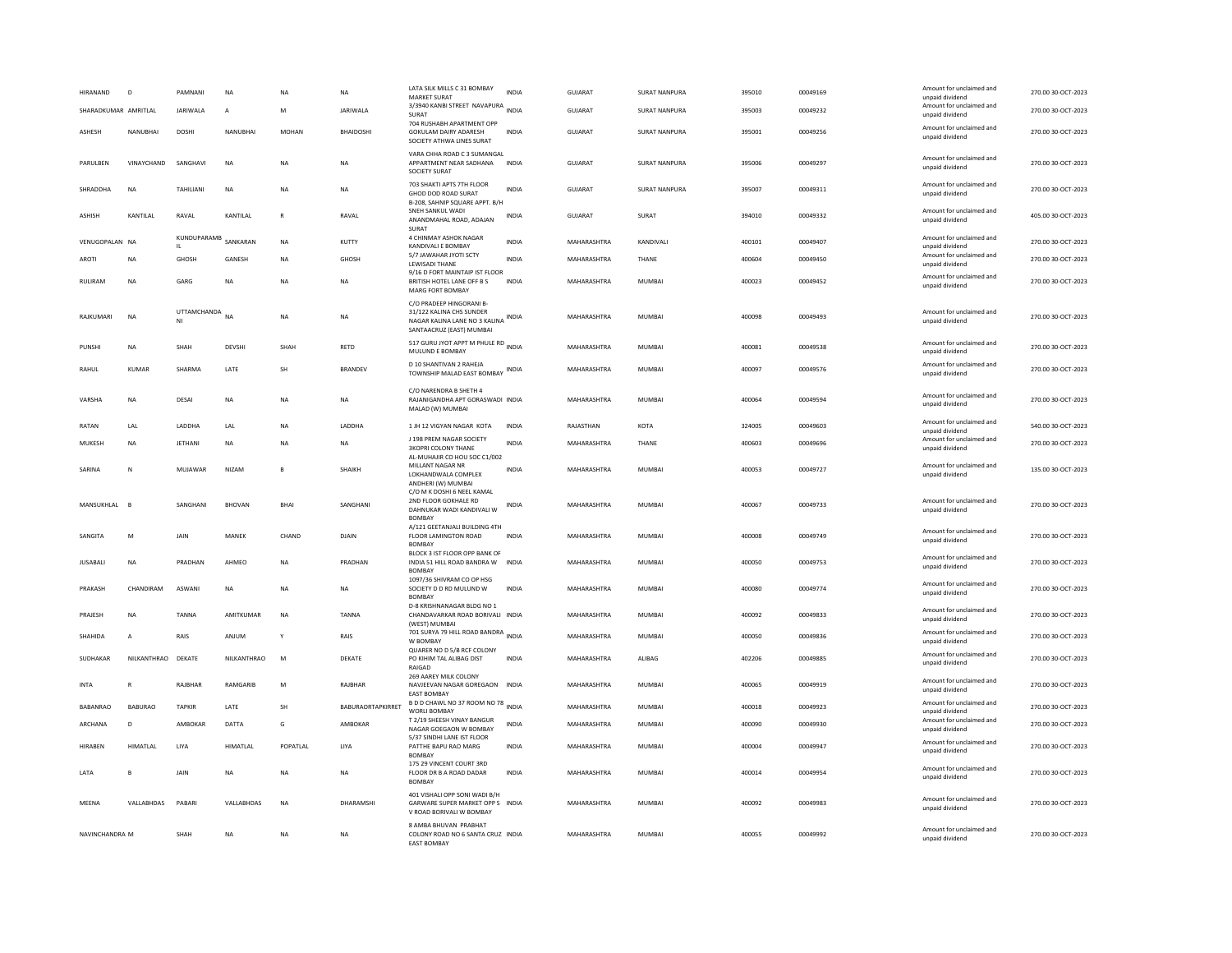| <b>HIRANAND</b>      | $\overline{D}$  | PAMNANI         | <b>NA</b>      | NA           | <b>NA</b>         | LATA SILK MILLS C 31 BOMBAY<br><b>MARKET SURAT</b>                                                                      | <b>INDIA</b> | <b>GUJARAT</b> | <b>SURAT NANPURA</b> | 395010 | 00049169 | Amount for unclaimed and<br>unpaid dividend | 270.00 30-OCT-2023 |
|----------------------|-----------------|-----------------|----------------|--------------|-------------------|-------------------------------------------------------------------------------------------------------------------------|--------------|----------------|----------------------|--------|----------|---------------------------------------------|--------------------|
| SHARADKUMAR AMRITLAL |                 | <b>JARIWALA</b> | $\overline{A}$ | M            | <b>JARIWALA</b>   | 3/3940 KANBI STREET NAVAPURA INDIA<br>SURAT                                                                             |              | <b>GUJARAT</b> | SURAT NANPURA        | 395003 | 00049232 | Amount for unclaimed and<br>unpaid dividend | 270.00 30-OCT-2023 |
| ASHESH               | NANUBHAI        | DOSHI           | NANUBHAI       | MOHAN        | BHAIDOSHI         | 704 RUSHABH APARTMENT OPP<br>GOKULAM DAIRY ADARESH<br>SOCIETY ATHWA LINES SURAT                                         | <b>INDIA</b> | GUJARAT        | SURAT NANPURA        | 395001 | 00049256 | Amount for unclaimed and<br>unpaid dividend | 270.00 30-OCT-2023 |
| PARULBEN             | VINAYCHAND      | SANGHAVI        | <b>NA</b>      | NA           | <b>NA</b>         | VARA CHHA ROAD C 3 SUMANGAL<br>APPARTMENT NEAR SADHANA<br><b>SOCIETY SURAT</b>                                          | <b>INDIA</b> | GUJARAT        | <b>SURAT NANPURA</b> | 395006 | 00049297 | Amount for unclaimed and<br>unpaid dividend | 270.00 30-OCT-2023 |
| SHRADDHA             | <b>NA</b>       | TAHILIANI       | <b>NA</b>      | <b>NA</b>    | <b>NA</b>         | 703 SHAKTI APTS 7TH FLOOR<br>GHOD DOD ROAD SURAT<br>B-208, SAHNIP SQUARE APPT. B/H                                      | <b>INDIA</b> | <b>GUJARAT</b> | SURAT NANPURA        | 395007 | 00049311 | Amount for unclaimed and<br>unpaid dividend | 270.00 30-OCT-2023 |
| <b>ASHISH</b>        | KANTILAL        | RAVAL           | KANTILAL       | $\mathsf{R}$ | RAVAL             | SNEH SANKUL WADI<br>ANANDMAHAL ROAD, ADAJAN<br>SURAT                                                                    | <b>INDIA</b> | <b>GUJARAT</b> | SURAT                | 394010 | 00049332 | Amount for unclaimed and<br>unpaid dividend | 405.00 30-OCT-2023 |
| VENUGOPALAN NA       |                 | KUNDUPARAMB     | SANKARAN       | <b>NA</b>    | KUTTY             | 4 CHINMAY ASHOK NAGAR<br>KANDIVALI E BOMBAY                                                                             | <b>INDIA</b> | MAHARASHTRA    | KANDIVALI            | 400101 | 00049407 | Amount for unclaimed and<br>unpaid dividend | 270.00 30-OCT-2023 |
| AROTI                | NA              | GHOSH           | GANESH         | NA           | GHOSH             | 5/7 JAWAHAR JYOTI SCTY<br>LEWISADI THANE                                                                                | <b>INDIA</b> | MAHARASHTRA    | THANE                | 400604 | 00049450 | Amount for unclaimed and<br>unpaid dividend | 270.00 30-OCT-2023 |
| RULIRAM              | <b>NA</b>       | GARG            | <b>NA</b>      | NA           | <b>NA</b>         | 9/16 D FORT MAINTAIP IST FLOOR<br>BRITISH HOTEL LANE OFF B S<br>MARG FORT BOMBAY                                        | <b>INDIA</b> | MAHARASHTRA    | MUMBAI               | 400023 | 00049452 | Amount for unclaimed and<br>unpaid dividend | 270.00 30-OCT-2023 |
| RAIKUMARI            | <b>NA</b>       | UTTAMCHANDA     | <b>NA</b>      | <b>NA</b>    | <b>NA</b>         | C/O PRADEEP HINGORANI B-<br>31/122 KALINA CHS SUNDER<br>NAGAR KALINA LANE NO 3 KALINA INDIA<br>SANTAACRUZ (EAST) MUMBAI |              | MAHARASHTRA    | MUMBAI               | 400098 | 00049493 | Amount for unclaimed and<br>unpaid dividend | 270.00 30-OCT-2023 |
| PUNSHI               | <b>NA</b>       | <b>SHAH</b>     | DEVSHI         | SHAH         | <b>RETD</b>       | 517 GURU JYOT APPT M PHULE RD INDIA<br>MULUND E BOMBAY                                                                  |              | MAHARASHTRA    | MUMBAI               | 400081 | 00049538 | Amount for unclaimed and<br>unpaid dividend | 270.00 30-OCT-2023 |
| RAHUL                | <b>KUMAR</b>    | SHARMA          | LATE           | SH           | <b>BRANDEV</b>    | D 10 SHANTIVAN 2 RAHEJA<br>TOWNSHIP MALAD EAST BOMBAY INDIA                                                             |              | MAHARASHTRA    | <b>MUMBAI</b>        | 400097 | 00049576 | Amount for unclaimed and<br>unpaid dividend | 270.00 30-OCT-2023 |
| VARSHA               | NA              | DESAI           | NA             | ΝA           | NA                | C/O NARENDRA B SHETH 4<br>RAJANIGANDHA APT GORASWADI INDIA<br>MALAD (W) MUMBAI                                          |              | MAHARASHTRA    | MUMBAI               | 400064 | 00049594 | Amount for unclaimed and<br>unpaid dividend | 270.00 30-OCT-2023 |
| RATAN                | I AI            | <b>I ADDHA</b>  | <b>IAI</b>     | <b>NA</b>    | <b>I ADDHA</b>    | 1 JH 12 VIGYAN NAGAR KOTA                                                                                               | <b>INDIA</b> | RAJASTHAN      | <b>KOTA</b>          | 324005 | 00049603 | Amount for unclaimed and<br>unpaid dividend | 540.00 30-OCT-2023 |
| MUKESH               | <b>NA</b>       | <b>JETHANI</b>  | <b>NA</b>      | NΑ           | <b>NA</b>         | J 198 PREM NAGAR SOCIETY<br><b>3KOPRI COLONY THANE</b><br>AL-MUHAJIR CO HOU SOC C1/002                                  | <b>INDIA</b> | MAHARASHTRA    | THANE                | 400603 | 00049696 | Amount for unclaimed and<br>unpaid dividend | 270.00 30-OCT-2023 |
| SARINA               | ${\sf N}$       | MUJAWAR         | NIZAM          | B            | SHAIKH            | MILLANT NAGAR NR<br>LOKHANDWALA COMPLEX<br>ANDHERI (W) MUMBAI                                                           | <b>INDIA</b> | MAHARASHTRA    | MUMBAI               | 400053 | 00049727 | Amount for unclaimed and<br>unpaid dividend | 135.00 30-OCT-2023 |
| MANSUKHLAL           | $\overline{B}$  | SANGHANI        | <b>BHOVAN</b>  | BHAI         | SANGHAN           | C/O M K DOSHI 6 NEEL KAMAL<br>2ND FLOOR GOKHALE RD<br>DAHNUKAR WADI KANDIVALI W<br><b>BOMBAY</b>                        | <b>INDIA</b> | MAHARASHTRA    | MUMBAI               | 400067 | 00049733 | Amount for unclaimed and<br>unpaid dividend | 270.00 30-OCT-2023 |
| SANGITA              | M               | JAIN            | MANEK          | CHAND        | DJAIN             | A/121 GEETANJALI BUILDING 4TH<br>FLOOR LAMINGTON ROAD<br><b>BOMBAY</b>                                                  | INDIA        | MAHARASHTRA    | MUMBAI               | 400008 | 00049749 | Amount for unclaimed and<br>unpaid dividend | 270.00 30-OCT-2023 |
| <b>JUSABALI</b>      | NA              | PRADHAN         | AHMEO          | NA           | PRADHAN           | BLOCK 3 IST FLOOR OPP BANK OF<br>INDIA 51 HILL ROAD BANDRA W<br><b>BOMBAY</b>                                           | <b>INDIA</b> | MAHARASHTRA    | MUMBAI               | 400050 | 00049753 | Amount for unclaimed and<br>unpaid dividend | 270.00 30-OCT-2023 |
| PRAKASH              | CHANDIRAM       | ASWANI          | <b>NA</b>      | <b>NA</b>    | <b>NA</b>         | 1097/36 SHIVRAM CO OP HSG<br>SOCIETY D D RD MULUND W<br><b>BOMBA</b>                                                    | <b>INDIA</b> | MAHARASHTRA    | MUMBAI               | 400080 | 00049774 | Amount for unclaimed and<br>unpaid dividend | 270.00 30-OCT-2023 |
| PRAJESH              | NA              | <b>TANNA</b>    | AMITKUMAR      | NA           | TANNA             | D-8 KRISHNANAGAR BLDG NO 1<br>CHANDAVARKAR ROAD BORIVALI INDIA<br>(WEST) MUMBA                                          |              | MAHARASHTRA    | <b>MUMBAI</b>        | 400092 | 00049833 | Amount for unclaimed and<br>unpaid dividend | 270.00 30-OCT-2023 |
| SHAHIDA              | $\overline{A}$  | RAIS            | ANJUM          |              | RAIS              | 701 SURYA 79 HILL ROAD BANDRA INDIA<br>W BOMBAY                                                                         |              | MAHARASHTRA    | <b>MUMBAI</b>        | 400050 | 00049836 | Amount for unclaimed and<br>unpaid dividend | 270.00 30-OCT-2023 |
| SUDHAKAR             | NILKANTHRAO     | DEKATE          | NILKANTHRAO    | M            | DEKATE            | QUARER NO D 5/B RCF COLONY<br>PO KIHIM TAL ALIBAG DIST<br>RAIGAD                                                        | <b>INDIA</b> | MAHARASHTRA    | ALIBAG               | 402206 | 00049885 | Amount for unclaimed and<br>unpaid dividend | 270.00 30-OCT-2023 |
| <b>INTA</b>          | R               | RAJBHAR         | RAMGARIB       | M            | RAJBHAR           | 269 AAREY MILK COLONY<br>NAVJEEVAN NAGAR GOREGAON INDIA<br><b>EAST BOMBAY</b>                                           |              | MAHARASHTRA    | MUMBAI               | 400065 | 00049919 | Amount for unclaimed and<br>unpaid dividend | 270.00 30-OCT-2023 |
| BABANRAO             | <b>BABURAO</b>  | <b>TAPKIR</b>   | LATE           | SH           | BABURAORTAPKIRRET | B D D CHAWL NO 37 ROOM NO 78 INDIA<br>WORLI BOMBAY                                                                      |              | MAHARASHTRA    | MUMBAI               | 400018 | 00049923 | Amount for unclaimed and<br>unpaid dividend | 270.00 30-OCT-2023 |
| ARCHANA              | D               | AMBOKAR         | DATTA          | G            | AMBOKAR           | T 2/19 SHEESH VINAY BANGUR<br>NAGAR GOEGAON W BOMBAY                                                                    | <b>INDIA</b> | MAHARASHTRA    | MUMBAI               | 400090 | 00049930 | Amount for unclaimed and<br>unpaid dividend | 270.00 30-OCT-2023 |
| <b>HIRABEN</b>       | <b>HIMATLAL</b> | LIYA            | HIMATLAL       | POPATLAL     | LIYA              | 5/37 SINDHI LANE IST FLOOR<br>PATTHE BAPU RAO MARG<br><b>BOMBA</b>                                                      | <b>INDIA</b> | MAHARASHTRA    | <b>MUMBAI</b>        | 400004 | 00049947 | Amount for unclaimed and<br>unpaid dividend | 270.00 30-OCT-2023 |
| LATA                 | B               | JAIN            | <b>NA</b>      | NΑ           | <b>NA</b>         | 175 29 VINCENT COURT 3RD<br>FLOOR DR B A ROAD DADAR<br><b>BOMBAY</b>                                                    | <b>INDIA</b> | MAHARASHTRA    | <b>MUMBAI</b>        | 400014 | 00049954 | Amount for unclaimed and<br>unpaid dividend | 270.00 30-OCT-2023 |
| MEENA                | VALLABHDAS      | PABARI          | VALLABHDAS     | <b>NA</b>    | DHARAMSHI         | 401 VISHALLOPP SONLWADLB/H<br>GARWARE SUPER MARKET OPP S INDIA<br>V ROAD BORIVALI W BOMBAY                              |              | MAHARASHTRA    | MUMBAI               | 400092 | 00049983 | Amount for unclaimed and<br>unpaid dividend | 270.00 30-OCT-2023 |
| NAVINCHANDRA M       |                 | SHAH            | <b>NA</b>      | NA           | <b>NA</b>         | 8 AMBA BHUVAN PRABHAT<br>COLONY ROAD NO 6 SANTA CRUZ INDIA<br><b>FAST ROMBAY</b>                                        |              | MAHARASHTRA    | <b>MUMBAI</b>        | 400055 | 00049992 | Amount for unclaimed and<br>unpaid dividend | 270.00 30-OCT-2023 |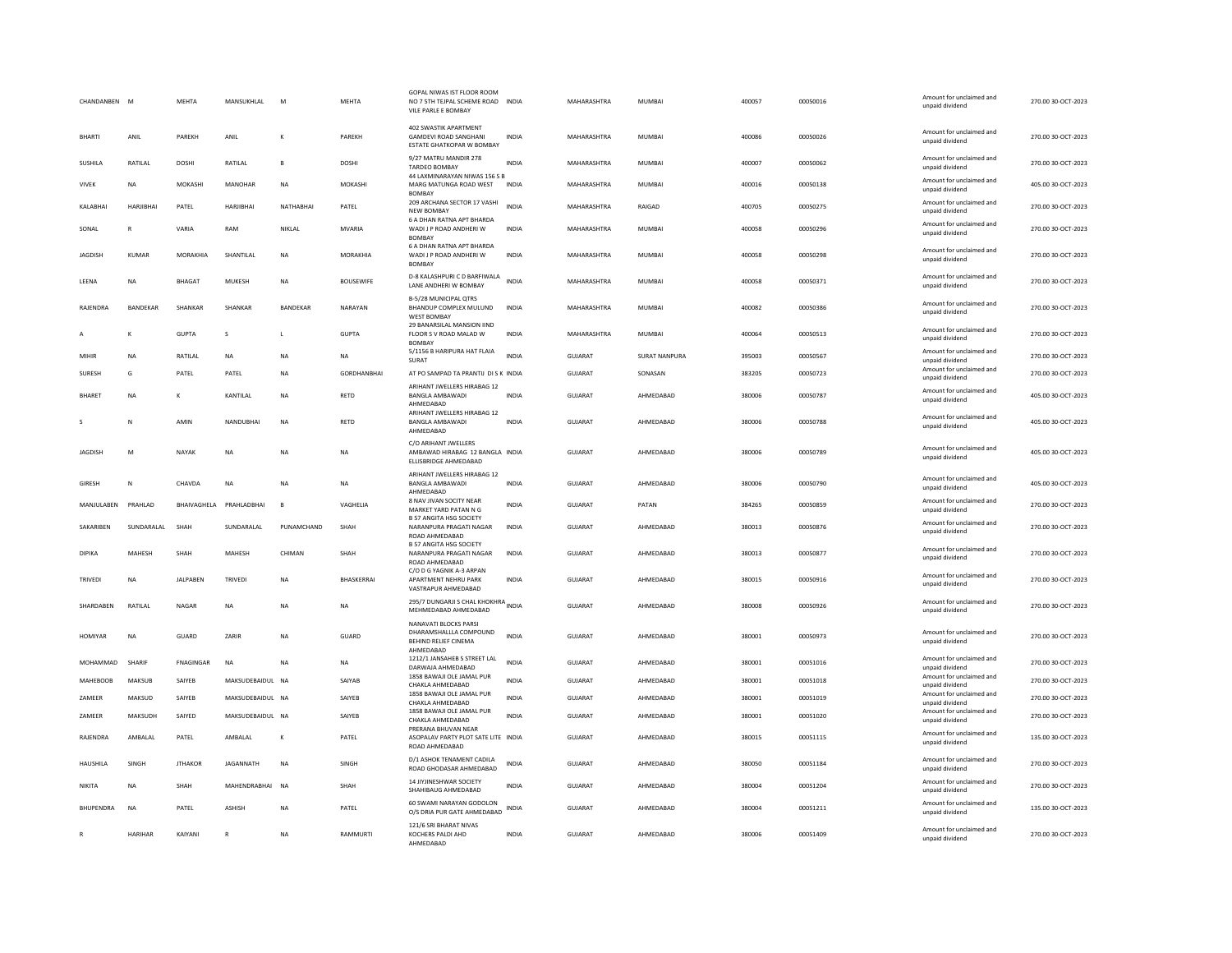| CHANDANBEN      | M             | <b>MEHTA</b>     | MANSUKHLAL              | M               | MEHTA              | GOPAL NIWAS IST FLOOR ROOM<br>NO 7 5TH TEJPAL SCHEME ROAD INDIA<br>VILE PARLE E BOMBAY           |              | MAHARASHTRA    | <b>MUMBAI</b>        | 400057 | 00050016 | Amount for unclaimed and<br>unpaid dividend                    | 270.00 30-OCT-2023 |
|-----------------|---------------|------------------|-------------------------|-----------------|--------------------|--------------------------------------------------------------------------------------------------|--------------|----------------|----------------------|--------|----------|----------------------------------------------------------------|--------------------|
| <b>BHARTI</b>   | ANIL          | PAREKH           | ANIL                    | K               | PAREKH             | 402 SWASTIK APARTMENT<br><b>GAMDEVI ROAD SANGHANI</b><br>ESTATE GHATKOPAR W BOMBAY               | <b>INDIA</b> | MAHARASHTRA    | MUMBAI               | 400086 | 00050026 | Amount for unclaimed and<br>unnaid dividend                    | 270.00 30-OCT-2023 |
| SUSHILA         | RATILAL       | <b>DOSHI</b>     | RATILAL                 | B               | <b>DOSHI</b>       | 9/27 MATRU MANDIR 278<br>TARDEO BOMBAY                                                           | <b>INDIA</b> | MAHARASHTRA    | <b>MUMBAI</b>        | 400007 | 00050062 | Amount for unclaimed and<br>unpaid dividend                    | 270.00 30-OCT-2023 |
| VIVEK           | <b>NA</b>     | MOKASHI          | MANOHAR                 | NA              | MOKASHI            | 44 LAXMINARAYAN NIWAS 156 S B<br>MARG MATUNGA ROAD WEST<br><b>BOMBAY</b>                         | INDIA        | MAHARASHTRA    | MUMBAI               | 400016 | 00050138 | Amount for unclaimed and<br>unpaid dividend                    | 405.00 30-OCT-2023 |
| KALABHAI        | HARJIBHAI     | PATEL            | <b>HARJIBHAI</b>        | NATHABHAI       | PATEL              | 209 ARCHANA SECTOR 17 VASHI<br><b>NEW BOMBAY</b>                                                 | <b>INDIA</b> | MAHARASHTRA    | RAIGAD               | 400705 | 00050275 | Amount for unclaimed and<br>unpaid dividend                    | 270.00 30-OCT-2023 |
| SONAL           | $\mathsf{R}$  | VARIA            | RAM                     | NIKLAL          | MVARIA             | 6 A DHAN RATNA APT BHARDA<br>WADI J P ROAD ANDHERI W<br><b>BOMBAY</b>                            | INDIA        | MAHARASHTRA    | MUMBAI               | 400058 | 00050296 | Amount for unclaimed and<br>unpaid dividend                    | 270.00 30-OCT-2023 |
| <b>JAGDISH</b>  | KUMAR         | MORAKHIA         | SHANTILAL               | <b>NA</b>       | MORAKHIA           | 6 A DHAN RATNA APT BHARDA<br>WADI J P ROAD ANDHERI W<br><b>BOMBAY</b>                            | <b>INDIA</b> | MAHARASHTRA    | <b>MUMBAI</b>        | 400058 | 00050298 | Amount for unclaimed and<br>unpaid dividend                    | 270.00 30-OCT-2023 |
| LEENA           | <b>NA</b>     | <b>BHAGAT</b>    | MUKESH                  | <b>NA</b>       | <b>BOUSEWIFE</b>   | D-8 KALASHPURI C D BARFIWALA<br>LANE ANDHERI W BOMBAY                                            | <b>INDIA</b> | MAHARASHTRA    | <b>MUMBAI</b>        | 400058 | 00050371 | Amount for unclaimed and<br>unpaid dividend                    | 270.00 30-OCT-2023 |
| RAJENDRA        | BANDEKAR      | SHANKAR          | SHANKAR                 | <b>BANDEKAR</b> | NARAYAN            | B-5/28 MUNICIPAL QTRS<br>BHANDUP COMPLEX MULUND<br>WEST BOMBAY                                   | <b>INDIA</b> | MAHARASHTRA    | MUMBAI               | 400082 | 00050386 | Amount for unclaimed and<br>unpaid dividend                    | 270.00 30-OCT-2023 |
|                 |               | <b>GUPTA</b>     | s                       | L               | <b>GUPTA</b>       | 29 BANARSILAL MANSION IIND<br>FLOOR S V ROAD MALAD W<br><b>BOMBAY</b>                            | <b>INDIA</b> | MAHARASHTRA    | <b>MUMBAI</b>        | 400064 | 00050513 | Amount for unclaimed and<br>unpaid dividend                    | 270.00 30-OCT-2023 |
| MIHIR           | <b>NA</b>     | RATILAL          | <b>NA</b>               | <b>NA</b>       | <b>NA</b>          | 5/1156 B HARIPURA HAT FLAIA<br>SURAT                                                             | <b>INDIA</b> | GUJARAT        | <b>SURAT NANPURA</b> | 395003 | 00050567 | Amount for unclaimed and<br>unpaid dividend                    | 270.00 30-OCT-2023 |
| <b>SURFSH</b>   | G             | PATEL            | PATEL                   | <b>NA</b>       | <b>GORDHANRHAL</b> | AT PO SAMPAD TA PRANTIJ DI S K INDIA                                                             |              | GUIARAT        | SONASAN              | 383205 | 00050723 | Amount for unclaimed and<br>unpaid dividend                    | 270.00 30-OCT-2023 |
| <b>BHARET</b>   | <b>NA</b>     | K                | KANTILAL                | <b>NA</b>       | <b>RETD</b>        | ARIHANT JWELLERS HIRABAG 12<br><b>BANGLA AMBAWADI</b><br>AHMEDABAD                               | <b>INDIA</b> | <b>GUJARAT</b> | AHMEDABAD            | 380006 | 00050787 | Amount for unclaimed and<br>unpaid dividend                    | 405.00 30-OCT-2023 |
|                 | Ν             | AMIN             | NANDUBHAI               | <b>NA</b>       | RETD               | ARIHANT JWELLERS HIRABAG 12<br><b>BANGLA AMBAWADI</b><br>AHMEDABAD                               | <b>INDIA</b> | GUJARAT        | AHMEDABAD            | 380006 | 00050788 | Amount for unclaimed and<br>unpaid dividend                    | 405.00 30-OCT-2023 |
| <b>JAGDISH</b>  | M             | NAYAK            | <b>NA</b>               | <b>NA</b>       | <b>NA</b>          | C/O ARIHANT JWELLERS<br>AMBAWAD HIRABAG 12 BANGLA INDIA<br>ELLISBRIDGE AHMEDABAD                 |              | GUJARAT        | AHMEDABAD            | 380006 | 00050789 | Amount for unclaimed and<br>unpaid dividend                    | 405.00 30-OCT-2023 |
| <b>GIRESH</b>   | N             | CHAVDA           | <b>NA</b>               | <b>NA</b>       | <b>NA</b>          | ARIHANT JWELLERS HIRABAG 12<br>BANGLA AMBAWADI<br>AHMFDARAD                                      | <b>INDIA</b> | GUJARAT        | AHMEDABAD            | 380006 | 00050790 | Amount for unclaimed and<br>unpaid dividend                    | 405.00 30-OCT-2023 |
| MANJULABEN      | PRAHLAD       |                  | BHAIVAGHELA PRAHLADBHAI | $\mathbf{B}$    | VAGHELIA           | 8 NAV JIVAN SOCITY NEAR<br>MARKET YARD PATAN N G                                                 | <b>INDIA</b> | GUJARAT        | PATAN                | 384265 | 00050859 | Amount for unclaimed and<br>unpaid dividend                    | 270.00 30-OCT-2023 |
| SAKARIBEN       | SUNDARALAL    | SHAH             | SUNDARALAL              | PUNAMCHAND      | SHAH               | <b>B 57 ANGITA HSG SOCIETY</b><br>NARANPURA PRAGATI NAGAR<br>ROAD AHMEDABAD                      | <b>INDIA</b> | GUJARAT        | AHMEDABAD            | 380013 | 00050876 | Amount for unclaimed and<br>unpaid dividend                    | 270.00 30-OCT-2023 |
| <b>DIPIKA</b>   | MAHESH        | SHAH             | MAHESH                  | CHIMAN          | SHAH               | <b>B 57 ANGITA HSG SOCIETY</b><br>NARANPURA PRAGATI NAGAR<br>ROAD AHMEDARAD                      | <b>INDIA</b> | GUJARAT        | AHMEDABAD            | 380013 | 00050877 | Amount for unclaimed and<br>unpaid dividend                    | 270.00 30-OCT-2023 |
| TRIVEDI         | <b>NA</b>     | <b>JALPABEN</b>  | TRIVEDI                 | <b>NA</b>       | BHASKERRAI         | C/O D G YAGNIK A-3 ARPAN<br>APARTMENT NEHRU PARK<br>VASTRAPUR AHMEDABAD                          | <b>INDIA</b> | <b>GUJARAT</b> | AHMEDABAD            | 380015 | 00050916 | Amount for unclaimed and<br>unpaid dividend                    | 270.00 30-OCT-2023 |
| SHARDABEN       | RATILAL       | NAGAR            | $_{\sf NA}$             | <b>NA</b>       | NA                 | 295/7 DUNGARJI S CHAL KHOKHRA<br>MEHMEDABAD AHMEDABAD                                            |              | GUJARAT        | AHMEDABAD            | 380008 | 00050926 | Amount for unclaimed and<br>unpaid dividend                    | 270.00 30-OCT-2023 |
| HOMIYAR         | NA            | GUARD            | ZARIR                   | NA              | GUARD              | NANAVATI BLOCKS PARSI<br>DHARAMSHALLLA COMPOUND<br>BEHIND RELIEF CINEMA<br>AHMEDABAD             | <b>INDIA</b> | GUJARAT        | AHMEDABAD            | 380001 | 00050973 | Amount for unclaimed and<br>unpaid dividend                    | 270.00 30-OCT-2023 |
| MOHAMMAD        | SHARIF        | <b>FNAGINGAR</b> | <b>NA</b>               | <b>NA</b>       | <b>NA</b>          | 1212/1 JANSAHEB S STREET LAL<br>DARWAJA AHMEDABAD                                                | <b>INDIA</b> | GUJARAT        | AHMEDABAD            | 380001 | 00051016 | Amount for unclaimed and<br>unpaid dividend                    | 270.00 30-OCT-2023 |
| <b>MAHEBOOB</b> | <b>MAKSUB</b> | SAIYEB           | MAKSUDEBAIDUL NA        |                 | SAIYAB             | 1858 BAWAJI OLE JAMAL PUR<br>CHAKLA AHMEDABAD                                                    | <b>INDIA</b> | <b>GUJARAT</b> | AHMEDABAD            | 380001 | 00051018 | Amount for unclaimed and<br>unpaid dividend                    | 270.00 30-OCT-2023 |
| ZAMEER          |               |                  |                         |                 |                    |                                                                                                  |              |                |                      |        |          |                                                                |                    |
|                 | MAKSUD        | SAIYEB           | MAKSUDEBAIDUL NA        |                 | SAIYEB             | 1858 BAWAJI OLE JAMAL PUR                                                                        | <b>INDIA</b> | <b>GUJARAT</b> | AHMEDABAD            | 380001 | 00051019 | Amount for unclaimed and                                       | 270.00 30-OCT-2023 |
| ZAMEER          | MAKSUDH       | SAIYED           | MAKSUDEBAIDUL NA        |                 | SAIYEB             | CHAKLA AHMEDABAD<br>1858 BAWAJI OLE JAMAL PUR                                                    | <b>INDIA</b> | <b>GUJARAT</b> | AHMEDABAD            | 380001 | 00051020 | unpaid dividend<br>Amount for unclaimed and                    | 270.00 30-OCT-2023 |
| RAJENDRA        | AMBALAL       | PATEL            | AMBALAL                 | К               | PATEL              | CHAKLA AHMEDABAD<br>PRERANA BHUVAN NEAR<br>ASOPALAV PARTY PLOT SATE LITE INDIA<br>ROAD AHMEDABAD |              | GUJARAT        | AHMEDABAD            | 380015 | 00051115 | unpaid dividend<br>Amount for unclaimed and<br>unpaid dividend | 135.00 30-OCT-2023 |
| <b>HAUSHILA</b> | <b>SINGH</b>  | <b>ITHAKOR</b>   | <b>IAGANNATH</b>        | <b>NA</b>       | SINGH              | D/1 ASHOK TENAMENT CADILA<br>ROAD GHODASAR AHMEDABAD                                             | <b>INDIA</b> | GUIARAT        | AHMFDARAD            | 380050 | 00051184 | Amount for unclaimed and<br>unpaid dividend                    | 270.00 30-OCT-2023 |
| <b>NIKITA</b>   | <b>NA</b>     | SHAH             | MAHENDRABHAI            | <b>NA</b>       | SHAH               | <b>14 IIYIINESHWAR SOCIETY</b><br>SHAHIBAUG AHMEDABAD                                            | <b>INDIA</b> | <b>GUJARAT</b> | AHMEDABAD            | 380004 | 00051204 | Amount for unclaimed and<br>unpaid dividend                    | 270.00 30-OCT-2023 |
| BHUPENDRA       | NA            | PATEL            | ASHISH                  | NA              | PATEL              | 60 SWAMI NARAYAN GODOLON<br>O/S DRIA PUR GATE AHMEDABAD                                          | INDIA        | GUJARAT        | AHMEDABAD            | 380004 | 00051211 | Amount for unclaimed and<br>unpaid dividend                    | 135.00 30-OCT-2023 |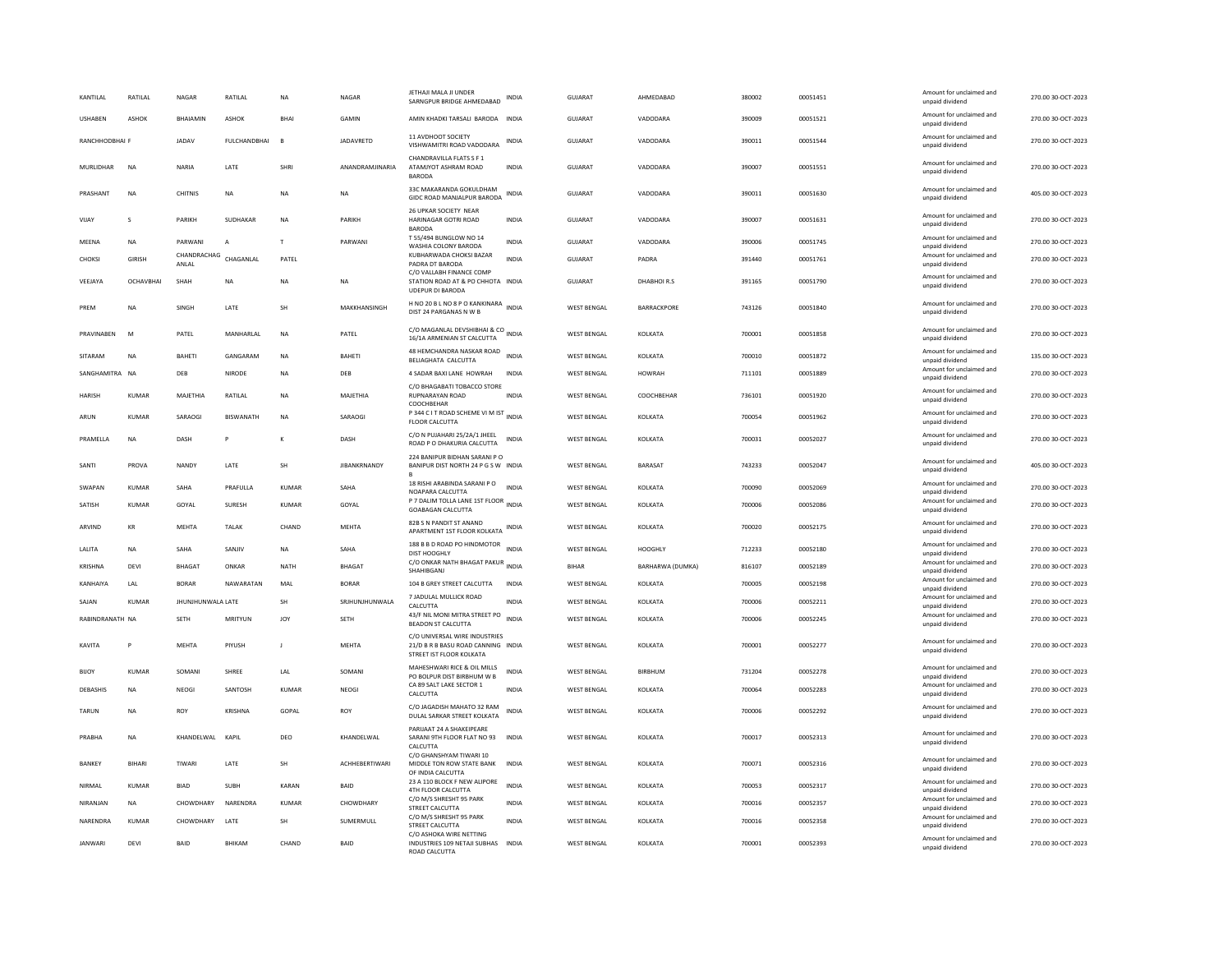| KANTILAL         | RATILAL       | <b>NAGAR</b>         | RATILAL             | NA           | NAGAR               | JETHAJI MALA JI UNDER<br>SARNGPUR BRIDGE AHMEDABAD                                              | INDIA        | GUJARAT            | AHMEDABAD        | 380002 | 00051451 | Amount for unclaimed and<br>unpaid dividend | 270.00 30-OCT-2023 |
|------------------|---------------|----------------------|---------------------|--------------|---------------------|-------------------------------------------------------------------------------------------------|--------------|--------------------|------------------|--------|----------|---------------------------------------------|--------------------|
| <b>USHABEN</b>   | ASHOK         | <b>BHAIAMIN</b>      | <b>ASHOK</b>        | <b>BHA</b>   | GAMIN               | AMIN KHADKI TARSALI BARODA INDIA                                                                |              | <b>GUJARAT</b>     | VADODARA         | 390009 | 00051521 | Amount for unclaimed and<br>unpaid dividend | 270.00 30-OCT-2023 |
| RANCHHODBHAI F   |               | <b>JADAV</b>         | <b>FULCHANDBHAI</b> | B            | JADAVRETD           | 11 AVDHOOT SOCIETY<br>VISHWAMITRI ROAD VADODARA                                                 | <b>INDIA</b> | GUJARAT            | VADODARA         | 390011 | 00051544 | Amount for unclaimed and<br>unpaid dividend | 270.00 30-OCT-2023 |
| <b>MURLIDHAR</b> | <b>NA</b>     | NARIA                | LATE                | SHRI         | ANANDRAMJINARIA     | CHANDRAVILLA FLATS S F 1<br>ATAMJYOT ASHRAM ROAD<br><b>BARODA</b>                               | <b>INDIA</b> | GUJARAT            | VADODARA         | 390007 | 00051551 | Amount for unclaimed and<br>unpaid dividend | 270.00 30-OCT-2023 |
| PRASHANT         | NA            | CHITNIS              | NA                  | NA           | <b>NA</b>           | 33C MAKARANDA GOKULDHAM<br>GIDC ROAD MANJALPUR BARODA                                           | INDIA        | GUJARAT            | VADODARA         | 390011 | 00051630 | Amount for unclaimed and<br>unpaid dividend | 405.00 30-OCT-2023 |
| VIIAY            | $\mathbf{S}$  | PARIKH               | SUDHAKAR            | <b>NA</b>    | PARIKH              | 26 UPKAR SOCIETY NEAR<br>HARINAGAR GOTRI ROAD<br><b>BARODA</b>                                  | <b>INDIA</b> | GUIARAT            | VADODARA         | 390007 | 00051631 | Amount for unclaimed and<br>unpaid dividend | 270.00.30-OCT-2023 |
| MEENA            | <b>NA</b>     | PARWANI              | $\overline{A}$      | $\mathsf{T}$ | PARWANI             | T 55/494 BUNGLOW NO 14<br>WASHIA COLONY BARODA                                                  | <b>INDIA</b> | GUJARAT            | VADODARA         | 390006 | 00051745 | Amount for unclaimed and<br>unpaid dividend | 270.00 30-OCT-2023 |
| CHOKSI           | <b>GIRISH</b> | CHANDRACHAG<br>ANLAL | CHAGANLAL           | PATEL        |                     | KUBHARWADA CHOKSI BAZAR<br>PADRA DT BARODA                                                      | INDIA        | GUJARAT            | PADRA            | 391440 | 00051761 | Amount for unclaimed and<br>unpaid dividend | 270.00 30-OCT-2023 |
| VEEJAYA          | OCHAVBHAI     | SHAH                 | <b>NA</b>           | <b>NA</b>    | <b>NA</b>           | C/O VALLABH FINANCE COMP<br>STATION ROAD AT & PO CHHOTA INDIA<br>UDEPUR DI BARODA               |              | <b>GUJARAT</b>     | DHABHOIR.S       | 391165 | 00051790 | Amount for unclaimed and<br>unpaid dividend | 270.00 30-OCT-2023 |
| PREM             | NA            | SINGH                | LATE                | SH           | MAKKHANSINGH        | H NO 20 B L NO 8 P O KANKINARA<br>DIST 24 PARGANAS N W B                                        |              | <b>WEST BENGAL</b> | BARRACKPORE      | 743126 | 00051840 | Amount for unclaimed and<br>unpaid dividend | 270.00 30-OCT-2023 |
| PRAVINABEN       | M             | PATEL                | MANHARLAL           | <b>NA</b>    | PATEL               | C/O MAGANLAL DEVSHIBHAI & CO<br>16/1A ARMENIAN ST CALCUTTA                                      | <b>INDIA</b> | <b>WEST BENGAL</b> | KOLKATA          | 700001 | 00051858 | Amount for unclaimed and<br>unpaid dividend | 270.00 30-OCT-2023 |
| SITARAM          | <b>NA</b>     | <b>BAHFTI</b>        | GANGARAM            | <b>NA</b>    | <b>BAHFTI</b>       | 48 HEMCHANDRA NASKAR ROAD<br>BELIAGHATA CALCUTTA                                                | <b>INDIA</b> | <b>WEST BENGAL</b> | KOLKATA          | 700010 | 00051872 | Amount for unclaimed and<br>unpaid dividend | 135.00 30-OCT-2023 |
| SANGHAMITRA NA   |               | DEB                  | <b>NIRODE</b>       | <b>NA</b>    | DEB                 | 4 SADAR BAXI LANE HOWRAH                                                                        | <b>INDIA</b> | <b>WEST BENGAL</b> | <b>HOWRAH</b>    | 711101 | 00051889 | Amount for unclaimed and<br>unpaid dividend | 270.00 30-OCT-2023 |
| <b>HARISH</b>    | KUMAR         | MAJETHIA             | RATILAL             | <b>NA</b>    | MAJETHIA            | C/O BHAGABATI TOBACCO STORE<br><b>RUPNARAYAN ROAD</b><br>COOCHBEHAR                             | <b>INDIA</b> | <b>WEST BENGAL</b> | COOCHBEHAR       | 736101 | 00051920 | Amount for unclaimed and<br>unpaid dividend | 270.00 30-OCT-2023 |
| ARUN             | <b>KUMAR</b>  | SARAOG               | <b>BISWANATH</b>    | <b>NA</b>    | SARAOGI             | P 344 C I T ROAD SCHEME VI M IST INDIA<br>FLOOR CALCUTTA                                        |              | <b>WEST BENGAL</b> | KOLKATA          | 700054 | 00051962 | Amount for unclaimed and<br>unpaid dividend | 270.00 30-OCT-2023 |
| PRAMELLA         | <b>NA</b>     | DASH                 | p                   |              | DASH                | C/O N PUJAHARI 25/2A/1 JHEEL<br>ROAD P O DHAKURIA CALCUTTA                                      | <b>INDIA</b> | <b>WEST BENGAL</b> | KOLKATA          | 700031 | 00052027 | Amount for unclaimed and<br>unpaid dividend | 270.00 30-OCT-2023 |
| SANTI            | PROVA         | NANDY                | LATE                | SH           | <b>JIBANKRNANDY</b> | 224 BANIPUR BIDHAN SARANI P O<br>BANIPUR DIST NORTH 24 P G S W INDIA                            |              | <b>WEST BENGAL</b> | BARASAT          | 743233 | 00052047 | Amount for unclaimed and<br>unpaid dividend | 405.00 30-OCT-2023 |
| SWAPAN           | <b>KUMAR</b>  | SAHA                 | PRAFULLA            | KUMAR        | SAHA                | 18 RISHI ARABINDA SARANI P O<br>NOAPARA CALCUTTA                                                | INDIA        | <b>WEST BENGAL</b> | KOLKATA          | 700090 | 00052069 | Amount for unclaimed and<br>unpaid dividend | 270.00 30-OCT-2023 |
| SATISH           | <b>KUMAR</b>  | GOYAL                | SURESH              | <b>KUMAR</b> | GOYAL               | P 7 DALIM TOLLA LANE 1ST FLOOR INDIA<br><b>GOABAGAN CALCUTTA</b>                                |              | <b>WEST BENGAL</b> | KOLKATA          | 700006 | 00052086 | Amount for unclaimed and<br>unpaid dividend | 270.00 30-OCT-2023 |
| ARVIND           | KR            | <b>MEHTA</b>         | <b>TALAK</b>        | CHAND        | MEHTA               | 82B S N PANDIT ST ANAND<br>APARTMENT 1ST FLOOR KOLKATA INDIA                                    |              | <b>WEST BENGAL</b> | KOLKATA          | 700020 | 00052175 | Amount for unclaimed and<br>unpaid dividend | 270.00 30-OCT-2023 |
| LALITA           | NA            | SAHA                 | SANJIV              | NA           | SAHA                | 188 B B D ROAD PO HINDMOTOR<br>DIST HOOGHLY                                                     | <b>INDIA</b> | <b>WEST BENGAL</b> | HOOGHLY          | 712233 | 00052180 | Amount for unclaimed and<br>unpaid dividend | 270.00 30-OCT-2023 |
| KRISHNA          | DEVI          | <b>BHAGAT</b>        | ONKAR               | <b>NATH</b>  | BHAGAT              | C/O ONKAR NATH BHAGAT PAKUR INDIA<br><b>SHAHIRGANI</b>                                          |              | <b>BIHAR</b>       | BARHARWA (DUMKA) | 816107 | 00052189 | Amount for unclaimed and<br>unpaid dividend | 270.00 30-OCT-2023 |
| KANHAIYA         | I AI          | <b>BORAR</b>         | NAWARATAN           | MAI          | <b>BORAR</b>        | 104 B GREY STREET CALCUTTA                                                                      | <b>INDIA</b> | <b>WEST RENGAL</b> | KOLKATA          | 700005 | 00052198 | Amount for unclaimed and<br>unpaid dividend | 270.00 30-OCT-2023 |
| SAJAN            | <b>KUMAR</b>  | JHUNJHUNWALA LATE    |                     | <b>SH</b>    | SRJHUNJHUNWALA      | 7 JADULAL MULLICK ROAD<br>CALCUTTA                                                              | <b>INDIA</b> | <b>WEST BENGAL</b> | KOLKATA          | 700006 | 00052211 | Amount for unclaimed and<br>unpaid dividend | 270.00 30-OCT-2023 |
| RABINDRANATH NA  |               | <b>SETH</b>          | MRITYUN             | JOY          | <b>SETH</b>         | 43/F NIL MONI MITRA STREET PO<br><b>BEADON ST CALCUTTA</b>                                      | <b>INDIA</b> | <b>WEST BENGAL</b> | KOLKATA          | 700006 | 00052245 | Amount for unclaimed and<br>unpaid dividend | 270.00 30-OCT-2023 |
| KAVITA           | P             | <b>MEHTA</b>         | PIYUSH              | J.           | MEHTA               | C/O UNIVERSAL WIRE INDUSTRIES<br>21/D B R B BASU ROAD CANNING INDIA<br>STREET IST FLOOR KOLKATA |              | WEST BENGAL        | KOLKATA          | 700001 | 00052277 | Amount for unclaimed and<br>unpaid dividend | 270.00 30-OCT-2023 |
| <b>BIJOY</b>     | KUMAR         | SOMANI               | SHREE               | LAL          | SOMANI              | MAHESHWARI RICE & OIL MILLS<br>PO BOLPUR DIST BIRBHUM W B                                       | INDIA        | <b>WEST BENGAL</b> | BIRBHUM          | 731204 | 00052278 | Amount for unclaimed and<br>unnaid dividend | 270.00 30-OCT-2023 |
| DEBASHIS         | <b>NA</b>     | NEOGI                | SANTOSH             | <b>KUMAR</b> | NEOGI               | CA 89 SALT LAKE SECTOR 1<br>CALCUTTA                                                            | <b>INDIA</b> | <b>WEST BENGAL</b> | KOLKATA          | 700064 | 00052283 | Amount for unclaimed and<br>unpaid dividend | 270.00 30-OCT-2023 |
| TARUN            | <b>NA</b>     | ROY                  | <b>KRISHNA</b>      | <b>GOPAL</b> | <b>ROY</b>          | C/O JAGADISH MAHATO 32 RAM<br>DULAL SARKAR STREET KOLKATA                                       | <b>INDIA</b> | <b>WEST BENGAL</b> | KOLKATA          | 700006 | 00052292 | Amount for unclaimed and<br>unpaid dividend | 270.00 30-OCT-2023 |
| PRABHA           | <b>NA</b>     | KHANDELWAL KAPIL     |                     | DEO          | KHANDELWAL          | PARIJAAT 24 A SHAKEIPEARE<br>SARANI 9TH FLOOR FLAT NO 93<br>CALCUTTA                            | <b>INDIA</b> | WEST BENGAL        | KOLKATA          | 700017 | 00052313 | Amount for unclaimed and<br>unpaid dividend | 270.00 30-OCT-2023 |
| BANKEY           | <b>BIHARI</b> | TIWARI               | LATE                | SH           | ACHHEBERTIWARI      | C/O GHANSHYAM TIWARI 10<br>MIDDLE TON ROW STATE BANK<br>OF INDIA CALCUTTA                       | <b>INDIA</b> | <b>WEST BENGAL</b> | KOLKATA          | 700071 | 00052316 | Amount for unclaimed and<br>unpaid dividend | 270.00 30-OCT-2023 |
| NIRMAL           | KUMAR         | <b>BIAD</b>          | SUBH                | KARAN        | BAID                | 23 A 110 BLOCK F NEW ALIPORE<br>4TH FLOOR CALCUTTA                                              | <b>INDIA</b> | <b>WEST BENGAL</b> | KOLKATA          | 700053 | 00052317 | Amount for unclaimed and<br>unpaid dividend | 270.00 30-OCT-2023 |
| NIRANJAN         | <b>NA</b>     | CHOWDHARY            | NARENDRA            | <b>KUMAR</b> | CHOWDHARY           | C/O M/S SHRESHT 95 PARK<br>STREET CALCUTTA                                                      | <b>INDIA</b> | <b>WEST BENGAL</b> | KOLKATA          | 700016 | 00052357 | Amount for unclaimed and<br>unpaid dividend | 270.00 30-OCT-2023 |
| NARENDRA         | KUMAR         | CHOWDHARY            | LATE                | SH           | SUMERMULL           | C/O M/S SHRESHT 95 PARK<br>STREET CALCUTTA                                                      | <b>INDIA</b> | <b>WEST BENGAL</b> | KOLKATA          | 700016 | 00052358 | Amount for unclaimed and<br>unpaid dividend | 270.00 30-OCT-2023 |
| <b>IANWARI</b>   | DFVI          | <b>BAID</b>          | <b>BHIKAM</b>       | CHAND        | <b>BAID</b>         | C/O ASHOKA WIRE NETTING<br>INDUSTRIES 109 NETAJI SUBHAS INDIA<br><b>ROAD CALCUTTA</b>           |              | <b>WEST BENGAL</b> | KOI KATA         | 700001 | 00052393 | Amount for unclaimed and<br>unpaid dividend | 270.00 30-OCT-2023 |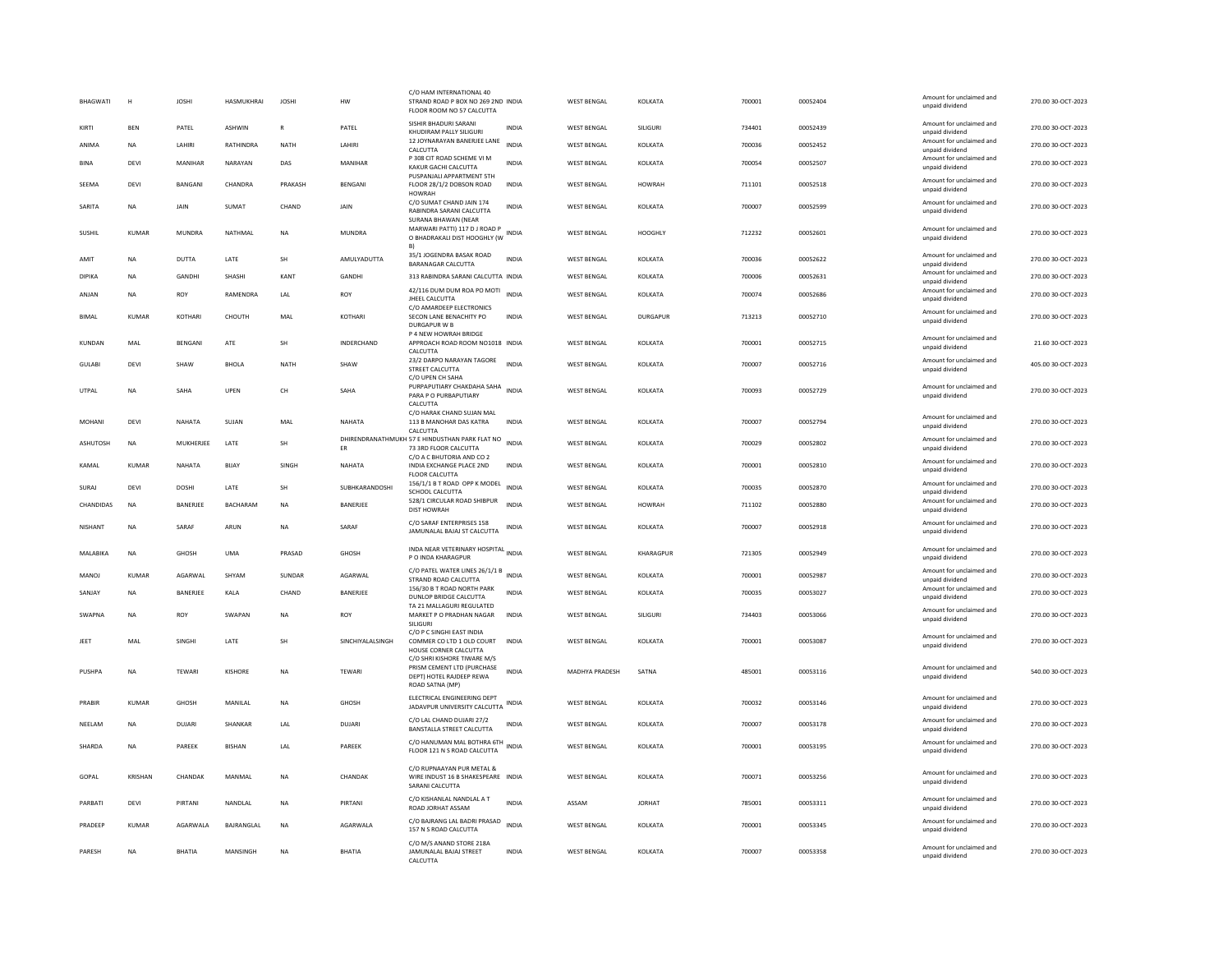| BHAGWATI       | H            | <b>JOSHI</b>     | HASMUKHRAI        | <b>JOSHI</b>         | <b>HW</b>         | C/O HAM INTERNATIONAL 40<br>STRAND ROAD P BOX NO 269 2ND INDIA<br>FLOOR ROOM NO 57 CALCUTTA                    |              | <b>WEST BENGAL</b> | KOLKATA         | 700001 | 00052404 | Amount for unclaimed and<br>unpaid dividend                    | 270.00 30-OCT-2023 |
|----------------|--------------|------------------|-------------------|----------------------|-------------------|----------------------------------------------------------------------------------------------------------------|--------------|--------------------|-----------------|--------|----------|----------------------------------------------------------------|--------------------|
| KIRTI          | <b>RFN</b>   | PATEL            | ASHWIN            | $\mathbb{R}$         | PATEL             | SISHIR BHADURI SARANI<br>KHUDIRAM PALLY SILIGURI                                                               | <b>INDIA</b> | <b>WEST BENGAL</b> | SILIGURI        | 734401 | 00052439 | Amount for unclaimed and<br>unpaid dividend                    | 270.00 30-OCT-2023 |
| ANIMA          | NA           | LAHIRI           | RATHINDRA         | NATH                 | LAHIRI            | 12 JOYNARAYAN BANERJEE LANE<br>CALCUTTA                                                                        | <b>INDIA</b> | <b>WEST BENGAL</b> | KOLKATA         | 700036 | 00052452 | Amount for unclaimed and<br>unpaid dividend                    | 270.00 30-OCT-2023 |
| <b>BINA</b>    | DEVI         | MANIHAR          | NARAYAN           | DAS                  | MANIHAR           | P 308 CIT ROAD SCHEME VI M<br>KAKUR GACHI CALCUTTA                                                             | <b>INDIA</b> | <b>WEST BENGAL</b> | KOLKATA         | 700054 | 00052507 | Amount for unclaimed and<br>unpaid dividend                    | 270.00 30-OCT-2023 |
| SEEMA          | DEVI         | <b>BANGANI</b>   | CHANDRA           | PRAKASH              | <b>BENGANI</b>    | PUSPANJALI APPARTMENT 5TH<br>FLOOR 28/1/2 DOBSON ROAD<br><b>HOWRAH</b>                                         | <b>INDIA</b> | <b>WEST BENGAL</b> | HOWRAH          | 711101 | 00052518 | Amount for unclaimed and<br>unpaid dividend                    | 270.00.30-OCT-2023 |
| SARITA         | NA           | JAIN             | SUMAT             | CHAND                | JAIN              | C/O SUMAT CHAND JAIN 174<br>RABINDRA SARANI CALCUTTA<br>SURANA BHAWAN (NEAR                                    | INDIA        | <b>WEST BENGAL</b> | KOLKATA         | 700007 | 00052599 | Amount for unclaimed and<br>unpaid dividend                    | 270.00 30-OCT-2023 |
| SUSHIL         | <b>KUMAR</b> | MUNDRA           | NATHMAL           | NA                   | MUNDRA            | MARWARI PATTI) 117 D J ROAD P<br>O BHADRAKALI DIST HOOGHLY (W INDIA                                            |              | WEST BENGAL        | HOOGHLY         | 712232 | 00052601 | Amount for unclaimed and<br>unpaid dividend                    | 270.00 30-OCT-2023 |
| AMIT           | <b>NA</b>    | DUTTA            | LATE              | SH                   | AMULYADUTTA       | 35/1 JOGENDRA BASAK ROAD<br><b>BARANAGAR CALCUTTA</b>                                                          | <b>INDIA</b> | WEST BENGAL        | KOLKATA         | 700036 | 00052622 | Amount for unclaimed and<br>unpaid dividend                    | 270.00 30-OCT-2023 |
| DIPIKA         | <b>NA</b>    | <b>GANDHI</b>    | SHASHI            | KANT                 | <b>GANDHI</b>     | 313 RABINDRA SARANI CALCUTTA INDIA                                                                             |              | <b>WEST BENGAL</b> | KOLKATA         | 700006 | 00052631 | Amount for unclaimed and<br>unpaid dividend                    | 270.00 30-OCT-2023 |
| ANJAN          | NA           | ROY              | RAMENDRA          | LAL                  | ROY               | 42/116 DUM DUM ROA PO MOTI<br>JHEEL CALCUTTA                                                                   | <b>INDIA</b> | <b>WEST BENGAL</b> | KOLKATA         | 700074 | 00052686 | Amount for unclaimed and<br>unpaid dividend                    | 270.00 30-OCT-2023 |
| <b>BIMAL</b>   | <b>KUMAR</b> | KOTHARI          | CHOUTH            | MAL                  | KOTHARI           | C/O AMARDEEP ELECTRONICS<br>SECON LANE BENACHITY PO<br><b>DURGAPUR W B</b><br>P 4 NEW HOWRAH BRIDGE            | <b>INDIA</b> | WEST BENGAL        | <b>DURGAPUR</b> | 713213 | 00052710 | Amount for unclaimed and<br>unpaid dividend                    | 270.00 30-OCT-2023 |
| KUNDAN         | MAI          | <b>RENGANI</b>   | ATF               | <b>SH</b>            | <b>INDERCHAND</b> | APPROACH ROAD ROOM NO1018 INDIA<br>CALCUTTA                                                                    |              | <b>WEST BENGAL</b> | <b>KOLKATA</b>  | 700001 | 00052715 | Amount for unclaimed and<br>unpaid dividend                    | 21.60.30-OCT-2023  |
| <b>GULABI</b>  | DEVI         | SHAW             | <b>BHOLA</b>      | <b>NATH</b>          | SHAW              | 23/2 DARPO NARAYAN TAGORE<br>STREET CALCUTTA<br>C/O UPEN CH SAHA                                               | <b>INDIA</b> | <b>WEST BENGAL</b> | KOLKATA         | 700007 | 00052716 | Amount for unclaimed and<br>unpaid dividend                    | 405.00 30-OCT-2023 |
| UTPAL          | NA           | SAHA             | UPEN              | CH                   | SAHA              | PURPAPUTIARY CHAKDAHA SAHA INDIA<br>PARA P O PURBAPUTIARY<br>CALCUTTA                                          |              | <b>WEST BENGAL</b> | KOLKATA         | 700093 | 00052729 | Amount for unclaimed and<br>unpaid dividend                    | 270.00 30-OCT-2023 |
| MOHANI         | DEVI         | NAHATA           | SUJAN             | MAL                  | NAHATA            | C/O HARAK CHAND SUJAN MAL<br>113 B MANOHAR DAS KATRA                                                           | <b>INDIA</b> | <b>WEST BENGAL</b> | KOLKATA         | 700007 | 00052794 | Amount for unclaimed and                                       | 270.00 30-OCT-2023 |
| ASHUTOSH       | <b>NA</b>    | MUKHERJEE        | LATE              | SH                   |                   | CALCUTTA<br>DHIRENDRANATHMUKH 57 E HINDUSTHAN PARK FLAT NO INDIA                                               |              | WEST BENGAL        | KOLKATA         | 700029 | 00052802 | unpaid dividend<br>Amount for unclaimed and                    | 270.00 30-OCT-2023 |
| KAMAI          | KUMAR        | NAHATA           | BIJAY             | SINGH                | ER<br>NAHATA      | 73 3RD FLOOR CALCUTTA<br>C/O A C BHUTORIA AND CO 2<br>INDIA EXCHANGE PLACE 2ND                                 | INDIA        | <b>WEST BENGAL</b> | KOLKATA         | 700001 | 00052810 | unpaid dividend<br>Amount for unclaimed and<br>unpaid dividend | 270.00 30-OCT-2023 |
|                |              |                  |                   |                      |                   | FLOOR CALCUTTA<br>156/1/1 B T ROAD OPP K MODEL                                                                 |              |                    |                 |        |          | Amount for unclaimed and                                       |                    |
| SURAJ          | DEVI         | <b>DOSHI</b>     | LATE              | $\mathsf{SH}\xspace$ | SUBHKARANDOSHI    | SCHOOL CALCUTTA                                                                                                | <b>INDIA</b> | WEST BENGAL        | KOLKATA         | 700035 | 00052870 | unpaid dividend                                                | 270.00 30-OCT-2023 |
| CHANDIDAS      | <b>NA</b>    | BANERJEE         | <b>BACHARAM</b>   | <b>NA</b>            | BANERJEE          | 528/1 CIRCULAR ROAD SHIBPUR<br><b>DIST HOWRAH</b>                                                              | INDIA        | <b>WEST BENGAL</b> | <b>HOWRAH</b>   | 711102 | 00052880 | Amount for unclaimed and<br>unpaid dividend                    | 270.00 30-OCT-2023 |
| <b>NISHANT</b> | <b>NA</b>    | SARAF            | ARUN              | <b>NA</b>            | SARAF             | C/O SARAF ENTERPRISES 158<br>JAMUNALAL BAJAJ ST CALCUTTA                                                       | <b>INDIA</b> | <b>WEST BENGAL</b> | KOLKATA         | 700007 | 00052918 | Amount for unclaimed and<br>unpaid dividend                    | 270.00 30-OCT-2023 |
| MALABIKA       | <b>NA</b>    | <b>GHOSH</b>     | <b>UMA</b>        | PRASAD               | GHOSH             | INDA NEAR VETERINARY HOSPITAL INDIA<br>P O INDA KHARAGPUR                                                      |              | <b>WEST BENGAL</b> | KHARAGPUR       | 721305 | 00052949 | Amount for unclaimed and<br>unpaid dividend                    | 270.00 30-OCT-2023 |
| MANOJ          | <b>KUMAR</b> | AGARWAL          | SHYAM             | SUNDAR               | AGARWAL           | C/O PATEL WATER LINES 26/1/1 B INDIA<br>STRAND ROAD CALCUTTA                                                   |              | <b>WEST BENGAL</b> | KOLKATA         | 700001 | 00052987 | Amount for unclaimed and<br>unpaid dividend                    | 270.00 30-OCT-2023 |
| SANJAY         | <b>NA</b>    | BANERJEE         | KALA              | CHAND                | BANERJEE          | 156/30 B T ROAD NORTH PARK<br>DUNLOP BRIDGE CALCUTTA                                                           | <b>INDIA</b> | <b>WEST BENGAL</b> | KOLKATA         | 700035 | 00053027 | Amount for unclaimed and<br>unpaid dividend                    | 270.00 30-OCT-2023 |
| SWAPNA         | <b>NA</b>    | ROY              | SWAPAN            | <b>NA</b>            | ROY               | TA 21 MALLAGURI REGULATED<br>MARKET P O PRADHAN NAGAR<br>SILIGURI                                              | <b>INDIA</b> | WEST BENGAL        | SILIGURI        | 734403 | 00053066 | Amount for unclaimed and<br>unpaid dividend                    | 270.00 30-OCT-2023 |
| JEET           | MAL          | SINGHI           | LATE              | SH                   | SINCHIYALALSINGH  | C/O P C SINGHI EAST INDIA<br>COMMER CO LTD 1 OLD COURT<br>HOUSE CORNER CALCUTTA<br>C/O SHRI KISHORE TIWARE M/S | <b>INDIA</b> | <b>WEST BENGAL</b> | KOLKATA         | 700001 | 00053087 | Amount for unclaimed and<br>unpaid dividend                    | 270.00 30-OCT-2023 |
| PUSHPA         | <b>NA</b>    | <b>TEWARI</b>    | KISHORE           | <b>NA</b>            | TEWARI            | PRISM CEMENT LTD (PURCHASE<br>DEPT) HOTEL RAJDEEP REWA<br>ROAD SATNA (MP)                                      | <b>INDIA</b> | MADHYA PRADESH     | SATNA           | 485001 | 00053116 | Amount for unclaimed and<br>unpaid dividend                    | 540.00 30-OCT-2023 |
| PRABIR         | <b>KUMAR</b> | <b>GHOSH</b>     | MANILAL           | <b>NA</b>            | <b>GHOSH</b>      | ELECTRICAL ENGINEERING DEPT<br>JADAVPUR UNIVERSITY CALCUTTA                                                    | <b>INDIA</b> | <b>WEST BENGAL</b> | KOLKATA         | 700032 | 00053146 | Amount for unclaimed and<br>unpaid dividend                    | 270.00 30-OCT-2023 |
| NEELAM         | <b>NA</b>    | DUIARI           | <b>SHANKAR</b>    | LAL                  | <b>DUIARI</b>     | C/O LAL CHAND DUJARI 27/2<br>BANSTALLA STREET CALCUTTA                                                         | <b>INDIA</b> | <b>WEST BENGAL</b> | <b>KOI KATA</b> | 700007 | 00053178 | Amount for unclaimed and<br>unpaid dividend                    | 270.00.30-OCT-2023 |
| SHARDA         | <b>NA</b>    | PAREEK           | <b>BISHAN</b>     | LAL                  | PAREEK            | C/O HANUMAN MAL BOTHRA 6TH<br>FLOOR 121 N S ROAD CALCUTTA                                                      | <b>INDIA</b> | <b>WEST BENGAL</b> | KOLKATA         | 700001 | 00053195 | Amount for unclaimed and<br>unpaid dividend                    | 270.00 30-OCT-2023 |
| GOPAL          | KRISHAN      | CHANDAK          | MANMAL            | <b>NA</b>            | CHANDAK           | C/O RUPNAAYAN PUR METAL &<br>WIRE INDUST 16 B SHAKESPEARE INDIA<br>SARANI CALCUTTA                             |              | <b>WEST BENGAL</b> | KOLKATA         | 700071 | 00053256 | Amount for unclaimed and<br>unpaid dividend                    | 270.00 30-OCT-2023 |
| PARBATI        | DEVI         | PIRTANI          | NANDLAL           | NA                   | PIRTANI           | C/O KISHANLAL NANDLAL A T<br>ROAD JORHAT ASSAM                                                                 | <b>INDIA</b> | ASSAM              | <b>JORHAT</b>   | 785001 | 00053311 | Amount for unclaimed and<br>unpaid dividend                    | 270.00 30-OCT-2023 |
| PRADEEP        | KUMAR        | <b>AGARWAI A</b> | <b>BAIRANGLAL</b> | <b>NA</b>            | <b>AGARWAI A</b>  | C/O BAJRANG LAL BADRI PRASAD<br>157 N S ROAD CALCUTTA                                                          | <b>INDIA</b> | <b>WEST BENGAL</b> | <b>KOI KATA</b> | 700001 | 00053345 | Amount for unclaimed and<br>unpaid dividend                    | 270.00.30-OCT-2023 |
| PARESH         | <b>NA</b>    | RHATIA           | MANSINGH          | <b>NA</b>            | <b>BHATIA</b>     | C/O M/S ANAND STORE 218A<br>JAMUNALAL BAJAJ STREET<br>CALCUTTA                                                 | <b>INDIA</b> | <b>WEST BENGAL</b> | KOLKATA         | 700007 | 00053358 | Amount for unclaimed and<br>unpaid dividend                    | 270.00 30-OCT-2023 |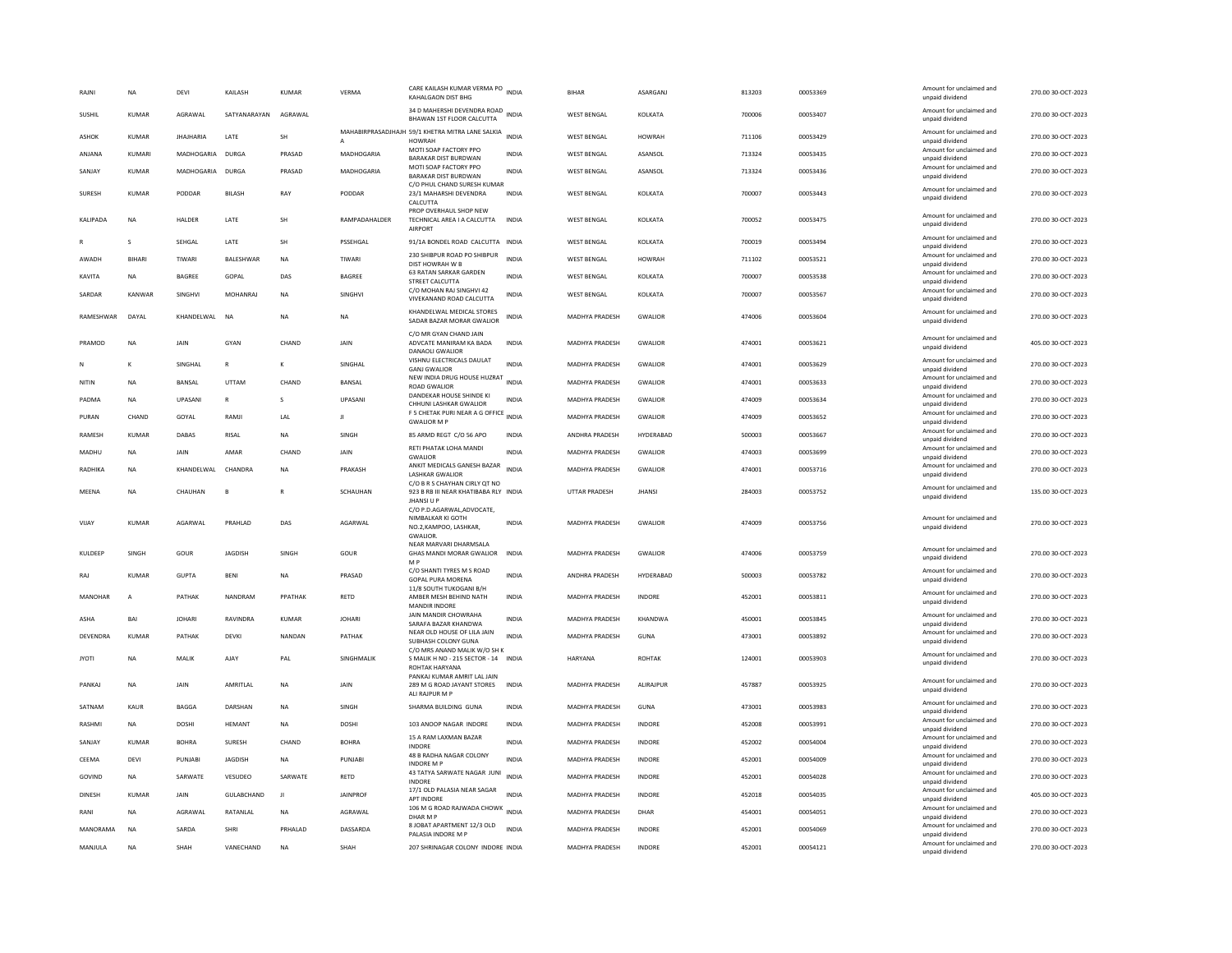| RAIN          |                 | <b>NA</b>      | DFVI             | KAILASH         | KUMAR         | VFRMA             | CARE KAILASH KUMAR VERMA PO INDIA<br>KAHALGAON DIST BHG                                       |              | <b>BIHAR</b>          | ASARGANJ       | 813203 | 00053369 | Amount for unclaimed and<br>unpaid dividend | 270.00 30-OCT-2023 |
|---------------|-----------------|----------------|------------------|-----------------|---------------|-------------------|-----------------------------------------------------------------------------------------------|--------------|-----------------------|----------------|--------|----------|---------------------------------------------|--------------------|
| SUSHIL        |                 | <b>KUMAR</b>   | AGRAWAL          | SATYANARAYAN    | AGRAWAL       |                   | 34 D MAHERSHI DEVENDRA ROAD<br>BHAWAN 1ST FLOOR CALCUTTA                                      | <b>INDIA</b> | <b>WEST BENGAL</b>    | KOLKATA        | 700006 | 00053407 | Amount for unclaimed and<br>unpaid dividend | 270.00 30-OCT-2023 |
| ASHOK         |                 | KUMAR          | <b>IHAIHARIA</b> | <b>I ATF</b>    | <b>SH</b>     | A                 | MAHABIRPRASADJHAJH 59/1 KHETRA MITRA LANE SALKIA INDIA<br><b>HOWRAH</b>                       |              | <b>WEST RENGAL</b>    | <b>HOWRAH</b>  | 711106 | 00053429 | Amount for unclaimed and<br>unpaid dividend | 270.00 30-OCT-2023 |
| ANJANA        |                 | KUMARI         | MADHOGARIA       | <b>DURGA</b>    | PRASAD        | MADHOGARIA        | MOTI SOAP FACTORY PPO<br><b>BARAKAR DIST BURDWAN</b>                                          | <b>INDIA</b> | <b>WEST BENGAL</b>    | ASANSOL        | 713324 | 00053435 | Amount for unclaimed and<br>unpaid dividend | 270.00 30-OCT-2023 |
| SANJAY        |                 | <b>KUMAR</b>   | MADHOGARIA DURGA |                 | PRASAD        | <b>MADHOGARIA</b> | MOTI SOAP FACTORY PPO<br>BARAKAR DIST BURDWAN                                                 | <b>INDIA</b> | <b>WEST BENGAL</b>    | ASANSOL        | 713324 | 00053436 | Amount for unclaimed and<br>unpaid dividend | 270.00 30-OCT-2023 |
| SURESH        |                 | <b>KUMAR</b>   | PODDAR           | BILASH          | RAY           | PODDAR            | C/O PHUL CHAND SURESH KUMAR<br>23/1 MAHARSHI DEVENDRA<br>CALCUTTA                             | <b>INDIA</b> | <b>WEST BENGAL</b>    | KOLKATA        | 700007 | 00053443 | Amount for unclaimed and<br>unpaid dividend | 270.00 30-OCT-2023 |
| KALIPADA      |                 | <b>NA</b>      | HALDER           | LATE            | SH            | RAMPADAHALDER     | PROP OVERHAUL SHOP NEW<br>TECHNICAL AREA I A CALCUTTA<br><b>AIRPORT</b>                       | <b>INDIA</b> | <b>WEST BENGAL</b>    | KOLKATA        | 700052 | 00053475 | Amount for unclaimed and<br>unpaid dividend | 270.00 30-OCT-2023 |
|               |                 | s              | SEHGAL           | LATE            | SH            | PSSEHGAL          | 91/1A BONDEL ROAD CALCUTTA INDIA                                                              |              | <b>WEST BENGAL</b>    | KOLKATA        | 700019 | 00053494 | Amount for unclaimed and<br>unpaid dividend | 270.00 30-OCT-2023 |
| AWADH         |                 | <b>BIHARI</b>  | TIWARI           | BALESHWAR       | NA            | TIWARI            | 230 SHIBPUR ROAD PO SHIBPUR<br>DIST HOWRAH W B                                                | <b>INDIA</b> | <b>WEST BENGAL</b>    | <b>HOWRAH</b>  | 711102 | 00053521 | Amount for unclaimed and<br>unpaid dividend | 270.00 30-OCT-2023 |
| KAVITA        |                 | <b>NA</b>      | <b>BAGREE</b>    | GOPAL           | DAS           | <b>BAGREE</b>     | 63 RATAN SARKAR GARDEN<br>STREET CALCUTTA                                                     | <b>INDIA</b> | <b>WEST BENGAL</b>    | KOLKATA        | 700007 | 00053538 | Amount for unclaimed and<br>unpaid dividend | 270.00 30-OCT-2023 |
| SARDAR        |                 | KANWAR         | SINGHVI          | <b>MOHANRAJ</b> | <b>NA</b>     | SINGHVI           | C/O MOHAN RAJ SINGHVI 42<br>VIVEKANAND ROAD CALCUTTA                                          | INDIA        | <b>WEST BENGAL</b>    | KOLKATA        | 700007 | 00053567 | Amount for unclaimed and<br>unpaid dividend | 270.00 30-OCT-2023 |
|               | RAMESHWAR       | DAYAL          | KHANDELWAL       | <b>NA</b>       | <b>NA</b>     | <b>NA</b>         | KHANDELWAL MEDICAL STORES<br>SADAR BAZAR MORAR GWALIOR                                        | <b>INDIA</b> | MADHYA PRADESH        | GWALIOR        | 474006 | 00053604 | Amount for unclaimed and<br>unpaid dividend | 270.00 30-OCT-2023 |
| PRAMOD        |                 | <b>NA</b>      | <b>JAIN</b>      | GYAN            | CHAND         | <b>JAIN</b>       | C/O MR GYAN CHAND JAIN<br>ADVCATE MANIRAM KA BADA<br>DANAOLI GWALIOF                          | <b>INDIA</b> | <b>MADHYA PRADESH</b> | <b>GWALIOR</b> | 474001 | 00053621 | Amount for unclaimed and<br>unpaid dividend | 405.00 30-OCT-2023 |
|               |                 | K              | SINGHAL          | ${\sf R}$       |               | SINGHAL           | VISHNU ELECTRICALS DAULAT<br><b>GANJ GWALIOR</b>                                              | INDIA        | MADHYA PRADESH        | GWALIOR        | 474001 | 00053629 | Amount for unclaimed and<br>unpaid dividend | 270.00 30-OCT-2023 |
| NITIN         |                 | <b>NA</b>      | BANSAL           | <b>UTTAM</b>    | CHAND         | BANSAL            | NEW INDIA DRUG HOUSE HUZRAT<br><b>ROAD GWALIOR</b>                                            | <b>INDIA</b> | MADHYA PRADESH        | GWALIOR        | 474001 | 00053633 | Amount for unclaimed and<br>unpaid dividend | 270.00 30-OCT-2023 |
| PADMA         |                 | <b>NA</b>      | <b>UPASANI</b>   | $\mathbb{R}$    | $\mathcal{S}$ | <b>UPASANI</b>    | DANDEKAR HOUSE SHINDE KI<br>CHHUNI LASHKAR GWALIOR                                            | <b>INDIA</b> | <b>MADHYA PRADESH</b> | <b>GWALIOR</b> | 474009 | 00053634 | Amount for unclaimed and<br>unpaid dividend | 270.00 30-OCT-2023 |
| PURAN         |                 | CHAND          | GOYAL            | RAMJI           | LAL           | $\mathbf{H}$      | F 5 CHETAK PURI NEAR A G OFFICE<br><b>GWALIOR M P</b>                                         | <b>INDIA</b> | MADHYA PRADESH        | <b>GWALIOR</b> | 474009 | 00053652 | Amount for unclaimed and<br>unpaid dividend | 270.00 30-OCT-2023 |
| <b>RAMESH</b> |                 | <b>KUMAR</b>   | DABAS            | RISAL           | <b>NA</b>     | SINGH             | 85 ARMD REGT C/O 56 APO                                                                       | <b>INDIA</b> | <b>ANDHRA PRADESH</b> | HYDERABAD      | 500003 | 00053667 | Amount for unclaimed and<br>unpaid dividend | 270.00 30-OCT-2023 |
| MADHU         |                 | <b>NA</b>      | JAIN             | AMAF            | CHAND         | JAIN              | RETI PHATAK LOHA MANDI<br><b>GWALIOR</b>                                                      | <b>INDIA</b> | <b>MADHYA PRADESH</b> | <b>GWALIOR</b> | 474003 | 00053699 | Amount for unclaimed and<br>unpaid dividend | 270.00 30-OCT-2023 |
| RADHIKA       |                 | <b>NA</b>      | KHANDELWAL       | CHANDRA         | <b>NA</b>     | PRAKASH           | ANKIT MEDICALS GANESH BAZAR<br><b>I ASHKAR GWALIOR</b>                                        | <b>INDIA</b> | MADHYA PRADESH        | <b>GWALIOR</b> | 474001 | 00053716 | Amount for unclaimed and<br>unpaid dividend | 270.00 30-OCT-2023 |
| MEENA         |                 | <b>NA</b>      | CHAUHAN          | B               |               | SCHAUHAN          | C/O B R S CHAYHAN CIRLY QT NO<br>923 B RB III NEAR KHATIBABA RLY INDIA<br><b>JHANSI U P</b>   |              | <b>UTTAR PRADESH</b>  | <b>JHANSI</b>  | 284003 | 00053752 | Amount for unclaimed and<br>unpaid dividend | 135.00 30-OCT-2023 |
| VIJAY         |                 | KUMAR          | AGARWAL          | PRAHLAD         | DAS           | AGARWAL           | C/O P.D.AGARWAL,ADVOCATE,<br>NIMBALKAR KI GOTH<br>NO.2, KAMPOO, LASHKAR,<br><b>GWALIOR</b>    | <b>INDIA</b> | MADHYA PRADESH        | <b>GWALIOR</b> | 474009 | 00053756 | Amount for unclaimed and<br>unpaid dividend | 270.00 30-OCT-2023 |
| KULDEEP       |                 | SINGH          | GOUR             | <b>JAGDISH</b>  | SINGH         | GOUR              | NEAR MARVARI DHARMSALA<br>GHAS MANDI MORAR GWALIOR<br>M <sub>P</sub>                          | <b>INDIA</b> | MADHYA PRADESH        | GWALIOR        | 474006 | 00053759 | Amount for unclaimed and<br>unpaid dividend | 270.00 30-OCT-2023 |
| RAJ           |                 | KUMAR          | GUPTA            | <b>RFNI</b>     | <b>NA</b>     | PRASAD            | C/O SHANTI TYRES M S ROAD<br><b>GOPAL PURA MORENA</b>                                         | <b>INDIA</b> | ANDHRA PRADESH        | HYDERARAD      | 500003 | 00053782 | Amount for unclaimed and<br>unpaid dividend | 270.00 30-OCT-2023 |
|               | MANOHAR         | $\overline{A}$ | PATHAK           | NANDRAM         | PPATHAK       | RETD              | 11/8 SOUTH TUKOGANI B/H<br>AMBER MESH BEHIND NATH<br><b>MANDIR INDORF</b>                     | INDIA        | MADHYA PRADESH        | INDORE         | 452001 | 00053811 | Amount for unclaimed and<br>unpaid dividend | 270.00 30-OCT-2023 |
| ASHA          |                 | BAI            | <b>JOHARI</b>    | RAVINDRA        | KUMAR         | <b>JOHARI</b>     | JAIN MANDIR CHOWRAHA<br>SARAFA BAZAR KHANDWA                                                  | <b>INDIA</b> | MADHYA PRADESH        | KHANDWA        | 450001 | 00053845 | Amount for unclaimed and<br>unpaid dividend | 270.00 30-OCT-2023 |
|               | <b>DEVENDRA</b> | <b>KUMAR</b>   | PATHAK           | DEVKI           | NANDAN        | PATHAK            | NEAR OLD HOUSE OF LILA JAIN<br>SUBHASH COLONY GUNA                                            | <b>INDIA</b> | MADHYA PRADESH        | <b>GUNA</b>    | 473001 | 00053892 | Amount for unclaimed and<br>unpaid dividend | 270.00 30-OCT-2023 |
| <b>JYOTI</b>  |                 | <b>NA</b>      | MALIK            | AJAY            | PAL           | SINGHMALIK        | C/O MRS ANAND MALIK W/O SH K<br>S MALIK H NO - 215 SECTOR - 14 INDIA<br><b>ROHTAK HARYANA</b> |              | HARYANA               | <b>ROHTAK</b>  | 124001 | 00053903 | Amount for unclaimed and<br>unpaid dividend | 270.00 30-OCT-2023 |
| PANKAJ        |                 | <b>NA</b>      | JAIN             | AMRITLAL        | <b>NA</b>     | JAIN              | PANKAJ KUMAR AMRIT LAL JAIN<br>289 M G ROAD JAYANT STORES<br>ALI RAJPUR M P                   | <b>INDIA</b> | MADHYA PRADESH        | ALIRAJPUR      | 457887 | 00053925 | Amount for unclaimed and<br>unpaid dividend | 270.00 30-OCT-2023 |
| SATNAM        |                 | <b>KAUR</b>    | <b>BAGGA</b>     | DARSHAN         | <b>NA</b>     | SINGH             | SHARMA BUILDING GUNA                                                                          | <b>INDIA</b> | MADHYA PRADESH        | <b>GUNA</b>    | 473001 | 00053983 | Amount for unclaimed and<br>unpaid dividend | 270.00 30-OCT-2023 |
| RASHMI        |                 | <b>NA</b>      | DOSHI            | <b>HFMANT</b>   | <b>NA</b>     | <b>DOSHI</b>      | 103 ANOOP NAGAR INDORE                                                                        | <b>INDIA</b> | MADHYA PRADESH        | <b>INDORF</b>  | 452008 | 00053991 | Amount for unclaimed and<br>unpaid dividend | 270.00 30-OCT-2023 |
| SANJAY        |                 | <b>KUMAR</b>   | <b>BOHRA</b>     | <b>SURESH</b>   | CHAND         | <b>BOHRA</b>      | 15 A RAM LAXMAN BAZAR<br><b>INDORE</b>                                                        | <b>INDIA</b> | MADHYA PRADESH        | <b>INDORE</b>  | 452002 | 00054004 | Amount for unclaimed and<br>unpaid dividend | 270.00 30-OCT-2023 |
| CEEMA         |                 | DEVI           | PUNJABI          | JAGDISH         | NA            | PUNJABI           | 48 B RADHA NAGAR COLONY<br><b>INDORE M P</b>                                                  | <b>INDIA</b> | MADHYA PRADESH        | INDORE         | 452001 | 00054009 | Amount for unclaimed and<br>unpaid dividend | 270.00 30-OCT-2023 |
| GOVIND        |                 | <b>NA</b>      | SARWATE          | VESUDEO         | SARWATE       | RETD              | 43 TATYA SARWATE NAGAR JUNI<br>INDORE                                                         | <b>INDIA</b> | MADHYA PRADESH        | INDORE         | 452001 | 00054028 | Amount for unclaimed and<br>unpaid dividend | 270.00 30-OCT-2023 |
| DINESH        |                 | <b>KUMAR</b>   | JAIN             | GULABCHAND      | $_{\rm{J1}}$  | <b>JAINPROF</b>   | 17/1 OLD PALASIA NEAR SAGAR<br>APT INDORE                                                     | <b>INDIA</b> | MADHYA PRADESH        | <b>INDORE</b>  | 452018 | 00054035 | Amount for unclaimed and<br>unpaid dividend | 405.00 30-OCT-2023 |
| RANI          |                 | <b>NA</b>      | AGRAWAI          | RATANI AI       | <b>NA</b>     | AGRAWAL           | 106 M G ROAD RAJWADA CHOWK INDIA<br>DHAR M P                                                  |              | <b>MADHYA PRADESH</b> | DHAR           | 454001 | 00054051 | Amount for unclaimed and<br>unpaid dividend | 270.00 30-OCT-2023 |
|               | MANORAMA        | <b>NA</b>      | SARDA            | <b>SHRI</b>     | PRHALAD       | DASSARDA          | 8 JOBAT APARTMENT 12/3 OLD                                                                    | <b>INDIA</b> | MADHYA PRADESH        | <b>INDORE</b>  | 452001 | 00054069 | Amount for unclaimed and                    | 270.00 30-OCT-2023 |
| MANJULA       |                 | NA             | SHAH             | VANECHAND       | <b>NA</b>     | SHAH              | PALASIA INDORE M P<br>207 SHRINAGAR COLONY INDORE INDIA                                       |              | <b>MADHYA PRADESH</b> | INDORE         | 452001 | 00054121 | unpaid dividend<br>Amount for unclaimed and | 270.00 30-OCT-2023 |
|               |                 |                |                  |                 |               |                   |                                                                                               |              |                       |                |        |          | unpaid dividend                             |                    |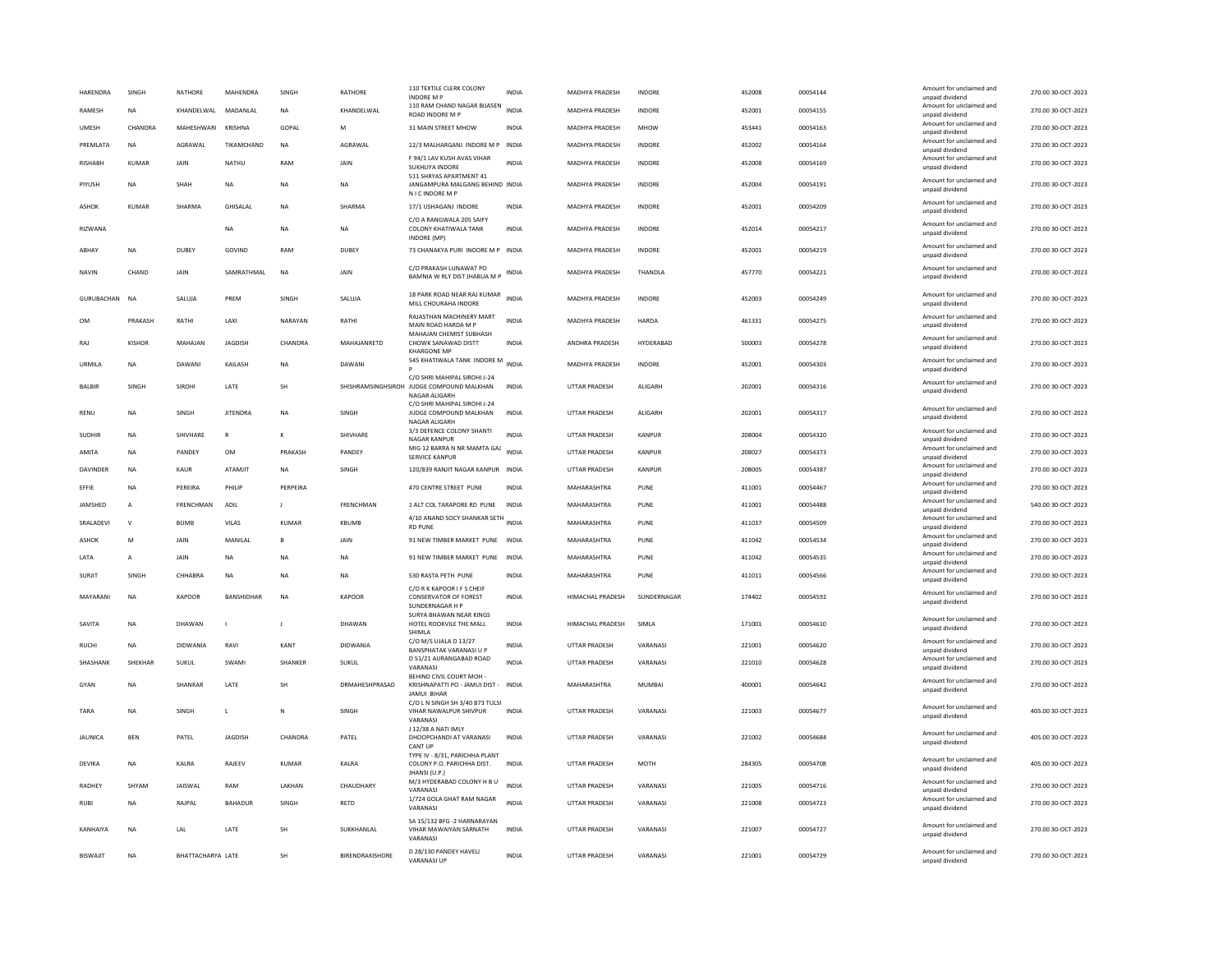| HARENDRA<br>RAMESH | SINGH<br>NA    | RATHORE<br>KHANDELWAL | MAHENDRA<br>MADANLAL | SINGH<br>NA  | <b>RATHORE</b><br>KHANDELWAL | 110 TEXTILE CLERK COLONY<br><b>INDORE M F</b><br>110 RAM CHAND NAGAR BIJASEN         | INDIA<br><b>INDIA</b> | MADHYA PRADESH<br>MADHYA PRADESH | <b>INDORE</b><br>INDORE | 452008<br>452001 | 00054144<br>00054155 | Amount for unclaimed and<br>unpaid dividend<br>Amount for unclaimed and | 270.00 30-OCT-2023<br>270.00 30-OCT-2023 |
|--------------------|----------------|-----------------------|----------------------|--------------|------------------------------|--------------------------------------------------------------------------------------|-----------------------|----------------------------------|-------------------------|------------------|----------------------|-------------------------------------------------------------------------|------------------------------------------|
|                    | CHANDRA        | MAHESHWARI KRISHNA    |                      |              |                              | ROAD INDORE M P                                                                      |                       |                                  |                         |                  |                      | unpaid dividend<br>Amount for unclaimed and                             |                                          |
| <b>UMESH</b>       |                |                       |                      | GOPAL        | M                            | 31 MAIN STREET MHOW                                                                  | <b>INDIA</b>          | <b>MADHYA PRADESH</b>            | <b>MHOW</b>             | 453441           | 00054163             | unpaid dividend<br>Amount for unclaimed and                             | 270.00 30-OCT-2023                       |
| PREMLATA           | NA             | AGRAWAL               | TIKAMCHAND           | <b>NA</b>    | AGRAWAL                      | 12/3 MALHARGANJ INDORE M P<br>F 94/1 LAV KUSH AVAS VIHAR                             | INDIA                 | MADHYA PRADESH                   | INDORE                  | 452002           | 00054164             | unpaid dividend<br>Amount for unclaimed and                             | 270.00 30-OCT-2023                       |
| <b>RISHABH</b>     | KUMAR          | JAIN                  | NATHU                | RAM          | JAIN                         | SUKHLIYA INDORE<br>511 SHRYAS APARTMENT 41                                           | <b>INDIA</b>          | MADHYA PRADESH                   | INDORE                  | 452008           | 00054169             | unpaid dividend<br>Amount for unclaimed and                             | 270.00 30-OCT-2023                       |
| PIYUSH             | <b>NA</b>      | SHAH                  | <b>NA</b>            | <b>NA</b>    | <b>NA</b>                    | JANGAMPURA MALGANG BEHIND INDIA<br>N I C INDORE M P                                  |                       | <b>MADHYA PRADESH</b>            | <b>INDORE</b>           | 452004           | 00054191             | unpaid dividend                                                         | 270.00 30-OCT-2023                       |
| <b>ASHOK</b>       | KUMAR          | SHARMA                | <b>GHISALAL</b>      | <b>NA</b>    | SHARMA                       | 17/1 USHAGANJ INDORE                                                                 | <b>INDIA</b>          | MADHYA PRADESH                   | <b>INDORF</b>           | 452001           | 00054209             | Amount for unclaimed and<br>unpaid dividend                             | 270.00 30-OCT-2023                       |
| RIZWANA            |                |                       | <b>NA</b>            | NA           | <b>NA</b>                    | C/O A RANGWALA 205 SAIFY<br>COLONY KHATIWALA TANK<br>INDORE (MP)                     | <b>INDIA</b>          | MADHYA PRADESH                   | <b>INDORE</b>           | 452014           | 00054217             | Amount for unclaimed and<br>unpaid dividend                             | 270.00 30-OCT-2023                       |
| ARHAY              | <b>NA</b>      | DURFY                 | GOVIND               | RAM          | DURFY                        | 73 CHANAKYA PURI INDORE M P INDIA                                                    |                       | <b>MADHYA PRADESH</b>            | <b>INDORF</b>           | 452001           | 00054219             | Amount for unclaimed and<br>unpaid dividend                             | 270.00 30-OCT-2023                       |
| NAVIN              | CHAND          | JAIN                  | SAMRATHMAL           | <b>NA</b>    | JAIN                         | C/O PRAKASH LUNAWAT PO<br>BAMNIA W RLY DIST JHABUA M P                               | INDIA                 | MADHYA PRADESH                   | THANDLA                 | 457770           | 00054221             | Amount for unclaimed and<br>unpaid dividend                             | 270.00 30-OCT-2023                       |
| GURUBACHAN         | <b>NA</b>      | SALUJA                | PREM                 | SINGH        | SALUJA                       | 18 PARK ROAD NEAR RAJ KUMAR<br>MILL CHOURAHA INDORE                                  | <b>INDIA</b>          | MADHYA PRADESH                   | INDORE                  | 452003           | 00054249             | Amount for unclaimed and<br>unpaid dividend                             | 270.00 30-OCT-2023                       |
| 0 <sub>M</sub>     | PRAKASH        | RATHI                 | LAXI                 | NARAYAN      | RATHI                        | RAJASTHAN MACHINERY MART<br>MAIN ROAD HARDA M P                                      | <b>INDIA</b>          | MADHYA PRADESH                   | HARDA                   | 461331           | 00054275             | Amount for unclaimed and<br>unpaid dividend                             | 270.00 30-OCT-2023                       |
| RAJ                | KISHOR         | MAHAJAN               | <b>JAGDISH</b>       | CHANDRA      | MAHAJANRETD                  | MAHAIAN CHEMIST SURHASH<br>CHOWK SANAWAD DISTT<br><b>KHARGONE MP</b>                 | INDIA                 | ANDHRA PRADESH                   | HYDERABAD               | 500003           | 00054278             | Amount for unclaimed and<br>unpaid dividend                             | 270.00 30-OCT-2023                       |
| URMILA             | <b>NA</b>      | DAWANI                | KAILASH              | $_{\sf NA}$  | DAWANI                       | 545 KHATIWALA TANK INDORE M                                                          | <b>INDIA</b>          | MADHYA PRADESH                   | INDORE                  | 452001           | 00054303             | Amount for unclaimed and<br>unpaid dividend                             | 270.00 30-OCT-2023                       |
| <b>BALBIR</b>      | SINGH          | <b>SIROHI</b>         | LATE                 | <b>SH</b>    | SHISHRAMSINGHSIROH           | C/O SHRI MAHIPAL SIROHI J-24<br>JUDGE COMPOUND MALKHAN<br>NAGAR ALIGARH              | <b>INDIA</b>          | <b>UTTAR PRADESH</b>             | <b>ALIGARH</b>          | 202001           | 00054316             | Amount for unclaimed and<br>unpaid dividend                             | 270.00 30-OCT-2023                       |
| <b>RENU</b>        | <b>NA</b>      | SINGH                 | <b>JITENDRA</b>      | <b>NA</b>    | SINGH                        | C/O SHRI MAHIPAL SIROHI J-24<br>JUDGE COMPOUND MALKHAN<br>NAGAR ALIGARH              | <b>INDIA</b>          | UTTAR PRADESH                    | ALIGARH                 | 202001           | 00054317             | Amount for unclaimed and<br>unpaid dividend                             | 270.00 30-OCT-2023                       |
| SUDHIR             | NA             | SHIVHARE              | ${\sf R}$            | к            | SHIVHARE                     | 3/3 DEFENCE COLONY SHANTI<br><b>NAGAR KANPUR</b>                                     | <b>INDIA</b>          | UTTAR PRADESH                    | KANPUR                  | 208004           | 00054320             | Amount for unclaimed and<br>unpaid dividend                             | 270.00 30-OCT-2023                       |
| AMITA              | NA             | PANDEY                | OM                   | PRAKASH      | PANDEY                       | MIG 12 BARRA N NR MAMTA GAJ<br><b>SERVICE KANPUR</b>                                 | <b>INDIA</b>          | UTTAR PRADESH                    | KANPUR                  | 208027           | 00054373             | Amount for unclaimed and<br>unpaid dividend                             | 270.00 30-OCT-2023                       |
| <b>DAVINDER</b>    | <b>NA</b>      | KAUR                  | ATAMIIT              | <b>NA</b>    | <b>SINGH</b>                 | 120/839 RANJIT NAGAR KANPUR INDIA                                                    |                       | <b>UTTAR PRADESH</b>             | KANPUR                  | 208005           | 00054387             | Amount for unclaimed and<br>unpaid dividend                             | 270.00 30-OCT-2023                       |
| EFFIE              | <b>NA</b>      | PEREIRA               | PHILIP               | PERPEIRA     |                              | 470 CENTRE STREET PUNE                                                               | INDIA                 | MAHARASHTRA                      | PUNE                    | 411001           | 00054467             | Amount for unclaimed and<br>unpaid dividend                             | 270.00 30-OCT-2023                       |
| JAMSHED            | A              | FRENCHMAN             | ADIL                 | $\mathsf{I}$ | FRENCHMAN                    | 1 ALT COL TARAPORE RD PUNE                                                           | <b>INDIA</b>          | MAHARASHTRA                      | PUNE                    | 411001           | 00054488             | Amount for unclaimed and<br>unpaid dividend                             | 540.00 30-OCT-2023                       |
| SRALADEVI          | $\mathsf{v}$   | <b>BUMB</b>           | VILAS                | <b>KUMAR</b> | KBUMB                        | 4/10 ANAND SOCY SHANKAR SETH                                                         | <b>INDIA</b>          | MAHARASHTRA                      | PUNE                    | 411037           | 00054509             | Amount for unclaimed and                                                | 270.00 30-OCT-2023                       |
| <b>ASHOK</b>       | M              | JAIN                  | MANILAL              | B            | JAIN                         | <b>RD PUNE</b><br>91 NEW TIMBER MARKET PUNE                                          | <b>INDIA</b>          | MAHARASHTRA                      | PUNE                    | 411042           | 00054534             | unpaid dividend<br>Amount for unclaimed and                             | 270.00 30-OCT-2023                       |
| LATA               | $\overline{A}$ | JAIN                  | <b>NA</b>            | <b>NA</b>    | <b>NA</b>                    | 91 NEW TIMBER MARKET PUNE                                                            | <b>INDIA</b>          | MAHARASHTRA                      | PUNE                    | 411042           | 00054535             | unpaid dividend<br>Amount for unclaimed and                             | 270.00 30-OCT-2023                       |
|                    |                |                       |                      |              |                              |                                                                                      |                       |                                  |                         |                  |                      | unpaid dividend<br>Amount for unclaimed and                             |                                          |
| SURJIT             | SINGH          | CHHARRA               | NA                   | <b>NA</b>    | NA                           | 530 RASTA PETH PUNE<br>C/O R K KAPOOR I F S CHEIF                                    | INDIA                 | MAHARASHTRA                      | PUNE                    | 411011           | 00054566             | unpaid dividend                                                         | 270.00 30-OCT-2023                       |
| MAYARANI           | NA             | KAPOOR                | BANSHIDHAR           | <b>NA</b>    | KAPOOR                       | CONSERVATOR OF FOREST<br>SUNDERNAGAR H P                                             | INDIA                 | HIMACHAL PRADESH                 | SUNDERNAGAR             | 174402           | 00054592             | Amount for unclaimed and<br>unpaid dividend                             | 270.00 30-OCT-2023                       |
| SAVITA             | <b>NA</b>      | DHAWAN                | $\blacksquare$       | -11          | DHAWAN                       | SURYA BHAWAN NEAR KINGS<br>HOTEL ROOKVILE THE MALL<br>SHIMI A                        | <b>INDIA</b>          | HIMACHAL PRADESH                 | SIMLA                   | 171001           | 00054610             | Amount for unclaimed and<br>unpaid dividend                             | 270.00 30-OCT-2023                       |
| <b>RUCHI</b>       | <b>NA</b>      | DIDWANIA              | RAVI                 | KANT         | <b>DIDWANIA</b>              | C/O M/S UJALA D 13/27<br><b>BANSPHATAK VARANASI U P</b>                              | <b>INDIA</b>          | <b>UTTAR PRADESH</b>             | VARANASI                | 221001           | 00054620             | Amount for unclaimed and<br>unpaid dividend                             | 270.00 30-OCT-2023                       |
| SHASHANK           | SHEKHAR        | SUKUL                 | SWAMI                | SHANKER      | SUKUL                        | D 51/21 AURANGABAD ROAD<br>VARANAS                                                   | <b>INDIA</b>          | UTTAR PRADESH                    | VARANASI                | 221010           | 00054628             | Amount for unclaimed and<br>unpaid dividend                             | 270.00 30-OCT-2023                       |
| GYAN               | NA             | SHANKAF               | LATE                 | SH           | DRMAHESHPRASAD               | BEHIND CIVIL COURT MOH<br>KRISHNAPATTI PO - JAMUI DIST - INDIA<br><b>JAMUI BIHAR</b> |                       | MAHARASHTRA                      | <b>MUMBAI</b>           | 400001           | 00054642             | Amount for unclaimed and<br>unpaid dividend                             | 270.00 30-OCT-2023                       |
| TARA               | <b>NA</b>      | <b>SINGH</b>          | L                    | $\mathbb N$  | <b>SINGH</b>                 | C/O L N SINGH SH 3/40 B73 TULSI<br>VIHAR NAWALPUR SHIVPUR<br>VARANAS                 | <b>INDIA</b>          | UTTAR PRADESH                    | VARANASI                | 221003           | 00054677             | Amount for unclaimed and<br>unpaid dividend                             | 405.00 30-OCT-2023                       |
| JAUNICA            | <b>BEN</b>     | PATEL                 | <b>JAGDISH</b>       | CHANDRA      | PATEL                        | J 12/38 A NATI IMLY<br>DHOOPCHANDI AT VARANASI                                       | <b>INDIA</b>          | <b>UTTAR PRADESH</b>             | VARANASI                | 221002           | 00054684             | Amount for unclaimed and<br>unpaid dividend                             | 405.00 30-OCT-2023                       |
| DEVIKA             | <b>NA</b>      | KALRA                 | RAJEEV               | <b>KUMAR</b> | KALRA                        | CANT UF<br>TYPE IV - 8/31, PARICHHA PLANT<br>COLONY P.O. PARICHHA DIST.              | <b>INDIA</b>          | <b>UTTAR PRADESH</b>             | <b>MOTH</b>             | 284305           | 00054708             | Amount for unclaimed and<br>unpaid dividend                             | 405.00 30-OCT-2023                       |
| RADHEY             | SHYAN          | JAISWAL               | RAM                  | LAKHAN       | CHAUDHARY                    | JHANSI (U.P.)<br>M/3 HYDERABAD COLONY H B U                                          | <b>INDIA</b>          | <b>UTTAR PRADESH</b>             | VARANASI                | 221005           | 00054716             | Amount for unclaimed and                                                | 270.00 30-OCT-2023                       |
| <b>RUBI</b>        | <b>NA</b>      | RAJPAL                | <b>BAHADUR</b>       | SINGH        | RETD                         | VARANASI<br>1/724 GOLA GHAT RAM NAGAR                                                | INDIA                 | <b>UTTAR PRADESH</b>             | VARANASI                | 221008           | 00054723             | unpaid dividend<br>Amount for unclaimed and                             | 270.00 30-OCT-2023                       |
|                    |                |                       |                      |              |                              | VARANASI                                                                             |                       |                                  |                         |                  |                      | unpaid dividend                                                         |                                          |
| KANHAIYA           | <b>NA</b>      | LAL                   | LATE                 | SH           | SUKKHANLAL                   | SA 15/132 BFG -2 HARNARAYAN<br>VIHAR MAWAIYAN SARNATH<br>VARANASI                    | <b>INDIA</b>          | <b>UTTAR PRADESH</b>             | VARANASI                | 221007           | 00054727             | Amount for unclaimed and<br>unpaid dividend                             | 270.00 30-OCT-2023                       |
| <b>BISWAJIT</b>    | <b>NA</b>      | BHATTACHARYA LATE     |                      | SH           | <b>BIRENDRAKISHORE</b>       | D 28/130 PANDEY HAVELI<br><b>VARANASI UP</b>                                         | INDIA                 | <b>UTTAR PRADESH</b>             | VARANASI                | 221001           | 00054729             | Amount for unclaimed and<br>unpaid dividend                             | 270.00 30-OCT-2023                       |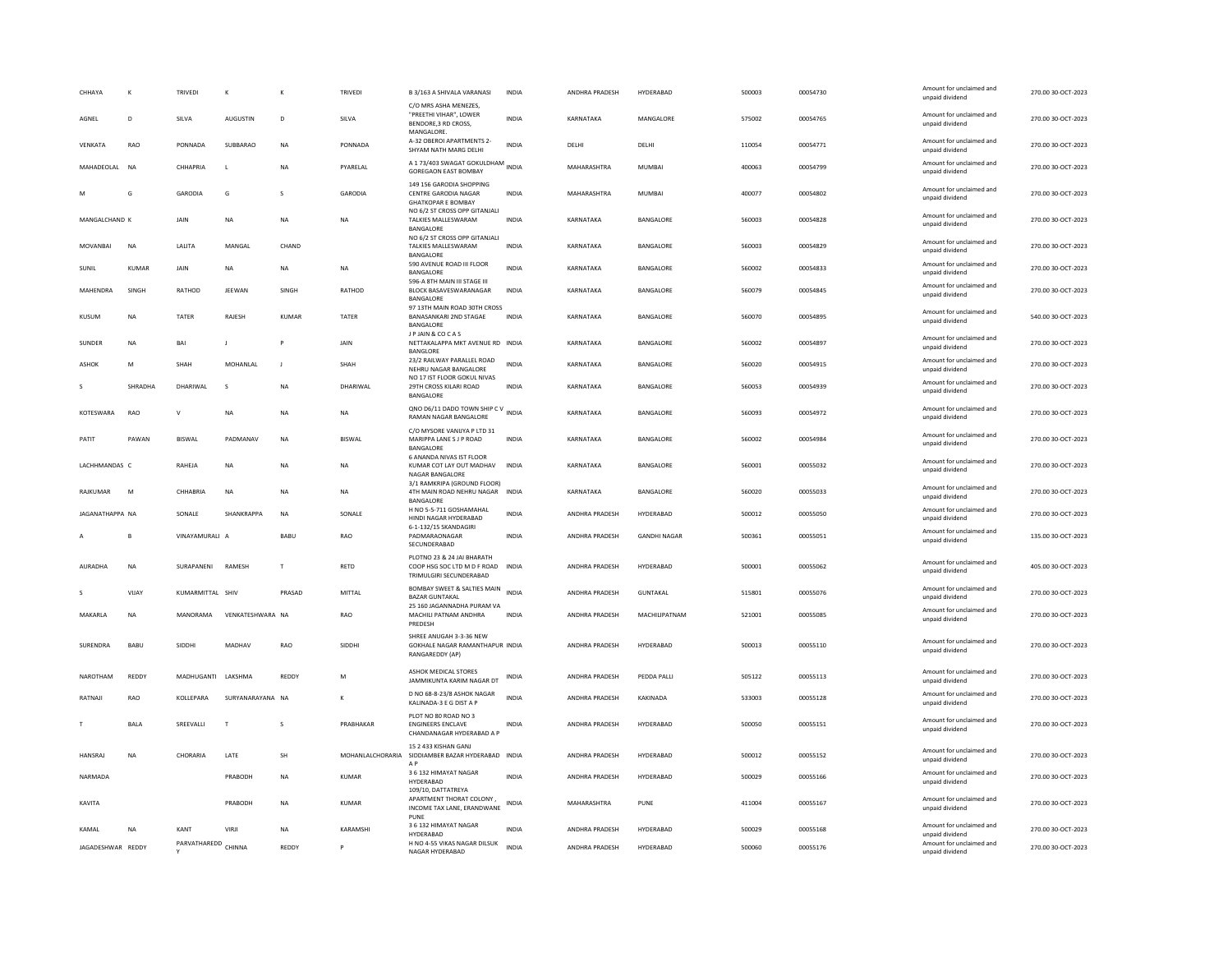| CHHAYA            | К            | TRIVEDI             | К                | K              | TRIVEDI          | B 3/163 A SHIVALA VARANASI                                                           | INDIA        | ANDHRA PRADESH        | HYDERABAD           | 500003 | 00054730 | Amount for unclaimed and<br>unpaid dividend | 270.00 30-OCT-2023 |
|-------------------|--------------|---------------------|------------------|----------------|------------------|--------------------------------------------------------------------------------------|--------------|-----------------------|---------------------|--------|----------|---------------------------------------------|--------------------|
| AGNEL             | D            | SILVA               | <b>AUGUSTIN</b>  | D              | SILVA            | C/O MRS ASHA MENEZES.<br>"PREETHI VIHAR", LOWER<br>BENDORE, 3 RD CROSS,              | <b>INDIA</b> | KARNATAKA             | MANGALORE           | 575002 | 00054765 | Amount for unclaimed and<br>unpaid dividend | 270.00 30-OCT-2023 |
| <b>VFNKATA</b>    | <b>RAO</b>   | PONNADA             | SUBBARAO         | <b>NA</b>      | PONNADA          | MANGALORE.<br>A-32 OBEROI APARTMENTS 2-<br>SHYAM NATH MARG DELHI                     | <b>INDIA</b> | DFI HI                | <b>DELHI</b>        | 110054 | 00054771 | Amount for unclaimed and<br>unpaid dividend | 270.00 30-QCT-2023 |
| MAHADEOLAL NA     |              | CHHAPRIA            | $\mathsf{L}$     | <b>NA</b>      | PYARELAL         | A 173/403 SWAGAT GOKULDHAM<br><b>GOREGAON EAST BOMBAY</b>                            |              | MAHARASHTRA           | <b>MUMBAI</b>       | 400063 | 00054799 | Amount for unclaimed and<br>unpaid dividend | 270.00 30-OCT-2023 |
|                   | G            | GARODIA             | G                | $\mathbf{S}$   | GARODIA          | 149 156 GARODIA SHOPPING<br>CENTRE GARODIA NAGAR<br><b>GHATKOPAR E BOMBAY</b>        | <b>INDIA</b> | MAHARASHTRA           | MUMBAI              | 400077 | 00054802 | Amount for unclaimed and<br>unpaid dividend | 270.00 30-OCT-2023 |
| MANGALCHAND K     |              | JAIN                | <b>NA</b>        | <b>NA</b>      | <b>NA</b>        | NO 6/2 ST CROSS OPP GITANJALI<br>TALKIES MALLESWARAM<br>BANGALORE                    | <b>INDIA</b> | KARNATAKA             | BANGALORE           | 560003 | 00054828 | Amount for unclaimed and<br>unpaid dividend | 270.00 30-OCT-2023 |
| MOVANRAI          | <b>NA</b>    | <b>JAUTA</b>        | MANGAL           | CHAND          |                  | NO 6/2 ST CROSS OPP GITANJALI<br>TALKIES MALLESWARAM<br>BANGALORE                    | <b>INDIA</b> | KARNATAKA             | <b>BANGALORE</b>    | 560003 | 00054829 | Amount for unclaimed and<br>unpaid dividend | 270.00 30-OCT-2023 |
| SUNIL             | KUMAR        | JAIN                | NA               | NA             | <b>NA</b>        | 590 AVENUE ROAD III FLOOR<br>BANGALORE                                               | <b>INDIA</b> | KARNATAKA             | BANGALORE           | 560002 | 00054833 | Amount for unclaimed and<br>unpaid dividend | 270.00 30-OCT-2023 |
| MAHENDRA          | <b>SINGH</b> | <b>RATHOD</b>       | <b>IFFWAN</b>    | <b>SINGH</b>   | RATHOD           | 596-A 8TH MAIN III STAGE III<br>BLOCK BASAVESWARANAGAR<br>BANGALORE                  | <b>INDIA</b> | KARNATAKA             | <b>BANGALORE</b>    | 560079 | 00054845 | Amount for unclaimed and<br>unpaid dividend | 270.00 30-OCT-2023 |
| <b>KUSUM</b>      | NA           | TATER               | RAJESH           | KUMAR          | TATER            | 97 13TH MAIN ROAD 30TH CROSS<br><b>BANASANKARI 2ND STAGAE</b><br>BANGALORE           | <b>INDIA</b> | KARNATAKA             | BANGALORE           | 560070 | 00054895 | Amount for unclaimed and<br>unpaid dividend | 540.00 30-OCT-2023 |
| SUNDER            | <b>NA</b>    | BAI                 |                  |                | JAIN             | JP JAIN & COCAS<br>NETTAKALAPPA MKT AVENUE RD INDIA<br>BANGLORE                      |              | KARNATAKA             | BANGALORE           | 560002 | 00054897 | Amount for unclaimed and<br>unpaid dividend | 270.00 30-OCT-2023 |
| <b>ASHOK</b>      | M            | SHAH                | MOHANLAL         | $\blacksquare$ | SHAH             | 23/2 RAILWAY PARALLEL ROAD<br>NEHRU NAGAR BANGALORE                                  | <b>INDIA</b> | KARNATAKA             | BANGALORE           | 560020 | 00054915 | Amount for unclaimed and<br>unpaid dividend | 270.00 30-OCT-2023 |
|                   | SHRADHA      | DHARIWAL            | s                | <b>NA</b>      | DHARIWAL         | NO 17 IST FLOOR GOKUL NIVAS<br>29TH CROSS KILARI ROAD<br>BANGALORE                   | <b>INDIA</b> | KARNATAKA             | BANGALORE           | 560053 | 00054939 | Amount for unclaimed and<br>unpaid dividend | 270.00 30-OCT-2023 |
| KOTESWARA         | RAO          |                     | NA               | <b>NA</b>      | <b>NA</b>        | QNO D6/11 DADO TOWN SHIP C V<br>RAMAN NAGAR BANGALORE                                |              | KARNATAKA             | BANGALORE           | 560093 | 00054972 | Amount for unclaimed and<br>unpaid dividend | 270.00 30-OCT-2023 |
| PATIT             | PAWAN        | <b>BISWAL</b>       | PADMANAV         | <b>NA</b>      | <b>BISWAL</b>    | C/O MYSORE VANIJYA P LTD 31<br>MARIPPA LANE S J P ROAD<br>BANGALORE                  | <b>INDIA</b> | KARNATAKA             | BANGALORE           | 560002 | 00054984 | Amount for unclaimed and<br>unpaid dividend | 270.00 30-OCT-2023 |
| LACHHMANDAS C     |              | RAHEJA              | <b>NA</b>        | <b>NA</b>      | <b>NA</b>        | 6 ANANDA NIVAS IST FLOOR<br>KUMAR COT LAY OUT MADHAV<br>NAGAR BANGALORE              | <b>INDIA</b> | KARNATAKA             | BANGALORE           | 560001 | 00055032 | Amount for unclaimed and<br>unpaid dividend | 270.00 30-OCT-2023 |
| <b>RAJKUMAR</b>   | M            | CHHARRIA            | <b>NA</b>        | <b>NA</b>      | <b>NA</b>        | 3/1 RAMKRIPA (GROUND FLOOR)<br>4TH MAIN ROAD NEHRU NAGAR INDIA<br><b>BANGALORE</b>   |              | KARNATAKA             | <b>BANGALORE</b>    | 560020 | 00055033 | Amount for unclaimed and<br>unpaid dividend | 270.00 30-OCT-2023 |
| JAGANATHAPPA NA   |              | SONALE              | SHANKRAPPA       | <b>NA</b>      | SONALE           | H NO 5-5-711 GOSHAMAHAL<br>HINDI NAGAR HYDERABAD                                     | INDIA        | ANDHRA PRADESH        | HYDERABAD           | 500012 | 00055050 | Amount for unclaimed and<br>unpaid dividend | 270.00 30-OCT-2023 |
|                   | в            | VINAYAMURALI A      |                  | BABU           | RAO              | 6-1-132/15 SKANDAGIRI<br>PADMARAONAGAR<br>SECUNDERABAD                               | <b>INDIA</b> | ANDHRA PRADESH        | <b>GANDHI NAGAR</b> | 500361 | 00055051 | Amount for unclaimed and<br>unpaid dividend | 135.00 30-OCT-2023 |
| AURADHA           | NA           | SURAPANENI          | RAMESH           | T              | <b>RETD</b>      | PLOTNO 23 & 24 JAI BHARATH<br>COOP HSG SOC LTD M D F ROAD<br>TRIMULGIRI SECUNDERABAD | <b>INDIA</b> | <b>ANDHRA PRADESH</b> | HYDERABAD           | 500001 | 00055062 | Amount for unclaimed and<br>unpaid dividend | 405.00 30-OCT-2023 |
|                   | VIJAY        | KUMARMITTAL SHIV    |                  | PRASAD         | MITTAI           | BOMBAY SWEET & SALTIES MAIN<br><b>BAZAR GUNTAKAL</b>                                 | <b>INDIA</b> | ANDHRA PRADESH        | <b>GUNTAKAL</b>     | 515801 | 00055076 | Amount for unclaimed and<br>unpaid dividend | 270.00 30-OCT-2023 |
| MAKARLA           | NA           | MANORAMA            | VENKATESHWARA NA |                | RAO              | 25 160 JAGANNADHA PURAM VA<br>MACHILI PATNAM ANDHRA<br>PREDESH                       | <b>INDIA</b> | ANDHRA PRADESH        | MACHILIPATNAM       | 521001 | 00055085 | Amount for unclaimed and<br>unpaid dividend | 270.00 30-OCT-2023 |
| SURENDRA          | BABU         | SIDDHI              | MADHAV           | RAO            | SIDDHI           | SHREE ANUGAH 3-3-36 NEW<br>GOKHALE NAGAR RAMANTHAPUR INDIA<br>RANGAREDDY (AP)        |              | ANDHRA PRADESH        | HYDERABAD           | 500013 | 00055110 | Amount for unclaimed and<br>unpaid dividend | 270.00 30-OCT-2023 |
| NAROTHAM          | REDDY        | MADHUGANTI          | LAKSHMA          | REDDY          | M                | ASHOK MEDICAL STORES<br>JAMMIKUNTA KARIM NAGAR DT                                    | <b>INDIA</b> | ANDHRA PRADESH        | PEDDA PALLI         | 505122 | 00055113 | Amount for unclaimed and<br>unpaid dividend | 270.00 30-OCT-2023 |
| RATNAIL           | <b>RAO</b>   | <b>KOLLEPARA</b>    | SURYANARAYANA NA |                |                  | D NO 68-8-23/8 ASHOK NAGAR<br>KALINADA-3 E G DIST A P                                | <b>INDIA</b> | <b>ANDHRA PRADESH</b> | KAKINADA            | 533003 | 00055128 | Amount for unclaimed and<br>unpaid dividend | 270.00 30-OCT-2023 |
| т                 | <b>BALA</b>  | SREEVALLI           | T                | s              | PRABHAKAR        | PLOT NO 80 ROAD NO 3<br><b>ENGINEERS ENCLAVE</b><br>CHANDANAGAR HYDERABAD A F        | <b>INDIA</b> | ANDHRA PRADESH        | HYDERABAD           | 500050 | 00055151 | Amount for unclaimed and<br>unpaid dividend | 270.00 30-OCT-2023 |
| <b>HANSRAJ</b>    | <b>NA</b>    | CHORARIA            | LATE             | <b>SH</b>      | MOHANLALCHORARIA | 15 2 433 KISHAN GANJ<br>SIDDIAMBER BAZAR HYDERABAD INDIA<br>A <sub>P</sub>           |              | <b>ANDHRA PRADESH</b> | HYDERABAD           | 500012 | 00055152 | Amount for unclaimed and<br>unpaid dividend | 270.00 30-OCT-2023 |
| NARMADA           |              |                     | PRABODH          | <b>NA</b>      | <b>KUMAR</b>     | 3 6 132 HIMAYAT NAGAR<br>HYDERABAD                                                   | INDIA        | ANDHRA PRADESH        | HYDERABAD           | 500029 | 00055166 | Amount for unclaimed and<br>unpaid dividend | 270.00 30-OCT-2023 |
| KAVITA            |              |                     | PRABODH          | <b>NA</b>      | <b>KUMAR</b>     | 109/10, DATTATREYA<br>APARTMENT THORAT COLONY,<br>INCOME TAX LANE, ERANDWANE<br>PUNE | INDIA        | MAHARASHTRA           | PUNE                | 411004 | 00055167 | Amount for unclaimed and<br>unpaid dividend | 270.00 30-OCT-2023 |
| KAMAL             | <b>NA</b>    | KANT                | VIRJI            | <b>NA</b>      | KARAMSHI         | 3 6 132 HIMAYAT NAGAR<br>HYDERABAD                                                   | <b>INDIA</b> | ANDHRA PRADESH        | HYDERABAD           | 500029 | 00055168 | Amount for unclaimed and<br>unpaid dividend | 270.00 30-OCT-2023 |
| JAGADESHWAR REDDY |              | PARVATHAREDD CHINNA |                  | <b>REDDY</b>   |                  | H NO 4-55 VIKAS NAGAR DILSUK<br>NAGAR HYDERABAD                                      | <b>INDIA</b> | ANDHRA PRADESH        | HYDERABAD           | 500060 | 00055176 | Amount for unclaimed and<br>unpaid dividend | 270.00 30-OCT-2023 |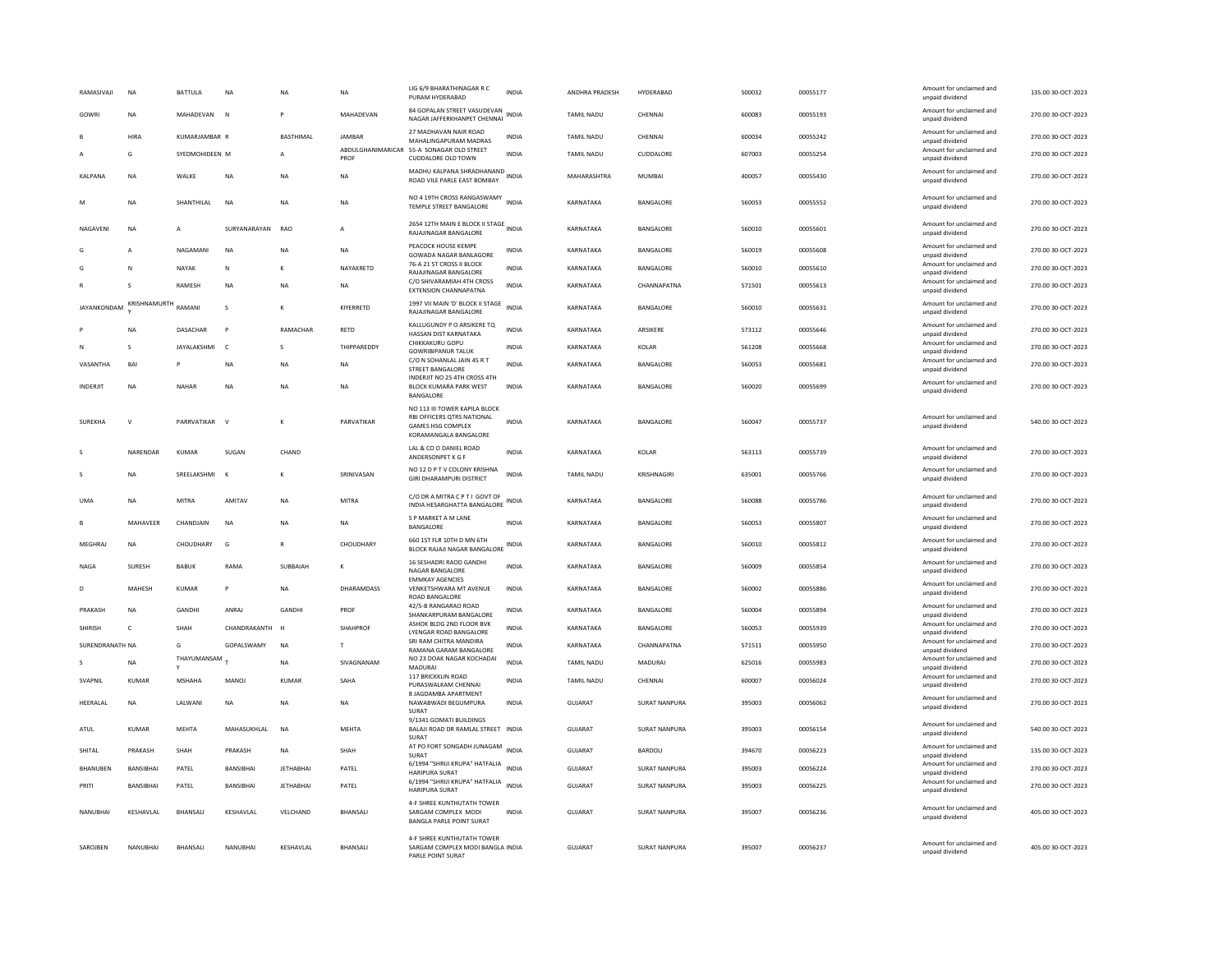| RAMASIVAJI      | <b>NA</b>        | BATTULA           | <b>NA</b>        | NA               | <b>NA</b>                 | LIG 6/9 BHARATHINAGAR R C<br>PURAM HYDERABAD                                                                     | <b>INDIA</b> | ANDHRA PRADESH    | <b>HYDERABAD</b>     | 500032 | 00055177 | Amount for unclaimed and<br>unpaid dividend | 135.00 30-OCT-2023 |
|-----------------|------------------|-------------------|------------------|------------------|---------------------------|------------------------------------------------------------------------------------------------------------------|--------------|-------------------|----------------------|--------|----------|---------------------------------------------|--------------------|
| GOWRI           | NA               | MAHADEVAN         | N                | P                | MAHADEVAN                 | 84 GOPALAN STREET VASUDEVAN<br>NAGAR JAFFERKHANPET CHENNAI                                                       | <b>INDIA</b> | TAMIL NADU        | CHENNAL              | 600083 | 00055193 | Amount for unclaimed and<br>unpaid dividend | 270.00 30-OCT-2023 |
|                 | HIRA             | KUMARJAMBAR R     |                  | <b>BASTHIMAL</b> | JAMBAR                    | 27 MADHAVAN NAIR ROAD<br>MAHALINGAPURAM MADRAS                                                                   | INDIA        | TAMIL NADU        | CHENNA               | 600034 | 00055242 | Amount for unclaimed and<br>unpaid dividend | 270.00 30-OCT-2023 |
|                 | G                | SYEDMOHIDEEN M    |                  | A                | ABDULGHANIMARICAR<br>PROF | 55-A SONAGAR OLD STREET<br><b>CUDDALORE OLD TOWN</b>                                                             | <b>INDIA</b> | TAMIL NADU        | CUDDALORE            | 607003 | 00055254 | Amount for unclaimed and<br>unpaid dividend | 270.00 30-OCT-2023 |
| <b>KALPANA</b>  | <b>NA</b>        | WALKE             | <b>NA</b>        | NA               | <b>NA</b>                 | MADHU KALPANA SHRADHANAND<br>ROAD VILE PARLE EAST BOMBAY                                                         |              | MAHARASHTRA       | <b>MUMBAI</b>        | 400057 | 00055430 | Amount for unclaimed and<br>unpaid dividend | 270.00 30-OCT-2023 |
| M               | <b>NA</b>        | <b>SHANTHILAI</b> | <b>NA</b>        | <b>NA</b>        | <b>NA</b>                 | NO 4 19TH CROSS RANGASWAMY<br>TEMPLE STREET BANGALORE                                                            | <b>INDIA</b> | KARNATAKA         | <b>BANGALORE</b>     | 560053 | 00055552 | Amount for unclaimed and<br>unpaid dividend | 270.00 30-OCT-2023 |
| NAGAVENI        | <b>NA</b>        | A                 | SURYANARAYAN     | <b>RAO</b>       | $\mathsf{A}$              | 2654 12TH MAIN E BLOCK II STAGE INDIA<br>RAJAJINAGAR BANGALORE                                                   |              | KARNATAKA         | BANGALORE            | 560010 | 00055601 | Amount for unclaimed and<br>unpaid dividend | 270.00 30-OCT-2023 |
|                 | A                | NAGAMANI          | NA               | NA               | <b>NA</b>                 | PEACOCK HOUSE KEMPE<br>GOWADA NAGAR BANLAGORE                                                                    | <b>INDIA</b> | KARNATAKA         | BANGALORE            | 560019 | 00055608 | Amount for unclaimed and<br>unpaid dividend | 270.00 30-OCT-2023 |
|                 | N                | NAYAK             | N                |                  | NAYAKRETD                 | 76-A 21 ST CROSS II BLOCK<br>RAJAJINAGAR BANGALORE                                                               | INDIA        | KARNATAKA         | BANGALORE            | 560010 | 00055610 | Amount for unclaimed and<br>unpaid dividend | 270.00 30-OCT-2023 |
|                 | s                | RAMESH            | <b>NA</b>        | NΑ               | NA                        | C/O SHIVARAMIAH 4TH CROSS<br>EXTENSION CHANNAPATNA                                                               | <b>INDIA</b> | KARNATAKA         | CHANNAPATNA          | 571501 | 00055613 | Amount for unclaimed and<br>unpaid dividend | 270.00 30-OCT-2023 |
| JAYANKONDAM     | KRISHNAMURTH     | RAMANI            | s                | K                | KIYERRETD                 | 1997 VII MAIN 'D' BLOCK II STAGE<br>RAJAJINAGAR BANGALORE                                                        | <b>INDIA</b> | KARNATAKA         | BANGALORE            | 560010 | 00055631 | Amount for unclaimed and<br>unpaid dividend | 270.00 30-OCT-2023 |
|                 | <b>NA</b>        | DASACHAR          | P                | RAMACHAR         | RETD                      | KALLUGUNDY P O ARSIKERE TQ<br>HASSAN DIST KARNATAKA                                                              | <b>INDIA</b> | KARNATAKA         | ARSIKERE             | 573112 | 00055646 | Amount for unclaimed and<br>unpaid dividend | 270.00 30-OCT-2023 |
| N               | s                | JAYALAKSHMI       | $\epsilon$       | $\mathbf{S}$     | THIPPAREDDY               | CHIKKAKURU GOPU<br><b>GOWRIBIPANUR TALUK</b>                                                                     | <b>INDIA</b> | KARNATAKA         | <b>KOLAR</b>         | 561208 | 00055668 | Amount for unclaimed and<br>unpaid dividend | 270.00 30-OCT-2023 |
| VASANTHA        | BAI              |                   | <b>NA</b>        | NA               | <b>NA</b>                 | C/O N SOHANLAL JAIN 45 R T<br>STREET BANGALORE                                                                   | <b>INDIA</b> | KARNATAKA         | BANGALORE            | 560053 | 00055681 | Amount for unclaimed and<br>unpaid dividend | 270.00 30-OCT-2023 |
| <b>INDERIIT</b> | <b>NA</b>        | <b>NAHAR</b>      | <b>NA</b>        | NA               | <b>NA</b>                 | INDERJIT NO 25 4TH CROSS 4TH<br><b>BLOCK KUMARA PARK WEST</b>                                                    | <b>INDIA</b> | KARNATAKA         | BANGALORE            | 560020 | 00055699 | Amount for unclaimed and                    | 270.00 30-OCT-2023 |
|                 |                  |                   |                  |                  |                           | BANGALORE                                                                                                        |              |                   |                      |        |          | unpaid dividend                             |                    |
| <b>SUREKHA</b>  | V                | PARRVATIKAR       |                  | K                | PARVATIKAR                | NO 113 III TOWER KAPILA BLOCK<br>RBI OFFICERS QTRS NATIONAL<br><b>GAMES HSG COMPLEX</b><br>KORAMANGALA BANGALORE | <b>INDIA</b> | KARNATAKA         | BANGALORE            | 560047 | 00055737 | Amount for unclaimed and<br>unpaid dividend | 540.00 30-OCT-2023 |
|                 | NARENDAR         | <b>KUMAR</b>      | SUGAN            | CHAND            |                           | LAL & CO O DANIEL ROAD<br>ANDERSONPET K G F                                                                      | <b>INDIA</b> | KARNATAKA         | KOLAR                | 563113 | 00055739 | Amount for unclaimed and<br>unpaid dividend | 270.00 30-OCT-2023 |
| $\mathsf{s}$    | <b>NA</b>        | SREELAKSHMI       | $\mathbf{K}$     | ĸ                | SRINIVASAN                | NO 12 D P T V COLONY KRISHNA<br><b>GIRI DHARAMPURI DISTRICT</b>                                                  | <b>INDIA</b> | TAMIL NADU        | KRISHNAGIRI          | 635001 | 00055766 | Amount for unclaimed and<br>unpaid dividend | 270.00 30-OCT-2023 |
| <b>IJMA</b>     | <b>NA</b>        | MITRA             | AMITAV           | <b>NA</b>        | MITRA                     | C/O DR A MITRA C P T I GOVT OF<br>INDIA HESARGHATTA BANGALORE                                                    | <b>INDIA</b> | KARNATAKA         | <b>BANGALORE</b>     | 560088 | 00055786 | Amount for unclaimed and<br>unpaid dividend | 270.00 30-OCT-2023 |
|                 | MAHAVEER         | CHANDJAIN         | <b>NA</b>        | NA               | <b>NA</b>                 | S P MARKET A M LANE<br>BANGALORE                                                                                 | INDIA        | KARNATAKA         | BANGALORE            | 560053 | 00055807 | Amount for unclaimed and<br>unpaid dividend | 270.00 30-OCT-2023 |
| MEGHRAJ         | <b>NA</b>        | CHOUDHARY         | G                | R                | CHOUDHARY                 | 660 1ST FLR 10TH D MN 6TH<br>BLOCK RAJAJI NAGAR BANGALORE                                                        | <b>INDIA</b> | KARNATAKA         | BANGALORE            | 560010 | 00055812 | Amount for unclaimed and<br>unpaid dividend | 270.00 30-OCT-2023 |
| NAGA            | SURESH           | <b>BABUK</b>      | RAMA             | SUBBAIAH         |                           | 16 SESHADRI RAOD GANDH<br>NAGAR BANGALORE<br><b>EMMKAY AGENCIES</b>                                              | <b>INDIA</b> | KARNATAKA         | BANGALORE            | 560009 | 00055854 | Amount for unclaimed and<br>unpaid dividend | 270.00 30-OCT-2023 |
| D               | MAHESH           | <b>KUMAR</b>      | P                | <b>NA</b>        | <b>DHARAMDASS</b>         | VENKETSHWARA MT AVENUE<br>ROAD BANGALORE                                                                         | <b>INDIA</b> | KARNATAKA         | BANGALORE            | 560002 | 00055886 | Amount for unclaimed and<br>unpaid dividend | 270.00 30-OCT-2023 |
| PRAKASH         | <b>NA</b>        | GANDHI            | ANRAJ            | <b>GANDHI</b>    | PROF                      | 42/5-B RANGARAO ROAD<br>SHANKARPURAM BANGALORE                                                                   | <b>INDIA</b> | KARNATAKA         | BANGALORE            | 560004 | 00055894 | Amount for unclaimed and<br>unpaid dividend | 270.00 30-OCT-2023 |
| <b>SHIRISH</b>  | c                | SHAH              | CHANDRAKANTH     |                  | <b>SHAHPROF</b>           | ASHOK BLDG 2ND FLOOR BVK<br>LYENGAR ROAD BANGALORE                                                               | <b>INDIA</b> | KARNATAKA         | BANGALORE            | 560053 | 00055939 | Amount for unclaimed and<br>unpaid dividend | 270.00 30-OCT-2023 |
| SURENDRANATH NA |                  | G                 | GOPALSWAMY       | N <sub>A</sub>   | $\mathbf{r}$              | SRI RAM CHITRA MANDIRA<br>RAMANA GARAM BANGALORE                                                                 | <b>INDIA</b> | KARNATAKA         | CHANNAPATNA          | 571511 | 00055950 | Amount for unclaimed and<br>unpaid dividend | 270.00 30-OCT-2023 |
|                 | <b>NA</b>        | THAYUMANSAM       |                  | <b>NA</b>        | SIVAGNANAM                | NO 23 DOAK NAGAR KOCHADAI<br>MADURAI                                                                             | <b>INDIA</b> | TAMIL NADU        | <b>MADURAI</b>       | 625016 | 00055983 | Amount for unclaimed and<br>unpaid dividend | 270.00 30-OCT-2023 |
| SVAPNIL         | <b>KUMAR</b>     | <b>MSHAHA</b>     | MANOJ            | <b>KUMAR</b>     | SAHA                      | 117 BRICKKLIN ROAD<br>PURASWALKAM CHENNAI                                                                        | <b>INDIA</b> | <b>TAMIL NADU</b> | CHENNA               | 600007 | 00056024 | Amount for unclaimed and<br>unpaid dividend | 270.00 30-OCT-2023 |
| HEERALAL        | <b>NA</b>        | LALWANI           | <b>NA</b>        | <b>NA</b>        | <b>NA</b>                 | 8 JAGDAMBA APARTMENT<br>NAWABWADI BEGUMPURA<br>SURAT                                                             | <b>INDIA</b> | <b>GUJARAT</b>    | <b>SURAT NANPURA</b> | 395003 | 00056062 | Amount for unclaimed and<br>unpaid dividend | 270.00 30-OCT-2023 |
| ATUL            | KUMAR            | MFHTA             | MAHASUKHI AI     | N <sub>A</sub>   | MFHTA                     | 9/1341 GOMATI BUILDINGS<br>BALAJI ROAD DR RAMLAL STREET INDIA<br>SURAT                                           |              | GUIARAT           | <b>SURAT NANPURA</b> | 395003 | 00056154 | Amount for unclaimed and<br>unpaid dividend | 540.00 30-OCT-2023 |
| SHITAL          | PRAKASH          | SHAH              | PRAKASH          | <b>NA</b>        | SHAH                      | AT PO FORT SONGADH JUNAGAM INDIA<br>SURAT                                                                        |              | GUJARAT           | <b>BARDOLI</b>       | 394670 | 00056223 | Amount for unclaimed and<br>unpaid dividend | 135.00 30-OCT-2023 |
| BHANUBEN        | BANSIBHAI        | PATEL             | BANSIBHAI        | <b>JETHABHAI</b> | PATEL                     | 6/1994 "SHRIJI KRUPA" HATFALIA<br><b>HARIPURA SURAT</b>                                                          | <b>INDIA</b> | GUJARAT           | SURAT NANPURA        | 395003 | 00056224 | Amount for unclaimed and<br>unpaid dividend | 270.00 30-OCT-2023 |
| PRITI           | <b>BANSIBHAI</b> | PATFI             | <b>BANSIBHAI</b> | <b>IFTHARHAI</b> | PATEL                     | 6/1994 "SHRIJI KRUPA" HATFALIA<br><b>HARIPURA SURAT</b>                                                          | INDIA        | GUIARAT           | SURAT NANPURA        | 395003 | 00056225 | Amount for unclaimed and<br>unpaid dividend | 270.00 30-OCT-2023 |
| NANUBHAI        | KESHAVLAL        | BHANSALI          | KESHAVLAL        | VELCHAND         | BHANSALI                  | 4-F SHREE KUNTHUTATH TOWER<br>SARGAM COMPLEX MODI<br><b>BANGLA PARLE POINT SURAT</b>                             | <b>INDIA</b> | GUJARAT           | <b>SURAT NANPURA</b> | 395007 | 00056236 | Amount for unclaimed and<br>unpaid dividend | 405.00 30-OCT-2023 |
| SAROJBEN        | NANUBHAI         | BHANSALI          | NANUBHAI         | KESHAVLAL        | BHANSALI                  | 4-F SHREE KUNTHUTATH TOWER<br>SARGAM COMPLEX MODI BANGLA INDIA<br>PARLE POINT SURAT                              |              | GUJARAT           | <b>SURAT NANPURA</b> | 395007 | 00056237 | Amount for unclaimed and<br>unpaid dividend | 405.00 30-OCT-2023 |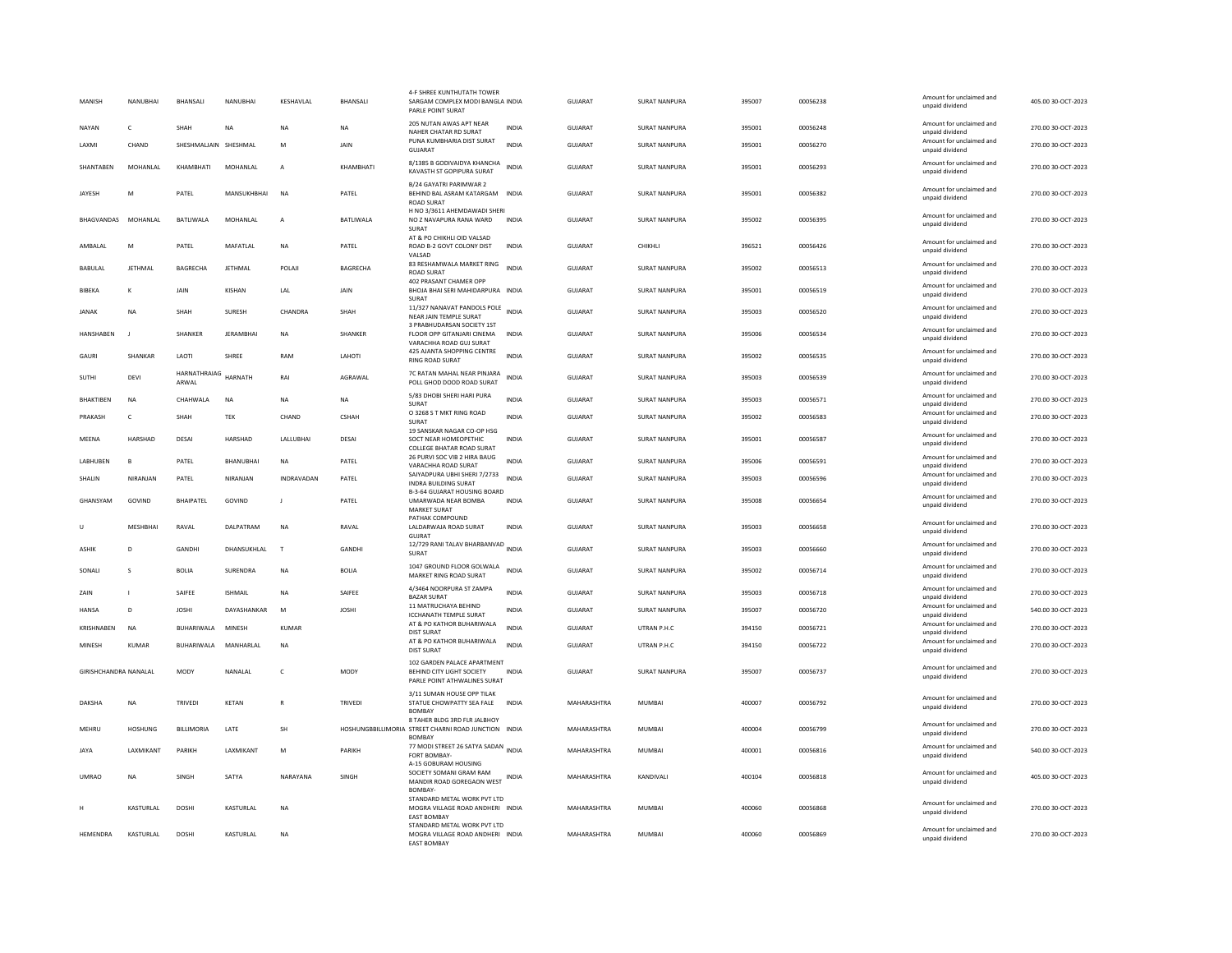| MANISH                | NANURHAI          | <b>BHANSALL</b>       | NANURHAI         | KESHAVLAL      | BHANSALI        | 4-F SHREE KUNTHUTATH TOWER<br>SARGAM COMPLEX MODI BANGLA INDIA<br>PARLE POINT SURAT                   |              | GUIARAT        | SURAT NANPURA        | 395007 | 00056238 | Amount for unclaimed and<br>unpaid dividend | 405.00 30-OCT-2023 |
|-----------------------|-------------------|-----------------------|------------------|----------------|-----------------|-------------------------------------------------------------------------------------------------------|--------------|----------------|----------------------|--------|----------|---------------------------------------------|--------------------|
| NAYAN                 | c                 | SHAH                  | NA               | NA             | NA              | 205 NUTAN AWAS APT NEAR<br>NAHER CHATAR RD SURAT                                                      | <b>INDIA</b> | GUJARAT        | <b>SURAT NANPURA</b> | 395001 | 00056248 | Amount for unclaimed and<br>unpaid dividend | 270.00 30-OCT-2023 |
| LAXMI                 | CHAND             | SHESHMALJAIN SHESHMAL |                  | M              | JAIN            | PUNA KUMBHARIA DIST SURAT<br>GUIARAT                                                                  | <b>INDIA</b> | GUJARAT        | SURAT NANPURA        | 395001 | 00056270 | Amount for unclaimed and<br>unpaid dividend | 270.00 30-OCT-2023 |
| SHANTAREN             | MOHANI AI         | KHAMBHATI             | MOHANLAL         | $\overline{A}$ | KHAMRHATI       | 8/1385 B GODIVAIDYA KHANCHA<br>KAVASTH ST GOPIPURA SURAT                                              | <b>INDIA</b> | <b>GUJARAT</b> | SURAT NANPURA        | 395001 | 00056293 | Amount for unclaimed and<br>unpaid dividend | 270.00 30-OCT-2023 |
| JAYESH                | N                 | PATEL                 | MANSUKHBHAI      | <b>NA</b>      | PATEL           | B/24 GAYATRI PARIMWAR 2<br>BEHIND BAL ASRAM KATARGAM INDIA<br><b>ROAD SURAT</b>                       |              | GUJARAT        | SURAT NANPURA        | 395001 | 00056382 | Amount for unclaimed and<br>unpaid dividend | 270.00 30-OCT-2023 |
| BHAGVANDAS            | MOHANI AI         | BATLIWALA             | <b>MOHANIAI</b>  | $\overline{A}$ | BATLIWALA       | H NO 3/3611 AHEMDAWADI SHERI<br>NO Z NAVAPURA RANA WARD<br>SURAT                                      | <b>INDIA</b> | <b>GUJARAT</b> | SURAT NANPURA        | 395002 | 00056395 | Amount for unclaimed and<br>unpaid dividend | 270.00 30-OCT-2023 |
| AMBALAL               | M                 | PATEL                 | MAFATLAL         | <b>NA</b>      | PATEL           | AT & PO CHIKHLI OID VALSAD<br>ROAD B-2 GOVT COLONY DIST<br>VAISAD                                     | <b>INDIA</b> | <b>GUJARAT</b> | CHIKHLI              | 396521 | 00056426 | Amount for unclaimed and<br>unpaid dividend | 270.00 30-OCT-2023 |
| <b>BABULAL</b>        | <b>JETHMAL</b>    | <b>BAGRECHA</b>       | JETHMAL          | POLAJI         | <b>BAGRECHA</b> | 83 RESHAMWALA MARKET RING<br><b>ROAD SURAT</b>                                                        | <b>INDIA</b> | GUJARAT        | SURAT NANPURA        | 395002 | 00056513 | Amount for unclaimed and<br>unpaid dividend | 270.00 30-OCT-2023 |
| BIBEKA                | к                 | JAIN                  | KISHAN           | LAL            | JAIN            | 402 PRASANT CHAMER OPP<br>BHOJA BHAI SERI MAHIDARPURA INDIA<br>SURAT                                  |              | <b>GUJARAT</b> | SURAT NANPURA        | 395001 | 00056519 | Amount for unclaimed and<br>unpaid dividend | 270.00 30-OCT-2023 |
| <b>JANAK</b>          | <b>NA</b>         | SHAH                  | SURESH           | CHANDRA        | SHAH            | 11/327 NANAVAT PANDOLS POLE INDIA<br>NEAR JAIN TEMPLE SURAT                                           |              | GUJARAT        | <b>SURAT NANPURA</b> | 395003 | 00056520 | Amount for unclaimed and<br>unpaid dividend | 270.00 30-OCT-2023 |
| <b>HANSHABEN</b>      |                   | SHANKEF               | <b>JERAMBHAI</b> | <b>NA</b>      | SHANKER         | 3 PRABHUDARSAN SOCIETY 1ST<br>FLOOR OPP GITANJARI CINEMA<br>VARACHHA ROAD GUJ SURAT                   | <b>INDIA</b> | <b>GUJARAT</b> | SURAT NANPURA        | 395006 | 00056534 | Amount for unclaimed and<br>unpaid dividend | 270.00 30-OCT-2023 |
| <b>GAURI</b>          | SHANKAR           | LAOTI                 | SHREE            | RAM            | LAHOTI          | 425 AJANTA SHOPPING CENTRE<br><b>RING ROAD SURAT</b>                                                  | <b>INDIA</b> | <b>GUJARAT</b> | <b>SURAT NANPURA</b> | 395002 | 00056535 | Amount for unclaimed and<br>unpaid dividend | 270.00 30-OCT-2023 |
| SUTHI                 | DEVI              | HARNATHRAIAG<br>ARWAL | HARNATH          | RAI            | AGRAWAL         | 7C RATAN MAHAL NEAR PINJARA<br>POLL GHOD DOOD ROAD SURAT                                              | <b>INDIA</b> | <b>GUJARAT</b> | SURAT NANPURA        | 395003 | 00056539 | Amount for unclaimed and<br>unpaid dividend | 270.00 30-OCT-2023 |
| BHAKTIBEN             | <b>NA</b>         | CHAHWALA              | <b>NA</b>        | <b>NA</b>      | <b>NA</b>       | 5/83 DHOBI SHERI HARI PURA<br>SURAT                                                                   | <b>INDIA</b> | <b>GUJARAT</b> | <b>SURAT NANPURA</b> | 395003 | 00056571 | Amount for unclaimed and<br>unpaid dividend | 270.00 30-OCT-2023 |
| PRAKASH               | c                 | SHAH                  | TEK              | CHAND          | CSHAH           | O 3268 S T MKT RING ROAD<br>SURAT<br>19 SANSKAR NAGAR CO-OP HSG                                       | <b>INDIA</b> | GUJARAT        | <b>SURAT NANPURA</b> | 395002 | 00056583 | Amount for unclaimed and<br>unpaid dividend | 270.00 30-OCT-2023 |
| MEENA                 | <b>HARSHAD</b>    | DESAI                 | HARSHAD          | LALLUBHAI      | DESAI           | SOCT NEAR HOMEOPETHIC<br><b>COLLEGE BHATAR ROAD SURAT</b>                                             | <b>INDIA</b> | GUJARAT        | SURAT NANPURA        | 395001 | 00056587 | Amount for unclaimed and<br>unpaid dividend | 270.00 30-OCT-2023 |
| LABHUBEN              | $\mathbf{B}$      | PATEL                 | BHANUBHAI        | <b>NA</b>      | PATEL           | 26 PURVI SOC VIB 2 HIRA BAUG<br>VARACHHA ROAD SURAT                                                   | <b>INDIA</b> | <b>GUJARAT</b> | <b>SURAT NANPURA</b> | 395006 | 00056591 | Amount for unclaimed and<br>unpaid dividend | 270.00 30-OCT-2023 |
| SHALIN                | NIRANIAN          | PATEL                 | NIRANJAN         | INDRAVADAN     | PATEL           | SAIYADPURA UBHI SHERI 7/2733<br><b>INDRA BUILDING SURAT</b><br>B-3-64 GUJARAT HOUSING BOARD           | <b>INDIA</b> | GUJARAT        | <b>SURAT NANPURA</b> | 395003 | 00056596 | Amount for unclaimed and<br>unpaid dividend | 270.00 30-OCT-2023 |
| GHANSYAM              | GOVIND            | <b>BHAIPATEL</b>      | GOVIND           | $\mathbf{J}$   | PATEL           | UMARWADA NEAR BOMBA<br><b>MARKET SURAT</b>                                                            | <b>INDIA</b> | <b>GUJARAT</b> | <b>SURAT NANPURA</b> | 395008 | 00056654 | Amount for unclaimed and<br>unpaid dividend | 270.00 30-OCT-2023 |
| U                     | MESHBHAI          | RAVAL                 | DALPATRAM        | <b>NA</b>      | RAVAL           | PATHAK COMPOUND<br>LALDARWAJA ROAD SURAT<br>GUJRAT                                                    | <b>INDIA</b> | GUJARAT        | SURAT NANPURA        | 395003 | 00056658 | Amount for unclaimed and<br>unpaid dividend | 270.00 30-OCT-2023 |
| <b>ASHIK</b>          | D                 | GANDHI                | DHANSUKHLAL      | T              | <b>GANDHI</b>   | 12/729 RANI TALAV BHARBANVAD INDIA<br>SURAT                                                           |              | <b>GUJARAT</b> | SURAT NANPURA        | 395003 | 00056660 | Amount for unclaimed and<br>unpaid dividend | 270.00 30-OCT-2023 |
| SONALI                | s                 | <b>BOLIA</b>          | SURENDRA         | NA             | <b>BOLIA</b>    | 1047 GROUND FLOOR GOLWALA<br>MARKET RING ROAD SURAT                                                   | <b>INDIA</b> | GUJARAT        | SURAT NANPURA        | 395002 | 00056714 | Amount for unclaimed and<br>unpaid dividend | 270.00 30-OCT-2023 |
| ZAIN                  |                   | SAIFEE                | <b>ISHMAIL</b>   | <b>NA</b>      | SAIFEE          | 4/3464 NOORPURA ST ZAMPA<br><b>BAZAR SURAT</b>                                                        | <b>INDIA</b> | <b>GUJARAT</b> | <b>SURAT NANPURA</b> | 395003 | 00056718 | Amount for unclaimed and<br>unpaid dividend | 270.00 30-OCT-2023 |
| <b>HANSA</b>          | D                 | <b>JOSHI</b>          | DAYASHANKAR      | M              | <b>JOSHI</b>    | 11 MATRUCHAYA BEHIND<br><b>ICCHANATH TEMPLE SURAT</b>                                                 | <b>INDIA</b> | <b>GUJARAT</b> | <b>SURAT NANPURA</b> | 395007 | 00056720 | Amount for unclaimed and<br>unpaid dividend | 540.00 30-OCT-2023 |
| <b>KRISHNABEN</b>     | <b>NA</b>         | BUHARIWALA            | MINESH           | <b>KUMAR</b>   |                 | AT & PO KATHOR BUHARIWALA<br>DIST SURAT                                                               | <b>INDIA</b> | <b>GUJARAT</b> | UTRAN P.H.C          | 394150 | 00056721 | Amount for unclaimed and<br>unpaid dividend | 270.00 30-OCT-2023 |
| <b>MINESH</b>         | KUMAR             | BUHARIWALA            | MANHARI AI       | <b>NA</b>      |                 | AT & PO KATHOR BUHARIWALA<br><b>DIST SURAT</b>                                                        | <b>INDIA</b> | <b>GUJARAT</b> | UTRAN P.H.C          | 394150 | 00056722 | Amount for unclaimed and<br>unpaid dividend | 270.00 30-OCT-2023 |
| GIRISHCHANDRA NANALAL |                   | MODY                  | NANALAL          | $\mathsf{C}$   | MODY            | 102 GARDEN PALACE APARTMENT<br>BEHIND CITY LIGHT SOCIETY<br>PARLE POINT ATHWALINES SURAT              | <b>INDIA</b> | GUJARAT        | SURAT NANPURA        | 395007 | 00056737 | Amount for unclaimed and<br>unpaid dividend | 270.00 30-OCT-2023 |
| DAKSHA                | <b>NA</b>         | <b>TRIVEDI</b>        | KETAN            | $\mathbb{R}$   | TRIVEDI         | 3/11 SUMAN HOUSE OPP TILAK<br>STATUE CHOWPATTY SEA FALE<br><b>BOMBA</b>                               | <b>INDIA</b> | MAHARASHTRA    | <b>MUMBAI</b>        | 400007 | 00056792 | Amount for unclaimed and<br>unpaid dividend | 270.00 30-OCT-2023 |
| MEHRU                 | <b>HOSHUNG</b>    | <b>BILLIMORIA</b>     | LATE             | SH             |                 | 8 TAHER BLDG 3RD FLR JALBHOY<br>HOSHUNGBBILLIMORIA STREET CHARNI ROAD JUNCTION INDIA<br><b>BOMBAY</b> |              | MAHARASHTRA    | <b>MUMBAI</b>        | 400004 | 00056799 | Amount for unclaimed and<br>unpaid dividend | 270.00 30-OCT-2023 |
| <b>JAYA</b>           | <b>I AXMIKANT</b> | PARIKH                | LAXMIKANT        | M              | PARIKH          | 77 MODI STREET 26 SATYA SADAN INDIA<br>FORT BOMBAY-                                                   |              | MAHARASHTRA    | MUMBAI               | 400001 | 00056816 | Amount for unclaimed and<br>unpaid dividend | 540.00 30-OCT-2023 |
| <b>UMRAO</b>          | <b>NA</b>         | SINGH                 | SATYA            | NARAYANA       | SINGH           | A-15 GOBURAM HOUSING<br>SOCIETY SOMANI GRAM RAM<br>MANDIR ROAD GOREGAON WEST<br><b>BOMBAY</b>         | INDIA        | MAHARASHTRA    | KANDIVALI            | 400104 | 00056818 | Amount for unclaimed and<br>unpaid dividend | 405.00 30-OCT-2023 |
|                       | KASTURLAL         | <b>DOSHI</b>          | KASTURLAL        | <b>NA</b>      |                 | STANDARD METAL WORK PVT LTD<br>MOGRA VILLAGE ROAD ANDHERI INDIA<br><b>EAST BOMBAY</b>                 |              | MAHARASHTRA    | <b>MUMBAI</b>        | 400060 | 00056868 | Amount for unclaimed and<br>unpaid dividend | 270.00 30-OCT-2023 |
| HEMENDRA              | KASTURLAL         | <b>DOSHI</b>          | KASTURLAL        | <b>NA</b>      |                 | STANDARD METAL WORK PVT LTD<br>MOGRA VILLAGE ROAD ANDHERI INDIA<br><b>FAST ROMRAY</b>                 |              | MAHARASHTRA    | MUMBAI               | 400060 | 00056869 | Amount for unclaimed and<br>unpaid dividend | 270.00 30-OCT-2023 |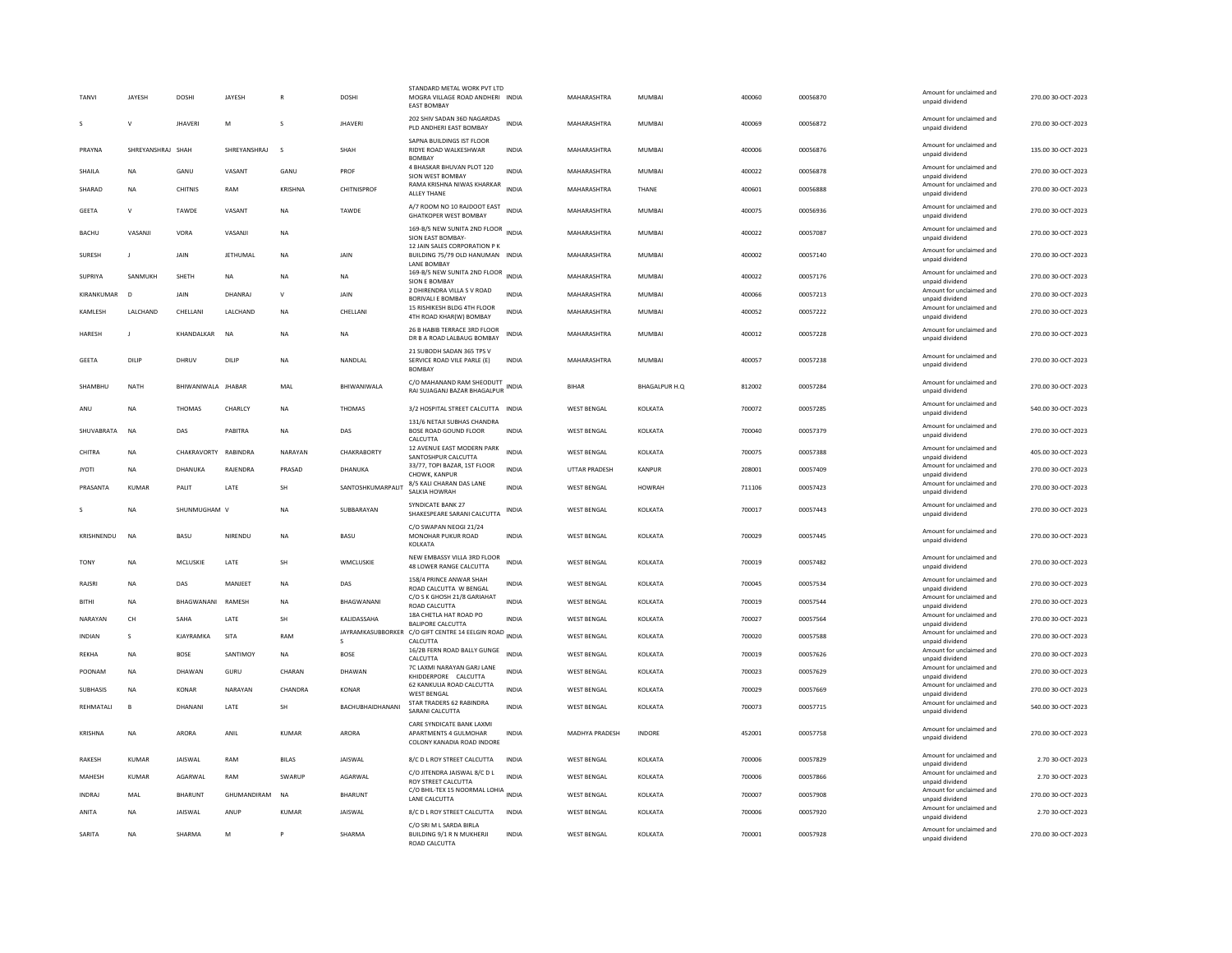| <b>TANVI</b>  | JAYESH            | DOSHI                    | JAYESH         |              | DOSHI             | STANDARD METAL WORK PVT LTD<br>MOGRA VILLAGE ROAD ANDHERI INDIA<br><b>EAST BOMBAY</b> |              | MAHARASHTRA        | <b>MUMBAI</b>        | 400060 | 00056870 | Amount for unclaimed and<br>unpaid dividend | 270.00 30-OCT-2023 |
|---------------|-------------------|--------------------------|----------------|--------------|-------------------|---------------------------------------------------------------------------------------|--------------|--------------------|----------------------|--------|----------|---------------------------------------------|--------------------|
| $\mathbf{s}$  | $\mathsf{v}$      | <b>IHAVERI</b>           | M              | $\mathbf{S}$ | <b>IHAVERI</b>    | 202 SHIV SADAN 36D NAGARDAS<br>PLD ANDHERI EAST BOMBAY                                | <b>INDIA</b> | MAHARASHTRA        | MUMBAI               | 400069 | 00056872 | Amount for unclaimed and<br>unpaid dividend | 270.00.30-QCT-2023 |
| PRAYNA        | SHREYANSHRAJ SHAH |                          | SHREYANSHRAJ   | s            | SHAH              | SAPNA BUILDINGS IST FLOOR<br>RIDYE ROAD WALKESHWAR<br><b>BOMBAY</b>                   | <b>INDIA</b> | MAHARASHTRA        | <b>MUMBAI</b>        | 400006 | 00056876 | Amount for unclaimed and<br>unpaid dividend | 135.00 30-OCT-2023 |
| SHAILA        | <b>NA</b>         | GANU                     | VASANT         | GANU         | PROF              | 4 BHASKAR BHUVAN PLOT 120<br>SION WEST BOMBAY                                         | <b>INDIA</b> | MAHARASHTRA        | <b>MUMBAI</b>        | 400022 | 00056878 | Amount for unclaimed and<br>unpaid dividend | 270.00 30-OCT-2023 |
| SHARAD        | <b>NA</b>         | CHITNIS                  | RAM            | KRISHNA      | CHITNISPROF       | RAMA KRISHNA NIWAS KHARKAR<br>ALLEY THANE                                             | <b>INDIA</b> | MAHARASHTRA        | THANE                | 400601 | 00056888 | Amount for unclaimed and<br>unpaid dividend | 270.00 30-OCT-2023 |
| <b>GEETA</b>  | $\mathsf{V}$      | TAWDE                    | VASANT         | NA           | TAWDE             | A/7 ROOM NO 10 RAJDOOT EAST<br><b>GHATKOPER WEST BOMBAY</b>                           | <b>INDIA</b> | MAHARASHTRA        | MUMBAI               | 400075 | 00056936 | Amount for unclaimed and<br>unpaid dividend | 270.00 30-OCT-2023 |
| <b>BACHU</b>  | VASANJI           | VORA                     | VASANJI        | <b>NA</b>    |                   | 169-B/5 NEW SUNITA 2ND FLOOR INDIA<br>SION EAST BOMBAY-                               |              | MAHARASHTRA        | MUMBAI               | 400022 | 00057087 | Amount for unclaimed and<br>unpaid dividend | 270.00 30-OCT-2023 |
| SURESH        | $\mathbf{J}$      | JAIN                     | JETHUMAL       | NA           | JAIN              | 12 JAIN SALES CORPORATION P K<br>BUILDING 75/79 OLD HANUMAN INDIA<br>LANE BOMBAY      |              | MAHARASHTRA        | <b>MUMBAI</b>        | 400002 | 00057140 | Amount for unclaimed and<br>unpaid dividend | 270.00 30-OCT-2023 |
| SUPRIYA       | SANMUKH           | SHETH                    | NA             | <b>NA</b>    | NA                | 169-B/5 NEW SUNITA 2ND FLOOR<br>SION F ROMBAY                                         | <b>INDIA</b> | MAHARASHTRA        | <b>MUMBAI</b>        | 400022 | 00057176 | Amount for unclaimed and<br>unnaid dividend | 270.00 30-OCT-2023 |
| KIRANKUMAR    | <b>n</b>          | <b>JAIN</b>              | DHANRAI        | $\mathsf{v}$ | <b>JAIN</b>       | 2 DHIRENDRA VILLA S V ROAD<br>BORIVALI E BOMBAY                                       | <b>INDIA</b> | MAHARASHTRA        | <b>MUMBAI</b>        | 400066 | 00057213 | Amount for unclaimed and<br>unpaid dividend | 270.00 30-OCT-2023 |
| KAMLESH       | LALCHAND          | CHELLANI                 | LALCHAND       | <b>NA</b>    | CHELLANI          | 15 RISHIKESH BLDG 4TH FLOOR<br>4TH ROAD KHAR(W) BOMBAY                                | <b>INDIA</b> | MAHARASHTRA        | MUMBAI               | 400052 | 00057222 | Amount for unclaimed and<br>unpaid dividend | 270.00 30-OCT-2023 |
| HARESH        | $\mathbf{J}$      | KHANDALKAR               | <b>NA</b>      | <b>NA</b>    | <b>NA</b>         | 26 B HABIB TERRACE 3RD FLOOR                                                          | <b>INDIA</b> | MAHARASHTRA        | <b>MUMBAI</b>        | 400012 | 00057228 | Amount for unclaimed and                    | 270.00 30-OCT-2023 |
|               |                   |                          |                |              |                   | DR B A ROAD LALBAUG BOMBAY<br>21 SUBODH SADAN 365 TPS V                               |              |                    |                      |        |          | unpaid dividend                             |                    |
| <b>GEETA</b>  | DILIP             | DHRUV                    | DILIP          | <b>NA</b>    | NANDLAL           | SERVICE ROAD VILE PARLE (E)<br><b>BOMBAY</b>                                          | INDIA        | MAHARASHTRA        | <b>MUMBAI</b>        | 400057 | 00057238 | Amount for unclaimed and<br>unpaid dividend | 270.00 30-OCT-2023 |
| SHAMBHU       | <b>NATH</b>       | BHIWANIWALA JHABAR       |                | MAL          | BHIWANIWALA       | C/O MAHANAND RAM SHEODUTT<br>RAI SUJAGANJ BAZAR BHAGALPUR INDIA                       |              | <b>BIHAR</b>       | <b>BHAGALPUR H.Q</b> | 812002 | 00057284 | Amount for unclaimed and<br>unpaid dividend | 270.00 30-OCT-2023 |
| ANU           | <b>NA</b>         | <b>THOMAS</b>            | <b>CHARLCY</b> | <b>NA</b>    | <b>THOMAS</b>     | 3/2 HOSPITAL STREET CALCUTTA INDIA                                                    |              | <b>WEST RENGAL</b> | <b>KOI KATA</b>      | 700072 | 00057285 | Amount for unclaimed and<br>unpaid dividend | 540.00 30-OCT-2023 |
| SHUVABRATA    | <b>NA</b>         | DAS                      | PABITRA        | <b>NA</b>    | DAS               | 131/6 NETAJI SUBHAS CHANDRA<br>BOSE ROAD GOUND FLOOR<br>CALCUTTA                      | <b>INDIA</b> | <b>WEST BENGAL</b> | KOLKATA              | 700040 | 00057379 | Amount for unclaimed and<br>unpaid dividend | 270.00 30-OCT-2023 |
| CHITRA        | NA                | CHAKRAVORTY RABINDRA     |                | NARAYAN      | CHAKRABORTY       | 12 AVENUE EAST MODERN PARK<br>SANTOSHPUR CALCUTTA                                     | INDIA        | WEST BENGAL        | KOLKATA              | 700075 | 00057388 | Amount for unclaimed and<br>unpaid dividend | 405.00 30-OCT-2023 |
| <b>JYOTI</b>  | <b>NA</b>         | DHANUKA                  | RAJENDRA       | PRASAD       | DHANUKA           | 33/77, TOPI BAZAR, 1ST FLOOR<br>CHOWK, KANPUR                                         | <b>INDIA</b> | UTTAR PRADESH      | KANPUR               | 208001 | 00057409 | Amount for unclaimed and<br>unpaid dividend | 270.00 30-OCT-2023 |
| PRASANTA      | KUMAR             | PALIT                    | LATE           | <b>SH</b>    | SANTOSHKUMARPALIT | 8/5 KALI CHARAN DAS LANE<br>SALKIA HOWRAH                                             | <b>INDIA</b> | <b>WEST BENGAL</b> | HOWRAH               | 711106 | 00057423 | Amount for unclaimed and<br>unpaid dividend | 270.00 30-OCT-2023 |
|               | ΝA                | SHUNMUGHAM V             |                | <b>NA</b>    | SUBBARAYAN        | SYNDICATE BANK 27<br>SHAKESPEARE SARANI CALCUTTA                                      | INDIA        | WEST BENGAL        | KOLKATA              | 700017 | 00057443 | Amount for unclaimed and<br>unpaid dividend | 270.00 30-OCT-2023 |
| KRISHNENDU    | NA                | BASU                     | NIRENDU        | NA           | BASU              | C/O SWAPAN NEOGI 21/24<br>MONOHAR PUKUR ROAD                                          | <b>INDIA</b> | <b>WEST BENGAL</b> | KOLKATA              | 700029 | 00057445 | Amount for unclaimed and                    | 270.00 30-OCT-2023 |
|               |                   |                          |                |              |                   | KOLKATA                                                                               |              |                    |                      |        |          | unpaid dividend                             |                    |
| <b>TONY</b>   | <b>NA</b>         | MCLUSKIE                 | LATE           | <b>SH</b>    | WMCLUSKIE         | NEW EMBASSY VILLA 3RD FLOOR<br>48 LOWER RANGE CALCUTTA                                | <b>INDIA</b> | <b>WEST BENGAL</b> | KOLKATA              | 700019 | 00057482 | Amount for unclaimed and<br>unpaid dividend | 270.00 30-OCT-2023 |
| <b>RAISRI</b> | <b>NA</b>         | DAS                      | MANIFFT        | <b>NA</b>    | DAS               | 158/4 PRINCE ANWAR SHAH<br>ROAD CALCUTTA W BENGAL                                     | <b>INDIA</b> | <b>WEST BENGAL</b> | KOLKATA              | 700045 | 00057534 | Amount for unclaimed and<br>unpaid dividend | 270.00 30-OCT-2023 |
| <b>BITHI</b>  | <b>NA</b>         | <b>BHAGWANANI RAMESH</b> |                | <b>NA</b>    | BHAGWANANI        | C/O S K GHOSH 21/8 GARIAHAT<br>ROAD CALCUTTA                                          | <b>INDIA</b> | <b>WEST BENGAL</b> | KOLKATA              | 700019 | 00057544 | Amount for unclaimed and<br>unpaid dividend | 270.00 30-OCT-2023 |
| NARAYAN       | CH                | SAHA                     | LATE           | SH           | KALIDASSAHA       | 18A CHETLA HAT ROAD PO<br><b>BALIPORE CALCUTTA</b>                                    | <b>INDIA</b> | <b>WEST BENGAL</b> | KOLKATA              | 700027 | 00057564 | Amount for unclaimed and<br>unpaid dividend | 270.00 30-OCT-2023 |
| <b>INDIAN</b> | $\mathbf{S}$      | KJAYRAMKA                | SITA           | RAM          | JAYRAMKASUBBORKER | C/O GIFT CENTRE 14 EELGIN ROAD<br>CALCUTTA                                            | <b>INDIA</b> | <b>WEST BENGAL</b> | KOLKATA              | 700020 | 00057588 | Amount for unclaimed and<br>unpaid dividend | 270.00 30-OCT-2023 |
| REKHA         | <b>NA</b>         | <b>BOSE</b>              | SANTIMOY       | <b>NA</b>    | <b>BOSE</b>       | 16/2B FERN ROAD BALLY GUNGE<br>CALCUTTA                                               | <b>INDIA</b> | <b>WEST BENGAL</b> | KOLKATA              | 700019 | 00057626 | Amount for unclaimed and<br>unpaid dividend | 270.00 30-OCT-2023 |
| POONAM        | <b>NA</b>         | DHAWAN                   | GURU           | CHARAN       | DHAWAN            | 7C LAXMI NARAYAN GARJ LANE<br>KHIDDERPORE CALCUTTA                                    | <b>INDIA</b> | <b>WEST BENGAL</b> | KOLKATA              | 700023 | 00057629 | Amount for unclaimed and<br>unpaid dividend | 270.00 30-OCT-2023 |
| SUBHASIS      | NA                | <b>KONAR</b>             | NARAYAN        | CHANDRA      | <b>KONAR</b>      | 62 KANKULIA ROAD CALCUTTA<br><b>WEST BENGAL</b>                                       | <b>INDIA</b> | <b>WEST BENGAL</b> | KOLKATA              | 700029 | 00057669 | Amount for unclaimed and<br>unpaid dividend | 270.00 30-OCT-2023 |
| REHMATALI     | B                 | DHANANI                  | LATE           | <b>SH</b>    | BACHUBHAIDHANANI  | STAR TRADERS 62 RABINDRA<br>SARANI CALCUTTA                                           | <b>INDIA</b> | <b>WEST BENGAL</b> | KOLKATA              | 700073 | 00057715 | Amount for unclaimed and<br>unpaid dividend | 540.00 30-OCT-2023 |
| KRISHNA       | <b>NA</b>         | <b>ARORA</b>             | ANIL           | <b>KUMAR</b> | <b>ARORA</b>      | CARE SYNDICATE BANK LAXMI<br>APARTMENTS 4 GULMOHAR<br>COLONY KANADIA ROAD INDORE      | <b>INDIA</b> | MADHYA PRADESH     | <b>INDORE</b>        | 452001 | 00057758 | Amount for unclaimed and<br>unpaid dividend | 270.00 30-OCT-2023 |
| <b>RAKESH</b> | <b>KUMAR</b>      | <b>JAISWAL</b>           | RAM            | <b>BILAS</b> | JAISWAL           | 8/C D L ROY STREET CALCUTTA                                                           | <b>INDIA</b> | <b>WEST BENGAL</b> | KOLKATA              | 700006 | 00057829 | Amount for unclaimed and                    | 2.70 30-OCT-2023   |
| MAHESH        | <b>KUMAR</b>      | AGARWAL                  | RAM            | SWARUP       | AGARWAI           | C/O JITENDRA JAISWAL 8/C D L                                                          | <b>INDIA</b> | <b>WEST BENGAL</b> | KOLKATA              | 700006 | 00057866 | unpaid dividend<br>Amount for unclaimed and | 2.70 30-OCT-2023   |
| <b>INDRAI</b> |                   |                          |                |              |                   | <b>ROY STREET CALCUTTA</b><br>C/O BHIL-TEX 15 NOORMAL LOHIA INDIA                     |              | <b>WEST RENGAL</b> | <b>KOI KATA</b>      | 700007 | 00057908 | unpaid dividend<br>Amount for unclaimed and | 270.00 30-OCT-2023 |
|               | MAI               | <b>BHARUNT</b>           | GHUMANDIRAM    | <b>NA</b>    | <b>BHARUNT</b>    |                                                                                       |              |                    |                      |        |          |                                             |                    |
| ANITA         | <b>NA</b>         | <b>JAISWAL</b>           | ANUP           | KUMAR        | JAISWAL           | LANE CALCUTTA<br>8/C D L ROY STREET CALCUTTA                                          | <b>INDIA</b> | <b>WEST BENGAL</b> | KOLKATA              | 700006 | 00057920 | unpaid dividend<br>Amount for unclaimed and | 2.70 30-OCT-2023   |
| SARITA        | <b>NA</b>         | SHARMA                   | M              |              | SHARMA            | C/O SRI M L SARDA BIRLA<br>BUILDING 9/1 R N MUKHERJI                                  | <b>INDIA</b> | <b>WEST BENGAL</b> | KOLKATA              | 700001 | 00057928 | unpaid dividend<br>Amount for unclaimed and | 270.00 30-OCT-2023 |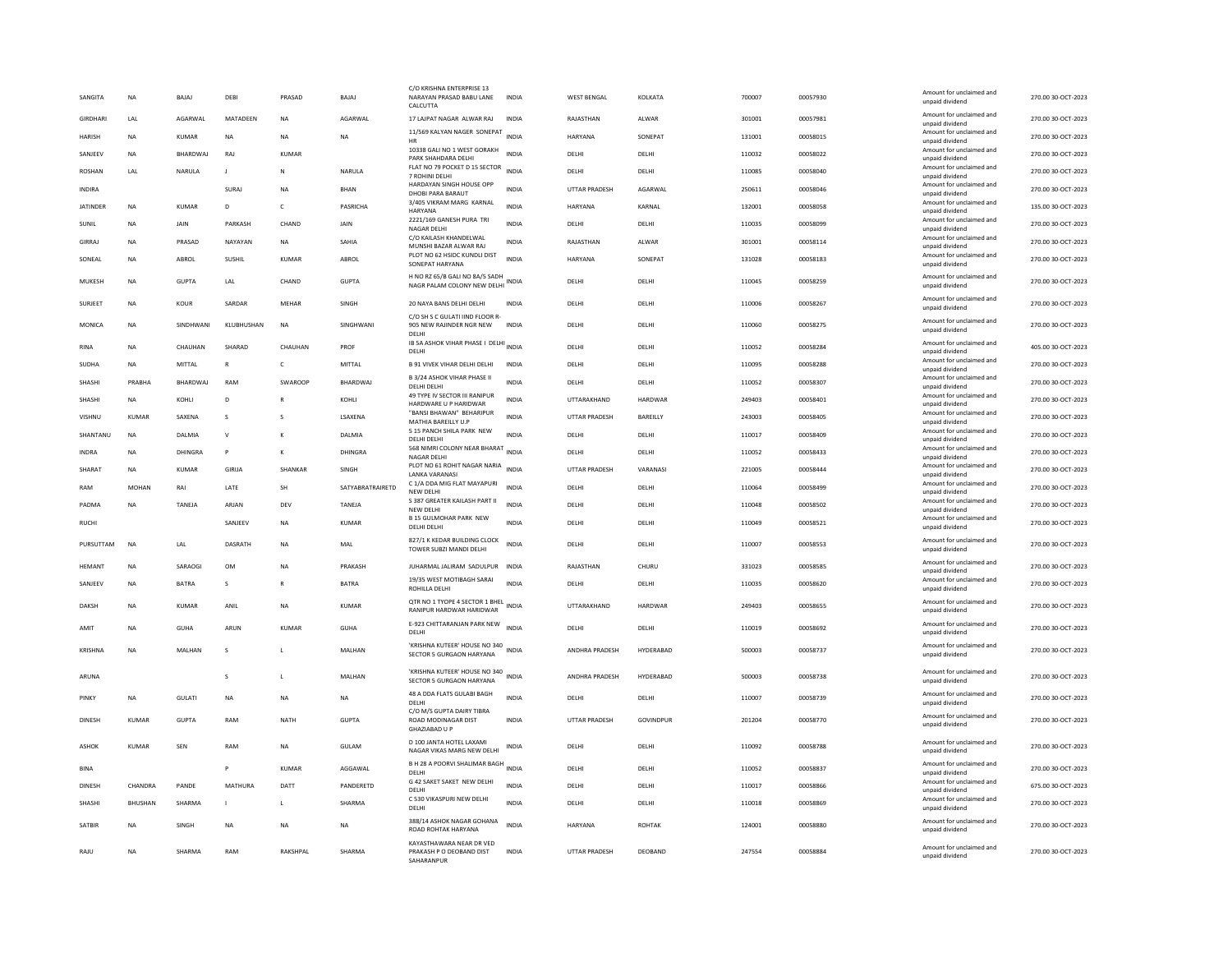| SANGITA         | <b>NA</b>    | <b>BAJAJ</b>    | DEBI           | PRASAD         | BAJAJ            | C/O KRISHNA ENTERPRISE 13<br>NARAYAN PRASAD BABU LANE<br>CALCUTTA               | INDIA        | WEST BENGAL          | KOLKATA       | 700007 | 00057930 | Amount for unclaimed and<br>unpaid dividend                    | 270.00 30-OCT-2023 |
|-----------------|--------------|-----------------|----------------|----------------|------------------|---------------------------------------------------------------------------------|--------------|----------------------|---------------|--------|----------|----------------------------------------------------------------|--------------------|
| GIRDHARI        | LAL          | AGARWAL         | MATADEEN       | <b>NA</b>      | AGARWAL          | 17 LAJPAT NAGAR ALWAR RAJ                                                       | <b>INDIA</b> | RAJASTHAN            | ALWAR         | 301001 | 00057981 | Amount for unclaimed and<br>unpaid dividend                    | 270.00 30-OCT-2023 |
| <b>HARISH</b>   | NA           | <b>KUMAR</b>    | NA             | NA             | <b>NA</b>        | 11/569 KALYAN NAGER SONEPAT                                                     | <b>INDIA</b> | <b>HARYANA</b>       | SONEPAT       | 131001 | 00058015 | Amount for unclaimed and<br>unpaid dividend                    | 270.00 30-OCT-2023 |
| SANJEEV         | <b>NA</b>    | <b>BHARDWAI</b> | RAI            | KUMAR          |                  | 10338 GALI NO 1 WEST GORAKH<br>PARK SHAHDARA DELHI                              | <b>INDIA</b> | DELHI                | DELHI         | 110032 | 00058022 | Amount for unclaimed and<br>unpaid dividend                    | 270.00 30-OCT-2023 |
| <b>ROSHAN</b>   | LAL          | NARULA          | $\mathbf{I}$   | $\mathsf{N}$   | NARULA           | FLAT NO 79 POCKET D 15 SECTOR<br>7 ROHINI DELHI                                 | <b>INDIA</b> | DELHI                | DELHI         | 110085 | 00058040 | Amount for unclaimed and<br>unpaid dividend                    | 270.00 30-OCT-2023 |
| <b>INDIRA</b>   |              |                 | SURAJ          | <b>NA</b>      | <b>BHAN</b>      | HARDAYAN SINGH HOUSE OPP<br>DHOBI PARA BARAUT                                   | <b>INDIA</b> | <b>UTTAR PRADESH</b> | AGARWAL       | 250611 | 00058046 | Amount for unclaimed and<br>unpaid dividend                    | 270.00 30-OCT-2023 |
| <b>JATINDER</b> | <b>NA</b>    | <b>KUMAR</b>    | D              | $\mathsf{C}$   | PASRICHA         | 3/405 VIKRAM MARG KARNAL<br>HARYANA                                             | <b>INDIA</b> | HARYANA              | KARNAL        | 132001 | 00058058 | Amount for unclaimed and<br>unpaid dividend                    | 135.00 30-OCT-2023 |
| SUNIL           | <b>NA</b>    | <b>JAIN</b>     | PARKASH        | CHAND          | <b>JAIN</b>      | 2221/169 GANESH PURA TRI<br>NAGAR DELHI                                         | <b>INDIA</b> | <b>DELHI</b>         | <b>DELHI</b>  | 110035 | 00058099 | Amount for unclaimed and<br>unpaid dividend                    | 270.00 30-OCT-2023 |
| GIRRAJ          | <b>NA</b>    | PRASAD          | NAYAYAN        | <b>NA</b>      | SAHIA            | C/O KAILASH KHANDELWAL<br>MUNSHI BAZAR ALWAR RAJ                                | <b>INDIA</b> | RAJASTHAN            | ALWAR         | 301001 | 00058114 | Amount for unclaimed and<br>unpaid dividend                    | 270.00 30-OCT-2023 |
| SONEAL          | <b>NA</b>    | ABROL           | SUSHIL         | <b>KUMAR</b>   | ABROL            | PLOT NO 62 HSIDC KUNDLI DIST<br>SONEPAT HARYANA                                 | <b>INDIA</b> | HARYANA              | SONEPAT       | 131028 | 00058183 | Amount for unclaimed and<br>unpaid dividend                    | 270.00 30-OCT-2023 |
| MUKESH          | <b>NA</b>    | <b>GUPTA</b>    | LAL            | CHAND          | <b>GUPTA</b>     | H NO RZ 65/B GALI NO 8A/5 SADH<br>NAGR PALAM COLONY NEW DELHI                   | <b>INDIA</b> | DELHI                | DELHI         | 110045 | 00058259 | Amount for unclaimed and<br>unpaid dividend                    | 270.00 30-OCT-2023 |
| SURJEET         | <b>NA</b>    | KOUR            | SARDAR         | MEHAR          | SINGH            | 20 NAYA BANS DELHI DELHI                                                        | INDIA        | DELHI                | DELHI         | 110006 | 00058267 | Amount for unclaimed and                                       | 270.00 30-OCT-2023 |
| MONICA          | <b>NA</b>    | SINDHWANI       | KI URHUSHAN    | <b>NA</b>      | SINGHWANI        | C/O SH S C GULATI IIND FLOOR R-<br>905 NEW RAJINDER NGR NEW                     | <b>INDIA</b> | <b>DELHI</b>         | DFI HI        | 110060 | 00058275 | unpaid dividend<br>Amount for unclaimed and<br>unpaid dividend | 270.00 30-OCT-2023 |
| <b>RINA</b>     | <b>NA</b>    | CHAUHAN         | SHARAD         | CHAUHAN        | PROF             | DELHI<br>IB SA ASHOK VIHAR PHASE I DELHI INDIA                                  |              | DELHI                | DELHI         | 110052 | 00058284 | Amount for unclaimed and                                       | 405.00 30-OCT-2023 |
| <b>SUDHA</b>    | <b>NA</b>    | MITTAI          | $\mathbb{R}$   | $\mathsf{C}$   | MITTAI           | DELHI<br><b>B 91 VIVEK VIHAR DELHI DELHI</b>                                    | <b>INDIA</b> | <b>DELHI</b>         | DELHI         | 110095 | 00058288 | unpaid dividend<br>Amount for unclaimed and                    | 270.00 30-OCT-2023 |
| SHASHI          | PRABHA       | BHARDWAJ        | RAM            | SWAROOP        | BHARDWAJ         | B 3/24 ASHOK VIHAR PHASE II                                                     | <b>INDIA</b> | DELHI                | DELHI         | 110052 | 00058307 | unpaid dividend<br>Amount for unclaimed and                    | 270.00 30-OCT-2023 |
| SHASHI          | <b>NA</b>    | KOHLI           | D              |                | KOHLI            | DELHI DELHI<br>49 TYPE IV SECTOR III RANIPUR                                    | INDIA        | UTTARAKHAND          | HARDWAR       | 249403 | 00058401 | unpaid dividend<br>Amount for unclaimed and                    | 270.00 30-OCT-2023 |
| VISHNU          | KUMAR        | SAXENA          | s              | s              | LSAXENA          | HARDWARE U P HARIDWAR<br>"BANSI BHAWAN" BEHARIPUR                               | <b>INDIA</b> | <b>UTTAR PRADESH</b> | BAREILLY      | 243003 | 00058405 | unpaid dividend<br>Amount for unclaimed and                    | 270.00 30-OCT-2023 |
| SHANTANU        | <b>NA</b>    | DALMIA          | $\mathsf{v}$   | к              | DALMIA           | MATHIA BAREILLY U.P<br>5 15 PANCH SHILA PARK NEW                                | <b>INDIA</b> | DELHI                | DELHI         | 110017 | 00058409 | unpaid dividend<br>Amount for unclaimed and                    | 270.00 30-OCT-2023 |
| <b>INDRA</b>    | <b>NA</b>    | DHINGRA         | P              | к              | DHINGRA          | DELHI DELHI<br>568 NIMRI COLONY NEAR BHARAT                                     | <b>INDIA</b> | DELHI                | DELHI         | 110052 | 00058433 | unpaid dividend<br>Amount for unclaimed and                    | 270.00 30-OCT-2023 |
| SHARAT          | <b>NA</b>    | <b>KUMAR</b>    | GIRIJA         | SHANKAR        | SINGH            | NAGAR DELHI<br>PLOT NO 61 ROHIT NAGAR NARIA                                     | <b>INDIA</b> | <b>UTTAR PRADESH</b> | VARANASI      | 221005 | 00058444 | unpaid dividend<br>Amount for unclaimed and                    | 270.00 30-OCT-2023 |
| RAM             | <b>MOHAN</b> | RAI             | LATE           | SH             | SATYABRATRAIRETD | <b>LANKA VARANASI</b><br>C 1/A DDA MIG FLAT MAYAPURI                            | <b>INDIA</b> | DELHI                | DELHI         | 110064 | 00058499 | unpaid dividend<br>Amount for unclaimed and                    | 270.00 30-OCT-2023 |
| PADMA           | <b>NA</b>    | <b>TANFIA</b>   | ARIAN          | DFV            | <b>TANFIA</b>    | NEW DELHI<br>S 387 GREATER KAILASH PART II                                      | <b>INDIA</b> | DELHI                | DELHI         | 110048 | 00058502 | unpaid dividend<br>Amount for unclaimed and                    | 270.00 30-OCT-2023 |
| <b>RUCHI</b>    |              |                 | SANJEEV        | <b>NA</b>      | <b>KUMAR</b>     | NEW DELHI<br><b>B 15 GUI MOHAR PARK NEW</b>                                     | <b>INDIA</b> | DELHI                | DELHI         | 110049 | 00058521 | unpaid dividend<br>Amount for unclaimed and                    | 270.00 30-OCT-2023 |
|                 |              |                 |                |                |                  | DELHI DELHI<br>827/1 K KEDAR BUILDING CLOCK                                     |              |                      |               |        |          | unpaid dividend<br>Amount for unclaimed and                    |                    |
| PURSUTTAM       | <b>NA</b>    | LAL             | <b>DASRATE</b> | <b>NA</b>      | MAL              | TOWER SUBZI MANDI DELHI                                                         | <b>INDIA</b> | DELHI                | DELHI         | 110007 | 00058553 | unpaid dividend                                                | 270.00 30-OCT-2023 |
| <b>HEMANT</b>   | <b>NA</b>    | SARAOGI         | <b>OM</b>      | <b>NA</b>      | PRAKASH          | JUHARMAL JALIRAM SADULPUR                                                       | <b>INDIA</b> | RAJASTHAN            | CHURU         | 331023 | 00058585 | Amount for unclaimed and<br>unpaid dividend                    | 270.00 30-OCT-2023 |
| SANJEEV         | NA           | BATRA           | s              | $\mathsf{R}$   | BATRA            | 19/35 WEST MOTIBAGH SARAI<br>ROHILLA DELHI                                      | <b>INDIA</b> | DELHI                | DELHI         | 110035 | 00058620 | Amount for unclaimed and<br>unpaid dividend                    | 270.00 30-OCT-2023 |
| <b>DAKSH</b>    | <b>NA</b>    | <b>KUMAR</b>    | ANIL           | <b>NA</b>      | <b>KUMAR</b>     | QTR NO 1 TYOPE 4 SECTOR 1 BHEL<br>RANIPUR HARDWAR HARIDWAR                      | <b>INDIA</b> | UTTARAKHAND          | HARDWAR       | 249403 | 00058655 | Amount for unclaimed and<br>unpaid dividend                    | 270.00 30-OCT-2023 |
| AMIT            | <b>NA</b>    | GUHA            | ARUN           | KUMAR          | GUHA             | E-923 CHITTARANJAN PARK NEW<br>DELHI                                            | <b>INDIA</b> | DELHI                | DELHI         | 110019 | 00058692 | Amount for unclaimed and<br>unpaid dividend                    | 270.00 30-OCT-2023 |
| KRISHNA         | <b>NA</b>    | MALHAN          | s              |                | MALHAN           | 'KRISHNA KUTEER' HOUSE NO 340                                                   | <b>INDIA</b> | ANDHRA PRADESH       | HYDERABAD     | 500003 | 00058737 | Amount for unclaimed and                                       | 270.00 30-OCT-2023 |
|                 |              |                 |                |                |                  | SECTOR 5 GURGAON HARYANA                                                        |              |                      |               |        |          | unpaid dividend                                                |                    |
| ARUNA           |              |                 | $\mathbf{s}$   | $\blacksquare$ | MALHAN           | 'KRISHNA KUTEER' HOUSE NO 340<br>SECTOR 5 GURGAON HARYANA                       | INDIA        | ANDHRA PRADESH       | HYDERABAD     | 500003 | 00058738 | Amount for unclaimed and<br>unpaid dividend                    | 270.00 30-OCT-2023 |
| PINKY           | <b>NA</b>    | GULATI          | <b>NA</b>      | <b>NA</b>      | <b>NA</b>        | 48 A DDA FLATS GULABI BAGH<br>DELHI                                             | <b>INDIA</b> | DELHI                | DELHI         | 110007 | 00058739 | Amount for unclaimed and<br>unpaid dividend                    | 270.00 30-OCT-2023 |
| <b>DINESH</b>   | <b>KUMAR</b> | <b>GUPTA</b>    | RAM            | <b>NATH</b>    | <b>GUPTA</b>     | C/O M/S GUPTA DAIRY TIBRA<br><b>ROAD MODINAGAR DIST</b><br><b>GHAZIABAD U P</b> | <b>INDIA</b> | <b>UTTAR PRADESH</b> | GOVINDPUR     | 201204 | 00058770 | Amount for unclaimed and<br>unpaid dividend                    | 270.00 30-OCT-2023 |
| <b>ASHOK</b>    | <b>KUMAR</b> | SEN             | RAM            | <b>NA</b>      | <b>GULAM</b>     | D 100 JANTA HOTEL LAXAMI<br>NAGAR VIKAS MARG NEW DELHI                          | <b>INDIA</b> | DELHI                | DELHI         | 110092 | 00058788 | Amount for unclaimed and<br>unpaid dividend                    | 270.00 30-OCT-2023 |
| <b>BINA</b>     |              |                 | P              | <b>KUMAR</b>   | AGGAWAL          | B H 28 A POORVI SHALIMAR BAGH INDIA<br>DELHI                                    |              | DELHI                | DELHI         | 110052 | 00058837 | Amount for unclaimed and<br>unpaid dividend                    | 270.00 30-OCT-2023 |
| <b>DINESH</b>   | CHANDRA      | PANDE           | <b>MATHURA</b> | DATT           | PANDERETD        | G 42 SAKET SAKET NEW DELHI<br>DELHI                                             | <b>INDIA</b> | DELHI                | DELHI         | 110017 | 00058866 | Amount for unclaimed and<br>unpaid dividend                    | 675.00 30-OCT-2023 |
| SHASHI          | BHUSHAN      | SHARMA          |                | L              | SHARMA           | C 530 VIKASPURI NEW DELHI<br>DELHI                                              | <b>INDIA</b> | DELHI                | DELHI         | 110018 | 00058869 | Amount for unclaimed and<br>unpaid dividend                    | 270.00 30-OCT-2023 |
| <b>SATBIR</b>   | <b>NA</b>    | <b>SINGH</b>    | <b>NA</b>      | <b>NA</b>      | <b>NA</b>        | 388/14 ASHOK NAGAR GOHANA<br>ROAD ROHTAK HARYANA                                | <b>INDIA</b> | <b>HARYANA</b>       | <b>ROHTAK</b> | 124001 | 00058880 | Amount for unclaimed and<br>unpaid dividend                    | 270.00 30-OCT-2023 |
| RAJU            | <b>NA</b>    | SHARMA          | RAM            | RAKSHPAL       | SHARMA           | KAYASTHAWARA NEAR DR VED<br>PRAKASH P O DEOBAND DIST<br>SAHARANPUR              | <b>INDIA</b> | <b>UTTAR PRADESH</b> | DEOBAND       | 247554 | 00058884 | Amount for unclaimed and<br>unpaid dividend                    | 270.00 30-OCT-2023 |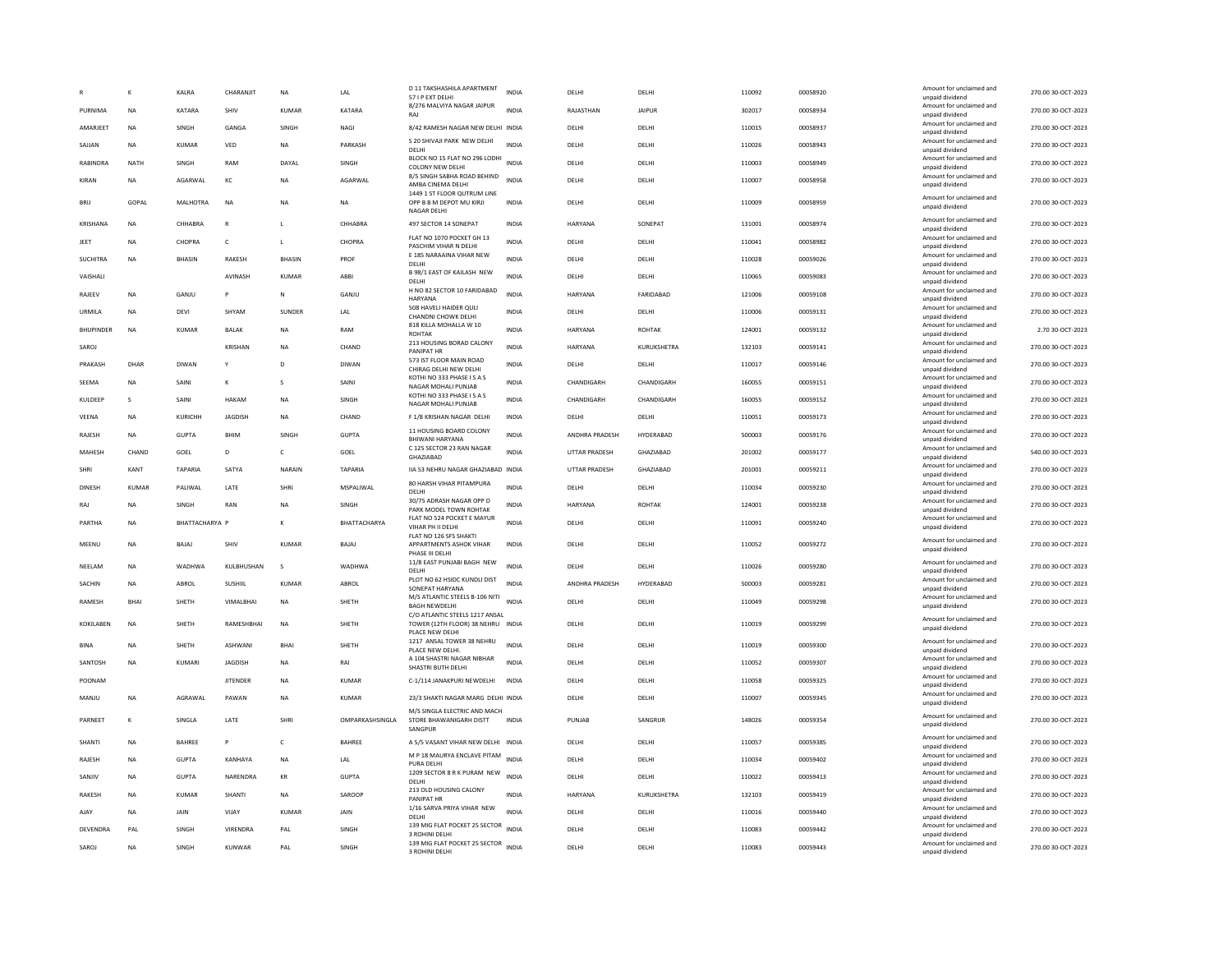|                  |             | KALRA           | CHARANJIT       | <b>NA</b>     | LAL              | D 11 TAKSHASHILA APARTMENT<br>57 I P EXT DELHI                       | <b>INDIA</b> | DELHI                | DELHI         | 110092 | 00058920 | Amount for unclaimed and<br>unpaid dividend | 270.00 30-OCT-2023 |
|------------------|-------------|-----------------|-----------------|---------------|------------------|----------------------------------------------------------------------|--------------|----------------------|---------------|--------|----------|---------------------------------------------|--------------------|
| PURNIMA          | <b>NA</b>   | KATARA          | SHIV            | <b>KUMAR</b>  | KATARA           | 8/276 MALVIYA NAGAR JAIPUR<br>RAJ                                    | <b>INDIA</b> | RAJASTHAN            | <b>JAIPUR</b> | 302017 | 00058934 | Amount for unclaimed and<br>unpaid dividend | 270.00 30-OCT-2023 |
| AMARJEET         | <b>NA</b>   | SINGH           | GANGA           | SINGH         | NAGI             | 8/42 RAMESH NAGAR NEW DELHI INDIA                                    |              | DELHI                | DELHI         | 110015 | 00058937 | Amount for unclaimed and                    | 270.00 30-OCT-2023 |
| SAJJAN           | <b>NA</b>   | KUMAR           | VED             | NA            | PARKASH          | S 20 SHIVAJI PARK NEW DELHI                                          | <b>INDIA</b> | DELHI                | DELHI         | 110026 | 00058943 | unpaid dividend<br>Amount for unclaimed and | 270.00 30-OCT-2023 |
| RABINDRA         | NATH        | SINGH           | RAM             | DAYAL         | SINGH            | <b>DELHI</b><br>BLOCK NO 15 FLAT NO 296 LODHI                        | <b>INDIA</b> | DELHI                | DELHI         | 110003 | 00058949 | unnaid dividend<br>Amount for unclaimed and | 270.00 30-OCT-2023 |
|                  |             |                 |                 |               |                  | <b>COLONY NEW DELHI</b><br>8/5 SINGH SABHA ROAD BEHIND               |              |                      |               |        |          | unpaid dividend<br>Amount for unclaimed and |                    |
| KIRAN            | <b>NA</b>   | AGARWAL         | KC              | <b>NA</b>     | AGARWAL          | AMBA CINEMA DELHI<br>1449 1 ST FLOOR OUTRUM LINE                     | <b>INDIA</b> | DELHI                | DELHI         | 110007 | 00058958 | unpaid dividend                             | 270.00 30-OCT-2023 |
| <b>BRU</b>       | GOPAL       | MALHOTRA        | NA              | <b>NA</b>     | NA               | OPP B B M DEPOT MU KIRJI<br>NAGAR DELHI                              | <b>INDIA</b> | DELHI                | DELHI         | 110009 | 00058959 | Amount for unclaimed and<br>unpaid dividend | 270.00 30-OCT-2023 |
| KRISHANA         | <b>NA</b>   | CHHABRA         | $\mathbb{R}$    | $\mathbf{L}$  | CHHABRA          | 497 SECTOR 14 SONEPAT                                                | INDIA        | HARYANA              | SONEPAT       | 131001 | 00058974 | Amount for unclaimed and<br>unpaid dividend | 270.00 30-OCT-2023 |
| JEET             | <b>NA</b>   | CHOPRA          | $\mathsf{C}$    | $\mathbf{L}$  | CHOPRA           | FLAT NO 1070 POCKET GH 13<br>PASCHIM VIHAR N DELHI                   | INDIA        | DELHI                | DELHI         | 110041 | 00058982 | Amount for unclaimed and<br>unpaid dividend | 270.00 30-OCT-2023 |
| <b>SUCHITRA</b>  | <b>NA</b>   | <b>BHASIN</b>   | <b>RAKESH</b>   | <b>BHASIN</b> | PROF             | E 185 NARAAINA VIHAR NEW<br>DELHI                                    | <b>INDIA</b> | DELHI                | DELHI         | 110028 | 00059026 | Amount for unclaimed and<br>unpaid dividend | 270.00 30-OCT-2023 |
| VAISHALI         |             |                 | AVINASH         | <b>KUMAR</b>  | ABBI             | B 98/1 EAST OF KAILASH NEW<br>DELHI                                  | <b>INDIA</b> | DELHI                | DELHI         | 110065 | 00059083 | Amount for unclaimed and<br>unpaid dividend | 270.00 30-OCT-2023 |
| RAJEEV           | <b>NA</b>   | GANJU           | P               | N             | GANJU            | H NO 82 SECTOR 10 FARIDABAD<br>HARYANA                               | <b>INDIA</b> | <b>HARYANA</b>       | FARIDABAD     | 121006 | 00059108 | Amount for unclaimed and<br>unpaid dividend | 270.00 30-OCT-2023 |
| URMILA           | <b>NA</b>   | DEVI            | SHYAM           | SUNDER        | LAL              | 508 HAVELI HAIDER QULI                                               | <b>INDIA</b> | DELHI                | DELHI         | 110006 | 00059131 | Amount for unclaimed and                    | 270.00 30-OCT-2023 |
| <b>BHUPINDER</b> | NA          | <b>KUMAR</b>    | BALAK           | <b>NA</b>     | RAM              | CHANDNI CHOWK DELHI<br>818 KILLA MOHALLA W 10                        | <b>INDIA</b> | HARYANA              | ROHTAK        | 124001 | 00059132 | unpaid dividend<br>Amount for unclaimed and | 2.70 30-OCT-2023   |
|                  |             |                 |                 |               |                  | <b>ROHTAK</b><br>213 HOUSING BORAD CALONY                            |              |                      |               |        |          | unpaid dividend<br>Amount for unclaimed and |                    |
| SAROJ            |             |                 | KRISHAN         | <b>NA</b>     | CHAND            | PANIPAT HR                                                           | <b>INDIA</b> | HARYANA              | KURUKSHETRA   | 132103 | 00059141 | unpaid dividend                             | 270.00 30-OCT-2023 |
| PRAKASH          | DHAR        | <b>DIWAN</b>    | Y               | D             | <b>DIWAN</b>     | 573 IST FLOOR MAIN ROAD<br>CHIRAG DELHI NEW DELHI                    | <b>INDIA</b> | DELHI                | DELHI         | 110017 | 00059146 | Amount for unclaimed and<br>unpaid dividend | 270.00 30-OCT-2023 |
| SEEMA            | <b>NA</b>   | SAINI           | к               | $\mathbf{S}$  | SAINI            | KOTHI NO 333 PHASE I S A S<br>NAGAR MOHALI PUNJAB                    | <b>INDIA</b> | CHANDIGARH           | CHANDIGARH    | 160055 | 00059151 | Amount for unclaimed and<br>unpaid dividend | 270.00 30-OCT-2023 |
| KULDEEP          | -S          | SAINI           | <b>HAKAM</b>    | <b>NA</b>     | SINGH            | KOTHI NO 333 PHASE I S A S<br>NAGAR MOHALI PUNJAB                    | <b>INDIA</b> | CHANDIGARH           | CHANDIGARH    | 160055 | 00059152 | Amount for unclaimed and<br>unpaid dividend | 270.00 30-OCT-2023 |
| VEENA            | <b>NA</b>   | KURICHH         | JAGDISH         | NA            | CHAND            | F 1/8 KRISHAN NAGAR DELHI                                            | INDIA        | DELHI                | DELHI         | 110051 | 00059173 | Amount for unclaimed and<br>unpaid dividend | 270.00 30-OCT-2023 |
| RAJESH           | <b>NA</b>   | <b>GUPTA</b>    | BHIM            | SINGH         | <b>GUPTA</b>     | 11 HOUSING BOARD COLONY<br><b>BHIWANI HARYANA</b>                    | INDIA        | ANDHRA PRADESH       | HYDERABAD     | 500003 | 00059176 | Amount for unclaimed and<br>unpaid dividend | 270.00 30-OCT-2023 |
| MAHESH           | CHAND       | GOEL            | D               | c             | GOEL             | C 125 SECTOR 23 RAN NAGAR                                            | INDIA        | <b>UTTAR PRADESH</b> | GHAZIABAD     | 201002 | 00059177 | Amount for unclaimed and                    | 540.00 30-OCT-2023 |
| SHRI             | KANT        | TAPARIA         | SATY/           | NARAIN        | TAPARIA          | GHAZIABAD<br>IIA 53 NEHRU NAGAR GHAZIABAD INDIA                      |              | <b>UTTAR PRADESH</b> | GHAZIABAD     | 201001 | 00059211 | unpaid dividend<br>Amount for unclaimed and | 270.00 30-OCT-2023 |
|                  |             |                 |                 |               |                  | 80 HARSH VIHAR PITAMPURA                                             |              |                      |               |        |          | unpaid dividend<br>Amount for unclaimed and |                    |
| DINESH           | KUMAR       | <b>PAI IWAI</b> | <b>I ATF</b>    | SHRI          | <b>MSPALIWAL</b> | DELHI<br>30/75 ADRASH NAGAR OPP D                                    | <b>INDIA</b> | <b>DELHI</b>         | DELHI         | 110034 | 00059230 | unpaid dividend<br>Amount for unclaimed and | 270.00 30-OCT-2023 |
| RAJ              | <b>NA</b>   | SINGH           | RAN             | <b>NA</b>     | SINGH            | PARK MODEL TOWN ROHTAK<br>FLAT NO 524 POCKET E MAYUR                 | <b>INDIA</b> | <b>HARYANA</b>       | <b>ROHTAK</b> | 124001 | 00059238 | unpaid dividend<br>Amount for unclaimed and | 270.00 30-OCT-2023 |
| PARTHA           | NA          | BHATTACHARYA P  |                 |               | BHATTACHARYA     | VIHAR PH II DELHI                                                    | <b>INDIA</b> | DELHI                | DELHI         | 110091 | 00059240 | unpaid dividend                             | 270.00 30-OCT-2023 |
| MEENU            | <b>NA</b>   | BAJAJ           | SHIV            | KUMAR         | BAJAJ            | FLAT NO 126 SFS SHAKTI<br>APPARTMENTS ASHOK VIHAR<br>PHASE III DELHI | <b>INDIA</b> | DELHI                | DELHI         | 110052 | 00059272 | Amount for unclaimed and<br>unpaid dividend | 270.00 30-OCT-2023 |
| NEELAM           | <b>NA</b>   | WADHWA          | KULBHUSHAN      | s             | <b>WADHWA</b>    | 11/8 EAST PUNJABI BAGH NEW<br>DELHI                                  | <b>INDIA</b> | DELHI                | DELHI         | 110026 | 00059280 | Amount for unclaimed and<br>unpaid dividend | 270.00 30-OCT-2023 |
| SACHIN           | <b>NA</b>   | ABROL           | <b>SUSHIIL</b>  | KUMAR         | ABROL            | PLOT NO 62 HSIDC KUNDLI DIST<br>SONEPAT HARYANA                      | <b>INDIA</b> | ANDHRA PRADESH       | HYDERABAD     | 500003 | 00059281 | Amount for unclaimed and<br>unpaid dividend | 270.00 30-OCT-2023 |
| RAMESH           | <b>BHAI</b> | SHETH           | VIMALBHAI       | <b>NA</b>     | SHETH            | M/S ATLANTIC STEELS B-106 NITI                                       | <b>INDIA</b> | DELHI                | DELHI         | 110049 | 00059298 | Amount for unclaimed and                    | 270.00 30-OCT-2023 |
|                  |             |                 |                 |               |                  | <b>BAGH NEWDELHI</b><br>C/O ATLANTIC STEELS 1217 ANSAL               |              |                      |               |        |          | unpaid dividend<br>Amount for unclaimed and |                    |
| KOKILABEN        | <b>NA</b>   | SHETH           | RAMESHBHAI      | <b>NA</b>     | SHETH            | TOWER (12TH FLOOR) 38 NEHRU INDIA<br>PLACE NEW DELHI                 |              | DELHI                | DELHI         | 110019 | 00059299 | unpaid dividend                             | 270.00 30-OCT-2023 |
| <b>BINA</b>      | <b>NA</b>   | SHETH           | ASHWANI         | BHAI          | SHETH            | 1217 ANSAL TOWER 38 NEHRU<br>PLACE NEW DELHI.                        | <b>INDIA</b> | DELHI                | DELHI         | 110019 | 00059300 | Amount for unclaimed and<br>unpaid dividend | 270.00 30-OCT-2023 |
| SANTOSH          | <b>NA</b>   | KUMARI          | <b>IAGDISH</b>  | <b>NA</b>     | RAI              | A 104 SHASTRI NAGAR NIBHAR<br>SHASTRI BUTH DELHI                     | <b>INDIA</b> | DELHI                | DELHI         | 110052 | 00059307 | Amount for unclaimed and<br>unpaid dividend | 270.00 30-OCT-2023 |
| POONAM           |             |                 | <b>IITENDER</b> | <b>NA</b>     | KUMAR            | C-1/114 JANAKPURI NEWDELHI                                           | <b>INDIA</b> | DELHI                | <b>DELHI</b>  | 110058 | 00059325 | Amount for unclaimed and<br>unpaid dividend | 270.00 30-OCT-2023 |
| MANJU            | <b>NA</b>   | AGRAWAL         | PAWAN           | <b>NA</b>     | <b>KUMAR</b>     | 23/3 SHAKTI NAGAR MARG DELHI INDIA                                   |              | DELHI                | DELHI         | 110007 | 00059345 | Amount for unclaimed and<br>unpaid dividend | 270.00 30-OCT-2023 |
|                  |             |                 |                 |               |                  | M/S SINGLA ELECTRIC AND MACH                                         |              |                      |               |        |          | Amount for unclaimed and                    |                    |
| PARNEET          | К           | SINGLA          | LATE            | SHRI          | OMPARKASHSINGLA  | STORE BHAWANIGARH DISTT<br>SANGPUR                                   | <b>INDIA</b> | PUNJAB               | SANGRUR       | 148026 | 00059354 | unpaid dividend                             | 270.00 30-OCT-2023 |
| SHANTI           | <b>NA</b>   | BAHREE          | P               | $\epsilon$    | BAHREE           | A 5/5 VASANT VIHAR NEW DELHI INDIA                                   |              | DELHI                | DELHI         | 110057 | 00059385 | Amount for unclaimed and<br>unpaid dividend | 270.00 30-OCT-2023 |
| RAJESH           | <b>NA</b>   | <b>GUPTA</b>    | KANHAYA         | NA            | LAL              | M P 18 MAURYA ENCLAVE PITAM INDIA<br>PURA DELH                       |              | DELHI                | DELHI         | 110034 | 00059402 | Amount for unclaimed and<br>unpaid dividend | 270.00 30-OCT-2023 |
| SANJIV           | <b>NA</b>   | <b>GUPTA</b>    | NARENDRA        | KR            | <b>GUPTA</b>     | 1209 SECTOR 8 R K PURAM NEW<br>DELHI                                 | <b>INDIA</b> | DELHI                | DELHI         | 110022 | 00059413 | Amount for unclaimed and<br>unpaid dividend | 270.00 30-OCT-2023 |
| RAKESH           | <b>NA</b>   | <b>KUMAR</b>    | SHANTI          | <b>NA</b>     | SAROOP           | 213 OLD HOUSING CALONY<br><b>PANIPAT HR</b>                          | <b>INDIA</b> | <b>HARYANA</b>       | KURUKSHETRA   | 132103 | 00059419 | Amount for unclaimed and<br>unnaid dividend | 270.00 30-OCT-2023 |
| AJAY             | <b>NA</b>   | JAIN            | VIJAY           | <b>KUMAR</b>  | JAIN             | 1/16 SARVA PRIYA VIHAR NEW                                           | <b>INDIA</b> | DELHI                | DELHI         | 110016 | 00059440 | Amount for unclaimed and                    | 270.00 30-OCT-2023 |
| DEVENDRA         | PAL         | SINGH           | VIRENDRA        | PAL           | SINGH            | DELHI<br>139 MIG FLAT POCKET 25 SECTOR                               | <b>INDIA</b> | DELHI                | DELHI         | 110083 | 00059442 | unpaid dividend<br>Amount for unclaimed and | 270.00 30-OCT-2023 |
| SAROJ            | NA          | SINGH           | KUNWAR          | PAL           | SINGH            | 3 ROHINI DELHI<br>139 MIG FLAT POCKET 25 SECTOR                      | <b>INDIA</b> | DELHI                | DELHI         | 110083 | 00059443 | unpaid dividend<br>Amount for unclaimed and | 270.00 30-OCT-2023 |
|                  |             |                 |                 |               |                  | 3 ROHINI DELHI                                                       |              |                      |               |        |          | unpaid dividend                             |                    |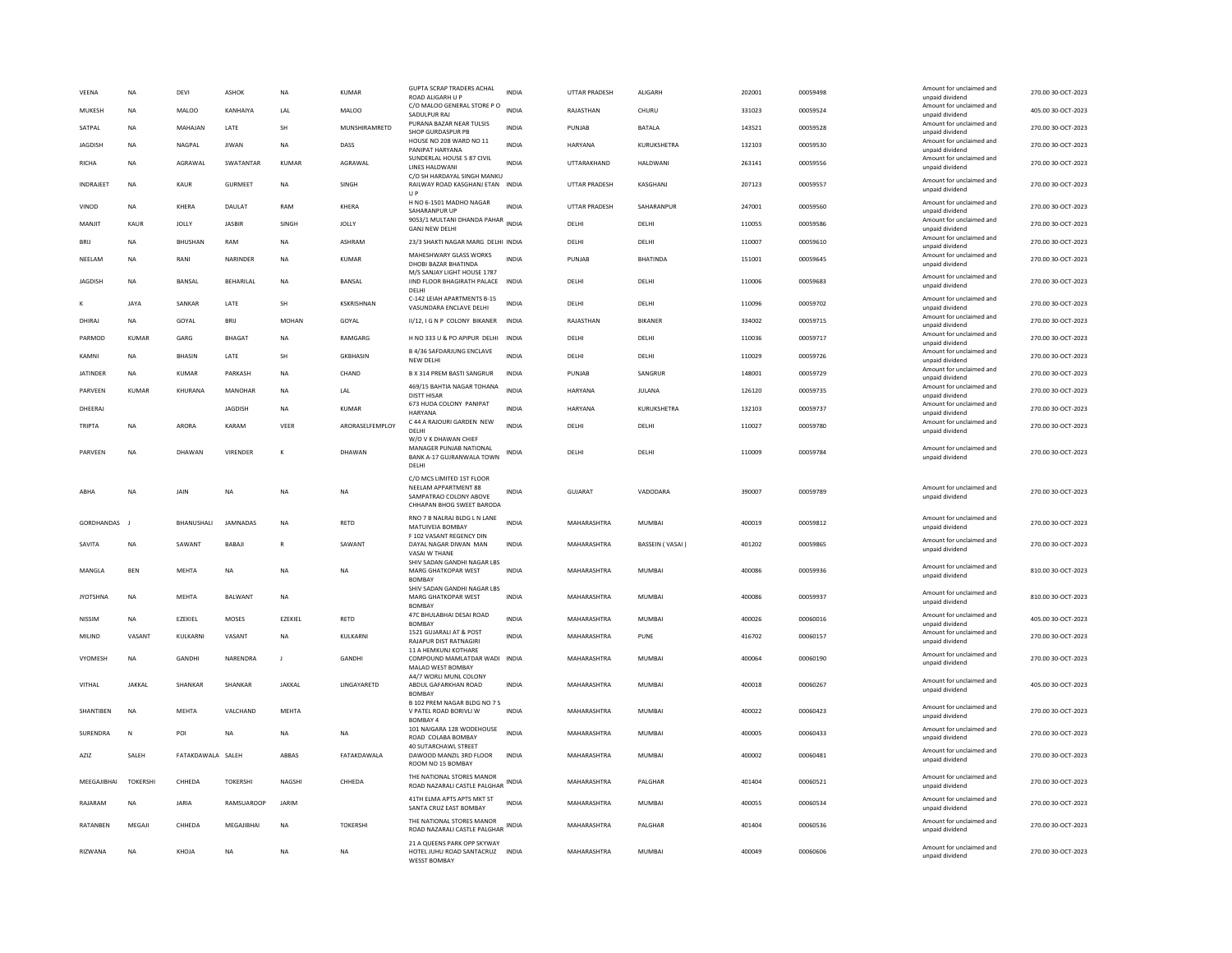| <b>VFFNA</b>     | <b>NA</b>      | DFVI              | ASHOK            | <b>NA</b>      | KUMAR             | <b>GUPTA SCRAP TRADERS ACHAL</b><br>ROAD ALIGARH U P                                                     | <b>INDIA</b> | <b>UTTAR PRADESH</b> | <b>ALIGARH</b>  | 202001 | 00059498 | Amount for unclaimed and<br>unpaid dividend | 270.00 30-OCT-2023 |
|------------------|----------------|-------------------|------------------|----------------|-------------------|----------------------------------------------------------------------------------------------------------|--------------|----------------------|-----------------|--------|----------|---------------------------------------------|--------------------|
| MUKESH           | NA             | <b>MALOO</b>      | KANHAIYA         | LAL            | <b>MALOO</b>      | C/O MALOO GENERAL STORE P O<br>SADULPUR RAJ                                                              | <b>INDIA</b> | RAJASTHAN            | CHURU           | 331023 | 00059524 | Amount for unclaimed and<br>unpaid dividend | 405.00 30-OCT-2023 |
| SATPAL           | NA             | MAHAJAN           | LATE             | SH             | MUNSHIRAMRETD     | PURANA BAZAR NEAR TULSIS<br>SHOP GURDASPUR PB                                                            | <b>INDIA</b> | PUNJAB               | <b>BATALA</b>   | 143521 | 00059528 | Amount for unclaimed and<br>unpaid dividend | 270.00 30-OCT-2023 |
| <b>JAGDISH</b>   | <b>NA</b>      | NAGPAL            | <b>IIWAN</b>     | <b>NA</b>      | DASS              | HOUSE NO 208 WARD NO 11<br>PANIPAT HARYANA                                                               | <b>INDIA</b> | <b>HARYANA</b>       | KURUKSHETRA     | 132103 | 00059530 | Amount for unclaimed and<br>unpaid dividend | 270.00 30-OCT-2023 |
| <b>RICHA</b>     | <b>NA</b>      | AGRAWAL           | SWATANTAR        | <b>KUMAR</b>   | AGRAWAL           | SUNDERLAL HOUSE 5 87 CIVIL<br><b>LINES HALDWANI</b>                                                      | <b>INDIA</b> | UTTARAKHAND          | HALDWANI        | 263141 | 00059556 | Amount for unclaimed and<br>unpaid dividend | 270.00 30-OCT-2023 |
| <b>INDRAJEET</b> | NA             | KAUR              | <b>GURMEET</b>   | NA             | SINGH             | C/O SH HARDAYAL SINGH MANKU<br>RAILWAY ROAD KASGHANJ ETAN INDIA<br>U P                                   |              | <b>UTTAR PRADESH</b> | KASGHANJ        | 207123 | 00059557 | Amount for unclaimed and<br>unpaid dividend | 270.00 30-OCT-2023 |
| VINOD            | <b>NA</b>      | KHERA             | DAULAT           | RAM            | <b>KHERA</b>      | H NO 6-1501 MADHO NAGAR<br>SAHARANPUR UP                                                                 | <b>INDIA</b> | <b>UTTAR PRADESH</b> | SAHARANPUR      | 247001 | 00059560 | Amount for unclaimed and<br>unpaid dividend | 270.00 30-OCT-2023 |
| MANJIT           | KAUR           | JOLLY             | <b>JASBIR</b>    | SINGH          | <b>JOLLY</b>      | 9053/1 MULTANI DHANDA PAHAR<br>INDIA<br><b>GANJ NEW DELHI</b>                                            |              | DELHI                | DELHI           | 110055 | 00059586 | Amount for unclaimed and<br>unpaid dividend | 270.00 30-OCT-2023 |
| <b>BRIJ</b>      | <b>NA</b>      | BHUSHAN           | RAM              | NA             | <b>ASHRAM</b>     | 23/3 SHAKTI NAGAR MARG DELHI INDIA                                                                       |              | DELHI                | DELHI           | 110007 | 00059610 | Amount for unclaimed and<br>unpaid dividend | 270.00 30-OCT-2023 |
| NEELAM           | <b>NA</b>      | RANI              | <b>NARINDER</b>  | <b>NA</b>      | KUMAR             | MAHESHWARY GLASS WORKS<br>DHOBI BAZAR BHATINDA<br>M/S SANJAY LIGHT HOUSE 1787                            | <b>INDIA</b> | PUNIAR               | <b>BHATINDA</b> | 151001 | 00059645 | Amount for unclaimed and<br>unpaid dividend | 270.00 30-OCT-2023 |
| JAGDISH          | <b>NA</b>      | <b>BANSAL</b>     | <b>BEHARILAL</b> | NA             | BANSAL            | IIND FLOOR BHAGIRATH PALACE<br>DELHI                                                                     | <b>INDIA</b> | DELHI                | DELHI           | 110006 | 00059683 | Amount for unclaimed and<br>unpaid dividend | 270.00 30-OCT-2023 |
| к                | <b>JAYA</b>    | SANKAR            | LATE             | SH             | <b>KSKRISHNAN</b> | C-142 LEIAH APARTMENTS B-15<br>VASUNDARA ENCLAVE DELHI                                                   | <b>INDIA</b> | DELHI                | DELHI           | 110096 | 00059702 | Amount for unclaimed and<br>unpaid dividend | 270.00 30-OCT-2023 |
| DHIRAJ           | <b>NA</b>      | GOYAL             | BRIJ             | <b>MOHAN</b>   | GOYAL             | II/12, I G N P COLONY BIKANER                                                                            | <b>INDIA</b> | RAJASTHAN            | <b>BIKANER</b>  | 334002 | 00059715 | Amount for unclaimed and<br>unpaid dividend | 270.00 30-OCT-2023 |
| PARMOD           | KUMAR          | GARG              | <b>BHAGAT</b>    | NA             | RAMGARG           | H NO 333 U & PO APIPUR DELHI                                                                             | <b>INDIA</b> | DELHI                | DELHI           | 110036 | 00059717 | Amount for unclaimed and<br>unpaid dividend | 270.00 30-OCT-2023 |
| KAMNI            | <b>NA</b>      | <b>BHASIN</b>     | LATE             | <b>SH</b>      | <b>GKBHASIN</b>   | <b>B 4/36 SAFDARJUNG ENCLAVE</b><br>NEW DELHI                                                            | <b>INDIA</b> | DELHI                | DELHI           | 110029 | 00059726 | Amount for unclaimed and<br>unpaid dividend | 270.00 30-OCT-2023 |
| <b>JATINDER</b>  | <b>NA</b>      | KUMAR             | PARKASH          | <b>NA</b>      | CHAND             | B X 314 PREM BASTI SANGRUR                                                                               | INDIA        | PUNJAB               | SANGRUR         | 148001 | 00059729 | Amount for unclaimed and<br>unpaid dividend | 270.00 30-OCT-2023 |
| PARVEEN          | KUMAR          | KHURANA           | MANOHAR          | NA             | LAL               | 469/15 BAHTIA NAGAR TOHANA<br><b>DISTT HISAR</b>                                                         | <b>INDIA</b> | HARYANA              | JULANA          | 126120 | 00059735 | Amount for unclaimed and<br>unpaid dividend | 270.00 30-OCT-2023 |
| DHEFRAI          |                |                   | <b>IAGDISH</b>   | <b>NA</b>      | KUMAR             | 673 HUDA COLONY PANIPAT<br><b>HARYANA</b>                                                                | <b>INDIA</b> | <b>HARYANA</b>       | KURUKSHETRA     | 132103 | 00059737 | Amount for unclaimed and<br>unpaid dividend | 270.00 30-OCT-2023 |
| TRIPTA           | <b>NA</b>      | ARORA             | KARAM            | VEER           | ARORASELFEMPLOY   | C 44 A RAJOURI GARDEN NEW<br>DELHI<br>W/O V K DHAWAN CHIEF                                               | <b>INDIA</b> | DELHI                | DELHI           | 110027 | 00059780 | Amount for unclaimed and<br>unpaid dividend | 270.00 30-OCT-2023 |
| PARVEEN          | <b>NA</b>      | DHAWAN            | VIRENDER         | K              | DHAWAN            | MANAGER PUNJAB NATIONAL<br>BANK A-17 GUJRANWALA TOWN<br>DELHI                                            | <b>INDIA</b> | DELHI                | DELHI           | 110009 | 00059784 | Amount for unclaimed and<br>unpaid dividend | 270.00 30-OCT-2023 |
| ARHA             | <b>NA</b>      | <b>JAIN</b>       | <b>NA</b>        | <b>NA</b>      | <b>NA</b>         | C/O MCS LIMITED 1ST FLOOR<br>NEELAM APPARTMENT 88<br>SAMPATRAO COLONY ABOVE<br>CHHAPAN BHOG SWEET BARODA | <b>INDIA</b> | GUIARAT              | VADODARA        | 390007 | 00059789 | Amount for unclaimed and<br>unpaid dividend | 270.00 30-OCT-2023 |
| GORDHANDAS       |                | <b>RHANUSHALL</b> | <b>IAMNADAS</b>  | <b>NA</b>      | RFTD              | RNO 7 B NALRAJ BLDG L N LANE<br>MATUIVEIA BOMBAY<br>F 102 VASANT REGENCY DIN                             | <b>INDIA</b> | MAHARASHTRA          | MUMBAI          | 400019 | 00059812 | Amount for unclaimed and<br>unpaid dividend | 270.00.30-OCT-2023 |
| SAVITA           | NA             | SAWANT            | BABAJ            |                | SAWANT            | DAYAL NAGAR DIWAN MAN<br>VASAI W THANE                                                                   | INDIA        | MAHARASHTRA          | BASSEIN (VASAI) | 401202 | 00059865 | Amount for unclaimed and<br>unpaid dividend | 270.00 30-OCT-2023 |
| MANGLA           |                |                   |                  |                |                   | SHIV SADAN GANDHI NAGAR LBS                                                                              |              |                      |                 |        |          |                                             |                    |
|                  | <b>BEN</b>     | <b>MEHTA</b>      | <b>NA</b>        | <b>NA</b>      | <b>NA</b>         | MARG GHATKOPAR WEST<br><b>BOMBAY</b>                                                                     | <b>INDIA</b> | MAHARASHTRA          | <b>MUMBAI</b>   | 400086 | 00059936 | Amount for unclaimed and<br>unpaid dividend | 810.00 30-OCT-2023 |
| <b>JYOTSHNA</b>  | <b>NA</b>      | <b>MEHTA</b>      | BALWANT          | <b>NA</b>      |                   | SHIV SADAN GANDHI NAGAR LBS<br>MARG GHATKOPAR WEST<br><b>BOMBAY</b>                                      | <b>INDIA</b> | MAHARASHTRA          | MUMBAI          | 400086 | 00059937 | Amount for unclaimed and<br>unpaid dividend | 810.00 30-OCT-2023 |
| <b>NISSIM</b>    | <b>NA</b>      | EZEKIEL           | MOSES            | EZEKIEL        | RETD              | 47C BHULABHAI DESAI ROAD                                                                                 | <b>INDIA</b> | MAHARASHTRA          | <b>MUMBAI</b>   | 400026 | 00060016 | Amount for unclaimed and<br>unpaid dividend | 405.00 30-OCT-2023 |
| MILIND           | VASANT         | KULKARNI          | VASANT           | <b>NA</b>      | KULKARNI          | <b>BOMBAY</b><br>1521 GUJARALI AT & POST<br>RAJAPUR DIST RATNAGIRI                                       | <b>INDIA</b> | MAHARASHTRA          | PUNE            | 416702 | 00060157 | Amount for unclaimed and<br>unpaid dividend | 270.00 30-OCT-2023 |
| VYOMESH          | <b>NA</b>      | <b>GANDHI</b>     | NARENDRA         | $\blacksquare$ | <b>GANDHI</b>     | 11 A HEMKUNJ KOTHARE<br>COMPOUND MAMLATDAR WADI INDIA<br>MALAD WEST BOMBAY                               |              | MAHARASHTRA          | MUMBAI          | 400064 | 00060190 | Amount for unclaimed and<br>unpaid dividend | 270.00 30-OCT-2023 |
| VITHAL           | <b>JAKKAL</b>  | SHANKAR           | SHANKAR          | <b>JAKKAL</b>  | LINGAYARETD       | A4/7 WORLI MUNL COLONY<br>ABDUL GAFARKHAN ROAD<br><b>BOMBA</b>                                           | INDIA        | MAHARASHTRA          | <b>MUMBAI</b>   | 400018 | 00060267 | Amount for unclaimed and<br>unpaid dividend | 405.00 30-OCT-2023 |
| SHANTIBEN        | <b>NA</b>      | <b>MEHTA</b>      | VALCHAND         | MEHTA          |                   | B 102 PREM NAGAR BLDG NO 7 S<br>V PATEL ROAD BORIVLI W                                                   | <b>INDIA</b> | MAHARASHTRA          | <b>MUMBAI</b>   | 400022 | 00060423 | Amount for unclaimed and<br>unpaid dividend | 270.00 30-OCT-2023 |
| SURENDRA         | N              | POI               | <b>NA</b>        | <b>NA</b>      | <b>NA</b>         | <b>BOMBAY 4</b><br>101 NAIGARA 128 WODEHOUSE<br>ROAD COLABA BOMBAY                                       | <b>INDIA</b> | MAHARASHTRA          | <b>MUMBAI</b>   | 400005 | 00060433 | Amount for unclaimed and<br>unpaid dividend | 270.00 30-OCT-2023 |
| AZIZ             | SALEH          | FATAKDAWALA SALEH |                  | ABBAS          | FATAKDAWALA       | <b>40 SUTARCHAWL STREET</b><br>DAWOOD MANZIL 3RD FLOOR<br>ROOM NO 15 BOMBAY                              | <b>INDIA</b> | MAHARASHTRA          | <b>MUMBAI</b>   | 400002 | 00060481 | Amount for unclaimed and<br>unpaid dividend | 270.00 30-OCT-2023 |
| MEEGAJIBHAI      | <b>TOKERSH</b> | CHHEDA            | <b>TOKERSHI</b>  | NAGSHI         | CHHEDA            | THE NATIONAL STORES MANOR<br>ROAD NAZARALI CASTLE PALGHAR                                                | INDIA        | MAHARASHTRA          | PALGHAR         | 401404 | 00060521 | Amount for unclaimed and<br>unpaid dividend | 270.00 30-OCT-2023 |
| RAJARAM          | <b>NA</b>      | <b>JARIA</b>      | RAMSUAROOP       | JARIM          |                   | 41TH ELMA APTS APTS MKT ST<br>SANTA CRUZ EAST BOMBAY                                                     | <b>INDIA</b> | MAHARASHTRA          | MUMBAI          | 400055 | 00060534 | Amount for unclaimed and<br>unpaid dividend | 270.00 30-OCT-2023 |
| RATANBEN         | MEGAJI         | CHHEDA            | MEGAJIBHAI       | <b>NA</b>      | <b>TOKERSHI</b>   | THE NATIONAL STORES MANOR<br>ROAD NAZARALI CASTLE PALGHAR<br>21 A QUEENS PARK OPP SKYWAY                 | INDIA        | MAHARASHTRA          | PALGHAR         | 401404 | 00060536 | Amount for unclaimed and<br>unpaid dividend | 270.00 30-OCT-2023 |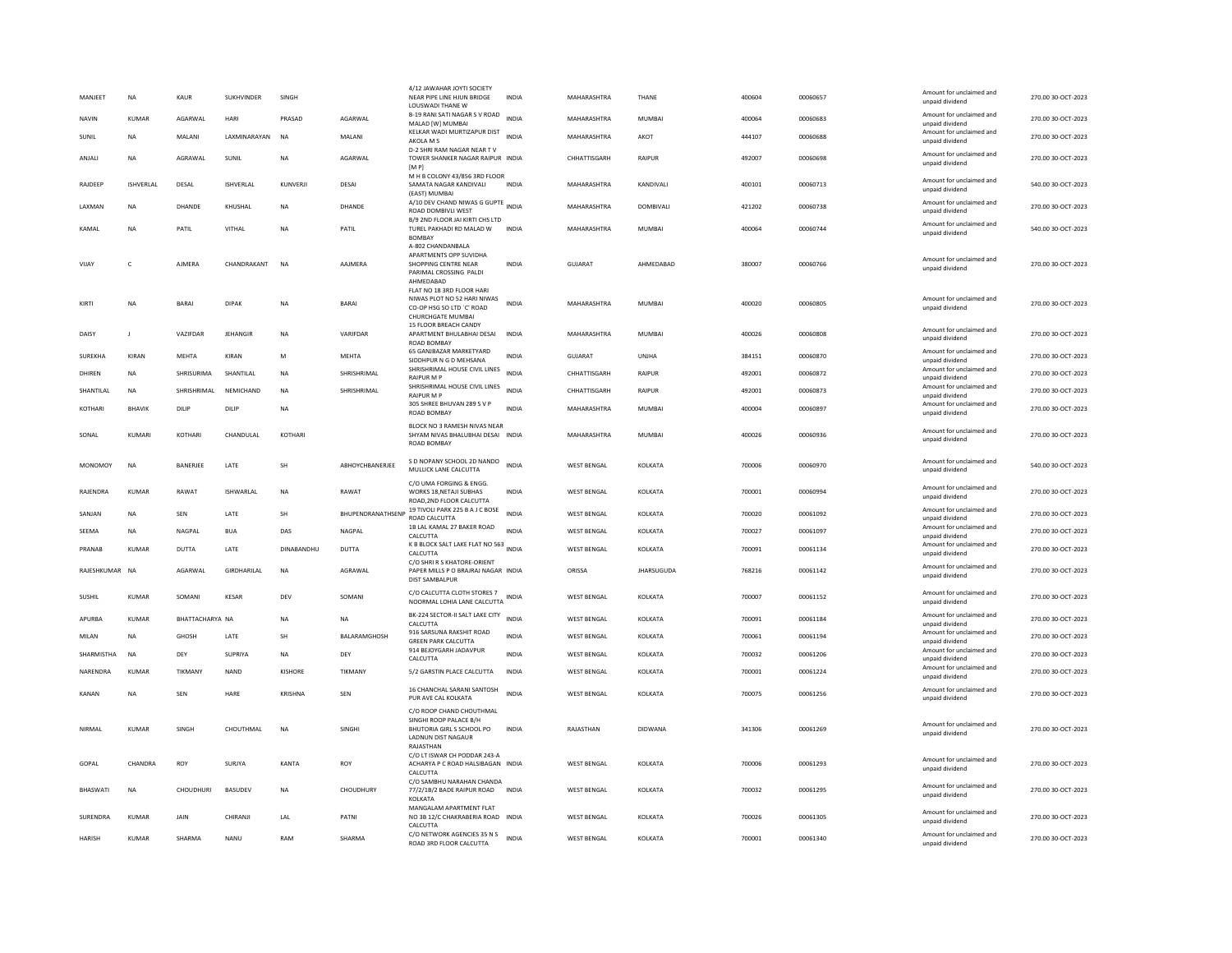| MANJEET         | NA               | KAUR            | SUKHVINDER      | SINGH          |                                 | 4/12 JAWAHAR JOYTI SOCIETY<br>NEAR PIPE LINE HJUN BRIDGE<br>LOUSWADI THANE W                                                | INDIA        | MAHARASHTRA        | THANF             | 400604 | 00060657 | Amount for unclaimed and<br>unpaid dividend                    | 270.00 30-OCT-2023 |
|-----------------|------------------|-----------------|-----------------|----------------|---------------------------------|-----------------------------------------------------------------------------------------------------------------------------|--------------|--------------------|-------------------|--------|----------|----------------------------------------------------------------|--------------------|
| NAVIN           | KUMAR            | AGARWAL         | HARI            | PRASAD         | AGARWAL                         | B-19 RANI SATI NAGAR S V ROAD                                                                                               | <b>INDIA</b> | MAHARASHTRA        | MUMBAI            | 400064 | 00060683 | Amount for unclaimed and                                       | 270.00 30-OCT-2023 |
| SUNIL           | <b>NA</b>        | MALANI          | LAXMINARAYAN    | <b>NA</b>      | MALANI                          | MALAD [W] MUMBAI<br>KELKAR WADI MURTIZAPUR DIST<br>AKOLA M S                                                                | INDIA        | MAHARASHTRA        | AKOT              | 444107 | 00060688 | unpaid dividend<br>Amount for unclaimed and<br>unpaid dividend | 270.00 30-OCT-2023 |
| ANJALI          | <b>NA</b>        | AGRAWAL         | SUNIL           | <b>NA</b>      | AGARWAL                         | D-2 SHRI RAM NAGAR NEAR TV<br>TOWER SHANKER NAGAR RAIPUR INDIA<br>[MP]                                                      |              | CHHATTISGARH       | <b>RAIPUR</b>     | 492007 | 00060698 | Amount for unclaimed and<br>unpaid dividend                    | 270.00 30-OCT-2023 |
| RAJDEEP         | <b>ISHVERLAL</b> | DESAL           | ISHVERLAL       | KUNVERJI       | DESAI                           | M H B COLONY 43/856 3RD FLOOR<br>SAMATA NAGAR KANDIVALI                                                                     | <b>INDIA</b> | MAHARASHTRA        | KANDIVALI         | 400101 | 00060713 | Amount for unclaimed and<br>unpaid dividend                    | 540.00 30-OCT-2023 |
| LAXMAN          | <b>NA</b>        | DHANDE          | KHUSHAL         | <b>NA</b>      | <b>DHANDE</b>                   | (EAST) MUMBAI<br>A/10 DEV CHAND NIWAS G GUPTE INDIA<br><b>ROAD DOMBIVLI WEST</b>                                            |              | MAHARASHTRA        | DOMBIVALI         | 421202 | 00060738 | Amount for unclaimed and<br>unpaid dividend                    | 270.00 30-OCT-2023 |
| KAMAL           | <b>NA</b>        | PATIL           | VITHAL          | <b>NA</b>      | PATIL                           | B/9 2ND FLOOR JAI KIRTI CHS LTD<br>TUREL PAKHADI RD MALAD W                                                                 | <b>INDIA</b> | MAHARASHTRA        | <b>MUMBAI</b>     | 400064 | 00060744 | Amount for unclaimed and<br>unpaid dividend                    | 540.00 30-OCT-2023 |
| VIJAY           | $\mathsf{C}$     | AJMERA          | CHANDRAKANT     | <b>NA</b>      | AAJMERA                         | <b>BOMBAY</b><br>A-802 CHANDANBALA<br>APARTMENTS OPP SUVIDHA<br>SHOPPING CENTRE NEAR<br>PARIMAL CROSSING PALDI<br>AHMEDABAD | <b>INDIA</b> | <b>GUJARAT</b>     | AHMEDABAD         | 380007 | 00060766 | Amount for unclaimed and<br>unpaid dividend                    | 270.00 30-OCT-2023 |
| KIRTI           | <b>NA</b>        | <b>BARAI</b>    | <b>DIPAK</b>    | <b>NA</b>      | BARAI                           | FLAT NO 18 3RD FLOOR HARI<br>NIWAS PLOT NO 52 HARI NIWAS<br>CO-OP HSG SO LTD `C' ROAD<br>CHURCHGATE MUMBAI                  | <b>INDIA</b> | MAHARASHTRA        | <b>MUMBAI</b>     | 400020 | 00060805 | Amount for unclaimed and<br>unpaid dividend                    | 270.00 30-OCT-2023 |
| <b>DAISY</b>    | $\blacksquare$   | VAZIFDAR        | <b>JEHANGIR</b> | NA             | VARIFDAR                        | 15 FLOOR BREACH CANDY<br>APARTMENT BHULABHAI DESAI<br><b>ROAD BOMBAY</b>                                                    | <b>INDIA</b> | MAHARASHTRA        | MUMBAI            | 400026 | 00060808 | Amount for unclaimed and<br>unpaid dividend                    | 270.00 30-OCT-2023 |
| SUREKHA         | KIRAN            | <b>MEHTA</b>    | KIRAN           | M              | <b>MEHTA</b>                    | 65 GANJBAZAR MARKETYARD<br>SIDDHPUR N G D MEHSANA                                                                           | <b>INDIA</b> | GUJARAT            | <b>UNJHA</b>      | 384151 | 00060870 | Amount for unclaimed and<br>unpaid dividend                    | 270.00 30-OCT-2023 |
| DHIREN          | <b>NA</b>        | SHRISURIMA      | SHANTILAL       | NA             | SHRISHRIMAL                     | SHRISHRIMAL HOUSE CIVIL LINES<br><b>RAIPUR M P</b>                                                                          | <b>INDIA</b> | CHHATTISGARH       | RAIPUR            | 492001 | 00060872 | Amount for unclaimed and<br>unpaid dividend                    | 270.00 30-OCT-2023 |
| SHANTILAL       | <b>NA</b>        | SHRISHRIMAL     | NEMICHAND       | <b>NA</b>      | SHRISHRIMAL                     | SHRISHRIMAL HOUSE CIVIL LINES<br>RAIPUR M P                                                                                 | INDIA        | CHHATTISGARH       | <b>RAIPUR</b>     | 492001 | 00060873 | Amount for unclaimed and<br>unpaid dividend                    | 270.00 30-OCT-2023 |
| KOTHARI         | BHAVIK           | DILIP           | DILIP           | <b>NA</b>      |                                 | 305 SHREE BHUVAN 289 S V P<br>ROAD BOMBAY                                                                                   | INDIA        | MAHARASHTRA        | MUMBAI            | 400004 | 00060897 | Amount for unclaimed and<br>unpaid dividend                    | 270.00 30-OCT-2023 |
| SONAL           | KUMARI           | KOTHARI         | CHANDULAL       | KOTHARI        |                                 | BLOCK NO 3 RAMESH NIVAS NEAR<br>SHYAM NIVAS BHALUBHAI DESAI INDIA<br>ROAD BOMBAY                                            |              | MAHARASHTRA        | <b>MUMBAI</b>     | 400026 | 00060936 | Amount for unclaimed and<br>unpaid dividend                    | 270.00 30-OCT-2023 |
| MONOMOY         | <b>NA</b>        | BANERJEE        | LATE            | SH             | ABHOYCHBANERJEE                 | S D NOPANY SCHOOL 2D NANDO<br>MULLICK LANE CALCUTTA                                                                         | <b>INDIA</b> | <b>WEST BENGAL</b> | KOLKATA           | 700006 | 00060970 | Amount for unclaimed and<br>unpaid dividend                    | 540.00 30-OCT-2023 |
| RAJENDRA        | <b>KUMAR</b>     | RAWAT           | ISHWARLAL       | <b>NA</b>      | RAWAT                           | C/O UMA FORGING & ENGG.<br>WORKS 18, NETAJI SUBHAS<br>ROAD, 2ND FLOOR CALCUTTA                                              | <b>INDIA</b> | <b>WEST BENGAL</b> | KOLKATA           | 700001 | 00060994 | Amount for unclaimed and<br>unpaid dividend                    | 270.00 30-OCT-2023 |
| SANIAN          | <b>NA</b>        | SFN             | <b>I ATF</b>    | <b>SH</b>      | <b><i>RHUPENDRANATHSENE</i></b> | 19 TIVOLI PARK 225 B A J C BOSE<br>ROAD CALCUTTA                                                                            | <b>INDIA</b> | <b>WEST BENGAL</b> | KOI KATA          | 700020 | 00061092 | Amount for unclaimed and<br>unpaid dividend                    | 270.00 30-OCT-2023 |
| SEEMA           | <b>NA</b>        | NAGPAL          | <b>BUA</b>      | DAS            | NAGPAL                          | 1B LAL KAMAL 27 BAKER ROAD<br>CALCUTTA                                                                                      | <b>INDIA</b> | <b>WEST BENGAL</b> | KOLKATA           | 700027 | 00061097 | Amount for unclaimed and<br>unpaid dividend                    | 270.00 30-OCT-2023 |
| PRANAB          | KUMAR            | DUTTA           | LATE            | DINABANDHU     | <b>DUTTA</b>                    | K B BLOCK SALT LAKE FLAT NO 563 INDIA<br>CALCUTTA                                                                           |              | <b>WEST BENGAL</b> | KOLKATA           | 700091 | 00061134 | Amount for unclaimed and<br>unpaid dividend                    | 270.00 30-OCT-2023 |
| RAJESHKUMAR NA  |                  | AGARWAL         | GIRDHARILAL     | <b>NA</b>      | AGRAWAL                         | C/O SHRLR S KHATORE-ORIENT<br>PAPER MILLS P O BRAJRAJ NAGAR INDIA<br><b>DIST SAMBALPUR</b>                                  |              | ORISSA             | <b>JHARSUGUDA</b> | 768216 | 00061142 | Amount for unclaimed and<br>unpaid dividend                    | 270.00 30-OCT-2023 |
| SUSHIL          | <b>KUMAR</b>     | SOMANI          | KESAR           | DEV            | SOMANI                          | C/O CALCUTTA CLOTH STORES 7<br>NOORMAL LOHIA LANE CALCUTTA                                                                  | <b>INDIA</b> | <b>WEST BENGAL</b> | KOLKATA           | 700007 | 00061152 | Amount for unclaimed and<br>unpaid dividend                    | 270.00 30-OCT-2023 |
| APURBA          | <b>KUMAR</b>     | BHATTACHARYA NA |                 | <b>NA</b>      | NA                              | BK-224 SECTOR-II SALT LAKE CITY<br>CALCUTTA                                                                                 | <b>INDIA</b> | <b>WEST BENGAL</b> | KOLKATA           | 700091 | 00061184 | Amount for unclaimed and<br>unpaid dividend                    | 270.00 30-OCT-2023 |
| MILAN           | <b>NA</b>        | GHOSH           | LATE            | SH             | BALARAMGHOSH                    | 916 SARSUNA RAKSHIT ROAD<br><b>GREEN PARK CALCUTTA</b>                                                                      | <b>INDIA</b> | <b>WEST BENGAL</b> | KOLKATA           | 700061 | 00061194 | Amount for unclaimed and<br>unnaid dividend                    | 270.00 30-OCT-2023 |
| SHARMISTHA      | <b>NA</b>        | DFY             | SUPRIYA         | <b>NA</b>      | DEY                             | 914 BEJOYGARH JADAVPUR<br>CALCUTTA                                                                                          | <b>INDIA</b> | <b>WEST BENGAL</b> | <b>KOI KATA</b>   | 700032 | 00061206 | Amount for unclaimed and<br>unpaid dividend                    | 270.00 30-OCT-2023 |
| NARENDRA        | KUMAR            | TIKMANY         | <b>NAND</b>     | KISHORE        | TIKMANY                         | 5/2 GARSTIN PLACE CALCUTTA                                                                                                  | <b>INDIA</b> | <b>WEST BENGAL</b> | KOLKATA           | 700001 | 00061224 | Amount for unclaimed and<br>unpaid dividend                    | 270.00 30-OCT-2023 |
| KANAN           | <b>NA</b>        | <b>SEN</b>      | HARE            | <b>KRISHNA</b> | <b>SEN</b>                      | 16 CHANCHAL SARANI SANTOSH<br>PUR AVE CAL KOLKATA                                                                           | <b>INDIA</b> | <b>WEST BENGAL</b> | KOLKATA           | 700075 | 00061256 | Amount for unclaimed and<br>unpaid dividend                    | 270.00 30-OCT-2023 |
| NIRMAL          | KUMAR            | SINGH           | CHOUTHMAL       | NA             | SINGHI                          | C/O ROOP CHAND CHOUTHMAL<br>SINGHI ROOP PALACE B/H<br>BHUTORIA GIRL S SCHOOL PO<br><b>LADNUN DIST NAGAUR</b><br>RAJASTHAN   | <b>INDIA</b> | RAJASTHAN          | DIDWANA           | 341306 | 00061269 | Amount for unclaimed and<br>unpaid dividend                    | 270.00 30-OCT-2023 |
| GOPAL           | CHANDRA          | ROY             | SURJYA          | KANTA          | ROY                             | C/O LT ISWAR CH PODDAR 243-A<br>ACHARYA P C ROAD HALSIBAGAN INDIA<br>CALCUTTA                                               |              | <b>WEST BENGAL</b> | KOLKATA           | 700006 | 00061293 | Amount for unclaimed and<br>unnaid dividend                    | 270.00 30-OCT-2023 |
| BHASWATI        | <b>NA</b>        | CHOUDHURI       | <b>BASUDEV</b>  | <b>NA</b>      | CHOUDHURY                       | C/O SAMBHU NARAHAN CHANDA<br>77/2/1B/2 BADE RAIPUR ROAD INDIA<br>KOLKATA                                                    |              | <b>WEST BENGAL</b> | KOLKATA           | 700032 | 00061295 | Amount for unclaimed and<br>unpaid dividend                    | 270.00 30-OCT-2023 |
| <b>SURENDRA</b> | KUMAR            | <b>JAIN</b>     | CHIRANII        | <b>IAI</b>     | PATNI                           | MANGALAM APARTMENT FLAT<br>NO 3B 12/C CHAKRABERIA ROAD INDIA<br>CALCUTTA                                                    |              | <b>WEST RENGAL</b> | <b>KOI KATA</b>   | 700026 | 00061305 | Amount for unclaimed and<br>unpaid dividend                    | 270.00 30-OCT-2023 |
| HARISH          | KUMAR            | SHARMA          | NANU            | RAM            | SHARMA                          | C/O NETWORK AGENCIES 35 N S<br>ROAD 3RD FLOOR CALCUTTA                                                                      | <b>INDIA</b> | <b>WEST BENGAL</b> | KOLKATA           | 700001 | 00061340 | Amount for unclaimed and<br>unpaid dividend                    | 270.00 30-OCT-2023 |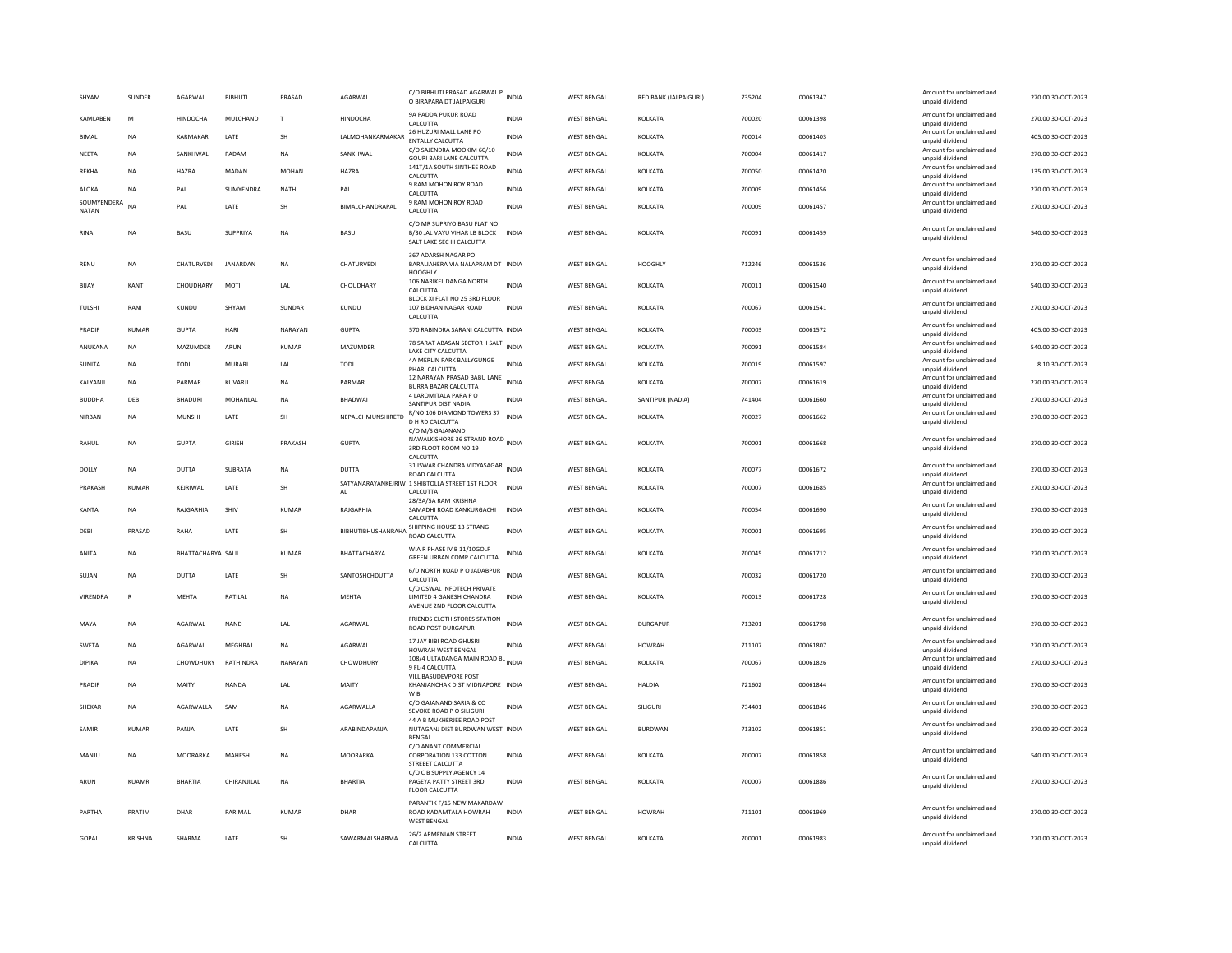| SHYAM                | SUNDER       | AGARWAL            | <b>BIBHUTI</b>  | PRASAD       | AGARWAL                     | C/O BIBHUTI PRASAD AGARWAL P<br>O BIRAPARA DT JALPAIGURI                                        | <b>INDIA</b> | <b>WEST BENGAL</b> | RED BANK (JALPAIGURI) | 735204 | 00061347 | Amount for unclaimed and<br>unpaid dividend | 270.00 30-OCT-2023 |
|----------------------|--------------|--------------------|-----------------|--------------|-----------------------------|-------------------------------------------------------------------------------------------------|--------------|--------------------|-----------------------|--------|----------|---------------------------------------------|--------------------|
| <b>KAMI ARFN</b>     | M            | <b>HINDOCHA</b>    | MULCHAND        | $\mathsf{T}$ | <b>HINDOCHA</b>             | 9A PADDA PUKUR ROAD<br>CALCUTTA                                                                 | <b>INDIA</b> | <b>WEST BENGAL</b> | KOLKATA               | 700020 | 00061398 | Amount for unclaimed and<br>unpaid dividend | 270.00.30-QCT-2023 |
| <b>BIMAL</b>         | <b>NA</b>    | KARMAKAR           | LATE            | SH           | LALMOHANKARMAKAR            | 26 HUZURI MALL LANE PO<br>ENTALLY CALCUTTA                                                      | <b>INDIA</b> | <b>WEST BENGAL</b> | KOLKATA               | 700014 | 00061403 | Amount for unclaimed and<br>unpaid dividend | 405.00 30-OCT-2023 |
| NEETA                | <b>NA</b>    | SANKHWAL           | PADAM           | <b>NA</b>    | SANKHWAL                    | C/O SAJENDRA MOOKIM 60/10<br>GOURI BARI LANE CALCUTTA                                           | <b>INDIA</b> | <b>WEST BENGAL</b> | KOLKATA               | 700004 | 00061417 | Amount for unclaimed and<br>unpaid dividend | 270.00 30-OCT-2023 |
| <b>REKHA</b>         | <b>NA</b>    | HAZRA              | MADAN           | MOHAN        | HAZRA                       | 141T/1A SOUTH SINTHEE ROAD<br>CALCUTTA                                                          | INDIA        | WEST BENGAL        | KOLKATA               | 700050 | 00061420 | Amount for unclaimed and<br>unpaid dividend | 135.00 30-OCT-2023 |
| ALOKA                | <b>NA</b>    | PAL                | SUMYENDRA       | <b>NATH</b>  | PAL                         | 9 RAM MOHON ROY ROAD<br>CALCUTTA                                                                | <b>INDIA</b> | <b>WEST BENGAL</b> | KOLKATA               | 700009 | 00061456 | Amount for unclaimed and<br>unpaid dividend | 270.00 30-OCT-2023 |
| SOUMYENDERA<br>NATAN | <b>NA</b>    | PAL                | LATE            | SH           | BIMALCHANDRAPAL             | 9 RAM MOHON ROY ROAD<br>CALCUTTA                                                                | <b>INDIA</b> | <b>WEST BENGAL</b> | KOLKATA               | 700009 | 00061457 | Amount for unclaimed and<br>unpaid dividend | 270.00 30-OCT-2023 |
| RINA                 | <b>NA</b>    | BASU               | SUPPRIYA        | <b>NA</b>    | BASU                        | C/O MR SUPRIYO BASU FLAT NO<br>B/30 JAL VAYU VIHAR LB BLOCK INDIA<br>SALT LAKE SEC III CALCUTTA |              | <b>WEST BENGAL</b> | KOLKATA               | 700091 | 00061459 | Amount for unclaimed and<br>unpaid dividend | 540.00 30-OCT-2023 |
| RFNU                 | <b>NA</b>    | CHATURVEDL         | <b>IANARDAN</b> | <b>NA</b>    | CHATURVEDI                  | 367 ADARSH NAGAR PO<br>BARALIAHERA VIA NALAPRAM DT INDIA<br><b>HOOGHLY</b>                      |              | <b>WEST BENGAL</b> | HOOGHLY               | 712246 | 00061536 | Amount for unclaimed and<br>unpaid dividend | 270.00 30-OCT-2023 |
| <b>BIJAY</b>         | KANT         | CHOUDHARY          | MOTI            | LAL          | CHOUDHARY                   | 106 NARIKEL DANGA NORTH<br>CALCUTTA                                                             | INDIA        | <b>WEST BENGAL</b> | KOLKATA               | 700011 | 00061540 | Amount for unclaimed and<br>unpaid dividend | 540.00 30-OCT-2023 |
| TULSHI               | RANI         | KUNDU              | SHYAM           | SUNDAR       | KUNDU                       | BLOCK XI FLAT NO 25 3RD FLOOR<br>107 BIDHAN NAGAR ROAD<br>CALCUTTA                              | <b>INDIA</b> | <b>WEST BENGAL</b> | KOLKATA               | 700067 | 00061541 | Amount for unclaimed and<br>unpaid dividend | 270.00 30-OCT-2023 |
| PRADIP               | KUMAR        | GUPTA              | HARI            | NARAYAN      | <b>GUPTA</b>                | 570 RABINDRA SARANI CALCUTTA INDIA                                                              |              | <b>WEST BENGAL</b> | KOLKATA               | 700003 | 00061572 | Amount for unclaimed and<br>unpaid dividend | 405.00 30-OCT-2023 |
| ANUKANA              | <b>NA</b>    | MAZUMDER           | ARUN            | <b>KUMAR</b> | MAZUMDER                    | 78 SARAT ABASAN SECTOR II SALT INDIA<br>LAKE CITY CALCUTTA                                      |              | <b>WEST BENGAL</b> | KOLKATA               | 700091 | 00061584 | Amount for unclaimed and<br>unpaid dividend | 540.00 30-OCT-2023 |
| <b>SUNITA</b>        | <b>NA</b>    | TODI               | <b>MURARI</b>   | LAL          | <b>TODI</b>                 | 4A MERLIN PARK BALLYGUNGE<br>PHARI CALCUTTA                                                     | <b>INDIA</b> | <b>WEST BENGAL</b> | KOLKATA               | 700019 | 00061597 | Amount for unclaimed and<br>unpaid dividend | 8.10 30-OCT-2023   |
| KALYANJI             | NA           | PARMAR             | KUVARJI         | $_{\sf NA}$  | PARMAR                      | 12 NARAYAN PRASAD BABU LANE<br><b>BURRA BAZAR CALCUTTA</b>                                      | <b>INDIA</b> | <b>WEST BENGAL</b> | KOLKATA               | 700007 | 00061619 | Amount for unclaimed and<br>unpaid dividend | 270.00 30-OCT-2023 |
| <b>BUDDHA</b>        | DEB          | <b>BHADURI</b>     | MOHANLAL        | <b>NA</b>    | BHADWAI                     | 4   AROMITALA PARA PO<br>SANTIPUR DIST NADIA                                                    | <b>INDIA</b> | <b>WEST BENGAL</b> | SANTIPUR (NADIA)      | 741404 | 00061660 | Amount for unclaimed and<br>unpaid dividend | 270.00 30-OCT-2023 |
| NIRBAN               | <b>NA</b>    | <b>MUNSHI</b>      | LATE            | SH           | NEPALCHMUNSHIRETD           | R/NO 106 DIAMOND TOWERS 37<br>D H RD CALCUTTA<br>C/O M/S GAJANAND                               | <b>INDIA</b> | <b>WEST BENGAL</b> | KOLKATA               | 700027 | 00061662 | Amount for unclaimed and<br>unpaid dividend | 270.00 30-OCT-2023 |
| RAHUL                | <b>NA</b>    | <b>GUPTA</b>       | <b>GIRISH</b>   | PRAKASH      | <b>GUPTA</b>                | NAWALKISHORE 36 STRAND ROAD INDIA<br>3RD FLOOT ROOM NO 19<br>CALCUTTA                           |              | <b>WEST BENGAL</b> | KOLKATA               | 700001 | 00061668 | Amount for unclaimed and<br>unpaid dividend | 270.00 30-OCT-2023 |
| DOLLY                | NA           | DUTTA              | SUBRATA         | NA           | DUTTA                       | 31 ISWAR CHANDRA VIDYASAGAR INDIA<br><b>ROAD CALCUTTA</b>                                       |              | <b>WEST BENGAL</b> | KOLKATA               | 700077 | 00061672 | Amount for unclaimed and<br>unpaid dividend | 270.00 30-OCT-2023 |
| PRAKASH              | <b>KUMAR</b> | KEJRIWAL           | LATE            | SH           | AL                          | SATYANARAYANKEJRIW 1 SHIBTOLLA STREET 1ST FLOOR<br>CALCUTTA                                     | <b>INDIA</b> | <b>WEST BENGAL</b> | KOLKATA               | 700007 | 00061685 | Amount for unclaimed and<br>unpaid dividend | 270.00 30-OCT-2023 |
| KANTA                | <b>NA</b>    | RAJGARHIA          | SHIV            | <b>KUMAR</b> | RAJGARHIA                   | 28/3A/5A RAM KRISHNA<br>SAMADHI ROAD KANKURGACHI<br>CALCUTTA                                    | <b>INDIA</b> | <b>WEST BENGAL</b> | KOLKATA               | 700054 | 00061690 | Amount for unclaimed and<br>unpaid dividend | 270.00 30-OCT-2023 |
| DEBI                 | PRASAD       | RAHA               | LATE            | SH           | BIBHUTIBHUSHANRAHA SHIPPING | SHIPPING HOUSE 13 STRANG                                                                        | <b>INDIA</b> | <b>WEST BENGAL</b> | KOLKATA               | 700001 | 00061695 | Amount for unclaimed and<br>unpaid dividend | 270.00 30-OCT-2023 |
| ANITA                | NA           | BHATTACHARYA SALIL |                 | <b>KUMAR</b> | BHATTACHARYA                | WIA R PHASE IV B 11/10GOLF<br>GREEN URBAN COMP CALCUTTA                                         | <b>INDIA</b> | <b>WEST BENGAL</b> | KOLKATA               | 700045 | 00061712 | Amount for unclaimed and<br>unpaid dividend | 270.00 30-OCT-2023 |
| SUJAN                | <b>NA</b>    | DUTTA              | LATE            | SH           | SANTOSHCHDUTTA              | 6/D NORTH ROAD P O JADABPUR<br>CALCUTTA                                                         | <b>INDIA</b> | <b>WEST BENGAL</b> | KOLKATA               | 700032 | 00061720 | Amount for unclaimed and<br>unpaid dividend | 270.00 30-OCT-2023 |
| VIRENDRA             | $\mathsf{R}$ | <b>MEHTA</b>       | RATILAL         | <b>NA</b>    | MEHTA                       | C/O OSWAL INFOTECH PRIVATE<br>LIMITED 4 GANESH CHANDRA<br>AVENUE 2ND FLOOR CALCUTTA             | <b>INDIA</b> | <b>WEST BENGAL</b> | KOLKATA               | 700013 | 00061728 | Amount for unclaimed and<br>unpaid dividend | 270.00 30-OCT-2023 |
| MAYA                 | <b>NA</b>    | AGARWAL            | <b>NAND</b>     | LAL          | AGARWAL                     | FRIENDS CLOTH STORES STATION<br><b>ROAD POST DURGAPUR</b>                                       | <b>INDIA</b> | WEST BENGAL        | <b>DURGAPUR</b>       | 713201 | 00061798 | Amount for unclaimed and<br>unpaid dividend | 270.00 30-OCT-2023 |
| SWETA                | NA           | AGARWAL            | MEGHRAJ         | NA           | AGARWAL                     | 17 JAY BIBI ROAD GHUSRI<br>HOWRAH WEST BENGAL                                                   | INDIA        | <b>WEST BENGAL</b> | <b>HOWRAH</b>         | 711107 | 00061807 | Amount for unclaimed and<br>unpaid dividend | 270.00 30-OCT-2023 |
| <b>DIPIKA</b>        | NA           | CHOWDHURY          | RATHINDRA       | NARAYAN      | CHOWDHURY                   | 108/4 ULTADANGA MAIN ROAD BL INDIA<br>9 FL-4 CALCUTTA                                           |              | <b>WEST BENGAL</b> | KOLKATA               | 700067 | 00061826 | Amount for unclaimed and<br>unpaid dividend | 270.00 30-OCT-2023 |
| PRADIP               | <b>NA</b>    | MAITY              | NANDA           | 1 Al         | MAITY                       | VILL BASUDEVPORE POST<br>KHANJANCHAK DIST MIDNAPORE INDIA<br>W <sub>B</sub>                     |              | <b>WEST BENGAL</b> | <b>HALDIA</b>         | 721602 | 00061844 | Amount for unclaimed and<br>unpaid dividend | 270.00 30-OCT-2023 |
| <b>SHEKAR</b>        | <b>NA</b>    | AGARWALLA          | SAM             | <b>NA</b>    | AGARWALLA                   | C/O GAJANAND SARIA & CO<br>SEVOKE ROAD P O SILIGURI                                             | INDIA        | <b>WEST BENGAL</b> | SILIGURI              | 734401 | 00061846 | Amount for unclaimed and<br>unpaid dividend | 270.00 30-OCT-2023 |
| SAMIR                | KUMAR        | PANJA              | LATE            | <b>SH</b>    | ARABINDAPANJA               | 44 A B MUKHERJEE ROAD POST<br>NUTAGANJ DIST BURDWAN WEST INDIA<br>BENGAL                        |              | <b>WEST BENGAL</b> | <b>BURDWAN</b>        | 713102 | 00061851 | Amount for unclaimed and<br>unpaid dividend | 270.00 30-OCT-2023 |
| MANJU                | <b>NA</b>    | MOORARKA           | MAHESH          | <b>NA</b>    | <b>MOORARKA</b>             | C/O ANANT COMMERCIAL<br>CORPORATION 133 COTTON<br>STREEET CALCUTTA                              | <b>INDIA</b> | <b>WEST BENGAL</b> | KOLKATA               | 700007 | 00061858 | Amount for unclaimed and<br>unpaid dividend | 540.00 30-OCT-2023 |
| ARUN                 | <b>KUAMR</b> | <b>BHARTIA</b>     | CHIRANJILAL     | <b>NA</b>    | <b>BHARTIA</b>              | C/O C B SUPPLY AGENCY 14<br>PAGEYA PATTY STREET 3RD<br>FLOOR CALCUTTA                           | INDIA        | <b>WEST BENGAL</b> | KOLKATA               | 700007 | 00061886 | Amount for unclaimed and<br>unpaid dividend | 270.00 30-OCT-2023 |
| PARTHA               | PRATIM       | DHAR               | PARIMAL         | <b>KUMAR</b> | DHAR                        | PARANTIK F/15 NEW MAKARDAW<br>ROAD KADAMTALA HOWRAH<br><b>WEST BENGAL</b>                       | <b>INDIA</b> | <b>WEST BENGAL</b> | <b>HOWRAH</b>         | 711101 | 00061969 | Amount for unclaimed and<br>unpaid dividend | 270.00 30-OCT-2023 |
| GOPAL                | KRISHNA      | SHARMA             | LATE            | SH           | SAWARMALSHARMA              | 26/2 ARMENIAN STREET<br>CALCUTTA                                                                | INDIA        | <b>WEST BENGAL</b> | KOLKATA               | 700001 | 00061983 | Amount for unclaimed and<br>unpaid dividend | 270.00 30-OCT-2023 |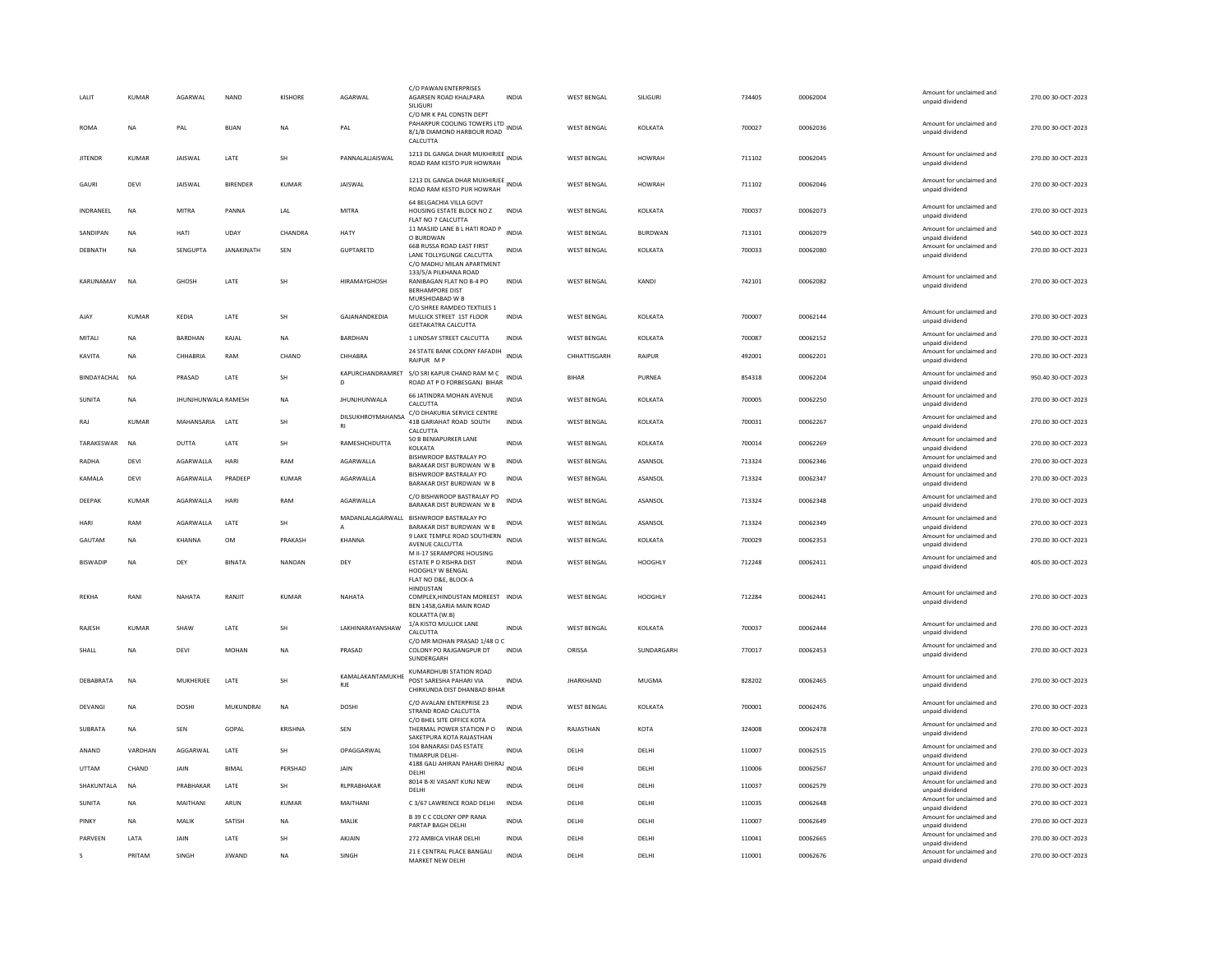| LALIT           | KUMAR        | AGARWAL             | <b>NAND</b>       | <b>KISHORE</b> | AGARWAL                          | C/O PAWAN ENTERPRISES<br>AGARSEN ROAD KHALPARA<br>SILIGURI<br>C/O MR K PAL CONSTN DEPT         | <b>INDIA</b> | <b>WEST BENGAL</b> | SILIGURI       | 734405 | 00062004 | Amount for unclaimed and<br>unpaid dividend | 270.00 30-OCT-2023 |
|-----------------|--------------|---------------------|-------------------|----------------|----------------------------------|------------------------------------------------------------------------------------------------|--------------|--------------------|----------------|--------|----------|---------------------------------------------|--------------------|
| <b>ROMA</b>     | <b>NA</b>    | PAL                 | <b>BUAN</b>       | <b>NA</b>      | PAI                              | PAHARPUR COOLING TOWERS LTD INDIA<br>8/1/B DIAMOND HARBOUR ROAD<br>CALCUTTA                    |              | <b>WEST BENGAL</b> | KOLKATA        | 700027 | 00062036 | Amount for unclaimed and<br>unpaid dividend | 270.00 30-OCT-2023 |
| <b>JITENDR</b>  | KUMAR        | JAISWAL             | LATE              | SH             | PANNALALIAISWAL                  | 1213 DL GANGA DHAR MUKHIRJEE<br>ROAD RAM KESTO PUR HOWRAH                                      | <b>INDIA</b> | WEST BENGAL        | <b>HOWRAH</b>  | 711102 | 00062045 | Amount for unclaimed and<br>unpaid dividend | 270.00 30-OCT-2023 |
| GAURI           | DEVI         | JAISWAL             | <b>BIRENDER</b>   | KUMAR          | JAISWAL                          | 1213 DL GANGA DHAR MUKHIRJEE<br>ROAD RAM KESTO PUR HOWRAH                                      |              | <b>WEST BENGAL</b> | <b>HOWRAH</b>  | 711102 | 00062046 | Amount for unclaimed and<br>unpaid dividend | 270.00 30-OCT-2023 |
| INDRANEEL       | NA           | <b>MITRA</b>        | PANNA             | LAL            | MITRA                            | 64 BELGACHIA VILLA GOVT<br>HOUSING ESTATE BLOCK NO Z<br>FLAT NO 7 CALCUTTA                     | <b>INDIA</b> | <b>WEST BENGAL</b> | KOLKATA        | 700037 | 00062073 | Amount for unclaimed and<br>unpaid dividend | 270.00 30-OCT-2023 |
| SANDIPAN        | <b>NA</b>    | HATI                | UDAY              | CHANDRA        | HATY                             | 11 MASJID LANE B L HATI ROAD P<br>O BURDWAN                                                    | <b>INDIA</b> | <b>WEST BENGAL</b> | <b>BURDWAN</b> | 713101 | 00062079 | Amount for unclaimed and<br>unpaid dividend | 540.00 30-OCT-2023 |
| DEBNATH         | <b>NA</b>    | SENGUPTA            | <b>JANAKINATH</b> | SEN            | <b>GUPTARETD</b>                 | <b>66B RUSSA ROAD EAST FIRST</b><br>LANE TOLLYGUNGE CALCUTTA<br>C/O MADHU MILAN APARTMENT      | <b>INDIA</b> | <b>WEST BENGAL</b> | KOLKATA        | 700033 | 00062080 | Amount for unclaimed and<br>unpaid dividend | 270.00 30-OCT-2023 |
| KARUNAMAY       | <b>NA</b>    | <b>GHOSH</b>        | LATE              | SH             | <b>HIRAMAYGHOSH</b>              | 133/5/A PILKHANA ROAD<br>RANIBAGAN FLAT NO B-4 PO<br><b>BERHAMPORE DIST</b><br>MURSHIDABAD W B | <b>INDIA</b> | <b>WEST BENGAL</b> | KANDI          | 742101 | 00062082 | Amount for unclaimed and<br>unpaid dividend | 270.00 30-OCT-2023 |
| AJAY            | <b>KUMAR</b> | KFDIA               | LATE              | SH             | GAJANANDKEDIA                    | C/O SHREE RAMDEO TEXTILES 1<br>MULLICK STREET 1ST FLOOR<br><b>GEETAKATRA CALCUTTA</b>          | <b>INDIA</b> | <b>WEST BENGAL</b> | KOLKATA        | 700007 | 00062144 | Amount for unclaimed and<br>unpaid dividend | 270.00 30-OCT-2023 |
| MITALI          | NA           | BARDHAN             | KAJAL             | <b>NA</b>      | BARDHAN                          | 1 LINDSAY STREET CALCUTTA                                                                      | <b>INDIA</b> | <b>WEST BENGAL</b> | KOLKATA        | 700087 | 00062152 | Amount for unclaimed and<br>unpaid dividend | 270.00 30-OCT-2023 |
| KAVITA          | <b>NA</b>    | CHHARRIA            | RAM               | CHAND          | CHHARRA                          | 24 STATE BANK COLONY FAFADIH<br>RAIPUR MP                                                      | <b>INDIA</b> | CHHATTISGARH       | RAIPUR         | 492001 | 00062201 | Amount for unclaimed and<br>unpaid dividend | 270.00 30-OCT-2023 |
| BINDAYACHAL NA  |              | PRASAD              | LATE              | SH             | D                                | KAPURCHANDRAMRET S/O SRI KAPUR CHAND RAM M C<br>ROAD AT P O FORBESGANJ BIHAR                   | <b>INDIA</b> | <b>BIHAR</b>       | PURNEA         | 854318 | 00062204 | Amount for unclaimed and<br>unpaid dividend | 950.40 30-OCT-2023 |
| SUNITA          | <b>NA</b>    | JHUNJHUNWALA RAMESH |                   | <b>NA</b>      | <b>JHUNJHUNWALA</b>              | 66 JATINDRA MOHAN AVENUE<br>CALCUTTA                                                           | <b>INDIA</b> | <b>WEST BENGAL</b> | KOLKATA        | 700005 | 00062250 | Amount for unclaimed and<br>unpaid dividend | 270.00 30-OCT-2023 |
| RAJ             | KUMAR        | MAHANSARIA LATE     |                   | <b>SH</b>      | <b>DILSUKHROYMAHANSA</b>         | C/O DHAKURIA SERVICE CENTRE<br>41B GARIAHAT ROAD SOUTH<br>CALCUTTA                             | INDIA        | <b>WEST BENGAL</b> | KOLKATA        | 700031 | 00062267 | Amount for unclaimed and<br>unpaid dividend | 270.00 30-OCT-2023 |
| TARAKESWAR      | <b>NA</b>    | DUTTA               | LATE              | SH             | RAMESHCHDUTTA                    | 50 B BENJAPURKER LANE<br>KOLKATA                                                               | <b>INDIA</b> | <b>WEST BENGAL</b> | KOLKATA        | 700014 | 00062269 | Amount for unclaimed and<br>unpaid dividend | 270.00 30-OCT-2023 |
| RADHA           | DEVI         | AGARWALLA           | HARI              | RAM            | AGARWALLA                        | BISHWROOP BASTRALAY PO<br><b>BARAKAR DIST BURDWAN W B</b>                                      | INDIA        | <b>WEST BENGAL</b> | ASANSOL        | 713324 | 00062346 | Amount for unclaimed and<br>unpaid dividend | 270.00 30-OCT-2023 |
| KAMALA          | DEVI         | AGARWALLA           | PRADEEP           | KUMAR          | AGARWALLA                        | BISHWROOP BASTRALAY PO<br>BARAKAR DIST BURDWAN W B                                             | INDIA        | <b>WEST BENGAL</b> | ASANSOL        | 713324 | 00062347 | Amount for unclaimed and<br>unpaid dividend | 270.00 30-OCT-2023 |
| DEEPAK          | KUMAR        | AGARWALLA           | HARI              | RAM            | AGARWALLA                        | C/O BISHWROOP BASTRALAY PO<br>BARAKAR DIST BURDWAN W B                                         | INDIA        | <b>WEST BENGAL</b> | ASANSOL        | 713324 | 00062348 | Amount for unclaimed and<br>unpaid dividend | 270.00 30-OCT-2023 |
| HARI            | RAM          | AGARWALLA           | LATE              | SH             | MADANLALAGARWALL<br>$\mathsf{A}$ | BISHWROOP BASTRALAY PO<br>BARAKAR DIST BURDWAN W B                                             | <b>INDIA</b> | <b>WEST BENGAL</b> | ASANSOL        | 713324 | 00062349 | Amount for unclaimed and<br>unpaid dividend | 270.00 30-OCT-2023 |
| GAUTAM          | NA           | KHANNA              | OM                | PRAKASH        | KHANNA                           | 9 LAKE TEMPLE ROAD SOUTHERN<br>AVENUE CALCUTTA                                                 | INDIA        | <b>WEST BENGAL</b> | KOLKATA        | 700029 | 00062353 | Amount for unclaimed and<br>unpaid dividend | 270.00 30-OCT-2023 |
| <b>BISWADIP</b> | <b>NA</b>    | DFY                 | <b>BINATA</b>     | NANDAN         | DEY                              | M II-17 SERAMPORE HOUSING<br>ESTATE P O RISHRA DIST                                            | <b>INDIA</b> | <b>WEST BENGAL</b> | HOOGHLY        | 712248 | 00062411 | Amount for unclaimed and<br>unpaid dividend | 405.00 30-OCT-2023 |
|                 |              |                     |                   |                |                                  | HOOGHLY W BENGAL<br>FLAT NO D&E, BLOCK-A<br>HINDUSTAN                                          |              |                    |                |        |          |                                             |                    |
| REKHA           | RANI         | NAHATA              | RANJIT            | KUMAR          | NAHATA                           | COMPLEX, HINDUSTAN MOREEST INDIA<br>BEN 1458.GARIA MAIN ROAD                                   |              | <b>WEST BENGAL</b> | HOOGHLY        | 712284 | 00062441 | Amount for unclaimed and<br>unpaid dividend | 270.00 30-OCT-2023 |
| <b>RAIFSH</b>   | <b>KUMAR</b> | <b>SHAW</b>         | LATE              | <b>SH</b>      | LAKHINARAYANSHAW                 | KOLKATTA (W.B)<br>1/A KISTO MULLICK LANE<br>CALCUTTA                                           | <b>INDIA</b> | <b>WEST BENGAL</b> | KOLKATA        | 700037 | 00062444 | Amount for unclaimed and<br>unpaid dividend | 270.00 30-OCT-2023 |
| SHALL           | <b>NA</b>    | DEVI                | MOHAN             | NA             | PRASAD                           | C/O MR MOHAN PRASAD 1/48 O C<br>COLONY PO RAJGANGPUR DT                                        | <b>INDIA</b> | ORISSA             | SUNDARGARH     | 770017 | 00062453 | Amount for unclaimed and<br>unpaid dividend | 270.00 30-OCT-2023 |
|                 |              |                     |                   |                |                                  | SUNDERGARH<br>KUMARDHUBI STATION ROAD                                                          |              |                    |                |        |          |                                             |                    |
| DEBABRATA       | <b>NA</b>    | MUKHERJEE           | LATE              | SH             | KAMALAKANTAMUKHE<br><b>RJE</b>   | POST SARESHA PAHARI VIA<br>CHIRKUNDA DIST DHANBAD BIHAR                                        | <b>INDIA</b> | <b>JHARKHAND</b>   | MUGMA          | 828202 | 00062465 | Amount for unclaimed and<br>unpaid dividend | 270.00 30-OCT-2023 |
| DEVANG          | NA           | DOSHI               | MUKUNDRAI         | <b>NA</b>      | DOSHI                            | C/O AVALANI ENTERPRISE 23<br>STRAND ROAD CALCUTTA<br>C/O BHEL SITE OFFICE KOTA                 | <b>INDIA</b> | <b>WEST BENGAL</b> | KOLKATA        | 700001 | 00062476 | Amount for unclaimed and<br>unpaid dividend | 270.00 30-OCT-2023 |
| SUBRATA         | NA           | <b>SEN</b>          | GOPAL             | KRISHNA        | SEN                              | THERMAL POWER STATION P O<br>SAKETPURA KOTA RAJASTHAN                                          | <b>INDIA</b> | RAJASTHAN          | KOTA           | 324008 | 00062478 | Amount for unclaimed and<br>unpaid dividend | 270.00 30-OCT-2023 |
| ANAND           | VARDHAN      | AGGARWAL            | LATE              | SH             | OPAGGARWAL                       | 104 BANARASI DAS ESTATE<br>TIMARPUR DELHI-                                                     | <b>INDIA</b> | DELHI              | DELHI          | 110007 | 00062515 | Amount for unclaimed and<br>unnaid dividend | 270.00 30-OCT-2023 |
| UTTAM           | CHAND        | JAIN                | <b>BIMAL</b>      | PERSHAD        | JAIN                             | 4188 GALI AHIRAN PAHARI DHIRAJ INDIA<br>DELHI                                                  |              | DELHI              | DELHI          | 110006 | 00062567 | Amount for unclaimed and<br>unpaid dividend | 270.00 30-OCT-2023 |
| SHAKUNTALA      | <b>NA</b>    | PRABHAKAR           | LATE              | <b>SH</b>      | RLPRABHAKAR                      | 8014 B-XI VASANT KUNJ NEW<br>DELHI                                                             | <b>INDIA</b> | DELHI              | DELHI          | 110037 | 00062579 | Amount for unclaimed and<br>unpaid dividend | 270.00 30-OCT-2023 |
| SUNITA          | <b>NA</b>    | MAITHANI            | ARUN              | <b>KUMAR</b>   | MAITHANI                         | C 3/67 LAWRENCE ROAD DELHI                                                                     | <b>INDIA</b> | DELHI              | DELHI          | 110035 | 00062648 | Amount for unclaimed and<br>unpaid dividend | 270.00 30-OCT-2023 |
| PINKY           | <b>NA</b>    | MAIIK               | SATISH            | <b>NA</b>      | MAIIK                            | B 39 C C COLONY OPP RANA<br>PARTAP BAGH DELHI                                                  | <b>INDIA</b> | DFI HI             | DELHI          | 110007 | 00062649 | Amount for unclaimed and<br>unpaid dividend | 270.00.30-OCT-2023 |
| PARVEEN         | LATA         | JAIN                | LATE              | SH             | AKJAIN                           | 272 AMBICA VIHAR DELHI                                                                         | <b>INDIA</b> | DELHI              | DELHI          | 110041 | 00062665 | Amount for unclaimed and<br>unpaid dividend | 270.00 30-OCT-2023 |
| s               | PRITAM       | SINGH               | <b>JIWAND</b>     | <b>NA</b>      | SINGH                            | 21 E CENTRAL PLACE BANGALI<br>MARKET NEW DELHI                                                 | <b>INDIA</b> | DELHI              | DELHI          | 110001 | 00062676 | Amount for unclaimed and<br>unpaid dividend | 270.00 30-OCT-2023 |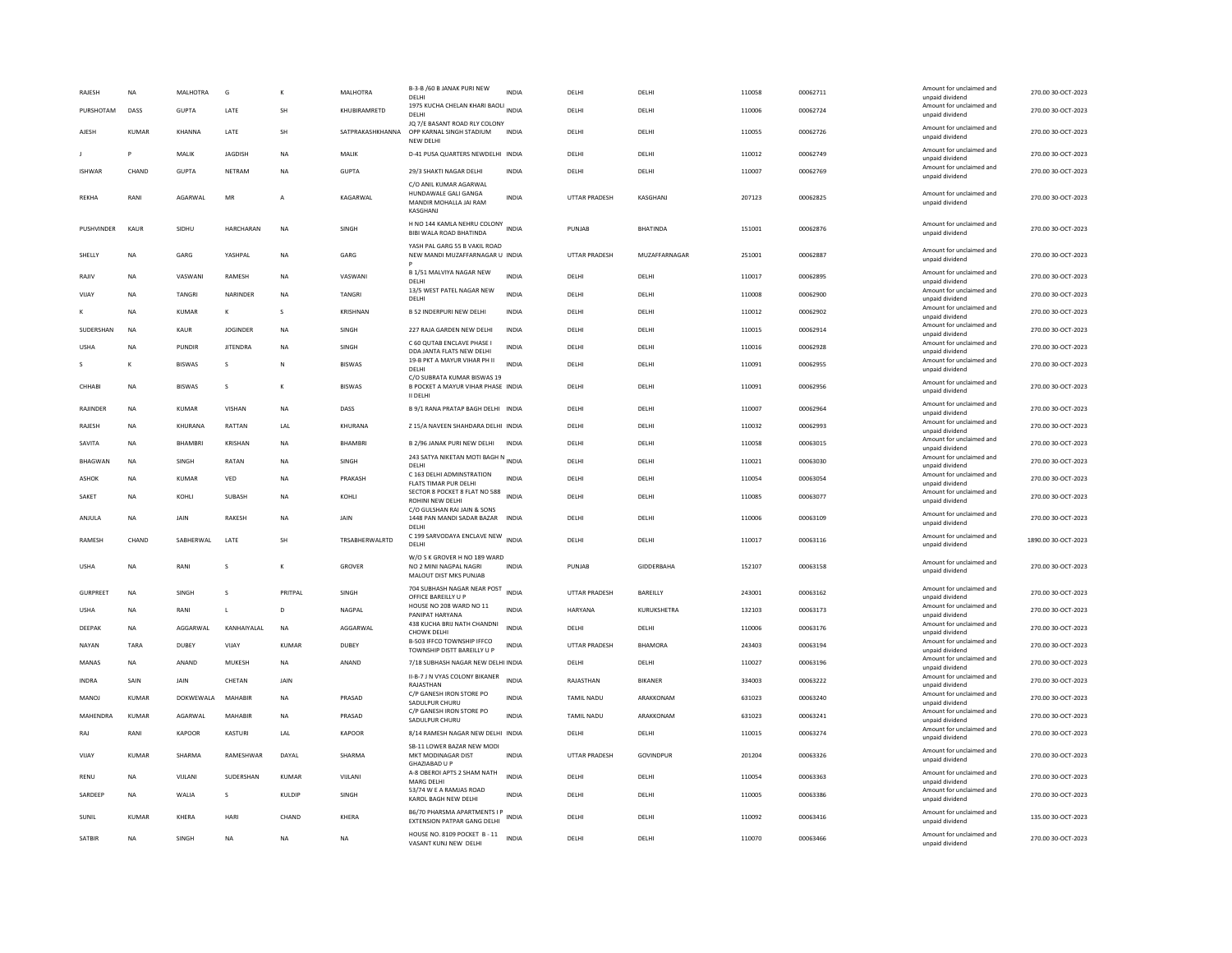| RAJESH            | NA           | MALHOTRA      | G               | K              | MALHOTRA         | B-3-B /60 B JANAK PURI NEW<br>DELHI                                                  | <b>INDIA</b> | DELHI                | DELHI             | 110058 | 00062711 | Amount for unclaimed and<br>unpaid dividend                    | 270.00 30-OCT-2023  |
|-------------------|--------------|---------------|-----------------|----------------|------------------|--------------------------------------------------------------------------------------|--------------|----------------------|-------------------|--------|----------|----------------------------------------------------------------|---------------------|
| PURSHOTAM         | DASS         | <b>GUPTA</b>  | LATE            | SH             | KHUBIRAMRETD     | 1975 KUCHA CHELAN KHARI BAOLI INDIA<br>DELHI                                         |              | DELHI                | DELHI             | 110006 | 00062724 | Amount for unclaimed and<br>unpaid dividend                    | 270.00 30-OCT-2023  |
| AJESH             | <b>KUMAR</b> | KHANNA        | LATE            | SH             | SATPRAKASHKHANNA | JQ 7/E BASANT ROAD RLY COLONY<br>OPP KARNAL SINGH STADIUM<br>NEW DELHI               | <b>INDIA</b> | DELHI                | DELHI             | 110055 | 00062726 | Amount for unclaimed and<br>unpaid dividend                    | 270.00 30-OCT-2023  |
|                   | P            | MALIK         | JAGDISH         | NA             | MALIK            | D-41 PUSA QUARTERS NEWDELHI INDIA                                                    |              | DELHI                | DELHI             | 110012 | 00062749 | Amount for unclaimed and<br>unpaid dividend                    | 270.00 30-OCT-2023  |
| <b>ISHWAR</b>     | CHAND        | GUPTA         | NETRAM          | <b>NA</b>      | <b>GUPTA</b>     | 29/3 SHAKTI NAGAR DELHI                                                              | <b>INDIA</b> | DELHI                | DELHI             | 110007 | 00062769 | Amount for unclaimed and<br>unpaid dividend                    | 270.00 30-OCT-2023  |
| REKHA             | RANI         | AGARWAL       | MR              | A              | KAGARWAL         | C/O ANIL KUMAR AGARWAL<br>HUNDAWALE GALI GANGA<br>MANDIR MOHALLA JAI RAM<br>KASGHANI | INDIA        | UTTAR PRADESH        | KASGHANJ          | 207123 | 00062825 | Amount for unclaimed and<br>unpaid dividend                    | 270.00 30-OCT-2023  |
| <b>PUSHVINDER</b> | KAUR         | SIDHU         | HARCHARAN       | N <sub>A</sub> | SINGH            | H NO 144 KAMLA NEHRU COLONY<br>BIBI WALA ROAD BHATINDA                               | <b>INDIA</b> | PUNJAB               | <b>BHATINDA</b>   | 151001 | 00062876 | Amount for unclaimed and<br>unpaid dividend                    | 270.00 30-OCT-2023  |
| SHELLY            | <b>NA</b>    | GARG          | YASHPAL         | <b>NA</b>      | GARG             | YASH PAL GARG 55 B VAKIL ROAD<br>NEW MANDI MUZAFFARNAGAR U INDIA                     |              | <b>UTTAR PRADESH</b> | MUZAFFARNAGAR     | 251001 | 00062887 | Amount for unclaimed and<br>unpaid dividend                    | 270.00 30-OCT-2023  |
| RAJIV             | <b>NA</b>    | VASWAN        | RAMESH          | <b>NA</b>      | VASWANI          | B 1/51 MALVIYA NAGAR NEW<br>DELHI                                                    | <b>INDIA</b> | DELHI                | DELHI             | 110017 | 00062895 | Amount for unclaimed and<br>unpaid dividend                    | 270.00 30-OCT-2023  |
| VIJAY             | NA           | TANGRI        | NARINDER        | NA             | TANGRI           | 13/5 WEST PATEL NAGAR NEW<br>DELHI                                                   | <b>INDIA</b> | DELHI                | DELHI             | 110008 | 00062900 | Amount for unclaimed and<br>unpaid dividend                    | 270.00 30-OCT-2023  |
|                   | <b>NA</b>    | <b>KUMAR</b>  | к               | $\mathbf{s}$   | <b>KRISHNAN</b>  | <b>B 52 INDERPURI NEW DELHI</b>                                                      | <b>INDIA</b> | DELHI                | DELHI             | 110012 | 00062902 | Amount for unclaimed and<br>unpaid dividend                    | 270.00 30-OCT-2023  |
| <b>SUDERSHAN</b>  | <b>NA</b>    | KAUR          | <b>JOGINDER</b> | <b>NA</b>      | <b>SINGH</b>     | 227 RAJA GARDEN NEW DELHI                                                            | <b>INDIA</b> | DELHI                | DELHI             | 110015 | 00062914 | Amount for unclaimed and<br>unpaid dividend                    | 270.00 30-OCT-2023  |
| LISHA             | <b>NA</b>    | PUNDIR        | <b>IITENDRA</b> | <b>NA</b>      | SINGH            | C 60 QUTAB ENCLAVE PHASE I<br>DDA JANTA FLATS NEW DELHI                              | <b>INDIA</b> | <b>DELHI</b>         | DELHI             | 110016 | 00062928 | Amount for unclaimed and<br>unpaid dividend                    | 270.00 30-OCT-2023  |
| s                 | K            | <b>BISWAS</b> | s               | N              | <b>BISWAS</b>    | 19-B PKT A MAYUR VIHAR PH II<br>DELH                                                 | <b>INDIA</b> | DELHI                | DELHI             | 110091 | 00062955 | Amount for unclaimed and<br>unpaid dividend                    | 270.00 30-OCT-2023  |
| CHHABI            | <b>NA</b>    | <b>BISWAS</b> | $\mathsf{s}$    | K              | <b>BISWAS</b>    | C/O SUBRATA KUMAR BISWAS 19<br>B POCKET A MAYUR VIHAR PHASE INDIA                    |              | DELHI                | DELHI             | 110091 | 00062956 | Amount for unclaimed and<br>unpaid dividend                    | 270.00 30-OCT-2023  |
| <b>RAIINDER</b>   | <b>NA</b>    | KUMAR         | <b>VISHAN</b>   | <b>NA</b>      | DASS             | <b>II DELHI</b><br>B 9/1 RANA PRATAP BAGH DELHI INDIA                                |              | DELHI                | DELHI             | 110007 | 00062964 | Amount for unclaimed and                                       | 270.00 30-OCT-2023  |
| RAJESH            | <b>NA</b>    | KHURANA       | RATTAN          | LAL            | KHURANA          | Z 15/A NAVEEN SHAHDARA DELHI INDIA                                                   |              | DELHI                | DELHI             | 110032 | 00062993 | unpaid dividend<br>Amount for unclaimed and                    | 270.00 30-OCT-2023  |
| SAVITA            | NA           | BHAMBRI       | KRISHAN         | NΑ             | BHAMBRI          | B 2/96 JANAK PURI NEW DELHI                                                          | <b>INDIA</b> | DELHI                | DELHI             | 110058 | 00063015 | unpaid dividend<br>Amount for unclaimed and                    | 270.00 30-OCT-2023  |
| <b>BHAGWAN</b>    | <b>NA</b>    | SINGH         | <b>RATAN</b>    | <b>NA</b>      | SINGH            | 243 SATYA NIKETAN MOTI BAGH N INDIA                                                  |              | DELHI                | DELHI             | 110021 | 00063030 | unpaid dividend<br>Amount for unclaimed and                    | 270.00 30-OCT-2023  |
| ASHOK             | NA           | KUMAR         | VED             | NA             | PRAKASH          | DELHI<br>C 163 DELHI ADMINSTRATION                                                   | <b>INDIA</b> | DELHI                | DELHI             | 110054 | 00063054 | unpaid dividend<br>Amount for unclaimed and                    | 270.00 30-OCT-2023  |
| SAKET             | <b>NA</b>    | KOHLI         | SUBASH          | <b>NA</b>      | KOHLI            | FLATS TIMAR PUR DELHI<br>SECTOR 8 POCKET 8 FLAT NO 588                               | <b>INDIA</b> | DELHI                | DELHI             | 110085 | 00063077 | unpaid dividend<br>Amount for unclaimed and                    | 270.00 30-OCT-2023  |
|                   |              |               |                 |                |                  | ROHINI NEW DELHI<br>C/O GULSHAN RAI JAIN & SONS                                      |              |                      |                   |        |          | unpaid dividend<br>Amount for unclaimed and                    |                     |
| ANIUIA            | <b>NA</b>    | <b>JAIN</b>   | <b>RAKESH</b>   | <b>NA</b>      | <b>JAIN</b>      | 1448 PAN MANDI SADAR BAZAR INDIA<br>DELHI                                            |              | <b>DELHI</b>         | DFI HI            | 110006 | 00063109 | unpaid dividend                                                | 270.00 30-OCT-2023  |
| RAMESH            | CHAND        | SABHERWAL     | LATE            | SH             | TRSABHERWALRTD   | C 199 SARVODAYA ENCLAVE NEW INDIA<br>DELHI                                           |              | DELHI                | DELHI             | 110017 | 00063116 | Amount for unclaimed and<br>unpaid dividend                    | 1890.00 30-OCT-2023 |
| <b>USHA</b>       | <b>NA</b>    | RANI          | s               | к              | GROVER           | W/O S K GROVER H NO 189 WARD<br>NO 2 MINI NAGPAL NAGRI<br>MALOUT DIST MKS PUNJAB     | <b>INDIA</b> | PUNJAB               | <b>GIDDERBAHA</b> | 152107 | 00063158 | Amount for unclaimed and<br>unpaid dividend                    | 270.00 30-OCT-2023  |
| <b>GURPREET</b>   | <b>NA</b>    | <b>SINGH</b>  | $\mathcal{S}$   | PRITPAI        | <b>SINGH</b>     | 704 SUBHASH NAGAR NEAR POST<br>OFFICE BAREILLY U P                                   | <b>INDIA</b> | <b>UTTAR PRADESH</b> | BAREILLY          | 243001 | 00063162 | Amount for unclaimed and<br>unpaid dividend                    | 270.00 30-OCT-2023  |
| <b>USHA</b>       | <b>NA</b>    | RANI          | $\mathbf{L}$    | D              | NAGPAL           | HOUSE NO 208 WARD NO 11<br>PANIPAT HARYANA                                           | <b>INDIA</b> | HARYANA              | KURUKSHETRA       | 132103 | 00063173 | Amount for unclaimed and<br>unpaid dividend                    | 270.00 30-OCT-2023  |
| DEEPAK            | <b>NA</b>    | AGGARWAI      | KANHAIYAI AI    | <b>NA</b>      | AGGARWAI         | 438 KUCHA BRIJ NATH CHANDNI<br>CHOWK DELHI                                           | <b>INDIA</b> | <b>DELHI</b>         | <b>DELHI</b>      | 110006 | 00063176 | Amount for unclaimed and<br>unpaid dividend                    | 270.00 30-OCT-2023  |
| NAYAN             | TARA         | DUBEY         | VIJAY           | <b>KUMAR</b>   | <b>DUBEY</b>     | B-503 IFFCO TOWNSHIP IFFCO<br>TOWNSHIP DISTT BAREILLY U P                            | <b>INDIA</b> | <b>UTTAR PRADESH</b> | <b>BHAMORA</b>    | 243403 | 00063194 | Amount for unclaimed and<br>unpaid dividend                    | 270.00 30-OCT-2023  |
| MANAS             | NA           | ANAND         | MUKESH          | NA             | ANAND            | 7/18 SUBHASH NAGAR NEW DELHI INDIA                                                   |              | DELHI                | DELHI             | 110027 | 00063196 | Amount for unclaimed and<br>unpaid dividend                    | 270.00 30-OCT-2023  |
| <b>INDRA</b>      | SAIN         | JAIN          | CHETAN          | JAIN           |                  | II-B-7 J N VYAS COLONY BIKANER<br>RAJASTHAN                                          | <b>INDIA</b> | RAJASTHAN            | <b>BIKANER</b>    | 334003 | 00063222 | Amount for unclaimed and<br>unpaid dividend                    | 270.00 30-OCT-2023  |
| MANOJ             | <b>KUMAR</b> | DOKWEWALA     | MAHABIR         | N <sub>A</sub> | PRASAD           | C/P GANESH IRON STORE PO<br>SADULPUR CHURU                                           | <b>INDIA</b> | TAMIL NADU           | ARAKKONAM         | 631023 | 00063240 | Amount for unclaimed and<br>unpaid dividend                    | 270.00 30-OCT-2023  |
| MAHENDRA          | <b>KUMAR</b> | AGARWAL       | <b>MAHABIR</b>  | <b>NA</b>      | PRASAD           | C/P GANESH IRON STORE PO<br>SADULPUR CHURU                                           | <b>INDIA</b> | <b>TAMIL NADU</b>    | ARAKKONAM         | 631023 | 00063241 | Amount for unclaimed and<br>unpaid dividend                    | 270.00 30-OCT-2023  |
| RAJ               | RANI         | KAPOOF        | KASTURI         | LAL            | <b>KAPOOR</b>    | 8/14 RAMESH NAGAR NEW DELHI INDIA                                                    |              | DELHI                | DELHI             | 110015 | 00063274 | Amount for unclaimed and<br>unpaid dividend                    | 270.00 30-OCT-2023  |
| VIIAY             | KUMAR        | SHARMA        | RAMESHWAR       | DAYAI          | SHARMA           | SB-11 LOWER BAZAR NEW MODI<br>MKT MODINAGAR DIST                                     | <b>INDIA</b> | <b>UTTAR PRADESH</b> | GOVINDPUR         | 201204 | 00063326 | Amount for unclaimed and<br>unpaid dividend                    | 270.00 30-OCT-2023  |
| RENU              | <b>NA</b>    | VIJLANI       | SUDERSHAN       | <b>KUMAR</b>   | VIJLANI          | GHAZIABAD U P<br>A-8 OBEROI APTS 2 SHAM NATH                                         | <b>INDIA</b> | DELHI                | DELHI             | 110054 | 00063363 | Amount for unclaimed and                                       | 270.00 30-OCT-2023  |
| SARDEEP           | NA           | WALIA         | s               | KULDIP         | SINGH            | MARG DELHI<br>53/74 W E A RAMJAS ROAD<br>KAROL BAGH NEW DELHI                        | <b>INDIA</b> | DELHI                | DELHI             | 110005 | 00063386 | unpaid dividend<br>Amount for unclaimed and<br>unpaid dividend | 270.00 30-OCT-2023  |
| SUNIL             | KUMAR        | KHFRA         | HARI            | CHAND          | KHFRA            | B6/70 PHARSMA APARTMENTS I P<br><b>EXTENSION PATPAR GANG DELHI</b>                   | <b>INDIA</b> | <b>DELHI</b>         | <b>DELHI</b>      | 110092 | 00063416 | Amount for unclaimed and<br>unpaid dividend                    | 135.00 30-OCT-2023  |
| SATBIR            | <b>NA</b>    | SINGH         | <b>NA</b>       | <b>NA</b>      | <b>NA</b>        | HOUSE NO. 8109 POCKET B - 11<br>VASANT KUNJ NEW DELHI                                | <b>INDIA</b> | DELHI                | DELHI             | 110070 | 00063466 | Amount for unclaimed and<br>unpaid dividend                    | 270.00 30-OCT-2023  |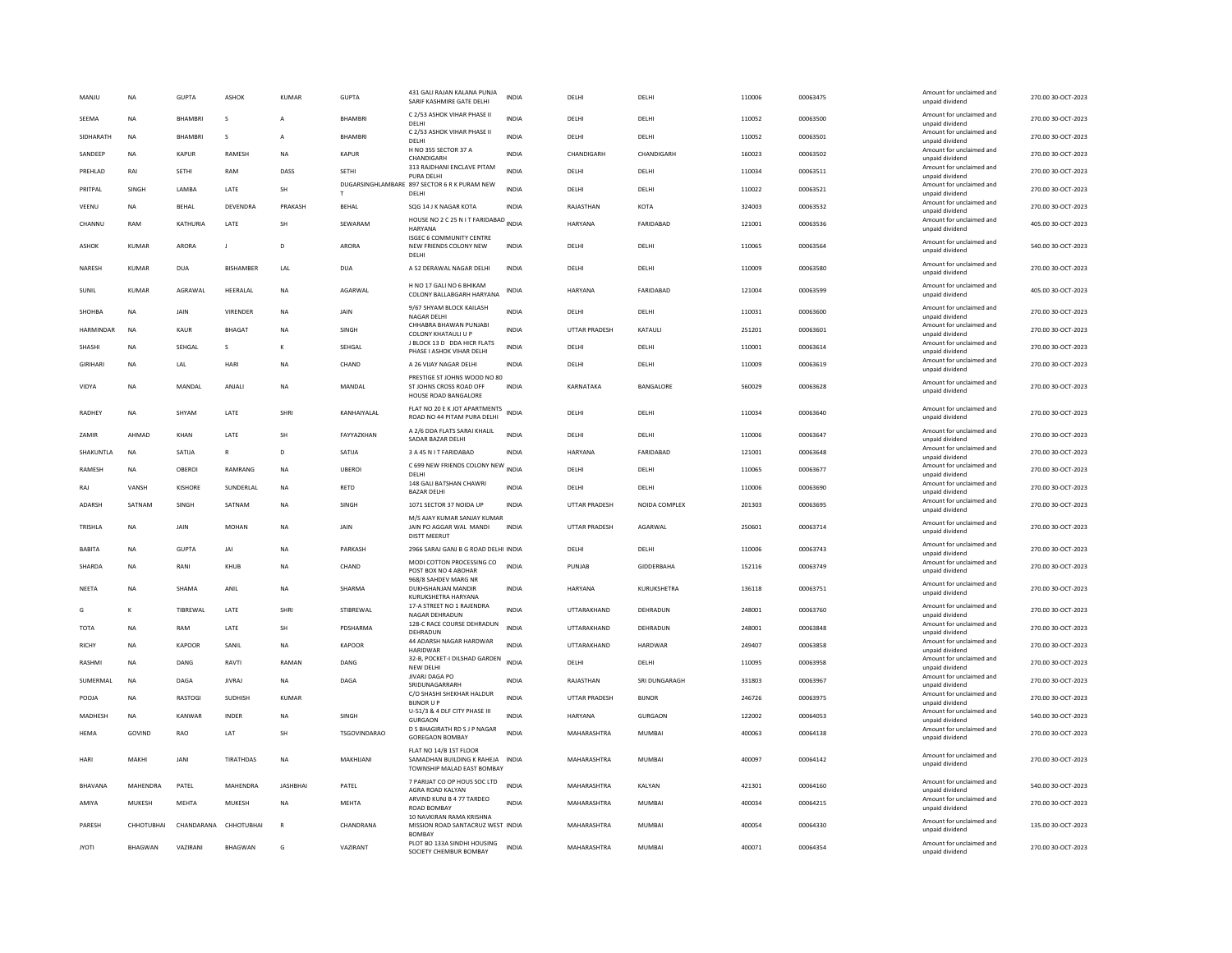| MANJU            | <b>NA</b>      | <b>GUPTA</b>   | <b>ASHOK</b>     | <b>KUMAR</b>    | <b>GUPTA</b>        | 431 GALI RAJAN KALANA PUNJA<br>SARIF KASHMIRE GATE DELHI                                 | <b>INDIA</b> | DELHI                | DELHI         | 110006 | 00063475 | Amount for unclaimed and<br>unpaid dividend | 270.00 30-OCT-2023 |
|------------------|----------------|----------------|------------------|-----------------|---------------------|------------------------------------------------------------------------------------------|--------------|----------------------|---------------|--------|----------|---------------------------------------------|--------------------|
| SEEMA            | <b>NA</b>      | <b>BHAMBR</b>  | s                | A               | <b>BHAMBRI</b>      | C 2/53 ASHOK VIHAR PHASE II<br>DELHI                                                     | <b>INDIA</b> | DELHI                | DELHI         | 110052 | 00063500 | Amount for unclaimed and<br>unpaid dividend | 270.00 30-OCT-2023 |
| SIDHARATH        | <b>NA</b>      | <b>BHAMBRI</b> | s                | A               | <b>BHAMBRI</b>      | C 2/53 ASHOK VIHAR PHASE II<br>DELHI                                                     | <b>INDIA</b> | DELHI                | DELHI         | 110052 | 00063501 | Amount for unclaimed and<br>unpaid dividend | 270.00 30-OCT-2023 |
| SANDEEP          | <b>NA</b>      | <b>KAPUR</b>   | <b>RAMESH</b>    | <b>NA</b>       | <b>KAPUR</b>        | H NO 355 SECTOR 37 A<br>CHANDIGARH                                                       | <b>INDIA</b> | CHANDIGARH           | CHANDIGARH    | 160023 | 00063502 | Amount for unclaimed and<br>unpaid dividend | 270.00 30-OCT-2023 |
| PREHLAD          | RAI            | SETHI          | RAM              | DASS            | SETHI               | 313 RAJDHANI ENCLAVE PITAM<br>PURA DELHI                                                 | <b>INDIA</b> | DELHI                | DELHI         | 110034 | 00063511 | Amount for unclaimed and<br>unpaid dividend | 270.00 30-OCT-2023 |
| PRITPAL          | SINGH          | LAMBA          | LATE             | SH              |                     | DUGARSINGHLAMBARE 897 SECTOR 6 R K PURAM NEW<br>DELHI                                    | <b>INDIA</b> | DELHI                | DELHI         | 110022 | 00063521 | Amount for unclaimed and<br>unpaid dividend | 270.00 30-OCT-2023 |
| VEENU            | NA             | BEHAL          | DEVENDRA         | PRAKASH         | <b>BEHAL</b>        | SQG 14 J K NAGAR KOTA                                                                    | INDIA        | RAJASTHAN            | <b>KOTA</b>   | 324003 | 00063532 | Amount for unclaimed and<br>unpaid dividend | 270.00 30-OCT-2023 |
| CHANNU           | RAM            | KATHURIA       | LATE             | <b>SH</b>       | SEWARAM             | HOUSE NO 2 C 25 N IT FARIDABAD INDIA<br>HARYANA                                          |              | <b>HARYANA</b>       | FARIDABAD     | 121001 | 00063536 | Amount for unclaimed and<br>unpaid dividend | 405.00 30-OCT-2023 |
| <b>ASHOK</b>     | <b>KUMAR</b>   | ARORA          | $\mathbf{I}$     | D               | ARORA               | <b>ISGEC 6 COMMUNITY CENTRE</b><br>NEW FRIENDS COLONY NEW<br><b>DELHI</b>                | <b>INDIA</b> | DELHI                | DELHI         | 110065 | 00063564 | Amount for unclaimed and<br>unpaid dividend | 540.00 30-OCT-2023 |
| NARESH           | KUMAR          | <b>DUA</b>     | <b>BISHAMBER</b> | LAL             | <b>DUA</b>          | A 52 DERAWAL NAGAR DELHI                                                                 | INDIA        | DELHI                | DELHI         | 110009 | 00063580 | Amount for unclaimed and<br>unpaid dividend | 270.00 30-OCT-2023 |
| SUNIL            | KUMAR          | AGRAWAL        | HEERALAL         | <b>NA</b>       | AGARWAL             | H NO 17 GALI NO 6 BHIKAM<br>COLONY BALLABGARH HARYANA                                    | <b>INDIA</b> | HARYANA              | FARIDABAD     | 121004 | 00063599 | Amount for unclaimed and<br>unpaid dividend | 405.00 30-OCT-2023 |
| SHOHBA           | <b>NA</b>      | JAIN           | VIRENDER         | NA              | JAIN                | 9/67 SHYAM BLOCK KAILASH<br>NAGAR DELHI                                                  | <b>INDIA</b> | DELHI                | DELHI         | 110031 | 00063600 | Amount for unclaimed and<br>unpaid dividend | 270.00 30-OCT-2023 |
| <b>HARMINDAR</b> | <b>NA</b>      | KAUR           | BHAGAT           | <b>NA</b>       | <b>SINGH</b>        | CHHABRA BHAWAN PUNJABI<br>COLONY KHATAULI U P                                            | <b>INDIA</b> | <b>UTTAR PRADESH</b> | KATAULI       | 251201 | 00063601 | Amount for unclaimed and<br>unpaid dividend | 270.00 30-OCT-2023 |
| SHASHI           | <b>NA</b>      | SEHGAL         | $\mathbf{s}$     | K               | SEHGAL              | J BLOCK 13 D DDA HICR FLATS<br>PHASE I ASHOK VIHAR DELHI                                 | <b>INDIA</b> | DELHI                | DELHI         | 110001 | 00063614 | Amount for unclaimed and<br>unpaid dividend | 270.00 30-OCT-2023 |
| <b>GIRIHARI</b>  | <b>NA</b>      | LAL            | HARI             | <b>NA</b>       | CHAND               | A 26 VIJAY NAGAR DELHI                                                                   | <b>INDIA</b> | DELHI                | DELHI         | 110009 | 00063619 | Amount for unclaimed and<br>unpaid dividend | 270.00 30-OCT-2023 |
| VIDYA            | <b>NA</b>      | MANDAL         | ANJALI           | <b>NA</b>       | MANDAL              | PRESTIGE ST JOHNS WOOD NO 80<br>ST JOHNS CROSS ROAD OFF<br><b>HOUSE ROAD BANGALORE</b>   | <b>INDIA</b> | KARNATAKA            | BANGALORE     | 560029 | 00063628 | Amount for unclaimed and<br>unpaid dividend | 270.00 30-OCT-2023 |
| RADHEY           | <b>NA</b>      | SHYAM          | LATE             | SHRI            | KANHAIYALAL         | FLAT NO 20 E K JOT APARTMENTS<br>ROAD NO 44 PITAM PURA DELHI                             | INDIA        | DELHI                | DELHI         | 110034 | 00063640 | Amount for unclaimed and<br>unpaid dividend | 270.00 30-OCT-2023 |
| ZAMIR            | AHMAD          | KHAN           | <b>I ATF</b>     | SH              | FAYYAZKHAN          | A 2/6 DDA FLATS SARAI KHALIL<br>SADAR BAZAR DELHI                                        | <b>INDIA</b> | DELHI                | DELHI         | 110006 | 00063647 | Amount for unclaimed and<br>unpaid dividend | 270.00 30-OCT-2023 |
| SHAKUNTLA        | <b>NA</b>      | SATIJA         | $\mathbb{R}$     | D               | SATIJA              | 3 A 45 N I T FARIDABAD                                                                   | <b>INDIA</b> | <b>HARYANA</b>       | FARIDABAD     | 121001 | 00063648 | Amount for unclaimed and<br>unpaid dividend | 270.00 30-OCT-2023 |
| RAMESH           | <b>NA</b>      | OBEROI         | RAMRANG          | <b>NA</b>       | <b>UBEROI</b>       | C 699 NEW FRIENDS COLONY NEW<br>DELHI                                                    | <b>INDIA</b> | DELHI                | DELHI         | 110065 | 00063677 | Amount for unclaimed and<br>unpaid dividend | 270.00 30-OCT-2023 |
| RAJ              | VANSH          | KISHORE        | SUNDERLAL        | <b>NA</b>       | <b>RETD</b>         | 148 GALI BATSHAN CHAWRI<br><b>BAZAR DELHI</b>                                            | INDIA        | DELHI                | DELHI         | 110006 | 00063690 | Amount for unclaimed and<br>unpaid dividend | 270.00 30-OCT-2023 |
| ADARSH           | SATNAM         | SINGH          | SATNAM           | <b>NA</b>       | SINGH               | 1071 SECTOR 37 NOIDA UP                                                                  | <b>INDIA</b> | UTTAR PRADESH        | NOIDA COMPLEX | 201303 | 00063695 | Amount for unclaimed and<br>unpaid dividend | 270.00 30-OCT-2023 |
| TRISHLA          | <b>NA</b>      | JAIN           | <b>MOHAN</b>     | NA              | JAIN                | M/S AJAY KUMAR SANJAY KUMAF<br>JAIN PO AGGAR WAL MANDI<br><b>DISTT MEERUT</b>            | <b>INDIA</b> | <b>UTTAR PRADESH</b> | AGARWAL       | 250601 | 00063714 | Amount for unclaimed and<br>unpaid dividend | 270.00 30-OCT-2023 |
| <b>BABITA</b>    | <b>NA</b>      | <b>GUPTA</b>   | JAI              | <b>NA</b>       | PARKASH             | 2966 SARAJ GANJ B G ROAD DELHI INDIA                                                     |              | DELHI                | DELHI         | 110006 | 00063743 | Amount for unclaimed and<br>unpaid dividend | 270.00 30-OCT-2023 |
| SHARDA           | <b>NA</b>      | RANI           | KHUB             | NA              | CHAND               | MODI COTTON PROCESSING CO<br>POST BOX NO 4 ABOHAR<br>968/8 SAHDEV MARG NR                | <b>INDIA</b> | PUNJAB               | GIDDERBAHA    | 152116 | 00063749 | Amount for unclaimed and<br>unpaid dividend | 270.00 30-OCT-2023 |
| <b>NEETA</b>     | <b>NA</b>      | SHAMA          | ANII             | <b>NA</b>       | SHARMA              | DUKHSHANIAN MANDIR<br>KURUKSHETRA HARYANA                                                | <b>INDIA</b> | HARYANA              | KURUKSHETRA   | 136118 | 00063751 | Amount for unclaimed and<br>unpaid dividend | 270.00 30-OCT-2023 |
| G                | К              | TIBREWAL       | LATE             | SHRI            | STIBREWAL           | 17-A STREET NO 1 RAJENDRA<br>NAGAR DEHRADUN                                              | <b>INDIA</b> | UTTARAKHAND          | DEHRADUN      | 248001 | 00063760 | Amount for unclaimed and<br>unpaid dividend | 270.00 30-OCT-2023 |
| <b>TOTA</b>      | <b>NA</b>      | RAM            | LATE             | SH              | PDSHARMA            | 128-C RACE COURSE DEHRADUN<br>DEHRADUN                                                   | <b>INDIA</b> | UTTARAKHAND          | DEHRADUN      | 248001 | 00063848 | Amount for unclaimed and<br>unpaid dividend | 270.00 30-OCT-2023 |
| <b>RICHY</b>     | <b>NA</b>      | KAPOOR         | SANIL            | <b>NA</b>       | KAPOOR              | 44 ADARSH NAGAR HARDWAR<br><b>HARIDWAR</b>                                               | <b>INDIA</b> | UTTARAKHAND          | HARDWAR       | 249407 | 00063858 | Amount for unclaimed and<br>unpaid dividend | 270.00 30-OCT-2023 |
| RASHMI           | <b>NA</b>      | DANG           | RAVTI            | RAMAN           | DANG                | 32-B, POCKET-I DILSHAD GARDEN<br>NEW DELHI                                               | <b>INDIA</b> | DELHI                | DELHI         | 110095 | 00063958 | Amount for unclaimed and<br>unpaid dividend | 270.00 30-OCT-2023 |
| SUMERMAL         | <b>NA</b>      | DAGA           | <b>JIVRAJ</b>    | <b>NA</b>       | DAGA                | <b>JIVARJ DAGA PO</b><br>SRIDUNAGARRARH                                                  | <b>INDIA</b> | RAJASTHAN            | SRI DUNGARAGH | 331803 | 00063967 | Amount for unclaimed and<br>unpaid dividend | 270.00 30-OCT-2023 |
| POOJA            | NA             | RASTOGI        | SUDHISH          | KUMAR           |                     | C/O SHASHI SHEKHAR HALDUR<br><b>BUNOR U P</b>                                            | <b>INDIA</b> | UTTAR PRADESH        | <b>BIJNOR</b> | 246726 | 00063975 | Amount for unclaimed and<br>unpaid dividend | 270.00 30-OCT-2023 |
| MADHESH          | <b>NA</b>      | KANWAR         | INDER            | NA              | SINGH               | U-51/3 & 4 DLF CITY PHASE III<br>GURGAON                                                 | INDIA        | HARYANA              | GURGAON       | 122002 | 00064053 | Amount for unclaimed and<br>unpaid dividend | 540.00 30-OCT-2023 |
| <b>HEMA</b>      | GOVIND         | RAO            | LAT              | SH              | <b>TSGOVINDARAO</b> | D S BHAGIRATH RD S J P NAGAR<br><b>GOREGAON BOMBAY</b>                                   | <b>INDIA</b> | MAHARASHTRA          | <b>MUMBAI</b> | 400063 | 00064138 | Amount for unclaimed and<br>unpaid dividend | 270.00 30-OCT-2023 |
| HARI             | MAKHI          | JANI           | TIRATHDAS        | <b>NA</b>       | MAKHIJANI           | FLAT NO 14/B 1ST FLOOR<br>SAMADHAN BUILDING K RAHEJA INDIA<br>TOWNSHIP MALAD EAST BOMBAY |              | MAHARASHTRA          | MUMBAI        | 400097 | 00064142 | Amount for unclaimed and<br>unpaid dividend | 270.00 30-OCT-2023 |
| BHAVANA          | MAHENDRA       | PATEL          | MAHENDRA         | <b>JASHBHAI</b> | PATEL               | 7 PARIJAT CO OP HOUS SOC LTD<br>AGRA ROAD KALYAN                                         | <b>INDIA</b> | MAHARASHTRA          | KALYAN        | 421301 | 00064160 | Amount for unclaimed and<br>unpaid dividend | 540.00 30-OCT-2023 |
| AMIYA            | <b>MUKESH</b>  | <b>MEHTA</b>   | <b>MUKESH</b>    | <b>NA</b>       | MEHTA               | ARVIND KUNJ B 4 77 TARDEO<br>ROAD BOMBAY                                                 | <b>INDIA</b> | MAHARASHTRA          | <b>MUMBAI</b> | 400034 | 00064215 | Amount for unclaimed and<br>unpaid dividend | 270.00 30-OCT-2023 |
| PARESH           | CHHOTURHAL     | CHANDARANA     | CHHOTURHAL       | $\mathbb{R}$    | CHANDRANA           | 10 NAVKIRAN RAMA KRISHNA<br>MISSION ROAD SANTACRUZ WEST INDIA<br><b>BOMBAY</b>           |              | MAHARASHTRA          | MUMBAI        | 400054 | 00064330 | Amount for unclaimed and<br>unpaid dividend | 135.00 30-OCT-2023 |
| <b>JYOTI</b>     | <b>BHAGWAN</b> | VAZIRANI       | <b>BHAGWAN</b>   | G               | VAZIRANT            | PLOT BO 133A SINDHI HOUSING<br>SOCIETY CHEMBUR BOMBAY                                    | <b>INDIA</b> | MAHARASHTRA          | MUMBAI        | 400071 | 00064354 | Amount for unclaimed and<br>unpaid dividend | 270.00 30-OCT-2023 |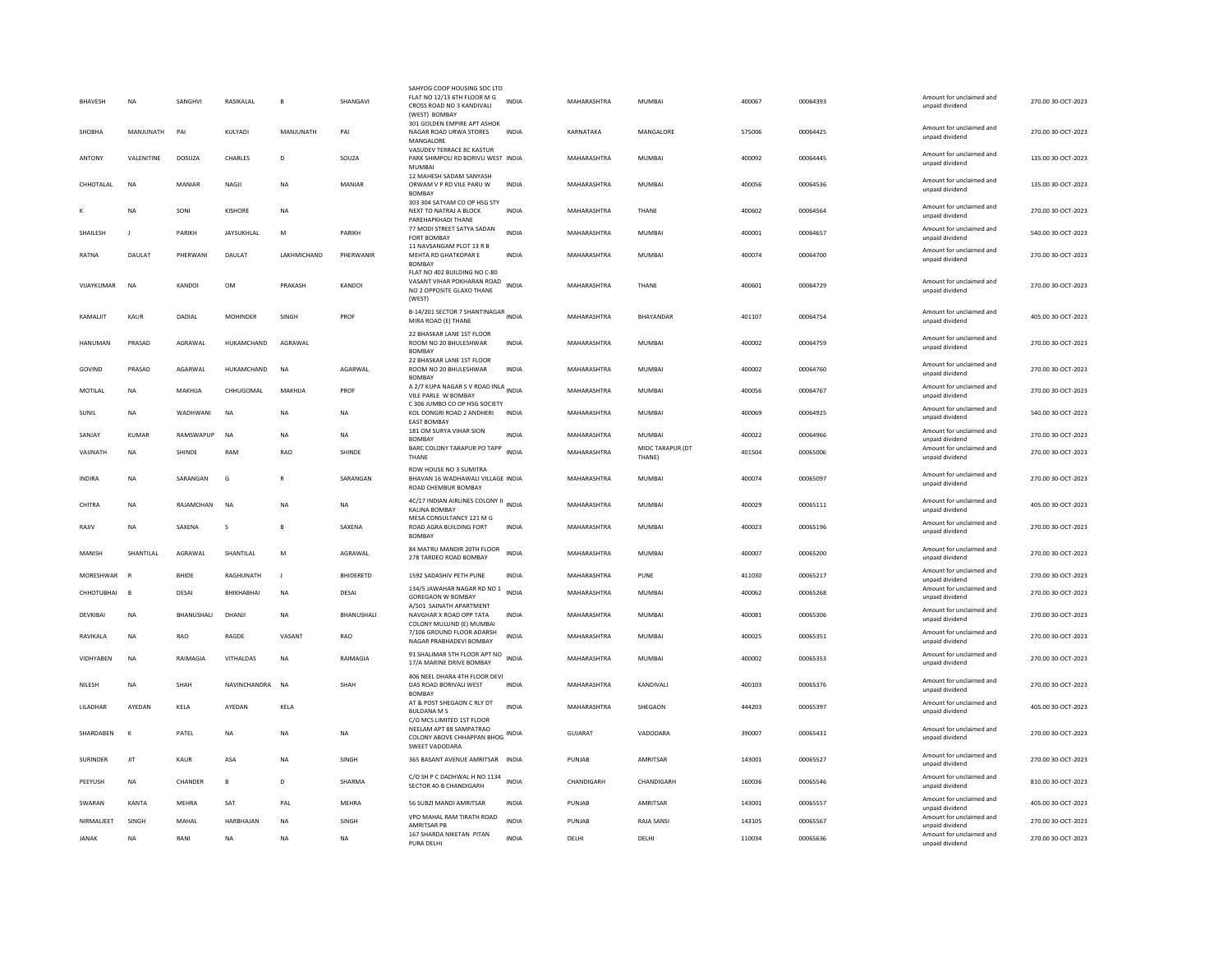| BHAVESH         | <b>NA</b>          | SANGHVI      | RASIKALAL        | B                   | SHANGAVI         | SAHYOG COOP HOUSING SOC LTD<br>FLAT NO 12/13 6TH FLOOR M G<br>CROSS ROAD NO 3 KANDIVALI<br>(WEST) BOMBAY | <b>INDIA</b> | MAHARASHTRA    | <b>MUMBAI</b>              | 400067 | 00064393 | Amount for unclaimed and<br>unpaid dividend | 270.00 30-OCT-2023 |
|-----------------|--------------------|--------------|------------------|---------------------|------------------|----------------------------------------------------------------------------------------------------------|--------------|----------------|----------------------------|--------|----------|---------------------------------------------|--------------------|
| <b>SHOBHA</b>   | MANJUNATH          | PAI          | KULYADI          | MANJUNATH           | PAI              | 301 GOLDEN EMPIRE APT ASHOK<br>NAGAR ROAD URWA STORES<br>MANGALORE                                       | <b>INDIA</b> | KARNATAKA      | MANGALORE                  | 575006 | 00064425 | Amount for unclaimed and<br>unpaid dividend | 270.00 30-OCT-2023 |
| ANTONY          | <b>VAI FNITINE</b> | DOSUZA       | CHARLES          | D                   | SOUZA            | VASUDEV TERRACE 8C KASTUR<br>PARK SHIMPOLI RD BORIVLI WEST INDIA<br><b>MUMBA</b>                         |              | MAHARASHTRA    | MUMBAI                     | 400092 | 00064445 | Amount for unclaimed and<br>unpaid dividend | 135.00 30-OCT-2023 |
| CHHOTALAL       | NA                 | MANIAR       | NAGJI            | <b>NA</b>           | MANIAR           | 12 MAHESH SADAM SANYASH<br>ORWAM V P RD VILE PARU W<br><b>BOMBAY</b>                                     | INDIA        | MAHARASHTRA    | MUMBAI                     | 400056 | 00064536 | Amount for unclaimed and<br>unpaid dividend | 135.00 30-OCT-2023 |
|                 | <b>NA</b>          | SONI         | KISHORE          | <b>NA</b>           |                  | 303 304 SATYAM CO OP HSG STY<br>NEXT TO NATRAJ A BLOCK<br>PAREHAPKHADI THANE                             | <b>INDIA</b> | MAHARASHTRA    | THANE                      | 400602 | 00064564 | Amount for unclaimed and<br>unpaid dividend | 270.00 30-OCT-2023 |
| SHAILESH        |                    | PARIKH       | JAYSUKHLAL       | M                   | PARIKH           | 77 MODI STREET SATYA SADAN<br><b>FORT BOMBAY</b><br>11 NAVSANGAM PLOT 13 R B                             | INDIA        | MAHARASHTRA    | MUMBAI                     | 400001 | 00064657 | Amount for unclaimed and<br>unpaid dividend | 540.00 30-OCT-2023 |
| RATNA           | <b>DAULAT</b>      | PHFRWANI     | <b>DAULAT</b>    | <b>I AKHMICHAND</b> | PHFRWANIR        | MEHTA RD GHATKOPAR E<br><b>BOMBAY</b>                                                                    | <b>INDIA</b> | MAHARASHTRA    | MUMBAI                     | 400074 | 00064700 | Amount for unclaimed and<br>unpaid dividend | 270.00.30-OCT-2023 |
| VIJAYKUMAR      | <b>NA</b>          | KANDOI       | <b>OM</b>        | PRAKASH             | KANDOI           | FLAT NO 402 BUILDING NO C-80<br>VASANT VIHAR POKHARAN ROAD<br>NO 2 OPPOSITE GLAXO THANE<br>(WEST)        | <b>INDIA</b> | MAHARASHTRA    | THANE                      | 400601 | 00064729 | Amount for unclaimed and<br>unpaid dividend | 270.00 30-OCT-2023 |
| KAMALIIT        | KAUR               | DADIAL       | <b>MOHINDER</b>  | SINGH               | PROF             | B-14/201 SECTOR 7 SHANTINAGAR<br>MIRA ROAD (E) THANE                                                     |              | MAHARASHTRA    | BHAYANDAR                  | 401107 | 00064754 | Amount for unclaimed and<br>unpaid dividend | 405.00 30-OCT-2023 |
| HANUMAN         | PRASAD             | AGRAWAL      | HUKAMCHAND       | AGRAWAL             |                  | 22 BHASKAR LANE 1ST FLOOR<br>ROOM NO 20 BHULESHWAR<br><b>BOMBAY</b>                                      | <b>INDIA</b> | MAHARASHTRA    | <b>MUMBAI</b>              | 400002 | 00064759 | Amount for unclaimed and<br>unpaid dividend | 270.00 30-OCT-2023 |
| GOVIND          | PRASAD             | AGARWAL      | HUKAMCHAND       | <b>NA</b>           | AGARWAL          | 22 BHASKAR LANE 1ST FLOOR<br>ROOM NO 20 BHULESHWAR<br><b>BOMBAY</b>                                      | <b>INDIA</b> | MAHARASHTRA    | <b>MUMBAI</b>              | 400002 | 00064760 | Amount for unclaimed and<br>unpaid dividend | 270.00 30-OCT-2023 |
| MOTILAL         | <b>NA</b>          | MAKHIJA      | CHHUGOMAL        | MAKHIJA             | PROF             | A 2/7 KUPA NAGAR S V ROAD INLA INDIA<br>VILE PARLE W BOMBAY<br>C 306 JUMBO CO OP HSG SOCIETY             |              | MAHARASHTRA    | MUMBAI                     | 400056 | 00064767 | Amount for unclaimed and<br>unpaid dividend | 270.00 30-OCT-2023 |
| SUNIL           | <b>NA</b>          | WADHWANI     | <b>NA</b>        | <b>NA</b>           | <b>NA</b>        | KOL DONGRI ROAD 2 ANDHERI<br>EAST BOMBAY                                                                 | <b>INDIA</b> | MAHARASHTRA    | MUMBAI                     | 400069 | 00064925 | Amount for unclaimed and<br>unpaid dividend | 540.00 30-OCT-2023 |
| SANJAY          | KUMAR              | RAMSWAPUP    | NA               | <b>NA</b>           | <b>NA</b>        | 181 OM SURYA VIHAR SION<br><b>BOMBAY</b>                                                                 | <b>INDIA</b> | MAHARASHTRA    | MUMBAI                     | 400022 | 00064966 | Amount for unclaimed and<br>unpaid dividend | 270.00 30-OCT-2023 |
| VAUNATH         | <b>NA</b>          | SHINDE       | RAM              | <b>RAO</b>          | SHINDE           | BARC COLONY TARAPUR PO TAPP<br>THANE                                                                     | <b>INDIA</b> | MAHARASHTRA    | MIDC TARAPUR (DT<br>THANE) | 401504 | 00065006 | Amount for unclaimed and<br>unpaid dividend | 270.00 30-OCT-2023 |
| <b>INDIRA</b>   | <b>NA</b>          | SARANGAN     | G                | $\mathbb{R}$        | SARANGAN         | ROW HOUSE NO 3 SUMITRA<br>BHAVAN 16 WADHAWALI VILLAGE INDIA<br>ROAD CHEMBUR BOMBAY                       |              | MAHARASHTRA    | MUMBAI                     | 400074 | 00065097 | Amount for unclaimed and<br>unpaid dividend | 270.00 30-OCT-2023 |
| CHITRA          | <b>NA</b>          | RAJAMOHAN    | NA               | NA                  | NA               | 4C/17 INDIAN AIRLINES COLONY II<br>KAI INA ROMBAY                                                        | <b>INDIA</b> | MAHARASHTRA    | MUMBAI                     | 400029 | 00065111 | Amount for unclaimed and<br>unpaid dividend | 405.00 30-OCT-2023 |
| RAJIV           | <b>NA</b>          | SAXENA       | s                | B                   | SAXENA           | MESA CONSULTANCY 121 M G<br>ROAD AGRA BUILDING FORT<br><b>BOMBAY</b>                                     | INDIA        | MAHARASHTRA    | <b>MUMBAI</b>              | 400023 | 00065196 | Amount for unclaimed and<br>unpaid dividend | 270.00 30-OCT-2023 |
| MANISH          | SHANTILAL          | AGRAWAL      | SHANTILAL        | M                   | AGRAWAL          | 84 MATRU MANDIR 20TH FLOOR<br>278 TARDEO ROAD BOMBAY                                                     | INDIA        | MAHARASHTRA    | MUMBAI                     | 400007 | 00065200 | Amount for unclaimed and<br>unpaid dividend | 270.00 30-OCT-2023 |
| MORESHWAR       |                    | <b>BHIDE</b> | RAGHUNATH        | $\blacksquare$      | <b>BHIDERETD</b> | 1592 SADASHIV PETH PUNE                                                                                  | INDIA        | MAHARASHTRA    | PUNF                       | 411030 | 00065217 | Amount for unclaimed and<br>unpaid dividend | 270.00.30-OCT-2023 |
| CHHOTUBHAI      | $\mathbf{B}$       | DESAI        | BHIKHABHAI       | <b>NA</b>           | DESAI            | 134/5 JAWAHAR NAGAR RD NO 1<br>GOREGAON W BOMBAY                                                         | <b>INDIA</b> | MAHARASHTRA    | <b>MUMBAI</b>              | 400062 | 00065268 | Amount for unclaimed and<br>unpaid dividend | 270.00 30-OCT-2023 |
| DEVKIBAL        | <b>NA</b>          | BHANUSHALI   | DHANJI           | <b>NA</b>           | BHANUSHALI       | A/501 SAINATH APARTMENT<br>NAVGHAR X ROAD OPP TATA<br>COLONY MULUND (E) MUMBAI                           | <b>INDIA</b> | MAHARASHTRA    | <b>MUMBAI</b>              | 400081 | 00065306 | Amount for unclaimed and<br>unpaid dividend | 270.00 30-OCT-2023 |
| <b>RAVIKALA</b> | <b>NA</b>          | RAO          | RAGDE            | VASANT              | RAO              | 7/106 GROUND FLOOR ADARSH<br>NAGAR PRABHADEVI BOMBAY                                                     | <b>INDIA</b> | MAHARASHTRA    | MUMBAI                     | 400025 | 00065351 | Amount for unclaimed and<br>unpaid dividend | 270.00 30-OCT-2023 |
| VIDHYABEN       | <b>NA</b>          | RAIMAGIA     | VITHALDAS        | <b>NA</b>           | RAIMAGIA         | 91 SHALIMAR 5TH FLOOR APT NO<br>17/A MARINE DRIVE BOMBAY                                                 | <b>INDIA</b> | MAHARASHTRA    | <b>MUMBAI</b>              | 400002 | 00065353 | Amount for unclaimed and<br>unpaid dividend | 270.00 30-OCT-2023 |
| NILESH          | <b>NA</b>          | SHAH         | NAVINCHANDRA     | <b>NA</b>           | SHAH             | 406 NEEL DHARA 4TH FLOOR DEVI<br>DAS ROAD BORIVALI WEST<br><b>BOMBAY</b>                                 | <b>INDIA</b> | MAHARASHTRA    | KANDIVALI                  | 400103 | 00065376 | Amount for unclaimed and<br>unnaid dividend | 270.00 30-OCT-2023 |
| LILADHAR        | AYEDAN             | KELA         | AYEDAN           | KELA                |                  | AT & POST SHEGAON C RLY DT<br><b>BULDANA M:</b><br>C/O MCS LIMITED 1ST FLOOR                             | <b>INDIA</b> | MAHARASHTRA    | SHEGAON                    | 444203 | 00065397 | Amount for unclaimed and<br>unpaid dividend | 405.00 30-OCT-2023 |
| SHARDABEN       | к                  | PATEL        | NA               | <b>NA</b>           | <b>NA</b>        | NEELAM APT 88 SAMPATRAO<br>COLONY ABOVE CHHAPPAN BHOG INDIA<br>SWEET VADODARA                            |              | <b>GUJARAT</b> | VADODARA                   | 390007 | 00065431 | Amount for unclaimed and<br>unpaid dividend | 270.00 30-OCT-2023 |
| SURINDER        | JIT                | <b>KAUR</b>  | ASA              | <b>NA</b>           | SINGH            | 365 BASANT AVENUE AMRITSAR INDIA                                                                         |              | PUNJAB         | AMRITSAR                   | 143001 | 00065527 | Amount for unclaimed and<br>unpaid dividend | 270.00 30-OCT-2023 |
| PEEYUSH         | <b>NA</b>          | CHANDER      | B                | D                   | SHARMA           | C/O SH P C DADHWAL H NO 1134<br>SECTOR 40-B CHANDIGARH                                                   | <b>INDIA</b> | CHANDIGARH     | CHANDIGARH                 | 160036 | 00065546 | Amount for unclaimed and<br>unpaid dividend | 810.00 30-OCT-2023 |
| SWARAN          | KANTA              | MEHRA        | SAT              | PAL                 | MEHRA            | 56 SUBZI MANDI AMRITSAR                                                                                  | INDIA        | PUNJAB         | AMRITSAR                   | 143001 | 00065557 | Amount for unclaimed and<br>unpaid dividend | 405.00 30-OCT-2023 |
| NIRMALIEET      | SINGH              | MAHAL        | <b>HARBHAJAN</b> | <b>NA</b>           | SINGH            | VPO MAHAL RAM TIRATH ROAD<br>AMRITSAR PB                                                                 | <b>INDIA</b> | PUNJAB         | RAJA SANSI                 | 143105 | 00065567 | Amount for unclaimed and<br>unpaid dividend | 270.00 30-OCT-2023 |
| <b>JANAK</b>    | <b>NA</b>          | RANI         | <b>NA</b>        | <b>NA</b>           | <b>NA</b>        | 167 SHARDA NIKETAN PITAN<br>PURA DELHI                                                                   | INDIA        | DELHI          | DELHI                      | 110034 | 00065636 | Amount for unclaimed and<br>unpaid dividend | 270.00 30-OCT-2023 |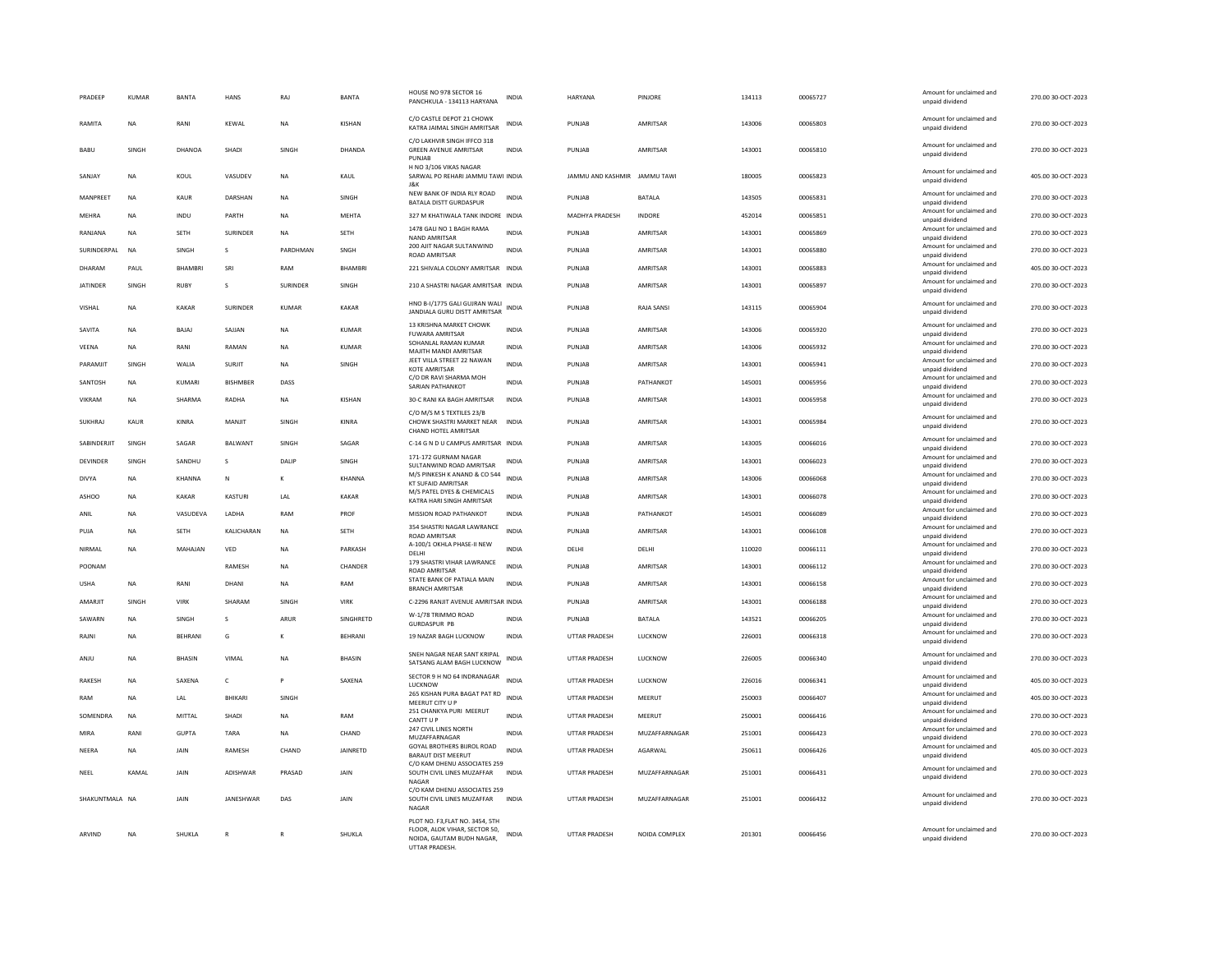| PRADEEP         | KUMAR     | <b>RANTA</b>   | HANS            | RAI          | <b>BANTA</b>     | HOUSE NO 978 SECTOR 16<br>PANCHKULA - 134113 HARYANA                                                            | INDIA        | <b>HARYANA</b>               | PINIORE         | 134113 | 00065727 | Amount for unclaimed and<br>unpaid dividend | 270.00 30-OCT-2023 |
|-----------------|-----------|----------------|-----------------|--------------|------------------|-----------------------------------------------------------------------------------------------------------------|--------------|------------------------------|-----------------|--------|----------|---------------------------------------------|--------------------|
| RAMITA          | <b>NA</b> | RANI           | KEWAL           | <b>NA</b>    | <b>KISHAN</b>    | C/O CASTLE DEPOT 21 CHOWK<br>KATRA JAIMAL SINGH AMRITSAR                                                        | <b>INDIA</b> | PUNIAR                       | <b>AMRITSAR</b> | 143006 | 00065803 | Amount for unclaimed and<br>unpaid dividend | 270.00 30-OCT-2023 |
| BABU            | SINGH     | <b>DHANOA</b>  | SHADI           | SINGH        | DHANDA           | C/O LAKHVIR SINGH IFFCO 318<br><b>GREEN AVENUE AMRITSAR</b><br>PUNJAB                                           | <b>INDIA</b> | PUNJAB                       | AMRITSAR        | 143001 | 00065810 | Amount for unclaimed and<br>unpaid dividend | 270.00 30-OCT-2023 |
| SANJAY          | <b>NA</b> | KOUL           | VASUDEV         | <b>NA</b>    | KAUL             | H NO 3/106 VIKAS NAGAR<br>SARWAL PO REHARI JAMMU TAWI INDIA<br>J&K                                              |              | JAMMU AND KASHMIR JAMMU TAWI |                 | 180005 | 00065823 | Amount for unclaimed and<br>unpaid dividend | 405.00 30-OCT-2023 |
| MANPRFFT        | <b>NA</b> | KAUR           | DARSHAN         | NA           | SINGH            | NEW BANK OF INDIA RLY ROAD<br><b>BATALA DISTT GURDASPUR</b>                                                     | <b>INDIA</b> | PUNIAR                       | <b>BATALA</b>   | 143505 | 00065831 | Amount for unclaimed and<br>unpaid dividend | 270.00 30-OCT-2023 |
| MEHRA           | <b>NA</b> | <b>INDU</b>    | PARTH           | <b>NA</b>    | <b>MFHTA</b>     | 327 M KHATIWALA TANK INDORE INDIA                                                                               |              | <b>MADHYA PRADESH</b>        | <b>INDORF</b>   | 452014 | 00065851 | Amount for unclaimed and<br>unpaid dividend | 270.00 30-OCT-2023 |
| RANJANA         | <b>NA</b> | <b>SETH</b>    | <b>SURINDER</b> | <b>NA</b>    | <b>SETH</b>      | 1478 GALI NO 1 BAGH RAMA<br>NAND AMRITSAR                                                                       | <b>INDIA</b> | PUNJAB                       | AMRITSAR        | 143001 | 00065869 | Amount for unclaimed and<br>unpaid dividend | 270.00 30-OCT-2023 |
| SURINDERPAL     | <b>NA</b> | <b>SINGH</b>   | $\mathcal{S}$   | PARDHMAN     | SNGH             | 200 AJIT NAGAR SULTANWIND<br>ROAD AMRITSAR                                                                      | <b>INDIA</b> | PUNIAR                       | <b>AMRITSAR</b> | 143001 | 00065880 | Amount for unclaimed and<br>unpaid dividend | 270.00 30-OCT-2023 |
| DHARAM          | PAUL      | <b>BHAMBRI</b> | SRI             | RAM          | <b>BHAMBRI</b>   | 221 SHIVALA COLONY AMRITSAR INDIA                                                                               |              | PUNJAB                       | AMRITSAR        | 143001 | 00065883 | Amount for unclaimed and<br>unpaid dividend | 405.00 30-OCT-2023 |
| <b>JATINDER</b> | SINGH     | RUBY           | s               | SURINDER     | SINGH            | 210 A SHASTRI NAGAR AMRITSAR INDIA                                                                              |              | PUNJAB                       | AMRITSAR        | 143001 | 00065897 | Amount for unclaimed and<br>unpaid dividend | 270.00 30-OCT-2023 |
| VISHAL          | <b>NA</b> | <b>KAKAR</b>   | SURINDER        | KUMAR        | KAKAR            | HNO B-I/1775 GALI GUJRAN WALI<br>JANDIALA GURU DISTT AMRITSAR                                                   | INDIA        | PUNJAB                       | RAJA SANSI      | 143115 | 00065904 | Amount for unclaimed and<br>unpaid dividend | 270.00 30-OCT-2023 |
| SAVITA          | <b>NA</b> | BAJAJ          | SAJJAN          | <b>NA</b>    | <b>KUMAR</b>     | 13 KRISHNA MARKET CHOWK<br><b>FUWARA AMRITSAR</b>                                                               | <b>INDIA</b> | PUNJAB                       | AMRITSAR        | 143006 | 00065920 | Amount for unclaimed and<br>unpaid dividend | 270.00 30-OCT-2023 |
| VEENA           | NA        | RANI           | RAMAN           | <b>NA</b>    | <b>KUMAR</b>     | SOHANLAL RAMAN KUMAR<br>MAJITH MANDI AMRITSAR                                                                   | INDIA        | PUNJAB                       | AMRITSAR        | 143006 | 00065932 | Amount for unclaimed and<br>unpaid dividend | 270.00 30-OCT-2023 |
| PARAMJIT        | SINGH     | WALIA          | <b>SURJIT</b>   | <b>NA</b>    | SINGH            | JEET VILLA STREET 22 NAWAN<br>KOTE AMRITSAR                                                                     | <b>INDIA</b> | PUNJAB                       | AMRITSAR        | 143001 | 00065941 | Amount for unclaimed and<br>unpaid dividend | 270.00 30-OCT-2023 |
| SANTOSH         | NA        | KUMARI         | <b>BISHMBER</b> | DASS         |                  | C/O DR RAVI SHARMA MOH<br>SARIAN PATHANKOT                                                                      | INDIA        | PUNJAB                       | PATHANKOT       | 145001 | 00065956 | Amount for unclaimed and<br>unpaid dividend | 270.00 30-OCT-2023 |
| VIKRAM          | <b>NA</b> | SHARMA         | RADHA           | NA           | KISHAN           | 30-C RANI KA BAGH AMRITSAR                                                                                      | INDIA        | PUNIAR                       | AMRITSAR        | 143001 | 00065958 | Amount for unclaimed and<br>unpaid dividend | 270.00 30-OCT-2023 |
| SUKHRAJ         | KAUR      | KINRA          | MANJIT          | SINGH        | KINRA            | C/O M/S M S TEXTILES 23/B<br>CHOWK SHASTRI MARKET NEAR<br>CHAND HOTEL AMRITSAR                                  | <b>INDIA</b> | PUNJAB                       | AMRITSAR        | 143001 | 00065984 | Amount for unclaimed and<br>unpaid dividend | 270.00 30-OCT-2023 |
| SABINDERJIT     | SINGH     | SAGAR          | BALWANT         | SINGH        | SAGAR            | C-14 G N D U CAMPUS AMRITSAR INDIA                                                                              |              | PUNJAB                       | AMRITSAR        | 143005 | 00066016 | Amount for unclaimed and                    | 270.00 30-OCT-2023 |
| DEVINDER        | SINGH     | SANDHU         | s               | DALIP        | SINGH            | 171-172 GURNAM NAGAR                                                                                            | INDIA        | PUNJAB                       | AMRITSAR        | 143001 | 00066023 | unpaid dividend<br>Amount for unclaimed and | 270.00 30-OCT-2023 |
| <b>DIVYA</b>    | NA        | KHANNA         | N               | к            | <b>KHANNA</b>    | SULTANWIND ROAD AMRITSAR<br>M/S PINKESH K ANAND & CO 544                                                        | <b>INDIA</b> | PUNJAB                       | AMRITSAR        | 143006 | 00066068 | unpaid dividend<br>Amount for unclaimed and | 270.00 30-OCT-2023 |
| <b>ASHOO</b>    | <b>NA</b> | KAKAR          | KASTURI         | LAL          | KAKAR            | <b>KT SUFAID AMRITSAR</b><br>M/S PATEL DYES & CHEMICALS                                                         | <b>INDIA</b> | PUNJAB                       | <b>AMRITSAR</b> | 143001 | 00066078 | unpaid dividend<br>Amount for unclaimed and | 270.00 30-OCT-2023 |
| ANII            | <b>NA</b> | VASUDEVA       | <b>I ADHA</b>   | RAM          | PROF             | KATRA HARI SINGH AMRITSAR<br>MISSION ROAD PATHANKOT                                                             | <b>INDIA</b> | PUNJAB                       | PATHANKOT       | 145001 | 00066089 | unpaid dividend<br>Amount for unclaimed and | 270.00 30-OCT-2023 |
| PUJA            | <b>NA</b> | <b>SETH</b>    | KALICHARAN      | <b>NA</b>    | <b>SETH</b>      | 354 SHASTRI NAGAR LAWRANCE                                                                                      | <b>INDIA</b> | PUNJAB                       | AMRITSAR        | 143001 | 00066108 | unpaid dividend<br>Amount for unclaimed and | 270.00 30-OCT-2023 |
|                 | <b>NA</b> |                |                 |              |                  | <b>ROAD AMRITSAR</b><br>A-100/1 OKHLA PHASE-II NEW                                                              | <b>INDIA</b> |                              |                 |        |          | unpaid dividend<br>Amount for unclaimed and |                    |
| NIRMAL          |           | MAHAJAN        | VED             | NA           | PARKASH          | DELHI<br>179 SHASTRI VIHAR LAWRANCE                                                                             |              | DELHI                        | DELHI           | 110020 | 00066111 | unpaid dividend<br>Amount for unclaimed and | 270.00 30-OCT-2023 |
| POONAM          |           |                | RAMESH          | <b>NA</b>    | CHANDER          | ROAD AMRITSAR<br>STATE BANK OF PATIALA MAIN                                                                     | <b>INDIA</b> | PUNJAB                       | AMRITSAR        | 143001 | 00066112 | unpaid dividend<br>Amount for unclaimed and | 270.00 30-OCT-2023 |
| <b>USHA</b>     | <b>NA</b> | RANI           | DHANI           | NA           | RAM              | <b>BRANCH AMRITSAR</b>                                                                                          | <b>INDIA</b> | PUNJAB                       | AMRITSAR        | 143001 | 00066158 | unpaid dividend<br>Amount for unclaimed and | 270.00 30-OCT-2023 |
| AMARJIT         | SINGH     | VIRK           | SHARAM          | <b>SINGH</b> | VIRK             | C-2296 RANJIT AVENUE AMRITSAR INDIA<br>W-1/78 TRIMMO ROAD                                                       |              | PUNJAB                       | <b>AMRITSAR</b> | 143001 | 00066188 | unpaid dividend<br>Amount for unclaimed and | 270.00 30-OCT-2023 |
| SAWARN          | <b>NA</b> | <b>SINGH</b>   | $\mathbf{s}$    | ARUR         | <b>SINGHRETD</b> | <b>GURDASPUR PB</b>                                                                                             | <b>INDIA</b> | PUNIAR                       | <b>BATALA</b>   | 143521 | 00066205 | unpaid dividend                             | 270.00 30-OCT-2023 |
| RAJN            | <b>NA</b> | BEHRANI        | G               | к            | <b>BEHRANI</b>   | 19 NAZAR BAGH LUCKNOW                                                                                           | <b>INDIA</b> | <b>UTTAR PRADESH</b>         | LUCKNOW         | 226001 | 00066318 | Amount for unclaimed and<br>unpaid dividend | 270.00 30-OCT-2023 |
| ANJU            | <b>NA</b> | <b>BHASIN</b>  | VIMAI           | <b>NA</b>    | <b>BHASIN</b>    | SNEH NAGAR NEAR SANT KRIPAL<br>SATSANG ALAM BAGH LUCKNOW                                                        | <b>INDIA</b> | <b>UTTAR PRADESH</b>         | LUCKNOW         | 226005 | 00066340 | Amount for unclaimed and<br>unpaid dividend | 270.00 30-OCT-2023 |
| <b>RAKESH</b>   | <b>NA</b> | SAXENA         | $\mathsf{C}$    | P            | SAXENA           | SECTOR 9 H NO 64 INDRANAGAR<br>LUCKNOW                                                                          | <b>INDIA</b> | UTTAR PRADESH                | LUCKNOW         | 226016 | 00066341 | Amount for unclaimed and<br>unpaid dividend | 405.00 30-OCT-2023 |
| RAM             | <b>NA</b> | LAL            | BHIKARI         | SINGH        |                  | 265 KISHAN PURA BAGAT PAT RD<br>MEERUT CITY U P                                                                 | <b>INDIA</b> | <b>UTTAR PRADESH</b>         | MEERUT          | 250003 | 00066407 | Amount for unclaimed and<br>unpaid dividend | 405.00 30-OCT-2023 |
| SOMENDRA        | <b>NA</b> | MITTAI         | SHADI           | <b>NA</b>    | RAM              | 251 CHANKYA PURI MEERUT<br>CANTT U F                                                                            | <b>INDIA</b> | <b>UTTAR PRADESH</b>         | MEFRUT          | 250001 | 00066416 | Amount for unclaimed and<br>unpaid dividend | 270.00 30-OCT-2023 |
| MIRA            | RANI      | <b>GUPTA</b>   | TARA            | <b>NA</b>    | CHAND            | 247 CIVIL LINES NORTH<br>MUZAFFARNAGAR                                                                          | <b>INDIA</b> | UTTAR PRADESH                | MUZAFFARNAGAR   | 251001 | 00066423 | Amount for unclaimed and<br>unpaid dividend | 270.00 30-OCT-2023 |
| NEERA           | <b>NA</b> | JAIN           | RAMESH          | CHAND        | <b>JAINRETD</b>  | GOYAL BROTHERS BIJROL ROAD<br><b>BARAUT DIST MEERUT</b>                                                         | <b>INDIA</b> | UTTAR PRADESH                | AGARWAL         | 250611 | 00066426 | Amount for unclaimed and<br>unpaid dividend | 405.00 30-OCT-2023 |
| NEEL            | KAMAI     | JAIN           | ADISHWAR        | PRASAD       | JAIN             | C/O KAM DHENU ASSOCIATES 259<br>SOUTH CIVIL LINES MUZAFFAR<br>NAGAR                                             | INDIA        | UTTAR PRADESH                | MUZAFFARNAGAR   | 251001 | 00066431 | Amount for unclaimed and<br>unpaid dividend | 270.00 30-OCT-2023 |
| SHAKUNTMALA NA  |           | JAIN           | JANESHWAR       | DAS          | JAIN             | C/O KAM DHENU ASSOCIATES 259<br>SOUTH CIVIL LINES MUZAFFAR<br><b>NAGAR</b>                                      | <b>INDIA</b> | <b>UTTAR PRADESH</b>         | MUZAFFARNAGAR   | 251001 | 00066432 | Amount for unclaimed and<br>unpaid dividend | 270.00 30-OCT-2023 |
| ARVIND          | <b>NA</b> | SHUKLA         | R               |              | SHUKLA           | PLOT NO. F3, FLAT NO. 3454, 5TH<br>FLOOR, ALOK VIHAR, SECTOR 50,<br>NOIDA, GAUTAM BUDH NAGAR,<br>UTTAR PRADESH. | <b>INDIA</b> | UTTAR PRADESH                | NOIDA COMPLEX   | 201301 | 00066456 | Amount for unclaimed and<br>unpaid dividend | 270.00 30-OCT-2023 |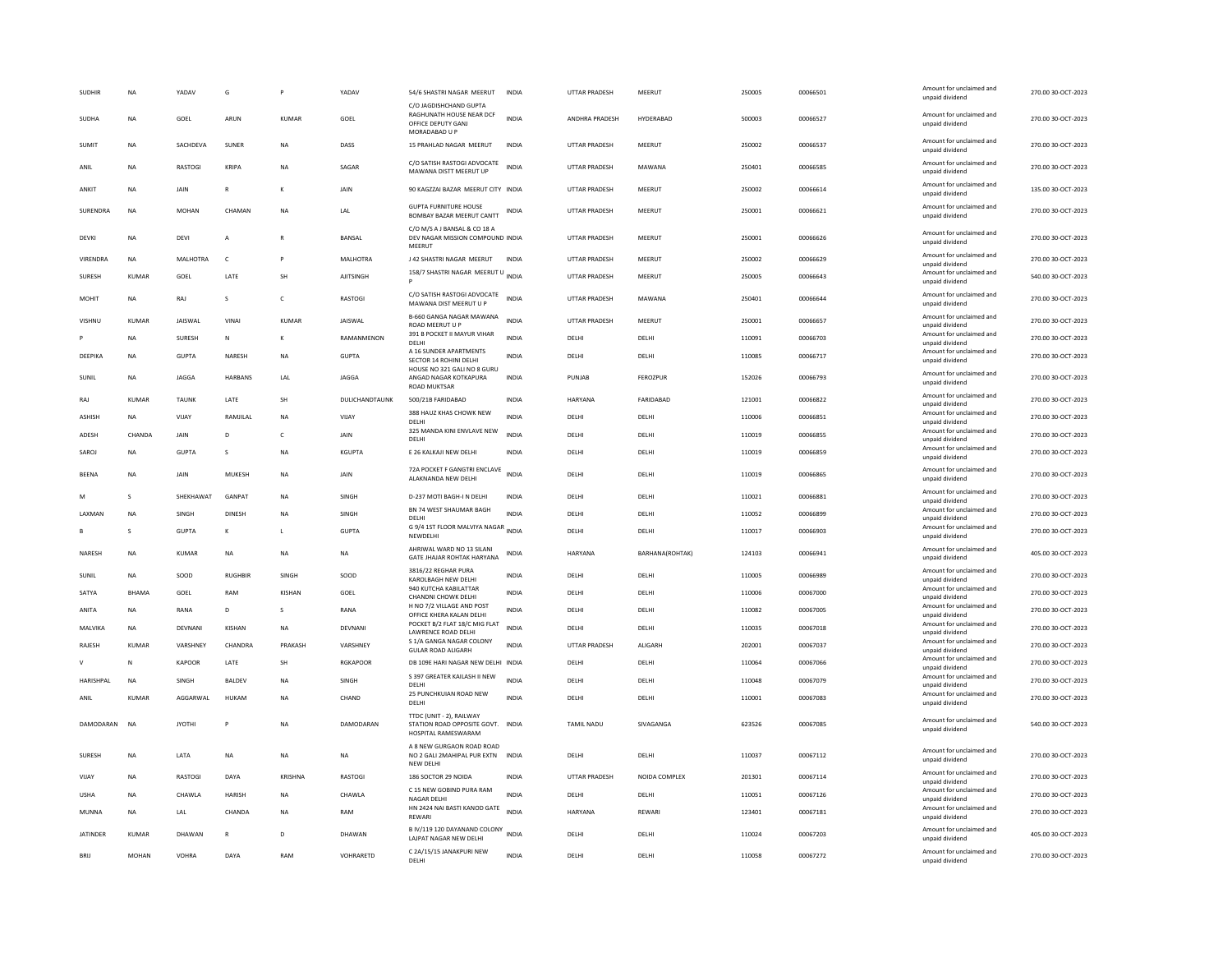| <b>SUDHIR</b>   | NA           | YADAV          | G              |              | YADAV            | 54/6 SHASTRI NAGAR MEERUT                                                                 | INDIA        | <b>UTTAR PRADESH</b> | MEERUT          | 250005 | 00066501 | Amount for unclaimed and<br>unpaid dividend | 270.00 30-OCT-2023 |
|-----------------|--------------|----------------|----------------|--------------|------------------|-------------------------------------------------------------------------------------------|--------------|----------------------|-----------------|--------|----------|---------------------------------------------|--------------------|
| SUDHA           | NA           | GOEL           | ARUN           | KUMAR        | GOEL             | C/O JAGDISHCHAND GUPTA<br>RAGHUNATH HOUSE NEAR DCF<br>OFFICE DEPUTY GANJ<br>MORADABAD U P | <b>INDIA</b> | ANDHRA PRADESH       | HYDERABAD       | 500003 | 00066527 | Amount for unclaimed and<br>unpaid dividend | 270.00 30-OCT-2023 |
| <b>SUMIT</b>    | <b>NA</b>    | SACHDEVA       | SUNER          | <b>NA</b>    | DASS             | 15 PRAHLAD NAGAR MEERUT                                                                   | <b>INDIA</b> | <b>UTTAR PRADESH</b> | MEERUT          | 250002 | 00066537 | Amount for unclaimed and<br>unpaid dividend | 270.00 30-OCT-2023 |
| ANII            | <b>NA</b>    | <b>RASTOGI</b> | KRIPA          | <b>NA</b>    | SAGAR            | C/O SATISH RASTOGI ADVOCATE<br>MAWANA DISTT MEERUT UP                                     | <b>INDIA</b> | <b>UTTAR PRADESH</b> | MAWANA          | 250401 | 00066585 | Amount for unclaimed and<br>unpaid dividend | 270.00.30-OCT-2023 |
| ANKIT           | <b>NA</b>    | <b>JAIN</b>    | $\mathbb{R}$   | К            | JAIN             | 90 KAGZZAI BAZAR MEERUT CITY INDIA                                                        |              | <b>UTTAR PRADESH</b> | MEERUT          | 250002 | 00066614 | Amount for unclaimed and<br>unpaid dividend | 135.00 30-OCT-2023 |
| SURENDRA        | <b>NA</b>    | <b>MOHAN</b>   | CHAMAN         | <b>NA</b>    | LAL              | <b>GUPTA FURNITURE HOUSE</b><br>BOMBAY BAZAR MEERUT CANTT                                 | <b>INDIA</b> | UTTAR PRADESH        | MEERUT          | 250001 | 00066621 | Amount for unclaimed and<br>unpaid dividend | 270.00 30-OCT-2023 |
| DEVKI           | <b>NA</b>    | DEVI           | A              |              | BANSAL           | C/O M/S A J BANSAL & CO 18 A<br>DEV NAGAR MISSION COMPOUND INDIA<br>MEERUT                |              | <b>UTTAR PRADESH</b> | MEERUT          | 250001 | 00066626 | Amount for unclaimed and<br>unpaid dividend | 270.00 30-OCT-2023 |
| VIRENDRA        | <b>NA</b>    | MALHOTRA       | $\mathsf{C}$   |              | MALHOTRA         | J 42 SHASTRI NAGAR MEERUT                                                                 | <b>INDIA</b> | UTTAR PRADESH        | MEERUT          | 250002 | 00066629 | Amount for unclaimed and<br>unpaid dividend | 270.00 30-OCT-2023 |
| <b>SURFSH</b>   | KUMAR        | GOFL           | <b>I ATF</b>   | <b>SH</b>    | <b>AIITSINGH</b> | 158/7 SHASTRI NAGAR MEERUT U INDIA                                                        |              | <b>UTTAR PRADESH</b> | MEERUT          | 250005 | 00066643 | Amount for unclaimed and<br>unpaid dividend | 540.00 30-OCT-2023 |
| MOHIT           | NA           | RAJ            | $\mathsf{s}$   | $\mathsf{C}$ | <b>RASTOGI</b>   | C/O SATISH RASTOGI ADVOCATE<br>MAWANA DIST MEERUT U P                                     | <b>INDIA</b> | <b>UTTAR PRADESH</b> | MAWANA          | 250401 | 00066644 | Amount for unclaimed and<br>unpaid dividend | 270.00 30-OCT-2023 |
| VISHNU          | <b>KUMAR</b> | <b>JAISWAL</b> | VINAI          | <b>KUMAR</b> | <b>JAISWAL</b>   | B-660 GANGA NAGAR MAWANA<br>ROAD MEERUT U P                                               | <b>INDIA</b> | UTTAR PRADESH        | MEERUT          | 250001 | 00066657 | Amount for unclaimed and<br>unpaid dividend | 270.00 30-OCT-2023 |
|                 | NA           | SURESH         | ${\sf N}$      | К            | RAMANMENON       | 391 B POCKET II MAYUR VIHAR<br>DELHI                                                      | INDIA        | DELHI                | DELHI           | 110091 | 00066703 | Amount for unclaimed and<br>unpaid dividend | 270.00 30-OCT-2023 |
| DEEPIKA         | <b>NA</b>    | <b>GUPTA</b>   | NARESH         | <b>NA</b>    | <b>GUPTA</b>     | A 16 SUNDER APARTMENTS<br>SECTOR 14 ROHINI DELHI                                          | <b>INDIA</b> | DELHI                | DELHI           | 110085 | 00066717 | Amount for unclaimed and<br>unpaid dividend | 270.00 30-OCT-2023 |
| SUNIL           | <b>NA</b>    | JAGGA          | HARBANS        | LAL          | JAGGA            | HOUSE NO 321 GALI NO 8 GURU<br>ANGAD NAGAR KOTKAPURA<br><b>ROAD MUKTSAR</b>               | <b>INDIA</b> | PUNJAB               | <b>FEROZPUR</b> | 152026 | 00066793 | Amount for unclaimed and<br>unpaid dividend | 270.00 30-OCT-2023 |
| RAJ             | <b>KUMAR</b> | <b>TAUNK</b>   | LATE           | SH           | DULICHANDTAUNK   | 500/21B FARIDABAD                                                                         | <b>INDIA</b> | HARYANA              | FARIDABAD       | 121001 | 00066822 | Amount for unclaimed and<br>unpaid dividend | 270.00 30-OCT-2023 |
| ASHISH          | <b>NA</b>    | VIJAY          | RAMJILAL       | <b>NA</b>    | VIJAY            | 388 HAUZ KHAS CHOWK NEW<br>DELHI                                                          | <b>INDIA</b> | DELHI                | DELHI           | 110006 | 00066851 | Amount for unclaimed and<br>unpaid dividend | 270.00 30-OCT-2023 |
| ADESH           | CHANDA       | JAIN           | D              | $\mathsf{C}$ | JAIN             | 325 MANDA KINI ENVLAVE NEW<br>DELHI                                                       | <b>INDIA</b> | DELHI                | DELHI           | 110019 | 00066855 | Amount for unclaimed and<br>unpaid dividend | 270.00 30-OCT-2023 |
| SAROJ           | NA           | GUPTA          | s              | <b>NA</b>    | KGUPTA           | E 26 KALKAJI NEW DELHI                                                                    | INDIA        | DELHI                | DELHI           | 110019 | 00066859 | Amount for unclaimed and<br>unpaid dividend | 270.00 30-OCT-2023 |
| <b>BEENA</b>    | <b>NA</b>    | JAIN           | MUKESH         | <b>NA</b>    | JAIN             | 72A POCKET F GANGTRI ENCLAVE<br>ALAKNANDA NEW DELHI                                       | <b>INDIA</b> | DELHI                | DELHI           | 110019 | 00066865 | Amount for unclaimed and<br>unpaid dividend | 270.00 30-OCT-2023 |
| M               | $\mathbf{S}$ | SHEKHAWAT      | <b>GANPAT</b>  | <b>NA</b>    | <b>SINGH</b>     | D-237 MOTI BAGH-I N DELHI                                                                 | <b>INDIA</b> | <b>DELHI</b>         | <b>DELHI</b>    | 110021 | 00066881 | Amount for unclaimed and<br>unpaid dividend | 270.00.30-OCT-2023 |
| LAXMAN          | <b>NA</b>    | SINGH          | <b>DINESH</b>  | <b>NA</b>    | SINGH            | BN 74 WEST SHAUMAR BAGH<br>DELHI                                                          | <b>INDIA</b> | DELHI                | DELHI           | 110052 | 00066899 | Amount for unclaimed and<br>unpaid dividend | 270.00 30-OCT-2023 |
|                 | s            | <b>GUPTA</b>   | К              | $\mathsf{L}$ | <b>GUPTA</b>     | G 9/4 1ST FLOOR MALVIYA NAGAR INDIA<br>NEWDELHI                                           |              | DELHI                | DELHI           | 110017 | 00066903 | Amount for unclaimed and<br>unpaid dividend | 270.00 30-OCT-2023 |
| NARESH          | <b>NA</b>    | <b>KUMAR</b>   | <b>NA</b>      | <b>NA</b>    | <b>NA</b>        | AHRIWAL WARD NO 13 SILANI<br>GATE JHAJAR ROHTAK HARYANA                                   | <b>INDIA</b> | HARYANA              | BARHANA(ROHTAK) | 124103 | 00066941 | Amount for unclaimed and<br>unpaid dividend | 405.00 30-OCT-2023 |
| SUNIL           | <b>NA</b>    | SOOD           | <b>RUGHBIR</b> | SINGH        | SOOD             | 3816/22 REGHAR PURA<br>KAROLBAGH NEW DELHI                                                | <b>INDIA</b> | DELHI                | DELHI           | 110005 | 00066989 | Amount for unclaimed and<br>unpaid dividend | 270.00 30-OCT-2023 |
| SATYA           | <b>BHAMA</b> | GOEL           | RAM            | KISHAN       | GOEL             | 940 KUTCHA KABILATTAR<br>CHANDNI CHOWK DELHI                                              | <b>INDIA</b> | DELHI                | DELHI           | 110006 | 00067000 | Amount for unclaimed and<br>unpaid dividend | 270.00 30-OCT-2023 |
| ANITA           | <b>NA</b>    | RANA           | D              | s            | RANA             | H NO 7/2 VILLAGE AND POST<br>OFFICE KHERA KALAN DELHI                                     | <b>INDIA</b> | DELHI                | DELHI           | 110082 | 00067005 | Amount for unclaimed and<br>unpaid dividend | 270.00 30-OCT-2023 |
| MALVIKA         | <b>NA</b>    | DEVNANI        | KISHAN         | <b>NA</b>    | DEVNANI          | POCKET B/2 FLAT 18/C MIG FLAT<br><b>LAWRENCE ROAD DELHI</b>                               | <b>INDIA</b> | DELHI                | DELHI           | 110035 | 00067018 | Amount for unclaimed and<br>unpaid dividend | 270.00 30-OCT-2023 |
| RAJESH          | <b>KUMAR</b> | VARSHNEY       | CHANDRA        | PRAKASH      | VARSHNEY         | S 1/A GANGA NAGAR COLONY                                                                  | <b>INDIA</b> | <b>UTTAR PRADESH</b> | ALIGARH         | 202001 | 00067037 | Amount for unclaimed and                    | 270.00 30-OCT-2023 |
| V               | N            | KAPOOR         | LATE           | SH           | <b>RGKAPOOR</b>  | <b>GULAR ROAD ALIGARH</b><br>DB 109E HARI NAGAR NEW DELHI INDIA                           |              | DELHI                | DELHI           | 110064 | 00067066 | unpaid dividend<br>Amount for unclaimed and | 270.00 30-OCT-2023 |
| HARISHPAL       | <b>NA</b>    | SINGH          | <b>BALDEV</b>  | <b>NA</b>    | SINGH            | S 397 GREATER KAILASH II NEW                                                              | <b>INDIA</b> | DELHI                | DELHI           | 110048 | 00067079 | unpaid dividend<br>Amount for unclaimed and | 270.00 30-OCT-2023 |
| ANIL            | <b>KUMAR</b> | AGGARWAL       | HUKAM          | <b>NA</b>    | CHAND            | DELHI<br>25 PUNCHKUIAN ROAD NEW                                                           | <b>INDIA</b> | DELHI                | DELHI           | 110001 | 00067083 | unpaid dividend<br>Amount for unclaimed and | 270.00 30-OCT-2023 |
|                 |              |                |                |              |                  | DELHI                                                                                     |              |                      |                 |        |          | unpaid dividend                             |                    |
| DAMODARAN       | <b>NA</b>    | <b>JYOTHI</b>  | P              | <b>NA</b>    | DAMODARAN        | TTDC (UNIT - 2), RAILWAY<br>STATION ROAD OPPOSITE GOVT. INDIA<br>HOSPITAL RAMESWARAM      |              | TAMIL NADU           | SIVAGANGA       | 623526 | 00067085 | Amount for unclaimed and<br>unpaid dividend | 540.00 30-OCT-2023 |
| SURESH          | <b>NA</b>    | LATA           | NA             | <b>NA</b>    | NA               | A 8 NEW GURGAON ROAD ROAD<br>NO 2 GALI 2MAHIPAL PUR EXTN INDIA<br>NEW DELH                |              | DELHI                | DELHI           | 110037 | 00067112 | Amount for unclaimed and<br>unpaid dividend | 270.00 30-OCT-2023 |
| VIJAY           | NA           | RASTOGI        | DAYA           | KRISHNA      | RASTOGI          | 186 SOCTOR 29 NOIDA                                                                       | INDIA        | UTTAR PRADESH        | NOIDA COMPLEX   | 201301 | 00067114 | Amount for unclaimed and<br>unpaid dividend | 270.00 30-OCT-2023 |
| <b>USHA</b>     | <b>NA</b>    | CHAWLA         | <b>HARISH</b>  | <b>NA</b>    | CHAWLA           | C 15 NEW GOBIND PURA RAM<br><b>NAGAR DELHI</b>                                            | <b>INDIA</b> | DELHI                | DELHI           | 110051 | 00067126 | Amount for unclaimed and<br>unpaid dividend | 270.00 30-OCT-2023 |
| MUNNA           | <b>NA</b>    | LAL            | CHANDA         | <b>NA</b>    | RAM              | HN 2424 NAI BASTI KANOD GATE<br>REWARI                                                    | <b>INDIA</b> | HARYANA              | REWARI          | 123401 | 00067181 | Amount for unclaimed and<br>unpaid dividend | 270.00 30-OCT-2023 |
| <b>JATINDER</b> | <b>KUMAR</b> | DHAWAN         | $\mathsf{R}$   | D            | DHAWAN           | B IV/119 120 DAYANAND COLONY<br>LAJPAT NAGAR NEW DELHI                                    | <b>INDIA</b> | DELHI                | DELHI           | 110024 | 00067203 | Amount for unclaimed and<br>unpaid dividend | 405.00 30-OCT-2023 |
| <b>BRU</b>      | <b>MOHAN</b> | VOHRA          | DAYA           | RAM          | VOHRARETD        | C 2A/15/15 JANAKPURI NEW<br>DELHI                                                         | <b>INDIA</b> | DELHI                | DELHI           | 110058 | 00067272 | Amount for unclaimed and<br>unpaid dividend | 270.00 30-OCT-2023 |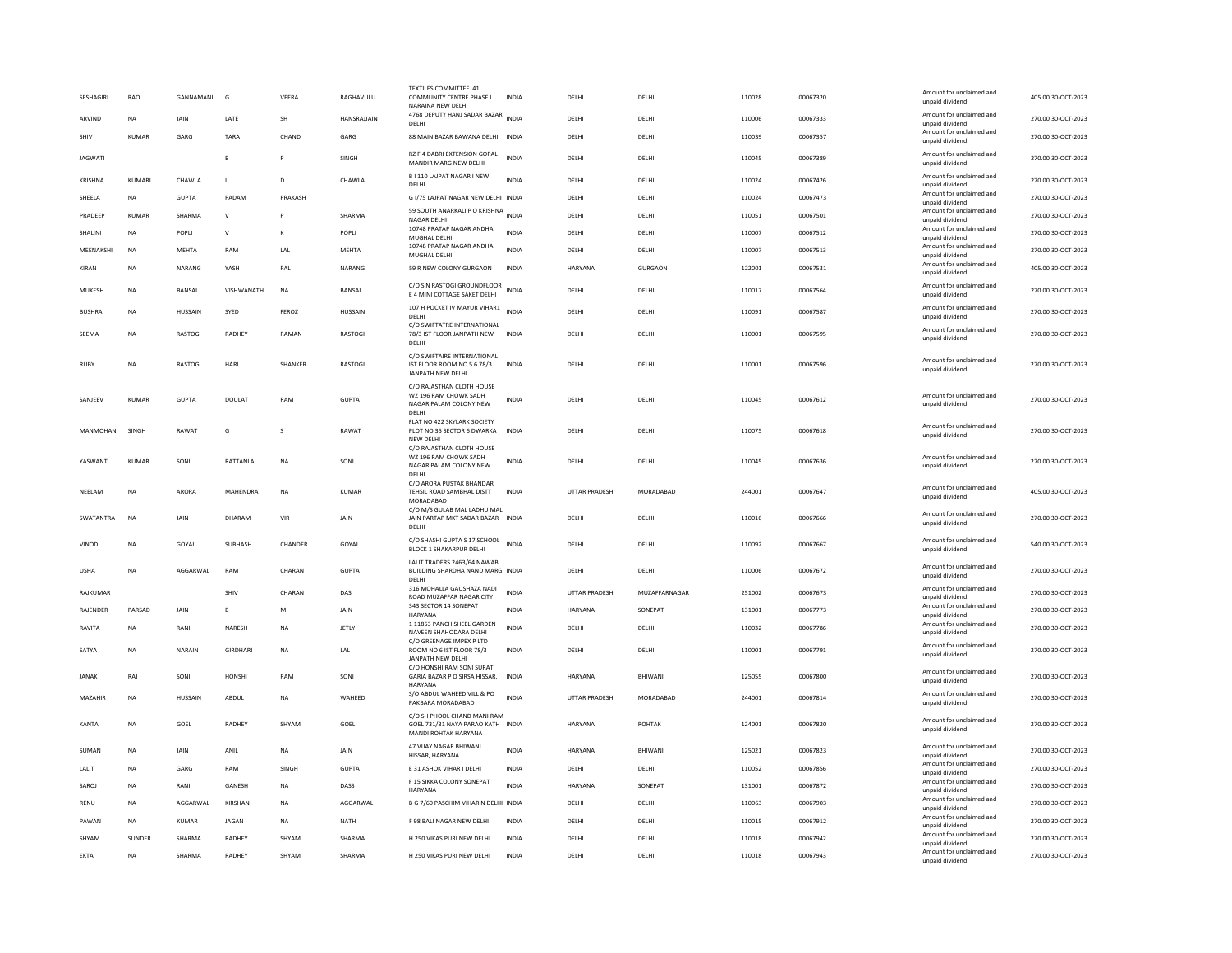| SESHAGIRI       | RAO          | GANNAMANI      | G               | VEERA     | RAGHAVULU      | <b>TEXTILES COMMITTEE 41</b><br>COMMUNITY CENTRE PHASE I<br>NARAINA NEW DELH                        | INDIA        | DELHI                | DELHI          | 110028 | 00067320 | Amount for unclaimed and<br>unpaid dividend                             | 405.00 30-OCT-2023 |
|-----------------|--------------|----------------|-----------------|-----------|----------------|-----------------------------------------------------------------------------------------------------|--------------|----------------------|----------------|--------|----------|-------------------------------------------------------------------------|--------------------|
| ARVIND          | <b>NA</b>    | JAIN           | LATE            | SH        | HANSRAJJAIN    | 4768 DEPUTY HANJ SADAR BAZAR INDIA<br>DELHI                                                         |              | DELHI                | DELHI          | 110006 | 00067333 | Amount for unclaimed and<br>unpaid dividend                             | 270.00 30-OCT-2023 |
| SHIV            | <b>KUMAR</b> | GARG           | TARA            | CHAND     | GARG           | 88 MAIN BAZAR BAWANA DELHI                                                                          | <b>INDIA</b> | DELHI                | DELHI          | 110039 | 00067357 | Amount for unclaimed and<br>unpaid dividend                             | 270.00 30-OCT-2023 |
| <b>JAGWATI</b>  |              |                | $\overline{R}$  | P         | SINGH          | RZ F 4 DABRI EXTENSION GOPAL<br>MANDIR MARG NEW DELHI                                               | <b>INDIA</b> | DELHI                | DELHI          | 110045 | 00067389 | Amount for unclaimed and<br>unpaid dividend                             | 270.00 30-OCT-2023 |
| <b>KRISHNA</b>  | KUMARI       | CHAWLA         | $\mathbf{I}$    | D.        | CHAWI A        | B I 110 LAJPAT NAGAR I NEW<br>DELHI                                                                 | <b>INDIA</b> | DELHI                | <b>DELHI</b>   | 110024 | 00067426 | Amount for unclaimed and<br>unpaid dividend                             | 270.00 30-OCT-2023 |
| SHEELA          | <b>NA</b>    | <b>GUPTA</b>   | PADAM           | PRAKASH   |                | G I/75 LAJPAT NAGAR NEW DELHI INDIA                                                                 |              | DELHI                | DELHI          | 110024 | 00067473 | Amount for unclaimed and<br>unpaid dividend                             | 270.00 30-OCT-2023 |
| PRADEEF         | <b>KUMAR</b> | SHARMA         | $\mathsf{v}$    | P         | SHARMA         | 59 SOUTH ANARKALI P O KRISHNA INDIA<br>NAGAR DELHI                                                  |              | DELHI                | DELHI          | 110051 | 00067501 | Amount for unclaimed and<br>unpaid dividend                             | 270.00 30-OCT-2023 |
| SHALINI         | NA           | POPLI          | $\mathsf{v}$    | K         | POPLI          | 10748 PRATAP NAGAR ANDHA<br>MUGHAL DELHI                                                            | <b>INDIA</b> | DELHI                | DELHI          | 110007 | 00067512 | Amount for unclaimed and<br>unpaid dividend                             | 270.00 30-OCT-2023 |
| MEENAKSHI       | <b>NA</b>    | <b>MEHTA</b>   | RAM             | LAL       | <b>MEHTA</b>   | 10748 PRATAP NAGAR ANDHA<br>MUGHAL DELHI                                                            | <b>INDIA</b> | DELHI                | DELHI          | 110007 | 00067513 | Amount for unclaimed and<br>unpaid dividend                             | 270.00 30-OCT-2023 |
| KIRAN           | <b>NA</b>    | NARANG         | YASH            | PAL       | NARANG         | 59 R NEW COLONY GURGAON                                                                             | <b>INDIA</b> | HARYANA              | <b>GURGAON</b> | 122001 | 00067531 | Amount for unclaimed and<br>unpaid dividend                             | 405.00 30-OCT-2023 |
| MUKESH          | <b>NA</b>    | BANSAL         | VISHWANATH      | <b>NA</b> | <b>BANSAL</b>  | C/O S N RASTOGI GROUNDFLOOR<br>E 4 MINI COTTAGE SAKET DELHI                                         | <b>INDIA</b> | DELHI                | <b>DELHI</b>   | 110017 | 00067564 | Amount for unclaimed and<br>unpaid dividend                             | 270.00 30-OCT-2023 |
| <b>BUSHRA</b>   | <b>NA</b>    | HUSSAIN        | SYED            | FEROZ     | <b>HUSSAIN</b> | 107 H POCKET IV MAYUR VIHAR1<br>DELHI                                                               | <b>INDIA</b> | DELHI                | DELHI          | 110091 | 00067587 | Amount for unclaimed and<br>unpaid dividend                             | 270.00 30-OCT-2023 |
| SEEMA           | <b>NA</b>    | <b>RASTOGI</b> | <b>RADHEY</b>   | RAMAN     | RASTOGI        | C/O SWIFTATRE INTERNATIONAL<br>78/3 IST FLOOR JANPATH NEW<br>DELHI                                  | <b>INDIA</b> | DELHI                | DELHI          | 110001 | 00067595 | Amount for unclaimed and<br>unpaid dividend                             | 270.00 30-OCT-2023 |
| RUBY            | <b>NA</b>    | RASTOGI        | HARI            | SHANKER   | RASTOGI        | C/O SWIFTAIRE INTERNATIONAL<br>IST FLOOR ROOM NO 5 6 78/3<br>JANPATH NEW DELHI                      | <b>INDIA</b> | DELHI                | DELHI          | 110001 | 00067596 | Amount for unclaimed and<br>unpaid dividend                             | 270.00 30-OCT-2023 |
| SANJEEV         | KUMAR        | GUPTA          | <b>DOULAT</b>   | RAM       | <b>GUPTA</b>   | C/O RAJASTHAN CLOTH HOUSE<br>WZ 196 RAM CHOWK SADH<br>NAGAR PALAM COLONY NEW<br>DELHI               | <b>INDIA</b> | DELHI                | <b>DELHI</b>   | 110045 | 00067612 | Amount for unclaimed and<br>unpaid dividend                             | 270.00 30-OCT-2023 |
| MANMOHAN        | SINGH        | RAWAT          | G               | s         | RAWAT          | FLAT NO 422 SKYLARK SOCIETY<br>PLOT NO 35 SECTOR 6 DWARKA<br>NEW DELHI<br>C/O RAJASTHAN CLOTH HOUSE | <b>INDIA</b> | DELHI                | DELHI          | 110075 | 00067618 | Amount for unclaimed and<br>unpaid dividend                             | 270.00 30-OCT-2023 |
| YASWANT         | <b>KUMAR</b> | SONI           | RATTANLAL       | <b>NA</b> | SONI           | WZ 196 RAM CHOWK SADH<br>NAGAR PALAM COLONY NEW<br>DELHI                                            | <b>INDIA</b> | DELHI                | DELHI          | 110045 | 00067636 | Amount for unclaimed and<br>unpaid dividend                             | 270.00 30-OCT-2023 |
| NEELAM          | <b>NA</b>    | ARORA          | MAHENDRA        | <b>NA</b> | <b>KUMAR</b>   | C/O ARORA PUSTAK BHANDAR<br>TEHSIL ROAD SAMBHAL DISTT<br>MORADABAD                                  | INDIA        | UTTAR PRADESH        | MORADABAD      | 244001 | 00067647 | Amount for unclaimed and<br>unpaid dividend                             | 405.00 30-OCT-2023 |
| SWATANTRA       | <b>NA</b>    | JAIN           | DHARAM          | VIR       | JAIN           | C/O M/S GULAB MAL LADHU MAL<br>JAIN PARTAP MKT SADAR BAZAR INDIA<br><b>DELHI</b>                    |              | DELHI                | DELHI          | 110016 | 00067666 | Amount for unclaimed and<br>unpaid dividend                             | 270.00 30-OCT-2023 |
| VINOD           | <b>NA</b>    | GOYAL          | SUBHASH         | CHANDER   | GOYAL          | C/O SHASHI GUPTA S 17 SCHOOL<br><b>BLOCK 1 SHAKARPUR DELHI</b>                                      | <b>INDIA</b> | DELHI                | DELHI          | 110092 | 00067667 | Amount for unclaimed and<br>unpaid dividend                             | 540.00 30-OCT-2023 |
| <b>USHA</b>     | <b>NA</b>    | AGGARWAL       | RAM             | CHARAN    | <b>GUPTA</b>   | LALIT TRADERS 2463/64 NAWAB<br>BUILDING SHARDHA NAND MARG INDIA<br>DELHI                            |              | DELHI                | DELHI          | 110006 | 00067672 | Amount for unclaimed and<br>unpaid dividend                             | 270.00 30-OCT-2023 |
| RAJKUMAR        |              |                | SHIV            | CHARAN    | DAS            | 316 MOHALLA GAUSHAZA NADI<br>ROAD MUZAFFAR NAGAR CITY                                               | <b>INDIA</b> | <b>UTTAR PRADESH</b> | MUZAFFARNAGAR  | 251002 | 00067673 | Amount for unclaimed and<br>unpaid dividend                             | 270.00 30-OCT-2023 |
| <b>RAJENDER</b> | PARSAD       | JAIN           | R               | M         | JAIN           | 343 SECTOR 14 SONEPAT<br><b>HARYANA</b>                                                             | <b>INDIA</b> | HARYANA              | SONEPAT        | 131001 | 00067773 | Amount for unclaimed and<br>unpaid dividend                             | 270.00 30-OCT-2023 |
| RAVITA          | <b>NA</b>    | RANI           | NARESH          | <b>NA</b> | JETLY          | 1 11853 PANCH SHEEL GARDEN<br>NAVEEN SHAHODARA DELHI                                                | <b>INDIA</b> | DELHI                | DELHI          | 110032 | 00067786 | Amount for unclaimed and<br>unpaid dividend                             | 270.00 30-OCT-2023 |
| SATYA           | <b>NA</b>    | NARAIN         | <b>GIRDHARI</b> | <b>NA</b> | <b>IAI</b>     | C/O GREENAGE IMPEX P LTD<br>ROOM NO 6 IST FLOOR 78/3<br>JANPATH NEW DELHI                           | <b>INDIA</b> | DELHI                | DELHI          | 110001 | 00067791 | Amount for unclaimed and<br>unpaid dividend                             | 270.00 30-OCT-2023 |
| <b>JANAK</b>    | RAJ          | SONI           | <b>HONSHI</b>   | RAM       | SONI           | C/O HONSHI RAM SONI SURAT<br>GARIA BAZAR P O SIRSA HISSAR,<br>HARYANA                               | <b>INDIA</b> | <b>HARYANA</b>       | RHIWANI        | 125055 | 00067800 | Amount for unclaimed and<br>unpaid dividend                             | 270.00 30-OCT-2023 |
| MAZAHIR         | <b>NA</b>    | HUSSAIN        | ABDUL           | <b>NA</b> | WAHEED         | S/O ABDUL WAHEED VILL & PO<br>PAKBARA MORADABAD                                                     | <b>INDIA</b> | UTTAR PRADESH        | MORADABAD      | 244001 | 00067814 | Amount for unclaimed and<br>unpaid dividend                             | 270.00 30-OCT-2023 |
| KANTA           | <b>NA</b>    | GOEL           | <b>RADHEY</b>   | SHYAM     | GOEL           | C/O SH PHOOL CHAND MANI RAM<br>GOEL 731/31 NAYA PARAO KATH INDIA<br>MANDI ROHTAK HARYANA            |              | HARYANA              | <b>ROHTAK</b>  | 124001 | 00067820 | Amount for unclaimed and<br>unpaid dividend                             | 270.00 30-OCT-2023 |
| SUMAN           | NA           | JAIN           | ANIL            | NA        | JAIN           | 47 VIJAY NAGAR BHIWANI<br>HISSAR, HARYANA                                                           | INDIA        | HARYANA              | BHIWANI        | 125021 | 00067823 | Amount for unclaimed and<br>unpaid dividend                             | 270.00 30-OCT-2023 |
| LALIT           | NA           | GARG           | RAM             | SINGH     | <b>GUPTA</b>   | E 31 ASHOK VIHAR I DELHI                                                                            | INDIA        | DELHI                | DELHI          | 110052 | 00067856 | Amount for unclaimed and<br>unpaid dividend                             | 270.00 30-OCT-2023 |
| SAROJ           | <b>NA</b>    | RANI           | <b>GANESH</b>   | <b>NA</b> | DASS           | F 15 SIKKA COLONY SONEPAT<br><b>HARYANA</b>                                                         | <b>INDIA</b> | <b>HARYANA</b>       | SONFPAT        | 131001 | 00067872 | Amount for unclaimed and<br>unpaid dividend                             | 270.00 30-OCT-2023 |
| <b>RENU</b>     | <b>NA</b>    | AGGARWAL       | KIRSHAN         | <b>NA</b> | AGGARWAL       | B G 7/60 PASCHIM VIHAR N DELHI INDIA                                                                |              | DELHI                | DELHI          | 110063 | 00067903 | Amount for unclaimed and<br>unpaid dividend                             | 270.00 30-OCT-2023 |
| PAWAN           | <b>NA</b>    | <b>KUMAR</b>   | <b>JAGAN</b>    | <b>NA</b> | <b>NATH</b>    | F 98 BALI NAGAR NEW DELHI                                                                           | <b>INDIA</b> | DELHI                | DELHI          | 110015 | 00067912 | Amount for unclaimed and<br>unpaid dividend                             | 270.00 30-OCT-2023 |
|                 |              |                |                 |           |                |                                                                                                     |              |                      |                |        |          |                                                                         |                    |
| SHYAM           | SUNDER       | SHARMA         | RADHEY          | SHYAM     | SHARMA         | H 250 VIKAS PURI NEW DELHI                                                                          | INDIA        | DELHI                | DELHI          | 110018 | 00067942 | Amount for unclaimed and<br>unpaid dividend<br>Amount for unclaimed and | 270.00 30-OCT-2023 |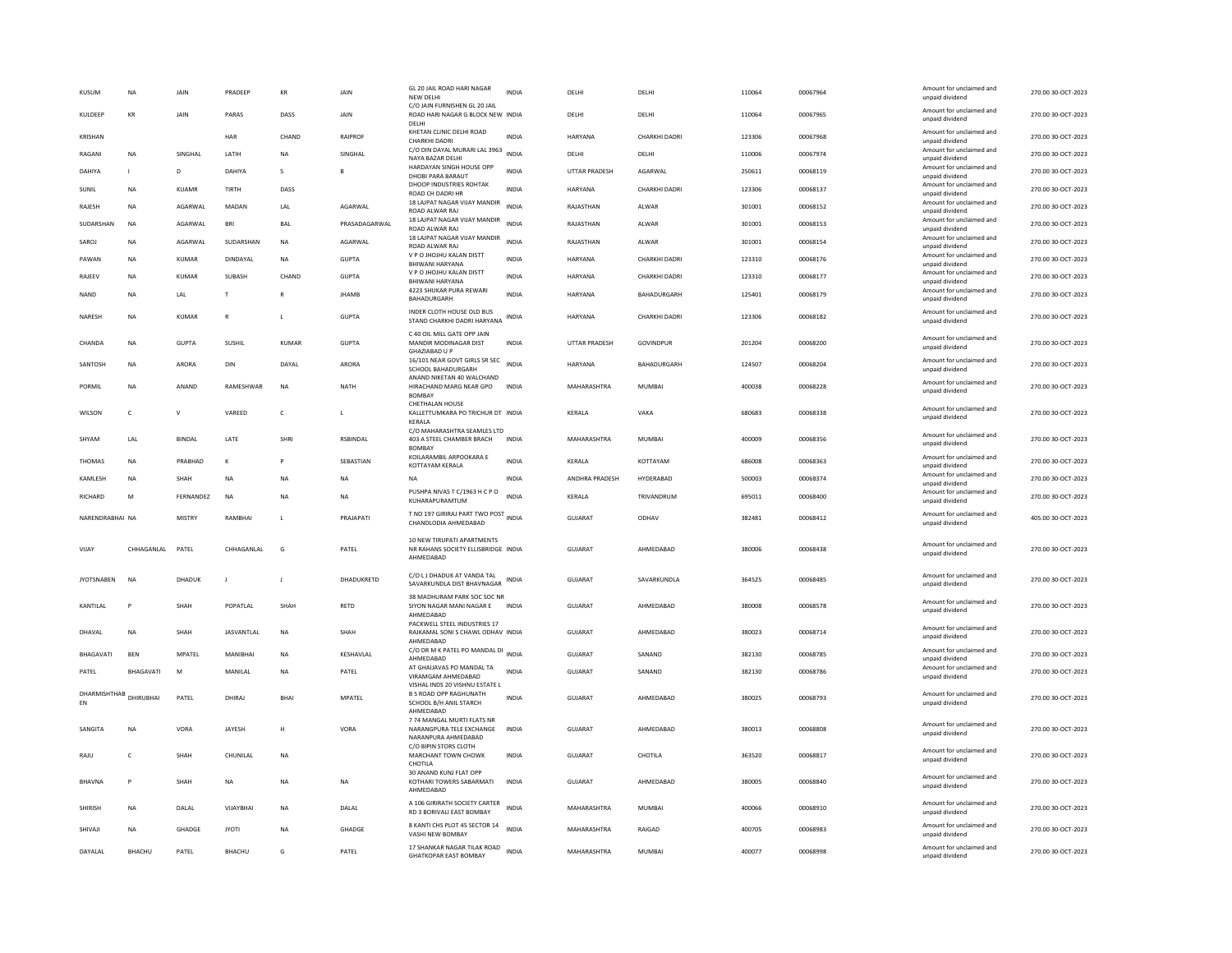| Amount for unclaimed and<br>KULDEEP<br>KR<br><b>JAIN</b><br>PARAS<br>DASS<br><b>JAIN</b><br>ROAD HARI NAGAR G BLOCK NEW INDIA<br>DELHI<br>DELHI<br>110064<br>00067965<br>270.00 30-OCT-2023<br>unpaid dividend<br>DELHI<br>KHETAN CLINIC DELHI ROAD<br>Amount for unclaimed and<br>HAR<br>CHAND<br>RAIPROF<br>INDIA<br>HARYANA<br>CHARKHI DADRI<br>123306<br>00067968<br>270.00 30-OCT-2023<br>KRISHAN<br>CHARKHI DADRI<br>unpaid dividend<br>C/O DIN DAYAL MURARI LAL 3963<br>Amount for unclaimed and<br><b>INDIA</b><br>RAGANI<br><b>NA</b><br><b>SINGHAI</b><br><b>I ATIH</b><br><b>NA</b><br>SINGHAL<br>DELHI<br>DELHI<br>110006<br>00067974<br>270.00 30-OCT-2023<br>NAYA BAZAR DELHI<br>unpaid dividend<br>HARDAYAN SINGH HOUSE OPP<br>Amount for unclaimed and<br><b>UTTAR PRADESH</b><br>AGARWAL<br>250611<br>00068119<br>270.00 30-OCT-2023<br><b>DAHIYA</b><br>D<br>DAHIYA<br><b>INDIA</b><br>$\mathbf{L}$<br>-S<br>B<br>DHOBI PARA BARAUT<br>unpaid dividend<br>DHOOP INDUSTRIES ROHTAK<br>Amount for unclaimed and<br>SUNIL<br><b>NA</b><br><b>KUAMR</b><br><b>TIRTH</b><br>DASS<br><b>INDIA</b><br><b>HARYANA</b><br>CHARKHI DADRI<br>123306<br>00068137<br>270.00 30-OCT-2023<br>ROAD CH DADRI HR<br>unpaid dividend<br>18 LAJPAT NAGAR VIJAY MANDIR<br>Amount for unclaimed and<br><b>NA</b><br>AGARWAL<br>MADAN<br>LAL<br>AGARWAL<br><b>INDIA</b><br>RAJASTHAN<br>ALWAR<br>301001<br>00068152<br>270.00 30-OCT-2023<br>RAJESH<br>ROAD ALWAR RAJ<br>unpaid dividend<br>18 LAJPAT NAGAR VIJAY MANDIR<br>Amount for unclaimed and<br><b>BRI</b><br><b>INDIA</b><br>RAJASTHAN<br>301001<br>00068153<br>270.00 30-OCT-2023<br>SUDARSHAN<br><b>NA</b><br><b>AGARWAI</b><br><b>BAI</b><br>PRASADAGARWAI<br>AI WAR<br>ROAD ALWAR RAJ<br>unpaid dividend<br>18 LAJPAT NAGAR VIJAY MANDIR<br>Amount for unclaimed and<br>SUDARSHAN<br>AGARWAL<br><b>INDIA</b><br>RAJASTHAN<br>301001<br>00068154<br>270.00 30-OCT-2023<br>SAROJ<br><b>NA</b><br>AGARWAL<br><b>NA</b><br>ALWAR<br>ROAD ALWAR RAJ<br>unpaid dividend<br>V P O JHOJHU KALAN DISTT<br>Amount for unclaimed and<br>NA<br>KUMAR<br>DINDAYAL<br><b>NA</b><br><b>GUPTA</b><br>INDIA<br><b>HARYANA</b><br>CHARKHI DADRI<br>123310<br>00068176<br>270.00 30-OCT-2023<br>PAWAN<br>BHIWANI HARYANA<br>unpaid dividend<br>V P O JHOJHU KALAN DISTT<br>Amount for unclaimed and<br>KUMAR<br>SUBASH<br>CHAND<br><b>GUPTA</b><br><b>INDIA</b><br>HARYANA<br>CHARKHI DADRI<br>123310<br>00068177<br>270.00 30-OCT-2023<br>RAJEEV<br>NA<br>BHIWANI HARYANA<br>unpaid dividend<br>4223 SHUKAR PURA REWARI<br>Amount for unclaimed and<br>270.00 30-OCT-2023<br><b>NAND</b><br><b>NA</b><br>LAL<br>T.<br>$\mathbb{R}$<br><b>JHAMB</b><br><b>INDIA</b><br><b>HARYANA</b><br>BAHADURGARH<br>125401<br>00068179<br>BAHADURGARH<br>unpaid dividend<br>INDER CLOTH HOUSE OLD BUS<br>Amount for unclaimed and<br>NARESH<br>NA<br>KUMAR<br>$\mathsf{R}$<br><b>GUPTA</b><br>INDIA<br><b>HARYANA</b><br>CHARKHI DADRI<br>123306<br>00068182<br>270.00 30-OCT-2023<br>L<br>STAND CHARKHI DADRI HARYANA<br>unpaid dividend<br>C 40 OIL MILL GATE OPP JAIN<br>Amount for unclaimed and<br>NA<br>GUPTA<br><b>SUSHIL</b><br>GUPTA<br>MANDIR MODINAGAR DIST<br><b>INDIA</b><br>UTTAR PRADESH<br>GOVINDPUR<br>201204<br>00068200<br>270.00 30-OCT-2023<br>CHANDA<br>KUMAR<br>unpaid dividend<br>GHAZIABAD U P<br>Amount for unclaimed and<br>16/101 NEAR GOVT GIRLS SR SEC<br><b>INDIA</b><br>ARORA<br>DAYAI<br>ARORA<br><b>HARYANA</b><br><b>BAHADURGARH</b><br>124507<br>00068204<br>270.00.30-OCT-2023<br>SANTOSH<br><b>NA</b><br>DIN<br>SCHOOL BAHADURGARH<br>unpaid dividend<br>ANAND NIKETAN 40 WALCHAND<br>Amount for unclaimed and<br>RAMESHWAR<br>MAHARASHTRA<br>MUMBAI<br>400038<br>00068228<br>270.00 30-OCT-2023<br>PORMIL<br>NA<br>ANAND<br>NA<br>NATH<br>HIRACHAND MARG NEAR GPO<br><b>INDIA</b><br>unpaid dividend<br><b>BOMBAY</b><br>CHETHALAN HOUSE<br>Amount for unclaimed and<br>270.00 30-OCT-2023<br>WILSON<br>$\mathsf{C}$<br>v<br>VAREED<br>$\mathsf{C}$<br>KALLETTUMKARA PO TRICHUR DT INDIA<br>KERALA<br>VAKA<br>680683<br>00068338<br>unpaid dividend<br>KERALA<br>C/O MAHARASHTRA SEAMLES LTD<br>Amount for unclaimed and<br>SHYAM<br>LAL<br>BINDAL<br>LATE<br>SHRI<br><b>RSBINDAL</b><br>403 A STEEL CHAMBER BRACH<br><b>INDIA</b><br>MAHARASHTRA<br>MUMBAI<br>400009<br>00068356<br>270.00 30-OCT-2023<br>unpaid dividend<br><b>BOMBAY</b><br>KOILARAMBIL ARPOOKARA E<br>Amount for unclaimed and<br>THOMAS<br><b>NA</b><br>PRABHAD<br>К<br>SEBASTIAN<br><b>INDIA</b><br>KERALA<br>KOTTAYAM<br>686008<br>00068363<br>270.00 30-OCT-2023<br>P<br>KOTTAYAM KERALA<br>unpaid dividend<br>Amount for unclaimed and<br><b>INDIA</b><br>ANDHRA PRADESH<br>HYDERABAD<br>500003<br>00068374<br>270.00 30-OCT-2023<br>KAMLESH<br><b>NA</b><br>SHAH<br><b>NA</b><br><b>NA</b><br><b>NA</b><br><b>NA</b><br>unpaid dividend<br>PUSHPA NIVAS T C/1963 H C P O<br>Amount for unclaimed and<br>RICHARD<br>M<br>FERNANDEZ<br><b>NA</b><br><b>NA</b><br><b>NA</b><br><b>INDIA</b><br>KERALA<br>TRIVANDRUM<br>695011<br>00068400<br>270.00 30-OCT-2023<br>KUHARAPURAMTUM<br>unpaid dividend<br>T NO 197 GIRIRAJ PART TWO POST INDIA<br>Amount for unclaimed and<br>NARENDRABHAI NA<br><b>MISTRY</b><br>RAMBHAI<br>PRAJAPATI<br><b>GUJARAT</b><br>ODHAV<br>382481<br>00068412<br>405.00 30-OCT-2023<br>$\mathbf{L}$<br>CHANDLODIA AHMEDABAD<br>unpaid dividend<br>10 NEW TIRUPATI APARTMENTS<br>Amount for unclaimed and<br>CHHAGANLAL<br>PATEL<br>CHHAGANLAL<br>G<br>PATEL<br>NR RAHANS SOCIETY ELLISBRIDGE INDIA<br>GUJARAT<br>AHMEDABAD<br>380006<br>00068438<br>270.00 30-OCT-2023<br>VIJAY<br>unpaid dividend<br>AHMEDABAD<br>C/O LJ DHADUK AT VANDA TAL<br>Amount for unclaimed and<br><b>JYOTSNABEN</b><br><b>NA</b><br>DHADUK<br>DHADUKRETD<br>SAVARKUNDLA DIST BHAVNAGAR INDIA<br><b>GUJARAT</b><br>SAVARKUNDLA<br>364525<br>00068485<br>270.00 30-OCT-2023<br>$\mathbf{J}$<br>J<br>unpaid dividend<br>38 MADHURAM PARK SOC SOC NR<br>Amount for unclaimed and<br>KANTILAL<br>SHAH<br>POPATLAL<br>SHAH<br>RETD<br>SIYON NAGAR MANI NAGAR E<br>GUJARAT<br>AHMEDABAD<br>380008<br>00068578<br>270.00 30-OCT-2023<br><b>INDIA</b><br>unpaid dividend<br>AHMFDARAD<br>PACKWELL STEEL INDUSTRIES 17<br>Amount for unclaimed and<br><b>JASVANTLAL</b><br>GUJARAT<br>AHMEDABAD<br>380023<br>00068714<br>270.00 30-OCT-2023<br>DHAVAL<br>NA<br>SHAH<br>NA<br>SHAH<br>RAJKAMAL SONI S CHAWL ODHAV INDIA<br>unpaid dividend<br>AHMEDABAD<br>C/O DR M K PATEL PO MANDAL DI INDIA<br>Amount for unclaimed and<br><b>MPATFI</b><br><b>KFSHAVI AI</b><br>GUIARAT<br>SANAND<br>382130<br>00068785<br>270.00 30-OCT-2023<br><b>BHAGAVATI</b><br><b>BFN</b><br>MANIRHAI<br><b>NA</b><br>AHMEDABAD<br>unpaid dividend<br>AT GHAIJAVAS PO MANDAL TA<br>Amount for unclaimed and<br><b>GUJARAT</b><br>BHAGAVATI<br>M<br>MANILAL<br>PATEL<br><b>INDIA</b><br>SANAND<br>382130<br>00068786<br>270.00 30-OCT-2023<br>PATEL<br><b>NA</b><br>VIRAMGAM AHMEDABAD<br>unpaid dividend<br>VISHAL INDS 20 VISHNU ESTATE L<br>DHARMISHTHAB<br><b>B S ROAD OPP RAGHUNATH</b><br>Amount for unclaimed and<br>DHIRURHAL<br>PATFI<br>GUIARAT<br>380025<br>270.00 30-QCT-2023<br>DHIRAI<br><b>BHAI</b><br><b>MPATFI</b><br><b>INDIA</b><br>AHMEDARAD<br>00068793<br>EN<br>SCHOOL B/H ANIL STARCH<br>unpaid dividend<br>AHMEDABAD<br>7 74 MANGAL MURTI FLATS NR<br>Amount for unclaimed and<br>VORA<br>JAYESH<br>VORA<br>GUJARAT<br>AHMEDABAD<br>380013<br>00068808<br>270.00 30-OCT-2023<br>SANGITA<br>NA<br>NARANGPURA TELE EXCHANGE<br><b>INDIA</b><br>н<br>unpaid dividend<br>NARANPURA AHMEDARAD<br>C/O BIPIN STORS CLOTH<br>Amount for unclaimed and<br>CHUNILAI<br><b>INDIA</b><br>GUIARAT<br>CHOTILA<br>363520<br>00068817<br>270.00 30-OCT-2023<br>RAILL<br>$\epsilon$<br>SHAH<br><b>NA</b><br>MARCHANT TOWN CHOWK<br>unpaid dividend<br>CHOTILA | <b>NA</b> | JAIN | PRADEER | KR | JAIN | GL 20 JAIL ROAD HARI NAGAR<br>NEW DELHI | <b>INDIA</b> | DELHI | DELHI | 110064 | 00067964 | Amount for unclaimed and<br>unpaid dividend | 270.00 30-OCT-2023 |
|------------------------------------------------------------------------------------------------------------------------------------------------------------------------------------------------------------------------------------------------------------------------------------------------------------------------------------------------------------------------------------------------------------------------------------------------------------------------------------------------------------------------------------------------------------------------------------------------------------------------------------------------------------------------------------------------------------------------------------------------------------------------------------------------------------------------------------------------------------------------------------------------------------------------------------------------------------------------------------------------------------------------------------------------------------------------------------------------------------------------------------------------------------------------------------------------------------------------------------------------------------------------------------------------------------------------------------------------------------------------------------------------------------------------------------------------------------------------------------------------------------------------------------------------------------------------------------------------------------------------------------------------------------------------------------------------------------------------------------------------------------------------------------------------------------------------------------------------------------------------------------------------------------------------------------------------------------------------------------------------------------------------------------------------------------------------------------------------------------------------------------------------------------------------------------------------------------------------------------------------------------------------------------------------------------------------------------------------------------------------------------------------------------------------------------------------------------------------------------------------------------------------------------------------------------------------------------------------------------------------------------------------------------------------------------------------------------------------------------------------------------------------------------------------------------------------------------------------------------------------------------------------------------------------------------------------------------------------------------------------------------------------------------------------------------------------------------------------------------------------------------------------------------------------------------------------------------------------------------------------------------------------------------------------------------------------------------------------------------------------------------------------------------------------------------------------------------------------------------------------------------------------------------------------------------------------------------------------------------------------------------------------------------------------------------------------------------------------------------------------------------------------------------------------------------------------------------------------------------------------------------------------------------------------------------------------------------------------------------------------------------------------------------------------------------------------------------------------------------------------------------------------------------------------------------------------------------------------------------------------------------------------------------------------------------------------------------------------------------------------------------------------------------------------------------------------------------------------------------------------------------------------------------------------------------------------------------------------------------------------------------------------------------------------------------------------------------------------------------------------------------------------------------------------------------------------------------------------------------------------------------------------------------------------------------------------------------------------------------------------------------------------------------------------------------------------------------------------------------------------------------------------------------------------------------------------------------------------------------------------------------------------------------------------------------------------------------------------------------------------------------------------------------------------------------------------------------------------------------------------------------------------------------------------------------------------------------------------------------------------------------------------------------------------------------------------------------------------------------------------------------------------------------------------------------------------------------------------------------------------------------------------------------------------------------------------------------------------------------------------------------------------------------------------------------------------------------------------------------------------------------------------------------------------------------------------------------------------------------------------------------------------------------------------------------------------------------------------------------------------------------------------------------------------------------------------------------------------------------------------------------------------------------------------------------------------------------------------------------------------------------------------------------------------------------------------------------------------------------------------------------------------------------------------------------------------------------------------------------------------------------------------------------------------------------------------------------------------------------------------------------------------------------------------------------------------------------------------------------------------------------------------------------------------------------------------------------------------------------------------------------------------------------------------------------------------------------------------------------------------------------------------------------------------------------------------------------------------------------------------------------------------------------------------------------------------------------------------------------------------------------------------------------------------------------------------------------------------------------------------------------------------------------------------------------------------------------------------------------------------------|-----------|------|---------|----|------|-----------------------------------------|--------------|-------|-------|--------|----------|---------------------------------------------|--------------------|
|                                                                                                                                                                                                                                                                                                                                                                                                                                                                                                                                                                                                                                                                                                                                                                                                                                                                                                                                                                                                                                                                                                                                                                                                                                                                                                                                                                                                                                                                                                                                                                                                                                                                                                                                                                                                                                                                                                                                                                                                                                                                                                                                                                                                                                                                                                                                                                                                                                                                                                                                                                                                                                                                                                                                                                                                                                                                                                                                                                                                                                                                                                                                                                                                                                                                                                                                                                                                                                                                                                                                                                                                                                                                                                                                                                                                                                                                                                                                                                                                                                                                                                                                                                                                                                                                                                                                                                                                                                                                                                                                                                                                                                                                                                                                                                                                                                                                                                                                                                                                                                                                                                                                                                                                                                                                                                                                                                                                                                                                                                                                                                                                                                                                                                                                                                                                                                                                                                                                                                                                                                                                                                                                                                                                                                                                                                                                                                                                                                                                                                                                                                                                                                                                                                                                                                                                                                                                                                                                                                                                                                                                                                                                                                                                                                                                                                                                                                                                                                                                                                                                                                                                                                                                                                                                                                                                                                                                              |           |      |         |    |      | C/O JAIN FURNISHEN GL 20 JAIL           |              |       |       |        |          |                                             |                    |
|                                                                                                                                                                                                                                                                                                                                                                                                                                                                                                                                                                                                                                                                                                                                                                                                                                                                                                                                                                                                                                                                                                                                                                                                                                                                                                                                                                                                                                                                                                                                                                                                                                                                                                                                                                                                                                                                                                                                                                                                                                                                                                                                                                                                                                                                                                                                                                                                                                                                                                                                                                                                                                                                                                                                                                                                                                                                                                                                                                                                                                                                                                                                                                                                                                                                                                                                                                                                                                                                                                                                                                                                                                                                                                                                                                                                                                                                                                                                                                                                                                                                                                                                                                                                                                                                                                                                                                                                                                                                                                                                                                                                                                                                                                                                                                                                                                                                                                                                                                                                                                                                                                                                                                                                                                                                                                                                                                                                                                                                                                                                                                                                                                                                                                                                                                                                                                                                                                                                                                                                                                                                                                                                                                                                                                                                                                                                                                                                                                                                                                                                                                                                                                                                                                                                                                                                                                                                                                                                                                                                                                                                                                                                                                                                                                                                                                                                                                                                                                                                                                                                                                                                                                                                                                                                                                                                                                                                              |           |      |         |    |      |                                         |              |       |       |        |          |                                             |                    |
|                                                                                                                                                                                                                                                                                                                                                                                                                                                                                                                                                                                                                                                                                                                                                                                                                                                                                                                                                                                                                                                                                                                                                                                                                                                                                                                                                                                                                                                                                                                                                                                                                                                                                                                                                                                                                                                                                                                                                                                                                                                                                                                                                                                                                                                                                                                                                                                                                                                                                                                                                                                                                                                                                                                                                                                                                                                                                                                                                                                                                                                                                                                                                                                                                                                                                                                                                                                                                                                                                                                                                                                                                                                                                                                                                                                                                                                                                                                                                                                                                                                                                                                                                                                                                                                                                                                                                                                                                                                                                                                                                                                                                                                                                                                                                                                                                                                                                                                                                                                                                                                                                                                                                                                                                                                                                                                                                                                                                                                                                                                                                                                                                                                                                                                                                                                                                                                                                                                                                                                                                                                                                                                                                                                                                                                                                                                                                                                                                                                                                                                                                                                                                                                                                                                                                                                                                                                                                                                                                                                                                                                                                                                                                                                                                                                                                                                                                                                                                                                                                                                                                                                                                                                                                                                                                                                                                                                                              |           |      |         |    |      |                                         |              |       |       |        |          |                                             |                    |
|                                                                                                                                                                                                                                                                                                                                                                                                                                                                                                                                                                                                                                                                                                                                                                                                                                                                                                                                                                                                                                                                                                                                                                                                                                                                                                                                                                                                                                                                                                                                                                                                                                                                                                                                                                                                                                                                                                                                                                                                                                                                                                                                                                                                                                                                                                                                                                                                                                                                                                                                                                                                                                                                                                                                                                                                                                                                                                                                                                                                                                                                                                                                                                                                                                                                                                                                                                                                                                                                                                                                                                                                                                                                                                                                                                                                                                                                                                                                                                                                                                                                                                                                                                                                                                                                                                                                                                                                                                                                                                                                                                                                                                                                                                                                                                                                                                                                                                                                                                                                                                                                                                                                                                                                                                                                                                                                                                                                                                                                                                                                                                                                                                                                                                                                                                                                                                                                                                                                                                                                                                                                                                                                                                                                                                                                                                                                                                                                                                                                                                                                                                                                                                                                                                                                                                                                                                                                                                                                                                                                                                                                                                                                                                                                                                                                                                                                                                                                                                                                                                                                                                                                                                                                                                                                                                                                                                                                              |           |      |         |    |      |                                         |              |       |       |        |          |                                             |                    |
|                                                                                                                                                                                                                                                                                                                                                                                                                                                                                                                                                                                                                                                                                                                                                                                                                                                                                                                                                                                                                                                                                                                                                                                                                                                                                                                                                                                                                                                                                                                                                                                                                                                                                                                                                                                                                                                                                                                                                                                                                                                                                                                                                                                                                                                                                                                                                                                                                                                                                                                                                                                                                                                                                                                                                                                                                                                                                                                                                                                                                                                                                                                                                                                                                                                                                                                                                                                                                                                                                                                                                                                                                                                                                                                                                                                                                                                                                                                                                                                                                                                                                                                                                                                                                                                                                                                                                                                                                                                                                                                                                                                                                                                                                                                                                                                                                                                                                                                                                                                                                                                                                                                                                                                                                                                                                                                                                                                                                                                                                                                                                                                                                                                                                                                                                                                                                                                                                                                                                                                                                                                                                                                                                                                                                                                                                                                                                                                                                                                                                                                                                                                                                                                                                                                                                                                                                                                                                                                                                                                                                                                                                                                                                                                                                                                                                                                                                                                                                                                                                                                                                                                                                                                                                                                                                                                                                                                                              |           |      |         |    |      |                                         |              |       |       |        |          |                                             |                    |
|                                                                                                                                                                                                                                                                                                                                                                                                                                                                                                                                                                                                                                                                                                                                                                                                                                                                                                                                                                                                                                                                                                                                                                                                                                                                                                                                                                                                                                                                                                                                                                                                                                                                                                                                                                                                                                                                                                                                                                                                                                                                                                                                                                                                                                                                                                                                                                                                                                                                                                                                                                                                                                                                                                                                                                                                                                                                                                                                                                                                                                                                                                                                                                                                                                                                                                                                                                                                                                                                                                                                                                                                                                                                                                                                                                                                                                                                                                                                                                                                                                                                                                                                                                                                                                                                                                                                                                                                                                                                                                                                                                                                                                                                                                                                                                                                                                                                                                                                                                                                                                                                                                                                                                                                                                                                                                                                                                                                                                                                                                                                                                                                                                                                                                                                                                                                                                                                                                                                                                                                                                                                                                                                                                                                                                                                                                                                                                                                                                                                                                                                                                                                                                                                                                                                                                                                                                                                                                                                                                                                                                                                                                                                                                                                                                                                                                                                                                                                                                                                                                                                                                                                                                                                                                                                                                                                                                                                              |           |      |         |    |      |                                         |              |       |       |        |          |                                             |                    |
|                                                                                                                                                                                                                                                                                                                                                                                                                                                                                                                                                                                                                                                                                                                                                                                                                                                                                                                                                                                                                                                                                                                                                                                                                                                                                                                                                                                                                                                                                                                                                                                                                                                                                                                                                                                                                                                                                                                                                                                                                                                                                                                                                                                                                                                                                                                                                                                                                                                                                                                                                                                                                                                                                                                                                                                                                                                                                                                                                                                                                                                                                                                                                                                                                                                                                                                                                                                                                                                                                                                                                                                                                                                                                                                                                                                                                                                                                                                                                                                                                                                                                                                                                                                                                                                                                                                                                                                                                                                                                                                                                                                                                                                                                                                                                                                                                                                                                                                                                                                                                                                                                                                                                                                                                                                                                                                                                                                                                                                                                                                                                                                                                                                                                                                                                                                                                                                                                                                                                                                                                                                                                                                                                                                                                                                                                                                                                                                                                                                                                                                                                                                                                                                                                                                                                                                                                                                                                                                                                                                                                                                                                                                                                                                                                                                                                                                                                                                                                                                                                                                                                                                                                                                                                                                                                                                                                                                                              |           |      |         |    |      |                                         |              |       |       |        |          |                                             |                    |
|                                                                                                                                                                                                                                                                                                                                                                                                                                                                                                                                                                                                                                                                                                                                                                                                                                                                                                                                                                                                                                                                                                                                                                                                                                                                                                                                                                                                                                                                                                                                                                                                                                                                                                                                                                                                                                                                                                                                                                                                                                                                                                                                                                                                                                                                                                                                                                                                                                                                                                                                                                                                                                                                                                                                                                                                                                                                                                                                                                                                                                                                                                                                                                                                                                                                                                                                                                                                                                                                                                                                                                                                                                                                                                                                                                                                                                                                                                                                                                                                                                                                                                                                                                                                                                                                                                                                                                                                                                                                                                                                                                                                                                                                                                                                                                                                                                                                                                                                                                                                                                                                                                                                                                                                                                                                                                                                                                                                                                                                                                                                                                                                                                                                                                                                                                                                                                                                                                                                                                                                                                                                                                                                                                                                                                                                                                                                                                                                                                                                                                                                                                                                                                                                                                                                                                                                                                                                                                                                                                                                                                                                                                                                                                                                                                                                                                                                                                                                                                                                                                                                                                                                                                                                                                                                                                                                                                                                              |           |      |         |    |      |                                         |              |       |       |        |          |                                             |                    |
|                                                                                                                                                                                                                                                                                                                                                                                                                                                                                                                                                                                                                                                                                                                                                                                                                                                                                                                                                                                                                                                                                                                                                                                                                                                                                                                                                                                                                                                                                                                                                                                                                                                                                                                                                                                                                                                                                                                                                                                                                                                                                                                                                                                                                                                                                                                                                                                                                                                                                                                                                                                                                                                                                                                                                                                                                                                                                                                                                                                                                                                                                                                                                                                                                                                                                                                                                                                                                                                                                                                                                                                                                                                                                                                                                                                                                                                                                                                                                                                                                                                                                                                                                                                                                                                                                                                                                                                                                                                                                                                                                                                                                                                                                                                                                                                                                                                                                                                                                                                                                                                                                                                                                                                                                                                                                                                                                                                                                                                                                                                                                                                                                                                                                                                                                                                                                                                                                                                                                                                                                                                                                                                                                                                                                                                                                                                                                                                                                                                                                                                                                                                                                                                                                                                                                                                                                                                                                                                                                                                                                                                                                                                                                                                                                                                                                                                                                                                                                                                                                                                                                                                                                                                                                                                                                                                                                                                                              |           |      |         |    |      |                                         |              |       |       |        |          |                                             |                    |
|                                                                                                                                                                                                                                                                                                                                                                                                                                                                                                                                                                                                                                                                                                                                                                                                                                                                                                                                                                                                                                                                                                                                                                                                                                                                                                                                                                                                                                                                                                                                                                                                                                                                                                                                                                                                                                                                                                                                                                                                                                                                                                                                                                                                                                                                                                                                                                                                                                                                                                                                                                                                                                                                                                                                                                                                                                                                                                                                                                                                                                                                                                                                                                                                                                                                                                                                                                                                                                                                                                                                                                                                                                                                                                                                                                                                                                                                                                                                                                                                                                                                                                                                                                                                                                                                                                                                                                                                                                                                                                                                                                                                                                                                                                                                                                                                                                                                                                                                                                                                                                                                                                                                                                                                                                                                                                                                                                                                                                                                                                                                                                                                                                                                                                                                                                                                                                                                                                                                                                                                                                                                                                                                                                                                                                                                                                                                                                                                                                                                                                                                                                                                                                                                                                                                                                                                                                                                                                                                                                                                                                                                                                                                                                                                                                                                                                                                                                                                                                                                                                                                                                                                                                                                                                                                                                                                                                                                              |           |      |         |    |      |                                         |              |       |       |        |          |                                             |                    |
|                                                                                                                                                                                                                                                                                                                                                                                                                                                                                                                                                                                                                                                                                                                                                                                                                                                                                                                                                                                                                                                                                                                                                                                                                                                                                                                                                                                                                                                                                                                                                                                                                                                                                                                                                                                                                                                                                                                                                                                                                                                                                                                                                                                                                                                                                                                                                                                                                                                                                                                                                                                                                                                                                                                                                                                                                                                                                                                                                                                                                                                                                                                                                                                                                                                                                                                                                                                                                                                                                                                                                                                                                                                                                                                                                                                                                                                                                                                                                                                                                                                                                                                                                                                                                                                                                                                                                                                                                                                                                                                                                                                                                                                                                                                                                                                                                                                                                                                                                                                                                                                                                                                                                                                                                                                                                                                                                                                                                                                                                                                                                                                                                                                                                                                                                                                                                                                                                                                                                                                                                                                                                                                                                                                                                                                                                                                                                                                                                                                                                                                                                                                                                                                                                                                                                                                                                                                                                                                                                                                                                                                                                                                                                                                                                                                                                                                                                                                                                                                                                                                                                                                                                                                                                                                                                                                                                                                                              |           |      |         |    |      |                                         |              |       |       |        |          |                                             |                    |
|                                                                                                                                                                                                                                                                                                                                                                                                                                                                                                                                                                                                                                                                                                                                                                                                                                                                                                                                                                                                                                                                                                                                                                                                                                                                                                                                                                                                                                                                                                                                                                                                                                                                                                                                                                                                                                                                                                                                                                                                                                                                                                                                                                                                                                                                                                                                                                                                                                                                                                                                                                                                                                                                                                                                                                                                                                                                                                                                                                                                                                                                                                                                                                                                                                                                                                                                                                                                                                                                                                                                                                                                                                                                                                                                                                                                                                                                                                                                                                                                                                                                                                                                                                                                                                                                                                                                                                                                                                                                                                                                                                                                                                                                                                                                                                                                                                                                                                                                                                                                                                                                                                                                                                                                                                                                                                                                                                                                                                                                                                                                                                                                                                                                                                                                                                                                                                                                                                                                                                                                                                                                                                                                                                                                                                                                                                                                                                                                                                                                                                                                                                                                                                                                                                                                                                                                                                                                                                                                                                                                                                                                                                                                                                                                                                                                                                                                                                                                                                                                                                                                                                                                                                                                                                                                                                                                                                                                              |           |      |         |    |      |                                         |              |       |       |        |          |                                             |                    |
|                                                                                                                                                                                                                                                                                                                                                                                                                                                                                                                                                                                                                                                                                                                                                                                                                                                                                                                                                                                                                                                                                                                                                                                                                                                                                                                                                                                                                                                                                                                                                                                                                                                                                                                                                                                                                                                                                                                                                                                                                                                                                                                                                                                                                                                                                                                                                                                                                                                                                                                                                                                                                                                                                                                                                                                                                                                                                                                                                                                                                                                                                                                                                                                                                                                                                                                                                                                                                                                                                                                                                                                                                                                                                                                                                                                                                                                                                                                                                                                                                                                                                                                                                                                                                                                                                                                                                                                                                                                                                                                                                                                                                                                                                                                                                                                                                                                                                                                                                                                                                                                                                                                                                                                                                                                                                                                                                                                                                                                                                                                                                                                                                                                                                                                                                                                                                                                                                                                                                                                                                                                                                                                                                                                                                                                                                                                                                                                                                                                                                                                                                                                                                                                                                                                                                                                                                                                                                                                                                                                                                                                                                                                                                                                                                                                                                                                                                                                                                                                                                                                                                                                                                                                                                                                                                                                                                                                                              |           |      |         |    |      |                                         |              |       |       |        |          |                                             |                    |
|                                                                                                                                                                                                                                                                                                                                                                                                                                                                                                                                                                                                                                                                                                                                                                                                                                                                                                                                                                                                                                                                                                                                                                                                                                                                                                                                                                                                                                                                                                                                                                                                                                                                                                                                                                                                                                                                                                                                                                                                                                                                                                                                                                                                                                                                                                                                                                                                                                                                                                                                                                                                                                                                                                                                                                                                                                                                                                                                                                                                                                                                                                                                                                                                                                                                                                                                                                                                                                                                                                                                                                                                                                                                                                                                                                                                                                                                                                                                                                                                                                                                                                                                                                                                                                                                                                                                                                                                                                                                                                                                                                                                                                                                                                                                                                                                                                                                                                                                                                                                                                                                                                                                                                                                                                                                                                                                                                                                                                                                                                                                                                                                                                                                                                                                                                                                                                                                                                                                                                                                                                                                                                                                                                                                                                                                                                                                                                                                                                                                                                                                                                                                                                                                                                                                                                                                                                                                                                                                                                                                                                                                                                                                                                                                                                                                                                                                                                                                                                                                                                                                                                                                                                                                                                                                                                                                                                                                              |           |      |         |    |      |                                         |              |       |       |        |          |                                             |                    |
|                                                                                                                                                                                                                                                                                                                                                                                                                                                                                                                                                                                                                                                                                                                                                                                                                                                                                                                                                                                                                                                                                                                                                                                                                                                                                                                                                                                                                                                                                                                                                                                                                                                                                                                                                                                                                                                                                                                                                                                                                                                                                                                                                                                                                                                                                                                                                                                                                                                                                                                                                                                                                                                                                                                                                                                                                                                                                                                                                                                                                                                                                                                                                                                                                                                                                                                                                                                                                                                                                                                                                                                                                                                                                                                                                                                                                                                                                                                                                                                                                                                                                                                                                                                                                                                                                                                                                                                                                                                                                                                                                                                                                                                                                                                                                                                                                                                                                                                                                                                                                                                                                                                                                                                                                                                                                                                                                                                                                                                                                                                                                                                                                                                                                                                                                                                                                                                                                                                                                                                                                                                                                                                                                                                                                                                                                                                                                                                                                                                                                                                                                                                                                                                                                                                                                                                                                                                                                                                                                                                                                                                                                                                                                                                                                                                                                                                                                                                                                                                                                                                                                                                                                                                                                                                                                                                                                                                                              |           |      |         |    |      |                                         |              |       |       |        |          |                                             |                    |
|                                                                                                                                                                                                                                                                                                                                                                                                                                                                                                                                                                                                                                                                                                                                                                                                                                                                                                                                                                                                                                                                                                                                                                                                                                                                                                                                                                                                                                                                                                                                                                                                                                                                                                                                                                                                                                                                                                                                                                                                                                                                                                                                                                                                                                                                                                                                                                                                                                                                                                                                                                                                                                                                                                                                                                                                                                                                                                                                                                                                                                                                                                                                                                                                                                                                                                                                                                                                                                                                                                                                                                                                                                                                                                                                                                                                                                                                                                                                                                                                                                                                                                                                                                                                                                                                                                                                                                                                                                                                                                                                                                                                                                                                                                                                                                                                                                                                                                                                                                                                                                                                                                                                                                                                                                                                                                                                                                                                                                                                                                                                                                                                                                                                                                                                                                                                                                                                                                                                                                                                                                                                                                                                                                                                                                                                                                                                                                                                                                                                                                                                                                                                                                                                                                                                                                                                                                                                                                                                                                                                                                                                                                                                                                                                                                                                                                                                                                                                                                                                                                                                                                                                                                                                                                                                                                                                                                                                              |           |      |         |    |      |                                         |              |       |       |        |          |                                             |                    |
|                                                                                                                                                                                                                                                                                                                                                                                                                                                                                                                                                                                                                                                                                                                                                                                                                                                                                                                                                                                                                                                                                                                                                                                                                                                                                                                                                                                                                                                                                                                                                                                                                                                                                                                                                                                                                                                                                                                                                                                                                                                                                                                                                                                                                                                                                                                                                                                                                                                                                                                                                                                                                                                                                                                                                                                                                                                                                                                                                                                                                                                                                                                                                                                                                                                                                                                                                                                                                                                                                                                                                                                                                                                                                                                                                                                                                                                                                                                                                                                                                                                                                                                                                                                                                                                                                                                                                                                                                                                                                                                                                                                                                                                                                                                                                                                                                                                                                                                                                                                                                                                                                                                                                                                                                                                                                                                                                                                                                                                                                                                                                                                                                                                                                                                                                                                                                                                                                                                                                                                                                                                                                                                                                                                                                                                                                                                                                                                                                                                                                                                                                                                                                                                                                                                                                                                                                                                                                                                                                                                                                                                                                                                                                                                                                                                                                                                                                                                                                                                                                                                                                                                                                                                                                                                                                                                                                                                                              |           |      |         |    |      |                                         |              |       |       |        |          |                                             |                    |
|                                                                                                                                                                                                                                                                                                                                                                                                                                                                                                                                                                                                                                                                                                                                                                                                                                                                                                                                                                                                                                                                                                                                                                                                                                                                                                                                                                                                                                                                                                                                                                                                                                                                                                                                                                                                                                                                                                                                                                                                                                                                                                                                                                                                                                                                                                                                                                                                                                                                                                                                                                                                                                                                                                                                                                                                                                                                                                                                                                                                                                                                                                                                                                                                                                                                                                                                                                                                                                                                                                                                                                                                                                                                                                                                                                                                                                                                                                                                                                                                                                                                                                                                                                                                                                                                                                                                                                                                                                                                                                                                                                                                                                                                                                                                                                                                                                                                                                                                                                                                                                                                                                                                                                                                                                                                                                                                                                                                                                                                                                                                                                                                                                                                                                                                                                                                                                                                                                                                                                                                                                                                                                                                                                                                                                                                                                                                                                                                                                                                                                                                                                                                                                                                                                                                                                                                                                                                                                                                                                                                                                                                                                                                                                                                                                                                                                                                                                                                                                                                                                                                                                                                                                                                                                                                                                                                                                                                              |           |      |         |    |      |                                         |              |       |       |        |          |                                             |                    |
|                                                                                                                                                                                                                                                                                                                                                                                                                                                                                                                                                                                                                                                                                                                                                                                                                                                                                                                                                                                                                                                                                                                                                                                                                                                                                                                                                                                                                                                                                                                                                                                                                                                                                                                                                                                                                                                                                                                                                                                                                                                                                                                                                                                                                                                                                                                                                                                                                                                                                                                                                                                                                                                                                                                                                                                                                                                                                                                                                                                                                                                                                                                                                                                                                                                                                                                                                                                                                                                                                                                                                                                                                                                                                                                                                                                                                                                                                                                                                                                                                                                                                                                                                                                                                                                                                                                                                                                                                                                                                                                                                                                                                                                                                                                                                                                                                                                                                                                                                                                                                                                                                                                                                                                                                                                                                                                                                                                                                                                                                                                                                                                                                                                                                                                                                                                                                                                                                                                                                                                                                                                                                                                                                                                                                                                                                                                                                                                                                                                                                                                                                                                                                                                                                                                                                                                                                                                                                                                                                                                                                                                                                                                                                                                                                                                                                                                                                                                                                                                                                                                                                                                                                                                                                                                                                                                                                                                                              |           |      |         |    |      |                                         |              |       |       |        |          |                                             |                    |
|                                                                                                                                                                                                                                                                                                                                                                                                                                                                                                                                                                                                                                                                                                                                                                                                                                                                                                                                                                                                                                                                                                                                                                                                                                                                                                                                                                                                                                                                                                                                                                                                                                                                                                                                                                                                                                                                                                                                                                                                                                                                                                                                                                                                                                                                                                                                                                                                                                                                                                                                                                                                                                                                                                                                                                                                                                                                                                                                                                                                                                                                                                                                                                                                                                                                                                                                                                                                                                                                                                                                                                                                                                                                                                                                                                                                                                                                                                                                                                                                                                                                                                                                                                                                                                                                                                                                                                                                                                                                                                                                                                                                                                                                                                                                                                                                                                                                                                                                                                                                                                                                                                                                                                                                                                                                                                                                                                                                                                                                                                                                                                                                                                                                                                                                                                                                                                                                                                                                                                                                                                                                                                                                                                                                                                                                                                                                                                                                                                                                                                                                                                                                                                                                                                                                                                                                                                                                                                                                                                                                                                                                                                                                                                                                                                                                                                                                                                                                                                                                                                                                                                                                                                                                                                                                                                                                                                                                              |           |      |         |    |      |                                         |              |       |       |        |          |                                             |                    |
|                                                                                                                                                                                                                                                                                                                                                                                                                                                                                                                                                                                                                                                                                                                                                                                                                                                                                                                                                                                                                                                                                                                                                                                                                                                                                                                                                                                                                                                                                                                                                                                                                                                                                                                                                                                                                                                                                                                                                                                                                                                                                                                                                                                                                                                                                                                                                                                                                                                                                                                                                                                                                                                                                                                                                                                                                                                                                                                                                                                                                                                                                                                                                                                                                                                                                                                                                                                                                                                                                                                                                                                                                                                                                                                                                                                                                                                                                                                                                                                                                                                                                                                                                                                                                                                                                                                                                                                                                                                                                                                                                                                                                                                                                                                                                                                                                                                                                                                                                                                                                                                                                                                                                                                                                                                                                                                                                                                                                                                                                                                                                                                                                                                                                                                                                                                                                                                                                                                                                                                                                                                                                                                                                                                                                                                                                                                                                                                                                                                                                                                                                                                                                                                                                                                                                                                                                                                                                                                                                                                                                                                                                                                                                                                                                                                                                                                                                                                                                                                                                                                                                                                                                                                                                                                                                                                                                                                                              |           |      |         |    |      |                                         |              |       |       |        |          |                                             |                    |
|                                                                                                                                                                                                                                                                                                                                                                                                                                                                                                                                                                                                                                                                                                                                                                                                                                                                                                                                                                                                                                                                                                                                                                                                                                                                                                                                                                                                                                                                                                                                                                                                                                                                                                                                                                                                                                                                                                                                                                                                                                                                                                                                                                                                                                                                                                                                                                                                                                                                                                                                                                                                                                                                                                                                                                                                                                                                                                                                                                                                                                                                                                                                                                                                                                                                                                                                                                                                                                                                                                                                                                                                                                                                                                                                                                                                                                                                                                                                                                                                                                                                                                                                                                                                                                                                                                                                                                                                                                                                                                                                                                                                                                                                                                                                                                                                                                                                                                                                                                                                                                                                                                                                                                                                                                                                                                                                                                                                                                                                                                                                                                                                                                                                                                                                                                                                                                                                                                                                                                                                                                                                                                                                                                                                                                                                                                                                                                                                                                                                                                                                                                                                                                                                                                                                                                                                                                                                                                                                                                                                                                                                                                                                                                                                                                                                                                                                                                                                                                                                                                                                                                                                                                                                                                                                                                                                                                                                              |           |      |         |    |      |                                         |              |       |       |        |          |                                             |                    |
|                                                                                                                                                                                                                                                                                                                                                                                                                                                                                                                                                                                                                                                                                                                                                                                                                                                                                                                                                                                                                                                                                                                                                                                                                                                                                                                                                                                                                                                                                                                                                                                                                                                                                                                                                                                                                                                                                                                                                                                                                                                                                                                                                                                                                                                                                                                                                                                                                                                                                                                                                                                                                                                                                                                                                                                                                                                                                                                                                                                                                                                                                                                                                                                                                                                                                                                                                                                                                                                                                                                                                                                                                                                                                                                                                                                                                                                                                                                                                                                                                                                                                                                                                                                                                                                                                                                                                                                                                                                                                                                                                                                                                                                                                                                                                                                                                                                                                                                                                                                                                                                                                                                                                                                                                                                                                                                                                                                                                                                                                                                                                                                                                                                                                                                                                                                                                                                                                                                                                                                                                                                                                                                                                                                                                                                                                                                                                                                                                                                                                                                                                                                                                                                                                                                                                                                                                                                                                                                                                                                                                                                                                                                                                                                                                                                                                                                                                                                                                                                                                                                                                                                                                                                                                                                                                                                                                                                                              |           |      |         |    |      |                                         |              |       |       |        |          |                                             |                    |
|                                                                                                                                                                                                                                                                                                                                                                                                                                                                                                                                                                                                                                                                                                                                                                                                                                                                                                                                                                                                                                                                                                                                                                                                                                                                                                                                                                                                                                                                                                                                                                                                                                                                                                                                                                                                                                                                                                                                                                                                                                                                                                                                                                                                                                                                                                                                                                                                                                                                                                                                                                                                                                                                                                                                                                                                                                                                                                                                                                                                                                                                                                                                                                                                                                                                                                                                                                                                                                                                                                                                                                                                                                                                                                                                                                                                                                                                                                                                                                                                                                                                                                                                                                                                                                                                                                                                                                                                                                                                                                                                                                                                                                                                                                                                                                                                                                                                                                                                                                                                                                                                                                                                                                                                                                                                                                                                                                                                                                                                                                                                                                                                                                                                                                                                                                                                                                                                                                                                                                                                                                                                                                                                                                                                                                                                                                                                                                                                                                                                                                                                                                                                                                                                                                                                                                                                                                                                                                                                                                                                                                                                                                                                                                                                                                                                                                                                                                                                                                                                                                                                                                                                                                                                                                                                                                                                                                                                              |           |      |         |    |      |                                         |              |       |       |        |          |                                             |                    |
|                                                                                                                                                                                                                                                                                                                                                                                                                                                                                                                                                                                                                                                                                                                                                                                                                                                                                                                                                                                                                                                                                                                                                                                                                                                                                                                                                                                                                                                                                                                                                                                                                                                                                                                                                                                                                                                                                                                                                                                                                                                                                                                                                                                                                                                                                                                                                                                                                                                                                                                                                                                                                                                                                                                                                                                                                                                                                                                                                                                                                                                                                                                                                                                                                                                                                                                                                                                                                                                                                                                                                                                                                                                                                                                                                                                                                                                                                                                                                                                                                                                                                                                                                                                                                                                                                                                                                                                                                                                                                                                                                                                                                                                                                                                                                                                                                                                                                                                                                                                                                                                                                                                                                                                                                                                                                                                                                                                                                                                                                                                                                                                                                                                                                                                                                                                                                                                                                                                                                                                                                                                                                                                                                                                                                                                                                                                                                                                                                                                                                                                                                                                                                                                                                                                                                                                                                                                                                                                                                                                                                                                                                                                                                                                                                                                                                                                                                                                                                                                                                                                                                                                                                                                                                                                                                                                                                                                                              |           |      |         |    |      |                                         |              |       |       |        |          |                                             |                    |
|                                                                                                                                                                                                                                                                                                                                                                                                                                                                                                                                                                                                                                                                                                                                                                                                                                                                                                                                                                                                                                                                                                                                                                                                                                                                                                                                                                                                                                                                                                                                                                                                                                                                                                                                                                                                                                                                                                                                                                                                                                                                                                                                                                                                                                                                                                                                                                                                                                                                                                                                                                                                                                                                                                                                                                                                                                                                                                                                                                                                                                                                                                                                                                                                                                                                                                                                                                                                                                                                                                                                                                                                                                                                                                                                                                                                                                                                                                                                                                                                                                                                                                                                                                                                                                                                                                                                                                                                                                                                                                                                                                                                                                                                                                                                                                                                                                                                                                                                                                                                                                                                                                                                                                                                                                                                                                                                                                                                                                                                                                                                                                                                                                                                                                                                                                                                                                                                                                                                                                                                                                                                                                                                                                                                                                                                                                                                                                                                                                                                                                                                                                                                                                                                                                                                                                                                                                                                                                                                                                                                                                                                                                                                                                                                                                                                                                                                                                                                                                                                                                                                                                                                                                                                                                                                                                                                                                                                              |           |      |         |    |      |                                         |              |       |       |        |          |                                             |                    |
|                                                                                                                                                                                                                                                                                                                                                                                                                                                                                                                                                                                                                                                                                                                                                                                                                                                                                                                                                                                                                                                                                                                                                                                                                                                                                                                                                                                                                                                                                                                                                                                                                                                                                                                                                                                                                                                                                                                                                                                                                                                                                                                                                                                                                                                                                                                                                                                                                                                                                                                                                                                                                                                                                                                                                                                                                                                                                                                                                                                                                                                                                                                                                                                                                                                                                                                                                                                                                                                                                                                                                                                                                                                                                                                                                                                                                                                                                                                                                                                                                                                                                                                                                                                                                                                                                                                                                                                                                                                                                                                                                                                                                                                                                                                                                                                                                                                                                                                                                                                                                                                                                                                                                                                                                                                                                                                                                                                                                                                                                                                                                                                                                                                                                                                                                                                                                                                                                                                                                                                                                                                                                                                                                                                                                                                                                                                                                                                                                                                                                                                                                                                                                                                                                                                                                                                                                                                                                                                                                                                                                                                                                                                                                                                                                                                                                                                                                                                                                                                                                                                                                                                                                                                                                                                                                                                                                                                                              |           |      |         |    |      |                                         |              |       |       |        |          |                                             |                    |
|                                                                                                                                                                                                                                                                                                                                                                                                                                                                                                                                                                                                                                                                                                                                                                                                                                                                                                                                                                                                                                                                                                                                                                                                                                                                                                                                                                                                                                                                                                                                                                                                                                                                                                                                                                                                                                                                                                                                                                                                                                                                                                                                                                                                                                                                                                                                                                                                                                                                                                                                                                                                                                                                                                                                                                                                                                                                                                                                                                                                                                                                                                                                                                                                                                                                                                                                                                                                                                                                                                                                                                                                                                                                                                                                                                                                                                                                                                                                                                                                                                                                                                                                                                                                                                                                                                                                                                                                                                                                                                                                                                                                                                                                                                                                                                                                                                                                                                                                                                                                                                                                                                                                                                                                                                                                                                                                                                                                                                                                                                                                                                                                                                                                                                                                                                                                                                                                                                                                                                                                                                                                                                                                                                                                                                                                                                                                                                                                                                                                                                                                                                                                                                                                                                                                                                                                                                                                                                                                                                                                                                                                                                                                                                                                                                                                                                                                                                                                                                                                                                                                                                                                                                                                                                                                                                                                                                                                              |           |      |         |    |      |                                         |              |       |       |        |          |                                             |                    |
|                                                                                                                                                                                                                                                                                                                                                                                                                                                                                                                                                                                                                                                                                                                                                                                                                                                                                                                                                                                                                                                                                                                                                                                                                                                                                                                                                                                                                                                                                                                                                                                                                                                                                                                                                                                                                                                                                                                                                                                                                                                                                                                                                                                                                                                                                                                                                                                                                                                                                                                                                                                                                                                                                                                                                                                                                                                                                                                                                                                                                                                                                                                                                                                                                                                                                                                                                                                                                                                                                                                                                                                                                                                                                                                                                                                                                                                                                                                                                                                                                                                                                                                                                                                                                                                                                                                                                                                                                                                                                                                                                                                                                                                                                                                                                                                                                                                                                                                                                                                                                                                                                                                                                                                                                                                                                                                                                                                                                                                                                                                                                                                                                                                                                                                                                                                                                                                                                                                                                                                                                                                                                                                                                                                                                                                                                                                                                                                                                                                                                                                                                                                                                                                                                                                                                                                                                                                                                                                                                                                                                                                                                                                                                                                                                                                                                                                                                                                                                                                                                                                                                                                                                                                                                                                                                                                                                                                                              |           |      |         |    |      |                                         |              |       |       |        |          |                                             |                    |
|                                                                                                                                                                                                                                                                                                                                                                                                                                                                                                                                                                                                                                                                                                                                                                                                                                                                                                                                                                                                                                                                                                                                                                                                                                                                                                                                                                                                                                                                                                                                                                                                                                                                                                                                                                                                                                                                                                                                                                                                                                                                                                                                                                                                                                                                                                                                                                                                                                                                                                                                                                                                                                                                                                                                                                                                                                                                                                                                                                                                                                                                                                                                                                                                                                                                                                                                                                                                                                                                                                                                                                                                                                                                                                                                                                                                                                                                                                                                                                                                                                                                                                                                                                                                                                                                                                                                                                                                                                                                                                                                                                                                                                                                                                                                                                                                                                                                                                                                                                                                                                                                                                                                                                                                                                                                                                                                                                                                                                                                                                                                                                                                                                                                                                                                                                                                                                                                                                                                                                                                                                                                                                                                                                                                                                                                                                                                                                                                                                                                                                                                                                                                                                                                                                                                                                                                                                                                                                                                                                                                                                                                                                                                                                                                                                                                                                                                                                                                                                                                                                                                                                                                                                                                                                                                                                                                                                                                              |           |      |         |    |      |                                         |              |       |       |        |          |                                             |                    |
|                                                                                                                                                                                                                                                                                                                                                                                                                                                                                                                                                                                                                                                                                                                                                                                                                                                                                                                                                                                                                                                                                                                                                                                                                                                                                                                                                                                                                                                                                                                                                                                                                                                                                                                                                                                                                                                                                                                                                                                                                                                                                                                                                                                                                                                                                                                                                                                                                                                                                                                                                                                                                                                                                                                                                                                                                                                                                                                                                                                                                                                                                                                                                                                                                                                                                                                                                                                                                                                                                                                                                                                                                                                                                                                                                                                                                                                                                                                                                                                                                                                                                                                                                                                                                                                                                                                                                                                                                                                                                                                                                                                                                                                                                                                                                                                                                                                                                                                                                                                                                                                                                                                                                                                                                                                                                                                                                                                                                                                                                                                                                                                                                                                                                                                                                                                                                                                                                                                                                                                                                                                                                                                                                                                                                                                                                                                                                                                                                                                                                                                                                                                                                                                                                                                                                                                                                                                                                                                                                                                                                                                                                                                                                                                                                                                                                                                                                                                                                                                                                                                                                                                                                                                                                                                                                                                                                                                                              |           |      |         |    |      |                                         |              |       |       |        |          |                                             |                    |
|                                                                                                                                                                                                                                                                                                                                                                                                                                                                                                                                                                                                                                                                                                                                                                                                                                                                                                                                                                                                                                                                                                                                                                                                                                                                                                                                                                                                                                                                                                                                                                                                                                                                                                                                                                                                                                                                                                                                                                                                                                                                                                                                                                                                                                                                                                                                                                                                                                                                                                                                                                                                                                                                                                                                                                                                                                                                                                                                                                                                                                                                                                                                                                                                                                                                                                                                                                                                                                                                                                                                                                                                                                                                                                                                                                                                                                                                                                                                                                                                                                                                                                                                                                                                                                                                                                                                                                                                                                                                                                                                                                                                                                                                                                                                                                                                                                                                                                                                                                                                                                                                                                                                                                                                                                                                                                                                                                                                                                                                                                                                                                                                                                                                                                                                                                                                                                                                                                                                                                                                                                                                                                                                                                                                                                                                                                                                                                                                                                                                                                                                                                                                                                                                                                                                                                                                                                                                                                                                                                                                                                                                                                                                                                                                                                                                                                                                                                                                                                                                                                                                                                                                                                                                                                                                                                                                                                                                              |           |      |         |    |      |                                         |              |       |       |        |          |                                             |                    |
|                                                                                                                                                                                                                                                                                                                                                                                                                                                                                                                                                                                                                                                                                                                                                                                                                                                                                                                                                                                                                                                                                                                                                                                                                                                                                                                                                                                                                                                                                                                                                                                                                                                                                                                                                                                                                                                                                                                                                                                                                                                                                                                                                                                                                                                                                                                                                                                                                                                                                                                                                                                                                                                                                                                                                                                                                                                                                                                                                                                                                                                                                                                                                                                                                                                                                                                                                                                                                                                                                                                                                                                                                                                                                                                                                                                                                                                                                                                                                                                                                                                                                                                                                                                                                                                                                                                                                                                                                                                                                                                                                                                                                                                                                                                                                                                                                                                                                                                                                                                                                                                                                                                                                                                                                                                                                                                                                                                                                                                                                                                                                                                                                                                                                                                                                                                                                                                                                                                                                                                                                                                                                                                                                                                                                                                                                                                                                                                                                                                                                                                                                                                                                                                                                                                                                                                                                                                                                                                                                                                                                                                                                                                                                                                                                                                                                                                                                                                                                                                                                                                                                                                                                                                                                                                                                                                                                                                                              |           |      |         |    |      |                                         |              |       |       |        |          |                                             |                    |
| 270.00 30-QCT-2023<br><b>RHAVNA</b><br>$\mathsf{P}$<br>SHAH<br><b>NA</b><br><b>NA</b><br><b>NA</b><br>KOTHARI TOWERS SABARMATI<br><b>INDIA</b><br>GUIARAT<br>AHMEDARAD<br>380005<br>00068840<br>unpaid dividend                                                                                                                                                                                                                                                                                                                                                                                                                                                                                                                                                                                                                                                                                                                                                                                                                                                                                                                                                                                                                                                                                                                                                                                                                                                                                                                                                                                                                                                                                                                                                                                                                                                                                                                                                                                                                                                                                                                                                                                                                                                                                                                                                                                                                                                                                                                                                                                                                                                                                                                                                                                                                                                                                                                                                                                                                                                                                                                                                                                                                                                                                                                                                                                                                                                                                                                                                                                                                                                                                                                                                                                                                                                                                                                                                                                                                                                                                                                                                                                                                                                                                                                                                                                                                                                                                                                                                                                                                                                                                                                                                                                                                                                                                                                                                                                                                                                                                                                                                                                                                                                                                                                                                                                                                                                                                                                                                                                                                                                                                                                                                                                                                                                                                                                                                                                                                                                                                                                                                                                                                                                                                                                                                                                                                                                                                                                                                                                                                                                                                                                                                                                                                                                                                                                                                                                                                                                                                                                                                                                                                                                                                                                                                                                                                                                                                                                                                                                                                                                                                                                                                                                                                                                              |           |      |         |    |      |                                         |              |       |       |        |          |                                             |                    |
| A 106 GIRIRATH SOCIETY CARTER<br>Amount for unclaimed and<br>SHIRISH<br><b>NA</b><br>DALAL<br>VIIAYRHAI<br><b>NA</b><br>DALAL<br><b>INDIA</b><br>MAHARASHTRA<br>MUMBAI<br>400066<br>00068910<br>270.00 30-OCT-2023<br>RD 3 BORIVALI EAST BOMBAY<br>unpaid dividend                                                                                                                                                                                                                                                                                                                                                                                                                                                                                                                                                                                                                                                                                                                                                                                                                                                                                                                                                                                                                                                                                                                                                                                                                                                                                                                                                                                                                                                                                                                                                                                                                                                                                                                                                                                                                                                                                                                                                                                                                                                                                                                                                                                                                                                                                                                                                                                                                                                                                                                                                                                                                                                                                                                                                                                                                                                                                                                                                                                                                                                                                                                                                                                                                                                                                                                                                                                                                                                                                                                                                                                                                                                                                                                                                                                                                                                                                                                                                                                                                                                                                                                                                                                                                                                                                                                                                                                                                                                                                                                                                                                                                                                                                                                                                                                                                                                                                                                                                                                                                                                                                                                                                                                                                                                                                                                                                                                                                                                                                                                                                                                                                                                                                                                                                                                                                                                                                                                                                                                                                                                                                                                                                                                                                                                                                                                                                                                                                                                                                                                                                                                                                                                                                                                                                                                                                                                                                                                                                                                                                                                                                                                                                                                                                                                                                                                                                                                                                                                                                                                                                                                                           |           |      |         |    |      | 30 ANAND KUNJ FLAT OPP                  |              |       |       |        |          | Amount for unclaimed and                    |                    |
| 8 KANTI CHS PLOT 45 SECTOR 14<br>Amount for unclaimed and<br>GHADGE<br><b>INDIA</b><br>MAHARASHTRA<br>400705<br>00068983<br>270.00 30-OCT-2023<br>SHIVAJI<br>NA<br>GHADGE<br><b>JYOTI</b><br>NA<br>RAIGAD<br>VASHI NEW BOMBAY<br>unpaid dividend                                                                                                                                                                                                                                                                                                                                                                                                                                                                                                                                                                                                                                                                                                                                                                                                                                                                                                                                                                                                                                                                                                                                                                                                                                                                                                                                                                                                                                                                                                                                                                                                                                                                                                                                                                                                                                                                                                                                                                                                                                                                                                                                                                                                                                                                                                                                                                                                                                                                                                                                                                                                                                                                                                                                                                                                                                                                                                                                                                                                                                                                                                                                                                                                                                                                                                                                                                                                                                                                                                                                                                                                                                                                                                                                                                                                                                                                                                                                                                                                                                                                                                                                                                                                                                                                                                                                                                                                                                                                                                                                                                                                                                                                                                                                                                                                                                                                                                                                                                                                                                                                                                                                                                                                                                                                                                                                                                                                                                                                                                                                                                                                                                                                                                                                                                                                                                                                                                                                                                                                                                                                                                                                                                                                                                                                                                                                                                                                                                                                                                                                                                                                                                                                                                                                                                                                                                                                                                                                                                                                                                                                                                                                                                                                                                                                                                                                                                                                                                                                                                                                                                                                                             |           |      |         |    |      | AHMEDABAD                               |              |       |       |        |          |                                             |                    |
| 17 SHANKAR NAGAR TILAK ROAD<br>Amount for unclaimed and<br>PATEL<br><b>BHACHU</b><br>BHACHU<br>PATEL<br><b>INDIA</b><br>MAHARASHTRA<br><b>MUMBAI</b><br>400077<br>00068998<br>270.00 30-OCT-2023<br>DAYALAL<br>G<br><b>GHATKOPAR EAST BOMBAY</b><br>unpaid dividend                                                                                                                                                                                                                                                                                                                                                                                                                                                                                                                                                                                                                                                                                                                                                                                                                                                                                                                                                                                                                                                                                                                                                                                                                                                                                                                                                                                                                                                                                                                                                                                                                                                                                                                                                                                                                                                                                                                                                                                                                                                                                                                                                                                                                                                                                                                                                                                                                                                                                                                                                                                                                                                                                                                                                                                                                                                                                                                                                                                                                                                                                                                                                                                                                                                                                                                                                                                                                                                                                                                                                                                                                                                                                                                                                                                                                                                                                                                                                                                                                                                                                                                                                                                                                                                                                                                                                                                                                                                                                                                                                                                                                                                                                                                                                                                                                                                                                                                                                                                                                                                                                                                                                                                                                                                                                                                                                                                                                                                                                                                                                                                                                                                                                                                                                                                                                                                                                                                                                                                                                                                                                                                                                                                                                                                                                                                                                                                                                                                                                                                                                                                                                                                                                                                                                                                                                                                                                                                                                                                                                                                                                                                                                                                                                                                                                                                                                                                                                                                                                                                                                                                                          |           |      |         |    |      |                                         |              |       |       |        |          |                                             |                    |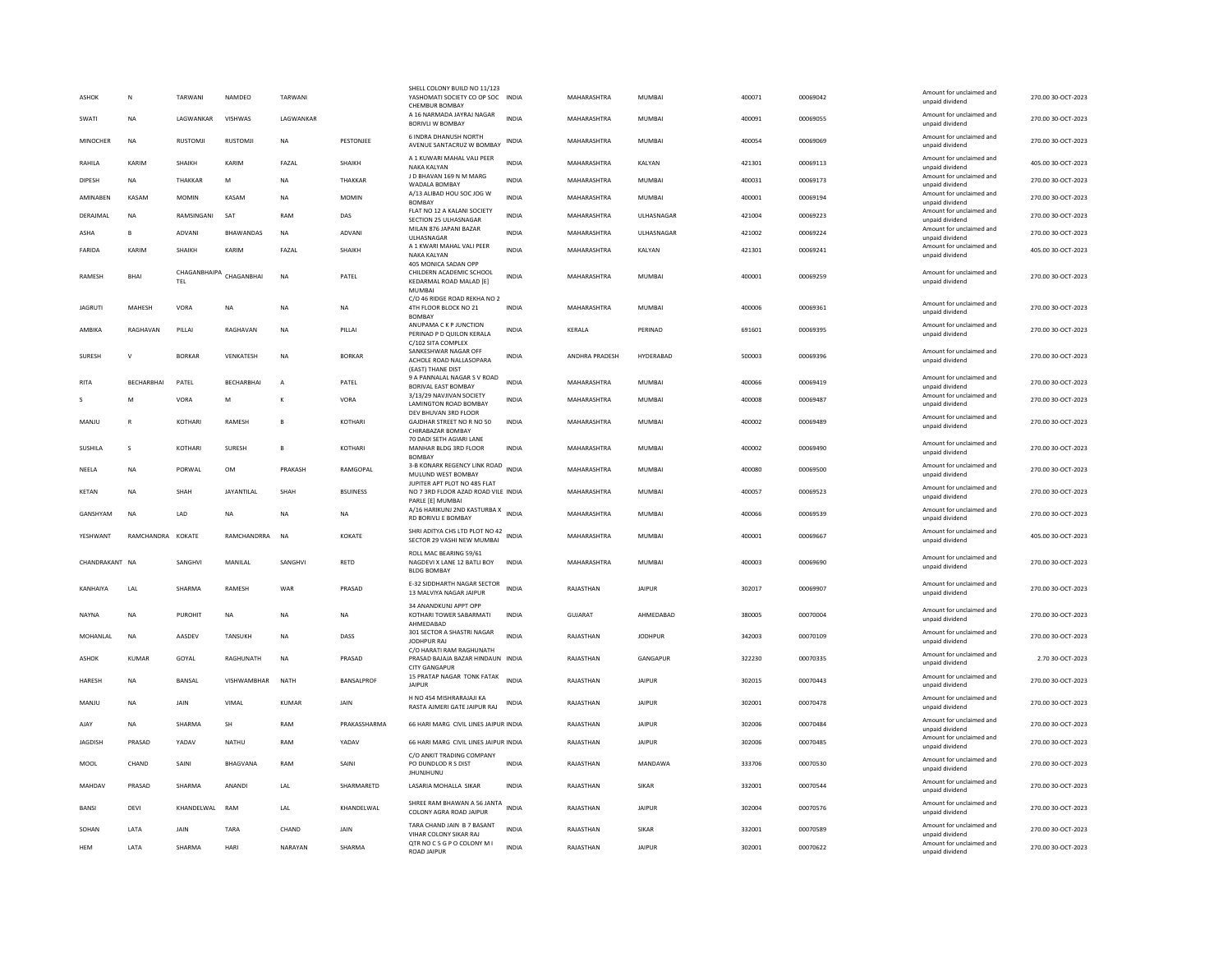| <b>ASHOK</b>    | N                 | TARWANI             | <b>NAMDEO</b>      | TARWAN         |                 | SHELL COLONY BUILD NO 11/123<br>YASHOMATI SOCIETY CO OP SOC INDIA<br>CHEMBUR BOMBAY        |              | MAHARASHTRA    | <b>MUMBAI</b>  | 400071 | 00069042 | Amount for unclaimed and<br>unpaid dividend | 270.00 30-OCT-2023 |
|-----------------|-------------------|---------------------|--------------------|----------------|-----------------|--------------------------------------------------------------------------------------------|--------------|----------------|----------------|--------|----------|---------------------------------------------|--------------------|
| SWATI           | <b>NA</b>         | LAGWANKAR           | VISHWAS            | LAGWANKAR      |                 | A 16 NARMADA JAYRAJ NAGAR<br>BORIVLI W BOMBAY                                              | <b>INDIA</b> | MAHARASHTRA    | <b>MUMBAI</b>  | 400091 | 00069055 | Amount for unclaimed and<br>unpaid dividend | 270.00 30-OCT-2023 |
| <b>MINOCHER</b> | <b>NA</b>         | <b>RUSTOMJI</b>     | RUSTOMJ            | <b>NA</b>      | PESTONJEE       | 6 INDRA DHANUSH NORTH<br>AVENUE SANTACRUZ W BOMBAY                                         | INDIA        | MAHARASHTRA    | MUMBAI         | 400054 | 00069069 | Amount for unclaimed and<br>unpaid dividend | 270.00 30-OCT-2023 |
| RAHILA          | KARIM             | SHAIKH              | KARIM              | FAZAL          | SHAIKH          | A 1 KUWARI MAHAL VALI PEER<br>NAKA KALYAN                                                  | <b>INDIA</b> | MAHARASHTRA    | KALYAN         | 421301 | 00069113 | Amount for unclaimed and<br>unpaid dividend | 405.00 30-OCT-2023 |
| DIPESH          | <b>NA</b>         | THAKKAR             | M                  | <b>NA</b>      | THAKKAR         | J D BHAVAN 169 N M MARG<br>WADALA BOMBAY                                                   | <b>INDIA</b> | MAHARASHTRA    | <b>MUMBAI</b>  | 400031 | 00069173 | Amount for unclaimed and<br>unpaid dividend | 270.00 30-OCT-2023 |
| AMINAREN        | KASAM             | <b>MOMIN</b>        | KASAM              | <b>NA</b>      | <b>MOMIN</b>    | A/13 ALIBAD HOU SOC JOG W<br><b>BOMBAY</b>                                                 | <b>INDIA</b> | MAHARASHTRA    | <b>MUMBAI</b>  | 400001 | 00069194 | Amount for unclaimed and<br>unpaid dividend | 270.00 30-OCT-2023 |
| DERAJMAL        | <b>NA</b>         | RAMSINGANI          | SAT                | RAM            | DAS             | FLAT NO 12 A KALANI SOCIETY<br>SECTION 25 ULHASNAGAR                                       | <b>INDIA</b> | MAHARASHTRA    | ULHASNAGAR     | 421004 | 00069223 | Amount for unclaimed and<br>unpaid dividend | 270.00 30-OCT-2023 |
| ASHA            | $\overline{B}$    | ADVANI              | <b>BHAWANDAS</b>   | <b>NA</b>      | <b>ADVANI</b>   | MILAN 876 JAPANI BAZAR<br>ULHASNAGAR                                                       | <b>INDIA</b> | MAHARASHTRA    | ULHASNAGAR     | 421002 | 00069224 | Amount for unclaimed and<br>unpaid dividend | 270.00 30-OCT-2023 |
| FARIDA          | KARIM             | SHAIKH              | KARIM              | FAZAL          | SHAIKH          | A 1 KWARI MAHAL VALI PEER<br>NAKA KALYAN                                                   | <b>INDIA</b> | MAHARASHTRA    | KALYAN         | 421301 | 00069241 | Amount for unclaimed and<br>unpaid dividend | 405.00 30-OCT-2023 |
| RAMESH          | BHAI              | CHAGANBHAIPA<br>TEL | CHAGANBHAI         | <b>NA</b>      | PATEL           | 405 MONICA SADAN OPP<br>CHILDERN ACADEMIC SCHOOL<br>KEDARMAL ROAD MALAD [E]                | <b>INDIA</b> | MAHARASHTRA    | <b>MUMBAI</b>  | 400001 | 00069259 | Amount for unclaimed and<br>unpaid dividend | 270.00 30-OCT-2023 |
| <b>JAGRUTI</b>  | MAHESH            | VORA                | <b>NA</b>          | <b>NA</b>      | <b>NA</b>       | <b>MUMBAI</b><br>C/O 46 RIDGE ROAD REKHA NO 2<br>4TH FLOOR BLOCK NO 21<br><b>BOMBAY</b>    | <b>INDIA</b> | MAHARASHTRA    | <b>MUMBAI</b>  | 400006 | 00069361 | Amount for unclaimed and<br>unpaid dividend | 270.00 30-OCT-2023 |
| AMBIKA          | RAGHAVAN          | PILLAI              | RAGHAVAN           | <b>NA</b>      | PILLAI          | ANUPAMA C K P JUNCTION<br>PERINAD P D OUILON KERALA                                        | <b>INDIA</b> | KERALA         | PERINAD        | 691601 | 00069395 | Amount for unclaimed and<br>unpaid dividend | 270.00 30-OCT-2023 |
| SURESH          | $\mathsf{v}$      | <b>BORKAR</b>       | VENKATESH          | NA             | <b>BORKAR</b>   | C/102 SITA COMPLEX<br>SANKESHWAR NAGAR OFF<br>ACHOLE ROAD NALLASOPARA<br>(EAST) THANE DIST | INDIA        | ANDHRA PRADESH | HYDERABAD      | 500003 | 00069396 | Amount for unclaimed and<br>unpaid dividend | 270.00 30-OCT-2023 |
| <b>RITA</b>     | <b>BECHARBHAI</b> | PATEL               | <b>BECHARBHAI</b>  | $\overline{A}$ | PATEL           | 9 A PANNALAL NAGAR S V ROAD<br>BORIVAL EAST BOMBAY                                         | <b>INDIA</b> | MAHARASHTRA    | <b>MUMBAI</b>  | 400066 | 00069419 | Amount for unclaimed and<br>unpaid dividend | 270.00 30-OCT-2023 |
|                 | M                 | VORA                | M                  | К              | VORA            | 3/13/29 NAVJIVAN SOCIETY<br><b>LAMINGTON ROAD BOMBAY</b>                                   | INDIA        | MAHARASHTRA    | MUMBAI         | 400008 | 00069487 | Amount for unclaimed and<br>unpaid dividend | 270.00 30-OCT-2023 |
| MANJU           | R                 | <b>KOTHARI</b>      | RAMESH             | B              | KOTHARI         | DEV BHUVAN 3RD FLOOR<br>GAIDHAR STREET NO R NO 50<br>CHIRABAZAR BOMBAY                     | <b>INDIA</b> | MAHARASHTRA    | MUMBAI         | 400002 | 00069489 | Amount for unclaimed and<br>unpaid dividend | 270.00 30-OCT-2023 |
| SUSHILA         | $\mathbf{S}$      | KOTHARI             | SURFSH             | $\mathbf{B}$   | KOTHARI         | 70 DADI SETH AGIARI LANE<br>MANHAR BLDG 3RD FLOOR                                          | <b>INDIA</b> | MAHARASHTRA    | MUMBAI         | 400002 | 00069490 | Amount for unclaimed and<br>unpaid dividend | 270.00 30-OCT-2023 |
| NEELA           | <b>NA</b>         | PORWAL              | <b>OM</b>          | PRAKASH        | RAMGOPAL        | <b>BOMBAY</b><br>3-B KONARK REGENCY LINK ROAD                                              | <b>INDIA</b> | MAHARASHTRA    | MUMBAI         | 400080 | 00069500 | Amount for unclaimed and                    | 270.00 30-OCT-2023 |
| <b>KETAN</b>    | <b>NA</b>         | SHAH                | <b>JAYANTILAI</b>  | SHAH           | <b>BSUINESS</b> | MULUND WEST BOMBAY<br>JUPITER APT PLOT NO 485 FLAT<br>NO 7 3RD FLOOR AZAD ROAD VILE INDIA  |              | MAHARASHTRA    | MUMBAI         | 400057 | 00069523 | unpaid dividend<br>Amount for unclaimed and | 270.00 30-OCT-2023 |
|                 |                   |                     |                    |                |                 | PARLE [E] MUMBAI<br>A/16 HARIKUNJ 2ND KASTURBA X<br>INDIA                                  |              |                |                |        |          | unpaid dividend<br>Amount for unclaimed and |                    |
| GANSHYAM        | <b>NA</b>         | LAD                 | <b>NA</b>          | NA             | <b>NA</b>       | RD BORIVLI E BOMBAY                                                                        |              | MAHARASHTRA    | MUMBAI         | 400066 | 00069539 | unpaid dividend                             | 270.00 30-OCT-2023 |
| YESHWANT        | RAMCHANDRA KOKATE |                     | <b>RAMCHANDRRA</b> | <b>NA</b>      | KOKATE          | SHRI ADITYA CHS LTD PLOT NO 42<br>SECTOR 29 VASHI NEW MUMBAI                               | <b>INDIA</b> | MAHARASHTRA    | <b>MUMBAI</b>  | 400001 | 00069667 | Amount for unclaimed and<br>unpaid dividend | 405.00 30-OCT-2023 |
| CHANDRAKANT NA  |                   | SANGHVI             | MANILAL            | SANGHVI        | RETD            | ROLL MAC BEARING 59/61<br>NAGDEVI X LANE 12 BATLI BOY<br><b>BLDG BOMBAY</b>                | INDIA        | MAHARASHTRA    | MUMBAI         | 400003 | 00069690 | Amount for unclaimed and<br>unpaid dividend | 270.00 30-OCT-2023 |
| KANHAIYA        | LAL               | SHARMA              | RAMESH             | WAR            | PRASAD          | E-32 SIDDHARTH NAGAR SECTOR<br>13 MALVIYA NAGAR JAIPUR                                     | <b>INDIA</b> | RAJASTHAN      | <b>JAIPUR</b>  | 302017 | 00069907 | Amount for unclaimed and<br>unpaid dividend | 270.00 30-OCT-2023 |
| <b>NAYNA</b>    | <b>NA</b>         | <b>PUROHIT</b>      | <b>NA</b>          | <b>NA</b>      | <b>NA</b>       | 34 ANANDKUNJ APPT OPF<br>KOTHARI TOWER SABARMATI<br>AHMEDABAD                              | <b>INDIA</b> | <b>GUJARAT</b> | AHMEDABAD      | 380005 | 00070004 | Amount for unclaimed and<br>unpaid dividend | 270.00 30-OCT-2023 |
| MOHANLAL        | <b>NA</b>         | AASDEV              | TANSUKH            | <b>NA</b>      | DASS            | 301 SECTOR A SHASTRI NAGAR<br><b>IODHPUR RAI</b>                                           | INDIA        | RAJASTHAN      | <b>JODHPUR</b> | 342003 | 00070109 | Amount for unclaimed and<br>unpaid dividend | 270.00 30-OCT-2023 |
| <b>ASHOK</b>    | <b>KUMAR</b>      | GOYAL               | RAGHUNATH          | <b>NA</b>      | PRASAD          | C/O HARATI RAM RAGHUNATH<br>PRASAD BAJAJA BAZAR HINDAUN INDIA<br><b>CITY GANGAPUR</b>      |              | RAJASTHAN      | GANGAPUR       | 322230 | 00070335 | Amount for unclaimed and<br>unpaid dividend | 2.70 30-OCT-2023   |
| HARESH          | NA                | BANSAL              | VISHWAMBHAR        | NATH           | BANSALPROF      | 15 PRATAP NAGAR TONK FATAK<br><b>JAIPUR</b>                                                | <b>INDIA</b> | RAJASTHAN      | <b>JAIPUR</b>  | 302015 | 00070443 | Amount for unclaimed and<br>unpaid dividend | 270.00 30-OCT-2023 |
| MANJU           | <b>NA</b>         | JAIN                | VIMAL              | <b>KUMAR</b>   | <b>JAIN</b>     | H NO 454 MISHRARAJAJI KA<br>RASTA AJMERI GATE JAIPUR RAJ                                   | <b>INDIA</b> | RAJASTHAN      | <b>JAIPUR</b>  | 302001 | 00070478 | Amount for unclaimed and<br>unpaid dividend | 270.00 30-OCT-2023 |
| AJAY            | NA                | SHARMA              | SH                 | RAM            | PRAKASSHARMA    | 66 HARI MARG CIVIL LINES JAIPUR INDIA                                                      |              | RAJASTHAN      | <b>JAIPUR</b>  | 302006 | 00070484 | Amount for unclaimed and<br>unpaid dividend | 270.00 30-OCT-2023 |
| <b>JAGDISH</b>  | PRASAD            | YADAV               | NATHU              | RAM            | YADAV           | 66 HARI MARG CIVIL LINES JAIPUR INDIA                                                      |              | RAJASTHAN      | <b>JAIPUR</b>  | 302006 | 00070485 | Amount for unclaimed and<br>unpaid dividend | 270.00 30-OCT-2023 |
| MOOL            | CHAND             | SAINI               | <b>BHAGVANA</b>    | RAM            | SAINI           | C/O ANKIT TRADING COMPANY<br>PO DUNDLOD R S DIST<br><b>JHUNJHUNU</b>                       | <b>INDIA</b> | RAJASTHAN      | MANDAWA        | 333706 | 00070530 | Amount for unclaimed and<br>unpaid dividend | 270.00 30-OCT-2023 |
| MAHDAV          | PRASAD            | SHARMA              | ANANDI             | LAL            | SHARMARETD      | LASARIA MOHALLA SIKAR                                                                      | <b>INDIA</b> | RAJASTHAN      | SIKAR          | 332001 | 00070544 | Amount for unclaimed and<br>unpaid dividend | 270.00 30-OCT-2023 |
| BANSI           | DEVI              | KHANDELWAL          | RAM                | LAL            | KHANDELWAL      | SHREE RAM BHAWAN A 56 JANTA<br>COLONY AGRA ROAD JAIPUF                                     | <b>INDIA</b> | RAJASTHAN      | <b>JAIPUR</b>  | 302004 | 00070576 | Amount for unclaimed and<br>unpaid dividend | 270.00 30-OCT-2023 |
| SOHAN           | <b>I ATA</b>      | <b>JAIN</b>         | TARA               | CHAND          | <b>JAIN</b>     | TARA CHAND JAIN B 7 BASANT<br>VIHAR COLONY SIKAR RAJ                                       | <b>INDIA</b> | RAJASTHAN      | <b>SIKAR</b>   | 332001 | 00070589 | Amount for unclaimed and<br>unpaid dividend | 270.00.30-OCT-2023 |
| <b>HEM</b>      | LATA              | SHARMA              | <b>HARI</b>        | NARAYAN        | SHARMA          | QTR NO C 5 G P O COLONY M I<br><b>ROAD JAIPUR</b>                                          | <b>INDIA</b> | RAJASTHAN      | <b>JAIPUR</b>  | 302001 | 00070622 | Amount for unclaimed and<br>unpaid dividend | 270.00 30-OCT-2023 |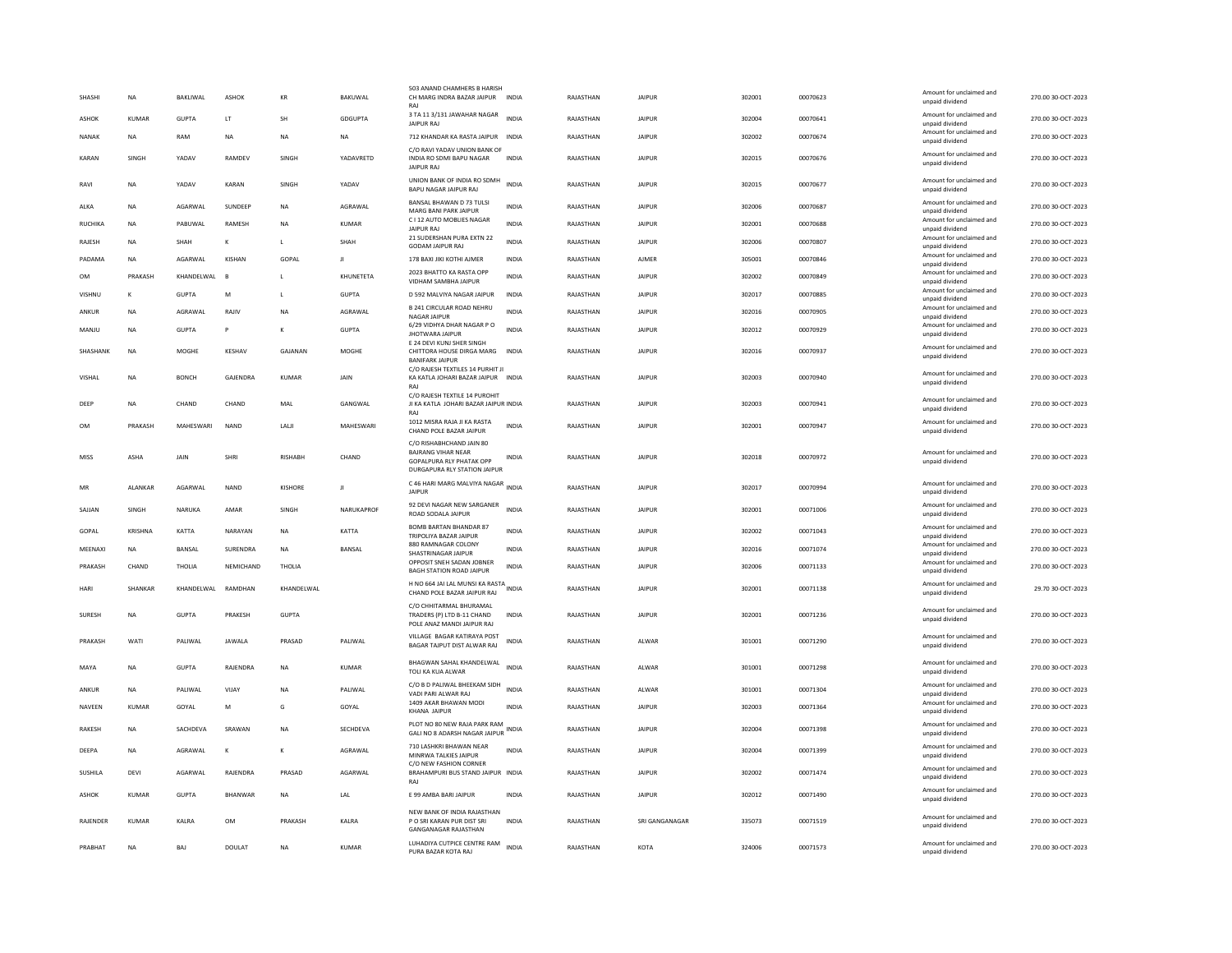| SHASH           | <b>NA</b>    | BAKLIWAL     | <b>ASHOK</b>   | KR             | BAKUWAL         | 503 ANAND CHAMHERS B HARISH<br>CH MARG INDRA BAZAR JAIPUR INDIA<br>RAI                                                   |              | RAJASTHAN | <b>JAIPUR</b>  | 302001 | 00070623 | Amount for unclaimed and<br>unpaid dividend                    | 270.00 30-OCT-2023 |
|-----------------|--------------|--------------|----------------|----------------|-----------------|--------------------------------------------------------------------------------------------------------------------------|--------------|-----------|----------------|--------|----------|----------------------------------------------------------------|--------------------|
| <b>ASHOK</b>    | KUMAR        | <b>GUPTA</b> | LT             | SH             | <b>GDGUPTA</b>  | 3 TA 11 3/131 JAWAHAR NAGAR<br><b>JAIPUR RAJ</b>                                                                         | <b>INDIA</b> | RAJASTHAN | <b>JAIPUR</b>  | 302004 | 00070641 | Amount for unclaimed and<br>unpaid dividend                    | 270.00 30-OCT-2023 |
| NANAK           | NA           | RAM          | NA             | NA             | NA              | 712 KHANDAR KA RASTA JAIPUR                                                                                              | INDIA        | RAJASTHAN | <b>JAIPUR</b>  | 302002 | 00070674 | Amount for unclaimed and<br>unpaid dividend                    | 270.00 30-OCT-2023 |
| KARAN           | SINGH        | YADAV        | RAMDEV         | SINGH          | YADAVRETD       | C/O RAVI YADAV UNION BANK OF<br>INDIA RO SDMI BAPU NAGAR<br><b>JAIPUR RAJ</b>                                            | <b>INDIA</b> | RAJASTHAN | <b>JAIPUR</b>  | 302015 | 00070676 | Amount for unclaimed and<br>unpaid dividend                    | 270.00 30-OCT-2023 |
| RAVI            | NA           | YADAV        | KARAN          | SINGH          | YADAV           | UNION BANK OF INDIA RO SDMH<br>BAPU NAGAR JAIPUR RAJ                                                                     | INDIA        | RAJASTHAN | <b>JAIPUR</b>  | 302015 | 00070677 | Amount for unclaimed and<br>unpaid dividend                    | 270.00 30-OCT-2023 |
| ALKA            | <b>NA</b>    | AGARWAL      | SUNDEEP        | <b>NA</b>      | AGRAWAL         | BANSAL BHAWAN D 73 TULSI<br>MARG BANI PARK JAIPUR                                                                        | <b>INDIA</b> | RAJASTHAN | <b>JAIPUR</b>  | 302006 | 00070687 | Amount for unclaimed and<br>unpaid dividend                    | 270.00 30-OCT-2023 |
| RUCHIKA         | NA           | PABUWAL      | RAMESH         | <b>NA</b>      | <b>KUMAR</b>    | C I 12 AUTO MOBLIES NAGAR<br><b>JAIPUR RAJ</b>                                                                           | <b>INDIA</b> | RAJASTHAN | <b>JAIPUR</b>  | 302001 | 00070688 | Amount for unclaimed and<br>unpaid dividend                    | 270.00 30-OCT-2023 |
| RAJESH          | <b>NA</b>    | SHAH         | $\mathbf k$    | L              | SHAH            | 21 SUDERSHAN PURA EXTN 22<br><b>GODAM JAIPUR RAJ</b>                                                                     | <b>INDIA</b> | RAJASTHAN | <b>JAIPUR</b>  | 302006 | 00070807 | Amount for unclaimed and<br>unpaid dividend                    | 270.00 30-OCT-2023 |
| PADAMA          | NA           | AGARWAL      | KISHAN         | GOPAL          | Л               | 178 BAXI JIKI KOTHI AJMER                                                                                                | INDIA        | RAJASTHAN | AJMER          | 305001 | 00070846 | Amount for unclaimed and<br>unnaid dividend                    | 270.00 30-OCT-2023 |
| OM              | PRAKASH      | KHANDELWAL   | $\overline{B}$ | $\mathsf{L}$   | KHUNETETA       | 2023 BHATTO KA RASTA OPP<br>VIDHAM SAMBHA JAIPUR                                                                         | <b>INDIA</b> | RAJASTHAN | <b>JAIPUR</b>  | 302002 | 00070849 | Amount for unclaimed and<br>unpaid dividend                    | 270.00 30-OCT-2023 |
| VISHNU          | $\kappa$     | <b>GUPTA</b> | M              | L              | <b>GUPTA</b>    | D 592 MALVIYA NAGAR JAIPUR                                                                                               | INDIA        | RAJASTHAN | <b>JAIPUR</b>  | 302017 | 00070885 | Amount for unclaimed and<br>unpaid dividend                    | 270.00 30-OCT-2023 |
| ANKUR           | NA           | AGRAWAL      | RAJIV          | $_{\sf NA}$    | AGRAWAL         | B 241 CIRCULAR ROAD NEHRU<br>NAGAR JAIPUF                                                                                | <b>INDIA</b> | RAJASTHAN | <b>JAIPUR</b>  | 302016 | 00070905 | Amount for unclaimed and<br>unpaid dividend                    | 270.00 30-OCT-2023 |
| MANJU           | <b>NA</b>    | <b>GUPTA</b> | P              | К              | <b>GUPTA</b>    | 6/29 VIDHYA DHAR NAGAR P O<br><b>JHOTWARA JAIPUR</b>                                                                     | <b>INDIA</b> | RAJASTHAN | <b>JAIPUR</b>  | 302012 | 00070929 | Amount for unclaimed and<br>unpaid dividend                    | 270.00 30-OCT-2023 |
| <b>SHASHANK</b> | <b>NA</b>    | MOGHE        | KFSHAV         | GAIANAN        | MOGHE           | E 24 DEVI KUNJ SHER SINGH<br>CHITTORA HOUSE DIRGA MARG<br><b>BANIFARK JAIPUR</b>                                         | <b>INDIA</b> | RAIASTHAN | <b>JAIPUR</b>  | 302016 | 00070937 | Amount for unclaimed and<br>unpaid dividend                    | 270.00 30-OCT-2023 |
| VISHAL          | <b>NA</b>    | <b>BONCH</b> | GAJENDRA       | <b>KUMAR</b>   | <b>JAIN</b>     | C/O RAJESH TEXTILES 14 PURHIT JI<br>KA KATLA JOHARI BAZAR JAIPUR INDIA                                                   |              | RAJASTHAN | <b>JAIPUR</b>  | 302003 | 00070940 | Amount for unclaimed and                                       | 270.00 30-OCT-2023 |
|                 |              |              |                |                |                 | RAJ<br>C/O RAJESH TEXTILE 14 PUROHIT                                                                                     |              |           |                |        |          | unpaid dividend                                                |                    |
| DEEP            | NA           | CHAND        | CHAND          | MAL            | GANGWAL         | JI KA KATLA JOHARI BAZAR JAIPUR INDIA<br>RAI                                                                             |              | RAJASTHAN | <b>JAIPUR</b>  | 302003 | 00070941 | Amount for unclaimed and<br>unpaid dividend                    | 270.00 30-OCT-2023 |
| OM              | PRAKASH      | MAHESWARI    | <b>NAND</b>    | LALI           | MAHESWARI       | 1012 MISRA RAJA JI KA RASTA<br>CHAND POLE BAZAR JAIPUR                                                                   | INDIA        | RAJASTHAN | <b>JAIPUR</b>  | 302001 | 00070947 | Amount for unclaimed and<br>unpaid dividend                    | 270.00 30-OCT-2023 |
| MISS            | ASHA         | JAIN         | SHRI           | <b>RISHABH</b> | CHAND           | C/O RISHABHCHAND JAIN 80<br><b>BAJRANG VIHAR NEAR</b><br><b>GOPALPURA RLY PHATAK OPF</b><br>DURGAPURA RLY STATION JAIPUR | <b>INDIA</b> | RAJASTHAN | <b>JAIPUR</b>  | 302018 | 00070972 | Amount for unclaimed and<br>unpaid dividend                    | 270.00 30-OCT-2023 |
|                 |              |              |                |                |                 |                                                                                                                          |              |           |                |        |          |                                                                |                    |
| MR              | ALANKAR      | AGARWAL      | <b>NAND</b>    | KISHORE        | $\mathbf{H}$    | C 46 HARI MARG MALVIYA NAGAR INDIA<br><b>JAIPUR</b>                                                                      |              | RAJASTHAN | <b>JAIPUR</b>  | 302017 | 00070994 | Amount for unclaimed and<br>unpaid dividend                    | 270.00 30-OCT-2023 |
| SAJJAN          | SINGH        | NARUKA       | AMAR           | <b>SINGH</b>   | NARUKAPROF      | 92 DEVI NAGAR NEW SARGANER<br>ROAD SODALA JAIPUR                                                                         | <b>INDIA</b> | RAIASTHAN | <b>JAIPUR</b>  | 302001 | 00071006 | Amount for unclaimed and<br>unpaid dividend                    | 270.00 30-OCT-2023 |
| GOPAL           | KRISHNA      | KATTA        | NARAYAN        | <b>NA</b>      | KATTA           | <b>BOMB BARTAN BHANDAR 87</b>                                                                                            | <b>INDIA</b> | RAJASTHAN | <b>JAIPUR</b>  | 302002 | 00071043 | Amount for unclaimed and                                       | 270.00 30-OCT-2023 |
| MEENAXI         | NA           | BANSAL       | SURENDRA       | NA             | BANSAL          | TRIPOLIYA BAZAR JAIPUR<br>880 RAMNAGAR COLONY<br>SHASTRINAGAR JAIPUR                                                     | INDIA        | RAJASTHAN | <b>JAIPUR</b>  | 302016 | 00071074 | unpaid dividend<br>Amount for unclaimed and                    | 270.00 30-OCT-2023 |
| PRAKASH         | CHAND        | THOLIA       | NEMICHAND      | THOLIA         |                 | OPPOSIT SNEH SADAN JOBNER<br><b>BAGH STATION ROAD JAIPUR</b>                                                             | <b>INDIA</b> | RAJASTHAN | <b>JAIPUR</b>  | 302006 | 00071133 | unpaid dividend<br>Amount for unclaimed and<br>unpaid dividend | 270.00 30-OCT-2023 |
| HARI            | SHANKAR      | KHANDELWAL   | RAMDHAN        | KHANDELWAL     |                 | H NO 664 JAI LAL MUNSI KA RASTA<br>CHAND POLE BAZAR JAIPUR RAJ                                                           |              | RAJASTHAN | <b>JAIPUR</b>  | 302001 | 00071138 | Amount for unclaimed and<br>unpaid dividend                    | 29.70 30-OCT-2023  |
| SURESH          | <b>NA</b>    | <b>GUPTA</b> | PRAKESH        | <b>GUPTA</b>   |                 | C/O CHHITARMAL BHURAMAL<br>TRADERS (P) LTD B-11 CHAND                                                                    | <b>INDIA</b> | RAJASTHAN | <b>JAIPUR</b>  | 302001 | 00071236 | Amount for unclaimed and<br>unpaid dividend                    | 270.00 30-OCT-2023 |
| PRAKASH         | WATI         | PALIWAL      | <b>JAWALA</b>  | PRASAD         | PALIWAL         | POLE ANAZ MANDI JAIPUR RAJ<br>VILLAGE BAGAR KATIRAYA POST<br>BAGAR TAJPUT DIST ALWAR RAJ                                 | <b>INDIA</b> | RAJASTHAN | ALWAR          | 301001 | 00071290 | Amount for unclaimed and<br>unpaid dividend                    | 270.00 30-OCT-2023 |
| MAYA            | <b>NA</b>    | <b>GUPTA</b> | RAJENDRA       | <b>NA</b>      | <b>KUMAR</b>    | BHAGWAN SAHAL KHANDELWAL<br>TOLI KA KUA ALWAR                                                                            | <b>INDIA</b> | RAJASTHAN | ALWAR          | 301001 | 00071298 | Amount for unclaimed and<br>unpaid dividend                    | 270.00 30-OCT-2023 |
| ANKUR           | <b>NA</b>    | PALIWAL      | VIJAY          | <b>NA</b>      | PALIWAL         | C/O B D PALIWAL BHEEKAM SIDH                                                                                             | <b>INDIA</b> | RAJASTHAN | ALWAR          | 301001 | 00071304 | Amount for unclaimed and                                       | 270.00 30-OCT-2023 |
| NAVEEN          | KUMAR        | GOYAL        | M              | G              | GOYAL           | VADI PARI ALWAR RAJ<br>1409 AKAR BHAWAN MODI                                                                             | <b>INDIA</b> | RAJASTHAN | <b>JAIPUR</b>  | 302003 | 00071364 | unpaid dividend<br>Amount for unclaimed and                    | 270.00 30-OCT-2023 |
| <b>RAKESH</b>   | <b>NA</b>    | SACHDEVA     | SRAWAN         | <b>NA</b>      | <b>SECHDEVA</b> | KHANA JAIPUR<br>PLOT NO 80 NEW RAJA PARK RAM<br>GALI NO 8 ADARSH NAGAR JAIPUR                                            | <b>INDIA</b> | RAIASTHAN | <b>JAIPUR</b>  | 302004 | 00071398 | unpaid dividend<br>Amount for unclaimed and<br>unpaid dividend | 270.00 30-OCT-2023 |
| DEEPA           | <b>NA</b>    | AGRAWAL      | $\mathbf k$    | К              | AGRAWAL         | 710 LASHKRI BHAWAN NEAR                                                                                                  | <b>INDIA</b> | RAJASTHAN | <b>JAIPUR</b>  | 302004 | 00071399 | Amount for unclaimed and                                       | 270.00 30-OCT-2023 |
| SUSHILA         | DEVI         | AGARWAL      | RAJENDRA       | PRASAD         | AGARWAL         | MINRWA TALKIES JAIPUR<br>C/O NEW FASHION CORNER<br>BRAHAMPURI BUS STAND JAIPUR INDIA                                     |              | RAJASTHAN | <b>JAIPUR</b>  | 302002 | 00071474 | unpaid dividend<br>Amount for unclaimed and<br>unpaid dividend | 270.00 30-OCT-2023 |
| <b>ASHOK</b>    | <b>KUMAR</b> | <b>GUPTA</b> | <b>BHANWAR</b> | <b>NA</b>      | LAL             | E 99 AMBA BARI JAIPUR                                                                                                    | <b>INDIA</b> | RAJASTHAN | <b>JAIPUR</b>  | 302012 | 00071490 | Amount for unclaimed and                                       | 270.00 30-OCT-2023 |
| RAJENDER        | KUMAR        | KALRA        | OM             | PRAKASH        | KALRA           | NEW BANK OF INDIA RAJASTHAN<br>P O SRI KARAN PUR DIST SRI                                                                | <b>INDIA</b> | RAJASTHAN | SRI GANGANAGAR | 335073 | 00071519 | unpaid dividend<br>Amount for unclaimed and<br>unpaid dividend | 270.00 30-OCT-2023 |
| PRABHAT         | <b>NA</b>    | BAJ          | <b>DOULAT</b>  | <b>NA</b>      | <b>KUMAR</b>    | <b>GANGANAGAR RAJASTHAN</b><br>LUHADIYA CUTPICE CENTRE RAM<br>PURA BAZAR KOTA RAJ                                        | <b>INDIA</b> | RAJASTHAN | KOTA           | 324006 | 00071573 | Amount for unclaimed and<br>unpaid dividend                    | 270.00 30-OCT-2023 |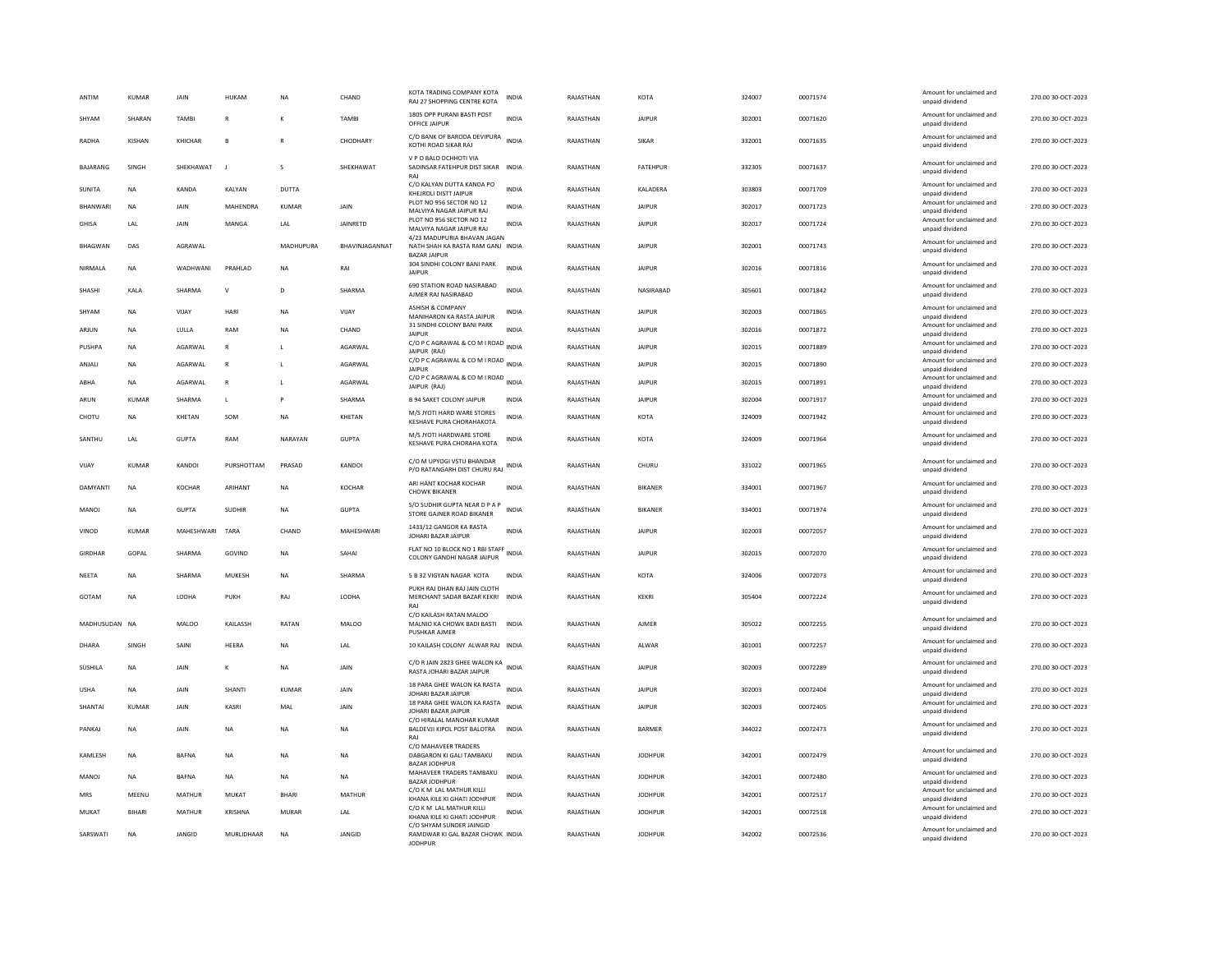| ANTIM          | KUMAR        | <b>JAIN</b>   | HUKAM           | <b>NA</b>    | CHAND           | KOTA TRADING COMPANY KOTA<br>RAJ 27 SHOPPING CENTRE KOTA                                | <b>INDIA</b> | RAIASTHAN | KOTA           | 324007 | 00071574 | Amount for unclaimed and<br>unpaid dividend | 270.00.30-OCT-2023 |
|----------------|--------------|---------------|-----------------|--------------|-----------------|-----------------------------------------------------------------------------------------|--------------|-----------|----------------|--------|----------|---------------------------------------------|--------------------|
| SHYAM          | SHARAN       | <b>TAMB</b>   | R               |              | <b>TAMBI</b>    | 1805 OPP PURANI BASTI POST<br>OFFICE JAIPUR                                             | <b>INDIA</b> | RAJASTHAN | <b>JAIPUR</b>  | 302001 | 00071620 | Amount for unclaimed and<br>unpaid dividend | 270.00 30-OCT-2023 |
| RADHA          | KISHAN       | KHICHAR       | $\overline{B}$  |              | CHODHARY        | C/O BANK OF BARODA DEVIPURA<br>KOTHI ROAD SIKAR RAJ                                     | <b>INDIA</b> | RAJASTHAN | <b>SIKAR</b>   | 332001 | 00071635 | Amount for unclaimed and<br>unpaid dividend | 270.00 30-OCT-2023 |
| BAJARANG       | SINGH        | SHEKHAWAT     |                 | s            | SHEKHAWAT       | V P O BALO DCHHOTI VIA<br>SADINSAR FATEHPUR DIST SIKAR INDIA<br>RAI                     |              | RAJASTHAN | FATEHPUR       | 332305 | 00071637 | Amount for unclaimed and<br>unpaid dividend | 270.00 30-OCT-2023 |
| SUNITA         | <b>NA</b>    | KANDA         | KALYAN          | DUTTA        |                 | C/O KALYAN DUTTA KANDA PO<br>KHEJROLI DISTT JAIPUR                                      | <b>INDIA</b> | RAJASTHAN | KALADERA       | 303803 | 00071709 | Amount for unclaimed and<br>unpaid dividend | 270.00 30-OCT-2023 |
| BHANWARI       | <b>NA</b>    | JAIN          | MAHENDRA        | <b>KUMAR</b> | JAIN            | PLOT NO 956 SECTOR NO 12<br>MAI VIYA NAGAR JAIPUR RAI                                   | <b>INDIA</b> | RAJASTHAN | <b>JAIPUR</b>  | 302017 | 00071723 | Amount for unclaimed and<br>unnaid dividend | 270.00 30-OCT-2023 |
| GHISA          | LAL          | <b>JAIN</b>   | MANGA           | LAL          | <b>IAINRFTD</b> | PLOT NO 956 SECTOR NO 12<br>MALVIYA NAGAR JAIPUR RAJ                                    | <b>INDIA</b> | RAJASTHAN | <b>JAIPUR</b>  | 302017 | 00071724 | Amount for unclaimed and<br>unpaid dividend | 270.00 30-OCT-2023 |
| <b>BHAGWAN</b> | DAS          | AGRAWAL       |                 | MADHUPURA    | BHAVINJAGANNAT  | 4/23 MADUPURIA BHAVAN JAGAN<br>NATH SHAH KA RASTA RAM GANJ INDIA<br><b>BAZAR JAIPUF</b> |              | RAJASTHAN | <b>JAIPUR</b>  | 302001 | 00071743 | Amount for unclaimed and<br>unpaid dividend | 270.00 30-OCT-2023 |
| NIRMALA        | <b>NA</b>    | WADHWANI      | PRAHLAD         | $_{\sf NA}$  | RAI             | 304 SINDHI COLONY BANI PARK<br><b>JAIPUR</b>                                            | <b>INDIA</b> | RAJASTHAN | <b>JAIPUR</b>  | 302016 | 00071816 | Amount for unclaimed and<br>unpaid dividend | 270.00 30-OCT-2023 |
| SHASHI         | KALA         | SHARMA        | $\mathsf{v}$    | D.           | SHARMA          | 690 STATION ROAD NASIRABAD<br>AJMER RAJ NASIRABAD                                       | <b>INDIA</b> | RAJASTHAN | NASIRABAD      | 305601 | 00071842 | Amount for unclaimed and<br>unpaid dividend | 270.00 30-OCT-2023 |
| SHYAM          | <b>NA</b>    | VIJAY         | HARI            | <b>NA</b>    | VIJAY           | <b>ASHISH &amp; COMPANY</b><br>MANIHARON KA RASTA JAIPUR                                | <b>INDIA</b> | RAJASTHAN | <b>JAIPUR</b>  | 302003 | 00071865 | Amount for unclaimed and<br>unpaid dividend | 270.00 30-OCT-2023 |
| ARJUN          | <b>NA</b>    | LULLA         | RAM             | <b>NA</b>    | CHAND           | 31 SINDHI COLONY BANI PARK<br><b>JAIPUR</b>                                             | <b>INDIA</b> | RAJASTHAN | <b>JAIPUR</b>  | 302016 | 00071872 | Amount for unclaimed and                    | 270.00 30-OCT-2023 |
| PUSHPA         | NA           | AGARWAL       | $\mathsf{R}$    | L            | AGARWAL         | C/O P C AGRAWAL & CO M I ROAD INDIA                                                     |              | RAJASTHAN | <b>JAIPUR</b>  | 302015 | 00071889 | unpaid dividend<br>Amount for unclaimed and | 270.00 30-OCT-2023 |
| ANJALI         | NA           | AGARWAL       | $\mathsf{R}$    | L            | AGARWAL         | JAIPUR (RAJ)<br>C/O P C AGRAWAL & CO M I ROAD INDIA                                     |              | RAJASTHAN | <b>JAIPUR</b>  | 302015 | 00071890 | unpaid dividend<br>Amount for unclaimed and | 270.00 30-OCT-2023 |
| ABHA           | <b>NA</b>    | AGARWAL       | $\mathsf{R}$    | L            | AGARWAL         | JAIPUR<br>C/O P C AGRAWAL & CO M I ROAD INDIA                                           |              | RAJASTHAN | <b>JAIPUR</b>  | 302015 | 00071891 | unpaid dividend<br>Amount for unclaimed and | 270.00 30-OCT-2023 |
|                |              |               |                 |              |                 | JAIPUR (RAJ)                                                                            |              |           |                |        |          | unpaid dividend<br>Amount for unclaimed and |                    |
| ARUN           | KUMAR        | SHARMA        | $\mathsf L$     | P            | SHARMA          | <b>B 94 SAKET COLONY JAIPUR</b><br>M/S JYOTI HARD WARE STORES                           | INDIA        | RAJASTHAN | <b>JAIPUR</b>  | 302004 | 00071917 | unpaid dividend<br>Amount for unclaimed and | 270.00 30-OCT-2023 |
| CHOTU          | NA           | KHETAN        | SOM             | NA           | KHETAN          | KESHAVE PURA CHORAHAKOTA                                                                | <b>INDIA</b> | RAJASTHAN | KOTA           | 324009 | 00071942 | unpaid dividend                             | 270.00 30-OCT-2023 |
| SANTHU         | LAL          | <b>GUPTA</b>  | RAM             | NARAYAN      | <b>GUPTA</b>    | M/S JYOTI HARDWARE STORE<br>KESHAVE PURA CHORAHA KOTA                                   | <b>INDIA</b> | RAJASTHAN | KOTA           | 324009 | 00071964 | Amount for unclaimed and<br>unpaid dividend | 270.00 30-OCT-2023 |
| VIJAY          | KUMAR        | KANDOI        | PURSHOTTAM      | PRASAD       | <b>KANDOI</b>   | C/O M UPYOGI VSTU BHANDAR<br>P/O RATANGARH DIST CHURU RAJ                               | <b>INDIA</b> | RAJASTHAN | CHURU          | 331022 | 00071965 | Amount for unclaimed and<br>unpaid dividend | 270.00 30-OCT-2023 |
| DAMYANTI       | <b>NA</b>    | <b>KOCHAR</b> | ARIHANT         | <b>NA</b>    | <b>KOCHAR</b>   | ARI HANT KOCHAR KOCHAR<br><b>CHOWK BIKANER</b>                                          | <b>INDIA</b> | RAJASTHAN | <b>BIKANER</b> | 334001 | 00071967 | Amount for unclaimed and<br>unpaid dividend | 270.00 30-OCT-2023 |
| <b>MANOJ</b>   | <b>NA</b>    | <b>GUPTA</b>  | SUDHIR          | <b>NA</b>    | <b>GUPTA</b>    | S/O SUDHIR GUPTA NEAR D P A P<br>STORE GAJNER ROAD BIKANER                              | <b>INDIA</b> | RAJASTHAN | <b>BIKANER</b> | 334001 | 00071974 | Amount for unclaimed and<br>unpaid dividend | 270.00 30-OCT-2023 |
| VINOD          | <b>KUMAR</b> | MAHESHWARI    | TARA            | CHAND        | MAHESHWARI      | 1433/12 GANGOR KA RASTA<br>JOHARI BAZAR JAIPUR                                          | <b>INDIA</b> | RAJASTHAN | <b>JAIPUR</b>  | 302003 | 00072057 | Amount for unclaimed and<br>unpaid dividend | 270.00 30-OCT-2023 |
| GIRDHAR        | GOPAL        | SHARMA        | GOVIND          | NA           | SAHAI           | FLAT NO 10 BLOCK NO 1 RBI STAFF<br>COLONY GANDHI NAGAR JAIPUR                           | INDIA        | RAJASTHAN | JAIPUR         | 302015 | 00072070 | Amount for unclaimed and<br>unpaid dividend | 270.00 30-OCT-2023 |
| <b>NEETA</b>   | <b>NA</b>    | SHARMA        | MUKESH          | <b>NA</b>    | SHARMA          | 5 B 32 VIGYAN NAGAR KOTA                                                                | <b>INDIA</b> | RAJASTHAN | KOTA           | 324006 | 00072073 | Amount for unclaimed and<br>unpaid dividend | 270.00 30-OCT-2023 |
| GOTAM          | NA           | LODHA         | PUKH            | RAJ          | LODHA           | PUKH RAJ DHAN RAJ JAIN CLOTH<br>MERCHANT SADAR BAZAR KEKRI INDIA<br>RAI                 |              | RAJASTHAN | KEKRI          | 305404 | 00072224 | Amount for unclaimed and<br>unpaid dividend | 270.00 30-OCT-2023 |
| MADHUSUDAN NA  |              | MALOO         | <b>KAILASSH</b> | RATAN        | MAI OO          | C/O KAILASH RATAN MALOO<br>MALNIO KA CHOWK BADI BASTI                                   | <b>INDIA</b> | RAIASTHAN | AIMFR          | 305022 | 00072255 | Amount for unclaimed and<br>unpaid dividend | 270.00.30-OCT-2023 |
| DHARA          | SINGH        | SAINI         | HEERA           | <b>NA</b>    | LAL             | <b>PUSHKAR AJMER</b><br>10 KAILASH COLONY ALWAR RAJ INDIA                               |              | RAJASTHAN | ALWAR          | 301001 | 00072257 | Amount for unclaimed and<br>unpaid dividend | 270.00 30-OCT-2023 |
| <b>SUSHILA</b> | <b>NA</b>    | JAIN          | к               | NA           | JAIN            | C/O R JAIN 2823 GHEE WALON KA<br>RASTA JOHARI BAZAR JAIPUR                              |              | RAJASTHAN | <b>JAIPUR</b>  | 302003 | 00072289 | Amount for unclaimed and<br>unpaid dividend | 270.00 30-OCT-2023 |
| <b>USHA</b>    | <b>NA</b>    | <b>JAIN</b>   | SHANTI          | KUMAR        | <b>JAIN</b>     | 18 PARA GHEE WALON KA RASTA INDIA                                                       |              | RAJASTHAN | <b>JAIPUR</b>  | 302003 | 00072404 | Amount for unclaimed and                    | 270.00 30-OCT-2023 |
| SHANTAI        | KUMAR        | <b>JAIN</b>   | KASRI           | MAI          | <b>JAIN</b>     | JOHARI BAZAR JAIPUR<br>18 PARA GHEE WALON KA RASTA                                      | <b>INDIA</b> | RAJASTHAN | <b>JAIPUR</b>  | 302003 | 00072405 | unpaid dividend<br>Amount for unclaimed and | 270.00 30-OCT-2023 |
| PANKAJ         | <b>NA</b>    | JAIN          | <b>NA</b>       | <b>NA</b>    | <b>NA</b>       | JOHARI BAZAR JAIPUR<br>C/O HIRALAL MANOHAR KUMAR<br>BALDEVJI KIPOL POST BALOTRA         | <b>INDIA</b> | RAJASTHAN | <b>BARMER</b>  | 344022 | 00072473 | unpaid dividend<br>Amount for unclaimed and | 270.00 30-OCT-2023 |
|                |              |               |                 |              |                 | RAI                                                                                     |              |           |                |        |          | unpaid dividend                             |                    |
| KAMLESH        | <b>NA</b>    | <b>BAFNA</b>  | <b>NA</b>       | <b>NA</b>    | <b>NA</b>       | C/O MAHAVEER TRADERS<br>DABGARON KI GALI TAMBAKU<br><b>BAZAR JODHPUR</b>                | <b>INDIA</b> | RAJASTHAN | <b>JODHPUR</b> | 342001 | 00072479 | Amount for unclaimed and<br>unpaid dividend | 270.00 30-OCT-2023 |
| MANOJ          | NA           | <b>BAFNA</b>  | <b>NA</b>       | NA           | <b>NA</b>       | MAHAVEER TRADERS TAMBAKU<br><b>BAZAR JODHPUR</b>                                        | <b>INDIA</b> | RAJASTHAN | <b>JODHPUR</b> | 342001 | 00072480 | Amount for unclaimed and<br>unpaid dividend | 270.00 30-OCT-2023 |
| MRS            | MEENU        | MATHUR        | MUKAT           | <b>BHARI</b> | <b>MATHUR</b>   | C/O K M LAL MATHUR KILLI<br>KHANA KILE KI GHATI JODHPUR                                 | INDIA        | RAJASTHAN | <b>JODHPUR</b> | 342001 | 00072517 | Amount for unclaimed and<br>unpaid dividend | 270.00 30-OCT-2023 |
| MUKAT          | BIHARI       | MATHUR        | <b>KRISHNA</b>  | <b>MURAR</b> | LAL             | C/O K M LAL MATHUR KILLI<br>KHANA KILE KI GHATI JODHPUR                                 | <b>INDIA</b> | RAJASTHAN | <b>JODHPUR</b> | 342001 | 00072518 | Amount for unclaimed and<br>unpaid dividend | 270.00 30-OCT-2023 |
|                |              |               |                 |              |                 | C/O SHYAM SUNDER JAINGID                                                                |              |           |                |        |          | Amount for unclaimed and                    |                    |
| SARSWATI       | <b>NA</b>    | <b>JANGID</b> | MURLIDHAAR      | <b>NA</b>    | <b>JANGID</b>   | RAMDWAR KI GAL BAZAR CHOWK INDIA<br><b>IODHPLIE</b>                                     |              | RAJASTHAN | <b>IODHPUR</b> | 342002 | 00072536 | unpaid dividend                             | 270.00 30-OCT-2023 |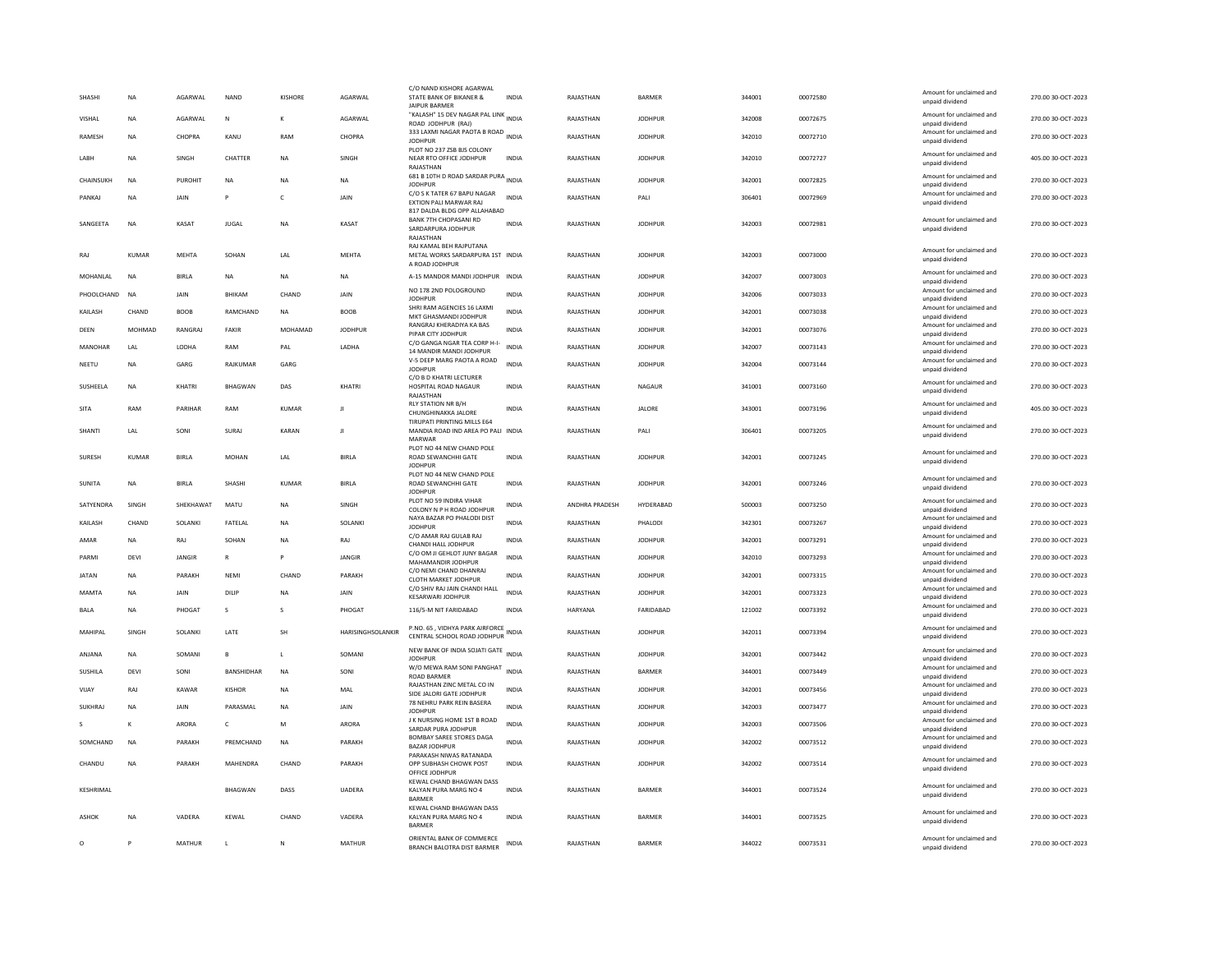| SHASHI        | <b>NA</b>    | AGARWAL        | <b>NAND</b>    | <b>KISHORE</b> | AGARWAL           | C/O NAND KISHORE AGARWAL<br>STATE BANK OF BIKANER &<br><b>JAIPUR BARMER</b>     | <b>INDIA</b> | RAJASTHAN      | <b>BARMER</b>  | 344001 | 00072580 | Amount for unclaimed and<br>unpaid dividend                    | 270.00 30-OCT-2023 |
|---------------|--------------|----------------|----------------|----------------|-------------------|---------------------------------------------------------------------------------|--------------|----------------|----------------|--------|----------|----------------------------------------------------------------|--------------------|
| VISHAL        | <b>NA</b>    | AGARWAI        | N              | $\kappa$       | AGARWAI           | "KALASH" 15 DEV NAGAR PAL LINK<br>"KALASH" 15 DEV NAGAR PAL LINK                |              | RAJASTHAN      | <b>IODHPUR</b> | 342008 | 00072675 | Amount for unclaimed and                                       | 270.00 30-OCT-2023 |
| <b>RAMESH</b> | <b>NA</b>    | CHOPRA         | KANU           | RAM            | CHOPRA            | ROAD JODHPUR (RAJ)<br>333 LAXMI NAGAR PAOTA B ROAD INDIA<br><b>JODHPUR</b>      |              | RAJASTHAN      | <b>JODHPUR</b> | 342010 | 00072710 | unpaid dividend<br>Amount for unclaimed and<br>unpaid dividend | 270.00 30-OCT-2023 |
| LABH          | <b>NA</b>    | SINGH          | CHATTER        | <b>NA</b>      | SINGH             | PLOT NO 237 ZSB BJS COLONY<br>NEAR RTO OFFICE JODHPUR                           | <b>INDIA</b> | RAJASTHAN      | <b>JODHPUR</b> | 342010 | 00072727 | Amount for unclaimed and<br>unpaid dividend                    | 405.00 30-OCT-2023 |
| CHAINSUKH     | <b>NA</b>    | <b>PUROHIT</b> | <b>NA</b>      | <b>NA</b>      | <b>NA</b>         | RAJASTHAN<br>681 B 10TH D ROAD SARDAR PURA INDIA                                |              | RAJASTHAN      | <b>JODHPUR</b> | 342001 | 00072825 | Amount for unclaimed and                                       | 270.00 30-OCT-2023 |
| PANKAJ        | <b>NA</b>    | JAIN           |                | c              | JAIN              | <b>JODHPUR</b><br>C/O S K TATER 67 BAPU NAGAR                                   | <b>INDIA</b> | RAJASTHAN      | PALI           | 306401 | 00072969 | unpaid dividend<br>Amount for unclaimed and                    | 270.00 30-OCT-2023 |
|               |              |                |                |                |                   | EXTION PALI MARWAR RAJ<br>817 DALDA BLDG OPP ALLAHABAD                          |              |                |                |        |          | unpaid dividend                                                |                    |
| SANGEETA      | <b>NA</b>    | KASAT          | <b>IUGAL</b>   | <b>NA</b>      | KASAT             | <b>BANK 7TH CHOPASANI RD</b><br>SARDARPURA JODHPUR<br>RAJASTHAN                 | <b>INDIA</b> | RAJASTHAN      | <b>IODHPUR</b> | 342003 | 00072981 | Amount for unclaimed and<br>unpaid dividend                    | 270.00 30-OCT-2023 |
| RAI           | KUMAR        | MFHTA          | SOHAN          | <b>IAI</b>     | <b>MEHTA</b>      | RAJ KAMAL BEH RAJPUTANA<br>METAL WORKS SARDARPURA 1ST INDIA<br>A ROAD JODHPUR   |              | RAJASTHAN      | <b>IODHPUR</b> | 342003 | 00073000 | Amount for unclaimed and<br>unpaid dividend                    | 270.00 30-OCT-2023 |
| MOHANLAL      | NA           | BIRLA          | <b>NA</b>      | <b>NA</b>      | <b>NA</b>         | A-15 MANDOR MANDI JODHPUR INDIA                                                 |              | RAJASTHAN      | <b>JODHPUR</b> | 342007 | 00073003 | Amount for unclaimed and<br>unpaid dividend                    | 270.00 30-OCT-2023 |
| PHOOLCHAND    | <b>NA</b>    | JAIN           | BHIKAM         | CHAND          | JAIN              | NO 178 2ND POLOGROUND<br><b>JODHPUR</b>                                         | <b>INDIA</b> | RAJASTHAN      | <b>JODHPUR</b> | 342006 | 00073033 | Amount for unclaimed and<br>unpaid dividend                    | 270.00 30-OCT-2023 |
| KAILASH       | CHAND        | <b>BOOB</b>    | RAMCHAND       | <b>NA</b>      | <b>BOOB</b>       | SHRI RAM AGENCIES 16 LAXMI<br>MKT GHASMANDI JODHPUR                             | <b>INDIA</b> | RAJASTHAN      | <b>JODHPUR</b> | 342001 | 00073038 | Amount for unclaimed and<br>unpaid dividend                    | 270.00 30-OCT-2023 |
| DEEN          | MOHMAD       | RANGRA.        | FAKIR          | MOHAMAD        | <b>JODHPUR</b>    | RANGRAJ KHERADIYA KA BAS<br>PIPAR CITY JODHPUR                                  | <b>INDIA</b> | RAJASTHAN      | <b>JODHPUR</b> | 342001 | 00073076 | Amount for unclaimed and<br>unpaid dividend                    | 270.00 30-OCT-2023 |
| MANOHAR       | I AI         | <b>I ODHA</b>  | RAM            | PAI            | <b>I ADHA</b>     | C/O GANGA NGAR TEA CORP H-I-<br>14 MANDIR MANDI JODHPUR                         | <b>INDIA</b> | RAJASTHAN      | <b>IODHPUR</b> | 342007 | 00073143 | Amount for unclaimed and<br>unpaid dividend                    | 270.00 30-OCT-2023 |
| NEETU         | <b>NA</b>    | GARG           | RAJKUMAR       | GARG           |                   | V-5 DEEP MARG PAOTA A ROAD                                                      | <b>INDIA</b> | RAJASTHAN      | <b>JODHPUR</b> | 342004 | 00073144 | Amount for unclaimed and                                       | 270.00 30-OCT-2023 |
|               |              |                |                |                |                   | <b>JODHPUR</b><br>C/O B D KHATRI LECTURER                                       |              |                |                |        |          | unpaid dividend<br>Amount for unclaimed and                    |                    |
| SUSHEELA      | <b>NA</b>    | <b>KHATRI</b>  | <b>BHAGWAN</b> | DAS            | KHATRI            | <b>HOSPITAL ROAD NAGAUR</b><br>RAJASTHAN                                        | <b>INDIA</b> | RAJASTHAN      | NAGAUR         | 341001 | 00073160 | unpaid dividend                                                | 270.00 30-OCT-2023 |
| SITA          | RAM          | PARIHAR        | RAM            | <b>KUMAR</b>   | л                 | <b>RLY STATION NR B/H</b><br>CHUNGHINAKKA JALORE<br>TIRUPATI PRINTING MILLS E64 | <b>INDIA</b> | RAJASTHAN      | <b>JALORE</b>  | 343001 | 00073196 | Amount for unclaimed and<br>unpaid dividend                    | 405.00 30-OCT-2023 |
| SHANTI        | LAL          | SONI           | SURAJ          | KARAN          | J                 | MANDIA ROAD IND AREA PO PALI INDIA<br>MARWAR                                    |              | RAJASTHAN      | PALI           | 306401 | 00073205 | Amount for unclaimed and<br>unpaid dividend                    | 270.00 30-OCT-2023 |
| SURESH        | <b>KUMAR</b> | <b>BIRLA</b>   | <b>MOHAN</b>   | LAL            | <b>BIRLA</b>      | PLOT NO 44 NEW CHAND POLE<br>ROAD SEWANCHHI GATE<br><b>JODHPUR</b>              | <b>INDIA</b> | RAJASTHAN      | <b>JODHPUR</b> | 342001 | 00073245 | Amount for unclaimed and<br>unpaid dividend                    | 270.00 30-OCT-2023 |
| SUNITA        | <b>NA</b>    | <b>BIRIA</b>   | SHASHI         | KUMAR          | <b>BIRLA</b>      | PLOT NO 44 NEW CHAND POLE<br>ROAD SEWANCHHI GATE<br><b>JODHPUR</b>              | <b>INDIA</b> | RAJASTHAN      | <b>IODHPUR</b> | 342001 | 00073246 | Amount for unclaimed and<br>unpaid dividend                    | 270.00 30-OCT-2023 |
| SATYENDRA     | SINGH        | SHEKHAWAT      | MATU           | <b>NA</b>      | SINGH             | PLOT NO 59 INDIRA VIHAR<br>COLONY N P H ROAD JODHPUR                            | <b>INDIA</b> | ANDHRA PRADESH | HYDERABAD      | 500003 | 00073250 | Amount for unclaimed and<br>unpaid dividend                    | 270.00 30-OCT-2023 |
| KAILASH       | CHAND        | SOLANKI        | FATELAL        | <b>NA</b>      | SOLANKI           | NAYA BAZAR PO PHALODI DIST<br><b>JODHPUR</b>                                    | INDIA        | RAJASTHAN      | PHALODI        | 342301 | 00073267 | Amount for unclaimed and<br>unpaid dividend                    | 270.00 30-OCT-2023 |
| AMAR          | NA           | RAJ            | SOHAN          | NA             | RAJ               | C/O AMAR RAJ GULAB RAJ<br>CHANDI HALL JODHPUR                                   | INDIA        | RAJASTHAN      | <b>JODHPUR</b> | 342001 | 00073291 | Amount for unclaimed and                                       | 270.00 30-OCT-2023 |
| PARMI         | DEVI         | <b>IANGIR</b>  | R              | P              | <b>JANGIR</b>     | C/O OM JI GEHLOT JUNY BAGAR                                                     | <b>INDIA</b> | RAJASTHAN      | <b>JODHPUR</b> | 342010 | 00073293 | unpaid dividend<br>Amount for unclaimed and                    | 270.00 30-OCT-2023 |
| <b>JATAN</b>  | <b>NA</b>    | PARAKH         | NFMI           | CHAND          | PARAKH            | MAHAMANDIR IODHPUR<br>C/O NEMI CHAND DHANRAJ                                    | <b>INDIA</b> | RAJASTHAN      | <b>IODHPUR</b> | 342001 | 00073315 | unpaid dividend<br>Amount for unclaimed and                    | 270.00 30-OCT-2023 |
| MAMTA         | <b>NA</b>    | JAIN           | DILIP          | <b>NA</b>      | JAIN              | CLOTH MARKET JODHPUR<br>C/O SHIV RAJ JAIN CHANDI HALL                           | <b>INDIA</b> | RAJASTHAN      | <b>JODHPUR</b> | 342001 | 00073323 | unpaid dividend<br>Amount for unclaimed and                    | 270.00 30-OCT-2023 |
|               |              |                |                |                |                   | <b>KESARWARI JODHPUR</b>                                                        |              |                |                |        |          | unpaid dividend<br>Amount for unclaimed and                    |                    |
| BALA          | <b>NA</b>    | PHOGAT         | s              | s              | PHOGAT            | 116/5-M NIT FARIDABAD                                                           | INDIA        | HARYANA        | FARIDABAD      | 121002 | 00073392 | unpaid dividend                                                | 270.00 30-OCT-2023 |
| MAHIPAL       | SINGH        | SOLANKI        | LATE           | SH             | HARISINGHSOLANKIR | P.NO. 65, VIDHYA PARK AIRFORCE<br>CENTRAL SCHOOL ROAD JODHPUR                   | INDIA        | RAJASTHAN      | <b>JODHPUR</b> | 342011 | 00073394 | Amount for unclaimed and<br>unpaid dividend                    | 270.00 30-OCT-2023 |
| ANJANA        | <b>NA</b>    | SOMANI         | R              | $\mathbf{L}$   | SOMANI            | NEW BANK OF INDIA SOJATI GATE INDIA<br><b>JODHPUR</b>                           |              | RAJASTHAN      | <b>JODHPUR</b> | 342001 | 00073442 | Amount for unclaimed and<br>unpaid dividend                    | 270.00 30-OCT-2023 |
| SUSHILA       | DEVI         | SONI           | BANSHIDHAR     | <b>NA</b>      | SONI              | W/O MEWA RAM SONI PANGHAT<br>ROAD BARMER                                        | <b>INDIA</b> | RAJASTHAN      | BARMER         | 344001 | 00073449 | Amount for unclaimed and<br>unpaid dividend                    | 270.00 30-OCT-2023 |
| VIJAY         | RAJ          | KAWAR          | KISHOR         | <b>NA</b>      | MAL               | RAJASTHAN ZINC METAL CO IN<br>SIDE JALORI GATE JODHPUR                          | <b>INDIA</b> | RAJASTHAN      | <b>JODHPUR</b> | 342001 | 00073456 | Amount for unclaimed and<br>unpaid dividend                    | 270.00 30-OCT-2023 |
| SUKHRAJ       | <b>NA</b>    | JAIN           | PARASMAL       | <b>NA</b>      | JAIN              | 78 NEHRU PARK REIN BASERA<br><b>JODHPUR</b>                                     | INDIA        | RAJASTHAN      | <b>JODHPUR</b> | 342003 | 00073477 | Amount for unclaimed and<br>unpaid dividend                    | 270.00 30-OCT-2023 |
|               | K            | ARORA          | c              | M              | <b>ARORA</b>      | J K NURSING HOME 1ST B ROAD                                                     | <b>INDIA</b> | RAJASTHAN      | <b>JODHPUR</b> | 342003 | 00073506 | Amount for unclaimed and                                       | 270.00 30-OCT-2023 |
| SOMCHAND      | <b>NA</b>    | PARAKH         | PREMCHAND      | <b>NA</b>      | PARAKH            | SARDAR PURA JODHPUR<br>BOMBAY SAREE STORES DAGA                                 | <b>INDIA</b> | RAJASTHAN      | <b>JODHPUR</b> | 342002 | 00073512 | unpaid dividend<br>Amount for unclaimed and                    | 270.00 30-OCT-2023 |
|               |              |                |                |                |                   | <b>BAZAR IODHPUR</b><br>PARAKASH NIWAS RATANADA                                 |              |                |                |        |          | unpaid dividend                                                |                    |
| CHANDU        | <b>NA</b>    | PARAKH         | MAHENDRA       | CHAND          | PARAKH            | OPP SUBHASH CHOWK POST<br>OFFICE JODHPUR<br>KEWAL CHAND BHAGWAN DASS            | <b>INDIA</b> | RAJASTHAN      | <b>JODHPUR</b> | 342002 | 00073514 | Amount for unclaimed and<br>unpaid dividend                    | 270.00 30-OCT-2023 |
| KESHRIMAI     |              |                | <b>RHAGWAN</b> | DASS           | <b>UADERA</b>     | KALYAN PURA MARG NO 4<br><b>BARMER</b>                                          | <b>INDIA</b> | RAIASTHAN      | <b>BARMER</b>  | 344001 | 00073524 | Amount for unclaimed and<br>unpaid dividend                    | 270.00 30-QCT-2023 |
| ASHOK         | <b>NA</b>    | VADERA         | KEWAL          | CHAND          | VADERA            | KEWAL CHAND BHAGWAN DASS<br>KALYAN PURA MARG NO 4<br><b>BARMER</b>              | <b>INDIA</b> | RAJASTHAN      | BARMER         | 344001 | 00073525 | Amount for unclaimed and<br>unpaid dividend                    | 270.00 30-OCT-2023 |
| $\circ$       |              | <b>MATHUR</b>  |                | N              | <b>MATHUR</b>     | ORIENTAL BANK OF COMMERCE<br>BRANCH BALOTRA DIST BARMER                         | <b>INDIA</b> | RAJASTHAN      | BARMER         | 344022 | 00073531 | Amount for unclaimed and<br>unpaid dividend                    | 270.00 30-OCT-2023 |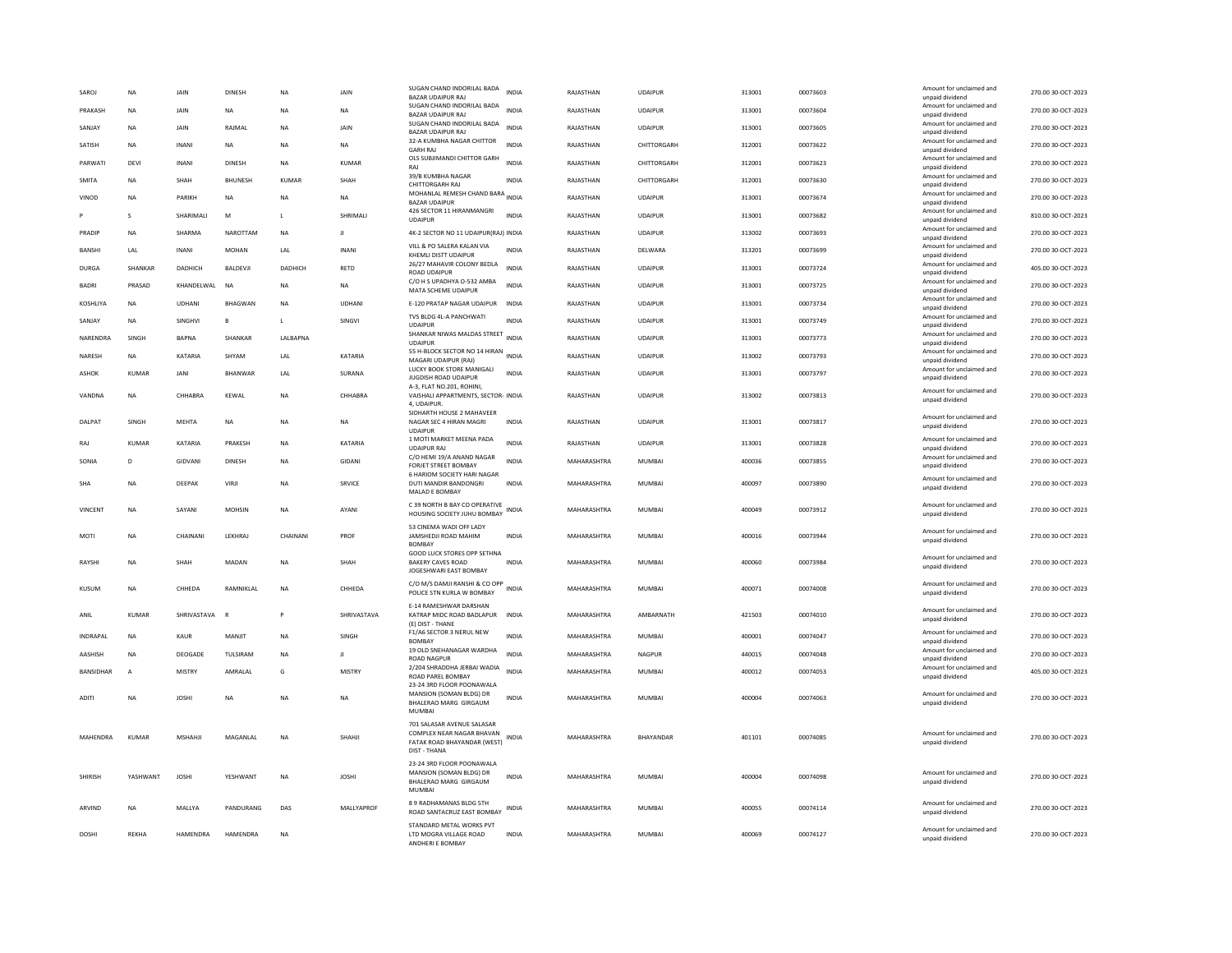| SAROJ            | <b>NA</b>      | JAIN          | <b>DINESH</b>  | <b>NA</b>    | JAIN          | SUGAN CHAND INDORILAL BADA<br>BAZAR UDAIPUR RAJ                                                        | <b>INDIA</b> | RAJASTHAN   | <b>UDAIPUR</b> | 313001 | 00073603 | Amount for unclaimed and<br>unpaid dividend | 270.00 30-OCT-2023 |
|------------------|----------------|---------------|----------------|--------------|---------------|--------------------------------------------------------------------------------------------------------|--------------|-------------|----------------|--------|----------|---------------------------------------------|--------------------|
| PRAKASH          | NA             | JAIN          | NA             | <b>NA</b>    | NA            | SUGAN CHAND INDORILAL BADA<br><b>BAZAR UDAIPUR RAJ</b>                                                 | <b>INDIA</b> | RAJASTHAN   | <b>UDAIPUR</b> | 313001 | 00073604 | Amount for unclaimed and<br>unpaid dividend | 270.00 30-OCT-2023 |
| SANJAY           | NA             | JAIN          | RAIMAI         | <b>NA</b>    | JAIN          | SUGAN CHAND INDORILAL BADA<br><b>BAZAR UDAIPUR RAI</b>                                                 | <b>INDIA</b> | RAJASTHAN   | <b>UDAIPUR</b> | 313001 | 00073605 | Amount for unclaimed and<br>unpaid dividend | 270.00 30-OCT-2023 |
| SATISH           | <b>NA</b>      | <b>INANI</b>  | <b>NA</b>      | <b>NA</b>    | <b>NA</b>     | 32-A KUMBHA NAGAR CHITTOR<br><b>GARH RAJ</b>                                                           | <b>INDIA</b> | RAJASTHAN   | CHITTORGARH    | 312001 | 00073622 | Amount for unclaimed and<br>unpaid dividend | 270.00 30-OCT-2023 |
| PARWATI          | <b>DEVI</b>    | <b>INANI</b>  | <b>DINESH</b>  | <b>NA</b>    | <b>KUMAR</b>  | OLS SUBJIMANDI CHITTOR GARH<br>RAI                                                                     | <b>INDIA</b> | RAJASTHAN   | CHITTORGARH    | 312001 | 00073623 | Amount for unclaimed and<br>unpaid dividend | 270.00 30-OCT-2023 |
| <b>SMITA</b>     | <b>NA</b>      | SHAH          | <b>BHUNESH</b> | <b>KUMAR</b> | SHAH          | 39/B KUMBHA NAGAR<br>CHITTORGARH RAJ                                                                   | <b>INDIA</b> | RAJASTHAN   | CHITTORGARH    | 312001 | 00073630 | Amount for unclaimed and<br>unpaid dividend | 270.00 30-OCT-2023 |
| VINOD            | NA             | PARIKH        | <b>NA</b>      | NA           | NA            | MOHANLAL REMESH CHAND BARA<br><b>BAZAR UDAIPUR</b>                                                     | <b>INDIA</b> | RAJASTHAN   | <b>UDAIPUR</b> | 313001 | 00073674 | Amount for unclaimed and<br>unpaid dividend | 270.00 30-OCT-2023 |
|                  | s              | SHARIMALI     | M              | L.           | SHRIMALI      | 426 SECTOR 11 HIRANMANGRI<br><b>UDAIPUR</b>                                                            | INDIA        | RAJASTHAN   | <b>UDAIPUR</b> | 313001 | 00073682 | Amount for unclaimed and<br>unpaid dividend | 810.00 30-OCT-2023 |
| PRADIP           | <b>NA</b>      | SHARMA        | NAROTTAM       | <b>NA</b>    | л             | 4K-2 SECTOR NO 11 UDAIPUR(RAJ) INDIA                                                                   |              | RAJASTHAN   | <b>UDAIPUR</b> | 313002 | 00073693 | Amount for unclaimed and<br>unpaid dividend | 270.00 30-OCT-2023 |
| BANSHI           | LAL            | <b>INANI</b>  | MOHAN          | LAL          | <b>INANI</b>  | VILL & PO SALERA KALAN VIA<br>KHEMLI DISTT UDAIPUR                                                     | INDIA        | RAJASTHAN   | DELWARA        | 313201 | 00073699 | Amount for unclaimed and<br>unpaid dividend | 270.00 30-OCT-2023 |
| DURGA            | SHANKAR        | DADHICH       | BALDEVJI       | DADHICH      | RETD          | 26/27 MAHAVIR COLONY BEDLA<br><b>ROAD UDAIPUR</b>                                                      | <b>INDIA</b> | RAJASTHAN   | <b>UDAIPUR</b> | 313001 | 00073724 | Amount for unclaimed and<br>unpaid dividend | 405.00 30-OCT-2023 |
| <b>BADRI</b>     | PRASAD         | KHANDELWAL    | <b>NA</b>      | <b>NA</b>    | NA            | C/O H S UPADHYA O-532 AMBA<br>MATA SCHEME UDAIPUR                                                      | <b>INDIA</b> | RAJASTHAN   | <b>UDAIPUR</b> | 313001 | 00073725 | Amount for unclaimed and<br>unpaid dividend | 270.00 30-OCT-2023 |
| KOSHLIYA         | <b>NA</b>      | <b>UDHANI</b> | BHAGWAN        | <b>NA</b>    | <b>UDHANI</b> | E-120 PRATAP NAGAR UDAIPUR                                                                             | <b>INDIA</b> | RAJASTHAN   | <b>UDAIPUR</b> | 313001 | 00073734 | Amount for unclaimed and<br>unpaid dividend | 270.00 30-OCT-2023 |
| SANJAY           | NA             | SINGHVI       | B              | L.           | SINGVI        | TVS BLDG 4L-A PANCHWATI<br><b>UDAIPUR</b>                                                              | <b>INDIA</b> | RAJASTHAN   | UDAIPUR        | 313001 | 00073749 | Amount for unclaimed and<br>unpaid dividend | 270.00 30-OCT-2023 |
| NARENDRA         | SINGH          | <b>BAPNA</b>  | SHANKAR        | LALBAPNA     |               | SHANKAR NIWAS MALDAS STREET<br><b>UDAIPUR</b>                                                          | <b>INDIA</b> | RAJASTHAN   | <b>UDAIPUR</b> | 313001 | 00073773 | Amount for unclaimed and<br>unpaid dividend | 270.00 30-OCT-2023 |
| NARESH           | NA             | KATARIA       | SHYAM          | LAL          | KATARIA       | 55 H-BLOCK SECTOR NO 14 HIRAN INDIA<br>MAGARI UDAIPUR (RAJ)                                            |              | RAJASTHAN   | <b>UDAIPUR</b> | 313002 | 00073793 | Amount for unclaimed and<br>unpaid dividend | 270.00 30-OCT-2023 |
| <b>ASHOK</b>     | <b>KUMAR</b>   | JANI          | BHANWAR        | LAL          | SURANA        | LUCKY BOOK STORE MANIGALI<br>JUGDISH ROAD UDAIPUR                                                      | INDIA        | RAJASTHAN   | <b>UDAIPUR</b> | 313001 | 00073797 | Amount for unclaimed and<br>unpaid dividend | 270.00 30-OCT-2023 |
| VANDNA           | <b>NA</b>      | CHHABRA       | KEWAL          | <b>NA</b>    | CHHABRA       | A-3, FLAT NO.201, ROHINI.<br>VAISHALI APPARTMENTS, SECTOR- INDIA                                       |              | RAJASTHAN   | <b>UDAIPUR</b> | 313002 | 00073813 | Amount for unclaimed and                    | 270.00 30-OCT-2023 |
|                  |                |               |                |              |               | 4. UDAIPUR<br>SIDHARTH HOUSE 2 MAHAVEER                                                                |              |             |                |        |          | unpaid dividend                             |                    |
| DALPAT           | SINGH          | MEHTA         | NA             | NA           | NA            | NAGAR SEC 4 HIRAN MAGRI<br><b>UDAIPUR</b>                                                              | INDIA        | RAJASTHAN   | <b>UDAIPUR</b> | 313001 | 00073817 | Amount for unclaimed and<br>unpaid dividend | 270.00 30-OCT-2023 |
| RAJ              | <b>KUMAR</b>   | KATARIA       | PRAKESH        | <b>NA</b>    | KATARIA       | 1 MOTI MARKET MEENA PADA<br><b>UDAIPUR RAJ</b>                                                         | <b>INDIA</b> | RAJASTHAN   | UDAIPUR        | 313001 | 00073828 | Amount for unclaimed and<br>unpaid dividend | 270.00 30-OCT-2023 |
| SONIA            | D              | GIDVANI       | <b>DINESH</b>  | <b>NA</b>    | GIDANI        | C/O HEMI 19/A ANAND NAGAR<br>FORJET STREET BOMBAY                                                      | <b>INDIA</b> | MAHARASHTRA | MUMBAI         | 400036 | 00073855 | Amount for unclaimed and<br>unpaid dividend | 270.00 30-OCT-2023 |
| <b>SHA</b>       | <b>NA</b>      | DEEPAK        | VIRJI          | <b>NA</b>    | SRVICE        | 6 HARIOM SOCIETY HARI NAGAR<br>DUTI MANDIR BANDONGRI<br>MALAD E BOMBAY                                 | <b>INDIA</b> | MAHARASHTRA | <b>MUMBAI</b>  | 400097 | 00073890 | Amount for unclaimed and<br>unpaid dividend | 270.00 30-OCT-2023 |
| <b>VINCENT</b>   | <b>NA</b>      | SAYANI        | <b>MOHSIN</b>  | <b>NA</b>    | AYANI         | C 39 NORTH B BAY CO OPERATIVE<br>HOUSING SOCIETY JUHU BOMBAY                                           | <b>INDIA</b> | MAHARASHTRA | MUMBAI         | 400049 | 00073912 | Amount for unclaimed and<br>unpaid dividend | 270.00 30-OCT-2023 |
| MOTI             | <b>NA</b>      | CHAINANI      | LEKHRAJ        | CHAINANI     | PROF          | 53 CINEMA WADI OFF LADY<br>JAMSHEDJI ROAD MAHIM                                                        | <b>INDIA</b> | MAHARASHTRA | <b>MUMBAI</b>  | 400016 | 00073944 | Amount for unclaimed and                    | 270.00 30-OCT-2023 |
|                  |                |               |                |              |               | <b>BOMBAY</b><br><b>GOOD LUCK STORES OPP SETHNA</b>                                                    |              |             |                |        |          | unpaid dividend                             |                    |
| RAYSHI           | <b>NA</b>      | SHAH          | MADAN          | <b>NA</b>    | SHAH          | <b>BAKERY CAVES ROAD</b><br>JOGESHWARI EAST BOMBAY                                                     | <b>INDIA</b> | MAHARASHTRA | <b>MUMBAI</b>  | 400060 | 00073984 | Amount for unclaimed and<br>unpaid dividend | 270.00 30-OCT-2023 |
| KUSUM            | <b>NA</b>      | CHHEDA        | RAMNIKLAL      | <b>NA</b>    | CHHEDA        | C/O M/S DAMJI RANSHI & CO OPP<br>POLICE STN KURLA W BOMBAY                                             | <b>INDIA</b> | MAHARASHTRA | <b>MUMBAI</b>  | 400071 | 00074008 | Amount for unclaimed and<br>unpaid dividend | 270.00 30-OCT-2023 |
| ANIL             | <b>KUMAR</b>   | SHRIVASTAVA   | $\overline{R}$ |              | SHRIVASTAVA   | E-14 RAMESHWAR DARSHAN<br>KATRAP MIDC ROAD BADLAPUR<br>(E) DIST - THANE                                | <b>INDIA</b> | MAHARASHTRA | AMBARNATH      | 421503 | 00074010 | Amount for unclaimed and<br>unpaid dividend | 270.00 30-OCT-2023 |
| <b>INDRAPAL</b>  | <b>NA</b>      | <b>KAUR</b>   | MANJIT         | <b>NA</b>    | SINGH         | F1/A6 SECTOR 3 NERUL NEW<br><b>BOMBAY</b>                                                              | <b>INDIA</b> | MAHARASHTRA | <b>MUMBAI</b>  | 400001 | 00074047 | Amount for unclaimed and<br>unpaid dividend | 270.00 30-OCT-2023 |
| AASHISH          | <b>NA</b>      | DEOGADE       | TULSIRAM       | <b>NA</b>    | л             | 19 OLD SNEHANAGAR WARDHA<br><b>ROAD NAGPUR</b>                                                         | INDIA        | MAHARASHTRA | NAGPUR         | 440015 | 00074048 | Amount for unclaimed and<br>unpaid dividend | 270.00 30-OCT-2023 |
| <b>BANSIDHAR</b> | $\overline{A}$ | <b>MISTRY</b> | AMRALAL        | G            | <b>MISTRY</b> | 2/204 SHRADDHA JERBAI WADIA<br>ROAD PAREL BOMBAY<br>23-24 3RD FLOOR POONAWALA                          | <b>INDIA</b> | MAHARASHTRA | <b>MUMBAI</b>  | 400012 | 00074053 | Amount for unclaimed and<br>unpaid dividend | 405.00 30-OCT-2023 |
| <b>ADITI</b>     | <b>NA</b>      | <b>JOSHI</b>  | <b>NA</b>      | <b>NA</b>    | <b>NA</b>     | MANSION (SOMAN BLDG) DR<br>BHALERAO MARG GIRGAUM<br><b>MUMBAI</b>                                      | <b>INDIA</b> | MAHARASHTRA | <b>MUMBAI</b>  | 400004 | 00074063 | Amount for unclaimed and<br>unpaid dividend | 270.00 30-OCT-2023 |
| MAHENDRA         | <b>KUMAR</b>   | <b>MSHAHJ</b> | MAGANLAL       | <b>NA</b>    | SHAHJI        | 701 SALASAR AVENUE SALASAR<br>COMPLEX NEAR NAGAR BHAVAN<br>FATAK ROAD BHAYANDAR (WEST)<br>DIST - THANA | INDIA        | MAHARASHTRA | BHAYANDAR      | 401101 | 00074085 | Amount for unclaimed and<br>unpaid dividend | 270.00 30-OCT-2023 |
| SHIRISH          | YASHWANT       | <b>JOSHI</b>  | YESHWANT       | NA           | <b>JOSHI</b>  | 23-24 3RD FLOOR POONAWALA<br>MANSION (SOMAN BLDG) DR<br>BHALERAO MARG GIRGAUM<br>MUMBAI                | <b>INDIA</b> | MAHARASHTRA | MUMBAI         | 400004 | 00074098 | Amount for unclaimed and<br>unpaid dividend | 270.00 30-OCT-2023 |
| ARVIND           | <b>NA</b>      | MALLYA        | PANDURANG      | DAS          | MALLYAPROF    | 8.9 RADHAMANAS BLDG 5TH<br>ROAD SANTACRUZ EAST BOMBAY                                                  | INDIA        | MAHARASHTRA | <b>MUMBAI</b>  | 400055 | 00074114 | Amount for unclaimed and<br>unpaid dividend | 270.00 30-OCT-2023 |
| <b>DOSHI</b>     | REKHA          | HAMENDRA      | HAMENDRA       | <b>NA</b>    |               | STANDARD METAL WORKS PVT<br>LTD MOGRA VILLAGE ROAD<br>ANDHERI E BOMBAY                                 | <b>INDIA</b> | MAHARASHTRA | <b>MUMBAI</b>  | 400069 | 00074127 | Amount for unclaimed and<br>unpaid dividend | 270.00 30-OCT-2023 |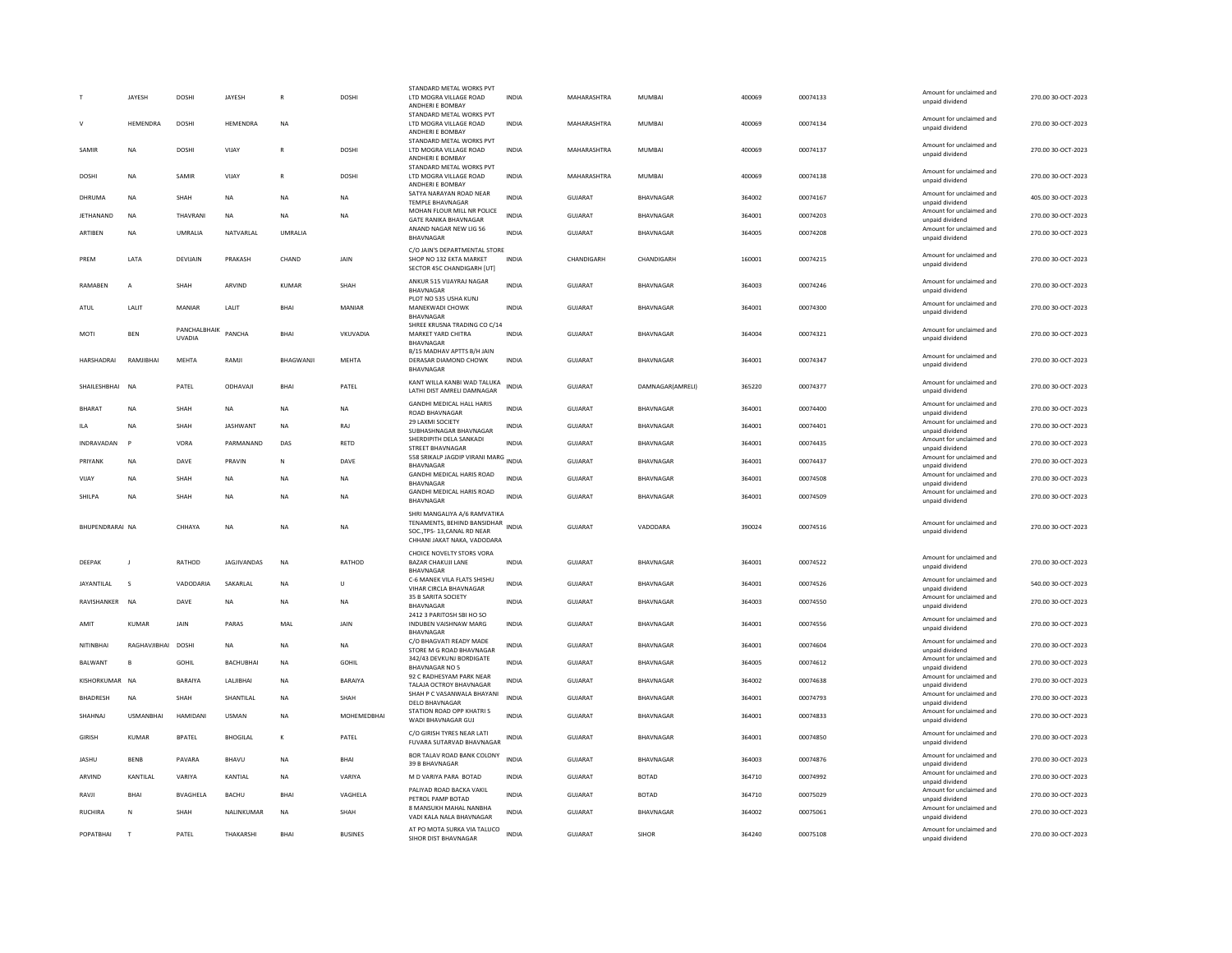|                  | <b>JAYESH</b>           | <b>DOSHI</b>                  | JAYESH            |               | <b>DOSHI</b>   | STANDARD METAL WORKS PVT<br>LTD MOGRA VILLAGE ROAD<br>ANDHERI E BOMBAY                    | <b>INDIA</b> | MAHARASHTRA    | <b>MUMBAI</b>    | 400069 | 00074133 | Amount for unclaimed and<br>unpaid dividend | 270.00 30-OCT-2023 |
|------------------|-------------------------|-------------------------------|-------------------|---------------|----------------|-------------------------------------------------------------------------------------------|--------------|----------------|------------------|--------|----------|---------------------------------------------|--------------------|
|                  |                         |                               |                   |               |                | STANDARD METAL WORKS PVT                                                                  |              |                |                  |        |          | Amount for unclaimed and                    |                    |
|                  | HEMENDRA                | DOSHI                         | HEMENDRA          | <b>NA</b>     |                | LTD MOGRA VILLAGE ROAD<br>ANDHERI E BOMBAY<br>STANDARD METAL WORKS PVT                    | <b>INDIA</b> | MAHARASHTRA    | MUMBAI           | 400069 | 00074134 | unpaid dividend                             | 270.00 30-OCT-2023 |
| SAMIR            | <b>NA</b>               | DOSHI                         | VIIAY             | R             | DOSHI          | LTD MOGRA VILLAGE ROAD<br>ANDHERI E BOMBAY                                                | <b>INDIA</b> | MAHARASHTRA    | MUMBAI           | 400069 | 00074137 | Amount for unclaimed and<br>unpaid dividend | 270.00 30-OCT-2023 |
| DOSHI            | NA                      | SAMIR                         | VIJAY             | ${\sf R}$     | DOSHI          | STANDARD METAL WORKS PVT<br>LTD MOGRA VILLAGE ROAD<br>ANDHERI E BOMBAY                    | INDIA        | MAHARASHTRA    | MUMBAI           | 400069 | 00074138 | Amount for unclaimed and<br>unpaid dividend | 270.00 30-OCT-2023 |
| DHRUMA           | <b>NA</b>               | SHAH                          | <b>NA</b>         | <b>NA</b>     | <b>NA</b>      | SATYA NARAYAN ROAD NEAR<br><b>TEMPLE BHAVNAGAR</b>                                        | <b>INDIA</b> | <b>GUJARAT</b> | BHAVNAGAR        | 364002 | 00074167 | Amount for unclaimed and<br>unpaid dividend | 405.00 30-OCT-2023 |
| <b>JETHANAND</b> | <b>NA</b>               | THAVRANI                      | <b>NA</b>         | <b>NA</b>     | <b>NA</b>      | MOHAN FLOUR MILL NR POLICE<br><b>GATE RANIKA BHAVNAGAR</b>                                | <b>INDIA</b> | <b>GUJARAT</b> | <b>BHAVNAGAR</b> | 364001 | 00074203 | Amount for unclaimed and<br>unpaid dividend | 270.00 30-OCT-2023 |
| ARTIBEN          | <b>NA</b>               | <b>UMRAI IA</b>               | NATVARI AI        | <b>UMRAUA</b> |                | ANAND NAGAR NEW LIG 56<br><b>BHAVNAGAR</b>                                                | <b>INDIA</b> | GUIARAT        | <b>BHAVNAGAR</b> | 364005 | 00074208 | Amount for unclaimed and<br>unpaid dividend | 270.00.30-OCT-2023 |
| PREM             | LATA                    | DEVIJAIN                      | PRAKASH           | CHAND         | JAIN           | C/O JAIN'S DEPARTMENTAL STORE<br>SHOP NO 132 EKTA MARKET<br>SECTOR 45C CHANDIGARH [UT]    | <b>INDIA</b> | CHANDIGARH     | CHANDIGARH       | 160001 | 00074215 | Amount for unclaimed and<br>unpaid dividend | 270.00 30-OCT-2023 |
| RAMABEN          | $\overline{A}$          | SHAH                          | ARVIND            | KUMAR         | SHAH           | ANKUR 515 VIJAYRAJ NAGAR<br>BHAVNAGAR                                                     | <b>INDIA</b> | GUJARAT        | BHAVNAGAR        | 364003 | 00074246 | Amount for unclaimed and<br>unpaid dividend | 270.00 30-OCT-2023 |
| ATUL             | LALIT                   | MANIAR                        | LALIT             | <b>BHAI</b>   | <b>MANIAR</b>  | PLOT NO 535 USHA KUNJ<br><b>MANEKWADI CHOWK</b>                                           | <b>INDIA</b> | <b>GUJARAT</b> | <b>BHAVNAGAR</b> | 364001 | 00074300 | Amount for unclaimed and<br>unpaid dividend | 270.00 30-OCT-2023 |
|                  |                         |                               |                   |               |                | <b>BHAVNAGAR</b><br>SHREE KRUSNA TRADING CO C/14                                          |              |                |                  |        |          |                                             |                    |
| MOTI             | <b>BEN</b>              | PANCHALBHAIK<br><b>UVADIA</b> | PANCHA            | <b>BHAI</b>   | VKUVADIA       | MARKET YARD CHITRA<br>BHAVNAGAR<br>B/15 MADHAV APTTS B/H JAIN                             | <b>INDIA</b> | <b>GUJARAT</b> | BHAVNAGAR        | 364004 | 00074321 | Amount for unclaimed and<br>unpaid dividend | 270.00 30-OCT-2023 |
| HARSHADRAI       | RAMJIBHAI               | MEHTA                         | RAMJI             | BHAGWANJI     | MEHTA          | DERASAR DIAMOND CHOWK<br><b>BHAVNAGAR</b>                                                 | <b>INDIA</b> | GUJARAT        | <b>BHAVNAGAR</b> | 364001 | 00074347 | Amount for unclaimed and<br>unpaid dividend | 270.00 30-OCT-2023 |
| SHAILESHBHAI     | <b>NA</b>               | PATEL                         | ODHAVAJI          | <b>BHAI</b>   | PATEL          | KANT WILLA KANBI WAD TALUKA<br>LATHI DIST AMRELI DAMNAGAR                                 | <b>INDIA</b> | GUJARAT        | DAMNAGAR(AMRELI) | 365220 | 00074377 | Amount for unclaimed and<br>unpaid dividend | 270.00 30-OCT-2023 |
| <b>BHARAT</b>    | <b>NA</b>               | SHAH                          | <b>NA</b>         | <b>NA</b>     | NA             | <b>GANDHI MEDICAL HALL HARIS</b><br><b>ROAD BHAVNAGAR</b>                                 | <b>INDIA</b> | <b>GUJARAT</b> | BHAVNAGAR        | 364001 | 00074400 | Amount for unclaimed and<br>unpaid dividend | 270.00 30-OCT-2023 |
| <b>ILA</b>       | <b>NA</b>               | SHAH                          | <b>JASHWANT</b>   | <b>NA</b>     | RAJ            | 29 LAXMI SOCIETY<br>SURHASHNAGAR RHAVNAGAR                                                | <b>INDIA</b> | <b>GUJARAT</b> | BHAVNAGAR        | 364001 | 00074401 | Amount for unclaimed and<br>unpaid dividend | 270.00 30-OCT-2023 |
| INDRAVADAN       | $\mathsf{P}$            | VORA                          | PARMANAND         | DAS           | RETD           | SHERDIPITH DELA SANKADI<br><b>STREET BHAVNAGAR</b>                                        | <b>INDIA</b> | <b>GUJARAT</b> | BHAVNAGAR        | 364001 | 00074435 | Amount for unclaimed and<br>unpaid dividend | 270.00 30-OCT-2023 |
| PRIYANK          | <b>NA</b>               | DAVE                          | PRAVIN            | N             | DAVE           | 558 SRIKALP JAGDIP VIRANI MARG<br>BHAVNAGAR                                               | <b>INDIA</b> | <b>GUJARAT</b> | BHAVNAGAR        | 364001 | 00074437 | Amount for unclaimed and<br>unpaid dividend | 270.00 30-OCT-2023 |
| VIJAY            | <b>NA</b>               | SHAH                          | <b>NA</b>         | <b>NA</b>     | NA             | GANDHI MEDICAL HARIS ROAD<br>BHAVNAGAR                                                    | <b>INDIA</b> | <b>GUJARAT</b> | BHAVNAGAR        | 364001 | 00074508 | Amount for unclaimed and<br>unpaid dividend | 270.00 30-OCT-2023 |
| SHII PA          | <b>NA</b>               | SHAH                          | <b>NA</b>         | <b>NA</b>     | <b>NA</b>      | GANDHI MEDICAL HARIS ROAD                                                                 | <b>INDIA</b> | GUIARAT        | BHAVNAGAR        | 364001 | 00074509 | Amount for unclaimed and                    | 270.00 30-OCT-2023 |
|                  |                         |                               |                   |               |                | BHAVNAGAR<br>SHRI MANGALIYA A/6 RAMVATIKA                                                 |              |                |                  |        |          | unpaid dividend                             |                    |
| BHUPENDRARAI NA  |                         | CHHAYA                        | NA                | <b>NA</b>     | NA             | TENAMENTS, BEHIND BANSIDHAR<br>SOC., TPS-13, CANAL RD NEAR<br>CHHANI JAKAT NAKA, VADODARA | <b>INDIA</b> | <b>GUJARAT</b> | VADODARA         | 390024 | 00074516 | Amount for unclaimed and<br>unpaid dividend | 270.00 30-OCT-2023 |
| DEEPAK           | $\blacksquare$          | RATHOD                        | JAGJIVANDAS       | <b>NA</b>     | RATHOD         | CHOICE NOVELTY STORS VORA<br><b>BAZAR CHAKUJI LANE</b>                                    | <b>INDIA</b> | <b>GUJARAT</b> | BHAVNAGAR        | 364001 | 00074522 | Amount for unclaimed and                    | 270.00 30-OCT-2023 |
|                  |                         |                               |                   |               |                | <b>BHAVNAGAR</b><br>C-6 MANEK VILA FLATS SHISHU                                           |              |                |                  |        |          | unpaid dividend<br>Amount for unclaimed and |                    |
| JAYANTILAL       | $\overline{\mathbf{S}}$ | VADODARIA                     | SAKARLAL          | <b>NA</b>     | $\cup$         | VIHAR CIRCLA BHAVNAGAR<br>35 B SARITA SOCIETY                                             | <b>INDIA</b> | GUJARAT        | BHAVNAGAR        | 364001 | 00074526 | unpaid dividend<br>Amount for unclaimed and | 540.00 30-OCT-2023 |
| RAVISHANKER      | <b>NA</b>               | DAVE                          | <b>NA</b>         | <b>NA</b>     | <b>NA</b>      | <b>BHAVNAGAR</b><br>2412 3 PARITOSH SBI HO SO                                             | <b>INDIA</b> | <b>GUJARAT</b> | BHAVNAGAR        | 364003 | 00074550 | unpaid dividend                             | 270.00 30-OCT-2023 |
| AMIT             | KUMAR                   | JAIN                          | PARAS             | MAL           | JAIN           | INDUBEN VAISHNAW MARG<br><b>BHAVNAGAR</b>                                                 | INDIA        | GUJARAT        | BHAVNAGAR        | 364001 | 00074556 | Amount for unclaimed and<br>unpaid dividend | 270.00 30-OCT-2023 |
| NITINBHAI        | RAGHAVJIBHAI DOSHI      |                               | <b>NA</b>         | <b>NA</b>     | <b>NA</b>      | C/O BHAGVATI READY MADE<br>STORE M G ROAD BHAVNAGAR                                       | <b>INDIA</b> | <b>GUJARAT</b> | BHAVNAGAR        | 364001 | 00074604 | Amount for unclaimed and<br>unpaid dividend | 270.00 30-OCT-2023 |
| BALWANT          | B                       | <b>GOHIL</b>                  | <b>BACHUBHAI</b>  | <b>NA</b>     | <b>GOHIL</b>   | 342/43 DEVKUNJ BORDIGATE<br><b>BHAVNAGAR NO 5</b>                                         | <b>INDIA</b> | <b>GUJARAT</b> | BHAVNAGAR        | 364005 | 00074612 | Amount for unclaimed and<br>unpaid dividend | 270.00 30-OCT-2023 |
| KISHORKUMAR NA   |                         | <b>BARAIYA</b>                | <b>I ALIIBHAI</b> | <b>NA</b>     | <b>BARAIYA</b> | 92 C RADHESYAM PARK NEAR<br>TALAJA OCTROY BHAVNAGAR                                       | <b>INDIA</b> | GUIARAT        | <b>BHAVNAGAR</b> | 364002 | 00074638 | Amount for unclaimed and<br>unpaid dividend | 270.00 30-OCT-2023 |
| BHADRESH         | <b>NA</b>               | SHAH                          | SHANTILAL         | <b>NA</b>     | SHAH           | SHAH P C VASANWALA BHAYANI<br><b>DELO BHAVNAGAR</b>                                       | <b>INDIA</b> | <b>GUJARAT</b> | BHAVNAGAR        | 364001 | 00074793 | Amount for unclaimed and<br>unpaid dividend | 270.00 30-OCT-2023 |
| SHAHNAJ          | <b>USMANBHAI</b>        | <b>HAMIDANI</b>               | <b>USMAN</b>      | <b>NA</b>     | MOHEMEDBHAI    | STATION ROAD OPP KHATRI S<br>WADI BHAVNAGAR GUJ                                           | <b>INDIA</b> | GUJARAT        | <b>BHAVNAGAR</b> | 364001 | 00074833 | Amount for unclaimed and<br>unpaid dividend | 270.00 30-OCT-2023 |
| <b>GIRISH</b>    | <b>KUMAR</b>            | <b>BPATEL</b>                 | <b>BHOGILAL</b>   | К             | PATEL          | C/O GIRISH TYRES NEAR LATI<br>FUVARA SUTARVAD BHAVNAGAR                                   | INDIA        | GUJARAT        | BHAVNAGAR        | 364001 | 00074850 | Amount for unclaimed and<br>unpaid dividend | 270.00 30-OCT-2023 |
| <b>JASHU</b>     | <b>BENB</b>             | PAVARA                        | BHAVU             | NA            | BHAI           | BOR TALAV ROAD BANK COLONY<br>39 B BHAVNAGAR                                              | <b>INDIA</b> | <b>GUJARAT</b> | BHAVNAGAR        | 364003 | 00074876 | Amount for unclaimed and<br>unnaid dividend | 270.00 30-OCT-2023 |
| ARVIND           | KANTILAL                | VARIYA                        | KANTIAI           | <b>NA</b>     | VARIYA         | M D VARIYA PARA BOTAD                                                                     | <b>INDIA</b> | <b>GUJARAT</b> | <b>BOTAD</b>     | 364710 | 00074992 | Amount for unclaimed and<br>unpaid dividend | 270.00 30-OCT-2023 |
| RAVII            | <b>BHAI</b>             | <b>BVAGHELA</b>               | <b>BACHU</b>      | <b>BHAI</b>   | <b>VAGHELA</b> | PALIYAD ROAD BACKA VAKIL<br>PETROL PAMP BOTAD                                             | <b>INDIA</b> | GUIARAT        | <b>BOTAD</b>     | 364710 | 00075029 | Amount for unclaimed and<br>unpaid dividend | 270.00.30-OCT-2023 |
| <b>RUCHIRA</b>   | N                       | SHAH                          | NALINKUMAR        | <b>NA</b>     | SHAH           | 8 MANSUKH MAHAL NANBHA<br>VADI KALA NALA BHAVNAGAR                                        | <b>INDIA</b> | <b>GUJARAT</b> | BHAVNAGAR        | 364002 | 00075061 | Amount for unclaimed and<br>unpaid dividend | 270.00 30-OCT-2023 |
| POPATBHAI        | $\mathbf{r}$            | PATEL                         | THAKARSHI         | <b>BHAI</b>   | <b>BUSINES</b> | AT PO MOTA SURKA VIA TALUCO<br>SIHOR DIST BHAVNAGAR                                       | <b>INDIA</b> | <b>GUJARAT</b> | SIHOR            | 364240 | 00075108 | Amount for unclaimed and<br>unpaid dividend | 270.00 30-OCT-2023 |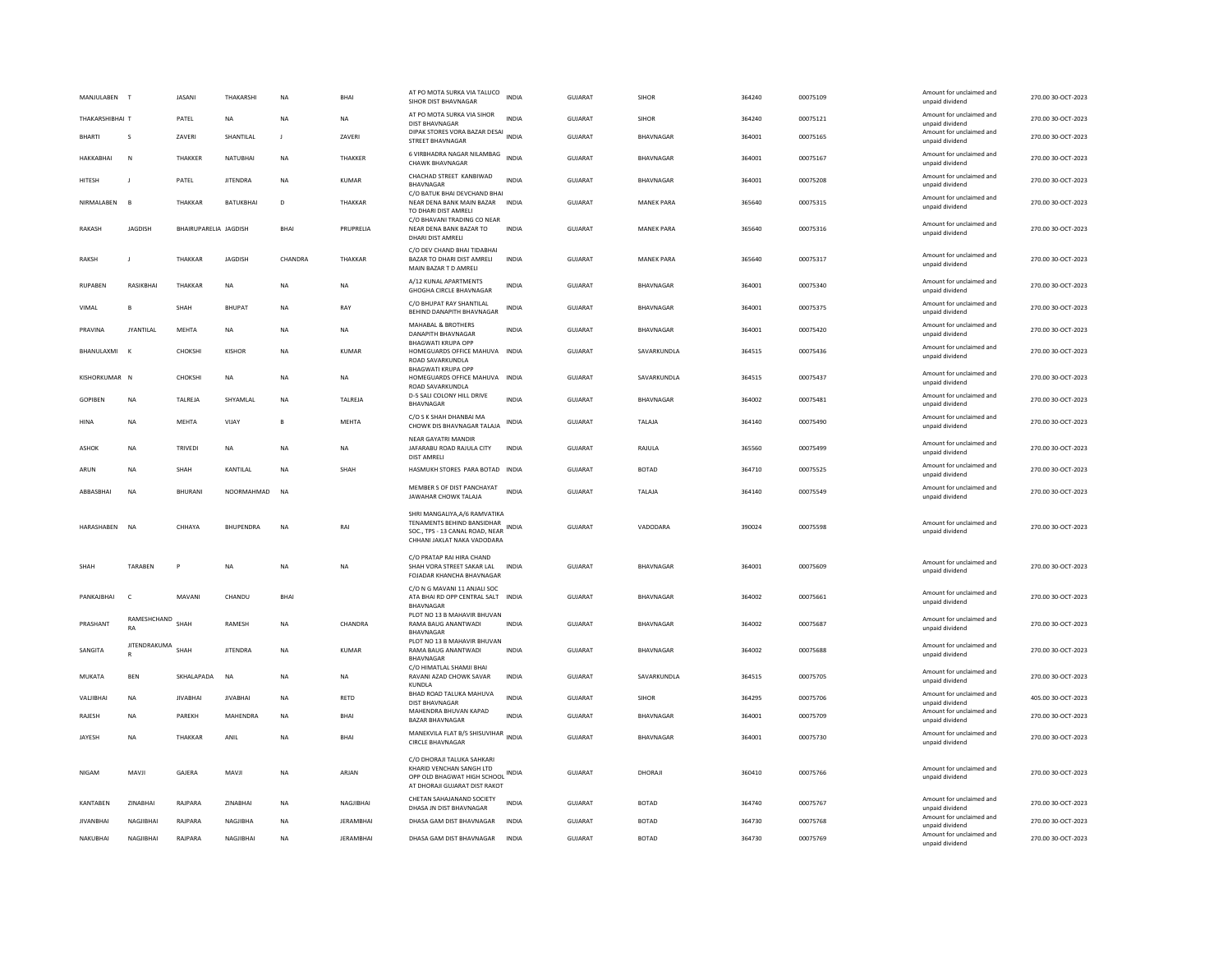| MANJULABEN T                    | <b>IASANI</b>         | THAKARSHI       | <b>NA</b>    | <b>RHA</b>       | AT PO MOTA SURKA VIA TALUCO<br>SIHOR DIST BHAVNAGAR                                                                                 | <b>INDIA</b> | GUIARAT        | <b>SIHOR</b>      | 364240 | 00075109 | Amount for unclaimed and<br>unpaid dividend | 270.00.30-OCT-2023 |
|---------------------------------|-----------------------|-----------------|--------------|------------------|-------------------------------------------------------------------------------------------------------------------------------------|--------------|----------------|-------------------|--------|----------|---------------------------------------------|--------------------|
| THAKARSHIBHAI T                 | PATEL                 | NA              | <b>NA</b>    | NA               | AT PO MOTA SURKA VIA SIHOR<br>DIST BHAVNAGAR                                                                                        | INDIA        | GUJARAT        | SIHOR             | 364240 | 00075121 | Amount for unclaimed and<br>unpaid dividend | 270.00 30-OCT-2023 |
| BHARTI<br>s                     | ZAVERI                | SHANTILAL       | $\mathbf{J}$ | ZAVERI           | DIPAK STORES VORA BAZAR DESAI<br><b>STREET BHAVNAGAR</b>                                                                            | <b>INDIA</b> | GUJARAT        | BHAVNAGAR         | 364001 | 00075165 | Amount for unclaimed and<br>unpaid dividend | 270.00 30-OCT-2023 |
| <b>HAKKARHAI</b><br>N           | <b>THAKKER</b>        | NATURHAI        | <b>NA</b>    | THAKKER          | 6 VIRBHADRA NAGAR NILAMBAG<br><b>CHAWK BHAVNAGAR</b>                                                                                | <b>INDIA</b> | GUIARAT        | <b>BHAVNAGAR</b>  | 364001 | 00075167 | Amount for unclaimed and<br>unpaid dividend | 270.00 30-QCT-2023 |
| <b>HITESH</b>                   | PATEL                 | <b>JITENDRA</b> | <b>NA</b>    | <b>KUMAR</b>     | CHACHAD STREET KANBIWAD<br>BHAVNAGAR<br>C/O BATUK BHAI DEVCHAND BHAI                                                                | <b>INDIA</b> | <b>GUJARAT</b> | <b>BHAVNAGAR</b>  | 364001 | 00075208 | Amount for unclaimed and<br>unpaid dividend | 270.00 30-OCT-2023 |
| NIRMAI AREN<br>$\overline{B}$   | <b>THAKKAR</b>        | BATUKBHAI       | D            | <b>THAKKAR</b>   | NEAR DENA BANK MAIN BAZAR INDIA<br>TO DHARI DIST AMRELI                                                                             |              | GUJARAT        | <b>MANEK PARA</b> | 365640 | 00075315 | Amount for unclaimed and<br>unpaid dividend | 270.00 30-OCT-2023 |
| <b>JAGDISH</b><br><b>RAKASH</b> | BHAIRUPARELIA JAGDISH |                 | <b>BHAI</b>  | PRUPRELIA        | C/O BHAVANI TRADING CO NEAR<br>NEAR DENA BANK BAZAR TO<br>DHARI DIST AMRELI                                                         | <b>INDIA</b> | <b>GUJARAT</b> | <b>MANEK PARA</b> | 365640 | 00075316 | Amount for unclaimed and<br>unpaid dividend | 270.00 30-OCT-2023 |
| <b>RAKSH</b>                    | THAKKAR               | JAGDISH         | CHANDRA      | THAKKAR          | C/O DEV CHAND BHAI TIDABHAI<br>BAZAR TO DHARI DIST AMRELI<br>MAIN BAZAR T D AMRELI                                                  | INDIA        | GUJARAT        | <b>MANEK PARA</b> | 365640 | 00075317 | Amount for unclaimed and<br>unpaid dividend | 270.00 30-OCT-2023 |
| RUPAREN<br>RASIKRHAI            | <b>THAKKAR</b>        | <b>NA</b>       | <b>NA</b>    | <b>NA</b>        | A/12 KUNAL APARTMENTS<br><b>GHOGHA CIRCLE BHAVNAGAR</b>                                                                             | <b>INDIA</b> | GUIARAT        | <b>BHAVNAGAR</b>  | 364001 | 00075340 | Amount for unclaimed and<br>unpaid dividend | 270.00 30-OCT-2023 |
| VIMAL<br>B                      | SHAH                  | <b>BHUPAT</b>   | NA           | RAY              | C/O BHUPAT RAY SHANTILAL<br>BEHIND DANAPITH BHAVNAGAR                                                                               | INDIA        | GUJARAT        | BHAVNAGAR         | 364001 | 00075375 | Amount for unclaimed and<br>unpaid dividend | 270.00 30-OCT-2023 |
| PRAVINA<br><b>JYANTILAL</b>     | MEHTA                 | NA              | NA           | NA               | <b>MAHABAL &amp; BROTHERS</b><br>DANAPITH BHAVNAGAR<br><b>BHAGWATI KRUPA OPP</b>                                                    | <b>INDIA</b> | <b>GUJARAT</b> | BHAVNAGAR         | 364001 | 00075420 | Amount for unclaimed and<br>unpaid dividend | 270.00 30-OCT-2023 |
| BHANULAXMI                      | CHOKSHI               | <b>KISHOR</b>   | <b>NA</b>    | <b>KUMAR</b>     | HOMEGUARDS OFFICE MAHUVA INDIA<br>ROAD SAVARKUNDLA                                                                                  |              | <b>GUJARAT</b> | SAVARKUNDLA       | 364515 | 00075436 | Amount for unclaimed and<br>unpaid dividend | 270.00 30-OCT-2023 |
| KISHORKUMAR N                   | CHOKSHI               | NA              | NA           | NA               | <b>BHAGWATI KRUPA OPP</b><br>HOMEGUARDS OFFICE MAHUVA INDIA<br>ROAD SAVARKUNDLA                                                     |              | <b>GUJARAT</b> | SAVARKUNDLA       | 364515 | 00075437 | Amount for unclaimed and<br>unpaid dividend | 270.00 30-OCT-2023 |
| GOPIBEN<br>NA                   | TALREJA               | SHYAMLAL        | NA           | TALREJA          | D-5 SALI COLONY HILL DRIVE<br><b>BHAVNAGAR</b>                                                                                      | <b>INDIA</b> | GUJARAT        | BHAVNAGAR         | 364002 | 00075481 | Amount for unclaimed and<br>unpaid dividend | 270.00 30-OCT-2023 |
| HINA<br>NA                      | MEHTA                 | VIJAY           | B            | MEHTA            | C/O S K SHAH DHANBAI MA<br>CHOWK DIS BHAVNAGAR TALAJA                                                                               | <b>INDIA</b> | GUJARAT        | TALAJA            | 364140 | 00075490 | Amount for unclaimed and<br>unpaid dividend | 270.00 30-OCT-2023 |
| ASHOK<br>NA                     | TRIVEDI               | NA              | <b>NA</b>    | NA               | NEAR GAYATRI MANDIR<br>JAFARABU ROAD RAJULA CITY<br><b>DIST AMRELI</b>                                                              | <b>INDIA</b> | GUJARAT        | RAJULA            | 365560 | 00075499 | Amount for unclaimed and<br>unpaid dividend | 270.00 30-OCT-2023 |
| ARUN<br>NA                      | SHAH                  | KANTILAL        | <b>NA</b>    | SHAH             | HASMUKH STORES PARA BOTAD INDIA                                                                                                     |              | GUJARAT        | <b>BOTAD</b>      | 364710 | 00075525 | Amount for unclaimed and<br>unpaid dividend | 270.00 30-OCT-2023 |
| ABBASBHAI<br><b>NA</b>          | <b>BHURANI</b>        | NOORMAHMAD      | <b>NA</b>    |                  | MEMBER S OF DIST PANCHAYAT<br>JAWAHAR CHOWK TALAJA                                                                                  | <b>INDIA</b> | <b>GUJARAT</b> | TALAJA            | 364140 | 00075549 | Amount for unclaimed and<br>unpaid dividend | 270.00 30-OCT-2023 |
| HARASHABEN NA                   | CHHAYA                | BHUPENDRA       | <b>NA</b>    | RAI              | SHRI MANGALIYA, A/6 RAMVATIKA<br>TENAMENTS BEHIND BANSIDHAR<br>SOC., TPS - 13 CANAL ROAD, NEAR INDIA<br>CHHANI JAKLAT NAKA VADODARA |              | <b>GUJARAT</b> | VADODARA          | 390024 | 00075598 | Amount for unclaimed and<br>unpaid dividend | 270.00 30-OCT-2023 |
| <b>TARABEN</b><br>SHAH          | P                     | <b>NA</b>       | <b>NA</b>    | <b>NA</b>        | C/O PRATAP RAI HIRA CHAND<br>SHAH VORA STREET SAKAR LAL<br>FOJADAR KHANCHA BHAVNAGAR                                                | <b>INDIA</b> | <b>GUJARAT</b> | BHAVNAGAR         | 364001 | 00075609 | Amount for unclaimed and<br>unpaid dividend | 270.00 30-OCT-2023 |
| PANKAJBHAI<br>$\mathsf{C}$      | MAVANI                | CHANDU          | BHAI         |                  | C/O N G MAVANI 11 ANJALI SOC<br>ATA BHAI RD OPP CENTRAL SALT INDIA<br><b>BHAVNAGAR</b>                                              |              | GUJARAT        | BHAVNAGAR         | 364002 | 00075661 | Amount for unclaimed and<br>unpaid dividend | 270.00 30-OCT-2023 |
| RAMESHCHAND<br>PRASHANT<br>RA   | SHAH                  | RAMESH          | NA           | CHANDRA          | PLOT NO 13 B MAHAVIR BHUVAN<br>RAMA BAUG ANANTWADI<br>BHAVNAGAR                                                                     | <b>INDIA</b> | GUJARAT        | BHAVNAGAR         | 364002 | 00075687 | Amount for unclaimed and<br>unpaid dividend | 270.00 30-OCT-2023 |
| JITENDRAKUMA<br>SANGITA         | SHAH                  | <b>IITENDRA</b> | <b>NA</b>    | KUMAR            | PLOT NO 13 B MAHAVIR BHUVAN<br>RAMA BAUG ANANTWADI<br>BHAVNAGAR                                                                     | <b>INDIA</b> | <b>GUJARAT</b> | BHAVNAGAR         | 364002 | 00075688 | Amount for unclaimed and<br>unpaid dividend | 270.00 30-OCT-2023 |
| MUKATA<br><b>BEN</b>            | SKHALAPADA            | NA              | <b>NA</b>    | NA               | C/O HIMATLAL SHAMJI BHAI<br>RAVANI AZAD CHOWK SAVAR<br>KUNDLA                                                                       | INDIA        | GUJARAT        | SAVARKUNDLA       | 364515 | 00075705 | Amount for unclaimed and<br>unpaid dividend | 270.00 30-OCT-2023 |
| VALIBHAI<br><b>NA</b>           | <b>IIVARHAI</b>       | <b>IIVARHAI</b> | <b>NA</b>    | <b>RETD</b>      | BHAD ROAD TALUKA MAHUVA<br>DIST BHAVNAGAR                                                                                           | <b>INDIA</b> | <b>GUJARAT</b> | <b>SIHOR</b>      | 364295 | 00075706 | Amount for unclaimed and<br>unpaid dividend | 405.00 30-OCT-2023 |
| RAJESH<br><b>NA</b>             | PAREKH                | MAHENDRA        | <b>NA</b>    | BHAI             | MAHENDRA BHUVAN KAPAD<br><b>BAZAR BHAVNAGAR</b>                                                                                     | <b>INDIA</b> | <b>GUJARAT</b> | BHAVNAGAR         | 364001 | 00075709 | Amount for unclaimed and<br>unpaid dividend | 270.00 30-OCT-2023 |
| NA<br>JAYESH                    | THAKKAR               | ANIL            | <b>NA</b>    | BHAI             | MANEKVILA FLAT B/5 SHISUVIHAR INDIA<br><b>CIRCLE BHAVNAGAR</b>                                                                      |              | GUJARAT        | BHAVNAGAR         | 364001 | 00075730 | Amount for unclaimed and<br>unpaid dividend | 270.00 30-OCT-2023 |
| NIGAM<br>MAVJI                  | GAJERA                | MAVJI           | NA           | ARJAN            | C/O DHORAJI TALUKA SAHKARI<br>KHARID VENCHAN SANGH LTD<br>OPP OLD BHAGWAT HIGH SCHOOL INDIA<br>AT DHORAJI GUJARAT DIST RAKOT        |              | GUJARAT        | DHORAJI           | 360410 | 00075766 | Amount for unclaimed and<br>unpaid dividend | 270.00 30-OCT-2023 |
| KANTABEN<br>ZINABHAI            | RAJPARA               | ZINABHAI        | <b>NA</b>    | NAGJIBHAI        | CHETAN SAHAJANAND SOCIETY<br>DHASA JN DIST BHAVNAGAR                                                                                | <b>INDIA</b> | GUJARAT        | <b>BOTAD</b>      | 364740 | 00075767 | Amount for unclaimed and<br>unpaid dividend | 270.00 30-OCT-2023 |
| <b>JIVANBHAI</b><br>NAGJIBHAI   | RAJPARA               | NAGJIBHA        | <b>NA</b>    | <b>JERAMBHAI</b> | DHASA GAM DIST BHAVNAGAR                                                                                                            | INDIA        | <b>GUJARAT</b> | <b>BOTAD</b>      | 364730 | 00075768 | Amount for unclaimed and<br>unpaid dividend | 270.00 30-OCT-2023 |
| NAGIIRHAI<br>NAKUBHAI           | RAIPARA               | NAGIIRHAI       | <b>NA</b>    | <b>IFRAMBHAI</b> | DHASA GAM DIST BHAVNAGAR                                                                                                            | <b>INDIA</b> | GUIARAT        | <b>BOTAD</b>      | 364730 | 00075769 | Amount for unclaimed and<br>unpaid dividend | 270.00 30-OCT-2023 |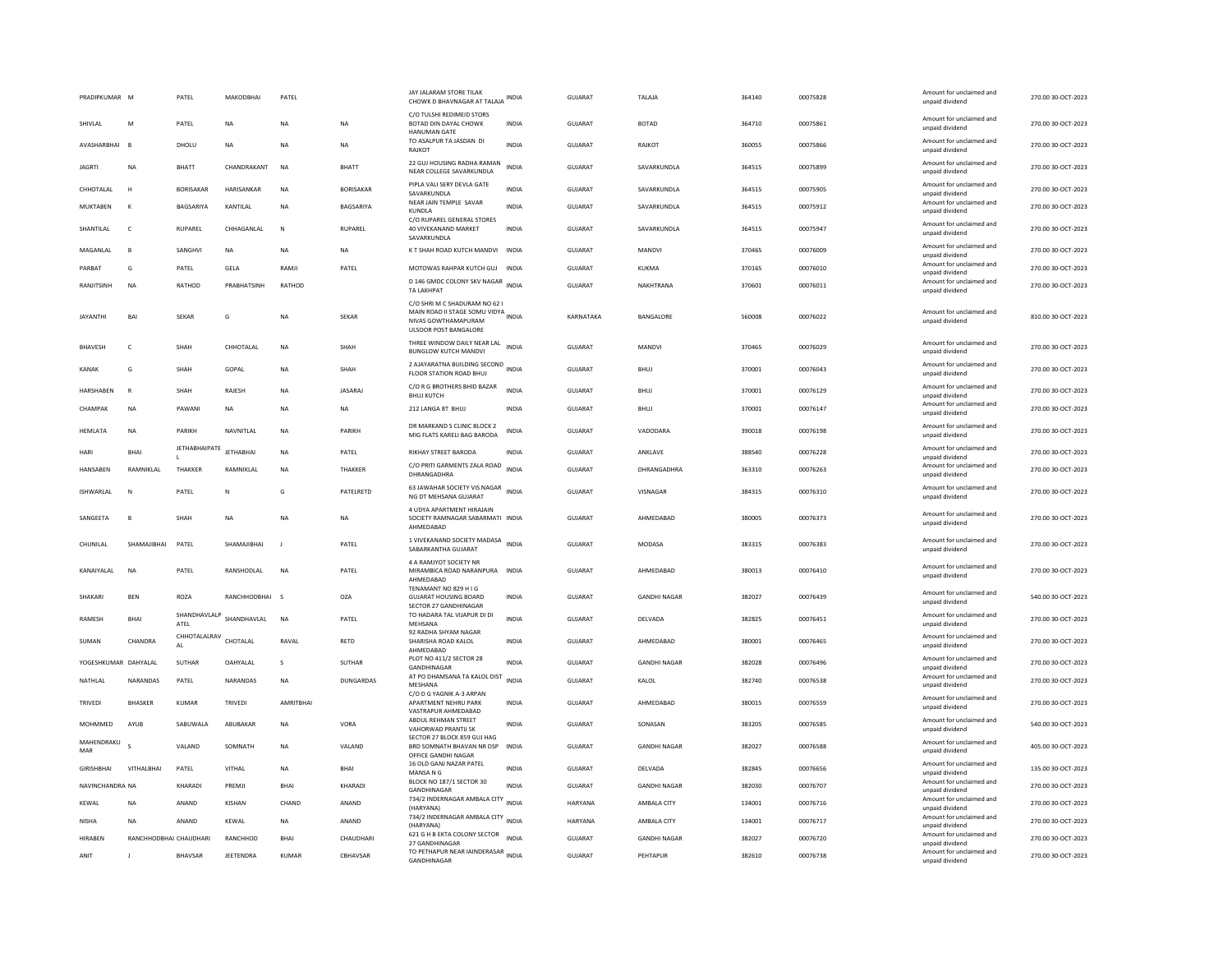| PRADIPKUMAR          | M                      | PATEL                | MAKODBHAI        | PATEL       |                  | JAY JALARAM STORE TILAK<br>CHOWK D BHAVNAGAR AT TALAJA INDIA                                                         |              | <b>GUJARAT</b> | TALAJA              | 364140 | 00075828 | Amount for unclaimed and<br>unpaid dividend | 270.00 30-OCT-2023 |
|----------------------|------------------------|----------------------|------------------|-------------|------------------|----------------------------------------------------------------------------------------------------------------------|--------------|----------------|---------------------|--------|----------|---------------------------------------------|--------------------|
| SHIVLAL              | M                      | PATEL                | NA               | <b>NA</b>   | NA               | C/O TULSHI REDIMEID STORS<br>BOTAD DIN DAYAL CHOWK<br><b>HANUMAN GATE</b>                                            | INDIA        | GUJARAT        | <b>BOTAD</b>        | 364710 | 00075861 | Amount for unclaimed and<br>unpaid dividend | 270.00 30-OCT-2023 |
| AVASHARRHAI          | <b>B</b>               | DHOLU                | <b>NA</b>        | <b>NA</b>   | <b>NA</b>        | TO ASALPUR TA JASDAN DI<br>RAJKOT                                                                                    | <b>INDIA</b> | GUIARAT        | RAIKOT              | 360055 | 00075866 | Amount for unclaimed and<br>unpaid dividend | 270.00 30-OCT-2023 |
| <b>JAGRTI</b>        | <b>NA</b>              | <b>BHATT</b>         | CHANDRAKANT      | <b>NA</b>   | <b>BHATT</b>     | 22 GUJ HOUSING RADHA RAMAN<br>NEAR COLLEGE SAVARKUNDLA                                                               | <b>INDIA</b> | <b>GUJARAT</b> | SAVARKUNDLA         | 364515 | 00075899 | Amount for unclaimed and<br>unpaid dividend | 270.00 30-OCT-2023 |
| CHHOTALAL            | H                      | <b>BORISAKAF</b>     | HARISANKAR       | <b>NA</b>   | <b>BORISAKAR</b> | PIPLA VALI SERY DEVLA GATE<br>SAVARKUNDLA                                                                            | <b>INDIA</b> | <b>GUJARAT</b> | SAVARKUNDLA         | 364515 | 00075905 | Amount for unclaimed and<br>unpaid dividend | 270.00 30-OCT-2023 |
| <b>MUKTABEN</b>      | K                      | BAGSARIYA            | KANTILAL         | <b>NA</b>   | BAGSARIYA        | NEAR JAIN TEMPLE SAVAR<br>KUNDLA                                                                                     | <b>INDIA</b> | <b>GUJARAT</b> | SAVARKUNDLA         | 364515 | 00075912 | Amount for unclaimed and<br>unpaid dividend | 270.00 30-OCT-2023 |
| SHANTILAL            | $\mathsf{C}$           | <b>RUPAREL</b>       | CHHAGANI AI      | N           | RUPAREL          | C/O RUPAREL GENERAL STORES<br>40 VIVEKANAND MARKET<br>SAVARKUNDLA                                                    | <b>INDIA</b> | <b>GUJARAT</b> | SAVARKUNDLA         | 364515 | 00075947 | Amount for unclaimed and<br>unpaid dividend | 270.00 30-OCT-2023 |
| MAGANLAL             | B                      | SANGHVI              | NA               | <b>NA</b>   | <b>NA</b>        | K T SHAH ROAD KUTCH MANDVI                                                                                           | <b>INDIA</b> | <b>GUJARAT</b> | MANDVI              | 370465 | 00076009 | Amount for unclaimed and<br>unpaid dividend | 270.00 30-OCT-2023 |
| PARBAT               | G                      | PATEL                | GELA             | RAMJI       | PATEL            | MOTOWAS RAHPAR KUTCH GUJ                                                                                             | INDIA        | GUJARAT        | KUKMA               | 370165 | 00076010 | Amount for unclaimed and<br>unpaid dividend | 270.00 30-OCT-2023 |
| RANJITSINH           | <b>NA</b>              | RATHOD               | PRARHATSINH      | RATHOD      |                  | D 146 GMDC COLONY SKV NAGAR<br>TA LAKHPAT                                                                            | <b>INDIA</b> | GUIARAT        | NAKHTRANA           | 370601 | 00076011 | Amount for unclaimed and<br>unpaid dividend | 270.00 30-OCT-2023 |
| <b>JAYANTHI</b>      | BAI                    | SEKAR                | G                | <b>NA</b>   | SEKAR            | C/O SHRI M C SHADURAM NO 62 I<br>MAIN ROAD II STAGE SOMU VIDYA INDIA<br>NIVAS GOWTHAMAPURAM<br>ULSOOR POST BANGALORE |              | KARNATAKA      | BANGALORE           | 560008 | 00076022 | Amount for unclaimed and<br>unpaid dividend | 810.00 30-OCT-2023 |
| <b>BHAVESH</b>       | $\mathsf{C}$           | SHAH                 | CHHOTALAL        | <b>NA</b>   | SHAH             | THREE WINDOW DAILY NEAR LAL INDIA<br><b>BUNGLOW KUTCH MANDV</b>                                                      |              | <b>GUJARAT</b> | MANDVI              | 370465 | 00076029 | Amount for unclaimed and<br>unpaid dividend | 270.00 30-OCT-2023 |
| <b>KANAK</b>         | G                      | SHAH                 | GOPAL            | <b>NA</b>   | SHAH             | 2 AJAYARATNA BUILDING SECOND<br>FLOOR STATION ROAD BHUJ                                                              | <b>INDIA</b> | <b>GUJARAT</b> | BHUJ                | 370001 | 00076043 | Amount for unclaimed and<br>unpaid dividend | 270.00 30-OCT-2023 |
| HARSHABEN            | R                      | SHAH                 | RAJESH           | <b>NA</b>   | JASARAJ          | C/O R G BROTHERS BHID BAZAR<br><b>BHUJ KUTCH</b>                                                                     | INDIA        | GUJARAT        | BHUJ                | 370001 | 00076129 | Amount for unclaimed and<br>unpaid dividend | 270.00 30-OCT-2023 |
| CHAMPAK              | <b>NA</b>              | PAWANI               | NA               | <b>NA</b>   | NA               | 212 LANGA 8T BHUJ                                                                                                    | <b>INDIA</b> | <b>GUJARAT</b> | BHUJ                | 370001 | 00076147 | Amount for unclaimed and<br>unpaid dividend | 270.00 30-OCT-2023 |
| HEMLATA              | NA                     | PARIKH               | NAVNITLAL        | <b>NA</b>   | PARIKH           | DR MARKAND S CLINIC BLOCK 2<br>MIG FLATS KARELI BAG BARODA                                                           | <b>INDIA</b> | GUJARAT        | VADODARA            | 390018 | 00076198 | Amount for unclaimed and<br>unpaid dividend | 270.00 30-OCT-2023 |
| HARI                 | RHAI                   | <b>JETHABHAIPATE</b> | <b>JETHABHAI</b> | <b>NA</b>   | PATEL            | RIKHAY STREET BARODA                                                                                                 | INDIA        | <b>GUJARAT</b> | ANKLAVE             | 388540 | 00076228 | Amount for unclaimed and<br>unpaid dividend | 270.00 30-OCT-2023 |
| HANSABEN             | RAMNIKLAL              | THAKKER              | RAMNIKLAL        | <b>NA</b>   | <b>THAKKER</b>   | C/O PRITI GARMENTS ZALA ROAD<br><b>DHRANGADHRA</b>                                                                   | <b>INDIA</b> | <b>GUJARAT</b> | DHRANGADHRA         | 363310 | 00076263 | Amount for unclaimed and<br>unpaid dividend | 270.00 30-OCT-2023 |
| ISHWARLAL            | N                      | PATEL                | Ν                | G           | PATELRETD        | 63 JAWAHAR SOCIETY VIS NAGAR<br>INDIA<br>NG DT MEHSANA GUJARAT                                                       |              | <b>GUJARAT</b> | VISNAGAR            | 384315 | 00076310 | Amount for unclaimed and<br>unpaid dividend | 270.00 30-OCT-2023 |
| SANGEETA             | $\mathbf{B}$           | SHAH                 | <b>NA</b>        | <b>NA</b>   | NA               | 4 UDYA APARTMENT HIRAJAIN<br>SOCIETY RAMNAGAR SABARMATI INDIA<br>AHMEDABAD                                           |              | GUJARAT        | AHMEDABAD           | 380005 | 00076373 | Amount for unclaimed and<br>unpaid dividend | 270.00 30-OCT-2023 |
| CHUNILAL             | SHAMAJIBHAI            | PATEL                | SHAMAJIBHAI      | J           | PATEL            | 1 VIVEKANAND SOCIETY MADASA<br>SABARKANTHA GUJARAT                                                                   | <b>INDIA</b> | <b>GUJARAT</b> | MODASA              | 383315 | 00076383 | Amount for unclaimed and<br>unpaid dividend | 270.00 30-OCT-2023 |
| KANAIYALAL           | <b>NA</b>              | PATEL                | RANSHODLAL       | NA          | PATEL            | 4 A RAMJYOT SOCIETY NR<br>MIRAMBICA ROAD NARANPURA INDIA<br>AHMEDABAD                                                |              | GUJARAT        | AHMEDABAD           | 380013 | 00076410 | Amount for unclaimed and<br>unpaid dividend | 270.00 30-OCT-2023 |
| SHAKARI              | BEN                    | ROZA                 | RANCHHODBHAI     | s           | <b>OZA</b>       | TENAMANT NO 829 H I G<br><b>GUJARAT HOUSING BOARD</b><br>SECTOR 27 GANDHINAGAR                                       | <b>INDIA</b> | <b>GUJARAT</b> | <b>GANDHI NAGAR</b> | 382027 | 00076439 | Amount for unclaimed and<br>unpaid dividend | 540.00 30-OCT-2023 |
| <b>RAMESH</b>        | <b>BHAI</b>            | SHANDHAVLALP<br>ATEL | SHANDHAVLAL      | <b>NA</b>   | PATEL            | TO HADARA TAL VIJAPUR DI DI<br>MEHSANA                                                                               | <b>INDIA</b> | GUIARAT        | DELVADA             | 382825 | 00076451 | Amount for unclaimed and<br>unpaid dividend | 270.00 30-OCT-2023 |
| SUMAN                | CHANDRA                | CHHOTALALRAV<br>AL   | CHOTALAL         | RAVAL       | RETD             | 92 RADHA SHYAM NAGAR<br>SHARISHA ROAD KALOL<br>AHMFDARAD                                                             | <b>INDIA</b> | <b>GUJARAT</b> | AHMEDABAD           | 380001 | 00076465 | Amount for unclaimed and<br>unpaid dividend | 270.00 30-OCT-2023 |
| YOGESHKUMAR DAHYALAL |                        | <b>SUTHAR</b>        | OAHYALAL         | s           | SUTHAR           | PLOT NO 411/2 SECTOR 28<br>GANDHINAGAR                                                                               | <b>INDIA</b> | <b>GUJARAT</b> | <b>GANDHI NAGAR</b> | 382028 | 00076496 | Amount for unclaimed and<br>unpaid dividend | 270.00 30-OCT-2023 |
| NATHLAL              | NARANDAS               | PATEL                | NARANDAS         | <b>NA</b>   | <b>DUNGARDAS</b> | AT PO DHAMSANA TA KALOL DIST<br>MESHANA                                                                              | <b>INDIA</b> | <b>GUJARAT</b> | KALOL               | 382740 | 00076538 | Amount for unclaimed and<br>unpaid dividend | 270.00 30-OCT-2023 |
| <b>TRIVEDI</b>       | <b>BHASKER</b>         | KUMAR                | TRIVEDI          | AMRITBHAI   |                  | C/O D G YAGNIK A-3 ARPAN<br>APARTMENT NEHRU PARK<br>VASTRAPUR AHMEDABAD                                              | <b>INDIA</b> | <b>GUJARAT</b> | AHMEDABAD           | 380015 | 00076559 | Amount for unclaimed and<br>unpaid dividend | 270.00 30-OCT-2023 |
| MOHMMED              | AYUB                   | SABUWALA             | ABUBAKAR         | <b>NA</b>   | VORA             | ABDUL REHMAN STREET<br>VAHORWAD PRANTIJ SK                                                                           | <b>INDIA</b> | GUJARAT        | SONASAN             | 383205 | 00076585 | Amount for unclaimed and<br>unpaid dividend | 540.00 30-OCT-2023 |
| MAHENDRAKU<br>MAR    |                        | VALAND               | SOMNATH          | <b>NA</b>   | VALAND           | SECTOR 27 BLOCK 859 GUJ HAG<br>BRD SOMNATH BHAVAN NR DSP<br>OFFICE GANDHI NAGAR                                      | <b>INDIA</b> | GUJARAT        | <b>GANDHI NAGAR</b> | 382027 | 00076588 | Amount for unclaimed and<br>unpaid dividend | 405.00 30-OCT-2023 |
| <b>GIRISHBHAI</b>    | VITHALBHAI             | PATEL                | VITHAL           | <b>NA</b>   | <b>BHAI</b>      | 16 OLD GANJ NAZAR PATEL<br>MANSA N G                                                                                 | <b>INDIA</b> | GUJARAT        | DELVADA             | 382845 | 00076656 | Amount for unclaimed and<br>unpaid dividend | 135.00 30-OCT-2023 |
| NAVINCHANDRA NA      |                        | KHARADI              | PREMI            | <b>RHAI</b> | KHARADI          | BLOCK NO 187/1 SECTOR 30<br><b>GANDHINAGAR</b>                                                                       | <b>INDIA</b> | <b>GUJARAT</b> | <b>GANDHI NAGAR</b> | 382030 | 00076707 | Amount for unclaimed and<br>unpaid dividend | 270.00 30-OCT-2023 |
| KEWAL                | <b>NA</b>              | ANAND                | KISHAN           | CHAND       | ANAND            | 734/2 INDERNAGAR AMBALA CITY INDIA<br>(HARYANA)                                                                      |              | <b>HARYANA</b> | AMBALA CITY         | 134001 | 00076716 | Amount for unclaimed and<br>unpaid dividend | 270.00 30-OCT-2023 |
| <b>NISHA</b>         | <b>NA</b>              | ANAND                | KEWAL            | NA          | ANAND            | 734/2 INDERNAGAR AMBALA CITY<br>INDIA<br>(HARYANA)                                                                   |              | HARYANA        | AMBALA CITY         | 134001 | 00076717 | Amount for unclaimed and<br>unpaid dividend | 270.00 30-OCT-2023 |
| HIRABEN              | RANCHHODBHAI CHAUDHARI |                      | RANCHHOD         | BHAI        | CHAUDHARI        | 621 G H B EKTA COLONY SECTOR<br>27 GANDHINAGAR                                                                       | <b>INDIA</b> | GUJARAT        | <b>GANDHI NAGAR</b> | 382027 | 00076720 | Amount for unclaimed and<br>unpaid dividend | 270.00 30-OCT-2023 |
| ANIT                 | $\blacksquare$         | <b>RHAVSAR</b>       | <b>IFFTFNDRA</b> | KUMAR       | CBHAVSAR         | TO PETHAPUR NEAR IAINDERASAR INDIA<br>GANDHINAGAR                                                                    |              | <b>GUJARAT</b> | PEHTAPUR            | 382610 | 00076738 | Amount for unclaimed and<br>unpaid dividend | 270.00 30-OCT-2023 |
|                      |                        |                      |                  |             |                  |                                                                                                                      |              |                |                     |        |          |                                             |                    |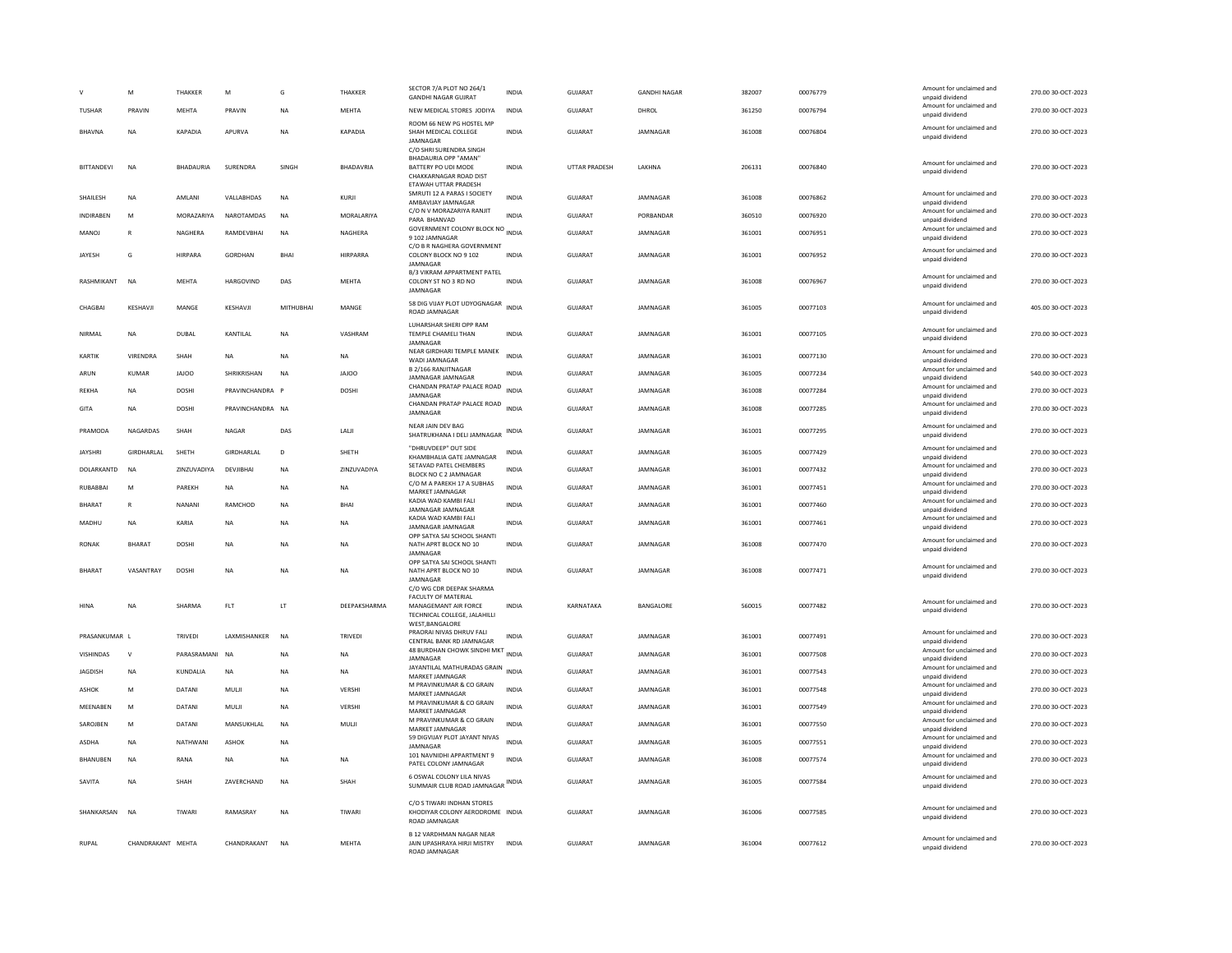|                  | M                 | THAKKER          | M                | G         | THAKKER         | SECTOR 7/A PLOT NO 264/1<br><b>GANDHI NAGAR GUJRAT</b>                                                                   | INDIA        | GUJARAT        | <b>GANDHI NAGAR</b> | 382007 | 00076779 | Amount for unclaimed and<br>unpaid dividend                    | 270.00 30-OCT-2023 |
|------------------|-------------------|------------------|------------------|-----------|-----------------|--------------------------------------------------------------------------------------------------------------------------|--------------|----------------|---------------------|--------|----------|----------------------------------------------------------------|--------------------|
| <b>TUSHAR</b>    | PRAVIN            | MEHTA            | PRAVIN           | <b>NA</b> | <b>MEHTA</b>    | NEW MEDICAL STORES JODIYA                                                                                                | <b>INDIA</b> | <b>GUJARAT</b> | DHROL               | 361250 | 00076794 | Amount for unclaimed and<br>unpaid dividend                    | 270.00 30-OCT-2023 |
| BHAVNA           | <b>NA</b>         | KAPADIA          | APURVA           | <b>NA</b> | <b>KAPADIA</b>  | ROOM 66 NEW PG HOSTEL MP<br>SHAH MEDICAL COLLEGE<br>JAMNAGAR                                                             | <b>INDIA</b> | GUJARAT        | JAMNAGAR            | 361008 | 00076804 | Amount for unclaimed and<br>unpaid dividend                    | 270.00 30-OCT-2023 |
| BITTANDEVI       | <b>NA</b>         | <b>BHADAURIA</b> | SURENDRA         | SINGH     | BHADAVRIA       | C/O SHRI SURENDRA SINGH<br>BHADAURIA OPP "AMAN"<br>BATTERY PO UDI MODE<br>CHAKKARNAGAR ROAD DIST<br>ETAWAH UTTAR PRADESH | INDIA        | UTTAR PRADESH  | LAKHNA              | 206131 | 00076840 | Amount for unclaimed and<br>unpaid dividend                    | 270.00 30-OCT-2023 |
| SHAILESH         | NA                | AMLANI           | VALLABHDAS       | NA        | KURJI           | SMRUTI 12 A PARAS I SOCIETY<br>AMBAVIJAY JAMNAGAR                                                                        | <b>INDIA</b> | <b>GUJARAT</b> | <b>IAMNAGAR</b>     | 361008 | 00076862 | Amount for unclaimed and<br>unpaid dividend                    | 270.00 30-OCT-2023 |
| <b>INDIRAREN</b> | M                 | MORAZARIYA       | NAROTAMDAS       | <b>NA</b> | MORALARIYA      | C/O N V MORAZARIYA RANJIT<br>PARA BHANVAD                                                                                | <b>INDIA</b> | <b>GUJARAT</b> | PORBANDAR           | 360510 | 00076920 | Amount for unclaimed and<br>unpaid dividend                    | 270.00 30-OCT-2023 |
| MANOJ            | $\mathbb{R}$      | <b>NAGHERA</b>   | RAMDEVBHAI       | <b>NA</b> | NAGHERA         | <b>GOVERNMENT COLONY BLOCK NO INDIA</b><br>9 102 JAMNAGAR                                                                |              | GUIARAT        | <b>IAMNAGAR</b>     | 361001 | 00076951 | Amount for unclaimed and<br>unpaid dividend                    | 270.00 30-OCT-2023 |
| JAYESH           | G                 | <b>HIRPARA</b>   | GORDHAN          | BHAI      | <b>HIRPARRA</b> | C/O B R NAGHERA GOVERNMENT<br>COLONY BLOCK NO 9 102<br>JAMNAGAR                                                          | <b>INDIA</b> | GUJARAT        | JAMNAGAR            | 361001 | 00076952 | Amount for unclaimed and<br>unpaid dividend                    | 270.00 30-OCT-2023 |
| RASHMIKANT       | <b>NA</b>         | <b>MEHTA</b>     | <b>HARGOVIND</b> | DAS       | MEHTA           | B/3 VIKRAM APPARTMENT PATEI<br>COLONY ST NO 3 RD NO<br><b>IAMNAGAR</b>                                                   | <b>INDIA</b> | <b>GUJARAT</b> | JAMNAGAR            | 361008 | 00076967 | Amount for unclaimed and<br>unpaid dividend                    | 270.00 30-OCT-2023 |
| CHAGRAI          | KESHAVI           | MANGE            | KESHAVII         | MITHURHAI | MANGE           | 58 DIG VIJAY PLOT UDYOGNAGAR<br>ROAD JAMNAGAR                                                                            | <b>INDIA</b> | GUIARAT        | <b>IAMNAGAR</b>     | 361005 | 00077103 | Amount for unclaimed and<br>unpaid dividend                    | 405.00 30-OCT-2023 |
| NIRMAL           | <b>NA</b>         | DUBAL            | KANTILAL         | <b>NA</b> | VASHRAM         | LUHARSHAR SHERI OPP RAM<br>TEMPLE CHAMELI THAN<br>JAMNAGAR                                                               | <b>INDIA</b> | <b>GUJARAT</b> | JAMNAGAR            | 361001 | 00077105 | Amount for unclaimed and<br>unpaid dividend                    | 270.00 30-OCT-2023 |
| KARTIK           | VIRENDRA          | SHAH             | <b>NA</b>        | <b>NA</b> | NA              | NEAR GIRDHARI TEMPLE MANEK<br>WADI JAMNAGAR                                                                              | <b>INDIA</b> | GUJARAT        | JAMNAGAR            | 361001 | 00077130 | Amount for unclaimed and<br>unpaid dividend                    | 270.00 30-OCT-2023 |
| ARUN             | <b>KUMAR</b>      | <b>JAJOO</b>     | SHRIKRISHAN      | <b>NA</b> | <b>JAJOO</b>    | B 2/166 RANJITNAGAR<br>JAMNAGAR JAMNAGAR                                                                                 | INDIA        | GUJARAT        | JAMNAGAR            | 361005 | 00077234 | Amount for unclaimed and<br>unpaid dividend                    | 540.00 30-OCT-2023 |
| REKHA            | <b>NA</b>         | <b>DOSHI</b>     | PRAVINCHANDRA    |           | DOSHI           | CHANDAN PRATAP PALACE ROAD<br><b>IAMNAGAR</b>                                                                            | <b>INDIA</b> | <b>GUJARAT</b> | JAMNAGAR            | 361008 | 00077284 | Amount for unclaimed and<br>unnaid dividend                    | 270.00 30-OCT-2023 |
| GITA             | <b>NA</b>         | <b>DOSHI</b>     | PRAVINCHANDRA NA |           |                 | CHANDAN PRATAP PALACE ROAD<br>JAMNAGAR                                                                                   | <b>INDIA</b> | <b>GUJARAT</b> | JAMNAGAR            | 361008 | 00077285 | Amount for unclaimed and<br>unpaid dividend                    | 270.00 30-OCT-2023 |
| PRAMODA          | NAGARDAS          | SHAH             | <b>NAGAF</b>     | DAS       | LALI            | NEAR JAIN DEV BAG<br>SHATRUKHANA I DELI JAMNAGAR                                                                         | <b>INDIA</b> | <b>GUJARAT</b> | JAMNAGAR            | 361001 | 00077295 | Amount for unclaimed and<br>unpaid dividend                    | 270.00 30-OCT-2023 |
| <b>JAYSHRI</b>   | GIRDHARLAL        | SHETH            | GIRDHARLAL       | D         | SHETH           | "DHRUVDEEP" OUT SIDE<br>KHAMBHALIA GATE JAMNAGAR                                                                         | INDIA        | <b>GUJARAT</b> | JAMNAGAR            | 361005 | 00077429 | Amount for unclaimed and<br>unpaid dividend                    | 270.00 30-OCT-2023 |
| DOLARKANTD       | <b>NA</b>         | ZINZUVADIYA      | DEVJIBHAI        | <b>NA</b> | ZINZUVADIYA     | SETAVAD PATEL CHEMBERS<br><b>BLOCK NO C 2 JAMNAGAR</b>                                                                   | <b>INDIA</b> | GUJARAT        | JAMNAGAR            | 361001 | 00077432 | Amount for unclaimed and<br>unpaid dividend                    | 270.00 30-OCT-2023 |
| RUBABBAI         | M                 | PAREKH           | <b>NA</b>        | <b>NA</b> | <b>NA</b>       | C/O M A PAREKH 17 A SUBHAS<br>MARKET JAMNAGAR                                                                            | INDIA        | GUJARAT        | JAMNAGAR            | 361001 | 00077451 | Amount for unclaimed and<br>unpaid dividend                    | 270.00 30-OCT-2023 |
| <b>BHARAT</b>    | $\overline{R}$    | <b>NANANI</b>    | RAMCHOD          | <b>NA</b> | <b>BHA</b>      | KADIA WAD KAMBI FALI<br>JAMNAGAR JAMNAGAR                                                                                | <b>INDIA</b> | <b>GUJARAT</b> | JAMNAGAR            | 361001 | 00077460 | Amount for unclaimed and<br>unpaid dividend                    | 270.00 30-OCT-2023 |
| MADHU            | NA                | KARIA            | NA               | NA        | NA              | KADIA WAD KAMBI FALI<br>JAMNAGAR JAMNAGAR                                                                                | <b>INDIA</b> | GUJARAT        | JAMNAGAR            | 361001 | 00077461 | Amount for unclaimed and<br>unpaid dividend                    | 270.00 30-OCT-2023 |
| <b>RONAK</b>     | <b>BHARAT</b>     | <b>DOSHI</b>     | <b>NA</b>        | <b>NA</b> | NA              | OPP SATYA SAI SCHOOL SHANTI<br>NATH APRT BLOCK NO 10<br>JAMNAGAR                                                         | <b>INDIA</b> | <b>GUJARAT</b> | JAMNAGAR            | 361008 | 00077470 | Amount for unclaimed and<br>unpaid dividend                    | 270.00 30-OCT-2023 |
| <b>BHARAT</b>    | VASANTRAY         | <b>DOSHI</b>     | <b>NA</b>        | <b>NA</b> | <b>NA</b>       | OPP SATYA SAI SCHOOL SHANTI<br>NATH APRT BLOCK NO 10                                                                     | <b>INDIA</b> | <b>GUJARAT</b> | JAMNAGAR            | 361008 | 00077471 | Amount for unclaimed and                                       | 270.00 30-OCT-2023 |
|                  |                   |                  |                  |           |                 | JAMNAGAR<br>C/O WG CDR DEEPAK SHARMA                                                                                     |              |                |                     |        |          | unpaid dividend                                                |                    |
| HINA             | NA                | SHARMA           | FLT              | LT        | DEEPAKSHARMA    | FACULTY OF MATERIAL<br>MANAGEMANT AIR FORCE<br>TECHNICAL COLLEGE, JALAHILLI<br>WEST.BANGALORI                            | INDIA        | KARNATAKA      | BANGALORE           | 560015 | 00077482 | Amount for unclaimed and<br>unpaid dividend                    | 270.00 30-OCT-2023 |
| PRASANKUMAR L    |                   | TRIVEDI          | LAXMISHANKER     | <b>NA</b> | TRIVEDI         | PRAORAI NIVAS DHRUV FALI<br>CENTRAL BANK RD JAMNAGAR                                                                     | INDIA        | <b>GUJARAT</b> | JAMNAGAR            | 361001 | 00077491 | Amount for unclaimed and<br>unpaid dividend                    | 270.00 30-OCT-2023 |
| VISHINDAS        | $\mathbf{v}$      | PARASRAMANI      | <b>NA</b>        | <b>NA</b> | NA              | 48 BURDHAN CHOWK SINDHI MKT<br>JAMNAGAR                                                                                  | <b>INDIA</b> | GUJARAT        | JAMNAGAR            | 361001 | 00077508 | Amount for unclaimed and<br>unpaid dividend                    | 270.00 30-OCT-2023 |
| <b>JAGDISH</b>   | <b>NA</b>         | KUNDALIA         | NA               | <b>NA</b> | NA              | JAYANTILAL MATHURADAS GRAIN<br><b>MARKET JAMNAGAR</b>                                                                    | <b>INDIA</b> | GUJARAT        | JAMNAGAR            | 361001 | 00077543 | Amount for unclaimed and<br>unpaid dividend                    | 270.00 30-OCT-2023 |
| <b>ASHOK</b>     | M                 | DATANI           | MULJI            | <b>NA</b> | VERSHI          | M PRAVINKUMAR & CO GRAIN<br>MARKET JAMNAGAR                                                                              | <b>INDIA</b> | <b>GUJARAT</b> | JAMNAGAR            | 361001 | 00077548 | Amount for unclaimed and<br>unpaid dividend                    | 270.00 30-OCT-2023 |
| MEENABEN         | M                 | DATANI           | MULJI            | <b>NA</b> | VERSHI          | M PRAVINKUMAR & CO GRAIN<br>MARKET JAMNAGAF                                                                              | <b>INDIA</b> | GUJARAT        | JAMNAGAR            | 361001 | 00077549 | Amount for unclaimed and<br>unpaid dividend                    | 270.00 30-OCT-2023 |
| SAROJBEN         | M                 | DATANI           | MANSUKHLAL       | NA        | MULI            | M PRAVINKUMAR & CO GRAIN<br>MARKET JAMNAGAR                                                                              | <b>INDIA</b> | GUJARAT        | JAMNAGAR            | 361001 | 00077550 | Amount for unclaimed and<br>unpaid dividend                    | 270.00 30-OCT-2023 |
| ASDHA            | <b>NA</b>         | NATHWANI         | ASHOK            | NA        |                 | 59 DIGVIJAY PLOT JAYANT NIVAS<br>JAMNAGAR                                                                                | INDIA        | GUJARAT        | JAMNAGAR            | 361005 | 00077551 | Amount for unclaimed and                                       | 270.00 30-OCT-2023 |
| BHANUBEN         | $_{\sf NA}$       | RANA             | NA               | NA        | NA              | 101 NAVNIDHI APPARTMENT 9<br>PATEL COLONY JAMNAGAR                                                                       | <b>INDIA</b> | GUJARAT        | JAMNAGAR            | 361008 | 00077574 | unpaid dividend<br>Amount for unclaimed and<br>unpaid dividend | 270.00 30-OCT-2023 |
| SAVITA           | <b>NA</b>         | SHAH             | ZAVERCHAND       | <b>NA</b> | SHAH            | 6 OSWAL COLONY LILA NIVAS<br>SUMMAIR CLUB ROAD JAMNAGAR INDIA                                                            |              | <b>GUJARAT</b> | JAMNAGAR            | 361005 | 00077584 | Amount for unclaimed and<br>unpaid dividend                    | 270.00 30-OCT-2023 |
| SHANKARSAN       | <b>NA</b>         | TIWARI           | <b>RAMASRAY</b>  | <b>NA</b> | TIWARI          | C/O S TIWARI INDHAN STORES<br>KHODIYAR COLONY AERODROME INDIA<br>ROAD JAMNAGAR                                           |              | GUJARAT        | JAMNAGAR            | 361006 | 00077585 | Amount for unclaimed and<br>unpaid dividend                    | 270.00 30-OCT-2023 |
| <b>RUPAL</b>     | CHANDRAKANT MEHTA |                  | CHANDRAKANT      | <b>NA</b> | MEHTA           | <b>B 12 VARDHMAN NAGAR NEAR</b><br>JAIN UPASHRAYA HIRJI MISTRY<br><b>ROAD IAMNAGAR</b>                                   | <b>INDIA</b> | GUJARAT        | JAMNAGAR            | 361004 | 00077612 | Amount for unclaimed and<br>unpaid dividend                    | 270.00 30-OCT-2023 |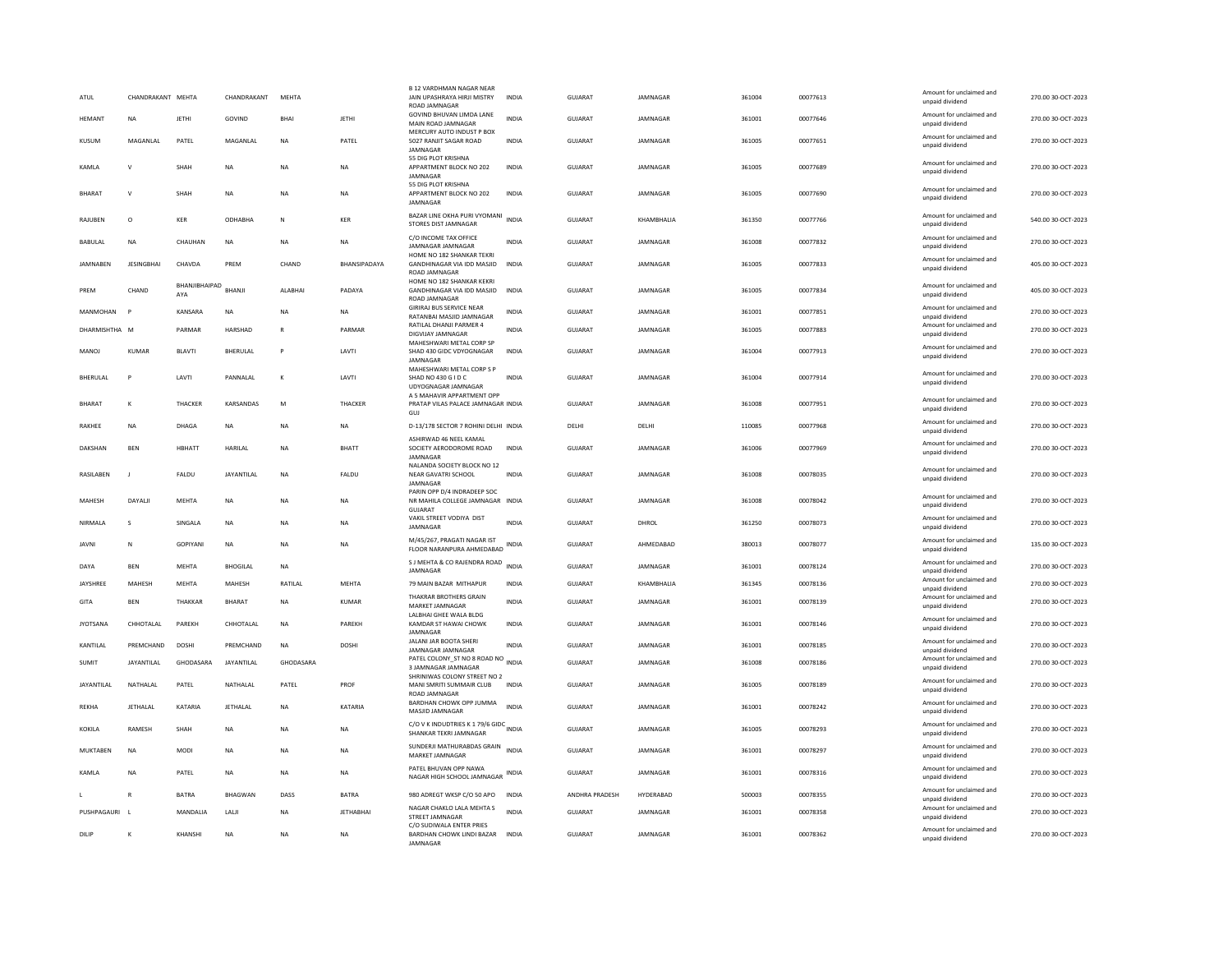| ATUL             | CHANDRAKANT MEHTA |                      | CHANDRAKANT     | MEHTA     |                     | <b>B 12 VARDHMAN NAGAR NEAR</b><br>JAIN UPASHRAYA HIRJI MISTRY<br>ROAD JAMNAGAR   | <b>INDIA</b> | <b>GUJARAT</b> | JAMNAGAR        | 361004 | 00077613 | Amount for unclaimed and<br>unpaid dividend                    | 270.00 30-OCT-2023 |
|------------------|-------------------|----------------------|-----------------|-----------|---------------------|-----------------------------------------------------------------------------------|--------------|----------------|-----------------|--------|----------|----------------------------------------------------------------|--------------------|
| HEMANT           | <b>NA</b>         | <b>JETHI</b>         | GOVIND          | BHAI      | <b>JETHI</b>        | GOVIND BHUVAN LIMDA LANE<br>MAIN ROAD JAMNAGAR                                    | <b>INDIA</b> | GUJARAT        | JAMNAGAR        | 361001 | 00077646 | Amount for unclaimed and<br>unpaid dividend                    | 270.00 30-OCT-2023 |
| KUSUM            | MAGANLAL          | PATEL                | MAGANLAL        | <b>NA</b> | PATEL               | MERCURY AUTO INDUST P BOX<br>5027 RANJIT SAGAR ROAD<br><b>IAMNAGAR</b>            | <b>INDIA</b> | GUJARAT        | JAMNAGAR        | 361005 | 00077651 | Amount for unclaimed and<br>unpaid dividend                    | 270.00 30-OCT-2023 |
| KAMLA            | $\mathsf{V}$      | SHAH                 | <b>NA</b>       | <b>NA</b> | <b>NA</b>           | 55 DIG PLOT KRISHNA<br>APPARTMENT BLOCK NO 202<br>JAMNAGAR                        | <b>INDIA</b> | <b>GUJARAT</b> | JAMNAGAR        | 361005 | 00077689 | Amount for unclaimed and<br>unpaid dividend                    | 270.00 30-OCT-2023 |
| BHARAT           | $\mathbf{v}$      | SHAH                 | NA              | NA        | <b>NA</b>           | 55 DIG PLOT KRISHNA<br>APPARTMENT BLOCK NO 202<br>JAMNAGAR                        | <b>INDIA</b> | <b>GUJARAT</b> | JAMNAGAR        | 361005 | 00077690 | Amount for unclaimed and<br>unpaid dividend                    | 270.00 30-OCT-2023 |
| RAJUBEN          | $\circ$           | <b>KER</b>           | ODHABHA         | N         | KER                 | BAZAR LINE OKHA PURI VYOMANI<br>STORES DIST JAMNAGAR                              | <b>INDIA</b> | <b>GUJARAT</b> | KHAMBHALIA      | 361350 | 00077766 | Amount for unclaimed and<br>unpaid dividend                    | 540.00 30-OCT-2023 |
| BABULAL          | <b>NA</b>         | CHAUHAN              | NA              | <b>NA</b> | NA                  | C/O INCOME TAX OFFICE<br><b>IAMNAGAR IAMNAGAR</b><br>HOME NO 182 SHANKAR TEKRI    | INDIA        | GUJARAT        | JAMNAGAR        | 361008 | 00077832 | Amount for unclaimed and<br>unpaid dividend                    | 270.00 30-OCT-2023 |
| <b>JAMNABEN</b>  | <b>JESINGBHAI</b> | CHAVDA               | PREM            | CHAND     | <b>BHANSIPADAYA</b> | GANDHINAGAR VIA IDD MASJID<br>ROAD JAMNAGAR                                       | <b>INDIA</b> | <b>GUJARAT</b> | JAMNAGAR        | 361005 | 00077833 | Amount for unclaimed and<br>unpaid dividend                    | 405.00 30-OCT-2023 |
| PREM             | CHAND             | BHANJIBHAIPAD<br>AYA | <b>BHANI</b>    | ALABHAI   | PADAYA              | HOME NO 182 SHANKAR KEKRI<br>GANDHINAGAR VIA IDD MASJID<br><b>ROAD JAMNAGAR</b>   | <b>INDIA</b> | <b>GUJARAT</b> | JAMNAGAR        | 361005 | 00077834 | Amount for unclaimed and<br>unpaid dividend                    | 405.00 30-OCT-2023 |
| MANMOHAN         |                   | KANSARA              | <b>NA</b>       | <b>NA</b> | NA.                 | <b>GIRIRAJ BUS SERVICE NEAR</b><br>RATANBAI MASJID JAMNAGAR                       | INDIA        | GUJARAT        | <b>IAMNAGAR</b> | 361001 | 00077851 | Amount for unclaimed and<br>unpaid dividend                    | 270.00 30-OCT-2023 |
| DHARMISHTHA M    |                   | PARMAR               | HARSHAD         | R         | PARMAR              | RATILAL DHANJI PARMER 4<br>DIGVIJAY JAMNAGAR                                      | <b>INDIA</b> | GUJARAT        | JAMNAGAR        | 361005 | 00077883 | Amount for unclaimed and<br>unpaid dividend                    | 270.00 30-OCT-2023 |
|                  |                   |                      |                 |           |                     | MAHESHWARI METAL CORP SP                                                          |              |                |                 |        |          | Amount for unclaimed and                                       |                    |
| MANOJ            | KUMAR             | <b>BLAVTI</b>        | BHERULAL        | P         | LAVTI               | SHAD 430 GIDC VDYOGNAGAR<br>JAMNAGAR                                              | <b>INDIA</b> | GUJARAT        | JAMNAGAR        | 361004 | 00077913 | unpaid dividend                                                | 270.00 30-OCT-2023 |
| <b>BHFRULAL</b>  | P                 | <b>I AVTI</b>        | PANNALAI        | $\kappa$  | <b>I AVTI</b>       | MAHESHWARI METAL CORP S P<br>SHAD NO 430 G I D C<br>UDYOGNAGAR JAMNAGAR           | <b>INDIA</b> | GUIARAT        | <b>IAMNAGAR</b> | 361004 | 00077914 | Amount for unclaimed and<br>unpaid dividend                    | 270.00.30-QCT-2023 |
| <b>BHARAT</b>    | K                 | THACKER              | KARSANDAS       | M         | THACKER             | A 5 MAHAVIR APPARTMENT OPP<br>PRATAP VILAS PALACE JAMNAGAR INDIA<br>GUJ           |              | GUJARAT        | JAMNAGAR        | 361008 | 00077951 | Amount for unclaimed and<br>unpaid dividend                    | 270.00 30-OCT-2023 |
| <b>RAKHFF</b>    | <b>NA</b>         | DHAGA                | <b>NA</b>       | <b>NA</b> | NA.                 | D-13/178 SECTOR 7 ROHINI DELHI INDIA                                              |              | <b>DELHI</b>   | <b>DELHI</b>    | 110085 | 00077968 | Amount for unclaimed and<br>unpaid dividend                    | 270.00.30-QCT-2023 |
| DAKSHAN          | <b>BEN</b>        | HBHATT               | HARILAL         | NA        | <b>BHATT</b>        | ASHIRWAD 46 NEEL KAMAL<br>SOCIETY AERODOROME ROAD<br>JAMNAGAR                     | <b>INDIA</b> | GUJARAT        | JAMNAGAR        | 361006 | 00077969 | Amount for unclaimed and<br>unpaid dividend                    | 270.00 30-OCT-2023 |
| <b>RASILAREN</b> | $\blacksquare$    | FALDU                | JAYANTILAL      | <b>NA</b> | FALDU               | NALANDA SOCIETY BLOCK NO 12<br><b>NEAR GAVATRI SCHOOL</b><br>JAMNAGAR             | <b>INDIA</b> | GUIARAT        | <b>IAMNAGAR</b> | 361008 | 00078035 | Amount for unclaimed and<br>unpaid dividend                    | 270.00 30-OCT-2023 |
| MAHESH           | DAYALI            | MEHTA                | NA              | <b>NA</b> | NA                  | PARIN OPP D/4 INDRADEEP SOC<br>NR MAHILA COLLEGE JAMNAGAR INDIA<br><b>GUJARAT</b> |              | GUJARAT        | JAMNAGAR        | 361008 | 00078042 | Amount for unclaimed and<br>unpaid dividend                    | 270.00 30-OCT-2023 |
| NIRMALA          | $\sim$            | SINGALA              | <b>NA</b>       | <b>NA</b> | NA                  | VAKIL STREET VODIYA DIST<br>JAMNAGAR                                              | <b>INDIA</b> | <b>GUJARAT</b> | DHROL           | 361250 | 00078073 | Amount for unclaimed and<br>unpaid dividend                    | 270.00 30-OCT-2023 |
| <b>JAVNI</b>     | N                 | <b>GOPIYANI</b>      | <b>NA</b>       | <b>NA</b> | NA.                 | M/45/267, PRAGATI NAGAR IST<br>FLOOR NARANPURA AHMEDABAD                          | INDIA        | GUIARAT        | AHMEDARAD       | 380013 | 00078077 | Amount for unclaimed and<br>unpaid dividend                    | 135.00 30-OCT-2023 |
| DAYA             | <b>BEN</b>        | <b>MEHTA</b>         | <b>BHOGILAL</b> | <b>NA</b> |                     | S J MEHTA & CO RAJENDRA ROAD INDIA<br>JAMNAGAR                                    |              | GUJARAT        | JAMNAGAR        | 361001 | 00078124 | Amount for unclaimed and<br>unpaid dividend                    | 270.00 30-OCT-2023 |
| JAYSHREE         | MAHESH            | MEHTA                | MAHESH          | RATILAL   | MEHTA               | 79 MAIN BAZAR MITHAPUR                                                            | INDIA        | GUJARAT        | KHAMBHALIA      | 361345 | 00078136 | Amount for unclaimed and<br>unpaid dividend                    | 270.00 30-OCT-2023 |
| GITA             | <b>BEN</b>        | THAKKAR              | <b>BHARAT</b>   | NA        | <b>KUMAR</b>        | THAKRAR BROTHERS GRAIN<br>MARKET JAMNAGAR                                         | <b>INDIA</b> | GUJARAT        | JAMNAGAR        | 361001 | 00078139 | Amount for unclaimed and<br>unpaid dividend                    | 270.00 30-OCT-2023 |
| <b>JYOTSANA</b>  | CHHOTALAL         | PARFKH               | CHHOTALAL       | <b>NA</b> | PARFKH              | LALBHAI GHEE WALA BLDG<br>KAMDAR ST HAWAI CHOWK<br>JAMNAGAI                       | <b>INDIA</b> | <b>GUJARAT</b> | <b>IAMNAGAR</b> | 361001 | 00078146 | Amount for unclaimed and<br>unpaid dividend                    | 270.00 30-OCT-2023 |
| KANTILAL         | PREMCHAND         | DOSHI                | PREMCHAND       | <b>NA</b> | DOSHI               | JALANI JAR BOOTA SHERI                                                            | <b>INDIA</b> | GUJARAT        | JAMNAGAR        | 361001 | 00078185 | Amount for unclaimed and                                       | 270.00 30-OCT-2023 |
| <b>SUMIT</b>     | <b>JAYANTILAL</b> | GHODASARA            | JAYANTILAL      | GHODASARA |                     | JAMNAGAR JAMNAGAR<br>PATEL COLONY_ST NO 8 ROAD NO INDIA<br>3 JAMNAGAR JAMNAGAR    |              | GUJARAT        | JAMNAGAR        | 361008 | 00078186 | unpaid dividend<br>Amount for unclaimed and<br>unpaid dividend | 270.00 30-OCT-2023 |
| JAYANTILAL       | NATHALAL          | PATEL                | NATHALAL        | PATEL     | PROF                | SHRINIWAS COLONY STREET NO 2<br>MANI SMRITI SUMMAIR CLUB<br>ROAD JAMNAGAR         | <b>INDIA</b> | <b>GUJARAT</b> | JAMNAGAR        | 361005 | 00078189 | Amount for unclaimed and<br>unpaid dividend                    | 270.00 30-OCT-2023 |
| <b>RFKHA</b>     | <b>IFTHAI AI</b>  | KATARIA              | JETHALAL        | <b>NA</b> | KATARIA             | BARDHAN CHOWK OPP JUMMA<br>MASJID JAMNAGAR                                        | <b>INDIA</b> | GUIARAT        | <b>IAMNAGAR</b> | 361001 | 00078242 | Amount for unclaimed and<br>unpaid dividend                    | 270.00 30-OCT-2023 |
| KOKILA           | RAMESH            | SHAH                 | <b>NA</b>       | <b>NA</b> | <b>NA</b>           | C/O V K INDUDTRIES K 1 79/6 GIDC INDIA<br>SHANKAR TEKRI JAMNAGAR                  |              | <b>GUJARAT</b> | JAMNAGAR        | 361005 | 00078293 | Amount for unclaimed and<br>unpaid dividend                    | 270.00 30-OCT-2023 |
| MUKTABEN         | NA                | MODI                 | NA              | <b>NA</b> | NA                  | SUNDERJI MATHURABDAS GRAIN<br>MARKET JAMNAGAR                                     | <b>INDIA</b> | <b>GUJARAT</b> | JAMNAGAR        | 361001 | 00078297 | Amount for unclaimed and<br>unpaid dividend                    | 270.00 30-OCT-2023 |
| <b>KAMIA</b>     | <b>NA</b>         | PATEL                | <b>NA</b>       | <b>NA</b> | <b>NA</b>           | PATEL BHUVAN OPP NAWA<br>NAGAR HIGH SCHOOL JAMNAGAR                               | INDIA        | GUIARAT        | <b>IAMNAGAR</b> | 361001 | 00078316 | Amount for unclaimed and<br>unpaid dividend                    | 270.00 30-OCT-2023 |
|                  | R                 | <b>BATRA</b>         | <b>BHAGWAN</b>  | DASS      | <b>BATRA</b>        | 980 ADREGT WKSP C/O 50 APO                                                        | <b>INDIA</b> | ANDHRA PRADESH | HYDERABAD       | 500003 | 00078355 | Amount for unclaimed and<br>unpaid dividend                    | 270.00 30-OCT-2023 |
| PUSHPAGAURI      |                   | MANDALIA             | LALI            | <b>NA</b> | <b>JETHABHAI</b>    | NAGAR CHAKLO LALA MEHTA S<br>STREET JAMNAGAR                                      | <b>INDIA</b> | GUJARAT        | JAMNAGAR        | 361001 | 00078358 | Amount for unclaimed and<br>unpaid dividend                    | 270.00 30-OCT-2023 |
| DILIP            | к                 | KHANSHI              | <b>NA</b>       | <b>NA</b> | <b>NA</b>           | C/O SUDIWALA ENTER PRIES<br>BARDHAN CHOWK LINDI BAZAR<br><b>IAMNAGA</b>           | <b>INDIA</b> | GUIARAT        | <b>IAMNAGAR</b> | 361001 | 00078362 | Amount for unclaimed and<br>unpaid dividend                    | 270.00 30-OCT-2023 |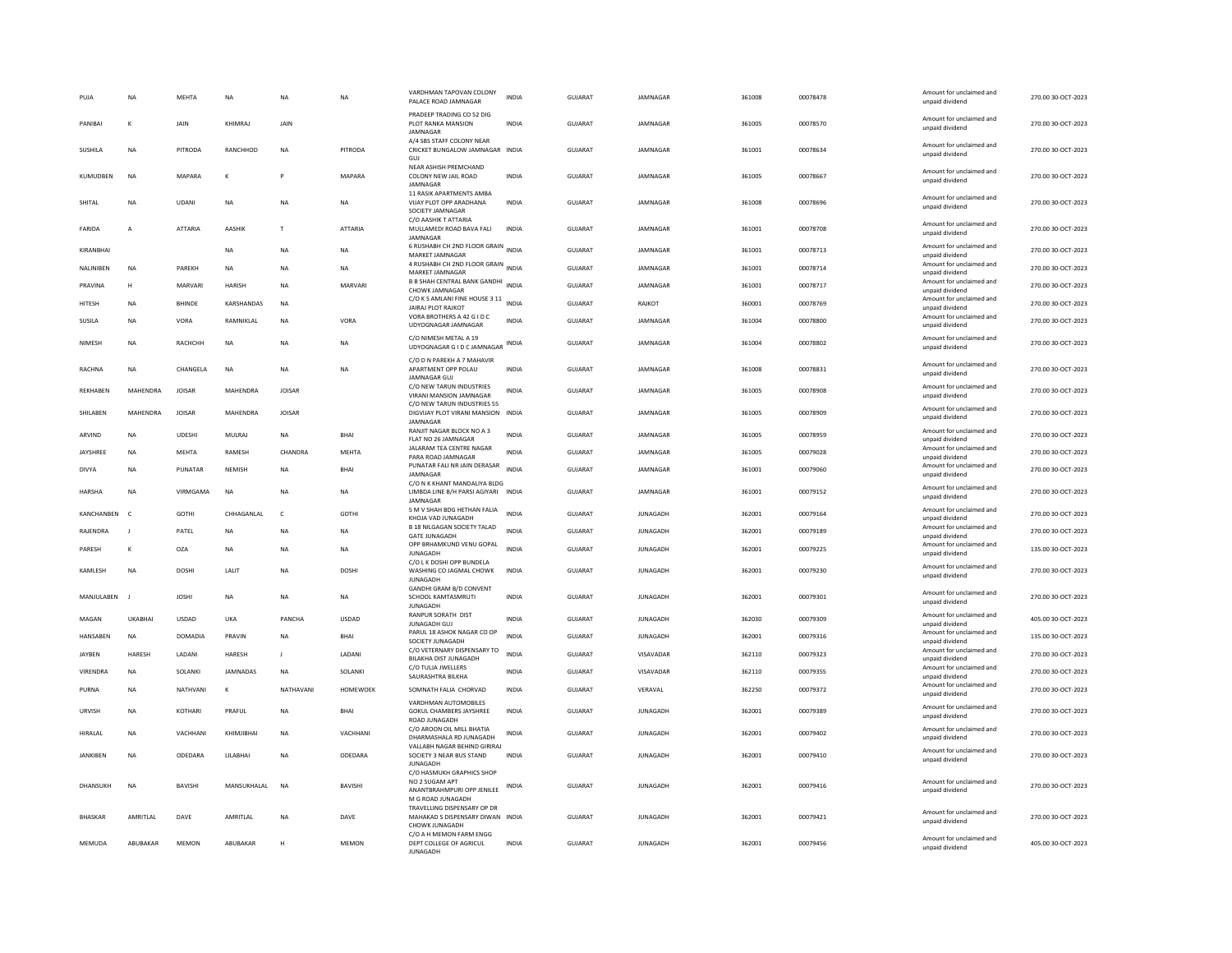| PUJA            | <b>NA</b>      | MEHTA          | NA                | <b>NA</b>     | NA              | VARDHMAN TAPOVAN COLONY<br>PALACE ROAD JAMNAGAR                                    | <b>INDIA</b> | GUJARAT        | JAMNAGAR        | 361008 | 00078478 | Amount for unclaimed and<br>unpaid dividend                    | 270.00 30-OCT-2023 |
|-----------------|----------------|----------------|-------------------|---------------|-----------------|------------------------------------------------------------------------------------|--------------|----------------|-----------------|--------|----------|----------------------------------------------------------------|--------------------|
| PANIBAL         | к              | <b>JAIN</b>    | KHIMRAI           | <b>JAIN</b>   |                 | PRADEEP TRADING CO 52 DIG<br>PLOT RANKA MANSION<br>JAMNAGAR                        | <b>INDIA</b> | GUIARAT        | <b>IAMNAGAR</b> | 361005 | 00078570 | Amount for unclaimed and<br>unpaid dividend                    | 270.00 30-OCT-2023 |
| SUSHILA         | <b>NA</b>      | <b>PITRODA</b> | RANCHHOD          | <b>NA</b>     | PITRODA         | A/4 SBS STAFF COLONY NEAR<br>CRICKET BUNGALOW JAMNAGAR INDIA<br>GUJ                |              | <b>GUJARAT</b> | JAMNAGAR        | 361001 | 00078634 | Amount for unclaimed and<br>unpaid dividend                    | 270.00 30-OCT-2023 |
| KUMUDBEN        | <b>NA</b>      | MAPARA         | к                 |               | MAPARA          | NEAR ASHISH PREMCHAND<br>COLONY NEW JAIL ROAD<br>JAMNAGAR                          | <b>INDIA</b> | <b>GUJARAT</b> | JAMNAGAR        | 361005 | 00078667 | Amount for unclaimed and<br>unpaid dividend                    | 270.00 30-OCT-2023 |
| SHITAL          | <b>NA</b>      | <b>UDANI</b>   | <b>NA</b>         | <b>NA</b>     | <b>NA</b>       | 11 RASIK APARTMENTS AMBA<br>VIJAY PLOT OPP ARADHANA<br>SOCIETY JAMNAGAR            | <b>INDIA</b> | GUJARAT        | JAMNAGAR        | 361008 | 00078696 | Amount for unclaimed and<br>unpaid dividend                    | 270.00 30-OCT-2023 |
| FARIDA          | $\overline{A}$ | <b>ATTARIA</b> | <b>AASHIK</b>     | T             | <b>ATTARIA</b>  | C/O AASHIK T ATTARIA<br>MULLAMEDI ROAD BAVA FALI<br>JAMNAGAR                       | <b>INDIA</b> | GUIARAT        | <b>IAMNAGAR</b> | 361001 | 00078708 | Amount for unclaimed and<br>unpaid dividend                    | 270.00 30-OCT-2023 |
| KIRANBHAI       |                |                | NA                | NA            | NA              | 6 RUSHABH CH 2ND FLOOR GRAIN<br>MARKET JAMNAGAR                                    | <b>INDIA</b> | GUJARAT        | JAMNAGAR        | 361001 | 00078713 | Amount for unclaimed and<br>unpaid dividend                    | 270.00 30-OCT-2023 |
| NALINIBEN       | <b>NA</b>      | PAREKH         | <b>NA</b>         | <b>NA</b>     | <b>NA</b>       | 4 RUSHABH CH 2ND FLOOR GRAIN INDIA<br>MARKET JAMNAGAR                              |              | <b>GUJARAT</b> | JAMNAGAR        | 361001 | 00078714 | Amount for unclaimed and<br>unpaid dividend                    | 270.00 30-OCT-2023 |
| PRAVINA         | н              | MARVARI        | <b>HARISH</b>     | <b>NA</b>     | MARVARI         | B B SHAH CENTRAL BANK GANDHI INDIA<br>CHOWK JAMNAGAR                               |              | GUJARAT        | JAMNAGAR        | 361001 | 00078717 | Amount for unclaimed and<br>unpaid dividend                    | 270.00 30-OCT-2023 |
| HITESH          | <b>NA</b>      | BHINDE         | KARSHANDAS        | <b>NA</b>     |                 | C/O K S AMLANI FINE HOUSE 3 11                                                     | <b>INDIA</b> | <b>GUJARAT</b> | RAJKOT          | 360001 | 00078769 | Amount for unclaimed and                                       | 270.00 30-OCT-2023 |
| SUSILA          | <b>NA</b>      | VORA           | <b>RAMNIKI AI</b> | <b>NA</b>     | VORA            | <b>JAIRAJ PLOT RAJKOT</b><br>VORA BROTHERS A 42 G I D C<br>UDYOGNAGAR JAMNAGAR     | <b>INDIA</b> | <b>GUJARAT</b> | <b>IAMNAGAR</b> | 361004 | 00078800 | unpaid dividend<br>Amount for unclaimed and<br>unpaid dividend | 270.00 30-OCT-2023 |
| NIMESH          | <b>NA</b>      | RACHCHH        | NA                | <b>NA</b>     | NA              | C/O NIMESH METAL A 19                                                              |              | GUJARAT        | JAMNAGAR        | 361004 | 00078802 | Amount for unclaimed and                                       | 270.00 30-OCT-2023 |
|                 |                |                |                   |               |                 | UDYOGNAGAR G I D C JAMNAGAR INDIA<br>C/O D N PAREKH A 7 MAHAVIR                    |              |                |                 |        |          | unpaid dividend                                                |                    |
| <b>RACHNA</b>   | <b>NA</b>      | CHANGELA       | <b>NA</b>         | <b>NA</b>     | <b>NA</b>       | APARTMENT OPP POLAU<br><b>JAMNAGAR GUJ</b>                                         | <b>INDIA</b> | <b>GUJARAT</b> | JAMNAGAR        | 361008 | 00078831 | Amount for unclaimed and<br>unpaid dividend                    | 270.00 30-OCT-2023 |
| REKHABEN        | MAHENDRA       | <b>JOISAR</b>  | MAHENDRA          | JOISAR        |                 | C/O NEW TARUN INDUSTRIES<br>VIRANI MANSION JAMNAGAR<br>C/O NEW TARUN INDUSTRIES 55 | <b>INDIA</b> | GUJARAT        | JAMNAGAR        | 361005 | 00078908 | Amount for unclaimed and<br>unpaid dividend                    | 270.00 30-OCT-2023 |
| SHII AREN       | MAHENDRA       | <b>IOISAR</b>  | MAHFNDRA          | <b>IOISAR</b> |                 | DIGVIJAY PLOT VIRANI MANSION INDIA<br>JAMNAGAI                                     |              | GUIARAT        | <b>IAMNAGAR</b> | 361005 | 00078909 | Amount for unclaimed and<br>unpaid dividend                    | 270.00 30-OCT-2023 |
| ARVIND          | <b>NA</b>      | <b>UDESHI</b>  | MULRAJ            | <b>NA</b>     | BHAI            | RANJIT NAGAR BLOCK NO A 3<br>FLAT NO 26 JAMNAGAR                                   | <b>INDIA</b> | GUJARAT        | JAMNAGAR        | 361005 | 00078959 | Amount for unclaimed and<br>unpaid dividend                    | 270.00 30-OCT-2023 |
| JAYSHREE        | <b>NA</b>      | MEHTA          | RAMESH            | CHANDRA       | MEHTA           | JALARAM TEA CENTRE NAGAR<br>PARA ROAD JAMNAGAR                                     | <b>INDIA</b> | <b>GUJARAT</b> | JAMNAGAR        | 361005 | 00079028 | Amount for unclaimed and<br>unpaid dividend                    | 270.00 30-OCT-2023 |
| DIVYA           | <b>NA</b>      | PUNATAR        | NEMISH            | NA            | BHAI            | PUNATAR FALI NR JAIN DERASAR<br><b>IAMNAGAR</b>                                    | <b>INDIA</b> | GUJARAT        | JAMNAGAR        | 361001 | 00079060 | Amount for unclaimed and<br>unpaid dividend                    | 270.00 30-OCT-2023 |
| HARSHA          | <b>NA</b>      | VIRMGAMA       | <b>NA</b>         | <b>NA</b>     | <b>NA</b>       | C/O N K KHANT MANDALIYA BLDG<br>LIMBDA LINE B/H PARSI AGIYARI INDIA<br>JAMNAGAE    |              | GUJARAT        | JAMNAGAR        | 361001 | 00079152 | Amount for unclaimed and<br>unpaid dividend                    | 270.00 30-OCT-2023 |
| KANCHANBEN      | $\mathsf{C}$   | GOTHI          | CHHAGANLAI        | c             | GOTHI           | 5 M V SHAH BDG HETHAN FALIA<br>KHOJA VAD JUNAGADH                                  | <b>INDIA</b> | <b>GUJARAT</b> | <b>JUNAGADH</b> | 362001 | 00079164 | Amount for unclaimed and<br>unpaid dividend                    | 270.00 30-OCT-2023 |
| RAJENDRA        | $\mathbf{I}$   | PATEL          | NA                | NA            | NA              | <b>B 18 NILGAGAN SOCIETY TALAD</b><br><b>GATE JUNAGADH</b>                         | <b>INDIA</b> | GUJARAT        | JUNAGADH        | 362001 | 00079189 | Amount for unclaimed and<br>unpaid dividend                    | 270.00 30-OCT-2023 |
| PARESH          | к              | OZA            | <b>NA</b>         | <b>NA</b>     | NA              | OPP BRHAMKUND VENU GOPAL<br><b>IUNAGADH</b>                                        | <b>INDIA</b> | <b>GUJARAT</b> | <b>JUNAGADH</b> | 362001 | 00079225 | Amount for unclaimed and<br>unpaid dividend                    | 135.00 30-OCT-2023 |
| KAMLESH         | <b>NA</b>      | <b>DOSHI</b>   | LALIT             | <b>NA</b>     | <b>DOSHI</b>    | C/O L K DOSHI OPP BUNDELA<br>WASHING CO JAGMAL CHOWK                               | <b>INDIA</b> | <b>GUJARAT</b> | <b>JUNAGADH</b> | 362001 | 00079230 | Amount for unclaimed and<br>unpaid dividend                    | 270.00 30-OCT-2023 |
| MANJULABEN      |                | <b>JOSHI</b>   | NA                | <b>NA</b>     | <b>NA</b>       | <b>JUNAGADE</b><br>GANDHI GRAM B/D CONVENT<br>SCHOOL KAMTASMRUTI                   | <b>INDIA</b> | <b>GUJARAT</b> | <b>JUNAGADH</b> | 362001 | 00079301 | Amount for unclaimed and                                       | 270.00 30-OCT-2023 |
|                 |                |                |                   |               |                 | <b>JUNAGADH</b><br><b>RANPUR SORATH DIST</b>                                       |              |                |                 |        |          | unpaid dividend<br>Amount for unclaimed and                    |                    |
| MAGAN           | <b>UKABHAI</b> | <b>USDAD</b>   | UKA               | PANCHA        | <b>USDAD</b>    | JUNAGADH GUJ                                                                       | <b>INDIA</b> | <b>GUJARAT</b> | <b>JUNAGADH</b> | 362030 | 00079309 | unpaid dividend                                                | 405.00 30-OCT-2023 |
| HANSABEN        | <b>NA</b>      | <b>DOMADIA</b> | PRAVIN            | NA            | <b>BHAI</b>     | PARUL 18 ASHOK NAGAR CO OP<br>SOCIETY JUNAGADH                                     | <b>INDIA</b> | GUJARAT        | <b>JUNAGADH</b> | 362001 | 00079316 | Amount for unclaimed and<br>unpaid dividend                    | 135.00 30-OCT-2023 |
| JAYBEN          | HARESH         | LADAN          | HARESH            | J.            | LADANI          | C/O VETERNARY DISPENSARY TO<br>BILAKHA DIST JUNAGADH                               | <b>INDIA</b> | <b>GUJARAT</b> | VISAVADAR       | 362110 | 00079323 | Amount for unclaimed and<br>unpaid dividend                    | 270.00 30-OCT-2023 |
| VIRENDRA        | <b>NA</b>      | SOLANKI        | <b>JAMNADAS</b>   | <b>NA</b>     | SOLANKI         | C/O TULJA JWELLERS<br>SAURASHTRA BILKHA                                            | <b>INDIA</b> | <b>GUJARAT</b> | VISAVADAR       | 362110 | 00079355 | Amount for unclaimed and<br>unpaid dividend                    | 270.00 30-OCT-2023 |
| PURNA           | <b>NA</b>      | NATHVANI       | к                 | NATHAVANI     | <b>HOMEWOEK</b> | SOMNATH FALIA CHORVAD                                                              | <b>INDIA</b> | <b>GUJARAT</b> | VERAVAL         | 362250 | 00079372 | Amount for unclaimed and<br>unpaid dividend                    | 270.00 30-OCT-2023 |
| URVISH          | <b>NA</b>      | <b>KOTHARI</b> | PRAFUL            | <b>NA</b>     | <b>BHAI</b>     | VARDHMAN AUTOMOBILES<br><b>GOKUL CHAMBERS JAYSHREE</b><br>ROAD IUNAGADH            | <b>INDIA</b> | GUJARAT        | <b>JUNAGADH</b> | 362001 | 00079389 | Amount for unclaimed and<br>unpaid dividend                    | 270.00 30-OCT-2023 |
| HIRALAL         | <b>NA</b>      | VACHHANI       | KHIMJIBHAI        | <b>NA</b>     | VACHHANI        | C/O AROON OIL MILL BHATIA<br>DHARMASHALA RD JUNAGADH                               | INDIA        | GUJARAT        | <b>JUNAGADH</b> | 362001 | 00079402 | Amount for unclaimed and<br>unpaid dividend                    | 270.00 30-OCT-2023 |
| <b>JANKIBEN</b> | <b>NA</b>      | ODEDARA        | LILABHAI          | <b>NA</b>     | ODEDARA         | VALLABH NAGAR BEHIND GIRIRAJ<br>SOCIETY 3 NEAR BUS STAND                           | <b>INDIA</b> | <b>GUJARAT</b> | <b>JUNAGADH</b> | 362001 | 00079410 | Amount for unclaimed and                                       | 270.00 30-OCT-2023 |
|                 |                |                |                   |               |                 | <b>JUNAGADH</b><br>C/O HASMUKH GRAPHICS SHOP                                       |              |                |                 |        |          | unpaid dividend                                                |                    |
| DHANSUKH        | NA             | BAVISHI        | MANSUKHALAL       | <b>NA</b>     | BAVISHI         | NO 2 SUGAM APT<br>ANANTBRAHMPURI OPP JENILEE<br>M G ROAD JUNAGADH                  | INDIA        | GUJARAT        | JUNAGADH        | 362001 | 00079416 | Amount for unclaimed and<br>unpaid dividend                    | 270.00 30-OCT-2023 |
| <b>BHASKAR</b>  | AMRITLAL       | DAVE           | AMRITLAL          | <b>NA</b>     | DAVE            | TRAVELLING DISPENSARY OP DF<br>MAHAKAD S DISPENSARY DIWAN INDIA<br>CHOWK JUNAGADH  |              | GUJARAT        | <b>JUNAGADH</b> | 362001 | 00079421 | Amount for unclaimed and<br>unpaid dividend                    | 270.00 30-OCT-2023 |
| MFMUDA          | ARURAKAR       | MFMON          | ABURAKAR          | H             | MFMON           | C/O A H MEMON FARM ENGG<br>DEPT COLLEGE OF AGRICUL<br><b>IUNAGADE</b>              | <b>INDIA</b> | GUIARAT        | <b>IUNAGADH</b> | 362001 | 00079456 | Amount for unclaimed and<br>unpaid dividend                    | 405.00 30-OCT-2023 |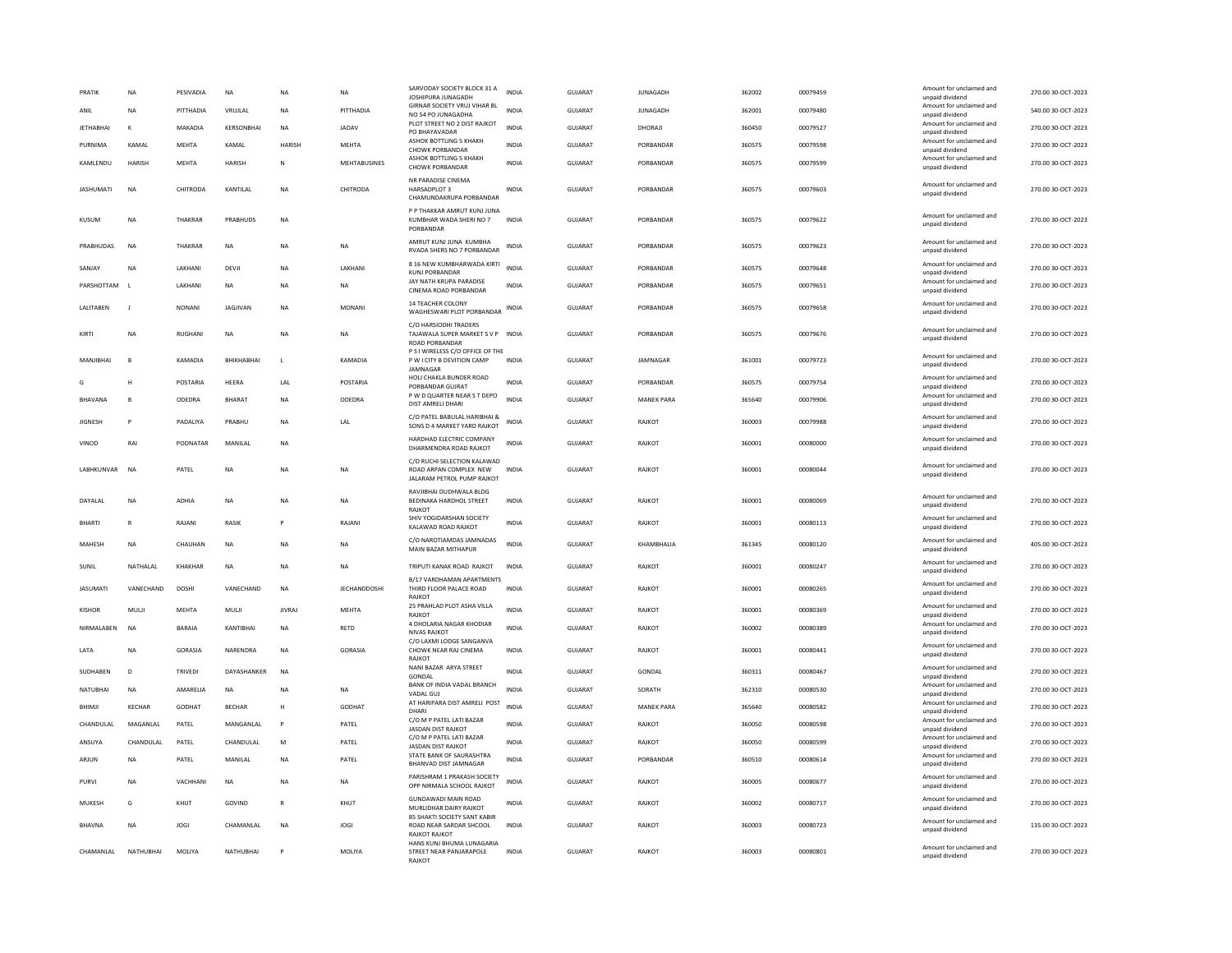| PRATI            | <b>NA</b>     | PESIVADIA      | NA              | <b>NA</b>     | NA            | SARVODAY SOCIETY BLOCK 31 A<br>JOSHIPURA JUNAGADH                                   | <b>INDIA</b> | GUJARAT        | <b>JUNAGADH</b>   | 362002 | 00079459 | Amount for unclaimed and<br>unpaid dividend | 270.00 30-OCT-2023 |
|------------------|---------------|----------------|-----------------|---------------|---------------|-------------------------------------------------------------------------------------|--------------|----------------|-------------------|--------|----------|---------------------------------------------|--------------------|
| ANII             | <b>NA</b>     | PITTHADIA      | VRUJLAL         | <b>NA</b>     | PITTHADIA     | GIRNAR SOCIETY VRUJ VIHAR BL<br>NO 54 PO JUNAGADHA                                  | <b>INDIA</b> | <b>GUJARAT</b> | <b>JUNAGADH</b>   | 362001 | 00079480 | Amount for unclaimed and<br>unpaid dividend | 540.00 30-OCT-2023 |
| <b>JETHABHAI</b> | к             | MAKADIA        | KERSONBHAI      | <b>NA</b>     | JADAV         | PLOT STREET NO 2 DIST RAJKOT<br>PO BHAYAVADAR                                       | <b>INDIA</b> | GUJARAT        | DHORAJI           | 360450 | 00079527 | Amount for unclaimed and<br>unpaid dividend | 270.00 30-OCT-2023 |
| PURNIMA          | KAMAL         | <b>MEHTA</b>   | KAMAL           | HARISH        | MEHTA         | ASHOK BOTTLING 5 KHAKH<br>CHOWK PORBANDAR                                           | <b>INDIA</b> | GUJARAT        | PORBANDAR         | 360575 | 00079598 | Amount for unclaimed and<br>unpaid dividend | 270.00 30-OCT-2023 |
| KAMLENDU         | <b>HARISH</b> | <b>MEHTA</b>   | <b>HARISH</b>   | ${\sf N}$     | MEHTABUSINES  | ASHOK BOTTLING 5 KHAKH<br>CHOWK PORRANDAR                                           | <b>INDIA</b> | <b>GUJARAT</b> | PORBANDAR         | 360575 | 00079599 | Amount for unclaimed and<br>unpaid dividend | 270.00 30-OCT-2023 |
| <b>JASHUMATI</b> | <b>NA</b>     | CHITRODA       | KANTILAL        | <b>NA</b>     | CHITRODA      | NR PARADISE CINEMA<br>HARSADPLOT 3<br>CHAMUNDAKRUPA PORBANDAR                       | <b>INDIA</b> | GUJARAT        | PORBANDAR         | 360575 | 00079603 | Amount for unclaimed and<br>unpaid dividend | 270.00 30-OCT-2023 |
| KUSUM            | <b>NA</b>     | THAKRAR        | PRABHUDS        | <b>NA</b>     |               | P P THAKKAR AMRUT KUNJ JUNA<br>KUMBHAR WADA SHERI NO 7<br>PORBANDAR                 | <b>INDIA</b> | GUIARAT        | PORRANDAR         | 360575 | 00079622 | Amount for unclaimed and<br>unpaid dividend | 270.00 30-OCT-2023 |
| PRABHUDAS        | <b>NA</b>     | THAKRAR        | NA              | <b>NA</b>     | NA            | AMRUT KUNJ JUNA KUMBHA<br>RVADA SHERS NO 7 PORBANDAR                                | INDIA        | <b>GUJARAT</b> | PORBANDAR         | 360575 | 00079623 | Amount for unclaimed and<br>unpaid dividend | 270.00 30-OCT-2023 |
| SANJAY           | NA            | LAKHANI        | DEVJI           | <b>NA</b>     | LAKHANI       | 8 16 NEW KUMBHARWADA KIRTI<br>KUNJ PORBANDAR                                        | <b>INDIA</b> | GUJARAT        | PORBANDAR         | 360575 | 00079648 | Amount for unclaimed and<br>unpaid dividend | 270.00 30-OCT-2023 |
| PARSHOTTAM       | $\mathbf{L}$  | LAKHANI        | NA              | <b>NA</b>     | NA            | JAY NATH KRUPA PARADISE<br>CINEMA ROAD PORBANDAR                                    | INDIA        | GUJARAT        | PORBANDAR         | 360575 | 00079651 | Amount for unclaimed and<br>unpaid dividend | 270.00 30-OCT-2023 |
| LALITABEN        | $\mathbf{I}$  | <b>NONANI</b>  | <b>JAGJIVAN</b> | <b>NA</b>     | <b>MONANI</b> | <b>14 TEACHER COLONY</b><br>WAGHESWARI PLOT PORBANDAR                               | <b>INDIA</b> | <b>GUJARAT</b> | PORBANDAR         | 360575 | 00079658 | Amount for unclaimed and<br>unpaid dividend | 270.00 30-OCT-2023 |
| KIRTI            | <b>NA</b>     | <b>RUGHANI</b> | <b>NA</b>       | <b>NA</b>     | <b>NA</b>     | C/O HARSIODHI TRADERS<br>TAJAWALA SUPER MARKET S V P INDIA<br>ROAD PORBANDAR        |              | <b>GUJARAT</b> | PORBANDAR         | 360575 | 00079676 | Amount for unclaimed and<br>unpaid dividend | 270.00 30-OCT-2023 |
| MANJIBHAI        | B             | KAMADIA        | BHIKHABHAI      | L.            | KAMADIA       | P S I WIRELESS C/O OFFICE OF THE<br>P W I CITY B DEVITION CAMP<br>JAMNAGAR          | <b>INDIA</b> | <b>GUJARAT</b> | JAMNAGAR          | 361001 | 00079723 | Amount for unclaimed and<br>unpaid dividend | 270.00 30-OCT-2023 |
| G                | н             | POSTARIA       | HEERA           | LAI           | POSTARIA      | HOLI CHAKLA BUNDER ROAD<br>PORRANDAR GUIRAT                                         | <b>INDIA</b> | <b>GUJARAT</b> | PORBANDAR         | 360575 | 00079754 | Amount for unclaimed and<br>unnaid dividend | 270.00 30-OCT-2023 |
| <b>BHAVANA</b>   | B             | ODEDRA         | BHARAT          | <b>NA</b>     | ODEDRA        | P W D QUARTER NEAR S T DEPO<br>DIST AMRELI DHARI                                    | <b>INDIA</b> | <b>GUJARAT</b> | <b>MANEK PARA</b> | 365640 | 00079906 | Amount for unclaimed and<br>unpaid dividend | 270.00 30-OCT-2023 |
| <b>JIGNESH</b>   | P             | PADALIYA       | PRABHU          | <b>NA</b>     | LAL           | C/O PATEL BABULAL HARIBHAI &<br>SONS D 4 MARKET YARD RAJKOT                         | INDIA        | GUJARAT        | RAJKOT            | 360003 | 00079988 | Amount for unclaimed and<br>unpaid dividend | 270.00 30-OCT-2023 |
| VINOD            | RAI           | POONATAR       | MANILAL         | NA            |               | HARDHAD ELECTRIC COMPANY<br>DHARMENDRA ROAD RAJKOT                                  | <b>INDIA</b> | GUJARAT        | RAJKOT            | 360001 | 00080000 | Amount for unclaimed and<br>unpaid dividend | 270.00 30-OCT-2023 |
| LABHKUNVAR       | <b>NA</b>     | PATEL          | <b>NA</b>       | <b>NA</b>     | <b>NA</b>     | C/O RUCHI SELECTION KALAWAD<br>ROAD ARPAN COMPLEX NEW<br>JALARAM PETROL PUMP RAJKOT | <b>INDIA</b> | <b>GUJARAT</b> | RAJKOT            | 360001 | 00080044 | Amount for unclaimed and<br>unpaid dividend | 270.00 30-OCT-2023 |
| DAYALAL          | <b>NA</b>     | <b>ADHIA</b>   | <b>NA</b>       | <b>NA</b>     | <b>NA</b>     | RAVJIBHAI DUDHWALA BLDG<br>BEDINAKA HARDHOL STREET<br><b>RAJKOT</b>                 | <b>INDIA</b> | GUJARAT        | RAJKOT            | 360001 | 00080069 | Amount for unclaimed and<br>unpaid dividend | 270.00 30-OCT-2023 |
| <b>BHARTI</b>    | $\mathbb{R}$  | RAIANI         | <b>RASIK</b>    | P             | RAIANI        | SHIV YOGIDARSHAN SOCIETY<br>KALAWAD ROAD RAJKOT                                     | <b>INDIA</b> | GUIARAT        | RAIKOT            | 360001 | 00080113 | Amount for unclaimed and<br>unpaid dividend | 270.00 30-OCT-2023 |
| MAHESH           | <b>NA</b>     | CHAUHAN        | <b>NA</b>       | <b>NA</b>     | <b>NA</b>     | C/O NAROTIAMDAS JAMNADAS<br>MAIN BAZAR MITHAPUR                                     | <b>INDIA</b> | GUJARAT        | KHAMBHALIA        | 361345 | 00080120 | Amount for unclaimed and<br>unpaid dividend | 405.00 30-OCT-2023 |
| SUNIL            | NATHALAL      | KHAKHAR        | <b>NA</b>       | <b>NA</b>     | <b>NA</b>     | TRIPUTI KANAK ROAD RAJKOT                                                           | <b>INDIA</b> | GUJARAT        | RAJKOT            | 360001 | 00080247 | Amount for unclaimed and<br>unpaid dividend | 270.00 30-OCT-2023 |
| <b>JASUMATI</b>  | VANECHAND     | DOSHI          | VANECHAND       | NA            | JECHANDDOSHI  | B/17 VARDHAMAN APARTMENTS<br>THIRD FLOOR PALACE ROAD<br>RAJKOT                      | INDIA        | <b>GUJARAT</b> | RAJKOT            | 360001 | 00080265 | Amount for unclaimed and<br>unpaid dividend | 270.00 30-OCT-2023 |
| <b>KISHOR</b>    | MULJI         | <b>MEHTA</b>   | MULJI           | <b>JIVRAJ</b> | MEHTA         | 25 PRAHLAD PLOT ASHA VILLA<br>RAJKOT                                                | <b>INDIA</b> | <b>GUJARAT</b> | RAJKOT            | 360001 | 00080369 | Amount for unclaimed and<br>unpaid dividend | 270.00 30-OCT-2023 |
| NIRMALABEN       | <b>NA</b>     | <b>BARAIA</b>  | KANTIBHAI       | <b>NA</b>     | RETD          | 4 DHOLARIA NAGAR KHODIAR<br><b>NIVAS RAJKOT</b>                                     | <b>INDIA</b> | <b>GUJARAT</b> | RAJKOT            | 360002 | 00080389 | Amount for unclaimed and<br>unpaid dividend | 270.00 30-OCT-2023 |
| LATA             | <b>NA</b>     | GORASIA        | NARENDRA        | NA            | GORASIA       | C/O LAXMI LODGE SANGANVA<br>CHOWK NEAR RAJ CINEMA<br>RAIKOT                         | INDIA        | GUJARAT        | RAJKOT            | 360001 | 00080441 | Amount for unclaimed and<br>unpaid dividend | 270.00 30-OCT-2023 |
| SUDHABEN         | D             | TRIVEDI        | DAYASHANKER     | NA            |               | NANI BAZAR ARYA STREET<br>GONDAL                                                    | <b>INDIA</b> | <b>GUJARAT</b> | GONDAL            | 360311 | 00080467 | Amount for unclaimed and<br>unpaid dividend | 270.00 30-OCT-2023 |
| <b>NATUBHAI</b>  | <b>NA</b>     | AMARELIA       | <b>NA</b>       | <b>NA</b>     | NA            | BANK OF INDIA VADAL BRANCH<br>VADAL GU                                              | <b>INDIA</b> | <b>GUJARAT</b> | SORATH            | 362310 | 00080530 | Amount for unclaimed and<br>unpaid dividend | 270.00 30-OCT-2023 |
| BHIMJI           | <b>KECHAR</b> | GODHAT         | <b>BECHAR</b>   | H             | GODHAT        | AT HARIPARA DIST AMRELI POST<br>DHARI                                               | <b>INDIA</b> | <b>GUJARAT</b> | <b>MANEK PARA</b> | 365640 | 00080582 | Amount for unclaimed and<br>unpaid dividend | 270.00 30-OCT-2023 |
| CHANDULAL        | MAGANLAL      | PATEL          | MANGANLAL       | $\mathsf{P}$  | PATEL         | C/O M P PATEL LATI BAZAR<br><b>JASDAN DIST RAJKOT</b>                               | INDIA        | GUJARAT        | RAJKOT            | 360050 | 00080598 | Amount for unclaimed and<br>unpaid dividend | 270.00 30-OCT-2023 |
| ANSUYA           | CHANDULAL     | PATEL          | CHANDULAL       | M             | PATEL         | C/O M P PATEL LATI BAZAR<br><b>JASDAN DIST RAJKOT</b>                               | <b>INDIA</b> | GUIARAT        | RAIKOT            | 360050 | 00080599 | Amount for unclaimed and<br>unpaid dividend | 270.00 30-QCT-2023 |
| ARJUN            | NA            | PATEL          | MANILAL         | NA            | PATEL         | STATE BANK OF SAURASHTRA<br>BHANVAD DIST JAMNAGAR                                   | INDIA        | GUJARAT        | PORBANDAR         | 360510 | 00080614 | Amount for unclaimed and<br>unpaid dividend | 270.00 30-OCT-2023 |
| PURVI            | NA            | VACHHANI       | NA              | NA            | NA            | PARISHRAM 1 PRAKASH SOCIETY<br>OPP NIRMALA SCHOOL RAJKOT                            | INDIA        | <b>GUJARAT</b> | RAJKOT            | 360005 | 00080677 | Amount for unclaimed and<br>unpaid dividend | 270.00 30-OCT-2023 |
| MUKESH           | G             | KHUT           | GOVIND          | $\mathsf{R}$  | KHUT          | <b>GUNDAWADI MAIN ROAD</b><br>MURLIDHAR DAIRY RAJKOT                                | <b>INDIA</b> | GUJARAT        | RAJKOT            | 360002 | 00080717 | Amount for unclaimed and<br>unpaid dividend | 270.00 30-OCT-2023 |
| <b>RHAVNA</b>    | <b>NA</b>     | <b>IOGI</b>    | CHAMANI AI      | <b>NA</b>     | IOGI          | 85 SHAKTI SOCIETY SANT KABIR<br>ROAD NEAR SARDAR SHCOOL<br><b>RAJKOT RAJKOT</b>     | <b>INDIA</b> | GUIARAT        | RAIKOT            | 360003 | 00080723 | Amount for unclaimed and<br>unpaid dividend | 135.00.30-OCT-2023 |
| CHAMANI AI       | NATHURHAI     | MOLIYA         | NATHURHAI       | P             | <b>MOLIYA</b> | HANS KUNJ BHUMA LUNAGARIA<br>STREET NEAR PANJARAPOLE<br>RAJKOT                      | <b>INDIA</b> | GUIARAT        | RAIKOT            | 360003 | 00080801 | Amount for unclaimed and<br>unpaid dividend | 270.00 30-QCT-2023 |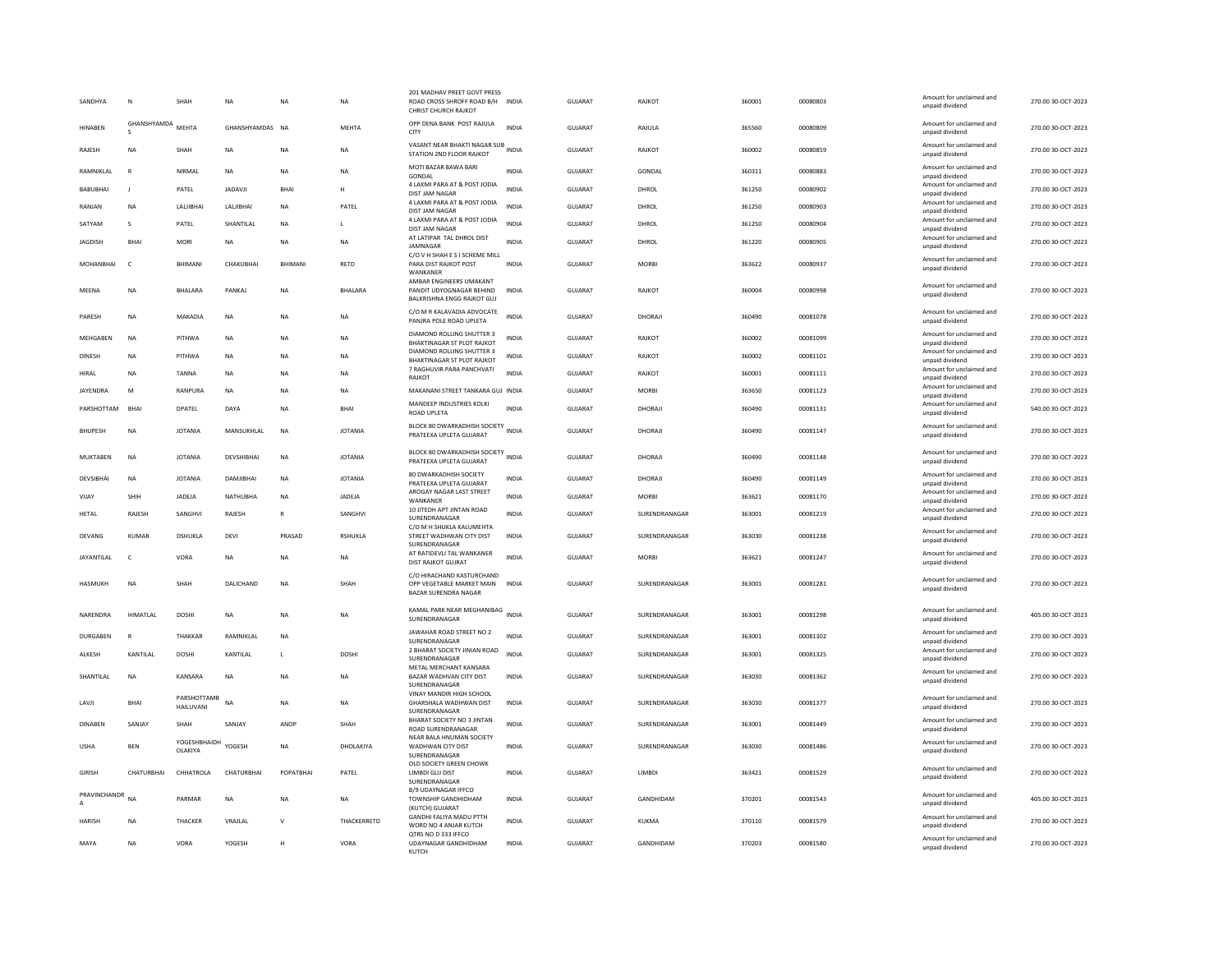| SANDHYA           | N               | SHAH                     | <b>NA</b>       | <b>NA</b>      | <b>NA</b>      | 201 MADHAV PREET GOVT PRESS<br>ROAD CROSS SHROFF ROAD B/H INDIA<br><b>CHRIST CHURCH RAJKOT</b> |              | <b>GUJARAT</b> | RAJKOT        | 360001 | 00080803 | Amount for unclaimed and<br>unpaid dividend                    | 270.00 30-OCT-2023 |
|-------------------|-----------------|--------------------------|-----------------|----------------|----------------|------------------------------------------------------------------------------------------------|--------------|----------------|---------------|--------|----------|----------------------------------------------------------------|--------------------|
| <b>HINARFN</b>    | GHANSHYAMDA     | <b>MFHTA</b>             | GHANSHYAMDAS NA |                | MEHTA          | OPP DENA BANK POST RAJULA<br>CITY                                                              | <b>INDIA</b> | GUIARAT        | RAJULA        | 365560 | 00080809 | Amount for unclaimed and<br>unpaid dividend                    | 270.00 30-OCT-2023 |
| RAJESH            | NA              | SHAH                     | <b>NA</b>       | NA             | <b>NA</b>      | VASANT NEAR BHAKTI NAGAR SUB<br>STATION 2ND FLOOR RAJKOT                                       |              | GUJARAT        | RAJKOT        | 360002 | 00080859 | Amount for unclaimed and<br>unpaid dividend                    | 270.00 30-OCT-2023 |
| RAMNIKI AI        | $\mathbb{R}$    | NIRMAI                   | <b>NA</b>       | <b>NA</b>      | NA.            | MOTI BAZAR BAWA BARI<br>GONDAL                                                                 | <b>INDIA</b> | GUIARAT        | GONDAL        | 360311 | 00080883 | Amount for unclaimed and<br>unpaid dividend                    | 270.00 30-OCT-2023 |
| <b>BABUBHAI</b>   | - 1             | PATEL                    | <b>JADAVJI</b>  | <b>BHA</b>     | н              | 4 LAXMI PARA AT & POST JODIA<br>DIST JAM NAGAR                                                 | <b>INDIA</b> | GUJARAT        | DHROL         | 361250 | 00080902 | Amount for unclaimed and<br>unpaid dividend                    | 270.00 30-OCT-2023 |
| RANJAN            | <b>NA</b>       | LALIBHAI                 | LALIBHAI        | <b>NA</b>      | PATEL          | 4 LAXMI PARA AT & POST JODIA                                                                   | <b>INDIA</b> | <b>GUJARAT</b> | DHROL         | 361250 | 00080903 | Amount for unclaimed and                                       | 270.00 30-OCT-2023 |
| SATYAM            | s               | PATEL                    | SHANTILAL       | NA             | L              | DIST JAM NAGAR<br>4 LAXMI PARA AT & POST JODIA<br>DIST JAM NAGAR                               | <b>INDIA</b> | GUJARAT        | DHROL         | 361250 | 00080904 | unpaid dividend<br>Amount for unclaimed and<br>unpaid dividend | 270.00 30-OCT-2023 |
| <b>JAGDISH</b>    | <b>BHA</b>      | MORI                     | NA              | NA             | <b>NA</b>      | AT LATIPAR TAL DHROL DIST<br><b>IAMNAGAR</b>                                                   | INDIA        | GUJARAT        | DHROL         | 361220 | 00080905 | Amount for unclaimed and<br>unpaid dividend                    | 270.00 30-OCT-2023 |
| MOHANBHAI         | $\epsilon$      | BHIMANI                  | CHAKUBHAI       | <b>BHIMANI</b> | RETD           | C/O V H SHAH E S I SCHEME MILL<br>PARA DIST RAJKOT POST<br>WANKANER                            | <b>INDIA</b> | GUJARAT        | <b>MORBI</b>  | 363622 | 00080937 | Amount for unclaimed and<br>unpaid dividend                    | 270.00 30-OCT-2023 |
| MEENA             | <b>NA</b>       | <b>BHALARA</b>           | PANKAJ          | <b>NA</b>      | BHALARA        | AMBAR ENGINEERS UMAKANT<br>PANDIT UDYOGNAGAR BEHIND<br>BALKRISHNA ENGG RAJKOT GUJ              | <b>INDIA</b> | GUJARAT        | <b>RAJKOT</b> | 360004 | 00080998 | Amount for unclaimed and<br>unpaid dividend                    | 270.00 30-OCT-2023 |
| PARESH            | NA              | MAKADIA                  | $_{\sf NA}$     | <b>NA</b>      | <b>NA</b>      | C/O M R KALAVADIA ADVOCATE<br>PANJRA POLE ROAD UPLETA                                          | <b>INDIA</b> | GUJARAT        | DHORAJI       | 360490 | 00081078 | Amount for unclaimed and<br>unpaid dividend                    | 270.00 30-OCT-2023 |
| MEHGABEN          | NA              | PITHWA                   | NA              | <b>NA</b>      | NA             | DIAMOND ROLLING SHUTTER 3<br><b>BHAKTINAGAR ST PLOT RAJKOT</b>                                 | <b>INDIA</b> | GUJARAT        | RAJKOT        | 360002 | 00081099 | Amount for unclaimed and<br>unpaid dividend                    | 270.00 30-OCT-2023 |
| <b>DINESH</b>     | <b>NA</b>       | PITHWA                   | <b>NA</b>       | <b>NA</b>      | <b>NA</b>      | DIAMOND ROLLING SHUTTER 3<br>BHAKTINAGAR ST PLOT RAJKOT                                        | <b>INDIA</b> | GUJARAT        | <b>RAJKOT</b> | 360002 | 00081101 | Amount for unclaimed and<br>unpaid dividend                    | 270.00 30-OCT-2023 |
| HIRAL             | <b>NA</b>       | TANNA                    | NA              | <b>NA</b>      | NA             | 7 RAGHUVIR PARA PANCHVATI                                                                      | <b>INDIA</b> | <b>GUJARAT</b> | RAJKOT        | 360001 | 00081111 | Amount for unclaimed and                                       | 270.00 30-OCT-2023 |
| JAYENDRA          | M               | RANPURA                  | <b>NA</b>       | <b>NA</b>      | <b>NA</b>      | RAJKOT<br>MAKANANI STREET TANKARA GUJ INDIA                                                    |              | GUJARAT        | <b>MORRI</b>  | 363650 | 00081123 | unpaid dividend<br>Amount for unclaimed and                    | 270.00 30-OCT-2023 |
|                   |                 |                          |                 |                |                | MANDEEP INDUSTRIES KOLKI                                                                       |              |                |               |        |          | unpaid dividend<br>Amount for unclaimed and                    |                    |
| PARSHOTTAM        | BHAI            | DPATEL                   | DAYA            | <b>NA</b>      | BHAI           | <b>ROAD UPLETA</b>                                                                             | <b>INDIA</b> | <b>GUJARAT</b> | DHORAJI       | 360490 | 00081131 | unpaid dividend                                                | 540.00 30-OCT-2023 |
| <b>BHUPESH</b>    | NA              | <b>JOTANIA</b>           | MANSUKHLAI      | NA             | <b>JOTANIA</b> | BLOCK 80 DWARKADHISH SOCIETY INDIA<br>PRATEEXA UPLETA GUJARAT                                  |              | GUJARAT        | DHORAJI       | 360490 | 00081147 | Amount for unclaimed and<br>unpaid dividend                    | 270.00 30-OCT-2023 |
| MUKTABEN          | <b>NA</b>       | <b>JOTANIA</b>           | DEVSHIBHAI      | NA             | <b>JOTANIA</b> | BLOCK 80 DWARKADHISH SOCIETY INDIA<br>PRATEEXA UPLETA GUJARAT                                  |              | GUJARAT        | DHORAJI       | 360490 | 00081148 | Amount for unclaimed and<br>unpaid dividend                    | 270.00 30-OCT-2023 |
| DEVSIBHAI         | <b>NA</b>       | <b>JOTANIA</b>           | DAMJIBHAI       | NA             | <b>JOTANIA</b> | 80 DWARKADHISH SOCIETY<br>PRATEEXA UPLETA GUJARAT                                              | <b>INDIA</b> | GUJARAT        | DHORAJI       | 360490 | 00081149 | Amount for unclaimed and<br>unpaid dividend                    | 270.00 30-OCT-2023 |
| VIIAY             | SHIH            | <b>IADEIA</b>            | NATHUBHA        | <b>NA</b>      | <b>JADEJA</b>  | AROGAY NAGAR LAST STREET                                                                       | <b>INDIA</b> | GUIARAT        | <b>MORRI</b>  | 363621 | 00081170 | Amount for unclaimed and                                       | 270.00 30-OCT-2023 |
| <b>HETAL</b>      | RAJESH          | SANGHVI                  | RAJESH          | $\mathsf{R}$   | SANGHVI        | WANKANER<br>10 JITEDH APT JINTAN ROAD<br>SURENDRANAGAR                                         | <b>INDIA</b> | <b>GUJARAT</b> | SURENDRANAGAR | 363001 | 00081219 | unpaid dividend<br>Amount for unclaimed and<br>unpaid dividend | 270.00 30-OCT-2023 |
| DEVANG            | KUMAR           | DSHUKLA                  | DEVI            | PRASAD         | RSHUKLA        | C/O M H SHUKLA KALUMEHTA<br>STREET WADHWAN CITY DIST                                           | INDIA        | GUJARAT        | SURENDRANAGAR | 363030 | 00081238 | Amount for unclaimed and                                       | 270.00 30-OCT-2023 |
|                   |                 |                          |                 |                |                | SURENDRANAGAR                                                                                  |              |                |               |        |          | unpaid dividend                                                |                    |
| <b>JAYANTILAL</b> | $\epsilon$      | VORA                     | <b>NA</b>       | <b>NA</b>      | <b>NA</b>      | AT RATIDEVLI TAL WANKANER<br>DIST RAJKOT GUJRAT                                                | <b>INDIA</b> | GUJARAT        | <b>MORRI</b>  | 363621 | 00081247 | Amount for unclaimed and<br>unpaid dividend                    | 270.00 30-OCT-2023 |
| <b>HASMUKH</b>    | <b>NA</b>       | SHAH                     | DALICHAND       | <b>NA</b>      | SHAH           | C/O HIRACHAND KASTURCHAND<br>OPP VEGETABLE MARKET MAIN<br>BAZAR SURENDRA NAGAR                 | <b>INDIA</b> | GUJARAT        | SURENDRANAGAR | 363001 | 00081281 | Amount for unclaimed and<br>unpaid dividend                    | 270.00 30-OCT-2023 |
| NARENDRA          | HIMATLAL        | <b>DOSHI</b>             | <b>NA</b>       | <b>NA</b>      | <b>NA</b>      | KAMAL PARK NEAR MEGHANIBAG INDIA<br>SURENDRANAGAR                                              |              | <b>GUJARAT</b> | SURENDRANAGAR | 363001 | 00081298 | Amount for unclaimed and<br>unpaid dividend                    | 405.00 30-OCT-2023 |
| DURGABEN          | $\mathbb{R}$    | THAKKAR                  | RAMNIKLAL       | <b>NA</b>      |                | JAWAHAR ROAD STREET NO 2                                                                       | <b>INDIA</b> | GUJARAT        | SURENDRANAGAR | 363001 | 00081302 | Amount for unclaimed and                                       | 270.00 30-OCT-2023 |
|                   |                 |                          |                 |                |                | SURENDRANAGAR<br>2 BHARAT SOCIETY JINIAN ROAD                                                  |              |                |               |        |          | unpaid dividend<br>Amount for unclaimed and                    |                    |
| ALKESH            | <b>KANTILAI</b> | DOSHI                    | KANTILAL        | $\mathbf{L}$   | <b>DOSHI</b>   | SURENDRANAGAR<br>METAL MERCHANT KANSARA                                                        | <b>INDIA</b> | GUJARAT        | SURENDRANAGAR | 363001 | 00081325 | unpaid dividend                                                | 270.00 30-OCT-2023 |
| SHANTILAL         | NA              | KANSARA                  | $_{\sf NA}$     | <b>NA</b>      | <b>NA</b>      | BAZAR WADHVAN CITY DIST<br>SURENDRANAGAR                                                       | INDIA        | GUJARAT        | SURENDRANAGAR | 363030 | 00081362 | Amount for unclaimed and<br>unpaid dividend                    | 270.00 30-OCT-2023 |
| LAVJI             | BHAI            | PARSHOTTAMB<br>HAILUVANI | <b>NA</b>       | <b>NA</b>      | <b>NA</b>      | VINAY MANDIR HIGH SCHOOL<br>GHARSHALA WADHWAN DIST<br>SURENDRANAGAR                            | <b>INDIA</b> | GUJARAT        | SURENDRANAGAR | 363030 | 00081377 | Amount for unclaimed and<br>unpaid dividend                    | 270.00 30-OCT-2023 |
| <b>DINABEN</b>    | SANJAY          | SHAH                     | SANJAY          | ANOP           | SHAH           | BHARAT SOCIETY NO 3 JINTAN<br><b>ROAD SURENDRANAGAR</b>                                        | INDIA        | GUJARAT        | SURENDRANAGAR | 363001 | 00081449 | Amount for unclaimed and<br>unpaid dividend                    | 270.00 30-OCT-2023 |
| <b>USHA</b>       | <b>BFN</b>      | YOGESHBHAIDH<br>OLAKIYA  | YOGESH          | <b>NA</b>      | DHOLAKIYA      | NEAR BALA HNUMAN SOCIETY<br>WADHWAN CITY DIST<br>SURENDRANAGAR                                 | <b>INDIA</b> | GUJARAT        | SURENDRANAGAR | 363030 | 00081486 | Amount for unclaimed and<br>unpaid dividend                    | 270.00 30-OCT-2023 |
| <b>GIRISH</b>     | CHATURRHAI      | CHHATROLA                | CHATURBHAI      | POPATRHAI      | PATEL          | OLD SOCIETY GREEN CHOWK<br>LIMBDI GUJ DIST<br>SURENDRANAGAR                                    | <b>INDIA</b> | <b>GUJARAT</b> | <b>IIMBDI</b> | 363421 | 00081529 | Amount for unclaimed and<br>unpaid dividend                    | 270.00 30-OCT-2023 |
| PRAVINCHANDR      | <b>NA</b>       | PARMAR                   | NA              | NA             | <b>NA</b>      | <b>B/9 UDAYNAGAR IFFCO</b><br>TOWNSHIP GANDHIDHAM                                              | INDIA        | GUJARAT        | GANDHIDAM     | 370201 | 00081543 | Amount for unclaimed and<br>unpaid dividend                    | 405.00 30-OCT-2023 |
| <b>HARISH</b>     | <b>NA</b>       | THACKER                  | VRAJLAL         | $\mathsf{V}$   | THACKERRETD    | (KUTCH) GUJARAT<br><b>GANDHI FALIYA MADU PTTH</b><br>WORD NO 4 ANJAR KUTCH                     | <b>INDIA</b> | <b>GUJARAT</b> | <b>KUKMA</b>  | 370110 | 00081579 | Amount for unclaimed and<br>unpaid dividend                    | 270.00 30-OCT-2023 |
| MAYA              | NA              | VORA                     | YOGESH          | н              | VORA           | OTRS NO D 333 IFFCO<br>UDAYNAGAR GANDHIDHAM                                                    | <b>INDIA</b> | <b>GUJARAT</b> | GANDHIDAM     | 370203 | 00081580 | Amount for unclaimed and                                       | 270.00 30-OCT-2023 |
|                   |                 |                          |                 |                |                | KUTCH                                                                                          |              |                |               |        |          | unpaid dividend                                                |                    |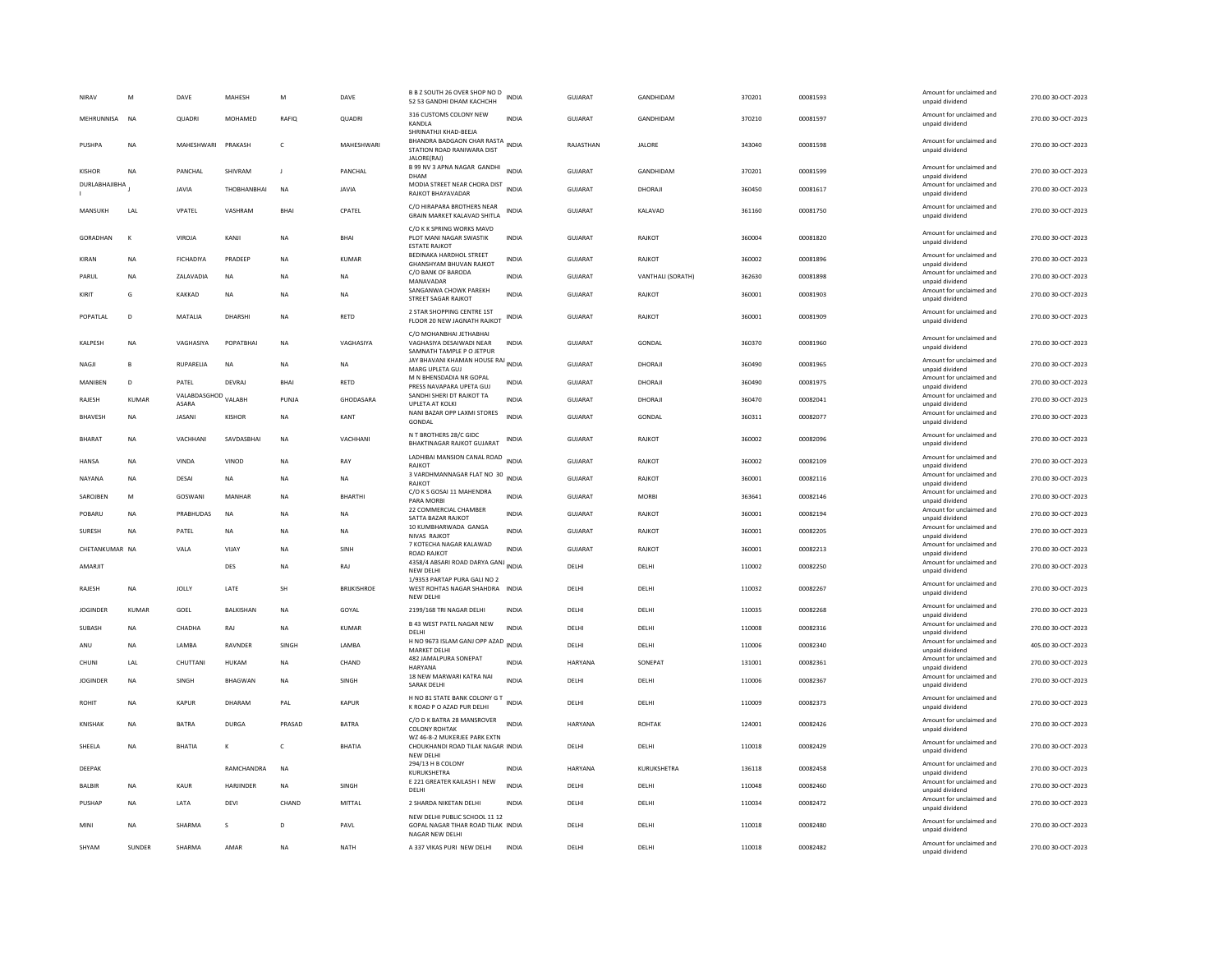| NIRAV                | M              | DAVE                         | MAHESH           | M            | DAVE               | B B Z SOUTH 26 OVER SHOP NO D<br>52 53 GANDHI DHAM KACHCHH                                             | INDIA        | GUJARAT        | GANDHIDAM         | 370201 | 00081593 | Amount for unclaimed and<br>unpaid dividend | 270.00 30-OCT-2023 |
|----------------------|----------------|------------------------------|------------------|--------------|--------------------|--------------------------------------------------------------------------------------------------------|--------------|----------------|-------------------|--------|----------|---------------------------------------------|--------------------|
| MEHRUNNISA           | N <sub>A</sub> | <b>QUADRI</b>                | MOHAMED          | RAFIO        | QUADRI             | 316 CUSTOMS COLONY NEW<br>KANDLA                                                                       | <b>INDIA</b> | <b>GUJARAT</b> | GANDHIDAM         | 370210 | 00081597 | Amount for unclaimed and<br>unpaid dividend | 270.00 30-OCT-2023 |
| PUSHPA               | <b>NA</b>      | MAHESHWARI                   | PRAKASH          | $\mathsf{C}$ | MAHESHWARI         | SHRINATHJI KHAD-BEEJA<br>BHANDRA BADGAON CHAR RASTA INDIA<br>STATION ROAD RANIWARA DIST<br>JALORE(RAJ) |              | RAJASTHAN      | <b>JALORE</b>     | 343040 | 00081598 | Amount for unclaimed and<br>unpaid dividend | 270.00 30-OCT-2023 |
| <b>KISHOR</b>        | NA             | PANCHAL                      | SHIVRAM          | J            | PANCHAL            | B 99 NV 3 APNA NAGAR GANDHI<br>DHAM                                                                    | <b>INDIA</b> | <b>GUJARAT</b> | GANDHIDAM         | 370201 | 00081599 | Amount for unclaimed and<br>unpaid dividend | 270.00 30-OCT-2023 |
| <b>DURLABHAJIBHA</b> |                | <b>JAVIA</b>                 | THOBHANBHAI      | NA           | JAVIA              | MODIA STREET NEAR CHORA DIST<br>RAJKOT BHAYAVADAR                                                      | <b>INDIA</b> | GUJARAT        | DHORAJI           | 360450 | 00081617 | Amount for unclaimed and<br>unpaid dividend | 270.00 30-OCT-2023 |
| MANSUKH              | I AI           | VPATEL                       | VASHRAM          | <b>BHAI</b>  | CPATEL             | C/O HIRAPARA BROTHERS NEAR<br>GRAIN MARKET KALAVAD SHITLA                                              | <b>INDIA</b> | GUIARAT        | KAI AVAD          | 361160 | 00081750 | Amount for unclaimed and<br>unpaid dividend | 270.00 30-OCT-2023 |
| GORADHAN             | $\kappa$       | VIROJA                       | KANJI            | <b>NA</b>    | <b>BHAI</b>        | C/O K K SPRING WORKS MAVD<br>PLOT MANI NAGAR SWASTIK<br><b>ESTATE RAJKOT</b>                           | INDIA        | <b>GUJARAT</b> | RAJKOT            | 360004 | 00081820 | Amount for unclaimed and<br>unpaid dividend | 270.00 30-OCT-2023 |
| KIRAN                | <b>NA</b>      | <b>FICHADIYA</b>             | PRADEE           | <b>NA</b>    | <b>KUMAR</b>       | <b>BEDINAKA HARDHOL STREET</b><br><b>GHANSHYAM BHUVAN RAJKOT</b>                                       | <b>INDIA</b> | <b>GUJARAT</b> | RAJKOT            | 360002 | 00081896 | Amount for unclaimed and<br>unpaid dividend | 270.00 30-OCT-2023 |
| PARUL                | NA             | ZALAVADIA                    | NA               | <b>NA</b>    | <b>NA</b>          | C/O BANK OF BARODA<br>MANAVADAR                                                                        | <b>INDIA</b> | GUJARAT        | VANTHALI (SORATH) | 362630 | 00081898 | Amount for unclaimed and<br>unpaid dividend | 270.00 30-OCT-2023 |
| KIRIT                | G              | KAKKAD                       | NA               | <b>NA</b>    | NA                 | SANGANWA CHOWK PAREKH<br><b>STREET SAGAR RAJKOT</b>                                                    | <b>INDIA</b> | GUJARAT        | RAJKOT            | 360001 | 00081903 | Amount for unclaimed and<br>unpaid dividend | 270.00 30-OCT-2023 |
| POPATLAL             | D              | MATALIA                      | DHARSHI          | <b>NA</b>    | <b>RETD</b>        | 2 STAR SHOPPING CENTRE 1ST<br>FLOOR 20 NEW JAGNATH RAJKOT                                              | INDIA        | GUJARAT        | RAJKOT            | 360001 | 00081909 | Amount for unclaimed and<br>unpaid dividend | 270.00 30-OCT-2023 |
| KALPESH              | <b>NA</b>      | VAGHASIYA                    | POPATBHA         | NA           | VAGHASIYA          | C/O MOHANBHAI JETHABHAI<br>VAGHASIYA DESAIWADI NEAR<br>SAMNATH TAMPLE P O JETPUR                       | <b>INDIA</b> | GUJARAT        | GONDAL            | 360370 | 00081960 | Amount for unclaimed and<br>unpaid dividend | 270.00 30-OCT-2023 |
| NAGJI                | R              | RUPARELIA                    | NA               | <b>NA</b>    | NA                 | JAY BHAVANI KHAMAN HOUSE RAJ INDIA<br>MARG UPLETA GUJ                                                  |              | GUJARAT        | DHORAJI           | 360490 | 00081965 | Amount for unclaimed and<br>unpaid dividend | 270.00 30-OCT-2023 |
| MANIBEN              | D              | PATEL                        | <b>DEVRA</b>     | <b>BHAI</b>  | <b>RETD</b>        | M N BHENSDADIA NR GOPAL<br>PRESS NAVAPARA UPETA GUJ                                                    | <b>INDIA</b> | <b>GUJARAT</b> | DHORAJI           | 360490 | 00081975 | Amount for unclaimed and<br>unpaid dividend | 270.00 30-OCT-2023 |
| RAJESH               | KUMAR          | VALABDASGHOD VALABH<br>ASARA |                  | PUNJA        | GHODASARA          | SANDHI SHERI DT RAJKOT TA<br>UPLETA AT KOLK                                                            | <b>INDIA</b> | GUJARAT        | DHORAJI           | 360470 | 00082041 | Amount for unclaimed and<br>unpaid dividend | 270.00 30-OCT-2023 |
| BHAVESH              | <b>NA</b>      | <b>JASANI</b>                | KISHOR           | <b>NA</b>    | KANT               | NANI BAZAR OPP LAXMI STORES<br>GONDAL                                                                  | <b>INDIA</b> | GUJARAT        | GONDAL            | 360311 | 00082077 | Amount for unclaimed and<br>unpaid dividend | 270.00 30-OCT-2023 |
| <b>BHARAT</b>        | <b>NA</b>      | VACHHANI                     | SAVDASBHAI       | <b>NA</b>    | VACHHANI           | N T BROTHERS 28/C GIDC<br>BHAKTINAGAR RAJKOT GUJARAT                                                   | <b>INDIA</b> | <b>GUJARAT</b> | RAJKOT            | 360002 | 00082096 | Amount for unclaimed and<br>unpaid dividend | 270.00 30-OCT-2023 |
| <b>HANSA</b>         | <b>NA</b>      | VINDA                        | VINOD            | <b>NA</b>    | RAY                | LADHIBAI MANSION CANAL ROAD<br><b>RAJKOT</b>                                                           | <b>INDIA</b> | GUJARAT        | RAJKOT            | 360002 | 00082109 | Amount for unclaimed and<br>unpaid dividend | 270.00 30-OCT-2023 |
| NAYANA               | <b>NA</b>      | DESAI                        | NA               | <b>NA</b>    | NA                 | 3 VARDHMANNAGAR FLAT NO 30<br>RAJKOT                                                                   | <b>INDIA</b> | GUJARAT        | RAJKOT            | 360001 | 00082116 | Amount for unclaimed and<br>unpaid dividend | 270.00 30-OCT-2023 |
| SAROJBEN             | M              | GOSWANI                      | MANHAR           | <b>NA</b>    | <b>BHARTHI</b>     | C/O K S GOSAI 11 MAHENDRA<br>PARA MORBI                                                                | <b>INDIA</b> | <b>GUJARAT</b> | MORRI             | 363641 | 00082146 | Amount for unclaimed and<br>unpaid dividend | 270.00 30-OCT-2023 |
| POBARU               | <b>NA</b>      | PRABHUDAS                    | <b>NA</b>        | <b>NA</b>    | <b>NA</b>          | 22 COMMERCIAL CHAMBER<br>SATTA BAZAR RAJKOʻ                                                            | <b>INDIA</b> | <b>GUJARAT</b> | RAJKOT            | 360001 | 00082194 | Amount for unclaimed and<br>unpaid dividend | 270.00 30-OCT-2023 |
| SURESH               | NA             | PATEL                        | NA               | <b>NA</b>    | <b>NA</b>          | 10 KUMBHARWADA GANGA<br>NIVAS RAJKOT                                                                   | <b>INDIA</b> | GUJARAT        | RAJKOT            | 360001 | 00082205 | Amount for unclaimed and<br>unpaid dividend | 270.00 30-OCT-2023 |
| CHETANKUMAR NA       |                | VALA                         | <b>VIJAY</b>     | <b>NA</b>    | SINH               | 7 KOTECHA NAGAR KALAWAD<br>ROAD RAJKOT                                                                 | INDIA        | GUJARAT        | RAJKOT            | 360001 | 00082213 | Amount for unclaimed and<br>unpaid dividend | 270.00 30-OCT-2023 |
| AMARJIT              |                |                              | DES              | NA           | RAJ                | 4358/4 ABSARI ROAD DARYA GANJ INDIA<br><b>NEW DELHI</b>                                                |              | DELHI          | DELHI             | 110002 | 00082250 | Amount for unclaimed and<br>unpaid dividend | 270.00 30-OCT-2023 |
| RAJESH               | <b>NA</b>      | <b>JOLLY</b>                 | LATE             | SH           | <b>BRIJKISHROE</b> | 1/9353 PARTAP PURA GALI NO 2<br>WEST ROHTAS NAGAR SHAHDRA INDIA<br>NEW DELH                            |              | DELHI          | DELHI             | 110032 | 00082267 | Amount for unclaimed and<br>unpaid dividend | 270.00 30-OCT-2023 |
| <b>JOGINDER</b>      | KUMAR          | GOEL                         | <b>BALKISHAN</b> | NA           | GOYAL              | 2199/168 TRI NAGAR DELHI                                                                               | <b>INDIA</b> | DELHI          | DELHI             | 110035 | 00082268 | Amount for unclaimed and<br>unpaid dividend | 270.00 30-OCT-2023 |
| SUBASH               | <b>NA</b>      | CHADHA                       | RAJ              | <b>NA</b>    | <b>KUMAR</b>       | <b>B 43 WEST PATEL NAGAR NEW</b><br>DELHI                                                              | <b>INDIA</b> | DELHI          | DELHI             | 110008 | 00082316 | Amount for unclaimed and<br>unpaid dividend | 270.00 30-OCT-2023 |
| ANU                  | <b>NA</b>      | LAMBA                        | RAVNDER          | SINGH        | LAMBA              | H NO 9673 ISLAM GANJ OPP AZAD INDIA<br><b>MARKET DELHI</b>                                             |              | DELHI          | DELHI             | 110006 | 00082340 | Amount for unclaimed and<br>unpaid dividend | 405.00 30-OCT-2023 |
| CHUNI                | LAL            | CHUTTANI                     | HUKAM            | <b>NA</b>    | CHAND              | 482 JAMALPURA SONEPAT<br><b>HARYANA</b>                                                                | <b>INDIA</b> | HARYANA        | SONEPAT           | 131001 | 00082361 | Amount for unclaimed and<br>unpaid dividend | 270.00 30-OCT-2023 |
| <b>JOGINDER</b>      | <b>NA</b>      | SINGH                        | <b>BHAGWAN</b>   | <b>NA</b>    | SINGH              | 18 NEW MARWARI KATRA NAI<br><b>SARAK DELHI</b>                                                         | INDIA        | DELHI          | DELHI             | 110006 | 00082367 | Amount for unclaimed and<br>unpaid dividend | 270.00 30-OCT-2023 |
| ROHIT                | <b>NA</b>      | <b>KAPUR</b>                 | DHARAM           | PAI          | <b>KAPUR</b>       | H NO 81 STATE BANK COLONY G T<br>INDIA<br>K ROAD P O AZAD PUR DELHI                                    |              | DELHI          | DELHI             | 110009 | 00082373 | Amount for unclaimed and<br>unpaid dividend | 270.00 30-OCT-2023 |
| <b>KNISHAK</b>       | <b>NA</b>      | <b>BATRA</b>                 | <b>DURGA</b>     | PRASAD       | <b>BATRA</b>       | C/O D K BATRA 28 MANSROVER<br><b>COLONY ROHTAK</b><br>WZ 46-8-2 MUKERJEE PARK EXTN                     | INDIA        | HARYANA        | <b>ROHTAK</b>     | 124001 | 00082426 | Amount for unclaimed and<br>unpaid dividend | 270.00 30-OCT-2023 |
| SHEELA               | NΑ             | <b>BHATIA</b>                | К                | c            | BHATIA             | CHOUKHANDI ROAD TILAK NAGAR INDIA<br><b>NEW DELHI</b>                                                  |              | DELHI          | DELHI             | 110018 | 00082429 | Amount for unclaimed and<br>unpaid dividend | 270.00 30-OCT-2023 |
| DEEPAK               |                |                              | RAMCHANDRA       | <b>NA</b>    |                    | 294/13 H B COLONY<br>KURUKSHETRA                                                                       | <b>INDIA</b> | HARYANA        | KURUKSHETRA       | 136118 | 00082458 | Amount for unclaimed and<br>unpaid dividend | 270.00 30-OCT-2023 |
| BALBIR               | <b>NA</b>      | KAUR                         | HARJINDER        | <b>NA</b>    | SINGH              | E 221 GREATER KAILASH I NEW<br>DELHI                                                                   | INDIA        | DELHI          | DELHI             | 110048 | 00082460 | Amount for unclaimed and<br>unpaid dividend | 270.00 30-OCT-2023 |
| <b>PUSHAP</b>        | <b>NA</b>      | LATA                         | DEVI             | CHAND        | MITTAL             | 2 SHARDA NIKETAN DELHI                                                                                 | <b>INDIA</b> | DELHI          | DELHI             | 110034 | 00082472 | Amount for unclaimed and<br>unpaid dividend | 270.00 30-OCT-2023 |
| MINI                 | <b>NA</b>      | SHARMA                       | $\mathbf{s}$     | D.           | PAVL               | NEW DELHI PUBLIC SCHOOL 11 12<br>GOPAL NAGAR TIHAR ROAD TILAK INDIA<br>NAGAR NEW DELHI                 |              | DELHI          | DELHI             | 110018 | 00082480 | Amount for unclaimed and<br>unpaid dividend | 270.00 30-OCT-2023 |
| SHYAM                | SUNDER         | SHARMA                       | AMAR             | <b>NA</b>    | NATH               | A 337 VIKAS PURI NEW DELHI                                                                             | <b>INDIA</b> | DELHI          | DELHI             | 110018 | 00082482 | Amount for unclaimed and<br>unpaid dividend | 270.00 30-OCT-2023 |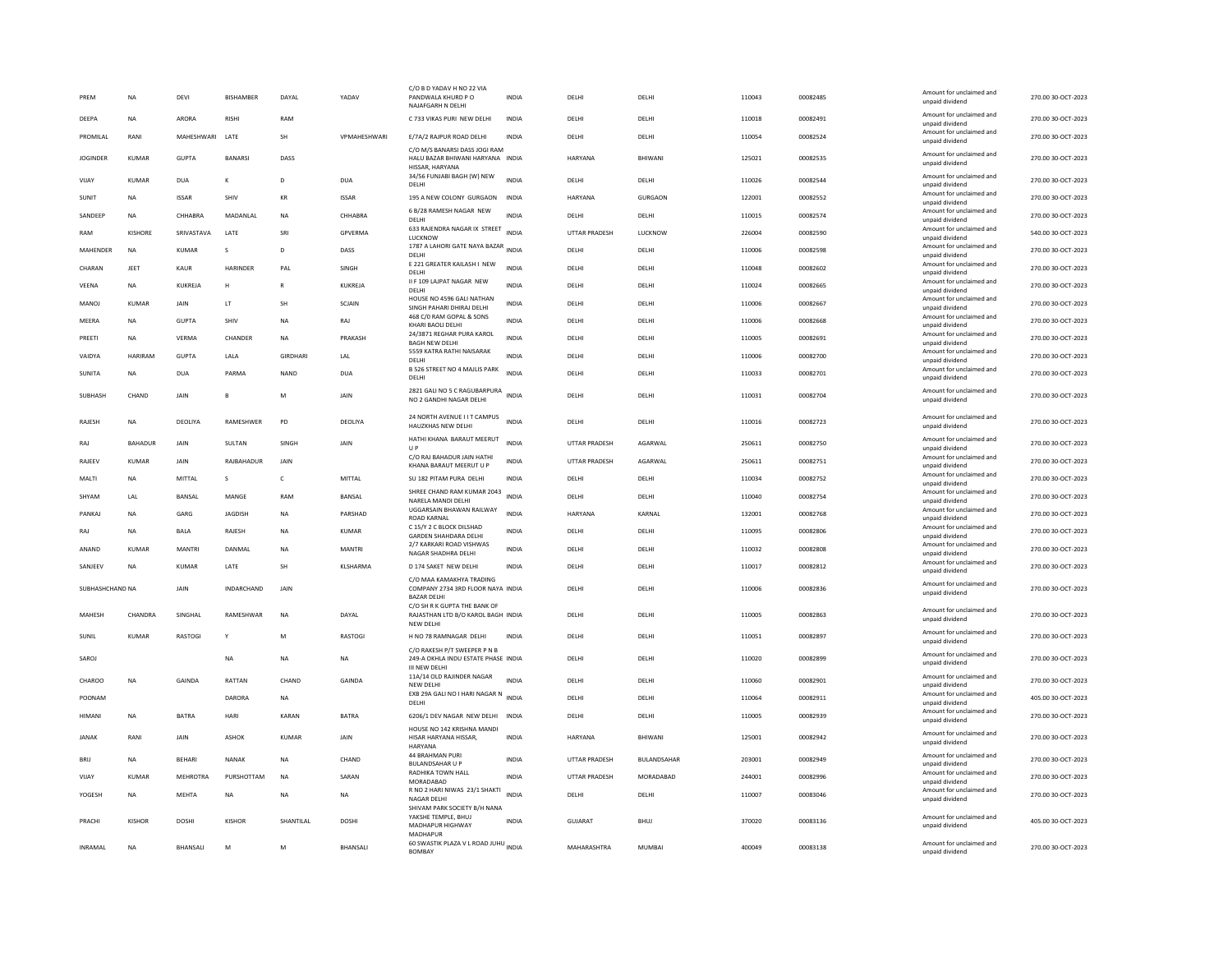| PREM            | <b>NA</b>      | DEVI          | BISHAMBER         | DAYAL                | YADAV           | C/O B D YADAV H NO 22 VIA<br>PANDWALA KHURD P O<br>NAJAFGARH N DELHI                       | INDIA        | DELHI                | DELHI         | 110043 | 00082485 | Amount for unclaimed and<br>unpaid dividend | 270.00 30-OCT-2023 |
|-----------------|----------------|---------------|-------------------|----------------------|-----------------|--------------------------------------------------------------------------------------------|--------------|----------------------|---------------|--------|----------|---------------------------------------------|--------------------|
| DEEPA           | <b>NA</b>      | ARORA         | <b>RISHI</b>      | RAM                  |                 | C 733 VIKAS PURI NEW DELHI                                                                 | <b>INDIA</b> | DELHI                | DELHI         | 110018 | 00082491 | Amount for unclaimed and<br>unpaid dividend | 270.00 30-OCT-2023 |
| PROMILAL        | RANI           | MAHESHWARI    | LATE              | SH                   | VPMAHESHWARI    | E/7A/2 RAJPUR ROAD DELHI                                                                   | <b>INDIA</b> | DELHI                | DELHI         | 110054 | 00082524 | Amount for unclaimed and<br>unpaid dividend | 270.00 30-OCT-2023 |
| <b>JOGINDER</b> | <b>KUMAR</b>   | <b>GUPTA</b>  | <b>BANARSI</b>    | DASS                 |                 | C/O M/S BANARSI DASS JOGI RAM<br>HALU BAZAR BHIWANI HARYANA INDIA<br>HISSAR, HARYANA       |              | <b>HARYANA</b>       | RHIWANI       | 125021 | 00082535 | Amount for unclaimed and<br>unpaid dividend | 270.00 30-OCT-2023 |
| VIJAY           | <b>KUMAR</b>   | <b>DUA</b>    | K                 | D                    | <b>DUA</b>      | 34/56 FUNJABI BAGH (W) NEW<br>DELHI                                                        | INDIA        | DELHI                | DELHI         | 110026 | 00082544 | Amount for unclaimed and<br>unpaid dividend | 270.00 30-OCT-2023 |
| SUNIT           | <b>NA</b>      | <b>ISSAR</b>  | SHIV              | $\mathsf{KR}\xspace$ | <b>ISSAR</b>    | 195 A NEW COLONY GURGAON                                                                   | INDIA        | <b>HARYANA</b>       | GURGAON       | 122001 | 00082552 | Amount for unclaimed and<br>unpaid dividend | 270.00 30-OCT-2023 |
| SANDEEP         | <b>NA</b>      | CHHARRA       | MADANLAL          | <b>NA</b>            | CHHARRA         | 6 B/28 RAMESH NAGAR NEW<br>DELHI                                                           | <b>INDIA</b> | DELHI                | DELHI         | 110015 | 00082574 | Amount for unclaimed and<br>unpaid dividend | 270.00 30-OCT-2023 |
| RAM             | <b>KISHORE</b> | SRIVASTAVA    | LATE              | SRI                  | GPVERMA         | 633 RAJENDRA NAGAR IX STREET<br>LUCKNOW                                                    | <b>INDIA</b> | UTTAR PRADESH        | LUCKNOW       | 226004 | 00082590 | Amount for unclaimed and<br>unpaid dividend | 540.00 30-OCT-2023 |
| <b>MAHFNDFR</b> | <b>NA</b>      | KUMAR         | $\mathbf{S}$      | D.                   | DASS            | 1787 A LAHORI GATE NAYA BAZAR INDIA<br>DELHI                                               |              | <b>DELHI</b>         | <b>DELHI</b>  | 110006 | 00082598 | Amount for unclaimed and<br>unpaid dividend | 270.00.30-OCT-2023 |
| CHARAN          | JEET           | KAUR          | HARINDER          | PAL                  | SINGH           | E 221 GREATER KAILASH I NEW<br>DELHI                                                       | <b>INDIA</b> | DELHI                | DELHI         | 110048 | 00082602 | Amount for unclaimed and<br>unpaid dividend | 270.00 30-OCT-2023 |
| VEENA           | <b>NA</b>      | KUKREJA       | H                 | $\mathsf{R}$         | KUKREJA         | II F 109 LAJPAT NAGAR NEW<br><b>DELHI</b>                                                  | <b>INDIA</b> | DELHI                | DELHI         | 110024 | 00082665 | Amount for unclaimed and                    | 270.00 30-OCT-2023 |
| MANOJ           | KUMAR          | JAIN          | LT                | SH                   | SCJAIN          | HOUSE NO 4596 GALI NATHAN                                                                  | INDIA        | DELHI                | DELHI         | 110006 | 00082667 | unpaid dividend<br>Amount for unclaimed and | 270.00 30-OCT-2023 |
| MEERA           | <b>NA</b>      | <b>GUPTA</b>  | <b>SHIV</b>       | <b>NA</b>            | RAJ             | SINGH PAHARI DHIRAJ DELHI<br>468 C/0 RAM GOPAL & SONS                                      | <b>INDIA</b> | DELHI                | DELHI         | 110006 | 00082668 | unpaid dividend<br>Amount for unclaimed and | 270.00 30-OCT-2023 |
|                 |                |               |                   |                      |                 | KHARI BAOILDELHI<br>24/3871 REGHAR PURA KAROL                                              |              |                      |               |        |          | unpaid dividend<br>Amount for unclaimed and |                    |
| PREETI          | <b>NA</b>      | <b>VERMA</b>  | CHANDER           | <b>NA</b>            | PRAKASH         | <b>BAGH NEW DELHI</b><br>5559 KATRA RATHI NAISARAK                                         | <b>INDIA</b> | DELHI                | DELHI         | 110005 | 00082691 | unpaid dividend<br>Amount for unclaimed and | 270.00 30-OCT-2023 |
| VAIDYA          | HARIRAM        | <b>GUPTA</b>  | LALA              | GIRDHARI             | LAL             | DELHI                                                                                      | <b>INDIA</b> | DELHI                | DELHI         | 110006 | 00082700 | unpaid dividend                             | 270.00 30-OCT-2023 |
| <b>SUNITA</b>   | <b>NA</b>      | <b>DUA</b>    | PARMA             | <b>NAND</b>          | <b>DUA</b>      | B 526 STREET NO 4 MAJLIS PARK<br>DELHI                                                     | <b>INDIA</b> | DELHI                | DELHI         | 110033 | 00082701 | Amount for unclaimed and<br>unpaid dividend | 270.00 30-OCT-2023 |
| SUBHASH         | CHAND          | <b>JAIN</b>   | $\mathbf{B}$      | M                    | <b>JAIN</b>     | 2821 GALI NO 5 C RAGUBARPURA<br>NO 2 GANDHI NAGAR DELHI                                    | <b>INDIA</b> | DELHI                | DELHI         | 110031 | 00082704 | Amount for unclaimed and<br>unpaid dividend | 270.00 30-OCT-2023 |
| RAJESH          | <b>NA</b>      | DEOLIYA       | RAMESHWER         | PD                   | DEOLIYA         | 24 NORTH AVENUE I I T CAMPUS<br>HAUZKHAS NEW DELHI                                         | <b>INDIA</b> | DELHI                | DELHI         | 110016 | 00082723 | Amount for unclaimed and<br>unpaid dividend | 270.00 30-OCT-2023 |
| RAJ             | BAHADUR        | JAIN          | SULTAN            | SINGH                | JAIN            | HATHI KHANA BARAUT MEERUT<br>U P                                                           | <b>INDIA</b> | UTTAR PRADESH        | AGARWAL       | 250611 | 00082750 | Amount for unclaimed and<br>unpaid dividend | 270.00 30-OCT-2023 |
| <b>RAJEEV</b>   | KUMAR          | JAIN          | RAJBAHADUR        | JAIN                 |                 | C/O RAJ BAHADUR JAIN HATHI<br>KHANA BARAUT MEERUT U P                                      | <b>INDIA</b> | UTTAR PRADESH        | AGARWAL       | 250611 | 00082751 | Amount for unclaimed and<br>unpaid dividend | 270.00 30-OCT-2023 |
| MALTI           | <b>NA</b>      | MITTAL        | s                 | $\mathsf{C}$         | MITTAL          | SU 182 PITAM PURA DELHI                                                                    | <b>INDIA</b> | DELHI                | DELHI         | 110034 | 00082752 | Amount for unclaimed and                    | 270.00 30-OCT-2023 |
| SHYAM           | LAL            | BANSAL        | MANGE             | RAM                  | BANSAL          | SHREE CHAND RAM KUMAR 2043                                                                 | <b>INDIA</b> | DELHI                | DELHI         | 110040 | 00082754 | unpaid dividend<br>Amount for unclaimed and | 270.00 30-OCT-2023 |
| PANKAJ          | <b>NA</b>      | GARG          | JAGDISH           | <b>NA</b>            | PARSHAD         | NARELA MANDI DELHI<br>UGGARSAIN BHAWAN RAILWAY                                             | <b>INDIA</b> | <b>HARYANA</b>       | KARNAL        | 132001 | 00082768 | unpaid dividend<br>Amount for unclaimed and | 270.00 30-OCT-2023 |
| RAJ             | <b>NA</b>      | <b>BALA</b>   | RAJESH            | <b>NA</b>            | <b>KUMAR</b>    | <b>ROAD KARNAL</b><br>C 15/Y 2 C BLOCK DILSHAD                                             | <b>INDIA</b> | DELHI                | DELHI         | 110095 | 00082806 | unpaid dividend<br>Amount for unclaimed and | 270.00 30-OCT-2023 |
|                 |                |               |                   |                      |                 | <b>GARDEN SHAHDARA DELHI</b><br>2/7 KARKARI ROAD VISHWAS                                   |              |                      |               |        |          | unpaid dividend<br>Amount for unclaimed and |                    |
| ANAND           | <b>KUMAR</b>   | MANTRI        | DANMAL            | <b>NA</b>            | MANTRI          | NAGAR SHADHRA DELHI                                                                        | <b>INDIA</b> | DELHI                | DELHI         | 110032 | 00082808 | unpaid dividend<br>Amount for unclaimed and | 270.00 30-OCT-2023 |
| SANJEEV         | <b>NA</b>      | <b>KUMAR</b>  | LATE              | <b>SH</b>            | <b>KLSHARMA</b> | D 174 SAKET NEW DELHI<br>C/O MAA KAMAKHYA TRADING                                          | <b>INDIA</b> | DELHI                | DELHI         | 110017 | 00082812 | unpaid dividend                             | 270.00 30-OCT-2023 |
| SUBHASHCHAND NA |                | <b>JAIN</b>   | <b>INDARCHAND</b> | JAIN                 |                 | COMPANY 2734 3RD FLOOR NAYA INDIA<br><b>BAZAR DELHI</b>                                    |              | DELHI                | DELHI         | 110006 | 00082836 | Amount for unclaimed and<br>unpaid dividend | 270.00 30-OCT-2023 |
| MAHESH          | CHANDRA        | SINGHAL       | RAMESHWAR         | NA                   | DAYAL           | C/O SH R K GUPTA THE BANK OF<br>RAJASTHAN LTD B/O KAROL BAGH INDIA<br>NEW DELHI            |              | DELHI                | DELHI         | 110005 | 00082863 | Amount for unclaimed and<br>unpaid dividend | 270.00 30-OCT-2023 |
| SUNIL           | <b>KUMAR</b>   | RASTOGI       | Y                 | M                    | RASTOGI         | H NO 78 RAMNAGAR DELHI                                                                     | <b>INDIA</b> | DELHI                | DELHI         | 110051 | 00082897 | Amount for unclaimed and<br>unpaid dividend | 270.00 30-OCT-2023 |
| SAROJ           |                |               | NA                | <b>NA</b>            | NA              | C/O RAKESH P/T SWEEPER P N B<br>249-A OKHLA INDU ESTATE PHASE INDIA<br><b>III NEW DELH</b> |              | DELHI                | DELHI         | 110020 | 00082899 | Amount for unclaimed and<br>unpaid dividend | 270.00 30-OCT-2023 |
| CHAROO          | <b>NA</b>      | GAINDA        | RATTAN            | CHAND                | <b>GAINDA</b>   | 11A/14 OLD RAJINDER NAGAR<br>NEW DELH                                                      | <b>INDIA</b> | DELHI                | DELHI         | 110060 | 00082901 | Amount for unclaimed and<br>unpaid dividend | 270.00 30-OCT-2023 |
| POONAM          |                |               | DARORA            | <b>NA</b>            |                 | EXB 29A GALI NO I HARI NAGAR N INDIA<br>DELHI                                              |              | DELHI                | DELHI         | 110064 | 00082911 | Amount for unclaimed and<br>unpaid dividend | 405.00 30-OCT-2023 |
| HIMANI          | <b>NA</b>      | <b>BATRA</b>  | HARI              | <b>KARAN</b>         | <b>BATRA</b>    | 6206/1 DEV NAGAR NEW DELHI INDIA                                                           |              | DELHI                | DELHI         | 110005 | 00082939 | Amount for unclaimed and                    | 270.00 30-OCT-2023 |
|                 |                |               |                   |                      |                 | HOUSE NO 142 KRISHNA MAND                                                                  |              |                      |               |        |          | unpaid dividend<br>Amount for unclaimed and |                    |
| <b>JANAK</b>    | RANI           | JAIN          | <b>ASHOK</b>      | KUMAR                | JAIN            | HISAR HARYANA HISSAR,<br><b>HARYANA</b><br>44 BRAHMAN PURI                                 | <b>INDIA</b> | HARYANA              | BHIWANI       | 125001 | 00082942 | unpaid dividend                             | 270.00 30-OCT-2023 |
| BRIJ            | <b>NA</b>      | <b>BEHARI</b> | <b>NANAK</b>      | <b>NA</b>            | CHAND           | <b>BULANDSAHAR U P</b>                                                                     | <b>INDIA</b> | <b>UTTAR PRADESH</b> | BULANDSAHAR   | 203001 | 00082949 | Amount for unclaimed and<br>unpaid dividend | 270.00 30-OCT-2023 |
| VIJAY           | <b>KUMAR</b>   | MEHROTRA      | PURSHOTTAM        | <b>NA</b>            | SARAN           | RADHIKA TOWN HALL<br>MORADABAD                                                             | INDIA        | UTTAR PRADESH        | MORADABAD     | 244001 | 00082996 | Amount for unclaimed and<br>unpaid dividend | 270.00 30-OCT-2023 |
| YOGESH          | <b>NA</b>      | <b>MEHTA</b>  | <b>NA</b>         | <b>NA</b>            | <b>NA</b>       | R NO 2 HARI NIWAS 23/1 SHAKTI<br><b>NAGAR DELHI</b>                                        | <b>INDIA</b> | DELHI                | DELHI         | 110007 | 00083046 | Amount for unclaimed and<br>unpaid dividend | 270.00 30-OCT-2023 |
| PRACHI          | <b>KISHOR</b>  | <b>DOSHI</b>  | <b>KISHOR</b>     | SHANTILAL            | DOSHI           | SHIVAM PARK SOCIETY B/H NANA<br>YAKSHE TEMPLE, BHUJ<br>MADHAPUR HIGHWAY                    | INDIA        | GUJARAT              | <b>BHUJ</b>   | 370020 | 00083136 | Amount for unclaimed and<br>unpaid dividend | 405.00 30-OCT-2023 |
| <b>INRAMAL</b>  | <b>NA</b>      | BHANSALI      | M                 | M                    | BHANSALI        | MADHAPUR<br>60 SWASTIK PLAZA V L ROAD JUHU INDIA                                           |              | MAHARASHTRA          | <b>MUMBAI</b> | 400049 | 00083138 | Amount for unclaimed and                    | 270.00 30-OCT-2023 |
|                 |                |               |                   |                      |                 | <b>BOMBAY</b>                                                                              |              |                      |               |        |          | unpaid dividend                             |                    |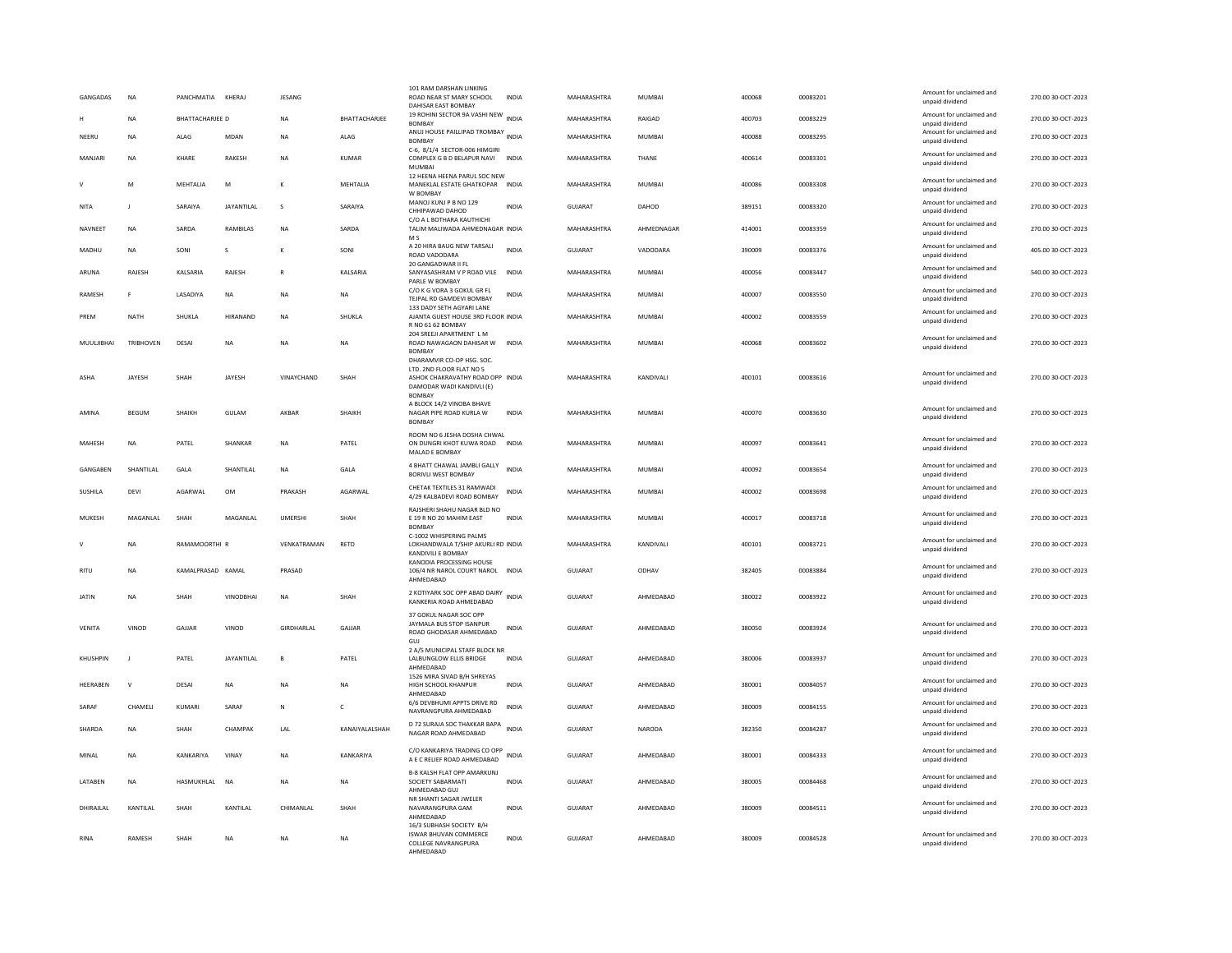| GANGADAS     | <b>NA</b>        | PANCHMATIA KHERAJ      |                                                                                                            | <b>JESANG</b>      |                | 101 RAM DARSHAN LINKING<br>ROAD NEAR ST MARY SCHOOL<br>DAHISAR EAST BOMBAY            | INDIA        | MAHARASHTRA        | <b>MUMBAI</b> | 400068 | 00083201 | Amount for unclaimed and<br>unpaid dividend | 270.00 30-OCT-2023 |
|--------------|------------------|------------------------|------------------------------------------------------------------------------------------------------------|--------------------|----------------|---------------------------------------------------------------------------------------|--------------|--------------------|---------------|--------|----------|---------------------------------------------|--------------------|
|              | <b>NA</b>        | <b>BHATTACHARJEE D</b> |                                                                                                            | <b>NA</b>          | BHATTACHARJEE  | 19 ROHINI SECTOR 9A VASHI NEW INDIA<br><b>BOMBAY</b>                                  |              | MAHARASHTRA        | RAIGAD        | 400703 | 00083229 | Amount for unclaimed and<br>unpaid dividend | 270.00 30-OCT-2023 |
| NEERU        | NA               | ALAG                   | MDAN                                                                                                       | NA                 | ALAG           | ANUJ HOUSE PAILLIPAD TROMBAY INDIA<br><b>BOMBAY</b>                                   |              | MAHARASHTRA        | MUMBAI        | 400088 | 00083295 | Amount for unclaimed and<br>unpaid dividend | 270.00 30-OCT-2023 |
| MANJARI      | <b>NA</b>        | KHARF                  | RAKESH                                                                                                     | <b>NA</b>          | KUMAR          | C-6, 8/1/4 SECTOR-006 HIMGIRI<br>COMPLEX G B D BELAPUR NAVI<br><b>MUMBA</b>           | <b>INDIA</b> | <b>MAHARASHTRA</b> | THANE         | 400614 | 00083301 | Amount for unclaimed and<br>unpaid dividend | 270.00 30-OCT-2023 |
| $\mathsf{V}$ | M                | MEHTALIA               | $\mathsf{M}% _{T}=\mathsf{M}_{T}\!\left( a,b\right) ,\ \mathsf{M}_{T}=\mathsf{M}_{T}\!\left( a,b\right) ,$ | к                  | MEHTALIA       | 12 HEENA HEENA PARUL SOC NEW<br>MANEKLAL ESTATE GHATKOPAR<br>W BOMBAY                 | <b>INDIA</b> | MAHARASHTRA        | MUMBAI        | 400086 | 00083308 | Amount for unclaimed and<br>unpaid dividend | 270.00 30-OCT-2023 |
| <b>NITA</b>  | $\mathbf{I}$     | SARAIYA                | JAYANTILAL                                                                                                 | s                  | SARAIYA        | MANOJ KUNJ P B NO 129<br>CHHIPAWAD DAHOD                                              | <b>INDIA</b> | GUJARAT            | DAHOD         | 389151 | 00083320 | Amount for unclaimed and<br>unpaid dividend | 270.00 30-OCT-2023 |
| NAVNEET      | NA               | SARDA                  | RAMBILAS                                                                                                   | NA                 | SARDA          | C/O A L BOTHARA KAUTHICHI<br>TALIM MALIWADA AHMEDNAGAR INDIA<br>M <sub>S</sub>        |              | MAHARASHTRA        | AHMEDNAGAR    | 414001 | 00083359 | Amount for unclaimed and<br>unpaid dividend | 270.00 30-OCT-2023 |
| MADHU        | <b>NA</b>        | SONI                   | <b>s</b>                                                                                                   | K                  | SONI           | A 20 HIRA BAUG NEW TARSALI<br>ROAD VADODARA                                           | <b>INDIA</b> | GUIARAT            | VADODARA      | 390009 | 00083376 | Amount for unclaimed and<br>unpaid dividend | 405.00 30-OCT-2023 |
| ARUNA        | RAJESH           | KALSARIA               | RAJESH                                                                                                     | $\mathsf{R}$       | KALSARIA       | 20 GANGADWAR II FL<br>SANYASASHRAM V P ROAD VILE<br>PARLE W BOMBAY                    | INDIA        | MAHARASHTRA        | MUMBAI        | 400056 | 00083447 | Amount for unclaimed and<br>unpaid dividend | 540.00 30-OCT-2023 |
| RAMESH       | F.               | LASADIYA               | <b>NA</b>                                                                                                  | <b>NA</b>          | <b>NA</b>      | C/O K G VORA 3 GOKUL GR FL<br>TEJPAL RD GAMDEVI BOMBAY                                | <b>INDIA</b> | MAHARASHTRA        | <b>MUMBAI</b> | 400007 | 00083550 | Amount for unclaimed and<br>unpaid dividend | 270.00 30-OCT-2023 |
| PREM         | NATH             | SHUKLA                 | <b>HIRANAND</b>                                                                                            | <b>NA</b>          | SHUKLA         | 133 DADY SETH AGYARI LANE<br>AJANTA GUEST HOUSE 3RD FLOOR INDIA<br>R NO 61 62 BOMBAY  |              | MAHARASHTRA        | MUMBAI        | 400002 | 00083559 | Amount for unclaimed and<br>unpaid dividend | 270.00 30-OCT-2023 |
| MUUI IIRHAI  | <b>TRIBHOVEN</b> | DESAI                  | <b>NA</b>                                                                                                  | <b>NA</b>          | <b>NA</b>      | 204 SREEJI APARTMENT L M<br>ROAD NAWAGAON DAHISAR W<br><b>BOMBAY</b>                  | <b>INDIA</b> | <b>MAHARASHTRA</b> | MUMBAI        | 400068 | 00083602 | Amount for unclaimed and<br>unpaid dividend | 270.00.30-OCT-2023 |
|              |                  |                        |                                                                                                            |                    |                | DHARAMVIR CO-OP HSG, SOC.<br>LTD. 2ND FLOOR FLAT NO 5                                 |              |                    |               |        |          |                                             |                    |
| ASHA         | JAYESH           | SHAH                   | JAYESH                                                                                                     | VINAYCHAND         | SHAH           | ASHOK CHAKRAVATHY ROAD OPP INDIA<br>DAMODAR WADI KANDIVLI (E)<br><b>BOMBAY</b>        |              | MAHARASHTRA        | KANDIVALI     | 400101 | 00083616 | Amount for unclaimed and<br>unpaid dividend | 270.00 30-OCT-2023 |
| AMINA        | BEGUM            | SHAIKH                 | GULAM                                                                                                      | AKBAR              | SHAIKH         | A BLOCK 14/2 VINOBA BHAVE<br>NAGAR PIPE ROAD KURLA W<br><b>BOMBAY</b>                 | <b>INDIA</b> | MAHARASHTRA        | MUMBAI        | 400070 | 00083630 | Amount for unclaimed and<br>unpaid dividend | 270.00 30-OCT-2023 |
| MAHESH       | <b>NA</b>        | PATEL                  | <b>SHANKAR</b>                                                                                             | <b>NA</b>          | PATEL          | ROOM NO 6 JESHA DOSHA CHWAL<br>ON DUNGRI KHOT KUWA ROAD<br>MALAD E BOMBAY             | <b>INDIA</b> | MAHARASHTRA        | <b>MUMBAI</b> | 400097 | 00083641 | Amount for unclaimed and<br>unnaid dividend | 270.00 30-OCT-2023 |
| GANGABEN     | SHANTILAL        | GALA                   | SHANTILAL                                                                                                  | NA                 | GALA           | 4 BHATT CHAWAL JAMBLI GALLY<br><b>BORIVLI WEST BOMBAY</b>                             | <b>INDIA</b> | MAHARASHTRA        | <b>MUMBAI</b> | 400092 | 00083654 | Amount for unclaimed and<br>unpaid dividend | 270.00 30-OCT-2023 |
| SUSHILA      | DEVI             | <b>AGARWAI</b>         | OM                                                                                                         | PRAKASH            | AGARWAI        | CHETAK TEXTILES 31 RAMWADI<br>4/29 KALBADEVI ROAD BOMBAY                              | <b>INDIA</b> | MAHARASHTRA        | MUMBAI        | 400002 | 00083698 | Amount for unclaimed and<br>unpaid dividend | 270.00 30-OCT-2023 |
| MUKESH       | MAGANLAL         | SHAH                   | MAGANLAL                                                                                                   | <b>UMERSHI</b>     | SHAH           | RAJSHERI SHAHU NAGAR BLD NO<br>E 19 R NO 20 MAHIM EAST<br><b>BOMBAY</b>               | <b>INDIA</b> | MAHARASHTRA        | <b>MUMBAI</b> | 400017 | 00083718 | Amount for unclaimed and<br>unpaid dividend | 270.00 30-OCT-2023 |
|              | <b>NA</b>        | RAMAMOORTHI R          |                                                                                                            | VENKATRAMAN        | RETD           | C-1002 WHISPERING PALMS<br>LOKHANDWALA T/SHIP AKURLI RD INDIA<br>KANDIVILI E BOMBAY   |              | MAHARASHTRA        | KANDIVALI     | 400101 | 00083721 | Amount for unclaimed and<br>unpaid dividend | 270.00 30-OCT-2023 |
| <b>RITU</b>  | <b>NA</b>        | KAMAI PRASAD KAMAI     |                                                                                                            | PRASAD             |                | KANODIA PROCESSING HOUSE<br>106/4 NR NAROL COURT NAROL INDIA<br>AHMEDABAD             |              | GUIARAT            | ODHAV         | 382405 | 00083884 | Amount for unclaimed and<br>unpaid dividend | 270.00 30-OCT-2023 |
| JATIN        | <b>NA</b>        | SHAH                   | <b>VINODBHA</b>                                                                                            | <b>NA</b>          | SHAH           | 2 KOTIYARK SOC OPP ABAD DAIRY<br>KANKERIA ROAD AHMEDABAD                              | <b>INDIA</b> | GUJARAT            | AHMEDABAD     | 380022 | 00083922 | Amount for unclaimed and<br>unpaid dividend | 270.00 30-OCT-2023 |
| VENITA       | VINOD            | GAILAR                 | VINOD                                                                                                      | <b>GIRDHARI AI</b> | GAILAR         | 37 GOKUL NAGAR SOC OPP<br>JAYMALA BUS STOP ISANPUR<br>ROAD GHODASAR AHMEDABAD         | INDIA        | GUIARAT            | AHMEDARAD     | 380050 | 00083924 | Amount for unclaimed and<br>unpaid dividend | 270.00 30-OCT-2023 |
| KHUSHPIN     | - 1              | PATEL                  | <b>JAYANTILAL</b>                                                                                          | B                  | PATEL          | GUJ<br>2 A/5 MUNICIPAL STAFF BLOCK NR<br>LALBUNGLOW ELLIS BRIDGE<br>AHMEDABAD         | <b>INDIA</b> | <b>GUJARAT</b>     | AHMEDABAD     | 380006 | 00083937 | Amount for unclaimed and<br>unpaid dividend | 270.00 30-OCT-2023 |
| HEERABEN     | ${\sf V}$        | DESAI                  | NA                                                                                                         | NA                 | NA             | 1526 MIRA SIVAD B/H SHREYAS<br>HIGH SCHOOL KHANPUR<br>AHMEDABAD                       | <b>INDIA</b> | GUJARAT            | AHMEDABAD     | 380001 | 00084057 | Amount for unclaimed and<br>unpaid dividend | 270.00 30-OCT-2023 |
| SARAF        | CHAMELI          | KUMARI                 | SARAF                                                                                                      | $\mathbb N$        | $\mathfrak{c}$ | 6/6 DEVBHUMI APPTS DRIVE RD<br>NAVRANGPURA AHMEDABAD                                  | <b>INDIA</b> | GUIARAT            | AHMFDARAD     | 380009 | 00084155 | Amount for unclaimed and<br>unpaid dividend | 270.00 30-OCT-2023 |
| SHARDA       | NA               | SHAH                   | CHAMPAK                                                                                                    | LAL                | KANAIYALALSHAH | D 72 SURAJA SOC THAKKAR BAPA INDIA<br>NAGAR ROAD AHMEDABAD                            |              | GUJARAT            | NARODA        | 382350 | 00084287 | Amount for unclaimed and<br>unpaid dividend | 270.00 30-OCT-2023 |
| MINAL        | <b>NA</b>        | KANKARIYA              | VINAY                                                                                                      | <b>NA</b>          | KANKARIYA      | C/O KANKARIYA TRADING CO OPP<br>A E C RELIEF ROAD AHMEDABAD                           | <b>INDIA</b> | <b>GUJARAT</b>     | AHMEDABAD     | 380001 | 00084333 | Amount for unclaimed and<br>unpaid dividend | 270.00 30-OCT-2023 |
| LATABEN      | <b>NA</b>        | <b>HASMUKHLAL</b>      | <b>NA</b>                                                                                                  | <b>NA</b>          | <b>NA</b>      | <b>B-8 KALSH FLAT OPP AMARKUNJ</b><br>SOCIETY SABARMATI<br>AHMEDABAD GUJ              | <b>INDIA</b> | GUJARAT            | AHMEDABAD     | 380005 | 00084468 | Amount for unclaimed and<br>unpaid dividend | 270.00 30-OCT-2023 |
| DHIRAJLAL    | KANTILAL         | SHAH                   | KANTILAL                                                                                                   | CHIMANLAL          | SHAH           | NR SHANTI SAGAR JWELER<br>NAVARANGPURA GAM<br>AHMEDABAD                               | INDIA        | GUJARAT            | AHMEDABAD     | 380009 | 00084511 | Amount for unclaimed and<br>unpaid dividend | 270.00 30-OCT-2023 |
| <b>RINA</b>  | RAMESH           | SHAH                   | <b>NA</b>                                                                                                  | <b>NA</b>          | <b>NA</b>      | 16/3 SUBHASH SOCIETY B/H<br>ISWAR BHUVAN COMMERCE<br>COLLEGE NAVRANGPURA<br>AHMFDARAD | <b>INDIA</b> | GUJARAT            | AHMEDABAD     | 380009 | 00084528 | Amount for unclaimed and<br>unpaid dividend | 270.00 30-OCT-2023 |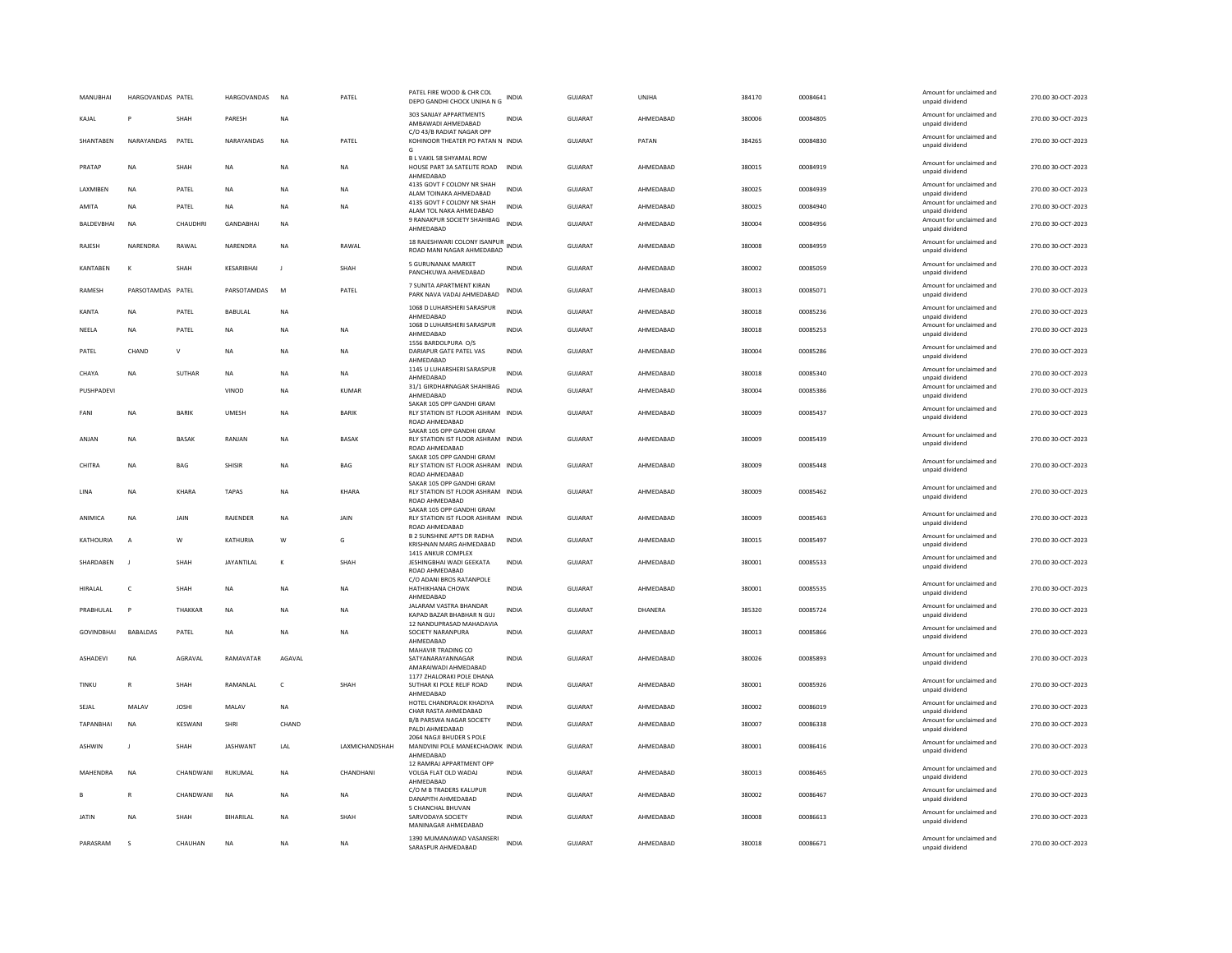| MANUBHAI          | HARGOVANDAS PATEL |                | HARGOVANDAS      | <b>NA</b>    | PATEL          | PATEL FIRE WOOD & CHR COL<br>DEPO GANDHI CHOCK UNJHA N G                          | <b>INDIA</b> | GUJARAT        | UNJHA     | 384170 | 00084641 | Amount for unclaimed and<br>unpaid dividend | 270.00 30-OCT-2023 |
|-------------------|-------------------|----------------|------------------|--------------|----------------|-----------------------------------------------------------------------------------|--------------|----------------|-----------|--------|----------|---------------------------------------------|--------------------|
| KAIAI             | P                 | <b>SHAH</b>    | PARESH           | <b>NA</b>    |                | 303 SANJAY APPARTMENTS<br>AMBAWADI AHMEDABAD                                      | <b>INDIA</b> | GUIARAT        | AHMEDARAD | 380006 | 00084805 | Amount for unclaimed and<br>unpaid dividend | 270.00.30-OCT-2023 |
| SHANTABEN         | NARAYANDAS        | PATEL          | NARAYANDAS       | <b>NA</b>    | PATEL          | C/O 43/B RADIAT NAGAR OPP<br>KOHINOOR THEATER PO PATAN N INDIA<br>G               |              | GUJARAT        | PATAN     | 384265 | 00084830 | Amount for unclaimed and<br>unpaid dividend | 270.00 30-OCT-2023 |
| PRATAP            | <b>NA</b>         | SHAH           | <b>NA</b>        | <b>NA</b>    | <b>NA</b>      | B L VAKIL 58 SHYAMAL ROW<br>HOUSE PART 3A SATELITE ROAD<br>AHMEDABAD              | <b>INDIA</b> | GUJARAT        | AHMEDABAD | 380015 | 00084919 | Amount for unclaimed and<br>unpaid dividend | 270.00 30-OCT-2023 |
| LAXMIBEN          | NA                | PATEL          | NA               | NA           | NA             | 4135 GOVT F COLONY NR SHAH<br>ALAM TOINAKA AHMEDABAD                              | <b>INDIA</b> | GUJARAT        | AHMEDABAD | 380025 | 00084939 | Amount for unclaimed and<br>unpaid dividend | 270.00 30-OCT-2023 |
| AMITA             | <b>NA</b>         | PATEL          | <b>NA</b>        | <b>NA</b>    | <b>NA</b>      | 4135 GOVT F COLONY NR SHAH<br>ALAM TOL NAKA AHMEDABAD                             | <b>INDIA</b> | GUJARAT        | AHMEDABAD | 380025 | 00084940 | Amount for unclaimed and<br>unpaid dividend | 270.00 30-OCT-2023 |
| BALDEVBHAI        | <b>NA</b>         | CHAUDHRI       | <b>GANDARHAI</b> | <b>NA</b>    |                | 9 RANAKPUR SOCIETY SHAHIBAG<br>AHMEDABAD                                          | <b>INDIA</b> | GUJARAT        | AHMFDARAD | 380004 | 00084956 | Amount for unclaimed and<br>unpaid dividend | 270.00 30-OCT-2023 |
| RAJESH            | NARENDRA          | RAWAL          | NARENDRA         | <b>NA</b>    | RAWAL          | 18 RAJESHWARI COLONY ISANPUR<br>ROAD MANI NAGAR AHMEDABAD                         | <b>INDIA</b> | GUJARAT        | AHMEDABAD | 380008 | 00084959 | Amount for unclaimed and<br>unpaid dividend | 270.00 30-OCT-2023 |
| KANTABEN          | К                 | SHAH           | KESARIBHAI       | $\mathsf J$  | SHAH           | 5 GURUNANAK MARKET<br>PANCHKUWA AHMEDABAD                                         | INDIA        | GUJARAT        | AHMEDABAD | 380002 | 00085059 | Amount for unclaimed and<br>unpaid dividend | 270.00 30-OCT-2023 |
| <b>RAMESH</b>     | PARSOTAMDAS PATEL |                | PARSOTAMDAS      | M            | PATEL          | 7 SUNITA APARTMENT KIRAN<br>PARK NAVA VADAJ AHMEDABAD                             | INDIA        | GUJARAT        | AHMEDABAD | 380013 | 00085071 | Amount for unclaimed and<br>unpaid dividend | 270.00 30-OCT-2023 |
| KANTA             | <b>NA</b>         | PATEL          | BABULAL          | NA           |                | 1068 D LUHARSHERI SARASPUR<br>AHMEDABAD                                           | <b>INDIA</b> | <b>GUJARAT</b> | AHMEDABAD | 380018 | 00085236 | Amount for unclaimed and<br>unpaid dividend | 270.00 30-OCT-2023 |
| NEELA             | NA                | PATEL          | NA               | NA           | NA             | 1068 D LUHARSHERI SARASPUR<br>AHMEDABAD                                           | <b>INDIA</b> | GUJARAT        | AHMEDABAD | 380018 | 00085253 | Amount for unclaimed and<br>unpaid dividend | 270.00 30-OCT-2023 |
| PATEL             | CHAND             | $\mathsf{v}$   | <b>NA</b>        | <b>NA</b>    | <b>NA</b>      | 1556 BARDOLPURA O/S<br>DARIAPUR GATE PATEL VAS<br>AHMEDABAD                       | <b>INDIA</b> | GUJARAT        | AHMEDABAD | 380004 | 00085286 | Amount for unclaimed and<br>unpaid dividend | 270.00 30-OCT-2023 |
| CHAYA             | <b>NA</b>         | <b>SUTHAR</b>  | <b>NA</b>        | NA           | <b>NA</b>      | 1145 U LUHARSHERI SARASPUR<br>AHMEDABAD                                           | <b>INDIA</b> | <b>GUJARAT</b> | AHMEDABAD | 380018 | 00085340 | Amount for unclaimed and<br>unpaid dividend | 270.00 30-OCT-2023 |
| PUSHPADEVI        |                   |                | VINOD            | NA           | <b>KUMAR</b>   | 31/1 GIRDHARNAGAR SHAHIBAG<br>AHMEDABAD                                           | <b>INDIA</b> | GUJARAT        | AHMEDABAD | 380004 | 00085386 | Amount for unclaimed and<br>unpaid dividend | 270.00 30-OCT-2023 |
| FANI              | <b>NA</b>         | <b>BARIK</b>   | <b>UMESH</b>     | <b>NA</b>    | <b>BARIK</b>   | SAKAR 105 OPP GANDHI GRAM<br>RLY STATION IST FLOOR ASHRAM INDIA<br>ROAD AHMEDABAD |              | GUJARAT        | AHMEDABAD | 380009 | 00085437 | Amount for unclaimed and<br>unpaid dividend | 270.00 30-OCT-2023 |
| ANJAN             | NA                | <b>BASAK</b>   | RANJAN           | $_{\sf NA}$  | <b>BASAK</b>   | SAKAR 105 OPP GANDHI GRAM<br>RLY STATION IST FLOOR ASHRAM INDIA<br>ROAD AHMEDABAD |              | GUJARAT        | AHMEDABAD | 380009 | 00085439 | Amount for unclaimed and<br>unpaid dividend | 270.00 30-OCT-2023 |
| CHITRA            | NA                | BAG            | SHISIR           | NA           | BAG            | SAKAR 105 OPP GANDHI GRAM<br>RLY STATION IST FLOOR ASHRAM INDIA<br>ROAD AHMEDABAD |              | GUJARAT        | AHMEDABAD | 380009 | 00085448 | Amount for unclaimed and<br>unpaid dividend | 270.00 30-OCT-2023 |
| <b>IINA</b>       | <b>NA</b>         | KHARA          | <b>TAPAS</b>     | <b>NA</b>    | KHARA          | SAKAR 105 OPP GANDHI GRAM<br>RLY STATION IST FLOOR ASHRAM INDIA<br>ROAD AHMEDABAD |              | GUIARAT        | AHMEDARAD | 380009 | 00085462 | Amount for unclaimed and<br>unpaid dividend | 270.00 30-OCT-2023 |
| ANIMICA           | <b>NA</b>         | <b>JAIN</b>    | RAJENDER         | <b>NA</b>    | <b>JAIN</b>    | SAKAR 105 OPP GANDHI GRAM<br>RLY STATION IST FLOOR ASHRAM INDIA<br>ROAD AHMEDABAD |              | GUJARAT        | AHMEDABAD | 380009 | 00085463 | Amount for unclaimed and<br>unpaid dividend | 270.00 30-OCT-2023 |
| <b>KATHOURIA</b>  | $\overline{A}$    | W              | KATHURIA         | W            | G              | <b>B 2 SUNSHINE APTS DR RADHA</b><br>KRISHNAN MARG AHMEDABAD                      | INDIA        | GUJARAT        | AHMEDABAD | 380015 | 00085497 | Amount for unclaimed and<br>unpaid dividend | 270.00 30-OCT-2023 |
| SHARDABEN         | J.                | SHAH           | JAYANTILAL       | K            | SHAH           | 1415 ANKUR COMPLEX<br>JESHINGBHAI WADI GEEKATA<br>ROAD AHMEDABAD                  | <b>INDIA</b> | GUJARAT        | AHMEDABAD | 380001 | 00085533 | Amount for unclaimed and<br>unpaid dividend | 270.00 30-OCT-2023 |
| HIRALAL           | $\epsilon$        | SHAH           | <b>NA</b>        | <b>NA</b>    | <b>NA</b>      | C/O ADANI BROS RATANPOLE<br><b>HATHIKHANA CHOWK</b>                               | <b>INDIA</b> | <b>GUJARAT</b> | AHMEDABAD | 380001 | 00085535 | Amount for unclaimed and                    | 270.00 30-OCT-2023 |
| PRABHULAL         | P                 | THAKKAR        | $_{\sf NA}$      | NA           | NA             | AHMEDABAD<br>JALARAM VASTRA BHANDAR                                               | <b>INDIA</b> | GUJARAT        | DHANERA   | 385320 | 00085724 | unpaid dividend<br>Amount for unclaimed and | 270.00 30-OCT-2023 |
|                   |                   |                |                  |              |                | KAPAD BAZAR BHABHAR N GUJ<br>12 NANDUPRASAD MAHADAVIA                             |              |                |           |        |          | unpaid dividend<br>Amount for unclaimed and |                    |
| <b>GOVINDBHAI</b> | BABALDAS          | PATFI          | <b>NA</b>        | <b>NA</b>    | NA.            | SOCIETY NARANPURA<br>AHMEDABAD                                                    | <b>INDIA</b> | GUIARAT        | AHMEDARAD | 380013 | 00085866 | unpaid dividend                             | 270.00 30-OCT-2023 |
| ASHADEVI          | <b>NA</b>         | AGRAVAL        | RAMAVATAR        | AGAVAL       |                | MAHAVIR TRADING CO<br>SATYANARAYANNAGAR<br>AMARAIWADI AHMEDABAD                   | INDIA        | <b>GUJARAT</b> | AHMEDABAD | 380026 | 00085893 | Amount for unclaimed and<br>unpaid dividend | 270.00 30-OCT-2023 |
| TINKU             | $\mathsf{R}$      | SHAH           | RAMANLAL         | $\mathsf{C}$ | SHAH           | 1177 ZHALORAKI POLE DHANA<br>SUTHAR KI POLE RELIF ROAD<br>AHMFDARAD               | <b>INDIA</b> | <b>GUJARAT</b> | AHMEDABAD | 380001 | 00085926 | Amount for unclaimed and<br>unpaid dividend | 270.00 30-OCT-2023 |
| SEJAL             | MALAV             | <b>JOSHI</b>   | MALAV            | $_{\sf NA}$  |                | HOTEL CHANDRALOK KHADIYA<br>CHAR RASTA AHMEDABAD                                  | <b>INDIA</b> | <b>GUJARAT</b> | AHMEDABAD | 380002 | 00086019 | Amount for unclaimed and<br>unpaid dividend | 270.00 30-OCT-2023 |
| <b>TAPANBHAI</b>  | <b>NA</b>         | <b>KESWANI</b> | SHRI             | CHAND        |                | B/B PARSWA NAGAR SOCIETY<br>PALDI AHMEDABAD                                       | <b>INDIA</b> | GUJARAT        | AHMEDABAD | 380007 | 00086338 | Amount for unclaimed and<br>unpaid dividend | 270.00 30-OCT-2023 |
| <b>ASHWIN</b>     | $\mathbf{J}$      | SHAH           | <b>JASHWANT</b>  | LAL          | LAXMICHANDSHAH | 2064 NAGJI BHUDER S POLE<br>MANDVINI POLE MANEKCHAOWK INDIA<br>AHMEDABAD          |              | GUJARAT        | AHMEDABAD | 380001 | 00086416 | Amount for unclaimed and<br>unpaid dividend | 270.00 30-OCT-2023 |
| <b>MAHFNDRA</b>   | <b>NA</b>         | CHANDWANI      | RUKUMAL          | <b>NA</b>    | CHANDHANI      | 12 RAMRAJ APPARTMENT OPP<br>VOLGA FLAT OLD WADAJ<br>AHMEDABAD                     | <b>INDIA</b> | GUJARAT        | AHMFDARAD | 380013 | 00086465 | Amount for unclaimed and<br>unpaid dividend | 270.00 30-OCT-2023 |
|                   |                   | CHANDWANI      | <b>NA</b>        | <b>NA</b>    | <b>NA</b>      | C/O M B TRADERS KALUPUR<br>DANAPITH AHMEDABAD                                     | <b>INDIA</b> | <b>GUJARAT</b> | AHMEDABAD | 380002 | 00086467 | Amount for unclaimed and<br>unpaid dividend | 270.00 30-OCT-2023 |
| <b>JATIN</b>      | NA                | SHAH           | BIHARILAL        | NA           | SHAH           | 5 CHANCHAL BHUVAN<br>SARVODAYA SOCIETY<br>MANINAGAR AHMEDABAD                     | INDIA        | <b>GUJARAT</b> | AHMEDABAD | 380008 | 00086613 | Amount for unclaimed and<br>unpaid dividend | 270.00 30-OCT-2023 |
| PARASRAM          | s                 | CHAUHAN        | <b>NA</b>        | <b>NA</b>    | <b>NA</b>      | 1390 MUMANAWAD VASANSERI<br>SARASPUR AHMEDABAD                                    | <b>INDIA</b> | GUJARAT        | AHMEDABAD | 380018 | 00086671 | Amount for unclaimed and<br>unpaid dividend | 270.00 30-OCT-2023 |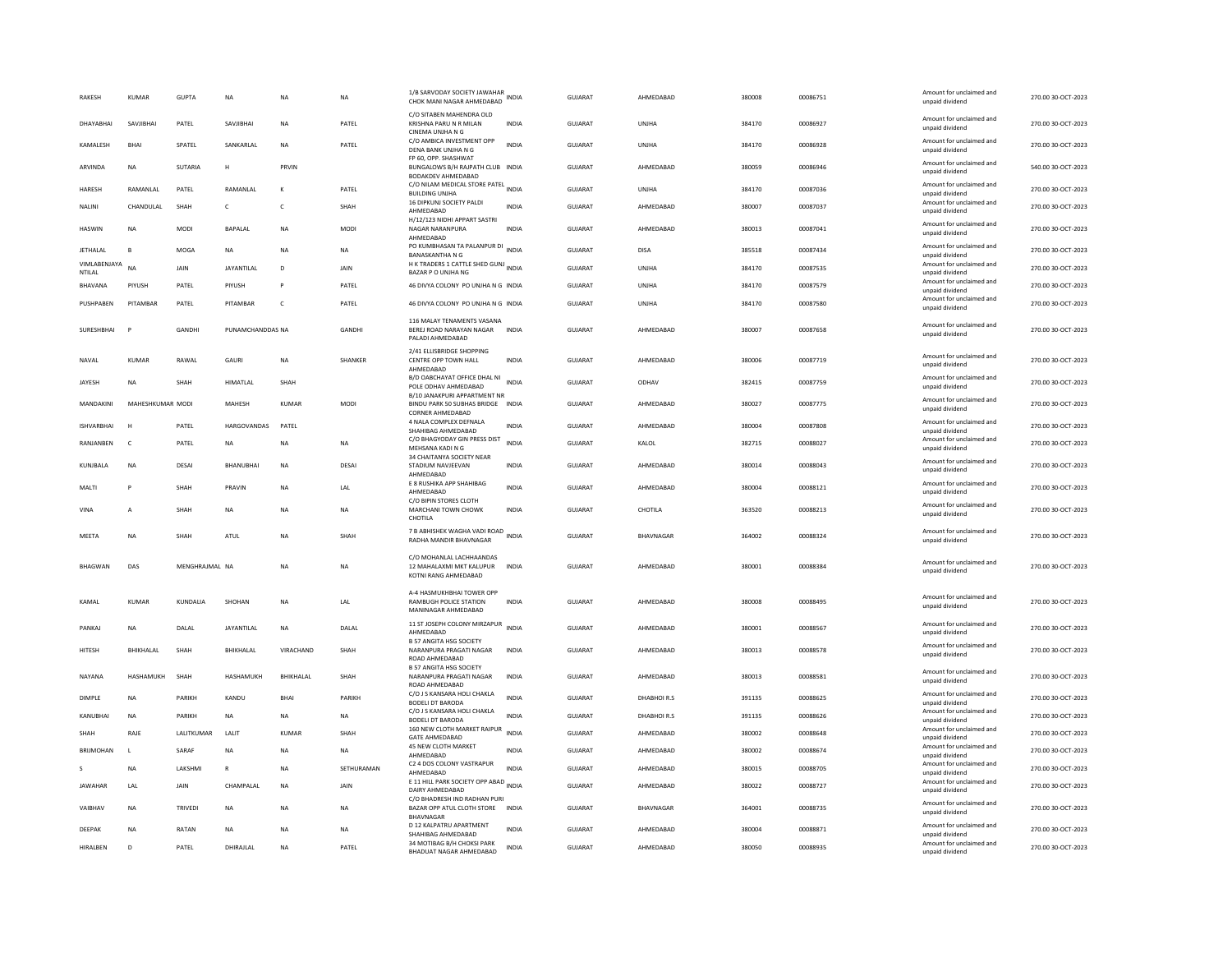| <b>RAKESH</b>          | <b>KUMAR</b>     | <b>GUPTA</b>   | <b>NA</b>         | <b>NA</b>         | <b>NA</b>   | 1/B SARVODAY SOCIETY JAWAHAR<br>CHOK MANI NAGAR AHMEDABAD                         | <b>INDIA</b> | <b>GUJARAT</b> | AHMEDABAD    | 380008 | 00086751 | Amount for unclaimed and<br>unpaid dividend | 270.00 30-OCT-2023 |
|------------------------|------------------|----------------|-------------------|-------------------|-------------|-----------------------------------------------------------------------------------|--------------|----------------|--------------|--------|----------|---------------------------------------------|--------------------|
| DHAYABHAI              | SAVJIBHAI        | PATEL          | SAVJIBHAI         | <b>NA</b>         | PATEL       | C/O SITABEN MAHENDRA OLD<br>KRISHNA PARU N R MILAN<br>CINEMA UNJHA N G            | <b>INDIA</b> | <b>GUJARAT</b> | UNJHA        | 384170 | 00086927 | Amount for unclaimed and<br>unpaid dividend | 270.00 30-OCT-2023 |
| KAMALESH               | <b>BHAI</b>      | SPATEL         | SANKARLAL         | <b>NA</b>         | PATEL       | C/O AMBICA INVESTMENT OPP<br>DENA BANK UNJHA N G                                  | <b>INDIA</b> | <b>GUJARAT</b> | UNJHA        | 384170 | 00086928 | Amount for unclaimed and<br>unpaid dividend | 270.00 30-OCT-2023 |
| ARVINDA                | <b>NA</b>        | SUTARIA        | H                 | PRVIN             |             | FP 60, OPP, SHASHWAT<br>BUNGALOWS B/H RAJPATH CLUB INDIA<br>BODAKDEV AHMEDABAD    |              | <b>GUJARAT</b> | AHMEDABAD    | 380059 | 00086946 | Amount for unclaimed and<br>unpaid dividend | 540.00 30-OCT-2023 |
| <b>HARESH</b>          | RAMANLAL         | PATEL          | RAMANLAI          |                   | PATEL       | C/O NILAM MEDICAL STORE PATEL INDIA<br><b>BUILDING UNJHA</b>                      |              | GUJARAT        | <b>UNJHA</b> | 384170 | 00087036 | Amount for unclaimed and<br>unpaid dividend | 270.00 30-OCT-2023 |
| NALINI                 | CHANDULAL        | SHAH           | c                 | c                 | SHAH        | 16 DIPKUNJ SOCIETY PALDI<br>AHMEDABAD                                             | <b>INDIA</b> | GUJARAT        | AHMEDABAD    | 380007 | 00087037 | Amount for unclaimed and<br>unpaid dividend | 270.00 30-OCT-2023 |
| <b>HASWIN</b>          | <b>NA</b>        | <b>MODI</b>    | <b>BAPALAI</b>    | <b>NA</b>         | <b>MODI</b> | H/12/123 NIDHI APPART SASTRI<br>NAGAR NARANPURA<br>AHMEDABAD                      | <b>INDIA</b> | GUIARAT        | AHMEDARAD    | 380013 | 00087041 | Amount for unclaimed and<br>unpaid dividend | 270.00.30-QCT-2023 |
| <b>JETHALAL</b>        | B                | MOGA           | <b>NA</b>         | <b>NA</b>         | <b>NA</b>   | PO KUMBHASAN TA PALANPUR DI<br><b>BANASKANTHA N G</b>                             | <b>INDIA</b> | <b>GUJARAT</b> | <b>DISA</b>  | 385518 | 00087434 | Amount for unclaimed and<br>unpaid dividend | 270.00 30-OCT-2023 |
| VIMLABENJAYA<br>NTILAL | <b>NA</b>        | JAIN           | <b>JAYANTILAL</b> | D                 | JAIN        | H K TRADERS 1 CATTLE SHED GUNJ INDIA<br>BAZAR P O UNJHA NG                        |              | GUJARAT        | UNJHA        | 384170 | 00087535 | Amount for unclaimed and<br>unpaid dividend | 270.00 30-OCT-2023 |
| BHAVANA                | PIYUSH           | PATEL          | PIYUSH            | P                 | PATEL       | 46 DIVYA COLONY PO UNJHA N G INDIA                                                |              | <b>GUJARAT</b> | UNIHA        | 384170 | 00087579 | Amount for unclaimed and<br>unpaid dividend | 270.00 30-OCT-2023 |
| PUSHPAREN              | PITAMBAR         | PATEL          | PITAMBAR          | $\mathsf{C}$      | PATEL       | 46 DIVYA COLONY PO UNJHA N G INDIA                                                |              | GUIARAT        | UNIHA        | 384170 | 00087580 | Amount for unclaimed and<br>unpaid dividend | 270.00 30-QCT-2023 |
| SURESHBHAI             |                  | <b>GANDHI</b>  | PUNAMCHANDDAS NA  |                   | GANDHI      | 116 MALAY TENAMENTS VASANA<br>BEREJ ROAD NARAYAN NAGAR<br>PALADI AHMEDABAD        | <b>INDIA</b> | <b>GUJARAT</b> | AHMEDABAD    | 380007 | 00087658 | Amount for unclaimed and<br>unpaid dividend | 270.00 30-OCT-2023 |
| NAVAL                  | <b>KUMAR</b>     | RAWAL          | GAURI             | <b>NA</b>         | SHANKER     | 2/41 ELLISBRIDGE SHOPPING<br>CENTRE OPP TOWN HALL<br>AHMEDABAD                    | <b>INDIA</b> | <b>GUJARAT</b> | AHMEDABAD    | 380006 | 00087719 | Amount for unclaimed and<br>unpaid dividend | 270.00 30-OCT-2023 |
| JAYESH                 | <b>NA</b>        | SHAH           | <b>HIMATLAL</b>   | SHAH              |             | B/D OABCHAYAT OFFICE DHAL NI<br>POLE ODHAV AHMEDABAD                              | <b>INDIA</b> | GUJARAT        | ODHAV        | 382415 | 00087759 | Amount for unclaimed and<br>unpaid dividend | 270.00 30-OCT-2023 |
| MANDAKINI              | MAHESHKUMAR MODI |                | MAHESH            | <b>KUMAR</b>      | MODI        | B/10 JANAKPURI APPARTMENT NR<br>BINDU PARK 50 SUBHAS BRIDGE                       | <b>INDIA</b> | GUJARAT        | AHMEDABAD    | 380027 | 00087775 | Amount for unclaimed and<br>unpaid dividend | 270.00 30-OCT-2023 |
| <b>ISHVARBHAI</b>      | H                | PATEL          | HARGOVANDAS       | PATEL             |             | CORNER AHMEDABAD<br>4 NALA COMPLEX DEFNALA                                        | <b>INDIA</b> | GUJARAT        | AHMEDABAD    | 380004 | 00087808 | Amount for unclaimed and                    | 270.00 30-OCT-2023 |
| RANJANBEN              | $\mathsf{C}$     | PATEL          | <b>NA</b>         | <b>NA</b>         | <b>NA</b>   | SHAHIBAG AHMEDABAD<br>C/O BHAGYODAY GIN PRESS DIST                                | <b>INDIA</b> | GUJARAT        | KALOL        | 382715 | 00088027 | unpaid dividend<br>Amount for unclaimed and | 270.00 30-OCT-2023 |
|                        |                  |                |                   |                   |             | MEHSANA KADI N G<br>34 CHAITANYA SOCIETY NEAR                                     |              |                |              |        |          | unpaid dividend<br>Amount for unclaimed and |                    |
| KUNJBALA               | <b>NA</b>        | DESAI          | BHANUBHAI         | <b>NA</b>         | DESAI       | STADIUM NAVJEEVAN<br>AHMEDABAD                                                    | <b>INDIA</b> | <b>GUJARAT</b> | AHMEDABAD    | 380014 | 00088043 | unpaid dividend                             | 270.00 30-OCT-2023 |
| MALTI                  |                  | SHAH           | PRAVIN            | NA                | LAL         | E 8 RUSHIKA APP SHAHIBAG<br>AHMEDABAD                                             | <b>INDIA</b> | GUJARAT        | AHMEDABAD    | 380004 | 00088121 | Amount for unclaimed and<br>unpaid dividend | 270.00 30-OCT-2023 |
| VINA                   | A                | SHAH           | <b>NA</b>         | <b>NA</b>         | <b>NA</b>   | C/O BIPIN STORES CLOTH<br>MARCHANI TOWN CHOWK<br>CHOTILA                          | <b>INDIA</b> | <b>GUJARAT</b> | CHOTILA      | 363520 | 00088213 | Amount for unclaimed and<br>unpaid dividend | 270.00 30-OCT-2023 |
| MEETA                  | <b>NA</b>        | SHAH           | ATUL              | <b>NA</b>         | SHAH        | 7 B ABHISHEK WAGHA VADI ROAD<br>RADHA MANDIR BHAVNAGAR                            |              | GUJARAT        | BHAVNAGAR    | 364002 | 00088324 | Amount for unclaimed and<br>unpaid dividend | 270.00 30-OCT-2023 |
| BHAGWAN                | DAS              | MENGHRAJMAL NA |                   | <b>NA</b>         | NA          | C/O MOHANI AL LACHHAANDAS<br>12 MAHALAXMI MKT KALUPUR<br>KOTNI RANG AHMEDABAD     | INDIA        | GUJARAT        | AHMEDABAD    | 380001 | 00088384 | Amount for unclaimed and<br>unpaid dividend | 270.00 30-OCT-2023 |
| KAMAI                  | KUMAR            | <b>KUNDAHA</b> | SHOHAN            | <b>NA</b>         | <b>IAI</b>  | A-4 HASMUKHBHAI TOWER OPP<br><b>RAMBUGH POLICE STATION</b><br>MANINAGAR AHMEDABAD | <b>INDIA</b> | GUIARAT        | AHMEDARAD    | 380008 | 00088495 | Amount for unclaimed and<br>unpaid dividend | 270.00.30-OCT-2023 |
| PANKAJ                 | <b>NA</b>        | DALAL          | JAYANTILAL        | <b>NA</b>         | DALAL       | 11 ST JOSEPH COLONY MIRZAPUR INDIA<br>AHMEDARAD                                   |              | <b>GUJARAT</b> | AHMEDABAD    | 380001 | 00088567 | Amount for unclaimed and<br>unpaid dividend | 270.00 30-OCT-2023 |
| <b>HITESH</b>          | <b>BHIKHALAL</b> | SHAH           | <b>BHIKHALAL</b>  | VIRACHAND         | SHAH        | <b>B 57 ANGITA HSG SOCIETY</b><br>NARANPURA PRAGATI NAGAR<br>ROAD AHMEDABAD       | <b>INDIA</b> | <b>GUJARAT</b> | AHMEDABAD    | 380013 | 00088578 | Amount for unclaimed and<br>unpaid dividend | 270.00 30-OCT-2023 |
| NAYANA                 | HASHAMUKH        | SHAH           | HASHAMUKH         | <b>RHIKHAI AI</b> | SHAH        | <b>B 57 ANGITA HSG SOCIETY</b><br>NARANPURA PRAGATI NAGAR<br>ROAD AHMEDABAD       | <b>INDIA</b> | GUIARAT        | AHMFDARAD    | 380013 | 00088581 | Amount for unclaimed and<br>unpaid dividend | 270.00 30-OCT-2023 |
| DIMPLE                 | <b>NA</b>        | PARIKH         | KANDU             | BHAI              | PARIKH      | C/O J S KANSARA HOLI CHAKLA<br><b>BODELI DT BARODA</b>                            | <b>INDIA</b> | GUJARAT        | DHABHOIR.S   | 391135 | 00088625 | Amount for unclaimed and<br>unpaid dividend | 270.00 30-OCT-2023 |
| KANUBHAI               | <b>NA</b>        | PARIKH         | NA                | <b>NA</b>         | NA          | C/O J S KANSARA HOLI CHAKLA<br><b>BODELI DT BARODA</b>                            | INDIA        | GUJARAT        | DHABHOIR.S   | 391135 | 00088626 | Amount for unclaimed and<br>unpaid dividend | 270.00 30-OCT-2023 |
| SHAH                   | RAJE             | LALITKUMAR     | LALIT             | <b>KUMAR</b>      | SHAH        | 160 NEW CLOTH MARKET RAIPUR<br><b>GATE AHMEDABAD</b>                              | <b>INDIA</b> | <b>GUJARAT</b> | AHMEDABAD    | 380002 | 00088648 | Amount for unclaimed and<br>unpaid dividend | 270.00 30-OCT-2023 |
| <b>BRIIMOHAN</b>       | $\mathbf{L}$     | SARAF          | <b>NA</b>         | <b>NA</b>         | <b>NA</b>   | 45 NEW CLOTH MARKET<br>AHMEDABAD                                                  | <b>INDIA</b> | <b>GUJARAT</b> | AHMEDABAD    | 380002 | 00088674 | Amount for unclaimed and<br>unpaid dividend | 270.00 30-OCT-2023 |
|                        | <b>NA</b>        | LAKSHMI        | $\mathsf{R}$      | <b>NA</b>         | SETHURAMAN  | C2 4 DOS COLONY VASTRAPUR<br>AHMEDABAD                                            | <b>INDIA</b> | <b>GUJARAT</b> | AHMEDABAD    | 380015 | 00088705 | Amount for unclaimed and<br>unpaid dividend | 270.00 30-OCT-2023 |
| <b>JAWAHAR</b>         | LAL              | JAIN           | CHAMPALAL         | NA                | JAIN        | E 11 HILL PARK SOCIETY OPP ABAD INDIA<br>DAIRY AHMEDABAD                          |              | GUJARAT        | AHMEDABAD    | 380022 | 00088727 | Amount for unclaimed and<br>unpaid dividend | 270.00 30-OCT-2023 |
| VAIBHAV                | <b>NA</b>        | TRIVEDI        | NA                | <b>NA</b>         | NA          | C/O BHADRESH IND RADHAN PURI<br>BAZAR OPP ATUL CLOTH STORE<br><b>BHAVNAGAR</b>    | <b>INDIA</b> | GUJARAT        | BHAVNAGAR    | 364001 | 00088735 | Amount for unclaimed and<br>unpaid dividend | 270.00 30-OCT-2023 |
| DEEPAK                 | <b>NA</b>        | RATAN          | NA                | <b>NA</b>         | NA          | D 12 KALPATRU APARTMENT<br>SHAHIBAG AHMEDABAD                                     | <b>INDIA</b> | GUJARAT        | AHMEDABAD    | 380004 | 00088871 | Amount for unclaimed and<br>unpaid dividend | 270.00 30-OCT-2023 |
| HIRALBEN               | D                | PATEL          | DHIRAJLAL         | <b>NA</b>         | PATEL       | 34 MOTIBAG B/H CHOKSI PARK<br>BHADUAT NAGAR AHMEDABAD                             | <b>INDIA</b> | GUJARAT        | AHMEDABAD    | 380050 | 00088935 | Amount for unclaimed and<br>unpaid dividend | 270.00 30-OCT-2023 |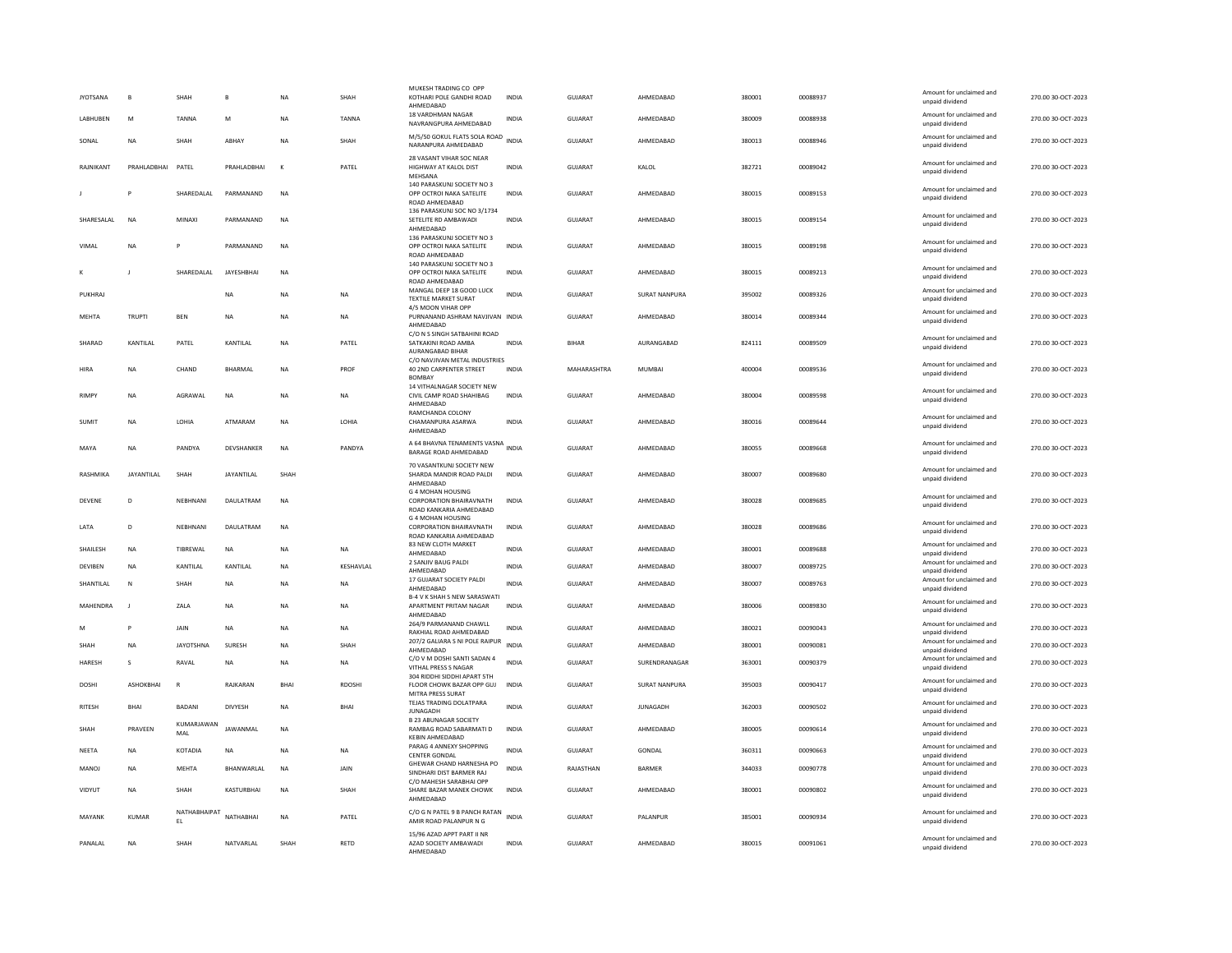| <b>JYOTSANA</b> | B              | SHAH               |                   | <b>NA</b>    | SHAH          | MUKESH TRADING CO OPP<br>KOTHARI POLE GANDHI ROAD<br>AHMFDARAD                        | <b>INDIA</b> | GUJARAT        | AHMEDABAD            | 380001 | 00088937 | Amount for unclaimed and<br>unpaid dividend | 270.00 30-OCT-2023 |
|-----------------|----------------|--------------------|-------------------|--------------|---------------|---------------------------------------------------------------------------------------|--------------|----------------|----------------------|--------|----------|---------------------------------------------|--------------------|
| <b>LABHUREN</b> | M              | <b>TANNA</b>       | M                 | NA           | <b>TANNA</b>  | 18 VARDHMAN NAGAR<br>NAVRANGPURA AHMEDABAD                                            | <b>INDIA</b> | GUIARAT        | AHMFDARAD            | 380009 | 00088938 | Amount for unclaimed and<br>unpaid dividend | 270.00.30-OCT-2023 |
| SONAL           | <b>NA</b>      | SHAH               | ABHAY             | NA           | SHAH          | M/5/50 GOKUL FLATS SOLA ROAD<br>NARANPURA AHMEDABAD                                   | <b>INDIA</b> | <b>GUJARAT</b> | AHMEDABAD            | 380013 | 00088946 | Amount for unclaimed and<br>unpaid dividend | 270.00 30-OCT-2023 |
| RAJNIKANT       | PRAHLADBHAI    | PATEL              | PRAHLADBHAI       | $\mathbf{K}$ | PATEL         | 28 VASANT VIHAR SOC NEAR<br>HIGHWAY AT KALOL DIST<br>MEHSANA                          | <b>INDIA</b> | <b>GUJARAT</b> | KALOL                | 382721 | 00089042 | Amount for unclaimed and<br>unpaid dividend | 270.00 30-OCT-2023 |
|                 | P              | SHAREDALAL         | PARMANAND         | <b>NA</b>    |               | 140 PARASKUNJ SOCIETY NO 3<br>OPP OCTROI NAKA SATELITE<br>ROAD AHMEDABAD              | <b>INDIA</b> | GUJARAT        | AHMEDABAD            | 380015 | 00089153 | Amount for unclaimed and<br>unpaid dividend | 270.00 30-OCT-2023 |
| SHARESALAL      | NA             | MINAXI             | PARMANAND         | <b>NA</b>    |               | 136 PARASKUNJ SOC NO 3/1734<br>SETELITE RD AMBAWADI<br>AHMEDABAD                      | INDIA        | GUJARAT        | AHMEDABAD            | 380015 | 00089154 | Amount for unclaimed and<br>unpaid dividend | 270.00 30-OCT-2023 |
| VIMAL           | <b>NA</b>      |                    | PARMANAND         | <b>NA</b>    |               | 136 PARASKUNJ SOCIETY NO 3<br>OPP OCTROI NAKA SATELITE<br>ROAD AHMEDARAD              | <b>INDIA</b> | <b>GUJARAT</b> | AHMEDABAD            | 380015 | 00089198 | Amount for unclaimed and<br>unpaid dividend | 270.00 30-OCT-2023 |
|                 |                | SHAREDALAL         | JAYESHBHAI        | <b>NA</b>    |               | 140 PARASKUNJ SOCIETY NO 3<br>OPP OCTROI NAKA SATELITE<br>ROAD AHMEDABAD              | <b>INDIA</b> | GUJARAT        | AHMEDABAD            | 380015 | 00089213 | Amount for unclaimed and<br>unpaid dividend | 270.00 30-OCT-2023 |
| <b>PUKHRA</b>   |                |                    | <b>NA</b>         | NA           | NA            | MANGAL DEEP 18 GOOD LUCK<br>TEXTILE MARKET SURAT                                      | <b>INDIA</b> | GUJARAT        | <b>SURAT NANPURA</b> | 395002 | 00089326 | Amount for unclaimed and<br>unpaid dividend | 270.00 30-OCT-2023 |
| MEHTA           | <b>TRUPTI</b>  | <b>RFN</b>         | <b>NA</b>         | <b>NA</b>    | <b>NA</b>     | 4/5 MOON VIHAR OPP<br>PURNANAND ASHRAM NAVJIVAN INDIA<br>AHMEDABAD                    |              | GUIARAT        | AHMEDARAD            | 380014 | 00089344 | Amount for unclaimed and<br>unpaid dividend | 270.00 30-OCT-2023 |
| SHARAD          | KANTILAL       | PATEL              | KANTILAL          | <b>NA</b>    | PATEL         | C/O N S SINGH SATBAHINI ROAD<br>SATKAKINI ROAD AMBA<br>AURANGABAD BIHAR               | <b>INDIA</b> | <b>BIHAR</b>   | AURANGABAD           | 824111 | 00089509 | Amount for unclaimed and<br>unpaid dividend | 270.00 30-OCT-2023 |
| HIRA            | <b>NA</b>      | CHAND              | <b>BHARMAL</b>    | <b>NA</b>    | PROF          | C/O NAVJIVAN METAL INDUSTRIES<br>40 2ND CARPENTER STREET<br><b>BOMBAY</b>             | <b>INDIA</b> | MAHARASHTRA    | <b>MUMBAI</b>        | 400004 | 00089536 | Amount for unclaimed and<br>unpaid dividend | 270.00 30-OCT-2023 |
| <b>RIMPY</b>    | NA             | AGRAWAL            | <b>NA</b>         | <b>NA</b>    | <b>NA</b>     | 14 VITHALNAGAR SOCIETY NEW<br>CIVIL CAMP ROAD SHAHIBAG<br>AHMEDABAD                   | <b>INDIA</b> | GUJARAT        | AHMEDABAD            | 380004 | 00089598 | Amount for unclaimed and<br>unpaid dividend | 270.00 30-OCT-2023 |
| SUMIT           | <b>NA</b>      | <b>I OHIA</b>      | ATMARAM           | <b>NA</b>    | <b>I OHIA</b> | RAMCHANDA COLONY<br>CHAMANPURA ASARWA<br>AHMEDABAD                                    | <b>INDIA</b> | GUIARAT        | AHMEDARAD            | 380016 | 00089644 | Amount for unclaimed and<br>unpaid dividend | 270.00.30-OCT-2023 |
| MAYA            | <b>NA</b>      | PANDYA             | DEVSHANKER        | <b>NA</b>    | PANDYA        | A 64 BHAVNA TENAMENTS VASNA<br>BARAGE ROAD AHMEDABAD                                  | <b>INDIA</b> | GUJARAT        | AHMEDABAD            | 380055 | 00089668 | Amount for unclaimed and<br>unpaid dividend | 270.00 30-OCT-2023 |
| RASHMIKA        | JAYANTILAL     | SHAH               | <b>JAYANTILAL</b> | SHAH         |               | 70 VASANTKUNJ SOCIETY NEW<br>SHARDA MANDIR ROAD PALDI<br>AHMEDABAD                    | <b>INDIA</b> | GUJARAT        | AHMEDABAD            | 380007 | 00089680 | Amount for unclaimed and<br>unpaid dividend | 270.00 30-OCT-2023 |
| DEVENE          | D              | NEBHNANI           | DAULATRAM         | NA           |               | G 4 MOHAN HOUSING<br>CORPORATION BHAIRAVNATH<br>ROAD KANKARIA AHMEDABAD               | INDIA        | GUJARAT        | AHMEDABAD            | 380028 | 00089685 | Amount for unclaimed and<br>unpaid dividend | 270.00 30-OCT-2023 |
| <b>I ATA</b>    | D.             | NFRHNANI           | DAULATRAM         | <b>NA</b>    |               | <b>G 4 MOHAN HOUSING</b><br><b>CORPORATION BHAIRAVNATH</b><br>ROAD KANKARIA AHMEDABAD | <b>INDIA</b> | GUJARAT        | AHMEDARAD            | 380028 | 00089686 | Amount for unclaimed and<br>unpaid dividend | 270.00 30-OCT-2023 |
| SHAILESH        | <b>NA</b>      | TIBREWAL           | <b>NA</b>         | <b>NA</b>    | <b>NA</b>     | 83 NEW CLOTH MARKET<br>AHMEDABAD                                                      | <b>INDIA</b> | <b>GUJARAT</b> | AHMEDABAD            | 380001 | 00089688 | Amount for unclaimed and<br>unpaid dividend | 270.00 30-OCT-2023 |
| DEVIBEN         | NA             | KANTILAL           | KANTILAL          | NA           | KESHAVLAL     | 2 SANJIV BAUG PALDI<br>AHMEDABAD                                                      | INDIA        | GUJARAT        | AHMEDABAD            | 380007 | 00089725 | Amount for unclaimed and<br>unpaid dividend | 270.00 30-OCT-2023 |
| SHANTILAL       | N              | SHAH               | <b>NA</b>         | <b>NA</b>    | <b>NA</b>     | 17 GUJARAT SOCIETY PALDI<br>AHMFDARAD                                                 | <b>INDIA</b> | <b>GUJARAT</b> | AHMEDABAD            | 380007 | 00089763 | Amount for unclaimed and<br>unpaid dividend | 270.00 30-OCT-2023 |
| MAHENDRA        | $\blacksquare$ | ZALA               | <b>NA</b>         | <b>NA</b>    | <b>NA</b>     | <b>B-4 V K SHAH S NEW SARASWATI</b><br>APARTMENT PRITAM NAGAR<br>AHMEDABAD            | <b>INDIA</b> | GUJARAT        | AHMEDABAD            | 380006 | 00089830 | Amount for unclaimed and<br>unpaid dividend | 270.00 30-OCT-2023 |
| M               | P              | JAIN               | NA                | NA           | NA            | 264/9 PARMANAND CHAWLL<br>RAKHIAL ROAD AHMEDABAD                                      | <b>INDIA</b> | <b>GUJARAT</b> | AHMEDABAD            | 380021 | 00090043 | Amount for unclaimed and<br>unnaid dividend | 270.00 30-OCT-2023 |
| <b>SHAH</b>     | <b>NA</b>      | <b>IAYOTSHNA</b>   | SURFSH            | <b>NA</b>    | <b>SHAH</b>   | 207/2 GALIARA S NI POLE RAIPUR<br>AHMEDABAD                                           | <b>INDIA</b> | GUIARAT        | AHMFDARAD            | 380001 | 00090081 | Amount for unclaimed and<br>unpaid dividend | 270.00 30-OCT-2023 |
| <b>HARESH</b>   | s              | RAVAL              | <b>NA</b>         | <b>NA</b>    | <b>NA</b>     | C/O V M DOSHI SANTI SADAN 4<br>VITHAL PRESS S NAGAR                                   | <b>INDIA</b> | <b>GUJARAT</b> | SURENDRANAGAR        | 363001 | 00090379 | Amount for unclaimed and<br>unpaid dividend | 270.00 30-OCT-2023 |
| DOSHI           | ASHOKBHAI      | ${\sf R}$          | RAJKARAN          | BHAI         | RDOSHI        | 304 RIDDHI SIDDHI APART 5TH<br>FLOOR CHOWK BAZAR OPP GUJ<br>MITRA PRESS SURAT         | INDIA        | GUJARAT        | <b>SURAT NANPURA</b> | 395003 | 00090417 | Amount for unclaimed and<br>unpaid dividend | 270.00 30-OCT-2023 |
| <b>RITESH</b>   | <b>BHAI</b>    | BADANI             | <b>DIVYESH</b>    | <b>NA</b>    | <b>BHAI</b>   | TEJAS TRADING DOLATPARA<br>JUNAGADH                                                   | <b>INDIA</b> | <b>GUJARAT</b> | <b>JUNAGADH</b>      | 362003 | 00090502 | Amount for unclaimed and<br>unpaid dividend | 270.00 30-OCT-2023 |
| SHAH            | PRAVEEN        | KUMARJAWAN<br>MAL  | JAWANMAL          | <b>NA</b>    |               | <b>B 23 ABUNAGAR SOCIETY</b><br>RAMBAG ROAD SABARMATI D<br>KEBIN AHMEDABAD            | <b>INDIA</b> | <b>GUJARAT</b> | AHMEDABAD            | 380005 | 00090614 | Amount for unclaimed and<br>unpaid dividend | 270.00 30-OCT-2023 |
| NEETA           | <b>NA</b>      | KOTADIA            | <b>NA</b>         | NA           | NA            | PARAG 4 ANNEXY SHOPPING<br>CENTER GONDAL                                              | <b>INDIA</b> | <b>GUJARAT</b> | GONDAL               | 360311 | 00090663 | Amount for unclaimed and<br>unnaid dividend | 270.00 30-OCT-2023 |
| MANOI           | <b>NA</b>      | <b>MFHTA</b>       | <b>BHANWARIAI</b> | <b>NA</b>    | <b>JAIN</b>   | GHEWAR CHAND HARNESHA PO<br>SINDHARI DIST BARMER RAJ                                  | <b>INDIA</b> | RAIASTHAN      | <b>BARMER</b>        | 344033 | 00090778 | Amount for unclaimed and<br>unpaid dividend | 270.00.30-OCT-2023 |
| VIDYUT          | NA             | SHAH               | KASTURBHAI        | <b>NA</b>    | SHAH          | C/O MAHESH SARABHAI OPP<br>SHARE BAZAR MANEK CHOWK<br>AHMEDABAD                       | INDIA        | GUJARAT        | AHMEDABAD            | 380001 | 00090802 | Amount for unclaimed and<br>unpaid dividend | 270.00 30-OCT-2023 |
| MAYANK          | <b>KUMAR</b>   | NATHABHAIPAT<br>EL | NATHABHAI         | <b>NA</b>    | PATEL         | C/O G N PATEL 9 B PANCH RATAN<br>AMIR ROAD PALANPUR N G                               | <b>INDIA</b> | <b>GUJARAT</b> | PALANPUR             | 385001 | 00090934 | Amount for unclaimed and<br>unpaid dividend | 270.00 30-OCT-2023 |
| PANAI AI        | <b>NA</b>      | <b>SHAH</b>        | NATVARI AI        | SHAH         | <b>RFTD</b>   | 15/96 AZAD APPT PART II NR<br>AZAD SOCIETY AMBAWADI<br>AHMFDARAD                      | <b>INDIA</b> | GUIARAT        | AHMFDARAD            | 380015 | 00091061 | Amount for unclaimed and<br>unpaid dividend | 270.00.30-OCT-2023 |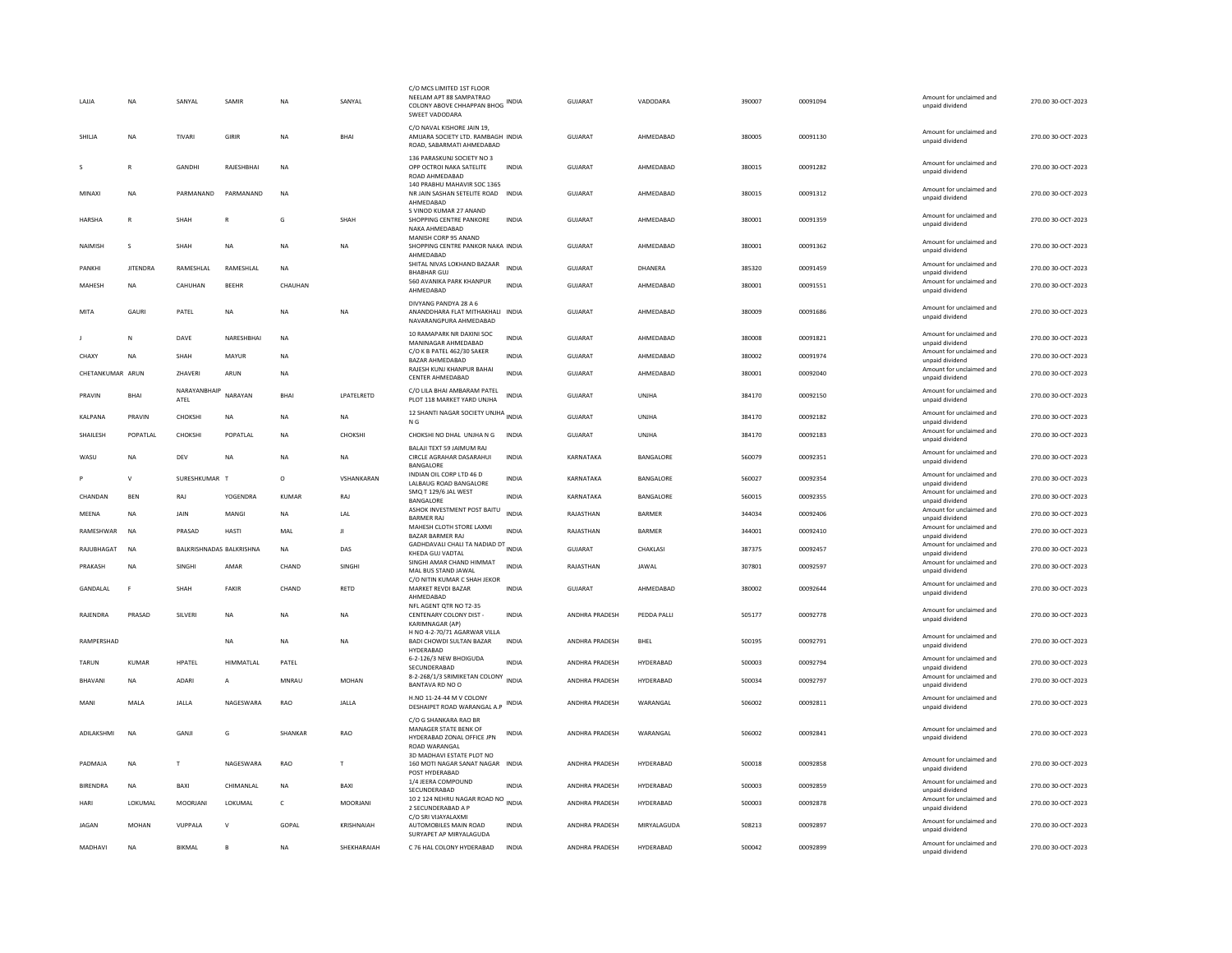| LAJJA            | NA              | SANYAL               | SAMIR                    | <b>NA</b>    | SANYAL              | C/O MCS LIMITED 1ST FLOOR<br>NEELAM APT 88 SAMPATRAO<br>COLONY ABOVE CHHAPPAN BHOG INDIA<br>SWEET VADODARA |              | GUJARAT        | VADODARA      | 390007 | 00091094 | Amount for unclaimed and<br>unpaid dividend | 270.00 30-OCT-2023 |
|------------------|-----------------|----------------------|--------------------------|--------------|---------------------|------------------------------------------------------------------------------------------------------------|--------------|----------------|---------------|--------|----------|---------------------------------------------|--------------------|
| SHILJA           | NA              | TIVARI               | GIRIR                    | NA           | <b>BHA</b>          | C/O NAVAL KISHORE JAIN 19.<br>AMIJARA SOCIETY LTD. RAMBAGH INDIA<br>ROAD, SABARMATI AHMEDABAD              |              | GUJARAT        | AHMEDABAD     | 380005 | 00091130 | Amount for unclaimed and<br>unpaid dividend | 270.00 30-OCT-2023 |
|                  | R               | GANDHI               | RAJESHBHAI               | <b>NA</b>    |                     | 136 PARASKUNI SOCIETY NO 3<br>OPP OCTROI NAKA SATELITE<br>ROAD AHMEDABAD                                   | <b>INDIA</b> | GUJARAT        | AHMEDABAD     | 380015 | 00091282 | Amount for unclaimed and<br>unpaid dividend | 270.00 30-OCT-2023 |
| MINAXI           | <b>NA</b>       | PARMANAND            | PARMANAND                | <b>NA</b>    |                     | 140 PRABHU MAHAVIR SOC 1365<br>NR JAIN SASHAN SETELITE ROAD INDIA<br>AHMEDARAD                             |              | <b>GUJARAT</b> | AHMEDABAD     | 380015 | 00091312 | Amount for unclaimed and<br>unpaid dividend | 270.00 30-OCT-2023 |
| <b>HARSHA</b>    | $\overline{R}$  | SHAH                 |                          | G            | SHAH                | S VINOD KUMAR 27 ANAND<br>SHOPPING CENTRE PANKORE<br>NAKA AHMEDABAD                                        | <b>INDIA</b> | GUJARAT        | AHMEDABAD     | 380001 | 00091359 | Amount for unclaimed and<br>unpaid dividend | 270.00 30-OCT-2023 |
| NAIMISH          | $\mathbf{S}$    | SHAH                 | <b>NA</b>                | <b>NA</b>    | <b>NA</b>           | MANISH CORP 95 ANAND<br>SHOPPING CENTRE PANKOR NAKA INDIA<br>AHMEDABAD                                     |              | GUIARAT        | AHMEDARAD     | 380001 | 00091362 | Amount for unclaimed and<br>unpaid dividend | 270.00.30-OCT-2023 |
| PANKHI           | <b>JITENDRA</b> | RAMESHLAL            | RAMESHLAL                | <b>NA</b>    |                     | SHITAL NIVAS LOKHAND BAZAAR<br><b>BHABHAR GUJ</b>                                                          | <b>INDIA</b> | <b>GUJARAT</b> | DHANERA       | 385320 | 00091459 | Amount for unclaimed and<br>unpaid dividend | 270.00 30-OCT-2023 |
| MAHESH           | NA              | CAHUHAN              | <b>BEEHR</b>             | CHAUHAN      |                     | 560 AVANIKA PARK KHANPUR<br>AHMFDARAD                                                                      | <b>INDIA</b> | GUJARAT        | AHMEDABAD     | 380001 | 00091551 | Amount for unclaimed and<br>unpaid dividend | 270.00 30-OCT-2023 |
| MITA             | GAURI           | PATEL                | <b>NA</b>                | <b>NA</b>    | <b>NA</b>           | DIVYANG PANDYA 28 A 6<br>ANANDDHARA FLAT MITHAKHALI INDIA<br>NAVARANGPURA AHMEDABAD                        |              | <b>GUJARAT</b> | AHMEDABAD     | 380009 | 00091686 | Amount for unclaimed and<br>unpaid dividend | 270.00 30-OCT-2023 |
|                  | N               | DAVE                 | NARESHBHAI               | <b>NA</b>    |                     | 10 RAMAPARK NR DAXINI SOC<br>MANINAGAR AHMEDABAD                                                           | <b>INDIA</b> | GUJARAT        | AHMEDABAD     | 380008 | 00091821 | Amount for unclaimed and<br>unpaid dividend | 270.00 30-OCT-2023 |
| CHAXY            | <b>NA</b>       | SHAH                 | MAYUR                    | <b>NA</b>    |                     | C/O K B PATEL 462/30 SAKER<br>BAZAR AHMEDABAD                                                              | <b>INDIA</b> | GUJARAT        | AHMEDABAD     | 380002 | 00091974 | Amount for unclaimed and<br>unpaid dividend | 270.00 30-OCT-2023 |
| CHETANKUMAR ARUN |                 | ZHAVERI              | ARUN                     | <b>NA</b>    |                     | RAJESH KUNJ KHANPUR BAHAI<br><b>CENTER AHMEDABAD</b>                                                       | <b>INDIA</b> | GUJARAT        | AHMEDABAD     | 380001 | 00092040 | Amount for unclaimed and<br>unpaid dividend | 270.00 30-OCT-2023 |
| PRAVIN           | <b>BHAI</b>     | NARAYANBHAIP<br>ATEL | NARAYAN                  | <b>BHAI</b>  | <b>I PATFI RETD</b> | C/O LILA BHAI AMBARAM PATEL<br>PLOT 118 MARKET YARD UNJHA                                                  | <b>INDIA</b> | GUIARAT        | <b>UNIHA</b>  | 384170 | 00092150 | Amount for unclaimed and<br>unpaid dividend | 270.00.30-OCT-2023 |
| KALPANA          | PRAVIN          | CHOKSH               | <b>NA</b>                | NA           | NA                  | 12 SHANTI NAGAR SOCIETY UNJHA INDIA<br>N G                                                                 |              | GUJARAT        | UNJHA         | 384170 | 00092182 | Amount for unclaimed and<br>unpaid dividend | 270.00 30-OCT-2023 |
| SHAILESH         | POPATLAL        | CHOKSH               | POPATLAL                 | <b>NA</b>    | CHOKSHI             | CHOKSHI NO DHAL UNJHA N G                                                                                  | <b>INDIA</b> | <b>GUJARAT</b> | UNJHA         | 384170 | 00092183 | Amount for unclaimed and<br>unpaid dividend | 270.00 30-OCT-2023 |
| WASU             | <b>NA</b>       | DEV                  | <b>NA</b>                | <b>NA</b>    | <b>NA</b>           | BALAJI TEXT 59 JAIMUM RAJ<br>CIRCLE AGRAHAR DASARAHUI<br>BANGALORE                                         | <b>INDIA</b> | KARNATAKA      | BANGALORE     | 560079 | 00092351 | Amount for unclaimed and<br>unpaid dividend | 270.00 30-OCT-2023 |
|                  | V               | SURESHKUMAR T        |                          | $\circ$      | VSHANKARAN          | INDIAN OIL CORP LTD 46 D<br>LALBAUG ROAD BANGALORE                                                         | <b>INDIA</b> | KARNATAKA      | BANGALORE     | 560027 | 00092354 | Amount for unclaimed and<br>unpaid dividend | 270.00 30-OCT-2023 |
| CHANDAN          | <b>BEN</b>      | RA                   | <b>YOGENDRA</b>          | <b>KUMAR</b> | RAJ                 | SMQ T 129/6 JAL WEST<br>BANGALORE                                                                          | <b>INDIA</b> | KARNATAKA      | BANGALORE     | 560015 | 00092355 | Amount for unclaimed and<br>unpaid dividend | 270.00 30-OCT-2023 |
| MEENA            | <b>NA</b>       | <b>JAIN</b>          | MANGI                    | <b>NA</b>    | LAL                 | ASHOK INVESTMENT POST BAITU<br><b>BARMER RAJ</b>                                                           | <b>INDIA</b> | RAJASTHAN      | <b>BARMER</b> | 344034 | 00092406 | Amount for unclaimed and<br>unpaid dividend | 270.00 30-OCT-2023 |
| RAMESHWAR        | <b>NA</b>       | PRASAD               | HASTI                    | MAL          | л                   | MAHESH CLOTH STORE LAXMI<br><b>BAZAR BARMER RAJ</b>                                                        | <b>INDIA</b> | RAJASTHAN      | BARMER        | 344001 | 00092410 | Amount for unclaimed and<br>unpaid dividend | 270.00 30-OCT-2023 |
| RAJUBHAGAT       | <b>NA</b>       |                      | BALKRISHNADAS BALKRISHNA | <b>NA</b>    | DAS                 | GADHDAVALI CHALI TA NADIAD DT INDIA<br>KHEDA GUJ VADTAL                                                    |              | GUJARAT        | CHAKLASI      | 387375 | 00092457 | Amount for unclaimed and<br>unpaid dividend | 270.00 30-OCT-2023 |
| PRAKASH          | NA              | SINGHI               | AMAR                     | CHAND        | SINGHI              | SINGHI AMAR CHAND HIMMAT<br>MAL BUS STAND JAWAL                                                            | <b>INDIA</b> | RAJASTHAN      | JAWAL         | 307801 | 00092597 | Amount for unclaimed and<br>unpaid dividend | 270.00 30-OCT-2023 |
| <b>GANDALAL</b>  | F               | SHAH                 | FAKIR                    | CHAND        | RETD                | C/O NITIN KUMAR C SHAH JEKOR<br>MARKET REVDI BAZAR<br>AHMEDABAD                                            | <b>INDIA</b> | GUIARAT        | AHMEDABAD     | 380002 | 00092644 | Amount for unclaimed and<br>unpaid dividend | 270.00 30-OCT-2023 |
| RAJENDRA         | PRASAD          | SILVERI              | <b>NA</b>                | NA           | NA                  | NFL AGENT OTR NO T2-35<br>CENTENARY COLONY DIST -<br>KARIMNAGAR (AP)                                       | <b>INDIA</b> | ANDHRA PRADESH | PEDDA PALLI   | 505177 | 00092778 | Amount for unclaimed and<br>unpaid dividend | 270.00 30-OCT-2023 |
| RAMPERSHAD       |                 |                      | <b>NA</b>                | <b>NA</b>    | <b>NA</b>           | H NO 4-2-70/71 AGARWAR VILLA<br><b>BADI CHOWDI SULTAN BAZAR</b>                                            | <b>INDIA</b> | ANDHRA PRADESH | BHEL          | 500195 | 00092791 | Amount for unclaimed and                    | 270.00 30-OCT-2023 |
|                  |                 |                      |                          |              |                     | HYDERABAD<br>6-2-126/3 NEW BHOIGUDA                                                                        |              |                |               |        |          | unpaid dividend<br>Amount for unclaimed and |                    |
| <b>TARUN</b>     | <b>KUMAR</b>    | HPATEL               | HIMMATLAL                | PATEL        |                     | SECUNDERABAD<br>8-2-268/1/3 SRIMIKETAN COLONY                                                              | <b>INDIA</b> | ANDHRA PRADESH | HYDERABAD     | 500003 | 00092794 | unpaid dividend<br>Amount for unclaimed and | 270.00 30-OCT-2023 |
| BHAVANI          | <b>NA</b>       | ADARI                | $\overline{A}$           | MNRAU        | <b>MOHAN</b>        | BANTAVA RD NO O                                                                                            | <b>INDIA</b> | ANDHRA PRADESH | HYDERABAD     | 500034 | 00092797 | unpaid dividend                             | 270.00 30-OCT-2023 |
| MANI             | MALA            | JALLA                | NAGESWARA                | RAO          | JALLA               | H.NO 11-24-44 M V COLONY<br>DESHAIPET ROAD WARANGAL A.P                                                    | <b>INDIA</b> | ANDHRA PRADESH | WARANGAL      | 506002 | 00092811 | Amount for unclaimed and<br>unpaid dividend | 270.00 30-OCT-2023 |
| ADILAKSHMI       | <b>NA</b>       | GANJI                | G                        | SHANKAR      | RAO                 | C/O G SHANKARA RAO BR<br>MANAGER STATE BENK OF<br>HYDERABAD ZONAL OFFICE JPN<br><b>ROAD WARANGAL</b>       | <b>INDIA</b> | ANDHRA PRADESH | WARANGAL      | 506002 | 00092841 | Amount for unclaimed and<br>unpaid dividend | 270.00 30-OCT-2023 |
| PADMAJA          | NA              | T                    | NAGESWARA                | RAO          | $\mathbf{r}$        | 3D MADHAVI ESTATE PLOT NO<br>160 MOTI NAGAR SANAT NAGAR INDIA<br>POST HYDERABAD                            |              | ANDHRA PRADESH | HYDERABAD     | 500018 | 00092858 | Amount for unclaimed and<br>unpaid dividend | 270.00 30-OCT-2023 |
| <b>BIRENDRA</b>  | NA              | BAXI                 | CHIMANLAL                | <b>NA</b>    | BAXI                | 1/4 JEERA COMPOUND<br>SECUNDERABAD                                                                         | <b>INDIA</b> | ANDHRA PRADESH | HYDERABAD     | 500003 | 00092859 | Amount for unclaimed and<br>unpaid dividend | 270.00 30-OCT-2023 |
| HARI             | LOKUMAL         | <b>MOORJANI</b>      | LOKUMAL                  | $\mathsf{C}$ | <b>MOORJAN</b>      | 10 2 124 NEHRU NAGAR ROAD NO INDIA<br>2 SECUNDERABAD A P                                                   |              | ANDHRA PRADESH | HYDERABAD     | 500003 | 00092878 | Amount for unclaimed and<br>unpaid dividend | 270.00 30-OCT-2023 |
| <b>JAGAN</b>     | MOHAN           | VUPPALA              | $\mathsf{v}$             | GOPAL        | KRISHNAIAH          | C/O SRI VIJAYALAXMI<br>AUTOMOBILES MAIN ROAD<br>SURYAPET AP MIRYALAGUDA                                    | <b>INDIA</b> | ANDHRA PRADESH | MIRYALAGUDA   | 508213 | 00092897 | Amount for unclaimed and<br>unpaid dividend | 270.00 30-OCT-2023 |
| MADHAVI          | <b>NA</b>       | BIKMAL               |                          | <b>NA</b>    | SHEKHARAIAH         | C 76 HAL COLONY HYDERABAD                                                                                  | <b>INDIA</b> | ANDHRA PRADESH | HYDERABAD     | 500042 | 00092899 | Amount for unclaimed and<br>unpaid dividend | 270.00 30-OCT-2023 |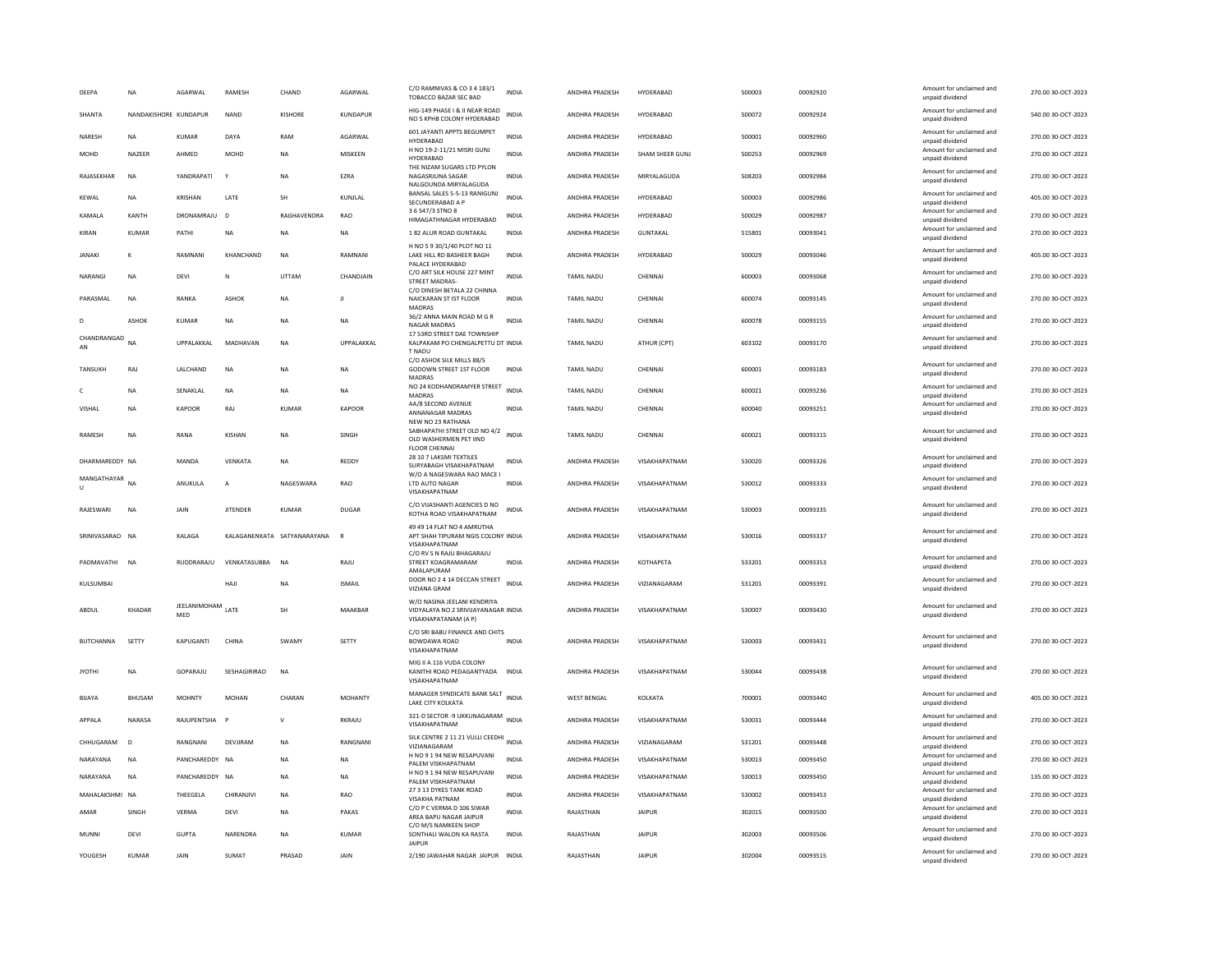| DEEPA             | <b>NA</b>             | AGARWAL                  | RAMESH          | CHAND                        | AGARWAL        | C/O RAMNIVAS & CO 3 4 183/1<br>TOBACCO BAZAR SEC BAD                                       | <b>INDIA</b> | ANDHRA PRADESH        | HYDERABAD           | 500003 | 00092920 | Amount for unclaimed and<br>unnaid dividend | 270.00 30-OCT-2023 |
|-------------------|-----------------------|--------------------------|-----------------|------------------------------|----------------|--------------------------------------------------------------------------------------------|--------------|-----------------------|---------------------|--------|----------|---------------------------------------------|--------------------|
| SHANTA            | NANDAKISHORE KUNDAPUR |                          | NAND            | KISHORE                      | KUNDAPUR       | HIG-149 PHASE I & II NEAR ROAD<br>NO 5 KPHB COLONY HYDERABAD                               | INDIA        | ANDHRA PRADESH        | HYDERABAD           | 500072 | 00092924 | Amount for unclaimed and<br>unpaid dividend | 540.00 30-OCT-2023 |
| NARESH            | <b>NA</b>             | <b>KUMAR</b>             | DAYA            | RAM                          | AGARWAL        | 601 JAYANTI APPTS BEGUMPET<br>HYDERABAD                                                    | <b>INDIA</b> | ANDHRA PRADESH        | HYDERABAD           | 500001 | 00092960 | Amount for unclaimed and<br>unpaid dividend | 270.00 30-OCT-2023 |
| MOHD              | NAZEER                | AHMED                    | MOHD            | NA                           | MISKEEN        | H NO 19-2-11/21 MISRI GUNJ<br>HYDERABAD                                                    | <b>INDIA</b> | ANDHRA PRADESH        | SHAM SHEER GUNJ     | 500253 | 00092969 | Amount for unclaimed and<br>unpaid dividend | 270.00 30-OCT-2023 |
| RAJASEKHAR        | <b>NA</b>             | YANDRAPATI               | $\mathbf{Y}$    | <b>NA</b>                    | EZRA           | THE NIZAM SUGARS LTD PYLON<br>NAGASRJUNA SAGAR<br>NALGOUNDA MIRYALAGUDA                    | <b>INDIA</b> | ANDHRA PRADESH        | MIRYALAGUDA         | 508203 | 00092984 | Amount for unclaimed and<br>unpaid dividend | 270.00 30-OCT-2023 |
| KEWAL             | NA                    | KRISHAN                  | LATE            | SH                           | KUNJLAL        | BANSAL SALES 5-5-13 RANIGUNJ<br>SECUNDERABAD A P                                           | INDIA        | ANDHRA PRADESH        | HYDERABAD           | 500003 | 00092986 | Amount for unclaimed and<br>unpaid dividend | 405.00 30-OCT-2023 |
| KAMALA            | KANTH                 | DRONAMRAJU               | $\overline{D}$  | RAGHAVENDRA                  | RAO            | 3 6 547/3 STNO 8<br>HIMAGATHNAGAR HYDERABAD                                                | INDIA        | ANDHRA PRADESH        | HYDERABAD           | 500029 | 00092987 | Amount for unclaimed and<br>unpaid dividend | 270.00 30-OCT-2023 |
| KIRAN             | KUMAR                 | PATHI                    | <b>NA</b>       | <b>NA</b>                    | <b>NA</b>      | 1 82 ALUR ROAD GUNTAKAL                                                                    | <b>INDIA</b> | ANDHRA PRADESH        | <b>GUNTAKAI</b>     | 515801 | 00093041 | Amount for unclaimed and<br>unpaid dividend | 270.00 30-OCT-2023 |
| <b>JANAKI</b>     | К                     | RAMNANI                  | KHANCHAND       | $_{\sf NA}$                  | RAMNANI        | H NO 5 9 30/1/40 PLOT NO 11<br>LAKE HILL RD BASHEER BAGH<br>PALACE HYDERABAD               | INDIA        | ANDHRA PRADESH        | HYDERABAD           | 500029 | 00093046 | Amount for unclaimed and<br>unpaid dividend | 405.00 30-OCT-2023 |
| NARANGI           | <b>NA</b>             | <b>DEVI</b>              | N               | UTTAM                        | CHANDJAIN      | C/O ART SILK HOUSE 227 MINT<br>STREET MADRAS-<br>C/O DINESH BETALA 22 CHINNA               | <b>INDIA</b> | <b>TAMIL NADU</b>     | CHENNAI             | 600003 | 00093068 | Amount for unclaimed and<br>unpaid dividend | 270.00 30-OCT-2023 |
| PARASMAL          | <b>NA</b>             | RANKA                    | ASHOK           | <b>NA</b>                    | $\mathbf{H}$   | NAICKARAN ST IST FLOOR<br>MADRAS                                                           | <b>INDIA</b> | TAMIL NADU            | CHENNAI             | 600074 | 00093145 | Amount for unclaimed and<br>unpaid dividend | 270.00 30-OCT-2023 |
|                   | <b>ASHOK</b>          | <b>KUMAR</b>             | <b>NA</b>       | NA                           | <b>NA</b>      | 36/2 ANNA MAIN ROAD M G R<br>NAGAR MADRAS                                                  | <b>INDIA</b> | TAMIL NADU            | CHENNAI             | 600078 | 00093155 | Amount for unclaimed and<br>unpaid dividend | 270.00 30-OCT-2023 |
| CHANDRANGAD<br>AN | <b>NA</b>             | <b>UPPALAKKAL</b>        | MADHAVAN        | <b>NA</b>                    | UPPALAKKAL     | 17 53RD STREET DAE TOWNSHIP<br>KALPAKAM PO CHENGALPETTU DT INDIA<br>T NADU                 |              | <b>TAMIL NADU</b>     | ATHUR (CPT)         | 603102 | 00093170 | Amount for unclaimed and<br>unpaid dividend | 270.00 30-OCT-2023 |
| <b>TANSUKH</b>    | RAJ                   | LALCHAND                 | <b>NA</b>       | <b>NA</b>                    | <b>NA</b>      | C/O ASHOK SILK MILLS 88/5<br>GODOWN STREET 1ST FLOOR<br>MADRAS                             | <b>INDIA</b> | <b>TAMIL NADU</b>     | CHENNAI             | 600001 | 00093183 | Amount for unclaimed and<br>unpaid dividend | 270.00 30-OCT-2023 |
|                   | NA                    | SENAKLAL                 | NA              | NA                           | NA             | NO 24 KODHANDRAMYER STREET<br><b>MADRAS</b>                                                | <b>INDIA</b> | TAMIL NADU            | CHENNAI             | 600021 | 00093236 | Amount for unclaimed and<br>unpaid dividend | 270.00 30-OCT-2023 |
| <b>VISHAI</b>     | <b>NA</b>             | <b>KAPOOR</b>            | RAI             | KUMAR                        | KAPOOR         | AA/8 SECOND AVENUE<br>ANNANAGAR MADRAS<br>NEW NO 23 RATHANA                                | <b>INDIA</b> | <b>TAMIL NADU</b>     | CHENNAL             | 600040 | 00093251 | Amount for unclaimed and<br>unpaid dividend | 270.00 30-OCT-2023 |
| <b>RAMESH</b>     | <b>NA</b>             | RANA                     | <b>KISHAN</b>   | <b>NA</b>                    | SINGH          | SABHAPATHI STREET OLD NO 4/2 INDIA<br>OLD WASHERMEN PET JIND<br><b>FLOOR CHENNAL</b>       |              | TAMIL NADU            | CHENNAI             | 600021 | 00093315 | Amount for unclaimed and<br>unpaid dividend | 270.00 30-OCT-2023 |
| DHARMAREDDY NA    |                       | MANDA                    | VENKATA         | NA                           | REDDY          | 28 10 7 LAKSMI TEXTILES<br>SURYABAGH VISAKHAPATNAM                                         | <b>INDIA</b> | ANDHRA PRADESH        | VISAKHAPATNAM       | 530020 | 00093326 | Amount for unclaimed and<br>unpaid dividend | 270.00 30-OCT-2023 |
| MANGATHAYAR NA    |                       | ANUKULA                  | A               | NAGESWARA                    | RAO            | W/O A NAGESWARA RAO MACE I<br>LTD AUTO NAGAR<br>VISAKHAPATNAM                              | INDIA        | ANDHRA PRADESH        | VISAKHAPATNAM       | 530012 | 00093333 | Amount for unclaimed and<br>unpaid dividend | 270.00 30-OCT-2023 |
| RAJESWARI         | <b>NA</b>             | JAIN                     | <b>JITENDER</b> | <b>KUMAR</b>                 | <b>DUGAR</b>   | C/O VUASHANTI AGENCIES D NO<br>KOTHA ROAD VISAKHAPATNAM                                    | <b>INDIA</b> | ANDHRA PRADESH        | VISAKHAPATNAM       | 530003 | 00093335 | Amount for unclaimed and<br>unpaid dividend | 270.00 30-OCT-2023 |
| SRINIVASARAO NA   |                       | <b>KAI AGA</b>           |                 | KAI AGANENKATA SATYANARAYANA | R              | 49 49 14 FLAT NO 4 AMRUTHA<br>APT SHAH TIPURAM NGIS COLONY INDIA<br>VISAKHAPATNAM          |              | ANDHRA PRADESH        | VISAKHAPATNAM       | 530016 | 00093337 | Amount for unclaimed and<br>unpaid dividend | 270.00 30-OCT-2023 |
| PADMAVATHI        | <b>NA</b>             | RUDDRARAIU               | VENKATASURRA    | <b>NA</b>                    | RAJU           | C/O RV S N RAJU BHAGARAJU<br>STREET KOAGRAMARAM                                            | <b>INDIA</b> | ANDHRA PRADESH        | KOTHAPETA           | 533201 | 00093353 | Amount for unclaimed and<br>unpaid dividend | 270.00 30-OCT-2023 |
| KULSUMBAI         |                       |                          | HAJ             | NA                           | <b>ISMAIL</b>  | AMALAPURAM<br>DOOR NO 2 4 14 DECCAN STREET<br>VIZIANA GRAM                                 | <b>INDIA</b> | ANDHRA PRADESH        | VIZIANAGARAM        | 531201 | 00093391 | Amount for unclaimed and<br>unpaid dividend | 270.00 30-OCT-2023 |
| ABDUL             | KHADAR                | JEELANIMOHAM LATE<br>MED |                 | SH                           | MAAKBAR        | W/O NASINA JEELANI KENDRIYA<br>VIDYALAYA NO 2 SRIVIJAYANAGAR INDIA<br>VISAKHAPATANAM (A P) |              | ANDHRA PRADESH        | VISAKHAPATNAM       | 530007 | 00093430 | Amount for unclaimed and<br>unpaid dividend | 270.00 30-OCT-2023 |
| <b>BUTCHANNA</b>  | SETTY                 | KAPUGANTI                | CHINA           | SWAMY                        | SETTY          | C/O SRI BABU FINANCE AND CHITS<br>BOWDAWA ROAD<br>VISAKHAPATNAM                            | INDIA        | ANDHRA PRADESH        | VISAKHAPATNAM       | 530003 | 00093431 | Amount for unclaimed and<br>unpaid dividend | 270.00 30-OCT-2023 |
| <b>JYOTHI</b>     | <b>NA</b>             | GOPARAJU                 | SESHAGIRIRAO    | NA                           |                | MIG II A 116 VUDA COLONY<br>KANITHI ROAD PEDAGANTYADA<br>VISAKHAPATNAM                     | <b>INDIA</b> | ANDHRA PRADESH        | VISAKHAPATNAM       | 530044 | 00093438 | Amount for unclaimed and<br>unpaid dividend | 270.00 30-OCT-2023 |
| <b>BIJAYA</b>     | BHUSAM                | <b>MOHNTY</b>            | <b>MOHAN</b>    | CHARAN                       | <b>MOHANTY</b> | MANAGER SYNDICATE BANK SALT<br>LAKE CITY KOLKATA                                           | <b>INDIA</b> | <b>WEST BENGAL</b>    | KOLKATA             | 700001 | 00093440 | Amount for unclaimed and<br>unpaid dividend | 405.00 30-OCT-2023 |
| APPALA            | NARASA                | RAJUPENTSHA              | P               | $\vee$                       | RKRAJU         | 321-D SECTOR -9 UKKUNAGARAM INDIA<br>VISAKHAPATNAM                                         |              | ANDHRA PRADESH        | VISAKHAPATNAM       | 530031 | 00093444 | Amount for unclaimed and<br>unpaid dividend | 270.00 30-OCT-2023 |
| CHHUGARAM         | $\overline{D}$        | RANGNANI                 | DEVIIRAM        | <b>NA</b>                    | RANGNANI       | SILK CENTRE 2 11 21 VULLI CEEDHI<br>VIZIANAGARAM                                           | <b>INDIA</b> | <b>ANDHRA PRADESH</b> | <b>VIZIANAGARAM</b> | 531201 | 00093448 | Amount for unclaimed and<br>unpaid dividend | 270.00.30-OCT-2023 |
| NARAYANA          | <b>NA</b>             | PANCHAREDDY NA           |                 | <b>NA</b>                    | <b>NA</b>      | H NO 9 1 94 NEW RESAPUVANI<br>PALEM VISKHAPATNAM                                           | INDIA        | ANDHRA PRADESH        | VISAKHAPATNAM       | 530013 | 00093450 | Amount for unclaimed and<br>unpaid dividend | 270.00 30-OCT-2023 |
| NARAYANA          | NA                    | PANCHAREDDY NA           |                 | <b>NA</b>                    | <b>NA</b>      | H NO 9 1 94 NEW RESAPUVANI<br>PALEM VISKHAPATNAM                                           | INDIA        | ANDHRA PRADESH        | VISAKHAPATNAM       | 530013 | 00093450 | Amount for unclaimed and<br>unpaid dividend | 135.00 30-OCT-2023 |
| MAHALAKSHMI NA    |                       | THEEGELA                 | CHIRANJIVI      | <b>NA</b>                    | RAO            | 27 3 13 DYKES TANK ROAD<br><b>VISAKHA PATNAM</b>                                           | <b>INDIA</b> | ANDHRA PRADESH        | VISAKHAPATNAM       | 530002 | 00093453 | Amount for unclaimed and<br>unpaid dividend | 270.00 30-OCT-2023 |
| AMAR              | SINGH                 | VERMA                    | DEVI            | <b>NA</b>                    | PAKAS          | C/O P C VERMA D 106 SIWAR<br>AREA BAPU NAGAR JAIPUR<br>C/O M/S NAMKEEN SHOP                | <b>INDIA</b> | RAJASTHAN             | <b>JAIPUR</b>       | 302015 | 00093500 | Amount for unclaimed and<br>unpaid dividend | 270.00 30-OCT-2023 |
| MUNNI             | DEVI                  | <b>GUPTA</b>             | NARENDRA        | <b>NA</b>                    | <b>KUMAR</b>   | SONTHALI WALON KA RASTA<br><b>JAIPUR</b>                                                   | <b>INDIA</b> | RAJASTHAN             | <b>JAIPUR</b>       | 302003 | 00093506 | Amount for unclaimed and<br>unpaid dividend | 270.00 30-OCT-2023 |
| YOUGESH           | <b>KUMAR</b>          | JAIN                     | <b>SUMAT</b>    | PRASAD                       | JAIN           | 2/190 JAWAHAR NAGAR JAIPUR                                                                 | <b>INDIA</b> | RAJASTHAN             | <b>JAIPUR</b>       | 302004 | 00093515 | Amount for unclaimed and<br>unpaid dividend | 270.00 30-OCT-2023 |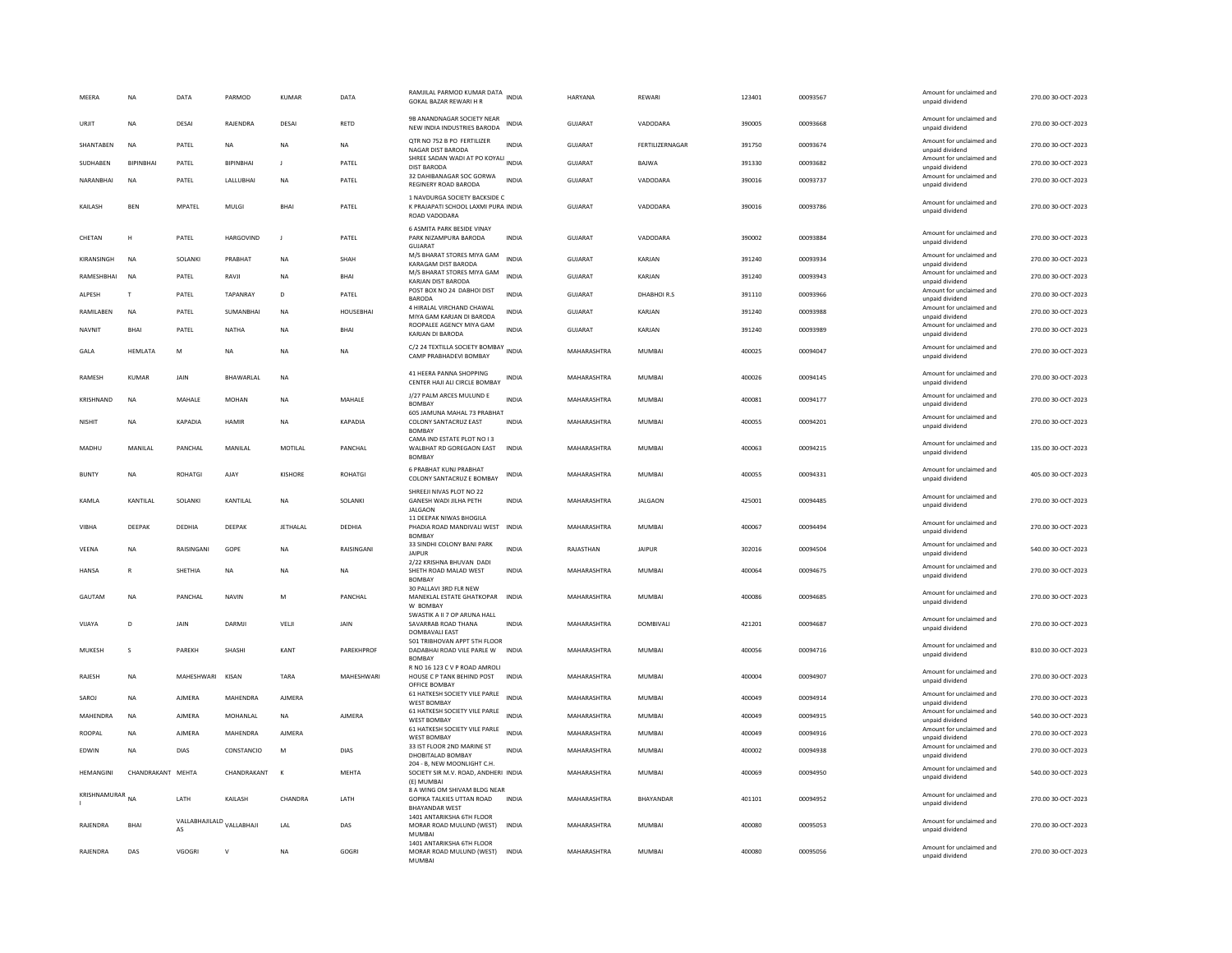| MEERA            | <b>NA</b>         | DATA                            | PARMOD            | <b>KUMAR</b>   | DATA              | RAMJILAL PARMOD KUMAR DATA INDIA<br>GOKAL BAZAR REWARI H R                            |              | <b>HARYANA</b>     | REWARI          | 123401 | 00093567 | Amount for unclaimed and<br>unpaid dividend | 270.00 30-OCT-2023 |
|------------------|-------------------|---------------------------------|-------------------|----------------|-------------------|---------------------------------------------------------------------------------------|--------------|--------------------|-----------------|--------|----------|---------------------------------------------|--------------------|
| URIIT            | <b>NA</b>         | DESAI                           | RAJENDRA          | DESAI          | <b>RETD</b>       | 9B ANANDNAGAR SOCIETY NEAR<br>NEW INDIA INDUSTRIES BARODA                             | <b>INDIA</b> | GUIARAT            | VADODARA        | 390005 | 88889000 | Amount for unclaimed and<br>unpaid dividend | 270.00.30-QCT-2023 |
| SHANTABEN        | NA                | PATEL                           | NA                | <b>NA</b>      | NA                | QTR NO 752 B PO FERTILIZER<br>NAGAR DIST BARODA                                       | <b>INDIA</b> | GUJARAT            | FERTILIZERNAGAR | 391750 | 00093674 | Amount for unclaimed and<br>unpaid dividend | 270.00 30-OCT-2023 |
| SUDHABEN         | <b>BIPINBHAI</b>  | PATEL                           | <b>RIPINRHAI</b>  | $\mathbf{I}$   | PATEL             | SHREE SADAN WADI AT PO KOYALI INDIA<br><b>DIST BARODA</b>                             |              | <b>GUJARAT</b>     | BAJWA           | 391330 | 00093682 | Amount for unclaimed and<br>unpaid dividend | 270.00 30-OCT-2023 |
| NARANBHAI        | <b>NA</b>         | PATEL                           | LALLUBHAI         | <b>NA</b>      | PATEL             | 32 DAHIBANAGAR SOC GORWA<br>REGINERY ROAD BARODA                                      | <b>INDIA</b> | <b>GUJARAT</b>     | VADODARA        | 390016 | 00093737 | Amount for unclaimed and<br>unpaid dividend | 270.00 30-OCT-2023 |
| KAILASH          | <b>BEN</b>        | <b>MPATEL</b>                   | MULGI             | BHAI           | PATEL             | 1 NAVDURGA SOCIETY BACKSIDE C<br>K PRAJAPATI SCHOOL LAXMI PURA INDIA<br>ROAD VADODARA |              | <b>GUJARAT</b>     | VADODARA        | 390016 | 00093786 | Amount for unclaimed and<br>unpaid dividend | 270.00 30-OCT-2023 |
| CHETAN           | н                 | PATEL                           | <b>HARGOVIND</b>  | $\mathbf{J}$   | PATEL             | 6 ASMITA PARK BESIDE VINAY<br>PARK NIZAMPURA BARODA<br>GUIARAT                        | <b>INDIA</b> | <b>GUJARAT</b>     | VADODARA        | 390002 | 00093884 | Amount for unclaimed and<br>unpaid dividend | 270.00 30-OCT-2023 |
| KIRANSINGH       | NA                | SOLANKI                         | PRABHAT           | <b>NA</b>      | SHAH              | M/S BHARAT STORES MIYA GAM<br>KARAGAM DIST BARODA                                     | <b>INDIA</b> | GUJARAT            | KARJAN          | 391240 | 00093934 | Amount for unclaimed and<br>unpaid dividend | 270.00 30-OCT-2023 |
| RAMESHBHAI       | <b>NA</b>         | PATEL                           | RAVJI             | <b>NA</b>      | BHAI              | M/S BHARAT STORES MIYA GAM<br>KARJAN DIST BARODA                                      | <b>INDIA</b> | GUJARAT            | KARJAN          | 391240 | 00093943 | Amount for unclaimed and<br>unpaid dividend | 270.00 30-OCT-2023 |
| ALPESH           | T                 | PATEL                           | TAPANRAY          | D              | PATEL             | POST BOX NO 24 DABHOI DIST<br><b>BARODA</b>                                           | <b>INDIA</b> | <b>GUJARAT</b>     | DHABHOIR.S      | 391110 | 00093966 | Amount for unclaimed and<br>unpaid dividend | 270.00 30-OCT-2023 |
| RAMILABEN        | <b>NA</b>         | PATEL                           | SUMANBHAI         | NA             | HOUSEBHAI         | 4 HIRALAL VIRCHAND CHAWAL<br>MIYA GAM KARJAN DI BARODA                                | <b>INDIA</b> | GUJARAT            | KARJAN          | 391240 | 00093988 | Amount for unclaimed and<br>unpaid dividend | 270.00 30-OCT-2023 |
| NAVNIT           | BHAI              | PATEL                           | <b>NATHA</b>      | <b>NA</b>      | BHAI              | ROOPALEE AGENCY MIYA GAM<br>KARJAN DI BARODA                                          | <b>INDIA</b> | GUJARAT            | KARJAN          | 391240 | 00093989 | Amount for unclaimed and<br>unpaid dividend | 270.00 30-OCT-2023 |
| GALA             | <b>HEMLATA</b>    | M                               | <b>NA</b>         | <b>NA</b>      | <b>NA</b>         | C/2 24 TEXTILLA SOCIETY BOMBAY<br>INDIA                                               |              | MAHARASHTRA        | <b>MUMBAI</b>   | 400025 | 00094047 | Amount for unclaimed and                    | 270.00 30-OCT-2023 |
|                  |                   |                                 |                   |                |                   | CAMP PRABHADEVI BOMBAY                                                                |              |                    |                 |        |          | unpaid dividend                             |                    |
| <b>RAMESH</b>    | KUMAR             | <b>JAIN</b>                     | <b>BHAWARI AI</b> | <b>NA</b>      |                   | 41 HEERA PANNA SHOPPING<br>CENTER HAJI ALI CIRCLE BOMBAY                              | <b>INDIA</b> | <b>MAHARASHTRA</b> | MUMBAI          | 400026 | 00094145 | Amount for unclaimed and<br>unpaid dividend | 270.00 30-OCT-2023 |
| KRISHNAND        | NA                | MAHALE                          | <b>MOHAN</b>      | <b>NA</b>      | MAHALE            | J/27 PALM ARCES MULUND E<br><b>BOMBAY</b>                                             | <b>INDIA</b> | MAHARASHTRA        | MUMBAI          | 400081 | 00094177 | Amount for unclaimed and<br>unpaid dividend | 270.00 30-OCT-2023 |
| NISHIT           | <b>NA</b>         | KAPADIA                         | <b>HAMIR</b>      | <b>NA</b>      | <b>KAPADIA</b>    | 605 JAMUNA MAHAL 73 PRABHAT<br>COLONY SANTACRUZ EAST<br><b>BOMBAY</b>                 | <b>INDIA</b> | MAHARASHTRA        | <b>MUMBAI</b>   | 400055 | 00094201 | Amount for unclaimed and<br>unpaid dividend | 270.00 30-OCT-2023 |
| MADHU            | MANII AI          | <b>PANCHAL</b>                  | MANII AI          | MOTILAL        | PANCHAL           | CAMA IND ESTATE PLOT NO I 3<br>WALBHAT RD GOREGAON EAST<br><b>BOMBAY</b>              | <b>INDIA</b> | MAHARASHTRA        | MUMBAI          | 400063 | 00094215 | Amount for unclaimed and<br>unpaid dividend | 135.00 30-OCT-2023 |
| <b>BUNTY</b>     | <b>NA</b>         | <b>ROHATGI</b>                  | AJAY              | <b>KISHORE</b> | <b>ROHATGI</b>    | <b>6 PRABHAT KUNJ PRABHAT</b><br>COLONY SANTACRUZ E BOMBAY                            | INDIA        | MAHARASHTRA        | <b>MUMBAI</b>   | 400055 | 00094331 | Amount for unclaimed and<br>unpaid dividend | 405.00 30-OCT-2023 |
| KAMLA            | KANTILAL          | SOLANKI                         | KANTILAL          | NA             | SOLANKI           | SHREEJI NIVAS PLOT NO 22<br><b>GANESH WADI JILHA PETH</b><br><b>JALGAON</b>           | <b>INDIA</b> | MAHARASHTRA        | <b>JALGAON</b>  | 425001 | 00094485 | Amount for unclaimed and<br>unpaid dividend | 270.00 30-OCT-2023 |
| VIBHA            | DEEPAK            | DEDHIA                          | DEEPAK            | JETHALAL       | DEDHIA            | 11 DEEPAK NIWAS BHOGILA<br>PHADIA ROAD MANDIVALI WEST INDIA<br><b>BOMBAY</b>          |              | MAHARASHTRA        | <b>MUMBAI</b>   | 400067 | 00094494 | Amount for unclaimed and<br>unpaid dividend | 270.00 30-OCT-2023 |
| VEENA            | <b>NA</b>         | RAISINGANI                      | GOPE              | <b>NA</b>      | RAISINGANI        | 33 SINDHI COLONY BANI PARK<br><b>JAIPUR</b>                                           | <b>INDIA</b> | RAJASTHAN          | <b>JAIPUR</b>   | 302016 | 00094504 | Amount for unclaimed and<br>unpaid dividend | 540.00 30-OCT-2023 |
| <b>HANSA</b>     | $\overline{R}$    | SHETHIA                         | <b>NA</b>         | <b>NA</b>      | <b>NA</b>         | 2/22 KRISHNA BHUVAN DADI<br>SHETH ROAD MALAD WEST<br><b>BOMBAY</b>                    | <b>INDIA</b> | MAHARASHTRA        | <b>MUMBAI</b>   | 400064 | 00094675 | Amount for unclaimed and<br>unpaid dividend | 270.00 30-OCT-2023 |
| GAUTAM           | <b>NA</b>         | PANCHAL                         | <b>NAVIN</b>      | M              | PANCHAL           | 30 PALLAVI 3RD FLR NEW<br>MANEKLAL ESTATE GHATKOPAR INDIA<br>W ROMRAY                 |              | MAHARASHTRA        | <b>MUMBAI</b>   | 400086 | 00094685 | Amount for unclaimed and<br>unpaid dividend | 270.00 30-OCT-2023 |
| VIJAYA           | D                 | JAIN                            | DARMI             | VELJI          | <b>JAIN</b>       | SWASTIK A II 7 OP ARUNA HALL<br>SAVARRAB ROAD THANA                                   | <b>INDIA</b> | MAHARASHTRA        | DOMBIVALI       | 421201 | 00094687 | Amount for unclaimed and<br>unpaid dividend | 270.00 30-OCT-2023 |
|                  |                   |                                 |                   |                |                   | DOMBAVALI EAST<br>501 TRIBHOVAN APPT 5TH FLOOR                                        |              |                    |                 |        |          | Amount for unclaimed and                    |                    |
| MUKESH           | s                 | PAREKH                          | SHASHI            | KANT           | PAREKHPROF        | DADABHAI ROAD VILE PARLE W INDIA<br><b>BOMBAY</b><br>R NO 16 123 C V P ROAD AMROLI    |              | MAHARASHTRA        | <b>MUMBAI</b>   | 400056 | 00094716 | unpaid dividend                             | 810.00 30-OCT-2023 |
| RAIFSH           | <b>NA</b>         | MAHESHWARI KISAN                |                   | TARA           | <b>MAHFSHWARI</b> | HOUSE C P TANK BEHIND POST<br>OFFICE BOMBAY                                           | <b>INDIA</b> | MAHARASHTRA        | MUMBAI          | 400004 | 00094907 | Amount for unclaimed and<br>unpaid dividend | 270.00.30-QCT-2023 |
| SAROJ            | <b>NA</b>         | <b>AJMERA</b>                   | MAHENDRA          | <b>AJMERA</b>  |                   | 61 HATKESH SOCIETY VILE PARLE<br><b>WEST BOMBAY</b>                                   | <b>INDIA</b> | MAHARASHTRA        | <b>MUMBAI</b>   | 400049 | 00094914 | Amount for unclaimed and<br>unpaid dividend | 270.00 30-OCT-2023 |
| MAHENDRA         | <b>NA</b>         | <b>AJMERA</b>                   | MOHANLAL          | $_{\sf NA}$    | <b>AJMERA</b>     | 61 HATKESH SOCIETY VILE PARLE<br><b>WEST BOMBAY</b>                                   | <b>INDIA</b> | MAHARASHTRA        | <b>MUMBAI</b>   | 400049 | 00094915 | Amount for unclaimed and<br>unpaid dividend | 540.00 30-OCT-2023 |
| ROOPAL           | <b>NA</b>         | <b>AJMERA</b>                   | MAHENDRA          | AIMFRA         |                   | 61 HATKESH SOCIETY VILE PARLE<br><b>WEST BOMBAY</b>                                   | <b>INDIA</b> | MAHARASHTRA        | MUMBAI          | 400049 | 00094916 | Amount for unclaimed and<br>unpaid dividend | 270.00 30-OCT-2023 |
| EDWIN            | <b>NA</b>         | <b>DIAS</b>                     | CONSTANCIO        | M              | <b>DIAS</b>       | 33 IST FLOOR 2ND MARINE ST<br>DHOBITALAD BOMBAY                                       | <b>INDIA</b> | MAHARASHTRA        | <b>MUMBAI</b>   | 400002 | 00094938 | Amount for unclaimed and<br>unpaid dividend | 270.00 30-OCT-2023 |
| <b>HEMANGINI</b> | CHANDRAKANT MEHTA |                                 | CHANDRAKANT       | $\mathbf{K}$   | MEHTA             | 204 - B. NEW MOONLIGHT C.H<br>SOCIETY SIR M.V. ROAD, ANDHERI INDIA                    |              | MAHARASHTRA        | <b>MUMBAI</b>   | 400069 | 00094950 | Amount for unclaimed and<br>unpaid dividend | 540.00 30-OCT-2023 |
| KRISHNAMURAR     |                   |                                 |                   |                |                   | (E) MUMBAI<br>8 A WING OM SHIVAM BLDG NEAR                                            |              |                    |                 |        |          | Amount for unclaimed and                    |                    |
|                  | <b>NA</b>         | LATH                            | KAILASH           | CHANDRA        | LATH              | GOPIKA TALKIES UTTAN ROAD<br><b>BHAYANDAR WEST</b><br>1401 ANTARIKSHA 6TH FLOOR       | INDIA        | MAHARASHTRA        | BHAYANDAR       | 401101 | 00094952 | unpaid dividend                             | 270.00 30-OCT-2023 |
| RAJENDRA         | <b>BHAI</b>       | VALLABHAJILALD VALLABHAJI<br>AS |                   | LAL            | DAS               | MORAR ROAD MULUND (WEST) INDIA<br><b>MUMBA</b>                                        |              | MAHARASHTRA        | <b>MUMBAI</b>   | 400080 | 00095053 | Amount for unclaimed and<br>unpaid dividend | 270.00 30-OCT-2023 |
| RAJENDRA         | DAS               | VGOGRI                          |                   | <b>NA</b>      | GOGRI             | 1401 ANTARIKSHA 6TH FLOOR<br>MORAR ROAD MULUND (WEST) INDIA<br>MUMBAI                 |              | MAHARASHTRA        | <b>MUMBAI</b>   | 400080 | 00095056 | Amount for unclaimed and<br>unpaid dividend | 270.00 30-OCT-2023 |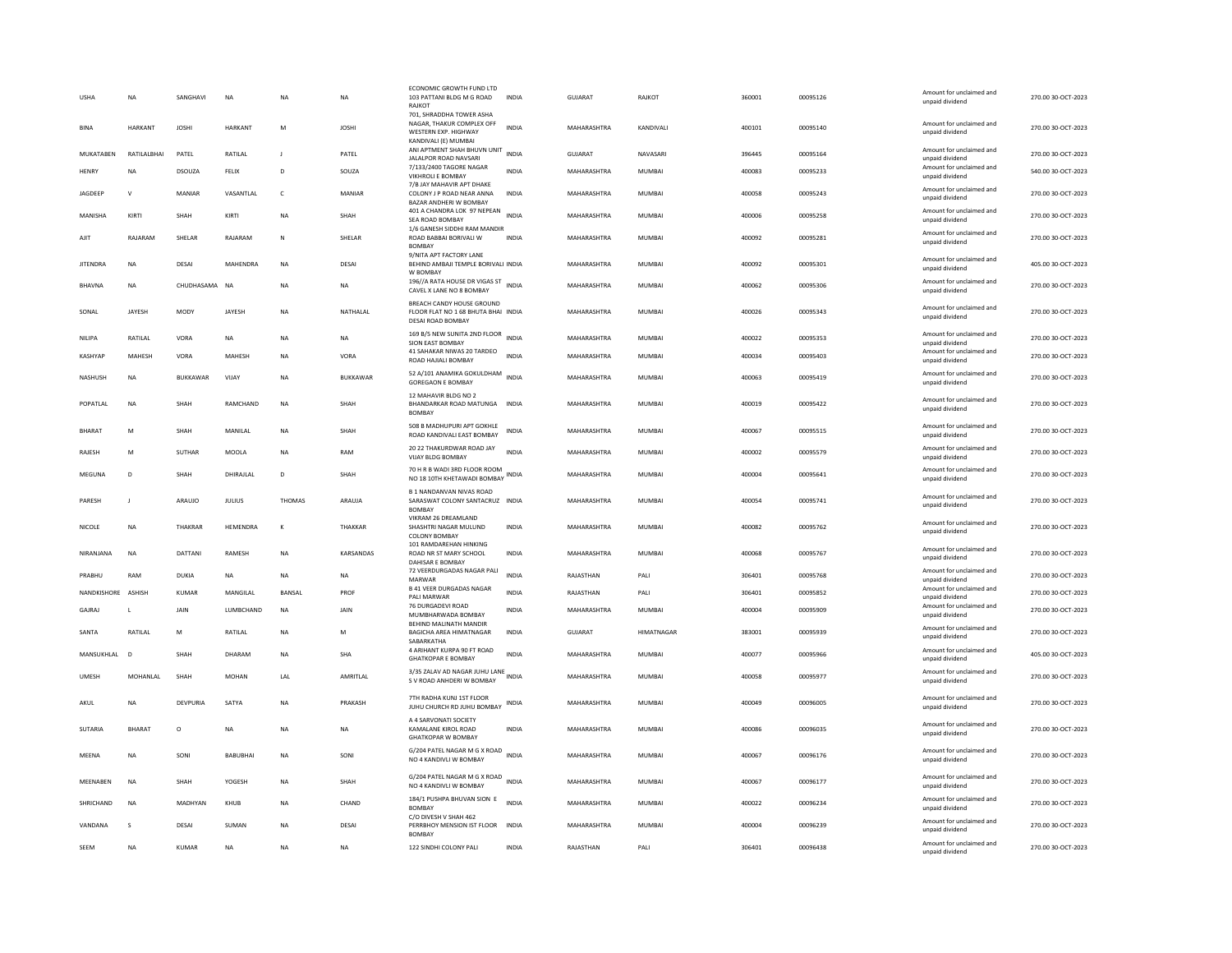| <b>USHA</b>        | <b>NA</b>      | SANGHAVI        | <b>NA</b>       | <b>NA</b>      | <b>NA</b>       | ECONOMIC GROWTH FUND LTD<br>103 PATTANI BLDG M G ROAD<br>RAJKOT                                       | <b>INDIA</b> | <b>GUJARAT</b>     | RAJKOT            | 360001 | 00095126 | Amount for unclaimed and<br>unpaid dividend | 270.00 30-OCT-2023 |
|--------------------|----------------|-----------------|-----------------|----------------|-----------------|-------------------------------------------------------------------------------------------------------|--------------|--------------------|-------------------|--------|----------|---------------------------------------------|--------------------|
| <b>BINA</b>        | <b>HARKANT</b> | <b>JOSHI</b>    | <b>HARKANT</b>  | M              | <b>JOSHI</b>    | 701, SHRADDHA TOWER ASHA<br>NAGAR. THAKUR COMPLEX OFF<br>WESTERN EXP. HIGHWAY<br>KANDIVALI (E) MUMBAI | <b>INDIA</b> | MAHARASHTRA        | KANDIVALI         | 400101 | 00095140 | Amount for unclaimed and<br>unpaid dividend | 270.00 30-OCT-2023 |
| MUKATABEN          | RATILALBHAI    | PATEL           | RATILAL         | $\blacksquare$ | PATEL           | ANI APTMENT SHAH BHUVN UNIT<br>JALALPOR ROAD NAVSARI                                                  | <b>INDIA</b> | <b>GUJARAT</b>     | NAVASARI          | 396445 | 00095164 | Amount for unclaimed and<br>unpaid dividend | 270.00 30-OCT-2023 |
| <b>HENRY</b>       | <b>NA</b>      | DSOUZA          | FELIX           | D              | SOUZA           | 7/133/2400 TAGORE NAGAR<br>VIKHROLI E BOMBAY                                                          | <b>INDIA</b> | MAHARASHTRA        | <b>MUMBAI</b>     | 400083 | 00095233 | Amount for unclaimed and<br>unpaid dividend | 540.00 30-OCT-2023 |
| JAGDEEP            | $\mathbf v$    | MANIAR          | VASANTLAL       | $\mathsf{C}$   | MANIAR          | 7/B JAY MAHAVIR APT DHAKE<br>COLONY J P ROAD NEAR ANNA<br>BAZAR ANDHERI W BOMBAY                      | <b>INDIA</b> | MAHARASHTRA        | <b>MUMBAI</b>     | 400058 | 00095243 | Amount for unclaimed and<br>unpaid dividend | 270.00 30-OCT-2023 |
| MANISHA            | KIRTI          | SHAH            | KIRTI           | <b>NA</b>      | SHAH            | 401 A CHANDRA LOK 97 NEPEAN<br>SEA ROAD BOMBAY                                                        | <b>INDIA</b> | MAHARASHTRA        | <b>MUMBAI</b>     | 400006 | 00095258 | Amount for unclaimed and<br>unpaid dividend | 270.00 30-OCT-2023 |
| AJIT               | RAIARAM        | SHELAR          | RAIARAM         | $\mathsf{N}$   | SHELAR          | 1/6 GANESH SIDDHI RAM MANDIR<br>ROAD BABBAI BORIVALI W<br><b>BOMBAY</b>                               | <b>INDIA</b> | MAHARASHTRA        | MUMBAI            | 400092 | 00095281 | Amount for unclaimed and<br>unpaid dividend | 270.00 30-OCT-2023 |
| <b>JITENDRA</b>    | NA             | DESAI           | MAHENDRA        | <b>NA</b>      | DESAI           | 9/NITA APT FACTORY LANE<br>BEHIND AMBAJI TEMPLE BORIVALI INDIA<br>W BOMBAY                            |              | MAHARASHTRA        | <b>MUMBAI</b>     | 400092 | 00095301 | Amount for unclaimed and<br>unpaid dividend | 405.00 30-OCT-2023 |
| BHAVNA             | <b>NA</b>      | CHUDHASAMA      | <b>NA</b>       | <b>NA</b>      | <b>NA</b>       | 196//A RATA HOUSE DR VIGAS ST<br>INDIA<br>CAVEL X LANE NO 8 BOMBAY                                    |              | MAHARASHTRA        | <b>MUMBAI</b>     | 400062 | 00095306 | Amount for unclaimed and<br>unpaid dividend | 270.00 30-OCT-2023 |
| SONAL              | JAYESH         | <b>MODY</b>     | JAYESH          | <b>NA</b>      | NATHALAL        | BREACH CANDY HOUSE GROUND<br>FLOOR FLAT NO 1 68 BHUTA BHAI INDIA<br>DESAI ROAD BOMBAY                 |              | MAHARASHTRA        | MUMBAI            | 400026 | 00095343 | Amount for unclaimed and<br>unpaid dividend | 270.00 30-OCT-2023 |
| NILIPA             | RATILAL        | VORA            | NA              | <b>NA</b>      | <b>NA</b>       | 169 B/5 NEW SUNITA 2ND FLOOR INDIA<br>SION EAST BOMBAY                                                |              | MAHARASHTRA        | MUMBAI            | 400022 | 00095353 | Amount for unclaimed and<br>unpaid dividend | 270.00 30-OCT-2023 |
| <b>KASHYAP</b>     | <b>MAHESH</b>  | VORA            | MAHESH          | <b>NA</b>      | VORA            | 41 SAHAKAR NIWAS 20 TARDEO<br>ROAD HAJIALI BOMBAY                                                     | <b>INDIA</b> | MAHARASHTRA        | MUMBAI            | 400034 | 00095403 | Amount for unclaimed and<br>unpaid dividend | 270.00 30-OCT-2023 |
| NASHUSH            | NA             | <b>BUKKAWAR</b> | VIJAY           | <b>NA</b>      | <b>BUKKAWAR</b> | 52 A/101 ANAMIKA GOKULDHAM INDIA<br><b>GOREGAON E BOMBAY</b>                                          |              | MAHARASHTRA        | MUMBAI            | 400063 | 00095419 | Amount for unclaimed and<br>unpaid dividend | 270.00 30-OCT-2023 |
| POPATLAL           | <b>NA</b>      | SHAH            | RAMCHAND        | <b>NA</b>      | SHAH            | 12 MAHAVIR BLDG NO 2<br>BHANDARKAR ROAD MATUNGA INDIA<br><b>BOMBAY</b>                                |              | MAHARASHTRA        | MUMBAI            | 400019 | 00095422 | Amount for unclaimed and<br>unpaid dividend | 270.00 30-OCT-2023 |
| <b>BHARAT</b>      | M              | SHAH            | MANII AI        | <b>NA</b>      | SHAH            | 508 B MADHUPURI APT GOKHLE<br>ROAD KANDIVALI EAST BOMBAY                                              | <b>INDIA</b> | <b>MAHARASHTRA</b> | MUMBAI            | 400067 | 00095515 | Amount for unclaimed and<br>unpaid dividend | 270.00 30-OCT-2023 |
| RAJESH             | M              | <b>SUTHAR</b>   | MOOLA           | <b>NA</b>      | RAM             | 20 22 THAKURDWAR ROAD JAY<br><b>VIJAY BLDG BOMBAY</b>                                                 | <b>INDIA</b> | MAHARASHTRA        | <b>MUMBAI</b>     | 400002 | 00095579 | Amount for unclaimed and<br>unpaid dividend | 270.00 30-OCT-2023 |
| MFGUNA             | $\overline{D}$ | SHAH            | DHIRAILAL       | D <sub>1</sub> | SHAH            | 70 H R B WADI 3RD FLOOR ROOM<br>NO 18 10TH KHETAWADI BOMBAY                                           | <b>INDIA</b> | MAHARASHTRA        | MUMBAI            | 400004 | 00095641 | Amount for unclaimed and<br>unpaid dividend | 270.00.30-OCT-2023 |
| PARESH             | $\mathbf{I}$   | ARAUJO          | <b>JULIUS</b>   | THOMAS         | ARAUJA          | <b>B 1 NANDANVAN NIVAS ROAD</b><br>SARASWAT COLONY SANTACRUZ INDIA<br><b>BOMBAY</b>                   |              | MAHARASHTRA        | <b>MUMBAI</b>     | 400054 | 00095741 | Amount for unclaimed and<br>unpaid dividend | 270.00 30-OCT-2023 |
| <b>NICOLE</b>      | <b>NA</b>      | THAKRAR         | <b>HEMENDRA</b> | $\mathbf{K}$   | THAKKAR         | VIKRAM 26 DREAMLAND<br>SHASHTRI NAGAR MULUND<br>COLONY BOMBAY                                         | <b>INDIA</b> | MAHARASHTRA        | <b>MUMBAI</b>     | 400082 | 00095762 | Amount for unclaimed and<br>unpaid dividend | 270.00 30-OCT-2023 |
| NIRANJANA          | <b>NA</b>      | DATTANI         | RAMESH          | <b>NA</b>      | KARSANDAS       | 101 RAMDAREHAN HINKING<br>ROAD NR ST MARY SCHOOL<br>DAHISAR E BOMBAY                                  | <b>INDIA</b> | MAHARASHTRA        | MUMBAI            | 400068 | 00095767 | Amount for unclaimed and<br>unpaid dividend | 270.00 30-OCT-2023 |
| PRABHU             | RAM            | DUKIA           | <b>NA</b>       | <b>NA</b>      | <b>NA</b>       | 72 VEERDURGADAS NAGAR PALI<br>MARWAR                                                                  | <b>INDIA</b> | RAJASTHAN          | PALI              | 306401 | 00095768 | Amount for unclaimed and<br>unpaid dividend | 270.00 30-OCT-2023 |
| NANDKISHORE ASHISH |                | <b>KUMAR</b>    | MANGILAL        | BANSAL         | PROF            | <b>B 41 VEER DURGADAS NAGAR</b><br>PALI MARWAR                                                        | <b>INDIA</b> | RAJASTHAN          | PALI              | 306401 | 00095852 | Amount for unclaimed and<br>unpaid dividend | 270.00 30-OCT-2023 |
| GAJRAJ             |                | JAIN            | LUMBCHAND       | NA             | JAIN            | 76 DURGADEVI ROAD<br>MUMBHARWADA BOMBAY                                                               | INDIA        | MAHARASHTRA        | MUMBAI            | 400004 | 00095909 | Amount for unclaimed and<br>unpaid dividend | 270.00 30-OCT-2023 |
| SANTA              | RATILAL        | M               | RATILAL         | <b>NA</b>      | M               | BEHIND MALINATH MANDIR<br>BAGICHA AREA HIMATNAGAR<br>SABARKATHA                                       | <b>INDIA</b> | GUJARAT            | <b>HIMATNAGAR</b> | 383001 | 00095939 | Amount for unclaimed and<br>unpaid dividend | 270.00 30-OCT-2023 |
| MANSUKHLAL         | $\overline{D}$ | SHAH            | DHARAM          | <b>NA</b>      | <b>SHA</b>      | 4 ARIHANT KURPA 90 FT ROAD<br><b>GHATKOPAR E BOMBAY</b>                                               | <b>INDIA</b> | MAHARASHTRA        | MUMBAI            | 400077 | 00095966 | Amount for unclaimed and<br>unpaid dividend | 405.00 30-OCT-2023 |
| <b>UMESH</b>       | MOHANLAL       | SHAH            | <b>MOHAN</b>    | LAL            | AMRITLAL        | 3/35 ZALAV AD NAGAR JUHU LANE<br>S V ROAD ANHDERI W BOMBAY                                            |              | MAHARASHTRA        | MUMBAI            | 400058 | 00095977 | Amount for unclaimed and<br>unpaid dividend | 270.00 30-OCT-2023 |
| AKUL               | <b>NA</b>      | <b>DEVPURIA</b> | SATYA           | NA             | PRAKASH         | 7TH RADHA KUNJ 1ST FLOOR<br>JUHU CHURCH RD JUHU BOMBAY                                                | <b>INDIA</b> | MAHARASHTRA        | MUMBAI            | 400049 | 00096005 | Amount for unclaimed and<br>unpaid dividend | 270.00 30-OCT-2023 |
| SUTARIA            | <b>BHARAT</b>  | $\circ$         | <b>NA</b>       | <b>NA</b>      | NA              | A 4 SARVONATI SOCIETY<br>KAMALANE KIROL ROAD<br><b>GHATKOPAR W BOMBAY</b>                             | INDIA        | MAHARASHTRA        | MUMBAI            | 400086 | 00096035 | Amount for unclaimed and<br>unpaid dividend | 270.00 30-OCT-2023 |
| MFFNA              | <b>NA</b>      | SONI            | <b>BARURHAL</b> | <b>NA</b>      | SONI            | G/204 PATEL NAGAR M G X ROAD<br>NO 4 KANDIVLI W BOMBAY                                                | <b>INDIA</b> | <b>MAHARASHTRA</b> | MUMBAI            | 400067 | 00096176 | Amount for unclaimed and<br>unpaid dividend | 270.00.30-OCT-2023 |
| MEENABEN           | NA             | SHAH            | YOGESH          | NA             | SHAH            | G/204 PATEL NAGAR M G X ROAD<br>INDIA<br>NO 4 KANDIVLI W BOMBAY                                       |              | MAHARASHTRA        | <b>MUMBAI</b>     | 400067 | 00096177 | Amount for unclaimed and<br>unpaid dividend | 270.00 30-OCT-2023 |
| SHRICHAND          | <b>NA</b>      | MADHYAN         | KHUB            | <b>NA</b>      | CHAND           | 184/1 PUSHPA BHUVAN SION E<br><b>BOMBAY</b>                                                           | <b>INDIA</b> | MAHARASHTRA        | <b>MUMBAI</b>     | 400022 | 00096234 | Amount for unclaimed and<br>unpaid dividend | 270.00 30-OCT-2023 |
| VANDANA            | s              | DESAI           | SUMAN           | <b>NA</b>      | DESAI           | C/O DIVESH V SHAH 462<br>PERRBHOY MENSION IST FLOOR<br><b>BOMBAY</b>                                  | <b>INDIA</b> | MAHARASHTRA        | <b>MUMBAI</b>     | 400004 | 00096239 | Amount for unclaimed and<br>unpaid dividend | 270.00 30-OCT-2023 |
| SEEM               | <b>NA</b>      | <b>KUMAR</b>    | <b>NA</b>       | <b>NA</b>      | <b>NA</b>       | 122 SINDHI COLONY PALI                                                                                | <b>INDIA</b> | RAJASTHAN          | PALI              | 306401 | 00096438 | Amount for unclaimed and<br>unpaid dividend | 270.00 30-OCT-2023 |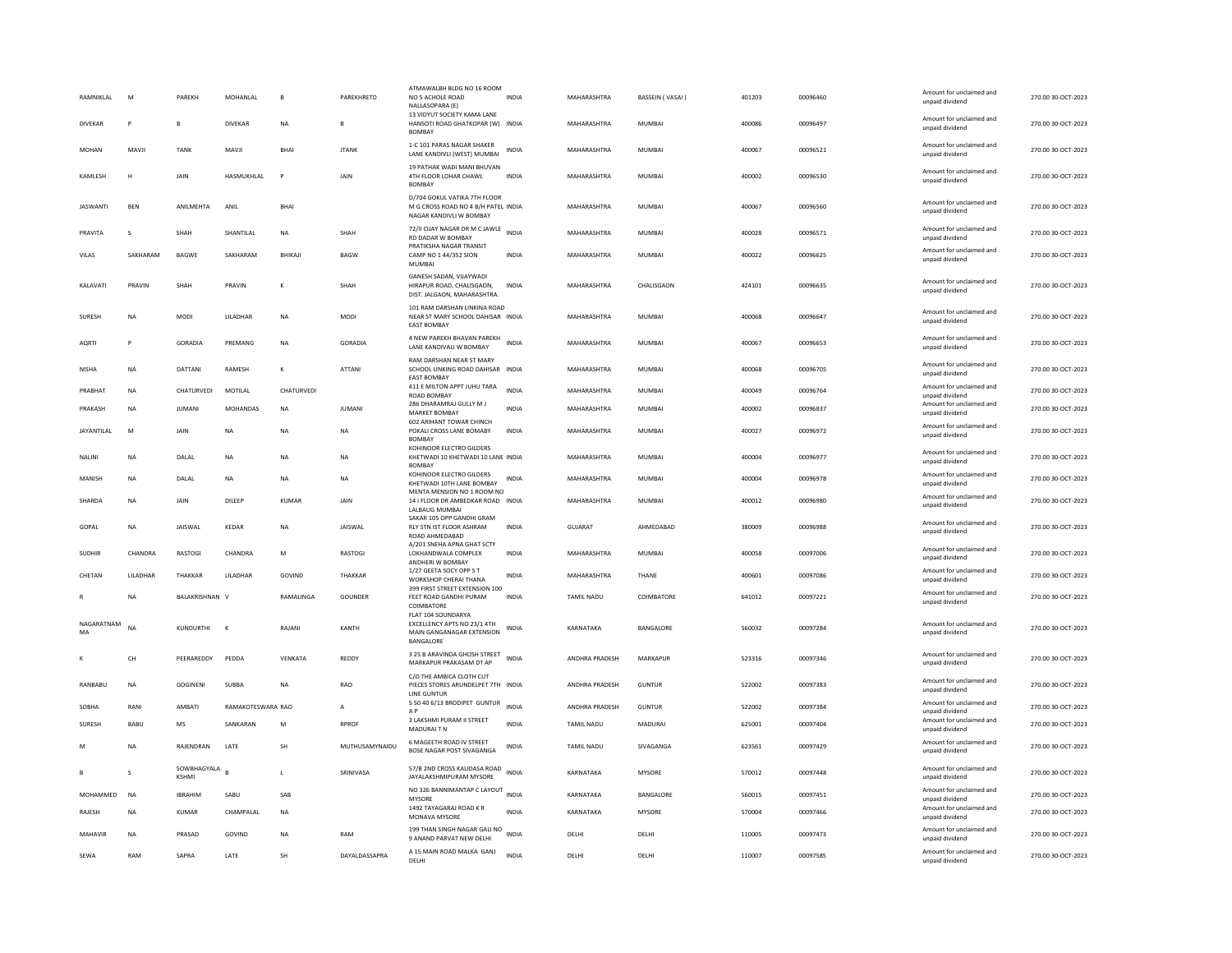| RAMNIKI AI        | M                 | PARFKH                      | <b>MOHANI AI</b>  | <b>B</b>     | PAREKHRETD     | ATMAWALBH BLDG NO 16 ROOM<br>NO 5 ACHOLE ROAD<br>NALLASOPARA (E)<br>13 VIDYUT SOCIETY KAMA LANE | <b>INDIA</b> | MAHARASHTRA           | BASSEIN (VASAI) | 401203 | 00096460 | Amount for unclaimed and<br>unpaid dividend<br>Amount for unclaimed and | 270.00.30-OCT-2023 |
|-------------------|-------------------|-----------------------------|-------------------|--------------|----------------|-------------------------------------------------------------------------------------------------|--------------|-----------------------|-----------------|--------|----------|-------------------------------------------------------------------------|--------------------|
| <b>DIVEKAR</b>    | P                 | $\mathbf{R}$                | <b>DIVEKAR</b>    | <b>NA</b>    | $\mathbf{B}$   | HANSOTI ROAD GHATKOPAR (W) INDIA<br><b>BOMBAY</b>                                               |              | MAHARASHTRA           | MUMBAI          | 400086 | 00096497 | unpaid dividend                                                         | 270.00 30-QCT-2023 |
| MOHAN             | MAVJI             | <b>TANK</b>                 | MAVJI             | <b>BHAI</b>  | <b>ITANK</b>   | 1-C 101 PARAS NAGAR SHAKER<br>LANE KANDIVLI (WEST) MUMBAI                                       | <b>INDIA</b> | MAHARASHTRA           | MUMBAI          | 400067 | 00096521 | Amount for unclaimed and<br>unpaid dividend                             | 270.00 30-OCT-2023 |
| KAMLESH           | н                 | JAIN                        | HASMUKHLAL        | P            | JAIN           | 19 PATHAK WADI MANI BHUVAN<br>4TH FLOOR LOHAR CHAWL<br><b>BOMBAY</b>                            | <b>INDIA</b> | MAHARASHTRA           | MUMBAI          | 400002 | 00096530 | Amount for unclaimed and<br>unpaid dividend                             | 270.00 30-OCT-2023 |
| <b>JASWANTI</b>   | BEN               | ANILMEHTA                   | ANIL              | <b>BHAI</b>  |                | D/704 GOKUL VATIKA 7TH FLOOR<br>M G CROSS ROAD NO 4 B/H PATEL INDIA<br>NAGAR KANDIVLI W BOMBAY  |              | MAHARASHTRA           | <b>MUMBAI</b>   | 400067 | 00096560 | Amount for unclaimed and<br>unpaid dividend                             | 270.00 30-OCT-2023 |
| PRAVITA           | $\varsigma$       | <b>SHAH</b>                 | SHANTILAI         | <b>NA</b>    | SHAH           | 72/II CUAY NAGAR DR M C JAWLE<br>RD DADAR W BOMBAY                                              | <b>INDIA</b> | MAHARASHTRA           | MUMBAI          | 400028 | 00096571 | Amount for unclaimed and<br>unpaid dividend                             | 270.00 30-OCT-2023 |
| VILAS             | SAKHARAM          | BAGWE                       | SAKHARAM          | BHIKAJI      | <b>BAGW</b>    | PRATIKSHA NAGAR TRANSIT<br>CAMP NO 1 44/352 SION<br>MUMBAI                                      | INDIA        | MAHARASHTRA           | MUMBAI          | 400022 | 00096625 | Amount for unclaimed and<br>unpaid dividend                             | 270.00 30-OCT-2023 |
| KALAVATI          | PRAVIN            | SHAH                        | PRAVIN            | K            | SHAH           | GANESH SADAN, VIJAYWADI<br>HIRAPUR ROAD, CHALISGAON,<br>DIST. JALGAON, MAHARASHTRA.             | <b>INDIA</b> | MAHARASHTRA           | CHALISGAON      | 424101 | 00096635 | Amount for unclaimed and<br>unpaid dividend                             | 270.00 30-OCT-2023 |
| <b>SURFSH</b>     | <b>NA</b>         | MODI                        | <b>I II ADHAR</b> | <b>NA</b>    | <b>MODI</b>    | 101 RAM DARSHAN LINKINA ROAD<br>NEAR ST MARY SCHOOL DAHISAR INDIA<br><b>EAST BOMBAY</b>         |              | MAHARASHTRA           | MUMBAI          | 400068 | 00096647 | Amount for unclaimed and<br>unpaid dividend                             | 270.00 30-OCT-2023 |
| <b>AORTI</b>      | P                 | GORADIA                     | PREMANG           | <b>NA</b>    | <b>GORADIA</b> | 4 NEW PAREKH BHAVAN PAREKH<br>LANE KANDIVALI W BOMBAY                                           | <b>INDIA</b> | MAHARASHTRA           | MUMBAI          | 400067 | 00096653 | Amount for unclaimed and<br>unpaid dividend                             | 270.00 30-OCT-2023 |
| <b>NISHA</b>      | <b>NA</b>         | DATTANI                     | RAMESH            | К            | ATTANI         | <b>RAM DARSHAN NEAR ST MARY</b><br>SCHOOL LINKING ROAD DAHISAR INDIA<br><b>EAST BOMBAY</b>      |              | MAHARASHTRA           | MUMBAI          | 400068 | 00096705 | Amount for unclaimed and<br>unpaid dividend                             | 270.00 30-OCT-2023 |
| PRABHAT           | NA                | CHATURVEDI                  | MOTILAL           | CHATURVEDI   |                | 411 E MILTON APPT JUHU TARA<br><b>ROAD BOMBAY</b>                                               | <b>INDIA</b> | MAHARASHTRA           | MUMBAI          | 400049 | 00096764 | Amount for unclaimed and<br>unpaid dividend                             | 270.00 30-OCT-2023 |
| PRAKASH           | <b>NA</b>         | <b>IUMANI</b>               | <b>MOHANDAS</b>   | <b>NA</b>    | <b>IUMANI</b>  | 286 DHARAMRAJ GULLY M J<br><b>MARKET BOMBAY</b><br><b>602 ARIHANT TOWAR CHINCH</b>              | <b>INDIA</b> | MAHARASHTRA           | MUMBAI          | 400002 | 00096837 | Amount for unclaimed and<br>unpaid dividend                             | 270.00 30-OCT-2023 |
| <b>JAYANTILAL</b> | M                 | JAIN                        | <b>NA</b>         | NA           | <b>NA</b>      | POKALI CROSS LANE BOMABY<br><b>BOMBAY</b>                                                       | <b>INDIA</b> | MAHARASHTRA           | MUMBAI          | 400027 | 00096972 | Amount for unclaimed and<br>unpaid dividend                             | 270.00 30-OCT-2023 |
| NALINI            | NA                | DALAL                       | NA                | NA           | NA             | KOHINOOR ELECTRO GILDERS<br>KHETWADI 10 KHETWADI 10 LANE INDIA<br><b>BOMBAY</b>                 |              | MAHARASHTRA           | MUMBAI          | 400004 | 00096977 | Amount for unclaimed and<br>unpaid dividend                             | 270.00 30-OCT-2023 |
| MANISH            | <b>NA</b>         | DALAL                       | NA                | <b>NA</b>    | <b>NA</b>      | KOHINOOR ELECTRO GILDERS<br>KHETWADI 10TH LANE BOMBAY                                           | <b>INDIA</b> | MAHARASHTRA           | MUMBAI          | 400004 | 00096978 | Amount for unclaimed and<br>unpaid dividend                             | 270.00 30-OCT-2023 |
| SHARDA            | NA                | JAIN                        | DILEEP            | KUMAR        | JAIN           | MENTA MENSION NO 1 ROOM NO<br>14 I FLOOR DR AMBEDKAR ROAD INDIA<br><b>LALBAUG MUMBAI</b>        |              | MAHARASHTRA           | MUMBAI          | 400012 | 00096980 | Amount for unclaimed and<br>unpaid dividend                             | 270.00 30-OCT-2023 |
| GOPAL             | NA                | JAISWAL                     | KEDAR             | <b>NA</b>    | JAISWAL        | SAKAR 105 OPP GANDHI GRAM<br>RLY STN IST FLOOR ASHRAM<br>ROAD AHMEDARAD                         | <b>INDIA</b> | GUJARAT               | AHMEDABAD       | 380009 | 00096988 | Amount for unclaimed and<br>unpaid dividend                             | 270.00 30-OCT-2023 |
| SUDHIR            | CHANDRA           | <b>RASTOGI</b>              | CHANDRA           | M            | RASTOGI        | A/201 SNEHA APNA GHAT SCTY<br>LOKHANDWALA COMPLEX<br>ANDHERI W BOMBAY                           | <b>INDIA</b> | MAHARASHTRA           | MUMBAI          | 400058 | 00097006 | Amount for unclaimed and<br>unpaid dividend                             | 270.00 30-OCT-2023 |
| CHETAN            | <b>I II ADHAR</b> | <b>THAKKAR</b>              | <b>I II ADHAR</b> | GOVIND       | THAKKAR        | 1/27 GEETA SOCY OPP S T<br><b>WORKSHOP CHERAI THANA</b>                                         | <b>INDIA</b> | MAHARASHTRA           | <b>THANE</b>    | 400601 | 00097086 | Amount for unclaimed and<br>unpaid dividend                             | 270.00 30-OCT-2023 |
|                   | <b>NA</b>         | BALAKRISHNAN V              |                   | RAMALINGA    | GOUNDER        | 399 FIRST STREET EXTENSION 100<br>FEET ROAD GANDHI PURAM<br>COIMBATORE                          | <b>INDIA</b> | TAMIL NADU            | COIMBATORE      | 641012 | 00097221 | Amount for unclaimed and<br>unpaid dividend                             | 270.00 30-OCT-2023 |
| NAGARATNAM<br>MA  | <b>NA</b>         | KUNDURTHI                   | $\mathbf{K}$      | RAJANI       | KANTH          | FLAT 104 SOUNDARYA<br>EXCELLENCY APTS NO 23/1 4TH<br>MAIN GANGANAGAR EXTENSION<br>BANGALORE     | INDIA        | KARNATAKA             | BANGALORE       | 560032 | 00097284 | Amount for unclaimed and<br>unnaid dividend                             | 270.00 30-OCT-2023 |
|                   | <b>CH</b>         | PEERAREDDY                  | PEDDA             | VFNKATA      | REDDY          | 3 25 B ARAVINDA GHOSH STREET<br>MARKAPUR PRAKASAM DT AP                                         | <b>INDIA</b> | <b>ANDHRA PRADESH</b> | MARKAPUR        | 523316 | 00097346 | Amount for unclaimed and<br>unpaid dividend                             | 270.00 30-OCT-2023 |
| <b>RANBABU</b>    | <b>NA</b>         | <b>GOGINENI</b>             | <b>SUBBA</b>      | <b>NA</b>    | RAO            | C/O THE AMBICA CLOTH CUT<br>PIECES STORES ARUNDELPET 7TH INDIA<br>LINE GUNTUR                   |              | ANDHRA PRADESH        | <b>GUNTUR</b>   | 522002 | 00097383 | Amount for unclaimed and<br>unpaid dividend                             | 270.00 30-OCT-2023 |
| SOBHA             | RANI              | AMBATI                      | RAMAKOTESWARA RAO |              | $\mathsf{A}$   | 5 50 40 6/13 BRODIPET GUNTUR<br>A <sub>P</sub>                                                  | <b>INDIA</b> | ANDHRA PRADESH        | <b>GUNTUR</b>   | 522002 | 00097384 | Amount for unclaimed and<br>unpaid dividend                             | 270.00 30-OCT-2023 |
| SURESH            | BABU              | <b>MS</b>                   | SANKARAN          | ${\sf M}$    | <b>RPROF</b>   | 3 LAKSHMI PURAM II STREET<br>MADURAIT N                                                         | <b>INDIA</b> | TAMIL NADU            | MADURAI         | 625001 | 00097404 | Amount for unclaimed and<br>unpaid dividend                             | 270.00 30-OCT-2023 |
|                   | <b>NA</b>         | RAJENDRAN                   | LATE              | <b>SH</b>    | MUTHUSAMYNAIDU | 6 MAGEETH ROAD IV STREET<br>BOSE NAGAR POST SIVAGANGA                                           | <b>INDIA</b> | TAMIL NADU            | SIVAGANGA       | 623561 | 00097429 | Amount for unclaimed and<br>unpaid dividend                             | 270.00 30-OCT-2023 |
|                   | $\varsigma$       | SOWBHAGYALA<br><b>KSHMI</b> |                   | $\mathbf{L}$ | SRINIVASA      | 57/B 2ND CROSS KALIDASA ROAD<br>JAYALAKSHMIPURAM MYSORE                                         | <b>INDIA</b> | KARNATAKA             | <b>MYSORE</b>   | 570012 | 00097448 | Amount for unclaimed and<br>unpaid dividend                             | 270.00 30-OCT-2023 |
| MOHAMMED          | <b>NA</b>         | <b>IRRAHIM</b>              | SABU              | SAB          |                | NO 326 BANNIMANTAP C LAYOUT<br>MYSORE                                                           | <b>INDIA</b> | KARNATAKA             | BANGALORE       | 560015 | 00097451 | Amount for unclaimed and<br>unpaid dividend                             | 270.00 30-OCT-2023 |
| RAJESH            | <b>NA</b>         | <b>KUMAR</b>                | CHAMPALAL         | <b>NA</b>    |                | 1492 TAYAGARAJ ROAD K R<br>MONAVA MYSORE                                                        | <b>INDIA</b> | KARNATAKA             | <b>MYSORE</b>   | 570004 | 00097466 | Amount for unclaimed and<br>unpaid dividend                             | 270.00 30-OCT-2023 |
| MAHAVIR           | NA                | PRASAD                      | GOVIND            | <b>NA</b>    | RAM            | 199 THAN SINGH NAGAR GALI NO<br>9 ANAND PARVAT NEW DELHI                                        | <b>INDIA</b> | DELHI                 | DELHI           | 110005 | 00097473 | Amount for unclaimed and<br>unpaid dividend                             | 270.00 30-OCT-2023 |
| SEWA              | RAM               | SAPRA                       | LATE              | SH           | DAYALDASSAPRA  | A 15 MAIN ROAD MALKA GANJ<br>DELHI                                                              | <b>INDIA</b> | DELHI                 | DELHI           | 110007 | 00097585 | Amount for unclaimed and<br>unpaid dividend                             | 270.00 30-OCT-2023 |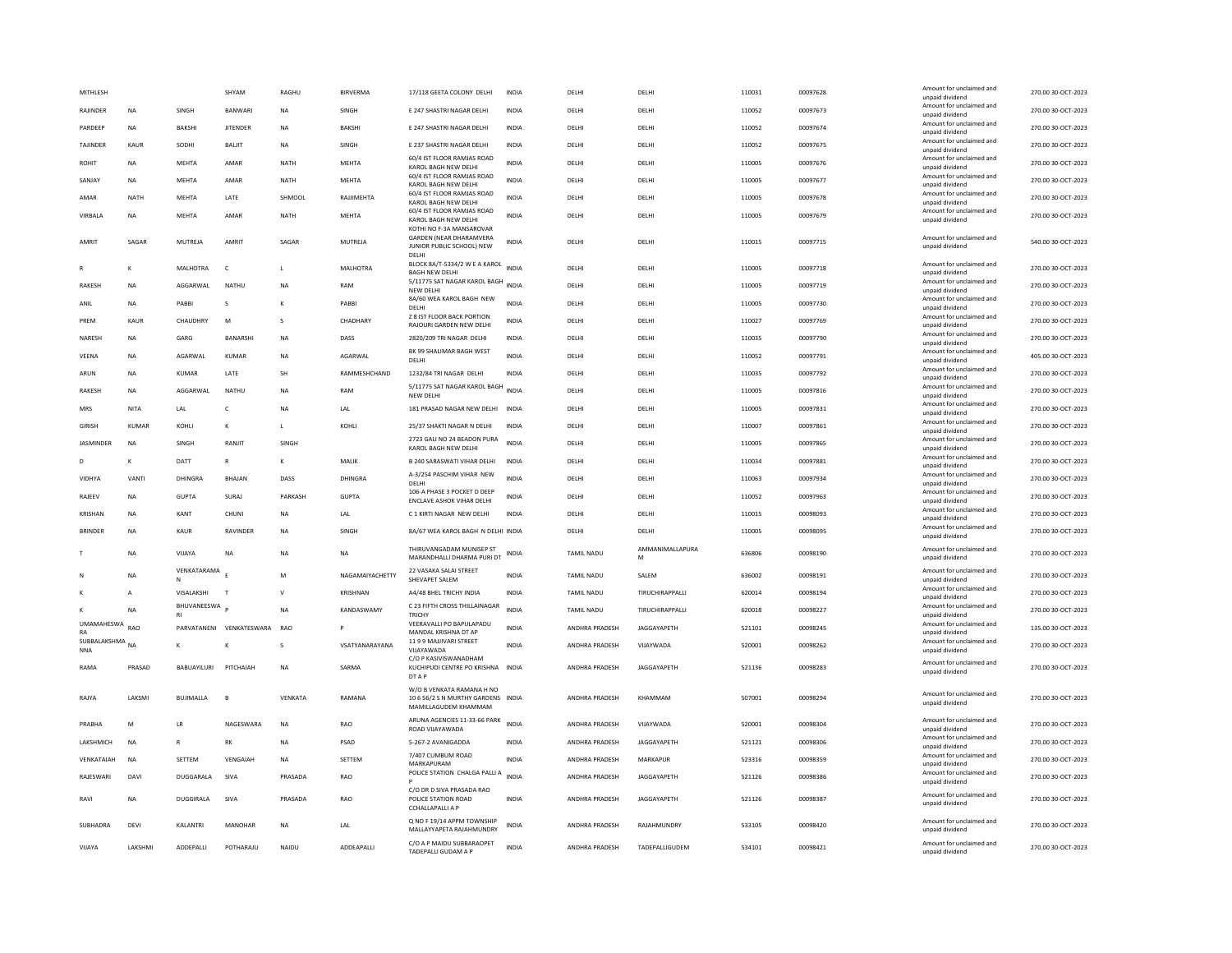| MITHI FSH                     |                 |                    | SHYAM                    | RAGHU        | <b>BIRVERMA</b>  | 17/118 GEETA COLONY DELHI                                                                        | <b>INDIA</b> | <b>DELHI</b>          | <b>DELHI</b>         | 110031 | 00097628 | Amount for unclaimed and<br>unpaid dividend                    | 270.00 30-OCT-2023 |
|-------------------------------|-----------------|--------------------|--------------------------|--------------|------------------|--------------------------------------------------------------------------------------------------|--------------|-----------------------|----------------------|--------|----------|----------------------------------------------------------------|--------------------|
| RAJINDER                      | <b>NA</b>       | SINGH              | <b>BANWAR</b>            | <b>NA</b>    | SINGH            | E 247 SHASTRI NAGAR DELHI                                                                        | <b>INDIA</b> | DELHI                 | DELHI                | 110052 | 00097673 | Amount for unclaimed and                                       | 270.00 30-OCT-2023 |
| PARDEEP                       | <b>NA</b>       | <b>BAKSHI</b>      | <b>JITENDER</b>          | <b>NA</b>    | <b>BAKSHI</b>    | E 247 SHASTRI NAGAR DELHI                                                                        | <b>INDIA</b> | DELHI                 | DELHI                | 110052 | 00097674 | unpaid dividend<br>Amount for unclaimed and<br>unpaid dividend | 270.00 30-OCT-2023 |
| TAJINDER                      | KAUR            | SODHI              | BALJIT                   | NA           | SINGH            | E 237 SHASTRI NAGAR DELHI                                                                        | INDIA        | DELHI                 | DELHI                | 110052 | 00097675 | Amount for unclaimed and<br>unpaid dividend                    | 270.00 30-OCT-2023 |
| <b>ROHIT</b>                  | <b>NA</b>       | <b>MEHTA</b>       | AMAR                     | NATH         | MEHTA            | 60/4 IST FLOOR RAMJAS ROAD<br>KAROL BAGH NEW DELHI                                               | <b>INDIA</b> | DELHI                 | DELHI                | 110005 | 00097676 | Amount for unclaimed and<br>unpaid dividend                    | 270.00 30-OCT-2023 |
| SANJAY                        | <b>NA</b>       | <b>MEHTA</b>       | AMAR                     | <b>NATH</b>  | <b>MEHTA</b>     | 60/4 IST FLOOR RAMJAS ROAD<br>KAROL BAGH NEW DELHI                                               | <b>INDIA</b> | DELHI                 | DELHI                | 110005 | 00097677 | Amount for unclaimed and<br>unpaid dividend                    | 270.00 30-OCT-2023 |
| AMAR                          | <b>NATH</b>     | MEHTA              | LATE                     | SHMOOL       | RAJJIMEHTA       | 60/4 IST FLOOR RAMJAS ROAD<br>KAROL BAGH NEW DELHI                                               | <b>INDIA</b> | DELHI                 | DELHI                | 110005 | 00097678 | Amount for unclaimed and<br>unpaid dividend                    | 270.00 30-OCT-2023 |
| VIRBALA                       | NA              | MEHTA              | AMAR                     | <b>NATH</b>  | MEHTA            | 60/4 IST FLOOR RAMJAS ROAD<br>KAROL BAGH NEW DELHI                                               | INDIA        | DELHI                 | DELHI                | 110005 | 00097679 | Amount for unclaimed and<br>unpaid dividend                    | 270.00 30-OCT-2023 |
| AMRIT                         | SAGAR           | MUTREJA            | AMRIT                    | SAGAR        | MUTREJA          | KOTHI NO F-3A MANSAROVAR<br><b>GARDEN (NEAR DHARAMVERA</b><br>JUNIOR PUBLIC SCHOOL) NEW<br>DELHI | <b>INDIA</b> | DELHI                 | DELHI                | 110015 | 00097715 | Amount for unclaimed and<br>unpaid dividend                    | 540.00 30-OCT-2023 |
|                               | к               | <b>MAI HOTRA</b>   | $\epsilon$               | $\mathbf{L}$ | <b>MAI HOTRA</b> | BLOCK 8A/T-5334/2 W E A KAROL INDIA<br><b>BAGH NEW DELHI</b>                                     |              | <b>DELHI</b>          | <b>DELHI</b>         | 110005 | 00097718 | Amount for unclaimed and<br>unpaid dividend                    | 270.00 30-OCT-2023 |
| <b>RAKESH</b>                 | <b>NA</b>       | AGGARWAL           | NATHU                    | <b>NA</b>    | RAM              | 5/11775 SAT NAGAR KAROL BAGH<br>NEW DELHI                                                        | <b>INDIA</b> | DELHI                 | DELHI                | 110005 | 00097719 | Amount for unclaimed and<br>unpaid dividend                    | 270.00 30-OCT-2023 |
| ANIL                          | <b>NA</b>       | PABBI              | s                        |              | PABBI            | 8A/60 WEA KAROL BAGH NEW<br>DELHI                                                                | <b>INDIA</b> | DELHI                 | DELHI                | 110005 | 00097730 | Amount for unclaimed and<br>unpaid dividend                    | 270.00 30-OCT-2023 |
| PREM                          | KAUR            | CHAUDHRY           | M                        | s            | CHADHARY         | <b>Z 8 IST FLOOR BACK PORTION</b><br>RAJOURI GARDEN NEW DELHI                                    | INDIA        | DELHI                 | DELHI                | 110027 | 00097769 | Amount for unclaimed and<br>unpaid dividend                    | 270.00 30-OCT-2023 |
| NARESH                        | <b>NA</b>       | GARG               | BANARSHI                 | <b>NA</b>    | DASS             | 2820/209 TRI NAGAR DELHI                                                                         | <b>INDIA</b> | DELHI                 | DELHI                | 110035 | 00097790 | Amount for unclaimed and<br>unpaid dividend                    | 270.00 30-OCT-2023 |
| VEENA                         | <b>NA</b>       | AGARWAL            | <b>KUMAR</b>             | <b>NA</b>    | AGARWAL          | BK 99 SHALIMAR BAGH WEST<br>DELHI                                                                | <b>INDIA</b> | DELHI                 | DELHI                | 110052 | 00097791 | Amount for unclaimed and<br>unpaid dividend                    | 405.00 30-OCT-2023 |
| ARUN                          | <b>NA</b>       | <b>KUMAR</b>       | LATE                     | SH           | RAMMESHCHAND     | 1232/84 TRI NAGAR DELHI                                                                          | INDIA        | DELHI                 | DELHI                | 110035 | 00097792 | Amount for unclaimed and<br>unpaid dividend                    | 270.00 30-OCT-2023 |
| RAKESH                        | <b>NA</b>       | AGGARWAL           | <b>NATHU</b>             | <b>NA</b>    | RAM              | 5/11775 SAT NAGAR KAROL BAGH INDIA                                                               |              | DELHI                 | DELHI                | 110005 | 00097816 | Amount for unclaimed and                                       | 270.00 30-OCT-2023 |
| MRS                           | <b>NITA</b>     | LAL                | c                        | <b>NA</b>    | LAL              | NEW DELHI<br>181 PRASAD NAGAR NEW DELHI                                                          | <b>INDIA</b> | DELHI                 | DELHI                | 110005 | 00097831 | unpaid dividend<br>Amount for unclaimed and                    | 270.00 30-OCT-2023 |
| <b>GIRISH</b>                 | KUMAR           | KOHII              | к                        | $\mathbf{L}$ | KOHI I           | 25/37 SHAKTI NAGAR N DELHI                                                                       | <b>INDIA</b> | DELHI                 | <b>DELHI</b>         | 110007 | 00097861 | unpaid dividend<br>Amount for unclaimed and                    | 270.00.30-OCT-2023 |
| <b>JASMINDER</b>              | <b>NA</b>       | SINGH              | RANJIT                   | SINGH        |                  | 2723 GALI NO 24 BEADON PURA                                                                      | <b>INDIA</b> | DELHI                 | DELHI                | 110005 | 00097865 | unpaid dividend<br>Amount for unclaimed and                    | 270.00 30-OCT-2023 |
| D                             | K               | DATT               | $\mathsf{R}$             | $\kappa$     | MALIK            | KAROL BAGH NEW DELHI<br><b>B 240 SARASWATI VIHAR DELHI</b>                                       | <b>INDIA</b> | DELHI                 | DELHI                | 110034 | 00097881 | unpaid dividend<br>Amount for unclaimed and                    | 270.00 30-OCT-2023 |
| VIDHYA                        | VANTI           | DHINGRA            | <b>BHAJAN</b>            | DASS         | DHINGRA          | A-3/254 PASCHIM VIHAR NEW                                                                        | <b>INDIA</b> | DELHI                 | DELHI                | 110063 | 00097934 | unpaid dividend<br>Amount for unclaimed and                    | 270.00 30-OCT-2023 |
|                               |                 |                    |                          |              |                  | DELHI<br>106-A PHASE 3 POCKET D DEEP                                                             |              |                       |                      |        |          | unpaid dividend<br>Amount for unclaimed and                    |                    |
| RAJEEV                        | ΝA              | <b>GUPTA</b>       | SURAJ                    | PARKASH      | <b>GUPTA</b>     | ENCLAVE ASHOK VIHAR DELHI                                                                        | INDIA        | DELHI                 | DELHI                | 110052 | 00097963 | unpaid dividend<br>Amount for unclaimed and                    | 270.00 30-OCT-2023 |
| <b>KRISHAN</b>                | <b>NA</b>       | KANT               | CHUNI                    | <b>NA</b>    | LAL              | C 1 KIRTI NAGAR NEW DELHI                                                                        | <b>INDIA</b> | DELHI                 | DELHI                | 110015 | 00098093 | unpaid dividend<br>Amount for unclaimed and                    | 270.00 30-OCT-2023 |
| <b>BRINDER</b>                | <b>NA</b>       | KAUR               | RAVINDER                 | <b>NA</b>    | SINGH            | 8A/67 WEA KAROL BAGH N DELHI INDIA                                                               |              | DELHI                 | DELHI                | 110005 | 00098095 | unpaid dividend                                                | 270.00 30-OCT-2023 |
|                               | <b>NA</b>       | VIJAYA             | NA                       | <b>NA</b>    | NA               | THIRUVANGADAM MUNISEP ST<br>MARANDHALLI DHARMA PURI DT                                           | INDIA        | TAMIL NADU            | AMMANIMALLAPURA<br>M | 636806 | 00098190 | Amount for unclaimed and<br>unpaid dividend                    | 270.00 30-OCT-2023 |
|                               | <b>NA</b>       | VENKATARAMA        |                          | M            | NAGAMAIYACHETTY  | 22 VASAKA SALAI STREET<br>SHEVAPET SALEM                                                         | <b>INDIA</b> | <b>TAMIL NADU</b>     | SALEM                | 636002 | 00098191 | Amount for unclaimed and<br>unpaid dividend                    | 270.00 30-OCT-2023 |
|                               | $\overline{A}$  | VISALAKSHI         | T                        | $\mathsf{v}$ | KRISHNAN         | A4/48 BHEL TRICHY INDIA                                                                          | <b>INDIA</b> | TAMIL NADU            | TIRUCHIRAPPALLI      | 620014 | 00098194 | Amount for unclaimed and<br>unpaid dividend                    | 270.00 30-OCT-2023 |
|                               | NA              | BHUVANEESWA        |                          | <b>NA</b>    | KANDASWAMY       | C 23 FIFTH CROSS THILLAINAGAR<br><b>TRICHY</b>                                                   | <b>INDIA</b> | <b>TAMIL NADU</b>     | TIRUCHIRAPPALLI      | 620018 | 00098227 | Amount for unclaimed and<br>unpaid dividend                    | 270.00 30-OCT-2023 |
| UMAMAHESWA RAO<br>RA          |                 |                    | PARVATANENI VENKATESWARA | <b>RAO</b>   |                  | VEERAVALLI PO BAPULAPADU<br>MANDAI KRISHNA DT AP                                                 | <b>INDIA</b> | ANDHRA PRADESH        | JAGGAYAPETH          | 521101 | 00098245 | Amount for unclaimed and<br>unpaid dividend                    | 135.00 30-OCT-2023 |
| SUBBALAKSHMA NA<br><b>NNA</b> |                 | к                  |                          | s            | VSATYANARAYANA   | 1199 MAJJIVARI STREET<br>VIJAYAWADA                                                              | <b>INDIA</b> | ANDHRA PRADESH        | VIJAYWADA            | 520001 | 00098262 | Amount for unclaimed and<br>unpaid dividend                    | 270.00 30-OCT-2023 |
| RAMA                          | PRASAD          | <b>BABUAYILURI</b> | PITCHAIAH                | <b>NA</b>    | SARMA            | C/O P KASIVISWANADHAM<br>KUCHIPUDI CENTRE PO KRISHNA INDIA<br>DT A P                             |              | ANDHRA PRADESH        | JAGGAYAPETH          | 521136 | 00098283 | Amount for unclaimed and<br>unpaid dividend                    | 270.00 30-OCT-2023 |
| RAJYA                         | LAKSMI          | <b>BUJIMALLA</b>   | B                        | VENKATA      | RAMANA           | W/O B VENKATA RAMANA H NO<br>10 6 56/2 S N MURTHY GARDENS INDIA<br>MAMILLAGUDEM KHAMMAM          |              | ANDHRA PRADESH        | KHAMMAM              | 507001 | 00098294 | Amount for unclaimed and<br>unpaid dividend                    | 270.00 30-OCT-2023 |
| PRABHA                        | M               | LR                 | NAGESWARA                | <b>NA</b>    | RAO              | ARUNA AGENCIES 11-33-66 PARK<br>ROAD VIJAYAWADA                                                  | <b>INDIA</b> | ANDHRA PRADESH        | VIJAYWADA            | 520001 | 00098304 | Amount for unclaimed and<br>unpaid dividend                    | 270.00 30-OCT-2023 |
| LAKSHMICH                     | <b>NA</b>       | R                  | RK                       | <b>NA</b>    | PSAD             | 5-267-2 AVANIGADDA                                                                               | INDIA        | ANDHRA PRADESH        | JAGGAYAPETH          | 521121 | 00098306 | Amount for unclaimed and<br>unpaid dividend                    | 270.00 30-OCT-2023 |
| VENKATAIAH                    | <b>NA</b>       | SETTEM             | VENGAIAH                 | <b>NA</b>    | SETTEM           | 7/407 CUMBUM ROAD<br>MARKAPURAM                                                                  | INDIA        | ANDHRA PRADESH        | MARKAPUR             | 523316 | 00098359 | Amount for unclaimed and<br>unpaid dividend                    | 270.00 30-OCT-2023 |
| RAIFSWARI                     | DAVI            | <b>DUGGARALA</b>   | SIVA                     | PRASADA      | RAO              | POLICE STATION CHALGA PALLI A                                                                    | <b>INDIA</b> | <b>ANDHRA PRADESH</b> | <b>IAGGAYAPETH</b>   | 521126 | 00098386 | Amount for unclaimed and<br>unpaid dividend                    | 270.00.30-OCT-2023 |
| RAVI                          | <b>NA</b>       | DUGGIRALA          | SIVA                     | PRASADA      | <b>RAO</b>       | C/O DR D SIVA PRASADA RAO<br>POLICE STATION ROAD<br><b>CCHALLAPALLI A P</b>                      | <b>INDIA</b> | ANDHRA PRADESH        | JAGGAYAPETH          | 521126 | 00098387 | Amount for unclaimed and<br>unpaid dividend                    | 270.00 30-OCT-2023 |
| SUBHADRA                      | DEVI            | KALANTRI           | MANOHAR                  | <b>NA</b>    | LAL              | Q NO F 19/14 APPM TOWNSHIP<br>MALLAYYAPETA RAJAHMUNDRY                                           | <b>INDIA</b> | ANDHRA PRADESH        | RAJAHMUNDRY          | 533105 | 00098420 | Amount for unclaimed and<br>unpaid dividend                    | 270.00 30-OCT-2023 |
| VIIAYA                        | <b>I AKSHMI</b> | <b>ADDEPALLI</b>   | POTHARAIU                | NAIDU        | ADDEAPALLI       | C/O A P MAIDU SUBBARAOPET<br>TADEPALLI GUDAM A P                                                 | <b>INDIA</b> | <b>ANDHRA PRADESH</b> | TADEPALLIGUDEM       | 534101 | 00098421 | Amount for unclaimed and<br>unpaid dividend                    | 270.00 30-OCT-2023 |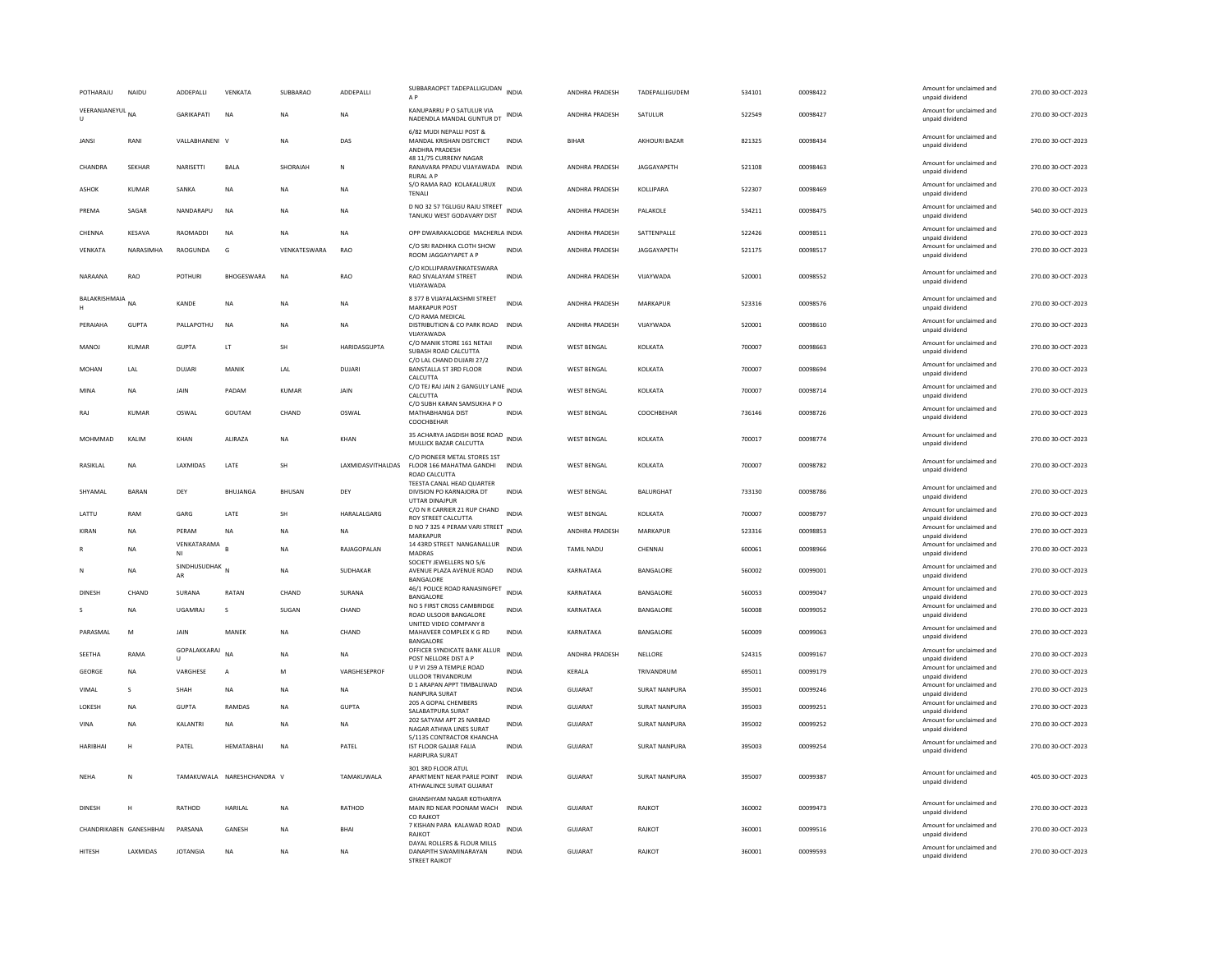| POTHARAJU               | NAIDU           | ADDEPALLI                    | VENKATA                    | SUBBARAO     | ADDEPALLI                | SUBBARAOPET TADEPALLIGUDAN<br>A P                                                  | <b>INDIA</b> | ANDHRA PRADESH        | TADEPALLIGUDEM       | 534101 | 00098422 | Amount for unclaimed and<br>unnaid dividend | 270.00 30-OCT-2023 |
|-------------------------|-----------------|------------------------------|----------------------------|--------------|--------------------------|------------------------------------------------------------------------------------|--------------|-----------------------|----------------------|--------|----------|---------------------------------------------|--------------------|
| VEERANJANEYUL NA<br>U   |                 | GARIKAPATI                   | NA                         | <b>NA</b>    | NA                       | KANUPARRU P O SATULUR VIA<br>NADENDLA MANDAL GUNTUR DT                             |              | ANDHRA PRADESH        | SATULUR              | 522549 | 00098427 | Amount for unclaimed and<br>unpaid dividend | 270.00 30-OCT-2023 |
| JANSI                   | RANI            | VALLABHANENI V               |                            | <b>NA</b>    | DAS                      | 6/82 MUDI NEPALLI POST &<br>MANDAL KRISHAN DISTCRICT<br>ANDHRA PRADESH             | INDIA        | BIHAR                 | AKHOURI BAZAR        | 821325 | 00098434 | Amount for unclaimed and<br>unpaid dividend | 270.00 30-OCT-2023 |
| CHANDRA                 | SEKHAR          | NARISETTI                    | BALA                       | SHORAIAH     | N                        | 48 11/75 CURRENY NAGAR<br>RANAVARA PPADU VIJAYAWADA INDIA<br><b>RURAL A P</b>      |              | ANDHRA PRADESH        | JAGGAYAPETH          | 521108 | 00098463 | Amount for unclaimed and<br>unpaid dividend | 270.00 30-OCT-2023 |
| ASHOK                   | KUMAR           | SANKA                        | <b>NA</b>                  | <b>NA</b>    | <b>NA</b>                | S/O RAMA RAO KOLAKALURUX<br>TENALI                                                 | <b>INDIA</b> | <b>ANDHRA PRADESH</b> | KOLLIPARA            | 522307 | 00098469 | Amount for unclaimed and<br>unpaid dividend | 270.00 30-OCT-2023 |
| PREMA                   | SAGAR           | NANDARAPU                    | <b>NA</b>                  | <b>NA</b>    | <b>NA</b>                | D NO 32 57 TGLUGU RAJU STREET<br>TANUKU WEST GODAVARY DIST                         | <b>INDIA</b> | ANDHRA PRADESH        | PALAKOLE             | 534211 | 00098475 | Amount for unclaimed and<br>unpaid dividend | 540.00 30-OCT-2023 |
| CHENNA                  | KESAVA          | <b>RAOMADDI</b>              | <b>NA</b>                  | <b>NA</b>    | <b>NA</b>                | OPP DWARAKALODGE MACHERLA INDIA                                                    |              | ANDHRA PRADESH        | SATTENPALLE          | 522426 | 00098511 | Amount for unclaimed and<br>unpaid dividend | 270.00 30-OCT-2023 |
| VENKATA                 | NARASIMHA       | RAOGUNDA                     | G                          | VENKATESWARA | RAO                      | C/O SRI RADHIKA CLOTH SHOW<br>ROOM JAGGAYYAPET A P                                 | <b>INDIA</b> | ANDHRA PRADESH        | JAGGAYAPETH          | 521175 | 00098517 | Amount for unclaimed and<br>unpaid dividend | 270.00 30-OCT-2023 |
| NARAANA                 | <b>RAO</b>      | POTHURI                      | BHOGESWARA                 | <b>NA</b>    | RAO                      | C/O KOLLIPARAVENKATESWARA<br>RAO SIVALAYAM STREET<br>VUAYAWADA                     | <b>INDIA</b> | ANDHRA PRADESH        | VIJAYWADA            | 520001 | 00098552 | Amount for unclaimed and<br>unpaid dividend | 270.00 30-OCT-2023 |
| BALAKRISHMAIA<br>H      | NA              | KANDE                        | <b>NA</b>                  | <b>NA</b>    | <b>NA</b>                | 8 377 B VIJAYALAKSHMI STREET<br><b>MARKAPUR POST</b>                               | <b>INDIA</b> | ANDHRA PRADESH        | MARKAPUR             | 523316 | 00098576 | Amount for unclaimed and<br>unpaid dividend | 270.00 30-OCT-2023 |
| PERAIAHA                | <b>GUPTA</b>    | PALLAPOTHU                   | <b>NA</b>                  | <b>NA</b>    | NA                       | C/O RAMA MEDICAL<br>DISTRIBUTION & CO PARK ROAD INDIA<br>VIJAYAWADA                |              | ANDHRA PRADESH        | VIJAYWADA            | 520001 | 00098610 | Amount for unclaimed and<br>unpaid dividend | 270.00 30-OCT-2023 |
| MANOJ                   | KUMAR           | <b>GUPTA</b>                 | LT                         | SH           | HARIDASGUPTA             | C/O MANIK STORE 161 NETAJI<br>SUBASH ROAD CALCUTTA                                 | <b>INDIA</b> | WEST BENGAL           | KOLKATA              | 700007 | 00098663 | Amount for unclaimed and<br>unpaid dividend | 270.00 30-OCT-2023 |
| MOHAN                   | LAL             | <b>DUJARI</b>                | MANIK                      | LAL          | <b>DUJARI</b>            | C/O LAL CHAND DUJARI 27/2<br>BANSTALLA ST 3RD FLOOR<br>CALCUTTA                    | <b>INDIA</b> | <b>WEST BENGAL</b>    | KOLKATA              | 700007 | 00098694 | Amount for unclaimed and<br>unpaid dividend | 270.00 30-OCT-2023 |
| MINA                    | <b>NA</b>       | JAIN                         | PADAM                      | KUMAR        | JAIN                     | C/O TEJ RAJ JAIN 2 GANGULY LANE INDIA<br>CALCUTTA                                  |              | <b>WEST BENGAL</b>    | KOLKATA              | 700007 | 00098714 | Amount for unclaimed and<br>unpaid dividend | 270.00 30-OCT-2023 |
| RAJ                     | <b>KUMAR</b>    | OSWAL                        | GOUTAM                     | CHAND        | OSWAL                    | C/O SUBH KARAN SAMSUKHA PO<br>MATHABHANGA DIST<br>COOCHBEHAR                       | <b>INDIA</b> | <b>WEST BENGAL</b>    | COOCHBEHAR           | 736146 | 00098726 | Amount for unclaimed and<br>unpaid dividend | 270.00 30-OCT-2023 |
| MOHMMAD                 | KALIM           | KHAN                         | ALIRAZA                    | <b>NA</b>    | KHAN                     | 35 ACHARYA JAGDISH BOSE ROAD<br>MULLICK BAZAR CALCUTTA                             | <b>INDIA</b> | <b>WEST BENGAL</b>    | <b>KOLKATA</b>       | 700017 | 00098774 | Amount for unclaimed and<br>unpaid dividend | 270.00.30-QCT-2023 |
| RASIKLAL                | <b>NA</b>       | <b>I AXMIDAS</b>             | <b>I ATF</b>               | <b>SH</b>    | <b>LAXMIDASVITHALDAS</b> | C/O PIONEER METAL STORES 1ST<br>FLOOR 166 MAHATMA GANDHI<br>ROAD CALCUTTA          | <b>INDIA</b> | WEST BENGAL           | KOLKATA              | 700007 | 00098782 | Amount for unclaimed and<br>unpaid dividend | 270.00 30-OCT-2023 |
| SHYAMAI                 | <b>BARAN</b>    | DEY                          | <b>BHUJANGA</b>            | BHUSAN       | DEY                      | TEESTA CANAL HEAD QUARTER<br>DIVISION PO KARNAJORA DT<br>UTTAR DINAJPUF            | <b>INDIA</b> | <b>WEST BENGAL</b>    | <b>BALURGHAT</b>     | 733130 | 00098786 | Amount for unclaimed and<br>unpaid dividend | 270.00 30-OCT-2023 |
| LATTU                   | RAM             | GARG                         | LATE                       | <b>SH</b>    | HARALALGARG              | C/O N R CARRIER 21 RUP CHAND<br>ROY STREET CALCUTTA                                | <b>INDIA</b> | <b>WEST BENGAL</b>    | KOLKATA              | 700007 | 00098797 | Amount for unclaimed and<br>unpaid dividend | 270.00 30-OCT-2023 |
| KIRAN                   | NA              | PERAM                        | $_{\sf NA}$                | <b>NA</b>    | <b>NA</b>                | D NO 7 325 4 PERAM VARI STREET INDIA<br>MARKAPUR                                   |              | ANDHRA PRADESH        | MARKAPUR             | 523316 | 00098853 | Amount for unclaimed and<br>unpaid dividend | 270.00 30-OCT-2023 |
|                         | <b>NA</b>       | VENKATARAMA<br>NI            | R                          | <b>NA</b>    | RAIAGOPALAN              | 14 43RD STREET NANGANALLUR<br><b>MADRAS</b>                                        | <b>INDIA</b> | TAMII NADU            | CHENNAL              | 600061 | 00098966 | Amount for unclaimed and<br>unpaid dividend | 270.00 30-OCT-2023 |
|                         | <b>NA</b>       | SINDHUSUDHAK<br>AR           |                            | <b>NA</b>    | SUDHAKAR                 | SOCIETY JEWELLERS NO 5/6<br>AVENUE PLAZA AVENUE ROAD<br>BANGALORE                  | <b>INDIA</b> | KARNATAKA             | BANGALORE            | 560002 | 00099001 | Amount for unclaimed and<br>unpaid dividend | 270.00 30-OCT-2023 |
| <b>DINESH</b>           | CHAND           | SURANA                       | <b>RATAN</b>               | CHAND        | SURANA                   | 46/1 POLICE ROAD RANASINGPET<br>BANGALORE                                          | <b>INDIA</b> | KARNATAKA             | BANGALORE            | 560053 | 00099047 | Amount for unclaimed and<br>unpaid dividend | 270.00 30-OCT-2023 |
|                         | <b>NA</b>       | <b>UGAMRAJ</b>               | s                          | SUGAN        | CHAND                    | NO 5 FIRST CROSS CAMBRIDGE<br>ROAD ULSOOR BANGALORE                                | INDIA        | KARNATAKA             | BANGALORE            | 560008 | 00099052 | Amount for unclaimed and<br>unpaid dividend | 270.00 30-OCT-2023 |
| PARASMAI                | M               | <b>JAIN</b>                  | MANFK                      | <b>NA</b>    | CHAND                    | UNITED VIDEO COMPANY 8<br>MAHAVEER COMPLEX K G RD<br>BANGALORE                     | <b>INDIA</b> | KARNATAKA             | <b>BANGALORE</b>     | 560009 | 00099063 | Amount for unclaimed and<br>unpaid dividend | 270.00.30-OCT-2023 |
| SEETHA                  | RAMA            | GOPALAKKARAJ<br>$\mathbf{U}$ | <b>NA</b>                  | <b>NA</b>    | NA                       | OFFICER SYNDICATE BANK ALLUR<br>POST NELLORE DIST A P                              | <b>INDIA</b> | ANDHRA PRADESH        | NELLORE              | 524315 | 00099167 | Amount for unclaimed and<br>unpaid dividend | 270.00 30-OCT-2023 |
| GEORGE                  | <b>NA</b>       | VARGHESE                     | А                          | M            | VARGHESEPROF             | U P VI 259 A TEMPLE ROAD<br>ULLOOR TRIVANDRUM                                      | <b>INDIA</b> | KERALA                | TRIVANDRUM           | 695011 | 00099179 | Amount for unclaimed and<br>unpaid dividend | 270.00 30-OCT-2023 |
| VIMAL                   | -S              | SHAH                         | <b>NA</b>                  | <b>NA</b>    | <b>NA</b>                | D 1 ARAPAN APPT TIMBALIWAD<br><b>NANPURA SURAT</b>                                 | <b>INDIA</b> | <b>GUJARAT</b>        | <b>SURAT NANPURA</b> | 395001 | 00099246 | Amount for unclaimed and<br>unpaid dividend | 270.00 30-OCT-2023 |
| LOKESH                  | <b>NA</b>       | <b>GUPTA</b>                 | RAMDAS                     | <b>NA</b>    | <b>GUPTA</b>             | 205 A GOPAL CHEMBERS<br>SALABATPURA SURAT                                          | <b>INDIA</b> | <b>GUJARAT</b>        | SURAT NANPURA        | 395003 | 00099251 | Amount for unclaimed and<br>unpaid dividend | 270.00 30-OCT-2023 |
| VINA                    | <b>NA</b>       | KALANTRI                     | <b>NA</b>                  | <b>NA</b>    | <b>NA</b>                | 202 SATYAM APT 25 NARBAD<br>NAGAR ATHWA LINES SURAT                                | <b>INDIA</b> | <b>GUJARAT</b>        | SURAT NANPURA        | 395002 | 00099252 | Amount for unclaimed and<br>unpaid dividend | 270.00 30-OCT-2023 |
| <b>HARIBHA</b>          | H               | PATEL                        | HEMATABHAI                 | <b>NA</b>    | PATEL                    | 5/1135 CONTRACTOR KHANCHA<br>IST FLOOR GAJJAR FALIA<br><b>HARIPURA SURAT</b>       | <b>INDIA</b> | GUJARAT               | <b>SURAT NANPURA</b> | 395003 | 00099254 | Amount for unclaimed and<br>unpaid dividend | 270.00 30-OCT-2023 |
| NEHA                    | N               |                              | TAMAKUWALA NARESHCHANDRA V |              | TAMAKUWALA               | 301 3RD FLOOR ATUL<br>APARTMENT NEAR PARLE POINT INDIA<br>ATHWALINCE SURAT GUJARAT |              | GUJARAT               | <b>SURAT NANPURA</b> | 395007 | 00099387 | Amount for unclaimed and<br>unpaid dividend | 405.00 30-OCT-2023 |
| <b>DINESH</b>           | н               | RATHOD                       | HARILAL                    | <b>NA</b>    | RATHOD                   | <b>GHANSHYAM NAGAR KOTHARIYA</b><br>MAIN RD NEAR POONAM WACH INDIA<br>CO RAJKOT    |              | <b>GUJARAT</b>        | RAJKOT               | 360002 | 00099473 | Amount for unclaimed and<br>unpaid dividend | 270.00 30-OCT-2023 |
| CHANDRIKABEN GANESHBHAI |                 | PARSANA                      | GANESH                     | <b>NA</b>    | <b>BHAI</b>              | 7 KISHAN PARA KALAWAD ROAD<br>RAJKOT                                               | <b>INDIA</b> | <b>GUJARAT</b>        | RAJKOT               | 360001 | 00099516 | Amount for unclaimed and<br>unpaid dividend | 270.00 30-OCT-2023 |
| <b>HITESH</b>           | <b>LAXMIDAS</b> | <b>IOTANGIA</b>              | <b>NA</b>                  | <b>NA</b>    | <b>NA</b>                | DAYAL ROLLERS & FLOUR MILLS<br>DANAPITH SWAMINARAYAN<br><b>STREET RAJKOT</b>       | <b>INDIA</b> | GUIARAT               | RAIKOT               | 360001 | 00099593 | Amount for unclaimed and<br>unpaid dividend | 270.00 30-OCT-2023 |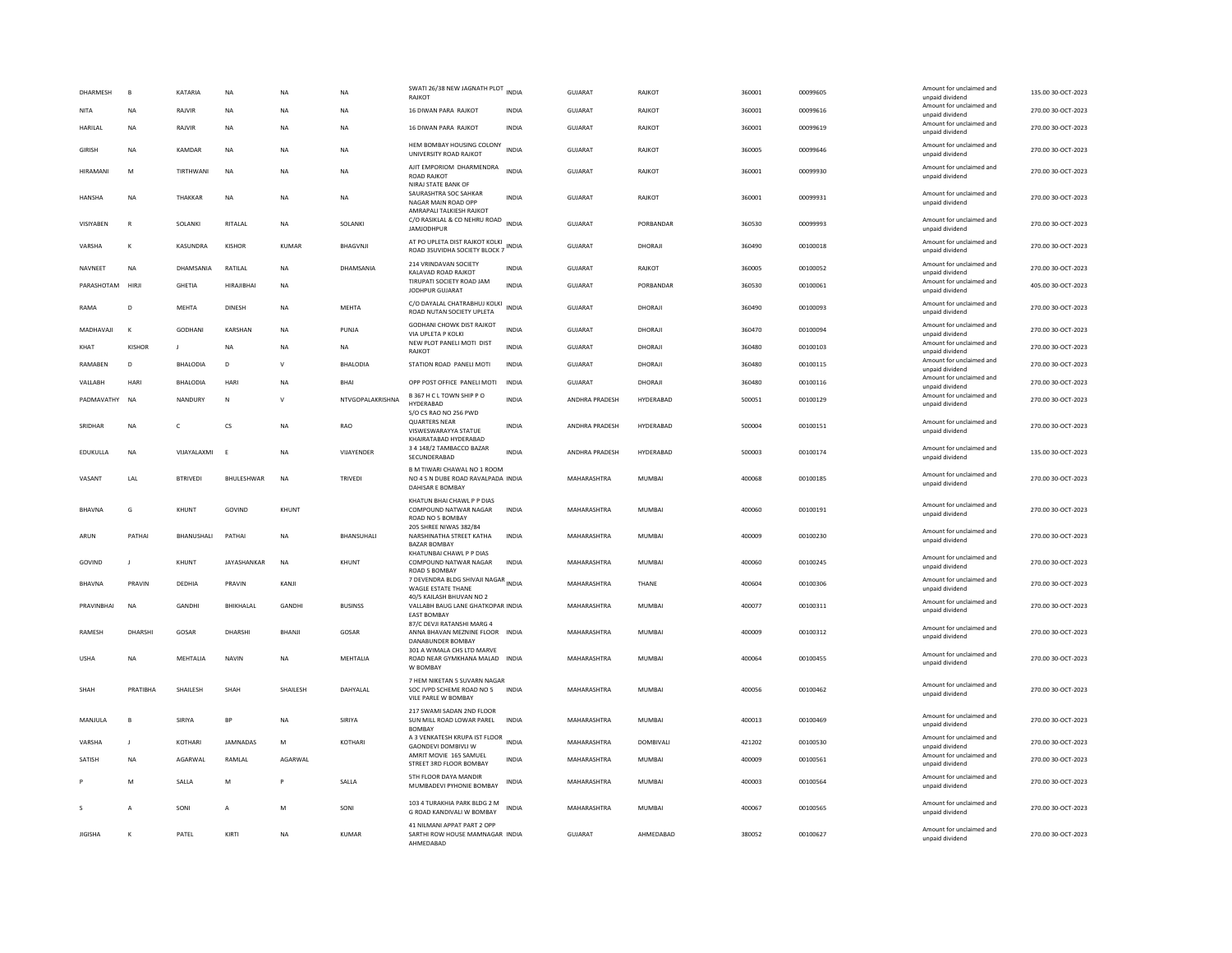| DHARMESH       | $\overline{B}$ | KATARIA         | <b>NA</b>            | <b>NA</b>    | <b>NA</b>        | SWATI 26/38 NEW JAGNATH PLOT INDIA<br>RAJKOT                                                              |              | GUJARAT        | RAJKOT        | 360001 | 00099605 | Amount for unclaimed and<br>unpaid dividend                    | 135.00 30-OCT-2023 |
|----------------|----------------|-----------------|----------------------|--------------|------------------|-----------------------------------------------------------------------------------------------------------|--------------|----------------|---------------|--------|----------|----------------------------------------------------------------|--------------------|
| <b>NITA</b>    | <b>NA</b>      | RAJVIR          | NA                   | NA           | NA               | 16 DIWAN PARA RAJKOT                                                                                      | INDIA        | GUJARAT        | RAJKOT        | 360001 | 00099616 | Amount for unclaimed and<br>unpaid dividend                    | 270.00 30-OCT-2023 |
| <b>HARILAL</b> | <b>NA</b>      | RAJVIR          | <b>NA</b>            | <b>NA</b>    | <b>NA</b>        | 16 DIWAN PARA RAJKOT                                                                                      | <b>INDIA</b> | GUJARAT        | RAJKOT        | 360001 | 00099619 | Amount for unclaimed and<br>unpaid dividend                    | 270.00 30-OCT-2023 |
| <b>GIRISH</b>  | <b>NA</b>      | KAMDAR          | <b>NA</b>            | <b>NA</b>    | <b>NA</b>        | HEM BOMBAY HOUSING COLONY<br>UNIVERSITY ROAD RAJKOT                                                       | <b>INDIA</b> | <b>GUJARAT</b> | RAJKOT        | 360005 | 00099646 | Amount for unclaimed and<br>unpaid dividend                    | 270.00 30-OCT-2023 |
| HIRAMANI       | M              | TIRTHWANI       | NA                   | <b>NA</b>    | NA               | AJIT EMPORIOM DHARMENDRA<br><b>ROAD RAJKOT</b><br>NIRAJ STATE BANK OF                                     | <b>INDIA</b> | GUJARAT        | RAJKOT        | 360001 | 00099930 | Amount for unclaimed and<br>unpaid dividend                    | 270.00 30-OCT-2023 |
| <b>HANSHA</b>  | <b>NA</b>      | THAKKAR         | <b>NA</b>            | <b>NA</b>    | <b>NA</b>        | SAURASHTRA SOC SAHKAR<br>NAGAR MAIN ROAD OPP<br>AMRAPALI TALKIESH RAJKOT                                  | <b>INDIA</b> | GUIARAT        | RAJKOT        | 360001 | 00099931 | Amount for unclaimed and<br>unpaid dividend                    | 270.00 30-OCT-2023 |
| VISIYABEN      | $\mathbb{R}$   | SOLANKI         | RITALAL              | <b>NA</b>    | SOLANKI          | C/O RASIKLAL & CO NEHRU ROAD INDIA<br><b>JAMJODHPUR</b>                                                   |              | GUJARAT        | PORBANDAR     | 360530 | 00099993 | Amount for unclaimed and<br>unpaid dividend                    | 270.00 30-OCT-2023 |
| VARSHA         | K              | KASUNDRA        | KISHOR               | KUMAR        | <b>BHAGVNIL</b>  | AT PO UPLETA DIST RAJKOT KOLKI<br>ROAD 3SUVIDHA SOCIETY BLOCK 7                                           | <b>INDIA</b> | GUIARAT        | DHORAIL       | 360490 | 00100018 | Amount for unclaimed and<br>unpaid dividend                    | 270.00 30-OCT-2023 |
| NAVNEET        | <b>NA</b>      | DHAMSANIA       | RATILAL              | <b>NA</b>    | DHAMSANIA        | 214 VRINDAVAN SOCIETY<br>KALAVAD ROAD RAJKOT                                                              | <b>INDIA</b> | GUJARAT        | RAJKOT        | 360005 | 00100052 | Amount for unclaimed and<br>unpaid dividend                    | 270.00 30-OCT-2023 |
| PARASHOTAM     | HIRJI          | GHETIA          | <b>HIRAJIBHAI</b>    | NA           |                  | TIRUPATI SOCIETY ROAD JAM<br>JODHPUR GUJARAT                                                              | <b>INDIA</b> | GUJARAT        | PORBANDAR     | 360530 | 00100061 | Amount for unclaimed and<br>unpaid dividend                    | 405.00 30-OCT-2023 |
| RAMA           | D              | MEHTA           | <b>DINESH</b>        | NA           | MEHTA            | C/O DAYALAL CHATRABHUJ KOLKI<br>ROAD NUTAN SOCIETY UPLETA                                                 | INDIA        | GUJARAT        | DHORAJI       | 360490 | 00100093 | Amount for unclaimed and<br>unpaid dividend                    | 270.00 30-OCT-2023 |
| MADHAVAJI      | K              | <b>GODHANI</b>  | KARSHAN              | <b>NA</b>    | PUNJA            | GODHANI CHOWK DIST RAJKOT<br>VIA UPLETA P KOLKI                                                           | <b>INDIA</b> | <b>GUJARAT</b> | DHORAJI       | 360470 | 00100094 | Amount for unclaimed and<br>unpaid dividend                    | 270.00 30-OCT-2023 |
| KHAT           | <b>KISHOR</b>  |                 | <b>NA</b>            | <b>NA</b>    | <b>NA</b>        | NEW PLOT PANELI MOTI DIST<br><b>RAJKOT</b>                                                                | <b>INDIA</b> | GUJARAT        | DHORAJI       | 360480 | 00100103 | Amount for unclaimed and<br>unpaid dividend                    | 270.00 30-OCT-2023 |
| RAMABEN        | D              | <b>BHALODIA</b> | D                    | $\mathsf{v}$ | <b>BHALODIA</b>  | STATION ROAD PANELI MOTI                                                                                  | INDIA        | GUJARAT        | DHORAJI       | 360480 | 00100115 | Amount for unclaimed and<br>unpaid dividend                    | 270.00 30-OCT-2023 |
| VALLABH        | HARI           | BHALODIA        | <b>HAR</b>           | <b>NA</b>    | <b>BHA</b>       | OPP POST OFFICE PANELI MOTI                                                                               | <b>INDIA</b> | <b>GUJARAT</b> | DHORAJI       | 360480 | 00100116 | Amount for unclaimed and<br>unpaid dividend                    | 270.00 30-OCT-2023 |
| PADMAVATHY     | <b>NA</b>      | NANDURY         | N                    | $\mathsf{V}$ | NTVGOPALAKRISHNA | B 367 H C L TOWN SHIP P O<br>HYDERABAD<br>S/O CS RAO NO 256 PWD                                           | <b>INDIA</b> | ANDHRA PRADESH | HYDERABAD     | 500051 | 00100129 | Amount for unclaimed and<br>unpaid dividend                    | 270.00 30-OCT-2023 |
| SRIDHAR        | <b>NA</b>      | c               | $\mathsf{CS}\xspace$ | NA           | RAO              | <b>QUARTERS NEAR</b><br>VISWESWARAYYA STATUE<br>KHAIRATABAD HYDERABAD                                     | <b>INDIA</b> | ANDHRA PRADESH | HYDERABAD     | 500004 | 00100151 | Amount for unclaimed and<br>unpaid dividend                    | 270.00 30-OCT-2023 |
| EDUKULLA       | NA             | VIJAYALAXMI     | E                    | <b>NA</b>    | VIJAYENDER       | 3 4 148/2 TAMBACCO BAZAR<br>SECUNDERABAD                                                                  | <b>INDIA</b> | ANDHRA PRADESH | HYDERABAD     | 500003 | 00100174 | Amount for unclaimed and<br>unpaid dividend                    | 135.00 30-OCT-2023 |
|                |                |                 |                      |              |                  | B M TIWARI CHAWAL NO 1 ROOM                                                                               |              |                |               |        |          |                                                                |                    |
| VASANT         | LAL            | <b>BTRIVEDI</b> | BHULESHWAR           | <b>NA</b>    | TRIVEDI          | NO 4 S N DUBE ROAD RAVALPADA INDIA<br>DAHISAR E BOMBAY                                                    |              | MAHARASHTRA    | <b>MUMBAI</b> | 400068 | 00100185 | Amount for unclaimed and<br>unpaid dividend                    | 270.00 30-OCT-2023 |
| <b>BHAVNA</b>  | G              | KHUNT           | GOVIND               | <b>KHUNT</b> |                  | KHATUN BHAI CHAWL P P DIAS<br>COMPOUND NATWAR NAGAR<br>ROAD NO 5 BOMBAY                                   | <b>INDIA</b> | MAHARASHTRA    | <b>MUMBAI</b> | 400060 | 00100191 | Amount for unclaimed and<br>unpaid dividend                    | 270.00 30-OCT-2023 |
| ARUN           | PATHAI         | BHANUSHALI      | PATHAI               | <b>NA</b>    | BHANSUHALI       | 205 SHREE NIWAS 382/84<br>NARSHINATHA STREET KATHA<br><b>BAZAR BOMBA</b>                                  | <b>INDIA</b> | MAHARASHTRA    | MUMBAI        | 400009 | 00100230 | Amount for unclaimed and<br>unpaid dividend                    | 270.00 30-OCT-2023 |
| GOVIND         | $\mathbf{I}$   | KHUNT           | JAYASHANKAR          | NA           | KHUNT            | KHATUNBAI CHAWL P P DIAS<br>COMPOUND NATWAR NAGAR<br>ROAD 5 BOMBAY                                        | <b>INDIA</b> | MAHARASHTRA    | MUMBAI        | 400060 | 00100245 | Amount for unclaimed and<br>unpaid dividend                    | 270.00 30-OCT-2023 |
| <b>BHAVNA</b>  | PRAVIN         | DEDHIA          | PRAVIN               | KANJI        |                  | 7 DEVENDRA BLDG SHIVAJI NAGAR INDIA                                                                       |              | MAHARASHTRA    | THANE         | 400604 | 00100306 | Amount for unclaimed and                                       | 270.00 30-OCT-2023 |
| PRAVINBHAI     | <b>NA</b>      | GANDHI          | BHIKHALAL            | GANDHI       | <b>BUSINSS</b>   | WAGLE ESTATE THANE<br>40/5 KAILASH BHUVAN NO 2<br>VALLABH BAUG LANE GHATKOPAR INDIA<br><b>FAST BOMBAY</b> |              | MAHARASHTRA    | <b>MUMBAI</b> | 400077 | 00100311 | unpaid dividend<br>Amount for unclaimed and<br>unpaid dividend | 270.00 30-OCT-2023 |
| <b>RAMESH</b>  | DHARSHI        | GOSAR           | <b>DHARSHI</b>       | BHANJI       | GOSAR            | 87/C DEVJI RATANSHI MARG 4<br>ANNA BHAVAN MEZNINE FLOOR                                                   | <b>INDIA</b> | MAHARASHTRA    | <b>MUMBAI</b> | 400009 | 00100312 | Amount for unclaimed and<br>unpaid dividend                    | 270.00 30-OCT-2023 |
| <b>USHA</b>    | <b>NA</b>      | MEHTALIA        | <b>NAVIN</b>         | <b>NA</b>    | MEHTALIA         | DANABUNDER BOMBAY<br>301 A WIMALA CHS LTD MARVE<br>ROAD NEAR GYMKHANA MALAD INDIA<br>W BOMBAY             |              | MAHARASHTRA    | <b>MUMBAI</b> | 400064 | 00100455 | Amount for unclaimed and<br>unpaid dividend                    | 270.00 30-OCT-2023 |
| SHAH           | PRATIBHA       | SHAILESH        | SHAH                 | SHAILESH     | DAHYALAL         | 7 HEM NIKETAN 5 SUVARN NAGAR<br>SOC JVPD SCHEME ROAD NO 5<br>VILE PARLE W BOMBAY                          | <b>INDIA</b> | MAHARASHTRA    | MUMBAI        | 400056 | 00100462 | Amount for unclaimed and<br>unpaid dividend                    | 270.00 30-OCT-2023 |
| MANJULA        | B              | SIRIYA          | <b>BP</b>            | <b>NA</b>    | SIRIYA           | 217 SWAMI SADAN 2ND FLOOR<br>SUN MILL ROAD LOWAR PAREL                                                    | INDIA        | MAHARASHTRA    | MUMBAI        | 400013 | 00100469 | Amount for unclaimed and<br>unpaid dividend                    | 270.00 30-OCT-2023 |
| VARSHA         | $\mathbf{I}$   | KOTHARI         | <b>IAMNADAS</b>      | M            | KOTHARI          | <b>BOMBA</b><br>A 3 VENKATESH KRUPA IST FLOOR                                                             | <b>INDIA</b> | MAHARASHTRA    | DOMBIVALI     | 421202 | 00100530 | Amount for unclaimed and                                       | 270.00 30-OCT-2023 |
| SATISH         | <b>NA</b>      | AGARWAL         | RAMLAL               | AGARWAL      |                  | <b>GAONDEVI DOMBIVLI W</b><br>AMRIT MOVIE 165 SAMUEL<br>STREET 3RD FLOOR BOMBAY                           | <b>INDIA</b> | MAHARASHTRA    | MUMBAI        | 400009 | 00100561 | unpaid dividend<br>Amount for unclaimed and<br>unpaid dividend | 270.00 30-OCT-2023 |
|                | M              | SALLA           | M                    |              | SALLA            | 5TH FLOOR DAYA MANDIR<br>MUMBADEVI PYHONIE BOMBAY                                                         | INDIA        | MAHARASHTRA    | <b>MUMBAI</b> | 400003 | 00100564 | Amount for unclaimed and<br>unpaid dividend                    | 270.00 30-OCT-2023 |
| $\sim$         | A              | SONI            | A                    | M            | SONI             | 103 4 TURAKHIA PARK BLDG 2 M<br>G ROAD KANDIVALI W BOMBAY                                                 | <b>INDIA</b> | MAHARASHTRA    | <b>MUMBAI</b> | 400067 | 00100565 | Amount for unclaimed and<br>unpaid dividend                    | 270.00 30-OCT-2023 |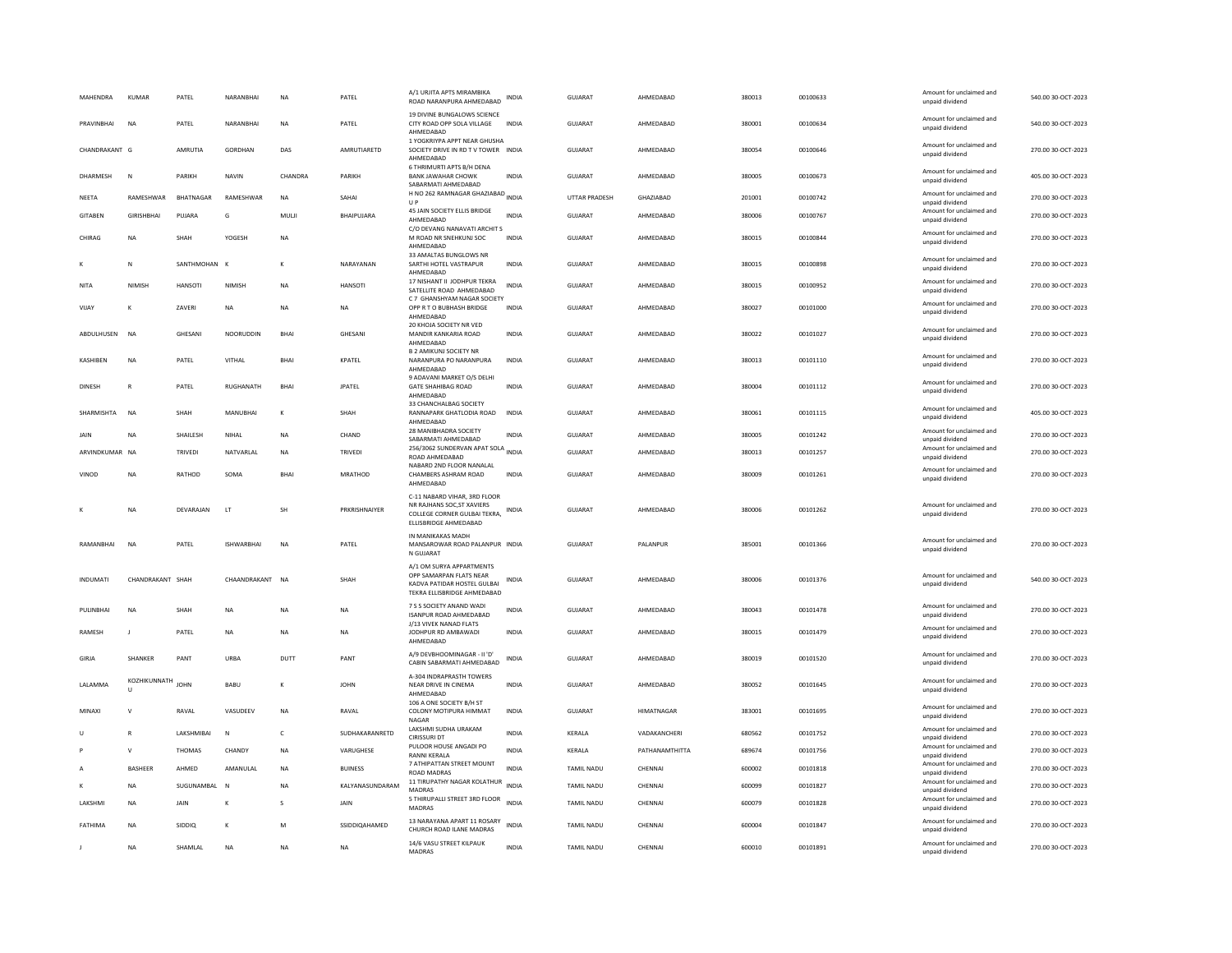| MAHENDRA           | <b>KUMAR</b>                 | PATEL            | NARANBHAI         | <b>NA</b>   | PATEL           | A/1 URJITA APTS MIRAMBIKA<br>ROAD NARANPURA AHMEDABAD                               | INDIA        | <b>GUJARAT</b>    | AHMEDABAD      | 380013 | 00100633 | Amount for unclaimed and<br>unpaid dividend | 540.00 30-OCT-2023 |
|--------------------|------------------------------|------------------|-------------------|-------------|-----------------|-------------------------------------------------------------------------------------|--------------|-------------------|----------------|--------|----------|---------------------------------------------|--------------------|
| PRAVINBHAI         | <b>NA</b>                    | PATEL            | NARANBHAI         | <b>NA</b>   | PATEL           | 19 DIVINE BUNGALOWS SCIENCE<br>CITY ROAD OPP SOLA VILLAGE<br>AHMEDABAD              | <b>INDIA</b> | <b>GUJARAT</b>    | AHMEDABAD      | 380001 | 00100634 | Amount for unclaimed and<br>unpaid dividend | 540.00 30-OCT-2023 |
| CHANDRAKANT G      |                              | AMRUTIA          | <b>GORDHAN</b>    | DAS         | AMRUTIARETD     | 1 YOGKRIYPA APPT NEAR GHUSHA<br>SOCIETY DRIVE IN RD TV TOWER INDIA<br>AHMEDABAD     |              | GUJARAT           | AHMEDABAD      | 380054 | 00100646 | Amount for unclaimed and<br>unpaid dividend | 270.00 30-OCT-2023 |
| DHARMESH           | N                            | PARIKH           | <b>NAVIN</b>      | CHANDRA     | PARIKH          | 6 THRIMURTI APTS B/H DENA<br><b>BANK JAWAHAR CHOWK</b><br>SABARMATI AHMEDABAD       | <b>INDIA</b> | <b>GUJARAT</b>    | AHMEDABAD      | 380005 | 00100673 | Amount for unclaimed and<br>unpaid dividend | 405.00 30-OCT-2023 |
| <b>NEETA</b>       | RAMESHWAR                    | <b>BHATNAGAR</b> | RAMESHWAR         | <b>NA</b>   | SAHAI           | H NO 262 RAMNAGAR GHAZIABAD INDIA<br>U P                                            |              | UTTAR PRADESH     | GHAZIABAD      | 201001 | 00100742 | Amount for unclaimed and<br>unpaid dividend | 270.00 30-OCT-2023 |
| GITABEN            | <b>GIRISHBHAI</b>            | PUJARA           | G                 | MULJI       | BHAIPUJARA      | 45 JAIN SOCIETY ELLIS BRIDGE<br>AHMEDABAD                                           | <b>INDIA</b> | GUJARAT           | AHMEDABAD      | 380006 | 00100767 | Amount for unclaimed and<br>unpaid dividend | 270.00 30-OCT-2023 |
| CHIRAG             | <b>NA</b>                    | SHAH             | YOGESH            | NA          |                 | C/O DEVANG NANAVATI ARCHIT S<br>M ROAD NR SNEHKUNJ SOC<br>AHMEDABAD                 | <b>INDIA</b> | GUJARAT           | AHMEDABAD      | 380015 | 00100844 | Amount for unclaimed and<br>unpaid dividend | 270.00 30-OCT-2023 |
|                    | N                            | SANTHMOHAN K     |                   | $\kappa$    | NARAYANAN       | 33 AMALTAS BUNGLOWS NR<br>SARTHI HOTEL VASTRAPUR<br>AHMEDABAD                       | <b>INDIA</b> | <b>GUJARAT</b>    | AHMEDABAD      | 380015 | 00100898 | Amount for unclaimed and<br>unpaid dividend | 270.00 30-OCT-2023 |
| NITA               | <b>NIMISH</b>                | <b>HANSOTI</b>   | <b>NIMISH</b>     | <b>NA</b>   | <b>HANSOTI</b>  | 17 NISHANT II JODHPUR TEKRA<br>SATELLITE ROAD AHMEDABAD                             | <b>INDIA</b> | GUJARAT           | AHMEDABAD      | 380015 | 00100952 | Amount for unclaimed and<br>unpaid dividend | 270.00 30-OCT-2023 |
| VIJAY              | К                            | ZAVERI           | <b>NA</b>         | <b>NA</b>   | <b>NA</b>       | C 7 GHANSHYAM NAGAR SOCIETY<br>OPP R T O BUBHASH BRIDGE                             | <b>INDIA</b> | GUJARAT           | AHMEDABAD      | 380027 | 00101000 | Amount for unclaimed and                    | 270.00 30-OCT-2023 |
|                    |                              |                  |                   |             |                 | AHMEDABAD                                                                           |              |                   |                |        |          | unpaid dividend                             |                    |
| <b>ARDUI HUSEN</b> | NA                           | <b>GHFSANI</b>   | <b>NOORLIDDIN</b> | <b>BHAI</b> | <b>GHFSANI</b>  | 20 KHOJA SOCIETY NR VED<br>MANDIR KANKARIA ROAD<br>AHMEDABAD                        | <b>INDIA</b> | GUIARAT           | AHMFDARAD      | 380022 | 00101027 | Amount for unclaimed and<br>unpaid dividend | 270.00.30-OCT-2023 |
| KASHIBEN           | <b>NA</b>                    | PATEL            | VITHAL            | BHAI        | KPATEL          | <b>B 2 AMIKUNJ SOCIETY NR</b><br>NARANPURA PO NARANPURA<br>AHMEDABAD                | INDIA        | GUJARAT           | AHMEDABAD      | 380013 | 00101110 | Amount for unclaimed and<br>unpaid dividend | 270.00 30-OCT-2023 |
|                    |                              |                  |                   |             |                 | 9 ADAVANI MARKET O/S DELHI                                                          |              |                   |                |        |          | Amount for unclaimed and                    |                    |
| DINESH             | $\mathbb{R}$                 | PATEL            | RUGHANATH         | BHAI        | <b>JPATEL</b>   | <b>GATE SHAHIBAG ROAD</b><br>AHMEDABAD                                              | INDIA        | GUJARAT           | AHMEDABAD      | 380004 | 00101112 | unpaid dividend                             | 270.00 30-OCT-2023 |
| SHARMISHTA         | <b>NA</b>                    | SHAH             | MANUBHA           | $\kappa$    | SHAH            | 33 CHANCHALBAG SOCIETY<br>RANNAPARK GHATLODIA ROAD<br>AHMFDARAD                     | <b>INDIA</b> | <b>GUJARAT</b>    | AHMEDABAD      | 380061 | 00101115 | Amount for unclaimed and<br>unpaid dividend | 405.00 30-OCT-2023 |
| <b>JAIN</b>        | <b>NA</b>                    | SHAILESH         | NIHAI             | <b>NA</b>   | CHAND           | 28 MANIBHADRA SOCIETY<br>SABARMATI AHMEDABAD                                        | <b>INDIA</b> | GUIARAT           | AHMFDARAD      | 380005 | 00101242 | Amount for unclaimed and<br>unpaid dividend | 270.00 30-OCT-2023 |
| ARVINDKUMAR NA     |                              | <b>TRIVEDI</b>   | NATVARIAI         | <b>NA</b>   | <b>TRIVEDI</b>  | 256/3062 SUNDERVAN APAT SOLA INDIA<br>ROAD AHMEDABAD                                |              | GUIARAT           | AHMEDARAD      | 380013 | 00101257 | Amount for unclaimed and<br>unpaid dividend | 270.00.30-OCT-2023 |
| VINOD              | <b>NA</b>                    | RATHOD           | SOMA              | BHAI        | <b>MRATHOD</b>  | NABARD 2ND FLOOR NANALAL<br>CHAMBERS ASHRAM ROAD<br>AHMEDABAD                       | <b>INDIA</b> | GUJARAT           | AHMEDABAD      | 380009 | 00101261 | Amount for unclaimed and<br>unpaid dividend | 270.00 30-OCT-2023 |
|                    |                              |                  |                   |             |                 | C-11 NABARD VIHAR, 3RD FLOOR                                                        |              |                   |                |        |          |                                             |                    |
|                    | <b>NA</b>                    | DEVARAIAN        | 1T                | <b>SH</b>   | PRKRISHNAIYER   | NR RAJHANS SOC, ST XAVIERS<br>COLLEGE CORNER GULBAI TEKRA.<br>ELLISBRIDGE AHMEDABAD | INDIA        | GUIARAT           | AHMEDARAD      | 380006 | 00101262 | Amount for unclaimed and<br>unpaid dividend | 270.00.30-OCT-2023 |
|                    |                              |                  |                   |             |                 | IN MANIKAKAS MADH                                                                   |              |                   |                |        |          |                                             |                    |
| RAMANBHAI          | <b>NA</b>                    | PATEL            | <b>ISHWARBHAI</b> | <b>NA</b>   | PATEL           | MANSAROWAR ROAD PALANPUR INDIA<br>N GUJARAT                                         |              | GUJARAT           | PALANPUR       | 385001 | 00101366 | Amount for unclaimed and<br>unpaid dividend | 270.00 30-OCT-2023 |
|                    |                              |                  |                   |             |                 | A/1 OM SURYA APPARTMENTS<br>OPP SAMARPAN FLATS NEAR                                 |              |                   |                |        |          | Amount for unclaimed and                    |                    |
| <b>INDUMATI</b>    | CHANDRAKANT SHAH             |                  | CHAANDRAKANT      | NA          | SHAH            | KADVA PATIDAR HOSTEL GULBAI<br>TEKRA ELLISBRIDGE AHMEDABAD                          | INDIA        | GUJARAT           | AHMEDABAD      | 380006 | 00101376 | unpaid dividend                             | 540.00 30-OCT-2023 |
| PULINBHAI          | <b>NA</b>                    | SHAH             | NA                | <b>NA</b>   | <b>NA</b>       | 7 S S SOCIETY ANAND WADI<br>ISANPUR ROAD AHMEDARAD                                  | INDIA        | GUJARAT           | AHMEDABAD      | 380043 | 00101478 | Amount for unclaimed and<br>unpaid dividend | 270.00 30-OCT-2023 |
| <b>RAMESH</b>      | $\blacksquare$               | PATEL            | <b>NA</b>         | <b>NA</b>   | <b>NA</b>       | J/13 VIVEK NANAD FLATS<br>JODHPUR RD AMBAWADI<br>AHMEDABAD                          | <b>INDIA</b> | GUJARAT           | AHMEDABAD      | 380015 | 00101479 | Amount for unclaimed and<br>unpaid dividend | 270.00 30-OCT-2023 |
| GIRJA              | <b>SHANKER</b>               | PANT             | URBA              | DUTT        | PANT            | A/9 DEVBHOOMINAGAR - II 'D'<br>CABIN SABARMATI AHMEDABAD                            | <b>INDIA</b> | GUJARAT           | AHMEDABAD      | 380019 | 00101520 | Amount for unclaimed and<br>unpaid dividend | 270.00 30-OCT-2023 |
| LALAMMA            | KOZHIKUNNATH<br>$\mathbf{u}$ | <b>JOHN</b>      | BABU              | к           | <b>JOHN</b>     | A-304 INDRAPRASTH TOWERS<br>NEAR DRIVE IN CINEMA                                    | <b>INDIA</b> | <b>GUJARAT</b>    | AHMEDABAD      | 380052 | 00101645 | Amount for unclaimed and<br>unpaid dividend | 270.00 30-OCT-2023 |
| MINAXI             | $\mathsf{V}$                 | RAVAL            | VASUDEEV          | NA          | RAVAL           | AHMEDABAD<br>106 A ONE SOCIETY B/H ST<br>COLONY MOTIPURA HIMMAT                     | <b>INDIA</b> | GUJARAT           | HIMATNAGAR     | 383001 | 00101695 | Amount for unclaimed and                    | 270.00 30-OCT-2023 |
|                    |                              |                  |                   |             |                 | <b>NAGAR</b><br>LAKSHMI SUDHA URAKAM                                                |              |                   |                |        |          | unpaid dividend<br>Amount for unclaimed and |                    |
| $\cup$             | $\mathbb{R}$                 | LAKSHMIBAI       | N                 | $\epsilon$  | SUDHAKARANRETD  | CIRISSURI DT                                                                        | <b>INDIA</b> | KERALA            | VADAKANCHERI   | 680562 | 00101752 | unpaid dividend                             | 270.00 30-OCT-2023 |
|                    | $\mathsf{V}$                 | <b>THOMAS</b>    | CHANDY            | <b>NA</b>   | VARUGHESE       | PULOOR HOUSE ANGADI PO<br>RANNI KERALA                                              | <b>INDIA</b> | KERALA            | PATHANAMTHITTA | 689674 | 00101756 | Amount for unclaimed and<br>unpaid dividend | 270.00 30-OCT-2023 |
|                    | <b>BASHEER</b>               | AHMED            | AMANULAL          | NA          | <b>BUINESS</b>  | 7 ATHIPATTAN STREET MOUNT<br>ROAD MADRAS                                            | <b>INDIA</b> | TAMIL NADU        | CHENNAI        | 600002 | 00101818 | Amount for unclaimed and<br>unpaid dividend | 270.00 30-OCT-2023 |
|                    | <b>NA</b>                    | SUGUNAMBAL       |                   | <b>NA</b>   | KALYANASUNDARAM | 11 TIRUPATHY NAGAR KOLATHUR<br>MADRAS                                               | INDIA        | TAMIL NADU        | CHENNAI        | 600099 | 00101827 | Amount for unclaimed and<br>unpaid dividend | 270.00 30-OCT-2023 |
| LAKSHMI            | <b>NA</b>                    | JAIN             | K                 | s           | JAIN            | 5 THIRUPALLI STREET 3RD FLOOR<br>MADRAS                                             | <b>INDIA</b> | TAMIL NADU        | CHENNAI        | 600079 | 00101828 | Amount for unclaimed and<br>unpaid dividend | 270.00 30-OCT-2023 |
| FATHIMA            | <b>NA</b>                    | SIDDIO           | К                 | M           | SSIDDIQAHAMED   | 13 NARAYANA APART 11 ROSARY<br>CHURCH ROAD ILANE MADRAS                             | <b>INDIA</b> | <b>TAMIL NADU</b> | CHENNAI        | 600004 | 00101847 | Amount for unclaimed and<br>unpaid dividend | 270.00 30-OCT-2023 |
| J                  | <b>NA</b>                    | SHAMLAL          | <b>NA</b>         | <b>NA</b>   | <b>NA</b>       | 14/6 VASU STREET KILPAUK<br>MADRAS                                                  | <b>INDIA</b> | <b>TAMIL NADU</b> | CHENNAI        | 600010 | 00101891 | Amount for unclaimed and<br>unpaid dividend | 270.00 30-OCT-2023 |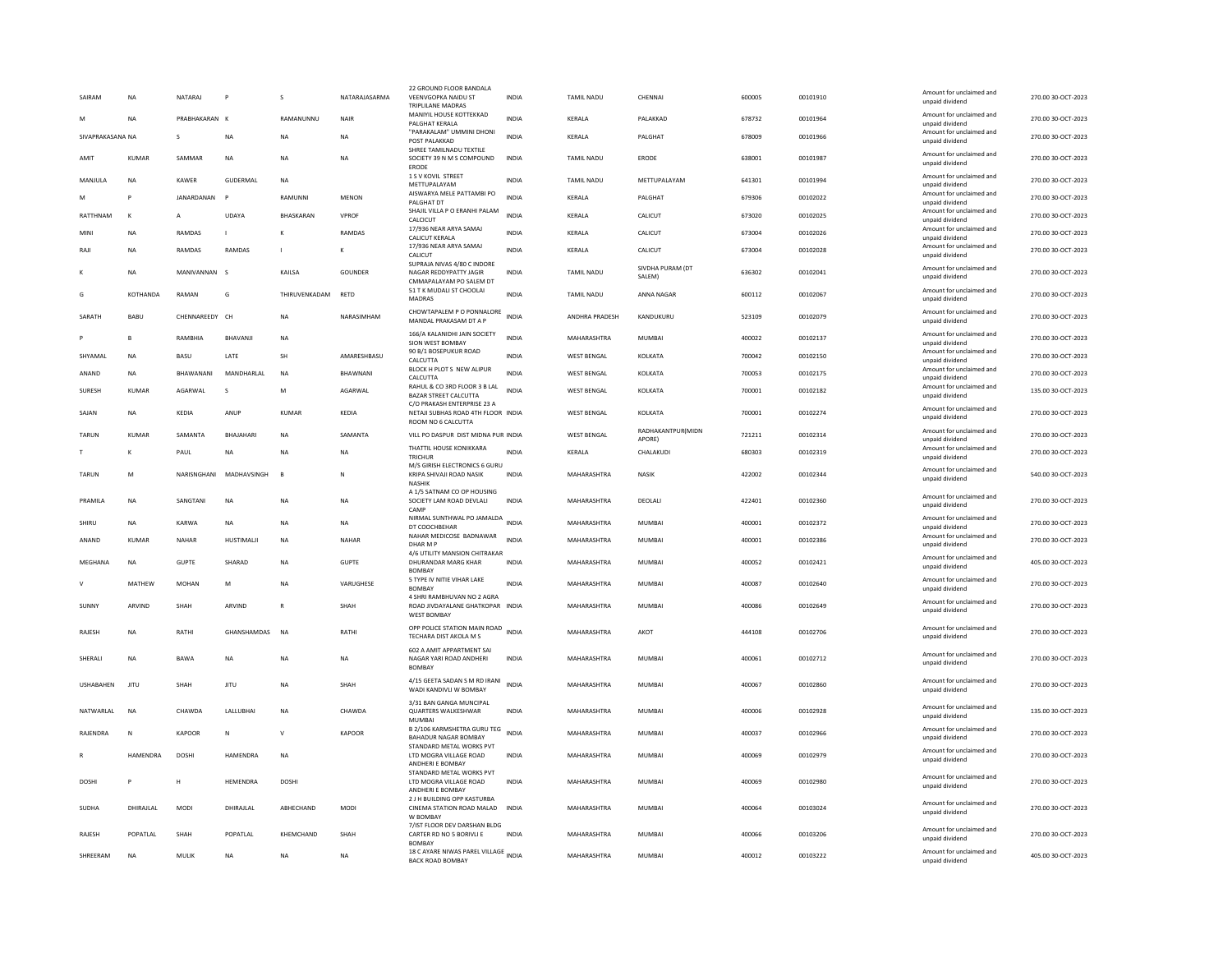| SAIRAM           | <b>NA</b>       | NATARAJ        | P                       | s             | NATARAJASARMA  | 22 GROUND FLOOR BANDALA<br>VEENVGOPKA NAIDU ST<br>TRIPLILANE MADRAS                | <b>INDIA</b> | TAMIL NADU         | CHENNAI                      | 600005 | 00101910 | Amount for unclaimed and<br>unpaid dividend | 270.00 30-OCT-2023 |
|------------------|-----------------|----------------|-------------------------|---------------|----------------|------------------------------------------------------------------------------------|--------------|--------------------|------------------------------|--------|----------|---------------------------------------------|--------------------|
|                  | <b>NA</b>       | PRABHAKARAN K  |                         | RAMANUNNU     | NAIR           | MANIYIL HOUSE KOTTEKKAD<br>PALGHAT KERALA                                          | <b>INDIA</b> | KERALA             | PALAKKAD                     | 678732 | 00101964 | Amount for unclaimed and<br>unpaid dividend | 270.00 30-OCT-2023 |
| SIVAPRAKASANA NA |                 | s              | NA                      | <b>NA</b>     | NA             | "PARAKALAM" UMMINI DHONI<br>POST PALAKKAD                                          | <b>INDIA</b> | KERALA             | PALGHAT                      | 678009 | 00101966 | Amount for unclaimed and<br>unpaid dividend | 270.00 30-OCT-2023 |
| AMIT             | <b>KUMAR</b>    | SAMMAR         | <b>NA</b>               | <b>NA</b>     | <b>NA</b>      | SHREE TAMILNADU TEXTILE<br>SOCIETY 39 N M S COMPOUND<br>ERODE                      | <b>INDIA</b> | <b>TAMIL NADU</b>  | <b>ERODE</b>                 | 638001 | 00101987 | Amount for unclaimed and<br>unpaid dividend | 270.00 30-OCT-2023 |
| MANJULA          | <b>NA</b>       | KAWER          | GUDERMAL                | <b>NA</b>     |                | 1 S V KOVIL STREET<br>METTUPALAYAM                                                 | <b>INDIA</b> | <b>TAMIL NADU</b>  | METTUPALAYAM                 | 641301 | 00101994 | Amount for unclaimed and<br>unpaid dividend | 270.00 30-OCT-2023 |
| M                | P               | JANARDANAN     | $\mathsf{P}$            | RAMUNNI       | <b>MENON</b>   | AISWARYA MELE PATTAMBI PO<br>PALGHAT DT                                            | <b>INDIA</b> | KERALA             | PALGHAT                      | 679306 | 00102022 | Amount for unclaimed and<br>unpaid dividend | 270.00 30-OCT-2023 |
| RATTHNAM         | $\mathsf{K}$    | $\mathsf{A}$   | UDAYA                   | BHASKARAN     | VPROF          | SHAJIL VILLA P O ERANHI PALAM<br>CALCICUT                                          | <b>INDIA</b> | KERALA             | CALICUT                      | 673020 | 00102025 | Amount for unclaimed and<br>unpaid dividend | 270.00 30-OCT-2023 |
| MIN              | <b>NA</b>       | RAMDAS         |                         |               | RAMDAS         | 17/936 NEAR ARYA SAMAJ<br><b>CALICUT KERALA</b>                                    | <b>INDIA</b> | KERALA             | CALICUT                      | 673004 | 00102026 | Amount for unclaimed and<br>unpaid dividend | 270.00 30-OCT-2023 |
| RAIL             | NA              | <b>RAMDAS</b>  | <b>RAMDAS</b>           |               | Κ              | 17/936 NEAR ARYA SAMAJ<br>CALICUT                                                  | <b>INDIA</b> | KERALA             | CALICUT                      | 673004 | 00102028 | Amount for unclaimed and<br>unpaid dividend | 270.00 30-OCT-2023 |
|                  | <b>NA</b>       | MANIVANNAN S   |                         | KAILSA        | <b>GOUNDER</b> | SUPRAJA NIVAS 4/80 C INDORE<br>NAGAR REDDYPATTY JAGIR                              | <b>INDIA</b> | <b>TAMIL NADU</b>  | SIVDHA PURAM (DT<br>SALEM)   | 636302 | 00102041 | Amount for unclaimed and<br>unpaid dividend | 270.00 30-OCT-2023 |
| G                | KOTHANDA        | RAMAN          | G                       | THIRUVENKADAM | <b>RETD</b>    | CMMAPALAYAM PO SALEM DT<br>51 T K MUDALI ST CHOOLAI<br>MADRAS                      | <b>INDIA</b> | <b>TAMIL NADU</b>  | ANNA NAGAR                   | 600112 | 00102067 | Amount for unclaimed and<br>unpaid dividend | 270.00 30-OCT-2023 |
| SARATH           | BABU            | CHENNAREEDY CH |                         | <b>NA</b>     | NARASIMHAM     | CHOWTAPALEM P O PONNALORE<br>MANDAL PRAKASAM DT A P                                | <b>INDIA</b> | ANDHRA PRADESH     | KANDUKURU                    | 523109 | 00102079 | Amount for unclaimed and<br>unpaid dividend | 270.00 30-OCT-2023 |
|                  | B               | RAMBHIA        | BHAVANJI                | <b>NA</b>     |                | 166/A KALANIDHI JAIN SOCIETY                                                       | <b>INDIA</b> | MAHARASHTRA        | <b>MUMBAI</b>                | 400022 | 00102137 | Amount for unclaimed and                    | 270.00 30-OCT-2023 |
| SHYAMAL          | <b>NA</b>       | BASU           | LATE                    | SH            | AMARESHBASU    | SION WEST BOMBAY<br>90 B/1 BOSEPUKUR ROAD                                          | <b>INDIA</b> | <b>WEST BENGAL</b> | KOLKATA                      | 700042 | 00102150 | unpaid dividend<br>Amount for unclaimed and | 270.00 30-OCT-2023 |
| ANAND            | NA              | BHAWANANI      | MANDHARLAL              | <b>NA</b>     | BHAWNANI       | CALCUTTA<br>BLOCK H PLOT S NEW ALIPUR                                              | <b>INDIA</b> | <b>WEST BENGAL</b> | KOLKATA                      | 700053 | 00102175 | unpaid dividend<br>Amount for unclaimed and | 270.00 30-OCT-2023 |
| <b>SURFSH</b>    | KUMAR           | AGARWAI        | $\mathbf{s}$            | M             | AGARWAI        | CALCUTTA<br>RAHUL & CO 3RD FLOOR 3 B LAL                                           | <b>INDIA</b> | <b>WEST BENGAL</b> | <b>KOI KATA</b>              | 700001 | 00102182 | unpaid dividend<br>Amount for unclaimed and | 135.00 30-OCT-2023 |
|                  |                 |                |                         |               |                | BAZAR STREET CALCUTTA<br>C/O PRAKASH ENTERPRISE 23 A                               |              |                    |                              |        |          | unpaid dividend<br>Amount for unclaimed and |                    |
| SAJAN            | <b>NA</b>       | KEDIA          | ANUP                    | <b>KUMAR</b>  | KEDIA          | NETAJI SUBHAS ROAD 4TH FLOOR INDIA<br>ROOM NO 6 CALCUTTA                           |              | <b>WEST BENGAL</b> | KOLKATA<br>RADHAKANTPUR(MIDN | 700001 | 00102274 | unpaid dividend<br>Amount for unclaimed and | 270.00 30-OCT-2023 |
| TARUN            | <b>KUMAR</b>    | SAMANTA        | BHAJAHARI               | <b>NA</b>     | SAMANTA        | VILL PO DASPUR DIST MIDNA PUR INDIA                                                |              | <b>WEST BENGAL</b> | APORE)                       | 721211 | 00102314 | unpaid dividend                             | 270.00 30-OCT-2023 |
|                  | к               | PAUL           | <b>NA</b>               | <b>NA</b>     | <b>NA</b>      | THATTIL HOUSE KONIKKARA<br>TRICHUR                                                 | INDIA        | KERALA             | CHALAKUDI                    | 680303 | 00102319 | Amount for unclaimed and<br>unpaid dividend | 270.00 30-OCT-2023 |
| TARUN            | M               |                | NARISNGHANI MADHAVSINGH | $\mathbf{B}$  | N              | M/S GIRISH ELECTRONICS 6 GURU<br>KRIPA SHIVAJI ROAD NASIK<br>NASHIK                | <b>INDIA</b> | MAHARASHTRA        | <b>NASIK</b>                 | 422002 | 00102344 | Amount for unclaimed and<br>unpaid dividend | 540.00 30-OCT-2023 |
| PRAMII A         | <b>NA</b>       | SANGTANI       | <b>NA</b>               | <b>NA</b>     | <b>NA</b>      | A 1/5 SATNAM CO OP HOUSING<br>SOCIETY LAM ROAD DEVLALI<br>CAMP                     | <b>INDIA</b> | MAHARASHTRA        | DEOLALI                      | 422401 | 00102360 | Amount for unclaimed and<br>unpaid dividend | 270.00 30-OCT-2023 |
| SHIRU            | NA              | KARWA          | NA                      | NA            | NA             | NIRMAL SUNTHWAL PO JAMALDA<br>DT COOCHBEHAR                                        | <b>INDIA</b> | MAHARASHTRA        | <b>MUMBAI</b>                | 400001 | 00102372 | Amount for unclaimed and<br>unpaid dividend | 270.00 30-OCT-2023 |
| ANAND            | KUMAR           | NAHAR          | HUSTIMALJI              | <b>NA</b>     | NAHAR          | NAHAR MEDICOSE BADNAWAR<br>DHAR M P                                                | <b>INDIA</b> | MAHARASHTRA        | MUMBAI                       | 400001 | 00102386 | Amount for unclaimed and<br>unpaid dividend | 270.00 30-OCT-2023 |
| MEGHANA          | <b>NA</b>       | <b>GUPTE</b>   | SHARAD                  | <b>NA</b>     | <b>GUPTE</b>   | 4/6 UTILITY MANSION CHITRAKAR<br>DHURANDAR MARG KHAR<br><b>BOMBAY</b>              | <b>INDIA</b> | MAHARASHTRA        | <b>MUMBAI</b>                | 400052 | 00102421 | Amount for unclaimed and<br>unpaid dividend | 405.00 30-OCT-2023 |
| $\mathsf{V}$     | MATHEW          | <b>MOHAN</b>   | M                       | <b>NA</b>     | VARUGHESE      | 5 TYPE IV NITIE VIHAR LAKE<br><b>BOMBAY</b>                                        | <b>INDIA</b> | MAHARASHTRA        | <b>MUMBAI</b>                | 400087 | 00102640 | Amount for unclaimed and<br>unpaid dividend | 270.00 30-OCT-2023 |
| <b>SUNN</b>      | ARVIND          | SHAH           | ARVIND                  |               | SHAH           | 4 SHRI RAMBHUVAN NO 2 AGRA<br>ROAD JIVDAYALANE GHATKOPAR INDIA                     |              | MAHARASHTRA        | MUMBAI                       | 400086 | 00102649 | Amount for unclaimed and<br>unpaid dividend | 270.00 30-OCT-2023 |
| RAJESH           | <b>NA</b>       | RATHI          | GHANSHAMDAS             | <b>NA</b>     | RATHI          | <b>WEST BOMBAY</b><br>OPP POLICE STATION MAIN ROAD INDIA<br>TECHARA DIST AKOLA M S |              | MAHARASHTRA        | AKOT                         | 444108 | 00102706 | Amount for unclaimed and<br>unpaid dividend | 270.00 30-OCT-2023 |
|                  |                 |                |                         |               |                | 602 A AMIT APPARTMENT SAI                                                          |              |                    |                              |        |          | Amount for unclaimed and                    |                    |
| SHERALI          | <b>NA</b>       | <b>BAWA</b>    | <b>NA</b>               | <b>NA</b>     | <b>NA</b>      | NAGAR YARI ROAD ANDHERI<br><b>BOMBAY</b>                                           | <b>INDIA</b> | MAHARASHTRA        | <b>MUMBAI</b>                | 400061 | 00102712 | unpaid dividend                             | 270.00 30-OCT-2023 |
| <b>USHABAHEN</b> | <b>JITU</b>     | SHAH           | <b>JITU</b>             | <b>NA</b>     | SHAH           | 4/15 GEETA SADAN S M RD IRANI INDIA<br>WADI KANDIVLI W BOMBAY                      |              | MAHARASHTRA        | <b>MUMBAI</b>                | 400067 | 00102860 | Amount for unclaimed and<br>unpaid dividend | 270.00 30-OCT-2023 |
| NATWARI AI       | <b>NA</b>       | CHAWDA         | <b>I ALLURHA</b>        | <b>NA</b>     | CHAWDA         | 3/31 BAN GANGA MUNCIPAL<br><b>QUARTERS WALKESHWAR</b><br><b>MUMBAI</b>             | <b>INDIA</b> | MAHARASHTRA        | MUMBAI                       | 400006 | 00102928 | Amount for unclaimed and<br>unpaid dividend | 135.00 30-OCT-2023 |
| RAJENDRA         | N               | KAPOOR         | N                       | $\mathsf{v}$  | <b>KAPOOR</b>  | B 2/106 KARMSHETRA GURU TEG<br><b>BAHADUR NAGAR BOMBAY</b>                         | <b>INDIA</b> | MAHARASHTRA        | <b>MUMBAI</b>                | 400037 | 00102966 | Amount for unclaimed and<br>unpaid dividend | 270.00 30-OCT-2023 |
|                  | <b>HAMFNDRA</b> | <b>DOSHI</b>   | <b>HAMENDRA</b>         | <b>NA</b>     |                | STANDARD METAL WORKS PVT<br>LTD MOGRA VILLAGE ROAD<br>ANDHERI E BOMBAY             | <b>INDIA</b> | MAHARASHTRA        | MUMBAI                       | 400069 | 00102979 | Amount for unclaimed and<br>unpaid dividend | 270.00 30-OCT-2023 |
| <b>DOSHI</b>     | P               | н              | HEMENDRA                | <b>DOSHI</b>  |                | STANDARD METAL WORKS PVT<br>LTD MOGRA VILLAGE ROAD<br>ANDHERI E BOMBAY             | <b>INDIA</b> | MAHARASHTRA        | MUMBAI                       | 400069 | 00102980 | Amount for unclaimed and<br>unpaid dividend | 270.00 30-OCT-2023 |
| SUDHA            | DHIRAJLAL       | <b>MODI</b>    | DHIRAJLAL               | ABHECHAND     | <b>MODI</b>    | 2 J H BUILDING OPP KASTURBA<br>CINEMA STATION ROAD MALAD<br>W BOMBAY               | <b>INDIA</b> | MAHARASHTRA        | <b>MUMBAI</b>                | 400064 | 00103024 | Amount for unclaimed and<br>unpaid dividend | 270.00 30-OCT-2023 |
| RAJESH           | POPATLAL        | SHAH           | POPATLAL                | KHEMCHAND     | SHAH           | 7/IST FLOOR DEV DARSHAN BLDG<br>CARTER RD NO 5 BORIVLI E<br><b>BOMBAY</b>          | <b>INDIA</b> | MAHARASHTRA        | <b>MUMBAI</b>                | 400066 | 00103206 | Amount for unclaimed and<br>unpaid dividend | 270.00 30-OCT-2023 |
| SHREERAM         | <b>NA</b>       | MULIK          | <b>NA</b>               | <b>NA</b>     | <b>NA</b>      | 18 C AYARE NIWAS PAREL VILLAGE INDIA<br><b>BACK ROAD BOMBAY</b>                    |              | MAHARASHTRA        | <b>MUMBAI</b>                | 400012 | 00103222 | Amount for unclaimed and<br>unpaid dividend | 405.00 30-OCT-2023 |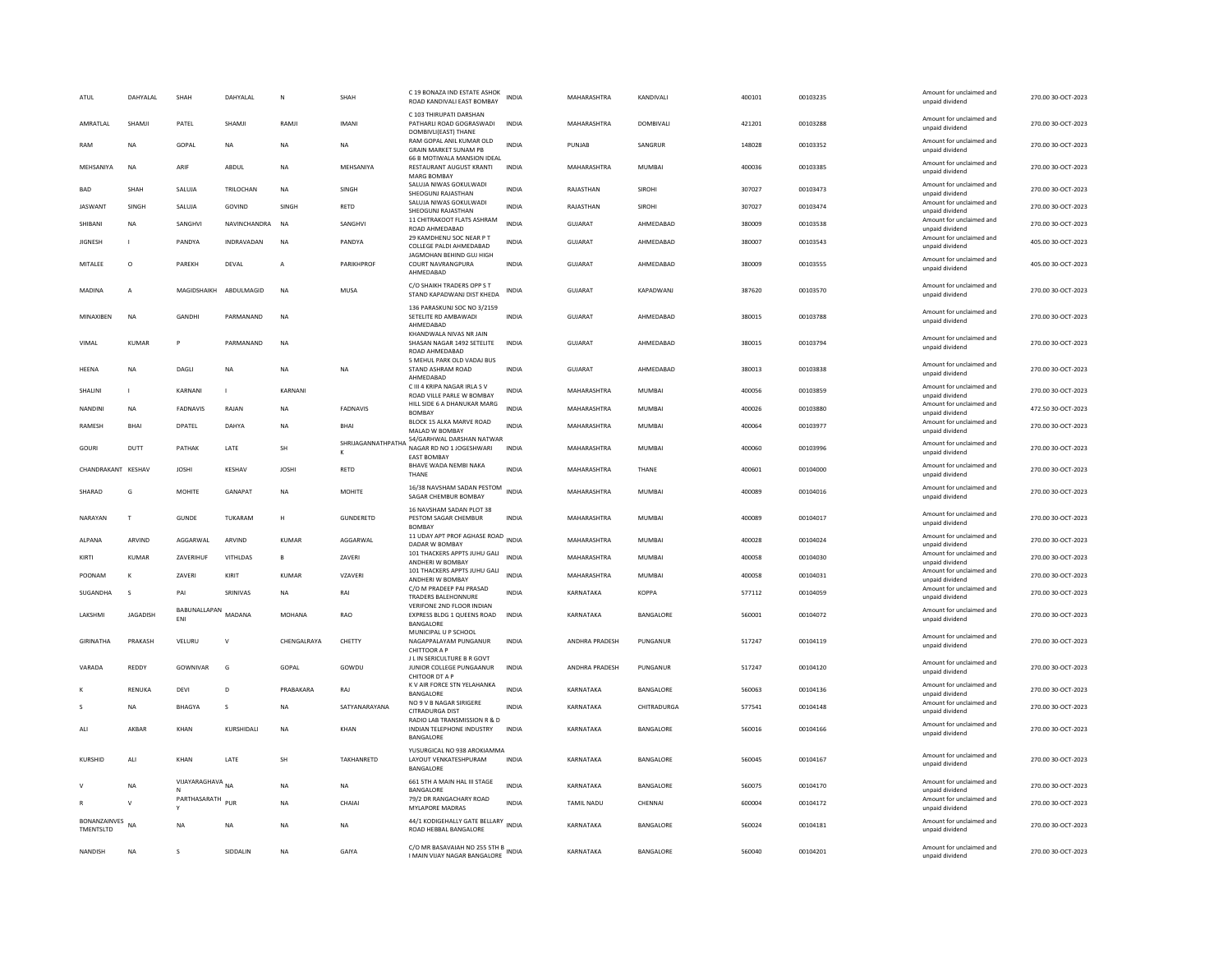| ATUL                      | DAHYALAL        | SHAH                | DAHYALAL               | N              | SHAH                    | C 19 BONAZA IND ESTATE ASHOK<br>ROAD KANDIVALI EAST BOMBAY                    | <b>INDIA</b> | MAHARASHTRA        | KANDIVALI          | 400101 | 00103235 | Amount for unclaimed and<br>unpaid dividend | 270.00 30-OCT-2023 |
|---------------------------|-----------------|---------------------|------------------------|----------------|-------------------------|-------------------------------------------------------------------------------|--------------|--------------------|--------------------|--------|----------|---------------------------------------------|--------------------|
| AMRATLAL                  | SHAMJI          | PATEL               | SHAMJI                 | RAMJ           | <b>IMANI</b>            | C 103 THIRUPATI DARSHAN<br>PATHARLI ROAD GOGRASWADI<br>DOMBIVLI(EAST) THANE   | <b>INDIA</b> | MAHARASHTRA        | DOMBIVALI          | 421201 | 00103288 | Amount for unclaimed and<br>unpaid dividend | 270.00 30-OCT-2023 |
| RAM                       | <b>NA</b>       | GOPAL               | <b>NA</b>              | <b>NA</b>      | <b>NA</b>               | RAM GOPAL ANIL KUMAR OLD<br><b>GRAIN MARKET SUNAM PB</b>                      | <b>INDIA</b> | PUNJAB             | SANGRUR            | 148028 | 00103352 | Amount for unclaimed and<br>unpaid dividend | 270.00 30-OCT-2023 |
| MEHSANIYA                 | NA              | ARIE                | ABDUL                  | NA             | MEHSANIYA               | 66 B MOTIWALA MANSION IDEAL<br>RESTAURANT AUGUST KRANTI<br><b>MARG BOMBAY</b> | <b>INDIA</b> | MAHARASHTRA        | MUMBAI             | 400036 | 00103385 | Amount for unclaimed and<br>unpaid dividend | 270.00 30-OCT-2023 |
| <b>BAD</b>                | SHAH            | SALUJA              | TRILOCHAN              | <b>NA</b>      | SINGH                   | SALUJA NIWAS GOKULWADI<br>SHEOGUNJ RAJASTHAN                                  | <b>INDIA</b> | RAJASTHAN          | <b>SIROHI</b>      | 307027 | 00103473 | Amount for unclaimed and<br>unpaid dividend | 270.00 30-OCT-2023 |
| <b>JASWANT</b>            | SINGH           | SALUJA              | GOVIND                 | SINGH          | RETD                    | SALUJA NIWAS GOKULWADI<br>SHEOGUNJ RAJASTHAN                                  | <b>INDIA</b> | RAJASTHAN          | SIROHI             | 307027 | 00103474 | Amount for unclaimed and<br>unpaid dividend | 270.00 30-OCT-2023 |
| SHIBANI                   | <b>NA</b>       | SANGHVI             | NAVINCHANDRA           | <b>NA</b>      | SANGHVI                 | 11 CHITRAKOOT FLATS ASHRAM<br>ROAD AHMEDABAD                                  | <b>INDIA</b> | <b>GUJARAT</b>     | AHMEDABAD          | 380009 | 00103538 | Amount for unclaimed and<br>unpaid dividend | 270.00 30-OCT-2023 |
| <b>JIGNESH</b>            |                 | PANDYA              | INDRAVADAN             | <b>NA</b>      | PANDYA                  | 29 KAMDHENU SOC NEAR P T<br>COLLEGE PALDI AHMEDABAD                           | <b>INDIA</b> | <b>GUJARAT</b>     | AHMEDABAD          | 380007 | 00103543 | Amount for unclaimed and<br>unpaid dividend | 405.00 30-OCT-2023 |
| MITALEE                   | $\circ$         | PAREKH              | DEVAL                  | $\overline{A}$ | <b>PARIKHPROF</b>       | JAGMOHAN BEHIND GUJ HIGH<br><b>COURT NAVRANGPURA</b><br>AHMEDABAD             | <b>INDIA</b> | <b>GUJARAT</b>     | AHMEDABAD          | 380009 | 00103555 | Amount for unclaimed and<br>unpaid dividend | 405.00 30-OCT-2023 |
| MADINA                    | $\overline{A}$  |                     | MAGIDSHAIKH ABDULMAGID | <b>NA</b>      | <b>MUSA</b>             | C/O SHAIKH TRADERS OPP S T<br>STAND KAPADWANJ DIST KHEDA                      | <b>INDIA</b> | GUIARAT            | KAPADWANI          | 387620 | 00103570 | Amount for unclaimed and<br>unpaid dividend | 270.00 30-OCT-2023 |
| MINAXIBEN                 | NA              | GANDH               | PARMANAND              | <b>NA</b>      |                         | 136 PARASKUNJ SOC NO 3/2159<br>SETELITE RD AMBAWADI<br>AHMEDABAD              | INDIA        | GUJARAT            | AHMEDABAD          | 380015 | 00103788 | Amount for unclaimed and<br>unpaid dividend | 270.00 30-OCT-2023 |
| VIMAL                     | <b>KUMAR</b>    | p                   | PARMANAND              | <b>NA</b>      |                         | KHANDWALA NIVAS NR JAIN<br>SHASAN NAGAR 1492 SETELITE<br>ROAD AHMEDABAD       | <b>INDIA</b> | <b>GUJARAT</b>     | AHMEDABAD          | 380015 | 00103794 | Amount for unclaimed and<br>unpaid dividend | 270.00 30-OCT-2023 |
| HEENA                     | <b>NA</b>       | DAGLI               | NA                     | NA             | NA                      | 5 MEHUL PARK OLD VADAJ BUS<br>STAND ASHRAM ROAD<br>AHMEDABAD                  | <b>INDIA</b> | GUJARAT            | AHMEDABAD          | 380013 | 00103838 | Amount for unclaimed and<br>unpaid dividend | 270.00 30-OCT-2023 |
| SHALINI                   |                 | KARNANI             | n.                     | KARNANI        |                         | C III 4 KRIPA NAGAR IRLA S V<br>ROAD VILLE PARLE W BOMBAY                     | <b>INDIA</b> | MAHARASHTRA        | MUMBAI             | 400056 | 00103859 | Amount for unclaimed and<br>unpaid dividend | 270.00 30-OCT-2023 |
| <b>NANDINI</b>            | <b>NA</b>       | <b>FADNAVIS</b>     | RAJAN                  | <b>NA</b>      | FADNAVIS                | HILL SIDE 6 A DHANUKAR MARG<br><b>BOMBA</b>                                   | <b>INDIA</b> | MAHARASHTRA        | MUMBAI             | 400026 | 00103880 | Amount for unclaimed and<br>unpaid dividend | 472.50 30-OCT-2023 |
| <b>RAMESH</b>             | <b>BHAI</b>     | <b>DPATEL</b>       | DAHYA                  | <b>NA</b>      | <b>BHAI</b>             | BLOCK 15 ALKA MARVE ROAD<br>MALAD W BOMBAY                                    | <b>INDIA</b> | MAHARASHTRA        | <b>MUMBAI</b>      | 400064 | 00103977 | Amount for unclaimed and<br>unpaid dividend | 270.00 30-OCT-2023 |
| GOURI                     | DUTT            | PATHAK              | LATE                   | <b>SH</b>      | SHRIJAGANNATHPATHA<br>K | 54/GARHWAL DARSHAN NATWAR<br>NAGAR RD NO 1 JOGESHWARI<br><b>EAST BOMBAY</b>   | <b>INDIA</b> | MAHARASHTRA        | MUMBAI             | 400060 | 00103996 | Amount for unclaimed and<br>unpaid dividend | 270.00 30-OCT-2023 |
| CHANDRAKANT KESHAV        |                 | <b>JOSHI</b>        | KESHAV                 | <b>JOSHI</b>   | RETD                    | <b>BHAVE WADA NEMBI NAKA</b><br>THANE                                         | <b>INDIA</b> | MAHARASHTRA        | THANE              | 400601 | 00104000 | Amount for unclaimed and<br>unpaid dividend | 270.00 30-OCT-2023 |
| SHARAD                    | G               | <b>MOHITE</b>       | GANAPAT                | <b>NA</b>      | <b>MOHITE</b>           | 16/38 NAVSHAM SADAN PESTOM<br>SAGAR CHEMBUR BOMBAY                            | <b>INDIA</b> | <b>MAHARASHTRA</b> | MUMBAI             | 400089 | 00104016 | Amount for unclaimed and<br>unpaid dividend | 270.00 30-OCT-2023 |
| NARAYAN                   | T               | <b>GUNDE</b>        | TUKARAM                | H              | GUNDERETD               | 16 NAVSHAM SADAN PLOT 38<br>PESTOM SAGAR CHEMBUR<br><b>BOMBA</b>              | <b>INDIA</b> | MAHARASHTRA        | <b>MUMBAI</b>      | 400089 | 00104017 | Amount for unclaimed and<br>unpaid dividend | 270.00 30-OCT-2023 |
| ALPANA                    | ARVIND          | AGGARWAL            | ARVIND                 | KUMAR          | AGGARWAL                | 11 UDAY APT PROF AGHASE ROAD INDIA<br>DADAR W BOMBAY                          |              | MAHARASHTRA        | MUMBAI             | 400028 | 00104024 | Amount for unclaimed and<br>unpaid dividend | 270.00 30-OCT-2023 |
| KIRTI                     | <b>KUMAR</b>    | ZAVERIHUF           | VITHLDAS               | $\mathsf{B}$   | ZAVERI                  | 101 THACKERS APPTS JUHU GALI<br>ANDHERI W BOMBAY                              | <b>INDIA</b> | MAHARASHTRA        | <b>MUMBAI</b>      | 400058 | 00104030 | Amount for unclaimed and<br>unpaid dividend | 270.00 30-OCT-2023 |
| POONAM                    | ĸ               | ZAVERI              | KIRIT                  | KUMAR          | VZAVERI                 | 101 THACKERS APPTS JUHU GALI<br>ANDHERI W BOMBAY                              | <b>INDIA</b> | MAHARASHTRA        | <b>MUMBAI</b>      | 400058 | 00104031 | Amount for unclaimed and<br>unpaid dividend | 270.00 30-OCT-2023 |
| <b>SUGANDHA</b>           | $\zeta$         | PAI                 | SRINIVAS               | <b>NA</b>      | RAI                     | C/O M PRADEEP PAI PRASAD<br><b>TRADERS BALEHONNURE</b>                        | <b>INDIA</b> | KARNATAKA          | KOPPA              | 577112 | 00104059 | Amount for unclaimed and<br>unpaid dividend | 270.00 30-OCT-2023 |
| LAKSHMI                   | <b>JAGADISH</b> | BABUNALLAPAN<br>ENI | MADANA                 | MOHANA         | RAO                     | VERIFONE 2ND FLOOR INDIAN<br>EXPRESS BLDG 1 QUEENS ROAD<br><b>BANGALORE</b>   | <b>INDIA</b> | KARNATAKA          | BANGALORE          | 560001 | 00104072 | Amount for unclaimed and<br>unpaid dividend | 270.00 30-OCT-2023 |
| GIRINATHA                 | PRAKASH         | VELURU              | $\vee$                 | CHENGALRAYA    | CHETTY                  | MUNICIPAL U P SCHOOL<br>NAGAPPALAYAM PUNGANUR<br>CHITTOOR A P                 | <b>INDIA</b> | ANDHRA PRADESH     | PUNGANUR           | 517247 | 00104119 | Amount for unclaimed and<br>unpaid dividend | 270.00 30-OCT-2023 |
| VARADA                    | REDDY           | <b>GOWNIVAR</b>     | G                      | GOPAL          | GOWDU                   | J L IN SERICULTURE B R GOVT<br>JUNIOR COLLEGE PUNGAANUR<br>CHITOOR DT A P     | <b>INDIA</b> | ANDHRA PRADESH     | PUNGANUR           | 517247 | 00104120 | Amount for unclaimed and<br>unpaid dividend | 270.00 30-OCT-2023 |
|                           | RENUKA          | DEVI                | D                      | PRABAKARA      | RAJ                     | K V AIR FORCE STN YELAHANKA<br>BANGALORE                                      | INDIA        | KARNATAKA          | BANGALORE          | 560063 | 00104136 | Amount for unclaimed and<br>unpaid dividend | 270.00 30-OCT-2023 |
|                           | <b>NA</b>       | <b>BHAGYA</b>       | s                      | <b>NA</b>      | SATYANARAYANA           | NO 9 V B NAGAR SIRIGERE<br>CITRADURGA DIST                                    | <b>INDIA</b> | KARNATAKA          | <b>CHITRADURGA</b> | 577541 | 00104148 | Amount for unclaimed and<br>unpaid dividend | 270.00 30-OCT-2023 |
| ALI                       | AKBAR           | KHAN                | KURSHIDALI             | <b>NA</b>      | KHAN                    | RADIO LAB TRANSMISSION R & D<br>INDIAN TELEPHONE INDUSTRY<br>BANGALORE        | <b>INDIA</b> | KARNATAKA          | BANGALORE          | 560016 | 00104166 | Amount for unclaimed and<br>unpaid dividend | 270.00 30-OCT-2023 |
| KURSHID                   | ALI             | KHAN                | LATE                   | <b>SH</b>      | TAKHANRETD              | YUSURGICAL NO 938 AROKIAMMA<br>LAYOUT VENKATESHPURAM<br>BANGALORE             | <b>INDIA</b> | KARNATAKA          | BANGALORE          | 560045 | 00104167 | Amount for unclaimed and<br>unpaid dividend | 270.00 30-OCT-2023 |
|                           | NA              | VIJAYARAGHAVA NA    |                        | <b>NA</b>      | NA                      | 661 STH A MAIN HAL III STAGE<br>BANGALORE                                     | <b>INDIA</b> | KARNATAKA          | BANGALORE          | 560075 | 00104170 | Amount for unclaimed and<br>unpaid dividend | 270.00 30-OCT-2023 |
|                           | $\mathbf{v}$    | PARTHASARATH        | PUF                    | <b>NA</b>      | CHAIAI                  | 79/2 DR RANGACHARY ROAD<br>MYLAPORE MADRAS                                    | <b>INDIA</b> | TAMIL NADU         | CHENNAI            | 600004 | 00104172 | Amount for unclaimed and<br>unpaid dividend | 270.00 30-OCT-2023 |
| BONANZAINVES<br>TMENTSLTD | NA              | <b>NA</b>           | NA                     | <b>NA</b>      | NA.                     | 44/1 KODIGEHALLY GATE BELLARY<br>ROAD HEBBAL BANGALORE                        | <b>INDIA</b> | KARNATAKA          | <b>BANGALORE</b>   | 560024 | 00104181 | Amount for unclaimed and<br>unpaid dividend | 270.00 30-OCT-2023 |
| <b>NANDISH</b>            | <b>NA</b>       | s                   | SIDDALIN               | <b>NA</b>      | GAIYA                   | C/O MR BASAVAIAH NO 255 STH B<br>I MAIN VIJAY NAGAR BANGALORE                 |              | KARNATAKA          | <b>BANGALORE</b>   | 560040 | 00104201 | Amount for unclaimed and<br>unpaid dividend | 270.00 30-OCT-2023 |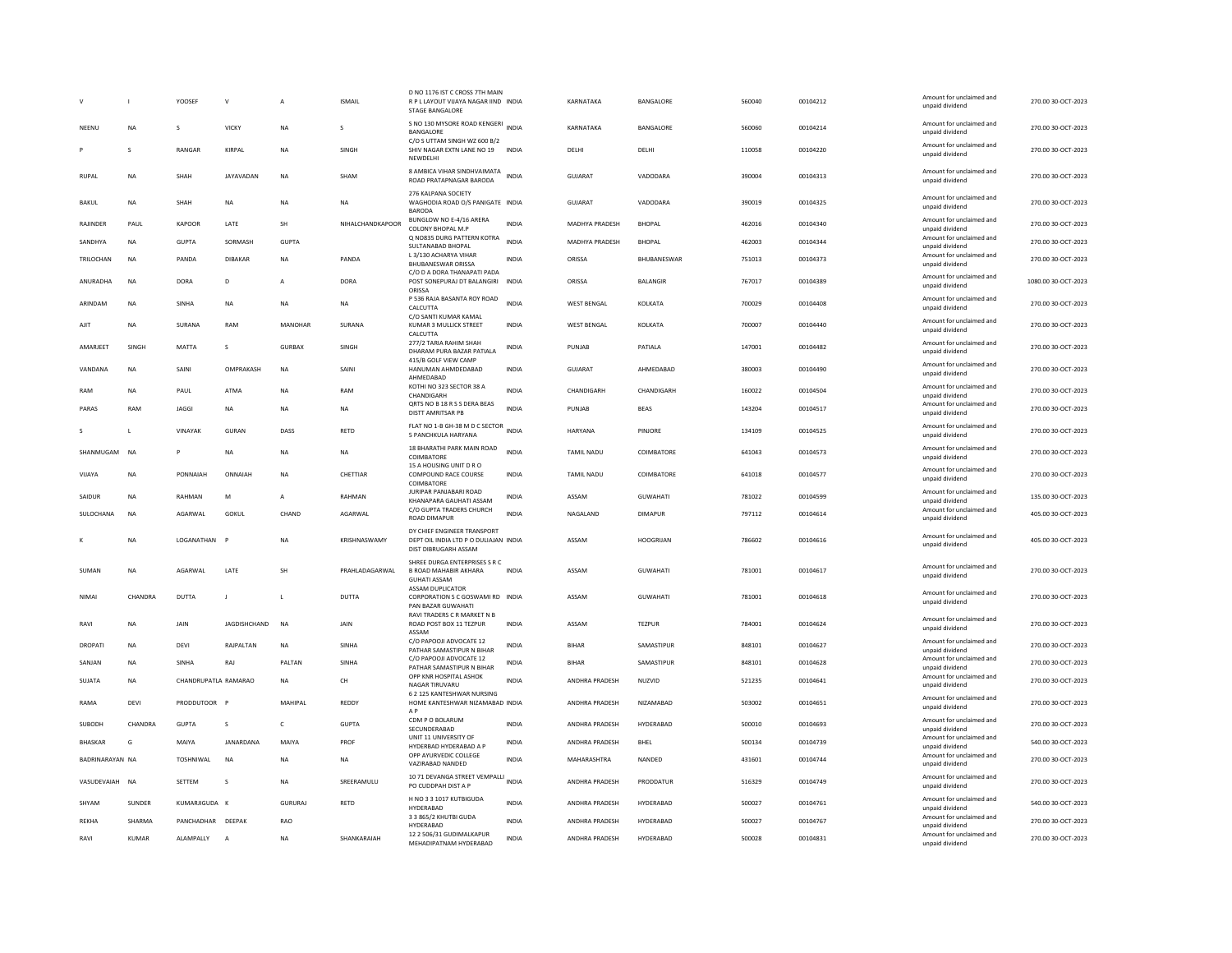|                 |           | YOOSEF               | $\mathbf{v}$   | A              | <b>ISMAIL</b>    | D NO 1176 IST C CROSS 7TH MAIN<br>R P L LAYOUT VIJAYA NAGAR IIND INDIA<br>STAGE BANGALORE    |              | KARNATAKA          | BANGALORE        | 560040 | 00104212 | Amount for unclaimed and<br>unpaid dividend | 270.00 30-OCT-2023  |
|-----------------|-----------|----------------------|----------------|----------------|------------------|----------------------------------------------------------------------------------------------|--------------|--------------------|------------------|--------|----------|---------------------------------------------|---------------------|
| NEENU           | <b>NA</b> | s                    | <b>VICKY</b>   | <b>NA</b>      | S                | S NO 130 MYSORE ROAD KENGERI INDIA<br>BANGALORE<br>C/O S UTTAM SINGH WZ 600 B/2              |              | KARNATAKA          | BANGALORE        | 560060 | 00104214 | Amount for unclaimed and<br>unpaid dividend | 270.00 30-OCT-2023  |
|                 | S         | RANGAR               | KIRPAL         | <b>NA</b>      | SINGH            | SHIV NAGAR EXTN LANE NO 19<br>NEWDELHI                                                       | <b>INDIA</b> | DELHI              | DELHI            | 110058 | 00104220 | Amount for unclaimed and<br>unpaid dividend | 270.00 30-OCT-2023  |
| <b>RUPAL</b>    | <b>NA</b> | SHAH                 | JAYAVADAN      | <b>NA</b>      | SHAM             | 8 AMBICA VIHAR SINDHVAIMATA<br>ROAD PRATAPNAGAR BARODA                                       | <b>INDIA</b> | GUJARAT            | VADODARA         | 390004 | 00104313 | Amount for unclaimed and<br>unpaid dividend | 270.00 30-OCT-2023  |
| BAKUL           | <b>NA</b> | SHAH                 | <b>NA</b>      | <b>NA</b>      | <b>NA</b>        | 276 KALPANA SOCIETY<br>WAGHODIA ROAD O/S PANIGATE INDIA<br><b>BARODA</b>                     |              | GUJARAT            | VADODARA         | 390019 | 00104325 | Amount for unclaimed and<br>unpaid dividend | 270.00 30-OCT-2023  |
| RAJINDER        | PAUL      | KAPOOR               | LATE           | <b>SH</b>      | NIHALCHANDKAPOOR | BUNGLOW NO E-4/16 ARERA<br>COLONY BHOPAL M.P                                                 | <b>INDIA</b> | MADHYA PRADESH     | <b>BHOPAL</b>    | 462016 | 00104340 | Amount for unclaimed and<br>unpaid dividend | 270.00 30-OCT-2023  |
| SANDHYA         | <b>NA</b> | <b>GUPTA</b>         | SORMASH        | <b>GUPTA</b>   |                  | Q NO835 DURG PATTERN KOTRA<br>SULTANABAD BHOPAL                                              | <b>INDIA</b> | MADHYA PRADESH     | <b>BHOPAL</b>    | 462003 | 00104344 | Amount for unclaimed and<br>unpaid dividend | 270.00 30-OCT-2023  |
| TRILOCHAN       | <b>NA</b> | PANDA                | DIBAKAR        | <b>NA</b>      | PANDA            | L 3/130 ACHARYA VIHAR<br><b>BHUBANESWAR ORISSA</b><br>C/O D A DORA THANAPATI PADA            | <b>INDIA</b> | ORISSA             | BHUBANESWAR      | 751013 | 00104373 | Amount for unclaimed and<br>unpaid dividend | 270.00 30-OCT-2023  |
| ANURADHA        | <b>NA</b> | DORA                 | D              | $\overline{A}$ | <b>DORA</b>      | POST SONEPURAJ DT BALANGIRI                                                                  | <b>INDIA</b> | ORISSA             | <b>BALANGIR</b>  | 767017 | 00104389 | Amount for unclaimed and<br>unpaid dividend | 1080.00 30-OCT-2023 |
| ARINDAM         | <b>NA</b> | SINHA                | <b>NA</b>      | <b>NA</b>      | <b>NA</b>        | ORISSA<br>P 536 RAJA BASANTA ROY ROAD<br>CALCUTTA                                            | <b>INDIA</b> | <b>WEST RENGAL</b> | <b>KOI KATA</b>  | 700029 | 00104408 | Amount for unclaimed and<br>unpaid dividend | 270.00.30-OCT-2023  |
| AJIT            | <b>NA</b> | SURANA               | RAM            | MANOHAR        | SURANA           | C/O SANTI KUMAR KAMAL<br>KUMAR 3 MULLICK STREET<br>CALCUTTA                                  | <b>INDIA</b> | <b>WEST BENGAL</b> | KOLKATA          | 700007 | 00104440 | Amount for unclaimed and<br>unpaid dividend | 270.00 30-OCT-2023  |
| AMARJEET        | SINGH     | MATTA                | s              | <b>GURBAX</b>  | SINGH            | 277/2 TARIA RAHIM SHAH<br>DHARAM PURA BAZAR PATIALA                                          | INDIA        | PUNJAB             | PATIALA          | 147001 | 00104482 | Amount for unclaimed and<br>unpaid dividend | 270.00 30-OCT-2023  |
| VANDANA         | <b>NA</b> | SAINI                | OMPRAKASH      | <b>NA</b>      | SAINI            | 415/B GOLF VIEW CAMP<br>HANUMAN AHMDEDABAD                                                   | <b>INDIA</b> | <b>GUJARAT</b>     | AHMEDABAD        | 380003 | 00104490 | Amount for unclaimed and                    | 270.00 30-OCT-2023  |
|                 |           |                      |                |                |                  | AHMEDABAD<br>KOTHI NO 323 SECTOR 38 A                                                        |              |                    |                  |        |          | unpaid dividend<br>Amount for unclaimed and |                     |
| RAM             | NA        | PAUL                 | <b>ATMA</b>    | <b>NA</b>      | RAM              | CHANDIGARH<br>QRTS NO B 18 R S S DERA BEAS                                                   | <b>INDIA</b> | CHANDIGARH         | CHANDIGARH       | 160022 | 00104504 | unpaid dividend<br>Amount for unclaimed and | 270.00 30-OCT-2023  |
| PARAS           | RAM       | <b>JAGGI</b>         | <b>NA</b>      | <b>NA</b>      | <b>NA</b>        | DISTT AMRITSAR PB                                                                            | <b>INDIA</b> | PUNJAB             | <b>BEAS</b>      | 143204 | 00104517 | unpaid dividend                             | 270.00 30-OCT-2023  |
| s               | L         | VINAYAK              | <b>GURAN</b>   | DASS           | RETD             | FLAT NO 1-B GH-38 M D C SECTOR<br>5 PANCHKULA HARYANA                                        | <b>INDIA</b> | <b>HARYANA</b>     | PINJORE          | 134109 | 00104525 | Amount for unclaimed and<br>unpaid dividend | 270.00 30-OCT-2023  |
| SHANMUGAM       | <b>NA</b> | P                    | <b>NA</b>      | <b>NA</b>      | <b>NA</b>        | 18 BHARATHI PARK MAIN ROAD<br>COIMBATORE<br>15 A HOUSING UNIT D R O                          | <b>INDIA</b> | <b>TAMIL NADU</b>  | COIMBATORE       | 641043 | 00104573 | Amount for unclaimed and<br>unpaid dividend | 270.00 30-OCT-2023  |
| VIJAYA          | <b>NA</b> | PONNAIAH             | ONNAIAH        | <b>NA</b>      | CHETTIAR         | COMPOUND RACE COURSE<br>COIMBATORE                                                           | <b>INDIA</b> | <b>TAMIL NADU</b>  | COIMBATORE       | 641018 | 00104577 | Amount for unclaimed and<br>unpaid dividend | 270.00 30-OCT-2023  |
| SAIDUR          | NA        | RAHMAN               | M              | $\overline{A}$ | RAHMAN           | JURIPAR PANJABARI ROAD<br>KHANAPARA GAUHATI ASSAM                                            | INDIA        | ASSAM              | GUWAHATI         | 781022 | 00104599 | Amount for unclaimed and<br>unpaid dividend | 135.00 30-OCT-2023  |
| SULOCHANA       | <b>NA</b> | AGARWAL              | GOKUL          | CHAND          | AGARWAL          | C/O GUPTA TRADERS CHURCH<br><b>ROAD DIMAPUR</b>                                              | <b>INDIA</b> | NAGALAND           | <b>DIMAPUR</b>   | 797112 | 00104614 | Amount for unclaimed and<br>unpaid dividend | 405.00 30-OCT-2023  |
|                 | <b>NA</b> | LOGANATHAN           |                | <b>NA</b>      | KRISHNASWAMY     | DY CHIEF ENGINEER TRANSPORT<br>DEPT OIL INDIA LTD P O DULIAJAN INDIA<br>DIST DIBRUGARH ASSAM |              | ASSAM              | <b>HOOGRIJAN</b> | 786602 | 00104616 | Amount for unclaimed and<br>unpaid dividend | 405.00 30-OCT-2023  |
| SUMAN           | <b>NA</b> | AGARWAL              | LATE           | SH             | PRAHLADAGARWAL   | SHREE DURGA ENTERPRISES S R C<br><b>B ROAD MAHABIR AKHARA</b><br><b>GUHATI ASSAM</b>         | <b>INDIA</b> | ASSAM              | <b>GUWAHATI</b>  | 781001 | 00104617 | Amount for unclaimed and<br>unpaid dividend | 270.00 30-OCT-2023  |
| NIMAI           | CHANDRA   | <b>DUTTA</b>         | J              | $\mathbf{L}$   | <b>DUTTA</b>     | <b>ASSAM DUPLICATOR</b><br>CORPORATION S C GOSWAMI RD INDIA                                  |              | ASSAM              | <b>GUWAHATI</b>  | 781001 | 00104618 | Amount for unclaimed and                    | 270.00 30-OCT-2023  |
|                 |           |                      |                |                |                  | PAN BAZAR GUWAHATI<br>RAVI TRADERS C R MARKET N B                                            |              |                    |                  |        |          | unpaid dividend                             |                     |
| RAVI            | NA        | JAIN                 | JAGDISHCHAND   | <b>NA</b>      | <b>JAIN</b>      | ROAD POST BOX 11 TEZPUR<br>ASSAM                                                             | <b>INDIA</b> | ASSAM              | <b>TEZPUR</b>    | 784001 | 00104624 | Amount for unclaimed and<br>unpaid dividend | 270.00 30-OCT-2023  |
| DROPATI         | <b>NA</b> | DEVI                 | RAJPALTAN      | <b>NA</b>      | SINHA            | C/O PAPOOJI ADVOCATE 12<br>PATHAR SAMASTIPUR N BIHAR                                         | <b>INDIA</b> | <b>BIHAR</b>       | SAMASTIPUR       | 848101 | 00104627 | Amount for unclaimed and<br>unnaid dividend | 270.00 30-OCT-2023  |
| SANJAN          | <b>NA</b> | <b>SINHA</b>         | RAJ            | PALTAN         | <b>SINHA</b>     | C/O PAPOOJI ADVOCATE 12<br>PATHAR SAMASTIPUR N BIHAR                                         | <b>INDIA</b> | <b>BIHAR</b>       | SAMASTIPUR       | 848101 | 00104628 | Amount for unclaimed and<br>unpaid dividend | 270.00 30-OCT-2023  |
| SUJATA          | NA        | CHANDRUPATLA RAMARAO |                | <b>NA</b>      | <b>CH</b>        | OPP KNR HOSPITAL ASHOK<br>NAGAR TIRUVARU                                                     | <b>INDIA</b> | ANDHRA PRADESH     | NUZVID           | 521235 | 00104641 | Amount for unclaimed and<br>unpaid dividend | 270.00 30-OCT-2023  |
| RAMA            | DEVI      | PRODDUTOOR           |                | MAHIPAL        | REDDY            | 6 2 125 KANTESHWAR NURSING<br>HOME KANTESHWAR NIZAMABAD INDIA<br>A <sub>P</sub>              |              | ANDHRA PRADESH     | NIZAMABAD        | 503002 | 00104651 | Amount for unclaimed and<br>unpaid dividend | 270.00 30-OCT-2023  |
| SUBODH          | CHANDRA   | <b>GUPTA</b>         | s              | $\mathsf{C}$   | <b>GUPTA</b>     | CDM P O BOLARUM<br>SECUNDERABAD                                                              | INDIA        | ANDHRA PRADESH     | HYDERABAD        | 500010 | 00104693 | Amount for unclaimed and<br>unpaid dividend | 270.00 30-OCT-2023  |
| <b>BHASKAR</b>  | G         | MAIYA                | JANARDANA      | MAIYA          | PROF             | UNIT 11 UNIVERSITY OF<br>HYDERBAD HYDERABAD A P                                              | <b>INDIA</b> | ANDHRA PRADESH     | BHEL             | 500134 | 00104739 | Amount for unclaimed and<br>unpaid dividend | 540.00 30-OCT-2023  |
| BADRINARAYAN NA |           | TOSHNIWAL            | <b>NA</b>      | <b>NA</b>      | NA               | OPP AYURVEDIC COLLEGE<br>VAZIRABAD NANDED                                                    | <b>INDIA</b> | MAHARASHTRA        | NANDED           | 431601 | 00104744 | Amount for unclaimed and<br>unpaid dividend | 270.00 30-OCT-2023  |
| VASUDEVAIAH NA  |           | SETTEM               | s              | <b>NA</b>      | SREERAMULU       | 10 71 DEVANGA STREET VEMPALLI<br>PO CUDDPAH DIST A P                                         | <b>INDIA</b> | ANDHRA PRADESH     | PRODDATUR        | 516329 | 00104749 | Amount for unclaimed and<br>unpaid dividend | 270.00 30-OCT-2023  |
| SHYAM           | SUNDER    | KUMARJIGUDA K        |                | GURURAJ        | RETD             | H NO 3 3 1017 KUTBIGUDA<br><b>HYDERABAD</b>                                                  | INDIA        | ANDHRA PRADESH     | HYDERABAD        | 500027 | 00104761 | Amount for unclaimed and<br>unpaid dividend | 540.00 30-OCT-2023  |
| REKHA           | SHARMA    | PANCHADHAR DEEPAK    |                | <b>RAO</b>     |                  | 3 3 865/2 KHUTBI GUDA<br>HYDERABAD                                                           | <b>INDIA</b> | ANDHRA PRADESH     | HYDERABAD        | 500027 | 00104767 | Amount for unclaimed and<br>unpaid dividend | 270.00 30-OCT-2023  |
| RAVI            | KUMAR     | ALAMPALLY            | $\overline{A}$ | <b>NA</b>      | SHANKARAIAH      | 12 2 506/31 GUDIMALKAPUR<br>MEHADIPATNAM HYDERABAD                                           | INDIA        | ANDHRA PRADESH     | HYDERABAD        | 500028 | 00104831 | Amount for unclaimed and<br>unpaid dividend | 270.00 30-OCT-2023  |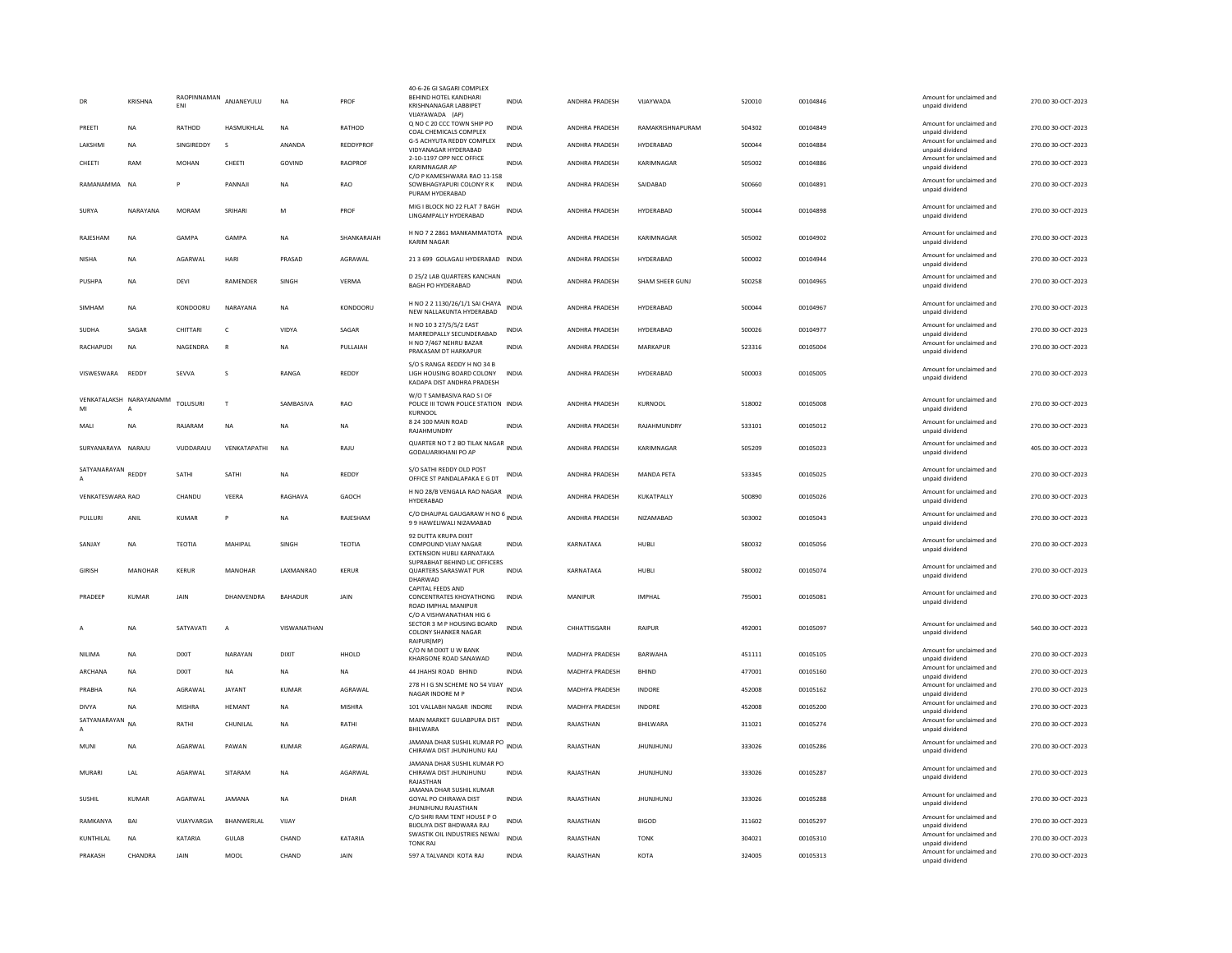|                    | KRISHNA                 | RAOPINNAMAN<br><b>FNI</b> | ANJANEYULU              | NA                | PROF           | 40-6-26 GI SAGARI COMPLEX<br>BEHIND HOTEL KANDHARI<br>KRISHNANAGAR LABBIPET<br>VIJAYAWADA (AP) | <b>INDIA</b> | ANDHRA PRADESH        | VIJAYWADA         | 520010 | 00104846 | Amount for unclaimed and<br>unpaid dividend                    | 270.00 30-OCT-2023 |
|--------------------|-------------------------|---------------------------|-------------------------|-------------------|----------------|------------------------------------------------------------------------------------------------|--------------|-----------------------|-------------------|--------|----------|----------------------------------------------------------------|--------------------|
| PREETI             | <b>NA</b>               | RATHOD                    | HASMUKHLAL              | <b>NA</b>         | RATHOD         | Q NO C 20 CCC TOWN SHIP PO<br>COAL CHEMICALS COMPLEX                                           | <b>INDIA</b> | ANDHRA PRADESH        | RAMAKRISHNAPURAM  | 504302 | 00104849 | Amount for unclaimed and<br>unpaid dividend                    | 270.00 30-OCT-2023 |
| LAKSHMI            | NA                      | SINGIREDDY                | s                       | ANANDA            | REDDYPROF      | G-5 ACHYUTA REDDY COMPLEX<br>VIDYANAGAR HYDERABAD                                              | <b>INDIA</b> | ANDHRA PRADESH        | HYDERABAD         | 500044 | 00104884 | Amount for unclaimed and<br>unpaid dividend                    | 270.00 30-OCT-2023 |
| CHEETI             | RAM                     | <b>MOHAN</b>              | CHEETI                  | GOVIND            | <b>RAOPROF</b> | 2-10-1197 OPP NCC OFFICE<br><b>KARIMNAGAR AP</b>                                               | <b>INDIA</b> | <b>ANDHRA PRADESH</b> | KARIMNAGAR        | 505002 | 00104886 | Amount for unclaimed and<br>unpaid dividend                    | 270.00 30-OCT-2023 |
| RAMANAMMA NA       |                         | p                         | PANNAJI                 | <b>NA</b>         | <b>RAO</b>     | C/O P KAMESHWARA RAO 11-158<br>SOWBHAGYAPURI COLONY R K<br>PURAM HYDERABAD                     | <b>INDIA</b> | ANDHRA PRADESH        | SAIDABAD          | 500660 | 00104891 | Amount for unclaimed and<br>unpaid dividend                    | 270.00 30-OCT-2023 |
| SURYA              | NARAYANA                | <b>MORAM</b>              | SRIHARI                 | M                 | PROF           | MIG I BLOCK NO 22 FLAT 7 BAGH<br>LINGAMPALLY HYDERABAD                                         | <b>INDIA</b> | ANDHRA PRADESH        | HYDERABAD         | 500044 | 00104898 | Amount for unclaimed and<br>unpaid dividend                    | 270.00 30-OCT-2023 |
| RAJESHAM           | NA                      | GAMPA                     | GAMPA                   | NA                | SHANKARAIAH    | H NO 7 2 2861 MANKAMMATOTA INDIA<br><b>KARIM NAGAR</b>                                         |              | ANDHRA PRADESH        | KARIMNAGAR        | 505002 | 00104902 | Amount for unclaimed and<br>unpaid dividend                    | 270.00 30-OCT-2023 |
| <b>NISHA</b>       | <b>NA</b>               | AGARWAL                   | HARI                    | PRASAD            | AGRAWAL        | 21 3 699 GOLAGALI HYDERABAD INDIA                                                              |              | ANDHRA PRADESH        | HYDERABAD         | 500002 | 00104944 | Amount for unclaimed and<br>unpaid dividend                    | 270.00 30-OCT-2023 |
| PUSHPA             | <b>NA</b>               | DEVI                      | RAMENDER                | SINGH             | VERMA          | D 25/2 LAB QUARTERS KANCHAN INDIA<br><b>BAGH PO HYDERABAD</b>                                  |              | ANDHRA PRADESH        | SHAM SHEER GUNJ   | 500258 | 00104965 | Amount for unclaimed and<br>unpaid dividend                    | 270.00 30-OCT-2023 |
| SIMHAM             | <b>NA</b>               | KONDOORU                  | NARAYANA                | <b>NA</b>         | KONDOORU       | H NO 2 2 1130/26/1/1 SAI CHAYA<br>NEW NALLAKUNTA HYDERABAD                                     | <b>INDIA</b> | ANDHRA PRADESH        | HYDERABAD         | 500044 | 00104967 | Amount for unclaimed and<br>unpaid dividend                    | 270.00 30-OCT-2023 |
| SUDHA              | SAGAR                   | CHITTARI                  | $\mathsf{C}$            | <b>VIDYA</b>      | SAGAR          | H NO 10 3 27/5/5/2 EAST<br>MARREDPALLY SECUNDERABAD                                            | <b>INDIA</b> | ANDHRA PRADESH        | HYDERABAD         | 500026 | 00104977 | Amount for unclaimed and<br>unpaid dividend                    | 270.00 30-OCT-2023 |
| RACHAPUDI          | <b>NA</b>               | NAGENDRA                  | $\mathsf{R}$            | <b>NA</b>         | PULLAIAH       | H NO 7/467 NEHRU BAZAR<br>PRAKASAM DT HARKAPUR                                                 | <b>INDIA</b> | ANDHRA PRADESH        | <b>MARKAPUR</b>   | 523316 | 00105004 | Amount for unclaimed and<br>unpaid dividend                    | 270.00 30-OCT-2023 |
| VISWESWARA         | REDDY                   | SEVVA                     | $\overline{\mathbf{S}}$ | <b>RANGA</b>      | <b>REDDY</b>   | S/O S RANGA REDDY H NO 34 B<br>LIGH HOUSING BOARD COLONY<br>KADAPA DIST ANDHRA PRADESH         | <b>INDIA</b> | <b>ANDHRA PRADESH</b> | HYDFRABAD         | 500003 | 00105005 | Amount for unclaimed and<br>unpaid dividend                    | 270.00 30-OCT-2023 |
| MI                 | VENKATALAKSH NARAYANAMM | <b>TOLUSURI</b>           | T                       | SAMBASIVA         | RAO            | W/O T SAMBASIVA RAO S I OF<br>POLICE III TOWN POLICE STATION INDIA<br>KURNOOL                  |              | ANDHRA PRADESH        | KURNOOL           | 518002 | 00105008 | Amount for unclaimed and<br>unpaid dividend                    | 270.00 30-OCT-2023 |
| MALI               | <b>NA</b>               | RAJARAM                   | <b>NA</b>               | <b>NA</b>         | NA             | 8 24 100 MAIN ROAD<br>RAJAHMUNDRY                                                              | <b>INDIA</b> | ANDHRA PRADESH        | RAJAHMUNDRY       | 533101 | 00105012 | Amount for unclaimed and<br>unpaid dividend                    | 270.00 30-OCT-2023 |
| SURYANARAYA NARAJU |                         | VUDDARAJU                 | VENKATAPATHI            | <b>NA</b>         | RAJU           | QUARTER NO T 2 BO TILAK NAGAR INDIA<br><b>GODAUARIKHANI PO AP</b>                              |              | ANDHRA PRADESH        | KARIMNAGAR        | 505209 | 00105023 | Amount for unclaimed and<br>unpaid dividend                    | 405.00 30-OCT-2023 |
| SATYANARAYAN REDDY |                         | SATHI                     | SATHI                   | <b>NA</b>         | REDDY          | S/O SATHI REDDY OLD POST<br>OFFICE ST PANDALAPAKA E G DT                                       | <b>INDIA</b> | ANDHRA PRADESH        | <b>MANDA PETA</b> | 533345 | 00105025 | Amount for unclaimed and<br>unpaid dividend                    | 270.00 30-OCT-2023 |
| VENKATESWARA RAO   |                         | CHANDU                    | VEERA                   | RAGHAVA           | GAOCH          | H NO 28/B VENGALA RAO NAGAR INDIA<br><b>HYDERABAD</b>                                          |              | ANDHRA PRADESH        | KUKATPALLY        | 500890 | 00105026 | Amount for unclaimed and<br>unpaid dividend                    | 270.00 30-OCT-2023 |
| PULLURI            | ANIL                    | <b>KUMAR</b>              | P                       | <b>NA</b>         | RAJESHAM       | C/O DHAUPAL GAUGARAW H NO 6 INDIA<br>99 HAWELIWALI NIZAMABAD                                   |              | ANDHRA PRADESH        | NIZAMABAD         | 503002 | 00105043 | Amount for unclaimed and<br>unpaid dividend                    | 270.00 30-OCT-2023 |
| SANIAY             | <b>NA</b>               | <b>TEOTIA</b>             | MAHIPAL                 | <b>SINGH</b>      | TEOTIA         | 92 DUTTA KRUPA DIXIT<br>COMPOUND VIIAY NAGAR<br>EXTENSION HUBLI KARNATAKA                      | <b>INDIA</b> | KARNATAKA             | HUBI1             | 580032 | 00105056 | Amount for unclaimed and<br>unpaid dividend                    | 270.00.30-OCT-2023 |
| <b>GIRISH</b>      | <b>MANOHAR</b>          | <b>KERUR</b>              | MANOHAR                 | <b>I AXMANRAO</b> | KFRUR          | SUPRABHAT BEHIND LIC OFFICERS<br>QUARTERS SARASWAT PUR<br>DHARWAD                              | <b>INDIA</b> | KARNATAKA             | HUBLI             | 580002 | 00105074 | Amount for unclaimed and<br>unpaid dividend                    | 270.00 30-OCT-2023 |
| PRADEEP            | <b>KUMAR</b>            | <b>JAIN</b>               | DHANVENDRA              | BAHADUR           | <b>JAIN</b>    | CAPITAL FEEDS AND<br>CONCENTRATES KHOYATHONG<br>ROAD IMPHAL MANIPUR                            | <b>INDIA</b> | MANIPUR               | <b>IMPHAI</b>     | 795001 | 00105081 | Amount for unclaimed and<br>unpaid dividend                    | 270.00 30-OCT-2023 |
|                    | <b>NA</b>               | SATYAVATI                 | $\overline{A}$          | VISWANATHAN       |                | C/O A VISHWANATHAN HIG 6<br>SECTOR 3 M P HOUSING BOARD<br>COLONY SHANKER NAGAR                 | <b>INDIA</b> | CHHATTISGARH          | RAIPUR            | 492001 | 00105097 | Amount for unclaimed and<br>unpaid dividend                    | 540.00 30-OCT-2023 |
| NILIMA             | <b>NA</b>               | <b>DIXIT</b>              | NARAYAN                 | <b>DIXIT</b>      | HHOLD          | RAIPUR(MP)<br>C/O N M DIXIT U W BANK                                                           | INDIA        | MADHYA PRADESH        | <b>BARWAHA</b>    | 451111 | 00105105 | Amount for unclaimed and                                       | 270.00 30-OCT-2023 |
| ARCHANA            | <b>NA</b>               | <b>DIXIT</b>              | <b>NA</b>               | <b>NA</b>         | <b>NA</b>      | KHARGONE ROAD SANAWAD<br>44 JHAHSI ROAD BHIND                                                  | <b>INDIA</b> | <b>MADHYA PRADESH</b> | BHIND             | 477001 | 00105160 | unpaid dividend<br>Amount for unclaimed and<br>unpaid dividend | 270.00 30-OCT-2023 |
| PRABHA             | <b>NA</b>               | AGRAWAL                   | <b>JAYANT</b>           | <b>KUMAR</b>      | AGRAWAL        | 278 H I G SN SCHEME NO 54 VIJAY<br>NAGAR INDORE M P                                            | <b>INDIA</b> | MADHYA PRADESH        | INDORE            | 452008 | 00105162 | Amount for unclaimed and<br>unpaid dividend                    | 270.00 30-OCT-2023 |
| <b>DIVYA</b>       | NA                      | MISHRA                    | HEMANT                  | NA                | <b>MISHRA</b>  | 101 VALLABH NAGAR INDORE                                                                       | INDIA        | MADHYA PRADESH        | INDORE            | 452008 | 00105200 | Amount for unclaimed and<br>unpaid dividend                    | 270.00 30-OCT-2023 |
| SATYANARAYAN       | <b>NA</b>               | RATHI                     | CHUNILAI                | <b>NA</b>         | RATHI          | MAIN MARKET GULABPURA DIST<br>BHILWARA                                                         | <b>INDIA</b> | RAJASTHAN             | BHILWARA          | 311021 | 00105274 | Amount for unclaimed and<br>unpaid dividend                    | 270.00 30-OCT-2023 |
| MUNI               | NA                      | AGARWAL                   | PAWAN                   | <b>KUMAR</b>      | AGARWAL        | JAMANA DHAR SUSHIL KUMAR PO<br>CHIRAWA DIST JHUNJHUNU RAJ                                      | <b>INDIA</b> | RAJASTHAN             | JHUNJHUNU         | 333026 | 00105286 | Amount for unclaimed and<br>unpaid dividend                    | 270.00 30-OCT-2023 |
| MURARI             | LAL                     | AGARWAL                   | SITARAM                 | NA                | AGARWAL        | JAMANA DHAR SUSHIL KUMAR PO<br>CHIRAWA DIST JHUNJHUNU<br>RAJASTHAN                             | <b>INDIA</b> | RAJASTHAN             | <b>JHUNJHUNU</b>  | 333026 | 00105287 | Amount for unclaimed and<br>unpaid dividend                    | 270.00 30-OCT-2023 |
| SUSHIL             | <b>KUMAR</b>            | AGARWAL                   | <b>JAMANA</b>           | <b>NA</b>         | DHAR           | JAMANA DHAR SUSHIL KUMAR<br><b>GOYAL PO CHIRAWA DIST</b><br>JHUNJHUNU RAJASTHAN                | <b>INDIA</b> | RAJASTHAN             | <b>JHUNJHUNU</b>  | 333026 | 00105288 | Amount for unclaimed and<br>unpaid dividend                    | 270.00 30-OCT-2023 |
| RAMKANYA           | <b>BAI</b>              | VIJAYVARGIA               | BHANWERLAL              | VIJAY             |                | C/O SHRI RAM TENT HOUSE P O<br>BIJOLIYA DIST BHDWARA RAJ                                       | <b>INDIA</b> | RAJASTHAN             | <b>BIGOD</b>      | 311602 | 00105297 | Amount for unclaimed and<br>unpaid dividend                    | 270.00 30-OCT-2023 |
| KUNTHILAL          | <b>NA</b>               | KATARIA                   | <b>GULAB</b>            | CHAND             | KATARIA        | SWASTIK OIL INDUSTRIES NEWAI<br><b>TONK RAJ</b>                                                | <b>INDIA</b> | RAJASTHAN             | <b>TONK</b>       | 304021 | 00105310 | Amount for unclaimed and<br>unpaid dividend                    | 270.00 30-OCT-2023 |
| PRAKASH            | CHANDRA                 | JAIN                      | MOOL                    | CHAND             | JAIN           | 597 A TALVANDI KOTA RAJ                                                                        | <b>INDIA</b> | RAJASTHAN             | KOTA              | 324005 | 00105313 | Amount for unclaimed and<br>unpaid dividend                    | 270.00 30-OCT-2023 |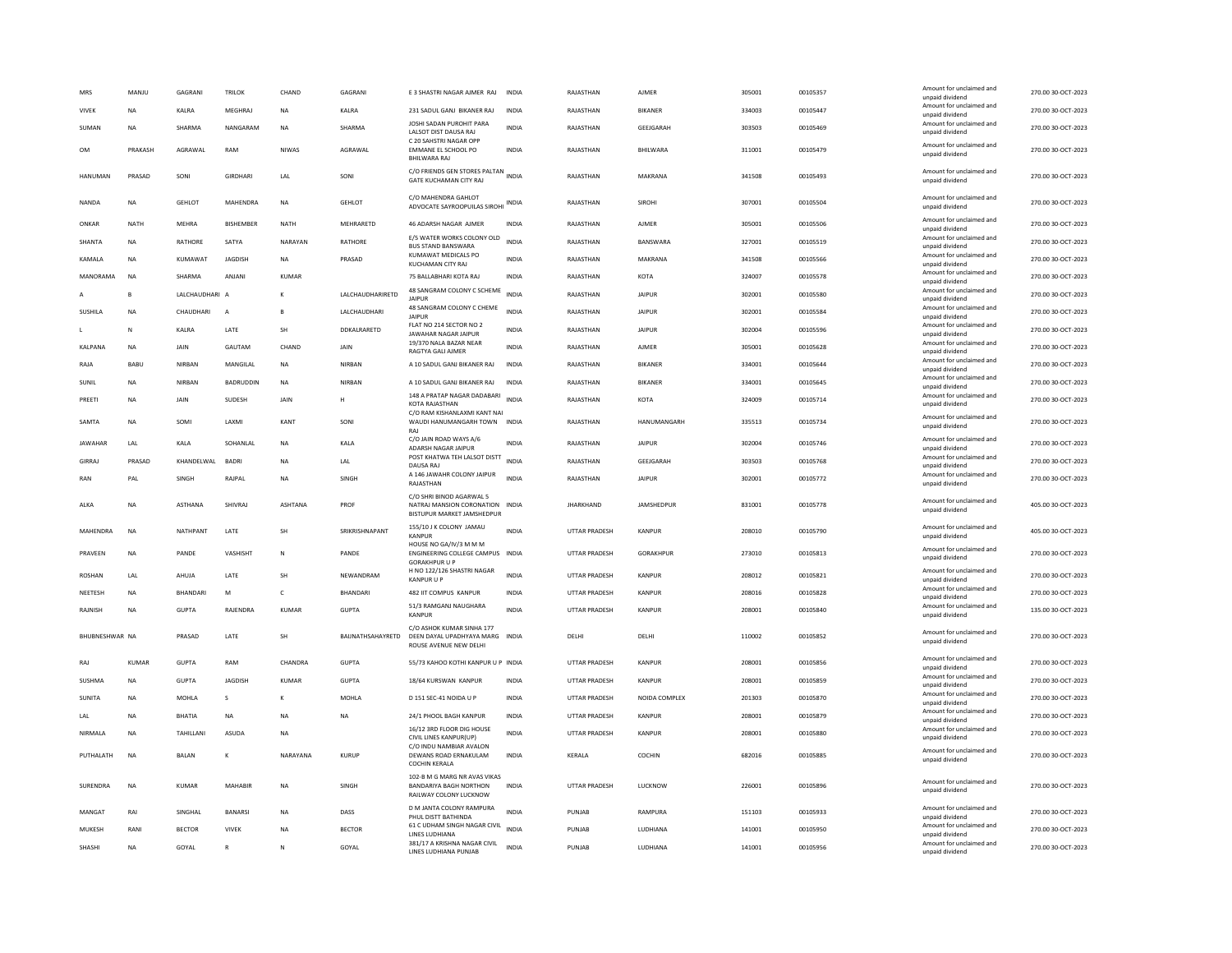| MRS                   | MANJU        | GAGRANI                | <b>TRILOK</b>    | CHAND        | GAGRANI                  | E 3 SHASTRI NAGAR AJMER RAJ                                                                        | INDIA        | RAJASTHAN            | AJMER            | 305001 | 00105357 | Amount for unclaimed and<br>unpaid dividend                    | 270.00 30-OCT-2023                       |
|-----------------------|--------------|------------------------|------------------|--------------|--------------------------|----------------------------------------------------------------------------------------------------|--------------|----------------------|------------------|--------|----------|----------------------------------------------------------------|------------------------------------------|
| VIVEK                 | <b>NA</b>    | KALRA                  | <b>MEGHRA</b>    | <b>NA</b>    | KALRA                    | 231 SADUL GANJ BIKANER RAJ                                                                         | <b>INDIA</b> | RAJASTHAN            | <b>BIKANER</b>   | 334003 | 00105447 | Amount for unclaimed and<br>unpaid dividend                    | 270.00 30-OCT-2023                       |
| SUMAN                 | <b>NA</b>    | SHARMA                 | NANGARAM         | <b>NA</b>    | SHARMA                   | JOSHI SADAN PUROHIT PARA<br>LALSOT DIST DAUSA RAJ<br>C 20 SAHSTRI NAGAR OPP                        | <b>INDIA</b> | RAJASTHAN            | GEEJGARAH        | 303503 | 00105469 | Amount for unclaimed and<br>unpaid dividend                    | 270.00.30-OCT-2023                       |
| <b>OM</b>             | PRAKASH      | AGRAWAL                | RAM              | NIWAS        | AGRAWAL                  | EMMANE EL SCHOOL PO<br><b>BHILWARA RAJ</b>                                                         | <b>INDIA</b> | RAJASTHAN            | BHILWARA         | 311001 | 00105479 | Amount for unclaimed and<br>unpaid dividend                    | 270.00 30-OCT-2023                       |
| <b>HANUMAN</b>        | PRASAD       | SONI                   | GIRDHARI         | LAL          | SONI                     | C/O FRIENDS GEN STORES PALTAN INDIA<br>GATE KUCHAMAN CITY RAJ                                      |              | RAJASTHAN            | MAKRANA          | 341508 | 00105493 | Amount for unclaimed and<br>unpaid dividend                    | 270.00 30-OCT-2023                       |
| <b>NANDA</b>          | <b>NA</b>    | <b>GEHLOT</b>          | MAHENDRA         | <b>NA</b>    | <b>GEHLOT</b>            | C/O MAHENDRA GAHLOT<br>ADVOCATE SAYROOPUILAS SIROHI INDIA                                          |              | RAJASTHAN            | SIROHI           | 307001 | 00105504 | Amount for unclaimed and<br>unpaid dividend                    | 270.00 30-OCT-2023                       |
| ONKAR                 | <b>NATH</b>  | <b>MEHRA</b>           | <b>BISHEMBER</b> | <b>NATH</b>  | MEHRARETD                | 46 ADARSH NAGAR AJMER                                                                              | <b>INDIA</b> | RAJASTHAN            | <b>AJMER</b>     | 305001 | 00105506 | Amount for unclaimed and<br>unpaid dividend                    | 270.00 30-OCT-2023                       |
| SHANTA                | <b>NA</b>    | RATHORE                | SATYA            | NARAYAN      | RATHORE                  | E/5 WATER WORKS COLONY OLD<br><b>BUS STAND BANSWARA</b>                                            | <b>INDIA</b> | RAJASTHAN            | BANSWARA         | 327001 | 00105519 | Amount for unclaimed and<br>unpaid dividend                    | 270.00 30-OCT-2023                       |
| <b>KAMAIA</b>         | <b>NA</b>    | KUMAWAT                | <b>IAGDISH</b>   | <b>NA</b>    | PRASAD                   | KUMAWAT MEDICALS PO<br>KUCHAMAN CITY RAJ                                                           | <b>INDIA</b> | RAJASTHAN            | MAKRANA          | 341508 | 00105566 | Amount for unclaimed and<br>unpaid dividend                    | 270.00 30-OCT-2023                       |
| MANORAMA              | <b>NA</b>    | SHARMA                 | ANJANI           | KUMAR        |                          | 75 BALLABHARI KOTA RAJ                                                                             | INDIA        | RAJASTHAN            | KOTA             | 324007 | 00105578 | Amount for unclaimed and<br>unpaid dividend                    | 270.00 30-OCT-2023                       |
|                       | B            | LALCHAUDHARI A         |                  | $\kappa$     | LALCHAUDHARIRETD         | 48 SANGRAM COLONY C SCHEME<br><b>JAIPLIR</b>                                                       | INDIA        | RAJASTHAN            | <b>JAIPUR</b>    | 302001 | 00105580 | Amount for unclaimed and<br>unpaid dividend                    | 270.00 30-OCT-2023                       |
| SUSHILA               | NA           | CHAUDHARI              | A                | B            | LALCHAUDHARI             | 48 SANGRAM COLONY C CHEME<br><b>JAIPUR</b>                                                         | <b>INDIA</b> | RAJASTHAN            | <b>JAIPUR</b>    | 302001 | 00105584 | Amount for unclaimed and<br>unpaid dividend                    | 270.00 30-OCT-2023                       |
|                       | ${\sf N}$    | KALRA                  | LATE             | SH           | DDKALRARETD              | FLAT NO 214 SECTOR NO 2<br><b>JAWAHAR NAGAR JAIPUR</b>                                             | <b>INDIA</b> | RAJASTHAN            | <b>JAIPUR</b>    | 302004 | 00105596 | Amount for unclaimed and<br>unpaid dividend                    | 270.00 30-OCT-2023                       |
| KALPANA               | <b>NA</b>    | JAIN                   | GAUTAM           | CHAND        | JAIN                     | 19/370 NALA BAZAR NEAR<br>RAGTYA GALI AJMER                                                        | <b>INDIA</b> | RAJASTHAN            | <b>AJMER</b>     | 305001 | 00105628 | Amount for unclaimed and<br>unpaid dividend                    | 270.00 30-OCT-2023                       |
| RAJA                  | BABU         | NIRBAN                 | MANGILAL         | <b>NA</b>    | NIRBAN                   | A 10 SADUL GANJ BIKANER RAJ                                                                        | INDIA        | RAJASTHAN            | BIKANER          | 334001 | 00105644 | Amount for unclaimed and                                       | 270.00 30-OCT-2023                       |
| SUNIL                 | <b>NA</b>    | NIRBAN                 | <b>BADRUDDIN</b> | <b>NA</b>    | NIRBAN                   | A 10 SADUL GANJ BIKANER RAJ                                                                        | INDIA        | RAJASTHAN            | BIKANER          | 334001 | 00105645 | unpaid dividend<br>Amount for unclaimed and                    | 270.00 30-OCT-2023                       |
| PREETI                | NA           | JAIN                   | SUDESH           | JAIN         | н                        | 148 A PRATAP NAGAR DADABARI                                                                        | <b>INDIA</b> | RAJASTHAN            | KOTA             | 324009 | 00105714 | unpaid dividend<br>Amount for unclaimed and                    | 270.00 30-OCT-2023                       |
| SAMTA                 | <b>NA</b>    | SOMI                   | LAXMI            | KANT         | SONI                     | KOTA RAJASTHAN<br>C/O RAM KISHANLAXMI KANT NAI<br>WAUDI HANUMANGARH TOWN INDIA                     |              | RAJASTHAN            | HANUMANGARH      | 335513 | 00105734 | unpaid dividend<br>Amount for unclaimed and<br>unpaid dividend | 270.00 30-OCT-2023                       |
| <b>JAWAHAR</b>        | LAL          | KALA                   | SOHANLAL         | <b>NA</b>    |                          | RAI<br>C/O JAIN ROAD WAYS A/6                                                                      | INDIA        | RAJASTHAN            | <b>JAIPUR</b>    | 302004 | 00105746 | Amount for unclaimed and                                       | 270.00 30-OCT-2023                       |
|                       |              |                        |                  |              | KALA                     | <b>ADARSH NAGAR JAIPUR</b><br>POST KHATWA TEH LALSOT DISTT                                         |              |                      |                  |        |          | unpaid dividend<br>Amount for unclaimed and                    |                                          |
| GIRRAJ                | PRASAD       | KHANDELWAL             | <b>BADRI</b>     | <b>NA</b>    | LAL                      | DAUSA RAJ<br>A 146 JAWAHR COLONY JAIPUR                                                            | <b>INDIA</b> | RAJASTHAN            | GEEJGARAH        | 303503 | 00105768 | unpaid dividend<br>Amount for unclaimed and                    | 270.00 30-OCT-2023                       |
| RAN                   | PAI          | <b>SINGH</b>           | RAJPAL           | <b>NA</b>    | SINGH                    | RAJASTHAN                                                                                          | <b>INDIA</b> | RAJASTHAN            | <b>JAIPUR</b>    | 302001 | 00105772 | unpaid dividend                                                | 270.00 30-OCT-2023                       |
| ALKA                  | <b>NA</b>    | <b>ASTHANA</b>         | SHIVRAJ          | ASHTANA      | PROF                     | C/O SHRI BINOD AGARWAL 5<br>NATRAJ MANSION CORONATION                                              | <b>INDIA</b> | <b>JHARKHAND</b>     | JAMSHEDPUR       | 831001 | 00105778 | Amount for unclaimed and<br>unpaid dividend                    | 405.00 30-OCT-2023                       |
|                       |              |                        |                  |              |                          | BISTUPUR MARKET JAMSHEDPUR                                                                         |              |                      |                  |        |          |                                                                |                                          |
| MAHENDRA              | NA           | NATHPANT               | LATE             | <b>SH</b>    | SRIKRISHNAPANT           | 155/10 J K COLONY JAMAU<br><b>KANPUR</b>                                                           | <b>INDIA</b> | UTTAR PRADESH        | KANPUR           | 208010 | 00105790 | Amount for unclaimed and<br>unpaid dividend                    | 405.00 30-OCT-2023                       |
| PRAVEEN               | <b>NA</b>    | PANDE                  | VASHISHT         | $\mathbb N$  | PANDE                    | HOUSE NO GA/IV/3 M M M<br>ENGINEERING COLLEGE CAMPUS INDIA<br><b>GORAKHPUR U P</b>                 |              | UTTAR PRADESH        | <b>GORAKHPUR</b> | 273010 | 00105813 | Amount for unclaimed and<br>unpaid dividend                    | 270.00 30-OCT-2023                       |
| ROSHAN                | LAL          | AHUJA                  | LATE             | <b>SH</b>    | NEWANDRAM                | H NO 122/126 SHASTRI NAGAR<br><b>KANPUR U F</b>                                                    | <b>INDIA</b> | UTTAR PRADESH        | KANPUR           | 208012 | 00105821 | Amount for unclaimed and<br>unpaid dividend                    | 270.00 30-OCT-2023                       |
| NEETESH               | <b>NA</b>    | <b>BHANDARI</b>        | M                | $\epsilon$   | <b>BHANDARI</b>          | 482 IIT COMPUS KANPUR                                                                              | <b>INDIA</b> | UTTAR PRADESH        | KANPUR           | 208016 | 00105828 | Amount for unclaimed and<br>unpaid dividend                    | 270.00 30-OCT-2023                       |
| RAJNISH               | <b>NA</b>    | <b>GUPTA</b>           | RAJENDRA         | <b>KUMAR</b> | <b>GUPTA</b>             | 51/3 RAMGANJ NAUGHARA<br><b>KANPUR</b>                                                             | <b>INDIA</b> | UTTAR PRADESH        | KANPUR           | 208001 | 00105840 | Amount for unclaimed and<br>unpaid dividend                    | 135.00 30-OCT-2023                       |
| <b>BHURNESHWAR NA</b> |              | PRASAD                 | LATE             | <b>SH</b>    | <b>BAIINATHSAHAYRETD</b> | C/O ASHOK KUMAR SINHA 177<br>DEEN DAYAL UPADHYAYA MARG INDIA<br>ROUSE AVENUE NEW DELHI             |              | DELHI                | <b>DELHI</b>     | 110002 | 00105852 | Amount for unclaimed and<br>unpaid dividend                    | 270.00.30-QCT-2023                       |
| RAJ                   | <b>KUMAR</b> | <b>GUPTA</b>           | RAM              | CHANDRA      | <b>GUPTA</b>             | 55/73 KAHOO KOTHI KANPUR U P INDIA                                                                 |              | <b>UTTAR PRADESH</b> | <b>KANPUR</b>    | 208001 | 00105856 | Amount for unclaimed and                                       | 270.00 30-OCT-2023                       |
| SUSHMA                | <b>NA</b>    | <b>GUPTA</b>           | JAGDISH          | KUMAR        | <b>GUPTA</b>             | 18/64 KURSWAN KANPUR                                                                               | INDIA        | UTTAR PRADESH        | KANPUR           | 208001 | 00105859 | unpaid dividend<br>Amount for unclaimed and                    | 270.00 30-OCT-2023                       |
| <b>SUNITA</b>         | <b>NA</b>    | <b>MOHLA</b>           | s                | к            | <b>MOHLA</b>             | D 151 SEC-41 NOIDA U P                                                                             | <b>INDIA</b> | UTTAR PRADESH        | NOIDA COMPLEX    | 201303 | 00105870 | unpaid dividend<br>Amount for unclaimed and                    | 270.00 30-OCT-2023                       |
| LAL                   | <b>NA</b>    | <b>BHATIA</b>          | NA               | <b>NA</b>    | <b>NA</b>                | 24/1 PHOOL BAGH KANPUR                                                                             | INDIA        | UTTAR PRADESH        | KANPUR           | 208001 | 00105879 | unpaid dividend<br>Amount for unclaimed and                    | 270.00 30-OCT-2023                       |
| NIRMALA               | <b>NA</b>    | TAHILLANI              | ASUDA            | <b>NA</b>    |                          | 16/12 3RD FLOOR DIG HOUSE                                                                          | INDIA        | <b>UTTAR PRADESH</b> | KANPUR           | 208001 | 00105880 | unpaid dividend<br>Amount for unclaimed and                    | 270.00 30-OCT-2023                       |
| PUTHALATH             | <b>NA</b>    | <b>BALAN</b>           | K                | NARAYANA     | KURUP                    | CIVIL LINES KANPUR(UP)<br>C/O INDU NAMBIAR AVALON<br>DEWANS ROAD ERNAKULAM<br><b>COCHIN KERALA</b> | <b>INDIA</b> | KERALA               | COCHIN           | 682016 | 00105885 | unpaid dividend<br>Amount for unclaimed and<br>unpaid dividend | 270.00 30-OCT-2023                       |
| SURENDRA              | <b>NA</b>    | <b>KUMAR</b>           | MAHABIR          | <b>NA</b>    | SINGH                    | 102-B M G MARG NR AVAS VIKAS<br><b>BANDARIYA BAGH NORTHON</b><br>RAILWAY COLONY LUCKNOW            | <b>INDIA</b> | UTTAR PRADESH        | <b>LUCKNOW</b>   | 226001 | 00105896 | Amount for unclaimed and<br>unpaid dividend                    | 270.00 30-OCT-2023                       |
| MANGAT                | RAI          | <b>SINGHAI</b>         | <b>BANARSI</b>   | <b>NA</b>    | DASS                     | D M JANTA COLONY RAMPURA                                                                           | <b>INDIA</b> | PUNJAR               | RAMPURA          | 151103 | 00105933 | Amount for unclaimed and                                       | 270.00 30-OCT-2023                       |
| MUKESH                | RANI         |                        | <b>VIVEK</b>     | <b>NA</b>    | <b>BECTOR</b>            | PHUL DISTT BATHINDA<br>61 C UDHAM SINGH NAGAR CIVIL                                                | INDIA        | PUNJAB               | LUDHIANA         | 141001 | 00105950 | unpaid dividend<br>Amount for unclaimed and                    |                                          |
| SHASHI                | <b>NA</b>    | <b>BECTOR</b><br>GOYAL | $\overline{R}$   | $\mathsf{N}$ | GOYAL                    | LINES LUDHIANA<br>381/17 A KRISHNA NAGAR CIVIL<br>LINES LUDHIANA PUNJAB                            | <b>INDIA</b> | PUNJAB               | LUDHIANA         | 141001 | 00105956 | unpaid dividend<br>Amount for unclaimed and<br>unpaid dividend | 270.00 30-OCT-2023<br>270.00 30-OCT-2023 |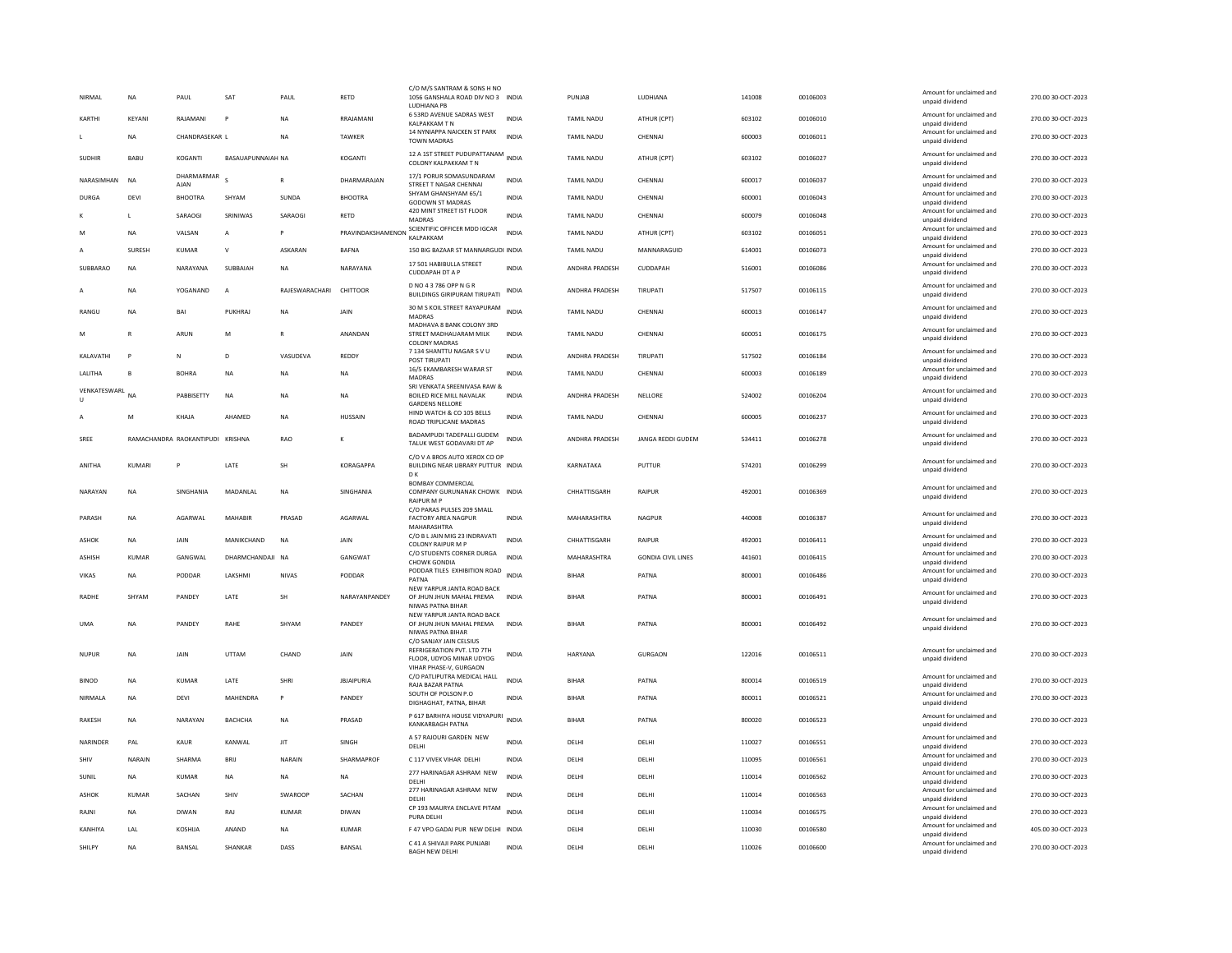| NIRMAL        |              | <b>NA</b>     | PAUL                             | <b>SAT</b>               | PAUL           | RETD              | C/O M/S SANTRAM & SONS H NO<br>1056 GANSHALA ROAD DIV NO 3 INDIA<br><b>IUDHIANA PR</b>    |              | PUNJAB            | LUDHIANA                  | 141008 | 00106003 | Amount for unclaimed and<br>unpaid dividend | 270.00 30-OCT-2023 |
|---------------|--------------|---------------|----------------------------------|--------------------------|----------------|-------------------|-------------------------------------------------------------------------------------------|--------------|-------------------|---------------------------|--------|----------|---------------------------------------------|--------------------|
| KARTHI        |              | KFYANI        | RAIAMANI                         | P                        | <b>NA</b>      | RRAIAMANI         | 6 53RD AVENUE SADRAS WEST<br>KALPAKKAM T N                                                | <b>INDIA</b> | <b>TAMIL NADU</b> | ATHUR (CPT)               | 603102 | 00106010 | Amount for unclaimed and<br>unpaid dividend | 270.00.30-OCT-2023 |
|               |              | <b>NA</b>     | CHANDRASEKAR L                   |                          | <b>NA</b>      | TAWKER            | 14 NYNIAPPA NAICKEN ST PARK<br><b>TOWN MADRAS</b>                                         | INDIA        | <b>TAMIL NADU</b> | CHENNAI                   | 600003 | 00106011 | Amount for unclaimed and<br>unpaid dividend | 270.00 30-OCT-2023 |
| <b>SUDHIR</b> |              | BABU          | KOGANTI                          | <b>BASAUAPUNNAIAH NA</b> |                | KOGANTI           | 12 A 1ST STREET PUDUPATTANAM<br>COLONY KALPAKKAM T N                                      | <b>INDIA</b> | TAMIL NADU        | ATHUR (CPT)               | 603102 | 00106027 | Amount for unclaimed and<br>unpaid dividend | 270.00 30-OCT-2023 |
|               | NARASIMHAN   | <b>NA</b>     | DHARMARMAR<br><b>AJAN</b>        |                          | $\mathbb{R}$   | DHARMARAJAN       | 17/1 PORUR SOMASUNDARAM<br>STREET T NAGAR CHENNAI                                         | <b>INDIA</b> | TAMIL NADU        | CHENNAI                   | 600017 | 00106037 | Amount for unclaimed and<br>unpaid dividend | 270.00 30-OCT-2023 |
| <b>DURGA</b>  |              | DEVI          | BHOOTRA                          | SHYAM                    | SUNDA          | <b>BHOOTRA</b>    | SHYAM GHANSHYAM 65/1<br>GODOWN ST MADRAS                                                  | <b>INDIA</b> | TAMIL NADU        | CHENNAI                   | 600001 | 00106043 | Amount for unclaimed and<br>unpaid dividend | 270.00 30-OCT-2023 |
|               |              | L             | SARAOGI                          | SRINIWAS                 | SARAOGI        | RETD              | 420 MINT STREET IST FLOOR<br><b>MADRAS</b>                                                | <b>INDIA</b> | TAMIL NADU        | CHENNAI                   | 600079 | 00106048 | Amount for unclaimed and<br>unpaid dividend | 270.00 30-OCT-2023 |
|               |              | <b>NA</b>     | VALSAN                           | A                        | P              | PRAVINDAKSHAMENON | SCIENTIFIC OFFICER MDD IGCAR<br>KALPAKKAM                                                 | <b>INDIA</b> | TAMIL NADU        | ATHUR (CPT)               | 603102 | 00106051 | Amount for unclaimed and<br>unpaid dividend | 270.00 30-OCT-2023 |
|               |              | <b>SURFSH</b> | KUMAR                            | $\mathsf{v}$             | ASKARAN        | <b>BAFNA</b>      | 150 BIG BAZAAR ST MANNARGUDI INDIA                                                        |              | <b>TAMIL NADU</b> | MANNARAGUID               | 614001 | 00106073 | Amount for unclaimed and                    | 270.00 30-OCT-2023 |
|               | SUBBARAO     | <b>NA</b>     | NARAYANA                         | SUBBAIAH                 | <b>NA</b>      | NARAYANA          | 17 501 HABIBULLA STREET                                                                   | <b>INDIA</b> | ANDHRA PRADESH    | CUDDAPAH                  | 516001 | 00106086 | unpaid dividend<br>Amount for unclaimed and | 270.00 30-OCT-2023 |
|               |              | <b>NA</b>     | YOGANAND                         | $\overline{A}$           | RAJESWARACHARI | CHITTOOR          | <b>CUDDAPAH DT A P</b><br>D NO 4 3 786 OPP N G R                                          | <b>INDIA</b> | ANDHRA PRADESH    | TIRUPATI                  | 517507 | 00106115 | unpaid dividend<br>Amount for unclaimed and | 270.00 30-OCT-2023 |
|               |              |               |                                  |                          |                |                   | <b>BUILDINGS GIRIPURAM TIRUPATI</b><br>30 M S KOIL STREET RAYAPURAM                       |              |                   |                           |        |          | unpaid dividend<br>Amount for unclaimed and |                    |
| RANGU         |              | <b>NA</b>     | BAI                              | PUKHRAJ                  | <b>NA</b>      | JAIN              | MADRAS<br>MADHAVA 8 BANK COLONY 3RD                                                       | <b>INDIA</b> | TAMIL NADU        | CHENNAL                   | 600013 | 00106147 | unpaid dividend                             | 270.00 30-OCT-2023 |
|               |              | R             | ARUN                             | M                        |                | ANANDAN           | STREET MADHAUARAM MILK<br><b>COLONY MADRAS</b>                                            | INDIA        | TAMIL NADU        | CHENNAI                   | 600051 | 00106175 | Amount for unclaimed and<br>unpaid dividend | 270.00 30-OCT-2023 |
|               | KALAVATHI    | P             | N                                | $\overline{D}$           | VASUDEVA       | REDDY             | 7 134 SHANTTU NAGAR S V U<br>POST TIRUPATI                                                | <b>INDIA</b> | ANDHRA PRADESH    | TIRUPATI                  | 517502 | 00106184 | Amount for unclaimed and<br>unpaid dividend | 270.00 30-OCT-2023 |
|               | LALITHA      | B             | <b>BOHRA</b>                     | <b>NA</b>                | NA             | NA                | 16/5 EKAMBARESH WARAR ST<br>MADRAS                                                        | <b>INDIA</b> | TAMIL NADU        | CHENNAI                   | 600003 | 00106189 | Amount for unclaimed and<br>unpaid dividend | 270.00 30-OCT-2023 |
| U             | VENKATESWARL | <b>NA</b>     | PABBISETTY                       | <b>NA</b>                | <b>NA</b>      | <b>NA</b>         | SRI VENKATA SREENIVASA RAW &<br><b>BOILED RICE MILL NAVALAK</b><br><b>GARDENS NELLORE</b> | <b>INDIA</b> | ANDHRA PRADESH    | NELLORE                   | 524002 | 00106204 | Amount for unclaimed and<br>unpaid dividend | 270.00 30-OCT-2023 |
|               |              | M             | KHAJA                            | AHAMED                   | <b>NA</b>      | HUSSAIN           | HIND WATCH & CO 105 BELLS<br>ROAD TRIPLICANE MADRAS                                       | <b>INDIA</b> | <b>TAMIL NADU</b> | CHENNAL                   | 600005 | 00106237 | Amount for unclaimed and<br>unpaid dividend | 270.00 30-OCT-2023 |
| SREE          |              |               | RAMACHANDRA RAOKANTIPUDI KRISHNA |                          | <b>RAO</b>     |                   | BADAMPUDI TADEPALLI GUDEM<br>TALUK WEST GODAVARI DT AP                                    | INDIA        | ANDHRA PRADESH    | <b>JANGA REDDI GUDEM</b>  | 534411 | 00106278 | Amount for unclaimed and<br>unpaid dividend | 270.00 30-OCT-2023 |
| ANITHA        |              | KUMARI        | P                                | LATE                     | SH             | KORAGAPPA         | C/O V A BROS AUTO XEROX CO OP<br>BUILDING NEAR LIBRARY PUTTUR INDIA<br>D K                |              | KARNATAKA         | PUTTUR                    | 574201 | 00106299 | Amount for unclaimed and<br>unpaid dividend | 270.00 30-OCT-2023 |
|               | NARAYAN      | <b>NA</b>     | SINGHANIA                        | MADANLAL                 | <b>NA</b>      | SINGHANIA         | <b>BOMBAY COMMERCIAL</b><br>COMPANY GURUNANAK CHOWK INDIA<br><b>RAIPUR M P</b>            |              | CHHATTISGARH      | <b>RAIPUR</b>             | 492001 | 00106369 | Amount for unclaimed and<br>unpaid dividend | 270.00 30-OCT-2023 |
| PARASH        |              | NA            | AGARWAL                          | MAHABIR                  | PRASAD         | AGARWAL           | C/O PARAS PULSES 209 SMALL<br><b>FACTORY AREA NAGPUR</b><br>MAHARASHTRA                   | <b>INDIA</b> | MAHARASHTRA       | NAGPUR                    | 440008 | 00106387 | Amount for unclaimed and<br>unpaid dividend | 270.00 30-OCT-2023 |
| ASHOK         |              | NA            | JAIN                             | MANIKCHAND               | <b>NA</b>      | JAIN              | C/O B L JAIN MIG 23 INDRAVATI<br><b>COLONY RAIPUR M P</b>                                 | <b>INDIA</b> | CHHATTISGARH      | RAIPUR                    | 492001 | 00106411 | Amount for unclaimed and<br>unpaid dividend | 270.00 30-OCT-2023 |
| <b>ASHISH</b> |              | KUMAR         | GANGWAL                          | DHARMCHANDAJI NA         |                | GANGWAT           | C/O STUDENTS CORNER DURGA<br><b>CHOWK GONDIA</b>                                          | <b>INDIA</b> | MAHARASHTRA       | <b>GONDIA CIVIL LINES</b> | 441601 | 00106415 | Amount for unclaimed and<br>unpaid dividend | 270.00 30-OCT-2023 |
| <b>VIKAS</b>  |              | NA            | PODDAR                           | LAKSHMI                  | <b>NIVAS</b>   | PODDAR            | PODDAR TILES EXHIBITION ROAD INDIA<br>PATNA                                               |              | <b>BIHAR</b>      | PATNA                     | 800001 | 00106486 | Amount for unclaimed and                    | 270.00 30-OCT-2023 |
|               |              |               |                                  |                          |                |                   | NEW YARPUR JANTA ROAD BACK                                                                |              |                   |                           |        |          | unpaid dividend<br>Amount for unclaimed and |                    |
| RADHE         |              | SHYAM         | PANDEY                           | LATE                     | SH             | NARAYANPANDEY     | OF JHUN JHUN MAHAL PREMA<br>NIWAS PATNA BIHAR                                             | <b>INDIA</b> | BIHAR             | PATNA                     | 800001 | 00106491 | unpaid dividend                             | 270.00 30-OCT-2023 |
| <b>UMA</b>    |              | <b>NA</b>     | PANDEY                           | RAHE                     | SHYAM          | PANDEY            | NEW YARPUR JANTA ROAD BACK<br>OF JHUN JHUN MAHAL PREMA<br>NIWAS PATNA BIHAR               | <b>INDIA</b> | <b>BIHAR</b>      | PATNA                     | 800001 | 00106492 | Amount for unclaimed and<br>unpaid dividend | 270.00 30-OCT-2023 |
| <b>NUPUF</b>  |              | NA            | JAIN                             | UTTAM                    | CHAND          | JAIN              | C/O SANJAY JAIN CELSIUS<br>REFRIGERATION PVT. LTD 7TH<br>FLOOR, UDYOG MINAR UDYOG         | INDIA        | HARYANA           | GURGAON                   | 122016 | 00106511 | Amount for unclaimed and<br>unpaid dividend | 270.00 30-OCT-2023 |
| <b>BINOD</b>  |              | <b>NA</b>     | <b>KUMAR</b>                     | LATE                     | SHRI           | <b>JBJAIPURIA</b> | VIHAR PHASE-V, GURGAON<br>C/O PATLIPUTRA MEDICAL HALL                                     | <b>INDIA</b> | <b>BIHAR</b>      | PATNA                     | 800014 | 00106519 | Amount for unclaimed and                    | 270.00 30-OCT-2023 |
|               | NIRMALA      | <b>NA</b>     | DEVI                             | MAHENDRA                 | P              | PANDEY            | RAJA BAZAR PATNA<br>SOUTH OF POLSON P.O.                                                  | INDIA        | <b>BIHAR</b>      | PATNA                     | 800011 | 00106521 | unpaid dividend<br>Amount for unclaimed and | 270.00 30-OCT-2023 |
|               |              |               |                                  |                          |                |                   | DIGHAGHAT, PATNA, BIHAR<br>P 617 BARHIYA HOUSE VIDYAPURI                                  |              |                   |                           |        |          | unpaid dividend<br>Amount for unclaimed and |                    |
| <b>RAKESH</b> |              | <b>NA</b>     | NARAYAN                          | <b>BACHCHA</b>           | <b>NA</b>      | PRASAD            | KANKARBAGH PATNA                                                                          | <b>INDIA</b> | <b>BIHAR</b>      | PATNA                     | 800020 | 00106523 | unpaid dividend                             | 270.00.30-OCT-2023 |
|               | NARINDER     | PAL           | KAUR                             | KANWAL                   | JIT            | SINGH             | A 57 RAJOURI GARDEN NEW<br>DELHI                                                          | <b>INDIA</b> | DELHI             | DELHI                     | 110027 | 00106551 | Amount for unclaimed and<br>unpaid dividend | 270.00 30-OCT-2023 |
| SHIV          |              | NARAIN        | SHARMA                           | BRIJ                     | NARAIN         | SHARMAPROF        | C 117 VIVEK VIHAR DELHI                                                                   | INDIA        | DELHI             | DELHI                     | 110095 | 00106561 | Amount for unclaimed and<br>unpaid dividend | 270.00 30-OCT-2023 |
| SUNIL         |              | NA            | <b>KUMAR</b>                     | <b>NA</b>                | <b>NA</b>      | NA                | 277 HARINAGAR ASHRAM NEW<br>DELHI                                                         | <b>INDIA</b> | DELHI             | DELHI                     | 110014 | 00106562 | Amount for unclaimed and<br>unpaid dividend | 270.00 30-OCT-2023 |
| ASHOK         |              | <b>KUMAR</b>  | SACHAN                           | SHIV                     | SWAROOP        | SACHAN            | 277 HARINAGAR ASHRAM NEW<br>DELHI                                                         | <b>INDIA</b> | DELHI             | DELHI                     | 110014 | 00106563 | Amount for unclaimed and<br>unpaid dividend | 270.00 30-OCT-2023 |
| RAJNI         |              | NA            | <b>DIWAN</b>                     | RAJ                      | <b>KUMAR</b>   | <b>DIWAN</b>      | CP 193 MAURYA ENCLAVE PITAM INDIA<br>PURA DELH                                            |              | DELHI             | DELHI                     | 110034 | 00106575 | Amount for unclaimed and<br>unpaid dividend | 270.00 30-OCT-2023 |
|               | KANHIYA      | LAL           | <b>KOSHUA</b>                    | ANAND                    | <b>NA</b>      | <b>KUMAR</b>      | F 47 VPO GADAI PUR NEW DELHI INDIA                                                        |              | DELH              | DELHI                     | 110030 | 00106580 | Amount for unclaimed and<br>unpaid dividend | 405.00 30-OCT-2023 |
| SHILPY        |              | <b>NA</b>     | BANSAL                           | <b>SHANKAR</b>           | DASS           | <b>BANSAL</b>     | C 41 A SHIVAJI PARK PUNJABI<br><b>BAGH NEW DELHI</b>                                      | INDIA        | DELHI             | DELHI                     | 110026 | 00106600 | Amount for unclaimed and<br>unpaid dividend | 270.00 30-OCT-2023 |
|               |              |               |                                  |                          |                |                   |                                                                                           |              |                   |                           |        |          |                                             |                    |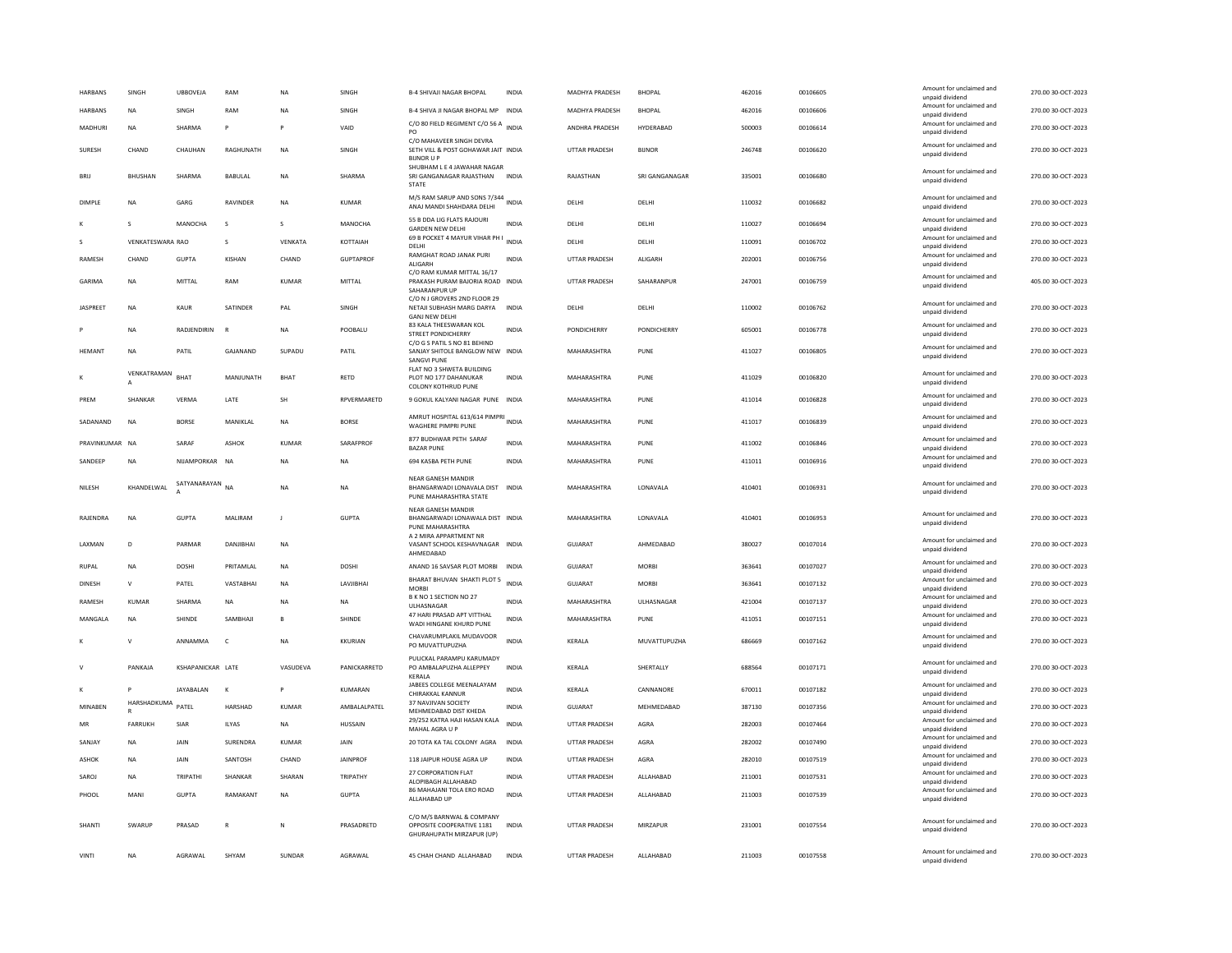|                | SINGH                       | <b>UBBOVEJA</b>   | RAM             | NA             | SINGH            | <b>B-4 SHIVAJI NAGAR BHOPAL</b>                                                        | <b>INDIA</b> | MADHYA PRADESH       | <b>BHOPAL</b>      | 462016 | 00106605 | Amount for unclaimed and<br>unnaid dividend | 270.00 30-OCT-2023 |
|----------------|-----------------------------|-------------------|-----------------|----------------|------------------|----------------------------------------------------------------------------------------|--------------|----------------------|--------------------|--------|----------|---------------------------------------------|--------------------|
| <b>HARBANS</b> | <b>NA</b>                   | SINGH             | RAM             | <b>NA</b>      | SINGH            | <b>B-4 SHIVA JI NAGAR BHOPAL MP</b>                                                    | <b>INDIA</b> | MADHYA PRADESH       | BHOPAL             | 462016 | 00106606 | Amount for unclaimed and<br>unpaid dividend | 270.00 30-OCT-2023 |
| MADHURI        | <b>NA</b>                   | SHARMA            |                 |                | VAID             | C/O 80 FIELD REGIMENT C/O 56 A<br>PO                                                   | <b>INDIA</b> | ANDHRA PRADESH       | HYDERABAD          | 500003 | 00106614 | Amount for unclaimed and<br>unpaid dividend | 270.00 30-OCT-2023 |
| SURESH         | CHAND                       | CHAUHAN           | RAGHUNATH       | <b>NA</b>      | SINGH            | C/O MAHAVEER SINGH DEVRA<br>SETH VILL & POST GOHAWAR JAIT INDIA<br><b>BIJNOR U P</b>   |              | <b>UTTAR PRADESH</b> | <b>BUNOR</b>       | 246748 | 00106620 | Amount for unclaimed and<br>unpaid dividend | 270.00 30-OCT-2023 |
| <b>BRII</b>    | <b>BHUSHAN</b>              | <b>SHARMA</b>     | BABULAL         | NA             | SHARMA           | SHUBHAM L E 4 JAWAHAR NAGAR<br>SRI GANGANAGAR RAJASTHAN INDIA<br><b>STATE</b>          |              | RAJASTHAN            | SRI GANGANAGAR     | 335001 | 00106680 | Amount for unclaimed and<br>unpaid dividend | 270.00 30-OCT-2023 |
| DIMPLE         | <b>NA</b>                   | GARG              | RAVINDER        | NA             | <b>KUMAR</b>     | M/S RAM SARUP AND SONS 7/344<br>ANAJ MANDI SHAHDARA DELHI                              | <b>INDIA</b> | DELHI                | DELHI              | 110032 | 00106682 | Amount for unclaimed and<br>unpaid dividend | 270.00 30-OCT-2023 |
|                | s                           | MANOCHA           | s               | s              | MANOCHA          | 55 B DDA LIG FLATS RAJOURI<br><b>GARDEN NEW DELHI</b>                                  | INDIA        | DELHI                | DELHI              | 110027 | 00106694 | Amount for unclaimed and<br>unpaid dividend | 270.00 30-OCT-2023 |
|                | VENKATESWARA RAO            |                   | s               | VENKATA        | KOTTAIAH         | 69 B POCKET 4 MAYUR VIHAR PH I<br>DELHI                                                | INDIA        | DELHI                | DELHI              | 110091 | 00106702 | Amount for unclaimed and<br>unpaid dividend | 270.00 30-OCT-2023 |
| RAMESH         | CHAND                       | <b>GUPTA</b>      | KISHAN          | CHAND          | <b>GUPTAPROF</b> | RAMGHAT ROAD JANAK PURI<br>ALIGARH                                                     | <b>INDIA</b> | <b>UTTAR PRADESH</b> | ALIGARH            | 202001 | 00106756 | Amount for unclaimed and<br>unpaid dividend | 270.00 30-OCT-2023 |
| GARIMA         | <b>NA</b>                   | MITTAL            | RAM             | KUMAR          | MITTAL           | C/O RAM KUMAR MITTAL 16/17<br>PRAKASH PURAM BAJORIA ROAD INDIA<br>SAHARANPUR UP        |              | UTTAR PRADESH        | SAHARANPUR         | 247001 | 00106759 | Amount for unclaimed and<br>unpaid dividend | 405.00 30-OCT-2023 |
| JASPREET       | NA                          | KAUR              | SATINDER        | PAL            | SINGH            | C/O N J GROVERS 2ND FLOOR 29<br>NETAJI SUBHASH MARG DARYA<br><b>GANJ NEW DELHI</b>     | <b>INDIA</b> | DELHI                | DELHI              | 110002 | 00106762 | Amount for unclaimed and<br>unpaid dividend | 270.00 30-OCT-2023 |
|                | <b>NA</b>                   | RADJENDIRIN       | - R             | <b>NA</b>      | POOBALU          | 83 KALA THEESWARAN KOL<br><b>STREET PONDICHERRY</b>                                    | <b>INDIA</b> | PONDICHERRY          | <b>PONDICHERRY</b> | 605001 | 00106778 | Amount for unclaimed and<br>unpaid dividend | 270.00 30-OCT-2023 |
| <b>HEMANT</b>  | NA                          | PATIL             | GAJANAND        | SUPADU         | PATIL            | C/O G S PATIL S NO 81 BEHIND<br>SANJAY SHITOLE BANGLOW NEW INDIA<br><b>SANGVI PUNE</b> |              | MAHARASHTRA          | PUNE               | 411027 | 00106805 | Amount for unclaimed and<br>unpaid dividend | 270.00 30-OCT-2023 |
|                | VENKATRAMAN<br>$\mathbf{A}$ | <b>BHAT</b>       | MANJUNATH       | <b>BHAT</b>    | RETD             | FLAT NO 3 SHWETA BUILDING<br>PLOT NO 177 DAHANUKAR<br><b>COLONY KOTHRUD PUNE</b>       | <b>INDIA</b> | MAHARASHTRA          | PUNE               | 411029 | 00106820 | Amount for unclaimed and<br>unpaid dividend | 270.00 30-OCT-2023 |
| PREM           | SHANKAR                     | VERMA             | LATE            | SH             | RPVERMARETD      | 9 GOKUL KALYANI NAGAR PUNE INDIA                                                       |              | MAHARASHTRA          | PUNE               | 411014 | 00106828 | Amount for unclaimed and<br>unpaid dividend | 270.00 30-OCT-2023 |
| SADANAND       | <b>NA</b>                   | <b>BORSE</b>      | MANIKLAL        | NA             | <b>BORSE</b>     | AMRUT HOSPITAL 613/614 PIMPRI<br><b>WAGHERE PIMPRI PUNE</b>                            | <b>INDIA</b> | MAHARASHTRA          | PUNE               | 411017 | 00106839 | Amount for unclaimed and<br>unpaid dividend | 270.00 30-OCT-2023 |
| PRAVINKUMAR NA |                             | SARAF             | <b>ASHOK</b>    | <b>KUMAR</b>   | SARAFPROF        | 877 BUDHWAR PETH SARAF<br><b>BAZAR PUNE</b>                                            | <b>INDIA</b> | MAHARASHTRA          | PUNE               | 411002 | 00106846 | Amount for unclaimed and<br>unpaid dividend | 270.00 30-OCT-2023 |
| SANDEEP        | <b>NA</b>                   | NIJAMPORKAR       | NA              | NA             | NA               | 694 KASBA PETH PUNE                                                                    | INDIA        | MAHARASHTRA          | PUNE               | 411011 | 00106916 | Amount for unclaimed and<br>unpaid dividend | 270.00 30-OCT-2023 |
| NILESH         | KHANDELWAL                  | SATYANARAYAN NA   |                 | <b>NA</b>      | <b>NA</b>        | NEAR GANESH MANDIR<br>BHANGARWADI LONAVALA DIST INDIA                                  |              | MAHARASHTRA          | LONAVALA           | 410401 | 00106931 | Amount for unclaimed and                    | 270.00 30-OCT-2023 |
|                |                             |                   |                 |                |                  | PUNE MAHARASHTRA STATE                                                                 |              |                      |                    |        |          | unpaid dividend                             |                    |
| RAJENDRA       | <b>NA</b>                   | <b>GUPTA</b>      | MALIRAM         | $\mathbf{J}$   | <b>GUPTA</b>     | <b>NEAR GANESH MANDIR</b><br>BHANGARWADI LONAWALA DIST INDIA<br>PUNE MAHARASHTRA       |              | MAHARASHTRA          | LONAVALA           | 410401 | 00106953 | Amount for unclaimed and<br>unpaid dividend | 270.00 30-OCT-2023 |
| LAXMAN         | D                           | PARMAR            | DANJIBHAI       | <b>NA</b>      |                  | A 2 MIRA APPARTMENT NR<br>VASANT SCHOOL KESHAVNAGAR INDIA<br>AHMEDABAD                 |              | <b>GUJARAT</b>       | AHMEDABAD          | 380027 | 00107014 | Amount for unclaimed and<br>unpaid dividend | 270.00 30-OCT-2023 |
| <b>RUPAL</b>   | NA                          | DOSHI             | PRITAMLAL       | NA             | DOSHI            | ANAND 16 SAVSAR PLOT MORBI                                                             | <b>INDIA</b> | GUJARAT              | <b>MORBI</b>       | 363641 | 00107027 | Amount for unclaimed and<br>unpaid dividend | 270.00 30-OCT-2023 |
| DINESH         | $\mathsf{V}$                | PATEL             | VASTABHAI       | <b>NA</b>      | LAVJIBHAI        | BHARAT BHUVAN SHAKTI PLOT 5<br><b>MORBI</b>                                            | <b>INDIA</b> | GUJARAT              | <b>MORBI</b>       | 363641 | 00107132 | Amount for unclaimed and<br>unpaid dividend | 270.00 30-OCT-2023 |
| RAMESH         | <b>KUMAR</b>                | SHARMA            | <b>NA</b>       | <b>NA</b>      | <b>NA</b>        | B K NO 1 SECTION NO 27<br>ULHASNAGAR                                                   | <b>INDIA</b> | MAHARASHTRA          | ULHASNAGAR         | 421004 | 00107137 | Amount for unclaimed and<br>unpaid dividend | 270.00 30-OCT-2023 |
| MANGALA        | <b>NA</b>                   | SHINDE            | SAMBHAJI        | $\overline{B}$ | SHINDE           | 47 HARI PRASAD APT VITTHAL<br>WADI HINGANE KHURD PUNE                                  | <b>INDIA</b> | MAHARASHTRA          | PUNE               | 411051 | 00107151 | Amount for unclaimed and<br>unpaid dividend | 270.00 30-OCT-2023 |
|                | v                           | ANNAMMA           | $\mathsf{C}$    | <b>NA</b>      | <b>KKURIAN</b>   | CHAVARUMPLAKIL MUDAVOOR<br>PO MUVATTUPUZHA                                             | <b>INDIA</b> | KERALA               | MUVATTUPUZHA       | 686669 | 00107162 | Amount for unclaimed and<br>unpaid dividend | 270.00 30-OCT-2023 |
|                | PANKAJA                     | KSHAPANICKAR LATE |                 | VASUDEVA       | PANICKARRETD     | PULICKAL PARAMPU KARUMADY<br>PO AMBALAPUZHA ALLEPPEY<br>KERALA                         | INDIA        | KERALA               | SHERTALLY          | 688564 | 00107171 | Amount for unclaimed and<br>unpaid dividend | 270.00 30-OCT-2023 |
| К              |                             | JAYABALAN         | $\mathbf{K}$    | P              | <b>KUMARAN</b>   | JABEES COLLEGE MEENALAYAM<br>CHIRAKKAL KANNUF                                          | <b>INDIA</b> | KERALA               | CANNANORE          | 670011 | 00107182 | Amount for unclaimed and<br>unpaid dividend | 270.00 30-OCT-2023 |
| MINABEN        | HARSHADKUMA                 | PATEL             | HARSHAD         | KUMAR          | AMBALALPATEL     | 37 NAVJIVAN SOCIETY<br>MEHMEDABAD DIST KHEDA                                           | <b>INDIA</b> | GUJARAT              | MEHMEDABAD         | 387130 | 00107356 | Amount for unclaimed and<br>unpaid dividend | 270.00 30-OCT-2023 |
| MR             | <b>FARRUKH</b>              | SIAR              | ILYAS           | NA             | HUSSAIN          | 29/252 KATRA HAJI HASAN KALA<br>MAHAL AGRA U P                                         | <b>INDIA</b> | UTTAR PRADESH        | AGRA               | 282003 | 00107464 | Amount for unclaimed and<br>unpaid dividend | 270.00 30-OCT-2023 |
| SANIAY         | <b>NA</b>                   | <b>JAIN</b>       | <b>SURFNDRA</b> | KUMAR          | <b>JAIN</b>      | 20 TOTA KA TAL COLONY AGRA                                                             | <b>INDIA</b> | <b>UTTAR PRADESH</b> | AGRA               | 282002 | 00107490 | Amount for unclaimed and<br>unpaid dividend | 270.00 30-OCT-2023 |
| ASHOK          | NA                          | JAIN              | SANTOSH         | CHAND          | <b>JAINPROF</b>  | 118 JAIPUR HOUSE AGRA UP                                                               | INDIA        | UTTAR PRADESH        | AGRA               | 282010 | 00107519 | Amount for unclaimed and<br>unpaid dividend | 270.00 30-OCT-2023 |
| SAROJ          | NA                          | TRIPATH           | SHANKAR         | SHARAN         | TRIPATHY         | 27 CORPORATION FLAT<br>ALOPIBAGH ALLAHABAD                                             | INDIA        | <b>UTTAR PRADESH</b> | ALLAHABAD          | 211001 | 00107531 | Amount for unclaimed and<br>unpaid dividend | 270.00 30-OCT-2023 |
| PHOOL          | MANI                        | <b>GUPTA</b>      | RAMAKANT        | <b>NA</b>      | <b>GUPTA</b>     | 86 MAHAJANI TOLA ERO ROAD<br>ALLAHABAD UP                                              | <b>INDIA</b> | <b>UTTAR PRADESH</b> | ALLAHABAD          | 211003 | 00107539 | Amount for unclaimed and<br>unpaid dividend | 270.00 30-OCT-2023 |
| SHANTI         | SWARUP                      | PRASAD            | $\mathsf{R}$    | N              | PRASADRETD       | C/O M/S BARNWAL & COMPANY<br>OPPOSITE COOPERATIVE 1181<br>GHURAHUPATH MIRZAPUR (UP)    | <b>INDIA</b> | <b>UTTAR PRADESH</b> | MIRZAPUR           | 231001 | 00107554 | Amount for unclaimed and<br>unpaid dividend | 270.00 30-OCT-2023 |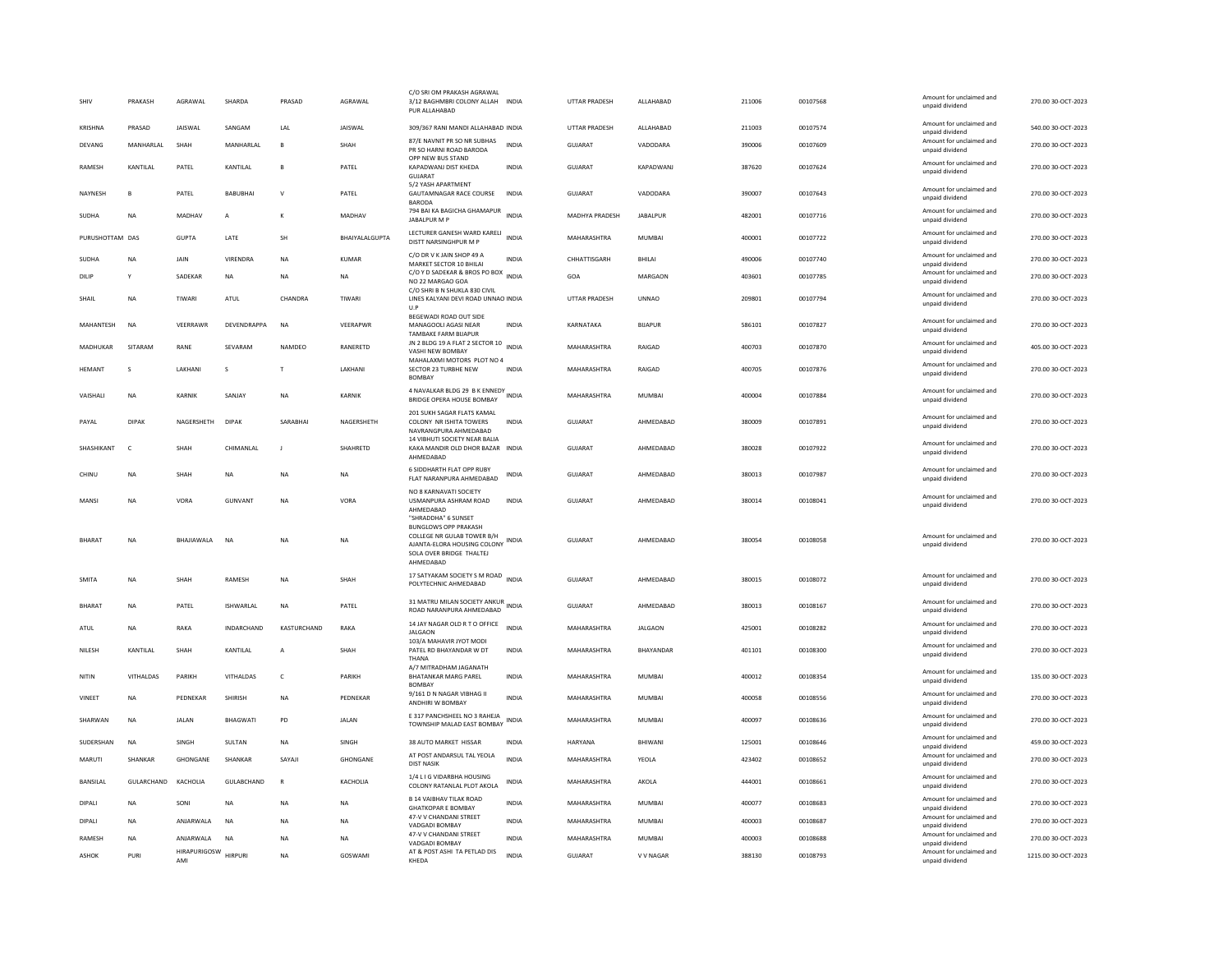| SHIV            | PRAKASH          | AGRAWAL             | SHARDA           | PRASAD        | AGRAWAL         | C/O SRI OM PRAKASH AGRAWAL<br>3/12 BAGHMBRI COLONY ALLAH<br>PUR ALLAHABAD                                                                                | INDIA        | UTTAR PRADESH  | ALLAHABAD       | 211006 | 00107568 | Amount for unclaimed and<br>unpaid dividend | 270.00 30-OCT-2023  |
|-----------------|------------------|---------------------|------------------|---------------|-----------------|----------------------------------------------------------------------------------------------------------------------------------------------------------|--------------|----------------|-----------------|--------|----------|---------------------------------------------|---------------------|
| <b>KRISHNA</b>  | PRASAD           | JAISWAL             | SANGAM           | LAL           | JAISWAL         | 309/367 RANI MANDI ALLAHABAD INDIA                                                                                                                       |              | UTTAR PRADESH  | ALLAHABAD       | 211003 | 00107574 | Amount for unclaimed and<br>unpaid dividend | 540.00 30-OCT-2023  |
| DEVANG          | MANHARLAL        | SHAH                | MANHARLAL        | <b>R</b>      | SHAH            | 87/E NAVNIT PR SO NR SUBHAS<br>PR SO HARNI ROAD BARODA                                                                                                   | <b>INDIA</b> | GUJARAT        | VADODARA        | 390006 | 00107609 | Amount for unclaimed and<br>unpaid dividend | 270.00 30-OCT-2023  |
| RAMESH          | KANTILAL         | PATEL               | KANTILAL         | $\mathbf{B}$  | PATEL           | OPP NEW BUS STAND<br>KAPADWANJ DIST KHEDA<br>GUIARAT                                                                                                     | <b>INDIA</b> | GUJARAT        | KAPADWANJ       | 387620 | 00107624 | Amount for unclaimed and<br>unpaid dividend | 270.00 30-OCT-2023  |
| NAYNESH         | B                | PATEL               | <b>BABUBHAI</b>  | $\mathsf{V}$  | PATEL           | 5/2 YASH APARTMENT<br><b>GAUTAMNAGAR RACE COURSE</b><br><b>BARODA</b>                                                                                    | <b>INDIA</b> | <b>GUJARAT</b> | VADODARA        | 390007 | 00107643 | Amount for unclaimed and<br>unpaid dividend | 270.00 30-OCT-2023  |
| SUDHA           | <b>NA</b>        | MADHAV              | А                | К             | MADHAV          | 794 BAI KA BAGICHA GHAMAPUR<br>JABALPUR M P                                                                                                              | <b>INDIA</b> | MADHYA PRADESH | <b>JABALPUR</b> | 482001 | 00107716 | Amount for unclaimed and<br>unpaid dividend | 270.00 30-OCT-2023  |
| PURUSHOTTAM DAS |                  | <b>GUPTA</b>        | LATE             | SH            | BHAIYALALGUPTA  | LECTURER GANESH WARD KARELI<br>DISTT NARSINGHPUR M P                                                                                                     | <b>INDIA</b> | MAHARASHTRA    | MUMBAI          | 400001 | 00107722 | Amount for unclaimed and<br>unpaid dividend | 270.00 30-OCT-2023  |
| SUDHA           | <b>NA</b>        | JAIN                | VIRENDRA         | NA            | KUMAR           | C/O DR V K JAIN SHOP 49 A<br>MARKET SECTOR 10 BHILAI                                                                                                     | <b>INDIA</b> | CHHATTISGARH   | BHILAI          | 490006 | 00107740 | Amount for unclaimed and<br>unpaid dividend | 270.00 30-OCT-2023  |
| DILIP           | Y                | SADEKAR             | <b>NA</b>        | <b>NA</b>     | <b>NA</b>       | C/O Y D SADEKAR & BROS PO BOX<br>NO 22 MARGAO GOA                                                                                                        | <b>INDIA</b> | GOA            | MARGAON         | 403601 | 00107785 | Amount for unclaimed and<br>unpaid dividend | 270.00.30-OCT-2023  |
| SHAIL           | <b>NA</b>        | TIWARI              | ATUL             | CHANDRA       | TIWARI          | C/O SHRLB N SHUKLA 830 CIVIL<br>LINES KALYANI DEVI ROAD UNNAO INDIA<br>U.P                                                                               |              | UTTAR PRADESH  | <b>UNNAO</b>    | 209801 | 00107794 | Amount for unclaimed and<br>unpaid dividend | 270.00 30-OCT-2023  |
| MAHANTESH       | <b>NA</b>        | VEERRAWF            | DEVENDRAPPA      | <b>NA</b>     | VEERAPWR        | BEGEWADI ROAD OUT SIDE<br>MANAGOOLI AGASI NEAR<br><b>TAMBAKE FARM BIJAPUR</b>                                                                            | INDIA        | KARNATAKA      | <b>BIJAPUR</b>  | 586101 | 00107827 | Amount for unclaimed and<br>unpaid dividend | 270.00 30-OCT-2023  |
| MADHUKAR        | SITARAM          | RANF                | SFVARAM          | <b>NAMDEO</b> | <b>RANFRETD</b> | JN 2 BLDG 19 A FLAT 2 SECTOR 10 INDIA<br>VASHI NEW BOMBAY                                                                                                |              | MAHARASHTRA    | <b>RAIGAD</b>   | 400703 | 00107870 | Amount for unclaimed and<br>unpaid dividend | 405.00.30-OCT-2023  |
| <b>HEMANT</b>   | s                | LAKHANI             | s                | $\mathsf{T}$  | LAKHANI         | MAHALAXMI MOTORS PLOT NO 4<br>SECTOR 23 TURBHE NEW<br><b>BOMBAY</b>                                                                                      | <b>INDIA</b> | MAHARASHTRA    | RAIGAD          | 400705 | 00107876 | Amount for unclaimed and<br>unpaid dividend | 270.00 30-OCT-2023  |
| VAISHALI        | NA               | KARNIK              | SANJAY           | <b>NA</b>     | <b>KARNIK</b>   | 4 NAVALKAR BLDG 29 B K ENNEDY<br>BRIDGE OPERA HOUSE BOMBAY                                                                                               |              | MAHARASHTRA    | MUMBAI          | 400004 | 00107884 | Amount for unclaimed and<br>unpaid dividend | 270.00 30-OCT-2023  |
| PAYAL           | <b>DIPAK</b>     | NAGERSHETH          | <b>DIPAK</b>     | SARABHAI      | NAGERSHETH      | 201 SUKH SAGAR FLATS KAMAL<br>COLONY NR ISHITA TOWERS<br>NAVRANGPURA AHMEDABAD                                                                           | <b>INDIA</b> | <b>GUJARAT</b> | AHMEDABAD       | 380009 | 00107891 | Amount for unclaimed and<br>unpaid dividend | 270.00 30-OCT-2023  |
| SHASHIKANT      | c                | SHAH                | CHIMANLAL        | J.            | SHAHRETD        | 14 VIBHUTI SOCIETY NEAR BALIA<br>KAKA MANDIR OLD DHOR BAZAR INDIA<br>AHMEDABAD                                                                           |              | <b>GUJARAT</b> | AHMEDABAD       | 380028 | 00107922 | Amount for unclaimed and<br>unpaid dividend | 270.00 30-OCT-2023  |
| CHINU           | <b>NA</b>        | SHAH                | <b>NA</b>        | <b>NA</b>     | <b>NA</b>       | 6 SIDDHARTH FLAT OPP RUBY<br>FLAT NARANPURA AHMEDABAD                                                                                                    | <b>INDIA</b> | GUIARAT        | AHMFDARAD       | 380013 | 00107987 | Amount for unclaimed and<br>unpaid dividend | 270.00.30-OCT-2023  |
| MANSI           | <b>NA</b>        | VORA                | <b>GUNVANT</b>   | <b>NA</b>     | VORA            | NO 8 KARNAVATI SOCIETY<br>USMANPURA ASHRAM ROAD<br>AHMEDABAD                                                                                             | <b>INDIA</b> | <b>GUJARAT</b> | AHMEDABAD       | 380014 | 00108041 | Amount for unclaimed and<br>unpaid dividend | 270.00 30-OCT-2023  |
| <b>BHARAT</b>   | NA               | BHAJIAWALA          | NA               | <b>NA</b>     | NA              | "SHRADDHA" 6 SUNSET<br><b>BUNGLOWS OPP PRAKASH</b><br>COLLEGE NR GULAB TOWER B/H<br>AJANTA-ELORA HOUSING COLONY<br>SOLA OVER BRIDGE THALTEJ<br>AHMEDABAD | <b>INDIA</b> | GUJARAT        | AHMEDABAD       | 380054 | 00108058 | Amount for unclaimed and<br>unpaid dividend | 270.00 30-OCT-2023  |
| <b>SMITA</b>    | <b>NA</b>        | SHAH                | RAMESH           | <b>NA</b>     | SHAH            | 17 SATYAKAM SOCIETY S M ROAD<br>POLYTECHNIC AHMEDABAD                                                                                                    | <b>INDIA</b> | GUJARAT        | AHMEDABAD       | 380015 | 00108072 | Amount for unclaimed and<br>unpaid dividend | 270.00 30-OCT-2023  |
| BHARAT          | <b>NA</b>        | PATEL               | <b>ISHWARLAL</b> | <b>NA</b>     | PATEL           | 31 MATRU MILAN SOCIETY ANKUR<br>ROAD NARANPURA AHMEDABAD                                                                                                 | <b>INDIA</b> | <b>GUJARAT</b> | AHMEDABAD       | 380013 | 00108167 | Amount for unclaimed and<br>unpaid dividend | 270.00 30-OCT-2023  |
| ATUL            | NA               | RAKA                | INDARCHAND       | KASTURCHAND   | RAKA            | 14 JAY NAGAR OLD R T O OFFICE<br><b>JAI GAON</b><br>103/A MAHAVIR JYOT MODI                                                                              | <b>INDIA</b> | MAHARASHTRA    | <b>JALGAON</b>  | 425001 | 00108282 | Amount for unclaimed and<br>unnaid dividend | 270.00 30-OCT-2023  |
| NILESH          | KANTILAL         | SHAH                | KANTILAL         | А             | SHAH            | PATEL RD BHAYANDAR W DT<br>THANA                                                                                                                         | INDIA        | MAHARASHTRA    | BHAYANDAR       | 401101 | 00108300 | Amount for unclaimed and<br>unpaid dividend | 270.00 30-OCT-2023  |
| NITIN           | <b>VITHALDAS</b> | PARIKH              | VITHALDAS        | $\mathsf{C}$  | PARIKH          | A/7 MITRADHAM JAGANATH<br><b>BHATANKAR MARG PAREL</b><br><b>BOMBAY</b>                                                                                   | <b>INDIA</b> | MAHARASHTRA    | <b>MUMBAI</b>   | 400012 | 00108354 | Amount for unclaimed and<br>unpaid dividend | 135.00 30-OCT-2023  |
| VINEET          | NA               | PEDNEKAR            | SHIRISH          | NA            | PEDNEKAR        | 9/161 D N NAGAR VIBHAG II<br>ANDHIRI W ROMRAY                                                                                                            | INDIA        | MAHARASHTRA    | MUMBAI          | 400058 | 00108556 | Amount for unclaimed and<br>unnaid dividend | 270.00 30-OCT-2023  |
| SHARWAN         | NA               | <b>JALAN</b>        | <b>BHAGWATI</b>  | PD            | <b>JALAN</b>    | E 317 PANCHSHEEL NO 3 RAHEJA<br>TOWNSHIP MALAD EAST BOMBAY                                                                                               | INDIA        | MAHARASHTRA    | MUMBAI          | 400097 | 00108636 | Amount for unclaimed and<br>unpaid dividend | 270.00 30-OCT-2023  |
| SUDERSHAN       | <b>NA</b>        | SINGH               | SULTAN           | NA            | SINGH           | 38 AUTO MARKET HISSAR                                                                                                                                    | <b>INDIA</b> | HARYANA        | BHIWANI         | 125001 | 00108646 | Amount for unclaimed and<br>unnaid dividend | 459.00 30-OCT-2023  |
| MARUTI          | SHANKAR          | <b>GHONGANE</b>     | <b>SHANKAR</b>   | SAYAII        | <b>GHONGANE</b> | AT POST ANDARSUL TAL YEOLA<br><b>DIST NASIK</b>                                                                                                          | <b>INDIA</b> | MAHARASHTRA    | YFOI A          | 423402 | 00108652 | Amount for unclaimed and<br>unpaid dividend | 270.00.30-OCT-2023  |
| <b>BANSILAL</b> | GULARCHAND       | KACHOLIA            | GULABCHAND       | $\mathbb{R}$  | <b>KACHOLIA</b> | 1/4 L I G VIDARBHA HOUSING<br>COLONY RATANLAL PLOT AKOLA                                                                                                 | <b>INDIA</b> | MAHARASHTRA    | AKOLA           | 444001 | 00108661 | Amount for unclaimed and<br>unpaid dividend | 270.00 30-OCT-2023  |
| <b>DIPALI</b>   | <b>NA</b>        | SONI                | <b>NA</b>        | <b>NA</b>     | <b>NA</b>       | <b>B 14 VAIBHAV TILAK ROAD</b><br><b>GHATKOPAR E BOMBAY</b>                                                                                              | <b>INDIA</b> | MAHARASHTRA    | <b>MUMBAI</b>   | 400077 | 00108683 | Amount for unclaimed and<br>unpaid dividend | 270.00 30-OCT-2023  |
| <b>DIPALI</b>   | <b>NA</b>        | ANJARWALA           | <b>NA</b>        | <b>NA</b>     | NA              | 47-V V CHANDANI STREET<br>VADGADI BOMBAY                                                                                                                 | <b>INDIA</b> | MAHARASHTRA    | <b>MUMBAI</b>   | 400003 | 00108687 | Amount for unclaimed and<br>unpaid dividend | 270.00 30-OCT-2023  |
| RAMESH          | NA               | ANJARWALA           | NA               | <b>NA</b>     | NA              | 47-V V CHANDANI STREET<br>VADGADI BOMBAY                                                                                                                 | <b>INDIA</b> | MAHARASHTRA    | MUMBAI          | 400003 | 00108688 | Amount for unclaimed and<br>unpaid dividend | 270.00 30-OCT-2023  |
| <b>ASHOK</b>    | PURI             | HIRAPURIGOSW<br>AMI | <b>HIRPURI</b>   | <b>NA</b>     | GOSWAMI         | AT & POST ASHI TA PETLAD DIS<br>KHEDA                                                                                                                    | <b>INDIA</b> | GUIARAT        | V V NAGAR       | 388130 | 00108793 | Amount for unclaimed and<br>unpaid dividend | 1215.00 30-OCT-2023 |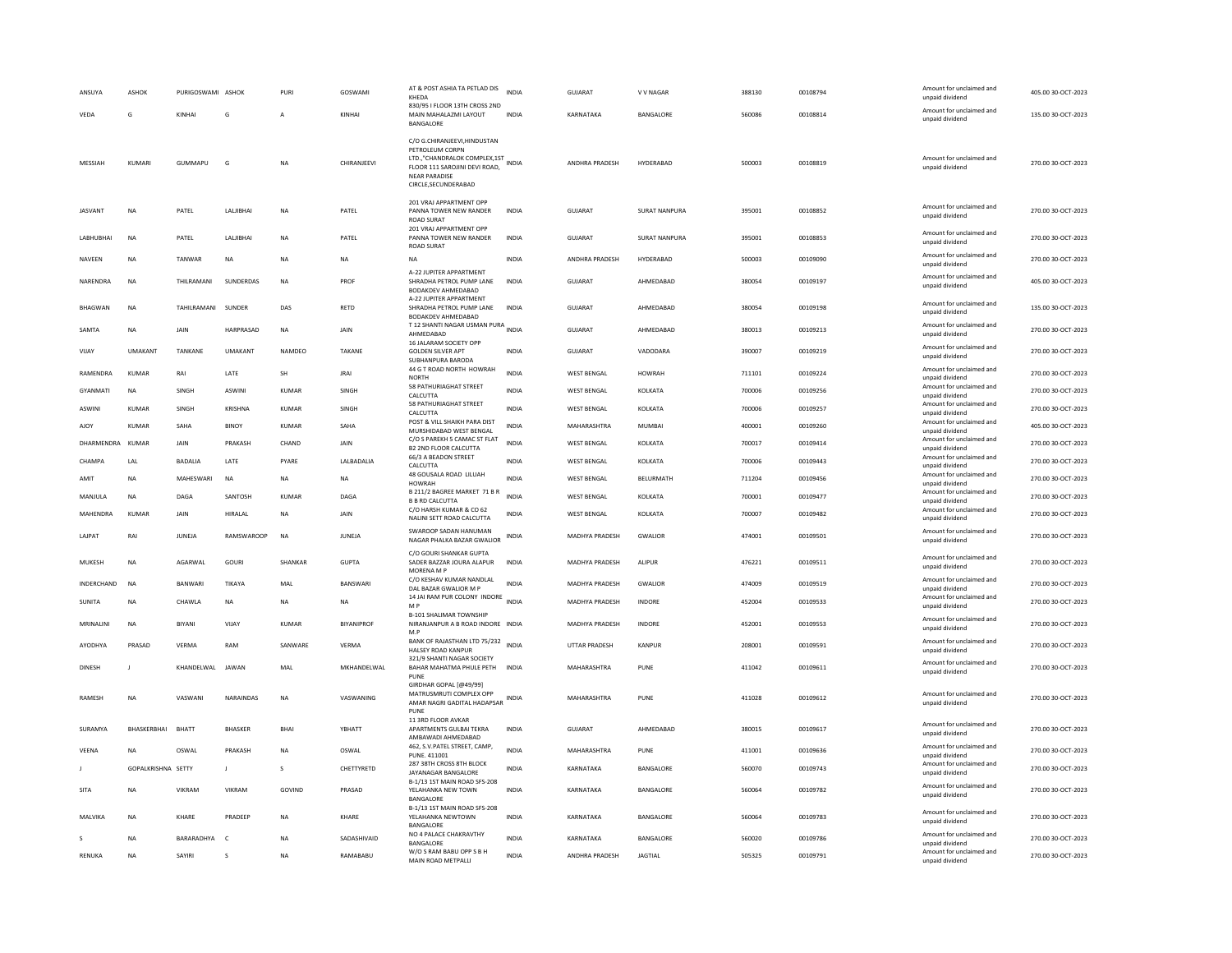| ANSUYA           | <b>ASHOK</b>       | PURIGOSWAMI ASHOK  |                 | PURI         | GOSWAMI           | AT & POST ASHIA TA PETLAD DIS<br>KHEDA                                                                                                                                | <b>INDIA</b> | <b>GUJARAT</b>        | V V NAGAR            | 388130 | 00108794 | Amount for unclaimed and<br>unpaid dividend | 405.00 30-OCT-2023 |
|------------------|--------------------|--------------------|-----------------|--------------|-------------------|-----------------------------------------------------------------------------------------------------------------------------------------------------------------------|--------------|-----------------------|----------------------|--------|----------|---------------------------------------------|--------------------|
| VEDA             | G                  | KINHAI             | G               | A            | KINHAI            | 830/95 I FLOOR 13TH CROSS 2ND<br>MAIN MAHALAZMI LAYOUT<br>BANGALORE                                                                                                   | <b>INDIA</b> | KARNATAKA             | BANGALORE            | 560086 | 00108814 | Amount for unclaimed and<br>unpaid dividend | 135.00 30-OCT-2023 |
| MESSIAH          | KUMARI             | <b>GUMMAPU</b>     | G               | <b>NA</b>    | CHIRANJEEVI       | C/O G.CHIRANJEEVI, HINDUSTAN<br>PETROLEUM CORPN<br>LTD.,"CHANDRALOK COMPLEX,1ST INDIA<br>FLOOR 111 SAROJINI DEVI ROAD,<br><b>NEAR PARADISE</b><br>CIRCLE.SECUNDERABAD |              | ANDHRA PRADESH        | HYDERABAD            | 500003 | 00108819 | Amount for unclaimed and<br>unpaid dividend | 270.00 30-OCT-2023 |
| <b>IASVANT</b>   | <b>NA</b>          | PATEL              | LALIBHAI        | <b>NA</b>    | PATEL             | 201 VRAJ APPARTMENT OPP<br>PANNA TOWER NEW RANDER<br><b>ROAD SURAT</b>                                                                                                | <b>INDIA</b> | <b>GUJARAT</b>        | SURAT NANPURA        | 395001 | 00108852 | Amount for unclaimed and<br>unpaid dividend | 270.00 30-OCT-2023 |
| LABHUBHAI        | <b>NA</b>          | PATEL              | <b>LALIBHAI</b> | <b>NA</b>    | PATEL             | 201 VRAJ APPARTMENT OPP<br>PANNA TOWER NEW RANDER<br><b>ROAD SURAT</b>                                                                                                | <b>INDIA</b> | GUIARAT               | <b>SURAT NANPURA</b> | 395001 | 00108853 | Amount for unclaimed and<br>unpaid dividend | 270.00 30-OCT-2023 |
| <b>NAVEEN</b>    | <b>NA</b>          | TANWAR             | <b>NA</b>       | <b>NA</b>    | <b>NA</b>         | <b>NA</b>                                                                                                                                                             | <b>INDIA</b> | ANDHRA PRADESH        | HYDERABAD            | 500003 | 00109090 | Amount for unclaimed and<br>unpaid dividend | 270.00 30-OCT-2023 |
| NARENDRA         | <b>NA</b>          | THILRAMANI         | SUNDERDAS       | <b>NA</b>    | PROF              | A-22 JUPITER APPARTMENT<br>SHRADHA PETROL PUMP LANE<br>BODAKDEV AHMEDABAD                                                                                             | <b>INDIA</b> | GUJARAT               | AHMEDABAD            | 380054 | 00109197 | Amount for unclaimed and<br>unpaid dividend | 405.00 30-OCT-2023 |
| <b>BHAGWAN</b>   | <b>NA</b>          | TAHILRAMANI SUNDER |                 | DAS          | <b>RFTD</b>       | A-22 JUPITER APPARTMENT<br>SHRADHA PETROL PUMP LANE<br>BODAKDEV AHMEDABAD                                                                                             | <b>INDIA</b> | GUIARAT               | AHMFDARAD            | 380054 | 00109198 | Amount for unclaimed and<br>unpaid dividend | 135.00 30-OCT-2023 |
| SAMTA            | NA                 | <b>JAIN</b>        | HARPRASAD       | <b>NA</b>    | <b>JAIN</b>       | T 12 SHANTI NAGAR USMAN PURA INDIA<br>AHMFDARAD                                                                                                                       |              | <b>GUJARAT</b>        | AHMEDABAD            | 380013 | 00109213 | Amount for unclaimed and<br>unpaid dividend | 270.00 30-OCT-2023 |
| VIJAY            | <b>UMAKANT</b>     | TANKANE            | <b>UMAKANT</b>  | NAMDEO       | TAKANE            | 16 JALARAM SOCIETY OPP<br><b>GOLDEN SILVER APT</b><br>SURHANPURA BARODA                                                                                               | <b>INDIA</b> | GUJARAT               | VADODARA             | 390007 | 00109219 | Amount for unclaimed and<br>unpaid dividend | 270.00 30-OCT-2023 |
| RAMENDRA         | <b>KUMAR</b>       | RAI                | LATE            | <b>SH</b>    | <b>JRAI</b>       | 44 G T ROAD NORTH HOWRAH<br><b>NORTH</b>                                                                                                                              | <b>INDIA</b> | <b>WEST BENGAL</b>    | <b>HOWRAH</b>        | 711101 | 00109224 | Amount for unclaimed and<br>unpaid dividend | 270.00 30-OCT-2023 |
| GYANMATI         | <b>NA</b>          | SINGH              | ASWINI          | <b>KUMAR</b> | SINGH             | 58 PATHURIAGHAT STREET<br>CALCUTTA                                                                                                                                    | INDIA        | <b>WEST BENGAL</b>    | KOLKATA              | 700006 | 00109256 | Amount for unclaimed and<br>unpaid dividend | 270.00 30-OCT-2023 |
| ASWINI           | <b>KUMAR</b>       | SINGH              | <b>KRISHNA</b>  | KUMAR        | SINGH             | 58 PATHURIAGHAT STREET<br>CALCUTTA                                                                                                                                    | INDIA        | WEST BENGAL           | KOLKATA              | 700006 | 00109257 | Amount for unclaimed and<br>unpaid dividend | 270.00 30-OCT-2023 |
| AJOY             | KUMAR              | SAHA               | <b>BINOY</b>    | KUMAR        | SAHA              | POST & VILL SHAIKH PARA DIST<br>MURSHIDABAD WEST BENGAL                                                                                                               | <b>INDIA</b> | MAHARASHTRA           | MUMBAI               | 400001 | 00109260 | Amount for unclaimed and<br>unpaid dividend | 405.00 30-OCT-2023 |
| DHARMENDRA KUMAR |                    | JAIN               | PRAKASH         | CHAND        | JAIN              | C/O S PAREKH 5 CAMAC ST FLAT<br><b>B2 2ND FLOOR CALCUTTA</b>                                                                                                          | INDIA        | <b>WEST BENGAL</b>    | KOLKATA              | 700017 | 00109414 | Amount for unclaimed and<br>unpaid dividend | 270.00 30-OCT-2023 |
| CHAMPA           | LAL                | <b>BADALIA</b>     | LATE            | PYARE        | LALBADALIA        | 66/3 A BEADON STREET<br>CALCUTTA                                                                                                                                      | <b>INDIA</b> | <b>WEST BENGAL</b>    | KOLKATA              | 700006 | 00109443 | Amount for unclaimed and<br>unpaid dividend | 270.00 30-OCT-2023 |
| AMIT             | <b>NA</b>          | MAHESWARI          | <b>NA</b>       | NA           | NA                | 48 GOUSALA ROAD LILUAH<br>HOWRAH                                                                                                                                      | <b>INDIA</b> | <b>WEST BENGAL</b>    | BELURMATH            | 711204 | 00109456 | Amount for unclaimed and<br>unpaid dividend | 270.00 30-OCT-2023 |
| MANJULA          | <b>NA</b>          | DAGA               | SANTOSH         | KUMAR        | DAGA              | B 211/2 BAGREE MARKET 71 B R<br><b>B B RD CALCUTTA</b>                                                                                                                | <b>INDIA</b> | <b>WEST BENGAL</b>    | KOLKATA              | 700001 | 00109477 | Amount for unclaimed and<br>unpaid dividend | 270.00 30-OCT-2023 |
| MAHENDRA         | KUMAR              | JAIN               | HIRALAL         | <b>NA</b>    | <b>JAIN</b>       | C/O HARSH KUMAR & CO 62<br>NALINI SETT ROAD CALCUTTA                                                                                                                  | <b>INDIA</b> | <b>WEST BENGAL</b>    | KOLKATA              | 700007 | 00109482 | Amount for unclaimed and<br>unpaid dividend | 270.00 30-OCT-2023 |
| LAJPAT           | RAI                | JUNEJA             | RAMSWAROOP      | <b>NA</b>    | JUNEJA            | SWAROOP SADAN HANUMAN<br>NAGAR PHALKA BAZAR GWALIOR                                                                                                                   | <b>INDIA</b> | MADHYA PRADESH        | <b>GWALIOR</b>       | 474001 | 00109501 | Amount for unclaimed and<br>unpaid dividend | 270.00 30-OCT-2023 |
| MUKESH           | <b>NA</b>          | AGARWAI            | GOURI           | SHANKAR      | <b>GUPTA</b>      | C/O GOURI SHANKAR GUPTA<br>SADER BAZZAR JOURA ALAPUR<br>MORENA M P                                                                                                    | <b>INDIA</b> | MADHYA PRADESH        | <b>ALIPUR</b>        | 476221 | 00109511 | Amount for unclaimed and<br>unpaid dividend | 270.00 30-OCT-2023 |
| INDERCHAND       | NA                 | BANWARI            | TIKAYA          | MAL          | BANSWARI          | C/O KESHAV KUMAR NANDLAL<br>DAL BAZAR GWALIOR M P                                                                                                                     | <b>INDIA</b> | MADHYA PRADESH        | GWALIOR              | 474009 | 00109519 | Amount for unclaimed and<br>unpaid dividend | 270.00 30-OCT-2023 |
| SUNITA           | <b>NA</b>          | <b>CHAWLA</b>      | <b>NA</b>       | <b>NA</b>    | <b>NA</b>         | 14 JAI RAM PUR COLONY INDORE INDIA<br>M P                                                                                                                             |              | <b>MADHYA PRADESH</b> | <b>INDORF</b>        | 452004 | 00109533 | Amount for unclaimed and<br>unpaid dividend | 270.00 30-OCT-2023 |
| MRINALINI        | <b>NA</b>          | <b>BIYANI</b>      | VIJAY           | <b>KUMAR</b> | <b>BIYANIPROF</b> | <b>B-101 SHALIMAR TOWNSHIP</b>                                                                                                                                        |              | <b>MADHYA PRADESH</b> | <b>INDORE</b>        | 452001 | 00109553 | Amount for unclaimed and                    | 270.00 30-OCT-2023 |
|                  |                    |                    |                 |              |                   | NIRANJANPUR A B ROAD INDORE INDIA<br>M.P                                                                                                                              |              |                       |                      |        |          | unpaid dividend                             |                    |
| AYODHYA          | PRASAD             | VERMA              | RAM             | SANWARE      | VFRMA             | BANK OF RAJASTHAN LTD 75/232 INDIA<br><b>HALSEY ROAD KANPUR</b><br>321/9 SHANTI NAGAR SOCIETY                                                                         |              | UTTAR PRADESH         | KANPUR               | 208001 | 00109591 | Amount for unclaimed and<br>unpaid dividend | 270.00 30-OCT-2023 |
| DINESH           | J                  | KHANDELWAL         | <b>JAWAN</b>    | MAL          | MKHANDELWAL       | BAHAR MAHATMA PHULE PETH<br>PUNE<br>GIRDHAR GOPAL [@49/99]                                                                                                            | <b>INDIA</b> | MAHARASHTRA           | PUNE                 | 411042 | 00109611 | Amount for unclaimed and<br>unpaid dividend | 270.00 30-OCT-2023 |
| <b>RAMESH</b>    | <b>NA</b>          | VASWANI            | NARAINDAS       | <b>NA</b>    | VASWANING         | MATRUSMRUTI COMPLEX OPP<br>AMAR NAGRI GADITAL HADAPSAR INDIA<br>PUNE                                                                                                  |              | MAHARASHTRA           | PUNE                 | 411028 | 00109612 | Amount for unclaimed and<br>unpaid dividend | 270.00 30-OCT-2023 |
| SURAMYA          | BHASKERBHAI        | <b>BHATT</b>       | <b>BHASKER</b>  | <b>BHAI</b>  | YBHATT            | 11 3RD FLOOR AVKAR<br>APARTMENTS GULBAI TEKRA<br>AMBAWADI AHMEDABAD                                                                                                   | <b>INDIA</b> | <b>GUJARAT</b>        | AHMEDABAD            | 380015 | 00109617 | Amount for unclaimed and<br>unpaid dividend | 270.00 30-OCT-2023 |
| <b>VFFNA</b>     | <b>NA</b>          | OSWAL              | PRAKASH         | <b>NA</b>    | OSWAI             | 462, S.V.PATEL STREET, CAMP,<br>PUNE, 411001                                                                                                                          | <b>INDIA</b> | MAHARASHTRA           | PUNE                 | 411001 | 00109636 | Amount for unclaimed and<br>unpaid dividend | 270.00 30-OCT-2023 |
|                  | GOPALKRISHNA SETTY |                    | $\mathbf{L}$    | $\mathbf{S}$ | CHETTYRETD        | 287 38TH CROSS 8TH BLOCK<br>JAYANAGAR BANGALORE                                                                                                                       | <b>INDIA</b> | KARNATAKA             | BANGALORE            | 560070 | 00109743 | Amount for unclaimed and<br>unpaid dividend | 270.00 30-OCT-2023 |
| <b>SITA</b>      | NA                 | VIKRAM             | VIKRAM          | GOVIND       | PRASAD            | B-1/13 1ST MAIN ROAD SFS-208<br>YELAHANKA NEW TOWN<br><b>BANGALORE</b>                                                                                                | <b>INDIA</b> | KARNATAKA             | BANGALORE            | 560064 | 00109782 | Amount for unclaimed and<br>unpaid dividend | 270.00 30-OCT-2023 |
| MALVIKA          | NA                 | KHARF              | PRADEEP         | NA           | KHARF             | B-1/13 1ST MAIN ROAD SFS-208<br>YELAHANKA NEWTOWN<br><b>BANGALORE</b>                                                                                                 | <b>INDIA</b> | KARNATAKA             | BANGALORE            | 560064 | 00109783 | Amount for unclaimed and<br>unpaid dividend | 270.00 30-OCT-2023 |
|                  | NA                 | BARARADHYA         | $\mathsf{C}$    | NA           | SADASHIVAID       | NO 4 PALACE CHAKRAVTHY<br>BANGALORE                                                                                                                                   | <b>INDIA</b> | KARNATAKA             | BANGALORE            | 560020 | 00109786 | Amount for unclaimed and<br>unpaid dividend | 270.00 30-OCT-2023 |
| <b>RENUKA</b>    | <b>NA</b>          | SAYIRI             | $\mathbf{S}$    | <b>NA</b>    | RAMABABU          | W/O S RAM BABU OPP S B H<br>MAIN ROAD METPALLI                                                                                                                        | <b>INDIA</b> | ANDHRA PRADESH        | <b>IAGTIAL</b>       | 505325 | 00109791 | Amount for unclaimed and<br>unpaid dividend | 270.00 30-OCT-2023 |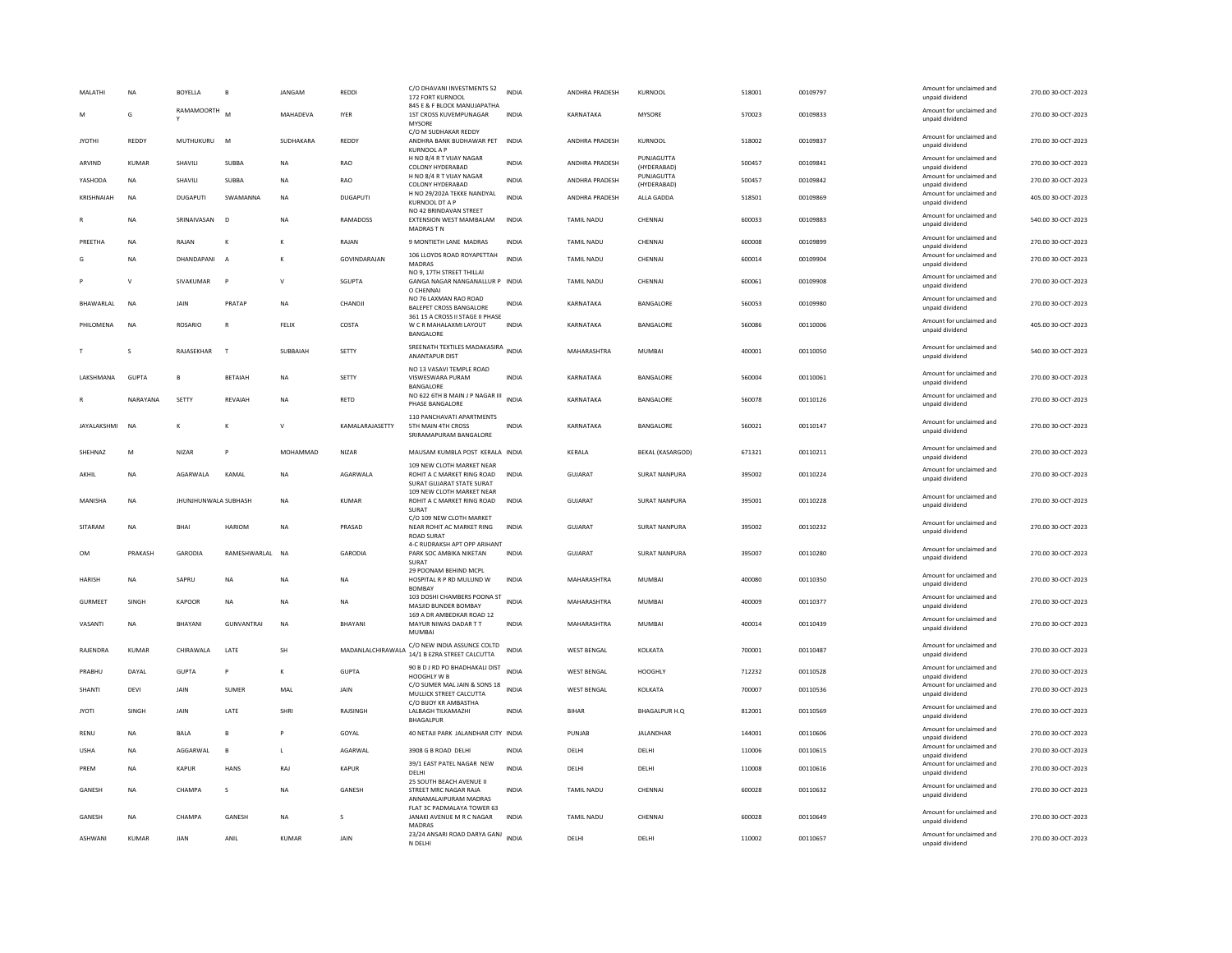| <b>MAI ATHI</b> | <b>NA</b>    | BOYELLA                           | <b>B</b>         | JANGAM       | REDDI             | C/O DHAVANI INVESTMENTS 52<br>172 FORT KURNOOL<br>845 F & F BLOCK MANUJAPATHA               | <b>INDIA</b> | ANDHRA PRADESH        | KURNOOL                   | 518001 | 00109797 | Amount for unclaimed and<br>unpaid dividend | 270.00 30-OCT-2023 |
|-----------------|--------------|-----------------------------------|------------------|--------------|-------------------|---------------------------------------------------------------------------------------------|--------------|-----------------------|---------------------------|--------|----------|---------------------------------------------|--------------------|
| M               | G            | <b>RAMAMOORTH</b><br>$\checkmark$ | M                | MAHADEVA     | <b>IYER</b>       | 1ST CROSS KUVEMPUNAGAR<br>MYSORE                                                            | INDIA        | KARNATAKA             | MYSORE                    | 570023 | 00109833 | Amount for unclaimed and<br>unpaid dividend | 270.00 30-OCT-2023 |
| <b>JYOTHI</b>   | REDDY        | MUTHUKURU                         | M                | SUDHAKARA    | REDDY             | C/O M SUDHAKAR REDDY<br>ANDHRA BANK BUDHAWAR PET<br><b>KURNOOL A P</b>                      | <b>INDIA</b> | ANDHRA PRADESH        | KURNOOL                   | 518002 | 00109837 | Amount for unclaimed and<br>unpaid dividend | 270.00 30-OCT-2023 |
| ARVIND          | KUMAR        | SHAVILI                           | SUBBA            | <b>NA</b>    | RAO               | H NO 8/4 R T VIJAY NAGAR<br>COLONY HYDERABAD                                                | <b>INDIA</b> | ANDHRA PRADESH        | PUNJAGUTTA<br>(HYDERABAD) | 500457 | 00109841 | Amount for unclaimed and<br>unpaid dividend | 270.00 30-OCT-2023 |
| YASHODA         | <b>NA</b>    | <b>SHAVILL</b>                    | SURRA            | <b>NA</b>    | RAO               | H NO 8/4 R T VIJAY NAGAR<br>COLONY HYDERABAD                                                | <b>INDIA</b> | <b>ANDHRA PRADESH</b> | PUNJAGUTTA<br>(HYDERABAD) | 500457 | 00109842 | Amount for unclaimed and<br>unpaid dividend | 270.00 30-OCT-2023 |
| KRISHNAIAH      | <b>NA</b>    | <b>DUGAPUTI</b>                   | SWAMANNA         | <b>NA</b>    | <b>DUGAPUTI</b>   | H NO 29/202A TEKKE NANDYAL<br>KURNOOL DT A P                                                | <b>INDIA</b> | ANDHRA PRADESH        | ALLA GADDA                | 518501 | 00109869 | Amount for unclaimed and<br>unpaid dividend | 405.00 30-OCT-2023 |
|                 | <b>NA</b>    | SRINAIVASAN                       | D                | <b>NA</b>    | RAMADOSS          | NO 42 BRINDAVAN STREET<br>EXTENSION WEST MAMBALAM<br>MADRAS TN                              | <b>INDIA</b> | TAMIL NADU            | CHENNAI                   | 600033 | 00109883 | Amount for unclaimed and<br>unpaid dividend | 540.00 30-OCT-2023 |
| PREETHA         | <b>NA</b>    | RAJAN                             | K                | к            | RAJAN             | 9 MONTIETH LANE MADRAS                                                                      | <b>INDIA</b> | <b>TAMIL NADU</b>     | CHENNAI                   | 600008 | 00109899 | Amount for unclaimed and<br>unpaid dividend | 270.00 30-OCT-2023 |
|                 | <b>NA</b>    | DHANDAPANI                        | $\overline{A}$   | $\kappa$     | GOVINDARAIAN      | 106 LLOYDS ROAD ROYAPETTAH<br>MADRAS<br>NO 9. 17TH STREET THILLAI                           | <b>INDIA</b> | <b>TAMIL NADU</b>     | CHENNAL                   | 600014 | 00109904 | Amount for unclaimed and<br>unpaid dividend | 270.00 30-OCT-2023 |
|                 | $\mathsf{v}$ | SIVAKUMAR                         | P                | $\mathsf{v}$ | SGUPTA            | GANGA NAGAR NANGANALLUR P INDIA<br>O CHENNAI                                                |              | TAMIL NADU            | CHENNAI                   | 600061 | 00109908 | Amount for unclaimed and<br>unpaid dividend | 270.00 30-OCT-2023 |
| BHAWARLAL       | <b>NA</b>    | <b>JAIN</b>                       | PRATAP           | <b>NA</b>    | CHANDJI           | NO 76 LAXMAN RAO ROAD<br><b>BALEPET CROSS BANGALORE</b><br>361 15 A CROSS II STAGE II PHASE | <b>INDIA</b> | KARNATAKA             | BANGALORE                 | 560053 | 00109980 | Amount for unclaimed and<br>unpaid dividend | 270.00 30-OCT-2023 |
| PHILOMENA       | <b>NA</b>    | <b>ROSARIO</b>                    | $\mathbb{R}$     | FELIX        | COSTA             | W C R MAHALAXMI LAYOUT<br>BANGALORE                                                         | <b>INDIA</b> | KARNATAKA             | BANGALORE                 | 560086 | 00110006 | Amount for unclaimed and<br>unpaid dividend | 405.00 30-OCT-2023 |
|                 | s            | RAJASEKHAR                        | $\mathbf{r}$     | SUBBAIAH     | SETTY             | SREENATH TEXTILES MADAKASIRA<br>ANANTAPUR DIST                                              | <b>INDIA</b> | MAHARASHTRA           | MUMBAI                    | 400001 | 00110050 | Amount for unclaimed and<br>unpaid dividend | 540.00 30-OCT-2023 |
| LAKSHMANA       | GUPTA        | B                                 | <b>BETAIAH</b>   | <b>NA</b>    | SETTY             | NO 13 VASAVI TEMPLE ROAD<br>VISWESWARA PURAM<br>BANGALORE                                   | <b>INDIA</b> | KARNATAKA             | BANGALORE                 | 560004 | 00110061 | Amount for unclaimed and<br>unpaid dividend | 270.00 30-OCT-2023 |
|                 | NARAYANA     | SETTY                             | <b>REVAIAH</b>   | <b>NA</b>    | RETD              | NO 622 6TH B MAIN J P NAGAR III<br>PHASE BANGALORE                                          | <b>INDIA</b> | KARNATAKA             | BANGALORE                 | 560078 | 00110126 | Amount for unclaimed and<br>unpaid dividend | 270.00 30-OCT-2023 |
| JAYALAKSHMI     | <b>NA</b>    | к                                 | К                | $\mathsf{v}$ | KAMALARAJASETTY   | 110 PANCHAVATI APARTMENTS<br>5TH MAIN 4TH CROSS<br>SRIRAMAPURAM BANGALORE                   | <b>INDIA</b> | KARNATAKA             | BANGALORE                 | 560021 | 00110147 | Amount for unclaimed and<br>unpaid dividend | 270.00 30-OCT-2023 |
| SHEHNAZ         | M            | <b>NIZAR</b>                      |                  | MOHAMMAD     | <b>NIZAR</b>      | MAUSAM KUMBLA POST KERALA INDIA                                                             |              | KERALA                | <b>BEKAL (KASARGOD)</b>   | 671321 | 00110211 | Amount for unclaimed and<br>unpaid dividend | 270.00 30-OCT-2023 |
| AKHII           | <b>NA</b>    | AGARWALA                          | KAMAL            | <b>NA</b>    | AGARWALA          | 109 NEW CLOTH MARKET NEAR<br>ROHIT A C MARKET RING ROAD<br>SURAT GUJARAT STATE SURAT        | <b>INDIA</b> | GUIARAT               | <b>SURAT NANPURA</b>      | 395002 | 00110224 | Amount for unclaimed and<br>unpaid dividend | 270.00 30-OCT-2023 |
| MANISHA         | NA           | JHUNJHUNWALA SUBHASH              |                  | <b>NA</b>    | <b>KUMAR</b>      | 109 NEW CLOTH MARKET NEAR<br>ROHIT A C MARKET RING ROAD<br>SURAT                            | <b>INDIA</b> | GUJARAT               | <b>SURAT NANPURA</b>      | 395001 | 00110228 | Amount for unclaimed and<br>unpaid dividend | 270.00 30-OCT-2023 |
| SITARAM         | <b>NA</b>    | <b>BHAI</b>                       | <b>HARIOM</b>    | <b>NA</b>    | PRASAD            | C/O 109 NEW CLOTH MARKET<br>NEAR ROHIT AC MARKET RING<br><b>ROAD SURAT</b>                  | <b>INDIA</b> | GUJARAT               | <b>SURAT NANPURA</b>      | 395002 | 00110232 | Amount for unclaimed and<br>unpaid dividend | 270.00 30-OCT-2023 |
| OM              | PRAKASH      | <b>GARODIA</b>                    | RAMESHWARLAL     | <b>NA</b>    | <b>GARODIA</b>    | 4-C RUDRAKSH APT OPP ARIHANT<br>PARK SOC AMBIKA NIKETAN<br><b>SURAT</b>                     | <b>INDIA</b> | <b>GUJARAT</b>        | <b>SURAT NANPURA</b>      | 395007 | 00110280 | Amount for unclaimed and<br>unpaid dividend | 270.00 30-OCT-2023 |
| <b>HARISH</b>   | NA           | SAPRU                             | NA               | <b>NA</b>    | NA                | 29 POONAM BEHIND MCPL<br>HOSPITAL R P RD MULUND W<br><b>BOMBA</b>                           | INDIA        | MAHARASHTRA           | MUMBAI                    | 400080 | 00110350 | Amount for unclaimed and<br>unnaid dividend | 270.00 30-OCT-2023 |
| <b>GURMEET</b>  | SINGH        | KAPOOR                            | <b>NA</b>        | <b>NA</b>    | <b>NA</b>         | 103 DOSHI CHAMBERS POONA ST INDIA<br>MASJID BUNDER BOMBAY                                   |              | MAHARASHTRA           | <b>MUMBAI</b>             | 400009 | 00110377 | Amount for unclaimed and<br>unpaid dividend | 270.00 30-OCT-2023 |
| VASANTI         | <b>NA</b>    | BHAYANI                           | <b>GUNVANTRA</b> | <b>NA</b>    | BHAYANI           | 169 A DR AMBEDKAR ROAD 12<br>MAYUR NIWAS DADAR T T<br>MUMBAI                                | <b>INDIA</b> | MAHARASHTRA           | <b>MUMBAI</b>             | 400014 | 00110439 | Amount for unclaimed and<br>unpaid dividend | 270.00 30-OCT-2023 |
| RAJENDRA        | <b>KUMAR</b> | CHIRAWALA                         | LATE             | SH           | MADANLALCHIRAWALA | C/O NEW INDIA ASSUNCE COLTD<br>14/1 B EZRA STREET CALCUTTA                                  | <b>INDIA</b> | <b>WEST BENGAL</b>    | KOLKATA                   | 700001 | 00110487 | Amount for unclaimed and<br>unpaid dividend | 270.00 30-OCT-2023 |
| PRABHU          | DAYAL        | <b>GUPTA</b>                      | $\, {\bf p}$     | К            | <b>GUPTA</b>      | 90 B D J RD PO BHADHAKALI DIST<br>HOOGHI Y W B                                              | <b>INDIA</b> | <b>WEST BENGAL</b>    | <b>HOOGHLY</b>            | 712232 | 00110528 | Amount for unclaimed and<br>unpaid dividend | 270.00 30-OCT-2023 |
| SHANTI          | DEVI         | JAIN                              | <b>SUMER</b>     | MAL          | JAIN              | C/O SUMER MAL JAIN & SONS 18<br>MULLICK STREET CALCUTTA                                     | <b>INDIA</b> | <b>WEST BENGAL</b>    | KOLKATA                   | 700007 | 00110536 | Amount for unclaimed and<br>unpaid dividend | 270.00 30-OCT-2023 |
| <b>JYOTI</b>    | SINGH        | JAIN                              | LATE             | SHRI         | RAJSINGH          | C/O BIJOY KR AMBASTHA<br>LALBAGH TILKAMAZHI<br>BHAGALPUR                                    | <b>INDIA</b> | BIHAR                 | BHAGALPUR H.Q             | 812001 | 00110569 | Amount for unclaimed and<br>unpaid dividend | 270.00 30-OCT-2023 |
| RENU            | NA           | <b>BALA</b>                       | $\,$ B           |              | GOYAL             | 40 NETAJI PARK JALANDHAR CITY INDIA                                                         |              | PUNJAB                | JALANDHAR                 | 144001 | 00110606 | Amount for unclaimed and<br>unpaid dividend | 270.00 30-OCT-2023 |
| <b>USHA</b>     | NA           | AGGARWAL                          | $\mathbf{B}$     | L.           | AGARWAL           | 3908 G B ROAD DELHI                                                                         | <b>INDIA</b> | DELHI                 | DELHI                     | 110006 | 00110615 | Amount for unclaimed and<br>unpaid dividend | 270.00 30-OCT-2023 |
| PRFM            | <b>NA</b>    | KAPUR                             | HANS             | RAI          | KAPUR             | 39/1 EAST PATEL NAGAR NEW<br>DELHI                                                          | <b>INDIA</b> | DELHI                 | DELHI                     | 110008 | 00110616 | Amount for unclaimed and<br>unpaid dividend | 270.00 30-OCT-2023 |
| GANESH          | <b>NA</b>    | CHAMPA                            | s                | <b>NA</b>    | GANESH            | 25 SOUTH BEACH AVENUE II<br>STREET MRC NAGAR RAJA<br>ANNAMALAIPURAM MADRAS                  | <b>INDIA</b> | TAMIL NADU            | CHENNAI                   | 600028 | 00110632 | Amount for unclaimed and<br>unpaid dividend | 270.00 30-OCT-2023 |
| <b>GANESH</b>   | <b>NA</b>    | СНАМРА                            | <b>GANESH</b>    | <b>NA</b>    | $\mathbf{s}$      | FLAT 3C PADMALAYA TOWER 63<br>JANAKI AVENUE M R C NAGAR<br>MADRAS                           | <b>INDIA</b> | <b>TAMIL NADU</b>     | CHENNAL                   | 600028 | 00110649 | Amount for unclaimed and<br>unpaid dividend | 270.00.30-OCT-2023 |
| ASHWANI         | <b>KUMAR</b> | <b>JIAN</b>                       | ANIL             | KUMAR        | JAIN              | 23/24 ANSARI ROAD DARYA GANJ<br>INDIA<br>N DELHI                                            |              | DELHI                 | DELHI                     | 110002 | 00110657 | Amount for unclaimed and<br>unpaid dividend | 270.00 30-OCT-2023 |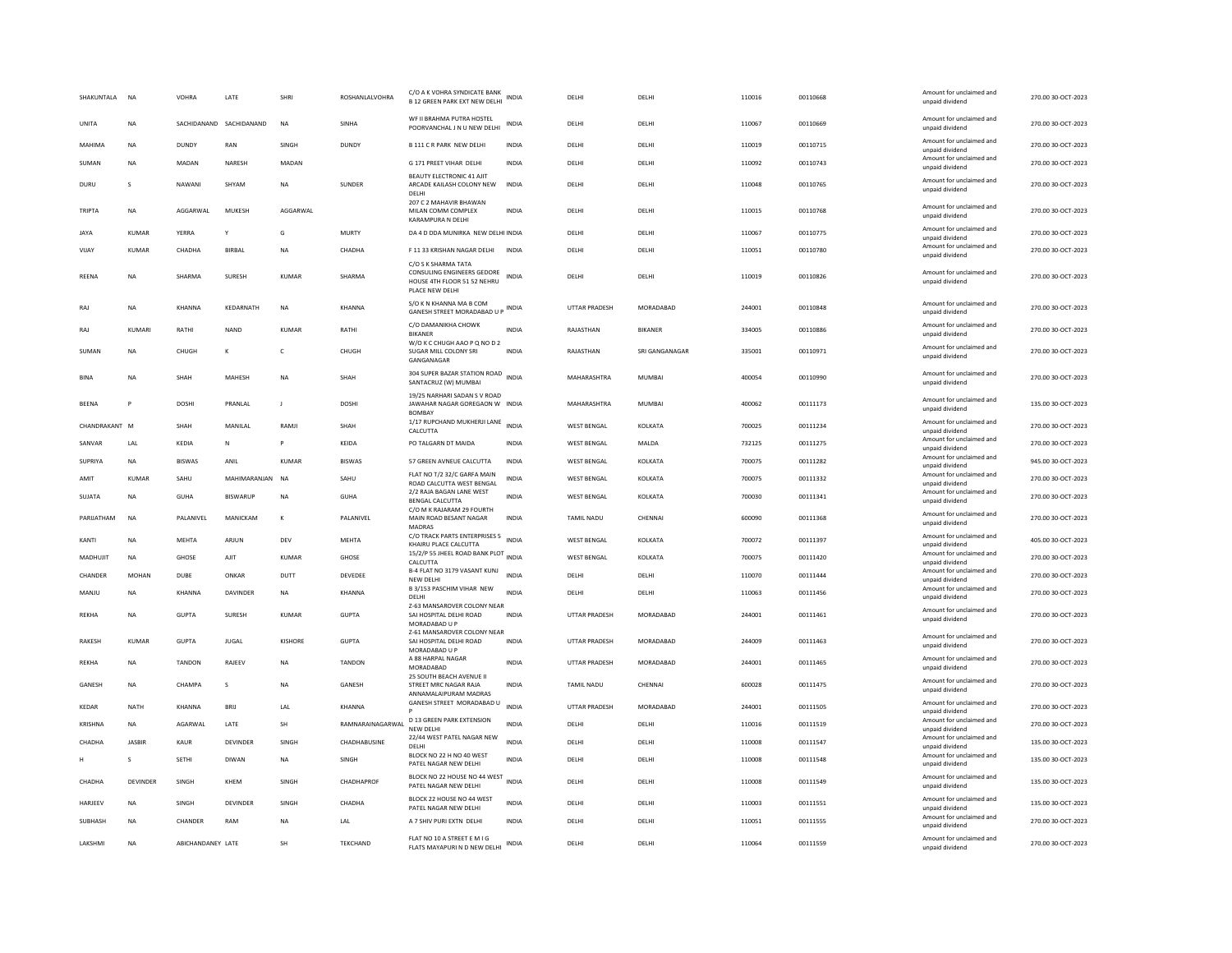| SHAKUNTALA     | <b>NA</b>     | VOHRA             | LATE                    | SHRI           | ROSHANLALVOHRA   | C/O A K VOHRA SYNDICATE BANK<br><b>B 12 GREEN PARK EXT NEW DELHI</b>                                | <b>INDIA</b> | DELHI                | DELHI          | 110016 | 00110668 | Amount for unclaimed and<br>unpaid dividend | 270.00 30-OCT-2023 |
|----------------|---------------|-------------------|-------------------------|----------------|------------------|-----------------------------------------------------------------------------------------------------|--------------|----------------------|----------------|--------|----------|---------------------------------------------|--------------------|
| <b>UNITA</b>   | <b>NA</b>     |                   | SACHIDANAND SACHIDANAND | <b>NA</b>      | <b>SINHA</b>     | WF II BRAHMA PUTRA HOSTEL<br>POORVANCHAL J N U NEW DELHI                                            | <b>INDIA</b> | DELHI                | DELHI          | 110067 | 00110669 | Amount for unclaimed and<br>unpaid dividend | 270.00 30-QCT-2023 |
| MAHIMA         | NA            | DUNDY             | RAN                     | SINGH          | DUNDY            | <b>B 111 C R PARK NEW DELHI</b>                                                                     | INDIA        | DELHI                | DELHI          | 110019 | 00110715 | Amount for unclaimed and<br>unpaid dividend | 270.00 30-OCT-2023 |
| SUMAN          | NA            | MADAN             | NARESH                  | MADAN          |                  | G 171 PREET VIHAR DELHI                                                                             | <b>INDIA</b> | DELHI                | DELHI          | 110092 | 00110743 | Amount for unclaimed and<br>unpaid dividend | 270.00 30-OCT-2023 |
| DURU           | $\mathbf{S}$  | NAWANI            | SHYAM                   | <b>NA</b>      | <b>SUNDER</b>    | BEAUTY ELECTRONIC 41 AJIT<br>ARCADE KAILASH COLONY NEW<br>DELH                                      | <b>INDIA</b> | DFI HI               | DELHI          | 110048 | 00110765 | Amount for unclaimed and<br>unpaid dividend | 270.00 30-OCT-2023 |
| TRIPTA         | NA            | AGGARWAL          | MUKESH                  | AGGARWAL       |                  | 207 C 2 MAHAVIR BHAWAN<br>MILAN COMM COMPLEX<br>KARAMPURA N DELHI                                   | <b>INDIA</b> | DELHI                | DELHI          | 110015 | 00110768 | Amount for unclaimed and<br>unpaid dividend | 270.00 30-OCT-2023 |
| <b>JAYA</b>    | KUMAR         | YFRRA             |                         | G              | <b>MURTY</b>     | DA 4 D DDA MUNIRKA NEW DELHI INDIA                                                                  |              | DELHI                | DELHI          | 110067 | 00110775 | Amount for unclaimed and<br>unpaid dividend | 270.00 30-OCT-2023 |
| VIJAY          | <b>KUMAR</b>  | CHADHA            | <b>BIRBAL</b>           | <b>NA</b>      | CHADHA           | F 11 33 KRISHAN NAGAR DELHI                                                                         | <b>INDIA</b> | DELHI                | DELHI          | 110051 | 00110780 | Amount for unclaimed and<br>unpaid dividend | 270.00 30-OCT-2023 |
| <b>RFFNA</b>   | <b>NA</b>     | SHARMA            | <b>SURFSH</b>           | KUMAR          | SHARMA           | C/O S K SHARMA TATA<br>CONSULING ENGINEERS GEDORE<br>HOUSE 4TH FLOOR 51 52 NEHRU<br>PLACE NEW DELHI | INDIA        | DELHI                | DELHI          | 110019 | 00110826 | Amount for unclaimed and<br>unpaid dividend | 270.00 30-OCT-2023 |
| RAJ            | NA            | KHANNA            | KEDARNATH               | <b>NA</b>      | KHANNA           | S/O K N KHANNA MA B COM<br>GANESH STREET MORADABAD U P INDIA                                        |              | <b>UTTAR PRADESH</b> | MORADARAD      | 244001 | 00110848 | Amount for unclaimed and<br>unpaid dividend | 270.00 30-OCT-2023 |
| RAJ            | KUMARI        | RATHI             | <b>NAND</b>             | <b>KUMAR</b>   | RATHI            | C/O DAMANIKHA CHOWK<br><b>BIKANEF</b>                                                               | <b>INDIA</b> | RAJASTHAN            | <b>BIKANER</b> | 334005 | 00110886 | Amount for unclaimed and<br>unpaid dividend | 270.00 30-OCT-2023 |
| SUMAN          | NA            | CHUGH             | К                       | c              | CHUGH            | W/O K C CHUGH AAO P Q NO D 2<br>SUGAR MILL COLONY SRI<br>GANGANAGAR                                 | <b>INDIA</b> | RAJASTHAN            | SRI GANGANAGAR | 335001 | 00110971 | Amount for unclaimed and<br>unpaid dividend | 270.00 30-OCT-2023 |
| <b>BINA</b>    | NA            | SHAH              | MAHESH                  | <b>NA</b>      | SHAH             | 304 SUPER BAZAR STATION ROAD<br>SANTACRUZ (W) MUMBAI                                                | <b>INDIA</b> | MAHARASHTRA          | MUMBAI         | 400054 | 00110990 | Amount for unclaimed and<br>unpaid dividend | 270.00 30-OCT-2023 |
| <b>BEENA</b>   | P             | <b>DOSHI</b>      | PRANLAL                 | $\mathbf{I}$   | <b>DOSHI</b>     | 19/25 NARHARI SADAN S V ROAD<br>JAWAHAR NAGAR GOREGAON W INDIA<br><b>BOMBAY</b>                     |              | MAHARASHTRA          | <b>MUMBAI</b>  | 400062 | 00111173 | Amount for unclaimed and<br>unpaid dividend | 135.00 30-OCT-2023 |
| CHANDRAKANT M  |               | SHAH              | MANILAL                 | RAMJI          | SHAH             | 1/17 RUPCHAND MUKHERJI LANE<br>CALCUTTA                                                             | <b>INDIA</b> | <b>WEST BENGAL</b>   | KOLKATA        | 700025 | 00111234 | Amount for unclaimed and<br>unpaid dividend | 270.00 30-OCT-2023 |
| SANVAR         | LAL           | KEDIA             | ${\sf N}$               | Þ              | KEIDA            | PO TALGARN DT MAIDA                                                                                 | <b>INDIA</b> | <b>WEST BENGAL</b>   | MALDA          | 732125 | 00111275 | Amount for unclaimed and<br>unpaid dividend | 270.00 30-OCT-2023 |
| SUPRIYA        | NA            | <b>BISWAS</b>     | ANIL                    | <b>KUMAR</b>   | <b>BISWAS</b>    | 57 GREEN AVNEUE CALCUTTA                                                                            | <b>INDIA</b> | WEST BENGAL          | KOLKATA        | 700075 | 00111282 | Amount for unclaimed and<br>unpaid dividend | 945.00 30-OCT-2023 |
| AMIT           | <b>KUMAR</b>  | SAHU              | MAHIMARANJAN            | <b>NA</b>      | SAHU             | FLAT NO T/2 32/C GARFA MAIN<br>ROAD CALCUTTA WEST BENGAL                                            | <b>INDIA</b> | <b>WEST BENGAL</b>   | KOLKATA        | 700075 | 00111332 | Amount for unclaimed and<br>unpaid dividend | 270.00 30-OCT-2023 |
| SUIATA         | <b>NA</b>     | GUHA              | <b>RISWARUF</b>         | <b>NA</b>      | GUHA             | 2/2 RAJA BAGAN LANE WEST<br><b>BENGAL CALCUTTA</b>                                                  | <b>INDIA</b> | <b>WEST BENGAL</b>   | KOLKATA        | 700030 | 00111341 | Amount for unclaimed and<br>unpaid dividend | 270.00 30-OCT-2023 |
| PARIJATHAM     | NA            | PALANIVEL         | MANICKAM                | К              | PALANIVEL        | C/O M K RAJARAM 29 FOURTH<br>MAIN ROAD BESANT NAGAR<br><b>MADRAS</b>                                | INDIA        | TAMIL NADU           | CHENNA         | 600090 | 00111368 | Amount for unclaimed and<br>unpaid dividend | 270.00 30-OCT-2023 |
| KANTI          | <b>NA</b>     | MEHTA             | ARJUN                   | DEV            | MEHTA            | C/O TRACK PARTS ENTERPRISES 5<br>KHAIRU PLACE CALCUTTA                                              | INDIA        | <b>WEST BENGAL</b>   | KOLKATA        | 700072 | 00111397 | Amount for unclaimed and<br>unpaid dividend | 405.00 30-OCT-2023 |
| MADHUIIT       | <b>NA</b>     | GHOSE             | AIIT                    | KUMAR          | <b>GHOSE</b>     | 15/2/P 55 JHEEL ROAD BANK PLOT INDIA<br>CALCUTTA                                                    |              | <b>WEST RENGAL</b>   | KOLKATA        | 700075 | 00111420 | Amount for unclaimed and<br>unpaid dividend | 270.00 30-OCT-2023 |
| CHANDER        | <b>MOHAN</b>  | DUBE              | ONKAR                   | DUTT           | DEVEDEE          | B-4 FLAT NO 3179 VASANT KUNJ<br>NEW DELHI                                                           | INDIA        | DELHI                | DELHI          | 110070 | 00111444 | Amount for unclaimed and<br>unpaid dividend | 270.00 30-OCT-2023 |
| MANJU          | NA            | KHANNA            | DAVINDER                | NA             | KHANNA           | B 3/153 PASCHIM VIHAR NEW<br>DELHI                                                                  | <b>INDIA</b> | DELHI                | DELHI          | 110063 | 00111456 | Amount for unclaimed and<br>unpaid dividend | 270.00 30-OCT-2023 |
| REKHA          | NA            | <b>GUPTA</b>      | SURESH                  | KUMAR          | <b>GUPTA</b>     | Z-63 MANSAROVER COLONY NEAR<br>SAI HOSPITAL DELHI ROAD<br>MORADABAD U P                             | INDIA        | UTTAR PRADESH        | MORADABAD      | 244001 | 00111461 | Amount for unclaimed and<br>unpaid dividend | 270.00 30-OCT-2023 |
| RAKESH         | KUMAR         | <b>GUPTA</b>      | <b>JUGAL</b>            | <b>KISHORE</b> | <b>GUPTA</b>     | Z-61 MANSAROVER COLONY NEAR<br>SAI HOSPITAL DELHI ROAD<br>MORADABAD U P                             | <b>INDIA</b> | UTTAR PRADESH        | MORADABAD      | 244009 | 00111463 | Amount for unclaimed and<br>unpaid dividend | 270.00 30-OCT-2023 |
| <b>REKHA</b>   | <b>NA</b>     | <b>TANDON</b>     | RAJEEV                  | <b>NA</b>      | <b>TANDON</b>    | A 88 HARPAL NAGAR<br>MORADARAD                                                                      | <b>INDIA</b> | UTTAR PRADESH        | MORADABAD      | 244001 | 00111465 | Amount for unclaimed and<br>unpaid dividend | 270.00 30-OCT-2023 |
| GANESH         | <b>NA</b>     | CHAMPA            | s                       | <b>NA</b>      | GANESH           | 25 SOUTH BEACH AVENUE II<br>STREET MRC NAGAR RAJA<br>ANNAMALAIPURAM MADRAS                          | <b>INDIA</b> | TAMIL NADU           | CHENNAI        | 600028 | 00111475 | Amount for unclaimed and<br>unpaid dividend | 270.00 30-OCT-2023 |
| <b>KEDAR</b>   | NATH          | KHANNA            | <b>BRIJ</b>             | LAL            | <b>KHANNA</b>    | GANESH STREET MORADABAD U                                                                           | <b>INDIA</b> | UTTAR PRADESH        | MORADABAD      | 244001 | 00111505 | Amount for unclaimed and<br>unpaid dividend | 270.00 30-OCT-2023 |
| KRISHNA        | NA            | AGARWAL           | LATE                    | SH             | RAMNARAINAGARWAL | <b>D 13 GREEN PARK EXTENSION</b><br>NEW DELHI                                                       | <b>INDIA</b> | DELHI                | DELHI          | 110016 | 00111519 | Amount for unclaimed and<br>unpaid dividend | 270.00 30-OCT-2023 |
| CHADHA         | <b>IASBIR</b> | KAUR              | DEVINDER                | SINGH          | CHADHABUSINE     | 22/44 WEST PATEL NAGAR NEW<br><b>DELHI</b>                                                          | <b>INDIA</b> | DELHI                | DELHI          | 110008 | 00111547 | Amount for unclaimed and<br>unpaid dividend | 135.00 30-OCT-2023 |
| н              | s             | <b>SETHI</b>      | DIWAN                   | <b>NA</b>      | SINGH            | BLOCK NO 22 H NO 40 WEST<br>PATEL NAGAR NEW DELHI                                                   | <b>INDIA</b> | DELHI                | DELHI          | 110008 | 00111548 | Amount for unclaimed and<br>unpaid dividend | 135.00 30-OCT-2023 |
| CHADHA         | DEVINDER      | SINGH             | KHEM                    | SINGH          | CHADHAPROF       | BLOCK NO 22 HOUSE NO 44 WEST<br>PATEL NAGAR NEW DELHI                                               | <b>INDIA</b> | DELHI                | DELHI          | 110008 | 00111549 | Amount for unclaimed and<br>unpaid dividend | 135.00 30-OCT-2023 |
| HARJEEV        | NA            | SINGH             | DEVINDER                | SINGH          | CHADHA           | BLOCK 22 HOUSE NO 44 WEST<br>PATEL NAGAR NEW DELHI                                                  | <b>INDIA</b> | DELHI                | DELHI          | 110003 | 00111551 | Amount for unclaimed and<br>unpaid dividend | 135.00 30-OCT-2023 |
| <b>SUBHASH</b> | <b>NA</b>     | CHANDER           | RAM                     | <b>NA</b>      | LAL              | A 7 SHIV PURLEXTN DELHI                                                                             | <b>INDIA</b> | <b>DELHI</b>         | DELHI          | 110051 | 00111555 | Amount for unclaimed and<br>unpaid dividend | 270.00 30-QCT-2023 |
| LAKSHMI        | <b>NA</b>     | ABICHANDANEY LATE |                         | <b>SH</b>      | TEKCHAND         | FLAT NO 10 A STREET E M I G<br>FLATS MAYAPURI N D NEW DELHI                                         | INDIA        | <b>DELHI</b>         | DELHI          | 110064 | 00111559 | Amount for unclaimed and<br>unpaid dividend | 270.00 30-OCT-2023 |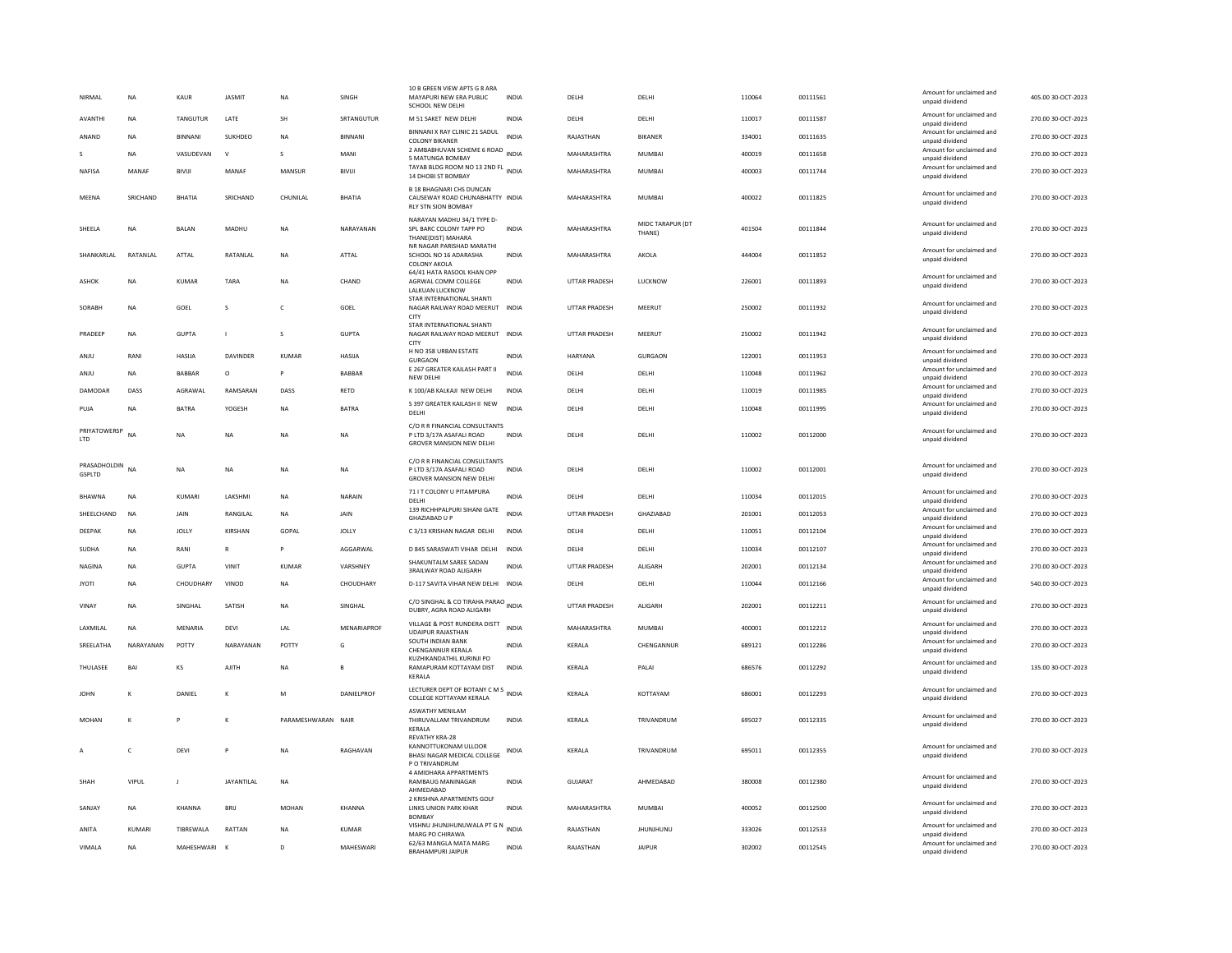| NIRMAL                     | <b>NA</b>     | KAUR           | <b>JASMIT</b>     | <b>NA</b>          | SINGH          | 10 B GREEN VIEW APTS G 8 ARA<br>MAYAPURI NEW ERA PUBLIC<br>SCHOOL NEW DELHI                              | <b>INDIA</b> | DELHI                | DELHI                      | 110064 | 00111561 | Amount for unclaimed and<br>unpaid dividend | 405.00 30-OCT-2023 |
|----------------------------|---------------|----------------|-------------------|--------------------|----------------|----------------------------------------------------------------------------------------------------------|--------------|----------------------|----------------------------|--------|----------|---------------------------------------------|--------------------|
| AVANTHI                    | <b>NA</b>     | TANGUTUR       | LATE              | SH                 | SRTANGUTUR     | M 51 SAKET NEW DELHI                                                                                     | <b>INDIA</b> | DELHI                | DELHI                      | 110017 | 00111587 | Amount for unclaimed and<br>unnaid dividend | 270.00 30-OCT-2023 |
| ANAND                      | <b>NA</b>     | <b>BINNANI</b> | <b>SUKHDEO</b>    | <b>NA</b>          | <b>BINNANI</b> | BINNANI X RAY CLINIC 21 SADUL<br><b>COLONY BIKANER</b>                                                   | <b>INDIA</b> | RAIASTHAN            | <b>RIKANFR</b>             | 334001 | 00111635 | Amount for unclaimed and<br>unpaid dividend | 270.00 30-QCT-2023 |
|                            | <b>NA</b>     | VASUDEVAN      | $\mathbf v$       | $\mathbf{S}$       | MANI           | 2 AMBABHUVAN SCHEME 6 ROAD INDIA<br>5 MATUNGA BOMBAY                                                     |              | MAHARASHTRA          | MUMBAI                     | 400019 | 00111658 | Amount for unclaimed and<br>unpaid dividend | 270.00 30-OCT-2023 |
| NAFISA                     | MANAF         | <b>BIVIJI</b>  | MANAF             | MANSUR             | <b>BIVIJI</b>  | TAYAB BLDG ROOM NO 13 2ND FL INDIA<br>14 DHOBI ST BOMBAY                                                 |              | MAHARASHTRA          | <b>MUMBAI</b>              | 400003 | 00111744 | Amount for unclaimed and<br>unpaid dividend | 270.00 30-OCT-2023 |
| MEENA                      | SRICHAND      | BHATIA         | SRICHAND          | CHUNILAL           | BHATIA         | <b>B 18 BHAGNARI CHS DUNCAN</b><br>CAUSEWAY ROAD CHUNABHATTY INDIA<br><b>RLY STN SION BOMBAY</b>         |              | MAHARASHTRA          | MUMBAI                     | 400022 | 00111825 | Amount for unclaimed and<br>unpaid dividend | 270.00 30-OCT-2023 |
| SHEELA                     | NA            | BALAN          | MADHU             | NA                 | NARAYANAN      | NARAYAN MADHU 34/1 TYPE D-<br>SPL BARC COLONY TAPP PO<br>THANE(DIST) MAHARA<br>NR NAGAR PARISHAD MARATHI | <b>INDIA</b> | MAHARASHTRA          | MIDC TARAPUR (DT<br>THANE) | 401504 | 00111844 | Amount for unclaimed and<br>unpaid dividend | 270.00 30-OCT-2023 |
| SHANKARLAL                 | RATANLAL      | ATTAL          | RATANLAL          | <b>NA</b>          | ATTAL          | SCHOOL NO 16 ADARASHA<br>COLONY AKOLA                                                                    | <b>INDIA</b> | MAHARASHTRA          | AKOLA                      | 444004 | 00111852 | Amount for unclaimed and<br>unpaid dividend | 270.00 30-OCT-2023 |
| ASHOK                      | <b>NA</b>     | KUMAR          | TARA              | <b>NA</b>          | CHAND          | 64/41 HATA RASOOL KHAN OPP<br>AGRWAL COMM COLLEGE<br>LALKUAN LUCKNOW<br>STAR INTERNATIONAL SHANTI        | <b>INDIA</b> | <b>UTTAR PRADESH</b> | <b>ILICKNOW</b>            | 226001 | 00111893 | Amount for unclaimed and<br>unpaid dividend | 270.00 30-QCT-2023 |
| SORABH                     | NA            | GOEL           | s                 | $\mathsf{C}$       | GOEL           | NAGAR RAILWAY ROAD MEERUT INDIA<br>CITY                                                                  |              | UTTAR PRADESH        | MEERUT                     | 250002 | 00111932 | Amount for unclaimed and<br>unpaid dividend | 270.00 30-OCT-2023 |
| PRADEEP                    | <b>NA</b>     | <b>GUPTA</b>   | $\mathbf{I}$      | s                  | <b>GUPTA</b>   | STAR INTERNATIONAL SHANTI<br>NAGAR RAILWAY ROAD MEERUT INDIA<br><b>CITY</b>                              |              | <b>UTTAR PRADESH</b> | MEERUT                     | 250002 | 00111942 | Amount for unclaimed and<br>unpaid dividend | 270.00 30-OCT-2023 |
| ANIU                       | RANI          | HASIIA         | <b>DAVINDER</b>   | KUMAR              | <b>HASIIA</b>  | H NO 358 URBAN ESTATE<br><b>GURGAON</b>                                                                  | <b>INDIA</b> | HARYANA              | GURGAON                    | 122001 | 00111953 | Amount for unclaimed and<br>unpaid dividend | 270.00 30-OCT-2023 |
| ANJU                       | <b>NA</b>     | BABBAR         | $\circ$           | P                  | BABBAR         | E 267 GREATER KAILASH PART II<br>NEW DELHI                                                               | <b>INDIA</b> | DELHI                | DELHI                      | 110048 | 00111962 | Amount for unclaimed and<br>unpaid dividend | 270.00 30-OCT-2023 |
| <b>DAMODAR</b>             | DASS          | AGRAWAL        | RAMSARAN          | DASS               | RETD           | K 100/AB KALKAJI NEW DELHI                                                                               | <b>INDIA</b> | DELHI                | DELHI                      | 110019 | 00111985 | Amount for unclaimed and<br>unpaid dividend | 270.00 30-OCT-2023 |
| PUJA                       | NA            | BATRA          | YOGESH            | NA                 | <b>BATRA</b>   | S 397 GREATER KAILASH II NEW<br>DELHI                                                                    | <b>INDIA</b> | DELHI                | DELHI                      | 110048 | 00111995 | Amount for unclaimed and<br>unpaid dividend | 270.00 30-OCT-2023 |
| PRIYATOWERSP<br><b>LTD</b> | NA            | <b>NA</b>      | <b>NA</b>         | <b>NA</b>          | <b>NA</b>      | C/O R R FINANCIAL CONSULTANTS<br>P LTD 3/17A ASAFALI ROAD<br><b>GROVER MANSION NEW DELHI</b>             | <b>INDIA</b> | DELHI                | DELHI                      | 110002 | 00112000 | Amount for unclaimed and<br>unpaid dividend | 270.00 30-OCT-2023 |
| PRASADHOLDIN<br>GSPLTD     | <b>NA</b>     | <b>NA</b>      | $_{\sf NA}$       | $_{\sf NA}$        | NA             | C/O R R FINANCIAL CONSULTANTS<br>P LTD 3/17A ASAFALI ROAD<br><b>GROVER MANSION NEW DELHI</b>             | <b>INDIA</b> | DELHI                | DELHI                      | 110002 | 00112001 | Amount for unclaimed and<br>unpaid dividend | 270.00 30-OCT-2023 |
| BHAWNA                     | NA            | KUMARI         | LAKSHMI           | <b>NA</b>          | NARAIN         | 71 I T COLONY U PITAMPURA<br><b>DELHI</b>                                                                | <b>INDIA</b> | DELHI                | DELHI                      | 110034 | 00112015 | Amount for unclaimed and<br>unpaid dividend | 270.00 30-OCT-2023 |
| SHEELCHAND                 | NA            | <b>JAIN</b>    | RANGILAL          | <b>NA</b>          | <b>JAIN</b>    | 139 RICHHPALPURI SIHANI GATE<br>GHAZIABAD U P                                                            | <b>INDIA</b> | UTTAR PRADESH        | GHAZIABAD                  | 201001 | 00112053 | Amount for unclaimed and<br>unpaid dividend | 270.00 30-OCT-2023 |
| <b>DEEPAK</b>              | <b>NA</b>     | <b>JOLLY</b>   | KIRSHAN           | GOPAL              | <b>JOLLY</b>   | C 3/13 KRISHAN NAGAR DELHI                                                                               | <b>INDIA</b> | DELHI                | DELHI                      | 110051 | 00112104 | Amount for unclaimed and<br>unpaid dividend | 270.00 30-OCT-2023 |
| SUDHA                      | <b>NA</b>     | RANI           | $\mathbb{R}$      | P                  | AGGARWAL       | D 845 SARASWATI VIHAR DELHI INDIA                                                                        |              | DELHI                | DELHI                      | 110034 | 00112107 | Amount for unclaimed and<br>unpaid dividend | 270.00 30-OCT-2023 |
| NAGINA                     | NA            | <b>GUPTA</b>   | VINIT             | <b>KUMAR</b>       | VARSHNEY       | SHAKUNTALM SARFF SADAN<br><b>3RAILWAY ROAD ALIGARH</b>                                                   | <b>INDIA</b> | <b>UTTAR PRADESH</b> | ALIGARH                    | 202001 | 00112134 | Amount for unclaimed and<br>unpaid dividend | 270.00 30-OCT-2023 |
| <b>JYOTI</b>               | NA            | CHOUDHARY      | VINOD             | NA                 | CHOUDHARY      | D-117 SAVITA VIHAR NEW DELHI INDIA                                                                       |              | DELHI                | DELHI                      | 110044 | 00112166 | Amount for unclaimed and<br>unpaid dividend | 540.00 30-OCT-2023 |
| VINAY                      | NA            | SINGHAL        | SATISH            | <b>NA</b>          | SINGHAL        | C/O SINGHAL & CO TIRAHA PARAO<br>DUBRY, AGRA ROAD ALIGARH                                                |              | <b>UTTAR PRADESH</b> | ALIGARH                    | 202001 | 00112211 | Amount for unclaimed and<br>unpaid dividend | 270.00 30-OCT-2023 |
| LAXMILAL                   | NA            | MENARIA        | DEVI              | LAL                | MENARIAPROF    | VILLAGE & POST RUNDERA DISTT                                                                             | <b>INDIA</b> | MAHARASHTRA          | <b>MUMBAI</b>              | 400001 | 00112212 | Amount for unclaimed and                    | 270.00 30-OCT-2023 |
| SREELATHA                  | NARAYANAN     | POTTY          | NARAYANAN         | POTTY              | G              | <b>UDAIPUR RAJASTHAN</b><br>SOUTH INDIAN BANK                                                            | <b>INDIA</b> | KERALA               | CHENGANNUR                 | 689121 | 00112286 | unpaid dividend<br>Amount for unclaimed and | 270.00 30-OCT-2023 |
|                            |               |                |                   |                    |                | <b>CHENGANNUR KERALA</b><br>KUZHIKANDATHIL KURINJI PO                                                    |              |                      |                            |        |          | unpaid dividend<br>Amount for unclaimed and |                    |
| THULASEE                   | BAI           | KS             | <b>AJITH</b>      | <b>NA</b>          |                | RAMAPURAM KOTTAYAM DIST<br>KERALA                                                                        | INDIA        | KERALA               | PALAI                      | 686576 | 00112292 | unpaid dividend                             | 135.00 30-OCT-2023 |
| <b>JOHN</b>                | K             | DANIEL         | к                 | M                  | DANIELPROF     | LECTURER DEPT OF BOTANY C M S<br>INDIA<br>COLLEGE KOTTAYAM KERALA                                        |              | KERALA               | KOTTAYAM                   | 686001 | 00112293 | Amount for unclaimed and<br>unpaid dividend | 270.00 30-OCT-2023 |
| MOHAN                      | K             | P              | ĸ                 | PARAMESHWARAN NAIR |                | <b>ASWATHY MENILAM</b><br>THIRUVALLAM TRIVANDRUM<br>KERALA                                               | <b>INDIA</b> | <b>KFRAIA</b>        | TRIVANDRUM                 | 695027 | 00112335 | Amount for unclaimed and<br>unpaid dividend | 270.00 30-OCT-2023 |
| $\overline{A}$             | c             | DFVI           | P                 | <b>NA</b>          | RAGHAVAN       | <b>REVATHY KRA-28</b><br>KANNOTTUKONAM ULLOOR<br>BHASI NAGAR MEDICAL COLLEGE<br>P O TRIVANDRUM           | <b>INDIA</b> | <b>KFRAIA</b>        | TRIVANDRUM                 | 695011 | 00112355 | Amount for unclaimed and<br>unpaid dividend | 270.00 30-QCT-2023 |
| SHAH                       | VIPUL         | L.             | <b>JAYANTILAI</b> | <b>NA</b>          |                | 4 AMIDHARA APPARTMENTS<br><b>RAMBAUG MANINAGAR</b><br>AHMEDABAD                                          | <b>INDIA</b> | GUIARAT              | AHMEDARAD                  | 380008 | 00112380 | Amount for unclaimed and<br>unpaid dividend | 270.00 30-QCT-2023 |
| SANJAY                     | NA            | KHANNA         | <b>BRIJ</b>       | <b>MOHAN</b>       | KHANNA         | 2 KRISHNA APARTMENTS GOLF<br>LINKS UNION PARK KHAR<br><b>BOMBA</b>                                       | <b>INDIA</b> | MAHARASHTRA          | <b>MUMBAI</b>              | 400052 | 00112500 | Amount for unclaimed and<br>unpaid dividend | 270.00 30-OCT-2023 |
| ANITA                      | <b>KUMARI</b> | TIBREWALA      | RATTAN            | <b>NA</b>          | <b>KUMAR</b>   | VISHNU JHUNJHUNUWALA PT G N<br>MARG PO CHIRAWA                                                           | <b>INDIA</b> | RAJASTHAN            | <b>JHUNJHUNU</b>           | 333026 | 00112533 | Amount for unclaimed and<br>unpaid dividend | 270.00 30-OCT-2023 |
| VIMALA                     | <b>NA</b>     | MAHESHWARI     | $\mathbf{K}$      | D                  | MAHESWARI      | 62/63 MANGLA MATA MARG<br><b>BRAHAMPURI JAIPUR</b>                                                       | <b>INDIA</b> | RAJASTHAN            | <b>JAIPUR</b>              | 302002 | 00112545 | Amount for unclaimed and<br>unpaid dividend | 270.00 30-OCT-2023 |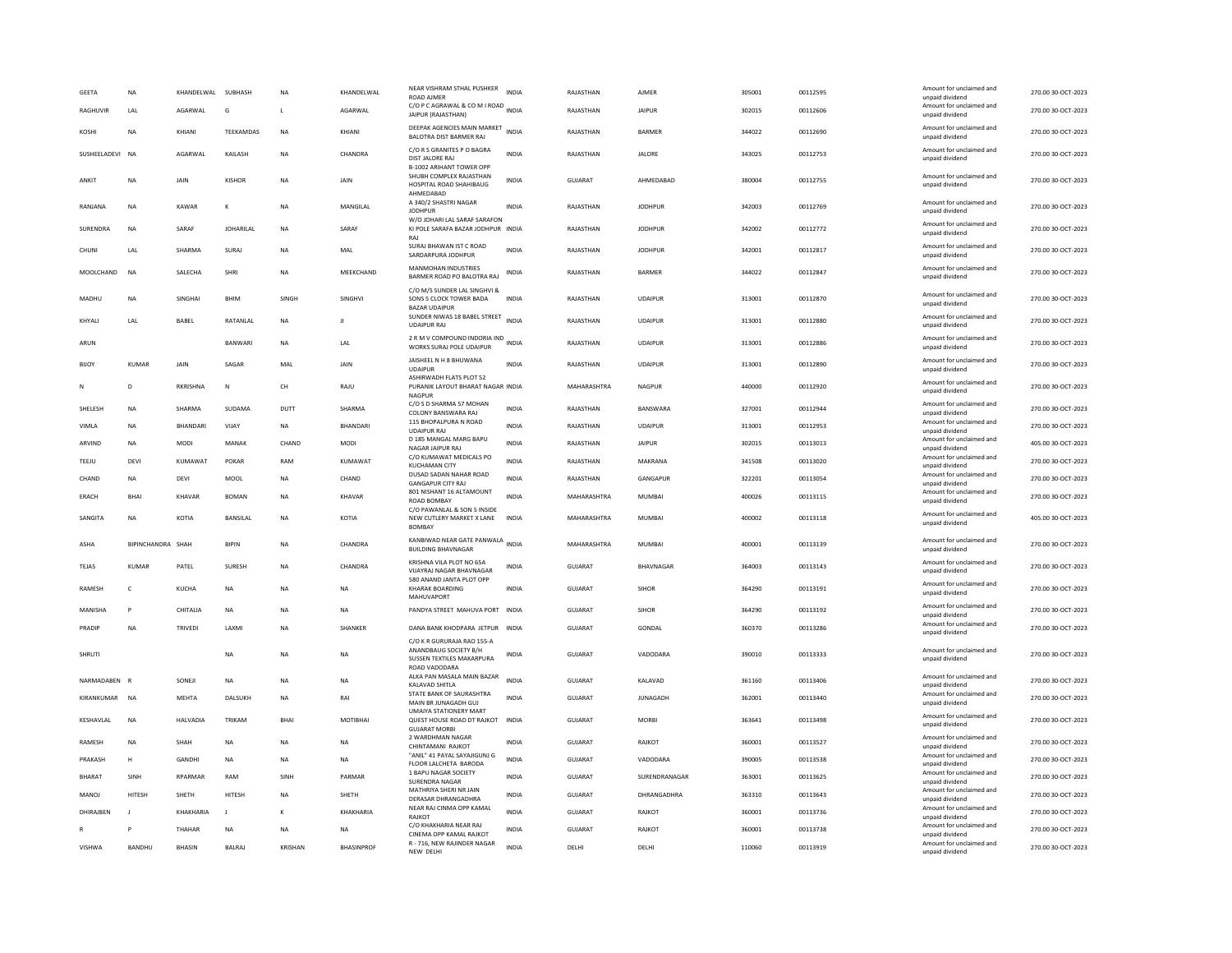| <b>GEETA</b>    | <b>NA</b>         | KHANDELWAL      | SUBHASH          | NA             | KHANDELWAL      | NEAR VISHRAM STHAL PUSHKER<br><b>ROAD AIMER</b>                                                    | <b>INDIA</b> | RAJASTHAN      | AJMER           | 305001 | 00112595 | Amount for unclaimed and<br>unpaid dividend                    | 270.00 30-OCT-2023 |
|-----------------|-------------------|-----------------|------------------|----------------|-----------------|----------------------------------------------------------------------------------------------------|--------------|----------------|-----------------|--------|----------|----------------------------------------------------------------|--------------------|
| RAGHUVIR        | <b>IAI</b>        | AGARWAI         | G                | $\mathbf{L}$   | AGARWAI         | C/O P C AGRAWAL & CO M I ROAD INDIA<br>JAIPUR (RAJASTHAN)                                          |              | RAJASTHAN      | <b>JAIPUR</b>   | 302015 | 00112606 | Amount for unclaimed and<br>unpaid dividend                    | 270.00 30-OCT-2023 |
| KOSHI           | <b>NA</b>         | KHIANI          | TEEKAMDAS        | <b>NA</b>      | KHIANI          | DEEPAK AGENCIES MAIN MARKET<br>BALOTRA DIST BARMER RAJ                                             | <b>INDIA</b> | RAJASTHAN      | <b>BARMER</b>   | 344022 | 00112690 | Amount for unclaimed and<br>unpaid dividend                    | 270.00 30-OCT-2023 |
| SUSHEELADEVL NA |                   | AGARWAI         | <b>KAILASH</b>   | <b>NA</b>      | CHANDRA         | C/O R S GRANITES P O BAGRA<br>DIST JALORE RAJ                                                      | <b>INDIA</b> | RAIASTHAN      | <b>JALORE</b>   | 343025 | 00112753 | Amount for unclaimed and<br>unpaid dividend                    | 270.00.30-QCT-2023 |
| ANKIT           | <b>NA</b>         | JAIN            | <b>KISHOR</b>    | <b>NA</b>      | JAIN            | <b>B-1002 ARIHANT TOWER OPP</b><br>SHUBH COMPLEX RAJASTHAN<br>HOSPITAL ROAD SHAHIBAUG<br>AHMEDABAD | <b>INDIA</b> | <b>GUJARAT</b> | AHMEDABAD       | 380004 | 00112755 | Amount for unclaimed and<br>unpaid dividend                    | 270.00 30-OCT-2023 |
| RANJANA         | <b>NA</b>         | KAWAR           | К                | <b>NA</b>      | MANGILAL        | A 340/2 SHASTRI NAGAR<br><b>JODHPUR</b>                                                            | <b>INDIA</b> | RAJASTHAN      | <b>JODHPUR</b>  | 342003 | 00112769 | Amount for unclaimed and<br>unpaid dividend                    | 270.00 30-OCT-2023 |
| <b>SURENDRA</b> | <b>NA</b>         | SARAF           | <b>JOHARILAL</b> | <b>NA</b>      | SARAF           | W/O JOHARI LAL SARAF SARAFON<br>KI POLE SARAFA BAZAR JODHPUR INDIA<br>RAI                          |              | RAJASTHAN      | <b>JODHPUR</b>  | 342002 | 00112772 | Amount for unclaimed and<br>unpaid dividend                    | 270.00 30-OCT-2023 |
| CHUNI           | LAL               | SHARMA          | <b>SURA</b>      | <b>NA</b>      | MAL             | SURAJ BHAWAN IST C ROAD<br>SARDARPURA JODHPUR                                                      | <b>INDIA</b> | RAJASTHAN      | <b>JODHPUR</b>  | 342001 | 00112817 | Amount for unclaimed and<br>unpaid dividend                    | 270.00 30-OCT-2023 |
| MOOLCHAND       | <b>NA</b>         | SALECHA         | SHRI             | <b>NA</b>      | MEEKCHAND       | MANMOHAN INDUSTRIES<br>BARMER ROAD PO BALOTRA RAJ                                                  | <b>INDIA</b> | RAJASTHAN      | BARMER          | 344022 | 00112847 | Amount for unclaimed and<br>unpaid dividend                    | 270.00 30-OCT-2023 |
| MADHU           | <b>NA</b>         | <b>SINGHAI</b>  | <b>BHIM</b>      | <b>SINGH</b>   | <b>SINGHVI</b>  | C/O M/S SUNDER LAL SINGHVI &<br>SONS 5 CLOCK TOWER BADA<br><b>BAZAR UDAIPUR</b>                    | INDIA        | RAJASTHAN      | <b>UDAIPUR</b>  | 313001 | 00112870 | Amount for unclaimed and<br>unpaid dividend                    | 270.00 30-OCT-2023 |
| KHYALI          | LAL               | BABEL           | RATANLAL         | <b>NA</b>      | л               | SUNDER NIWAS 18 BABEL STREET<br><b>UDAIPUR RAJ</b>                                                 | INDIA        | RAJASTHAN      | <b>UDAIPUR</b>  | 313001 | 00112880 | Amount for unclaimed and<br>unpaid dividend                    | 270.00 30-OCT-2023 |
| ARUN            |                   |                 | <b>BANWARI</b>   | <b>NA</b>      | LAL             | 2 R M V COMPOUND INDORIA IND<br>WORKS SURAJ POLE UDAIPUR                                           | <b>INDIA</b> | RAJASTHAN      | <b>UDAIPUR</b>  | 313001 | 00112886 | Amount for unclaimed and<br>unpaid dividend                    | 270.00 30-OCT-2023 |
| <b>BIJOY</b>    | <b>KUMAR</b>      | JAIN            | SAGAR            | MAL            | JAIN            | JAISHEEL N H 8 BHUWANA<br><b>UDAIPUR</b>                                                           | <b>INDIA</b> | RAJASTHAN      | <b>UDAIPUR</b>  | 313001 | 00112890 | Amount for unclaimed and<br>unpaid dividend                    | 270.00 30-OCT-2023 |
| N               | D                 | <b>RKRISHNA</b> | $\mathsf{N}$     | CH             | RAJU            | ASHIRWADH FLATS PLOT 52<br>PURANIK LAYOUT BHARAT NAGAR INDIA<br><b>NAGPUR</b>                      |              | MAHARASHTRA    | <b>NAGPUR</b>   | 440000 | 00112920 | Amount for unclaimed and<br>unpaid dividend                    | 270.00 30-OCT-2023 |
| SHELESH         | <b>NA</b>         | SHARMA          | <b>SUDAMA</b>    | DUTT           | SHARMA          | C/O S D SHARMA 57 MOHAN<br>COLONY BANSWARA RAJ                                                     | <b>INDIA</b> | RAJASTHAN      | BANSWARA        | 327001 | 00112944 | Amount for unclaimed and<br>unpaid dividend                    | 270.00 30-OCT-2023 |
| VIMLA           | NA                | BHANDARI        | VIJAY            | <b>NA</b>      | BHANDARI        | 115 BHOPALPURA N ROAD<br><b>UDAIPUR RAJ</b>                                                        | <b>INDIA</b> | RAJASTHAN      | <b>UDAIPUR</b>  | 313001 | 00112953 | Amount for unclaimed and<br>unpaid dividend                    | 270.00 30-OCT-2023 |
| ARVIND          | <b>NA</b>         | <b>MODI</b>     | MANAK            | CHAND          | MODI            | D 185 MANGAL MARG BAPU<br>NAGAR JAIPUR RAJ                                                         | <b>INDIA</b> | RAJASTHAN      | <b>JAIPUR</b>   | 302015 | 00113013 | Amount for unclaimed and<br>unpaid dividend                    | 405.00 30-OCT-2023 |
| TEEJU           | <b>DEVI</b>       | KUMAWAT         | POKAR            | RAM            | KUMAWAT         | C/O KUMAWAT MEDICALS PO<br><b>KUCHAMAN CITY</b>                                                    | <b>INDIA</b> | RAJASTHAN      | MAKRANA         | 341508 | 00113020 | Amount for unclaimed and<br>unpaid dividend                    | 270.00 30-OCT-2023 |
| CHAND           | NA                | DEVI            | MOOL             | <b>NA</b>      | CHAND           | DUSAD SADAN NAHAR ROAD<br><b>GANGAPUR CITY RAJ</b>                                                 | <b>INDIA</b> | RAJASTHAN      | GANGAPUR        | 322201 | 00113054 | Amount for unclaimed and<br>unpaid dividend                    | 270.00 30-OCT-2023 |
| ERACH           | <b>BHAI</b>       | KHAVAR          | <b>BOMAN</b>     | <b>NA</b>      | KHAVAR          | 801 NISHANT 16 ALTAMOUNT<br>ROAD BOMBAY                                                            | <b>INDIA</b> | MAHARASHTRA    | <b>MUMBAI</b>   | 400026 | 00113115 | Amount for unclaimed and                                       | 270.00 30-OCT-2023 |
| SANGITA         | <b>NA</b>         | KOTIA           | BANSILAL         | <b>NA</b>      | KOTIA           | C/O PAWANLAL & SON 5 INSIDE<br>NEW CUTLERY MARKET X LANE<br><b>BOMBA</b>                           | <b>INDIA</b> | MAHARASHTRA    | MUMBAI          | 400002 | 00113118 | unpaid dividend<br>Amount for unclaimed and<br>unpaid dividend | 405.00 30-OCT-2023 |
| ASHA            | BIPINCHANDRA SHAH |                 | <b>BIPIN</b>     | <b>NA</b>      | CHANDRA         | KANBIWAD NEAR GATE PANWALA<br><b>BUILDING BHAVNAGAR</b>                                            |              | MAHARASHTRA    | MUMBAI          | 400001 | 00113139 | Amount for unclaimed and<br>unpaid dividend                    | 270.00 30-OCT-2023 |
| <b>TEJAS</b>    | <b>KUMAR</b>      | PATEL           | SURESH           | <b>NA</b>      | CHANDRA         | KRISHNA VILA PLOT NO 65A<br>VIJAYRAJ NAGAR BHAVNAGAR                                               | <b>INDIA</b> | <b>GUJARAT</b> | BHAVNAGAR       | 364003 | 00113143 | Amount for unclaimed and<br>unpaid dividend                    | 270.00 30-OCT-2023 |
| RAMESH          | $\mathsf{C}$      | KUCHA           | NA               | <b>NA</b>      | NA              | 580 ANAND JANTA PLOT OPP<br><b>KHARAK BOARDING</b>                                                 | <b>INDIA</b> | GUJARAT        | SIHOR           | 364290 | 00113191 | Amount for unclaimed and<br>unpaid dividend                    | 270.00 30-OCT-2023 |
| MANISHA         | P                 | CHITALIA        | <b>NA</b>        | <b>NA</b>      | <b>NA</b>       | MAHUVAPORT<br>PANDYA STREET MAHUVA PORT                                                            | <b>INDIA</b> | GUJARAT        | SIHOR           | 364290 | 00113192 | Amount for unclaimed and                                       | 270.00 30-OCT-2023 |
| PRADIP          | <b>NA</b>         | TRIVEDI         | LAXM             | <b>NA</b>      | SHANKER         | DANA BANK KHODPARA JETPUR INDIA                                                                    |              | GUJARAT        | <b>GONDAL</b>   | 360370 | 00113286 | unpaid dividend<br>Amount for unclaimed and                    | 270.00 30-OCT-2023 |
|                 |                   |                 |                  |                |                 | C/O K R GURURAJA RAO 155-A                                                                         |              |                |                 |        |          | unpaid dividend                                                |                    |
| SHRUTI          |                   |                 | <b>NA</b>        | <b>NA</b>      | NA              | ANANDBAUG SOCIETY B/H<br>SUSSEN TEXTILES MAKARPURA<br>ROAD VADODARA                                | <b>INDIA</b> | GUJARAT        | VADODARA        | 390010 | 00113333 | Amount for unclaimed and<br>unpaid dividend                    | 270.00 30-OCT-2023 |
| NARMADABEN      | R                 | SONEJI          | <b>NA</b>        | <b>NA</b>      | NA              | ALKA PAN MASALA MAIN BAZAR<br>KALAVAD SHITLA                                                       | <b>INDIA</b> | <b>GUJARAT</b> | KALAVAD         | 361160 | 00113406 | Amount for unclaimed and<br>unpaid dividend                    | 270.00 30-OCT-2023 |
| KIRANKUMAR NA   |                   | <b>MEHTA</b>    | DALSUKH          | <b>NA</b>      | RAI             | STATE BANK OF SAURASHTRA<br>MAIN BR JUNAGADH GUJ                                                   | <b>INDIA</b> | <b>GUJARAT</b> | <b>JUNAGADH</b> | 362001 | 00113440 | Amount for unclaimed and<br>unpaid dividend                    | 270.00 30-OCT-2023 |
| KESHAVLAL       | <b>NA</b>         | HALVADIA        | TRIKAM           | <b>BHAI</b>    | <b>MOTIBHAI</b> | <b>UMAIYA STATIONERY MART</b><br>QUEST HOUSE ROAD DT RAJKOT INDIA<br><b>GUJARAT MORB</b>           |              | <b>GUJARAT</b> | <b>MORRI</b>    | 363641 | 00113498 | Amount for unclaimed and<br>unpaid dividend                    | 270.00 30-OCT-2023 |
| RAMESH          | <b>NA</b>         | SHAH            | <b>NA</b>        | <b>NA</b>      | <b>NA</b>       | 2 WARDHMAN NAGAR<br>CHINTAMANI RAJKOT                                                              | <b>INDIA</b> | <b>GUJARAT</b> | RAJKOT          | 360001 | 00113527 | Amount for unclaimed and<br>unpaid dividend                    | 270.00 30-OCT-2023 |
| PRAKASH         | $\mathsf H$       | <b>GANDHI</b>   | NA               | <b>NA</b>      | NA              | "ANIL" 41 PAYAL SAYAJIGUNJ G<br>FLOOR LALCHETA BARODA                                              | <b>INDIA</b> | GUJARAT        | VADODARA        | 390005 | 00113538 | Amount for unclaimed and<br>unpaid dividend                    | 270.00 30-OCT-2023 |
| <b>BHARAT</b>   | SINH              | RPARMAR         | RAM              | SINH           | PARMAR          | 1 BAPU NAGAR SOCIETY<br><b>SURENDRA NAGAR</b>                                                      | INDIA        | GUJARAT        | SURENDRANAGAR   | 363001 | 00113625 | Amount for unclaimed and<br>unpaid dividend                    | 270.00 30-OCT-2023 |
| MANOJ           | HITESH            | SHETH           | HITESH           | <b>NA</b>      | SHETH           | MATHRIYA SHERI NR JAIN<br>DERASAR DHRANGADHRA                                                      | <b>INDIA</b> | <b>GUJARAT</b> | DHRANGADHRA     | 363310 | 00113643 | Amount for unclaimed and<br>unpaid dividend                    | 270.00 30-OCT-2023 |
| DHIRAIREN       | $\mathbf{I}$      | KHAKHARIA       | $\mathbf{I}$     | $\kappa$       | KHAKHARIA       | NEAR RAJ CINMA OPP KAMAL                                                                           | <b>INDIA</b> | GUIARAT        | RAIKOT          | 360001 | 00113736 | Amount for unclaimed and                                       | 270.00 30-OCT-2023 |
|                 |                   | <b>THAHAR</b>   | <b>NA</b>        | <b>NA</b>      | <b>NA</b>       | RAJKOT<br>C/O KHAKHARIA NEAR RAJ                                                                   | <b>INDIA</b> | GUJARAT        | RAJKOT          | 360001 | 00113738 | unpaid dividend<br>Amount for unclaimed and                    | 270.00 30-OCT-2023 |
| <b>VISHWA</b>   | BANDHU            | <b>BHASIN</b>   | <b>BALRA</b>     | <b>KRISHAN</b> | BHASINPROF      | CINEMA OPP KAMAL RAJKOT<br>R - 716, NEW RAJINDER NAGAR                                             | <b>INDIA</b> | DELHI          | DELHI           | 110060 | 00113919 | unpaid dividend<br>Amount for unclaimed and                    | 270.00 30-OCT-2023 |
|                 |                   |                 |                  |                |                 | NEW DELHI                                                                                          |              |                |                 |        |          | unpaid dividend                                                |                    |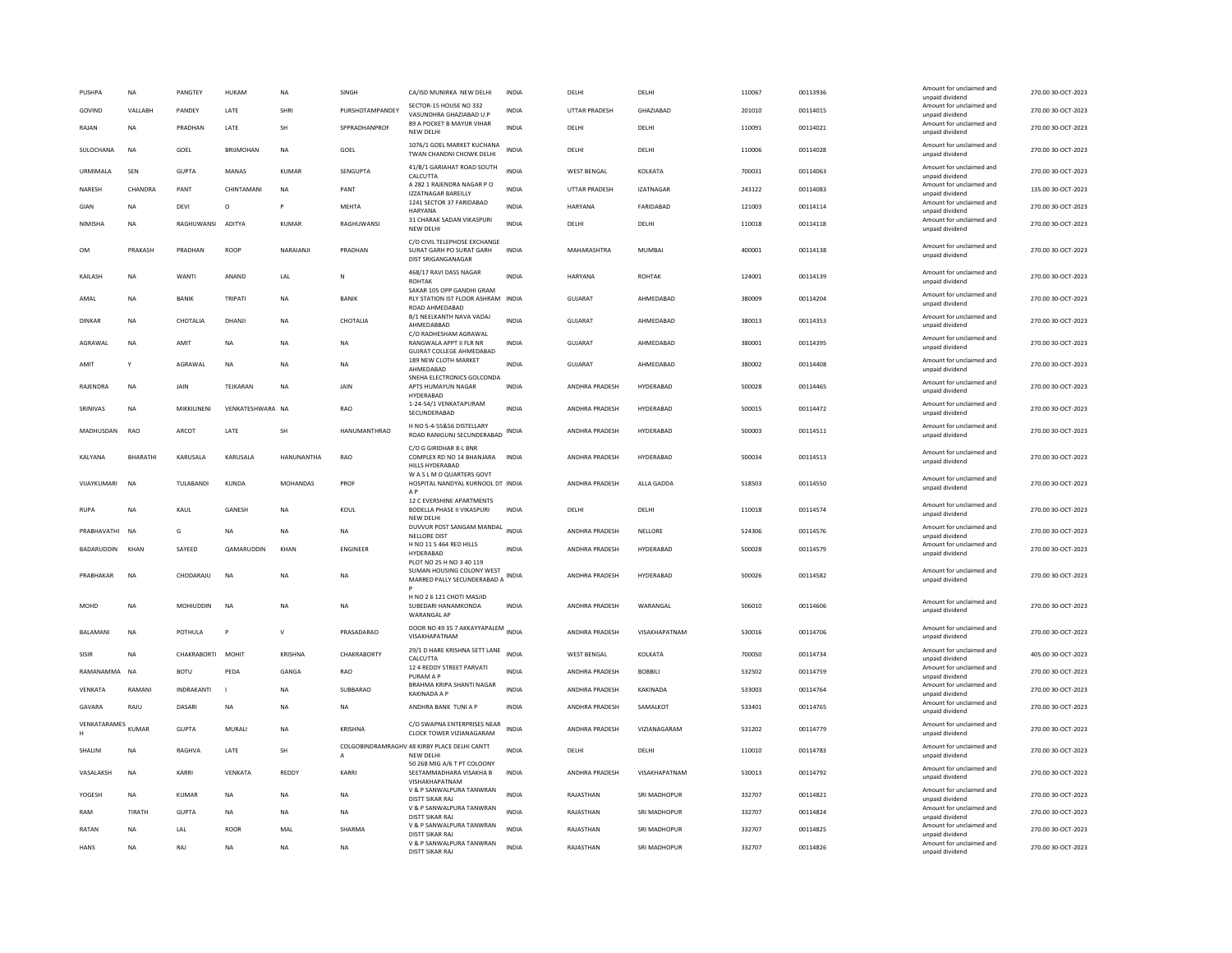| <b>PUSHPA</b>      | <b>NA</b>       | PANGTEY           | HUKAM             | <b>NA</b>       | SINGH               | CA/ISD MUNIRKA NEW DELHI                                                                                   | <b>INDIA</b> | DELHI                 | DELHI            | 110067 | 00113936 | Amount for unclaimed and<br>unpaid dividend | 270.00 30-OCT-2023 |
|--------------------|-----------------|-------------------|-------------------|-----------------|---------------------|------------------------------------------------------------------------------------------------------------|--------------|-----------------------|------------------|--------|----------|---------------------------------------------|--------------------|
| GOVIND             | VALLABH         | PANDEY            | LATE              | SHRI            | PURSHOTAMPANDEY     | SECTOR-15 HOUSE NO 332<br>VASUNDHRA GHAZIABAD U.P                                                          | <b>INDIA</b> | <b>UTTAR PRADESH</b>  | GHAZIABAD        | 201010 | 00114015 | Amount for unclaimed and<br>unpaid dividend | 270.00 30-OCT-2023 |
| RAJAN              | <b>NA</b>       | PRADHAN           | LATE              | <b>SH</b>       | SPPRADHANPROF       | 89 A POCKET B MAYUR VIHAR<br>NEW DELHI                                                                     | <b>INDIA</b> | DELHI                 | DELHI            | 110091 | 00114021 | Amount for unclaimed and<br>unpaid dividend | 270.00 30-OCT-2023 |
| <b>SULOCHANA</b>   | <b>NA</b>       | GOFI              | <b>BRIIMOHAN</b>  | <b>NA</b>       | GOFI                | 1076/1 GOEL MARKET KUCHANA<br>TWAN CHANDNI CHOWK DELHI                                                     | <b>INDIA</b> | <b>DELHI</b>          | <b>DELHI</b>     | 110006 | 00114028 | Amount for unclaimed and<br>unpaid dividend | 270.00 30-OCT-2023 |
| URMIMALA           | SEN             | GUPTA             | MANAS             | KUMAR           | SENGUPTA            | 41/B/1 GARIAHAT ROAD SOUTH<br>CALCUTTA                                                                     | <b>INDIA</b> | <b>WEST BENGAL</b>    | KOLKATA          | 700031 | 00114063 | Amount for unclaimed and<br>unpaid dividend | 270.00 30-OCT-2023 |
| NARESH             | CHANDRA         | PANT              | CHINTAMANI        | <b>NA</b>       | PANT                | A 282 1 RAJENDRA NAGAR P O<br><b>IZZATNAGAR BAREILLY</b>                                                   | <b>INDIA</b> | <b>UTTAR PRADESH</b>  | <b>IZATNAGAR</b> | 243122 | 00114083 | Amount for unclaimed and<br>unpaid dividend | 135.00 30-OCT-2023 |
| GIAN               | <b>NA</b>       | <b>DEVI</b>       | $\circ$           | P               | <b>MEHTA</b>        | 1241 SECTOR 37 FARIDABAD<br>HARYANA                                                                        | <b>INDIA</b> | <b>HARYANA</b>        | FARIDABAD        | 121003 | 00114114 | Amount for unclaimed and<br>unpaid dividend | 270.00 30-OCT-2023 |
| NIMISHA            | <b>NA</b>       | RAGHUWANSI        | ADITYA            | KUMAR           | RAGHUWANSI          | 31 CHARAK SADAN VIKASPURI<br>NEW DELHI                                                                     | INDIA        | DELHI                 | DELHI            | 110018 | 00114118 | Amount for unclaimed and<br>unpaid dividend | 270.00 30-OCT-2023 |
| <b>OM</b>          | PRAKASH         | PRADHAN           | <b>ROOP</b>       | NARAIANJI       | PRADHAN             | C/O CIVIL TELEPHOSE EXCHANGE<br>SURAT GARH PO SURAT GARH<br>DIST SRIGANGANAGAR                             | <b>INDIA</b> | MAHARASHTRA           | MUMBAI           | 400001 | 00114138 | Amount for unclaimed and<br>unpaid dividend | 270.00 30-OCT-2023 |
| KAILASH            | NA              | WANTI             | ANAND             | LAL             | N                   | 468/17 RAVI DASS NAGAR<br><b>ROHTAK</b><br>SAKAR 105 OPP GANDHI GRAM                                       | <b>INDIA</b> | HARYANA               | <b>ROHTAK</b>    | 124001 | 00114139 | Amount for unclaimed and<br>unpaid dividend | 270.00 30-OCT-2023 |
| AMAL               | <b>NA</b>       | BANIK             | TRIPATI           | NA              | BANIK               | RLY STATION IST FLOOR ASHRAM INDIA<br>ROAD AHMEDABAD                                                       |              | GUJARAT               | AHMEDABAD        | 380009 | 00114204 | Amount for unclaimed and<br>unpaid dividend | 270.00 30-OCT-2023 |
| DINKAR             | NA              | CHOTALIA          | DHANJI            | NA              | CHOTALIA            | B/1 NEELKANTH NAVA VADAJ<br>AHMEDABBAD<br>C/O RADHESHAM AGRAWAL                                            | <b>INDIA</b> | <b>GUJARAT</b>        | AHMEDABAD        | 380013 | 00114353 | Amount for unclaimed and<br>unpaid dividend | 270.00 30-OCT-2023 |
| AGRAWAL            | <b>NA</b>       | AMIT              | <b>NA</b>         | <b>NA</b>       | <b>NA</b>           | RANGWALA APPT II FLR NR<br><b>GUJRAT COLLEGE AHMEDABAD</b>                                                 | <b>INDIA</b> | GUJARAT               | AHMEDABAD        | 380001 | 00114395 | Amount for unclaimed and<br>unpaid dividend | 270.00 30-OCT-2023 |
| AMIT               | Y               | AGRAWAL           | <b>NA</b>         | <b>NA</b>       | <b>NA</b>           | 189 NEW CLOTH MARKET<br>AHMEDABAD<br>SNEHA ELECTRONICS GOLCONDA                                            | <b>INDIA</b> | <b>GUJARAT</b>        | AHMEDABAD        | 380002 | 00114408 | Amount for unclaimed and<br>unpaid dividend | 270.00 30-OCT-2023 |
| RAJENDRA           | <b>NA</b>       | JAIN              | TEJKARAN          | <b>NA</b>       | JAIN                | APTS HUMAYUN NAGAR<br>HYDERABAD                                                                            | <b>INDIA</b> | ANDHRA PRADESH        | HYDERABAD        | 500028 | 00114465 | Amount for unclaimed and<br>unpaid dividend | 270.00 30-OCT-2023 |
| SRINIVAS           | <b>NA</b>       | MIKKILINENI       | VENKATESHWARA NA  |                 | RAO                 | 1-24-54/1 VENKATAPURAM<br>SECUNDERABAD                                                                     | <b>INDIA</b> | ANDHRA PRADESH        | HYDERABAD        | 500015 | 00114472 | Amount for unclaimed and<br>unpaid dividend | 270.00 30-OCT-2023 |
| MADHUSDAN          | RAO             | ARCOT             | LATE              | <b>SH</b>       | <b>HANUMANTHRAO</b> | H NO 5-4-55&56 DISTELLARY<br>ROAD RANIGUNJ SECUNDERABAD INDIA                                              |              | ANDHRA PRADESH        | HYDERABAD        | 500003 | 00114511 | Amount for unclaimed and<br>unpaid dividend | 270.00 30-OCT-2023 |
| <b>KAIYANA</b>     | <b>BHARATHI</b> | KARUSALA          | KARUSALA          | HANUNANTHA      | <b>RAO</b>          | C/O G GIRIDHAR 8-L BNR<br>COMPLEX RD NO 14 BHANJARA<br>HILLS HYDERABAD                                     | <b>INDIA</b> | ANDHRA PRADESH        | <b>HYDFRARAD</b> | 500034 | 00114513 | Amount for unclaimed and<br>unpaid dividend | 270.00 30-OCT-2023 |
| VIJAYKUMARI        | <b>NA</b>       | TULABANDI         | <b>KUNDA</b>      | <b>MOHANDAS</b> | PROF                | WAS LM O QUARTERS GOVT<br>HOSPITAL NANDYAL KURNOOL DT INDIA<br>A <sub>P</sub><br>12 C EVERSHINE APARTMENTS |              | ANDHRA PRADESH        | ALLA GADDA       | 518503 | 00114550 | Amount for unclaimed and<br>unpaid dividend | 270.00 30-OCT-2023 |
| RUPA               | <b>NA</b>       | KAUL              | GANESH            | NA              | KOUL                | BODELLA PHASE II VIKASPURI<br>NEW DELHI                                                                    | INDIA        | DELHI                 | DELHI            | 110018 | 00114574 | Amount for unclaimed and<br>unpaid dividend | 270.00 30-OCT-2023 |
| PRARHAVATHI NA     |                 | G                 | <b>NA</b>         | <b>NA</b>       | <b>NA</b>           | DUVVUR POST SANGAM MANDAL<br><b>NELLORE DIST</b>                                                           | <b>INDIA</b> | ANDHRA PRADESH        | NELLORE          | 524306 | 00114576 | Amount for unclaimed and<br>unpaid dividend | 270.00 30-OCT-2023 |
| BADARUDDIN         | <b>KHAN</b>     | SAYEED            | <b>QAMARUDDIN</b> | KHAN            | <b>ENGINEER</b>     | H NO 11 5 464 RED HILLS<br><b>HYDERABAD</b>                                                                | <b>INDIA</b> | ANDHRA PRADESH        | HYDERABAD        | 500028 | 00114579 | Amount for unclaimed and<br>unpaid dividend | 270.00 30-OCT-2023 |
| PRARHAKAR          | <b>NA</b>       | CHODARAILL        | <b>NA</b>         | <b>NA</b>       | <b>NA</b>           | PLOT NO 25 H NO 3 40 119<br>SUMAN HOUSING COLONY WEST<br>MARRED PALLY SECUNDERABAD A                       | <b>INDIA</b> | <b>ANDHRA PRADESH</b> | <b>HYDFRARAD</b> | 500026 | 00114582 | Amount for unclaimed and<br>unpaid dividend | 270.00 30-QCT-2023 |
| <b>MOHD</b>        | <b>NA</b>       | <b>MOHILIDDIN</b> | <b>NA</b>         | <b>NA</b>       | <b>NA</b>           | H NO 2 6 121 CHOTI MASJID<br>SUREDARI HANAMKONDA<br><b>WARANGAL AP</b>                                     | <b>INDIA</b> | <b>ANDHRA PRADESH</b> | WARANGAL         | 506010 | 00114606 | Amount for unclaimed and<br>unpaid dividend | 270.00 30-OCT-2023 |
| <b>BAI AMANI</b>   | <b>NA</b>       | POTHULA           | $\mathbf{p}$      | $\mathsf{v}$    | PRASADARAO          | DOOR NO 49 35 7 AKKAYYAPALEM INDIA<br>VISAKHAPATNAM                                                        |              | ANDHRA PRADESH        | VISAKHAPATNAM    | 530016 | 00114706 | Amount for unclaimed and<br>unpaid dividend | 270.00 30-OCT-2023 |
| SISIR              | <b>NA</b>       | CHAKRABORTI MOHIT |                   | <b>KRISHNA</b>  | CHAKRABORTY         | 29/1 D HARE KRISHNA SETT LANE<br>CALCUTTA                                                                  | <b>INDIA</b> | <b>WEST BENGAL</b>    | KOLKATA          | 700050 | 00114734 | Amount for unclaimed and<br>unpaid dividend | 405.00 30-OCT-2023 |
| RAMANAMMA          | <b>NA</b>       | <b>BOTU</b>       | PEDA              | <b>GANGA</b>    | RAO                 | 12 4 REDDY STREET PARVATI<br>PURAM A P                                                                     | <b>INDIA</b> | ANDHRA PRADESH        | <b>BOBBILI</b>   | 532502 | 00114759 | Amount for unclaimed and<br>unpaid dividend | 270.00 30-OCT-2023 |
| VENKATA            | RAMANI          | INDRAKANTI        |                   | NA              | SUBBARAO            | BRAHMA KRIPA SHANTI NAGAR<br>KAKINADA A P                                                                  | <b>INDIA</b> | ANDHRA PRADESH        | KAKINADA         | 533003 | 00114764 | Amount for unclaimed and<br>unpaid dividend | 270.00 30-OCT-2023 |
| GAVARA             | RAJU            | DASARI            | NA                | NA              | <b>NA</b>           | ANDHRA BANK TUNI A P                                                                                       | INDIA        | ANDHRA PRADESH        | SAMALKOT         | 533401 | 00114765 | Amount for unclaimed and<br>unpaid dividend | 270.00 30-OCT-2023 |
| VENKATARAMES KUMAR |                 | <b>GUPTA</b>      | MURALI            | <b>NA</b>       | KRISHNA             | C/O SWAPNA ENTERPRISES NEAR<br><b>CLOCK TOWER VIZIANAGARAM</b>                                             | <b>INDIA</b> | ANDHRA PRADESH        | VIZIANAGARAM     | 531202 | 00114779 | Amount for unclaimed and<br>unpaid dividend | 270.00 30-OCT-2023 |
| SHALINI            | <b>NA</b>       | RAGHVA            | LATE              | SH              | $\mathsf{A}$        | COLGOBINDRAMRAGHV 48 KIRBY PLACE DELHI CANTT<br>NFW DFI HI                                                 | <b>INDIA</b> | DELHI                 | DELHI            | 110010 | 00114783 | Amount for unclaimed and<br>unpaid dividend | 270.00 30-OCT-2023 |
| VASALAKSH          | <b>NA</b>       | KARRI             | VENKATA           | REDDY           | KARRI               | 50 268 MIG A/6 T PT COLOONY<br>SEETAMMADHARA VISAKHA B<br>VISHAKHAPATNAM                                   | <b>INDIA</b> | ANDHRA PRADESH        | VISAKHAPATNAM    | 530013 | 00114792 | Amount for unclaimed and<br>unpaid dividend | 270.00 30-OCT-2023 |
| YOGESH             | <b>NA</b>       | <b>KUMAR</b>      | NA                | NA              | <b>NA</b>           | V & P SANWALPURA TANWRAN<br>DISTT SIKAR RAI                                                                | <b>INDIA</b> | RAJASTHAN             | SRI MADHOPUR     | 332707 | 00114821 | Amount for unclaimed and<br>unpaid dividend | 270.00 30-OCT-2023 |
| RAM                | TIRATH          | GUPTA             | <b>NA</b>         | <b>NA</b>       | <b>NA</b>           | V & P SANWALPURA TANWRAN<br>DISTT SIKAR RAJ                                                                | <b>INDIA</b> | RAJASTHAN             | SRI MADHOPUR     | 332707 | 00114824 | Amount for unclaimed and<br>unpaid dividend | 270.00 30-OCT-2023 |
| RATAN              | <b>NA</b>       | LAL               | ROOR              | MAL             | SHARMA              | V & P SANWALPURA TANWRAN<br>DISTT SIKAR RAJ                                                                | <b>INDIA</b> | RAJASTHAN             | SRI MADHOPUR     | 332707 | 00114825 | Amount for unclaimed and<br>unpaid dividend | 270.00 30-OCT-2023 |
| <b>HANS</b>        | <b>NA</b>       | RAJ               | <b>NA</b>         | <b>NA</b>       | <b>NA</b>           | V & P SANWALPURA TANWRAN<br>DISTT SIKAR RAJ                                                                | <b>INDIA</b> | RAJASTHAN             | SRI MADHOPUR     | 332707 | 00114826 | Amount for unclaimed and<br>unpaid dividend | 270.00 30-OCT-2023 |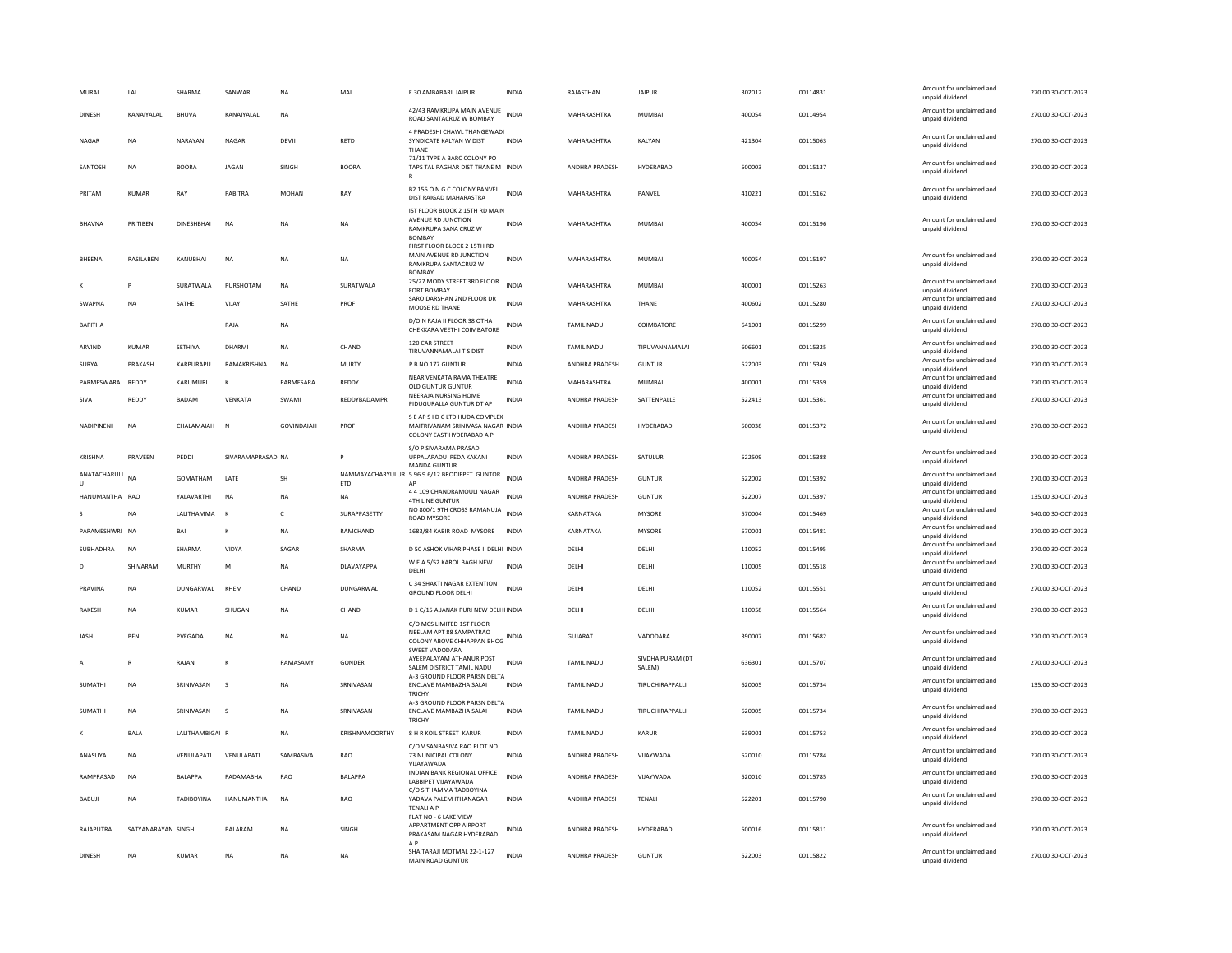| MURAI                        | LAL                | SHARMA            | SANWAR            | <b>NA</b>  | MAL            | E 30 AMBABARI JAIPUR                                                                              | INDIA        | RAJASTHAN             | <b>JAIPUR</b>             | 302012 | 00114831 | Amount for unclaimed and<br>unpaid dividend                    | 270.00 30-OCT-2023 |
|------------------------------|--------------------|-------------------|-------------------|------------|----------------|---------------------------------------------------------------------------------------------------|--------------|-----------------------|---------------------------|--------|----------|----------------------------------------------------------------|--------------------|
| DINESH                       | KANAIYALAL         | <b>BHUVA</b>      | KANAIYALAL        | NA         |                | 42/43 RAMKRUPA MAIN AVENUE<br>ROAD SANTACRUZ W BOMBAY                                             | <b>INDIA</b> | MAHARASHTRA           | <b>MUMBAI</b>             | 400054 | 00114954 | Amount for unclaimed and<br>unpaid dividend                    | 270.00 30-OCT-2023 |
| NAGAR                        | <b>NA</b>          | NARAYAN           | <b>NAGAR</b>      | DEVJI      | RETD           | 4 PRADESHI CHAWL THANGEWADI<br>SYNDICATE KALYAN W DIST<br>THANE                                   | <b>INDIA</b> | MAHARASHTRA           | KALYAN                    | 421304 | 00115063 | Amount for unclaimed and<br>unpaid dividend                    | 270.00 30-OCT-2023 |
| SANTOSH                      | <b>NA</b>          | <b>BOORA</b>      | <b>JAGAN</b>      | SINGH      | <b>BOORA</b>   | 71/11 TYPE A BARC COLONY PO<br>TAPS TAL PAGHAR DIST THANE M INDIA                                 |              | ANDHRA PRADESH        | HYDERABAD                 | 500003 | 00115137 | Amount for unclaimed and<br>unpaid dividend                    | 270.00 30-OCT-2023 |
| PRITAM                       | KUMAR              | RAY               | PABITRA           | MOHAN      | RAY            | B2 155 O N G C COLONY PANVEL<br>DIST RAIGAD MAHARASTRA                                            | <b>INDIA</b> | MAHARASHTRA           | PANVEL                    | 410221 | 00115162 | Amount for unclaimed and<br>unpaid dividend                    | 270.00 30-OCT-2023 |
| <b>BHAVNA</b>                | PRITIBEN           | <b>DINESHBHAI</b> | <b>NA</b>         | NA         | <b>NA</b>      | IST FLOOR BLOCK 2 15TH RD MAIN<br>AVENUE RD JUNCTION<br>RAMKRUPA SANA CRUZ W<br><b>BOMBAY</b>     | <b>INDIA</b> | MAHARASHTRA           | <b>MUMBAI</b>             | 400054 | 00115196 | Amount for unclaimed and<br>unpaid dividend                    | 270.00 30-OCT-2023 |
| <b>BHEENA</b>                | RASILABEN          | KANUBHAI          | <b>NA</b>         | <b>NA</b>  | <b>NA</b>      | FIRST FLOOR BLOCK 2 15TH RD<br>MAIN AVENUE RD JUNCTION<br>RAMKRUPA SANTACRUZ W<br><b>BOMBA</b>    | <b>INDIA</b> | MAHARASHTRA           | MUMBAI                    | 400054 | 00115197 | Amount for unclaimed and<br>unpaid dividend                    | 270.00 30-OCT-2023 |
|                              |                    | SURATWALA         | PURSHOTAM         | NA         | SURATWALA      | 25/27 MODY STREET 3RD FLOOR<br><b>FORT BOMBAY</b>                                                 | <b>INDIA</b> | MAHARASHTRA           | MUMBAI                    | 400001 | 00115263 | Amount for unclaimed and<br>unpaid dividend                    | 270.00 30-OCT-2023 |
| SWAPNA                       | <b>NA</b>          | SATHE             | VIJAY             | SATHE      | PROF           | SARO DARSHAN 2ND FLOOR DR<br>MOOSE RD THANE                                                       | <b>INDIA</b> | MAHARASHTRA           | THANE                     | 400602 | 00115280 | Amount for unclaimed and<br>unpaid dividend                    | 270.00 30-OCT-2023 |
| <b>BAPITHA</b>               |                    |                   | RAJA              | <b>NA</b>  |                | D/O N RAIA II FLOOR 38 OTHA<br>CHEKKARA VEETHI COIMBATORE                                         | <b>INDIA</b> | TAMIL NADU            | COIMBATORE                | 641001 | 00115299 | Amount for unclaimed and<br>unpaid dividend                    | 270.00 30-OCT-2023 |
| ARVIND                       | KUMAR              | SETHIYA           | DHARMI            | <b>NA</b>  | CHAND          | 120 CAR STREET<br>TIRUVANNAMALAITS DIST                                                           | <b>INDIA</b> | <b>TAMIL NADU</b>     | TIRUVANNAMALAI            | 606601 | 00115325 | Amount for unclaimed and<br>unpaid dividend                    | 270.00 30-OCT-2023 |
| SURYA                        | PRAKASH            | KARPURAPU         | RAMAKRISHNA       | <b>NA</b>  | MURTY          | P B NO 177 GUNTUR                                                                                 | INDIA        | ANDHRA PRADESH        | <b>GUNTUR</b>             | 522003 | 00115349 | Amount for unclaimed and<br>unpaid dividend                    | 270.00 30-OCT-2023 |
| PARMESWARA REDDY             |                    | KARUMURI          | к                 | PARMESARA  | REDDY          | NEAR VENKATA RAMA THEATRE<br>OLD GUNTUR GUNTUR                                                    | <b>INDIA</b> | MAHARASHTRA           | MUMBAI                    | 400001 | 00115359 | Amount for unclaimed and<br>unpaid dividend                    | 270.00 30-OCT-2023 |
| SIVA                         | REDDY              | <b>BADAM</b>      | VENKATA           | SWAMI      | REDDYRADAMPR   | NEERAJA NURSING HOME<br>PIDUGURALLA GUNTUR DT AP                                                  | <b>INDIA</b> | ANDHRA PRADESH        | SATTENPALLE               | 522413 | 00115361 | Amount for unclaimed and<br>unpaid dividend                    | 270.00 30-OCT-2023 |
| NADIPINENI                   | NA                 | CHALAMAIAH        | $\mathbb N$       | GOVINDAIAH | PROF           | S E AP S I D C LTD HUDA COMPLEX<br>MAITRIVANAM SRINIVASA NAGAR INDIA<br>COLONY EAST HYDERABAD A P |              | ANDHRA PRADESH        | HYDERABAD                 | 500038 | 00115372 | Amount for unclaimed and<br>unpaid dividend                    | 270.00 30-OCT-2023 |
| KRISHNA                      | PRAVFFN            | PEDDI             | SIVARAMAPRASAD NA |            | P              | S/O P SIVARAMA PRASAD<br>UPPALAPADU PEDA KAKANI<br><b>MANDA GUNTUR</b>                            | <b>INDIA</b> | <b>ANDHRA PRADESH</b> | SATULUR                   | 522509 | 00115388 | Amount for unclaimed and<br>unpaid dividend                    | 270.00.30-OCT-2023 |
| ANATACHARULL<br>$\mathbf{u}$ | <b>NA</b>          | GOMATHAM          | LATE              | SH         | ETD            | NAMMAYACHARYULUR 5 96 9 6/12 BRODIEPET GUNTOR<br>AP                                               | <b>INDIA</b> | ANDHRA PRADESH        | <b>GUNTUR</b>             | 522002 | 00115392 | Amount for unclaimed and<br>unpaid dividend                    | 270.00 30-OCT-2023 |
| HANUMANTHA RAO               |                    | YALAVARTHI        | <b>NA</b>         | NA         | NA             | 4 4 109 CHANDRAMOULI NAGAR<br><b>4TH LINE GUNTUR</b>                                              | <b>INDIA</b> | ANDHRA PRADESH        | <b>GUNTUR</b>             | 522007 | 00115397 | Amount for unclaimed and<br>unpaid dividend                    | 135.00 30-OCT-2023 |
|                              | <b>NA</b>          | LALITHAMMA        | $\mathbf{K}$      | c          | SURAPPASETTY   | NO 800/1 9TH CROSS RAMANUJA<br><b>ROAD MYSORE</b>                                                 | <b>INDIA</b> | KARNATAKA             | <b>MYSORE</b>             | 570004 | 00115469 | Amount for unclaimed and<br>unpaid dividend                    | 540.00 30-OCT-2023 |
| PARAMESHWRI NA               |                    | BAI               |                   | NA         | RAMCHAND       | 1683/84 KABIR ROAD MYSORE                                                                         | <b>INDIA</b> | KARNATAKA             | MYSORE                    | 570001 | 00115481 | Amount for unclaimed and<br>unpaid dividend                    | 270.00 30-OCT-2023 |
| SUBHADHRA                    | <b>NA</b>          | <b>SHARMA</b>     | VIDYA             | SAGAR      | SHARMA         | D 50 ASHOK VIHAR PHASE I DELHI INDIA                                                              |              | DELHI                 | DELHI                     | 110052 | 00115495 | Amount for unclaimed and<br>unpaid dividend                    | 270.00 30-OCT-2023 |
| D                            | SHIVARAM           | MURTHY            | M                 | NA         | DI AVAYAPPA    | W E A 5/52 KAROL BAGH NEW<br>DELHI                                                                | <b>INDIA</b> | DFI HI                | <b>DELHI</b>              | 110005 | 00115518 | Amount for unclaimed and<br>unpaid dividend                    | 270.00.30-OCT-2023 |
| PRAVINA                      | NA                 | DUNGARWAL         | KHEM              | CHAND      | DUNGARWAL      | C 34 SHAKTI NAGAR EXTENTION<br><b>GROUND FLOOR DELHI</b>                                          | INDIA        | DELH                  | DELHI                     | 110052 | 00115551 | Amount for unclaimed and<br>unpaid dividend                    | 270.00 30-OCT-2023 |
| RAKESH                       | NA                 | KUMAR             | SHUGAN            | NA         | CHAND          | D 1 C/15 A JANAK PURI NEW DELHI INDIA                                                             |              | DELHI                 | DELHI                     | 110058 | 00115564 | Amount for unclaimed and                                       | 270.00 30-OCT-2023 |
| <b>JASH</b>                  | <b>BEN</b>         | PVEGADA           | <b>NA</b>         | <b>NA</b>  | <b>NA</b>      | C/O MCS LIMITED 1ST FLOOR<br>NEELAM APT 88 SAMPATRAO<br>COLONY ABOVE CHHAPPAN BHOG                | <b>INDIA</b> | <b>GUJARAT</b>        | VADODARA                  | 390007 | 00115682 | unpaid dividend<br>Amount for unclaimed and<br>unpaid dividend | 270.00 30-OCT-2023 |
|                              | R                  | RAJAN             | $\mathbf{K}$      | RAMASAMY   | GONDER         | SWEET VADODARA<br>AYEEPALAYAM ATHANUR POST                                                        | <b>INDIA</b> | <b>TAMIL NADU</b>     | SIVDHA PURAM (DT          | 636301 | 00115707 | Amount for unclaimed and                                       | 270.00 30-OCT-2023 |
| SUMATHI                      | NA                 | SRINIVASAN        | s                 | <b>NA</b>  | SRNIVASAN      | SALEM DISTRICT TAMIL NADU<br>A-3 GROUND FLOOR PARSN DELTA<br>ENCLAVE MAMBAZHA SALAI               | <b>INDIA</b> | <b>TAMIL NADU</b>     | SALEM)<br>TIRUCHIRAPPALLI | 620005 | 00115734 | unpaid dividend<br>Amount for unclaimed and<br>unpaid dividend | 135.00 30-OCT-2023 |
|                              |                    |                   |                   |            |                | TRICHY<br>A-3 GROUND FLOOR PARSN DELTA                                                            |              |                       |                           |        |          | Amount for unclaimed and                                       |                    |
| <b>SUMATH</b>                | NA                 | SRINIVASAN        | s                 | NA         | SRNIVASAN      | ENCLAVE MAMBAZHA SALAI<br>TRICHY                                                                  | INDIA        | TAMIL NADU            | TIRUCHIRAPPALL            | 620005 | 00115734 | unpaid dividend<br>Amount for unclaimed and                    | 270.00 30-OCT-2023 |
|                              | <b>BALA</b>        | LALITHAMBIGAI R   |                   | <b>NA</b>  | KRISHNAMOORTHY | <b>8 H R KOIL STREET KARUR</b>                                                                    | <b>INDIA</b> | <b>TAMIL NADU</b>     | KARUR                     | 639001 | 00115753 | unpaid dividend                                                | 270.00 30-OCT-2023 |
| ANASUYA                      | NA                 | VENULAPATI        | VENULAPATI        | SAMBASIVA  | RAO            | C/O V SANBASIVA RAO PLOT NO<br>73 NUNICIPAL COLONY<br>VUAYAWADA                                   | <b>INDIA</b> | ANDHRA PRADESH        | VIJAYWADA                 | 520010 | 00115784 | Amount for unclaimed and<br>unpaid dividend                    | 270.00 30-OCT-2023 |
| RAMPRASAD                    | <b>NA</b>          | <b>BALAPPA</b>    | PADAMABHA         | RAO        | <b>BALAPPA</b> | INDIAN BANK REGIONAL OFFICE<br>LABBIPET VIJAYAWADA                                                | <b>INDIA</b> | ANDHRA PRADESH        | VIJAYWADA                 | 520010 | 00115785 | Amount for unclaimed and<br>unpaid dividend                    | 270.00 30-OCT-2023 |
| BABUJI                       | <b>NA</b>          | <b>TADIROYINA</b> | HANUMANTHA        | <b>NA</b>  | <b>RAO</b>     | C/O SITHAMMA TADBOYINA<br>YADAVA PALEM ITHANAGAR<br><b>TENALI A P</b>                             | <b>INDIA</b> | ANDHRA PRADESH        | TENALI                    | 522201 | 00115790 | Amount for unclaimed and<br>unpaid dividend                    | 270.00 30-OCT-2023 |
| RAJAPUTRA                    | SATYANARAYAN SINGH |                   | <b>BALARAM</b>    | <b>NA</b>  | SINGH          | FLAT NO - 6 LAKE VIEW<br>APPARTMENT OPP AIRPORT<br>PRAKASAM NAGAR HYDERABAD<br>A.P                | <b>INDIA</b> | ANDHRA PRADESH        | HYDERABAD                 | 500016 | 00115811 | Amount for unclaimed and<br>unpaid dividend                    | 270.00 30-OCT-2023 |
| DINESH                       | <b>NA</b>          | KUMAR             | <b>NA</b>         | NA         | NA             | SHA TARAJI MOTMAL 22-1-127<br>MAIN ROAD GUNTUR                                                    | <b>INDIA</b> | ANDHRA PRADESH        | <b>GUNTUR</b>             | 522003 | 00115822 | Amount for unclaimed and<br>unpaid dividend                    | 270.00 30-OCT-2023 |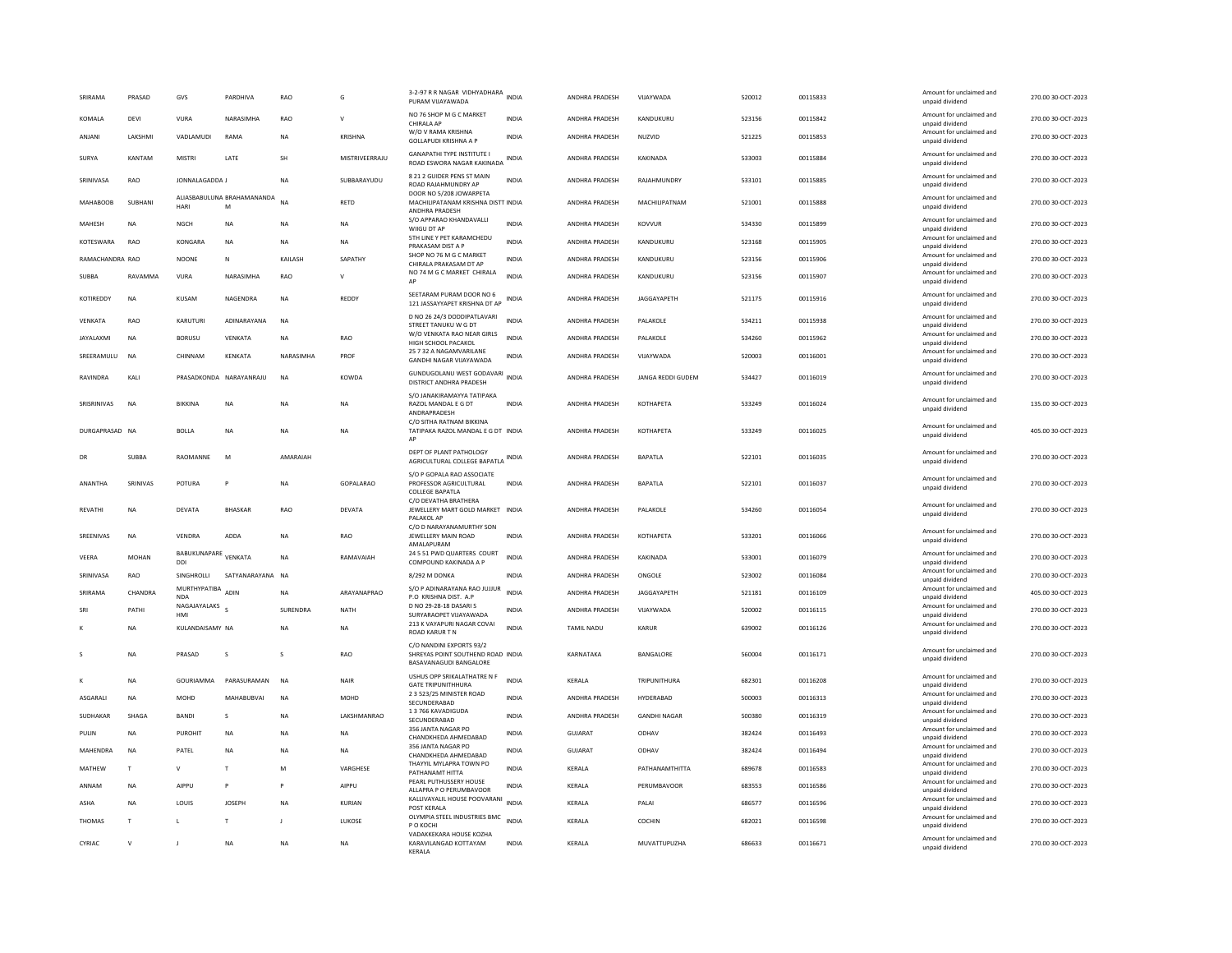| SRIRAMA         | PRASAD          | GVS                              | PARDHIVA                        | RAO             | G              | 3-2-97 R R NAGAR VIDHYADHARA INDIA<br>PURAM VIJAYAWADA                                  |              | ANDHRA PRADESH        | VIJAYWADA           | 520012 | 00115833 | Amount for unclaimed and<br>unpaid dividend                    | 270.00 30-OCT-2023 |
|-----------------|-----------------|----------------------------------|---------------------------------|-----------------|----------------|-----------------------------------------------------------------------------------------|--------------|-----------------------|---------------------|--------|----------|----------------------------------------------------------------|--------------------|
| KOMALA          | <b>DEVI</b>     | VURA                             | NARASIMHA                       | RAO             | $\mathsf{V}$   | NO 76 SHOP M G C MARKET<br>CHIRAI A AP                                                  | <b>INDIA</b> | ANDHRA PRADESH        | KANDUKURU           | 523156 | 00115842 | Amount for unclaimed and<br>unpaid dividend                    | 270.00 30-OCT-2023 |
| ANIANI          | <b>I AKSHMI</b> | VADI AMUDI                       | RAMA                            | <b>NA</b>       | KRISHNA        | W/O V RAMA KRISHNA<br><b>GOLLAPUDI KRISHNA A P</b>                                      | <b>INDIA</b> | <b>ANDHRA PRADESH</b> | NUZVID              | 521225 | 00115853 | Amount for unclaimed and<br>unpaid dividend                    | 270.00 30-OCT-2023 |
| SURYA           | KANTAM          | <b>MISTRI</b>                    | LATE                            | SH              | MISTRIVEERRAJU | <b>GANAPATHI TYPE INSTITUTE I</b><br>ROAD ESWORA NAGAR KAKINADA INDIA                   |              | ANDHRA PRADESH        | KAKINADA            | 533003 | 00115884 | Amount for unclaimed and<br>unpaid dividend                    | 270.00 30-OCT-2023 |
| SRINIVASA       | <b>RAO</b>      | <b>IONNAI AGADDA I</b>           |                                 | <b>NA</b>       | SUBBARAYUDU    | 8 21 2 GUIDER PENS ST MAIN<br>ROAD RAJAHMUNDRY AP                                       | <b>INDIA</b> | <b>ANDHRA PRADESH</b> | RAIAHMUNDRY         | 533101 | 00115885 | Amount for unclaimed and<br>unpaid dividend                    | 270.00 30-OCT-2023 |
| <b>MAHABOOB</b> | SUBHANI         | HARI                             | ALIASBABULUNA BRAHAMANANDA<br>M | <b>NA</b>       | RETD           | DOOR NO 5/208 JOWARPETA<br>MACHILIPATANAM KRISHNA DISTT INDIA<br>ANDHRA PRADESH         |              | ANDHRA PRADESH        | MACHILIPATNAM       | 521001 | 00115888 | Amount for unclaimed and<br>unpaid dividend                    | 270.00 30-OCT-2023 |
| MAHESH          | <b>NA</b>       | <b>NGCH</b>                      | <b>NA</b>                       | NA              | NA             | S/O APPARAO KHANDAVALLI<br>WIIGU DT AP                                                  | <b>INDIA</b> | ANDHRA PRADESH        | KOVVUR              | 534330 | 00115899 | Amount for unclaimed and<br>unpaid dividend                    | 270.00 30-OCT-2023 |
| KOTESWARA       | RAO             | <b>KONGARA</b>                   | <b>NA</b>                       | <b>NA</b>       | <b>NA</b>      | 5TH LINE Y PET KARAMCHEDU<br>PRAKASAM DIST A P                                          | <b>INDIA</b> | ANDHRA PRADESH        | KANDUKURU           | 523168 | 00115905 | Amount for unclaimed and<br>unpaid dividend                    | 270.00 30-OCT-2023 |
| RAMACHANDRA RAO |                 | <b>NOONE</b>                     | N                               | KAILASH         | SAPATHY        | SHOP NO 76 M G C MARKET<br>CHIRALA PRAKASAM DT AP                                       | <b>INDIA</b> | ANDHRA PRADESH        | KANDUKURU           | 523156 | 00115906 | Amount for unclaimed and<br>unpaid dividend                    | 270.00 30-OCT-2023 |
| <b>SUBBA</b>    | RAVAMMA         | <b>VURA</b>                      | NARASIMHA                       | <b>RAO</b>      | v              | NO 74 M G C MARKET CHIRALA<br>AF                                                        | <b>INDIA</b> | ANDHRA PRADESH        | KANDUKURU           | 523156 | 00115907 | Amount for unclaimed and<br>unpaid dividend                    | 270.00 30-OCT-2023 |
| KOTIREDDY       | NA              | KUSAM                            | NAGENDRA                        | NA              | REDDY          | SEETARAM PURAM DOOR NO 6<br>121 JASSAYYAPET KRISHNA DT AP                               | INDIA        | ANDHRA PRADESH        | JAGGAYAPETH         | 521175 | 00115916 | Amount for unclaimed and<br>unpaid dividend                    | 270.00 30-OCT-2023 |
| VFNKATA         | <b>RAO</b>      | KARUTURI                         | ADINARAYANA                     | <b>NA</b>       |                | D NO 26 24/3 DODDIPATLAVARI<br>STREET TANUKU W G DT                                     | <b>INDIA</b> | <b>ANDHRA PRADESH</b> | PALAKOLE            | 534211 | 00115938 | Amount for unclaimed and<br>unpaid dividend                    | 270.00 30-OCT-2023 |
| JAYALAXMI       | <b>NA</b>       | <b>BORUSU</b>                    | VENKATA                         | <b>NA</b>       | RAO            | W/O VENKATA RAO NEAR GIRLS<br>HIGH SCHOOL PACAKOL                                       | <b>INDIA</b> | ANDHRA PRADESH        | PALAKOLE            | 534260 | 00115962 | Amount for unclaimed and<br>unpaid dividend                    | 270.00 30-OCT-2023 |
| SREERAMULU      | <b>NA</b>       | CHINNAM                          | KENKATA                         | NARASIMHA       | PROF           | 25 7 32 A NAGAMVARILANE<br>GANDHI NAGAR VIJAYAWADA                                      | INDIA        | ANDHRA PRADESH        | VIJAYWADA           | 520003 | 00116001 | Amount for unclaimed and<br>unpaid dividend                    | 270.00 30-OCT-2023 |
| RAVINDRA        | KALI            |                                  | PRASADKONDA NARAYANRAJU         | <b>NA</b>       | KOWDA          | GUNDUGOLANU WEST GODAVARI<br>DISTRICT ANDHRA PRADESH                                    |              | ANDHRA PRADESH        | JANGA REDDI GUDEM   | 534427 | 00116019 | Amount for unclaimed and<br>unpaid dividend                    | 270.00 30-OCT-2023 |
| SRISRINIVAS     | <b>NA</b>       | <b>BIKKINA</b>                   | <b>NA</b>                       | <b>NA</b>       | <b>NA</b>      | S/O JANAKIRAMAYYA TATIPAKA<br>RAZOL MANDAL E G DT<br>ANDRAPRADESH                       | <b>INDIA</b> | ANDHRA PRADESH        | KOTHAPETA           | 533249 | 00116024 | Amount for unclaimed and<br>unpaid dividend                    | 135.00 30-OCT-2023 |
| DURGAPRASAD NA  |                 | <b>BOLLA</b>                     | <b>NA</b>                       | <b>NA</b>       | <b>NA</b>      | C/O SITHA RATNAM BIKKINA<br>TATIPAKA RAZOL MANDAL E G DT INDIA                          |              | ANDHRA PRADESH        | KOTHAPETA           | 533249 | 00116025 | Amount for unclaimed and<br>unpaid dividend                    | 405.00 30-OCT-2023 |
| DB              | <b>SUBBA</b>    | RAOMANNE                         | M                               | AMARAIAH        |                | DEPT OF PLANT PATHOLOGY<br>AGRICULTURAL COLLEGE BAPATLA                                 | INDIA        | ANDHRA PRADESH        | <b>BAPATLA</b>      | 522101 | 00116035 | Amount for unclaimed and<br>unpaid dividend                    | 270.00 30-OCT-2023 |
| ANANTHA         | SRINIVAS        | POTURA                           | P                               | NA              | GOPALARAO      | S/O P GOPALA RAO ASSOCIATE<br>PROFESSOR AGRICULTURAL<br><b>COLLEGE BAPATLA</b>          | INDIA        | ANDHRA PRADESH        | BAPATLA             | 522101 | 00116037 | Amount for unclaimed and<br>unpaid dividend                    | 270.00 30-OCT-2023 |
| REVATHI         | <b>NA</b>       | DEVATA                           | <b>BHASKAR</b>                  | RAO             | DEVATA         | C/O DEVATHA BRATHERA<br>JEWELLERY MART GOLD MARKET INDIA<br>PALAKOL AP                  |              | ANDHRA PRADESH        | PALAKOLE            | 534260 | 00116054 | Amount for unclaimed and<br>unpaid dividend                    | 270.00 30-OCT-2023 |
| SREENIVAS       | <b>NA</b>       | <b>VENDRA</b>                    | ADDA                            | <b>NA</b>       | RAO            | C/O D NARAYANAMURTHY SON<br>JEWELLERY MAIN ROAD                                         | <b>INDIA</b> | ANDHRA PRADESH        | KOTHAPETA           | 533201 | 00116066 | Amount for unclaimed and<br>unpaid dividend                    | 270.00 30-OCT-2023 |
| VEERA           | <b>MOHAN</b>    | BABUKUNAPARE VENKATA             |                                 | <b>NA</b>       | RAMAVAIAH      | AMALAPURAM<br>24 5 51 PWD QUARTERS COURT                                                | <b>INDIA</b> | ANDHRA PRADESH        | KAKINADA            | 533001 | 00116079 | Amount for unclaimed and                                       | 270.00 30-OCT-2023 |
| SRINIVASA       | RAO             | DDI<br>SINGHROLLI                | SATYANARAYANA NA                |                 |                | COMPOUND KAKINADA A P<br>8/292 M DONKA                                                  | INDIA        | ANDHRA PRADESH        | ONGOLE              | 523002 | 00116084 | unpaid dividend<br>Amount for unclaimed and                    | 270.00 30-OCT-2023 |
| SRIRAMA         | CHANDRA         | MURTHYPATIBA<br><b>NDA</b>       | ADIN                            | <b>NA</b>       | ARAYANAPRAO    | S/O P ADINARAYANA RAO JUJJUR<br>P.O. KRISHNA DIST. A.P.                                 | <b>INDIA</b> | ANDHRA PRADESH        | JAGGAYAPETH         | 521181 | 00116109 | unpaid dividend<br>Amount for unclaimed and<br>unpaid dividend | 405.00 30-OCT-2023 |
| SRI             | PATHI           | NAGAJAYALAKS <sub>S</sub><br>HMI |                                 | <b>SURENDRA</b> | NATH           | D NO 29-28-18 DASARI S<br>SURYARAOPET VIJAYAWADA                                        | <b>INDIA</b> | <b>ANDHRA PRADESH</b> | VIJAYWADA           | 520002 | 00116115 | Amount for unclaimed and<br>unpaid dividend                    | 270.00 30-OCT-2023 |
|                 | <b>NA</b>       | KULANDAISAMY NA                  |                                 | <b>NA</b>       | <b>NA</b>      | 213 K VAYAPURI NAGAR COVAI<br><b>ROAD KARUR TN</b>                                      | <b>INDIA</b> | <b>TAMIL NADU</b>     | KARUR               | 639002 | 00116126 | Amount for unclaimed and<br>unpaid dividend                    | 270.00 30-OCT-2023 |
|                 | NA              | PRASAD                           | s                               | s               | RAO            | C/O NANDINI EXPORTS 93/2<br>SHREYAS POINT SOUTHEND ROAD INDIA<br>BASAVANAGUDI BANGALORE |              | KARNATAKA             | BANGALORE           | 560004 | 00116171 | Amount for unclaimed and<br>unpaid dividend                    | 270.00 30-OCT-2023 |
|                 | NA              | <b>GOURIAMMA</b>                 | PARASURAMAN                     | <b>NA</b>       | NAIR           | USHUS OPP SRIKALATHATRE N F<br><b>GATE TRIPUNITHHURA</b>                                | <b>INDIA</b> | KERALA                | TRIPUNITHURA        | 682301 | 00116208 | Amount for unclaimed and<br>unpaid dividend                    | 270.00 30-OCT-2023 |
| ASGARALI        | <b>NA</b>       | MOHD                             | MAHABUBVAI                      | <b>NA</b>       | MOHD           | 2 3 523/25 MINISTER ROAD<br>SECUNDERABAD                                                | <b>INDIA</b> | ANDHRA PRADESH        | HYDERABAD           | 500003 | 00116313 | Amount for unclaimed and<br>unpaid dividend                    | 270.00 30-OCT-2023 |
| SUDHAKAR        | SHAGA           | <b>BANDI</b>                     | s                               | NA              | LAKSHMANRAO    | 13766 KAVADIGUDA<br>SECUNDERARAD                                                        | INDIA        | ANDHRA PRADESH        | <b>GANDHI NAGAR</b> | 500380 | 00116319 | Amount for unclaimed and<br>unnaid dividend                    | 270.00 30-OCT-2023 |
| PULIN           | <b>NA</b>       | PUROHIT                          | <b>NA</b>                       | NA              | NA             | 356 JANTA NAGAR PO<br>CHANDKHEDA AHMEDABAD                                              | INDIA        | <b>GUJARAT</b>        | ODHAV               | 382424 | 00116493 | Amount for unclaimed and<br>unpaid dividend                    | 270.00 30-OCT-2023 |
| MAHENDRA        | <b>NA</b>       | PATEL                            | <b>NA</b>                       | <b>NA</b>       | <b>NA</b>      | 356 JANTA NAGAR PO<br>CHANDKHEDA AHMEDABAD                                              | <b>INDIA</b> | GUIARAT               | ODHAV               | 382424 | 00116494 | Amount for unclaimed and<br>unpaid dividend                    | 270.00 30-OCT-2023 |
| MATHEW          | T               | v                                | T                               | M               | VARGHESE       | THAYYIL MYLAPRA TOWN PO<br>PATHANAMT HITTA                                              | <b>INDIA</b> | KERALA                | PATHANAMTHITTA      | 689678 | 00116583 | Amount for unclaimed and<br>unpaid dividend                    | 270.00 30-OCT-2023 |
| ANNAM           | <b>NA</b>       | <b>AIPPU</b>                     | p                               | P               | AIPPU          | PEARL PUTHUSSERY HOUSE<br>ALLAPRA P O PERUMBAVOOR                                       | INDIA        | KERALA                | PERUMBAVOOR         | 683553 | 00116586 | Amount for unclaimed and<br>unpaid dividend                    | 270.00 30-OCT-2023 |
| ASHA            | <b>NA</b>       | LOUIS                            | <b>JOSEPH</b>                   | <b>NA</b>       | <b>KURIAN</b>  | KALLIVAYALIL HOUSE POOVARANI INDIA<br>POST KERALA                                       |              | KERALA                | PALAI               | 686577 | 00116596 | Amount for unclaimed and<br>unpaid dividend                    | 270.00 30-OCT-2023 |
| THOMAS          | T               | L                                | T                               | J               | LUKOSE         | OLYMPIA STEEL INDUSTRIES BMC<br>P O KOCH                                                | <b>INDIA</b> | KERALA                | COCHIN              | 682021 | 00116598 | Amount for unclaimed and<br>unpaid dividend                    | 270.00 30-OCT-2023 |
| <b>CYRIAC</b>   | $\mathbf{v}$    | $\mathbf{I}$                     | <b>NA</b>                       | <b>NA</b>       | <b>NA</b>      | VADAKKEKARA HOUSE KOZHA<br>KARAVILANGAD KOTTAYAM<br>KFRAI A                             | <b>INDIA</b> | <b>KFRAIA</b>         | MUVATTUPUZHA        | 686633 | 00116671 | Amount for unclaimed and<br>unpaid dividend                    | 270.00 30-OCT-2023 |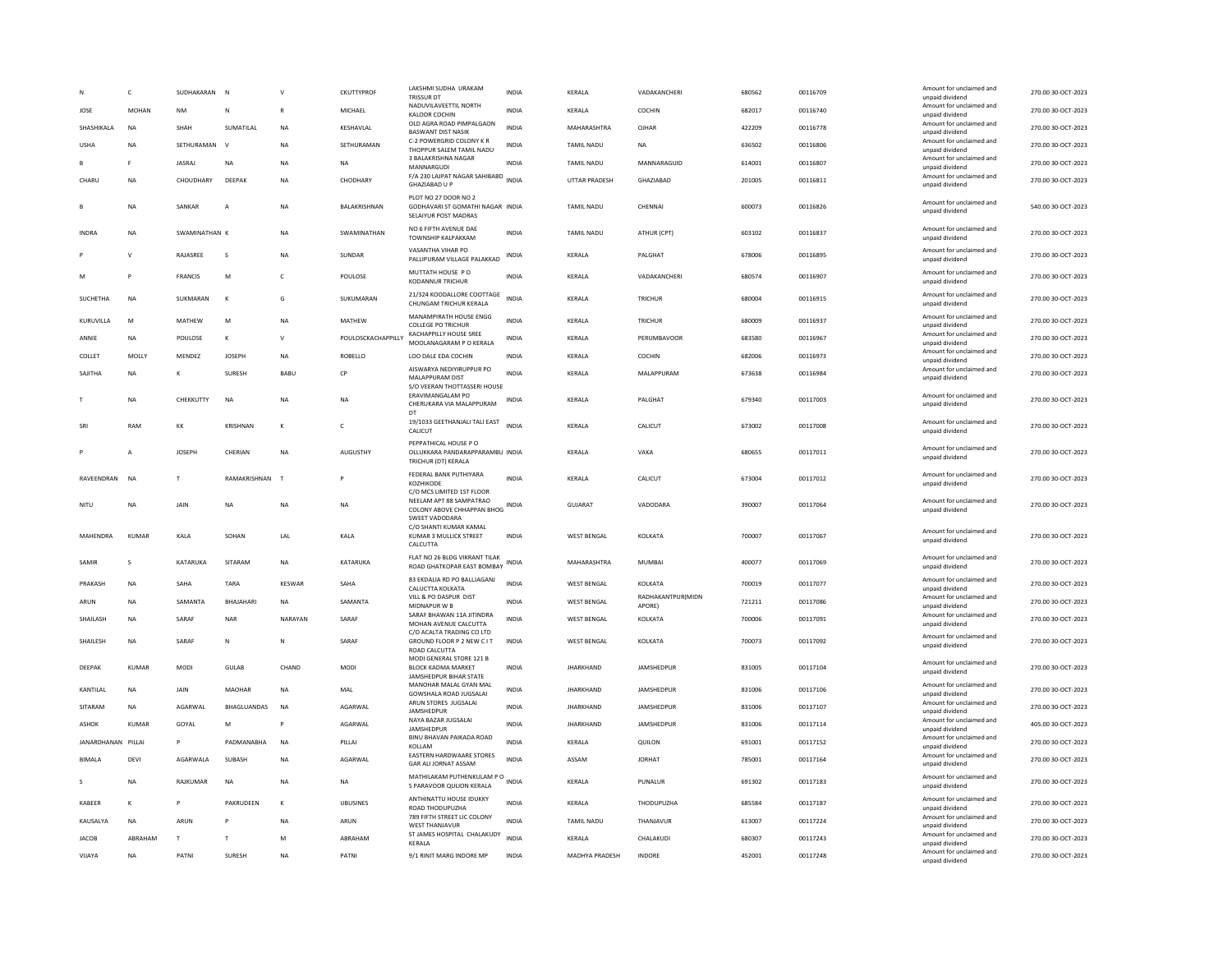|                    | c              | SUDHAKARAN     | N                  |              | <b>CKUTTYPROF</b>  | LAKSHMI SUDHA URAKAM<br><b>TRISSUR DT</b>                                                                  | INDIA        | KERALA                | VADAKANCHERI                | 680562 | 00116709 | Amount for unclaimed and<br>unnaid dividend | 270.00 30-OCT-2023 |
|--------------------|----------------|----------------|--------------------|--------------|--------------------|------------------------------------------------------------------------------------------------------------|--------------|-----------------------|-----------------------------|--------|----------|---------------------------------------------|--------------------|
| JOSE               | <b>MOHAN</b>   | <b>NM</b>      | N                  | $\mathbb{R}$ | MICHAEL            | NADUVILAVEETTIL NORTH<br>KALOOR COCHIN                                                                     | <b>INDIA</b> | KERALA                | COCHIN                      | 682017 | 00116740 | Amount for unclaimed and<br>unpaid dividend | 270.00 30-OCT-2023 |
| SHASHIKALA         | <b>NA</b>      | SHAH           | SUMATILAL          | <b>NA</b>    | KESHAVLAL          | OLD AGRA ROAD PIMPALGAON<br><b>BASWANT DIST NASIK</b>                                                      | <b>INDIA</b> | MAHARASHTRA           | OJHAR                       | 422209 | 00116778 | Amount for unclaimed and<br>unpaid dividend | 270.00 30-OCT-2023 |
| <b>USHA</b>        | NA             | SETHURAMAN     | $\mathbf v$        | NA           | SETHURAMAN         | C-2 POWERGRID COLONY K R<br>THOPPUR SALEM TAMIL NADU                                                       | INDIA        | TAMIL NADU            | <b>NA</b>                   | 636502 | 00116806 | Amount for unclaimed and<br>unpaid dividend | 270.00 30-OCT-2023 |
| R                  | E              | <b>IASRAI</b>  | <b>NA</b>          | <b>NA</b>    | <b>NA</b>          | 3 BALAKRISHNA NAGAR<br>MANNARGUDI                                                                          | <b>INDIA</b> | TAMIL NADU            | MANNARAGUID                 | 614001 | 00116807 | Amount for unclaimed and<br>unpaid dividend | 270.00 30-OCT-2023 |
| CHARU              | NA             | CHOUDHARY      | DEEPAK             | NA           | CHODHARY           | F/A 230 LAJPAT NAGAR SAHIBABD<br>GHAZIABAD U P                                                             | <b>INDIA</b> | UTTAR PRADESH         | GHAZIABAD                   | 201005 | 00116811 | Amount for unclaimed and<br>unpaid dividend | 270.00 30-OCT-2023 |
|                    | <b>NA</b>      | SANKAR         | A                  | <b>NA</b>    | BALAKRISHNAN       | PLOT NO 27 DOOR NO 2<br>GODHAVARI ST GOMATHI NAGAR INDIA<br>SELAIYUR POST MADRAS                           |              | <b>TAMIL NADU</b>     | CHENNAI                     | 600073 | 00116826 | Amount for unclaimed and<br>unpaid dividend | 540.00 30-OCT-2023 |
| <b>INDRA</b>       | <b>NA</b>      | SWAMINATHAN K  |                    | <b>NA</b>    | SWAMINATHAN        | NO 6 FIFTH AVENUE DAE<br>TOWNSHIP KALPAKKAM                                                                | <b>INDIA</b> | <b>TAMIL NADU</b>     | ATHUR (CPT)                 | 603102 | 00116837 | Amount for unclaimed and<br>unpaid dividend | 270.00 30-OCT-2023 |
|                    | V              | RAJASREE       | s                  | NA           | SUNDAR             | VASANTHA VIHAR PO<br>PALLIPURAM VILLAGE PALAKKAD                                                           | <b>INDIA</b> | KERALA                | PALGHAT                     | 678006 | 00116895 | Amount for unclaimed and<br>unpaid dividend | 270.00 30-OCT-2023 |
| M                  | P              | <b>FRANCIS</b> | M                  | $\mathsf{C}$ | POULOSE            | MUTTATH HOUSE PO<br>KODANNUR TRICHUR                                                                       | <b>INDIA</b> | KERALA                | VADAKANCHERI                | 680574 | 00116907 | Amount for unclaimed and<br>unpaid dividend | 270.00 30-OCT-2023 |
| <b>SUCHETHA</b>    | <b>NA</b>      | SUKMARAN       | $\kappa$           | G            | SUKUMARAN          | 21/324 KOODALLORE COOTTAGE<br>CHUNGAM TRICHUR KERALA                                                       | <b>INDIA</b> | KERALA                | TRICHUR                     | 680004 | 00116915 | Amount for unclaimed and<br>unpaid dividend | 270.00 30-OCT-2023 |
| KURUVILLA          | M              | MATHEW         | M                  | <b>NA</b>    | <b>MATHEW</b>      | MANAMPIRATH HOUSE ENGG<br><b>COLLEGE PO TRICHUR</b>                                                        | <b>INDIA</b> | KERALA                | <b>TRICHUR</b>              | 680009 | 00116937 | Amount for unclaimed and<br>unpaid dividend | 270.00 30-OCT-2023 |
| ANNIE              | NA             | POULOSE        | К                  | $\mathsf{v}$ | POULOSCKACHAPPILLY | <b>KACHAPPILLY HOUSE SREE</b><br>MOOLANAGARAM P O KERALA                                                   | <b>INDIA</b> | KERALA                | PERUMBAVOOR                 | 683580 | 00116967 | Amount for unclaimed and<br>unpaid dividend | 270.00 30-OCT-2023 |
| COLLET             | MOLLY          | MFNDF7         | <b>IOSEPH</b>      | <b>NA</b>    | <b>ROBELLO</b>     | LOO DALE EDA COCHIN                                                                                        | <b>INDIA</b> | <b>KFRAIA</b>         | COCHIN                      | 682006 | 00116973 | Amount for unclaimed and<br>unpaid dividend | 270.00.30-OCT-2023 |
| SAJITHA            | NA             | к              | SURESH             | BABU         | CP                 | AISWARYA NEDIYIRUPPUR PO<br>MALAPPURAM DIST<br>S/O VEERAN THOTTASSERI HOUSE                                | <b>INDIA</b> | KERALA                | MALAPPURAM                  | 673638 | 00116984 | Amount for unclaimed and<br>unpaid dividend | 270.00 30-OCT-2023 |
|                    | <b>NA</b>      | CHEKKUTTY      | <b>NA</b>          | <b>NA</b>    | <b>NA</b>          | ERAVIMANGALAM PO<br>CHERUKARA VIA MALAPPURAM<br>DT                                                         | <b>INDIA</b> | KERALA                | PALGHAT                     | 679340 | 00117003 | Amount for unclaimed and<br>unpaid dividend | 270.00 30-OCT-2023 |
| SRI                | RAM            | KK             | KRISHNAN           | $\kappa$     | $\mathsf{C}$       | 19/1033 GEETHANJALI TALI EAST<br>CALICUT                                                                   | <b>INDIA</b> | KERALA                | CALICUT                     | 673002 | 00117008 | Amount for unclaimed and<br>unpaid dividend | 270.00 30-OCT-2023 |
|                    | $\overline{A}$ | <b>JOSEPH</b>  | CHERIAN            | NA           | AUGUSTHY           | PEPPATHICAL HOUSE PO<br>OLLUKKARA PANDARAPPARAMBU INDIA<br>TRICHUR (DT) KERALA                             |              | KERALA                | VAKA                        | 680655 | 00117011 | Amount for unclaimed and<br>unpaid dividend | 270.00 30-OCT-2023 |
| RAVEENDRAN         | <b>NA</b>      | T              | RAMAKRISHNAN       | T            |                    | FEDERAL BANK PUTHIYARA<br>KOZHIKODE                                                                        | <b>INDIA</b> | KERALA                | CALICUT                     | 673004 | 00117012 | Amount for unclaimed and<br>unpaid dividend | 270.00 30-OCT-2023 |
| NITU               | NA             | JAIN           | <b>NA</b>          | <b>NA</b>    | NA                 | C/O MCS LIMITED 1ST FLOOR<br>NEELAM APT 88 SAMPATRAO<br>COLONY ABOVE CHHAPPAN BHOG INDIA<br>SWEET VADODARA |              | GUJARAT               | VADODARA                    | 390007 | 00117064 | Amount for unclaimed and<br>unpaid dividend | 270.00 30-OCT-2023 |
| <b>MAHFNDRA</b>    | KUMAR          | KALA           | SOHAN              | LAL          | KALA               | C/O SHANTI KUMAR KAMAL<br>KUMAR 3 MULLICK STREET<br>CALCUTTA                                               | <b>INDIA</b> | <b>WEST BENGAL</b>    | KOLKATA                     | 700007 | 00117067 | Amount for unclaimed and<br>unpaid dividend | 270.00 30-OCT-2023 |
| SAMIR              | s              | KATARUKA       | SITARAM            | <b>NA</b>    | KATARUKA           | FLAT NO 26 BLDG VIKRANT TILAK<br>ROAD GHATKOPAR EAST BOMBAY                                                | INDIA        | MAHARASHTRA           | <b>MUMBAI</b>               | 400077 | 00117069 | Amount for unclaimed and<br>unpaid dividend | 270.00 30-OCT-2023 |
| PRAKASH            | NA             | SAHA           | TARA               | KESWAR       | SAHA               | 83 EKDALIA RD PO BALLJAGANJ<br>CALUCTTA KOLKATA                                                            | <b>INDIA</b> | <b>WEST BENGAL</b>    | KOLKATA                     | 700019 | 00117077 | Amount for unclaimed and<br>unpaid dividend | 270.00 30-OCT-2023 |
| ARUN               | <b>NA</b>      | SAMANTA        | <b>BHAIAHARI</b>   | <b>NA</b>    | SAMANTA            | VILL & PO DASPUR DIST<br>MIDNAPUR W B                                                                      | <b>INDIA</b> | <b>WEST BENGAL</b>    | RADHAKANTPUR(MIDN<br>APORE) | 721211 | 00117086 | Amount for unclaimed and<br>unpaid dividend | 270.00 30-OCT-2023 |
| SHAILASH           | <b>NA</b>      | SARAF          | <b>NAR</b>         | NARAYAN      | SARAF              | SARAF BHAWAN 11A JITINDRA<br>MOHAN AVENUE CALCUTTA                                                         | <b>INDIA</b> | <b>WEST BENGAL</b>    | KOLKATA                     | 700006 | 00117091 | Amount for unclaimed and<br>unpaid dividend | 270.00 30-OCT-2023 |
| SHAILESH           | NA             | SARAF          | ${\sf N}$          | N            | SARAF              | C/O ACALTA TRADING CO LTD<br>GROUND FLOOR P 2 NEW C IT<br>ROAD CALCUTTA                                    | <b>INDIA</b> | <b>WEST BENGAL</b>    | KOLKATA                     | 700073 | 00117092 | Amount for unclaimed and<br>unpaid dividend | 270.00 30-OCT-2023 |
| DEEPAK             | <b>KUMAR</b>   | MODI           | GULAB              | CHAND        | <b>MODI</b>        | MODI GENERAL STORE 121 B<br>BLOCK KADMA MARKET<br>JAMSHEDPUR BIHAR STATE                                   | INDIA        | <b>JHARKHAND</b>      | JAMSHEDPUR                  | 831005 | 00117104 | Amount for unclaimed and<br>unpaid dividend | 270.00 30-OCT-2023 |
| KANTILAL           | <b>NA</b>      | JAIN           | MAOHAR             | <b>NA</b>    | MAL                | MANOHAR MALAL GYAN MAL<br>GOWSHALA ROAD JUGSALAI                                                           | <b>INDIA</b> | <b>JHARKHAND</b>      | JAMSHEDPUR                  | 831006 | 00117106 | Amount for unclaimed and<br>unpaid dividend | 270.00 30-OCT-2023 |
| SITARAM            | <b>NA</b>      | AGARWAL        | <b>BHAGLUANDAS</b> | <b>NA</b>    | AGARWAL            | ARUN STORES JUGSALAI<br>JAMSHEDPUF                                                                         | <b>INDIA</b> | <b>JHARKHAND</b>      | JAMSHEDPUR                  | 831006 | 00117107 | Amount for unclaimed and<br>unpaid dividend | 270.00 30-OCT-2023 |
| ASHOK              | <b>KUMAR</b>   | GOYAL          | M                  | P            | AGARWAL            | NAYA BAZAR JUGSALAI<br>JAMSHEDPUR                                                                          | <b>INDIA</b> | <b>JHARKHAND</b>      | JAMSHEDPUR                  | 831006 | 00117114 | Amount for unclaimed and<br>unpaid dividend | 405.00 30-OCT-2023 |
| IANARDHANAN PILLAL |                | P              | PADMANARHA         | <b>NA</b>    | PILLAI             | BINU BHAVAN PAIKADA ROAD<br>KOLLAM                                                                         | <b>INDIA</b> | <b>KFRAIA</b>         | <b>OUILON</b>               | 691001 | 00117152 | Amount for unclaimed and<br>unpaid dividend | 270.00.30-OCT-2023 |
| <b>BIMALA</b>      | DEVI           | AGARWALA       | SUBASH             | <b>NA</b>    | AGARWAL            | EASTERN HARDWAARE STORES<br><b>GAR ALI JORNAT ASSAM</b>                                                    | INDIA        | ASSAM                 | <b>JORHAT</b>               | 785001 | 00117164 | Amount for unclaimed and<br>unpaid dividend | 270.00 30-OCT-2023 |
| s                  | NA             | RAJKUMAR       | <b>NA</b>          | NA           | NA                 | MATHILAKAM PUTHENKULAM PO<br>S PARAVOOR QULION KERALA                                                      |              | KERALA                | PUNALUR                     | 691302 | 00117183 | Amount for unclaimed and<br>unpaid dividend | 270.00 30-OCT-2023 |
| KABEER             | K              | $\, {\bf p}$   | PAKRUDEEN          | К            | <b>UBUSINES</b>    | ANTHINATTU HOUSE IDUKKY<br>ROAD THODUPUZHA                                                                 | INDIA        | KERALA                | THODUPUZHA                  | 685584 | 00117187 | Amount for unclaimed and<br>unpaid dividend | 270.00 30-OCT-2023 |
| KAUSALYA           | NA             | ARUN           |                    | NA           | ARUN               | 789 FIFTH STREET LIC COLONY<br><b>WEST THANJAVUR</b>                                                       | <b>INDIA</b> | <b>TAMIL NADU</b>     | THANJAVUR                   | 613007 | 00117224 | Amount for unclaimed and<br>unpaid dividend | 270.00 30-OCT-2023 |
| <b>JACOB</b>       | ABRAHAM        | T              | T                  | M            | ABRAHAM            | ST JAMES HOSPITAL CHALAKUDY<br>KERALA                                                                      | <b>INDIA</b> | KERALA                | CHALAKUDI                   | 680307 | 00117243 | Amount for unclaimed and<br>unpaid dividend | 270.00 30-OCT-2023 |
| VIJAYA             | <b>NA</b>      | PATN           | SURESH             | <b>NA</b>    | PATNI              | 9/1 RINIT MARG INDORE MP                                                                                   | <b>INDIA</b> | <b>MADHYA PRADESH</b> | INDORE                      | 452001 | 00117248 | Amount for unclaimed and<br>unpaid dividend | 270.00 30-OCT-2023 |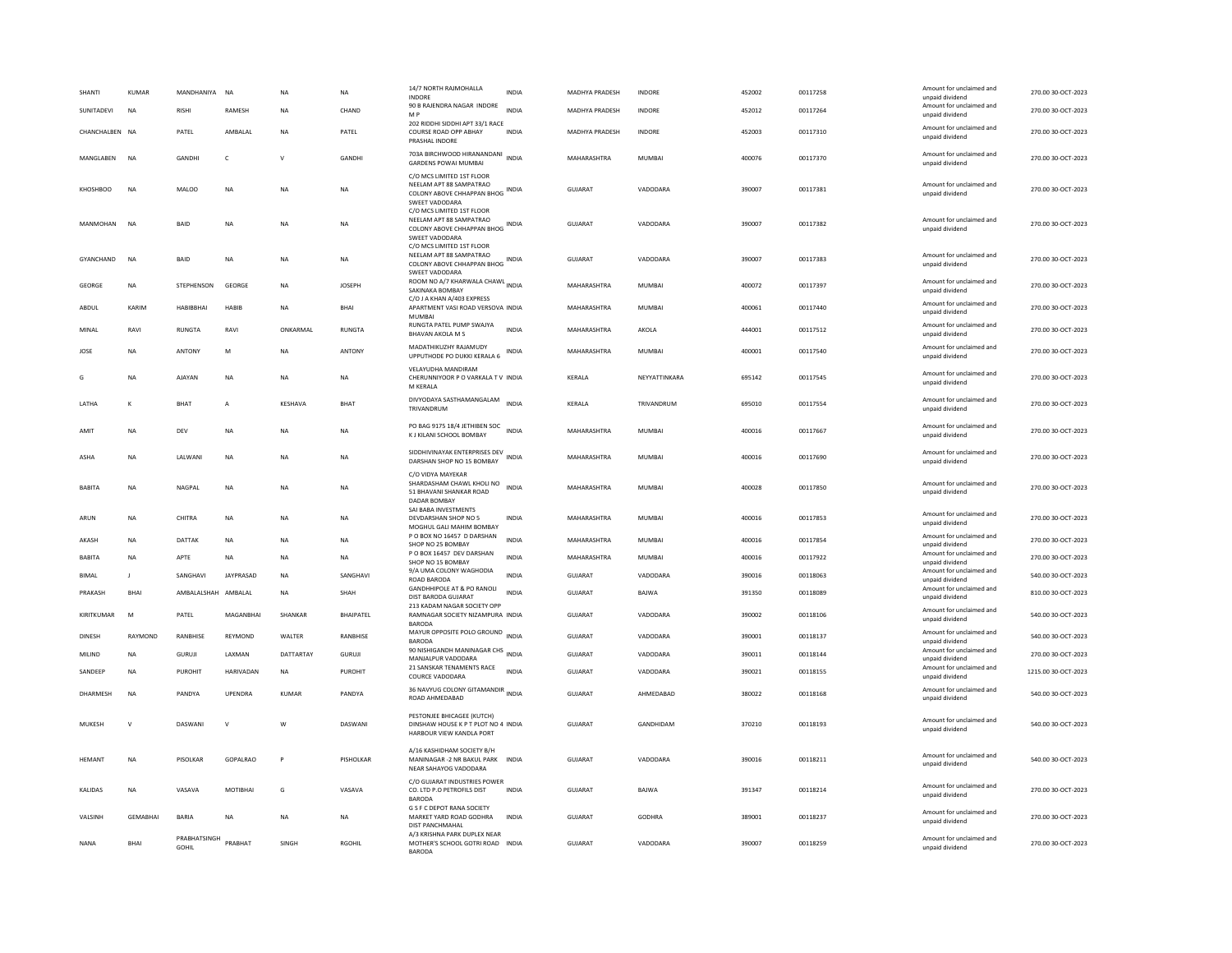| SHANTI         | KUMAR           | MANDHANIYA            | <b>NA</b>    | <b>NA</b>      | NA               | 14/7 NORTH RAJMOHALLA<br><b>INDORE</b>                                                                                                  | INDIA        | MADHYA PRADESH | INDORE        | 452002 | 00117258 | Amount for unclaimed and<br>unpaid dividend | 270.00 30-OCT-2023  |
|----------------|-----------------|-----------------------|--------------|----------------|------------------|-----------------------------------------------------------------------------------------------------------------------------------------|--------------|----------------|---------------|--------|----------|---------------------------------------------|---------------------|
| SUNITADEVI     | $_{\sf NA}$     | <b>RISHI</b>          | RAMESH       | <b>NA</b>      | CHAND            | 90 B RAJENDRA NAGAR INDORE<br>M P<br>202 RIDDHI SIDDHI APT 33/1 RACE                                                                    | <b>INDIA</b> | MADHYA PRADESH | <b>INDORE</b> | 452012 | 00117264 | Amount for unclaimed and<br>unpaid dividend | 270.00 30-OCT-2023  |
| CHANCHALBEN NA |                 | PATEL                 | AMBALAL      | <b>NA</b>      | PATEL            | COURSE ROAD OPP ABHAY<br>PRASHAL INDORE                                                                                                 | <b>INDIA</b> | MADHYA PRADESH | INDORE        | 452003 | 00117310 | Amount for unclaimed and<br>unpaid dividend | 270.00 30-OCT-2023  |
| MANGLABEN      | <b>NA</b>       | GANDHI                | $\mathsf{C}$ | $\mathsf{v}$   | <b>GANDHI</b>    | 703A BIRCHWOOD HIRANANDANI<br><b>GARDENS POWAI MUMBAI</b>                                                                               | <b>INDIA</b> | MAHARASHTRA    | MUMBAI        | 400076 | 00117370 | Amount for unclaimed and<br>unpaid dividend | 270.00 30-OCT-2023  |
| KHOSHBOO       | <b>NA</b>       | <b>MALOO</b>          | <b>NA</b>    | NΑ             | <b>NA</b>        | C/O MCS LIMITED 1ST FLOOR<br>NEELAM APT 88 SAMPATRAO<br>COLONY ABOVE CHHAPPAN BHOG INDIA<br>SWEET VADODARA                              |              | <b>GUJARAT</b> | VADODARA      | 390007 | 00117381 | Amount for unclaimed and<br>unpaid dividend | 270.00 30-OCT-2023  |
| MANMOHAN       | <b>NA</b>       | BAID                  | <b>NA</b>    | NΑ             | NA               | C/O MCS LIMITED 1ST FLOOR<br>NEELAM APT 88 SAMPATRAO<br>COLONY ABOVE CHHAPPAN BHOG INDIA<br>SWEET VADODARA<br>C/O MCS LIMITED 1ST FLOOR |              | GUJARAT        | VADODARA      | 390007 | 00117382 | Amount for unclaimed and<br>unpaid dividend | 270.00 30-OCT-2023  |
| GYANCHAND      | <b>NA</b>       | <b>BAID</b>           | <b>NA</b>    | <b>NA</b>      | <b>NA</b>        | NEELAM APT 88 SAMPATRAO<br>COLONY ABOVE CHHAPPAN BHOG INDIA<br>SWEET VADODARA                                                           |              | <b>GUJARAT</b> | VADODARA      | 390007 | 00117383 | Amount for unclaimed and<br>unpaid dividend | 270.00 30-OCT-2023  |
| GEORGE         | NA              | STEPHENSON            | GEORGE       | NΑ             | <b>JOSEPH</b>    | ROOM NO A/7 KHARWALA CHAWL INDIA<br>SAKINAKA BOMBAY                                                                                     |              | MAHARASHTRA    | MUMBAI        | 400072 | 00117397 | Amount for unclaimed and<br>unpaid dividend | 270.00 30-OCT-2023  |
| ABDUL          | KARIM           | HARIRRHAI             | HARIR        | <b>NA</b>      | <b>BHAI</b>      | C/O J A KHAN A/403 EXPRESS<br>APARTMENT VASI ROAD VERSOVA INDIA<br>MUMBA                                                                |              | MAHARASHTRA    | MUMBAI        | 400061 | 00117440 | Amount for unclaimed and<br>unpaid dividend | 270.00 30-OCT-2023  |
| MINAL          | RAVI            | <b>RUNGTA</b>         | RAVI         | ONKARMAL       | <b>RUNGTA</b>    | RUNGTA PATEL PUMP SWAJYA<br><b>BHAVAN AKOLA M S</b>                                                                                     | <b>INDIA</b> | MAHARASHTRA    | AKOLA         | 444001 | 00117512 | Amount for unclaimed and<br>unpaid dividend | 270.00 30-OCT-2023  |
| JOSE           | <b>NA</b>       | ANTONY                | M            | <b>NA</b>      | ANTONY           | MADATHIKUZHY RAJAMUDY<br>UPPUTHODE PO DUKKI KERALA 6                                                                                    | <b>INDIA</b> | MAHARASHTRA    | MUMBAI        | 400001 | 00117540 | Amount for unclaimed and<br>unpaid dividend | 270.00 30-OCT-2023  |
| G              | NA              | <b>AJAYAN</b>         | NA           | <b>NA</b>      | $_{\sf NA}$      | VELAYUDHA MANDIRAM<br>CHERUNNIYOOR P O VARKALA T V INDIA<br>M KERALA                                                                    |              | KERALA         | NEYYATTINKARA | 695142 | 00117545 | Amount for unclaimed and<br>unpaid dividend | 270.00 30-OCT-2023  |
| LATHA          | K               | <b>BHAT</b>           | A            | KESHAVA        | BHAT             | DIVYODAYA SASTHAMANGALAM<br>TRIVANDRUM                                                                                                  | <b>INDIA</b> | KERALA         | TRIVANDRUM    | 695010 | 00117554 | Amount for unclaimed and<br>unpaid dividend | 270.00 30-OCT-2023  |
| AMIT           | NA              | DEV                   | NA           | NA             | <b>NA</b>        | PO BAG 9175 18/4 JETHIBEN SOC<br>K J KILANI SCHOOL BOMBAY                                                                               | <b>INDIA</b> | MAHARASHTRA    | MUMBAI        | 400016 | 00117667 | Amount for unclaimed and<br>unpaid dividend | 270.00 30-OCT-2023  |
| <b>ASHA</b>    | <b>NA</b>       | LALWANI               | <b>NA</b>    | NA             | <b>NA</b>        | SIDDHIVINAYAK ENTERPRISES DEV<br>DARSHAN SHOP NO 15 BOMBAY                                                                              | <b>INDIA</b> | MAHARASHTRA    | MUMBAI        | 400016 | 00117690 | Amount for unclaimed and<br>unpaid dividend | 270.00 30-OCT-2023  |
| <b>BABITA</b>  | <b>NA</b>       | NAGPAL                | <b>NA</b>    | NA             | <b>NA</b>        | C/O VIDYA MAYEKAR<br>SHARDASHAM CHAWL KHOLI NO<br>51 BHAVANI SHANKAR ROAD<br>DADAR BOMBAY                                               | <b>INDIA</b> | MAHARASHTRA    | MUMBAI        | 400028 | 00117850 | Amount for unclaimed and<br>unpaid dividend | 270.00 30-OCT-2023  |
| ARUN           | NA              | CHITRA                | NA           | N <sub>A</sub> | <b>NA</b>        | SAI BABA INVESTMENTS<br>DEVDARSHAN SHOP NO 5<br>MOGHUL GALI MAHIM BOMBAY                                                                | INDIA        | MAHARASHTRA    | MUMBAI        | 400016 | 00117853 | Amount for unclaimed and<br>unpaid dividend | 270.00 30-OCT-2023  |
| AKASH          | NA              | DATTAK                | NA           | <b>NA</b>      | $_{\sf NA}$      | P O BOX NO 16457 D DARSHAN<br>SHOP NO 25 BOMBAY                                                                                         | <b>INDIA</b> | MAHARASHTRA    | <b>MUMBAI</b> | 400016 | 00117854 | Amount for unclaimed and<br>unpaid dividend | 270.00 30-OCT-2023  |
| <b>BABITA</b>  | <b>NA</b>       | APTF                  | <b>NA</b>    | <b>NA</b>      | <b>NA</b>        | P O BOX 16457 DEV DARSHAN<br>SHOP NO 15 BOMBAY                                                                                          | <b>INDIA</b> | MAHARASHTRA    | MUMBAI        | 400016 | 00117922 | Amount for unclaimed and<br>unpaid dividend | 270.00 30-OCT-2023  |
| <b>BIMAL</b>   | -11             | SANGHAVI              | JAYPRASAD    | <b>NA</b>      | SANGHAVI         | 9/A UMA COLONY WAGHODIA<br>ROAD BARODA                                                                                                  | <b>INDIA</b> | <b>GUJARAT</b> | VADODARA      | 390016 | 00118063 | Amount for unclaimed and<br>unpaid dividend | 540.00 30-OCT-2023  |
| PRAKASH        | BHAI            | AMBALALSHAH AMBALAL   |              | <b>NA</b>      | SHAH             | <b>GANDHHIPOLE AT &amp; PO RANOLI</b><br>DIST BARODA GUJARAT                                                                            | <b>INDIA</b> | GUJARAT        | BAJWA         | 391350 | 00118089 | Amount for unclaimed and<br>unpaid dividend | 810.00 30-OCT-2023  |
| KIRITKUMAR     | M               | PATEL                 | MAGANBHAI    | SHANKAR        | <b>BHAIPATEL</b> | 213 KADAM NAGAR SOCIETY OPP<br>RAMNAGAR SOCIETY NIZAMPURA INDIA<br><b>BARODA</b>                                                        |              | <b>GUJARAT</b> | VADODARA      | 390002 | 00118106 | Amount for unclaimed and<br>unpaid dividend | 540.00 30-OCT-2023  |
| DINESH         | RAYMOND         | RANBHISE              | REYMOND      | WALTER         | RANBHISE         | MAYUR OPPOSITE POLO GROUND INDIA<br><b>BARODA</b>                                                                                       |              | GUJARAT        | VADODARA      | 390001 | 00118137 | Amount for unclaimed and<br>unpaid dividend | 540.00 30-OCT-2023  |
| MILIND         | NA              | GURUJI                | LAXMAN       | DATTARTAY      | GURUJI           | 90 NISHIGANDH MANINAGAR CHS INDIA<br>MANJALPUR VADODARA                                                                                 |              | GUJARAT        | VADODARA      | 390011 | 00118144 | Amount for unclaimed and<br>unpaid dividend | 270.00 30-OCT-2023  |
| SANDEEP        | NA              | PUROHIT               | HARIVADAN    | NA             | PUROHIT          | 21 SANSKAR TENAMENTS RACE<br>COURCE VADODARA                                                                                            | <b>INDIA</b> | GUJARAT        | VADODARA      | 390021 | 00118155 | Amount for unclaimed and<br>unpaid dividend | 1215.00 30-OCT-2023 |
| DHARMESH       | <b>NA</b>       | PANDYA                | UPENDRA      | KUMAR          | PANDYA           | 36 NAVYUG COLONY GITAMANDIR INDIA<br>ROAD AHMEDABAD                                                                                     |              | <b>GUJARAT</b> | AHMEDABAD     | 380022 | 00118168 | Amount for unclaimed and<br>unpaid dividend | 540.00 30-OCT-2023  |
| MUKESH         | $\mathsf{V}$    | DASWANI               | $\mathsf{v}$ | W              | DASWANI          | PESTONJEE BHICAGEE (KUTCH)<br>DINSHAW HOUSE K P T PLOT NO 4 INDIA<br>HARBOUR VIEW KANDLA PORT                                           |              | <b>GUJARAT</b> | GANDHIDAM     | 370210 | 00118193 | Amount for unclaimed and<br>unpaid dividend | 540.00 30-OCT-2023  |
| HEMANT         | NA              | PISOLKAR              | GOPALRAO     | P              | PISHOLKAR        | A/16 KASHIDHAM SOCIETY B/H<br>MANINAGAR - 2 NR BAKUL PARK INDIA<br>NEAR SAHAYOG VADODARA                                                |              | GUJARAT        | VADODARA      | 390016 | 00118211 | Amount for unclaimed and<br>unpaid dividend | 540.00 30-OCT-2023  |
| KALIDAS        | NA              | VASAVA                | MOTIBHAI     | G              | VASAVA           | C/O GUJARAT INDUSTRIES POWER<br>CO. LTD P.O PETROFILS DIST<br><b>BARODA</b>                                                             | <b>INDIA</b> | <b>GUJARAT</b> | BAJWA         | 391347 | 00118214 | Amount for unclaimed and<br>unpaid dividend | 270.00 30-OCT-2023  |
| VALSINH        | <b>GEMABHAI</b> | <b>BARIA</b>          | <b>NA</b>    | NΑ             | <b>NA</b>        | G S F C DEPOT RANA SOCIETY<br>MARKET YARD ROAD GODHRA<br><b>DIST PANCHMAHAL</b>                                                         | <b>INDIA</b> | GUJARAT        | GODHRA        | 389001 | 00118237 | Amount for unclaimed and<br>unpaid dividend | 270.00 30-OCT-2023  |
| <b>NANA</b>    | <b>BHAI</b>     | PRABHATSINGH<br>GOHIL | PRABHAT      | SINGH          | <b>RGOHIL</b>    | A/3 KRISHNA PARK DUPLEX NEAR<br>MOTHER'S SCHOOL GOTRI ROAD INDIA<br><b>BARODA</b>                                                       |              | <b>GUJARAT</b> | VADODARA      | 390007 | 00118259 | Amount for unclaimed and<br>unpaid dividend | 270.00 30-OCT-2023  |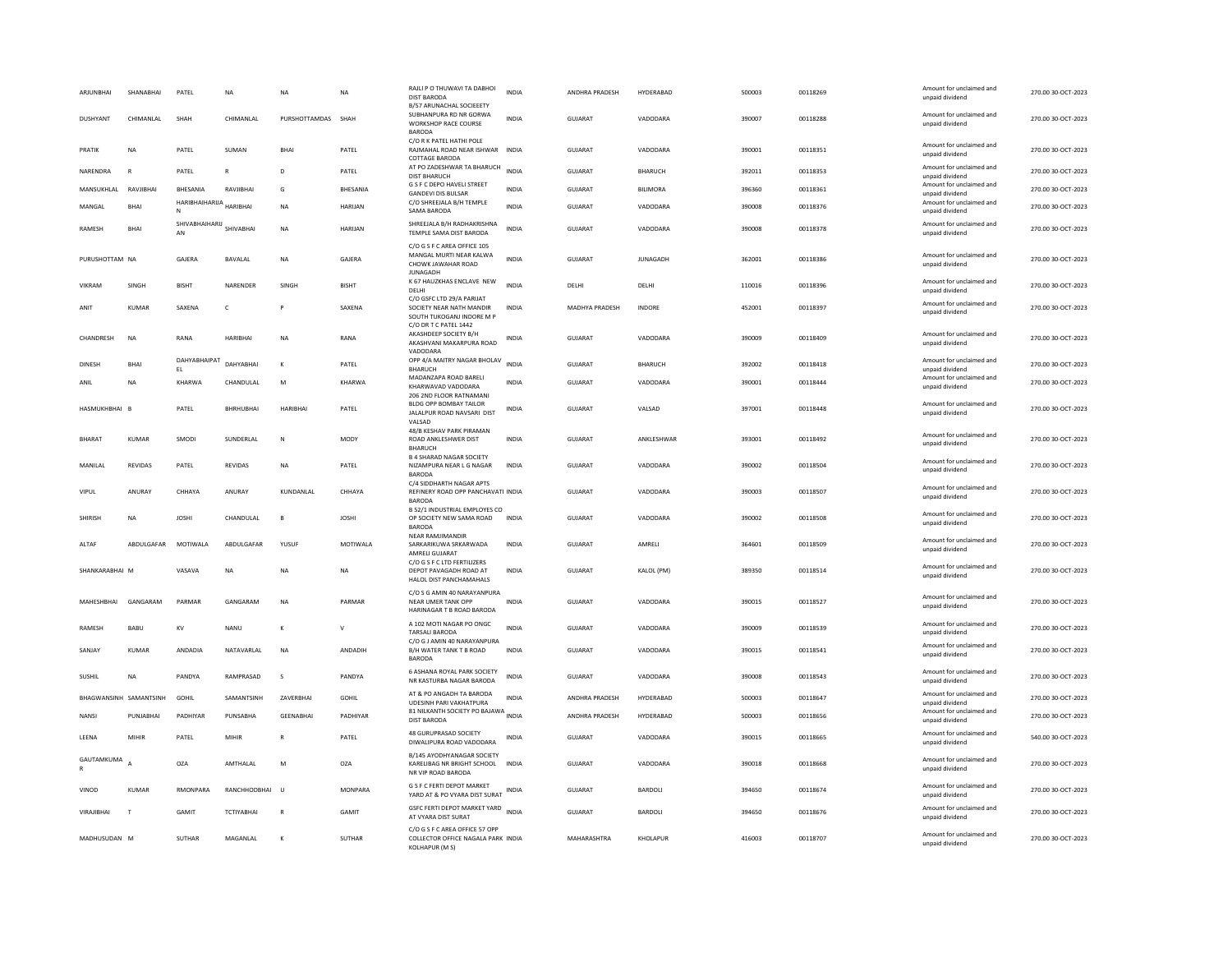| ARJUNBHAI              | SHANABHAI      | PATEL                | <b>NA</b>         | NA                 | NA           | RAJLI P O THUWAVI TA DABHOI<br><b>DIST BARODA</b><br><b>B/57 ARUNACHAL SOCIEEETY</b>                        | <b>INDIA</b> | ANDHRA PRADESH        | HYDERABAD          | 500003 | 00118269 | Amount for unclaimed and<br>unpaid dividend | 270.00 30-OCT-2023 |
|------------------------|----------------|----------------------|-------------------|--------------------|--------------|-------------------------------------------------------------------------------------------------------------|--------------|-----------------------|--------------------|--------|----------|---------------------------------------------|--------------------|
| DUSHYANT               | CHIMANI AI     | <b>SHAH</b>          | <b>CHIMANIAI</b>  | PURSHOTTAMDAS SHAH |              | SUBHANPURA RD NR GORWA<br><b>WORKSHOP RACE COURSE</b><br><b>BARODA</b>                                      | <b>INDIA</b> | GUIARAT               | VADODARA           | 390007 | 00118288 | Amount for unclaimed and<br>unpaid dividend | 270.00 30-QCT-2023 |
| PRATIK                 | <b>NA</b>      | PATFI                | SUMAN             | <b>RHAI</b>        | PATFI        | C/O R K PATEL HATHI POLE<br>RAJMAHAL ROAD NEAR ISHWAR INDIA<br>COTTAGE BARODA                               |              | GUJARAT               | VADODARA           | 390001 | 00118351 | Amount for unclaimed and<br>unpaid dividend | 270.00 30-OCT-2023 |
| NARENDRA               | $\mathsf{R}$   | PATEL                |                   | D                  | PATEL        | AT PO ZADESHWAR TA BHARUCH<br><b>DIST BHARUCH</b>                                                           | INDIA        | <b>GUJARAT</b>        | <b>BHARUCH</b>     | 392011 | 00118353 | Amount for unclaimed and<br>unpaid dividend | 270.00 30-OCT-2023 |
| MANSUKHLAL             | RAVJIBHAI      | BHESANIA             | RAVJIBHAI         | G                  | BHESANIA     | G S F C DEPO HAVELI STREET<br><b>GANDEVI DIS BULSAR</b>                                                     | <b>INDIA</b> | GUJARAT               | BILIMORA           | 396360 | 00118361 | Amount for unclaimed and<br>unpaid dividend | 270.00 30-OCT-2023 |
| MANGAL                 | <b>BHAI</b>    | HARIBHAIHARUA<br>N   | <b>HARIBHAI</b>   | <b>NA</b>          | HARIJAN      | C/O SHREEJALA B/H TEMPLE<br>SAMA BARODA                                                                     | <b>INDIA</b> | <b>GUJARAT</b>        | VADODARA           | 390008 | 00118376 | Amount for unclaimed and<br>unpaid dividend | 270.00 30-OCT-2023 |
| RAMESH                 | <b>BHAI</b>    | SHIVABHAIHARIJ<br>AN | SHIVABHAI         | N <sub>A</sub>     | HARIJAN      | SHREEJALA B/H RADHAKRISHNA<br>TEMPLE SAMA DIST BARODA                                                       | <b>INDIA</b> | <b>GUJARAT</b>        | VADODARA           | 390008 | 00118378 | Amount for unclaimed and<br>unpaid dividend | 270.00 30-OCT-2023 |
| PURUSHOTTAM NA         |                | GAJERA               | BAVALAL           | <b>NA</b>          | GAJERA       | C/O G S F C AREA OFFICE 105<br>MANGAL MURTI NEAR KALWA<br>CHOWK JAWAHAR ROAD<br><b>JUNAGADH</b>             | <b>INDIA</b> | <b>GUJARAT</b>        | <b>JUNAGADH</b>    | 362001 | 00118386 | Amount for unclaimed and<br>unpaid dividend | 270.00 30-OCT-2023 |
| VIKRAM                 | SINGH          | <b>BISHT</b>         | NARENDER          | SINGH              | <b>BISHT</b> | K 67 HAUZKHAS ENCLAVE NEW<br>DELHI                                                                          | <b>INDIA</b> | DELHI                 | DELHI              | 110016 | 00118396 | Amount for unclaimed and<br>unpaid dividend | 270.00 30-OCT-2023 |
| ANIT                   | <b>KUMAR</b>   | SAXENA               | $\epsilon$        |                    | SAXENA       | C/O GSFC LTD 29/A PARIJAT<br>SOCIETY NEAR NATH MANDIR<br>SOUTH TUKOGANJ INDORE M P<br>C/O DR T C PATEL 1442 | <b>INDIA</b> | MADHYA PRADESH        | INDORE             | 452001 | 00118397 | Amount for unclaimed and<br>unpaid dividend | 270.00 30-OCT-2023 |
| CHANDRESH              | <b>NA</b>      | RANA                 | <b>HARIBHAI</b>   | ΝA                 | RANA         | AKASHDEEP SOCIETY B/H<br>AKASHVANI MAKARPURA ROAD<br>VADODARA                                               | <b>INDIA</b> | GUJARAT               | VADODARA           | 390009 | 00118409 | Amount for unclaimed and<br>unpaid dividend | 270.00 30-OCT-2023 |
| <b>DINESH</b>          | BHAI           | DAHYABHAIPAT<br>EL.  | DAHYABHAI         | $\kappa$           | PATEL        | OPP 4/A MAITRY NAGAR BHOLAV<br>BHARUCH                                                                      | <b>INDIA</b> | <b>GUJARAT</b>        | <b>BHARUCH</b>     | 392002 | 00118418 | Amount for unclaimed and<br>unpaid dividend | 270.00 30-OCT-2023 |
| ANIL                   | NA             | KHARWA               | CHANDULAL         | M                  | KHARWA       | MADANZAPA ROAD BARELI<br>KHARWAVAD VADODARA<br>206 2ND FLOOR RATNAMANI                                      | <b>INDIA</b> | GUJARAT               | VADODARA           | 390001 | 00118444 | Amount for unclaimed and<br>unpaid dividend | 270.00 30-OCT-2023 |
| HASMUKHBHAI B          |                | PATEL                | BHRHUBHAI         | <b>HARIBHAI</b>    | PATEL        | BLDG OPP BOMBAY TAILOR<br>JALALPUR ROAD NAVSARI DIST<br>VALSAD                                              | <b>INDIA</b> | <b>GUJARAT</b>        | VALSAD             | 397001 | 00118448 | Amount for unclaimed and<br>unpaid dividend | 270.00 30-OCT-2023 |
| <b>BHARAT</b>          | KUMAR          | SMODI                | SUNDERLAI         | N                  | <b>MODY</b>  | 48/B KESHAV PARK PIRAMAN<br>ROAD ANKLESHWER DIST<br><b>BHARUCH</b>                                          | <b>INDIA</b> | GUIARAT               | <b>ANKI FSHWAR</b> | 393001 | 00118492 | Amount for unclaimed and<br>unpaid dividend | 270.00 30-QCT-2023 |
| MANILAL                | REVIDAS        | PATEL                | REVIDAS           | ΝA                 | PATEL        | <b>B 4 SHARAD NAGAR SOCIETY</b><br>NIZAMPURA NEAR L G NAGAR<br><b>BARODA</b>                                | <b>INDIA</b> | <b>GUJARAT</b>        | VADODARA           | 390002 | 00118504 | Amount for unclaimed and<br>unpaid dividend | 270.00 30-OCT-2023 |
| VIPUL                  | ANURAY         | CHHAYA               | ANURAY            | KUNDANLAL          | CHHAYA       | C/4 SIDDHARTH NAGAR APTS<br>REFINERY ROAD OPP PANCHAVATI INDIA<br><b>BARODA</b>                             |              | <b>GUJARAT</b>        | VADODARA           | 390003 | 00118507 | Amount for unclaimed and<br>unpaid dividend | 270.00 30-OCT-2023 |
| <b>SHIRISH</b>         | <b>NA</b>      | <b>JOSHI</b>         | CHANDULAL         | $\mathbf{B}$       | <b>JOSHI</b> | B 52/1 INDUSTRIAL EMPLOYES CO<br>OP SOCIETY NEW SAMA ROAD<br><b>BARODA</b>                                  | <b>INDIA</b> | GUJARAT               | VADODARA           | 390002 | 00118508 | Amount for unclaimed and<br>unpaid dividend | 270.00 30-OCT-2023 |
| ALTAF                  | ABDULGAFAR     | MOTIWALA             | ABDULGAFAF        | YUSUF              | MOTIWALA     | <b>NEAR RAMJIMANDIR</b><br>SARKARIKUWA SRKARWADA<br>AMRELI GUJARAT                                          | <b>INDIA</b> | <b>GUJARAT</b>        | AMRELI             | 364601 | 00118509 | Amount for unclaimed and<br>unpaid dividend | 270.00 30-OCT-2023 |
| SHANKARABHAI M         |                | VASAVA               | <b>NA</b>         | NA                 | <b>NA</b>    | C/O G S F C LTD FERTILIZERS<br>DEPOT PAVAGADH ROAD AT<br>HALOL DIST PANCHAMAHALS                            | <b>INDIA</b> | <b>GUJARAT</b>        | KALOL (PM)         | 389350 | 00118514 | Amount for unclaimed and<br>unpaid dividend | 270.00 30-OCT-2023 |
| MAHESHBHAI             | GANGARAM       | PARMAR               | GANGARAM          | NA                 | PARMAR       | C/O S G AMIN 40 NARAYANPURA<br>NEAR UMER TANK OPP<br>HARINAGAR T B ROAD BARODA                              | INDIA        | GUJARAT               | VADODARA           | 390015 | 00118527 | Amount for unclaimed and<br>unpaid dividend | 270.00 30-OCT-2023 |
| RAMESH                 | BABU           | KV                   | <b>NANU</b>       | K                  | $\mathbf{v}$ | A 102 MOTI NAGAR PO ONGC<br>TARSALI BARODA                                                                  | <b>INDIA</b> | GUJARAT               | VADODARA           | 390009 | 00118539 | Amount for unclaimed and<br>unpaid dividend | 270.00 30-OCT-2023 |
| SANJAY                 | <b>KUMAR</b>   | ANDADIA              | NATAVARLAL        | N <sub>A</sub>     | ANDADIH      | C/O G J AMIN 40 NARAYANPURA<br>B/H WATER TANK T B ROAD<br><b>BARODA</b>                                     | <b>INDIA</b> | <b>GUJARAT</b>        | VADODARA           | 390015 | 00118541 | Amount for unclaimed and<br>unpaid dividend | 270.00 30-OCT-2023 |
| <b>SUSHIL</b>          | <b>NA</b>      | PANDYA               | RAMPRASAD         | s                  | PANDYA       | 6 ASHANA ROYAL PARK SOCIETY<br>NR KASTURBA NAGAR BARODA                                                     | <b>INDIA</b> | <b>GUJARAT</b>        | VADODARA           | 390008 | 00118543 | Amount for unclaimed and<br>unpaid dividend | 270.00 30-OCT-2023 |
| BHAGWANSINH SAMANTSINH |                | GOHIL                | SAMANTSINH        | ZAVERBHAI          | <b>GOHIL</b> | AT & PO ANGADH TA BARODA<br><b>UDESINH PARI VAKHATPURA</b>                                                  | <b>INDIA</b> | ANDHRA PRADESH        | HYDERABAD          | 500003 | 00118647 | Amount for unclaimed and<br>unpaid dividend | 270.00 30-OCT-2023 |
| NANSI                  | PUNJARHAI      | PADHIYAR             | PUNSARHA          | <b>GFFNARHAI</b>   | PADHIYAR     | 81 NILKANTH SOCIETY PO BAJAWA INDIA<br><b>DIST BARODA</b>                                                   |              | <b>ANDHRA PRADESH</b> | HYDERABAD          | 500003 | 00118656 | Amount for unclaimed and<br>unpaid dividend | 270.00 30-OCT-2023 |
| LEENA                  | MIHIR          | PATEL                | MIHIF             | R                  | PATEL        | 48 GURUPRASAD SOCIETY<br>DIWALIPURA ROAD VADODARA                                                           | INDIA        | GUJARAT               | VADODARA           | 390015 | 00118665 | Amount for unclaimed and<br>unpaid dividend | 540.00 30-OCT-2023 |
| GAUTAMKUMA             | $\overline{A}$ | OZA                  | AMTHALAL          | M                  | OZA          | B/145 AYODHYANAGAR SOCIETY<br>KARELIBAG NR BRIGHT SCHOOL INDIA<br>NR VIP ROAD BARODA                        |              | <b>GUJARAT</b>        | VADODARA           | 390018 | 00118668 | Amount for unclaimed and<br>unpaid dividend | 270.00 30-OCT-2023 |
| VINOD                  | <b>KUMAR</b>   | RMONPARA             | RANCHHODBHAI      | <b>U</b>           | MONPARA      | G S F C FERTI DEPOT MARKET<br>YARD AT & PO VYARA DIST SURAT                                                 | INDIA        | <b>GUJARAT</b>        | BARDOLI            | 394650 | 00118674 | Amount for unclaimed and<br>unpaid dividend | 270.00 30-OCT-2023 |
| VIRAJIBHAI             | T              | <b>GAMIT</b>         | <b>TCTIYABHAI</b> |                    | <b>GAMIT</b> | GSFC FERTI DEPOT MARKET YARD<br>AT VYARA DIST SURAT                                                         | <b>INDIA</b> | GUJARAT               | <b>BARDOLI</b>     | 394650 | 00118676 | Amount for unclaimed and<br>unpaid dividend | 270.00 30-OCT-2023 |
| MADHUSUDAN M           |                | SUTHAR               | MAGANLAL          | $\mathbf{K}$       | SUTHAR       | C/O G S F C AREA OFFICE 57 OPP<br>COLLECTOR OFFICE NAGALA PARK INDIA<br>KOLHAPUR (M S)                      |              | MAHARASHTRA           | KHOLAPUR           | 416003 | 00118707 | Amount for unclaimed and<br>unpaid dividend | 270.00 30-OCT-2023 |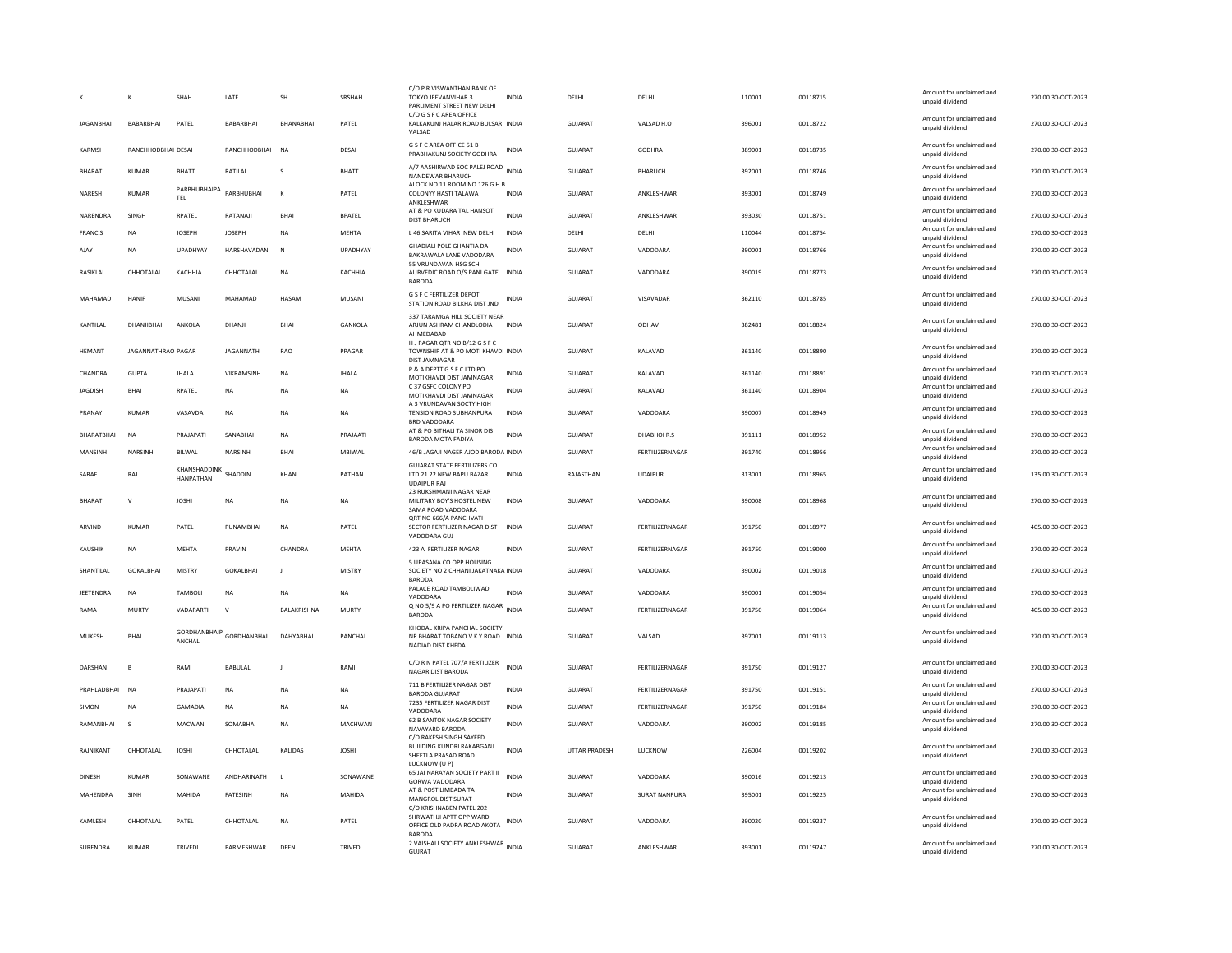|                  | K                  | <b>SHAH</b>                       | LATE             | SH               | SRSHAH        | C/O P R VISWANTHAN BANK OF<br>TOKYO JEEVANVIHAR 3<br>PARLIMENT STREET NEW DELHI<br>C/O G S F C AREA OFFICE | <b>INDIA</b> | DELHI                | DELHI           | 110001 | 00118715 | Amount for unclaimed and<br>unpaid dividend                    | 270.00 30-OCT-2023 |
|------------------|--------------------|-----------------------------------|------------------|------------------|---------------|------------------------------------------------------------------------------------------------------------|--------------|----------------------|-----------------|--------|----------|----------------------------------------------------------------|--------------------|
| <b>IAGANRHAI</b> | <b>BABARRHAI</b>   | PATFI                             | <b>BARARBHAI</b> | <b>RHANARHAI</b> | PATFI         | KALKAKUNJ HALAR ROAD BULSAR INDIA<br>VALSAD                                                                |              | GUIARAT              | VAISAD H.O.     | 396001 | 00118722 | Amount for unclaimed and<br>unpaid dividend                    | 270.00.30-OCT-2023 |
| KARMSI           | RANCHHODBHAI DESAI |                                   | RANCHHODBHAI     | <b>NA</b>        | DESAI         | G S F C AREA OFFICE 51 B<br>PRABHAKUNJ SOCIETY GODHRA                                                      | <b>INDIA</b> | <b>GUJARAT</b>       | GODHRA          | 389001 | 00118735 | Amount for unclaimed and<br>unpaid dividend                    | 270.00 30-OCT-2023 |
| <b>BHARAT</b>    | <b>KUMAR</b>       | <b>BHATT</b>                      | RATILAL          |                  | <b>BHATT</b>  | A/7 AASHIRWAD SOC PALEJ ROAD INDIA<br>NANDEWAR BHARUCH                                                     |              | <b>GUJARAT</b>       | <b>BHARUCH</b>  | 392001 | 00118746 | Amount for unclaimed and<br>unpaid dividend                    | 270.00 30-OCT-2023 |
| NARESH           | <b>KUMAR</b>       | PARBHUBHAIPA<br>TEL               | PARBHUBHAI       | $\kappa$         | PATEL         | ALOCK NO 11 ROOM NO 126 G H B<br>COLONYY HASTI TALAWA<br>ANKLESHWAF                                        | <b>INDIA</b> | <b>GUJARAT</b>       | ANKLESHWAR      | 393001 | 00118749 | Amount for unclaimed and<br>unpaid dividend                    | 270.00 30-OCT-2023 |
| NARENDRA         | SINGH              | RPATEL                            | RATANAJI         | BHAI             | <b>BPATEL</b> | AT & PO KUDARA TAL HANSOT<br><b>DIST BHARUCH</b>                                                           | <b>INDIA</b> | <b>GUJARAT</b>       | ANKLESHWAR      | 393030 | 00118751 | Amount for unclaimed and<br>unpaid dividend                    | 270.00 30-OCT-2023 |
| <b>FRANCIS</b>   | <b>NA</b>          | <b>JOSEPH</b>                     | <b>JOSEPH</b>    | <b>NA</b>        | <b>MEHTA</b>  | L 46 SARITA VIHAR NEW DELHI                                                                                | <b>INDIA</b> | DELHI                | DELHI           | 110044 | 00118754 | Amount for unclaimed and<br>unpaid dividend                    | 270.00 30-OCT-2023 |
| AJAY             | <b>NA</b>          | UPADHYAY                          | HARSHAVADAN      | N                | UPADHYAY      | <b>GHADIALI POLE GHANTIA DA</b><br>BAKRAWALA LANE VADODARA                                                 | <b>INDIA</b> | <b>GUJARAT</b>       | VADODARA        | 390001 | 00118766 | Amount for unclaimed and<br>unpaid dividend                    | 270.00 30-OCT-2023 |
| RASIKLAL         | CHHOTALAL          | KACHHIA                           | CHHOTALAL        | NA               | KACHHIA       | 55 VRUNDAVAN HSG SCH<br>AURVEDIC ROAD O/S PANI GATE INDIA<br><b>BARODA</b>                                 |              | GUJARAT              | VADODARA        | 390019 | 00118773 | Amount for unclaimed and<br>unpaid dividend                    | 270.00 30-OCT-2023 |
| MAHAMAD          | HANIF              | MUSANI                            | MAHAMAD          | HASAM            | MUSANI        | <b>G S F C FERTILIZER DEPOT</b><br>STATION ROAD BILKHA DIST JND                                            | <b>INDIA</b> | <b>GUJARAT</b>       | VISAVADAR       | 362110 | 00118785 | Amount for unclaimed and<br>unpaid dividend                    | 270.00 30-OCT-2023 |
| KANTILAL         | DHANJIBHAI         | ANKOLA                            | DHANJI           | BHAI             | GANKOLA       | 337 TARAMGA HILL SOCIETY NEAR<br>ARJUN ASHRAM CHANDLODIA<br>AHMEDABAD                                      | <b>INDIA</b> | <b>GUJARAT</b>       | ODHAV           | 382481 | 00118824 | Amount for unclaimed and<br>unpaid dividend                    | 270.00 30-OCT-2023 |
| HEMANT           | JAGANNATHRAO PAGAR |                                   | JAGANNATH        | RAO              | PPAGAR        | H J PAGAR OTR NO B/12 G S F C<br>TOWNSHIP AT & PO MOTI KHAVDI INDIA<br><b>DIST JAMNAGAR</b>                |              | GUJARAT              | KALAVAD         | 361140 | 00118890 | Amount for unclaimed and<br>unpaid dividend                    | 270.00 30-OCT-2023 |
| CHANDRA          | GUPTA              | <b>JHALA</b>                      | VIKRAMSINH       | N <sub>A</sub>   | <b>JHALA</b>  | P & A DEPTT G S F C LTD PO                                                                                 | <b>INDIA</b> | GUJARAT              | KALAVAD         | 361140 | 00118891 | Amount for unclaimed and                                       | 270.00 30-OCT-2023 |
| <b>JAGDISH</b>   | <b>BHAI</b>        | RPATEL                            | <b>NA</b>        | NA               | <b>NA</b>     | MOTIKHAVDI DIST JAMNAGAR<br>C 37 GSFC COLONY PO<br>MOTIKHAVDI DIST JAMNAGAR                                | <b>INDIA</b> | <b>GUJARAT</b>       | KALAVAD         | 361140 | 00118904 | unpaid dividend<br>Amount for unclaimed and<br>unpaid dividend | 270.00 30-OCT-2023 |
| PRANAY           | KUMAR              | VASAVDA                           | <b>NA</b>        | NA               | <b>NA</b>     | A 3 VRUNDAVAN SOCTY HIGH<br>TENSION ROAD SUBHANPURA                                                        | <b>INDIA</b> | <b>GUJARAT</b>       | VADODARA        | 390007 | 00118949 | Amount for unclaimed and                                       | 270.00 30-OCT-2023 |
| BHARATBHAI       | <b>NA</b>          | PRAJAPATI                         | SANABHAI         | <b>NA</b>        | PRAJAATI      | <b>BRD VADODARA</b><br>AT & PO BITHALI TA SINOR DIS                                                        | INDIA        | GUJARAT              | DHABHOIR.S      | 391111 | 00118952 | unpaid dividend<br>Amount for unclaimed and                    | 270.00 30-OCT-2023 |
| MANSINH          | NARSINH            | BILWAL                            | NARSINH          | <b>BHAI</b>      | MBIWAL        | BARODA MOTA FADIYA<br>46/B JAGAJI NAGER AJOD BARODA INDIA                                                  |              | GUJARAT              | FERTILIZERNAGAR | 391740 | 00118956 | unpaid dividend<br>Amount for unclaimed and                    | 270.00 30-OCT-2023 |
|                  |                    |                                   |                  |                  |               | <b>GUJARAT STATE FERTILIZERS CO</b>                                                                        |              |                      |                 |        |          | unpaid dividend<br>Amount for unclaimed and                    |                    |
| SARAF            | RAJ                | KHANSHADDINK SHADDIN<br>HANPATHAN |                  | KHAN             | PATHAN        | LTD 21 22 NEW BAPU BAZAR<br><b>UDAIPUR RAJ</b>                                                             | <b>INDIA</b> | RAJASTHAN            | <b>UDAIPUR</b>  | 313001 | 00118965 | unpaid dividend                                                | 135.00 30-OCT-2023 |
| <b>BHARAT</b>    | $\mathsf{v}$       | <b>JOSHI</b>                      | <b>NA</b>        | <b>NA</b>        | <b>NA</b>     | 23 RUKSHMANI NAGAR NEAR<br>MILITARY BOY'S HOSTEL NEW<br>SAMA ROAD VADODARA<br>ORT NO 666/A PANCHVATI       | <b>INDIA</b> | GUIARAT              | VADODARA        | 390008 | 00118968 | Amount for unclaimed and<br>unpaid dividend                    | 270.00 30-OCT-2023 |
| ARVIND           | KUMAR              | PATEL                             | PUNAMBHAI        | N <sub>A</sub>   | PATEL         | SECTOR FERTILIZER NAGAR DIST<br>VADODARA GUJ                                                               | <b>INDIA</b> | GUJARAT              | FERTILIZERNAGAR | 391750 | 00118977 | Amount for unclaimed and<br>unpaid dividend                    | 405.00 30-OCT-2023 |
| <b>KAUSHIK</b>   | <b>NA</b>          | <b>MEHTA</b>                      | PRAVIN           | CHANDRA          | <b>MEHTA</b>  | 423 A FERTILIZER NAGAR                                                                                     | <b>INDIA</b> | GUJARAT              | FERTILIZERNAGAR | 391750 | 00119000 | Amount for unclaimed and<br>unpaid dividend                    | 270.00 30-OCT-2023 |
| SHANTILAL        | GOKALBHAI          | MISTRY                            | GOKALBHAI        | $\mathbf{J}$     | MISTRY        | 5 UPASANA CO OPP HOUSING<br>SOCIETY NO 2 CHHANI JAKATNAKA INDIA<br><b>BARODA</b>                           |              | GUJARAT              | VADODARA        | 390002 | 00119018 | Amount for unclaimed and<br>unpaid dividend                    | 270.00 30-OCT-2023 |
| JEETENDRA        | <b>NA</b>          | TAMBOLI                           | <b>NA</b>        | <b>NA</b>        | <b>NA</b>     | PALACE ROAD TAMBOLIWAD<br>VADODARA                                                                         | INDIA        | GUJARAT              | VADODARA        | 390001 | 00119054 | Amount for unclaimed and<br>unpaid dividend                    | 270.00 30-OCT-2023 |
| RAMA             | <b>MURTY</b>       | VADAPARTI                         | $\vee$           | BALAKRISHNA      | <b>MURTY</b>  | Q NO 5/9 A PO FERTILIZER NAGAR<br><b>BARODA</b>                                                            | <b>INDIA</b> | GUJARAT              | FERTILIZERNAGAR | 391750 | 00119064 | Amount for unclaimed and<br>unpaid dividend                    | 405.00 30-OCT-2023 |
| MUKESH           | BHAI               | GORDHANBHAIP<br>ANCHAL            | GORDHANBHAI      | DAHYABHAI        | PANCHAL       | KHODAL KRIPA PANCHAL SOCIETY<br>NR BHARAT TOBANO V K Y ROAD INDIA<br>NADIAD DIST KHEDA                     |              | GUJARAT              | VALSAD          | 397001 | 00119113 | Amount for unclaimed and<br>unpaid dividend                    | 270.00 30-OCT-2023 |
| DARSHAN          | B                  | RAMI                              | BABULAL          | J.               | RAMI          | C/O R N PATEL 707/A FERTILIZER<br>NAGAR DIST BARODA                                                        | <b>INDIA</b> | GUJARAT              | FERTILIZERNAGAR | 391750 | 00119127 | Amount for unclaimed and<br>unpaid dividend                    | 270.00 30-OCT-2023 |
| PRAHLADBHAI      | <b>NA</b>          | PRAJAPATI                         | <b>NA</b>        | N <sub>A</sub>   | NA            | 711 B FERTILIZER NAGAR DIST<br><b>BARODA GUJARAT</b>                                                       | <b>INDIA</b> | <b>GUJARAT</b>       | FERTILIZERNAGAR | 391750 | 00119151 | Amount for unclaimed and<br>unpaid dividend                    | 270.00 30-OCT-2023 |
| SIMON            | <b>NA</b>          | GAMADIA                           | <b>NA</b>        | NA               | <b>NA</b>     | 7235 FERTILIZER NAGAR DIST<br>VADODARA                                                                     | <b>INDIA</b> | <b>GUJARAT</b>       | FERTILIZERNAGAR | 391750 | 00119184 | Amount for unclaimed and<br>unpaid dividend                    | 270.00 30-OCT-2023 |
| RAMANBHAI        | $\mathbf{\hat{S}}$ | MACWAN                            | SOMABHAI         | <b>NA</b>        | MACHWAN       | 62 B SANTOK NAGAR SOCIETY<br>NAVAYARD BARODA<br>C/O RAKESH SINGH SAYEED                                    | <b>INDIA</b> | <b>GUJARAT</b>       | VADODARA        | 390002 | 00119185 | Amount for unclaimed and<br>unpaid dividend                    | 270.00 30-OCT-2023 |
| RAINIKANT        | CHHOTAL AL         | <b>IOSHI</b>                      | CHHOTAL AL       | <b>KALIDAS</b>   | <b>IOSHI</b>  | BUILDING KUNDRI RAKABGANJ<br>SHEETLA PRASAD ROAD<br>LUCKNOW (U P)                                          | <b>INDIA</b> | <b>UTTAR PRADESH</b> | <b>ILICKNOW</b> | 226004 | 00119202 | Amount for unclaimed and<br>unpaid dividend                    | 270.00 30-QCT-2023 |
| DINESH           | <b>KUMAR</b>       | SONAWANE                          | ANDHARINATH      | -11              | SONAWANE      | 65 JAI NARAYAN SOCIETY PART II<br>GORWA VADODARA                                                           | <b>INDIA</b> | <b>GUJARAT</b>       | VADODARA        | 390016 | 00119213 | Amount for unclaimed and<br>unnaid dividend                    | 270.00 30-OCT-2023 |
| <b>MAHFNDRA</b>  | SINH               | MAHIDA                            | <b>FATESINH</b>  | <b>NA</b>        | MAHIDA        | AT & POST LIMBADA TA<br>MANGROL DIST SURAT                                                                 | <b>INDIA</b> | GUIARAT              | SURAT NANPURA   | 395001 | 00119225 | Amount for unclaimed and<br>unpaid dividend                    | 270.00.30-OCT-2023 |
| KAMLESH          | CHHOTAL AL         | PATEL                             | CHHOTALAL        | <b>NA</b>        | PATEL         | C/O KRISHNABEN PATEL 202<br>SHRWATHJI APTT OPP WARD<br>OFFICE OLD PADRA ROAD AKOTA                         | INDIA        | <b>GUJARAT</b>       | VADODARA        | 390020 | 00119237 | Amount for unclaimed and<br>unpaid dividend                    | 270.00 30-OCT-2023 |
| SURENDRA         | <b>KUMAR</b>       | TRIVEDI                           | PARMESHWAR       | DEEN             | TRIVEDI       | <b>BARODA</b><br>2 VAISHALI SOCIETY ANKLESHWAR INDIA                                                       |              | <b>GUJARAT</b>       | ANKLESHWAR      | 393001 | 00119247 | Amount for unclaimed and                                       | 270.00 30-OCT-2023 |
|                  |                    |                                   |                  |                  |               | GUJRAT                                                                                                     |              |                      |                 |        |          | unpaid dividend                                                |                    |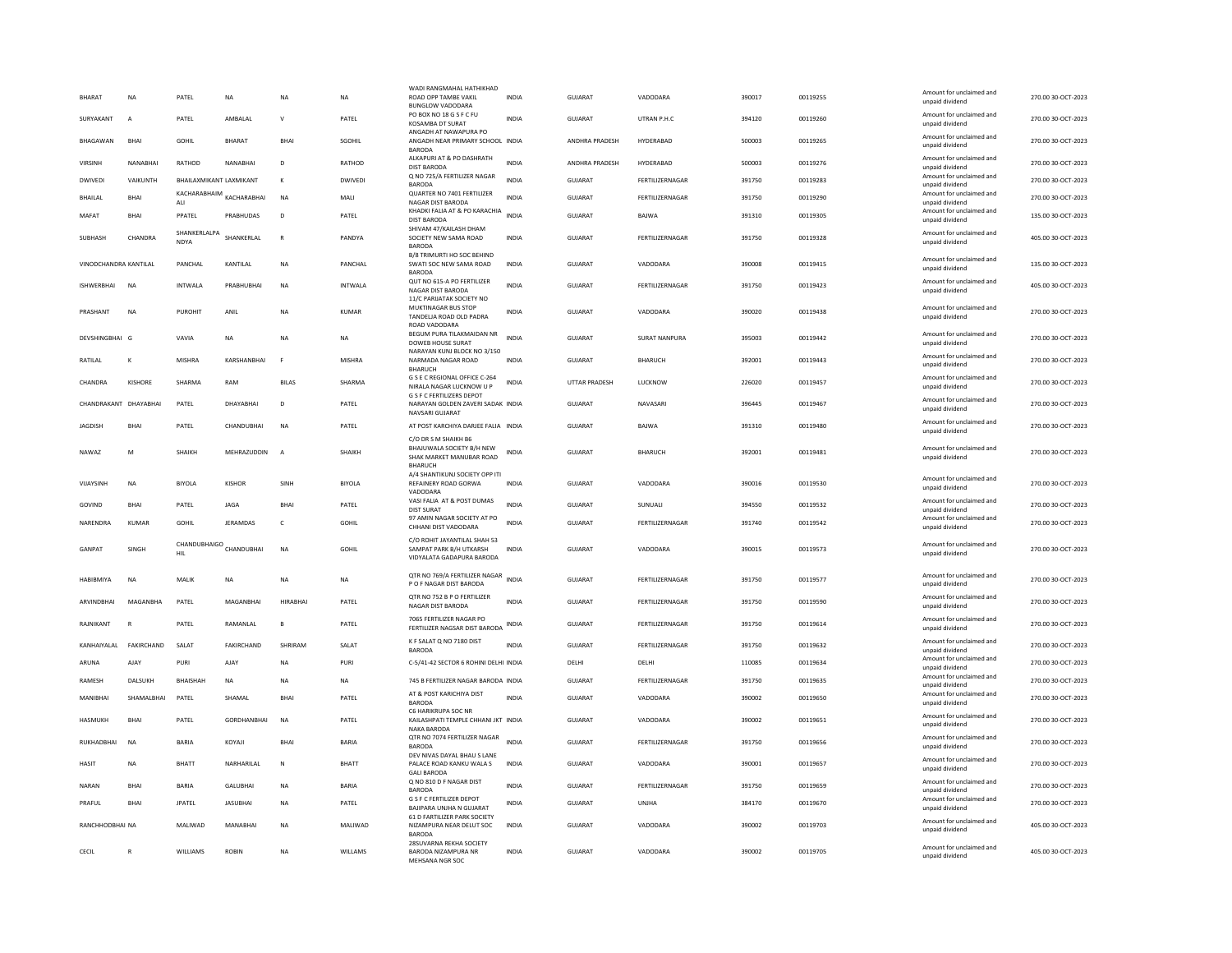| <b>BHARAT</b>         | <b>NA</b>      | PATEL                                         | <b>NA</b>          | <b>NA</b>       | <b>NA</b>      | WADI RANGMAHAL HATHIKHAD<br>ROAD OPP TAMBE VAKIL                                 | <b>INDIA</b> | <b>GUJARAT</b>       | VADODARA             | 390017 | 00119255 | Amount for unclaimed and                    | 270.00 30-OCT-2023 |
|-----------------------|----------------|-----------------------------------------------|--------------------|-----------------|----------------|----------------------------------------------------------------------------------|--------------|----------------------|----------------------|--------|----------|---------------------------------------------|--------------------|
|                       |                |                                               |                    |                 |                | <b>BUNGLOW VADODARA</b>                                                          |              |                      |                      |        |          | unpaid dividend                             |                    |
| SURYAKANT             | $\overline{A}$ | PATEL                                         | AMBALAL            | $\mathsf{v}$    | PATEL          | PO BOX NO 18 G S F C FU<br>KOSAMBA DT SURAT<br>ANGADH AT NAWAPURA PO             | <b>INDIA</b> | <b>GUJARAT</b>       | UTRAN P.H.C          | 394120 | 00119260 | Amount for unclaimed and<br>unpaid dividend | 270.00 30-OCT-2023 |
| BHAGAWAN              | <b>BHAI</b>    | GOHIL                                         | <b>BHARAT</b>      | BHAI            | SGOHIL         | ANGADH NEAR PRIMARY SCHOOL INDIA<br><b>BARODA</b>                                |              | ANDHRA PRADESH       | HYDERABAD            | 500003 | 00119265 | Amount for unclaimed and<br>unpaid dividend | 270.00 30-OCT-2023 |
| <b>VIRSINH</b>        | NANABHAI       | RATHOD                                        | NANABHAI           | D               | RATHOD         | ALKAPURI AT & PO DASHRATH<br><b>DIST BARODA</b>                                  | <b>INDIA</b> | ANDHRA PRADESH       | HYDERABAD            | 500003 | 00119276 | Amount for unclaimed and<br>unpaid dividend | 270.00 30-OCT-2023 |
| <b>DWIVEDI</b>        | VAIKUNTH       | BHAILAXMIKANT LAXMIKANT                       |                    | К               | DWIVEDI        | O NO 725/A FERTILIZER NAGAR<br><b>BARODA</b>                                     | <b>INDIA</b> | GUJARAT              | FERTILIZERNAGAR      | 391750 | 00119283 | Amount for unclaimed and<br>unpaid dividend | 270.00 30-OCT-2023 |
| <b>BHAILAL</b>        | <b>BHAI</b>    | ${\tt KACHARABHAIM}_{\tt KACHARABHAI}$<br>ALI |                    | <b>NA</b>       | MALI           | QUARTER NO 7401 FERTILIZER<br>NAGAR DIST BARODA                                  | <b>INDIA</b> | GUIARAT              | FERTILIZERNAGAR      | 391750 | 00119290 | Amount for unclaimed and<br>unpaid dividend | 270.00 30-OCT-2023 |
| MAFAT                 | <b>BHAI</b>    | PPATEL                                        | PRABHUDAS          | D               | PATEL          | KHADKI FALIA AT & PO KARACHIA INDIA                                              |              | GUJARAT              | BAJWA                | 391310 | 00119305 | Amount for unclaimed and                    | 135.00 30-OCT-2023 |
|                       |                | SHANKERLALPA                                  |                    |                 |                | <b>DIST BARODA</b><br>SHIVAM 47/KAILASH DHAM                                     |              |                      |                      |        |          | unpaid dividend<br>Amount for unclaimed and |                    |
| SUBHASH               | CHANDRA        | <b>NDYA</b>                                   | SHANKERLAL         | $\mathbb{R}$    | PANDYA         | SOCIETY NEW SAMA ROAD<br><b>BARODA</b>                                           | <b>INDIA</b> | <b>GUJARAT</b>       | FERTILIZERNAGAR      | 391750 | 00119328 | unpaid dividend                             | 405.00 30-OCT-2023 |
| VINODCHANDRA KANTILAL |                | PANCHAL                                       | KANTILAL           | <b>NA</b>       | PANCHAL        | B/8 TRIMURTLHO SOC BEHIND<br>SWATI SOC NEW SAMA ROAD<br><b>BARODA</b>            | INDIA        | GUJARAT              | VADODARA             | 390008 | 00119415 | Amount for unclaimed and<br>unpaid dividend | 135.00 30-OCT-2023 |
| <b>ISHWERBHAI</b>     | <b>NA</b>      | <b>INTWALA</b>                                | PRABHUBHAI         | <b>NA</b>       | <b>INTWALA</b> | QUT NO 615-A PO FERTILIZER<br>NAGAR DIST BARODA                                  | <b>INDIA</b> | <b>GUJARAT</b>       | FERTILIZERNAGAR      | 391750 | 00119423 | Amount for unclaimed and<br>unpaid dividend | 405.00 30-OCT-2023 |
|                       |                |                                               |                    |                 |                | 11/C PARIJATAK SOCIETY NO<br>MUKTINAGAR BUS STOP                                 |              |                      |                      |        |          | Amount for unclaimed and                    |                    |
| PRASHANT              | <b>NA</b>      | PUROHIT                                       | ANII               | <b>NA</b>       | KUMAR          | TANDELJA ROAD OLD PADRA<br>ROAD VADODARA                                         | <b>INDIA</b> | GUIARAT              | VADODARA             | 390020 | 00119438 | unpaid dividend                             | 270.00.30-OCT-2023 |
| DEVSHINGBHAI G        |                | VAVIA                                         | <b>NA</b>          | <b>NA</b>       | <b>NA</b>      | BEGUM PURA TILAKMAIDAN NR<br>DOWEB HOUSE SURAT                                   | <b>INDIA</b> | GUIARAT              | <b>SURAT NANPURA</b> | 395003 | 00119442 | Amount for unclaimed and<br>unpaid dividend | 270.00 30-OCT-2023 |
| RATILAL               |                | <b>MISHRA</b>                                 | KARSHANBHAI        |                 | <b>MISHRA</b>  | NARAYAN KUNJ BLOCK NO 3/150<br>NARMADA NAGAR ROAD                                | <b>INDIA</b> | <b>GUJARAT</b>       | <b>BHARUCH</b>       | 392001 | 00119443 | Amount for unclaimed and<br>unpaid dividend | 270.00 30-OCT-2023 |
|                       |                |                                               |                    |                 |                | <b>BHARUCH</b><br>G S E C REGIONAL OFFICE C-264                                  |              |                      |                      |        |          | Amount for unclaimed and                    |                    |
| CHANDRA               | <b>KISHORE</b> | SHARMA                                        | RAM                | <b>BILAS</b>    | SHARMA         | NIRALA NAGAR LUCKNOW U P<br><b>G S F C FERTILIZERS DEPOT</b>                     | <b>INDIA</b> | <b>UTTAR PRADESH</b> | <b>LUCKNOW</b>       | 226020 | 00119457 | unpaid dividend                             | 270.00 30-OCT-2023 |
| CHANDRAKANT DHAYABHAI |                | PATEL                                         | DHAYABHAI          | D               | PATEL          | NARAYAN GOLDEN ZAVERI SADAK INDIA<br>NAVSARI GUJARAT                             |              | GUJARAT              | NAVASARI             | 396445 | 00119467 | Amount for unclaimed and<br>unpaid dividend | 270.00 30-OCT-2023 |
| JAGDISH               | BHAI           | PATEL                                         | CHANDUBHAI         | <b>NA</b>       | PATEL          | AT POST KARCHIYA DARJEE FALIA INDIA                                              |              | GUJARAT              | BAJWA                | 391310 | 00119480 | Amount for unclaimed and<br>unpaid dividend | 270.00 30-OCT-2023 |
| NAWA7                 | M              | <b>SHAIKH</b>                                 | <b>MEHRAZUDDIN</b> | $\mathbf{A}$    | <b>SHAIKH</b>  | C/O DR S M SHAIKH B6<br>BHAJUWALA SOCIETY B/H NEW                                | <b>INDIA</b> | GUIARAT              | <b>BHARUCH</b>       | 392001 | 00119481 | Amount for unclaimed and                    | 270.00.30-OCT-2023 |
|                       |                |                                               |                    |                 |                | SHAK MARKET MANUBAR ROAD<br><b>BHARUCH</b>                                       |              |                      |                      |        |          | unpaid dividend                             |                    |
| VIJAYSINH             | <b>NA</b>      | <b>BIYOLA</b>                                 | <b>KISHOF</b>      | SINH            | <b>BIYOLA</b>  | A/4 SHANTIKUNJ SOCIETY OPP ITI<br>REFAINERY ROAD GORWA<br>VADODARA               | <b>INDIA</b> | <b>GUJARAT</b>       | VADODARA             | 390016 | 00119530 | Amount for unclaimed and<br>unpaid dividend | 270.00 30-OCT-2023 |
| GOVIND                | <b>BHAI</b>    | PATEL                                         | <b>JAGA</b>        | <b>RHAI</b>     | PATEL          | VASI FALIA AT & POST DUMAS<br><b>DIST SURAT</b>                                  | <b>INDIA</b> | GUJARAT              | SUNUALI              | 394550 | 00119532 | Amount for unclaimed and<br>unpaid dividend | 270.00 30-OCT-2023 |
| NARENDRA              | <b>KUMAR</b>   | GOHIL                                         | JERAMDAS           | $\mathsf{C}$    | <b>GOHIL</b>   | 97 AMIN NAGAR SOCIETY AT PO<br>CHHANI DIST VADODARA                              | <b>INDIA</b> | <b>GUJARAT</b>       | FERTILIZERNAGAR      | 391740 | 00119542 | Amount for unclaimed and<br>unpaid dividend | 270.00 30-OCT-2023 |
|                       |                |                                               |                    |                 |                | C/O ROHIT JAYANTILAL SHAH 53                                                     |              |                      |                      |        |          |                                             |                    |
| GANPAT                | SINGH          | CHANDUBHAIGO CHANDUBHAI<br>HIL                |                    | <b>NA</b>       | <b>GOHIL</b>   | SAMPAT PARK B/H UTKARSH<br>VIDYALATA GADAPURA BARODA                             | <b>INDIA</b> | <b>GUJARAT</b>       | VADODARA             | 390015 | 00119573 | Amount for unclaimed and<br>unpaid dividend | 270.00 30-OCT-2023 |
| HABIBMIYA             | <b>NA</b>      | MALIK                                         | <b>NA</b>          | <b>NA</b>       | <b>NA</b>      | QTR NO 769/A FERTILIZER NAGAR INDIA<br>P O F NAGAR DIST BARODA                   |              | GUJARAT              | FERTILIZERNAGAR      | 391750 | 00119577 | Amount for unclaimed and<br>unpaid dividend | 270.00 30-OCT-2023 |
| <b>ARVINDBHAI</b>     | MAGANRHA       | PATEL                                         | MAGANRHAI          | <b>HIRARHAI</b> | PATEL          | QTR NO 752 B P O FERTILIZER                                                      | <b>INDIA</b> | GUIARAT              | FERTILIZERNAGAR      | 391750 | 00119590 | Amount for unclaimed and                    | 270.00 30-OCT-2023 |
|                       |                |                                               |                    |                 |                | NAGAR DIST BARODA<br>7065 FERTILIZER NAGAR PO                                    |              |                      |                      |        |          | unpaid dividend<br>Amount for unclaimed and |                    |
| RAJNIKANT             | $\mathbb{R}$   | PATEL                                         | RAMANLAL           | B               | PATEL          | FERTILIZER NAGSAR DIST BARODA                                                    | INDIA        | <b>GUJARAT</b>       | FERTILIZERNAGAR      | 391750 | 00119614 | unpaid dividend                             | 270.00 30-OCT-2023 |
| KANHAIYALAL           | FAKIRCHAND     | SALAT                                         | <b>FAKIRCHAND</b>  | SHRIRAM         | SALAT          | K F SALAT Q NO 7180 DIST<br><b>BARODA</b>                                        | <b>INDIA</b> | <b>GUJARAT</b>       | FERTILIZERNAGAR      | 391750 | 00119632 | Amount for unclaimed and<br>unpaid dividend | 270.00 30-OCT-2023 |
| ARUNA                 | AJAY           | PURI                                          | AJAY               | <b>NA</b>       | PURI           | C-5/41-42 SECTOR 6 ROHINI DELHI INDIA                                            |              | DELHI                | DELHI                | 110085 | 00119634 | Amount for unclaimed and<br>unpaid dividend | 270.00 30-OCT-2023 |
| RAMESH                | DALSUKH        | <b>BHAISHAH</b>                               | <b>NA</b>          | <b>NA</b>       | NA             | 745 B FERTILIZER NAGAR BARODA INDIA                                              |              | <b>GUJARAT</b>       | FERTILIZERNAGAR      | 391750 | 00119635 | Amount for unclaimed and<br>unpaid dividend | 270.00 30-OCT-2023 |
| MANIBHAI              | SHAMALBHAI     | PATEL                                         | SHAMAL             | <b>BHA</b>      | PATEL          | AT & POST KARICHIYA DIST<br><b>BARODA</b>                                        | <b>INDIA</b> | GUJARAT              | VADODARA             | 390002 | 00119650 | Amount for unclaimed and<br>unpaid dividend | 270.00 30-OCT-2023 |
| <b>HASMUKH</b>        | <b>BHAI</b>    | PATEL                                         | <b>GORDHANBHAI</b> | <b>NA</b>       | PATEL          | C6 HARIKRUPA SOC NR<br>KAILASHPATI TEMPLE CHHANI JKT INDIA<br><b>NAKA BARODA</b> |              | <b>GUJARAT</b>       | VADODARA             | 390002 | 00119651 | Amount for unclaimed and<br>unpaid dividend | 270.00 30-OCT-2023 |
| RUKHADBHAI            | <b>NA</b>      | <b>BARIA</b>                                  | KOYAJI             | <b>BHAI</b>     | <b>BARIA</b>   | QTR NO 7074 FERTILIZER NAGAR                                                     | <b>INDIA</b> | GUJARAT              | FERTILIZERNAGAR      | 391750 | 00119656 | Amount for unclaimed and                    | 270.00 30-OCT-2023 |
|                       |                |                                               |                    |                 |                | <b>BARODA</b><br>DEV NIVAS DAYAL BHAU S LANE                                     |              |                      |                      |        |          | unpaid dividend<br>Amount for unclaimed and |                    |
| <b>HASIT</b>          | <b>NA</b>      | BHATT                                         | NARHARILAL         | N               | BHATT          | PALACE ROAD KANKU WALA S<br>GALLBARODA                                           | <b>INDIA</b> | GUJARAT              | VADODARA             | 390001 | 00119657 | unpaid dividend                             | 270.00 30-OCT-2023 |
| NARAN                 | BHAI           | <b>BARIA</b>                                  | <b>GALUBHAI</b>    | <b>NA</b>       | <b>BARIA</b>   | Q NO 810 D F NAGAR DIST<br><b>BARODA</b>                                         | <b>INDIA</b> | <b>GUJARAT</b>       | FERTILIZERNAGAR      | 391750 | 00119659 | Amount for unclaimed and<br>unpaid dividend | 270.00 30-OCT-2023 |
| PRAFUL                | <b>BHAI</b>    | <b>JPATEL</b>                                 | <b>JASUBHAI</b>    | <b>NA</b>       | PATEL          | <b>G S F C FERTILIZER DEPOT</b><br>BAJIPARA UNJHA N GUJARAT                      | <b>INDIA</b> | <b>GUJARAT</b>       | UNJHA                | 384170 | 00119670 | Amount for unclaimed and<br>unpaid dividend | 270.00 30-OCT-2023 |
| RANCHHODBHAI NA       |                | MALIWAD                                       | MANABHAI           | <b>NA</b>       | MALIWAD        | 61 D FARTILIZER PARK SOCIETY<br>NIZAMPURA NEAR DELUT SOC<br><b>BARODA</b>        | <b>INDIA</b> | <b>GUJARAT</b>       | VADODARA             | 390002 | 00119703 | Amount for unclaimed and<br>unpaid dividend | 405.00 30-OCT-2023 |
| CECIL                 | R              | WILLIAMS                                      | <b>ROBIN</b>       | <b>NA</b>       | WILLAMS        | 28SUVARNA REKHA SOCIETY<br>BARODA NIZAMPURA NR<br>MEHSANA NGR SOC                | <b>INDIA</b> | GUJARAT              | VADODARA             | 390002 | 00119705 | Amount for unclaimed and<br>unpaid dividend | 405.00 30-OCT-2023 |
|                       |                |                                               |                    |                 |                |                                                                                  |              |                      |                      |        |          |                                             |                    |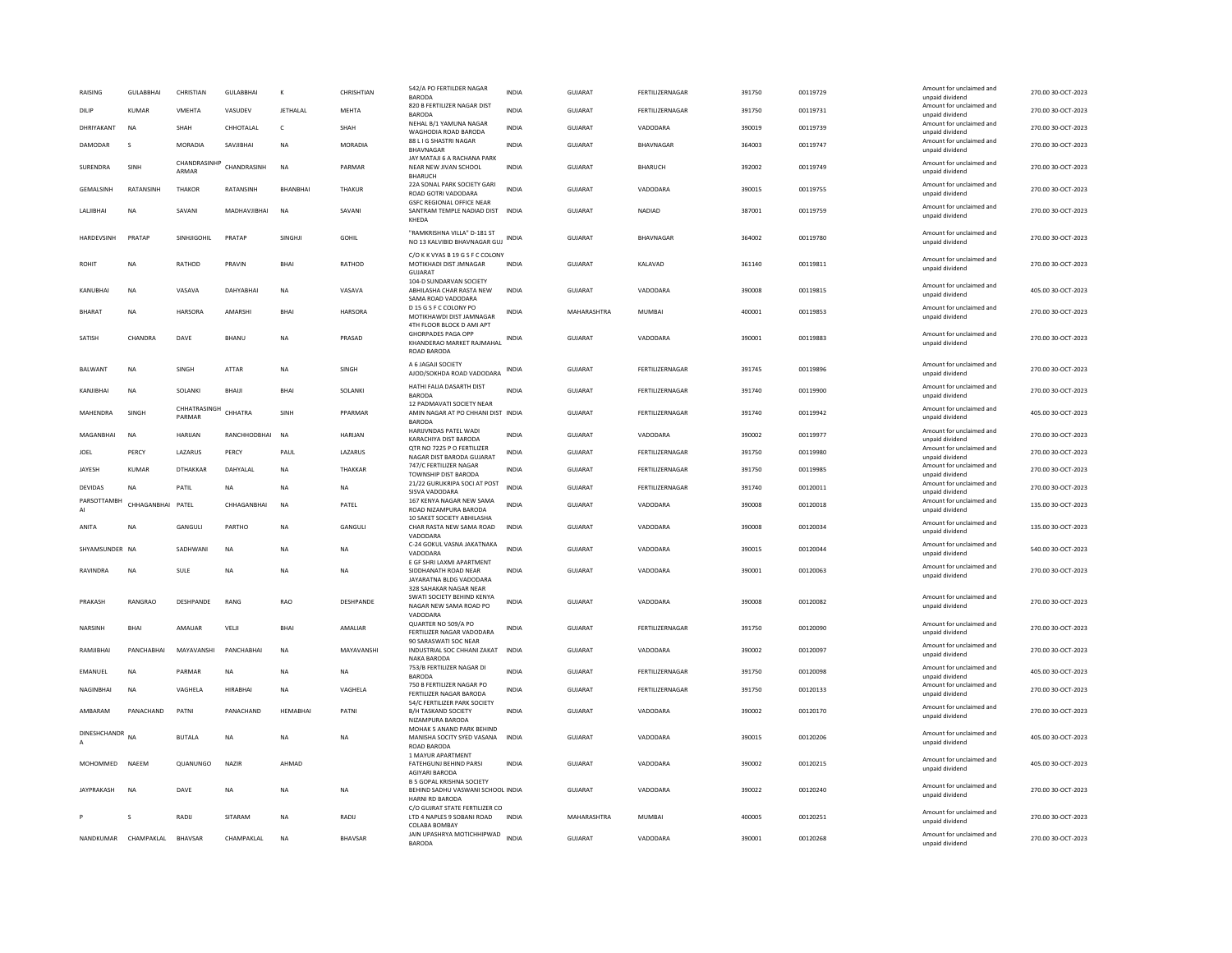| <b>RAISING</b>    | <b>GULABBHAI</b>     | CHRISTIAN              | <b>GULABBHA</b> | к               | CHRISHTIAN     | 542/A PO FERTILDER NAGAR<br>BARODA                                                                 | <b>INDIA</b> | <b>GUJARAT</b> | <b>FFRTILIZERNAGAR</b> | 391750 | 00119729 | Amount for unclaimed and<br>unpaid dividend | 270.00 30-OCT-2023 |
|-------------------|----------------------|------------------------|-----------------|-----------------|----------------|----------------------------------------------------------------------------------------------------|--------------|----------------|------------------------|--------|----------|---------------------------------------------|--------------------|
| DILIP             | <b>KUMAR</b>         | VMEHTA                 | VASUDEV         | JETHALAL        | <b>MEHTA</b>   | 820 B FERTILIZER NAGAR DIST<br>BARODA                                                              | <b>INDIA</b> | GUJARAT        | FERTILIZERNAGAR        | 391750 | 00119731 | Amount for unclaimed and<br>unpaid dividend | 270.00 30-OCT-2023 |
| DHRIYAKANT        | <b>NA</b>            | SHAH                   | CHHOTALAL       | $\mathsf{C}$    | SHAH           | NEHAL B/1 YAMUNA NAGAR<br>WAGHODIA ROAD BARODA                                                     | <b>INDIA</b> | GUJARAT        | VADODARA               | 390019 | 00119739 | Amount for unclaimed and<br>unpaid dividend | 270.00 30-OCT-2023 |
| DAMODAR           | s                    | MORADIA                | SAVJIBHAI       | NA              | <b>MORADIA</b> | 88 L I G SHASTRI NAGAR<br><b>BHAVNAGAF</b>                                                         | <b>INDIA</b> | GUJARAT        | BHAVNAGAR              | 364003 | 00119747 | Amount for unclaimed and<br>unpaid dividend | 270.00 30-OCT-2023 |
| SURENDRA          | SINE                 | CHANDRASINI<br>ARMAR   | CHANDRASINH     | <b>NA</b>       | PARMAR         | JAY MATAJI 6 A RACHANA PARK<br>NEAR NEW JIVAN SCHOOL<br><b>BHARUCH</b>                             | <b>INDIA</b> | GUJARAT        | <b>BHARUCH</b>         | 392002 | 00119749 | Amount for unclaimed and<br>unpaid dividend | 270.00 30-OCT-2023 |
| <b>GEMALSINH</b>  | RATANSINH            | <b>THAKOR</b>          | RATANSINH       | <b>BHANBHAI</b> | <b>THAKUR</b>  | 22A SONAL PARK SOCIETY GARI<br>ROAD GOTRI VADODARA                                                 | <b>INDIA</b> | GUJARAT        | VADODARA               | 390015 | 00119755 | Amount for unclaimed and<br>unpaid dividend | 270.00 30-OCT-2023 |
| LALIBHAI          | <b>NA</b>            | SAVANI                 | MADHAVJIBHAI    | <b>NA</b>       | SAVANI         | <b>GSEC REGIONAL OFFICE NEAR</b><br>SANTRAM TEMPLE NADIAD DIST INDIA<br>KHEDA                      |              | <b>GUJARAT</b> | NADIAD                 | 387001 | 00119759 | Amount for unclaimed and<br>unpaid dividend | 270.00 30-OCT-2023 |
| <b>HARDEVSINH</b> | PRATAP               | SINHJIGOHIL            | PRATAP          | SINGHJI         | <b>GOHIL</b>   | "RAMKRISHNA VILLA" D-181 ST<br>NO 13 KALVIBID BHAVNAGAR GUJ                                        | <b>INDIA</b> | <b>GUJARAT</b> | BHAVNAGAR              | 364002 | 00119780 | Amount for unclaimed and<br>unpaid dividend | 270.00 30-OCT-2023 |
| <b>ROHIT</b>      | <b>NA</b>            | RATHOD                 | PRAVIN          | <b>BHA</b>      | RATHOD         | C/O K K VYAS B 19 G S F C COLONY<br>MOTIKHADI DIST JMNAGAR<br><b>GUJARA</b>                        | <b>INDIA</b> | GUJARAT        | KALAVAD                | 361140 | 00119811 | Amount for unclaimed and<br>unpaid dividend | 270.00 30-OCT-2023 |
| KANUBHAI          | <b>NA</b>            | VASAVA                 | <b>DAHYABHA</b> | NA              | VASAVA         | 104-D SUNDARVAN SOCIETY<br>ABHILASHA CHAR RASTA NEW<br>SAMA ROAD VADODARA                          | <b>INDIA</b> | GUJARAT        | VADODARA               | 390008 | 00119815 | Amount for unclaimed and<br>unpaid dividend | 405.00 30-OCT-2023 |
| <b>BHARAT</b>     | <b>NA</b>            | HARSORA                | AMARSHI         | <b>BHA</b>      | <b>HARSORA</b> | D 15 G S F C COLONY PO<br>MOTIKHAWDI DIST JAMNAGAR                                                 | <b>INDIA</b> | MAHARASHTRA    | MUMBAI                 | 400001 | 00119853 | Amount for unclaimed and<br>unpaid dividend | 270.00 30-OCT-2023 |
| SATISH            | CHANDRA              | DAVE                   | BHANU           | NA              | PRASAD         | 4TH FLOOR BLOCK D AMI APT<br><b>GHORPADES PAGA OPP</b><br>KHANDERAO MARKET RAJMAHAL<br>ROAD BARODA | <b>INDIA</b> | GUJARAT        | VADODARA               | 390001 | 00119883 | Amount for unclaimed and<br>unpaid dividend | 270.00 30-OCT-2023 |
| <b>BALWANT</b>    | <b>NA</b>            | SINGH                  | ATTAR           | <b>NA</b>       | SINGH          | A 6 JAGAJI SOCIETY<br>AJOD/SOKHDA ROAD VADODARA                                                    | <b>INDIA</b> | <b>GUJARAT</b> | FERTILIZERNAGAR        | 391745 | 00119896 | Amount for unclaimed and<br>unpaid dividend | 270.00 30-OCT-2023 |
| KANIIRHAI         | <b>NA</b>            | SOLANKI                | <b>BHAII</b>    | <b>RHA</b>      | <b>SOLANKI</b> | HATHI FALIA DASARTH DIST<br><b>BARODA</b>                                                          | <b>INDIA</b> | GUIARAT        | <b>FFRTILIZERNAGAR</b> | 391740 | 00119900 | Amount for unclaimed and<br>unpaid dividend | 270.00 30-OCT-2023 |
| MAHENDRA          | SINGH                | CHHATRASINGH<br>PARMAR | CHHATRA         | SINH            | PPARMAR        | 12 PADMAVATI SOCIETY NEAR<br>AMIN NAGAR AT PO CHHANI DIST INDIA<br><b>BARODA</b>                   |              | GUJARAT        | FERTILIZERNAGAR        | 391740 | 00119942 | Amount for unclaimed and<br>unpaid dividend | 405.00 30-OCT-2023 |
| MAGANBHAI         | <b>NA</b>            | HARUAN                 | RANCHHODBHAI    | <b>NA</b>       | <b>HARUAN</b>  | HARIJVNDAS PATEL WADI<br>KARACHIYA DIST BARODA                                                     | <b>INDIA</b> | GUJARAT        | VADODARA               | 390002 | 00119977 | Amount for unclaimed and<br>unpaid dividend | 270.00 30-OCT-2023 |
| JOEL              | PERCY                | LAZARUS                | PERCY           | PAUL            | LAZARUS        | QTR NO 7225 P O FERTILIZER<br>NAGAR DIST BARODA GUJARAT                                            | <b>INDIA</b> | GUJARAT        | FERTILIZERNAGAR        | 391750 | 00119980 | Amount for unclaimed and<br>unpaid dividend | 270.00 30-OCT-2023 |
| JAYESH            | KUMAR                | <b>DTHAKKAR</b>        | DAHYALAI        | <b>NA</b>       | THAKKAR        | 747/C FERTILIZER NAGAR<br>TOWNSHIP DIST BARODA                                                     | <b>INDIA</b> | GUJARAT        | FERTILIZERNAGAR        | 391750 | 00119985 | Amount for unclaimed and<br>unpaid dividend | 270.00 30-OCT-2023 |
| <b>DEVIDAS</b>    | <b>NA</b>            | PATIL                  | <b>NA</b>       | <b>NA</b>       | <b>NA</b>      | 21/22 GURUKRIPA SOCI AT POST<br>SISVA VADODARA                                                     | <b>INDIA</b> | GUIARAT        | <b>FFRTILIZERNAGAR</b> | 391740 | 00120011 | Amount for unclaimed and<br>unpaid dividend | 270.00 30-OCT-2023 |
| PARSOTTAMBH<br>AI | CHHAGANBHAI PATEL    |                        | CHHAGANBHAI     | <b>NA</b>       | PATEL          | 167 KENYA NAGAR NEW SAMA<br>ROAD NIZAMPURA BARODA                                                  | <b>INDIA</b> | GUJARAT        | VADODARA               | 390008 | 00120018 | Amount for unclaimed and<br>unpaid dividend | 135.00 30-OCT-2023 |
| ANITA             | <b>NA</b>            | GANGULI                | PARTHO          | <b>NA</b>       | GANGULI        | 10 SAKET SOCIETY ABHILASHA<br>CHAR RASTA NEW SAMA ROAD<br>VADODARA                                 | <b>INDIA</b> | <b>GUJARAT</b> | VADODARA               | 390008 | 00120034 | Amount for unclaimed and<br>unpaid dividend | 135.00 30-OCT-2023 |
| SHYAMSUNDER NA    |                      | SADHWANI               | <b>NA</b>       | <b>NA</b>       | <b>NA</b>      | C-24 GOKUL VASNA JAKATNAKA<br>VADODARA                                                             | <b>INDIA</b> | GUIARAT        | VADODARA               | 390015 | 00120044 | Amount for unclaimed and<br>unpaid dividend | 540.00 30-OCT-2023 |
| RAVINDRA          | <b>NA</b>            | SULE                   | NA              | NA              | <b>NA</b>      | E GF SHRI LAXMI APARTMENT<br>SIDDHANATH ROAD NEAR<br>JAYARATNA BLDG VADODARA                       | <b>INDIA</b> | GUJARAT        | VADODARA               | 390001 | 00120063 | Amount for unclaimed and<br>unpaid dividend | 270.00 30-OCT-2023 |
| PRAKASH           | RANGRAO              | DESHPANDE              | RANG            | <b>RAO</b>      | DESHPANDE      | 328 SAHAKAR NAGAR NEAR<br>SWATI SOCIETY BEHIND KENYA<br>NAGAR NEW SAMA ROAD PO                     | <b>INDIA</b> | <b>GUJARAT</b> | VADODARA               | 390008 | 00120082 | Amount for unclaimed and<br>unpaid dividend | 270.00 30-OCT-2023 |
| NARSINH           | BHAI                 | AMAUAR                 | VELJI           | <b>BHA</b>      | AMALIAR        | VADODARA<br>QUARTER NO 509/A PO<br>FERTILIZER NAGAR VADODARA                                       | <b>INDIA</b> | GUJARAT        | FERTILIZERNAGAR        | 391750 | 00120090 | Amount for unclaimed and<br>unpaid dividend | 270.00 30-OCT-2023 |
| RAMJIBHAI         | PANCHABHAI           | MAYAVANSHI             | PANCHABHAI      | <b>NA</b>       | MAYAVANSHI     | 90 SARASWATI SOC NEAR<br>INDUSTRIAL SOC CHHANI ZAKAT<br>NAKA BARODA                                | <b>INDIA</b> | <b>GUJARAT</b> | VADODARA               | 390002 | 00120097 | Amount for unclaimed and<br>unpaid dividend | 270.00 30-OCT-2023 |
| EMANUEL           | <b>NA</b>            | PARMAR                 | <b>NA</b>       | <b>NA</b>       | <b>NA</b>      | 753/B FERTILIZER NAGAR DI<br>BARODA                                                                | <b>INDIA</b> | <b>GUJARAT</b> | FERTILIZERNAGAR        | 391750 | 00120098 | Amount for unclaimed and<br>unpaid dividend | 405.00 30-OCT-2023 |
| NAGINBHAI         | <b>NA</b>            | VAGHELA                | <b>HIRABHAI</b> | NA              | VAGHELA        | 750 B FERTILIZER NAGAR PO<br>FERTILIZER NAGAR BARODA                                               | <b>INDIA</b> | GUJARAT        | FERTILIZERNAGAR        | 391750 | 00120133 | Amount for unclaimed and<br>unpaid dividend | 270.00 30-OCT-2023 |
| AMBARAM           | PANACHAND            | PATNI                  | PANACHAND       | <b>HEMABHAI</b> | PATNI          | 54/C FERTILIZER PARK SOCIETY<br><b>B/H TASKAND SOCIETY</b><br>NIZAMPURA BARODA                     | <b>INDIA</b> | <b>GUJARAT</b> | VADODARA               | 390002 | 00120170 | Amount for unclaimed and<br>unpaid dividend | 270.00 30-OCT-2023 |
| DINESHCHANDR<br>А | <b>NA</b>            | <b>BUTALA</b>          | <b>NA</b>       | <b>NA</b>       | <b>NA</b>      | MOHAK 5 ANAND PARK BEHIND<br>MANISHA SOCITY SYED VASANA<br>ROAD BARODA                             | <b>INDIA</b> | <b>GUJARAT</b> | VADODARA               | 390015 | 00120206 | Amount for unclaimed and<br>unpaid dividend | 405.00 30-OCT-2023 |
| MOHOMMED          | NAEEM                | QUANUNGO               | NAZIR           | AHMAD           |                | 1 MAYUR APARTMENT<br>FATEHGUNJ BEHIND PARSI<br><b>AGIYARI BARODA</b>                               | INDIA        | GUJARAT        | VADODARA               | 390002 | 00120215 | Amount for unclaimed and<br>unpaid dividend | 405.00 30-OCT-2023 |
| JAYPRAKASH        | <b>NA</b>            | DAVE                   | <b>NA</b>       | <b>NA</b>       | <b>NA</b>      | <b>B 5 GOPAL KRISHNA SOCIETY</b><br>BEHIND SADHU VASWANI SCHOOL INDIA<br><b>HARNI RD BARODA</b>    |              | GUJARAT        | VADODARA               | 390022 | 00120240 | Amount for unclaimed and<br>unpaid dividend | 270.00 30-OCT-2023 |
|                   | $\mathbf{S}$         | RADII                  | SITARAM         | <b>NA</b>       | RADII          | C/O GUJRAT STATE FERTILIZER CO<br>LTD 4 NAPLES 9 SOBANI ROAD<br>COLABA BOMBAY                      | <b>INDIA</b> | MAHARASHTRA    | MUMBAI                 | 400005 | 00120251 | Amount for unclaimed and<br>unpaid dividend | 270.00 30-QCT-2023 |
|                   | NANDKUMAR CHAMPAKLAL | <b>BHAVSAR</b>         | CHAMPAKLAL      | <b>NA</b>       | BHAVSAR        | JAIN UPASHRYA MOTICHHIPWAD INDIA<br><b>BARODA</b>                                                  |              | GUJARAT        | VADODARA               | 390001 | 00120268 | Amount for unclaimed and<br>unpaid dividend | 270.00 30-OCT-2023 |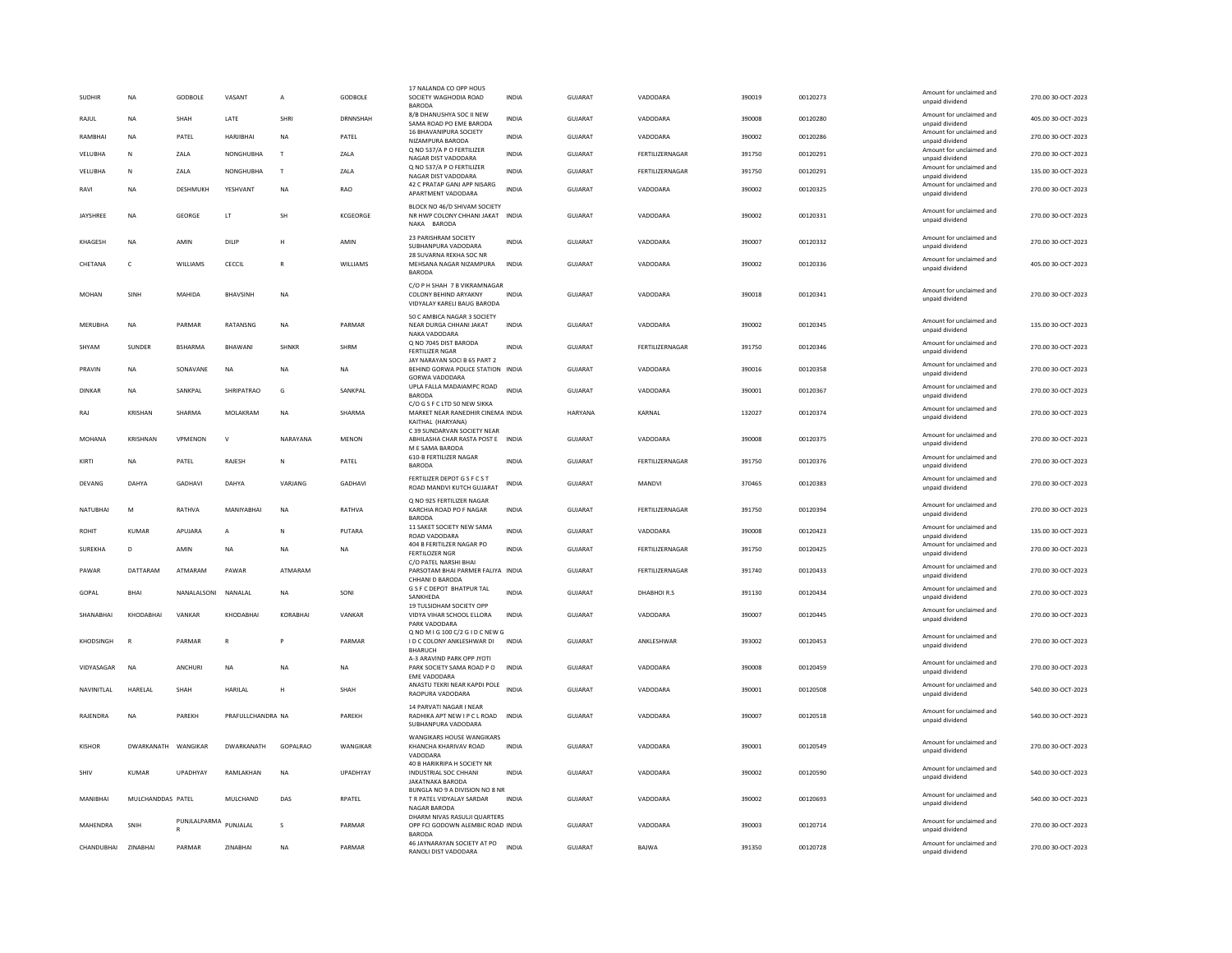| 8/B DHANUSHYA SOC II NEW<br>Amount for unclaimed and<br><b>I ATF</b><br><b>SHRI</b><br><b>DRNNSHAH</b><br><b>INDIA</b><br>GUIARAT<br>VADODARA<br>390008<br>00120280<br>405.00.30-OCT-2023<br>RAIUL<br><b>NA</b><br>SHAH<br>SAMA ROAD PO EME BARODA<br>unpaid dividend<br>16 BHAVANIPURA SOCIETY<br>Amount for unclaimed and<br>PATEL<br>PATEL<br>GUJARAT<br>VADODARA<br>390002<br>00120286<br>RAMBHAI<br>HARJIBHAI<br><b>NA</b><br><b>INDIA</b><br><b>NA</b><br>NIZAMPURA BARODA<br>unpaid dividend<br>Q NO 537/A P O FERTILIZER<br>Amount for unclaimed and<br>NONGHUBHA<br>VELUBHA<br>N<br>ZALA<br>$\mathsf{T}$<br>ZALA<br><b>INDIA</b><br><b>GUJARAT</b><br>FERTILIZERNAGAR<br>391750<br>00120291<br>NAGAR DIST VADODARA<br>unpaid dividend<br>Q NO 537/A P O FERTILIZER<br>Amount for unclaimed and<br>VELUBHA<br>NONGHUBHA<br>$\mathsf{T}$<br>ZALA<br><b>INDIA</b><br>GUJARAT<br>FERTILIZERNAGAR<br>391750<br>00120291<br>135.00 30-OCT-2023<br>N<br>ZALA<br>NAGAR DIST VADODARA<br>unpaid dividend<br>42 C PRATAP GANJ APP NISARG<br>Amount for unclaimed and<br><b>GUJARAT</b><br>270.00 30-OCT-2023<br>RAVI<br><b>NA</b><br>DESHMUKH<br>YESHVANT<br><b>NA</b><br><b>RAO</b><br><b>INDIA</b><br>VADODARA<br>390002<br>00120325<br>APARTMENT VADODARA<br>unpaid dividend<br>BLOCK NO 46/D SHIVAM SOCIETY<br>Amount for unclaimed and<br><b>JAYSHREE</b><br>NA<br><b>GEORGE</b><br>LT<br>SH<br>KCGEORGE<br>NR HWP COLONY CHHANI JAKAT INDIA<br>GUJARAT<br>VADODARA<br>390002<br>00120331<br>unpaid dividend<br>NAKA BARODA<br>23 PARISHRAM SOCIETY<br>Amount for unclaimed and<br>KHAGESH<br>AMIN<br>AMIN<br>INDIA<br>GUJARAT<br>VADODARA<br>390007<br>00120332<br>270.00 30-OCT-2023<br>NA<br>DILIP<br>н<br>SUBHANPURA VADODARA<br>unpaid dividend<br>28 SUVARNA REKHA SOC NR<br>Amount for unclaimed and<br>405.00 30-OCT-2023<br>CHETANA<br>$\epsilon$<br><b>WILLIAMS</b><br>CECCIL<br>$\mathbb{R}$<br><b>WILLIAMS</b><br>MEHSANA NAGAR NIZAMPURA<br><b>INDIA</b><br>GUIARAT<br>VADODARA<br>390002<br>00120336<br>unpaid dividend<br><b>BARODA</b><br>C/O P H SHAH 7 B VIKRAMNAGAR<br>Amount for unclaimed and<br><b>GUJARAT</b><br>390018<br>270.00 30-OCT-2023<br>MOHAN<br>SINH<br>MAHIDA<br><b>RHAVSINH</b><br><b>NA</b><br>COLONY BEHIND ARYAKNY<br><b>INDIA</b><br>VADODARA<br>00120341<br>unpaid dividend<br>VIDYALAY KARELI BAUG BARODA<br>50 C AMBICA NAGAR 3 SOCIETY<br>Amount for unclaimed and<br>PARMAR<br>PARMAR<br>GUIARAT<br>VADODARA<br>390002<br>135.00 30-OCT-2023<br>MFRURHA<br><b>NA</b><br>RATANSNG<br><b>NA</b><br>NEAR DURGA CHHANI JAKAT<br><b>INDIA</b><br>00120345<br>unpaid dividend<br>NAKA VADODARA<br>Q NO 7045 DIST BARODA<br>Amount for unclaimed and<br>SUNDER<br><b>BSHARMA</b><br>BHAWANI<br>SHNKR<br>SHRM<br>GUJARAT<br>FERTILIZERNAGAR<br>00120346<br>270.00 30-OCT-2023<br>SHYAM<br>INDIA<br>391750<br><b>FERTILIZER NGAR</b><br>unpaid dividend<br>JAY NARAYAN SOCI B 65 PART 2<br>Amount for unclaimed and<br>GUIARAT<br>VADODARA<br>390016<br>00120358<br>270.00 30-OCT-2023<br>PRAVIN<br><b>NA</b><br>SONAVANE<br><b>NA</b><br><b>NA</b><br><b>NA</b><br>BEHIND GORWA POLICE STATION INDIA<br>unpaid dividend<br>GORWA VADODARA<br>UPLA FALLA MADAIAMPC ROAD<br>Amount for unclaimed and<br>DINKAR<br>SANKPAL<br>SHRIPATRAO<br>SANKPAL<br><b>INDIA</b><br>GUJARAT<br>VADODARA<br>390001<br>00120367<br>270.00 30-OCT-2023<br>NA<br>G<br>BARODA<br>unpaid dividend<br>C/O G S F C LTD 50 NEW SIKKA<br>Amount for unclaimed and<br>132027<br>KRISHAN<br>SHARMA<br>MOI AKRAM<br><b>NA</b><br>SHARMA<br>MARKET NEAR RANEDHIR CINEMA INDIA<br><b>HARYANA</b><br>KARNAI<br>00120374<br>270.00 30-OCT-2023<br>RAI<br>unpaid dividend<br>KAITHAL (HARYANA)<br>C 39 SUNDARVAN SOCIETY NEAR<br>Amount for unclaimed and<br><b>MOHANA</b><br><b>KRISHNAN</b><br>VPMENON<br>$\mathsf{v}$<br>NARAYANA<br><b>MENON</b><br>ABHILASHA CHAR RASTA POST E INDIA<br>GUJARAT<br>VADODARA<br>390008<br>00120375<br>270.00 30-OCT-2023<br>unpaid dividend<br>M E SAMA BARODA<br><b>610-B FERTILIZER NAGAR</b><br>Amount for unclaimed and<br>PATEL<br><b>INDIA</b><br>GUJARAT<br>FERTILIZERNAGAR<br>391750<br>00120376<br>KIRTI<br>PATEL<br>RAJESH<br><b>NA</b><br>N<br><b>BARODA</b><br>unpaid dividend<br>FERTILIZER DEPOT G S F C S T<br>Amount for unclaimed and<br>DEVANG<br>DAHYA<br><b>GADHAVI</b><br>DAHYA<br>VARJANG<br><b>GADHAVI</b><br><b>INDIA</b><br><b>GUJARAT</b><br>MANDVI<br>370465<br>00120383<br>270.00 30-OCT-2023<br>ROAD MANDVI KUTCH GUJARAT<br>unpaid dividend<br>Q NO 925 FERTILIZER NAGAR<br>Amount for unclaimed and<br>NATUBHAI<br>M<br>RATHVA<br>MANIYABHAI<br><b>NA</b><br>RATHVA<br>KARCHIA ROAD PO F NAGAR<br><b>INDIA</b><br>GUJARAT<br>FERTILIZERNAGAR<br>391750<br>00120394<br>270.00 30-OCT-2023<br>unpaid dividend<br><b>BARODA</b><br>11 SAKET SOCIETY NEW SAMA<br>Amount for unclaimed and<br>PUTARA<br><b>GUJARAT</b><br>VADODARA<br>135.00 30-OCT-2023<br><b>KUMAR</b><br>APUJARA<br><b>INDIA</b><br>390008<br>00120423<br><b>ROHIT</b><br>A<br>N<br>ROAD VADODARA<br>unpaid dividend<br>404 B FERITILZER NAGAR PO<br>Amount for unclaimed and<br>D<br>AMIN<br>INDIA<br>GUJARAT<br>FERTILIZERNAGAR<br>391750<br>00120425<br>SUREKHA<br>NA<br>NA<br>NA<br><b>FERTILOZER NGR</b><br>unpaid dividend<br>C/O PATEL NARSHI BHAI<br>Amount for unclaimed and<br>PAWAR<br>DATTARAM<br>ATMARAM<br>PAWAR<br>ATMARAM<br>PARSOTAM BHAI PARMER FALIYA INDIA<br>GUJARAT<br>FERTILIZERNAGAR<br>391740<br>00120433<br>270.00 30-OCT-2023<br>unpaid dividend<br>CHHANI D BARODA<br>G S F C DEPOT BHATPUR TAL<br>Amount for unclaimed and<br>GOPAL<br><b>BHAI</b><br>NANALALSONI<br>NANALAL<br><b>NA</b><br>SONI<br><b>INDIA</b><br>GUJARAT<br>DHABHOIR.S<br>391130<br>00120434<br>270.00 30-OCT-2023<br>SANKHEDA<br>unpaid dividend<br>19 TULSIDHAM SOCIETY OPP<br>Amount for unclaimed and<br>SHANABHAI<br>KHODABHAI<br>VANKAR<br>KHODABHAI<br>KORABHA<br>VANKAR<br>VIDYA VIHAR SCHOOL ELLORA<br><b>INDIA</b><br>GUJARAT<br>VADODARA<br>390007<br>00120445<br>unpaid dividend<br>PARK VADODARA<br>Q NO M I G 100 C/2 G I D C NEW G<br>Amount for unclaimed and<br>PARMAR<br>PARMAR<br>GUJARAT<br>ANKLESHWAR<br>393002<br>00120453<br>270.00 30-OCT-2023<br><b>KHODSINGH</b><br>R<br>${\sf R}$<br>I D C COLONY ANKLESHWAR DI<br>INDIA<br>unpaid dividend<br>BHARUCH<br>A-3 ARAVIND PARK OPP JYOTI<br>Amount for unclaimed and<br><b>NA</b><br>ANCHURI<br>NA<br><b>NA</b><br>PARK SOCIETY SAMA ROAD PO<br><b>INDIA</b><br>GUJARAT<br>VADODARA<br>390008<br>00120459<br>VIDYASAGAR<br>NA<br>unpaid dividend<br><b>FMF VADODARA</b><br>ANASTU TEKRI NEAR KAPDI POLE<br>Amount for unclaimed and<br>NAVINITLAL<br>HARELAL<br>SHAH<br>HARILAL<br>SHAH<br><b>INDIA</b><br><b>GUJARAT</b><br>VADODARA<br>390001<br>00120508<br>540.00 30-OCT-2023<br>H<br>RAOPURA VADODARA<br>unpaid dividend<br>14 PARVATI NAGAR I NEAR<br>Amount for unclaimed and<br>RAJENDRA<br>PAREKH<br>PRAFULLCHANDRA NA<br>PAREKH<br>RADHIKA APT NEW I P C L ROAD INDIA<br>GUJARAT<br>VADODARA<br>390007<br>00120518<br>540.00 30-OCT-2023<br><b>NA</b><br>unpaid dividend<br>SUBHANPURA VADODARA<br><b>WANGIKARS HOUSE WANGIKARS</b><br>Amount for unclaimed and<br>DWARKANATH<br>GOPALRAO<br>WANGIKAR<br>KHANCHA KHARIVAV ROAD<br>GUJARAT<br>VADODARA<br>390001<br>00120549<br>270.00 30-OCT-2023<br><b>KISHOR</b><br>DWARKANATH<br>WANGIKAF<br>INDIA<br>unpaid dividend<br>VADODARA<br>40 B HARIKRIPA H SOCIETY NR<br>Amount for unclaimed and<br>540.00 30-OCT-2023<br>SHIV<br><b>KUMAR</b><br>UPADHYAY<br>RAMLAKHAN<br><b>NA</b><br>UPADHYAY<br>INDUSTRIAL SOC CHHANI<br><b>INDIA</b><br><b>GUJARAT</b><br>VADODARA<br>390002<br>00120590<br>unpaid dividend<br><b>IAKATNAKA BARODA</b><br>BUNGLA NO 9 A DIVISION NO 8 NR<br>Amount for unclaimed and<br>MANIBHAI<br>MULCHANDDAS PATEL<br>RPATEL<br>T R PATEL VIDYALAY SARDAR<br>GUJARAT<br>VADODARA<br>390002<br>00120693<br>540.00 30-OCT-2023<br>MULCHAND<br>DAS<br><b>INDIA</b><br>unpaid dividend<br><b>NAGAR BARODA</b><br>DHARM NIVAS RASULJI QUARTERS<br>PUNJLALPARMA<br>Amount for unclaimed and<br>PUNJALAL<br>MAHENDRA<br>PARMAR<br>OPP FCI GODOWN ALEMBIC ROAD INDIA<br><b>GUJARAT</b><br>VADODARA<br>390003<br>00120714<br>270.00 30-OCT-2023<br>SNIH<br>s<br>unpaid dividend<br><b>BARODA</b><br>46 JAYNARAYAN SOCIETY AT PO<br>Amount for unclaimed and<br>CHANDUBHAI<br>ZINABHAI<br>PARMAE<br>ZINABHAI<br><b>NA</b><br>PARMAR<br><b>INDIA</b><br><b>GUJARAT</b><br>BAJWA<br>391350<br>00120728<br>270.00 30-OCT-2023<br>RANOLI DIST VADODARA<br>unpaid dividend | <b>SUDHIR</b> | <b>NA</b> | GODBOLE | VASANT | $\overline{A}$ | GODBOLE | 17 NALANDA CO OPP HOUS<br>SOCIETY WAGHODIA ROAD<br><b>BARODA</b> | <b>INDIA</b> | GUJARAT | VADODARA | 390019 | 00120273 | Amount for unclaimed and<br>unpaid dividend | 270.00 30-OCT-2023 |
|-------------------------------------------------------------------------------------------------------------------------------------------------------------------------------------------------------------------------------------------------------------------------------------------------------------------------------------------------------------------------------------------------------------------------------------------------------------------------------------------------------------------------------------------------------------------------------------------------------------------------------------------------------------------------------------------------------------------------------------------------------------------------------------------------------------------------------------------------------------------------------------------------------------------------------------------------------------------------------------------------------------------------------------------------------------------------------------------------------------------------------------------------------------------------------------------------------------------------------------------------------------------------------------------------------------------------------------------------------------------------------------------------------------------------------------------------------------------------------------------------------------------------------------------------------------------------------------------------------------------------------------------------------------------------------------------------------------------------------------------------------------------------------------------------------------------------------------------------------------------------------------------------------------------------------------------------------------------------------------------------------------------------------------------------------------------------------------------------------------------------------------------------------------------------------------------------------------------------------------------------------------------------------------------------------------------------------------------------------------------------------------------------------------------------------------------------------------------------------------------------------------------------------------------------------------------------------------------------------------------------------------------------------------------------------------------------------------------------------------------------------------------------------------------------------------------------------------------------------------------------------------------------------------------------------------------------------------------------------------------------------------------------------------------------------------------------------------------------------------------------------------------------------------------------------------------------------------------------------------------------------------------------------------------------------------------------------------------------------------------------------------------------------------------------------------------------------------------------------------------------------------------------------------------------------------------------------------------------------------------------------------------------------------------------------------------------------------------------------------------------------------------------------------------------------------------------------------------------------------------------------------------------------------------------------------------------------------------------------------------------------------------------------------------------------------------------------------------------------------------------------------------------------------------------------------------------------------------------------------------------------------------------------------------------------------------------------------------------------------------------------------------------------------------------------------------------------------------------------------------------------------------------------------------------------------------------------------------------------------------------------------------------------------------------------------------------------------------------------------------------------------------------------------------------------------------------------------------------------------------------------------------------------------------------------------------------------------------------------------------------------------------------------------------------------------------------------------------------------------------------------------------------------------------------------------------------------------------------------------------------------------------------------------------------------------------------------------------------------------------------------------------------------------------------------------------------------------------------------------------------------------------------------------------------------------------------------------------------------------------------------------------------------------------------------------------------------------------------------------------------------------------------------------------------------------------------------------------------------------------------------------------------------------------------------------------------------------------------------------------------------------------------------------------------------------------------------------------------------------------------------------------------------------------------------------------------------------------------------------------------------------------------------------------------------------------------------------------------------------------------------------------------------------------------------------------------------------------------------------------------------------------------------------------------------------------------------------------------------------------------------------------------------------------------------------------------------------------------------------------------------------------------------------------------------------------------------------------------------------------------------------------------------------------------------------------------------------------------------------------------------------------------------------------------------------------------------------------------------------------------------------------------------------------------------------------------------------------------------------------------------------------------------------------------------------------------------------------------------------------------------------------------------------------------------------------------------------------------------------------------------------------------------------------------------------------------------------------------------------------------------------------------------------------------------------------------------------------------------------------------------------------------------------------------------------------------------------------------------------------------------------------------------------------------------------------------------------------------------------------------------------------------------------------------------------------------------------------------------------------------------------------------------------------------------------------------------------------------------------------------------------------------------------------------------------------------------------------------------------------------------------------------------------------------------------------------------------------------------------------------------------------------------------------------------------|---------------|-----------|---------|--------|----------------|---------|------------------------------------------------------------------|--------------|---------|----------|--------|----------|---------------------------------------------|--------------------|
|                                                                                                                                                                                                                                                                                                                                                                                                                                                                                                                                                                                                                                                                                                                                                                                                                                                                                                                                                                                                                                                                                                                                                                                                                                                                                                                                                                                                                                                                                                                                                                                                                                                                                                                                                                                                                                                                                                                                                                                                                                                                                                                                                                                                                                                                                                                                                                                                                                                                                                                                                                                                                                                                                                                                                                                                                                                                                                                                                                                                                                                                                                                                                                                                                                                                                                                                                                                                                                                                                                                                                                                                                                                                                                                                                                                                                                                                                                                                                                                                                                                                                                                                                                                                                                                                                                                                                                                                                                                                                                                                                                                                                                                                                                                                                                                                                                                                                                                                                                                                                                                                                                                                                                                                                                                                                                                                                                                                                                                                                                                                                                                                                                                                                                                                                                                                                                                                                                                                                                                                                                                                                                                                                                                                                                                                                                                                                                                                                                                                                                                                                                                                                                                                                                                                                                                                                                                                                                                                                                                                                                                                                                                                                                                                                                                                                                                                                                                                                                                                                                                                                                                                                                                                                                                                                                                                                                                                                                                                                                                                                                                                                                                                                                                                                                                                                                                                                                                                                                                                                                                                                             |               |           |         |        |                |         |                                                                  |              |         |          |        |          |                                             |                    |
|                                                                                                                                                                                                                                                                                                                                                                                                                                                                                                                                                                                                                                                                                                                                                                                                                                                                                                                                                                                                                                                                                                                                                                                                                                                                                                                                                                                                                                                                                                                                                                                                                                                                                                                                                                                                                                                                                                                                                                                                                                                                                                                                                                                                                                                                                                                                                                                                                                                                                                                                                                                                                                                                                                                                                                                                                                                                                                                                                                                                                                                                                                                                                                                                                                                                                                                                                                                                                                                                                                                                                                                                                                                                                                                                                                                                                                                                                                                                                                                                                                                                                                                                                                                                                                                                                                                                                                                                                                                                                                                                                                                                                                                                                                                                                                                                                                                                                                                                                                                                                                                                                                                                                                                                                                                                                                                                                                                                                                                                                                                                                                                                                                                                                                                                                                                                                                                                                                                                                                                                                                                                                                                                                                                                                                                                                                                                                                                                                                                                                                                                                                                                                                                                                                                                                                                                                                                                                                                                                                                                                                                                                                                                                                                                                                                                                                                                                                                                                                                                                                                                                                                                                                                                                                                                                                                                                                                                                                                                                                                                                                                                                                                                                                                                                                                                                                                                                                                                                                                                                                                                                             |               |           |         |        |                |         |                                                                  |              |         |          |        |          |                                             | 270.00 30-OCT-2023 |
|                                                                                                                                                                                                                                                                                                                                                                                                                                                                                                                                                                                                                                                                                                                                                                                                                                                                                                                                                                                                                                                                                                                                                                                                                                                                                                                                                                                                                                                                                                                                                                                                                                                                                                                                                                                                                                                                                                                                                                                                                                                                                                                                                                                                                                                                                                                                                                                                                                                                                                                                                                                                                                                                                                                                                                                                                                                                                                                                                                                                                                                                                                                                                                                                                                                                                                                                                                                                                                                                                                                                                                                                                                                                                                                                                                                                                                                                                                                                                                                                                                                                                                                                                                                                                                                                                                                                                                                                                                                                                                                                                                                                                                                                                                                                                                                                                                                                                                                                                                                                                                                                                                                                                                                                                                                                                                                                                                                                                                                                                                                                                                                                                                                                                                                                                                                                                                                                                                                                                                                                                                                                                                                                                                                                                                                                                                                                                                                                                                                                                                                                                                                                                                                                                                                                                                                                                                                                                                                                                                                                                                                                                                                                                                                                                                                                                                                                                                                                                                                                                                                                                                                                                                                                                                                                                                                                                                                                                                                                                                                                                                                                                                                                                                                                                                                                                                                                                                                                                                                                                                                                                             |               |           |         |        |                |         |                                                                  |              |         |          |        |          |                                             | 270.00 30-OCT-2023 |
|                                                                                                                                                                                                                                                                                                                                                                                                                                                                                                                                                                                                                                                                                                                                                                                                                                                                                                                                                                                                                                                                                                                                                                                                                                                                                                                                                                                                                                                                                                                                                                                                                                                                                                                                                                                                                                                                                                                                                                                                                                                                                                                                                                                                                                                                                                                                                                                                                                                                                                                                                                                                                                                                                                                                                                                                                                                                                                                                                                                                                                                                                                                                                                                                                                                                                                                                                                                                                                                                                                                                                                                                                                                                                                                                                                                                                                                                                                                                                                                                                                                                                                                                                                                                                                                                                                                                                                                                                                                                                                                                                                                                                                                                                                                                                                                                                                                                                                                                                                                                                                                                                                                                                                                                                                                                                                                                                                                                                                                                                                                                                                                                                                                                                                                                                                                                                                                                                                                                                                                                                                                                                                                                                                                                                                                                                                                                                                                                                                                                                                                                                                                                                                                                                                                                                                                                                                                                                                                                                                                                                                                                                                                                                                                                                                                                                                                                                                                                                                                                                                                                                                                                                                                                                                                                                                                                                                                                                                                                                                                                                                                                                                                                                                                                                                                                                                                                                                                                                                                                                                                                                             |               |           |         |        |                |         |                                                                  |              |         |          |        |          |                                             |                    |
|                                                                                                                                                                                                                                                                                                                                                                                                                                                                                                                                                                                                                                                                                                                                                                                                                                                                                                                                                                                                                                                                                                                                                                                                                                                                                                                                                                                                                                                                                                                                                                                                                                                                                                                                                                                                                                                                                                                                                                                                                                                                                                                                                                                                                                                                                                                                                                                                                                                                                                                                                                                                                                                                                                                                                                                                                                                                                                                                                                                                                                                                                                                                                                                                                                                                                                                                                                                                                                                                                                                                                                                                                                                                                                                                                                                                                                                                                                                                                                                                                                                                                                                                                                                                                                                                                                                                                                                                                                                                                                                                                                                                                                                                                                                                                                                                                                                                                                                                                                                                                                                                                                                                                                                                                                                                                                                                                                                                                                                                                                                                                                                                                                                                                                                                                                                                                                                                                                                                                                                                                                                                                                                                                                                                                                                                                                                                                                                                                                                                                                                                                                                                                                                                                                                                                                                                                                                                                                                                                                                                                                                                                                                                                                                                                                                                                                                                                                                                                                                                                                                                                                                                                                                                                                                                                                                                                                                                                                                                                                                                                                                                                                                                                                                                                                                                                                                                                                                                                                                                                                                                                             |               |           |         |        |                |         |                                                                  |              |         |          |        |          |                                             |                    |
|                                                                                                                                                                                                                                                                                                                                                                                                                                                                                                                                                                                                                                                                                                                                                                                                                                                                                                                                                                                                                                                                                                                                                                                                                                                                                                                                                                                                                                                                                                                                                                                                                                                                                                                                                                                                                                                                                                                                                                                                                                                                                                                                                                                                                                                                                                                                                                                                                                                                                                                                                                                                                                                                                                                                                                                                                                                                                                                                                                                                                                                                                                                                                                                                                                                                                                                                                                                                                                                                                                                                                                                                                                                                                                                                                                                                                                                                                                                                                                                                                                                                                                                                                                                                                                                                                                                                                                                                                                                                                                                                                                                                                                                                                                                                                                                                                                                                                                                                                                                                                                                                                                                                                                                                                                                                                                                                                                                                                                                                                                                                                                                                                                                                                                                                                                                                                                                                                                                                                                                                                                                                                                                                                                                                                                                                                                                                                                                                                                                                                                                                                                                                                                                                                                                                                                                                                                                                                                                                                                                                                                                                                                                                                                                                                                                                                                                                                                                                                                                                                                                                                                                                                                                                                                                                                                                                                                                                                                                                                                                                                                                                                                                                                                                                                                                                                                                                                                                                                                                                                                                                                             |               |           |         |        |                |         |                                                                  |              |         |          |        |          |                                             |                    |
|                                                                                                                                                                                                                                                                                                                                                                                                                                                                                                                                                                                                                                                                                                                                                                                                                                                                                                                                                                                                                                                                                                                                                                                                                                                                                                                                                                                                                                                                                                                                                                                                                                                                                                                                                                                                                                                                                                                                                                                                                                                                                                                                                                                                                                                                                                                                                                                                                                                                                                                                                                                                                                                                                                                                                                                                                                                                                                                                                                                                                                                                                                                                                                                                                                                                                                                                                                                                                                                                                                                                                                                                                                                                                                                                                                                                                                                                                                                                                                                                                                                                                                                                                                                                                                                                                                                                                                                                                                                                                                                                                                                                                                                                                                                                                                                                                                                                                                                                                                                                                                                                                                                                                                                                                                                                                                                                                                                                                                                                                                                                                                                                                                                                                                                                                                                                                                                                                                                                                                                                                                                                                                                                                                                                                                                                                                                                                                                                                                                                                                                                                                                                                                                                                                                                                                                                                                                                                                                                                                                                                                                                                                                                                                                                                                                                                                                                                                                                                                                                                                                                                                                                                                                                                                                                                                                                                                                                                                                                                                                                                                                                                                                                                                                                                                                                                                                                                                                                                                                                                                                                                             |               |           |         |        |                |         |                                                                  |              |         |          |        |          |                                             | 270.00 30-OCT-2023 |
|                                                                                                                                                                                                                                                                                                                                                                                                                                                                                                                                                                                                                                                                                                                                                                                                                                                                                                                                                                                                                                                                                                                                                                                                                                                                                                                                                                                                                                                                                                                                                                                                                                                                                                                                                                                                                                                                                                                                                                                                                                                                                                                                                                                                                                                                                                                                                                                                                                                                                                                                                                                                                                                                                                                                                                                                                                                                                                                                                                                                                                                                                                                                                                                                                                                                                                                                                                                                                                                                                                                                                                                                                                                                                                                                                                                                                                                                                                                                                                                                                                                                                                                                                                                                                                                                                                                                                                                                                                                                                                                                                                                                                                                                                                                                                                                                                                                                                                                                                                                                                                                                                                                                                                                                                                                                                                                                                                                                                                                                                                                                                                                                                                                                                                                                                                                                                                                                                                                                                                                                                                                                                                                                                                                                                                                                                                                                                                                                                                                                                                                                                                                                                                                                                                                                                                                                                                                                                                                                                                                                                                                                                                                                                                                                                                                                                                                                                                                                                                                                                                                                                                                                                                                                                                                                                                                                                                                                                                                                                                                                                                                                                                                                                                                                                                                                                                                                                                                                                                                                                                                                                             |               |           |         |        |                |         |                                                                  |              |         |          |        |          |                                             |                    |
|                                                                                                                                                                                                                                                                                                                                                                                                                                                                                                                                                                                                                                                                                                                                                                                                                                                                                                                                                                                                                                                                                                                                                                                                                                                                                                                                                                                                                                                                                                                                                                                                                                                                                                                                                                                                                                                                                                                                                                                                                                                                                                                                                                                                                                                                                                                                                                                                                                                                                                                                                                                                                                                                                                                                                                                                                                                                                                                                                                                                                                                                                                                                                                                                                                                                                                                                                                                                                                                                                                                                                                                                                                                                                                                                                                                                                                                                                                                                                                                                                                                                                                                                                                                                                                                                                                                                                                                                                                                                                                                                                                                                                                                                                                                                                                                                                                                                                                                                                                                                                                                                                                                                                                                                                                                                                                                                                                                                                                                                                                                                                                                                                                                                                                                                                                                                                                                                                                                                                                                                                                                                                                                                                                                                                                                                                                                                                                                                                                                                                                                                                                                                                                                                                                                                                                                                                                                                                                                                                                                                                                                                                                                                                                                                                                                                                                                                                                                                                                                                                                                                                                                                                                                                                                                                                                                                                                                                                                                                                                                                                                                                                                                                                                                                                                                                                                                                                                                                                                                                                                                                                             |               |           |         |        |                |         |                                                                  |              |         |          |        |          |                                             |                    |
|                                                                                                                                                                                                                                                                                                                                                                                                                                                                                                                                                                                                                                                                                                                                                                                                                                                                                                                                                                                                                                                                                                                                                                                                                                                                                                                                                                                                                                                                                                                                                                                                                                                                                                                                                                                                                                                                                                                                                                                                                                                                                                                                                                                                                                                                                                                                                                                                                                                                                                                                                                                                                                                                                                                                                                                                                                                                                                                                                                                                                                                                                                                                                                                                                                                                                                                                                                                                                                                                                                                                                                                                                                                                                                                                                                                                                                                                                                                                                                                                                                                                                                                                                                                                                                                                                                                                                                                                                                                                                                                                                                                                                                                                                                                                                                                                                                                                                                                                                                                                                                                                                                                                                                                                                                                                                                                                                                                                                                                                                                                                                                                                                                                                                                                                                                                                                                                                                                                                                                                                                                                                                                                                                                                                                                                                                                                                                                                                                                                                                                                                                                                                                                                                                                                                                                                                                                                                                                                                                                                                                                                                                                                                                                                                                                                                                                                                                                                                                                                                                                                                                                                                                                                                                                                                                                                                                                                                                                                                                                                                                                                                                                                                                                                                                                                                                                                                                                                                                                                                                                                                                             |               |           |         |        |                |         |                                                                  |              |         |          |        |          |                                             |                    |
|                                                                                                                                                                                                                                                                                                                                                                                                                                                                                                                                                                                                                                                                                                                                                                                                                                                                                                                                                                                                                                                                                                                                                                                                                                                                                                                                                                                                                                                                                                                                                                                                                                                                                                                                                                                                                                                                                                                                                                                                                                                                                                                                                                                                                                                                                                                                                                                                                                                                                                                                                                                                                                                                                                                                                                                                                                                                                                                                                                                                                                                                                                                                                                                                                                                                                                                                                                                                                                                                                                                                                                                                                                                                                                                                                                                                                                                                                                                                                                                                                                                                                                                                                                                                                                                                                                                                                                                                                                                                                                                                                                                                                                                                                                                                                                                                                                                                                                                                                                                                                                                                                                                                                                                                                                                                                                                                                                                                                                                                                                                                                                                                                                                                                                                                                                                                                                                                                                                                                                                                                                                                                                                                                                                                                                                                                                                                                                                                                                                                                                                                                                                                                                                                                                                                                                                                                                                                                                                                                                                                                                                                                                                                                                                                                                                                                                                                                                                                                                                                                                                                                                                                                                                                                                                                                                                                                                                                                                                                                                                                                                                                                                                                                                                                                                                                                                                                                                                                                                                                                                                                                             |               |           |         |        |                |         |                                                                  |              |         |          |        |          |                                             |                    |
|                                                                                                                                                                                                                                                                                                                                                                                                                                                                                                                                                                                                                                                                                                                                                                                                                                                                                                                                                                                                                                                                                                                                                                                                                                                                                                                                                                                                                                                                                                                                                                                                                                                                                                                                                                                                                                                                                                                                                                                                                                                                                                                                                                                                                                                                                                                                                                                                                                                                                                                                                                                                                                                                                                                                                                                                                                                                                                                                                                                                                                                                                                                                                                                                                                                                                                                                                                                                                                                                                                                                                                                                                                                                                                                                                                                                                                                                                                                                                                                                                                                                                                                                                                                                                                                                                                                                                                                                                                                                                                                                                                                                                                                                                                                                                                                                                                                                                                                                                                                                                                                                                                                                                                                                                                                                                                                                                                                                                                                                                                                                                                                                                                                                                                                                                                                                                                                                                                                                                                                                                                                                                                                                                                                                                                                                                                                                                                                                                                                                                                                                                                                                                                                                                                                                                                                                                                                                                                                                                                                                                                                                                                                                                                                                                                                                                                                                                                                                                                                                                                                                                                                                                                                                                                                                                                                                                                                                                                                                                                                                                                                                                                                                                                                                                                                                                                                                                                                                                                                                                                                                                             |               |           |         |        |                |         |                                                                  |              |         |          |        |          |                                             |                    |
|                                                                                                                                                                                                                                                                                                                                                                                                                                                                                                                                                                                                                                                                                                                                                                                                                                                                                                                                                                                                                                                                                                                                                                                                                                                                                                                                                                                                                                                                                                                                                                                                                                                                                                                                                                                                                                                                                                                                                                                                                                                                                                                                                                                                                                                                                                                                                                                                                                                                                                                                                                                                                                                                                                                                                                                                                                                                                                                                                                                                                                                                                                                                                                                                                                                                                                                                                                                                                                                                                                                                                                                                                                                                                                                                                                                                                                                                                                                                                                                                                                                                                                                                                                                                                                                                                                                                                                                                                                                                                                                                                                                                                                                                                                                                                                                                                                                                                                                                                                                                                                                                                                                                                                                                                                                                                                                                                                                                                                                                                                                                                                                                                                                                                                                                                                                                                                                                                                                                                                                                                                                                                                                                                                                                                                                                                                                                                                                                                                                                                                                                                                                                                                                                                                                                                                                                                                                                                                                                                                                                                                                                                                                                                                                                                                                                                                                                                                                                                                                                                                                                                                                                                                                                                                                                                                                                                                                                                                                                                                                                                                                                                                                                                                                                                                                                                                                                                                                                                                                                                                                                                             |               |           |         |        |                |         |                                                                  |              |         |          |        |          |                                             |                    |
|                                                                                                                                                                                                                                                                                                                                                                                                                                                                                                                                                                                                                                                                                                                                                                                                                                                                                                                                                                                                                                                                                                                                                                                                                                                                                                                                                                                                                                                                                                                                                                                                                                                                                                                                                                                                                                                                                                                                                                                                                                                                                                                                                                                                                                                                                                                                                                                                                                                                                                                                                                                                                                                                                                                                                                                                                                                                                                                                                                                                                                                                                                                                                                                                                                                                                                                                                                                                                                                                                                                                                                                                                                                                                                                                                                                                                                                                                                                                                                                                                                                                                                                                                                                                                                                                                                                                                                                                                                                                                                                                                                                                                                                                                                                                                                                                                                                                                                                                                                                                                                                                                                                                                                                                                                                                                                                                                                                                                                                                                                                                                                                                                                                                                                                                                                                                                                                                                                                                                                                                                                                                                                                                                                                                                                                                                                                                                                                                                                                                                                                                                                                                                                                                                                                                                                                                                                                                                                                                                                                                                                                                                                                                                                                                                                                                                                                                                                                                                                                                                                                                                                                                                                                                                                                                                                                                                                                                                                                                                                                                                                                                                                                                                                                                                                                                                                                                                                                                                                                                                                                                                             |               |           |         |        |                |         |                                                                  |              |         |          |        |          |                                             |                    |
|                                                                                                                                                                                                                                                                                                                                                                                                                                                                                                                                                                                                                                                                                                                                                                                                                                                                                                                                                                                                                                                                                                                                                                                                                                                                                                                                                                                                                                                                                                                                                                                                                                                                                                                                                                                                                                                                                                                                                                                                                                                                                                                                                                                                                                                                                                                                                                                                                                                                                                                                                                                                                                                                                                                                                                                                                                                                                                                                                                                                                                                                                                                                                                                                                                                                                                                                                                                                                                                                                                                                                                                                                                                                                                                                                                                                                                                                                                                                                                                                                                                                                                                                                                                                                                                                                                                                                                                                                                                                                                                                                                                                                                                                                                                                                                                                                                                                                                                                                                                                                                                                                                                                                                                                                                                                                                                                                                                                                                                                                                                                                                                                                                                                                                                                                                                                                                                                                                                                                                                                                                                                                                                                                                                                                                                                                                                                                                                                                                                                                                                                                                                                                                                                                                                                                                                                                                                                                                                                                                                                                                                                                                                                                                                                                                                                                                                                                                                                                                                                                                                                                                                                                                                                                                                                                                                                                                                                                                                                                                                                                                                                                                                                                                                                                                                                                                                                                                                                                                                                                                                                                             |               |           |         |        |                |         |                                                                  |              |         |          |        |          |                                             |                    |
|                                                                                                                                                                                                                                                                                                                                                                                                                                                                                                                                                                                                                                                                                                                                                                                                                                                                                                                                                                                                                                                                                                                                                                                                                                                                                                                                                                                                                                                                                                                                                                                                                                                                                                                                                                                                                                                                                                                                                                                                                                                                                                                                                                                                                                                                                                                                                                                                                                                                                                                                                                                                                                                                                                                                                                                                                                                                                                                                                                                                                                                                                                                                                                                                                                                                                                                                                                                                                                                                                                                                                                                                                                                                                                                                                                                                                                                                                                                                                                                                                                                                                                                                                                                                                                                                                                                                                                                                                                                                                                                                                                                                                                                                                                                                                                                                                                                                                                                                                                                                                                                                                                                                                                                                                                                                                                                                                                                                                                                                                                                                                                                                                                                                                                                                                                                                                                                                                                                                                                                                                                                                                                                                                                                                                                                                                                                                                                                                                                                                                                                                                                                                                                                                                                                                                                                                                                                                                                                                                                                                                                                                                                                                                                                                                                                                                                                                                                                                                                                                                                                                                                                                                                                                                                                                                                                                                                                                                                                                                                                                                                                                                                                                                                                                                                                                                                                                                                                                                                                                                                                                                             |               |           |         |        |                |         |                                                                  |              |         |          |        |          |                                             |                    |
|                                                                                                                                                                                                                                                                                                                                                                                                                                                                                                                                                                                                                                                                                                                                                                                                                                                                                                                                                                                                                                                                                                                                                                                                                                                                                                                                                                                                                                                                                                                                                                                                                                                                                                                                                                                                                                                                                                                                                                                                                                                                                                                                                                                                                                                                                                                                                                                                                                                                                                                                                                                                                                                                                                                                                                                                                                                                                                                                                                                                                                                                                                                                                                                                                                                                                                                                                                                                                                                                                                                                                                                                                                                                                                                                                                                                                                                                                                                                                                                                                                                                                                                                                                                                                                                                                                                                                                                                                                                                                                                                                                                                                                                                                                                                                                                                                                                                                                                                                                                                                                                                                                                                                                                                                                                                                                                                                                                                                                                                                                                                                                                                                                                                                                                                                                                                                                                                                                                                                                                                                                                                                                                                                                                                                                                                                                                                                                                                                                                                                                                                                                                                                                                                                                                                                                                                                                                                                                                                                                                                                                                                                                                                                                                                                                                                                                                                                                                                                                                                                                                                                                                                                                                                                                                                                                                                                                                                                                                                                                                                                                                                                                                                                                                                                                                                                                                                                                                                                                                                                                                                                             |               |           |         |        |                |         |                                                                  |              |         |          |        |          |                                             | 270.00 30-OCT-2023 |
|                                                                                                                                                                                                                                                                                                                                                                                                                                                                                                                                                                                                                                                                                                                                                                                                                                                                                                                                                                                                                                                                                                                                                                                                                                                                                                                                                                                                                                                                                                                                                                                                                                                                                                                                                                                                                                                                                                                                                                                                                                                                                                                                                                                                                                                                                                                                                                                                                                                                                                                                                                                                                                                                                                                                                                                                                                                                                                                                                                                                                                                                                                                                                                                                                                                                                                                                                                                                                                                                                                                                                                                                                                                                                                                                                                                                                                                                                                                                                                                                                                                                                                                                                                                                                                                                                                                                                                                                                                                                                                                                                                                                                                                                                                                                                                                                                                                                                                                                                                                                                                                                                                                                                                                                                                                                                                                                                                                                                                                                                                                                                                                                                                                                                                                                                                                                                                                                                                                                                                                                                                                                                                                                                                                                                                                                                                                                                                                                                                                                                                                                                                                                                                                                                                                                                                                                                                                                                                                                                                                                                                                                                                                                                                                                                                                                                                                                                                                                                                                                                                                                                                                                                                                                                                                                                                                                                                                                                                                                                                                                                                                                                                                                                                                                                                                                                                                                                                                                                                                                                                                                                             |               |           |         |        |                |         |                                                                  |              |         |          |        |          |                                             |                    |
|                                                                                                                                                                                                                                                                                                                                                                                                                                                                                                                                                                                                                                                                                                                                                                                                                                                                                                                                                                                                                                                                                                                                                                                                                                                                                                                                                                                                                                                                                                                                                                                                                                                                                                                                                                                                                                                                                                                                                                                                                                                                                                                                                                                                                                                                                                                                                                                                                                                                                                                                                                                                                                                                                                                                                                                                                                                                                                                                                                                                                                                                                                                                                                                                                                                                                                                                                                                                                                                                                                                                                                                                                                                                                                                                                                                                                                                                                                                                                                                                                                                                                                                                                                                                                                                                                                                                                                                                                                                                                                                                                                                                                                                                                                                                                                                                                                                                                                                                                                                                                                                                                                                                                                                                                                                                                                                                                                                                                                                                                                                                                                                                                                                                                                                                                                                                                                                                                                                                                                                                                                                                                                                                                                                                                                                                                                                                                                                                                                                                                                                                                                                                                                                                                                                                                                                                                                                                                                                                                                                                                                                                                                                                                                                                                                                                                                                                                                                                                                                                                                                                                                                                                                                                                                                                                                                                                                                                                                                                                                                                                                                                                                                                                                                                                                                                                                                                                                                                                                                                                                                                                             |               |           |         |        |                |         |                                                                  |              |         |          |        |          |                                             |                    |
|                                                                                                                                                                                                                                                                                                                                                                                                                                                                                                                                                                                                                                                                                                                                                                                                                                                                                                                                                                                                                                                                                                                                                                                                                                                                                                                                                                                                                                                                                                                                                                                                                                                                                                                                                                                                                                                                                                                                                                                                                                                                                                                                                                                                                                                                                                                                                                                                                                                                                                                                                                                                                                                                                                                                                                                                                                                                                                                                                                                                                                                                                                                                                                                                                                                                                                                                                                                                                                                                                                                                                                                                                                                                                                                                                                                                                                                                                                                                                                                                                                                                                                                                                                                                                                                                                                                                                                                                                                                                                                                                                                                                                                                                                                                                                                                                                                                                                                                                                                                                                                                                                                                                                                                                                                                                                                                                                                                                                                                                                                                                                                                                                                                                                                                                                                                                                                                                                                                                                                                                                                                                                                                                                                                                                                                                                                                                                                                                                                                                                                                                                                                                                                                                                                                                                                                                                                                                                                                                                                                                                                                                                                                                                                                                                                                                                                                                                                                                                                                                                                                                                                                                                                                                                                                                                                                                                                                                                                                                                                                                                                                                                                                                                                                                                                                                                                                                                                                                                                                                                                                                                             |               |           |         |        |                |         |                                                                  |              |         |          |        |          |                                             |                    |
|                                                                                                                                                                                                                                                                                                                                                                                                                                                                                                                                                                                                                                                                                                                                                                                                                                                                                                                                                                                                                                                                                                                                                                                                                                                                                                                                                                                                                                                                                                                                                                                                                                                                                                                                                                                                                                                                                                                                                                                                                                                                                                                                                                                                                                                                                                                                                                                                                                                                                                                                                                                                                                                                                                                                                                                                                                                                                                                                                                                                                                                                                                                                                                                                                                                                                                                                                                                                                                                                                                                                                                                                                                                                                                                                                                                                                                                                                                                                                                                                                                                                                                                                                                                                                                                                                                                                                                                                                                                                                                                                                                                                                                                                                                                                                                                                                                                                                                                                                                                                                                                                                                                                                                                                                                                                                                                                                                                                                                                                                                                                                                                                                                                                                                                                                                                                                                                                                                                                                                                                                                                                                                                                                                                                                                                                                                                                                                                                                                                                                                                                                                                                                                                                                                                                                                                                                                                                                                                                                                                                                                                                                                                                                                                                                                                                                                                                                                                                                                                                                                                                                                                                                                                                                                                                                                                                                                                                                                                                                                                                                                                                                                                                                                                                                                                                                                                                                                                                                                                                                                                                                             |               |           |         |        |                |         |                                                                  |              |         |          |        |          |                                             | 270.00 30-OCT-2023 |
|                                                                                                                                                                                                                                                                                                                                                                                                                                                                                                                                                                                                                                                                                                                                                                                                                                                                                                                                                                                                                                                                                                                                                                                                                                                                                                                                                                                                                                                                                                                                                                                                                                                                                                                                                                                                                                                                                                                                                                                                                                                                                                                                                                                                                                                                                                                                                                                                                                                                                                                                                                                                                                                                                                                                                                                                                                                                                                                                                                                                                                                                                                                                                                                                                                                                                                                                                                                                                                                                                                                                                                                                                                                                                                                                                                                                                                                                                                                                                                                                                                                                                                                                                                                                                                                                                                                                                                                                                                                                                                                                                                                                                                                                                                                                                                                                                                                                                                                                                                                                                                                                                                                                                                                                                                                                                                                                                                                                                                                                                                                                                                                                                                                                                                                                                                                                                                                                                                                                                                                                                                                                                                                                                                                                                                                                                                                                                                                                                                                                                                                                                                                                                                                                                                                                                                                                                                                                                                                                                                                                                                                                                                                                                                                                                                                                                                                                                                                                                                                                                                                                                                                                                                                                                                                                                                                                                                                                                                                                                                                                                                                                                                                                                                                                                                                                                                                                                                                                                                                                                                                                                             |               |           |         |        |                |         |                                                                  |              |         |          |        |          |                                             |                    |
|                                                                                                                                                                                                                                                                                                                                                                                                                                                                                                                                                                                                                                                                                                                                                                                                                                                                                                                                                                                                                                                                                                                                                                                                                                                                                                                                                                                                                                                                                                                                                                                                                                                                                                                                                                                                                                                                                                                                                                                                                                                                                                                                                                                                                                                                                                                                                                                                                                                                                                                                                                                                                                                                                                                                                                                                                                                                                                                                                                                                                                                                                                                                                                                                                                                                                                                                                                                                                                                                                                                                                                                                                                                                                                                                                                                                                                                                                                                                                                                                                                                                                                                                                                                                                                                                                                                                                                                                                                                                                                                                                                                                                                                                                                                                                                                                                                                                                                                                                                                                                                                                                                                                                                                                                                                                                                                                                                                                                                                                                                                                                                                                                                                                                                                                                                                                                                                                                                                                                                                                                                                                                                                                                                                                                                                                                                                                                                                                                                                                                                                                                                                                                                                                                                                                                                                                                                                                                                                                                                                                                                                                                                                                                                                                                                                                                                                                                                                                                                                                                                                                                                                                                                                                                                                                                                                                                                                                                                                                                                                                                                                                                                                                                                                                                                                                                                                                                                                                                                                                                                                                                             |               |           |         |        |                |         |                                                                  |              |         |          |        |          |                                             |                    |
|                                                                                                                                                                                                                                                                                                                                                                                                                                                                                                                                                                                                                                                                                                                                                                                                                                                                                                                                                                                                                                                                                                                                                                                                                                                                                                                                                                                                                                                                                                                                                                                                                                                                                                                                                                                                                                                                                                                                                                                                                                                                                                                                                                                                                                                                                                                                                                                                                                                                                                                                                                                                                                                                                                                                                                                                                                                                                                                                                                                                                                                                                                                                                                                                                                                                                                                                                                                                                                                                                                                                                                                                                                                                                                                                                                                                                                                                                                                                                                                                                                                                                                                                                                                                                                                                                                                                                                                                                                                                                                                                                                                                                                                                                                                                                                                                                                                                                                                                                                                                                                                                                                                                                                                                                                                                                                                                                                                                                                                                                                                                                                                                                                                                                                                                                                                                                                                                                                                                                                                                                                                                                                                                                                                                                                                                                                                                                                                                                                                                                                                                                                                                                                                                                                                                                                                                                                                                                                                                                                                                                                                                                                                                                                                                                                                                                                                                                                                                                                                                                                                                                                                                                                                                                                                                                                                                                                                                                                                                                                                                                                                                                                                                                                                                                                                                                                                                                                                                                                                                                                                                                             |               |           |         |        |                |         |                                                                  |              |         |          |        |          |                                             | 270.00 30-OCT-2023 |
|                                                                                                                                                                                                                                                                                                                                                                                                                                                                                                                                                                                                                                                                                                                                                                                                                                                                                                                                                                                                                                                                                                                                                                                                                                                                                                                                                                                                                                                                                                                                                                                                                                                                                                                                                                                                                                                                                                                                                                                                                                                                                                                                                                                                                                                                                                                                                                                                                                                                                                                                                                                                                                                                                                                                                                                                                                                                                                                                                                                                                                                                                                                                                                                                                                                                                                                                                                                                                                                                                                                                                                                                                                                                                                                                                                                                                                                                                                                                                                                                                                                                                                                                                                                                                                                                                                                                                                                                                                                                                                                                                                                                                                                                                                                                                                                                                                                                                                                                                                                                                                                                                                                                                                                                                                                                                                                                                                                                                                                                                                                                                                                                                                                                                                                                                                                                                                                                                                                                                                                                                                                                                                                                                                                                                                                                                                                                                                                                                                                                                                                                                                                                                                                                                                                                                                                                                                                                                                                                                                                                                                                                                                                                                                                                                                                                                                                                                                                                                                                                                                                                                                                                                                                                                                                                                                                                                                                                                                                                                                                                                                                                                                                                                                                                                                                                                                                                                                                                                                                                                                                                                             |               |           |         |        |                |         |                                                                  |              |         |          |        |          |                                             |                    |
|                                                                                                                                                                                                                                                                                                                                                                                                                                                                                                                                                                                                                                                                                                                                                                                                                                                                                                                                                                                                                                                                                                                                                                                                                                                                                                                                                                                                                                                                                                                                                                                                                                                                                                                                                                                                                                                                                                                                                                                                                                                                                                                                                                                                                                                                                                                                                                                                                                                                                                                                                                                                                                                                                                                                                                                                                                                                                                                                                                                                                                                                                                                                                                                                                                                                                                                                                                                                                                                                                                                                                                                                                                                                                                                                                                                                                                                                                                                                                                                                                                                                                                                                                                                                                                                                                                                                                                                                                                                                                                                                                                                                                                                                                                                                                                                                                                                                                                                                                                                                                                                                                                                                                                                                                                                                                                                                                                                                                                                                                                                                                                                                                                                                                                                                                                                                                                                                                                                                                                                                                                                                                                                                                                                                                                                                                                                                                                                                                                                                                                                                                                                                                                                                                                                                                                                                                                                                                                                                                                                                                                                                                                                                                                                                                                                                                                                                                                                                                                                                                                                                                                                                                                                                                                                                                                                                                                                                                                                                                                                                                                                                                                                                                                                                                                                                                                                                                                                                                                                                                                                                                             |               |           |         |        |                |         |                                                                  |              |         |          |        |          |                                             |                    |
|                                                                                                                                                                                                                                                                                                                                                                                                                                                                                                                                                                                                                                                                                                                                                                                                                                                                                                                                                                                                                                                                                                                                                                                                                                                                                                                                                                                                                                                                                                                                                                                                                                                                                                                                                                                                                                                                                                                                                                                                                                                                                                                                                                                                                                                                                                                                                                                                                                                                                                                                                                                                                                                                                                                                                                                                                                                                                                                                                                                                                                                                                                                                                                                                                                                                                                                                                                                                                                                                                                                                                                                                                                                                                                                                                                                                                                                                                                                                                                                                                                                                                                                                                                                                                                                                                                                                                                                                                                                                                                                                                                                                                                                                                                                                                                                                                                                                                                                                                                                                                                                                                                                                                                                                                                                                                                                                                                                                                                                                                                                                                                                                                                                                                                                                                                                                                                                                                                                                                                                                                                                                                                                                                                                                                                                                                                                                                                                                                                                                                                                                                                                                                                                                                                                                                                                                                                                                                                                                                                                                                                                                                                                                                                                                                                                                                                                                                                                                                                                                                                                                                                                                                                                                                                                                                                                                                                                                                                                                                                                                                                                                                                                                                                                                                                                                                                                                                                                                                                                                                                                                                             |               |           |         |        |                |         |                                                                  |              |         |          |        |          |                                             | 270.00 30-OCT-2023 |
|                                                                                                                                                                                                                                                                                                                                                                                                                                                                                                                                                                                                                                                                                                                                                                                                                                                                                                                                                                                                                                                                                                                                                                                                                                                                                                                                                                                                                                                                                                                                                                                                                                                                                                                                                                                                                                                                                                                                                                                                                                                                                                                                                                                                                                                                                                                                                                                                                                                                                                                                                                                                                                                                                                                                                                                                                                                                                                                                                                                                                                                                                                                                                                                                                                                                                                                                                                                                                                                                                                                                                                                                                                                                                                                                                                                                                                                                                                                                                                                                                                                                                                                                                                                                                                                                                                                                                                                                                                                                                                                                                                                                                                                                                                                                                                                                                                                                                                                                                                                                                                                                                                                                                                                                                                                                                                                                                                                                                                                                                                                                                                                                                                                                                                                                                                                                                                                                                                                                                                                                                                                                                                                                                                                                                                                                                                                                                                                                                                                                                                                                                                                                                                                                                                                                                                                                                                                                                                                                                                                                                                                                                                                                                                                                                                                                                                                                                                                                                                                                                                                                                                                                                                                                                                                                                                                                                                                                                                                                                                                                                                                                                                                                                                                                                                                                                                                                                                                                                                                                                                                                                             |               |           |         |        |                |         |                                                                  |              |         |          |        |          |                                             |                    |
|                                                                                                                                                                                                                                                                                                                                                                                                                                                                                                                                                                                                                                                                                                                                                                                                                                                                                                                                                                                                                                                                                                                                                                                                                                                                                                                                                                                                                                                                                                                                                                                                                                                                                                                                                                                                                                                                                                                                                                                                                                                                                                                                                                                                                                                                                                                                                                                                                                                                                                                                                                                                                                                                                                                                                                                                                                                                                                                                                                                                                                                                                                                                                                                                                                                                                                                                                                                                                                                                                                                                                                                                                                                                                                                                                                                                                                                                                                                                                                                                                                                                                                                                                                                                                                                                                                                                                                                                                                                                                                                                                                                                                                                                                                                                                                                                                                                                                                                                                                                                                                                                                                                                                                                                                                                                                                                                                                                                                                                                                                                                                                                                                                                                                                                                                                                                                                                                                                                                                                                                                                                                                                                                                                                                                                                                                                                                                                                                                                                                                                                                                                                                                                                                                                                                                                                                                                                                                                                                                                                                                                                                                                                                                                                                                                                                                                                                                                                                                                                                                                                                                                                                                                                                                                                                                                                                                                                                                                                                                                                                                                                                                                                                                                                                                                                                                                                                                                                                                                                                                                                                                             |               |           |         |        |                |         |                                                                  |              |         |          |        |          |                                             |                    |
|                                                                                                                                                                                                                                                                                                                                                                                                                                                                                                                                                                                                                                                                                                                                                                                                                                                                                                                                                                                                                                                                                                                                                                                                                                                                                                                                                                                                                                                                                                                                                                                                                                                                                                                                                                                                                                                                                                                                                                                                                                                                                                                                                                                                                                                                                                                                                                                                                                                                                                                                                                                                                                                                                                                                                                                                                                                                                                                                                                                                                                                                                                                                                                                                                                                                                                                                                                                                                                                                                                                                                                                                                                                                                                                                                                                                                                                                                                                                                                                                                                                                                                                                                                                                                                                                                                                                                                                                                                                                                                                                                                                                                                                                                                                                                                                                                                                                                                                                                                                                                                                                                                                                                                                                                                                                                                                                                                                                                                                                                                                                                                                                                                                                                                                                                                                                                                                                                                                                                                                                                                                                                                                                                                                                                                                                                                                                                                                                                                                                                                                                                                                                                                                                                                                                                                                                                                                                                                                                                                                                                                                                                                                                                                                                                                                                                                                                                                                                                                                                                                                                                                                                                                                                                                                                                                                                                                                                                                                                                                                                                                                                                                                                                                                                                                                                                                                                                                                                                                                                                                                                                             |               |           |         |        |                |         |                                                                  |              |         |          |        |          |                                             |                    |
|                                                                                                                                                                                                                                                                                                                                                                                                                                                                                                                                                                                                                                                                                                                                                                                                                                                                                                                                                                                                                                                                                                                                                                                                                                                                                                                                                                                                                                                                                                                                                                                                                                                                                                                                                                                                                                                                                                                                                                                                                                                                                                                                                                                                                                                                                                                                                                                                                                                                                                                                                                                                                                                                                                                                                                                                                                                                                                                                                                                                                                                                                                                                                                                                                                                                                                                                                                                                                                                                                                                                                                                                                                                                                                                                                                                                                                                                                                                                                                                                                                                                                                                                                                                                                                                                                                                                                                                                                                                                                                                                                                                                                                                                                                                                                                                                                                                                                                                                                                                                                                                                                                                                                                                                                                                                                                                                                                                                                                                                                                                                                                                                                                                                                                                                                                                                                                                                                                                                                                                                                                                                                                                                                                                                                                                                                                                                                                                                                                                                                                                                                                                                                                                                                                                                                                                                                                                                                                                                                                                                                                                                                                                                                                                                                                                                                                                                                                                                                                                                                                                                                                                                                                                                                                                                                                                                                                                                                                                                                                                                                                                                                                                                                                                                                                                                                                                                                                                                                                                                                                                                                             |               |           |         |        |                |         |                                                                  |              |         |          |        |          |                                             |                    |
|                                                                                                                                                                                                                                                                                                                                                                                                                                                                                                                                                                                                                                                                                                                                                                                                                                                                                                                                                                                                                                                                                                                                                                                                                                                                                                                                                                                                                                                                                                                                                                                                                                                                                                                                                                                                                                                                                                                                                                                                                                                                                                                                                                                                                                                                                                                                                                                                                                                                                                                                                                                                                                                                                                                                                                                                                                                                                                                                                                                                                                                                                                                                                                                                                                                                                                                                                                                                                                                                                                                                                                                                                                                                                                                                                                                                                                                                                                                                                                                                                                                                                                                                                                                                                                                                                                                                                                                                                                                                                                                                                                                                                                                                                                                                                                                                                                                                                                                                                                                                                                                                                                                                                                                                                                                                                                                                                                                                                                                                                                                                                                                                                                                                                                                                                                                                                                                                                                                                                                                                                                                                                                                                                                                                                                                                                                                                                                                                                                                                                                                                                                                                                                                                                                                                                                                                                                                                                                                                                                                                                                                                                                                                                                                                                                                                                                                                                                                                                                                                                                                                                                                                                                                                                                                                                                                                                                                                                                                                                                                                                                                                                                                                                                                                                                                                                                                                                                                                                                                                                                                                                             |               |           |         |        |                |         |                                                                  |              |         |          |        |          |                                             |                    |
|                                                                                                                                                                                                                                                                                                                                                                                                                                                                                                                                                                                                                                                                                                                                                                                                                                                                                                                                                                                                                                                                                                                                                                                                                                                                                                                                                                                                                                                                                                                                                                                                                                                                                                                                                                                                                                                                                                                                                                                                                                                                                                                                                                                                                                                                                                                                                                                                                                                                                                                                                                                                                                                                                                                                                                                                                                                                                                                                                                                                                                                                                                                                                                                                                                                                                                                                                                                                                                                                                                                                                                                                                                                                                                                                                                                                                                                                                                                                                                                                                                                                                                                                                                                                                                                                                                                                                                                                                                                                                                                                                                                                                                                                                                                                                                                                                                                                                                                                                                                                                                                                                                                                                                                                                                                                                                                                                                                                                                                                                                                                                                                                                                                                                                                                                                                                                                                                                                                                                                                                                                                                                                                                                                                                                                                                                                                                                                                                                                                                                                                                                                                                                                                                                                                                                                                                                                                                                                                                                                                                                                                                                                                                                                                                                                                                                                                                                                                                                                                                                                                                                                                                                                                                                                                                                                                                                                                                                                                                                                                                                                                                                                                                                                                                                                                                                                                                                                                                                                                                                                                                                             |               |           |         |        |                |         |                                                                  |              |         |          |        |          |                                             |                    |
|                                                                                                                                                                                                                                                                                                                                                                                                                                                                                                                                                                                                                                                                                                                                                                                                                                                                                                                                                                                                                                                                                                                                                                                                                                                                                                                                                                                                                                                                                                                                                                                                                                                                                                                                                                                                                                                                                                                                                                                                                                                                                                                                                                                                                                                                                                                                                                                                                                                                                                                                                                                                                                                                                                                                                                                                                                                                                                                                                                                                                                                                                                                                                                                                                                                                                                                                                                                                                                                                                                                                                                                                                                                                                                                                                                                                                                                                                                                                                                                                                                                                                                                                                                                                                                                                                                                                                                                                                                                                                                                                                                                                                                                                                                                                                                                                                                                                                                                                                                                                                                                                                                                                                                                                                                                                                                                                                                                                                                                                                                                                                                                                                                                                                                                                                                                                                                                                                                                                                                                                                                                                                                                                                                                                                                                                                                                                                                                                                                                                                                                                                                                                                                                                                                                                                                                                                                                                                                                                                                                                                                                                                                                                                                                                                                                                                                                                                                                                                                                                                                                                                                                                                                                                                                                                                                                                                                                                                                                                                                                                                                                                                                                                                                                                                                                                                                                                                                                                                                                                                                                                                             |               |           |         |        |                |         |                                                                  |              |         |          |        |          |                                             |                    |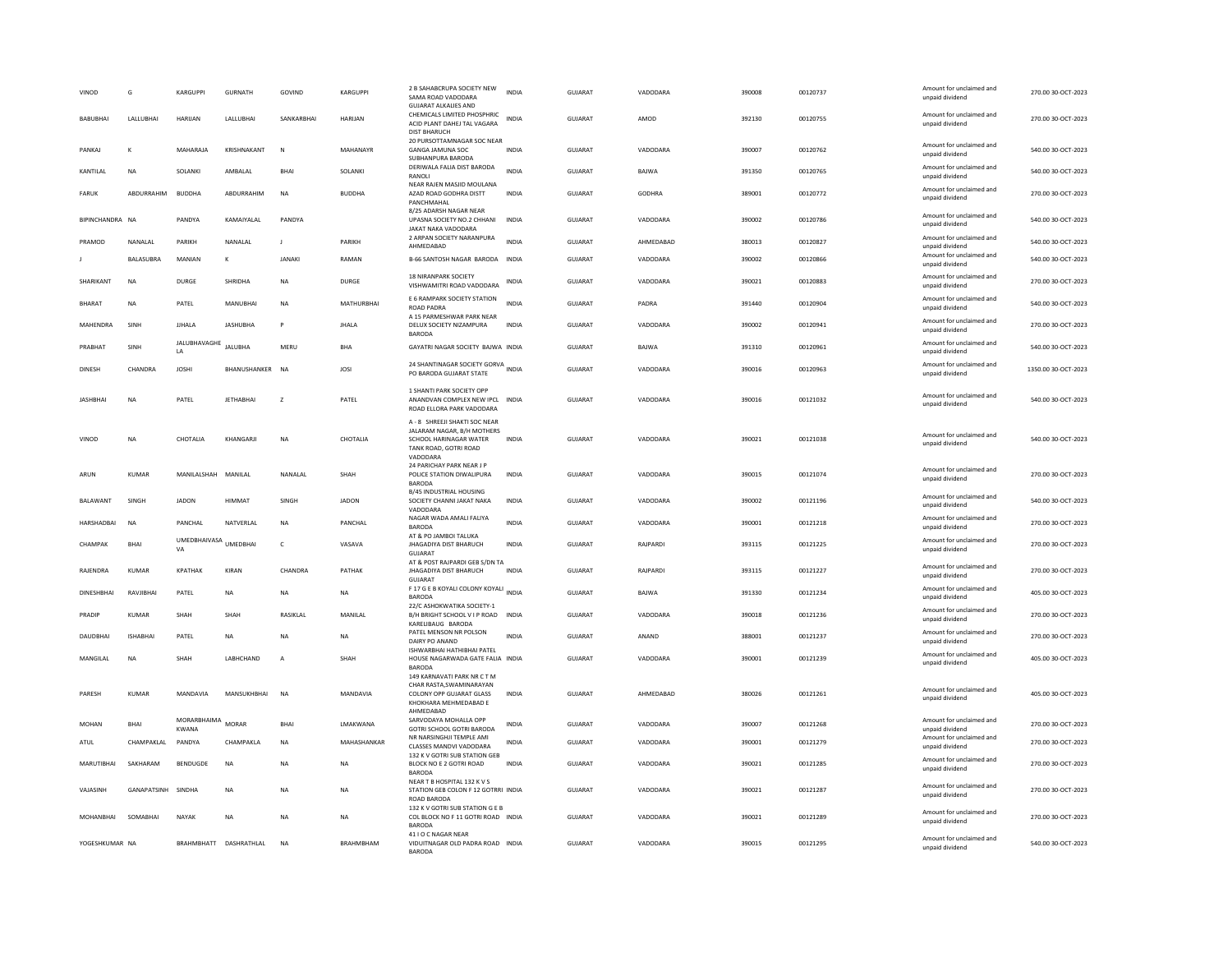| VINOD             | G               | KARGUPPI                    | <b>GURNATH</b>         | GOVIND         | <b>KARGUPPI</b>  | 2 B SAHABCRUPA SOCIETY NEW<br>SAMA ROAD VADODARA<br><b>GUJARAT ALKALIES AND</b>                                            | <b>INDIA</b> | GUJARAT        | VADODARA      | 390008 | 00120737 | Amount for unclaimed and<br>unpaid dividend | 270.00 30-OCT-2023  |
|-------------------|-----------------|-----------------------------|------------------------|----------------|------------------|----------------------------------------------------------------------------------------------------------------------------|--------------|----------------|---------------|--------|----------|---------------------------------------------|---------------------|
| <b>BABUBHAI</b>   | LALLUBHAI       | <b>HARUAN</b>               | LALLUBHAI              | SANKARBHAI     | <b>HARUAN</b>    | CHEMICALS LIMITED PHOSPHRIC<br>ACID PLANT DAHEJ TAL VAGARA<br><b>DIST BHARUCH</b>                                          | <b>INDIA</b> | <b>GUJARAT</b> | AMOD          | 392130 | 00120755 | Amount for unclaimed and<br>unpaid dividend | 270.00 30-OCT-2023  |
| PANKAJ            | к               | MAHARAJA                    | KRISHNAKANT            | N              | <b>MAHANAYR</b>  | 20 PURSOTTAMNAGAR SOC NEAR<br><b>GANGA JAMUNA SOC</b><br>SUBHANPURA BARODA                                                 | INDIA        | <b>GUJARAT</b> | VADODARA      | 390007 | 00120762 | Amount for unclaimed and<br>unpaid dividend | 540.00 30-OCT-2023  |
| KANTILAL          | <b>NA</b>       | SOLANKI                     | AMBALAL                | BHAI           | SOLANKI          | DERIWALA FALIA DIST BARODA<br>RANOLI                                                                                       | <b>INDIA</b> | <b>GUJARAT</b> | BAJWA         | 391350 | 00120765 | Amount for unclaimed and<br>unpaid dividend | 540.00 30-OCT-2023  |
| <b>FARUK</b>      | ABDURRAHIM      | <b>BUDDHA</b>               | ABDURRAHIM             | <b>NA</b>      | <b>BUDDHA</b>    | NEAR RAJEN MASJID MOULANA<br>AZAD ROAD GODHRA DISTT<br>PANCHMAHAL                                                          | <b>INDIA</b> | <b>GUJARAT</b> | <b>GODHRA</b> | 389001 | 00120772 | Amount for unclaimed and<br>unpaid dividend | 270.00 30-OCT-2023  |
| BIPINCHANDRA NA   |                 | PANDYA                      | KAMAIYALAL             | PANDYA         |                  | 8/25 ADARSH NAGAR NEAR<br>UPASNA SOCIETY NO.2 CHHANI<br>JAKAT NAKA VADODARA                                                | <b>INDIA</b> | <b>GUJARAT</b> | VADODARA      | 390002 | 00120786 | Amount for unclaimed and<br>unpaid dividend | 540.00 30-OCT-2023  |
| PRAMOD            | NANALAL         | PARIKH                      | NANALAL                | J.             | PARIKH           | 2 ARPAN SOCIETY NARANPURA<br>AHMEDABAD                                                                                     | <b>INDIA</b> | GUJARAT        | AHMEDABAD     | 380013 | 00120827 | Amount for unclaimed and<br>unpaid dividend | 540.00 30-OCT-2023  |
|                   | BALASUBRA       | MANIAN                      | K                      | <b>JANAKI</b>  | RAMAN            | B-66 SANTOSH NAGAR BARODA INDIA                                                                                            |              | <b>GUJARAT</b> | VADODARA      | 390002 | 00120866 | Amount for unclaimed and<br>unpaid dividend | 540.00 30-OCT-2023  |
| SHARIKANT         | <b>NA</b>       | <b>DURGE</b>                | SHRIDHA                | <b>NA</b>      | <b>DURGE</b>     | 18 NIRANPARK SOCIETY<br>VISHWAMITRI ROAD VADODARA                                                                          | INDIA        | <b>GUJARAT</b> | VADODARA      | 390021 | 00120883 | Amount for unclaimed and<br>unpaid dividend | 270.00 30-OCT-2023  |
| BHARAT            | <b>NA</b>       | PATEL                       | MANUBHAI               | <b>NA</b>      | MATHURBHAI       | E 6 RAMPARK SOCIETY STATION<br><b>ROAD PADRA</b><br>A 15 PARMESHWAR PARK NEAR                                              | <b>INDIA</b> | GUJARAT        | PADRA         | 391440 | 00120904 | Amount for unclaimed and<br>unpaid dividend | 540.00 30-OCT-2023  |
| MAHENDRA          | SINH            | <b>JJHALA</b>               | <b>JASHUBHA</b>        | P              | <b>JHALA</b>     | DELUX SOCIETY NIZAMPURA<br><b>BARODA</b>                                                                                   | <b>INDIA</b> | <b>GUJARAT</b> | VADODARA      | 390002 | 00120941 | Amount for unclaimed and<br>unpaid dividend | 270.00 30-OCT-2023  |
| PRABHAT           | SINH            | JALUBHAVAGHE<br>LA          | JALUBHA                | MERL           | <b>BHA</b>       | GAYATRI NAGAR SOCIETY BAJWA INDIA                                                                                          |              | <b>GUJARAT</b> | BAJWA         | 391310 | 00120961 | Amount for unclaimed and<br>unpaid dividend | 540.00 30-OCT-2023  |
| <b>DINESH</b>     | CHANDRA         | <b>JOSHI</b>                | BHANUSHANKER           | <b>NA</b>      | JOSI             | 24 SHANTINAGAR SOCIETY GORVA<br>PO BARODA GUJARAT STATE                                                                    |              | GUIARAT        | VADODARA      | 390016 | 00120963 | Amount for unclaimed and<br>unpaid dividend | 1350.00 30-OCT-2023 |
| <b>JASHBHAI</b>   | <b>NA</b>       | PATEL                       | <b>JETHABHAI</b>       | z              | PATEL            | 1 SHANTI PARK SOCIETY OPP<br>ANANDVAN COMPLEX NEW IPCL INDIA<br>ROAD ELLORA PARK VADODARA                                  |              | <b>GUJARAT</b> | VADODARA      | 390016 | 00121032 | Amount for unclaimed and<br>unpaid dividend | 540.00 30-OCT-2023  |
| VINOD             | <b>NA</b>       | CHOTALIA                    | KHANGARJI              | <b>NA</b>      | CHOTALIA         | A - 8 SHREEJI SHAKTI SOC NEAR<br>JALARAM NAGAR, B/H MOTHERS<br>SCHOOL HARINAGAR WATER<br>TANK ROAD, GOTRI ROAD<br>VADODARA | <b>INDIA</b> | GUJARAT        | VADODARA      | 390021 | 00121038 | Amount for unclaimed and<br>unpaid dividend | 540.00 30-OCT-2023  |
| ARUN              | <b>KUMAR</b>    | MANILALSHAH MANILAL         |                        | NANALAL        | SHAH             | 24 PARICHAY PARK NEAR J P<br>POLICE STATION DIWALIPURA<br><b>BARODA</b>                                                    | <b>INDIA</b> | <b>GUJARAT</b> | VADODARA      | 390015 | 00121074 | Amount for unclaimed and<br>unpaid dividend | 270.00 30-OCT-2023  |
| BALAWANT          | SINGH           | <b>IADON</b>                | HIMMAT                 | SINGH          | <b>IADON</b>     | B/45 INDUSTRIAL HOUSING<br>SOCIETY CHANNI JAKAT NAKA<br><b>VADODAR</b>                                                     | <b>INDIA</b> | GUIARAT        | VADODARA      | 390002 | 00121196 | Amount for unclaimed and<br>unpaid dividend | 540.00 30-OCT-2023  |
| HARSHADBAI        | <b>NA</b>       | PANCHAL                     | NATVERLAL              | NA             | PANCHAL          | NAGAR WADA AMALI FALIYA<br><b>BARODA</b>                                                                                   | INDIA        | GUJARAT        | VADODARA      | 390001 | 00121218 | Amount for unclaimed and<br>unpaid dividend | 270.00 30-OCT-2023  |
| CHAMPAK           | <b>BHAI</b>     | UMEDBHAIVASA<br>VA          | UMEDBHAI               | $\mathsf{C}$   | VASAVA           | AT & PO JAMBOI TALUKA<br><b>JHAGADIYA DIST BHARUCH</b><br>GUJARAT                                                          | <b>INDIA</b> | <b>GUJARAT</b> | RAJPARDI      | 393115 | 00121225 | Amount for unclaimed and<br>unpaid dividend | 270.00 30-OCT-2023  |
| RAJENDRA          | <b>KUMAR</b>    | <b>KPATHAK</b>              | KIRAN                  | CHANDRA        | PATHAK           | AT & POST RAJPARDI GEB S/DN TA<br><b>JHAGADIYA DIST BHARUCH</b>                                                            | <b>INDIA</b> | GUJARAT        | RAJPARDI      | 393115 | 00121227 | Amount for unclaimed and<br>unpaid dividend | 270.00 30-OCT-2023  |
| <b>DINESHBHAI</b> | RAVJIBHAI       | PATEL                       | <b>NA</b>              | <b>NA</b>      | <b>NA</b>        | <b>GUJARAT</b><br>F 17 G E B KOYALI COLONY KOYALI INDIA<br><b>BARODA</b>                                                   |              | <b>GUJARAT</b> | BAJWA         | 391330 | 00121234 | Amount for unclaimed and<br>unpaid dividend | 405.00 30-OCT-2023  |
| PRADIP            | KUMAR           | <b>SHAH</b>                 | SHAH                   | RASIKLAL       | MANILAL          | 22/C ASHOKWATIKA SOCIETY-1<br>B/H BRIGHT SCHOOL V I P ROAD                                                                 | <b>INDIA</b> | GUJARAT        | VADODARA      | 390018 | 00121236 | Amount for unclaimed and                    | 270.00 30-OCT-2023  |
|                   |                 |                             |                        |                |                  | KARELIBAUG BARODA<br>PATEL MENSON NR POLSON                                                                                |              |                |               |        |          | unpaid dividend<br>Amount for unclaimed and |                     |
| DAUDBHAI          | <b>ISHABHAI</b> | PATEL                       | <b>NA</b>              | <b>NA</b>      | <b>NA</b>        | DAIRY PO ANAND<br>ISHWARBHAI HATHIBHAI PATEL                                                                               | <b>INDIA</b> | <b>GUJARAT</b> | ANAND         | 388001 | 00121237 | unpaid dividend                             | 270.00 30-OCT-2023  |
| MANGILAL          | <b>NA</b>       | SHAH                        | LABHCHAND              | $\overline{A}$ | SHAH             | HOUSE NAGARWADA GATE FALIA INDIA<br><b>BARODA</b>                                                                          |              | GUJARAT        | VADODARA      | 390001 | 00121239 | Amount for unclaimed and<br>unpaid dividend | 405.00 30-OCT-2023  |
| PARESH            | KUMAR           | MANDAVIA                    | MANSUKHRHAI            | <b>NA</b>      | MANDAVIA         | 149 KARNAVATI PARK NR C T M<br>CHAR RASTA, SWAMINARAYAN<br>COLONY OPP GUJARAT GLASS<br>KHOKHARA MEHMEDABAD E<br>AHMEDABAD  | <b>INDIA</b> | GUJARAT        | AHMEDABAD     | 380026 | 00121261 | Amount for unclaimed and<br>unpaid dividend | 405.00 30-OCT-2023  |
| MOHAN             | <b>BHAI</b>     | MORARBHAIMA<br><b>KWANA</b> | <b>MORAR</b>           | <b>BHAI</b>    | LMAKWANA         | SARVODAYA MOHALLA OPP<br>GOTRI SCHOOL GOTRI BARODA                                                                         | INDIA        | GUJARAT        | VADODARA      | 390007 | 00121268 | Amount for unclaimed and<br>unpaid dividend | 270.00 30-OCT-2023  |
| ATUL              | CHAMPAKLAL      | PANDYA                      | CHAMPAKLA              | <b>NA</b>      | MAHASHANKAR      | NR NARSINGHJI TEMPLE AMI<br>CLASSES MANDVI VADODARA                                                                        | <b>INDIA</b> | <b>GUJARAT</b> | VADODARA      | 390001 | 00121279 | Amount for unclaimed and<br>unpaid dividend | 270.00 30-OCT-2023  |
| MARUTIBHAI        | SAKHARAM        | BENDUGDE                    | <b>NA</b>              | <b>NA</b>      | <b>NA</b>        | 132 K V GOTRI SUB STATION GEB<br>BLOCK NO E 2 GOTRI ROAD<br><b>BARODA</b>                                                  | <b>INDIA</b> | <b>GUJARAT</b> | VADODARA      | 390021 | 00121285 | Amount for unclaimed and<br>unpaid dividend | 270.00 30-OCT-2023  |
| VAJASINH          | GANAPATSINH     | SINDHA                      | NA                     | NA             | <b>NA</b>        | NEAR T B HOSPITAL 132 K V S<br>STATION GEB COLON F 12 GOTRRI INDIA<br>ROAD BARODA                                          |              | GUJARAT        | VADODARA      | 390021 | 00121287 | Amount for unclaimed and<br>unpaid dividend | 270.00 30-OCT-2023  |
| MOHANBHAI         | SOMABHAI        | NAYAK                       | <b>NA</b>              | <b>NA</b>      | <b>NA</b>        | 132 K V GOTRI SUB STATION G E B<br>COL BLOCK NO F 11 GOTRI ROAD INDIA<br><b>BARODA</b>                                     |              | <b>GUJARAT</b> | VADODARA      | 390021 | 00121289 | Amount for unclaimed and<br>unpaid dividend | 270.00 30-OCT-2023  |
| YOGESHKUMAR NA    |                 |                             | BRAHMBHATT DASHRATHLAL | <b>NA</b>      | <b>BRAHMBHAM</b> | 41 I O C NAGAR NEAR<br>VIDUITNAGAR OLD PADRA ROAD INDIA<br><b>BARODA</b>                                                   |              | GUIARAT        | VADODARA      | 390015 | 00121295 | Amount for unclaimed and<br>unpaid dividend | 540.00 30-OCT-2023  |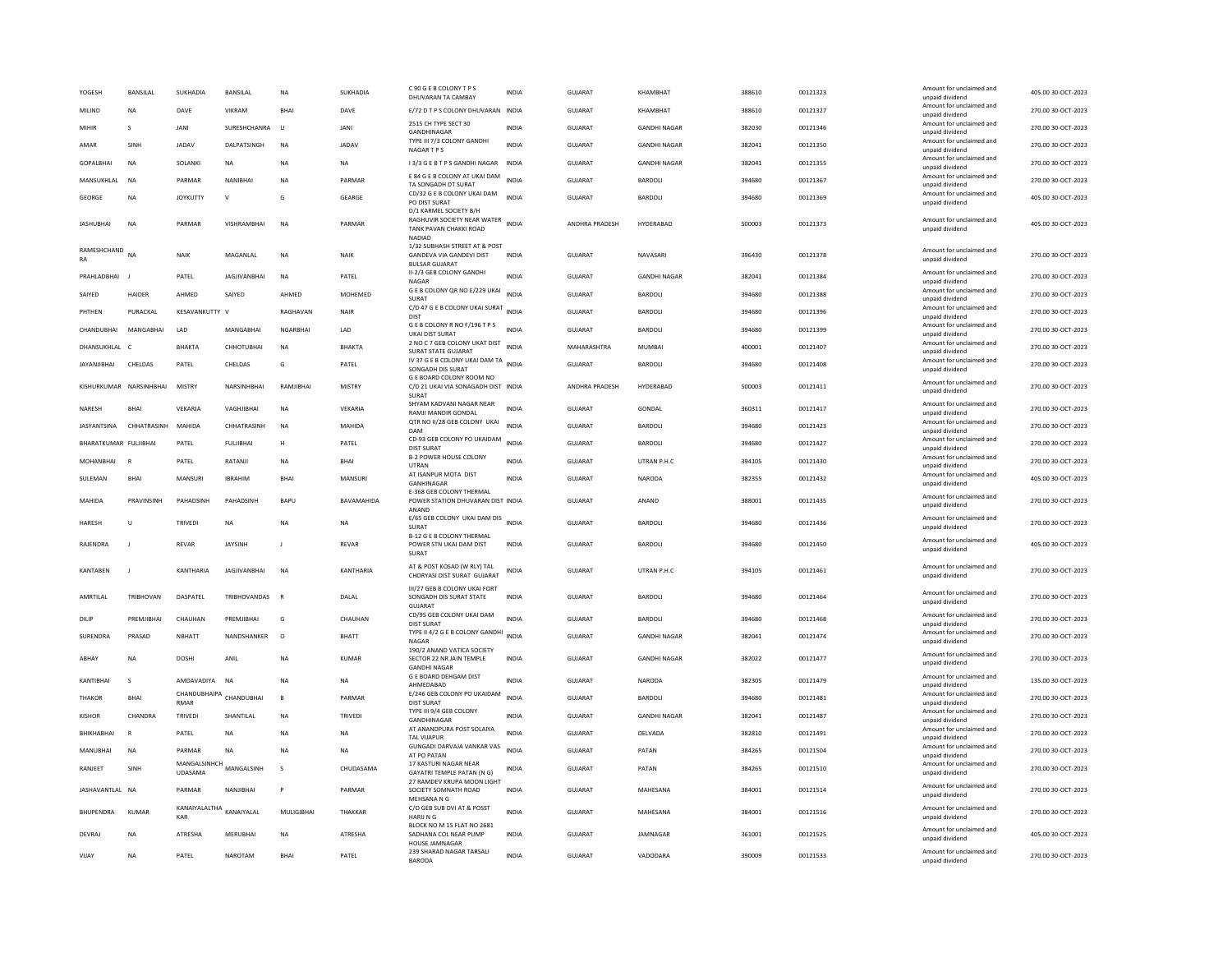| YOGESH                  | <b>BANSILAI</b> | SUKHADIA                        | <b>BANSILAI</b>     | <b>NA</b>       | SUKHADIA       | C 90 G E B COLONY T P S<br>DHUVARAN TA CAMBAY                                                   | <b>INDIA</b> | GUIARAT        | KHAMRHAT            | 388610 | 00121323 | Amount for unclaimed and<br>unpaid dividend                    | 405.00 30-OCT-2023 |
|-------------------------|-----------------|---------------------------------|---------------------|-----------------|----------------|-------------------------------------------------------------------------------------------------|--------------|----------------|---------------------|--------|----------|----------------------------------------------------------------|--------------------|
| MILIND                  | <b>NA</b>       | DAVE                            | VIKRAM              | <b>BHA</b>      | DAVE           | E/72 D T P S COLONY DHUVARAN INDIA                                                              |              | GUJARAT        | KHAMBHAT            | 388610 | 00121327 | Amount for unclaimed and<br>unpaid dividend                    | 270.00 30-OCT-2023 |
| MIHIR                   | s               | <b>JANI</b>                     | SURESHCHANRA        | $\cup$          | JANI           | 2515 CH TYPE SECT 30<br>GANDHINAGAR                                                             | INDIA        | GUJARAT        | <b>GANDHI NAGAR</b> | 382030 | 00121346 | Amount for unclaimed and<br>unpaid dividend                    | 270.00 30-OCT-2023 |
| AMAR                    | SINH            | <b>JADAV</b>                    | <b>DAI PATSINGH</b> | <b>NA</b>       | <b>JADAV</b>   | TYPE III 7/3 COLONY GANDHI<br><b>NAGARTPS</b>                                                   | <b>INDIA</b> | <b>GUJARAT</b> | <b>GANDHI NAGAR</b> | 382041 | 00121350 | Amount for unclaimed and<br>unpaid dividend                    | 270.00 30-OCT-2023 |
| <b>GOPALBHAI</b>        | <b>NA</b>       | SOLANKI                         | <b>NA</b>           | <b>NA</b>       | <b>NA</b>      | 13/3 G E B T P S GANDHI NAGAR                                                                   | <b>INDIA</b> | GUJARAT        | <b>GANDHI NAGAR</b> | 382041 | 00121355 | Amount for unclaimed and<br>unpaid dividend                    | 270.00 30-OCT-2023 |
| MANSUKHLAL              | N <sub>A</sub>  | PARMAR                          | NANIBHA             | <b>NA</b>       | PARMAR         | E 84 G E B COLONY AT UKAI DAM<br>TA SONGADH DT SURAT                                            | <b>INDIA</b> | <b>GUJARAT</b> | <b>BARDOLI</b>      | 394680 | 00121367 | Amount for unclaimed and<br>unpaid dividend                    | 270.00 30-OCT-2023 |
| GEORGE                  | <b>NA</b>       | <b>JOYKUTTY</b>                 | $\mathbf{v}$        | G               | GEARGE         | CD/32 G E B COLONY UKAI DAM<br>PO DIST SURAT                                                    | <b>INDIA</b> | GUJARAT        | BARDOLI             | 394680 | 00121369 | Amount for unclaimed and<br>unpaid dividend                    | 405.00 30-OCT-2023 |
| <b>JASHUBHAI</b>        | <b>NA</b>       | PARMAR                          | VISHRAMBHAI         | <b>NA</b>       | PARMAR         | D/1 KARMEL SOCIETY B/H<br>RAGHUVIR SOCIETY NEAR WATER INDIA<br>TANK PAVAN CHAKKI ROAD<br>NADIAD |              | ANDHRA PRADESH | HYDERABAD           | 500003 | 00121373 | Amount for unclaimed and<br>unpaid dividend                    | 405.00 30-OCT-2023 |
| RAMESHCHAND<br>RA       | NΑ              | NAIK                            | MAGANLAL            | <b>NA</b>       | NAIK           | 1/32 SUBHASH STREET AT & POST<br><b>GANDEVA VIA GANDEVI DIST</b><br><b>BULSAR GUJARAT</b>       | <b>INDIA</b> | <b>GUJARAT</b> | NAVASARI            | 396430 | 00121378 | Amount for unclaimed and<br>unpaid dividend                    | 270.00 30-OCT-2023 |
| PRAHLADBHAI             |                 | PATEL                           | <b>JAGJIVANBHAI</b> | <b>NA</b>       | PATEL          | II-2/3 GEB COLONY GANDHI<br>NAGAR                                                               | <b>INDIA</b> | GUJARAT        | <b>GANDHI NAGAR</b> | 382041 | 00121384 | Amount for unclaimed and<br>unpaid dividend                    | 270.00 30-OCT-2023 |
| SAIYED                  | HAIDER          | AHMED                           | SAIYED              | AHMED           | MOHEMED        | G E B COLONY QR NO E/229 UKAI<br>SURAT                                                          | <b>INDIA</b> | GUJARAT        | BARDOLI             | 394680 | 00121388 | Amount for unclaimed and<br>unpaid dividend                    | 270.00 30-OCT-2023 |
| PHTHEN                  | PURACKAL        | KESAVANKUTTY V                  |                     | RAGHAVAN        | NAIR           | C/D 47 G E B COLONY UKAI SURAT INDIA<br><b>DIST</b>                                             |              | GUIARAT        | BARDOLI             | 394680 | 00121396 | Amount for unclaimed and<br>unpaid dividend                    | 270.00 30-OCT-2023 |
| CHANDUBHAI              | MANGABHAI       | LAD                             | MANGABHAI           | <b>NGARBHAI</b> | LAD            | GEB COLONY R NO F/196 TPS<br>UKAI DIST SURAT                                                    | <b>INDIA</b> | GUJARAT        | BARDOLI             | 394680 | 00121399 | Amount for unclaimed and<br>unpaid dividend                    | 270.00 30-OCT-2023 |
| DHANSUKHLAL             | $\mathsf{C}$    | BHAKTA                          | СННОТИВНАІ          | <b>NA</b>       | <b>BHAKTA</b>  | 2 NO C 7 GEB COLONY UKAT DIST<br>SURAT STATE GUJARAT                                            | <b>INDIA</b> | MAHARASHTRA    | <b>MUMBAI</b>       | 400001 | 00121407 | Amount for unclaimed and<br>unpaid dividend                    | 270.00 30-OCT-2023 |
| JAYANJIBHAI             | <b>CHELDAS</b>  | PATEL                           | CHELDAS             | G               | PATEL          | IV 37 G E B COLONY UKAI DAM TAN<br>SONGADH DIS SURAT                                            |              | <b>GUJARAT</b> | BARDOLI             | 394680 | 00121408 | Amount for unclaimed and<br>unpaid dividend                    | 270.00 30-OCT-2023 |
| KISHURKUMAR NARSINHBHAI |                 | <b>MISTRY</b>                   | NARSINHBHAI         | RAMIIRHAI       | MISTRY         | G E BOARD COLONY ROOM NO<br>C/D 21 UKAI VIA SONAGADH DIST INDIA<br>SURAT                        |              | ANDHRA PRADESH | HYDERABAD           | 500003 | 00121411 | Amount for unclaimed and<br>unpaid dividend                    | 270.00 30-OCT-2023 |
| <b>NARFSH</b>           | <b>RHAI</b>     | VFKARIA                         | VAGHIIRHAI          | <b>NA</b>       | VFKARIA        | SHYAM KADVANI NAGAR NEAR                                                                        | <b>INDIA</b> | GUIARAT        | GONDAL              | 360311 | 00121417 | Amount for unclaimed and                                       | 270.00 30-OCT-2023 |
| JASYANTSINA             | CHHATRASINH     | MAHIDA                          | CHHATRASINH         | <b>NA</b>       | MAHIDA         | <b>RAMJI MANDIR GONDAL</b><br>QTR NO II/28 GEB COLONY UKAI                                      | <b>INDIA</b> | GUJARAT        | BARDOLI             | 394680 | 00121423 | unpaid dividend<br>Amount for unclaimed and                    | 270.00 30-OCT-2023 |
| BHARATKUMAR FULJIBHAI   |                 | PATEL                           | <b>FULJIBHAI</b>    | н               | PATEL          | DAM<br>CD-93 GEB COLONY PO UKAIDAM                                                              | <b>INDIA</b> | GUJARAT        | BARDOLI             | 394680 | 00121427 | unpaid dividend<br>Amount for unclaimed and                    | 270.00 30-OCT-2023 |
| MOHANBHAI               |                 | PATEL                           | RATANJI             | <b>NA</b>       | <b>BHAI</b>    | <b>DIST SURAT</b><br><b>B-2 POWER HOUSE COLONY</b>                                              | <b>INDIA</b> | GUJARAT        | UTRAN P.H.C         | 394105 | 00121430 | unpaid dividend<br>Amount for unclaimed and                    | 270.00 30-OCT-2023 |
| SULEMAN                 | <b>BHAI</b>     | MANSURI                         | <b>IRRAHIN</b>      | <b>BHAI</b>     | MANSURI        | UTRAN<br>AT ISANPUR MOTA DIST                                                                   | <b>INDIA</b> | GUIARAT        | NARODA              | 382355 | 00121432 | unpaid dividend<br>Amount for unclaimed and                    | 405.00 30-OCT-2023 |
|                         |                 |                                 |                     |                 |                | GANHINAGAR<br><b>E-368 GEB COLONY THERMAL</b>                                                   |              |                |                     |        |          | unpaid dividend<br>Amount for unclaimed and                    |                    |
| MAHIDA                  | PRAVINSINH      | PAHADSINI                       | PAHADSINE           | <b>BAPU</b>     | BAVAMAHIDA     | POWER STATION DHUVARAN DIST INDIA<br>ANAND                                                      |              | <b>GUJARAT</b> | ANAND               | 388001 | 00121435 | unpaid dividend                                                | 270.00 30-OCT-2023 |
| HARESH                  | $\cup$          | TRIVEDI                         | <b>NA</b>           | <b>NA</b>       | <b>NA</b>      | E/65 GEB COLONY UKAI DAM DIS INDIA<br><b>SURAT</b><br><b>B-12 G F B COLONY THERMAL</b>          |              | <b>GUJARAT</b> | <b>BARDOLI</b>      | 394680 | 00121436 | Amount for unclaimed and<br>unpaid dividend                    | 270.00 30-OCT-2023 |
| RAJENDRA                |                 | REVAR                           | JAYSINH             | J               | <b>REVAR</b>   | POWER STN UKAI DAM DIST<br><b>SURAT</b>                                                         | <b>INDIA</b> | GUJARAT        | <b>BARDOLI</b>      | 394680 | 00121450 | Amount for unclaimed and<br>unpaid dividend                    | 405.00 30-OCT-2023 |
| KANTABEN                |                 | KANTHARIA                       | <b>JAGJIVANBHAI</b> | <b>NA</b>       | KANTHARIA      | AT & POST KOSAD (W RLY) TAL<br>CHORYASI DIST SURAT GUIARAT                                      | INDIA        | GUJARAT        | UTRAN P.H.C         | 394105 | 00121461 | Amount for unclaimed and<br>unpaid dividend                    | 270.00 30-OCT-2023 |
| AMRTILAL                | TRIBHOVAN       | DASPATEL                        | TRIBHOVANDAS        | $\,$ F          | DALAL          | III/27 GEB B COLONY UKAI FORT<br>SONGADH DIS SURAT STATE<br><b>GUJARAT</b>                      | INDIA        | GUJARAT        | BARDOLI             | 394680 | 00121464 | Amount for unclaimed and<br>unpaid dividend                    | 270.00 30-OCT-2023 |
| DILIP                   | PREMJIBHAI      | CHAUHAN                         | PREMJIBHAI          | G               | CHAUHAN        | CD/95 GEB COLONY UKAI DAM<br><b>DIST SURAT</b>                                                  | <b>INDIA</b> | GUJARAT        | BARDOLI             | 394680 | 00121468 | Amount for unclaimed and<br>unpaid dividend                    | 270.00 30-OCT-2023 |
| SURENDRA                | PRASAD          | NBHATT                          | NANDSHANKER         | $\circ$         | <b>BHATT</b>   | TYPE II 4/2 G E B COLONY GANDHI<br>NAGAR                                                        | INDIA        | GUJARAT        | <b>GANDHI NAGAR</b> | 382041 | 00121474 | Amount for unclaimed and<br>unpaid dividend                    | 270.00 30-OCT-2023 |
| ARHAY                   | <b>NA</b>       | DOSHI                           | ANII                | <b>NA</b>       | KUMAR          | 190/2 ANAND VATICA SOCIETY<br>SECTOR 22 NR JAIN TEMPLE<br><b>GANDHI NAGAR</b>                   | <b>INDIA</b> | GUIARAT        | <b>GANDHI NAGAR</b> | 382022 | 00121477 | Amount for unclaimed and<br>unpaid dividend                    | 270.00 30-OCT-2023 |
| KANTIBHAI               | $\mathbf{S}$    | AMDAVADIYA                      | <b>NA</b>           | <b>NA</b>       | NA             | <b>G E BOARD DEHGAM DIST</b><br>AHMFDARAD                                                       | INDIA        | GUJARAT        | NARODA              | 382305 | 00121479 | Amount for unclaimed and                                       | 135.00 30-OCT-2023 |
| <b>THAKOR</b>           | <b>BHAI</b>     | CHANDUBHAIPA<br>RMAR            | CHANDUBHAI          | $\mathbf{B}$    | PARMAR         | E/246 GEB COLONY PO UKAIDAM<br><b>DIST SURAT</b>                                                | <b>INDIA</b> | <b>GUJARAT</b> | BARDOLI             | 394680 | 00121481 | unpaid dividend<br>Amount for unclaimed and<br>unpaid dividend | 270.00 30-OCT-2023 |
| <b>KISHOR</b>           | CHANDRA         | <b>TRIVEDI</b>                  | SHANTILAL           | <b>NA</b>       | <b>TRIVEDI</b> | TYPE III 9/4 GEB COLONY                                                                         | <b>INDIA</b> | <b>GUJARAT</b> | <b>GANDHI NAGAR</b> | 382041 | 00121487 | Amount for unclaimed and                                       | 270.00 30-OCT-2023 |
| BHIKHABHAI              |                 | PATEL                           | <b>NA</b>           | <b>NA</b>       | <b>NA</b>      | GANDHINAGAR<br>AT ANANDPURA POST SOLAIYA                                                        | <b>INDIA</b> | <b>GUJARAT</b> | DELVADA             | 382810 | 00121491 | unpaid dividend<br>Amount for unclaimed and                    | 270.00 30-OCT-2023 |
| MANUBHAI                | <b>NA</b>       | PARMAR                          | NA                  | <b>NA</b>       | NA             | <b>TAL VIJAPUR</b><br>GUNGADI DARVAJA VANKAR VAS                                                | <b>INDIA</b> | <b>GUJARAT</b> | PATAN               | 384265 | 00121504 | unpaid dividend<br>Amount for unclaimed and                    | 270.00 30-OCT-2023 |
| RANJEET                 | SINH            | MANGALSINHCH MANGALSINH         |                     | $\mathbf{S}$    | CHUDASAMA      | AT PO PATAN<br>17 KASTURI NAGAR NEAR                                                            | <b>INDIA</b> | GUIARAT        | PATAN               | 384265 | 00121510 | unpaid dividend<br>Amount for unclaimed and                    | 270.00 30-OCT-2023 |
| JASHAVANTLAL NA         |                 | <b>UDASAMA</b><br>PARMAR        | NANJIBHAI           |                 | PARMAR         | <b>GAYATRI TEMPLE PATAN (N G)</b><br>27 RAMDEV KRUPA MOON LIGHT<br>SOCIETY SOMNATH ROAD         | <b>INDIA</b> | <b>GUJARAT</b> | MAHESANA            | 384001 | 00121514 | unpaid dividend<br>Amount for unclaimed and                    | 270.00 30-OCT-2023 |
|                         |                 |                                 |                     |                 |                | MEHSANA N G<br>C/O GEB SUB DVI AT & POSST                                                       |              |                |                     |        |          | unpaid dividend<br>Amount for unclaimed and                    |                    |
| <b>BHUPENDRA</b>        | <b>KUMAR</b>    | KANAIYALALTHA KANAIYALAL<br>KAR |                     | MULIGIBHAI      | THAKKAR        | <b>HARUNG</b><br>BLOCK NO M 15 FLAT NO 2681                                                     | <b>INDIA</b> | GUJARAT        | MAHESANA            | 384001 | 00121516 | unpaid dividend<br>Amount for unclaimed and                    | 270.00 30-OCT-2023 |
| DEVRAJ                  | <b>NA</b>       | ATRESHA                         | MERUBHAI            | <b>NA</b>       | ATRESHA        | SADHANA COL NEAR PUMP<br>HOUSE JAMNAGAR                                                         | <b>INDIA</b> | <b>GUJARAT</b> | JAMNAGAR            | 361001 | 00121525 | unpaid dividend                                                | 405.00 30-OCT-2023 |
| VIJAY                   | NA              | PATEL                           | NAROTAM             | <b>BHA</b>      | PATEL          | 239 SHARAD NAGAR TARSALI<br><b>BARODA</b>                                                       | <b>INDIA</b> | GUJARAT        | VADODARA            | 390009 | 00121533 | Amount for unclaimed and<br>unpaid dividend                    | 270.00 30-OCT-2023 |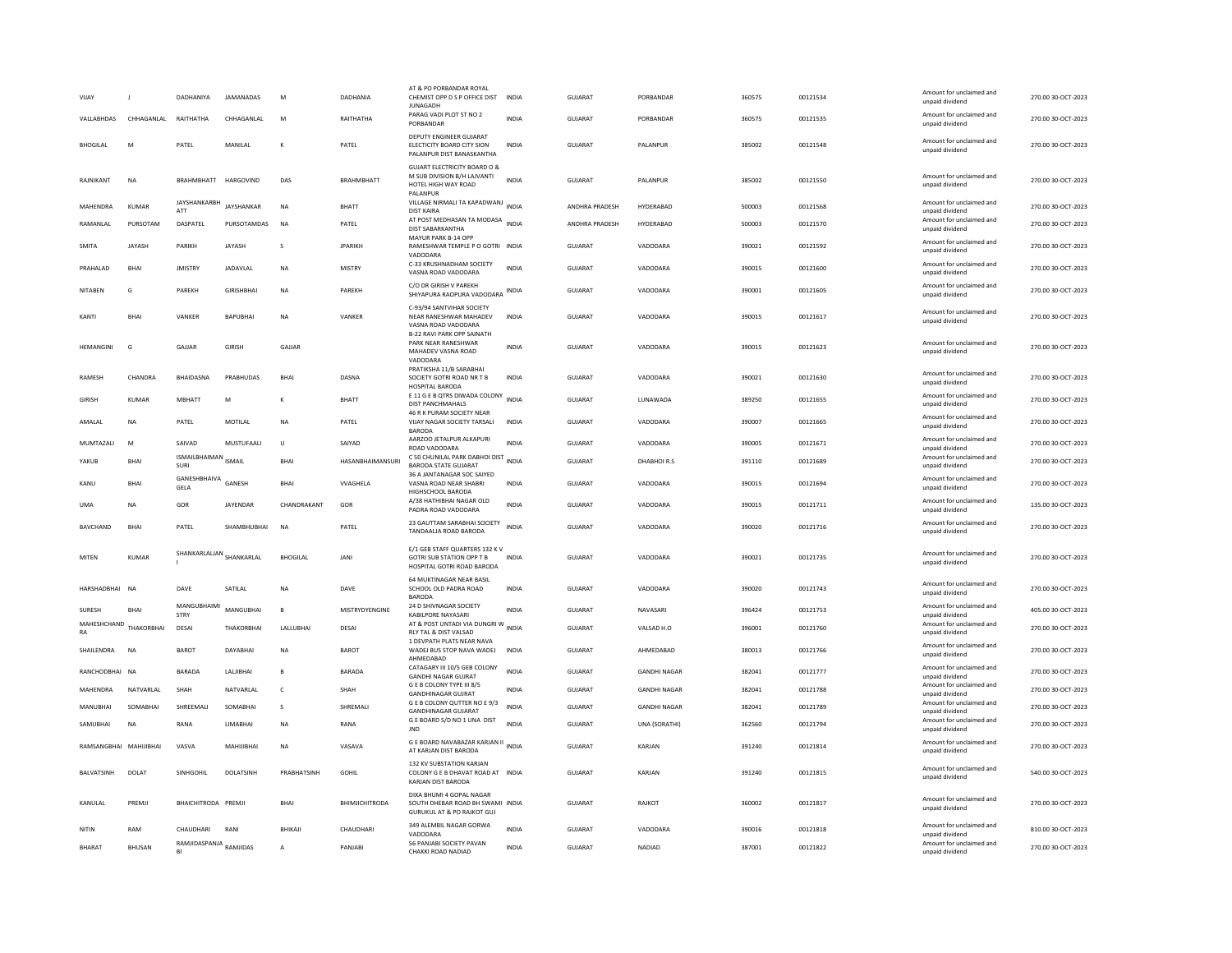| VIJAY                        |               | DADHANIYA                                      | JAMANADAS          | M               | DADHANIA                | AT & PO PORBANDAR ROYA<br>CHEMIST OPP D S P OFFICE DIST<br><b>IUNAGADH</b>                                      | <b>INDIA</b> | <b>GUJARAT</b> | PORBANDAR           | 360575 | 00121534 | Amount for unclaimed and<br>unpaid dividend                             | 270.00 30-OCT-2023 |
|------------------------------|---------------|------------------------------------------------|--------------------|-----------------|-------------------------|-----------------------------------------------------------------------------------------------------------------|--------------|----------------|---------------------|--------|----------|-------------------------------------------------------------------------|--------------------|
| VALLABHDAS                   | CHHAGANLAL    | RAITHATHA                                      | CHHAGANLAL         | M               | RAITHATHA               | PARAG VADI PLOT ST NO 2<br>PORBANDAR                                                                            | <b>INDIA</b> | <b>GUJARAT</b> | PORBANDAR           | 360575 | 00121535 | Amount for unclaimed and<br>unpaid dividend                             | 270.00 30-OCT-2023 |
| <b>BHOGILAL</b>              | M             | PATEL                                          | MANII AI           | $\kappa$        | PATEL                   | DEPUTY ENGINEER GUJARAT<br>ELECTICITY BOARD CITY SION<br>PALANPUR DIST BANASKANTHA                              | <b>INDIA</b> | GUIARAT        | <b>PALANPUR</b>     | 385002 | 00121548 | Amount for unclaimed and<br>unpaid dividend                             | 270.00 30-OCT-2023 |
| RAJNIKANT                    | <b>NA</b>     | BRAHMBHATT HARGOVIND                           |                    | DAS             | <b>BRAHMBHATT</b>       | <b>GUJART ELECTRICITY BOARD O &amp;</b><br>M SUB DIVISION B/H LAJVANTI<br>HOTEL HIGH WAY ROAD<br>PALANPUR       | <b>INDIA</b> | GUJARAT        | PALANPUR            | 385002 | 00121550 | Amount for unclaimed and<br>unpaid dividend                             | 270.00 30-OCT-2023 |
| MAHENDRA                     | <b>KUMAR</b>  | JAYSHANKARBH<br>ATT                            | JAYSHANKAR         | <b>NA</b>       | <b>BHATT</b>            | VILLAGE NIRMALI TA KAPADWANJ INDIA<br><b>DIST KAIRA</b>                                                         |              | ANDHRA PRADESH | HYDERABAD           | 500003 | 00121568 | Amount for unclaimed and<br>unpaid dividend                             | 270.00 30-OCT-2023 |
| RAMANLAL                     | PURSOTAM      | DASPATEL                                       | PURSOTAMDAS        | <b>NA</b>       | PATEL                   | AT POST MEDHASAN TA MODASA INDIA<br>DIST SABARKANTHA                                                            |              | ANDHRA PRADESH | HYDERABAD           | 500003 | 00121570 | Amount for unclaimed and<br>unpaid dividend                             | 270.00 30-OCT-2023 |
| <b>SMITA</b>                 | <b>JAYASH</b> | PARIKH                                         | JAYASH             | s               | <b>JPARIKH</b>          | MAYUR PARK B-14 OPP<br>RAMESHWAR TEMPLE P O GOTRI INDIA<br>VADODARA                                             |              | <b>GUJARAT</b> | VADODARA            | 390021 | 00121592 | Amount for unclaimed and<br>unpaid dividend                             | 270.00 30-OCT-2023 |
| PRAHALAD                     | <b>BHAI</b>   | <b>JMISTRY</b>                                 | JADAVLAL           | <b>NA</b>       | <b>MISTRY</b>           | C-33 KRUSHNADHAM SOCIETY<br>VASNA ROAD VADODARA                                                                 | <b>INDIA</b> | GUJARAT        | VADODARA            | 390015 | 00121600 | Amount for unclaimed and<br>unpaid dividend                             | 270.00 30-OCT-2023 |
| NITAREN                      | G             | PAREKH                                         | <b>GIRISHRHAI</b>  | <b>NA</b>       | PARFKH                  | C/O DR GIRISH V PAREKH<br>SHIYAPURA RAOPURA VADODARA                                                            | INDIA        | GUJARAT        | VADODARA            | 390001 | 00121605 | Amount for unclaimed and<br>unpaid dividend                             | 270.00 30-OCT-2023 |
| KANTI                        | <b>BHAI</b>   | VANKER                                         | <b>BAPUBHAI</b>    | <b>NA</b>       | VANKER                  | C-93/94 SANTVIHAR SOCIETY<br>NEAR RANESHWAR MAHADEV<br>VASNA ROAD VADODARA<br><b>B-22 RAVI PARK OPP SAINATH</b> | <b>INDIA</b> | GUJARAT        | VADODARA            | 390015 | 00121617 | Amount for unclaimed and<br>unpaid dividend                             | 270.00 30-OCT-2023 |
| <b>HEMANGINI</b>             | G             | GAJJAR                                         | <b>GIRISH</b>      | GAJJAR          |                         | PARK NEAR RANESHWAR<br>MAHADEV VASNA ROAD<br>VADODARA                                                           | <b>INDIA</b> | <b>GUJARAT</b> | VADODARA            | 390015 | 00121623 | Amount for unclaimed and<br>unpaid dividend                             | 270.00 30-OCT-2023 |
| <b>RAMESH</b>                | CHANDRA       | BHAIDASNA                                      | PRABHUDAS          | BHAI            | DASNA                   | PRATIKSHA 11/B SARABHAI<br>SOCIETY GOTRI ROAD NR T B<br>HOSPITAL BARODA                                         | <b>INDIA</b> | <b>GUJARAT</b> | VADODARA            | 390021 | 00121630 | Amount for unclaimed and<br>unpaid dividend                             | 270.00 30-OCT-2023 |
| <b>GIRISH</b>                | <b>KUMAR</b>  | MBHATT                                         | M                  |                 | <b>BHATT</b>            | E 11 G E B QTRS DIWADA COLONY<br>DIST PANCHMAHALS                                                               | <b>INDIA</b> | <b>GUJARAT</b> | LUNAWADA            | 389250 | 00121655 | Amount for unclaimed and<br>unpaid dividend                             | 270.00 30-OCT-2023 |
| AMALAL                       | NA            | PATEL                                          | MOTILAL            | NA              | PATEL                   | 46 R K PURAM SOCIETY NEAR<br>VIJAY NAGAR SOCIETY TARSALI<br><b>BARODA</b>                                       | <b>INDIA</b> | <b>GUJARAT</b> | VADODARA            | 390007 | 00121665 | Amount for unclaimed and<br>unpaid dividend                             | 270.00 30-OCT-2023 |
| MUMTAZALI                    | M             | SAIVAD                                         | MUSTUFAALI         | $\cup$          | SAIYAD                  | AARZOO JETALPUR ALKAPURI<br>ROAD VADODARA                                                                       | INDIA        | <b>GUJARAT</b> | VADODARA            | 390005 | 00121671 | Amount for unclaimed and<br>unpaid dividend                             | 270.00 30-OCT-2023 |
|                              |               | <b>ISMAILBHAIMAN</b> ISMAIL                    |                    | <b>BHAI</b>     | <b>HASANBHAIMANSURI</b> | C 50 CHUNILAL PARK DABHOI DIST                                                                                  | <b>INDIA</b> | <b>GUJARAT</b> | DHABHOIR.S          | 391110 | 00121689 | Amount for unclaimed and                                                | 270.00 30-OCT-2023 |
| YAKUB                        | <b>BHAI</b>   | SURI                                           |                    |                 |                         | <b>BARODA STATE GUJARAT</b>                                                                                     |              |                |                     |        |          | unpaid dividend                                                         |                    |
| KANU                         | <b>BHAI</b>   | GANESHBHAIVA GANESH<br>GELA                    |                    | BHAI            | <b>VVAGHELA</b>         | 36 A JANTANAGAR SOC SAIYED<br>VASNA ROAD NEAR SHABRI<br>HIGHSCHOOL BARODA                                       | <b>INDIA</b> | <b>GUJARAT</b> | VADODARA            | 390015 | 00121694 | Amount for unclaimed and<br>unpaid dividend                             | 270.00 30-OCT-2023 |
| <b>UMA</b>                   | <b>NA</b>     | GOR                                            | JAYENDAR           | CHANDRAKANT     | GOR                     | A/38 HATHIBHAI NAGAR OLD<br>PADRA ROAD VADODARA                                                                 | <b>INDIA</b> | <b>GUJARAT</b> | VADODARA            | 390015 | 00121711 | Amount for unclaimed and<br>unpaid dividend                             | 135.00 30-OCT-2023 |
| <b>BAVCHAND</b>              | <b>BHAI</b>   | PATEL                                          | SHAMBHUBHAI        | <b>NA</b>       | PATEL                   | 23 GAUTTAM SARABHAI SOCIETY<br>TANDAALJA ROAD BARODA                                                            | <b>INDIA</b> | GUIARAT        | VADODARA            | 390020 | 00121716 | Amount for unclaimed and<br>unpaid dividend                             | 270.00 30-QCT-2023 |
| MITEN                        | <b>KUMAR</b>  | SHANKARLALJAN SHANKARLAL                       |                    | <b>BHOGILAL</b> | <b>JANI</b>             | E/1 GEB STAFF QUARTERS 132 K V<br><b>GOTRI SUB STATION OPP T B</b><br>HOSPITAL GOTRI ROAD BARODA                | <b>INDIA</b> | GUJARAT        | VADODARA            | 390021 | 00121735 | Amount for unclaimed and<br>unpaid dividend                             | 270.00 30-OCT-2023 |
| HARSHADBHAI                  | <b>NA</b>     | DAVE                                           | SATILAL            | <b>NA</b>       | DAVE                    | 64 MUKTINAGAR NEAR BASIL<br>SCHOOL OLD PADRA ROAD<br><b>BARODA</b>                                              | <b>INDIA</b> | GUJARAT        | VADODARA            | 390020 | 00121743 | Amount for unclaimed and<br>unpaid dividend                             | 270.00 30-OCT-2023 |
| SURESH                       | <b>BHAI</b>   | MANGUBHAIMI<br><b>STRY</b>                     | MANGUBHAI          | $\mathbf{B}$    | MISTRYDYENGINE          | 24 D SHIVNAGAR SOCIETY<br>KABILPORE NAYASARI                                                                    | <b>INDIA</b> | <b>GUJARAT</b> | NAVASARI            | 396424 | 00121753 | Amount for unclaimed and<br>unpaid dividend                             | 405.00 30-OCT-2023 |
| MAHESHCHAND THAKORBHAI<br>RA |               | DESAI                                          | THAKORBHAI         | LALLUBHAI       | <b>DESAI</b>            | AT & POST UNTADI VIA DUNGRI W<br>RLY TAL & DIST VALSAD                                                          | <b>INDIA</b> | <b>GUJARAT</b> | VALSAD H.O.         | 396001 | 00121760 | Amount for unclaimed and<br>unpaid dividend                             | 270.00 30-OCT-2023 |
| SHAILENDRA                   | <b>NA</b>     | <b>BAROT</b>                                   | DAYABHAI           | <b>NA</b>       | <b>BAROT</b>            | 1 DEVPATH PLATS NEAR NAVA<br>WADEJ BUS STOP NAVA WADEJ<br>AHMEDABAD                                             | <b>INDIA</b> | <b>GUJARAT</b> | AHMEDABAD           | 380013 | 00121766 | Amount for unclaimed and<br>unpaid dividend                             | 270.00 30-OCT-2023 |
| RANCHODBHAI NA               |               | <b>BARADA</b>                                  | <b>I AI IIRHAI</b> | B               | <b>BARADA</b>           | CATAGARY III 10/5 GEB COLONY<br><b>GANDHI NAGAR GUJRAT</b>                                                      | <b>INDIA</b> | <b>GUJARAT</b> | <b>GANDHI NAGAR</b> | 382041 | 00121777 | Amount for unclaimed and<br>unpaid dividend                             | 270.00 30-OCT-2023 |
| MAHENDRA                     | NATVARLAL     | SHAH                                           | NATVARLAL          | $\mathsf{C}$    | SHAH                    | G E B COLONY TYPE III 8/5<br><b>GANDHINAGAR GUJRAT</b>                                                          | <b>INDIA</b> | <b>GUJARAT</b> | <b>GANDHI NAGAR</b> | 382041 | 00121788 | Amount for unclaimed and<br>unpaid dividend                             | 270.00 30-OCT-2023 |
| MANUBHAI                     | SOMABHAI      | SHREEMALI                                      | SOMABHAI           | s               | SHREMALI                | G E B COLONY QUTTER NO E 9/3<br><b>GANDHINAGAR GUJARAT</b>                                                      | <b>INDIA</b> | GUJARAT        | <b>GANDHI NAGAR</b> | 382041 | 00121789 | Amount for unclaimed and<br>unpaid dividend                             | 270.00 30-OCT-2023 |
| SAMUBHAI                     | <b>NA</b>     | RANA                                           | LIMABHAI           | <b>NA</b>       | RANA                    | G E BOARD S/D NO 1 UNA DIST<br><b>IND</b>                                                                       | INDIA        | GUJARAT        | UNA (SORATHI)       | 362560 | 00121794 | Amount for unclaimed and<br>unpaid dividend                             | 270.00 30-OCT-2023 |
| RAMSANGRHAI MAHIJIRHAI       |               | VASVA                                          | MAHIJIRHAI         | <b>NA</b>       | VASAVA                  | G E BOARD NAVABAZAR KARJAN II<br>AT KARJAN DIST BARODA                                                          | INDIA        | GUIARAT        | KARIAN              | 391240 | 00121814 | Amount for unclaimed and<br>unpaid dividend                             | 270.00 30-QCT-2023 |
| BALVATSINH                   | DOLAT         | SINHGOHIL                                      | DOLATSINH          | PRABHATSINH     | <b>GOHIL</b>            | 132 KV SUBSTATION KARJAN<br>COLONY G E B DHAVAT ROAD AT INDIA<br>KARJAN DIST BARODA                             |              | <b>GUJARAT</b> | KARJAN              | 391240 | 00121815 | Amount for unclaimed and<br>unpaid dividend                             | 540.00 30-OCT-2023 |
| KANULAL                      | PREMJI        | BHAICHITRODA PREMJI                            |                    | BHAI            | <b>BHIMJICHITRODA</b>   | DIXA BHUMI 4 GOPAL NAGAR<br>SOUTH DHEBAR ROAD BH SWAMI INDIA<br><b>GURUKUL AT &amp; PO RAJKOT GUJ</b>           |              | <b>GUJARAT</b> | RAJKOT              | 360002 | 00121817 | Amount for unclaimed and<br>unpaid dividend                             | 270.00 30-OCT-2023 |
| NITIN                        | RAM           | CHAUDHARI<br>RAMJIDASPANJA <sub>RAMJIDAS</sub> | RANI               | <b>BHIKAII</b>  | CHAUDHARI               | 349 ALEMBIL NAGAR GORWA<br>VADODARA<br>56 PANJABI SOCIETY PAVAN                                                 | <b>INDIA</b> | GUIARAT        | VADODARA            | 390016 | 00121818 | Amount for unclaimed and<br>unpaid dividend<br>Amount for unclaimed and | 810.00.30-OCT-2023 |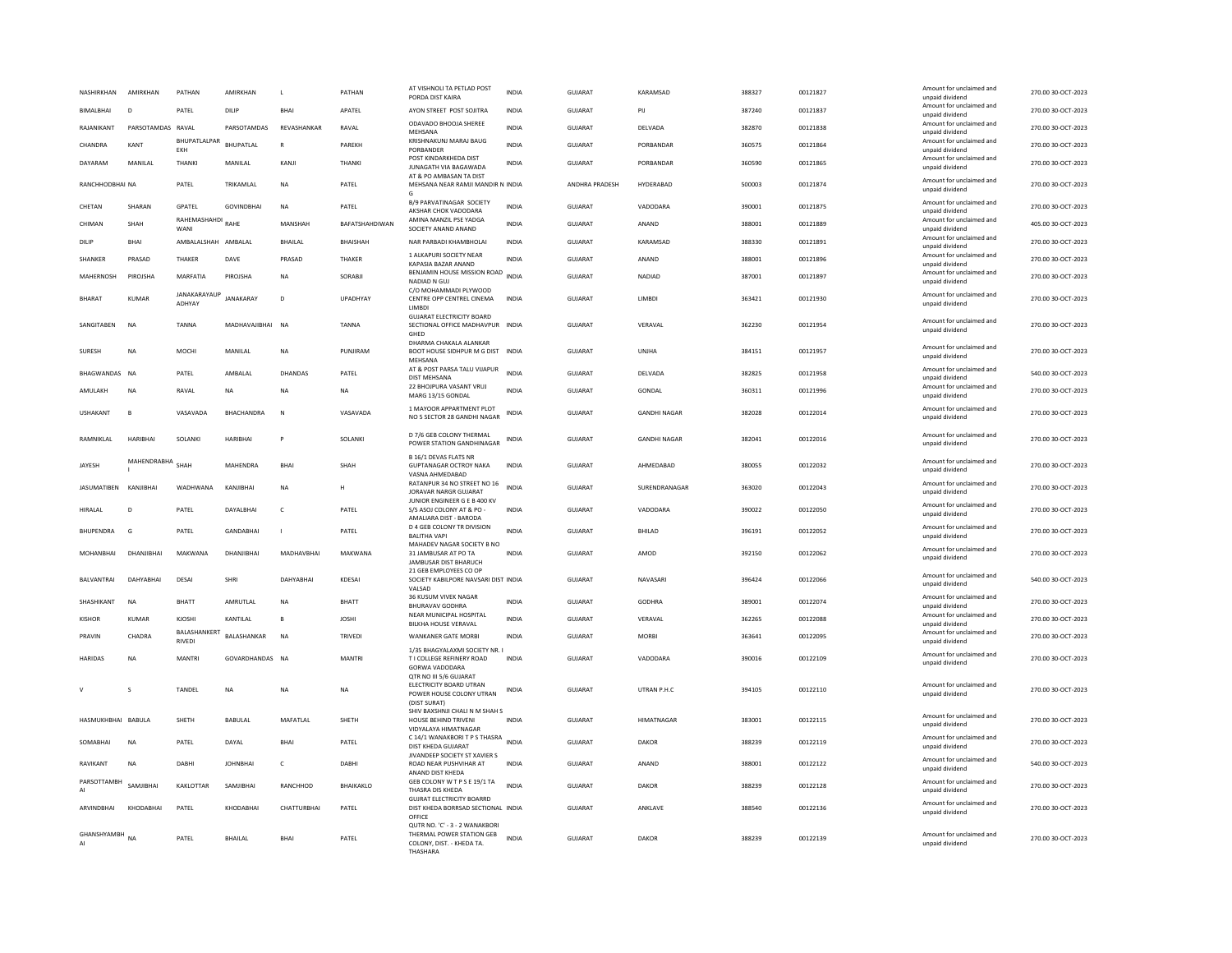| NASHIRKHAN         | AMIRKHAN          | PATHAN                        | AMIRKHAN          | L              | PATHAN                | AT VISHNOLI TA PETLAD POST<br>PORDA DIST KAIRA                                                       | <b>INDIA</b> | <b>GUJARAT</b> | KARAMSAD            | 388327 | 00121827 | Amount for unclaimed and<br>unpaid dividend | 270.00 30-OCT-2023 |
|--------------------|-------------------|-------------------------------|-------------------|----------------|-----------------------|------------------------------------------------------------------------------------------------------|--------------|----------------|---------------------|--------|----------|---------------------------------------------|--------------------|
| <b>BIMALBHAL</b>   | D <sub>1</sub>    | PATFI                         | DILIP             | <b>BHAI</b>    | <b>APATEL</b>         | AYON STREET POST SOUTRA                                                                              | <b>INDIA</b> | GUIARAT        | PII                 | 387240 | 00121837 | Amount for unclaimed and<br>unpaid dividend | 270.00 30-OCT-2023 |
| RAJANIKANT         | PARSOTAMDAS RAVAL |                               | PARSOTAMDAS       | REVASHANKAR    | RAVAL                 | ODAVADO BHOOJA SHEREE<br>MEHSANA                                                                     | <b>INDIA</b> | GUJARAT        | DELVADA             | 382870 | 00121838 | Amount for unclaimed and<br>unpaid dividend | 270.00 30-OCT-2023 |
| CHANDRA            | KANT              | BHUPATLALPAR<br>EKH           | <b>BHUPATLAL</b>  | $\mathsf{R}$   | PAREKH                | KRISHNAKUNJ MARAJ BAUG<br>PORBANDER                                                                  | INDIA        | GUJARAT        | PORBANDAR           | 360575 | 00121864 | Amount for unclaimed and<br>unpaid dividend | 270.00 30-OCT-2023 |
| DAYARAM            | MANILAL           | THANKI                        | MANILAL           | KANJI          | <b>THANK</b>          | POST KINDARKHEDA DIST<br>JUNAGATH VIA BAGAWADA<br>AT & PO AMBASAN TA DIST                            | <b>INDIA</b> | <b>GUJARAT</b> | PORBANDAR           | 360590 | 00121865 | Amount for unclaimed and<br>unpaid dividend | 270.00 30-OCT-2023 |
| RANCHHODBHAI NA    |                   | PATEL                         | TRIKAMLAL         | <b>NA</b>      | PATEL                 | MEHSANA NEAR RAMJI MANDIR N INDIA<br>G                                                               |              | ANDHRA PRADESH | HYDERABAD           | 500003 | 00121874 | Amount for unclaimed and<br>unpaid dividend | 270.00 30-OCT-2023 |
| CHETAN             | SHARAN            | GPATEL                        | <b>GOVINDBHAI</b> | NA             | PATEL                 | <b>B/9 PARVATINAGAR SOCIETY</b><br>AKSHAR CHOK VADODARA                                              | <b>INDIA</b> | GUJARAT        | VADODARA            | 390001 | 00121875 | Amount for unclaimed and<br>unnaid dividend | 270.00 30-OCT-2023 |
| CHIMAN             | SHAH              | RAHEMASHAHDI RAHE<br>WANI     |                   | MANSHAH        | <b>BAFATSHAHDIWAN</b> | AMINA MANZIL PSE YADGA<br>SOCIETY ANAND ANAND                                                        | <b>INDIA</b> | GUIARAT        | ANAND               | 388001 | 00121889 | Amount for unclaimed and<br>unpaid dividend | 405.00.30-OCT-2023 |
| DILIP              | <b>RHAI</b>       | AMBALALSHAH AMBALAL           |                   | <b>BHAILAL</b> | <b>RHAISHAH</b>       | NAR PARBADI KHAMBHOLAI                                                                               | <b>INDIA</b> | GUIARAT        | KARAMSAD            | 388330 | 00121891 | Amount for unclaimed and<br>unpaid dividend | 270.00.30-OCT-2023 |
| SHANKER            | PRASAD            | THAKER                        | DAVE              | PRASAD         | THAKER                | 1 ALKAPURI SOCIETY NEAR<br>KAPASIA BAZAR ANAND                                                       | <b>INDIA</b> | GUJARAT        | ANAND               | 388001 | 00121896 | Amount for unclaimed and<br>unpaid dividend | 270.00 30-OCT-2023 |
| MAHERNOSH          | PIROJSHA          | MARFATIA                      | PIROJSHA          | <b>NA</b>      | SORABJI               | BENJAMIN HOUSE MISSION ROAD<br>NADIAD N GUJ                                                          | <b>INDIA</b> | GUJARAT        | NADIAD              | 387001 | 00121897 | Amount for unclaimed and<br>unpaid dividend | 270.00 30-OCT-2023 |
| <b>BHARAT</b>      | <b>KUMAR</b>      | <b>JANAKARAYAUP</b><br>ADHYAY | <b>JANAKARAY</b>  | D              | UPADHYAY              | C/O MOHAMMADI PLYWOOD<br>CENTRE OPP CENTREL CINEMA<br>LIMBDI                                         | <b>INDIA</b> | GUJARAT        | <b>LIMBDI</b>       | 363421 | 00121930 | Amount for unclaimed and<br>unpaid dividend | 270.00 30-OCT-2023 |
| SANGITABEN         | <b>NA</b>         | <b>TANNA</b>                  | MADHAVAJIBHAI NA  |                | <b>TANNA</b>          | <b>GUJARAT ELECTRICITY BOARD</b><br>SECTIONAL OFFICE MADHAVPUR INDIA<br>GHED                         |              | GUJARAT        | VFRAVAL             | 362230 | 00121954 | Amount for unclaimed and<br>unpaid dividend | 270.00 30-OCT-2023 |
| SURESH             | NA                | MOCHI                         | MANILAL           | NA             | PUNJIRAM              | DHARMA CHAKALA ALANKAR<br>BOOT HOUSE SIDHPUR M G DIST<br>MEHSANA                                     | <b>INDIA</b> | GUJARAT        | UNJHA               | 384151 | 00121957 | Amount for unclaimed and<br>unpaid dividend | 270.00 30-OCT-2023 |
| BHAGWANDAS NA      |                   | PATEL                         | AMBALAL           | DHANDAS        | PATEL                 | AT & POST PARSA TALU VIJAPUR<br><b>DIST MEHSANA</b>                                                  | <b>INDIA</b> | GUJARAT        | DELVADA             | 382825 | 00121958 | Amount for unclaimed and<br>unpaid dividend | 540.00 30-OCT-2023 |
| AMULAKH            | NA                | RAVAL                         | NA                | NA             | NA                    | 22 BHOJPURA VASANT VRUJ<br>MARG 13/15 GONDAL                                                         | INDIA        | GUJARAT        | GONDAL              | 360311 | 00121996 | Amount for unclaimed and<br>unpaid dividend | 270.00 30-OCT-2023 |
| <b>USHAKANT</b>    | $\mathbf{B}$      | VASAVADA                      | <b>RHACHANDRA</b> | $\mathbb N$    | VASAVADA              | 1 MAYOOR APPARTMENT PLOT<br>NO 5 SECTOR 28 GANDHI NAGAR                                              | <b>INDIA</b> | GUIARAT        | <b>GANDHI NAGAR</b> | 382028 | 00122014 | Amount for unclaimed and<br>unpaid dividend | 270.00 30-OCT-2023 |
| RAMNIKLAL          | HARIBHAI          | SOLANKI                       | <b>HARIBHAI</b>   | <b>P</b>       | SOLANKI               | D 7/6 GEB COLONY THERMAL<br>POWER STATION GANDHINAGAR                                                | INDIA        | GUJARAT        | <b>GANDHI NAGAR</b> | 382041 | 00122016 | Amount for unclaimed and<br>unpaid dividend | 270.00 30-OCT-2023 |
| JAYESH             | MAHENDRABHA       | SHAH                          | MAHENDRA          | <b>BHAI</b>    | SHAH                  | <b>B 16/1 DEVAS FLATS NR</b><br><b>GUPTANAGAR OCTROY NAKA</b><br>VASNA AHMEDABAD                     | <b>INDIA</b> | GUJARAT        | AHMEDABAD           | 380055 | 00122032 | Amount for unclaimed and<br>unpaid dividend | 270.00 30-OCT-2023 |
| <b>JASUMATIBEN</b> | KANJIBHAI         | WADHWANA                      | KANJIBHAI         | <b>NA</b>      | н                     | RATANPUR 34 NO STREET NO 16<br>JORAVAR NARGR GUJARAT                                                 | <b>INDIA</b> | <b>GUJARAT</b> | SURENDRANAGAR       | 363020 | 00122043 | Amount for unclaimed and<br>unpaid dividend | 270.00 30-OCT-2023 |
| HIRALAL            | $\mathsf{D}$      | PATEL                         | DAYALBHAI         | $\mathsf{C}$   | PATEL                 | JUNIOR ENGINEER G E B 400 KV<br>S/S ASOJ COLONY AT & PO -<br>AMALIARA DIST - BARODA                  | <b>INDIA</b> | <b>GUJARAT</b> | VADODARA            | 390022 | 00122050 | Amount for unclaimed and<br>unpaid dividend | 270.00 30-OCT-2023 |
| <b>BHUPENDRA</b>   | G                 | PATEL                         | <b>GANDABHAI</b>  | $\mathbf{I}$   | PATEL                 | <b>D 4 GEB COLONY TR DIVISION</b><br><b>BALITHA VAPI</b>                                             | <b>INDIA</b> | GUJARAT        | BHILAD              | 396191 | 00122052 | Amount for unclaimed and<br>unpaid dividend | 270.00 30-OCT-2023 |
| MOHANBHAI          | DHANJIBHAI        | MAKWANA                       | DHANJIBHAI        | MADHAVBHAI     | MAKWANA               | MAHADEV NAGAR SOCIETY B NO<br>31 JAMBUSAR AT PO TA<br>JAMBUSAR DIST BHARUCH                          | INDIA        | GUJARAT        | AMOD                | 392150 | 00122062 | Amount for unclaimed and<br>unpaid dividend | 270.00 30-OCT-2023 |
| BALVANTRAI         | DAHYABHAI         | DESAI                         | <b>SHRI</b>       | DAHYABHAI      | KDESAI                | 21 GEB EMPLOYEES CO OP<br>SOCIETY KABILPORE NAVSARI DIST INDIA<br>VALSAD                             |              | <b>GUJARAT</b> | NAVASARI            | 396424 | 00122066 | Amount for unclaimed and<br>unpaid dividend | 540.00 30-OCT-2023 |
| SHASHIKANT         | <b>NA</b>         | <b>BHATT</b>                  | AMRUTLAL          | <b>NA</b>      | BHATT                 | 36 KUSUM VIVEK NAGAR<br><b>BHURAVAV GODHRA</b>                                                       | <b>INDIA</b> | <b>GUJARAT</b> | <b>GODHRA</b>       | 389001 | 00122074 | Amount for unclaimed and<br>unpaid dividend | 270.00 30-OCT-2023 |
| KISHOR             | KUMAR             | KJOSHI                        | KANTILAL          | B              | <b>JOSHI</b>          | NEAR MUNICIPAL HOSPITAL<br><b>BILKHA HOUSE VERAVAL</b>                                               | INDIA        | GUJARAT        | VERAVAL             | 362265 | 00122088 | Amount for unclaimed and<br>unpaid dividend | 270.00 30-OCT-2023 |
| PRAVIN             | CHADRA            | BALASHANKERT<br><b>RIVEDI</b> | BALASHANKAR       | NA             | TRIVEDI               | <b>WANKANER GATE MORBI</b>                                                                           | INDIA        | GUJARAT        | <b>MORBI</b>        | 363641 | 00122095 | Amount for unclaimed and<br>unpaid dividend | 270.00 30-OCT-2023 |
| <b>HARIDAS</b>     | <b>NA</b>         | <b>MANTRI</b>                 | GOVARDHANDAS NA   |                | <b>MANTRI</b>         | 1/35 BHAGYALAXMI SOCIETY NR. I<br>T I COLLEGE REFINERY ROAD<br>GORWA VADODARA                        | <b>INDIA</b> | GUIARAT        | VADODARA            | 390016 | 00122109 | Amount for unclaimed and<br>unpaid dividend | 270.00 30-QCT-2023 |
| $\vee$             | $\mathbf{S}$      | <b>TANDEL</b>                 | <b>NA</b>         | <b>NA</b>      | <b>NA</b>             | OTR NO III 5/6 GUJARAT<br>ELECTRICITY BOARD UTRAN<br>POWER HOUSE COLONY UTRAN<br>(DIST SURAT)        | <b>INDIA</b> | GUIARAT        | <b>UTRAN P.H.C.</b> | 394105 | 00122110 | Amount for unclaimed and<br>unpaid dividend | 270.00 30-OCT-2023 |
| HASMUKHBHAI BABULA |                   | SHETH                         | <b>BABULAL</b>    | MAFATLAL       | SHETH                 | SHIV BAXSHNJI CHALI N M SHAH S<br>HOUSE BEHIND TRIVENI                                               | <b>INDIA</b> | GUJARAT        | HIMATNAGAR          | 383001 | 00122115 | Amount for unclaimed and<br>unpaid dividend | 270.00 30-OCT-2023 |
| SOMABHAI           | <b>NA</b>         | PATEL                         | DAYAL             | <b>BHAI</b>    | PATEL                 | <b>VIDYALAYA HIMATNAGAR</b><br>C 14/1 WANAKBORI T P S THASRA<br>DIST KHEDA GUJARAT                   | <b>INDIA</b> | <b>GUJARAT</b> | DAKOR               | 388239 | 00122119 | Amount for unclaimed and<br>unpaid dividend | 270.00 30-OCT-2023 |
| RAVIKANT           | <b>NA</b>         | DABHI                         | <b>JOHNBHAI</b>   | c              | DABHI                 | JIVANDEEP SOCIETY ST XAVIER S<br>ROAD NEAR PUSHVIHAR AT                                              | <b>INDIA</b> | GUJARAT        | ANAND               | 388001 | 00122122 | Amount for unclaimed and<br>unpaid dividend | 540.00 30-OCT-2023 |
| PARSOTTAMBH        | SAMIIRHAI         | KAKLOTTAR                     | SAMJIBHAI         | RANCHHOD       | BHAIKAKLO             | ANAND DIST KHEDA<br>GEB COLONY W T P S E 19/1 TA<br>THASRA DIS KHEDA                                 | <b>INDIA</b> | GUJARAT        | DAKOR               | 388239 | 00122128 | Amount for unclaimed and<br>unpaid dividend | 270.00 30-OCT-2023 |
| ARVINDBHAI         | KHODABHAI         | PATEL                         | KHODABHAI         | CHATTURBHAI    | PATEL                 | <b>GUJRAT ELECTRICITY BOARRD</b><br>DIST KHEDA BORRSAD SECTIONAL INDIA<br>OFFICE                     |              | GUJARAT        | ANKLAVE             | 388540 | 00122136 | Amount for unclaimed and<br>unpaid dividend | 270.00 30-OCT-2023 |
| GHANSHYAMBH NA     |                   | PATEL                         | <b>BHAILAL</b>    | <b>BHAI</b>    | PATEL                 | QUTR NO. 'C' - 3 - 2 WANAKBORI<br>THERMAL POWER STATION GEB<br>COLONY, DIST. - KHEDA TA.<br>THASHARA | <b>INDIA</b> | GUJARAT        | DAKOR               | 388239 | 00122139 | Amount for unclaimed and<br>unpaid dividend | 270.00 30-OCT-2023 |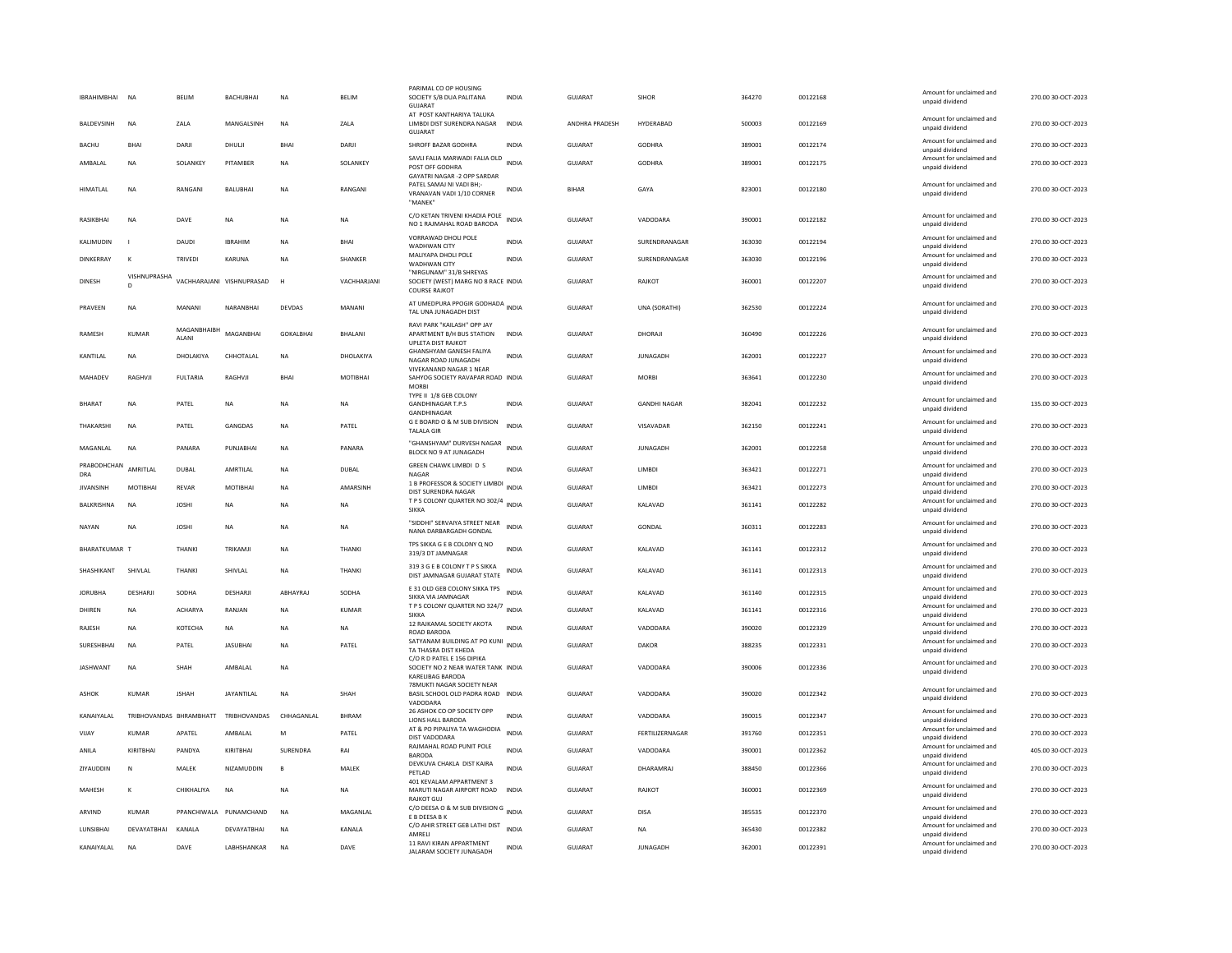| IBRAHIMBHAI NA       |                              | <b>BELIM</b>            | <b>BACHUBHAI</b>          | <b>NA</b>        | <b>BELIM</b>   | PARIMAL CO OP HOUSING<br>SOCIETY S/B DUA PALITANA<br><b>GUJARAT</b>                          | <b>INDIA</b> | GUIARAT               | <b>SIHOR</b>        | 364270 | 00122168 | Amount for unclaimed and<br>unpaid dividend | 270.00 30-OCT-2023 |
|----------------------|------------------------------|-------------------------|---------------------------|------------------|----------------|----------------------------------------------------------------------------------------------|--------------|-----------------------|---------------------|--------|----------|---------------------------------------------|--------------------|
| <b>BALDEVSINH</b>    | <b>NA</b>                    | ZALA                    | <b>MANGALSINH</b>         | <b>NA</b>        | ZALA           | AT POST KANTHARIYA TALUKA<br>LIMBDI DIST SURENDRA NAGAR<br><b>GUJARAT</b>                    | <b>INDIA</b> | <b>ANDHRA PRADESH</b> | HYDERARAD           | 500003 | 00122169 | Amount for unclaimed and<br>unpaid dividend | 270.00 30-OCT-2023 |
| <b>BACHU</b>         | <b>BHAI</b>                  | DARJI                   | DHULI                     | <b>BHAI</b>      | DARJI          | SHROFF BAZAR GODHRA                                                                          | <b>INDIA</b> | GUJARAT               | <b>GODHRA</b>       | 389001 | 00122174 | Amount for unclaimed and<br>unpaid dividend | 270.00 30-OCT-2023 |
| AMBALAL              | NA                           | SOLANKEY                | PITAMBER                  | NA               | SOLANKEY       | SAVLI FALIA MARWADI FALIA OLD INDIA<br>POST OFF GODHRA<br><b>GAYATRI NAGAR -2 OPP SARDAR</b> |              | GUJARAT               | GODHRA              | 389001 | 00122175 | Amount for unclaimed and<br>unpaid dividend | 270.00 30-OCT-2023 |
| <b>HIMATLAL</b>      | <b>NA</b>                    | RANGANI                 | <b>BALUBHA</b>            | <b>NA</b>        | RANGANI        | PATEL SAMAJ NI VADI BH:-<br>VRANAVAN VADI 1/10 CORNER<br>"MANFK                              | <b>INDIA</b> | <b>BIHAR</b>          | GAYA                | 823001 | 00122180 | Amount for unclaimed and<br>unpaid dividend | 270.00 30-OCT-2023 |
| RASIKBHAI            | <b>NA</b>                    | DAVE                    | <b>NA</b>                 | <b>NA</b>        | <b>NA</b>      | C/O KETAN TRIVENI KHADIA POLE<br>NO 1 RAJMAHAL ROAD BARODA                                   | <b>INDIA</b> | <b>GUJARAT</b>        | VADODARA            | 390001 | 00122182 | Amount for unclaimed and<br>unpaid dividend | 270.00 30-OCT-2023 |
| KALIMUDIN            |                              | DAUDI                   | <b>IRRAHIN</b>            | <b>NA</b>        | <b>BHAI</b>    | VORRAWAD DHOLI POLE<br>WADHWAN CITY                                                          | <b>INDIA</b> | GUJARAT               | SURENDRANAGAR       | 363030 | 00122194 | Amount for unclaimed and<br>unpaid dividend | 270.00 30-OCT-2023 |
| <b>DINKERRAY</b>     | к                            | <b>TRIVEDI</b>          | KARUNA                    | <b>NA</b>        | SHANKER        | MALIYAPA DHOLI POLE<br>WADHWAN CITY                                                          | <b>INDIA</b> | <b>GUJARAT</b>        | SURENDRANAGAR       | 363030 | 00122196 | Amount for unclaimed and<br>unpaid dividend | 270.00 30-OCT-2023 |
| <b>DINESH</b>        | VISHNUPRASHA<br>$\mathsf{D}$ |                         | VACHHARAJANI VISHNUPRASAD | H                | VACHHARJANI    | "NIRGUNAM" 31/B SHREYAS<br>SOCIETY (WEST) MARG NO 8 RACE INDIA<br><b>COURSE RAJKOT</b>       |              | <b>GUJARAT</b>        | RAJKOT              | 360001 | 00122207 | Amount for unclaimed and<br>unpaid dividend | 270.00 30-OCT-2023 |
| PRAVEEN              | <b>NA</b>                    | MANANI                  | NARANBHAI                 | <b>DEVDAS</b>    | MANANI         | AT UMEDPURA PPOGIR GODHADA INDIA<br>TAL UNA JUNAGADH DIST                                    |              | <b>GUJARAT</b>        | UNA (SORATHI)       | 362530 | 00122224 | Amount for unclaimed and<br>unpaid dividend | 270.00 30-OCT-2023 |
| <b>RAMESH</b>        | <b>KUMAR</b>                 | MAGANRHAIRH<br>ALANI    | MAGANBHAI                 | <b>GOKALBHAI</b> | <b>BHALANI</b> | RAVI PARK "KAILASH" OPP JAY<br>APARTMENT B/H BUS STATION<br>UPLETA DIST RAJKOT               | <b>INDIA</b> | <b>GUJARAT</b>        | DHORAJI             | 360490 | 00122226 | Amount for unclaimed and<br>unpaid dividend | 270.00 30-OCT-2023 |
| KANTILAL             | <b>NA</b>                    | DHOLAKIYA               | CHHOTALAL                 | <b>NA</b>        | DHOLAKIYA      | GHANSHYAM GANESH FALIYA<br>NAGAR ROAD IUNAGADH                                               | INDIA        | <b>GUJARAT</b>        | <b>JUNAGADH</b>     | 362001 | 00122227 | Amount for unclaimed and<br>unpaid dividend | 270.00 30-OCT-2023 |
| MAHADEV              | RAGHVJI                      | <b>FULTARIA</b>         | RAGHVJI                   | BHAI             | MOTIBHAI       | VIVEKANAND NAGAR 1 NEAR<br>SAHYOG SOCIETY RAVAPAR ROAD INDIA<br><b>MORBI</b>                 |              | GUJARAT               | <b>MORBI</b>        | 363641 | 00122230 | Amount for unclaimed and<br>unpaid dividend | 270.00 30-OCT-2023 |
| <b>BHARAT</b>        | <b>NA</b>                    | PATEL                   | <b>NA</b>                 | <b>NA</b>        | <b>NA</b>      | TYPE II 1/8 GEB COLONY<br><b>GANDHINAGAR T.P.S</b><br>GANDHINAGAR                            | <b>INDIA</b> | <b>GUJARAT</b>        | <b>GANDHI NAGAR</b> | 382041 | 00122232 | Amount for unclaimed and<br>unpaid dividend | 135.00 30-OCT-2023 |
| THAKARSHI            | <b>NA</b>                    | PATEL                   | GANGDAS                   | <b>NA</b>        | PATEL          | G E BOARD O & M SUB DIVISION<br><b>TALALA GIR</b>                                            | <b>INDIA</b> | GUJARAT               | VISAVADAR           | 362150 | 00122241 | Amount for unclaimed and<br>unpaid dividend | 270.00 30-OCT-2023 |
| MAGANLAL             | <b>NA</b>                    | PANARA                  | PUNJABHAI                 | <b>NA</b>        | PANARA         | "GHANSHYAM" DURVESH NAGAR<br>BLOCK NO 9 AT JUNAGADH                                          | <b>INDIA</b> | <b>GUJARAT</b>        | <b>JUNAGADH</b>     | 362001 | 00122258 | Amount for unclaimed and<br>unpaid dividend | 270.00 30-OCT-2023 |
| PRABODHCHAN<br>DRA   | AMRITLAL                     | DUBAL                   | AMRTILAL                  | <b>NA</b>        | <b>DUBAL</b>   | GREEN CHAWK LIMBDI D S<br><b>NAGAR</b>                                                       | <b>INDIA</b> | <b>GUJARAT</b>        | LIMBDI              | 363421 | 00122271 | Amount for unclaimed and<br>unpaid dividend | 270.00 30-OCT-2023 |
| <b>JIVANSINH</b>     | MOTIBHAI                     | <b>REVAR</b>            | MOTIBHAI                  | <b>NA</b>        | AMARSINH       | 1 B PROFESSOR & SOCIETY LIMBDI<br>DIST SURENDRA NAGAR                                        | INDIA        | <b>GUJARAT</b>        | LIMBDI              | 363421 | 00122273 | Amount for unclaimed and<br>unpaid dividend | 270.00 30-OCT-2023 |
| <b>BALKRISHNA</b>    | <b>NA</b>                    | <b>JOSHI</b>            | <b>NA</b>                 | <b>NA</b>        | <b>NA</b>      | T P S COLONY QUARTER NO 302/4<br><b>SIKKA</b>                                                | <b>INDIA</b> | GUJARAT               | KALAVAD             | 361141 | 00122282 | Amount for unclaimed and<br>unpaid dividend | 270.00 30-OCT-2023 |
| NAYAN                | <b>NA</b>                    | <b>JOSHI</b>            | NA                        | <b>NA</b>        | NA             | "SIDDHI" SERVAIYA STREET NEAR<br>NANA DARBARGADH GONDAL                                      | <b>INDIA</b> | GUJARAT               | GONDAL              | 360311 | 00122283 | Amount for unclaimed and<br>unpaid dividend | 270.00 30-OCT-2023 |
| <b>RHARATKUMAR T</b> |                              | THANKI                  | TRIKAMIL                  | <b>NA</b>        | <b>THANKI</b>  | TPS SIKKA G E B COLONY Q NO<br>319/3 DT JAMNAGAR                                             | <b>INDIA</b> | GUIARAT               | KAI AVAD            | 361141 | 00122312 | Amount for unclaimed and<br>unpaid dividend | 270.00.30-OCT-2023 |
| SHASHIKANT           | SHIVLAL                      | THANKI                  | SHIVLAL                   | <b>NA</b>        | <b>THANKI</b>  | 319 3 G E B COLONY T P S SIKKA<br>DIST JAMNAGAR GUJARAT STATE                                | <b>INDIA</b> | <b>GUJARAT</b>        | KALAVAD             | 361141 | 00122313 | Amount for unclaimed and<br>unpaid dividend | 270.00 30-OCT-2023 |
| <b>IORURHA</b>       | DESHARIL                     | SODHA                   | DESHARI                   | ARHAYRAI         | SODHA          | E 31 OLD GEB COLONY SIKKA TPS INDIA<br>SIKKA VIA JAMNAGAR                                    |              | GUIARAT               | KAI AVAD            | 361140 | 00122315 | Amount for unclaimed and<br>unpaid dividend | 270.00 30-OCT-2023 |
| DHIREN               | <b>NA</b>                    | <b>ACHARYA</b>          | RANJAN                    | <b>NA</b>        | <b>KUMAR</b>   | T P S COLONY QUARTER NO 324/7 INDIA<br><b>SIKKA</b>                                          |              | GUJARAT               | KALAVAD             | 361141 | 00122316 | Amount for unclaimed and<br>unpaid dividend | 270.00 30-OCT-2023 |
| RAJESH               | <b>NA</b>                    | <b>КОТЕСНА</b>          | <b>NA</b>                 | <b>NA</b>        | <b>NA</b>      | 12 RAJKAMAL SOCIETY AKOTA<br>ROAD BARODA                                                     | <b>INDIA</b> | GUJARAT               | VADODARA            | 390020 | 00122329 | Amount for unclaimed and<br>unpaid dividend | 270.00 30-OCT-2023 |
| SURESHBHAI           | <b>NA</b>                    | PATEL                   | <b>JASUBHAI</b>           | <b>NA</b>        | PATEL          | SATYANAM BUILDING AT PO KUNI INDIA<br>TA THASRA DIST KHEDA                                   |              | GUJARAT               | <b>DAKOR</b>        | 388235 | 00122331 | Amount for unclaimed and<br>unpaid dividend | 270.00 30-OCT-2023 |
| <b>JASHWANT</b>      | <b>NA</b>                    | SHAH                    | AMBALAL                   | <b>NA</b>        |                | C/O R D PATEL E 156 DIPIKA<br>SOCIETY NO 2 NEAR WATER TANK INDIA<br>KARELIBAG BARODA         |              | <b>GUJARAT</b>        | VADODARA            | 390006 | 00122336 | Amount for unclaimed and<br>unpaid dividend | 270.00 30-OCT-2023 |
| ASHOK                | KUMAR                        | <b>JSHAH</b>            | <b>JAYANTILAL</b>         | <b>NA</b>        | SHAH           | 78MUKTI NAGAR SOCIETY NEAR<br>BASIL SCHOOL OLD PADRA ROAD INDIA<br>VADODAR/                  |              | <b>GUJARAT</b>        | VADODARA            | 390020 | 00122342 | Amount for unclaimed and<br>unpaid dividend | 270.00 30-OCT-2023 |
| KANAIYALAL           |                              | TRIBHOVANDAS BHRAMBHATT | TRIBHOVANDAS              | CHHAGANLAL       | <b>BHRAM</b>   | 26 ASHOK CO OP SOCIETY OPP<br>LIONS HALL BARODA                                              | <b>INDIA</b> | GUJARAT               | VADODARA            | 390015 | 00122347 | Amount for unclaimed and<br>unpaid dividend | 270.00 30-OCT-2023 |
| VIJAY                | <b>KUMAR</b>                 | APATEL                  | AMBALAL                   | M                | PATEL          | AT & PO PIPALIYA TA WAGHODIA<br>DIST VADODARA                                                | INDIA        | GUJARAT               | FERTILIZERNAGAR     | 391760 | 00122351 | Amount for unclaimed and<br>unpaid dividend | 270.00 30-OCT-2023 |
| ANILA                | KIRITBHAI                    | PANDYA                  | KIRITBHAI                 | SURENDRA         | RAI            | RAJMAHAL ROAD PUNIT POLE<br><b>BARODA</b>                                                    | <b>INDIA</b> | <b>GUJARAT</b>        | VADODARA            | 390001 | 00122362 | Amount for unclaimed and<br>unpaid dividend | 405.00 30-OCT-2023 |
| <b>ZIYAUDDIN</b>     | N                            | <b>MAIFK</b>            | NIZAMUDDIN                | $\mathbf{B}$     | MAIFK          | DEVKUVA CHAKLA DIST KAIRA<br>PETLAD                                                          | <b>INDIA</b> | GUIARAT               | DHARAMRAI           | 388450 | 00122366 | Amount for unclaimed and<br>unpaid dividend | 270.00 30-OCT-2023 |
| MAHESH               | K                            | CHIKHALIYA              | <b>NA</b>                 | <b>NA</b>        | <b>NA</b>      | 401 KEVALAM APPARTMENT 3<br>MARUTI NAGAR AIRPORT ROAD<br><b>RAJKOT GUJ</b>                   | <b>INDIA</b> | <b>GUJARAT</b>        | RAJKOT              | 360001 | 00122369 | Amount for unclaimed and<br>unpaid dividend | 270.00 30-OCT-2023 |
| ARVIND               | KUMAR                        |                         | PPANCHIWALA PUNAMCHAND    | <b>NA</b>        | MAGANI AI      | C/O DEESA O & M SUB DIVISION G INDIA<br>E B DEESA B K                                        |              | GUIARAT               | DISA                | 385535 | 00122370 | Amount for unclaimed and<br>unpaid dividend | 270.00 30-OCT-2023 |
| LUNSIBHAI            | DEVAYATBHAI                  | KANALA                  | DEVAYATBHAI               | <b>NA</b>        | KANALA         | C/O AHIR STREET GEB LATHI DIST<br>AMRELI                                                     | <b>INDIA</b> | GUJARAT               | <b>NA</b>           | 365430 | 00122382 | Amount for unclaimed and<br>unpaid dividend | 270.00 30-OCT-2023 |
| KANAIYALAL           | <b>NA</b>                    | DAVE                    | LABHSHANKAR               | <b>NA</b>        | DAVE           | 11 RAVI KIRAN APPARTMENT<br>JALARAM SOCIETY JUNAGADH                                         | <b>INDIA</b> | GUJARAT               | <b>JUNAGADH</b>     | 362001 | 00122391 | Amount for unclaimed and<br>unpaid dividend | 270.00 30-OCT-2023 |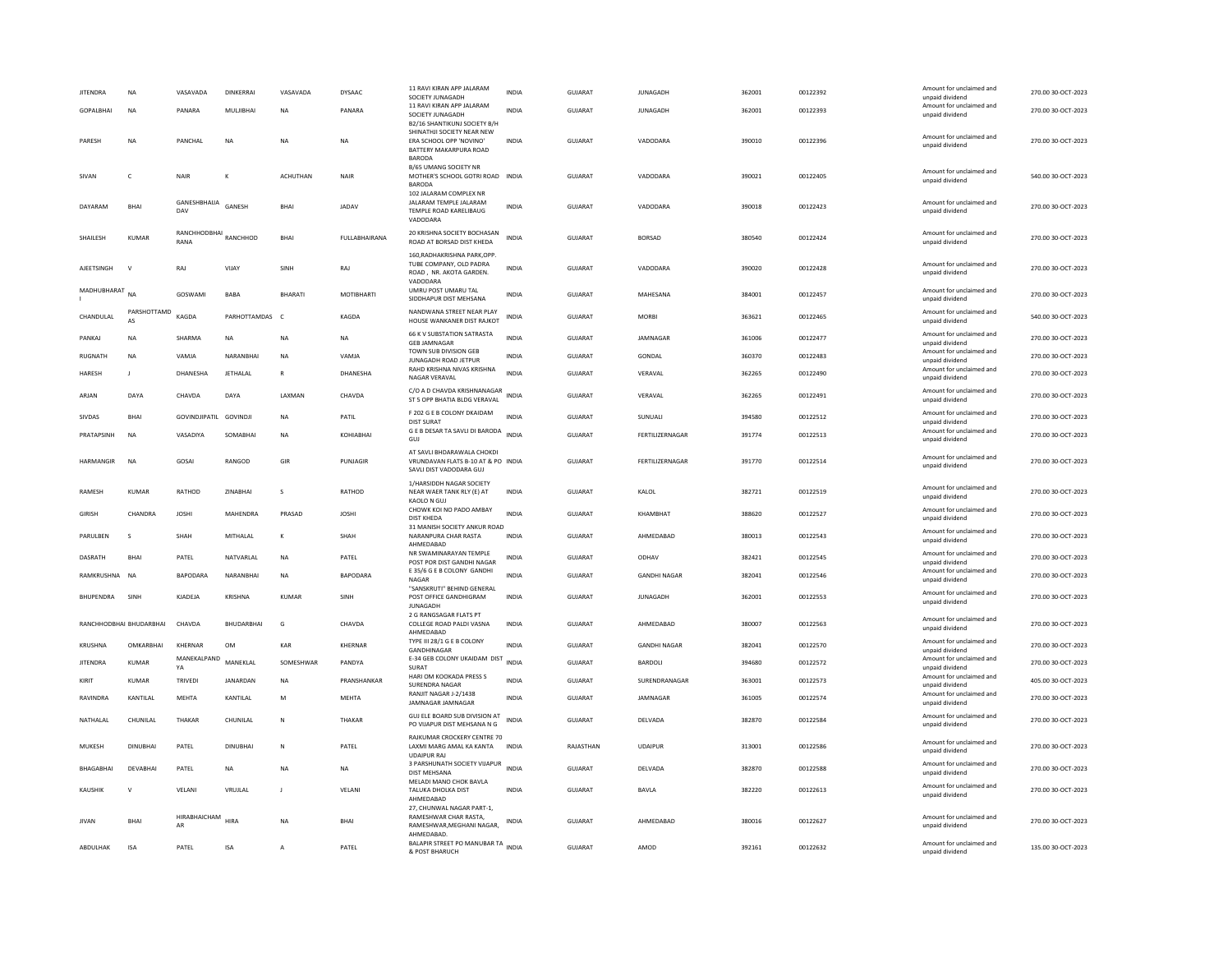| JITENDRA         | NA                      | VASAVADA               | DINKERRAI        | VASAVADA        | DYSAAC          | 11 RAVI KIRAN APP JALARAM<br>SOCIETY JUNAGADH                                               | <b>INDIA</b> | <b>GUJARAT</b> | <b>JUNAGADH</b>     | 362001 | 00122392 | Amount for unclaimed and<br>unpaid dividend | 270.00 30-OCT-2023 |
|------------------|-------------------------|------------------------|------------------|-----------------|-----------------|---------------------------------------------------------------------------------------------|--------------|----------------|---------------------|--------|----------|---------------------------------------------|--------------------|
| <b>GOPALBHAL</b> | <b>NA</b>               | PANARA                 | MULJIBHAI        | <b>NA</b>       | PANARA          | 11 RAVI KIRAN APP JALARAM                                                                   | <b>INDIA</b> | GUIARAT        | <b>IUNAGADH</b>     | 362001 | 00122393 | Amount for unclaimed and                    | 270.00 30-OCT-2023 |
|                  |                         |                        |                  |                 |                 | SOCIETY JUNAGADH<br>B2/16 SHANTIKUNJ SOCIETY B/H                                            |              |                |                     |        |          | unpaid dividend                             |                    |
| PARESH           | <b>NA</b>               | <b>PANCHAI</b>         | <b>NA</b>        | <b>NA</b>       | <b>NA</b>       | SHINATHJI SOCIETY NEAR NEW<br>ERA SCHOOL OPP 'NOVINO'<br>BATTERY MAKARPURA ROAD             | <b>INDIA</b> | GUIARAT        | VADODARA            | 390010 | 00122396 | Amount for unclaimed and<br>unpaid dividend | 270.00 30-QCT-2023 |
| SIVAN            | $\mathsf{C}$            | <b>NAIR</b>            |                  | <b>ACHUTHAN</b> | NAIR            | <b>BARODA</b><br>B/65 UMANG SOCIETY NR<br>MOTHER'S SCHOOL GOTRI ROAD INDIA<br><b>BARODA</b> |              | <b>GUJARAT</b> | VADODARA            | 390021 | 00122405 | Amount for unclaimed and<br>unpaid dividend | 540.00 30-OCT-2023 |
| DAYARAM          | <b>BHAI</b>             | GANESHBHAIJA<br>DAV    | GANESH           | <b>BHAI</b>     | JADAV           | 102 JALARAM COMPLEX NR<br>JALARAM TEMPLE JALARAM<br>TEMPLE ROAD KARELIBAUG<br>VADODARA      | <b>INDIA</b> | <b>GUJARAT</b> | VADODARA            | 390018 | 00122423 | Amount for unclaimed and<br>unpaid dividend | 270.00 30-OCT-2023 |
| SHAILESH         | <b>KUMAR</b>            | RANCHHODBHAI<br>RANA   | RANCHHOD         | <b>BHAI</b>     | FULLABHAIRANA   | 20 KRISHNA SOCIETY BOCHASAN<br>ROAD AT BORSAD DIST KHEDA                                    | <b>INDIA</b> | <b>GUJARAT</b> | <b>BORSAD</b>       | 380540 | 00122424 | Amount for unclaimed and<br>unpaid dividend | 270.00 30-OCT-2023 |
| AJEETSINGH       | $\mathsf{v}$            | RAJ                    | VIJAY            | SINH            | RAJ             | 160.RADHAKRISHNA PARK.OPP<br>TUBE COMPANY, OLD PADRA<br>ROAD, NR. AKOTA GARDEN.<br>VADODARA | <b>INDIA</b> | <b>GUJARAT</b> | VADODARA            | 390020 | 00122428 | Amount for unclaimed and<br>unpaid dividend | 270.00 30-OCT-2023 |
| MADHUBHARAT      | <b>NA</b>               | GOSWAMI                | BABA             | BHARATI         | MOTIBHARTI      | UMRU POST UMARU TAL<br>SIDDHAPUR DIST MEHSANA                                               | <b>INDIA</b> | GUJARAT        | MAHESANA            | 384001 | 00122457 | Amount for unclaimed and<br>unpaid dividend | 270.00 30-OCT-2023 |
| CHANDULAL        | PARSHOTTAMD<br>AS       | KAGDA                  | PARHOTTAMDAS C   |                 | KAGDA           | NANDWANA STREET NEAR PLAY<br>HOUSE WANKANER DIST RAJKOT                                     | <b>INDIA</b> | GUJARAT        | <b>MORRI</b>        | 363621 | 00122465 | Amount for unclaimed and<br>unpaid dividend | 540.00 30-OCT-2023 |
| PANKAJ           | NA                      | SHARMA                 | <b>NA</b>        | NΑ              | NA              | 66 K V SUBSTATION SATRASTA<br><b>GEB JAMNAGAR</b>                                           | <b>INDIA</b> | GUJARAT        | JAMNAGAR            | 361006 | 00122477 | Amount for unclaimed and<br>unpaid dividend | 270.00 30-OCT-2023 |
| RUGNATH          | NA                      | VAMJA                  | NARANBHAI        | NΑ              | VAMJA           | TOWN SUB DIVISION GEB                                                                       | <b>INDIA</b> | GUJARAT        | GONDAL              | 360370 | 00122483 | Amount for unclaimed and                    | 270.00 30-OCT-2023 |
| <b>HARFSH</b>    | -11                     | DHANESHA               | <b>IFTHAI AI</b> | $\mathbb{R}$    | <b>DHANFSHA</b> | JUNAGADH ROAD JETPUR<br>RAHD KRISHNA NIVAS KRISHNA                                          | <b>INDIA</b> | GUIARAT        | VFRAVAL             | 362265 | 00122490 | unpaid dividend<br>Amount for unclaimed and | 270.00 30-OCT-2023 |
|                  |                         |                        |                  |                 |                 | NAGAR VERAVAL<br>C/O A D CHAVDA KRISHNANAGAR                                                |              |                |                     |        |          | unpaid dividend<br>Amount for unclaimed and |                    |
| ARJAN            | DAYA                    | CHAVDA                 | DAYA             | LAXMAN          | CHAVDA          | ST 5 OPP BHATIA BLDG VERAVAL                                                                | <b>INDIA</b> | <b>GUJARAT</b> | VERAVAL             | 362265 | 00122491 | unpaid dividend                             | 270.00 30-OCT-2023 |
| <b>SIVDAS</b>    | BHAI                    | GOVINDJIPATIL GOVINDJI |                  | <b>NA</b>       | PATIL           | F 202 G E B COLONY DKAIDAM<br><b>DIST SURAT</b>                                             | <b>INDIA</b> | <b>GUJARAT</b> | SUNUALI             | 394580 | 00122512 | Amount for unclaimed and<br>unpaid dividend | 270.00 30-OCT-2023 |
| PRATAPSINH       | <b>NA</b>               | VASADIYA               | SOMABHAI         | <b>NA</b>       | KOHIABHAI       | G E B DESAR TA SAVLI DI BARODA<br>GUJ                                                       | <b>INDIA</b> | GUJARAT        | FERTILIZERNAGAR     | 391774 | 00122513 | Amount for unclaimed and<br>unpaid dividend | 270.00 30-OCT-2023 |
| <b>HARMANGIR</b> | <b>NA</b>               | GOSAI                  | RANGOD           | GIR             | PUNJAGIR        | AT SAVLI BHDARAWALA CHOKDI<br>VRUNDAVAN FLATS B-10 AT & PO INDIA<br>SAVLI DIST VADODARA GUJ |              | GUJARAT        | FERTILIZERNAGAR     | 391770 | 00122514 | Amount for unclaimed and<br>unpaid dividend | 270.00 30-OCT-2023 |
| RAMESH           | <b>KUMAR</b>            | RATHOD                 | ZINABHAI         | s               | RATHOD          | 1/HARSIDDH NAGAR SOCIETY<br>NEAR WAER TANK RLY (E) AT<br>KAOLO N GUJ                        | <b>INDIA</b> | GUJARAT        | KALOL               | 382721 | 00122519 | Amount for unclaimed and<br>unpaid dividend | 270.00 30-OCT-2023 |
| <b>GIRISH</b>    | CHANDRA                 | <b>JOSHI</b>           | MAHENDRA         | PRASAD          | <b>JOSHI</b>    | CHOWK KOI NO PADO AMBAY<br><b>DIST KHEDA</b>                                                | INDIA        | GUJARAT        | KHAMBHAT            | 388620 | 00122527 | Amount for unclaimed and<br>unpaid dividend | 270.00 30-OCT-2023 |
| PARULBEN         | $\mathbf{s}$            | <b>SHAH</b>            | MITHALAL         | К               | SHAH            | 31 MANISH SOCIETY ANKUR ROAD<br>NARANPURA CHAR RASTA<br>AHMEDABAD                           | <b>INDIA</b> | GUIARAT        | AHMEDABAD           | 380013 | 00122543 | Amount for unclaimed and<br>unpaid dividend | 270.00 30-OCT-2023 |
| DASRATH          | BHAI                    | PATEL                  | NATVARLAL        | NΑ              | PATEL           | NR SWAMINARAYAN TEMPLE                                                                      | INDIA        | GUJARAT        | ODHAV               | 382421 | 00122545 | Amount for unclaimed and                    | 270.00 30-OCT-2023 |
| RAMKRUSHNA NA    |                         | <b>BAPODARA</b>        | NARANBHAI        | <b>NA</b>       | BAPODARA        | POST POR DIST GANDHI NAGAR<br>E 35/6 G E B COLONY GANDHI                                    | <b>INDIA</b> | GUJARAT        | <b>GANDHI NAGAR</b> | 382041 | 00122546 | unpaid dividend<br>Amount for unclaimed and | 270.00 30-OCT-2023 |
|                  |                         |                        |                  |                 |                 | <b>NAGAR</b><br>"SANSKRUTI" BEHIND GENERAL                                                  |              |                |                     |        |          | unpaid dividend<br>Amount for unclaimed and |                    |
| <b>BHUPENDRA</b> | SINH                    | KJADEJA                | KRISHNA          | <b>KUMAR</b>    | SINH            | POST OFFICE GANDHIGRAM<br><b>JUNAGADE</b>                                                   | <b>INDIA</b> | GUJARAT        | <b>JUNAGADH</b>     | 362001 | 00122553 | unpaid dividend                             | 270.00 30-OCT-2023 |
|                  | RANCHHODBHAI BHUDARBHAI | CHAVDA                 | BHUDARBHAI       | G               | CHAVDA          | 2 G RANGSAGAR FLATS PT<br>COLLEGE ROAD PALDI VASNA<br>AHMEDABAD                             | <b>INDIA</b> | <b>GUJARAT</b> | AHMEDABAD           | 380007 | 00122563 | Amount for unclaimed and<br>unpaid dividend | 270.00 30-OCT-2023 |
| KRUSHNA          | OMKARBHAI               | KHERNAR                | OM               | KAR             | KHERNAR         | TYPE III 28/1 G E B COLONY<br>GANDHINAGAR                                                   | <b>INDIA</b> | GUJARAT        | <b>GANDHI NAGAR</b> | 382041 | 00122570 | Amount for unclaimed and                    | 270.00 30-OCT-2023 |
| <b>JITENDRA</b>  | <b>KUMAR</b>            | MANEKALPAND            | MANEKLAL         | SOMESHWAR       | PANDYA          | E-34 GEB COLONY UKAIDAM DIST                                                                | <b>INDIA</b> | <b>GUJARAT</b> | BARDOLI             | 394680 | 00122572 | unpaid dividend<br>Amount for unclaimed and | 270.00 30-OCT-2023 |
| KIRIT            | KUMAR                   | YA<br><b>TRIVEDI</b>   | JANARDAN         | NΑ              | PRANSHANKAR     | SURAT<br>HARI OM KOOKADA PRESS S                                                            | <b>INDIA</b> | <b>GUJARAT</b> | SURENDRANAGAR       | 363001 | 00122573 | unpaid dividend<br>Amount for unclaimed and | 405.00 30-OCT-2023 |
|                  |                         |                        |                  |                 |                 | SURENDRA NAGAR<br>RANJIT NAGAR J-2/1438                                                     |              |                |                     |        |          | unpaid dividend<br>Amount for unclaimed and |                    |
| RAVINDRA         | KANTILAL                | <b>MEHTA</b>           | KANTILAL         | M               | <b>MEHTA</b>    | JAMNAGAR JAMNAGAR                                                                           | <b>INDIA</b> | GUJARAT        | JAMNAGAR            | 361005 | 00122574 | unpaid dividend                             | 270.00 30-OCT-2023 |
| NATHALAL         | CHUNILAL                | THAKAR                 | CHUNILAL         | N               | THAKAR          | GUJ ELE BOARD SUB DIVISION AT<br>PO VIJAPUR DIST MEHSANA N G                                | <b>INDIA</b> | <b>GUJARAT</b> | DELVADA             | 382870 | 00122584 | Amount for unclaimed and<br>unpaid dividend | 270.00 30-OCT-2023 |
| MUKESH           | <b>DINUBHAI</b>         | PATEL                  | <b>DINUBHAI</b>  | N               | PATEL           | RAJKUMAR CROCKERY CENTRE 70<br>LAXMI MARG AMAL KA KANTA<br><b>UDAIPUR RAJ</b>               | <b>INDIA</b> | RAJASTHAN      | <b>UDAIPUR</b>      | 313001 | 00122586 | Amount for unclaimed and<br>unpaid dividend | 270.00 30-OCT-2023 |
| <b>BHAGABHAI</b> | DFVARHAI                | PATFI                  | <b>NA</b>        | NA              | <b>NA</b>       | 3 PARSHUNATH SOCIETY VIJAPUR<br><b>DIST MEHSANA</b>                                         | <b>INDIA</b> | GUIARAT        | <b>DELVADA</b>      | 382870 | 00122588 | Amount for unclaimed and<br>unpaid dividend | 270.00 30-OCT-2023 |
| KAUSHIK          | V                       | VELANI                 | VRUJLAL          | $\mathbf{J}$    | VELANI          | MELADI MANO CHOK BAVLA<br>TALUKA DHOLKA DIST<br>AHMFDARAD                                   | <b>INDIA</b> | <b>GUJARAT</b> | BAVLA               | 382220 | 00122613 | Amount for unclaimed and<br>unpaid dividend | 270.00 30-OCT-2023 |
| <b>JIVAN</b>     | <b>BHAI</b>             | HIRABHAICHAM<br>AR     | <b>HIRA</b>      | NΑ              | BHAI            | 27, CHUNWAL NAGAR PART-1,<br>RAMESHWAR CHAR RASTA.<br>RAMESHWAR, MEGHANI NAGAR,             | INDIA        | GUJARAT        | AHMEDABAD           | 380016 | 00122627 | Amount for unclaimed and<br>unpaid dividend | 270.00 30-OCT-2023 |
| ABDULHAK         | <b>ISA</b>              | PATEL                  | <b>ISA</b>       | $\overline{A}$  | PATEL           | AHMEDABAD<br>BALAPIR STREET PO MANUBAR TA INDIA                                             |              | GUJARAT        | AMOD                | 392161 | 00122632 | Amount for unclaimed and                    | 135.00 30-OCT-2023 |
|                  |                         |                        |                  |                 |                 | & POST BHARUCH                                                                              |              |                |                     |        |          | unpaid dividend                             |                    |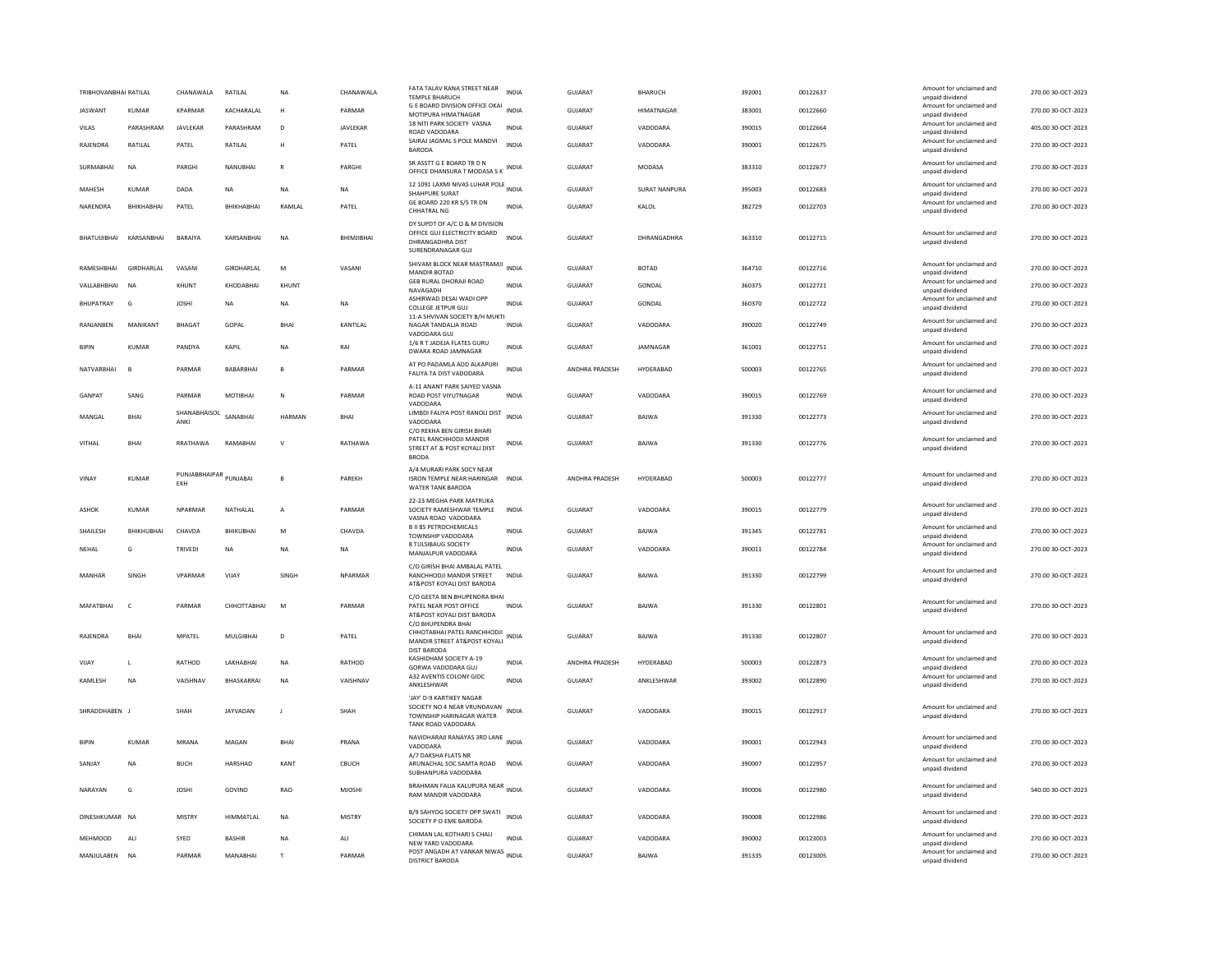| TRIBHOVANBHAI RATILAL           |                | CHANAWALA            | RATILAL                   | <b>NA</b>      | CHANAWALA     | FATA TALAV RANA STREET NEAR<br><b>TEMPLE BHARUCH</b>                                                            | <b>INDIA</b> | <b>GUJARAT</b>            | <b>BHARUCH</b>     | 392001           | 00122637             | Amount for unclaimed and<br>unpaid dividend                                                | 270.00 30-OCT-2023                       |
|---------------------------------|----------------|----------------------|---------------------------|----------------|---------------|-----------------------------------------------------------------------------------------------------------------|--------------|---------------------------|--------------------|------------------|----------------------|--------------------------------------------------------------------------------------------|------------------------------------------|
| <b>JASWANT</b>                  | <b>KUMAR</b>   | <b>KPARMAR</b>       | KACHARALAL                | H              | PARMAR        | G E BOARD DIVISION OFFICE OKAI INDIA<br>MOTIPURA HIMATNAGAR                                                     |              | <b>GUJARAT</b>            | HIMATNAGAR         | 383001           | 00122660             | Amount for unclaimed and<br>unpaid dividend                                                | 270.00 30-OCT-2023                       |
| VILAS                           | PARASHRAM      | JAVLEKAR             | PARASHRAM                 | D              | JAVLEKAR      | 18 NITI PARK SOCIETY VASNA<br>ROAD VADODARA                                                                     | <b>INDIA</b> | <b>GUJARAT</b>            | VADODARA           | 390015           | 00122664             | Amount for unclaimed and<br>unpaid dividend                                                | 405.00 30-OCT-2023                       |
| RAJENDRA                        | RATILAL        | PATEL                | RATILAL                   | H              | PATEL         | SAIRAJ JAGMAL S POLE MANDVI<br><b>BARODA</b>                                                                    | <b>INDIA</b> | <b>GUJARAT</b>            | VADODARA           | 390001           | 00122675             | Amount for unclaimed and<br>unpaid dividend                                                | 270.00 30-OCT-2023                       |
| SURMABHAI                       | <b>NA</b>      | PARGHI               | NANUBHAI                  |                | PARGHI        | SR ASSTT G E BOARD TR D N<br>OFFICE DHANSURA T MODASA S K INDIA                                                 |              | GUJARAT                   | MODASA             | 383310           | 00122677             | Amount for unclaimed and<br>unpaid dividend                                                | 270.00 30-OCT-2023                       |
| <b>MAHFSH</b>                   | KUMAR          | DADA                 | <b>NA</b>                 | <b>NA</b>      | NA.           | 12 1091 LAXMI NIVAS LUHAR POLE INDIA<br>SHAHPURE SURAT                                                          |              | GUIARAT                   | SURAT NANPURA      | 395003           | 00122683             | Amount for unclaimed and<br>unpaid dividend                                                | 270.00 30-OCT-2023                       |
| NARENDRA                        | BHIKHABHAI     | PATEL                | BHIKHABHAI                | RAMLAL         | PATEL         | GE BOARD 220 KR S/S TR DN<br><b>CHHATRAL NG</b>                                                                 | <b>INDIA</b> | GUJARAT                   | KALOL              | 382729           | 00122703             | Amount for unclaimed and<br>unpaid dividend                                                | 270.00 30-OCT-2023                       |
| BHATUUIBHAI                     | KARSANBHAI     | BARAIYA              | KARSANBHAI                | <b>NA</b>      | BHIMJIBHAI    | DY SUPDT OF A/C O & M DIVISION<br>OFFICE GUJ ELECTRICITY BOARD<br><b>DHRANGADHRA DIST</b><br>SURENDRANAGAR GUJ  | INDIA        | GUJARAT                   | DHRANGADHRA        | 363310           | 00122715             | Amount for unclaimed and<br>unpaid dividend                                                | 270.00 30-OCT-2023                       |
| RAMESHBHAI                      | GIRDHARLAL     | VASANI               | GIRDHARLAL                | M              | VASANI        | SHIVAM BLOCK NEAR MASTRAMJI INDIA<br>MANDIR BOTAD                                                               |              | GUJARAT                   | <b>BOTAD</b>       | 364710           | 00122716             | Amount for unclaimed and<br>unpaid dividend                                                | 270.00 30-OCT-2023                       |
| VALLABHBHAI                     | N <sub>A</sub> | KHUNT                | KHODARHAI                 | KHUNT          |               | <b>GEB RURAL DHORAJI ROAD</b><br>NAVAGADH                                                                       | <b>INDIA</b> | GUIARAT                   | GONDAL             | 360375           | 00122721             | Amount for unclaimed and<br>unpaid dividend                                                | 270.00 30-OCT-2023                       |
| BHUPATRAY                       | G              | <b>JOSHI</b>         | NA                        | NA             | NA            | ASHIRWAD DESAI WADI OPP<br><b>COLLEGE JETPUR GUJ</b>                                                            | INDIA        | GUJARAT                   | GONDAL             | 360370           | 00122722             | Amount for unclaimed and<br>unpaid dividend                                                | 270.00 30-OCT-2023                       |
| RANJANBEN                       | MANIKANT       | <b>BHAGAT</b>        | GOPAL                     | <b>RHA</b>     | KANTILAL      | 11-A SHVIVAN SOCIETY B/H MUKTI<br>NAGAR TANDALJA ROAD<br>VADODARA GUJ                                           | <b>INDIA</b> | <b>GUJARAT</b>            | VADODARA           | 390020           | 00122749             | Amount for unclaimed and<br>unpaid dividend                                                | 270.00 30-OCT-2023                       |
| <b>BIPIN</b>                    | KUMAR          | PANDYA               | KAPIL                     | <b>NA</b>      | RAI           | 1/6 R T JADEJA FLATES GURU<br>DWARA ROAD JAMNAGAR                                                               | INDIA        | GUJARAT                   | JAMNAGAR           | 361001           | 00122751             | Amount for unclaimed and<br>unpaid dividend                                                | 270.00 30-OCT-2023                       |
| NATVARBHAI                      | <b>B</b>       | PARMAR               | BABARBHAI                 | $\mathbf{B}$   | PARMAR        | AT PO PADAMLA ADD ALKAPURI<br>FALIYA TA DIST VADODARA                                                           | <b>INDIA</b> | ANDHRA PRADESH            | HYDERABAD          | 500003           | 00122765             | Amount for unclaimed and<br>unpaid dividend                                                | 270.00 30-OCT-2023                       |
| GANPAT                          | SANG           | PARMAR               | MOTIBHAI                  | $\mathbb{N}$   | PARMAR        | A-11 ANANT PARK SAIYED VASNA<br>ROAD POST VIYUTNAGAR<br>VADODARA                                                | <b>INDIA</b> | <b>GUJARAT</b>            | VADODARA           | 390015           | 00122769             | Amount for unclaimed and<br>unpaid dividend                                                | 270.00 30-OCT-2023                       |
| MANGAL                          | RHAI           | SHANABHAISOL<br>ANKI | SANARHAI                  | HARMAN         | <b>BHAI</b>   | LIMBDI FALIYA POST RANOLI DIST<br>VADODARA                                                                      | INDIA        | <b>GUJARAT</b>            | BAJWA              | 391330           | 00122773             | Amount for unclaimed and<br>unpaid dividend                                                | 270.00 30-OCT-2023                       |
| VITHAL                          | BHAI           | RRATHAWA             | RAMARHAI                  | $\mathbf{v}$   | RATHAWA       | C/O REKHA BEN GIRISH BHARI<br>PATEL RANCHHODJI MANDIR<br>STREET AT & POST KOYALI DIST<br><b>BRODA</b>           | INDIA        | GUJARAT                   | BAJWA              | 391330           | 00122776             | Amount for unclaimed and<br>unpaid dividend                                                | 270.00 30-OCT-2023                       |
| VINAY                           | <b>KUMAR</b>   | PUNJABBHAIPAR<br>EKH | PUNJABAI                  | $\mathbf{B}$   | PAREKH        | A/4 MURARI PARK SOCY NEAR<br><b>ISRON TEMPLE NEAR HARINGAR</b><br>WATER TANK BARODA                             | <b>INDIA</b> | ANDHRA PRADESH            | HYDERABAD          | 500003           | 00122777             | Amount for unclaimed and<br>unpaid dividend                                                | 270.00 30-OCT-2023                       |
| ASHOK                           | KUMAR          | NPARMAR              | NATHALAL                  | A              | PARMAR        | 22-23 MEGHA PARK MATRUKA<br>SOCIETY RAMESHWAR TEMPLE<br>VASNA ROAD VADODARA                                     | INDIA        | GUJARAT                   | VADODARA           | 390015           | 00122779             | Amount for unclaimed and<br>unpaid dividend                                                | 270.00 30-OCT-2023                       |
| SHAILESH                        | BHIKHUBHAI     | CHAVDA               | BHIKUBHAI                 | M              | CHAVDA        | <b>B II 85 PETROCHEMICALS</b><br>TOWNSHIP VADODARA                                                              | <b>INDIA</b> | <b>GUJARAT</b>            | BAJWA              | 391345           | 00122781             | Amount for unclaimed and<br>unpaid dividend                                                | 270.00 30-OCT-2023                       |
| NEHAL                           | G              | TRIVEDI              | NA                        | <b>NA</b>      | <b>NA</b>     | 8 TULSIBAUG SOCIETY<br>MANJALPUR VADODARA                                                                       | <b>INDIA</b> | <b>GUJARAT</b>            | VADODARA           | 390011           | 00122784             | Amount for unclaimed and<br>unpaid dividend                                                | 270.00 30-OCT-2023                       |
| MANHAR                          | SINGH          | VPARMAR              | VIJAY                     | SINGH          | NPARMAR       | C/O GIRISH BHAI AMBALAL PATEL<br>RANCHHODJI MANDIR STREET<br>AT&POST KOYALI DIST BARODA                         | <b>INDIA</b> | <b>GUJARAT</b>            | BAJWA              | 391330           | 00122799             | Amount for unclaimed and<br>unpaid dividend                                                | 270.00 30-OCT-2023                       |
| MAFATBHAI                       | $\mathsf{C}$   | PARMAR               | CHHOTTABHAI               | M              | PARMAR        | C/O GEETA BEN BHUPENDRA BHAI<br>PATEL NEAR POST OFFICE<br>AT&POST KOYALI DIST BARODA                            | INDIA        | GUJARAT                   | BAJWA              | 391330           | 00122801             | Amount for unclaimed and<br>unpaid dividend                                                | 270.00 30-OCT-2023                       |
| <b>RAIFNDRA</b>                 | <b>RHAI</b>    | MPATEL               | <b>MULGIBHAI</b>          | D              | PATEL         | C/O BHUPENDRA BHAI<br>CHHOTABHAI PATEL RANCHHODJI<br>NDIA<br>MANDIR STREET AT&POST KOYALI<br><b>DIST BARODA</b> |              | GUIARAT                   | <b>BAIWA</b>       | 391330           | 00122807             | Amount for unclaimed and<br>unpaid dividend                                                | 270.00 30-OCT-2023                       |
| VIJAY                           | $\mathbf{L}$   | RATHOD               | LAKHABHAI                 | <b>NA</b>      | RATHOD        | KASHIDHAM SOCIETY A-19<br>GORWA VADODARA GUJ                                                                    | <b>INDIA</b> | ANDHRA PRADESH            | HYDERABAD          | 500003           | 00122873             | Amount for unclaimed and<br>unpaid dividend                                                | 270.00 30-OCT-2023                       |
| <b>KAMIFSH</b>                  | <b>NA</b>      | VAISHNAV             | <b>RHASKARRAI</b>         | <b>NA</b>      | VAISHNAV      | A32 AVENTIS COLONY GIDC<br>ANKLESHWAR                                                                           | <b>INDIA</b> | GUIARAT                   | <b>ANKI FSHWAR</b> | 393002           | 00122890             | Amount for unclaimed and<br>unpaid dividend                                                | 270.00 30-QCT-2023                       |
| SHRADDHABEN J                   |                | SHAH                 | JAYVADAN                  | J              | SHAH          | 'JAY' D-9 KARTIKEY NAGAR<br>SOCIETY NO 4 NEAR VRUNDAVAN<br>TOWNSHIP HARINAGAR WATER<br>TANK ROAD VADODARA       | INDIA        | <b>GUJARAT</b>            | VADODARA           | 390015           | 00122917             | Amount for unclaimed and<br>unpaid dividend                                                | 270.00 30-OCT-2023                       |
| <b>BIPIN</b>                    | KUMAR          | MRANA                | MAGAN                     | BHA            | PRANA         | NAVIDHARAJI RANAYAS 3RD LANE INDIA<br>VADODARA                                                                  |              | GUJARAT                   | VADODARA           | 390001           | 00122943             | Amount for unclaimed and<br>unpaid dividend                                                | 270.00 30-OCT-2023                       |
| SANJAY                          | <b>NA</b>      | <b>BUCH</b>          | HARSHAD                   | KANT           | CBUCH         | A/7 DAKSHA FLATS NR<br>ARUNACHAL SOC SAMTA ROAD<br>SUBHANPURA VADODARA                                          | <b>INDIA</b> | <b>GUJARAT</b>            | VADODARA           | 390007           | 00122957             | Amount for unclaimed and<br>unpaid dividend                                                | 270.00 30-OCT-2023                       |
| NARAYAN                         | G              | <b>JOSHI</b>         | GOVIND                    | <b>RAO</b>     | <b>MJOSHI</b> | BRAHMAN FALIA KALUPURA NEAR<br>RAM MANDIR VADODARA                                                              | <b>INDIA</b> | <b>GUJARAT</b>            | VADODARA           | 390006           | 00122980             | Amount for unclaimed and<br>unpaid dividend                                                | 540.00 30-OCT-2023                       |
| DINESHKUMAR NA                  |                | <b>MISTRY</b>        | <b>HIMMATI AI</b>         | <b>NA</b>      | <b>MISTRY</b> | B/9 SAHYOG SOCIETY OPP SWATI<br>SOCIETY P O EME BARODA                                                          | <b>INDIA</b> | GUIARAT                   | VADODARA           | 390008           | 00122986             | Amount for unclaimed and<br>unpaid dividend                                                | 270.00 30-OCT-2023                       |
| <b>MEHMOOD</b><br>MANJULABEN NA | ALI            | SYED<br>PARMAR       | <b>BASHIR</b><br>MANABHAI | <b>NA</b><br>T | ALI<br>PARMAR | CHIMAN LAL KOTHARI S CHALI<br>NFW YARD VADODARA<br>POST ANGADH AT VANKAR NIWAS INDIA<br>DISTRICT BARODA         | <b>INDIA</b> | GUJARAT<br><b>GUJARAT</b> | VADODARA<br>BAJWA  | 390002<br>391335 | 00123003<br>00123005 | Amount for unclaimed and<br>unnaid dividend<br>Amount for unclaimed and<br>unpaid dividend | 270.00 30-OCT-2023<br>270.00 30-OCT-2023 |
|                                 |                |                      |                           |                |               |                                                                                                                 |              |                           |                    |                  |                      |                                                                                            |                                          |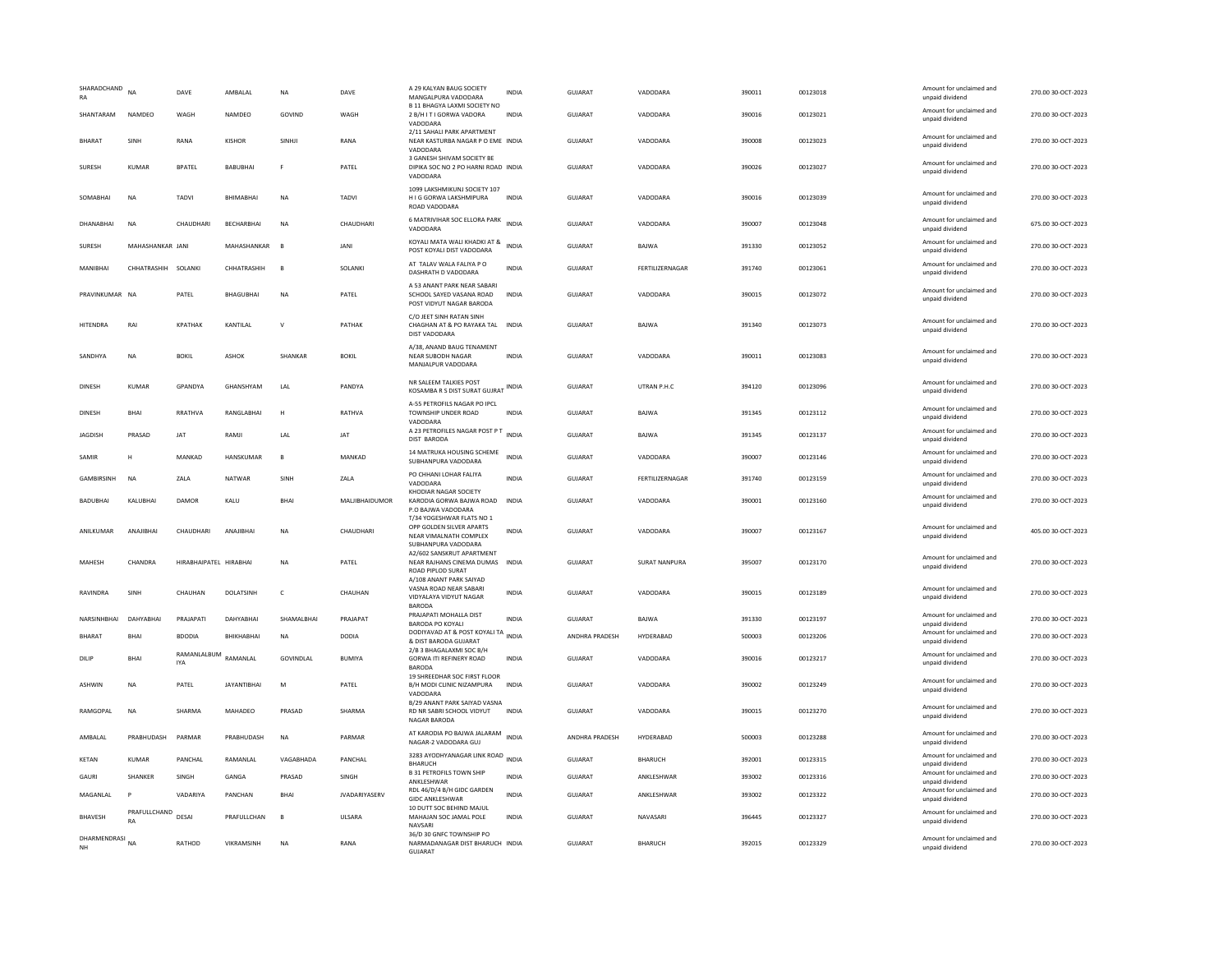| SHARADCHAND<br>RA                 | <b>NA</b>           | DAVE                      | AMBALAL            | <b>NA</b>      | DAVE                 | A 29 KALYAN BAUG SOCIETY<br>MANGALPURA VADODARA<br>B 11 BHAGYA LAXMI SOCIETY NO                        | <b>INDIA</b> | <b>GUJARAT</b> | VADODARA             | 390011 | 00123018 | Amount for unclaimed and<br>unpaid dividend<br>Amount for unclaimed and | 270.00 30-OCT-2023 |
|-----------------------------------|---------------------|---------------------------|--------------------|----------------|----------------------|--------------------------------------------------------------------------------------------------------|--------------|----------------|----------------------|--------|----------|-------------------------------------------------------------------------|--------------------|
| SHANTARAM                         | NAMDEO              | WAGH                      | NAMDEO             | GOVIND         | WAGH                 | 2 B/H I T I GORWA VADORA<br>VADODARA                                                                   | <b>INDIA</b> | <b>GUJARAT</b> | VADODARA             | 390016 | 00123021 | unpaid dividend                                                         | 270.00 30-OCT-2023 |
| BHARAT                            | SINH                | RANA                      | KISHOR             | SINHJI         | RANA                 | 2/11 SAHALI PARK APARTMENT<br>NEAR KASTURBA NAGAR P O EME INDIA<br>VADODARA                            |              | GUJARAT        | VADODARA             | 390008 | 00123023 | Amount for unclaimed and<br>unpaid dividend                             | 270.00 30-OCT-2023 |
| <b>SURESH</b>                     | <b>KUMAR</b>        | <b>BPATEL</b>             | BABUBHAI           |                | PATEL                | 3 GANESH SHIVAM SOCIETY BE<br>DIPIKA SOC NO 2 PO HARNI ROAD INDIA<br>VADODARA                          |              | <b>GUJARAT</b> | VADODARA             | 390026 | 00123027 | Amount for unclaimed and<br>unpaid dividend                             | 270.00 30-OCT-2023 |
| SOMABHAI                          | <b>NA</b>           | TADVI                     | BHIMABHAI          | NA             | TADVI                | 1099 LAKSHMIKUNJ SOCIETY 107<br>H I G GORWA LAKSHMIPURA<br>ROAD VADODARA                               | <b>INDIA</b> | GUJARAT        | VADODARA             | 390016 | 00123039 | Amount for unclaimed and<br>unpaid dividend                             | 270.00 30-OCT-2023 |
| DHANABHAI                         | <b>NA</b>           | CHAUDHAR                  | BECHARBHAI         | N <sub>A</sub> | CHAUDHARI            | 6 MATRIVIHAR SOC ELLORA PARK INDIA<br>VADODARA                                                         |              | GUJARAT        | VADODARA             | 390007 | 00123048 | Amount for unclaimed and<br>unpaid dividend                             | 675.00 30-OCT-2023 |
| SURESH                            | MAHASHANKAR JANI    |                           | MAHASHANKAR        | $\overline{B}$ | JANI                 | KOYALI MATA WALI KHADKI AT &<br>POST KOYALI DIST VADODARA                                              | <b>INDIA</b> | GUJARAT        | BAJWA                | 391330 | 00123052 | Amount for unclaimed and<br>unpaid dividend                             | 270.00 30-OCT-2023 |
| MANIRHAI                          | CHHATRASHIH SOLANKI |                           | CHHATRASHIH        | $\overline{B}$ | <b>SOLANKI</b>       | AT TALAV WALA FALIYA PO<br>DASHRATH D VADODARA                                                         | <b>INDIA</b> | GUIARAT        | FERTILIZERNAGAR      | 391740 | 00123061 | Amount for unclaimed and<br>unpaid dividend                             | 270.00 30-QCT-2023 |
| PRAVINKUMAR NA                    |                     | PATEL                     | BHAGUBHAI          | N <sub>A</sub> | PATEL                | A 53 ANANT PARK NEAR SABARI<br>SCHOOL SAYED VASANA ROAD<br>POST VIDYUT NAGAR BARODA                    | <b>INDIA</b> | <b>GUJARAT</b> | VADODARA             | 390015 | 00123072 | Amount for unclaimed and<br>unpaid dividend                             | 270.00 30-OCT-2023 |
| <b>HITENDRA</b>                   | RAI                 | <b>KPATHAK</b>            | KANTILAL           | $\vee$         | PATHAK               | C/O JEET SINH RATAN SINH<br>CHAGHAN AT & PO RAYAKA TAL INDIA<br>DIST VADODARA                          |              | <b>GUJARAT</b> | <b>BAJWA</b>         | 391340 | 00123073 | Amount for unclaimed and<br>unpaid dividend                             | 270.00 30-OCT-2023 |
| SANDHYA                           | <b>NA</b>           | <b>BOKIL</b>              | ASHOK              | SHANKAR        | <b>BOKIL</b>         | A/38, ANAND BAUG TENAMENT<br>NEAR SUBODH NAGAR<br>MANJALPUR VADODARA                                   | <b>INDIA</b> | GUIARAT        | VADODARA             | 390011 | 00123083 | Amount for unclaimed and<br>unpaid dividend                             | 270.00 30-OCT-2023 |
| <b>DINESH</b>                     | KUMAR               | <b>GPANDYA</b>            | GHANSHYAM          | 1 Al           | PANDYA               | NR SALEEM TALKIES POST<br>KOSAMBA R S DIST SURAT GUJRAT INDIA                                          |              | GUIARAT        | UTRAN P.H.C.         | 394120 | 00123096 | Amount for unclaimed and<br>unpaid dividend                             | 270.00 30-OCT-2023 |
| DINESH                            | <b>BHAI</b>         | RRATHVA                   | RANGLABHAI         | H              | RATHVA               | A-55 PETROFILS NAGAR PO IPCL<br>TOWNSHIP UNDER ROAD<br>VADODARA                                        | <b>INDIA</b> | GUJARAT        | BAJWA                | 391345 | 00123112 | Amount for unclaimed and<br>unpaid dividend                             | 270.00 30-OCT-2023 |
| JAGDISH                           | PRASAD              | <b>JAT</b>                | RAMJ               | LAL            | <b>JAT</b>           | A 23 PETROFILES NAGAR POST P T<br>DIST BARODA                                                          | <b>INDIA</b> | <b>GUJARAT</b> | <b>BAJWA</b>         | 391345 | 00123137 | Amount for unclaimed and<br>unpaid dividend                             | 270.00 30-OCT-2023 |
| SAMIR                             | н                   | MANKAD                    | HANSKUMAR          | B              | MANKAD               | 14 MATRUKA HOUSING SCHEME<br>SUBHANPURA VADODARA                                                       | <b>INDIA</b> | GUJARAT        | VADODARA             | 390007 | 00123146 | Amount for unclaimed and<br>unpaid dividend                             | 270.00 30-OCT-2023 |
|                                   |                     |                           |                    |                |                      |                                                                                                        |              |                |                      |        |          |                                                                         |                    |
| <b>GAMBIRSINH</b>                 | <b>NA</b>           | ZALA                      | NATWAR             | SINH           | ZALA                 | PO CHHANI LOHAR FALIYA<br>VADODARA                                                                     | <b>INDIA</b> | GUJARAT        | FERTILIZERNAGAR      | 391740 | 00123159 | Amount for unclaimed and<br>unpaid dividend                             | 270.00 30-OCT-2023 |
| <b>BADUBHAI</b>                   | KALUBHAI            | DAMOR                     | KALU               | <b>BHAI</b>    | MALJIBHAIDUMOR       | KHODIAR NAGAR SOCIETY<br>KARODIA GORWA BAJWA ROAD INDIA<br>P.O BAJWA VADODARA                          |              | <b>GUJARAT</b> | VADODARA             | 390001 | 00123160 | Amount for unclaimed and<br>unpaid dividend                             | 270.00 30-OCT-2023 |
| ANILKUMAR                         | ANAJIBHAI           | CHAUDHARI                 | ANAJIBHA           | <b>NA</b>      | CHAUDHARI            | T/34 YOGESHWAR FLATS NO 1<br>OPP GOLDEN SILVER APARTS<br>NEAR VIMALNATH COMPLEX<br>SUBHANPURA VADODARA | <b>INDIA</b> | GUJARAT        | VADODARA             | 390007 | 00123167 | Amount for unclaimed and<br>unpaid dividend                             | 405.00 30-OCT-2023 |
| MAHESH                            | CHANDRA             | HIRABHAIPATEL HIRABHAI    |                    | <b>NA</b>      | PATEL                | A2/602 SANSKRUT APARTMENT<br>NEAR RAJHANS CINEMA DUMAS INDIA<br><b>ROAD PIPLOD SURAT</b>               |              | <b>GUJARAT</b> | <b>SURAT NANPURA</b> | 395007 | 00123170 | Amount for unclaimed and<br>unpaid dividend                             | 270.00 30-OCT-2023 |
| RAVINDRA                          | SINH                | CHAUHAN                   | <b>DOLATSINH</b>   | $\mathsf{C}$   | CHAUHAN              | A/108 ANANT PARK SAIYAD<br>VASNA ROAD NEAR SABARI<br>VIDYALAYA VIDYUT NAGAR<br><b>BARODA</b>           | <b>INDIA</b> | <b>GUJARAT</b> | VADODARA             | 390015 | 00123189 | Amount for unclaimed and<br>unpaid dividend                             | 270.00 30-OCT-2023 |
| NARSINHBHAI                       | DAHYABHAI           | PRAJAPATI                 | DAHYARHAI          | SHAMALBHAI     | PRAIAPAT             | PRAJAPATI MOHALLA DIST<br>BARODA PO KOYALI                                                             | <b>INDIA</b> | <b>GUJARAT</b> | BAJWA                | 391330 | 00123197 | Amount for unclaimed and<br>unpaid dividend                             | 270.00 30-OCT-2023 |
| BHARAT                            | BHAI                | <b>BDODIA</b>             | BHIKHABHAI         | <b>NA</b>      | <b>DODIA</b>         | DODIYAVAD AT & POST KOYALI TA INDIA<br>& DIST BARODA GUJARAT                                           |              | ANDHRA PRADESH | HYDERABAD            | 500003 | 00123206 | Amount for unclaimed and<br>unpaid dividend                             | 270.00 30-OCT-2023 |
| DILIP                             | <b>BHAI</b>         | RAMANLALBUM<br><b>IYA</b> | RAMANLAL           | GOVINDLAI      | <b>BUMIYA</b>        | 2/B 3 BHAGALAXMI SOC B/H<br><b>GORWA ITI REFINERY ROAD</b><br><b>BARODA</b>                            | <b>INDIA</b> | <b>GUJARAT</b> | VADODARA             | 390016 | 00123217 | Amount for unclaimed and<br>unpaid dividend                             | 270.00 30-OCT-2023 |
| <b>ASHWIN</b>                     | NA                  | PATEL                     | <b>JAYANTIBHAI</b> | ${\sf M}$      | PATEL                | 19 SHREEDHAR SOC FIRST FLOOR<br>B/H MODI CLINIC NIZAMPURA<br>VADODARA                                  | <b>INDIA</b> | GUJARAT        | VADODARA             | 390002 | 00123249 | Amount for unclaimed and<br>unpaid dividend                             | 270.00 30-OCT-2023 |
| RAMGOPAL                          | <b>NA</b>           | SHARMA                    | MAHADEO            | PRASAD         | SHARMA               | <b>B/29 ANANT PARK SAIYAD VASNA</b><br>RD NR SABRI SCHOOL VIDYUT<br>NAGAR BARODA                       | <b>INDIA</b> | <b>GUJARAT</b> | VADODARA             | 390015 | 00123270 | Amount for unclaimed and<br>unpaid dividend                             | 270.00 30-OCT-2023 |
| AMBALAL                           | PRABHUDASH          | PARMAR                    | PRABHUDASH         | <b>NA</b>      | PARMAR               | AT KARODIA PO BAJWA JALARAM INDIA<br>NAGAR-2 VADODARA GUJ                                              |              | ANDHRA PRADESH | HYDERABAD            | 500003 | 00123288 | Amount for unclaimed and<br>unpaid dividend                             | 270.00 30-OCT-2023 |
| KETAN                             | KUMAR               | PANCHAL                   | RAMANLAL           | VAGABHADA      | PANCHAL              | 3283 AYODHYANAGAR LINK ROAD INDIA<br><b>BHARUCH</b>                                                    |              | GUJARAT        | BHARUCH              | 392001 | 00123315 | Amount for unclaimed and<br>unpaid dividend                             | 270.00 30-OCT-2023 |
| GAURI                             | SHANKER             | SINGH                     | GANGA              | PRASAD         | SINGH                | <b>B 31 PETROFILS TOWN SHIP</b><br>ANKLESHWAR                                                          | <b>INDIA</b> | GUJARAT        | ANKLESHWAR           | 393002 | 00123316 | Amount for unclaimed and<br>unpaid dividend                             | 270.00 30-OCT-2023 |
| MAGANLAL                          | P                   | VADARIYA                  | PANCHAN            | <b>RHAI</b>    | <b>JVADARIYASERV</b> | RDL 46/D/4 B/H GIDC GARDEN<br><b>GIDC ANKLESHWAR</b>                                                   | <b>INDIA</b> | <b>GUJARAT</b> | ANKLESHWAR           | 393002 | 00123322 | Amount for unclaimed and<br>unpaid dividend                             | 270.00 30-OCT-2023 |
| <b>BHAVESH</b><br>DHARMENDRASI NA | PRAFULLCHAND<br>RA  | DESAI                     | PRAFULLCHAN        | B              | <b>ULSARA</b>        | 10 DUTT SOC BEHIND MAJUL<br>MAHAJAN SOC JAMAL POLE<br>NAVSARI<br>36/D 30 GNFC TOWNSHIP PO              | <b>INDIA</b> | <b>GUJARAT</b> | NAVASARI             | 396445 | 00123327 | Amount for unclaimed and<br>unpaid dividend                             | 270.00 30-OCT-2023 |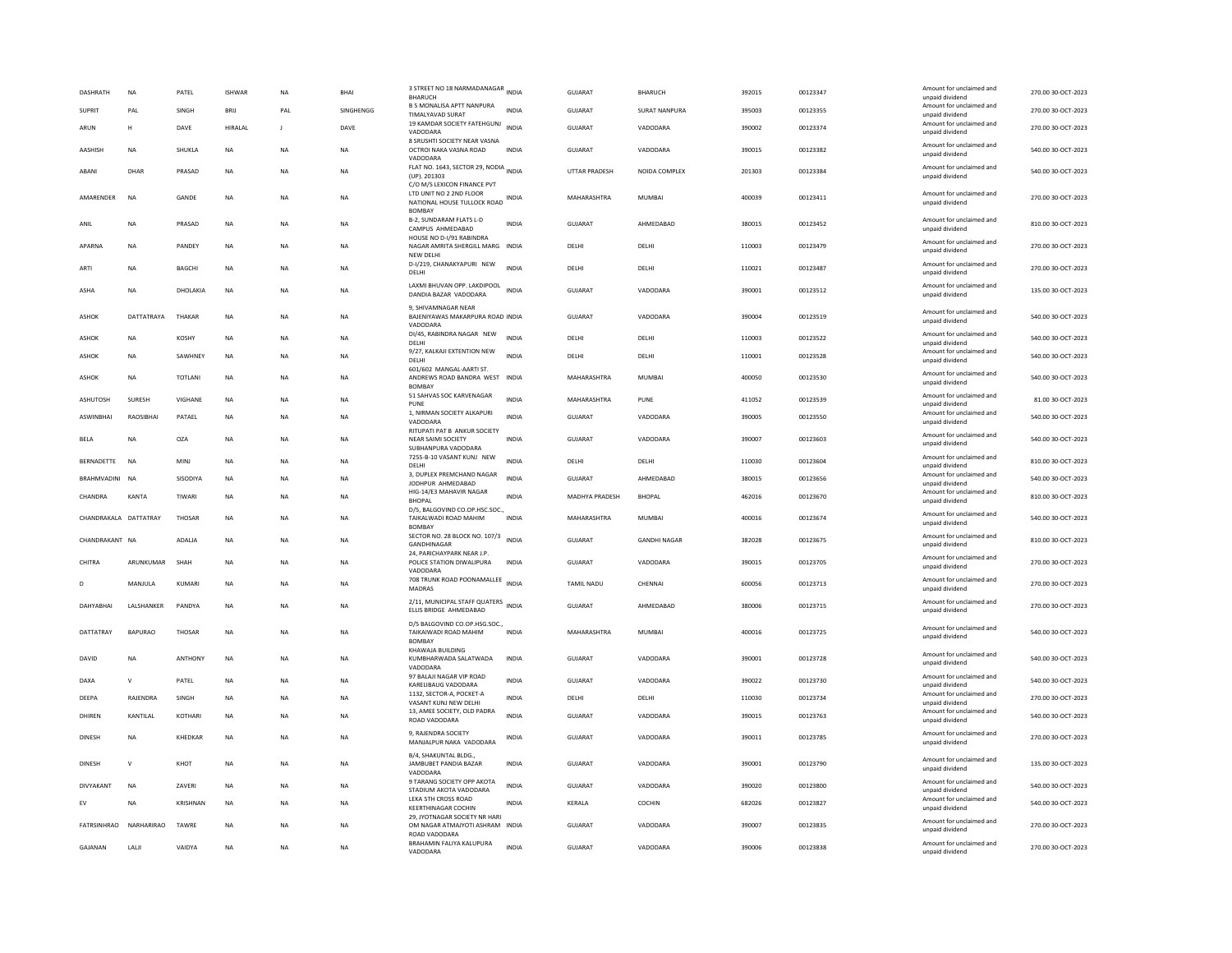| <b>DASHRATH</b>       | <b>NA</b>      | PATEL          | <b>ISHWAR</b> | <b>NA</b> | <b>BHAI</b> | 3 STREET NO 18 NARMADANAGAR INDIA<br><b>BHARUCH</b>                                         |              | GUIARAT        | <b>BHARUCH</b>      | 392015 | 00123347 | Amount for unclaimed and<br>unpaid dividend                    | 270.00 30-OCT-2023 |
|-----------------------|----------------|----------------|---------------|-----------|-------------|---------------------------------------------------------------------------------------------|--------------|----------------|---------------------|--------|----------|----------------------------------------------------------------|--------------------|
| <b>SUPRIT</b>         | PAL            | SINGH          | <b>BRIJ</b>   | PAL       | SINGHENGG   | <b>B 5 MONALISA APTT NANPURA</b><br>TIMALYAVAD SURAT                                        | <b>INDIA</b> | GUJARAT        | SURAT NANPURA       | 395003 | 00123355 | Amount for unclaimed and                                       | 270.00 30-OCT-2023 |
| ARUN                  | H              | DAVE           | HIRALAL       | J         | DAVE        | 19 KAMDAR SOCIETY FATEHGUNJ<br>VADODARA                                                     | <b>INDIA</b> | <b>GUJARAT</b> | VADODARA            | 390002 | 00123374 | unpaid dividend<br>Amount for unclaimed and<br>unpaid dividend | 270.00 30-OCT-2023 |
| AASHISH               | <b>NA</b>      | SHUKLA         | <b>NA</b>     | <b>NA</b> | <b>NA</b>   | 8 SRUSHTI SOCIETY NEAR VASNA<br>OCTROI NAKA VASNA ROAD<br>VADODARA                          | <b>INDIA</b> | <b>GUJARAT</b> | VADODARA            | 390015 | 00123382 | Amount for unclaimed and<br>unpaid dividend                    | 540.00 30-OCT-2023 |
| ABANI                 | DHAR           | PRASAD         | <b>NA</b>     | <b>NA</b> | <b>NA</b>   | FLAT NO. 1643, SECTOR 29, NODIA INDIA<br>(UP). 201303                                       |              | UTTAR PRADESH  | NOIDA COMPLEX       | 201303 | 00123384 | Amount for unclaimed and<br>unpaid dividend                    | 540.00 30-OCT-2023 |
| AMARENDER             | <b>NA</b>      | GANDE          | NA            | NA        | <b>NA</b>   | C/O M/S LEXICON FINANCE PVT<br>LTD UNIT NO 2 2ND FLOOR<br>NATIONAL HOUSE TULLOCK ROAD INDIA |              | MAHARASHTRA    | <b>MUMBAI</b>       | 400039 | 00123411 | Amount for unclaimed and<br>unpaid dividend                    | 270.00 30-OCT-2023 |
| ANIL                  | <b>NA</b>      | PRASAD         | <b>NA</b>     | <b>NA</b> | <b>NA</b>   | <b>BOMBAY</b><br>B-2, SUNDARAM FLATS L-D<br>CAMPUS AHMEDABAD                                | <b>INDIA</b> | <b>GUJARAT</b> | AHMEDABAD           | 380015 | 00123452 | Amount for unclaimed and<br>unpaid dividend                    | 810.00 30-OCT-2023 |
| APARNA                | <b>NA</b>      | PANDEY         | NA            | <b>NA</b> | NA          | HOUSE NO D-I/91 RABINDRA<br>NAGAR AMRITA SHERGILL MARG INDIA<br>NEW DELH                    |              | DELHI          | DELHI               | 110003 | 00123479 | Amount for unclaimed and<br>unpaid dividend                    | 270.00 30-OCT-2023 |
| ARTI                  | <b>NA</b>      | <b>BAGCHI</b>  | <b>NA</b>     | <b>NA</b> | <b>NA</b>   | D-I/219, CHANAKYAPURI NEW<br>DELHI                                                          | <b>INDIA</b> | <b>DELHI</b>   | <b>DELHI</b>        | 110021 | 00123487 | Amount for unclaimed and<br>unpaid dividend                    | 270.00 30-OCT-2023 |
| ASHA                  | <b>NA</b>      | DHOLAKIA       | <b>NA</b>     | <b>NA</b> | NA          | LAXMI BHUVAN OPP. LAKDIPOOL<br>DANDIA BAZAR VADODARA                                        | <b>INDIA</b> | GUJARAT        | VADODARA            | 390001 | 00123512 | Amount for unclaimed and<br>unpaid dividend                    | 135.00 30-OCT-2023 |
| ASHOK                 | DATTATRAYA     | THAKAR         | <b>NA</b>     | <b>NA</b> | <b>NA</b>   | 9, SHIVAMNAGAR NEAR<br>BAJENIYAWAS MAKARPURA ROAD INDIA<br>VADODARA                         |              | <b>GUJARAT</b> | VADODARA            | 390004 | 00123519 | Amount for unclaimed and<br>unpaid dividend                    | 540.00 30-OCT-2023 |
| ASHOK                 | <b>NA</b>      | <b>KOSHY</b>   | <b>NA</b>     | <b>NA</b> | NA          | DI/45, RABINDRA NAGAR NEW<br>DFI HI                                                         | <b>INDIA</b> | DELHI          | DELHI               | 110003 | 00123522 | Amount for unclaimed and<br>unpaid dividend                    | 540.00 30-OCT-2023 |
| ASHOK                 | <b>NA</b>      | <b>SAWHNEY</b> | NA            | <b>NA</b> | NA.         | 9/27, KALKAJI EXTENTION NEW<br>DELHI                                                        | <b>INDIA</b> | DELHI          | <b>DELHI</b>        | 110001 | 00123528 | Amount for unclaimed and<br>unpaid dividend                    | 540.00 30-OCT-2023 |
| <b>ASHOK</b>          | <b>NA</b>      | <b>TOTLANI</b> | <b>NA</b>     | <b>NA</b> | <b>NA</b>   | 601/602 MANGAL-AARTI ST.<br>ANDREWS ROAD BANDRA WEST INDIA<br><b>BOMBAY</b>                 |              | MAHARASHTRA    | <b>MUMBAI</b>       | 400050 | 00123530 | Amount for unclaimed and<br>unpaid dividend                    | 540.00 30-OCT-2023 |
| ASHUTOSH              | SURESH         | VIGHANE        | <b>NA</b>     | <b>NA</b> | NA          | 51 SAHVAS SOC KARVENAGAR<br>PUNE                                                            | <b>INDIA</b> | MAHARASHTRA    | PUNE                | 411052 | 00123539 | Amount for unclaimed and<br>unpaid dividend                    | 81.00 30-OCT-2023  |
| ASWINBHAI             | RAOSIBHAI      | PATAEL         | NA            | <b>NA</b> | <b>NA</b>   | 1, NIRMAN SOCIETY ALKAPURI<br>VADODARA                                                      | <b>INDIA</b> | GUJARAT        | VADODARA            | 390005 | 00123550 | Amount for unclaimed and<br>unpaid dividend                    | 540.00 30-OCT-2023 |
| <b>BELA</b>           | NA             | OZA            | NA            | <b>NA</b> | <b>NA</b>   | RITUPATI PAT B ANKUR SOCIETY<br>NEAR SAIMI SOCIETY<br>SUBHANPURA VADODARA                   | <b>INDIA</b> | GUJARAT        | VADODARA            | 390007 | 00123603 | Amount for unclaimed and<br>unpaid dividend                    | 540.00 30-OCT-2023 |
| <b>BERNADETTE</b>     | <b>NA</b>      | <b>MINJ</b>    | <b>NA</b>     | <b>NA</b> | NA          | 7255-B-10 VASANT KUNJ NEW<br>DELHI                                                          | <b>INDIA</b> | DELHI          | DELHI               | 110030 | 00123604 | Amount for unclaimed and<br>unpaid dividend                    | 810.00 30-OCT-2023 |
| BRAHMVADINI NA        |                | SISODIYA       | <b>NA</b>     | <b>NA</b> | <b>NA</b>   | 3. DUPLEX PREMCHAND NAGAR<br>JODHPUR AHMEDABAD                                              | <b>INDIA</b> | GUJARAT        | AHMEDABAD           | 380015 | 00123656 | Amount for unclaimed and<br>unpaid dividend                    | 540.00 30-OCT-2023 |
| CHANDRA               | <b>KANTA</b>   | TIWARI         | NA            | <b>NA</b> | NA          | HIG-14/E3 MAHAVIR NAGAR<br><b>BHOPAL</b>                                                    | INDIA        | MADHYA PRADESH | <b>BHOPAL</b>       | 462016 | 00123670 | Amount for unclaimed and<br>unpaid dividend                    | 810.00 30-OCT-2023 |
| CHANDRAKALA DATTATRAY |                | THOSAR         | <b>NA</b>     | <b>NA</b> | <b>NA</b>   | D/5, BALGOVIND CO.OP.HSC.SOC.,<br>TAIKALWADI ROAD MAHIM<br><b>BOMBA</b>                     | <b>INDIA</b> | MAHARASHTRA    | <b>MUMBAI</b>       | 400016 | 00123674 | Amount for unclaimed and<br>unpaid dividend                    | 540.00 30-OCT-2023 |
| CHANDRAKANT NA        |                | ADALJA         | NA            | <b>NA</b> | NA          | SECTOR NO. 28 BLOCK NO. 107/3<br>GANDHINAGAR                                                | <b>INDIA</b> | GUJARAT        | <b>GANDHI NAGAR</b> | 382028 | 00123675 | Amount for unclaimed and<br>unpaid dividend                    | 810.00 30-OCT-2023 |
| CHITRA                | ARUNKUMAR      | SHAH           | <b>NA</b>     | <b>NA</b> | NA.         | 24. PARICHAYPARK NEAR J.P.<br>POLICE STATION DIWALIPURA<br>VADODARA                         | <b>INDIA</b> | GUIARAT        | VADODARA            | 390015 | 00123705 | Amount for unclaimed and<br>unpaid dividend                    | 270.00 30-OCT-2023 |
| D                     | MANJULA        | KUMARI         | NA            | NA        | NA          | 708 TRUNK ROAD POONAMALLEE INDIA<br>MADRAS                                                  |              | TAMIL NADU     | CHENNAI             | 600056 | 00123713 | Amount for unclaimed and<br>unpaid dividend                    | 270.00 30-OCT-2023 |
| DAHYABHAI             | LALSHANKER     | PANDYA         | <b>NA</b>     | <b>NA</b> | <b>NA</b>   | 2/11, MUNICIPAL STAFF QUATERS INDIA<br>ELLIS BRIDGE AHMEDABAD                               |              | GUJARAT        | AHMEDABAD           | 380006 | 00123715 | Amount for unclaimed and<br>unpaid dividend                    | 270.00 30-OCT-2023 |
| DATTATRAY             | <b>BAPURAO</b> | <b>THOSAR</b>  | <b>NA</b>     | <b>NA</b> | <b>NA</b>   | D/5 BALGOVIND CO.OP.HSG.SOC.,<br>TAIKAIWADI ROAD MAHIM<br><b>BOMBA</b>                      | <b>INDIA</b> | MAHARASHTRA    | MUMBAI              | 400016 | 00123725 | Amount for unclaimed and<br>unpaid dividend                    | 540.00 30-OCT-2023 |
| DAVID                 | <b>NA</b>      | ANTHONY        | $_{\sf NA}$   | NA        | NA          | KHAWAJA BUILDING<br>KUMBHARWADA SALATWADA<br>VADODARA                                       | INDIA        | GUJARAT        | VADODARA            | 390001 | 00123728 | Amount for unclaimed and<br>unpaid dividend                    | 540.00 30-OCT-2023 |
| DAXA                  | $\mathsf{v}$   | PATEL          | <b>NA</b>     | <b>NA</b> | NA          | 97 BALAJI NAGAR VIP ROAD<br>KARELIBAUG VADODARA                                             | <b>INDIA</b> | <b>GUJARAT</b> | VADODARA            | 390022 | 00123730 | Amount for unclaimed and<br>unpaid dividend                    | 540.00 30-OCT-2023 |
| DEEPA                 | RAJENDRA       | SINGH          | NA            | NA        | <b>NA</b>   | 1132. SECTOR-A, POCKET-A<br>VASANT KUNJ NEW DELHI                                           | INDIA        | DELHI          | DELHI               | 110030 | 00123734 | Amount for unclaimed and<br>unpaid dividend                    | 270.00 30-OCT-2023 |
| DHIREN                | KANTILAL       | <b>KOTHARI</b> | NA            | <b>NA</b> | NA          | 13, AMEE SOCIETY, OLD PADRA<br>ROAD VADODARA                                                | <b>INDIA</b> | GUJARAT        | VADODARA            | 390015 | 00123763 | Amount for unclaimed and<br>unpaid dividend                    | 540.00 30-OCT-2023 |
| <b>DINESH</b>         | <b>NA</b>      | KHEDKAR        | <b>NA</b>     | <b>NA</b> | <b>NA</b>   | 9, RAJENDRA SOCIETY<br>MANJALPUR NAKA VADODARA                                              | <b>INDIA</b> | GUJARAT        | VADODARA            | 390011 | 00123785 | Amount for unclaimed and<br>unpaid dividend                    | 270.00 30-OCT-2023 |
| DINESH                | $\mathbf{v}$   | KHOT           | NA            | <b>NA</b> | NA          | B/4, SHAKUNTAL BLDG<br>JAMBUBET PANDIA BAZAR<br>VADODARA                                    | INDIA        | <b>GUJARAT</b> | VADODARA            | 390001 | 00123790 | Amount for unclaimed and<br>unpaid dividend                    | 135.00 30-OCT-2023 |
| DIVYAKANT             | <b>NA</b>      | ZAVERI         | NA            | <b>NA</b> | <b>NA</b>   | 9 TARANG SOCIETY OPP AKOTA<br>STADIUM AKOTA VADODARA                                        | <b>INDIA</b> | <b>GUJARAT</b> | VADODARA            | 390020 | 00123800 | Amount for unclaimed and<br>unpaid dividend                    | 540.00 30-OCT-2023 |
| EV                    | NA             | KRISHNAN       | <b>NA</b>     | <b>NA</b> | NA          | LEKA 5TH CROSS ROAD<br>KEERTHINAGAR COCHIN                                                  | INDIA        | KERALA         | COCHIN              | 682026 | 00123827 | Amount for unclaimed and<br>unpaid dividend                    | 540.00 30-OCT-2023 |
| FATRSINHRAO           | NARHARIRAO     | TAWRE          | <b>NA</b>     | <b>NA</b> | <b>NA</b>   | 29. JYOTNAGAR SOCIETY NR HARI<br>OM NAGAR ATMAJYOTI ASHRAM INDIA<br>ROAD VADODARA           |              | GUJARAT        | VADODARA            | 390007 | 00123835 | Amount for unclaimed and<br>unpaid dividend                    | 270.00 30-OCT-2023 |
| GAJANAN               | LALI           | VAIDYA         | <b>NA</b>     | <b>NA</b> | <b>NA</b>   | BRAHAMIN FALIYA KALUPURA<br>VADODARA                                                        | <b>INDIA</b> | <b>GUJARAT</b> | VADODARA            | 390006 | 00123838 | Amount for unclaimed and<br>unpaid dividend                    | 270.00 30-OCT-2023 |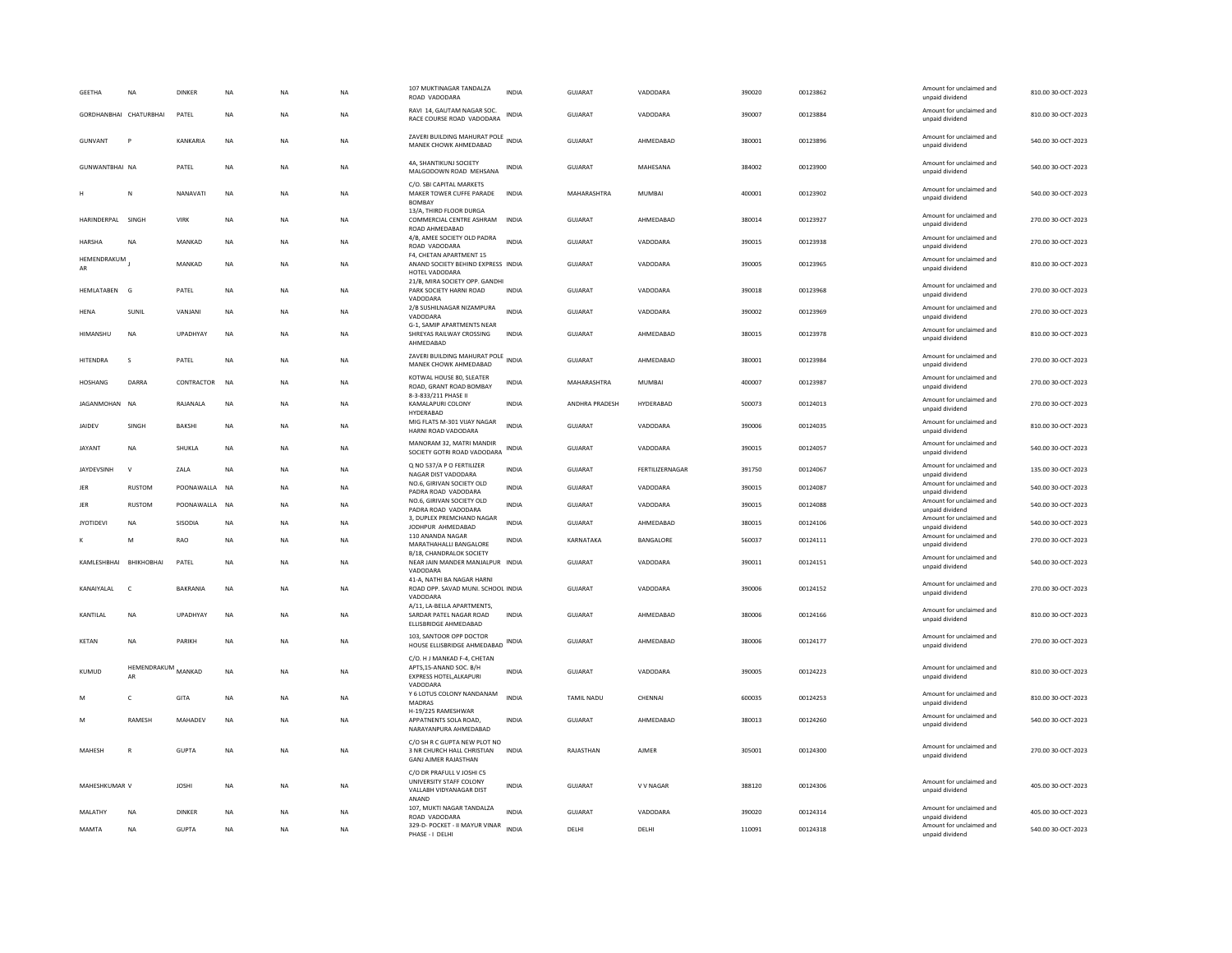| <b>GEETHA</b>          | <b>NA</b>              | <b>DINKER</b>   | <b>NA</b> | <b>NA</b> | <b>NA</b> | 107 MUKTINAGAR TANDALZA<br>ROAD VADODARA                                           | <b>INDIA</b> | GUJARAT               | VADODARA        | 390020 | 00123862 | Amount for unclaimed and<br>unpaid dividend | 810.00 30-OCT-2023 |
|------------------------|------------------------|-----------------|-----------|-----------|-----------|------------------------------------------------------------------------------------|--------------|-----------------------|-----------------|--------|----------|---------------------------------------------|--------------------|
|                        | GORDHANBHAI CHATURBHAI | PATEL           | NA        | NA        | NA        | RAVI 14, GAUTAM NAGAR SOC.<br>RACE COURSE ROAD VADODARA                            | INDIA        | GUJARAT               | VADODARA        | 390007 | 00123884 | Amount for unclaimed and<br>unpaid dividend | 810.00 30-OCT-2023 |
| GUNVANT                | P                      | KANKARIA        | NA        | <b>NA</b> | <b>NA</b> | ZAVERI BUILDING MAHURAT POLE<br>MANEK CHOWK AHMEDABAD                              | <b>INDIA</b> | GUJARAT               | AHMEDABAD       | 380001 | 00123896 | Amount for unclaimed and<br>unpaid dividend | 540.00 30-OCT-2023 |
| <b>GUNWANTBHAI NA</b>  |                        | PATEL           | <b>NA</b> | <b>NA</b> | <b>NA</b> | 4A, SHANTIKUNJ SOCIETY<br>MALGODOWN ROAD MEHSANA                                   | INDIA        | <b>GUJARAT</b>        | MAHESANA        | 384002 | 00123900 | Amount for unclaimed and<br>unpaid dividend | 540.00 30-OCT-2023 |
|                        | N                      | NANAVATI        | <b>NA</b> | <b>NA</b> | <b>NA</b> | C/O. SBI CAPITAL MARKETS<br>MAKER TOWER CUFFE PARADE<br><b>BOMBAY</b>              | <b>INDIA</b> | MAHARASHTRA           | <b>MUMBAI</b>   | 400001 | 00123902 | Amount for unclaimed and<br>unpaid dividend | 540.00 30-OCT-2023 |
| HARINDERPAL            | SINGH                  | VIRK            | <b>NA</b> | <b>NA</b> | <b>NA</b> | 13/A, THIRD FLOOR DURGA<br>COMMERCIAL CENTRE ASHRAM<br>ROAD AHMEDABAD              | <b>INDIA</b> | <b>GUJARAT</b>        | AHMEDABAD       | 380014 | 00123927 | Amount for unclaimed and<br>unpaid dividend | 270.00 30-OCT-2023 |
| <b>HARSHA</b>          | <b>NA</b>              | MANKAD          | <b>NA</b> | <b>NA</b> | <b>NA</b> | 4/B, AMEE SOCIETY OLD PADRA<br>ROAD VADODARA                                       | <b>INDIA</b> | GUJARAT               | VADODARA        | 390015 | 00123938 | Amount for unclaimed and<br>unpaid dividend | 270.00 30-OCT-2023 |
| HEMENDRAKUM<br>AR      |                        | MANKAD          | NA        | NA        | NA        | F4. CHETAN APARTMENT 15<br>ANAND SOCIETY BEHIND EXPRESS INDIA                      |              | <b>GUJARAT</b>        | VADODARA        | 390005 | 00123965 | Amount for unclaimed and<br>unpaid dividend | 810.00 30-OCT-2023 |
| HEMLATABEN G           |                        | PATEL           | NA        | <b>NA</b> | NA        | HOTEL VADODARA<br>21/B, MIRA SOCIETY OPP. GANDHI<br>PARK SOCIETY HARNI ROAD        | <b>INDIA</b> | GUJARAT               | VADODARA        | 390018 | 00123968 | Amount for unclaimed and<br>unpaid dividend | 270.00 30-OCT-2023 |
|                        |                        |                 |           |           |           | VADODARA<br>2/B SUSHILNAGAR NIZAMPURA                                              |              |                       |                 |        |          | Amount for unclaimed and                    |                    |
| HENA                   | SUNIL                  | VANJANI         | NA        | <b>NA</b> | NA        | VADODARA<br>G-1, SAMIP APARTMENTS NEAR                                             | <b>INDIA</b> | GUJARAT               | VADODARA        | 390002 | 00123969 | unpaid dividend                             | 270.00 30-OCT-2023 |
| HIMANSHU               | <b>NA</b>              | UPADHYAY        | <b>NA</b> | NA        | NA        | SHREYAS RAILWAY CROSSING<br>AHMEDABAD                                              | <b>INDIA</b> | <b>GUJARAT</b>        | AHMEDABAD       | 380015 | 00123978 | Amount for unclaimed and<br>unpaid dividend | 810.00 30-OCT-2023 |
| HITENDRA               | s                      | PATEL           | NA        | <b>NA</b> | NA        | ZAVERI BUILDING MAHURAT POLE<br>MANEK CHOWK AHMEDABAD                              | <b>INDIA</b> | GUJARAT               | AHMEDABAD       | 380001 | 00123984 | Amount for unclaimed and<br>unpaid dividend | 270.00 30-OCT-2023 |
| <b>HOSHANG</b>         | DARRA                  | CONTRACTOR      | <b>NA</b> | <b>NA</b> | <b>NA</b> | KOTWAL HOUSE 80, SLEATER<br>ROAD, GRANT ROAD BOMBAY<br>8-3-833/211 PHASE II        | <b>INDIA</b> | MAHARASHTRA           | <b>MUMBAI</b>   | 400007 | 00123987 | Amount for unclaimed and<br>unpaid dividend | 270.00 30-OCT-2023 |
| IAGANMOHAN NA          |                        | <b>RAIANALA</b> | <b>NA</b> | <b>NA</b> | <b>NA</b> | KAMALAPURI COLONY<br>HYDERABAD                                                     | <b>INDIA</b> | <b>ANDHRA PRADESH</b> | HYDERABAD       | 500073 | 00124013 | Amount for unclaimed and<br>unpaid dividend | 270.00 30-OCT-2023 |
| <b>JAIDEV</b>          | SINGH                  | <b>BAKSHI</b>   | <b>NA</b> | <b>NA</b> | <b>NA</b> | MIG FLATS M-301 VIJAY NAGAR<br>HARNI ROAD VADODARA                                 | INDIA        | <b>GUJARAT</b>        | VADODARA        | 390006 | 00124035 | Amount for unclaimed and<br>unpaid dividend | 810.00 30-OCT-2023 |
| <b>JAYANT</b>          | NA                     | SHUKLA          | NA        | <b>NA</b> | NA        | MANORAM 32, MATRI MANDIR<br>SOCIETY GOTRI ROAD VADODARA                            | INDIA        | GUJARAT               | VADODARA        | 390015 | 00124057 | Amount for unclaimed and<br>unpaid dividend | 540.00 30-OCT-2023 |
| JAYDEVSINH             | $\mathbf{v}$           | ZALA            | <b>NA</b> | <b>NA</b> | NA        | Q NO 537/A P O FERTILIZER<br>NAGAR DIST VADODARA                                   | <b>INDIA</b> | GUJARAT               | FERTILIZERNAGAR | 391750 | 00124067 | Amount for unclaimed and<br>unpaid dividend | 135.00 30-OCT-2023 |
| <b>IFR</b>             | <b>RUSTOM</b>          | POONAWAIIA NA   |           | <b>NA</b> | <b>NA</b> | NO.6, GIRIVAN SOCIETY OLD<br>PADRA ROAD VADODARA                                   | <b>INDIA</b> | <b>GUJARAT</b>        | VADODARA        | 390015 | 00124087 | Amount for unclaimed and<br>unpaid dividend | 540.00 30-OCT-2023 |
| JER                    | <b>RUSTOM</b>          | POONAWALLA      | <b>NA</b> | <b>NA</b> | NA        | NO.6, GIRIVAN SOCIETY OLD                                                          | <b>INDIA</b> | GUIARAT               | VADODARA        | 390015 | 00124088 | Amount for unclaimed and                    | 540.00 30-OCT-2023 |
| <b>JYOTIDEVI</b>       | <b>NA</b>              | SISODIA         | <b>NA</b> | <b>NA</b> | <b>NA</b> | PADRA ROAD VADODARA<br>3, DUPLEX PREMCHAND NAGAR                                   | <b>INDIA</b> | GUJARAT               | AHMEDABAD       | 380015 | 00124106 | unpaid dividend<br>Amount for unclaimed and | 540.00 30-OCT-2023 |
|                        | M                      | RAO             | <b>NA</b> | <b>NA</b> | <b>NA</b> | JODHPUR AHMEDABAD<br>110 ANANDA NAGAR                                              | <b>INDIA</b> | KARNATAKA             | BANGALORE       | 560037 | 00124111 | unpaid dividend<br>Amount for unclaimed and | 270.00 30-OCT-2023 |
|                        |                        |                 |           |           |           | MARATHAHALLI BANGALORE<br>B/18, CHANDRALOK SOCIETY                                 |              |                       |                 |        |          | unpaid dividend                             |                    |
| KAMLESHBHAI BHIKHOBHAI |                        | PATEL           | <b>NA</b> | <b>NA</b> | NA        | NEAR JAIN MANDER MANJALPUR INDIA<br>VADODARA                                       |              | GUJARAT               | VADODARA        | 390011 | 00124151 | Amount for unclaimed and<br>unpaid dividend | 540.00 30-OCT-2023 |
| KANAIYAI AI            | $\epsilon$             | <b>BAKRANIA</b> | <b>NA</b> | <b>NA</b> | <b>NA</b> | 41-A, NATHI BA NAGAR HARNI<br>ROAD OPP. SAVAD MUNI, SCHOOL INDIA<br>VADODARA       |              | GUIARAT               | VADODARA        | 390006 | 00124152 | Amount for unclaimed and<br>unpaid dividend | 270.00 30-OCT-2023 |
| KANTILAL               | NA                     | UPADHYAY        | NA        | <b>NA</b> | NA        | A/11, LA-BELLA APARTMENTS,<br>SARDAR PATEL NAGAR ROAD<br>ELLISBRIDGE AHMEDABAD     | <b>INDIA</b> | GUJARAT               | AHMEDABAD       | 380006 | 00124166 | Amount for unclaimed and<br>unpaid dividend | 810.00 30-OCT-2023 |
| KETAN                  | <b>NA</b>              | PARIKH          | <b>NA</b> | <b>NA</b> | <b>NA</b> | 103. SANTOOR OPP DOCTOR<br>HOUSE ELLISBRIDGE AHMEDABAD INDIA                       |              | GUJARAT               | AHMEDABAD       | 380006 | 00124177 | Amount for unclaimed and<br>unpaid dividend | 270.00 30-OCT-2023 |
|                        | HEMENDRAKUM            |                 |           |           |           | C/O. H J MANKAD F-4, CHETAN<br>APTS,15-ANAND SOC. B/H                              |              |                       |                 |        |          | Amount for unclaimed and                    |                    |
| KUMUD                  | AR                     | MANKAD          | <b>NA</b> | <b>NA</b> | <b>NA</b> | EXPRESS HOTEL, ALKAPURI                                                            | <b>INDIA</b> | <b>GUJARAT</b>        | VADODARA        | 390005 | 00124223 | unpaid dividend                             | 810.00 30-OCT-2023 |
| M                      | c                      | GITA            | NA        | NA        | NA        | VADODARA<br>Y 6 LOTUS COLONY NANDANAM<br><b>MADRAS</b>                             | <b>INDIA</b> | TAMIL NADU            | CHENNAI         | 600035 | 00124253 | Amount for unclaimed and<br>unpaid dividend | 810.00 30-OCT-2023 |
| M                      | <b>RAMESH</b>          | <b>MAHADEV</b>  | <b>NA</b> | <b>NA</b> | <b>NA</b> | H-19/225 RAMESHWAR<br>APPATNENTS SOLA ROAD.<br>NARAYANPURA AHMEDABAD               | <b>INDIA</b> | GUIARAT               | AHMEDARAD       | 380013 | 00124260 | Amount for unclaimed and<br>unpaid dividend | 540.00 30-OCT-2023 |
| MAHESH                 | R                      | <b>GUPTA</b>    | <b>NA</b> | <b>NA</b> | <b>NA</b> | C/O SH R C GUPTA NEW PLOT NO<br>3 NR CHURCH HALL CHRISTIAN<br>GANJ AJMER RAJASTHAN | <b>INDIA</b> | RAJASTHAN             | AIMFR           | 305001 | 00124300 | Amount for unclaimed and<br>unpaid dividend | 270.00 30-OCT-2023 |
| MAHESHKUMAR V          |                        | <b>JOSHI</b>    | <b>NA</b> | <b>NA</b> | <b>NA</b> | C/O DR PRAFULL V JOSHI C5<br>UNIVERSITY STAFF COLONY                               | <b>INDIA</b> | <b>GUJARAT</b>        | V V NAGAR       | 388120 | 00124306 | Amount for unclaimed and                    | 405.00 30-OCT-2023 |
|                        |                        |                 |           |           |           | VALLABH VIDYANAGAR DIST<br>ANAND                                                   |              |                       |                 |        |          | unpaid dividend                             |                    |
| <b>MALATHY</b>         | <b>NA</b>              | <b>DINKER</b>   | <b>NA</b> | <b>NA</b> | <b>NA</b> | 107. MUKTI NAGAR TANDALZA<br>ROAD VADODARA                                         | <b>INDIA</b> | <b>GUJARAT</b>        | VADODARA        | 390020 | 00124314 | Amount for unclaimed and<br>unpaid dividend | 405.00 30-OCT-2023 |
| MAMTA                  | NA                     | <b>GUPTA</b>    | NA        | NA        | NA        | 329-D- POCKET - II MAYUR VINAR<br>PHASE - I DELHI                                  | <b>INDIA</b> | DELHI                 | DELHI           | 110091 | 00124318 | Amount for unclaimed and<br>unpaid dividend | 540.00 30-OCT-2023 |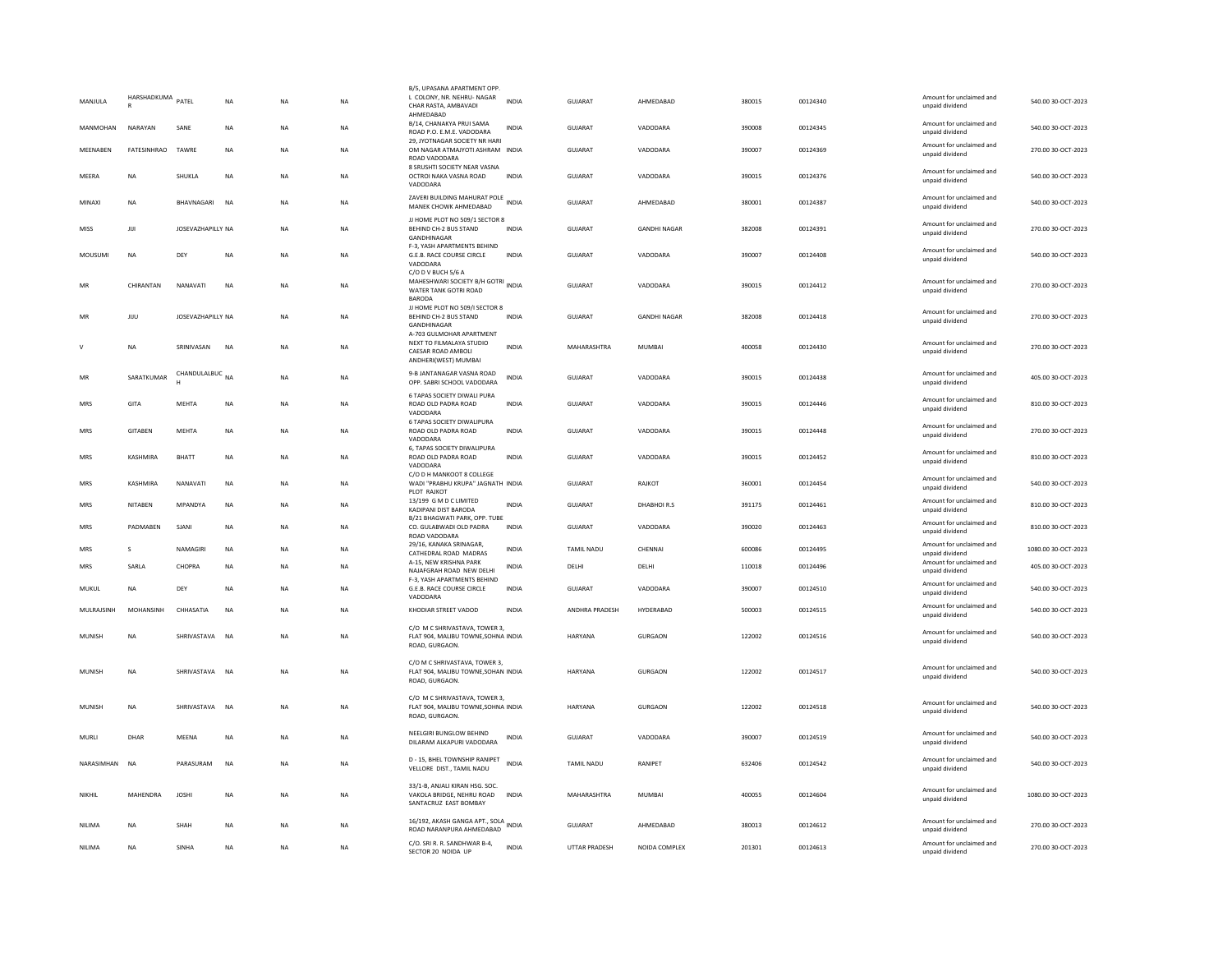| MANJULA      | HARSHADKUMA    | PATEL                      | NA        | <b>NA</b> | NA        | B/5, UPASANA APARTMENT OPP.<br>L COLONY, NR. NEHRU- NAGAR<br>CHAR RASTA, AMBAVADI<br>AHMEDABAD     | <b>INDIA</b> | GUJARAT           | AHMEDABAD           | 380015 | 00124340 | Amount for unclaimed and<br>unpaid dividend | 540.00 30-OCT-2023  |
|--------------|----------------|----------------------------|-----------|-----------|-----------|----------------------------------------------------------------------------------------------------|--------------|-------------------|---------------------|--------|----------|---------------------------------------------|---------------------|
| MANMOHAN     | NARAYAN        | SANE                       | <b>NA</b> | <b>NA</b> | <b>NA</b> | B/14, CHANAKYA PRUI SAMA<br>ROAD P.O. E.M.E. VADODARA                                              | <b>INDIA</b> | GUJARAT           | VADODARA            | 390008 | 00124345 | Amount for unclaimed and<br>unpaid dividend | 540.00 30-OCT-2023  |
| MEENABEN     | FATESINHRAO    | TAWRE                      | NA        | NA        | NA        | 29, JYOTNAGAR SOCIETY NR HARI<br>OM NAGAR ATMAJYOTI ASHRAM INDIA<br>ROAD VADODARA                  |              | GUJARAT           | VADODARA            | 390007 | 00124369 | Amount for unclaimed and<br>unpaid dividend | 270.00 30-OCT-2023  |
| <b>MEERA</b> | <b>NA</b>      | SHUKLA                     | NA        | <b>NA</b> | NA        | 8 SRUSHTI SOCIETY NEAR VASNA<br>OCTROI NAKA VASNA ROAD<br>VADODARA                                 | INDIA        | GUJARAT           | VADODARA            | 390015 | 00124376 | Amount for unclaimed and<br>unpaid dividend | 540.00 30-OCT-2023  |
| MINAXI       | <b>NA</b>      | BHAVNAGARI                 | <b>NA</b> | <b>NA</b> | <b>NA</b> | ZAVERI BUILDING MAHURAT POLE<br>MANEK CHOWK AHMEDABAD                                              |              | <b>GUJARAT</b>    | AHMEDABAD           | 380001 | 00124387 | Amount for unclaimed and<br>unpaid dividend | 540.00 30-OCT-2023  |
| MISS         | JUI            | JOSEVAZHAPILLY NA          |           | <b>NA</b> | <b>NA</b> | JJ HOME PLOT NO 509/1 SECTOR 8<br>BEHIND CH-2 BUS STAND<br>GANDHINAGAR                             | <b>INDIA</b> | GUJARAT           | <b>GANDHI NAGAR</b> | 382008 | 00124391 | Amount for unclaimed and<br>unpaid dividend | 270.00 30-OCT-2023  |
| MOUSUMI      | NA             | DEY                        | <b>NA</b> | <b>NA</b> | <b>NA</b> | F-3, YASH APARTMENTS BEHIND<br>G.E.B. RACE COURSE CIRCLE<br>VADODARA                               | INDIA        | GUJARAT           | VADODARA            | 390007 | 00124408 | Amount for unclaimed and<br>unpaid dividend | 540.00 30-OCT-2023  |
| MR           | CHIRANTAN      | NANAVATI                   | NA        | NA        | NA        | C/O D V BUCH 5/6 A<br>MAHESHWARI SOCIETY B/H GOTRI INDIA<br>WATER TANK GOTRI ROAD<br><b>BARODA</b> |              | GUJARAT           | VADODARA            | 390015 | 00124412 | Amount for unclaimed and<br>unpaid dividend | 270.00 30-OCT-2023  |
| MR           | JIJU           | JOSEVAZHAPILLY NA          |           | <b>NA</b> | <b>NA</b> | JJ HOME PLOT NO 509/I SECTOR 8<br>BEHIND CH-2 BUS STAND<br>GANDHINAGAR                             | <b>INDIA</b> | <b>GUJARAT</b>    | <b>GANDHI NAGAR</b> | 382008 | 00124418 | Amount for unclaimed and<br>unpaid dividend | 270.00 30-OCT-2023  |
| $\mathsf{v}$ | <b>NA</b>      | SRINIVASAN                 | NA        | <b>NA</b> | NA        | A-703 GULMOHAR APARTMENT<br>NEXT TO FILMALAYA STUDIO<br>CAESAR ROAD AMBOLI<br>ANDHERI(WEST) MUMBAI | INDIA        | MAHARASHTRA       | MUMBAI              | 400058 | 00124430 | Amount for unclaimed and<br>unpaid dividend | 270.00 30-OCT-2023  |
| MR           | SARATKUMAR     | CHANDULALBUC <sub>NA</sub> |           | <b>NA</b> | <b>NA</b> | 9-B JANTANAGAR VASNA ROAD<br>OPP. SABRI SCHOOL VADODARA                                            | <b>INDIA</b> | GUJARAT           | VADODARA            | 390015 | 00124438 | Amount for unclaimed and<br>unpaid dividend | 405.00 30-OCT-2023  |
| MRS          | GITA           | MEHTA                      | NA        | <b>NA</b> | NA        | <b>6 TAPAS SOCIETY DIWALI PURA</b><br>ROAD OLD PADRA ROAD<br>VADODARA                              | INDIA        | GUJARAT           | VADODARA            | 390015 | 00124446 | Amount for unclaimed and<br>unpaid dividend | 810.00 30-OCT-2023  |
| MRS          | GITABEN        | MEHTA                      | NA        | NA        | NA        | 6 TAPAS SOCIETY DIWALIPURA<br>ROAD OLD PADRA ROAD<br>VADODARA                                      | <b>INDIA</b> | GUJARAT           | VADODARA            | 390015 | 00124448 | Amount for unclaimed and<br>unpaid dividend | 270.00 30-OCT-2023  |
| MRS          | KASHMIRA       | BHATT                      | NA        | <b>NA</b> | NA        | 6, TAPAS SOCIETY DIWALIPURA<br>ROAD OLD PADRA ROAD<br>VADODARA                                     | INDIA        | GUJARAT           | VADODARA            | 390015 | 00124452 | Amount for unclaimed and<br>unpaid dividend | 810.00 30-OCT-2023  |
| MRS          | KASHMIRA       | NANAVATI                   | <b>NA</b> | <b>NA</b> | <b>NA</b> | C/O D H MANKOOT 8 COLLEGE<br>WADI "PRABHU KRUPA" JAGNATH INDIA<br>PLOT RAJKOT                      |              | <b>GUJARAT</b>    | RAJKOT              | 360001 | 00124454 | Amount for unclaimed and<br>unpaid dividend | 540.00 30-OCT-2023  |
| MRS          | <b>NITABEN</b> | MPANDYA                    | NA        | <b>NA</b> | <b>NA</b> | 13/199 G M D C LIMITED<br>KADIPANI DIST BARODA                                                     | <b>INDIA</b> | <b>GUJARAT</b>    | DHABHOIR.S          | 391175 | 00124461 | Amount for unclaimed and<br>unpaid dividend | 810.00 30-OCT-2023  |
| MRS          | PADMABEN       | SJANI                      | NA        | NA        | <b>NA</b> | B/21 BHAGWATI PARK, OPP. TUBE<br>CO. GULABWADI OLD PADRA<br>ROAD VADODARA                          | <b>INDIA</b> | GUJARAT           | VADODARA            | 390020 | 00124463 | Amount for unclaimed and<br>unpaid dividend | 810.00 30-OCT-2023  |
| MRS          | -S             | NAMAGIRI                   | <b>NA</b> | <b>NA</b> | <b>NA</b> | 29/16, KANAKA SRINAGAR,<br>CATHEDRAL ROAD MADRAS                                                   | <b>INDIA</b> | <b>TAMIL NADU</b> | CHENNAI             | 600086 | 00124495 | Amount for unclaimed and<br>unpaid dividend | 1080.00 30-OCT-2023 |
| MRS          | SARLA          | CHOPRA                     | NA        | NA        | NA        | A-15, NEW KRISHNA PARK<br>NAJAFGRAH ROAD NEW DELHI                                                 | INDIA        | DELHI             | DELHI               | 110018 | 00124496 | Amount for unclaimed and<br>unpaid dividend | 405.00 30-OCT-2023  |
| MUKUL        | <b>NA</b>      | DEY                        | NA        | <b>NA</b> | NA        | F-3. YASH APARTMENTS BEHIND<br>G.E.B. RACE COURSE CIRCLE<br>VADODARA                               | <b>INDIA</b> | GUJARAT           | VADODARA            | 390007 | 00124510 | Amount for unclaimed and<br>unpaid dividend | 540.00 30-OCT-2023  |
| MULRAJSINH   | MOHANSINH      | CHHASATIA                  | <b>NA</b> | <b>NA</b> | <b>NA</b> | KHODIAR STREET VADOD                                                                               | <b>INDIA</b> | ANDHRA PRADESH    | HYDERABAD           | 500003 | 00124515 | Amount for unclaimed and<br>unpaid dividend | 540.00 30-OCT-2023  |
| MUNISH       | <b>NA</b>      | SHRIVASTAVA                | <b>NA</b> | <b>NA</b> | <b>NA</b> | C/O M C SHRIVASTAVA, TOWER 3,<br>FLAT 904, MALIBU TOWNE, SOHNA INDIA<br>ROAD, GURGAON.             |              | HARYANA           | <b>GURGAON</b>      | 122002 | 00124516 | Amount for unclaimed and<br>unpaid dividend | 540.00 30-OCT-2023  |
| MUNISH       | <b>NA</b>      | SHRIVASTAVA                | NA        | NA        | NA        | C/O M C SHRIVASTAVA, TOWER 3,<br>FLAT 904, MALIBU TOWNE, SOHAN INDIA<br>ROAD, GURGAON.             |              | HARYANA           | <b>GURGAON</b>      | 122002 | 00124517 | Amount for unclaimed and<br>unpaid dividend | 540.00 30-OCT-2023  |
| MUNISH       | <b>NA</b>      | SHRIVASTAVA NA             |           | <b>NA</b> | <b>NA</b> | C/O M C SHRIVASTAVA, TOWER 3,<br>FLAT 904, MALIBU TOWNE, SOHNA INDIA<br>ROAD, GURGAON.             |              | HARYANA           | <b>GURGAON</b>      | 122002 | 00124518 | Amount for unclaimed and<br>unpaid dividend | 540.00 30-OCT-2023  |
| MURLI        | DHAR           | MEENA                      | NA        | <b>NA</b> | NA        | NEELGIRI BUNGLOW BEHIND<br>DILARAM ALKAPURI VADODARA                                               | INDIA        | GUJARAT           | VADODARA            | 390007 | 00124519 | Amount for unclaimed and<br>unpaid dividend | 540.00 30-OCT-2023  |
| NARASIMHAN   | <b>NA</b>      | PARASURAM                  | <b>NA</b> | <b>NA</b> | <b>NA</b> | D - 15, BHEL TOWNSHIP RANIPET<br>VELLORE DIST., TAMIL NADU                                         | <b>INDIA</b> | TAMIL NADU        | RANIPET             | 632406 | 00124542 | Amount for unclaimed and<br>unpaid dividend | 540.00 30-OCT-2023  |
| NIKHIL       | MAHENDRA       | <b>JOSHI</b>               | NA        | <b>NA</b> | NA        | 33/1-B. ANJALI KIRAN HSG, SOC.<br>VAKOLA BRIDGE, NEHRU ROAD<br>SANTACRUZ EAST BOMBAY               | INDIA        | MAHARASHTRA       | MUMBAI              | 400055 | 00124604 | Amount for unclaimed and<br>unpaid dividend | 1080.00 30-OCT-2023 |
| NILIMA       | <b>NA</b>      | SHAH                       | NA        | NA        | NA        | 16/192, AKASH GANGA APT., SOLA<br>ROAD NARANPURA AHMEDABAD                                         |              | GUJARAT           | AHMEDABAD           | 380013 | 00124612 | Amount for unclaimed and<br>unpaid dividend | 270.00 30-OCT-2023  |
| NILIMA       | <b>NA</b>      | SINHA                      | NA        | <b>NA</b> | NA        | C/O. SRI R. R. SANDHWAR B-4,<br>SECTOR 20 NOIDA UP                                                 | <b>INDIA</b> | UTTAR PRADESH     | NOIDA COMPLEX       | 201301 | 00124613 | Amount for unclaimed and<br>unpaid dividend | 270.00 30-OCT-2023  |
|              |                |                            |           |           |           |                                                                                                    |              |                   |                     |        |          |                                             |                     |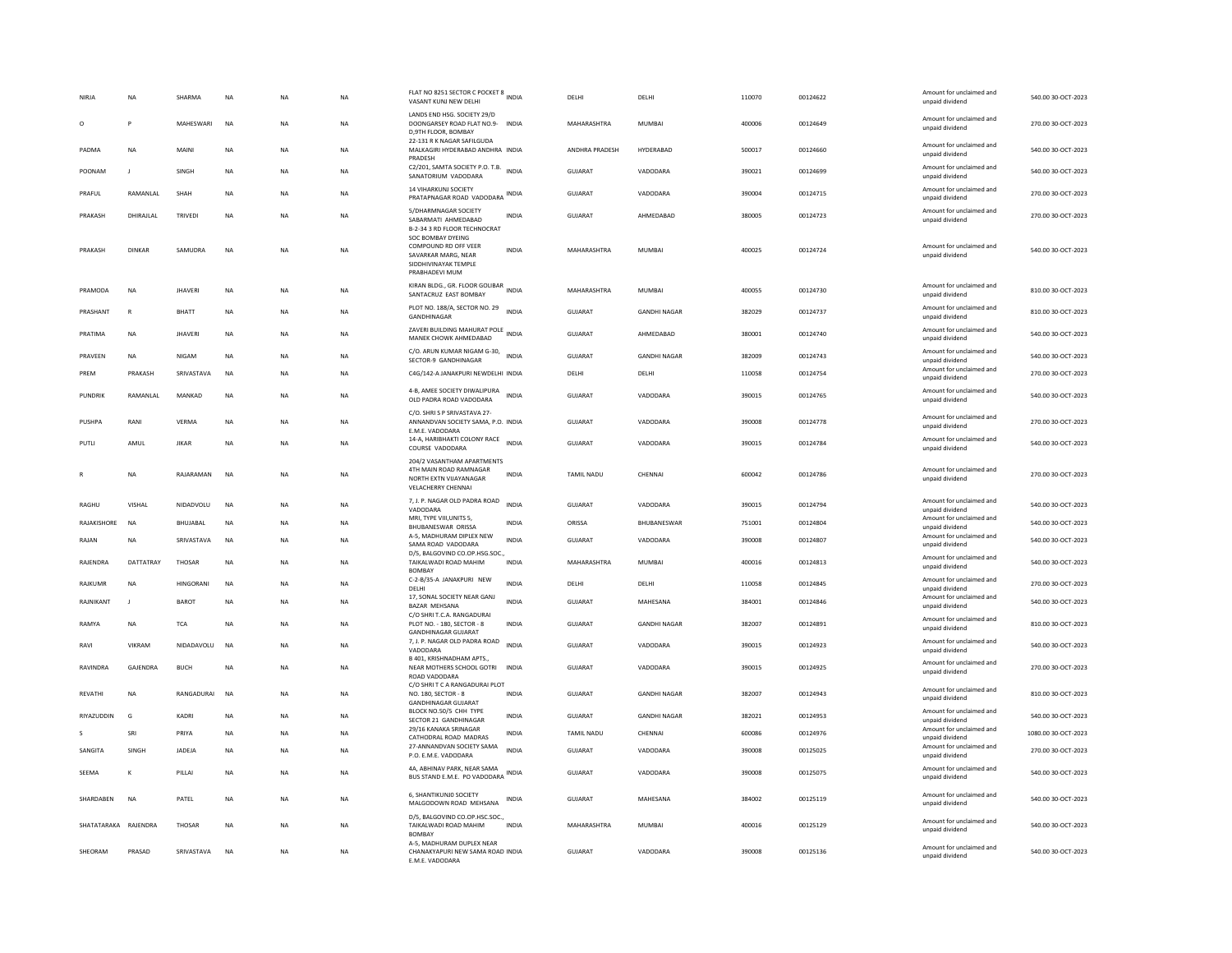|                      | NA              | SHARMA         | <b>NA</b> | NA        | <b>NA</b> | FLAT NO 8251 SECTOR C POCKET 8 INDIA<br>VASANT KUNJ NEW DELHI                                                     |              | DELHI          | DELHI               | 110070 | 00124622 | Amount for unclaimed and<br>unpaid dividend | 540.00 30-OCT-2023  |
|----------------------|-----------------|----------------|-----------|-----------|-----------|-------------------------------------------------------------------------------------------------------------------|--------------|----------------|---------------------|--------|----------|---------------------------------------------|---------------------|
| $\circ$              | P               | MAHESWARI      | <b>NA</b> | <b>NA</b> | <b>NA</b> | LANDS END HSG. SOCIETY 29/D<br>DOONGARSEY ROAD FLAT NO.9- INDIA<br>D.9TH FLOOR, BOMBAY                            |              | MAHARASHTRA    | MUMBAI              | 400006 | 00124649 | Amount for unclaimed and<br>unpaid dividend | 270.00 30-OCT-2023  |
| PADMA                | <b>NA</b>       | <b>MAIN</b>    | <b>NA</b> | <b>NA</b> | <b>NA</b> | 22-131 R K NAGAR SAFILGUDA<br>MALKAGIRI HYDERABAD ANDHRA INDIA<br>PRADESH                                         |              | ANDHRA PRADESH | HYDERABAD           | 500017 | 00124660 | Amount for unclaimed and<br>unpaid dividend | 540.00 30-OCT-2023  |
| POONAM               | J.              | SINGH          | <b>NA</b> | NΑ        | <b>NA</b> | C2/201, SAMTA SOCIETY P.O. T.B.<br>SANATORIUM VADODARA                                                            | <b>INDIA</b> | <b>GUJARAT</b> | VADODARA            | 390021 | 00124699 | Amount for unclaimed and<br>unpaid dividend | 540.00 30-OCT-2023  |
| PRAFUL               | RAMANLAL        | SHAH           | <b>NA</b> | NA        | NA        | <b>14 VIHARKUNJ SOCIETY</b><br>PRATAPNAGAR ROAD VADODARA INDIA                                                    |              | GUJARAT        | VADODARA            | 390004 | 00124715 | Amount for unclaimed and<br>unpaid dividend | 270.00 30-OCT-2023  |
| PRAKASH              | DHIRAJLAL       | <b>TRIVEDI</b> | <b>NA</b> | NΑ        | <b>NA</b> | 5/DHARMNAGAR SOCIETY<br>SABARMATI AHMEDABAD<br>B-2-34 3 RD FLOOR TECHNOCRAT                                       | <b>INDIA</b> | <b>GUJARAT</b> | AHMEDABAD           | 380005 | 00124723 | Amount for unclaimed and<br>unpaid dividend | 270.00 30-OCT-2023  |
| PRAKASH              | <b>DINKAR</b>   | SAMUDRA        | NA        | <b>NA</b> | NA        | <b>SOC BOMBAY DYEING</b><br>COMPOUND RD OFF VEER<br>SAVARKAR MARG, NEAR<br>SIDDHIVINAYAK TEMPLE<br>PRABHADEVI MUM | INDIA        | MAHARASHTRA    | MUMBAI              | 400025 | 00124724 | Amount for unclaimed and<br>unpaid dividend | 540.00 30-OCT-2023  |
| PRAMODA              | <b>NA</b>       | <b>JHAVERI</b> | NA        | NA        | <b>NA</b> | KIRAN BLDG., GR. FLOOR GOLIBAR INDIA<br>SANTACRUZ EAST BOMBAY                                                     |              | MAHARASHTRA    | MUMBAI              | 400055 | 00124730 | Amount for unclaimed and<br>unpaid dividend | 810.00 30-OCT-2023  |
| PRASHANT             | $\mathbb{R}$    | <b>BHATT</b>   | NA        | NA        | NA        | PLOT NO. 188/A, SECTOR NO. 29 INDIA<br>GANDHINAGAR                                                                |              | <b>GUJARAT</b> | <b>GANDHI NAGAR</b> | 382029 | 00124737 | Amount for unclaimed and<br>unpaid dividend | 810.00 30-OCT-2023  |
| PRATIMA              | <b>NA</b>       | <b>JHAVERI</b> | <b>NA</b> | <b>NA</b> | <b>NA</b> | ZAVERI BUILDING MAHURAT POLE<br>MANEK CHOWK AHMEDABAD                                                             | <b>INDIA</b> | GUJARAT        | AHMEDABAD           | 380001 | 00124740 | Amount for unclaimed and<br>unpaid dividend | 540.00 30-OCT-2023  |
| PRAVEEN              | <b>NA</b>       | <b>NIGAM</b>   | <b>NA</b> | NA        | NA        | C/O. ARUN KUMAR NIGAM G-30, INDIA<br>SECTOR-9 GANDHINAGAR                                                         |              | <b>GUJARAT</b> | <b>GANDHI NAGAR</b> | 382009 | 00124743 | Amount for unclaimed and<br>unpaid dividend | 540.00 30-OCT-2023  |
| PREM                 | PRAKASH         | SRIVASTAVA     | <b>NA</b> | <b>NA</b> | <b>NA</b> | C4G/142-A JANAKPURI NEWDELHI INDIA                                                                                |              | DELHI          | DELHI               | 110058 | 00124754 | Amount for unclaimed and<br>unpaid dividend | 270.00 30-OCT-2023  |
| PUNDRIK              | RAMANLAL        | MANKAD         | NA        | NΑ        | NA        | 4-B, AMEE SOCIETY DIWALIPURA<br>OLD PADRA ROAD VADODARA                                                           | <b>INDIA</b> | GUJARAT        | VADODARA            | 390015 | 00124765 | Amount for unclaimed and<br>unpaid dividend | 540.00 30-OCT-2023  |
| <b>PUSHPA</b>        | RANI            | VERMA          | <b>NA</b> | NA        | <b>NA</b> | C/O. SHRI S P SRIVASTAVA 27-<br>ANNANDVAN SOCIETY SAMA, P.O. INDIA<br>E.M.E. VADODARA                             |              | <b>GUJARAT</b> | VADODARA            | 390008 | 00124778 | Amount for unclaimed and<br>unpaid dividend | 270.00 30-OCT-2023  |
| PUTLI                | AMUL            | <b>JIKAR</b>   | <b>NA</b> | NA        | <b>NA</b> | 14-A, HARIBHAKTI COLONY RACE<br>COURSE VADODARA                                                                   | INDIA        | <b>GUJARAT</b> | VADODARA            | 390015 | 00124784 | Amount for unclaimed and<br>unpaid dividend | 540.00 30-OCT-2023  |
|                      | NA              | RAJARAMAN      | <b>NA</b> | NΑ        | NA        | 204/2 VASANTHAM APARTMENTS<br>4TH MAIN ROAD RAMNAGAR<br>NORTH EXTN VIJAYANAGAR<br><b>VELACHERRY CHENNAL</b>       | INDIA        | TAMIL NADU     | CHENNAI             | 600042 | 00124786 | Amount for unclaimed and<br>unpaid dividend | 270.00 30-OCT-2023  |
| RAGHU                | VISHAL          | NIDADVOLU      | <b>NA</b> | NA        | <b>NA</b> | 7, J. P. NAGAR OLD PADRA ROAD<br>VADODARA                                                                         | <b>INDIA</b> | GUJARAT        | VADODARA            | 390015 | 00124794 | Amount for unclaimed and<br>unpaid dividend | 540.00 30-OCT-2023  |
| RAJAKISHORE          | NA              | BHUJABAL       | <b>NA</b> | NΑ        | NA        | MRI. TYPE VIII.UNITS 5.<br><b>BHUBANESWAR ORISSA</b>                                                              | INDIA        | ORISSA         | BHUBANESWAR         | 751001 | 00124804 | Amount for unclaimed and<br>unpaid dividend | 540.00 30-OCT-2023  |
| RAJAN                | <b>NA</b>       | SRIVASTAVA     | <b>NA</b> | <b>NA</b> | <b>NA</b> | A-5, MADHURAM DIPLEX NEW<br>SAMA ROAD VADODARA<br>D/5, BALGOVIND CO.OP.HSG.SOC.,                                  | <b>INDIA</b> | GUIARAT        | VADODARA            | 390008 | 00124807 | Amount for unclaimed and<br>unpaid dividend | 540.00 30-OCT-2023  |
| RAJENDRA             | DATTATRAY       | THOSAR         | NA        | NA        | <b>NA</b> | TAIKALWADI ROAD MAHIM<br><b>BOMBAY</b>                                                                            | <b>INDIA</b> | MAHARASHTRA    | MUMBAI              | 400016 | 00124813 | Amount for unclaimed and<br>unpaid dividend | 540.00 30-OCT-2023  |
| RAJKUMR              | <b>NA</b>       | HINGORANI      | <b>NA</b> | NA        | <b>NA</b> | C-2-B/35-A JANAKPURI NEW<br>DELHI                                                                                 | <b>INDIA</b> | DELHI          | DELHI               | 110058 | 00124845 | Amount for unclaimed and<br>unpaid dividend | 270.00 30-OCT-2023  |
| RAJNIKANT            | $\mathbf{J}$    | BAROT          | NA        | NA        | NA        | 17, SONAL SOCIETY NEAR GANJ<br>BAZAR MEHSANA<br>C/O SHRI T.C.A. RANGADURAI                                        | <b>INDIA</b> | GUJARAT        | MAHESANA            | 384001 | 00124846 | Amount for unclaimed and<br>unpaid dividend | 540.00 30-OCT-2023  |
| RAMYA                | NA              | <b>TCA</b>     | <b>NA</b> | NΑ        | NA        | PLOT NO. - 180, SECTOR - 8<br><b>GANDHINAGAR GUJARAT</b>                                                          | <b>INDIA</b> | <b>GUJARAT</b> | <b>GANDHI NAGAR</b> | 382007 | 00124891 | Amount for unclaimed and<br>unpaid dividend | 810.00 30-OCT-2023  |
| RAVI                 | VIKRAM          | NIDADAVOLU     | <b>NA</b> | NA        | <b>NA</b> | 7, J. P. NAGAR OLD PADRA ROAD<br>VADODARA                                                                         | <b>INDIA</b> | GUJARAT        | VADODARA            | 390015 | 00124923 | Amount for unclaimed and<br>unpaid dividend | 540.00 30-OCT-2023  |
| RAVINDRA             | <b>GAIFNDRA</b> | <b>BUCH</b>    | <b>NA</b> | <b>NA</b> | <b>NA</b> | B 401, KRISHNADHAM APTS.,<br>NEAR MOTHERS SCHOOL GOTRI<br>ROAD VADODARA                                           | <b>INDIA</b> | GUIARAT        | VADODARA            | 390015 | 00124925 | Amount for unclaimed and<br>unpaid dividend | 270.00 30-OCT-2023  |
| REVATHI              | <b>NA</b>       | RANGADURAI     | <b>NA</b> | NA        | <b>NA</b> | C/O SHRIT C A RANGADURAI PLOT<br>NO. 180, SECTOR - 8<br><b>GANDHINAGAR GUJARAT</b>                                | <b>INDIA</b> | <b>GUJARAT</b> | <b>GANDHI NAGAR</b> | 382007 | 00124943 | Amount for unclaimed and<br>unpaid dividend | 810.00 30-OCT-2023  |
| RIYAZUDDIN           | G               | KADRI          | NA        | ΝA        | NA        | BLOCK NO.50/5 CHH TYPE<br>SECTOR 21 GANDHINAGAR                                                                   | INDIA        | GUJARAT        | <b>GANDHI NAGAR</b> | 382021 | 00124953 | Amount for unclaimed and<br>unpaid dividend | 540.00 30-OCT-2023  |
|                      | SRI             | PRIYA          | <b>NA</b> | NΑ        | NA        | 29/16 KANAKA SRINAGAR<br>CATHODRAL ROAD MADRAS                                                                    | INDIA        | TAMIL NADU     | CHENNAI             | 600086 | 00124976 | Amount for unclaimed and<br>unpaid dividend | 1080.00 30-OCT-2023 |
| SANGITA              | SINGH           | <b>JADEJA</b>  | <b>NA</b> | <b>NA</b> | <b>NA</b> | 27-ANNANDVAN SOCIETY SAMA<br>P.O. E.M.E. VADODARA                                                                 | <b>INDIA</b> | <b>GUJARAT</b> | VADODARA            | 390008 | 00125025 | Amount for unclaimed and<br>unpaid dividend | 270.00 30-OCT-2023  |
| SEEMA                | K               | PILLAI         | <b>NA</b> | NA        | NA        | 4A, ABHINAV PARK, NEAR SAMA<br>BUS STAND E.M.E. PO VADODARA INDIA                                                 |              | GUJARAT        | VADODARA            | 390008 | 00125075 | Amount for unclaimed and<br>unpaid dividend | 540.00 30-OCT-2023  |
| SHARDABEN            | <b>NA</b>       | PATEL          | <b>NA</b> | <b>NA</b> | <b>NA</b> | 6. SHANTIKUNJO SOCIETY<br>MALGODOWN ROAD MEHSANA                                                                  | <b>INDIA</b> | GUJARAT        | MAHESANA            | 384002 | 00125119 | Amount for unclaimed and<br>unpaid dividend | 540.00 30-OCT-2023  |
| SHATATARAKA RAJENDRA |                 | <b>THOSAR</b>  | <b>NA</b> | <b>NA</b> | <b>NA</b> | D/5, BALGOVIND CO.OP.HSC.SOC.,<br>TAIKALWADI ROAD MAHIM<br><b>BOMBAY</b>                                          | <b>INDIA</b> | MAHARASHTRA    | MUMBAI              | 400016 | 00125129 | Amount for unclaimed and<br>unpaid dividend | 540.00 30-OCT-2023  |
| SHEORAM              | PRASAD          | SRIVASTAVA     | <b>NA</b> | <b>NA</b> | <b>NA</b> | A-5, MADHURAM DUPLEX NEAR<br>CHANAKYAPURI NEW SAMA ROAD INDIA<br>E.M.E. VADODARA                                  |              | GUIARAT        | VADODARA            | 390008 | 00125136 | Amount for unclaimed and<br>unpaid dividend | 540.0030-0CT-2023   |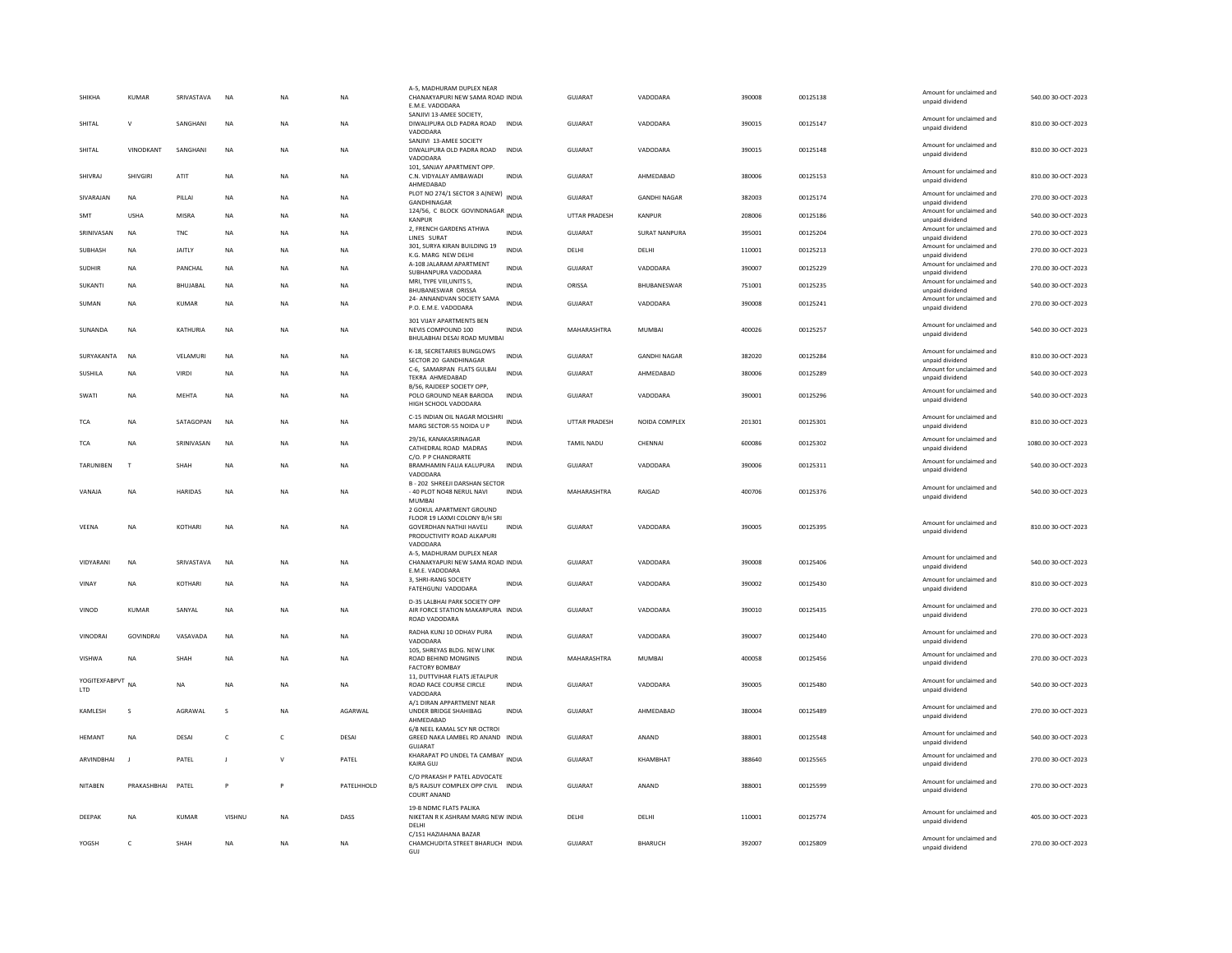| SHIKHA                  | <b>KUMAR</b> | SRIVASTAVA    | <b>NA</b>      | <b>NA</b>    | <b>NA</b>  | A-5, MADHURAM DUPLEX NEA<br>CHANAKYAPURI NEW SAMA ROAD INDIA<br>E.M.E. VADODARA                           |              | <b>GUJARAT</b>    | VADODARA             | 390008 | 00125138 | Amount for unclaimed and<br>unpaid dividend | 540.00 30-OCT-2023  |
|-------------------------|--------------|---------------|----------------|--------------|------------|-----------------------------------------------------------------------------------------------------------|--------------|-------------------|----------------------|--------|----------|---------------------------------------------|---------------------|
| SHITAL                  | $\mathsf{v}$ | SANGHANI      | <b>NA</b>      | <b>NA</b>    | <b>NA</b>  | SANJIVI 13-AMEE SOCIETY,<br>DIWALIPURA OLD PADRA ROAD<br>VADODARA                                         | <b>INDIA</b> | GUIARAT           | VADODARA             | 390015 | 00125147 | Amount for unclaimed and<br>unpaid dividend | 810.00 30-OCT-2023  |
| SHITAL                  | VINODKANT    | SANGHANI      | $_{\sf NA}$    | <b>NA</b>    | <b>NA</b>  | SANJIVI 13-AMEE SOCIETY<br>DIWALIPURA OLD PADRA ROAD<br>VADODARA                                          | <b>INDIA</b> | GUJARAT           | VADODARA             | 390015 | 00125148 | Amount for unclaimed and<br>unpaid dividend | 810.00 30-OCT-2023  |
| SHIVRAJ                 | SHIVGIRI     | ATIT          | <b>NA</b>      | <b>NA</b>    | <b>NA</b>  | 101, SANJAY APARTMENT OPP.<br>C.N. VIDYALAY AMBAWADI<br>AHMEDABAD                                         | <b>INDIA</b> | <b>GUJARAT</b>    | AHMEDABAD            | 380006 | 00125153 | Amount for unclaimed and<br>unpaid dividend | 810.00 30-OCT-2023  |
| SIVARAJAN               | <b>NA</b>    | PILLAI        | <b>NA</b>      | <b>NA</b>    | <b>NA</b>  | PLOT NO 274/1 SECTOR 3 A(NEW)<br>GANDHINAGAR                                                              | <b>INDIA</b> | <b>GUJARAT</b>    | <b>GANDHI NAGAR</b>  | 382003 | 00125174 | Amount for unclaimed and<br>unpaid dividend | 270.00 30-OCT-2023  |
| SMT                     | <b>USHA</b>  | MISRA         | NA             | NA           | NA         | 124/56, C BLOCK GOVINDNAGAR INDIA<br><b>KANPUR</b>                                                        |              | UTTAR PRADESH     | KANPUR               | 208006 | 00125186 | Amount for unclaimed and<br>unpaid dividend | 540.00 30-OCT-2023  |
| SRINIVASAN              | <b>NA</b>    | <b>TNC</b>    | <b>NA</b>      | <b>NA</b>    | <b>NA</b>  | 2, FRENCH GARDENS ATHWA<br>LINES SURAT                                                                    | INDIA        | GUJARAT           | <b>SURAT NANPURA</b> | 395001 | 00125204 | Amount for unclaimed and<br>unpaid dividend | 270.00 30-OCT-2023  |
| SUBHASH                 | <b>NA</b>    | <b>JAITLY</b> | <b>NA</b>      | <b>NA</b>    | <b>NA</b>  | 301. SURYA KIRAN BUILDING 19<br>K.G. MARG NEW DELHI                                                       | <b>INDIA</b> | DELHI             | DELHI                | 110001 | 00125213 | Amount for unclaimed and<br>unpaid dividend | 270.00 30-OCT-2023  |
| <b>SUDHIR</b>           | NA           | PANCHAL       | $_{\sf NA}$    | NA           | NA         | A-108 JALARAM APARTMENT<br>SURHANPURA VADODARA                                                            | <b>INDIA</b> | GUJARAT           | VADODARA             | 390007 | 00125229 | Amount for unclaimed and<br>unnaid dividend | 270.00 30-OCT-2023  |
| SUKANTI                 | <b>NA</b>    | BHUJABAL      | NA             | <b>NA</b>    | <b>NA</b>  | MRI, TYPE VIII, UNITS 5,<br><b>BHUBANESWAR ORISSA</b>                                                     | <b>INDIA</b> | ORISSA            | BHUBANESWAR          | 751001 | 00125235 | Amount for unclaimed and<br>unpaid dividend | 540.00 30-OCT-2023  |
| SUMAN                   | <b>NA</b>    | KUMAR         | <b>NA</b>      | <b>NA</b>    | <b>NA</b>  | 24- ANNANDVAN SOCIETY SAMA<br>P.O. E.M.E. VADODARA                                                        | <b>INDIA</b> | GUIARAT           | VADODARA             | 390008 | 00125241 | Amount for unclaimed and<br>unpaid dividend | 270.00 30-OCT-2023  |
| SUNANDA                 | NA           | KATHURIA      | NA             | <b>NA</b>    | NA         | 301 VIJAY APARTMENTS BEN<br>NEVIS COMPOUND 100<br>BHULABHAI DESAI ROAD MUMBAI                             | INDIA        | MAHARASHTRA       | MUMBAI               | 400026 | 00125257 | Amount for unclaimed and<br>unpaid dividend | 540.00 30-OCT-2023  |
| SURYAKANTA              | NA           | VELAMURI      | $_{\sf NA}$    | NA           | NA         | K-18, SECRETARIES BUNGLOWS                                                                                | <b>INDIA</b> | GUJARAT           | <b>GANDHI NAGAR</b>  | 382020 | 00125284 | Amount for unclaimed and                    | 810.00 30-OCT-2023  |
| SUSHILA                 | <b>NA</b>    | VIRDI         | <b>NA</b>      | <b>NA</b>    | <b>NA</b>  | SECTOR 20 GANDHINAGAR<br>C-6, SAMARPAN FLATS GULBAI<br>TEKRA AHMEDABAD                                    | <b>INDIA</b> | <b>GUJARAT</b>    | AHMEDABAD            | 380006 | 00125289 | unpaid dividend<br>Amount for unclaimed and | 540.00 30-OCT-2023  |
|                         |              |               |                |              |            | B/56, RAJDEEP SOCIETY OPP.                                                                                |              | <b>GUJARAT</b>    |                      | 390001 | 00125296 | unpaid dividend<br>Amount for unclaimed and | 540.00 30-OCT-2023  |
| SWATI                   | <b>NA</b>    | <b>MEHTA</b>  | <b>NA</b>      | <b>NA</b>    | <b>NA</b>  | POLO GROUND NEAR BARODA<br>HIGH SCHOOL VADODARA                                                           | <b>INDIA</b> |                   | VADODARA             |        |          | unpaid dividend                             |                     |
| <b>TCA</b>              | <b>NA</b>    | SATAGOPAN     | <b>NA</b>      | <b>NA</b>    | <b>NA</b>  | C-15 INDIAN OIL NAGAR MOLSHRI<br>MARG SECTOR-55 NOIDA U P                                                 | <b>INDIA</b> | UTTAR PRADESH     | NOIDA COMPLEX        | 201301 | 00125301 | Amount for unclaimed and<br>unpaid dividend | 810.00 30-OCT-2023  |
| TCA                     | <b>NA</b>    | SRINIVASAN    | <b>NA</b>      | <b>NA</b>    | <b>NA</b>  | 29/16. KANAKASRINAGAR<br>CATHEDRAL ROAD MADRAS                                                            | <b>INDIA</b> | <b>TAMIL NADU</b> | CHENNAI              | 600086 | 00125302 | Amount for unclaimed and<br>unpaid dividend | 1080.00 30-OCT-2023 |
| <b>TARUNIBEN</b>        | T            | SHAH          | <b>NA</b>      | <b>NA</b>    | <b>NA</b>  | C/O. P P CHANDRARTE<br>BRAMHAMIN FALIA KALUPURA<br>VADODARA                                               | <b>INDIA</b> | <b>GUJARAT</b>    | VADODARA             | 390006 | 00125311 | Amount for unclaimed and<br>unpaid dividend | 540.00 30-OCT-2023  |
| VANAJA                  | NA           | HARIDAS       | $_{\sf NA}$    | NA           | NA         | <b>B-202 SHREEJI DARSHAN SECTOR</b><br>- 40 PLOT NO48 NERUL NAVI                                          | <b>INDIA</b> | MAHARASHTRA       | RAIGAD               | 400706 | 00125376 | Amount for unclaimed and<br>unpaid dividend | 540.00 30-OCT-2023  |
|                         |              |               |                |              |            | <b>MUMBA</b><br>2 GOKUL APARTMENT GROUND                                                                  |              |                   |                      |        |          |                                             |                     |
| VEENA                   | <b>NA</b>    | KOTHARI       | NA             | <b>NA</b>    | NA         | FLOOR 19 LAXMI COLONY B/H SRI<br><b>GOVERDHAN NATHJI HAVELI</b><br>PRODUCTIVITY ROAD ALKAPURI<br>VADODARA | INDIA        | GUIARAT           | VADODARA             | 390005 | 00125395 | Amount for unclaimed and<br>unpaid dividend | 810.00 30-OCT-2023  |
| VIDYARANI               | <b>NA</b>    | SRIVASTAVA    | <b>NA</b>      | <b>NA</b>    | <b>NA</b>  | A-5, MADHURAM DUPLEX NEAR<br>CHANAKYAPURI NEW SAMA ROAD INDIA<br>E.M.E. VADODARA                          |              | <b>GUJARAT</b>    | VADODARA             | 390008 | 00125406 | Amount for unclaimed and<br>unpaid dividend | 540.00 30-OCT-2023  |
| VINAY                   | <b>NA</b>    | KOTHARI       | NA             | <b>NA</b>    | <b>NA</b>  | 3, SHRI-RANG SOCIETY<br>FATEHGUNJ VADODARA                                                                | <b>INDIA</b> | <b>GUJARAT</b>    | VADODARA             | 390002 | 00125430 | Amount for unclaimed and<br>unpaid dividend | 810.00 30-OCT-2023  |
| VINOD                   | KUMAR        | SANYAL        | NA             | NA           | NA         | D-35 LALBHAI PARK SOCIETY OPP<br>AIR FORCE STATION MAKARPURA INDIA<br>ROAD VADODARA                       |              | GUJARAT           | VADODARA             | 390010 | 00125435 | Amount for unclaimed and<br>unpaid dividend | 270.00 30-OCT-2023  |
| VINODRAI                | GOVINDRAI    | VASAVADA      | $_{\sf NA}$    | NA           | NA         | RADHA KUNJ 10 ODHAV PURA                                                                                  | <b>INDIA</b> | GUJARAT           | VADODARA             | 390007 | 00125440 | Amount for unclaimed and                    | 270.00 30-OCT-2023  |
|                         |              |               |                |              |            | VADODARA<br>105. SHREYAS BLDG, NEW LINK                                                                   |              |                   |                      |        |          | unpaid dividend<br>Amount for unclaimed and |                     |
| VISHWA                  | <b>NA</b>    | SHAH          | NA             | NA           | <b>NA</b>  | ROAD BEHIND MONGINIS<br>FACTORY BOMBAY                                                                    | <b>INDIA</b> | MAHARASHTRA       | <b>MUMBAI</b>        | 400058 | 00125456 | unpaid dividend                             | 270.00 30-OCT-2023  |
| YOGITEXFABPVT NA<br>LTD |              | <b>NA</b>     | <b>NA</b>      | <b>NA</b>    | <b>NA</b>  | 11, DUTTVIHAR FLATS JETALPUR<br>ROAD RACE COURSE CIRCLE<br>VADODARA                                       | <b>INDIA</b> | <b>GUJARAT</b>    | VADODARA             | 390005 | 00125480 | Amount for unclaimed and<br>unpaid dividend | 540.00 30-OCT-2023  |
| KAMLESH                 | s            | AGRAWAL       | s              | <b>NA</b>    | AGARWAL    | A/1 DIRAN APPARTMENT NEAR<br>UNDER BRIDGE SHAHIBAG<br>AHMEDABAD                                           | <b>INDIA</b> | GUJARAT           | AHMEDABAD            | 380004 | 00125489 | Amount for unclaimed and<br>unpaid dividend | 270.00 30-OCT-2023  |
| <b>HFMANT</b>           | <b>NA</b>    | DESAL         | $\mathfrak{c}$ | $\epsilon$   | DESAL      | 6/B NEEL KAMAL SCY NR OCTROI<br>GREED NAKA LAMBEL RD ANAND INDIA<br><b>GUJARA</b>                         |              | GUIARAT           | ANAND                | 388001 | 00125548 | Amount for unclaimed and<br>unpaid dividend | 540.00 30-OCT-2023  |
| ARVINDBHAI              |              | PATEL         | J              | $\mathsf{v}$ | PATEL      | KHARAPAT PO UNDEL TA CAMBAY INDIA<br><b>KAIRA GUJ</b>                                                     |              | <b>GUJARAT</b>    | KHAMBHAT             | 388640 | 00125565 | Amount for unclaimed and<br>unpaid dividend | 270.00 30-OCT-2023  |
| <b>NITABEN</b>          | PRAKASHBHAI  | PATEL         | p              | P            | PATELHHOLD | C/O PRAKASH P PATEL ADVOCATE<br>B/5 RAJSUY COMPLEX OPP CIVIL INDIA<br>COURT ANAND                         |              | <b>GUJARAT</b>    | ANAND                | 388001 | 00125599 | Amount for unclaimed and<br>unpaid dividend | 270.00 30-OCT-2023  |
| DEEPAK                  | <b>NA</b>    | KUMAR         | VISHNU         | <b>NA</b>    | DASS       | 19-B NDMC FLATS PALIKA<br>NIKETAN R K ASHRAM MARG NEW INDIA<br>DELHI                                      |              | DELHI             | DELHI                | 110001 | 00125774 | Amount for unclaimed and<br>unpaid dividend | 405.00 30-OCT-2023  |
| YOGSH                   | $\epsilon$   | <b>SHAH</b>   | <b>NA</b>      | <b>NA</b>    | <b>NA</b>  | C/151 HAZIAHANA BAZAR<br>CHAMCHUDITA STREET BHARUCH INDIA<br>GUI                                          |              | GUIARAT           | <b>BHARUCH</b>       | 392007 | 00125809 | Amount for unclaimed and<br>unpaid dividend | 270.00 30-OCT-2023  |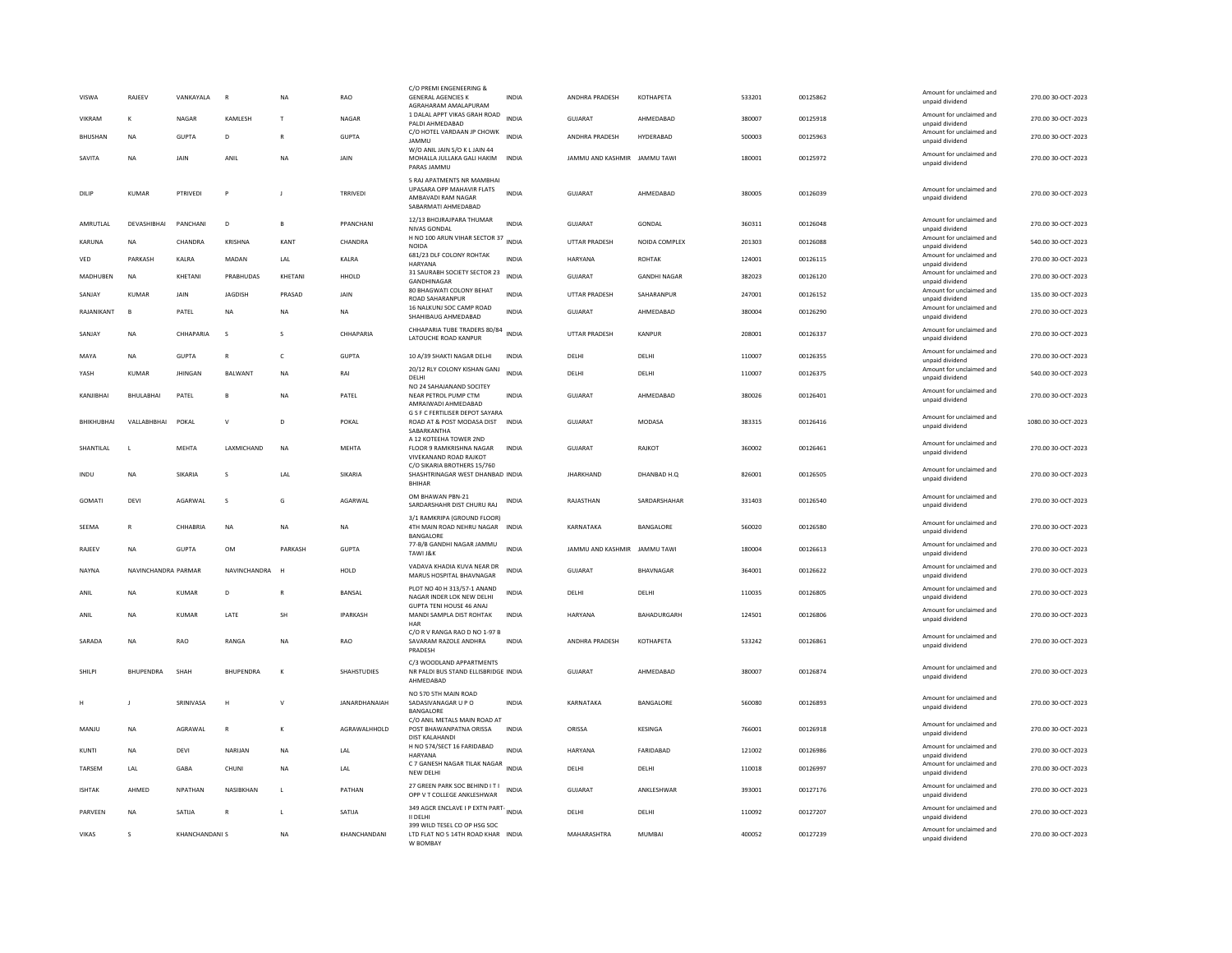| VISWA           | RAJEEV              | VANKAYALA            | $\mathbb{R}$     | <b>NA</b>    | RAO                  | C/O PREMI ENGENEERING &<br><b>GENERAL AGENCIES K</b><br>AGRAHARAM AMALAPURAM                         | INDIA        | ANDHRA PRADESH               | КОТНАРЕТА           | 533201 | 00125862 | Amount for unclaimed and<br>unpaid dividend | 270.00 30-OCT-2023  |
|-----------------|---------------------|----------------------|------------------|--------------|----------------------|------------------------------------------------------------------------------------------------------|--------------|------------------------------|---------------------|--------|----------|---------------------------------------------|---------------------|
| VIKRAM          | K                   | NAGAR                | KAMLESH          | $\mathbf{L}$ | NAGAR                | 1 DALAL APPT VIKAS GRAH ROAD<br>PALDI AHMEDARAD                                                      | <b>INDIA</b> | <b>GUJARAT</b>               | AHMEDABAD           | 380007 | 00125918 | Amount for unclaimed and<br>unpaid dividend | 270.00 30-OCT-2023  |
| <b>BHUSHAN</b>  | <b>NA</b>           | <b>GUPTA</b>         | D.               | $\mathbb{R}$ | <b>GUPTA</b>         | C/O HOTEL VARDAAN JP CHOWK<br><b>JAMMU</b>                                                           | <b>INDIA</b> | <b>ANDHRA PRADESH</b>        | HYDERARAD           | 500003 | 00125963 | Amount for unclaimed and<br>unpaid dividend | 270.00 30-OCT-2023  |
| SAVITA          | <b>NA</b>           | JAIN                 | ANIL             | <b>NA</b>    | JAIN                 | W/O ANIL JAIN S/O K L JAIN 44<br>MOHALLA JULLAKA GALI HAKIM INDIA<br>PARAS JAMMU                     |              | JAMMU AND KASHMIR JAMMU TAWI |                     | 180001 | 00125972 | Amount for unclaimed and<br>unpaid dividend | 270.00 30-OCT-2023  |
| DILIP           | <b>KUMAR</b>        | PTRIVED              | P                | J            | TRRIVEDI             | 5 RAJ APATMENTS NR MAMBHAI<br>UPASARA OPP MAHAVIR FLATS<br>AMBAVADI RAM NAGAR<br>SABARMATI AHMEDABAD | <b>INDIA</b> | GUJARAT                      | AHMEDABAD           | 380005 | 00126039 | Amount for unclaimed and<br>unpaid dividend | 270.00 30-OCT-2023  |
| AMRUTLAL        | DEVASHIBHAI         | PANCHANI             | D                | $\mathsf{B}$ | PPANCHANI            | 12/13 BHOJRAJPARA THUMAR<br>NIVAS GONDAL                                                             | <b>INDIA</b> | <b>GUJARAT</b>               | <b>GONDAL</b>       | 360311 | 00126048 | Amount for unclaimed and<br>unpaid dividend | 270.00 30-OCT-2023  |
| KARUNA          | <b>NA</b>           | CHANDRA              | KRISHNA          | KANT         | CHANDRA              | H NO 100 ARUN VIHAR SECTOR 37<br>NOIDA                                                               | <b>INDIA</b> | UTTAR PRADESH                | NOIDA COMPLEX       | 201303 | 00126088 | Amount for unclaimed and<br>unpaid dividend | 540.00 30-OCT-2023  |
| ${\tt VED}$     | PARKASH             | KALRA                | MADAN            | LAL          | KALRA                | 681/23 DLF COLONY ROHTAK<br>HARYANA                                                                  | <b>INDIA</b> | HARYANA                      | <b>ROHTAK</b>       | 124001 | 00126115 | Amount for unclaimed and<br>unpaid dividend | 270.00 30-OCT-2023  |
| <b>MADHUBEN</b> | <b>NA</b>           | KHETANI              | PRABHUDAS        | KHETANI      | HHOLD                | 31 SAURABH SOCIETY SECTOR 23<br>GANDHINAGAR                                                          | INDIA        | GUJARAT                      | <b>GANDHI NAGAR</b> | 382023 | 00126120 | Amount for unclaimed and<br>unpaid dividend | 270.00 30-OCT-2023  |
| SANJAY          | <b>KUMAR</b>        | JAIN                 | JAGDISH          | PRASAD       | JAIN                 | 80 BHAGWATI COLONY BEHAT<br><b>ROAD SAHARANPUR</b>                                                   | INDIA        | UTTAR PRADESH                | SAHARANPUR          | 247001 | 00126152 | Amount for unclaimed and<br>unpaid dividend | 135.00 30-OCT-2023  |
| RAJANIKANT      | B                   | PATEL                | NA               | <b>NA</b>    | NA                   | 16 NALKUNJ SOC CAMP ROAD<br>SHAHIBAUG AHMEDABAD                                                      | <b>INDIA</b> | GUJARAT                      | AHMEDABAD           | 380004 | 00126290 | Amount for unclaimed and<br>unpaid dividend | 270.00 30-OCT-2023  |
| SANJAY          | <b>NA</b>           | CHHAPARIA            | $\mathbf{s}$     | $\mathbf{s}$ | CHHAPARIA            | CHHAPARIA TUBE TRADERS 80/84                                                                         | <b>INDIA</b> | UTTAR PRADESH                | KANPUR              | 208001 | 00126337 | Amount for unclaimed and                    | 270.00 30-OCT-2023  |
|                 |                     |                      |                  |              |                      | LATOUCHE ROAD KANPUR                                                                                 |              |                              |                     |        |          | unpaid dividend<br>Amount for unclaimed and |                     |
| MAYA            | <b>NA</b>           | <b>GUPTA</b>         | $\mathsf{R}$     | $\mathsf{C}$ | <b>GUPTA</b>         | 10 A/39 SHAKTI NAGAR DELHI<br>20/12 RLY COLONY KISHAN GANJ                                           | <b>INDIA</b> | DELHI                        | DELHI               | 110007 | 00126355 | unpaid dividend<br>Amount for unclaimed and | 270.00 30-OCT-2023  |
| YASH            | <b>KUMAR</b>        | <b>JHINGAN</b>       | BALWANT          | <b>NA</b>    | RAI                  | DELHI<br>NO 24 SAHAJANAND SOCITEY                                                                    | <b>INDIA</b> | DELHI                        | DELHI               | 110007 | 00126375 | unpaid dividend                             | 540.00 30-OCT-2023  |
| KANJIBHAI       | BHULABHA            | PATEL                | B                | <b>NA</b>    | PATEL                | NEAR PETROL PUMP CTM<br>AMRAIWADI AHMEDABAD                                                          | <b>INDIA</b> | <b>GUJARAT</b>               | AHMEDABAD           | 380026 | 00126401 | Amount for unclaimed and<br>unpaid dividend | 270.00 30-OCT-2023  |
| BHIKHUBHAI      | VALLABHBHAI         | POKAL                | $\mathsf{v}$     | D            | POKAL                | G S F C FERTILISER DEPOT SAYARA<br>ROAD AT & POST MODASA DIST INDIA<br>SABARKANTHA                   |              | <b>GUJARAT</b>               | MODASA              | 383315 | 00126416 | Amount for unclaimed and<br>unpaid dividend | 1080.00 30-OCT-2023 |
| SHANTILAL       | - 1                 | MEHTA                | LAXMICHAND       | <b>NA</b>    | <b>MEHTA</b>         | A 12 KOTEEHA TOWER 2ND<br>FLOOR 9 RAMKRISHNA NAGAR<br>VIVEKANAND ROAD RAJKOT                         | <b>INDIA</b> | <b>GUJARAT</b>               | RAJKOT              | 360002 | 00126461 | Amount for unclaimed and<br>unpaid dividend | 270.00 30-OCT-2023  |
| INDU            | <b>NA</b>           | SIKARIA              | s                | LAL          | SIKARIA              | C/O SIKARIA BROTHERS 15/760<br>SHASHTRINAGAR WEST DHANBAD INDIA<br><b>BHIHAR</b>                     |              | <b>JHARKHAND</b>             | DHANBAD H.Q         | 826001 | 00126505 | Amount for unclaimed and<br>unpaid dividend | 270.00 30-OCT-2023  |
| GOMATI          | DEVI                | AGARWAL              | s                | G            | AGARWAL              | OM BHAWAN PBN-21<br>SARDARSHAHR DIST CHURU RAJ                                                       | <b>INDIA</b> | RAJASTHAN                    | SARDARSHAHAR        | 331403 | 00126540 | Amount for unclaimed and<br>unpaid dividend | 270.00 30-OCT-2023  |
| SEEMA           | $\mathbb{R}$        | CHHARRIA             | <b>NA</b>        | <b>NA</b>    | <b>NA</b>            | 3/1 RAMKRIPA (GROUND FLOOR)<br>4TH MAIN ROAD NEHRU NAGAR<br><b>BANGALORE</b>                         | <b>INDIA</b> | KARNATAKA                    | BANGALORE           | 560020 | 00126580 | Amount for unclaimed and<br>unpaid dividend | 270.00 30-OCT-2023  |
| RAJEEV          | <b>NA</b>           | <b>GUPTA</b>         | OM               | PARKASH      | GUPTA                | 77-B/B GANDHI NAGAR JAMMU<br>TAWI J&K                                                                | <b>INDIA</b> | JAMMU AND KASHMIR            | <b>JAMMU TAWI</b>   | 180004 | 00126613 | Amount for unclaimed and<br>unpaid dividend | 270.00 30-OCT-2023  |
| NAYNA           | NAVINCHANDRA PARMAR |                      | NAVINCHANDRA     |              | HOLD                 | VADAVA KHADIA KUVA NEAR DR<br>MARUS HOSPITAL BHAVNAGAR                                               | <b>INDIA</b> | GUJARAT                      | BHAVNAGAR           | 364001 | 00126622 | Amount for unclaimed and<br>unpaid dividend | 270.00 30-OCT-2023  |
| ANII            | <b>NA</b>           | KUMAR                | D.               | R            | <b>BANSAL</b>        | PLOT NO 40 H 313/57-1 ANAND<br>NAGAR INDER LOK NEW DELHI                                             | <b>INDIA</b> | DFI HI                       | <b>DELHI</b>        | 110035 | 00126805 | Amount for unclaimed and<br>unpaid dividend | 270.00 30-OCT-2023  |
| ANIL            | <b>NA</b>           | KUMAR                | LATE             | SH           | <b>IPARKASH</b>      | <b>GUPTA TENI HOUSE 46 ANAL</b><br>MANDI SAMPLA DIST ROHTAK<br>$H\Delta R$                           | <b>INDIA</b> | HARYANA                      | BAHADURGARH         | 124501 | 00126806 | Amount for unclaimed and<br>unpaid dividend | 270.00 30-OCT-2023  |
| SARADA          | <b>NA</b>           | <b>RAO</b>           | RANGA            | <b>NA</b>    | RAO                  | C/O R V RANGA RAO D NO 1-97 B<br>SAVARAM RAZOLE ANDHRA<br>PRADESH                                    | <b>INDIA</b> | ANDHRA PRADESH               | KOTHAPETA           | 533242 | 00126861 | Amount for unclaimed and<br>unpaid dividend | 270.00 30-OCT-2023  |
| SHILPI          | <b>BHUPENDRA</b>    | SHAH                 | <b>BHUPENDRA</b> | $\kappa$     | <b>SHAHSTUDIES</b>   | C/3 WOODLAND APPARTMENTS<br>NR PALDI BUS STAND ELLISBRIDGE INDIA<br>AHMEDABAD                        |              | <b>GUJARAT</b>               | AHMEDABAD           | 380007 | 00126874 | Amount for unclaimed and<br>unpaid dividend | 270.00 30-OCT-2023  |
|                 |                     | SRINIVASA            | Н                | $\mathbf{v}$ | <b>JANARDHANAIAH</b> | NO 570 5TH MAIN ROAD<br>SADASIVANAGAR U P O<br>BANGALORE                                             | <b>INDIA</b> | KARNATAKA                    | BANGALORE           | 560080 | 00126893 | Amount for unclaimed and<br>unpaid dividend | 270.00 30-OCT-2023  |
| MANJU           | <b>NA</b>           | AGRAWAL              | $\mathsf{R}$     | К            | AGRAWALHHOLD         | C/O ANIL METALS MAIN ROAD AT<br>POST BHAWANPATNA ORISSA<br><b>DIST KALAHANDI</b>                     | <b>INDIA</b> | ORISSA                       | KESINGA             | 766001 | 00126918 | Amount for unclaimed and<br>unpaid dividend | 270.00 30-OCT-2023  |
| KUNTI           | <b>NA</b>           | DEVI                 | NARIJAN          | <b>NA</b>    | LAL                  | H NO 574/SECT 16 FARIDABAD<br>HARYANA                                                                | <b>INDIA</b> | HARYANA                      | FARIDABAD           | 121002 | 00126986 | Amount for unclaimed and<br>unpaid dividend | 270.00 30-OCT-2023  |
| TARSEM          | LAL                 | GARA                 | CHUNI            | <b>NA</b>    | LAL                  | C 7 GANESH NAGAR TILAK NAGAR<br>NEW DELHI                                                            | <b>INDIA</b> | DELHI                        | DELHI               | 110018 | 00126997 | Amount for unclaimed and<br>unpaid dividend | 270.00 30-OCT-2023  |
| <b>ISHTAK</b>   | AHMED               | <b>NPATHAN</b>       | NASIRKHAN        | $\mathbf{L}$ | PATHAN               | 27 GREEN PARK SOC BEHIND IT I<br>OPP V T COLLEGE ANKLESHWAR                                          | <b>INDIA</b> | GUIARAT                      | <b>ANKI FSHWAR</b>  | 393001 | 00127176 | Amount for unclaimed and<br>unpaid dividend | 270.00 30-OCT-2023  |
| PARVEEN         | <b>NA</b>           | SATIJA               | $\mathbb{R}$     | L            | SATUA                | 349 AGCR ENCLAVE I P EXTN PART-<br>II DELHI                                                          |              | DELHI                        | DELHI               | 110092 | 00127207 | Amount for unclaimed and<br>unpaid dividend | 270.00 30-OCT-2023  |
| <b>VIKAS</b>    | $\mathbf{S}$        | <b>KHANCHANDANIS</b> |                  | <b>NA</b>    | KHANCHANDANI         | 399 WILD TESEL CO OP HSG SOC<br>LTD FLAT NO 5 14TH ROAD KHAR INDIA<br>W ROMRAY                       |              | MAHARASHTRA                  | <b>MUMBAI</b>       | 400052 | 00127239 | Amount for unclaimed and<br>unpaid dividend | 270.00 30-OCT-2023  |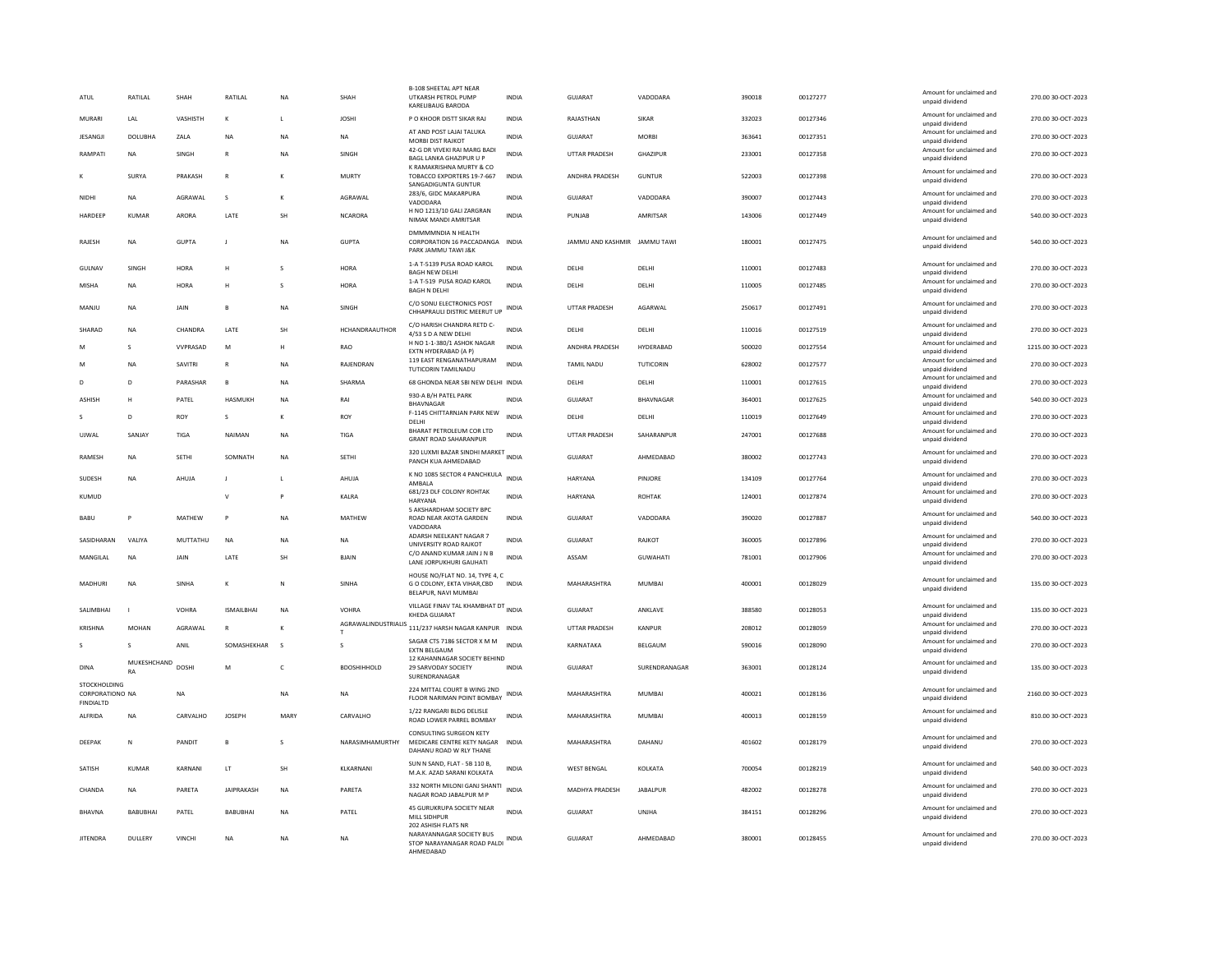| ATUL                                                | RATILAL           | SHAH           | RATILAL           | <b>NA</b>    | SHAH                       | <b>B-108 SHEETAL APT NEAR</b><br>UTKARSH PETROL PUMP<br>KARELIBAUG BARODA                          | <b>INDIA</b> | GUJARAT                      | VADODARA        | 390018 | 00127277 | Amount for unclaimed and<br>unpaid dividend | 270.00 30-OCT-2023  |
|-----------------------------------------------------|-------------------|----------------|-------------------|--------------|----------------------------|----------------------------------------------------------------------------------------------------|--------------|------------------------------|-----------------|--------|----------|---------------------------------------------|---------------------|
| MURARI                                              | <b>I</b> AI       | VASHISTH       | к                 | $\mathbf{L}$ | <b>JOSHI</b>               | P O KHOOR DISTT SIKAR RAJ                                                                          | <b>INDIA</b> | RAJASTHAN                    | <b>SIKAR</b>    | 332023 | 00127346 | Amount for unclaimed and<br>unpaid dividend | 270.00 30-OCT-2023  |
| <b>JESANGJI</b>                                     | <b>DOLUBHA</b>    | ZALA           | <b>NA</b>         | <b>NA</b>    | <b>NA</b>                  | AT AND POST LAJAI TALUKA<br>MORBI DIST RAJKOT                                                      | <b>INDIA</b> | <b>GUJARAT</b>               | <b>MORBI</b>    | 363641 | 00127351 | Amount for unclaimed and<br>unpaid dividend | 270.00 30-OCT-2023  |
| RAMPATI                                             | <b>NA</b>         | SINGH          | $\mathsf{R}$      | <b>NA</b>    | SINGH                      | 42-G DR VIVEKI RAI MARG BADI<br>BAGL LANKA GHAZIPUR U P                                            | <b>INDIA</b> | UTTAR PRADESH                | GHAZIPUR        | 233001 | 00127358 | Amount for unclaimed and<br>unpaid dividend | 270.00 30-OCT-2023  |
|                                                     | SURYA             | PRAKASH        | ${\sf R}$         | к            | <b>MURTY</b>               | K RAMAKRISHNA MURTY & CO<br>TOBACCO EXPORTERS 19-7-667<br>SANGADIGUNTA GUNTUR                      | INDIA        | ANDHRA PRADESH               | <b>GUNTUR</b>   | 522003 | 00127398 | Amount for unclaimed and<br>unpaid dividend | 270.00 30-OCT-2023  |
| NIDHI                                               | <b>NA</b>         | AGRAWAL        | s                 | к            | AGRAWAL                    | 283/6, GIDC MAKARPURA<br>VADODARA                                                                  | <b>INDIA</b> | GUJARAT                      | VADODARA        | 390007 | 00127443 | Amount for unclaimed and<br>unpaid dividend | 270.00 30-OCT-2023  |
| HARDEEP                                             | <b>KUMAR</b>      | <b>ARORA</b>   | LATE              | <b>SH</b>    | <b>NCARORA</b>             | H NO 1213/10 GALI ZARGRAN<br>NIMAK MANDI AMRITSAR                                                  | <b>INDIA</b> | PUNJAB                       | AMRITSAR        | 143006 | 00127449 | Amount for unclaimed and<br>unpaid dividend | 540.00 30-OCT-2023  |
| <b>RAIFSH</b>                                       | <b>NA</b>         | GUPTA          | $\mathbf{I}$      | <b>NA</b>    | GUPTA                      | DMMMMNDIA N HEALTH<br>CORPORATION 16 PACCADANGA INDIA<br>PARK JAMMU TAWI J&K                       |              | IAMMU AND KASHMIR IAMMU TAWI |                 | 180001 | 00127475 | Amount for unclaimed and<br>unpaid dividend | 540.00 30-OCT-2023  |
| GULNAV                                              | SINGH             | <b>HORA</b>    | н                 | $\mathbf{S}$ | <b>HORA</b>                | 1-A T-5139 PUSA ROAD KAROL<br><b>BAGH NEW DELHI</b>                                                | <b>INDIA</b> | DELH                         | DELHI           | 110001 | 00127483 | Amount for unclaimed and<br>unpaid dividend | 270.00 30-OCT-2023  |
| MISHA                                               | <b>NA</b>         | <b>HORA</b>    | H                 | s            | HORA                       | 1-A T-519 PUSA ROAD KAROL<br><b>BAGH N DELHI</b>                                                   | <b>INDIA</b> | <b>DELHI</b>                 | DELHI           | 110005 | 00127485 | Amount for unclaimed and<br>unpaid dividend | 270.00 30-OCT-2023  |
| MANJU                                               | <b>NA</b>         | JAIN           | R                 | NA           | SINGH                      | C/O SONU ELECTRONICS POST<br>CHHAPRAULI DISTRIC MEERUT UP                                          | <b>INDIA</b> | UTTAR PRADESH                | AGARWAL         | 250617 | 00127491 | Amount for unclaimed and<br>unpaid dividend | 270.00 30-OCT-2023  |
| SHARAD                                              | <b>NA</b>         | CHANDRA        | LATE              | SH           | HCHANDRAAUTHOR             | C/O HARISH CHANDRA RETD C-<br>4/53 S D A NEW DELHL                                                 | <b>INDIA</b> | DELHI                        | DELHI           | 110016 | 00127519 | Amount for unclaimed and<br>unnaid dividend | 270.00 30-OCT-2023  |
| M                                                   | $\mathbf{S}$      | <b>WPRASAD</b> | M                 | H            | <b>RAO</b>                 | H NO 1-1-380/1 ASHOK NAGAR<br>EXTN HYDERABAD (A P)                                                 | <b>INDIA</b> | <b>ANDHRA PRADESH</b>        | HYDERARAD       | 500020 | 00127554 | Amount for unclaimed and<br>unpaid dividend | 1215.00 30-OCT-2023 |
|                                                     | <b>NA</b>         | SAVITRI        | $\mathbb{R}$      | <b>NA</b>    | RAJENDRAN                  | 119 EAST RENGANATHAPURAM<br>TUTICORIN TAMILNADU                                                    | <b>INDIA</b> | <b>TAMIL NADU</b>            | TUTICORIN       | 628002 | 00127577 | Amount for unclaimed and<br>unpaid dividend | 270.00 30-OCT-2023  |
|                                                     | D                 | PARASHAR       | $\overline{B}$    | <b>NA</b>    | SHARMA                     | 68 GHONDA NEAR SBI NEW DELHI INDIA                                                                 |              | DELHI                        | DELHI           | 110001 | 00127615 | Amount for unclaimed and<br>unpaid dividend | 270.00 30-OCT-2023  |
| <b>ASHISH</b>                                       | Н                 | PATEL          | HASMUKH           | <b>NA</b>    | RAI                        | 930-A B/H PATEL PARK<br><b>BHAVNAGAR</b>                                                           | <b>INDIA</b> | <b>GUJARAT</b>               | BHAVNAGAR       | 364001 | 00127625 | Amount for unclaimed and<br>unpaid dividend | 540.00 30-OCT-2023  |
|                                                     | $\mathbf{D}$      | <b>ROY</b>     | s                 | к            | ROY                        | F-1145 CHITTARNJAN PARK NEW<br>DELHI                                                               | <b>INDIA</b> | DELHI                        | DELHI           | 110019 | 00127649 | Amount for unclaimed and<br>unpaid dividend | 270.00 30-OCT-2023  |
| LIIWAI                                              | SANJAY            | TIGA           | NAIMAN            | <b>NA</b>    | <b>TIGA</b>                | <b>BHARAT PETROLEUM COR LTD</b><br><b>GRANT ROAD SAHARANPUR</b>                                    | <b>INDIA</b> | <b>UTTAR PRADESH</b>         | SAHARANPUR      | 247001 | 00127688 | Amount for unclaimed and<br>unpaid dividend | 270.00 30-OCT-2023  |
| RAMESH                                              | <b>NA</b>         | SETHI          | SOMNATH           | NA           | SETHI                      | 320 LUXMI BAZAR SINDHI MARKET INDIA<br>PANCH KUA AHMEDABAD                                         |              | GUJARAT                      | AHMEDABAD       | 380002 | 00127743 | Amount for unclaimed and<br>unpaid dividend | 270.00 30-OCT-2023  |
| SUDESH                                              | ΝA                | AHUJA          |                   | $\mathsf{L}$ | AHUJA                      | K NO 1085 SECTOR 4 PANCHKULA INDIA<br>AMRAI A                                                      |              | HARYANA                      | PINJORE         | 134109 | 00127764 | Amount for unclaimed and<br>unnaid dividend | 270.00 30-OCT-2023  |
| KUMUD                                               |                   |                | V                 | $\mathbf{D}$ | KALRA                      | 681/23 DLF COLONY ROHTAK<br>HARYANA                                                                | <b>INDIA</b> | <b>HARYANA</b>               | <b>ROHTAK</b>   | 124001 | 00127874 | Amount for unclaimed and<br>unpaid dividend | 270.00 30-OCT-2023  |
| <b>BABU</b>                                         |                   | MATHEW         |                   | <b>NA</b>    | <b>MATHEW</b>              | 5 AKSHARDHAM SOCIETY BPC<br>ROAD NEAR AKOTA GARDEN<br>VADODARA                                     | <b>INDIA</b> | <b>GUJARAT</b>               | VADODARA        | 390020 | 00127887 | Amount for unclaimed and<br>unpaid dividend | 540.00 30-OCT-2023  |
| SASIDHARAN                                          | VALIYA            | MUTTATHU       | <b>NA</b>         | <b>NA</b>    | <b>NA</b>                  | ADARSH NEELKANT NAGAR 7<br>UNIVERSITY ROAD RAJKOT                                                  | <b>INDIA</b> | GUJARAT                      | RAJKOT          | 360005 | 00127896 | Amount for unclaimed and<br>unpaid dividend | 270.00 30-OCT-2023  |
| MANGILAL                                            | <b>NA</b>         | <b>JAIN</b>    | LATE              | <b>SH</b>    | <b>BIAIN</b>               | C/O ANAND KUMAR JAIN J N B<br>LANE JORPUKHURI GAUHATI                                              | <b>INDIA</b> | ASSAM                        | <b>GUWAHATI</b> | 781001 | 00127906 | Amount for unclaimed and<br>unpaid dividend | 270.00 30-OCT-2023  |
| MADHURI                                             | <b>NA</b>         | SINHA          | K                 | N            | SINHA                      | HOUSE NO/FLAT NO. 14, TYPE 4, C<br>G O COLONY, EKTA VIHAR, CBD<br>BELAPUR, NAVI MUMBAI             | <b>INDIA</b> | MAHARASHTRA                  | MUMBAI          | 400001 | 00128029 | Amount for unclaimed and<br>unpaid dividend | 135.00 30-OCT-2023  |
| SALIMBHAI                                           |                   | VOHRA          | <b>ISMAILBHAI</b> | <b>NA</b>    | <b>VOHRA</b>               | VILLAGE FINAV TAL KHAMBHAT DT INDIA<br>KHEDA GUJARAT                                               |              | <b>GUJARAT</b>               | ANKLAVE         | 388580 | 00128053 | Amount for unclaimed and<br>unpaid dividend | 135.00 30-OCT-2023  |
| KRISHNA                                             | <b>MOHAN</b>      | AGRAWAL        | $\mathsf R$       | к            | <b>AGRAWALINDUSTRIALIS</b> | 111/237 HARSH NAGAR KANPUR INDIA                                                                   |              | UTTAR PRADESH                | KANPUR          | 208012 | 00128059 | Amount for unclaimed and<br>unpaid dividend | 270.00 30-OCT-2023  |
|                                                     | s                 | ANIL           | SOMASHEKHAR       | $\sim$       | s                          | SAGAR CTS 7186 SECTOR X M M<br><b>FXTN RELGAUM</b>                                                 | <b>INDIA</b> | KARNATAKA                    | BELGAUM         | 590016 | 00128090 | Amount for unclaimed and<br>unpaid dividend | 270.00 30-OCT-2023  |
| <b>DINA</b>                                         | MUKESHCHAND<br>RA | <b>DOSHI</b>   | M                 | $\mathsf{C}$ | <b>BDOSHIHHOLD</b>         | 12 KAHANNAGAR SOCIETY BEHIND<br>29 SARVODAY SOCIETY<br>SURENDRANAGAR                               | <b>INDIA</b> | <b>GUJARAT</b>               | SURENDRANAGAR   | 363001 | 00128124 | Amount for unclaimed and<br>unpaid dividend | 135.00 30-OCT-2023  |
| STOCKHOLDING<br><b>CORPORATIONO NA</b><br>FINDIALTD |                   | <b>NA</b>      |                   | <b>NA</b>    | <b>NA</b>                  | 224 MITTAL COURT B WING 2ND<br>FLOOR NARIMAN POINT BOMBAY                                          | <b>INDIA</b> | MAHARASHTRA                  | MUMBAI          | 400021 | 00128136 | Amount for unclaimed and<br>unpaid dividend | 2160.00 30-OCT-2023 |
| ALFRIDA                                             | <b>NA</b>         | CARVALHO       | <b>JOSEPH</b>     | MARY         | CARVALHO                   | 1/22 RANGARI BLDG DELISLE<br>ROAD LOWER PARREL BOMBAY                                              | <b>INDIA</b> | MAHARASHTRA                  | MUMBAI          | 400013 | 00128159 | Amount for unclaimed and<br>unpaid dividend | 810.00 30-OCT-2023  |
| <b>DEEPAK</b>                                       | N                 | PANDIT         | B                 | s            | NARASIMHAMURTHY            | CONSULTING SURGEON KETY<br>MEDICARE CENTRE KETY NAGAR<br>DAHANU ROAD W RLY THANE                   | <b>INDIA</b> | MAHARASHTRA                  | DAHANU          | 401602 | 00128179 | Amount for unclaimed and<br>unpaid dividend | 270.00 30-OCT-2023  |
| SATISH                                              | <b>KUMAR</b>      | KARNANI        | LT                | SH           | KLKARNANI                  | SUN N SAND, FLAT - 5B 110 B,<br>M.A.K. AZAD SARANI KOLKATA                                         | <b>INDIA</b> | <b>WEST BENGAL</b>           | KOLKATA         | 700054 | 00128219 | Amount for unclaimed and<br>unpaid dividend | 540.00 30-OCT-2023  |
| CHANDA                                              | <b>NA</b>         | PARETA         | <b>JAIPRAKASH</b> | <b>NA</b>    | PARETA                     | 332 NORTH MILONI GANJ SHANTI<br>NAGAR ROAD JABALPUR M P                                            | <b>INDIA</b> | MADHYA PRADESH               | <b>JABALPUR</b> | 482002 | 00128278 | Amount for unclaimed and<br>unpaid dividend | 270.00 30-OCT-2023  |
| <b>RHAVNA</b>                                       | <b>BABUBHA</b>    | PATEL          | <b>BABUBHAI</b>   | <b>NA</b>    | PATEL                      | 45 GURUKRUPA SOCIETY NEAR<br>MILL SIDHPUR                                                          | <b>INDIA</b> | <b>GUJARAT</b>               | UNIHA           | 384151 | 00128296 | Amount for unclaimed and<br>unpaid dividend | 270.00 30-OCT-2023  |
| <b>JITENDRA</b>                                     | DULLERY           | VINCHI         | NA                | <b>NA</b>    | NA                         | 202 ASHISH FLATS NR<br>NARAYANNAGAR SOCIETY BUS<br>STOP NARAYANAGAR ROAD PALDI<br><b>AHMEDARAD</b> | <b>INDIA</b> | GUJARAT                      | AHMEDABAD       | 380001 | 00128455 | Amount for unclaimed and<br>unpaid dividend | 270.00 30-OCT-2023  |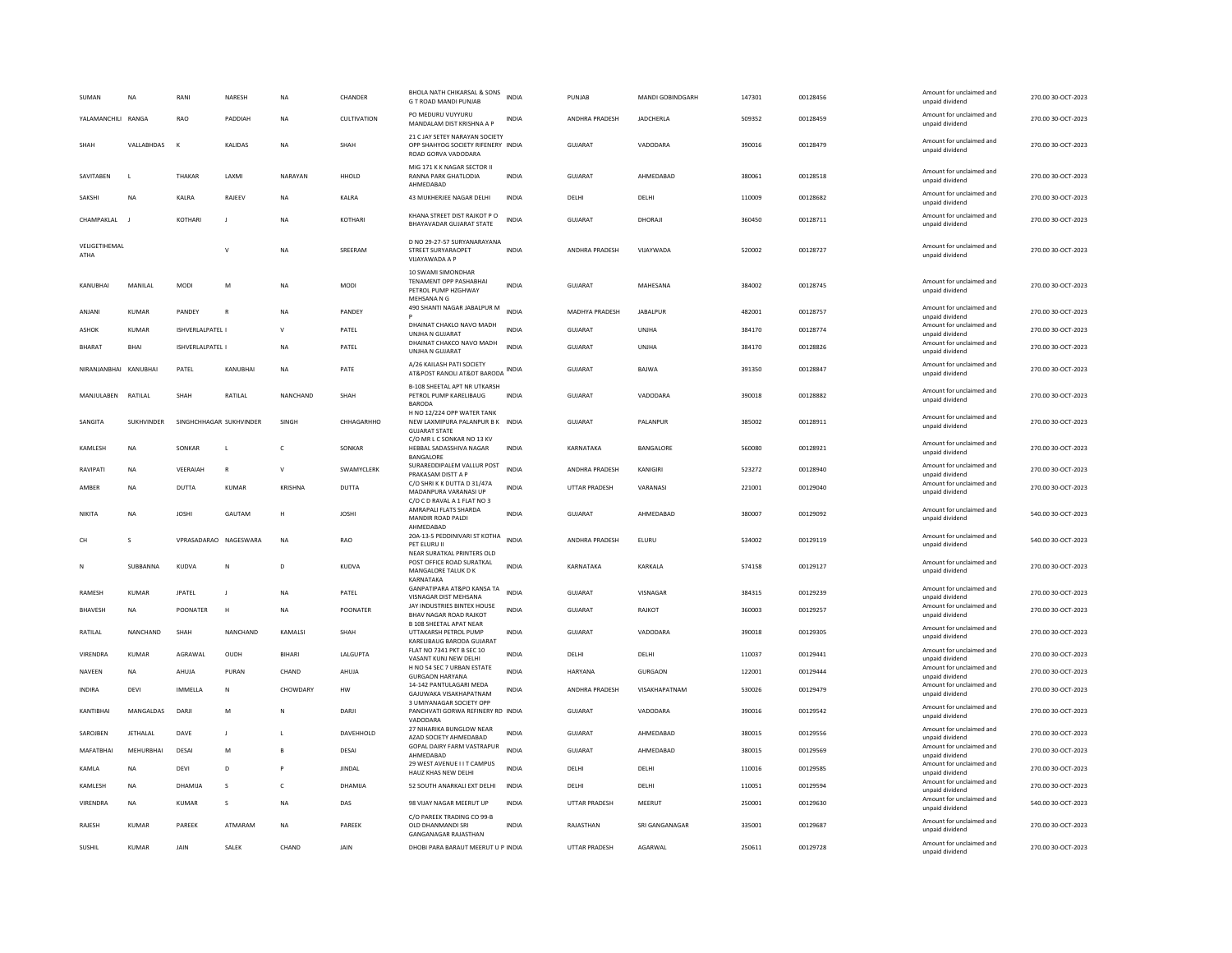| SUMAN                 | <b>NA</b>         | RANI                    | <b>NARESH</b>   | <b>NA</b>      | CHANDER       | BHOLA NATH CHIKARSAL & SONS<br>G T ROAD MANDI PUNJAB                                        | <b>INDIA</b> | PUNJAB               | MANDI GOBINDGARH | 147301 | 00128456 | Amount for unclaimed and<br>unpaid dividend | 270.00 30-OCT-2023 |
|-----------------------|-------------------|-------------------------|-----------------|----------------|---------------|---------------------------------------------------------------------------------------------|--------------|----------------------|------------------|--------|----------|---------------------------------------------|--------------------|
| YALAMANCHILI RANGA    |                   | <b>RAO</b>              | PADDIAH         | <b>NA</b>      | CULTIVATION   | PO MEDURU VUYYURU<br>MANDALAM DIST KRISHNA A P                                              | <b>INDIA</b> | ANDHRA PRADESH       | JADCHERLA        | 509352 | 00128459 | Amount for unclaimed and<br>unpaid dividend | 270.00 30-OCT-2023 |
| SHAH                  | VALLABHDAS        |                         | KALIDAS         | <b>NA</b>      | SHAH          | 21 C JAY SETEY NARAYAN SOCIETY<br>OPP SHAHYOG SOCIETY RIFENERY INDIA<br>ROAD GORVA VADODARA |              | <b>GUJARAT</b>       | VADODARA         | 390016 | 00128479 | Amount for unclaimed and<br>unpaid dividend | 270.00 30-OCT-2023 |
| SAVITABEN             |                   | THAKAR                  | LAXMI           | NARAYAN        | HHOLD         | MIG 171 K K NAGAR SECTOR II<br>RANNA PARK GHATLODIA<br>AHMEDABAD                            | <b>INDIA</b> | <b>GUJARAT</b>       | AHMEDABAD        | 380061 | 00128518 | Amount for unclaimed and<br>unpaid dividend | 270.00 30-OCT-2023 |
| SAKSHI                | <b>NA</b>         | <b>KAIRA</b>            | RAIFFV          | <b>NA</b>      | <b>KAIRA</b>  | 43 MUKHERJEE NAGAR DELHI                                                                    | <b>INDIA</b> | DELHI                | <b>DELHI</b>     | 110009 | 00128682 | Amount for unclaimed and<br>unpaid dividend | 270.00.30-OCT-2023 |
| CHAMPAKLAL            |                   | <b>KOTHARI</b>          | J               | <b>NA</b>      | KOTHARI       | KHANA STREET DIST RAJKOT P O<br>BHAYAVADAR GUJARAT STATE                                    | <b>INDIA</b> | <b>GUJARAT</b>       | DHORAJI          | 360450 | 00128711 | Amount for unclaimed and<br>unpaid dividend | 270.00 30-OCT-2023 |
| VELIGETIHEMAL<br>ATHA |                   |                         |                 | <b>NA</b>      | SREERAM       | D NO 29-27-57 SURYANARAYANA<br>STREET SURYARAOPET<br>VIJAYAWADA A P                         | <b>INDIA</b> | ANDHRA PRADESH       | VIJAYWADA        | 520002 | 00128727 | Amount for unclaimed and<br>unpaid dividend | 270.00 30-OCT-2023 |
| KANUBHAI              | MANILAL           | MODI                    | M               | <b>NA</b>      | <b>MODI</b>   | 10 SWAMI SIMONDHAR<br>TENAMENT OPP PASHABHAI<br>PETROL PUMP HZGHWAY                         | INDIA        | GUJARAT              | MAHESANA         | 384002 | 00128745 | Amount for unclaimed and<br>unpaid dividend | 270.00 30-OCT-2023 |
| ANJANI                | <b>KUMAR</b>      | PANDEY                  | $\mathsf{R}$    | <b>NA</b>      | PANDEY        | MEHSANA N G<br>490 SHANTI NAGAR JABALPUR M                                                  | <b>INDIA</b> | MADHYA PRADESH       | <b>JABALPUR</b>  | 482001 | 00128757 | Amount for unclaimed and<br>unpaid dividend | 270.00 30-OCT-2023 |
| ASHOK                 | <b>KUMAR</b>      | ISHVERLALPATEL I        |                 | $\mathbf{v}$   | PATEL         | DHAINAT CHAKLO NAVO MADH<br><b>UNJHA N GUJARAT</b>                                          | <b>INDIA</b> | GUJARAT              | UNJHA            | 384170 | 00128774 | Amount for unclaimed and<br>unpaid dividend | 270.00 30-OCT-2023 |
| <b>BHARAT</b>         | <b>BHAI</b>       | ISHVERLALPATEL I        |                 | <b>NA</b>      | PATEL         | DHAINAT CHAKCO NAVO MADH<br>UNJHA N GUJARAT                                                 | <b>INDIA</b> | GUJARAT              | UNIHA            | 384170 | 00128826 | Amount for unclaimed and<br>unpaid dividend | 270.00 30-OCT-2023 |
| NIRANJANBHAI KANUBHAI |                   | PATEL                   | KANUBHAI        | NA             | PATE          | A/26 KAILASH PATI SOCIETY<br>AT&POST RANOLI AT&DT BARODA                                    | INDIA        | GUJARAT              | BAJWA            | 391350 | 00128847 | Amount for unclaimed and<br>unpaid dividend | 270.00 30-OCT-2023 |
| MANJULABEN            | RATILAL           | SHAH                    | RATILAL         | NANCHAND       | SHAH          | <b>B-108 SHEETAL APT NR UTKARSH</b><br>PETROL PUMP KARELIBAUG<br><b>BARODA</b>              | <b>INDIA</b> | GUJARAT              | VADODARA         | 390018 | 00128882 | Amount for unclaimed and<br>unpaid dividend | 270.00 30-OCT-2023 |
| SANGITA               | <b>SUKHVINDER</b> | SINGHCHHAGAR SUKHVINDER |                 | SINGH          | CHHAGARHHO    | H NO 12/224 OPP WATER TANK<br>NEW LAXMIPURA PALANPUR B K INDIA<br><b>GUJARAT STATE</b>      |              | <b>GUJARAT</b>       | PALANPUR         | 385002 | 00128911 | Amount for unclaimed and<br>unpaid dividend | 270.00 30-OCT-2023 |
| KAMLESH               | <b>NA</b>         | SONKAR                  | L               | $\mathsf{C}$   | SONKAR        | C/O MR L C SONKAR NO 13 KV<br>HEBBAL SADASSHIVA NAGAR<br><b>BANGALORI</b>                   | <b>INDIA</b> | KARNATAKA            | BANGALORE        | 560080 | 00128921 | Amount for unclaimed and<br>unpaid dividend | 270.00 30-OCT-2023 |
| RAVIPATI              | <b>NA</b>         | VEERAIAH                | $\mathbb{R}$    | $\mathsf{V}$   | SWAMYCLERK    | SURAREDDIPALEM VALLUR POST<br>PRAKASAM DISTT A P                                            | <b>INDIA</b> | ANDHRA PRADESH       | KANIGIRI         | 523272 | 00128940 | Amount for unclaimed and<br>unpaid dividend | 270.00 30-OCT-2023 |
| AMBER                 | <b>NA</b>         | <b>DUTTA</b>            | KUMAR           | KRISHNA        | <b>DUTTA</b>  | C/O SHRIK K DUTTA D 31/47A<br>MADANPURA VARANASI UP<br>C/O C D RAVAL A 1 FLAT NO 3          | INDIA        | <b>UTTAR PRADESH</b> | VARANASI         | 221001 | 00129040 | Amount for unclaimed and<br>unpaid dividend | 270.00 30-OCT-2023 |
| NIKITA                | <b>NA</b>         | <b>JOSHI</b>            | GAUTAM          | н              | <b>JOSHI</b>  | AMRAPALI FLATS SHARDA<br>MANDIR ROAD PALDI                                                  | <b>INDIA</b> | <b>GUJARAT</b>       | AHMEDABAD        | 380007 | 00129092 | Amount for unclaimed and<br>unpaid dividend | 540.00 30-OCT-2023 |
| CH                    | $\mathbf{S}$      | VPRASADARAO NAGESWARA   |                 | <b>NA</b>      | RAO           | AHMEDABAD<br>20A-13-5 PEDDINIVARI ST KOTHA<br>PFT FIURU II                                  | <b>INDIA</b> | ANDHRA PRADESH       | ELURU            | 534002 | 00129119 | Amount for unclaimed and<br>unpaid dividend | 540.00 30-OCT-2023 |
| N                     | SUBBANNA          | KUDVA                   | N               | D              | KUDVA         | NEAR SURATKAL PRINTERS OLD<br>POST OFFICE ROAD SURATKAL<br>MANGALORE TALUK D K              | <b>INDIA</b> | KARNATAKA            | KARKALA          | 574158 | 00129127 | Amount for unclaimed and<br>unpaid dividend | 270.00 30-OCT-2023 |
| RAMESH                | <b>KUMAR</b>      | <b>JPATEL</b>           | J               | <b>NA</b>      | PATEL         | KARNATAKA<br>GANPATIPARA AT&PO KANSA TA<br>VISNAGAR DIST MEHSANA                            | <b>INDIA</b> | GUJARAT              | VISNAGAR         | 384315 | 00129239 | Amount for unclaimed and<br>unpaid dividend | 270.00 30-OCT-2023 |
| <b>BHAVESH</b>        | NA                | POONATER                | H               | <b>NA</b>      | POONATER      | JAY INDUSTRIES BINTEX HOUSE<br><b>BHAV NAGAR ROAD RAJKOT</b>                                | INDIA        | GUJARAT              | RAJKOT           | 360003 | 00129257 | Amount for unclaimed and<br>unpaid dividend | 270.00 30-OCT-2023 |
| RATILAL               | <b>NANCHAND</b>   | SHAH                    | <b>NANCHAND</b> | <b>KAMALSI</b> | <b>SHAH</b>   | <b>B 108 SHEETAL APAT NEAR</b><br>UTTAKARSH PETROL PUMP<br>KARELIBAUG BARODA GUJARAT        | <b>INDIA</b> | GUIARAT              | VADODARA         | 390018 | 00129305 | Amount for unclaimed and<br>unpaid dividend | 270.00 30-OCT-2023 |
| VIRENDRA              | <b>KUMAR</b>      | AGRAWAL                 | OUDH            | BIHARI         | LALGUPTA      | <b>FLAT NO 7341 PKT B SEC 10</b><br>VASANT KUNJ NEW DELHI                                   | INDIA        | DELHI                | DELHI            | 110037 | 00129441 | Amount for unclaimed and<br>unpaid dividend | 270.00 30-OCT-2023 |
| NAVEEN                | <b>NA</b>         | AHUJA                   | PURAN           | CHAND          | AHUJA         | H NO 54 SEC 7 URBAN ESTATE<br><b>GURGAON HARYANA</b>                                        | INDIA        | HARYANA              | <b>GURGAON</b>   | 122001 | 00129444 | Amount for unclaimed and<br>unpaid dividend | 270.00 30-OCT-2023 |
| INDIRA                | DEVI              | IMMELLA                 | N               | CHOWDARY       | HW            | 14-142 PANTULAGARI MEDA<br>GAJUWAKA VISAKHAPATNAM                                           | INDIA        | ANDHRA PRADESH       | VISAKHAPATNAM    | 530026 | 00129479 | Amount for unclaimed and<br>unpaid dividend | 270.00 30-OCT-2023 |
| KANTIBHAI             | MANGALDAS         | DARJI                   | M               | N              | DARJI         | 3 UMIYANAGAR SOCIETY OPP<br>PANCHVATI GORWA REFINERY RD INDIA<br>VADODARA                   |              | GUJARAT              | VADODARA         | 390016 | 00129542 | Amount for unclaimed and<br>unpaid dividend | 270.00 30-OCT-2023 |
| SAROJBEN              | <b>JETHALAL</b>   | DAVE                    | J               | L              | DAVEHHOLD     | 27 NIHARIKA BUNGLOW NEAR<br>AZAD SOCIETY AHMEDABAD                                          | <b>INDIA</b> | <b>GUJARAT</b>       | AHMEDABAD        | 380015 | 00129556 | Amount for unclaimed and<br>unpaid dividend | 270.00 30-OCT-2023 |
| MAFATBHAI             | MEHURBHAI         | DESAI                   | M               | $\mathbf{B}$   | DESAI         | GOPAL DAIRY FARM VASTRAPUR<br>AHMEDABAD                                                     | <b>INDIA</b> | GUJARAT              | AHMEDABAD        | 380015 | 00129569 | Amount for unclaimed and<br>unpaid dividend | 270.00 30-OCT-2023 |
| KAMLA                 | <b>NA</b>         | DEVI                    | D               | P              | <b>JINDAL</b> | 29 WEST AVENUE I I T CAMPUS<br>HAUZ KHAS NEW DELHI                                          | <b>INDIA</b> | DELHI                | DELHI            | 110016 | 00129585 | Amount for unclaimed and<br>unpaid dividend | 270.00 30-OCT-2023 |
| KAMLESH               | <b>NA</b>         | DHAMUA                  | s               | $\mathsf{C}$   | DHAMIJA       | 52 SOUTH ANARKALI EXT DELHI                                                                 | INDIA        | DELHI                | DELHI            | 110051 | 00129594 | Amount for unclaimed and<br>unpaid dividend | 270.00 30-OCT-2023 |
| VIRENDRA              | <b>NA</b>         | <b>KUMAR</b>            | s               | <b>NA</b>      | DAS           | 98 VIJAY NAGAR MEERUT UP                                                                    | <b>INDIA</b> | UTTAR PRADESH        | MEERUT           | 250001 | 00129630 | Amount for unclaimed and<br>unpaid dividend | 540.00 30-OCT-2023 |
| <b>RAJESH</b>         | KUMAR             | <b>PARFFK</b>           | ATMARAM         | <b>NA</b>      | PAREEK        | C/O PAREEK TRADING CO 99-B<br>OLD DHANMANDI SRI<br><b>GANGANAGAR RAJASTHAN</b>              | <b>INDIA</b> | RAJASTHAN            | SRI GANGANAGAR   | 335001 | 00129687 | Amount for unclaimed and<br>unpaid dividend | 270.00 30-OCT-2023 |
| SUSHIL                | <b>KUMAR</b>      | JAIN                    | SALEK           | CHAND          | JAIN          | DHOBI PARA BARAUT MEERUT U P INDIA                                                          |              | UTTAR PRADESH        | AGARWAL          | 250611 | 00129728 | Amount for unclaimed and<br>unpaid dividend | 270.00 30-OCT-2023 |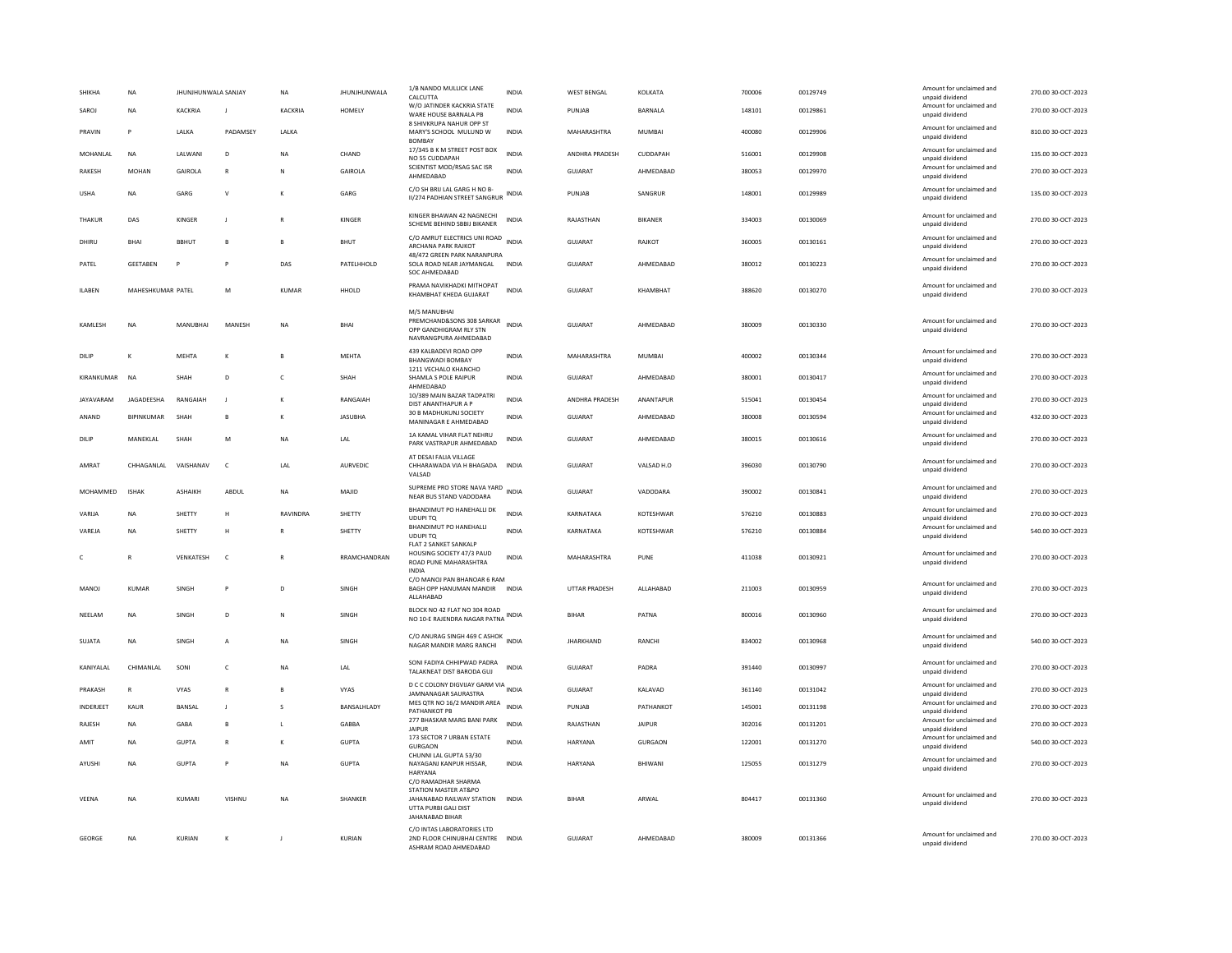| SHIKHA<br>SAROJ | NA<br><b>NA</b>   | JHUNJHUNWALA SANJAY<br>KACKRIA | J               | <b>NA</b><br>KACKRIA | JHUNJHUNWALA<br>HOMELY | 1/B NANDO MULLICK LANE<br>CALCUTTA<br>W/O JATINDER KACKRIA STATE<br>WARE HOUSE BARNALA PB                           | INDIA<br><b>INDIA</b> | <b>WEST BENGAL</b><br>PUNJAB | KOLKATA<br>BARNALA | 700006<br>148101 | 00129749<br>00129861 | Amount for unclaimed and<br>unpaid dividend<br>Amount for unclaimed and<br>unpaid dividend | 270.00 30-OCT-2023<br>270.00 30-OCT-2023 |
|-----------------|-------------------|--------------------------------|-----------------|----------------------|------------------------|---------------------------------------------------------------------------------------------------------------------|-----------------------|------------------------------|--------------------|------------------|----------------------|--------------------------------------------------------------------------------------------|------------------------------------------|
| PRAVIN          | P                 | LALKA                          | <b>PADAMSEY</b> | LALKA                |                        | 8 SHIVKRUPA NAHUR OPP ST<br>MARY'S SCHOOL MULUND W                                                                  | INDIA                 | MAHARASHTRA                  | MUMBAI             | 400080           | 00129906             | Amount for unclaimed and<br>unpaid dividend                                                | 810.00 30-OCT-2023                       |
| MOHANLAL        | <b>NA</b>         | LALWANI                        | $\mathsf D$     | <b>NA</b>            | CHAND                  | <b>BOMBAY</b><br>17/345 B K M STREET POST BOX<br>NO 55 CUDDAPAH                                                     | <b>INDIA</b>          | ANDHRA PRADESH               | CUDDAPAH           | 516001           | 00129908             | Amount for unclaimed and<br>unpaid dividend                                                | 135.00 30-OCT-2023                       |
| RAKESH          | <b>MOHAN</b>      | GAIROLA                        | $\mathsf{R}$    |                      | GAIROLA                | SCIENTIST MOD/RSAG SAC ISR<br>AHMEDABAD                                                                             | INDIA                 | <b>GUJARA1</b>               | AHMEDABAD          | 380053           | 00129970             | Amount for unclaimed and<br>unpaid dividend                                                | 270.00 30-OCT-2023                       |
| <b>USHA</b>     | <b>NA</b>         | GARG                           | $\mathsf{v}$    | к                    | GARG                   | C/O SH BRIJ LAL GARG H NO B-<br>II/274 PADHIAN STREET SANGRUR                                                       | INDIA                 | PUNJAB                       | SANGRUR            | 148001           | 00129989             | Amount for unclaimed and<br>unpaid dividend                                                | 135.00 30-OCT-2023                       |
| THAKUR          | DAS               | KINGER                         |                 |                      | KINGER                 | KINGER BHAWAN 42 NAGNECHI<br>SCHEME BEHIND SBBIJ BIKANER                                                            | INDIA                 | RAJASTHAN                    | BIKANER            | 334003           | 00130069             | Amount for unclaimed and<br>unpaid dividend                                                | 270.00 30-OCT-2023                       |
| DHIRLI          | <b>BHAI</b>       | <b>BBHUT</b>                   | $\mathbf{B}$    | $\mathbf{B}$         | <b>BHUT</b>            | C/O AMRUT ELECTRICS UNI ROAD<br>ARCHANA PARK RAJKOT                                                                 | <b>INDIA</b>          | GUIARAT                      | RAIKOT             | 360005           | 00130161             | Amount for unclaimed and<br>unpaid dividend                                                | 270.00 30-OCT-2023                       |
| PATEL           | <b>GEETABEN</b>   | P                              | P               | DAS                  | PATELHHOLD             | 48/472 GREEN PARK NARANPURA<br>SOLA ROAD NEAR JAYMANGAL<br>SOC AHMEDABAD                                            | INDIA                 | <b>GUJARAT</b>               | AHMEDABAD          | 380012           | 00130223             | Amount for unclaimed and<br>unpaid dividend                                                | 270.00 30-OCT-2023                       |
| <b>ILABEN</b>   | MAHESHKUMAR PATEL |                                | M               | KUMAR                | HHOLD                  | PRAMA NAVIKHADKI MITHOPAT<br>KHAMBHAT KHEDA GUJARAT                                                                 | <b>INDIA</b>          | GUJARAT                      | KHAMBHAT           | 388620           | 00130270             | Amount for unclaimed and<br>unpaid dividend                                                | 270.00 30-OCT-2023                       |
| KAMLESH         | <b>NA</b>         | MANUBHAI                       | MANESH          | <b>NA</b>            | <b>BHA</b>             | M/S MANUBHAI<br>PREMCHAND&SONS 308 SARKAR<br>OPP GANDHIGRAM RLY STN<br>NAVRANGPURA AHMEDABAD                        | <b>INDIA</b>          | GUJARAT                      | AHMEDABAD          | 380009           | 00130330             | Amount for unclaimed and<br>unpaid dividend                                                | 270.00 30-OCT-2023                       |
| DILIF           | K                 | MEHTA                          | К               |                      | MEHTA                  | 439 KALBADEVI ROAD OPP<br><b>BHANGWADI BOMBAY</b>                                                                   | INDIA                 | MAHARASHTRA                  | MUMBAI             | 400002           | 00130344             | Amount for unclaimed and<br>unpaid dividend                                                | 270.00 30-OCT-2023                       |
| KIRANKUMAR      | <b>NA</b>         | SHAH                           | D               | $\mathsf{C}$         | SHAH                   | 1211 VECHALO KHANCHO<br>SHAMLA S POLE RAIPUR<br>AHMEDABAD                                                           | <b>INDIA</b>          | <b>GUJARAT</b>               | AHMEDARAD          | 380001           | 00130417             | Amount for unclaimed and<br>unpaid dividend                                                | 270.00 30-OCT-2023                       |
| JAYAVARAM       | JAGADEESHA        | RANGAIAH                       |                 | K                    | RANGAIAH               | 10/389 MAIN BAZAR TADPATRI<br>DIST ANANTHAPUR A P                                                                   | <b>INDIA</b>          | <b>ANDHRA PRADESH</b>        | ANANTAPUR          | 515041           | 00130454             | Amount for unclaimed and<br>unpaid dividend                                                | 270.00 30-OCT-2023                       |
| ANAND           | BIPINKUMAR        | SHAH                           | B               | K                    | JASUBHA                | 30 B MADHUKUNJ SOCIETY<br>MANINAGAR E AHMEDABAD                                                                     | INDIA                 | GUJARAT                      | AHMEDABAD          | 380008           | 00130594             | Amount for unclaimed and<br>unpaid dividend                                                | 432.00 30-OCT-2023                       |
| DILIP           | <b>MANEKLAL</b>   | <b>SHAH</b>                    | M               | <b>NA</b>            | <b>IAI</b>             | 1A KAMAL VIHAR FLAT NEHRU<br>PARK VASTRAPUR AHMEDABAD                                                               | <b>INDIA</b>          | GUIARAT                      | AHMEDARAD          | 380015           | 00130616             | Amount for unclaimed and<br>unpaid dividend                                                | 270.00 30-QCT-2023                       |
| AMRAT           | CHHAGANLAL        | VAISHANAV                      | $\mathsf{C}$    | LAL                  | AURVEDIC               | AT DESAI FALIA VILLAGE<br>CHHARAWADA VIA H BHAGADA INDIA<br>VALSAD                                                  |                       | GUJARAT                      | VALSAD H.O         | 396030           | 00130790             | Amount for unclaimed and<br>unpaid dividend                                                | 270.00 30-OCT-2023                       |
| MOHAMMED        | <b>ISHAK</b>      | <b>ASHAIKH</b>                 | ABDUL           | <b>NA</b>            | MAJID                  | SUPREME PRO STORE NAVA YARD<br>NEAR BUS STAND VADODARA                                                              | INDIA                 | <b>GUJARAT</b>               | VADODARA           | 390002           | 00130841             | Amount for unclaimed and<br>unpaid dividend                                                | 270.00 30-OCT-2023                       |
| VARIJA          | NA                | SHETTY                         | H               | RAVINDRA             | SHETTY                 | BHANDIMUT PO HANEHALLI DK<br>UDUPI TO                                                                               | <b>INDIA</b>          | KARNATAKA                    | KOTESHWAR          | 576210           | 00130883             | Amount for unclaimed and<br>unpaid dividend                                                | 270.00 30-OCT-2023                       |
| VARFIA          | <b>NA</b>         | SHETTY                         | H               | $\mathbb{R}$         | SHETTY                 | BHANDIMUT PO HANEHALLI<br>UDUPI TO                                                                                  | <b>INDIA</b>          | KARNATAKA                    | KOTESHWAR          | 576210           | 00130884             | Amount for unclaimed and<br>unpaid dividend                                                | 540.00 30-OCT-2023                       |
| c               | R                 | VENKATESH                      | $\mathsf{C}$    |                      | RRAMCHANDRAN           | FLAT 2 SANKET SANKALP<br>HOUSING SOCIETY 47/3 PAUD<br>ROAD PUNE MAHARASHTRA<br><b>INDIA</b>                         | <b>INDIA</b>          | MAHARASHTRA                  | PUNE               | 411038           | 00130921             | Amount for unclaimed and<br>unpaid dividend                                                | 270.00 30-OCT-2023                       |
| MANOJ           | KUMAR             | SINGH                          | P               | D                    | SINGH                  | C/O MANOJ PAN BHANOAR 6 RAM<br>BAGH OPP HANUMAN MANDIR INDIA<br>ALLAHABAD                                           |                       | UTTAR PRADESH                | ALLAHABAD          | 211003           | 00130959             | Amount for unclaimed and<br>unpaid dividend                                                | 270.00 30-OCT-2023                       |
| NEELAM          | <b>NA</b>         | SINGH                          | D               | N                    | SINGH                  | BLOCK NO 42 FLAT NO 304 ROAD<br>NO 10-E RAJENDRA NAGAR PATNA INDIA                                                  |                       | <b>BIHAR</b>                 | PATNA              | 800016           | 00130960             | Amount for unclaimed and<br>unpaid dividend                                                | 270.00 30-OCT-2023                       |
| SUJATA          | <b>NA</b>         | SINGH                          | A               | <b>NA</b>            | SINGH                  | C/O ANURAG SINGH 469 C ASHOK<br>NAGAR MANDIR MARG RANCHI                                                            | <b>INDIA</b>          | <b>JHARKHAND</b>             | RANCHI             | 834002           | 00130968             | Amount for unclaimed and<br>unpaid dividend                                                | 540.00 30-OCT-2023                       |
| KANIYAI AI      | <b>CHIMANIAI</b>  | SONI                           | c               | <b>NA</b>            | LAL                    | SONI FADIYA CHHIPWAD PADRA<br>TALAKNEAT DIST BARODA GUJ                                                             | <b>INDIA</b>          | <b>GUJARAT</b>               | PADRA              | 391440           | 00130997             | Amount for unclaimed and<br>unpaid dividend                                                | 270.00 30-OCT-2023                       |
| PRAKASH         | R                 | <b>VYAS</b>                    | $\mathbb{R}$    |                      | VYAS                   | D C C COLONY DIGVIJAY GARM VIA<br>JAMNANAGAR SAURASTRA                                                              | INDIA                 | GUJARAT                      | KALAVAD            | 361140           | 00131042             | Amount for unclaimed and<br>unpaid dividend                                                | 270.00 30-OCT-2023                       |
| INDERJEET       | <b>KAUR</b>       | BANSAL                         | J               |                      | BANSALHLADY            | MES QTR NO 16/2 MANDIR AREA<br>PATHANKOT PB                                                                         | <b>INDIA</b>          | PUNJAB                       | PATHANKOT          | 145001           | 00131198             | Amount for unclaimed and<br>unpaid dividend                                                | 270.00 30-OCT-2023                       |
| RAJESH          | NA                | GABA                           | $\,$ B          | $\mathsf{L}$         | <b>GABBA</b>           | 277 BHASKAR MARG BANI PARK<br><b>JAIPUR</b>                                                                         | <b>INDIA</b>          | RAJASTHAN                    | <b>JAIPUR</b>      | 302016           | 00131201             | Amount for unclaimed and<br>unpaid dividend                                                | 270.00 30-OCT-2023                       |
| AMIT            | <b>NA</b>         | GUPTA                          | $\mathbb{R}$    | к                    | <b>GUPTA</b>           | 173 SECTOR 7 URBAN ESTATE<br>GURGAON                                                                                | <b>INDIA</b>          | <b>HARYANA</b>               | <b>GURGAON</b>     | 122001           | 00131270             | Amount for unclaimed and<br>unpaid dividend                                                | 540.00 30-OCT-2023                       |
| AYUSHI          | <b>NA</b>         | <b>GUPTA</b>                   | P               | <b>NA</b>            | <b>GUPTA</b>           | CHUNNI LAL GUPTA 53/30<br>NAYAGANJ KANPUR HISSAR,<br><b>HARYANA</b>                                                 | <b>INDIA</b>          | <b>HARYANA</b>               | BHIWANI            | 125055           | 00131279             | Amount for unclaimed and<br>unpaid dividend                                                | 270.00 30-OCT-2023                       |
| VEENA           | NA                | KUMARI                         | VISHNU          | <b>NA</b>            | SHANKER                | C/O RAMADHAR SHARMA<br>STATION MASTER AT&PO<br>JAHANABAD RAILWAY STATION<br>UTTA PURBI GALI DIST<br>JAHANABAD BIHAR | <b>INDIA</b>          | <b>BIHAR</b>                 | ARWAL              | 804417           | 00131360             | Amount for unclaimed and<br>unpaid dividend                                                | 270.00 30-OCT-2023                       |
| GEORGE          | <b>NA</b>         | KURIAN                         |                 |                      | KURIAN                 | C/O INTAS LABORATORIES LTD<br>2ND FLOOR CHINUBHAI CENTRE<br>ASHRAM ROAD AHMEDABAD                                   | <b>INDIA</b>          | GUJARAT                      | AHMEDABAD          | 380009           | 00131366             | Amount for unclaimed and<br>unpaid dividend                                                | 270.00 30-OCT-2023                       |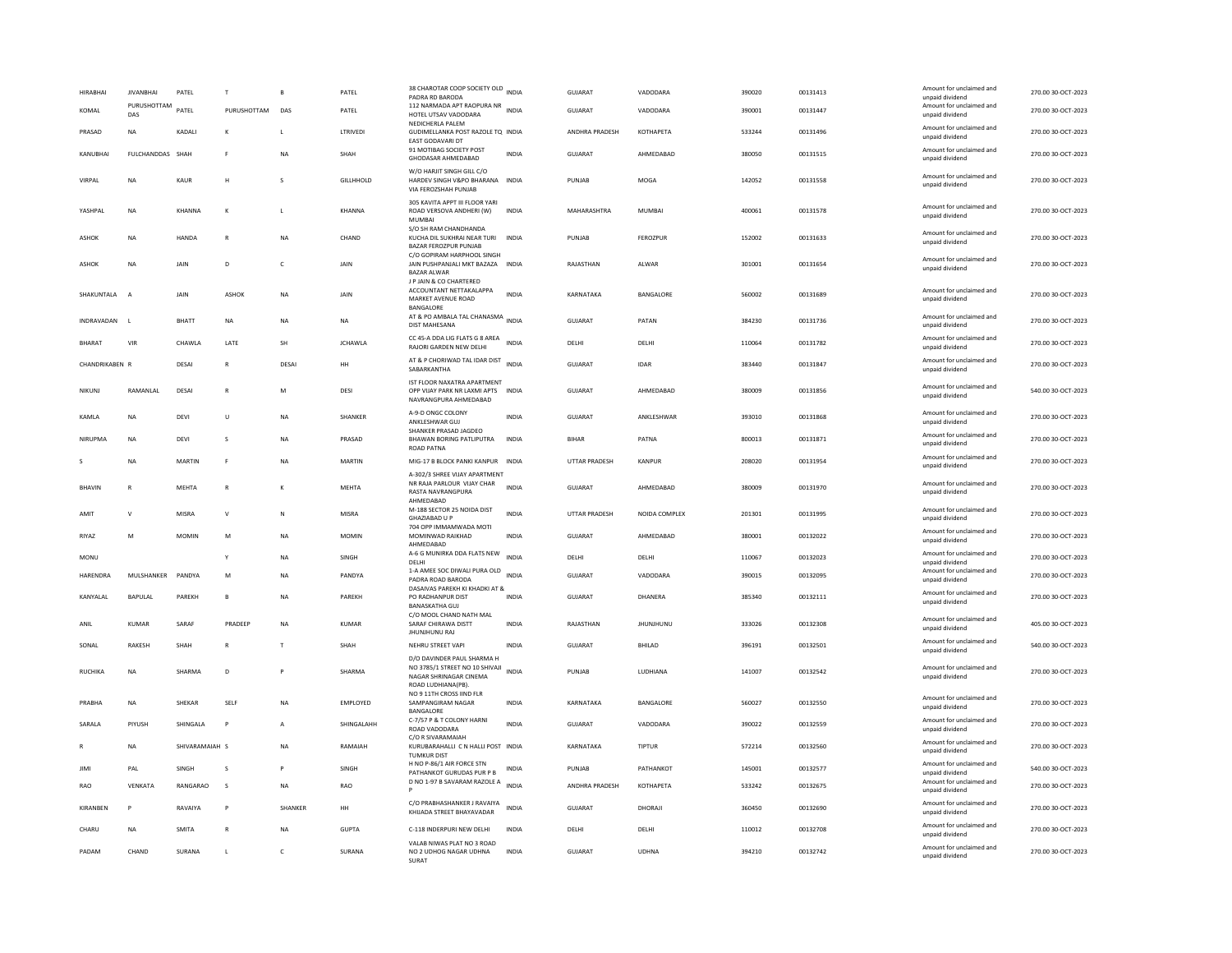| <b>HIRABHAI</b> | <b>JIVANBHAI</b>   | PATEL          |                | B            | PATEL            | 38 CHAROTAR COOP SOCIETY OLD INDIA<br>PADRA RD BARODA                                                                 |              | <b>GUJARAT</b> | VADODARA         | 390020 | 00131413 | Amount for unclaimed and<br>unpaid dividend | 270.00 30-OCT-2023 |
|-----------------|--------------------|----------------|----------------|--------------|------------------|-----------------------------------------------------------------------------------------------------------------------|--------------|----------------|------------------|--------|----------|---------------------------------------------|--------------------|
| KOMAL           | PURUSHOTTAM<br>DAS | PATEL          | PURUSHOTTAM    | DAS          | PATEL            | 112 NARMADA APT RAOPURA NR<br>INDIA<br>HOTEL UTSAV VADODARA                                                           |              | <b>GUJARAT</b> | VADODARA         | 390001 | 00131447 | Amount for unclaimed and<br>unpaid dividend | 270.00 30-OCT-2023 |
| PRASAD          | NA                 | KADALI         | к              |              | LTRIVEDI         | NEDICHERLA PALEM<br>GUDIMELLANKA POST RAZOLE TO INDIA<br>EAST GODAVARI DT                                             |              | ANDHRA PRADESH | <b>КОТНАРЕТА</b> | 533244 | 00131496 | Amount for unclaimed and<br>unpaid dividend | 270.00 30-OCT-2023 |
| KANUBHAI        | FULCHANDDAS SHAH   |                | E              | <b>NA</b>    | SHAH             | 91 MOTIBAG SOCIETY POST<br>GHODASAR AHMEDABAD                                                                         | <b>INDIA</b> | GUJARAT        | AHMEDABAD        | 380050 | 00131515 | Amount for unclaimed and<br>unpaid dividend | 270.00 30-OCT-2023 |
| VIRPAL          | <b>NA</b>          | <b>KAUR</b>    | н              | $\mathbf{S}$ | <b>GILLHHOLD</b> | W/O HARJIT SINGH GILL C/O<br>HARDEV SINGH V&PO BHARANA INDIA<br>VIA FEROZSHAH PUNJAB                                  |              | PUNJAB         | MOGA             | 142052 | 00131558 | Amount for unclaimed and<br>unpaid dividend | 270.00 30-OCT-2023 |
| YASHPAL         | NA                 | KHANNA         | к              |              | KHANNA           | 305 KAVITA APPT III FLOOR YARI<br>ROAD VERSOVA ANDHERI (W)<br>MUMBAI                                                  | INDIA        | MAHARASHTRA    | MUMBAI           | 400061 | 00131578 | Amount for unclaimed and<br>unpaid dividend | 270.00 30-OCT-2023 |
| <b>ASHOK</b>    | <b>NA</b>          | HANDA          | $\mathbb{R}$   | <b>NA</b>    | CHAND            | S/O SH RAM CHANDHANDA<br>KUCHA DIL SUKHRAI NEAR TURI<br><b>BAZAR FEROZPUR PUNJAB</b>                                  | <b>INDIA</b> | PUNJAB         | FEROZPUR         | 152002 | 00131633 | Amount for unclaimed and<br>unpaid dividend | 270.00 30-OCT-2023 |
| ASHOK           | <b>NA</b>          | JAIN           | D              | $\epsilon$   | JAIN             | C/O GOPIRAM HARPHOOL SINGH<br>JAIN PUSHPANJALI MKT BAZAZA INDIA<br><b>BAZAR ALWAR</b>                                 |              | RAJASTHAN      | ALWAR            | 301001 | 00131654 | Amount for unclaimed and<br>unpaid dividend | 270.00 30-OCT-2023 |
| SHAKUNTALA      | $\overline{A}$     | JAIN           | ASHOK          | <b>NA</b>    | JAIN             | J P JAIN & CO CHARTERED<br>ACCOUNTANT NETTAKALAPPA<br>MARKET AVENUE ROAD<br>BANGALORE                                 | <b>INDIA</b> | KARNATAKA      | BANGALORE        | 560002 | 00131689 | Amount for unclaimed and<br>unpaid dividend | 270.00 30-OCT-2023 |
| INDRAVADAN      | - 11               | <b>BHATT</b>   | <b>NA</b>      | <b>NA</b>    | <b>NA</b>        | AT & PO AMBALA TAL CHANASMA INDIA<br><b>DIST MAHESANA</b>                                                             |              | <b>GUJARAT</b> | PATAN            | 384230 | 00131736 | Amount for unclaimed and<br>unpaid dividend | 270.00 30-OCT-2023 |
| <b>BHARAT</b>   | VIR                | CHAWLA         | LATE           | SH           | <b>JCHAWLA</b>   | CC 45-A DDA LIG FLATS G 8 AREA<br>RAJORI GARDEN NEW DELHI                                                             | <b>INDIA</b> | DELHI          | DELHI            | 110064 | 00131782 | Amount for unclaimed and<br>unpaid dividend | 270.00 30-OCT-2023 |
| CHANDRIKABEN R  |                    | DESAI          | $\mathsf{R}$   | DESAI        | HH               | AT & P CHORIWAD TAL IDAR DIST<br><b>SABARKANTHA</b>                                                                   | <b>INDIA</b> | <b>GUJARAT</b> | <b>IDAR</b>      | 383440 | 00131847 | Amount for unclaimed and<br>unpaid dividend | 270.00 30-OCT-2023 |
| NIKUNJ          | RAMANLAL           | DESAI          | $\mathsf{R}$   | M            | DESI             | IST FLOOR NAXATRA APARTMENT<br>OPP VIJAY PARK NR LAXMI APTS INDIA<br>NAVRANGPURA AHMEDABAD                            |              | GUJARAT        | AHMEDABAD        | 380009 | 00131856 | Amount for unclaimed and<br>unpaid dividend | 540.00 30-OCT-2023 |
| KAMLA           | <b>NA</b>          | DEVI           | U              | <b>NA</b>    | SHANKER          | A-9-D ONGC COLONY<br>ANKLESHWAR GUJ                                                                                   | <b>INDIA</b> | GUJARAT        | ANKLESHWAR       | 393010 | 00131868 | Amount for unclaimed and<br>unpaid dividend | 270.00 30-OCT-2023 |
| NIRUPMA         | <b>NA</b>          | <b>DEVI</b>    | s              | <b>NA</b>    | PRASAD           | SHANKER PRASAD JAGDEO<br>BHAWAN BORING PATLIPUTRA<br><b>ROAD PATNA</b>                                                | <b>INDIA</b> | <b>BIHAR</b>   | PATNA            | 800013 | 00131871 | Amount for unclaimed and<br>unpaid dividend | 270.00 30-OCT-2023 |
|                 | <b>NA</b>          | MARTIN         | F              | <b>NA</b>    | MARTIN           | MIG-17 B BLOCK PANKI KANPUR INDIA<br>A-302/3 SHREE VIJAY APARTMENT                                                    |              | UTTAR PRADESH  | KANPUR           | 208020 | 00131954 | Amount for unclaimed and<br>unpaid dividend | 270.00 30-OCT-2023 |
| <b>BHAVIN</b>   | $\mathbb{R}$       | <b>MEHTA</b>   | $\mathbb{R}$   | к            | <b>MEHTA</b>     | NR RAJA PARLOUR VIJAY CHAR<br>RASTA NAVRANGPURA<br>AHMEDABAD                                                          | <b>INDIA</b> | GUJARAT        | AHMEDABAD        | 380009 | 00131970 | Amount for unclaimed and<br>unpaid dividend | 270.00 30-OCT-2023 |
| AMIT            | v                  | <b>MISRA</b>   | V              | N            | MISRA            | M-188 SECTOR 25 NOIDA DIST<br>GHAZIABAD U P                                                                           | <b>INDIA</b> | UTTAR PRADESH  | NOIDA COMPLEX    | 201301 | 00131995 | Amount for unclaimed and<br>unpaid dividend | 270.00 30-OCT-2023 |
| RIYAZ           | M                  | <b>MOMIN</b>   | M              | <b>NA</b>    | <b>MOMIN</b>     | 704 OPP IMMAMWADA MOTI<br>MOMINWAD RAIKHAD<br>AHMEDABAD                                                               | INDIA        | GUJARAT        | AHMEDABAD        | 380001 | 00132022 | Amount for unclaimed and<br>unpaid dividend | 270.00 30-OCT-2023 |
| MONU            |                    |                | Y              | <b>NA</b>    | SINGH            | A-6 G MUNIRKA DDA FLATS NEW<br>DELHI                                                                                  | <b>INDIA</b> | DELHI          | DELHI            | 110067 | 00132023 | Amount for unclaimed and<br>unpaid dividend | 270.00 30-OCT-2023 |
| <b>HARENDRA</b> | MULSHANKER         | PANDYA         | M              | NA           | PANDYA           | 1-A AMEE SOC DIWALI PURA OLD<br>PADRA ROAD BARODA<br>DASAIVAS PAREKH KI KHADKI AT &                                   | <b>INDIA</b> | GUJARAT        | VADODARA         | 390015 | 00132095 | Amount for unclaimed and<br>unpaid dividend | 270.00 30-OCT-2023 |
| KANYAI AI       | <b>BAPULAL</b>     | PAREKH         | $\mathbf{B}$   | <b>NA</b>    | PARFKH           | PO RADHANPUR DIST<br><b>BANASKATHA GUJ</b>                                                                            | <b>INDIA</b> | GUIARAT        | DHANFRA          | 385340 | 00132111 | Amount for unclaimed and<br>unpaid dividend | 270.00 30-OCT-2023 |
| ANII            | KUMAR              | SARAF          | <b>PRADEEP</b> | <b>NA</b>    | KUMAR            | C/O MOOL CHAND NATH MAL<br>SARAF CHIRAWA DISTT<br>JHUNJHUNU RAJ                                                       | <b>INDIA</b> | RAJASTHAN      | <b>JHUNJHUNU</b> | 333026 | 00132308 | Amount for unclaimed and<br>unpaid dividend | 405.00 30-OCT-2023 |
| SONAL           | RAKESH             | SHAH           | $\mathsf{R}$   | $\mathsf{T}$ | SHAH             | NEHRU STREET VAPI                                                                                                     | INDIA        | GUJARAT        | BHILAD           | 396191 | 00132501 | Amount for unclaimed and<br>unpaid dividend | 540.00 30-OCT-2023 |
| <b>RUCHIKA</b>  | NA                 | SHARMA         | $\mathsf D$    |              | SHARMA           | D/O DAVINDER PAUL SHARMA H<br>NO 3785/1 STREET NO 10 SHIVAJI<br>INDIA<br>NAGAR SHRINAGAR CINEMA<br>ROAD LUDHIANA(PB). |              | PUNJAB         | LUDHIANA         | 141007 | 00132542 | Amount for unclaimed and<br>unpaid dividend | 270.00 30-OCT-2023 |
| PRABHA          | NA                 | SHEKAR         | SELF           | <b>NA</b>    | EMPLOYED         | NO 9 11TH CROSS JIND FLR<br>SAMPANGIRAM NAGAR<br>BANGALORE                                                            | INDIA        | KARNATAKA      | BANGALORE        | 560027 | 00132550 | Amount for unclaimed and<br>unpaid dividend | 270.00 30-OCT-2023 |
| SARALA          | PIYUSH             | SHINGALA       | $\mathsf{P}$   | $\mathsf{A}$ | SHINGALAHH       | C-7/57 P & T COLONY HARNI<br>ROAD VADODARA                                                                            | <b>INDIA</b> | <b>GUJARAT</b> | VADODARA         | 390022 | 00132559 | Amount for unclaimed and<br>unpaid dividend | 270.00 30-OCT-2023 |
|                 | NA                 | SHIVARAMAIAH S |                | <b>NA</b>    | RAMAIAH          | C/O R SIVARAMAIAH<br>KURUBARAHALLI C N HALLI POST INDIA<br><b>TUMKUR DIST</b>                                         |              | KARNATAKA      | TIPTUR           | 572214 | 00132560 | Amount for unclaimed and<br>unpaid dividend | 270.00 30-OCT-2023 |
| JIMI            | PAL                | SINGH          | s              |              | SINGH            | H NO P-86/1 AIR FORCE STN<br>PATHANKOT GURUDAS PUR P B                                                                | <b>INDIA</b> | PUNJAB         | PATHANKOT        | 145001 | 00132577 | Amount for unclaimed and<br>unpaid dividend | 540.00 30-OCT-2023 |
| RAO             | VENKATA            | RANGARAO       | s              | <b>NA</b>    | RAO              | D NO 1-97 B SAVARAM RAZOLE A                                                                                          | <b>INDIA</b> | ANDHRA PRADESH | <b>КОТНАРЕТА</b> | 533242 | 00132675 | Amount for unclaimed and<br>unpaid dividend | 270.00 30-OCT-2023 |
| KIRANBEN        | P                  | RAVAIYA        | P              | SHANKER      | <b>HH</b>        | C/O PRABHASHANKER J RAVAIYA<br>KHIJADA STREET BHAYAVADAR                                                              | <b>INDIA</b> | <b>GUJARAT</b> | DHORAJI          | 360450 | 00132690 | Amount for unclaimed and<br>unpaid dividend | 270.00 30-OCT-2023 |
| CHARU           | <b>NA</b>          | <b>SMITA</b>   | $\mathsf{R}$   | <b>NA</b>    | <b>GUPTA</b>     | C-118 INDERPURI NEW DELHI                                                                                             | <b>INDIA</b> | DELHI          | DELHI            | 110012 | 00132708 | Amount for unclaimed and<br>unpaid dividend | 270.00 30-OCT-2023 |
| PADAM           | CHAND              | SURANA         | L              | $\mathsf{C}$ | SURANA           | VALAB NIWAS PLAT NO 3 ROAD<br>NO 2 UDHOG NAGAR UDHNA<br>SURAT                                                         | <b>INDIA</b> | GUJARAT        | <b>UDHNA</b>     | 394210 | 00132742 | Amount for unclaimed and<br>unpaid dividend | 270.00 30-OCT-2023 |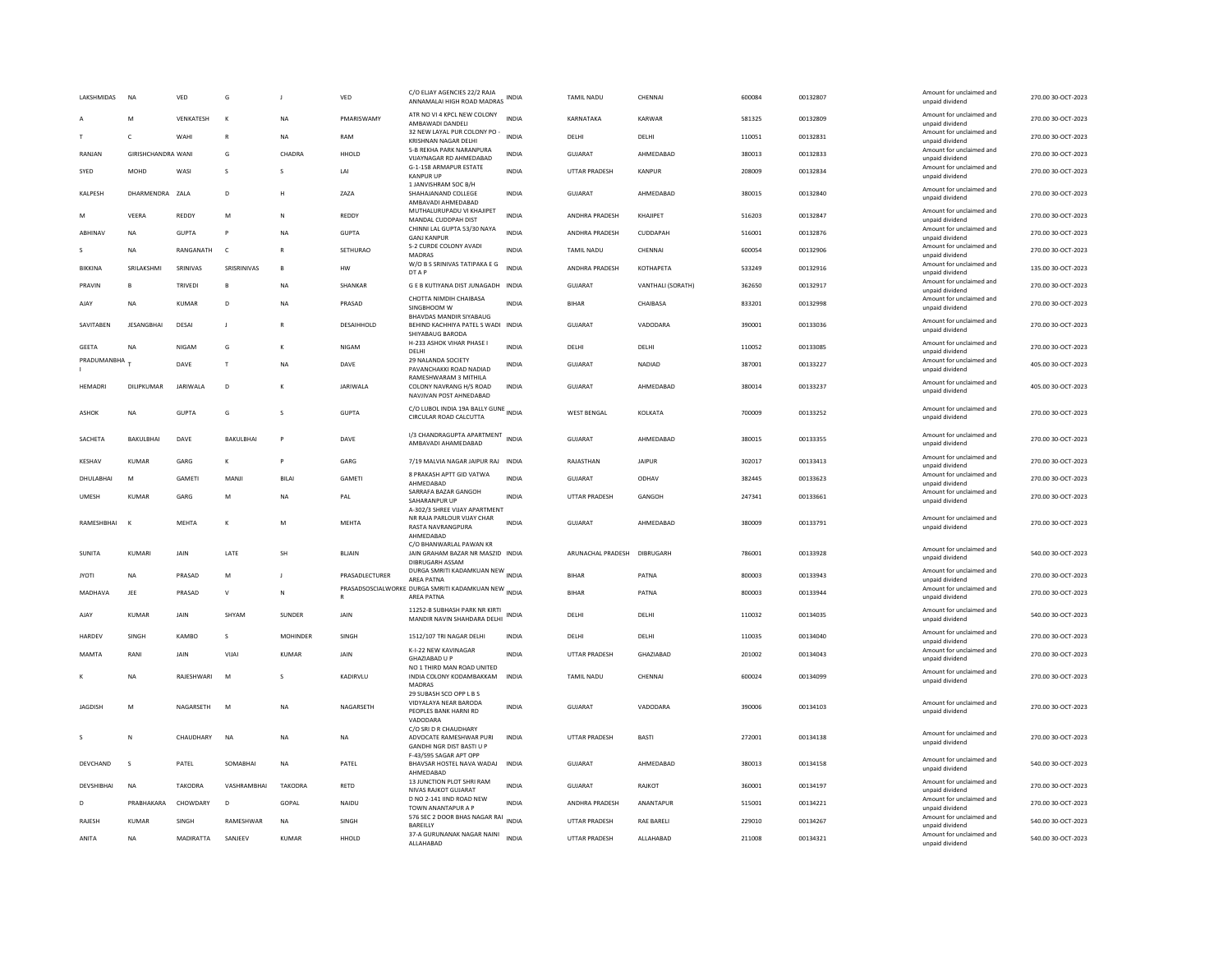| LAKSHMIDAS     | NA                        | VED             | G                | $\mathbf{J}$   | VED            | C/O ELJAY AGENCIES 22/2 RAJA<br>ANNAMALAI HIGH ROAD MADRAS                            | INDIA        | TAMIL NADU           | CHENNAL           | 600084 | 00132807 | Amount for unclaimed and<br>unpaid dividend | 270.00 30-OCT-2023 |
|----------------|---------------------------|-----------------|------------------|----------------|----------------|---------------------------------------------------------------------------------------|--------------|----------------------|-------------------|--------|----------|---------------------------------------------|--------------------|
|                | M                         | VENKATESH       | K                | <b>NA</b>      | PMARISWAMY     | ATR NO VI 4 KPCL NEW COLONY<br>AMBAWADI DANDELI                                       | INDIA        | KARNATAKA            | KARWAR            | 581325 | 00132809 | Amount for unclaimed and<br>unpaid dividend | 270.00 30-OCT-2023 |
|                | $\mathsf{C}$              | WAHI            | $\mathbb{R}$     | <b>NA</b>      | RAM            | 32 NEW LAYAL PUR COLONY PO -<br>KRISHNAN NAGAR DELHI                                  | <b>INDIA</b> | DELHI                | DELHI             | 110051 | 00132831 | Amount for unclaimed and<br>unpaid dividend | 270.00 30-OCT-2023 |
| RANJAN         | <b>GIRISHCHANDRA WANI</b> |                 | G                | CHADRA         | HHOLD          | 5-B REKHA PARK NARANPURA<br>VIJAYNAGAR RD AHMEDABAD                                   | <b>INDIA</b> | <b>GUJARAT</b>       | AHMEDABAD         | 380013 | 00132833 | Amount for unclaimed and<br>unpaid dividend | 270.00 30-OCT-2023 |
| SYED           | MOHD                      | WASI            | s                |                | LAI            | G-1-158 ARMAPUR ESTATE<br><b>KANPUR UP</b>                                            | <b>INDIA</b> | UTTAR PRADESH        | <b>KANPUR</b>     | 208009 | 00132834 | Amount for unclaimed and<br>unpaid dividend | 270.00 30-OCT-2023 |
| KALPESH        | DHARMENDRA ZALA           |                 | D                | н              | ZAZA           | 1 JANVISHRAM SOC B/H<br>SHAHAJANAND COLLEGE<br>AMBAVADI AHMEDABAD                     | <b>INDIA</b> | <b>GUJARAT</b>       | AHMEDABAD         | 380015 | 00132840 | Amount for unclaimed and<br>unpaid dividend | 270.00 30-OCT-2023 |
| M              | VEERA                     | REDDY           | M                | N              | REDDY          | MUTHALURUPADU VI KHAJIPET<br>MANDAL CUDDPAH DIST                                      | <b>INDIA</b> | ANDHRA PRADESH       | KHAJIPET          | 516203 | 00132847 | Amount for unclaimed and<br>unpaid dividend | 270.00 30-OCT-2023 |
| ABHINAV        | <b>NA</b>                 | <b>GUPTA</b>    | P                | <b>NA</b>      | <b>GUPTA</b>   | CHINNI LAL GUPTA 53/30 NAYA<br><b>GANJ KANPUR</b>                                     | <b>INDIA</b> | ANDHRA PRADESH       | CUDDAPAH          | 516001 | 00132876 | Amount for unclaimed and<br>unpaid dividend | 270.00 30-OCT-2023 |
| -S.            | <b>NA</b>                 | RANGANATH       | $\epsilon$       | $\mathbb{R}$   | SETHURAO       | S-2 CURDE COLONY AVADI<br>MADRAS                                                      | <b>INDIA</b> | <b>TAMIL NADU</b>    | CHENNAI           | 600054 | 00132906 | Amount for unclaimed and<br>unpaid dividend | 270.00 30-OCT-2023 |
| BIKKINA        | SRILAKSHMI                | SRINIVAS        | SRISRINIVAS      | B              | HW             | W/O B S SRINIVAS TATIPAKA E G<br>DT A P                                               | <b>INDIA</b> | ANDHRA PRADESH       | КОТНАРЕТА         | 533249 | 00132916 | Amount for unclaimed and<br>unpaid dividend | 135.00 30-OCT-2023 |
| PRAVIN         | B                         | <b>TRIVEDI</b>  | $\mathsf{B}$     | <b>NA</b>      | SHANKAR        | G E B KUTIYANA DIST JUNAGADH INDIA                                                    |              | <b>GUJARAT</b>       | VANTHALI (SORATH) | 362650 | 00132917 | Amount for unclaimed and<br>unpaid dividend | 270.00 30-OCT-2023 |
| AJAY           | <b>NA</b>                 | KUMAR           | D                | NΑ             | PRASAD         | CHOTTA NIMDIH CHAIBASA<br>SINGBHOOM W                                                 | INDIA        | BIHAR                | CHAIBASA          | 833201 | 00132998 | Amount for unclaimed and<br>unpaid dividend | 270.00 30-OCT-2023 |
| SAVITABEN      | <b>JESANGBHAI</b>         | DESAI           | $\mathbf{J}$     |                | DESAIHHOLD     | BHAVDAS MANDIR SIYABAUG<br>BEHIND KACHHIYA PATEL S WADI INDIA<br>SHIYABAUG BARODA     |              | <b>GUJARAT</b>       | VADODARA          | 390001 | 00133036 | Amount for unclaimed and<br>unpaid dividend | 270.00 30-OCT-2023 |
| GEETA          | <b>NA</b>                 | NIGAM           | G                | К              | NIGAM          | H-233 ASHOK VIHAR PHASE I<br>DELHI                                                    | <b>INDIA</b> | DELHI                | DELHI             | 110052 | 00133085 | Amount for unclaimed and<br>unpaid dividend | 270.00 30-OCT-2023 |
| PRADUMANBHA    |                           | DAVE            | $\mathsf{T}$     | <b>NA</b>      | DAVE           | 29 NALANDA SOCIETY<br>PAVANCHAKKI ROAD NADIAD                                         | INDIA        | GUJARAT              | NADIAD            | 387001 | 00133227 | Amount for unclaimed and<br>unpaid dividend | 405.00 30-OCT-2023 |
| HEMADRI        | DILIPKUMAR                | <b>JARIWALA</b> | $\mathsf D$      |                | JARIWALA       | RAMESHWARAM 3 MITHILA<br>COLONY NAVRANG H/S ROAD<br>NAVJIVAN POST AHNEDABAD           | INDIA        | GUJARAT              | AHMEDABAD         | 380014 | 00133237 | Amount for unclaimed and<br>unpaid dividend | 405.00 30-OCT-2023 |
| ASHOK          | <b>NA</b>                 | <b>GUPTA</b>    | G                | s              | <b>GUPTA</b>   | C/O LUBOL INDIA 19A BALLY GUNE<br>CIRCULAR ROAD CALCUTTA                              |              | <b>WEST BENGAL</b>   | KOLKATA           | 700009 | 00133252 | Amount for unclaimed and<br>unpaid dividend | 270.00 30-OCT-2023 |
| SACHETA        | <b>BAKULBHAL</b>          | DAVE            | <b>BAKULBHAL</b> | $\mathsf{P}$   | DAVE           | I/3 CHANDRAGUPTA APARTMENT<br>AMBAVADI AHAMEDABAD                                     | <b>INDIA</b> | GUIARAT              | AHMEDARAD         | 380015 | 00133355 | Amount for unclaimed and<br>unpaid dividend | 270.00 30-OCT-2023 |
| KESHAV         | KUMAR                     | GARG            | к                |                | GARG           | 7/19 MALVIA NAGAR JAIPUR RAJ INDIA                                                    |              | RAJASTHAN            | <b>JAIPUR</b>     | 302017 | 00133413 | Amount for unclaimed and<br>unpaid dividend | 270.00 30-OCT-2023 |
| DHULABHAI      | M                         | GAMETI          | MANJI            | BILAI          | GAMETI         | 8 PRAKASH APTT GID VATWA<br>AHMEDABAD                                                 | <b>INDIA</b> | GUJARAT              | ODHAV             | 382445 | 00133623 | Amount for unclaimed and<br>unpaid dividend | 270.00 30-OCT-2023 |
| <b>UMESH</b>   | <b>KUMAR</b>              | GARG            | M                | <b>NA</b>      | PAL            | SARRAFA BAZAR GANGOH<br>SAHARANPUR UP<br>A-302/3 SHREE VIJAY APARTMENT                | <b>INDIA</b> | <b>UTTAR PRADESH</b> | GANGOH            | 247341 | 00133661 | Amount for unclaimed and<br>unpaid dividend | 270.00 30-OCT-2023 |
| RAMESHBHAI     | $\mathbf{K}$              | MEHTA           | К                | M              | MEHTA          | NR RAJA PARLOUR VIJAY CHAR<br>RASTA NAVRANGPURA<br>AHMEDABAD                          | <b>INDIA</b> | <b>GUJARAT</b>       | AHMEDABAD         | 380009 | 00133791 | Amount for unclaimed and<br>unpaid dividend | 270.00 30-OCT-2023 |
| <b>SUNITA</b>  | KUMARI                    | JAIN            | LATE             | SH             | <b>BLIAIN</b>  | C/O BHANWARLAL PAWAN KR<br>JAIN GRAHAM BAZAR NR MASZID INDIA<br>DIBRUGARH ASSAM       |              | ARUNACHAL PRADESH    | DIBRUGARH         | 786001 | 00133928 | Amount for unclaimed and<br>unpaid dividend | 540.00 30-OCT-2023 |
| <b>JYOTI</b>   | <b>NA</b>                 | PRASAD          | M                | $\mathbf{J}$   | PRASADLECTURER | DURGA SMRITI KADAMKUAN NEW INDIA<br>AREA PATNA                                        |              | <b>BIHAR</b>         | PATNA             | 800003 | 00133943 | Amount for unclaimed and<br>unpaid dividend | 270.00 30-OCT-2023 |
| MADHAVA        | JEE                       | PRASAD          | $\mathsf{v}$     | N              |                | PRASADSOSCIALWORKE DURGA SMRITI KADAMKUAN NEW INDIA<br>AREA PATNA                     |              | BIHAR                | PATNA             | 800003 | 00133944 | Amount for unclaimed and<br>unpaid dividend | 270.00 30-OCT-2023 |
| AJAY           | KUMAR                     | <b>JAIN</b>     | SHYAM            | SUNDER         | JAIN           | 11252-B SUBHASH PARK NR KIRTI<br>MANDIR NAVIN SHAHDARA DELHI                          | INDIA        | DELHI                | DELHI             | 110032 | 00134035 | Amount for unclaimed and<br>unpaid dividend | 540.00 30-OCT-2023 |
| HARDEV         | SINGH                     | KAMBO           | $\mathbf{S}$     | MOHINDER       | SINGH          | 1512/107 TRI NAGAR DELHI                                                              | <b>INDIA</b> | DELHI                | DELHI             | 110035 | 00134040 | Amount for unclaimed and<br>unpaid dividend | 270.00 30-OCT-2023 |
| <b>MAMTA</b>   | RANI                      | JAIN            | VIJAI            | <b>KUMAR</b>   | JAIN           | K-I-22 NEW KAVINAGAR<br>GHAZIABAD U P                                                 | <b>INDIA</b> | <b>UTTAR PRADESH</b> | GHAZIABAD         | 201002 | 00134043 | Amount for unclaimed and<br>unpaid dividend | 270.00 30-OCT-2023 |
|                | <b>NA</b>                 | RAJESHWARI      | M                |                | KADIRVLU       | NO 1 THIRD MAN ROAD UNITED<br>INDIA COLONY KODAMBAKKAM<br>MADRAS                      | <b>INDIA</b> | TAMIL NADU           | CHENNAI           | 600024 | 00134099 | Amount for unclaimed and<br>unpaid dividend | 270.00 30-OCT-2023 |
| <b>JAGDISH</b> | M                         | NAGARSETH       | M                | <b>NA</b>      | NAGARSETH      | 29 SUBASH SCO OPP L B S<br>VIDYALAYA NEAR BARODA<br>PEOPLES BANK HARNI RD<br>VADODARA | <b>INDIA</b> | <b>GUJARAT</b>       | VADODARA          | 390006 | 00134103 | Amount for unclaimed and<br>unpaid dividend | 270.00 30-OCT-2023 |
|                | N                         | CHAUDHARY       | <b>NA</b>        | <b>NA</b>      | <b>NA</b>      | C/O SRI D R CHAUDHARY<br>ADVOCATE RAMESHWAR PURI<br>GANDHI NGR DIST BASTI U P         | <b>INDIA</b> | <b>UTTAR PRADESH</b> | <b>BAST</b>       | 272001 | 00134138 | Amount for unclaimed and<br>unpaid dividend | 270.00 30-OCT-2023 |
| DEVCHAND       | $\mathbf{S}$              | PATEL           | SOMARHAI         | <b>NA</b>      | PATEL          | F-43/595 SAGAR APT OPP<br>BHAVSAR HOSTEL NAVA WADAJ<br>AHMEDABAD                      | <b>INDIA</b> | GUIARAT              | AHMEDARAD         | 380013 | 00134158 | Amount for unclaimed and<br>unpaid dividend | 540.00 30-OCT-2023 |
| DEVSHIBHAI     | <b>NA</b>                 | <b>TAKODRA</b>  | VASHRAMBHAI      | <b>TAKODRA</b> | RETD           | 13 JUNCTION PLOT SHRI RAM<br>NIVAS RAJKOT GUJARAT                                     | <b>INDIA</b> | <b>GUJARAT</b>       | RAJKOT            | 360001 | 00134197 | Amount for unclaimed and<br>unpaid dividend | 270.00 30-OCT-2023 |
| D              | PRABHAKARA                | CHOWDARY        | D                | GOPAL          | NAIDU          | D NO 2-141 IIND ROAD NEW<br>TOWN ANANTAPUR A P                                        | INDIA        | ANDHRA PRADESH       | ANANTAPUR         | 515001 | 00134221 | Amount for unclaimed and<br>unpaid dividend | 270.00 30-OCT-2023 |
| RAJESH         | KUMAR                     | SINGH           | RAMESHWAR        | NA             | SINGH          | 576 SEC 2 DOOR BHAS NAGAR RAI<br><b>BAREILLY</b>                                      | <b>INDIA</b> | UTTAR PRADESH        | RAE BARELI        | 229010 | 00134267 | Amount for unclaimed and<br>unpaid dividend | 540.00 30-OCT-2023 |
| ANITA          | <b>NA</b>                 | MADIRATTA       | SANJEEV          | KUMAR          | HHOLD          | 37-A GURUNANAK NAGAR NAINI<br>ALLAHABAD                                               | <b>INDIA</b> | <b>UTTAR PRADESH</b> | ALLAHABAD         | 211008 | 00134321 | Amount for unclaimed and<br>unpaid dividend | 540.00 30-OCT-2023 |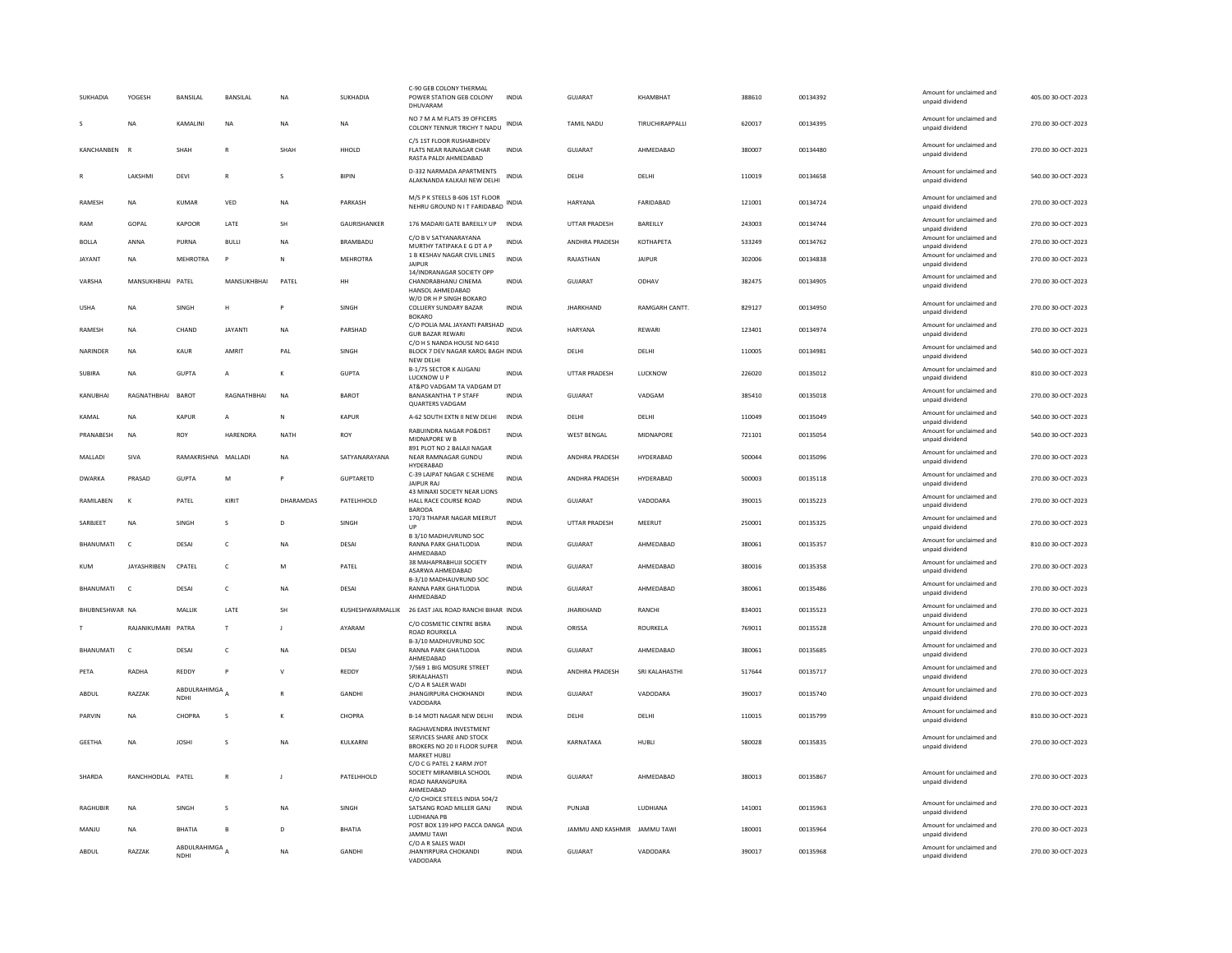| <b>SUKHADIA</b> | YOGESH             | <b>BANSILAL</b>                          | BANSILAL       | <b>NA</b>      | SUKHADIA            | C-90 GEB COLONY THERMAL<br>POWER STATION GEB COLONY<br>DHUVARAM                                           | INDIA        | <b>GUJARAT</b>               | KHAMBHAT             | 388610 | 00134392 | Amount for unclaimed and<br>unpaid dividend | 405.00 30-OCT-2023 |
|-----------------|--------------------|------------------------------------------|----------------|----------------|---------------------|-----------------------------------------------------------------------------------------------------------|--------------|------------------------------|----------------------|--------|----------|---------------------------------------------|--------------------|
|                 | <b>NA</b>          | KAMALINI                                 | <b>NA</b>      | <b>NA</b>      | <b>NA</b>           | NO 7 M A M FLATS 39 OFFICERS<br>COLONY TENNUR TRICHY T NADU                                               | <b>INDIA</b> | <b>TAMIL NADU</b>            | TIRUCHIRAPPALLI      | 620017 | 00134395 | Amount for unclaimed and<br>unpaid dividend | 270.00 30-OCT-2023 |
| KANCHANBEN      | $\mathbb{R}$       | SHAH                                     | $\overline{R}$ | SHAH           | <b>HHOLD</b>        | C/5 1ST FLOOR RUSHABHDEV<br>FLATS NEAR RAJNAGAR CHAR<br>RASTA PALDI AHMEDABAD                             | <b>INDIA</b> | <b>GUJARAT</b>               | AHMEDABAD            | 380007 | 00134480 | Amount for unclaimed and<br>unpaid dividend | 270.00 30-OCT-2023 |
|                 | LAKSHMI            | DEVI                                     | $\overline{R}$ | s              | <b>BIPIN</b>        | D-332 NARMADA APARTMENTS<br>ALAKNANDA KALKAJI NEW DELHI                                                   | <b>INDIA</b> | DELHI                        | DELHI                | 110019 | 00134658 | Amount for unclaimed and<br>unpaid dividend | 540.00 30-OCT-2023 |
| RAMESH          | <b>NA</b>          | KUMAR                                    | VED            | NA             | PARKASH             | M/S P K STEELS B-606 1ST FLOOR<br>NEHRU GROUND N IT FARIDABAD                                             | INDIA        | HARYANA                      | FARIDABAD            | 121001 | 00134724 | Amount for unclaimed and<br>unpaid dividend | 270.00 30-OCT-2023 |
| RAM             | GOPAL              | KAPOOR                                   | <b>I ATF</b>   | <b>SH</b>      | <b>GAURISHANKER</b> | 176 MADARI GATE BAREILLY UP                                                                               | <b>INDIA</b> | <b>UTTAR PRADESH</b>         | <b>BARFILLY</b>      | 243003 | 00134744 | Amount for unclaimed and<br>unpaid dividend | 270.00.30-OCT-2023 |
| <b>BOLLA</b>    | ANNA               | PURNA                                    | <b>BULLI</b>   | <b>NA</b>      | BRAMBADU            | C/O B V SATYANARAYANA<br>MURTHY TATIPAKA E G DT A P                                                       | INDIA        | ANDHRA PRADESH               | KOTHAPETA            | 533249 | 00134762 | Amount for unclaimed and<br>unpaid dividend | 270.00 30-OCT-2023 |
| <b>JAYANT</b>   | <b>NA</b>          | <b>MEHROTRA</b>                          |                | $\mathsf{N}$   | <b>MEHROTRA</b>     | 1 B KESHAV NAGAR CIVIL LINES<br><b>JAIPUR</b>                                                             | <b>INDIA</b> | RAJASTHAN                    | <b>JAIPUR</b>        | 302006 | 00134838 | Amount for unclaimed and<br>unpaid dividend | 270.00 30-OCT-2023 |
| VARSHA          | MANSUKHBHAI PATEL  |                                          | MANSUKHBHAI    | PATEL          | HH                  | 14/INDRANAGAR SOCIETY OPP<br>CHANDRABHANU CINEMA<br>HANSOL AHMEDABAD                                      | <b>INDIA</b> | <b>GUJARAT</b>               | ODHAV                | 382475 | 00134905 | Amount for unclaimed and<br>unpaid dividend | 270.00 30-OCT-2023 |
|                 |                    |                                          |                | P              | SINGH               | W/O DR H P SINGH BOKARO                                                                                   |              | <b>JHARKHAND</b>             |                      |        |          | Amount for unclaimed and                    |                    |
| <b>USHA</b>     | <b>NA</b>          | SINGH                                    | н              |                |                     | COLLIERY SUNDARY BAZAR<br><b>BOKARO</b>                                                                   | INDIA        |                              | <b>RAMGARH CANTT</b> | 829127 | 00134950 | unpaid dividend                             | 270.00 30-OCT-2023 |
| RAMESH          | <b>NA</b>          | CHAND                                    | <b>JAYANTI</b> | <b>NA</b>      | PARSHAD             | C/O POLIA MAL JAYANTI PARSHAD INDIA<br><b>GUR BAZAR REWARI</b><br>C/O H S NANDA HOUSE NO 6410             |              | HARYANA                      | REWARI               | 123401 | 00134974 | Amount for unclaimed and<br>unpaid dividend | 270.00 30-OCT-2023 |
| NARINDER        | NA                 | KAUR                                     | AMRIT          | PAI            | <b>SINGH</b>        | BLOCK 7 DEV NAGAR KAROL BAGH INDIA<br>NEW DELHI                                                           |              | <b>DELHI</b>                 | <b>DELHI</b>         | 110005 | 00134981 | Amount for unclaimed and<br>unpaid dividend | 540.00 30-OCT-2023 |
| SUBIRA          | <b>NA</b>          | <b>GUPTA</b>                             | А              | к              | <b>GUPTA</b>        | B-1/75 SECTOR K ALIGANJ<br>LUCKNOW U P<br>AT&PO VADGAM TA VADGAM DT                                       | <b>INDIA</b> | UTTAR PRADESH                | <b>LUCKNOW</b>       | 226020 | 00135012 | Amount for unclaimed and<br>unpaid dividend | 810.00 30-OCT-2023 |
| KANUBHAI        | RAGNATHBHAI        | BAROT                                    | RAGNATHBHAI    | NA             | BAROT               | <b>BANASKANTHA T P STAFF</b><br><b>QUARTERS VADGAM</b>                                                    | <b>INDIA</b> | <b>GUJARAT</b>               | VADGAM               | 385410 | 00135018 | Amount for unclaimed and<br>unpaid dividend | 270.00 30-OCT-2023 |
| KAMAI           | <b>NA</b>          | KAPUR                                    | A              | $\mathsf{N}$   | KAPLIR              | A-62 SOUTH EXTN II NEW DELHI                                                                              | <b>INDIA</b> | DELHI                        | <b>DELHI</b>         | 110049 | 00135049 | Amount for unclaimed and<br>unpaid dividend | 540.00 30-OCT-2023 |
| PRANABESH       | NA                 | ROY                                      | HARENDRA       | NATH           | ROY                 | RABUINDRA NAGAR PO&DIST<br>MIDNAPORE W B                                                                  | <b>INDIA</b> | <b>WEST BENGAL</b>           | MIDNAPORE            | 721101 | 00135054 | Amount for unclaimed and<br>unpaid dividend | 540.00 30-OCT-2023 |
| MALLADI         | SIVA               | RAMAKRISHNA MALLAD                       |                | <b>NA</b>      | SATYANARAYANA       | 891 PLOT NO 2 BALAJI NAGAR<br>NEAR RAMNAGAR GUNDU<br>HYDERABAD                                            | INDIA        | ANDHRA PRADESH               | HYDERABAD            | 500044 | 00135096 | Amount for unclaimed and<br>unpaid dividend | 270.00 30-OCT-2023 |
| <b>DWARKA</b>   | PRASAD             | <b>GUPTA</b>                             | M              |                | GUPTARETD           | C-39 LAJPAT NAGAR C SCHEME<br><b>JAIPUR RAJ</b>                                                           | INDIA        | ANDHRA PRADESH               | HYDERABAD            | 500003 | 00135118 | Amount for unclaimed and<br>unpaid dividend | 270.00 30-OCT-2023 |
| RAMILABEN       | к                  | PATEL                                    | KIRIT          | DHARAMDAS      | PATFLHHOLD          | 43 MINAXI SOCIETY NEAR LIONS<br>HALL RACE COURSE ROAD<br><b>BARODA</b>                                    | <b>INDIA</b> | GUIARAT                      | VADODARA             | 390015 | 00135223 | Amount for unclaimed and<br>unpaid dividend | 270.00 30-OCT-2023 |
| SARBJEET        | <b>NA</b>          | SINGH                                    | Ś              | D              | SINGH               | 170/3 THAPAR NAGAR MEERUT<br>UP                                                                           | INDIA        | UTTAR PRADESH                | MEERUT               | 250001 | 00135325 | Amount for unclaimed and<br>unpaid dividend | 270.00 30-OCT-2023 |
| BHANUMATI       | $\epsilon$         | DESAL                                    | $\epsilon$     | <b>NA</b>      | DESAI               | B 3/10 MADHUVRUND SOC<br>RANNA PARK GHATLODIA                                                             | <b>INDIA</b> | GUIARAT                      | AHMEDARAD            | 380061 | 00135357 | Amount for unclaimed and<br>unpaid dividend | 810.00 30-OCT-2023 |
| <b>KUM</b>      | <b>JAYASHRIBEN</b> | CPATEL                                   | $\mathsf{C}$   | M              | PATEL               | AHMEDABAD<br>38 MAHAPRABHUJI SOCIETY<br>ASARWA AHMEDABAD                                                  | <b>INDIA</b> | <b>GUJARAT</b>               | AHMEDABAD            | 380016 | 00135358 | Amount for unclaimed and<br>unpaid dividend | 270.00 30-OCT-2023 |
| BHANUMATI       | $\epsilon$         | DESAI                                    | $\mathsf{C}$   | <b>NA</b>      | <b>DESAI</b>        | B-3/10 MADHAUVRUND SOC<br><b>RANNA PARK GHATLODIA</b>                                                     | <b>INDIA</b> | GUJARAT                      | AHMEDABAD            | 380061 | 00135486 | Amount for unclaimed and<br>unpaid dividend | 270.00 30-OCT-2023 |
| BHUBNESHWAR NA  |                    | MALLIK                                   | <b>I ATF</b>   | <b>SH</b>      |                     | AHMEDABAD<br>KUSHESHWARMALLIK 26 EAST JAIL ROAD RANCHI BIHAR INDIA                                        |              |                              |                      |        |          | Amount for unclaimed and                    |                    |
|                 |                    |                                          |                |                |                     |                                                                                                           |              |                              |                      |        |          |                                             |                    |
|                 |                    |                                          |                |                |                     | C/O COSMETIC CENTRE BISRA                                                                                 |              | <b>IHARKHAND</b>             | RANCHI               | 834001 | 00135523 | unpaid dividend<br>Amount for unclaimed and | 270.00 30-OCT-2023 |
|                 | RAJANIKUMARI PATRA |                                          | T              | <b>I</b>       | AYARAM              | ROAD ROURKELA<br>B-3/10 MADHUVRUND SOC                                                                    | <b>INDIA</b> | ORISSA                       | ROURKELA             | 769011 | 00135528 | unpaid dividend                             | 270.00 30-OCT-2023 |
| BHANUMATI       | $\mathsf{C}$       | DESAI                                    | $\mathsf{C}$   | $_{\sf NA}$    | <b>DESAI</b>        | RANNA PARK GHATLODIA<br>AHMEDABAD                                                                         | INDIA        | <b>GUJARAT</b>               | AHMEDABAD            | 380061 | 00135685 | Amount for unclaimed and<br>unpaid dividend | 270.00 30-OCT-2023 |
| PETA            | RADHA              | REDDY                                    | P              | $\mathsf{v}$   | REDDY               | 7/569 1 BIG MOSURE STREET<br>SRIKALAHASTI                                                                 | <b>INDIA</b> | ANDHRA PRADESH               | SRI KALAHASTHI       | 517644 | 00135717 | Amount for unclaimed and<br>unpaid dividend | 270.00 30-OCT-2023 |
| ABDUL           | RAZZAK             | ABDULRAHIMGA <sub>A</sub><br><b>NDHI</b> |                | $\mathbb{R}$   | <b>GANDHI</b>       | C/O A R SALER WADI<br><b>JHANGIRPURA CHOKHANDI</b><br>VADODARA                                            | <b>INDIA</b> | GUJARAT                      | VADODARA             | 390017 | 00135740 | Amount for unclaimed and<br>unpaid dividend | 270.00 30-OCT-2023 |
| PARVIN          | <b>NA</b>          | CHOPRA                                   | s              | К              | CHOPRA              | B-14 MOTI NAGAR NEW DELHI                                                                                 | <b>INDIA</b> | DELHI                        | DELHI                | 110015 | 00135799 | Amount for unclaimed and<br>unpaid dividend | 810.00 30-OCT-2023 |
| <b>GEETHA</b>   | <b>NA</b>          | <b>JOSHI</b>                             | s              | <b>NA</b>      | KULKARNI            | RAGHAVENDRA INVESTMENT<br>SERVICES SHARE AND STOCK<br>BROKERS NO 20 II FLOOR SUPER<br><b>MARKET HUBLI</b> | <b>INDIA</b> | KARNATAKA                    | HUBLI                | 580028 | 00135835 | Amount for unclaimed and<br>unpaid dividend | 270.00 30-OCT-2023 |
| SHARDA          | RANCHHODLAL PATEL  |                                          | $\mathbb{R}$   | $\blacksquare$ | PATFLHHOLD          | C/O C G PATEL 2 KARM JYOT<br>SOCIETY MIRAMBILA SCHOOL<br><b>ROAD NARANGPURA</b><br>AHMEDABAD              | <b>INDIA</b> | GUIARAT                      | AHMFDARAD            | 380013 | 00135867 | Amount for unclaimed and<br>unpaid dividend | 270.00 30-OCT-2023 |
| <b>RAGHUBIR</b> | <b>NA</b>          | SINGH                                    | s              | <b>NA</b>      | SINGH               | C/O CHOICE STEELS INDIA 504/2<br>SATSANG ROAD MILLER GANJ<br>LUDHIANA PE                                  | <b>INDIA</b> | PUNJAB                       | LUDHIANA             | 141001 | 00135963 | Amount for unclaimed and<br>unpaid dividend | 270.00 30-OCT-2023 |
| MANJU           | <b>NA</b>          | BHATIA                                   | B              | D              | BHATIA              | POST BOX 139 HPO PACCA DANGA INDIA<br><b>JAMMU TAWI</b>                                                   |              | JAMMU AND KASHMIR JAMMU TAWI |                      | 180001 | 00135964 | Amount for unclaimed and<br>unpaid dividend | 270.00 30-OCT-2023 |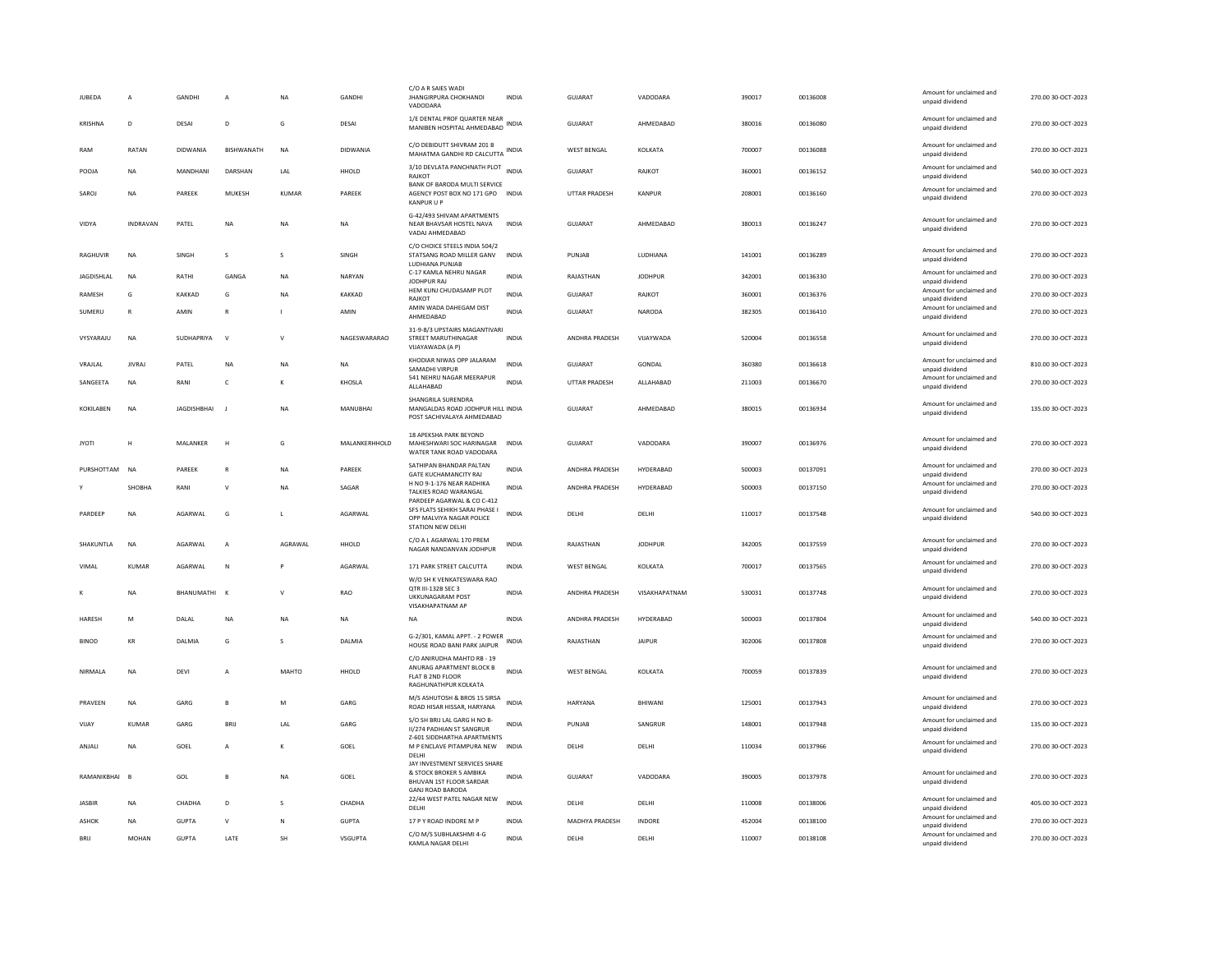| JUBEDA           | A               | GANDHI             | A              | NA           | GANDHI          | C/O A R SAIES WADI<br><b>JHANGIRPURA CHOKHANDI</b><br>VADODARA                                                 | <b>INDIA</b> | GUJARAT              | VADODARA        | 390017 | 00136008 | Amount for unclaimed and<br>unpaid dividend | 270.00 30-OCT-2023 |
|------------------|-----------------|--------------------|----------------|--------------|-----------------|----------------------------------------------------------------------------------------------------------------|--------------|----------------------|-----------------|--------|----------|---------------------------------------------|--------------------|
| KRISHNA          | D               | DESAI              | D              | G            | DESAI           | 1/E DENTAL PROF QUARTER NEAR<br>MANIBEN HOSPITAL AHMEDABAD                                                     | <b>INDIA</b> | <b>GUJARAT</b>       | AHMEDABAD       | 380016 | 00136080 | Amount for unclaimed and<br>unpaid dividend | 270.00 30-OCT-2023 |
| RAM              | RATAN           | DIDWANIA           | BISHWANATH     | <b>NA</b>    | <b>DIDWANIA</b> | C/O DEBIDUTT SHIVRAM 201 B<br>MAHATMA GANDHI RD CALCUTTA                                                       | <b>INDIA</b> | <b>WEST BENGAL</b>   | KOLKATA         | 700007 | 00136088 | Amount for unclaimed and<br>unpaid dividend | 270.00 30-OCT-2023 |
| POOJA            | NA              | MANDHANI           | DARSHAN        | LAL          | HHOLD           | 3/10 DEVLATA PANCHNATH PLOT INDIA<br>RAJKOT                                                                    |              | GUJARAT              | RAJKOT          | 360001 | 00136152 | Amount for unclaimed and<br>unpaid dividend | 540.00 30-OCT-2023 |
| SAROJ            | <b>NA</b>       | PARFFK             | MUKESH         | KUMAR        | PARFFK          | BANK OF BARODA MULTI SERVICE<br>AGENCY POST BOX NO 171 GPO INDIA<br><b>KANPUR U P</b>                          |              | <b>UTTAR PRADESH</b> | KANPUR          | 208001 | 00136160 | Amount for unclaimed and<br>unpaid dividend | 270.00 30-QCT-2023 |
| VIDYA            | <b>INDRAVAN</b> | PATEL              | <b>NA</b>      | NA           | <b>NA</b>       | G-42/493 SHIVAM APARTMENTS<br>NEAR BHAVSAR HOSTEL NAVA<br>VADAJ AHMEDABAD                                      | <b>INDIA</b> | <b>GUJARAT</b>       | AHMEDABAD       | 380013 | 00136247 | Amount for unclaimed and<br>unpaid dividend | 270.00 30-OCT-2023 |
| RAGHUVIR         | <b>NA</b>       | <b>SINGH</b>       | $\mathbf{S}$   | $\mathbf{S}$ | <b>SINGH</b>    | C/O CHOICE STEELS INDIA 504/2<br>STATSANG ROAD MILLER GANV<br>LUDHIANA PUNJAB                                  | <b>INDIA</b> | PUNIAR               | <b>IUDHIANA</b> | 141001 | 00136289 | Amount for unclaimed and<br>unpaid dividend | 270.00 30-QCT-2023 |
| JAGDISHLAL       | NA              | RATHI              | GANGA          | <b>NA</b>    | NARYAN          | C-17 KAMLA NEHRU NAGAR<br>JODHPUR RAJ                                                                          | <b>INDIA</b> | RAJASTHAN            | <b>JODHPUR</b>  | 342001 | 00136330 | Amount for unclaimed and<br>unpaid dividend | 270.00 30-OCT-2023 |
| RAMESH           | G               | KAKKAD             | G              | <b>NA</b>    | KAKKAD          | HEM KUNJ CHUDASAMP PLOT<br>RAJKOT                                                                              | <b>INDIA</b> | <b>GUJARAT</b>       | RAJKOT          | 360001 | 00136376 | Amount for unclaimed and<br>unpaid dividend | 270.00 30-OCT-2023 |
| SUMERU           | R               | AMIN               | $\mathsf{R}$   |              | AMIN            | AMIN WADA DAHEGAM DIST<br>AHMEDABAD                                                                            | INDIA        | GUJARAT              | NARODA          | 382305 | 00136410 | Amount for unclaimed and<br>unpaid dividend | 270.00 30-OCT-2023 |
| VYSYARAJU        | NA              | SUDHAPRIYA         | $\mathsf{v}$   | $\mathsf{V}$ | NAGESWARARAO    | 31-9-8/3 UPSTAIRS MAGANTIVARI<br>STREET MARUTHINAGAR<br>VIJAYAWADA (A P)                                       | INDIA        | ANDHRA PRADESH       | VIJAYWADA       | 520004 | 00136558 | Amount for unclaimed and<br>unpaid dividend | 270.00 30-OCT-2023 |
| VRAJLAL          | <b>IIVRAI</b>   | PATEL              | <b>NA</b>      | <b>NA</b>    | <b>NA</b>       | KHODIAR NIWAS OPP JALARAM<br>SAMADHI VIRPUR                                                                    | <b>INDIA</b> | GUIARAT              | GONDAL          | 360380 | 00136618 | Amount for unclaimed and<br>unpaid dividend | 810.00 30-OCT-2023 |
| SANGEETA         | <b>NA</b>       | RANI               | c              | к            | KHOSLA          | 541 NEHRU NAGAR MEERAPUR<br>ALLAHABAD                                                                          | INDIA        | <b>UTTAR PRADESH</b> | ALLAHABAD       | 211003 | 00136670 | Amount for unclaimed and<br>unpaid dividend | 270.00 30-OCT-2023 |
|                  |                 |                    |                |              |                 | SHANGRILA SURENDRA                                                                                             |              |                      |                 |        |          |                                             |                    |
| <b>KOKILAREN</b> | <b>NA</b>       | <b>JAGDISHBHAI</b> | J.             | <b>NA</b>    | <b>MANUBHAI</b> | MANGALDAS ROAD JODHPUR HILL INDIA<br>POST SACHIVALAYA AHMEDABAD                                                |              | <b>GUJARAT</b>       | AHMEDABAD       | 380015 | 00136934 | Amount for unclaimed and<br>unpaid dividend | 135.00 30-OCT-2023 |
| <b>JYOTI</b>     | Н               | MALANKER           | H              | G            | MALANKERHHOLD   | 18 APEKSHA PARK BEYOND<br>MAHESHWARI SOC HARINAGAR<br>WATER TANK ROAD VADODARA                                 | <b>INDIA</b> | GUJARAT              | VADODARA        | 390007 | 00136976 | Amount for unclaimed and<br>unpaid dividend | 270.00 30-OCT-2023 |
| PURSHOTTAM       | <b>NA</b>       | PAREEK             | $\mathbb{R}$   | <b>NA</b>    | PAREEK          | SATHIPAN BHANDAR PALTAN<br>GATE KUCHAMANCITY RAJ                                                               | <b>INDIA</b> | ANDHRA PRADESH       | HYDERABAD       | 500003 | 00137091 | Amount for unclaimed and<br>unpaid dividend | 270.00 30-OCT-2023 |
|                  | SHOBHA          | RANI               | $\vee$         | NA           | SAGAR           | H NO 9-1-176 NEAR RADHIKA<br>TALKIES ROAD WARANGAL                                                             | <b>INDIA</b> | ANDHRA PRADESH       | HYDERABAD       | 500003 | 00137150 | Amount for unclaimed and<br>unpaid dividend | 270.00 30-OCT-2023 |
| PARDEEP          | <b>NA</b>       | AGARWAL            | G              |              | AGARWAL         | PARDEEP AGARWAL & CO C-412<br>SFS FLATS SEHIKH SARAI PHASE I<br>OPP MALVIYA NAGAR POLICE<br>STATION NEW DELHI  | INDIA        | DELHI                | DELHI           | 110017 | 00137548 | Amount for unclaimed and<br>unpaid dividend | 540.00 30-OCT-2023 |
| SHAKUNTLA        | <b>NA</b>       | AGARWAL            | A              | AGRAWAL      | HHOLD           | C/O A L AGARWAL 170 PREM<br>NAGAR NANDANVAN JODHPUR                                                            | INDIA        | RAJASTHAN            | <b>JODHPUR</b>  | 342005 | 00137559 | Amount for unclaimed and<br>unpaid dividend | 270.00 30-OCT-2023 |
| VIMAI            | KUMAR           | AGARWAI            | N              |              | AGARWAI         | 171 PARK STREET CALCUTTA                                                                                       | <b>INDIA</b> | <b>WEST BENGAL</b>   | KOI KATA        | 700017 | 00137565 | Amount for unclaimed and<br>unpaid dividend | 270.00 30-QCT-2023 |
|                  | NA              | BHANUMATHI         | $\mathsf{K}$   | $\mathsf{v}$ | RAO             | W/O SH K VENKATESWARA RAO<br>QTR III-132B SEC 3<br>UKKUNAGARAM POST<br>VISAKHAPATNAM AP                        | <b>INDIA</b> | ANDHRA PRADESH       | VISAKHAPATNAM   | 530031 | 00137748 | Amount for unclaimed and<br>unpaid dividend | 270.00 30-OCT-2023 |
| HARESH           | M               | DALAL              | NA             | <b>NA</b>    | NA              | <b>NA</b>                                                                                                      | <b>INDIA</b> | ANDHRA PRADESH       | HYDERABAD       | 500003 | 00137804 | Amount for unclaimed and<br>unpaid dividend | 540.00 30-OCT-2023 |
| <b>BINOD</b>     | KR              | DALMIA             | G              | s            | DALMIA          | G-2/301, KAMAL APPT. - 2 POWER<br>HOUSE ROAD BANI PARK JAIPUR                                                  | <b>INDIA</b> | RAJASTHAN            | <b>JAIPUR</b>   | 302006 | 00137808 | Amount for unclaimed and<br>unpaid dividend | 270.00 30-OCT-2023 |
| NIRMALA          | NA              | DEVI               | A              | MAHTO        | HHOLD           | C/O ANIRUDHA MAHTO RB - 19<br>ANURAG APARTMENT BLOCK B<br>FLAT B 2ND FLOOR<br>RAGHUNATHPUR KOLKATA             | <b>INDIA</b> | <b>WEST BENGAL</b>   | KOLKATA         | 700059 | 00137839 | Amount for unclaimed and<br>unpaid dividend | 270.00 30-OCT-2023 |
| PRAVEEN          | NA              | GARG               | B              | M            | GARG            | M/S ASHUTOSH & BROS 15 SIRSA<br>ROAD HISAR HISSAR, HARYANA                                                     | <b>INDIA</b> | HARYANA              | BHIWANI         | 125001 | 00137943 | Amount for unclaimed and<br>unpaid dividend | 270.00 30-OCT-2023 |
| VIJAY            | <b>KUMAR</b>    | GARG               | <b>BRIJ</b>    | LAL          | GARG            | S/O SH BRIJ LAL GARG H NO B-<br><b>II/274 PADHIAN ST SANGRUR</b>                                               | <b>INDIA</b> | PUNJAB               | SANGRUR         | 148001 | 00137948 | Amount for unclaimed and<br>unpaid dividend | 135.00 30-OCT-2023 |
| ANJALI           | NA              | GOEL               | $\overline{A}$ | К            | GOEL            | 7-601 SIDDHARTHA APARTMENTS<br>M P ENCLAVE PITAMPURA NEW<br><b>DELHI</b>                                       | <b>INDIA</b> | DELHI                | DELHI           | 110034 | 00137966 | Amount for unclaimed and<br>unpaid dividend | 270.00 30-OCT-2023 |
| RAMANIKBHAI      | $\overline{B}$  | GOL                | B              | <b>NA</b>    | GOEL            | JAY INVESTMENT SERVICES SHARE<br>& STOCK BROKER 5 AMBIKA<br>BHUVAN 1ST FLOOR SARDAR<br><b>GANJ ROAD BARODA</b> | <b>INDIA</b> | GUJARAT              | VADODARA        | 390005 | 00137978 | Amount for unclaimed and<br>unpaid dividend | 270.00 30-OCT-2023 |
| <b>JASBIR</b>    | <b>NA</b>       | CHADHA             | D              | s            | CHADHA          | 22/44 WEST PATEL NAGAR NEW<br>DELHI                                                                            | <b>INDIA</b> | DELHI                | DELHI           | 110008 | 00138006 | Amount for unclaimed and<br>unpaid dividend | 405.00 30-OCT-2023 |
| ASHOK            | NA              | <b>GUPTA</b>       | $\vee$         | N            | <b>GUPTA</b>    | 17 P Y ROAD INDORE M P                                                                                         | INDIA        | MADHYA PRADESH       | INDORE          | 452004 | 00138100 | Amount for unclaimed and                    | 270.00 30-OCT-2023 |
| <b>BRIJ</b>      | MOHAN           | <b>GUPTA</b>       | LATE           | SH           | VSGUPTA         | C/O M/S SUBHLAKSHMI 4-G                                                                                        | INDIA        | DELHI                | DELHI           | 110007 | 00138108 | unpaid dividend<br>Amount for unclaimed and | 270.00 30-OCT-2023 |
|                  |                 |                    |                |              |                 | KAMLA NAGAR DELHI                                                                                              |              |                      |                 |        |          | unpaid dividend                             |                    |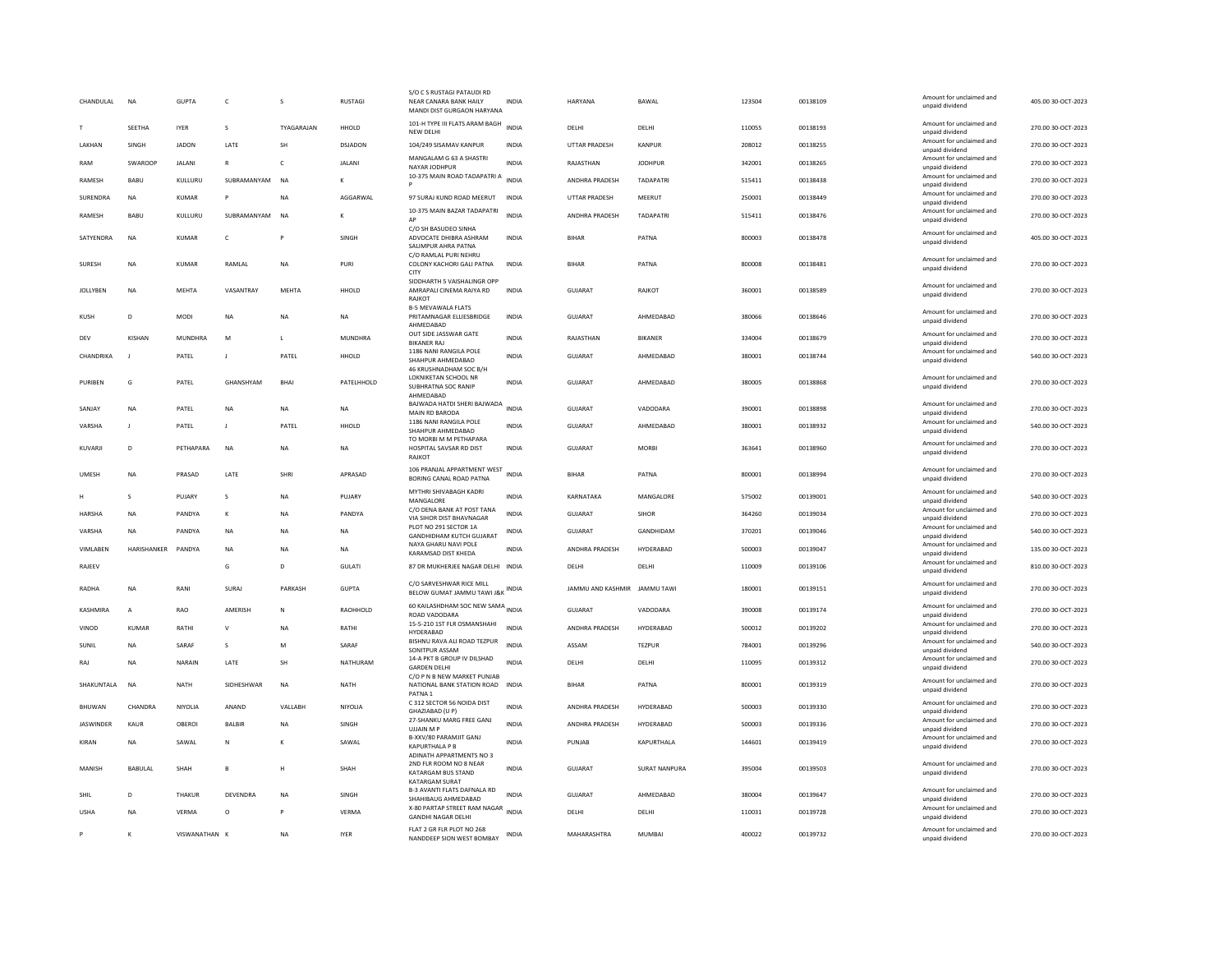| CHANDULAL       | <b>NA</b>      | <b>GUPTA</b>   | $\mathsf{C}$  | s            | <b>RUSTAGI</b> | S/O C S RUSTAGI PATAUDI RD<br>NEAR CANARA BANK HAILY<br>MANDI DIST GURGAON HARYANA | INDIA        | <b>HARYANA</b>               | BAWAL                | 123504 | 00138109 | Amount for unclaimed and<br>unpaid dividend | 405.00 30-OCT-2023 |
|-----------------|----------------|----------------|---------------|--------------|----------------|------------------------------------------------------------------------------------|--------------|------------------------------|----------------------|--------|----------|---------------------------------------------|--------------------|
|                 | SEETHA         | <b>IYER</b>    | $\mathbf{s}$  | TYAGARAJAN   | HHOLD          | 101-H TYPE III FLATS ARAM BAGH<br>NEW DELH                                         | <b>INDIA</b> | <b>DELHI</b>                 | DELHI                | 110055 | 00138193 | Amount for unclaimed and<br>unpaid dividend | 270.00 30-OCT-2023 |
| LAKHAN          | SINGH          | <b>JADON</b>   | LATE          | SH           | DSJADON        | 104/249 SISAMAV KANPUR                                                             | INDIA        | UTTAR PRADESH                | KANPUR               | 208012 | 00138255 | Amount for unclaimed and<br>unpaid dividend | 270.00 30-OCT-2023 |
| RAM             | SWAROOF        | <b>JALANI</b>  | $\mathbb{R}$  | $\mathsf{C}$ | <b>JALANI</b>  | MANGALAM G 63 A SHASTRI<br>NAYAR JODHPUR                                           | <b>INDIA</b> | RAJASTHAN                    | <b>JODHPUR</b>       | 342001 | 00138265 | Amount for unclaimed and<br>unpaid dividend | 270.00 30-OCT-2023 |
| RAMESH          | BABU           | KULLURU        | SUBRAMANYAM   | <b>NA</b>    | K              | 10-375 MAIN ROAD TADAPATRI A                                                       | <b>INDIA</b> | ANDHRA PRADESH               | <b>TADAPATRI</b>     | 515411 | 00138438 | Amount for unclaimed and<br>unpaid dividend | 270.00 30-OCT-2023 |
| SURENDRA        | <b>NA</b>      | <b>KUMAR</b>   | P             | <b>NA</b>    | AGGARWAL       | 97 SURAJ KUND ROAD MEERUT                                                          | <b>INDIA</b> | <b>UTTAR PRADESH</b>         | MEERUT               | 250001 | 00138449 | Amount for unclaimed and<br>unpaid dividend | 270.00 30-OCT-2023 |
| RAMESH          | BABU           | KULLURU        | SUBRAMANYAM   | <b>NA</b>    | K              | 10-375 MAIN BAZAR TADAPATRI                                                        | <b>INDIA</b> | ANDHRA PRADESH               | <b>TADAPATRI</b>     | 515411 | 00138476 | Amount for unclaimed and                    | 270.00 30-OCT-2023 |
|                 |                |                |               |              |                | C/O SH BASUDEO SINHA                                                               |              |                              |                      |        |          | unpaid dividend<br>Amount for unclaimed and |                    |
| SATYENDRA       | NA             | KUMAR          | $\mathsf{C}$  |              | SINGH          | ADVOCATE DHIBRA ASHRAM<br>SALIMPUR AHRA PATNA                                      | <b>INDIA</b> | <b>BIHAF</b>                 | PATNA                | 800003 | 00138478 | unpaid dividend                             | 405.00 30-OCT-2023 |
| SURESH          | <b>NA</b>      | KUMAR          | RAMLAL        | NA           | PURI           | C/O RAMLAL PURI NEHRU<br>COLONY KACHORI GALI PATNA                                 | <b>INDIA</b> | <b>BIHAR</b>                 | PATNA                | 800008 | 00138481 | Amount for unclaimed and<br>unpaid dividend | 270.00 30-OCT-2023 |
|                 |                |                |               |              |                | CITY<br>SIDDHARTH 5 VAISHALINGR OPP                                                |              |                              |                      |        |          | Amount for unclaimed and                    |                    |
| <b>JOLLYBEN</b> | NA             | MEHTA          | VASANTRAY     | MFHTA        | HHOLD          | AMRAPALI CINEMA RAIYA RD<br>RAJKOT                                                 | <b>INDIA</b> | GUIARAT                      | RAJKOT               | 360001 | 00138589 | unpaid dividend                             | 270.00 30-OCT-2023 |
| KUSH            | D              | <b>MODI</b>    | <b>NA</b>     | <b>NA</b>    | <b>NA</b>      | <b>B-5 MEVAWALA FLATS</b><br>PRITAMNAGAR ELLIESBRIDGE                              | <b>INDIA</b> | <b>GUJARAT</b>               | AHMEDABAD            | 380066 | 00138646 | Amount for unclaimed and                    | 270.00 30-OCT-2023 |
|                 |                |                |               |              |                | AHMEDABAD<br>OUT SIDE JASSWAR GATE                                                 |              |                              |                      |        |          | unpaid dividend<br>Amount for unclaimed and |                    |
| DEV             | KISHAN         | <b>MUNDHRA</b> | M             | $\mathbf{L}$ | <b>MUNDHRA</b> | <b>BIKANER RAJ</b><br>1186 NANI RANGILA POLE                                       | <b>INDIA</b> | RAJASTHAN                    | <b>BIKANER</b>       | 334004 | 00138679 | unpaid dividend<br>Amount for unclaimed and | 270.00 30-OCT-2023 |
| CHANDRIKA       |                | PATEL          | J             | PATEL        | HHOLD          | SHAHPUR AHMEDABAD<br>46 KRUSHNADHAM SOC B/H                                        | <b>INDIA</b> | GUJARAT                      | AHMEDABAD            | 380001 | 00138744 | unpaid dividend                             | 540.00 30-OCT-2023 |
| PURIBEN         | G              | PATEL          | GHANSHYAM     | <b>BHAI</b>  | PATELHHOLD     | LOKNIKETAN SCHOOL NR                                                               | <b>INDIA</b> | <b>GUJARAT</b>               | AHMEDABAD            | 380005 | 00138868 | Amount for unclaimed and<br>unpaid dividend | 270.00 30-OCT-2023 |
|                 |                |                |               |              |                | SUBHRATNA SOC RANIP<br>AHMEDABAD                                                   |              |                              |                      |        |          |                                             |                    |
| SANJAY          | NA             | PATEL          | $_{\sf NA}$   | NA           | NA             | BAJWADA HATDI SHERI BAJWADA INDIA<br>MAIN RD BARODA                                |              | <b>GUJARAT</b>               | VADODARA             | 390001 | 00138898 | Amount for unclaimed and<br>unpaid dividend | 270.00 30-OCT-2023 |
| VARSHA          | $\mathbf{I}$   | PATEL          | J.            | PATEI        | HHOLD          | 1186 NANI RANGILA POLE<br>SHAHPUR AHMEDABAD                                        | INDIA        | GUJARAT                      | AHMEDABAD            | 380001 | 00138932 | Amount for unclaimed and<br>unpaid dividend | 540.00 30-OCT-2023 |
| KUVARJI         | D              | PETHAPARA      | <b>NA</b>     | <b>NA</b>    | <b>NA</b>      | TO MORBI M M PETHAPARA<br>HOSPITAL SAVSAR RD DIST<br><b>RAJKOT</b>                 | <b>INDIA</b> | <b>GUJARAT</b>               | <b>MORRI</b>         | 363641 | 00138960 | Amount for unclaimed and<br>unpaid dividend | 270.00 30-OCT-2023 |
| UMESH           | <b>NA</b>      | PRASAD         | LATE          | SHRI         | APRASAD        | 106 PRANJAL APPARTMENT WEST<br>BORING CANAL ROAD PATNA                             | <b>INDIA</b> | <b>BIHAR</b>                 | PATNA                | 800001 | 00138994 | Amount for unclaimed and<br>unpaid dividend | 270.00 30-OCT-2023 |
|                 | S              | PUJARY         | s             | NA           | PUJARY         | MYTHRI SHIVABAGH KADRI<br>MANGALORE                                                | <b>INDIA</b> | KARNATAKA                    | MANGALORE            | 575002 | 00139001 | Amount for unclaimed and<br>unpaid dividend | 540.00 30-OCT-2023 |
| HARSHA          | <b>NA</b>      | PANDYA         | к             | <b>NA</b>    | PANDYA         | C/O DENA BANK AT POST TANA<br>VIA SIHOR DIST BHAVNAGAR                             | <b>INDIA</b> | <b>GUJARAT</b>               | <b>SIHOR</b>         | 364260 | 00139034 | Amount for unclaimed and<br>unpaid dividend | 270.00 30-OCT-2023 |
| VARSHA          | <b>NA</b>      | PANDYA         | NA            | NA           | NA             | PLOT NO 291 SECTOR 1A<br><b>GANDHIDHAM KUTCH GUJARAT</b>                           | INDIA        | <b>GUJARAT</b>               | <b>GANDHIDAM</b>     | 370201 | 00139046 | Amount for unclaimed and<br>unpaid dividend | 540.00 30-OCT-2023 |
| VIMLABEN        | HARISHANKER    | PANDYA         | <b>NA</b>     | <b>NA</b>    | NA             | NAYA GHARU NAVI POLE<br>KARAMSAD DIST KHEDA                                        | <b>INDIA</b> | ANDHRA PRADESH               | HYDERABAD            | 500003 | 00139047 | Amount for unclaimed and<br>unpaid dividend | 135.00 30-OCT-2023 |
| RAJEEV          |                |                | G             | D            | <b>GULATI</b>  | 87 DR MUKHERJEE NAGAR DELHI INDIA                                                  |              | DELHI                        | DELHI                | 110009 | 00139106 | Amount for unclaimed and                    | 810.00 30-OCT-2023 |
|                 |                |                |               |              |                | C/O SARVESHWAR RICE MILL                                                           |              |                              |                      |        |          | unpaid dividend<br>Amount for unclaimed and |                    |
| RADHA           | <b>NA</b>      | RANI           | SURAI         | PARKASH      | <b>GUPTA</b>   | BELOW GUMAT JAMMU TAWI J&K INDIA                                                   |              | IAMMU AND KASHMIR IAMMU TAWI |                      | 180001 | 00139151 | unpaid dividend                             | 270.00 30-OCT-2023 |
| KASHMIRA        | $\overline{A}$ | RAO            | AMERISH       | N            | RAOHHOLD       | 60 KAILASHDHAM SOC NEW SAMA INDIA<br>ROAD VADODARA                                 |              | <b>GUJARAT</b>               | VADODARA             | 390008 | 00139174 | Amount for unclaimed and<br>unpaid dividend | 270.00 30-OCT-2023 |
| VINOD           | <b>KUMAR</b>   | RATHI          | $\mathsf{v}$  | <b>NA</b>    | RATHI          | 15-5-210 1ST FLR OSMANSHAHI<br>HYDERABAD                                           | <b>INDIA</b> | ANDHRA PRADESH               | HYDERABAD            | 500012 | 00139202 | Amount for unclaimed and<br>unpaid dividend | 270.00 30-OCT-2023 |
| SUNIL           | <b>NA</b>      | SARAF          | s             | M            | SARAF          | BISHNU RAVA ALI ROAD TEZPUR<br>SONITPUR ASSAM                                      | <b>INDIA</b> | ASSAM                        | <b>TEZPUR</b>        | 784001 | 00139296 | Amount for unclaimed and<br>unpaid dividend | 540.00 30-OCT-2023 |
| RAJ             | <b>NA</b>      | NARAIN         | LATE          | SH           | NATHURAM       | 14-A PKT B GROUP IV DILSHAD<br><b>GARDEN DELHI</b>                                 | INDIA        | DELHI                        | DELHI                | 110095 | 00139312 | Amount for unclaimed and<br>unpaid dividend | 270.00 30-OCT-2023 |
| SHAKUNTALA      | <b>NA</b>      | <b>NATH</b>    | SIDHESHWAR    | <b>NA</b>    | NATH           | C/O P N B NEW MARKET PUNJAB<br>NATIONAL BANK STATION ROAD<br>PATNA <sub>1</sub>    | <b>INDIA</b> | <b>BIHAR</b>                 | PATNA                | 800001 | 00139319 | Amount for unclaimed and<br>unpaid dividend | 270.00 30-OCT-2023 |
| BHUWAN          | CHANDRA        | NIYOLIA        | ANAND         | VALLABH      | NIYOLIA        | C 312 SECTOR 56 NOIDA DIST<br>GHAZIABAD (U P)                                      | <b>INDIA</b> | ANDHRA PRADESH               | HYDERABAD            | 500003 | 00139330 | Amount for unclaimed and<br>unpaid dividend | 270.00 30-OCT-2023 |
| JASWINDER       | KAUR           | OBEROI         | <b>BALBIR</b> | <b>NA</b>    | SINGH          | 27-SHANKU MARG FREE GANJ<br><b>UJJAIN MP</b>                                       | <b>INDIA</b> | ANDHRA PRADESH               | HYDERABAD            | 500003 | 00139336 | Amount for unclaimed and<br>unpaid dividend | 270.00 30-OCT-2023 |
| KIRAN           | <b>NA</b>      | SAWAI          | N             | к            | SAWAI          | B-XXV/80 PARAMJIT GANJ                                                             | <b>INDIA</b> | PUNJAR                       | KAPURTHALA           | 144601 | 00139419 | Amount for unclaimed and                    | 270.00 30-OCT-2023 |
|                 |                |                |               |              |                | <b>KAPURTHALA P B</b><br>ADINATH APPARTMENTS NO 3                                  |              |                              |                      |        |          | unpaid dividend                             |                    |
| MANISH          | BABULAL        | SHAH           | $\,$ B        | н            | SHAH           | 2ND FLR ROOM NO 8 NEAR<br>KATARGAM BUS STAND<br>KATARGAM SURAT                     | <b>INDIA</b> | GUJARAT                      | <b>SURAT NANPURA</b> | 395004 | 00139503 | Amount for unclaimed and<br>unpaid dividend | 270.00 30-OCT-2023 |
| SHIL            | D              | <b>THAKUR</b>  | DEVENDRA      | <b>NA</b>    | SINGH          | B-3 AVANTI FLATS DAFNALA RD<br>SHAHIBAUG AHMEDABAD                                 | <b>INDIA</b> | GUJARAT                      | AHMEDABAD            | 380004 | 00139647 | Amount for unclaimed and<br>unpaid dividend | 270.00 30-OCT-2023 |
| <b>USHA</b>     | <b>NA</b>      | VERMA          | $\circ$       | P            | VERMA          | X-80 PARTAP STREET RAM NAGAR INDIA<br><b>GANDHI NAGAR DELHI</b>                    |              | DELHI                        | DELHI                | 110031 | 00139728 | Amount for unclaimed and<br>unpaid dividend | 270.00 30-OCT-2023 |
|                 | K              | VISWANATHAN K  |               | <b>NA</b>    | <b>IYER</b>    | FLAT 2 GR FLR PLOT NO 268<br>NANDDEEP SION WEST BOMBAY                             | INDIA        | MAHARASHTRA                  | <b>MUMBAI</b>        | 400022 | 00139732 | Amount for unclaimed and<br>unpaid dividend | 270.00 30-OCT-2023 |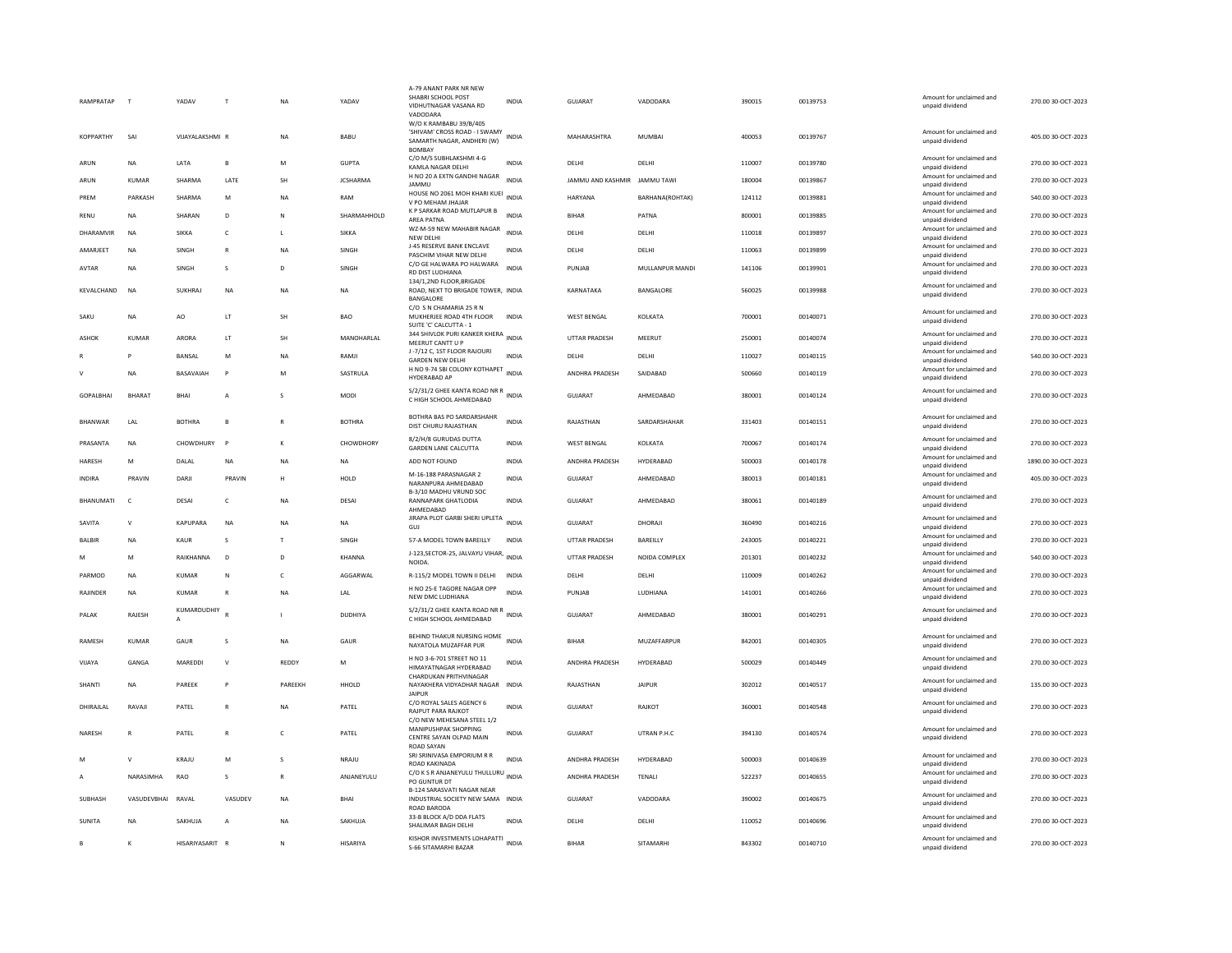| RAMPRATAP        |               | YADAV            |                | <b>NA</b>    | YADAV              | A-79 ANANT PARK NR NEW<br>SHABRI SCHOOL POST<br>VIDHUTNAGAR VASANA RD<br>VADODARA                           | <b>INDIA</b> | <b>GUJARAT</b>               | VADODARA        | 390015 | 00139753 | Amount for unclaimed and<br>unpaid dividend                    | 270.00 30-OCT-2023  |
|------------------|---------------|------------------|----------------|--------------|--------------------|-------------------------------------------------------------------------------------------------------------|--------------|------------------------------|-----------------|--------|----------|----------------------------------------------------------------|---------------------|
| KOPPARTHY        | SAI           | VIJAYALAKSHMI R  |                | <b>NA</b>    | BABU               | W/O K RAMBABU 39/B/405<br>SHIVAM' CROSS ROAD - I SWAMY INDIA<br>SAMARTH NAGAR, ANDHERI (W)<br><b>BOMBAY</b> |              | MAHARASHTRA                  | MUMBAI          | 400053 | 00139767 | Amount for unclaimed and<br>unpaid dividend                    | 405.00 30-OCT-2023  |
| ARUN             | <b>NA</b>     | LATA             | B              | M            | <b>GUPTA</b>       | C/O M/S SUBHLAKSHMI 4-G<br>KAMLA NAGAR DELHI                                                                | <b>INDIA</b> | DELHI                        | DELHI           | 110007 | 00139780 | Amount for unclaimed and<br>unpaid dividend                    | 270.00 30-OCT-2023  |
| ARUN             | KUMAR         | SHARMA           | LATE           | <b>SH</b>    | <b>JCSHARMA</b>    | H NO 20 A EXTN GANDHI NAGAR<br><b>JAMMU</b>                                                                 | <b>INDIA</b> | JAMMU AND KASHMIR JAMMU TAWI |                 | 180004 | 00139867 | Amount for unclaimed and<br>unpaid dividend                    | 270.00 30-OCT-2023  |
| PREM             | PARKASH       | SHARMA           | M              | NA           | RAM                | HOUSE NO 2061 MOH KHARI KUEI INDIA<br>V PO MEHAM JHAJAR                                                     |              | HARYANA                      | BARHANA(ROHTAK) | 124112 | 00139881 | Amount for unclaimed and<br>unpaid dividend                    | 540.00 30-OCT-2023  |
| RENU             | <b>NA</b>     | SHARAN           | D.             | $\mathbb N$  | <b>SHARMAHHOLD</b> | K P SARKAR ROAD MUTLAPUR B<br>AREA PATNA                                                                    | <b>INDIA</b> | <b>BIHAR</b>                 | PATNA           | 800001 | 00139885 | Amount for unclaimed and<br>unpaid dividend                    | 270.00 30-OCT-2023  |
| DHARAMVIR        | <b>NA</b>     | <b>SIKKA</b>     | $\epsilon$     | $\mathbf{L}$ | <b>SIKKA</b>       | WZ-M-59 NEW MAHABIR NAGAR<br>NEW DELHI                                                                      | <b>INDIA</b> | DELHI                        | DELHI           | 110018 | 00139897 | Amount for unclaimed and<br>unpaid dividend                    | 270.00 30-OCT-2023  |
| AMARJEET         | <b>NA</b>     | SINGH            | $\mathsf{R}$   | <b>NA</b>    | SINGH              | J-45 RESERVE BANK ENCLAVE                                                                                   | <b>INDIA</b> | DELHI                        | DELHI           | 110063 | 00139899 | Amount for unclaimed and                                       | 270.00 30-OCT-2023  |
| AVTAR            | <b>NA</b>     | SINGH            | s              | D            | SINGH              | PASCHIM VIHAR NEW DELHI<br>C/O GE HALWARA PO HALWARA                                                        | <b>INDIA</b> | PUNJAB                       | MULLANPUR MANDI | 141106 | 00139901 | unpaid dividend<br>Amount for unclaimed and                    | 270.00 30-OCT-2023  |
| KEVALCHAND       | <b>NA</b>     | SUKHRAJ          | <b>NA</b>      | <b>NA</b>    | <b>NA</b>          | RD DIST LUDHIANA<br>134/1.2ND FLOOR.BRIGADE<br>ROAD, NEXT TO BRIGADE TOWER, INDIA                           |              | KARNATAKA                    | BANGALORE       | 560025 | 00139988 | unpaid dividend<br>Amount for unclaimed and<br>unpaid dividend | 270.00 30-OCT-2023  |
|                  |               |                  |                |              |                    | BANGALORE<br>C/O S N CHAMARIA 25 R N                                                                        |              |                              |                 |        |          | Amount for unclaimed and                                       |                     |
| SAKU             | <b>NA</b>     | AO               | LT             | <b>SH</b>    | <b>BAO</b>         | MUKHERJEE ROAD 4TH FLOOR<br>SUITE 'C' CALCUTTA - 1                                                          | <b>INDIA</b> | <b>WEST BENGAL</b>           | KOLKATA         | 700001 | 00140071 | unpaid dividend                                                | 270.00 30-OCT-2023  |
| ASHOK            | <b>KUMAR</b>  | ARORA            | LT             | SH           | MANOHARLAL         | 344 SHIVLOK PURI KANKER KHERA INDIA<br>MEERUT CANTT U P                                                     |              | UTTAR PRADESH                | MEERUT          | 250001 | 00140074 | Amount for unclaimed and<br>unpaid dividend                    | 270.00 30-OCT-2023  |
|                  | P             | <b>BANSAL</b>    | M              | <b>NA</b>    | RAMIL              | J-7/12 C, 1ST FLOOR RAJOURI<br><b>GARDEN NEW DELHI</b>                                                      | <b>INDIA</b> | <b>DELHI</b>                 | DELHI           | 110027 | 00140115 | Amount for unclaimed and<br>unpaid dividend                    | 540.00 30-OCT-2023  |
| $\mathsf{v}$     | <b>NA</b>     | BASAVAIAH        | P              | M            | SASTRULA           | H NO 9-74 SBI COLONY KOTHAPET<br>HYDERABAD AP                                                               | <b>INDIA</b> | ANDHRA PRADESH               | SAIDABAD        | 500660 | 00140119 | Amount for unclaimed and<br>unpaid dividend                    | 270.00 30-OCT-2023  |
| <b>GOPALBHAI</b> | <b>BHARAT</b> | BHAI             | A              | s            | MODI               | S/2/31/2 GHEE KANTA ROAD NR R<br>C HIGH SCHOOL AHMEDABAD                                                    | <b>INDIA</b> | <b>GUJARAT</b>               | AHMEDABAD       | 380001 | 00140124 | Amount for unclaimed and<br>unpaid dividend                    | 270.00 30-OCT-2023  |
| <b>BHANWAR</b>   | LAL           | <b>BOTHRA</b>    | $\overline{B}$ | $\mathbb{R}$ | <b>BOTHRA</b>      | BOTHRA BAS PO SARDARSHAHR<br>DIST CHURU RAJASTHAN                                                           | <b>INDIA</b> | RAJASTHAN                    | SARDARSHAHAR    | 331403 | 00140151 | Amount for unclaimed and<br>unpaid dividend                    | 270.00 30-OCT-2023  |
| PRASANTA         | <b>NA</b>     | CHOWDHURY        | $\mathbf{p}$   | К            | CHOWDHORY          | 8/2/H/8 GURUDAS DUTTA<br><b>GARDEN LANE CALCUTTA</b>                                                        | <b>INDIA</b> | <b>WEST BENGAL</b>           | KOLKATA         | 700067 | 00140174 | Amount for unclaimed and<br>unpaid dividend                    | 270.00 30-OCT-2023  |
| HARESH           | M             | DALAL            | NA             | NA           | <b>NA</b>          | ADD NOT FOUND                                                                                               | <b>INDIA</b> | ANDHRA PRADESH               | HYDERABAD       | 500003 | 00140178 | Amount for unclaimed and<br>unpaid dividend                    | 1890.00 30-OCT-2023 |
| <b>INDIRA</b>    | PRAVIN        | DARJI            | PRAVIN         | н            | HOLD               | M-16-188 PARASNAGAR 2<br>NARANPURA AHMEDABAD                                                                | <b>INDIA</b> | GUJARAT                      | AHMEDABAD       | 380013 | 00140181 | Amount for unclaimed and<br>unpaid dividend                    | 405.00 30-OCT-2023  |
| BHANUMATI        | $\mathsf{C}$  | DESAI            | $\mathsf{C}$   | <b>NA</b>    | DESAI              | B-3/10 MADHU VRUND SOC<br>RANNAPARK GHATLODIA<br>AHMFDARAD                                                  | <b>INDIA</b> | <b>GUJARAT</b>               | AHMEDABAD       | 380061 | 00140189 | Amount for unclaimed and<br>unpaid dividend                    | 270.00 30-OCT-2023  |
| SAVITA           | $\mathsf{v}$  | KAPUPARA         | <b>NA</b>      | <b>NA</b>    | <b>NA</b>          | JIRAPA PLOT GARBI SHERI UPLETA<br>GUJ                                                                       | <b>INDIA</b> | <b>GUJARAT</b>               | DHORAIL         | 360490 | 00140216 | Amount for unclaimed and<br>unpaid dividend                    | 270.00 30-OCT-2023  |
| BALBIR           | <b>NA</b>     | <b>KAUR</b>      | s              | $\top$       | SINGH              | 57-A MODEL TOWN BAREILLY                                                                                    | <b>INDIA</b> | <b>UTTAR PRADESH</b>         | BAREILLY        | 243005 | 00140221 | Amount for unclaimed and<br>unpaid dividend                    | 270.00 30-OCT-2023  |
| M                | M             | RAIKHANNA        | D              | D            | <b>KHANNA</b>      | J-123, SECTOR-25, JALVAYU VIHAR, INDIA<br>NOIDA.                                                            |              | <b>UTTAR PRADESH</b>         | NOIDA COMPLEX   | 201301 | 00140232 | Amount for unclaimed and<br>unpaid dividend                    | 540.00 30-OCT-2023  |
| PARMOD           | <b>NA</b>     | <b>KUMAR</b>     | N              | $\mathsf{C}$ | AGGARWAL           | R-115/2 MODEL TOWN II DELHI                                                                                 | <b>INDIA</b> | DELHI                        | DELHI           | 110009 | 00140262 | Amount for unclaimed and<br>unpaid dividend                    | 270.00 30-OCT-2023  |
| RAJINDER         | NA            | KUMAR            | $\overline{R}$ | NA           | LAL                | H NO 25-E TAGORE NAGAR OPP<br>NEW DMC LUDHIANA                                                              | <b>INDIA</b> | PUNJAB                       | LUDHIANA        | 141001 | 00140266 | Amount for unclaimed and<br>unpaid dividend                    | 270.00 30-OCT-2023  |
| PALAK            | RAJESH        | KUMARDUDHIY<br>A |                |              | DUDHIYA            | S/2/31/2 GHEE KANTA ROAD NR R<br>INDIA<br>C HIGH SCHOOL AHMEDABAD                                           |              | GUJARAT                      | AHMEDABAD       | 380001 | 00140291 | Amount for unclaimed and<br>unpaid dividend                    | 270.00 30-OCT-2023  |
| RAMESH           | <b>KUMAR</b>  | GAUR             | s              | <b>NA</b>    | GAUR               | BEHIND THAKUR NURSING HOME<br>NAYATOLA MUZAFFAR PUR                                                         | <b>INDIA</b> | <b>BIHAR</b>                 | MUZAFFARPUR     | 842001 | 00140305 | Amount for unclaimed and<br>unpaid dividend                    | 270.00 30-OCT-2023  |
| VIIAYA           | GANGA         | MARFDDI          | $\mathbf v$    | REDDY        | M                  | H NO 3-6-701 STREET NO 11<br>HIMAYATNAGAR HYDERABAD                                                         | <b>INDIA</b> | ANDHRA PRADESH               | HYDFRABAD       | 500029 | 00140449 | Amount for unclaimed and<br>unpaid dividend                    | 270.00 30-OCT-2023  |
| SHANTI           | NA            | PAREEK           | P              | PAREEKH      | HHOLD              | CHARDUKAN PRITHVINAGAR<br>NAYAKHERA VIDYADHAR NAGAR<br><b>JAIPUR</b>                                        | <b>INDIA</b> | RAJASTHAN                    | <b>JAIPUR</b>   | 302012 | 00140517 | Amount for unclaimed and<br>unpaid dividend                    | 135.00 30-OCT-2023  |
| DHIRAJLAL        | RAVAJI        | PATEL            | $\overline{R}$ | NA           | PATEL              | C/O ROYAL SALES AGENCY 6<br><b>RAJPUT PARA RAJKOT</b><br>C/O NEW MEHESANA STEEL 1/2                         | <b>INDIA</b> | GUJARAT                      | RAJKOT          | 360001 | 00140548 | Amount for unclaimed and<br>unpaid dividend                    | 270.00 30-OCT-2023  |
| NARESH           |               | PATEL            | $\overline{R}$ | $\mathsf{C}$ | PATEL              | MANIPUSHPAK SHOPPING<br>CENTRE SAYAN OLPAD MAIN<br><b>ROAD SAYAN</b>                                        | <b>INDIA</b> | <b>GUJARAT</b>               | UTRAN P.H.C     | 394130 | 00140574 | Amount for unclaimed and<br>unpaid dividend                    | 270.00 30-OCT-2023  |
|                  | $\mathsf{v}$  | KRAJU            | M              | s            | NRAJU              | SRI SRINIVASA EMPORIUM R R<br>ROAD KAKINADA                                                                 | <b>INDIA</b> | ANDHRA PRADESH               | HYDERABAD       | 500003 | 00140639 | Amount for unclaimed and<br>unpaid dividend                    | 270.00 30-OCT-2023  |
| $\mathsf{A}$     | NARASIMHA     | RAO              | $\mathbf{S}$   | $\mathbb{R}$ | ANJANEYULU         | C/O K S R ANJANEYULU THULLURU INDIA<br>PO GUNTUR DT                                                         |              | ANDHRA PRADESH               | <b>TENALI</b>   | 522237 | 00140655 | Amount for unclaimed and<br>unpaid dividend                    | 270.00 30-OCT-2023  |
| SUBHASH          | VASUDEVBHAI   | RAVAL            | VASUDEV        | NA           | BHAI               | <b>B-124 SARASVATI NAGAR NEAR</b><br>INDUSTRIAL SOCIETY NEW SAMA INDIA<br>ROAD BARODA                       |              | GUJARAT                      | VADODARA        | 390002 | 00140675 | Amount for unclaimed and<br>unpaid dividend                    | 270.00 30-OCT-2023  |
| <b>SUNITA</b>    | <b>NA</b>     | SAKHUJA          | A              | <b>NA</b>    | SAKHUJA            | 33-B BLOCK A/D DDA FLATS<br>SHALIMAR BAGH DELHI                                                             | <b>INDIA</b> | DELHI                        | DELHI           | 110052 | 00140696 | Amount for unclaimed and<br>unpaid dividend                    | 270.00 30-OCT-2023  |
|                  | K             | HISARIYASARIT R  |                | N            | HISARIYA           | KISHOR INVESTMENTS LOHAPATTI INDIA<br>S-66 SITAMARHI BAZAR                                                  |              | <b>BIHAR</b>                 | SITAMARHI       | 843302 | 00140710 | Amount for unclaimed and<br>unpaid dividend                    | 270.00 30-OCT-2023  |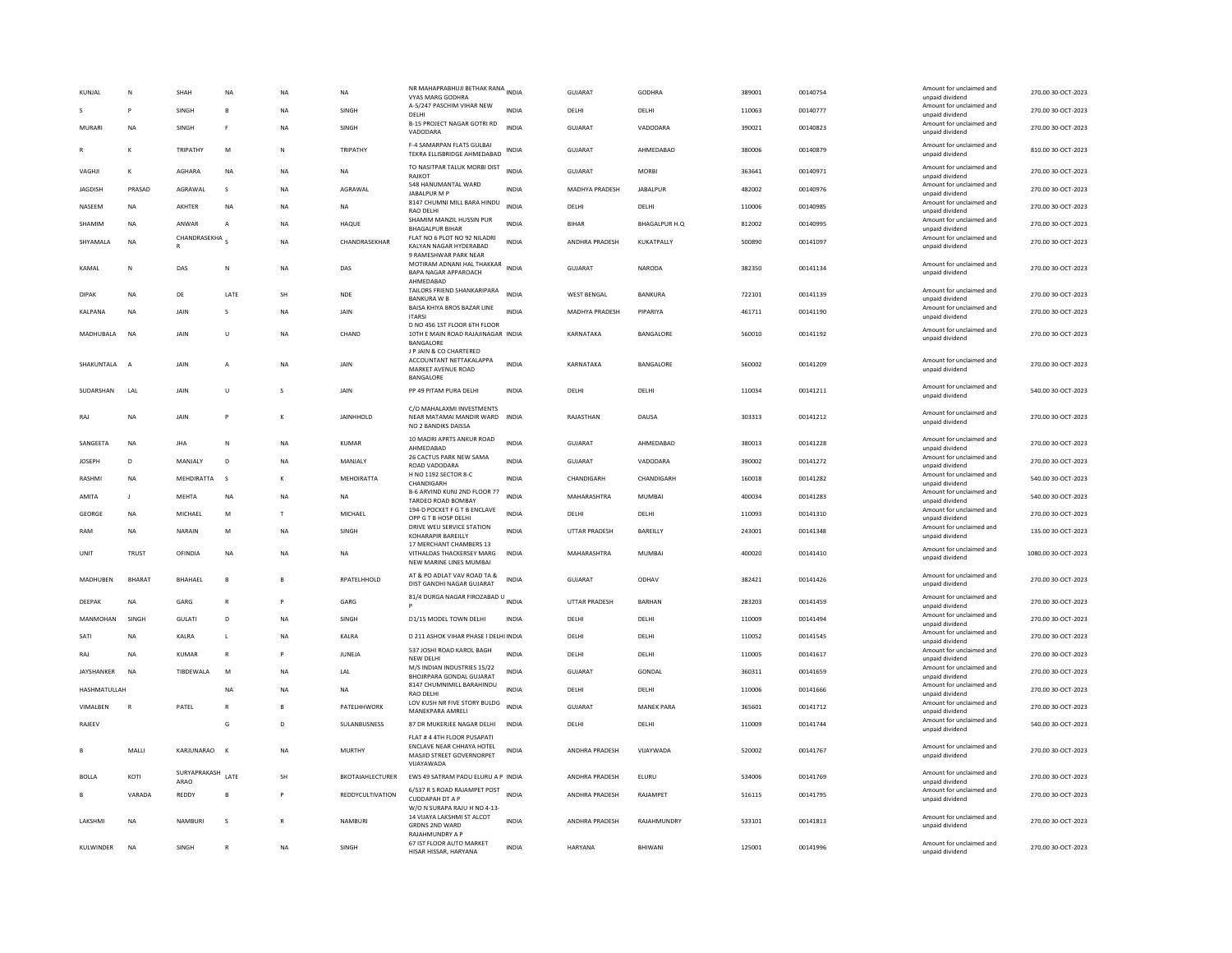| KUNJAL          | N              | SHAH                 | <b>NA</b>      | NΑ        | NA               | NR MAHAPRABHUJI BETHAK RANA INDIA<br><b>VYAS MARG GODHRA</b><br>A-5/247 PASCHIM VIHAR NEW    |              | <b>GUJARAT</b>        | GODHRA            | 389001 | 00140754 | Amount for unclaimed and<br>unpaid dividend<br>Amount for unclaimed and | 270.00 30-OCT-2023  |
|-----------------|----------------|----------------------|----------------|-----------|------------------|----------------------------------------------------------------------------------------------|--------------|-----------------------|-------------------|--------|----------|-------------------------------------------------------------------------|---------------------|
| s               | P              | SINGH                | B              | <b>NA</b> | SINGH            | DELHI                                                                                        | <b>INDIA</b> | DELHI                 | DELHI             | 110063 | 00140777 | unpaid dividend                                                         | 270.00 30-OCT-2023  |
| <b>MURARI</b>   | <b>NA</b>      | SINGH                | E              | <b>NA</b> | SINGH            | B-15 PROJECT NAGAR GOTRI RD<br>VADODARA                                                      | <b>INDIA</b> | <b>GUJARAT</b>        | VADODARA          | 390021 | 00140823 | Amount for unclaimed and<br>unpaid dividend                             | 270.00 30-OCT-2023  |
|                 | K              | TRIPATHY             | M              | N         | TRIPATHY         | F-4 SAMARPAN FLATS GULBAI<br>TEKRA ELLISBRIDGE AHMEDABAD                                     | <b>INDIA</b> | GUJARAT               | AHMEDABAD         | 380006 | 00140879 | Amount for unclaimed and<br>unpaid dividend                             | 810.00 30-OCT-2023  |
| VAGHJI          | К              | AGHARA               | <b>NA</b>      | <b>NA</b> | <b>NA</b>        | TO NASITPAR TALUK MORBI DIST<br>RAJKOT                                                       | <b>INDIA</b> | GUJARAT               | <b>MORBI</b>      | 363641 | 00140971 | Amount for unclaimed and<br>unpaid dividend                             | 270.00 30-OCT-2023  |
| JAGDISH         | PRASAD         | AGRAWAL              | s              | NA        | AGRAWAL          | 548 HANUMANTAL WARD<br>JABALPUR M P                                                          | <b>INDIA</b> | MADHYA PRADESH        | <b>JABALPUR</b>   | 482002 | 00140976 | Amount for unclaimed and<br>unpaid dividend                             | 270.00 30-OCT-2023  |
| NASEEM          | NA             | AKHTER               | <b>NA</b>      | NΑ        | NA               | 8147 CHUMNI MILL BARA HINDU<br>RAO DELHI                                                     | <b>INDIA</b> | DELHI                 | DELHI             | 110006 | 00140985 | Amount for unclaimed and<br>unpaid dividend                             | 270.00 30-OCT-2023  |
| SHAMIM          | <b>NA</b>      | ANWAR                | $\overline{A}$ | <b>NA</b> | HAQUE            | SHAMIM MANZIL HUSSIN PUR<br><b>BHAGALPUR BIHAR</b>                                           | <b>INDIA</b> | <b>BIHAR</b>          | BHAGALPUR H.O.    | 812002 | 00140995 | Amount for unclaimed and<br>unpaid dividend                             | 270.00 30-OCT-2023  |
| SHYAMALA        | <b>NA</b>      | CHANDRASEKHA         |                | <b>NA</b> | CHANDRASEKHAR    | FLAT NO 6 PLOT NO 92 NILADRI<br>KALYAN NAGAR HYDERABAD<br><b>9 RAMESHWAR PARK NEAR</b>       | <b>INDIA</b> | <b>ANDHRA PRADESH</b> | KUKATPALLY        | 500890 | 00141097 | Amount for unclaimed and<br>unpaid dividend                             | 270.00 30-OCT-2023  |
| KAMAI           | Ν              | DAS                  | N              | <b>NA</b> | DAS              | MOTIRAM ADNANI HAL THAKKAR<br><b>BAPA NAGAR APPAROACH</b><br>AHMEDABAD                       | <b>INDIA</b> | GUJARAT               | NARODA            | 382350 | 00141134 | Amount for unclaimed and<br>unpaid dividend                             | 270.00 30-OCT-2023  |
| <b>DIPAK</b>    | NA             | DE                   | LATE           | SH        | <b>NDE</b>       | TAILORS FRIEND SHANKARIPARA<br><b>BANKURA W B</b>                                            | <b>INDIA</b> | WEST BENGAL           | BANKURA           | 722101 | 00141139 | Amount for unclaimed and<br>unpaid dividend                             | 270.00 30-OCT-2023  |
| <b>KAI PANA</b> | <b>NA</b>      | <b>JAIN</b>          | $\mathcal{S}$  | <b>NA</b> | JAIN             | BAISA KHIYA BROS BAZAR LINE<br><b>ITARSI</b>                                                 | <b>INDIA</b> | MADHYA PRADESH        | PIPARIYA          | 461711 | 00141190 | Amount for unclaimed and<br>unpaid dividend                             | 270.00 30-OCT-2023  |
|                 |                |                      |                |           |                  | D NO 456 1ST FLOOR 6TH FLOOR                                                                 |              |                       |                   |        |          | Amount for unclaimed and                                                |                     |
| MADHUBALA       | <b>NA</b>      | JAIN                 | U              | NA        | CHAND            | 10TH E MAIN ROAD RAJAJINAGAR INDIA<br><b>BANGALORE</b>                                       |              | KARNATAKA             | BANGALORE         | 560010 | 00141192 | unpaid dividend                                                         | 270.00 30-OCT-2023  |
| SHAKUNTALA      | A              | JAIN                 |                | NΑ        | JAIN             | J P JAIN & CO CHARTERED<br>ACCOUNTANT NETTAKALAPPA<br>MARKET AVENUE ROAD<br>BANGALORE        | <b>INDIA</b> | KARNATAKA             | BANGALORE         | 560002 | 00141209 | Amount for unclaimed and<br>unpaid dividend                             | 270.00 30-OCT-2023  |
| SUDARSHAN       | LAL            | JAIN                 | U              |           | JAIN             | PP 49 PITAM PURA DELHI                                                                       | <b>INDIA</b> | DELHI                 | DELHI             | 110034 | 00141211 | Amount for unclaimed and<br>unpaid dividend                             | 540.00 30-OCT-2023  |
| RAJ             | <b>NA</b>      | JAIN                 |                |           | JAINHHOLD        | C/O MAHALAXMI INVESTMENTS<br>NEAR MATAMAI MANDIR WARD INDIA<br>NO 2 BANDIKS DAISSA           |              | RAJASTHAN             | DAUSA             | 303313 | 00141212 | Amount for unclaimed and<br>unpaid dividend                             | 270.00 30-OCT-2023  |
| SANGEETA        | <b>NA</b>      | <b>JHA</b>           | N              | <b>NA</b> | <b>KUMAR</b>     | 10 MADRI APRTS ANKUR ROAD                                                                    | <b>INDIA</b> | <b>GUJARAT</b>        | AHMEDABAD         | 380013 | 00141228 | Amount for unclaimed and                                                | 270.00 30-OCT-2023  |
| <b>JOSEPH</b>   | D              | MANJALY              | D              | <b>NA</b> | MANJALY          | AHMEDABAD<br>26 CACTUS PARK NEW SAMA                                                         | <b>INDIA</b> | GUJARAT               | VADODARA          | 390002 | 00141272 | unpaid dividend<br>Amount for unclaimed and                             | 270.00 30-OCT-2023  |
| <b>RASHM</b>    | <b>NA</b>      | <b>MEHDIRATTA</b>    | <sub>S</sub>   |           | MEHOIRATTA       | ROAD VADODARA<br>H NO 1192 SECTOR 8-C                                                        | <b>INDIA</b> | CHANDIGARH            | CHANDIGARH        | 160018 | 00141282 | unpaid dividend<br>Amount for unclaimed and                             | 540.00 30-OCT-2023  |
|                 |                |                      |                |           |                  | CHANDIGARH<br>B-6 ARVIND KUNJ 2ND FLOOR 77                                                   |              |                       |                   |        |          | unpaid dividend<br>Amount for unclaimed and                             |                     |
| AMITA           | I.             | MEHTA                | <b>NA</b>      | NA        | NA               | TARDEO ROAD BOMBAY<br>194-D POCKET F G T B ENCLAVE                                           | <b>INDIA</b> | MAHARASHTRA           | <b>MUMBAI</b>     | 400034 | 00141283 | unpaid dividend<br>Amount for unclaimed and                             | 540.00 30-OCT-2023  |
| <b>GEORGI</b>   | <b>NA</b>      | MICHAEL              | M              | T         | MICHAEL          | OPP G T B HOSP DELHI                                                                         | <b>INDIA</b> | DELHI                 | DELHI             | 110093 | 00141310 | unpaid dividend                                                         | 270.00 30-OCT-2023  |
| RAM             | <b>NA</b>      | NARAIN               | M              | <b>NA</b> | SINGH            | DRIVE WEU SERVICE STATION<br>KOHARAPIR BAREILLY<br>17 MERCHANT CHAMBERS 13                   | <b>INDIA</b> | <b>UTTAR PRADESH</b>  | BAREILLY          | 243001 | 00141348 | Amount for unclaimed and<br>unpaid dividend                             | 135.00 30-OCT-2023  |
| UNIT            | TRUST          | OFINDIA              | NA             | NA        | NA               | VITHALDAS THACKERSEY MARG<br>NEW MARINE LINES MUMBAI                                         | INDIA        | MAHARASHTRA           | MUMBAI            | 400020 | 00141410 | Amount for unclaimed and<br>unpaid dividend                             | 1080.00 30-OCT-2023 |
| MADHUBEN        | <b>BHARAT</b>  | BHAHAEL              | $\mathbf{B}$   | B         | RPATELHHOLD      | AT & PO ADLAT VAV ROAD TA &<br>DIST GANDHI NAGAR GUJARAT                                     | <b>INDIA</b> | <b>GUJARAT</b>        | ODHAV             | 382421 | 00141426 | Amount for unclaimed and<br>unpaid dividend                             | 270.00 30-OCT-2023  |
| DEEPAK          | <b>NA</b>      | GARG                 | $\mathbb{R}$   | P         | GARG             | 81/4 DURGA NAGAR FIROZABAD U INDIA                                                           |              | <b>UTTAR PRADESH</b>  | <b>BARHAN</b>     | 283203 | 00141459 | Amount for unclaimed and<br>unpaid dividend                             | 270.00 30-OCT-2023  |
| MANMOHAN        | SINGH          | GULATI               | D              | <b>NA</b> | SINGH            | D1/15 MODEL TOWN DELHI                                                                       | <b>INDIA</b> | DELHI                 | DELHI             | 110009 | 00141494 | Amount for unclaimed and<br>unpaid dividend                             | 270.00 30-OCT-2023  |
| SAT             | NA             | KALRA                | $\mathbf{L}$   | NA        | KALRA            | D 211 ASHOK VIHAR PHASE I DELHI INDIA                                                        |              | DELHI                 | DELHI             | 110052 | 00141545 | Amount for unclaimed and<br>unpaid dividend                             | 270.00 30-OCT-2023  |
| RAJ             | <b>NA</b>      | KUMAR                | $\mathbb{R}$   | P         | <b>IUNEIA</b>    | 537 JOSHI ROAD KAROL BAGH<br>NEW DELHI                                                       | <b>INDIA</b> | DELHI                 | DELHI             | 110005 | 00141617 | Amount for unclaimed and<br>unpaid dividend                             | 270.00 30-OCT-2023  |
| JAYSHANKER      | <b>NA</b>      | TIBDEWALA            | M              | <b>NA</b> | LAL              | M/S INDIAN INDUSTRIES 15/22<br>BHOJRPARA GONDAL GUJARAT                                      | <b>INDIA</b> | <b>GUJARAT</b>        | GONDAL            | 360311 | 00141659 | Amount for unclaimed and<br>unpaid dividend                             | 270.00 30-OCT-2023  |
| HASHMATULLAH    |                |                      | <b>NA</b>      | <b>NA</b> | <b>NA</b>        | 8147 CHUMNIMILL BARAHINDU<br><b>RAO DELH</b>                                                 | <b>INDIA</b> | DELHI                 | DELHI             | 110006 | 00141666 | Amount for unclaimed and<br>unpaid dividend                             | 270.00 30-OCT-2023  |
| VIMALBEN        | $\overline{R}$ | PATEL                |                |           | PATELHHWORK      | LOV KUSH NR FIVE STORY BULDG<br>MANEKPARA AMRELI                                             | <b>INDIA</b> | <b>GUJARAT</b>        | <b>MANEK PARA</b> | 365601 | 00141712 | Amount for unclaimed and<br>unpaid dividend                             | 270.00 30-OCT-2023  |
| RAJEEV          |                |                      | G              | D         | SULANBUSNESS     | 87 DR MUKERJEE NAGAR DELHI                                                                   | INDIA        | DELHI                 | DELHI             | 110009 | 00141744 | Amount for unclaimed and                                                | 540.00 30-OCT-2023  |
|                 |                |                      |                |           |                  | FLAT # 4 4TH FLOOR PUSAPATI                                                                  |              |                       |                   |        |          | unpaid dividend                                                         |                     |
|                 | MALLI          | KARJUNARAO           |                | <b>NA</b> | <b>MURTHY</b>    | <b>ENCLAVE NEAR CHHAYA HOTEL</b><br>MASJID STREET GOVERNORPET<br>VIJAYAWADA                  | <b>INDIA</b> | ANDHRA PRADESH        | VIJAYWADA         | 520002 | 00141767 | Amount for unclaimed and<br>unpaid dividend                             | 270.00 30-OCT-2023  |
| <b>BOLLA</b>    | KOTI           | SURYAPRAKASH<br>ARAO | LATE           | SH        | BKOTAIAHLECTURER | EWS 49 SATRAM PADU ELURU A P INDIA                                                           |              | ANDHRA PRADESH        | ELURU             | 534006 | 00141769 | Amount for unclaimed and<br>unpaid dividend                             | 270.00 30-OCT-2023  |
|                 | VARADA         | REDDY                | $\mathsf{B}$   | P         | REDDYCULTIVATION | 6/537 R S ROAD RAJAMPET POST INDIA<br><b>CUDDAPAH DT A P</b><br>W/O N SURAPA RAJU H NO 4-13- |              | ANDHRA PRADESH        | RAJAMPET          | 516115 | 00141795 | Amount for unclaimed and<br>unpaid dividend                             | 270.00 30-OCT-2023  |
| LAKSHMI         | <b>NA</b>      | <b>NAMBUR</b>        | s              |           | NAMBURI          | 14 VIJAYA LAKSHMI ST ALCOT<br><b>GRDNS 2ND WARD</b><br>RAJAHMUNDRY A P                       | <b>INDIA</b> | ANDHRA PRADESH        | RAJAHMUNDRY       | 533101 | 00141813 | Amount for unclaimed and<br>unpaid dividend                             | 270.00 30-OCT-2023  |
| KULWINDER       | <b>NA</b>      | SINGH                |                | <b>NA</b> | SINGH            | 67 IST FLOOR AUTO MARKET<br>HISAR HISSAR, HARYANA                                            | <b>INDIA</b> | HARYANA               | BHIWANI           | 125001 | 00141996 | Amount for unclaimed and<br>unpaid dividend                             | 270.00 30-OCT-2023  |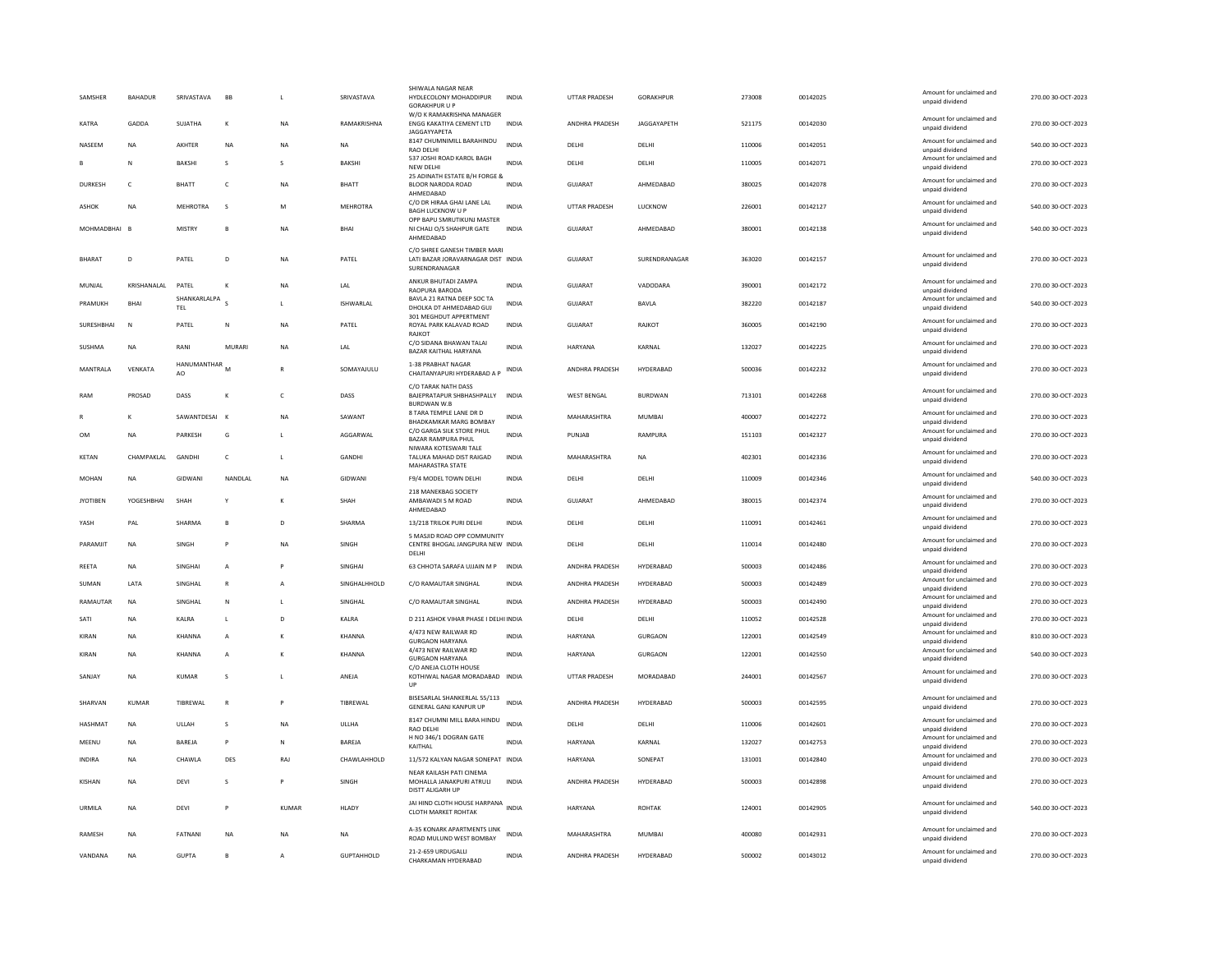| SAMSHER         | <b>BAHADUR</b> | SRIVASTAVA          | <b>BB</b>    | $\mathsf{L}$   | SRIVASTAVA        | SHIWALA NAGAR NEAR<br>HYDLECOLONY MOHADDIPUR<br><b>GORAKHPUR U P</b>                | <b>INDIA</b> | UTTAR PRADESH         | GORAKHPUR        | 273008 | 00142025 | Amount for unclaimed and<br>unpaid dividend | 270.00 30-OCT-2023 |
|-----------------|----------------|---------------------|--------------|----------------|-------------------|-------------------------------------------------------------------------------------|--------------|-----------------------|------------------|--------|----------|---------------------------------------------|--------------------|
| <b>KATRA</b>    | GADDA          | SUJATHA             | $\mathbf{K}$ | <b>NA</b>      | RAMAKRISHNA       | W/O K RAMAKRISHNA MANAGER<br>ENGG KAKATIYA CEMENT LTD                               | <b>INDIA</b> | ANDHRA PRADESH        | JAGGAYAPETH      | 521175 | 00142030 | Amount for unclaimed and<br>unpaid dividend | 270.00 30-OCT-2023 |
| NASEEM          | <b>NA</b>      | AKHTER              | <b>NA</b>    | <b>NA</b>      | NA                | <b>JAGGAYYAPETA</b><br>8147 CHUMNIMILL BARAHINDU<br>RAO DELHI                       | <b>INDIA</b> | DELHI                 | DELHI            | 110006 | 00142051 | Amount for unclaimed and<br>unpaid dividend | 540.00 30-OCT-2023 |
|                 | N              | <b>BAKSHI</b>       | s            | s              | <b>BAKSHI</b>     | 537 JOSHI ROAD KAROL BAGH<br>NEW DELHI                                              | <b>INDIA</b> | DELHI                 | DELHI            | 110005 | 00142071 | Amount for unclaimed and<br>unpaid dividend | 270.00 30-OCT-2023 |
| <b>DURKESH</b>  | $\epsilon$     | <b>BHATT</b>        | c            | <b>NA</b>      | <b>BHATT</b>      | 25 ADINATH ESTATE B/H FORGE &<br>BLOOR NARODA ROAD                                  | <b>INDIA</b> | GUIARAT               | AHMFDARAD        | 380025 | 00142078 | Amount for unclaimed and<br>unpaid dividend | 270.00 30-OCT-2023 |
| ASHOK           | <b>NA</b>      | <b>MEHROTRA</b>     | <sub>S</sub> | M              | MEHROTRA          | AHMEDABAD<br>C/O DR HIRAA GHAI LANE LAL<br><b>BAGH LUCKNOW U P</b>                  | <b>INDIA</b> | UTTAR PRADESH         | LUCKNOW          | 226001 | 00142127 | Amount for unclaimed and<br>unpaid dividend | 540.00 30-OCT-2023 |
| MOHMADBHAI B    |                | <b>MISTRY</b>       | B            | <b>NA</b>      | BHAI              | OPP BAPU SMRUTIKUNJ MASTER<br>NI CHALI O/S SHAHPUR GATE<br>AHMEDABAD                | <b>INDIA</b> | <b>GUJARAT</b>        | AHMEDABAD        | 380001 | 00142138 | Amount for unclaimed and<br>unpaid dividend | 540.00 30-OCT-2023 |
| <b>BHARAT</b>   | D              | PATEL               | D            | NA             | PATEL             | C/O SHREE GANESH TIMBER MARI<br>LATI BAZAR JORAVARNAGAR DIST INDIA<br>SURENDRANAGAR |              | GUJARAT               | SURENDRANAGAR    | 363020 | 00142157 | Amount for unclaimed and<br>unpaid dividend | 270.00 30-OCT-2023 |
| MUNJAL          | KRISHANALAL    | PATEL               | K            | NA             | LAL               | ANKUR BHUTADI ZAMPA<br>RAOPURA BARODA                                               | INDIA        | GUJARAT               | VADODARA         | 390001 | 00142172 | Amount for unclaimed and<br>unpaid dividend | 270.00 30-OCT-2023 |
| PRAMUKH         | BHA            | SHANKARLALPA<br>TEL |              | L              | ISHWARLAL         | BAVLA 21 RATNA DEEP SOC TA<br>DHOLKA DT AHMEDABAD GUJ                               | INDIA        | GUJARAT               | BAVLA            | 382220 | 00142187 | Amount for unclaimed and<br>unpaid dividend | 540.00 30-OCT-2023 |
| SURESHBHAI      | N              | PATEL               | N            | <b>NA</b>      | PATEL             | 301 MEGHDUT APPERTMENT<br>ROYAL PARK KALAVAD ROAD<br><b>RAJKOT</b>                  | <b>INDIA</b> | GUJARAT               | <b>RAJKOT</b>    | 360005 | 00142190 | Amount for unclaimed and<br>unpaid dividend | 270.00 30-OCT-2023 |
| SUSHMA          | <b>NA</b>      | RANI                | MURARI       | <b>NA</b>      | LAL               | C/O SIDANA BHAWAN TALAI<br>BAZAR KAITHAL HARYANA                                    | <b>INDIA</b> | <b>HARYANA</b>        | KARNAL           | 132027 | 00142225 | Amount for unclaimed and<br>unpaid dividend | 270.00 30-OCT-2023 |
| MANTRALA        | VENKATA        | HANUMANTHAR<br>AO   |              |                | SOMAYAJULU        | 1-38 PRABHAT NAGAR<br>CHAITANYAPURI HYDERABAD A P                                   | INDIA        | ANDHRA PRADESH        | HYDERABAD        | 500036 | 00142232 | Amount for unclaimed and<br>unpaid dividend | 270.00 30-OCT-2023 |
| RAM             | PROSAD         | DASS                | K            | $\mathsf{C}$   | DASS              | C/O TARAK NATH DASS<br>BAJEPRATAPUR SHBHASHPALLY<br><b>BURDWAN W.B</b>              | <b>INDIA</b> | <b>WEST BENGAL</b>    | <b>BURDWAN</b>   | 713101 | 00142268 | Amount for unclaimed and<br>unpaid dividend | 270.00 30-OCT-2023 |
|                 | к              | SAWANTDESAL         | $\mathbf{K}$ | <b>NA</b>      | SAWANT            | 8 TARA TEMPLE LANE DR D<br><b>BHADKAMKAR MARG BOMBAY</b>                            | INDIA        | MAHARASHTRA           | MUMBAI           | 400007 | 00142272 | Amount for unclaimed and<br>unpaid dividend | 270.00 30-OCT-2023 |
| <b>OM</b>       | NA             | PARKESH             | G            | L              | AGGARWAL          | C/O GARGA SILK STORE PHUL<br><b>BAZAR RAMPURA PHUL</b>                              | <b>INDIA</b> | PUNJAB                | RAMPURA          | 151103 | 00142327 | Amount for unclaimed and<br>unpaid dividend | 270.00 30-OCT-2023 |
| KETAN           | CHAMPAKLAL     | GANDHI              | $\mathsf{C}$ | L              | GANDHI            | NIWARA KOTESWARI TALE<br>TALUKA MAHAD DIST RAIGAD<br>MAHARASTRA STATE               | INDIA        | MAHARASHTRA           | <b>NA</b>        | 402301 | 00142336 | Amount for unclaimed and<br>unpaid dividend | 270.00 30-OCT-2023 |
| MOHAN           | NA             | <b>GIDWAN</b>       | NANDLAL      | <b>NA</b>      | GIDWANI           | F9/4 MODEL TOWN DELHI                                                               | INDIA        | DELHI                 | DELHI            | 110009 | 00142346 | Amount for unclaimed and<br>unpaid dividend | 540.00 30-OCT-2023 |
| <b>IYOTIREN</b> | YOGESHRHAI     | SHAH                | Y            | к              | SHAH              | 218 MANEKBAG SOCIETY<br>AMBAWADI S M ROAD<br>AHMEDABAD                              | <b>INDIA</b> | GUIARAT               | AHMEDARAD        | 380015 | 00142374 | Amount for unclaimed and<br>unpaid dividend | 270.00.30-OCT-2023 |
| YASH            | PAL            | SHARMA              | B            | D              | SHARMA            | 13/218 TRILOK PURI DELHI                                                            | <b>INDIA</b> | DELHI                 | DELHI            | 110091 | 00142461 | Amount for unclaimed and<br>unpaid dividend | 270.00 30-OCT-2023 |
| PARAMIIT        | NA             | <b>SINGH</b>        | P            | <b>NA</b>      | <b>SINGH</b>      | 5 MASJID ROAD OPP COMMUNITY<br>CENTRE BHOGAL JANGPURA NEW INDIA<br>DELHI            |              | DELHI                 | DELHI            | 110014 | 00142480 | Amount for unclaimed and<br>unpaid dividend | 270.00.30-OCT-2023 |
| <b>REETA</b>    | <b>NA</b>      | <b>SINGHAI</b>      | A            | P              | SINGHAI           | 63 CHHOTA SARAFA UJJAIN M P                                                         | <b>INDIA</b> | ANDHRA PRADESH        | HYDERABAD        | 500003 | 00142486 | Amount for unclaimed and<br>unpaid dividend | 270.00 30-OCT-2023 |
| SUMAN           | <b>I ATA</b>   | <b>SINGHAI</b>      | $\mathbb{R}$ | $\mathsf{A}$   | SINGHAI HHOLD     | C/O RAMAUTAR SINGHAL                                                                | <b>INDIA</b> | <b>ANDHRA PRADESH</b> | HYDFRARAD        | 500003 | 00142489 | Amount for unclaimed and<br>unpaid dividend | 270.00 30-OCT-2023 |
| RAMAUTAR        | NA             | SINGHAL             | ${\sf N}$    | L              | SINGHAL           | C/O RAMAUTAR SINGHAL                                                                | INDIA        | ANDHRA PRADESH        | HYDERABAD        | 500003 | 00142490 | Amount for unclaimed and<br>unpaid dividend | 270.00 30-OCT-2023 |
| SATI            | <b>NA</b>      | KALRA               | L            | D              | KALRA             | D 211 ASHOK VIHAR PHASE I DELHI INDIA                                               |              | DELHI                 | DELHI            | 110052 | 00142528 | Amount for unclaimed and<br>unpaid dividend | 270.00 30-OCT-2023 |
| KIRAN           | <b>NA</b>      | <b>KHANNA</b>       | A            |                | <b>KHANNA</b>     | 4/473 NEW RAILWAR RD<br><b>GURGAON HARYANA</b>                                      | <b>INDIA</b> | <b>HARYANA</b>        | <b>GURGAON</b>   | 122001 | 00142549 | Amount for unclaimed and<br>unpaid dividend | 810.00 30-OCT-2023 |
| KIRAN           | <b>NA</b>      | KHANNA              | A            | $\mathbf{K}$   | KHANNA            | 4/473 NEW RAILWAR RD<br><b>GURGAON HARYANA</b>                                      | <b>INDIA</b> | <b>HARYANA</b>        | <b>GURGAON</b>   | 122001 | 00142550 | Amount for unclaimed and<br>unpaid dividend | 540.00 30-OCT-2023 |
| SANJAY          | <b>NA</b>      | <b>KUMAR</b>        | s            | L              | ANEJA             | C/O ANEJA CLOTH HOUSE<br>KOTHIWAL NAGAR MORADABAD INDIA<br>UP                       |              | UTTAR PRADESH         | MORADABAD        | 244001 | 00142567 | Amount for unclaimed and<br>unpaid dividend | 270.00 30-OCT-2023 |
| SHARVAN         | KUMAR          | TIBREWAL            | $\mathsf{R}$ | P              | TIBREWAL          | BISESARLAL SHANKERLAL 55/113<br>GENERAL GANJ KANPUR UP                              | <b>INDIA</b> | ANDHRA PRADESH        | HYDERABAD        | 500003 | 00142595 | Amount for unclaimed and<br>unpaid dividend | 270.00 30-OCT-2023 |
| HASHMAT         | <b>NA</b>      | ULLAH               | s            | <b>NA</b>      | ULLHA             | 8147 CHUMNI MILL BARA HINDU<br>RAO DELHI                                            | <b>INDIA</b> | DELHI                 | DELHI            | 110006 | 00142601 | Amount for unclaimed and<br>unpaid dividend | 270.00 30-OCT-2023 |
| MEENU           | <b>NA</b>      | BAREJA              | P            | $\mathsf{N}$   | <b>BAREJA</b>     | H NO 346/1 DOGRAN GATE<br>KAITHAL                                                   | <b>INDIA</b> | <b>HARYANA</b>        | KARNAL           | 132027 | 00142753 | Amount for unclaimed and<br>unpaid dividend | 270.00 30-OCT-2023 |
| <b>INDIRA</b>   | <b>NA</b>      | CHAWLA              | DES          | <b>RAJ</b>     | CHAWLAHHOLD       | 11/572 KALYAN NAGAR SONEPAT INDIA                                                   |              | HARYANA               | SONEPAT          | 131001 | 00142840 | Amount for unclaimed and<br>unpaid dividend | 270.00 30-OCT-2023 |
| KISHAN          | <b>NA</b>      | DEVI                | s            | P              | SINGH             | NEAR KAILASH PATI CINEMA<br>MOHALLA JANAKPURI ATRULI<br>DISTT ALIGARH UP            | <b>INDIA</b> | ANDHRA PRADESH        | HYDERABAD        | 500003 | 00142898 | Amount for unclaimed and<br>unpaid dividend | 270.00 30-OCT-2023 |
| URMILA          | <b>NA</b>      | DEVI                | P            | <b>KUMAR</b>   | <b>HLADY</b>      | JAI HIND CLOTH HOUSE HARPANA<br>CLOTH MARKET ROHTAK                                 | <b>INDIA</b> | HARYANA               | <b>ROHTAK</b>    | 124001 | 00142905 | Amount for unclaimed and<br>unpaid dividend | 540.00 30-OCT-2023 |
| RAMESH          | <b>NA</b>      | FATNANI             | <b>NA</b>    | <b>NA</b>      | <b>NA</b>         | A-35 KONARK APARTMENTS LINK<br>ROAD MULUND WEST BOMBAY                              | <b>INDIA</b> | MAHARASHTRA           | <b>MUMBAI</b>    | 400080 | 00142931 | Amount for unclaimed and<br>unpaid dividend | 270.00 30-OCT-2023 |
| VANDANA         | <b>NA</b>      | <b>GUPTA</b>        | $\mathbf{B}$ | $\overline{A}$ | <b>GUPTAHHOLD</b> | 21-2-659 URDUGALLI<br>CHARKAMAN HYDERABAD                                           | <b>INDIA</b> | <b>ANDHRA PRADESH</b> | <b>HYDFRARAD</b> | 500002 | 00143012 | Amount for unclaimed and<br>unpaid dividend | 270.00 30-OCT-2023 |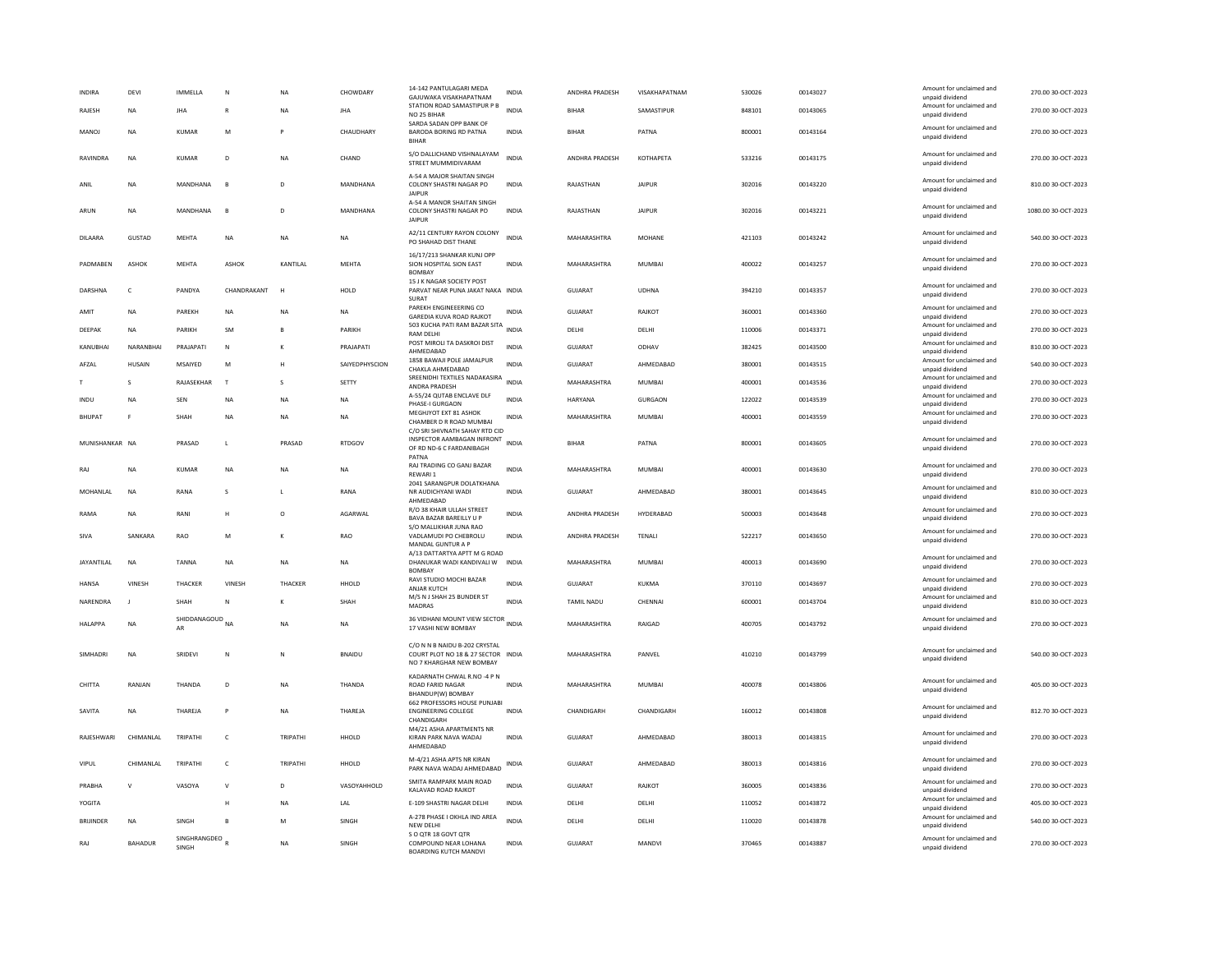| <b>INDIRA</b><br>RAJESH | DEVI<br>NA     | IMMELLA<br>JHA                   | N<br>$\mathsf{R}$ | <b>NA</b><br><b>NA</b> | CHOWDARY<br>JHA | 14-142 PANTULAGARI MEDA<br>GAJUWAKA VISAKHAPATNAM<br>STATION ROAD SAMASTIPUR P B<br>NO 25 BIHAR | INDIA<br><b>INDIA</b> | ANDHRA PRADESH<br>BIHAF | VISAKHAPATNAM<br>SAMASTIPUR | 530026<br>848101 | 00143027<br>00143065 | Amount for unclaimed and<br>unpaid dividend<br>Amount for unclaimed and<br>unpaid dividend | 270.00 30-OCT-2023<br>270.00 30-OCT-2023 |
|-------------------------|----------------|----------------------------------|-------------------|------------------------|-----------------|-------------------------------------------------------------------------------------------------|-----------------------|-------------------------|-----------------------------|------------------|----------------------|--------------------------------------------------------------------------------------------|------------------------------------------|
| MANOI                   | <b>NA</b>      | KUMAR                            | M                 | P                      | CHAUDHARY       | SARDA SADAN OPP BANK OF<br><b>BARODA BORING RD PATNA</b><br><b>BIHAR</b>                        | <b>INDIA</b>          | <b>BIHAR</b>            | PATNA                       | 800001           | 00143164             | Amount for unclaimed and<br>unpaid dividend                                                | 270.00.30-OCT-2023                       |
| RAVINDRA                | <b>NA</b>      | KUMAR                            | D                 | <b>NA</b>              | CHAND           | S/O DALLICHAND VISHNALAYAM<br>STREET MUMMIDIVARAM                                               | <b>INDIA</b>          | ANDHRA PRADESH          | KOTHAPETA                   | 533216           | 00143175             | Amount for unclaimed and<br>unpaid dividend                                                | 270.00 30-OCT-2023                       |
| ANIL                    | NA             | MANDHANA                         | $\overline{B}$    | D                      | MANDHANA        | A-54 A MAJOR SHAITAN SINGH<br>COLONY SHASTRI NAGAR PO<br>JAIPUR                                 | <b>INDIA</b>          | RAJASTHAN               | <b>JAIPUR</b>               | 302016           | 00143220             | Amount for unclaimed and<br>unpaid dividend                                                | 810.00 30-OCT-2023                       |
| ARUN                    | <b>NA</b>      | <b>MANDHANA</b>                  | $\overline{B}$    | D                      | MANDHANA        | A-54 A MANOR SHAITAN SINGH<br>COLONY SHASTRI NAGAR PO<br><b>JAIPUR</b>                          | <b>INDIA</b>          | RAJASTHAN               | <b>JAIPUR</b>               | 302016           | 00143221             | Amount for unclaimed and<br>unpaid dividend                                                | 1080.00 30-OCT-2023                      |
| DILAARA                 | GUSTAD         | MEHTA                            | NA                | <b>NA</b>              | NA              | A2/11 CENTURY RAYON COLONY<br>PO SHAHAD DIST THANE                                              | <b>INDIA</b>          | MAHARASHTRA             | MOHANE                      | 421103           | 00143242             | Amount for unclaimed and<br>unpaid dividend                                                | 540.00 30-OCT-2023                       |
| PADMABEN                | ASHOK          | <b>MEHTA</b>                     | <b>ASHOK</b>      | KANTILAL               | <b>MEHTA</b>    | 16/17/213 SHANKAR KUNJ OPP<br>SION HOSPITAL SION EAST<br><b>BOMBAY</b>                          | <b>INDIA</b>          | MAHARASHTRA             | <b>MUMBAI</b>               | 400022           | 00143257             | Amount for unclaimed and<br>unpaid dividend                                                | 270.00 30-OCT-2023                       |
| <b>DARSHNA</b>          | $\epsilon$     | PANDYA                           | CHANDRAKANT       | H                      | HOI D           | 15 J K NAGAR SOCIETY POST<br>PARVAT NEAR PUNA IAKAT NAKA INDIA<br>SURAT                         |                       | GUIARAT                 | <b>UDHNA</b>                | 394210           | 00143357             | Amount for unclaimed and<br>unpaid dividend                                                | 270.00.30-OCT-2023                       |
| AMIT                    | <b>NA</b>      | PAREKH                           | <b>NA</b>         | <b>NA</b>              | <b>NA</b>       | PAREKH ENGINEEERING CO<br>GAREDIA KUVA ROAD RAJKOT                                              | <b>INDIA</b>          | <b>GUJARAT</b>          | RAJKOT                      | 360001           | 00143360             | Amount for unclaimed and<br>unpaid dividend                                                | 270.00 30-OCT-2023                       |
| DEEPAK                  | <b>NA</b>      | PARIKH                           | <b>SM</b>         |                        | PARIKH          | 503 KUCHA PATI RAM BAZAR SITA<br><b>RAM DELHI</b>                                               | <b>INDIA</b>          | DELHI                   | DELHI                       | 110006           | 00143371             | Amount for unclaimed and<br>unpaid dividend                                                | 270.00 30-OCT-2023                       |
| KANUBHAI                | NARANBHAI      | PRAJAPATI                        | $\mathbf N$       | к                      | PRAJAPATI       | POST MIROLI TA DASKROI DIST<br>AHMEDABAD                                                        | <b>INDIA</b>          | GUJARAT                 | ODHAV                       | 382425           | 00143500             | Amount for unclaimed and<br>unpaid dividend                                                | 810.00 30-OCT-2023                       |
| AFZAL                   | <b>HUSAIN</b>  | MSAIYED                          | M                 | H                      | SAIYEDPHYSCION  | 1858 BAWAJI POLE JAMALPUR<br>CHAKLA AHMEDABAD                                                   | <b>INDIA</b>          | <b>GUJARAT</b>          | AHMEDABAD                   | 380001           | 00143515             | Amount for unclaimed and<br>unpaid dividend                                                | 540.00 30-OCT-2023                       |
|                         | S              | RAJASEKHAR                       | $\mathsf{T}$      | s                      | SETTY           | SREENIDHI TEXTILES NADAKASIRA                                                                   | <b>INDIA</b>          | MAHARASHTRA             | MUMBAI                      | 400001           | 00143536             | Amount for unclaimed and                                                                   | 270.00 30-OCT-2023                       |
| INDU                    | NA             | SEN                              | NA                | <b>NA</b>              | NA              | ANDRA PRADESH<br>A-55/24 QUTAB ENCLAVE DLF                                                      | <b>INDIA</b>          | HARYANA                 | GURGAON                     | 122022           | 00143539             | unpaid dividend<br>Amount for unclaimed and                                                | 270.00 30-OCT-2023                       |
| <b>BHUPAT</b>           | E              | SHAH                             | NA                | <b>NA</b>              | NA              | PHASE-I GURGAON<br>MEGHJYOT EXT 81 ASHOK<br>CHAMBER D R ROAD MUMBAL                             | INDIA                 | MAHARASHTRA             | MUMBAI                      | 400001           | 00143559             | unpaid dividend<br>Amount for unclaimed and<br>unpaid dividend                             | 270.00 30-OCT-2023                       |
| MUNISHANKAR NA          |                | PRASAD                           | L                 | PRASAD                 | <b>RTDGOV</b>   | C/O SRI SHIVNATH SAHAY RTD CID<br>INSPECTOR AAMBAGAN INFRONT                                    | <b>INDIA</b>          | <b>BIHAR</b>            | PATNA                       | 800001           | 00143605             | Amount for unclaimed and                                                                   | 270.00 30-OCT-2023                       |
|                         |                |                                  |                   |                        |                 | OF RD ND-6 C FARDANIBAGH<br>PATNA                                                               |                       |                         |                             |                  |                      | unpaid dividend                                                                            |                                          |
| RAJ                     | NA             | KUMAR                            | NA                | <b>NA</b>              | NA              | RAJ TRADING CO GANJ BAZAR<br>REWARI 1<br>2041 SARANGPUR DOLATKHANA                              | <b>INDIA</b>          | MAHARASHTRA             | MUMBAI                      | 400001           | 00143630             | Amount for unclaimed and<br>unpaid dividend                                                | 270.00 30-OCT-2023                       |
| <b>MOHANIAI</b>         | <b>NA</b>      | RANA                             | $\mathcal{S}$     | $\mathbf{L}$           | RANA            | NR AUDICHYANI WADI<br>AHMEDABAD                                                                 | <b>INDIA</b>          | GUIARAT                 | AHMFDARAD                   | 380001           | 00143645             | Amount for unclaimed and<br>unpaid dividend                                                | 810.00 30-OCT-2023                       |
| RAMA                    | NA             | RANI                             | H                 | $\circ$                | AGARWAL         | R/O 38 KHAIR ULLAH STREET<br>BAVA BAZAR BAREILLY U P<br>S/O MALLIKHAR JUNA RAO                  | INDIA                 | ANDHRA PRADESH          | HYDERABAD                   | 500003           | 00143648             | Amount for unclaimed and<br>unpaid dividend                                                | 270.00 30-OCT-2023                       |
| SIVA                    | SANKARA        | RAO                              | M                 | к                      | RAO             | VADLAMUDI PO CHEBROLU<br>MANDAL GUNTUR A P                                                      | INDIA                 | ANDHRA PRADESH          | TENALI                      | 522217           | 00143650             | Amount for unclaimed and<br>unpaid dividend                                                | 270.00 30-OCT-2023                       |
| JAYANTILAL              | NA             | <b>TANNA</b>                     | NA                | <b>NA</b>              | NA              | A/13 DATTARTYA APTT M G ROAD<br>DHANUKAR WADI KANDIVALI W<br><b>BOMBAY</b>                      | <b>INDIA</b>          | MAHARASHTRA             | MUMBAI                      | 400013           | 00143690             | Amount for unclaimed and<br>unpaid dividend                                                | 270.00 30-OCT-2023                       |
| <b>HANSA</b>            | VINESH         | THACKER                          | VINESH            | THACKER                | HHOLD           | RAVI STUDIO MOCHI BAZAR<br>ANJAR KUTCH                                                          | INDIA                 | GUJARAT                 | KUKMA                       | 370110           | 00143697             | Amount for unclaimed and<br>unpaid dividend                                                | 270.00 30-OCT-2023                       |
| NARENDRA                |                | SHAH                             |                   |                        | SHAH            | M/S N J SHAH 25 BUNDER ST<br>MADRAS                                                             | INDIA                 | <b>TAMIL NADU</b>       | CHENNAI                     | 600001           | 00143704             | Amount for unclaimed and<br>unpaid dividend                                                | 810.00 30-OCT-2023                       |
| <b>HALAPPA</b>          | <b>NA</b>      | SHIDDANAGOUD <sub>NA</sub><br>AR |                   | <b>NA</b>              | <b>NA</b>       | 36 VIDHANI MOUNT VIEW SECTOR INDIA<br>17 VASHI NEW BOMBAY                                       |                       | MAHARASHTRA             | RAIGAD                      | 400705           | 00143792             | Amount for unclaimed and<br>unpaid dividend                                                | 270.00 30-OCT-2023                       |
|                         |                |                                  |                   |                        |                 | C/O N N B NAIDU B-202 CRYSTAL                                                                   |                       |                         |                             |                  |                      |                                                                                            |                                          |
| SIMHADRI                | <b>NA</b>      | SRIDEV                           | N                 | N                      | <b>BNAIDU</b>   | COURT PLOT NO 18 & 27 SECTOR INDIA<br>NO 7 KHARGHAR NEW BOMBAY                                  |                       | MAHARASHTRA             | PANVEL                      | 410210           | 00143799             | Amount for unclaimed and<br>unpaid dividend                                                | 540.00 30-OCT-2023                       |
| CHITTA                  | RANJAN         | THANDA                           | D                 | <b>NA</b>              | THANDA          | KADARNATH CHWAL R.NO -4 P N<br><b>ROAD FARID NAGAR</b><br>BHANDUP(W) BOMBAY                     | <b>INDIA</b>          | MAHARASHTRA             | <b>MUMBAI</b>               | 400078           | 00143806             | Amount for unclaimed and<br>unpaid dividend                                                | 405.00 30-OCT-2023                       |
| SAVITA                  | <b>NA</b>      | THAREJA                          | P                 | <b>NA</b>              | THAREJA         | 662 PROFESSORS HOUSE PUNJABI<br><b>ENGINEERING COLLEGE</b><br>CHANDIGARH                        | <b>INDIA</b>          | CHANDIGARH              | CHANDIGARH                  | 160012           | 00143808             | Amount for unclaimed and<br>unpaid dividend                                                | 812.70 30-OCT-2023                       |
| RAJESHWARI              | CHIMANI AI     | TRIPATHI                         | $\mathsf{C}$      | TRIPATHI               | HHOLD           | M4/21 ASHA APARTMENTS NR<br>KIRAN PARK NAVA WADAJ<br>AHMEDABAD                                  | <b>INDIA</b>          | GUJARAT                 | AHMFDARAD                   | 380013           | 00143815             | Amount for unclaimed and<br>unpaid dividend                                                | 270.00 30-OCT-2023                       |
| VIPUL                   | CHIMANLAL      | TRIPATHI                         | $\mathsf{C}$      | TRIPATHI               | HHOLD           | M-4/21 ASHA APTS NR KIRAN<br>PARK NAVA WADAJ AHMEDABAD                                          | <b>INDIA</b>          | <b>GUJARAT</b>          | AHMEDABAD                   | 380013           | 00143816             | Amount for unclaimed and<br>unpaid dividend                                                | 270.00 30-OCT-2023                       |
| PRABHA                  | $\mathsf{V}$   | VASOYA                           | $\vee$            | D                      | VASOYAHHOLD     | SMITA RAMPARK MAIN ROAD<br>KALAVAD ROAD RAJKOT                                                  | <b>INDIA</b>          | <b>GUJARAT</b>          | RAJKOT                      | 360005           | 00143836             | Amount for unclaimed and<br>unpaid dividend                                                | 270.00 30-OCT-2023                       |
| YOGITA                  |                |                                  | н                 | <b>NA</b>              | LAL             | E-109 SHASTRI NAGAR DELHI                                                                       | <b>INDIA</b>          | DELHI                   | DELHI                       | 110052           | 00143872             | Amount for unclaimed and                                                                   | 405.00 30-OCT-2023                       |
| <b>BRIJINDER</b>        | NA             | SINGH                            | B                 | M                      | SINGH           | A-278 PHASE I OKHLA IND AREA                                                                    | <b>INDIA</b>          | DELHI                   | DELHI                       | 110020           | 00143878             | unpaid dividend<br>Amount for unclaimed and                                                | 540.00 30-OCT-2023                       |
| RAI                     | <b>BAHADUR</b> | SINGHRANGDEO<br>SINGH            |                   | <b>NA</b>              | <b>SINGH</b>    | NEW DELHI<br>S O QTR 18 GOVT QTR<br>COMPOUND NEAR LOHANA                                        | <b>INDIA</b>          | GUIARAT                 | MANDVI                      | 370465           | 00143887             | unpaid dividend<br>Amount for unclaimed and                                                | 270.00.30-QCT-2023                       |
|                         |                |                                  |                   |                        |                 | BOARDING KUTCH MANDVI                                                                           |                       |                         |                             |                  |                      | unpaid dividend                                                                            |                                          |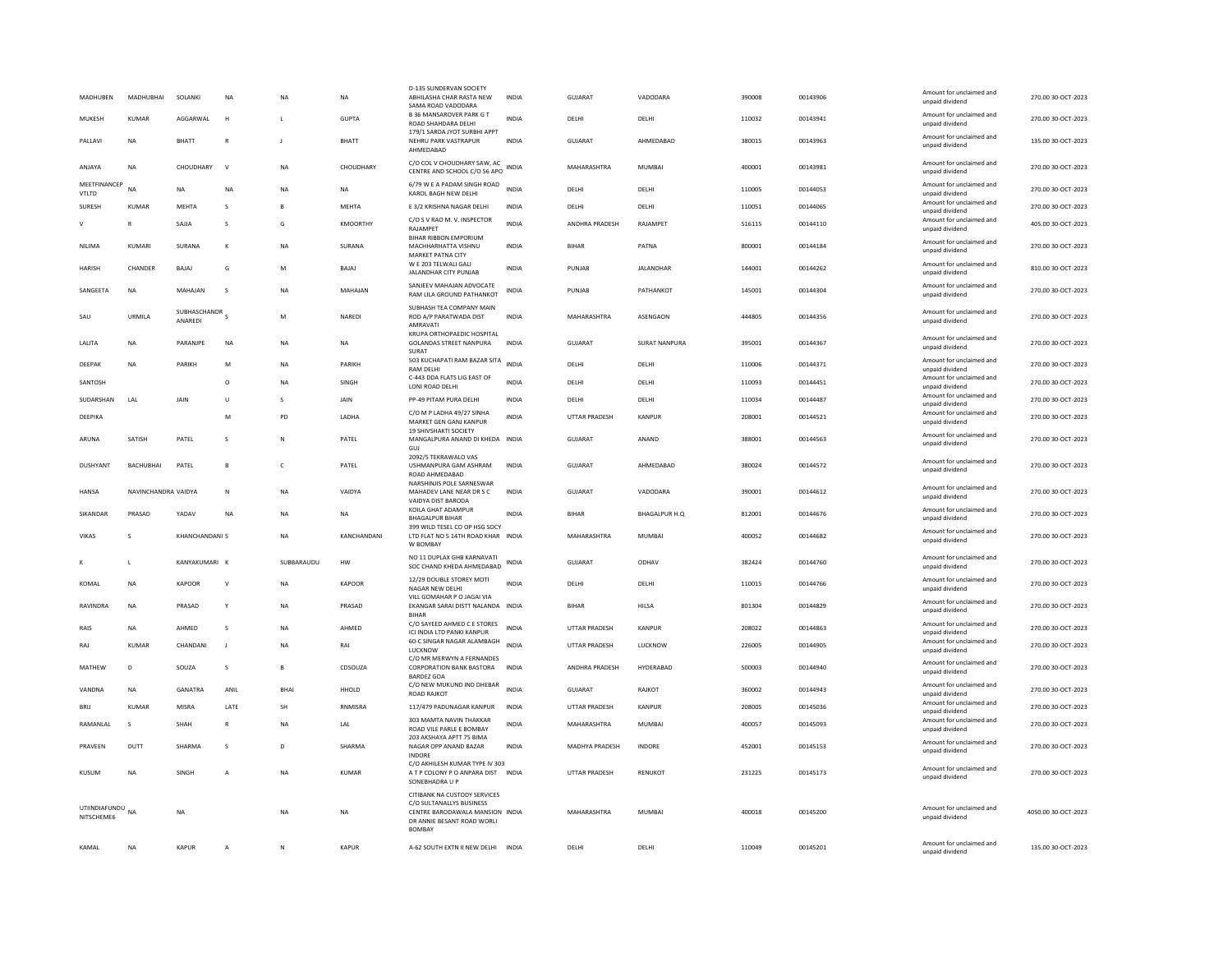| MADHUBEN                       | MADHUBHAI           | SOLANKI                              | <b>NA</b>      | <b>NA</b>   | <b>NA</b>       | D-135 SUNDERVAN SOCIETY<br>ABHILASHA CHAR RASTA NEW<br>SAMA ROAD VADODARA                                                                  | <b>INDIA</b> | <b>GUJARAT</b>       | VADODARA      | 390008 | 00143906 | Amount for unclaimed and<br>unpaid dividend | 270.00 30-OCT-2023  |
|--------------------------------|---------------------|--------------------------------------|----------------|-------------|-----------------|--------------------------------------------------------------------------------------------------------------------------------------------|--------------|----------------------|---------------|--------|----------|---------------------------------------------|---------------------|
| MUKESH                         | KUMAR               | AGGARWAI                             | н              | L.          | <b>GUPTA</b>    | <b>B 36 MANSAROVER PARK G T</b><br>ROAD SHAHDARA DELHI                                                                                     | <b>INDIA</b> | DELHI                | DELHI         | 110032 | 00143941 | Amount for unclaimed and<br>unpaid dividend | 270.00 30-OCT-2023  |
| PALLAVI                        | <b>NA</b>           | <b>BHATT</b>                         | $\overline{R}$ |             | <b>BHATT</b>    | 179/1 SARDA JYOT SURBHI APPT<br>NEHRU PARK VASTRAPUR<br>AHMFDARAD                                                                          | <b>INDIA</b> | <b>GUJARAT</b>       | AHMEDABAD     | 380015 | 00143963 | Amount for unclaimed and<br>unpaid dividend | 135.00 30-OCT-2023  |
| ANJAYA                         | <b>NA</b>           | CHOUDHARY                            | $\vee$         | <b>NA</b>   | CHOUDHARY       | C/O COL V CHOUDHARY SAW, AC<br>CENTRE AND SCHOOL C/O 56 APO                                                                                | INDIA        | MAHARASHTRA          | <b>MUMBAI</b> | 400001 | 00143981 | Amount for unclaimed and<br>unpaid dividend | 270.00 30-OCT-2023  |
| MEETFINANCER<br>VTLTD          | <b>NA</b>           | <b>NA</b>                            | NA             | <b>NA</b>   | NA              | 6/79 W E A PADAM SINGH ROAD<br>KAROL BAGH NEW DELHI                                                                                        | <b>INDIA</b> | DELHI                | DELHI         | 110005 | 00144053 | Amount for unclaimed and<br>unpaid dividend | 270.00 30-OCT-2023  |
| SURESH                         | <b>KUMAR</b>        | <b>MEHTA</b>                         | s              | B           | MEHTA           | E 3/2 KRISHNA NAGAR DELHI                                                                                                                  | <b>INDIA</b> | DELHI                | DELHI         | 110051 | 00144065 | Amount for unclaimed and<br>unpaid dividend | 270.00 30-OCT-2023  |
|                                | R                   | SAJJA                                | s              | G           | <b>KMOORTHY</b> | C/O S V RAO M. V. INSPECTOR<br>RAJAMPET                                                                                                    | INDIA        | ANDHRA PRADESH       | RAJAMPET      | 516115 | 00144110 | Amount for unclaimed and<br>unpaid dividend | 405.00 30-OCT-2023  |
| NILIMA                         | KUMARI              | SURANA                               | K              | $_{\sf NA}$ | SURANA          | BIHAR RIBBON EMPORIUM<br>MACHHARHATTA VISHNU<br>MARKET PATNA CITY                                                                          | INDIA        | <b>BIHAR</b>         | PATNA         | 800001 | 00144184 | Amount for unclaimed and<br>unpaid dividend | 270.00 30-OCT-2023  |
| <b>HARISH</b>                  | CHANDER             | BAJAJ                                | G              | M           | BAJAJ           | W E 203 TELWALI GALI<br>JALANDHAR CITY PUNJAB                                                                                              | <b>INDIA</b> | PUNJAB               | JALANDHAR     | 144001 | 00144262 | Amount for unclaimed and<br>unpaid dividend | 810.00 30-OCT-2023  |
| SANGEETA                       | NA                  | MAHAJAN                              | s              | NA          | MAHAJAN         | SANJEEV MAHAJAN ADVOCATE<br>RAM LILA GROUND PATHANKOT                                                                                      | INDIA        | PUNJAB               | PATHANKOT     | 145001 | 00144304 | Amount for unclaimed and<br>unpaid dividend | 270.00 30-OCT-2023  |
| SAU                            | URMILA              | SUBHASCHANDR <sub>S</sub><br>ANAREDI |                | M           | NAREDI          | SUBHASH TEA COMPANY MAIN<br>ROD A/P PARATWADA DIST<br>AMRAVATI                                                                             | INDIA        | MAHARASHTRA          | ASENGAON      | 444805 | 00144356 | Amount for unclaimed and<br>unpaid dividend | 270.00 30-OCT-2023  |
| LALITA                         | <b>NA</b>           | PARANJPE                             | <b>NA</b>      | <b>NA</b>   | NA              | KRUPA ORTHOPAEDIC HOSPITAL<br><b>GOLANDAS STREET NANPURA</b><br><b>SURAT</b>                                                               | <b>INDIA</b> | GUJARAT              | SURAT NANPURA | 395001 | 00144367 | Amount for unclaimed and<br>unpaid dividend | 270.00 30-OCT-2023  |
| DEEPAK                         | <b>NA</b>           | PARIKH                               | M              | NA          | PARIKH          | 503 KUCHAPATI RAM BAZAR SITA<br><b>RAM DELHI</b>                                                                                           | <b>INDIA</b> | DELHI                | DELHI         | 110006 | 00144371 | Amount for unclaimed and<br>unpaid dividend | 270.00 30-OCT-2023  |
| SANTOSH                        |                     |                                      | $\circ$        | <b>NA</b>   | SINGH           | C-443 DDA FLATS LIG EAST OF<br>LONI ROAD DELHI                                                                                             | <b>INDIA</b> | DELHI                | DELHI         | 110093 | 00144451 | Amount for unclaimed and<br>unpaid dividend | 270.00 30-OCT-2023  |
| SUDARSHAN                      | LAL                 | JAIN                                 | U              | s           | JAIN            | PP-49 PITAM PURA DELHI                                                                                                                     | <b>INDIA</b> | DELHI                | DELHI         | 110034 | 00144487 | Amount for unclaimed and<br>unpaid dividend | 270.00 30-OCT-2023  |
| DEEPIKA                        |                     |                                      | M              | PD          | LADHA           | C/O M P LADHA 49/27 SINHA<br>MARKET GEN GANJ KANPUR<br><b>19 SHIVSHAKTI SOCIETY</b>                                                        | <b>INDIA</b> | UTTAR PRADESH        | KANPUR        | 208001 | 00144521 | Amount for unclaimed and<br>unpaid dividend | 270.00 30-OCT-2023  |
| ARUNA                          | SATISH              | PATEL                                | s              | N           | PATEL           | MANGALPURA ANAND DI KHEDA INDIA<br>GUJ                                                                                                     |              | <b>GUJARAT</b>       | ANAND         | 388001 | 00144563 | Amount for unclaimed and<br>unpaid dividend | 270.00 30-OCT-2023  |
| <b>DUSHYANT</b>                | BACHUBHAI           | PATEL                                | B              | c           | PATEL           | 2092/5 TEKRAWALO VAS<br>USHMANPURA GAM ASHRAM<br>ROAD AHMEDABAD                                                                            | INDIA        | <b>GUJARAT</b>       | AHMEDABAD     | 380024 | 00144572 | Amount for unclaimed and<br>unpaid dividend | 270.00 30-OCT-2023  |
| <b>HANSA</b>                   | NAVINCHANDRA VAIDYA |                                      | $\mathsf{N}$   | <b>NA</b>   | VAIDYA          | NARSHINJIS POLE SARNESWAR<br>MAHADEV LANE NEAR DR S C<br>VAIDYA DIST BARODA                                                                | INDIA        | GUJARAT              | VADODARA      | 390001 | 00144612 | Amount for unclaimed and<br>unpaid dividend | 270.00 30-OCT-2023  |
| SIKANDAR                       | PRASAD              | YADAV                                | $_{\sf NA}$    | <b>NA</b>   | NA              | KOILA GHAT ADAMPUR<br><b>BHAGALPUR BIHAR</b>                                                                                               | <b>INDIA</b> | <b>BIHAR</b>         | BHAGALPUR H.O | 812001 | 00144676 | Amount for unclaimed and<br>unpaid dividend | 270.00 30-OCT-2023  |
| <b>VIKAS</b>                   | s                   | <b>KHANCHANDANI S</b>                |                | <b>NA</b>   | KANCHANDANI     | 399 WILD TESEL CO OP HSG SOCY<br>LTD FLAT NO 5 14TH ROAD KHAR INDIA<br>W BOMBAY                                                            |              | MAHARASHTRA          | <b>MUMBAI</b> | 400052 | 00144682 | Amount for unclaimed and<br>unpaid dividend | 270.00 30-OCT-2023  |
|                                | $\mathbf{L}$        | KANYAKUMARI K                        |                | SUBBARAUDU  | <b>HW</b>       | NO 11 DUPLAX GHB KARNAVATI<br>SOC CHAND KHEDA AHMEDABAD                                                                                    | <b>INDIA</b> | GUIARAT              | ODHAV         | 382424 | 00144760 | Amount for unclaimed and<br>unpaid dividend | 270.00 30-OCT-2023  |
| KOMAL                          | NA                  | KAPOOR                               | V              | NA          | KAPOOR          | 12/29 DOUBLE STOREY MOTI<br>NAGAR NEW DELHI                                                                                                | <b>INDIA</b> | DELHI                | DELHI         | 110015 | 00144766 | Amount for unclaimed and<br>unpaid dividend | 270.00 30-OCT-2023  |
| RAVINDRA                       | <b>NA</b>           | PRASAD                               | Y              | <b>NA</b>   | PRASAD          | VILL GOMAHAR P O JAGAI VIA<br>EKANGAR SARAI DISTT NALANDA INDIA                                                                            |              | <b>BIHAR</b>         | HII SA        | 801304 | 00144829 | Amount for unclaimed and<br>unpaid dividend | 270.00 30-OCT-2023  |
| RAIS                           | NA                  | AHMED                                | s              | NA          | AHMED           | <b>BIHAR</b><br>C/O SAYEED AHMED C E STORES<br>ICI INDIA LTD PANKI KANPUR                                                                  | <b>INDIA</b> | UTTAR PRADESH        | KANPUR        | 208022 | 00144863 | Amount for unclaimed and<br>unpaid dividend | 270.00 30-OCT-2023  |
| RAJ                            | KUMAR               | CHANDANI                             | J              | <b>NA</b>   | RAI             | 60-C SINGAR NAGAR ALAMBAGH<br><b>IUCKNOW</b>                                                                                               | <b>INDIA</b> | UTTAR PRADESH        | LUCKNOW       | 226005 | 00144905 | Amount for unclaimed and<br>unpaid dividend | 270.00 30-OCT-2023  |
| MATHEW                         | D <sub>1</sub>      | SOUZA                                | s              | B.          | CDSOUZA         | C/O MR MERWYN A FERNANDES<br>CORPORATION BANK BASTORA<br><b>BARDEZ GOA</b>                                                                 | <b>INDIA</b> | ANDHRA PRADESH       | HYDERABAD     | 500003 | 00144940 | Amount for unclaimed and<br>unpaid dividend | 270.00 30-OCT-2023  |
| VANDNA                         | NA                  | GANATRA                              | ANIL           | <b>BHA</b>  | HHOLD           | C/O NEW MUKUND IND DHEBAR<br><b>ROAD RAJKOT</b>                                                                                            | <b>INDIA</b> | <b>GUJARAT</b>       | RAJKOT        | 360002 | 00144943 | Amount for unclaimed and<br>unpaid dividend | 270.00 30-OCT-2023  |
| BRIJ                           | <b>KUMAR</b>        | MISRA                                | LATE           | SH          | RNMISRA         | 117/479 PADUNAGAR KANPUR                                                                                                                   | INDIA        | <b>UTTAR PRADESH</b> | KANPUR        | 208005 | 00145036 | Amount for unclaimed and<br>unpaid dividend | 270.00 30-OCT-2023  |
| RAMANI AI                      | $\mathbf{S}$        | SHAH                                 | $\mathbb{R}$   | <b>NA</b>   | I AI            | 303 MAMTA NAVIN THAKKAR<br>ROAD VILE PARLE E BOMBAY                                                                                        | <b>INDIA</b> | MAHARASHTRA          | MUMBAI        | 400057 | 00145093 | Amount for unclaimed and<br>unpaid dividend | 270.00 30-OCT-2023  |
| PRAVEEN                        | DUTT                | SHARMA                               | s              | D           | SHARMA          | 203 AKSHAYA APTT 75 BIMA<br>NAGAR OPP ANAND BAZAR                                                                                          | <b>INDIA</b> | MADHYA PRADESH       | INDORE        | 452001 | 00145153 | Amount for unclaimed and<br>unpaid dividend | 270.00 30-OCT-2023  |
| KUSUM                          | <b>NA</b>           | SINGH                                | Α              | <b>NA</b>   | <b>KUMAR</b>    | <b>INDORF</b><br>C/O AKHILESH KUMAR TYPE IV 303<br>A T P COLONY P O ANPARA DIST INDIA<br>SONEBHADRA U P                                    |              | <b>UTTAR PRADESH</b> | RENUKOT       | 231225 | 00145173 | Amount for unclaimed and<br>unpaid dividend | 270.00 30-OCT-2023  |
| UTIINDIAFUNDU NA<br>NITSCHEME6 |                     | <b>NA</b>                            |                | <b>NA</b>   | <b>NA</b>       | CITIBANK NA CUSTODY SERVICES<br>C/O SULTANALLYS BUSINESS<br>CENTRE BARODAWALA MANSION INDIA<br>DR ANNIE BESANT ROAD WORLI<br><b>BOMBAY</b> |              | MAHARASHTRA          | <b>MUMBAI</b> | 400018 | 00145200 | Amount for unclaimed and<br>unpaid dividend | 4050.00 30-OCT-2023 |
| KAMAL                          | <b>NA</b>           | <b>KAPUR</b>                         | A              | N           | <b>KAPUR</b>    | A-62 SOUTH EXTN II NEW DELHI                                                                                                               | <b>INDIA</b> | DELHI                | DELHI         | 110049 | 00145201 | Amount for unclaimed and<br>unpaid dividend | 135.00 30-OCT-2023  |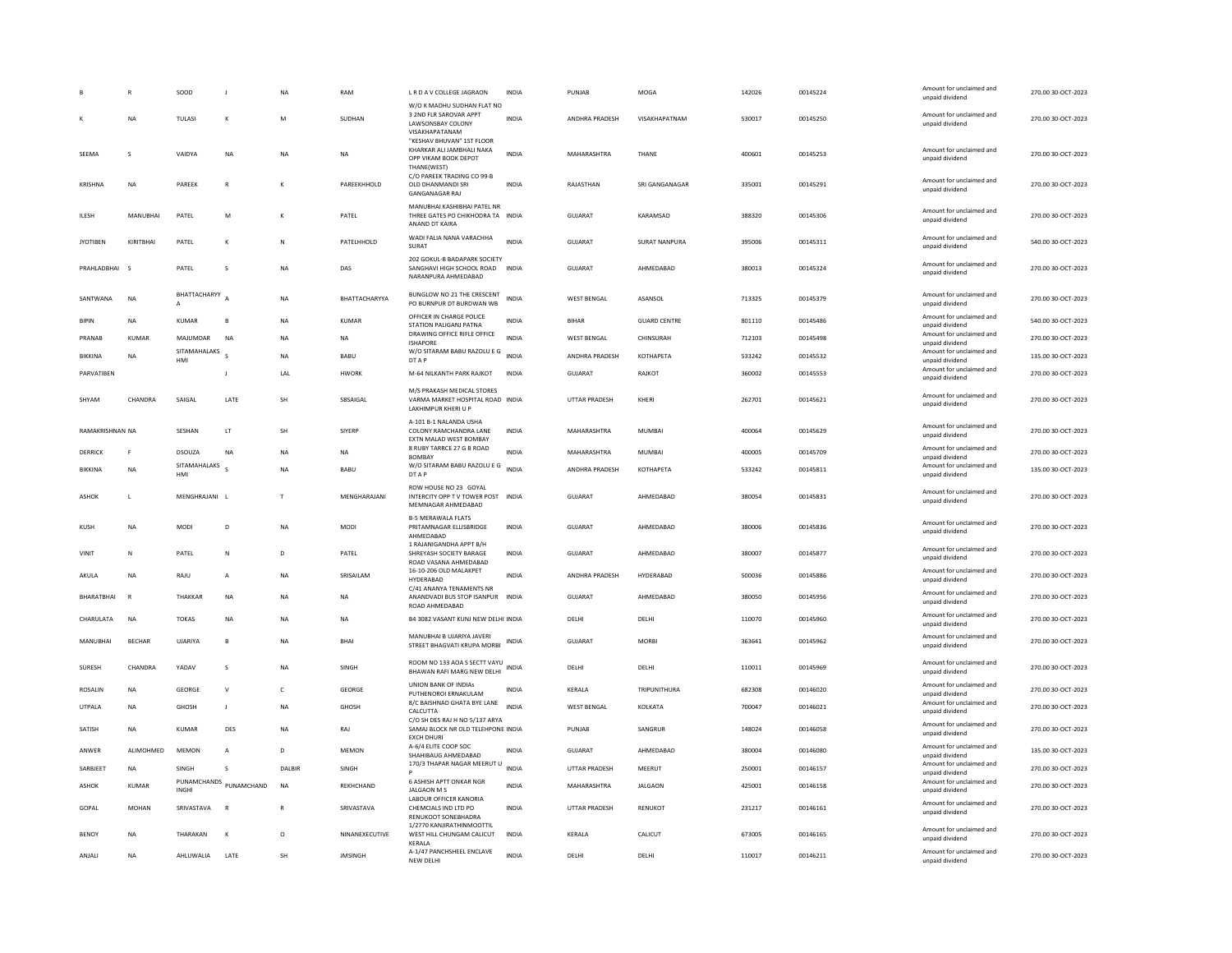|                 |                         | SOOD                       |              | NA           | RAM              | L R D A V COLLEGE JAGRAON                                                                     | <b>INDIA</b> | PUNJAB                | MOGA                 | 142026 | 00145224 | Amount for unclaimed and<br>unpaid dividend | 270.00 30-OCT-2023 |
|-----------------|-------------------------|----------------------------|--------------|--------------|------------------|-----------------------------------------------------------------------------------------------|--------------|-----------------------|----------------------|--------|----------|---------------------------------------------|--------------------|
|                 | NA                      | TULASI                     | К            | M            | SUDHAN           | W/O K MADHU SUDHAN FLAT NO<br>3 2ND FLR SAROVAR APPT<br>LAWSONSBAY COLONY<br>VISAKHAPATANAM   | <b>INDIA</b> | ANDHRA PRADESH        | VISAKHAPATNAM        | 530017 | 00145250 | Amount for unclaimed and<br>unpaid dividend | 270.00 30-OCT-2023 |
| SEEMA           | s                       | VAIDYA                     | <b>NA</b>    | <b>NA</b>    | <b>NA</b>        | "KESHAV BHUVAN" 1ST FLOOR<br>KHARKAR ALI JAMBHALI NAKA<br>OPP VIKAM BOOK DEPOT<br>THANE(WEST) | <b>INDIA</b> | MAHARASHTRA           | THANE                | 400601 | 00145253 | Amount for unclaimed and<br>unpaid dividend | 270.00 30-OCT-2023 |
| KRISHNA         | NA                      | PAREEK                     | R            | K            | PAREEKHHOLD      | C/O PAREEK TRADING CO 99-B<br>OLD DHANMANDI SRI<br><b>GANGANAGAR RAJ</b>                      | <b>INDIA</b> | RAJASTHAN             | SRI GANGANAGAR       | 335001 | 00145291 | Amount for unclaimed and<br>unpaid dividend | 270.00 30-OCT-2023 |
| ILESH           | MANUBHAI                | PATEL                      | M            |              | PATEL            | MANUBHAI KASHIBHAI PATEL NR<br>THREE GATES PO CHIKHODRA TA INDIA<br>ANAND DT KAIRA            |              | <b>GUJARAT</b>        | KARAMSAD             | 388320 | 00145306 | Amount for unclaimed and<br>unpaid dividend | 270.00 30-OCT-2023 |
| <b>JYOTIBEN</b> | KIRITBHAI               | PATEL                      |              | N            | PATELHHOLD       | WADI FALIA NANA VARACHHA<br>SURAT                                                             | <b>INDIA</b> | <b>GUJARAT</b>        | <b>SURAT NANPURA</b> | 395006 | 00145311 | Amount for unclaimed and<br>unpaid dividend | 540.00 30-OCT-2023 |
| PRAHLADBHAI     | $\overline{\mathbf{s}}$ | PATEL                      | s            | <b>NA</b>    | DAS              | 202 GOKUL-B BADAPARK SOCIETY<br>SANGHAVI HIGH SCHOOL ROAD INDIA<br>NARANPURA AHMEDABAD        |              | <b>GUJARAT</b>        | AHMEDABAD            | 380013 | 00145324 | Amount for unclaimed and<br>unpaid dividend | 270.00 30-OCT-2023 |
| SANTWANA        | NA                      | BHATTACHARYY A<br>$\Delta$ |              | <b>NA</b>    | BHATTACHARYYA    | BUNGLOW NO 21 THE CRESCENT<br>PO BURNPUR DT BURDWAN WB                                        | <b>INDIA</b> | <b>WEST BENGAL</b>    | ASANSOL              | 713325 | 00145379 | Amount for unclaimed and<br>unpaid dividend | 270.00 30-OCT-2023 |
| <b>BIPIN</b>    | NA                      | KUMAR                      |              | <b>NA</b>    | KUMAR            | OFFICER IN CHARGE POLICE<br>STATION PALIGANJ PATNA                                            | <b>INDIA</b> | <b>BIHAR</b>          | <b>GUARD CENTRE</b>  | 801110 | 00145486 | Amount for unclaimed and<br>unpaid dividend | 540.00 30-OCT-2023 |
| PRANAB          | <b>KUMAR</b>            | MAJUMDAR                   | NA           | NA           | NA               | DRAWING OFFICE RIFLE OFFICE<br><b>ISHAPORE</b>                                                | <b>INDIA</b> | <b>WEST BENGAL</b>    | CHINSURAH            | 712103 | 00145498 | Amount for unclaimed and<br>unpaid dividend | 270.00 30-OCT-2023 |
| <b>RIKKINA</b>  | <b>NA</b>               | SITAMAHALAKS<br>HMI        |              | <b>NA</b>    | BABU             | W/O SITARAM BABU RAZOLU E G<br>DT A P                                                         | <b>INDIA</b> | ANDHRA PRADESH        | KOTHAPETA            | 533242 | 00145532 | Amount for unclaimed and<br>unpaid dividend | 135.00 30-OCT-2023 |
| PARVATIBEN      |                         |                            |              | LAL          | <b>HWORK</b>     | M-64 NILKANTH PARK RAJKOT                                                                     | <b>INDIA</b> | <b>GUJARAT</b>        | RAJKOT               | 360002 | 00145553 | Amount for unclaimed and<br>unpaid dividend | 270.00 30-OCT-2023 |
| SHYAM           | CHANDRA                 | SAIGAL                     | LATE         | <b>SH</b>    | SBSAIGAL         | M/S PRAKASH MEDICAL STORES<br>VARMA MARKET HOSPITAL ROAD INDIA<br>LAKHIMPUR KHERI U P         |              | <b>UTTAR PRADESH</b>  | KHERI                | 262701 | 00145621 | Amount for unclaimed and<br>unpaid dividend | 270.00 30-OCT-2023 |
| RAMAKRISHNAN NA |                         | SESHAN                     | LT.          | <b>SH</b>    | SIYERP           | A-101 B-1 NALANDA USHA<br>COLONY RAMCHANDRA LANE<br><b>FXTN MALAD WEST BOMBAY</b>             | <b>INDIA</b> | MAHARASHTRA           | MUMBAI               | 400064 | 00145629 | Amount for unclaimed and<br>unpaid dividend | 270.00 30-OCT-2023 |
| DERRICK         | F                       | DSOUZA                     | <b>NA</b>    | <b>NA</b>    | <b>NA</b>        | 8 RUBY TARRCE 27 G B ROAD<br><b>BOMBAY</b>                                                    | <b>INDIA</b> | MAHARASHTRA           | <b>MUMBAI</b>        | 400005 | 00145709 | Amount for unclaimed and<br>unpaid dividend | 270.00 30-OCT-2023 |
| <b>BIKKINA</b>  | <b>NA</b>               | SITAMAHALAKS<br>HMI        |              | <b>NA</b>    | BABU             | W/O SITARAM BABU RAZOLU E G<br>DT A P                                                         | <b>INDIA</b> | ANDHRA PRADESH        | <b>КОТНАРЕТА</b>     | 533242 | 00145811 | Amount for unclaimed and<br>unpaid dividend | 135.00 30-OCT-2023 |
| <b>ASHOK</b>    | L.                      | MENGHRAJANI L              |              | T            | MENGHARAJANI     | ROW HOUSE NO 23 GOYAL<br>INTERCITY OPP TV TOWER POST INDIA<br>MEMNAGAR AHMEDABAD              |              | <b>GUJARAT</b>        | AHMEDABAD            | 380054 | 00145831 | Amount for unclaimed and<br>unpaid dividend | 270.00 30-OCT-2023 |
| KUSH            | NA                      | MODI                       | D            | NA           | <b>MODI</b>      | <b>B-5 MERAWALA FLATS</b><br>PRITAMNAGAR ELLISBRIDGE<br>AHMEDABAD                             | INDIA        | GUJARAT               | AHMEDABAD            | 380006 | 00145836 | Amount for unclaimed and<br>unpaid dividend | 270.00 30-OCT-2023 |
| VINIT           | $\mathbb N$             | PATEL                      | N            | D            | PATEL            | 1 RAJANIGANDHA APPT B/H<br>SHREYASH SOCIETY BARAGE<br>ROAD VASANA AHMEDABAD                   | INDIA        | GUJARAT               | AHMEDABAD            | 380007 | 00145877 | Amount for unclaimed and<br>unpaid dividend | 270.00 30-OCT-2023 |
| AKULA           | <b>NA</b>               | RAIU                       | $\mathbf{A}$ | <b>NA</b>    | <b>SRISAILAM</b> | 16-10-206 OLD MALAKPET<br>HYDERABAD                                                           | <b>INDIA</b> | <b>ANDHRA PRADESH</b> | <b>HYDERARAD</b>     | 500036 | 00145886 | Amount for unclaimed and<br>unpaid dividend | 270.00.30-OCT-2023 |
| BHARATBHAI      | R                       | THAKKAR                    | NA           | NA           | NA               | C/41 ANANYA TENAMENTS NR<br>ANANDVADI BUS STOP ISANPUR INDIA<br>ROAD AHMEDABAD                |              | GUJARAT               | AHMEDABAD            | 380050 | 00145956 | Amount for unclaimed and<br>unpaid dividend | 270.00 30-OCT-2023 |
| CHARULATA       | NA                      | <b>TOKAS</b>               | NA           | NA           | NA               | B4 3082 VASANT KUNJ NEW DELHI INDIA                                                           |              | DELHI                 | DELHI                | 110070 | 00145960 | Amount for unclaimed and<br>unpaid dividend | 270.00 30-OCT-2023 |
| MANUBHAI        | <b>BECHAR</b>           | UJARIYA                    | B            | NA           | <b>BHAI</b>      | MANUBHAI B UJARIYA JAVERI<br>STREET BHAGVATI KRUPA MORBI                                      | <b>INDIA</b> | <b>GUJARAT</b>        | <b>MORBI</b>         | 363641 | 00145962 | Amount for unclaimed and<br>unpaid dividend | 270.00 30-OCT-2023 |
| <b>SURESH</b>   | CHANDRA                 | YADAV                      | s            | <b>NA</b>    | SINGH            | ROOM NO 133 AOA S SECTT VAYU<br>BHAWAN RAFI MARG NEW DELHI                                    | <b>INDIA</b> | DELHI                 | DELHI                | 110011 | 00145969 | Amount for unclaimed and<br>unpaid dividend | 270.00 30-OCT-2023 |
| <b>ROSALIN</b>  | <b>NA</b>               | GEORGE                     | $\mathsf{v}$ | $\mathsf{C}$ | GEORGE           | <b>UNION BANK OF INDIAS</b><br>PUTHENOROI ERNAKULAM                                           | <b>INDIA</b> | KERALA                | TRIPUNITHURA         | 682308 | 00146020 | Amount for unclaimed and<br>unpaid dividend | 270.00 30-OCT-2023 |
| <b>UTPALA</b>   | NA                      | GHOSH                      |              | <b>NA</b>    | GHOSH            | 8/C BAISHNAD GHATA BYE LANE<br>CALCUTTA                                                       | <b>INDIA</b> | <b>WEST BENGAL</b>    | KOLKATA              | 700047 | 00146021 | Amount for unclaimed and<br>unpaid dividend | 270.00 30-OCT-2023 |
| SATISH          | NA                      | KUMAR                      | DES          | <b>NA</b>    | RAJ              | C/O SH DES RAJ H NO 5/137 ARYA<br>SAMAJ BLOCK NR OLD TELEHPONE INDIA<br><b>FXCH DHUR</b>      |              | PUNJAB                | SANGRUR              | 148024 | 00146058 | Amount for unclaimed and<br>unpaid dividend | 270.00 30-OCT-2023 |
| ANWER           | ALIMOHMED               | <b>MEMON</b>               | A            | D            | <b>MEMON</b>     | A-6/4 ELITE COOP SOC<br>SHAHIRAUG AHMEDARAD                                                   | <b>INDIA</b> | <b>GUJARAT</b>        | AHMEDABAD            | 380004 | 00146080 | Amount for unclaimed and<br>unnaid dividend | 135.00 30-OCT-2023 |
| SARBJEET        | <b>NA</b>               | SINGH                      | $\mathbf{S}$ | DALBIR       | SINGH            | 170/3 THAPAR NAGAR MEERUT U                                                                   | INDIA        | UTTAR PRADESH         | MEERUT               | 250001 | 00146157 | Amount for unclaimed and<br>unpaid dividend | 270.00 30-OCT-2023 |
| <b>ASHOK</b>    | <b>KUMAR</b>            | PUNAMCHANDS<br>INGHI       | PUNAMCHAND   | <b>NA</b>    | <b>REKHCHAND</b> | <b>6 ASHISH APTT ONKAR NGR</b><br><b>JALGAON M S</b>                                          | <b>INDIA</b> | MAHARASHTRA           | <b>JALGAON</b>       | 425001 | 00146158 | Amount for unclaimed and<br>unpaid dividend | 270.00 30-OCT-2023 |
| GOPAL           | MOHAN                   | SRIVASTAVA                 | $\mathbb{R}$ | R            | SRIVASTAVA       | LABOUR OFFICER KANORIA<br>CHEMCIALS IND LTD PO<br>RENUKOOT SONEBHADRA                         | <b>INDIA</b> | UTTAR PRADESH         | RENUKOT              | 231217 | 00146161 | Amount for unclaimed and<br>unpaid dividend | 270.00 30-OCT-2023 |
| <b>BENOY</b>    | <b>NA</b>               | THARAKAN                   | $\mathbf{K}$ | $\circ$      | NINANEXECUTIVE   | 1/2770 KANJIRATHINMOOTTIL<br>WEST HILL CHUNGAM CALICUT<br>KERALA                              | <b>INDIA</b> | KERALA                | CALICUT              | 673005 | 00146165 | Amount for unclaimed and<br>unpaid dividend | 270.00 30-OCT-2023 |
| ANJALI          | NA                      | AHLUWALIA                  | LATE         | <b>SH</b>    | <b>JMSINGH</b>   | A-1/47 PANCHSHEEL ENCLAVE<br>NEW DELHI                                                        | <b>INDIA</b> | DELHI                 | DELHI                | 110017 | 00146211 | Amount for unclaimed and<br>unpaid dividend | 270.00 30-OCT-2023 |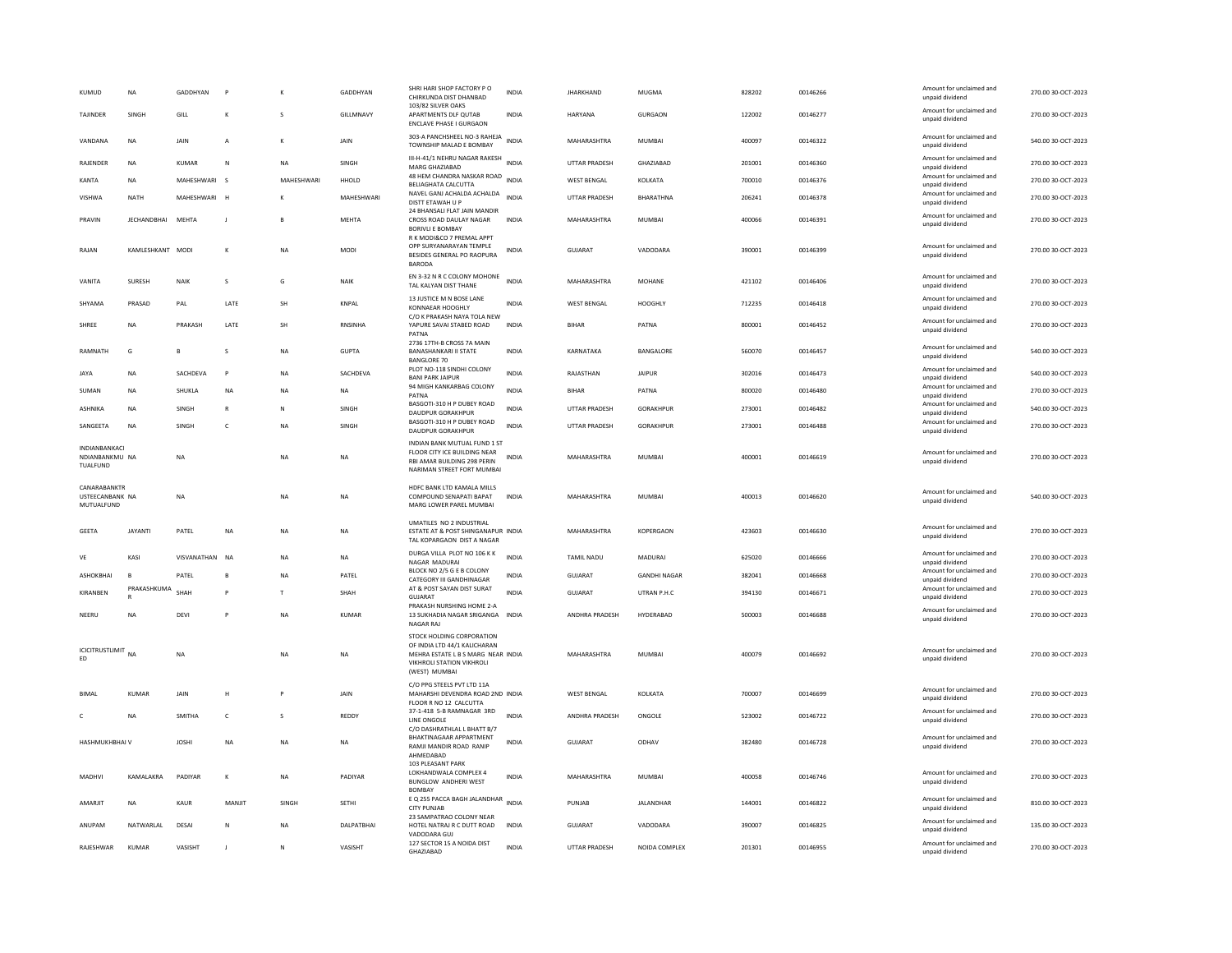| <b>KUMUD</b>                                | <b>NA</b>          | GADDHYAN     | P                       |            | GADDHYAN       | SHRI HARI SHOP FACTORY PO<br>CHIRKUNDA DIST DHANBAD<br>103/82 SILVER OAKS                                                                     | <b>INDIA</b> | <b>JHARKHAND</b>     | <b>MUGMA</b>        | 828202 | 00146266 | Amount for unclaimed and<br>unpaid dividend                             | 270.00 30-OCT-2023 |
|---------------------------------------------|--------------------|--------------|-------------------------|------------|----------------|-----------------------------------------------------------------------------------------------------------------------------------------------|--------------|----------------------|---------------------|--------|----------|-------------------------------------------------------------------------|--------------------|
| TAJINDER                                    | SINGH              | GILL         |                         | s          | GILLMNAVY      | APARTMENTS DLF QUTAB<br><b>ENCLAVE PHASE I GURGAON</b>                                                                                        | INDIA        | HARYANA              | GURGAON             | 122002 | 00146277 | Amount for unclaimed and<br>unpaid dividend                             | 270.00 30-OCT-2023 |
| VANDANA                                     | NA                 | JAIN         | A                       | К          | JAIN           | 303-A PANCHSHEEL NO-3 RAHEJA<br>TOWNSHIP MALAD E BOMBAY                                                                                       | <b>INDIA</b> | MAHARASHTRA          | MUMBAI              | 400097 | 00146322 | Amount for unclaimed and<br>unpaid dividend                             | 540.00 30-OCT-2023 |
| <b>RAIFNDER</b>                             | <b>NA</b>          | KUMAR        | N                       | <b>NA</b>  | <b>SINGH</b>   | III-H-41/1 NEHRU NAGAR RAKESH INDIA<br>MARG GHAZIABAD                                                                                         |              | <b>UTTAR PRADESH</b> | <b>GHAZIARAD</b>    | 201001 | 00146360 | Amount for unclaimed and<br>unpaid dividend                             | 270.00 30-OCT-2023 |
| KANTA                                       | NA                 | MAHESHWARI   | $\mathsf{s}$            | MAHESHWARI | HHOLD          | 48 HEM CHANDRA NASKAR ROAD INDIA<br>BELIAGHATA CALCUTTA                                                                                       |              | <b>WEST BENGAL</b>   | KOLKATA             | 700010 | 00146376 | Amount for unclaimed and<br>unpaid dividend                             | 270.00 30-OCT-2023 |
| VISHWA                                      | <b>NATH</b>        | MAHESHWARI   | H                       |            | MAHESHWARI     | NAVEL GANJ ACHALDA ACHALDA<br>DISTT ETAWAH U P<br>24 BHANSALI FLAT JAIN MANDIR                                                                | <b>INDIA</b> | UTTAR PRADESH        | BHARATHNA           | 206241 | 00146378 | Amount for unclaimed and<br>unpaid dividend                             | 270.00 30-OCT-2023 |
| PRAVIN                                      | <b>JECHANDBHAI</b> | MEHTA        | $\mathbf{I}$            | B          | MEHTA          | CROSS ROAD DAULAY NAGAR<br><b>BORIVLI E BOMBAY</b><br>R K MODI&CO 7 PREMAL APPT                                                               | <b>INDIA</b> | MAHARASHTRA          | <b>MUMBAI</b>       | 400066 | 00146391 | Amount for unclaimed and<br>unpaid dividend                             | 270.00 30-OCT-2023 |
| RAJAN                                       | KAMI FSHKANT MODI  |              | К                       | <b>NA</b>  | MODI           | OPP SURYANARAYAN TEMPLE<br>BESIDES GENERAL PO RAOPURA<br><b>BARODA</b>                                                                        | <b>INDIA</b> | GUIARAT              | VADODARA            | 390001 | 00146399 | Amount for unclaimed and<br>unpaid dividend                             | 270.00 30-OCT-2023 |
| VANITA                                      | SURESH             | <b>NAIK</b>  | $\overline{\mathbf{S}}$ | G          | NAIK           | EN 3-32 N R C COLONY MOHONE<br>TAL KALYAN DIST THANE                                                                                          | <b>INDIA</b> | MAHARASHTRA          | MOHANE              | 421102 | 00146406 | Amount for unclaimed and<br>unpaid dividend                             | 270.00 30-OCT-2023 |
| SHYAMA                                      | PRASAD             | PAL          | LATE                    | SH         | <b>KNPAL</b>   | 13 JUSTICE M N BOSE LANE<br>KONNAEAR HOOGHLY<br>C/O K PRAKASH NAYA TOLA NEW                                                                   | <b>INDIA</b> | <b>WEST BENGAL</b>   | <b>HOOGHLY</b>      | 712235 | 00146418 | Amount for unclaimed and<br>unpaid dividend                             | 270.00 30-OCT-2023 |
| SHREE                                       | <b>NA</b>          | PRAKASH      | LATE                    | SH         | <b>RNSINHA</b> | YAPURE SAVAI STABED ROAD<br>PATNA                                                                                                             | <b>INDIA</b> | <b>BIHAR</b>         | PATNA               | 800001 | 00146452 | Amount for unclaimed and<br>unpaid dividend                             | 270.00 30-OCT-2023 |
| RAMNATH                                     | G                  | R            | s                       | <b>NA</b>  | <b>GUPTA</b>   | 2736 17TH-B CROSS 7A MAIN<br><b>BANASHANKARI II STATE</b><br><b>BANGLORE 70</b>                                                               | <b>INDIA</b> | KARNATAKA            | BANGALORE           | 560070 | 00146457 | Amount for unclaimed and<br>unpaid dividend                             | 540.00 30-OCT-2023 |
| <b>JAYA</b>                                 | NA                 | SACHDEVA     | $\mathsf{P}$            | NA         | SACHDEVA       | PLOT NO-118 SINDHI COLONY<br><b>BANI PARK JAIPUR</b>                                                                                          | <b>INDIA</b> | RAJASTHAN            | <b>JAIPUR</b>       | 302016 | 00146473 | Amount for unclaimed and<br>unpaid dividend                             | 540.00 30-OCT-2023 |
| SUMAN                                       | <b>NA</b>          | SHUKLA       | NA                      | <b>NA</b>  | <b>NA</b>      | 94 MIGH KANKARBAG COLONY<br>PATNA                                                                                                             | <b>INDIA</b> | <b>BIHAR</b>         | PATNA               | 800020 | 00146480 | Amount for unclaimed and<br>unpaid dividend                             | 270.00 30-OCT-2023 |
| <b>ASHNIKA</b>                              | <b>NA</b>          | SINGH        | $\mathsf{R}$            | N          | SINGH          | BASGOTI-310 H P DUBEY ROAD<br>DAUDPUR GORAKHPUR                                                                                               | <b>INDIA</b> | <b>UTTAR PRADESH</b> | <b>GORAKHPUR</b>    | 273001 | 00146482 | Amount for unclaimed and<br>unpaid dividend                             | 540.00 30-OCT-2023 |
| SANGEETA                                    | <b>NA</b>          | SINGH        | C                       | NA         | SINGH          | BASGOTI-310 H P DUBEY ROAD<br>DAUDPUR GORAKHPUR                                                                                               | <b>INDIA</b> | UTTAR PRADESH        | GORAKHPUR           | 273001 | 00146488 | Amount for unclaimed and<br>unpaid dividend                             | 270.00 30-OCT-2023 |
| INDIANBANKACI<br>NDIANBANKMU NA<br>TUALFUND |                    | <b>NA</b>    |                         | NA         | <b>NA</b>      | INDIAN BANK MUTUAL FUND 1 ST<br>FLOOR CITY ICE BUILDING NEAR<br>RBI AMAR BUILDING 298 PERIN<br>NARIMAN STREET FORT MUMBAI                     | <b>INDIA</b> | MAHARASHTRA          | MUMBAI              | 400001 | 00146619 | Amount for unclaimed and<br>unpaid dividend                             | 270.00 30-OCT-2023 |
| CANARABANKTR                                |                    |              |                         |            |                | HDFC BANK LTD KAMALA MILLS                                                                                                                    |              |                      |                     |        |          |                                                                         |                    |
| USTEECANBANK NA<br>MUTUALFUND               |                    | <b>NA</b>    |                         | <b>NA</b>  | <b>NA</b>      | COMPOUND SENAPATI BAPAT<br>MARG LOWER PAREL MUMBAI                                                                                            | <b>INDIA</b> | MAHARASHTRA          | MUMBAI              | 400013 | 00146620 | Amount for unclaimed and<br>unpaid dividend                             | 540.00 30-OCT-2023 |
| <b>GEETA</b>                                | <b>JAYANTI</b>     | PATEL        | <b>NA</b>               | <b>NA</b>  | <b>NA</b>      | UMATILES NO 2 INDUSTRIAL<br>ESTATE AT & POST SHINGANAPUR INDIA<br>TAL KOPARGAON DIST A NAGAR                                                  |              | MAHARASHTRA          | KOPERGAON           | 423603 | 00146630 | Amount for unclaimed and<br>unpaid dividend                             | 270.00 30-OCT-2023 |
| VE                                          | KASI               | VISVANATHAN  | <b>NA</b>               | NA         | <b>NA</b>      | DURGA VILLA PLOT NO 106 K K<br>NAGAR MADURA                                                                                                   | <b>INDIA</b> | TAMIL NADU           | MADURAI             | 625020 | 00146666 | Amount for unclaimed and<br>unpaid dividend                             | 270.00 30-OCT-2023 |
| ASHOKBHAI                                   | B                  | PATEL        | B                       | NA         | PATEL          | BLOCK NO 2/5 G E B COLONY                                                                                                                     | INDIA        | GUJARAT              | <b>GANDHI NAGAR</b> | 382041 | 00146668 | Amount for unclaimed and                                                | 270.00 30-OCT-2023 |
| KIRANBEN                                    | PRAKASHKUMA        | SHAH         | p                       | T.         | SHAH           | CATEGORY III GANDHINAGAR<br>AT & POST SAYAN DIST SURAT                                                                                        | <b>INDIA</b> | <b>GUJARAT</b>       | UTRAN P.H.C         | 394130 | 00146671 | unpaid dividend<br>Amount for unclaimed and                             | 270.00 30-OCT-2023 |
| NEERU                                       | <b>NA</b>          | DEVI         |                         | <b>NA</b>  | <b>KUMAR</b>   | GUIARAT<br>PRAKASH NURSHING HOME 2-A<br>13 SUKHADIA NAGAR SRIGANGA<br><b>NAGAR RAJ</b>                                                        | <b>INDIA</b> | ANDHRA PRADESH       | HYDERABAD           | 500003 | 00146688 | unpaid dividend<br>Amount for unclaimed and<br>unpaid dividend          | 270.00 30-OCT-2023 |
| <b>ICICITRUSTLIMIT</b> NA<br>ED             |                    | <b>NA</b>    |                         | <b>NA</b>  | <b>NA</b>      | STOCK HOLDING CORPORATION<br>OF INDIA LTD 44/1 KALICHARAN<br>MEHRA ESTATE L B S MARG NEAR INDIA<br>VIKHROLI STATION VIKHROLI<br>(WEST) MUMBAI |              | MAHARASHTRA          | <b>MUMBAI</b>       | 400079 | 00146692 | Amount for unclaimed and<br>unpaid dividend                             | 270.00 30-OCT-2023 |
| <b>BIMAI</b>                                | KUMAR              | <b>JAIN</b>  | H                       | P          | <b>JAIN</b>    | C/O PPG STEELS PVT LTD 11A<br>MAHARSHI DEVENDRA ROAD 2ND INDIA                                                                                |              | <b>WEST BENGAL</b>   | KOLKATA             | 700007 | 00146699 | Amount for unclaimed and<br>unpaid dividend                             | 270.00 30-OCT-2023 |
| $\mathfrak{c}$                              | <b>NA</b>          | SMITHA       | $\mathsf{C}$            | S          | REDDY          | FLOOR R NO 12 CALCUTTA<br>37-1-418 5-B RAMNAGAR 3RD<br>LINE ONGOLE                                                                            | <b>INDIA</b> | ANDHRA PRADESH       | ONGOLE              | 523002 | 00146722 | Amount for unclaimed and<br>unpaid dividend                             | 270.00 30-OCT-2023 |
| <b>HASHMUKHBHAI V</b>                       |                    | <b>JOSHI</b> | <b>NA</b>               | <b>NA</b>  | <b>NA</b>      | C/O DASHRATHLAL L BHATT B/7<br>BHAKTINAGAAR APPARTMENT<br>RAMJI MANDIR ROAD RANIP<br>AHMEDABAD                                                | <b>INDIA</b> | GUJARAT              | ODHAV               | 382480 | 00146728 | Amount for unclaimed and<br>unpaid dividend                             | 270.00 30-OCT-2023 |
| MADHV                                       | KAMALAKRA          | PADIYAR      | К                       | <b>NA</b>  | PADIYAR        | 103 PLEASANT PARK<br>LOKHANDWALA COMPLEX 4<br>BUNGLOW ANDHERI WEST<br><b>BOMBAY</b>                                                           | INDIA        | MAHARASHTRA          | MUMBAI              | 400058 | 00146746 | Amount for unclaimed and<br>unpaid dividend                             | 270.00 30-OCT-2023 |
| AMARJIT                                     | <b>NA</b>          | KAUR         | MANJIT                  | SINGH      | <b>SETHI</b>   | E Q 255 PACCA BAGH JALANDHAR INDIA<br><b>CITY PUNJAB</b>                                                                                      |              | PUNJAB               | JALANDHAR           | 144001 | 00146822 | Amount for unclaimed and<br>unpaid dividend                             | 810.00 30-OCT-2023 |
| ANUPAM                                      | NATWARLAL          | DESAI        | ${\sf N}$               | <b>NA</b>  | DALPATBHAI     | 23 SAMPATRAO COLONY NEAR<br>HOTEL NATRAJ R C DUTT ROAD<br>VADODARA GUJ<br>127 SECTOR 15 A NOIDA DIST                                          | <b>INDIA</b> | GUJARAT              | VADODARA            | 390007 | 00146825 | Amount for unclaimed and<br>unpaid dividend<br>Amount for unclaimed and | 135.00 30-OCT-2023 |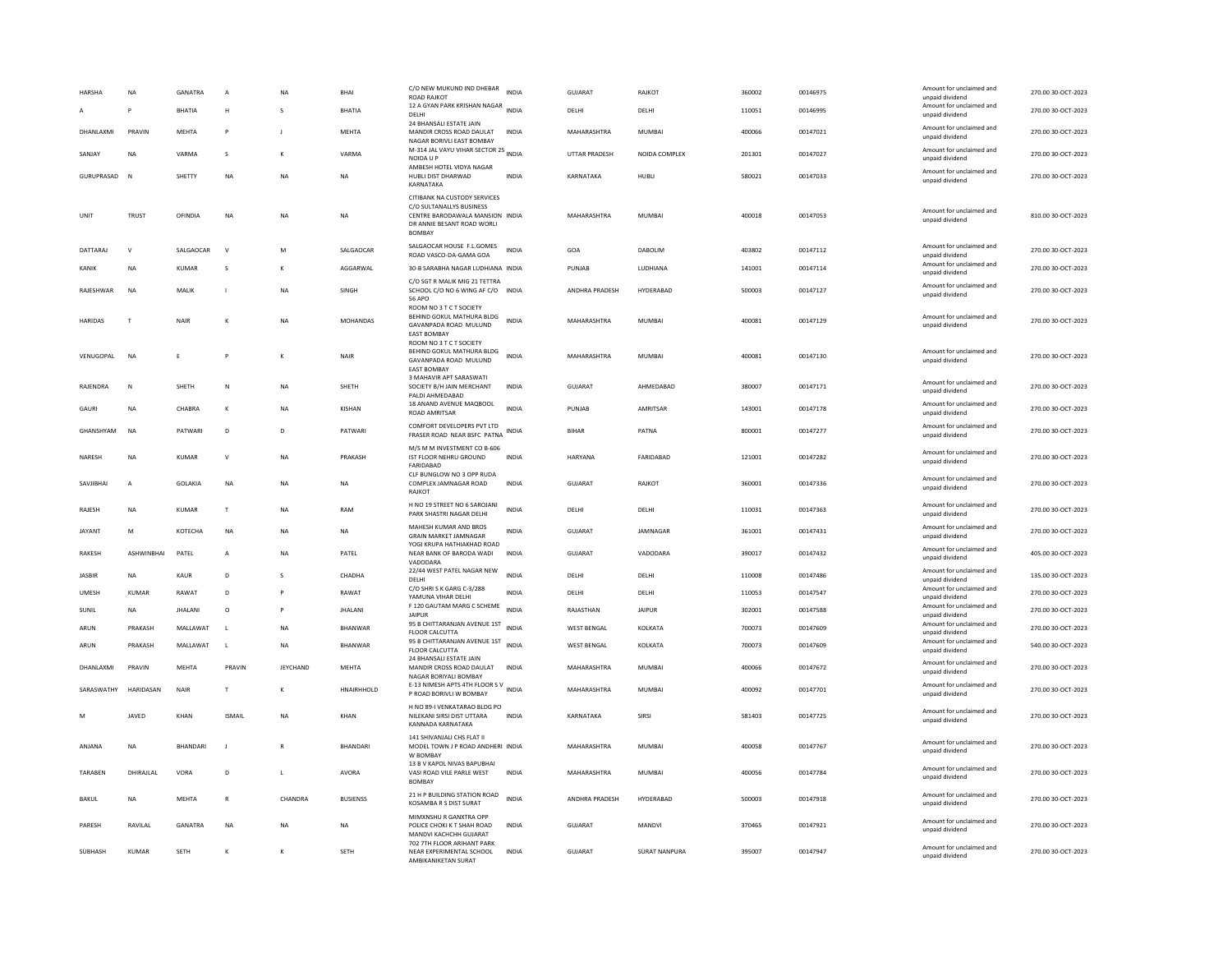| HARSHA         | <b>NA</b><br>P    | <b>GANATRA</b><br><b>BHATIA</b> | $\mathbf{A}$<br>H | <b>NA</b>       | <b>BHAI</b><br>BHATIA | C/O NEW MUKUND IND DHEBAR<br><b>ROAD RAJKOT</b><br>12 A GYAN PARK KRISHAN NAGAR INDIA<br>DELHI                                            | <b>INDIA</b> | <b>GUJARAT</b><br>DELHI | RAIKOT<br>DELHI      | 360002<br>110051 | 00146975<br>00146995 | Amount for unclaimed and<br>unpaid dividend<br>Amount for unclaimed and | 270.00 30-OCT-2023<br>270.00 30-OCT-2023 |
|----------------|-------------------|---------------------------------|-------------------|-----------------|-----------------------|-------------------------------------------------------------------------------------------------------------------------------------------|--------------|-------------------------|----------------------|------------------|----------------------|-------------------------------------------------------------------------|------------------------------------------|
| DHANLAXMI      | PRAVIN            | MFHTA                           | P                 | $\blacksquare$  | MEHTA                 | 24 BHANSALI ESTATE JAIN<br>MANDIR CROSS ROAD DAULAT                                                                                       | <b>INDIA</b> | MAHARASHTRA             | MUMBAI               | 400066           | 00147021             | unpaid dividend<br>Amount for unclaimed and<br>unpaid dividend          | 270.00 30-OCT-2023                       |
| SANJAY         | NA                | VARMA                           | s                 | K               | VARMA                 | NAGAR BORIVLI EAST BOMBAY<br>M-314 JAL VAYU VIHAR SECTOR 25 INDIA<br>NOIDA U P                                                            |              | <b>UTTAR PRADESH</b>    | NOIDA COMPLEX        | 201301           | 00147027             | Amount for unclaimed and<br>unpaid dividend                             | 270.00 30-OCT-2023                       |
| GURUPRASAD     | <b>N</b>          | SHETTY                          | <b>NA</b>         | <b>NA</b>       | <b>NA</b>             | AMBESH HOTEL VIDYA NAGAR<br>HUBLI DIST DHARWAD<br>KARNATAKA                                                                               | <b>INDIA</b> | KARNATAKA               | HUBLI                | 580021           | 00147033             | Amount for unclaimed and<br>unpaid dividend                             | 270.00 30-OCT-2023                       |
| UNIT           | <b>TRUST</b>      | OFINDIA                         | <b>NA</b>         | <b>NA</b>       | <b>NA</b>             | CITIBANK NA CUSTODY SERVICES<br>C/O SULTANALLYS BUSINESS<br>CENTRE BARODAWALA MANSION INDIA<br>DR ANNIE BESANT ROAD WORLI<br><b>BOMBA</b> |              | MAHARASHTRA             | <b>MUMBAI</b>        | 400018           | 00147053             | Amount for unclaimed and<br>unpaid dividend                             | 810.00 30-OCT-2023                       |
| DATTARAJ       | $\mathsf{V}$      | SALGAOCAR                       | $\mathsf{v}$      | M               | SALGAOCAF             | SALGAOCAR HOUSE F.L.GOMES<br>ROAD VASCO-DA-GAMA GOA                                                                                       | INDIA        | GOA                     | DABOLIM              | 403802           | 00147112             | Amount for unclaimed and<br>unnaid dividend                             | 270.00 30-OCT-2023                       |
| KANIK          | <b>NA</b>         | <b>KUMAR</b>                    | s                 | K               | AGGARWAL              | 30-B SARABHA NAGAR LUDHIANA INDIA                                                                                                         |              | PUNJAB                  | LUDHIANA             | 141001           | 00147114             | Amount for unclaimed and<br>unpaid dividend                             | 270.00 30-OCT-2023                       |
| RAJESHWAR      | NA                | MALIK                           |                   | ΝA              | SINGH                 | C/O SGT R MALIK MIG 21 TETTRA<br>SCHOOL C/O NO 6 WING AF C/O INDIA<br>56 APO                                                              |              | ANDHRA PRADESH          | HYDERABAD            | 500003           | 00147127             | Amount for unclaimed and<br>unpaid dividend                             | 270.00 30-OCT-2023                       |
| <b>HARIDAS</b> | $\mathbf{r}$      | NAIR                            |                   | ΝA              | <b>MOHANDAS</b>       | ROOM NO 3 T C T SOCIETY<br>BEHIND GOKUL MATHURA BLDG<br>GAVANPADA ROAD MULUND<br><b>EAST BOMBAY</b><br>ROOM NO 3 T C T SOCIETY            | <b>INDIA</b> | MAHARASHTRA             | <b>MUMBAI</b>        | 400081           | 00147129             | Amount for unclaimed and<br>unpaid dividend                             | 270.00 30-OCT-2023                       |
| VENUGOPAL      | <b>NA</b>         | E                               |                   |                 | NAIR                  | BEHIND GOKUL MATHURA BLDG<br>GAVANPADA ROAD MULUND<br><b>EAST BOMBAY</b>                                                                  | <b>INDIA</b> | MAHARASHTRA             | <b>MUMBAI</b>        | 400081           | 00147130             | Amount for unclaimed and<br>unpaid dividend                             | 270.00 30-OCT-2023                       |
| RAJENDRA       | N                 | SHETH                           | ${\sf N}$         | NA              | SHETH                 | 3 MAHAVIR APT SARASWATI<br>SOCIETY B/H JAIN MERCHANT<br>PALDI AHMEDABAD                                                                   | <b>INDIA</b> | GUJARAT                 | AHMEDABAD            | 380007           | 00147171             | Amount for unclaimed and<br>unpaid dividend                             | 270.00 30-OCT-2023                       |
| GAURI          | <b>NA</b>         | CHABRA                          |                   | <b>NA</b>       | KISHAN                | 18 ANAND AVENUE MAQBOOL<br>ROAD AMRITSAR                                                                                                  | <b>INDIA</b> | PUNJAB                  | AMRITSAR             | 143001           | 00147178             | Amount for unclaimed and<br>unpaid dividend                             | 270.00 30-OCT-2023                       |
| GHANSHYAM      | <b>NA</b>         | PATWARI                         | D                 | D               | PATWARI               | COMFORT DEVELOPERS PVT LTD<br>FRASER ROAD NEAR BSFC PATNA                                                                                 | <b>INDIA</b> | <b>BIHAR</b>            | PATNA                | 800001           | 00147277             | Amount for unclaimed and<br>unpaid dividend                             | 270.00 30-OCT-2023                       |
| NARESH         | <b>NA</b>         | <b>KUMAR</b>                    | $\mathsf{v}$      | NA              | PRAKASH               | M/S M M INVESTMENT CO B-606<br>IST FLOOR NEHRU GROUND<br>FARIDABAD                                                                        | <b>INDIA</b> | HARYANA                 | FARIDABAD            | 121001           | 00147282             | Amount for unclaimed and<br>unpaid dividend                             | 270.00 30-OCT-2023                       |
| SAVJIBHAI      | $\overline{A}$    | <b>GOLAKIA</b>                  | <b>NA</b>         | NA              | <b>NA</b>             | CLF BUNGLOW NO 3 OPP RUDA<br>COMPLEX JAMNAGAR ROAD<br>RAJKOT                                                                              | <b>INDIA</b> | <b>GUJARAT</b>          | RAJKOT               | 360001           | 00147336             | Amount for unclaimed and<br>unpaid dividend                             | 270.00 30-OCT-2023                       |
| RAJESH         | <b>NA</b>         | <b>KUMAR</b>                    | $\mathsf T$       | NA              | RAM                   | H NO 19 STREET NO 6 SAROJANI<br>PARK SHASTRI NAGAR DELHI                                                                                  | <b>INDIA</b> | DELHI                   | DELHI                | 110031           | 00147363             | Amount for unclaimed and<br>unpaid dividend                             | 270.00 30-OCT-2023                       |
| <b>JAYANT</b>  | M                 | KOTECHA                         | NA                | NA              | NA                    | MAHESH KUMAR AND BROS<br><b>GRAIN MARKET JAMNAGAR</b>                                                                                     | <b>INDIA</b> | GUJARAT                 | JAMNAGAR             | 361001           | 00147431             | Amount for unclaimed and<br>unpaid dividend                             | 270.00 30-OCT-2023                       |
| <b>RAKESH</b>  | <b>ASHWINRHAI</b> | PATEL                           | $\overline{A}$    | <b>NA</b>       | PATEL                 | YOGI KRUPA HATHIAKHAD ROAD<br>NEAR BANK OF BARODA WADI<br><b>VADODAR</b>                                                                  | <b>INDIA</b> | <b>GUJARAT</b>          | VADODARA             | 390017           | 00147432             | Amount for unclaimed and<br>unpaid dividend                             | 405.00 30-OCT-2023                       |
| <b>JASBIR</b>  | NA                | KAUR                            | D                 |                 | CHADHA                | 22/44 WEST PATEL NAGAR NEW<br>DELHI                                                                                                       | <b>INDIA</b> | DELHI                   | DELHI                | 110008           | 00147486             | Amount for unclaimed and<br>unpaid dividend                             | 135.00 30-OCT-2023                       |
| <b>UMESH</b>   | KUMAR             | RAWAT                           | $\mathsf{D}$      |                 | RAWAT                 | C/O SHRI S K GARG C-3/288<br>YAMUNA VIHAR DELHI                                                                                           | <b>INDIA</b> | DELHI                   | DELHI                | 110053           | 00147547             | Amount for unclaimed and<br>unpaid dividend                             | 270.00 30-OCT-2023                       |
| SUNIL          | <b>NA</b>         | <b>JHALANI</b>                  | $\circ$           | P               | <b>JHALANI</b>        | F 120 GAUTAM MARG C SCHEME<br><b>JAIPUR</b>                                                                                               | <b>INDIA</b> | RAJASTHAN               | <b>JAIPUR</b>        | 302001           | 00147588             | Amount for unclaimed and<br>unpaid dividend                             | 270.00 30-OCT-2023                       |
| ARUN           | PRAKASH           | MALLAWAT                        | L                 | NA              | BHANWAR               | 95 B CHITTARANJAN AVENUE 1ST<br>FLOOR CALCUTTA                                                                                            | <b>INDIA</b> | <b>WEST BENGAL</b>      | KOLKATA              | 700073           | 00147609             | Amount for unclaimed and<br>unpaid dividend                             | 270.00 30-OCT-2023                       |
| ARUN           | PRAKASH           | MALLAWAT                        | $\mathbf{L}$      | <b>NA</b>       | <b>BHANWAR</b>        | 95 B CHITTARANJAN AVENUE 1ST<br><b>FLOOR CALCUTTA</b>                                                                                     | <b>INDIA</b> | <b>WEST BENGAL</b>      | KOLKATA              | 700073           | 00147609             | Amount for unclaimed and<br>unpaid dividend                             | 540.00 30-OCT-2023                       |
| DHANLAXMI      | PRAVIN            | <b>MEHTA</b>                    | PRAVIN            | <b>JEYCHAND</b> | <b>MEHTA</b>          | 24 BHANSALI ESTATE JAIN<br>MANDIR CROSS ROAD DAULAT<br>NAGAR BORIYALI BOMBAY                                                              | <b>INDIA</b> | MAHARASHTRA             | <b>MUMBAI</b>        | 400066           | 00147672             | Amount for unclaimed and<br>unpaid dividend                             | 270.00 30-OCT-2023                       |
| SARASWATHY     | <b>HARIDASAN</b>  | <b>NAIR</b>                     | T                 | к               | HNAIRHHOLD            | E-13 NIMESH APTS 4TH FLOOR SV<br>P ROAD BORIVLI W BOMBAY                                                                                  | <b>INDIA</b> | MAHARASHTRA             | MUMBAI               | 400092           | 00147701             | Amount for unclaimed and<br>unpaid dividend                             | 270.00 30-OCT-2023                       |
| M              | JAVED             | KHAN                            | <b>ISMAIL</b>     | <b>NA</b>       | KHAN                  | H NO 89-I VENKATARAO BLDG PO<br>NILEKANI SIRSI DIST UTTARA<br>KANNADA KARNATAKA                                                           | <b>INDIA</b> | KARNATAKA               | SIRSI                | 581403           | 00147725             | Amount for unclaimed and<br>unpaid dividend                             | 270.00 30-OCT-2023                       |
| ANJANA         | NA                | BHANDARI                        | J                 | R               | <b>BHANDARI</b>       | 141 SHIVANJALI CHS FLAT II<br>MODEL TOWN J P ROAD ANDHERI INDIA<br>W BOMBAY                                                               |              | MAHARASHTRA             | <b>MUMBAI</b>        | 400058           | 00147767             | Amount for unclaimed and<br>unpaid dividend                             | 270.00 30-OCT-2023                       |
| TARABEN        | DHIRAJLAL         | VORA                            | D                 | L.              | <b>AVORA</b>          | 13 B V KAPOL NIVAS BAPUBHAI<br>VASI ROAD VILE PARLE WEST<br><b>BOMBAY</b>                                                                 | <b>INDIA</b> | MAHARASHTRA             | <b>MUMBAI</b>        | 400056           | 00147784             | Amount for unclaimed and<br>unpaid dividend                             | 270.00 30-OCT-2023                       |
| RAKUL          | <b>NA</b>         | MFHTA                           | $\mathbb{R}$      | CHANDRA         | <b>BUSIENSS</b>       | 21 H P BUILDING STATION ROAD<br>KOSAMBA R S DIST SURAT                                                                                    | <b>INDIA</b> | <b>ANDHRA PRADESH</b>   | HYDFRABAD            | 500003           | 00147918             | Amount for unclaimed and<br>unpaid dividend                             | 270.00 30-OCT-2023                       |
| PARESH         | RAVII AI          | <b>GANATRA</b>                  | <b>NA</b>         | <b>NA</b>       | <b>NA</b>             | MIMXNSHU R GANXTRA OPP<br>POLICE CHOKI K T SHAH ROAD<br>MANDVI KACHCHH GUJARAT                                                            | <b>INDIA</b> | GUIARAT                 | MANDVI               | 370465           | 00147921             | Amount for unclaimed and<br>unpaid dividend                             | 270.00 30-OCT-2023                       |
| <b>SUBHASH</b> | KUMAR             | <b>SFTH</b>                     |                   | к               | <b>SFTH</b>           | 702 7TH FLOOR ARIHANT PARK<br>NEAR EXPERIMENTAL SCHOOL<br>AMBIKANIKETAN SURAT                                                             | <b>INDIA</b> | GUIARAT                 | <b>SURAT NANPURA</b> | 395007           | 00147947             | Amount for unclaimed and<br>unpaid dividend                             | 270.00.30-QCT-2023                       |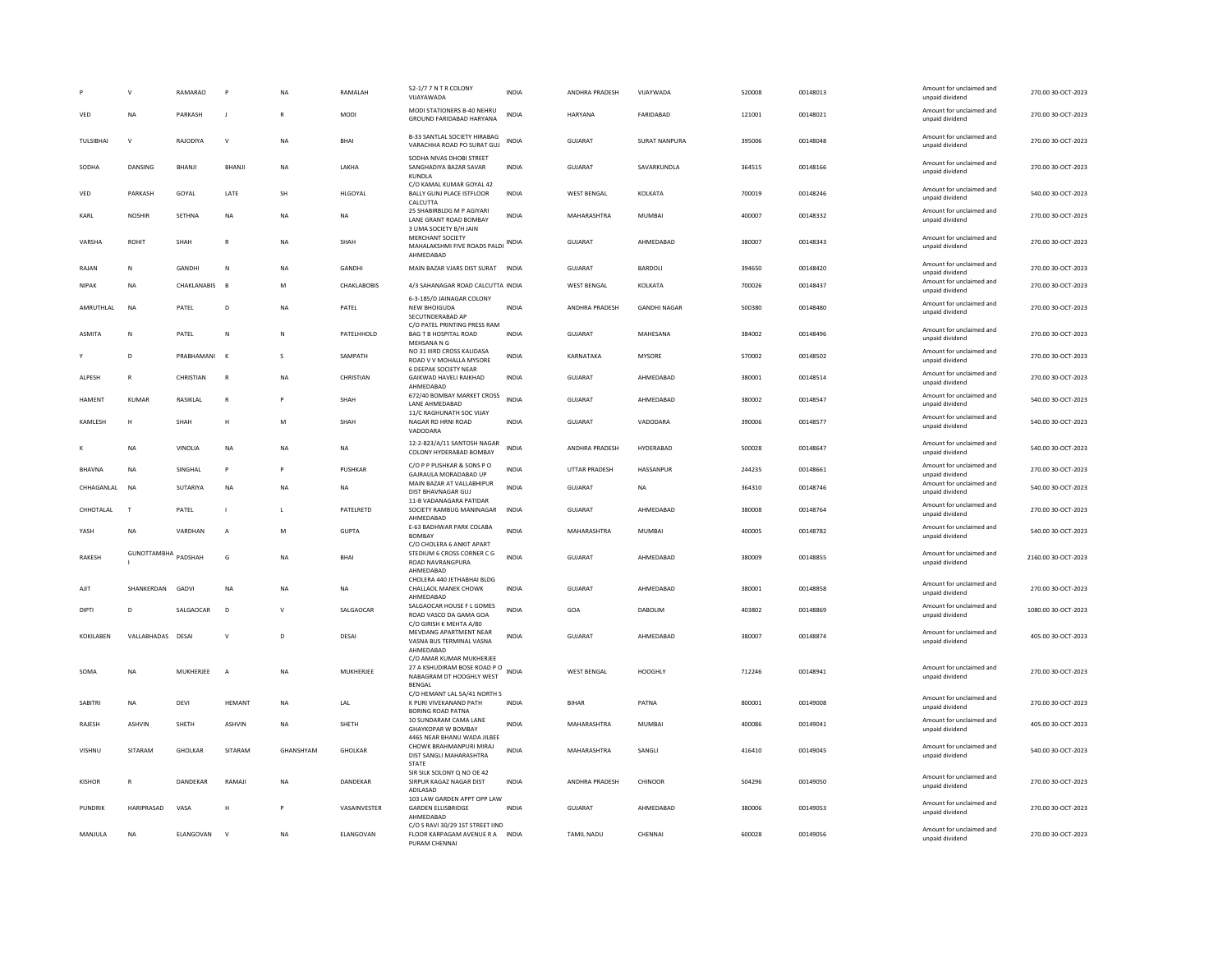|                   | $\mathbf{v}$        | RAMARAO          | P              | NA           | RAMAI AH         | 52-1/7 7 N T R COLONY<br>VUAYAWADA                                                                    | <b>INDIA</b> | <b>ANDHRA PRADESH</b> | VIIAYWADA           | 520008 | 00148013 | Amount for unclaimed and<br>unpaid dividend | 270.00 30-OCT-2023  |
|-------------------|---------------------|------------------|----------------|--------------|------------------|-------------------------------------------------------------------------------------------------------|--------------|-----------------------|---------------------|--------|----------|---------------------------------------------|---------------------|
| VED               | NA                  | PARKASH          | J.             |              | <b>MODI</b>      | MODI STATIONERS B-40 NEHRU<br>GROUND FARIDABAD HARYANA                                                | <b>INDIA</b> | HARYANA               | FARIDABAD           | 121001 | 00148021 | Amount for unclaimed and<br>unpaid dividend | 270.00 30-OCT-2023  |
| <b>TUI SIRHAI</b> | $\mathsf{v}$        | RAIODIYA         | $\mathsf{v}$   | <b>NA</b>    | <b>RHAI</b>      | B-33 SANTLAL SOCIETY HIRABAG<br>VARACHHA ROAD PO SURAT GUJ                                            | <b>INDIA</b> | GUIARAT               | SURAT NANPURA       | 395006 | 00148048 | Amount for unclaimed and<br>unpaid dividend | 270.00.30-OCT-2023  |
| SODHA             | DANSING             | BHANJI           | BHANJI         | NA           | LAKHA            | SODHA NIVAS DHOBI STREET<br>SANGHADIYA BAZAR SAVAR<br>KUNDLA                                          | <b>INDIA</b> | GUJARAT               | SAVARKUNDLA         | 364515 | 00148166 | Amount for unclaimed and<br>unpaid dividend | 270.00 30-OCT-2023  |
| VED               | PARKASH             | GOYAL            | LATE           | SH           | HLGOYAL          | C/O KAMAL KUMAR GOYAL 42<br><b>BALLY GUNJ PLACE ISTFLOOR</b><br>CALCUTTA                              | <b>INDIA</b> | <b>WEST BENGAL</b>    | KOLKATA             | 700019 | 00148246 | Amount for unclaimed and<br>unpaid dividend | 540.00 30-OCT-2023  |
| KARI              | <b>NOSHIR</b>       | <b>SFTHNA</b>    | <b>NA</b>      | <b>NA</b>    | <b>NA</b>        | 25 SHABIRBLDG M P AGIYARI<br>LANE GRANT ROAD BOMBAY<br>3 UMA SOCIETY B/H JAIN                         | <b>INDIA</b> | MAHARASHTRA           | MUMBAI              | 400007 | 00148332 | Amount for unclaimed and<br>unpaid dividend | 270.00 30-OCT-2023  |
| VARSHA            | ROHIT               | SHAH             | $\mathsf{R}$   | <b>NA</b>    | SHAH             | MERCHANT SOCIETY<br>MAHALAKSHMI FIVE ROADS PALDI<br>AHMEDABAD                                         | <b>INDIA</b> | GUJARAT               | AHMEDABAD           | 380007 | 00148343 | Amount for unclaimed and<br>unpaid dividend | 270.00 30-OCT-2023  |
| RAJAN             | N                   | <b>GANDHI</b>    | N              | <b>NA</b>    | GANDHI           | MAIN BAZAR VJARS DIST SURAT INDIA                                                                     |              | <b>GUJARAT</b>        | BARDOLI             | 394650 | 00148420 | Amount for unclaimed and<br>unpaid dividend | 270.00 30-OCT-2023  |
| <b>NIPAK</b>      | <b>NA</b>           | CHAKLANABIS      | $\mathbf{B}$   | M            | CHAKLABOBIS      | 4/3 SAHANAGAR ROAD CALCUTTA INDIA                                                                     |              | <b>WEST BENGAL</b>    | KOLKATA             | 700026 | 00148437 | Amount for unclaimed and<br>unpaid dividend | 270.00 30-OCT-2023  |
| AMRUTHLAL         | <b>NA</b>           | PATEL            | D              | NA           | PATEL            | 6-3-185/D JAINAGAR COLONY<br>NEW BHOIGUDA<br>SECUTNDERABAD AP                                         | INDIA        | ANDHRA PRADESH        | <b>GANDHI NAGAR</b> | 500380 | 00148480 | Amount for unclaimed and<br>unpaid dividend | 270.00 30-OCT-2023  |
| <b>ASMITA</b>     | N                   | PATEL            | N              | N            | PATELHHOLD       | C/O PATEL PRINTING PRESS RAM<br>BAG T B HOSPITAL ROAD<br>MEHSANA N G                                  | <b>INDIA</b> | GUJARAT               | MAHESANA            | 384002 | 00148496 | Amount for unclaimed and<br>unpaid dividend | 270.00 30-OCT-2023  |
|                   | D                   | PRARHAMANI       | $\mathbf{K}$   | s            | SAMPATH          | NO 31 IIIRD CROSS KALIDASA<br>ROAD V V MOHALLA MYSORE<br>6 DEEPAK SOCIETY NEAR                        | INDIA        | KARNATAKA             | <b>MYSORE</b>       | 570002 | 00148502 | Amount for unclaimed and<br>unpaid dividend | 270.00 30-OCT-2023  |
| <b>AI PFSH</b>    | R                   | CHRISTIAN        | $\mathbb{R}$   | <b>NA</b>    | CHRISTIAN        | GAIKWAD HAVELLRAIKHAD<br>AHMEDABAD                                                                    | <b>INDIA</b> | GUIARAT               | AHMEDARAD           | 380001 | 00148514 | Amount for unclaimed and<br>unpaid dividend | 270.00.30-OCT-2023  |
| HAMENT            | KUMAR               | RASIKLAL         |                |              | SHAH             | 672/40 BOMBAY MARKET CROSS<br>LANE AHMEDABAD<br>11/C RAGHUNATH SOC VIJAY                              | <b>INDIA</b> | GUJARAT               | AHMEDABAD           | 380002 | 00148547 | Amount for unclaimed and<br>unpaid dividend | 540.00 30-OCT-2023  |
| KAMLESH           | н                   | SHAH             | H              | M            | SHAH             | NAGAR RD HRNI ROAD<br>VADODARA                                                                        | <b>INDIA</b> | <b>GUJARAT</b>        | VADODARA            | 390006 | 00148577 | Amount for unclaimed and<br>unpaid dividend | 540.00 30-OCT-2023  |
|                   | NA                  | VINOLIA          | NA             | NA           | NA               | 12-2-823/A/11 SANTOSH NAGAR<br>COLONY HYDERABAD BOMBAY                                                | <b>INDIA</b> | ANDHRA PRADESH        | HYDERABAD           | 500028 | 00148647 | Amount for unclaimed and<br>unpaid dividend | 540.00 30-OCT-2023  |
| <b>BHAVNA</b>     | <b>NA</b>           | SINGHAL          | P              | Þ            | <b>PUSHKAR</b>   | C/O P P PUSHKAR & SONS P O<br>GAJRAULA MORADABAD UP                                                   | <b>INDIA</b> | <b>UTTAR PRADESH</b>  | HASSANPUR           | 244235 | 00148661 | Amount for unclaimed and<br>unpaid dividend | 270.00 30-OCT-2023  |
| CHHAGANI AI       | NA                  | SUTARIYA         | <b>NA</b>      | <b>NA</b>    | <b>NA</b>        | MAIN BAZAR AT VALLABHIPUR<br>DIST BHAVNAGAR GUJ<br>11-B VADANAGARA PATIDAR                            | <b>INDIA</b> | GUIARAT               | <b>NA</b>           | 364310 | 00148746 | Amount for unclaimed and<br>unpaid dividend | 540.00 30-OCT-2023  |
| CHHOTALAL         | $\mathsf{T}$        | PATEL            |                | $\mathsf{L}$ | PATELRETD        | SOCIETY RAMBUG MANINAGAR<br>AHMEDABAD                                                                 | <b>INDIA</b> | GUJARAT               | AHMEDABAD           | 380008 | 00148764 | Amount for unclaimed and<br>unpaid dividend | 270.00 30-OCT-2023  |
| YASH              | NA                  | VARDHAN          | $\overline{A}$ | M            | <b>GUPTA</b>     | E-63 BADHWAR PARK COLABA<br><b>BOMBAY</b><br>C/O CHOLERA 6 ANKIT APART                                | <b>INDIA</b> | MAHARASHTRA           | MUMBAL              | 400005 | 00148782 | Amount for unclaimed and<br>unpaid dividend | 540.00 30-OCT-2023  |
| RAKESH            | GUNOTTAMBHA PADSHAH |                  | G              | <b>NA</b>    | BHA              | STEDIUM 6 CROSS CORNER C G<br>ROAD NAVRANGPURA<br>AHMEDABAD                                           | <b>INDIA</b> | <b>GUJARAT</b>        | AHMEDABAD           | 380009 | 00148855 | Amount for unclaimed and<br>unpaid dividend | 2160.00 30-OCT-2023 |
| AJIT              | SHANKERDAN          | GADVI            | <b>NA</b>      | <b>NA</b>    | NA               | CHOLERA 440 JETHABHAI BLDG<br>CHALLAOL MANEK CHOWK<br>AHMFDARAD                                       | <b>INDIA</b> | GUJARAT               | AHMEDABAD           | 380001 | 00148858 | Amount for unclaimed and<br>unpaid dividend | 270.00 30-OCT-2023  |
| DIPTI             | D                   | SALGAOCAR        | D              | $\mathbf v$  | SALGAOCAR        | SALGAOCAR HOUSE F L GOMES<br>ROAD VASCO DA GAMA GOA<br>C/O GIRISH K MEHTA A/80                        | <b>INDIA</b> | GOA                   | DABOLIM             | 403802 | 00148869 | Amount for unclaimed and<br>unpaid dividend | 1080.00 30-OCT-2023 |
| KOKILABEN         | VALLABHADAS DESAI   |                  | $\vee$         | $\mathsf D$  | DESAI            | MEVDANG APARTMENT NEAR<br>VASNA BUS TERMINAL VASNA<br>AHMEDABAD                                       | <b>INDIA</b> | GUJARAT               | AHMEDABAD           | 380007 | 00148874 | Amount for unclaimed and<br>unpaid dividend | 405.00 30-OCT-2023  |
| SOMA              | NA                  | MUKHERJEE        | $\overline{A}$ | NA           | MUKHERJEE        | C/O AMAR KUMAR MUKHERJEE<br>27 A KSHUDIRAM BOSE ROAD P O<br>NABAGRAM DT HOOGHLY WEST<br><b>BENGAL</b> | <b>INDIA</b> | <b>WEST BENGAL</b>    | <b>HOOGHLY</b>      | 712246 | 00148941 | Amount for unclaimed and<br>unpaid dividend | 270.00 30-OCT-2023  |
| <b>SABITRI</b>    | NA                  | DEVI             | <b>HEMANT</b>  | NA           | LAL              | C/O HEMANT LAL 5A/41 NORTH S<br>K PURI VIVEKANAND PATH<br><b>BORING ROAD PATNA</b>                    | <b>INDIA</b> | <b>BIHAR</b>          | PATNA               | 800001 | 00149008 | Amount for unclaimed and<br>unpaid dividend | 270.00 30-OCT-2023  |
| <b>RAIFSH</b>     | <b>ASHVIN</b>       | SHFTH            | ASHVIN         | <b>NA</b>    | SHETH            | 10 SUNDARAM CAMA LANE<br><b>GHAYKOPAR W BOMBAY</b>                                                    | <b>INDIA</b> | MAHARASHTRA           | MUMBAI              | 400086 | 00149041 | Amount for unclaimed and<br>unpaid dividend | 405.00.30-OCT-2023  |
| <b>VISHNU</b>     | SITARAM             | GHOLKAR          | SITARAM        | GHANSHYAM    | <b>GHOLKAR</b>   | 4465 NEAR BHANU WADA JILBEE<br>CHOWK BRAHMANPURI MIRAJ<br>DIST SANGLI MAHARASHTRA<br><b>STATE</b>     | <b>INDIA</b> | MAHARASHTRA           | SANGLI              | 416410 | 00149045 | Amount for unclaimed and<br>unpaid dividend | 540.00 30-OCT-2023  |
| KISHOR            | R                   | DANDEKAR         | RAMAJI         | NA           | DANDEKAR         | SIR SILK SOLONY O NO OE 42<br>SIRPUR KAGAZ NAGAR DIST<br>ADILASAD                                     | <b>INDIA</b> | ANDHRA PRADESH        | CHINOOF             | 504296 | 00149050 | Amount for unclaimed and<br>unpaid dividend | 270.00 30-OCT-2023  |
| PUNDRIK           | HARIPRASAD          | VASA             | H              |              | VASAINVESTER     | 103 LAW GARDEN APPT OPP LAW<br><b>GARDEN ELLISBRIDGE</b><br>AHMEDABAD                                 | <b>INDIA</b> | GUJARAT               | AHMEDABAD           | 380006 | 00149053 | Amount for unclaimed and<br>unpaid dividend | 270.00 30-OCT-2023  |
| <b>MANIULA</b>    | <b>NA</b>           | <b>FLANGOVAN</b> | $\mathsf{v}$   | <b>NA</b>    | <b>FLANGOVAN</b> | C/O S RAVI 30/29 1ST STREET IIND<br>FLOOR KARPAGAM AVENUE R A INDIA<br>PURAM CHENNAL                  |              | <b>TAMIL NADU</b>     | CHENNAL             | 600028 | 00149056 | Amount for unclaimed and<br>unpaid dividend | 270.00.30-QCT-2023  |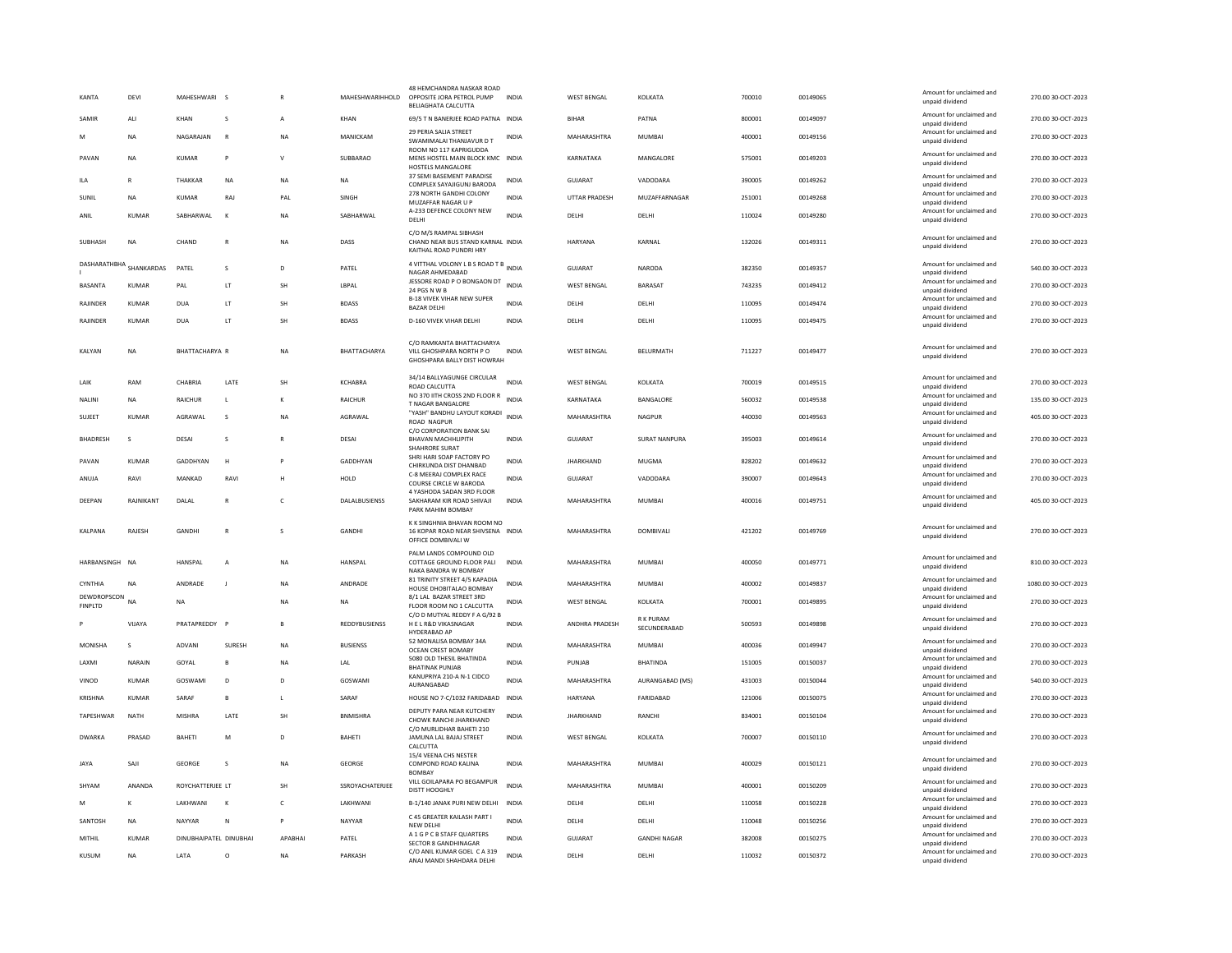| KANTA                         | <b>DEVI</b>    | MAHESHWARI             | <b>S</b>           |              | MAHESHWARIHHOLD      | 48 HEMCHANDRA NASKAR ROAD<br>OPPOSITE JORA PETROL PUMP<br>BELIAGHATA CALCUTTA          | <b>INDIA</b> | <b>WEST BENGAL</b>   | KOLKATA                         | 700010 | 00149065 | Amount for unclaimed and<br>unpaid dividend | 270.00 30-OCT-2023  |
|-------------------------------|----------------|------------------------|--------------------|--------------|----------------------|----------------------------------------------------------------------------------------|--------------|----------------------|---------------------------------|--------|----------|---------------------------------------------|---------------------|
| SAMIR                         | ALI            | KHAN                   | s                  |              | KHAN                 | 69/5 T N BANERJEE ROAD PATNA INDIA                                                     |              | <b>BIHAR</b>         | PATNA                           | 800001 | 00149097 | Amount for unclaimed and<br>unpaid dividend | 270.00 30-OCT-2023  |
| M                             | <b>NA</b>      | NAGARAJAN              | $\mathbb{R}$       | <b>NA</b>    | MANICKAM             | 29 PERIA SALIA STREET<br>SWAMIMALAI THANJAVUR D T                                      | INDIA        | MAHARASHTRA          | <b>MUMBAI</b>                   | 400001 | 00149156 | Amount for unclaimed and<br>unpaid dividend | 270.00 30-OCT-2023  |
| PAVAN                         | <b>NA</b>      | <b>KUMAR</b>           | P                  | $\vee$       | SUBBARAO             | ROOM NO 117 KAPRIGUDDA<br>MENS HOSTEL MAIN BLOCK KMC INDIA<br>HOSTELS MANGALORE        |              | KARNATAKA            | MANGALORE                       | 575001 | 00149203 | Amount for unclaimed and<br>unpaid dividend | 270.00 30-OCT-2023  |
| <b>ILA</b>                    | $\mathbb{R}$   | <b>THAKKAR</b>         | <b>NA</b>          | <b>NA</b>    | <b>NA</b>            | 37 SEMI BASEMENT PARADISE<br>COMPLEX SAYAJIGUNJ BARODA                                 | <b>INDIA</b> | <b>GUJARAT</b>       | VADODARA                        | 390005 | 00149262 | Amount for unclaimed and<br>unpaid dividend | 270.00 30-OCT-2023  |
| SUNIL                         | <b>NA</b>      | <b>KUMAR</b>           | RAJ                | PAL          | SINGH                | 278 NORTH GANDHI COLONY<br>MUZAFFAR NAGAR U P                                          | <b>INDIA</b> | <b>UTTAR PRADESH</b> | MUZAFFARNAGAR                   | 251001 | 00149268 | Amount for unclaimed and<br>unpaid dividend | 270.00 30-OCT-2023  |
| ANIL                          | <b>KUMAR</b>   | SABHARWAL              | $\mathbf{K}$       | <b>NA</b>    | SABHARWAL            | A-233 DEFENCE COLONY NEW<br>DELHI                                                      | <b>INDIA</b> | DELHI                | DELHI                           | 110024 | 00149280 | Amount for unclaimed and<br>unpaid dividend | 270.00 30-OCT-2023  |
| SUBHASH                       | NA             | CHAND                  | $\overline{R}$     | <b>NA</b>    | DASS                 | C/O M/S RAMPAL SIBHASH<br>CHAND NEAR BUS STAND KARNAL INDIA<br>KAITHAL ROAD PUNDRI HRY |              | HARYANA              | KARNAL                          | 132026 | 00149311 | Amount for unclaimed and<br>unpaid dividend | 270.00 30-OCT-2023  |
| DASHARATHBHA                  | SHANKARDAS     | PATEL                  | s                  | D            | PATEL                | 4 VITTHAL VOLONY L B S ROAD T B INDIA<br>NAGAR AHMEDABAD                               |              | GUJARAT              | NARODA                          | 382350 | 00149357 | Amount for unclaimed and<br>unpaid dividend | 540.00 30-OCT-2023  |
| <b>BASANTA</b>                | <b>KUMAR</b>   | PAL                    | LT                 | <b>SH</b>    | LBPAL                | JESSORE ROAD P O BONGAON DT<br><b>24 PGS N W R</b>                                     | <b>INDIA</b> | <b>WEST BENGAL</b>   | BARASAT                         | 743235 | 00149412 | Amount for unclaimed and<br>unpaid dividend | 270.00 30-OCT-2023  |
| RAJINDER                      | KUMAR          | DUA                    | <b>LT</b>          | SH           | <b>BDASS</b>         | <b>B-18 VIVEK VIHAR NEW SUPER</b><br><b>BAZAR DELHI</b>                                | <b>INDIA</b> | DELHI                | DELHI                           | 110095 | 00149474 | Amount for unclaimed and<br>unpaid dividend | 270.00 30-OCT-2023  |
| RAJINDER                      | <b>KUMAR</b>   | <b>DUA</b>             | <b>LT</b>          | SH           | <b>BDASS</b>         | <b>D-160 VIVEK VIHAR DELHI</b>                                                         | <b>INDIA</b> | DELHI                | DELHI                           | 110095 | 00149475 | Amount for unclaimed and<br>unpaid dividend | 270.00 30-OCT-2023  |
|                               |                |                        |                    |              |                      | C/O RAMKANTA BHATTACHARYA                                                              |              |                      |                                 |        |          |                                             |                     |
| KALYAN                        | NA             | <b>BHATTACHARYA R</b>  |                    | <b>NA</b>    | BHATTACHARYA         | VILL GHOSHPARA NORTH PO<br>GHOSHPARA BALLY DIST HOWRAH                                 | <b>INDIA</b> | WEST BENGAL          | BELURMATH                       | 711227 | 00149477 | Amount for unclaimed and<br>unpaid dividend | 270.00 30-OCT-2023  |
| LAIK                          | RAM            | CHABRIA                | LATE               | SH           | <b>KCHABRA</b>       | 34/14 BALLYAGUNGE CIRCULAR<br>ROAD CALCUTTA                                            | <b>INDIA</b> | <b>WEST BENGAL</b>   | KOLKATA                         | 700019 | 00149515 | Amount for unclaimed and<br>unpaid dividend | 270.00 30-OCT-2023  |
| <b>NALINI</b>                 | <b>NA</b>      | RAICHUR                | $\mathbf{I}$       | к            | RAICHUR              | NO 370 IITH CROSS 2ND FLOOR R<br><b>T NAGAR BANGALORE</b>                              | <b>INDIA</b> | KARNATAKA            | BANGALORE                       | 560032 | 00149538 | Amount for unclaimed and<br>unpaid dividend | 135.00 30-OCT-2023  |
| SUJEET                        | <b>KUMAR</b>   | AGRAWAL                | $\mathsf{s}$       | <b>NA</b>    | AGRAWAL              | "YASH" BANDHU LAYOUT KORADI INDIA<br>ROAD NAGPUR                                       |              | MAHARASHTRA          | NAGPUR                          | 440030 | 00149563 | Amount for unclaimed and<br>unpaid dividend | 405.00 30-OCT-2023  |
| <b>BHADRESH</b>               | $\mathbf{s}$   | DESAI                  | s                  |              | DESAI                | C/O CORPORATION BANK SAI<br><b>BHAVAN MACHHLIPITH</b><br>SHAHRORE SURAT                | <b>INDIA</b> | <b>GUJARAT</b>       | <b>SURAT NANPURA</b>            | 395003 | 00149614 | Amount for unclaimed and<br>unpaid dividend | 270.00 30-OCT-2023  |
| PAVAN                         | <b>KUMAR</b>   | GADDHYAN               | H                  |              | <b>GADDHYAN</b>      | SHRI HARI SOAP FACTORY PO<br>CHIRKUNDA DIST DHANBAD                                    | <b>INDIA</b> | <b>JHARKHAND</b>     | <b>MUGMA</b>                    | 828202 | 00149632 | Amount for unclaimed and<br>unpaid dividend | 270.00 30-OCT-2023  |
| ANUJA                         | RAVI           | MANKAD                 | RAVI               |              | HOLD                 | C-8 MEERAJ COMPLEX RACE<br>COURSE CIRCLE W BARODA                                      | <b>INDIA</b> | GUJARAT              | VADODARA                        | 390007 | 00149643 | Amount for unclaimed and<br>unpaid dividend | 270.00 30-OCT-2023  |
| DEEPAN                        | RAJNIKANT      | DALAL                  | $\mathsf{R}$       | c            | DALALBUSIENSS        | 4 YASHODA SADAN 3RD FLOOR<br>SAKHARAM KIR ROAD SHIVAJI<br>PARK MAHIM BOMBAY            | <b>INDIA</b> | MAHARASHTRA          | <b>MUMBAI</b>                   | 400016 | 00149751 | Amount for unclaimed and<br>unpaid dividend | 405.00 30-OCT-2023  |
| KALPANA                       | RAJESH         | GANDHI                 | $\overline{R}$     | s            | <b>GANDHI</b>        | K K SINGHNIA BHAVAN ROOM NO<br>16 KOPAR ROAD NEAR SHIVSENA INDIA<br>OFFICE DOMBIVALI W |              | MAHARASHTRA          | DOMBIVALI                       | 421202 | 00149769 | Amount for unclaimed and<br>unpaid dividend | 270.00 30-OCT-2023  |
| HARBANSINGH                   | N <sub>A</sub> | <b>HANSPAL</b>         | $\overline{A}$     | <b>NA</b>    | HANSPAL              | PALM LANDS COMPOUND OLD<br>COTTAGE GROUND FLOOR PALI<br>NAKA BANDRA W BOMBAY           | <b>INDIA</b> | MAHARASHTRA          | <b>MUMBAI</b>                   | 400050 | 00149771 | Amount for unclaimed and<br>unpaid dividend | 810.00 30-OCT-2023  |
| CYNTHIA                       | <b>NA</b>      | ANDRADE                | -1                 | <b>NA</b>    | ANDRADE              | 81 TRINITY STREET 4/5 KAPADIA<br>HOUSE DHOBITALAO BOMBAY                               | <b>INDIA</b> | MAHARASHTRA          | <b>MUMBAI</b>                   | 400002 | 00149837 | Amount for unclaimed and<br>unpaid dividend | 1080.00 30-OCT-2023 |
| DEWDROPSCON<br><b>FINPLTD</b> | NA             | <b>NA</b>              |                    | <b>NA</b>    | <b>NA</b>            | 8/1 LAL BAZAR STREET 3RD<br>FLOOR ROOM NO 1 CALCUTTA                                   | <b>INDIA</b> | <b>WEST BENGAL</b>   | KOLKATA                         | 700001 | 00149895 | Amount for unclaimed and<br>unpaid dividend | 270.00 30-OCT-2023  |
|                               | VIIAYA         | PRATAPREDDY F          |                    | $\mathbf{B}$ | <b>REDDYBUSIENSS</b> | C/O D MUTYAL REDDY F A G/92 B<br>HE L R&D VIKASNAGAR                                   | <b>INDIA</b> | ANDHRA PRADESH       | <b>RK PURAM</b><br>SECUNDERABAD | 500593 | 00149898 | Amount for unclaimed and<br>unpaid dividend | 270.00 30-OCT-2023  |
| MONISHA                       | s              | ADVANI                 | SURESH             | NA           | <b>BUSIENSS</b>      | HYDERABAD AP<br>52 MONALISA BOMBAY 34A                                                 | <b>INDIA</b> | MAHARASHTRA          | <b>MUMBAI</b>                   | 400036 | 00149947 | Amount for unclaimed and                    | 270.00 30-OCT-2023  |
| <b>I AXMI</b>                 | NARAIN         | GOYAL                  | R.                 | <b>NA</b>    | <b>IAI</b>           | <b>OCEAN CREST BOMABY</b><br>5080 OLD THESIL BHATINDA                                  | <b>INDIA</b> | PUNJAB               | <b>BHATINDA</b>                 | 151005 | 00150037 | unpaid dividend<br>Amount for unclaimed and | 270.00 30-OCT-2023  |
| VINOD                         | KUMAR          | GOSWAMI                | D.                 | D.           | GOSWAMI              | <b>BHATINAK PUNJAB</b><br>KANUPRIYA 210-A N-1 CIDCO                                    | <b>INDIA</b> | MAHARASHTRA          | AURANGABAD (MS)                 | 431003 | 00150044 | unpaid dividend<br>Amount for unclaimed and | 540.00 30-OCT-2023  |
| KRISHNA                       | KUMAR          | SARAF                  | B                  | L            | SARAF                | AURANGABAD<br>HOUSE NO 7-C/1032 FARIDABAD INDIA                                        |              | HARYANA              | FARIDABAD                       | 121006 | 00150075 | unpaid dividend<br>Amount for unclaimed and | 270.00 30-OCT-2023  |
| TAPESHWAR                     | NATH           | MISHRA                 | LATE               | SH           | <b>BNMISHRA</b>      | DEPUTY PARA NEAR KUTCHERY                                                              | <b>INDIA</b> | <b>JHARKHAND</b>     | RANCHI                          | 834001 | 00150104 | unpaid dividend<br>Amount for unclaimed and | 270.00 30-OCT-2023  |
| <b>DWARKA</b>                 | PRASAD         | BAHETI                 | M                  | D            | BAHETI               | CHOWK RANCHI JHARKHAND<br>C/O MURLIDHAR BAHETI 210<br>JAMUNA LAL BAJAJ STREET          | INDIA        | WEST BENGAL          | KOLKATA                         | 700007 | 00150110 | unpaid dividend<br>Amount for unclaimed and | 270.00 30-OCT-2023  |
|                               |                |                        |                    |              |                      | CALCUTTA<br>15/4 VEENA CHS NESTER                                                      |              |                      |                                 |        |          | unpaid dividend                             |                     |
| <b>JAYA</b>                   | SAII           | <b>GEORGE</b>          | $\mathbf{\hat{S}}$ | <b>NA</b>    | GEORGE               | COMPOND ROAD KALINA<br><b>BOMBAY</b>                                                   | <b>INDIA</b> | MAHARASHTRA          | MUMBAL                          | 400029 | 00150121 | Amount for unclaimed and<br>unpaid dividend | 270.00.30-QCT-2023  |
| SHYAM                         | ANANDA         | ROYCHATTERJEE LT       |                    | <b>SH</b>    | SSROYACHATERJEE      | VILL GOILAPARA PO BEGAMPUR<br>DISTT HOOGHLY                                            | <b>INDIA</b> | MAHARASHTRA          | <b>MUMBAI</b>                   | 400001 | 00150209 | Amount for unclaimed and<br>unpaid dividend | 270.00 30-OCT-2023  |
| M                             | к              | <b>I AKHWANI</b>       | $\mathbf{K}$       | $\epsilon$   | LAKHWANI             | B-1/140 JANAK PURI NEW DELHI                                                           | <b>INDIA</b> | DELHI                | DELHI                           | 110058 | 00150228 | Amount for unclaimed and<br>unpaid dividend | 270.00 30-OCT-2023  |
| SANTOSH                       | NA             | NAYYAR                 | N                  | P            | NAYYAR               | C 45 GREATER KAILASH PART I<br>NEW DELH                                                | <b>INDIA</b> | DELHI                | DELHI                           | 110048 | 00150256 | Amount for unclaimed and<br>unpaid dividend | 270.00 30-OCT-2023  |
| MITHIL                        | <b>KUMAR</b>   | DINUBHAIPATEL DINUBHAI |                    | APABHAI      | PATEL                | A 1 G P C B STAFF QUARTERS<br>SECTOR 8 GANDHINAGAR                                     | <b>INDIA</b> | GUJARAT              | <b>GANDHI NAGAR</b>             | 382008 | 00150275 | Amount for unclaimed and<br>unpaid dividend | 270.00 30-OCT-2023  |
| KUSUM                         | <b>NA</b>      | <b>I ATA</b>           | $\circ$            | <b>NA</b>    | PARKASH              | C/O ANIL KUMAR GOEL C A 319<br>ANAJ MANDI SHAHDARA DELHI                               | <b>INDIA</b> | DELHI                | DELHI                           | 110032 | 00150372 | Amount for unclaimed and<br>unpaid dividend | 270.00 30-OCT-2023  |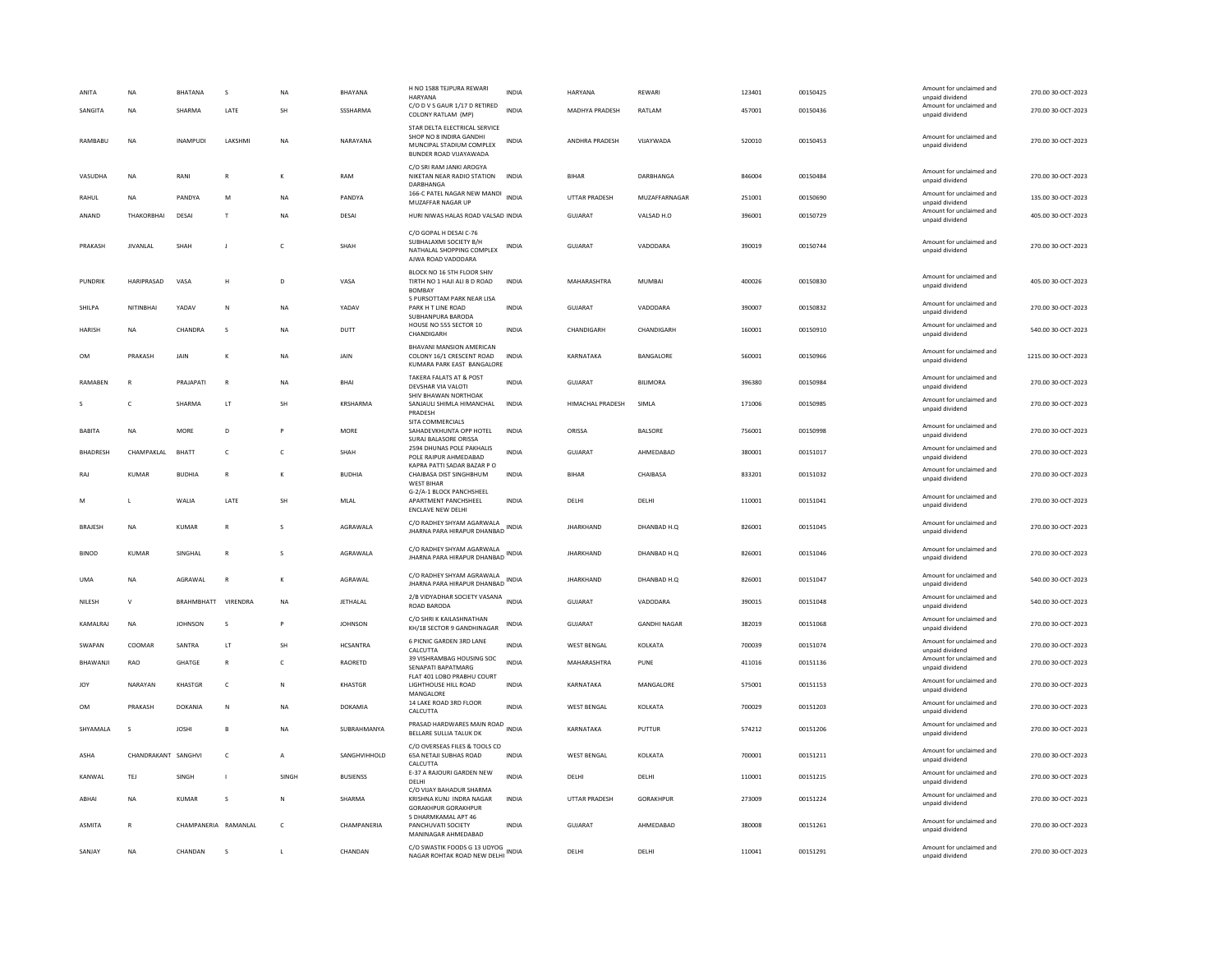| ANITA           | NA                  | BHATANA              | s               | NA             | BHAYANA         | H NO 1588 TEJPURA REWARI<br><b>HARYANA</b>                                                                     | INDIA        | HARYANA               | REWARI              | 123401 | 00150425 | Amount for unclaimed and<br>unpaid dividend | 270.00 30-OCT-2023  |
|-----------------|---------------------|----------------------|-----------------|----------------|-----------------|----------------------------------------------------------------------------------------------------------------|--------------|-----------------------|---------------------|--------|----------|---------------------------------------------|---------------------|
| SANGITA         | <b>NA</b>           | SHARMA               | LATE            | SH             | SSSHARMA        | C/O D V S GAUR 1/17 D RETIRED<br>COLONY RATLAM (MP)                                                            | <b>INDIA</b> | MADHYA PRADESH        | RATLAM              | 457001 | 00150436 | Amount for unclaimed and<br>unpaid dividend | 270.00 30-OCT-2023  |
| RAMBARU         | <b>NA</b>           | <b>INAMPUDI</b>      | <b>I AKSHMI</b> | <b>NA</b>      | NARAYANA        | STAR DELTA ELECTRICAL SERVICE<br>SHOP NO 8 INDIRA GANDHI<br>MUNCIPAL STADIUM COMPLEX<br>BUNDER ROAD VIJAYAWADA | <b>INDIA</b> | <b>ANDHRA PRADESH</b> | VIIAYWADA           | 520010 | 00150453 | Amount for unclaimed and<br>unpaid dividend | 270.00 30-OCT-2023  |
| VASUDHA         | NA                  | RANI                 |                 | K              | RAM             | C/O SRI RAM JANKI AROGYA<br>NIKETAN NEAR RADIO STATION<br>DARBHANGA                                            | INDIA        | BIHAR                 | DARBHANGA           | 846004 | 00150484 | Amount for unclaimed and<br>unpaid dividend | 270.00 30-OCT-2023  |
| RAHUL           | <b>NA</b>           | PANDYA               | M               | <b>NA</b>      | PANDYA          | 166-C PATEL NAGAR NEW MANDI<br>MUZAFFAR NAGAR UP                                                               | <b>INDIA</b> | <b>UTTAR PRADESH</b>  | MUZAFFARNAGAR       | 251001 | 00150690 | Amount for unclaimed and<br>unpaid dividend | 135.00 30-OCT-2023  |
| ANAND           | THAKORBHAI          | DESAI                | $\mathsf{T}$    | NA             | DESAI           | HURI NIWAS HALAS ROAD VALSAD INDIA                                                                             |              | GUJARAT               | VALSAD H.O          | 396001 | 00150729 | Amount for unclaimed and<br>unpaid dividend | 405.00 30-OCT-2023  |
| PRAKASH         | JIVANLAL            | SHAH                 | J               | $\mathsf{C}$   | SHAH            | C/O GOPAL H DESAI C-76<br>SUBHALAXMI SOCIETY B/H<br>NATHALAL SHOPPING COMPLEX<br>AJWA ROAD VADODARA            | INDIA        | GUJARAT               | VADODARA            | 390019 | 00150744 | Amount for unclaimed and<br>unpaid dividend | 270.00 30-OCT-2023  |
| PUNDRIK         | HARIPRASAD          | VASA                 | H               | D              | VASA            | BLOCK NO 16 5TH FLOOR SHIV<br>TIRTH NO 1 HAJI ALI B D ROAD<br>BOMBAY                                           | <b>INDIA</b> | MAHARASHTRA           | <b>MUMBAI</b>       | 400026 | 00150830 | Amount for unclaimed and<br>unpaid dividend | 405.00 30-OCT-2023  |
| SHILPA          | <b>NITINBHAI</b>    | YADAV                | $\mathbb{N}$    | <b>NA</b>      | YADAV           | 5 PURSOTTAM PARK NEAR LISA<br>PARK H T LINE ROAD<br>SUBHANPURA BARODA                                          | <b>INDIA</b> | <b>GUJARAT</b>        | VADODARA            | 390007 | 00150832 | Amount for unclaimed and<br>unpaid dividend | 270.00 30-OCT-2023  |
| HARISH          | NA                  | CHANDRA              | s               | NA             | DUTT            | HOUSE NO 555 SECTOR 10<br>CHANDIGARH                                                                           | <b>INDIA</b> | CHANDIGARH            | CHANDIGARH          | 160001 | 00150910 | Amount for unclaimed and<br>unpaid dividend | 540.00 30-OCT-2023  |
| OM              | PRAKASH             | JAIN                 |                 | NA             | JAIN            | <b>BHAVANI MANSION AMERICAN</b><br>COLONY 16/1 CRESCENT ROAD<br>KUMARA PARK EAST BANGALORE                     | INDIA        | KARNATAKA             | BANGALORE           | 560001 | 00150966 | Amount for unclaimed and<br>unpaid dividend | 1215.00 30-OCT-2023 |
| RAMABEN         | R                   | PRAJAPATI            | $\mathsf{R}$    | <b>NA</b>      | BHAI            | TAKERA FALATS AT & POST<br>DEVSHAR VIA VALOTI                                                                  | <b>INDIA</b> | <b>GUJARAT</b>        | <b>BILIMORA</b>     | 396380 | 00150984 | Amount for unclaimed and<br>unpaid dividend | 270.00 30-OCT-2023  |
|                 | $\mathfrak{c}$      | SHARMA               | LT.             | <b>SH</b>      | <b>KRSHARMA</b> | SHIV BHAWAN NORTHOAK<br>SANJAULI SHIMLA HIMANCHAL<br>PRADESH                                                   | <b>INDIA</b> | HIMACHAL PRADESH      | SIMI A              | 171006 | 00150985 | Amount for unclaimed and<br>unpaid dividend | 270.00 30-OCT-2023  |
| <b>BABITA</b>   | <b>NA</b>           | <b>MORE</b>          | D               |                | <b>MORE</b>     | SITA COMMERCIALS<br>SAHADEVKHUNTA OPP HOTEL<br>SURAJ BALASORE ORISSA                                           | <b>INDIA</b> | ORISSA                | <b>BALSORE</b>      | 756001 | 00150998 | Amount for unclaimed and<br>unpaid dividend | 270.00 30-OCT-2023  |
| <b>BHADRESH</b> | CHAMPAKLAL          | BHATT                | $\mathsf{C}$    | c              | SHAH            | 2594 DHUNAS POLE PAKHALIS<br>POLE RAIPUR AHMEDABAD                                                             | <b>INDIA</b> | GUJARAT               | AHMEDABAD           | 380001 | 00151017 | Amount for unclaimed and<br>unpaid dividend | 270.00 30-OCT-2023  |
| RAJ             | <b>KUMAR</b>        | <b>BUDHIA</b>        | R               | к              | <b>BUDHIA</b>   | KAPRA PATTI SADAR BAZAR P O<br>CHAIBASA DIST SINGHBHUM<br><b>WEST BIHAR</b>                                    | <b>INDIA</b> | <b>BIHAR</b>          | CHAIBASA            | 833201 | 00151032 | Amount for unclaimed and<br>unpaid dividend | 270.00 30-OCT-2023  |
| M               | ш                   | <b>WAIIA</b>         | LATE            | <b>SH</b>      | MI AI           | G-2/A-1 BLOCK PANCHSHEEL<br>APARTMENT PANCHSHEEL<br><b>ENCLAVE NEW DELHI</b>                                   | <b>INDIA</b> | DELHI                 | DELHI               | 110001 | 00151041 | Amount for unclaimed and<br>unpaid dividend | 270.00 30-OCT-2023  |
| <b>BRAJESH</b>  | NA                  | KUMAR                | $\mathsf{R}$    | s              | AGRAWALA        | C/O RADHEY SHYAM AGARWALA<br>JHARNA PARA HIRAPUR DHANBAD INDIA                                                 |              | <b>JHARKHAND</b>      | DHANBAD H.Q         | 826001 | 00151045 | Amount for unclaimed and<br>unpaid dividend | 270.00 30-OCT-2023  |
| <b>BINOD</b>    | KUMAR               | SINGHAL              |                 |                | AGRAWALA        | C/O RADHEY SHYAM AGARWALA<br>JHARNA PARA HIRAPUR DHANBAD                                                       | INDIA        | <b>JHARKHAND</b>      | DHANBAD H.Q         | 826001 | 00151046 | Amount for unclaimed and<br>unpaid dividend | 270.00 30-OCT-2023  |
| <b>UMA</b>      | <b>NA</b>           | AGRAWAL              |                 | K              | AGRAWAL         | C/O RADHEY SHYAM AGRAWALA<br>JHARNA PARA HIRAPUR DHANBAD                                                       | <b>INDIA</b> | <b>JHARKHAND</b>      | DHANBAD H.O.        | 826001 | 00151047 | Amount for unclaimed and<br>unpaid dividend | 540.00 30-OCT-2023  |
| NILESH          | $\mathsf{v}$        | <b>BRAHMBHATT</b>    | VIRENDRA        | <b>NA</b>      | <b>JETHALAL</b> | 2/B VIDYADHAR SOCIETY VASANA<br>ROAD BARODA                                                                    | <b>INDIA</b> | <b>GUJARAT</b>        | VADODARA            | 390015 | 00151048 | Amount for unclaimed and<br>unpaid dividend | 540.00 30-OCT-2023  |
| KAMALRAJ        | NA                  | <b>JOHNSON</b>       | s               | P              | <b>JOHNSON</b>  | C/O SHRI K KAILASHNATHAN<br>KH/18 SECTOR 9 GANDHINAGAR                                                         | INDIA        | GUJARAT               | <b>GANDHI NAGAR</b> | 382019 | 00151068 | Amount for unclaimed and<br>unpaid dividend | 270.00 30-OCT-2023  |
| SWAPAN          | COOMAR              | SANTRA               | LT              | SH             | <b>HCSANTRA</b> | 6 PICNIC GARDEN 3RD LANE<br>CALCUTTA                                                                           | <b>INDIA</b> | <b>WEST BENGAL</b>    | KOLKATA             | 700039 | 00151074 | Amount for unclaimed and<br>unpaid dividend | 270.00 30-OCT-2023  |
| BHAWANJI        | RAO                 | GHATGE               | $\mathsf{R}$    | $\mathsf{C}$   | RAORETD         | 39 VISHRAMBAG HOUSING SOC<br>SENAPATI BAPATMARG                                                                | <b>INDIA</b> | MAHARASHTRA           | PUNE                | 411016 | 00151136 | Amount for unclaimed and<br>unpaid dividend | 270.00 30-OCT-2023  |
| <b>JOY</b>      | NARAYAN             | KHASTGR              | $\mathsf{C}$    | N              | <b>KHASTGR</b>  | FLAT 401 LOBO PRABHU COURT<br>LIGHTHOUSE HILL ROAD<br>MANGALORE                                                | <b>INDIA</b> | KARNATAKA             | MANGALORE           | 575001 | 00151153 | Amount for unclaimed and<br>unpaid dividend | 270.00 30-OCT-2023  |
| OM              | PRAKASH             | <b>DOKANIA</b>       | N               | NA             | DOKAMIA         | 14 LAKE ROAD 3RD FLOOR<br>CALCUTTA                                                                             | <b>INDIA</b> | <b>WEST BENGAL</b>    | KOLKATA             | 700029 | 00151203 | Amount for unclaimed and<br>unpaid dividend | 270.00 30-OCT-2023  |
| SHYAMALA        | S                   | JOSHI                | $\mathbf{B}$    | NA             | SUBRAHMANYA     | PRASAD HARDWARES MAIN ROAD INDIA<br>BELLARE SULLIA TALUK DK                                                    |              | KARNATAKA             | PUTTUR              | 574212 | 00151206 | Amount for unclaimed and<br>unpaid dividend | 270.00 30-OCT-2023  |
| <b>ASHA</b>     | CHANDRAKANT SANGHVI |                      | $\mathsf{C}$    | $\overline{A}$ | SANGHVIHHOLD    | C/O OVERSEAS FILES & TOOLS CO<br>65A NETAJI SUBHAS ROAD<br>CALCUTTA                                            | <b>INDIA</b> | <b>WEST BENGAL</b>    | KOLKATA             | 700001 | 00151211 | Amount for unclaimed and<br>unpaid dividend | 270.00 30-OCT-2023  |
| KANWAL          | TEJ                 | SINGH                | $\mathbf{I}$    | SINGH          | <b>BUSIENSS</b> | E-37 A RAJOURI GARDEN NEW<br><b>DELHI</b>                                                                      | <b>INDIA</b> | DELHI                 | DELHI               | 110001 | 00151215 | Amount for unclaimed and<br>unpaid dividend | 270.00 30-OCT-2023  |
| ABHAI           | <b>NA</b>           | KUMAR                | $\mathbf{S}$    | N              | SHARMA          | C/O VIJAY BAHADUR SHARMA<br>KRISHNA KUNJ INDRA NAGAR<br><b>GORAKHPUR GORAKHPUR</b>                             | <b>INDIA</b> | <b>UTTAR PRADESH</b>  | GORAKHPUR           | 273009 | 00151224 | Amount for unclaimed and<br>unpaid dividend | 270.00 30-OCT-2023  |
| <b>ASMITA</b>   | R                   | CHAMPANERIA RAMANLAL |                 | $\mathsf{C}$   | CHAMPANERIA     | 5 DHARMKAMAL APT 46<br>PANCHUVATI SOCIETY<br>MANINAGAR AHMEDABAD                                               | <b>INDIA</b> | <b>GUJARAT</b>        | AHMEDABAD           | 380008 | 00151261 | Amount for unclaimed and<br>unpaid dividend | 270.00 30-OCT-2023  |
| SANJAY          | <b>NA</b>           | CHANDAN              | <b>S</b>        |                | CHANDAN         | C/O SWASTIK FOODS G 13 UDYOG<br>NAGAR ROHTAK ROAD NEW DELHI                                                    | <b>INDIA</b> | DELHI                 | DELHI               | 110041 | 00151291 | Amount for unclaimed and<br>unpaid dividend | 270.00 30-OCT-2023  |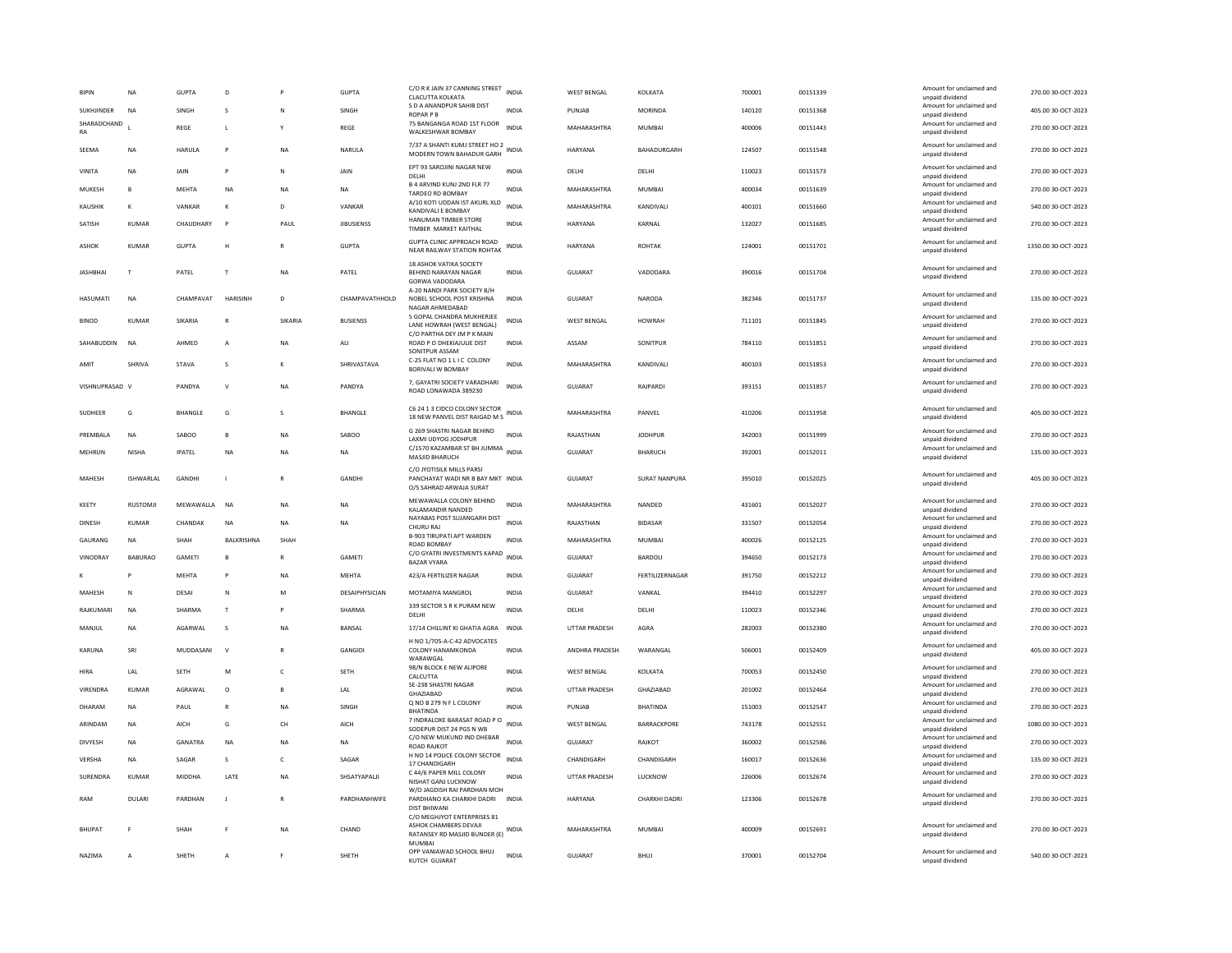| <b>BIPIN</b>      | NA              | GUPTA            | D               |              | <b>GUPTA</b>      | C/O R K JAIN 37 CANNING STREET<br>CLACUTTA KOLKATA                                        | <b>INDIA</b> | <b>WEST BENGAL</b>    | KOLKATA              | 700001 | 00151339 | Amount for unclaimed and<br>unnaid dividend                    | 270.00 30-OCT-2023  |
|-------------------|-----------------|------------------|-----------------|--------------|-------------------|-------------------------------------------------------------------------------------------|--------------|-----------------------|----------------------|--------|----------|----------------------------------------------------------------|---------------------|
| <b>SUKHJINDER</b> | <b>NA</b>       | SINGH            | s               | $\mathbb N$  | SINGH             | S D A ANANDPUR SAHIB DIST<br><b>ROPAR P B</b>                                             | <b>INDIA</b> | <b>PUNJAB</b>         | <b>MORINDA</b>       | 140120 | 00151368 | Amount for unclaimed and<br>unpaid dividend                    | 405.00 30-OCT-2023  |
| SHARADCHAND<br>RA |                 | REGE             | L               |              | <b>REGE</b>       | 75 BANGANGA ROAD 1ST FLOOR<br>WALKESHWAR BOMBAY                                           | <b>INDIA</b> | MAHARASHTRA           | <b>MUMBAI</b>        | 400006 | 00151443 | Amount for unclaimed and<br>unpaid dividend                    | 270.00 30-OCT-2023  |
| <b>SFFMA</b>      | <b>NA</b>       | <b>HARULA</b>    | P               | <b>NA</b>    | NARULA            | 7/37 A SHANTI KUMJ STREET HO 2<br>MODERN TOWN BAHADUR GARH                                | <b>INDIA</b> | <b>HARYANA</b>        | BAHADURGARH          | 124507 | 00151548 | Amount for unclaimed and<br>unpaid dividend                    | 270.00 30-OCT-2023  |
| VINITA            | NA              | JAIN             | P               | $\mathsf{N}$ | JAIN              | EPT 93 SAROJINI NAGAR NEW<br>DELHI                                                        | <b>INDIA</b> | DELHI                 | DELHI                | 110023 | 00151573 | Amount for unclaimed and<br>unpaid dividend                    | 270.00 30-OCT-2023  |
| MUKESH            | $\mathbf{B}$    | MFHTA            | <b>NA</b>       | <b>NA</b>    | <b>NA</b>         | <b>B 4 ARVIND KUNJ 2ND FLR 77</b><br>TARDEO RD BOMBAY                                     | <b>INDIA</b> | MAHARASHTRA           | MUMBAI               | 400034 | 00151639 | Amount for unclaimed and<br>unpaid dividend                    | 270.00 30-OCT-2023  |
| KAUSHIK           | $\kappa$        | VANKAR           | К               | $\mathbf{D}$ | VANKAR            | A/10 KOTI UDDAN IST AKURL XLD<br>KANDIVALI E BOMBAY                                       | <b>INDIA</b> | MAHARASHTRA           | KANDIVALI            | 400101 | 00151660 | Amount for unclaimed and<br>unpaid dividend                    | 540.00 30-OCT-2023  |
| SATISH            | KUMAR           | <b>CHAUDHARY</b> | $\mathsf{P}$    | PAUL         | <b>JIBUSIENSS</b> | HANUMAN TIMBER STORE<br>TIMBER MARKET KAITHAL                                             | <b>INDIA</b> | HARYANA               | KARNAL               | 132027 | 00151685 | Amount for unclaimed and<br>unpaid dividend                    | 270.00 30-OCT-2023  |
| <b>ASHOK</b>      | KUMAR           | <b>GUPTA</b>     | H               | $\mathbb{R}$ | <b>GUPTA</b>      | GUPTA CLINIC APPROACH ROAD<br>NEAR RAILWAY STATION ROHTAK                                 | <b>INDIA</b> | HARYANA               | <b>ROHTAK</b>        | 124001 | 00151701 | Amount for unclaimed and<br>unpaid dividend                    | 1350.00 30-OCT-2023 |
| <b>IASHRHAI</b>   | T               | PATFI            | T               | <b>NA</b>    | PATFI             | 18 ASHOK VATIKA SOCIETY<br><b>BEHIND NARAYAN NAGAR</b><br>GORWA VADODARA                  | <b>INDIA</b> | GUIARAT               | VADODARA             | 390016 | 00151704 | Amount for unclaimed and<br>unpaid dividend                    | 270.00 30-QCT-2023  |
| <b>HASUMATI</b>   | <b>NA</b>       | CHAMPAVAT        | <b>HARISINH</b> | $\mathsf{D}$ | CHAMPAVATHHOLD    | A-20 NANDI PARK SOCIETY B/H<br>NOBEL SCHOOL POST KRISHNA<br>NAGAR AHMEDABAD               | <b>INDIA</b> | GUIARAT               | NARODA               | 382346 | 00151737 | Amount for unclaimed and<br>unpaid dividend                    | 135.00 30-OCT-2023  |
| <b>BINOD</b>      | <b>KUMAR</b>    | SIKARIA          | $\overline{R}$  | SIKARIA      | <b>BUSIENSS</b>   | 5 GOPAL CHANDRA MUKHERJEE<br>LANE HOWRAH (WEST BENGAL)<br>C/O PARTHA DEY JM P K MAIN      | <b>INDIA</b> | <b>WEST BENGAL</b>    | <b>HOWRAH</b>        | 711101 | 00151845 | Amount for unclaimed and<br>unpaid dividend                    | 270.00 30-OCT-2023  |
| SAHABUDDIN        | <b>NA</b>       | <b>AHMED</b>     | A               | <b>NA</b>    | AII               | ROAD P O DHEKIAJULIE DIST<br>SONITPUR ASSAM                                               | <b>INDIA</b> | ASSAM                 | SONITPUR             | 784110 | 00151851 | Amount for unclaimed and<br>unpaid dividend                    | 270.00 30-OCT-2023  |
| AMIT              | SHRIVA          | STAVA            | s               |              | SHRIVASTAVA       | C-25 FLAT NO 1 L I C COLONY<br>BORIVALI W BOMBAY                                          | <b>INDIA</b> | MAHARASHTRA           | KANDIVALI            | 400103 | 00151853 | Amount for unclaimed and<br>unpaid dividend                    | 270.00 30-OCT-2023  |
| VISHNUPRASAD V    |                 | PANDYA           | V               | <b>NA</b>    | PANDYA            | 7, GAYATRI SOCIETY VARADHARI<br>ROAD LONAWADA 389230                                      | <b>INDIA</b> | GUJARAT               | RAJPARDI             | 393151 | 00151857 | Amount for unclaimed and<br>unpaid dividend                    | 270.00 30-OCT-2023  |
| SUDHEER           | G               | <b>BHANGLE</b>   | G               | s            | <b>BHANGLE</b>    | C6 24 1 3 CIDCO COLONY SECTOR<br>18 NEW PANVEL DIST RAIGAD M S                            | <b>INDIA</b> | MAHARASHTRA           | PANVEL               | 410206 | 00151958 | Amount for unclaimed and<br>unpaid dividend                    | 405.00 30-OCT-2023  |
| PREMBALA          | <b>NA</b>       | SAROO            | $\mathbf{B}$    | <b>NA</b>    | SAROO             | G 269 SHASTRI NAGAR BEHIND<br>LAXMI UDYOG JODHPUR                                         | <b>INDIA</b> | RAJASTHAN             | <b>IODHPUR</b>       | 342003 | 00151999 | Amount for unclaimed and<br>unpaid dividend                    | 270.00 30-OCT-2023  |
| MEHRUN            | <b>NISHA</b>    | <b>IPATFI</b>    | <b>NA</b>       | <b>NA</b>    | <b>NA</b>         | C/1570 KAZAMBAR ST BH JUMMA<br>MASJID BHARUCH                                             | <b>INDIA</b> | GUIARAT               | <b>BHARUCH</b>       | 392001 | 00152011 | Amount for unclaimed and<br>unpaid dividend                    | 135.00 30-OCT-2023  |
| <b>MAHFSH</b>     | ISHWARI AI      | <b>GANDHI</b>    | $\mathbf{I}$    | $\mathbb{R}$ | <b>GANDHI</b>     | C/O JYOTISILK MILLS PARSI<br>PANCHAYAT WADI NR B BAY MKT INDIA<br>O/S SAHRAD ARWAJA SURAT |              | GUIARAT               | <b>SURAT NANPURA</b> | 395010 | 00152025 | Amount for unclaimed and<br>unpaid dividend                    | 405.00 30-OCT-2023  |
| KEETY             | <b>RUSTOMJI</b> | MEWAWALLA        | <b>NA</b>       | <b>NA</b>    | <b>NA</b>         | MEWAWALLA COLONY BEHIND<br>KALAMANDIR NANDED                                              | <b>INDIA</b> | MAHARASHTRA           | NANDED               | 431601 | 00152027 | Amount for unclaimed and<br>unpaid dividend                    | 270.00 30-OCT-2023  |
| <b>DINESH</b>     | <b>KUMAR</b>    | CHANDAK          | <b>NA</b>       | <b>NA</b>    | <b>NA</b>         | NAYABAS POST SUJANGARH DIST<br>CHURU RA                                                   | <b>INDIA</b> | RAJASTHAN             | <b>BIDASAR</b>       | 331507 | 00152054 | Amount for unclaimed and<br>unpaid dividend                    | 270.00 30-OCT-2023  |
| GAURANG           | <b>NA</b>       | <b>SHAH</b>      | BALKRISHNA      | SHAH         |                   | B-903 TIRUPATI APT WARDEN<br>ROAD BOMBAY                                                  | INDIA        | MAHARASHTRA           | <b>MUMBAI</b>        | 400026 | 00152125 | Amount for unclaimed and<br>unpaid dividend                    | 270.00 30-OCT-2023  |
| VINODRAY          | <b>BABURAO</b>  | GAMETI           | B               | $\mathbb{R}$ | GAMETI            | C/O GYATRI INVESTMENTS KAPAD<br><b>BAZAR VYARA</b>                                        | <b>INDIA</b> | <b>GUJARAT</b>        | BARDOLI              | 394650 | 00152173 | Amount for unclaimed and<br>unpaid dividend                    | 270.00 30-OCT-2023  |
|                   | <b>P</b>        | <b>MEHTA</b>     | P               | <b>NA</b>    | <b>MEHTA</b>      | 423/A FERTILIZER NAGAR                                                                    | <b>INDIA</b> | <b>GUJARAT</b>        | FERTILIZERNAGAR      | 391750 | 00152212 | Amount for unclaimed and                                       | 270.00 30-OCT-2023  |
| MAHESH            | $\mathbf N$     | DESAI            | N               | M            | DESAIPHYSICIAN    | MOTAMIYA MANGROL                                                                          | <b>INDIA</b> | <b>GUJARAT</b>        | VANKAL               | 394410 | 00152297 | unpaid dividend<br>Amount for unclaimed and                    | 270.00 30-OCT-2023  |
| RAJKUMARI         | NA              | SHARMA           | T               | P            | SHARMA            | 339 SECTOR 5 R K PURAM NEW                                                                | <b>INDIA</b> | DELHI                 | DELHI                | 110023 | 00152346 | unpaid dividend<br>Amount for unclaimed and                    | 270.00 30-OCT-2023  |
|                   |                 |                  |                 |              |                   | DELHI                                                                                     |              |                       |                      |        |          | unpaid dividend<br>Amount for unclaimed and                    |                     |
| MANIUL            | <b>NA</b>       | AGARWAI          | <sub>S</sub>    | <b>NA</b>    | <b>BANSAL</b>     | 17/14 CHILLINT KI GHATIA AGRA<br>H NO 1/705-A-C-42 ADVOCATES                              | <b>INDIA</b> | <b>UTTAR PRADESH</b>  | AGRA                 | 282003 | 00152380 | unpaid dividend                                                | 270.00 30-OCT-2023  |
| KARUNA            | SRI             | MUDDASANI        | V               |              | <b>GANGIDI</b>    | COLONY HANAMKONDA<br>WARAWGAL                                                             | <b>INDIA</b> | <b>ANDHRA PRADESH</b> | WARANGAL             | 506001 | 00152409 | Amount for unclaimed and<br>unpaid dividend                    | 405.00 30-OCT-2023  |
| <b>HIRA</b>       | I AI            | <b>SFTH</b>      | M               | $\epsilon$   | SETH              | 98/N BLOCK E NEW ALIPORE<br>CALCUTTA                                                      | <b>INDIA</b> | <b>WEST BENGAL</b>    | KOLKATA              | 700053 | 00152450 | Amount for unclaimed and<br>unpaid dividend                    | 270.00 30-OCT-2023  |
| VIRENDRA          | KUMAR           | AGRAWAL          | $\circ$         | B            | LAL               | SE-238 SHASTRI NAGAR<br>GHAZIABAD                                                         | <b>INDIA</b> | <b>UTTAR PRADESH</b>  | GHAZIABAD            | 201002 | 00152464 | Amount for unclaimed and<br>unpaid dividend                    | 270.00 30-OCT-2023  |
| DHARAM            | NA              | PAUL             | $\mathsf{R}$    | <b>NA</b>    | SINGH             | Q NO B 279 N F L COLONY<br><b>RHATINDA</b>                                                | INDIA        | PUNJAB                | <b>BHATINDA</b>      | 151003 | 00152547 | Amount for unclaimed and<br>unpaid dividend                    | 270.00 30-OCT-2023  |
| ARINDAM           | <b>NA</b>       | AICH             | G               | CH           | AICH              | 7 INDRALOKE BARASAT ROAD PO<br>SODEPUR DIST 24 PGS N WB                                   | <b>INDIA</b> | <b>WEST BENGAL</b>    | BARRACKPORE          | 743178 | 00152551 | Amount for unclaimed and<br>unpaid dividend                    | 1080.00 30-OCT-2023 |
| <b>DIVYESH</b>    | <b>NA</b>       | GANATRA          | <b>NA</b>       | <b>NA</b>    | <b>NA</b>         | C/O NEW MUKUND IND DHEBAR<br>ROAD RAJKOT                                                  | <b>INDIA</b> | <b>GUJARAT</b>        | RAJKOT               | 360002 | 00152586 | Amount for unclaimed and                                       | 270.00 30-OCT-2023  |
| VERSHA            | <b>NA</b>       | SAGAR            | s               | $\mathsf{C}$ | SAGAR             | H NO 14 POLICE COLONY SECTOR                                                              | <b>INDIA</b> | CHANDIGARH            | CHANDIGARH           | 160017 | 00152636 | unpaid dividend<br>Amount for unclaimed and                    | 135.00 30-OCT-2023  |
| SURENDRA          | <b>KUMAR</b>    | <b>MIDDHA</b>    | LATE            | <b>NA</b>    | SHSATYAPALII      | 17 CHANDIGARH<br>C 44/6 PAPER MILL COLONY<br>NISHAT GANJ LUCKNOW                          | <b>INDIA</b> | UTTAR PRADESH         | LUCKNOW              | 226006 | 00152674 | unpaid dividend<br>Amount for unclaimed and<br>unpaid dividend | 270.00 30-OCT-2023  |
| RAM               | <b>DULARI</b>   | PARDHAN          | J               | $\mathbb{R}$ | PARDHANHWIFE      | W/O JAGDISH RAI PARDHAN MOH<br>PARDHANO KA CHARKHI DADRI INDIA<br><b>DIST BHIWANI</b>     |              | HARYANA               | <b>CHARKHI DADRI</b> | 123306 | 00152678 | Amount for unclaimed and<br>unpaid dividend                    | 270.00 30-OCT-2023  |
| <b>BHUPAT</b>     |                 | SHAH             |                 | <b>NA</b>    | CHAND             | C/O MEGHJYOT ENTERPRISES 81<br>ASHOK CHAMBERS DEVAJI<br>RATANSEY RD MASJID BUNDER (E)     | <b>INDIA</b> | MAHARASHTRA           | <b>MUMBAI</b>        | 400009 | 00152691 | Amount for unclaimed and<br>unpaid dividend                    | 270.00 30-OCT-2023  |
| NAZIMA            | A               | SHETH            | A               |              | SHETH             | MUMBA<br>OPP VANIAWAD SCHOOL BHUJ<br>KUTCH GUJARAT                                        | <b>INDIA</b> | GUJARAT               | BHUJ                 | 370001 | 00152704 | Amount for unclaimed and<br>unpaid dividend                    | 540.00 30-OCT-2023  |
|                   |                 |                  |                 |              |                   |                                                                                           |              |                       |                      |        |          |                                                                |                     |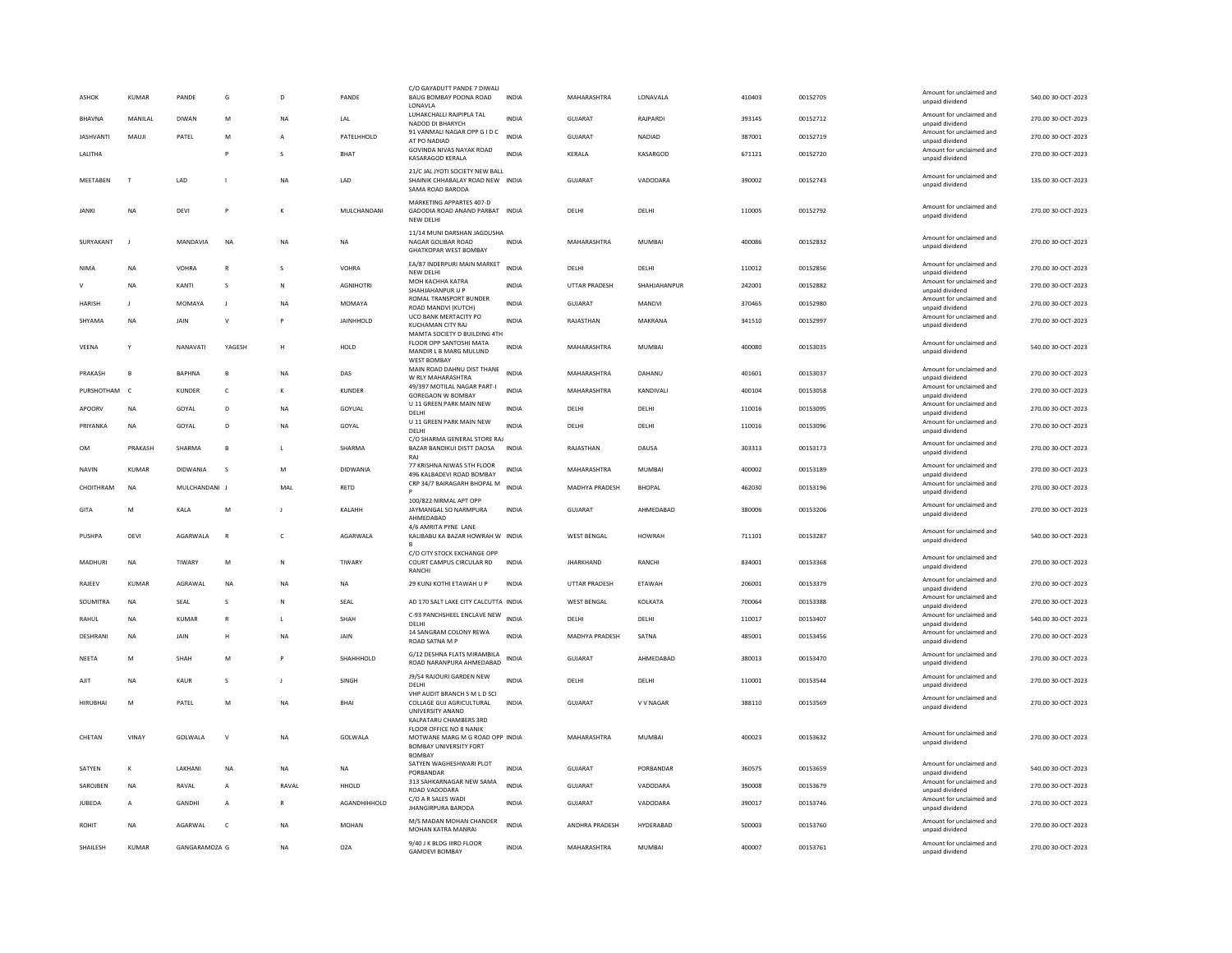| ASHOK            | <b>KUMAR</b>   | PANDE           | G            | $\overline{D}$ | PANDE            | C/O GAYADUTT PANDE 7 DIWALI<br>BAUG BOMBAY POONA ROAD<br>LONAVLA                                             | <b>INDIA</b> | MAHARASHTRA        | LONAVALA      | 410403 | 00152705 | Amount for unclaimed and<br>unpaid dividend | 540.00 30-OCT-2023 |
|------------------|----------------|-----------------|--------------|----------------|------------------|--------------------------------------------------------------------------------------------------------------|--------------|--------------------|---------------|--------|----------|---------------------------------------------|--------------------|
| <b>BHAVNA</b>    | MANILAL        | <b>DIWAN</b>    | M            | <b>NA</b>      | LAL              | LUHAKCHALLI RAJPIPLA TAL                                                                                     | <b>INDIA</b> | <b>GUJARAT</b>     | RAJPARDI      | 393145 | 00152712 | Amount for unclaimed and                    | 270.00 30-OCT-2023 |
| <b>IASHVANTI</b> | MAUIL          | PATEL           | M            |                | PATFLHHOLD       | NADOD DI BHARYCH<br>91 VANMALI NAGAR OPP G I D C                                                             | <b>INDIA</b> | GUIARAT            | <b>NADIAD</b> | 387001 | 00152719 | hnebivib bisonu<br>Amount for unclaimed and | 270.00 30-QCT-2023 |
|                  |                |                 |              |                |                  | AT PO NADIAD<br>GOVINDA NIVAS NAYAK ROAD                                                                     |              |                    |               |        |          | unpaid dividend<br>Amount for unclaimed and |                    |
| LALITHA          |                |                 | P            | $\mathbf{S}$   | BHAT             | KASARAGOD KERALA                                                                                             | INDIA        | KERALA             | KASARGOD      | 671121 | 00152720 | unpaid dividend                             | 270.00 30-OCT-2023 |
| MEETABEN         | $\mathsf{T}$   | LAD             |              | <b>NA</b>      | LAD              | 21/C JAL JYOTI SOCIETY NEW BALL<br>SHAINIK CHHABALAY ROAD NEW INDIA<br>SAMA ROAD BARODA                      |              | <b>GUJARAT</b>     | VADODARA      | 390002 | 00152743 | Amount for unclaimed and<br>unpaid dividend | 135.00 30-OCT-2023 |
| <b>JANKI</b>     | <b>NA</b>      | DEVI            | F            |                | MULCHANDANI      | MARKETING APPARTES 407-D<br>GADODIA ROAD ANAND PARBAT INDIA<br>NEW DELHI                                     |              | DELHI              | DELHI         | 110005 | 00152792 | Amount for unclaimed and<br>unpaid dividend | 270.00 30-OCT-2023 |
| SURYAKANT        | $\mathbf{J}$   | MANDAVIA        | <b>NA</b>    | <b>NA</b>      | <b>NA</b>        | 11/14 MUNI DARSHAN JAGDUSHA<br>NAGAR GOLIBAR ROAD<br><b>GHATKOPAR WEST BOMBAY</b>                            | <b>INDIA</b> | MAHARASHTRA        | MUMBAI        | 400086 | 00152832 | Amount for unclaimed and<br>unpaid dividend | 270.00 30-OCT-2023 |
| <b>NIMA</b>      | <b>NA</b>      | VOHRA           | $\mathbb{R}$ | $\mathbf{S}$   | VOHRA            | EA/87 INDERPURI MAIN MARKET<br>NEW DELHI                                                                     | <b>INDIA</b> | DELHI              | DELHI         | 110012 | 00152856 | Amount for unclaimed and<br>unpaid dividend | 270.00 30-OCT-2023 |
| $\mathsf{v}$     | <b>NA</b>      | KANTI           | s            | $\mathbb{N}$   | <b>AGNIHOTRI</b> | MOH KACHHA KATRA<br>SHAHJAHANPUR U P                                                                         | <b>INDIA</b> | UTTAR PRADESH      | SHAHJAHANPUR  | 242001 | 00152882 | Amount for unclaimed and<br>unpaid dividend | 270.00 30-OCT-2023 |
| HARISH           |                | MOMAYA          | J            | <b>NA</b>      | MOMAYA           | <b>ROMAL TRANSPORT BUNDER</b>                                                                                | INDIA        | GUJARAT            | MANDVI        | 370465 | 00152980 | Amount for unclaimed and                    | 270.00 30-OCT-2023 |
| SHYAMA           | <b>NA</b>      | JAIN            | $\vee$       |                | <b>JAINHHOLD</b> | ROAD MANDVI (KUTCH)<br>UCO BANK MERTACITY PO                                                                 | INDIA        | RAJASTHAN          | MAKRANA       | 341510 | 00152997 | unpaid dividend<br>Amount for unclaimed and | 270.00 30-OCT-2023 |
|                  |                |                 |              |                |                  | KUCHAMAN CITY RAJ<br>MAMTA SOCIETY D BUILDING 4TH                                                            |              |                    |               |        |          | unpaid dividend                             |                    |
| VEENA            | Y              | NANAVATI        | YAGESH       | H              | HOLD             | FLOOR OPP SANTOSHI MATA<br>MANDIR L B MARG MULUND                                                            | <b>INDIA</b> | MAHARASHTRA        | <b>MUMBAI</b> | 400080 | 00153035 | Amount for unclaimed and<br>unpaid dividend | 540.00 30-OCT-2023 |
|                  |                |                 |              |                |                  | <b>WEST BOMBAY</b>                                                                                           |              |                    |               |        |          |                                             |                    |
| PRAKASH          | $\overline{B}$ | <b>BAPHNA</b>   | в            | <b>NA</b>      | DAS              | MAIN ROAD DAHNU DIST THANE<br>W RLY MAHARASHTRA                                                              | <b>INDIA</b> | MAHARASHTRA        | DAHANU        | 401601 | 00153037 | Amount for unclaimed and<br>unpaid dividend | 270.00 30-OCT-2023 |
| PURSHOTHAM       | $\mathsf{C}$   | <b>KUNDER</b>   | $\mathsf{C}$ |                | <b>KUNDER</b>    | 49/397 MOTILAL NAGAR PART-I<br>GOREGAON W BOMBAY                                                             | INDIA        | MAHARASHTRA        | KANDIVALI     | 400104 | 00153058 | Amount for unclaimed and<br>unpaid dividend | 270.00 30-OCT-2023 |
| APOORV           | <b>NA</b>      | GOYAL           | D            | <b>NA</b>      | GOYUAL           | U 11 GREEN PARK MAIN NEW<br>DELHI                                                                            | <b>INDIA</b> | DELHI              | DELHI         | 110016 | 00153095 | Amount for unclaimed and<br>unpaid dividend | 270.00 30-OCT-2023 |
| PRIYANKA         | <b>NA</b>      | GOYAL           | D.           | <b>NA</b>      | GOYAL            | U 11 GREEN PARK MAIN NEW<br>DELHI                                                                            | <b>INDIA</b> | DELHI              | DELHI         | 110016 | 00153096 | Amount for unclaimed and<br>unpaid dividend | 270.00 30-OCT-2023 |
|                  |                |                 |              |                |                  | C/O SHARMA GENERAL STORE RAJ                                                                                 |              |                    |               |        |          | Amount for unclaimed and                    |                    |
| <b>OM</b>        | PRAKASH        | SHARMA          | B            | L.             | SHARMA           | BAZAR BANDIKUI DISTT DAOSA<br>RAI                                                                            | <b>INDIA</b> | RAJASTHAN          | DAUSA         | 303313 | 00153173 | unpaid dividend                             | 270.00 30-OCT-2023 |
| <b>NAVIN</b>     | <b>KUMAR</b>   | <b>DIDWANIA</b> | s            | M              | <b>DIDWANIA</b>  | 77 KRISHNA NIWAS 5TH FLOOR<br>496 KALBADEVI ROAD BOMBAY                                                      | INDIA        | MAHARASHTRA        | MUMBAI        | 400002 | 00153189 | Amount for unclaimed and<br>unpaid dividend | 270.00 30-OCT-2023 |
| CHOITHRAM        | <b>NA</b>      | MUICHANDANI I   |              | MAI            | <b>RFTD</b>      | CRP 34/7 BAIRAGARH BHOPAL M                                                                                  | <b>INDIA</b> | MADHYA PRADESH     | <b>BHOPAL</b> | 462030 | 00153196 | Amount for unclaimed and<br>unpaid dividend | 270.00 30-QCT-2023 |
|                  |                |                 |              |                |                  | 100/822 NIRMAL APT OPP                                                                                       |              |                    |               |        |          | Amount for unclaimed and                    |                    |
| GIT/             | M              | KALA            | M            |                | KALAHH           | JAYMANGAL SO NARMPURA<br>AHMEDABAD                                                                           | INDIA        | GUJARAT            | AHMEDABAD     | 380006 | 00153206 | unpaid dividend                             | 270.00 30-OCT-2023 |
| PUSHPA           | <b>DEVI</b>    | AGARWALA        | $\mathbb{R}$ | c              | AGARWALA         | 4/6 AMRITA PYNE LANE<br>KALIBABU KA BAZAR HOWRAH W INDIA                                                     |              | <b>WEST BENGAL</b> | <b>HOWRAH</b> | 711101 | 00153287 | Amount for unclaimed and<br>unpaid dividend | 540.00 30-OCT-2023 |
| MADHURI          | <b>NA</b>      | TIWARY          | M            | N              | TIWARY           | C/O CITY STOCK EXCHANGE OPP<br>COURT CAMPUS CIRCULAR RD<br>RANCH                                             | <b>INDIA</b> | <b>IHARKHAND</b>   | RANCHI        | 834001 | 00153368 | Amount for unclaimed and<br>unpaid dividend | 270.00 30-OCT-2023 |
| RAJEEV           | KUMAR          | AGRAWAL         | NA           | <b>NA</b>      | NA               | 29 KUNJ KOTHI ETAWAH U P                                                                                     | INDIA        | UTTAR PRADESH      | ETAWAH        | 206001 | 00153379 | Amount for unclaimed and<br>unpaid dividend | 270.00 30-OCT-2023 |
| SOUMITRA         | <b>NA</b>      | SEAL            | s            | N              | SEAL             | AD 170 SALT LAKE CITY CALCUTTA INDIA                                                                         |              | <b>WEST BENGAL</b> | KOLKATA       | 700064 | 00153388 | Amount for unclaimed and<br>unpaid dividend | 270.00 30-OCT-2023 |
| RAHUL            | <b>NA</b>      | <b>KUMAR</b>    | $\mathbb{R}$ | л.             | SHAH             | C-93 PANCHSHEEL ENCLAVE NEW                                                                                  | <b>INDIA</b> | DELHI              | DELHI         | 110017 | 00153407 | Amount for unclaimed and                    | 540.00 30-OCT-2023 |
| DESHRANI         | NA             | JAIN            | Н            | <b>NA</b>      | JAIN             | DELHI<br>14 SANGRAM COLONY REWA                                                                              | <b>INDIA</b> | MADHYA PRADESH     | SATNA         | 485001 | 00153456 | unpaid dividend<br>Amount for unclaimed and | 270.00 30-OCT-2023 |
|                  |                |                 |              |                |                  | ROAD SATNA M                                                                                                 |              |                    |               |        |          | unpaid dividend                             |                    |
| NEETA            | M              | SHAH            | M            |                | SHAHHHOLD        | G/12 DESHNA FLATS MIRAMBILA<br>ROAD NARANPURA AHMEDABAD                                                      | <b>INDIA</b> | <b>GUJARAT</b>     | AHMEDABAD     | 380013 | 00153470 | Amount for unclaimed and<br>unpaid dividend | 270.00 30-OCT-2023 |
| AJIT             | <b>NA</b>      | <b>KAUR</b>     | <sub>S</sub> | J.             | SINGH            | J9/54 RAJOURI GARDEN NEW<br>DELHI                                                                            | <b>INDIA</b> | DELHI              | DELHI         | 110001 | 00153544 | Amount for unclaimed and<br>unpaid dividend | 270.00 30-OCT-2023 |
| <b>HIRUBHA</b>   | M              | PATEL           | M            | <b>NA</b>      | BHAI             | VHP AUDIT BRANCH S M L D SCI<br>COLLAGE GUJ AGRICULTURAL                                                     | <b>INDIA</b> | <b>GUJARAT</b>     | V V NAGAR     | 388110 | 00153569 | Amount for unclaimed and<br>unpaid dividend | 270.00 30-OCT-2023 |
|                  |                |                 |              |                |                  | UNIVERSITY ANAND<br>KAI PATARU CHAMBERS 3RD                                                                  |              |                    |               |        |          |                                             |                    |
| CHETAN           | VINAY          | GOLWALA         | $\vee$       | <b>NA</b>      | GOLWALA          | FLOOR OFFICE NO 8 NANIK<br>MOTWANE MARG M G ROAD OPP INDIA<br><b>BOMBAY UNIVERSITY FORT</b><br><b>BOMBAY</b> |              | MAHARASHTRA        | <b>MUMBAI</b> | 400023 | 00153632 | Amount for unclaimed and<br>unpaid dividend | 270.00 30-OCT-2023 |
| SATYEN           | К              | LAKHANI         | <b>NA</b>    | <b>NA</b>      | <b>NA</b>        | SATYEN WAGHESHWARI PLOT                                                                                      | INDIA        | GUJARAT            | PORBANDAR     | 360575 | 00153659 | Amount for unclaimed and                    | 540.00 30-OCT-2023 |
| SAROJBEN         | <b>NA</b>      | RAVAL           | A            | RAVAL          | <b>HHOLD</b>     | PORBANDAR<br>313 SAHKARNAGAR NEW SAMA                                                                        | <b>INDIA</b> | <b>GUJARAT</b>     | VADODARA      | 390008 | 00153679 | unpaid dividend<br>Amount for unclaimed and | 270.00 30-OCT-2023 |
| JUBEDA           | A              | GANDHI          | A            |                | AGANDHIHHOLD     | ROAD VADODARA<br>C/O A R SALES WADI                                                                          | INDIA        | GUJARAT            | VADODARA      | 390017 | 00153746 | unpaid dividend<br>Amount for unclaimed and | 270.00 30-OCT-2023 |
|                  |                |                 |              |                |                  | <b>JHANGIRPURA BARODA</b>                                                                                    |              |                    |               |        |          | unpaid dividend                             |                    |
| <b>ROHIT</b>     | <b>NA</b>      | AGARWAL         | c            | <b>NA</b>      | <b>MOHAN</b>     | M/S MADAN MOHAN CHANDER<br>MOHAN KATRA MANRA                                                                 | <b>INDIA</b> | ANDHRA PRADESH     | HYDERABAD     | 500003 | 00153760 | Amount for unclaimed and<br>unpaid dividend | 270.00 30-OCT-2023 |
| SHAILESH         | <b>KUMAR</b>   | GANGARAMOZA G   |              | <b>NA</b>      | <b>OZA</b>       | 9/40 J K BLDG IIIRD FLOOR<br><b>GAMDEVI BOMBAY</b>                                                           | <b>INDIA</b> | MAHARASHTRA        | <b>MUMBAI</b> | 400007 | 00153761 | Amount for unclaimed and<br>unpaid dividend | 270.00 30-OCT-2023 |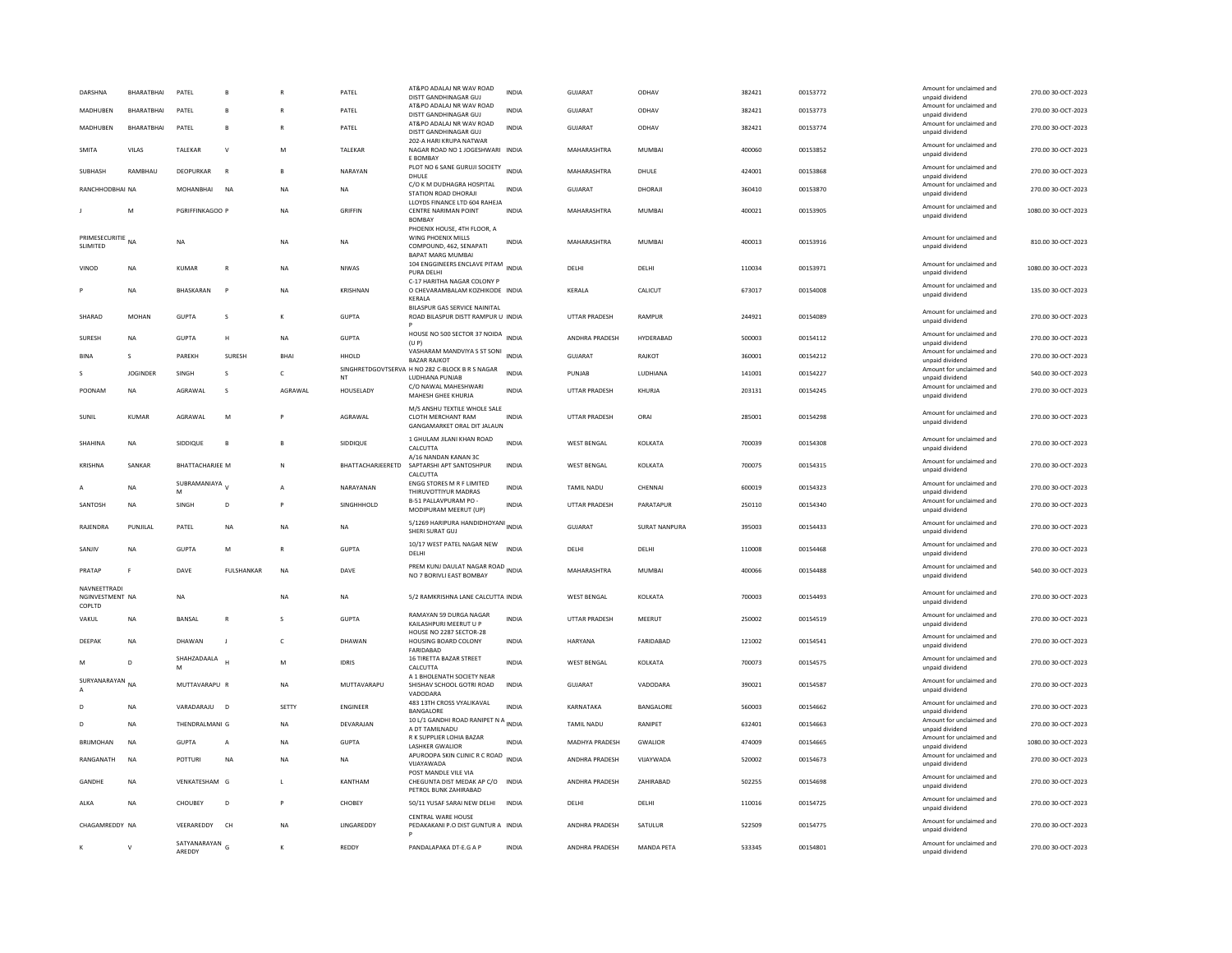| DARSHNA                                   | BHARATBHAI      | PATEL                    | B                 |                | PATEL             | AT&PO ADALAJ NR WAV ROAD<br>DISTT GANDHINAGAR GUI                                                        | <b>INDIA</b> | GUJARAT              | ODHAV             | 382421 | 00153772 | Amount for unclaimed and<br>unpaid dividend | 270.00 30-OCT-2023  |
|-------------------------------------------|-----------------|--------------------------|-------------------|----------------|-------------------|----------------------------------------------------------------------------------------------------------|--------------|----------------------|-------------------|--------|----------|---------------------------------------------|---------------------|
| MADHUREN                                  | RHARATRHAI      | PATEL                    | B                 | R              | PATEL             | AT&PO ADALAJ NR WAV ROAD<br>DISTT GANDHINAGAR GUJ                                                        | <b>INDIA</b> | GUIARAT              | ODHAV             | 382421 | 00153773 | Amount for unclaimed and<br>unpaid dividend | 270.00 30-OCT-2023  |
| MADHUBEN                                  | BHARATBHAI      | PATEL                    | B                 |                | PATEL             | AT&PO ADALAJ NR WAV ROAD<br>DISTT GANDHINAGAR GUJ                                                        | <b>INDIA</b> | <b>GUJARAT</b>       | ODHAV             | 382421 | 00153774 | Amount for unclaimed and<br>unpaid dividend | 270.00 30-OCT-2023  |
| SMITA                                     | VILAS           | TALEKAR                  | v                 | M              | TALEKAR           | 202-A HARI KRUPA NATWAR<br>NAGAR ROAD NO 1 JOGESHWARI INDIA                                              |              | MAHARASHTRA          | MUMBAI            | 400060 | 00153852 | Amount for unclaimed and                    | 270.00 30-OCT-2023  |
|                                           |                 |                          |                   |                |                   | E BOMBAY<br>PLOT NO 6 SANE GURUJI SOCIETY                                                                |              |                      |                   |        |          | unpaid dividend<br>Amount for unclaimed and |                     |
| SUBHASH                                   | RAMBHAU         | DEOPURKAR                | $\overline{R}$    | <b>B</b>       | NARAYAN           | DHULE<br>C/O K M DUDHAGRA HOSPITAL                                                                       | <b>INDIA</b> | MAHARASHTRA          | DHULE             | 424001 | 00153868 | unpaid dividend<br>Amount for unclaimed and | 270.00 30-OCT-2023  |
| RANCHHODBHAI NA                           |                 | <b>MOHANBHAI</b>         | <b>NA</b>         | <b>NA</b>      | <b>NA</b>         | STATION ROAD DHORAJI                                                                                     | <b>INDIA</b> | <b>GUJARAT</b>       | DHORAJI           | 360410 | 00153870 | unpaid dividend                             | 270.00 30-OCT-2023  |
|                                           | M               | PGRIFFINKAGOO F          |                   | <b>NA</b>      | <b>GRIFFIN</b>    | LLOYDS FINANCE LTD 604 RAHEJA<br>CENTRE NARIMAN POINT<br><b>BOMBAY</b>                                   | <b>INDIA</b> | MAHARASHTRA          | <b>MUMBAI</b>     | 400021 | 00153905 | Amount for unclaimed and<br>unpaid dividend | 1080.00 30-OCT-2023 |
| PRIMESECURITIE NA<br>SLIMITED             |                 | <b>NA</b>                |                   | <b>NA</b>      | <b>NA</b>         | PHOENIX HOUSE, 4TH FLOOR, A<br>WING PHOENIX MILLS<br>COMPOUND, 462, SENAPATI<br><b>BAPAT MARG MUMBAI</b> | <b>INDIA</b> | MAHARASHTRA          | MUMBAI            | 400013 | 00153916 | Amount for unclaimed and<br>unpaid dividend | 810.00 30-OCT-2023  |
| VINOD                                     | <b>NA</b>       | <b>KUMAR</b>             | $\overline{R}$    | <b>NA</b>      | <b>NIWAS</b>      | 104 ENGGINEERS ENCLAVE PITAM INDIA<br>PURA DELHI                                                         |              | DELHI                | DELHI             | 110034 | 00153971 | Amount for unclaimed and<br>unpaid dividend | 1080.00 30-OCT-2023 |
|                                           | <b>NA</b>       | <b>BHASKARAN</b>         | P                 | <b>NA</b>      | <b>KRISHNAN</b>   | C-17 HARITHA NAGAR COLONY P<br>O CHEVARAMBALAM KOZHIKODE INDIA<br><b>KFRAIA</b>                          |              | KERALA               | CALICUT           | 673017 | 00154008 | Amount for unclaimed and<br>unpaid dividend | 135.00 30-OCT-2023  |
| SHARAD                                    | <b>MOHAN</b>    | <b>GUPTA</b>             | $\mathbf{s}$      | $\kappa$       | <b>GUPTA</b>      | BILASPUR GAS SERVICE NAINITAL<br>ROAD BILASPUR DISTT RAMPUR U INDIA                                      |              | <b>UTTAR PRADESH</b> | RAMPUR            | 244921 | 00154089 | Amount for unclaimed and<br>unpaid dividend | 270.00 30-OCT-2023  |
| SURESH                                    | <b>NA</b>       | <b>GUPTA</b>             | н                 | <b>NA</b>      | <b>GUPTA</b>      | HOUSE NO 500 SECTOR 37 NOIDA INDIA<br>(U P)                                                              |              | ANDHRA PRADESH       | HYDERABAD         | 500003 | 00154112 | Amount for unclaimed and<br>unpaid dividend | 270.00 30-OCT-2023  |
| <b>BINA</b>                               | $\sim$          | PAREKH                   | SURESH            | BHAI           | HHOLD             | VASHARAM MANDVIYA S ST SONI INDIA<br><b>BAZAR RAIKOT</b>                                                 |              | <b>GUJARAT</b>       | RAJKOT            | 360001 | 00154212 | Amount for unclaimed and<br>unpaid dividend | 270.00 30-OCT-2023  |
| S.                                        | <b>IOGINDER</b> | <b>SINGH</b>             | $\mathbf{s}$      | $\epsilon$     | NT                | SINGHRETDGOVTSERVA H NO 282 C-BLOCK B R S NAGAR<br>LUDHIANA PUNJAB                                       | <b>INDIA</b> | PUNJAR               | <b>IUDHIANA</b>   | 141001 | 00154227 | Amount for unclaimed and<br>unpaid dividend | 540.00 30-OCT-2023  |
| POONAM                                    | <b>NA</b>       | AGRAWAL                  | <sub>S</sub>      | AGRAWAL        | HOUSELADY         | C/O NAWAL MAHESHWARI<br>MAHESH GHEE KHURJA                                                               | INDIA        | UTTAR PRADESH        | KHURJA            | 203131 | 00154245 | Amount for unclaimed and<br>unpaid dividend | 270.00 30-OCT-2023  |
|                                           |                 |                          |                   |                |                   | M/S ANSHU TEXTILE WHOLE SALE                                                                             |              |                      |                   |        |          |                                             |                     |
| SUNIL                                     | <b>KUMAR</b>    | AGRAWAL                  | M                 |                | AGRAWAL           | CLOTH MERCHANT RAM<br>GANGAMARKET ORAL DIT JALAUN                                                        | <b>INDIA</b> | UTTAR PRADESH        | ORA               | 285001 | 00154298 | Amount for unclaimed and<br>unpaid dividend | 270.00 30-OCT-2023  |
| SHAHINA                                   | <b>NA</b>       | SIDDIQUE                 | $\mathbf{B}$      | $\mathbf{B}$   | SIDDIQUE          | 1 GHULAM JILANI KHAN ROAD<br>CALCUTTA                                                                    | <b>INDIA</b> | <b>WEST BENGAL</b>   | KOLKATA           | 700039 | 00154308 | Amount for unclaimed and<br>unpaid dividend | 270.00 30-OCT-2023  |
| KRISHNA                                   | SANKAR          | BHATTACHARJEE M          |                   | $\mathbb{N}$   | BHATTACHARJEERETD | A/16 NANDAN KANAN 3C<br>SAPTARSHI APT SANTOSHPUR<br>CALCUTTA                                             | <b>INDIA</b> | <b>WEST BENGAL</b>   | KOLKATA           | 700075 | 00154315 | Amount for unclaimed and<br>unpaid dividend | 270.00 30-OCT-2023  |
|                                           | <b>NA</b>       | SUBRAMANIAYA V<br>M      |                   | $\overline{A}$ | NARAYANAN         | ENGG STORES M R F LIMITED<br>THIRUVOTTIYUR MADRAS                                                        | <b>INDIA</b> | TAMIL NADU           | CHENNAI           | 600019 | 00154323 | Amount for unclaimed and<br>unpaid dividend | 270.00 30-OCT-2023  |
| SANTOSH                                   | <b>NA</b>       | SINGH                    | D                 | P              | SINGHHHOLD        | B-51 PALLAVPURAM PO -<br>MODIPURAM MEERUT (UP)                                                           | <b>INDIA</b> | <b>UTTAR PRADESH</b> | PARATAPUR         | 250110 | 00154340 | Amount for unclaimed and<br>unpaid dividend | 270.00 30-OCT-2023  |
| RAJENDRA                                  | PUNJILAL        | PATEL                    | NA                | NA             | <b>NA</b>         | 5/1269 HARIPURA HANDIDHOYANI INDIA<br>SHERI SURAT GUJ                                                    |              | GUJARAT              | SURAT NANPURA     | 395003 | 00154433 | Amount for unclaimed and<br>unpaid dividend | 270.00 30-OCT-2023  |
| SANIIV                                    | <b>NA</b>       | <b>GUPTA</b>             | M                 | $\mathbb{R}$   | <b>GUPTA</b>      | 10/17 WEST PATEL NAGAR NEW<br>DELHI                                                                      | <b>INDIA</b> | DELHI                | <b>DELHI</b>      | 110008 | 00154468 | Amount for unclaimed and<br>unpaid dividend | 270.00.30-OCT-2023  |
| PRATAP                                    |                 | DAVE                     | <b>FULSHANKAR</b> | <b>NA</b>      | DAVE              | PREM KUNJ DAULAT NAGAR ROAD<br>NO 7 BORIVLI EAST BOMBAY                                                  |              | MAHARASHTRA          | <b>MUMBAI</b>     | 400066 | 00154488 | Amount for unclaimed and<br>unpaid dividend | 540.00 30-OCT-2023  |
| NAVNEETTRADI<br>NGINVESTMENT NA<br>COPLTD |                 | <b>NA</b>                |                   | <b>NA</b>      | <b>NA</b>         | 5/2 RAMKRISHNA LANE CALCUTTA INDIA                                                                       |              | <b>WEST BENGAL</b>   | KOLKATA           | 700003 | 00154493 | Amount for unclaimed and<br>unpaid dividend | 270.00 30-OCT-2023  |
| VAKUL                                     | <b>NA</b>       | BANSAL                   | $\mathbb{R}$      | s              | <b>GUPTA</b>      | RAMAYAN 59 DURGA NAGAR<br>KAILASHPURI MEERUT U P                                                         | <b>INDIA</b> | UTTAR PRADESH        | MEERUT            | 250002 | 00154519 | Amount for unclaimed and<br>unpaid dividend | 270.00 30-OCT-2023  |
| DEEPAK                                    | <b>NA</b>       | DHAWAN                   | п                 | $\mathsf{C}$   | DHAWAN            | HOUSE NO 2287 SECTOR-28<br><b>HOUSING BOARD COLONY</b><br>FARIDABAD                                      | <b>INDIA</b> | <b>HARYANA</b>       | FARIDABAD         | 121002 | 00154541 | Amount for unclaimed and<br>unpaid dividend | 270.00 30-OCT-2023  |
| M                                         | $\mathsf{D}$    | SHAHZADAALA<br>M         |                   | M              | <b>IDRIS</b>      | 16 TIRETTA BAZAR STREET<br>CALCUTTA<br>A 1 BHOLENATH SOCIETY NEAR                                        | <b>INDIA</b> | <b>WEST BENGAL</b>   | KOLKATA           | 700073 | 00154575 | Amount for unclaimed and<br>unpaid dividend | 270.00 30-OCT-2023  |
| SURYANARAYAN NA                           |                 | MUTTAVARAPU R            |                   | <b>NA</b>      | MUTTAVARAPU       | SHISHAV SCHOOL GOTRI ROAD<br>VADODARA                                                                    | <b>INDIA</b> | GUJARAT              | VADODARA          | 390021 | 00154587 | Amount for unclaimed and<br>unpaid dividend | 270.00 30-OCT-2023  |
|                                           | NA              | VARADARAJU D             |                   | SETTY          | <b>ENGINEER</b>   | 483 13TH CROSS VYALIKAVAL<br>BANGALORE                                                                   | INDIA        | KARNATAKA            | BANGALORE         | 560003 | 00154662 | Amount for unclaimed and<br>unpaid dividend | 270.00 30-OCT-2023  |
| $\mathsf{D}$                              | <b>NA</b>       | THENDRALMANI G           |                   | <b>NA</b>      | DEVARAJAN         | 10 L/1 GANDHI ROAD RANIPET N A<br>A DT TAMILNADU                                                         | <b>INDIA</b> | <b>TAMIL NADU</b>    | <b>RANIPET</b>    | 632401 | 00154663 | Amount for unclaimed and<br>unpaid dividend | 270.00 30-OCT-2023  |
| <b>BRIJMOHAN</b>                          | <b>NA</b>       | <b>GUPTA</b>             | A                 | <b>NA</b>      | <b>GUPTA</b>      | R K SUPPLIER LOHIA BAZAR<br><b>LASHKER GWALIOR</b>                                                       | <b>INDIA</b> | MADHYA PRADESH       | <b>GWALIOR</b>    | 474009 | 00154665 | Amount for unclaimed and<br>unpaid dividend | 1080.00 30-OCT-2023 |
| RANGANATH                                 | <b>NA</b>       | POTTURI                  | <b>NA</b>         | <b>NA</b>      | <b>NA</b>         | APUROOPA SKIN CLINIC R C ROAD INDIA<br>VIJAYAWADA                                                        |              | ANDHRA PRADESH       | VIJAYWADA         | 520002 | 00154673 | Amount for unclaimed and<br>unpaid dividend | 270.00 30-OCT-2023  |
| GANDHE                                    | <b>NA</b>       | VENKATESHAM G            |                   | $\mathbf{L}$   | KANTHAM           | POST MANDLE VILE VIA<br>CHEGUNTA DIST MEDAK AP C/O<br>PETROL BUNK ZAHIRABAD                              | <b>INDIA</b> | ANDHRA PRADESH       | ZAHIRABAD         | 502255 | 00154698 | Amount for unclaimed and<br>unpaid dividend | 270.00 30-OCT-2023  |
| ALKA                                      | <b>NA</b>       | CHOUBEY                  | D                 | P              | CHOBEY            | 50/11 YUSAF SARAI NEW DELHI                                                                              | <b>INDIA</b> | DELHI                | DELHI             | 110016 | 00154725 | Amount for unclaimed and<br>unpaid dividend | 270.00 30-OCT-2023  |
| CHAGAMREDDY NA                            |                 | VEERAREDDY               | CH                | <b>NA</b>      | LINGAREDDY        | <b>CENTRAL WARE HOUSE</b><br>PEDAKAKANI P.O DIST GUNTUR A INDIA                                          |              | ANDHRA PRADESH       | SATULUR           | 522509 | 00154775 | Amount for unclaimed and<br>unpaid dividend | 270.00 30-OCT-2023  |
|                                           | $\mathbf{v}$    | SATYANARAYAN G<br>AREDDY |                   |                | REDDY             | PANDALAPAKA DT-E.G A P                                                                                   | <b>INDIA</b> | ANDHRA PRADESH       | <b>MANDA PETA</b> | 533345 | 00154801 | Amount for unclaimed and<br>unpaid dividend | 270.00 30-OCT-2023  |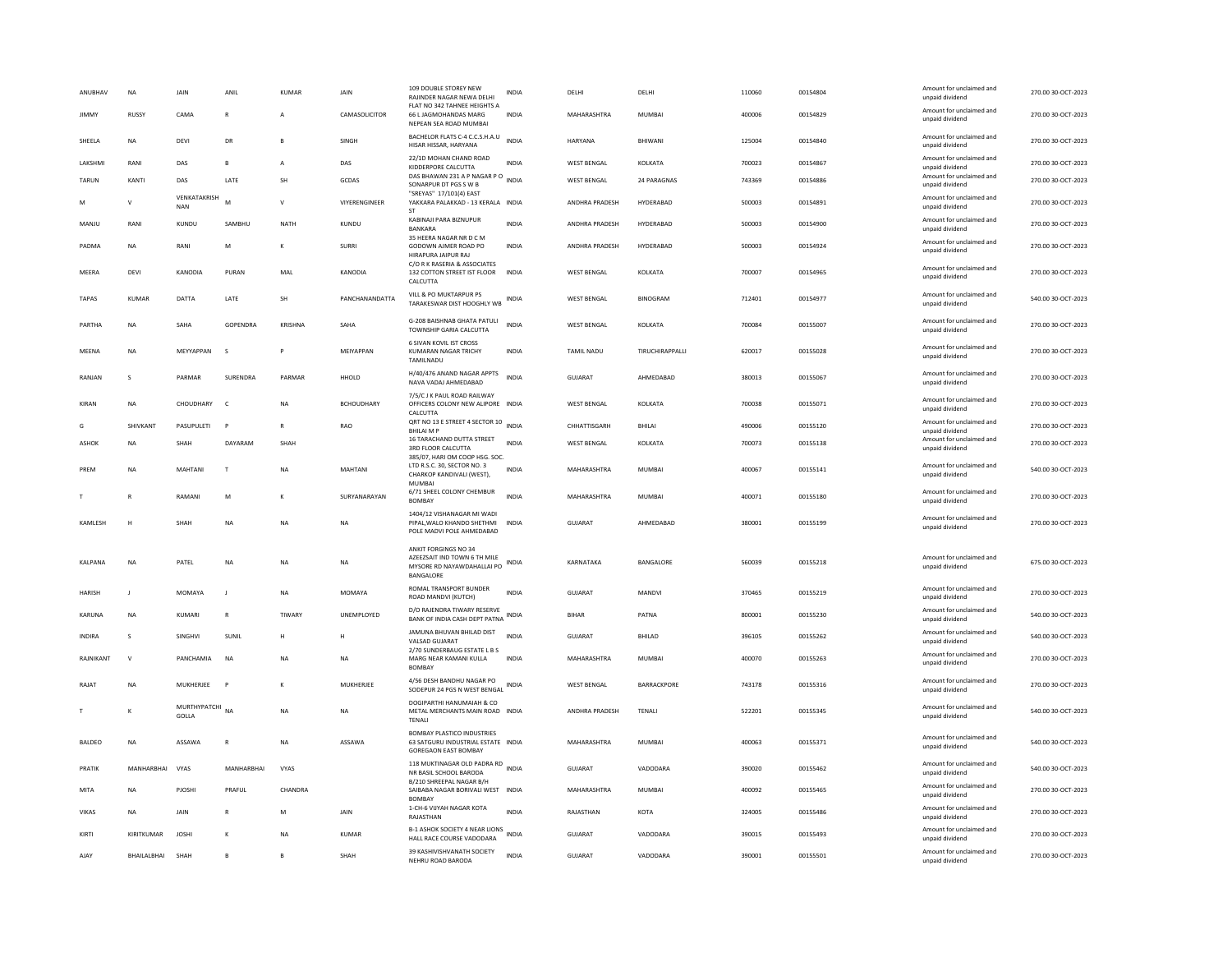| ANUBHAV       | <b>NA</b>      | JAIN                       | ANIL               | <b>KUMAR</b> | JAIN              | 109 DOUBLE STOREY NEW<br>RAJINDER NAGAR NEWA DELHI<br>FLAT NO 342 TAHNEE HEIGHTS A                     | <b>INDIA</b> | DELHI              | DELHI                  | 110060 | 00154804 | Amount for unclaimed and<br>unpaid dividend | 270.00 30-OCT-2023 |
|---------------|----------------|----------------------------|--------------------|--------------|-------------------|--------------------------------------------------------------------------------------------------------|--------------|--------------------|------------------------|--------|----------|---------------------------------------------|--------------------|
| JIMMY         | RUSSY          | CAMA                       | ${\sf R}$          | A            | CAMASOLICITOR     | 66 L JAGMOHANDAS MARG<br>NEPEAN SEA ROAD MUMBAI                                                        | <b>INDIA</b> | MAHARASHTRA        | MUMBAI                 | 400006 | 00154829 | Amount for unclaimed and<br>unpaid dividend | 270.00 30-OCT-2023 |
| SHEELA        | NA             | DEVI                       | DR                 |              | SINGH             | BACHELOR FLATS C-4 C.C.S.H.A.U<br>HISAR HISSAR, HARYANA                                                | <b>INDIA</b> | HARYANA            | BHIWANI                | 125004 | 00154840 | Amount for unclaimed and<br>unpaid dividend | 270.00 30-OCT-2023 |
| LAKSHMI       | RANI           | DAS                        | $\mathbf{B}$       | $\mathbf{A}$ | DAS               | 22/1D MOHAN CHAND ROAD<br>KIDDERPORE CALCUTTA                                                          | <b>INDIA</b> | WEST BENGAL        | KOLKATA                | 700023 | 00154867 | Amount for unclaimed and<br>unpaid dividend | 270.00 30-OCT-2023 |
| TARUN         | KANTI          | DAS                        | LATE               | SH           | GCDAS             | DAS BHAWAN 231 A P NAGAR P O<br>SONARPUR DT PGS S W B<br>"SREYAS" 17/101(4) EAST                       | <b>INDIA</b> | <b>WEST BENGAL</b> | 24 PARAGNAS            | 743369 | 00154886 | Amount for unclaimed and<br>unpaid dividend | 270.00 30-OCT-2023 |
| M             | $\mathsf{v}$   | VENKATAKRISH<br><b>NAN</b> |                    | $\mathsf{v}$ | VIYERENGINEER     | YAKKARA PALAKKAD - 13 KERALA INDIA<br>ST                                                               |              | ANDHRA PRADESH     | HYDERABAD              | 500003 | 00154891 | Amount for unclaimed and<br>unpaid dividend | 270.00 30-OCT-2023 |
| MANJU         | RANI           | KUNDU                      | SAMRHU             | NATH         | KUNDU             | KABINAJI PARA BIZNUPUR<br><b>BANKARA</b>                                                               | <b>INDIA</b> | ANDHRA PRADESH     | HYDERARAD              | 500003 | 00154900 | Amount for unclaimed and<br>unpaid dividend | 270.00 30-OCT-2023 |
| PADMA         | <b>NA</b>      | RANI                       | M                  | К            | <b>SURRI</b>      | 35 HEERA NAGAR NR D C M<br>GODOWN AJMER ROAD PO<br>HIRAPURA JAIPUR RAJ                                 | INDIA        | ANDHRA PRADESH     | HYDERABAD              | 500003 | 00154924 | Amount for unclaimed and<br>unpaid dividend | 270.00 30-OCT-2023 |
| MEERA         | DEVI           | KANODIA                    | PURAN              | MAL          | <b>KANODIA</b>    | C/O R K RASERIA & ASSOCIATES<br>132 COTTON STREET IST FLOOR<br><b>CALCUTTA</b>                         | <b>INDIA</b> | <b>WEST BENGAL</b> | KOLKATA                | 700007 | 00154965 | Amount for unclaimed and<br>unpaid dividend | 270.00 30-OCT-2023 |
| <b>TAPAS</b>  | KUMAR          | DATTA                      | LATE               | SH           | PANCHANANDATTA    | VILL & PO MUKTARPUR PS<br>TARAKESWAR DIST HOOGHLY WB                                                   | <b>INDIA</b> | <b>WEST BENGAL</b> | <b>BINOGRAM</b>        | 712401 | 00154977 | Amount for unclaimed and<br>unpaid dividend | 540.00 30-OCT-2023 |
| PARTHA        | NA             | SAHA                       | GOPENDRA           | KRISHNA      | SAHA              | G-208 BAISHNAB GHATA PATULI<br>TOWNSHIP GARIA CALCUTTA                                                 | <b>INDIA</b> | <b>WEST BENGAL</b> | KOLKATA                | 700084 | 00155007 | Amount for unclaimed and<br>unpaid dividend | 270.00 30-OCT-2023 |
| MFFNA         | <b>NA</b>      | MFYYAPPAN                  | $\mathbf{\hat{S}}$ | P            | MFIYAPPAN         | 6 SIVAN KOVIL IST CROSS<br><b>KUMARAN NAGAR TRICHY</b><br>TAMILNADU                                    | <b>INDIA</b> | <b>TAMIL NADU</b>  | <b>TIRUCHIRAPPALLI</b> | 620017 | 00155028 | Amount for unclaimed and<br>unpaid dividend | 270.00.30-OCT-2023 |
| RANIAN        | $\mathbf{S}$   | PARMAR                     | <b>SURFNDRA</b>    | PARMAR       | HHOLD             | H/40/476 ANAND NAGAR APPTS<br>NAVA VADAJ AHMEDABAD                                                     | <b>INDIA</b> | GUIARAT            | AHMEDARAD              | 380013 | 00155067 | Amount for unclaimed and<br>unpaid dividend | 270.00 30-OCT-2023 |
| KIRAN         | <b>NA</b>      | CHOUDHARY                  | $\mathsf{C}$       | <b>NA</b>    | <b>RCHOUDHARY</b> | 7/5/C J K PAUL ROAD RAILWAY<br>OFFICERS COLONY NEW ALIPORE INDIA<br>CALCUTTA                           |              | <b>WEST BENGAL</b> | KOLKATA                | 700038 | 00155071 | Amount for unclaimed and<br>unpaid dividend | 270.00 30-OCT-2023 |
| G             | SHIVKANT       | PASUPULETI                 | P                  | $\mathbb{R}$ | <b>RAO</b>        | ORT NO 13 E STREET 4 SECTOR 10 INDIA<br><b>BHILAI M P</b>                                              |              | CHHATTISGARH       | BHILAI                 | 490006 | 00155120 | Amount for unclaimed and<br>unpaid dividend | 270.00 30-OCT-2023 |
| <b>ASHOK</b>  | <b>NA</b>      | <b>SHAH</b>                | DAYARAM            | SHAH         |                   | 16 TARACHAND DUTTA STREET<br>3RD FLOOR CALCUTTA<br>385/07, HARI OM COOP HSG. SOC.                      | <b>INDIA</b> | <b>WEST BENGAL</b> | KOLKATA                | 700073 | 00155138 | Amount for unclaimed and<br>unpaid dividend | 270.00 30-OCT-2023 |
| PREM          | <b>NA</b>      | MAHTANI                    | $\mathsf{T}$       | <b>NA</b>    | MAHTANI           | LTD R.S.C. 30, SECTOR NO. 3<br>CHARKOP KANDIVALI (WEST).<br>MUMBAI                                     | INDIA        | MAHARASHTRA        | MUMBAL                 | 400067 | 00155141 | Amount for unclaimed and<br>unpaid dividend | 540.00 30-OCT-2023 |
|               | R              | RAMANI                     | M                  |              | SURYANARAYAN      | 6/71 SHEEL COLONY CHEMBUR<br><b>BOMBAY</b>                                                             | <b>INDIA</b> | MAHARASHTRA        | <b>MUMBAI</b>          | 400071 | 00155180 | Amount for unclaimed and<br>unpaid dividend | 270.00 30-OCT-2023 |
| KAMLESH       | Н              | SHAH                       | NA                 | <b>NA</b>    | NA                | 1404/12 VISHANAGAR MI WADI<br>PIPAL, WALO KHANDO SHETHMI<br>POLE MADVI POLE AHMEDABAD                  | <b>INDIA</b> | GUJARAT            | AHMEDABAD              | 380001 | 00155199 | Amount for unclaimed and<br>unpaid dividend | 270.00 30-OCT-2023 |
|               |                |                            |                    |              |                   | ANKIT FORGINGS NO 34                                                                                   |              |                    |                        |        |          |                                             |                    |
| KALPANA       | <b>NA</b>      | PATEL                      | <b>NA</b>          | <b>NA</b>    | <b>NA</b>         | AZEEZSAIT IND TOWN 6 TH MILE<br>MYSORE RD NAYAWDAHALLAI PO<br><b>BANGALORI</b>                         | <b>INDIA</b> | KARNATAKA          | BANGALORE              | 560039 | 00155218 | Amount for unclaimed and<br>unpaid dividend | 675.00 30-OCT-2023 |
| <b>HARISH</b> | $\blacksquare$ | MOMAYA                     | J.                 | <b>NA</b>    | MOMAYA            | ROMAL TRANSPORT BUNDER<br>ROAD MANDVI (KUTCH)                                                          | <b>INDIA</b> | <b>GUJARAT</b>     | <b>MANDVI</b>          | 370465 | 00155219 | Amount for unclaimed and<br>unpaid dividend | 270.00 30-OCT-2023 |
| KARUNA        | <b>NA</b>      | KUMARI                     | $\mathsf{R}$       | TIWARY       | UNEMPLOYED        | D/O RAJENDRA TIWARY RESERVE<br>BANK OF INDIA CASH DEPT PATNA                                           | <b>INDIA</b> | <b>BIHAR</b>       | PATNA                  | 800001 | 00155230 | Amount for unclaimed and<br>unpaid dividend | 540.00 30-OCT-2023 |
| <b>INDIRA</b> | s              | SINGHVI                    | SUNIL              | H            | н                 | JAMUNA BHUVAN BHILAD DIST<br>VALSAD GUJARAT                                                            | <b>INDIA</b> | <b>GUJARAT</b>     | BHILAD                 | 396105 | 00155262 | Amount for unclaimed and<br>unpaid dividend | 540.00 30-OCT-2023 |
| RAJNIKANT     | $\mathbf{v}$   | PANCHAMIA                  | NA                 | <b>NA</b>    | NA                | 2/70 SUNDERBAUG ESTATE L B S<br>MARG NEAR KAMANI KULLA<br><b>BOMBAY</b>                                | INDIA        | MAHARASHTRA        | <b>MUMBAI</b>          | 400070 | 00155263 | Amount for unclaimed and<br>unpaid dividend | 270.00 30-OCT-2023 |
| RAJAT         | NA             | MUKHERJEE                  | $\mathsf{P}$       | К            | MUKHERJEE         | 4/56 DESH BANDHU NAGAR PO<br>SODEPUR 24 PGS N WEST BENGAL                                              | <b>INDIA</b> | <b>WEST BENGAL</b> | BARRACKPORE            | 743178 | 00155316 | Amount for unclaimed and<br>unpaid dividend | 270.00 30-OCT-2023 |
|               | K              | MURTHYPATCHI NA<br>GOLLA   |                    | <b>NA</b>    | NA                | DOGIPARTHI HANUMAIAH & CO<br>METAL MERCHANTS MAIN ROAD INDIA<br>TENALI                                 |              | ANDHRA PRADESH     | TENALI                 | 522201 | 00155345 | Amount for unclaimed and<br>unpaid dividend | 540.00 30-OCT-2023 |
| <b>BALDEO</b> | <b>NA</b>      | ASSAWA                     | $\mathsf{R}$       | NA           | ASSAWA            | <b>BOMBAY PLASTICO INDUSTRIES</b><br>63 SATGURU INDUSTRIAL ESTATE INDIA<br><b>GOREGAON EAST BOMBAY</b> |              | MAHARASHTRA        | <b>MUMBAI</b>          | 400063 | 00155371 | Amount for unclaimed and<br>unpaid dividend | 540.00 30-OCT-2023 |
| PRATIK        | MANHARRHAI     | VYAS                       | MANHARBHAI         | VYAS         |                   | 118 MUKTINAGAR OLD PADRA RD INDIA<br>NR BASIL SCHOOL BARODA                                            |              | <b>GUJARAT</b>     | VADODARA               | 390020 | 00155462 | Amount for unclaimed and<br>unpaid dividend | 540.00 30-OCT-2023 |
| MITA          | NA             | PJOSHI                     | PRAFUL             | CHANDRA      |                   | B/210 SHREEPAL NAGAR B/H<br>SAIBABA NAGAR BORIVALI WEST INDIA<br><b>BOMBAY</b>                         |              | MAHARASHTRA        | MUMBAI                 | 400092 | 00155465 | Amount for unclaimed and<br>unpaid dividend | 270.00 30-OCT-2023 |
| <b>VIKAS</b>  | <b>NA</b>      | <b>JAIN</b>                | $\mathbb{R}$       | M            | <b>JAIN</b>       | 1-CH-6 VIJYAH NAGAR KOTA<br>RAJASTHAN                                                                  | <b>INDIA</b> | RAIASTHAN          | KOTA                   | 324005 | 00155486 | Amount for unclaimed and<br>unpaid dividend | 270.00 30-OCT-2023 |
| KIRTI         | KIRITKUMAR     | <b>JOSHI</b>               |                    | NA           | <b>KUMAR</b>      | B-1 ASHOK SOCIETY 4 NEAR LIONS<br>HALL RACE COURSE VADODARA                                            | INDIA        | <b>GUJARAT</b>     | VADODARA               | 390015 | 00155493 | Amount for unclaimed and<br>unpaid dividend | 270.00 30-OCT-2023 |
| AJAY          | BHAILALBHAI    | SHAH                       | B                  | B            | SHAH              | 39 KASHIVISHVANATH SOCIETY<br>NEHRU ROAD BARODA                                                        | <b>INDIA</b> | GUJARAT            | VADODARA               | 390001 | 00155501 | Amount for unclaimed and<br>unpaid dividend | 270.00 30-OCT-2023 |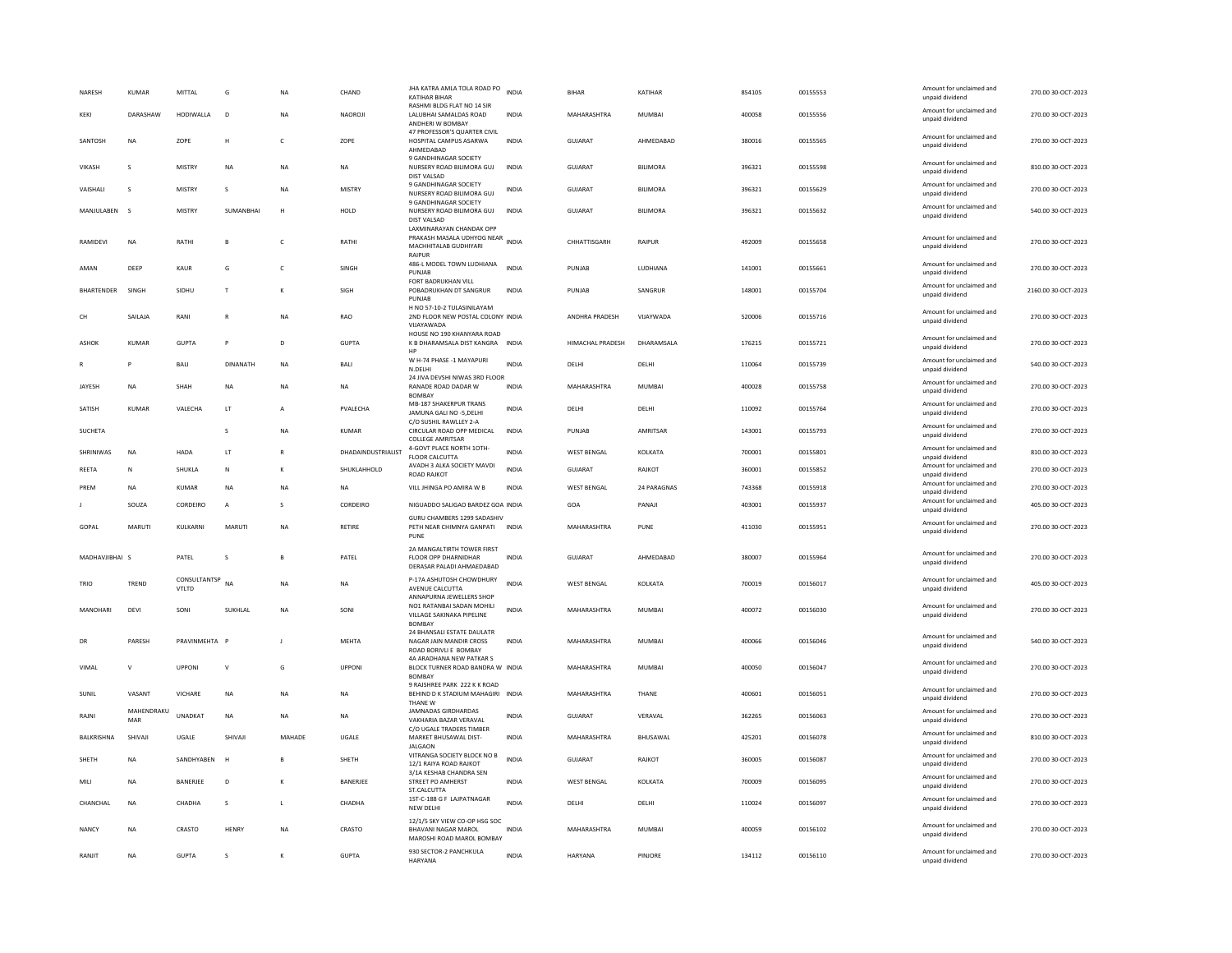| NARESH         | KUMAR             | MITTAL                | G               | NA           | CHAND              | JHA KATRA AMLA TOLA ROAD PO INDIA<br><b>KATIHAR BIHAR</b>                                        |              | <b>BIHAR</b>       | KATIHAR         | 854105 | 00155553 | Amount for unclaimed and<br>unpaid dividend | 270.00 30-OCT-2023  |
|----------------|-------------------|-----------------------|-----------------|--------------|--------------------|--------------------------------------------------------------------------------------------------|--------------|--------------------|-----------------|--------|----------|---------------------------------------------|---------------------|
| KEKI           | DARASHAW          | HODIWALLA             | D <sub>1</sub>  | <b>NA</b>    | <b>NAOROJI</b>     | RASHMI BLDG FLAT NO 14 SIR<br>LALUBHAI SAMALDAS ROAD<br>ANDHERI W BOMBAY                         | <b>INDIA</b> | MAHARASHTRA        | MUMBAI          | 400058 | 00155556 | Amount for unclaimed and<br>unpaid dividend | 270.00 30-OCT-2023  |
| SANTOSH        | <b>NA</b>         | ZOPE                  | H               | $\mathsf{C}$ | ZOPE               | 47 PROFESSOR'S QUARTER CIVIL<br>HOSPITAL CAMPUS ASARWA<br>AHMEDABAD                              | <b>INDIA</b> | GUJARAT            | AHMEDABAD       | 380016 | 00155565 | Amount for unclaimed and<br>unpaid dividend | 270.00 30-OCT-2023  |
| VIKASH         | s                 | <b>MISTRY</b>         | NA              | <b>NA</b>    | NA                 | 9 GANDHINAGAR SOCIETY<br>NURSERY ROAD BILIMORA GUJ<br>DIST VALSAD                                | INDIA        | <b>GUJARAT</b>     | <b>BILIMORA</b> | 396321 | 00155598 | Amount for unclaimed and<br>unpaid dividend | 810.00 30-OCT-2023  |
| VAISHALI       | s                 | <b>MISTRY</b>         | s               | <b>NA</b>    | <b>MISTRY</b>      | 9 GANDHINAGAR SOCIETY<br>NURSERY ROAD BILIMORA GUJ                                               | INDIA        | GUJARAT            | BILIMORA        | 396321 | 00155629 | Amount for unclaimed and<br>unpaid dividend | 270.00 30-OCT-2023  |
| MANJULABEN S   |                   | <b>MISTRY</b>         | SUMANBHAI       | н            | HOLD               | 9 GANDHINAGAR SOCIETY<br>NURSERY ROAD BILIMORA GUJ<br>DIST VALSAD                                | <b>INDIA</b> | GUJARAT            | <b>BILIMORA</b> | 396321 | 00155632 | Amount for unclaimed and<br>unpaid dividend | 540.00 30-OCT-2023  |
| RAMIDEVI       | <b>NA</b>         | RATHI                 | $\overline{B}$  | $\epsilon$   | RATHI              | LAXMINARAYAN CHANDAK OPP<br>PRAKASH MASALA UDHYOG NEAR<br>MACHHITALAB GUDHIYARI<br><b>RAIPUR</b> | <b>INDIA</b> | CHHATTISGARH       | RAIPUR          | 492009 | 00155658 | Amount for unclaimed and<br>unpaid dividend | 270.00 30-OCT-2023  |
| AMAN           | DEEP              | <b>KAUR</b>           | G               | $\mathsf{C}$ | SINGH              | 486-L MODEL TOWN LUDHIANA<br>PUNJAB                                                              | <b>INDIA</b> | PUNJAB             | LUDHIANA        | 141001 | 00155661 | Amount for unclaimed and<br>unpaid dividend | 270.00 30-OCT-2023  |
| BHARTENDER     | SINGH             | SIDHU                 | $\mathsf{T}$    | к            | SIGH               | FORT BADRUKHAN VILL<br>POBADRUKHAN DT SANGRUR<br>PUNJAB                                          | <b>INDIA</b> | PUNJAR             | SANGRUR         | 148001 | 00155704 | Amount for unclaimed and<br>unpaid dividend | 2160.00 30-OCT-2023 |
| CH             | SAILAJA           | RANI                  | $\mathsf{R}$    | NA           | <b>RAO</b>         | H NO 57-10-2 TULASINILAYAM<br>2ND FLOOR NEW POSTAL COLONY INDIA<br>VIJAYAWADA                    |              | ANDHRA PRADESH     | VIJAYWADA       | 520006 | 00155716 | Amount for unclaimed and<br>unpaid dividend | 270.00 30-OCT-2023  |
| ASHOK          | KUMAR             | <b>GUPTA</b>          | P               | D            | <b>GUPTA</b>       | HOUSE NO 190 KHANYARA ROAD<br>K B DHARAMSALA DIST KANGRA<br>HP                                   | <b>INDIA</b> | HIMACHAL PRADESH   | DHARAMSALA      | 176215 | 00155721 | Amount for unclaimed and<br>unpaid dividend | 270.00 30-OCT-2023  |
|                |                   | BALI                  | <b>DINANATH</b> | NA           | BALI               | W H-74 PHASE -1 MAYAPURI<br>N.DELHI<br>24 JIVA DEVSHI NIWAS 3RD FLOOR                            | <b>INDIA</b> | DELHI              | DELHI           | 110064 | 00155739 | Amount for unclaimed and<br>unpaid dividend | 540.00 30-OCT-2023  |
| <b>IAYESH</b>  | <b>NA</b>         | SHAH                  | <b>NA</b>       | <b>NA</b>    | <b>NA</b>          | RANADE ROAD DADAR W<br><b>BOMBA</b>                                                              | <b>INDIA</b> | MAHARASHTRA        | MUMBAI          | 400028 | 00155758 | Amount for unclaimed and<br>unpaid dividend | 270.00 30-OCT-2023  |
| SATISH         | KUMAR             | VALECHA               | LT              |              | PVALECHA           | <b>MB-187 SHAKERPUR TRANS</b><br>JAMUNA GALI NO -5, DELHI                                        | INDIA        | DELHI              | DELHI           | 110092 | 00155764 | Amount for unclaimed and<br>unpaid dividend | 270.00 30-OCT-2023  |
| SUCHETA        |                   |                       | s               | <b>NA</b>    | <b>KUMAR</b>       | C/O SUSHIL RAWLLEY 2-A<br>CIRCULAR ROAD OPP MEDICAL<br>COLLEGE AMRITSAR                          | <b>INDIA</b> | PUNJAB             | AMRITSAR        | 143001 | 00155793 | Amount for unclaimed and<br>unpaid dividend | 270.00 30-OCT-2023  |
| SHRINIWAS      | NA                | HADA                  | LT              | $\mathbb{R}$ | DHADAINDUSTRIALIST | 4-GOVT PLACE NORTH 10TH-<br>FLOOR CALCUTTA                                                       | <b>INDIA</b> | WEST BENGAL        | KOLKATA         | 700001 | 00155801 | Amount for unclaimed and<br>unpaid dividend | 810.00 30-OCT-2023  |
| RFFTA          | N                 | <b>SHUKLA</b>         | N               | к            | SHUKLAHHOLD        | AVADH 3 ALKA SOCIETY MAVDI<br>ROAD RAJKOT                                                        | <b>INDIA</b> | GUIARAT            | RAIKOT          | 360001 | 00155852 | Amount for unclaimed and<br>unpaid dividend | 270.00 30-OCT-2023  |
|                |                   |                       |                 |              |                    |                                                                                                  |              |                    |                 |        |          |                                             |                     |
| PREM           | <b>NA</b>         | KUMAR                 | <b>NA</b>       | NA           | NA                 | VILL JHINGA PO AMIRA W B                                                                         | INDIA        | <b>WEST BENGAL</b> | 24 PARAGNAS     | 743368 | 00155918 | Amount for unclaimed and<br>unpaid dividend | 270.00 30-OCT-2023  |
|                | SOUZA             | CORDEIRO              | А               | s            | CORDEIRO           | NIGUADDO SALIGAO BARDEZ GOA INDIA                                                                |              | GOA                | PANAJI          | 403001 | 00155937 | Amount for unclaimed and<br>unpaid dividend | 405.00 30-OCT-2023  |
| GOPAL          | MARUTI            | KULKARNI              | MARUTI          | <b>NA</b>    | RETIRE             | GURU CHAMBERS 1299 SADASHIV<br>PETH NEAR CHIMNYA GANPATI INDIA<br>PUNF                           |              | MAHARASHTRA        | PUNE            | 411030 | 00155951 | Amount for unclaimed and<br>unpaid dividend | 270.00 30-OCT-2023  |
| MADHAVJIBHAI S |                   | PATEL                 | s               | B            | PATEL              | 2A MANGALTIRTH TOWER FIRST<br><b>FLOOR OPP DHARNIDHAR</b><br>DERASAR PALADI AHMAEDABAD           | <b>INDIA</b> | <b>GUJARAT</b>     | AHMEDABAD       | 380007 | 00155964 | Amount for unclaimed and<br>unpaid dividend | 270.00 30-OCT-2023  |
| TRIO           | TREND             | CONSULTANTSP<br>VTLTD | <b>NA</b>       | <b>NA</b>    | <b>NA</b>          | P-17A ASHUTOSH CHOWDHURY<br>AVENUE CALCUTTA                                                      | <b>INDIA</b> | <b>WEST BENGAL</b> | KOLKATA         | 700019 | 00156017 | Amount for unclaimed and<br>unpaid dividend | 405.00 30-OCT-2023  |
| MANOHARI       | DEVI              | SONI                  | SUKHLAL         | NA           | SONI               | ANNAPURNA JEWELLERS SHOP<br>NO1 RATANBAI SADAN MOHILI<br>VILLAGE SAKINAKA PIPELINE               | <b>INDIA</b> | MAHARASHTRA        | MUMBAI          | 400072 | 00156030 | Amount for unclaimed and<br>unpaid dividend | 270.00 30-OCT-2023  |
| DR             | PARESH            | PRAVINMEHTA           | F               |              | MEHTA              | <b>BOMBAY</b><br>24 BHANSALI ESTATE DAULATR<br>NAGAR JAIN MANDIR CROSS<br>ROAD BORIVLI E BOMBAY  | INDIA        | MAHARASHTRA        | MUMBAI          | 400066 | 00156046 | Amount for unclaimed and<br>unpaid dividend | 540.00 30-OCT-2023  |
| VIMAL          | $\mathbf{v}$      | UPPONI                | v               | G            | <b>UPPONI</b>      | 4A ARADHANA NEW PATKAR S<br>BLOCK TURNER ROAD BANDRA W INDIA<br><b>BOMBAY</b>                    |              | MAHARASHTRA        | MUMBAI          | 400050 | 00156047 | Amount for unclaimed and<br>unpaid dividend | 270.00 30-OCT-2023  |
| SUNIL          | VASANT            | VICHARE               | <b>NA</b>       | <b>NA</b>    | <b>NA</b>          | 9 RAISHREE PARK 222 K K ROAD<br>BEHIND D K STADIUM MAHAGIRI INDIA                                |              | MAHARASHTRA        | THANE           | 400601 | 00156051 | Amount for unclaimed and<br>unpaid dividend | 270.00 30-OCT-2023  |
| RAIN           | MAHENDRAKU<br>MAR | <b>UNADKAT</b>        | <b>NA</b>       | <b>NA</b>    | <b>NA</b>          | THANE W<br>JAMNADAS GIRDHARDAS<br>VAKHARIA BAZAR VERAVAL                                         | <b>INDIA</b> | GUIARAT            | VFRAVAL         | 362265 | 00156063 | Amount for unclaimed and<br>unpaid dividend | 270.00.30-OCT-2023  |
| BALKRISHNA     | SHIVAJI           | UGALE                 | SHIVAJI         | MAHADE       | UGALE              | C/O UGALE TRADERS TIMBER<br>MARKET BHUSAWAL DIST-                                                | INDIA        | MAHARASHTRA        | BHUSAWAL        | 425201 | 00156078 | Amount for unclaimed and<br>unpaid dividend | 810.00 30-OCT-2023  |
| SHETH          | <b>NA</b>         | SANDHYABEN            | H               | <b>B</b>     | SHETH              | <b>JALGAON</b><br>VITRANGA SOCIETY BLOCK NO B<br>12/1 RAIYA ROAD RAJKOT                          | <b>INDIA</b> | GUJARAT            | RAJKOT          | 360005 | 00156087 | Amount for unclaimed and<br>unpaid dividend | 270.00 30-OCT-2023  |
| MILI           | <b>NA</b>         | BANERJEE              | $\mathsf D$     |              | BANERJEE           | 3/1A KESHAB CHANDRA SEN<br>STREET PO AMHERST                                                     | INDIA        | <b>WEST BENGAL</b> | KOLKATA         | 700009 | 00156095 | Amount for unclaimed and<br>unpaid dividend | 270.00 30-OCT-2023  |
| CHANCHAL       | <b>NA</b>         | CHADHA                | s               | L            | CHADHA             | ST.CALCUTTA<br>1ST-C-188 G F LAJPATNAGAR<br>NEW DELHI                                            | <b>INDIA</b> | DELHI              | DELHI           | 110024 | 00156097 | Amount for unclaimed and<br>unpaid dividend | 270.00 30-OCT-2023  |
| <b>NANCY</b>   | <b>NA</b>         | CRASTO                | HENRY           | <b>NA</b>    | CRASTO             | 12/1/5 SKY VIEW CO-OP HSG SOC<br><b>BHAVANI NAGAR MAROL</b><br>MAROSHI ROAD MAROL BOMBAY         | <b>INDIA</b> | MAHARASHTRA        | <b>MUMBAI</b>   | 400059 | 00156102 | Amount for unclaimed and<br>unpaid dividend | 270.00 30-OCT-2023  |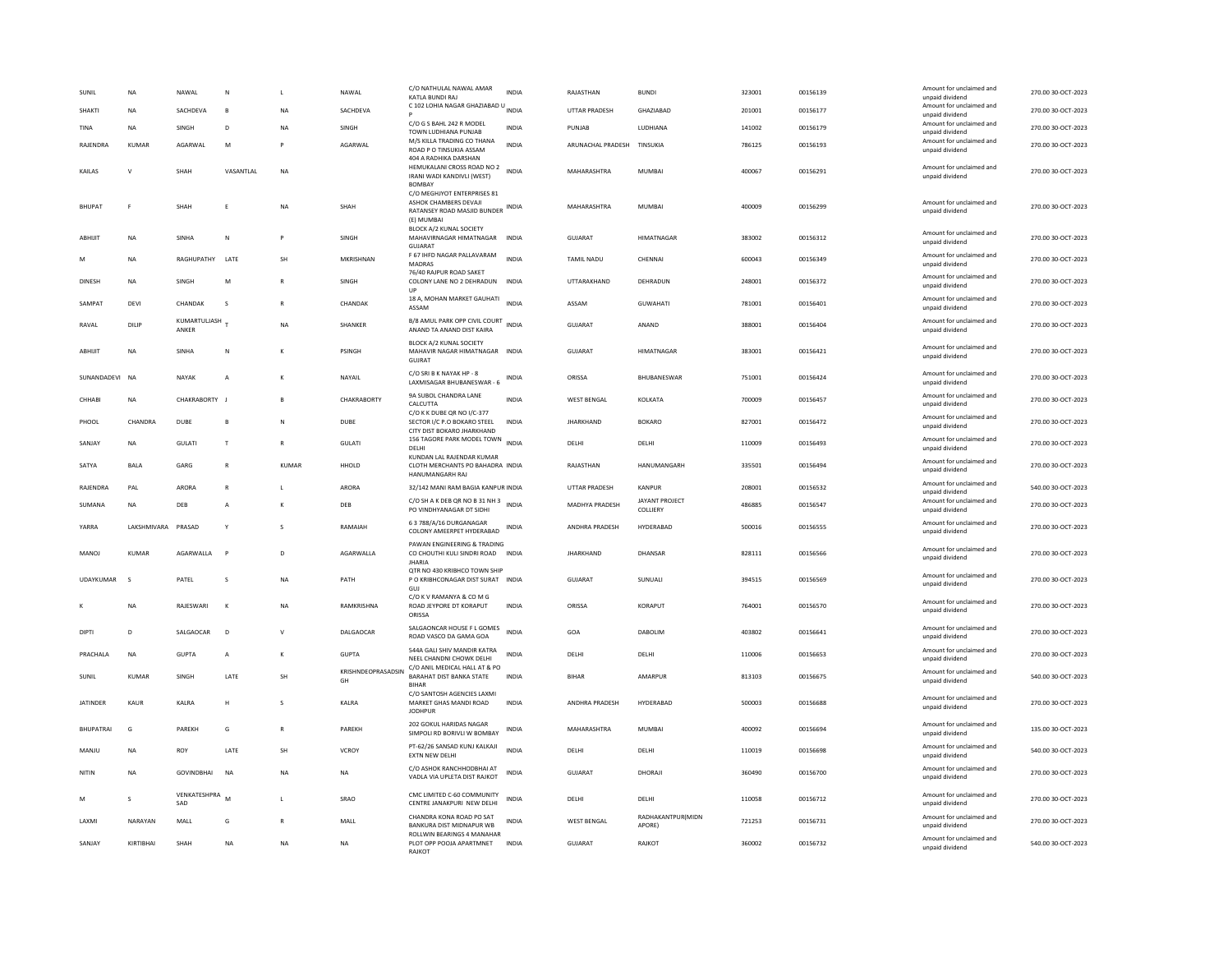| SUNII            | <b>NA</b>    | NAWAL                 | N            |              | NAWAL                    | C/O NATHULAL NAWAL AMAR<br>KATI A BUNDI RAI                                                              | <b>INDIA</b> | RAJASTHAN          | <b>BUNDI</b>                | 323001 | 00156139 | Amount for unclaimed and<br>unpaid dividend | 270.00 30-OCT-2023 |
|------------------|--------------|-----------------------|--------------|--------------|--------------------------|----------------------------------------------------------------------------------------------------------|--------------|--------------------|-----------------------------|--------|----------|---------------------------------------------|--------------------|
| <b>SHAKTI</b>    | <b>NA</b>    | SACHDEVA              | $\mathbf{B}$ | <b>NA</b>    | SACHDEVA                 | C 102 LOHIA NAGAR GHAZIABAD U INDIA                                                                      |              | UTTAR PRADESH      | GHAZIABAD                   | 201001 | 00156177 | Amount for unclaimed and<br>unpaid dividend | 270.00 30-OCT-2023 |
| <b>TINA</b>      | NA           | SINGH                 | D            | <b>NA</b>    | SINGH                    | C/O G S BAHL 242 R MODEL<br>TOWN LUDHIANA PUNJAB                                                         | <b>INDIA</b> | PUNJAB             | LUDHIANA                    | 141002 | 00156179 | Amount for unclaimed and<br>unpaid dividend | 270.00 30-OCT-2023 |
| RAJENDRA         | <b>KUMAR</b> | AGARWAL               | M            |              | AGARWAL                  | M/S KILLA TRADING CO THANA<br>ROAD P O TINSUKIA ASSAM                                                    | <b>INDIA</b> | ARUNACHAL PRADESH  | TINSUKIA                    | 786125 | 00156193 | Amount for unclaimed and<br>unpaid dividend | 270.00 30-OCT-2023 |
| KAILAS           | v            | SHAH                  | VASANTLAL    | <b>NA</b>    |                          | 404 A RADHIKA DARSHAN<br>HEMUKALANI CROSS ROAD NO 2 INDIA<br>IRANI WADI KANDIVLI (WEST)<br><b>BOMBAY</b> |              | MAHARASHTRA        | <b>MUMBAI</b>               | 400067 | 00156291 | Amount for unclaimed and<br>unpaid dividend | 270.00 30-OCT-2023 |
| <b>BHUPAT</b>    | F            | SHAH                  |              | <b>NA</b>    | SHAH                     | C/O MEGHJYOT ENTERPRISES 81<br>ASHOK CHAMBERS DEVAJI<br>RATANSEY ROAD MASJID BUNDER<br>(E) MUMBAI        | <b>INDIA</b> | MAHARASHTRA        | MUMBAI                      | 400009 | 00156299 | Amount for unclaimed and<br>unpaid dividend | 270.00 30-OCT-2023 |
| ABHIJIT          | NA           | SINHA                 | ${\sf N}$    | P            | SINGH                    | BLOCK A/2 KUNAL SOCIETY<br>MAHAVIRNAGAR HIMATNAGAR<br><b>GUJARAT</b>                                     | INDIA        | GUJARAT            | <b>HIMATNAGAR</b>           | 383002 | 00156312 | Amount for unclaimed and<br>unpaid dividend | 270.00 30-OCT-2023 |
| M                | <b>NA</b>    | RAGHUPATHY            | <b>I ATF</b> | SH           | MKRISHNAN                | F 67 IHFD NAGAR PALLAVARAM<br>MADRAS<br>76/40 RAIPUR ROAD SAKET                                          | <b>INDIA</b> | <b>TAMIL NADU</b>  | CHENNAL                     | 600043 | 00156349 | Amount for unclaimed and<br>unpaid dividend | 270.00.30-OCT-2023 |
| <b>DINESH</b>    | NA           | SINGH                 | M            |              | SINGH                    | COLONY LANE NO 2 DEHRADUN INDIA<br>UP                                                                    |              | UTTARAKHAND        | DEHRADUN                    | 248001 | 00156372 | Amount for unclaimed and<br>unpaid dividend | 270.00 30-OCT-2023 |
| SAMPAT           | DFVI         | CHANDAK               | $\mathbf{S}$ | R            | CHANDAK                  | 18 A, MOHAN MARKET GAUHATI<br>ASSAM                                                                      | INDIA        | ASSAM              | GUWAHATI                    | 781001 | 00156401 | Amount for unclaimed and<br>unpaid dividend | 270.00 30-OCT-2023 |
| RAVAL            | DILIP        | KUMARTULJASH<br>ANKER |              | <b>NA</b>    | SHANKER                  | <b>B/8 AMUL PARK OPP CIVIL COURT</b><br>ANAND TA ANAND DIST KAIRA                                        | <b>INDIA</b> | <b>GUJARAT</b>     | ANAND                       | 388001 | 00156404 | Amount for unclaimed and<br>unpaid dividend | 270.00 30-OCT-2023 |
| ABHIJIT          | <b>NA</b>    | SINHA                 | N            | к            | PSINGH                   | BLOCK A/2 KUNAL SOCIETY<br>MAHAVIR NAGAR HIMATNAGAR<br>GUJRAT                                            | <b>INDIA</b> | GUJARAT            | <b>HIMATNAGAR</b>           | 383001 | 00156421 | Amount for unclaimed and<br>unpaid dividend | 270.00 30-OCT-2023 |
| SUNANDADEVI NA   |              | <b>NAYAK</b>          | A            | K            | NAYAIL                   | C/O SRI B K NAYAK HP - 8<br>LAXMISAGAR BHUBANESWAR - 6                                                   | INDIA        | ORISSA             | BHUBANESWAR                 | 751001 | 00156424 | Amount for unclaimed and<br>unpaid dividend | 270.00 30-OCT-2023 |
| CHHABI           | NA           | CHAKRABORTY J         |              |              | CHAKRABORTY              | 9A SUBOL CHANDRA LANE<br>CALCUTTA<br>C/O K K DUBE QR NO I/C-377                                          | <b>INDIA</b> | <b>WEST BENGAL</b> | KOLKATA                     | 700009 | 00156457 | Amount for unclaimed and<br>unpaid dividend | 270.00 30-OCT-2023 |
| PHOOL            | CHANDRA      | <b>DUBE</b>           | B            | N            | <b>DUBE</b>              | SECTOR I/C P.O BOKARO STEEL<br>CITY DIST BOKARO JHARKHAND                                                | <b>INDIA</b> | <b>JHARKHAND</b>   | <b>BOKARO</b>               | 827001 | 00156472 | Amount for unclaimed and<br>unpaid dividend | 270.00 30-OCT-2023 |
| SANJAY           | NA           | <b>GULATI</b>         | T            | $\mathbb{R}$ | <b>GULATI</b>            | 156 TAGORE PARK MODEL TOWN<br><b>DELHI</b><br>KUNDAN LAL RAJENDAR KUMAR                                  | <b>INDIA</b> | DELHI              | DELHI                       | 110009 | 00156493 | Amount for unclaimed and<br>unpaid dividend | 270.00 30-OCT-2023 |
| SATYA            | BALA         | GARG                  | $\mathsf{R}$ | <b>KUMAR</b> | HHOLD                    | CLOTH MERCHANTS PO BAHADRA INDIA<br>HANUMANGARH RAJ                                                      |              | RAJASTHAN          | HANUMANGARH                 | 335501 | 00156494 | Amount for unclaimed and<br>unpaid dividend | 270.00 30-OCT-2023 |
| RAJENDRA         | PAL          | <b>ARORA</b>          |              |              | ARORA                    | 32/142 MANI RAM BAGIA KANPUR INDIA                                                                       |              | UTTAR PRADESH      | KANPUR                      | 208001 | 00156532 | Amount for unclaimed and<br>unpaid dividend | 540.00 30-OCT-2023 |
| SUMANA           | <b>NA</b>    | DEB                   | A            | K            | DEB                      | C/O SH A K DEB QR NO B 31 NH 3<br>PO VINDHYANAGAR DT SIDHI                                               | <b>INDIA</b> | MADHYA PRADESH     | JAYANT PROJECT<br>COLLIERY  | 486885 | 00156547 | Amount for unclaimed and<br>unpaid dividend | 270.00 30-OCT-2023 |
| YARRA            | LAKSHMIVARA  | PRASAD                | Y            | s            | RAMAIAH                  | 6 3 788/A/16 DURGANAGAR<br>COLONY AMEERPET HYDERABAD                                                     | INDIA        | ANDHRA PRADESH     | HYDERABAD                   | 500016 | 00156555 | Amount for unclaimed and<br>unpaid dividend | 270.00 30-OCT-2023 |
| <b>MANOJ</b>     | KUMAR        | AGARWALLA             | $\mathsf{P}$ | $\mathsf{D}$ | AGARWALLA                | PAWAN ENGINEERING & TRADING<br>CO CHOUTHI KULI SINDRI ROAD INDIA<br><b>JHARIA</b>                        |              | <b>IHARKHAND</b>   | DHANSAR                     | 828111 | 00156566 | Amount for unclaimed and<br>unpaid dividend | 270.00 30-OCT-2023 |
| UDAYKUMAR        | $\mathsf{s}$ | PATEL                 | s            | <b>NA</b>    | PATH                     | OTR NO 430 KRIBHCO TOWN SHIP<br>P O KRIBHCONAGAR DIST SURAT INDIA<br>GUJ                                 |              | <b>GUJARAT</b>     | SUNUALI                     | 394515 | 00156569 | Amount for unclaimed and<br>unpaid dividend | 270.00 30-OCT-2023 |
|                  | NA           | RAJESWARI             | К            | <b>NA</b>    | RAMKRISHNA               | C/O K V RAMANYA & CO M G<br>ROAD JEYPORE DT KORAPUT<br>ORISSA                                            | INDIA        | ORISSA             | KORAPUT                     | 764001 | 00156570 | Amount for unclaimed and<br>unpaid dividend | 270.00 30-OCT-2023 |
| DIPTI            | D            | SALGAOCAR             | D            | $\mathsf{V}$ | DALGAOCAR                | SALGAONCAR HOUSE F L GOMES<br>ROAD VASCO DA GAMA GOA                                                     | <b>INDIA</b> | GOA                | DABOLIM                     | 403802 | 00156641 | Amount for unclaimed and<br>unpaid dividend | 270.00 30-OCT-2023 |
| PRACHALA         | <b>NA</b>    | GUPTA                 | A            | K            | GUPTA                    | 544A GALI SHIV MANDIR KATRA<br>NEEL CHANDNI CHOWK DELHI                                                  | <b>INDIA</b> | <b>DELHI</b>       | DELHI                       | 110006 | 00156653 | Amount for unclaimed and<br>unpaid dividend | 270.00 30-OCT-2023 |
| SUNIL            | KUMAR        | SINGH                 | LATE         | SH           | KRISHNDEOPRASADSIN<br>GH | C/O ANIL MEDICAL HALL AT & PO<br>BARAHAT DIST BANKA STATE<br><b>BIHAR</b>                                | <b>INDIA</b> | <b>BIHAR</b>       | AMARPUR                     | 813103 | 00156675 | Amount for unclaimed and<br>unpaid dividend | 540.00 30-OCT-2023 |
| <b>JATINDER</b>  | <b>KAUR</b>  | KALRA                 | H            | s            | KALRA                    | C/O SANTOSH AGENCIES LAXMI<br>MARKET GHAS MANDI ROAD<br><b>IODHPUR</b>                                   | <b>INDIA</b> | ANDHRA PRADESH     | HYDERABAD                   | 500003 | 00156688 | Amount for unclaimed and<br>unpaid dividend | 270.00 30-OCT-2023 |
| <b>RHUPATRAL</b> | G            | PARFKH                | G            | $\mathbb{R}$ | PARFKH                   | 202 GOKUL HARIDAS NAGAR<br>SIMPOLI RD BORIVLI W BOMBAY                                                   | <b>INDIA</b> | MAHARASHTRA        | MUMBAI                      | 400092 | 00156694 | Amount for unclaimed and<br>unpaid dividend | 135.00 30-OCT-2023 |
| MANJU            | NA           | ROY                   | LATE         | SH           | VCROY                    | PT-62/26 SANSAD KUNJ KALKAJI<br><b>EXTN NEW DELHI</b>                                                    | <b>INDIA</b> | DELHI              | DELHI                       | 110019 | 00156698 | Amount for unclaimed and<br>unpaid dividend | 540.00 30-OCT-2023 |
| NITIN            | <b>NA</b>    | <b>GOVINDBHAI</b>     | <b>NA</b>    | NA           | NA                       | C/O ASHOK RANCHHODBHAI AT<br>VADLA VIA UPLETA DIST RAJKOT                                                | <b>INDIA</b> | <b>GUJARAT</b>     | DHORAJI                     | 360490 | 00156700 | Amount for unclaimed and<br>unpaid dividend | 270.00 30-OCT-2023 |
| M                | $\varsigma$  | VENKATESHPRA<br>SAD   | M            |              | SRAO                     | CMC LIMITED C-60 COMMUNITY<br>CENTRE JANAKPURI NEW DELHI                                                 | INDIA        | DELHI              | DELHI                       | 110058 | 00156712 | Amount for unclaimed and<br>unpaid dividend | 270.00 30-OCT-2023 |
| LAXMI            | NARAYAN      | MALL                  | G            | $\mathbb{R}$ | MALL                     | CHANDRA KONA ROAD PO SAT<br>BANKURA DIST MIDNAPUR WB                                                     | <b>INDIA</b> | <b>WEST BENGAL</b> | RADHAKANTPUR(MIDN<br>APORE) | 721253 | 00156731 | Amount for unclaimed and<br>unpaid dividend | 270.00 30-OCT-2023 |
| SANJAY           | KIRTIBHAI    | SHAH                  | NA           | NA           | NA                       | ROLLWIN BEARINGS 4 MANAHAR<br>PLOT OPP POOJA APARTMNET<br><b>RAJKOT</b>                                  | <b>INDIA</b> | GUJARAT            | RAJKOT                      | 360002 | 00156732 | Amount for unclaimed and<br>unpaid dividend | 540.00 30-OCT-2023 |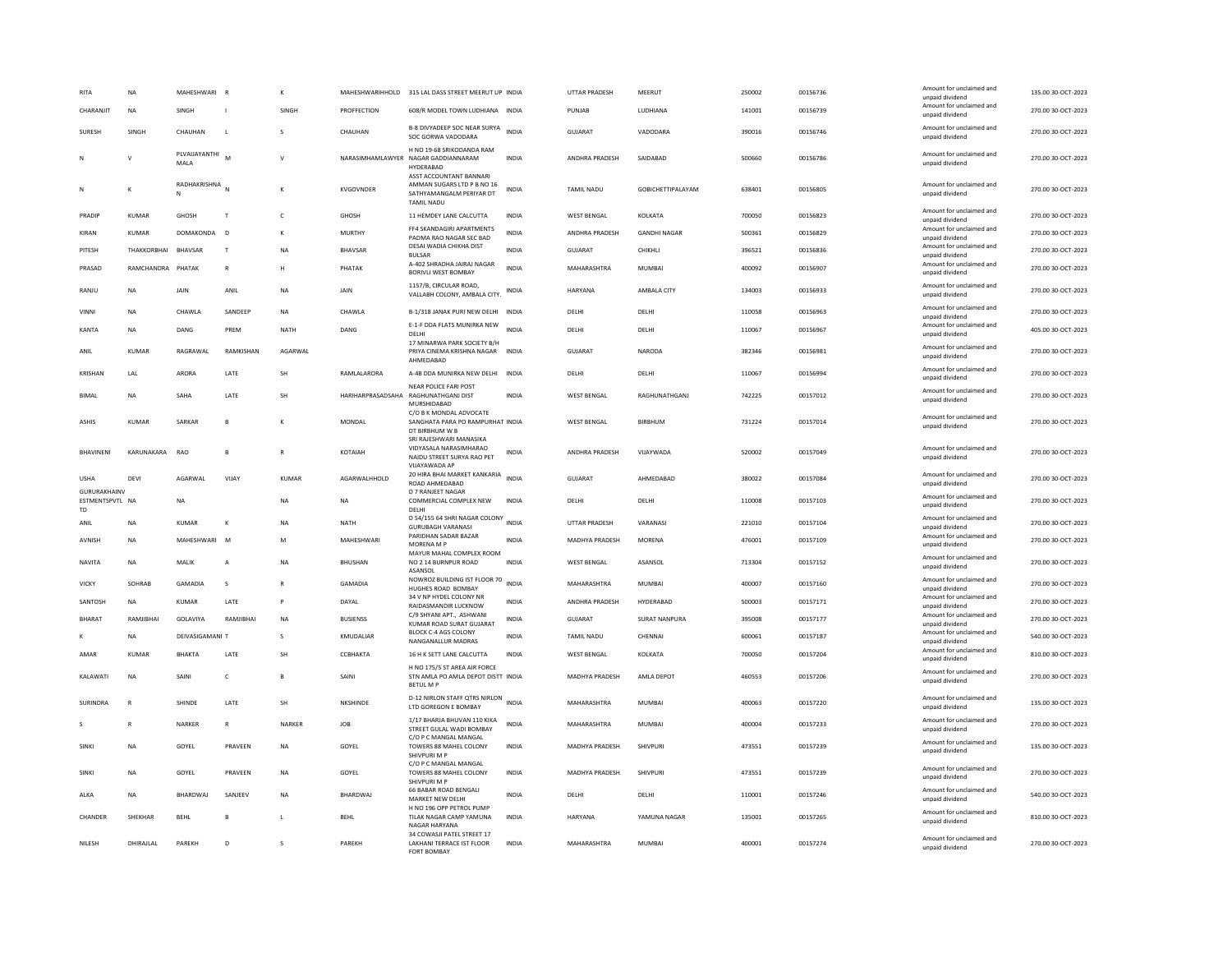| RITA                                         | <b>NA</b>              | <b>MAHESHWARI</b>           | <b>R</b>       |              | MAHESHWARIHHOLD              | 315 LAL DASS STREET MEERUT UP INDIA                                                                     |              | <b>UTTAR PRADESH</b>                 | MEERUT                   | 250002           | 00156736             | Amount for unclaimed and<br>unpaid dividend                    | 135.00 30-OCT-2023                       |
|----------------------------------------------|------------------------|-----------------------------|----------------|--------------|------------------------------|---------------------------------------------------------------------------------------------------------|--------------|--------------------------------------|--------------------------|------------------|----------------------|----------------------------------------------------------------|------------------------------------------|
| CHARANJIT                                    | <b>NA</b>              | SINGH                       | J.             | SINGH        | PROFFECTION                  | 608/R MODEL TOWN LUDHIANA INDIA                                                                         |              | PUNJAB                               | LUDHIANA                 | 141001           | 00156739             | Amount for unclaimed and<br>unpaid dividend                    | 270.00 30-OCT-2023                       |
| SURESH                                       | SINGH                  | CHAUHAN                     | L              |              | CHAUHAN                      | B-8 DIVYADEEP SOC NEAR SURYA<br>SOC GORWA VADODARA                                                      | <b>INDIA</b> | GUJARAT                              | VADODARA                 | 390016           | 00156746             | Amount for unclaimed and<br>unpaid dividend                    | 270.00 30-OCT-2023                       |
|                                              |                        | PLVAUAYANTHI<br>MALA        |                | $\mathbf{v}$ |                              | H NO 19-68 SRIKODANDA RAM<br>NARASIMHAMLAWYER NAGAR GADDIANNARAM<br>HYDERABAD<br>ASST ACCOUNTANT BANNAR | <b>INDIA</b> | ANDHRA PRADESH                       | SAIDABAD                 | 500660           | 00156786             | Amount for unclaimed and<br>unpaid dividend                    | 270.00 30-OCT-2023                       |
| N                                            |                        | RADHAKRISHNA<br>N           |                |              | KVGOVNDER                    | AMMAN SUGARS LTD P B NO 16<br>SATHYAMANGALM PERIYAR DT<br><b>TAMIL NADU</b>                             | INDIA        | TAMIL NADU                           | GOBICHETTIPALAYAM        | 638401           | 00156805             | Amount for unclaimed and<br>unpaid dividend                    | 270.00 30-OCT-2023                       |
| PRADIP                                       | <b>KUMAR</b>           | GHOSH                       | T              | $\mathsf{C}$ | GHOSH                        | 11 HEMDEY LANE CALCUTTA                                                                                 | INDIA        | <b>WEST BENGAL</b>                   | KOLKATA                  | 700050           | 00156823             | Amount for unclaimed and<br>unpaid dividend                    | 270.00 30-OCT-2023                       |
| KIRAN                                        | KUMAR                  | DOMAKONDA                   | $\overline{D}$ | К            | <b>MURTHY</b>                | FF4 SKANDAGIRI APARTMENTS<br>PADMA RAO NAGAR SEC BAD                                                    | INDIA        | ANDHRA PRADESH                       | <b>GANDHI NAGAR</b>      | 500361           | 00156829             | Amount for unclaimed and<br>unpaid dividend                    | 270.00 30-OCT-2023                       |
| PITESH                                       | THAKKORBHAI            | <b>BHAVSAR</b>              | $\mathsf{T}$   | <b>NA</b>    | <b>BHAVSAR</b>               | DESAI WADIA CHIKHA DIST<br><b>BULSAR</b>                                                                | <b>INDIA</b> | GUJARAT                              | CHIKHLI                  | 396521           | 00156836             | Amount for unclaimed and<br>unpaid dividend                    | 270.00 30-OCT-2023                       |
| PRASAD                                       | RAMCHANDRA             | PHATAK                      | $\mathsf{R}$   | н            | PHATAK                       | A-402 SHRADHA JAIRAJ NAGAR<br><b>BORIVLI WEST BOMBAY</b>                                                | <b>INDIA</b> | MAHARASHTRA                          | <b>MUMBAI</b>            | 400092           | 00156907             | Amount for unclaimed and<br>unpaid dividend                    | 270.00 30-OCT-2023                       |
| RANJU                                        | NA                     | JAIN                        | ANIL           | <b>NA</b>    | JAIN                         | 1157/B, CIRCULAR ROAD,<br>VALLABH COLONY, AMBALA CITY.                                                  | <b>INDIA</b> | HARYANA                              | AMBALA CITY              | 134003           | 00156933             | Amount for unclaimed and<br>unpaid dividend                    | 270.00 30-OCT-2023                       |
| VINNI                                        | <b>NA</b>              | CHAWLA                      | SANDEEP        | <b>NA</b>    | CHAWLA                       | B-1/318 JANAK PURI NEW DELHI INDIA                                                                      |              | DELHI                                | DELHI                    | 110058           | 00156963             | Amount for unclaimed and<br>unpaid dividend                    | 270.00 30-OCT-2023                       |
| <b>KANTA</b>                                 | <b>NA</b>              | DANG                        | PREM           | NATH         | DANG                         | E-1-F DDA FLATS MUNIRKA NEW<br><b>DELHI</b>                                                             | <b>INDIA</b> | DELHI                                | DELHI                    | 110067           | 00156967             | Amount for unclaimed and<br>unpaid dividend                    | 405.00 30-OCT-2023                       |
| ANIL                                         | <b>KUMAR</b>           | RAGRAWAL                    | RAMKISHAN      | AGARWAL      |                              | 17 MINARWA PARK SOCIETY B/H<br>PRIYA CINEMA KRISHNA NAGAR                                               | <b>INDIA</b> | <b>GUJARAT</b>                       | NARODA                   | 382346           | 00156981             | Amount for unclaimed and<br>unpaid dividend                    | 270.00 30-OCT-2023                       |
| <b>KRISHAN</b>                               | LAL                    | ARORA                       | LATE           | <b>SH</b>    | RAMLALARORA                  | AHMEDABAD<br>A-4B DDA MUNIRKA NEW DELHI INDIA                                                           |              | DELHI                                | DELHI                    | 110067           | 00156994             | Amount for unclaimed and<br>unpaid dividend                    | 270.00 30-OCT-2023                       |
| <b>BIMAL</b>                                 | <b>NA</b>              | SAHA                        | LATE           | SH           |                              | NEAR POLICE FARI POST<br>HARIHARPRASADSAHA RAGHUNATHGANJ DIST                                           | <b>INDIA</b> | <b>WEST BENGAL</b>                   | RAGHUNATHGANJ            | 742225           | 00157012             | Amount for unclaimed and<br>unpaid dividend                    | 270.00 30-OCT-2023                       |
| <b>ASHIS</b>                                 | KUMAR                  | <b>SARKAR</b>               | $\mathbf{B}$   | $\kappa$     | MONDAL                       | MURSHIDABAD<br>C/O B K MONDAL ADVOCATE<br>SANGHATA PARA PO RAMPURHAT INDIA<br>DT BIRBHUM W B            |              | <b>WEST BENGAL</b>                   | <b>BIRRHUM</b>           | 731224           | 00157014             | Amount for unclaimed and<br>unpaid dividend                    | 270.00 30-OCT-2023                       |
| <b><i>RHAVINENI</i></b>                      | KARLINAKARA            | <b>RAO</b>                  | $\mathbf{B}$   | $\mathbb{R}$ | KOTAIAH                      | SRI RAJESHWARI MANASIKA<br>VIDYASALA NARASIMHARAO<br>NAIDU STREET SURYA RAO PET<br>VIIAYAWADA AP        | <b>INDIA</b> | ANDHRA PRADESH                       | VIJAYWADA                | 520002           | 00157049             | Amount for unclaimed and<br>unpaid dividend                    | 270.00 30-OCT-2023                       |
| <b>USHA</b>                                  | DEVI                   | <b>AGARWAI</b>              | VIJAY          | KUMAR        | AGARWALHHOLD                 | 20 HIRA BHAI MARKET KANKARIA<br>ROAD AHMEDABAD                                                          | <b>INDIA</b> | <b>GUJARAT</b>                       | AHMEDABAD                | 380022           | 00157084             | Amount for unclaimed and<br>unpaid dividend                    | 270.00 30-OCT-2023                       |
| GURURAKHAINV<br>ESTMENTSPVTL NA<br><b>TD</b> |                        | NA                          |                | <b>NA</b>    | NA                           | <b>D 7 RANJEET NAGAR</b><br>COMMERCIAL COMPLEX NEW<br>DELHI                                             | <b>INDIA</b> | DELHI                                | DELHI                    | 110008           | 00157103             | Amount for unclaimed and<br>unpaid dividend                    | 270.00 30-OCT-2023                       |
| ANII                                         | <b>NA</b>              | <b>KUMAR</b>                | К              | <b>NA</b>    | <b>NATH</b>                  | D 54/155 64 SHRI NAGAR COLONY<br><b>GURUBAGH VARANASI</b>                                               | <b>INDIA</b> | <b>UTTAR PRADESH</b>                 | VARANASI                 | 221010           | 00157104             | Amount for unclaimed and<br>unpaid dividend                    | 270.00 30-OCT-2023                       |
| <b>AVNISH</b>                                |                        |                             |                |              | MAHFSHWARI                   | PARIDHAN SADAR BAZAR<br>MORENA M P                                                                      | <b>INDIA</b> | MADHYA PRADESH                       | <b>MORFNA</b>            | 476001           |                      | Amount for unclaimed and                                       | 270.00 30-OCT-2023                       |
|                                              | <b>NA</b>              | MAHESHWARI M                |                | M            |                              |                                                                                                         |              |                                      |                          |                  | 00157109             |                                                                |                                          |
| NAVITA                                       | NA                     | MALIK                       | A              | NA           | BHUSHAN                      | MAYUR MAHAL COMPLEX ROOM<br>NO 2 14 BURNPUR ROAD                                                        | <b>INDIA</b> | <b>WEST BENGAL</b>                   | ASANSOL                  | 713304           | 00157152             | unpaid dividend<br>Amount for unclaimed and                    | 270.00 30-OCT-2023                       |
| VICKY                                        | SOHRAB                 | GAMADIA                     | s              | $\mathbb{R}$ | <b>GAMADIA</b>               | ASANSOL<br>NOWROZ BUILDING IST FLOOR 70                                                                 | <b>INDIA</b> | MAHARASHTRA                          | <b>MUMBAI</b>            | 400007           | 00157160             | unpaid dividend<br>Amount for unclaimed and                    | 270.00 30-OCT-2023                       |
| SANTOSH                                      | <b>NA</b>              | <b>KUMAR</b>                | LATE           | P            | DAYAL                        | HUGHES ROAD BOMBAY<br>34 V NP HYDEL COLONY NR                                                           | <b>INDIA</b> | ANDHRA PRADESH                       | HYDERABAD                | 500003           | 00157171             | unpaid dividend<br>Amount for unclaimed and                    | 270.00 30-OCT-2023                       |
|                                              |                        |                             | RAMJIBHAI      |              |                              | RAIDASMANDIR LUCKNOW<br>C/9 SHYANI APT., ASHWANI                                                        | <b>INDIA</b> |                                      |                          |                  |                      | unpaid dividend<br>Amount for unclaimed and                    |                                          |
| <b>BHARAT</b>                                | RAMJIBHAI<br><b>NA</b> | GOLAVIYA<br>DEIVASIGAMANI 1 |                | <b>NA</b>    | <b>BUSIENSS</b><br>KMUDALIAR | KUMAR ROAD SURAT GUJARAT<br>BLOCK C-4 AGS COLONY                                                        | <b>INDIA</b> | GUJARAT<br><b>TAMIL NADU</b>         | SURAT NANPURA<br>CHENNAL | 395008<br>600061 | 00157177<br>00157187 | unpaid dividend<br>Amount for unclaimed and                    | 270.00 30-OCT-2023                       |
|                                              |                        |                             |                |              |                              | NANGANALLUR MADRAS                                                                                      |              |                                      |                          |                  |                      | unpaid dividend<br>Amount for unclaimed and                    | 540.00 30-OCT-2023                       |
| AMAR<br>KALAWATI                             | KUMAR<br><b>NA</b>     | BHAKTA<br>SAINI             | LATE<br>c      | SH<br>B      | ССВНАКТА<br>SAINI            | 16 H K SETT LANE CALCUTTA<br>H NO 175/5 ST AREA AIR FORCE<br>STN AMLA PO AMLA DEPOT DISTT INDIA         | <b>INDIA</b> | <b>WEST BENGAL</b><br>MADHYA PRADESH | KOLKATA<br>AMLA DEPOT    | 700050<br>460553 | 00157204<br>00157206 | unpaid dividend<br>Amount for unclaimed and<br>unpaid dividend | 810.00 30-OCT-2023<br>270.00 30-OCT-2023 |
| SURINDRA                                     | R                      | SHINDE                      | LATE           | <b>SH</b>    | NKSHINDE                     | BETUL M F<br>D-12 NIRLON STAFF QTRS NIRLON<br>LTD GOREGON E BOMBAY                                      | <b>INDIA</b> | MAHARASHTRA                          | <b>MUMBAI</b>            | 400063           | 00157220             | Amount for unclaimed and<br>unpaid dividend                    | 135.00 30-OCT-2023                       |
|                                              |                        | NARKER                      | R              | NARKER       | <b>JOB</b>                   | 1/17 BHARJA BHUVAN 110 KIKA<br>STREET GULAL WADI BOMBAY                                                 | <b>INDIA</b> | MAHARASHTRA                          | <b>MUMBAI</b>            | 400004           | 00157233             | Amount for unclaimed and                                       | 270.00 30-OCT-2023                       |
| SINKI                                        | <b>NA</b>              | GOYEL                       | PRAVEEN        | <b>NA</b>    | GOYEL                        | C/O P C MANGAL MANGAL<br>TOWERS 88 MAHEL COLONY                                                         | <b>INDIA</b> | MADHYA PRADESH                       | SHIVPURI                 | 473551           | 00157239             | unpaid dividend<br>Amount for unclaimed and<br>unpaid dividend | 135.00 30-OCT-2023                       |
| <b>SINKI</b>                                 | <b>NA</b>              | GOYEL                       | PRAVEEN        | <b>NA</b>    | GOYEL                        | SHIVPURI M P<br>C/O P C MANGAL MANGAL<br>TOWERS 88 MAHEL COLONY                                         | <b>INDIA</b> | <b>MADHYA PRADESH</b>                | SHIVPURI                 | 473551           | 00157239             | Amount for unclaimed and<br>unpaid dividend                    | 270.00 30-OCT-2023                       |
| ALKA                                         | <b>NA</b>              | <b>BHARDWAI</b>             | SANIFFV        | <b>NA</b>    | <b>BHARDWAI</b>              | SHIVPURI M P<br>66 BABAR ROAD BENGALI<br>MARKET NEW DELHI                                               | <b>INDIA</b> | DFI HI                               | <b>DELHI</b>             | 110001           | 00157246             | Amount for unclaimed and<br>unpaid dividend                    | 540.00 30-OCT-2023                       |
| CHANDER                                      | SHEKHAR                | <b>BEHL</b>                 |                | L            | BEHL                         | H NO 196 OPP PETROL PUMP<br>TILAK NAGAR CAMP YAMUNA<br>NAGAR HARYANA                                    | <b>INDIA</b> | HARYANA                              | YAMUNA NAGAR             | 135001           | 00157265             | Amount for unclaimed and<br>unpaid dividend                    | 810.00 30-OCT-2023                       |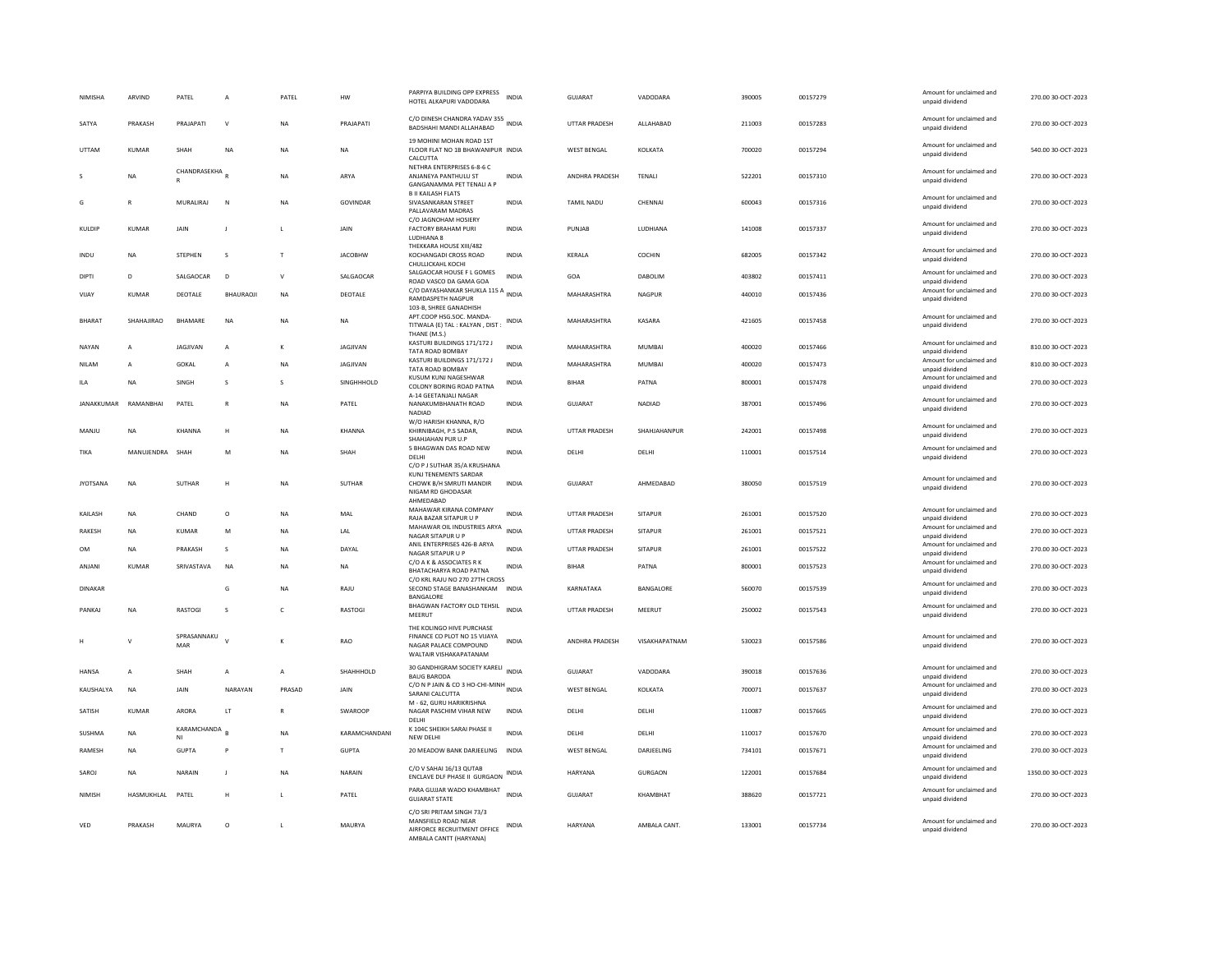| <b>NIMISHA</b>  | ARVIND          | PATEL                     | A               | PATEL          | HW              | PARPIYA BUILDING OPP EXPRESS<br>HOTEL ALKAPURI VADODARA                                                     | <b>INDIA</b> | <b>GUJARAT</b>       | VADODARA            | 390005 | 00157279 | Amount for unclaimed and<br>unpaid dividend                             | 270.00 30-OCT-2023  |
|-----------------|-----------------|---------------------------|-----------------|----------------|-----------------|-------------------------------------------------------------------------------------------------------------|--------------|----------------------|---------------------|--------|----------|-------------------------------------------------------------------------|---------------------|
| SATYA           | PRAKASH         | PRAJAPATI                 | $\vee$          | <b>NA</b>      | PRAJAPATI       | C/O DINESH CHANDRA YADAV 355<br>BADSHAHI MANDI ALLAHABAD                                                    |              | <b>UTTAR PRADESH</b> | ALLAHABAD           | 211003 | 00157283 | Amount for unclaimed and<br>unpaid dividend                             | 270.00 30-OCT-2023  |
| <b>UTTAM</b>    | KUMAR           | SHAH                      | <b>NA</b>       | <b>NA</b>      | NA.             | 19 MOHINI MOHAN ROAD 1ST<br>FLOOR FLAT NO 1B BHAWANIPUR INDIA<br>CALCUTTA                                   |              | <b>WEST RENGAL</b>   | <b>KOI KATA</b>     | 700020 | 00157294 | Amount for unclaimed and<br>unpaid dividend                             | 540.00 30-OCT-2023  |
|                 | ΝA              | CHANDRASEKHA <sub>R</sub> |                 | <b>NA</b>      | ARYA            | NETHRA ENTERPRISES 6-8-6 C<br>ANJANEYA PANTHULU ST<br><b>GANGANAMMA PET TENALI A P</b>                      | <b>INDIA</b> | ANDHRA PRADESH       | TENALI              | 522201 | 00157310 | Amount for unclaimed and<br>unpaid dividend                             | 270.00 30-OCT-2023  |
| G               | R               | MURALIRAJ                 | N               | <b>NA</b>      | <b>GOVINDAR</b> | <b>B II KAILASH FLATS</b><br>SIVASANKARAN STREET<br>PALLAVARAM MADRAS                                       | <b>INDIA</b> | <b>TAMIL NADU</b>    | CHENNAI             | 600043 | 00157316 | Amount for unclaimed and<br>unpaid dividend                             | 270.00 30-OCT-2023  |
| KULDIP          | <b>KUMAR</b>    | <b>JAIN</b>               | J               | $\mathsf L$    | <b>JAIN</b>     | C/O JAGNOHAM HOSIERY<br>FACTORY BRAHAM PURI<br>LUDHIANA 8                                                   | <b>INDIA</b> | PUNJAB               | LUDHIANA            | 141008 | 00157337 | Amount for unclaimed and<br>unpaid dividend                             | 270.00 30-OCT-2023  |
| INDU            | <b>NA</b>       | <b>STEPHEN</b>            | s               | $\mathsf{T}$   | <b>JACOBHW</b>  | THEKKARA HOUSE XIII/482<br>KOCHANGADI CROSS ROAD<br>CHULLICKAHI KOCHI                                       | <b>INDIA</b> | KERALA               | COCHIN              | 682005 | 00157342 | Amount for unclaimed and<br>unpaid dividend                             | 270.00 30-OCT-2023  |
| <b>DIPTI</b>    | D               | SALGAOCAR                 | D               | $\mathsf{V}$   | SALGAOCAR       | SALGAOCAR HOUSE F L GOMES<br>ROAD VASCO DA GAMA GOA                                                         | <b>INDIA</b> | GOA                  | DABOLIM             | 403802 | 00157411 | Amount for unclaimed and<br>unpaid dividend                             | 270.00 30-OCT-2023  |
| VIJAY           | <b>KUMAR</b>    | DEOTALE                   | <b>BHAURAOJ</b> | <b>NA</b>      | DEOTALE         | C/O DAYASHANKAR SHUKLA 115 A INDIA<br><b>RAMDASPETH NAGPUR</b><br>103-B. SHREE GANADHISH                    |              | MAHARASHTRA          | NAGPUR              | 440010 | 00157436 | Amount for unclaimed and<br>unpaid dividend                             | 270.00 30-OCT-2023  |
| <b>BHARAT</b>   | SHAHAJIRAO      | BHAMARE                   | $_{\sf NA}$     | <b>NA</b>      | <b>NA</b>       | APT.COOP HSG.SOC. MANDA-<br>TITWALA (E) TAL: KALYAN, DIST:<br>THANE (M.S.)                                  | <b>INDIA</b> | MAHARASHTRA          | KASARA              | 421605 | 00157458 | Amount for unclaimed and<br>unpaid dividend                             | 270.00 30-OCT-2023  |
| NAYAN           | $\overline{A}$  | <b>JAGJIVAN</b>           | $\overline{A}$  | к              | <b>IAGIIVAN</b> | KASTURI BUILDINGS 171/172 J<br>TATA ROAD BOMBAY                                                             | <b>INDIA</b> | MAHARASHTRA          | MUMBAI              | 400020 | 00157466 | Amount for unclaimed and<br>unpaid dividend                             | 810.00 30-OCT-2023  |
| <b>NILAM</b>    | $\overline{A}$  | <b>GOKAL</b>              | $\overline{A}$  | <b>NA</b>      | JAGJIVAN        | KASTURI BUILDINGS 171/172 J<br>TATA ROAD BOMBAY                                                             | <b>INDIA</b> | MAHARASHTRA          | <b>MUMBAI</b>       | 400020 | 00157473 | Amount for unclaimed and<br>unpaid dividend                             | 810.00 30-OCT-2023  |
| <b>ILA</b>      | <b>NA</b>       | SINGH                     | s               | s              | SINGHHHOLD      | KUSUM KUNJ NAGESHWAR<br>COLONY BORING ROAD PATNA<br>A-14 GEETANJALI NAGAR                                   | INDIA        | <b>BIHAR</b>         | PATNA               | 800001 | 00157478 | Amount for unclaimed and<br>unpaid dividend                             | 270.00 30-OCT-2023  |
| JANAKKUMAR      | RAMANBHAI       | PATEL                     | $\mathsf{R}$    | <b>NA</b>      | PATEL           | NANAKUMBHANATH ROAD<br><b>NADIAD</b><br>W/O HARISH KHANNA, R/O                                              | <b>INDIA</b> | GUJARAT              | NADIAD              | 387001 | 00157496 | Amount for unclaimed and<br>unpaid dividend                             | 270.00 30-OCT-2023  |
| MANIU           | <b>NA</b>       | KHANNA                    | H               | <b>NA</b>      | KHANNA          | KHIRNIBAGH, P.S SADAR,<br>SHAHJAHAN PUR U.F<br>5 BHAGWAN DAS ROAD NEW                                       | <b>INDIA</b> | <b>UTTAR PRADESH</b> | <b>SHAHIAHANPUR</b> | 242001 | 00157498 | Amount for unclaimed and<br>unpaid dividend<br>Amount for unclaimed and | 270.00 30-OCT-2023  |
| TIKA            | MANUJENDRA SHAH |                           | M               | <b>NA</b>      | SHAH            | DELHI<br>C/O P J SUTHAR 35/A KRUSHANA                                                                       | <b>INDIA</b> | DELHI                | DELHI               | 110001 | 00157514 | unpaid dividend                                                         | 270.00 30-OCT-2023  |
| <b>JYOTSANA</b> | <b>NA</b>       | <b>SUTHAR</b>             | H               | <b>NA</b>      | SUTHAR          | KUNJ TENEMENTS SARDAR<br>CHOWK B/H SMRUTI MANDIR<br>NIGAM RD GHODASAR<br>AHMEDABAD                          | <b>INDIA</b> | GUJARAT              | AHMEDABAD           | 380050 | 00157519 | Amount for unclaimed and<br>unpaid dividend                             | 270.00 30-OCT-2023  |
| <b>KAILASH</b>  | <b>NA</b>       | CHAND                     | $\circ$         | <b>NA</b>      | MAI             | MAHAWAR KIRANA COMPANY<br>RAJA BAZAR SITAPUR U P                                                            | <b>INDIA</b> | UTTAR PRADESH        | SITAPUR             | 261001 | 00157520 | Amount for unclaimed and<br>unpaid dividend                             | 270.00 30-OCT-2023  |
| <b>RAKESH</b>   | <b>NA</b>       | <b>KUMAR</b>              | M               | <b>NA</b>      | LAL             | MAHAWAR OIL INDUSTRIES ARYA<br>NAGAR SITAPUR U P                                                            | <b>INDIA</b> | UTTAR PRADESH        | <b>SITAPUR</b>      | 261001 | 00157521 | Amount for unclaimed and                                                | 270.00 30-OCT-2023  |
| <b>OM</b>       | <b>NA</b>       | PRAKASH                   | <sub>S</sub>    | <b>NA</b>      | DAYAL           | ANIL ENTERPRISES 426-B ARYA                                                                                 | <b>INDIA</b> | UTTAR PRADESH        | <b>SITAPUR</b>      | 261001 | 00157522 | unpaid dividend<br>Amount for unclaimed and                             | 270.00 30-OCT-2023  |
|                 |                 |                           |                 |                |                 | NAGAR SITAPUR U P<br>C/O A K & ASSOCIATES R K                                                               |              |                      |                     |        |          | unpaid dividend<br>Amount for unclaimed and                             |                     |
| ANJANI          | <b>KUMAR</b>    | SRIVASTAVA                | <b>NA</b>       | <b>NA</b>      | NA              | BHATACHARYA ROAD PATNA<br>C/O KRL RAJU NO 270 27TH CROSS                                                    | <b>INDIA</b> | <b>BIHAR</b>         | PATNA               | 800001 | 00157523 | unpaid dividend                                                         | 270.00 30-OCT-2023  |
| <b>DINAKAR</b>  |                 |                           | G               | <b>NA</b>      | RAJU            | SECOND STAGE BANASHANKAM INDIA<br><b>BANGALORE</b><br>BHAGWAN FACTORY OLD TEHSIL                            |              | KARNATAKA            | BANGALORE           | 560070 | 00157539 | Amount for unclaimed and<br>unpaid dividend<br>Amount for unclaimed and | 270.00 30-OCT-2023  |
| PANKAJ          | <b>NA</b>       | RASTOGI                   | s               | $\epsilon$     | RASTOGI         | MEERUT                                                                                                      | <b>INDIA</b> | <b>UTTAR PRADESH</b> | MEERUT              | 250002 | 00157543 | unpaid dividend                                                         | 270.00 30-OCT-2023  |
|                 | $\mathsf{V}$    | SPRASANNAKU<br>MAR        | $\mathbf{v}$    | $\kappa$       | RAO             | THE KOLINGO HIVE PURCHASE<br>FINANCE CO PLOT NO 15 VUAYA<br>NAGAR PALACE COMPOUND<br>WALTAIR VISHAKAPATANAM | <b>INDIA</b> | ANDHRA PRADESH       | VISAKHAPATNAM       | 530023 | 00157586 | Amount for unclaimed and<br>unpaid dividend                             | 270.00 30-OCT-2023  |
| <b>HANSA</b>    | $\overline{A}$  | SHAH                      | А               | $\overline{A}$ | SHAHHHOLD       | 30 GANDHIGRAM SOCIETY KARELI INDIA<br><b>BAUG BARODA</b>                                                    |              | <b>GUJARAT</b>       | VADODARA            | 390018 | 00157636 | Amount for unclaimed and<br>unpaid dividend                             | 270.00 30-OCT-2023  |
| KAUSHALYA       | NA              | JAIN                      | NARAYAN         | PRASAD         | JAIN            | C/O N P JAIN & CO 3 HO-CHI-MINH                                                                             |              | <b>WEST BENGAL</b>   | KOLKATA             | 700071 | 00157637 | Amount for unclaimed and                                                | 270.00 30-OCT-2023  |
| SATISH          | KUMAR           | ARORA                     | <b>IT</b>       | $\mathbb{R}$   | <b>SWAROOP</b>  | SARANI CALCUTTA<br>M - 62, GURU HARIKRISHNA<br>NAGAR PASCHIM VIHAR NEW                                      | <b>INDIA</b> | DELHI                | <b>DELHI</b>        | 110087 | 00157665 | unpaid dividend<br>Amount for unclaimed and<br>unpaid dividend          | 270.00 30-OCT-2023  |
| SUSHMA          | <b>NA</b>       | KARAMCHANDA               |                 | <b>NA</b>      | KARAMCHANDANI   | DELHI<br>K 104C SHEIKH SARAI PHASE II                                                                       | <b>INDIA</b> | DELHI                | DELHI               | 110017 | 00157670 | Amount for unclaimed and                                                | 270.00 30-OCT-2023  |
|                 |                 | NI                        |                 |                |                 | NEW DELH                                                                                                    |              |                      |                     |        |          | unpaid dividend<br>Amount for unclaimed and                             |                     |
| RAMESH          | NA              | <b>GUPTA</b>              | P               | $\top$         | GUPTA           | 20 MEADOW BANK DARJEELING                                                                                   | <b>INDIA</b> | WEST BENGAL          | DARJEELING          | 734101 | 00157671 | unpaid dividend                                                         | 270.00 30-OCT-2023  |
| SAROJ           | <b>NA</b>       | NARAIN                    | J               | NA             | NARAIN          | C/O V SAHAI 16/13 QUTAB<br>ENCLAVE DLF PHASE II GURGAON                                                     | <b>INDIA</b> | HARYANA              | GURGAON             | 122001 | 00157684 | Amount for unclaimed and<br>unpaid dividend                             | 1350.00 30-OCT-2023 |
| NIMISH          | HASMUKHLAL      | PATEL                     | н               | $\mathbf{L}$   | PATEL           | PARA GUJJAR WADO KHAMBHAT<br><b>GUJARAT STATE</b>                                                           | <b>INDIA</b> | GUIARAT              | KHAMRHAT            | 388620 | 00157721 | Amount for unclaimed and<br>unpaid dividend                             | 270.00.30-OCT-2023  |
| VED             | PRAKASH         | MAURYA                    | $\Omega$        | $\mathbf{L}$   | MAURYA          | C/O SRI PRITAM SINGH 73/3<br>MANSFIELD ROAD NEAR<br>AIRFORCE RECRUITMENT OFFICE<br>AMBALA CANTT (HARYANA)   | <b>INDIA</b> | <b>HARYANA</b>       | AMBALA CANT.        | 133001 | 00157734 | Amount for unclaimed and<br>unpaid dividend                             | 270.00.30-OCT-2023  |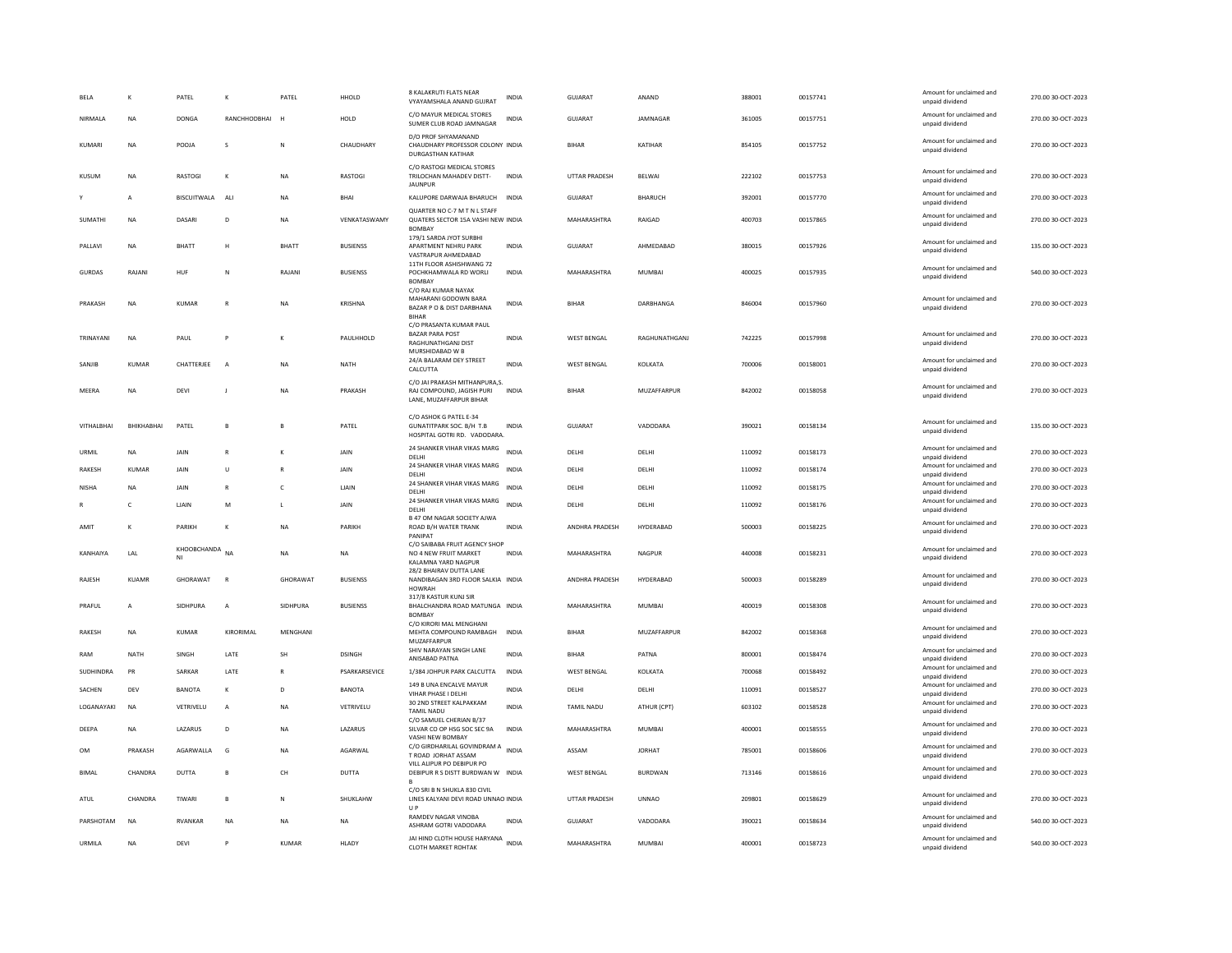| BELA          | к            | PATEL              | к              | PATEL        | HHOLD           | 8 KALAKRUTI FLATS NEAR<br>VYAYAMSHALA ANAND GUJRAT                                                | <b>INDIA</b> | GUJARAT              | ANAND          | 388001 | 00157741 | Amount for unclaimed and<br>unpaid dividend | 270.00 30-OCT-2023 |
|---------------|--------------|--------------------|----------------|--------------|-----------------|---------------------------------------------------------------------------------------------------|--------------|----------------------|----------------|--------|----------|---------------------------------------------|--------------------|
| NIRMALA       | <b>NA</b>    | <b>DONGA</b>       | RANCHHODBHAI   |              | HOLD            | C/O MAYUR MEDICAL STORES<br>SUMER CLUB ROAD JAMNAGAR                                              | <b>INDIA</b> | <b>GUJARAT</b>       | JAMNAGAR       | 361005 | 00157751 | Amount for unclaimed and<br>unpaid dividend | 270.00 30-OCT-2023 |
| KUMARI        | NA           | POOJA              | s              | N            | CHAUDHARY       | D/O PROF SHYAMANAND<br>CHAUDHARY PROFESSOR COLONY INDIA<br>DURGASTHAN KATIHAR                     |              | <b>BIHAR</b>         | KATIHAR        | 854105 | 00157752 | Amount for unclaimed and<br>unpaid dividend | 270.00 30-OCT-2023 |
| KUSUM         | NA           | RASTOGI            | $\mathbf{K}$   | <b>NA</b>    | RASTOGI         | C/O RASTOGI MEDICAL STORES<br>TRILOCHAN MAHADEV DISTT-<br><b>JAUNPUR</b>                          | <b>INDIA</b> | <b>UTTAR PRADESH</b> | BELWAI         | 222102 | 00157753 | Amount for unclaimed and<br>unpaid dividend | 270.00 30-OCT-2023 |
|               | A            | <b>BISCUITWALA</b> | ALI            | <b>NA</b>    | <b>RHAI</b>     | KALUPORE DARWAJA BHARUCH                                                                          | <b>INDIA</b> | GUIARAT              | <b>BHARUCH</b> | 392001 | 00157770 | Amount for unclaimed and<br>unpaid dividend | 270.00 30-OCT-2023 |
| SUMATHI       | NA           | DASARI             | D <sub>1</sub> | <b>NA</b>    | VENKATASWAMY    | QUARTER NO C-7 M T N L STAFF<br>QUATERS SECTOR 15A VASHI NEW INDIA<br><b>BOMBAY</b>               |              | MAHARASHTRA          | RAIGAD         | 400703 | 00157865 | Amount for unclaimed and<br>unpaid dividend | 270.00 30-OCT-2023 |
| PALLAVI       | <b>NA</b>    | RHATT              | H              | <b>BHATT</b> | <b>BUSIENSS</b> | 179/1 SARDA JYOT SURBHI<br>APARTMENT NEHRU PARK<br>VASTRAPUR AHMEDABAD                            | <b>INDIA</b> | GUIARAT              | AHMEDARAD      | 380015 | 00157926 | Amount for unclaimed and<br>unpaid dividend | 135.00.30-OCT-2023 |
| <b>GURDAS</b> | RAJANI       | HUF                | N              | RAJANI       | <b>BUSIENSS</b> | 11TH FLOOR ASHISHWANG 72<br>POCHKHAMWALA RD WORLI<br><b>BOMBAY</b><br>C/O RAJ KUMAR NAYAK         | <b>INDIA</b> | MAHARASHTRA          | MUMBAI         | 400025 | 00157935 | Amount for unclaimed and<br>unpaid dividend | 540.00 30-OCT-2023 |
| PRAKASH       | NA           | <b>KUMAR</b>       |                | NA           | KRISHNA         | MAHARANI GODOWN BARA<br>BAZAR P O & DIST DARBHANA<br><b>BIHAF</b>                                 | INDIA        | BIHAR                | DARBHANGA      | 846004 | 00157960 | Amount for unclaimed and<br>unpaid dividend | 270.00 30-OCT-2023 |
| TRINAYANI     | <b>NA</b>    | PAUL               | P              | K            | PAULHHOLD       | C/O PRASANTA KUMAR PAUL<br><b>BAZAR PARA POST</b><br><b>RAGHUNATHGANJ DIST</b><br>MURSHIDABAD W B | <b>INDIA</b> | <b>WEST BENGAL</b>   | RAGHUNATHGANJ  | 742225 | 00157998 | Amount for unclaimed and<br>unpaid dividend | 270.00 30-OCT-2023 |
| SANJIB        | KUMAR        | CHATTERJEE         | $\overline{A}$ | NA           | NATH            | 24/A BALARAM DEY STREET<br>CALCUTTA                                                               | INDIA        | WEST BENGAL          | KOLKATA        | 700006 | 00158001 | Amount for unclaimed and<br>unpaid dividend | 270.00 30-OCT-2023 |
| MEERA         | NA           | DEVI               | J              | <b>NA</b>    | PRAKASH         | C/O JAI PRAKASH MITHANPURA,S.<br>RAJ COMPOUND, JAGISH PURI<br>LANE, MUZAFFARPUR BIHAR             | <b>INDIA</b> | <b>BIHAR</b>         | MUZAFFARPUR    | 842002 | 00158058 | Amount for unclaimed and<br>unpaid dividend | 270.00 30-OCT-2023 |
| VITHALBHAI    | BHIKHABHAI   | PATEL              | $\mathbf{R}$   | B            | PATEL           | C/O ASHOK G PATEL E-34<br>GUNATITPARK SOC. B/H T.B<br>HOSPITAL GOTRI RD. VADODARA                 | <b>INDIA</b> | GUJARAT              | VADODARA       | 390021 | 00158134 | Amount for unclaimed and<br>unpaid dividend | 135.00 30-OCT-2023 |
| URMIL         | NA           | JAIN               | $\mathbb{R}$   | к            | JAIN            | 24 SHANKER VIHAR VIKAS MARG<br>DELHI                                                              | INDIA        | DELHI                | DELHI          | 110092 | 00158173 | Amount for unclaimed and<br>unpaid dividend | 270.00 30-OCT-2023 |
| RAKESH        | <b>KUMAR</b> | JAIN               | $\mathbf{U}$   | $\mathbb{R}$ | JAIN            | 24 SHANKER VIHAR VIKAS MARG<br>DELHI                                                              | <b>INDIA</b> | DELHI                | DELHI          | 110092 | 00158174 | Amount for unclaimed and<br>unpaid dividend | 270.00 30-OCT-2023 |
| <b>NISHA</b>  | <b>NA</b>    | JAIN               |                | $\mathsf{C}$ | LJAIN           | 24 SHANKER VIHAR VIKAS MARG<br>DELHI                                                              | <b>INDIA</b> | DELHI                | DELHI          | 110092 | 00158175 | Amount for unclaimed and<br>unpaid dividend | 270.00 30-OCT-2023 |
|               | c            | LJAIN              | M              |              | JAIN            | 24 SHANKER VIHAR VIKAS MARG<br><b>DELHI</b>                                                       | <b>INDIA</b> | DELHI                | DELHI          | 110092 | 00158176 | Amount for unclaimed and<br>unpaid dividend | 270.00 30-OCT-2023 |
| AMIT          | K            | PARIKH             | $\kappa$       | <b>NA</b>    | PARIKH          | <b>B 47 OM NAGAR SOCIETY AJWA</b><br>ROAD B/H WATER TRANK<br>PANIPAT                              | <b>INDIA</b> | ANDHRA PRADESH       | HYDERARAD      | 500003 | 00158225 | Amount for unclaimed and<br>unpaid dividend | 270.00 30-OCT-2023 |
| KANHAIYA      | LAL          | KHOOBCHANDA<br>NI  | <b>NA</b>      | NA           | NA              | C/O SAIRARA FRUIT AGENCY SHOP<br>NO 4 NEW FRUIT MARKET<br>KALAMNA YARD NAGPUR                     | <b>INDIA</b> | MAHARASHTRA          | NAGPUR         | 440008 | 00158231 | Amount for unclaimed and<br>unpaid dividend | 270.00 30-OCT-2023 |
| RAJESH        | <b>KUAMR</b> | GHORAWAT           | $\mathsf{R}$   | GHORAWAT     | <b>BUSIENSS</b> | 28/2 BHAIRAV DUTTA LANE<br>NANDIBAGAN 3RD FLOOR SALKIA INDIA<br>HOWRAH                            |              | ANDHRA PRADESH       | HYDERABAD      | 500003 | 00158289 | Amount for unclaimed and<br>unpaid dividend | 270.00 30-OCT-2023 |
| PRAFUL        | $\mathsf{A}$ | SIDHPURA           | $\mathbf{A}$   | SIDHPURA     | <b>BUSIENSS</b> | 317/8 KASTUR KUNJ SIR<br>BHALCHANDRA ROAD MATUNGA INDIA<br>BOMBAY                                 |              | MAHARASHTRA          | MUMBAI         | 400019 | 00158308 | Amount for unclaimed and<br>unpaid dividend | 270.00.30-OCT-2023 |
| RAKESH        | <b>NA</b>    | <b>KUMAR</b>       | KIRORIMAL      | MENGHANI     |                 | C/O KIRORI MAL MENGHANI<br>MEHTA COMPOUND RAMBAGH<br>MUZAFFARPUR                                  | <b>INDIA</b> | <b>BIHAR</b>         | MUZAFFARPUR    | 842002 | 00158368 | Amount for unclaimed and<br>unpaid dividend | 270.00 30-OCT-2023 |
| RAM           | NATH         | SINGH              | LATE           | SH           | <b>DSINGH</b>   | SHIV NARAYAN SINGH LANE<br>ANISABAD PATNA                                                         | INDIA        | BIHAR                | PATNA          | 800001 | 00158474 | Amount for unclaimed and<br>unpaid dividend | 270.00 30-OCT-2023 |
| SUDHINDRA     | PR           | SARKAR             | LATE           |              | PSARKARSEVICE   | 1/384 JOHPUR PARK CALCUTTA                                                                        | <b>INDIA</b> | <b>WEST BENGAL</b>   | KOLKATA        | 700068 | 00158492 | Amount for unclaimed and<br>unpaid dividend | 270.00 30-OCT-2023 |
| SACHEN        | DEV          | <b>BANOTA</b>      | K              | D            | <b>BANOTA</b>   | 149 B UNA ENCALVE MAYUR<br>VIHAR PHASE I DELHI                                                    | <b>INDIA</b> | DELHI                | DELHI          | 110091 | 00158527 | Amount for unclaimed and<br>unpaid dividend | 270.00 30-OCT-2023 |
| LOGANAYAKI    | <b>NA</b>    | VETRIVELU          | $\overline{A}$ | <b>NA</b>    | VETRIVELU       | 30 2ND STREET KALPAKKAM<br><b>TAMIL NADU</b>                                                      | INDIA        | <b>TAMIL NADU</b>    | ATHUR (CPT)    | 603102 | 00158528 | Amount for unclaimed and<br>unpaid dividend | 270.00 30-OCT-2023 |
| DEEPA         | <b>NA</b>    | LAZARUS            | D              | <b>NA</b>    | LAZARUS         | C/O SAMUEL CHERIAN B/37<br>SILVAR CO OP HSG SOC SEC 9A<br>VASHI NEW BOMBAY                        | <b>INDIA</b> | MAHARASHTRA          | <b>MUMBAI</b>  | 400001 | 00158555 | Amount for unclaimed and<br>unpaid dividend | 270.00 30-OCT-2023 |
| <b>OM</b>     | PRAKASH      | AGARWALLA          | G              | NA           | AGARWAL         | C/O GIRDHARILAL GOVINDRAM A INDIA<br>T ROAD JORHAT ASSAM                                          |              | ASSAM                | <b>JORHAT</b>  | 785001 | 00158606 | Amount for unclaimed and<br>unpaid dividend | 270.00 30-OCT-2023 |
| <b>BIMAL</b>  | CHANDRA      | <b>DUTTA</b>       | $\mathbf{R}$   | CH           | DUTTA           | VILL ALIPUR PO DEBIPUR PO<br>DEBIPUR R S DISTT BURDWAN W INDIA                                    |              | <b>WEST BENGAL</b>   | <b>BURDWAN</b> | 713146 | 00158616 | Amount for unclaimed and<br>unpaid dividend | 270.00 30-OCT-2023 |
| ATUL          | CHANDRA      | TIWARI             | $\mathbf{B}$   | $\mathsf{N}$ | SHUKLAHW        | C/O SRI B N SHUKLA 830 CIVIL<br>LINES KALYANI DEVI ROAD UNNAO INDIA<br>$U$ P                      |              | <b>UTTAR PRADESH</b> | <b>UNNAO</b>   | 209801 | 00158629 | Amount for unclaimed and<br>unpaid dividend | 270.00 30-OCT-2023 |
| PARSHOTAM     | <b>NA</b>    | <b>RVANKAR</b>     | <b>NA</b>      | <b>NA</b>    | <b>NA</b>       | RAMDEV NAGAR VINOBA<br>ASHRAM GOTRI VADODARA                                                      | <b>INDIA</b> | GUIARAT              | VADODARA       | 390021 | 00158634 | Amount for unclaimed and<br>unpaid dividend | 540.00 30-OCT-2023 |
| URMILA        | NA           | DEVI               |                | KUMAR        | HLADY           | JAI HIND CLOTH HOUSE HARYANA INDIA<br>CLOTH MARKET ROHTAK                                         |              | MAHARASHTRA          | MUMBAI         | 400001 | 00158723 | Amount for unclaimed and<br>unpaid dividend | 540.00 30-OCT-2023 |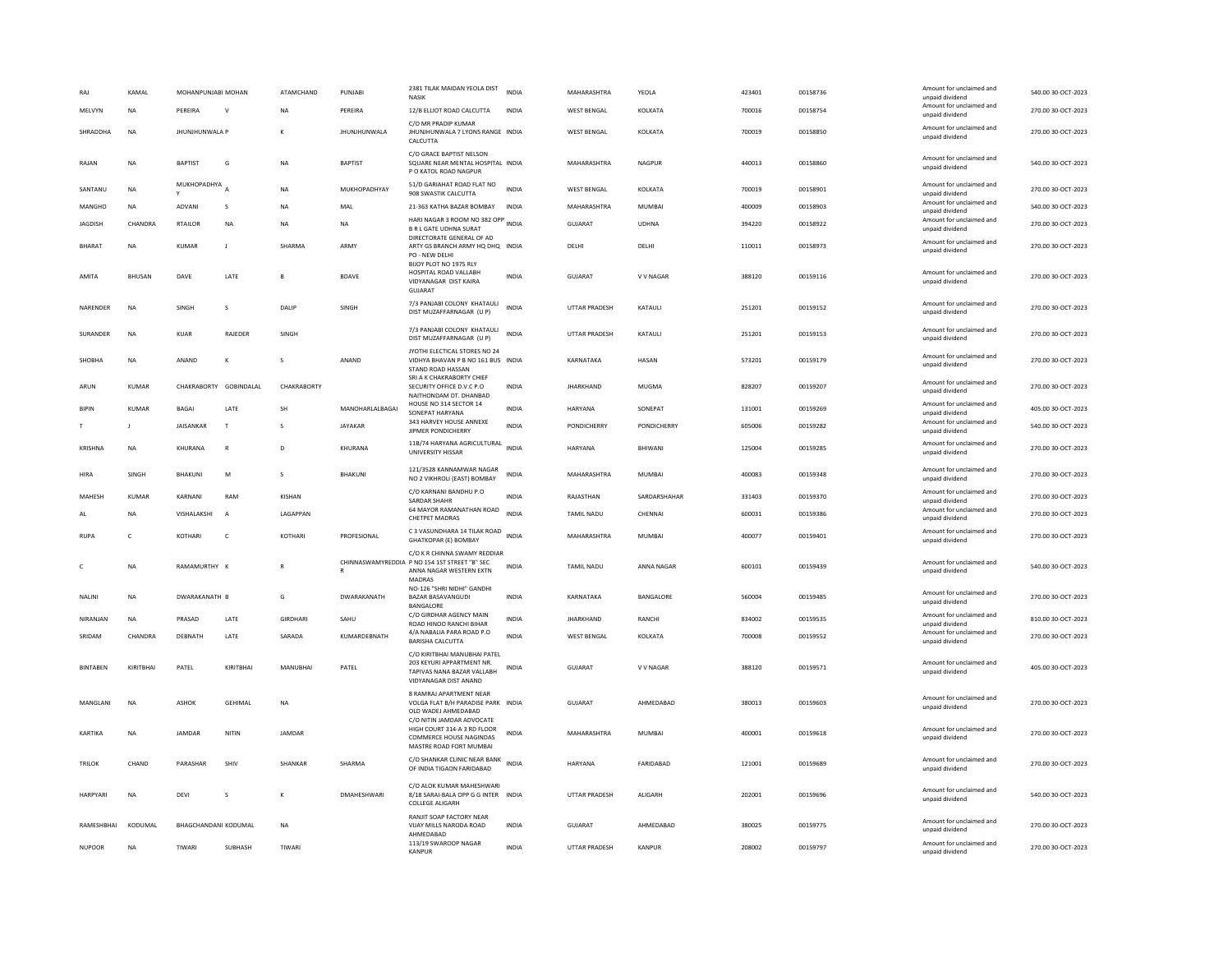| RA.             | KAMAL          | MOHANPUNJABI MOHAN    |                        | ATAMCHAND       | PUNJABI             | 2381 TILAK MAIDAN YEOLA DIST<br><b>NASK</b>                                                                           | <b>INDIA</b> | MAHARASHTRA          | YEOLA         | 423401 | 00158736 | Amount for unclaimed and<br>unpaid dividend | 540.00 30-OCT-2023 |
|-----------------|----------------|-----------------------|------------------------|-----------------|---------------------|-----------------------------------------------------------------------------------------------------------------------|--------------|----------------------|---------------|--------|----------|---------------------------------------------|--------------------|
| MELVYN          | NA             | PERFIRA               | $\mathsf{v}$           | <b>NA</b>       | PERFIRA             | 12/B ELLIOT ROAD CALCUTTA                                                                                             | <b>INDIA</b> | <b>WEST BENGAL</b>   | KOLKATA       | 700016 | 00158754 | Amount for unclaimed and<br>unpaid dividend | 270.00 30-OCT-2023 |
| SHRADDHA        | <b>NA</b>      | <b>JHUNJHUNWALA P</b> |                        |                 | <b>JHUNJHUNWALA</b> | C/O MR PRADIP KUMAR<br>JHUNJHUNWALA 7 LYONS RANGE INDIA<br>CALCUTTA                                                   |              | <b>WEST BENGAL</b>   | KOLKATA       | 700019 | 00158850 | Amount for unclaimed and<br>unpaid dividend | 270.00 30-OCT-2023 |
| RAJAN           | <b>NA</b>      | <b>BAPTIST</b>        | G                      | NA              | <b>BAPTIST</b>      | C/O GRACE BAPTIST NELSON<br>SQUARE NEAR MENTAL HOSPITAL INDIA<br>P O KATOL ROAD NAGPUR                                |              | MAHARASHTRA          | NAGPUR        | 440013 | 00158860 | Amount for unclaimed and<br>unpaid dividend | 540.00 30-OCT-2023 |
| SANTANU         | <b>NA</b>      | MUKHOPADHYA A         |                        | <b>NA</b>       | MUKHOPADHYAY        | 51/D GARIAHAT ROAD FLAT NO<br>908 SWASTIK CALCUTTA                                                                    | INDIA        | <b>WEST BENGAL</b>   | KOLKATA       | 700019 | 00158901 | Amount for unclaimed and<br>unpaid dividend | 270.00 30-OCT-2023 |
| MANGHO          | <b>NA</b>      | ADVANI                | $\sf S$                | <b>NA</b>       | MAL                 | 21-363 KATHA BAZAR BOMBAY                                                                                             | <b>INDIA</b> | MAHARASHTRA          | <b>MUMBAI</b> | 400009 | 00158903 | Amount for unclaimed and<br>unpaid dividend | 540.00 30-OCT-2023 |
| <b>IAGDISH</b>  | CHANDRA        | <b>RTAILOR</b>        | <b>NA</b>              | <b>NA</b>       | <b>NA</b>           | HARI NAGAR 3 ROOM NO 382 OPP INDIA<br><b>B R L GATE UDHNA SURAT</b>                                                   |              | <b>GUJARAT</b>       | <b>UDHNA</b>  | 394220 | 00158922 | Amount for unclaimed and<br>unpaid dividend | 270.00 30-OCT-2023 |
| <b>BHARAT</b>   | <b>NA</b>      | <b>KUMAR</b>          | J                      | SHARMA          | ARMY                | DIRECTORATE GENERAL OF AD<br>ARTY GS BRANCH ARMY HQ DHQ INDIA<br>PO - NEW DELHI                                       |              | DELHI                | DELHI         | 110011 | 00158973 | Amount for unclaimed and<br>unpaid dividend | 270.00 30-OCT-2023 |
| AMITA           | <b>BHUSAN</b>  | DAVE                  | LATE                   |                 | <b>BDAVE</b>        | BIJOY PLOT NO 1975 RLY<br>HOSPITAL ROAD VALLABH<br>VIDYANAGAR DIST KAIRA<br><b>GUJARAT</b>                            | <b>INDIA</b> | <b>GUJARAT</b>       | V V NAGAR     | 388120 | 00159116 | Amount for unclaimed and<br>unpaid dividend | 270.00 30-OCT-2023 |
| NARENDER        | <b>NA</b>      | SINGH                 | s                      | DALIP           | SINGH               | 7/3 PANJABI COLONY KHATAULI<br>DIST MUZAFFARNAGAR (U P)                                                               | <b>INDIA</b> | UTTAR PRADESH        | KATAULI       | 251201 | 00159152 | Amount for unclaimed and<br>unpaid dividend | 270.00 30-OCT-2023 |
| SURANDER        | <b>NA</b>      | KUAR                  | RAJEDER                | SINGH           |                     | 7/3 PANJABI COLONY KHATAULI<br>DIST MUZAFFARNAGAR (U P)                                                               | <b>INDIA</b> | UTTAR PRADESH        | KATAULI       | 251201 | 00159153 | Amount for unclaimed and<br>unpaid dividend | 270.00 30-OCT-2023 |
| <b>SHOBHA</b>   | <b>NA</b>      | ANAND                 | к                      | s               | ANAND               | JYOTHI ELECTICAL STORES NO 24<br>VIDHYA BHAVAN P B NO 161 BUS INDIA<br>STAND ROAD HASSAN<br>SRI A K CHAKRABORTY CHIEF |              | KARNATAKA            | HASAN         | 573201 | 00159179 | Amount for unclaimed and<br>unpaid dividend | 270.00 30-OCT-2023 |
| ARUN            | KUMAR          |                       | CHAKRABORTY GOBINDALAL | CHAKRABORTY     |                     | SECURITY OFFICE D.V.C P.O.<br>NAITHONDAM DT. DHANBAD                                                                  | <b>INDIA</b> | <b>IHARKHAND</b>     | MUGMA         | 828207 | 00159207 | Amount for unclaimed and<br>unpaid dividend | 270.00 30-OCT-2023 |
| <b>BIPIN</b>    | KUMAR          | <b>BAGAI</b>          | LATE                   | SH              | MANOHARLALBAGAI     | HOUSE NO 314 SECTOR 14<br>SONEPAT HARYANA                                                                             | INDIA        | HARYANA              | SONEPAT       | 131001 | 00159269 | Amount for unclaimed and<br>unpaid dividend | 405.00 30-OCT-2023 |
|                 | $\blacksquare$ | <b>JAISANKAR</b>      | T                      | $\mathbf{S}$    | <b>IAYAKAR</b>      | 343 HARVEY HOUSE ANNEXE<br>JIPMER PONDICHERRY                                                                         | <b>INDIA</b> | <b>PONDICHERRY</b>   | PONDICHERRY   | 605006 | 00159282 | Amount for unclaimed and<br>unpaid dividend | 540.00 30-OCT-2023 |
| KRISHNA         | <b>NA</b>      | KHURANA               | $\mathsf{R}$           | D               | KHURANA             | 11B/74 HARYANA AGRICULTURAL<br>UNIVERSITY HISSAR                                                                      | <b>INDIA</b> | HARYANA              | BHIWANI       | 125004 | 00159285 | Amount for unclaimed and<br>unpaid dividend | 270.00 30-OCT-2023 |
| HIRA            | SINGH          | BHAKUNI               | M                      | s               | BHAKUNI             | 121/3528 KANNAMWAR NAGAR<br>NO 2 VIKHROLI (EAST) BOMBAY                                                               | <b>INDIA</b> | MAHARASHTRA          | <b>MUMBAI</b> | 400083 | 00159348 | Amount for unclaimed and<br>unpaid dividend | 270.00 30-OCT-2023 |
| MAHESH          | KUMAR          | KARNANI               | RAM                    | KISHAN          |                     | C/O KARNANI BANDHU P.O<br><b>SARDAR SHAHR</b>                                                                         | INDIA        | RAJASTHAN            | SARDARSHAHAR  | 331403 | 00159370 | Amount for unclaimed and<br>unpaid dividend | 270.00 30-OCT-2023 |
| AL              | <b>NA</b>      | VISHALAKSHI           | A                      | LAGAPPAN        |                     | 64 MAYOR RAMANATHAN ROAD<br><b>CHETPET MADRAS</b>                                                                     | <b>INDIA</b> | TAMIL NADU           | CHENNAI       | 600031 | 00159386 | Amount for unclaimed and<br>unpaid dividend | 270.00 30-OCT-2023 |
| <b>RUPA</b>     | $\mathsf{C}$   | KOTHARI               | $\mathsf{C}$           | KOTHARI         | PROFESIONAL         | C 3 VASUNDHARA 14 TILAK ROAD INDIA<br><b>GHATKOPAR (E) BOMBAY</b>                                                     |              | MAHARASHTRA          | <b>MUMBAI</b> | 400077 | 00159401 | Amount for unclaimed and<br>unpaid dividend | 270.00 30-OCT-2023 |
|                 | <b>NA</b>      | RAMAMURTHY K          |                        |                 |                     | C/O K R CHINNA SWAMY REDDIAR<br>CHINNASWAMYREDDIA P NO 154 1ST STREET "B" SEC<br>ANNA NAGAR WESTERN EXTN<br>MADRAS    | <b>INDIA</b> | <b>TAMIL NADU</b>    | ANNA NAGAR    | 600101 | 00159439 | Amount for unclaimed and<br>unpaid dividend | 540.00 30-OCT-2023 |
| NALINI          | <b>NA</b>      | DWARAKANATH B         |                        | G               | DWARAKANATH         | NO-126 "SHRI NIDHI" GANDHI<br>BAZAR BASAVANGUDI<br>BANGALORE                                                          | <b>INDIA</b> | KARNATAKA            | BANGALORE     | 560004 | 00159485 | Amount for unclaimed and<br>unpaid dividend | 270.00 30-OCT-2023 |
| NIRANJAN        | <b>NA</b>      | PRASAD                | LATE                   | <b>GIRDHARI</b> | SAHU                | C/O GIRDHAR AGENCY MAIN<br>ROAD HINOO RANCHI BIHAR                                                                    | <b>INDIA</b> | <b>JHARKHAND</b>     | RANCHI        | 834002 | 00159535 | Amount for unclaimed and<br>unpaid dividend | 810.00 30-OCT-2023 |
| SRIDAM          | CHANDRA        | DEBNATH               | LATE                   | SARADA          | KUMARDEBNATH        | 4/A NABALIA PARA ROAD P.O<br><b>BARISHA CALCUTTA</b>                                                                  | <b>INDIA</b> | <b>WEST BENGAL</b>   | KOLKATA       | 700008 | 00159552 | Amount for unclaimed and<br>unpaid dividend | 270.00 30-OCT-2023 |
| <b>BINTABEN</b> | KIRITBHAI      | PATEL                 | KIRITBHAI              | MANUBHAI        | PATEL               | C/O KIRITBHAI MANUBHAI PATEL<br>203 KEYURI APPARTMENT NR<br>TAPIVAS NANA BAZAR VALLABH<br>VIDYANAGAR DIST ANAND       | <b>INDIA</b> | <b>GUJARAT</b>       | V V NAGAR     | 388120 | 00159571 | Amount for unclaimed and<br>unpaid dividend | 405.00 30-OCT-2023 |
| <b>MANGLANI</b> | <b>NA</b>      | ASHOK                 | <b>GFHIMAL</b>         | <b>NA</b>       |                     | 8 RAMRAJ APARTMENT NEAR<br>VOLGA FLAT B/H PARADISE PARK INDIA<br>OLD WADEJ AHMEDABAD                                  |              | GUJARAT              | AHMEDABAD     | 380013 | 00159603 | Amount for unclaimed and<br>unpaid dividend | 270.00 30-OCT-2023 |
| KARTIKA         | <b>NA</b>      | <b>IAMDAR</b>         | NITIN                  | JAMDAR          |                     | C/O NITIN JAMDAR ADVOCATE<br>HIGH COURT 314-A 3 RD FLOOR<br>COMMERCE HOUSE NAGINDAS<br>MASTRE ROAD FORT MUMBAI        | <b>INDIA</b> | MAHARASHTRA          | MUMBAI        | 400001 | 00159618 | Amount for unclaimed and<br>unpaid dividend | 270.00 30-OCT-2023 |
| <b>TRILOK</b>   | CHAND          | PARASHAR              | SHIV                   | <b>SHANKAR</b>  | SHARMA              | C/O SHANKAR CLINIC NEAR BANK INDIA<br>OF INDIA TIGAON FARIDABAD                                                       |              | HARYANA              | FARIDABAD     | 121001 | 00159689 | Amount for unclaimed and<br>unpaid dividend | 270.00 30-OCT-2023 |
| HARPYARI        | <b>NA</b>      | DEVI                  | s                      | к               | <b>DMAHESHWARI</b>  | C/O ALOK KUMAR MAHESHWARI<br>8/18 SARAI-BALA OPP G G INTER INDIA<br><b>COLLEGE ALIGARH</b>                            |              | UTTAR PRADESH        | ALIGARH       | 202001 | 00159696 | Amount for unclaimed and<br>unpaid dividend | 540.00 30-OCT-2023 |
| RAMESHBHAI      | KODUMAL        | BHAGCHANDANI KODUMAL  |                        | <b>NA</b>       |                     | RANJIT SOAP FACTORY NEAR<br>VIJAY MILLS NARODA ROAD<br>AHMEDABAD                                                      | <b>INDIA</b> | <b>GUJARAT</b>       | AHMEDABAD     | 380025 | 00159775 | Amount for unclaimed and<br>unpaid dividend | 270.00 30-OCT-2023 |
| <b>NUPOOR</b>   | <b>NA</b>      | TIWARI                | <b>SURHASH</b>         | TIWARI          |                     | 113/19 SWAROOP NAGAR<br><b>KANPUR</b>                                                                                 | <b>INDIA</b> | <b>UTTAR PRADESH</b> | KANPUR        | 208002 | 00159797 | Amount for unclaimed and<br>unpaid dividend | 270.00 30-OCT-2023 |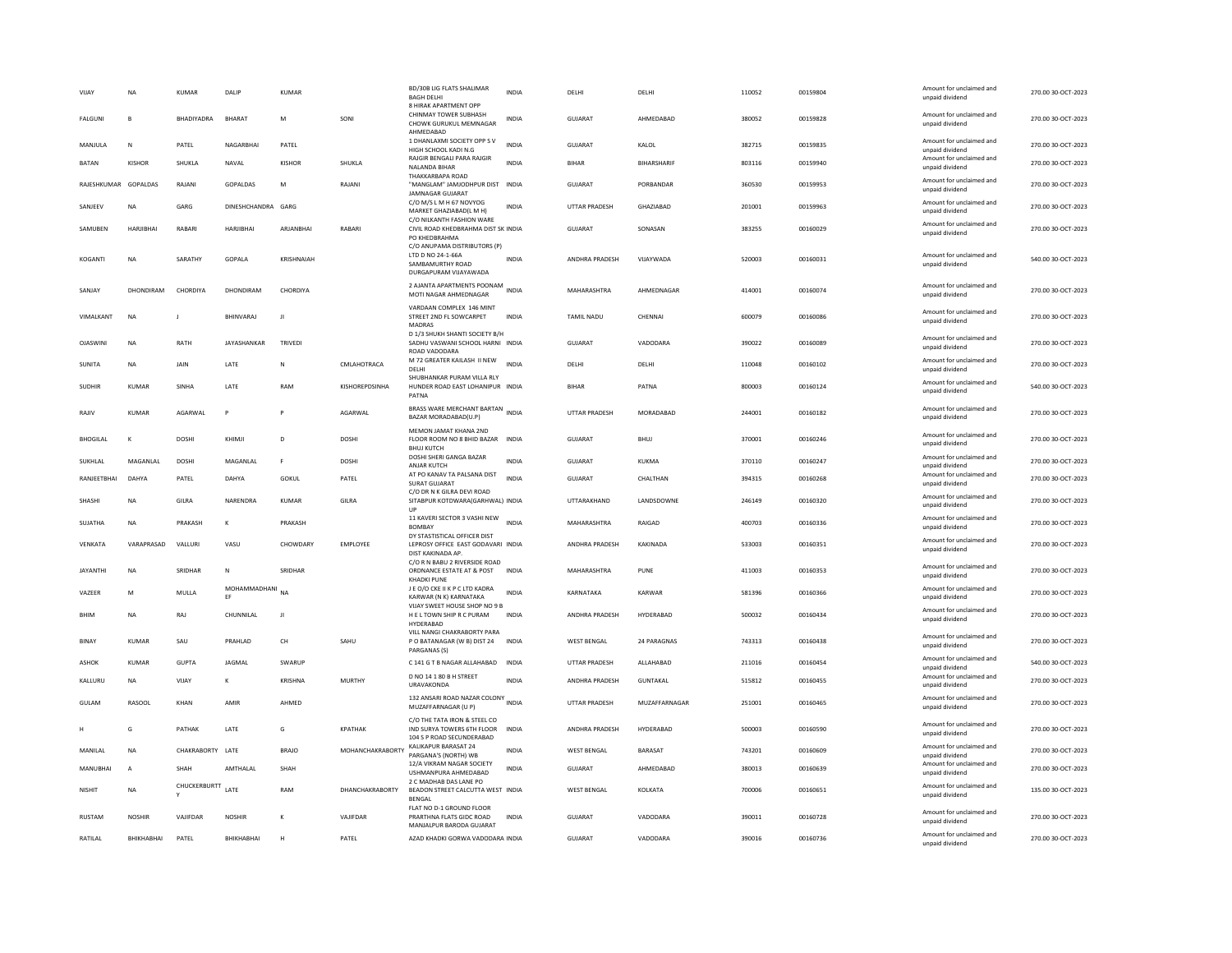| VIJAY           | <b>NA</b>      | <b>KUMAR</b>     | DALIP                 | <b>KUMAR</b>                                          |                        | <b>BD/30B LIG FLATS SHALIMAR</b><br><b>BAGH DELHI</b><br>8 HIRAK APARTMENT OPP                 | <b>INDIA</b> | DELHI              | DELHI              | 110052 | 00159804 | Amount for unclaimed and<br>unpaid dividend | 270.00 30-OCT-2023 |
|-----------------|----------------|------------------|-----------------------|-------------------------------------------------------|------------------------|------------------------------------------------------------------------------------------------|--------------|--------------------|--------------------|--------|----------|---------------------------------------------|--------------------|
| FALGUNI         | $\mathbf{B}$   | BHADIYADRA       | <b>RHARAT</b>         | M                                                     | SONI                   | CHINMAY TOWER SUBHASH<br>CHOWK GURUKUL MEMNAGAR<br>AHMEDABAD                                   | INDIA        | GUJARAT            | AHMEDABAD          | 380052 | 00159828 | Amount for unclaimed and<br>unpaid dividend | 270.00 30-OCT-2023 |
| MANJULA         | N              | PATEL            | NAGARBHAI             | PATEL                                                 |                        | 1 DHANLAXMI SOCIETY OPP S V<br>HIGH SCHOOL KADI N.G                                            | <b>INDIA</b> | GUJARAT            | KALOL              | 382715 | 00159835 | Amount for unclaimed and<br>unpaid dividend | 270.00 30-OCT-2023 |
| <b>BATAN</b>    | <b>KISHOR</b>  | SHUKLA           | NAVAL                 | KISHOR                                                | SHUKLA                 | RAJGIR BENGALI PARA RAJGIR<br>NALANDA BIHAR                                                    | <b>INDIA</b> | BIHAR              | <b>BIHARSHARIF</b> | 803116 | 00159940 | Amount for unclaimed and<br>unpaid dividend | 270.00 30-OCT-2023 |
| RAIFSHKUMAR     | GOPALDAS       | RAIANI           | <b>GOPALDAS</b>       | M                                                     | RAIANI                 | THAKKARBAPA ROAD<br>"MANGLAM" JAMJODHPUR DIST<br><b>JAMNAGAR GUJARAT</b>                       | <b>INDIA</b> | GUIARAT            | PORRANDAR          | 360530 | 00159953 | Amount for unclaimed and<br>unpaid dividend | 270.00 30-OCT-2023 |
| SANJEEV         | NΑ             | GARG             | DINESHCHANDRA GARG    |                                                       |                        | C/O M/S L M H 67 NOVYOG<br>MARKET GHAZIABAD(L M H)                                             | INDIA        | UTTAR PRADESH      | GHAZIABAD          | 201001 | 00159963 | Amount for unclaimed and<br>unpaid dividend | 270.00 30-OCT-2023 |
| SAMUBEN         | HARIIRHAI      | RABARI           | <b>HARJIBHAI</b>      | ARIANRHAI                                             | RABARI                 | C/O NILKANTH FASHION WARE<br>CIVIL ROAD KHEDBRAHMA DIST SK INDIA<br>PO KHEDBRAHMA              |              | <b>GUJARAT</b>     | SONASAN            | 383255 | 00160029 | Amount for unclaimed and<br>unpaid dividend | 270.00 30-OCT-2023 |
| KOGANTI         | <b>NA</b>      | SARATHY          | GOPALA                | KRISHNAIAH                                            |                        | C/O ANUPAMA DISTRIBUTORS (P)<br>LTD D NO 24-1-66A<br>SAMBAMURTHY ROAD<br>DURGAPURAM VIJAYAWADA | INDIA        | ANDHRA PRADESH     | VIJAYWADA          | 520003 | 00160031 | Amount for unclaimed and<br>unpaid dividend | 540.00 30-OCT-2023 |
| SANJAY          | DHONDIRAM      | CHORDIYA         | DHONDIRAM             | CHORDIYA                                              |                        | 2 AJANTA APARTMENTS POONAM INDIA<br>MOTI NAGAR AHMEDNAGAR                                      |              | MAHARASHTRA        | AHMEDNAGAR         | 414001 | 00160074 | Amount for unclaimed and<br>unpaid dividend | 270.00 30-OCT-2023 |
| VIMALKANT       | NA             |                  | <b>BHINVARA</b>       | Л                                                     |                        | VARDAAN COMPLEX 146 MINT<br>STREET 2ND FL SOWCARPET<br><b>MADRAS</b>                           | <b>INDIA</b> | <b>TAMIL NADU</b>  | CHENNAL            | 600079 | 00160086 | Amount for unclaimed and<br>unpaid dividend | 270.00 30-OCT-2023 |
| <b>OJASWINI</b> | <b>NA</b>      | RATH             | JAYASHANKAR           | TRIVEDI                                               |                        | D 1/3 SHUKH SHANTI SOCIETY B/H<br>SADHU VASWANI SCHOOL HARNI INDIA<br>ROAD VADODARA            |              | <b>GUJARAT</b>     | VADODARA           | 390022 | 00160089 | Amount for unclaimed and<br>unpaid dividend | 270.00 30-OCT-2023 |
| SUNITA          | <b>NA</b>      | <b>JAIN</b>      | LATE                  | N                                                     | CMLAHOTRACA            | M 72 GREATER KAILASH II NEW<br>DELHI                                                           | <b>INDIA</b> | DELHI              | DELHI              | 110048 | 00160102 | Amount for unclaimed and<br>unpaid dividend | 270.00 30-OCT-2023 |
| <b>SUDHIR</b>   | <b>KUMAR</b>   | SINHA            | LATE                  | RAM                                                   | KISHOREPDSINHA         | SHUBHANKAR PURAM VILLA RLY<br>HUNDER ROAD EAST LOHANIPUR INDIA<br>PATNA                        |              | <b>BIHAR</b>       | PATNA              | 800003 | 00160124 | Amount for unclaimed and<br>unpaid dividend | 540.00 30-OCT-2023 |
| RAJIV           | <b>KUMAR</b>   | AGARWAL          | Þ                     |                                                       | AGARWAL                | BRASS WARE MERCHANT BARTAN INDIA<br>BAZAR MORADABAD(U.P)                                       |              | UTTAR PRADESH      | MORADABAD          | 244001 | 00160182 | Amount for unclaimed and<br>unpaid dividend | 270.00 30-OCT-2023 |
| <b>BHOGILAL</b> |                | <b>DOSHI</b>     | KHIMJI                | D                                                     | DOSHI                  | MEMON JAMAT KHANA 2ND<br>FLOOR ROOM NO 8 BHID BAZAR<br><b>BHUJ KUTCH</b>                       | INDIA        | <b>GUJARAT</b>     | <b>BHUJ</b>        | 370001 | 00160246 | Amount for unclaimed and<br>unpaid dividend | 270.00 30-OCT-2023 |
| SUKHLAL         | MAGANLAL       | <b>DOSHI</b>     | MAGANLAL              | F                                                     | <b>DOSHI</b>           | DOSHI SHERI GANGA BAZAR<br>ANJAR KUTCH                                                         | <b>INDIA</b> | <b>GUJARAT</b>     | KUKMA              | 370110 | 00160247 | Amount for unclaimed and<br>unpaid dividend | 270.00 30-OCT-2023 |
| RANIFFTRHAI     | DAHYA          | PATEL            | DAHYA                 | GOKUL                                                 | PATEL                  | AT PO KANAV TA PALSANA DIST<br><b>SURAT GUJARAT</b>                                            | <b>INDIA</b> | GUIARAT            | CHALTHAN           | 394315 | 00160268 | Amount for unclaimed and<br>unpaid dividend | 270.00 30-OCT-2023 |
| SHASHI          | <b>NA</b>      | GILRA            | NARENDRA              | KUMAR                                                 | <b>GILRA</b>           | C/O DR N K GILRA DEVI ROAD<br>SITABPUR KOTDWARA(GARHWAL) INDIA<br>UP                           |              | UTTARAKHAND        | LANDSDOWNE         | 246149 | 00160320 | Amount for unclaimed and<br>unpaid dividend | 270.00 30-OCT-2023 |
| SUJATHA         | <b>NA</b>      | PRAKASH          | К                     | PRAKASH                                               |                        | 11 KAVERI SECTOR 3 VASHI NEW<br><b>BOMBAY</b>                                                  | <b>INDIA</b> | MAHARASHTRA        | RAIGAD             | 400703 | 00160336 | Amount for unclaimed and<br>unpaid dividend | 270.00 30-OCT-2023 |
| VENKATA         | VARAPRASAD     | VALLURI          | VASU                  | CHOWDARY                                              | EMPLOYEE               | DY STASTISTICAL OFFICER DIST<br>LEPROSY OFFICE EAST GODAVARI INDIA<br>DIST KAKINADA AP.        |              | ANDHRA PRADESH     | KAKINADA           | 533003 | 00160351 | Amount for unclaimed and<br>unpaid dividend | 270.00 30-OCT-2023 |
| <b>JAYANTHI</b> | <b>NA</b>      | SRIDHAR          | N                     | SRIDHAR                                               |                        | C/O R N BABU 2 RIVERSIDE ROAD<br>ORDNANCE ESTATE AT & POST<br><b>KHADKI PUNE</b>               | <b>INDIA</b> | MAHARASHTRA        | PUNE               | 411003 | 00160353 | Amount for unclaimed and<br>unpaid dividend | 270.00 30-OCT-2023 |
| VAZEER          | M              | MULLA            | MOHAMMADHANI NA<br>EF |                                                       |                        | J E O/O CKE II K P C LTD KADRA<br>KARWAR (N K) KARNATAKA                                       | <b>INDIA</b> | KARNATAKA          | KARWAR             | 581396 | 00160366 | Amount for unclaimed and<br>unpaid dividend | 270.00 30-OCT-2023 |
| <b>BHIM</b>     | <b>NA</b>      | RAJ              | CHUNNILAI             | л                                                     |                        | VIJAY SWEET HOUSE SHOP NO 9 B<br>H E L TOWN SHIP R C PURAM<br>HYDERABAD                        | <b>INDIA</b> | ANDHRA PRADESH     | HYDERABAD          | 500032 | 00160434 | Amount for unclaimed and<br>unpaid dividend | 270.00 30-OCT-2023 |
| <b>BINAY</b>    | KUMAR          | SAU              | PRAHLAD               | $\mathsf{CH}% _{\mathsf{C}}^{\mathsf{C}}(\mathsf{C})$ | SAHU                   | VILL NANGI CHAKRABORTY PARA<br>P O BATANAGAR (W B) DIST 24<br>PARGANAS (S)                     | INDIA        | WEST BENGAL        | 24 PARAGNAS        | 743313 | 00160438 | Amount for unclaimed and<br>unpaid dividend | 270.00 30-OCT-2023 |
| ASHOK           | <b>KUMAR</b>   | <b>GUPTA</b>     | <b>JAGMAL</b>         | SWARUF                                                |                        | C 141 G T B NAGAR ALLAHABAD                                                                    | <b>INDIA</b> | UTTAR PRADESH      | ALLAHABAD          | 211016 | 00160454 | Amount for unclaimed and<br>unpaid dividend | 540.00 30-OCT-2023 |
| KALLURU         | <b>NA</b>      | VIJAY            | к                     | KRISHNA                                               | <b>MURTHY</b>          | D NO 14 1 80 B H STREET<br><b>URAVAKONDA</b>                                                   | <b>INDIA</b> | ANDHRA PRADESH     | <b>GUNTAKAL</b>    | 515812 | 00160455 | Amount for unclaimed and<br>unpaid dividend | 270.00 30-OCT-2023 |
| GULAM           | RASOOL         | KHAN             | AMIR                  | AHMED                                                 |                        | 132 ANSARI ROAD NAZAR COLONY INDIA<br>MUZAFFARNAGAR (U P)                                      |              | UTTAR PRADESH      | MUZAFFARNAGAR      | 251001 | 00160465 | Amount for unclaimed and<br>unpaid dividend | 270.00 30-OCT-2023 |
|                 | G              | PATHAK           | LATE                  | G                                                     | <b>KPATHAK</b>         | C/O THE TATA IRON & STEEL CO<br>IND SURYA TOWERS 6TH FLOOR<br>104 S P ROAD SECUNDERABAD        | <b>INDIA</b> | ANDHRA PRADESH     | HYDERABAD          | 500003 | 00160590 | Amount for unclaimed and<br>unpaid dividend | 270.00 30-OCT-2023 |
| MANILAL         | <b>NA</b>      | CHAKRABORTY LATE |                       | <b>BRAJO</b>                                          | MOHANCHAKRABORTY       | KALIKAPUR BARASAT 24<br>PARGANA'S (NORTH) WB                                                   | INDIA        | <b>WEST BENGAL</b> | BARASAT            | 743201 | 00160609 | Amount for unclaimed and<br>unpaid dividend | 270.00 30-OCT-2023 |
| MANUBHAI        | $\overline{A}$ | SHAH             | AMTHALAL              | SHAH                                                  |                        | 12/A VIKRAM NAGAR SOCIETY<br><b>USHMANPURA AHMEDARAD</b><br>2 C MADHAB DAS LANE PO             | <b>INDIA</b> | <b>GUJARAT</b>     | AHMEDARAD          | 380013 | 00160639 | Amount for unclaimed and<br>unpaid dividend | 270.00 30-OCT-2023 |
| <b>NISHIT</b>   | <b>NA</b>      | CHUCKERBURTT     | <b>LATE</b>           | RAM                                                   | <b>DHANCHAKRABORTY</b> | BEADON STREET CALCUTTA WEST INDIA<br>BENGAL                                                    |              | <b>WEST BENGAL</b> | KOLKATA            | 700006 | 00160651 | Amount for unclaimed and<br>unpaid dividend | 135.00 30-OCT-2023 |
| <b>RUSTAM</b>   | <b>NOSHIR</b>  | VAIIFDAR         | <b>NOSHIR</b>         | $\kappa$                                              | VAIIFDAR               | FLAT NO D-1 GROUND FLOOR<br>PRARTHNA FLATS GIDC ROAD<br>MANJALPUR BARODA GUJARAT               | <b>INDIA</b> | GUIARAT            | VADODARA           | 390011 | 00160728 | Amount for unclaimed and<br>unpaid dividend | 270.00.30-QCT-2023 |
| RATILAL         | BHIKHABHAI     | PATEL            | BHIKHABHAI            | H                                                     | PATEL                  | AZAD KHADKI GORWA VADODARA INDIA                                                               |              | GUJARAT            | VADODARA           | 390016 | 00160736 | Amount for unclaimed and<br>unpaid dividend | 270.00 30-OCT-2023 |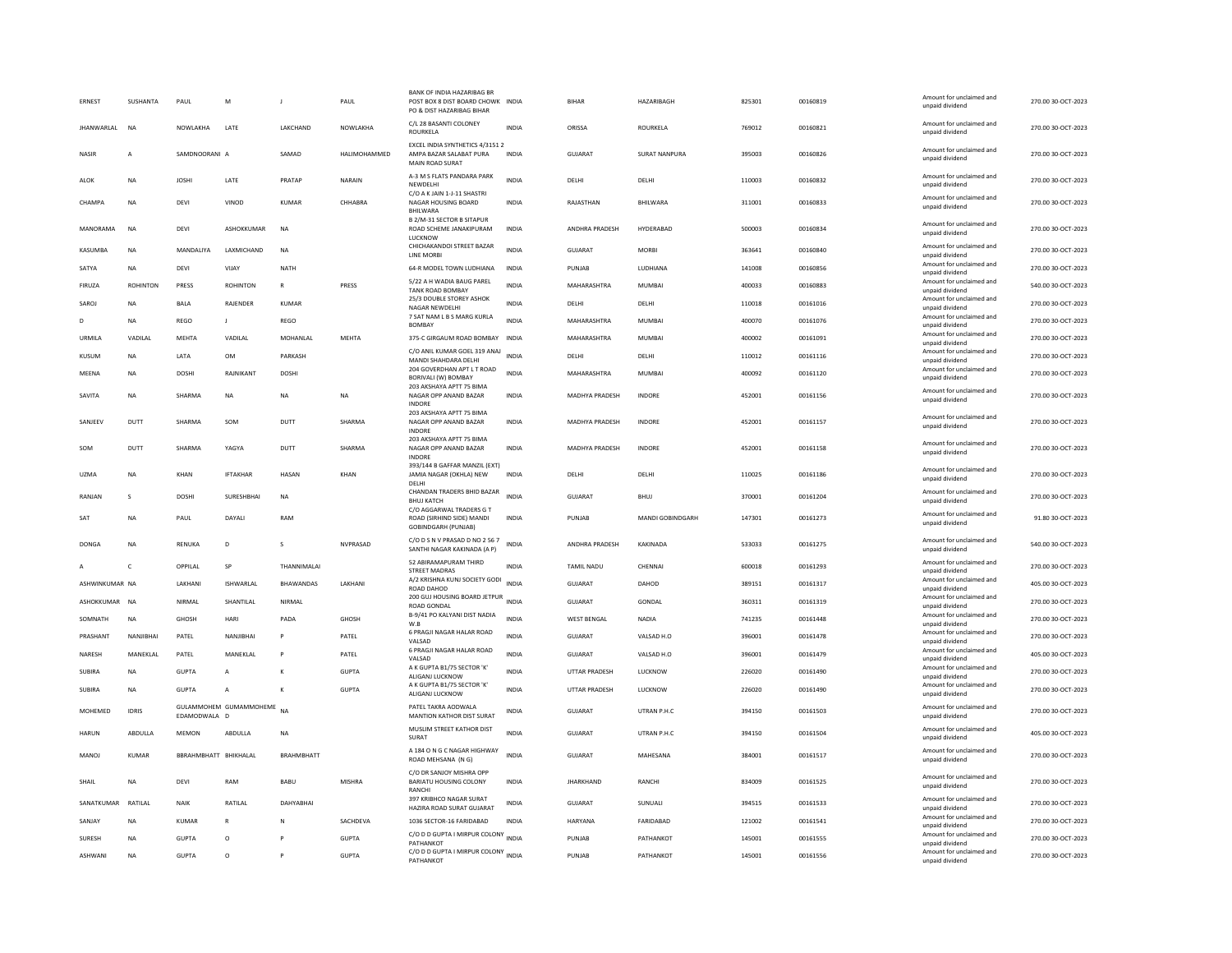| ERNEST             | SUSHANTA        | PAUL                  | M                      | $\mathbf{I}$      | PAUL          | BANK OF INDIA HAZARIBAG BF<br>POST BOX 8 DIST BOARD CHOWK INDIA<br>PO & DIST HAZARIBAG BIHAR |              | <b>BIHAR</b>          | HAZARIBAGH           | 825301 | 00160819 | Amount for unclaimed and<br>unpaid dividend                    | 270.00 30-OCT-2023 |
|--------------------|-----------------|-----------------------|------------------------|-------------------|---------------|----------------------------------------------------------------------------------------------|--------------|-----------------------|----------------------|--------|----------|----------------------------------------------------------------|--------------------|
| <b>IHANWARI AI</b> | <b>NA</b>       | NOWI AKHA             | <b>LATE</b>            | <b>I AKCHAND</b>  | NOWI AKHA     | C/L 28 BASANTI COLONEY<br><b>ROURKELA</b>                                                    | <b>INDIA</b> | ORISSA                | <b>ROURKELA</b>      | 769012 | 00160821 | Amount for unclaimed and<br>unpaid dividend                    | 270.00 30-OCT-2023 |
| NASIR              | $\overline{A}$  | SAMDNOORANI A         |                        | SAMAD             | HALIMOHAMMED  | EXCEL INDIA SYNTHETICS 4/3151 2<br>AMPA BAZAR SALABAT PURA<br>MAIN ROAD SURAT                | <b>INDIA</b> | GUJARAT               | <b>SURAT NANPURA</b> | 395003 | 00160826 | Amount for unclaimed and<br>unpaid dividend                    | 270.00 30-OCT-2023 |
| ALOK               | NA              | <b>JOSHI</b>          | LATE                   | PRATAP            | NARAIN        | A-3 M S FLATS PANDARA PARK<br>NEWDELHI                                                       | <b>INDIA</b> | DELHI                 | DELHI                | 110003 | 00160832 | Amount for unclaimed and<br>unpaid dividend                    | 270.00 30-OCT-2023 |
| CHAMPA             | <b>NA</b>       | <b>DEVI</b>           | VINOD                  | <b>KUMAR</b>      | CHHABRA       | C/O A K JAIN 1-J-11 SHASTRI<br>NAGAR HOUSING BOARD<br>BHILWARA                               | <b>INDIA</b> | RAJASTHAN             | BHILWARA             | 311001 | 00160833 | Amount for unclaimed and<br>unpaid dividend                    | 270.00 30-OCT-2023 |
| MANORAMA           | <b>NA</b>       | DFVI                  | <b>ASHOKKUMAR</b>      | <b>NA</b>         |               | B 2/M-31 SECTOR B SITAPUR<br>ROAD SCHEME JANAKIPURAM<br>LUCKNOW                              | <b>INDIA</b> | <b>ANDHRA PRADESH</b> | HYDERABAD            | 500003 | 00160834 | Amount for unclaimed and<br>unpaid dividend                    | 270.00 30-OCT-2023 |
| KASUMBA            | <b>NA</b>       | MANDALIYA             | LAXMICHAND             | <b>NA</b>         |               | CHICHAKANDOI STREET BAZAR<br>LINE MORBI                                                      | <b>INDIA</b> | <b>GUJARAT</b>        | <b>MORBI</b>         | 363641 | 00160840 | Amount for unclaimed and<br>unpaid dividend                    | 270.00 30-OCT-2023 |
| SATYA              | <b>NA</b>       | DEVI                  | VIJAY                  | <b>NATH</b>       |               | 64-R MODEL TOWN LUDHIANA                                                                     | INDIA        | PUNJAB                | LUDHIANA             | 141008 | 00160856 | Amount for unclaimed and<br>unpaid dividend                    | 270.00 30-OCT-2023 |
| FIRUZA             | <b>ROHINTON</b> | PRESS                 | <b>ROHINTON</b>        | $\mathbb{R}$      | PRESS         | 5/22 A H WADIA BAUG PAREL<br>TANK ROAD BOMBAY                                                | <b>INDIA</b> | MAHARASHTRA           | <b>MUMBAI</b>        | 400033 | 00160883 | Amount for unclaimed and<br>unpaid dividend                    | 540.00 30-OCT-2023 |
| SAROJ              | <b>NA</b>       | <b>BALA</b>           | RAJENDER               | <b>KUMAR</b>      |               | 25/3 DOUBLE STOREY ASHOK<br><b>NAGAR NEWDELHI</b>                                            | <b>INDIA</b> | DELHI                 | DELHI                | 110018 | 00161016 | Amount for unclaimed and<br>unpaid dividend                    | 270.00 30-OCT-2023 |
| D                  | <b>NA</b>       | REGO                  | J                      | REGO              |               | 7 SAT NAM L B S MARG KURLA<br><b>BOMBAY</b>                                                  | <b>INDIA</b> | MAHARASHTRA           | MUMBAI               | 400070 | 00161076 | Amount for unclaimed and<br>unpaid dividend                    | 270.00 30-OCT-2023 |
| URMILA             | VADILAL         | MEHTA                 | VADILAL                | MOHANLAL          | MEHTA         | 375-C GIRGAUM ROAD BOMBAY                                                                    | INDIA        | MAHARASHTRA           | MUMBAI               | 400002 | 00161091 | Amount for unclaimed and                                       | 270.00 30-OCT-2023 |
| KUSUM              | <b>NA</b>       | <b>IATA</b>           | OM                     | PARKASH           |               | C/O ANIL KUMAR GOEL 319 ANAJ INDIA                                                           |              | <b>DELHI</b>          | DELHI                | 110012 | 00161116 | unpaid dividend<br>Amount for unclaimed and                    | 270.00 30-OCT-2023 |
| MEENA              |                 | <b>DOSHI</b>          | RAJNIKANT              | <b>DOSHI</b>      |               | MANDI SHAHDARA DELHI<br>204 GOVERDHAN APT L T ROAD                                           | <b>INDIA</b> | MAHARASHTRA           | <b>MUMBAI</b>        | 400092 | 00161120 | unpaid dividend<br>Amount for unclaimed and                    | 270.00 30-OCT-2023 |
|                    | <b>NA</b>       |                       |                        |                   |               | BORIVALI (W) BOMBAY<br>203 AKSHAYA APTT 75 BIMA                                              |              |                       |                      |        |          | unpaid dividend                                                |                    |
| SAVITA             | <b>NA</b>       | SHARMA                | $_{\sf NA}$            | NA                | NA            | NAGAR OPP ANAND BAZAR<br><b>INDORE</b>                                                       | <b>INDIA</b> | MADHYA PRADESH        | INDORE               | 452001 | 00161156 | Amount for unclaimed and<br>unpaid dividend                    | 270.00 30-OCT-2023 |
| SANJEEV            | DUTT            | SHARMA                | SOM                    | DUTT              | SHARMA        | 203 AKSHAYA APTT 75 BIMA<br>NAGAR OPP ANAND BAZAR<br><b>INDORE</b>                           | <b>INDIA</b> | MADHYA PRADESH        | <b>INDORE</b>        | 452001 | 00161157 | Amount for unclaimed and<br>unpaid dividend                    | 270.00 30-OCT-2023 |
| SOM                | DUTT            | SHARMA                | YAGYA                  | DUTT              | SHARMA        | 203 AKSHAYA APTT 75 BIMA<br>NAGAR OPP ANAND BAZAR<br><b>INDORF</b>                           | <b>INDIA</b> | MADHYA PRADESH        | INDORE               | 452001 | 00161158 | Amount for unclaimed and<br>unpaid dividend                    | 270.00 30-OCT-2023 |
| <b>UZMA</b>        | <b>NA</b>       | KHAN                  | <b>IFTAKHAR</b>        | HASAN             | KHAN          | 393/144 B GAFFAR MANZIL (EXT)<br>JAMIA NAGAR (OKHLA) NEW<br>DELHI                            | <b>INDIA</b> | DELHI                 | DELHI                | 110025 | 00161186 | Amount for unclaimed and<br>unpaid dividend                    | 270.00 30-OCT-2023 |
| RANJAN             | s               | <b>DOSHI</b>          | SURESHBHAI             | NA                |               | CHANDAN TRADERS BHID BAZAR<br><b>BHUJ KATCH</b>                                              | <b>INDIA</b> | GUJARAT               | <b>BHUJ</b>          | 370001 | 00161204 | Amount for unclaimed and<br>unpaid dividend                    | 270.00 30-OCT-2023 |
| SAT                | <b>NA</b>       | PAUL                  | DAYALI                 | RAM               |               | C/O AGGARWAL TRADERS G T<br>ROAD (SIRHIND SIDE) MANDI<br><b>GOBINDGARH (PUNJAB)</b>          | INDIA        | PUNJAB                | MANDI GOBINDGARH     | 147301 | 00161273 | Amount for unclaimed and<br>unpaid dividend                    | 91.80 30-OCT-2023  |
| DONGA              | <b>NA</b>       | RENUKA                | D                      | $\mathcal{S}$     | NVPRASAD      | C/O D S N V PRASAD D NO 2 56 7<br>SANTHI NAGAR KAKINADA (A P)                                | <b>INDIA</b> | ANDHRA PRADESH        | KAKINADA             | 533033 | 00161275 | Amount for unclaimed and<br>unpaid dividend                    | 540.00 30-OCT-2023 |
| Α                  | c               | OPPILAL               | SP                     | THANNIMALAI       |               | 52 ABIRAMAPURAM THIRD<br><b>STREET MADRAS</b>                                                | INDIA        | TAMIL NADU            | CHENNAI              | 600018 | 00161293 | Amount for unclaimed and<br>unpaid dividend                    | 270.00 30-OCT-2023 |
| ASHWINKUMAR NA     |                 | LAKHANI               | ISHWARLAL              | BHAWANDAS         | LAKHANI       | A/2 KRISHNA KUNJ SOCIETY GODI<br>ROAD DAHOD                                                  | <b>INDIA</b> | GUJARAT               | DAHOD                | 389151 | 00161317 | Amount for unclaimed and<br>unpaid dividend                    | 405.00 30-OCT-2023 |
| ASHOKKUMAR NA      |                 | NIRMAL                | SHANTILAL              | NIRMAL            |               | 200 GUJ HOUSING BOARD JETPUR INDIA<br>ROAD GONDAL                                            |              | <b>GUJARAT</b>        | GONDAL               | 360311 | 00161319 | Amount for unclaimed and<br>unpaid dividend                    | 270.00 30-OCT-2023 |
| SOMNATH            | <b>NA</b>       | GHOSH                 | HARI                   | PADA              | GHOSH         | B-9/41 PO KALYANI DIST NADIA                                                                 | <b>INDIA</b> | <b>WEST BENGAL</b>    | NADIA                | 741235 | 00161448 | Amount for unclaimed and                                       | 270.00 30-OCT-2023 |
| PRASHANT           | NANJIBHAI       | PATEL                 | NANJIBHAI              | P                 | PATEL         | W.B<br>6 PRAGJI NAGAR HALAR ROAD                                                             | <b>INDIA</b> | GUJARAT               | VALSAD H.O           | 396001 | 00161478 | unpaid dividend<br>Amount for unclaimed and                    | 270.00 30-OCT-2023 |
|                    |                 |                       |                        |                   |               | VALSAD<br>6 PRAGJI NAGAR HALAR ROAD                                                          |              |                       |                      |        |          | unpaid dividend<br>Amount for unclaimed and                    |                    |
| NARESH             | MANEKLAL        | PATEL                 | MANEKLAL               | P                 | PATEL         | VAISAD<br>A K GUPTA B1/75 SECTOR 'K'                                                         | <b>INDIA</b> | GUJARAT               | VALSAD H.O           | 396001 | 00161479 | unnaid dividend<br>Amount for unclaimed and                    | 405.00 30-OCT-2023 |
| <b>SUBIRA</b>      | <b>NA</b>       | <b>GUPTA</b>          | A                      | K                 | <b>GUPTA</b>  | ALIGANJ LUCKNOW                                                                              | <b>INDIA</b> | UTTAR PRADESH         | LUCKNOW              | 226020 | 00161490 | unpaid dividend                                                | 270.00 30-OCT-2023 |
| <b>SUBIRA</b>      | <b>NA</b>       | <b>GUPTA</b>          | $\overline{A}$         | K                 | <b>GUPTA</b>  | A K GUPTA B1/75 SECTOR 'K'<br>ALIGANJ LUCKNOW                                                | <b>INDIA</b> | <b>UTTAR PRADESH</b>  | LUCKNOW              | 226020 | 00161490 | Amount for unclaimed and<br>unpaid dividend                    | 270.00 30-OCT-2023 |
| MOHEMED            | <b>IDRIS</b>    | EDAMODWALA D          | GULAMMOHEM GUMAMMOHEME | <b>NA</b>         |               | PATEL TAKRA AODWALA<br><b>MANTION KATHOR DIST SURAT</b>                                      | INDIA        | <b>GUJARAT</b>        | UTRAN P.H.C          | 394150 | 00161503 | Amount for unclaimed and<br>unpaid dividend                    | 270.00 30-OCT-2023 |
| <b>HARUN</b>       | ABDULLA         | <b>MEMON</b>          | ABDULLA                | <b>NA</b>         |               | MUSLIM STREET KATHOR DIST<br>SURAT                                                           | <b>INDIA</b> | <b>GUJARAT</b>        | UTRAN P.H.C          | 394150 | 00161504 | Amount for unclaimed and<br>unpaid dividend                    | 405.00 30-OCT-2023 |
| MANOJ              | KUMAR           | BBRAHMBHATT BHIKHALAL |                        | <b>BRAHMBHATT</b> |               | A 184 O N G C NAGAR HIGHWAY<br>ROAD MEHSANA (N G)                                            | <b>INDIA</b> | GUJARAT               | MAHESANA             | 384001 | 00161517 | Amount for unclaimed and<br>unpaid dividend                    | 270.00 30-OCT-2023 |
| SHAIL              | <b>NA</b>       | DEVI                  | RAM                    | BABU              | <b>MISHRA</b> | C/O DR SANJOY MISHRA OPF<br>BARIATU HOUSING COLONY<br>RANCHI                                 | <b>INDIA</b> | <b>JHARKHAND</b>      | RANCHI               | 834009 | 00161525 | Amount for unclaimed and<br>unpaid dividend                    | 270.00 30-OCT-2023 |
| SANATKUMAR         | RATILAL         | NAIK                  | RATILAL                | DAHYABHAI         |               | 397 KRIBHCO NAGAR SURAT<br>HAZIRA ROAD SURAT GUJARAT                                         | <b>INDIA</b> | <b>GUJARAT</b>        | SUNUALI              | 394515 | 00161533 | Amount for unclaimed and<br>unpaid dividend                    | 270.00 30-OCT-2023 |
| SANJAY             | <b>NA</b>       | <b>KUMAR</b>          | $\mathsf{R}$           | N                 | SACHDEVA      | 1036 SECTOR-16 FARIDABAD                                                                     | <b>INDIA</b> | HARYANA               | FARIDABAD            | 121002 | 00161541 | Amount for unclaimed and<br>unpaid dividend                    | 270.00 30-OCT-2023 |
| SURESH             | <b>NA</b>       | <b>GUPTA</b>          | $\circ$                |                   | <b>GUPTA</b>  | C/O D D GUPTA I MIRPUR COLONY INDIA                                                          |              | PUNJAB                | PATHANKOT            | 145001 | 00161555 | Amount for unclaimed and                                       | 270.00 30-OCT-2023 |
| ASHWANI            | <b>NA</b>       | GUPTA                 | $\Omega$               | P                 | <b>GUPTA</b>  | PATHANKOT<br>C/O D D GUPTA I MIRPUR COLONY INDIA<br>PATHANKOT                                |              | PUNJAR                | PATHANKOT            | 145001 | 00161556 | unpaid dividend<br>Amount for unclaimed and<br>unpaid dividend | 270.00 30-OCT-2023 |
|                    |                 |                       |                        |                   |               |                                                                                              |              |                       |                      |        |          |                                                                |                    |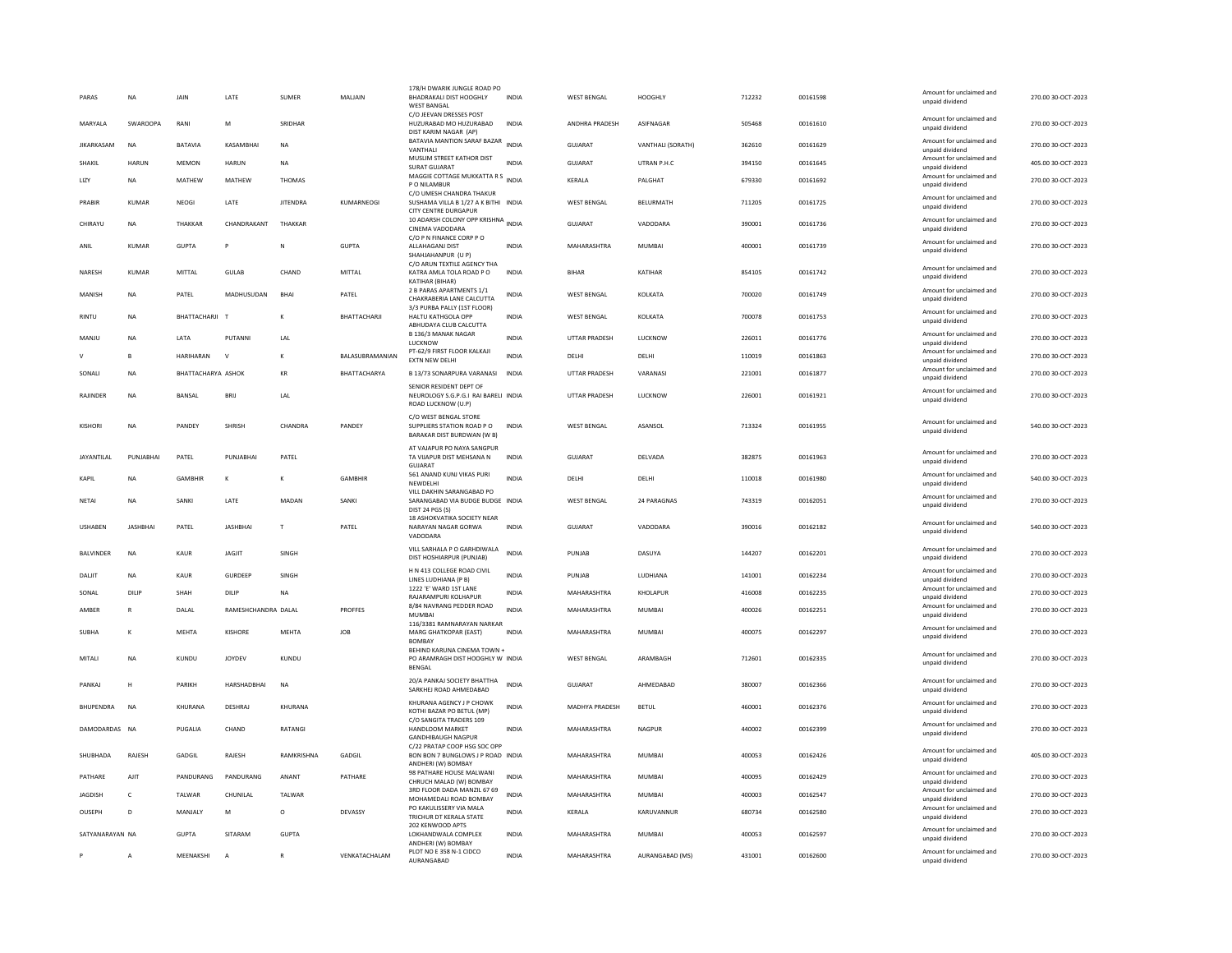| PARAS             | <b>NA</b>       | JAIN               | LATE                | <b>SUMER</b>         | MALIAIN         | 178/H DWARIK JUNGLE ROAD PO<br><b>BHADRAKALI DIST HOOGHLY</b><br><b>WEST BANGAL</b>             | <b>INDIA</b> | <b>WEST BENGAL</b>   | HOOGHLY           | 712232 | 00161598 | Amount for unclaimed and<br>unpaid dividend | 270.00 30-OCT-2023 |
|-------------------|-----------------|--------------------|---------------------|----------------------|-----------------|-------------------------------------------------------------------------------------------------|--------------|----------------------|-------------------|--------|----------|---------------------------------------------|--------------------|
| MARYALA           | SWAROOPA        | RANI               | M                   | SRIDHAR              |                 | C/O JEEVAN DRESSES POST<br>HUZURABAD MO HUZURABAD<br>DIST KARIM NAGAR (AP)                      | <b>INDIA</b> | ANDHRA PRADESH       | ASIFNAGAR         | 505468 | 00161610 | Amount for unclaimed and<br>unpaid dividend | 270.00 30-OCT-2023 |
| <b>IIKARKASAM</b> | <b>NA</b>       | <b>BATAVIA</b>     | <b>KASAMBHA</b>     | <b>NA</b>            |                 | BATAVIA MANTION SARAF BAZAR<br>VANTHALI                                                         | <b>INDIA</b> | <b>GUJARAT</b>       | VANTHALI (SORATH) | 362610 | 00161629 | Amount for unclaimed and<br>unpaid dividend | 270.00 30-OCT-2023 |
| SHAKIL            | <b>HARUN</b>    | <b>MEMON</b>       | <b>HARUN</b>        | <b>NA</b>            |                 | MUSLIM STREET KATHOR DIST<br><b>SURAT GUJARAT</b>                                               | <b>INDIA</b> | <b>GUJARAT</b>       | UTRAN P.H.C       | 394150 | 00161645 | Amount for unclaimed and<br>unpaid dividend | 405.00 30-OCT-2023 |
| LIZY              | <b>NA</b>       | MATHEW             | MATHEW              | <b>THOMAS</b>        |                 | MAGGIE COTTAGE MUKKATTA R S<br>INDIA<br>P O NILAMBUR                                            |              | KERALA               | PALGHAT           | 679330 | 00161692 | Amount for unclaimed and<br>unpaid dividend | 270.00 30-OCT-2023 |
| PRABIR            | KUMAR           | <b>NFOGI</b>       | <b>I ATF</b>        | <b>IITENDRA</b>      | KUMARNEOGI      | C/O UMESH CHANDRA THAKUR<br>SUSHAMA VILLA B 1/27 A K BITHI INDIA<br><b>CITY CENTRE DURGAPUR</b> |              | <b>WEST BENGAL</b>   | <b>BELURMATH</b>  | 711205 | 00161725 | Amount for unclaimed and<br>unpaid dividend | 270.00 30-OCT-2023 |
| CHIRAYU           | <b>NA</b>       | THAKKAR            | CHANDRAKANT         | THAKKAR              |                 | 10 ADARSH COLONY OPP KRISHNA INDIA<br>CINEMA VADODARA                                           |              | <b>GUJARAT</b>       | VADODARA          | 390001 | 00161736 | Amount for unclaimed and<br>unpaid dividend | 270.00 30-OCT-2023 |
| ANIL              | <b>KUMAR</b>    | <b>GUPTA</b>       | P                   | N                    | GUPTA           | C/O P N FINANCE CORP P O<br>ALLAHAGANJ DIST<br>SHAHJAHANPUR (U P)                               | <b>INDIA</b> | MAHARASHTRA          | <b>MUMBAI</b>     | 400001 | 00161739 | Amount for unclaimed and<br>unpaid dividend | 270.00 30-OCT-2023 |
| NARESH            | <b>KUMAR</b>    | MITTAL             | <b>GULAB</b>        | CHAND                | MITTAL          | C/O ARUN TEXTILE AGENCY THA<br>KATRA AMLA TOLA ROAD PO<br>KATIHAR (BIHAR)                       | <b>INDIA</b> | <b>BIHAR</b>         | KATIHAR           | 854105 | 00161742 | Amount for unclaimed and<br>unpaid dividend | 270.00 30-OCT-2023 |
| MANISH            | NA              | PATEL              | MADHUSUDAN          | <b>BHAI</b>          | PATEL           | 2 B PARAS APARTMENTS 1/1<br>CHAKRABERIA LANE CALCUTTA                                           | INDIA        | <b>WEST BENGAL</b>   | KOLKATA           | 700020 | 00161749 | Amount for unclaimed and<br>unpaid dividend | 270.00 30-OCT-2023 |
| <b>RINTU</b>      | <b>NA</b>       | BHATTACHARJI T     |                     |                      | BHATTACHARJI    | 3/3 PURBA PALLY (1ST FLOOR)<br>HALTU KATHGOLA OPP<br>ABHUDAYA CLUB CALCUTTA                     | <b>INDIA</b> | WEST BENGAL          | KOLKATA           | 700078 | 00161753 | Amount for unclaimed and<br>unpaid dividend | 270.00 30-OCT-2023 |
| MANIU             | <b>NA</b>       | <b>IATA</b>        | PUTANNI             | LAL                  |                 | B 136/3 MANAK NAGAR<br>LUCKNOW                                                                  | <b>INDIA</b> | UTTAR PRADESH        | <b>LUCKNOW</b>    | 226011 | 00161776 | Amount for unclaimed and<br>unpaid dividend | 270.00 30-OCT-2023 |
| $\vee$            | B               | HARIHARAN          | $\mathsf{v}$        | к                    | BALASUBRAMANIAN | PT-62/9 FIRST FLOOR KALKAJI<br>EXTN NEW DELHI                                                   | <b>INDIA</b> | DELHI                | DELHI             | 110019 | 00161863 | Amount for unclaimed and<br>unpaid dividend | 270.00 30-OCT-2023 |
| SONALI            | NA              | BHATTACHARYA ASHOK |                     | $\mathsf{KR}\xspace$ | BHATTACHARYA    | B 13/73 SONARPURA VARANASI                                                                      | INDIA        | UTTAR PRADESH        | VARANASI          | 221001 | 00161877 | Amount for unclaimed and<br>unpaid dividend | 270.00 30-OCT-2023 |
| RAIINDER          | <b>NA</b>       | <b>BANSAL</b>      | <b>BRII</b>         | 1 Al                 |                 | SENIOR RESIDENT DEPT OF<br>NEUROLOGY S.G.P.G.I RAI BARELI INDIA<br>ROAD LUCKNOW (U.P)           |              | <b>UTTAR PRADESH</b> | <b>ILICKNOW</b>   | 226001 | 00161921 | Amount for unclaimed and<br>unpaid dividend | 270.00 30-OCT-2023 |
| <b>KISHOR</b>     | <b>NA</b>       | PANDEY             | SHRISH              | CHANDRA              | PANDEY          | C/O WEST BENGAL STORE<br>SUPPLIERS STATION ROAD PO<br>BARAKAR DIST BURDWAN (W B)                | <b>INDIA</b> | <b>WEST BENGAL</b>   | ASANSOL           | 713324 | 00161955 | Amount for unclaimed and<br>unpaid dividend | 540.00 30-OCT-2023 |
| JAYANTILAL        | PUNJABHAI       | PATEL              | PUNJABHAI           | PATEL                |                 | AT VAJAPUR PO NAYA SANGPUR<br>TA VIJAPUR DIST MEHSANA N<br><b>GUJARA</b>                        | INDIA        | GUJARAT              | DELVADA           | 382875 | 00161963 | Amount for unclaimed and<br>unpaid dividend | 270.00 30-OCT-2023 |
| <b>KAPIL</b>      | <b>NA</b>       | <b>GAMBHIR</b>     | к                   | к                    | <b>GAMBHIR</b>  | 561 ANAND KUNJ VIKAS PURI<br>NEWDELHI                                                           | <b>INDIA</b> | DELHI                | DELHI             | 110018 | 00161980 | Amount for unclaimed and<br>unpaid dividend | 540.00 30-OCT-2023 |
| NETAI             | <b>NA</b>       | SANKI              | LATE                | MADAN                | SANKI           | VILL DAKHIN SARANGABAD PO<br>SARANGABAD VIA BUDGE BUDGE INDIA<br>DIST 24 PGS (S)                |              | <b>WEST RENGAL</b>   | 24 PARAGNAS       | 743319 | 00162051 | Amount for unclaimed and<br>unpaid dividend | 270.00 30-OCT-2023 |
| <b>USHABEN</b>    | <b>JASHBHAI</b> | PATEL              | <b>JASHBHAI</b>     | $\mathsf{T}$         | PATEL           | <b>18 ASHOKVATIKA SOCIETY NEAR</b><br>NARAYAN NAGAR GORWA<br>VADODARA                           | <b>INDIA</b> | <b>GUJARAT</b>       | VADODARA          | 390016 | 00162182 | Amount for unclaimed and<br>unpaid dividend | 540.00 30-OCT-2023 |
| <b>BALVINDER</b>  | <b>NA</b>       | KAUR               | <b>JAGJIT</b>       | SINGH                |                 | VILL SARHALA P O GARHDIWALA<br>DIST HOSHIARPUR (PUNJAB)                                         | <b>INDIA</b> | PUNJAB               | DASUYA            | 144207 | 00162201 | Amount for unclaimed and<br>unpaid dividend | 270.00 30-OCT-2023 |
| DALIT             | <b>NA</b>       | <b>KAUR</b>        | <b>GURDEEP</b>      | SINGH                |                 | H N 413 COLLEGE ROAD CIVIL<br>LINES LUDHIANA (P B)                                              | <b>INDIA</b> | PUNJAB               | LUDHIANA          | 141001 | 00162234 | Amount for unclaimed and<br>unpaid dividend | 270.00 30-OCT-2023 |
| SONAL             | DILIP           | SHAH               | DILIP               | <b>NA</b>            |                 | 1222 'F' WARD 1ST LANE<br>RAJARAMPURI KOLHAPUR                                                  | <b>INDIA</b> | MAHARASHTRA          | KHOLAPUR          | 416008 | 00162235 | Amount for unclaimed and<br>unpaid dividend | 270.00 30-OCT-2023 |
| AMBER             | R               | DALAL              | RAMESHCHANDRA DALAL |                      | <b>PROFFES</b>  | 8/84 NAVRANG PEDDER ROAD<br>MUMBA                                                               | <b>INDIA</b> | MAHARASHTRA          | <b>MUMBAI</b>     | 400026 | 00162251 | Amount for unclaimed and<br>unpaid dividend | 270.00 30-OCT-2023 |
| <b>SUBHA</b>      | к               | MEHTA              | KISHORE             | MEHTA                | <b>JOB</b>      | 116/3381 RAMNARAYAN NARKAR<br>MARG GHATKOPAR (EAST)                                             | <b>INDIA</b> | MAHARASHTRA          | <b>MUMBAI</b>     | 400075 | 00162297 | Amount for unclaimed and<br>unpaid dividend | 270.00 30-OCT-2023 |
| MITALI            | <b>NA</b>       | KUNDU              | <b>JOYDEV</b>       | KUNDU                |                 | <b>BOMBAY</b><br>BEHIND KARUNA CINEMA TOWN +<br>PO ARAMRAGH DIST HOOGHLY W INDIA                |              | <b>WEST BENGAL</b>   | ARAMBAGH          | 712601 | 00162335 | Amount for unclaimed and                    | 270.00 30-OCT-2023 |
|                   |                 |                    |                     |                      |                 | <b>BENGAL</b><br>20/A PANKAJ SOCIETY BHATTHA                                                    |              |                      |                   |        |          | unpaid dividend<br>Amount for unclaimed and |                    |
| PANKAJ            | н               | PARIKH             | HARSHADBHAI         | <b>NA</b>            |                 | SARKHEJ ROAD AHMEDABAD<br>KHURANA AGENCY J P CHOWK                                              | <b>INDIA</b> | <b>GUJARAT</b>       | AHMEDABAD         | 380007 | 00162366 | unpaid dividend<br>Amount for unclaimed and | 270.00 30-OCT-2023 |
| BHUPENDRA         | NA              | KHURANA            | DESHRAJ             | KHURANA              |                 | KOTHI BAZAR PO BETUL (MP)<br>C/O SANGITA TRADERS 109                                            | <b>INDIA</b> | MADHYA PRADESH       | <b>BETUL</b>      | 460001 | 00162376 | unpaid dividend                             | 270.00 30-OCT-2023 |
| DAMODARDAS NA     |                 | PUGALIA            | CHAND               | RATANGI              |                 | HANDLOOM MARKET<br><b>GANDHIRAUGH NAGPUR</b>                                                    | <b>INDIA</b> | MAHARASHTRA          | <b>NAGPUR</b>     | 440002 | 00162399 | Amount for unclaimed and<br>unpaid dividend | 270.00 30-OCT-2023 |
| SHUBHADA          | RAJESH          | GADGIL             | RAJESH              | RAMKRISHNA           | GADGIL          | C/22 PRATAP COOP HSG SOC OPF<br>BON BON 7 BUNGLOWS J P ROAD INDIA<br>ANDHERI (W) BOMBAY         |              | MAHARASHTRA          | <b>MUMBAI</b>     | 400053 | 00162426 | Amount for unclaimed and<br>unpaid dividend | 405.00 30-OCT-2023 |
| PATHARE           | <b>AJIT</b>     | PANDURANG          | PANDURANG           | ANANT                | PATHARE         | 98 PATHARE HOUSE MALWANI<br>CHRUCH MALAD (W) BOMBAY                                             | INDIA        | MAHARASHTRA          | <b>MUMBAI</b>     | 400095 | 00162429 | Amount for unclaimed and<br>unnaid dividend | 270.00 30-OCT-2023 |
| <b>JAGDISH</b>    | c               | TALWAR             | CHUNILAL            | TALWAR               |                 | 3RD FLOOR DADA MANZIL 67 69<br>MOHAMEDALI ROAD BOMBAY                                           | <b>INDIA</b> | MAHARASHTRA          | <b>MUMBAI</b>     | 400003 | 00162547 | Amount for unclaimed and<br>unpaid dividend | 270.00 30-OCT-2023 |
| OUSEPH            | D               | MANJALY            | M                   | $\circ$              | DEVASSY         | PO KAKULISSERY VIA MALA<br>TRICHUR DT KERALA STATE                                              | <b>INDIA</b> | KERALA               | KARUVANNUR        | 680734 | 00162580 | Amount for unclaimed and<br>unpaid dividend | 270.00 30-OCT-2023 |
| SATYANARAYAN NA   |                 | GUPTA              | SITARAM             | GUPTA                |                 | 202 KENWOOD APTS<br>LOKHANDWALA COMPLEX<br>ANDHERI (W) BOMBAY                                   | <b>INDIA</b> | MAHARASHTRA          | MUMBAI            | 400053 | 00162597 | Amount for unclaimed and<br>unpaid dividend | 270.00 30-OCT-2023 |
|                   | A               | MEENAKSHI          | A                   |                      | VENKATACHALAM   | PLOT NO E 358 N-1 CIDCO<br>AURANGABAD                                                           | <b>INDIA</b> | MAHARASHTRA          | AURANGABAD (MS)   | 431001 | 00162600 | Amount for unclaimed and<br>unpaid dividend | 270.00 30-OCT-2023 |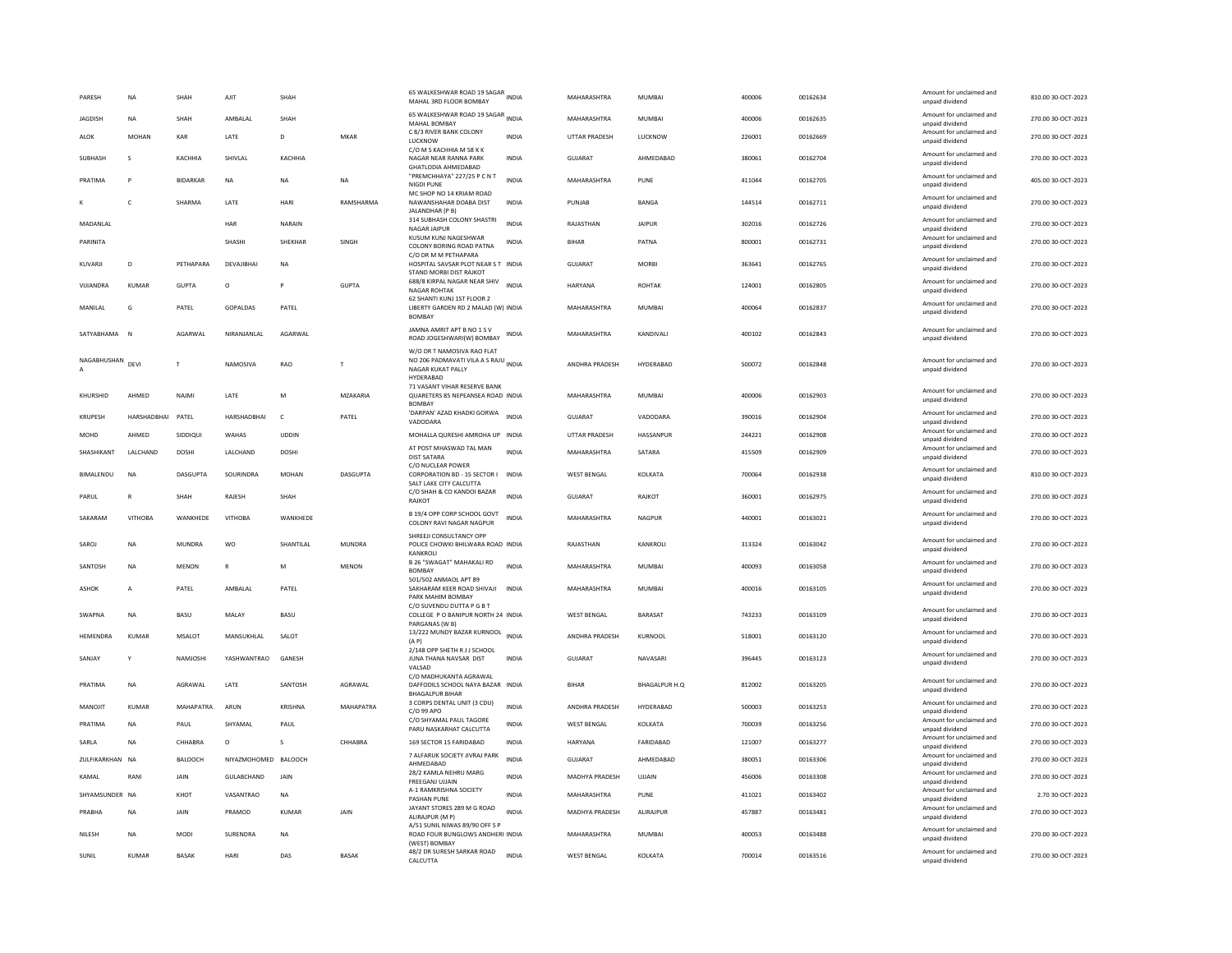| PARESH           | <b>NA</b>          | SHAH            | AJIT                 | SHAH         |                  | 65 WALKESHWAR ROAD 19 SAGAR INDIA<br>MAHAL 3RD FLOOR BOMBAY                                     |              | MAHARASHTRA           | MUMBAI                | 400006 | 00162634             | Amount for unclaimed and<br>unpaid dividend | 810.00 30-OCT-2023                       |
|------------------|--------------------|-----------------|----------------------|--------------|------------------|-------------------------------------------------------------------------------------------------|--------------|-----------------------|-----------------------|--------|----------------------|---------------------------------------------|------------------------------------------|
| <b>JAGDISH</b>   | <b>NA</b>          | SHAH            | AMBALAL              | SHAH         |                  | 65 WALKESHWAR ROAD 19 SAGAR INDIA<br>MAHAL BOMBAY                                               |              | MAHARASHTRA           | MUMBAI                | 400006 | 00162635             | Amount for unclaimed and<br>unpaid dividend | 270.00 30-OCT-2023                       |
| ALOK             | <b>MOHAN</b>       | KAR             | LATE                 | D            | MKAR             | C 8/3 RIVER BANK COLONY<br>LUCKNOW                                                              | INDIA        | UTTAR PRADESH         | LUCKNOW               | 226001 | 00162669             | Amount for unclaimed and<br>unpaid dividend | 270.00 30-OCT-2023                       |
| SUBHASH          | $\mathbf{C}$       | КАСННІА         | SHIVI AI             | КАСННІА      |                  | C/O M S KACHHIA M 58 K K<br>NAGAR NEAR RANNA PARK<br>GHATLODIA AHMEDABAD                        | <b>INDIA</b> | GUIARAT               | AHMEDARAD             | 380061 | 00162704             | Amount for unclaimed and<br>unpaid dividend | 270.00 30-OCT-2023                       |
| PRATIMA          |                    | <b>BIDARKAR</b> | NA                   | <b>NA</b>    | NA               | "PREMCHHAYA" 227/25 P C N T<br><b>NIGDI PUNE</b>                                                | <b>INDIA</b> | MAHARASHTRA           | PUNE                  | 411044 | 00162705             | Amount for unclaimed and<br>unpaid dividend | 405.00 30-OCT-2023                       |
|                  | $\mathsf{C}$       | SHARMA          | LATE                 | HARI         | RAMSHARMA        | MC SHOP NO 14 KRIAM ROAD<br>NAWANSHAHAR DOABA DIST<br>JALANDHAR (P B)                           | <b>INDIA</b> | PUNJAB                | BANGA                 | 144514 | 00162711             | Amount for unclaimed and<br>unpaid dividend | 270.00 30-OCT-2023                       |
| MADANLAL         |                    |                 | HAR                  | NARAIN       |                  | 314 SUBHASH COLONY SHASTRI<br>NAGAR JAIPUR                                                      | <b>INDIA</b> | RAJASTHAN             | <b>JAIPUR</b>         | 302016 | 00162726             | Amount for unclaimed and<br>unpaid dividend | 270.00 30-OCT-2023                       |
| PARINITA         |                    |                 | SHASHI               | SHEKHAR      | SINGH            | KUSUM KUNJ NAGESHWAR<br>COLONY BORING ROAD PATNA                                                | INDIA        | <b>BIHAR</b>          | PATNA                 | 800001 | 00162731             | Amount for unclaimed and<br>unpaid dividend | 270.00 30-OCT-2023                       |
| KUVARJI          | D                  | PETHAPARA       | DEVAJIBHAI           | <b>NA</b>    |                  | C/O DR M M PETHAPARA<br>HOSPITAL SAVSAR PLOT NEAR S T INDIA<br>STAND MORBI DIST RAJKOT          |              | GUJARAT               | <b>MORBI</b>          | 363641 | 00162765             | Amount for unclaimed and<br>unpaid dividend | 270.00 30-OCT-2023                       |
| VIIIANDRA        | KUMAR              | GUPTA           | $\Omega$             | <b>P</b>     | <b>GUPTA</b>     | 688/8 KIRPAL NAGAR NEAR SHIV<br><b>NAGAR ROHTAK</b>                                             | <b>INDIA</b> | HARYANA               | <b>ROHTAK</b>         | 124001 | 00162805             | Amount for unclaimed and<br>unpaid dividend | 270.00.30-OCT-2023                       |
| MANILAL          | G                  | PATEL           | GOPALDAS             | PATEL        |                  | 62 SHANTI KUNJ 1ST FLOOR 2<br>LIBERTY GARDEN RD 2 MALAD (W) INDIA                               |              | MAHARASHTRA           | <b>MUMBAI</b>         | 400064 | 00162837             | Amount for unclaimed and<br>unpaid dividend | 270.00 30-OCT-2023                       |
| SATYABHAMA       | $\mathsf{N}$       | AGARWAL         | NIRANJANLAL          | AGARWAL      |                  | <b>BOMBAY</b><br>JAMNA AMRIT APT B NO 1 S V                                                     | INDIA        | MAHARASHTRA           | KANDIVALI             | 400102 | 00162843             | Amount for unclaimed and                    | 270.00 30-OCT-2023                       |
|                  |                    |                 |                      |              |                  | ROAD JOGESHWARI(W) BOMBAY<br>W/O DR T NAMOSIVA RAO FLAT                                         |              |                       |                       |        |                      | unpaid dividend                             |                                          |
| NAGABHUSHAN DEVI |                    | T               | NAMOSIVA             | RAO          | T                | NO 206 PADMAVATI VILA A S RAJU INDIA<br>NAGAR KUKAT PALLY                                       |              | ANDHRA PRADESH        | HYDERABAD             | 500072 | 00162848             | Amount for unclaimed and<br>unpaid dividend | 270.00 30-OCT-2023                       |
| KHURSHID         | AHMED              | NAJMI           | LATE                 | M            | MZAKARIA         | HYDERABAD<br>71 VASANT VIHAR RESERVE BANK<br>QUARETERS 85 NEPEANSEA ROAD INDIA                  |              | MAHARASHTRA           | MUMBAI                | 400006 | 00162903             | Amount for unclaimed and                    | 270.00 30-OCT-2023                       |
|                  | <b>HARSHADBHAI</b> | PATEL           | <b>HARSHADBHAI</b>   | $\mathsf{C}$ | PATEL            | <b>BOMBAY</b><br>'DARPAN' AZAD KHADKI GORWA                                                     | <b>INDIA</b> | <b>GUJARAT</b>        |                       | 390016 |                      | unpaid dividend<br>Amount for unclaimed and |                                          |
| KRUPESH<br>MOHD  | AHMED              | SIDDIQUI        | WAHAS                | <b>UDDIN</b> |                  | VADODARA<br>MOHALLA QURESHI AMROHA UP INDIA                                                     |              | UTTAR PRADESH         | VADODARA<br>HASSANPUR | 244221 | 00162904<br>00162908 | unpaid dividend<br>Amount for unclaimed and | 270.00 30-OCT-2023<br>270.00 30-OCT-2023 |
| SHASHIKANT       | LALCHAND           | <b>DOSHI</b>    | LALCHAND             | <b>DOSHI</b> |                  | AT POST MHASWAD TAL MAN                                                                         | <b>INDIA</b> | MAHARASHTRA           | SATARA                | 415509 | 00162909             | unpaid dividend<br>Amount for unclaimed and | 270.00 30-OCT-2023                       |
|                  |                    |                 |                      |              |                  | <b>DIST SATARA</b><br>C/O NUCLEAR POWER                                                         |              |                       |                       |        |                      | unpaid dividend<br>Amount for unclaimed and |                                          |
| BIMALENDU        | <b>NA</b>          | DASGUPTA        | SOURINDRA            | <b>MOHAN</b> | DASGUPTA         | CORPORATION BD - 15 SECTOR I<br>SALT LAKE CITY CALCUTTA                                         | <b>INDIA</b> | <b>WEST BENGAL</b>    | KOLKATA               | 700064 | 00162938             | unpaid dividend                             | 810.00 30-OCT-2023                       |
| PARUL            | R                  | SHAH            | RAJESH               | SHAH         |                  | C/O SHAH & CO KANDOI BAZAR<br>RAJKOT                                                            | <b>INDIA</b> | GUJARAT               | RAJKOT                | 360001 | 00162975             | Amount for unclaimed and<br>unpaid dividend | 270.00 30-OCT-2023                       |
| SAKARAM          | <b>VITHOBA</b>     | WANKHEDE        | <b>VITHOBA</b>       | WANKHEDE     |                  | B 19/4 OPP CORP SCHOOL GOVT<br>COLONY RAVI NAGAR NAGPUR                                         | INDIA        | MAHARASHTRA           | <b>NAGPUR</b>         | 440001 | 00163021             | Amount for unclaimed and<br>unpaid dividend | 270.00 30-OCT-2023                       |
| SAROJ            | <b>NA</b>          | <b>MUNDRA</b>   | <b>WO</b>            | SHANTILAL    | <b>MUNDRA</b>    | SHREEJI CONSULTANCY OPP<br>POLICE CHOWKI BHILWARA ROAD INDIA<br><b>KANKROLL</b>                 |              | RAJASTHAN             | KANKROLI              | 313324 | 00163042             | Amount for unclaimed and<br>unpaid dividend | 270.00 30-OCT-2023                       |
| SANTOSH          | <b>NA</b>          | MFNON           | $\mathbb{R}$         | M            | MENON            | B 26 "SWAGAT" MAHAKALI RD<br><b>BOMBAY</b>                                                      | <b>INDIA</b> | MAHARASHTRA           | MUMBAI                | 400093 | 00163058             | Amount for unclaimed and<br>unpaid dividend | 270.00 30-OCT-2023                       |
| <b>ASHOK</b>     | $\overline{A}$     | PATEL           | AMBALAL              | PATEL        |                  | 501/502 ANMAOL APT 89<br>SAKHARAM KEER ROAD SHIVAJI<br>PARK MAHIM BOMBAY                        | <b>INDIA</b> | MAHARASHTRA           | <b>MUMBAI</b>         | 400016 | 00163105             | Amount for unclaimed and<br>unpaid dividend | 270.00 30-OCT-2023                       |
| SWAPNA           | <b>NA</b>          | BASU            | MALAY                | <b>BASU</b>  |                  | C/O SUVENDU DUTTA P G B T<br>COLLEGE P O BANIPUR NORTH 24 INDIA                                 |              | <b>WEST BENGAL</b>    | BARASAT               | 743233 | 00163109             | Amount for unclaimed and<br>unpaid dividend | 270.00 30-OCT-2023                       |
| <b>HEMENDRA</b>  | KUMAR              | <b>MSALOT</b>   | <b>MANSUKHLAL</b>    | SAIOT        |                  | PARGANAS (W B)<br>13/222 MUNDY BAZAR KURNOOL INDIA<br>(A P)                                     |              | <b>ANDHRA PRADESH</b> | KURNOOL               | 518001 | 00163120             | Amount for unclaimed and<br>unpaid dividend | 270.00.30-OCT-2023                       |
| SANJAY           | Y                  | NAMJOSHI        | YASHWANTRAO          | GANESH       |                  | 2/148 OPP SHETH R J J SCHOOL<br>JUNA THANA NAVSAR DIST                                          | <b>INDIA</b> | <b>GUJARAT</b>        | NAVASARI              | 396445 | 00163123             | Amount for unclaimed and<br>unpaid dividend | 270.00 30-OCT-2023                       |
| PRATIMA          | <b>NA</b>          | AGRAWAL         | LATE                 | SANTOSH      | AGRAWAL          | VAISAD<br>C/O MADHUKANTA AGRAWAL<br>DAFFODILS SCHOOL NAYA BAZAR INDIA<br><b>BHAGALPUR BIHAR</b> |              | <b>BIHAR</b>          | <b>BHAGALPUR H.Q</b>  | 812002 | 00163205             | Amount for unclaimed and<br>unpaid dividend | 270.00 30-OCT-2023                       |
| MANOJIT          | <b>KUMAR</b>       | MAHAPATRA       | ARUN                 | KRISHNA      | <b>MAHAPATRA</b> | 3 CORPS DENTAL UNIT (3 CDU)<br>C/O 99 APO                                                       | <b>INDIA</b> | ANDHRA PRADESH        | HYDERABAD             | 500003 | 00163253             | Amount for unclaimed and<br>unpaid dividend | 270.00 30-OCT-2023                       |
| PRATIMA          | <b>NA</b>          | PAUL            | SHYAMAI              | PAUL         |                  | C/O SHYAMAL PAUL TAGORE<br>PARU NASKARHAT CALCUTTA                                              | INDIA        | <b>WEST BENGAL</b>    | KOI KATA              | 700039 | 00163256             | Amount for unclaimed and<br>unpaid dividend | 270.00 30-OCT-2023                       |
| SARLA            | <b>NA</b>          | CHHABRA         | $\circ$              | s            | CHHABRA          | 169 SECTOR 15 FARIDABAD                                                                         | <b>INDIA</b> | HARYANA               | FARIDABAD             | 121007 | 00163277             | Amount for unclaimed and<br>unpaid dividend | 270.00 30-OCT-2023                       |
| ZULFIKARKHAN NA  |                    | BALOOCH         | NIYAZMOHOMED BALOOCH |              |                  | 7 ALFARUK SOCIETY JIVRAJ PARK<br>AHMEDABAD                                                      | <b>INDIA</b> | <b>GUJARAT</b>        | AHMEDABAD             | 380051 | 00163306             | Amount for unclaimed and<br>unpaid dividend | 270.00 30-OCT-2023                       |
| KAMAI            | RANI               | <b>JAIN</b>     | GULABCHAND           | JAIN         |                  | 28/2 KAMLA NEHRU MARG<br>FREEGANJ UJJAIN                                                        | INDIA        | MADHYA PRADESH        | UJJAIN                | 456006 | 00163308             | Amount for unclaimed and<br>unpaid dividend | 270.00 30-OCT-2023                       |
| SHYAMSUNDER NA   |                    | KHOT            | VASANTRAO            | <b>NA</b>    |                  | A-1 RAMKRISHNA SOCIETY<br><b>PASHAN PUNE</b>                                                    | <b>INDIA</b> | MAHARASHTRA           | PUNF                  | 411021 | 00163402             | Amount for unclaimed and<br>unpaid dividend | 2.70 30-0CT-2023                         |
| PRABHA           | <b>NA</b>          | JAIN            | PRAMOD               | KUMAR        | JAIN             | JAYANT STORES 289 M G ROAD<br>ALIRAJPUR (M P)                                                   | <b>INDIA</b> | MADHYA PRADESH        | ALIRAJPUR             | 457887 | 00163481             | Amount for unclaimed and<br>unpaid dividend | 270.00 30-OCT-2023                       |
| NILESH           | NA                 | <b>MODI</b>     | SURENDRA             | <b>NA</b>    |                  | A/51 SUNIL NIWAS 89/90 OFF S P<br>ROAD FOUR BUNGLOWS ANDHERI INDIA<br>(WEST) BOMBAY             |              | MAHARASHTRA           | MUMBAI                | 400053 | 00163488             | Amount for unclaimed and<br>unpaid dividend | 270.00 30-OCT-2023                       |
| SUNIL            | <b>KUMAR</b>       | <b>BASAK</b>    | HARI                 | DAS          | <b>BASAK</b>     | 48/2 DR SURESH SARKAR ROAD<br>CALCUTTA                                                          | <b>INDIA</b> | <b>WEST BENGAL</b>    | KOLKATA               | 700014 | 00163516             | Amount for unclaimed and<br>unpaid dividend | 270.00 30-OCT-2023                       |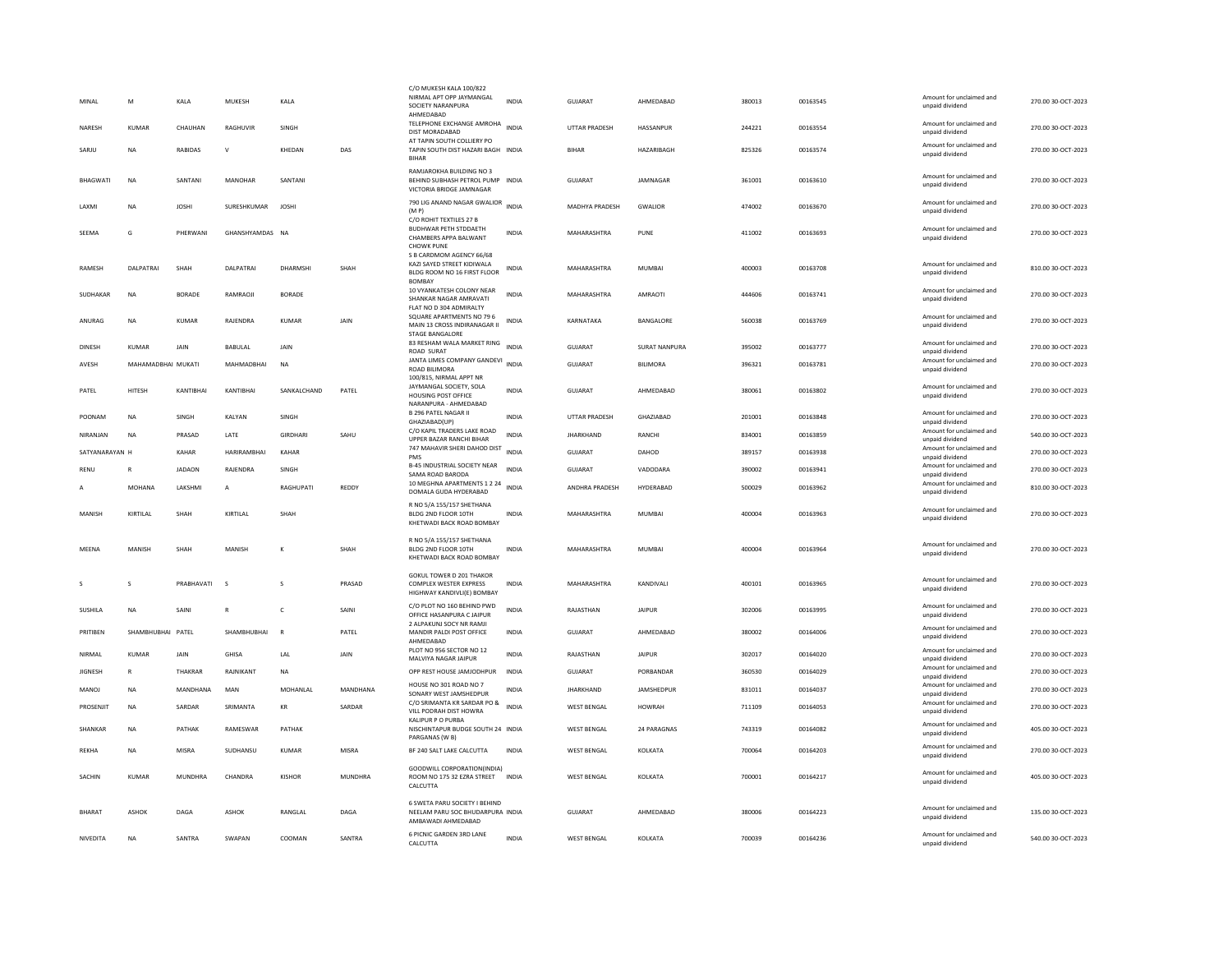| MINAL           | M                  | KALA           | MUKESH          | KALA            |              | C/O MUKESH KALA 100/822<br>NIRMAL APT OPP JAYMANGAL<br>SOCIETY NARANPURA            | <b>INDIA</b> | GUJARAT               | AHMEDABAD        | 380013 | 00163545 | Amount for unclaimed and<br>unpaid dividend | 270.00 30-OCT-2023 |
|-----------------|--------------------|----------------|-----------------|-----------------|--------------|-------------------------------------------------------------------------------------|--------------|-----------------------|------------------|--------|----------|---------------------------------------------|--------------------|
|                 |                    |                |                 |                 |              | AHMEDABAD<br>TELEPHONE EXCHANGE AMROHA                                              |              |                       |                  |        |          | Amount for unclaimed and                    |                    |
| NARESH          | KUMAR              | CHAUHAN        | RAGHUVIR        | <b>SINGH</b>    |              | DIST MORADABAD<br>AT TAPIN SOUTH COLLIERY PO                                        | <b>INDIA</b> | <b>UTTAR PRADESH</b>  | <b>HASSANPUR</b> | 244221 | 00163554 | unpaid dividend                             | 270.00 30-OCT-2023 |
| SARJU           | <b>NA</b>          | RABIDAS        | $\mathsf{v}$    | KHEDAN          | DAS          | TAPIN SOUTH DIST HAZARI BAGH INDIA<br><b>BIHAR</b>                                  |              | <b>BIHAR</b>          | HAZARIBAGH       | 825326 | 00163574 | Amount for unclaimed and<br>unpaid dividend | 270.00 30-OCT-2023 |
| <b>BHAGWATI</b> | NA                 | SANTANI        | MANOHAR         | SANTANI         |              | RAMJAROKHA BUILDING NO 3<br>BEHIND SUBHASH PETROL PUMP INDIA                        |              | GUJARAT               | JAMNAGAR         | 361001 | 00163610 | Amount for unclaimed and                    | 270.00 30-OCT-2023 |
|                 |                    |                |                 |                 |              | VICTORIA BRIDGE JAMNAGAR                                                            |              |                       |                  |        |          | unpaid dividend                             |                    |
| LAXMI           | <b>NA</b>          | <b>JOSHI</b>   | SURESHKUMAR     | <b>JOSHI</b>    |              | 790 LIG ANAND NAGAR GWALIOR INDIA<br>(MP)                                           |              | <b>MADHYA PRADESH</b> | <b>GWALIOR</b>   | 474002 | 00163670 | Amount for unclaimed and<br>unpaid dividend | 270.00 30-OCT-2023 |
| SEEMA           | G                  | PHERWANI       | GHANSHYAMDAS NA |                 |              | C/O ROHIT TEXTILES 27 B<br><b>BUDHWAR PETH STDDAETH</b><br>CHAMBERS APPA BALWANT    | INDIA        | MAHARASHTRA           | PUNE             | 411002 | 00163693 | Amount for unclaimed and<br>unpaid dividend | 270.00 30-OCT-2023 |
|                 |                    |                |                 |                 |              | <b>CHOWK PUNE</b><br>S B CARDMOM AGENCY 66/68                                       |              |                       |                  |        |          |                                             |                    |
| RAMESH          | DALPATRAI          | SHAH           | DALPATRAI       | DHARMSHI        | SHAH         | KAZI SAYED STREET KIDIWALA<br>BLDG ROOM NO 16 FIRST FLOOR<br><b>BOMBAY</b>          | INDIA        | MAHARASHTRA           | MUMBAI           | 400003 | 00163708 | Amount for unclaimed and<br>unpaid dividend | 810.00 30-OCT-2023 |
| SUDHAKAR        | NA                 | <b>BORADE</b>  | RAMRAOJI        | <b>BORADE</b>   |              | 10 VYANKATESH COLONY NEAR<br>SHANKAR NAGAR AMRAVATI                                 | INDIA        | MAHARASHTRA           | AMRAOTI          | 444606 | 00163741 | Amount for unclaimed and<br>unpaid dividend | 270.00 30-OCT-2023 |
| ANURAG          | <b>NA</b>          | KUMAR          | RAIFNDRA        | KUMAR           | <b>JAIN</b>  | FLAT NO D 304 ADMIRALTY<br>SQUARE APARTMENTS NO 79 6                                | <b>INDIA</b> | KARNATAKA             | <b>BANGALORE</b> | 560038 | 00163769 | Amount for unclaimed and                    | 270.00 30-OCT-2023 |
|                 |                    |                |                 |                 |              | MAIN 13 CROSS INDIRANAGAR II<br>STAGE BANGALORE                                     |              |                       |                  |        |          | unpaid dividend                             |                    |
| <b>DINESH</b>   | <b>KUMAR</b>       | JAIN           | BABULAL         | JAIN            |              | 83 RESHAM WALA MARKET RING INDIA<br>ROAD SURAT                                      |              | GUJARAT               | SURAT NANPURA    | 395002 | 00163777 | Amount for unclaimed and<br>unpaid dividend | 270.00 30-OCT-2023 |
| AVESH           | MAHAMADBHAI MUKATI |                | MAHMADRHAI      | <b>NA</b>       |              | JANTA LIMES COMPANY GANDEVI INDIA<br>ROAD BILIMORA                                  |              | <b>GUJARAT</b>        | <b>BILIMORA</b>  | 396321 | 00163781 | Amount for unclaimed and<br>unpaid dividend | 270.00 30-OCT-2023 |
| PATEL           | <b>HITESH</b>      | KANTIBHAI      | KANTIBHAI       | SANKALCHAND     | PATEL        | 100/815, NIRMAL APPT NR<br>JAYMANGAL SOCIETY, SOLA<br>HOUSING POST OFFICE           | <b>INDIA</b> | <b>GUJARAT</b>        | AHMEDABAD        | 380061 | 00163802 | Amount for unclaimed and<br>unpaid dividend | 270.00 30-OCT-2023 |
| POONAM          | <b>NA</b>          | SINGH          | KALYAN          | SINGH           |              | NARANPURA - AHMEDABAD<br><b>B 296 PATEL NAGAR II</b>                                | <b>INDIA</b> | <b>UTTAR PRADESH</b>  | GHAZIABAD        | 201001 | 00163848 | Amount for unclaimed and                    | 270.00 30-OCT-2023 |
| NIRANJAN        | <b>NA</b>          | PRASAD         | LATE            | <b>GIRDHARI</b> | SAHU         | GHAZIABAD(UP)<br>C/O KAPIL TRADERS LAKE ROAD                                        | <b>INDIA</b> | <b>JHARKHAND</b>      | RANCHI           | 834001 | 00163859 | unpaid dividend<br>Amount for unclaimed and | 540.00 30-OCT-2023 |
| SATYANARAYAN H  |                    | KAHAR          | HARIRAMBHAI     | KAHAR           |              | UPPER BAZAR RANCHI BIHAR<br>747 MAHAVIR SHERI DAHOD DIST                            | <b>INDIA</b> | <b>GUJARAT</b>        | DAHOD            | 389157 | 00163938 | unpaid dividend<br>Amount for unclaimed and | 270.00 30-OCT-2023 |
| RENU            | R                  | <b>JADAON</b>  | RAJENDRA        | SINGH           |              | PMS<br>B-45 INDUSTRIAL SOCIETY NEAR                                                 | INDIA        | GUJARAT               | VADODARA         | 390002 | 00163941 | unpaid dividend<br>Amount for unclaimed and | 270.00 30-OCT-2023 |
|                 |                    |                |                 |                 |              | SAMA ROAD BARODA<br>10 MEGHNA APARTMENTS 1 2 24                                     | <b>INDIA</b> |                       |                  |        |          | unpaid dividend<br>Amount for unclaimed and |                    |
| Α               | MOHANA             | LAKSHMI        | Α               | RAGHUPATI       | REDDY        | DOMALA GUDA HYDERABAD                                                               |              | ANDHRA PRADESH        | HYDERABAD        | 500029 | 00163962 | unpaid dividend                             | 810.00 30-OCT-2023 |
| MANISH          | KIRTILAI           | SHAH           | KIRTILAI        | SHAH            |              | R NO 5/A 155/157 SHETHANA<br>BLDG 2ND FLOOR 10TH<br>KHETWADI BACK ROAD BOMBAY       | <b>INDIA</b> | MAHARASHTRA           | MUMBAI           | 400004 | 00163963 | Amount for unclaimed and<br>unpaid dividend | 270.00 30-QCT-2023 |
| MEENA           |                    |                |                 | к               | SHAH         | R NO 5/A 155/157 SHETHANA<br>BLDG 2ND FLOOR 10TH                                    | <b>INDIA</b> |                       | <b>MUMBAI</b>    |        |          | Amount for unclaimed and                    |                    |
|                 | MANISH             | SHAH           | MANISH          |                 |              | KHETWADI BACK ROAD BOMBAY                                                           |              | MAHARASHTRA           |                  | 400004 | 00163964 | unpaid dividend                             | 270.00 30-OCT-2023 |
|                 | S                  | PRABHAVATI     | <sub>S</sub>    |                 | PRASAD       | <b>GOKUL TOWER D 201 THAKOR</b><br><b>COMPLEX WESTER EXPRESS</b>                    | <b>INDIA</b> | MAHARASHTRA           | KANDIVALI        | 400101 | 00163965 | Amount for unclaimed and                    | 270.00 30-OCT-2023 |
|                 |                    |                |                 |                 |              | HIGHWAY KANDIVLI(E) BOMBAY                                                          |              |                       |                  |        |          | unpaid dividend                             |                    |
| SUSHILA         | <b>NA</b>          | SAINI          | $\mathbb{R}$    | $\mathsf{C}$    | SAINI        | C/O PLOT NO 160 BEHIND PWD<br>OFFICE HASANPURA C JAIPUR<br>2 ALPAKUNJ SOCY NR RAMJI | <b>INDIA</b> | RAJASTHAN             | <b>JAIPUR</b>    | 302006 | 00163995 | Amount for unclaimed and<br>unpaid dividend | 270.00 30-OCT-2023 |
| PRITIBEN        | SHAMBHUBHAI PATEL  |                | SHAMBHUBHAI     | $\mathbb{R}$    | PATEL        | MANDIR PALDI POST OFFICE<br>AHMFDARAD                                               | <b>INDIA</b> | <b>GUJARAT</b>        | AHMEDABAD        | 380002 | 00164006 | Amount for unclaimed and<br>unpaid dividend | 270.00 30-OCT-2023 |
| NIRMAL          | KUMAR              | <b>JAIN</b>    | GHISA           | <b>I</b> AI     | <b>JAIN</b>  | PLOT NO 956 SECTOR NO 12<br>MALVIYA NAGAR JAIPUR                                    | <b>INDIA</b> | RAJASTHAN             | <b>JAIPUR</b>    | 302017 | 00164020 | Amount for unclaimed and<br>unpaid dividend | 270.00 30-OCT-2023 |
| <b>JIGNESH</b>  | $\mathbb{R}$       | <b>THAKRAR</b> | RAJNIKANT       | NA              |              | OPP REST HOUSE JAMJODHPUR                                                           | <b>INDIA</b> | GUJARAT               | PORRANDAR        | 360530 | 00164029 | Amount for unclaimed and<br>unpaid dividend | 270.00 30-OCT-2023 |
| <b>MANOJ</b>    | <b>NA</b>          | MANDHANA       | MAN             | MOHANI AI       | MANDHANA     | HOUSE NO 301 ROAD NO 7<br>SONARY WEST JAMSHEDPUR                                    | <b>INDIA</b> | <b>JHARKHAND</b>      | JAMSHEDPUR       | 831011 | 00164037 | Amount for unclaimed and<br>unpaid dividend | 270.00 30-OCT-2023 |
| PROSENJIT       | <b>NA</b>          | SARDAR         | SRIMANTA        | KR              | SARDAR       | C/O SRIMANTA KR SARDAR PO &<br>VILL PODRAH DIST HOWRA                               | <b>INDIA</b> | <b>WEST BENGAL</b>    | <b>HOWRAH</b>    | 711109 | 00164053 | Amount for unclaimed and<br>unpaid dividend | 270.00 30-OCT-2023 |
| SHANKAR         | NA                 | PATHAK         | RAMESWAR        | PATHAK          |              | KALIPUR P O PURBA<br>NISCHINTAPUR BUDGE SOUTH 24 INDIA<br>PARGANAS (W B)            |              | <b>WEST BENGAL</b>    | 24 PARAGNAS      | 743319 | 00164082 | Amount for unclaimed and<br>unpaid dividend | 405.00 30-OCT-2023 |
| REKHA           | <b>NA</b>          | <b>MISRA</b>   | SUDHANSU        | KUMAR           | <b>MISRA</b> | BF 240 SALT LAKE CALCUTTA                                                           | <b>INDIA</b> | <b>WEST BENGAL</b>    | KOLKATA          | 700064 | 00164203 | Amount for unclaimed and<br>unpaid dividend | 270.00 30-OCT-2023 |
| SACHIN          | <b>KUMAR</b>       | MUNDHRA        | CHANDRA         | KISHOR          | MUNDHRA      | GOODWILL CORPORATION(INDIA)<br>ROOM NO 175 32 EZRA STREET<br>CALCUTTA               | <b>INDIA</b> | <b>WEST BENGAL</b>    | KOLKATA          | 700001 | 00164217 | Amount for unclaimed and<br>unpaid dividend | 405.00 30-OCT-2023 |
|                 |                    |                |                 |                 |              | 6 SWETA PARU SOCIETY I BEHIND                                                       |              |                       |                  |        |          |                                             |                    |
| BHARAT          | <b>ASHOK</b>       | DAGA           | ASHOK           | RANGLAL         | DAGA         | NEELAM PARU SOC BHUDARPURA INDIA<br>AMBAWADI AHMEDABAD                              |              | GUJARAT               | AHMEDABAD        | 380006 | 00164223 | Amount for unclaimed and<br>unpaid dividend | 135.00 30-OCT-2023 |
| NIVEDITA        | <b>NA</b>          | SANTRA         | SWAPAN          | COOMAN          | SANTRA       | 6 PICNIC GARDEN 3RD LANE<br>CALCUTTA                                                | INDIA        | <b>WEST BENGAL</b>    | KOLKATA          | 700039 | 00164236 | Amount for unclaimed and<br>unpaid dividend | 540.00 30-OCT-2023 |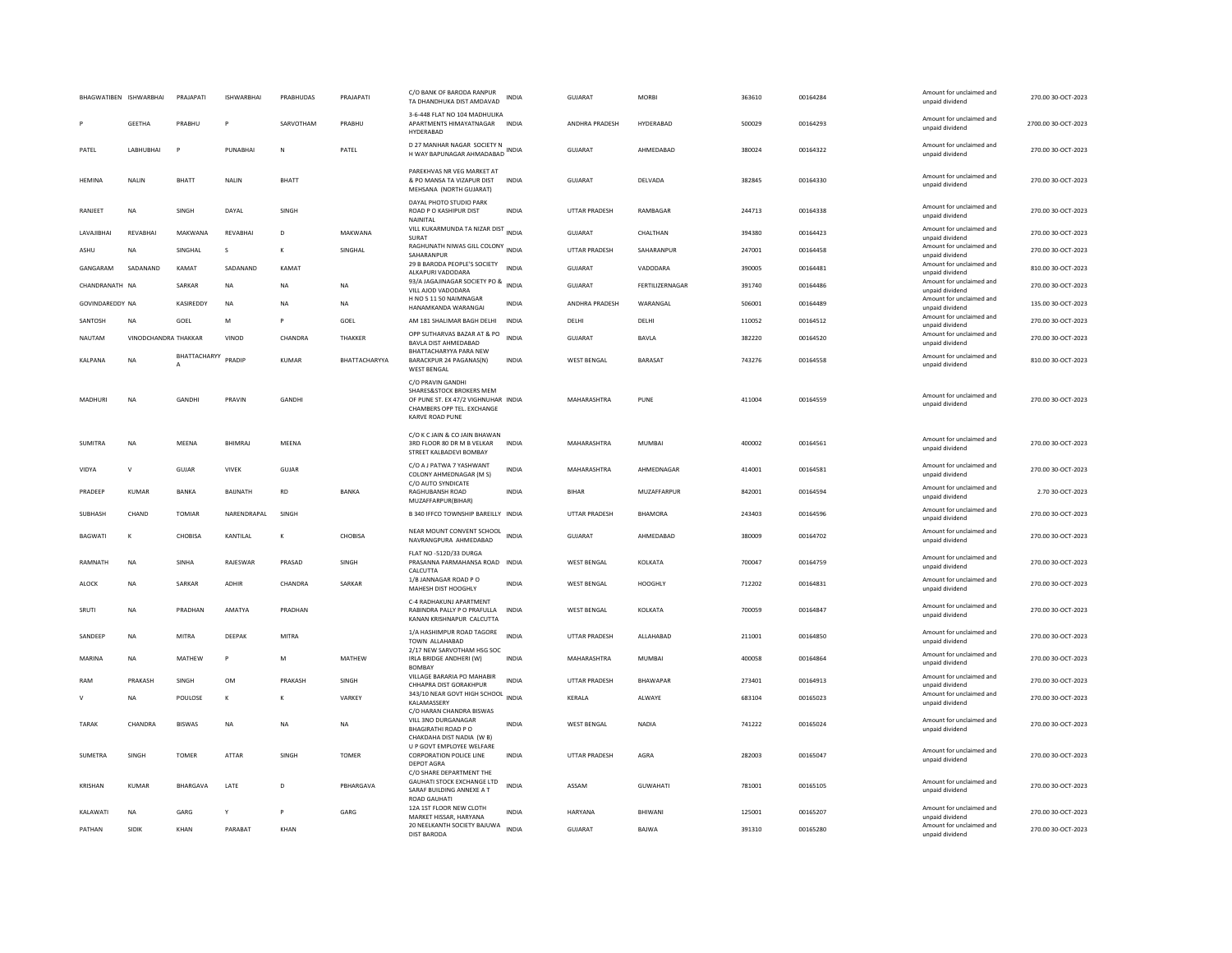|                        | BHAGWATIBEN ISHWARBHAI | PRAJAPATI       | <b>ISHWARBHAI</b> | PRABHUDAS    | PRAJAPATI      | C/O BANK OF BARODA RANPUR<br>TA DHANDHUKA DIST AMDAVAD                                                                                | INDIA        | <b>GUJARAT</b>       | <b>MORRI</b>    | 363610 | 00164284 | Amount for unclaimed and<br>unpaid dividend | 270.00 30-OCT-2023  |
|------------------------|------------------------|-----------------|-------------------|--------------|----------------|---------------------------------------------------------------------------------------------------------------------------------------|--------------|----------------------|-----------------|--------|----------|---------------------------------------------|---------------------|
|                        | GEETHA                 | PRABHU          | p                 | SARVOTHAM    | PRABHU         | 3-6-448 FLAT NO 104 MADHULIKA<br>APARTMENTS HIMAYATNAGAR INDIA<br><b>HYDERABAD</b>                                                    |              | ANDHRA PRADESH       | HYDERABAD       | 500029 | 00164293 | Amount for unclaimed and<br>unpaid dividend | 2700.00 30-OCT-2023 |
| PATEL                  | LABHUBHAI              | P               | PUNARHAI          | $\mathbb N$  | PATEL          | D 27 MANHAR NAGAR SOCIETY N<br>H WAY BAPUNAGAR AHMADABAD INDIA                                                                        |              | GUJARAT              | AHMEDABAD       | 380024 | 00164322 | Amount for unclaimed and<br>unpaid dividend | 270.00 30-OCT-2023  |
| HEMINA                 | NALIN                  | BHATT           | <b>NALIN</b>      | BHATT        |                | PAREKHVAS NR VEG MARKET AT<br>& PO MANSA TA VIZAPUR DIST<br>MEHSANA (NORTH GUJARAT)                                                   | INDIA        | GUJARAT              | DELVADA         | 382845 | 00164330 | Amount for unclaimed and<br>unpaid dividend | 270.00 30-OCT-2023  |
| RANJEET                | <b>NA</b>              | SINGH           | DAYAL             | SINGH        |                | DAYAL PHOTO STUDIO PARK<br>ROAD P O KASHIPUR DIST<br>NAINITAL                                                                         | <b>INDIA</b> | UTTAR PRADESH        | RAMBAGAR        | 244713 | 00164338 | Amount for unclaimed and<br>unpaid dividend | 270.00 30-OCT-2023  |
| LAVAJIBHAI             | REVABHAI               | MAKWANA         | REVABHAI          | D            | MAKWANA        | VILL KUKARMUNDA TA NIZAR DIST<br>INDIA<br>SURAT                                                                                       |              | GUJARAT              | CHALTHAN        | 394380 | 00164423 | Amount for unclaimed and<br>unnaid dividend | 270.00 30-OCT-2023  |
| ASHU                   | NA                     | SINGHAL         | s                 | к            | SINGHAL        | RAGHUNATH NIWAS GILL COLONY<br>SAHARANPUR                                                                                             | <b>INDIA</b> | UTTAR PRADESH        | SAHARANPUR      | 247001 | 00164458 | Amount for unclaimed and<br>unpaid dividend | 270.00 30-OCT-2023  |
| GANGARAM               | SADANAND               | KAMAT           | SADANAND          | KAMAT        |                | 29 B BARODA PEOPLE'S SOCIETY<br>ALKAPURI VADODARA                                                                                     | <b>INDIA</b> | <b>GUJARAT</b>       | VADODARA        | 390005 | 00164481 | Amount for unclaimed and<br>unpaid dividend | 810.00 30-OCT-2023  |
| CHANDRANATH NA         |                        | SARKAR          | NA                | <b>NA</b>    | NA             | 93/A JAGAJINAGAR SOCIETY PO &<br>VILL AJOD VADODARA                                                                                   | <b>INDIA</b> | <b>GUJARAT</b>       | FERTILIZERNAGAR | 391740 | 00164486 | Amount for unclaimed and<br>unpaid dividend | 270.00 30-OCT-2023  |
| <b>GOVINDAREDDY NA</b> |                        | KASIREDDY       | <b>NA</b>         | <b>NA</b>    | NA             | H NO 5 11 50 NAIMNAGAR<br>HANAMKANDA WARANGAI                                                                                         | INDIA        | ANDHRA PRADESH       | WARANGAL        | 506001 | 00164489 | Amount for unclaimed and<br>unpaid dividend | 135.00 30-OCT-2023  |
| SANTOSH                | <b>NA</b>              | GOEL            | M                 | P            | GOEL           | AM 181 SHALIMAR BAGH DELHI                                                                                                            | <b>INDIA</b> | DELHI                | DELHI           | 110052 | 00164512 | Amount for unclaimed and                    | 270.00 30-OCT-2023  |
| <b>NAUTAM</b>          | VINODCHANDRA THAKKAR   |                 | VINOD             | CHANDRA      | <b>THAKKER</b> | OPP SUTHARVAS BAZAR AT & PO                                                                                                           | <b>INDIA</b> | GUIARAT              | BAVLA           | 382220 | 00164520 | unnaid dividend<br>Amount for unclaimed and | 270.00 30-OCT-2023  |
|                        |                        | BHATTACHARYY    |                   |              |                | BAVLA DIST AHMEDABAD<br>BHATTACHARYYA PARA NEW                                                                                        |              |                      |                 |        |          | unpaid dividend<br>Amount for unclaimed and |                     |
| KALPANA                | <b>NA</b>              | A               | PRADIP            | <b>KUMAR</b> | BHATTACHARYYA  | BARACKPUR 24 PAGANAS(N)<br><b>WEST BENGAL</b>                                                                                         | <b>INDIA</b> | WEST BENGAL          | <b>BARASAT</b>  | 743276 | 00164558 | unpaid dividend                             | 810.00 30-OCT-2023  |
| MADHURI                | NA                     | GANDHI          | PRAVIN            | GANDHI       |                | C/O PRAVIN GANDHI<br>SHARFS&STOCK BROKERS MEM<br>OF PUNE ST. EX 47/2 VIGHNUHAR INDIA<br>CHAMBERS OPP TEL. EXCHANGE<br>KARVE ROAD PUNE |              | MAHARASHTRA          | PUNE            | 411004 | 00164559 | Amount for unclaimed and<br>unpaid dividend | 270.00 30-OCT-2023  |
| SUMITRA                | <b>NA</b>              | MEENA           | <b>BHIMRAJ</b>    | MEENA        |                | C/O K C JAIN & CO JAIN BHAWAN<br>3RD FLOOR 80 DR M B VELKAR<br>STREET KALBADEVI BOMBAY                                                | <b>INDIA</b> | MAHARASHTRA          | <b>MUMBAI</b>   | 400002 | 00164561 | Amount for unclaimed and<br>unpaid dividend | 270.00 30-OCT-2023  |
| <b>VIDYA</b>           | $\mathsf{V}$           | GUJAR           | <b>VIVEK</b>      | GUJAR        |                | C/O A J PATWA 7 YASHWANT<br>COLONY AHMEDNAGAR (M S)                                                                                   | <b>INDIA</b> | MAHARASHTRA          | AHMEDNAGAR      | 414001 | 00164581 | Amount for unclaimed and<br>unpaid dividend | 270.00 30-OCT-2023  |
| PRADEEP                | KUMAR                  | <b>BANKA</b>    | BAUNATH           | <b>RD</b>    | BANKA          | C/O AUTO SYNDICATE<br>RAGHUBANSH ROAD<br>MUZAFFARPUR(BIHAR)                                                                           | <b>INDIA</b> | <b>BIHAR</b>         | MUZAFFARPUR     | 842001 | 00164594 | Amount for unclaimed and<br>unpaid dividend | 2.70 30-OCT-2023    |
| SUBHASH                | CHAND                  | <b>TOMIAR</b>   | NARENDRAPAL       | SINGH        |                | B 340 IFFCO TOWNSHIP BAREILLY INDIA                                                                                                   |              | UTTAR PRADESH        | <b>BHAMORA</b>  | 243403 | 00164596 | Amount for unclaimed and<br>unpaid dividend | 270.00 30-OCT-2023  |
| <b>BAGWATI</b>         | $\kappa$               | CHOBISA         | KANTILAL          | $\kappa$     | CHOBISA        | NEAR MOUNT CONVENT SCHOOL<br>NAVRANGPURA AHMEDABAD                                                                                    | <b>INDIA</b> | GUJARAT              | AHMEDABAD       | 380009 | 00164702 | Amount for unclaimed and<br>unpaid dividend | 270.00 30-OCT-2023  |
| RAMNATH                | <b>NA</b>              | SINHA           | RAJESWAR          | PRASAD       | SINGH          | FLAT NO -512D/33 DURGA<br>PRASANNA PARMAHANSA ROAD INDIA                                                                              |              | <b>WEST BENGAL</b>   | KOLKATA         | 700047 | 00164759 | Amount for unclaimed and<br>unpaid dividend | 270.00 30-OCT-2023  |
| ALOCK                  | <b>NA</b>              | SARKAR          | ADHIR             | CHANDRA      | SARKAR         | CALCUTTA<br>1/B JANNAGAR ROAD PO<br>MAHESH DIST HOOGHLY                                                                               | <b>INDIA</b> | <b>WEST BENGAL</b>   | HOOGHLY         | 712202 | 00164831 | Amount for unclaimed and<br>unpaid dividend | 270.00 30-OCT-2023  |
| SRUTI                  | <b>NA</b>              | PRADHAN         | AMATYA            | PRADHAN      |                | C-4 RADHAKUNJ APARTMENT<br>RABINDRA PALLY P O PRAFULLA<br>KANAN KRISHNAPUR CALCUTTA                                                   | INDIA        | <b>WEST BENGAL</b>   | KOLKATA         | 700059 | 00164847 | Amount for unclaimed and<br>unpaid dividend | 270.00 30-OCT-2023  |
| SANDEEP                | NA                     | <b>MITRA</b>    | DEEPAK            | <b>MITRA</b> |                | 1/A HASHIMPUR ROAD TAGORE<br><b>TOWN ALLAHABAD</b>                                                                                    | <b>INDIA</b> | UTTAR PRADESH        | ALLAHABAD       | 211001 | 00164850 | Amount for unclaimed and<br>unpaid dividend | 270.00 30-OCT-2023  |
| MARINA                 | <b>NA</b>              | MATHEW          | P                 | M            | MATHEW         | 2/17 NEW SARVOTHAM HSG SOC<br>IRLA BRIDGE ANDHERI (W)<br><b>BOMBAY</b>                                                                | <b>INDIA</b> | MAHARASHTRA          | MUMBAI          | 400058 | 00164864 | Amount for unclaimed and<br>unpaid dividend | 270.00 30-OCT-2023  |
| RAM                    | PRAKASH                | SINGH           | <b>OM</b>         | PRAKASH      | SINGH          | VILLAGE BARARIA PO MAHABIR<br>CHHAPRA DIST GORAKHPUR                                                                                  | <b>INDIA</b> | UTTAR PRADESH        | BHAWAPAR        | 273401 | 00164913 | Amount for unclaimed and<br>unpaid dividend | 270.00 30-OCT-2023  |
|                        | <b>NA</b>              | POULOSE         | к                 | к            | VARKEY         | 343/10 NEAR GOVT HIGH SCHOOL<br>KALAMASSERY                                                                                           | <b>INDIA</b> | KERALA               | ALWAYE          | 683104 | 00165023 | Amount for unclaimed and<br>unpaid dividend | 270.00 30-OCT-2023  |
| TARAK                  | CHANDRA                | <b>BISWAS</b>   | $_{\sf NA}$       | <b>NA</b>    | <b>NA</b>      | C/O HARAN CHANDRA BISWAS<br>VILL 3NO DURGANAGAR<br><b>BHAGIRATHI ROAD P O</b><br>CHAKDAHA DIST NADIA (W B)                            | INDIA        | <b>WEST BENGAL</b>   | NADIA           | 741222 | 00165024 | Amount for unclaimed and<br>unpaid dividend | 270.00 30-OCT-2023  |
| <b>SUMFTRA</b>         | <b>SINGH</b>           | <b>TOMFR</b>    | <b>ATTAR</b>      | SINGH        | <b>TOMFR</b>   | U P GOVT EMPLOYEE WELFARE<br><b>CORPORATION POLICE LINE</b><br>DEPOT AGRA                                                             | <b>INDIA</b> | <b>UTTAR PRADESH</b> | AGRA            | 282003 | 00165047 | Amount for unclaimed and<br>unpaid dividend | 270.00.30-OCT-2023  |
| KRISHAN                | KUMAR                  | <b>BHARGAVA</b> | LATE              | $\mathsf{D}$ | PRHARGAVA      | C/O SHARE DEPARTMENT THE<br>GAUHATI STOCK EXCHANGE LTD<br>SARAF BUILDING ANNEXE A T<br>ROAD GAUHATI                                   | <b>INDIA</b> | ASSAM                | <b>GUWAHATI</b> | 781001 | 00165105 | Amount for unclaimed and<br>unpaid dividend | 270.00 30-OCT-2023  |
| KALAWATI               | <b>NA</b>              | GARG            | Y                 | P            | GARG           | 12A 1ST FLOOR NEW CLOTH<br>MARKET HISSAR, HARYANA                                                                                     | <b>INDIA</b> | HARYANA              | BHIWANI         | 125001 | 00165207 | Amount for unclaimed and<br>unpaid dividend | 270.00 30-OCT-2023  |
| PATHAN                 | SIDIK                  | KHAN            | PARABAT           | KHAN         |                | 20 NEELKANTH SOCIETY BAJUWA<br><b>DIST BARODA</b>                                                                                     | <b>INDIA</b> | GUJARAT              | BAJWA           | 391310 | 00165280 | Amount for unclaimed and<br>unpaid dividend | 270.00 30-OCT-2023  |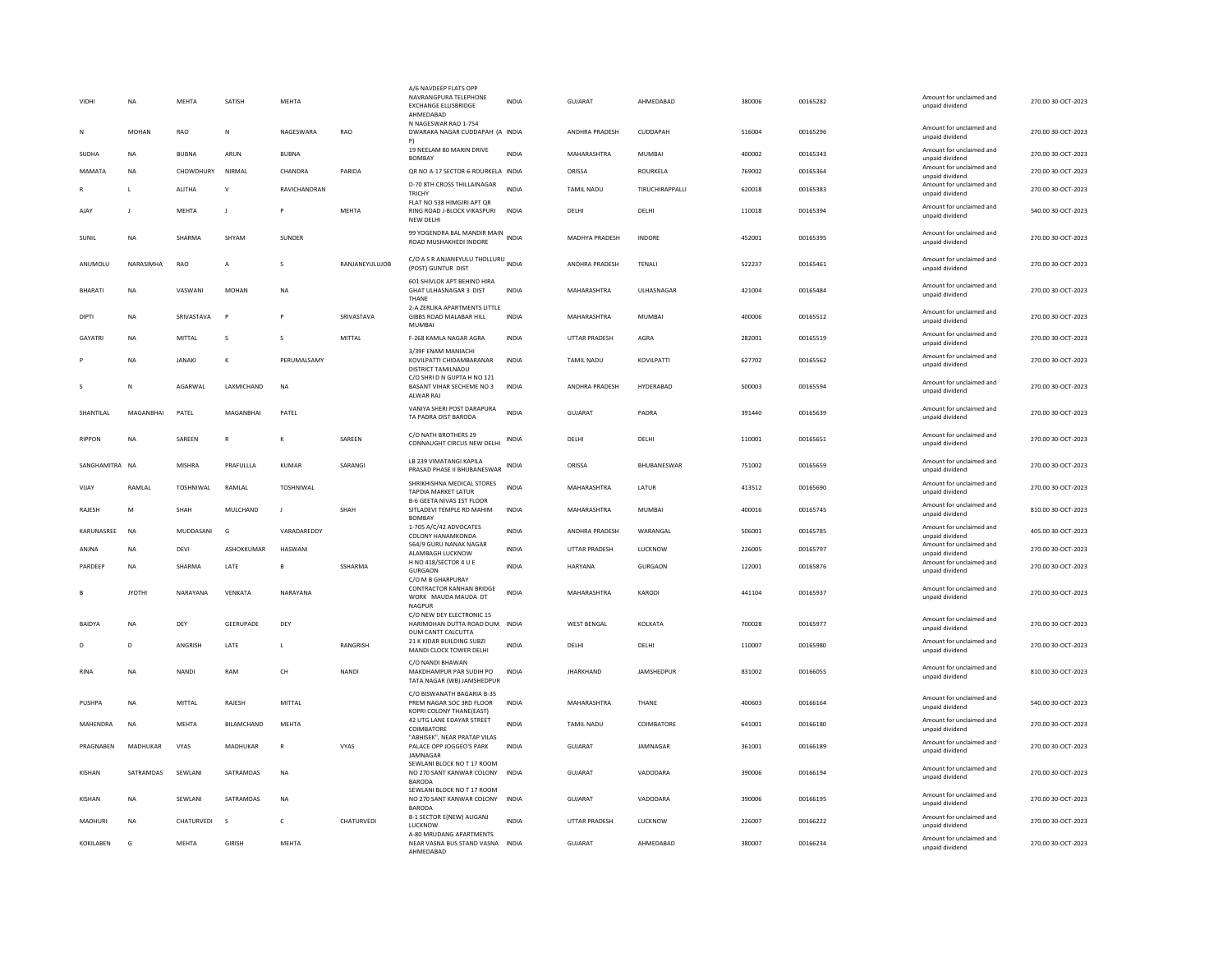| VIDHI          | <b>NA</b>     | <b>MEHTA</b>     | SATISH            | MEHTA               |                | A/6 NAVDEEP FLATS OPP<br>NAVRANGPURA TELEPHONE<br><b>FXCHANGE ELLISBRIDGE</b><br>AHMEDABAD<br>N NAGESWAR RAO 1-754 | <b>INDIA</b> | <b>GUJARAT</b>        | AHMEDABAD         | 380006 | 00165282 | Amount for unclaimed and<br>unnaid dividend | 270.00 30-OCT-2023 |
|----------------|---------------|------------------|-------------------|---------------------|----------------|--------------------------------------------------------------------------------------------------------------------|--------------|-----------------------|-------------------|--------|----------|---------------------------------------------|--------------------|
| N              | MOHAN         | <b>RAO</b>       | N                 | NAGESWARA           | <b>RAO</b>     | DWARAKA NAGAR CUDDAPAH (A INDIA<br>P)                                                                              |              | <b>ANDHRA PRADESH</b> | CUDDAPAH          | 516004 | 00165296 | Amount for unclaimed and<br>unpaid dividend | 270.00 30-OCT-2023 |
| <b>SUDHA</b>   | <b>NA</b>     | <b>BUBNA</b>     | ARUN              | <b>BUBNA</b>        |                | 19 NEELAM 80 MARIN DRIVE<br><b>BOMBAY</b>                                                                          | <b>INDIA</b> | MAHARASHTRA           | MUMBAI            | 400002 | 00165343 | Amount for unclaimed and<br>unpaid dividend | 270.00 30-OCT-2023 |
| MAMATA         | <b>NA</b>     | CHOWDHURY        | NIRMAL            | CHANDRA             | PARIDA         | QR NO A-17 SECTOR-6 ROURKELA INDIA                                                                                 |              | ORISSA                | ROURKELA          | 769002 | 00165364 | Amount for unclaimed and<br>unpaid dividend | 270.00 30-OCT-2023 |
|                | L             | ALITHA           | $\vee$            | RAVICHANDRAN        |                | D-70 8TH CROSS THILLAINAGAR<br>TRICHY                                                                              | <b>INDIA</b> | <b>TAMIL NADU</b>     | TIRUCHIRAPPALLI   | 620018 | 00165383 | Amount for unclaimed and<br>unpaid dividend | 270.00 30-OCT-2023 |
| AJAY           |               | MEHTA            | J                 |                     | MEHTA          | FLAT NO 538 HIMGIRI APT OR<br>RING ROAD J-BLOCK VIKASPURI<br><b>NEW DELHI</b>                                      | INDIA        | DELHI                 | DELHI             | 110018 | 00165394 | Amount for unclaimed and<br>unpaid dividend | 540.00 30-OCT-2023 |
| SUNIL          | NA            | <b>SHARMA</b>    | SHYAM             | SUNDER              |                | 99 YOGENDRA BAL MANDIR MAIN INDIA<br>ROAD MUSHAKHEDI INDORE                                                        |              | MADHYA PRADESH        | INDORE            | 452001 | 00165395 | Amount for unclaimed and<br>unpaid dividend | 270.00 30-OCT-2023 |
| ANUMOLU        | NARASIMHA     | RAO              | Α                 | $\mathbf{S}$        | RANJANEYULUJOB | C/O A S R ANJANEYULU THOLLURU INDIA<br>(POST) GUNTUR DIST                                                          |              | ANDHRA PRADESH        | TENALI            | 522237 | 00165461 | Amount for unclaimed and<br>unpaid dividend | 270.00 30-OCT-2023 |
| BHARATI        | <b>NA</b>     | VASWANI          | <b>MOHAN</b>      | <b>NA</b>           |                | 601 SHIVLOK APT BEHIND HIRA<br>GHAT ULHASNAGAR 3 DIST<br>THANE                                                     | <b>INDIA</b> | MAHARASHTRA           | ULHASNAGAR        | 421004 | 00165484 | Amount for unclaimed and<br>unpaid dividend | 270.00 30-OCT-2023 |
| DIPTI          | <b>NA</b>     | SRIVASTAVA       | Þ                 | P                   | SRIVASTAVA     | 2-A ZERLIKA APARTMENTS LITTLE<br>GIBBS ROAD MALABAR HILL<br><b>MUMBA</b>                                           | INDIA        | MAHARASHTRA           | <b>MUMBAI</b>     | 400006 | 00165512 | Amount for unclaimed and<br>unpaid dividend | 270.00 30-OCT-2023 |
| GAYATRI        | <b>NA</b>     | MITTAL           | s                 | s                   | MITTAL         | F-268 KAMLA NAGAR AGRA                                                                                             | <b>INDIA</b> | <b>UTTAR PRADESH</b>  | AGRA              | 282001 | 00165519 | Amount for unclaimed and<br>unpaid dividend | 270.00 30-OCT-2023 |
|                | <b>NA</b>     | <b>IANAKI</b>    | K                 | <b>PERUMAI SAMY</b> |                | 3/39F ENAM MANIACHI<br>KOVILPATTI CHIDAMBARANAR<br>DISTRICT TAMILNADU                                              | <b>INDIA</b> | <b>TAMIL NADU</b>     | <b>KOVILPATTI</b> | 627702 | 00165562 | Amount for unclaimed and<br>unpaid dividend | 270.00.30-OCT-2023 |
|                | N             | AGARWAL          | LAXMICHAND        | <b>NA</b>           |                | C/O SHRI D N GUPTA H NO 121<br>BASANT VIHAR SECHEME NO 3<br>ALWAR RAJ                                              | INDIA        | ANDHRA PRADESH        | HYDERABAD         | 500003 | 00165594 | Amount for unclaimed and<br>unpaid dividend | 270.00 30-OCT-2023 |
| SHANTILAL      | MAGANBHAI     | PATEL            | MAGANBHAI         | PATEL               |                | VANIYA SHERI POST DARAPURA<br>TA PADRA DIST BARODA                                                                 | <b>INDIA</b> | GUJARAT               | PADRA             | 391440 | 00165639 | Amount for unclaimed and<br>unpaid dividend | 270.00 30-OCT-2023 |
| <b>RIPPON</b>  | NΑ            | SAREEN           | ${\sf R}$         |                     | SAREEN         | C/O NATH BROTHERS 29<br>CONNAUGHT CIRCUS NEW DELHI                                                                 | INDIA        | DELHI                 | DELHI             | 110001 | 00165651 | Amount for unclaimed and<br>unpaid dividend | 270.00 30-OCT-2023 |
| SANGHAMITRA NA |               | <b>MISHRA</b>    | PRAFULLLA         | <b>KUMAR</b>        | SARANGI        | LB 239 VIMATANGI KAPILA<br>PRASAD PHASE II BHUBANESWAR                                                             | <b>INDIA</b> | ORISSA                | BHUBANESWAR       | 751002 | 00165659 | Amount for unclaimed and<br>unpaid dividend | 270.00 30-OCT-2023 |
| VIJAY          | RAMLAL        | <b>TOSHNIWAL</b> | RAMLAL            | TOSHNIWAL           |                | SHRIKHISHNA MEDICAL STORES<br>TAPDIA MARKET LATUR<br><b>B-6 GEETA NIVAS 1ST FLOOR</b>                              | <b>INDIA</b> | MAHARASHTRA           | LATUR             | 413512 | 00165690 | Amount for unclaimed and<br>unpaid dividend | 270.00 30-OCT-2023 |
| RAJESH         | M             | SHAH             | MULCHAND          | $\mathsf J$         | SHAH           | SITLADEVI TEMPLE RD MAHIM<br><b>BOMBAY</b>                                                                         | INDIA        | MAHARASHTRA           | MUMBAI            | 400016 | 00165745 | Amount for unclaimed and<br>unpaid dividend | 810.00 30-OCT-2023 |
| KARUNASREE     | <b>NA</b>     | MUDDASANI        | $\mathsf{G}$      | VARADAREDDY         |                | 1-705 A/C/42 ADVOCATES<br>COLONY HANAMKONDA                                                                        | <b>INDIA</b> | ANDHRA PRADESH        | WARANGAL          | 506001 | 00165785 | Amount for unclaimed and<br>unpaid dividend | 405.00 30-OCT-2023 |
| ANJNA          | <b>NA</b>     | DEVI             | ASHOKKUMAR        | HASWAN              |                | 564/9 GURU NANAK NAGAR<br>ALAMBAGH LUCKNOW                                                                         | <b>INDIA</b> | UTTAR PRADESH         | <b>LUCKNOW</b>    | 226005 | 00165797 | Amount for unclaimed and<br>unpaid dividend | 270.00 30-OCT-2023 |
| PARDEEP        | <b>NA</b>     | <b>SHARMA</b>    | LATE              | B                   | SSHARMA        | H NO 418/SECTOR 4 U E<br>GURGAON                                                                                   | INDIA        | HARYANA               | <b>GURGAON</b>    | 122001 | 00165876 | Amount for unclaimed and<br>unpaid dividend | 270.00 30-OCT-2023 |
|                | <b>JYOTHI</b> | NARAYANA         | VENKATA           | NARAYANA            |                | C/O M B GHARPURAY<br><b>CONTRACTOR KANHAN BRIDGE</b><br>WORK MAUDA MAUDA DT<br>NAGPUR                              | <b>INDIA</b> | MAHARASHTRA           | KARODI            | 441104 | 00165937 | Amount for unclaimed and<br>unpaid dividend | 270.00 30-OCT-2023 |
| <b>BAIDYA</b>  | <b>NA</b>     | DEY              | <b>GEERUPADE</b>  | DEY                 |                | C/O NEW DEY ELECTRONIC 15<br>HARIMOHAN DUTTA ROAD DUM INDIA<br>DUM CANTT CALCUTTA                                  |              | <b>WEST BENGAL</b>    | KOLKATA           | 700028 | 00165977 | Amount for unclaimed and<br>unpaid dividend | 270.00 30-OCT-2023 |
| D              | D             | ANGRISH          | LATE              | L                   | RANGRISH       | 21 K KIDAR BUILDING SUBZI<br>MANDI CLOCK TOWER DELHI                                                               | <b>INDIA</b> | DELHI                 | DELHI             | 110007 | 00165980 | Amount for unclaimed and<br>unpaid dividend | 270.00 30-OCT-2023 |
| <b>RINA</b>    | <b>NA</b>     | <b>NANDI</b>     | RAM               | CH                  | <b>NANDI</b>   | C/O NANDI BHAWAN<br>MAKDHAMPUR PAR SUDIH PO<br>TATA NAGAR (WB) JAMSHEDPUR                                          | <b>INDIA</b> | <b>JHARKHAND</b>      | JAMSHEDPUR        | 831002 | 00166055 | Amount for unclaimed and<br>unpaid dividend | 810.00 30-OCT-2023 |
| PUSHPA         | <b>NA</b>     | MITTAL           | RAIFSH            | MITTAI              |                | C/O BISWANATH BAGARIA B-35<br>PREM NAGAR SOC 3RD FLOOR<br>KOPRI COLONY THANE(EAST)                                 | <b>INDIA</b> | MAHARASHTRA           | THANF             | 400603 | 00166164 | Amount for unclaimed and<br>unpaid dividend | 540.00 30-OCT-2023 |
| MAHENDRA       | NA            | <b>MEHTA</b>     | <b>BILAMCHAND</b> | <b>MEHTA</b>        |                | 42 UTG LANE EDAYAR STREET<br>COIMBATORE                                                                            | INDIA        | <b>TAMIL NADU</b>     | COIMBATORE        | 641001 | 00166180 | Amount for unclaimed and<br>unpaid dividend | 270.00 30-OCT-2023 |
| PRAGNABEN      | MADHUKAR      | <b>VYAS</b>      | MADHUKAR          | $\mathbb{R}$        | VYAS           | "ABHISEK", NEAR PRATAP VILAS<br>PALACE OPP JOGGEO'S PARK<br>JAMNAGAR                                               | <b>INDIA</b> | GUIARAT               | JAMNAGAR          | 361001 | 00166189 | Amount for unclaimed and<br>unpaid dividend | 270.00 30-OCT-2023 |
| <b>KISHAN</b>  | SATRAMDAS     | SEWLANI          | SATRAMDAS         | <b>NA</b>           |                | SEWLANI BLOCK NO T 17 ROOM<br>NO 270 SANT KANWAR COLONY<br><b>BARODA</b>                                           | <b>INDIA</b> | GUJARAT               | VADODARA          | 390006 | 00166194 | Amount for unclaimed and<br>unpaid dividend | 270.00 30-OCT-2023 |
| KISHAN         | <b>NA</b>     | SEWLANI          | SATRAMDAS         | NA                  |                | SEWLANI BLOCK NO T 17 ROOM<br>NO 270 SANT KANWAR COLONY<br><b>BARODA</b>                                           | <b>INDIA</b> | GUJARAT               | VADODARA          | 390006 | 00166195 | Amount for unclaimed and<br>unpaid dividend | 270.00 30-OCT-2023 |
| MADHURI        | <b>NA</b>     | CHATURVEDI       | s                 | $\mathsf{C}$        | CHATURVEDI     | B-1 SECTOR E(NEW) ALIGANJ<br>LUCKNOW                                                                               | <b>INDIA</b> | UTTAR PRADESH         | LUCKNOW           | 226007 | 00166222 | Amount for unclaimed and<br>unpaid dividend | 270.00 30-OCT-2023 |
| KOKILABEN      | G             | <b>MEHTA</b>     | <b>GIRISH</b>     | MEHTA               |                | A-80 MRUDANG APARTMENTS<br>NEAR VASNA BUS STAND VASNA INDIA<br>AHMEDABAD                                           |              | GUJARAT               | AHMEDABAD         | 380007 | 00166234 | Amount for unclaimed and<br>unpaid dividend | 270.00 30-OCT-2023 |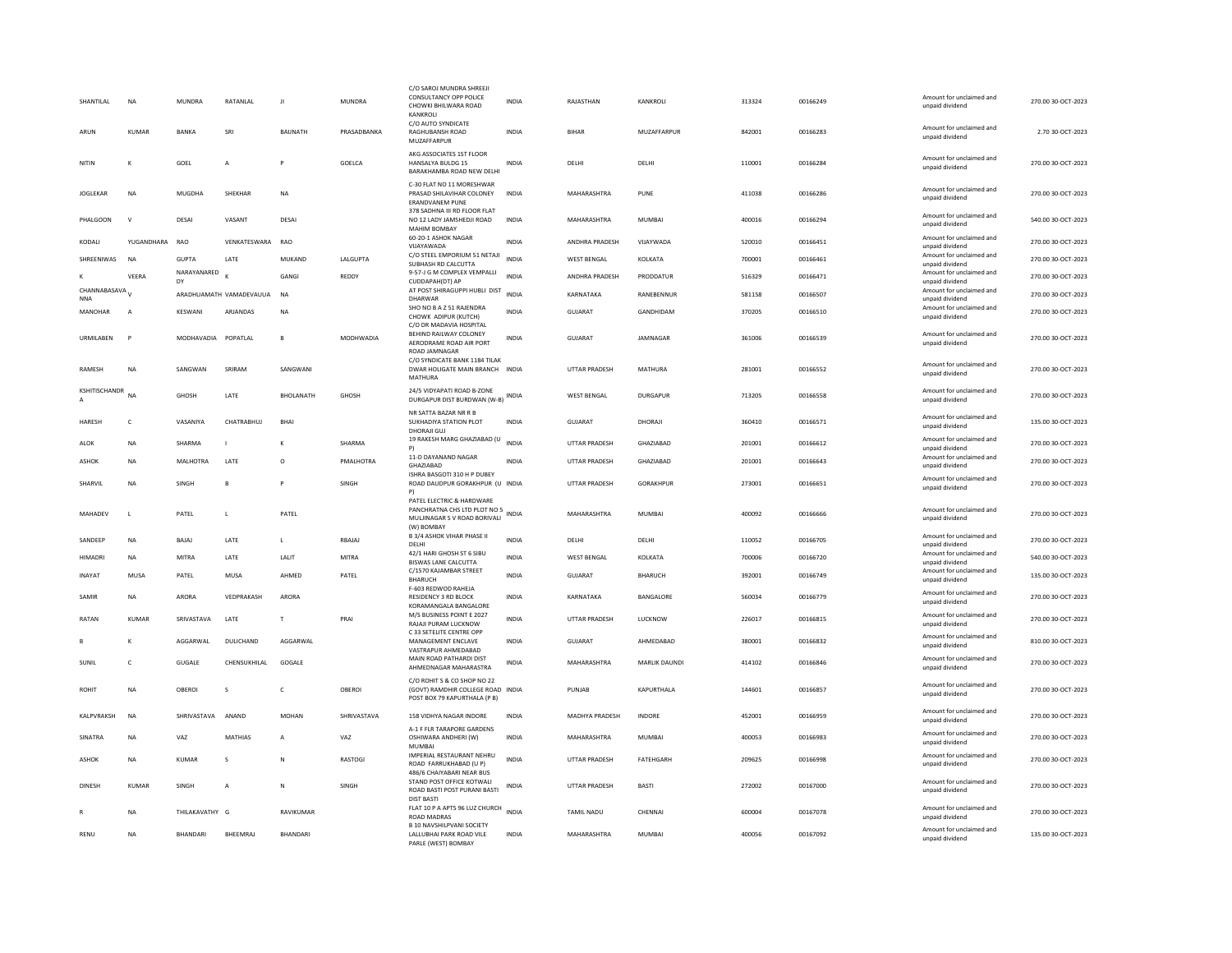| SHANTILAL                       | <b>NA</b>      | <b>MUNDRA</b>     | RATANLAL                | л               | <b>MUNDRA</b> | C/O SAROJ MUNDRA SHREEJI<br>CONSULTANCY OPP POLICE<br>CHOWKI BHILWARA ROAD<br><b>KANKROLL</b>           | <b>INDIA</b> | RAJASTHAN            | KANKROLI        | 313324 | 00166249 | Amount for unclaimed and<br>unpaid dividend | 270.00 30-OCT-2023 |
|---------------------------------|----------------|-------------------|-------------------------|-----------------|---------------|---------------------------------------------------------------------------------------------------------|--------------|----------------------|-----------------|--------|----------|---------------------------------------------|--------------------|
| ARUN                            | KUMAR          | <b>RANKA</b>      | SRI                     | <b>BAIINATH</b> | PRASADBANKA   | C/O AUTO SYNDICATE<br><b>RAGHURANSH ROAD</b><br>MUZAFFARPUR                                             | <b>INDIA</b> | <b>BIHAR</b>         | MUZAFFARPUR     | 842001 | 00166283 | Amount for unclaimed and<br>unpaid dividend | 2.70 30-OCT-2023   |
| NITIN                           | к              | GOFL              | A                       | P               | <b>GOFICA</b> | AKG ASSOCIATES 1ST FLOOR<br>HANSALYA BULDG 15<br>BARAKHAMBA ROAD NEW DELHI                              | <b>INDIA</b> | <b>DELHI</b>         | DELHI           | 110001 | 00166284 | Amount for unclaimed and<br>unpaid dividend | 270.00.30-OCT-2023 |
| <b>JOGLEKAR</b>                 | <b>NA</b>      | <b>MUGDHA</b>     | <b>SHEKHAR</b>          | <b>NA</b>       |               | C-30 FLAT NO 11 MORESHWAR<br>PRASAD SHILAVIHAR COLONEY<br><b>ERANDVANEM PUNE</b>                        | <b>INDIA</b> | MAHARASHTRA          | PUNE            | 411038 | 00166286 | Amount for unclaimed and<br>unpaid dividend | 270.00 30-OCT-2023 |
| PHALGOON                        | $\mathbf{v}$   | DESAI             | VASANT                  | DESA            |               | 378 SADHNA III RD FLOOR FLAT<br>NO 12 LADY JAMSHEDJI ROAD<br><b>MAHIM BOMBAY</b>                        | <b>INDIA</b> | MAHARASHTRA          | <b>MUMBAI</b>   | 400016 | 00166294 | Amount for unclaimed and<br>unpaid dividend | 540.00 30-OCT-2023 |
| KODALI                          | YUGANDHARA     | <b>RAO</b>        | VENKATESWARA            | RAO             |               | 60-20-1 ASHOK NAGAR<br>VUAYAWADA                                                                        | <b>INDIA</b> | ANDHRA PRADESH       | VIJAYWADA       | 520010 | 00166451 | Amount for unclaimed and<br>unpaid dividend | 270.00 30-OCT-2023 |
| SHREENIWAS                      | <b>NA</b>      | <b>GUPTA</b>      | LATE                    | MUKAND          | LALGUPTA      | C/O STEEL EMPORIUM 51 NETAJI<br>SUBHASH RD CALCUTTA                                                     | <b>INDIA</b> | <b>WEST BENGAL</b>   | KOLKATA         | 700001 | 00166461 | Amount for unclaimed and<br>unpaid dividend | 270.00 30-OCT-2023 |
|                                 | VFFRA          | NARAYANARED<br>DY |                         | GANGI           | REDDY         | 9-57-J G M COMPLEX VEMPALLI<br>CUDDAPAH(DT) AP                                                          | <b>INDIA</b> | ANDHRA PRADESH       | PRODDATUR       | 516329 | 00166471 | Amount for unclaimed and<br>unpaid dividend | 270.00 30-OCT-2023 |
| CHANNABASAVA V<br><b>NNA</b>    |                |                   | ARADHUAMATH VAMADEVAUUA | <b>NA</b>       |               | AT POST SHIRAGUPPI HUBLI DIST<br>DHARWAR                                                                | <b>INDIA</b> | KARNATAKA            | RANEBENNUR      | 581158 | 00166507 | Amount for unclaimed and<br>unpaid dividend | 270.00 30-OCT-2023 |
| <b>MANOHAR</b>                  | $\overline{A}$ | <b>KESWANI</b>    | ARJANDAS                | <b>NA</b>       |               | SHO NO B A Z 51 RAJENDRA<br>CHOWK ADIPUR (KUTCH)                                                        | <b>INDIA</b> | <b>GUJARAT</b>       | GANDHIDAM       | 370205 | 00166510 | Amount for unclaimed and<br>unpaid dividend | 270.00 30-OCT-2023 |
| URMILABEN                       | D              | <b>MODHAVADIA</b> | POPATLAL                | $\mathbf{B}$    | MODHWADIA     | C/O DR MADAVIA HOSPITAL<br>BEHIND RAILWAY COLONEY<br>AERODRAME ROAD AIR PORT<br>ROAD JAMNAGAR           | INDIA        | <b>GUJARAT</b>       | JAMNAGAR        | 361006 | 00166539 | Amount for unclaimed and<br>unpaid dividend | 270.00 30-OCT-2023 |
| RAMESH                          | <b>NA</b>      | SANGWAN           | SRIRAM                  | SANGWANI        |               | C/O SYNDICATE BANK 1184 TILAK<br>DWAR HOLIGATE MAIN BRANCH<br>MATHURA                                   | <b>INDIA</b> | <b>UTTAR PRADESH</b> | MATHURA         | 281001 | 00166552 | Amount for unclaimed and<br>unpaid dividend | 270.00 30-OCT-2023 |
| KSHITISCHANDR<br>$\overline{A}$ | NA             | GHOSH             | LATE                    | BHOLANATH       | GHOSH         | 24/5 VIDYAPATI ROAD B-ZONE<br>DURGAPUR DIST BURDWAN (W-B) INDIA                                         |              | WEST BENGAL          | <b>DURGAPUR</b> | 713205 | 00166558 | Amount for unclaimed and<br>unpaid dividend | 270.00 30-OCT-2023 |
| <b>HARFSH</b>                   | c              | VASANIYA          | CHATRARHUI              | <b>BHA</b>      |               | NR SATTA BAZAR NR R B<br>SUKHADIYA STATION PLOT<br>DHORAJI GUJ                                          | <b>INDIA</b> | GUIARAT              | DHORAIL         | 360410 | 00166571 | Amount for unclaimed and<br>unpaid dividend | 135.00 30-OCT-2023 |
| ALOK                            | <b>NA</b>      | SHARMA            | п                       |                 | SHARMA        | 19 RAKESH MARG GHAZIABAD (U<br>P)                                                                       | <b>INDIA</b> | <b>UTTAR PRADESH</b> | GHAZIABAD       | 201001 | 00166612 | Amount for unclaimed and<br>unpaid dividend | 270.00 30-OCT-2023 |
| ASHOK                           | <b>NA</b>      | MALHOTRA          | LATE                    | $\circ$         | PMALHOTRA     | 11-D DAYANAND NAGAR<br>GHAZIABAD                                                                        | <b>INDIA</b> | UTTAR PRADESH        | GHAZIABAD       | 201001 | 00166643 | Amount for unclaimed and<br>unpaid dividend | 270.00 30-OCT-2023 |
| SHARVIL                         | <b>NA</b>      | SINGH             | $\mathbf{B}$            |                 | SINGH         | ISHRA BASGOTI 310 H P DUBEY<br>ROAD DAUDPUR GORAKHPUR (U INDIA<br>P)                                    |              | <b>UTTAR PRADESH</b> | GORAKHPUR       | 273001 | 00166651 | Amount for unclaimed and<br>unpaid dividend | 270.00 30-OCT-2023 |
| MAHADEV                         | $\mathsf{L}$   | PATEL             | L                       | PATEL           |               | PATEL ELECTRIC & HARDWARE<br>PANCHRATNA CHS LTD PLOT NO 5<br>MULJINAGAR S V ROAD BORIVALI<br>(W) BOMBAY | INDIA        | MAHARASHTRA          | MUMBAI          | 400092 | 00166666 | Amount for unclaimed and<br>unpaid dividend | 270.00 30-OCT-2023 |
| SANDEEP                         | <b>NA</b>      | BAJAJ             | LATE                    | $\mathbf{L}$    | RBAJAJ        | <b>B 3/4 ASHOK VIHAR PHASE II</b><br>DELHI                                                              | <b>INDIA</b> | DELHI                | DELHI           | 110052 | 00166705 | Amount for unclaimed and<br>unpaid dividend | 270.00 30-OCT-2023 |
| HIMADRI                         | <b>NA</b>      | <b>MITRA</b>      | LATE                    | LALIT           | <b>MITRA</b>  | 42/1 HARI GHOSH ST 6 SIBU<br><b>BISWAS LANE CALCUTTA</b>                                                | INDIA        | <b>WEST BENGAL</b>   | KOLKATA         | 700006 | 00166720 | Amount for unclaimed and<br>unpaid dividend | 540.00 30-OCT-2023 |
| <b>INAYAT</b>                   | MUSA           | PATEL             | <b>MUSA</b>             | AHMED           | PATEL         | C/1570 KAJAMBAR STREET<br><b>BHARUCH</b>                                                                | <b>INDIA</b> | <b>GUJARAT</b>       | <b>BHARUCH</b>  | 392001 | 00166749 | Amount for unclaimed and<br>unpaid dividend | 135.00 30-OCT-2023 |
| SAMIR                           | <b>NA</b>      | ARORA             | VEDPRAKASH              | ARORA           |               | F-603 REDWOD RAHEJA<br>RESIDENCY 3 RD BLOCK<br>KORAMANGALA BANGALORE                                    | <b>INDIA</b> | KARNATAKA            | BANGALORE       | 560034 | 00166779 | Amount for unclaimed and<br>unpaid dividend | 270.00 30-OCT-2023 |
| RATAN                           | KUMAR          | SRIVASTAVA        | LATE                    | T               | PRAI          | M/S BUSINESS POINT E 2027<br>RAJAJI PURAM LUCKNOW                                                       | INDIA        | UTTAR PRADESH        | LUCKNOW         | 226017 | 00166815 | Amount for unclaimed and<br>unpaid dividend | 270.00 30-OCT-2023 |
|                                 | K              | AGGARWAL          | DULICHAND               | AGGARWAL        |               | C 33 SETELITE CENTRE OPP<br>MANAGEMENT ENCLAVE                                                          | <b>INDIA</b> | <b>GUJARAT</b>       | AHMEDABAD       | 380001 | 00166832 | Amount for unclaimed and<br>unpaid dividend | 810.00 30-OCT-2023 |
| SUNIL                           | $\epsilon$     | <b>GUGALE</b>     | CHENSUKHILAI            | GOGALE          |               | VASTRAPUR AHMEDABAD<br>MAIN ROAD PATHARDI DIST                                                          | <b>INDIA</b> | MAHARASHTRA          | MARLIK DAUNDL   | 414102 | 00166846 | Amount for unclaimed and                    | 270.00 30-QCT-2023 |
|                                 |                |                   |                         |                 |               | AHMEDNAGAR MAHARASTRA<br>C/O ROHIT S & CO SHOP NO 22                                                    |              |                      |                 |        |          | unpaid dividend                             |                    |
| <b>ROHIT</b>                    | <b>NA</b>      | OBEROI            | s                       | $\mathsf{C}$    | OBEROI        | (GOVT) RAMDHIR COLLEGE ROAD INDIA<br>POST BOX 79 KAPURTHALA (P B)                                       |              | PUNJAB               | KAPURTHALA      | 144601 | 00166857 | Amount for unclaimed and<br>unpaid dividend | 270.00 30-OCT-2023 |
| KALPVRAKSH                      | <b>NA</b>      | SHRIVASTAVA       | ANAND                   | <b>MOHAN</b>    | SHRIVASTAVA   | 158 VIDHYA NAGAR INDORE                                                                                 | <b>INDIA</b> | MADHYA PRADESH       | <b>INDORE</b>   | 452001 | 00166959 | Amount for unclaimed and<br>unpaid dividend | 270.00 30-OCT-2023 |
| SINATRA                         | <b>NA</b>      | VAZ               | MATHIAS                 |                 | VAZ           | <b>A-1 F FLR TARAPORE GARDENS</b><br>OSHIWARA ANDHERI (W)<br>MUMBAI                                     | INDIA        | MAHARASHTRA          | MUMBAI          | 400053 | 00166983 | Amount for unclaimed and<br>unpaid dividend | 270.00 30-OCT-2023 |
| ASHOK                           | <b>NA</b>      | KUMAR             | s                       | N               | RASTOGI       | IMPERIAL RESTAURANT NEHRU<br>ROAD FARRUKHABAD (U P)<br>486/6 CHAIYABARI NEAR BUS                        | <b>INDIA</b> | <b>UTTAR PRADESH</b> | FATEHGARH       | 209625 | 00166998 | Amount for unclaimed and<br>unpaid dividend | 270.00 30-OCT-2023 |
| <b>DINESH</b>                   | <b>KUMAR</b>   | SINGH             | $\overline{A}$          | N               | SINGH         | STAND POST OFFICE KOTWALI<br>ROAD BASTI POST PURANI BASTI                                               | <b>INDIA</b> | <b>UTTAR PRADESH</b> | BASTI           | 272002 | 00167000 | Amount for unclaimed and<br>unpaid dividend | 270.00 30-OCT-2023 |
|                                 | <b>NA</b>      | THILAKAVATHY G    |                         | RAVIKUMAR       |               | <b>DIST BASTI</b><br>FLAT 10 P A APTS 96 LUZ CHURCH INDIA<br><b>ROAD MADRAS</b>                         |              | <b>TAMIL NADU</b>    | CHENNAL         | 600004 | 00167078 | Amount for unclaimed and<br>unpaid dividend | 270.00 30-OCT-2023 |
| RENU                            | <b>NA</b>      | <b>BHANDARI</b>   | BHEEMRAJ                | <b>BHANDARI</b> |               | <b>B 10 NAVSHILPVANI SOCIETY</b><br>LALLUBHAI PARK ROAD VILE<br>PARLE (WEST) BOMBAY                     | <b>INDIA</b> | MAHARASHTRA          | <b>MUMBAI</b>   | 400056 | 00167092 | Amount for unclaimed and<br>unpaid dividend | 135.00 30-OCT-2023 |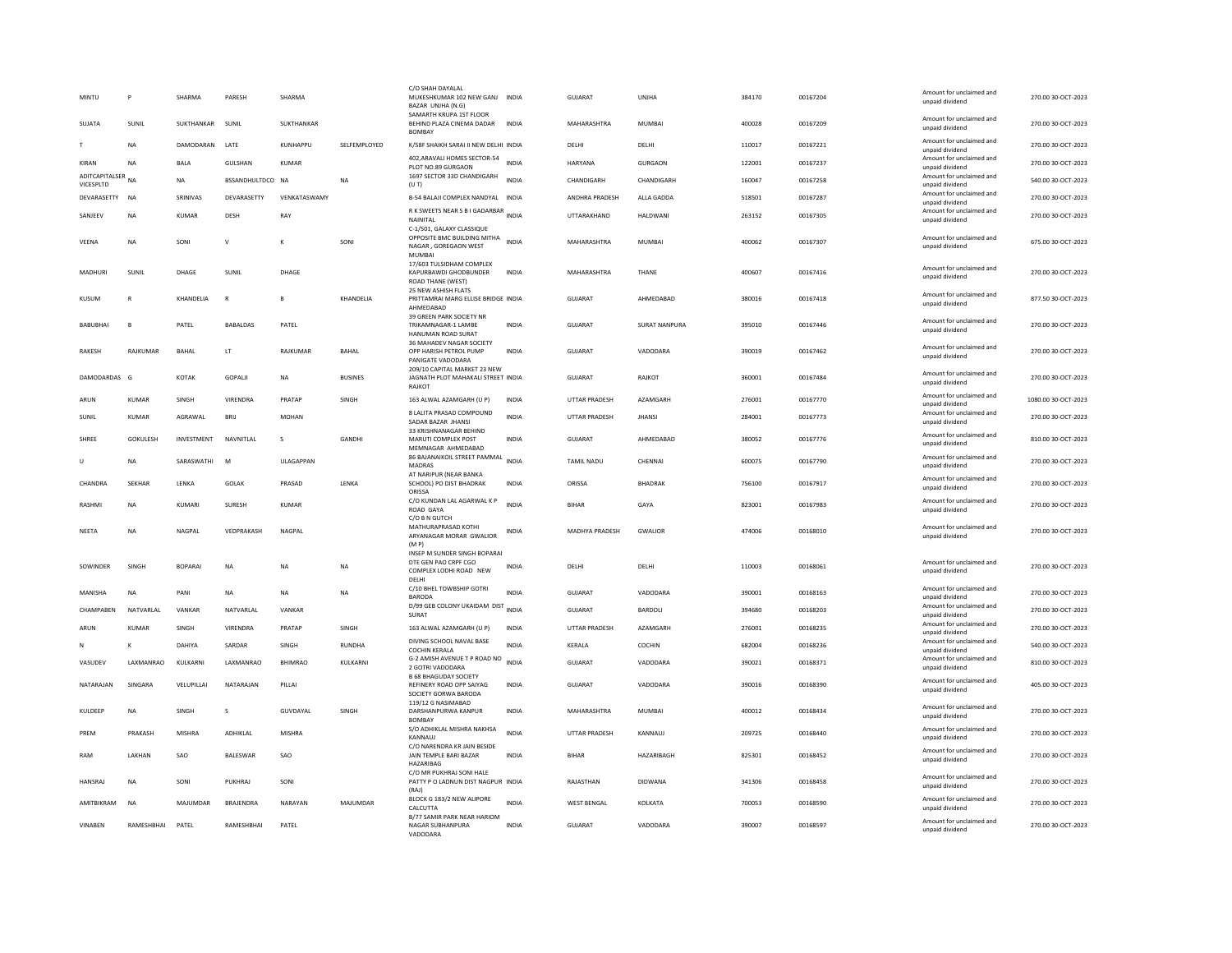| MINTU                       | P            | SHARMA        | PARESH            | SHARMA           |                | C/O SHAH DAYALAL<br>MUKESHKUMAR 102 NEW GANJ INDIA<br>BAZAR UNJHA (N.G)                          |              | GUIARAT               | <b>UNIHA</b>         | 384170 | 00167204 | Amount for unclaimed and<br>unpaid dividend | 270.00 30-OCT-2023  |
|-----------------------------|--------------|---------------|-------------------|------------------|----------------|--------------------------------------------------------------------------------------------------|--------------|-----------------------|----------------------|--------|----------|---------------------------------------------|---------------------|
| SUJATA                      | SUNIL        | SUKTHANKAR    | SUNIL             | SUKTHANKAR       |                | SAMARTH KRUPA 1ST FLOOR<br>BEHIND PLAZA CINEMA DADAR<br><b>BOMBAY</b>                            | <b>INDIA</b> | MAHARASHTRA           | <b>MUMBAI</b>        | 400028 | 00167209 | Amount for unclaimed and<br>unpaid dividend | 270.00 30-OCT-2023  |
| T                           | <b>NA</b>    | DAMODARAN     | LATE              | KUNHAPPU         | SELFEMPLOYED   | K/58F SHAIKH SARAI II NEW DELHI INDIA                                                            |              | DELHI                 | DELHI                | 110017 | 00167221 | Amount for unclaimed and<br>unpaid dividend | 270.00 30-OCT-2023  |
| KIRAN                       | <b>NA</b>    | <b>BALA</b>   | <b>GULSHAN</b>    | KUMAR            |                | 402, ARAVALI HOMES SECTOR-54<br>PLOT NO.89 GURGAON                                               | <b>INDIA</b> | <b>HARYANA</b>        | <b>GURGAON</b>       | 122001 | 00167237 | Amount for unclaimed and<br>unpaid dividend | 270.00 30-OCT-2023  |
| ADITCAPITALSER<br>VICESPLTD | <b>NA</b>    | <b>NA</b>     | BSSANDHULTDCO NA  |                  | NA             | 1697 SECTOR 33D CHANDIGARH<br>(UT)                                                               | <b>INDIA</b> | CHANDIGARH            | CHANDIGARH           | 160047 | 00167258 | Amount for unclaimed and<br>unpaid dividend | 540.00 30-OCT-2023  |
| DEVARASETTY                 | <b>NA</b>    | SRINIVAS      | DEVARASETTY       | VENKATASWAMY     |                | B-54 BALAJI COMPLEX NANDYAL INDIA                                                                |              | ANDHRA PRADESH        | ALLA GADDA           | 518501 | 00167287 | Amount for unclaimed and<br>unpaid dividend | 270.00 30-OCT-2023  |
| SANJEEV                     | <b>NA</b>    | <b>KUMAR</b>  | DESH              | RAY              |                | R K SWEETS NEAR S B I GADARBAR INDIA<br>NAINITAL                                                 |              | UTTARAKHAND           | <b>HALDWANI</b>      | 263152 | 00167305 | Amount for unclaimed and<br>unpaid dividend | 270.00 30-OCT-2023  |
| VEENA                       | <b>NA</b>    | SONI          | $\mathsf{v}$      | к                | SONI           | C-1/501, GALAXY CLASSIQUE<br>OPPOSITE BMC BUILDING MITHA<br>NAGAR, GOREGAON WEST<br><b>MUMBA</b> | <b>INDIA</b> | MAHARASHTRA           | <b>MUMBAI</b>        | 400062 | 00167307 | Amount for unclaimed and<br>unpaid dividend | 675.00 30-OCT-2023  |
| MADHURI                     | SUNIL        | DHAGE         | SUNIL             | DHAGE            |                | 17/603 TULSIDHAM COMPLEX<br>KAPURBAWDI GHODBUNDER<br>ROAD THANE (WEST)<br>25 NEW ASHISH FLATS    | <b>INDIA</b> | MAHARASHTRA           | THANE                | 400607 | 00167416 | Amount for unclaimed and<br>unpaid dividend | 270.00 30-OCT-2023  |
| KUSUM                       | R            | KHANDELIA     | $\mathsf{R}$      | B                | KHANDELIA      | PRITTAMRAI MARG ELLISE BRIDGE INDIA<br>AHMFDARAD                                                 |              | GUJARAT               | AHMEDABAD            | 380016 | 00167418 | Amount for unclaimed and<br>unpaid dividend | 877.50 30-OCT-2023  |
| <b>BABUBHAI</b>             | B            | PATEL         | <b>BABALDAS</b>   | PATEL            |                | 39 GREEN PARK SOCIETY NR<br>TRIKAMNAGAR-1 LAMBE<br>HANUMAN ROAD SURAT                            | <b>INDIA</b> | GUIARAT               | <b>SURAT NANPURA</b> | 395010 | 00167446 | Amount for unclaimed and<br>unpaid dividend | 270.00 30-OCT-2023  |
| <b>RAKESH</b>               | RAJKUMAR     | <b>BAHAL</b>  | LT                | RAJKUMAR         | <b>BAHAL</b>   | 36 MAHADEV NAGAR SOCIETY<br>OPP HARISH PETROL PUMP<br>PANIGATE VADODARA                          | <b>INDIA</b> | <b>GUJARAT</b>        | VADODARA             | 390019 | 00167462 | Amount for unclaimed and<br>unpaid dividend | 270.00 30-OCT-2023  |
| DAMODARDAS G                |              | KOTAK         | <b>GOPALII</b>    | <b>NA</b>        | <b>BUSINES</b> | 209/10 CAPITAL MARKET 23 NEW<br>JAGNATH PLOT MAHAKALI STREET INDIA<br>RAJKOT                     |              | GUIARAT               | RAIKOT               | 360001 | 00167484 | Amount for unclaimed and<br>unpaid dividend | 270.00.30-OCT-2023  |
| ARUN                        | <b>KUMAR</b> | SINGH         | VIRENDRA          | PRATAP           | SINGH          | 163 ALWAL AZAMGARH (U P)                                                                         | <b>INDIA</b> | <b>UTTAR PRADESH</b>  | AZAMGARH             | 276001 | 00167770 | Amount for unclaimed and<br>unpaid dividend | 1080.00 30-OCT-2023 |
| SUNIL                       | <b>KUMAR</b> | AGRAWAL       | BRU               | <b>MOHAN</b>     |                | 8 LALITA PRASAD COMPOUND<br>SADAR BAZAR JHANSI                                                   | INDIA        | UTTAR PRADESH         | <b>JHANS</b>         | 284001 | 00167773 | Amount for unclaimed and<br>unpaid dividend | 270.00 30-OCT-2023  |
| SHREE                       | GOKULESH     | INVESTMENT    | NAVNITLAL         | s                | GANDHI         | 33 KRISHNANAGAR BEHIND<br>MARUTI COMPLEX POST<br>MEMNAGAR AHMEDABAD                              | INDIA        | GUJARAT               | AHMEDABAD            | 380052 | 00167776 | Amount for unclaimed and<br>unpaid dividend | 810.00 30-OCT-2023  |
| U                           | NA           | SARASWATHI    | M                 | <b>ULAGAPPAN</b> |                | 86 BAJANAIKOIL STREET PAMMAL<br><b>MADRAS</b>                                                    | <b>INDIA</b> | <b>TAMIL NADU</b>     | CHENNAL              | 600075 | 00167790 | Amount for unclaimed and<br>unpaid dividend | 270.00 30-OCT-2023  |
| CHANDRA                     | SEKHAR       | LENKA         | <b>GOLAK</b>      | PRASAD           | LENKA          | AT NARIPUR (NEAR BANKA<br>SCHOOL) PO DIST BHADRAK<br>ORISSA                                      | <b>INDIA</b> | ORISSA                | <b>BHADRAK</b>       | 756100 | 00167917 | Amount for unclaimed and<br>unpaid dividend | 270.00 30-OCT-2023  |
| <b>RASHM</b>                | <b>NA</b>    | KUMARI        | SURESH            | <b>KUMAR</b>     |                | C/O KUNDAN LAL AGARWAL K P<br>ROAD GAYA<br>C/O B N GUTCH                                         | INDIA        | BIHAR                 | GAYA                 | 823001 | 00167983 | Amount for unclaimed and<br>unpaid dividend | 270.00 30-OCT-2023  |
| NFFTA                       | <b>NA</b>    | <b>NAGPAI</b> | VEDPRAKASH        | NAGPAL           |                | MATHURAPRASAD KOTHI<br>ARYANAGAR MORAR GWALIOR<br>(MP)                                           | <b>INDIA</b> | <b>MADHYA PRADESH</b> | <b>GWALIOR</b>       | 474006 | 00168010 | Amount for unclaimed and<br>unpaid dividend | 270.00 30-OCT-2023  |
| SOWINDER                    | <b>SINGH</b> | <b>ROPARA</b> | <b>NA</b>         | <b>NA</b>        | NA.            | INSEP M SUNDER SINGH BOPARAI<br>DTE GEN PAO CRPF CGO<br>COMPLEX LODHI ROAD NEW<br>DELHI          | <b>INDIA</b> | <b>DELHI</b>          | <b>DELHI</b>         | 110003 | 00168061 | Amount for unclaimed and<br>unpaid dividend | 270.00 30-OCT-2023  |
| MANISHA                     | <b>NA</b>    | PANI          | <b>NA</b>         | <b>NA</b>        | <b>NA</b>      | C/10 BHEL TOWBSHIP GOTRI<br><b>BARODA</b>                                                        | <b>INDIA</b> | GUJARAT               | VADODARA             | 390001 | 00168163 | Amount for unclaimed and<br>unpaid dividend | 270.00 30-OCT-2023  |
| CHAMPABEN                   | NATVARLAL    | VANKAR        | NATVARLAL         | VANKAR           |                | D/99 GEB COLONY UKAIDAM DIST INDIA<br><b>SURAT</b>                                               |              | GUJARAT               | BARDOLI              | 394680 | 00168203 | Amount for unclaimed and<br>unpaid dividend | 270.00 30-OCT-2023  |
| ARUN                        | KUMAR        | SINGH         | VIRENDRA          | PRATAP           | SINGH          | 163 ALWAL AZAMGARH (U P)                                                                         | INDIA        | <b>UTTAR PRADESH</b>  | AZAMGARH             | 276001 | 00168235 | Amount for unclaimed and<br>unpaid dividend | 270.00 30-OCT-2023  |
| N                           | K            | DAHIYA        | SARDAR            | SINGH            | <b>RUNDHA</b>  | DIVING SCHOOL NAVAL BASE<br><b>COCHIN KERALA</b>                                                 | <b>INDIA</b> | KERALA                | COCHIN               | 682004 | 00168236 | Amount for unclaimed and<br>unpaid dividend | 540.00 30-OCT-2023  |
| VASUDEV                     | LAXMANRAO    | KULKARNI      | LAXMANRAO         | <b>BHIMRAO</b>   | KULKARNI       | G-2 AMISH AVENUE T P ROAD NO INDIA<br>2 GOTRI VADODARA<br><b>B 68 BHAGUDAY SOCIETY</b>           |              | GUJARAT               | VADODARA             | 390021 | 00168371 | Amount for unclaimed and<br>unpaid dividend | 810.00 30-OCT-2023  |
| NATARAJAN                   | SINGARA      | VELUPILLA     | NATARAJAN         | PILLAI           |                | REFINERY ROAD OPP SAIYAG<br>SOCIETY GORWA BARODA                                                 | INDIA        | GUIARAT               | VADODARA             | 390016 | 00168390 | Amount for unclaimed and<br>unpaid dividend | 405.00 30-OCT-2023  |
| KULDEEP                     | NA           | SINGH         | s                 | GUVDAYAL         | SINGH          | 119/12 G NASIMABAD<br>DARSHANPURWA KANPUR<br><b>BOMBAY</b>                                       | <b>INDIA</b> | MAHARASHTRA           | MUMBAI               | 400012 | 00168434 | Amount for unclaimed and<br>unpaid dividend | 270.00 30-OCT-2023  |
| PREM                        | PRAKASH      | <b>MISHRA</b> | ADHIKLAL          | MISHRA           |                | S/O ADHIKLAL MISHRA NAKHSA<br>KANNAUJ                                                            | INDIA        | UTTAR PRADESH         | KANNAUJ              | 209725 | 00168440 | Amount for unclaimed and<br>unpaid dividend | 270.00 30-OCT-2023  |
| RAM                         | LAKHAN       | SAO           | BALESWAR          | SAO              |                | C/O NARENDRA KR JAIN BESIDE<br>JAIN TEMPLE BARI BAZAR<br>HAZARIBAG                               | <b>INDIA</b> | <b>BIHAF</b>          | HAZARIBAGH           | 825301 | 00168452 | Amount for unclaimed and<br>unpaid dividend | 270.00 30-OCT-2023  |
| <b>HANSRAJ</b>              | <b>NA</b>    | SONI          | PUKHRAJ           | SONI             |                | C/O MR PUKHRAJ SONI HALE<br>PATTY P O LADNUN DIST NAGPUR INDIA<br>(RAI)                          |              | RAJASTHAN             | <b>DIDWANA</b>       | 341306 | 00168458 | Amount for unclaimed and<br>unpaid dividend | 270.00 30-OCT-2023  |
| AMITBIKRAM                  | NA           | MAJUMDAR      | BRAJENDRA         | NARAYAN          | MAJUMDAR       | BLOCK G 183/2 NEW ALIPORE<br>CALCUTTA                                                            | <b>INDIA</b> | <b>WEST BENGAL</b>    | KOLKATA              | 700053 | 00168590 | Amount for unclaimed and<br>unpaid dividend | 270.00 30-OCT-2023  |
| <b>VINAREN</b>              | RAMESHRHAI   | PATFI         | <b>RAMESHRHAI</b> | PATEL            |                | B/77 SAMIR PARK NEAR HARIOM<br>NAGAR SUBHANPURA<br>VADODARA                                      | <b>INDIA</b> | GUIARAT               | VADODARA             | 390007 | 00168597 | Amount for unclaimed and<br>unpaid dividend | 270.00 30-OCT-2023  |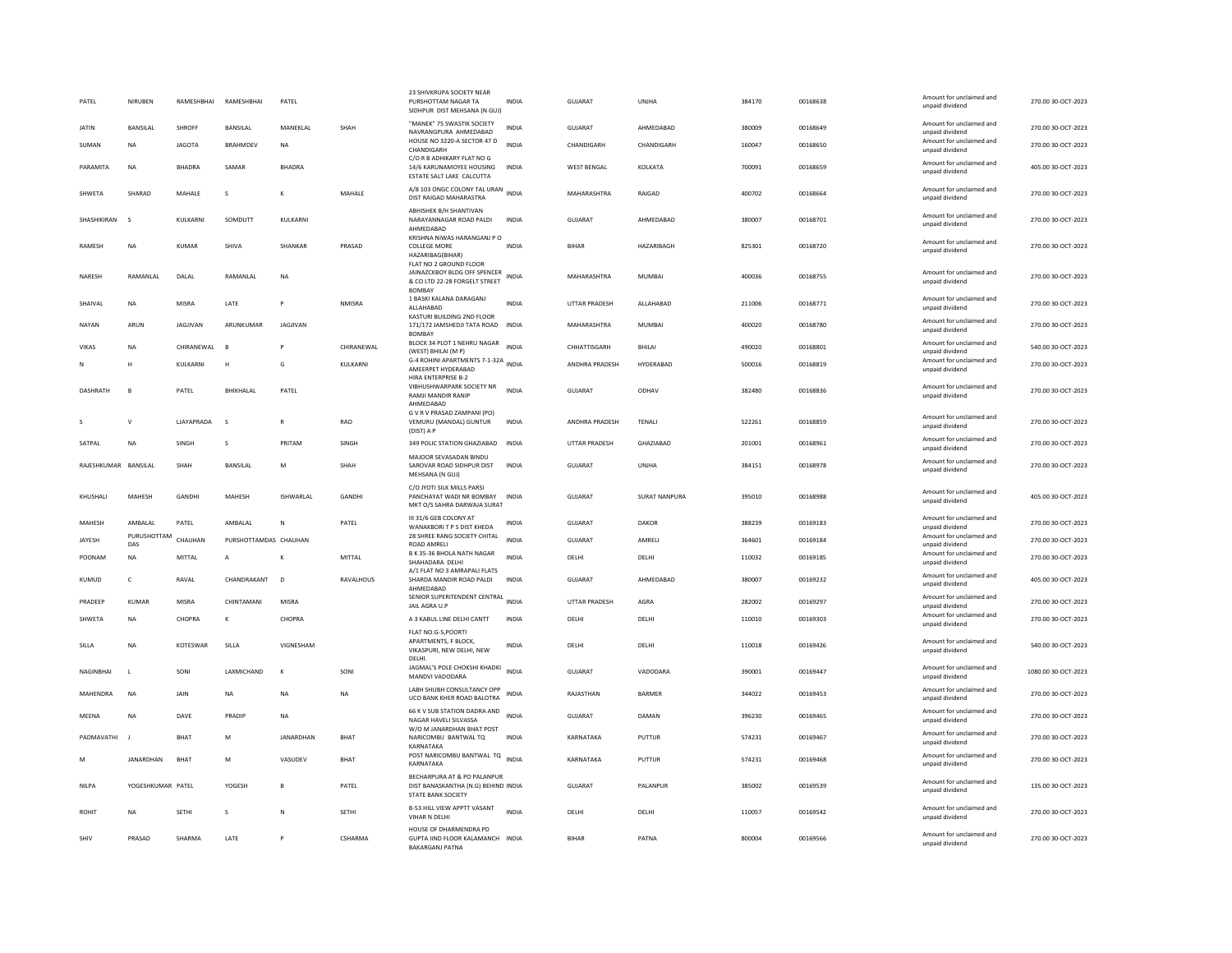| PATEL                | NIRUBEN            | RAMESHBHAI        | RAMESHBHAI            | PATEL            |               | 23 SHIVKRUPA SOCIETY NEAR<br>PURSHOTTAM NAGAR TA<br>SIDHPUR DIST MEHSANA (N GUJ)                         | <b>INDIA</b> | GUJARAT              | <b>UNIHA</b>         | 384170 | 00168638 | Amount for unclaimed and<br>unpaid dividend | 270.00 30-OCT-2023  |
|----------------------|--------------------|-------------------|-----------------------|------------------|---------------|----------------------------------------------------------------------------------------------------------|--------------|----------------------|----------------------|--------|----------|---------------------------------------------|---------------------|
| <b>JATIN</b>         | <b>BANSILAL</b>    | <b>SHROFF</b>     | <b>BANSILAL</b>       | MANEKLAL         | SHAH          | "MANEK" 75 SWASTIK SOCIETY<br>NAVRANGPURA AHMEDABAD                                                      | <b>INDIA</b> | <b>GUJARAT</b>       | AHMEDABAD            | 380009 | 00168649 | Amount for unclaimed and<br>unpaid dividend | 270.00 30-OCT-2023  |
| SUMAN                | <b>NA</b>          | <b>JAGOTA</b>     | <b>BRAHMDEV</b>       | <b>NA</b>        |               | HOUSE NO 3220-A SECTOR 47 D<br>CHANDIGARH                                                                | <b>INDIA</b> | CHANDIGARH           | CHANDIGARH           | 160047 | 00168650 | Amount for unclaimed and<br>unpaid dividend | 270.00 30-OCT-2023  |
| PARAMITA             | <b>NA</b>          | <b>BHADRA</b>     | SAMAR                 | <b>BHADRA</b>    |               | C/O R B ADHIKARY FLAT NO G<br>14/6 KARUNAMOYEE HOUSING<br>ESTATE SALT LAKE CALCUTTA                      | <b>INDIA</b> | <b>WEST BENGAL</b>   | KOLKATA              | 700091 | 00168659 | Amount for unclaimed and<br>unpaid dividend | 405.00 30-OCT-2023  |
| SHWETA               | SHARAD             | MAHALE            | s                     |                  | MAHALE        | A/8 103 ONGC COLONY TAL URAN<br>DIST RAIGAD MAHARASTRA                                                   | <b>INDIA</b> | MAHARASHTRA          | RAIGAD               | 400702 | 00168664 | Amount for unclaimed and<br>unpaid dividend | 270.00 30-OCT-2023  |
| SHASHIKIRAN          | $\mathbf{S}$       | <b>KULKARNI</b>   | SOMDUTT               | <b>KULKARNI</b>  |               | <b>ABHISHEK B/H SHANTIVAN</b><br>NARAYANNAGAR ROAD PALDI<br>AHMEDABAD                                    | INDIA        | GUIARAT              | AHMEDARAD            | 380007 | 00168701 | Amount for unclaimed and<br>unpaid dividend | 270.00.30-QCT-2023  |
| RAMESH               | NA                 | KUMAR             | SHIVA                 | SHANKAR          | PRASAD        | KRISHNA NIWAS HARANGANJ P C<br>COLLEGE MORE<br>HAZARIBAG(BIHAR)                                          | <b>INDIA</b> | <b>BIHAR</b>         | HAZARIBAGH           | 825301 | 00168720 | Amount for unclaimed and<br>unpaid dividend | 270.00 30-OCT-2023  |
| NARESH               | RAMANLAL           | DALAL             | RAMANLAL              | <b>NA</b>        |               | FLAT NO 2 GROUND FLOOR<br>JAINAZCKBOY BLDG OFF SPENCER<br>& CO LTD 22-28 FORGELT STREET<br><b>BOMBAY</b> | <b>INDIA</b> | MAHARASHTRA          | <b>MUMBAI</b>        | 400036 | 00168755 | Amount for unclaimed and<br>unpaid dividend | 270.00 30-OCT-2023  |
| SHAIVAL              | <b>NA</b>          | <b>MISRA</b>      | LATE                  | P                | <b>NMISRA</b> | 1 BASKI KALANA DARAGANJ<br>ALLAHABAD                                                                     | <b>INDIA</b> | <b>UTTAR PRADESH</b> | ALLAHABAD            | 211006 | 00168771 | Amount for unclaimed and<br>unpaid dividend | 270.00 30-OCT-2023  |
| NAYAN                | ARUN               | JAGJIVAN          | ARUNKUMAR             | JAGJIVAN         |               | KASTURI BUILDING 2ND FLOOR<br>171/172 JAMSHEDJI TATA ROAD INDIA<br><b>BOMBAY</b>                         |              | MAHARASHTRA          | MUMBAI               | 400020 | 00168780 | Amount for unclaimed and<br>unpaid dividend | 270.00 30-OCT-2023  |
| VIKAS                | <b>NA</b>          | CHIRANEWAL        | B                     | P                | CHIRANEWAL    | BLOCK 34 PLOT 1 NEHRU NAGAR<br>(WEST) BHILAI (M P)                                                       | <b>INDIA</b> | CHHATTISGARH         | <b>BHILAI</b>        | 490020 | 00168801 | Amount for unclaimed and<br>unpaid dividend | 540.00 30-OCT-2023  |
| N                    | H                  | KULKARNI          | н                     | G                | KULKARNI      | G-4 ROHINI APARTMENTS 7-1-32A INDIA<br>AMEERPET HYDERABAD                                                |              | ANDHRA PRADESH       | HYDERABAD            | 500016 | 00168819 | Amount for unclaimed and<br>unpaid dividend | 270.00 30-OCT-2023  |
| DASHRATH             | B                  | PATEL             | BHIKHALAL             | PATEL            |               | HIRA ENTERPRISE B-2<br>VIBHUSHWARPARK SOCIETY NR<br>RAMJI MANDIR RANIP<br>AHMEDABAD                      | <b>INDIA</b> | GUJARAT              | ODHAV                | 382480 | 00168836 | Amount for unclaimed and<br>unpaid dividend | 270.00 30-OCT-2023  |
|                      |                    | <b>LIAYAPRADA</b> | $\mathsf{s}$          | $\mathbb{R}$     | <b>RAO</b>    | G V R V PRASAD ZAMPANI (PO)<br>VEMURU (MANDAL) GUNTUR<br>(DIST) A P                                      | <b>INDIA</b> | ANDHRA PRADESH       | TENALI               | 522261 | 00168859 | Amount for unclaimed and<br>unpaid dividend | 270.00 30-OCT-2023  |
| SATPAL               | <b>NA</b>          | SINGH             | s                     | PRITAM           | SINGH         | 349 POLIC STATION GHAZIABAD                                                                              | <b>INDIA</b> | UTTAR PRADESH        | GHAZIABAD            | 201001 | 00168961 | Amount for unclaimed and<br>unpaid dividend | 270.00 30-OCT-2023  |
| RAJESHKUMAR BANSILAL |                    | SHAH              | <b>BANSILAL</b>       | M                | SHAH          | MAJOOR SEVASADAN BINDU<br>SAROVAR ROAD SIDHPUR DIST<br>MEHSANA (N GUJ)                                   | <b>INDIA</b> | GUJARAT              | <b>UNJHA</b>         | 384151 | 00168978 | Amount for unclaimed and<br>unpaid dividend | 270.00 30-OCT-2023  |
| KHUSHALI             | MAHESH             | <b>GANDHI</b>     | MAHESH                | <b>ISHWARLAL</b> | <b>GANDHI</b> | C/O JYOTI SILK MILLS PARSI<br>PANCHAYAT WADI NR BOMBAY<br>MKT O/S SAHRA DARWAJA SURAT                    | <b>INDIA</b> | GUJARAT              | <b>SURAT NANPURA</b> | 395010 | 00168988 | Amount for unclaimed and<br>unpaid dividend | 405.00 30-OCT-2023  |
| MAHESH               | AMBALAL            | PATEL             | AMBALAL               | N                | PATEL         | III 31/6 GEB COLONY AT<br>WANAKBORI T P S DIST KHEDA                                                     | INDIA        | GUJARAT              | DAKOR                | 388239 | 00169183 | Amount for unclaimed and<br>unpaid dividend | 270.00 30-OCT-2023  |
| JAYESH               | PURUSHOTTAM<br>DAS | CHAUHAN           | PURSHOTTAMDAS CHAUHAN |                  |               | 28 SHREE RANG SOCIETY CHITAL<br>ROAD AMRELI                                                              | <b>INDIA</b> | GUJARAT              | AMRELI               | 364601 | 00169184 | Amount for unclaimed and<br>unpaid dividend | 270.00 30-OCT-2023  |
| POONAM               | <b>NA</b>          | MITTAL            | A                     |                  | MITTAL        | B K 35-36 BHOLA NATH NAGAR<br>SHAHADARA DELHI                                                            | <b>INDIA</b> | DELHI                | DELHI                | 110032 | 00169185 | Amount for unclaimed and<br>unpaid dividend | 270.00 30-OCT-2023  |
| <b>KUMUD</b>         | $\epsilon$         | RAVAL             | CHANDRAKANT           | $\overline{D}$   | RAVALHOUS     | A/1 FLAT NO 3 AMRAPALI FLATS<br>SHARDA MANDIR ROAD PALDI<br>AHMEDABAD                                    | <b>INDIA</b> | GUIARAT              | AHMEDABAD            | 380007 | 00169232 | Amount for unclaimed and<br>unpaid dividend | 405.00 30-OCT-2023  |
| PRADEEP              | KUMAR              | <b>MISRA</b>      | CHINTAMANI            | <b>MISRA</b>     |               | SENIOR SUPERITENDENT CENTRAL INDIA<br>JAIL AGRA U.P                                                      |              | <b>UTTAR PRADESH</b> | AGRA                 | 282002 | 00169297 | Amount for unclaimed and<br>unpaid dividend | 270.00 30-OCT-2023  |
| SHWETA               | NA                 | CHOPRA            | К                     | CHOPRA           |               | A 3 KABUL LINE DELHI CANTT                                                                               | INDIA        | DELHI                | DELHI                | 110010 | 00169303 | Amount for unclaimed and<br>unpaid dividend | 270.00 30-OCT-2023  |
| SILLA                | <b>NA</b>          | KOTESWAR          | SILLA                 | VIGNESHAM        |               | FLAT NO.G-5, POORTI<br>APARTMENTS, F BLOCK,<br>VIKASPURI, NEW DELHI, NEW<br>DELHI.                       | <b>INDIA</b> | DELHI                | DELHI                | 110018 | 00169426 | Amount for unclaimed and<br>unpaid dividend | 540.00 30-OCT-2023  |
| NAGINBHAI            | $\mathsf{L}$       | SONI              | LAXMICHAND            | к                | SONI          | JAGMAL'S POLE CHOKSHI KHADKI<br>MANDVI VADODARA                                                          | <b>INDIA</b> | GUJARAT              | VADODARA             | 390001 | 00169447 | Amount for unclaimed and<br>unpaid dividend | 1080.00 30-OCT-2023 |
| MAHENDRA             | <b>NA</b>          | <b>JAIN</b>       | <b>NA</b>             | <b>NA</b>        | <b>NA</b>     | LABH SHUBH CONSULTANCY OPP<br>UCO BANK KHER ROAD BALOTRA                                                 | <b>INDIA</b> | RAJASTHAN            | <b>BARMER</b>        | 344022 | 00169453 | Amount for unclaimed and<br>unpaid dividend | 270.00 30-OCT-2023  |
| MEENA                | <b>NA</b>          | DAVE              | PRADIP                | NA               |               | 66 K V SUB STATION DADRA AND<br>NAGAR HAVELI SILVASSA                                                    | <b>INDIA</b> | GUJARAT              | DAMAN                | 396230 | 00169465 | Amount for unclaimed and<br>unpaid dividend | 270.00 30-OCT-2023  |
| PADMAVATHI           |                    | <b>BHAT</b>       | M                     | JANARDHAN        | BHAT          | W/O M JANARDHAN BHAT POST<br>NARICOMBU BANTWAL TQ<br>KARNATAKA                                           | INDIA        | KARNATAKA            | PUTTUR               | 574231 | 00169467 | Amount for unclaimed and<br>unpaid dividend | 270.00 30-OCT-2023  |
| M                    | <b>JANARDHAN</b>   | BHAT              | M                     | VASUDEV          | BHAT          | POST NARICOMBU BANTWAL TO INDIA<br>KARNATAKA                                                             |              | KARNATAKA            | PUTTUR               | 574231 | 00169468 | Amount for unclaimed and<br>unpaid dividend | 270.00 30-OCT-2023  |
| NILPA                | YOGESHKUMAR PATEL  |                   | YOGESH                | B                | PATEL         | BECHARPURA AT & PO PALANPUR<br>DIST BANASKANTHA (N.G) BEHIND INDIA<br><b>STATE BANK SOCIETY</b>          |              | GUJARAT              | PALANPUR             | 385002 | 00169539 | Amount for unclaimed and<br>unpaid dividend | 135.00 30-OCT-2023  |
| ROHIT                | <b>NA</b>          | <b>SETHI</b>      | s                     | N                | SETHI         | B-53 HILL VIEW APPTT VASANT<br>VIHAR N DELHI                                                             | <b>INDIA</b> | DELHI                | DELHI                | 110057 | 00169542 | Amount for unclaimed and<br>unpaid dividend | 270.00 30-OCT-2023  |
| SHIV                 | PRASAD             | SHARMA            | <b>I ATF</b>          | P                | CSHARMA       | HOUSE OF DHARMENDRA PD<br>GUPTA IIND FLOOR KALAMANCH INDIA<br><b>BAKARGANI PATNA</b>                     |              | <b>BIHAR</b>         | PATNA                | 800004 | 00169566 | Amount for unclaimed and<br>unpaid dividend | 270.00.30-QCT-2023  |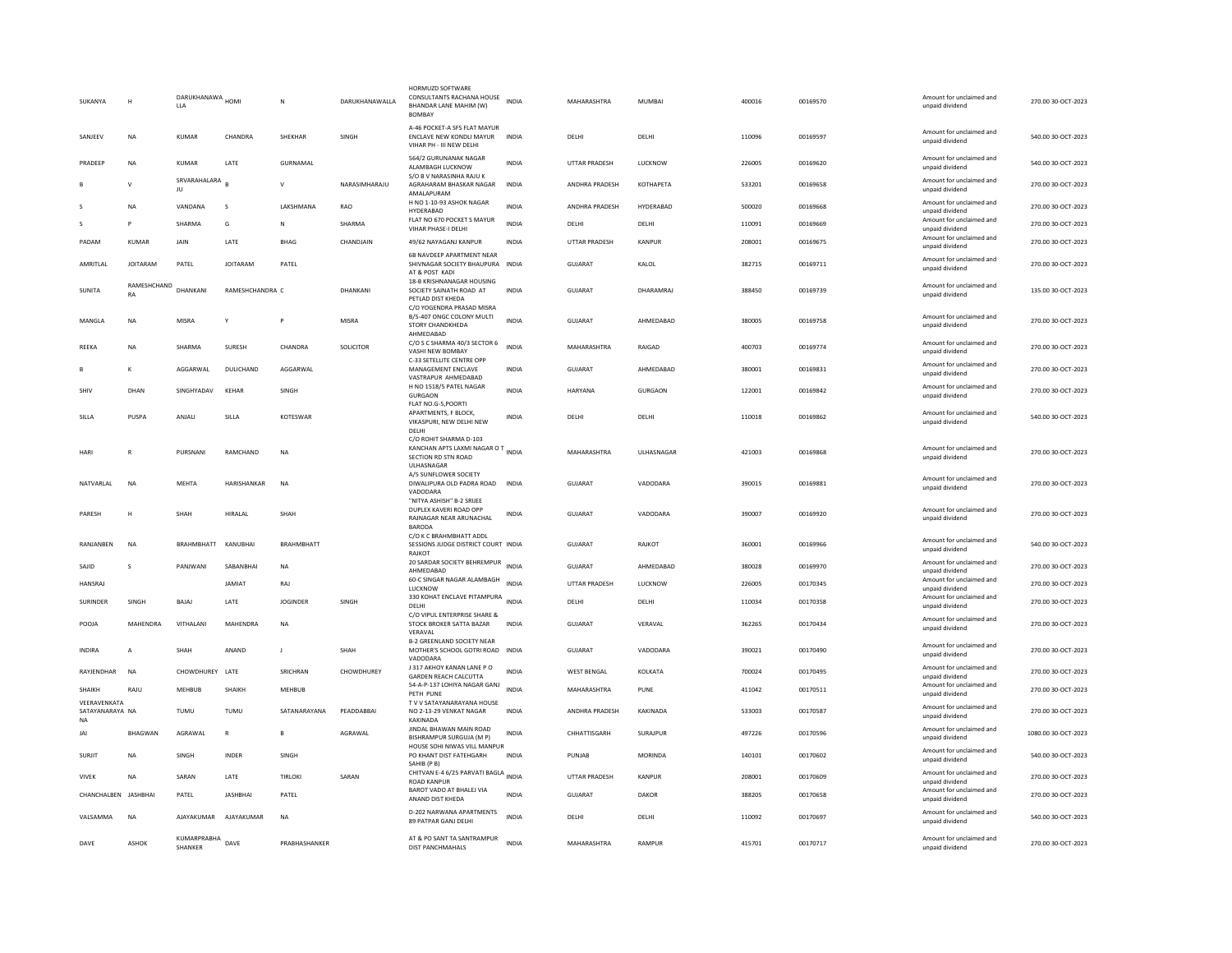| SUKANYA                         | H                 | DARUKHANAWA HOMI<br><b>LLA</b>     |                 | N                 | DARUKHANAWALLA | HORMUZD SOFTWARE<br>CONSULTANTS RACHANA HOUSE INDIA<br>BHANDAR LANE MAHIM (W)<br><b>BOMBAY</b>       |              | MAHARASHTRA    | <b>MUMBAI</b> | 400016 | 00169570 | Amount for unclaimed and<br>unpaid dividend                    | 270.00 30-OCT-2023  |
|---------------------------------|-------------------|------------------------------------|-----------------|-------------------|----------------|------------------------------------------------------------------------------------------------------|--------------|----------------|---------------|--------|----------|----------------------------------------------------------------|---------------------|
| SANJEEV                         | <b>NA</b>         | KUMAR                              | CHANDRA         | <b>SHEKHAR</b>    | SINGH          | A-46 POCKET-A SFS FLAT MAYUR<br>ENCLAVE NEW KONDLI MAYUR<br>VIHAR PH - III NEW DELHI                 | <b>INDIA</b> | <b>DELHI</b>   | DELHI         | 110096 | 00169597 | Amount for unclaimed and<br>unpaid dividend                    | 540.00 30-OCT-2023  |
| PRADEER                         | <b>NA</b>         | <b>KUMAR</b>                       | LATE            | GURNAMAL          |                | 564/2 GURUNANAK NAGAR<br>ALAMBAGH LUCKNOW                                                            | <b>INDIA</b> | UTTAR PRADESH  | LUCKNOW       | 226005 | 00169620 | Amount for unclaimed and<br>unpaid dividend                    | 540.00 30-OCT-2023  |
|                                 | $\mathsf{v}$      | SRVARAHALARA<br>JU                 |                 | v                 | NARASIMHARAJU  | S/O B V NARASINHA RAJU K<br>AGRAHARAM BHASKAR NAGAR<br>AMALAPURAM                                    | <b>INDIA</b> | ANDHRA PRADESH | KOTHAPETA     | 533201 | 00169658 | Amount for unclaimed and<br>unpaid dividend                    | 270.00 30-OCT-2023  |
|                                 | <b>NA</b>         | VANDANA                            | s               | LAKSHMANA         | <b>RAO</b>     | H NO 1-10-93 ASHOK NAGAR<br>HYDERABAD                                                                | <b>INDIA</b> | ANDHRA PRADESH | HYDERABAD     | 500020 | 00169668 | Amount for unclaimed and<br>unpaid dividend                    | 270.00 30-OCT-2023  |
| S                               | P                 | SHARMA                             | G               | N                 | SHARMA         | FLAT NO 670 POCKET S MAYUR<br>VIHAR PHASE-I DELHI                                                    | INDIA        | DELHI          | DELHI         | 110091 | 00169669 | Amount for unclaimed and<br>unpaid dividend                    | 270.00 30-OCT-2023  |
| PADAM                           | <b>KUMAR</b>      | JAIN                               | LATE            | <b>BHAG</b>       | CHANDJAIN      | 49/62 NAYAGANJ KANPUR                                                                                | <b>INDIA</b> | UTTAR PRADESH  | KANPUR        | 208001 | 00169675 | Amount for unclaimed and<br>unpaid dividend                    | 270.00 30-OCT-2023  |
| AMRITI AI                       | <b>IOITARAM</b>   | PATFI                              | <b>IOITARAM</b> | PATFI             |                | 6B NAVDEEP APARTMENT NEAR<br>SHIVNAGAR SOCIETY BHAUPURA INDIA<br>AT & POST KADI                      |              | GUIARAT        | KAI OI        | 382715 | 00169711 | Amount for unclaimed and<br>unpaid dividend                    | 270.00 30-OCT-2023  |
| <b>SUNITA</b>                   | RAMESHCHAND<br>RA | DHANKANI                           | RAMESHCHANDRA C |                   | DHANKANI       | 18-B KRISHNANAGAR HOUSING<br>SOCIETY SAINATH ROAD AT<br>PETLAD DIST KHEDA                            | <b>INDIA</b> | GUJARAT        | DHARAMRAJ     | 388450 | 00169739 | Amount for unclaimed and<br>unpaid dividend                    | 135.00 30-OCT-2023  |
| MANGLA                          | NA                | MISRA                              | Y               | P                 | <b>MISRA</b>   | C/O YOGENDRA PRASAD MISRA<br>B/5-407 ONGC COLONY MULTI<br>STORY CHANDKHEDA<br>AHMEDABAD              | <b>INDIA</b> | GUJARAT        | AHMEDABAD     | 380005 | 00169758 | Amount for unclaimed and<br>unpaid dividend                    | 270.00 30-OCT-2023  |
| REEKA                           | <b>NA</b>         | SHARMA                             | SURESH          | CHANDRA           | SOLICITOR      | C/O S C SHARMA 40/3 SECTOR 6<br>VASHI NEW BOMBAY                                                     | <b>INDIA</b> | MAHARASHTRA    | RAIGAD        | 400703 | 00169774 | Amount for unclaimed and<br>unpaid dividend                    | 270.00 30-OCT-2023  |
| B                               | к                 | AGGARWAL                           | DULICHAND       | AGGARWAL          |                | C-33 SETELLITE CENTRE OPP<br>MANAGEMENT ENCLAVE<br>VASTRAPUR AHMEDABAD                               | <b>INDIA</b> | <b>GUJARAT</b> | AHMEDABAD     | 380001 | 00169831 | Amount for unclaimed and<br>unpaid dividend                    | 270.00 30-OCT-2023  |
| SHIV                            | DHAN              | SINGHYADAV                         | KEHAR           | SINGH             |                | H NO 1518/5 PATEL NAGAR<br><b>GURGAON</b>                                                            | <b>INDIA</b> | HARYANA        | GURGAON       | 122001 | 00169842 | Amount for unclaimed and<br>unpaid dividend                    | 270.00 30-OCT-2023  |
| SILLA                           | PUSPA             | <b>ANIALL</b>                      | SILLA           | KOTESWAR          |                | FLAT NO.G-5, POORTI<br>APARTMENTS, F BLOCK,<br>VIKASPURI, NEW DELHI NEW<br>DELHI                     | <b>INDIA</b> | <b>DELHI</b>   | <b>DELHI</b>  | 110018 | 00169862 | Amount for unclaimed and<br>unpaid dividend                    | 540.00 30-OCT-2023  |
| <b>HARI</b>                     | $\mathbb{R}$      | PURSNANI                           | RAMCHAND        | <b>NA</b>         |                | C/O ROHIT SHARMA D-103<br>KANCHAN APTS LAXMI NAGAR O T<br>INDIA<br>SECTION RD STN ROAD<br>ULHASNAGAR |              | MAHARASHTRA    | ULHASNAGAR    | 421003 | 00169868 | Amount for unclaimed and<br>unpaid dividend                    | 270.00 30-OCT-2023  |
| NATVARLAL                       | <b>NA</b>         | MEHTA                              | HARISHANKAR     | <b>NA</b>         |                | A/5 SUNFLOWER SOCIETY<br>DIWALIPURA OLD PADRA ROAD<br>VADODARA                                       | <b>INDIA</b> | GUJARAT        | VADODARA      | 390015 | 00169881 | Amount for unclaimed and<br>unpaid dividend                    | 270.00 30-OCT-2023  |
| PARESH                          | н                 | SHAH                               | HIRALAL         | SHAH              |                | "NITYA ASHISH" B-2 SRIJEE<br>DUPLEX KAVERI ROAD OPP<br>RAJNAGAR NEAR ARUNACHAL<br><b>BARODA</b>      | <b>INDIA</b> | <b>GUJARAT</b> | VADODARA      | 390007 | 00169920 | Amount for unclaimed and<br>unpaid dividend                    | 270.00 30-OCT-2023  |
| RANJANBEN                       | <b>NA</b>         | BRAHMBHATT                         | KANUBHAI        | <b>BRAHMBHATT</b> |                | C/O K C BRAHMBHATT ADDL<br>SESSIONS JUDGE DISTRICT COURT INDIA<br>RAJKOT                             |              | <b>GUJARAT</b> | RAJKOT        | 360001 | 00169966 | Amount for unclaimed and<br>unpaid dividend                    | 540.00 30-OCT-2023  |
| SAJID                           | s                 | PANJWANI                           | SABANBHAI       | NA                |                | 20 SARDAR SOCIETY BEHREMPUR<br>AHMEDABAD                                                             | <b>INDIA</b> | GUJARAT        | AHMEDABAD     | 380028 | 00169970 | Amount for unclaimed and<br>unpaid dividend                    | 270.00 30-OCT-2023  |
| <b>HANSRAJ</b>                  |                   |                                    | <b>JAMIAT</b>   | RAJ               |                | 60-C SINGAR NAGAR ALAMBAGH<br>LUCKNOW                                                                | <b>INDIA</b> | UTTAR PRADESH  | LUCKNOW       | 226005 | 00170345 | Amount for unclaimed and<br>unpaid dividend                    | 270.00 30-OCT-2023  |
| <b>SURINDER</b>                 | SINGH             | BAJAJ                              | LATE            | <b>IOGINDER</b>   | SINGH          | 330 KOHAT ENCLAVE PITAMPURA INDIA<br>DELHI                                                           |              | DELHI          | DELHI         | 110034 | 00170358 | Amount for unclaimed and<br>unpaid dividend                    | 270.00 30-OCT-2023  |
| POOJA                           | MAHENDRA          | VITHALANI                          | MAHENDRA        | <b>NA</b>         |                | C/O VIPUL ENTERPRISE SHARE &<br>STOCK BROKER SATTA BAZAR<br>VFRAVAI                                  | <b>INDIA</b> | GUJARAT        | VERAVAL       | 362265 | 00170434 | Amount for unclaimed and<br>unpaid dividend                    | 270.00 30-OCT-2023  |
| <b>INDIRA</b>                   | $\mathsf{A}$      | SHAH                               | ANAND           | $\mathbf{I}$      | SHAH           | B-2 GREENLAND SOCIETY NEAR<br>MOTHER'S SCHOOL GOTRI ROAD INDIA<br><b>VADODAR</b>                     |              | GUIARAT        | VADODARA      | 390021 | 00170490 | Amount for unclaimed and<br>unpaid dividend                    | 270.00 30-OCT-2023  |
| RAYJENDHAR                      | <b>NA</b>         | CHOWDHUREY LATE                    |                 | SRICHRAN          | CHOWDHUREY     | J 317 AKHOY KANAN LANE PO<br><b>GARDEN REACH CALCUTTA</b>                                            | <b>INDIA</b> | WEST BENGAL    | KOLKATA       | 700024 | 00170495 | Amount for unclaimed and<br>unpaid dividend                    | 270.00 30-OCT-2023  |
| SHAIKH                          | RAJU              | <b>MEHBUB</b>                      | <b>SHAIKH</b>   | MEHBUB            |                | 54-A-P-137 LOHIYA NAGAR GANJ<br>PETH PUNE                                                            | <b>INDIA</b> | MAHARASHTRA    | PUNE          | 411042 | 00170511 | Amount for unclaimed and<br>unpaid dividend                    | 270.00 30-OCT-2023  |
| VEERAVENKATA<br>SATAYANARAYA NA |                   | TUMU                               | TUMU            | SATANARAYANA      | PEADDABBAI     | TV V SATAYANARAYANA HOUSE<br>NO 2-13-29 VENKAT NAGAR                                                 | <b>INDIA</b> | ANDHRA PRADESH | KAKINADA      | 533003 | 00170587 | Amount for unclaimed and<br>unpaid dividend                    | 270.00 30-OCT-2023  |
| NA<br>JAI                       | BHAGWAN           | AGRAWAL                            | $\overline{R}$  | B                 | AGRAWAL        | <b>KAKINADA</b><br>JINDAL BHAWAN MAIN ROAD<br>BISHRAMPUR SURGUJA (M P)                               | <b>INDIA</b> | CHHATTISGARH   | SURAJPUR      | 497226 | 00170596 | Amount for unclaimed and<br>unpaid dividend                    | 1080.00 30-OCT-2023 |
| <b>SURJIT</b>                   | <b>NA</b>         | SINGH                              | INDER           | SINGH             |                | HOUSE SOHI NIWAS VILL MANPUR<br>PO KHANT DIST FATEHGARH                                              | INDIA        | PUNJAB         | MORINDA       | 140101 | 00170602 | Amount for unclaimed and<br>unpaid dividend                    | 540.00 30-OCT-2023  |
| <b>VIVEK</b>                    | <b>NA</b>         | SARAN                              | LATE            | TIRLOKI           | SARAN          | SAHIB (P B)<br>CHITVAN E-4 6/25 PARVATI BAGLA INDIA<br><b>ROAD KANPUR</b>                            |              | UTTAR PRADESH  | KANPUR        | 208001 | 00170609 | Amount for unclaimed and                                       | 270.00 30-OCT-2023  |
| CHANCHALBEN JASHBHAI            |                   | PATEL                              | <b>JASHBHAI</b> | PATEL             |                | BAROT VADO AT BHALEJ VIA<br>ANAND DIST KHEDA                                                         | <b>INDIA</b> | <b>GUJARAT</b> | <b>DAKOR</b>  | 388205 | 00170658 | unpaid dividend<br>Amount for unclaimed and<br>unpaid dividend | 270.00 30-OCT-2023  |
| VALSAMMA                        | <b>NA</b>         | AJAYAKUMAR                         | AJAYAKUMAR      | <b>NA</b>         |                | D-202 NARWANA APARTMENTS<br>89 PATPAR GANJ DELHI                                                     | <b>INDIA</b> | DELHI          | DELHI         | 110092 | 00170697 | Amount for unclaimed and<br>unpaid dividend                    | 540.00 30-OCT-2023  |
| DAVE                            | <b>ASHOK</b>      | KUMARPRABHA DAVE<br><b>SHANKER</b> |                 | PRABHASHANKER     |                | AT & PO SANT TA SANTRAMPUR<br>DIST PANCHMAHALS                                                       | <b>INDIA</b> | MAHARASHTRA    | RAMPUR        | 415701 | 00170717 | Amount for unclaimed and<br>unpaid dividend                    | 270.00 30-OCT-2023  |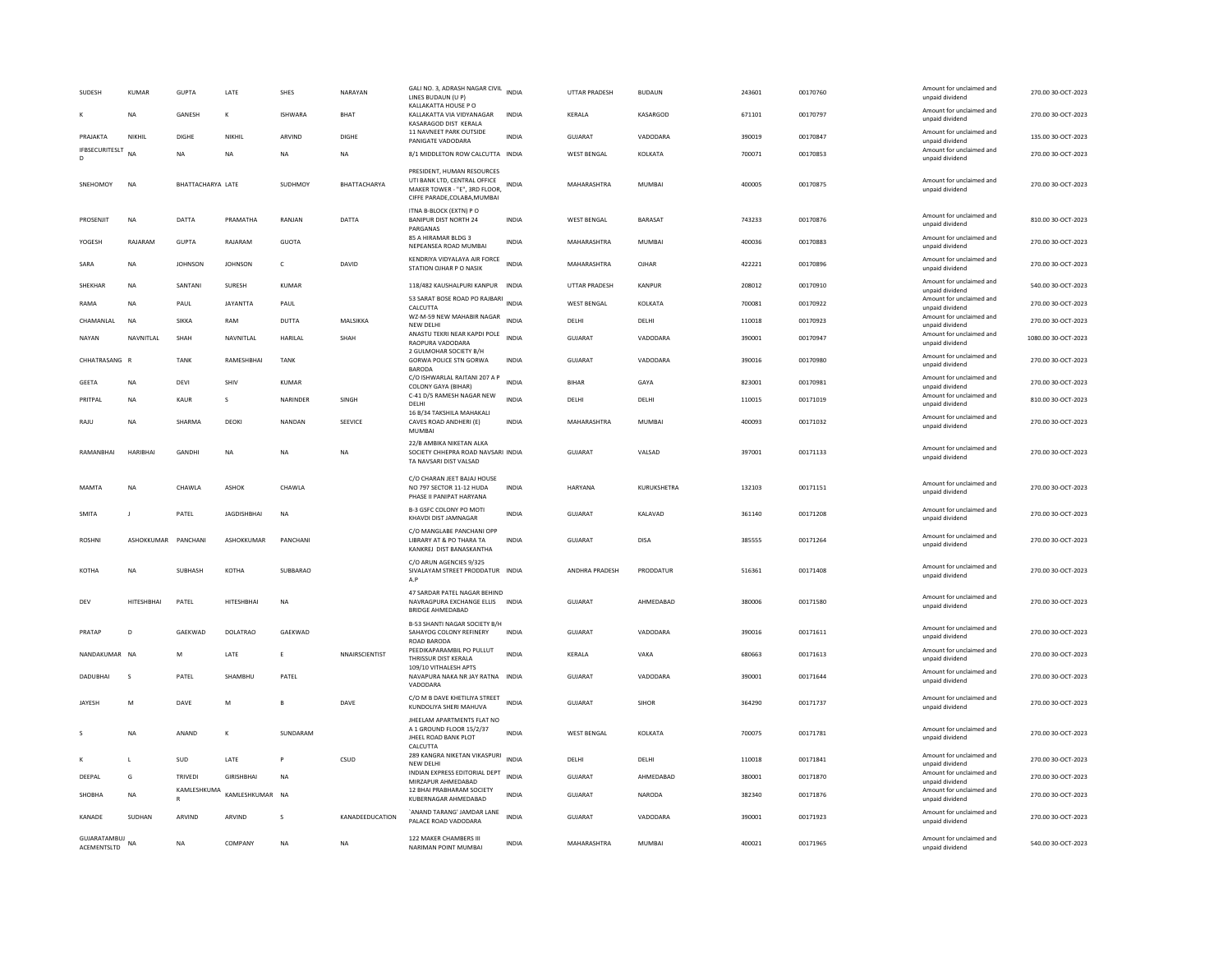| SUDESH                     | <b>KUMAR</b>        | <b>GUPTA</b>      | LATE               | SHES           | NARAYAN         | GALI NO. 3, ADRASH NAGAR CIVIL INDIA<br>LINES BUDAUN (U P)                                                                  |              | UTTAR PRADESH         | <b>BUDAUN</b>  | 243601 | 00170760 | Amount for unclaimed and<br>unpaid dividend | 270.00 30-OCT-2023  |
|----------------------------|---------------------|-------------------|--------------------|----------------|-----------------|-----------------------------------------------------------------------------------------------------------------------------|--------------|-----------------------|----------------|--------|----------|---------------------------------------------|---------------------|
|                            | <b>NA</b>           | GANESH            | к                  | <b>ISHWARA</b> | <b>BHAT</b>     | KALLAKATTA HOUSE P O<br>KALLAKATTA VIA VIDYANAGAR<br>KASARAGOD DIST KERALA                                                  | <b>INDIA</b> | <b>KFRAIA</b>         | KASARGOD       | 671101 | 00170797 | Amount for unclaimed and<br>unpaid dividend | 270.00.30-OCT-2023  |
| PRAJAKTA                   | NIKHIL              | DIGHE             | NIKHIL             | ARVIND         | DIGHE           | 11 NAVNEET PARK OUTSIDE<br>PANIGATE VADODARA                                                                                | INDIA        | GUJARAT               | VADODARA       | 390019 | 00170847 | Amount for unclaimed and<br>unpaid dividend | 135.00 30-OCT-2023  |
| <b>IFBSECURITESLT</b><br>D | <b>NA</b>           | <b>NA</b>         | <b>NA</b>          | <b>NA</b>      | <b>NA</b>       | 8/1 MIDDLETON ROW CALCUTTA INDIA                                                                                            |              | <b>WEST BENGAL</b>    | KOLKATA        | 700071 | 00170853 | Amount for unclaimed and<br>unpaid dividend | 270.00 30-OCT-2023  |
| SNEHOMOY                   | <b>NA</b>           | BHATTACHARYA LATE |                    | SUDHMOY        | BHATTACHARYA    | PRESIDENT, HUMAN RESOURCES<br>UTI BANK LTD, CENTRAL OFFICE<br>MAKER TOWER - "E", 3RD FLOOR,<br>CIFFE PARADE, COLABA, MUMBAI | INDIA        | MAHARASHTRA           | <b>MUMBAI</b>  | 400005 | 00170875 | Amount for unclaimed and<br>unpaid dividend | 270.00 30-OCT-2023  |
| PROSENJIT                  | NA                  | DATTA             | PRAMATHA           | RANJAN         | DATTA           | ITNA B-BLOCK (EXTN) PO<br><b>BANIPUR DIST NORTH 24</b><br>PARGANAS                                                          | INDIA        | WEST BENGAL           | BARASAT        | 743233 | 00170876 | Amount for unclaimed and<br>unpaid dividend | 810.00 30-OCT-2023  |
| YOGESH                     | RAJARAM             | <b>GUPTA</b>      | RAJARAM            | GUOTA          |                 | 85 A HIRAMAR BLDG 3<br>NEPEANSEA ROAD MUMBAI                                                                                | INDIA        | MAHARASHTRA           | MUMBAI         | 400036 | 00170883 | Amount for unclaimed and<br>unpaid dividend | 270.00 30-OCT-2023  |
| SARA                       | NA                  | <b>JOHNSON</b>    | <b>JOHNSON</b>     | $\mathsf{C}$   | DAVID           | KENDRIYA VIDYALAYA AIR FORCE<br>STATION OJHAR P O NASIK                                                                     | <b>INDIA</b> | MAHARASHTRA           | OJHAR          | 422221 | 00170896 | Amount for unclaimed and<br>unpaid dividend | 270.00 30-OCT-2023  |
| SHEKHAR                    | NA                  | SANTANI           | <b>SURESH</b>      | <b>KUMAR</b>   |                 | 118/482 KAUSHALPURI KANPUR                                                                                                  | <b>INDIA</b> | UTTAR PRADESH         | KANPUR         | 208012 | 00170910 | Amount for unclaimed and<br>unpaid dividend | 540.00 30-OCT-2023  |
| RAMA                       | <b>NA</b>           | PAUL              | <b>JAYANTTA</b>    | PAUL           |                 | 53 SARAT BOSE ROAD PO RAJBARI<br>CALCUTTA                                                                                   | <b>INDIA</b> | <b>WEST BENGAL</b>    | KOLKATA        | 700081 | 00170922 | Amount for unclaimed and<br>unpaid dividend | 270.00 30-OCT-2023  |
| CHAMANLAL                  | <b>NA</b>           | <b>SIKKA</b>      | RAM                | DUTTA          | MALSIKKA        | WZ-M-59 NEW MAHABIR NAGAR<br>NEW DELHI                                                                                      | <b>INDIA</b> | DELHI                 | DELHI          | 110018 | 00170923 | Amount for unclaimed and<br>unpaid dividend | 270.00 30-OCT-2023  |
| NAYAN                      | NAVNITLAL           | SHAH              | NAVNITLAL          | HARILAL        | SHAH            | ANASTU TEKRI NEAR KAPDI POLE<br>RAOPURA VADODARA                                                                            | <b>INDIA</b> | GUJARAT               | VADODARA       | 390001 | 00170947 | Amount for unclaimed and<br>unpaid dividend | 1080.00 30-OCT-2023 |
| CHHATRASANG R              |                     | <b>TANK</b>       | RAMESHBHAI         | <b>TANK</b>    |                 | 2 GULMOHAR SOCIETY B/H<br>GORWA POLICE STN GORWA<br><b>BARODA</b>                                                           | <b>INDIA</b> | GUJARAT               | VADODARA       | 390016 | 00170980 | Amount for unclaimed and<br>unpaid dividend | 270.00 30-OCT-2023  |
| GEETA                      | NA                  | DEVI              | SHIV               | KUMAR          |                 | C/O ISHWARLAL RAITANI 207 A P<br>COLONY GAYA (BIHAR)                                                                        | <b>INDIA</b> | <b>BIHAR</b>          | GAYA           | 823001 | 00170981 | Amount for unclaimed and<br>unpaid dividend | 270.00 30-OCT-2023  |
| PRITPAL                    | NA                  | KAUR              | s                  | NARINDER       | SINGH           | C-41 D/5 RAMESH NAGAR NEW<br>DELHI                                                                                          | INDIA        | DELHI                 | DELHI          | 110015 | 00171019 | Amount for unclaimed and<br>unpaid dividend | 810.00 30-OCT-2023  |
| RAILI                      | <b>NA</b>           | SHARMA            | DEOKI              | NANDAN         | SEEVICE         | 16 B/34 TAKSHILA MAHAKALI<br>CAVES ROAD ANDHERI (E)<br>MUMBAI                                                               | <b>INDIA</b> | MAHARASHTRA           | MUMBAI         | 400093 | 00171032 | Amount for unclaimed and<br>unpaid dividend | 270.00 30-OCT-2023  |
| RAMANRHAI                  | <b>HARIBHAI</b>     | <b>GANDHI</b>     | <b>NA</b>          | <b>NA</b>      | <b>NA</b>       | 22/B AMBIKA NIKETAN ALKA<br>SOCIETY CHHEPRA ROAD NAVSARI INDIA<br>TA NAVSARI DIST VALSAD                                    |              | GUIARAT               | VAISAD         | 397001 | 00171133 | Amount for unclaimed and<br>unpaid dividend | 270.00 30-OCT-2023  |
| MAMTA                      | NA                  | CHAWLA            | ASHOK              | CHAWLA         |                 | C/O CHARAN JEET BAJAJ HOUSE<br>NO 797 SECTOR 11-12 HUDA<br>PHASE II PANIPAT HARYANA                                         | INDIA        | HARYANA               | KURUKSHETRA    | 132103 | 00171151 | Amount for unclaimed and<br>unpaid dividend | 270.00 30-OCT-2023  |
| <b>SMITA</b>               | $\mathbf{I}$        | PATEL             | <b>JAGDISHBHAI</b> | <b>NA</b>      |                 | B-3 GSFC COLONY PO MOTI<br>KHAVDI DIST JAMNAGAR                                                                             | <b>INDIA</b> | <b>GUJARAT</b>        | KALAVAD        | 361140 | 00171208 | Amount for unclaimed and<br>unpaid dividend | 270.00 30-OCT-2023  |
| <b>ROSHNI</b>              | ASHOKKUMAR PANCHANI |                   | ASHOKKUMAR         | PANCHANI       |                 | C/O MANGLABE PANCHANI OPP<br>LIBRARY AT & PO THARA TA<br>KANKREJ DIST BANASKANTHA                                           | <b>INDIA</b> | GUIARAT               | DISA           | 385555 | 00171264 | Amount for unclaimed and<br>unpaid dividend | 270.00 30-OCT-2023  |
| KOTHA                      | <b>NA</b>           | <b>SURHASH</b>    | KOTHA              | SUBBARAO       |                 | C/O ARUN AGENCIES 9/325<br>SIVALAYAM STREET PRODDATUR INDIA<br>A.P                                                          |              | <b>ANDHRA PRADESH</b> | PRODDATUR      | 516361 | 00171408 | Amount for unclaimed and<br>unpaid dividend | 270.00 30-QCT-2023  |
| DEV                        | <b>HITESHBHAI</b>   | PATEL             | HITESHBHAI         | <b>NA</b>      |                 | 47 SARDAR PATEL NAGAR BEHIND                                                                                                |              |                       |                |        |          |                                             |                     |
| PRATAP                     |                     |                   |                    |                |                 | NAVRAGPURA EXCHANGE ELLIS INDIA<br><b>BRIDGE AHMEDABAD</b>                                                                  |              | GUJARAT               | AHMEDABAD      | 380006 | 00171580 | Amount for unclaimed and<br>unpaid dividend | 270.00 30-OCT-2023  |
|                            | D                   | GAEKWAD           | <b>DOLATRAO</b>    | GAEKWAD        |                 | B-53 SHANTI NAGAR SOCIETY B/H<br>SAHAYOG COLONY REFINERY<br>ROAD BARODA                                                     | <b>INDIA</b> | GUJARAT               | VADODARA       | 390016 | 00171611 | Amount for unclaimed and<br>unpaid dividend | 270.00 30-OCT-2023  |
| NANDAKUMAR NA              |                     | M                 | LATE               | E              | NNAIRSCIENTIST  | PEEDIKAPARAMBIL PO PULLUT<br>THRISSUR DIST KERALA                                                                           | <b>INDIA</b> | KERALA                | VAKA           | 680663 | 00171613 | Amount for unclaimed and<br>unpaid dividend | 270.00 30-OCT-2023  |
| <b>DADUBHAI</b>            | $\mathsf{s}$        | PATEL             | SHAMBHU            | PATEL          |                 | 109/10 VITHALESH APTS<br>NAVAPURA NAKA NR JAY RATNA INDIA<br>VADODARA                                                       |              | <b>GUJARAT</b>        | VADODARA       | 390001 | 00171644 | Amount for unclaimed and<br>unpaid dividend | 270.00 30-OCT-2023  |
| <b>JAYESH</b>              | M                   | DAVE              | M                  |                | DAVE            | C/O M B DAVE KHETILIYA STREET<br>KUNDOLIYA SHERI MAHUVA                                                                     | <b>INDIA</b> | GUIARAT               | <b>SIHOR</b>   | 364290 | 00171737 | Amount for unclaimed and<br>unpaid dividend | 270.00 30-OCT-2023  |
| -S                         | <b>NA</b>           | ANAND             | к                  | SUNDARAM       |                 | JHEELAM APARTMENTS FLAT NO<br>A 1 GROUND FLOOR 15/2/37<br>JHEEL ROAD BANK PLOT<br>CALCUTTA                                  | <b>INDIA</b> | WEST BENGAL           | <b>KOLKATA</b> | 700075 | 00171781 | Amount for unclaimed and<br>unpaid dividend | 270.00 30-OCT-2023  |
|                            | L                   | SUD               | LATE               | <b>P</b>       | CSUD            | 289 KANGRA NIKETAN VIKASPURI<br>NFW DFI HI                                                                                  | <b>INDIA</b> | DELHI                 | DELHI          | 110018 | 00171841 | Amount for unclaimed and<br>unnaid dividend | 270.00 30-OCT-2023  |
| DEEPAL                     | G                   | TRIVEDI           | <b>GIRISHBHAI</b>  | <b>NA</b>      |                 | INDIAN EXPRESS EDITORIAL DEPT<br>MIRZAPUR AHMEDABAD                                                                         | <b>INDIA</b> | <b>GUJARAT</b>        | AHMEDABAD      | 380001 | 00171870 | Amount for unclaimed and<br>unpaid dividend | 270.00 30-OCT-2023  |
| SHOBHA                     | <b>NA</b>           | KAMLESHKUMA       | KAMLESHKUMAR NA    |                |                 | 12 BHAI PRABHARAM SOCIETY<br>KUBERNAGAR AHMEDABAD                                                                           | INDIA        | GUJARAT               | NARODA         | 382340 | 00171876 | Amount for unclaimed and<br>unpaid dividend | 270.00 30-OCT-2023  |
| KANADE                     | SUDHAN              | ARVIND            | ARVIND             | s              | KANADEEDUCATION | 'ANAND TARANG' JAMDAR LANE<br>PALACE ROAD VADODARA                                                                          | <b>INDIA</b> | GUJARAT               | VADODARA       | 390001 | 00171923 | Amount for unclaimed and<br>unpaid dividend | 270.00 30-OCT-2023  |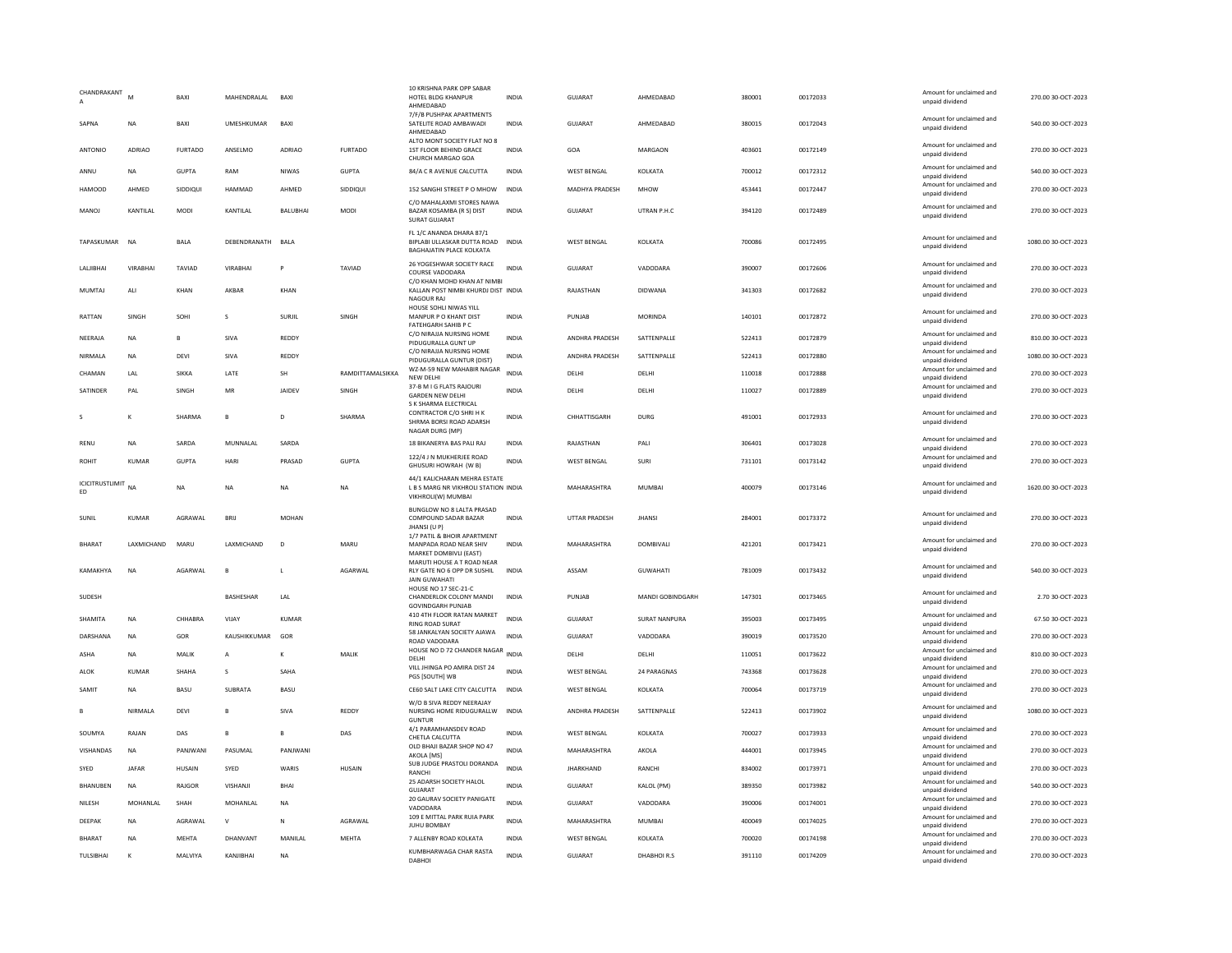| CHANDRAKANT           | M              | BAXI                    | MAHENDRALAL           | BAXI                 |                  | 10 KRISHNA PARK OPP SABAR<br>HOTEL BLDG KHANPUR<br>AHMEDABAD<br>7/F/B PUSHPAK APARTMENTS                    | INDIA                        | GUJARAT                       | AHMEDABAD             | 380001           | 00172033             | Amount for unclaimed and<br>unpaid dividend                             | 270.00 30-OCT-2023                       |
|-----------------------|----------------|-------------------------|-----------------------|----------------------|------------------|-------------------------------------------------------------------------------------------------------------|------------------------------|-------------------------------|-----------------------|------------------|----------------------|-------------------------------------------------------------------------|------------------------------------------|
| SAPNA                 | NA             | BAXI                    | UMESHKUMAR            | BAXI                 |                  | SATELITE ROAD AMBAWADI<br>AHMEDABAD                                                                         | <b>INDIA</b>                 | GUJARAT                       | AHMEDABAD             | 380015           | 00172043             | Amount for unclaimed and<br>unpaid dividend                             | 540.00 30-OCT-2023                       |
| ANTONIC               | ADRIAO         | <b>FURTADO</b>          | ANSELMO               | ADRIAO               | <b>FURTADO</b>   | ALTO MONT SOCIETY FLAT NO 8<br>1ST FLOOR BEHIND GRACE<br>CHURCH MARGAO GOA                                  | <b>INDIA</b>                 | GOA                           | MARGAON               | 403601           | 00172149             | Amount for unclaimed and<br>unpaid dividend                             | 270.00 30-OCT-2023                       |
| ANNU                  | <b>NA</b>      | <b>GUPTA</b>            | RAM                   | NIWAS                | GUPTA            | 84/A C R AVENUE CALCUTTA                                                                                    | <b>INDIA</b>                 | WEST BENGAL                   | KOLKATA               | 700012           | 00172312             | Amount for unclaimed and<br>unpaid dividend                             | 540.00 30-OCT-2023                       |
| <b>HAMOOD</b>         | AHMED          | SIDDIQUI                | HAMMAD                | AHMED                | SIDDIQUI         | 152 SANGHI STREET P O MHOW                                                                                  | <b>INDIA</b>                 | MADHYA PRADESH                | <b>MHOW</b>           | 453441           | 00172447             | Amount for unclaimed and<br>unpaid dividend                             | 270.00 30-OCT-2023                       |
| <b>MANOJ</b>          | KANTILAL       | MODI                    | KANTILAL              | BALUBHAI             | MODI             | C/O MAHALAXMI STORES NAWA<br>BAZAR KOSAMBA (R S) DIST<br>SURAT GUJARAT                                      | <b>INDIA</b>                 | GUJARAT                       | UTRAN P.H.C           | 394120           | 00172489             | Amount for unclaimed and<br>unpaid dividend                             | 270.00 30-OCT-2023                       |
| TAPASKUMAR            | <b>NA</b>      | <b>BALA</b>             | DEBENDRANATH BALA     |                      |                  | FL 1/C ANANDA DHARA 87/1<br>BIPLABI ULLASKAR DUTTA ROAD INDIA<br>BAGHAJATIN PLACE KOLKATA                   |                              | <b>WEST BENGAL</b>            | KOLKATA               | 700086           | 00172495             | Amount for unclaimed and<br>unpaid dividend                             | 1080.00 30-OCT-2023                      |
| LALIBHAI              | VIRABHAI       | TAVIAD                  | VIRABHA               |                      | TAVIAD           | 26 YOGESHWAR SOCIETY RACE<br>COURSE VADODARA                                                                | <b>INDIA</b>                 | <b>GUJARAT</b>                | VADODARA              | 390007           | 00172606             | Amount for unclaimed and<br>unpaid dividend                             | 270.00 30-OCT-2023                       |
| <b>MUMTAJ</b>         | ALI            | KHAN                    | AKRAR                 | KHAN                 |                  | C/O KHAN MOHD KHAN AT NIMBI<br>KALLAN POST NIMBI KHURDJ DIST INDIA<br><b>NAGOUR RAJ</b>                     |                              | RAJASTHAN                     | <b>DIDWANA</b>        | 341303           | 00172682             | Amount for unclaimed and<br>unpaid dividend                             | 270.00 30-OCT-2023                       |
| RATTAN                | <b>SINGH</b>   | SOHI                    | s                     | SURJIL               | SINGH            | HOUSE SOHLI NIWAS YILL<br>MANPUR P O KHANT DIST<br>FATEHGARH SAHIB P C                                      | <b>INDIA</b>                 | PUNJAB                        | <b>MORINDA</b>        | 140101           | 00172872             | Amount for unclaimed and<br>unpaid dividend                             | 270.00 30-OCT-2023                       |
| NEERAJA               | <b>NA</b>      | $\overline{B}$          | SIVA                  | REDDY                |                  | C/O NIRAJJA NURSING HOME<br>PIDUGURALLA GUNT UP                                                             | <b>INDIA</b>                 | ANDHRA PRADESH                | SATTENPALLE           | 522413           | 00172879             | Amount for unclaimed and<br>unpaid dividend                             | 810.00 30-OCT-2023                       |
| NIRMALA               | NA             | <b>DEVI</b>             | SIVA                  | REDDY                |                  | C/O NIRAJJA NURSING HOME<br>PIDUGURALLA GUNTUR (DIST)                                                       | INDIA                        | ANDHRA PRADESH                | SATTENPALLE           | 522413           | 00172880             | Amount for unclaimed and<br>unpaid dividend                             | 1080.00 30-OCT-2023                      |
| CHAMAN                | 1 AI           | <b>SIKKA</b>            | <b>I ATF</b>          | SH                   | RAMDITTAMALSIKKA | WZ-M-59 NEW MAHABIR NAGAR<br>NEW DELHI                                                                      | <b>INDIA</b>                 | <b>DELHI</b>                  | <b>DELHI</b>          | 110018           | 00172888             | Amount for unclaimed and<br>unpaid dividend                             | 270.00 30-OCT-2023                       |
| SATINDER              | PAL            | SINGH                   | MR                    | JAIDEV               | SINGH            | 37-B M I G FLATS RAJOURI<br><b>GARDEN NEW DELHI</b>                                                         | INDIA                        | DELHI                         | DELHI                 | 110027           | 00172889             | Amount for unclaimed and<br>unpaid dividend                             | 270.00 30-OCT-2023                       |
|                       | к              | SHARMA                  | $\mathbf{B}$          | D.                   | SHARMA           | S K SHARMA ELECTRICAL<br>CONTRACTOR C/O SHRI H K<br>SHRMA BORSI ROAD ADARSH<br>NAGAR DURG (MP)              | <b>INDIA</b>                 | CHHATTISGARH                  | DURG                  | 491001           | 00172933             | Amount for unclaimed and<br>unpaid dividend                             | 270.00 30-OCT-2023                       |
| RENU                  | <b>NA</b>      | SARDA                   | MUNNALAL              | SARDA                |                  | 18 BIKANERYA BAS PALI RAJ                                                                                   | <b>INDIA</b>                 | RAJASTHAN                     | PALI                  | 306401           | 00173028             | Amount for unclaimed and<br>unpaid dividend                             | 270.00 30-OCT-2023                       |
| ROHIT                 | KUMAR          | <b>GUPTA</b>            | HARI                  | PRASAD               | <b>GUPTA</b>     | 122/4 J N MUKHERJEE ROAD<br>GHUSURI HOWRAH (W B)                                                            | <b>INDIA</b>                 | <b>WEST BENGAL</b>            | SURI                  | 731101           | 00173142             | Amount for unclaimed and<br>unpaid dividend                             | 270.00 30-OCT-2023                       |
|                       |                |                         |                       |                      |                  |                                                                                                             |                              |                               |                       |                  |                      |                                                                         |                                          |
| ICICITRUSTLIMIT<br>ED | <b>NA</b>      | NA                      | <b>NA</b>             | <b>NA</b>            | NA               | 44/1 KALICHARAN MEHRA ESTATE<br>L B S MARG NR VIKHROLI STATION INDIA<br>VIKHROLI(W) MUMBAI                  |                              | MAHARASHTRA                   | MUMBAI                | 400079           | 00173146             | Amount for unclaimed and<br>unpaid dividend                             | 1620.00 30-OCT-2023                      |
| SUNIL                 | KUMAR          | AGRAWAL                 | BRIJ                  | <b>MOHAN</b>         |                  | BUNGLOW NO 8 LALTA PRASAD<br>COMPOUND SADAR BAZAR<br>JHANSI (U P)                                           | <b>INDIA</b>                 | UTTAR PRADESH                 | <b>JHANSI</b>         | 284001           | 00173372             | Amount for unclaimed and<br>unpaid dividend                             | 270.00 30-OCT-2023                       |
| <b>BHARAT</b>         | LAXMICHAND     | MARU                    | LAXMICHAND            | D                    | MARU             | 1/7 PATIL & BHOIR APARTMENT<br>MANPADA ROAD NEAR SHIV                                                       | <b>INDIA</b>                 | MAHARASHTRA                   | DOMBIVALI             | 421201           | 00173421             | Amount for unclaimed and<br>unpaid dividend                             | 270.00 30-OCT-2023                       |
| KAMAKHYA              | <b>NA</b>      | AGARWAL                 | B                     | $\mathsf{L}$         | AGARWAL          | MARKET DOMBIVLI (EAST)<br>MARUTI HOUSE A T ROAD NEAR<br>RLY GATE NO 6 OPP DR SUSHIL<br><b>JAIN GUWAHATI</b> | <b>INDIA</b>                 | ASSAM                         | GUWAHATI              | 781009           | 00173432             | Amount for unclaimed and<br>unpaid dividend                             | 540.00 30-OCT-2023                       |
| SUDESH                |                |                         | BASHESHAR             | LAL                  |                  | HOUSE NO 17 SEC-21-C<br>CHANDERLOK COLONY MANDI                                                             | <b>INDIA</b>                 | PUNJAB                        | MANDI GOBINDGARH      | 147301           | 00173465             | Amount for unclaimed and<br>unpaid dividend                             | 2.70 30-OCT-2023                         |
| SHAMITA               | <b>NA</b>      | CHHABRA                 | VIJAY                 | KUMAR                |                  | <b>GOVINDGARH PUNJAB</b><br>410 4TH FLOOR RATAN MARKET                                                      | <b>INDIA</b>                 | GUJARAT                       | <b>SURAT NANPURA</b>  | 395003           | 00173495             | Amount for unclaimed and                                                | 67.50 30-OCT-2023                        |
| DARSHANA              | <b>NA</b>      | GOR                     | KAUSHIKKUMAR          | GOF                  |                  | <b>RING ROAD SURAT</b><br>58 JANKALYAN SOCIETY AJAWA<br>ROAD VADODARA                                       | <b>INDIA</b>                 | <b>GUJARAT</b>                | VADODARA              | 390019           | 00173520             | unpaid dividend<br>Amount for unclaimed and<br>unpaid dividend          | 270.00 30-OCT-2023                       |
| ASHA                  | NA             | MALIK                   | A                     |                      | MALIK            | HOUSE NO D 72 CHANDER NAGAR INDIA<br>DELHI                                                                  |                              | DELHI                         | DELHI                 | 110051           | 00173622             | Amount for unclaimed and<br>unpaid dividend                             | 810.00 30-OCT-2023                       |
| ALOK                  | <b>KUMAR</b>   | SHAHA                   | s                     | SAHA                 |                  | VILL JHINGA PO AMIRA DIST 24<br>PGS [SOUTH] WB                                                              | <b>INDIA</b>                 | <b>WEST BENGAL</b>            | 24 PARAGNAS           | 743368           | 00173628             | Amount for unclaimed and<br>unpaid dividend                             | 270.00 30-OCT-2023                       |
| SAMIT                 | <b>NA</b>      | <b>BASU</b>             | SUBRATA               | <b>BASU</b>          |                  | CE60 SALT LAKE CITY CALCUTTA                                                                                | <b>INDIA</b>                 | <b>WEST BENGAL</b>            | <b>KOI KATA</b>       | 700064           | 00173719             | Amount for unclaimed and<br>unpaid dividend                             | 270.00 30-OCT-2023                       |
|                       | NIRMALA        | DEVI                    | B                     | SIVA                 | REDDY            | W/O B SIVA REDDY NEERAJAY<br>NURSING HOME RIDUGURALLW<br><b>GUNTUR</b>                                      | <b>INDIA</b>                 | ANDHRA PRADESH                | SATTENPALLE           | 522413           | 00173902             | Amount for unclaimed and<br>unpaid dividend                             | 1080.00 30-OCT-2023                      |
| SOUMYA                | RAJAN          | DAS                     | B                     | B                    | DAS              | 4/1 PARAMHANSDEV ROAD<br>CHETLA CALCUTTA                                                                    | INDIA                        | WEST BENGAL                   | KOLKATA               | 700027           | 00173933             | Amount for unclaimed and<br>unpaid dividend                             | 270.00 30-OCT-2023                       |
| VISHANDAS             | NA             | PANJWANI                | PASUMAL               | PANJWANI             |                  | OLD BHAJI BAZAR SHOP NO 47<br>AKOLA [MS]                                                                    | INDIA                        | MAHARASHTRA                   | AKOLA                 | 444001           | 00173945             | Amount for unclaimed and<br>unpaid dividend                             | 270.00 30-OCT-2023                       |
| SYED                  | <b>IAFAR</b>   | <b>HUSAIN</b>           | SYED                  | WARIS                | <b>HUSAIN</b>    | SUB JUDGE PRASTOLI DORANDA<br>RANCHI                                                                        | <b>INDIA</b>                 | <b>JHARKHAND</b>              | RANCHI                | 834002           | 00173971             | Amount for unclaimed and<br>unpaid dividend                             | 270.00 30-OCT-2023                       |
| BHANUBEN              | <b>NA</b>      | RAJGOR                  | VISHANJ               | BHAI                 |                  | 25 ADARSH SOCIETY HALOL<br><b>GUJARAT</b>                                                                   | <b>INDIA</b>                 | <b>GUJARAT</b>                | KALOL (PM)            | 389350           | 00173982             | Amount for unclaimed and<br>unpaid dividend                             | 540.00 30-OCT-2023                       |
| NILESH                | MOHANLAL       | SHAH                    | MOHANLAL              | <b>NA</b>            |                  | 20 GAURAV SOCIETY PANIGATE<br>VADODARA                                                                      | <b>INDIA</b>                 | <b>GUJARAT</b>                | VADODARA              | 390006           | 00174001             | Amount for unclaimed and<br>unpaid dividend                             | 270.00 30-OCT-2023                       |
| DEEPAK                | NA             | AGRAWAL                 | $\vee$                | ${\sf N}$            | AGRAWAL          | 109 E MITTAL PARK RUIA PARK<br><b>IUHU ROMBAY</b>                                                           | <b>INDIA</b>                 | MAHARASHTRA                   | MUMBAI                | 400049           | 00174025             | Amount for unclaimed and<br>unpaid dividend                             | 270.00 30-OCT-2023                       |
| BHARAT<br>TULSIBHAI   | <b>NA</b><br>K | <b>MEHTA</b><br>MALVIYA | DHANVANT<br>KANJIBHAI | MANILAL<br><b>NA</b> | <b>MEHTA</b>     | 7 ALLENBY ROAD KOLKATA<br>KUMBHARWAGA CHAR RASTA                                                            | <b>INDIA</b><br><b>INDIA</b> | <b>WEST BENGAL</b><br>GUJARAT | KOLKATA<br>DHABHOIR.S | 700020<br>391110 | 00174198<br>00174209 | Amount for unclaimed and<br>unpaid dividend<br>Amount for unclaimed and | 270.00 30-OCT-2023<br>270.00 30-OCT-2023 |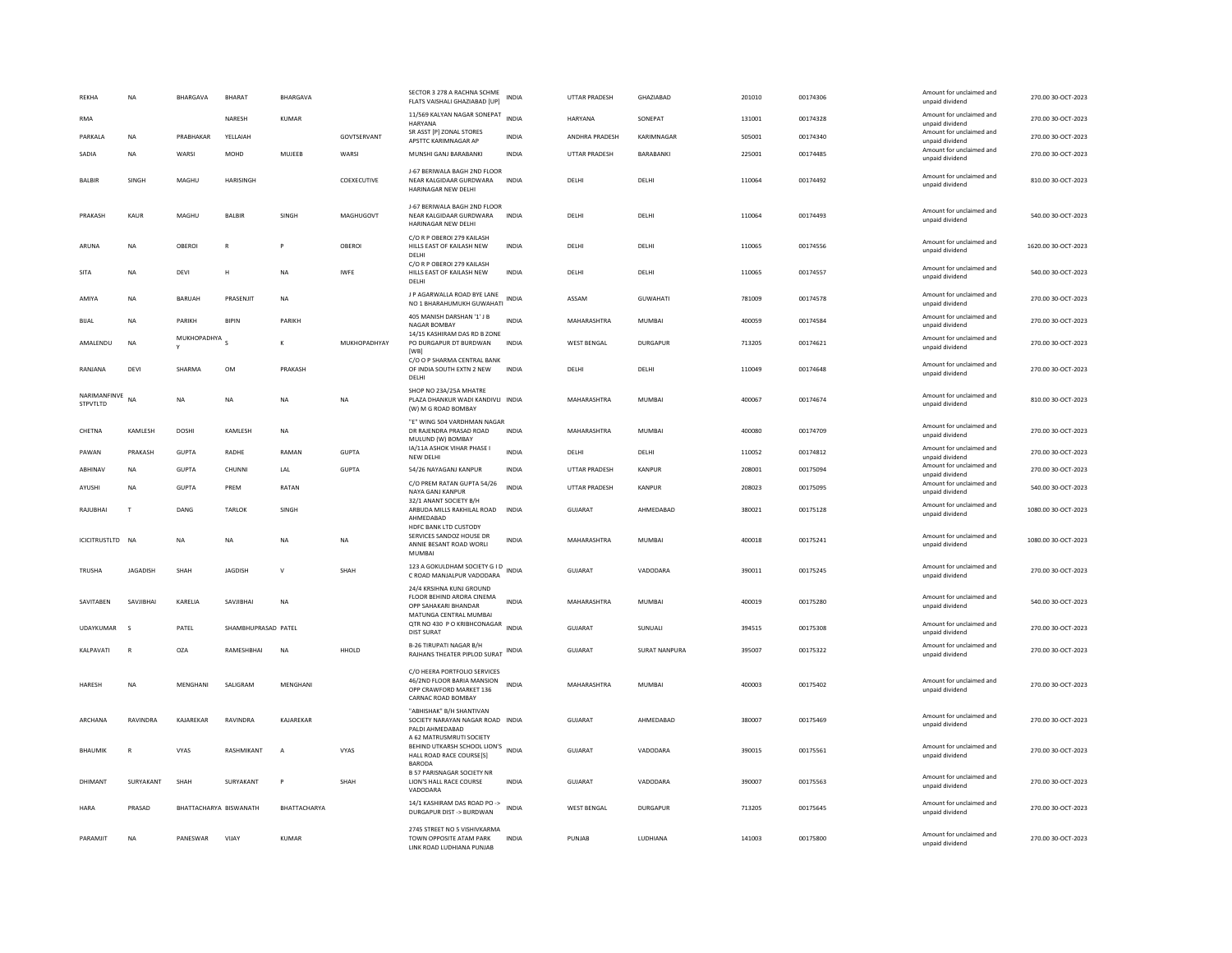| REKHA                    | <b>NA</b>       | BHARGAVA         | <b>BHARAT</b>          | BHARGAVA       |              | SECTOR 3 278 A RACHNA SCHME<br>FLATS VAISHALI GHAZIABAD [UP]                                                | <b>INDIA</b> | UTTAR PRADESH        | GHAZIABAD            | 201010 | 00174306 | Amount for unclaimed and<br>unpaid dividend | 270.00 30-OCT-2023  |
|--------------------------|-----------------|------------------|------------------------|----------------|--------------|-------------------------------------------------------------------------------------------------------------|--------------|----------------------|----------------------|--------|----------|---------------------------------------------|---------------------|
| <b>RMA</b>               |                 |                  | NARESH                 | <b>KUMAR</b>   |              | 11/569 KALYAN NAGAR SONEPAT<br><b>HARYANA</b>                                                               | <b>INDIA</b> | <b>HARYANA</b>       | SONEPAT              | 131001 | 00174328 | Amount for unclaimed and<br>unpaid dividend | 270.00 30-OCT-2023  |
| PARKALA                  | <b>NA</b>       | PRARHAKAR        | YELLAIAH               |                | GOVTSERVANT  | SR ASST [P] ZONAL STORES<br>APSTTC KARIMNAGAR AP                                                            | <b>INDIA</b> | ANDHRA PRADESH       | KARIMNAGAR           | 505001 | 00174340 | Amount for unclaimed and<br>unpaid dividend | 270.00 30-OCT-2023  |
| SADIA                    | <b>NA</b>       | WARSI            | <b>MOHD</b>            | MUJEER         | WARSI        | MUNSHI GANJ BARABANKI                                                                                       | <b>INDIA</b> | <b>UTTAR PRADESH</b> | <b>BARABANKI</b>     | 225001 | 00174485 | Amount for unclaimed and<br>unpaid dividend | 270.00 30-QCT-2023  |
| BALBIR                   | SINGH           | MAGHU            | <b>HARISINGH</b>       |                | COEXECUTIVE  | J-67 BERIWALA BAGH 2ND FLOOR<br>NEAR KALGIDAAR GURDWARA<br>HARINAGAR NEW DELHI                              | <b>INDIA</b> | DELHI                | DELHI                | 110064 | 00174492 | Amount for unclaimed and<br>unpaid dividend | 810.00 30-OCT-2023  |
| PRAKASH                  | <b>KAUR</b>     | MAGHU            | <b>BALBIR</b>          | <b>SINGH</b>   | MAGHUGOVT    | J-67 BERIWALA BAGH 2ND FLOOR<br>NEAR KALGIDAAR GURDWARA<br>HARINAGAR NEW DELH                               | <b>INDIA</b> | DELHI                | DELHI                | 110064 | 00174493 | Amount for unclaimed and<br>unpaid dividend | 540.00 30-OCT-2023  |
| ARUNA                    | NA              | OBEROI           | $\mathbb{R}$           |                | OBEROI       | C/O R P OBEROI 279 KAILASH<br>HILLS EAST OF KAILASH NEW<br>DELHI                                            | <b>INDIA</b> | DELHI                | DELHI                | 110065 | 00174556 | Amount for unclaimed and<br>unpaid dividend | 1620.00 30-OCT-2023 |
| <b>SITA</b>              | <b>NA</b>       | DEVI             | H                      | <b>NA</b>      | <b>IWFE</b>  | C/O R P OBEROI 279 KAILASH<br>HILLS EAST OF KAILASH NEW<br>DELHI                                            | <b>INDIA</b> | DELHI                | DELHI                | 110065 | 00174557 | Amount for unclaimed and<br>unpaid dividend | 540.00 30-OCT-2023  |
| AMIYA                    | <b>NA</b>       | <b>BARUAH</b>    | PRASENJIT              | <b>NA</b>      |              | J P AGARWALLA ROAD BYE LANE<br>NO 1 BHARAHUMUKH GUWAHATI                                                    | <b>INDIA</b> | ASSAM                | <b>GUWAHATI</b>      | 781009 | 00174578 | Amount for unclaimed and<br>unpaid dividend | 270.00 30-OCT-2023  |
| BIJAL                    | NA              | PARIKH           | <b>BIPIN</b>           | PARIKH         |              | 405 MANISH DARSHAN '1' J B<br><b>NAGAR BOMBAY</b>                                                           | <b>INDIA</b> | MAHARASHTRA          | <b>MUMBAI</b>        | 400059 | 00174584 | Amount for unclaimed and<br>unpaid dividend | 270.00 30-OCT-2023  |
| AMALENDU                 | NA              | MUKHOPADHYA<br>Y |                        | K              | MUKHOPADHYAY | 14/15 KASHIRAM DAS RD B ZONE<br>PO DURGAPUR DT BURDWAN                                                      | INDIA        | <b>WEST BENGAL</b>   | <b>DURGAPUR</b>      | 713205 | 00174621 | Amount for unclaimed and<br>unpaid dividend | 270.00 30-OCT-2023  |
| RANJANA                  | DEVI            | SHARMA           | OM                     | PRAKASH        |              | [WB]<br>C/O O P SHARMA CENTRAL BANK<br>OF INDIA SOUTH EXTN 2 NEW<br>DELHI                                   | <b>INDIA</b> | DELHI                | DELHI                | 110049 | 00174648 | Amount for unclaimed and<br>unpaid dividend | 270.00 30-OCT-2023  |
| NARIMANFINVE<br>STPVTLTD | NA              | <b>NA</b>        | <b>NA</b>              | <b>NA</b>      | <b>NA</b>    | SHOP NO 23A/25A MHATRE<br>PLAZA DHANKUR WADI KANDIVLI INDIA<br>(W) M G ROAD BOMBAY                          |              | MAHARASHTRA          | <b>MUMBAI</b>        | 400067 | 00174674 | Amount for unclaimed and<br>unpaid dividend | 810.00 30-OCT-2023  |
| CHETNA                   | KAMLESH         | DOSHI            | KAMLESH                | NA             |              | "E" WING 504 VARDHMAN NAGAR<br>DR RAJENDRA PRASAD ROAD<br>MULUND (W) BOMBAY                                 | <b>INDIA</b> | MAHARASHTRA          | MUMBAI               | 400080 | 00174709 | Amount for unclaimed and<br>unpaid dividend | 270.00 30-OCT-2023  |
| PAWAN                    | PRAKASH         | <b>GUPTA</b>     | RADHE                  | RAMAN          | <b>GUPTA</b> | IA/11A ASHOK VIHAR PHASE I<br><b>NEW DELHI</b>                                                              | <b>INDIA</b> | DELHI                | DELHI                | 110052 | 00174812 | Amount for unclaimed and<br>unpaid dividend | 270.00 30-OCT-2023  |
| ABHINAV                  | NA              | <b>GUPTA</b>     | CHUNNI                 | LAL            | <b>GUPTA</b> | 54/26 NAYAGANJ KANPUR                                                                                       | <b>INDIA</b> | UTTAR PRADESH        | <b>KANPUR</b>        | 208001 | 00175094 | Amount for unclaimed and<br>unpaid dividend | 270.00 30-OCT-2023  |
| AYUSHI                   | NA              | <b>GUPTA</b>     | PREM                   | RATAN          |              | C/O PREM RATAN GUPTA 54/26<br>NAYA GANJ KANPUR                                                              | <b>INDIA</b> | <b>UTTAR PRADESH</b> | <b>KANPUR</b>        | 208023 | 00175095 | Amount for unclaimed and<br>unpaid dividend | 540.00 30-OCT-2023  |
| RAJUBHAI                 | T               | DANG             | <b>TARLOK</b>          | SINGH          |              | 32/1 ANANT SOCIETY B/H<br>ARBUDA MILLS RAKHILAL ROAD INDIA<br>AHMEDABAD                                     |              | GUJARAT              | AHMEDABAD            | 380021 | 00175128 | Amount for unclaimed and<br>unpaid dividend | 1080.00 30-OCT-2023 |
| ICICITRUSTLTD NA         |                 | <b>NA</b>        | <b>NA</b>              | <b>NA</b>      | <b>NA</b>    | <b>HDFC BANK LTD CUSTODY</b><br>SERVICES SANDOZ HOUSE DR<br>ANNIE BESANT ROAD WORLI<br><b>MUMBAI</b>        | <b>INDIA</b> | MAHARASHTRA          | <b>MUMBAI</b>        | 400018 | 00175241 | Amount for unclaimed and<br>unpaid dividend | 1080.00 30-OCT-2023 |
| TRUSHA                   | <b>IAGADISH</b> | <b>SHAH</b>      | <b>IAGDISH</b>         | $\mathsf{v}$   | SHAH         | 123 A GOKULDHAM SOCIETY G I D<br>C ROAD MANJALPUR VADODARA                                                  | <b>INDIA</b> | GUIARAT              | VADODARA             | 390011 | 00175245 | Amount for unclaimed and<br>unpaid dividend | 270.00 30-OCT-2023  |
| SAVITABEN                | SAVJIBHAI       | KARELIA          | SAVJIBHAI              | NA             |              | 24/4 KRSIHNA KUNJ GROUND<br>FLOOR BEHIND ARORA CINEMA<br>OPP SAHAKARI BHANDAR                               | <b>INDIA</b> | MAHARASHTRA          | <b>MUMBAI</b>        | 400019 | 00175280 | Amount for unclaimed and<br>unpaid dividend | 540.00 30-OCT-2023  |
| UDAYKUMAR                | $\zeta$         | PATEL            | SHAMBHUPRASAD PATEL    |                |              | MATUNGA CENTRAL MUMBAI<br>QTR NO 430 P O KRIBHCONAGAR<br><b>DIST SURAT</b>                                  | <b>INDIA</b> | <b>GUJARAT</b>       | SUNUALI              | 394515 | 00175308 | Amount for unclaimed and<br>unpaid dividend | 270.00 30-OCT-2023  |
| KALPAVATI                | $\mathbb{R}$    | <b>OZA</b>       | RAMESHBHAI             | <b>NA</b>      | HHOLD        | <b>B-26 TIRUPATI NAGAR B/H</b><br>RAJHANS THEATER PIPLOD SURAT INDIA                                        |              | <b>GUJARAT</b>       | <b>SURAT NANPURA</b> | 395007 | 00175322 | Amount for unclaimed and<br>unpaid dividend | 270.00 30-OCT-2023  |
| HARESH                   | NA              | MENGHANI         | SALIGRAM               | MENGHANI       |              | C/O HEERA PORTFOLIO SERVICES<br>46/2ND FLOOR BARIA MANSION<br>OPP CRAWFORD MARKET 136<br>CARNAC ROAD BOMBAY | <b>INDIA</b> | MAHARASHTRA          | MUMBAI               | 400003 | 00175402 | Amount for unclaimed and<br>unpaid dividend | 270.00 30-OCT-2023  |
| ARCHANA                  | RAVINDRA        | KAJAREKAR        | RAVINDRA               | KAJAREKAR      |              | "ABHISHAK" B/H SHANTIVAN<br>SOCIETY NARAYAN NAGAR ROAD INDIA<br>PALDI AHMEDABAD                             |              | <b>GUJARAT</b>       | AHMEDABAD            | 380007 | 00175469 | Amount for unclaimed and<br>unpaid dividend | 270.00 30-OCT-2023  |
| BHAUMIK                  |                 | VYAS             | RASHMIKANT             | $\overline{A}$ | VYAS         | A 62 MATRUSMRUTI SOCIETY<br>BEHIND UTKARSH SCHOOL LION'S<br>HALL ROAD RACE COURSE[S]<br><b>BARODA</b>       | <b>INDIA</b> | GUJARAT              | VADODARA             | 390015 | 00175561 | Amount for unclaimed and<br>unpaid dividend | 270.00 30-OCT-2023  |
| DHIMANT                  | SURYAKANT       | SHAH             | SURYAKANT              | P              | SHAH         | <b>B 57 PARISNAGAR SOCIETY NR</b><br>LION'S HALL RACE COURSE<br>VADODARA                                    | <b>INDIA</b> | <b>GUJARAT</b>       | VADODARA             | 390007 | 00175563 | Amount for unclaimed and<br>unpaid dividend | 270.00 30-OCT-2023  |
| <b>HARA</b>              | PRASAD          |                  | BHATTACHARYA BISWANATH | BHATTACHARYA   |              | 14/1 KASHIRAM DAS ROAD PO -><br>DURGAPUR DIST -> BURDWAN                                                    | <b>INDIA</b> | <b>WEST BENGAL</b>   | <b>DURGAPUR</b>      | 713205 | 00175645 | Amount for unclaimed and<br>unpaid dividend | 270.00 30-OCT-2023  |
| PARAMIIT                 | <b>NA</b>       | PANESWAR         | VIIAY                  | KUMAR          |              | 2745 STREET NO 5 VISHIVKARMA<br>TOWN OPPOSITE ATAM PARK<br><b>IINK ROAD LUDHIANA PUNIAR</b>                 | <b>INDIA</b> | PUNIAR               | <b>IUDHIANA</b>      | 141003 | 00175800 | Amount for unclaimed and<br>unpaid dividend | 270.00 30-OCT-2023  |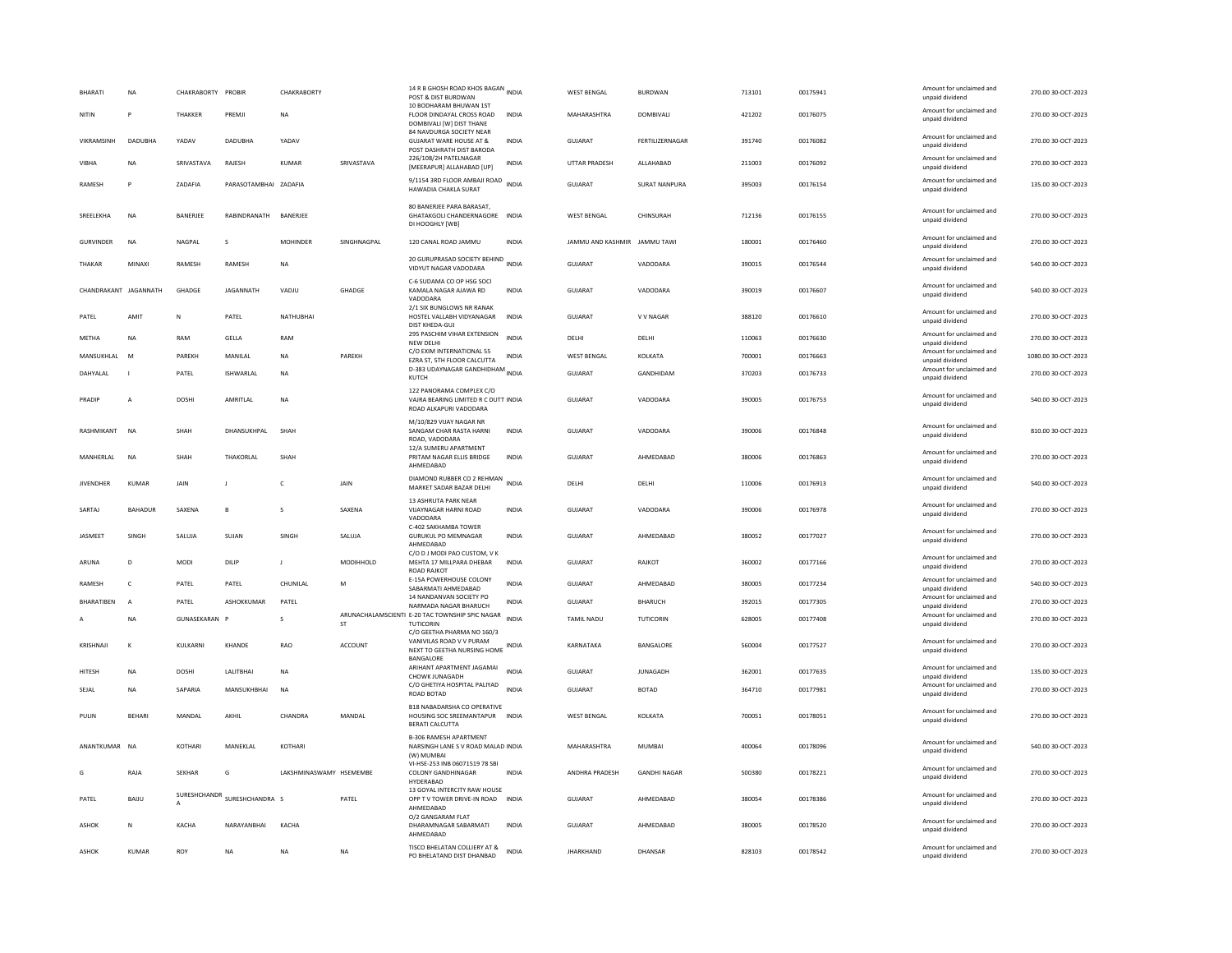| <b>BHARATI</b>        | <b>NA</b>      | CHAKRABORTY PROBIR |                                 | CHAKRABORTY             |                | 14 R B GHOSH ROAD KHOS BAGAN INDIA<br>POST & DIST BURDWAN<br>10 BODHARAM BHUWAN 1ST         |              | <b>WEST BENGAL</b>           | <b>BURDWAN</b>       | 713101 | 00175941 | Amount for unclaimed and<br>unpaid dividend                    | 270.00 30-OCT-2023  |
|-----------------------|----------------|--------------------|---------------------------------|-------------------------|----------------|---------------------------------------------------------------------------------------------|--------------|------------------------------|----------------------|--------|----------|----------------------------------------------------------------|---------------------|
| NITIN                 |                | THAKKER            | PREMJI                          | NA                      |                | FLOOR DINDAYAL CROSS ROAD<br>DOMBIVALI [W] DIST THANE                                       | INDIA        | MAHARASHTRA                  | DOMBIVALI            | 421202 | 00176075 | Amount for unclaimed and<br>unpaid dividend                    | 270.00 30-OCT-2023  |
| VIKRAMSINH            | DADUBHA        | YADAV              | DADUBHA                         | YADAV                   |                | 84 NAVDURGA SOCIETY NEAR<br><b>GUJARAT WARE HOUSE AT &amp;</b><br>POST DASHRATH DIST BARODA | INDIA        | GUJARAT                      | FERTILIZERNAGAR      | 391740 | 00176082 | Amount for unclaimed and<br>unpaid dividend                    | 270.00 30-OCT-2023  |
| <b>VIBHA</b>          | <b>NA</b>      | SRIVASTAVA         | RAJESH                          | KUMAR                   | SRIVASTAVA     | 226/108/2H PATELNAGAR<br>[MEERAPUR] ALLAHABAD [UP]                                          | <b>INDIA</b> | UTTAR PRADESH                | ALLAHABAD            | 211003 | 00176092 | Amount for unclaimed and<br>unpaid dividend                    | 270.00 30-OCT-2023  |
| RAMESH                | P              | ZADAFIA            | PARASOTAMBHAI ZADAFIA           |                         |                | 9/1154 3RD FLOOR AMBAJI ROAD INDIA<br>HAWADIA CHAKLA SURAT                                  |              | <b>GUJARAT</b>               | <b>SURAT NANPURA</b> | 395003 | 00176154 | Amount for unclaimed and<br>unpaid dividend                    | 135.00 30-OCT-2023  |
| SREELEKHA             | <b>NA</b>      | BANERJEE           | RABINDRANATH                    | BANERJEE                |                | 80 BANERJEE PARA BARASAT,<br>GHATAKGOLI CHANDERNAGORE INDIA<br>DI HOOGHLY [WB]              |              | WEST BENGAL                  | CHINSURAH            | 712136 | 00176155 | Amount for unclaimed and<br>unpaid dividend                    | 270.00 30-OCT-2023  |
| <b>GURVINDER</b>      | <b>NA</b>      | NAGPAL             | s                               | <b>MOHINDER</b>         | SINGHNAGPAL    | 120 CANAL ROAD JAMMU                                                                        | INDIA        | JAMMU AND KASHMIR JAMMU TAWI |                      | 180001 | 00176460 | Amount for unclaimed and<br>unpaid dividend                    | 270.00 30-OCT-2023  |
| THAKAR                | MINAXI         | RAMESH             | RAMESH                          | <b>NA</b>               |                | 20 GURUPRASAD SOCIETY BEHIND INDIA<br>VIDYUT NAGAR VADODARA                                 |              | GUJARAT                      | VADODARA             | 390015 | 00176544 | Amount for unclaimed and<br>unpaid dividend                    | 540.00 30-OCT-2023  |
| CHANDRAKANT JAGANNATH |                | GHADGE             | <b>JAGANNATH</b>                | VADJU                   | <b>GHADGE</b>  | C-6 SUDAMA CO OP HSG SOCI<br>KAMALA NAGAR AJAWA RD<br>VADODARA                              | <b>INDIA</b> | <b>GUJARAT</b>               | VADODARA             | 390019 | 00176607 | Amount for unclaimed and<br>unpaid dividend                    | 540.00 30-OCT-2023  |
| PATEL                 | AMIT           | N                  | PATEL                           | NATHUBHAI               |                | 2/1 SIX BUNGLOWS NR RANAK<br>HOSTEL VALLABH VIDYANAGAR<br>DIST KHEDA-GUJ                    | <b>INDIA</b> | <b>GUJARAT</b>               | V V NAGAR            | 388120 | 00176610 | Amount for unclaimed and<br>unpaid dividend                    | 270.00 30-OCT-2023  |
| METHA                 | <b>NA</b>      | RAM                | GELLA                           | RAM                     |                | 295 PASCHIM VIHAR EXTENSION<br>NFW DFI HI                                                   | <b>INDIA</b> | DELHI                        | DELHI                | 110063 | 00176630 | Amount for unclaimed and<br>unpaid dividend                    | 270.00 30-OCT-2023  |
| MANSUKHLAL            | <b>M</b>       | PAREKH             | MANILAL                         | <b>NA</b>               | PAREKH         | C/O EXIM INTERNATIONAL 55<br>EZRA ST, 5TH FLOOR CALCUTTA                                    | <b>INDIA</b> | <b>WEST BENGAL</b>           | KOLKATA              | 700001 | 00176663 | Amount for unclaimed and<br>unpaid dividend                    | 1080.00 30-OCT-2023 |
| DAHYALAL              |                | PATEL              | ISHWARLAL                       | <b>NA</b>               |                | D-383 UDAYNAGAR GANDHIDHAM INDIA<br>KUTCH                                                   |              | <b>GUJARAT</b>               | GANDHIDAM            | 370203 | 00176733 | Amount for unclaimed and<br>unpaid dividend                    | 270.00 30-OCT-2023  |
| PRADIP                | A              | DOSHI              | AMRITLAL                        | NA                      |                | 122 PANORAMA COMPLEX C/O<br>VAJRA BEARING LIMITED R C DUTT INDIA<br>ROAD ALKAPURI VADODARA  |              | GUJARAT                      | VADODARA             | 390005 | 00176753 | Amount for unclaimed and<br>unpaid dividend                    | 540.00 30-OCT-2023  |
| RASHMIKANT            | N <sub>A</sub> | SHAH               | DHANSUKHPAL                     | SHAH                    |                | M/10/829 VIJAY NAGAR NR<br>SANGAM CHAR RASTA HARNI<br>ROAD, VADODARA                        | <b>INDIA</b> | <b>GUJARAT</b>               | VADODARA             | 390006 | 00176848 | Amount for unclaimed and<br>unpaid dividend                    | 810.00 30-OCT-2023  |
| MANHERLAL             | <b>NA</b>      | SHAH               | THAKORLAL                       | SHAH                    |                | 12/A SUMERU APARTMENT<br>PRITAM NAGAR ELLIS BRIDGE<br>AHMEDABAD                             | <b>INDIA</b> | <b>GUJARAT</b>               | AHMEDABAD            | 380006 | 00176863 | Amount for unclaimed and<br>unpaid dividend                    | 270.00 30-OCT-2023  |
| <b>JIVENDHER</b>      | <b>KUMAR</b>   | JAIN               | л                               | <b>C</b>                | JAIN           | DIAMOND RUBBER CO 2 REHMAN INDIA<br>MARKET SADAR BAZAR DELHI                                |              | DELHI                        | DELHI                | 110006 | 00176913 | Amount for unclaimed and<br>unpaid dividend                    | 540.00 30-OCT-2023  |
|                       |                |                    |                                 |                         |                |                                                                                             |              |                              |                      |        |          |                                                                |                     |
| SARTAJ                | <b>BAHADUR</b> | SAXENA             | B                               | s                       | SAXENA         | 13 ASHRUTA PARK NEAR<br><b>VIJAYNAGAR HARNI ROAD</b><br>VADODARA                            | <b>INDIA</b> | <b>GUJARAT</b>               | VADODARA             | 390006 | 00176978 | Amount for unclaimed and<br>unpaid dividend                    | 270.00 30-OCT-2023  |
| JASMEET               | SINGH          | SALUJA             | SUJAN                           | SINGH                   | SALUJA         | C-402 SAKHAMBA TOWER<br><b>GURUKUL PO MEMNAGAR</b><br>AHMEDABAD                             | <b>INDIA</b> | GUJARAT                      | AHMEDABAD            | 380052 | 00177027 | Amount for unclaimed and<br>unpaid dividend                    | 270.00 30-OCT-2023  |
| ARUNA                 | D.             | <b>MODI</b>        | DILIP                           | $\mathbf{I}$            | MODIHHOLD      | C/O D J MODI PAO CUSTOM, V K<br>MEHTA 17 MILLPARA DHEBAR<br>ROAD RAJKOT                     | INDIA        | <b>GUJARAT</b>               | RAIKOT               | 360002 | 00177166 | Amount for unclaimed and<br>unpaid dividend                    | 270.00 30-OCT-2023  |
| RAMESH                | $\mathsf{C}$   | PATEL              | PATEL                           | CHUNILAL                | M              | E-15A POWERHOUSE COLONY                                                                     | <b>INDIA</b> | GUJARAT                      | AHMEDABAD            | 380005 | 00177234 | Amount for unclaimed and                                       | 540.00 30-OCT-2023  |
| <b>BHARATIBEN</b>     | $\overline{A}$ | PATEL              | ASHOKKUMAR                      | PATEL                   |                | SABARMATI AHMEDABAD<br>14 NANDANVAN SOCIETY PO<br>NARMADA NAGAR BHARUCH                     | INDIA        | GUJARAT                      | <b>BHARUCH</b>       | 392015 | 00177305 | unpaid dividend<br>Amount for unclaimed and<br>unpaid dividend | 270.00 30-OCT-2023  |
|                       | <b>NA</b>      | GUNASEKARAN P      |                                 | s                       | <b>ST</b>      | ARUNACHALAMSCIENTI E-20 TAC TOWNSHIP SPIC NAGAR INDIA<br>TUTICORIN                          |              | <b>TAMIL NADU</b>            | TUTICORIN            | 628005 | 00177408 | Amount for unclaimed and<br>unpaid dividend                    | 270.00 30-OCT-2023  |
| KRISHNAII             | $\kappa$       | <b>KULKARNI</b>    | KHANDE                          | <b>RAO</b>              | <b>ACCOUNT</b> | C/O GEETHA PHARMA NO 160/3<br>VANIVILAS ROAD V V PURAM<br>NEXT TO GEETHA NURSING HOME       | INDIA        | KARNATAKA                    | <b>BANGALORE</b>     | 560004 | 00177527 | Amount for unclaimed and<br>unpaid dividend                    | 270.00 30-OCT-2023  |
| <b>HITESH</b>         | <b>NA</b>      | DOSHI              | LALITBHAI                       | NA                      |                | BANGALORE<br>ARIHANT APARTMENT JAGAMAI<br>CHOWK JUNAGADH                                    | <b>INDIA</b> | GUJARAT                      | <b>JUNAGADH</b>      | 362001 | 00177635 | Amount for unclaimed and<br>unpaid dividend                    | 135.00 30-OCT-2023  |
| SEJAL                 | <b>NA</b>      | <b>SAPARIA</b>     | MANSUKHBHAI                     | <b>NA</b>               |                | C/O GHETIYA HOSPITAL PALIYAD<br>ROAD BOTAD                                                  | <b>INDIA</b> | GUIARAT                      | <b>BOTAD</b>         | 364710 | 00177981 | Amount for unclaimed and<br>unpaid dividend                    | 270.00 30-OCT-2023  |
| PULIN                 | <b>BEHARI</b>  | MANDAI             | AKHIL                           | CHANDRA                 | MANDAL         | <b>B18 NABADARSHA CO OPERATIVE</b><br>HOUSING SOC SREEMANTAPUR<br>BERATI CALCUTTA           | <b>INDIA</b> | <b>WEST BENGAL</b>           | KOLKATA              | 700051 | 00178051 | Amount for unclaimed and<br>unpaid dividend                    | 270.00 30-OCT-2023  |
| ANANTKUMAR NA         |                | KOTHARI            | MANFKI AI                       | KOTHARI                 |                | <b>B-306 RAMESH APARTMENT</b><br>NARSINGH LANE S V ROAD MALAD INDIA<br>(W) MUMBAI           |              | MAHARASHTRA                  | MUMBAL               | 400064 | 00178096 | Amount for unclaimed and<br>unpaid dividend                    | 540.00 30-OCT-2023  |
| G                     | RAJA           | <b>SFKHAR</b>      | G                               | LAKSHMINASWAMY HSEMEMBE |                | VI-HSE-253 INB 06071519 78 SBI<br><b>COLONY GANDHINAGAR</b><br>HYDERABAD                    | <b>INDIA</b> | ANDHRA PRADESH               | <b>GANDHI NAGAR</b>  | 500380 | 00178221 | Amount for unclaimed and<br>unpaid dividend                    | 270.00 30-OCT-2023  |
| PATEL                 | BAIJU          |                    | SURESHCHANDR<br>SURESHCHANDRA S |                         | PATEL          | 13 GOYAL INTERCITY RAW HOUSE<br>OPP T V TOWER DRIVE-IN ROAD                                 | <b>INDIA</b> | GUJARAT                      | AHMEDABAD            | 380054 | 00178386 | Amount for unclaimed and<br>unpaid dividend                    | 270.00 30-OCT-2023  |
| <b>ASHOK</b>          | $\mathsf N$    | KACHA              | NARAYANBHAI                     | KACHA                   |                | AHMEDABAD<br>O/2 GANGARAM FLAT<br>DHARAMNAGAR SABARMATI<br>AHMEDABAD                        | <b>INDIA</b> | <b>GUJARAT</b>               | AHMEDABAD            | 380005 | 00178520 | Amount for unclaimed and<br>unpaid dividend                    | 270.00 30-OCT-2023  |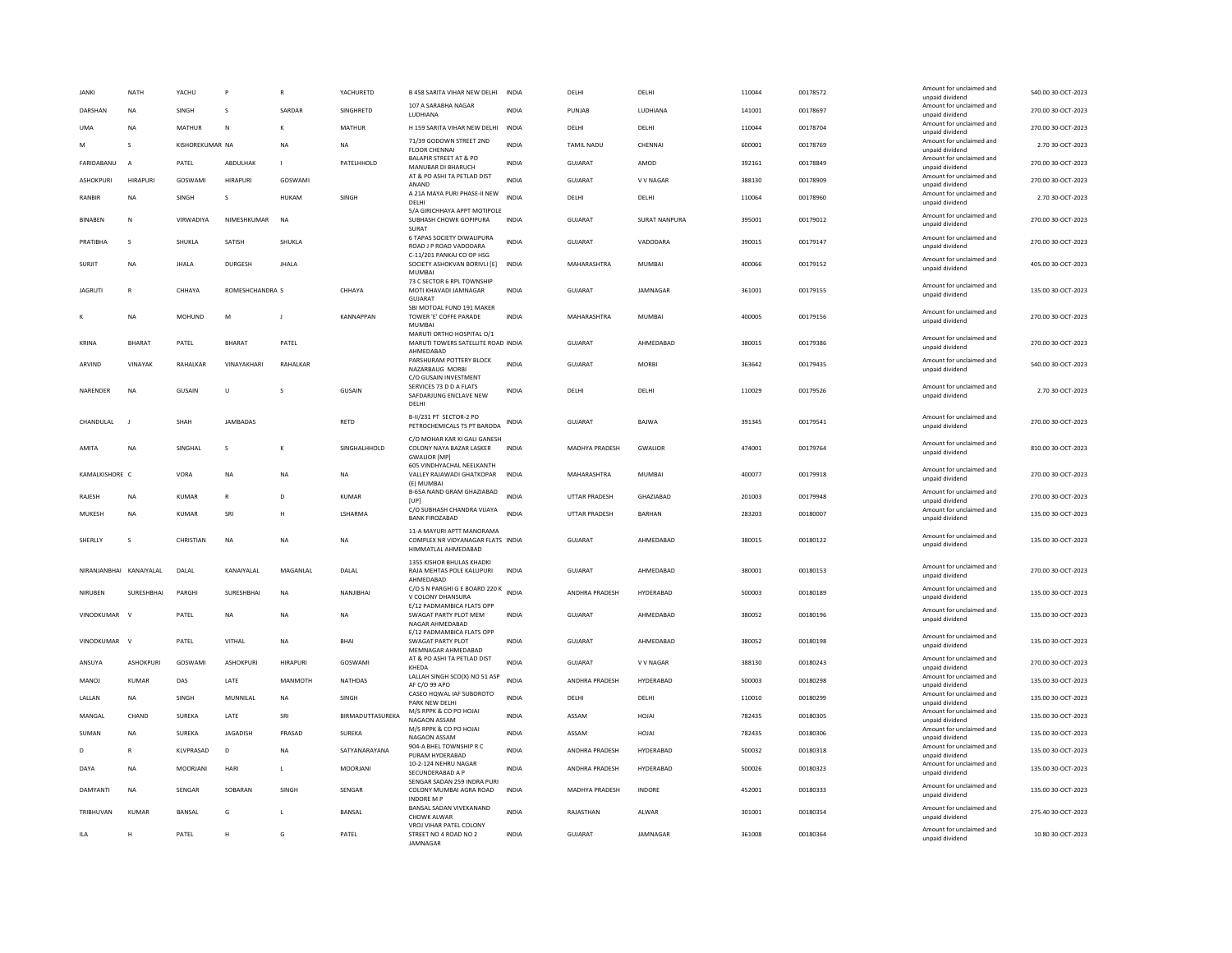| <b>JANKI</b>            | <b>NATH</b>      | YACHU           | P               | $\mathbb{R}$    | YACHURETD        | <b>B 458 SARITA VIHAR NEW DELHI</b>                                                                            | <b>INDIA</b> | DELHI                | DELHI                | 110044 | 00178572 | Amount for unclaimed and<br>unpaid dividend                    | 540.00 30-OCT-2023 |
|-------------------------|------------------|-----------------|-----------------|-----------------|------------------|----------------------------------------------------------------------------------------------------------------|--------------|----------------------|----------------------|--------|----------|----------------------------------------------------------------|--------------------|
| DARSHAN                 | <b>NA</b>        | SINGH           | s               | SARDAR          | SINGHRETD        | 107 A SARABHA NAGAR<br>LUDHIANA                                                                                | <b>INDIA</b> | PUNJAB               | LUDHIANA             | 141001 | 00178697 | Amount for unclaimed and<br>unpaid dividend                    | 270.00 30-OCT-2023 |
| <b>UMA</b>              | <b>NA</b>        | MATHUR          | N               |                 | MATHUR           | H 159 SARITA VIHAR NEW DELHI                                                                                   | <b>INDIA</b> | DELHI                | DELHI                | 110044 | 00178704 | Amount for unclaimed and<br>unpaid dividend                    | 270.00 30-OCT-2023 |
| M                       | s                | KISHOREKUMAR NA |                 | <b>NA</b>       | <b>NA</b>        | 71/39 GODOWN STREET 2ND<br><b>FLOOR CHENNAI</b>                                                                | <b>INDIA</b> | TAMIL NADU           | CHENNAI              | 600001 | 00178769 | Amount for unclaimed and<br>unpaid dividend                    | 2.70 30-OCT-2023   |
| FARIDABANU              | A                | PATEL           | ABDULHAK        | $\mathbf{I}$    | PATELHHOLD       | <b>BALAPIR STREET AT &amp; PO</b><br>MANUBAR DI BHARUCH                                                        | INDIA        | GUJARAT              | AMOD                 | 392161 | 00178849 | Amount for unclaimed and<br>unpaid dividend                    | 270.00 30-OCT-2023 |
| ASHOKPURI               | <b>HIRAPURI</b>  | GOSWAMI         | <b>HIRAPURI</b> | GOSWAMI         |                  | AT & PO ASHI TA PETLAD DIST                                                                                    | <b>INDIA</b> | <b>GUJARAT</b>       | V V NAGAR            | 388130 | 00178909 | Amount for unclaimed and                                       | 270.00 30-OCT-2023 |
| <b>RANBIR</b>           | NA               | <b>SINGH</b>    | s               | HUKAM           | <b>SINGH</b>     | ANAND<br>A 21A MAYA PURI PHASE-II NEW                                                                          | <b>INDIA</b> | DELHI                | DELHI                | 110064 | 00178960 | unpaid dividend<br>Amount for unclaimed and                    | 2.70 30-OCT-2023   |
|                         |                  |                 |                 |                 |                  | DELHI<br>5/A GIRICHHAYA APPT MOTIPOLE                                                                          |              |                      |                      |        |          | unpaid dividend<br>Amount for unclaimed and                    |                    |
| <b>BINAREN</b>          | N                | VIRWADIYA       | NIMESHKUMAR     | <b>NA</b>       |                  | SUBHASH CHOWK GOPIPURA<br>SURAT                                                                                | <b>INDIA</b> | GUIARAT              | <b>SURAT NANPURA</b> | 395001 | 00179012 | unpaid dividend                                                | 270.00.30-OCT-2023 |
| PRATIBHA                | s                | SHUKLA          | SATISH          | SHUKLA          |                  | <b>6 TAPAS SOCIETY DIWALIPURA</b><br>ROAD J P ROAD VADODARA                                                    | <b>INDIA</b> | GUJARAT              | VADODARA             | 390015 | 00179147 | Amount for unclaimed and<br>unpaid dividend                    | 270.00 30-OCT-2023 |
| SURJIT                  | NA               | <b>JHALA</b>    | <b>DURGESH</b>  | <b>JHALA</b>    |                  | C-11/201 PANKAJ CO OP HSG<br>SOCIETY ASHOKVAN BORIVLI [E]<br><b>MUMBA</b>                                      | INDIA        | MAHARASHTRA          | <b>MUMBAI</b>        | 400066 | 00179152 | Amount for unclaimed and<br>unpaid dividend                    | 405.00 30-OCT-2023 |
| <b>JAGRUTI</b>          | $\overline{R}$   | CHHAYA          | ROMESHCHANDRA S |                 | CHHAYA           | 73 C SECTOR 6 RPL TOWNSHIP<br>MOTI KHAVADI JAMNAGAR<br>GUIARAT                                                 | <b>INDIA</b> | <b>GUJARAT</b>       | JAMNAGAR             | 361001 | 00179155 | Amount for unclaimed and<br>unpaid dividend                    | 135.00 30-OCT-2023 |
|                         | <b>NA</b>        | MOHUND          | M               | $\overline{1}$  | <b>KANNAPPAN</b> | SBI MOTOAL FUND 191 MAKER<br>TOWER 'E' COFFE PARADE<br><b>MUMBA</b>                                            | <b>INDIA</b> | MAHARASHTRA          | MUMBAL               | 400005 | 00179156 | Amount for unclaimed and<br>unpaid dividend                    | 270.00 30-OCT-2023 |
| KRINA                   | <b>BHARAT</b>    | PATEL           | <b>BHARAT</b>   | PATEL           |                  | MARUTI ORTHO HOSPITAL O/1<br>MARUTI TOWERS SATELLITE ROAD INDIA                                                |              | GUJARAT              | AHMEDABAD            | 380015 | 00179386 | Amount for unclaimed and<br>unpaid dividend                    | 270.00 30-OCT-2023 |
| ARVIND                  | VINAYAK          | <b>RAHAIKAR</b> | VINAYAKHARI     | <b>RAHAIKAR</b> |                  | AHMEDABAD<br>PARSHURAM POTTERY BLOCK                                                                           | <b>INDIA</b> | GUIARAT              | <b>MORRI</b>         | 363642 | 00179435 | Amount for unclaimed and                                       | 540.00 30-OCT-2023 |
|                         |                  |                 |                 |                 |                  | NAZARBAUG MORBI<br>C/O GUSAIN INVESTMENT                                                                       |              |                      |                      |        |          | unpaid dividend                                                |                    |
| NARENDER                | <b>NA</b>        | GUSAIN          | U               | <b>s</b>        | GUSAIN           | SERVICES 73 D D A FLATS<br>SAFDARJUNG ENCLAVE NEW<br>DELHI                                                     | <b>INDIA</b> | DELHI                | DELHI                | 110029 | 00179526 | Amount for unclaimed and<br>unpaid dividend                    | 2.70 30-OCT-2023   |
| CHANDULAL               | $\mathbf{I}$     | SHAH            | <b>JAMBADAS</b> |                 | RETD             | B-II/231 PT SECTOR-2 PO<br>PETROCHEMICALS TS PT BARODA                                                         | <b>INDIA</b> | GUJARAT              | BAJWA                | 391345 | 00179541 | Amount for unclaimed and<br>unpaid dividend                    | 270.00 30-OCT-2023 |
| AMITA                   | <b>NA</b>        | SINGHAL         | s               | к               | SINGHALHHOLD     | C/O MOHAR KAR KI GALI GANESH<br>COLONY NAYA BAZAR LASKER<br><b>GWALIOR [MP]</b>                                | <b>INDIA</b> | MADHYA PRADESH       | <b>GWALIOR</b>       | 474001 | 00179764 | Amount for unclaimed and<br>unpaid dividend                    | 810.00 30-OCT-2023 |
|                         |                  |                 |                 |                 |                  |                                                                                                                |              |                      |                      |        |          |                                                                |                    |
| KAMALKISHORE C          |                  | VORA            | NA              | <b>NA</b>       | <b>NA</b>        | 605 VINDHYACHAL NEELKANTH<br>VALLEY RAJAWADI GHATKOPAR                                                         | <b>INDIA</b> | MAHARASHTRA          | <b>MUMBAI</b>        | 400077 | 00179918 | Amount for unclaimed and<br>unpaid dividend                    | 270.00 30-OCT-2023 |
| RAJESH                  | <b>NA</b>        | <b>KUMAR</b>    | R               | D               | <b>KUMAR</b>     | (E) MUMBAI<br>B-65A NAND GRAM GHAZIABAD                                                                        | INDIA        | <b>UTTAR PRADESH</b> | GHAZIABAD            | 201003 | 00179948 | Amount for unclaimed and                                       | 270.00 30-OCT-2023 |
| MUKESH                  | <b>NA</b>        | <b>KUMAR</b>    | SRI             | H               | LSHARMA          | [UP]<br>C/O SUBHASH CHANDRA VIJAYA                                                                             | <b>INDIA</b> | <b>UTTAR PRADESH</b> | <b>BARHAN</b>        | 283203 | 00180007 | unpaid dividend<br>Amount for unclaimed and                    | 135.00 30-OCT-2023 |
| SHERLLY                 | s                | CHRISTIAN       | <b>NA</b>       | <b>NA</b>       | NA               | <b>BANK FIROZABAD</b><br>11-A MAYURI APTT MANORAMA<br>COMPLEX NR VIDYANAGAR FLATS INDIA<br>HIMMATLAL AHMEDABAD |              | <b>GUJARAT</b>       | AHMEDABAD            | 380015 | 00180122 | unpaid dividend<br>Amount for unclaimed and<br>unpaid dividend | 135.00 30-OCT-2023 |
| NIRANJANBHAI KANAIYALAL |                  | DALAL           | KANAIYALAL      | MAGANLAL        | DALAL            | 1355 KISHOR BHULAS KHADKI<br>RAJA MEHTAS POLE KALUPURI<br>AHMEDABAD                                            | <b>INDIA</b> | <b>GUJARAT</b>       | AHMEDABAD            | 380001 | 00180153 | Amount for unclaimed and<br>unpaid dividend                    | 270.00 30-OCT-2023 |
| NIRUBEN                 | SURESHBHAI       | PARGHI          | SURESHBHAI      | <b>NA</b>       | NANJIBHAI        | C/O S N PARGHI G E BOARD 220 K INDIA<br>V COLONY DHANSURA                                                      |              | ANDHRA PRADESH       | HYDERABAD            | 500003 | 00180189 | Amount for unclaimed and<br>unpaid dividend                    | 135.00 30-OCT-2023 |
| VINODKUMAR              | $\mathbf{v}$     | PATEL           | <b>NA</b>       | <b>NA</b>       | <b>NA</b>        | E/12 PADMAMBICA FLATS OPF<br>SWAGAT PARTY PLOT MEM                                                             | <b>INDIA</b> | <b>GUJARAT</b>       | AHMEDABAD            | 380052 | 00180196 | Amount for unclaimed and<br>unpaid dividend                    | 135.00 30-OCT-2023 |
| VINODKUMAR              | $\mathbf{v}$     | PATEL           | VITHAL          | <b>NA</b>       | <b>BHAI</b>      | NAGAR AHMEDARAD<br>E/12 PADMAMBICA FLATS OPF<br>SWAGAT PARTY PLOT                                              | <b>INDIA</b> | <b>GUJARAT</b>       | AHMEDABAD            | 380052 | 00180198 | Amount for unclaimed and<br>unpaid dividend                    | 135.00 30-OCT-2023 |
| ANSUYA                  | <b>ASHOKPURI</b> | GOSWAMI         | ASHOKPURI       | HIRAPURI        | GOSWAMI          | MEMNAGAR AHMEDABAD<br>AT & PO ASHI TA PETLAD DIST                                                              | INDIA        | GUJARAT              | V V NAGAR            | 388130 | 00180243 | Amount for unclaimed and                                       | 270.00 30-OCT-2023 |
| <b>MANOJ</b>            | <b>KUMAR</b>     | DAS             | LATE            | <b>MANMOTH</b>  | <b>NATHDAS</b>   | KHEDA<br>LALLAH SINGH SCO(X) NO 51 ASP                                                                         | <b>INDIA</b> | ANDHRA PRADESH       | HYDERABAD            | 500003 | 00180298 | unpaid dividend<br>Amount for unclaimed and                    | 135.00 30-OCT-2023 |
|                         |                  |                 |                 |                 |                  | AF C/O 99 APO<br>CASEO HQWAL IAF SUBOROTO                                                                      |              |                      |                      |        |          | unpaid dividend<br>Amount for unclaimed and                    |                    |
| LALLAN                  | NA               | SINGH           | MUNNILAL        | <b>NA</b>       | SINGH            | PARK NEW DELHI<br>M/S RPPK & CO PO HOJAI                                                                       | INDIA        | DELHI                | DELHI                | 110010 | 00180299 | unpaid dividend<br>Amount for unclaimed and                    | 135.00 30-OCT-2023 |
| MANGAL                  | CHAND            | SUREKA          | LATE            | SRI             | BIRMADUTTASUREKA | NAGAON ASSAM<br>M/S RPPK & CO PO HOJAI                                                                         | <b>INDIA</b> | ASSAM                | HOJAI                | 782435 | 00180305 | unpaid dividend<br>Amount for unclaimed and                    | 135.00 30-OCT-2023 |
| SUMAN                   | <b>NA</b>        | <b>SUREKA</b>   | <b>JAGADISH</b> | PRASAD          | <b>SUREKA</b>    | NAGAON ASSAM<br>904-A BHEL TOWNSHIP R C                                                                        | <b>INDIA</b> | ASSAM                | HOJAI                | 782435 | 00180306 | unpaid dividend<br>Amount for unclaimed and                    | 135.00 30-OCT-2023 |
| D                       | R                | KLVPRASAD       | $\mathsf{D}$    | <b>NA</b>       | SATYANARAYANA    | PURAM HYDERARAD<br>10-2-124 NEHRU NAGAR                                                                        | <b>INDIA</b> | ANDHRA PRADESH       | HYDERABAD            | 500032 | 00180318 | unpaid dividend<br>Amount for unclaimed and                    | 135.00 30-OCT-2023 |
| DAYA                    | <b>NA</b>        | MOORIANI        | HARI            | $\mathbf{L}$    | <b>MOORIANI</b>  | SECUNDERABAD A P                                                                                               | <b>INDIA</b> | ANDHRA PRADESH       | HYDERARAD            | 500026 | 00180323 | unpaid dividend                                                | 135.00 30-OCT-2023 |
| DAMYANTI                | <b>NA</b>        | SENGAR          | SOBARAN         | SINGH           | SENGAR           | SENGAR SADAN 259 INDRA PURI<br>COLONY MUMBAI AGRA ROAD<br><b>INDORE M P</b>                                    | <b>INDIA</b> | MADHYA PRADESH       | INDORE               | 452001 | 00180333 | Amount for unclaimed and<br>unpaid dividend                    | 135.00 30-OCT-2023 |
| TRIBHUVAN               | <b>KUMAR</b>     | <b>BANSAL</b>   | G               |                 | BANSAL           | BANSAL SADAN VIVEKANAND<br>CHOWK ALWAR<br>VROJ VIHAR PATEL COLONY                                              | <b>INDIA</b> | RAJASTHAN            | ALWAR                | 301001 | 00180354 | Amount for unclaimed and<br>unpaid dividend                    | 275.40 30-OCT-2023 |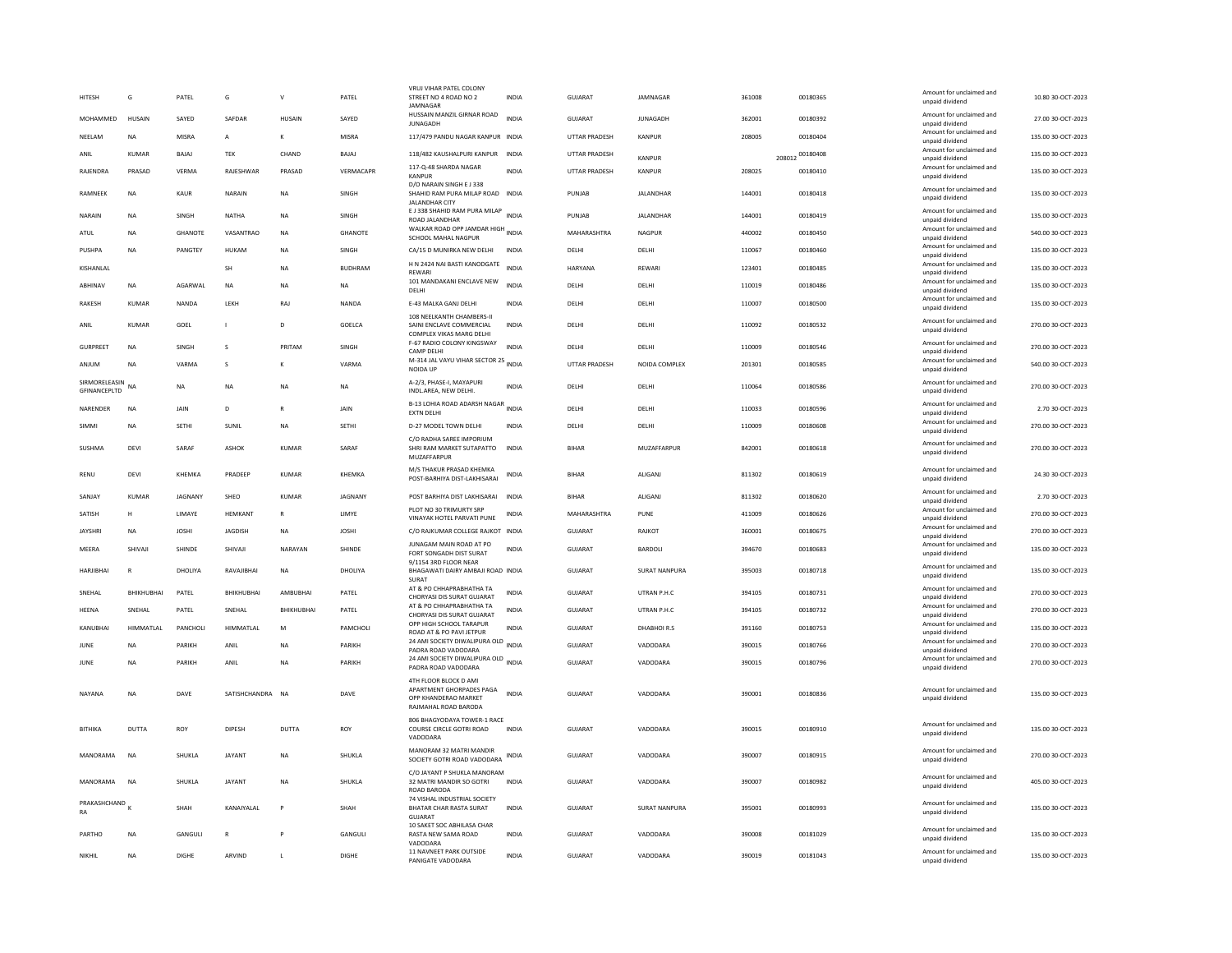| <b>HITESH</b>                    | G             | PATEL          | G                | $\mathbf{v}$  | PATEL          | VRUJ VIHAR PATEL COLONY<br>STREET NO 4 ROAD NO 2<br><b>IAMNAGAR</b>                               | <b>INDIA</b> | GUJARAT              | JAMNAGAR             | 361008 | 00180365        | Amount for unclaimed and<br>unpaid dividend | 10.80 30-OCT-2023  |
|----------------------------------|---------------|----------------|------------------|---------------|----------------|---------------------------------------------------------------------------------------------------|--------------|----------------------|----------------------|--------|-----------------|---------------------------------------------|--------------------|
| <b>MOHAMMED</b>                  | <b>HUSAIN</b> | SAYED          | SAFDAR           | <b>HUSAIN</b> | SAYED          | HUSSAIN MANZIL GIRNAR ROAD<br><b>JUNAGADH</b>                                                     | <b>INDIA</b> | GUIARAT              | <b>IUNAGADH</b>      | 362001 | 00180392        | Amount for unclaimed and<br>unpaid dividend | 27.00.30-OCT-2023  |
| NEELAM                           | NA            | MISRA          | А                | K             | MISRA          | 117/479 PANDU NAGAR KANPUR INDIA                                                                  |              | UTTAR PRADESH        | KANPUR               | 208005 | 00180404        | Amount for unclaimed and<br>unpaid dividend | 135.00 30-OCT-2023 |
| ANIL                             | KUMAR         | BAJAJ          | TEK              | CHAND         | BAJAJ          | 118/482 KAUSHALPURI KANPUR                                                                        | INDIA        | UTTAR PRADESH        | KANPLIR              |        | 208012 00180408 | Amount for unclaimed and<br>unpaid dividend | 135.00 30-OCT-2023 |
| RAJENDRA                         | PRASAD        | VERMA          | RAJESHWAR        | PRASAD        | VERMACAPR      | 117-Q-48 SHARDA NAGAR<br>KANPUR                                                                   | <b>INDIA</b> | UTTAR PRADESH        | KANPUR               | 208025 | 00180410        | Amount for unclaimed and<br>unpaid dividend | 135.00 30-OCT-2023 |
| RAMNEEK                          | NA            | KAUR           | <b>NARAIN</b>    | <b>NA</b>     | SINGH          | D/O NARAIN SINGH E J 338<br>SHAHID RAM PURA MILAP ROAD INDIA<br><b>JALANDHAR CITY</b>             |              | PUNJAB               | JALANDHAR            | 144001 | 00180418        | Amount for unclaimed and<br>unpaid dividend | 135.00 30-OCT-2023 |
| NARAIN                           | <b>NA</b>     | SINGH          | <b>NATHA</b>     | <b>NA</b>     | SINGH          | E J 338 SHAHID RAM PURA MILAP INDIA<br>ROAD JALANDHAR                                             |              | PUNJAB               | <b>JALANDHAR</b>     | 144001 | 00180419        | Amount for unclaimed and<br>unpaid dividend | 135.00 30-OCT-2023 |
| ATUL                             | <b>NA</b>     | <b>GHANOTE</b> | VASANTRAO        | <b>NA</b>     | <b>GHANOTE</b> | WALKAR ROAD OPP JAMDAR HIGH<br>SCHOOL MAHAL NAGPUR                                                | <b>INDIA</b> | MAHARASHTRA          | <b>NAGPUR</b>        | 440002 | 00180450        | Amount for unclaimed and<br>unpaid dividend | 540.00 30-OCT-2023 |
| PUSHPA                           | <b>NA</b>     | PANGTEY        | <b>HUKAM</b>     | <b>NA</b>     | SINGH          | CA/15 D MUNIRKA NEW DELHI                                                                         | <b>INDIA</b> | DELHI                | DELHI                | 110067 | 00180460        | Amount for unclaimed and<br>unpaid dividend | 135.00 30-OCT-2023 |
| KISHANLAL                        |               |                | <b>SH</b>        | NA            | <b>BUDHRAM</b> | H N 2424 NAI BASTI KANODGATE<br>RFWARI                                                            | <b>INDIA</b> | <b>HARYANA</b>       | REWARI               | 123401 | 00180485        | Amount for unclaimed and<br>unpaid dividend | 135.00 30-OCT-2023 |
| ABHINAV                          | <b>NA</b>     | AGARWAL        | <b>NA</b>        | <b>NA</b>     | NA             | 101 MANDAKANI ENCLAVE NEW<br>DELHI                                                                | <b>INDIA</b> | DELHI                | DELHI                | 110019 | 00180486        | Amount for unclaimed and<br>unpaid dividend | 135.00 30-OCT-2023 |
| RAKESH                           | KUMAR         | NANDA          | LEKH             | <b>RAJ</b>    | NANDA          | E-43 MALKA GANJ DELHI                                                                             | <b>INDIA</b> | DELHI                | DELHI                | 110007 | 00180500        | Amount for unclaimed and<br>unpaid dividend | 135.00 30-OCT-2023 |
| ANIL                             | KUMAR         | GOEL           | $\mathbf{I}$     | D.            | <b>GOELCA</b>  | 108 NEELKANTH CHAMBERS-II<br>SAINI ENCLAVE COMMERCIAL<br>COMPLEX VIKAS MARG DELH                  | <b>INDIA</b> | DELHI                | DELHI                | 110092 | 00180532        | Amount for unclaimed and<br>unpaid dividend | 270.00 30-OCT-2023 |
| <b>GURPREET</b>                  | NA            | SINGH          | s                | PRITAM        | SINGH          | F-67 RADIO COLONY KINGSWAY<br><b>CAMP DELHI</b>                                                   | <b>INDIA</b> | DELHI                | DELHI                | 110009 | 00180546        | Amount for unclaimed and<br>unpaid dividend | 270.00 30-OCT-2023 |
| ANIUM                            | <b>NA</b>     | VARMA          | <b>s</b>         | K             | VARMA          | M-314 JAL VAYU VIHAR SECTOR 25 INDIA<br>NOIDA UP                                                  |              | <b>UTTAR PRADESH</b> | NOIDA COMPLEX        | 201301 | 00180585        | Amount for unclaimed and<br>unpaid dividend | 540.00 30-OCT-2023 |
| SIRMORELEASIN NA<br>GFINANCEPLTD |               | <b>NA</b>      | <b>NA</b>        | <b>NA</b>     | <b>NA</b>      | A-2/3, PHASE-I, MAYAPURI<br>INDL.AREA, NEW DELHI.                                                 | <b>INDIA</b> | DELHI                | DELHI                | 110064 | 00180586        | Amount for unclaimed and<br>unpaid dividend | 270.00 30-OCT-2023 |
| NARENDER                         | <b>NA</b>     | JAIN           | D                | $\mathsf{R}$  | JAIN           | B-13 LOHIA ROAD ADARSH NAGAR INDIA<br><b>EXTN DELHI</b>                                           |              | DELHI                | DELHI                | 110033 | 00180596        | Amount for unclaimed and<br>unpaid dividend | 2.70 30-OCT-2023   |
| SIMMI                            | <b>NA</b>     | <b>SETHI</b>   | SUNIL            | <b>NA</b>     | <b>SETHI</b>   | D-27 MODEL TOWN DELHI                                                                             | <b>INDIA</b> | DELHI                | DELHI                | 110009 | 00180608        | Amount for unclaimed and<br>unpaid dividend | 270.00 30-OCT-2023 |
| SUSHMA                           | DFVI          | SARAF          | ASHOK            | KUMAR         | SARAF          | C/O RADHA SAREE IMPORIUM<br>SHRI RAM MARKET SUTAPATTO<br>MUZAFFARPUR                              | <b>INDIA</b> | <b>BIHAR</b>         | MUZAFFARPUR          | 842001 | 00180618        | Amount for unclaimed and<br>unpaid dividend | 270.00.30-QCT-2023 |
| RFNU                             | DFVI          | KHFMKA         | PRADEER          | KUMAR         | KHFMKA         | M/S THAKUR PRASAD KHEMKA<br>POST-BARHIYA DIST-LAKHISARAI                                          | <b>INDIA</b> | <b>BIHAR</b>         | ALIGANI              | 811302 | 00180619        | Amount for unclaimed and<br>unpaid dividend | 24.30.30-OCT-2023  |
| <b>SANJAY</b>                    | <b>KUMAR</b>  | <b>JAGNANY</b> | SHEO             | <b>KUMAR</b>  | <b>JAGNANY</b> | POST BARHIYA DIST LAKHISARAI INDIA                                                                |              | <b>BIHAR</b>         | ALIGANI              | 811302 | 00180620        | Amount for unclaimed and<br>unpaid dividend | 2.70 30-OCT-2023   |
| SATISH                           | н             | LIMAYE         | HEMKANT          | $\mathbb{R}$  | LIMYE          | PLOT NO 30 TRIMURTY SRP<br>VINAYAK HOTEL PARVATI PUNE                                             | INDIA        | MAHARASHTRA          | PUNE                 | 411009 | 00180626        | Amount for unclaimed and<br>unpaid dividend | 270.00 30-OCT-2023 |
| <b>JAYSHRI</b>                   | <b>NA</b>     | <b>JOSHI</b>   | <b>JAGDISH</b>   | <b>NA</b>     | <b>JOSHI</b>   | C/O RAJKUMAR COLLEGE RAJKOT INDIA                                                                 |              | GUJARAT              | RAJKOT               | 360001 | 00180675        | Amount for unclaimed and<br>unpaid dividend | 270.00 30-OCT-2023 |
| MEERA                            | SHIVAJI       | SHINDE         | SHIVAJI          | NARAYAN       | SHINDE         | <b>IUNAGAM MAIN ROAD AT PO</b><br>FORT SONGADH DIST SURAT                                         | <b>INDIA</b> | GUJARAT              | BARDOLI              | 394670 | 00180683        | Amount for unclaimed and<br>unpaid dividend | 135.00 30-OCT-2023 |
| <b>HARJIBHAI</b>                 | $\mathbb{R}$  | DHOLIYA        | RAVAJIBHAI       | <b>NA</b>     | DHOLIYA        | 9/1154 3RD FLOOR NEAR<br>BHAGAWATI DAIRY AMBAJI ROAD INDIA                                        |              | GUJARAT              | <b>SURAT NANPURA</b> | 395003 | 00180718        | Amount for unclaimed and                    | 135.00 30-OCT-2023 |
|                                  |               |                |                  |               |                | SURAT<br>AT & PO CHHAPRABHATHA TA                                                                 |              |                      |                      |        |                 | unpaid dividend<br>Amount for unclaimed and |                    |
| SNEHAL                           | BHIKHUBHAI    | PATEL          | BHIKHUBHAI       | AMBUBHAI      | PATEL          | CHORYASI DIS SURAT GUJARAT<br>AT & PO CHHAPRABHATHA TA                                            | INDIA        | GUJARAT              | UTRAN P.H.C          | 394105 | 00180731        | unpaid dividend<br>Amount for unclaimed and | 270.00 30-OCT-2023 |
| HEENA                            | SNEHAL        | PATEL          | SNEHAL           | BHIKHUBHAI    | PATEL          | CHORYASI DIS SURAT GUJARAT<br>OPP HIGH SCHOOL TARAPUR                                             | INDIA        | GUJARAT              | UTRAN P.H.C          | 394105 | 00180732        | unpaid dividend<br>Amount for unclaimed and | 270.00 30-OCT-2023 |
| KANUBHAI                         | HIMMATLAL     | PANCHOLI       | <b>HIMMATLAL</b> | M             | PAMCHOLI       | ROAD AT & PO PAVI JETPUR<br>24 AMI SOCIETY DIWALIPURA OLD INDIA                                   | <b>INDIA</b> | <b>GUJARAT</b>       | DHABHOIR.S           | 391160 | 00180753        | unpaid dividend<br>Amount for unclaimed and | 135.00 30-OCT-2023 |
| JUNE                             | <b>NA</b>     | PARIKH         | ANIL             | <b>NA</b>     | PARIKH         | PADRA ROAD VADODARA<br>24 AMI SOCIETY DIWALIPURA OLD INDIA                                        |              | <b>GUJARAT</b>       | VADODARA             | 390015 | 00180766        | unpaid dividend<br>Amount for unclaimed and | 270.00 30-OCT-2023 |
| JUNE                             | <b>NA</b>     | PARIKH         | ANIL             | <b>NA</b>     | PARIKH         | PADRA ROAD VADODARA                                                                               |              | <b>GUJARAT</b>       | VADODARA             | 390015 | 00180796        | unpaid dividend                             | 270.00 30-OCT-2023 |
| NAYANA                           | <b>NA</b>     | DAVE           | SATISHCHANDRA NA |               | DAVE           | 4TH FLOOR BLOCK D AMI<br>APARTMENT GHORPADES PAGA<br>OPP KHANDERAO MARKET<br>RAJMAHAL ROAD BARODA | <b>INDIA</b> | GUIARAT              | VADODARA             | 390001 | 00180836        | Amount for unclaimed and<br>unpaid dividend | 135.00 30-OCT-2023 |
| BITHIKA                          | DUTTA         | ROY            | DIPESH           | DUTTA         | ROY            | 806 BHAGYODAYA TOWER-1 RACE<br>COURSE CIRCLE GOTRI ROAD<br>VADODARA                               | <b>INDIA</b> | GUJARAT              | VADODARA             | 390015 | 00180910        | Amount for unclaimed and<br>unpaid dividend | 135.00 30-OCT-2023 |
| MANORAMA                         | <b>NA</b>     | SHUKLA         | <b>JAYANT</b>    | <b>NA</b>     | SHUKLA         | <b>MANORAM 32 MATRI MANDIR</b><br>SOCIETY GOTRI ROAD VADODARA                                     | INDIA        | GUJARAT              | VADODARA             | 390007 | 00180915        | Amount for unclaimed and<br>unpaid dividend | 270.00 30-OCT-2023 |
| MANORAMA                         | <b>NA</b>     | SHUKLA         | JAYANT           | <b>NA</b>     | SHUKLA         | C/O JAYANT P SHUKLA MANORAM<br>32 MATRI MANDIR SO GOTRI<br><b>ROAD BARODA</b>                     | <b>INDIA</b> | GUJARAT              | VADODARA             | 390007 | 00180982        | Amount for unclaimed and<br>unpaid dividend | 405.00 30-OCT-2023 |
| PRAKASHCHAND<br>RA               |               | <b>SHAH</b>    | KANAIYALAL       | P             | SHAH           | 74 VISHAL INDUSTRIAL SOCIETY<br>BHATAR CHAR RASTA SURAT<br><b>GUJARAT</b>                         | <b>INDIA</b> | GUJARAT              | <b>SURAT NANPURA</b> | 395001 | 00180993        | Amount for unclaimed and<br>unpaid dividend | 135.00 30-OCT-2023 |
| PARTHO                           | <b>NA</b>     | GANGULI        | $\mathbb{R}$     | P             | GANGULI        | 10 SAKET SOC ABHILASA CHAR<br>RASTA NEW SAMA ROAD<br>VADODARA                                     | <b>INDIA</b> | <b>GUJARAT</b>       | VADODARA             | 390008 | 00181029        | Amount for unclaimed and<br>unpaid dividend | 135.00 30-OCT-2023 |
| <b>NIKHII</b>                    | <b>NA</b>     | <b>DIGHF</b>   | <b>ARVIND</b>    | L.            | DIGHE          | 11 NAVNEET PARK OUTSIDE<br>PANIGATE VADODARA                                                      | <b>INDIA</b> | GUIARAT              | VADODARA             | 390019 | 00181043        | Amount for unclaimed and<br>unpaid dividend | 135.00 30-OCT-2023 |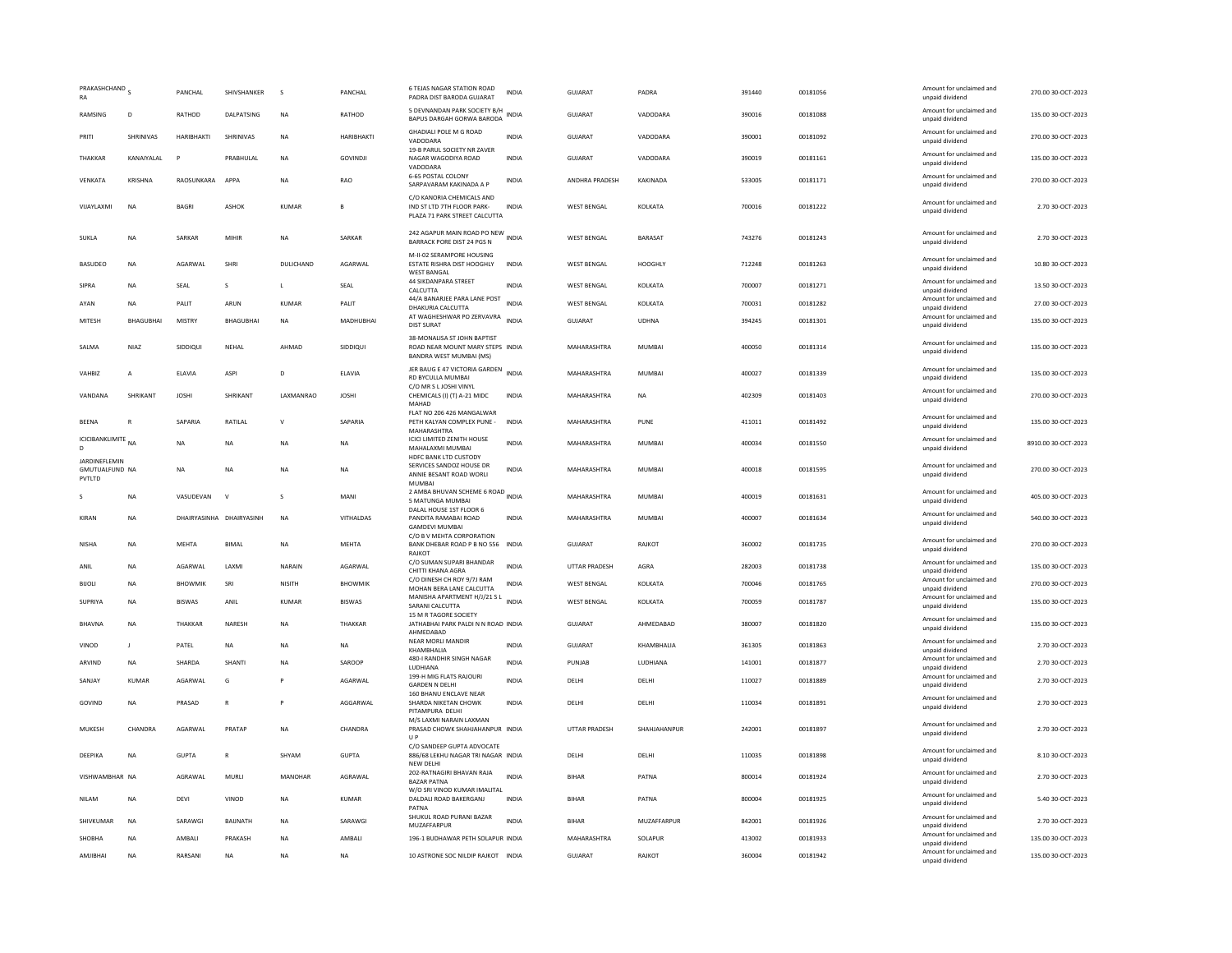| PRAKASHCHAND S<br>RA                             |                | PANCHAL        | SHIVSHANKER              | s            | PANCHAL          | <b>6 TEJAS NAGAR STATION ROAD</b><br>PADRA DIST BARODA GUJARAT                                | <b>INDIA</b> | GUJARAT            | PADRA          | 391440 | 00181056 | Amount for unclaimed and<br>unpaid dividend | 270.00 30-OCT-2023  |
|--------------------------------------------------|----------------|----------------|--------------------------|--------------|------------------|-----------------------------------------------------------------------------------------------|--------------|--------------------|----------------|--------|----------|---------------------------------------------|---------------------|
| RAMSING                                          | D              | RATHOD         | <b>DAI PATSING</b>       | <b>NA</b>    | RATHOD           | 5 DEVNANDAN PARK SOCIETY B/H<br>BAPUS DARGAH GORWA BARODA                                     | <b>INDIA</b> | GUIARAT            | VADODARA       | 390016 | 00181088 | Amount for unclaimed and<br>unpaid dividend | 135.00 30-OCT-2023  |
| PRITI                                            | SHRINIVAS      | HARIBHAKTI     | SHRINIVAS                | <b>NA</b>    | HARIBHAKTI       | <b>GHADIALI POLE M G ROAD</b><br>VADODARA                                                     | INDIA        | GUJARAT            | VADODARA       | 390001 | 00181092 | Amount for unclaimed and<br>unpaid dividend | 270.00 30-OCT-2023  |
| THAKKAR                                          | KANAIYALAL     | p              | PRABHULAL                | <b>NA</b>    | <b>GOVINDJI</b>  | 19-B PARUL SOCIETY NR ZAVER<br>NAGAR WAGODIYA ROAD<br>VADODARA                                | <b>INDIA</b> | GUJARAT            | VADODARA       | 390019 | 00181161 | Amount for unclaimed and<br>unpaid dividend | 135.00 30-OCT-2023  |
| VENKATA                                          | KRISHNA        | RAOSUNKARA     | APPA                     | <b>NA</b>    | RAO              | 6-65 POSTAL COLONY<br>SARPAVARAM KAKINADA A P                                                 | INDIA        | ANDHRA PRADESH     | KAKINADA       | 533005 | 00181171 | Amount for unclaimed and<br>unpaid dividend | 270.00 30-OCT-2023  |
| VIJAYLAXMI                                       | <b>NA</b>      | <b>BAGRI</b>   | <b>ASHOK</b>             | KUMAR        | B                | C/O KANORIA CHEMICALS AND<br>IND ST LTD 7TH FLOOR PARK-<br>PLAZA 71 PARK STREET CALCUTTA      | <b>INDIA</b> | <b>WEST BENGAL</b> | KOLKATA        | 700016 | 00181222 | Amount for unclaimed and<br>unpaid dividend | 2.70 30-OCT-2023    |
| <b>SUKIA</b>                                     | <b>NA</b>      | SARKAR         | MIHIR                    | <b>NA</b>    | SARKAR           | 242 AGAPUR MAIN ROAD PO NEW INDIA<br>BARRACK PORE DIST 24 PGS N                               |              | <b>WEST BENGAL</b> | <b>BARASAT</b> | 743276 | 00181243 | Amount for unclaimed and<br>unpaid dividend | 2.70.30-OCT-2023    |
| <b>BASUDEO</b>                                   | <b>NA</b>      | <b>AGARWAI</b> | <b>SHRI</b>              | DULICHAND    | AGARWAI          | M-II-02 SERAMPORE HOUSING<br>ESTATE RISHRA DIST HOOGHLY<br><b>WEST BANGAL</b>                 | <b>INDIA</b> | <b>WEST BENGAL</b> | HOOGHI Y       | 712248 | 00181263 | Amount for unclaimed and<br>unpaid dividend | 10.80.30-QCT-2023   |
| SIPRA                                            | <b>NA</b>      | SEAL           | s                        | $\mathsf{L}$ | SEAL             | 44 SIKDANPARA STREET<br>CALCUTTA                                                              | <b>INDIA</b> | <b>WEST BENGAL</b> | KOLKATA        | 700007 | 00181271 | Amount for unclaimed and<br>unpaid dividend | 13.50 30-OCT-2023   |
| AYAN                                             | <b>NA</b>      | PALIT          | ARUN                     | KUMAR        | PALIT            | 44/A BANARJEE PARA LANE POST<br>DHAKURIA CALCUTTA                                             | <b>INDIA</b> | <b>WEST BENGAL</b> | KOLKATA        | 700031 | 00181282 | Amount for unclaimed and<br>unpaid dividend | 27.00 30-OCT-2023   |
| MITESH                                           | BHAGUBHAI      | <b>MISTRY</b>  | <b>BHAGUBHAI</b>         | <b>NA</b>    | <b>MADHUBHAI</b> | AT WAGHESHWAR PO ZERVAVRA INDIA<br><b>DIST SURAT</b>                                          |              | <b>GUJARAT</b>     | <b>UDHNA</b>   | 394245 | 00181301 | Amount for unclaimed and<br>unpaid dividend | 135.00 30-OCT-2023  |
| SALMA                                            | NIAZ           | SIDDIOUI       | NEHAL                    | AHMAD        | SIDDIQUI         | 38-MONALISA ST JOHN BAPTIST<br>ROAD NEAR MOUNT MARY STEPS INDIA<br>BANDRA WEST MUMBAI (MS)    |              | MAHARASHTRA        | <b>MUMBAI</b>  | 400050 | 00181314 | Amount for unclaimed and<br>unpaid dividend | 135.00 30-OCT-2023  |
| VAHRI7                                           | $\mathbf{A}$   | <b>FIAVIA</b>  | ASPI                     | $\mathsf{D}$ | <b>FIAVIA</b>    | JER BAUG E 47 VICTORIA GARDEN INDIA<br>RD BYCULLA MUMBAI                                      |              | MAHARASHTRA        | MUMBAL         | 400027 | 00181339 | Amount for unclaimed and<br>unpaid dividend | 135.00 30-OCT-2023  |
| VANDANA                                          | SHRIKANT       | <b>JOSHI</b>   | SHRIKANT                 | LAXMANRAO    | <b>JOSHI</b>     | C/O MR S L JOSHI VINYL<br>CHEMICALS (I) (T) A-21 MIDC<br>MAHAD                                | INDIA        | MAHARASHTRA        | <b>NA</b>      | 402309 | 00181403 | Amount for unclaimed and<br>unpaid dividend | 270.00 30-OCT-2023  |
| <b>BEENA</b>                                     |                | SAPARIA        | RATILAL                  | $\mathsf{v}$ | SAPARIA          | FLAT NO 206 426 MANGALWAR<br>PETH KALYAN COMPLEX PUNE -<br>MAHARASHTRA                        | <b>INDIA</b> | MAHARASHTRA        | PUNE           | 411011 | 00181492 | Amount for unclaimed and<br>unpaid dividend | 135.00 30-OCT-2023  |
| ICICIBANKLIMITE <sub>NA</sub><br>D               |                | <b>NA</b>      | <b>NA</b>                | <b>NA</b>    | NA               | <b>ICICI LIMITED ZENITH HOUSE</b><br>MAHALAXMI MUMBAI                                         | <b>INDIA</b> | MAHARASHTRA        | <b>MUMBAI</b>  | 400034 | 00181550 | Amount for unclaimed and<br>unpaid dividend | 8910.00 30-OCT-2023 |
| JARDINEFLEMIN<br><b>GMUTUALFUND NA</b><br>PVTLTD |                | <b>NA</b>      | <b>NA</b>                | <b>NA</b>    | <b>NA</b>        | HDFC BANK LTD CUSTODY<br>SERVICES SANDOZ HOUSE DR<br>ANNIE BESANT ROAD WORLI<br><b>MUMBAI</b> | <b>INDIA</b> | MAHARASHTRA        | MUMBAI         | 400018 | 00181595 | Amount for unclaimed and<br>unpaid dividend | 270.00.30-OCT-2023  |
| $\mathcal{S}$                                    | <b>NA</b>      | VASUDEVAN      | $\mathbf v$              | $\mathsf{S}$ | MANI             | 2 AMBA BHUVAN SCHEME 6 ROAD INDIA<br>5 MATUNGA MUMBAI                                         |              | MAHARASHTRA        | MUMBAI         | 400019 | 00181631 | Amount for unclaimed and<br>unpaid dividend | 405.00 30-OCT-2023  |
| KIRAN                                            | <b>NA</b>      |                | DHAIRYASINHA DHAIRYASINH | <b>NA</b>    | VITHALDAS        | DALAL HOUSE 1ST FLOOR 6<br>PANDITA RAMABAI ROAD<br><b>GAMDEVI MUMBAI</b>                      | INDIA        | MAHARASHTRA        | <b>MUMBAI</b>  | 400007 | 00181634 | Amount for unclaimed and<br>unpaid dividend | 540.00 30-OCT-2023  |
| NISHA                                            | <b>NA</b>      | <b>MEHTA</b>   | <b>BIMA</b>              | <b>NA</b>    | MEHTA            | C/O B V MEHTA CORPORATION<br>BANK DHEBAR ROAD P B NO 556 INDIA<br><b>RAJKOT</b>               |              | <b>GUJARAT</b>     | RAJKOT         | 360002 | 00181735 | Amount for unclaimed and<br>unpaid dividend | 270.00 30-OCT-2023  |
| ANIL                                             | <b>NA</b>      | AGARWAL        | LAXMI                    | NARAIN       | AGARWAL          | C/O SUMAN SUPARI BHANDAR<br>CHITTI KHANA AGRA                                                 | <b>INDIA</b> | UTTAR PRADESH      | AGRA           | 282003 | 00181738 | Amount for unclaimed and<br>unpaid dividend | 135.00 30-OCT-2023  |
| <b>BIJOLI</b>                                    | <b>NA</b>      | <b>BHOWMIK</b> | SRI                      | NISITH       | <b>BHOWMIK</b>   | C/O DINESH CH ROY 9/7J RAM<br>MOHAN BERA LANE CALCUTTA                                        | <b>INDIA</b> | <b>WEST BENGAL</b> | KOLKATA        | 700046 | 00181765 | Amount for unclaimed and<br>unpaid dividend | 270.00 30-OCT-2023  |
| SUPRIYA                                          | <b>NA</b>      | <b>BISWAS</b>  | ANIL                     | KUMAR        | <b>BISWAS</b>    | MANISHA APARTMENT H/J/21 S L<br>INDIA<br>SARANI CALCUTTA<br>15 M R TAGORE SOCIETY             |              | <b>WEST BENGAL</b> | KOLKATA        | 700059 | 00181787 | Amount for unclaimed and<br>unpaid dividend | 135.00 30-OCT-2023  |
| <b>BHAVNA</b>                                    | <b>NA</b>      | THAKKAR        | NARESH                   | <b>NA</b>    | THAKKAR          | JATHABHAI PARK PALDI N N ROAD INDIA<br>AHMEDABAD                                              |              | GUJARAT            | AHMEDABAD      | 380007 | 00181820 | Amount for unclaimed and<br>unpaid dividend | 135.00 30-OCT-2023  |
| VINOD                                            | $\blacksquare$ | PATEL          | <b>NA</b>                | <b>NA</b>    | <b>NA</b>        | NEAR MORLI MANDIR<br>KHAMBHALIA                                                               | <b>INDIA</b> | GUIARAT            | KHAMBHALIA     | 361305 | 00181863 | Amount for unclaimed and<br>unpaid dividend | 2.70 30-OCT-2023    |
| ARVIND                                           | NA             | SHARDA         | SHANTI                   | <b>NA</b>    | SAROOP           | 480-I RANDHIR SINGH NAGAR<br>LUDHIANA                                                         | INDIA        | PUNJAB             | LUDHIANA       | 141001 | 00181877 | Amount for unclaimed and<br>unpaid dividend | 2.70 30-OCT-2023    |
| SANJAY                                           | KUMAR          | AGARWAL        | G                        |              | AGARWAL          | 199-H MIG FLATS RAJOURI<br><b>GARDEN N DELHI</b>                                              | <b>INDIA</b> | DELHI              | DELHI          | 110027 | 00181889 | Amount for unclaimed and<br>unpaid dividend | 2.70 30-OCT-2023    |
| GOVIND                                           | <b>NA</b>      | PRASAD         | $\mathbb{R}$             | P            | AGGARWAL         | 160 BHANU ENCLAVE NEAR<br>SHARDA NIKETAN CHOWK<br>PITAMPURA DELHI                             | <b>INDIA</b> | DELHI              | DELHI          | 110034 | 00181891 | Amount for unclaimed and<br>unpaid dividend | 2.70 30-OCT-2023    |
| MUKESH                                           | CHANDRA        | AGARWAL        | PRATAP                   | <b>NA</b>    | CHANDRA          | M/S LAXMI NARAIN LAXMAN<br>PRASAD CHOWK SHAHJAHANPUR INDIA<br>$\cup P$                        |              | UTTAR PRADESH      | SHAHJAHANPUR   | 242001 | 00181897 | Amount for unclaimed and<br>unpaid dividend | 2.70 30-OCT-2023    |
| DEEPIKA                                          | NA             | <b>GUPTA</b>   | R                        | SHYAM        | <b>GUPTA</b>     | C/O SANDEEP GUPTA ADVOCATE<br>886/68 LEKHU NAGAR TRI NAGAR INDIA<br>NEW DELHI                 |              | DELHI              | DELHI          | 110035 | 00181898 | Amount for unclaimed and<br>unpaid dividend | 8.10 30-OCT-2023    |
| VISHWAMBHAR NA                                   |                | AGRAWAL        | MURLI                    | MANOHAR      | AGRAWAL          | 202-RATNAGIRI BHAVAN RAJA<br><b>BAZAR PATNA</b>                                               | <b>INDIA</b> | BIHAR              | PATNA          | 800014 | 00181924 | Amount for unclaimed and<br>unpaid dividend | 2.70 30-OCT-2023    |
| <b>NILAM</b>                                     | <b>NA</b>      | DEVI           | VINOD                    | <b>NA</b>    | <b>KUMAR</b>     | W/O SRI VINOD KUMAR IMALITAL<br>DALDALI ROAD BAKERGANJ<br>PATNA                               | <b>INDIA</b> | <b>BIHAR</b>       | PATNA          | 800004 | 00181925 | Amount for unclaimed and<br>unpaid dividend | 5.40 30-OCT-2023    |
| SHIVKUMAR                                        | <b>NA</b>      | SARAWGI        | BAIJNATH                 | <b>NA</b>    | SARAWGI          | SHUKUL ROAD PURANI BAZAR<br>MUZAFFARPUR                                                       | <b>INDIA</b> | <b>BIHAR</b>       | MUZAFFARPUR    | 842001 | 00181926 | Amount for unclaimed and<br>unpaid dividend | 2.70 30-OCT-2023    |
| <b>SHOBHA</b>                                    | <b>NA</b>      | AMBALI         | PRAKASH                  | <b>NA</b>    | AMBALI           | 196-1 BUDHAWAR PETH SOLAPUR INDIA                                                             |              | MAHARASHTRA        | SOLAPUR        | 413002 | 00181933 | Amount for unclaimed and<br>unpaid dividend | 135.00 30-OCT-2023  |
| AMJIBHAI                                         | <b>NA</b>      | RARSANI        | <b>NA</b>                | <b>NA</b>    | <b>NA</b>        | 10 ASTRONE SOC NILDIP RAJKOT INDIA                                                            |              | <b>GUJARAT</b>     | RAJKOT         | 360004 | 00181942 | Amount for unclaimed and<br>unpaid dividend | 135.00 30-OCT-2023  |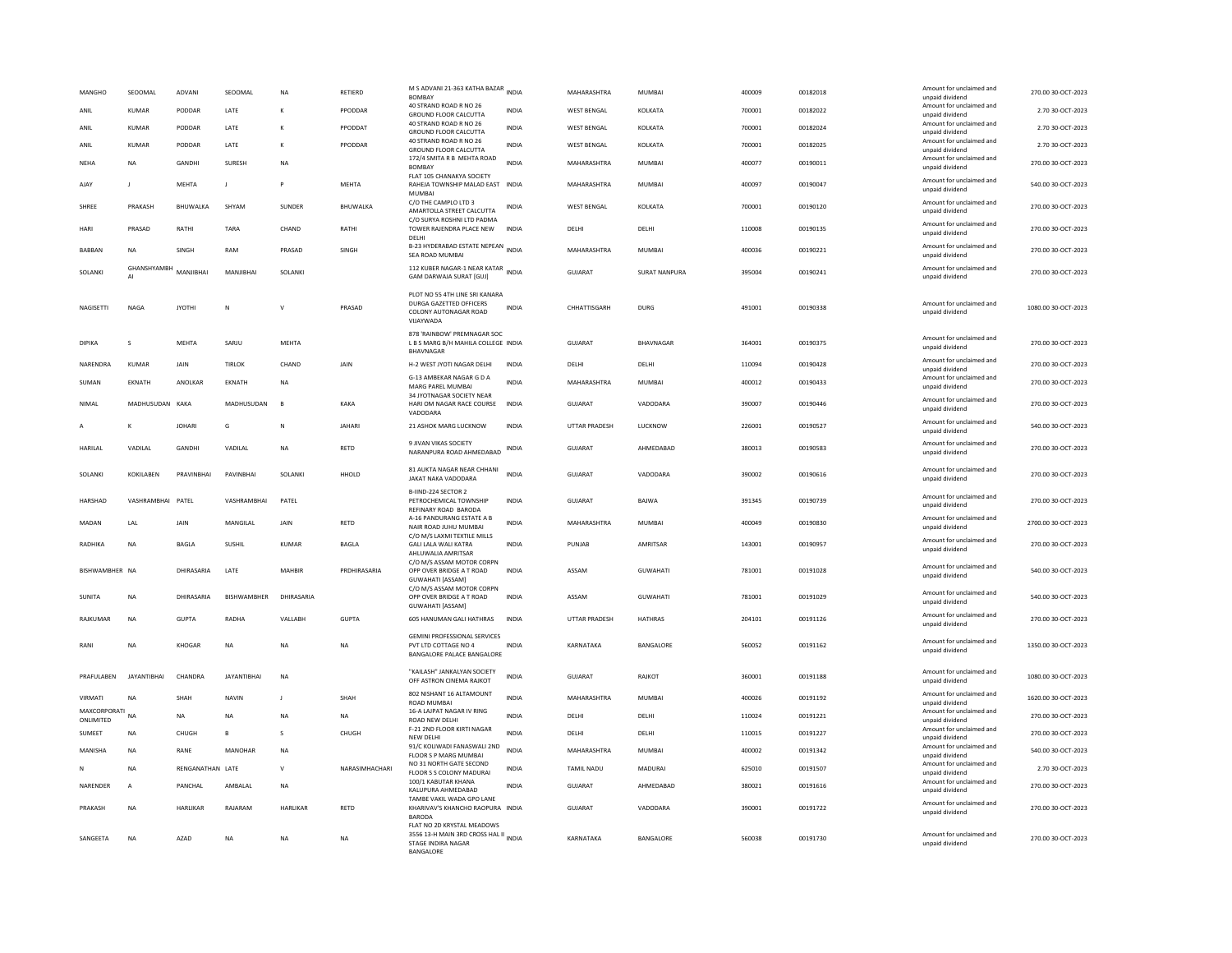| MANGHO                    | SEOOMAL                  | ADVANI           | SEOOMAL            | NA               | RETIERD        | M S ADVANI 21-363 KATHA BAZAR INDIA<br><b>BOMBAY</b>                                                                    |              | MAHARASHTRA          | MUMBAI               | 400009 | 00182018 | Amount for unclaimed and<br>unpaid dividend | 270.00 30-OCT-2023  |
|---------------------------|--------------------------|------------------|--------------------|------------------|----------------|-------------------------------------------------------------------------------------------------------------------------|--------------|----------------------|----------------------|--------|----------|---------------------------------------------|---------------------|
| ANIL                      | KUMAR                    | PODDAR           | LATE               | К                | PPODDAR        | 40 STRAND ROAD R NO 26<br>GROUND FLOOR CALCUTTA                                                                         | INDIA        | WEST BENGAL          | KOLKATA              | 700001 | 00182022 | Amount for unclaimed and<br>unpaid dividend | 2.70 30-OCT-2023    |
| ANIL                      | <b>KUMAR</b>             | PODDAR           | LATE               | ĸ                | PPODDAT        | 40 STRAND ROAD R NO 26<br>GROUND ELOOR CALCUTTA                                                                         | <b>INDIA</b> | <b>WEST BENGAL</b>   | KOLKATA              | 700001 | 00182024 | Amount for unclaimed and<br>unnaid dividend | 2.70 30-OCT-2023    |
| ANIL                      | <b>KUMAR</b>             | PODDAR           | LATE               | к                | PPODDAR        | 40 STRAND ROAD R NO 26<br><b>GROUND FLOOR CALCUTTA</b>                                                                  | <b>INDIA</b> | <b>WEST BENGAL</b>   | KOLKATA              | 700001 | 00182025 | Amount for unclaimed and<br>unpaid dividend | 2.70 30-OCT-2023    |
| NEHA                      | NA                       | GANDHI           | SURESH             | NA               |                | 172/4 SMITA R B MEHTA ROAD<br><b>BOMBAY</b><br>FLAT 105 CHANAKYA SOCIETY                                                | <b>INDIA</b> | MAHARASHTRA          | MUMBAI               | 400077 | 00190011 | Amount for unclaimed and<br>unpaid dividend | 270.00 30-OCT-2023  |
| AJAY                      | $\mathbf{J}$             | <b>MEHTA</b>     | $\mathbf{J}$       | P                | <b>MEHTA</b>   | RAHEJA TOWNSHIP MALAD EAST<br><b>MUMBAI</b>                                                                             | <b>INDIA</b> | MAHARASHTRA          | <b>MUMBAI</b>        | 400097 | 00190047 | Amount for unclaimed and<br>unpaid dividend | 540.00 30-OCT-2023  |
| SHREE                     | PRAKASH                  | BHUWALKA         | SHYAM              | SUNDER           | BHUWALKA       | C/O THE CAMPLO LTD 3<br>AMARTOLLA STREET CALCUTTA                                                                       | INDIA        | <b>WEST BENGAL</b>   | KOLKATA              | 700001 | 00190120 | Amount for unclaimed and<br>unpaid dividend | 270.00 30-OCT-2023  |
| HARI                      | PRASAD                   | RATHI            | <b>TARA</b>        | CHAND            | RATHI          | C/O SURYA ROSHNI LTD PADMA<br>TOWER RAJENDRA PLACE NEW<br>DELHI                                                         | <b>INDIA</b> | DELHI                | DELHI                | 110008 | 00190135 | Amount for unclaimed and<br>unpaid dividend | 270.00 30-OCT-2023  |
| <b>BABBAN</b>             | <b>NA</b>                | SINGH            | RAM                | PRASAD           | SINGH          | B-23 HYDERABAD ESTATE NEPEAN<br>SEA ROAD MUMBAI                                                                         | <b>INDIA</b> | MAHARASHTRA          | <b>MUMBAI</b>        | 400036 | 00190221 | Amount for unclaimed and<br>unpaid dividend | 270.00 30-OCT-2023  |
| SOLANKI                   | <b>GHANSHYAMBH</b><br>AI | MANIIRHAI        | MANJIRHAI          | <b>SOLANKI</b>   |                | 112 KUBER NAGAR-1 NEAR KATAR INDIA<br><b>GAM DARWAJA SURAT [GUJ]</b>                                                    |              | <b>GUJARAT</b>       | <b>SURAT NANPURA</b> | 395004 | 00190241 | Amount for unclaimed and<br>unpaid dividend | 270.00 30-OCT-2023  |
| NAGISETTI                 | <b>NAGA</b>              | <b>JYOTHI</b>    | N                  | $\mathsf{v}$     | PRASAD         | PLOT NO 55 4TH LINE SRI KANARA<br>DURGA GAZETTED OFFICERS<br>COLONY AUTONAGAR ROAD<br>VUAYWADA                          | <b>INDIA</b> | CHHATTISGARH         | <b>DURG</b>          | 491001 | 00190338 | Amount for unclaimed and<br>unpaid dividend | 1080.00 30-OCT-2023 |
| DIPIKA                    | s                        | <b>MEHTA</b>     | SARJU              | MEHTA            |                | 878 'RAINBOW' PREMNAGAR SOC<br>L B S MARG B/H MAHILA COLLEGE INDIA<br><b>BHAVNAGAR</b>                                  |              | GUJARAT              | BHAVNAGAR            | 364001 | 00190375 | Amount for unclaimed and<br>unpaid dividend | 270.00 30-OCT-2023  |
| NARENDRA                  | KUMAR                    | JAIN             | <b>TIRLOK</b>      | CHAND            | JAIN           | H-2 WEST JYOTI NAGAR DELHI                                                                                              | INDIA        | DELHI                | DELHI                | 110094 | 00190428 | Amount for unclaimed and<br>unpaid dividend | 270.00 30-OCT-2023  |
| SUMAN                     | EKNATH                   | ANOLKAR          | EKNATH             | NA               |                | G-13 AMBEKAR NAGAR G D A<br>MARG PAREL MUMBAI                                                                           | INDIA        | MAHARASHTRA          | MUMBAI               | 400012 | 00190433 | Amount for unclaimed and<br>unpaid dividend | 270.00 30-OCT-2023  |
| NIMAI                     | MADHUSUDAN KAKA          |                  | MADHUSUDAN         | $\overline{B}$   | KAKA           | 34 JYOTNAGAR SOCIETY NEAR<br>HARI OM NAGAR RACE COURSE<br>VADODARA                                                      | <b>INDIA</b> | GUIARAT              | VADODARA             | 390007 | 00190446 | Amount for unclaimed and<br>unpaid dividend | 270.00.30-OCT-2023  |
|                           |                          | <b>JOHARI</b>    | G                  | N                | JAHARI         | 21 ASHOK MARG LUCKNOW                                                                                                   | INDIA        | UTTAR PRADESH        | LUCKNOW              | 226001 | 00190527 | Amount for unclaimed and<br>unpaid dividend | 540.00 30-OCT-2023  |
| <b>HARILAL</b>            | VADILAL                  | GANDHI           | VADILAL            | <b>NA</b>        | RETD           | 9 JIVAN VIKAS SOCIETY<br>NARANPURA ROAD AHMEDABAD                                                                       | INDIA        | <b>GUJARAT</b>       | AHMEDABAD            | 380013 | 00190583 | Amount for unclaimed and<br>unpaid dividend | 270.00 30-OCT-2023  |
| SOLANKI                   | <b>KOKILAREN</b>         | PRAVINRHAI       | PAVINRHAI          | <b>SOLANKI</b>   | HHOLD          | 81 AUKTA NAGAR NEAR CHHANI<br><b>JAKAT NAKA VADODARA</b>                                                                | <b>INDIA</b> | GUIARAT              | VADODARA             | 390002 | 00190616 | Amount for unclaimed and<br>unpaid dividend | 270.00 30-OCT-2023  |
| HARSHAD                   | VASHRAMBHAI PATEL        |                  | VASHRAMBHAI        | PATEL            |                | B-IIND-224 SECTOR 2<br>PETROCHEMICAL TOWNSHIP<br>REFINARY ROAD BARODA                                                   | <b>INDIA</b> | GUIARAT              | <b>BAIWA</b>         | 391345 | 00190739 | Amount for unclaimed and<br>unpaid dividend | 270.00 30-OCT-2023  |
| MADAN                     | LAL                      | JAIN             | MANGILAL           | JAIN             | RETD           | A-16 PANDURANG ESTATE A B<br>NAIR ROAD JUHU MUMBAI                                                                      | <b>INDIA</b> | MAHARASHTRA          | <b>MUMBAI</b>        | 400049 | 00190830 | Amount for unclaimed and<br>unpaid dividend | 2700.00 30-OCT-2023 |
| RADHIKA                   | NA                       | BAGLA            | SUSHIL             | KUMAR            | BAGLA          | C/O M/S LAXMI TEXTILE MILLS<br>GALI LALA WALI KATRA<br>AHLUWALIA AMRITSAR                                               | <b>INDIA</b> | PUNJAB               | AMRITSAR             | 143001 | 00190957 | Amount for unclaimed and<br>unpaid dividend | 270.00 30-OCT-2023  |
| BISHWAMBHER NA            |                          | DHIRASARIA       | LATE               | MAHBIR           | PRDHIRASARIA   | C/O M/S ASSAM MOTOR CORPN<br>OPP OVER BRIDGE A T ROAD<br><b>GUWAHATI [ASSAM]</b>                                        | <b>INDIA</b> | ASSAM                | <b>GUWAHATI</b>      | 781001 | 00191028 | Amount for unclaimed and<br>unpaid dividend | 540.00 30-OCT-2023  |
| <b>SUNITA</b>             | <b>NA</b>                | DHIRASARIA       | BISHWAMBHER        | DHIRASARIA       |                | C/O M/S ASSAM MOTOR CORPN<br>OPP OVER BRIDGE A T ROAD<br><b>GUWAHATI [ASSAM]</b>                                        | <b>INDIA</b> | ASSAM                | GUWAHATI             | 781001 | 00191029 | Amount for unclaimed and<br>unpaid dividend | 540.00 30-OCT-2023  |
| RAIKUMAR                  | NA                       | GUPTA            | RADHA              | VALLARH          | GUPTA          | 605 HANUMAN GALLHATHRAS                                                                                                 | <b>INDIA</b> | <b>UTTAR PRADESH</b> | <b>HATHRAS</b>       | 204101 | 00191126 | Amount for unclaimed and<br>unpaid dividend | 270.00.30-OCT-2023  |
| RANI                      | <b>NA</b>                | KHOGAR           | <b>NA</b>          | <b>NA</b>        | <b>NA</b>      | <b>GEMINI PROFESSIONAL SERVICES</b><br>PVT LTD COTTAGE NO 4<br>BANGALORE PALACE BANGALORE                               | <b>INDIA</b> | KARNATAKA            | BANGALORE            | 560052 | 00191162 | Amount for unclaimed and<br>unpaid dividend | 1350.00 30-OCT-2023 |
| PRAFUI ARFN               | <b>IAYANTIRHAI</b>       | CHANDRA          | <b>IAYANTIRHAI</b> | <b>NA</b>        |                | "KAILASH" JANKALYAN SOCIETY<br>OFF ASTRON CINEMA RAJKOT                                                                 | <b>INDIA</b> | GUIARAT              | RAIKOT               | 360001 | 00191188 | Amount for unclaimed and<br>unpaid dividend | 1080.00 30-OCT-2023 |
| VIRMATI                   | <b>NA</b>                | SHAH             | <b>NAVIN</b>       | J.               | SHAH           | 802 NISHANT 16 ALTAMOUNT<br>ROAD MUMBAI                                                                                 | <b>INDIA</b> | MAHARASHTRA          | MUMBAI               | 400026 | 00191192 | Amount for unclaimed and<br>unpaid dividend | 1620.00 30-OCT-2023 |
| MAXCORPORATI<br>ONLIMITED | <b>NA</b>                | <b>NA</b>        | <b>NA</b>          | NA               | NA             | 16-A LAJPAT NAGAR IV RING<br>ROAD NEW DELHI                                                                             | INDIA        | DELHI                | DELHI                | 110024 | 00191221 | Amount for unclaimed and<br>unnaid dividend | 270.00 30-OCT-2023  |
| SUMEET                    | <b>NA</b>                | CHUGH            | B                  | s                | CHUGH          | F-21 2ND FLOOR KIRTI NAGAR<br>NEW DELHI                                                                                 | <b>INDIA</b> | DELHI                | DELHI                | 110015 | 00191227 | Amount for unclaimed and<br>unpaid dividend | 270.00 30-OCT-2023  |
| MANISHA                   | <b>NA</b>                | RANE             | <b>MANOHAR</b>     | <b>NA</b>        |                | 91/C KOLIWADI FANASWALI 2ND<br>FLOOR S P MARG MUMBAI                                                                    | <b>INDIA</b> | MAHARASHTRA          | <b>MUMBAI</b>        | 400002 | 00191342 | Amount for unclaimed and<br>unpaid dividend | 540.00 30-OCT-2023  |
|                           | <b>NA</b>                | RENGANATHAN LATE |                    | v                | NARASIMHACHARI | NO 31 NORTH GATE SECOND<br>FLOOR S S COLONY MADURAI                                                                     | INDIA        | TAMIL NADU           | MADURAI              | 625010 | 00191507 | Amount for unclaimed and<br>unpaid dividend | 2.70 30-OCT-2023    |
| NARENDER                  | Α                        | PANCHAL          | AMBALAL            | NA               |                | 100/1 KABUTAR KHANA<br>KALUPURA AHMEDABAD                                                                               | INDIA        | GUJARAT              | AHMEDABAD            | 380021 | 00191616 | Amount for unclaimed and<br>unpaid dividend | 270.00 30-OCT-2023  |
| PRAKASH                   | <b>NA</b>                | <b>HARLIKAR</b>  | RAIARAM            | <b>HARI IKAR</b> | <b>RFTD</b>    | TAMBE VAKIL WADA GPO LANE<br>KHARIVAV'S KHANCHO RAOPURA INDIA                                                           |              | GUIARAT              | VADODARA             | 390001 | 00191722 | Amount for unclaimed and<br>unpaid dividend | 270.00.30-OCT-2023  |
| SANGEETA                  | <b>NA</b>                | AZAD             | NA                 | NA               | NA             | <b>BARODA</b><br>FLAT NO 2D KRYSTAL MEADOWS<br>3556 13-H MAIN 3RD CROSS HAL II INDIA<br>STAGE INDIRA NAGAR<br>BANGALORE |              | KARNATAKA            | BANGALORE            | 560038 | 00191730 | Amount for unclaimed and<br>unpaid dividend | 270.00 30-OCT-2023  |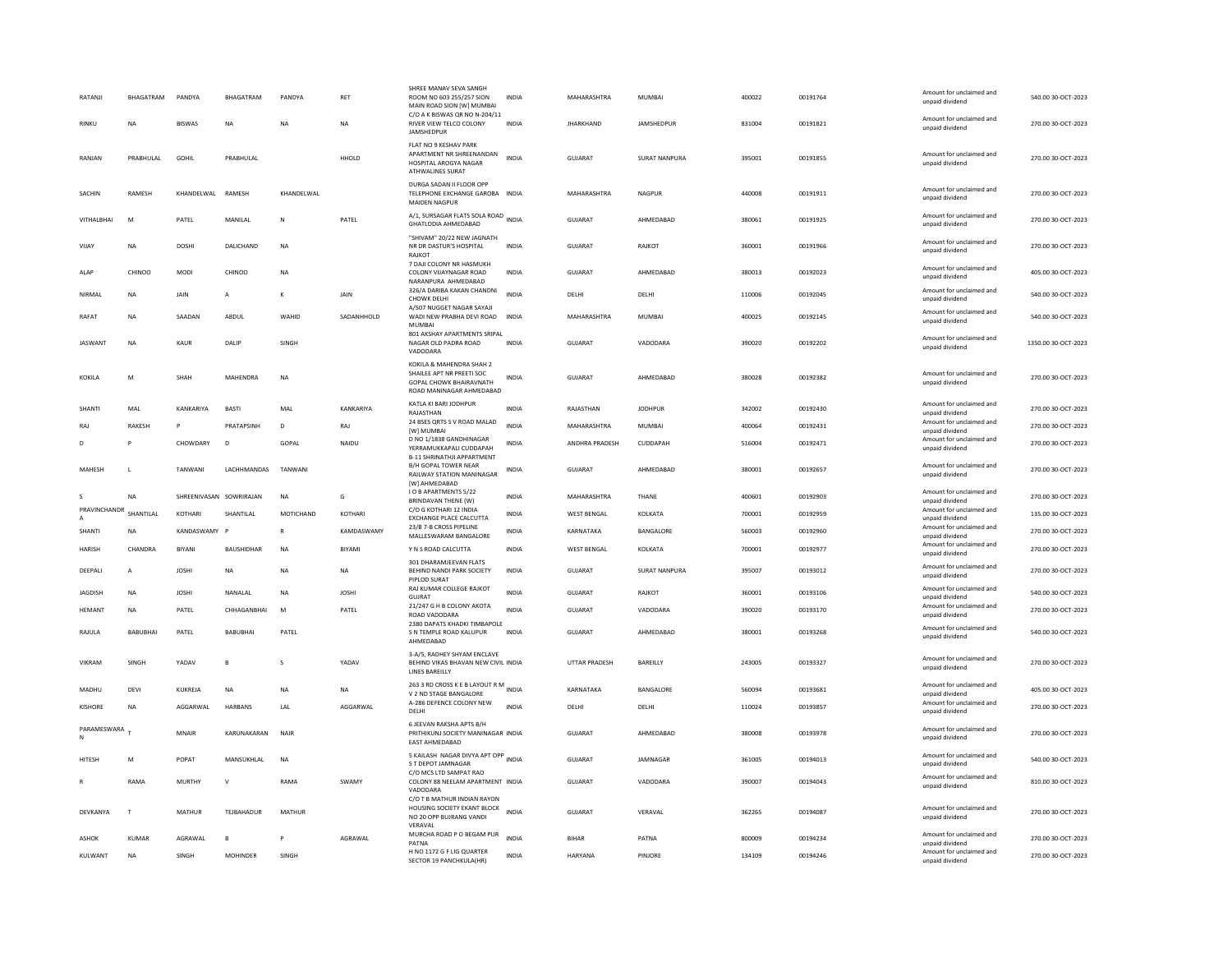| RIVER VIEW TELCO COLONY<br>RINKU<br><b>NA</b><br><b>BISWAS</b><br><b>NA</b><br>N <sub>A</sub><br><b>NA</b><br><b>INDIA</b><br><b>JHARKHAND</b><br><b>JAMSHEDPUR</b><br>831004<br>00191821<br>JAMSHEDPUR<br>FLAT NO 9 KESHAV PARK<br>APARTMENT NR SHREENANDAN<br><b>INDIA</b><br>PRABHULAL<br>GOHIL<br>PRABHULAL<br>HHOLD<br><b>GUJARAT</b><br>SURAT NANPURA<br>395001<br>00191855<br>RANJAN<br><b>HOSPITAL AROGYA NAGAR</b><br><b>ATHWALINES SURAT</b><br>DURGA SADAN ILELOOR OPP<br>SACHIN<br>RAMESH<br>KHANDELWAL RAMESH<br>KHANDELWAL<br>TELEPHONE EXCHANGE GAROBA INDIA<br>MAHARASHTRA<br>NAGPUR<br>440008<br>00191911<br><b>MAIDEN NAGPUR</b><br>A/1, SURSAGAR FLATS SOLA ROAD INDIA<br>VITHALBHAI<br>M<br>PATEL<br>MANILAL<br>PATEL<br>GUJARAT<br>AHMEDABAD<br>380061<br>00191925<br>N<br>GHATLODIA AHMEDABAD<br>"SHIVAM" 20/22 NEW JAGNATH<br>DOSHI<br>DALICHAND<br><b>NA</b><br>GUJARAT<br>360001<br>00191966<br>VIJAY<br>NA<br>NR DR DASTUR'S HOSPITAL<br><b>INDIA</b><br>RAJKOT<br>RAJKOT<br>7 DAJI COLONY NR HASMUKH<br>CHINOO<br>CHINOO<br>GUJARAT<br>AHMEDABAD<br>00192023<br>ALAP<br><b>MODI</b><br><b>NA</b><br>COLONY VIJAYNAGAR ROAD<br><b>INDIA</b><br>380013<br>NARANPURA AHMEDABAD<br>326/A DARIBA KAKAN CHANDNI<br><b>INDIA</b><br>DELHI<br>110006<br>00192045<br>NIRMAL<br><b>NA</b><br>JAIN<br>$\overline{A}$<br>К<br>JAIN<br>DELHI<br>CHOWK DELHI<br>A/507 NUGGET NAGAR SAYAJI | 270.00 30-OCT-2023<br>unpaid dividend<br>Amount for unclaimed and<br>270.00 30-OCT-2023<br>unpaid dividend<br>Amount for unclaimed and<br>270.00 30-OCT-2023<br>unpaid dividend<br>Amount for unclaimed and<br>270.00 30-OCT-2023<br>unpaid dividend<br>Amount for unclaimed and<br>270.00 30-OCT-2023<br>unpaid dividend<br>Amount for unclaimed and<br>405.00 30-OCT-2023 |
|--------------------------------------------------------------------------------------------------------------------------------------------------------------------------------------------------------------------------------------------------------------------------------------------------------------------------------------------------------------------------------------------------------------------------------------------------------------------------------------------------------------------------------------------------------------------------------------------------------------------------------------------------------------------------------------------------------------------------------------------------------------------------------------------------------------------------------------------------------------------------------------------------------------------------------------------------------------------------------------------------------------------------------------------------------------------------------------------------------------------------------------------------------------------------------------------------------------------------------------------------------------------------------------------------------------------------------------------------------------------------------------------------------|-----------------------------------------------------------------------------------------------------------------------------------------------------------------------------------------------------------------------------------------------------------------------------------------------------------------------------------------------------------------------------|
|                                                                                                                                                                                                                                                                                                                                                                                                                                                                                                                                                                                                                                                                                                                                                                                                                                                                                                                                                                                                                                                                                                                                                                                                                                                                                                                                                                                                        |                                                                                                                                                                                                                                                                                                                                                                             |
|                                                                                                                                                                                                                                                                                                                                                                                                                                                                                                                                                                                                                                                                                                                                                                                                                                                                                                                                                                                                                                                                                                                                                                                                                                                                                                                                                                                                        |                                                                                                                                                                                                                                                                                                                                                                             |
|                                                                                                                                                                                                                                                                                                                                                                                                                                                                                                                                                                                                                                                                                                                                                                                                                                                                                                                                                                                                                                                                                                                                                                                                                                                                                                                                                                                                        |                                                                                                                                                                                                                                                                                                                                                                             |
|                                                                                                                                                                                                                                                                                                                                                                                                                                                                                                                                                                                                                                                                                                                                                                                                                                                                                                                                                                                                                                                                                                                                                                                                                                                                                                                                                                                                        |                                                                                                                                                                                                                                                                                                                                                                             |
|                                                                                                                                                                                                                                                                                                                                                                                                                                                                                                                                                                                                                                                                                                                                                                                                                                                                                                                                                                                                                                                                                                                                                                                                                                                                                                                                                                                                        |                                                                                                                                                                                                                                                                                                                                                                             |
|                                                                                                                                                                                                                                                                                                                                                                                                                                                                                                                                                                                                                                                                                                                                                                                                                                                                                                                                                                                                                                                                                                                                                                                                                                                                                                                                                                                                        | unpaid dividend                                                                                                                                                                                                                                                                                                                                                             |
|                                                                                                                                                                                                                                                                                                                                                                                                                                                                                                                                                                                                                                                                                                                                                                                                                                                                                                                                                                                                                                                                                                                                                                                                                                                                                                                                                                                                        | Amount for unclaimed and<br>540.00 30-OCT-2023<br>unpaid dividend                                                                                                                                                                                                                                                                                                           |
| SAADAN<br>ABDUL<br>WAHID<br>SADANHHOLD<br>WADI NEW PRABHA DEVI ROAD<br>MAHARASHTRA<br>MUMBAI<br>00192145<br>RAFAT<br>NA<br><b>INDIA</b><br>400025<br>MUMBAI                                                                                                                                                                                                                                                                                                                                                                                                                                                                                                                                                                                                                                                                                                                                                                                                                                                                                                                                                                                                                                                                                                                                                                                                                                            | Amount for unclaimed and<br>540.00 30-OCT-2023<br>unpaid dividend                                                                                                                                                                                                                                                                                                           |
| 801 AKSHAY APARTMENTS SRIPAL<br>NAGAR OLD PADRA ROAD<br>GUJARAT<br>VADODARA<br>00192202<br><b>JASWAN</b><br>NA<br>KAUR<br>DALIP<br>SINGH<br><b>INDIA</b><br>390020<br>VADODARA                                                                                                                                                                                                                                                                                                                                                                                                                                                                                                                                                                                                                                                                                                                                                                                                                                                                                                                                                                                                                                                                                                                                                                                                                         | Amount for unclaimed and<br>1350.00 30-OCT-2023<br>unpaid dividend                                                                                                                                                                                                                                                                                                          |
| KOKILA & MAHENDRA SHAH 2<br>SHAILEE APT NR PREETI SOC<br><b>GUJARAT</b><br>AHMEDABAD<br>380028<br>00192382<br>SHAH<br>MAHENDRA<br><b>NA</b><br><b>INDIA</b><br><b>KOKILA</b><br>M<br>GOPAL CHOWK BHAIRAVNATH<br>ROAD MANINAGAR AHMEDABAD                                                                                                                                                                                                                                                                                                                                                                                                                                                                                                                                                                                                                                                                                                                                                                                                                                                                                                                                                                                                                                                                                                                                                               | Amount for unclaimed and<br>270.00 30-OCT-2023<br>unpaid dividend                                                                                                                                                                                                                                                                                                           |
| KATLA KI BARI JODHPUR<br>KANKARIYA<br>RAJASTHAN<br>00192430<br>SHANTI<br>MAL<br>KANKARIYA<br>BASTI<br>MAL<br><b>INDIA</b><br><b>JODHPUR</b><br>342002<br>RAJASTHAN                                                                                                                                                                                                                                                                                                                                                                                                                                                                                                                                                                                                                                                                                                                                                                                                                                                                                                                                                                                                                                                                                                                                                                                                                                     | Amount for unclaimed and<br>270.00 30-OCT-2023<br>unpaid dividend                                                                                                                                                                                                                                                                                                           |
| 24 BSES QRTS S V ROAD MALAD<br>RAKESH<br>PRATAPSINH<br>D<br>RAJ<br><b>INDIA</b><br>MAHARASHTRA<br><b>MUMBAI</b><br>400064<br>00192431<br>RAJ<br>P<br>[W] MUMBAI                                                                                                                                                                                                                                                                                                                                                                                                                                                                                                                                                                                                                                                                                                                                                                                                                                                                                                                                                                                                                                                                                                                                                                                                                                        | Amount for unclaimed and<br>270.00 30-OCT-2023<br>unnaid dividend                                                                                                                                                                                                                                                                                                           |
| D NO 1/1838 GANDHINAGAR<br>CHOWDARY<br>GOPAL<br>ANDHRA PRADESH<br>CUDDAPAH<br>00192471<br>NAIDU<br><b>INDIA</b><br>516004<br>D<br>P<br>D<br>YERRAMUKKAPALI CUDDAPAH<br><b>B-11 SHRINATHII APPARTMENT</b>                                                                                                                                                                                                                                                                                                                                                                                                                                                                                                                                                                                                                                                                                                                                                                                                                                                                                                                                                                                                                                                                                                                                                                                               | Amount for unclaimed and<br>270.00 30-OCT-2023<br>unpaid dividend                                                                                                                                                                                                                                                                                                           |
| <b>B/H GOPAL TOWER NEAR</b><br>MAHESH<br>TANWANI<br>LACHHMANDAS<br>TANWANI<br><b>INDIA</b><br><b>GUJARAT</b><br>AHMEDABAD<br>380001<br>00192657<br>L<br>RAILWAY STATION MANINAGAR<br>[W] AHMEDABAD                                                                                                                                                                                                                                                                                                                                                                                                                                                                                                                                                                                                                                                                                                                                                                                                                                                                                                                                                                                                                                                                                                                                                                                                     | Amount for unclaimed and<br>270.00 30-OCT-2023<br>unpaid dividend                                                                                                                                                                                                                                                                                                           |
| <b>IO B APARTMENTS 5/22</b><br><b>NA</b><br>SHREENIVASAN SOWRIRAJAN<br><b>NA</b><br>G<br><b>INDIA</b><br>MAHARASHTRA<br>THANE<br>400601<br>00192903<br>BRINDAVAN THENE (W)                                                                                                                                                                                                                                                                                                                                                                                                                                                                                                                                                                                                                                                                                                                                                                                                                                                                                                                                                                                                                                                                                                                                                                                                                             | Amount for unclaimed and<br>270.00 30-OCT-2023<br>unpaid dividend                                                                                                                                                                                                                                                                                                           |
| PRAVINCHANDR<br>C/O G KOTHARI 12 INDIA<br>SHANTILAL<br>KOTHARI<br>SHANTILAL<br>MOTICHAND<br>KOTHARI<br><b>WEST BENGAL</b><br>KOLKATA<br>700001<br>00192959<br><b>INDIA</b><br>EXCHANGE PLACE CALCUTTA                                                                                                                                                                                                                                                                                                                                                                                                                                                                                                                                                                                                                                                                                                                                                                                                                                                                                                                                                                                                                                                                                                                                                                                                  | Amount for unclaimed and<br>135.00 30-OCT-2023<br>unpaid dividend                                                                                                                                                                                                                                                                                                           |
| 23/B 7-B CROSS PIPELINE<br>SHANTI<br>NA<br>KANDASWAMY<br>$\overline{R}$<br>KAMDASWAMY<br>INDIA<br>KARNATAKA<br>BANGALORE<br>560003<br>00192960<br>MALLESWARAM BANGALORE                                                                                                                                                                                                                                                                                                                                                                                                                                                                                                                                                                                                                                                                                                                                                                                                                                                                                                                                                                                                                                                                                                                                                                                                                                | Amount for unclaimed and<br>270.00 30-OCT-2023<br>unpaid dividend                                                                                                                                                                                                                                                                                                           |
| HARISH<br>CHANDRA<br><b>BIYANI</b><br>BAUSHIDHAR<br><b>NA</b><br><b>BIYAMI</b><br>Y N S ROAD CALCUTTA<br>INDIA<br><b>WEST BENGAL</b><br>KOLKATA<br>700001<br>00192977                                                                                                                                                                                                                                                                                                                                                                                                                                                                                                                                                                                                                                                                                                                                                                                                                                                                                                                                                                                                                                                                                                                                                                                                                                  | Amount for unclaimed and<br>270.00 30-OCT-2023<br>unpaid dividend                                                                                                                                                                                                                                                                                                           |
| 301 DHARAMJEEVAN FLATS<br>BEHIND NANDI PARK SOCIETY<br>INDIA<br>GUJARAT<br>SURAT NANPURA<br>395007<br>00193012<br>DEEPALI<br><b>JOSHI</b><br><b>NA</b><br><b>NA</b><br>A<br><b>NA</b><br>PIPLOD SURAT                                                                                                                                                                                                                                                                                                                                                                                                                                                                                                                                                                                                                                                                                                                                                                                                                                                                                                                                                                                                                                                                                                                                                                                                  | Amount for unclaimed and<br>270.00 30-OCT-2023<br>unpaid dividend                                                                                                                                                                                                                                                                                                           |
|                                                                                                                                                                                                                                                                                                                                                                                                                                                                                                                                                                                                                                                                                                                                                                                                                                                                                                                                                                                                                                                                                                                                                                                                                                                                                                                                                                                                        |                                                                                                                                                                                                                                                                                                                                                                             |
| RAJ KUMAR COLLEGE RAJKOT<br><b>INDIA</b><br>GUIARAT<br>360001<br>00193106<br><b>IAGDISH</b><br><b>NA</b><br><b>IOSHI</b><br>NANALAL<br><b>NA</b><br><b>IOSHI</b><br>RAIKOT<br>GUJRAT                                                                                                                                                                                                                                                                                                                                                                                                                                                                                                                                                                                                                                                                                                                                                                                                                                                                                                                                                                                                                                                                                                                                                                                                                   | Amount for unclaimed and<br>540.00 30-OCT-2023<br>unpaid dividend                                                                                                                                                                                                                                                                                                           |
| 21/247 G H B COLONY AKOTA<br>HEMANT<br>PATEL<br>CHHAGANBHAI<br>M<br>PATEL<br><b>INDIA</b><br>GUJARAT<br>VADODARA<br>390020<br>00193170<br><b>NA</b><br>ROAD VADODARA                                                                                                                                                                                                                                                                                                                                                                                                                                                                                                                                                                                                                                                                                                                                                                                                                                                                                                                                                                                                                                                                                                                                                                                                                                   | Amount for unclaimed and<br>270.00 30-OCT-2023<br>unpaid dividend                                                                                                                                                                                                                                                                                                           |
| 2380 DAPATS KHADKI TIMBAPOLE<br>RAJULA<br>BABUBHAI<br>PATEL<br>BABUBHAI<br>PATEL<br>S N TEMPLE ROAD KALUPUR<br><b>INDIA</b><br><b>GUJARAT</b><br>AHMEDABAD<br>380001<br>00193268<br>AHMEDABAD                                                                                                                                                                                                                                                                                                                                                                                                                                                                                                                                                                                                                                                                                                                                                                                                                                                                                                                                                                                                                                                                                                                                                                                                          | Amount for unclaimed and<br>540.00 30-OCT-2023<br>unpaid dividend                                                                                                                                                                                                                                                                                                           |
| 3-A/5, RADHEY SHYAM ENCLAVE<br>BAREILLY<br>243005<br>00193327<br><b>VIKRAM</b><br>SINGH<br>YADAV<br>YADAV<br>BEHIND VIKAS BHAVAN NEW CIVIL INDIA<br><b>UTTAR PRADESH</b><br>$\mathbf{R}$<br>$\mathbf{S}$<br><b>LINES BAREILLY</b>                                                                                                                                                                                                                                                                                                                                                                                                                                                                                                                                                                                                                                                                                                                                                                                                                                                                                                                                                                                                                                                                                                                                                                      | Amount for unclaimed and<br>270.00 30-OCT-2023<br>unpaid dividend                                                                                                                                                                                                                                                                                                           |
| 263 3 RD CROSS K E B LAYOUT R M INDIA<br>KARNATAKA<br>MADHU<br>DEVI<br>KUKREJA<br><b>NA</b><br><b>NA</b><br><b>NA</b><br>BANGALORE<br>560094<br>00193681                                                                                                                                                                                                                                                                                                                                                                                                                                                                                                                                                                                                                                                                                                                                                                                                                                                                                                                                                                                                                                                                                                                                                                                                                                               | Amount for unclaimed and<br>405.00 30-OCT-2023                                                                                                                                                                                                                                                                                                                              |
| V 2 ND STAGE BANGALORE<br>A-286 DEFENCE COLONY NEW<br>AGGARWAL<br>AGGARWAL<br><b>INDIA</b><br>110024<br><b>KISHORE</b><br><b>HARBANS</b><br>LAL<br>DELHI<br>00193857<br><b>NA</b><br>DELHI<br>DELH                                                                                                                                                                                                                                                                                                                                                                                                                                                                                                                                                                                                                                                                                                                                                                                                                                                                                                                                                                                                                                                                                                                                                                                                     | unpaid dividend<br>Amount for unclaimed and<br>270.00 30-OCT-2023                                                                                                                                                                                                                                                                                                           |
| 6 JEEVAN RAKSHA APTS B/H<br>PARAMESWARA<br><b>MNAIR</b><br>KARUNAKARAN<br>NAIR<br>PRITHIKUNJ SOCIETY MANINAGAR INDIA<br><b>GUJARAT</b><br>AHMEDABAD<br>380008<br>00193978<br>EAST AHMEDABAD                                                                                                                                                                                                                                                                                                                                                                                                                                                                                                                                                                                                                                                                                                                                                                                                                                                                                                                                                                                                                                                                                                                                                                                                            | unpaid dividend<br>Amount for unclaimed and<br>270.00 30-OCT-2023<br>unpaid dividend                                                                                                                                                                                                                                                                                        |
| 5 KAILASH NAGAR DIVYA APT OPP INDIA<br>POPAT<br>MANSUKHLAL<br><b>GUJARAT</b><br>JAMNAGAR<br>361005<br>00194013<br><b>HITESH</b><br>M<br><b>NA</b><br>S T DEPOT JAMNAGAR                                                                                                                                                                                                                                                                                                                                                                                                                                                                                                                                                                                                                                                                                                                                                                                                                                                                                                                                                                                                                                                                                                                                                                                                                                | Amount for unclaimed and<br>540.00 30-OCT-2023<br>unpaid dividend                                                                                                                                                                                                                                                                                                           |
| C/O MCS LTD SAMPAT RAO<br>RAMA<br>MURTHY<br>RAMA<br>SWAMY<br>COLONY 88 NEELAM APARTMENT INDIA<br>GUJARAT<br>VADODARA<br>390007<br>00194043<br>$\vee$<br>VADODARA                                                                                                                                                                                                                                                                                                                                                                                                                                                                                                                                                                                                                                                                                                                                                                                                                                                                                                                                                                                                                                                                                                                                                                                                                                       | Amount for unclaimed and<br>810.00 30-OCT-2023<br>unpaid dividend                                                                                                                                                                                                                                                                                                           |
| C/O T B MATHUR INDIAN RAYON<br>HOUSING SOCIETY EKANT BLOCK<br><b>INDIA</b><br><b>MATHUR</b><br>TEJBAHADUR<br>MATHUR<br><b>GUJARAT</b><br>VERAVAL<br>362265<br>00194087<br>DEVKANYA<br>T<br>NO 20 OPP BUJRANG VANDI<br>VFRAVAI                                                                                                                                                                                                                                                                                                                                                                                                                                                                                                                                                                                                                                                                                                                                                                                                                                                                                                                                                                                                                                                                                                                                                                          | Amount for unclaimed and<br>270.00 30-OCT-2023<br>unpaid dividend                                                                                                                                                                                                                                                                                                           |
| MURCHA ROAD P O BEGAM PUR<br>AGRAWAI<br><b>INDIA</b><br><b>ASHOK</b><br>KUMAR<br>AGRAWAI<br>P<br><b>BIHAR</b><br>PATNA<br>800009<br>00194234<br>R<br>PATNA                                                                                                                                                                                                                                                                                                                                                                                                                                                                                                                                                                                                                                                                                                                                                                                                                                                                                                                                                                                                                                                                                                                                                                                                                                             | Amount for unclaimed and<br>270.00 30-OCT-2023<br>unpaid dividend                                                                                                                                                                                                                                                                                                           |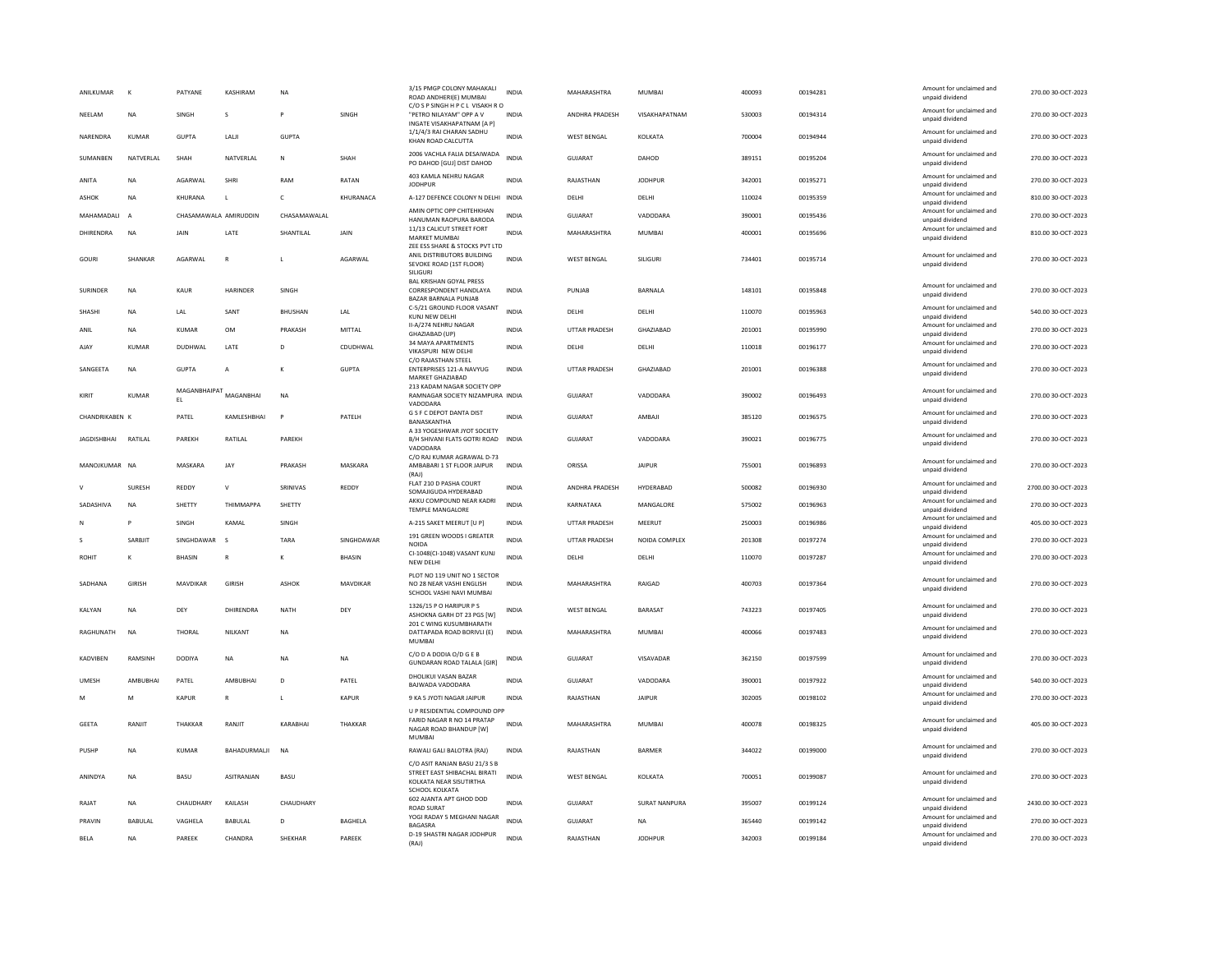| ANILKUMAR          | к              | PATYANE               | KASHIRAM                                     | <b>NA</b>      |                 | 3/15 PMGP COLONY MAHAKALI<br>ROAD ANDHERI(E) MUMBAI<br>C/O S P SINGH H P C L VISAKH R O                    | <b>INDIA</b> | MAHARASHTRA          | MUMBAI         | 400093 | 00194281 | Amount for unclaimed and<br>unpaid dividend | 270.00 30-OCT-2023  |
|--------------------|----------------|-----------------------|----------------------------------------------|----------------|-----------------|------------------------------------------------------------------------------------------------------------|--------------|----------------------|----------------|--------|----------|---------------------------------------------|---------------------|
| NEELAM             | <b>NA</b>      | SINGH                 | s                                            |                | SINGH           | "PETRO NILAYAM" OPP A V<br>INGATE VISAKHAPATNAM [A P]                                                      | INDIA        | ANDHRA PRADESH       | VISAKHAPATNAM  | 530003 | 00194314 | Amount for unclaimed and<br>unpaid dividend | 270.00 30-OCT-2023  |
| NARENDRA           | <b>KUMAR</b>   | <b>GUPTA</b>          | LALI                                         | <b>GUPTA</b>   |                 | 1/1/4/3 RAI CHARAN SADHU<br>KHAN ROAD CALCUTTA                                                             | <b>INDIA</b> | <b>WEST BENGAL</b>   | KOLKATA        | 700004 | 00194944 | Amount for unclaimed and<br>unpaid dividend | 270.00 30-OCT-2023  |
| SUMANBEN           | NATVERLAL      | SHAH                  | NATVERLAL                                    | $\mathbf N$    | SHAH            | 2006 VACHLA FALIA DESAIWADA<br>PO DAHOD [GUJ] DIST DAHOD                                                   | <b>INDIA</b> | <b>GUJARAT</b>       | DAHOD          | 389151 | 00195204 | Amount for unclaimed and<br>unpaid dividend | 270.00 30-OCT-2023  |
| ANITA              | <b>NA</b>      | AGARWAI               | SHRI                                         | RAM            | RATAN           | 403 KAMLA NEHRU NAGAR<br><b>JODHPUR</b>                                                                    | <b>INDIA</b> | RAIASTHAN            | <b>IODHPUR</b> | 342001 | 00195271 | Amount for unclaimed and<br>unpaid dividend | 270.00 30-OCT-2023  |
| <b>ASHOK</b>       | <b>NA</b>      | KHURANA               | $\mathbf{L}$                                 | $\epsilon$     | KHURANACA       | A-127 DEFENCE COLONY N DELHI INDIA                                                                         |              | DELHI                | DELHI          | 110024 | 00195359 | Amount for unclaimed and<br>unpaid dividend | 810.00 30-OCT-2023  |
| MAHAMADALI         | $\overline{A}$ | CHASAMAWALA AMIRUDDIN |                                              | CHASAMAWALAL   |                 | AMIN OPTIC OPP CHITEHKHAN<br>HANUMAN RAOPURA BARODA                                                        | <b>INDIA</b> | GUJARAT              | VADODARA       | 390001 | 00195436 | Amount for unclaimed and<br>unpaid dividend | 270.00 30-OCT-2023  |
| DHIRENDRA          | <b>NA</b>      | JAIN                  | LATE                                         | SHANTILAL      | JAIN            | 11/13 CALICUT STREET FORT<br>MARKET MUMBAI                                                                 | <b>INDIA</b> | MAHARASHTRA          | MUMBAI         | 400001 | 00195696 | Amount for unclaimed and<br>unpaid dividend | 810.00 30-OCT-2023  |
| GOURI              | <b>SHANKAR</b> | AGARWAI               | $\mathbb{R}$                                 | $\mathbf{L}$   | AGARWAI         | ZEE ESS SHARE & STOCKS PVT LTD<br>ANIL DISTRIBUTORS BUILDING<br>SEVOKE ROAD (1ST FLOOR)                    | <b>INDIA</b> | WEST BENGAL          | SILIGURI       | 734401 | 00195714 | Amount for unclaimed and<br>unpaid dividend | 270.00 30-OCT-2023  |
| <b>SURINDER</b>    | <b>NA</b>      | KAUR                  | <b>HARINDER</b>                              | SINGH          |                 | SILIGURI<br><b>BAL KRISHAN GOYAL PRESS</b><br>CORRESPONDENT HANDLAYA<br>BAZAR BARNALA PUNJAB               | <b>INDIA</b> | PUNJAB               | BARNALA        | 148101 | 00195848 | Amount for unclaimed and<br>unpaid dividend | 270.00 30-OCT-2023  |
| SHASHI             | <b>NA</b>      | LAL                   | SANT                                         | BHUSHAN        | LAL             | C-5/21 GROUND FLOOR VASANT<br>KUNJ NEW DELHI                                                               | <b>INDIA</b> | DELHI                | DELHI          | 110070 | 00195963 | Amount for unclaimed and<br>unpaid dividend | 540.00 30-OCT-2023  |
| ANIL               | NA             | KUMAR                 | OM                                           | PRAKASH        | MITTAL          | <b>II-A/274 NEHRU NAGAR</b>                                                                                | INDIA        | UTTAR PRADESH        | GHAZIABAD      | 201001 | 00195990 | Amount for unclaimed and                    | 270.00 30-OCT-2023  |
| AJAY               | <b>KUMAR</b>   | DUDHWAL               | LATE                                         | D              | CDUDHWAL        | GHAZIABAD (UP)<br>34 MAYA APARTMENTS                                                                       | <b>INDIA</b> | DELHI                | DELHI          | 110018 | 00196177 | unpaid dividend<br>Amount for unclaimed and | 270.00 30-OCT-2023  |
|                    |                |                       |                                              |                |                 | VIKASPURI NEW DELHI<br>C/O RAJASTHAN STEEL                                                                 |              |                      |                |        |          | unpaid dividend                             |                     |
| SANGEETA           | <b>NA</b>      | <b>GUPTA</b>          | A                                            | $\mathbf{K}$   | <b>GUPTA</b>    | ENTERPRISES 121-A NAVYUG<br>MARKET GHAZIABAD                                                               | <b>INDIA</b> | <b>UTTAR PRADESH</b> | GHAZIABAD      | 201001 | 00196388 | Amount for unclaimed and<br>unpaid dividend | 270.00 30-OCT-2023  |
| KIRIT              | KUMAR          |                       | $\mathsf{MAGANBHAIRAT}_{\mathsf{MAGANBHAI}}$ | NA             |                 | 213 KADAM NAGAR SOCIETY OPP<br>RAMNAGAR SOCIETY NIZAMPURA INDIA<br>VADODARA                                |              | <b>GUJARAT</b>       | VADODARA       | 390002 | 00196493 | Amount for unclaimed and<br>unpaid dividend | 270.00 30-OCT-2023  |
| CHANDRIKABEN K     |                | PATEL                 | KAMLESHBHAI                                  | $\overline{P}$ | PATELH          | G S F C DEPOT DANTA DIST<br>BANASKANTHA                                                                    | <b>INDIA</b> | GUJARAT              | AMBAJI         | 385120 | 00196575 | Amount for unclaimed and<br>unpaid dividend | 270.00 30-OCT-2023  |
| <b>JAGDISHBHAI</b> | RATILAL        | PAREKH                | RATILAL                                      | PAREKH         |                 | A 33 YOGESHWAR JYOT SOCIETY<br>B/H SHIVANI FLATS GOTRI ROAD<br>VADODARA                                    | <b>INDIA</b> | GUJARAT              | VADODARA       | 390021 | 00196775 | Amount for unclaimed and<br>unpaid dividend | 270.00 30-OCT-2023  |
| MANOJKUMAR NA      |                | MASKARA               | JAY                                          | PRAKASH        | MASKARA         | C/O RAJ KUMAR AGRAWAL D-73<br>AMBABARI 1 ST FLOOR JAIPUR<br>(RAI)                                          | <b>INDIA</b> | ORISSA               | <b>JAIPUR</b>  | 755001 | 00196893 | Amount for unclaimed and<br>unpaid dividend | 270.00 30-OCT-2023  |
|                    | SURESH         | REDDY                 | $\vee$                                       | SRINIVAS       | REDDY           | FLAT 210 D PASHA COURT<br>SOMAJIGUDA HYDERABAD                                                             | <b>INDIA</b> | ANDHRA PRADESH       | HYDERABAD      | 500082 | 00196930 | Amount for unclaimed and<br>unpaid dividend | 2700.00 30-OCT-2023 |
| SADASHIVA          | <b>NA</b>      | SHETTY                | THIMMAPPA                                    | SHETTY         |                 | AKKU COMPOUND NEAR KADRI<br>TEMPLE MANGALORE                                                               | <b>INDIA</b> | KARNATAKA            | MANGALORE      | 575002 | 00196963 | Amount for unclaimed and<br>unpaid dividend | 270.00 30-OCT-2023  |
| N                  | P              | <b>SINGH</b>          | KAMAI                                        | SINGH          |                 | A-215 SAKET MEERUT [U P]                                                                                   | <b>INDIA</b> | <b>UTTAR PRADESH</b> | MFFRUT         | 250003 | 00196986 | Amount for unclaimed and<br>unpaid dividend | 405.00.30-OCT-2023  |
|                    | SARBJIT        | SINGHDAWAR            | $\overline{\phantom{a}}$                     | TARA           | SINGHDAWAR      | 191 GREEN WOODS I GREATER                                                                                  | INDIA        | <b>UTTAR PRADESH</b> | NOIDA COMPLEX  | 201308 | 00197274 | Amount for unclaimed and                    | 270.00 30-OCT-2023  |
| ROHIT              | к              | BHASIN                | $\mathsf{R}$                                 | $\kappa$       | BHASIN          | <b>NOIDA</b><br>CI-1048(CI-1048) VASANT KUNJ                                                               | <b>INDIA</b> | DELHI                | DELHI          | 110070 | 00197287 | unpaid dividend<br>Amount for unclaimed and | 270.00 30-OCT-2023  |
|                    |                |                       |                                              |                |                 | NEW DELH                                                                                                   |              |                      |                |        |          | unpaid dividend                             |                     |
| SADHANA            | <b>GIRISH</b>  | MAVDIKAR              | GIRISH                                       | <b>ASHOK</b>   | <b>MAVDIKAR</b> | PLOT NO 119 UNIT NO 1 SECTOR<br>NO 28 NEAR VASHI ENGLISH<br>SCHOOL VASHI NAVI MUMBAI                       | <b>INDIA</b> | MAHARASHTRA          | RAIGAD         | 400703 | 00197364 | Amount for unclaimed and<br>unpaid dividend | 270.00.30-OCT-2023  |
| KALYAN             | <b>NA</b>      | DEY                   | DHIRENDRA                                    | NATH           | DEY             | 1326/15 P O HARIPUR P S<br>ASHOKNA GARH DT 23 PGS [W]                                                      | INDIA        | <b>WEST BENGAL</b>   | BARASAT        | 743223 | 00197405 | Amount for unclaimed and<br>unpaid dividend | 270.00 30-OCT-2023  |
| RAGHUNATH          | <b>NA</b>      | THORAL                | NILKANT                                      | <b>NA</b>      |                 | 201 C WING KUSUMBHARATH<br>DATTAPADA ROAD BORIVLI (E)<br><b>MUMBAI</b>                                     | <b>INDIA</b> | MAHARASHTRA          | <b>MUMBAI</b>  | 400066 | 00197483 | Amount for unclaimed and<br>unpaid dividend | 270.00 30-OCT-2023  |
| KADVIBEN           | RAMSINH        | <b>DODIYA</b>         | NA                                           | <b>NA</b>      | NA              | C/O D A DODIA O/D G E B<br><b>GUNDARAN ROAD TALALA [GIR]</b>                                               | INDIA        | <b>GUJARAT</b>       | VISAVADAR      | 362150 | 00197599 | Amount for unclaimed and<br>unpaid dividend | 270.00 30-OCT-2023  |
| <b>UMESH</b>       | AMBUBHAI       | PATEL                 | AMBUBHAI                                     | D              | PATEL           | DHOLIKUI VASAN BAZAR<br>BAJWADA VADODARA                                                                   | <b>INDIA</b> | GUJARAT              | VADODARA       | 390001 | 00197922 | Amount for unclaimed and<br>unpaid dividend | 540.00 30-OCT-2023  |
| M                  | M              | KAPUR                 | $\mathbb{R}$                                 | $\mathbf{L}$   | <b>KAPUR</b>    | 9 KA 5 JYOTI NAGAR JAIPUR                                                                                  | INDIA        | RAJASTHAN            | <b>JAIPUR</b>  | 302005 | 00198102 | Amount for unclaimed and                    | 270.00 30-OCT-2023  |
|                    |                |                       |                                              |                |                 | U P RESIDENTIAL COMPOUND OPP                                                                               |              |                      |                |        |          | unpaid dividend                             |                     |
| <b>GFFTA</b>       | RANIT          | <b>THAKKAR</b>        | RANIIT                                       | KARABHAI       | THAKKAR         | FARID NAGAR R NO 14 PRATAP<br>NAGAR ROAD BHANDUP [W]<br>MUMBAI                                             | <b>INDIA</b> | MAHARASHTRA          | MUMBAI         | 400078 | 00198325 | Amount for unclaimed and<br>unpaid dividend | 405.00.30-OCT-2023  |
| PUSHP              | <b>NA</b>      | <b>KUMAR</b>          | BAHADURMALII                                 | <b>NA</b>      |                 | RAWALI GALI BALOTRA (RAJ)                                                                                  | INDIA        | RAJASTHAN            | BARMER         | 344022 | 00199000 | Amount for unclaimed and<br>unpaid dividend | 270.00 30-OCT-2023  |
| ANINDYA            | <b>NA</b>      | <b>BASU</b>           | ASITRANJAN                                   | <b>BASU</b>    |                 | C/O ASIT RANJAN BASU 21/3 S B<br>STREET EAST SHIBACHAL BIRATI<br>KOLKATA NEAR SISUTIRTHA<br>SCHOOL KOLKATA | <b>INDIA</b> | <b>WEST BENGAL</b>   | KOLKATA        | 700051 | 00199087 | Amount for unclaimed and<br>unpaid dividend | 270.00 30-OCT-2023  |
| RAJAT              | <b>NA</b>      | CHAUDHARY             | KAILASH                                      | CHAUDHARY      |                 | 602 AJANTA APT GHOD DOD<br><b>ROAD SURAT</b>                                                               | <b>INDIA</b> | <b>GUJARAT</b>       | SURAT NANPURA  | 395007 | 00199124 | Amount for unclaimed and<br>unpaid dividend | 2430.00 30-OCT-2023 |
| PRAVIN             | BABULAL        | VAGHELA               | BABULAL                                      | D              | BAGHELA         | YOGI RADAY 5 MEGHANI NAGAR                                                                                 | <b>INDIA</b> | GUJARAT              | <b>NA</b>      | 365440 | 00199142 | Amount for unclaimed and                    | 270.00 30-OCT-2023  |
| <b>BELA</b>        | <b>NA</b>      | PAREEK                | CHANDRA                                      | SHEKHAR        | PAREEK          | BAGASRA<br>D-19 SHASTRI NAGAR JODHPUR                                                                      | <b>INDIA</b> | RAJASTHAN            | <b>JODHPUR</b> | 342003 | 00199184 | unpaid dividend<br>Amount for unclaimed and | 270.00 30-OCT-2023  |
|                    |                |                       |                                              |                |                 | (RAJ)                                                                                                      |              |                      |                |        |          | unpaid dividend                             |                     |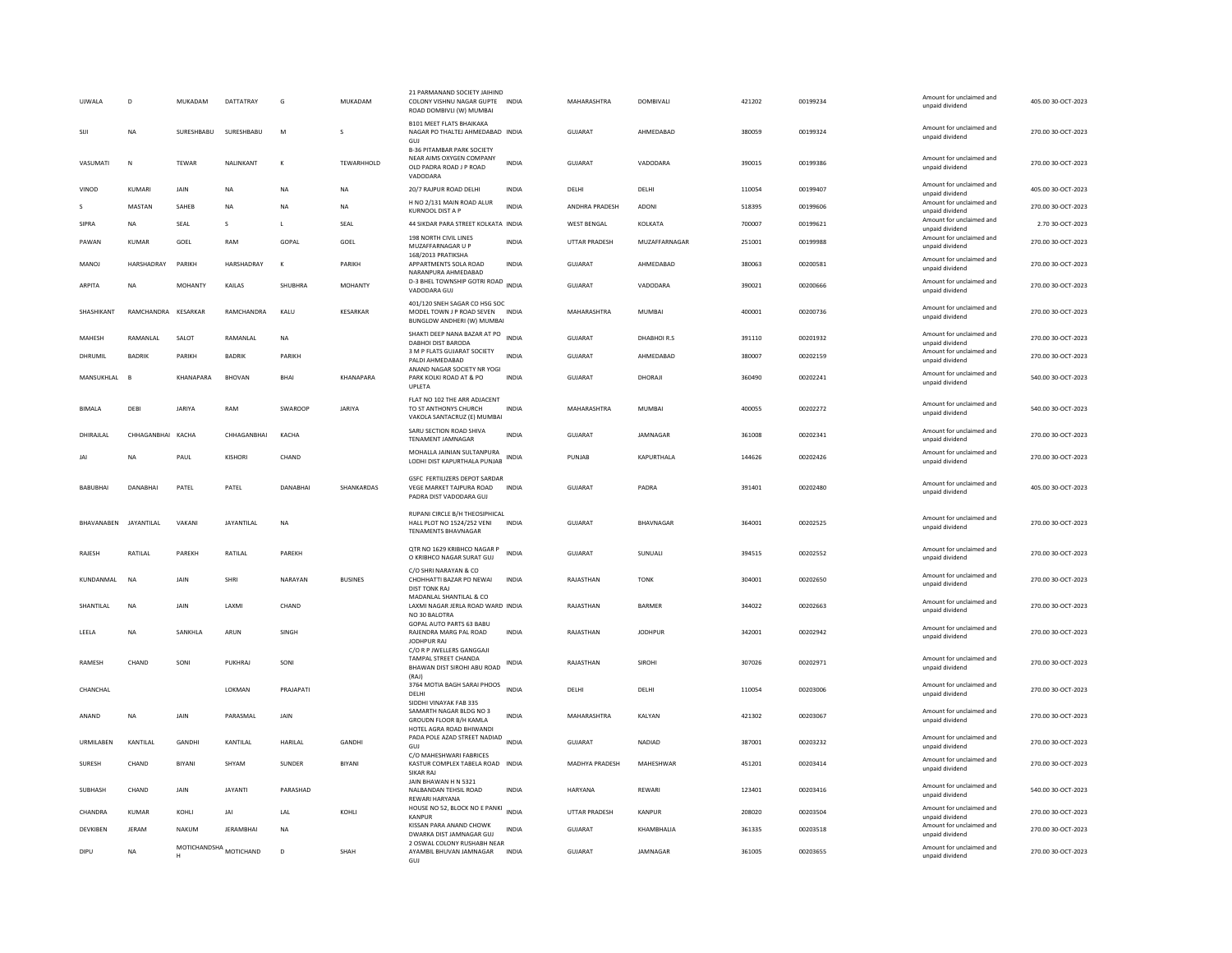| <b>UJWALA</b>     | D                 | <b>MUKADAM</b> | DATTATRAY                 | G         | <b>MUKADAM</b>  | 21 PARMANAND SOCIETY JAIHIND<br>COLONY VISHNU NAGAR GUPTE INDIA<br>ROAD DOMBIVLI (W) MUMBAI          |              | MAHARASHTRA          | <b>DOMBIVALI</b> | 421202 | 00199234 | Amount for unclaimed and<br>unpaid dividend | 405.00 30-OCT-2023 |
|-------------------|-------------------|----------------|---------------------------|-----------|-----------------|------------------------------------------------------------------------------------------------------|--------------|----------------------|------------------|--------|----------|---------------------------------------------|--------------------|
| <b>SIJI</b>       | <b>NA</b>         | SURESHBABU     | SURESHBABU                | M         | s               | <b>B101 MEET FLATS BHAIKAKA</b><br>NAGAR PO THALTEJ AHMEDABAD INDIA<br>GUJ                           |              | <b>GUJARAT</b>       | AHMEDABAD        | 380059 | 00199324 | Amount for unclaimed and<br>unpaid dividend | 270.00 30-OCT-2023 |
| VASUMATI          | $\mathbf N$       | TEWAR          | NALINKANT                 | К         | TEWARHHOLD      | <b>B-36 PITAMBAR PARK SOCIETY</b><br>NEAR AIMS OXYGEN COMPANY<br>OLD PADRA ROAD J P ROAD<br>VADODARA | <b>INDIA</b> | GUJARAT              | VADODARA         | 390015 | 00199386 | Amount for unclaimed and<br>unpaid dividend | 270.00 30-OCT-2023 |
| VINOD             | KUMARI            | JAIN           | <b>NA</b>                 | <b>NA</b> | <b>NA</b>       | 20/7 RAJPUR ROAD DELHI                                                                               | <b>INDIA</b> | DELHI                | DELHI            | 110054 | 00199407 | Amount for unclaimed and<br>unpaid dividend | 405.00 30-OCT-2023 |
|                   | MASTAN            | SAHEB          | <b>NA</b>                 | <b>NA</b> | NA              | H NO 2/131 MAIN ROAD ALUR<br>KURNOOL DIST A P                                                        | <b>INDIA</b> | ANDHRA PRADESH       | ADONI            | 518395 | 00199606 | Amount for unclaimed and<br>unpaid dividend | 270.00 30-OCT-2023 |
| SIPRA             | NA                | SEAL           | s                         | L         | SEAL            | 44 SIKDAR PARA STREET KOLKATA INDIA                                                                  |              | WEST BENGAL          | KOLKATA          | 700007 | 00199621 | Amount for unclaimed and<br>unpaid dividend | 2.70 30-OCT-2023   |
| PAWAN             | KUMAR             | GOEL           | RAM                       | GOPAL     | GOEL            | 198 NORTH CIVIL LINES<br>MUZAFFARNAGAR U P                                                           | INDIA        | UTTAR PRADESH        | MUZAFFARNAGAR    | 251001 | 00199988 | Amount for unclaimed and<br>unpaid dividend | 270.00 30-OCT-2023 |
| MANOJ             | HARSHADRAY        | PARIKH         | HARSHADRAY                | $\kappa$  | PARIKH          | 168/2013 PRATIKSHA<br>APPARTMENTS SOLA ROAD<br>NARANPURA AHMEDABAD                                   | <b>INDIA</b> | <b>GUJARAT</b>       | AHMEDABAD        | 380063 | 00200581 | Amount for unclaimed and<br>unpaid dividend | 270.00 30-OCT-2023 |
| ARPITA            | NA                | <b>MOHANTY</b> | KAILAS                    | SHUBHRA   | <b>MOHANTY</b>  | D-3 BHEL TOWNSHIP GOTRI ROAD INDIA<br>VADODARA GUL                                                   |              | GUJARAT              | VADODARA         | 390021 | 00200666 | Amount for unclaimed and<br>unpaid dividend | 270.00 30-OCT-2023 |
| SHASHIKANT        | RAMCHANDRA        | KESARKAR       | RAMCHANDRA                | KALU      | <b>KESARKAR</b> | 401/120 SNEH SAGAR CO HSG SOC<br>MODEL TOWN J P ROAD SEVEN INDIA<br>BUNGLOW ANDHERI (W) MUMBAI       |              | MAHARASHTRA          | <b>MUMBAI</b>    | 400001 | 00200736 | Amount for unclaimed and<br>unpaid dividend | 270.00 30-OCT-2023 |
| MAHESH            | RAMANLAL          | SALOT          | RAMANLAL                  | <b>NA</b> |                 | SHAKTI DEEP NANA BAZAR AT PO<br><b>DABHOI DIST BARODA</b>                                            | <b>INDIA</b> | GUJARAT              | DHABHOIR.S       | 391110 | 00201932 | Amount for unclaimed and<br>unpaid dividend | 270.00 30-OCT-2023 |
| DHRUMIL           | <b>BADRIK</b>     | PARIKH         | <b>BADRIK</b>             | PARIKH    |                 | 3 M P FLATS GUJARAT SOCIETY<br>PALDI AHMEDABAD                                                       | <b>INDIA</b> | <b>GUJARAT</b>       | AHMEDABAD        | 380007 | 00202159 | Amount for unclaimed and<br>unpaid dividend | 270.00 30-OCT-2023 |
| MANSUKHLAL        | $\overline{B}$    | KHANAPARA      | <b>BHOVAN</b>             | BHAI      | KHANAPARA       | ANAND NAGAR SOCIETY NR YOGI<br>PARK KOLKI ROAD AT & PO<br>UPLETA                                     | <b>INDIA</b> | GUJARAT              | DHORAJI          | 360490 | 00202241 | Amount for unclaimed and<br>unpaid dividend | 540.00 30-OCT-2023 |
| <b>BIMALA</b>     | DEBI              | <b>JARIYA</b>  | RAM                       | SWAROOP   | JARIYA          | FLAT NO 102 THE ARR ADJACENT<br>TO ST ANTHONYS CHURCH<br>VAKOLA SANTACRUZ (E) MUMBAI                 | <b>INDIA</b> | MAHARASHTRA          | <b>MUMBAI</b>    | 400055 | 00202272 | Amount for unclaimed and<br>unpaid dividend | 540.00 30-OCT-2023 |
| DHIRAJLAL         | CHHAGANBHAI KACHA |                | CHHAGANBHAI               | KACHA     |                 | SARU SECTION ROAD SHIVA<br>TENAMENT JAMNAGAR                                                         | <b>INDIA</b> | <b>GUJARAT</b>       | JAMNAGAR         | 361008 | 00202341 | Amount for unclaimed and<br>unpaid dividend | 270.00 30-OCT-2023 |
|                   | NA                | PAUL           | KISHORI                   | CHAND     |                 | MOHALLA JAINIAN SULTANPURA<br>LODHI DIST KAPURTHALA PUNJAB                                           | INDIA        | PUNJAB               | KAPURTHALA       | 144626 | 00202426 | Amount for unclaimed and<br>unpaid dividend | 270.00 30-OCT-2023 |
| BABUBHAI          | DANABHAI          | PATEL          | PATEL                     | DANABHAI  | SHANKARDAS      | <b>GSFC FERTILIZERS DEPOT SARDAR</b><br>VEGE MARKET TAJPURA ROAD<br>PADRA DIST VADODARA GUJ          | <b>INDIA</b> | GUJARAT              | PADRA            | 391401 | 00202480 | Amount for unclaimed and<br>unpaid dividend | 405.00 30-OCT-2023 |
| <b>BHAVANABEN</b> | JAYANTILAL        | VAKANI         | JAYANTILAL                | NA        |                 | RUPANI CIRCLE B/H THEOSIPHICAL<br>HALL PLOT NO 1524/252 VENI<br><b>TENAMENTS BHAVNAGAR</b>           | <b>INDIA</b> | <b>GUJARAT</b>       | BHAVNAGAR        | 364001 | 00202525 | Amount for unclaimed and<br>unpaid dividend | 270.00 30-OCT-2023 |
| RAJESH            | RATILAL           | PAREKH         | RATILAL                   | PAREKH    |                 | QTR NO 1629 KRIBHCO NAGAR P<br>O KRIBHCO NAGAR SURAT GUJ                                             | <b>INDIA</b> | <b>GUJARAT</b>       | SUNUALI          | 394515 | 00202552 | Amount for unclaimed and<br>unpaid dividend | 270.00 30-OCT-2023 |
| KUNDANMAL         | NA                | JAIN           | SHRI                      | NARAYAN   | <b>BUSINES</b>  | C/O SHRI NARAYAN & CO<br>CHOHHATTI BAZAR PO NEWAI<br><b>DIST TONK RAJ</b>                            | <b>INDIA</b> | RAJASTHAN            | <b>TONK</b>      | 304001 | 00202650 | Amount for unclaimed and<br>unpaid dividend | 270.00 30-OCT-2023 |
| SHANTILAL         | <b>NA</b>         | JAIN           | LAXMI                     | CHAND     |                 | MADANLAL SHANTILAL & CO<br>LAXMI NAGAR JERLA ROAD WARD INDIA<br>NO 30 BALOTRA                        |              | RAJASTHAN            | <b>BARMER</b>    | 344022 | 00202663 | Amount for unclaimed and<br>unpaid dividend | 270.00 30-OCT-2023 |
| LEELA             | <b>NA</b>         | SANKHLA        | ARUN                      | SINGH     |                 | GOPAL AUTO PARTS 63 BABU<br>RAJENDRA MARG PAL ROAD<br>JODHPUR RAJ                                    | <b>INDIA</b> | RAJASTHAN            | <b>JODHPUR</b>   | 342001 | 00202942 | Amount for unclaimed and<br>unpaid dividend | 270.00 30-OCT-2023 |
| RAMESH            | CHAND             | SONI           | PUKHRAJ                   | SONI      |                 | C/O R P JWELLERS GANGGAJI<br><b>TAMPAI STREET CHANDA</b><br>BHAWAN DIST SIROHI ABU ROAD<br>(RAJ)     | <b>INDIA</b> | RAJASTHAN            | SIROHI           | 307026 | 00202971 | Amount for unclaimed and<br>unpaid dividend | 270.00 30-OCT-2023 |
| CHANCHAL          |                   |                | <b>I OKMAN</b>            | PRAIAPATI |                 | 3764 MOTIA BAGH SARAI PHOOS<br>DELHI<br>SIDDHI VINAYAK FAB 335                                       | <b>INDIA</b> | <b>DELHI</b>         | <b>DELHI</b>     | 110054 | 00203006 | Amount for unclaimed and<br>unpaid dividend | 270.00.30-OCT-2023 |
| ANAND             | <b>NA</b>         | <b>JAIN</b>    | PARASMAL                  | JAIN      |                 | SAMARTH NAGAR BLDG NO 3<br>GROUDN FLOOR B/H KAMLA<br>HOTEL AGRA ROAD BHIWANDI                        | <b>INDIA</b> | MAHARASHTRA          | KALYAN           | 421302 | 00203067 | Amount for unclaimed and<br>unpaid dividend | 270.00 30-OCT-2023 |
| URMILABEN         | KANTILAL          | GANDHI         | KANTILAL                  | HARILAL   | <b>GANDHI</b>   | PADA POLE AZAD STREET NADIAD<br>GUJ                                                                  | <b>INDIA</b> | <b>GUJARAT</b>       | NADIAD           | 387001 | 00203232 | Amount for unclaimed and<br>unpaid dividend | 270.00 30-OCT-2023 |
| SURESH            | CHAND             | <b>BIYANI</b>  | SHYAM                     | SUNDER    | BIYANI          | C/O MAHESHWARI FABRICES<br>KASTUR COMPLEX TABELA ROAD INDIA<br>SIKAR RAJ                             |              | MADHYA PRADESH       | MAHESHWAR        | 451201 | 00203414 | Amount for unclaimed and<br>unpaid dividend | 270.00 30-OCT-2023 |
| SUBHASH           | CHAND             | JAIN           | <b>JAYANTI</b>            | PARASHAD  |                 | JAIN BHAWAN H N 5321<br>NALBANDAN TEHSIL ROAD<br><b>REWARI HARYANA</b>                               | <b>INDIA</b> | <b>HARYANA</b>       | REWARI           | 123401 | 00203416 | Amount for unclaimed and<br>unpaid dividend | 540.00 30-OCT-2023 |
| CHANDRA           | KUMAR             | KOHLI          | JAI                       | LAL       | KOHLI           | HOUSE NO 52, BLOCK NO E PANKI<br><b>KANPUR</b>                                                       | INDIA        | <b>UTTAR PRADESH</b> | KANPUR           | 208020 | 00203504 | Amount for unclaimed and<br>unpaid dividend | 270.00 30-OCT-2023 |
| DEVKIBEN          | JERAM             | <b>NAKUM</b>   | <b>JERAMBHAI</b>          | <b>NA</b> |                 | KISSAN PARA ANAND CHOWK<br>DWARKA DIST JAMNAGAR GUJ                                                  | <b>INDIA</b> | <b>GUJARAT</b>       | KHAMBHALIA       | 361335 | 00203518 | Amount for unclaimed and<br>unpaid dividend | 270.00 30-OCT-2023 |
| DIPU              | <b>NA</b>         |                | MOTICHANDSHA<br>MOTICHAND | D         | SHAH            | 2 OSWAL COLONY RUSHABH NEAR<br>AYAMBIL BHUVAN JAMNAGAR                                               | <b>INDIA</b> | GUJARAT              | JAMNAGAR         | 361005 | 00203655 | Amount for unclaimed and<br>unpaid dividend | 270.00 30-OCT-2023 |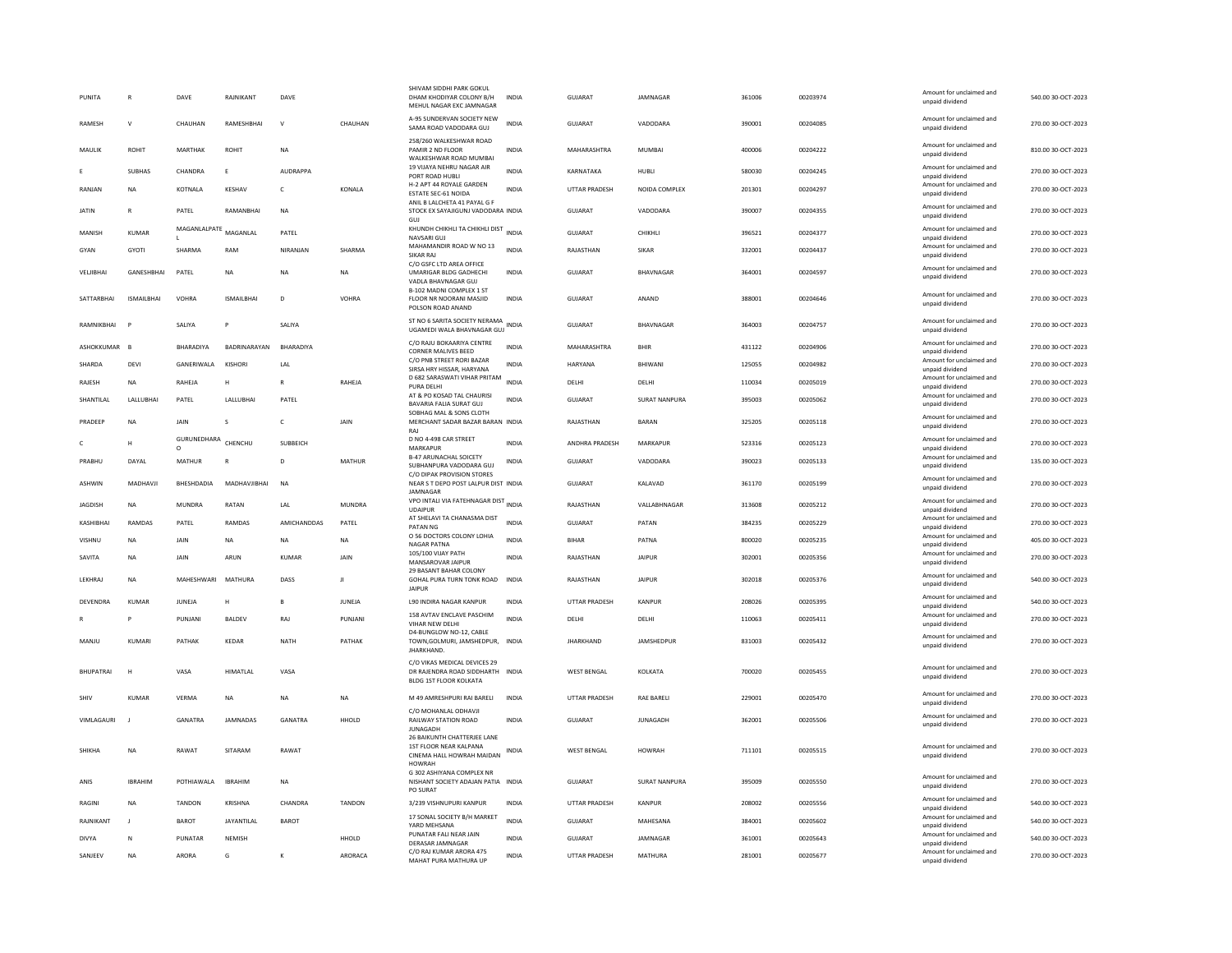| PUNITA             | R                 | DAVE                     | RAJNIKANT         | DAVE           |               | SHIVAM SIDDHI PARK GOKUL<br>DHAM KHODIYAR COLONY B/H<br>MEHUL NAGAR EXC JAMNAGAR                      | <b>INDIA</b> | GUJARAT              | <b>IAMNAGAR</b>      | 361006 | 00203974 | Amount for unclaimed and<br>unpaid dividend                    | 540.00 30-OCT-2023 |
|--------------------|-------------------|--------------------------|-------------------|----------------|---------------|-------------------------------------------------------------------------------------------------------|--------------|----------------------|----------------------|--------|----------|----------------------------------------------------------------|--------------------|
| RAMESH             | $\mathbf v$       | CHAUHAN                  | RAMESHBHAI        | $\mathsf{v}$   | CHAUHAN       | A-95 SUNDERVAN SOCIETY NEW<br>SAMA ROAD VADODARA GUJ                                                  | <b>INDIA</b> | GUJARAT              | VADODARA             | 390001 | 00204085 | Amount for unclaimed and<br>unpaid dividend                    | 270.00 30-OCT-2023 |
| MAULIK             | ROHIT             | MARTHAK                  | ROHIT             | <b>NA</b>      |               | 258/260 WALKESHWAR ROAD<br>PAMIR 2 ND FLOOR<br>WALKESHWAR ROAD MUMBAI                                 | <b>INDIA</b> | MAHARASHTRA          | MUMBAL               | 400006 | 00204222 | Amount for unclaimed and<br>unpaid dividend                    | 810.00 30-OCT-2023 |
|                    | <b>SUBHAS</b>     | CHANDRA                  | E                 | AUDRAPPA       |               | 19 VIJAYA NEHRU NAGAR AIR<br>PORT ROAD HUBLI                                                          | <b>INDIA</b> | KARNATAKA            | HUBLI                | 580030 | 00204245 | Amount for unclaimed and<br>unpaid dividend                    | 270.00 30-OCT-2023 |
| RANJAN             | <b>NA</b>         | KOTNALA                  | KESHAV            | $\mathsf{C}$   | KONALA        | H-2 APT 44 ROYALE GARDEN<br><b>ESTATE SEC-61 NOIDA</b>                                                | <b>INDIA</b> | UTTAR PRADESH        | NOIDA COMPLEX        | 201301 | 00204297 | Amount for unclaimed and<br>unpaid dividend                    | 270.00 30-OCT-2023 |
| <b>JATIN</b>       | R                 | PATEL                    | RAMANRHAI         | <b>NA</b>      |               | ANIL B LALCHETA 41 PAYAL G F<br>STOCK EX SAYAJIGUNJ VADODARA INDIA<br>GUI                             |              | <b>GUJARAT</b>       | VADODARA             | 390007 | 00204355 | Amount for unclaimed and<br>unpaid dividend                    | 270.00 30-OCT-2023 |
| MANISH             | KUMAR             | MAGANLALPATE             | MAGANLAL          | PATEL          |               | KHUNDH CHIKHLI TA CHIKHLI DIST<br>NAVSARI GUJ                                                         | <b>INDIA</b> | <b>GUJARAT</b>       | CHIKHLI              | 396521 | 00204377 | Amount for unclaimed and<br>unpaid dividend                    | 270.00 30-OCT-2023 |
| GYAN               | <b>GYOTI</b>      | SHARMA                   | RAM               | NIRANIAN       | SHARMA        | MAHAMANDIR ROAD W NO 13<br>SIKAR RAJ                                                                  | <b>INDIA</b> | RAIASTHAN            | <b>SIKAR</b>         | 332001 | 00204437 | Amount for unclaimed and<br>unpaid dividend                    | 270.00.30-OCT-2023 |
|                    | <b>GANESHRHAI</b> |                          | <b>NA</b>         |                | <b>NA</b>     | C/O GSFC LTD AREA OFFICE<br>UMARIGAR BLDG GADHECHI                                                    | <b>INDIA</b> | <b>GUJARAT</b>       | <b>BHAVNAGAR</b>     | 364001 | 00204597 | Amount for unclaimed and                                       | 270.00 30-OCT-2023 |
| VELJIBHAI          |                   | PATEL                    |                   | NA             |               | VADLA BHAVNAGAR GUJ                                                                                   |              |                      |                      |        |          | unpaid dividend                                                |                    |
| SATTARBHAI         | <b>ISMAILBHAI</b> | VOHRA                    | ISMAILBHAI        | D              | VOHRA         | <b>B-102 MADNI COMPLEX 1 ST</b><br>FLOOR NR NOORANI MASJID<br>POLSON ROAD ANAND                       | INDIA        | GUJARAT              | ANAND                | 388001 | 00204646 | Amount for unclaimed and<br>unpaid dividend                    | 270.00 30-OCT-2023 |
| RAMNIKBHAI         |                   | SALIYA                   | P                 | SALIYA         |               | ST NO 6 SARITA SOCIETY NERAMA<br>UGAMEDI WALA BHAVNAGAR GUJ                                           | <b>INDIA</b> | <b>GUJARAT</b>       | <b>BHAVNAGAR</b>     | 364003 | 00204757 | Amount for unclaimed and<br>unpaid dividend                    | 270.00 30-OCT-2023 |
| ASHOKKUMAR         | <b>B</b>          | BHARADIYA                | BADRINARAYAN      | BHARADIYA      |               | C/O RAJU BOKAARIYA CENTRE<br><b>CORNER MALIVES BEED</b>                                               | <b>INDIA</b> | MAHARASHTRA          | BHIR                 | 431122 | 00204906 | Amount for unclaimed and<br>unpaid dividend                    | 270.00 30-OCT-2023 |
| SHARDA             | DEVI              | GANERIWALA               | KISHORI           | LAL            |               | C/O PNB STREET RORI BAZAR<br>SIRSA HRY HISSAR, HARYANA                                                | <b>INDIA</b> | HARYANA              | <b>BHIWANI</b>       | 125055 | 00204982 | Amount for unclaimed and<br>unpaid dividend                    | 270.00 30-OCT-2023 |
| RAJESH             | <b>NA</b>         | RAHEJA                   | н                 | $\mathbb{R}$   | RAHEJA        | D 682 SARASWATI VIHAR PRITAM<br>PURA DELHI                                                            | <b>INDIA</b> | DELHI                | DELHI                | 110034 | 00205019 | Amount for unclaimed and<br>unpaid dividend                    | 270.00 30-OCT-2023 |
| SHANTILAI          | <b>I ALLUBHAL</b> | PATEL                    | LALLUBHAI         | PATEL          |               | AT & PO KOSAD TAL CHAURISI<br>BAVARIA FALIA SURAT GUJ                                                 | <b>INDIA</b> | GUIARAT              | <b>SURAT NANPURA</b> | 395003 | 00205062 | Amount for unclaimed and<br>unpaid dividend                    | 270.00 30-OCT-2023 |
| PRADEEP            | <b>NA</b>         | JAIN                     | Ś                 | $\mathsf{C}$   | JAIN          | SOBHAG MAL & SONS CLOTH<br>MERCHANT SADAR BAZAR BARAN INDIA<br>RAJ                                    |              | RAJASTHAN            | <b>BARAN</b>         | 325205 | 00205118 | Amount for unclaimed and<br>unpaid dividend                    | 270.00 30-OCT-2023 |
|                    | $\mathbf{H}$      | GURUNEDHARA              | CHENCHU           | SUBBEICH       |               | D NO 4-498 CAR STREET                                                                                 | <b>INDIA</b> | ANDHRA PRADESH       | MARKAPUR             | 523316 | 00205123 | Amount for unclaimed and                                       | 270.00 30-OCT-2023 |
| PRABHU             | DAYAL             | $\circ$<br>MATHUR        | B                 | D              | <b>MATHUR</b> | MARKAPUR<br><b>B-47 ARUNACHAL SOICETY</b><br>SUBHANPURA VADODARA GUJ                                  | <b>INDIA</b> | <b>GUJARAT</b>       | VADODARA             | 390023 | 00205133 | unpaid dividend<br>Amount for unclaimed and<br>unpaid dividend | 135.00 30-OCT-2023 |
|                    |                   |                          |                   |                |               |                                                                                                       |              |                      |                      |        |          |                                                                |                    |
| <b>ASHWIN</b>      | MADHAVII          | <b><i>RHFSHDADIA</i></b> | MADHAVJIBHAI      | <b>NA</b>      |               | C/O DIPAK PROVISION STORES<br>NEAR S T DEPO POST LALPUR DIST INDIA                                    |              | GUIARAT              | KAI AVAD             | 361170 | 00205199 | Amount for unclaimed and                                       | 270.00 30-OCT-2023 |
| JAGDISH            | <b>NA</b>         | <b>MUNDRA</b>            | RATAN             | LAL            | <b>MUNDRA</b> | JAMNAGAR<br>VPO INTALI VIA FATEHNAGAR DIST<br><b>UDAIPUR</b>                                          | <b>INDIA</b> | RAJASTHAN            | VALLABHNAGAR         | 313608 | 00205212 | unpaid dividend<br>Amount for unclaimed and<br>unpaid dividend | 270.00 30-OCT-2023 |
| KASHIBHAI          | <b>RAMDAS</b>     | PATEL                    | RAMDAS            | AMICHANDDAS    | PATEL         | AT SHELAVI TA CHANASMA DIST<br>PATAN NG                                                               | <b>INDIA</b> | <b>GUJARAT</b>       | PATAN                | 384235 | 00205229 | Amount for unclaimed and<br>unpaid dividend                    | 270.00 30-OCT-2023 |
| VISHNU             | <b>NA</b>         | <b>JAIN</b>              | <b>NA</b>         | <b>NA</b>      | <b>NA</b>     | O 56 DOCTORS COLONY LOHIA                                                                             | <b>INDIA</b> | <b>BIHAR</b>         | PATNA                | 800020 | 00205235 | Amount for unclaimed and                                       | 405.00 30-OCT-2023 |
| SAVITA             | <b>NA</b>         | <b>JAIN</b>              | ARUN              | KUMAF          | JAIN          | <b>NAGAR PATNA</b><br>105/100 VIJAY PATH                                                              | INDIA        | RAJASTHAN            | JAIPUR               | 302001 | 00205356 | unpaid dividend<br>Amount for unclaimed and                    | 270.00 30-OCT-2023 |
|                    |                   |                          |                   |                |               | MANSAROVAR JAIPUR<br>29 BASANT BAHAR COLONY                                                           |              |                      |                      |        |          | unpaid dividend<br>Amount for unclaimed and                    |                    |
| LEKHRAJ            | <b>NA</b>         | MAHESHWARI               | MATHURA           | DASS           | Л             | GOHAL PURA TURN TONK ROAD<br><b>JAIPUR</b>                                                            | INDIA        | RAJASTHAN            | <b>JAIPUR</b>        | 302018 | 00205376 | unpaid dividend                                                | 540.00 30-OCT-2023 |
| DEVENDRA           | <b>KUMAR</b>      | JUNEJA                   | H                 | B              | JUNEJA        | L90 INDIRA NAGAR KANPUR                                                                               | <b>INDIA</b> | <b>UTTAR PRADESH</b> | KANPUR               | 208026 | 00205395 | Amount for unclaimed and<br>unpaid dividend                    | 540.00 30-OCT-2023 |
|                    |                   | PUNIANI                  | BALDEV            | RAJ            | PUNJANI       | 158 AVTAV ENCLAVE PASCHIM<br>VIHAR NEW DELHI                                                          | <b>INDIA</b> | DELHI                | <b>DELHI</b>         | 110063 | 00205411 | Amount for unclaimed and<br>unpaid dividend                    | 270.00 30-OCT-2023 |
| MANJU              | KUMARI            | PATHAK                   | KEDAR             | NATH           | PATHAK        | D4-BUNGLOW NO-12, CABLE<br>TOWN, GOLMURI, JAMSHEDPUR, INDIA<br><b>IHARKHAND</b>                       |              | <b>JHARKHAND</b>     | JAMSHEDPUR           | 831003 | 00205432 | Amount for unclaimed and<br>unpaid dividend                    | 270.00 30-OCT-2023 |
| <b>BHUPATRAI</b>   |                   | VASA                     | <b>HIMATLAL</b>   | VASA           |               | C/O VIKAS MEDICAL DEVICES 29<br>DR RAJENDRA ROAD SIDDHARTH INDIA<br><b>BLDG 1ST FLOOR KOLKATA</b>     |              | <b>WEST BENGAL</b>   | KOLKATA              | 700020 | 00205455 | Amount for unclaimed and<br>unpaid dividend                    | 270.00 30-OCT-2023 |
| SHIV               | <b>KUMAR</b>      | VERMA                    | NA                | NA             | <b>NA</b>     | M 49 AMRESHPURI RAI BARELI                                                                            | INDIA        | <b>UTTAR PRADESH</b> | RAE BARELI           | 229001 | 00205470 | Amount for unclaimed and                                       | 270.00 30-OCT-2023 |
| <b>VIMI AGAURI</b> |                   | GANATRA                  | <b>IAMNADAS</b>   | <b>GANATRA</b> | HHOLD         | C/O MOHANLAL ODHAVJI<br>RAILWAY STATION ROAD                                                          | <b>INDIA</b> | GUIARAT              | <b>IUNAGADH</b>      | 362001 | 00205506 | unpaid dividend<br>Amount for unclaimed and<br>unpaid dividend | 270.00.30-OCT-2023 |
| SHIKHA             | <b>NA</b>         | RAWAT                    | SITARAM           | RAWAT          |               | <b>JUNAGADH</b><br>26 BAIKUNTH CHATTERJEE LANE<br>1ST FLOOR NEAR KALPANA<br>CINEMA HALL HOWRAH MAIDAN | <b>INDIA</b> | <b>WEST BENGAL</b>   | <b>HOWRAH</b>        | 711101 | 00205515 | Amount for unclaimed and<br>unpaid dividend                    | 270.00 30-OCT-2023 |
| ANIS               | <b>IBRAHIM</b>    | POTHIAWALA               | <b>IBRAHIM</b>    | NA             |               | <b>HOWRAH</b><br>G 302 ASHIYANA COMPLEX NR<br>NISHANT SOCIETY ADAJAN PATIA INDIA<br>PO SURAT          |              | GUJARAT              | SURAT NANPURA        | 395009 | 00205550 | Amount for unclaimed and<br>unpaid dividend                    | 270.00 30-OCT-2023 |
| <b>RAGINI</b>      | <b>NA</b>         | <b>TANDON</b>            | KRISHNA           | CHANDRA        | TANDON        | 3/239 VISHNUPURI KANPUR                                                                               | <b>INDIA</b> | <b>UTTAR PRADESH</b> | KANPUR               | 208002 | 00205556 | Amount for unclaimed and<br>unpaid dividend                    | 540.00 30-OCT-2023 |
| RAJNIKANT          | $\mathbf{J}$      | BAROT                    | <b>JAYANTILAL</b> | BAROT          |               | 17 SONAL SOCIETY B/H MARKET                                                                           | <b>INDIA</b> | GUJARAT              | MAHESANA             | 384001 | 00205602 | Amount for unclaimed and                                       | 540.00 30-OCT-2023 |
| DIVYA              | N                 | PUNATAR                  | NEMISH            |                | HHOLD         | YARD MEHSANA<br>PUNATAR FALI NEAR JAIN                                                                | INDIA        | GUJARAT              | JAMNAGAR             | 361001 | 00205643 | unpaid dividend<br>Amount for unclaimed and                    | 540.00 30-OCT-2023 |
| SANJEEV            | <b>NA</b>         | <b>ARORA</b>             | G                 | к              | ARORACA       | DERASAR JAMNAGAR<br>C/O RAJ KUMAR ARORA 475<br>MAHAT PURA MATHURA UP                                  | <b>INDIA</b> | <b>UTTAR PRADESH</b> | MATHURA              | 281001 | 00205677 | unpaid dividend<br>Amount for unclaimed and<br>unpaid dividend | 270.00 30-OCT-2023 |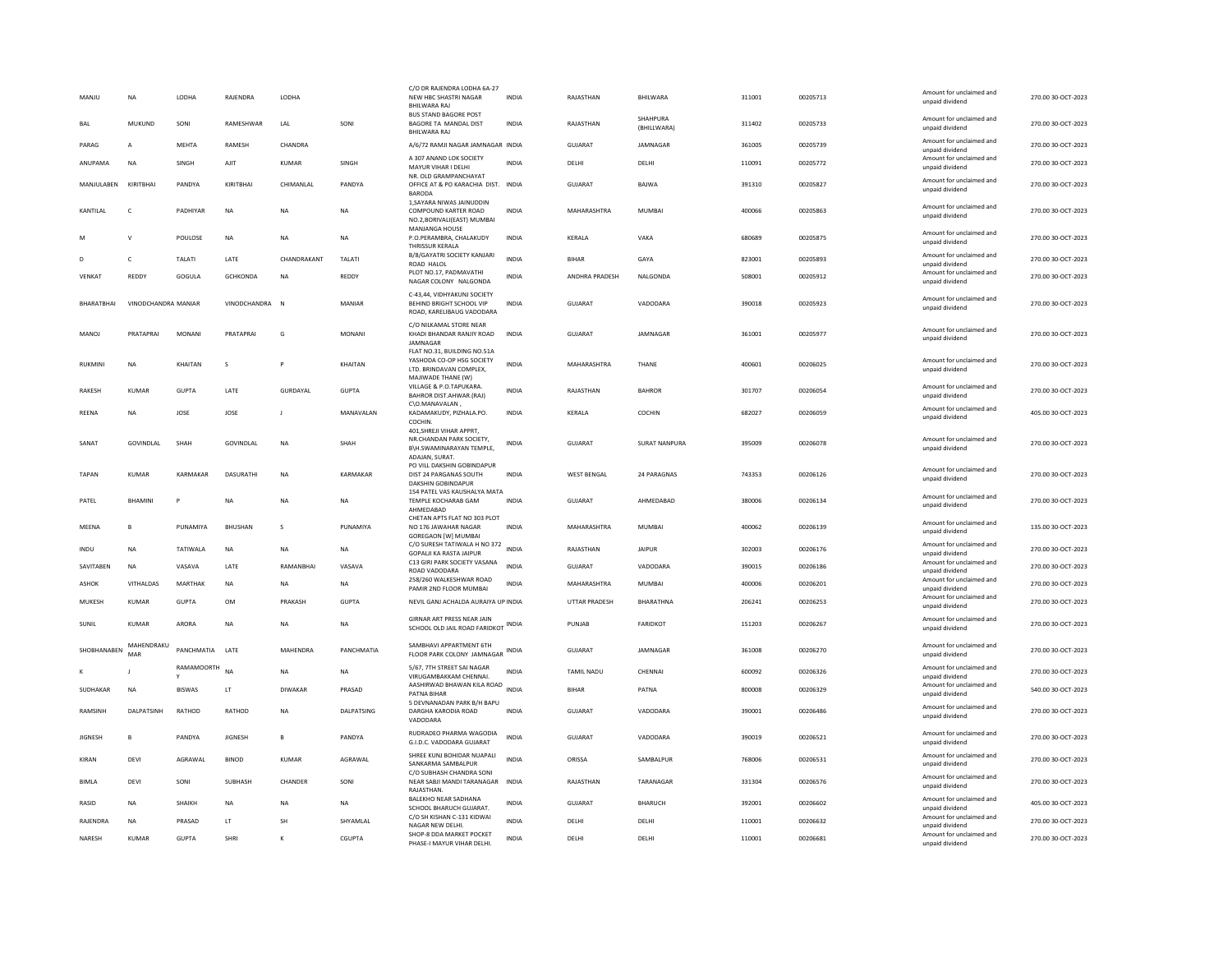| MANJU          | <b>NA</b>           | LODHA             | RAJENDRA       | LODHA          |              | C/O DR RAJENDRA LODHA 6A-27<br>NEW HBC SHASTRI NAGAR<br><b>BHILWARA RAJ</b>                         | <b>INDIA</b> | RAJASTHAN            | BHILWARA                | 311001 | 00205713 | Amount for unclaimed and<br>unpaid dividend | 270.00 30-OCT-2023 |
|----------------|---------------------|-------------------|----------------|----------------|--------------|-----------------------------------------------------------------------------------------------------|--------------|----------------------|-------------------------|--------|----------|---------------------------------------------|--------------------|
| BAL            | <b>MUKUND</b>       | SONI              | RAMESHWAR      | LAL            | SONI         | <b>BUS STAND BAGORE POST</b><br>BAGORE TA MANDAL DIST<br>BHILWARA RAJ                               | <b>INDIA</b> | RAJASTHAN            | SHAHPURA<br>(BHILLWARA) | 311402 | 00205733 | Amount for unclaimed and<br>unpaid dividend | 270.00 30-OCT-2023 |
| PARAG          | A                   | MEHTA             | RAMESH         | CHANDRA        |              | A/6/72 RAMJI NAGAR JAMNAGAR INDIA                                                                   |              | <b>GUJARAT</b>       | JAMNAGAR                | 361005 | 00205739 | Amount for unclaimed and<br>unpaid dividend | 270.00 30-OCT-2023 |
| ANUPAMA        | <b>NA</b>           | SINGH             | AJIT           | <b>KUMAR</b>   | SINGH        | A 307 ANAND LOK SOCIETY<br>MAYUR VIHAR I DELHI<br>NR. OLD GRAMPANCHAYAT                             | <b>INDIA</b> | DELHI                | DELHI                   | 110091 | 00205772 | Amount for unclaimed and<br>unpaid dividend | 270.00 30-OCT-2023 |
| MANJULABEN     | KIRITRHAI           | PANDYA            | KIRITRHAI      | CHIMANI AI     | PANDYA       | OFFICE AT & PO KARACHIA DIST.<br><b>BARODA</b>                                                      | <b>INDIA</b> | GUIARAT              | <b>BAIWA</b>            | 391310 | 00205827 | Amount for unclaimed and<br>unpaid dividend | 270.00 30-OCT-2023 |
| KANTILAL       | $\mathsf{C}$        | PADHIYAR          | <b>NA</b>      | <b>NA</b>      | <b>NA</b>    | 1. SAYARA NIWAS JAINUDDIN<br>COMPOUND KARTER ROAD<br>NO.2, BORIVALI (EAST) MUMBAI<br>MANJANGA HOUSE | <b>INDIA</b> | MAHARASHTRA          | <b>MUMBAI</b>           | 400066 | 00205863 | Amount for unclaimed and<br>unpaid dividend | 270.00 30-OCT-2023 |
|                | $\mathsf{v}$        | POULOSE           | <b>NA</b>      | <b>NA</b>      | <b>NA</b>    | P.O.PERAMBRA, CHALAKUDY<br>THRISSUR KERALA                                                          | <b>INDIA</b> | KERALA               | VAKA                    | 680689 | 00205875 | Amount for unclaimed and<br>unpaid dividend | 270.00 30-OCT-2023 |
|                | c                   | TALATI            | LATE           | CHANDRAKANT    | TALATI       | B/8/GAYATRI SOCIETY KANJARI<br>ROAD HALOL                                                           | <b>INDIA</b> | <b>BIHAR</b>         | GAYA                    | 823001 | 00205893 | Amount for unclaimed and<br>unpaid dividend | 270.00 30-OCT-2023 |
| VENKAT         | REDDY               | GOGULA            | GCHKONDA       | NA             | REDDY        | PLOT NO.17, PADMAVATHI<br>NAGAR COLONY NALGONDA                                                     | INDIA        | ANDHRA PRADESH       | NALGONDA                | 508001 | 00205912 | Amount for unclaimed and<br>unpaid dividend | 270.00 30-OCT-2023 |
| BHARATBHAI     | VINODCHANDRA MANIAR |                   | VINODCHANDRA   | $\mathbb{N}$   | MANIAR       | C-43.44. VIDHYAKUNJ SOCIETY<br>BEHIND BRIGHT SCHOOL VIP<br>ROAD, KARELIBAUG VADODARA                | <b>INDIA</b> | GUJARAT              | VADODARA                | 390018 | 00205923 | Amount for unclaimed and<br>unpaid dividend | 270.00 30-OCT-2023 |
| MANOJ          | PRATAPRAI           | <b>MONANI</b>     | PRATAPRAI      | G              | MONANI       | C/O NILKAMAL STORE NEAR<br>KHADI BHANDAR RANJIY ROAD<br>JAMNAGAR                                    | <b>INDIA</b> | GUJARAT              | JAMNAGAR                | 361001 | 00205977 | Amount for unclaimed and<br>unpaid dividend | 270.00 30-OCT-2023 |
| RUKMINI        | NA                  | KHAITAN           | s              |                | KHAITAN      | FLAT NO.31, BUILDING NO.51A<br>YASHODA CO-OP HSG SOCIETY<br>LTD. BRINDAVAN COMPLEX.                 | INDIA        | MAHARASHTRA          | THANE                   | 400601 | 00206025 | Amount for unclaimed and<br>unpaid dividend | 270.00 30-OCT-2023 |
| <b>RAKESH</b>  | KUMAR               | GUPTA             | <b>I ATF</b>   | GURDAYAL       | <b>GUPTA</b> | MAJIWADE THANE (W)<br>VILLAGE & P.O.TAPUKARA.<br>BAHROR DIST.AHWAR.(RAJ)                            | <b>INDIA</b> | RAIASTHAN            | <b>BAHROR</b>           | 301707 | 00206054 | Amount for unclaimed and<br>unpaid dividend | 270.00.30-OCT-2023 |
| REENA          | NA                  | JOSE              | JOSE           | J              | MANAVALAN    | C\O.MANAVALAN.<br>KADAMAKUDY, PIZHALA.PO.<br>COCHIN.                                                | INDIA        | KERALA               | COCHIN                  | 682027 | 00206059 | Amount for unclaimed and<br>unpaid dividend | 405.00 30-OCT-2023 |
| SANAT          | <b>GOVINDLAL</b>    | SHAH              | GOVINDLAL      | <b>NA</b>      | SHAH         | 401.SHREJI VIHAR APPRT.<br>NR.CHANDAN PARK SOCIETY.<br>B\H.SWAMINARAYAN TEMPLE,<br>ADAJAN, SURAT    | <b>INDIA</b> | <b>GUJARAT</b>       | <b>SURAT NANPURA</b>    | 395009 | 00206078 | Amount for unclaimed and<br>unpaid dividend | 270.00 30-OCT-2023 |
| <b>TAPAN</b>   | KUMAR               | KARMAKAR          | DASURATHI      | <b>NA</b>      | KARMAKAR     | PO VILL DAKSHIN GOBINDAPUR<br>DIST 24 PARGANAS SOUTH<br>DAKSHIN GOBINDAPUR                          | INDIA        | <b>WEST BENGAL</b>   | 24 PARAGNAS             | 743353 | 00206126 | Amount for unclaimed and<br>unpaid dividend | 270.00 30-OCT-2023 |
| PATFI          | <b>BHAMINI</b>      | P                 | <b>NA</b>      | <b>NA</b>      | NA.          | 154 PATEL VAS KAUSHALYA MATA<br>TEMPLE KOCHARAB GAM<br>AHMEDABAD                                    | <b>INDIA</b> | GUIARAT              | AHMFDARAD               | 380006 | 00206134 | Amount for unclaimed and<br>unpaid dividend | 270.00 30-OCT-2023 |
| MEENA          | B                   | PUNAMIYA          | <b>BHUSHAN</b> | s              | PUNAMIYA     | CHETAN APTS FLAT NO 303 PLOT<br>NO 176 JAWAHAR NAGAR<br><b>GOREGAON [W] MUMBAL</b>                  | <b>INDIA</b> | MAHARASHTRA          | <b>MUMBAI</b>           | 400062 | 00206139 | Amount for unclaimed and<br>unpaid dividend | 135.00 30-OCT-2023 |
| <b>INDU</b>    | <b>NA</b>           | <b>TATIWAI A</b>  | <b>NA</b>      | <b>NA</b>      | <b>NA</b>    | C/O SURESH TATIWALA H NO 372 INDIA<br><b>GOPALJI KA RASTA JAIPUR</b>                                |              | RAIASTHAN            | <b>JAIPUR</b>           | 302003 | 00206176 | Amount for unclaimed and<br>unpaid dividend | 270.00 30-OCT-2023 |
| SAVITABEN      | <b>NA</b>           | VASAVA            | LATE           | RAMANBHAI      | VASAVA       | C13 GIRI PARK SOCIETY VASANA<br>ROAD VADODARA                                                       | <b>INDIA</b> | <b>GUJARAT</b>       | VADODARA                | 390015 | 00206186 | Amount for unclaimed and<br>unpaid dividend | 270.00 30-OCT-2023 |
| <b>ASHOK</b>   | VITHALDAS           | MARTHAK           | <b>NA</b>      | <b>NA</b>      | <b>NA</b>    | 258/260 WALKESHWAR ROAD<br>PAMIR 2ND FLOOR MUMBAI                                                   | <b>INDIA</b> | MAHARASHTRA          | MUMBAI                  | 400006 | 00206201 | Amount for unclaimed and<br>unpaid dividend | 270.00 30-OCT-2023 |
| MUKESH         | <b>KUMAR</b>        | <b>GUPTA</b>      | <b>OM</b>      | PRAKASH        | <b>GUPTA</b> | NEVIL GANJ ACHALDA AURAIYA UP INDIA                                                                 |              | <b>UTTAR PRADESH</b> | BHARATHNA               | 206241 | 00206253 | Amount for unclaimed and<br>unpaid dividend | 270.00 30-OCT-2023 |
| SUNIL          | <b>KUMAR</b>        | <b>ARORA</b>      | NA             | <b>NA</b>      | NA           | GIRNAR ART PRESS NEAR JAIN<br>SCHOOL OLD JAIL ROAD FARIDKOT INDIA                                   |              | PUNJAB               | <b>FARIDKOT</b>         | 151203 | 00206267 | Amount for unclaimed and<br>unpaid dividend | 270.00 30-OCT-2023 |
| SHOBHANABEN    | MAHENDRAKU<br>MAR   | PANCHMATIA        | LATE           | MAHENDRA       | PANCHMATIA   | SAMBHAVI APPARTMENT 6TH<br>FLOOR PARK COLONY JAMNAGAR INDIA                                         |              | <b>GUJARAT</b>       | JAMNAGAR                | 361008 | 00206270 | Amount for unclaimed and<br>unpaid dividend | 270.00 30-OCT-2023 |
|                |                     | <b>RAMAMOORTH</b> | <b>NA</b>      | <b>NA</b>      | NA           | 5/67, 7TH STREET SAI NAGAR<br>VIRUGAMBAKKAM CHENNAI                                                 | <b>INDIA</b> | <b>TAMIL NADU</b>    | CHENNAI                 | 600092 | 00206326 | Amount for unclaimed and<br>unpaid dividend | 270.00 30-OCT-2023 |
| SUDHAKAR       | <b>NA</b>           | <b>BISWAS</b>     | LT             | <b>DIWAKAR</b> | PRASAD       | AASHIRWAD BHAWAN KILA ROAD<br>PATNA BIHAR<br>5 DEVNANADAN PARK B/H BAPU                             | <b>INDIA</b> | <b>BIHAR</b>         | PATNA                   | 800008 | 00206329 | Amount for unclaimed and<br>unpaid dividend | 540.00 30-OCT-2023 |
| <b>RAMSINH</b> | DALPATSINH          | RATHOD            | RATHOD         | <b>NA</b>      | DALPATSING   | DARGHA KARODIA ROAD<br>VADODARA                                                                     | <b>INDIA</b> | <b>GUJARAT</b>       | VADODARA                | 390001 | 00206486 | Amount for unclaimed and<br>unpaid dividend | 270.00 30-OCT-2023 |
| <b>JIGNESH</b> | B                   | PANDYA            | <b>JIGNESH</b> | B              | PANDYA       | RUDRADEO PHARMA WAGODIA<br>G.I.D.C. VADODARA GUJARAT                                                | <b>INDIA</b> | <b>GUJARAT</b>       | VADODARA                | 390019 | 00206521 | Amount for unclaimed and<br>unpaid dividend | 270.00 30-OCT-2023 |
| KIRAN          | DEVI                | AGRAWAL           | <b>BINOD</b>   | <b>KUMAR</b>   | AGRAWAL      | SHREE KUNJ BOHIDAR NUAPALI<br>SANKARMA SAMBALPUR<br>C/O SUBHASH CHANDRA SONI                        | <b>INDIA</b> | ORISSA               | SAMBALPUR               | 768006 | 00206531 | Amount for unclaimed and<br>unpaid dividend | 270.00 30-OCT-2023 |
| <b>BIMLA</b>   | DEVI                | SONI              | SUBHASH        | CHANDER        | SONI         | NEAR SABJI MANDI TARANAGAR<br>RAJASTHAN.                                                            | <b>INDIA</b> | RAJASTHAN            | TARANAGAR               | 331304 | 00206576 | Amount for unclaimed and<br>unpaid dividend | 270.00 30-OCT-2023 |
| RASID          | <b>NA</b>           | <b>SHAIKH</b>     | <b>NA</b>      | <b>NA</b>      | <b>NA</b>    | <b>BALEKHO NEAR SADHANA</b><br>SCHOOL BHARUCH GUJARAT.                                              | <b>INDIA</b> | GUJARAT              | <b>BHARUCH</b>          | 392001 | 00206602 | Amount for unclaimed and<br>unpaid dividend | 405.00 30-OCT-2023 |
| RAJENDRA       | <b>NA</b>           | PRASAD            | LT             | <b>SH</b>      | SHYAMLAL     | C/O SH KISHAN C-131 KIDWAI<br>NAGAR NEW DELHI                                                       | <b>INDIA</b> | DELHI                | DELHI                   | 110001 | 00206632 | Amount for unclaimed and<br>unpaid dividend | 270.00 30-OCT-2023 |
| NARESH         | <b>KUMAR</b>        | <b>GUPTA</b>      | SHRI           |                | CGUPTA       | SHOP-8 DDA MARKET POCKET<br>PHASE-I MAYUR VIHAR DELHI.                                              | INDIA        | DELHI                | DELHI                   | 110001 | 00206681 | Amount for unclaimed and<br>unpaid dividend | 270.00 30-OCT-2023 |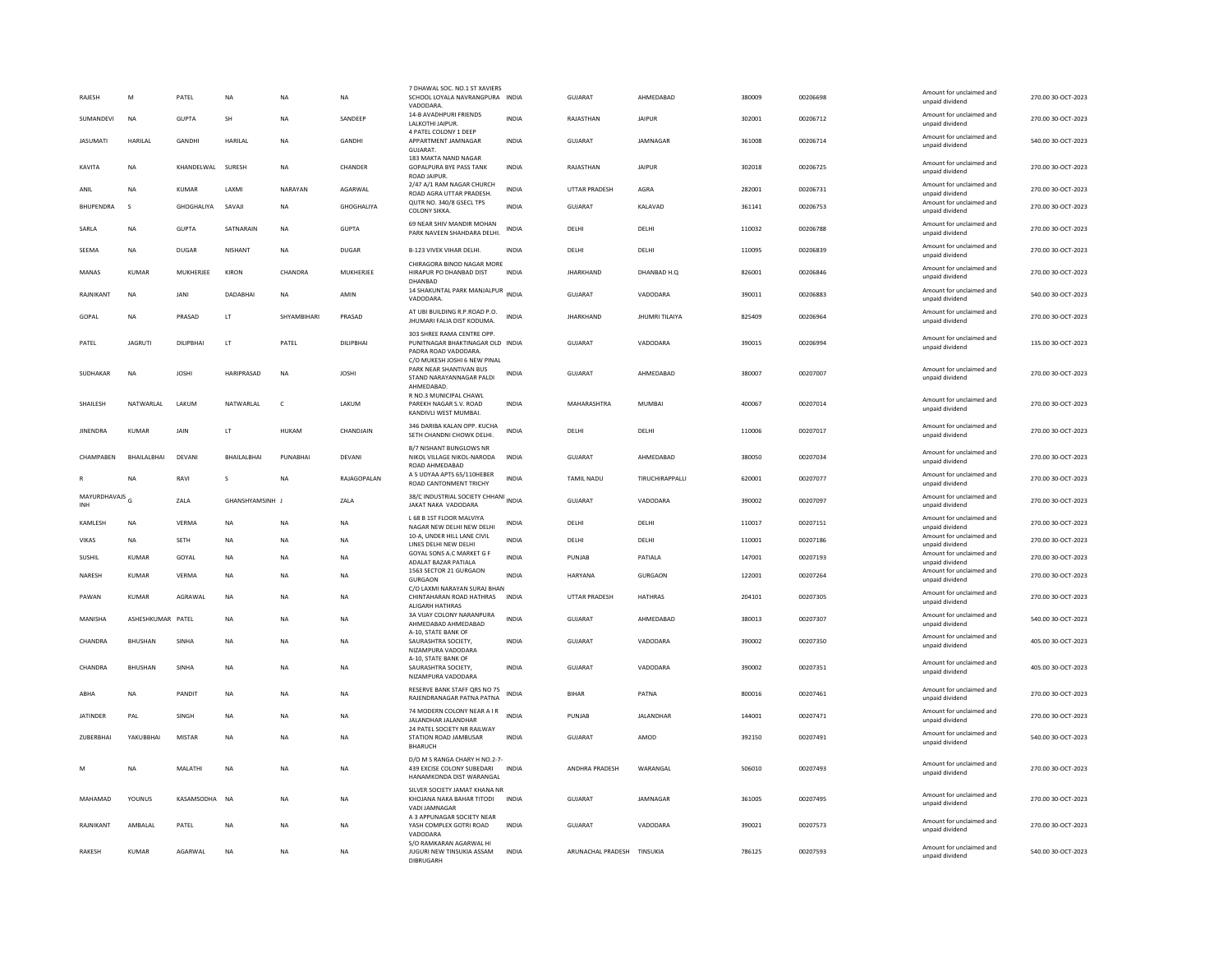| RAJESH                           | M                 | PATEL         | <b>NA</b>         | <b>NA</b>    | <b>NA</b>     | 7 DHAWAL SOC. NO.1 ST XAVIERS<br>SCHOOL LOYALA NAVRANGPURA INDIA<br>VADODARA                              |              | <b>GUJARAT</b>       | AHMEDABAD       | 380009 | 00206698 | Amount for unclaimed and<br>unpaid dividend                    | 270.00 30-OCT-2023 |
|----------------------------------|-------------------|---------------|-------------------|--------------|---------------|-----------------------------------------------------------------------------------------------------------|--------------|----------------------|-----------------|--------|----------|----------------------------------------------------------------|--------------------|
| SUMANDEVI                        | <b>NA</b>         | <b>GUPTA</b>  | <b>SH</b>         | <b>NA</b>    | SANDEEP       | 14-B AVADHPURI FRIENDS<br>LALKOTHI JAIPUR.                                                                | <b>INDIA</b> | RAJASTHAN            | <b>JAIPUR</b>   | 302001 | 00206712 | Amount for unclaimed and<br>unpaid dividend                    | 270.00 30-OCT-2023 |
| <b>JASUMATI</b>                  | <b>HARILAL</b>    | GANDHI        | HARILAL           | <b>NA</b>    | <b>GANDHI</b> | 4 PATEL COLONY 1 DEEP<br>APPARTMENT JAMNAGAR<br>GUJARAT.                                                  | INDIA        | GUJARAT              | JAMNAGAR        | 361008 | 00206714 | Amount for unclaimed and<br>unpaid dividend                    | 540.00 30-OCT-2023 |
| KAVITA                           | <b>NA</b>         | KHANDELWAL    | SURESH            | NA           | CHANDER       | 183 MAKTA NAND NAGAR<br>GOPALPURA BYE PASS TANK<br><b>ROAD JAIPUR</b>                                     | <b>INDIA</b> | RAJASTHAN            | <b>JAIPUR</b>   | 302018 | 00206725 | Amount for unclaimed and<br>unpaid dividend                    | 270.00 30-OCT-2023 |
| ANIL                             | <b>NA</b>         | <b>KUMAR</b>  | LAXMI             | NARAYAN      | AGARWAL       | 2/47 A/1 RAM NAGAR CHURCH<br>ROAD AGRA UTTAR PRADESH                                                      | <b>INDIA</b> | UTTAR PRADESH        | AGRA            | 282001 | 00206731 | Amount for unclaimed and<br>unpaid dividend                    | 270.00 30-OCT-2023 |
| BHUPENDRA                        | s                 | GHOGHALIYA    | SAVAJI            | <b>NA</b>    | GHOGHALIYA    | QUTR NO. 340/8 GSECL TPS<br><b>COLONY SIKKA</b>                                                           | <b>INDIA</b> | GUJARAT              | KALAVAD         | 361141 | 00206753 | Amount for unclaimed and<br>unpaid dividend                    | 270.00 30-OCT-2023 |
| SARLA                            | <b>NA</b>         | <b>GUPTA</b>  | SATNARAIN         | <b>NA</b>    | <b>GUPTA</b>  | 69 NEAR SHIV MANDIR MOHAN<br>PARK NAVEEN SHAHDARA DELHI.                                                  | <b>INDIA</b> | DELHI                | DELHI           | 110032 | 00206788 | Amount for unclaimed and<br>unpaid dividend                    | 270.00 30-OCT-2023 |
| SEEMA                            | NA                | <b>DUGAR</b>  | NISHANT           | NA           | <b>DUGAR</b>  | B-123 VIVEK VIHAR DELHI.                                                                                  | <b>INDIA</b> | DELHI                | DELHI           | 110095 | 00206839 | Amount for unclaimed and<br>unpaid dividend                    | 270.00 30-OCT-2023 |
| MANAS                            | <b>KUMAR</b>      | MUKHERJEE     | KIRON             | CHANDRA      | MUKHERJEE     | CHIRAGORA BINOD NAGAR MORE<br>HIRAPUR PO DHANBAD DIST<br>DHANBAD                                          | <b>INDIA</b> | <b>JHARKHAND</b>     | DHANBAD H.Q     | 826001 | 00206846 | Amount for unclaimed and<br>unpaid dividend                    | 270.00 30-OCT-2023 |
| RAINIKANT                        | <b>NA</b>         | <b>JANI</b>   | DADABHAI          | <b>NA</b>    | AMIN          | 14 SHAKUNTAL PARK MANJALPUR<br>VADODARA.                                                                  | <b>INDIA</b> | <b>GUJARAT</b>       | VADODARA        | 390011 | 00206883 | Amount for unclaimed and<br>unpaid dividend                    | 540.00 30-OCT-2023 |
| GOPAL                            | <b>NA</b>         | PRASAD        | LT                | SHYAMBIHARI  | PRASAD        | AT UBI BUILDING R.P.ROAD P.O.<br>JHUMARI FALIA DIST KODUMA.                                               | <b>INDIA</b> | <b>JHARKHAND</b>     | JHUMRI TILAIYA  | 825409 | 00206964 | Amount for unclaimed and<br>unpaid dividend                    | 270.00 30-OCT-2023 |
| PATEL                            | <b>JAGRUTI</b>    | DILIPBHAI     | LT.               | PATEL        | DILIPBHAI     | 303 SHREE RAMA CENTRE OPP.<br>PUNITNAGAR BHAKTINAGAR OLD INDIA<br>PADRA ROAD VADODARA                     |              | <b>GUJARAT</b>       | VADODARA        | 390015 | 00206994 | Amount for unclaimed and<br>unpaid dividend                    | 135.00 30-OCT-2023 |
| SUDHAKAR                         | $_{\sf NA}$       | <b>JOSHI</b>  | <b>HARIPRASAD</b> | <b>NA</b>    | <b>JOSHI</b>  | C/O MUKESH JOSHI 6 NEW PINAL<br>PARK NEAR SHANTIVAN BUS<br>STAND NARAYANNAGAR PALDI<br>AHMEDABAD          | <b>INDIA</b> | GUJARAT              | AHMEDABAD       | 380007 | 00207007 | Amount for unclaimed and<br>unpaid dividend                    | 270.00 30-OCT-2023 |
| SHAILESH                         | NATWARI AI        | LAKUM         | NATWARI AI        | $\mathsf{C}$ | LAKUM         | R NO.3 MUNICIPAL CHAWL<br>PAREKH NAGAR S.V. ROAD<br>KANDIVLI WEST MUMBAI.                                 | <b>INDIA</b> | MAHARASHTRA          | MUMBAI          | 400067 | 00207014 | Amount for unclaimed and<br>unpaid dividend                    | 270.00 30-OCT-2023 |
| <b>JINENDRA</b>                  | KUMAR             | JAIN          | LT                | HUKAM        | CHANDJAIN     | 346 DARIBA KALAN OPP. KUCHA<br>SETH CHANDNI CHOWK DELHI.                                                  | <b>INDIA</b> | DELHI                | DELHI           | 110006 | 00207017 | Amount for unclaimed and<br>unpaid dividend                    | 270.00 30-OCT-2023 |
| CHAMPABEN                        | BHAILALBHAI       | DEVANI        | BHAILALBHAI       | PUNABHAI     | DEVANI        | <b>B/7 NISHANT BUNGLOWS NR</b><br>NIKOL VILLAGE NIKOL-NARODA<br>ROAD AHMEDABAD                            | INDIA        | GUJARAT              | AHMEDABAD       | 380050 | 00207034 | Amount for unclaimed and<br>unpaid dividend                    | 270.00 30-OCT-2023 |
|                                  | <b>NA</b>         | RAVI          | s                 | NA           | RAJAGOPALAN   | A 5 UDYAA APTS 65/110HEBER<br>ROAD CANTONMENT TRICHY                                                      | <b>INDIA</b> | TAMIL NADU           | TIRUCHIRAPPALLI | 620001 | 00207077 | Amount for unclaimed and<br>unpaid dividend                    | 270.00 30-OCT-2023 |
| MAYURDHAVAJS <sub>G</sub><br>INH |                   | 7AI A         | GHANSHYAMSINH     |              | 7AI A         | 38/C INDUSTRIAL SOCIETY CHHANI INDIA<br>JAKAT NAKA VADODARA                                               |              | GUIARAT              | VADODARA        | 390002 | 00207097 | Amount for unclaimed and<br>unpaid dividend                    | 270.00 30-OCT-2023 |
|                                  |                   |               |                   |              |               |                                                                                                           |              |                      |                 |        |          |                                                                |                    |
| KAMLESH                          | <b>NA</b>         | VERMA         | <b>NA</b>         | <b>NA</b>    | <b>NA</b>     | L 68 B 1ST FLOOR MALVIYA                                                                                  | <b>INDIA</b> | DELHI                | DELHI           | 110017 | 00207151 | Amount for unclaimed and                                       | 270.00 30-OCT-2023 |
| VIKAS                            | NA                | SETH          | NA                | NA           | NA            | NAGAR NEW DELHI NEW DELHI<br>10-A, UNDER HILL LANE CIVIL<br><b>IINES DEI HI NEW DEI HI</b>                | <b>INDIA</b> | DELHI                | DELHI           | 110001 | 00207186 | unpaid dividend<br>Amount for unclaimed and<br>unpaid dividend | 270.00 30-OCT-2023 |
| SUSHIL                           | <b>KUMAR</b>      | GOYAL         | <b>NA</b>         | <b>NA</b>    | <b>NA</b>     | GOYAL SONS A.C MARKET G F<br>ADALAT BAZAR PATIALA                                                         | <b>INDIA</b> | PUNJAB               | PATIALA         | 147001 | 00207193 | Amount for unclaimed and<br>unpaid dividend                    | 270.00 30-OCT-2023 |
| NARESH                           | <b>KUMAR</b>      | VERMA         | <b>NA</b>         | <b>NA</b>    | NA            | 1563 SECTOR 21 GURGAON<br>GURGAON                                                                         | <b>INDIA</b> | <b>HARYANA</b>       | <b>GURGAON</b>  | 122001 | 00207264 | Amount for unclaimed and<br>unpaid dividend                    | 270.00 30-OCT-2023 |
| PAWAN                            | KUMAR             | AGRAWAI       | <b>NA</b>         | <b>NA</b>    | <b>NA</b>     | C/O LAXMI NARAYAN SURAJ BHAN<br>CHINTAHARAN ROAD HATHRAS                                                  | <b>INDIA</b> | <b>UTTAR PRADESH</b> | <b>HATHRAS</b>  | 204101 | 00207305 | Amount for unclaimed and<br>unpaid dividend                    | 270.00 30-OCT-2023 |
| MANISHA                          | ASHESHKUMAR PATEL |               | NA                | NA           | NA            | ALIGARH HATHRAS<br>3A VIJAY COLONY NARANPURA<br>AHMEDABAD AHMEDABAD                                       | <b>INDIA</b> | GUJARAT              | AHMEDABAD       | 380013 | 00207307 | Amount for unclaimed and<br>unpaid dividend                    | 540.00 30-OCT-2023 |
| CHANDRA                          | <b>BHUSHAN</b>    | SINHA         | <b>NA</b>         | <b>NA</b>    | <b>NA</b>     | A-10, STATE BANK OF<br>SAURASHTRA SOCIETY.                                                                | <b>INDIA</b> | <b>GUJARAT</b>       | VADODARA        | 390002 | 00207350 | Amount for unclaimed and<br>unpaid dividend                    | 405.00 30-OCT-2023 |
| CHANDRA                          | <b>BHUSHAN</b>    | SINHA         | <b>NA</b>         | <b>NA</b>    | <b>NA</b>     | NIZAMPURA VADODARA<br>A-10, STATE BANK OF<br>SAURASHTRA SOCIETY.<br>NIZAMPURA VADODARA                    | <b>INDIA</b> | <b>GUJARAT</b>       | VADODARA        | 390002 | 00207351 | Amount for unclaimed and<br>unpaid dividend                    | 405.00 30-OCT-2023 |
| ARHA                             | <b>NA</b>         | PANDIT        | <b>NA</b>         | <b>NA</b>    | <b>NA</b>     | RESERVE BANK STAFF QRS NO 75<br>RAJENDRANAGAR PATNA PATNA                                                 | <b>INDIA</b> | <b>BIHAR</b>         | PATNA           | 800016 | 00207461 | Amount for unclaimed and<br>unpaid dividend                    | 270.00 30-OCT-2023 |
| <b>JATINDER</b>                  | PAL               | SINGH         | <b>NA</b>         | NA           | NA            | 74 MODERN COLONY NEAR A I R<br>JALANDHAR JALANDHAR                                                        | INDIA        | PUNJAB               | JALANDHAR       | 144001 | 00207471 | Amount for unclaimed and<br>unpaid dividend                    | 270.00 30-OCT-2023 |
| ZUBERBHAI                        | YAKUBBHAI         | <b>MISTAR</b> | <b>NA</b>         | <b>NA</b>    | <b>NA</b>     | 24 PATEL SOCIETY NR RAILWAY<br>STATION ROAD JAMBUSAR                                                      | <b>INDIA</b> | GUJARAT              | AMOD            | 392150 | 00207491 | Amount for unclaimed and<br>unpaid dividend                    | 540.00 30-OCT-2023 |
| M                                | <b>NA</b>         | MALATHI       | <b>NA</b>         | <b>NA</b>    | NA            | <b>BHARUCH</b><br>D/O M S RANGA CHARY H NO.2-7-<br>439 EXCISE COLONY SUBEDARI<br>HANAMKONDA DIST WARANGAL | <b>INDIA</b> | ANDHRA PRADESH       | WARANGAL        | 506010 | 00207493 | Amount for unclaimed and<br>unpaid dividend                    | 270.00 30-OCT-2023 |
| MAHAMAD                          | YOUNUS            | KASAMSODHA    | NA                | NA           | NA            | SILVER SOCIETY JAMAT KHANA NR<br>KHOJANA NAKA BAHAR TITODI<br><b>VADI JAMNAGAR</b>                        | <b>INDIA</b> | GUJARAT              | JAMNAGAR        | 361005 | 00207495 | Amount for unclaimed and<br>unpaid dividend                    | 270.00 30-OCT-2023 |
| RAJNIKANT                        | AMBALAL           | PATEL         | <b>NA</b>         | <b>NA</b>    | <b>NA</b>     | A 3 APPUNAGAR SOCIETY NEAR<br>YASH COMPLEX GOTRI ROAD<br>VADODARA                                         | <b>INDIA</b> | GUJARAT              | VADODARA        | 390021 | 00207573 | Amount for unclaimed and<br>unpaid dividend                    | 270.00 30-OCT-2023 |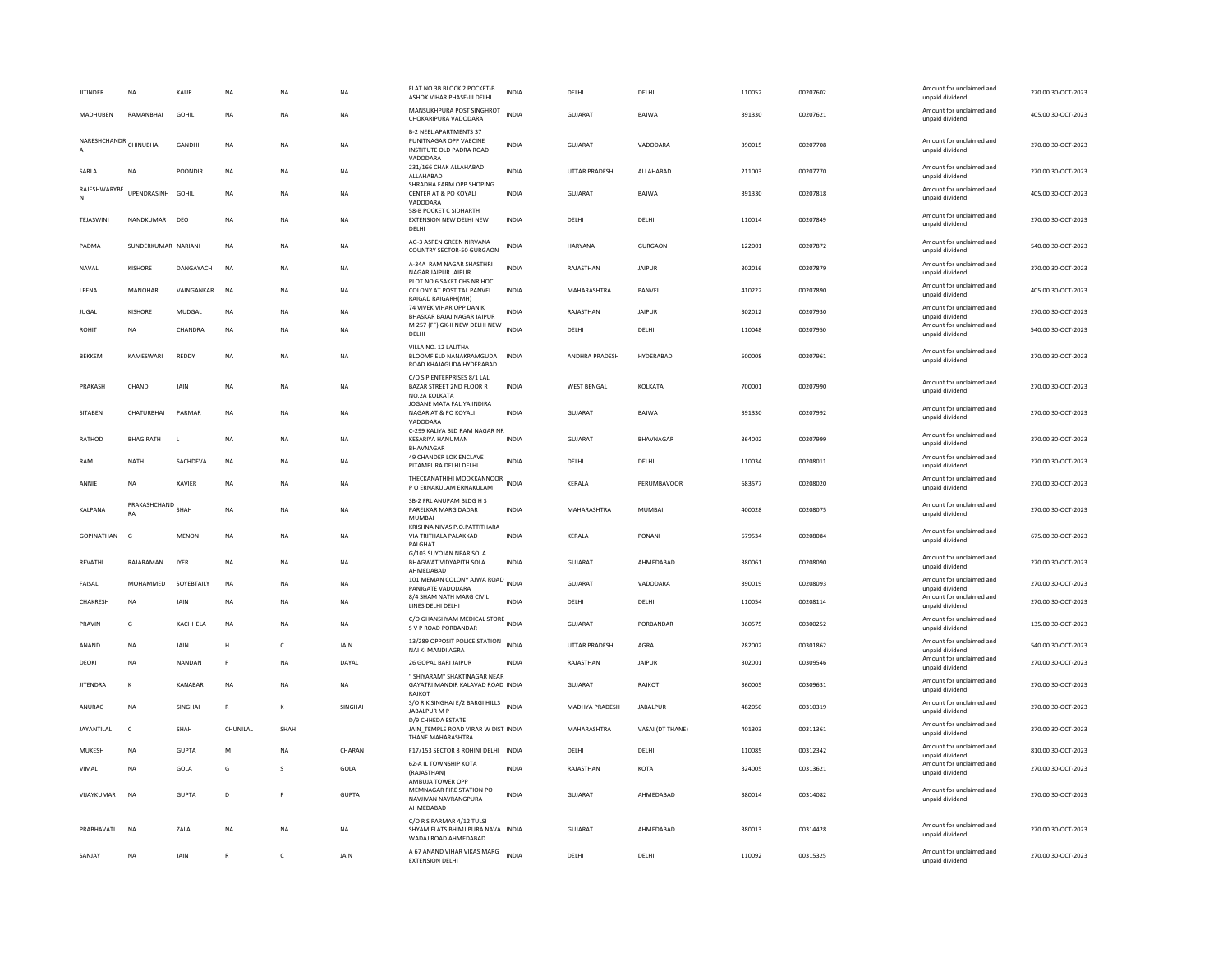| <b>JITINDER</b>   | NA                      | KAUR            | NA        | <b>NA</b>    | NA           | FLAT NO.3B BLOCK 2 POCKET-B<br>ASHOK VIHAR PHASE-III DELHI                                      | <b>INDIA</b> | DELHI              | DELHI            | 110052 | 00207602 | Amount for unclaimed and<br>unpaid dividend | 270.00 30-OCT-2023 |
|-------------------|-------------------------|-----------------|-----------|--------------|--------------|-------------------------------------------------------------------------------------------------|--------------|--------------------|------------------|--------|----------|---------------------------------------------|--------------------|
| MADHUBEN          | RAMANBHAI               | GOHIL           | NA        | NA           | NA           | MANSUKHPURA POST SINGHROT<br>CHOKARIPURA VADODARA                                               | <b>INDIA</b> | <b>GUJARAT</b>     | BAJWA            | 391330 | 00207621 | Amount for unclaimed and<br>unpaid dividend | 405.00 30-OCT-2023 |
| NARESHCHANDR      | CHINURHAI               | <b>GANDHI</b>   | <b>NA</b> | <b>NA</b>    | NA           | <b>B-2 NEEL APARTMENTS 37</b><br>PUNITNAGAR OPP VAECINE<br>INSTITUTE OLD PADRA ROAD<br>VADODARA | <b>INDIA</b> | GUJARAT            | VADODARA         | 390015 | 00207708 | Amount for unclaimed and<br>unpaid dividend | 270.00 30-OCT-2023 |
| SARLA             | <b>NA</b>               | POONDIR         | <b>NA</b> | NA           | <b>NA</b>    | 231/166 CHAK ALLAHABAD<br>ALLAHABAD                                                             | <b>INDIA</b> | UTTAR PRADESH      | ALLAHABAD        | 211003 | 00207770 | Amount for unclaimed and<br>unpaid dividend | 270.00 30-OCT-2023 |
| RAJESHWARYBE      | UPENDRASINH             | GOHIL           | <b>NA</b> | NA           | NA           | SHRADHA FARM OPP SHOPING<br>CENTER AT & PO KOYALI<br>VADODARA                                   | INDIA        | GUJARAT            | BAJWA            | 391330 | 00207818 | Amount for unclaimed and<br>unpaid dividend | 405.00 30-OCT-2023 |
| TEJASWINI         | NANDKUMAR               | DEO             | <b>NA</b> | <b>NA</b>    | <b>NA</b>    | 58-B POCKET C SIDHARTH<br><b>EXTENSION NEW DELHI NEW</b><br>DELHI                               | <b>INDIA</b> | DELHI              | DELHI            | 110014 | 00207849 | Amount for unclaimed and<br>unpaid dividend | 270.00 30-OCT-2023 |
| PADMA             | SUNDERKUMAR NARIANI     |                 | <b>NA</b> | <b>NA</b>    | <b>NA</b>    | AG-3 ASPEN GREEN NIRVANA<br>COUNTRY SECTOR-50 GURGAON                                           | <b>INDIA</b> | HARYANA            | GURGAON          | 122001 | 00207872 | Amount for unclaimed and<br>unpaid dividend | 540.00 30-OCT-2023 |
| NAVAL             | <b>KISHORE</b>          | DANGAYACH       | <b>NA</b> | <b>NA</b>    | <b>NA</b>    | A-34A RAM NAGAR SHASTHRI<br>NAGAR JAIPUR JAIPUR                                                 | <b>INDIA</b> | RAJASTHAN          | <b>JAIPUR</b>    | 302016 | 00207879 | Amount for unclaimed and<br>unpaid dividend | 270.00 30-OCT-2023 |
| LEENA             | <b>MANOHAR</b>          | VAINGANKAR      | <b>NA</b> | <b>NA</b>    | <b>NA</b>    | PLOT NO.6 SAKET CHS NR HOC<br>COLONY AT POST TAL PANVEL<br>RAIGAD RAIGARH(MH)                   | <b>INDIA</b> | MAHARASHTRA        | PANVEL           | 410222 | 00207890 | Amount for unclaimed and<br>unpaid dividend | 405.00 30-OCT-2023 |
| <b>JUGAL</b>      | KISHORF                 | MUDGAL          | <b>NA</b> | <b>NA</b>    | NA           | 74 VIVEK VIHAR OPP DANIK<br>BHASKAR BAJAJ NAGAR JAIPUR                                          | <b>INDIA</b> | RAIASTHAN          | <b>JAIPUR</b>    | 302012 | 00207930 | Amount for unclaimed and<br>unpaid dividend | 270.00 30-OCT-2023 |
| ROHIT             | NA                      | CHANDRA         | NA        | <b>NA</b>    | NA           | M 257 (FF) GK-II NEW DELHI NEW<br>DELHI                                                         | <b>INDIA</b> | DELHI              | DELHI            | 110048 | 00207950 | Amount for unclaimed and<br>unpaid dividend | 540.00 30-OCT-2023 |
| <b>BEKKEM</b>     | KAMESWARI               | REDDY           | NA        | NA           | NA           | VILLA NO. 12 LALITHA<br>BLOOMFIELD NANAKRAMGUDA<br>ROAD KHAJAGUDA HYDERABAD                     | <b>INDIA</b> | ANDHRA PRADESH     | HYDERABAD        | 500008 | 00207961 | Amount for unclaimed and<br>unpaid dividend | 270.00 30-OCT-2023 |
| PRAKASH           | CHAND                   | JAIN            | <b>NA</b> | <b>NA</b>    | <b>NA</b>    | C/O S P ENTERPRISES 8/1 LAL<br>BAZAR STREET 2ND FLOOR R<br>NO.2A KOLKATA                        | <b>INDIA</b> | <b>WEST BENGAL</b> | KOLKATA          | 700001 | 00207990 | Amount for unclaimed and<br>unpaid dividend | 270.00 30-OCT-2023 |
| SITABEN           | CHATURBHAI              | PARMAR          | <b>NA</b> | NA           | <b>NA</b>    | JOGANE MATA FALIYA INDIRA<br>NAGAR AT & PO KOYALI<br>VADODARA                                   | <b>INDIA</b> | <b>GUJARAT</b>     | <b>BAJWA</b>     | 391330 | 00207992 | Amount for unclaimed and<br>unpaid dividend | 270.00 30-OCT-2023 |
| RATHOD            | <b>BHAGIRATH</b>        |                 | <b>NA</b> | <b>NA</b>    | NA           | C-299 KALIYA BLD RAM NAGAR NR<br><b>KESARIYA HANUMAN</b><br><b>BHAVNAGAR</b>                    | <b>INDIA</b> | <b>GUJARAT</b>     | <b>BHAVNAGAR</b> | 364002 | 00207999 | Amount for unclaimed and<br>unpaid dividend | 270.00 30-OCT-2023 |
| RAM               | <b>NATH</b>             | SACHDEVA        | <b>NA</b> | <b>NA</b>    | <b>NA</b>    | 49 CHANDER LOK ENCLAVE<br>PITAMPURA DELHI DELHI                                                 | <b>INDIA</b> | DELHI              | DELHI            | 110034 | 00208011 | Amount for unclaimed and<br>unpaid dividend | 270.00 30-OCT-2023 |
| ANNIE             | <b>NA</b>               | <b>XAVIER</b>   | <b>NA</b> | <b>NA</b>    | <b>NA</b>    | THECKANATHIHI MOOKKANNOOR<br>P O ERNAKULAM ERNAKULAM                                            | <b>INDIA</b> | KERALA             | PERUMBAVOOR      | 683577 | 00208020 | Amount for unclaimed and<br>unpaid dividend | 270.00 30-OCT-2023 |
| KALPANA           | PRAKASHCHAND SHAH<br>RA |                 | NA        | NA           | NA           | SB-2 FRI ANUPAM BLDG H S<br>PARELKAR MARG DADAR<br><b>MUMBA</b>                                 | <b>INDIA</b> | MAHARASHTRA        | MUMBAI           | 400028 | 00208075 | Amount for unclaimed and<br>unpaid dividend | 270.00 30-OCT-2023 |
| GOPINATHAN        | G                       | <b>MENON</b>    | <b>NA</b> | <b>NA</b>    | <b>NA</b>    | KRISHNA NIVAS P.O.PATTITHARA<br>VIA TRITHALA PALAKKAD<br>PALGHAT                                | <b>INDIA</b> | KERALA             | PONANI           | 679534 | 00208084 | Amount for unclaimed and<br>unpaid dividend | 675.00 30-OCT-2023 |
| <b>REVATHI</b>    | RAJARAMAN               | <b>IYER</b>     | <b>NA</b> | <b>NA</b>    | NA           | G/103 SUYOJAN NEAR SOLA<br><b>BHAGWAT VIDYAPITH SOLA</b><br>AHMEDABAD                           | <b>INDIA</b> | <b>GUJARAT</b>     | AHMEDABAD        | 380061 | 00208090 | Amount for unclaimed and<br>unpaid dividend | 270.00 30-OCT-2023 |
| FAISAL            | MOHAMMED                | SOYEBTAILY      | <b>NA</b> | <b>NA</b>    | <b>NA</b>    | 101 MEMAN COLONY AJWA ROAD INDIA<br>PANIGATE VADODARA                                           |              | <b>GUJARAT</b>     | VADODARA         | 390019 | 00208093 | Amount for unclaimed and<br>unpaid dividend | 270.00 30-OCT-2023 |
| CHAKRESH          | <b>NA</b>               | JAIN            | <b>NA</b> | <b>NA</b>    | <b>NA</b>    | 8/4 SHAM NATH MARG CIVIL<br>LINES DELHI DELHI                                                   | <b>INDIA</b> | DELHI              | DELHI            | 110054 | 00208114 | Amount for unclaimed and<br>unpaid dividend | 270.00 30-OCT-2023 |
| PRAVIN            | G                       | <b>KACHHFIA</b> | <b>NA</b> | <b>NA</b>    | <b>NA</b>    | C/O GHANSHYAM MEDICAL STORE INDIA<br>S V P ROAD PORBANDAR                                       |              | GUIARAT            | PORRANDAR        | 360575 | 00300252 | Amount for unclaimed and<br>unpaid dividend | 135.00 30-OCT-2023 |
| ANAND             | NA                      | JAIN            | H         | $\mathsf{C}$ | JAIN         | 13/289 OPPOSIT POLICE STATION<br>NAI KI MANDI AGRA                                              | <b>INDIA</b> | UTTAR PRADESH      | AGRA             | 282002 | 00301862 | Amount for unclaimed and<br>unpaid dividend | 540.00 30-OCT-2023 |
| DEOKI             | <b>NA</b>               | NANDAN          | P         | <b>NA</b>    | DAYAL        | 26 GOPAL BARI JAIPUR<br>" SHIYARAM" SHAKTINAGAR NEAR                                            | <b>INDIA</b> | RAJASTHAN          | <b>JAIPUR</b>    | 302001 | 00309546 | Amount for unclaimed and<br>unpaid dividend | 270.00 30-OCT-2023 |
| <b>JITENDRA</b>   | K                       | KANABAR         | NA        | NA           | NA           | GAYATRI MANDIR KALAVAD ROAD INDIA<br>RAJKOT                                                     |              | GUJARAT            | RAJKOT           | 360005 | 00309631 | Amount for unclaimed and<br>unpaid dividend | 270.00 30-OCT-2023 |
| ANURAG            | <b>NA</b>               | SINGHAI         | R         | к            | SINGHAI      | S/O R K SINGHAI E/2 BARGI HILLS<br>JABALPUR M P<br>D/9 CHHEDA ESTATE                            | <b>INDIA</b> | MADHYA PRADESH     | <b>JABALPUR</b>  | 482050 | 00310319 | Amount for unclaimed and<br>unpaid dividend | 270.00 30-OCT-2023 |
| <b>JAYANTILAL</b> | $\mathsf{C}$            | SHAH            | CHUNILAL  | SHAH         |              | JAIN TEMPLE ROAD VIRAR W DIST INDIA<br>THANE MAHARASHTRA                                        |              | MAHARASHTRA        | VASAI (DT THANE) | 401303 | 00311361 | Amount for unclaimed and<br>unpaid dividend | 270.00 30-OCT-2023 |
| MUKESH            | <b>NA</b>               | <b>GUPTA</b>    | M         | <b>NA</b>    | CHARAN       | F17/153 SECTOR 8 ROHINI DELHI INDIA                                                             |              | DELHI              | DELHI            | 110085 | 00312342 | Amount for unclaimed and<br>unpaid dividend | 810.00 30-OCT-2023 |
| VIMAL             | NA                      | GOLA            | G         | $\mathbf{S}$ | GOLA         | 62-A IL TOWNSHIP KOTA<br>(RAJASTHAN)<br>AMBUJA TOWER OPP                                        | <b>INDIA</b> | RAJASTHAN          | KOTA             | 324005 | 00313621 | Amount for unclaimed and<br>unpaid dividend | 270.00 30-OCT-2023 |
| VIJAYKUMAR        | NA                      | <b>GUPTA</b>    | D         |              | <b>GUPTA</b> | MEMNAGAR FIRE STATION PO<br>NAVJIVAN NAVRANGPURA<br>AHMEDABAD                                   | <b>INDIA</b> | <b>GUJARAT</b>     | AHMEDABAD        | 380014 | 00314082 | Amount for unclaimed and<br>unpaid dividend | 270.00 30-OCT-2023 |
| PRABHAVATI        | <b>NA</b>               | ZALA            | NA        | <b>NA</b>    | NA           | C/O R S PARMAR 4/12 TULSI<br>SHYAM FLATS BHIMJIPURA NAVA INDIA<br>WADAJ ROAD AHMEDABAD          |              | GUJARAT            | AHMEDABAD        | 380013 | 00314428 | Amount for unclaimed and<br>unpaid dividend | 270.00 30-OCT-2023 |
| SANJAY            | NA                      | JAIN            |           | $\mathsf{C}$ | JAIN         | A 67 ANAND VIHAR VIKAS MARG<br><b>EXTENSION DELHI</b>                                           | <b>INDIA</b> | DELHI              | DELHI            | 110092 | 00315325 | Amount for unclaimed and<br>unpaid dividend | 270.00 30-OCT-2023 |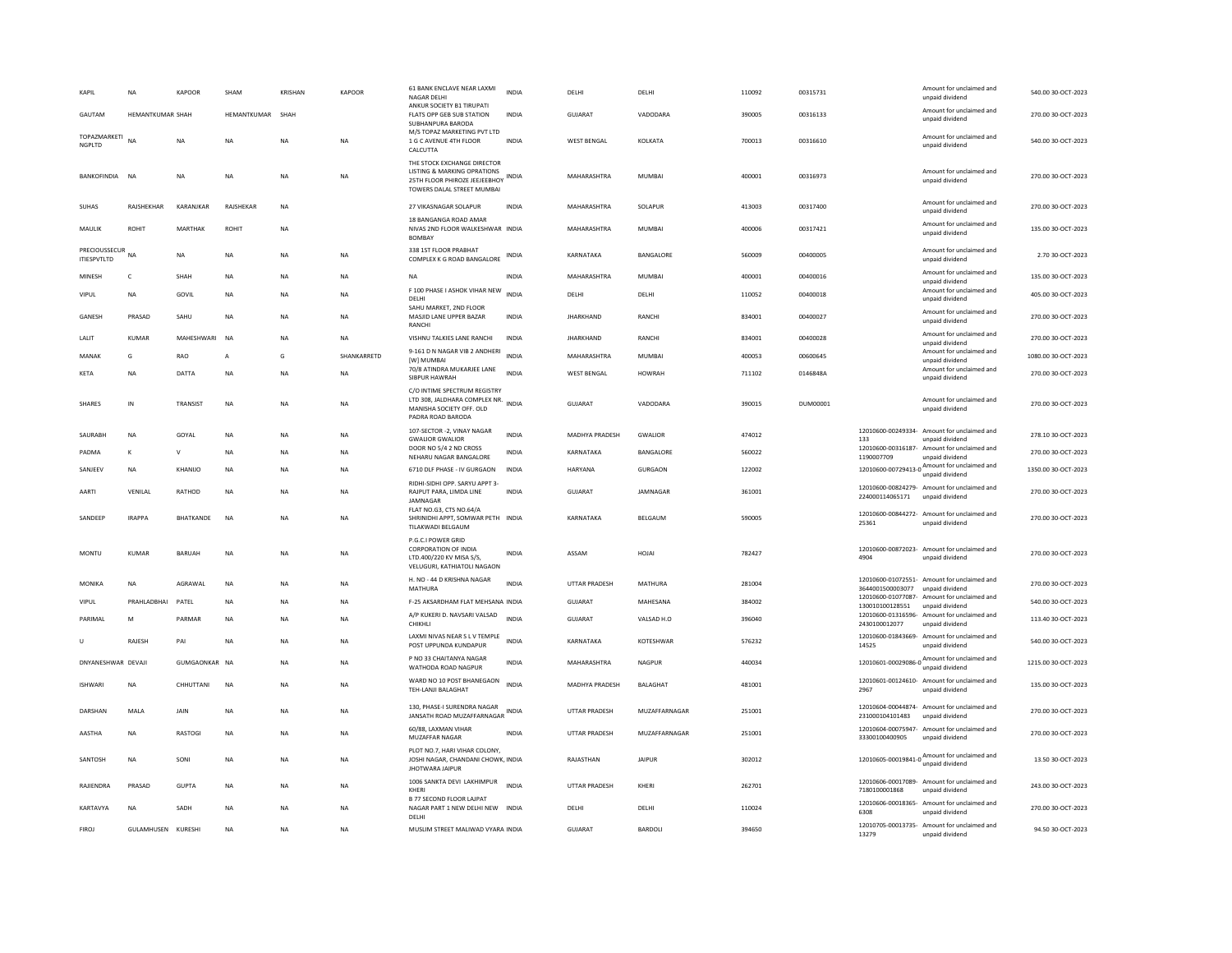| KAPIL                        | <b>NA</b>        | <b>KAPOOR</b> | SHAM             | <b>KRISHAN</b> | <b>KAPOOR</b> | 61 BANK ENCLAVE NEAR LAXMI<br><b>NAGAR DELHI</b><br>ANKUR SOCIETY B1 TIRUPATI                                             | <b>INDIA</b> | DELHI                | DELHI            | 110092 | 00315731 |                  | Amount for unclaimed and<br>unpaid dividend                                                                                                                                                                                          | 540.00 30-OCT-2023  |
|------------------------------|------------------|---------------|------------------|----------------|---------------|---------------------------------------------------------------------------------------------------------------------------|--------------|----------------------|------------------|--------|----------|------------------|--------------------------------------------------------------------------------------------------------------------------------------------------------------------------------------------------------------------------------------|---------------------|
| GAUTAM                       | HEMANTKUMAR SHAH |               | HEMANTKUMAR SHAH |                |               | FLATS OPP GEB SUB STATION<br>SURHANPURA BARODA                                                                            | <b>INDIA</b> | <b>GUJARAT</b>       | VADODARA         | 390005 | 00316133 |                  | Amount for unclaimed and<br>unpaid dividend                                                                                                                                                                                          | 270.00 30-OCT-2023  |
| TOPAZMARKETI<br>NGPLTD       | NA               | <b>NA</b>     | NA               | <b>NA</b>      | <b>NA</b>     | M/S TOPAZ MARKETING PVT LTD<br>1 G C AVENUE 4TH FLOOR<br>CALCUTTA                                                         | <b>INDIA</b> | <b>WEST BENGAL</b>   | KOLKATA          | 700013 | 00316610 |                  | Amount for unclaimed and<br>unpaid dividend                                                                                                                                                                                          | 540.00 30-OCT-2023  |
| BANKOFINDIA                  | <b>NA</b>        | <b>NA</b>     | <b>NA</b>        | <b>NA</b>      | <b>NA</b>     | THE STOCK EXCHANGE DIRECTOR<br>LISTING & MARKING OPRATIONS<br>25TH FLOOR PHIROZE JEEJEEBHOY<br>TOWERS DALAL STREET MUMBAI | <b>INDIA</b> | MAHARASHTRA          | MUMBAI           | 400001 | 00316973 |                  | Amount for unclaimed and<br>unpaid dividend                                                                                                                                                                                          | 270.00 30-OCT-2023  |
| <b>SUHAS</b>                 | RAJSHEKHAR       | KARANJKAR     | RAJSHEKAR        | <b>NA</b>      |               | 27 VIKASNAGAR SOLAPUR                                                                                                     | <b>INDIA</b> | MAHARASHTRA          | SOLAPUR          | 413003 | 00317400 |                  | Amount for unclaimed and<br>unpaid dividend                                                                                                                                                                                          | 270.00 30-OCT-2023  |
| MAULIK                       | ROHIT            | MARTHAK       | ROHIT            | NA             |               | 18 BANGANGA ROAD AMAR<br>NIVAS 2ND FLOOR WALKESHWAR INDIA<br><b>BOMBAY</b>                                                |              | MAHARASHTRA          | <b>MUMBAI</b>    | 400006 | 00317421 |                  | Amount for unclaimed and<br>unpaid dividend                                                                                                                                                                                          | 135.00 30-OCT-2023  |
| PRECIOUSSECUR<br>ITIESPVTLTD | <b>NA</b>        | <b>NA</b>     | <b>NA</b>        | <b>NA</b>      | <b>NA</b>     | 338 1ST FLOOR PRABHAT<br>COMPLEX K G ROAD BANGALORE                                                                       | <b>INDIA</b> | KARNATAKA            | <b>BANGALORE</b> | 560009 | 00400005 |                  | Amount for unclaimed and<br>unpaid dividend                                                                                                                                                                                          | 2.70.30-OCT-2023    |
| MINESH                       | $\mathsf{C}$     | SHAH          | <b>NA</b>        | <b>NA</b>      | <b>NA</b>     | <b>NA</b>                                                                                                                 | INDIA        | MAHARASHTRA          | MUMBAI           | 400001 | 00400016 |                  | Amount for unclaimed and<br>unpaid dividend                                                                                                                                                                                          | 135.00 30-OCT-2023  |
| VIPUL                        | <b>NA</b>        | GOVIL         | NA               | NA             | NA            | F 100 PHASE I ASHOK VIHAR NEW<br>DELHI                                                                                    | <b>INDIA</b> | DELHI                | DELHI            | 110052 | 00400018 |                  | Amount for unclaimed and<br>unpaid dividend                                                                                                                                                                                          | 405.00 30-OCT-2023  |
| GANESH                       | PRASAD           | SAHU          | NA               | <b>NA</b>      | NA            | SAHU MARKET, 2ND FLOOR<br>MASJID LANE UPPER BAZAR<br>RANCHI                                                               | <b>INDIA</b> | <b>JHARKHAND</b>     | RANCHI           | 834001 | 00400027 |                  | Amount for unclaimed and<br>unpaid dividend                                                                                                                                                                                          | 270.00 30-OCT-2023  |
| LALIT                        | KUMAR            | MAHESHWARI    | <b>NA</b>        | <b>NA</b>      | NA.           | VISHNU TALKIES LANE RANCHI                                                                                                | <b>INDIA</b> | <b>JHARKHAND</b>     | RANCHI           | 834001 | 00400028 |                  | Amount for unclaimed and<br>unpaid dividend                                                                                                                                                                                          | 270.00 30-OCT-2023  |
| MANAK                        | G                | <b>RAO</b>    | A                | G              | SHANKARRETD   | 9-161 D N NAGAR VIB 2 ANDHERI<br><b>IWI MUMBAI</b>                                                                        | <b>INDIA</b> | MAHARASHTRA          | <b>MUMBAI</b>    | 400053 | 00600645 |                  | Amount for unclaimed and<br>unpaid dividend                                                                                                                                                                                          | 1080.00 30-OCT-2023 |
| KETA                         | <b>NA</b>        | DATTA         | <b>NA</b>        | <b>NA</b>      | <b>NA</b>     | 70/8 ATINDRA MUKARJEE LANE<br>SIBPUR HAWRAH                                                                               | <b>INDIA</b> | <b>WEST BENGAL</b>   | <b>HOWRAH</b>    | 711102 | 0146848A |                  | Amount for unclaimed and<br>unpaid dividend                                                                                                                                                                                          | 270.00 30-OCT-2023  |
| <b>SHARES</b>                | IN               | TRANSIST      | <b>NA</b>        | <b>NA</b>      | <b>NA</b>     | C/O INTIME SPECTRUM REGISTRY<br>LTD 308, JALDHARA COMPLEX NR. INDIA<br>MANISHA SOCIETY OFF, OLD<br>PADRA ROAD BARODA      |              | <b>GUJARAT</b>       | VADODARA         | 390015 | DUM00001 |                  | Amount for unclaimed and<br>unpaid dividend                                                                                                                                                                                          | 270.00 30-OCT-2023  |
| SAURABH                      | <b>NA</b>        | GOYAL         | NA               | <b>NA</b>      | NA            | 107-SECTOR -2, VINAY NAGAR<br><b>GWALIOR GWALIOR</b>                                                                      | <b>INDIA</b> | MADHYA PRADESH       | GWALIOR          | 474012 |          | 133              | 12010600-00249334- Amount for unclaimed and<br>unpaid dividend                                                                                                                                                                       | 278.10 30-OCT-2023  |
| PADMA                        | К                | v             | NA               | NA             | NA            | DOOR NO 5/4 2 ND CROSS<br>NEHARU NAGAR BANGALORE                                                                          | INDIA        | KARNATAKA            | BANGALORE        | 560022 |          | 1190007709       | 12010600-00316187- Amount for unclaimed and<br>unpaid dividend                                                                                                                                                                       | 270.00 30-OCT-2023  |
| SANJEEV                      | <b>NA</b>        | KHANIJO       | NA               | <b>NA</b>      | NA            | 6710 DLF PHASE - IV GURGAON                                                                                               | <b>INDIA</b> | HARYANA              | <b>GURGAON</b>   | 122002 |          |                  | 12010600-00729413-0<br>mount for unclaimed and<br>months in the contract of the contract of the contract of the contract of the contract of the contract of the contract of the contract of the contract of the contract of the cont | 1350.00 30-OCT-2023 |
| AARTI                        | VENILAL          | RATHOD        | <b>NA</b>        | <b>NA</b>      | <b>NA</b>     | RIDHI-SIDHI OPP. SARYU APPT 3-<br>RAJPUT PARA, LIMDA LINE<br>JAMNAGAR                                                     | <b>INDIA</b> | GUJARAT              | JAMNAGAR         | 361001 |          | 224000114065171  | 12010600-00824279- Amount for unclaimed and<br>unpaid dividend                                                                                                                                                                       | 270.00 30-OCT-2023  |
| SANDEEP                      | <b>IRAPPA</b>    | BHATKANDE     | <b>NA</b>        | <b>NA</b>      | NA            | FLAT NO.G3, CTS NO.64/A<br>SHRINIDHI APPT, SOMWAR PETH INDIA<br>TILAKWADI BELGAUM                                         |              | KARNATAKA            | BELGAUM          | 590005 |          | 25361            | 12010600-00844272- Amount for unclaimed and<br>unpaid dividend                                                                                                                                                                       | 270.00 30-OCT-2023  |
| MONTU                        | <b>KUMAR</b>     | <b>BARUAH</b> | NA               | <b>NA</b>      | NA            | P.G.C.I POWER GRID<br>CORPORATION OF INDIA<br>LTD.400/220 KV MISA S/S.<br>VELUGURI, KATHIATOLI NAGAON                     | <b>INDIA</b> | ASSAM                | HOJAI            | 782427 |          | 4904             | 12010600-00872023- Amount for unclaimed and<br>unpaid dividend                                                                                                                                                                       | 270.00 30-OCT-2023  |
| MONIKA                       | <b>NA</b>        | AGRAWAL       | <b>NA</b>        | <b>NA</b>      | NA            | H. NO - 44 D KRISHNA NAGAR<br>MATHURA                                                                                     | <b>INDIA</b> | <b>UTTAR PRADESH</b> | MATHURA          | 281004 |          | 3644001500003077 | 12010600-01072551- Amount for unclaimed and<br>unpaid dividend                                                                                                                                                                       | 270.00 30-OCT-2023  |
| VIPUL                        | PRAHLADBHAI      | PATEL         | NA               | <b>NA</b>      | NA            | F-25 AKSARDHAM FLAT MEHSANA INDIA                                                                                         |              | <b>GUJARAT</b>       | MAHESANA         | 384002 |          | 130010100128551  | 12010600-01077087- Amount for unclaimed and<br>unpaid dividend                                                                                                                                                                       | 540.00 30-OCT-2023  |
| PARIMAL                      | M                | PARMAR        | <b>NA</b>        | <b>NA</b>      | <b>NA</b>     | A/P KUKERI D. NAVSARI VALSAD<br>CHIKHLI                                                                                   | <b>INDIA</b> | GUIARAT              | VALSAD H.O       | 396040 |          | 2430100012077    | 12010600-01316596- Amount for unclaimed and<br>unpaid dividend                                                                                                                                                                       | 113.40 30-OCT-2023  |
| U                            | RAJESH           | PAI           | <b>NA</b>        | <b>NA</b>      | <b>NA</b>     | LAXMI NIVAS NEAR S L V TEMPLE<br>POST UPPUNDA KUNDAPUR                                                                    | <b>INDIA</b> | KARNATAKA            | KOTESHWAR        | 576232 |          | 14525            | 12010600-01843669- Amount for unclaimed and<br>unpaid dividend                                                                                                                                                                       | 540.00 30-OCT-2023  |
| DNYANESHWAR DEVAJI           |                  | GUMGAONKAR NA |                  | NA             | NA            | P NO 33 CHAITANYA NAGAR<br>WATHODA ROAD NAGPUR                                                                            | INDIA        | MAHARASHTRA          | NAGPUR           | 440034 |          |                  | 12010601-00029086-0 $\frac{\text{Amount for unclaimed}}{\text{6}}$<br>unpaid dividend                                                                                                                                                | 1215.00 30-OCT-2023 |
| <b>ISHWARI</b>               | <b>NA</b>        | CHHUTTANI     | <b>NA</b>        | <b>NA</b>      | NA            | WARD NO 10 POST BHANEGAON<br>TEH-LANJI BALAGHAT                                                                           | INDIA        | MADHYA PRADESH       | BALAGHAT         | 481001 |          | 2967             | 12010601-00124610- Amount for unclaimed and<br>unpaid dividend                                                                                                                                                                       | 135.00 30-OCT-2023  |
| DARSHAN                      | MALA             | JAIN          | NA               | <b>NA</b>      | <b>NA</b>     | 130, PHASE-I SURENDRA NAGAR<br>JANSATH ROAD MUZAFFARNAGAR                                                                 | <b>INDIA</b> | UTTAR PRADESH        | MUZAFFARNAGAR    | 251001 |          | 231000104101483  | 12010604-00044874- Amount for unclaimed and<br>unpaid dividend                                                                                                                                                                       | 270.00 30-OCT-2023  |
| AASTHA                       | ΝA               | RASTOGI       | NA               | NA             | NA            | 60/88, LAXMAN VIHAR<br>MUZAFFAR NAGAR                                                                                     | INDIA        | UTTAR PRADESH        | MUZAFFARNAGAR    | 251001 |          | 33300100400905   | 12010604-00075947- Amount for unclaimed and<br>unpaid dividend                                                                                                                                                                       | 270.00 30-OCT-2023  |
| SANTOSH                      | NA               | SONI          | <b>NA</b>        | <b>NA</b>      | <b>NA</b>     | PLOT NO.7, HARI VIHAR COLONY,<br>JOSHI NAGAR, CHANDANI CHOWK, INDIA<br><b>JHOTWARA JAIPUR</b>                             |              | RAJASTHAN            | <b>JAIPUR</b>    | 302012 |          |                  | 12010605-00019841-0 Amount for unclaimed and<br>unpaid dividend                                                                                                                                                                      | 13.50 30-OCT-2023   |
| RAJIENDRA                    | PRASAD           | <b>GUPTA</b>  | <b>NA</b>        | <b>NA</b>      | NA            | 1006 SANKTA DEVI LAKHIMPUR<br>KHFRI                                                                                       | <b>INDIA</b> | <b>UTTAR PRADESH</b> | KHERI            | 262701 |          | 7180100001868    | 12010606-00017089- Amount for unclaimed and<br>unpaid dividend                                                                                                                                                                       | 243.00 30-OCT-2023  |
| KARTAVYA                     | <b>NA</b>        | SADH          | <b>NA</b>        | <b>NA</b>      | <b>NA</b>     | <b>B 77 SECOND FLOOR LAJPAT</b><br>NAGAR PART 1 NEW DELHI NEW INDIA<br>DELHI                                              |              | DELHI                | DELHI            | 110024 |          | 6308             | 12010606-00018365- Amount for unclaimed and<br>unpaid dividend                                                                                                                                                                       | 270.00 30-OCT-2023  |
| <b>FIROJ</b>                 | GULAMHUSEN       | KURESHI       | NA               | NA             | NA            | MUSLIM STREET MALIWAD VYARA INDIA                                                                                         |              | GUJARAT              | BARDOLI          | 394650 |          | 13279            | 12010705-00013735- Amount for unclaimed and<br>unpaid dividend                                                                                                                                                                       | 94.50 30-OCT-2023   |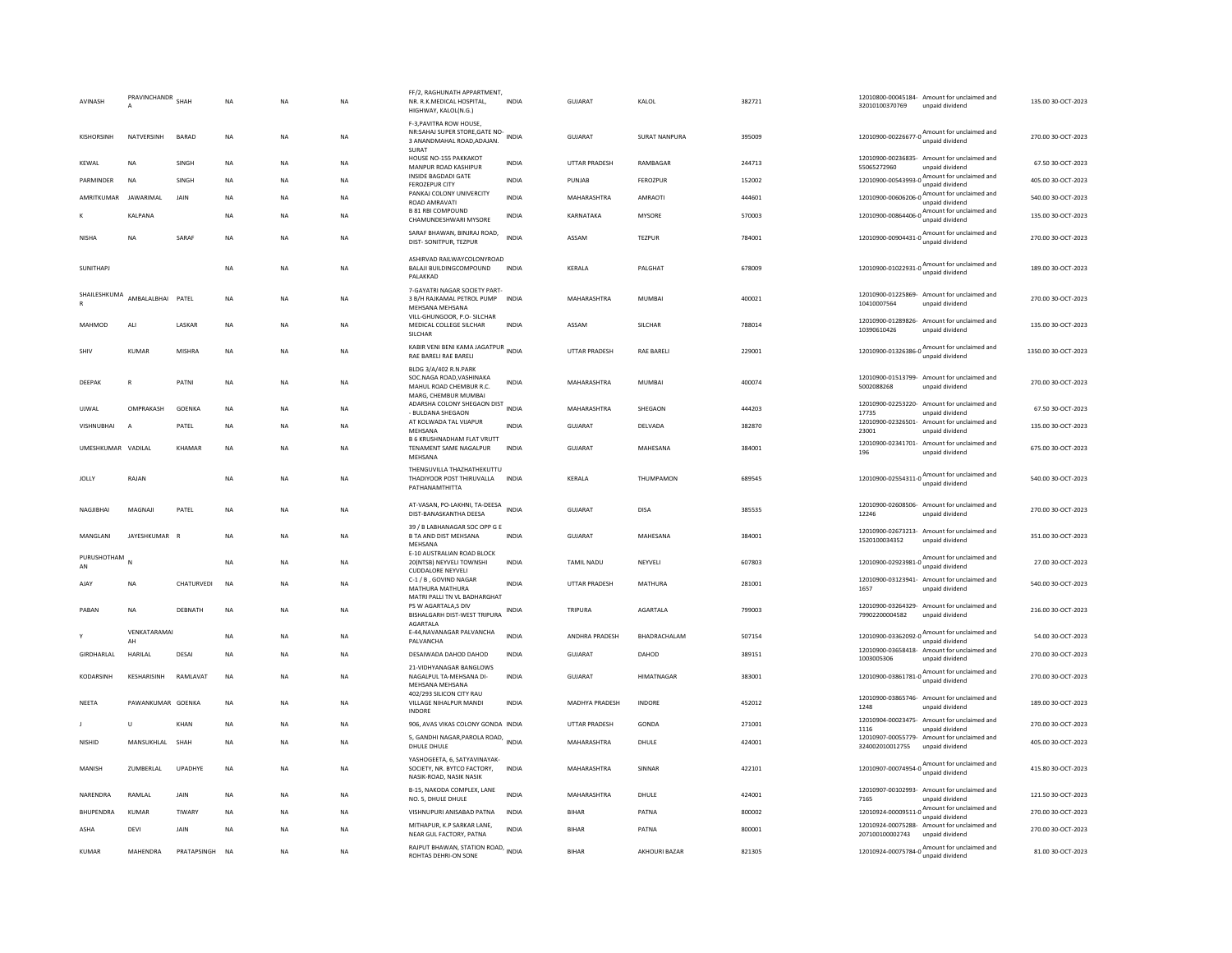| AVINASH            | PRAVINCHANDR<br>$\mathbf{A}$ | SHAH         | <b>NA</b> | <b>NA</b> | <b>NA</b> | FF/2, RAGHUNATH APPARTMENT,<br>NR. R.K.MEDICAL HOSPITAL,<br>HIGHWAY, KALOL(N.G.)                     | <b>INDIA</b> | <b>GUJARAT</b>        | KALOL                | 382721 | 12010800-00045184- Amount for unclaimed and<br>32010100370769<br>unpaid dividend              | 135.00 30-OCT-2023  |
|--------------------|------------------------------|--------------|-----------|-----------|-----------|------------------------------------------------------------------------------------------------------|--------------|-----------------------|----------------------|--------|-----------------------------------------------------------------------------------------------|---------------------|
| KISHORSINH         | NATVERSINH                   | BARAD        | NA        | <b>NA</b> | <b>NA</b> | F-3, PAVITRA ROW HOUSE,<br>NR:SAHAJ SUPER STORE, GATE NO-<br>3 ANANDMAHAL ROAD, ADAJAN.<br>SURAT     |              | GUJARAT               | <b>SURAT NANPURA</b> | 395009 | 12010900-00226677-0 $\frac{\text{Amount for unclaimed}}{\text{6}}$<br>unpaid dividend         | 270.00 30-OCT-2023  |
| KFWAI              | <b>NA</b>                    | <b>SINGH</b> | <b>NA</b> | <b>NA</b> | <b>NA</b> | HOUSE NO-155 PAKKAKOT<br>MANPUR ROAD KASHIPUR                                                        | <b>INDIA</b> | <b>UTTAR PRADESH</b>  | RAMBAGAR             | 244713 | 12010900-00236835- Amount for unclaimed and<br>55065272960<br>unpaid dividend                 | 67.50.30-OCT-2023   |
| PARMINDER          | <b>NA</b>                    | SINGH        | <b>NA</b> | <b>NA</b> | <b>NA</b> | INSIDE BAGDADI GATE<br>FEROZEPUR CITY                                                                | <b>INDIA</b> | PUNJAB                | FEROZPUR             | 152002 | 12010900-00543993-0 $\frac{\text{Amount}}{\text{0}}$ for unclaimed and<br>unpaid dividend     | 405.00 30-OCT-2023  |
| AMRITKUMAR         | JAWARIMAL                    | JAIN         | NA        | <b>NA</b> | NA        | PANKAJ COLONY UNIVERCITY<br>ROAD AMRAVATI                                                            | <b>INDIA</b> | MAHARASHTRA           | AMRAOTI              | 444601 | unpaid dividend                                                                               | 540.00 30-OCT-2023  |
|                    | KALPANA                      |              | NA        | <b>NA</b> | NA        | <b>B 81 RBI COMPOUND</b><br>CHAMUNDESHWARI MYSORE                                                    | <b>INDIA</b> | KARNATAKA             | MYSORE               | 570003 | 12010900-00864406-0 $\frac{\text{Amount for unclaimed}}{\text{6}}$<br>unpaid dividend         | 135.00 30-OCT-2023  |
| <b>NISHA</b>       | <b>NA</b>                    | SARAF        | <b>NA</b> | <b>NA</b> | NA.       | SARAF BHAWAN, BINJRAJ ROAD,<br>DIST- SONITPUR, TEZPUR                                                | <b>INDIA</b> | ASSAM                 | <b>TF7PUR</b>        | 784001 | unpaid dividend                                                                               | 270.00 30-OCT-2023  |
| <b>SUNITHAPI</b>   |                              |              | <b>NA</b> | <b>NA</b> | NA.       | ASHIRVAD RAILWAYCOLONYROAD<br>BALAJI BUILDINGCOMPOUND<br>PALAKKAD                                    | <b>INDIA</b> | <b>KFRAIA</b>         | <b>PAI GHAT</b>      | 678009 | 12010900-01022931-0<br>unpaid dividend                                                        | 189.00 30-OCT-2023  |
|                    | SHAILESHKUMA AMBALALBHAI     | PATEL        | <b>NA</b> | <b>NA</b> | <b>NA</b> | 7-GAYATRI NAGAR SOCIETY PART-<br>3 B/H RAJKAMAL PETROL PUMP INDIA<br>MEHSANA MEHSANA                 |              | MAHARASHTRA           | MUMBAI               | 400021 | 12010900-01225869- Amount for unclaimed and<br>10410007564<br>unpaid dividend                 | 270.00 30-OCT-2023  |
| MAHMOD             | ALI                          | LASKAR       | NA        | <b>NA</b> | NA        | VILL-GHUNGOOR, P.O- SILCHAR<br>MEDICAL COLLEGE SILCHAR<br>SILCHAR                                    | <b>INDIA</b> | ASSAM                 | SILCHAR              | 788014 | 12010900-01289826-<br>Amount for unclaimed and<br>10390610426<br>unpaid dividend              | 135.00 30-OCT-2023  |
| SHIV               | KUMAR                        | MISHRA       | NA        | NA        | NA        | KABIR VENI BENI KAMA JAGATPUR<br>RAE BARELI RAE BARELI                                               | <b>INDIA</b> | UTTAR PRADESH         | <b>RAE BARELI</b>    | 229001 | $12010900 - 01326386 - 0$ $12010900 - 01326386 - 0$ $12010900 - 01326386 - 0$                 | 1350.00 30-OCT-2023 |
| DEEPAK             | $\mathbb{R}$                 | PATNI        | NA        | <b>NA</b> | NA        | BLDG 3/A/402 R.N.PARK<br>SOC.NAGA ROAD, VASHINAKA<br>MAHUL ROAD CHEMBUR R.C.<br>MARG, CHEMBUR MUMBAI | <b>INDIA</b> | MAHARASHTRA           | MUMBAI               | 400074 | 12010900-01513799- Amount for unclaimed and<br>5002088268<br>unpaid dividend                  | 270.00 30-OCT-2023  |
| UJWAL              | OMPRAKASH                    | GOENKA       | NA        | <b>NA</b> | NA        | ADARSHA COLONY SHEGAON DIST INDIA<br>- BULDANA SHEGAON                                               |              | MAHARASHTRA           | SHEGAON              | 444203 | 12010900-02253220- Amount for unclaimed and<br>17735<br>unpaid dividend                       | 67.50 30-OCT-2023   |
| VISHNUBHAI         | A                            | PATEL        | NA        | <b>NA</b> | NA        | AT KOLWADA TAL VIJAPUR<br>MFHSANA                                                                    | <b>INDIA</b> | <b>GUJARAT</b>        | DELVADA              | 382870 | 12010900-02326501- Amount for unclaimed and<br>23001<br>unpaid dividend                       | 135.00 30-OCT-2023  |
| UMESHKUMAR VADILAL |                              | KHAMAR       | <b>NA</b> | <b>NA</b> | <b>NA</b> | B 6 KRUSHNADHAM FLAT VRUTT<br>TENAMENT SAME NAGALPUR<br>MEHSANA                                      | <b>INDIA</b> | <b>GUJARAT</b>        | MAHESANA             | 384001 | 12010900-02341701- Amount for unclaimed and<br>196<br>unpaid dividend                         | 675.00 30-OCT-2023  |
| JOLLY              | RAJAN                        |              | <b>NA</b> | <b>NA</b> | <b>NA</b> | THENGUVILLA THAZHATHEKUTTU<br>THADIYOOR POST THIRUVALLA<br>PATHANAMTHITTA                            | <b>INDIA</b> | KERALA                | THUMPAMON            | 689545 | 12010900-02554311-0 Amount for unclaimed and<br>unpaid dividend                               | 540.00 30-OCT-2023  |
| NAGJIBHAI          | MAGNAJI                      | PATEL        | NA        | <b>NA</b> | NA        | AT-VASAN, PO-LAKHNI, TA-DEESA INDIA<br>DIST-BANASKANTHA DEESA                                        |              | GUJARAT               | DISA                 | 385535 | 12010900-02608506- Amount for unclaimed and<br>unpaid dividend<br>12246                       | 270.00 30-OCT-2023  |
| MANGLANI           | IAYESHKUMAR R                |              | <b>NA</b> | <b>NA</b> | <b>NA</b> | 39 / B LABHANAGAR SOC OPP G E<br>B TA AND DIST MEHSANA<br>MEHSANA                                    | <b>INDIA</b> | <b>GUJARAT</b>        | MAHESANA             | 384001 | 12010900-02673213- Amount for unclaimed and<br>1520100034352<br>unpaid dividend               | 351.00 30-OCT-2023  |
| PURUSHOTHAM<br>AN  | N                            |              | NA        | NA        | NA        | E-10 AUSTRALIAN ROAD BLOCK<br>20(NTSB) NEYVELI TOWNSHI<br><b>CUDDALORE NEYVELI</b>                   | <b>INDIA</b> | <b>TAMIL NADU</b>     | NEYVELI              | 607803 | 12010900-02923981-0<br>Mount for unclaimed and                                                | 27.00 30-OCT-2023   |
| AJAY               | <b>NA</b>                    | CHATURVEDI   | NA        | NA        | NA        | C-1 / B, GOVIND NAGAR<br>MATHURA MATHURA<br>MATRI PALLI TN VL BADHARGHAT                             | <b>INDIA</b> | UTTAR PRADESH         | MATHURA              | 281001 | 12010900-03123941- Amount for unclaimed and<br>1657<br>unpaid dividend                        | 540.00 30-OCT-2023  |
| PABAN              | <b>NA</b>                    | DEBNATH      | <b>NA</b> | <b>NA</b> | <b>NA</b> | PS W AGARTALA,S DIV<br>BISHALGARH DIST-WEST TRIPURA<br>AGARTALA                                      | <b>INDIA</b> | TRIPURA               | AGARTALA             | 799003 | 12010900-03264329- Amount for unclaimed and<br>79902200004582<br>unpaid dividend              | 216.00 30-OCT-2023  |
| Y                  | VENKATARAMAI<br>AH           |              | <b>NA</b> | <b>NA</b> | <b>NA</b> | E-44, NAVANAGAR PALVANCHA<br>PALVANCHA                                                               | <b>INDIA</b> | <b>ANDHRA PRADESH</b> | <b>BHADRACHALAM</b>  | 507154 | 12010900-03362092-0 Amount for unclaimed and<br>unpaid dividend                               | 54.00 30-OCT-2023   |
| GIRDHARLAL         | HARILAL                      | DESAI        | <b>NA</b> | <b>NA</b> | <b>NA</b> | DESAIWADA DAHOD DAHOD                                                                                | <b>INDIA</b> | <b>GUJARAT</b>        | DAHOD                | 389151 | 12010900-03658418- Amount for unclaimed and<br>1003005306<br>unpaid dividend                  | 270.00 30-OCT-2023  |
| KODARSINH          | <b>KESHARISINH</b>           | RAMLAVAT     | <b>NA</b> | <b>NA</b> | <b>NA</b> | 21-VIDHYANAGAR BANGLOWS<br>NAGALPUL TA-MEHSANA DI-<br>MEHSANA MEHSANA                                | <b>INDIA</b> | GUJARAT               | <b>HIMATNAGAR</b>    | 383001 | 12010900-03861781-0 $\frac{\text{Amount for uncalained and}}{\text{64.1}}$<br>unpaid dividend | 270.00 30-OCT-2023  |
| NEETA              | PAWANKUMAR GOENKA            |              | NA        | NA        | NA        | 402/293 SILICON CITY RAU<br>VILLAGE NIHALPUR MANDI<br><b>INDORE</b>                                  | INDIA        | MADHYA PRADESH        | INDORE               | 452012 | 12010900-03865746- Amount for unclaimed and<br>1248<br>unpaid dividend                        | 189.00 30-OCT-2023  |
|                    | U                            | KHAN         | NA        | NA        | NA        | 906, AVAS VIKAS COLONY GONDA INDIA                                                                   |              | UTTAR PRADESH         | GONDA                | 271001 | 12010904-00023475- Amount for unclaimed and<br>unpaid dividend<br>1116                        | 270.00 30-OCT-2023  |
| <b>NISHID</b>      | MANSUKHLAL                   | SHAH         | <b>NA</b> | <b>NA</b> | <b>NA</b> | 5, GANDHI NAGAR, PAROLA ROAD, INDIA<br>DHULE DHULE                                                   |              | MAHARASHTRA           | DHULE                | 424001 | 12010907-00055779- Amount for unclaimed and<br>324002010012755<br>unpaid dividend             | 405.00 30-OCT-2023  |
| MANISH             | ZUMBERLAL                    | UPADHYE      | NA        | NA        | NA        | YASHOGEETA, 6, SATYAVINAYAK-<br>SOCIETY, NR. BYTCO FACTORY,<br>NASIK-ROAD, NASIK NASIK               | <b>INDIA</b> | MAHARASHTRA           | SINNAR               | 422101 | 12010907-00074954-0 Amount for unclaimed and<br>unpaid dividend                               | 415.80 30-OCT-2023  |
| NARENDRA           | RAMLAL                       | JAIN         | <b>NA</b> | <b>NA</b> | NA        | B-15, NAKODA COMPLEX, LANE<br>NO. 5, DHULE DHULE                                                     | <b>INDIA</b> | MAHARASHTRA           | DHULE                | 424001 | 12010907-00102993- Amount for unclaimed and<br>unpaid dividend<br>7165                        | 121.50 30-OCT-2023  |
| BHUPENDRA          | KUMAR                        | TIWARY       | NA        | <b>NA</b> | NA        | VISHNUPURI ANISABAD PATNA                                                                            | INDIA        | BIHAR                 | PATNA                | 800002 | 12010924-00009511-0 Amount for unclaimed and<br>unpaid dividend                               | 270.00 30-OCT-2023  |
| ASHA               | DFVI                         | <b>JAIN</b>  | <b>NA</b> | <b>NA</b> | <b>NA</b> | MITHAPUR, K.P SARKAR LANE.<br>NEAR GUL FACTORY, PATNA                                                | <b>INDIA</b> | <b>BIHAR</b>          | PATNA                | 800001 | 12010924-00075288- Amount for unclaimed and<br>207100100002743<br>unpaid dividend             | 270.00 30-OCT-2023  |
| KUMAR              | MAHENDRA                     | PRATAPSINGH  | <b>NA</b> | <b>NA</b> | NA        | RAJPUT BHAWAN, STATION ROAD, INDIA<br>ROHTAS DEHRI-ON SONE                                           |              | <b>BIHAR</b>          | AKHOURI BAZAR        | 821305 | $12010924 - 00075784 - 0$ $A_{\text{unpaid dividend}}$                                        | 81.00 30-OCT-2023   |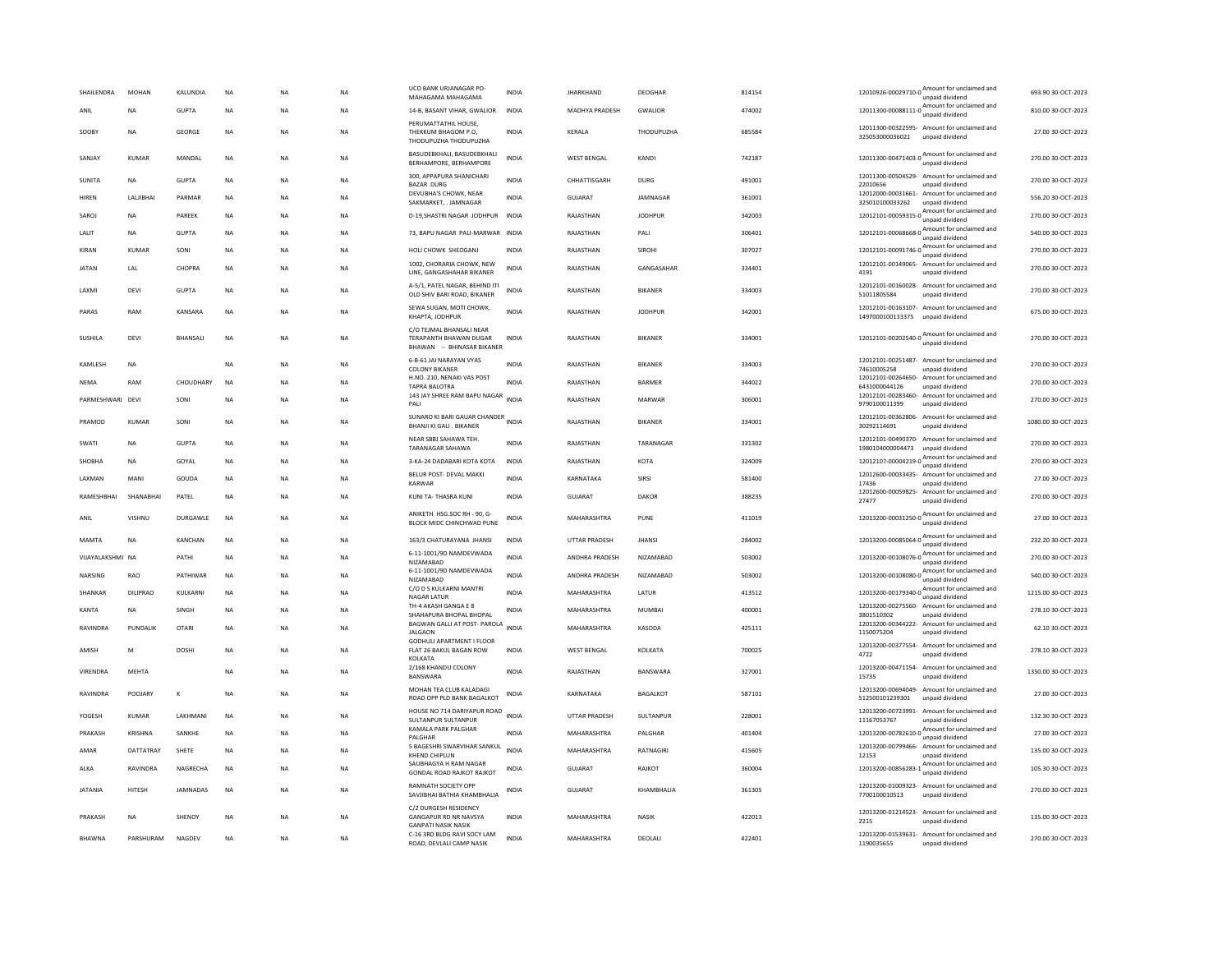| SHAILENDRA       | <b>MOHAN</b>    | KALUNDIA        | <b>NA</b>   | <b>NA</b> | <b>NA</b> | UCO BANK URJANAGAR PO-<br>MAHAGAMA MAHAGAMA                                         | <b>INDIA</b> | <b>JHARKHAND</b>   | DEOGHAR           | 814154 | 12010926-00029710-0 Amount for unclaimed and<br>unpaid dividend                                        | 693.90 30-OCT-2023  |
|------------------|-----------------|-----------------|-------------|-----------|-----------|-------------------------------------------------------------------------------------|--------------|--------------------|-------------------|--------|--------------------------------------------------------------------------------------------------------|---------------------|
| ANIL             | NA              | <b>GUPTA</b>    | $_{\sf NA}$ | <b>NA</b> | NA        | 14-B, BASANT VIHAR, GWALIOR                                                         | <b>INDIA</b> | MADHYA PRADESH     | GWALIOR           | 474002 | 12011300-00088111-0 $\frac{\text{Amount}}{\text{12011300}}$ mount for unclaimed and<br>unpaid dividend | 810.00 30-OCT-2023  |
| SOOBY            | <b>NA</b>       | GEORGE          | <b>NA</b>   | <b>NA</b> | <b>NA</b> | PERUMATTATHIL HOUSE,<br>THEKKUM BHAGOM P.O.<br>THODUPUZHA THODUPUZHA                | <b>INDIA</b> | <b>KFRAIA</b>      | <b>THODUPUZHA</b> | 685584 | 12011300-00322595- Amount for unclaimed and<br>325053000036021 unpaid dividend                         | 27.00.30-OCT-2023   |
| SANJAY           | <b>KUMAR</b>    | MANDAL          | $_{\sf NA}$ | <b>NA</b> | NA        | BASUDEBKHALI, BASUDEBKHALI<br>BERHAMPORE, BERHAMPORE                                | <b>INDIA</b> | <b>WEST BENGAL</b> | KANDI             | 742187 | 12011300-00471403-0 Amount for unclaimed and                                                           | 270.00 30-OCT-2023  |
| <b>SUNITA</b>    | <b>NA</b>       | <b>GUPTA</b>    | <b>NA</b>   | <b>NA</b> | <b>NA</b> | 300, APPAPURA SHANICHARI<br><b>BAZAR DURG</b>                                       | <b>INDIA</b> | CHHATTISGARH       | DURG              | 491001 | 12011300-00504529- Amount for unclaimed and<br>22010656<br>unpaid dividend                             | 270.00 30-OCT-2023  |
| <b>HIREN</b>     | LALIBHA         | PARMAR          | <b>NA</b>   | <b>NA</b> | <b>NA</b> | DEVURHA'S CHOWK, NEAR<br>SAKMARKET, . JAMNAGAR                                      | <b>INDIA</b> | <b>GUJARAT</b>     | JAMNAGAR          | 361001 | 12012000-00031661- Amount for unclaimed and<br>325010100033262<br>unpaid dividend                      | 556.20 30-OCT-2023  |
| SAROJ            | <b>NA</b>       | PAREEK          | $_{\sf NA}$ | <b>NA</b> | <b>NA</b> | D-19.SHASTRI NAGAR JODHPUR                                                          | <b>INDIA</b> | RAJASTHAN          | <b>JODHPUR</b>    | 342003 | 12012101-00059315-0 $\frac{\text{Amount}}{\text{12012101} \cdot \text{00059315-0}}$<br>unpaid dividend | 270.00 30-OCT-2023  |
| LALIT            | <b>NA</b>       | <b>GUPTA</b>    | <b>NA</b>   | <b>NA</b> | <b>NA</b> | 73, BAPU NAGAR PALI-MARWAR INDIA                                                    |              | RAJASTHAN          | PALI              | 306401 | $12012101-00068668-0$ $A_{\text{unpaid dividend}}$                                                     | 540.00 30-OCT-2023  |
| KIRAN            | KUMAR           | SONI            | NA          | <b>NA</b> | NA        | HOLI CHOWK SHEOGANJ                                                                 | INDIA        | RAJASTHAN          | SIROHI            | 307027 | $12012101 - 00091746 - 0$ $A_{\text{unpaid dividend}}$                                                 | 270.00 30-OCT-2023  |
| <b>JATAN</b>     | LAL             | CHOPRA          | <b>NA</b>   | <b>NA</b> | <b>NA</b> | 1002, CHORARIA CHOWK, NEW<br>LINE, GANGASHAHAR BIKANER                              | <b>INDIA</b> | RAJASTHAN          | GANGASAHAR        | 334401 | 12012101-00149065- Amount for unclaimed and<br>4191<br>unpaid dividend                                 | 270.00 30-OCT-2023  |
| LAXMI            | DEVI            | <b>GUPTA</b>    | <b>NA</b>   | <b>NA</b> | <b>NA</b> | A-5/1, PATEL NAGAR, BEHIND ITI<br>OLD SHIV BARI ROAD, BIKANER                       | <b>INDIA</b> | RAJASTHAN          | BIKANER           | 334003 | 12012101-00160028- Amount for unclaimed and<br>51011805584<br>unpaid dividend                          | 270.00 30-OCT-2023  |
| PARAS            | RAM             | KANSARA         | $_{\sf NA}$ | NA        | NA        | SEWA SUGAN, MOTI CHOWK.<br>KHAPTA, JODHPUR                                          | <b>INDIA</b> | RAJASTHAN          | <b>JODHPUR</b>    | 342001 | 12012101-00163107- Amount for unclaimed and<br>1497000100133375<br>unpaid dividend                     | 675.00 30-OCT-2023  |
| SUSHILA          | DEVI            | <b>BHANSALI</b> | <b>NA</b>   | NA        | <b>NA</b> | C/O TEJMAL BHANSALI NEAR<br>TERAPANTH BHAWAN DUGAR<br>BHAWAN -- BHINASAR BIKANER    | <b>INDIA</b> | RAJASTHAN          | <b>BIKANER</b>    | 334001 | 12012101-00202540-0 $\frac{\text{Amount for unclaimed}}{\cdots}$<br>unpaid dividend                    | 270.00 30-OCT-2023  |
| <b>KAMI FSH</b>  | <b>NA</b>       |                 | <b>NA</b>   | <b>NA</b> | <b>NA</b> | 6-B-61 JAI NARAYAN VYAS<br><b>COLONY BIKANER</b>                                    | <b>INDIA</b> | RAIASTHAN          | <b>BIKANER</b>    | 334003 | 12012101-00251487- Amount for unclaimed and<br>74610005258<br>unpaid dividend                          | 270.00 30-OCT-2023  |
| <b>NEMA</b>      | RAM             | CHOUDHARY       | <b>NA</b>   | <b>NA</b> | <b>NA</b> | H.NO. 210, NENAKI VAS POST<br>TAPRA BALOTRA                                         | <b>INDIA</b> | RAJASTHAN          | BARMER            | 344022 | 12012101-00264650- Amount for unclaimed and<br>6431000044126<br>unpaid dividend                        | 270.00 30-OCT-2023  |
| PARMESHWARI DEVI |                 | SONI            | $_{\sf NA}$ | NA        | <b>NA</b> | 143 JAY SHREE RAM BAPU NAGAR<br>PALI                                                | <b>INDIA</b> | RAJASTHAN          | MARWAR            | 306001 | 12012101-00283460- Amount for unclaimed and<br>9790100011399<br>unpaid dividend                        | 270.00 30-OCT-2023  |
| PRAMOD           | KUMAR           | SONI            | NA          | NA        | NA        | SUNARO KI BARI GAUAR CHANDER<br><b>BHANILKLGALL, BIKANER</b>                        | <b>INDIA</b> | RAJASTHAN          | <b>BIKANER</b>    | 334001 | 12012101-00362806- Amount for unclaimed and<br>30292114691<br>unpaid dividend                          | 1080.00 30-OCT-2023 |
| SWATI            | <b>NA</b>       | <b>GUPTA</b>    | <b>NA</b>   | <b>NA</b> | <b>NA</b> | NEAR SBBJ SAHAWA TEH.<br>TARANAGAR SAHAWA                                           | <b>INDIA</b> | RAJASTHAN          | TARANAGAR         | 331302 | 12012101-00490370- Amount for unclaimed and<br>1980104000004473<br>unpaid dividend                     | 270.00 30-OCT-2023  |
| <b>SHOBHA</b>    | <b>NA</b>       | GOYAL           | <b>NA</b>   | <b>NA</b> | <b>NA</b> | 3-KA-24 DADABARI KOTA KOTA                                                          | <b>INDIA</b> | RAJASTHAN          | KOTA              | 324009 | Amount for unclaimed and<br>12012107-00004219-0<br>unpaid dividend                                     | 270.00 30-OCT-2023  |
| LAXMAN           | MANI            | GOUDA           | <b>NA</b>   | <b>NA</b> | <b>NA</b> | BELUR POST- DEVAL MAKKI<br>KARWAR                                                   | INDIA        | KARNATAKA          | SIRSI             | 581400 | 12012600-00033435- Amount for unclaimed and<br>17436<br>unpaid dividend                                | 27.00 30-OCT-2023   |
| RAMESHBHAI       | SHANABHA        | PATEL           | <b>NA</b>   | <b>NA</b> | <b>NA</b> | KUNI TA- THASRA KUNI                                                                | <b>INDIA</b> | GUJARAT            | DAKOR             | 388235 | 12012600-00059825- Amount for unclaimed and<br>27477<br>unpaid dividend                                | 270.00 30-OCT-2023  |
| ANII             | VISHNU          | <b>DURGAWLE</b> | <b>NA</b>   | <b>NA</b> | <b>NA</b> | ANIKETH HSG.SOC RH - 90, G-<br>BLOCK MIDC CHINCHWAD PUNE                            | <b>INDIA</b> | MAHARASHTRA        | PUNE              | 411019 | 12013200-00031250-0 $\frac{\text{Amount for unclaimed}}{\cdots}$<br>unpaid dividend                    | 27.00 30-OCT-2023   |
| MAMTA            | NA              | KANCHAN         | <b>NA</b>   | <b>NA</b> | <b>NA</b> | 163/3 CHATURAYANA JHANSI                                                            | INDIA        | UTTAR PRADESH      | <b>JHANSI</b>     | 284002 | 12013200-00085064-0 Amount for unclaimed and<br>unpaid dividend                                        | 232.20 30-OCT-2023  |
| VIJAYALAKSHMI NA |                 | PATHI           | <b>NA</b>   | <b>NA</b> | <b>NA</b> | 6-11-1001/9D NAMDEVWADA<br>NIZAMABAD                                                | <b>INDIA</b> | ANDHRA PRADESH     | <b>NIZAMABAD</b>  | 503002 | 12013200-00108076-0 $\frac{\text{Amount}}{\text{10}}$ for unclaimed and<br>unpaid dividend             | 270.00 30-OCT-2023  |
| NARSING          | RAO             | PATHIWAR        | $_{\sf NA}$ | NA        | NA        | 6-11-1001/9D NAMDEVWADA<br>NIZAMABAD                                                | INDIA        | ANDHRA PRADESH     | NIZAMABAD         | 503002 | 12013200-00108080-0 $\frac{\text{Amount for unclaimed}}{\text{m}$<br>unpaid dividend                   | 540.00 30-OCT-2023  |
| SHANKAR          | <b>DILIPRAO</b> | KULKARNI        | $_{\sf NA}$ | <b>NA</b> | NA        | C/O D S KULKARNI MANTRI<br><b>NAGAR LATUR</b>                                       | INDIA        | MAHARASHTRA        | LATUR             | 413512 | 12013200-00179340-0 Amount for unclaimed and<br>unpaid dividend                                        | 1215.00 30-OCT-2023 |
| <b>KANTA</b>     | <b>NA</b>       | SINGH           | NA          | <b>NA</b> | <b>NA</b> | TH-4 AKASH GANGA E 8<br>SHAHAPURA BHOPAL BHOPAL                                     | INDIA        | MAHARASHTRA        | <b>MUMBAI</b>     | 400001 | 12013200-00275560- Amount for unclaimed and<br>3801510302<br>unnaid dividend                           | 278.10 30-OCT-2023  |
| RAVINDRA         | PUNDALIK        | OTARI           | <b>NA</b>   | <b>NA</b> | <b>NA</b> | BAGWAN GALLI AT POST- PAROLA<br><b>JALGAON</b>                                      | <b>INDIA</b> | MAHARASHTRA        | KASODA            | 425111 | 12013200-00344222-<br>Amount for unclaimed and<br>1150075204<br>unpaid dividend                        | 62.10.30-OCT-2023   |
| AMISH            | M               | DOSHI           | $_{\sf NA}$ | NA        | <b>NA</b> | <b>GODHULI APARTMENT I FLOOR</b><br>FLAT 26 BAKUL BAGAN ROW<br>KOLKATA              | INDIA        | WEST BENGAL        | KOLKATA           | 700025 | 12013200-00377554- Amount for unclaimed and<br>4722<br>unpaid dividend                                 | 278.10 30-OCT-2023  |
| VIRENDRA         | MEHTA           |                 | NA          | NA        | NA        | 2/168 KHANDU COLONY<br><b>RANSWARA</b>                                              | <b>INDIA</b> | RAJASTHAN          | BANSWARA          | 327001 | 12013200-00471154- Amount for unclaimed and<br>15735<br>unnaid dividend                                | 1350.00 30-OCT-2023 |
| RAVINDRA         | POOJARY         | К               | <b>NA</b>   | <b>NA</b> | <b>NA</b> | MOHAN TEA CLUB KALADAGI<br>ROAD OPP PLD BANK BAGALKOT                               | <b>INDIA</b> | KARNATAKA          | <b>BAGALKOT</b>   | 587101 | 12013200-00694049- Amount for unclaimed and<br>512500101239301<br>unpaid dividend                      | 27.00 30-OCT-2023   |
| YOGESH           | <b>KUMAR</b>    | LAKHMANI        | <b>NA</b>   | <b>NA</b> | <b>NA</b> | HOUSE NO 714 DARIYAPUR ROAD<br>SULTANPUR SULTANPUR                                  | <b>INDIA</b> | UTTAR PRADESH      | SULTANPUR         | 228001 | 12013200-00723991- Amount for unclaimed and<br>11167053767<br>unpaid dividend                          | 132.30 30-OCT-2023  |
| PRAKASH          | KRISHNA         | SANKHE          | $_{\sf NA}$ | NA        | NA        | KAMALA PARK PALGHAR<br><b>PAI GHAR</b>                                              | <b>INDIA</b> | MAHARASHTRA        | PALGHAR           | 401404 | Amount for unclaimed and<br>12013200-00782610-0                                                        | 27.00 30-OCT-2023   |
| AMAR             | DATTATRAY       | SHETE           | <b>NA</b>   | <b>NA</b> | <b>NA</b> | 5 BAGESHRI SWARVIHAR SANKUL<br>KHEND CHIPLUN                                        | <b>INDIA</b> | MAHARASHTRA        | RATNAGIRI         | 415605 | 12013200-00799466- Amount for unclaimed and<br>12153<br>unpaid dividend                                | 135.00 30-OCT-2023  |
| ALKA             | RAVINDRA        | <b>NAGRECHA</b> | <b>NA</b>   | <b>NA</b> | <b>NA</b> | SAUBHAGYA H RAM NAGAR<br><b>GONDAL ROAD RAJKOT RAJKOT</b>                           | <b>INDIA</b> | GUIARAT            | RAIKOT            | 360004 | 12013200-00856283-1 Amount for unclaimed and<br>unpaid dividend                                        | 105.30 30-OCT-2023  |
| <b>JATANIA</b>   | HITESH          | <b>JAMNADAS</b> | <b>NA</b>   | <b>NA</b> | <b>NA</b> | <b>RAMNATH SOCIETY OPP</b><br>SAVJIBHAI BATHIA KHAMBHALIA                           | <b>INDIA</b> | GUJARAT            | KHAMBHALIA        | 361305 | 12013200-01009323- Amount for unclaimed and<br>7700100010513<br>unpaid dividend                        | 270.00 30-OCT-2023  |
| PRAKASH          | <b>NA</b>       | SHENOY          | <b>NA</b>   | <b>NA</b> | <b>NA</b> | C/2 DURGESH RESIDENCY<br><b>GANGAPUR RD NR NAVSYA</b><br><b>GANPATI NASIK NASIK</b> | <b>INDIA</b> | MAHARASHTRA        | <b>NASIK</b>      | 422013 | 12013200-01214523- Amount for unclaimed and<br>2215<br>unpaid dividend                                 | 135.00.30-OCT-2023  |
| <b>BHAWNA</b>    | PARSHURAM       | NAGDEV          | <b>NA</b>   | <b>NA</b> | <b>NA</b> | C-16 3RD BLDG RAVI SOCY LAM<br>ROAD, DEVLALI CAMP NASIK                             | <b>INDIA</b> | MAHARASHTRA        | DEOLALI           | 422401 | 12013200-01539631- Amount for unclaimed and<br>1190035655<br>unpaid dividend                           | 270.00 30-OCT-2023  |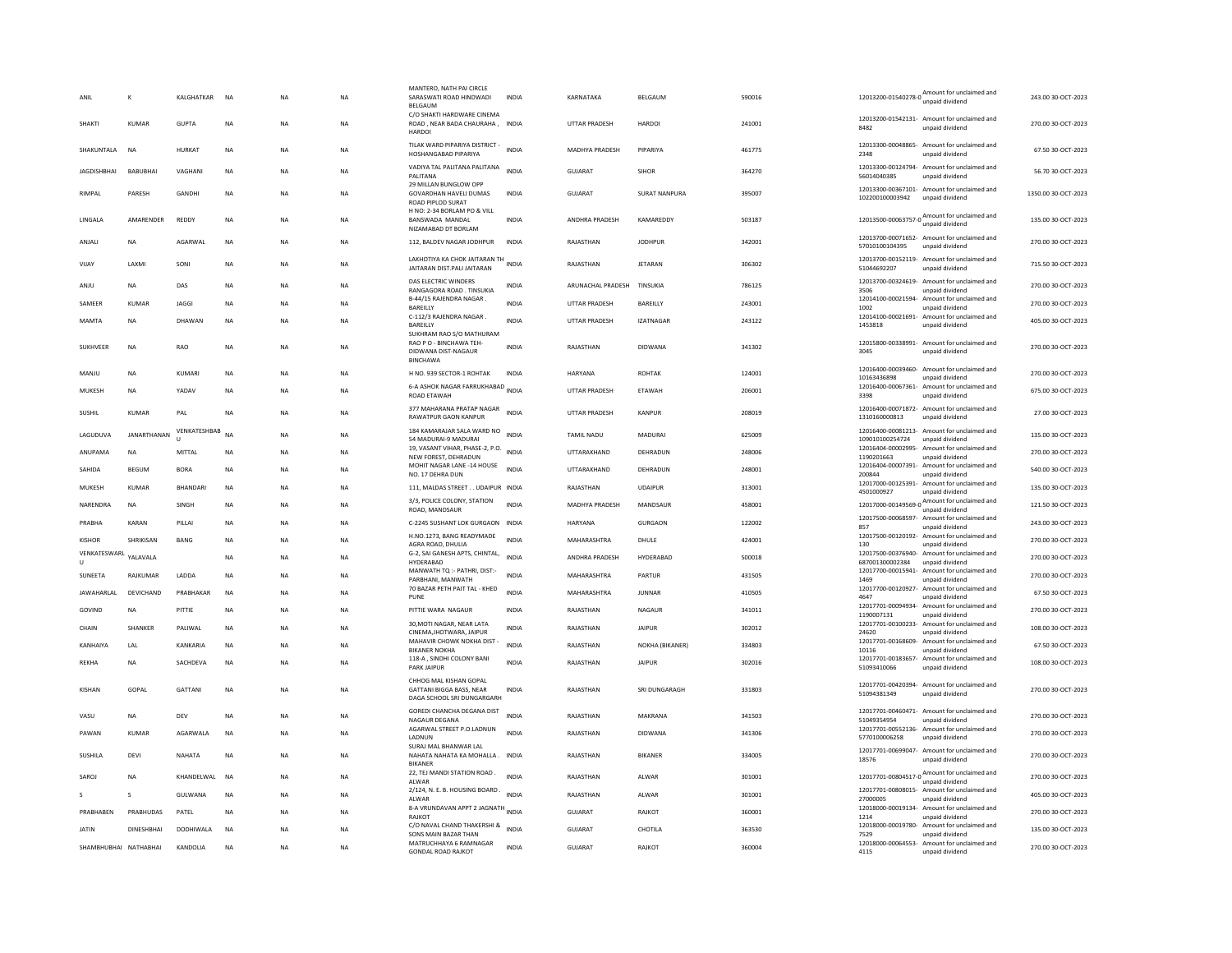| ANIL           |                   |                       | KALGHATKAR        | <b>NA</b>   | <b>NA</b> | <b>NA</b> | MANTERO, NATH PAI CIRCLE<br>SARASWATI ROAD HINDWADI<br>BELGAUM                     | <b>INDIA</b> | KARNATAKA             | BELGAUM          | 590016 | Amount for unclaimed and<br>12013200-01540278-0 $\frac{\mu_{\text{min}}}{\mu_{\text{npaid}}}\$ | 243.00 30-OCT-2023  |
|----------------|-------------------|-----------------------|-------------------|-------------|-----------|-----------|------------------------------------------------------------------------------------|--------------|-----------------------|------------------|--------|------------------------------------------------------------------------------------------------|---------------------|
| SHAKTI         |                   | KUMAR                 | GUPTA             | <b>NA</b>   | <b>NA</b> | <b>NA</b> | C/O SHAKTI HARDWARE CINEMA<br>ROAD, NEAR BADA CHAURAHA, INDIA<br><b>HARDOI</b>     |              | <b>UTTAR PRADESH</b>  | <b>HARDOL</b>    | 241001 | 12013200-01542131- Amount for unclaimed and<br>8482<br>unpaid dividend                         | 270.00 30-OCT-2023  |
|                | SHAKUNTALA        | <b>NA</b>             | HURKAT            | <b>NA</b>   | <b>NA</b> | <b>NA</b> | TILAK WARD PIPARIYA DISTRICT -<br>HOSHANGABAD PIPARIYA                             | <b>INDIA</b> | <b>MADHYA PRADESH</b> | PIPARIYA         | 461775 | 12013300-00048865- Amount for unclaimed and<br>2348<br>unpaid dividend                         | 67.50 30-OCT-2023   |
|                | <b>JAGDISHBHA</b> | BABUBHA               | VAGHANI           | <b>NA</b>   | <b>NA</b> | <b>NA</b> | VADIYA TAL PALITANA PALITANA<br>PALITANA                                           | <b>INDIA</b> | <b>GUJARAT</b>        | SIHOR            | 364270 | 12013300-00124794- Amount for unclaimed and<br>56014040385<br>unpaid dividend                  | 56.70 30-OCT-2023   |
| RIMPAL         |                   | PARESH                | GANDHI            | <b>NA</b>   | <b>NA</b> | <b>NA</b> | 29 MILLAN BUNGLOW OPP<br><b>GOVARDHAN HAVELI DUMAS</b><br><b>ROAD PIPLOD SURAT</b> | <b>INDIA</b> | GUIARAT               | SURAT NANPURA    | 395007 | 12013300-00367101- Amount for unclaimed and<br>102200100003942<br>unpaid dividend              | 1350.00 30-OCT-2023 |
| LINGALA        |                   | AMARENDER             | REDDY             | <b>NA</b>   | <b>NA</b> | <b>NA</b> | H NO: 2-34 BORLAM PO & VILL<br>BANSWADA MANDAL<br>NIZAMABAD DT BORLAM              | <b>INDIA</b> | ANDHRA PRADESH        | KAMAREDDY        | 503187 | Amount for unclaimed and<br>12013500-00063757-0                                                | 135.00 30-OCT-2023  |
| ANJALI         |                   | <b>NA</b>             | AGARWAL           | <b>NA</b>   | <b>NA</b> | NA        | 112, BALDEV NAGAR JODHPUR                                                          | INDIA        | RAJASTHAN             | <b>JODHPUR</b>   | 342001 | 12013700-00071652- Amount for unclaimed and<br>57010100104395<br>unpaid dividend               | 270.00 30-OCT-2023  |
| VIJAY          |                   | <b>LAXMI</b>          | SONI              | <b>NA</b>   | <b>NA</b> | <b>NA</b> | LAKHOTIYA KA CHOK JAITARAN TH INDIA<br>JAITARAN DIST.PALI JAITARAN                 |              | RAJASTHAN             | <b>JETARAN</b>   | 306302 | 12013700-00152119- Amount for unclaimed and<br>51044692207<br>unpaid dividend                  | 715.50 30-OCT-2023  |
| ANJU           |                   | <b>NA</b>             | DAS               | <b>NA</b>   | <b>NA</b> | <b>NA</b> | DAS FLECTRIC WINDERS<br>RANGAGORA ROAD. TINSUKIA                                   | <b>INDIA</b> | ARUNACHAL PRADESH     | TINSUKIA         | 786125 | 12013700-00324619- Amount for unclaimed and<br>3506<br>unpaid dividend                         | 270.00 30-OCT-2023  |
| SAMEER         |                   | <b>KUMAR</b>          | <b>JAGGI</b>      | <b>NA</b>   | <b>NA</b> | <b>NA</b> | B-44/15 RAJENDRA NAGAR.<br><b>BAREILLY</b>                                         | <b>INDIA</b> | <b>UTTAR PRADESH</b>  | BAREILLY         | 243001 | 12014100-00021594- Amount for unclaimed and<br>1002<br>unpaid dividend                         | 270.00 30-OCT-2023  |
| MAMTA          |                   | NA                    | DHAWAN            | $_{\sf NA}$ | <b>NA</b> | NA        | C-112/3 RAJENDRA NAGAR.<br>BAREILLY                                                | <b>INDIA</b> | <b>UTTAR PRADESH</b>  | <b>IZATNAGAR</b> | 243122 | 12014100-00021691- Amount for unclaimed and<br>1453818<br>unpaid dividend                      | 405.00 30-OCT-2023  |
|                |                   |                       |                   |             |           |           | SUKHRAM RAO S/O MATHURAM<br>RAO P O - BINCHAWA TEH-                                |              |                       |                  |        | 12015800-00338991- Amount for unclaimed and                                                    |                     |
|                | <b>SUKHVEER</b>   | <b>NA</b>             | RAO               | <b>NA</b>   | <b>NA</b> | <b>NA</b> | DIDWANA DIST-NAGAUR<br><b>BINCHAWA</b>                                             | <b>INDIA</b> | RAJASTHAN             | DIDWANA          | 341302 | 3045<br>unpaid dividend                                                                        | 270.00 30-OCT-2023  |
| MANJU          |                   | <b>NA</b>             | KUMARI            | <b>NA</b>   | <b>NA</b> | <b>NA</b> | H NO. 939 SECTOR-1 ROHTAK                                                          | <b>INDIA</b> | HARYANA               | ROHTAK           | 124001 | 12016400-00039460- Amount for unclaimed and<br>10163436898<br>unpaid dividend                  | 270.00 30-OCT-2023  |
| MUKESH         |                   | <b>NA</b>             | YADAV             | <b>NA</b>   | <b>NA</b> | <b>NA</b> | 6-A ASHOK NAGAR FARRUKHABAD INDIA<br>ROAD ETAWAH                                   |              | UTTAR PRADESH         | ETAWAH           | 206001 | 12016400-00067361- Amount for unclaimed and<br>unpaid dividend<br>3398                         | 675.00 30-OCT-2023  |
| SUSHIL         |                   | KUMAR                 | PAL               | <b>NA</b>   | <b>NA</b> | <b>NA</b> | 377 MAHARANA PRATAP NAGAR<br>RAWATPUR GAON KANPUR                                  | <b>INDIA</b> | <b>UTTAR PRADESH</b>  | KANPUR           | 208019 | 12016400-00071872- Amount for unclaimed and<br>1310160000813<br>unpaid dividend                | 27.00 30-OCT-2023   |
|                | LAGUDUVA          | <b>JANARTHANAN</b>    | VENKATESHBAB<br>п | <b>NA</b>   | <b>NA</b> | <b>NA</b> | 184 KAMARAJAR SALA WARD NO<br>54 MADURAI-9 MADURAI                                 | <b>INDIA</b> | <b>TAMIL NADU</b>     | MADURAI          | 625009 | 12016400-00081213- Amount for unclaimed and<br>109010100254724<br>unpaid dividend              | 135.00 30-OCT-2023  |
|                | ANUPAMA           | <b>NA</b>             | MITTAL            | <b>NA</b>   | <b>NA</b> | <b>NA</b> | 19, VASANT VIHAR, PHASE-2, P.O. INDIA<br>NEW FOREST, DEHRADUN                      |              | UTTARAKHAND           | DEHRADUN         | 248006 | 12016404-00002995- Amount for unclaimed and<br>1190201663<br>unpaid dividend                   | 270.00 30-OCT-2023  |
| SAHIDA         |                   | BEGUM                 | <b>BORA</b>       | <b>NA</b>   | <b>NA</b> | <b>NA</b> | MOHIT NAGAR LANE -14 HOUSE<br>NO. 17 DEHRA DUN                                     | <b>INDIA</b> | UTTARAKHAND           | DEHRADUN         | 248001 | 12016404-00007391- Amount for unclaimed and<br>200844<br>unpaid dividend                       | 540.00 30-OCT-2023  |
| MUKESH         |                   | KUMAR                 | <b>BHANDARI</b>   | <b>NA</b>   | <b>NA</b> | <b>NA</b> | 111, MALDAS STREET UDAIPUR INDIA                                                   |              | RAIASTHAN             | <b>UDAIPUR</b>   | 313001 | 12017000-00125391- Amount for unclaimed and<br>4501000927<br>unpaid dividend                   | 135.00 30-OCT-2023  |
|                | NARENDRA          | <b>NA</b>             | SINGH             | <b>NA</b>   | <b>NA</b> | <b>NA</b> | 3/3, POLICE COLONY, STATION                                                        | <b>INDIA</b> | MADHYA PRADESH        | MANDSAUR         | 458001 | Amount for unclaimed and<br>12017000-00149569-0                                                | 121.50 30-OCT-2023  |
| PRABHA         |                   | KARAN                 | PILLAI            | <b>NA</b>   | <b>NA</b> | <b>NA</b> | ROAD, MANDSAUF<br>C-2245 SUSHANT LOK GURGAON                                       | <b>INDIA</b> | HARYANA               | <b>GURGAON</b>   | 122002 | unpaid dividend<br>12017500-00068597- Amount for unclaimed and                                 | 243.00 30-OCT-2023  |
|                |                   | SHRIKISAN             |                   |             |           |           | H.NO.1273, BANG READYMADE                                                          | <b>INDIA</b> |                       |                  |        | 857<br>unpaid dividend<br>12017500-00120192- Amount for unclaimed and                          |                     |
| <b>KISHOR</b>  | VENKATESWARL      |                       | BANG              | NA          | NA        | NA        | AGRA ROAD, DHULIA<br>G-2, SAI GANESH APTS, CHINTAL,                                |              | MAHARASHTRA           | DHULE            | 424001 | 130<br>unpaid dividend<br>12017500-00376940- Amount for unclaimed and                          | 270.00 30-OCT-2023  |
| $\mathbf{U}$   |                   | YALAVALA              |                   | <b>NA</b>   | NA        | NA        | HYDERARAD                                                                          | <b>INDIA</b> | ANDHRA PRADESH        | HYDERABAD        | 500018 | 687001300002384<br>unnaid dividend                                                             | 270.00 30-OCT-2023  |
| <b>SUNFFTA</b> |                   | RAIKUMAR              | <b>I ADDA</b>     | <b>NA</b>   | <b>NA</b> | <b>NA</b> | MANWATH TQ :- PATHRI, DIST:-<br>PARBHANI, MANWATH                                  | <b>INDIA</b> | MAHARASHTRA           | PARTUR           | 431505 | 12017700-00015941- Amount for unclaimed and<br>1469<br>unpaid dividend                         | 270.00 30-OCT-2023  |
|                | JAWAHARLAL        | DEVICHAND             | PRABHAKAR         | <b>NA</b>   | <b>NA</b> | <b>NA</b> | 70 BAZAR PETH PAIT TAL - KHED<br>PUNE                                              | <b>INDIA</b> | MAHARASHTRA           | <b>JUNNAR</b>    | 410505 | 12017700-00120927- Amount for unclaimed and<br>4647<br>unpaid dividend                         | 67.50 30-OCT-2023   |
| GOVIND         |                   | <b>NA</b>             | PITTIE            | <b>NA</b>   | <b>NA</b> | <b>NA</b> | PITTIE WARA NAGAUR                                                                 | <b>INDIA</b> | RAJASTHAN             | <b>NAGAUR</b>    | 341011 | 12017701-00094934- Amount for unclaimed and<br>1190007131<br>unpaid dividend                   | 270.00 30-OCT-2023  |
| CHAIN          |                   | SHANKER               | PALIWAL           | $_{\sf NA}$ | NA        | NA        | 30, MOTI NAGAR, NEAR LATA<br>CINEMA, JHOTWARA, JAIPUR                              | <b>INDIA</b> | RAJASTHAN             | <b>JAIPUR</b>    | 302012 | 12017701-00100233- Amount for unclaimed and<br>24620<br>unpaid dividend                        | 108.00 30-OCT-2023  |
|                | KANHAIYA          | LAL                   | KANKARIA          | <b>NA</b>   | <b>NA</b> | <b>NA</b> | MAHAVIR CHOWK NOKHA DIST<br><b>BIKANER NOKHA</b>                                   | <b>INDIA</b> | RAJASTHAN             | NOKHA (BIKANER)  | 334803 | 12017701-00168609- Amount for unclaimed and<br>10116<br>unpaid dividend                        | 67.50 30-OCT-2023   |
| <b>REKHA</b>   |                   | <b>NA</b>             | SACHDEVA          | <b>NA</b>   | <b>NA</b> | <b>NA</b> | 118-A, SINDHI COLONY BANI<br>PARK JAIPUR                                           | <b>INDIA</b> | RAJASTHAN             | <b>JAIPUR</b>    | 302016 | 12017701-00183657- Amount for unclaimed and<br>51093410066<br>unpaid dividend                  | 108.00 30-OCT-2023  |
|                |                   |                       |                   |             |           |           | CHHOG MAL KISHAN GOPAL                                                             |              |                       |                  |        | 12017701-00420394- Amount for unclaimed and                                                    |                     |
| <b>KISHAN</b>  |                   | GOPAL                 | GATTANI           | $_{\sf NA}$ | NA        | <b>NA</b> | GATTANI BIGGA BASS, NEAR<br>DAGA SCHOOL SRI DUNGARGARH                             | <b>INDIA</b> | RAJASTHAN             | SRI DUNGARAGH    | 331803 | 51094381349<br>unpaid dividend                                                                 | 270.00 30-OCT-2023  |
| VASU           |                   | <b>NA</b>             | DEV               | <b>NA</b>   | NA        | NA        | GOREDI CHANCHA DEGANA DIST<br>NAGAUR DEGANA                                        | <b>INDIA</b> | RAJASTHAN             | MAKRANA          | 341503 | 12017701-00460471- Amount for unclaimed and<br>51049354954<br>unpaid dividend                  | 270.00 30-OCT-2023  |
| PAWAN          |                   | KUMAR                 | AGARWALA          | <b>NA</b>   | <b>NA</b> | <b>NA</b> | AGARWAL STREET P.O.LADNUN<br>LADNUN                                                | <b>INDIA</b> | RAJASTHAN             | DIDWANA          | 341306 | 12017701-00552136- Amount for unclaimed and<br>5770100006258<br>unpaid dividend                | 270.00 30-OCT-2023  |
| SUSHILA        |                   | DEVI                  | NAHATA            | <b>NA</b>   | <b>NA</b> | <b>NA</b> | SURAJ MAL BHANWAR LAL<br>NAHATA NAHATA KA MOHALLA.                                 | <b>INDIA</b> | RAJASTHAN             | <b>BIKANER</b>   | 334005 | 12017701-00699047- Amount for unclaimed and<br>18576<br>unpaid dividend                        | 270.00 30-OCT-2023  |
| SAROJ          |                   | <b>NA</b>             | KHANDELWAL        | NA          | <b>NA</b> | <b>NA</b> | <b>BIKANER</b><br>22, TEJ MANDI STATION ROAD.                                      | <b>INDIA</b> | RAJASTHAN             | ALWAR            | 301001 | 12017701-00804517-0 $\frac{\text{Amount for unclaimed}}{\text{2017701}}$                       | 270.00 30-OCT-2023  |
|                |                   |                       |                   |             |           |           | AI WAR<br>2/124, N. E. B. HOUSING BOARD.                                           |              |                       |                  |        | 12017701-00808015-<br>Amount for unclaimed and                                                 |                     |
| s.             |                   | $\mathbf{S}$          | <b>GUI WANA</b>   | <b>NA</b>   | <b>NA</b> | <b>NA</b> | ALWAR                                                                              | <b>INDIA</b> | RAIASTHAN             | AI WAR           | 301001 | 27000005<br>unpaid dividend                                                                    | 405.00.30-OCT-2023  |
|                | PRABHABEN         | PRABHUDAS             | PATEL             | <b>NA</b>   | <b>NA</b> | <b>NA</b> | 8-A VRUNDAVAN APPT 2 JAGNATH INDIA<br><b>RAJKOT</b>                                |              | GUJARAT               | RAJKOT           | 360001 | 12018000-00019134- Amount for unclaimed and<br>1214<br>unpaid dividend                         | 270.00 30-OCT-2023  |
| <b>JATIN</b>   |                   | <b>DINESHBHAI</b>     | DODHIWALA         | <b>NA</b>   | <b>NA</b> | <b>NA</b> | C/O NAVAL CHAND THAKERSHI &<br>SONS MAIN BAZAR THAN                                | <b>INDIA</b> | <b>GUJARAT</b>        | CHOTILA          | 363530 | 12018000-00019780- Amount for unclaimed and<br>unpaid dividend<br>7529                         | 135.00 30-OCT-2023  |
|                |                   | SHAMBHUBHAI NATHABHAI | KANDOLIA          | <b>NA</b>   | <b>NA</b> | <b>NA</b> | MATRUCHHAYA 6 RAMNAGAR<br><b>GONDAL ROAD RAJKOT</b>                                | <b>INDIA</b> | <b>GUJARAT</b>        | RAJKOT           | 360004 | 12018000-00064553- Amount for unclaimed and<br>4115<br>unpaid dividend                         | 270.00 30-OCT-2023  |
|                |                   |                       |                   |             |           |           |                                                                                    |              |                       |                  |        |                                                                                                |                     |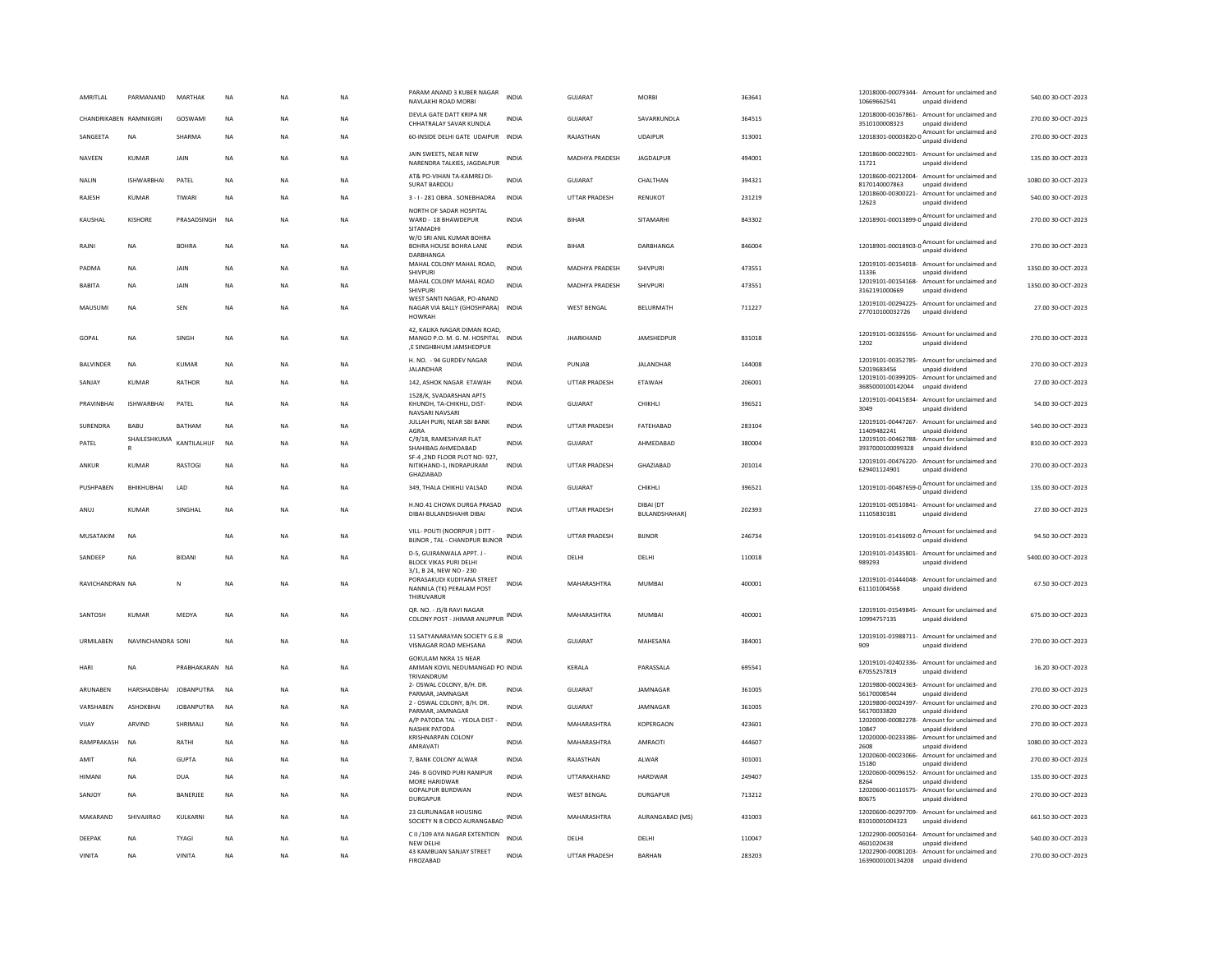| AMRITLAL                | PARMANAND                    | MARTHAK           | <b>NA</b> | NA        | <b>NA</b> | PARAM ANAND 3 KUBER NAGAR<br>NAVLAKHI ROAD MORBI                                              | <b>INDIA</b> | GUJARAT               | <b>MORBI</b>                      | 363641 | 10669662541                       | 12018000-00079344- Amount for unclaimed and<br>unpaid dividend                             | 540.00 30-OCT-2023  |
|-------------------------|------------------------------|-------------------|-----------|-----------|-----------|-----------------------------------------------------------------------------------------------|--------------|-----------------------|-----------------------------------|--------|-----------------------------------|--------------------------------------------------------------------------------------------|---------------------|
| CHANDRIKABEN RAMNIKGIRI |                              | GOSWAMI           | <b>NA</b> | <b>NA</b> | <b>NA</b> | DEVLA GATE DATT KRIPA NR<br>CHHATRALAY SAVAR KUNDLA                                           | <b>INDIA</b> | GUJARAT               | SAVARKUNDLA                       | 364515 | 3510100008323                     | 12018000-00167861- Amount for unclaimed and<br>unpaid dividend                             | 270.00 30-OCT-2023  |
| SANGEETA                | <b>NA</b>                    | SHARMA            | <b>NA</b> | NA        | <b>NA</b> | 60-INSIDE DELHI GATE UDAIPUR INDIA                                                            |              | RAJASTHAN             | <b>UDAIPUR</b>                    | 313001 |                                   | 12018301-00003820-0 $\frac{\text{Amount}}{\text{12018301-00003820-0}}$<br>unpaid dividend  | 270.00 30-OCT-2023  |
| NAVEEN                  | KUMAR                        | <b>JAIN</b>       | NA        | NA        | <b>NA</b> | JAIN SWEETS, NEAR NEW<br>NARENDRA TALKIES, JAGDALPUR                                          | <b>INDIA</b> | <b>MADHYA PRADESH</b> | <b>IAGDAIPUR</b>                  | 494001 | 11721                             | 12018600-00022901- Amount for unclaimed and<br>unpaid dividend                             | 135.00.30-OCT-2023  |
| <b>NALIN</b>            | <b>ISHWARBHAI</b>            | PATEL             | <b>NA</b> | <b>NA</b> | <b>NA</b> | AT& PO-VIHAN TA-KAMREI DI<br><b>SURAT BARDOLI</b>                                             | <b>INDIA</b> | <b>GUJARAT</b>        | CHALTHAN                          | 394321 | 8170140007863                     | 12018600-00212004- Amount for unclaimed and<br>unpaid dividend                             | 1080.00 30-OCT-2023 |
| RAJESH                  | <b>KUMAR</b>                 | TIWARI            | <b>NA</b> | <b>NA</b> | <b>NA</b> | 3 - I - 281 OBRA . SONEBHADRA                                                                 | <b>INDIA</b> | <b>UTTAR PRADESH</b>  | RENUKOT                           | 231219 | 12623                             | 12018600-00300221- Amount for unclaimed and<br>unpaid dividend                             | 540.00 30-OCT-2023  |
| KAUSHAL                 | KISHORE                      | PRASADSINGH       | <b>NA</b> | <b>NA</b> | <b>NA</b> | NORTH OF SADAR HOSPITAL<br>WARD - 18 BHAWDEPUR<br>SITAMADHI                                   | <b>INDIA</b> | <b>BIHAR</b>          | SITAMARHI                         | 843302 |                                   | 12018901-00013899-0 Amount for unclaimed and                                               | 270.00 30-OCT-2023  |
| RAJNI                   | <b>NA</b>                    | <b>BOHRA</b>      | <b>NA</b> | <b>NA</b> | <b>NA</b> | W/O SRI ANIL KUMAR BOHRA<br>BOHRA HOUSE BOHRA LANE<br><b>DARBHANGA</b>                        | <b>INDIA</b> | <b>BIHAR</b>          | DARBHANGA                         | 846004 |                                   | 12018901-00018903-0 Amount for unclaimed and<br>unpaid dividend                            | 270.00 30-OCT-2023  |
| PADMA                   | <b>NA</b>                    | JAIN              | <b>NA</b> | NA        | <b>NA</b> | MAHAL COLONY MAHAL ROAD,<br>SHIVPURI                                                          | INDIA        | MADHYA PRADESH        | SHIVPURI                          | 473551 | 11336                             | 12019101-00154018- Amount for unclaimed and<br>unpaid dividend                             | 1350.00 30-OCT-2023 |
| <b>BABITA</b>           | <b>NA</b>                    | JAIN              | <b>NA</b> | <b>NA</b> | <b>NA</b> | MAHAL COLONY MAHAL ROAD<br>SHIVPURI                                                           | <b>INDIA</b> | MADHYA PRADESH        | SHIVPURI                          | 473551 | 3162191000669                     | 12019101-00154168- Amount for unclaimed and<br>unpaid dividend                             | 1350.00 30-OCT-2023 |
| MAUSUMI                 | NA                           | SEN               | NA        | NA        | <b>NA</b> | WEST SANTI NAGAR, PO-ANAND<br>NAGAR VIA BALLY (GHOSHPARA) INDIA<br><b>HOWRAH</b>              |              | <b>WEST BENGAL</b>    | BELURMATH                         | 711227 | 277010100032726                   | 12019101-00294225- Amount for unclaimed and<br>unpaid dividend                             | 27.00 30-OCT-2023   |
| GOPAL                   | <b>NA</b>                    | SINGH             | <b>NA</b> | NA        | <b>NA</b> | 42. KALIKA NAGAR DIMAN ROAD.<br>MANGO P.O. M. G. M. HOSPITAL INDIA<br>.E SINGHBHUM JAMSHEDPUR |              | <b>JHARKHAND</b>      | JAMSHEDPUR                        | 831018 | 1202                              | 12019101-00326556- Amount for unclaimed and<br>unpaid dividend                             | 270.00 30-OCT-2023  |
| <b>BALVINDER</b>        | <b>NA</b>                    | <b>KUMAR</b>      | <b>NA</b> | <b>NA</b> | <b>NA</b> | H. NO. - 94 GURDEV NAGAR<br>JALANDHAR                                                         | INDIA        | PUNJAB                | JALANDHAR                         | 144008 | 52019683456                       | 12019101-00352785- Amount for unclaimed and<br>unpaid dividend                             | 270.00 30-OCT-2023  |
| SANJAY                  | KUMAF                        | RATHOR            | NA        | NA        | <b>NA</b> | 142, ASHOK NAGAR ETAWAH                                                                       | INDIA        | UTTAR PRADESH         | ETAWAH                            | 206001 | 3685000100142044                  | 12019101-00399205- Amount for unclaimed and<br>unnaid dividend                             | 27.00 30-OCT-2023   |
| PRAVINBHAI              | <b>ISHWARBHAI</b>            | PATEL             | <b>NA</b> | <b>NA</b> | <b>NA</b> | 1528/K, SVADARSHAN APTS<br>KHUNDH, TA-CHIKHLI, DIST-<br>NAVSARI NAVSARI                       | <b>INDIA</b> | GUJARAT               | CHIKHLI                           | 396521 | 3049                              | 12019101-00415834- Amount for unclaimed and<br>unpaid dividend                             | 54.00 30-OCT-2023   |
| <b>SURENDRA</b>         | <b>BABU</b>                  | <b>BATHAM</b>     | <b>NA</b> | <b>NA</b> | <b>NA</b> | JULLAH PURI, NEAR SBI BANK<br>AGRA                                                            | <b>INDIA</b> | <b>UTTAR PRADESH</b>  | FATEHARAD                         | 283104 | 11409482241                       | 12019101-00447267- Amount for unclaimed and<br>unpaid dividend                             | 540.00 30-OCT-2023  |
| PATEL                   | SHAILESHKUMA<br>$\mathbb{R}$ | KANTILALHUF       | <b>NA</b> | <b>NA</b> | <b>NA</b> | C/9/18, RAMESHVAR FLAT<br>SHAHIBAG AHMEDABAD                                                  | <b>INDIA</b> | <b>GUJARAT</b>        | AHMEDABAD                         | 380004 | 3937000100099328                  | 12019101-00462788- Amount for unclaimed and<br>unpaid dividend                             | 810.00 30-OCT-2023  |
| ANKUR                   | <b>KUMAR</b>                 | RASTOGI           | NA        | NA        | <b>NA</b> | SF-4 .2ND FLOOR PLOT NO- 927,<br>NITIKHAND-1, INDRAPURAM<br>GHAZIABAD                         | INDIA        | <b>UTTAR PRADESH</b>  | GHAZIABAD                         | 201014 | 629401124901                      | 12019101-00476220- Amount for unclaimed and<br>unpaid dividend                             | 270.00 30-OCT-2023  |
| PUSHPABEN               | BHIKHUBHAI                   | LAD               | <b>NA</b> | <b>NA</b> | <b>NA</b> | 349. THALA CHIKHLI VALSAD                                                                     | <b>INDIA</b> | GUJARAT               | CHIKHLI                           | 396521 | 12019101-00487659-0               | Amount for unclaimed and<br>unpaid dividend                                                | 135.00 30-OCT-2023  |
| ANUJ                    | <b>KUMAR</b>                 | SINGHAL           | <b>NA</b> | <b>NA</b> | <b>NA</b> | H.NO.41 CHOWK DURGA PRASAD INDIA<br>DIRAI-RUI ANDSHAHR DIRAI                                  |              | <b>UTTAR PRADESH</b>  | DIBAI (DT<br><b>RUI ANDSHAHAR</b> | 202393 | 11105830181                       | 12019101-00510841- Amount for unclaimed and<br>unpaid dividend                             | 27.00 30-OCT-2023   |
| MUSATAKIM               | <b>NA</b>                    |                   | <b>NA</b> | <b>NA</b> | <b>NA</b> | VILL- POUTI (NOORPUR) DITT -<br>BIJNOR, TAL - CHANDPUR BIJNOR                                 | <b>INDIA</b> | UTTAR PRADESH         | <b>BUNOR</b>                      | 246734 |                                   | 12019101-01416092-0<br>unpaid dividend                                                     | 94.50 30-OCT-2023   |
| SANDEEP                 | <b>NA</b>                    | <b>BIDANI</b>     | <b>NA</b> | <b>NA</b> | <b>NA</b> | D-5, GUJRANWALA APPT, J -<br>BLOCK VIKAS PURI DELHI<br>3/1. B 24. NFW NO - 230                | <b>INDIA</b> | DELHI                 | DELHI                             | 110018 | 989293                            | 12019101-01435801- Amount for unclaimed and<br>unpaid dividend                             | 5400.00 30-OCT-2023 |
| RAVICHANDRAN NA         |                              | N                 | <b>NA</b> | <b>NA</b> | <b>NA</b> | PORASAKUDI KUDIYANA STREET<br>NANNILA (TK) PERALAM POST<br>THIRLIVARUR                        | <b>INDIA</b> | MAHARASHTRA           | MUMBAI                            | 400001 | 611101004568                      | 12019101-01444048- Amount for unclaimed and<br>unpaid dividend                             | 67.50 30-OCT-2023   |
| SANTOSH                 | <b>KUMAR</b>                 | MEDYA             | <b>NA</b> | <b>NA</b> | <b>NA</b> | QR. NO. - JS/8 RAVI NAGAR<br>COLONY POST - JHIMAR ANUPPUR INDIA                               |              | MAHARASHTRA           | <b>MUMBAI</b>                     | 400001 | 10994757135                       | 12019101-01549845- Amount for unclaimed and<br>unpaid dividend                             | 675.00 30-OCT-2023  |
| URMILABEN               | NAVINCHANDRA SONI            |                   | <b>NA</b> | <b>NA</b> | <b>NA</b> | 11 SATYANARAYAN SOCIETY G.E.B INDIA<br>VISNAGAR ROAD MEHSANA                                  |              | GUJARAT               | MAHESANA                          | 384001 | 909                               | 12019101-01988711- Amount for unclaimed and<br>unpaid dividend                             | 270.00 30-OCT-2023  |
| HARI                    | <b>NA</b>                    | PRARHAKARAN NA    |           | <b>NA</b> | <b>NA</b> | <b>GOKULAM NKRA 15 NEAR</b><br>AMMAN KOVIL NEDUMANGAD PO INDIA<br>TRIVANDRUM                  |              | <b>KFRAIA</b>         | PARASSALA                         | 695541 | 67055257819                       | 12019101-02402336- Amount for unclaimed and<br>unpaid dividend                             | 16.20.30-OCT-2023   |
| ARUNABEN                | <b>HARSHADBHAI</b>           | <b>JOBANPUTRA</b> | <b>NA</b> | <b>NA</b> | <b>NA</b> | 2- OSWAL COLONY, B/H, DR,<br>PARMAR, JAMNAGAR                                                 | <b>INDIA</b> | <b>GUJARAT</b>        | JAMNAGAR                          | 361005 | 56170008544                       | 12019800-00024363- Amount for unclaimed and<br>unpaid dividend                             | 270.00 30-OCT-2023  |
| VARSHABEN               | ASHOKBHAI                    | <b>JOBANPUTRA</b> | <b>NA</b> | NA        | <b>NA</b> | 2 - OSWAL COLONY, B/H, DR.<br>PARMAR, JAMNAGAR                                                | <b>INDIA</b> | <b>GUJARAT</b>        | JAMNAGAR                          | 361005 | 12019800-00024397-<br>56170033820 | Amount for unclaimed and<br>unpaid dividend                                                | 270.00 30-OCT-2023  |
| VIJAY                   | ARVIND                       | <b>SHRIMALI</b>   | <b>NA</b> | <b>NA</b> | <b>NA</b> | A/P PATODA TAL - YEOLA DIST<br><b>NASHIK PATODA</b><br><b>KRISHNARPAN COLONY</b>              | <b>INDIA</b> | MAHARASHTRA           | KOPERGAON                         | 423601 | 12020000-00082278-<br>10847       | Amount for unclaimed and<br>unpaid dividend<br>12020000-00233386- Amount for unclaimed and | 270.00.30-OCT-2023  |
| RAMPRAKASH              | <b>NA</b>                    | RATHI             | <b>NA</b> | <b>NA</b> | <b>NA</b> | AMRAVATI                                                                                      | <b>INDIA</b> | MAHARASHTRA           | AMRAOTI                           | 444607 | 2608                              | unpaid dividend                                                                            | 1080.00 30-OCT-2023 |
| AMIT                    | <b>NA</b>                    | <b>GUPTA</b>      | <b>NA</b> | <b>NA</b> | <b>NA</b> | 7, BANK COLONY ALWAR                                                                          | <b>INDIA</b> | RAJASTHAN             | ALWAR                             | 301001 | 15180                             | 12020600-00023066- Amount for unclaimed and<br>unpaid dividend                             | 270.00 30-OCT-2023  |
| <b>HIMANI</b>           | <b>NA</b>                    | <b>DUA</b>        | <b>NA</b> | <b>NA</b> | <b>NA</b> | 246- B GOVIND PURI RANIPUR<br>MORE HARIDWAR                                                   | <b>INDIA</b> | UTTARAKHAND           | <b>HARDWAR</b>                    | 249407 | 8264                              | 12020600-00096152- Amount for unclaimed and<br>unpaid dividend                             | 135.00 30-OCT-2023  |
| SANIOY                  | <b>NA</b>                    | <b>BANFRIFF</b>   | <b>NA</b> | <b>NA</b> | NA        | GOPALPUR BURDWAN<br><b>DURGAPUR</b>                                                           | <b>INDIA</b> | <b>WEST BENGAL</b>    | DURGAPUR                          | 713212 | 80675                             | 12020600-00110575- Amount for unclaimed and<br>unpaid dividend                             | 270.00.30-QCT-2023  |
| MAKARAND                | SHIVAJIRAO                   | KULKARNI          | <b>NA</b> | <b>NA</b> | <b>NA</b> | 23 GURUNAGAR HOUSING<br>SOCIETY N 8 CIDCO AURANGABAD INDIA                                    |              | MAHARASHTRA           | AURANGABAD (MS)                   | 431003 | 81010001004323                    | 12020600-00297709- Amount for unclaimed and<br>unpaid dividend                             | 661.50 30-OCT-2023  |
| DEEPAK                  | <b>NA</b>                    | TYAGI             | <b>NA</b> | <b>NA</b> | <b>NA</b> | C II /109 AYA NAGAR EXTENTION<br>NEW DELHI                                                    | <b>INDIA</b> | DELHI                 | DELHI                             | 110047 | 4601020438                        | 12022900-00050164- Amount for unclaimed and<br>unpaid dividend                             | 540.00 30-OCT-2023  |
| <b>VINITA</b>           | <b>NA</b>                    | VINITA            | <b>NA</b> | <b>NA</b> | <b>NA</b> | 43 KAMBUAN SANJAY STREET<br>FIROZABAD                                                         | <b>INDIA</b> | UTTAR PRADESH         | <b>BARHAN</b>                     | 283203 | 1639000100134208                  | 12022900-00081203- Amount for unclaimed and<br>unpaid dividend                             | 270.00 30-OCT-2023  |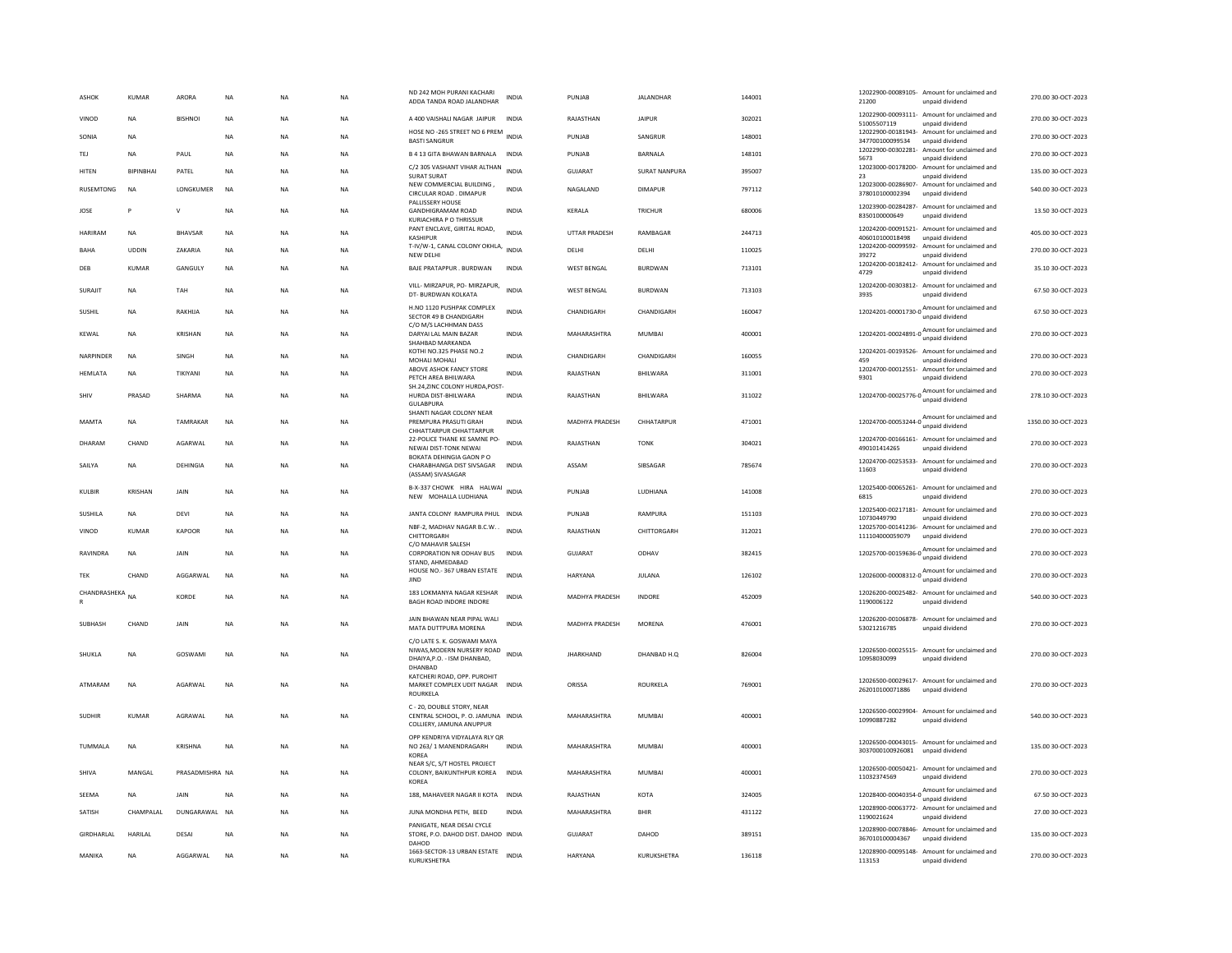| ASHOK                          | <b>KUMAR</b>     | ARORA           | <b>NA</b>   | NA        | <b>NA</b> | ND 242 MOH PURANI KACHARI<br>ADDA TANDA ROAD JALANDHAR                                              | <b>INDIA</b> | PUNJAB               | <b>JALANDHAR</b>     | 144001 | 21200                                 | 12022900-00089105- Amount for unclaimed and<br>unpaid dividend                    | 270.00 30-OCT-2023  |
|--------------------------------|------------------|-----------------|-------------|-----------|-----------|-----------------------------------------------------------------------------------------------------|--------------|----------------------|----------------------|--------|---------------------------------------|-----------------------------------------------------------------------------------|---------------------|
| VINOD                          | <b>NA</b>        | <b>BISHNOI</b>  | <b>NA</b>   | <b>NA</b> | <b>NA</b> | A 400 VAISHALI NAGAR JAIPUR                                                                         | INDIA        | RAJASTHAN            | <b>JAIPUR</b>        | 302021 | 51005507119                           | 12022900-00093111- Amount for unclaimed and<br>unpaid dividend                    | 270.00 30-OCT-2023  |
| SONIA                          | <b>NA</b>        |                 | <b>NA</b>   | <b>NA</b> | NA        | HOSE NO -265 STREET NO 6 PREM INDIA<br><b>BASTI SANGRUR</b>                                         |              | PUNJAB               | SANGRUR              | 148001 | 347700100099534                       | 12022900-00181943- Amount for unclaimed and<br>unpaid dividend                    | 270.00 30-OCT-2023  |
| TEJ                            | NA               | PAUL            | <b>NA</b>   | NA        | <b>NA</b> | B 4 13 GITA BHAWAN BARNALA                                                                          | INDIA        | PUNJAB               | BARNALA              | 148101 | 12022900-00302281-<br>5673            | Amount for unclaimed and<br>unpaid dividend                                       | 270.00 30-OCT-2023  |
| <b>HITEN</b>                   | <b>RIPINRHAI</b> | PATFI           | <b>NA</b>   | <b>NA</b> | <b>NA</b> | C/2 305 VASHANT VIHAR ALTHAN<br><b>SURAT SURAT</b>                                                  | <b>INDIA</b> | <b>GUJARAT</b>       | <b>SURAT NANPURA</b> | 395007 | 23                                    | 12023000-00178200- Amount for unclaimed and<br>unpaid dividend                    | 135.00 30-OCT-2023  |
| <b>RUSEMTONG</b>               | <b>NA</b>        | LONGKUMER       | <b>NA</b>   | <b>NA</b> | <b>NA</b> | NEW COMMERCIAL BUILDING,<br>CIRCULAR ROAD . DIMAPUR                                                 | <b>INDIA</b> | NAGALAND             | <b>DIMAPUR</b>       | 797112 | 12023000-00286907-<br>378010100002394 | Amount for unclaimed and<br>unpaid dividend                                       | 540.00 30-OCT-2023  |
| JOSE                           | P                | $\mathsf{v}$    | <b>NA</b>   | NA        | <b>NA</b> | PALLISSERY HOUSE<br><b>GANDHIGRAMAM ROAD</b><br>KURIACHIRA P O THRISSUR                             | <b>INDIA</b> | KERALA               | TRICHUR              | 680006 | 8350100000649                         | 12023900-00284287- Amount for unclaimed and<br>unpaid dividend                    | 13.50 30-OCT-2023   |
| <b>HARIRAM</b>                 | <b>NA</b>        | <b>BHAVSAR</b>  | <b>NA</b>   | <b>NA</b> | <b>NA</b> | PANT ENCLAVE, GIRITAL ROAD,<br><b>KASHIPUF</b>                                                      | <b>INDIA</b> | <b>UTTAR PRADESH</b> | RAMBAGAR             | 244713 | 406010100018498                       | 12024200-00091521- Amount for unclaimed and<br>unpaid dividend                    | 405.00 30-OCT-2023  |
| BAHA                           | <b>UDDIN</b>     | ZAKARIA         | <b>NA</b>   | <b>NA</b> | <b>NA</b> | T-IV/W-1, CANAL COLONY OKHLA,<br>NEW DELHI                                                          | <b>INDIA</b> | DELHI                | DELHI                | 110025 | 39272                                 | 12024200-00099592- Amount for unclaimed and<br>unpaid dividend                    | 270.00 30-OCT-2023  |
| DEB                            | KUMAR            | GANGULY         | <b>NA</b>   | NA        | <b>NA</b> | BAJE PRATAPPUR . BURDWAN                                                                            | INDIA        | <b>WEST BENGAL</b>   | BURDWAN              | 713101 | 4729                                  | 12024200-00182412- Amount for unclaimed and<br>unpaid dividend                    | 35.10 30-OCT-2023   |
| SURAJIT                        | <b>NA</b>        | TAH             | <b>NA</b>   | <b>NA</b> | <b>NA</b> | VILL- MIRZAPUR, PO- MIRZAPUR,<br>DT- BURDWAN KOLKATA                                                | <b>INDIA</b> | <b>WEST BENGAL</b>   | <b>BURDWAN</b>       | 713103 | 3935                                  | 12024200-00303812- Amount for unclaimed and<br>unpaid dividend                    | 67.50 30-OCT-2023   |
| SUSHIL                         | <b>NA</b>        | RAKHIJA         | <b>NA</b>   | <b>NA</b> | <b>NA</b> | H.NO 1120 PUSHPAK COMPLEX<br>SECTOR 49 B CHANDIGARH                                                 | <b>INDIA</b> | CHANDIGARH           | CHANDIGARH           | 160047 |                                       | 12024201-00001730-0 Amount for unclaimed and<br>unpaid dividend                   | 67.50 30-OCT-2023   |
| KEWAL                          | <b>NA</b>        | KRISHAN         | <b>NA</b>   | <b>NA</b> | <b>NA</b> | C/O M/S LACHHMAN DASS<br>DARYAI LAL MAIN BAZAR<br>SHAHBAD MARKANDA                                  | <b>INDIA</b> | MAHARASHTRA          | <b>MUMBAI</b>        | 400001 |                                       | 12024201-00024891-0 Amount for unclaimed and<br>unpaid dividend                   | 270.00 30-OCT-2023  |
| <b>NARPINDER</b>               | <b>NA</b>        | <b>SINGH</b>    | <b>NA</b>   | <b>NA</b> | NA        | KOTHI NO.325 PHASE NO.2<br>MOHALI MOHALI                                                            | <b>INDIA</b> | CHANDIGARH           | CHANDIGARH           | 160055 | 459                                   | 12024201-00193526- Amount for unclaimed and<br>unpaid dividend                    | 270.00 30-OCT-2023  |
| HEMLATA                        | NA               | TIKIYANI        | $_{\sf NA}$ | NA        | <b>NA</b> | ABOVE ASHOK FANCY STORE<br>PETCH AREA BHILWARA                                                      | <b>INDIA</b> | RAJASTHAN            | BHILWARA             | 311001 | 12024700-00012551-<br>9301            | Amount for unclaimed and<br>unpaid dividend                                       | 270.00 30-OCT-2023  |
| SHIV                           | PRASAD           | SHARMA          | NA          | NA        | NA        | SH.24.ZINC COLONY HURDA.POST<br>HURDA DIST-BHILWARA<br><b>GULABPURA</b>                             | <b>INDIA</b> | RAJASTHAN            | BHILWARA             | 311022 | 12024700-00025776-0                   | Amount for unclaimed and<br>unpaid dividend                                       | 278.10 30-OCT-2023  |
| MAMTA                          | <b>NA</b>        | TAMRAKAR        | <b>NA</b>   | <b>NA</b> | <b>NA</b> | SHANTI NAGAR COLONY NEAR<br>PREMPURA PRASUTI GRAH<br>CHHATTARPUR CHHATTARPUR                        | <b>INDIA</b> | MADHYA PRADESH       | CHHATARPUR           | 471001 |                                       | Amount for unclaimed and<br>12024700-00053244-0                                   | 1350.00 30-OCT-2023 |
| DHARAM                         | CHAND            | AGARWAL         | <b>NA</b>   | <b>NA</b> | <b>NA</b> | 22-POLICE THANE KE SAMNE PO-<br>NEWAI DIST-TONK NEWAI                                               | <b>INDIA</b> | RAJASTHAN            | <b>TON</b>           | 304021 | 490101414265                          | 12024700-00166161- Amount for unclaimed and<br>unpaid dividend                    | 270.00 30-OCT-2023  |
| SAILYA                         | <b>NA</b>        | DEHINGIA        | <b>NA</b>   | <b>NA</b> | <b>NA</b> | BOKATA DEHINGIA GAON P O<br>CHARABHANGA DIST SIVSAGAR<br>(ASSAM) SIVASAGAR                          | <b>INDIA</b> | ASSAM                | SIBSAGAR             | 785674 | 11603                                 | 12024700-00253533- Amount for unclaimed and<br>unpaid dividend                    | 270.00 30-OCT-2023  |
| KULBIR                         | <b>KRISHAN</b>   | <b>JAIN</b>     | <b>NA</b>   | NA        | NA        | B-X-337 CHOWK HIRA HALWAI INDIA<br>NEW MOHALLA LUDHIANA                                             |              | PUNJAR               | <b>IUDHIANA</b>      | 141008 | 6815                                  | 12025400-00065261- Amount for unclaimed and<br>unpaid dividend                    | 270.00 30-OCT-2023  |
| SUSHILA                        | NA               | DEVI            | <b>NA</b>   | NA        | <b>NA</b> | JANTA COLONY RAMPURA PHUL INDIA                                                                     |              | PUNJAB               | RAMPURA              | 151103 | 12025400-00217181-<br>10730449790     | Amount for unclaimed and<br>unpaid dividend                                       | 270.00 30-OCT-2023  |
| VINOD                          | <b>KUMAR</b>     | KAPOOF          | <b>NA</b>   | NA        | <b>NA</b> | NBF-2, MADHAV NAGAR B.C.W. .<br>CHITTORGARH                                                         | <b>INDIA</b> | RAJASTHAN            | CHITTORGARH          | 312021 | 111104000059079                       | 12025700-00141236- Amount for unclaimed and<br>unpaid dividend                    | 270.00 30-OCT-2023  |
| RAVINDRA                       | <b>NA</b>        | <b>JAIN</b>     | <b>NA</b>   | <b>NA</b> | <b>NA</b> | C/O MAHAVIR SALESH<br>CORPORATION NR ODHAV BUS                                                      | <b>INDIA</b> | GUIARAT              | ODHAV                | 382415 |                                       | 12025700-00159636-0<br>Mount for unclaimed and<br>unpaid dividend                 | 270.00 30-OCT-2023  |
| TEK                            | CHAND            | AGGARWAL        | <b>NA</b>   | <b>NA</b> | <b>NA</b> | STAND, AHMEDABAD<br>HOUSE NO.- 367 URBAN ESTATE<br><b>IIND</b>                                      | <b>INDIA</b> | HARYANA              | JULANA               | 126102 |                                       | 12026000-00008312-0 Amount for unclaimed and                                      | 270.00 30-OCT-2023  |
| CHANDRASHEKA<br>$\overline{R}$ | <b>NA</b>        | KORDE           | <b>NA</b>   | <b>NA</b> | <b>NA</b> | 183 LOKMANYA NAGAR KESHAR<br>BAGH ROAD INDORE INDORE                                                | <b>INDIA</b> | MADHYA PRADESH       | INDORE               | 452009 | 1190006122                            | unpaid dividend<br>12026200-00025482- Amount for unclaimed and<br>unpaid dividend | 540.00 30-OCT-2023  |
|                                |                  |                 |             |           |           | JAIN BHAWAN NEAR PIPAL WALI                                                                         |              |                      |                      |        |                                       | 12026200-00106878- Amount for unclaimed and                                       |                     |
| <b>SUBHASH</b>                 | CHAND            | JAIN            | <b>NA</b>   | <b>NA</b> | <b>NA</b> | MATA DUTTPURA MORENA                                                                                | <b>INDIA</b> | MADHYA PRADESH       | <b>MORENA</b>        | 476001 | 53021216785                           | unpaid dividend                                                                   | 270.00 30-OCT-2023  |
| SHUKLA                         | <b>NA</b>        | GOSWAM          | <b>NA</b>   | <b>NA</b> | <b>NA</b> | C/O LATE S. K. GOSWAMI MAYA<br>NIWAS, MODERN NURSERY ROAD<br>DHAIYA, P.O. - ISM DHANBAD,<br>DHANBAD | <b>INDIA</b> | <b>JHARKHAND</b>     | DHANBAD H.O.         | 826004 | 10958030099                           | 12026500-00025515- Amount for unclaimed and<br>unpaid dividend                    | 270.00 30-OCT-2023  |
| ATMARAM                        | NA               | AGARWAL         | <b>NA</b>   | NA        | <b>NA</b> | KATCHERI ROAD, OPP. PUROHIT<br>MARKET COMPLEX UDIT NAGAR INDIA<br>ROURKELA                          |              | ORISSA               | ROURKELA             | 769001 | 262010100071886                       | 12026500-00029617- Amount for unclaimed and<br>unpaid dividend                    | 270.00 30-OCT-2023  |
| <b>SUDHIR</b>                  | <b>KUMAR</b>     | AGRAWAL         | <b>NA</b>   | NA        | <b>NA</b> | C - 20, DOUBLE STORY, NEAR<br>CENTRAL SCHOOL, P. O. JAMUNA INDIA<br>COLLIERY, JAMUNA ANUPPUR        |              | MAHARASHTRA          | <b>MUMBAI</b>        | 400001 | 10990887282                           | 12026500-00029904- Amount for unclaimed and<br>unpaid dividend                    | 540.00 30-OCT-2023  |
| TUMMALA                        | <b>NA</b>        | KRISHNA         | <b>NA</b>   | <b>NA</b> | NA        | OPP KENDRIYA VIDYALAYA RLY QR<br>NO 263/1 MANENDRAGARH                                              | <b>INDIA</b> | MAHARASHTRA          | <b>MUMBAI</b>        | 400001 | 3037000100926081                      | 12026500-00043015- Amount for unclaimed and<br>unpaid dividend                    | 135.00 30-OCT-2023  |
| SHIVA                          | MANGAL           | PRASADMISHRA NA |             | <b>NA</b> | <b>NA</b> | <b>KOREA</b><br>NEAR S/C, S/T HOSTEL PROJECT<br>COLONY, BAIKUNTHPUR KOREA                           | <b>INDIA</b> | MAHARASHTRA          | <b>MUMBAI</b>        | 400001 | 11032374569                           | 12026500-00050421- Amount for unclaimed and<br>unpaid dividend                    | 270.00 30-OCT-2023  |
| SEEMA                          | <b>NA</b>        | JAIN            | <b>NA</b>   | <b>NA</b> | <b>NA</b> | <b>KOREA</b><br>188, MAHAVEER NAGAR II KOTA                                                         | <b>INDIA</b> | RAJASTHAN            | <b>KOTA</b>          | 324005 |                                       | 12028400-00040354-0 Amount for unclaimed and                                      | 67.50 30-OCT-2023   |
| SATISH                         | CHAMPALAL        | DUNGARAWAL NA   |             | NA        | NA        | JUNA MONDHA PETH, BEED                                                                              | INDIA        | MAHARASHTRA          | <b>BHIR</b>          | 431122 |                                       | unpaid dividend<br>12028900-00063772- Amount for unclaimed and                    | 27.00 30-OCT-2023   |
|                                |                  |                 |             |           |           | PANIGATE, NEAR DESAI CYCLE                                                                          |              |                      |                      |        | 1190021624                            | unpaid dividend<br>12028900-00078846- Amount for unclaimed and                    |                     |
| GIRDHARLAL                     | <b>HARILAL</b>   | DESAI           | <b>NA</b>   | <b>NA</b> | <b>NA</b> | STORE, P.O. DAHOD DIST, DAHOD INDIA<br>DAHOD                                                        |              | <b>GUJARAT</b>       | DAHOD                | 389151 | 367010100004367                       | unpaid dividend                                                                   | 135.00 30-OCT-2023  |
| MANIKA                         | <b>NA</b>        | AGGARWAI        | <b>NA</b>   | <b>NA</b> | <b>NA</b> | 1663-SECTOR-13 URBAN ESTATE<br>KURUKSHETRA                                                          | <b>INDIA</b> | HARYANA              | KURUKSHETRA          | 136118 | 113153                                | 12028900-00095148- Amount for unclaimed and<br>unpaid dividend                    | 270.00 30-OCT-2023  |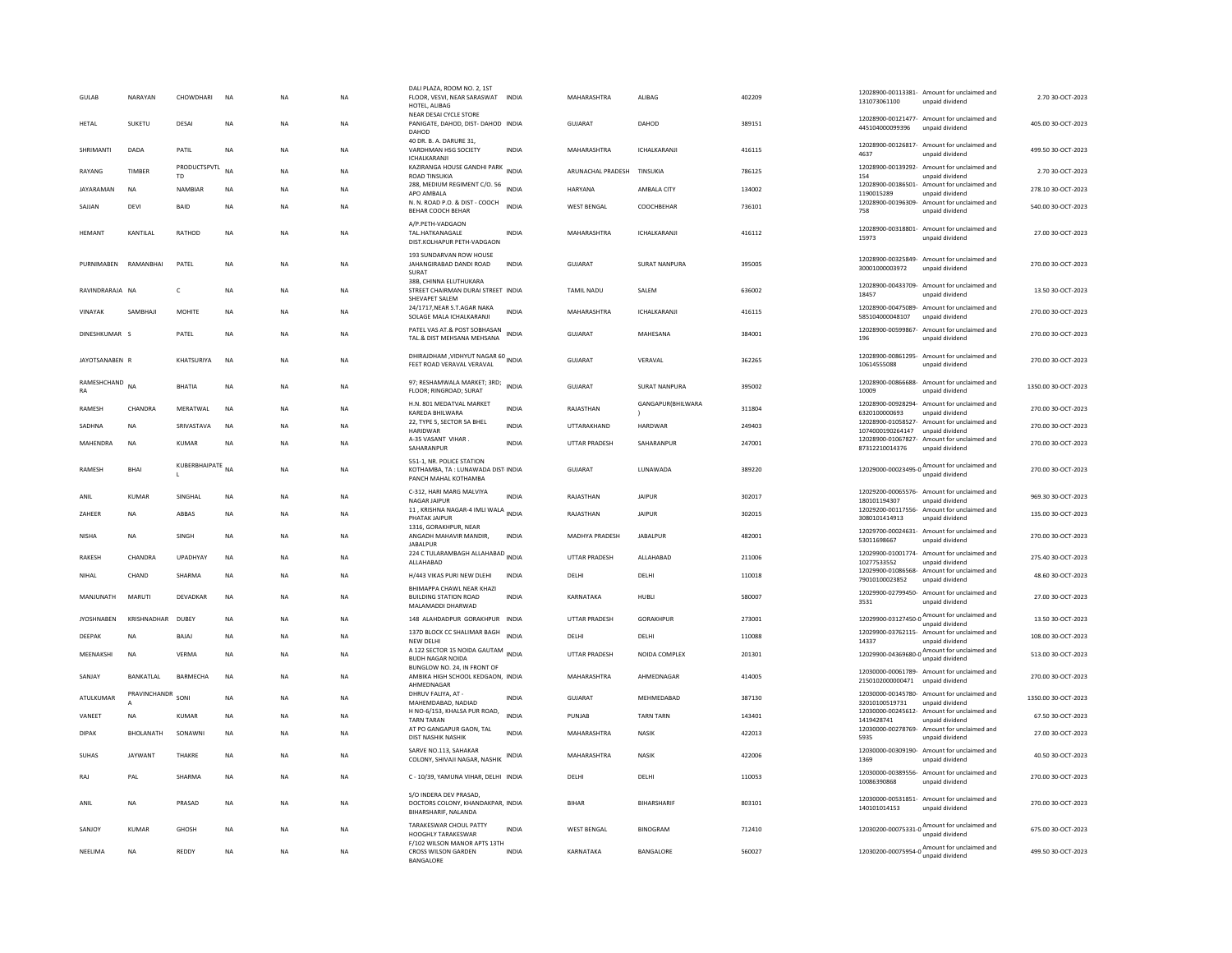| GUIAR             | NARAYAN          | CHOWDHARI                 | <b>NA</b> | <b>NA</b> | <b>NA</b> | DALI PLAZA, ROOM NO. 2, 1ST<br>FLOOR, VESVI, NEAR SARASWAT INDIA<br>HOTEL, ALIBAG       |              | MAHARASHTRA          | <b>ALIBAG</b>        | 402209 | 131073061100                        | 12028900-00113381- Amount for unclaimed and<br>unpaid dividend                   | 2.70.30-QCT-2023    |
|-------------------|------------------|---------------------------|-----------|-----------|-----------|-----------------------------------------------------------------------------------------|--------------|----------------------|----------------------|--------|-------------------------------------|----------------------------------------------------------------------------------|---------------------|
| <b>HFTAI</b>      | SUKETU           | DESAL                     | <b>NA</b> | <b>NA</b> | <b>NA</b> | NEAR DESAI CYCLE STORE<br>PANIGATE, DAHOD, DIST- DAHOD INDIA<br>DAHOD                   |              | GUIARAT              | DAHOD                | 389151 | 445104000099396                     | 12028900-00121477- Amount for unclaimed and<br>unpaid dividend                   | 405.00.30-OCT-2023  |
| SHRIMANTI         | DADA             | PATIL                     | <b>NA</b> | <b>NA</b> | <b>NA</b> | 40 DR. B. A. DARURE 31.<br>VARDHMAN HSG SOCIETY                                         | <b>INDIA</b> | MAHARASHTRA          | ICHALKARANJ          | 416115 | 4637                                | 12028900-00126817- Amount for unclaimed and<br>unpaid dividend                   | 499.50 30-OCT-2023  |
| RAYANG            | TIMBER           | <b>PRODUCTSPVTL</b><br>TD | <b>NA</b> | NA        | NA        | ICHALKARANJI<br>KAZIRANGA HOUSE GANDHI PARK INDIA<br>ROAD TINSUKIA                      |              | ARUNACHAL PRADESH    | TINSUKIA             | 786125 | 154                                 | 12028900-00139292- Amount for unclaimed and<br>unpaid dividend                   | 2.70 30-OCT-2023    |
| <b>IAYARAMAN</b>  | <b>NA</b>        | NAMBIAR                   | <b>NA</b> | <b>NA</b> | <b>NA</b> | 288, MEDIUM REGIMENT C/O. 56 INDIA<br>APO AMBALA                                        |              | <b>HARYANA</b>       | AMBALA CITY          | 134002 | 12028900-00186501-<br>1190015289    | Amount for unclaimed and<br>unpaid dividend                                      | 278.10 30-OCT-2023  |
| SAJJAN            | DEVI             | BAID                      | <b>NA</b> | <b>NA</b> | <b>NA</b> | N. N. ROAD P.O. & DIST - COOCH                                                          | <b>INDIA</b> | <b>WEST BENGAL</b>   | COOCHBEHAR           | 736101 | 12028900-00196309-                  | Amount for unclaimed and                                                         | 540.00 30-OCT-2023  |
|                   |                  |                           |           |           |           | BEHAR COOCH BEHAR                                                                       |              |                      |                      |        | 758                                 | unpaid dividend                                                                  |                     |
| <b>HFMANT</b>     | <b>KANTILAI</b>  | RATHOD                    | <b>NA</b> | <b>NA</b> | <b>NA</b> | A/P.PETH-VADGAON<br>TAL.HATKANAGALE<br>DIST.KOLHAPUR PETH-VADGAON                       | <b>INDIA</b> | MAHARASHTRA          | <b>ICHAI KARANII</b> | 416112 | 15973                               | 12028900-00318801- Amount for unclaimed and<br>unpaid dividend                   | 27.00 30-OCT-2023   |
| PURNIMABEN        | RAMANRHAI        | PATEL                     | NA        | <b>NA</b> | NA        | 193 SUNDARVAN ROW HOUSE<br>JAHANGIRABAD DANDI ROAD<br>SURAT                             | <b>INDIA</b> | GUJARAT              | SURAT NANPURA        | 395005 | 30001000003972                      | 12028900-00325849- Amount for unclaimed and<br>unpaid dividend                   | 270.00 30-OCT-2023  |
| RAVINDRARAJA NA   |                  | $\mathsf{C}$              | <b>NA</b> | <b>NA</b> | <b>NA</b> | 38B, CHINNA ELUTHUKARA<br>STREET CHAIRMAN DURAI STREET INDIA<br>SHEVAPET SALEM          |              | <b>TAMIL NADU</b>    | SALEM                | 636002 | 18457                               | 12028900-00433709- Amount for unclaimed and<br>unpaid dividend                   | 13.50 30-OCT-2023   |
| VINAYAK           | SAMBHAJI         | <b>MOHITE</b>             | NA        | NA        | NA        | 24/1717, NEAR S.T.AGAR NAKA<br>SOLAGE MALA ICHALKARANJI                                 | <b>INDIA</b> | MAHARASHTRA          | ICHALKARANJI         | 416115 | 585104000048107                     | 12028900-00475089- Amount for unclaimed and<br>unpaid dividend                   | 270.00 30-OCT-2023  |
| DINESHKUMAR S     |                  | PATEL                     | <b>NA</b> | <b>NA</b> | <b>NA</b> | PATEL VAS AT & POST SOBHASAN<br>TAL.& DIST MEHSANA MEHSANA                              | <b>INDIA</b> | <b>GUJARAT</b>       | MAHESANA             | 384001 | 196                                 | 12028900-00599867- Amount for unclaimed and<br>unpaid dividend                   | 270.00 30-OCT-2023  |
| JAYOTSANABEN R    |                  | KHATSURIYA                | <b>NA</b> | <b>NA</b> | <b>NA</b> | DHIRAJDHAM , VIDHYUT NAGAR 60<br>FEET ROAD VERAVAL VERAVAL                              |              | <b>GUJARAT</b>       | VERAVAL              | 362265 | 10614555088                         | 12028900-00861295- Amount for unclaimed and<br>unpaid dividend                   | 270.00 30-OCT-2023  |
| RAMESHCHAND<br>RA | <b>NA</b>        | <b>BHATIA</b>             | <b>NA</b> | <b>NA</b> | <b>NA</b> | 97; RESHAMWALA MARKET; 3RD; INDIA<br><b>FLOOR: RINGROAD: SURAT</b>                      |              | <b>GUJARAT</b>       | <b>SURAT NANPURA</b> | 395002 | 10009                               | 12028900-00866688- Amount for unclaimed and<br>unpaid dividend                   | 1350.00 30-OCT-2023 |
| RAMESH            | CHANDRA          | MFRATWAI                  | NA        | <b>NA</b> | NA        | H.N. 801 MEDATVAL MARKET                                                                | <b>INDIA</b> | RAJASTHAN            | GANGAPUR(BHILWARA    | 311804 |                                     | 12028900-00928294- Amount for unclaimed and                                      | 270.00 30-OCT-2023  |
| SADHNA            | <b>NA</b>        | SRIVASTAVA                | <b>NA</b> | <b>NA</b> | <b>NA</b> | KARFDA BHII WARA<br>22, TYPE 5, SECTOR 5A BHEL                                          | <b>INDIA</b> | UTTARAKHAND          | HARDWAR              | 249403 | 6320100000693<br>12028900-01058527- | unpaid dividend<br>Amount for unclaimed and                                      | 270.00 30-OCT-2023  |
|                   |                  |                           |           |           |           | <b>HARIDWAR</b><br>A-35 VASANT VIHAR.                                                   |              |                      |                      |        | 1074000190264147 unpaid dividend    | 12028900-01067827- Amount for unclaimed and                                      |                     |
| MAHENDRA          | NA               | KUMAR                     | NA        | <b>NA</b> | NA        | SAHARANPUF                                                                              | INDIA        | UTTAR PRADESH        | SAHARANPUR           | 247001 | 87312210014376                      | unpaid dividend                                                                  | 270.00 30-OCT-2023  |
| <b>RAMESH</b>     | <b>BHAI</b>      | KUBERBHAIPATE NA          |           | <b>NA</b> | <b>NA</b> | 551-1, NR. POLICE STATION<br>KOTHAMBA, TA : LUNAWADA DIST INDIA<br>PANCH MAHAL KOTHAMBA |              | <b>GUJARAT</b>       | LUNAWADA             | 389220 |                                     | 12029000-00023495-0 $\frac{\text{Amount for unclaimed}}{\text{unpaid dividend}}$ | 270.00 30-OCT-2023  |
| ANII              | KUMAR            | <b>SINGHAI</b>            | <b>NA</b> | <b>NA</b> | <b>NA</b> | C-312, HARI MARG MALVIYA<br>NAGAR JAIPUR                                                | <b>INDIA</b> | RAIASTHAN            | <b>JAIPUR</b>        | 302017 | 180101194307                        | 12029200-00065576- Amount for unclaimed and<br>unpaid dividend                   | 969.30.30-QCT-2023  |
| ZAHEER            | <b>NA</b>        | ABBAS                     | NA        | <b>NA</b> | NA        | 11, KRISHNA NAGAR-4 IMLI WALA<br>PHATAK JAIPUR                                          | <b>INDIA</b> | RAJASTHAN            | <b>JAIPUR</b>        | 302015 | 3080101414913                       | 12029200-00117556- Amount for unclaimed and<br>unpaid dividend                   | 135.00 30-OCT-2023  |
|                   |                  |                           |           |           |           | 1316, GORAKHPUR, NEAR                                                                   |              |                      |                      |        |                                     | 12029700-00024631- Amount for unclaimed and                                      |                     |
| <b>NISHA</b>      | <b>NA</b>        | SINGH                     | NA        | <b>NA</b> | NA        | ANGADH MAHAVIR MANDIR,<br><b>JABALPUR</b>                                               | INDIA        | MADHYA PRADESH       | <b>JABALPUR</b>      | 482001 | 53011698667                         | unpaid dividend                                                                  | 270.00 30-OCT-2023  |
| RAKESH            | CHANDRA          | UPADHYAY                  | NA        | NA        | NA        | 224 C TULARAMBAGH ALLAHABAD INDIA<br>ALLAHABAD                                          |              | UTTAR PRADESH        | ALLAHABAD            | 211006 | 10277533552                         | 12029900-01001774- Amount for unclaimed and<br>unpaid dividend                   | 275.40 30-OCT-2023  |
| NIHAL             | CHAND            | SHARMA                    | <b>NA</b> | <b>NA</b> | NA        | H/443 VIKAS PURI NEW DLEHI                                                              | <b>INDIA</b> | DELHI                | DELHI                | 110018 |                                     | 12029900-01086568- Amount for unclaimed and                                      | 48.60 30-OCT-2023   |
|                   |                  |                           |           |           |           | BHIMAPPA CHAWL NEAR KHAZI                                                               |              |                      |                      |        | 79010100023852                      | unpaid dividend<br>12029900-02799450- Amount for unclaimed and                   |                     |
| MANJUNATH         | MARUTI           | DEVADKAR                  | NA        | <b>NA</b> | NA        | <b>BUILDING STATION ROAD</b><br>MALAMADDI DHARWAD                                       | <b>INDIA</b> | KARNATAKA            | HUBLI                | 580007 | 3531                                | unpaid dividend                                                                  | 27.00 30-OCT-2023   |
| <b>IYOSHNAREN</b> | KRISHNADHAR      | DURFY                     | <b>NA</b> | <b>NA</b> | NA.       | 148 ALAHDADPUR GORAKHPUR INDIA                                                          |              | <b>UTTAR PRADESH</b> | <b>GORAKHPUR</b>     | 273001 |                                     | 12029900-03127450-0 Amount for unclaimed and<br>unpaid dividend                  | 13.50.30-OCT-2023   |
| DEEPAK            | <b>NA</b>        | BAJAJ                     | NA        | <b>NA</b> | NA        | 137D BLOCK CC SHALIMAR BAGH                                                             | <b>INDIA</b> | DELHI                | DELHI                | 110088 |                                     | 12029900-03762115- Amount for unclaimed and                                      | 108.00 30-OCT-2023  |
| MEENAKSHI         | <b>NA</b>        | VERMA                     | NA        | <b>NA</b> | NA        | NEW DELH<br>A 122 SECTOR 15 NOIDA GAUTAM INDIA                                          |              | UTTAR PRADESH        | NOIDA COMPLEX        | 201301 | 14337                               | unpaid dividend<br>12029900-04369680-0 Amount for unclaimed and                  | 513.00 30-OCT-2023  |
|                   |                  |                           |           |           |           | <b>BUDH NAGAR NOIDA</b><br>BUNGLOW NO. 24, IN FRONT OF                                  |              |                      |                      |        |                                     | unpaid dividend                                                                  |                     |
| SANJAY            | BANKATLAL        | <b>BARMECHA</b>           | <b>NA</b> | <b>NA</b> | <b>NA</b> | AMBIKA HIGH SCHOOL KEDGAON. INDIA<br>AHMEDNAGAR                                         |              | MAHARASHTRA          | AHMEDNAGAR           | 414005 | 2150102000000471 unpaid dividend    | 12030000-00061789- Amount for unclaimed and                                      | 270.00 30-OCT-2023  |
| ATULKUMAR         | PRAVINCHANDR     | SONI                      | NA        | NA        | NA        | DHRUV FALIYA, AT -                                                                      | <b>INDIA</b> | GUJARAT              | MEHMEDABAD           | 387130 |                                     | 12030000-00145780- Amount for unclaimed and                                      | 1350.00 30-OCT-2023 |
|                   | <b>NA</b>        | <b>KUMAR</b>              | <b>NA</b> | <b>NA</b> | <b>NA</b> | MAHEMDARAD, NADIAD<br>H NO-6/153, KHALSA PUR ROAD,                                      | <b>INDIA</b> | PUNJAB               | <b>TARN TARN</b>     | 143401 | 32010100519731                      | unpaid dividend<br>12030000-00245612- Amount for unclaimed and                   |                     |
| VANEET            |                  |                           |           |           |           | <b>TARN TARAN</b><br>AT PO GANGAPUR GAON, TAL                                           |              |                      |                      |        | 1419428741                          | unpaid dividend<br>12030000-00278769- Amount for unclaimed and                   | 67.50 30-OCT-2023   |
| <b>DIPAK</b>      | <b>BHOLANATH</b> | SONAWN                    | <b>NA</b> | <b>NA</b> | <b>NA</b> | <b>DIST NASHIK NASHIK</b>                                                               | <b>INDIA</b> | MAHARASHTRA          | NASIK                | 422013 | 5935                                | unpaid dividend                                                                  | 27.00 30-OCT-2023   |
| SUHAS             | <b>JAYWANT</b>   | THAKRE                    | NA        | <b>NA</b> | NA        | SARVE NO.113, SAHAKAR<br>COLONY, SHIVAJI NAGAR, NASHIK                                  | <b>INDIA</b> | MAHARASHTRA          | <b>NASIK</b>         | 422006 | 1369                                | 12030000-00309190- Amount for unclaimed and<br>unpaid dividend                   | 40.50 30-OCT-2023   |
| RAJ               | PAL              | <b>SHARMA</b>             | NA        | <b>NA</b> | <b>NA</b> | C - 10/39, YAMUNA VIHAR, DELHI INDIA                                                    |              | DELHI                | DELHI                | 110053 | 10086390868                         | 12030000-00389556- Amount for unclaimed and<br>unpaid dividend                   | 270.00 30-OCT-2023  |
| ANIL              | <b>NA</b>        | PRASAD                    | NA        | NA        | NA        | S/O INDERA DEV PRASAD,<br>DOCTORS COLONY, KHANDAKPAR, INDIA<br>BIHARSHARIF, NALANDA     |              | <b>BIHAR</b>         | BIHARSHARIF          | 803101 | 140101014153                        | 12030000-00531851- Amount for unclaimed and<br>unpaid dividend                   | 270.00 30-OCT-2023  |
| SANJOY            | KUMAR            | GHOSH                     | <b>NA</b> | NA        | NA        | TARAKESWAR CHOUL PATTY<br><b>HOOGHLY TARAKESWAR</b>                                     | <b>INDIA</b> | <b>WEST BENGAL</b>   | <b>BINOGRAM</b>      | 712410 |                                     | 12030200-00075331-0 Amount for unclaimed and<br>unpaid dividend                  | 675.00 30-OCT-2023  |
| NEELIMA           | <b>NA</b>        | REDDY                     | <b>NA</b> | <b>NA</b> | NA        | F/102 WILSON MANOR APTS 13TH<br>CROSS WILSON GARDEN                                     | <b>INDIA</b> | KARNATAKA            | <b>BANGALORE</b>     | 560027 |                                     | 12030200-00075954-0<br>unpaid dividend                                           | 499.50 30-OCT-2023  |
|                   |                  |                           |           |           |           | BANGALORE                                                                               |              |                      |                      |        |                                     |                                                                                  |                     |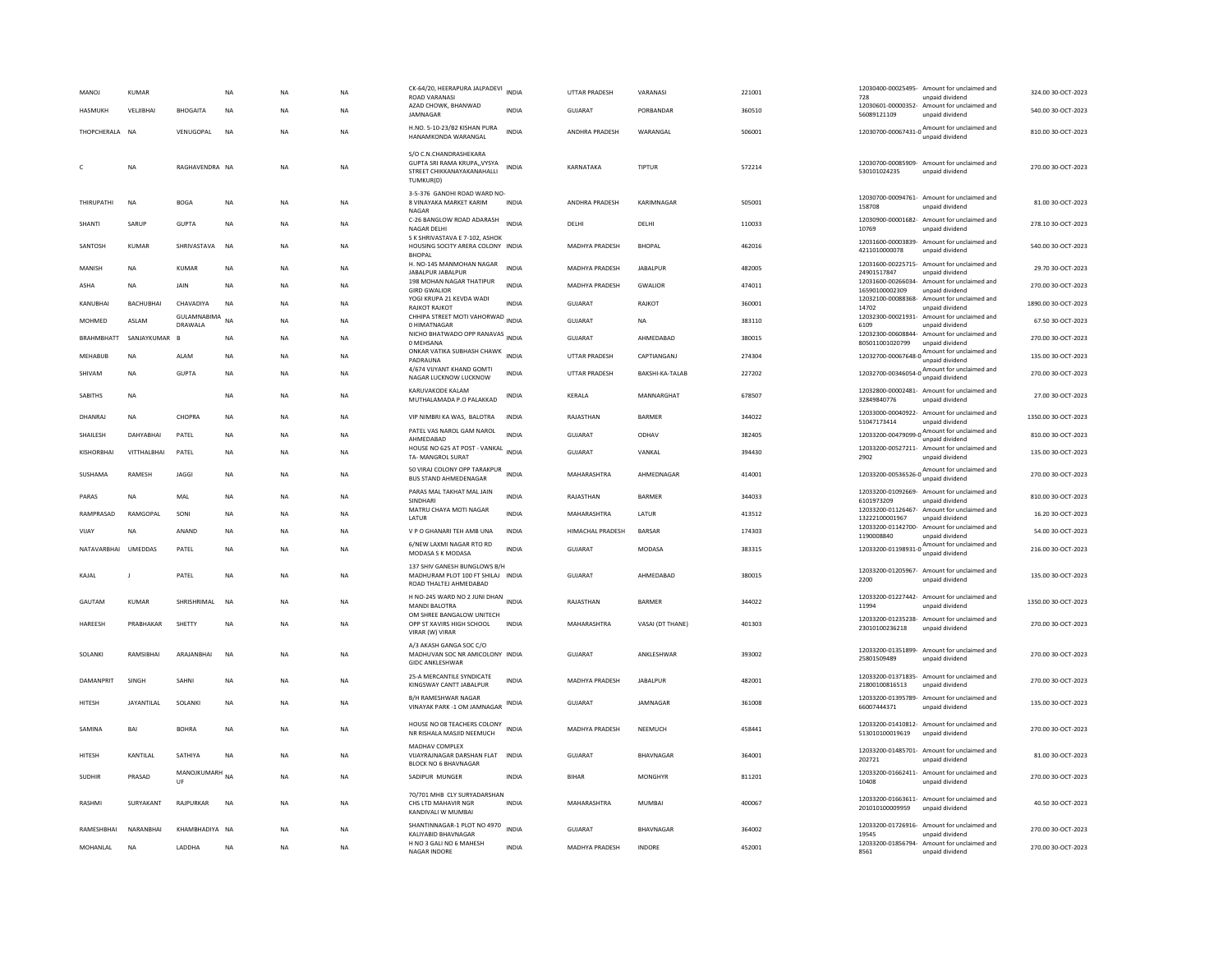| MANOJ             | KUMAR          |                        | NA        | <b>NA</b> | NA        | CK-64/20, HEERAPURA JALPADEVI INDIA<br><b>ROAD VARANASI</b>                                             |              | <b>UTTAR PRADESH</b>  | VARANASI               | 221001 | 728                               | 12030400-00025495- Amount for unclaimed and<br>unpaid dividend                | 324.00 30-OCT-2023  |
|-------------------|----------------|------------------------|-----------|-----------|-----------|---------------------------------------------------------------------------------------------------------|--------------|-----------------------|------------------------|--------|-----------------------------------|-------------------------------------------------------------------------------|---------------------|
| <b>HASMUKH</b>    | VELJIBHAI      | <b>BHOGAITA</b>        | NA        | <b>NA</b> | NA        | AZAD CHOWK, BHANWAD<br><b>IAMNAGAR</b>                                                                  | <b>INDIA</b> | <b>GUJARAT</b>        | PORRANDAR              | 360510 | 56089121109                       | 12030601-00000352- Amount for unclaimed and<br>unpaid dividend                | 540.00 30-OCT-2023  |
| THOPCHERALA NA    |                | VENUGOPAL              | <b>NA</b> | <b>NA</b> | <b>NA</b> | H.NO. 5-10-23/B2 KISHAN PURA<br>HANAMKONDA WARANGAL                                                     | <b>INDIA</b> | ANDHRA PRADESH        | WARANGAL               | 506001 |                                   | 12030700-00067431-0 Amount for unclaimed and                                  | 810.00 30-OCT-2023  |
|                   | NΑ             | RAGHAVENDRA NA         |           | <b>NA</b> | NA        | S/O C.N.CHANDRASHEKARA<br>GUPTA SRI RAMA KRUPAVYSYA<br>STREET CHIKKANAYAKANAHALLI<br>TUMKUR(D)          | INDIA        | KARNATAKA             | TIPTUR                 | 572214 | 530101024235                      | 12030700-00085909- Amount for unclaimed and<br>unpaid dividend                | 270.00 30-OCT-2023  |
| THIRUPATHI        | <b>NA</b>      | <b>BOGA</b>            | <b>NA</b> | <b>NA</b> | <b>NA</b> | 3-5-376 GANDHI ROAD WARD NO-<br>8 VINAYAKA MARKET KARIM<br>NAGAR                                        | <b>INDIA</b> | ANDHRA PRADESH        | KARIMNAGAR             | 505001 | 158708                            | 12030700-00094761- Amount for unclaimed and<br>unpaid dividend                | 81.00 30-OCT-2023   |
| SHANTI            | SARUP          | <b>GUPTA</b>           | <b>NA</b> | <b>NA</b> | <b>NA</b> | C-26 BANGLOW ROAD ADARASH<br><b>NAGAR DELHI</b>                                                         | <b>INDIA</b> | DELHI                 | DELHI                  | 110033 | 10769                             | 12030900-00001682- Amount for unclaimed and<br>unnaid dividend                | 278.10 30-OCT-2023  |
| SANTOSH           | <b>KUMAR</b>   | SHRIVASTAVA            | <b>NA</b> | <b>NA</b> | <b>NA</b> | S K SHRIVASTAVA E 7-102, ASHOK<br>HOUSING SOCITY ARERA COLONY INDIA<br><b>BHOPAL</b>                    |              | MADHYA PRADESH        | <b>BHOPAL</b>          | 462016 | 4211010000078                     | 12031600-00003839- Amount for unclaimed and<br>unpaid dividend                | 540.00 30-OCT-2023  |
| MANISH            | <b>NA</b>      | <b>KUMAR</b>           | NA        | <b>NA</b> | NA        | H. NO-145 MANMOHAN NAGAR<br><b>JARAI PUR JARAI PUR</b>                                                  | <b>INDIA</b> | MADHYA PRADESH        | <b>JABALPUR</b>        | 482005 | 12031600-00225715-<br>24901517847 | Amount for unclaimed and<br>unnaid dividend                                   | 29.70 30-OCT-2023   |
| ASHA              | <b>NA</b>      | <b>JAIN</b>            | <b>NA</b> | <b>NA</b> | NA        | 198 MOHAN NAGAR THATIPUR<br><b>GIRD GWALIOR</b>                                                         | <b>INDIA</b> | <b>MADHYA PRADESH</b> | <b>GWALIOR</b>         | 474011 | 16590100002309                    | 12031600-00266034- Amount for unclaimed and<br>unpaid dividend                | 270.00 30-OCT-2023  |
| KANUBHAI          | BACHUBHAI      | CHAVADIYA              | <b>NA</b> | <b>NA</b> | <b>NA</b> | YOGI KRUPA 21 KEVDA WADI<br>RAJKOT RAJKOT                                                               | <b>INDIA</b> | GUJARAT               | RAJKOT                 | 360001 | 12032100-00088368-<br>14702       | Amount for unclaimed and<br>unpaid dividend                                   | 1890.00 30-OCT-2023 |
| MOHMED            | ASLAM          | GULAMNABIMA<br>DRAWALA | <b>NA</b> | <b>NA</b> | NA        | CHHIPA STREET MOTI VAHORWAD INDIA<br>0 HIMATNAGAR                                                       |              | GUJARAT               | NA                     | 383110 | 6109                              | 12032300-00021931- Amount for unclaimed and<br>unpaid dividend                | 67.50 30-OCT-2023   |
| BRAHMBHATT        | SANJAYKUMAR    |                        | NA        | <b>NA</b> | NA        | NICHO BHATWADO OPP RANAVAS INDIA<br>0 MEHSANA                                                           |              | GUJARAT               | AHMEDABAD              | 380015 | 805011001020799                   | 12032300-00608844- Amount for unclaimed and<br>unpaid dividend                | 270.00 30-OCT-2023  |
| MEHABUB           | <b>NA</b>      | ALAM                   | NA        | <b>NA</b> | NA        | ONKAR VATIKA SUBHASH CHAWK<br>PADRAUNA                                                                  | <b>INDIA</b> | <b>UTTAR PRADESH</b>  | CAPTIANGANJ            | 274304 |                                   | 12032700-00067648-0 Amount for unclaimed and<br>unpaid dividend               | 135.00 30-OCT-2023  |
| SHIVAM            | <b>NA</b>      | GUPTA                  | <b>NA</b> | <b>NA</b> | <b>NA</b> | 4/674 VIJYANT KHAND GOMTI<br>NAGAR LUCKNOW LUCKNOW                                                      | <b>INDIA</b> | <b>UTTAR PRADESH</b>  | <b>BAKSHI-KA-TALAR</b> | 227202 |                                   | 12032700-00346054-0 Amount for unclaimed and<br>unpaid dividend               | 270.00 30-QCT-2023  |
| <b>SABITHS</b>    | NA             |                        | <b>NA</b> | <b>NA</b> | <b>NA</b> | <b>KARUVAKODE KALAM</b><br>MUTHALAMADA P.O PALAKKAD                                                     | INDIA        | KERALA                | MANNARGHAT             | 678507 | 32849840776                       | 12032800-00002481- Amount for unclaimed and<br>unpaid dividend                | 27.00 30-OCT-2023   |
| DHANRAJ           | <b>NA</b>      | CHOPRA                 | <b>NA</b> | <b>NA</b> | <b>NA</b> | VIP NIMBRI KA WAS, BALOTRA                                                                              | <b>INDIA</b> | RAJASTHAN             | BARMER                 | 344022 | 12033000-00040922-<br>51047173414 | Amount for unclaimed and<br>unpaid dividend                                   | 1350.00 30-OCT-2023 |
| SHAILESH          | DAHYARHAI      | PATEL                  | NA        | <b>NA</b> | NA        | PATEL VAS NAROL GAM NAROL<br>AHMEDABAD                                                                  | <b>INDIA</b> | GUJARAT               | ODHAV                  | 382405 |                                   | 12033200-00479099-0 Amount for unclaimed and<br>unpaid dividend               | 810.00 30-OCT-2023  |
| <b>KISHORBHAI</b> | VITTHALBHAI    | PATEL                  | NA        | NA        | NA        | HOUSE NO 625 AT POST - VANKAL<br>TA- MANGROL SURAT                                                      | <b>INDIA</b> | GUJARAT               | VANKAL                 | 394430 | 2902                              | 12033200-00527211- Amount for unclaimed and<br>unpaid dividend                | 135.00 30-OCT-2023  |
| SUSHAMA           | <b>RAMESH</b>  | <b>IAGGI</b>           | <b>NA</b> | <b>NA</b> | <b>NA</b> | 50 VIRAJ COLONY OPP TARAKPUR<br><b>BUS STAND AHMEDENAGAR</b>                                            | <b>INDIA</b> | MAHARASHTRA           | AHMEDNAGAR             | 414001 |                                   | 12033200-00536526-0 Amount for unclaimed and<br>unpaid dividend               | 270.00 30-OCT-2023  |
| PARAS             | <b>NA</b>      | MAL                    | NA        | <b>NA</b> | NA        | PARAS MAL TAKHAT MAL JAIN<br>SINDHARI                                                                   | <b>INDIA</b> | RAJASTHAN             | <b>BARMER</b>          | 344033 | 6101973209                        | 12033200-01092669- Amount for unclaimed and<br>unpaid dividend                | 810.00 30-OCT-2023  |
| RAMPRASAD         | RAMGOPAL       | SONI                   | NA        | <b>NA</b> | NA        | MATRU CHAYA MOTI NAGAR<br><b>IATUR</b>                                                                  | INDIA        | MAHARASHTRA           | LATUR                  | 413512 | 13222100001967                    | 12033200-01126467- Amount for unclaimed and<br>unpaid dividend                | 16.20 30-OCT-2023   |
| VIJAY             | <b>NA</b>      | ANAND                  | NA        | <b>NA</b> | NA        | V P O GHANARI TEH AMB UNA                                                                               | INDIA        | HIMACHAL PRADESH      | <b>BARSAR</b>          | 174303 | 1190008840                        | 12033200-01142700- Amount for unclaimed and<br>unpaid dividend                | 54.00 30-OCT-2023   |
| NATAVARRHAI       | <b>UMEDDAS</b> | PATEL                  | <b>NA</b> | <b>NA</b> | NA.       | 6/NEW LAXMI NAGAR RTO RD<br>MODASA S K MODASA                                                           | <b>INDIA</b> | GUIARAT               | MODASA                 | 383315 |                                   | $12033200{\cdot}01198931{\cdot}0$ Amount for unclaimed and<br>unpaid dividend | 216.00.30-OCT-2023  |
| KAJAL             | $\mathbf{I}$   | PATEL                  | <b>NA</b> | <b>NA</b> | <b>NA</b> | 137 SHIV GANESH BUNGLOWS B/H<br>MADHURAM PLOT 100 FT SHILAJ INDIA<br>ROAD THALTEJ AHMEDABAD             |              | <b>GUJARAT</b>        | AHMEDABAD              | 380015 | 2200                              | 12033200-01205967- Amount for unclaimed and<br>unpaid dividend                | 135.00 30-OCT-2023  |
| GAUTAM            | <b>KUMAR</b>   | SHRISHRIMAL            | <b>NA</b> | <b>NA</b> | <b>NA</b> | H NO-245 WARD NO 2 JUNI DHAN<br><b>MANDI BALOTRA</b>                                                    | <b>INDIA</b> | RAJASTHAN             | <b>BARMER</b>          | 344022 | 11994                             | 12033200-01227442- Amount for unclaimed and<br>unpaid dividend                | 1350.00 30-OCT-2023 |
| HAREESH           | PRABHAKAR      | SHETTY                 | <b>NA</b> | <b>NA</b> | <b>NA</b> | OM SHREE BANGALOW UNITECH<br>OPP ST XAVIRS HIGH SCHOOL                                                  | <b>INDIA</b> | MAHARASHTRA           | VASAI (DT THANE)       | 401303 | 23010100236218                    | 12033200-01235238- Amount for unclaimed and<br>unpaid dividend                | 270.00 30-OCT-2023  |
| SOLANKI           | RAMSIBHAI      | ARAJANBHAI             | <b>NA</b> | <b>NA</b> | <b>NA</b> | VIRAR (W) VIRAR<br>A/3 AKASH GANGA SOC C/O<br>MADHUVAN SOC NR AMICOLONY INDIA<br><b>GIDC ANKLESHWAR</b> |              | <b>GUJARAT</b>        | ANKLESHWAR             | 393002 | 25801509489                       | 12033200-01351899- Amount for unclaimed and<br>unpaid dividend                | 270.00 30-OCT-2023  |
| <b>DAMANPRIT</b>  | SINGH          | SAHNI                  | <b>NA</b> | <b>NA</b> | NA.       | 25-A MERCANTILE SYNDICATE<br>KINGSWAY CANTT JABALPUR                                                    | <b>INDIA</b> | <b>MADHYA PRADESH</b> | <b>JARAI PUR</b>       | 482001 | 21800100816513                    | 12033200-01371835- Amount for unclaimed and<br>unpaid dividend                | 270.00 30-OCT-2023  |
| <b>HITESH</b>     | JAYANTILAL     | SOLANKI                | NA        | <b>NA</b> | NA        | <b>B/H RAMESHWAR NAGAR</b><br>VINAYAK PARK -1 OM JAMNAGAR                                               | INDIA        | GUJARAT               | JAMNAGAR               | 361008 | 12033200-01395789-<br>66007444371 | Amount for unclaimed and<br>unpaid dividend                                   | 135.00 30-OCT-2023  |
| SAMINA            | BAI            | <b>BOHRA</b>           | <b>NA</b> | <b>NA</b> | <b>NA</b> | HOUSE NO 08 TEACHERS COLONY<br>NR RISHALA MASJID NEEMUCH                                                | <b>INDIA</b> | MADHYA PRADESH        | NEEMUCH                | 458441 | 513010100019619                   | 12033200-01410812- Amount for unclaimed and<br>unpaid dividend                | 270.00 30-OCT-2023  |
| HITESH            | KANTILAL       | SATHIYA                | <b>NA</b> | <b>NA</b> | <b>NA</b> | MADHAV COMPLEX<br>VIJAYRAJNAGAR DARSHAN FLAT INDIA<br><b>BLOCK NO 6 BHAVNAGAR</b>                       |              | <b>GUJARAT</b>        | BHAVNAGAR              | 364001 | 202721                            | 12033200-01485701- Amount for unclaimed and<br>unpaid dividend                | 81.00 30-OCT-2023   |
| <b>SUDHIR</b>     | PRASAD         | MANOJKUMARH NA<br>UE   |           | <b>NA</b> | <b>NA</b> | SADIPUR MUNGER                                                                                          | <b>INDIA</b> | <b>BIHAR</b>          | <b>MONGHYR</b>         | 811201 | 10408                             | 12033200-01662411- Amount for unclaimed and<br>unpaid dividend                | 270.00 30-OCT-2023  |
| RASHMI            | SURYAKANT      | RAJPURKAR              | NA        | <b>NA</b> | NA        | 70/701 MHR CLY SURYADARSHAN<br>CHS LTD MAHAVIR NGR<br>KANDIVALI W MUMBAI                                | INDIA        | MAHARASHTRA           | MUMBAI                 | 400067 | 201010100009959                   | 12033200-01663611- Amount for unclaimed and<br>unpaid dividend                | 40.50 30-OCT-2023   |
| RAMESHBHAI        | NARANBHAI      | KHAMBHADIYA NA         |           | <b>NA</b> | <b>NA</b> | SHANTINNAGAR-1 PLOT NO 4970<br>KALIYABID BHAVNAGAR                                                      | <b>INDIA</b> | GUJARAT               | <b>BHAVNAGAR</b>       | 364002 | 19545                             | 12033200-01726916- Amount for unclaimed and<br>unpaid dividend                | 270.00 30-OCT-2023  |
| MOHANLAL          | NA             | LADDHA                 | <b>NA</b> | <b>NA</b> | NA        | H NO 3 GALI NO 6 MAHESH<br><b>NAGAR INDORE</b>                                                          | <b>INDIA</b> | MADHYA PRADESH        | <b>INDORE</b>          | 452001 | 8561                              | 12033200-01856794- Amount for unclaimed and<br>unpaid dividend                | 270.00 30-OCT-2023  |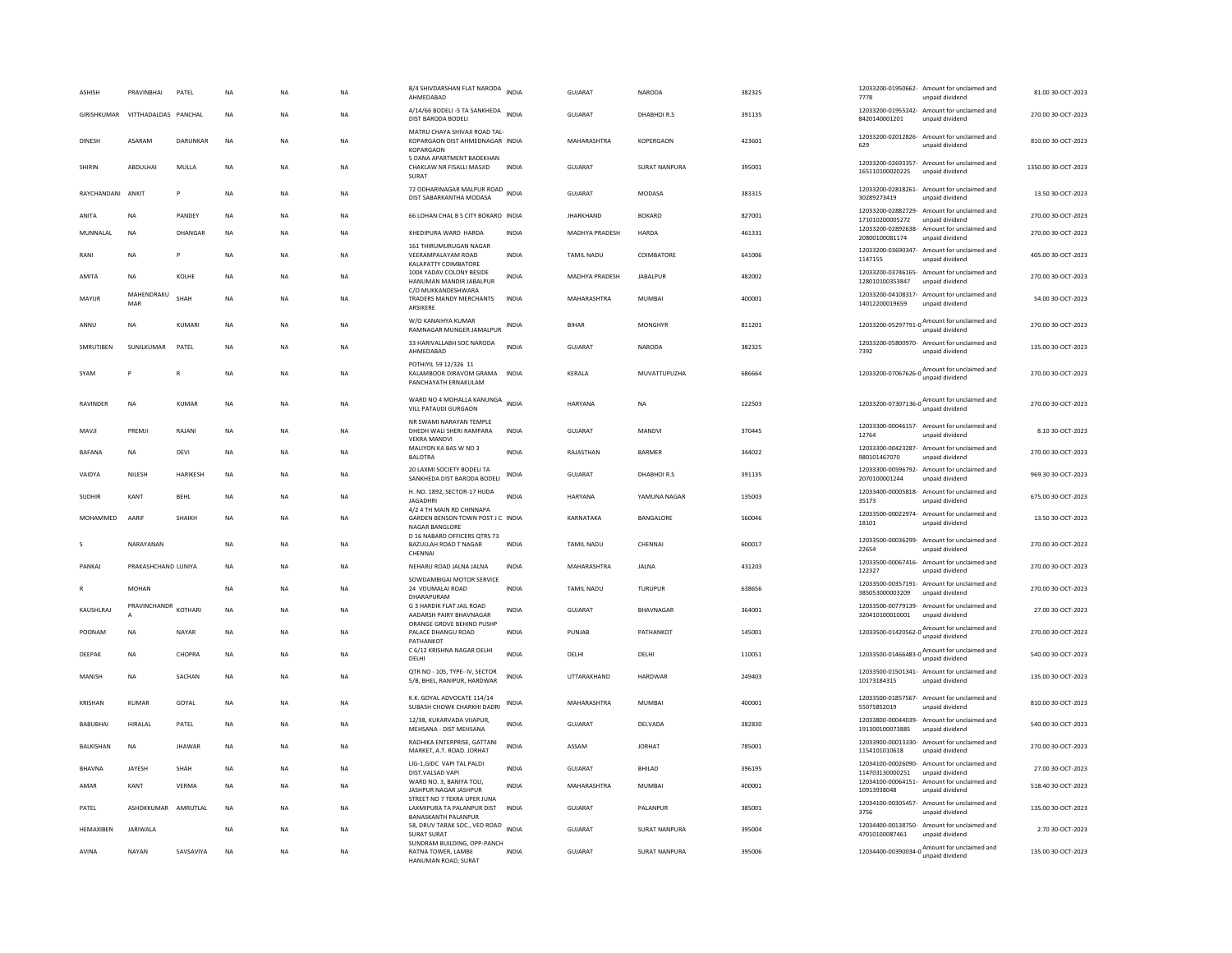| <b>ASHISH</b>     | PRAVINBHAI           | PATEL         | NA        | <b>NA</b> | <b>NA</b> | B/4 SHIVDARSHAN FLAT NARODA INDIA<br>AHMEDABAD                                          |              | <b>GUJARAT</b>     | <b>NARODA</b>        | 382325 | 7778            | 12033200-01950662- Amount for unclaimed and<br>unpaid dividend                      | 81.00 30-OCT-2023   |
|-------------------|----------------------|---------------|-----------|-----------|-----------|-----------------------------------------------------------------------------------------|--------------|--------------------|----------------------|--------|-----------------|-------------------------------------------------------------------------------------|---------------------|
| GIRISHKUMAR       | VITTHADALDAS PANCHAL |               | <b>NA</b> | <b>NA</b> | <b>NA</b> | 4/14/66 BODELI -5 TA SANKHEDA<br>DIST BARODA BODELI                                     | <b>INDIA</b> | GUIARAT            | DHARHOLR S           | 391135 | 8420140001201   | 12033200-01955242- Amount for unclaimed and<br>unpaid dividend                      | 270.00.30-OCT-2023  |
| <b>DINESH</b>     | ASARAM               | DARUNKAR      | <b>NA</b> | <b>NA</b> | <b>NA</b> | MATRU CHAYA SHIVAJI ROAD TAL-<br>KOPARGAON DIST AHMEDNAGAR INDIA<br><b>KOPARGAON</b>    |              | MAHARASHTRA        | KOPERGAON            | 423601 | 629             | 12033200-02012826- Amount for unclaimed and<br>unpaid dividend                      | 810.00 30-OCT-2023  |
| SHIRIN            | ABDULHAI             | MULLA         | NA        | <b>NA</b> | NA        | 5 DANA APARTMENT BADEKHAN<br>CHAKLAW NR FISALLI MASJID<br><b>SURAT</b>                  | <b>INDIA</b> | <b>GUJARAT</b>     | <b>SURAT NANPURA</b> | 395001 | 165110100020225 | 12033200-02693357- Amount for unclaimed and<br>unpaid dividend                      | 1350.00 30-OCT-2023 |
| RAYCHANDANI ANKIT |                      | P             | <b>NA</b> | <b>NA</b> | <b>NA</b> | 72 ODHARINAGAR MALPUR ROAD<br>DIST SABARKANTHA MODASA                                   |              | <b>GUJARAT</b>     | <b>MODASA</b>        | 383315 | 30289273419     | 12033200-02818261- Amount for unclaimed and<br>unpaid dividend                      | 13.50 30-OCT-2023   |
| ANITA             | <b>NA</b>            | PANDEY        | <b>NA</b> | <b>NA</b> | <b>NA</b> | 66 LOHAN CHAL B S CITY BOKARO INDIA                                                     |              | <b>JHARKHAND</b>   | <b>BOKARO</b>        | 827001 | 171010200005272 | 12033200-02882729- Amount for unclaimed and<br>unpaid dividend                      | 270.00 30-OCT-2023  |
| MUNNALAL          | <b>NA</b>            | DHANGAR       | NA        | <b>NA</b> | NA        | KHEDIPURA WARD HARDA                                                                    | INDIA        | MADHYA PRADESH     | HARDA                | 461331 | 20800100081174  | 12033200-02892638- Amount for unclaimed and<br>unnaid dividend                      | 270.00 30-OCT-2023  |
| RANI              | <b>NA</b>            |               | NA        | NA        | NA.       | 161 THIRUMURUGAN NAGAR<br>VEERAMPALAYAM ROAD<br>KALAPATTY COIMBATORE                    | INDIA        | TAMIL NADU         | COIMBATORE           | 641006 | 1147155         | 12033200-03690347- Amount for unclaimed and<br>unpaid dividend                      | 405.00 30-OCT-2023  |
| AMITA             | <b>NA</b>            | KOLHE         | NA        | <b>NA</b> | NA        | 1004 YADAV COLONY BESIDE<br>HANUMAN MANDIR JABALPUR                                     | INDIA        | MADHYA PRADESH     | <b>IARAI PUR</b>     | 482002 | 128010100353847 | 12033200-03746165- Amount for unclaimed and<br>unpaid dividend                      | 270.00 30-OCT-2023  |
| MAYUR             | MAHENDRAKU<br>MAR    | SHAH          | NA        | <b>NA</b> | NA        | C/O MUKKANDESHWARA<br>TRADERS MANDY MERCHANTS<br>ARSIKERE                               | INDIA        | MAHARASHTRA        | <b>MUMBAI</b>        | 400001 | 14012200019659  | 12033200-04108317- Amount for unclaimed and<br>unpaid dividend                      | 54.00 30-OCT-2023   |
| ANNU              | <b>NA</b>            | KUMARI        | <b>NA</b> | <b>NA</b> | <b>NA</b> | W/O KANAIHYA KUMAR<br>RAMNAGAR MUNGER JAMALPUR                                          | <b>INDIA</b> | <b>BIHAR</b>       | <b>MONGHYR</b>       | 811201 |                 | 12033200-05297791-0<br>unpaid dividend<br>dividend                                  | 270.00 30-OCT-2023  |
| SMRUTIBEN         | <b>SUNILKUMAR</b>    | PATEL         | <b>NA</b> | <b>NA</b> | <b>NA</b> | 33 HARIVALLABH SOC NARODA<br>AHMEDABAD                                                  | <b>INDIA</b> | GUIARAT            | <b>NARODA</b>        | 382325 | 7392            | 12033200-05800970- Amount for unclaimed and<br>unpaid dividend                      | 135.00 30-OCT-2023  |
| SYAM              | P                    | $\mathbb{R}$  | <b>NA</b> | <b>NA</b> | <b>NA</b> | POTHIYIL 59 12/326 11<br>KALAMBOOR DIRAVOM GRAMA<br>PANCHAYATH ERNAKULAM                | <b>INDIA</b> | <b>KFRALA</b>      | MUVATTUPUZHA         | 686664 |                 | 12033200-07067626-0 $\frac{\text{Amount for unclaimed}}{\cdots}$<br>unpaid dividend | 270.00 30-OCT-2023  |
| <b>RAVINDER</b>   | <b>NA</b>            | KUMAR         | <b>NA</b> | <b>NA</b> | NA        | WARD NO 4 MOHALLA KANUNGA INDIA<br>VILL PATAUDI GURGAON                                 |              | HARYANA            | <b>NA</b>            | 122503 |                 | 12033200-07307136-0<br>unpaid dividend                                              | 270.00 30-OCT-2023  |
| MAVII             | PREMI                | RAIANI        | <b>NA</b> | <b>NA</b> | NA.       | NR SWAMI NARAYAN TEMPLE<br>DHEDH WALLSHERL RAMPARA<br><b>VEKRA MANDVI</b>               | <b>INDIA</b> | GUIARAT            | MANDVI               | 370445 | 12764           | 12033300-00046157- Amount for unclaimed and<br>unpaid dividend                      | 8.10.30-OCT-2023    |
| BAFANA            | NA                   | DEVI          | NA        | <b>NA</b> | NA        | MALIYON KA BAS W NO 3<br><b>BALOTRA</b>                                                 | INDIA        | RAJASTHAN          | BARMER               | 344022 | 980101467070    | 12033300-00423287- Amount for unclaimed and<br>unnaid dividend                      | 270.00 30-OCT-2023  |
| VAIDYA            | NILESH               | HARIKESH      | <b>NA</b> | <b>NA</b> | NA        | 20 LAXMI SOCIETY BODELI TA<br>SANKHEDA DIST BARODA BODELI                               | INDIA        | GUJARAT            | DHABHOIR.S           | 391135 | 2070100001244   | 12033300-00596792- Amount for unclaimed and<br>unpaid dividend                      | 969.30 30-OCT-2023  |
| SUDHIR            | KANT                 | <b>BEHL</b>   | NA        | <b>NA</b> | NA        | H. NO. 1892, SECTOR-17 HUDA<br><b>JAGADHRI</b>                                          | INDIA        | <b>HARYANA</b>     | YAMUNA NAGAR         | 135003 | 35173           | 12033400-00005818- Amount for unclaimed and<br>unpaid dividend                      | 675.00 30-OCT-2023  |
| MOHAMMED          | AARIF                | SHAIKH        | NA        | <b>NA</b> | NA        | 4/2 4 TH MAIN RD CHINNAPA<br>GARDEN BENSON TOWN POST J C INDIA<br><b>NAGAR BANGLORE</b> |              | KARNATAKA          | BANGALORE            | 560046 | 18101           | 12033500-00022974- Amount for unclaimed and<br>unpaid dividend                      | 13.50 30-OCT-2023   |
|                   | NARAYANAN            |               | <b>NA</b> | <b>NA</b> | NA        | D 16 NABARD OFFICERS QTRS 73<br>BAZULLAH ROAD T NAGAR<br>CHENNAI                        | <b>INDIA</b> | TAMIL NADU         | CHENNAI              | 600017 | 22654           | 12033500-00036299- Amount for unclaimed and<br>unpaid dividend                      | 270.00 30-OCT-2023  |
| PANKAI            | PRAKASHCHAND LUNIYA  |               | <b>NA</b> | <b>NA</b> | <b>NA</b> | NEHARU ROAD JALNA JALNA                                                                 | INDIA        | MAHARASHTRA        | <b>JAI NA</b>        | 431203 | 122327          | 12033500-00067416- Amount for unclaimed and<br>unpaid dividend                      | 270.00 30-OCT-2023  |
|                   | MOHAN                |               | <b>NA</b> | <b>NA</b> | <b>NA</b> | SOWDAMBIGAI MOTOR SERVICE<br>24 VDUMALAI ROAD<br>DHARAPURAM                             | <b>INDIA</b> | TAMIL NADU         | TURUPUR              | 638656 | 385053000003209 | 12033500-00357191- Amount for unclaimed and<br>unpaid dividend                      | 270.00 30-OCT-2023  |
| KAUSHLRAJ         | PRAVINCHANDR         | KOTHARI       | <b>NA</b> | <b>NA</b> | <b>NA</b> | G 3 HARDIK FLAT JAIL ROAD<br>AADARSH PAIRY BHAVNAGAR                                    | INDIA        | GUJARAT            | BHAVNAGAR            | 364001 | 320410100010001 | 12033500-00779139- Amount for unclaimed and<br>unpaid dividend                      | 27.00 30-OCT-2023   |
| POONAM            | <b>NA</b>            | <b>NAYAR</b>  | <b>NA</b> | <b>NA</b> | <b>NA</b> | ORANGE GROVE BEHIND PUSHP<br>PALACE DHANGU ROAD<br><b>PATHANKOT</b>                     | <b>INDIA</b> | PUNJAB             | PATHANKOT            | 145001 |                 | 12033500-01420562-0<br>Mount for unclaimed and                                      | 270.00 30-OCT-2023  |
| DEEPAK            | <b>NA</b>            | CHOPRA        | <b>NA</b> | <b>NA</b> | <b>NA</b> | C 6/12 KRISHNA NAGAR DELHI<br>DELHI                                                     | <b>INDIA</b> | DELHI              | DELHI                | 110051 |                 | 12033500-01466483-0 Amount for unclaimed and<br>unpaid dividend                     | 540.00 30-OCT-2023  |
| MANISH            | <b>NA</b>            | SACHAN        | <b>NA</b> | <b>NA</b> | <b>NA</b> | QTR NO - 105, TYPE- IV, SECTOR<br>5/B. BHEL, RANIPUR, HARDWAR                           | <b>INDIA</b> | <b>UTTARAKHAND</b> | HARDWAR              | 249403 | 10173184315     | 12033500-01501341- Amount for unclaimed and<br>unpaid dividend                      | 135.00.30-OCT-2023  |
| KRISHAN           | KUMAR                | GOYAL         | <b>NA</b> | <b>NA</b> | <b>NA</b> | K.K. GOYAL ADVOCATE 114/14<br>SUBASH CHOWK CHARKHI DADRI                                | <b>INDIA</b> | MAHARASHTRA        | MUMBAI               | 400001 | 55075852019     | 12033500-01857567- Amount for unclaimed and<br>unpaid dividend                      | 810.00 30-OCT-2023  |
| <b>BABUBHAI</b>   | <b>HIRALAL</b>       | PATEL         | <b>NA</b> | <b>NA</b> | <b>NA</b> | 12/38. KUKARVADA VIJAPUR.<br>MEHSANA - DIST MEHSANA                                     | <b>INDIA</b> | <b>GUJARAT</b>     | DELVADA              | 382830 | 191300100073885 | 12033800-00044039- Amount for unclaimed and<br>unpaid dividend                      | 540.00 30-OCT-2023  |
| <b>BAI KISHAN</b> | <b>NA</b>            | <b>IHAWAR</b> | <b>NA</b> | <b>NA</b> | <b>NA</b> | RADHIKA ENTERPRISE, GATTANI<br>MARKET, A.T. ROAD. JORHAT                                | <b>INDIA</b> | ASSAM              | <b>IORHAT</b>        | 785001 | 1154101010618   | 12033900-00013330- Amount for unclaimed and<br>unpaid dividend                      | 270.00.30-OCT-2023  |
| <b>BHAVNA</b>     | JAYESH               | SHAH          | <b>NA</b> | <b>NA</b> | NA        | LIG-1,GIDC VAPI TAL PALDI<br>DIST.VALSAD VAPI                                           | <b>INDIA</b> | <b>GUJARAT</b>     | BHILAD               | 396195 | 114703130000251 | 12034100-00026090- Amount for unclaimed and<br>unpaid dividend                      | 27.00 30-OCT-2023   |
| AMAR              | KANT                 | VFRMA         | <b>NA</b> | <b>NA</b> | <b>NA</b> | WARD NO. 3, BANIYA TOLI,<br>JASHPUR NAGAR JASHPUR                                       | <b>INDIA</b> | MAHARASHTRA        | MUMBAL               | 400001 | 10913938048     | 12034100-00064151- Amount for unclaimed and<br>unpaid dividend                      | 518.40.30-OCT-2023  |
| PATEL             | ASHOKKUMAR           | AMRUTLAL      | <b>NA</b> | <b>NA</b> | <b>NA</b> | STREET NO 7 TEKRA UPER JUNA<br>LAXMIPURA TA PALANPUR DIST<br><b>BANASKANTH PALANPUR</b> | <b>INDIA</b> | GUJARAT            | PALANPUR             | 385001 | 3756            | 12034100-00305457- Amount for unclaimed and<br>unpaid dividend                      | 135.00 30-OCT-2023  |
| HEMAXIBEN         | JARIWALA             |               | <b>NA</b> | <b>NA</b> | <b>NA</b> | 58, DRUV TARAK SOC., VED ROAD INDIA<br><b>SURAT SURAT</b>                               |              | GUJARAT            | SURAT NANPURA        | 395004 | 47010100087461  | 12034400-00138750- Amount for unclaimed and<br>unpaid dividend                      | 2.70 30-OCT-2023    |
| AVINA             | NAYAN                | SAVSAVIYA     | <b>NA</b> | <b>NA</b> | <b>NA</b> | SUNDRAM BUILDING, OPP-PANCH<br>RATNA TOWER, LAMBE<br>HANUMAN ROAD, SURAT                | <b>INDIA</b> | <b>GUJARAT</b>     | <b>SURAT NANPURA</b> | 395006 |                 | 12034400-00390034-0<br>unpaid dividend                                              | 135.00 30-OCT-2023  |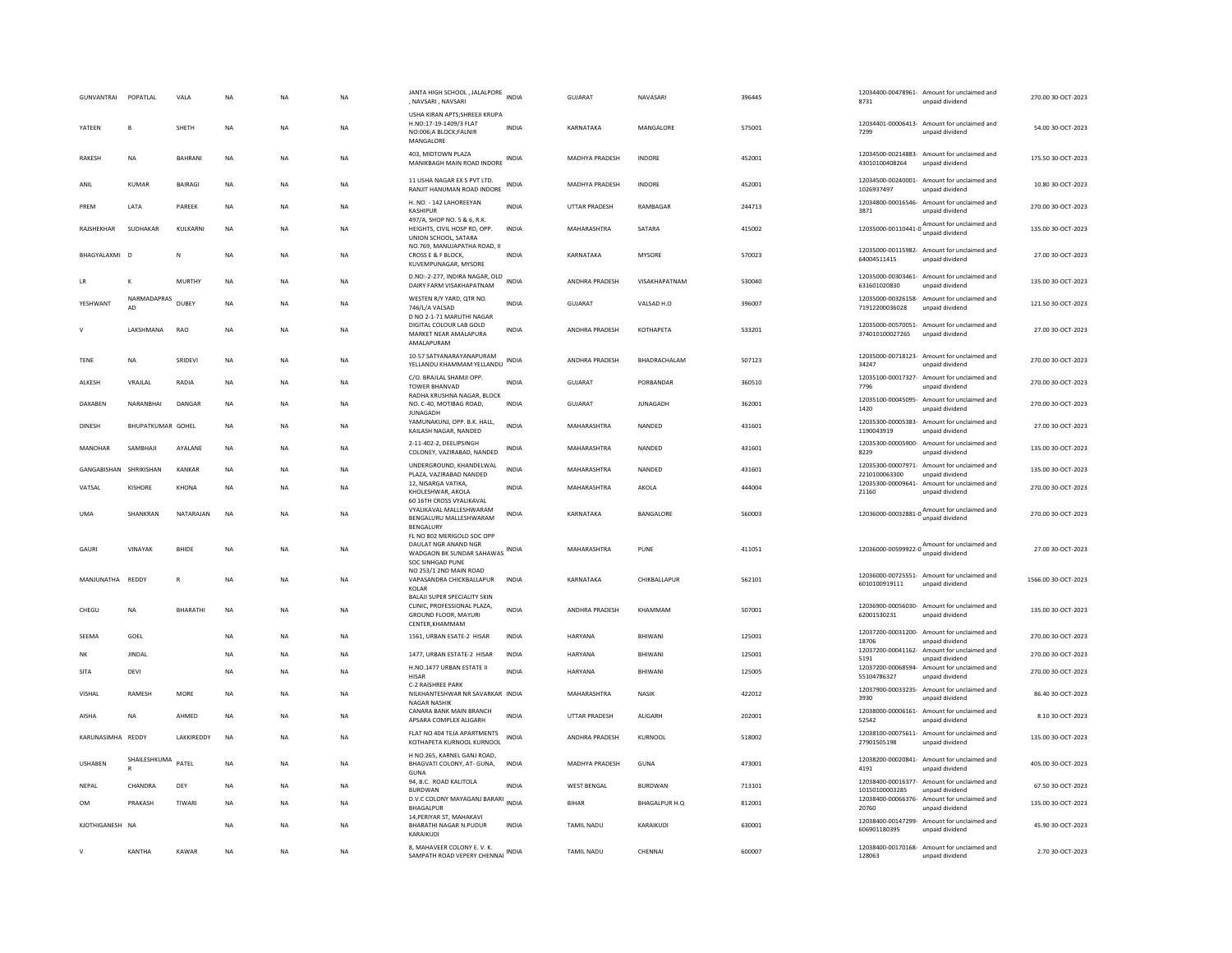|             | <b>GUNVANTRAI</b>      | POPATLAL           | VALA           | <b>NA</b> | <b>NA</b> | NA        | JANTA HIGH SCHOOL, JALALPORE<br>, NAVSARI, NAVSARI                                                        | <b>INDIA</b> | GUJARAT               | NAVASARI        | 396445 | 8731                             | 12034400-00478961- Amount for unclaimed and<br>unpaid dividend  | 270.00 30-OCT-2023  |
|-------------|------------------------|--------------------|----------------|-----------|-----------|-----------|-----------------------------------------------------------------------------------------------------------|--------------|-----------------------|-----------------|--------|----------------------------------|-----------------------------------------------------------------|---------------------|
|             | YATEEN                 | B                  | SHFTH          | <b>NA</b> | <b>NA</b> | NA        | USHA KIRAN APTS: SHREEJI KRUPA<br>H.NO:17-19-1409/3 FLAT<br>NO:006:A BLOCK:FALNIR<br>MANGALORE            | <b>INDIA</b> | KARNATAKA             | MANGALORE       | 575001 | 7299                             | 12034401-00006413- Amount for unclaimed and<br>unnaid dividend  | 54.00 30-OCT-2023   |
|             | RAKESH                 | NA                 | RAHRANI        | <b>NA</b> | <b>NA</b> | NA        | 403, MIDTOWN PLAZA<br>MANIKBAGH MAIN ROAD INDORE                                                          | INDIA        | <b>MADHYA PRADESH</b> | <b>INDORE</b>   | 452001 | 43010100408264                   | 12034500-00214883- Amount for unclaimed and<br>unpaid dividend  | 175.50 30-OCT-2023  |
| ANIL        |                        | KUMAR              | <b>BAIRAGI</b> | NA        | NA        | NA        | 11 USHA NAGAR EX S PVT LTD.<br>RANJIT HANUMAN ROAD INDORE                                                 | <b>INDIA</b> | MADHYA PRADESH        | INDORE          | 452001 | 1026937497                       | 12034500-00240001- Amount for unclaimed and<br>unpaid dividend  | 10.80 30-OCT-2023   |
| PRFM        |                        | LATA               | PAREEK         | NA        | NA        | NA        | H. NO. - 142 LAHOREEYAN<br>KASHIPUR                                                                       | <b>INDIA</b> | UTTAR PRADESH         | RAMBAGAR        | 244713 | 3871                             | 12034800-00016546- Amount for unclaimed and<br>unpaid dividend  | 270.00 30-OCT-2023  |
|             | RAJSHEKHAR             | SUDHAKAR           | KULKARNI       | NA        | <b>NA</b> | NA        | 497/A, SHOP NO. 5 & 6, R.K.<br>HEIGHTS, CIVIL HOSP RD, OPP.<br>UNION SCHOOL, SATARA                       | INDIA        | MAHARASHTRA           | SATARA          | 415002 |                                  | 12035000-00110441-0 Amount for unclaimed and                    | 135.00 30-OCT-2023  |
|             | BHAGYALAXMI            | - D                |                | <b>NA</b> | NA        | <b>NA</b> | NO.769, MANUJAPATHA ROAD, II<br>CROSS E & F BLOCK.<br>KUVEMPUNAGAR, MYSORE                                | <b>INDIA</b> | KARNATAKA             | <b>MYSORE</b>   | 570023 | 64004511415                      | 12035000-00115982- Amount for unclaimed and<br>unpaid dividend  | 27.00 30-OCT-2023   |
|             |                        | $\mathsf{K}$       | <b>MURTHY</b>  | <b>NA</b> | <b>NA</b> | <b>NA</b> | D.NO:-2-277, INDIRA NAGAR, OLD INDIA<br>DAIRY FARM VISAKHAPATNAM                                          |              | ANDHRA PRADESH        | VISAKHAPATNAM   | 530040 | 631601020830                     | 12035000-00303461- Amount for unclaimed and<br>unpaid dividend  | 135.00 30-OCT-2023  |
|             | YESHWANT               | NARMADAPRAS<br>AD. | DUBEY          | <b>NA</b> | <b>NA</b> | <b>NA</b> | WESTEN R/Y YARD, QTR NO.<br>746/L/A VALSAD                                                                | <b>INDIA</b> | <b>GUJARAT</b>        | VALSAD H.O.     | 396007 | 71912200036028                   | 12035000-00326158- Amount for unclaimed and<br>unpaid dividend  | 121.50 30-OCT-2023  |
|             |                        | LAKSHMANA          | RAO            | NA        | NA        | NA        | D NO 2-1-71 MARUTHI NAGAR<br>DIGITAL COLOUR LAB GOLD<br>MARKET NEAR AMALAPURA<br>AMALAPURAM               | INDIA        | ANDHRA PRADESH        | КОТНАРЕТА       | 533201 | 374010100027265                  | 12035000-00570051- Amount for unclaimed and<br>unpaid dividend  | 27.00 30-OCT-2023   |
| TENE        |                        | NA                 | SRIDEVI        | NA        | NA        | NA        | 10-57 SATYANARAYANAPURAM<br>YELLANDU KHAMMAM YELLANDU                                                     | INDIA        | ANDHRA PRADESH        | BHADRACHALAM    | 507123 | 34247                            | 12035000-00718123- Amount for unclaimed and<br>unpaid dividend  | 270.00 30-OCT-2023  |
|             | ALKESH                 | VRAJLAL            | RADIA          | <b>NA</b> | <b>NA</b> | <b>NA</b> | C/O. BRAJLAL SHAMJI OPP.<br><b>TOWER BHANVAD</b>                                                          | <b>INDIA</b> | GUJARAT               | PORBANDAR       | 360510 | 7796                             | 12035100-00017327- Amount for unclaimed and<br>unpaid dividend  | 270.00 30-OCT-2023  |
|             | DAXABEN                | NARANBHAI          | DANGAR         | NA        | NA        | NA        | RADHA KRUSHNA NAGAR, BLOCK<br>NO. C-40, MOTIBAG ROAD,<br><b>JUNAGADH</b>                                  | <b>INDIA</b> | GUJARAT               | <b>JUNAGADH</b> | 362001 | 1420                             | 12035100-00045095- Amount for unclaimed and<br>unpaid dividend  | 270.00 30-OCT-2023  |
|             | <b>DINESH</b>          | BHUPATKUMAR GOHEL  |                | NA        | NA        | <b>NA</b> | YAMUNAKUNJ, OPP. B.K. HALL,<br>KAILASH NAGAR, NANDED                                                      | <b>INDIA</b> | MAHARASHTRA           | NANDED          | 431601 | 12035300-00005383-<br>1190043919 | Amount for unclaimed and<br>unpaid dividend                     | 27.00 30-OCT-2023   |
|             | MANOHAR                | SAMBHAJI           | AYALANE        | NA        | NA        | NA        | 2-11-402-2, DEELIPSINGH<br>COLONEY, VAZIRABAD, NANDED                                                     | INDIA        | MAHARASHTRA           | NANDED          | 431601 | 12035300-00005900-<br>8229       | Amount for unclaimed and<br>unpaid dividend                     | 135.00 30-OCT-2023  |
|             | GANGABISHAN SHRIKISHAN |                    | KANKAR         | <b>NA</b> | <b>NA</b> | <b>NA</b> | UNDERGROUND, KHANDELWAL<br>PLAZA, VAZIRABAD NANDED                                                        | <b>INDIA</b> | MAHARASHTRA           | NANDED          | 431601 | 2210100063300                    | 12035300-00007971- Amount for unclaimed and<br>unpaid dividend  | 135.00 30-OCT-2023  |
|             | VATSAL                 | KISHORE            | KHONA          | NA        | NA        | NA        | 12. NISARGA VATIKA.<br>KHOLESHWAR, AKOLA<br>60 16TH CROSS VYALIKAVAL                                      | INDIA        | MAHARASHTRA           | AKOLA           | 444004 | 12035300-00009641-<br>21160      | Amount for unclaimed and<br>unpaid dividend                     | 270.00 30-OCT-2023  |
| <b>UMA</b>  |                        | SHANKRAN           | NATARAJAN      | <b>NA</b> | <b>NA</b> | <b>NA</b> | VYALIKAVAL MALLESHWARAM<br>BENGALURU MALLESHWARAM<br><b>BENGALURY</b>                                     | <b>INDIA</b> | KARNATAKA             | BANGALORE       | 560003 | 12036000-00032881-0              | Amount for unclaimed and<br>unpaid dividend                     | 270.00 30-OCT-2023  |
|             | GAURI                  | VINAYAK            | BHIDE          | <b>NA</b> | <b>NA</b> | NA        | FL NO 802 MERIGOLD SOC OPP<br>DAULAT NGR ANAND NGR<br>WADGAON BK SUNDAR SAHAWAS INDIA<br>SOC SINHGAD PUNE |              | MAHARASHTRA           | PUNE            | 411051 |                                  | 12036000-00599922-0 Amount for unclaimed and<br>unpaid dividend | 27.00 30-OCT-2023   |
|             | MANJUNATHA             | REDDY              | $\mathsf{R}$   | <b>NA</b> | NA        | NA        | NO 253/1 2ND MAIN ROAD<br>VAPASANDRA CHICKBALLAPUR<br>KOLAR                                               | INDIA        | KARNATAKA             | CHIKBALLAPUR    | 562101 | 6010100919111                    | 12036000-00725551- Amount for unclaimed and<br>unpaid dividend  | 1566.00 30-OCT-2023 |
|             | CHEGU                  | NA                 | BHARATHI       | <b>NA</b> | <b>NA</b> | NA        | BALAJI SUPER SPECIALITY SKIN<br>CLINIC, PROFESSIONAL PLAZA,<br>GROUND FLOOR, MAYURI<br>CENTER, KHAMMAM    | <b>INDIA</b> | ANDHRA PRADESH        | KHAMMAM         | 507001 | 62001530231                      | 12036900-00056030- Amount for unclaimed and<br>unpaid dividend  | 135.00 30-OCT-2023  |
|             | SEEMA                  | GOEL               |                | <b>NA</b> | NA        | NA        | 1561, URBAN ESATE-2 HISAR                                                                                 | INDIA        | HARYANA               | BHIWANI         | 125001 | 18706                            | 12037200-00031200- Amount for unclaimed and<br>unpaid dividend  | 270.00 30-OCT-2023  |
| <b>NK</b>   |                        | <b>IINDAI</b>      |                | <b>NA</b> | <b>NA</b> | <b>NA</b> | 1477, URBAN ESTATE-2 HISAR                                                                                | <b>INDIA</b> | <b>HARYANA</b>        | <b>BHIWANI</b>  | 125001 | 12037200-00041162-<br>5191       | Amount for unclaimed and<br>unpaid dividend                     | 270.00 30-OCT-2023  |
| <b>SITA</b> |                        | DEVI               |                | <b>NA</b> | <b>NA</b> | <b>NA</b> | H.NO.1477 URBAN ESTATE II<br><b>HISAR</b><br>C-2 RAISHREE PARK                                            | <b>INDIA</b> | <b>HARYANA</b>        | RHIWANI         | 125005 | 55104786327                      | 12037200-00068594- Amount for unclaimed and<br>unpaid dividend  | 270.00 30-OCT-2023  |
|             | VISHAL                 | RAMESH             | MORE           | <b>NA</b> | NA        | <b>NA</b> | NILKHANTESHWAR NR SAVARKAR INDIA<br><b>NAGAR NASHIK</b>                                                   |              | MAHARASHTRA           | <b>NASIK</b>    | 422012 | 3930                             | 12037900-00033235- Amount for unclaimed and<br>unpaid dividend  | 86.40 30-OCT-2023   |
|             | AISHA                  | <b>NA</b>          | AHMED          | <b>NA</b> | <b>NA</b> | <b>NA</b> | CANARA BANK MAIN BRANCH<br>APSARA COMPLEX ALIGARH                                                         | <b>INDIA</b> | UTTAR PRADESH         | ALIGARH         | 202001 | 52542                            | 12038000-00006161- Amount for unclaimed and<br>unpaid dividend  | 8.10 30-OCT-2023    |
|             | KARUNASIMHA REDDY      |                    | LAKKIREDDY     | <b>NA</b> | <b>NA</b> | NA        | FLAT NO 404 TEJA APARTMENTS<br>KOTHAPETA KURNOOL KURNOOL                                                  | INDIA        | ANDHRA PRADESH        | KURNOOL         | 518002 | 27901505198                      | 12038100-00075611- Amount for unclaimed and<br>unpaid dividend  | 135.00 30-OCT-2023  |
|             | <b>USHABEN</b>         | SHAILESHKUMA       | PATEL          | <b>NA</b> | <b>NA</b> | <b>NA</b> | H NO.265, KARNEL GANJ ROAD,<br>BHAGVATI COLONY, AT- GUNA,<br>GUNA                                         | <b>INDIA</b> | MADHYA PRADESH        | GUNA            | 473001 | 4191                             | 12038200-00020841- Amount for unclaimed and<br>unpaid dividend  | 405.00 30-OCT-2023  |
|             | NEPAL                  | CHANDRA            | DEY            | <b>NA</b> | <b>NA</b> | NA        | 94, B.C. ROAD KALITOLA<br><b>BURDWAN</b>                                                                  | <b>INDIA</b> | <b>WEST BENGAL</b>    | <b>BURDWAN</b>  | 713101 | 10150100003285                   | 12038400-00016377- Amount for unclaimed and<br>unnaid dividend  | 67.50 30-OCT-2023   |
| <b>OM</b>   |                        | PRAKASH            | TIWARI         | <b>NA</b> | <b>NA</b> | <b>NA</b> | D.V.C COLONY MAYAGANJ BARARI INDIA<br><b>BHAGALPUR</b>                                                    |              | <b>BIHAR</b>          | BHAGALPUR H.O.  | 812001 | 12038400-00066376-<br>20760      | Amount for unclaimed and<br>unpaid dividend                     | 135.00 30-OCT-2023  |
|             | KJOTHIGANESH NA        |                    |                | <b>NA</b> | <b>NA</b> | <b>NA</b> | 14, PERIYAR ST, MAHAKAVI<br><b>BHARATHI NAGAR N.PUDUR</b><br>KARAIKUDI                                    | <b>INDIA</b> | <b>TAMIL NADU</b>     | KARAIKUDI       | 630001 | 606901180395                     | 12038400-00147299- Amount for unclaimed and<br>unpaid dividend  | 45.90 30-OCT-2023   |
| $\vee$      |                        | KANTHA             | KAWAR          | <b>NA</b> | NA        | NA        | 8, MAHAVEER COLONY E. V. K.<br>SAMPATH ROAD VEPERY CHENNAL INDIA                                          |              | TAMIL NADU            | CHENNAI         | 600007 | 128063                           | 12038400-00170168- Amount for unclaimed and<br>unpaid dividend  | 2.70 30-OCT-2023    |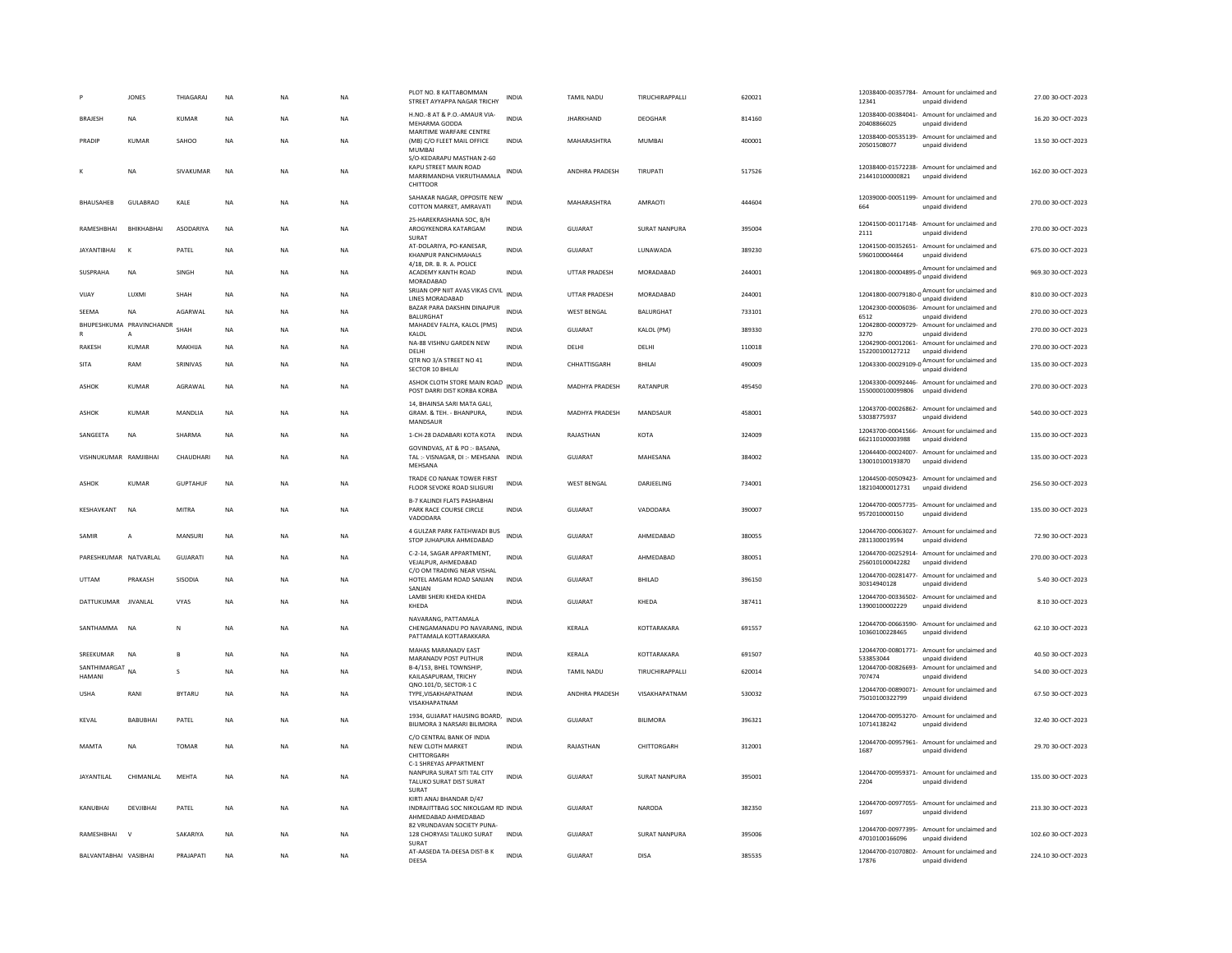|                         | <b>JONES</b>                               | THIAGARAJ       | <b>NA</b> | NA        | <b>NA</b> | PLOT NO. 8 KATTABOMMAN<br>STREET AYYAPPA NAGAR TRICHY                                      | INDIA        | TAMIL NADU            | TIRUCHIRAPPALLI      | 620021 | 12341            | 12038400-00357784- Amount for unclaimed and<br>unpaid dividend                                | 27.00 30-OCT-2023  |
|-------------------------|--------------------------------------------|-----------------|-----------|-----------|-----------|--------------------------------------------------------------------------------------------|--------------|-----------------------|----------------------|--------|------------------|-----------------------------------------------------------------------------------------------|--------------------|
| <b>BRAJESH</b>          | NA                                         | <b>KUMAR</b>    | <b>NA</b> | <b>NA</b> | <b>NA</b> | H.NO.-8 AT & P.O.-AMAUR VIA-<br>MEHARMA GODDA                                              | <b>INDIA</b> | <b>JHARKHAND</b>      | <b>DEOGHAR</b>       | 814160 | 20408866025      | 12038400-00384041- Amount for unclaimed and<br>unpaid dividend                                | 16.20 30-OCT-2023  |
| PRADIP                  | <b>KUMAR</b>                               | SAHOO           | <b>NA</b> | <b>NA</b> | <b>NA</b> | MARITIME WARFARE CENTRE<br>(MB) C/O FLEET MAIL OFFICE<br>MUMBAI                            | <b>INDIA</b> | MAHARASHTRA           | MUMBAI               | 400001 | 20501508077      | 12038400-00535139- Amount for unclaimed and<br>unpaid dividend                                | 13.50 30-OCT-2023  |
|                         | <b>NA</b>                                  | SIVAKUMAR       | <b>NA</b> | <b>NA</b> | <b>NA</b> | S/O-KEDARAPU MASTHAN 2-60<br>KAPU STREET MAIN ROAD<br>MARRIMANDHA VIKRUTHAMALA<br>CHITTOOR | INDIA        | ANDHRA PRADESH        | TIRUPATI             | 517526 | 214410100000821  | 12038400-01572238- Amount for unclaimed and<br>unnaid dividend                                | 162.00 30-OCT-2023 |
| <b><i>RHAUSAHER</i></b> | GUI ABRAO                                  | <b>KAIF</b>     | <b>NA</b> | <b>NA</b> | <b>NA</b> | SAHAKAR NAGAR, OPPOSITE NEW INDIA<br>COTTON MARKET, AMRAVATI                               |              | <b>MAHARASHTRA</b>    | <b>AMRAOTI</b>       | 444604 | 664              | 12039000-00051199- Amount for unclaimed and<br>unpaid dividend                                | 270.00 30-OCT-2023 |
| RAMESHBHAI              | RHIKHARHAI                                 | ASODARIYA       | <b>NA</b> | <b>NA</b> | <b>NA</b> | 25-HAREKRASHANA SOC. B/H<br>AROGYKENDRA KATARGAM<br><b>SURAT</b>                           | <b>INDIA</b> | <b>GUJARAT</b>        | <b>SURAT NANPURA</b> | 395004 | 2111             | 12041500-00117148- Amount for unclaimed and<br>unnaid dividend                                | 270.00 30-OCT-2023 |
| <b>JAYANTIBHAI</b>      | $\mathsf{K}$                               | PATEL           | NA        | NA        | NA        | AT-DOLARIYA, PO-KANESAR,<br>KHANPUR PANCHMAHALS                                            | <b>INDIA</b> | GUJARAT               | LUNAWADA             | 389230 | 5960100004464    | 12041500-00352651- Amount for unclaimed and<br>unpaid dividend                                | 675.00 30-OCT-2023 |
| <b>SUSPRAHA</b>         | <b>NA</b>                                  | <b>SINGH</b>    | <b>NA</b> | <b>NA</b> | <b>NA</b> | 4/18, DR. B. R. A. POLICE<br>ACADEMY KANTH ROAD<br>MORADABAD                               | <b>INDIA</b> | <b>UTTAR PRADESH</b>  | MORADARAD            | 244001 |                  | 12041800-00004895-0 Amount for unclaimed and<br>unpaid dividend                               | 969.30 30-OCT-2023 |
| VIJAY                   | LUXMI                                      | SHAH            | <b>NA</b> | <b>NA</b> | <b>NA</b> | SRIJAN OPP NIIT AVAS VIKAS CIVIL<br>LINES MORADABAD                                        | <b>INDIA</b> | <b>UTTAR PRADESH</b>  | MORADABAD            | 244001 |                  | $12041800-00079180-0$ Amount for unclaimed and<br>unpaid dividend                             | 810.00 30-OCT-2023 |
| SEEMA                   | $_{\sf NA}$                                | AGARWAL         | <b>NA</b> | <b>NA</b> | NA        | BAZAR PARA DAKSHIN DINAJPUR<br>BALURGHAT                                                   | <b>INDIA</b> | WEST BENGAL           | BALURGHAT            | 733101 | 6512             | 12042300-00006036- Amount for unclaimed and<br>unpaid dividend                                | 270.00 30-OCT-2023 |
|                         | BHUPESHKUMA PRAVINCHANDR<br>$\overline{A}$ | SHAH            | <b>NA</b> | <b>NA</b> | <b>NA</b> | MAHADEV FALIYA, KALOL (PMS)<br>KALOL                                                       | <b>INDIA</b> | GUIARAT               | KALOL (PM)           | 389330 | 3270             | 12042800-00009729- Amount for unclaimed and<br>unpaid dividend                                | 270.00 30-OCT-2023 |
| <b>RAKESH</b>           | <b>KUMAR</b>                               | MAKHIJA         | <b>NA</b> | <b>NA</b> | <b>NA</b> | NA-88 VISHNU GARDEN NEW<br>DELHI                                                           | <b>INDIA</b> | DELHI                 | DELHI                | 110018 | 152200100127212  | 12042900-00012061- Amount for unclaimed and<br>unpaid dividend                                | 270.00 30-OCT-2023 |
| <b>SITA</b>             | RAM                                        | SRINIVAS        | <b>NA</b> | <b>NA</b> | <b>NA</b> | QTR NO 3/A STREET NO 41<br>SECTOR 10 BHILAI                                                | <b>INDIA</b> | CHHATTISGARH          | <b>BHILAI</b>        | 490009 |                  | 12043300-00029109-0 $\frac{\text{Amount for uncalained and}}{\text{64.4}}$<br>unpaid dividend | 135.00 30-OCT-2023 |
| ASHOK                   | KUMAR                                      | AGRAWAL         | <b>NA</b> | <b>NA</b> | <b>NA</b> | ASHOK CLOTH STORE MAIN ROAD<br>POST DARRI DIST KORBA KORBA                                 | <b>INDIA</b> | <b>MADHYA PRADESH</b> | RATANPUR             | 495450 | 1550000100099806 | 12043300-00092446- Amount for unclaimed and<br>unpaid dividend                                | 270.00 30-OCT-2023 |
| <b>ASHOK</b>            | KUMAR                                      | MANDLIA         | <b>NA</b> | <b>NA</b> | <b>NA</b> | 14. BHAINSA SARI MATA GALI.<br>GRAM. & TEH. - BHANPURA,<br>MANDSAUR                        | <b>INDIA</b> | <b>MADHYA PRADESH</b> | MANDSAUR             | 458001 | 53038775937      | 12043700-00026862- Amount for unclaimed and<br>unpaid dividend                                | 540.00 30-OCT-2023 |
| SANGEETA                | NA                                         | SHARMA          | NA        | NA        | NA        | 1-CH-28 DADABARI KOTA KOTA                                                                 | INDIA        | RAJASTHAN             | KOTA                 | 324009 | 662110100003988  | 12043700-00041566- Amount for unclaimed and<br>unpaid dividend                                | 135.00 30-OCT-2023 |
| VISHNUKUMAR RAMIIRHAI   |                                            | <b>CHAUDHAR</b> | <b>NA</b> | <b>NA</b> | <b>NA</b> | GOVINDVAS, AT & PO :- BASANA,<br>TAL: - VISNAGAR, DI: - MEHSANA INDIA<br>MEHSANA           |              | GUIARAT               | MAHESANA             | 384002 | 130010100193870  | 12044400-00024007- Amount for unclaimed and<br>unpaid dividend                                | 135.00.30-QCT-2023 |
| ASHOK                   | KUMAR                                      | <b>GUPTAHUE</b> | <b>NA</b> | <b>NA</b> | <b>NA</b> | TRADE CO NANAK TOWER FIRST<br>FLOOR SEVOKE ROAD SILIGURI                                   | <b>INDIA</b> | <b>WEST BENGAL</b>    | DARJEELING           | 734001 | 182104000012731  | 12044500-00509423- Amount for unclaimed and<br>unpaid dividend                                | 256.50 30-OCT-2023 |
| KESHAVKANT              | <b>NA</b>                                  | <b>MITRA</b>    | <b>NA</b> | NA        | NA        | <b>B-7 KALINDI FLATS PASHABHAI</b><br>PARK RACE COURSE CIRCLE<br>VADODARA                  | <b>INDIA</b> | GUJARAT               | VADODARA             | 390007 | 9572010000150    | 12044700-00057735- Amount for unclaimed and<br>unpaid dividend                                | 135.00 30-OCT-2023 |
| SAMIR                   | A                                          | MANSURI         | <b>NA</b> | <b>NA</b> | <b>NA</b> | 4 GULZAR PARK FATEHWADI BUS<br>STOP JUHAPURA AHMEDABAD                                     | <b>INDIA</b> | <b>GUJARAT</b>        | AHMEDABAD            | 380055 | 2811300019594    | 12044700-00063027- Amount for unclaimed and<br>unpaid dividend                                | 72.90 30-OCT-2023  |
| PARESHKUMAR NATVARLAL   |                                            | <b>GUJARATI</b> | <b>NA</b> | <b>NA</b> | <b>NA</b> | C-2-14, SAGAR APPARTMENT,<br>VEJALPUR, AHMEDABAD                                           | <b>INDIA</b> | <b>GUJARAT</b>        | AHMEDABAD            | 380051 | 256010100042282  | 12044700-00252914- Amount for unclaimed and<br>unpaid dividend                                | 270.00 30-OCT-2023 |
| <b>UTTAM</b>            | PRAKASH                                    | SISODIA         | NA        | <b>NA</b> | NA        | C/O OM TRADING NEAR VISHAL<br>HOTEL AMGAM ROAD SANJAN                                      | INDIA        | GUJARAT               | BHILAD               | 396150 | 30314940128      | 12044700-00281477- Amount for unclaimed and<br>unpaid dividend                                | 5.40 30-OCT-2023   |
| DATTUKUMAR JIVANLAL     |                                            | VYAS            | NA        | <b>NA</b> | NA        | SANJAN<br>LAMBI SHERI KHEDA KHEDA<br>KHEDA                                                 | <b>INDIA</b> | GUJARAT               | KHEDA                | 387411 | 13900100002229   | 12044700-00336502- Amount for unclaimed and<br>unpaid dividend                                | 8.10 30-OCT-2023   |
| SANTHAMMA               | <b>NA</b>                                  | N               | <b>NA</b> | <b>NA</b> | <b>NA</b> | NAVARANG, PATTAMALA<br>CHENGAMANADU PO NAVARANG. INDIA<br>PATTAMALA KOTTARAKKARA           |              | KERALA                | KOTTARAKARA          | 691557 | 10360100228465   | 12044700-00663590- Amount for unclaimed and<br>unpaid dividend                                | 62.10 30-OCT-2023  |
| SREEKUMAR               | <b>NA</b>                                  | B               | <b>NA</b> | <b>NA</b> | <b>NA</b> | MAHAS MARANADV EAST<br>MARANADV POST PUTHUR                                                | <b>INDIA</b> | KERALA                | KOTTARAKARA          | 691507 | 533853044        | 12044700-00801771- Amount for unclaimed and<br>unpaid dividend                                | 40.50 30-OCT-2023  |
| SANTHIMARGAT<br>HAMANI  | <b>NA</b>                                  | s               | <b>NA</b> | <b>NA</b> | <b>NA</b> | B-4/153, BHEL TOWNSHIP,<br>KAILASAPURAM, TRICHY                                            | <b>INDIA</b> | <b>TAMIL NADU</b>     | TIRUCHIRAPPALLI      | 620014 | 707474           | 12044700-00826693- Amount for unclaimed and<br>unpaid dividend                                | 54.00 30-OCT-2023  |
| <b>USHA</b>             | RANI                                       | <b>BYTARU</b>   | <b>NA</b> | <b>NA</b> | NA        | QNO.101/D. SECTOR-1 C<br>TYPE, VISAKHAPATNAM<br>VISAKHAPATNAM                              | <b>INDIA</b> | ANDHRA PRADESH        | VISAKHAPATNAM        | 530032 | 75010100322799   | 12044700-00890071- Amount for unclaimed and<br>unpaid dividend                                | 67.50 30-OCT-2023  |
| <b>KEVAL</b>            | <b>BABURHAL</b>                            | PATEL           | <b>NA</b> | <b>NA</b> | <b>NA</b> | 1934, GUJARAT HAUSING BOARD,<br>BILIMORA 3 NARSARI BILIMORA                                | <b>INDIA</b> | GUIARAT               | <b>BILIMORA</b>      | 396321 | 10714138242      | 12044700-00953270- Amount for unclaimed and<br>unpaid dividend                                | 32.40 30-OCT-2023  |
| <b>MAMTA</b>            | <b>NA</b>                                  | <b>TOMAR</b>    | <b>NA</b> | <b>NA</b> | NA        | C/O CENTRAL BANK OF INDIA<br>NEW CLOTH MARKET<br>CHITTORGARH                               | <b>INDIA</b> | RAJASTHAN             | CHITTORGARH          | 312001 | 1687             | 12044700-00957961- Amount for unclaimed and<br>unpaid dividend                                | 29.70 30-OCT-2023  |
| <b>JAYANTILAL</b>       | CHIMANLAL                                  | <b>MEHTA</b>    | <b>NA</b> | <b>NA</b> | <b>NA</b> | C-1 SHREYAS APPARTMENT<br>NANPURA SURAT SITI TAL CITY<br>TALUKO SURAT DIST SURAT<br>SURAT  | <b>INDIA</b> | <b>GUJARAT</b>        | <b>SURAT NANPURA</b> | 395001 | 2204             | 12044700-00959371- Amount for unclaimed and<br>unpaid dividend                                | 135.00 30-OCT-2023 |
| KANUBHAI                | DEVJIBHAI                                  | PATEL           | <b>NA</b> | <b>NA</b> | NA        | KIRTI ANAJ BHANDAR D/47<br>INDRAJITTBAG SOC NIKOLGAM RD INDIA<br>AHMEDABAD AHMEDABAD       |              | GUJARAT               | <b>NARODA</b>        | 382350 | 1697             | 12044700-00977055- Amount for unclaimed and<br>unpaid dividend                                | 213.30 30-OCT-2023 |
| RAMESHBHAI              | $\mathbf{v}$                               | <b>SAKARIYA</b> | <b>NA</b> | <b>NA</b> | <b>NA</b> | 82 VRUNDAVAN SOCIETY PUNA-<br>128 CHORYASI TALUKO SURAT<br>SURAT                           | <b>INDIA</b> | <b>GUJARAT</b>        | <b>SURAT NANPURA</b> | 395006 | 47010100166096   | 12044700-00977395- Amount for unclaimed and<br>unpaid dividend                                | 102.60 30-OCT-2023 |
| BALVANTABHAI VASIBHAI   |                                            | PRAJAPATI       | <b>NA</b> | <b>NA</b> | <b>NA</b> | AT-AASEDA TA-DEESA DIST-B K<br>DEESA                                                       | <b>INDIA</b> | GUJARAT               | <b>DISA</b>          | 385535 | 17876            | 12044700-01070802- Amount for unclaimed and<br>unpaid dividend                                | 224.10 30-OCT-2023 |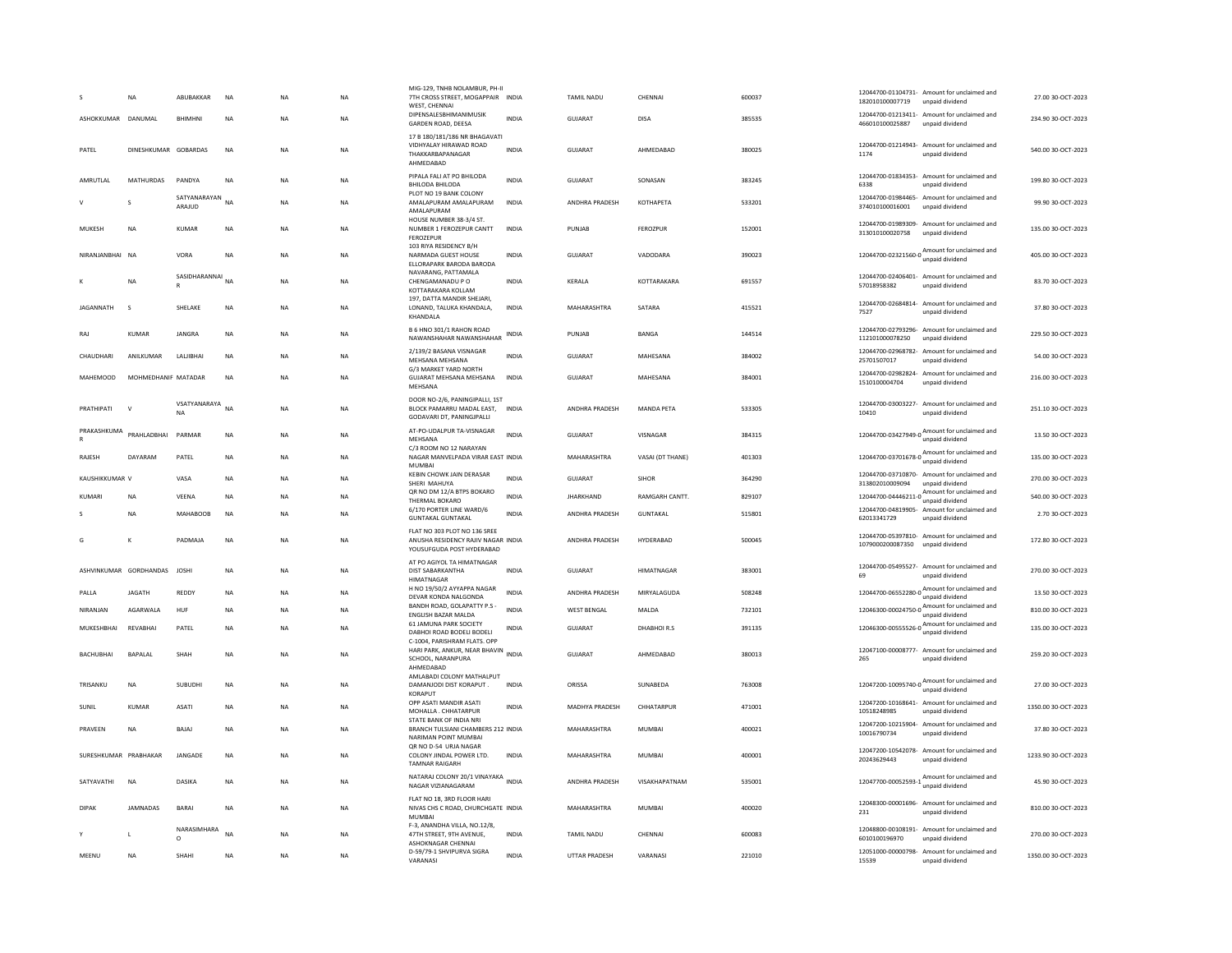|                       | <b>NA</b>              | ABUBAKKAR                    | <b>NA</b> | NA        | <b>NA</b> | MIG-129, TNHB NOLAMBUR, PH-II<br>7TH CROSS STREET, MOGAPPAIR INDIA<br>WEST, CHENNAI<br>DIPENSALESBHIMANIMUSIK |              | TAMIL NADU            | CHENNAL              | 600037 | 12044700-01104731- Amount for unclaimed and<br>182010100007719<br>unpaid dividend<br>12044700-01213411- Amount for unclaimed and | 27.00 30-OCT-2023   |
|-----------------------|------------------------|------------------------------|-----------|-----------|-----------|---------------------------------------------------------------------------------------------------------------|--------------|-----------------------|----------------------|--------|----------------------------------------------------------------------------------------------------------------------------------|---------------------|
| ASHOKKUMAR DANUMAL    |                        | <b>BHIMHNI</b>               | <b>NA</b> | <b>NA</b> | <b>NA</b> | GARDEN ROAD, DEESA                                                                                            | <b>INDIA</b> | <b>GUJARAT</b>        | <b>DISA</b>          | 385535 | 466010100025887<br>unpaid dividend                                                                                               | 234.90 30-OCT-2023  |
| PATEL                 | DINESHKUMAR GOBARDAS   |                              | <b>NA</b> | NA        | NA        | 17 B 180/181/186 NR BHAGAVATI<br>VIDHYALAY HIRAWAD ROAD<br>THAKKARBAPANAGAR<br>AHMEDABAD                      | <b>INDIA</b> | GUJARAT               | AHMEDABAD            | 380025 | 12044700-01214943- Amount for unclaimed and<br>1174<br>unnaid dividend                                                           | 540.00 30-OCT-2023  |
| AMRUTI AI             | <b>MATHURDAS</b>       | PANDYA                       | <b>NA</b> | <b>NA</b> | <b>NA</b> | PIPALA FALI AT PO BHILODA<br><b>BHILODA BHILODA</b>                                                           | <b>INDIA</b> | GUIARAT               | SONASAN              | 383245 | 12044700-01834353- Amount for unclaimed and<br>6338<br>unpaid dividend                                                           | 199.80 30-OCT-2023  |
|                       | s                      | SATYANARAYAN<br>ARAJUD       | <b>NA</b> | <b>NA</b> | <b>NA</b> | PLOT NO 19 BANK COLONY<br>AMALAPURAM AMALAPURAM<br>AMALAPURAM                                                 | <b>INDIA</b> | ANDHRA PRADESH        | <b>КОТНАРЕТА</b>     | 533201 | 12044700-01984465- Amount for unclaimed and<br>374010100016001<br>unpaid dividend                                                | 99.90 30-OCT-2023   |
| MUKESH                | <b>NA</b>              | <b>KUMAR</b>                 | NA        | <b>NA</b> | <b>NA</b> | HOUSE NUMBER 38-3/4 ST.<br>NUMBER 1 FEROZEPUR CANTT<br><b>FEROZEPUR</b>                                       | <b>INDIA</b> | PUNJAB                | <b>FEROZPUR</b>      | 152001 | 12044700-01989309- Amount for unclaimed and<br>313010100020758<br>unpaid dividend                                                | 135.00 30-OCT-2023  |
| NIRANJANBHAI NA       |                        | VORA                         | <b>NA</b> | <b>NA</b> | NA        | 103 RIYA RESIDENCY B/H<br>NARMADA GUEST HOUSE<br>FILORAPARK BARODA BARODA                                     | <b>INDIA</b> | GUJARAT               | VADODARA             | 390023 | 12044700-02321560-0 Amount for unclaimed and<br>unpaid dividend                                                                  | 405.00 30-OCT-2023  |
|                       | NA                     | SASIDHARANNAI NA             |           | NA        | NA        | NAVARANG, PATTAMALA<br>CHENGAMANADU P O<br>KOTTARAKARA KOLLAM<br>197, DATTA MANDIR SHEJARI                    | INDIA        | KERALA                | KOTTARAKARA          | 691557 | 12044700-02406401- Amount for unclaimed and<br>57018958382<br>unpaid dividend                                                    | 83.70 30-OCT-2023   |
| <b>IAGANNATH</b>      | $\mathbf{S}$           | <b>SHELAKE</b>               | <b>NA</b> | <b>NA</b> | <b>NA</b> | LONAND, TALUKA KHANDALA.<br>KHANDALA                                                                          | <b>INDIA</b> | MAHARASHTRA           | SATARA               | 415521 | 12044700-02684814- Amount for unclaimed and<br>7527<br>unpaid dividend                                                           | 37.80.30-OCT-2023   |
| RAI                   | KUMAR                  | <b>IANGRA</b>                | <b>NA</b> | <b>NA</b> | <b>NA</b> | B 6 HNO 301/1 RAHON ROAD<br>NAWANSHAHAR NAWANSHAHAR                                                           | <b>INDIA</b> | PUNIAR                | <b>BANGA</b>         | 144514 | 12044700-02793296- Amount for unclaimed and<br>112101000078250<br>unpaid dividend                                                | 229.50.30-QCT-2023  |
| CHAUDHARI             | ANILKUMAR              | LALIBHAI                     | NA        | NA        | NA        | 2/139/2 BASANA VISNAGAR<br>MEHSANA MEHSANA                                                                    | <b>INDIA</b> | GUJARAT               | MAHESANA             | 384002 | 12044700-02968782- Amount for unclaimed and<br>25701507017<br>unpaid dividend                                                    | 54.00 30-OCT-2023   |
| <b>MAHEMOOD</b>       | MOHMEDHANIF MATADAR    |                              | <b>NA</b> | <b>NA</b> | <b>NA</b> | G/3 MARKET YARD NORTH<br>GUJARAT MEHSANA MEHSANA<br>MEHSANA                                                   | <b>INDIA</b> | <b>GUJARAT</b>        | MAHESANA             | 384001 | 12044700-02982824- Amount for unclaimed and<br>1510100004704<br>unpaid dividend                                                  | 216.00 30-OCT-2023  |
| PRATHIPATI            | V                      | VSATYANARAYA NA<br><b>NA</b> |           | NA        | NA        | DOOR NO-2/6, PANINGIPALLI, 1ST<br>BLOCK PAMARRU MADAL EAST,<br>GODAVARI DT. PANINGJPALLI                      | INDIA        | ANDHRA PRADESH        | <b>MANDA PETA</b>    | 533305 | 12044700-03003227- Amount for unclaimed and<br>10410<br>unpaid dividend                                                          | 251.10 30-OCT-2023  |
| PRAKASHKUMA           | PRAHLADBHAI            | PARMAR                       | <b>NA</b> | <b>NA</b> | <b>NA</b> | AT-PO-UDALPUR TA-VISNAGAR<br>MEHSANA                                                                          | INDIA        | <b>GUJARAT</b>        | VISNAGAR             | 384315 | 12044700-03427949-0 Amount for unclaimed and<br>unpaid dividend                                                                  | 13.50 30-OCT-2023   |
| RAIFSH                | DAYARAM                | PATEL                        | <b>NA</b> | <b>NA</b> | <b>NA</b> | C/3 ROOM NO 12 NARAYAN<br>NAGAR MANVELPADA VIRAR EAST INDIA<br><b>MUMBAI</b>                                  |              | MAHARASHTRA           | VASAI (DT THANE)     | 401303 | 12044700-03701678-0 Amount for unclaimed and<br>unpaid dividend                                                                  | 135.00 30-OCT-2023  |
| KAUSHIKKUMAR V        |                        | VASA                         | <b>NA</b> | <b>NA</b> | <b>NA</b> | KEBIN CHOWK JAIN DERASAR<br>SHERI MAHUYA                                                                      | <b>INDIA</b> | <b>GUJARAT</b>        | <b>SIHOR</b>         | 364290 | 12044700-03710870- Amount for unclaimed and<br>313802010009094<br>unpaid dividend                                                | 270.00 30-OCT-2023  |
| KUMARI                | NA                     | VEENA                        | <b>NA</b> | NA        | NA        | QR NO DM 12/A BTPS BOKARO<br>THERMAL BOKARO                                                                   | <b>INDIA</b> | <b>JHARKHAND</b>      | <b>RAMGARH CANTT</b> | 829107 | 12044700-04446211-0<br>mount for unclaimed and<br>month district property of the Section 2014                                    | 540.00 30-OCT-2023  |
|                       | <b>NA</b>              | <b>MAHABOOB</b>              | <b>NA</b> | NA        | <b>NA</b> | 6/170 PORTER LINE WARD/6<br><b>GUNTAKAL GUNTAKAL</b>                                                          | <b>INDIA</b> | ANDHRA PRADESH        | <b>GUNTAKAL</b>      | 515801 | 12044700-04819905- Amount for unclaimed and<br>62013341729<br>unpaid dividend                                                    | 2.70 30-OCT-2023    |
| G                     | К                      | PADMAIA                      | <b>NA</b> | <b>NA</b> | <b>NA</b> | FLAT NO 303 PLOT NO 136 SREE<br>ANUSHA RESIDENCY RAIIV NAGAR INDIA<br>YOUSUFGUDA POST HYDERABAD               |              | <b>ANDHRA PRADESH</b> | HYDERABAD            | 500045 | 12044700-05397810- Amount for unclaimed and<br>1079000200087350<br>unpaid dividend                                               | 172.80.30-OCT-2023  |
|                       | ASHVINKUMAR GORDHANDAS | <b>JOSHI</b>                 | <b>NA</b> | <b>NA</b> | <b>NA</b> | AT PO AGIYOL TA HIMATNAGAR<br>DIST SABARKANTHA<br>HIMATNAGAR                                                  | <b>INDIA</b> | <b>GUJARAT</b>        | HIMATNAGAR           | 383001 | 12044700-05495527- Amount for unclaimed and<br>69<br>unpaid dividend                                                             | 270.00 30-OCT-2023  |
| PALLA                 | <b>JAGATH</b>          | REDDY                        | <b>NA</b> | <b>NA</b> | <b>NA</b> | H NO 19/50/2 AYYAPPA NAGAR<br>DEVAR KONDA NALGONDA                                                            | <b>INDIA</b> | ANDHRA PRADESH        | MIRYALAGUDA          | 508248 | 12044700-06552280-0 Amount for unclaimed and<br>unpaid dividend                                                                  | 13.50 30-OCT-2023   |
| NIRANJAN              | AGARWALA               | HUF                          | <b>NA</b> | <b>NA</b> | <b>NA</b> | BANDH ROAD, GOLAPATTY P.S.<br>ENGLISH BAZAR MALDA                                                             | <b>INDIA</b> | <b>WEST BENGAL</b>    | MALDA                | 732101 | 12046300-00024750-0 Amount for unclaimed and<br>unpaid dividend                                                                  | 810.00 30-OCT-2023  |
| MUKESHBHAI            | REVABHAI               | PATEL                        | <b>NA</b> | <b>NA</b> | <b>NA</b> | 61 JAMUNA PARK SOCIETY<br>DABHOI ROAD BODELI BODELI                                                           | <b>INDIA</b> | GUJARAT               | DHABHOIR.S           | 391135 | 12046300-00555526-0 Amount for unclaimed and<br>unpaid dividend                                                                  | 135.00 30-OCT-2023  |
| <b>BACHUBHAI</b>      | <b>BAPALAL</b>         | <b>SHAH</b>                  | <b>NA</b> | <b>NA</b> | <b>NA</b> | C-1004, PARISHRAM FLATS. OPP<br>HARI PARK, ANKUR, NEAR BHAVIN<br>SCHOOL, NARANPURA<br>AHMEDABAD               | <b>INDIA</b> | <b>GUJARAT</b>        | AHMEDABAD            | 380013 | 12047100-00008777- Amount for unclaimed and<br>unpaid dividend<br>265                                                            | 259.20 30-OCT-2023  |
| TRISANKU              | NA                     | SUBUDHI                      | NA        | NA        | NA        | AMLABADI COLONY MATHALPUT<br>DAMANJODI DIST KORAPUT.<br>KORAPUT                                               | INDIA        | ORISSA                | SUNABEDA             | 763008 | 12047200-10095740-0 $\frac{\text{Amount for unclaimed}}{\text{cm}$<br>unpaid dividend                                            | 27.00 30-OCT-2023   |
| SUNIL                 | <b>KUMAR</b>           | <b>ASATI</b>                 | <b>NA</b> | <b>NA</b> | <b>NA</b> | OPP ASATI MANDIR ASATI<br>MOHALLA . CHHATARPUR                                                                | <b>INDIA</b> | <b>MADHYA PRADESH</b> | CHHATARPUR           | 471001 | 12047200-10168641- Amount for unclaimed and<br>10518248985<br>unpaid dividend                                                    | 1350.00 30-OCT-2023 |
| PRAVEEN               | NA                     | BAJAJ                        | <b>NA</b> | <b>NA</b> | <b>NA</b> | STATE BANK OF INDIA NRI<br>BRANCH TULSIANI CHAMBERS 212 INDIA<br>NARIMAN POINT MUMBAI                         |              | MAHARASHTRA           | <b>MUMBAI</b>        | 400021 | 12047200-10215904- Amount for unclaimed and<br>10016790734<br>unpaid dividend                                                    | 37.80 30-OCT-2023   |
| SURESHKUMAR PRABHAKAR |                        | JANGADE                      | <b>NA</b> | NA        | NA        | OR NO D-54 URJA NAGAR<br>COLONY JINDAL POWER LTD.<br><b>TAMNAR RAIGARH</b>                                    | INDIA        | MAHARASHTRA           | MUMBAI               | 400001 | 12047200-10542078- Amount for unclaimed and<br>20243629443<br>unpaid dividend                                                    | 1233.90 30-OCT-2023 |
| SATYAVATHI            | <b>NA</b>              | DASIKA                       | <b>NA</b> | <b>NA</b> | <b>NA</b> | NATARAJ COLONY 20/1 VINAYAKA INDIA<br>NAGAR VIZIANAGARAM                                                      |              | ANDHRA PRADESH        | VISAKHAPATNAM        | 535001 | Amount for unclaimed and<br>12047700-00052593-1<br>unpaid dividend                                                               | 45.90 30-OCT-2023   |
| <b>DIPAK</b>          | <b>JAMNADAS</b>        | <b>BARAI</b>                 | <b>NA</b> | <b>NA</b> | <b>NA</b> | FLAT NO 18, 3RD FLOOR HARI<br>NIVAS CHS C ROAD, CHURCHGATE INDIA<br><b>MUMBAI</b>                             |              | MAHARASHTRA           | <b>MUMBAI</b>        | 400020 | 12048300-00001696- Amount for unclaimed and<br>231<br>unpaid dividend                                                            | 810.00 30-OCT-2023  |
|                       | L                      | NARASIMHARA<br>$\circ$       | <b>NA</b> | <b>NA</b> | <b>NA</b> | F-3, ANANDHA VILLA, NO.12/8,<br>47TH STREET, 9TH AVENUE,<br>ASHOKNAGAR CHENNAL                                | <b>INDIA</b> | TAMIL NADU            | CHENNAL              | 600083 | 12048800-00108191- Amount for unclaimed and<br>6010100196970<br>unpaid dividend                                                  | 270.00 30-OCT-2023  |
| MEENU                 | <b>NA</b>              | SHAHI                        | <b>NA</b> | <b>NA</b> | <b>NA</b> | D-59/79-1 SHVIPURVA SIGRA<br>VARANASI                                                                         | <b>INDIA</b> | <b>UTTAR PRADESH</b>  | VARANASI             | 221010 | 12051000-00000798- Amount for unclaimed and<br>15539<br>unpaid dividend                                                          | 1350.00 30-OCT-2023 |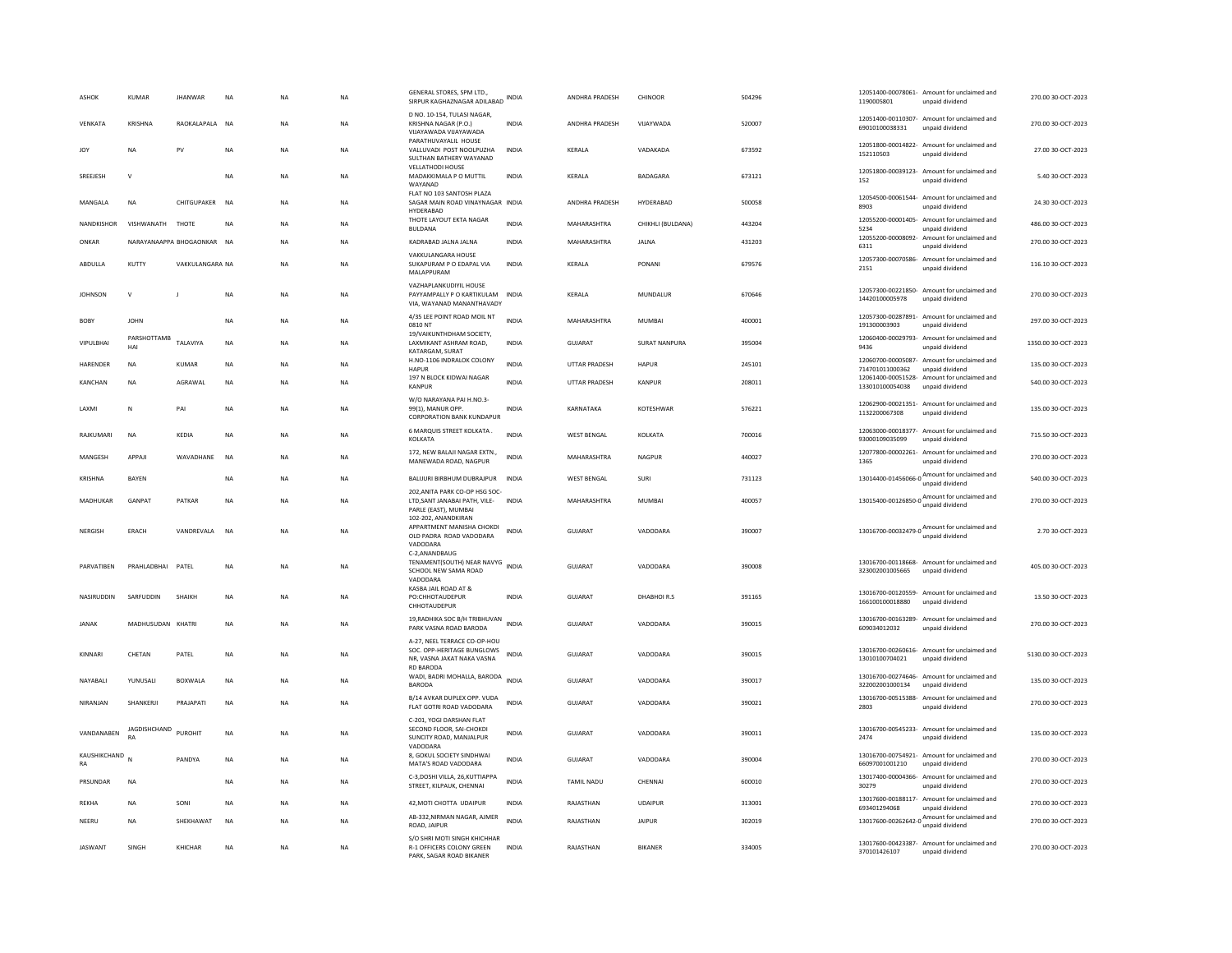| ASHOK                     | <b>KUMAR</b>       | <b>JHANWAR</b>          | <b>NA</b>   | <b>NA</b> | <b>NA</b> | GENERAL STORES, SPM LTD.<br>SIRPUR KAGHAZNAGAR ADILABAD                                            | INDIA        | ANDHRA PRADESH       | CHINOOR              | 504296 | 1190005801      | 12051400-00078061- Amount for unclaimed and<br>unpaid dividend                            | 270.00 30-OCT-2023  |
|---------------------------|--------------------|-------------------------|-------------|-----------|-----------|----------------------------------------------------------------------------------------------------|--------------|----------------------|----------------------|--------|-----------------|-------------------------------------------------------------------------------------------|---------------------|
| VENKATA                   | KRISHNA            | RAOKALAPALA NA          |             | <b>NA</b> | <b>NA</b> | D NO. 10-154, TULASI NAGAR,<br>KRISHNA NAGAR (P.O.)<br>VIJAYAWADA VIJAYAWADA                       | <b>INDIA</b> | ANDHRA PRADESH       | VIJAYWADA            | 520007 | 69010100038331  | 12051400-00110307- Amount for unclaimed and<br>unpaid dividend                            | 270.00 30-OCT-2023  |
| <b>JOY</b>                | <b>NA</b>          | PV                      | <b>NA</b>   | <b>NA</b> | <b>NA</b> | PARATHUVAYALIL HOUSE<br>VALLUVADI POST NOOLPUZHA<br>SULTHAN BATHERY WAYANAD                        | <b>INDIA</b> | KERALA               | VADAKADA             | 673592 | 152110503       | 12051800-00014822- Amount for unclaimed and<br>unpaid dividend                            | 27.00.30-OCT-2023   |
| SREEJESH                  | $\mathbf v$        |                         | NA          | NA        | NA        | <b>VELLATHODI HOUSE</b><br>MADAKKIMALA P O MUTTIL<br>WAYANAD                                       | INDIA        | KERALA               | BADAGARA             | 673121 | 152             | 12051800-00039123- Amount for unclaimed and<br>unpaid dividend                            | 5.40 30-OCT-2023    |
| MANGALA                   | <b>NA</b>          | CHITGUPAKER             | NA          | <b>NA</b> | NA        | FLAT NO 103 SANTOSH PLAZA<br>SAGAR MAIN ROAD VINAYNAGAR INDIA<br>HYDERABAD                         |              | ANDHRA PRADESH       | HYDERABAD            | 500058 | 8903            | 12054500-00061544- Amount for unclaimed and<br>unpaid dividend                            | 24.30 30-OCT-2023   |
| NANDKISHOR                | VISHWANATH         | THOTE                   | <b>NA</b>   | <b>NA</b> | NA.       | THOTE LAYOUT EKTA NAGAR<br><b>BULDANA</b>                                                          | <b>INDIA</b> | MAHARASHTRA          | CHIKHLI (BULDANA)    | 443204 | 5234            | 12055200-00001405- Amount for unclaimed and<br>unpaid dividend                            | 486.00 30-OCT-2023  |
| ONKAR                     |                    | NARAYANAAPPA BHOGAONKAR | <b>NA</b>   | <b>NA</b> | <b>NA</b> | KADRABAD JALNA JALNA                                                                               | <b>INDIA</b> | MAHARASHTRA          | <b>JALNA</b>         | 431203 | 6311            | 12055200-00008092- Amount for unclaimed and<br>unpaid dividend                            | 270.00 30-OCT-2023  |
| ABDULLA                   | KUTTY              | VAKKULANGARA NA         |             | <b>NA</b> | <b>NA</b> | <b>VAKKULANGARA HOUSE</b><br>SUKAPURAM P O EDAPAL VIA<br>MALAPPURAM                                | <b>INDIA</b> | KERALA               | PONANI               | 679576 | 2151            | 12057300-00070586- Amount for unclaimed and<br>unpaid dividend                            | 116.10 30-OCT-2023  |
| <b>JOHNSON</b>            | $\mathbf v$        |                         | NA          | <b>NA</b> | <b>NA</b> | VAZHAPLANKUDIYIL HOUSE<br>PAYYAMPALLY P O KARTIKULAM<br>VIA, WAYANAD MANANTHAVADY                  | INDIA        | KERALA               | MUNDALUR             | 670646 | 14420100005978  | 12057300-00221850- Amount for unclaimed and<br>unpaid dividend                            | 270.00 30-OCT-2023  |
| BOBY                      | <b>JOHN</b>        |                         | NA          | NA        | NA        | 4/35 LEE POINT ROAD MOIL NT<br>0810 NT                                                             | <b>INDIA</b> | MAHARASHTRA          | <b>MUMBAI</b>        | 400001 | 191300003903    | 12057300-00287891- Amount for unclaimed and<br>unpaid dividend                            | 297.00 30-OCT-2023  |
| VIPULBHAI                 | PARSHOTTAMB<br>HAI | TALAVIYA                | <b>NA</b>   | <b>NA</b> | NA        | 19/VAIKUNTHDHAM SOCIETY.<br>LAXMIKANT ASHRAM ROAD,<br>KATARGAM, SURAT                              | INDIA        | GUJARAT              | <b>SURAT NANPURA</b> | 395004 | 9436            | 12060400-00029793- Amount for unclaimed and<br>unpaid dividend                            | 1350.00 30-OCT-2023 |
| HARENDER                  | NA                 | KUMAR                   | NA          | NA        | NA        | H.NO-1106 INDRALOK COLONY<br><b>HAPUR</b>                                                          | <b>INDIA</b> | <b>UTTAR PRADESH</b> | <b>HAPUR</b>         | 245101 | 714701011000362 | 12060700-00005087- Amount for unclaimed and<br>unpaid dividend                            | 135.00 30-OCT-2023  |
| KANCHAN                   | <b>NA</b>          | AGRAWAI                 | <b>NA</b>   | <b>NA</b> | <b>NA</b> | 197 N BLOCK KIDWAI NAGAR<br><b>KANPUR</b>                                                          | <b>INDIA</b> | UTTAR PRADESH        | KANPUR               | 208011 | 133010100054038 | 12061400-00051528- Amount for unclaimed and<br>unpaid dividend                            | 540.00 30-OCT-2023  |
| LAXMI                     | N                  | PAI                     | <b>NA</b>   | <b>NA</b> | <b>NA</b> | W/O NARAYANA PAI H.NO.3-<br>99(1), MANUR OPP.                                                      | <b>INDIA</b> | KARNATAKA            | KOTESHWAR            | 576221 | 1132200067308   | 12062900-00021351- Amount for unclaimed and<br>unpaid dividend                            | 135.00 30-OCT-2023  |
| RAJKUMARI                 | <b>NA</b>          | KEDIA                   | NA          | <b>NA</b> | NA        | <b>CORPORATION BANK KUNDAPUR</b><br>6 MARQUIS STREET KOLKATA.<br>KOLKATA                           | INDIA        | WEST BENGAL          | KOLKATA              | 700016 | 93000109035099  | 12063000-00018377- Amount for unclaimed and<br>unpaid dividend                            | 715.50 30-OCT-2023  |
| <b>MANGESH</b>            | APPAIL             | WAVADHANF               | <b>NA</b>   | <b>NA</b> | <b>NA</b> | 172, NEW BALAJI NAGAR EXTN.,<br>MANEWADA ROAD, NAGPUR                                              | <b>INDIA</b> | MAHARASHTRA          | NAGPUR               | 440027 | 1365            | 12077800-00002261- Amount for unclaimed and<br>unpaid dividend                            | 270.00 30-OCT-2023  |
| KRISHNA                   |                    |                         |             |           | <b>NA</b> |                                                                                                    | <b>INDIA</b> | <b>WEST BENGAL</b>   | SURI                 |        |                 |                                                                                           |                     |
|                           | BAYEN              |                         | NA          | NA        |           | BALIJURI BIRBHUM DUBRAJPUR<br>202, ANITA PARK CO-OP HSG SOC-                                       |              |                      |                      | 731123 |                 | $13014400 - 01456066 - 0$ $A_{\text{unpaid dividend}}$                                    | 540.00 30-OCT-2023  |
| MADHUKAR                  | <b>GANPAT</b>      | PATKAR                  | <b>NA</b>   | <b>NA</b> | <b>NA</b> | LTD.SANT JANABAI PATH. VILE-<br>PARLE (EAST), MUMBAI<br>102-202. ANANDKIRAN                        | <b>INDIA</b> | MAHARASHTRA          | MUMBAI               | 400057 |                 | 13015400-00126850-0 Amount for unclaimed and<br>unpaid dividend                           | 270.00 30-OCT-2023  |
| <b>NFRGISH</b>            | FRACH              | VANDREVALA              | <b>NA</b>   | <b>NA</b> | NA.       | APPARTMENT MANISHA CHOKDI<br>OLD PADRA ROAD VADODARA<br>VADODARA                                   | <b>INDIA</b> | GUIARAT              | VADODARA             | 390007 |                 | 13016700-00032479-0 $\frac{\text{Amount}}{\text{0}}$ for unclaimed and<br>unpaid dividend | 2.70.30-OCT-2023    |
| PARVATIBEN                | PRAHLADBHAI        | PATEL                   | NA          | <b>NA</b> | <b>NA</b> | C-2,ANANDBAUG<br>TENAMENT(SOUTH) NEAR NAVYG INDIA<br>SCHOOL NEW SAMA ROAD<br>VADODARA              |              | <b>GUJARAT</b>       | VADODARA             | 390008 | 323002001005665 | 13016700-00118668- Amount for unclaimed and<br>unpaid dividend                            | 405.00 30-OCT-2023  |
| NASIRUDDIN                | SARFUDDIN          | SHAIKH                  | <b>NA</b>   | <b>NA</b> | <b>NA</b> | KASBA JAIL ROAD AT &<br>PO:CHHOTAUDEPUR<br>CHHOTAUDEPUR                                            | <b>INDIA</b> | <b>GUJARAT</b>       | DHABHOIR.S           | 391165 | 166100100018880 | 13016700-00120559- Amount for unclaimed and<br>unpaid dividend                            | 13.50 30-OCT-2023   |
| <b>JANAK</b>              | MADHUSUDAN KHATRI  |                         | <b>NA</b>   | <b>NA</b> | NA        | 19, RADHIKA SOC B/H TRIBHUVAN<br>PARK VASNA ROAD BARODA                                            |              | GUJARAT              | VADODARA             | 390015 | 609034012032    | 13016700-00163289- Amount for unclaimed and<br>unpaid dividend                            | 270.00 30-OCT-2023  |
| KINNARI                   | CHETAN             | PATEL                   | <b>NA</b>   | <b>NA</b> | <b>NA</b> | A-27, NEEL TERRACE CO-OP-HOU<br>SOC. OPP-HERITAGE BUNGLOWS<br>NR, VASNA JAKAT NAKA VASNA           | <b>INDIA</b> | <b>GUJARAT</b>       | VADODARA             | 390015 | 13010100704021  | 13016700-00260616- Amount for unclaimed and<br>unpaid dividend                            | 5130.00 30-OCT-2023 |
| NAYABALI                  | YUNUSALI           | <b>BOXWALA</b>          | <b>NA</b>   | <b>NA</b> | <b>NA</b> | RD BARODA<br>WADI, BADRI MOHALLA, BARODA INDIA<br><b>BARODA</b>                                    |              | GUJARAT              | VADODARA             | 390017 | 322002001000134 | 13016700-00274646- Amount for unclaimed and<br>unpaid dividend                            | 135.00 30-OCT-2023  |
| NIRANJAN                  | SHANKERJI          | PRAJAPATI               | $_{\sf NA}$ | <b>NA</b> | <b>NA</b> | B/14 AVKAR DUPLEX OPP. VUDA<br>FLAT GOTRI ROAD VADODARA                                            | <b>INDIA</b> | GUJARAT              | VADODARA             | 390021 | 2803            | 13016700-00515388- Amount for unclaimed and<br>unpaid dividend                            | 270.00 30-OCT-2023  |
| VANDANABEN                | JAGDISHCHAND       | <b>PUROHIT</b>          | <b>NA</b>   | NA        | NA        | C-201. YOGI DARSHAN FLAT<br>SECOND FLOOR, SAI-CHOKDI<br>SUNCITY ROAD, MANJALPUR<br><b>VADODARA</b> | <b>INDIA</b> | GUJARAT              | VADODARA             | 390011 | 2474            | 13016700-00545233- Amount for unclaimed and<br>unpaid dividend                            | 135.00 30-OCT-2023  |
| KAUSHIKCHAND<br><b>RA</b> | N                  | PANDYA                  | NA          | <b>NA</b> | NA        | 8. GOKUL SOCIETY SINDHWAI<br>MATA'S ROAD VADODARA                                                  | INDIA        | GUJARAT              | VADODARA             | 390004 | 66097001001210  | 13016700-00754921- Amount for unclaimed and<br>unpaid dividend                            | 270.00 30-OCT-2023  |
| PRSUNDAR                  | <b>NA</b>          |                         | <b>NA</b>   | <b>NA</b> | <b>NA</b> | C-3,DOSHI VILLA, 26,KUTTIAPPA<br>STREET, KILPAUK, CHENNAI                                          | <b>INDIA</b> | <b>TAMIL NADU</b>    | CHENNAL              | 600010 | 30279           | 13017400-00004366- Amount for unclaimed and<br>unpaid dividend                            | 270.00 30-OCT-2023  |
| REKHA                     | NA                 | SONI                    | NA          | <b>NA</b> | NA        | 42, MOTI CHOTTA UDAIPUR                                                                            | INDIA        | RAJASTHAN            | <b>UDAIPUR</b>       | 313001 | 693401294068    | 13017600-00188117- Amount for unclaimed and<br>unpaid dividend                            | 270.00 30-OCT-2023  |
| NFFRU                     | <b>NA</b>          | SHEKHAWAT               | <b>NA</b>   | <b>NA</b> | <b>NA</b> | AB-332, NIRMAN NAGAR, AJMER<br>ROAD, JAIPUR                                                        | <b>INDIA</b> | RAJASTHAN            | <b>JAIPUR</b>        | 302019 |                 | 13017600-00262642-0 $\frac{\text{Amount for undaimed}}{\text{6}}$<br>unpaid dividend      | 270.00 30-OCT-2023  |
| <b>JASWANT</b>            | SINGH              | KHICHAR                 | NA          | <b>NA</b> | NA        | S/O SHRI MOTI SINGH KHICHHAR<br>R-1 OFFICERS COLONY GREEN<br>PARK, SAGAR ROAD BIKANER              | <b>INDIA</b> | RAJASTHAN            | <b>BIKANER</b>       | 334005 | 370101426107    | 13017600-00423387- Amount for unclaimed and<br>unpaid dividend                            | 270.00 30-OCT-2023  |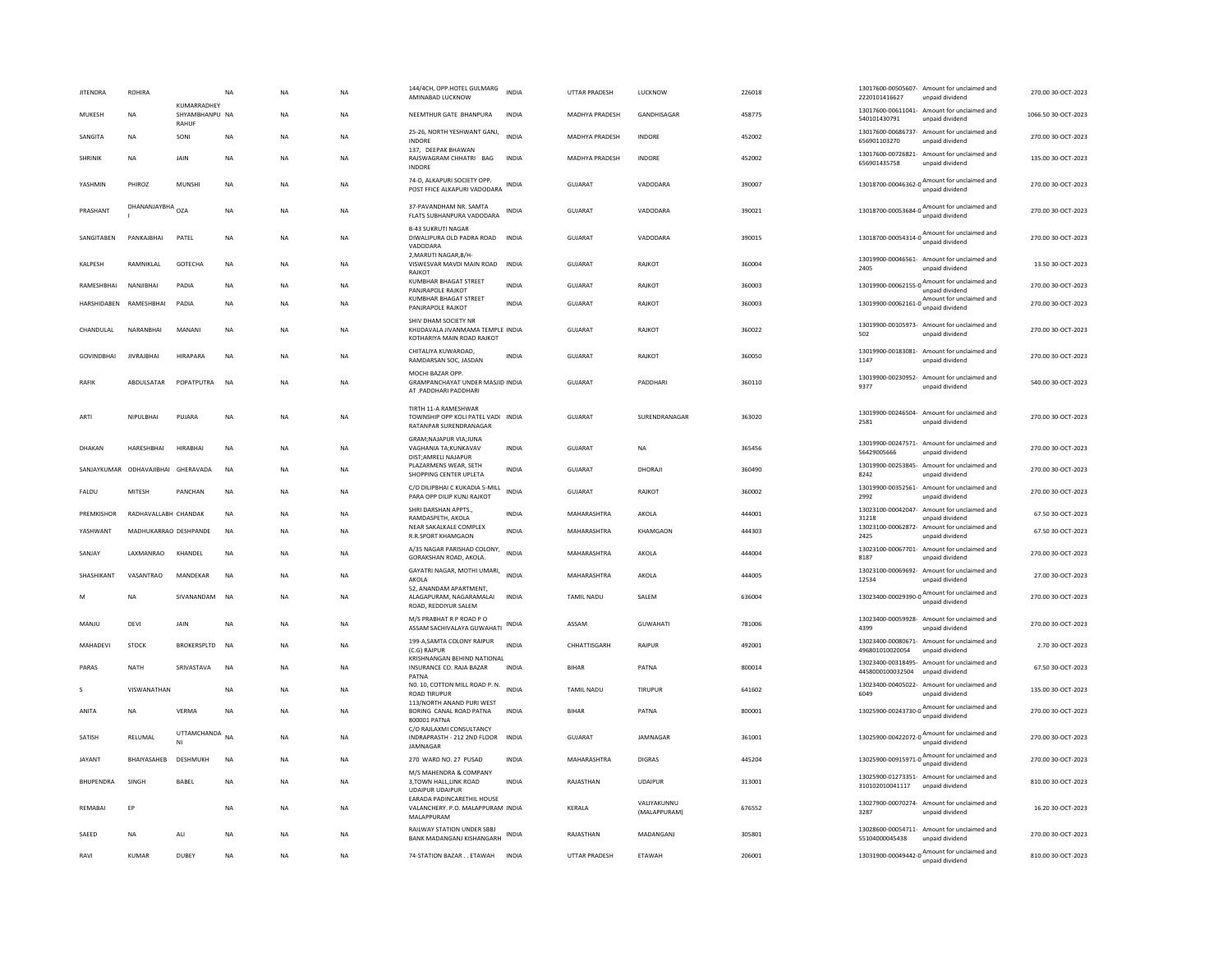| <b>JITENDRA</b>    | ROHIRA                             |                                        | $_{\sf NA}$ | <b>NA</b> | NA        | 144/4CH, OPP, HOTEL GULMARG<br>AMINABAD LUCKNOW                                         | INDIA        | UTTAR PRADESH         | LUCKNOW                     | 226018 | 2220101416627               | 13017600-00505607- Amount for unclaimed and<br>unpaid dividend                          | 270.00 30-OCT-2023  |
|--------------------|------------------------------------|----------------------------------------|-------------|-----------|-----------|-----------------------------------------------------------------------------------------|--------------|-----------------------|-----------------------------|--------|-----------------------------|-----------------------------------------------------------------------------------------|---------------------|
| MUKESH             | <b>NA</b>                          | KUMARRADHEY<br>SHYAMBHANPU NA<br>RAHUF |             | <b>NA</b> | <b>NA</b> | NEEMTHUR GATE BHANPURA                                                                  | <b>INDIA</b> | MADHYA PRADESH        | GANDHISAGAR                 | 458775 | 540101430791                | 13017600-00611041- Amount for unclaimed and<br>unpaid dividend                          | 1066.50 30-OCT-2023 |
| SANGITA            | <b>NA</b>                          | SONI                                   | NA          | <b>NA</b> | <b>NA</b> | 25-26, NORTH YESHWANT GANJ,<br><b>INDORE</b>                                            | <b>INDIA</b> | <b>MADHYA PRADESH</b> | INDORE                      | 452002 | 656901103270                | 13017600-00686737- Amount for unclaimed and<br>unpaid dividend                          | 270.00 30-OCT-2023  |
| SHRINIK            | <b>NA</b>                          | JAIN                                   | NA          | <b>NA</b> | <b>NA</b> | 137, DEEPAK BHAWAN<br>RAJSWAGRAM CHHATRI BAG<br><b>INDORF</b>                           | INDIA        | MADHYA PRADESH        | INDORE                      | 452002 | 656901435758                | 13017600-00726821- Amount for unclaimed and<br>unpaid dividend                          | 135.00 30-OCT-2023  |
| YASHMIN            | PHIROZ                             | MUNSHI                                 | <b>NA</b>   | NA        | NA        | 74-D. ALKAPURI SOCIETY OPP.<br>POST FFICE ALKAPURI VADODARA                             | INDIA        | GUJARAT               | VADODARA                    | 390007 |                             | 13018700-00046362-0 Amount for unclaimed and                                            | 270.00 30-OCT-2023  |
| PRASHANT           | DHANANJAYBHA                       | OZA                                    | <b>NA</b>   | NA        | <b>NA</b> | 37-PAVANDHAM NR. SAMTA<br>FLATS SUBHANPURA VADODARA                                     | <b>INDIA</b> | GUJARAT               | VADODARA                    | 390021 |                             | 13018700-00053684-0 Amount for unclaimed and<br>unpaid dividend                         | 270.00 30-OCT-2023  |
| SANGITABEN         | PANKAJBHAI                         | PATEL                                  | <b>NA</b>   | <b>NA</b> | <b>NA</b> | <b>B-43 SUKRUTI NAGAR</b><br>DIWALIPURA OLD PADRA ROAD<br>VADODARA                      | <b>INDIA</b> | <b>GUJARAT</b>        | VADODARA                    | 390015 |                             | 13018700-00054314-0 $\frac{\text{Amount}}{\cdots}$ for unclaimed and<br>unpaid dividend | 270.00 30-OCT-2023  |
| KALPESH            | RAMNIKLAL                          | <b>GOTECHA</b>                         | <b>NA</b>   | <b>NA</b> | <b>NA</b> | 2.MARUTI NAGAR.B/H<br>VISWESVAR MAVDI MAIN ROAD<br>RAJKOT                               | <b>INDIA</b> | <b>GUJARAT</b>        | RAJKOT                      | 360004 | 2405                        | 13019900-00046561- Amount for unclaimed and<br>unpaid dividend                          | 13.50 30-OCT-2023   |
| RAMESHBHAI         | NANJIBHAI                          | PADIA                                  | NA          | <b>NA</b> | NA        | KUMBHAR BHAGAT STREET<br>PANJRAPOLE RAJKOT                                              | <b>INDIA</b> | GUJARAT               | RAJKOT                      | 360003 | 13019900-00062155-0         | Amount for unclaimed and<br>unpaid dividend                                             | 270.00 30-OCT-2023  |
| <b>HARSHIDAREN</b> | RAMESHRHAI                         | PADIA                                  | <b>NA</b>   | <b>NA</b> | <b>NA</b> | KUMBHAR BHAGAT STREET<br>PANJRAPOLE RAJKOT                                              | <b>INDIA</b> | GUIARAT               | RAIKOT                      | 360003 |                             | 13019900-00062161-0 Amount for unclaimed and<br>unpaid dividend                         | 270.00 30-OCT-2023  |
| CHANDULAL          | NARANRHAI                          | MANANI                                 | <b>NA</b>   | <b>NA</b> | <b>NA</b> | SHIV DHAM SOCIETY NR<br>KHIJDAVALA JIVANMAMA TEMPLE INDIA<br>KOTHARIYA MAIN ROAD RAJKOT |              | GUIARAT               | RAJKOT                      | 360022 | 502                         | 13019900-00105973- Amount for unclaimed and<br>unpaid dividend                          | 270.00 30-OCT-2023  |
| <b>GOVINDBHAI</b>  | <b>JIVRAJBHAI</b>                  | <b>HIRAPARA</b>                        | <b>NA</b>   | <b>NA</b> | <b>NA</b> | CHITALIYA KUWAROAD<br>RAMDARSAN SOC. JASDAN                                             | <b>INDIA</b> | GUJARAT               | RAJKOT                      | 360050 | 1147                        | 13019900-00183081- Amount for unclaimed and<br>unpaid dividend                          | 270.00 30-OCT-2023  |
| <b>RAFIK</b>       | ABDULSATAR                         | POPATPUTRA                             | <b>NA</b>   | <b>NA</b> | NA        | MOCHI BAZAR OPP.<br>GRAMPANCHAYAT UNDER MASJID INDIA<br>AT .PADDHARI PADDHARI           |              | <b>GUJARAT</b>        | PADDHARI                    | 360110 | 9377                        | 13019900-00230952- Amount for unclaimed and<br>unnaid dividend                          | 540.00 30-OCT-2023  |
| ARTI               | NIPULBHAI                          | PUJARA                                 | $_{\sf NA}$ | <b>NA</b> | NA        | TIRTH 11-A RAMESHWAR<br>TOWNSHIP OPP KOLI PATEL VADI INDIA<br>RATANPAR SURENDRANAGAR    |              | <b>GUJARAT</b>        | SURENDRANAGAR               | 363020 | 2581                        | 13019900-00246504- Amount for unclaimed and<br>unpaid dividend                          | 270.00 30-OCT-2023  |
| DHAKAN             | HARESHBHAI                         | <b>HIRABHAI</b>                        | NA          | <b>NA</b> | NA        | <b>GRAM:NAJAPUR VIA:JUNA</b><br>VAGHANIA TA; KUNKAVAV<br>DIST:AMRELI NAJAPUR            | INDIA        | GUJARAT               | NA                          | 365456 | 56429005666                 | 13019900-00247571- Amount for unclaimed and<br>unpaid dividend                          | 270.00 30-OCT-2023  |
|                    | SANJAYKUMAR ODHAVAJIBHAI GHERAVADA |                                        | <b>NA</b>   | <b>NA</b> | <b>NA</b> | PLAZARMENS WEAR, SETH<br>SHOPPING CENTER UPLETA                                         | <b>INDIA</b> | GUJARAT               | DHORAJI                     | 360490 | 8242                        | 13019900-00253845- Amount for unclaimed and<br>unpaid dividend                          | 270.00 30-OCT-2023  |
| FALDU              | MITESH                             | PANCHAN                                | <b>NA</b>   | <b>NA</b> | <b>NA</b> | C/O DILIPBHAI C KUKADIA 5-MILL<br>PARA OPP DILIP KUNJ RAJKOT                            | <b>INDIA</b> | GUJARAT               | RAJKOT                      | 360002 | 2992                        | 13019900-00352561- Amount for unclaimed and<br>unnaid dividend                          | 270.00 30-OCT-2023  |
| PREMKISHOR         | RADHAVALLABH CHANDAK               |                                        | NA          | <b>NA</b> | NA        | SHRI DARSHAN APPTS<br>RAMDASPETH, AKOLA                                                 | INDIA        | MAHARASHTRA           | AKOLA                       | 444001 | 13023100-00042047-<br>31218 | Amount for unclaimed and<br>unpaid dividend                                             | 67.50 30-OCT-2023   |
| YASHWANT           | MADHUKARRAO DESHPANDE              |                                        | NA          | <b>NA</b> | NA        | NEAR SAKALKALE COMPLEX<br><b>R.R.SPORT KHAMGAON</b>                                     | INDIA        | MAHARASHTRA           | KHAMGAON                    | 444303 | 2425                        | 13023100-00062872- Amount for unclaimed and<br>unpaid dividend                          | 67.50 30-OCT-2023   |
| SANJAY             | LAXMANRAO                          | KHANDEL                                | <b>NA</b>   | <b>NA</b> | <b>NA</b> | A/35 NAGAR PARISHAD COLONY,<br>GORAKSHAN ROAD, AKOLA.                                   | <b>INDIA</b> | MAHARASHTRA           | AKOLA                       | 444004 | 8187                        | 13023100-00067701- Amount for unclaimed and<br>unpaid dividend                          | 270.00 30-OCT-2023  |
| SHASHIKANT         | VASANTRAO                          | MANDEKAR                               | <b>NA</b>   | <b>NA</b> | <b>NA</b> | GAYATRI NAGAR, MOTHI UMARI,<br>AKOLA<br>52. ANANDAM APARTMENT                           | <b>INDIA</b> | MAHARASHTRA           | AKOLA                       | 444005 | 12534                       | 13023100-00069692- Amount for unclaimed and<br>unpaid dividend                          | 27.00 30-OCT-2023   |
| M                  | <b>NA</b>                          | SIVANANDAM                             | <b>NA</b>   | <b>NA</b> | NA        | ALAGAPURAM, NAGARAMALAI<br>ROAD, REDDIYUR SALEM                                         | <b>INDIA</b> | TAMIL NADU            | SALEM                       | 636004 |                             | 13023400-00029390-0 Amount for unclaimed and<br>unpaid dividend                         | 270.00 30-OCT-2023  |
| MANJU              | DEVI                               | JAIN                                   | NA          | NA        | NA        | M/S PRABHAT R P ROAD P O<br>ASSAM SACHIVALAYA GUWAHATI                                  | INDIA        | ASSAM                 | GUWAHATI                    | 781006 | 4399                        | 13023400-00059928- Amount for unclaimed and<br>unpaid dividend                          | 270.00 30-OCT-2023  |
| MAHADEVI           | STOCK                              | <b>BROKERSPLTD</b>                     | <b>NA</b>   | <b>NA</b> | <b>NA</b> | 199-A, SAMTA COLONY RAIPUR<br>(C.G) RAIPUR                                              | <b>INDIA</b> | CHHATTISGARH          | RAIPUR                      | 492001 | 496801010020054             | 13023400-00080671- Amount for unclaimed and<br>unpaid dividend                          | 2.70 30-OCT-2023    |
| PARAS              | NATH                               | SRIVASTAVA                             | NA          | <b>NA</b> | NA        | KRISHNANGAN BEHIND NATIONAL<br>INSURANCE CO. RAJA BAZAR<br>PATNA                        | INDIA        | <b>BIHAR</b>          | PATNA                       | 800014 | 4458000100032504            | 13023400-00318495- Amount for unclaimed and<br>unpaid dividend                          | 67.50 30-OCT-2023   |
| s                  | VISWANATHAN                        |                                        | <b>NA</b>   | <b>NA</b> | <b>NA</b> | NO. 10, COTTON MILL ROAD P. N.<br><b>ROAD TIRUPUF</b>                                   | <b>INDIA</b> | <b>TAMIL NADU</b>     | TIRUPUR                     | 641602 | 6049                        | 13023400-00405022- Amount for unclaimed and<br>unpaid dividend                          | 135.00 30-OCT-2023  |
| ANITA              | <b>NA</b>                          | VERMA                                  | <b>NA</b>   | <b>NA</b> | <b>NA</b> | 113/NORTH ANAND PURI WEST<br>BORING CANAL ROAD PATNA<br>800001 PATNA                    | <b>INDIA</b> | <b>BIHAR</b>          | PATNA                       | 800001 |                             | 13025900-00243730-0 Amount for unclaimed and<br>unpaid dividend                         | 270.00 30-OCT-2023  |
| SATISH             | RELUMAL                            | <b>UTTAMCHANDA</b><br>NI               | <b>NA</b>   | <b>NA</b> | NA        | C/O RAJLAXMI CONSULTANCY<br>INDRAPRASTH - 212 2ND FLOOR<br>JAMNAGAR                     | INDIA        | GUJARAT               | JAMNAGAR                    | 361001 |                             | 13025900-00422072-0 Amount for unclaimed and                                            | 270.00 30-OCT-2023  |
| JAYANT             | BHAIYASAHEB                        | DESHMUKH                               | <b>NA</b>   | <b>NA</b> | NA        | 270 WARD NO. 27 PUSAD                                                                   | <b>INDIA</b> | MAHARASHTRA           | <b>DIGRAS</b>               | 445204 |                             | 13025900-00915971-0 $\frac{\text{Amount}}{\text{13025900}}$ m<br>unpaid dividend        | 270.00 30-OCT-2023  |
| <b>BHUPENDRA</b>   | SINGH                              | BABEL                                  | NA          | <b>NA</b> | NA        | M/S MAHENDRA & COMPANY<br>3,TOWN HALL,LINK ROAD<br><b>UDAIPUR UDAIPUR</b>               | INDIA        | RAJASTHAN             | <b>UDAIPUR</b>              | 313001 | 310102010041117             | 13025900-01273351- Amount for unclaimed and<br>unpaid dividend                          | 810.00 30-OCT-2023  |
| REMABAI            | EP                                 |                                        | <b>NA</b>   | <b>NA</b> | <b>NA</b> | EARADA PADINCARETHIL HOUSE<br>VALANCHERY. P.O. MALAPPURAM INDIA<br>MALAPPURAM           |              | KERALA                | VALIYAKUNNU<br>(MALAPPURAM) | 676552 | 3287                        | 13027900-00070274- Amount for unclaimed and<br>unpaid dividend                          | 16.20 30-OCT-2023   |
| SAEED              | <b>NA</b>                          | ALI                                    | NA          | <b>NA</b> | NA        | RAILWAY STATION UNDER SBBJ<br><b>BANK MADANGANJ KISHANGARH</b>                          | INDIA        | RAJASTHAN             | MADANGANJ                   | 305801 | 55104000045438              | 13028600-00054711- Amount for unclaimed and<br>unpaid dividend                          | 270.00 30-OCT-2023  |
| RAVI               | <b>KUMAR</b>                       | DUBEY                                  | <b>NA</b>   | <b>NA</b> | <b>NA</b> | 74-STATION BAZAR ETAWAH                                                                 | <b>INDIA</b> | UTTAR PRADESH         | ETAWAH                      | 206001 |                             | 13031900-00049442-0 Amount for unclaimed and<br>unpaid dividend                         | 810.00 30-OCT-2023  |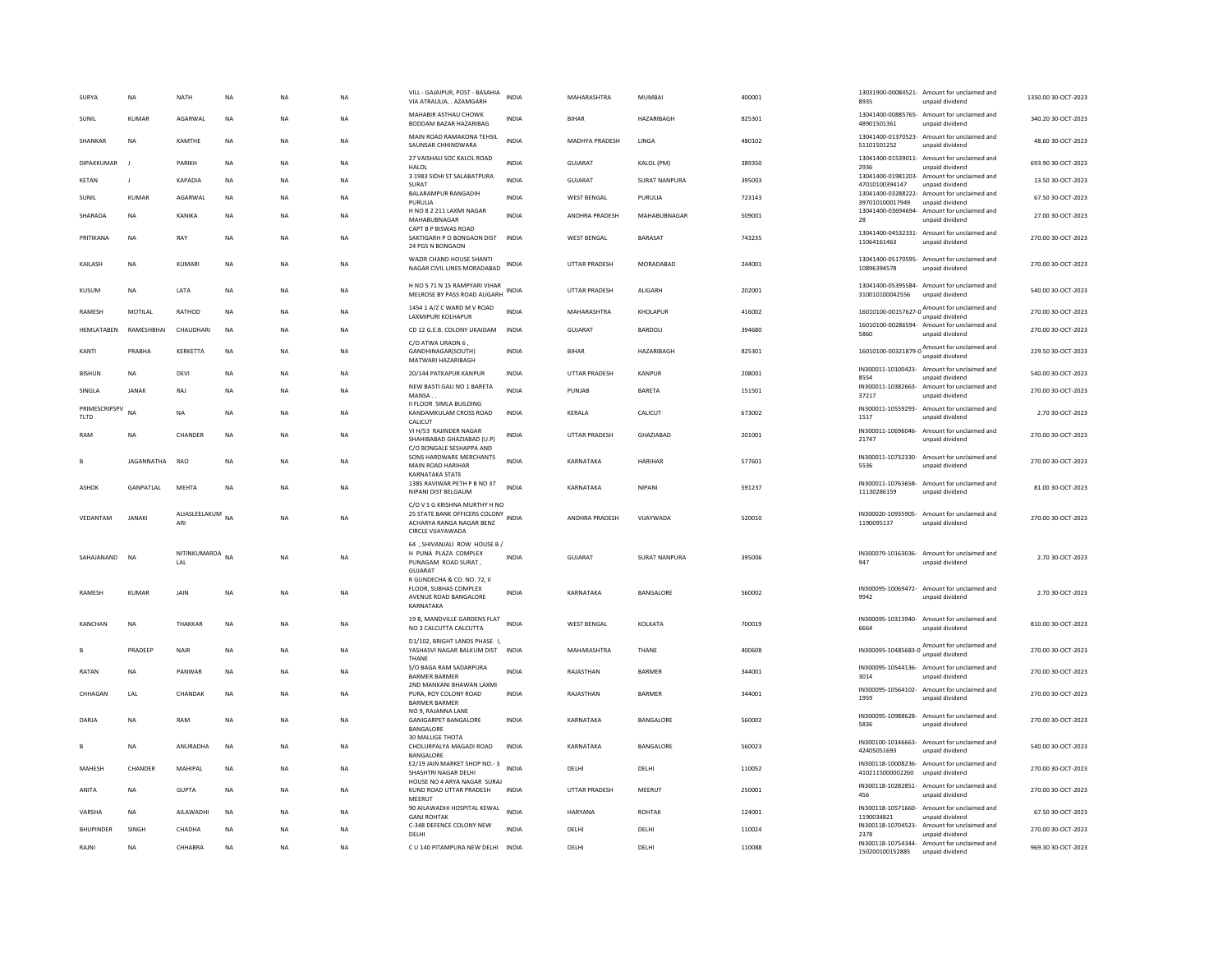| SURYA                 | <b>NA</b>     | NATH                 | $_{\sf NA}$ | NA        | <b>NA</b> | VILL - GAJAIPUR, POST - BASAHIA<br>VIA ATRAULIA, . AZAMGARH                                                           | <b>INDIA</b> | MAHARASHTRA          | MUMBAI               | 400001 | 8935                              | 13031900-00084521- Amount for unclaimed and<br>unpaid dividend                    | 1350.00 30-OCT-2023 |
|-----------------------|---------------|----------------------|-------------|-----------|-----------|-----------------------------------------------------------------------------------------------------------------------|--------------|----------------------|----------------------|--------|-----------------------------------|-----------------------------------------------------------------------------------|---------------------|
| SUNIL                 | <b>KUMAR</b>  | <b>AGARWAI</b>       | <b>NA</b>   | <b>NA</b> | <b>NA</b> | MAHABIR ASTHAU CHOWK<br>BODDAM BAZAR HAZARIBAG                                                                        | <b>INDIA</b> | <b>BIHAR</b>         | HAZARIBAGH           | 825301 | 48901501361                       | 13041400-00885765- Amount for unclaimed and<br>unpaid dividend                    | 340.20 30-OCT-2023  |
| SHANKAR               | <b>NA</b>     | KAMTHE               | <b>NA</b>   | <b>NA</b> | <b>NA</b> | MAIN ROAD RAMAKONA TEHSIL<br>SAUNSAR CHHINDWARA                                                                       | INDIA        | MADHYA PRADESH       | LINGA                | 480102 | 51101501252                       | 13041400-01370523- Amount for unclaimed and<br>unpaid dividend                    | 48.60 30-OCT-2023   |
| <b>DIPAKKUMAR</b>     | - 1           | PARIKH               | <b>NA</b>   | <b>NA</b> | <b>NA</b> | 27 VAISHALI SOC KALOL ROAD<br><b>HALOL</b>                                                                            | <b>INDIA</b> | GUJARAT              | KALOL (PM)           | 389350 | 2936                              | 13041400-01539011- Amount for unclaimed and<br>unpaid dividend                    | 693.90 30-OCT-2023  |
| <b>KETAN</b>          | J.            | KAPADIA              | <b>NA</b>   | <b>NA</b> | <b>NA</b> | 3 1983 SIDHI ST SALABATPURA<br><b>SURAT</b>                                                                           | <b>INDIA</b> | GUJARAT              | <b>SURAT NANPURA</b> | 395003 | 47010100394147                    | 13041400-01981203- Amount for unclaimed and<br>unpaid dividend                    | 13.50 30-OCT-2023   |
| SUNIL                 | KUMAR         | AGARWAL              | <b>NA</b>   | <b>NA</b> | <b>NA</b> | BALARAMPUR RANGADIH<br>PURULIA                                                                                        | <b>INDIA</b> | <b>WEST BENGAL</b>   | PURULIA              | 723143 | 397010100017949                   | 13041400-03288222- Amount for unclaimed and<br>unpaid dividend                    | 67.50 30-OCT-2023   |
| SHARADA               | <b>NA</b>     | KANIKA               | <b>NA</b>   | <b>NA</b> | <b>NA</b> | H NO 8 2 211 LAXMI NAGAR                                                                                              | <b>INDIA</b> | ANDHRA PRADESH       | MAHABUBNAGAR         | 509001 |                                   | 13041400-03694694- Amount for unclaimed and                                       | 27.00 30-OCT-2023   |
| PRITIKANA             | <b>NA</b>     | RAY                  | <b>NA</b>   | NA        | NA        | MAHABUBNAGAR<br>CAPT B P BISWAS ROAD<br>SAKTIGARH P O BONGAON DIST                                                    | INDIA        | <b>WEST BENGAL</b>   | BARASAT              | 743235 | 28<br>11064161463                 | unpaid dividend<br>13041400-04532331- Amount for unclaimed and<br>unpaid dividend | 270.00 30-OCT-2023  |
| KAILASH               | <b>NA</b>     | KUMARI               | NA          | <b>NA</b> | NA        | 24 PGS N BONGAON<br>WAZIR CHAND HOUSE SHANTI<br>NAGAR CIVIL LINES MORADABAD                                           | INDIA        | UTTAR PRADESH        | MORADABAD            | 244001 | 10896394578                       | 13041400-05170595- Amount for unclaimed and<br>unpaid dividend                    | 270.00 30-OCT-2023  |
| KUSUM                 | <b>NA</b>     | LATA                 | <b>NA</b>   | <b>NA</b> | <b>NA</b> | H NO 5 71 N 15 RAMPYARI VIHAR<br>MELROSE BY PASS ROAD ALIGARH                                                         | <b>INDIA</b> | <b>UTTAR PRADESH</b> | ALIGARH              | 202001 | 310010100042556                   | 13041400-05395584- Amount for unclaimed and<br>unpaid dividend                    | 540.00 30-OCT-2023  |
| RAMESH                | MOTILAL       | RATHOD               | <b>NA</b>   | <b>NA</b> | <b>NA</b> | 1454 1 A/Z C WARD M V ROAD<br><b>LAXMIPURI KOLHAPUR</b>                                                               | <b>INDIA</b> | MAHARASHTRA          | KHOLAPUR             | 416002 |                                   | 16010100-00157627-0 $\frac{\text{Amount}}{\text{1}}$ for unclaimed and            | 270.00 30-OCT-2023  |
| HEMLATABEN            | RAMESHBHAI    | CHAUDHARI            | <b>NA</b>   | <b>NA</b> | <b>NA</b> | CD 12 G.E.B. COLONY UKAIDAM                                                                                           | <b>INDIA</b> | GUJARAT              | BARDOLI              | 394680 | 5860                              | unpaid dividend<br>16010100-00286594- Amount for unclaimed and<br>unpaid dividend | 270.00 30-OCT-2023  |
|                       |               |                      |             |           |           | C/O ATWA URAON 6                                                                                                      |              | <b>BIHAR</b>         |                      |        |                                   | 16010100-00321879-0 $\frac{\text{Amount for unclaimed}}{\text{16010100}}$         |                     |
| KANTI                 | PRABHA        | KERKETTA             | NA          | NA        | NA        | GANDHINAGAR(SOUTH)<br>MATWARI HAZARIBAGH                                                                              | <b>INDIA</b> |                      | HAZARIBAGH           | 825301 |                                   | unpaid dividend                                                                   | 229.50 30-OCT-2023  |
| <b>BISHUN</b>         | <b>NA</b>     | DFVI                 | <b>NA</b>   | <b>NA</b> | <b>NA</b> | 20/144 PATKAPUR KANPUR                                                                                                | INDIA        | <b>UTTAR PRADESH</b> | KANPUR               | 208001 | 8554                              | IN300011-10100423- Amount for unclaimed and<br>unpaid dividend                    | 540.00 30-OCT-2023  |
| SINGLA                | <b>JANAK</b>  | RAJ                  | <b>NA</b>   | <b>NA</b> | <b>NA</b> | NEW BASTI GALI NO 1 BARETA<br>MANSA.                                                                                  | <b>INDIA</b> | PUNJAB               | <b>BARETA</b>        | 151501 | IN300011-10382663-<br>37217       | Amount for unclaimed and<br>unpaid dividend                                       | 270.00 30-OCT-2023  |
| PRIMESCRIPSPV<br>TLTD | <b>NA</b>     | <b>NA</b>            | <b>NA</b>   | <b>NA</b> | <b>NA</b> | II FLOOR SIMLA BUILDING<br>KANDAMKULAM CROSS ROAD<br>CALICUT                                                          | <b>INDIA</b> | KERALA               | CALICUT              | 673002 | 1517                              | IN300011-10559293- Amount for unclaimed and<br>unpaid dividend                    | 2.70 30-OCT-2023    |
| RAM                   | <b>NA</b>     | CHANDER              | <b>NA</b>   | <b>NA</b> | <b>NA</b> | VI H/53 RAJINDER NAGAR<br>SHAHIBABAD GHAZIABAD (U.P)<br>C/O BONGALE SESHAPPA AND                                      | INDIA        | <b>UTTAR PRADESH</b> | <b>GHAZIARAD</b>     | 201001 | IN300011-10696046-<br>21747       | Amount for unclaimed and<br>unpaid dividend                                       | 270.00 30-OCT-2023  |
| B                     | JAGANNATHA    | RAO                  | <b>NA</b>   | NA        | <b>NA</b> | SONS HARDWARE MERCHANTS<br>MAIN ROAD HARIHAR                                                                          | <b>INDIA</b> | KARNATAKA            | HARIHAR              | 577601 | IN300011-10732330-<br>5536        | Amount for unclaimed and<br>unpaid dividend                                       | 270.00 30-OCT-2023  |
| ASHOK                 | GANPATLAL     | <b>MEHTA</b>         | <b>NA</b>   | <b>NA</b> | NA        | <b>KARNATAKA STATE</b><br>1385 RAVIWAR PETH P B NO 37<br>NIPANI DIST BELGAUM                                          | <b>INDIA</b> | KARNATAKA            | <b>NIPANI</b>        | 591237 | IN300011-10763658-<br>11130286159 | Amount for unclaimed and<br>unpaid dividend                                       | 81.00 30-OCT-2023   |
| VEDANTAM              | <b>JANAKI</b> | ALIASLEELAKUM<br>ARI | <b>NA</b>   | NA        | NA        | C/O V S G KRISHNA MURTHY H NO<br>25 STATE BANK OFFICERS COLONY INDIA<br>ACHARYA RANGA NAGAR BENZ<br>CIRCLE VIJAYAWADA |              | ANDHRA PRADESH       | VIJAYWADA            | 520010 | 1190095137                        | IN300020-10935905- Amount for unclaimed and<br>unpaid dividend                    | 270.00 30-OCT-2023  |
| SAHAJANAND            | <b>NA</b>     | NITINKUMARDA<br>LAL  | <b>NA</b>   | <b>NA</b> | <b>NA</b> | 64, SHIVANJALI ROW HOUSE B /<br>H PUNA PLAZA COMPLEX<br>PUNAGAM ROAD SURAT,<br>GUJARAT<br>R GUNDECHA & CO. NO. 72. II | <b>INDIA</b> | <b>GUJARAT</b>       | <b>SURAT NANPURA</b> | 395006 | 947                               | IN300079-10163036- Amount for unclaimed and<br>unpaid dividend                    | 2.70 30-OCT-2023    |
| <b>RAMESH</b>         | <b>KUMAR</b>  | JAIN                 | <b>NA</b>   | <b>NA</b> | <b>NA</b> | FLOOR, SUBHAS COMPLEX<br>AVENUE ROAD BANGALORE<br>KARNATAKA                                                           | <b>INDIA</b> | KARNATAKA            | BANGALORE            | 560002 | 9942                              | IN300095-10069472- Amount for unclaimed and<br>unpaid dividend                    | 2.70 30-OCT-2023    |
| KANCHAN               | <b>NA</b>     | THAKKAF              | <b>NA</b>   | <b>NA</b> | <b>NA</b> | 19 B, MANDVILLE GARDENS FLAT<br>NO 3 CALCUTTA CALCUTTA                                                                | <b>INDIA</b> | <b>WEST BENGAL</b>   | KOLKATA              | 700019 | 6664                              | IN300095-10313940- Amount for unclaimed and<br>unpaid dividend                    | 810.00 30-OCT-2023  |
| B                     | PRADEEP       | NAIR                 | <b>NA</b>   | <b>NA</b> | <b>NA</b> | D1/102, BRIGHT LANDS PHASE I,<br>YASHASVI NAGAR BALKUM DIST<br>THANE                                                  | <b>INDIA</b> | MAHARASHTRA          | THANE                | 400608 |                                   | IN300095-10485683-0 Amount for unclaimed and<br>unpaid dividend                   | 270.00 30-OCT-2023  |
| RATAN                 | <b>NA</b>     | PANWAR               | <b>NA</b>   | NA        | NA        | S/O BAGA RAM SADARPURA<br><b>BARMER BARMER</b>                                                                        | <b>INDIA</b> | RAJASTHAN            | BARMER               | 344001 | 3014                              | IN300095-10544136- Amount for unclaimed and<br>unnaid dividend                    | 270.00 30-OCT-2023  |
| CHHAGAN               | LAL           | CHANDAK              | <b>NA</b>   | <b>NA</b> | <b>NA</b> | 2ND MANKANI BHAWAN LAXMI<br>PURA, ROY COLONY ROAD<br><b>BARMER BARMER</b>                                             | <b>INDIA</b> | RAJASTHAN            | BARMER               | 344001 | IN300095-10564102-<br>1959        | Amount for unclaimed and<br>unpaid dividend                                       | 270.00 30-OCT-2023  |
| DARIA                 | <b>NA</b>     | RAM                  | <b>NA</b>   | <b>NA</b> | <b>NA</b> | NO 9, RAJANNA LANE<br><b>GANIGARPET BANGALORE</b><br>BANGALORE                                                        | <b>INDIA</b> | KARNATAKA            | <b>BANGALORE</b>     | 560002 | IN300095-10988628-<br>5836        | Amount for unclaimed and<br>unpaid dividend                                       | 270.00 30-OCT-2023  |
|                       | <b>NA</b>     | ANURADHA             | <b>NA</b>   | <b>NA</b> | <b>NA</b> | <b>30 MALLIGE THOTA</b><br>CHOLURPALYA MAGADI ROAD<br>BANGALORE                                                       | INDIA        | KARNATAKA            | BANGALORE            | 560023 | 42405051693                       | IN300100-10146663- Amount for unclaimed and<br>unpaid dividend                    | 540.00 30-OCT-2023  |
| MAHESH                | CHANDER       | MAHIPAL              | <b>NA</b>   | <b>NA</b> | <b>NA</b> | E2/19 JAIN MARKET SHOP NO.- 3<br>SHASHTRI NAGAR DELHI                                                                 | <b>INDIA</b> | DELHI                | DELHI                | 110052 | 4102115000002260                  | IN300118-10008236- Amount for unclaimed and<br>unpaid dividend                    | 270.00 30-OCT-2023  |
| ANITA                 | <b>NA</b>     | <b>GUPTA</b>         | <b>NA</b>   | <b>NA</b> | <b>NA</b> | HOUSE NO 4 ARYA NAGAR SURAL<br>KUND ROAD UTTAR PRADESH<br>MEERUT                                                      | <b>INDIA</b> | <b>UTTAR PRADESH</b> | MEERUT               | 250001 | 456                               | IN300118-10282851- Amount for unclaimed and<br>unpaid dividend                    | 270.00 30-OCT-2023  |
| VARSHA                | <b>NA</b>     | AILAWADHI            | <b>NA</b>   | <b>NA</b> | <b>NA</b> | 90 AILAWADHI HOSPITAL KEWAL<br><b>GANJ ROHTAK</b>                                                                     | <b>INDIA</b> | HARYANA              | <b>ROHTAK</b>        | 124001 | IN300118-10571660-<br>1190034821  | Amount for unclaimed and<br>unpaid dividend                                       | 67.50 30-OCT-2023   |
| <b>BHUPINDER</b>      | SINGH         | CHADHA               | <b>NA</b>   | NA        | <b>NA</b> | C-348 DEFENCE COLONY NEW<br>DELHI                                                                                     | <b>INDIA</b> | DELHI                | DELHI                | 110024 | 2378                              | IN300118-10704523- Amount for unclaimed and<br>unpaid dividend                    | 270.00 30-OCT-2023  |
| RAJNI                 | <b>NA</b>     | CHHABRA              | <b>NA</b>   | <b>NA</b> | <b>NA</b> | C U 140 PITAMPURA NEW DELHI                                                                                           | <b>INDIA</b> | DELHI                | DELHI                | 110088 | 150200100152885                   | IN300118-10754344- Amount for unclaimed and<br>unpaid dividend                    | 969.30 30-OCT-2023  |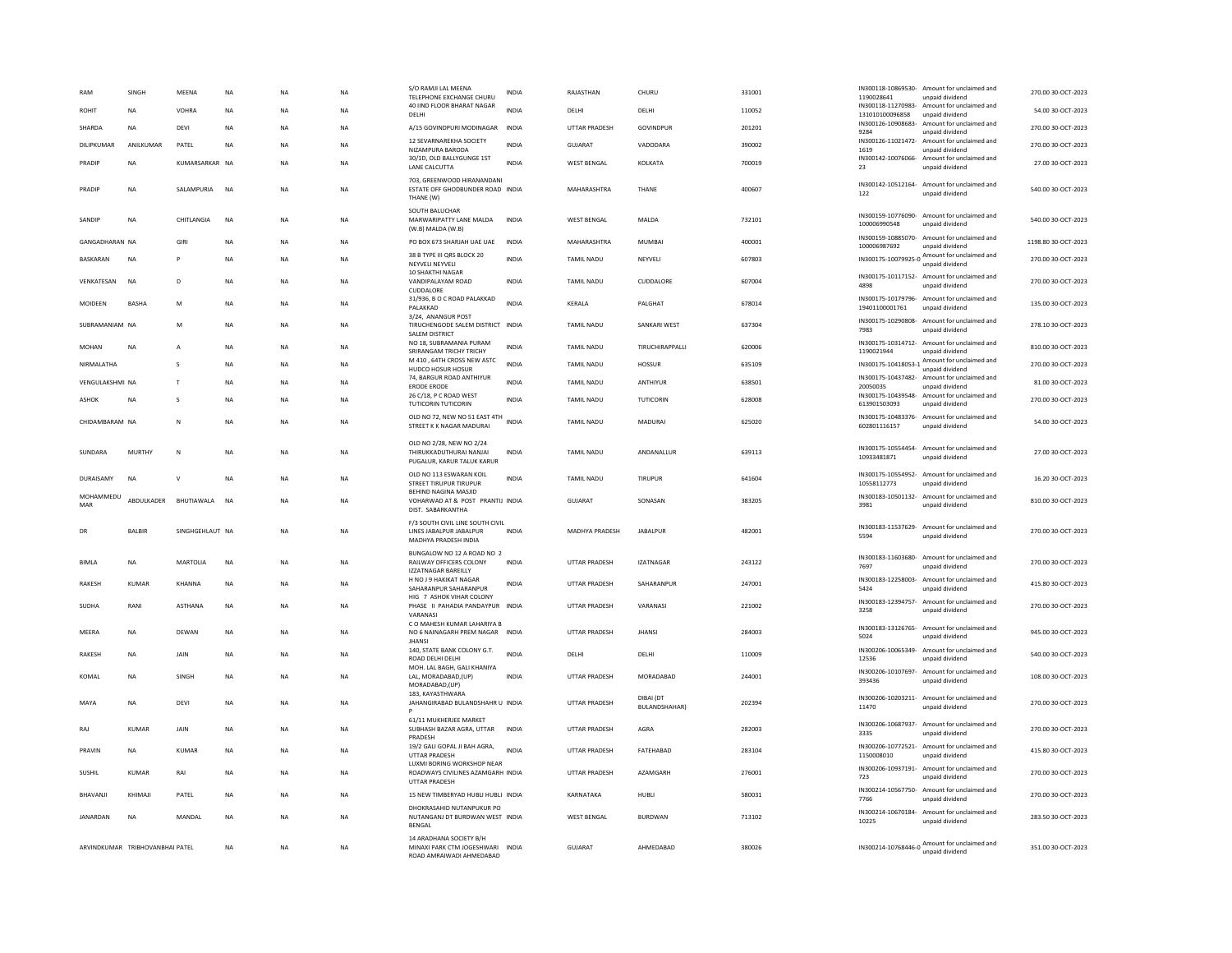| RAM                    | SINGH                           | <b>MFFNA</b>      | <b>NA</b>   | <b>NA</b>   | <b>NA</b> | S/O RAMJI LAL MEEN/<br>TELEPHONE EXCHANGE CHURU                                         | INDIA        | RAJASTHAN            | CHURL                             | 331001 | IN300118-10869530-<br>1190028641 | Amount for unclaimed and<br>unpaid dividend                     | 270.00 30-OCT-2023  |
|------------------------|---------------------------------|-------------------|-------------|-------------|-----------|-----------------------------------------------------------------------------------------|--------------|----------------------|-----------------------------------|--------|----------------------------------|-----------------------------------------------------------------|---------------------|
| <b>ROHIT</b>           | <b>NA</b>                       | VOHRA             | <b>NA</b>   | <b>NA</b>   | <b>NA</b> | 40 IIND FLOOR BHARAT NAGAR<br>DELHI                                                     | <b>INDIA</b> | DELHI                | DELHI                             | 110052 | 131010100096858                  | IN300118-11270983- Amount for unclaimed and<br>unpaid dividend  | 54.00 30-OCT-2023   |
| SHARDA                 | <b>NA</b>                       | DEVI              | <b>NA</b>   | <b>NA</b>   | <b>NA</b> | A/15 GOVINDPURI MODINAGAR                                                               | <b>INDIA</b> | UTTAR PRADESH        | GOVINDPUR                         | 201201 | IN300126-10908683-<br>9284       | Amount for unclaimed and<br>unpaid dividend                     | 270.00 30-OCT-2023  |
| DILIPKUMAR             | ANILKUMAR                       | PATEL             | <b>NA</b>   | $_{\sf NA}$ | NA        | 12 SEVARNAREKHA SOCIETY<br>NIZAMPURA BARODA                                             | <b>INDIA</b> | GUJARAT              | VADODARA                          | 390002 | 1619                             | IN300126-11021472- Amount for unclaimed and<br>unpaid dividend  | 270.00 30-OCT-2023  |
| PRADIP                 | <b>NA</b>                       | KUMARSARKAR NA    |             | <b>NA</b>   | <b>NA</b> | 30/1D, OLD BALLYGUNGE 1ST<br>LANE CALCUTTA                                              | <b>INDIA</b> | <b>WEST BENGAL</b>   | KOLKATA                           | 700019 | 23                               | IN300142-10076066- Amount for unclaimed and<br>unpaid dividend  | 27.00 30-OCT-2023   |
| PRADIE                 | <b>NA</b>                       | <b>SALAMPURIA</b> | <b>NA</b>   | <b>NA</b>   | <b>NA</b> | 703. GREENWOOD HIRANANDANI<br>ESTATE OFF GHODBUNDER ROAD INDIA<br>THANE (W)             |              | MAHARASHTRA          | THANE                             | 400607 | 122                              | IN300142-10512164- Amount for unclaimed and<br>unpaid dividend  | 540.00 30-OCT-2023  |
| SANDIP                 | <b>NA</b>                       | CHITLANGIA        | NA          | NA          | NA        | SOUTH BALUCHAR<br>MARWARIPATTY LANE MALDA<br>(W.B) MALDA (W.B)                          | INDIA        | <b>WEST BENGAL</b>   | MALDA                             | 732101 | 100006990548                     | IN300159-10776090- Amount for unclaimed and<br>unpaid dividend  | 540.00 30-OCT-2023  |
| <b>GANGADHARAN NA</b>  |                                 | GIRI              | <b>NA</b>   | <b>NA</b>   | <b>NA</b> | PO BOX 673 SHARJAH UAE UAE                                                              | <b>INDIA</b> | MAHARASHTRA          | <b>MUMBAI</b>                     | 400001 | 100006987692                     | IN300159-10885070- Amount for unclaimed and<br>unpaid dividend  | 1198.80 30-OCT-2023 |
| <b>BASKARAN</b>        | <b>NA</b>                       |                   | <b>NA</b>   | <b>NA</b>   | <b>NA</b> | 38 B TYPE III ORS BLOCK 20<br>NEYVELI NEYVELI<br>10 SHAKTHI NAGAR                       | <b>INDIA</b> | TAMIL NADU           | NEYVELI                           | 607803 | IN300175-10079925-0              | Amount for unclaimed and<br>unpaid dividend                     | 270.00 30-OCT-2023  |
| VENKATESAN             | <b>NA</b>                       | D                 | <b>NA</b>   | <b>NA</b>   | <b>NA</b> | VANDIPALAYAM ROAD<br>CUDDALORE                                                          | <b>INDIA</b> | <b>TAMIL NADU</b>    | CUDDALORE                         | 607004 | 4898                             | IN300175-10117152- Amount for unclaimed and<br>unpaid dividend  | 270.00 30-OCT-2023  |
| MOIDEEN                | BASHA                           | M                 | <b>NA</b>   | <b>NA</b>   | <b>NA</b> | 31/936, B O C ROAD PALAKKAD<br>PALAKKAD                                                 | INDIA        | KERALA               | PALGHAT                           | 678014 | 19401100001761                   | IN300175-10179796- Amount for unclaimed and<br>unpaid dividend  | 135.00 30-OCT-2023  |
| SUBRAMANIAM NA         |                                 | M                 | <b>NA</b>   | <b>NA</b>   | <b>NA</b> | 3/24, ANANGUR POST<br>TIRUCHENGODE SALEM DISTRICT INDIA<br><b>SALEM DISTRICT</b>        |              | <b>TAMIL NADU</b>    | <b>SANKARI WEST</b>               | 637304 | IN300175-10290808-<br>7983       | Amount for unclaimed and<br>unpaid dividend                     | 278.10 30-OCT-2023  |
| MOHAN                  | NA                              |                   | <b>NA</b>   | NA          | NA        | NO 18. SUBRAMANIA PURAM<br>SRIRANGAM TRICHY TRICHY                                      | INDIA        | <b>TAMIL NADU</b>    | TIRUCHIRAPPALLI                   | 620006 | 1190021944                       | IN300175-10314712- Amount for unclaimed and<br>unpaid dividend  | 810.00 30-OCT-2023  |
| NIRMALATHA             |                                 | s                 | <b>NA</b>   | <b>NA</b>   | NA        | M 410, 64TH CROSS NEW ASTC<br>HUDCO HOSUR HOSUR                                         | <b>INDIA</b> | <b>TAMIL NADU</b>    | HOSSUR                            | 635109 | IN300175-10418053-1              | Amount for unclaimed and<br>unpaid dividend                     | 270.00 30-OCT-2023  |
| <b>VENGULAKSHML NA</b> |                                 | $\mathbf{r}$      | <b>NA</b>   | <b>NA</b>   | NA.       | 74, BARGUR ROAD ANTHIYUR<br><b>ERODE ERODE</b>                                          | <b>INDIA</b> | <b>TAMIL NADU</b>    | <b>ANTHIYUR</b>                   | 638501 | 20050035                         | IN300175-10437482- Amount for unclaimed and<br>unpaid dividend  | 81.00 30-OCT-2023   |
| <b>ASHOK</b>           | <b>NA</b>                       | <b>s</b>          | <b>NA</b>   | <b>NA</b>   | <b>NA</b> | 26 C/18, P C ROAD WEST<br><b>TUTICORIN TUTICORIN</b>                                    | <b>INDIA</b> | <b>TAMIL NADU</b>    | TUTICORIN                         | 628008 | 613901503093                     | IN300175-10439548- Amount for unclaimed and<br>unpaid dividend  | 270.00 30-OCT-2023  |
| CHIDAMBARAM NA         |                                 | N                 | NA          | NA          | NA        | OLD NO 72, NEW NO 51 EAST 4TH INDIA<br>STREET K K NAGAR MADURAI                         |              | <b>TAMIL NADU</b>    | MADURAI                           | 625020 | 602801116157                     | IN300175-10483376- Amount for unclaimed and<br>unpaid dividend  | 54.00 30-OCT-2023   |
| SUNDARA                | MURTHY                          | N                 | <b>NA</b>   | $_{\sf NA}$ | <b>NA</b> | OLD NO 2/28, NEW NO 2/24<br>THIRUKKADUTHURAI NANJAI<br>PUGALUR, KARUR TALUK KARUR       | INDIA        | TAMIL NADU           | ANDANALLUR                        | 639113 | 10933481871                      | IN300175-10554454- Amount for unclaimed and<br>unpaid dividend  | 27.00 30-OCT-2023   |
| DURAISAMY              | <b>NA</b>                       | $\mathsf{v}$      | <b>NA</b>   | NA          | NA        | OLD NO 113 ESWARAN KOIL<br><b>STREET TIRUPUR TIRUPUR</b>                                | INDIA        | <b>TAMIL NADU</b>    | <b>TIRUPUR</b>                    | 641604 | 10558112773                      | IN300175-10554952- Amount for unclaimed and<br>unpaid dividend  | 16.20 30-OCT-2023   |
| MOHAMMEDU<br>MAR       | ABDULKADER                      | BHUTIAWALA        | <b>NA</b>   | <b>NA</b>   | <b>NA</b> | BEHIND NAGINA MASJID<br>VOHARWAD AT & POST PRANTIJ INDIA<br>DIST. SABARKANTHA           |              | <b>GUJARAT</b>       | SONASAN                           | 383205 | 3981                             | IN300183-10501132- Amount for unclaimed and<br>unpaid dividend  | 810.00 30-OCT-2023  |
| DR                     | <b>BALBIR</b>                   | SINGHGEHLAUT NA   |             | <b>NA</b>   | <b>NA</b> | F/3 SOUTH CIVIL LINE SOUTH CIVIL<br>LINES JABALPUR JABALPUR<br>MADHYA PRADESH INDIA     | <b>INDIA</b> | MADHYA PRADESH       | JABALPUR                          | 482001 | 5594                             | IN300183-11537629- Amount for unclaimed and<br>unpaid dividend  | 270.00 30-OCT-2023  |
| <b>BIMLA</b>           | <b>NA</b>                       | <b>MARTOLIA</b>   | NA          | NA          | NA        | BUNGALOW NO 12 A ROAD NO 2<br>RAILWAY OFFICERS COLONY<br><b>IZZATNAGAR BAREILLY</b>     | INDIA        | UTTAR PRADESH        | <b>IZATNAGAR</b>                  | 243122 | 7697                             | IN300183-11603680- Amount for unclaimed and<br>unpaid dividend  | 270.00 30-OCT-2023  |
| RAKESH                 | KUMAR                           | KHANNA            | <b>NA</b>   | <b>NA</b>   | <b>NA</b> | H NO J 9 HAKIKAT NAGAR<br>SAHARANPUR SAHARANPUR                                         | <b>INDIA</b> | UTTAR PRADESH        | SAHARANPUR                        | 247001 | IN300183-12258003-<br>5424       | Amount for unclaimed and<br>unpaid dividend                     | 415.80 30-OCT-2023  |
| SUDHA                  | RANI                            | ASTHANA           | $_{\sf NA}$ | NA          | <b>NA</b> | HIG 7 ASHOK VIHAR COLONY<br>PHASE II PAHADIA PANDAYPUR INDIA<br>VARANAS                 |              | UTTAR PRADESH        | VARANASI                          | 221002 | IN300183-12394757-<br>3258       | Amount for unclaimed and<br>unpaid dividend                     | 270.00 30-OCT-2023  |
| MEERA                  | <b>NA</b>                       | DEWAN             | <b>NA</b>   | <b>NA</b>   | <b>NA</b> | C O MAHESH KUMAR LAHARIYA B<br>NO 6 NAINAGARH PREM NAGAR INDIA<br><b>JHANSI</b>         |              | <b>UTTAR PRADESH</b> | <b>JHANS</b>                      | 284003 | 5024                             | IN300183-13126765- Amount for unclaimed and<br>unpaid dividend  | 945.00 30-OCT-2023  |
| RAKESH                 | <b>NA</b>                       | JAIN              | NA          | <b>NA</b>   | <b>NA</b> | 140, STATE BANK COLONY G.T.<br>ROAD DELHI DELHI                                         | <b>INDIA</b> | DELHI                | DELHI                             | 110009 | IN300206-10065349-<br>12536      | Amount for unclaimed and<br>unpaid dividend                     | 540.00 30-OCT-2023  |
| KOMAL                  | NA                              | SINGH             | <b>NA</b>   | NA          | NA        | MOH. LAL BAGH, GALI KHANIYA<br>LAL, MORADABAD, (UP)<br>MORADABAD,(UP)                   | INDIA        | UTTAR PRADESH        | MORADABAD                         | 244001 | IN300206-10107697-<br>393436     | Amount for unclaimed and<br>unpaid dividend                     | 108.00 30-OCT-2023  |
| MAYA                   | <b>NA</b>                       | DEVI              | <b>NA</b>   | <b>NA</b>   | <b>NA</b> | 183. KAYASTHWARA<br>JAHANGIRABAD BULANDSHAHR U INDIA                                    |              | UTTAR PRADESH        | DIBAI (DT<br><b>BULANDSHAHAR)</b> | 202394 | 11470                            | IN300206-10203211- Amount for unclaimed and<br>unpaid dividend  | 270.00 30-OCT-2023  |
| RAJ                    | KUMAR                           | <b>JAIN</b>       | <b>NA</b>   | <b>NA</b>   | <b>NA</b> | 61/11 MUKHERJEE MARKET<br>SUBHASH BAZAR AGRA, UTTAR<br>PRADESH                          | <b>INDIA</b> | UTTAR PRADESH        | AGRA                              | 282003 | IN300206-10687937-<br>3335       | Amount for unclaimed and<br>unpaid dividend                     | 270.00 30-OCT-2023  |
| PRAVIN                 | <b>NA</b>                       | KUMAR             | <b>NA</b>   | <b>NA</b>   | <b>NA</b> | 19/2 GALI GOPAL JI BAH AGRA,<br><b>UTTAR PRADESH</b>                                    | <b>INDIA</b> | UTTAR PRADESH        | FATEHABAD                         | 283104 | 1150008010                       | IN300206-10772521- Amount for unclaimed and<br>unpaid dividend  | 415.80 30-OCT-2023  |
| SUSHIL                 | <b>KUMAR</b>                    | RAI               | NA          | NA          | NA        | LUXMI BORING WORKSHOP NEAR<br>ROADWAYS CIVILINES AZAMGARH INDIA<br><b>UTTAR PRADESH</b> |              | UTTAR PRADESH        | AZAMGARH                          | 276001 | 723                              | IN300206-10937191- Amount for unclaimed and<br>unpaid dividend  | 270.00 30-OCT-2023  |
| BHAVANJ                | KHIMAJI                         | PATEL             | <b>NA</b>   | <b>NA</b>   | <b>NA</b> | 15 NEW TIMBERYAD HUBLI HUBLI INDIA                                                      |              | KARNATAKA            | HUBLI                             | 580031 | 7766                             | IN300214-10567750- Amount for unclaimed and<br>unpaid dividend  | 270.00 30-OCT-2023  |
| JANARDAN               | <b>NA</b>                       | MANDAL            | <b>NA</b>   | <b>NA</b>   | <b>NA</b> | DHOKRASAHID NUTANPUKUR PO<br>NUTANGANJ DT BURDWAN WEST INDIA<br><b>BENGAL</b>           |              | <b>WEST BENGAL</b>   | <b>BURDWAN</b>                    | 713102 | IN300214-10670184-<br>10225      | Amount for unclaimed and<br>unpaid dividend                     | 283.50 30-OCT-2023  |
|                        | ARVINDKUMAR TRIBHOVANBHAI PATEL |                   | <b>NA</b>   | <b>NA</b>   | <b>NA</b> | 14 ARADHANA SOCIETY B/H<br>MINAXI PARK CTM JOGESHWARI INDIA<br>ROAD AMRAIWADI AHMEDABAD |              | <b>GUJARAT</b>       | AHMEDABAD                         | 380026 |                                  | IN300214-10768446-0 Amount for unclaimed and<br>unpaid dividend | 351.00 30-OCT-2023  |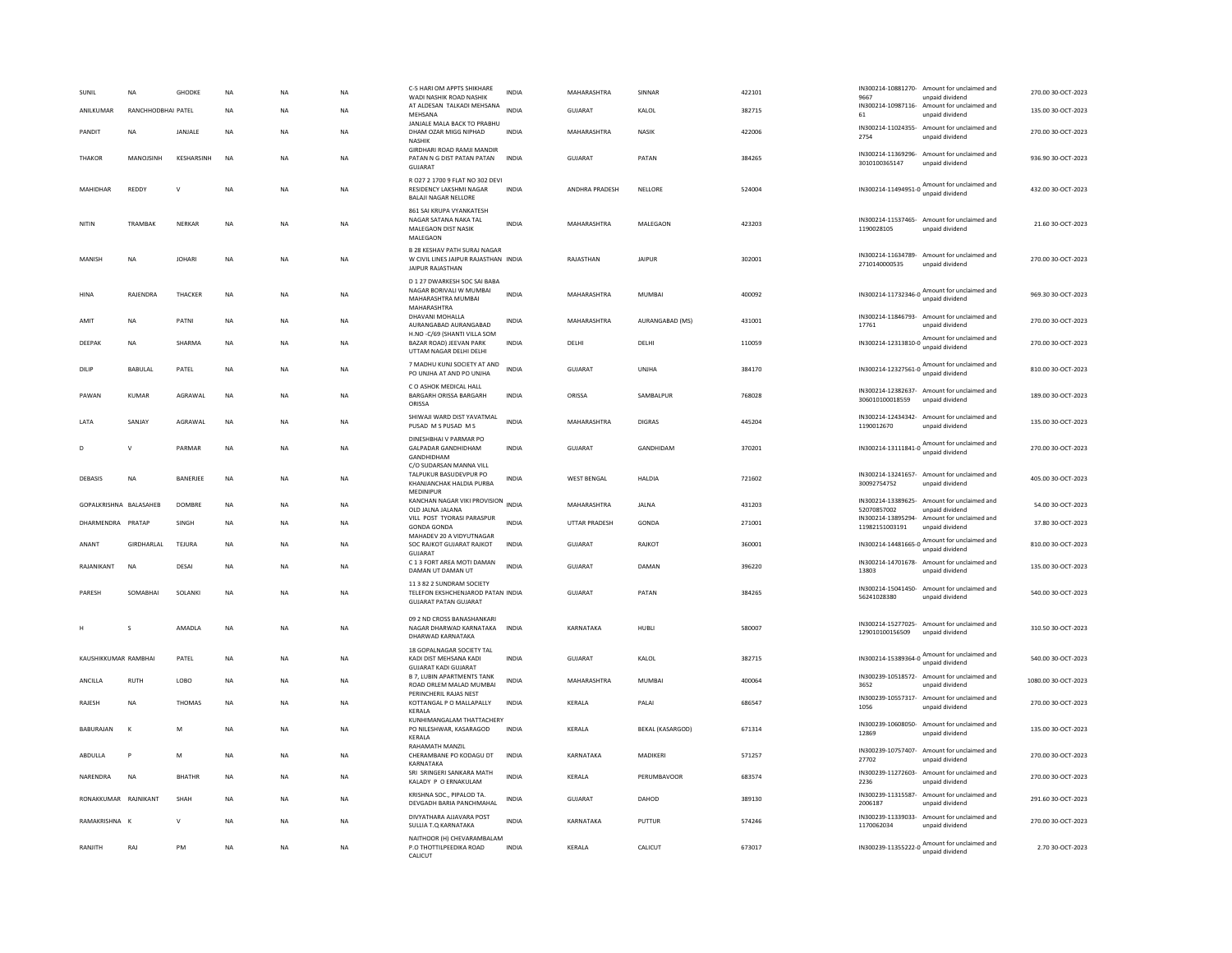| <b>SUNIL</b>           | <b>NA</b>          | GHODKE         | <b>NA</b> | NΑ             | <b>NA</b> | C-5 HARI OM APPTS SHIKHARE<br>WADI NASHIK ROAD NASHII                                            | <b>INDIA</b> | MAHARASHTRA        | SINNAR                  | 422101 | 9667                                | IN300214-10881270- Amount for unclaimed and<br>unpaid dividend  | 270.00 30-OCT-2023  |
|------------------------|--------------------|----------------|-----------|----------------|-----------|--------------------------------------------------------------------------------------------------|--------------|--------------------|-------------------------|--------|-------------------------------------|-----------------------------------------------------------------|---------------------|
| ANILKUMAR              | RANCHHODBHAI PATEL |                | <b>NA</b> | NΑ             | NA        | AT ALDESAN TALKADI MEHSANA<br>MEHSANA<br>JANJALE MALA BACK TO PRABHU                             | <b>INDIA</b> | GUJARAT            | KALOL                   | 382715 | 61                                  | IN300214-10987116- Amount for unclaimed and<br>unpaid dividend  | 135.00 30-OCT-2023  |
| PANDIT                 | <b>NA</b>          | <b>JANJALE</b> | <b>NA</b> | <b>NA</b>      | <b>NA</b> | DHAM OZAR MIGG NIPHAD<br>NASHIK                                                                  | <b>INDIA</b> | MAHARASHTRA        | <b>NASIK</b>            | 422006 | 2754                                | IN300214-11024355- Amount for unclaimed and<br>unpaid dividend  | 270.00 30-OCT-2023  |
| <b>THAKOR</b>          | MANOJSINH          | KESHARSINH     | <b>NA</b> | <b>NA</b>      | <b>NA</b> | GIRDHARI ROAD RAMJI MANDIR<br>PATAN N G DIST PATAN PATAN<br><b>GUJARAT</b>                       | <b>INDIA</b> | <b>GUJARAT</b>     | PATAN                   | 384265 | IN300214-11369296-<br>3010100365147 | Amount for unclaimed and<br>unpaid dividend                     | 936.90 30-OCT-2023  |
| MAHIDHAR               | <b>REDDY</b>       | $\mathsf{v}$   | <b>NA</b> | NA             | <b>NA</b> | R 027 2 1700 9 FLAT NO 302 DEVI<br><b>RESIDENCY LAKSHMI NAGAR</b><br><b>BALAJI NAGAR NELLORE</b> | <b>INDIA</b> | ANDHRA PRADESH     | NELLORE                 | 524004 |                                     | IN300214-11494951-0 Amount for unclaimed and<br>unpaid dividend | 432.00 30-OCT-2023  |
| NITIN                  | TRAMBAK            | NERKAR         | NA        | NA             | NA        | 861 SAI KRUPA VYANKATESH<br>NAGAR SATANA NAKA TAL<br>MALEGAON DIST NASIK<br>MALEGAON             | <b>INDIA</b> | MAHARASHTRA        | MALEGAON                | 423203 | 1190028105                          | IN300214-11537465- Amount for unclaimed and<br>unpaid dividend  | 21.60 30-OCT-2023   |
| MANISH                 | <b>NA</b>          | <b>IOHARI</b>  | <b>NA</b> | <b>NA</b>      | <b>NA</b> | <b>B 28 KESHAV PATH SURAJ NAGAR</b><br>W CIVIL LINES JAIPUR RAJASTHAN INDIA<br>JAIPUR RAJASTHAN  |              | RAIASTHAN          | <b>JAIPUR</b>           | 302001 | 2710140000535                       | IN300214-11634789- Amount for unclaimed and<br>unpaid dividend  | 270.00 30-OCT-2023  |
| HINA                   | RAJENDRA           | THACKER        | NA        | <b>NA</b>      | <b>NA</b> | D 1 27 DWARKESH SOC SAI BABA<br>NAGAR BORIVALI W MUMBAI<br>MAHARASHTRA MUMBAI<br>MAHARASHTRA     | <b>INDIA</b> | MAHARASHTRA        | <b>MUMBAI</b>           | 400092 |                                     | IN300214-11732346-0 Amount for unclaimed and                    | 969.30 30-OCT-2023  |
| AMIT                   | NA                 | PATNI          | <b>NA</b> | <b>NA</b>      | NA        | DHAVANI MOHALLA<br>AURANGABAD AURANGABAD                                                         | <b>INDIA</b> | MAHARASHTRA        | AURANGABAD (MS)         | 431001 | 17761                               | IN300214-11846793- Amount for unclaimed and<br>unpaid dividend  | 270.00 30-OCT-2023  |
| DEEPAK                 | NA                 | SHARMA         | <b>NA</b> | NA             | <b>NA</b> | H.NO -C/69 (SHANTI VILLA SOM<br>BAZAR ROAD) JEEVAN PARK<br>UTTAM NAGAR DELHI DELHI               | <b>INDIA</b> | DELHI              | DELHI                   | 110059 |                                     | IN300214-12313810-0 Amount for unclaimed and                    | 270.00 30-OCT-2023  |
| DILIP                  | BABULAL            | PATEL          | <b>NA</b> | NΑ             | NA        | 7 MADHU KUNJ SOCIETY AT AND<br>PO UNJHA AT AND PO UNJHA                                          | <b>INDIA</b> | GUJARAT            | UNJHA                   | 384170 |                                     | IN300214-12327561-0 Amount for unclaimed and                    | 810.00 30-OCT-2023  |
| PAWAN                  | KUMAR              | AGRAWAL        | <b>NA</b> | N <sub>A</sub> | <b>NA</b> | C O ASHOK MEDICAL HALL<br>BARGARH ORISSA BARGARH<br>ORISSA                                       | <b>INDIA</b> | ORISSA             | SAMBALPUR               | 768028 | 306010100018559                     | IN300214-12382637- Amount for unclaimed and<br>unpaid dividend  | 189.00 30-OCT-2023  |
| LATA                   | SANJAY             | AGRAWAL        | NA        | <b>NA</b>      | NA        | SHIWAJI WARD DIST YAVATMAL<br>PUSAD M S PUSAD M S                                                | <b>INDIA</b> | MAHARASHTRA        | <b>DIGRAS</b>           | 445204 | 1190012670                          | IN300214-12434342- Amount for unclaimed and<br>unpaid dividend  | 135.00 30-OCT-2023  |
| D                      | $\vee$             | PARMAR         | <b>NA</b> | <b>NA</b>      | <b>NA</b> | DINESHBHAI V PARMAR PO<br><b>GALPADAR GANDHIDHAM</b><br>GANDHIDHAM                               | <b>INDIA</b> | <b>GUJARAT</b>     | GANDHIDAM               | 370201 |                                     | IN300214-13111841-0 Amount for unclaimed and<br>unpaid dividend | 270.00 30-OCT-2023  |
| DEBASIS                | <b>NA</b>          | BANERJEE       | <b>NA</b> | NA             | <b>NA</b> | C/O SUDARSAN MANNA VILL<br>TALPUKUR BASUDEVPUR PO<br>KHANJANCHAK HALDIA PURBA<br>MEDINIPUR       | <b>INDIA</b> | <b>WEST BENGAL</b> | HALDIA                  | 721602 | 30092754752                         | IN300214-13241657- Amount for unclaimed and<br>unpaid dividend  | 405.00 30-OCT-2023  |
| GOPALKRISHNA BALASAHEB |                    | <b>DOMBRE</b>  | <b>NA</b> | <b>NA</b>      | <b>NA</b> | KANCHAN NAGAR VIKI PROVISION<br>OLD JALNA JALANA                                                 | <b>INDIA</b> | MAHARASHTRA        | <b>JALNA</b>            | 431203 | 52070857002                         | IN300214-13389625- Amount for unclaimed and<br>unpaid dividend  | 54.00 30-OCT-2023   |
| DHARMENDRA PRATAP      |                    | SINGH          | NA        | ΝA             | NA        | VILL POST TYORASI PARASPUR<br><b>GONDA GONDA</b>                                                 | <b>INDIA</b> | UTTAR PRADESH      | GONDA                   | 271001 | 11982151003191                      | IN300214-13895294- Amount for unclaimed and<br>unpaid dividend  | 37.80 30-OCT-2023   |
| ANANT                  | GIRDHARLAL         | TEJURA         | <b>NA</b> | <b>NA</b>      | NA        | MAHADEV 20 A VIDYUTNAGAR<br>SOC RAJKOT GUJARAT RAJKOT<br><b>GUJARAT</b>                          | <b>INDIA</b> | GUJARAT            | RAJKOT                  | 360001 |                                     | IN300214-14481665-0 Amount for unclaimed and                    | 810.00 30-OCT-2023  |
| RAJANIKANT             | <b>NA</b>          | DESAI          | <b>NA</b> | NA             | <b>NA</b> | C 1 3 FORT AREA MOTI DAMAN<br>DAMAN UT DAMAN UT                                                  | <b>INDIA</b> | <b>GUJARAT</b>     | DAMAN                   | 396220 | 13803                               | IN300214-14701678- Amount for unclaimed and<br>unpaid dividend  | 135.00 30-OCT-2023  |
| PARESH                 | SOMABHAI           | SOLANKI        | NA        | NA             | NA        | 11 3 82 2 SUNDRAM SOCIETY<br>TELEFON EKSHCHENJAROD PATAN INDIA<br><b>GUJARAT PATAN GUJARAT</b>   |              | GUJARAT            | PATAN                   | 384265 | IN300214-15041450-<br>56241028380   | Amount for unclaimed and<br>unpaid dividend                     | 540.00 30-OCT-2023  |
|                        | s                  | AMADLA         | <b>NA</b> | <b>NA</b>      | <b>NA</b> | 09 2 ND CROSS BANASHANKARI<br>NAGAR DHARWAD KARNATAKA INDIA<br>DHARWAD KARNATAKA                 |              | KARNATAKA          | HUBLI                   | 580007 | 129010100156509                     | IN300214-15277025- Amount for unclaimed and<br>unpaid dividend  | 310.50 30-OCT-2023  |
| KAUSHIKKUMAR RAMBHAI   |                    | PATEL          | <b>NA</b> | <b>NA</b>      | <b>NA</b> | 18 GOPALNAGAR SOCIETY TAL<br>KADI DIST MEHSANA KADI<br><b>GUJARAT KADI GUJARAT</b>               | <b>INDIA</b> | <b>GUJARAT</b>     | KALOL                   | 382715 |                                     | IN300214-15389364-0 Amount for unclaimed and<br>unpaid dividend | 540.00 30-OCT-2023  |
| ANCILLA                | RUTH               | LOBO           | NA        | NA             | NA        | <b>B 7. LUBIN APARTMENTS TANK</b><br>ROAD ORLEM MALAD MUMBAI                                     | INDIA        | MAHARASHTRA        | MUMBAI                  | 400064 | 3652                                | IN300239-10518572- Amount for unclaimed and<br>unpaid dividend  | 1080.00 30-OCT-2023 |
| <b>RAIFSH</b>          | <b>NA</b>          | <b>THOMAS</b>  | <b>NA</b> | <b>NA</b>      | <b>NA</b> | PERINCHERIL RAJAS NEST<br>KOTTANGAL P O MALLAPALLY<br>KERALA                                     | <b>INDIA</b> | <b>KFRAIA</b>      | PAI AI                  | 686547 | IN300239-10557317-<br>1056          | Amount for unclaimed and<br>unpaid dividend                     | 270.00 30-QCT-2023  |
| BABURAJAN              | K                  | M              | <b>NA</b> | <b>NA</b>      | <b>NA</b> | KUNHIMANGALAM THATTACHERY<br>PO NILESHWAR, KASARAGOD<br>KERALA                                   | <b>INDIA</b> | KERALA             | <b>BEKAL (KASARGOD)</b> | 671314 | IN300239-10608050-<br>12869         | Amount for unclaimed and<br>unnaid dividend                     | 135.00 30-OCT-2023  |
| ABDULLA                | P                  | M              | <b>NA</b> | <b>NA</b>      | <b>NA</b> | <b>RAHAMATH MANZIL</b><br>CHERAMBANE PO KODAGU DT<br>KARNATAKA                                   | <b>INDIA</b> | KARNATAKA          | MADIKERI                | 571257 | IN300239-10757407-<br>27702         | Amount for unclaimed and<br>unpaid dividend                     | 270.00 30-OCT-2023  |
| NARENDRA               | <b>NA</b>          | <b>BHATHR</b>  | <b>NA</b> | <b>NA</b>      | <b>NA</b> | SRI SRINGERI SANKARA MATH<br>KALADY P O ERNAKULAM                                                | <b>INDIA</b> | KERALA             | PERUMBAVOOR             | 683574 | IN300239-11272603-<br>2236          | Amount for unclaimed and<br>unpaid dividend                     | 270.00 30-OCT-2023  |
| RONAKKUMAR RAJNIKANT   |                    | SHAH           | <b>NA</b> | N <sub>A</sub> | NA        | KRISHNA SOC., PIPALOD TA.<br>DEVGADH BARIA PANCHMAHAL                                            | <b>INDIA</b> | GUJARAT            | DAHOD                   | 389130 | 2006187                             | IN300239-11315587- Amount for unclaimed and<br>unpaid dividend  | 291.60 30-OCT-2023  |
| RAMAKRISHNA K          |                    |                | <b>NA</b> | <b>NA</b>      | <b>NA</b> | DIVYATHARA AJJAVARA POST<br>SULLIA T.Q KARNATAKA                                                 | <b>INDIA</b> | KARNATAKA          | PUTTUR                  | 574246 | IN300239-11339033-<br>1170062034    | Amount for unclaimed and<br>unpaid dividend                     | 270.00 30-OCT-2023  |
| RANJITH                | RAJ                | PM             | <b>NA</b> | <b>NA</b>      | <b>NA</b> | NAITHOOR (H) CHEVARAMBALAM<br>P.O THOTTILPEEDIKA ROAD<br>CALICUT                                 | <b>INDIA</b> | KERALA             | CALICUT                 | 673017 |                                     | IN300239-11355222-0 Amount for unclaimed and<br>unpaid dividend | 2.70 30-OCT-2023    |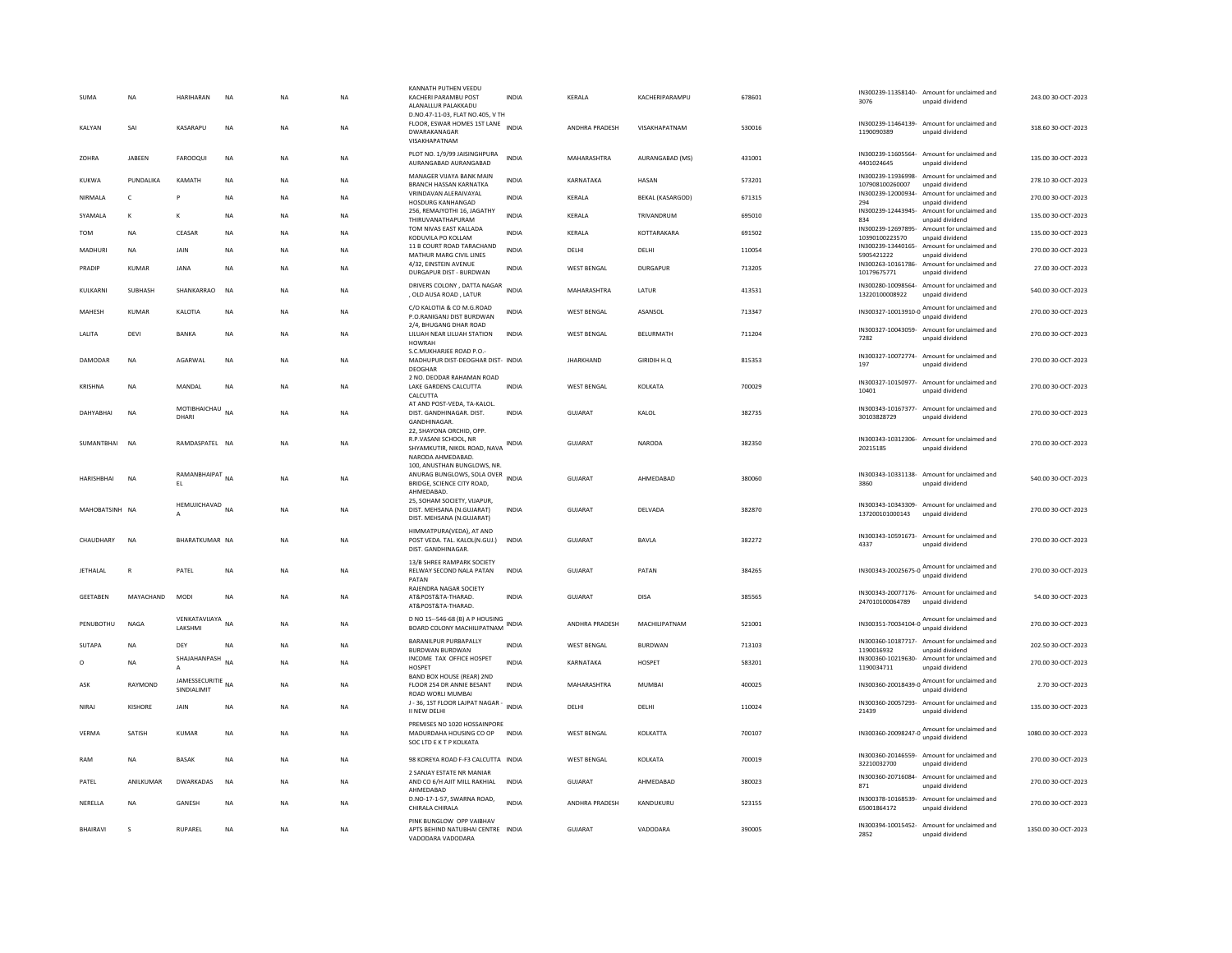| SUMA            | <b>NA</b>         | HARIHARAN                        | <b>NA</b> | <b>NA</b> | <b>NA</b> | KANNATH PUTHEN VEEDU<br>KACHERI PARAMBU POST<br>ALANALLUR PALAKKADU<br>D.NO.47-11-03. FLAT NO.405. V TH | <b>INDIA</b> | <b>KFRAIA</b>         | KACHERIPARAMPU          | 678601 | 3076                                  | IN300239-11358140- Amount for unclaimed and<br>unpaid dividend  | 243.00.30-OCT-2023  |
|-----------------|-------------------|----------------------------------|-----------|-----------|-----------|---------------------------------------------------------------------------------------------------------|--------------|-----------------------|-------------------------|--------|---------------------------------------|-----------------------------------------------------------------|---------------------|
| KALYAN          | SAI               | KASARAPLI                        | <b>NA</b> | <b>NA</b> | <b>NA</b> | FLOOR, ESWAR HOMES 1ST LANE<br>DWARAKANAGAR<br>VISAKHAPATNAM                                            | <b>INDIA</b> | ANDHRA PRADESH        | VISAKHAPATNAM           | 530016 | 1190090389                            | IN300239-11464139- Amount for unclaimed and<br>unpaid dividend  | 318.60 30-OCT-2023  |
| ZOHRA           | JABEEN            | FAROOQUI                         | NA        | <b>NA</b> | NA        | PLOT NO. 1/9/99 JAISINGHPURA<br>AURANGABAD AURANGABAD                                                   | INDIA        | MAHARASHTRA           | AURANGABAD (MS)         | 431001 | 4401024645                            | IN300239-11605564- Amount for unclaimed and<br>unpaid dividend  | 135.00 30-OCT-2023  |
| KUKWA           | PUNDALIKA         | KAMATH                           | <b>NA</b> | <b>NA</b> | NA        | MANAGER VIJAYA BANK MAIN<br><b>BRANCH HASSAN KARNATKA</b>                                               | <b>INDIA</b> | KARNATAKA             | <b>HASAN</b>            | 573201 | IN300239-11936998-<br>107908100260007 | Amount for unclaimed and<br>unpaid dividend                     | 278.10 30-OCT-2023  |
| NIRMALA         | $\mathsf{C}$      | P                                | <b>NA</b> | <b>NA</b> | <b>NA</b> | VRINDAVAN ALERAIVAYAL<br><b>HOSDURG KANHANGAD</b>                                                       | <b>INDIA</b> | KERALA                | <b>BEKAL (KASARGOD)</b> | 671315 | IN300239-12000934-<br>294             | Amount for unclaimed and<br>unpaid dividend                     | 270.00 30-OCT-2023  |
| SYAMALA         | $\mathbf{K}$      | к                                | <b>NA</b> | <b>NA</b> | <b>NA</b> | 256, REMAJYOTHI 16, JAGATHY<br>THIRUVANATHAPURAM                                                        | <b>INDIA</b> | KERALA                | TRIVANDRUM              | 695010 | IN300239-12443945-<br>834             | Amount for unclaimed and<br>unpaid dividend                     | 135.00 30-OCT-2023  |
| <b>TOM</b>      | <b>NA</b>         | CEASAR                           | <b>NA</b> | <b>NA</b> | <b>NA</b> | TOM NIVAS EAST KALLADA<br>KODUVILA PO KOLLAM                                                            | <b>INDIA</b> | KERALA                | KOTTARAKARA             | 691502 | IN300239-12697895-<br>10390100223570  | Amount for unclaimed and<br>unpaid dividend                     | 135.00 30-OCT-2023  |
| MADHURI         | <b>NA</b>         | <b>JAIN</b>                      | <b>NA</b> | <b>NA</b> | <b>NA</b> | 11 B COURT ROAD TARACHAND<br>MATHUR MARG CIVIL LINES                                                    | <b>INDIA</b> | DELHI                 | DELHI                   | 110054 | IN300239-13440165-<br>5905421222      | Amount for unclaimed and<br>unpaid dividend                     | 270.00 30-OCT-2023  |
| PRADIP          | KUMAR             | <b>JANA</b>                      | <b>NA</b> | <b>NA</b> | <b>NA</b> | 4/32. EINSTEIN AVENUE<br>DURGAPUR DIST - BURDWAN                                                        | <b>INDIA</b> | WEST BENGAL           | DURGAPUR                | 713205 | 10179675771                           | IN300263-10161786- Amount for unclaimed and<br>unpaid dividend  | 27.00 30-OCT-2023   |
| KULKARNI        | <b>SUBHASH</b>    | SHANKARRAO                       | <b>NA</b> | <b>NA</b> | <b>NA</b> | DRIVERS COLONY, DATTA NAGAR<br>, OLD AUSA ROAD, LATUR                                                   | <b>INDIA</b> | MAHARASHTRA           | LATUR                   | 413531 | 13220100008922                        | IN300280-10098564- Amount for unclaimed and<br>unpaid dividend  | 540.00 30-OCT-2023  |
| MAHESH          | <b>KUMAR</b>      | KALOTIA                          | NA        | <b>NA</b> | NA        | C/O KALOTIA & CO M.G.ROAD<br>P.O.RANIGANJ DIST BURDWAN                                                  | <b>INDIA</b> | <b>WEST BENGAL</b>    | ASANSOL                 | 713347 |                                       | IN300327-10013910-0 Amount for unclaimed and<br>unpaid dividend | 270.00 30-OCT-2023  |
| LALITA          | DEVI              | <b>BANKA</b>                     | <b>NA</b> | NA        | <b>NA</b> | 2/4, BHUGANG DHAR ROAD<br>LILUAH NEAR LILUAH STATION<br><b>HOWRAH</b>                                   | INDIA        | <b>WEST BENGAL</b>    | BELURMATH               | 711204 | IN300327-10043059-<br>7282            | Amount for unclaimed and<br>unpaid dividend                     | 270.00 30-OCT-2023  |
| DAMODAR         | <b>NA</b>         | AGARWAL                          | <b>NA</b> | <b>NA</b> | NA        | S.C.MUKHARJEE ROAD P.O.-<br>MADHUPUR DIST-DEOGHAR DIST- INDIA<br>DEOGHAR                                |              | <b>JHARKHAND</b>      | GIRIDIH H.O.            | 815353 | 197                                   | IN300327-10072774- Amount for unclaimed and<br>unpaid dividend  | 270.00 30-OCT-2023  |
| KRISHNA         | <b>NA</b>         | MANDAI                           | <b>NA</b> | <b>NA</b> | <b>NA</b> | 2 NO. DEODAR RAHAMAN ROAD<br>LAKE GARDENS CALCUTTA<br>CALCUTTA                                          | <b>INDIA</b> | <b>WEST BENGAL</b>    | KOLKATA                 | 700029 | 10401                                 | IN300327-10150977- Amount for unclaimed and<br>unpaid dividend  | 270.00 30-OCT-2023  |
| DAHYABHAI       | NA                | MOTIBHAICHAU<br>DHARI            | NA        | <b>NA</b> | NA        | AT AND POST-VEDA. TA-KALOL<br>DIST. GANDHINAGAR. DIST.<br>GANDHINAGAR.                                  | INDIA        | GUJARAT               | KALOL                   | 382735 | IN300343-10167377-<br>30103828729     | Amount for unclaimed and<br>unpaid dividend                     | 270.00 30-OCT-2023  |
| SUMANTBHAI      | <b>NA</b>         | RAMDASPATEL NA                   |           | <b>NA</b> | <b>NA</b> | 22, SHAYONA ORCHID, OPP.<br>R.P.VASANI SCHOOL, NR<br>SHYAMKUTIR, NIKOL ROAD, NAVA<br>NARODA AHMEDABAD.  | <b>INDIA</b> | <b>GUJARAT</b>        | NARODA                  | 382350 | 20215185                              | IN300343-10312306- Amount for unclaimed and<br>unpaid dividend  | 270.00 30-OCT-2023  |
| HARISHBHAI      | <b>NA</b>         | RAMANBHAIPAT<br>EL.              | <b>NA</b> | <b>NA</b> | NA        | 100, ANUSTHAN BUNGLOWS, NR.<br>ANURAG BUNGLOWS, SOLA OVER<br>BRIDGE, SCIENCE CITY ROAD,<br>AHMEDABAD    | <b>INDIA</b> | GUJARAT               | AHMEDABAD               | 380060 | 3860                                  | IN300343-10331138- Amount for unclaimed and<br>unpaid dividend  | 540.00 30-OCT-2023  |
| MAHOBATSINH NA  |                   | HEMUJICHAVAD NA                  |           | <b>NA</b> | NA        | 25, SOHAM SOCIETY, VIJAPUR,<br>DIST. MEHSANA (N.GUJARAT)<br>DIST. MEHSANA (N.GUJARAT)                   | <b>INDIA</b> | GUJARAT               | DELVADA                 | 382870 | 137200101000143                       | IN300343-10343309- Amount for unclaimed and<br>unpaid dividend  | 270.00 30-OCT-2023  |
| CHAUDHARY       | <b>NA</b>         | <b>BHARATKUMAR NA</b>            |           | <b>NA</b> | <b>NA</b> | HIMMATPURA(VEDA), AT AND<br>POST VEDA. TAL. KALOL(N.GUJ.)<br>DIST, GANDHINAGAR                          | <b>INDIA</b> | GUIARAT               | BAVLA                   | 382272 | 4337                                  | IN300343-10591673- Amount for unclaimed and<br>unpaid dividend  | 270.00 30-QCT-2023  |
| <b>JETHALAL</b> | R                 | PATEL                            | NA        | <b>NA</b> | <b>NA</b> | 13/B SHREE RAMPARK SOCIETY<br>RELWAY SECOND NALA PATAN<br>PATAN                                         | <b>INDIA</b> | <b>GUJARAT</b>        | PATAN                   | 384265 |                                       | IN300343-20025675-0 Amount for unclaimed and                    | 270.00 30-OCT-2023  |
| <b>GEETABEN</b> | MAYACHAND         | MODI                             | NA        | <b>NA</b> | <b>NA</b> | RAJENDRA NAGAR SOCIETY<br>AT&POST&TA-THARAD.<br>AT&POST&TA-THARAD.                                      | INDIA        | GUJARAT               | <b>DISA</b>             | 385565 | 247010100064789                       | IN300343-20077176- Amount for unclaimed and<br>unpaid dividend  | 54.00 30-OCT-2023   |
| PENUBOTHU       | <b>NAGA</b>       | VENKATAVIJAYA<br>LAKSHMI         | <b>NA</b> | <b>NA</b> | NA        | D NO 15--546-68 (B) A P HOUSING<br>BOARD COLONY MACHILIPATNAM                                           | INDIA        | ANDHRA PRADESH        | MACHILIPATNAM           | 521001 |                                       | IN300351-70034104-0 Amount for unclaimed and                    | 270.00 30-OCT-2023  |
| <b>SUTAPA</b>   | <b>NA</b>         | DEY                              | <b>NA</b> | <b>NA</b> | <b>NA</b> | BARANILPUR PURBAPALLY<br><b>BURDWAN BURDWAN</b>                                                         | <b>INDIA</b> | WEST BENGAL           | BURDWAN                 | 713103 | 1190016932                            | IN300360-10187717- Amount for unclaimed and<br>unpaid dividend  | 202.50 30-OCT-2023  |
| $\circ$         | <b>NA</b>         | SHAJAHANPASH<br>A                | <b>NA</b> | <b>NA</b> | NA        | INCOME TAX OFFICE HOSPET<br><b>HOSPET</b>                                                               | <b>INDIA</b> | KARNATAKA             | HOSPET                  | 583201 | 1190034711                            | IN300360-10219630- Amount for unclaimed and<br>unpaid dividend  | 270.00 30-OCT-2023  |
| ASK             | RAYMOND           | JAMESSECURITIE NA<br>SINDIALIMIT |           | NA        | <b>NA</b> | BAND BOX HOUSE (REAR) 2ND<br>FLOOR 254 DR ANNIE BESANT<br>ROAD WORLI MUMBAI                             | <b>INDIA</b> | MAHARASHTRA           | MUMBAI                  | 400025 |                                       | IN300360-20018439-0 Amount for unclaimed and<br>unpaid dividend | 2.70 30-OCT-2023    |
| NIRAJ           | KISHORE           | JAIN                             | <b>NA</b> | <b>NA</b> | NA        | J - 36, 1ST FLOOR LAJPAT NAGAR -<br>II NEW DELHI                                                        | <b>INDIA</b> | DELHI                 | DELHI                   | 110024 | 21439                                 | IN300360-20057293- Amount for unclaimed and<br>unpaid dividend  | 135.00 30-OCT-2023  |
| VERMA           | SATISH            | KUMAR                            | <b>NA</b> | NA        | <b>NA</b> | PREMISES NO 1020 HOSSAINPORE<br>MADURDAHA HOUSING CO OP<br>SOC LTD E K T P KOLKATA                      | <b>INDIA</b> | <b>WEST BENGAL</b>    | KOLKATTA                | 700107 |                                       | IN300360-20098247-0 Amount for unclaimed and<br>unpaid dividend | 1080.00 30-OCT-2023 |
| RAM             | <b>NA</b>         | <b>BASAK</b>                     | <b>NA</b> | <b>NA</b> | NA        | 98 KOREYA ROAD F-F3 CALCUTTA INDIA                                                                      |              | <b>WEST BENGAL</b>    | KOLKATA                 | 700019 | IN300360-20146559-<br>32210032700     | Amount for unclaimed and<br>unpaid dividend                     | 270.00 30-OCT-2023  |
| PATFI           | <b>ANII KUMAR</b> | <b>DWARKADAS</b>                 | <b>NA</b> | <b>NA</b> | <b>NA</b> | 2 SANJAY ESTATE NR MANIAR<br>AND CO 6/H AJIT MILL RAKHIAL                                               | <b>INDIA</b> | GUIARAT               | AHMEDARAD               | 380023 | IN300360-20716084-<br>871             | Amount for unclaimed and<br>unpaid dividend                     | 270.00 30-OCT-2023  |
| NERELLA         | <b>NA</b>         | GANESH                           | <b>NA</b> | <b>NA</b> | <b>NA</b> | AHMEDABAD<br>D.NO-17-1-57, SWARNA ROAD,<br>CHIRALA CHIRALA                                              | <b>INDIA</b> | <b>ANDHRA PRADESH</b> | KANDUKURU               | 523155 | 65001864172                           | IN300378-10168539- Amount for unclaimed and<br>unpaid dividend  | 270.00 30-OCT-2023  |
| <b>BHAIRAVI</b> | $\mathbf{S}$      | RUPAREL                          | <b>NA</b> | <b>NA</b> | <b>NA</b> | PINK BUNGLOW OPP VAIBHAV<br>APTS BEHIND NATUBHAI CENTRE INDIA<br>VADODARA VADODARA                      |              | GUIARAT               | VADODARA                | 390005 | 2852                                  | IN300394-10015452- Amount for unclaimed and<br>unpaid dividend  | 1350.00 30-OCT-2023 |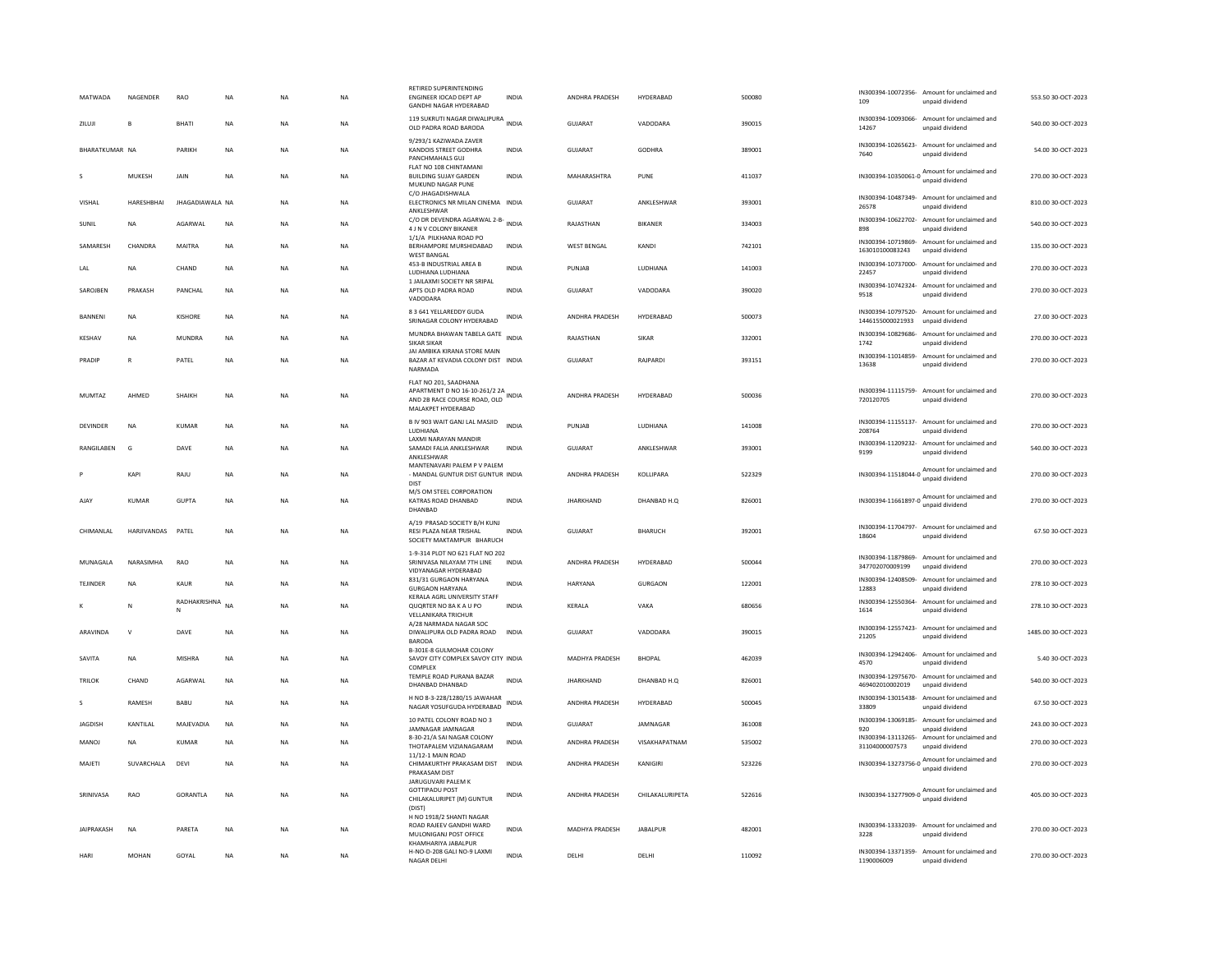| MATWADA           | <b>NAGENDER</b>    | <b>RAO</b>       | <b>NA</b> | <b>NA</b> | NA.       | RETIRED SUPERINTENDING<br><b>ENGINEER IOCAD DEPT AP</b><br><b>GANDHI NAGAR HYDERABAD</b> | <b>INDIA</b> | <b>ANDHRA PRADESH</b> | HYDERARAD       | 500080 | 109                         | IN300394-10072356- Amount for unclaimed and<br>unpaid dividend    | 553.50.30-OCT-2023  |
|-------------------|--------------------|------------------|-----------|-----------|-----------|------------------------------------------------------------------------------------------|--------------|-----------------------|-----------------|--------|-----------------------------|-------------------------------------------------------------------|---------------------|
| <b>70.000</b>     | R.                 | <b>BHATI</b>     | <b>NA</b> | <b>NA</b> | <b>NA</b> | 119 SUKRUTI NAGAR DIWALIPURA<br>OLD PADRA ROAD BARODA                                    |              | GUIARAT               | VADODARA        | 390015 | 14267                       | IN300394-10093066- Amount for unclaimed and<br>unpaid dividend    | 540.00 30-OCT-2023  |
| BHARATKUMAR NA    |                    | PARIKH           | <b>NA</b> | <b>NA</b> | <b>NA</b> | 9/293/1 KAZIWADA ZAVER<br>KANDOIS STREET GODHRA<br>PANCHMAHALS GUJ                       | <b>INDIA</b> | GUIARAT               | GODHRA          | 389001 | 7640                        | IN300394-10265623- Amount for unclaimed and<br>unpaid dividend    | 54.00 30-OCT-2023   |
| s                 | MUKESH             | JAIN             | <b>NA</b> | <b>NA</b> | NA        | FLAT NO 108 CHINTAMANI<br><b>BUILDING SUJAY GARDEN</b><br>MUKUND NAGAR PUNE              | <b>INDIA</b> | MAHARASHTRA           | PUNE            | 411037 | IN300394-10350061-0         | Amount for unclaimed and<br>unpaid dividend                       | 270.00 30-OCT-2023  |
| VISHAL            | HARESHBHAI         | JHAGADIAWALA NA  |           | NA        | NA        | C/O JHAGADISHWALA<br>ELECTRONICS NR MILAN CINEMA INDIA<br>ANKLESHWAR                     |              | <b>GUJARAT</b>        | ANKLESHWAR      | 393001 | 26578                       | IN300394-10487349- Amount for unclaimed and<br>unpaid dividend    | 810.00 30-OCT-2023  |
| SUNIL             | NA                 | AGARWAL          | <b>NA</b> | <b>NA</b> | NA        | C/O DR DEVENDRA AGARWAL 2-B-<br>INDIA<br>4 J N V COLONY BIKANER                          |              | RAJASTHAN             | BIKANER         | 334003 | 898                         | IN300394-10622702- Amount for unclaimed and<br>unpaid dividend    | 540.00 30-OCT-2023  |
| SAMARESH          | CHANDRA            | MAITRA           | <b>NA</b> | <b>NA</b> | NA.       | 1/1/A PILKHANA ROAD PO<br><b>RERHAMPORE MURSHIDARAD</b><br><b>WEST BANGAL</b>            | <b>INDIA</b> | <b>WEST BENGAL</b>    | KANDI           | 742101 | 163010100083243             | IN300394-10719869- Amount for unclaimed and<br>unpaid dividend    | 135.00.30-QCT-2023  |
| LAL               | NA                 | CHAND            | NA        | NA        | NA        | 453-B INDUSTRIAL AREA B<br>LUDHIANA LUDHIANA                                             | <b>INDIA</b> | PUNJAB                | LUDHIANA        | 141003 | 22457                       | IN300394-10737000- Amount for unclaimed and<br>unpaid dividend    | 270.00 30-OCT-2023  |
| SAROJBEN          | PRAKASH            | PANCHAL          | <b>NA</b> | <b>NA</b> | <b>NA</b> | 1 JAILAXMI SOCIETY NR SRIPAL<br>APTS OLD PADRA ROAD<br>VADODARA                          | INDIA        | GUJARAT               | VADODARA        | 390020 | 9518                        | IN300394-10742324- Amount for unclaimed and<br>unpaid dividend    | 270.00 30-OCT-2023  |
| <b>BANNENI</b>    | <b>NA</b>          | KISHORE          | <b>NA</b> | <b>NA</b> | <b>NA</b> | 8 3 641 YELLAREDDY GUDA<br>SRINAGAR COLONY HYDERABAD                                     | <b>INDIA</b> | <b>ANDHRA PRADESH</b> | HYDERABAD       | 500073 | 1446155000021933            | IN300394-10797520- Amount for unclaimed and<br>unpaid dividend    | 27.00 30-OCT-2023   |
| KESHAV            | NA                 | <b>MUNDRA</b>    | <b>NA</b> | <b>NA</b> | NA        | MUNDRA BHAWAN TABELA GATE<br><b>SIKAR SIKAR</b>                                          |              | RAJASTHAN             | SIKAR           | 332001 | 1742                        | IN300394-10829686- Amount for unclaimed and<br>unpaid dividend    | 270.00 30-OCT-2023  |
| PRADIP            | $\mathbb{R}$       | PATEL            | <b>NA</b> | <b>NA</b> | <b>NA</b> | JAI AMBIKA KIRANA STORE MAIN<br>BAZAR AT KEVADIA COLONY DIST INDIA<br>NARMADA            |              | GUJARAT               | RAJPARDI        | 393151 | 13638                       | IN300394-11014859- Amount for unclaimed and<br>unpaid dividend    | 270.00 30-OCT-2023  |
|                   |                    |                  |           |           |           | FLAT NO 201, SAADHANA<br>APARTMENT D NO 16-10-261/2 2A                                   |              |                       |                 |        | IN300394-11115759-          | Amount for unclaimed and                                          |                     |
| <b>MUMTAZ</b>     | AHMED              | SHAIKH           | NA        | <b>NA</b> | NA        | AND 2B RACE COURSE ROAD, OLD<br>MALAKPET HYDERABAD                                       |              | ANDHRA PRADESH        | HYDERABAD       | 500036 | 720120705                   | unpaid dividend                                                   | 270.00 30-OCT-2023  |
| <b>DEVINDER</b>   | <b>NA</b>          | KUMAR            | <b>NA</b> | <b>NA</b> | <b>NA</b> | B IV 903 WAIT GANJ LAL MASJID<br>LUDHIANA                                                | <b>INDIA</b> | PUNJAB                | LUDHIANA        | 141008 | 208764                      | IN300394-11155137- Amount for unclaimed and<br>unpaid dividend    | 270.00 30-OCT-2023  |
| RANGILABEN        | G                  | DAVE             | NA        | <b>NA</b> | NA        | <b>I AXMI NARAYAN MANDIR</b><br>SAMADI FALIA ANKLESHWAR<br>ANKLESHWAR                    | <b>INDIA</b> | GUJARAT               | ANKLESHWAR      | 393001 | 9199                        | IN300394-11209232- Amount for unclaimed and<br>unpaid dividend    | 540.00 30-OCT-2023  |
|                   | KAPI               | RAJU             | <b>NA</b> | <b>NA</b> | NA        | MANTENAVARI PALEM P V PALEM<br>- MANDAL GUNTUR DIST GUNTUR INDIA<br><b>DIST</b>          |              | ANDHRA PRADESH        | KOLLIPARA       | 522329 |                             | IN300394-11518044-0 Amount for unclaimed and<br>unpaid dividend   | 270.00 30-OCT-2023  |
| <b>AJAY</b>       | <b>KUMAR</b>       | <b>GUPTA</b>     | NA        | <b>NA</b> | NA        | M/S OM STEEL CORPORATION<br>KATRAS ROAD DHANBAD<br>DHANBAD                               | INDIA        | <b>JHARKHAND</b>      | DHANBAD H.Q     | 826001 |                             | IN300394-11661897-0 Amount for unclaimed and<br>unpaid dividend   | 270.00 30-OCT-2023  |
| CHIMANLAL         | <b>HARJIVANDAS</b> | PATEL            | <b>NA</b> | <b>NA</b> | NA        | A/19 PRASAD SOCIETY B/H KUNJ<br>RESI PLAZA NEAR TRISHAL<br>SOCIETY MAKTAMPUR BHARUCH     | <b>INDIA</b> | <b>GUJARAT</b>        | <b>BHARUCH</b>  | 392001 | 18604                       | IN300394-11704797- Amount for unclaimed and<br>unpaid dividend    | 67.50 30-OCT-2023   |
| MUNAGALA          | NARASIMHA          | <b>RAO</b>       | <b>NA</b> | <b>NA</b> | <b>NA</b> | 1-9-314 PLOT NO 621 FLAT NO 202<br>SRINIVASA NILAYAM 7TH LINE                            | <b>INDIA</b> | ANDHRA PRADESH        | HYDERARAD       | 500044 |                             | IN300394-11879869- Amount for unclaimed and                       | 270.00 30-OCT-2023  |
| TEJINDER          | NA                 | KAUR             | NA        | <b>NA</b> | NA        | VIDYANAGAR HYDERABAD<br>831/31 GURGAON HARYANA                                           | INDIA        | HARYANA               | <b>GURGAON</b>  | 122001 | 347702070009199             | unpaid dividend<br>IN300394-12408509- Amount for unclaimed and    | 278.10 30-OCT-2023  |
|                   |                    | RADHAKRISHNA     |           |           |           | <b>GURGAON HARYANA</b><br>KERALA AGRL UNIVERSITY STAFF                                   |              |                       |                 |        | 12883                       | unpaid dividend<br>IN300394-12550364- Amount for unclaimed and    |                     |
| к                 | N                  | N                | <b>NA</b> | <b>NA</b> | <b>NA</b> | QUORTER NO 8A K A U PO<br><b>VELLANIKARA TRICHUR</b>                                     | <b>INDIA</b> | KERALA                | VAKA            | 680656 | 1614                        | unpaid dividend                                                   | 278.10 30-OCT-2023  |
| ARAVINDA          | $\mathbf v$        | DAVE             | <b>NA</b> | <b>NA</b> | NA.       | A/28 NARMADA NAGAR SOC<br>DIWALIPURA OLD PADRA ROAD<br>BARODA                            | <b>INDIA</b> | GUIARAT               | VADODARA        | 390015 | 21205                       | IN300394-12557423- Amount for unclaimed and<br>unpaid dividend    | 1485.00.30-OCT-2023 |
| SAVITA            | <b>NA</b>          | <b>MISHRA</b>    | <b>NA</b> | <b>NA</b> | <b>NA</b> | B-301E-8 GULMOHAR COLONY<br>SAVOY CITY COMPLEX SAVOY CITY INDIA<br>COMPLEX               |              | <b>MADHYA PRADESH</b> | <b>RHOPAL</b>   | 462039 | 4570                        | IN300394-12942406- Amount for unclaimed and<br>unpaid dividend    | 5.40.30-QCT-2023    |
| <b>TRILOK</b>     | CHAND              | AGARWAL          | <b>NA</b> | <b>NA</b> | <b>NA</b> | TEMPLE ROAD PURANA BAZAR<br>DHANBAD DHANBAD                                              | <b>INDIA</b> | <b>JHARKHAND</b>      | DHANBAD H.O.    | 826001 | 469402010002019             | IN300394-12975670- Amount for unclaimed and<br>unpaid dividend    | 540.00 30-OCT-2023  |
|                   | RAMESH             | BABU             | <b>NA</b> | <b>NA</b> | <b>NA</b> | H NO 8-3-228/1280/15 JAWAHAR<br>NAGAR YOSUFGUDA HYDERABAD                                | <b>INDIA</b> | ANDHRA PRADESH        | HYDERABAD       | 500045 | IN300394-13015438-<br>33809 | Amount for unclaimed and<br>unpaid dividend                       | 67.50 30-OCT-2023   |
| JAGDISH           | KANTILAL           | MAJEVADIA        | <b>NA</b> | <b>NA</b> | NA        | 10 PATEL COLONY ROAD NO 3<br>JAMNAGAR JAMNAGAR                                           | <b>INDIA</b> | <b>GUJARAT</b>        | JAMNAGAR        | 361008 | IN300394-13069185-<br>920   | Amount for unclaimed and<br>unpaid dividend                       | 243.00 30-OCT-2023  |
| MANOI             | <b>NA</b>          | KUMAR            | <b>NA</b> | <b>NA</b> | NA.       | 8-30-21/A SAI NAGAR COLONY<br>THOTAPALEM VIZIANAGARAM                                    | <b>INDIA</b> | <b>ANDHRA PRADESH</b> | VISAKHAPATNAM   | 535002 | 31104000007573              | IN300394-13113265- Amount for unclaimed and<br>unpaid dividend    | 270.00.30-OCT-2023  |
| MAJETI            | SUVARCHALA         | DEVI             | <b>NA</b> | NA        | NA        | 11/12-1 MAIN ROAD<br>CHIMAKURTHY PRAKASAM DIST INDIA<br>PRAKASAM DIST                    |              | ANDHRA PRADESH        | KANIGIRI        | 523226 |                             | $IN300394-13273756-0$ Amount for unclaimed and<br>unpaid dividend | 270.00 30-OCT-2023  |
| SRINIVASA         | RAO                | <b>GORANTI A</b> | <b>NA</b> | <b>NA</b> | <b>NA</b> | JARUGUVARI PALEM K<br>GOTTIPADU POST<br>CHILAKALURIPET (M) GUNTUR                        | <b>INDIA</b> | ANDHRA PRADESH        | CHILAKALURIPETA | 522616 |                             | IN300394-13277909-0 Amount for unclaimed and<br>unpaid dividend   | 405.00 30-OCT-2023  |
| <b>JAIPRAKASH</b> | <b>NA</b>          | PARETA           | <b>NA</b> | <b>NA</b> | <b>NA</b> | (DIST)<br>H NO 1918/2 SHANTI NAGAR<br>ROAD RAJEEV GANDHI WARD<br>MULONIGANJ POST OFFICE  | <b>INDIA</b> | <b>MADHYA PRADESH</b> | <b>JABALPUR</b> | 482001 | 3228                        | IN300394-13332039- Amount for unclaimed and<br>unpaid dividend    | 270.00 30-OCT-2023  |
| HARI              | <b>MOHAN</b>       | GOYAL            | <b>NA</b> | <b>NA</b> | <b>NA</b> | KHAMHARIYA JABALPUR<br>H-NO-D-208 GALI NO-9 LAXMI<br>NAGAR DELHI                         | <b>INDIA</b> | DELH                  | DELHI           | 110092 | 1190006009                  | IN300394-13371359- Amount for unclaimed and<br>unpaid dividend    | 270.00 30-OCT-2023  |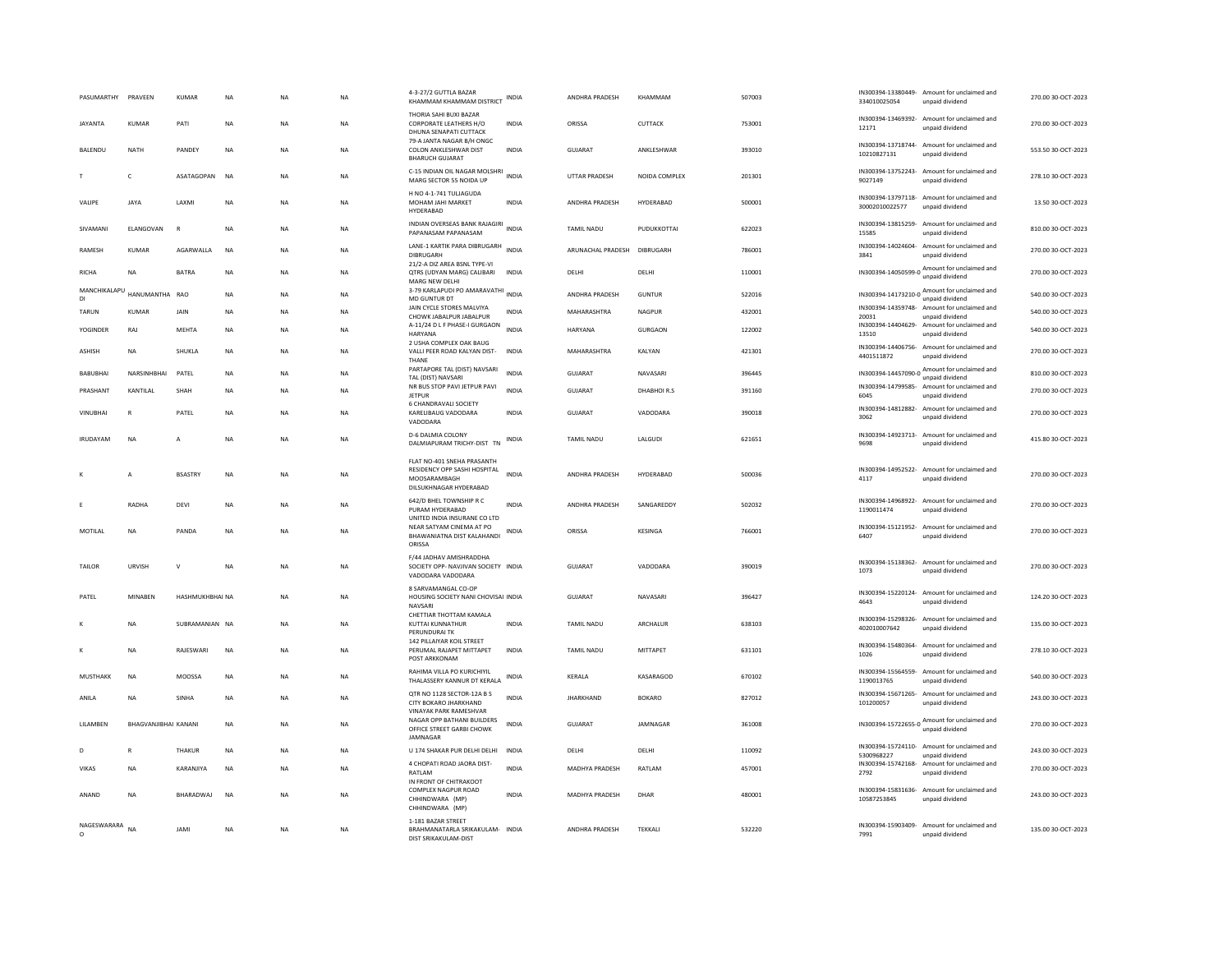| PASUMARTHY                | PRAVEEN              | KUMAR           | <b>NA</b> | <b>NA</b> | <b>NA</b> | 4-3-27/2 GUTTLA BAZAR<br>KHAMMAM KHAMMAM DISTRICT                                                    | INDIA        | ANDHRA PRADESH        | KHAMMAM        | 507003 | 334010025054                     | IN300394-13380449- Amount for unclaimed and<br>unpaid dividend  | 270.00 30-OCT-2023 |
|---------------------------|----------------------|-----------------|-----------|-----------|-----------|------------------------------------------------------------------------------------------------------|--------------|-----------------------|----------------|--------|----------------------------------|-----------------------------------------------------------------|--------------------|
| <b>JAYANTA</b>            | KUMAR                | PATI            | <b>NA</b> | <b>NA</b> | <b>NA</b> | THORIA SAHI BUXI BAZAR<br>CORPORATE LEATHERS H/O<br>DHUNA SENAPATI CUTTACK                           | <b>INDIA</b> | ORISSA                | CUTTACK        | 753001 | 12171                            | IN300394-13469392- Amount for unclaimed and<br>unpaid dividend  | 270.00 30-OCT-2023 |
| BALENDU                   | NATH                 | PANDEY          | <b>NA</b> | <b>NA</b> | <b>NA</b> | 79-A JANTA NAGAR B/H ONGC<br>COLON ANKLESHWAR DIST<br><b>BHARUCH GUJARAT</b>                         | <b>INDIA</b> | GUJARAT               | ANKLESHWAR     | 393010 | 10210827131                      | IN300394-13718744- Amount for unclaimed and<br>unpaid dividend  | 553.50 30-OCT-2023 |
|                           | $\mathsf{C}$         | ASATAGOPAN      | <b>NA</b> | <b>NA</b> | <b>NA</b> | C-15 INDIAN OIL NAGAR MOLSHRI<br>MARG SECTOR 55 NOIDA UP                                             | <b>INDIA</b> | <b>UTTAR PRADESH</b>  | NOIDA COMPLEX  | 201301 | 9027149                          | IN300394-13752243- Amount for unclaimed and<br>unpaid dividend  | 278.10.30-QCT-2023 |
| VALIPE                    | JAYA                 | LAXMI           | <b>NA</b> | <b>NA</b> | NA        | H NO 4-1-741 TULIAGUDA<br>MOHAM JAHI MARKET<br>HYDERABAD                                             | INDIA        | ANDHRA PRADESH        | HYDERABAD      | 500001 | 30002010022577                   | IN300394-13797118- Amount for unclaimed and<br>unpaid dividend  | 13.50 30-OCT-2023  |
| SIVAMANI                  | ELANGOVAN            | F               | <b>NA</b> | <b>NA</b> | NA        | INDIAN OVERSEAS BANK RAJAGIRI<br>PAPANASAM PAPANASAM                                                 | <b>INDIA</b> | TAMIL NADU            | PUDUKKOTTAI    | 622023 | 15585                            | IN300394-13815259- Amount for unclaimed and<br>unpaid dividend  | 810.00 30-OCT-2023 |
| RAMESH                    | <b>KUMAR</b>         | AGARWALLA       | <b>NA</b> | <b>NA</b> | NA        | LANE-1 KARTIK PARA DIBRUGARH<br>DIBRUGARH                                                            | <b>INDIA</b> | ARUNACHAL PRADESH     | DIBRUGARH      | 786001 | 3841                             | IN300394-14024604- Amount for unclaimed and<br>unpaid dividend  | 270.00 30-OCT-2023 |
| <b>RICHA</b>              | <b>NA</b>            | <b>BATRA</b>    | <b>NA</b> | <b>NA</b> | <b>NA</b> | 21/2-A DIZ AREA BSNL TYPE-VI<br>OTRS (UDYAN MARG) CALIBARI<br>MARG NEW DELHI                         | <b>INDIA</b> | DELHI                 | DELHI          | 110001 |                                  | IN300394-14050599-0 Amount for unclaimed and<br>unpaid dividend | 270.00 30-OCT-2023 |
| MANCHIKALAPU<br><b>DI</b> | HANUMANTHA           | RAO             | <b>NA</b> | <b>NA</b> | <b>NA</b> | 3-79 KARLAPUDI PO AMARAVATHI<br>MD GUNTUR DT                                                         | <b>INDIA</b> | ANDHRA PRADESH        | <b>GUNTUR</b>  | 522016 |                                  | IN300394-14173210-0 Amount for unclaimed and<br>unpaid dividend | 540.00 30-OCT-2023 |
| TARUN                     | KUMAR                | JAIN            | NA        | NA        | NA        | JAIN CYCLE STORES MALVIYA<br>CHOWK JABALPUR JABALPUR                                                 | INDIA        | MAHARASHTRA           | NAGPUR         | 432001 | 20031                            | IN300394-14359748- Amount for unclaimed and<br>unpaid dividend  | 540.00 30-OCT-2023 |
| YOGINDER                  | RAJ                  | <b>MEHTA</b>    | <b>NA</b> | <b>NA</b> | NA        | A-11/24 D L F PHASE-I GURGAON<br><b>HARYANA</b>                                                      | <b>INDIA</b> | <b>HARYANA</b>        | <b>GURGAON</b> | 122002 | IN300394-14404629-<br>13510      | Amount for unclaimed and<br>unpaid dividend                     | 540.00 30-OCT-2023 |
| <b>ASHISH</b>             | <b>NA</b>            | <b>SHUKLA</b>   | <b>NA</b> | <b>NA</b> | <b>NA</b> | 2 USHA COMPLEX OAK BAUG<br>VALLI PEER ROAD KALYAN DIST-<br>THANE                                     | <b>INDIA</b> | MAHARASHTRA           | <b>KAI YAN</b> | 421301 | 4401511872                       | IN300394-14406756- Amount for unclaimed and<br>unpaid dividend  | 270.00 30-QCT-2023 |
| <b>BABUBHAI</b>           | NARSINHBHAI          | PATEL           | NA        | <b>NA</b> | NA        | PARTAPORE TAL (DIST) NAVSARI<br>TAL (DIST) NAVSARI                                                   | <b>INDIA</b> | GUJARAT               | NAVASARI       | 396445 |                                  | IN300394-14457090-0 Amount for unclaimed and<br>unpaid dividend | 810.00 30-OCT-2023 |
| PRASHANT                  | KANTILAL             | SHAH            | <b>NA</b> | <b>NA</b> | NA        | NR BUS STOP PAVI JETPUR PAVI<br><b>JETPUR</b>                                                        | <b>INDIA</b> | <b>GUJARAT</b>        | DHABHOIR.S     | 391160 | 6045                             | IN300394-14799585- Amount for unclaimed and<br>unpaid dividend  | 270.00 30-OCT-2023 |
| VINURHAI                  | R                    | PATFI           | <b>NA</b> | <b>NA</b> | <b>NA</b> | 6 CHANDRAVALI SOCIETY<br>KARFI IRAUG VADODARA<br>VADODARA                                            | <b>INDIA</b> | GUIARAT               | VADODARA       | 390018 | 3062                             | IN300394-14812882- Amount for unclaimed and<br>unpaid dividend  | 270.00.30-OCT-2023 |
| <b>IRUDAYAM</b>           | NA                   | A               | <b>NA</b> | <b>NA</b> | NA        | D-6 DALMIA COLONY<br>DALMIAPURAM TRICHY-DIST TN                                                      | <b>INDIA</b> | TAMIL NADU            | LALGUDI        | 621651 | 9698                             | IN300394-14923713- Amount for unclaimed and<br>unpaid dividend  | 415.80 30-OCT-2023 |
| к                         | $\overline{A}$       | <b>BSASTRY</b>  | <b>NA</b> | <b>NA</b> | <b>NA</b> | FLAT NO-401 SNEHA PRASANTH<br>RESIDENCY OPP SASHI HOSPITAL<br>MOOSARAMBAGH<br>DILSUKHNAGAR HYDERABAD | <b>INDIA</b> | <b>ANDHRA PRADESH</b> | HYDERABAD      | 500036 | 4117                             | IN300394-14952522- Amount for unclaimed and<br>unpaid dividend  | 270.00 30-OCT-2023 |
|                           | RADHA                | DEVI            | <b>NA</b> | <b>NA</b> | <b>NA</b> | 642/D BHEL TOWNSHIP R C<br>PURAM HYDERABAD<br>UNITED INDIA INSURANE CO LTD                           | <b>INDIA</b> | ANDHRA PRADESH        | SANGAREDDY     | 502032 | 1190011474                       | IN300394-14968922- Amount for unclaimed and<br>unpaid dividend  | 270.00 30-OCT-2023 |
| MOTILAL                   | NA                   | PANDA           | NA        | NA        | NA        | NEAR SATYAM CINEMA AT PO<br>BHAWANIATNA DIST KALAHANDI<br>ORISSA                                     | INDIA        | ORISSA                | KESINGA        | 766001 | 6407                             | IN300394-15121952- Amount for unclaimed and<br>unpaid dividend  | 270.00 30-OCT-2023 |
| TAILOR                    | <b>URVISH</b>        | $\mathsf{v}$    | <b>NA</b> | <b>NA</b> | <b>NA</b> | F/44 JADHAV AMISHRADDHA<br>SOCIETY OPP- NAVJIVAN SOCIETY INDIA<br>VADODARA VADODARA                  |              | <b>GUJARAT</b>        | VADODARA       | 390019 | 1073                             | IN300394-15138362- Amount for unclaimed and<br>unpaid dividend  | 270.00 30-OCT-2023 |
| PATEL                     | <b>MINABEN</b>       | HASHMUKHBHAI NA |           | <b>NA</b> | <b>NA</b> | 8 SARVAMANGAL CO-OP<br>HOUSING SOCIETY NANI CHOVISAI INDIA<br>NAVSARI                                |              | GUJARAT               | NAVASARI       | 396427 | 4643                             | IN300394-15220124- Amount for unclaimed and<br>unpaid dividend  | 124.20 30-OCT-2023 |
|                           | <b>NA</b>            | SUBRAMANIAN NA  |           | <b>NA</b> | <b>NA</b> | CHETTIAR THOTTAM KAMALA<br>KUTTAI KUNNATHUR<br>PERUNDURAL TK                                         | <b>INDIA</b> | TAMIL NADU            | ARCHALUR       | 638103 | 402010007642                     | IN300394-15298326- Amount for unclaimed and<br>unpaid dividend  | 135.00 30-OCT-2023 |
| K                         | <b>NA</b>            | RAJESWARI       | <b>NA</b> | <b>NA</b> | <b>NA</b> | 142 PILLAIYAR KOIL STREET<br>PERUMAL RAJAPET MITTAPET<br>POST ARKKONAM                               | <b>INDIA</b> | <b>TAMIL NADU</b>     | MITTAPET       | 631101 | IN300394-15480364-<br>1026       | Amount for unclaimed and<br>unpaid dividend                     | 278.10 30-OCT-2023 |
| MUSTHAKK                  | <b>NA</b>            | MOOSSA          | NA        | <b>NA</b> | NA        | RAHIMA VILLA PO KURICHIYIL<br>THALASSERY KANNUR DT KERALA                                            | INDIA        | KERALA                | KASARAGOD      | 670102 | IN300394-15564559-<br>1190013765 | Amount for unclaimed and<br>unpaid dividend                     | 540.00 30-OCT-2023 |
| ANILA                     | <b>NA</b>            | SINHA           | <b>NA</b> | <b>NA</b> | <b>NA</b> | QTR NO 1128 SECTOR-12A B S<br>CITY BOKARO JHARKHAND<br><b>VINAYAK PARK RAMESHVAR</b>                 | <b>INDIA</b> | <b>JHARKHAND</b>      | <b>BOKARO</b>  | 827012 | IN300394-15671265-<br>101200057  | Amount for unclaimed and<br>unpaid dividend                     | 243.00 30-OCT-2023 |
| LILAMBEN                  | BHAGVANJIBHAI KANANI |                 | <b>NA</b> | NA        | NA        | NAGAR OPP BATHANI BUILDERS<br>OFFICE STREET GARBI CHOWK<br><b>IAMNAGAR</b>                           | <b>INDIA</b> | <b>GUJARAT</b>        | JAMNAGAR       | 361008 |                                  | IN300394-15722655-0 Amount for unclaimed and                    | 270.00 30-OCT-2023 |
| D                         | R                    | THAKUR          | <b>NA</b> | <b>NA</b> | <b>NA</b> | U 174 SHAKAR PUR DELHI DELHI                                                                         | <b>INDIA</b> | DELHI                 | DELHI          | 110092 | 5300968227                       | IN300394-15724110- Amount for unclaimed and<br>unpaid dividend  | 243.00 30-OCT-2023 |
| VIKAS                     | NA                   | KARANJIYA       | NA        | <b>NA</b> | NA        | 4 CHOPATI ROAD JAORA DIST-<br>RATLAM                                                                 | <b>INDIA</b> | <b>MADHYA PRADESH</b> | RATLAM         | 457001 | IN300394-15742168-<br>2792       | Amount for unclaimed and<br>unpaid dividend                     | 270.00 30-OCT-2023 |
| ANAND                     | <b>NA</b>            | BHARADWAJ       | <b>NA</b> | <b>NA</b> | <b>NA</b> | IN FRONT OF CHITRAKOOT<br>COMPLEX NAGPUR ROAD<br>CHHINDWARA (MP)<br>CHHINDWARA (MP)                  | <b>INDIA</b> | MADHYA PRADESH        | DHAR           | 480001 | 10587253845                      | IN300394-15831636- Amount for unclaimed and<br>unpaid dividend  | 243.00 30-OCT-2023 |
| NAGESWARARA NA            |                      | <b>JAMI</b>     | NA        | NA        | NA        | 1-181 BAZAR STREET<br>BRAHMANATARLA SRIKAKULAM- INDIA<br>DIST SRIKAKULAM-DIST                        |              | ANDHRA PRADESH        | TEKKALI        | 532220 | 7991                             | IN300394-15903409- Amount for unclaimed and<br>unpaid dividend  | 135.00 30-OCT-2023 |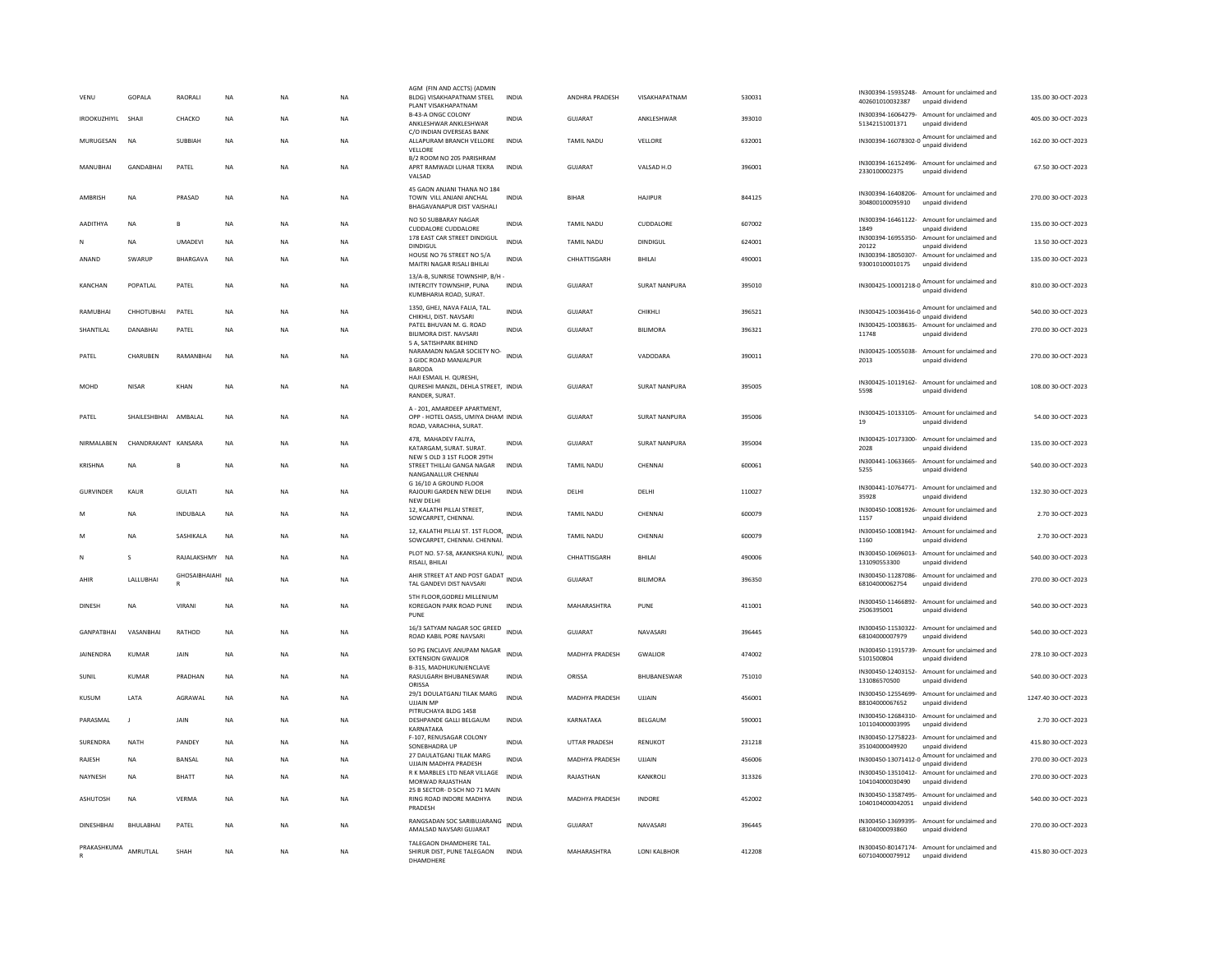| VENU                | <b>GOPALA</b>       | RAORALI         | <b>NA</b>   | <b>NA</b> | <b>NA</b> | AGM (FIN AND ACCTS) (ADMIN<br>BLDG) VISAKHAPATNAM STEEL<br>PLANT VISAKHAPATNAM                | <b>INDIA</b> | ANDHRA PRADESH    | VISAKHAPATNAM        | 530031 | 402601010032387                      | IN300394-15935248- Amount for unclaimed and<br>unpaid dividend | 135.00 30-OCT-2023  |
|---------------------|---------------------|-----------------|-------------|-----------|-----------|-----------------------------------------------------------------------------------------------|--------------|-------------------|----------------------|--------|--------------------------------------|----------------------------------------------------------------|---------------------|
| <b>IROOKUZHIYIL</b> | SHAJI               | CHACKO          | <b>NA</b>   | <b>NA</b> | <b>NA</b> | B-43-A ONGC COLONY<br>ANKLESHWAR ANKLESHWAR                                                   | <b>INDIA</b> | GUJARAT           | ANKLESHWAR           | 393010 | 51342151001371                       | IN300394-16064279- Amount for unclaimed and<br>unpaid dividend | 405.00 30-OCT-2023  |
| MURUGESAN           | NA                  | SUBBIAH         | NA          | NA        | NA        | C/O INDIAN OVERSEAS BANK<br>ALLAPURAM BRANCH VELLORE<br>VELLORE                               | INDIA        | TAMIL NADU        | VELLORE              | 632001 |                                      | IN300394-16078302-0 Amount for unclaimed and                   | 162.00 30-OCT-2023  |
| MANUBHAI            | GANDABHAI           | PATEL           | NA          | <b>NA</b> | NA        | B/2 ROOM NO 205 PARISHRAM<br>APRT RAMWADI LUHAR TEKRA<br>VALSAD                               | <b>INDIA</b> | GUJARAT           | VALSAD H.O           | 396001 | 2330100002375                        | IN300394-16152496- Amount for unclaimed and<br>unpaid dividend | 67.50 30-OCT-2023   |
| AMBRISH             | <b>NA</b>           | PRASAD          | NA          | <b>NA</b> | <b>NA</b> | 45 GAON ANJANI THANA NO 184<br>TOWN VILL ANJANI ANCHAL<br>BHAGAVANAPUR DIST VAISHALI          | INDIA        | <b>BIHAR</b>      | <b>HAJIPUR</b>       | 844125 | 304800100095910                      | IN300394-16408206- Amount for unclaimed and<br>unpaid dividend | 270.00 30-OCT-2023  |
| AADITHYA            | <b>NA</b>           | R               | NA          | <b>NA</b> | NA        | NO 50 SUBBARAY NAGAR<br><b>CUDDALORE CUDDALORE</b>                                            | INDIA        | <b>TAMIL NADU</b> | CUDDALORE            | 607002 | 1849                                 | IN300394-16461122- Amount for unclaimed and<br>unpaid dividend | 135.00 30-OCT-2023  |
| N                   | <b>NA</b>           | <b>UMADEVI</b>  | NA          | <b>NA</b> | NA        | 178 EAST CAR STREET DINDIGUL<br><b>DINDIGUL</b>                                               | <b>INDIA</b> | TAMIL NADU        | <b>DINDIGUL</b>      | 624001 | IN300394-16955350-<br>20122          | Amount for unclaimed and<br>unpaid dividend                    | 13.50 30-OCT-2023   |
| ANAND               | SWARUP              | BHARGAVA        | <b>NA</b>   | <b>NA</b> | NA        | HOUSE NO 76 STREET NO 5/A<br>MAITRI NAGAR RISALI BHILAI                                       | <b>INDIA</b> | CHHATTISGARH      | BHILAI               | 490001 | 930010100010175                      | IN300394-18050307- Amount for unclaimed and<br>unpaid dividend | 135.00 30-OCT-2023  |
| KANCHAN             | POPATI AI           | PATEL           | <b>NA</b>   | <b>NA</b> | <b>NA</b> | 13/A-B, SUNRISE TOWNSHIP, B/H<br>INTERCITY TOWNSHIP, PUNA<br>KUMBHARIA ROAD, SURAT.           | <b>INDIA</b> | GUIARAT           | <b>SURAT NANPURA</b> | 395010 | IN300425-10001218-0                  | Amount for unclaimed and<br>unpaid dividend                    | 810.00.30-OCT-2023  |
| RAMUBHAI            | CHHOTURHAL          | PATEL           | <b>NA</b>   | <b>NA</b> | <b>NA</b> | 1350, GHEJ, NAVA FALIA, TAL.<br>CHIKHLI, DIST, NAVSARI                                        | <b>INDIA</b> | GUJARAT           | CHIKHLI              | 396521 |                                      | IN300425-10036416-0 Amount for unclaimed and                   | 540.00 30-OCT-2023  |
| SHANTILAL           | DANABHAI            | PATEL           | <b>NA</b>   | <b>NA</b> | <b>NA</b> | PATEL BHUVAN M. G. ROAD<br>BILIMORA DIST. NAVSARI                                             | <b>INDIA</b> | <b>GUJARAT</b>    | <b>BILIMORA</b>      | 396321 | 11748                                | IN300425-10038635- Amount for unclaimed and<br>unpaid dividend | 270.00 30-OCT-2023  |
| PATEL               | CHARUBEN            | RAMANBHAI       | <b>NA</b>   | <b>NA</b> | <b>NA</b> | 5 A. SATISHPARK BEHIND<br>NARAMADN NAGAR SOCIETY NO-<br>3 GIDC ROAD MANJALPUR<br>BARODA       | <b>INDIA</b> | GUJARAT           | VADODARA             | 390011 | 2013                                 | IN300425-10055038- Amount for unclaimed and<br>unpaid dividend | 270.00 30-OCT-2023  |
| MOHD                | <b>NISAR</b>        | KHAN            | <b>NA</b>   | <b>NA</b> | <b>NA</b> | HAJI ESMAIL H. QURESHI,<br>QURESHI MANZIL, DEHLA STREET. INDIA<br>RANDER, SURAT.              |              | <b>GUJARAT</b>    | <b>SURAT NANPURA</b> | 395005 | 5598                                 | IN300425-10119162- Amount for unclaimed and<br>unpaid dividend | 108.00 30-OCT-2023  |
| PATEL               | SHAILESHBHAI        | AMBALAL         | <b>NA</b>   | <b>NA</b> | <b>NA</b> | A - 201, AMARDEEP APARTMENT,<br>OPP - HOTEL OASIS, UMIYA DHAM INDIA<br>ROAD, VARACHHA, SURAT. |              | <b>GUJARAT</b>    | <b>SURAT NANPURA</b> | 395006 | 19                                   | IN300425-10133105- Amount for unclaimed and<br>unpaid dividend | 54.00 30-OCT-2023   |
| NIRMALABEN          | CHANDRAKANT KANSARA |                 | $_{\sf NA}$ | <b>NA</b> | <b>NA</b> | 478. MAHADEV FALIYA.<br>KATARGAM, SURAT. SURAT.                                               | INDIA        | GUJARAT           | SURAT NANPURA        | 395004 | 2028                                 | IN300425-10173300- Amount for unclaimed and<br>unpaid dividend | 135.00 30-OCT-2023  |
| KRISHNA             | <b>NA</b>           | B               | <b>NA</b>   | <b>NA</b> | <b>NA</b> | NEW 5 OLD 3 1ST FLOOR 29TH<br>STREET THILLAI GANGA NAGAR<br>NANGANALLUR CHENNAI               | <b>INDIA</b> | <b>TAMIL NADU</b> | CHENNAI              | 600061 | 5255                                 | IN300441-10633665- Amount for unclaimed and<br>unpaid dividend | 540.00 30-OCT-2023  |
| <b>GURVINDER</b>    | KAUR                | <b>GULATI</b>   | NA          | <b>NA</b> | NA        | G 16/10 A GROUND FLOOR<br>RAJOURI GARDEN NEW DELHI<br>NEW DELH                                | INDIA        | DELHI             | DELHI                | 110027 | 35928                                | IN300441-10764771- Amount for unclaimed and<br>unpaid dividend | 132.30 30-OCT-2023  |
|                     | <b>NA</b>           | <b>INDUBALA</b> | <b>NA</b>   | <b>NA</b> | <b>NA</b> | 12, KALATHI PILLAI STREET,<br>SOWCARPET, CHENNAI.                                             | INDIA        | TAMIL NADU        | CHENNAI              | 600079 | 1157                                 | IN300450-10081926- Amount for unclaimed and<br>unpaid dividend | 2.70 30-OCT-2023    |
|                     | <b>NA</b>           | SASHIKALA       | <b>NA</b>   | <b>NA</b> | <b>NA</b> | 12, KALATHI PILLAI ST. 1ST FLOOR,<br>SOWCARPET, CHENNAI. CHENNAI.                             | INDIA        | TAMIL NADU        | CHENNAI              | 600079 | IN300450-10081942-<br>1160           | Amount for unclaimed and<br>unpaid dividend                    | 2.70 30-OCT-2023    |
| N                   |                     | RAJALAKSHMY     | <b>NA</b>   | <b>NA</b> | <b>NA</b> | PLOT NO. 57-58, AKANKSHA KUNJ, INDIA<br>RISALI, BHILAI                                        |              | CHHATTISGARH      | BHILAI               | 490006 | 131090553300                         | IN300450-10696013- Amount for unclaimed and<br>unpaid dividend | 540.00 30-OCT-2023  |
| AHIR                | LALLUBHAI           | GHOSAIBHAIAHI   | <b>NA</b>   | <b>NA</b> | <b>NA</b> | AHIR STREET AT AND POST GADAT INDIA<br>TAL GANDEVI DIST NAVSARI                               |              | GUJARAT           | <b>BILIMORA</b>      | 396350 | 68104000062754                       | IN300450-11287086- Amount for unclaimed and<br>unpaid dividend | 270.00 30-OCT-2023  |
| DINESH              | <b>NA</b>           | <b>VIRAN</b>    | NA          | <b>NA</b> | NA        | 5TH FLOOR.GODREJ MILLENIUM<br>KOREGAON PARK ROAD PUNE<br>PUNE                                 | <b>INDIA</b> | MAHARASHTRA       | PUNE                 | 411001 | 2506395001                           | IN300450-11466892- Amount for unclaimed and<br>unpaid dividend | 540.00 30-OCT-2023  |
| <b>GANPATBHAI</b>   | VASANBHAI           | RATHOD          | NA          | NA        | NA        | 16/3 SATYAM NAGAR SOC GREED INDIA<br>ROAD KABIL PORE NAVSARI                                  |              | <b>GUJARAT</b>    | NAVASARI             | 396445 | 68104000007979                       | IN300450-11530322- Amount for unclaimed and<br>unpaid dividend | 540.00 30-OCT-2023  |
| JAINENDRA           | KUMAR               | JAIN            | NA          | <b>NA</b> | <b>NA</b> | 50 PG ENCLAVE ANUPAM NAGAR<br><b>EXTENSION GWALIOR</b>                                        | <b>INDIA</b> | MADHYA PRADESH    | <b>GWALIOR</b>       | 474002 | 5101500804                           | IN300450-11915739- Amount for unclaimed and<br>unpaid dividend | 278.10 30-OCT-2023  |
| SUNIL               | <b>KUMAR</b>        | PRADHAN         | <b>NA</b>   | <b>NA</b> | <b>NA</b> | <b>B-315. MADHUKUNJENCLAVE</b><br>RASULGARH BHUBANESWAR<br>ORISSA                             | INDIA        | ORISSA            | BHUBANESWAR          | 751010 | 131086570500                         | IN300450-12403152- Amount for unclaimed and<br>unpaid dividend | 540.00 30-OCT-2023  |
| KUSUM               | LATA                | AGRAWAL         | $_{\sf NA}$ | NA        | <b>NA</b> | 29/1 DOULATGANJ TILAK MARG<br><b>UJJAIN MP</b>                                                | <b>INDIA</b> | MADHYA PRADESH    | UJJAIN               | 456001 | IN300450-12554699-<br>88104000067652 | Amount for unclaimed and<br>unpaid dividend                    | 1247.40 30-OCT-2023 |
| PARASMAI            | $\blacksquare$      | <b>JAIN</b>     | <b>NA</b>   | <b>NA</b> | <b>NA</b> | PITRUCHAYA BLDG 1458<br>DESHPANDE GALLI BELGAUM<br>KARNATAKA                                  | <b>INDIA</b> | KARNATAKA         | <b>BEIGAUM</b>       | 590001 | 101104000003995                      | IN300450-12684310- Amount for unclaimed and<br>unpaid dividend | 2.70 30-OCT-2023    |
| SURENDRA            | <b>NATH</b>         | PANDEY          | <b>NA</b>   | <b>NA</b> | <b>NA</b> | F-107, RENUSAGAR COLONY<br>SONEBHADRA UP                                                      | <b>INDIA</b> | UTTAR PRADESH     | <b>RENUKOT</b>       | 231218 | 35104000049920                       | IN300450-12758223- Amount for unclaimed and<br>unpaid dividend | 415.80 30-OCT-2023  |
| RAJESH              | <b>NA</b>           | BANSAL          | NA          | <b>NA</b> | NA        | 27 DAULATGANJ TILAK MARG<br><b>UIJAIN MADHYA PRADESH</b>                                      | <b>INDIA</b> | MADHYA PRADESH    | UJJAIN               | 456006 |                                      | IN300450-13071412-0 Amount for unclaimed and                   | 270.00 30-OCT-2023  |
| NAYNESH             | <b>NA</b>           | BHATT           | <b>NA</b>   | <b>NA</b> | <b>NA</b> | R K MARBLES LTD NEAR VILLAGE<br>MORWAD RAJASTHAN                                              | <b>INDIA</b> | RAJASTHAN         | KANKROLI             | 313326 | 104104000030490                      | IN300450-13510412- Amount for unclaimed and<br>unpaid dividend | 270.00 30-OCT-2023  |
| ASHUTOSH            | NA                  | VERMA           | NA          | <b>NA</b> | NA        | 25 B SECTOR- D SCH NO 71 MAIN<br>RING ROAD INDORE MADHYA<br>PRADESH                           | <b>INDIA</b> | MADHYA PRADESH    | INDORE               | 452002 | 1040104000042051 unpaid dividend     | IN300450-13587495- Amount for unclaimed and                    | 540.00 30-OCT-2023  |
| <b>DINESHBHAI</b>   | <b>BHULABHA</b>     | PATEL           | <b>NA</b>   | <b>NA</b> | <b>NA</b> | RANGSADAN SOC SARIBUJARANG<br>AMALSAD NAVSARI GUJARAT                                         | <b>INDIA</b> | <b>GUJARAT</b>    | NAVASARI             | 396445 | 68104000093860                       | IN300450-13699395- Amount for unclaimed and<br>unpaid dividend | 270.00 30-OCT-2023  |
| PRAKASHKUMA         | AMRUTLAL            | SHAH            | NA          | <b>NA</b> | NA        | TALEGAON DHAMDHERE TAL.<br>SHIRUR DIST, PUNE TALEGAON<br><b>DHAMDHERE</b>                     | <b>INDIA</b> | MAHARASHTRA       | LONI KALBHOR         | 412208 | 607104000079912 unpaid dividend      | IN300450-80147174- Amount for unclaimed and                    | 415.80 30-OCT-2023  |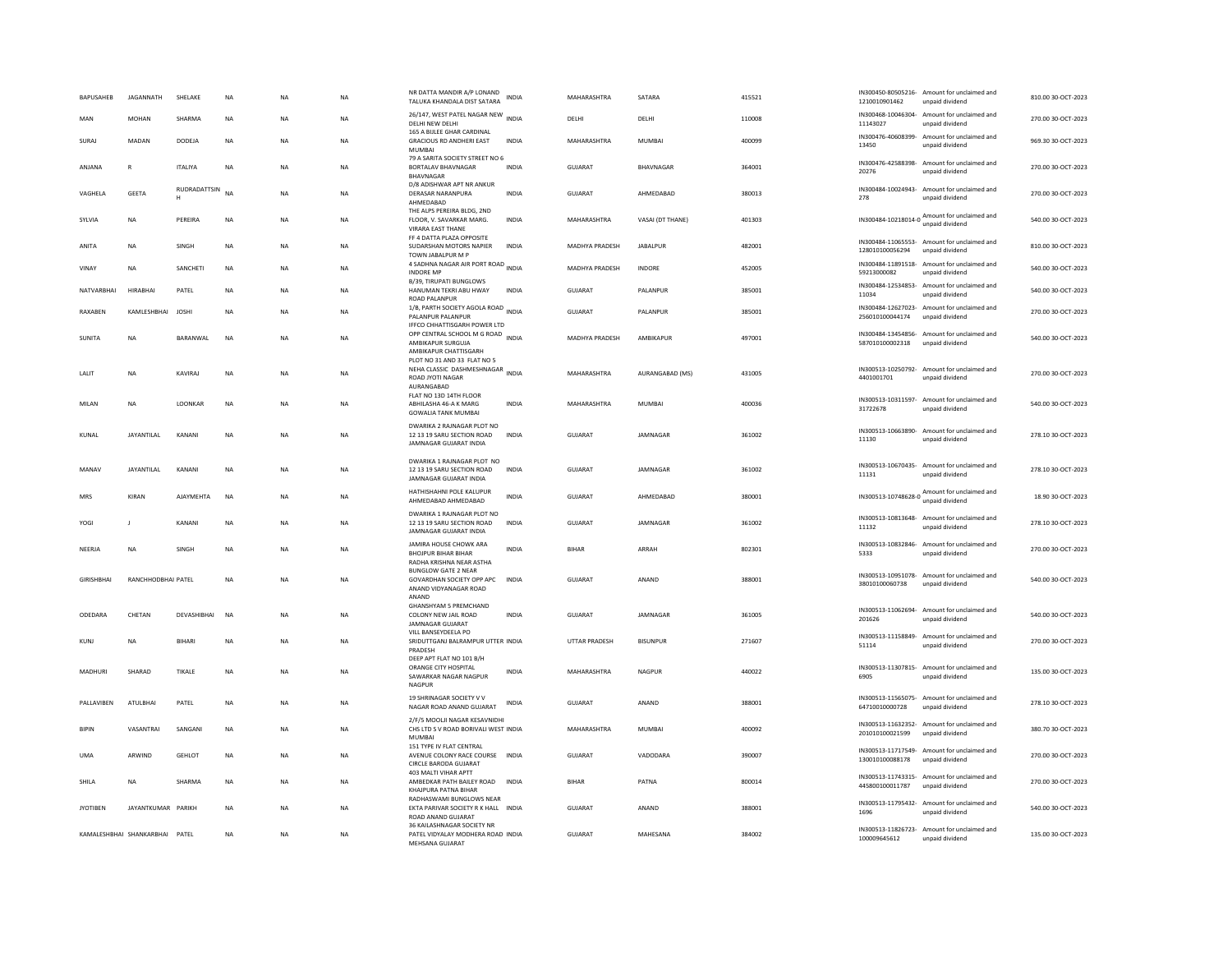| <b>BAPUSAHEB</b>  | <b>IAGANNATH</b>               | SHELAKE           | <b>NA</b>   | <b>NA</b> | <b>NA</b> | NR DATTA MANDIR A/P LONAND<br>TALUKA KHANDALA DIST SATARA                                         | <b>INDIA</b> | MAHARASHTRA    | SATARA           | 415521 | 1210010901462               | IN300450-80505216- Amount for unclaimed and<br>unpaid dividend  | 810.00.30-OCT-2023 |
|-------------------|--------------------------------|-------------------|-------------|-----------|-----------|---------------------------------------------------------------------------------------------------|--------------|----------------|------------------|--------|-----------------------------|-----------------------------------------------------------------|--------------------|
| MAN               | <b>MOHAN</b>                   | SHARMA            | <b>NA</b>   | <b>NA</b> | <b>NA</b> | 26/147, WEST PATEL NAGAR NEW INDIA<br>DELHI NEW DELHI                                             |              | DELHI          | DELHI            | 110008 | 11143027                    | IN300468-10046304- Amount for unclaimed and<br>unpaid dividend  | 270.00 30-OCT-2023 |
| SURAJ             | MADAN                          | DODEJA            | $_{\sf NA}$ | <b>NA</b> | <b>NA</b> | 165 A BULEE GHAR CARDINAL<br>GRACIOUS RD ANDHERI EAST<br>MUMBAI                                   | INDIA        | MAHARASHTRA    | <b>MUMBAI</b>    | 400099 | IN300476-40608399-<br>13450 | Amount for unclaimed and<br>unpaid dividend                     | 969.30 30-OCT-2023 |
| ANJANA            | $\mathbb{R}$                   | <b>ITALIYA</b>    | $_{\sf NA}$ | <b>NA</b> | NA        | 79 A SARITA SOCIETY STREET NO 6<br>BORTALAV BHAVNAGAR<br>BHAVNAGAR                                | <b>INDIA</b> | GUJARAT        | BHAVNAGAR        | 364001 | 20276                       | IN300476-42588398- Amount for unclaimed and<br>unpaid dividend  | 270.00 30-OCT-2023 |
| VAGHELA           | <b>GEETA</b>                   | RUDRADATTSIN<br>H | <b>NA</b>   | <b>NA</b> | <b>NA</b> | D/8 ADISHWAR APT NR ANKUR<br>DERASAR NARANPURA<br>AHMEDABAD                                       | INDIA        | GUIARAT        | AHMFDARAD        | 380013 | 278                         | IN300484-10024943- Amount for unclaimed and<br>unpaid dividend  | 270.00 30-OCT-2023 |
| SYLVIA            | <b>NA</b>                      | PEREIRA           | NA          | NA        | NA        | THE ALPS PEREIRA BLDG, 2ND<br>FLOOR, V. SAVARKAR MARG.<br><b>VIRARA EAST THANE</b>                | <b>INDIA</b> | MAHARASHTRA    | VASAI (DT THANE) | 401303 |                             | IN300484-10218014-0 Amount for unclaimed and                    | 540.00 30-OCT-2023 |
| ANITA             | <b>NA</b>                      | SINGH             | <b>NA</b>   | <b>NA</b> | <b>NA</b> | FF 4 DATTA PLAZA OPPOSITE<br>SUDARSHAN MOTORS NAPIER<br>TOWN JABALPUR M P                         | <b>INDIA</b> | MADHYA PRADESH | <b>JABALPUR</b>  | 482001 | 128010100056294             | IN300484-11065553- Amount for unclaimed and<br>unpaid dividend  | 810.00 30-OCT-2023 |
| VINAY             | <b>NA</b>                      | SANCHETI          | <b>NA</b>   | <b>NA</b> | <b>NA</b> | 4 SADHNA NAGAR AIR PORT ROAD<br>4 SADHNA NAGAR AIR PORT ROAD<br><b>INDORE MP</b>                  |              | MADHYA PRADESH | <b>INDORE</b>    | 452005 | 59213000082                 | IN300484-11891518- Amount for unclaimed and<br>unpaid dividend  | 540.00 30-OCT-2023 |
| NATVARRHAI        | <b>HIRABHAI</b>                | PATEL             | <b>NA</b>   | <b>NA</b> | <b>NA</b> | B/39, TIRUPATI BUNGLOWS<br>HANUMAN TEKRI ABU HWAY<br><b>ROAD PALANPUR</b>                         | <b>INDIA</b> | <b>GUJARAT</b> | <b>PALANPUR</b>  | 385001 | 11034                       | IN300484-12534853- Amount for unclaimed and<br>unpaid dividend  | 540.00 30-OCT-2023 |
| RAXABEN           | KAMLESHBHAI                    | <b>JOSHI</b>      | <b>NA</b>   | <b>NA</b> | NA        | 1/B, PARTH SOCIETY AGOLA ROAD INDIA<br>PALANPUR PALANPUR<br>IFFCO CHHATTISGARH POWER LTD          |              | <b>GUJARAT</b> | PALANPUR         | 385001 | 256010100044174             | IN300484-12627023- Amount for unclaimed and<br>unpaid dividend  | 270.00 30-OCT-2023 |
| SUNITA            | <b>NA</b>                      | BARANWAL          | <b>NA</b>   | <b>NA</b> | NA        | OPP CENTRAL SCHOOL M G ROAD INDIA<br>AMBIKAPUR SURGUJA<br>AMBIKAPUR CHATTISGARI-                  |              | MADHYA PRADESH | AMBIKAPUR        | 497001 | 587010100002318             | IN300484-13454856- Amount for unclaimed and<br>unpaid dividend  | 540.00 30-OCT-2023 |
| <b>I AI IT</b>    | <b>NA</b>                      | <b>KAVIRA1</b>    | <b>NA</b>   | <b>NA</b> | <b>NA</b> | PLOT NO 31 AND 33 FLAT NO 5<br>NEHA CLASSIC DASHMESHNAGAR INDIA<br>ROAD JYOTI NAGAR<br>AURANGABAD |              | MAHARASHTRA    | AURANGABAD (MS)  | 431005 | 4401001701                  | IN300513-10250792- Amount for unclaimed and<br>unpaid dividend  | 270.00 30-OCT-2023 |
| MILAN             | <b>NA</b>                      | LOONKAR           | <b>NA</b>   | <b>NA</b> | NA        | FLAT NO 13D 14TH FLOOR<br>ABHILASHA 46-A K MARG<br><b>GOWALIA TANK MUMBAI</b>                     | INDIA        | MAHARASHTRA    | <b>MUMBAI</b>    | 400036 | 31722678                    | IN300513-10311597- Amount for unclaimed and<br>unpaid dividend  | 540.00 30-OCT-2023 |
| KUNAL             | JAYANTILAL                     | KANANI            | NA          | <b>NA</b> | NA        | DWARIKA 2 RAJNAGAR PLOT NO<br>12 13 19 SARU SECTION ROAD<br>JAMNAGAR GUJARAT INDIA                | INDIA        | <b>GUJARAT</b> | JAMNAGAR         | 361002 | 11130                       | IN300513-10663890- Amount for unclaimed and<br>unpaid dividend  | 278.10 30-OCT-2023 |
| MANAV             | <b>JAYANTILAL</b>              | KANANI            | <b>NA</b>   | <b>NA</b> | <b>NA</b> | DWARIKA 1 RAJNAGAR PLOT NO<br>12 13 19 SARU SECTION ROAD<br>JAMNAGAR GUJARAT INDIA                | <b>INDIA</b> | GUJARAT        | <b>IAMNAGAR</b>  | 361002 | 11131                       | IN300513-10670435- Amount for unclaimed and<br>unpaid dividend  | 278.10 30-OCT-2023 |
| MRS               | KIRAN                          | <b>AJAYMEHTA</b>  | <b>NA</b>   | <b>NA</b> | <b>NA</b> | HATHISHAHNI POLE KALUPUR<br>AHMEDABAD AHMEDABAD                                                   | <b>INDIA</b> | GUJARAT        | AHMEDABAD        | 380001 |                             | IN300513-10748628-0 Amount for unclaimed and<br>unpaid dividend | 18.90 30-OCT-2023  |
| YOGI              | -11                            | KANANI            | <b>NA</b>   | <b>NA</b> | <b>NA</b> | DWARIKA 1 RAJNAGAR PLOT NO<br>12 13 19 SARU SECTION ROAD<br>JAMNAGAR GUJARAT INDIA                | <b>INDIA</b> | GUIARAT        | <b>IAMNAGAR</b>  | 361002 | 11132                       | IN300513-10813648- Amount for unclaimed and<br>unpaid dividend  | 278.10.30-OCT-2023 |
| NEERJA            | <b>NA</b>                      | SINGH             | NA          | NA        | NA        | JAMIRA HOUSE CHOWK ARA<br><b>BHOJPUR BIHAR BIHAR</b><br>RADHA KRISHNA NEAR ASTHA                  | <b>INDIA</b> | <b>BIHAR</b>   | ARRAH            | 802301 | 5333                        | IN300513-10832846- Amount for unclaimed and<br>unpaid dividend  | 270.00 30-OCT-2023 |
| <b>GIRISHBHAI</b> | RANCHHODBHAI PATEL             |                   | <b>NA</b>   | <b>NA</b> | <b>NA</b> | <b>BUNGLOW GATE 2 NEAR</b><br>GOVARDHAN SOCIETY OPP APC<br>ANAND VIDYANAGAR ROAD<br>ANAND         | <b>INDIA</b> | GUJARAT        | ANAND            | 388001 | 38010100060738              | IN300513-10951078- Amount for unclaimed and<br>unpaid dividend  | 540.00 30-OCT-2023 |
| ODEDARA           | CHETAN                         | DEVASHIBHAI       | NA          | <b>NA</b> | NA        | <b>GHANSHYAM 5 PREMCHAND</b><br>COLONY NEW JAIL ROAD<br>JAMNAGAR GUJARAT                          | INDIA        | GUJARAT        | JAMNAGAR         | 361005 | 201626                      | IN300513-11062694- Amount for unclaimed and<br>unpaid dividend  | 540.00 30-OCT-2023 |
| KUNJ              | <b>NA</b>                      | BIHARI            | <b>NA</b>   | <b>NA</b> | <b>NA</b> | VILL BANSEYDEELA PO<br>SRIDUTTGANJ BALRAMPUR UTTER INDIA<br>PRADESH                               |              | UTTAR PRADESH  | <b>BISUNPUR</b>  | 271607 | 51114                       | IN300513-11158849- Amount for unclaimed and<br>unpaid dividend  | 270.00 30-OCT-2023 |
| MADHURI           | SHARAD                         | TIKALE            | <b>NA</b>   | <b>NA</b> | <b>NA</b> | DEEP APT FLAT NO 101 B/H<br>ORANGE CITY HOSPITAL<br>SAWARKAR NAGAR NAGPUR<br>NAGPUR               | INDIA        | MAHARASHTRA    | NAGPUR           | 440022 | 6905                        | IN300513-11307815- Amount for unclaimed and<br>unpaid dividend  | 135.00.30-OCT-2023 |
| PALLAVIBEN        | <b>ATULBHAI</b>                | PATEL             | <b>NA</b>   | <b>NA</b> | <b>NA</b> | 19 SHRINAGAR SOCIETY V V<br>NAGAR ROAD ANAND GUJARAT                                              | <b>INDIA</b> | GUJARAT        | ANAND            | 388001 | 64710010000728              | IN300513-11565075- Amount for unclaimed and<br>unpaid dividend  | 278.10 30-OCT-2023 |
| <b>BIPIN</b>      | VASANTRAI                      | SANGANI           | $_{\sf NA}$ | NA        | NA        | 2/F/5 MOOLJI NAGAR KESAVNIDHI<br>CHS LTD S V ROAD BORIVALI WEST INDIA<br>MUMBAI                   |              | MAHARASHTRA    | <b>MUMBAI</b>    | 400092 | 201010100021599             | IN300513-11632352- Amount for unclaimed and<br>unpaid dividend  | 380.70 30-OCT-2023 |
| <b>UMA</b>        | ARWIND                         | <b>GEHLOT</b>     | <b>NA</b>   | <b>NA</b> | <b>NA</b> | 151 TYPE IV FLAT CENTRAL<br>AVENUE COLONY RACE COURSE INDIA<br>CIRCLE BARODA GUJARAT              |              | GUJARAT        | VADODARA         | 390007 | 130010100088178             | IN300513-11717549- Amount for unclaimed and<br>unpaid dividend  | 270.00 30-OCT-2023 |
| SHILA             | <b>NA</b>                      | SHARMA            | $_{\sf NA}$ | NA        | NA        | 403 MALTI VIHAR APTT<br>AMBEDKAR PATH BAILEY ROAD<br>KHAJPURA PATNA BIHAR                         | <b>INDIA</b> | <b>BIHAR</b>   | PATNA            | 800014 | 445800100011787             | IN300513-11743315- Amount for unclaimed and<br>unpaid dividend  | 270.00 30-OCT-2023 |
| <b>JYOTIBEN</b>   | JAYANTKUMAR PARIKH             |                   | <b>NA</b>   | <b>NA</b> | <b>NA</b> | RADHASWAMI BUNGLOWS NEAR<br>EKTA PARIVAR SOCIETY R K HALL INDIA<br>ROAD ANAND GUJARAT             |              | GUJARAT        | ANAND            | 388001 | 1696                        | IN300513-11795432- Amount for unclaimed and<br>unpaid dividend  | 540.00 30-OCT-2023 |
|                   | KAMALESHRHAI SHANKARRHAI PATEL |                   | <b>NA</b>   | <b>NA</b> | <b>NA</b> | 36 KAILASHNAGAR SOCIETY NR<br>PATEL VIDYALAY MODHERA ROAD INDIA<br>MEHSANA GUIARAT                |              | GUIARAT        | MAHESANA         | 384002 | 100009645612                | IN300513-11826723- Amount for unclaimed and<br>unpaid dividend  | 135.00.30-QCT-2023 |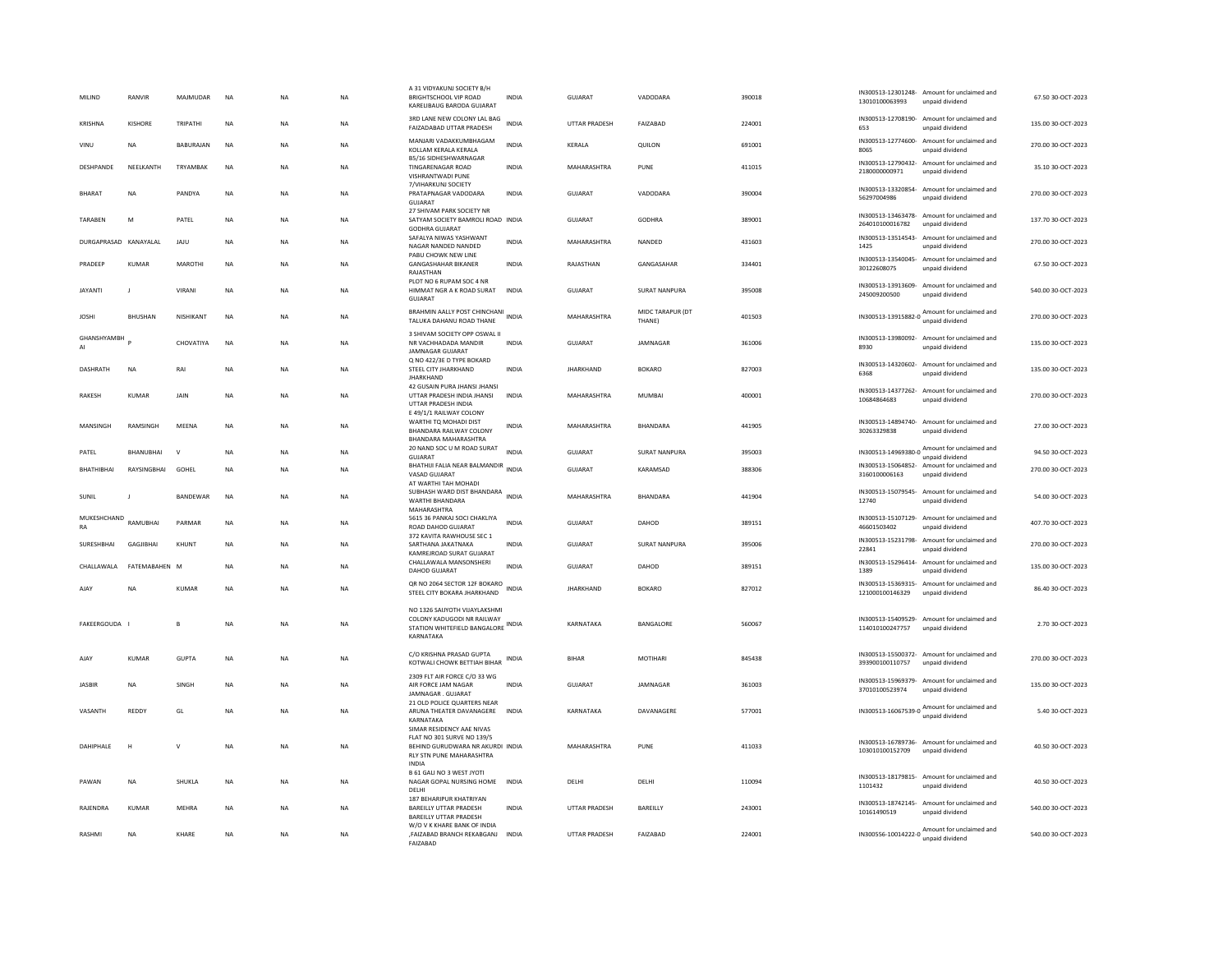| MILIND                | RANVIR           | MAJMUDAR        | NA          | <b>NA</b> | NA        | A 31 VIDYAKUNJ SOCIETY B/H<br>BRIGHTSCHOOL VIP ROAD<br>KARELIBAUG BARODA GUJARAT                               | INDIA        | GUJARAT              | VADODARA                   | 390018 | 13010100063993              | IN300513-12301248- Amount for unclaimed and<br>unpaid dividend  | 67.50 30-OCT-2023  |
|-----------------------|------------------|-----------------|-------------|-----------|-----------|----------------------------------------------------------------------------------------------------------------|--------------|----------------------|----------------------------|--------|-----------------------------|-----------------------------------------------------------------|--------------------|
| KRISHNA               | KISHORF          | TRIPATHI        | <b>NA</b>   | <b>NA</b> | <b>NA</b> | 3RD LANE NEW COLONY LAL BAG<br>FAIZADABAD UTTAR PRADESH                                                        | <b>INDIA</b> | <b>UTTAR PRADESH</b> | <b>FAIZARAD</b>            | 224001 | 653                         | IN300513-12708190- Amount for unclaimed and<br>unpaid dividend  | 135.00.30-OCT-2023 |
| VINU                  | <b>NA</b>        | BABURAJAN       | <b>NA</b>   | <b>NA</b> | <b>NA</b> | MANJARI VADAKKUMBHAGAM<br>KOLLAM KERALA KERALA                                                                 | <b>INDIA</b> | KERALA               | QUILON                     | 691001 | 8065                        | IN300513-12774600- Amount for unclaimed and<br>unpaid dividend  | 270.00 30-OCT-2023 |
| DESHPANDE             | NEELKANTH        | TRYAMBAK        | <b>NA</b>   | <b>NA</b> | NA        | <b>B5/16 SIDHESHWARNAGAR</b><br>TINGARENAGAR ROAD<br>VISHRANTWADI PUNE                                         | <b>INDIA</b> | MAHARASHTRA          | PUNE                       | 411015 | 2180000000971               | IN300513-12790432- Amount for unclaimed and<br>unpaid dividend  | 35.10 30-OCT-2023  |
| <b>BHARAT</b>         | NA               | PANDYA          | $_{\sf NA}$ | <b>NA</b> | NA        | 7/VIHARKUNJ SOCIETY<br>PRATAPNAGAR VADODARA<br>GUIARAT                                                         | INDIA        | GUJARAT              | VADODARA                   | 390004 | 56297004986                 | IN300513-13320854- Amount for unclaimed and<br>unpaid dividend  | 270.00 30-OCT-2023 |
| TARAREN               | M                | PATEL           | <b>NA</b>   | <b>NA</b> | <b>NA</b> | 27 SHIVAM PARK SOCIETY NR<br>SATYAM SOCIETY BAMROLI ROAD INDIA<br><b>GODHRA GUJARAT</b>                        |              | GUIARAT              | GODHRA                     | 389001 | 264010100016782             | IN300513-13463478- Amount for unclaimed and<br>unpaid dividend  | 137.70.30-OCT-2023 |
| DURGAPRASAD KANAYALAL |                  | JAJU            | $_{\sf NA}$ | <b>NA</b> | <b>NA</b> | SAFALYA NIWAS YASHWANT<br>NAGAR NANDED NANDED<br>PABU CHOWK NEW LINE                                           | INDIA        | MAHARASHTRA          | NANDED                     | 431603 | 1425                        | IN300513-13514543- Amount for unclaimed and<br>unpaid dividend  | 270.00 30-OCT-2023 |
| PRADEEP               | <b>KUMAR</b>     | <b>MAROTH</b>   | NA          | <b>NA</b> | <b>NA</b> | <b>GANGASHAHAR BIKANER</b><br>RAJASTHAN                                                                        | <b>INDIA</b> | RAJASTHAN            | GANGASAHAR                 | 334401 | 30122608075                 | IN300513-13540045- Amount for unclaimed and<br>unpaid dividend  | 67.50 30-OCT-2023  |
| <b>JAYANTI</b>        |                  | VIRANI          | $_{\sf NA}$ | <b>NA</b> | NA        | PLOT NO 6 RUPAM SOC 4 NR<br>HIMMAT NGR A K ROAD SURAT<br>GUIARAT                                               | <b>INDIA</b> | <b>GUJARAT</b>       | <b>SURAT NANPURA</b>       | 395008 | 245009200500                | IN300513-13913609- Amount for unclaimed and<br>unpaid dividend  | 540.00 30-OCT-2023 |
| <b>JOSHI</b>          | <b>BHUSHAN</b>   | NISHIKANT       | <b>NA</b>   | <b>NA</b> | NA        | BRAHMIN AALLY POST CHINCHANI<br>TALUKA DAHANU ROAD THANE                                                       | <b>INDIA</b> | MAHARASHTRA          | MIDC TARAPUR (DT<br>THANE) | 401503 | IN300513-13915882-0         | Amount for unclaimed and<br>unpaid dividend                     | 270.00 30-OCT-2023 |
| GHANSHYAMBH<br>AI     |                  | CHOVATIYA       | <b>NA</b>   | <b>NA</b> | <b>NA</b> | 3 SHIVAM SOCIETY OPP OSWAL II<br>NR VACHHADADA MANDIR<br><b>IAMNAGAR GUIARAT</b>                               | <b>INDIA</b> | <b>GUJARAT</b>       | JAMNAGAR                   | 361006 | 8930                        | IN300513-13980092- Amount for unclaimed and<br>unpaid dividend  | 135.00 30-OCT-2023 |
| DASHRATH              | <b>NA</b>        | RAI             | <b>NA</b>   | <b>NA</b> | <b>NA</b> | Q NO 422/3E D TYPE BOKARD<br>STEEL CITY JHARKHAND<br><b>JHARKHAND</b>                                          | <b>INDIA</b> | <b>JHARKHAND</b>     | <b>BOKARO</b>              | 827003 | 6368                        | IN300513-14320602- Amount for unclaimed and<br>unpaid dividend  | 135.00 30-OCT-2023 |
| <b>RAKESH</b>         | <b>KUMAR</b>     | <b>JAIN</b>     | <b>NA</b>   | <b>NA</b> | <b>NA</b> | 42 GUSAIN PURA JHANSI JHANSI<br>UTTAR PRADESH INDIA JHANSI<br>UTTAR PRADESH INDIA                              | <b>INDIA</b> | MAHARASHTRA          | <b>MUMBAI</b>              | 400001 | 10684864683                 | IN300513-14377262- Amount for unclaimed and<br>unpaid dividend  | 270.00 30-OCT-2023 |
| MANSINGH              | RAMSINGH         | MEENA           | NA          | <b>NA</b> | NA        | E 49/1/1 RAILWAY COLONY<br>WARTHI TQ MOHADI DIST<br>BHANDARA RAILWAY COLONY<br><b>BHANDARA MAHARASHTRA</b>     | <b>INDIA</b> | MAHARASHTRA          | <b>BHANDARA</b>            | 441905 | 30263329838                 | IN300513-14894740- Amount for unclaimed and<br>unpaid dividend  | 27.00 30-OCT-2023  |
| PATEL                 | <b>BHANUBHAI</b> | $\vee$          | <b>NA</b>   | <b>NA</b> | <b>NA</b> | 20 NAND SOC U M ROAD SURAT<br>GUJARAT                                                                          | <b>INDIA</b> | <b>GUJARAT</b>       | <b>SURAT NANPURA</b>       | 395003 |                             | IN300513-14969380-0 Amount for unclaimed and<br>unpaid dividend | 94.50 30-OCT-2023  |
| BHATHIBHAI            | RAYSINGBHAI      | GOHEL           | $_{\sf NA}$ | <b>NA</b> | NA        | BHATHIJI FALIA NEAR BALMANDIR<br>VASAD GUJARAT<br>AT WARTHI TAH MOHADI                                         | <b>INDIA</b> | GUJARAT              | KARAMSAD                   | 388306 | 3160100006163               | IN300513-15064852- Amount for unclaimed and<br>unpaid dividend  | 270.00 30-OCT-2023 |
| SUNIL                 | $\blacksquare$   | <b>BANDEWAR</b> | <b>NA</b>   | <b>NA</b> | <b>NA</b> | SUBHASH WARD DIST BHANDARA INDIA<br>WARTHI BHANDARA<br>MAHARASHTRA                                             |              | MAHARASHTRA          | <b>BHANDARA</b>            | 441904 | 12740                       | IN300513-15079545- Amount for unclaimed and<br>unpaid dividend  | 54.00 30-OCT-2023  |
| MUKESHCHAND<br>RA     | RAMUBHAI         | PARMAR          | NA          | <b>NA</b> | NA        | 5615 36 PANKAJ SOCI CHAKLIYA<br>ROAD DAHOD GUJARAT                                                             | <b>INDIA</b> | GUJARAT              | DAHOD                      | 389151 | 46601503402                 | IN300513-15107129- Amount for unclaimed and<br>unpaid dividend  | 407.70 30-OCT-2023 |
| SURESHBHAI            | GAGJIBHAI        | KHUNT           | <b>NA</b>   | <b>NA</b> | NA        | 372 KAVITA RAWHOUSE SEC 1<br>SARTHANA JAKATNAKA<br>KAMREJROAD SURAT GUJARAT                                    | <b>INDIA</b> | GUJARAT              | SURAT NANPURA              | 395006 | IN300513-15231798-<br>22841 | Amount for unclaimed and<br>unpaid dividend                     | 270.00 30-OCT-2023 |
| CHALLAWALA            | FATEMABAHEN M    |                 | $_{\sf NA}$ | <b>NA</b> | NA        | CHALLAWALA MANSONSHERI<br><b>DAHOD GUJARAT</b>                                                                 | <b>INDIA</b> | GUJARAT              | DAHOD                      | 389151 | 1389                        | IN300513-15296414- Amount for unclaimed and<br>unpaid dividend  | 135.00 30-OCT-2023 |
| AJAY                  | NA               | KUMAR           | NA          | <b>NA</b> | NA        | QR NO 2064 SECTOR 12F BOKARO<br>STEEL CITY BOKARA JHARKHAND                                                    | INDIA        | <b>JHARKHAND</b>     | <b>BOKARO</b>              | 827012 | 121000100146329             | IN300513-15369315- Amount for unclaimed and<br>unnaid dividend  | 86.40 30-OCT-2023  |
| FAKEERGOUDA I         |                  | B               | <b>NA</b>   | <b>NA</b> | NA        | NO 1326 SAIJYOTH VIJAYLAKSHMI<br>COLONY KADUGODI NR RAILWAY<br>STATION WHITEFIELD BANGALORE INDIA<br>KARNATAKA |              | KARNATAKA            | BANGALORE                  | 560067 | 114010100247757             | IN300513-15409529- Amount for unclaimed and<br>unpaid dividend  | 2.70 30-OCT-2023   |
| AIAY                  | KUMAR            | GUPTA           | <b>NA</b>   | <b>NA</b> | <b>NA</b> | C/O KRISHNA PRASAD GUPTA<br>KOTWALI CHOWK BETTIAH BIHAR                                                        | <b>INDIA</b> | <b>BIHAR</b>         | <b>MOTIHARI</b>            | 845438 | 393900100110757             | IN300513-15500372- Amount for unclaimed and<br>unpaid dividend  | 270.00.30-OCT-2023 |
| <b>JASBIR</b>         | NA               | SINGH           | NA          | <b>NA</b> | NA        | 2309 FLT AIR FORCE C/O 33 WG<br>AIR FORCE JAM NAGAR<br>JAMNAGAR, GUJARAT                                       | <b>INDIA</b> | GUJARAT              | JAMNAGAR                   | 361003 | 37010100523974              | IN300513-15969379- Amount for unclaimed and<br>unpaid dividend  | 135.00 30-OCT-2023 |
| VASANTH               | REDDY            | GL              | NA          | NA        | NA        | 21 OLD POLICE QUARTERS NEAR<br>ARUNA THEATER DAVANAGERE<br>KARNATAKA<br>SIMAR RESIDENCY AAE NIVAS              | <b>INDIA</b> | KARNATAKA            | DAVANAGERE                 | 577001 |                             | IN300513-16067539-0 Amount for unclaimed and<br>unpaid dividend | 5.40 30-OCT-2023   |
| DAHIPHALE             | $\mathbf H$      | $\vee$          | <b>NA</b>   | NA        | <b>NA</b> | FLAT NO 301 SURVE NO 139/5<br>BEHIND GURUDWARA NR AKURDI INDIA<br>RLY STN PUNE MAHARASHTRA<br><b>INDIA</b>     |              | MAHARASHTRA          | PUNE                       | 411033 | 103010100152709             | IN300513-16789736- Amount for unclaimed and<br>unpaid dividend  | 40.50 30-OCT-2023  |
| PAWAN                 | <b>NA</b>        | SHUKLA          | <b>NA</b>   | <b>NA</b> | <b>NA</b> | B 61 GALI NO 3 WEST JYOTI<br>NAGAR GOPAL NURSING HOME<br>DEI HI                                                | <b>INDIA</b> | DELHI                | DELHI                      | 110094 | 1101432                     | IN300513-18179815- Amount for unclaimed and<br>unpaid dividend  | 40.50 30-OCT-2023  |
| RAJENDRA              | <b>KUMAR</b>     | MEHRA           | <b>NA</b>   | <b>NA</b> | <b>NA</b> | 187 BEHARIPUR KHATRIYAN<br>BAREILLY UTTAR PRADESH<br><b>BAREILLY UTTAR PRADESH</b>                             | <b>INDIA</b> | <b>UTTAR PRADESH</b> | BAREILLY                   | 243001 | 10161490519                 | IN300513-18742145- Amount for unclaimed and<br>unpaid dividend  | 540.00 30-OCT-2023 |
| RASHMI                | <b>NA</b>        | KHARE           | <b>NA</b>   | <b>NA</b> | <b>NA</b> | W/O V K KHARE BANK OF INDIA<br>,FAIZABAD BRANCH REKABGANJ<br><b>FAIZARAD</b>                                   | <b>INDIA</b> | <b>UTTAR PRADESH</b> | FAIZABAD                   | 224001 |                             | IN300556-10014222-0 Amount for unclaimed and<br>unpaid dividend | 540.00 30-OCT-2023 |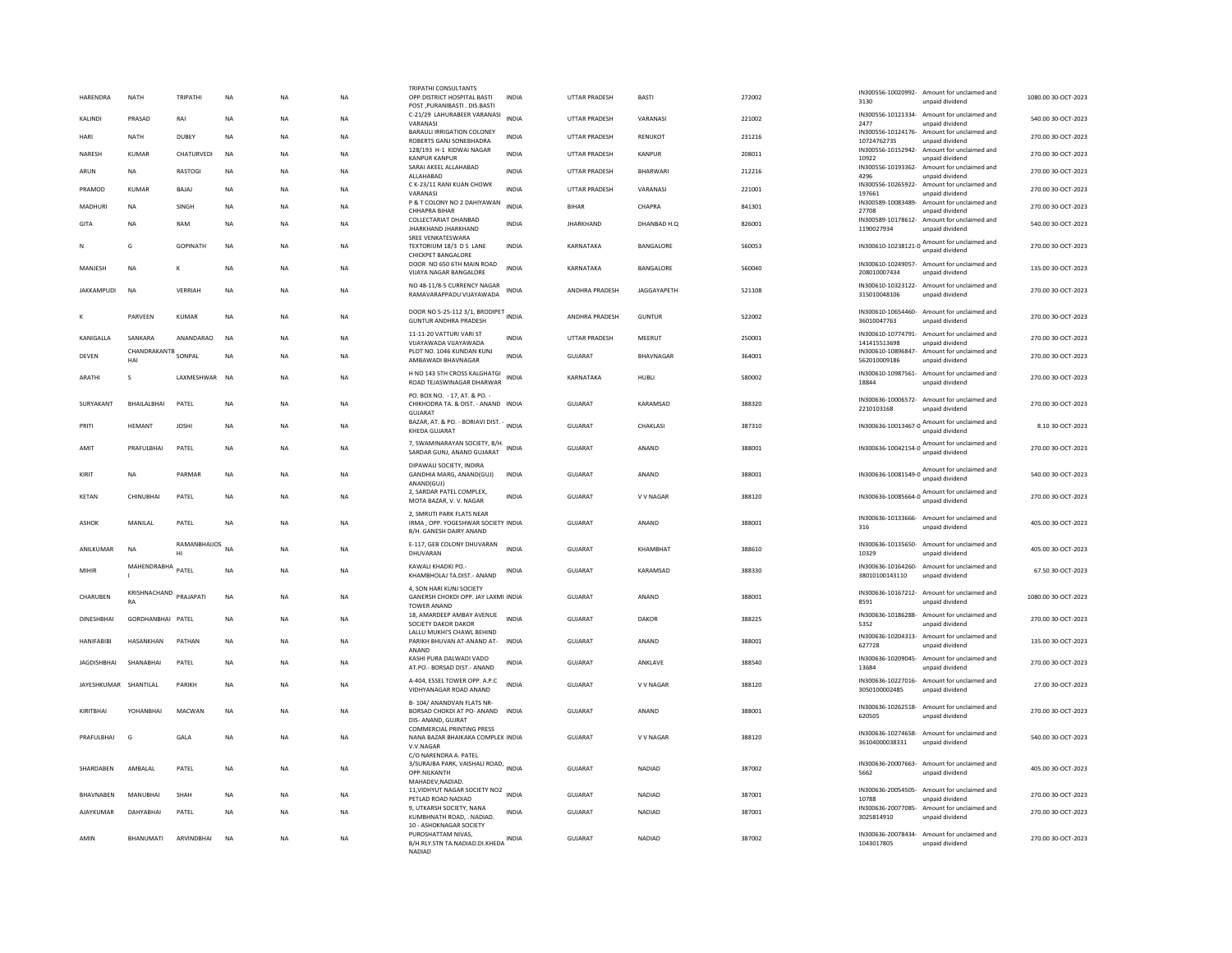| HARENDRA           | <b>NATH</b>                | TRIPATHI              | <b>NA</b>   | <b>NA</b> | <b>NA</b> | TRIPATHI CONSULTANTS<br>OPP.DISTRICT HOSPITAL BASTI<br>POST PURANIBASTI DIS BASTI           | <b>INDIA</b> | <b>UTTAR PRADESH</b>  | <b>BASTI</b>     | 272002 | 3130                                      | IN300556-10020992- Amount for unclaimed and<br>unpaid dividend  | 1080.00 30-OCT-2023 |
|--------------------|----------------------------|-----------------------|-------------|-----------|-----------|---------------------------------------------------------------------------------------------|--------------|-----------------------|------------------|--------|-------------------------------------------|-----------------------------------------------------------------|---------------------|
| KALINDI            | PRASAD                     | RAI                   | <b>NA</b>   | <b>NA</b> | <b>NA</b> | C-21/29 LAHURABEER VARANASI                                                                 | <b>INDIA</b> | <b>UTTAR PRADESH</b>  | VARANASI         | 221002 | IN300556-10121334-                        | Amount for unclaimed and                                        | 540.00 30-OCT-2023  |
| HARI               | NATH                       | DUBEY                 | NA          | NA        | <b>NA</b> | VARANASI<br><b>BARAULI IRRIGATION COLONEY</b><br>ROBERTS GANJ SONEBHADRA                    | <b>INDIA</b> | UTTAR PRADESH         | RENUKOT          | 231216 | 2477<br>IN300556-10124176-<br>10724762735 | unpaid dividend<br>Amount for unclaimed and<br>unpaid dividend  | 270.00 30-OCT-2023  |
| NARESH             | <b>KUMAR</b>               | CHATURVEDI            | <b>NA</b>   | NA        | <b>NA</b> | 128/193 H-1 KIDWAI NAGAR                                                                    | <b>INDIA</b> | UTTAR PRADESH         | <b>KANPUR</b>    | 208011 | IN300556-10152942-                        | Amount for unclaimed and                                        | 270.00 30-OCT-2023  |
| ARUN               | <b>NA</b>                  | RASTOGI               | <b>NA</b>   | <b>NA</b> | <b>NA</b> | <b>KANPUR KANPUR</b><br>SARAI AKEEL ALLAHABAD                                               | <b>INDIA</b> | UTTAR PRADESH         | <b>BHARWARI</b>  | 212216 | 10922<br>IN300556-10193362-               | unpaid dividend<br>Amount for unclaimed and                     | 270.00 30-OCT-2023  |
| PRAMOD             | KUMAR                      | <b>BAIAI</b>          | <b>NA</b>   | <b>NA</b> | <b>NA</b> | ALLAHARAD<br>C K-23/11 RANI KUAN CHOWK                                                      | <b>INDIA</b> | <b>UTTAR PRADESH</b>  | VARANASI         | 221001 | 4296<br>IN300556-10265922-                | unnaid dividend<br>Amount for unclaimed and                     | 270.00 30-QCT-2023  |
| MADHURI            | <b>NA</b>                  | SINGH                 | <b>NA</b>   | <b>NA</b> | <b>NA</b> | VARANASI<br>P & T COLONY NO 2 DAHIYAWAN                                                     | <b>INDIA</b> | <b>BIHAR</b>          | CHAPRA           | 841301 | 197661<br>IN300589-10083489-              | unpaid dividend<br>Amount for unclaimed and                     | 270.00 30-OCT-2023  |
|                    |                            |                       |             |           |           | CHHAPRA BIHAR<br>COLLECTARIAT DHANRAD                                                       |              |                       |                  |        | 27708<br>IN300589-10178612-               | unpaid dividend<br>Amount for unclaimed and                     |                     |
| <b>GITA</b>        | <b>NA</b>                  | RAM                   | <b>NA</b>   | <b>NA</b> | <b>NA</b> | JHARKHAND JHARKHAND<br>SREE VENKATESWARA                                                    | <b>INDIA</b> | <b>JHARKHAND</b>      | DHANBAD H.O.     | 826001 | 1190027934                                | unpaid dividend                                                 | 540.00 30-OCT-2023  |
| N                  | G                          | <b>GOPINATH</b>       | <b>NA</b>   | <b>NA</b> | <b>NA</b> | TEXTORIUM 18/3 D S LANE<br><b>CHICKPET BANGALORE</b>                                        | <b>INDIA</b> | KARNATAKA             | BANGALORE        | 560053 | IN300610-10238121-0                       | Amount for unclaimed and<br>unpaid dividend                     | 270.00 30-OCT-2023  |
| MANJESH            | NA                         | K                     | ΝA          | NA        | NA        | DOOR NO 650 6TH MAIN ROAD<br>VIJAYA NAGAR BANGALORE                                         | <b>INDIA</b> | KARNATAKA             | BANGALORE        | 560040 | 208010007434                              | IN300610-10249057- Amount for unclaimed and<br>unpaid dividend  | 135.00 30-OCT-2023  |
| <b>IAKKAMPUDI</b>  | <b>NA</b>                  | VERRIAH               | <b>NA</b>   | <b>NA</b> | <b>NA</b> | NO 48-11/8-5 CURRENCY NAGAR<br>RAMAVARAPPADU VIJAYAWADA                                     | <b>INDIA</b> | <b>ANDHRA PRADESH</b> | JAGGAYAPETH      | 521108 | IN300610-10323122-<br>315010048106        | Amount for unclaimed and<br>unpaid dividend                     | 270.00 30-OCT-2023  |
| К                  | PARVEEN                    | KUMAR                 | <b>NA</b>   | NA        | <b>NA</b> | DOOR NO 5-25-112 3/1, BRODIPET<br><b>GUNTUR ANDHRA PRADESH</b>                              |              | ANDHRA PRADESH        | <b>GUNTUR</b>    | 522002 | 36010047763                               | IN300610-10654460- Amount for unclaimed and<br>unnaid dividend  | 270.00 30-OCT-2023  |
| KANIGALLA          | SANKARA                    | ANANDARAO             | <b>NA</b>   | <b>NA</b> | <b>NA</b> | 11-11-20 VATTURI VARI ST<br>VIJAYAWADA VIJAYAWADA                                           | <b>INDIA</b> | UTTAR PRADESH         | MEERUT           | 250001 | IN300610-10774791-<br>141415513698        | Amount for unclaimed and<br>unpaid dividend                     | 270.00 30-OCT-2023  |
| DEVEN              | CHANDRAKANTB SONPAL<br>HAI |                       | <b>NA</b>   | <b>NA</b> | <b>NA</b> | PLOT NO. 1046 KUNDAN KUNJ<br>AMBAWADI BHAVNAGAR                                             | <b>INDIA</b> | <b>GUJARAT</b>        | <b>BHAVNAGAR</b> | 364001 | IN300610-10896847-<br>562010009186        | Amount for unclaimed and<br>unpaid dividend                     | 270.00 30-OCT-2023  |
| <b>ARATHI</b>      | s                          | LAXMESHWAR NA         |             | <b>NA</b> | <b>NA</b> | H NO 143 5TH CROSS KALGHATGI<br>ROAD TEJASWINAGAR DHARWAR                                   | <b>INDIA</b> | KARNATAKA             | HUBLI            | 580002 | IN300610-10987561-<br>18844               | Amount for unclaimed and<br>unpaid dividend                     | 270.00 30-OCT-2023  |
|                    | BHAILALBHAI                | PATEL                 | <b>NA</b>   |           |           | PO, BOX NO. - 17, AT, & PO. -                                                               |              | <b>GUJARAT</b>        | KARAMSAD         |        | IN300636-10006572-                        | Amount for unclaimed and                                        | 270.00 30-OCT-2023  |
| SURYAKANT          |                            |                       |             | NA        | NA        | CHIKHODRA TA. & DIST. - ANAND INDIA<br>GUJARAT                                              |              |                       |                  | 388320 | 2210103168                                | unpaid dividend                                                 |                     |
| PRITI              | <b>HEMANT</b>              | <b>JOSHI</b>          | <b>NA</b>   | <b>NA</b> | NA        | BAZAR, AT. & PO. - BORIAVI DIST. -<br>KHEDA GUJARAT                                         | INDIA        | GUJARAT               | CHAKLASI         | 387310 | IN300636-10013467-0                       | Amount for unclaimed and<br>unpaid dividend                     | 8.10 30-OCT-2023    |
| AMIT               | PRAFULBHAI                 | PATEL                 | <b>NA</b>   | <b>NA</b> | <b>NA</b> | 7, SWAMINARAYAN SOCIETY, B/H.<br>SARDAR GUNJ, ANAND GUJARAT                                 | <b>INDIA</b> | <b>GUJARAT</b>        | ANAND            | 388001 | IN300636-10042154-0                       | Amount for unclaimed and<br>unpaid dividend                     | 270.00 30-OCT-2023  |
| KIRIT              | NA                         | PARMAR                | $_{\sf NA}$ | NA        | NA        | DIPAWALL SOCIETY. INDIRA<br>GANDHIA MARG, ANAND(GUJ)<br>ANAND(GUJ)                          | <b>INDIA</b> | GUJARAT               | ANAND            | 388001 |                                           | IN300636-10081549-0 Amount for unclaimed and<br>unpaid dividend | 540.00 30-OCT-2023  |
| KFTAN              | CHINURHAL                  | PATFI                 | <b>NA</b>   | <b>NA</b> | NA        | 2, SARDAR PATEL COMPLEX,<br>MOTA BAZAR, V. V. NAGAR                                         | <b>INDIA</b> | GUIARAT               | <b>VV NAGAR</b>  | 388120 | IN300636-10085664-0                       | Amount for unclaimed and<br>unpaid dividend                     | 270.00 30-OCT-2023  |
| <b>ASHOK</b>       | MANII AI                   | PATFI                 | <b>NA</b>   | <b>NA</b> | <b>NA</b> | 2. SMRUTI PARK FLATS NEAR<br>IRMA , OPP, YOGESHWAR SOCIETY INDIA<br>B/H. GANESH DAIRY ANAND |              | GUIARAT               | ANAND            | 388001 | IN300636-10133666-<br>316                 | Amount for unclaimed and<br>unpaid dividend                     | 405.00 30-OCT-2023  |
| ANILKUMAR          | <b>NA</b>                  | RAMANBHAIJOS NA<br>HI |             | <b>NA</b> | NA        | E-117, GEB COLONY DHUVARAN<br>DHUVARAN                                                      | <b>INDIA</b> | <b>GUJARAT</b>        | KHAMBHAT         | 388610 | 10329                                     | IN300636-10135650- Amount for unclaimed and<br>unpaid dividend  | 405.00 30-OCT-2023  |
| MIHIR              | MAHENDRABHA                | PATEL                 | <b>NA</b>   | <b>NA</b> | <b>NA</b> | KAWALI KHADKI PO -<br>KHAMBHOLAJ TA.DIST.- ANAND                                            | <b>INDIA</b> | <b>GUJARAT</b>        | KARAMSAD         | 388330 | IN300636-10164260-<br>38010100143110      | Amount for unclaimed and<br>unpaid dividend                     | 67.50 30-OCT-2023   |
| CHARUREN           | KRISHNACHAND<br><b>RA</b>  | PRAIAPATI             | <b>NA</b>   | <b>NA</b> | <b>NA</b> | 4, SON HARI KUNJ SOCIETY<br>GANERSH CHOKDI OPP. JAY LAXMI INDIA                             |              | GUIARAT               | ANAND            | 388001 | 8591                                      | IN300636-10167212- Amount for unclaimed and<br>unpaid dividend  | 1080.0030-0CT-2023  |
| <b>DINESHBHAI</b>  | GORDHANBHAI PATEL          |                       | $_{\sf NA}$ | NA        | NA        | <b>TOWER ANAND</b><br>18, AMARDEEP AMBAY AVENUE                                             | <b>INDIA</b> | GUJARAT               | DAKOR            | 388225 |                                           | IN300636-10186288- Amount for unclaimed and                     | 270.00 30-OCT-2023  |
|                    |                            |                       |             |           |           | SOCIETY DAKOR DAKOR<br>LALLU MUKHI'S CHAWL BEHIND                                           |              |                       |                  |        | 5352<br>IN300636-10204313-                | unpaid dividend<br>Amount for unclaimed and                     |                     |
| <b>HANIFARIRI</b>  | <b>HASANKHAN</b>           | PATHAN                | <b>NA</b>   | <b>NA</b> | NA        | PARIKH RHUVAN AT-ANAND AT- INDIA<br>ANAND                                                   |              | GUIARAT               | ANAND            | 388001 | 627728                                    | unpaid dividend                                                 | 135.00.30-QCT-2023  |
| <b>JAGDISHBHAI</b> | SHANABHAI                  | PATEL                 | NA          | NA        | NA        | KASHI PURA DALWADI VADO<br>AT.PO.- BORSAD DIST.- ANAND                                      | <b>INDIA</b> | GUJARAT               | ANKLAVE          | 388540 | IN300636-10209045-<br>13684               | Amount for unclaimed and<br>unpaid dividend                     | 270.00 30-OCT-2023  |
| JAYESHKUMAR        | SHANTILAL                  | PARIKH                | <b>NA</b>   | <b>NA</b> | <b>NA</b> | A-404, ESSEL TOWER OPP. A.P.C<br>VIDHYANAGAR ROAD ANAND                                     | <b>INDIA</b> | <b>GUJARAT</b>        | V V NAGAR        | 388120 | IN300636-10227016-<br>3050100002485       | Amount for unclaimed and<br>unpaid dividend                     | 27.00 30-OCT-2023   |
| KIRITRHAI          | YOHANRHAI                  | MACWAN                | <b>NA</b>   | <b>NA</b> | <b>NA</b> | B-104/ ANANDVAN FLATS NR-<br>BORSAD CHOKDI AT PO- ANAND INDIA<br>DIS- ANAND, GUJRAT         |              | GUIARAT               | ANAND            | 388001 | IN300636-10262518-<br>620505              | Amount for unclaimed and<br>unpaid dividend                     | 270.00 30-QCT-2023  |
| PRAFULBHAI         | G                          | GALA                  | <b>NA</b>   | <b>NA</b> | <b>NA</b> | <b>COMMERCIAL PRINTING PRESS</b><br>NANA BAZAR BHAIKAKA COMPLEX INDIA<br>V.V.NAGAR          |              | GUJARAT               | V V NAGAR        | 388120 | 36104000038331                            | IN300636-10274658- Amount for unclaimed and<br>unpaid dividend  | 540.00 30-OCT-2023  |
| SHARDABEN          | AMBAI AI                   | PATEL                 | <b>NA</b>   | <b>NA</b> | <b>NA</b> | C/O NARENDRA A. PATEL<br>3/SURAJBA PARK, VAISHALI ROAD, INDIA<br><b>OPP NII KANTH</b>       |              | GUJARAT               | <b>NADIAD</b>    | 387002 | 5662                                      | IN300636-20007663- Amount for unclaimed and<br>unnaid dividend  | 405.00 30-OCT-2023  |
| BHAVNABEN          | MANUBHAI                   | SHAH                  | NA          | NA        | NA        | MAHADEV, NADIAD.<br>11, VIDHYUT NAGAR SOCIETY NO2 INDIA<br>PETLAD ROAD NADIAD               |              | <b>GUJARAT</b>        | NADIAD           | 387001 | IN300636-20054505-<br>10788               | Amount for unclaimed and<br>unpaid dividend                     | 270.00 30-OCT-2023  |
| AJAYKUMAR          | DAHYABHAI                  | PATEL                 | <b>NA</b>   | <b>NA</b> | <b>NA</b> | 9. UTKARSH SOCIETY, NANA<br>KUMBHNATH ROAD. . NADIAD.                                       | <b>INDIA</b> | GUJARAT               | NADIAD           | 387001 | IN300636-20077085-<br>3025814910          | Amount for unclaimed and<br>unpaid dividend                     | 270.00 30-OCT-2023  |
| AMIN               | <b>BHANUMATI</b>           | <b>ARVINDRHAI</b>     | <b>NA</b>   | <b>NA</b> | <b>NA</b> | 10 - ASHOKNAGAR SOCIETY<br>PUROSHATTAM NIVAS.                                               |              | <b>GUJARAT</b>        | <b>NADIAD</b>    | 387002 |                                           | IN300636-20078434- Amount for unclaimed and                     | 270.00 30-OCT-2023  |
|                    |                            |                       |             |           |           | B/H.RLY.STN TA.NADIAD.DI.KHEDA INDIA<br>NADIAD                                              |              |                       |                  |        | 1043017805                                | unpaid dividend                                                 |                     |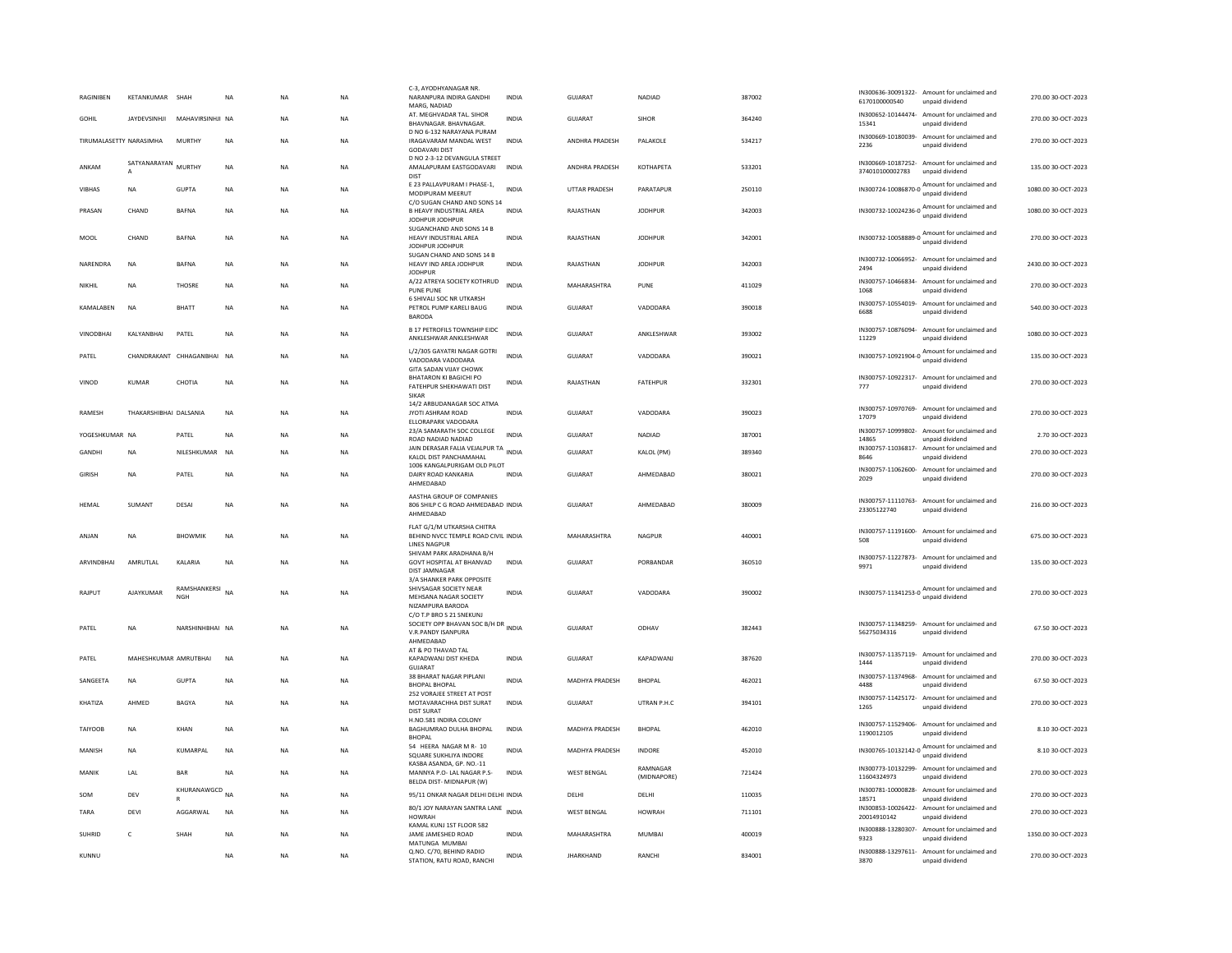| RAGINIBEN               | KETANKUMAR SHAH                |                            | <b>NA</b>   | <b>NA</b>   | <b>NA</b> | C-3, AYODHYANAGAR NR<br>NARANPURA INDIRA GANDHI<br>MARG, NADIAD                                                              | <b>INDIA</b> | GUJARAT              | NADIAD                  | 387002 | 6170100000540                     | IN300636-30091322- Amount for unclaimed and<br>unpaid dividend  | 270.00 30-OCT-2023  |
|-------------------------|--------------------------------|----------------------------|-------------|-------------|-----------|------------------------------------------------------------------------------------------------------------------------------|--------------|----------------------|-------------------------|--------|-----------------------------------|-----------------------------------------------------------------|---------------------|
| GOHII                   | <b>IAYDEVSINHII</b>            | MAHAVIRSINHII NA           |             | <b>NA</b>   | <b>NA</b> | AT. MEGHVADAR TAL. SIHOR<br>BHAVNAGAR, BHAVNAGAR,                                                                            | <b>INDIA</b> | GUIARAT              | <b>SIHOR</b>            | 364240 | IN300652-10144474-<br>15341       | Amount for unclaimed and<br>unpaid dividend                     | 270.00.30-OCT-2023  |
| TIRUMALASETTY NARASIMHA |                                | MURTHY                     | <b>NA</b>   | <b>NA</b>   | <b>NA</b> | D NO 6-132 NARAYANA PURAM<br><b>IRAGAVARAM MANDAL WEST</b><br><b>GODAVARI DIST</b>                                           | <b>INDIA</b> | ANDHRA PRADESH       | PALAKOLE                | 534217 | IN300669-10180039-<br>2236        | Amount for unclaimed and<br>unpaid dividend                     | 270.00 30-OCT-2023  |
| ANKAM                   | SATYANARAYAN<br>$\overline{A}$ | <b>MURTHY</b>              | <b>NA</b>   | <b>NA</b>   | <b>NA</b> | D NO 2-3-12 DEVANGULA STREET<br>AMALAPURAM EASTGODAVARI<br><b>DIST</b>                                                       | <b>INDIA</b> | ANDHRA PRADESH       | <b>КОТНАРЕТА</b>        | 533201 | 374010100002783                   | IN300669-10187252- Amount for unclaimed and<br>unpaid dividend  | 135.00 30-OCT-2023  |
| VIBHAS                  | <b>NA</b>                      | <b>GUPTA</b>               | <b>NA</b>   | <b>NA</b>   | <b>NA</b> | E 23 PALLAVPURAM I PHASE-1,<br>MODIPURAM MEERUT                                                                              | <b>INDIA</b> | <b>UTTAR PRADESH</b> | PARATAPUR               | 250110 |                                   | IN300724-10086870-0 Amount for unclaimed and<br>unpaid dividend | 1080.00 30-OCT-2023 |
| PRASAN                  | CHAND                          | <b>BAFNA</b>               | NA          | <b>NA</b>   | <b>NA</b> | C/O SUGAN CHAND AND SONS 14<br><b>B HEAVY INDUSTRIAL AREA</b><br>JODHPUR JODHPUR                                             | INDIA        | RAJASTHAN            | <b>JODHPUR</b>          | 342003 |                                   | IN300732-10024236-0 Amount for unclaimed and                    | 1080.00 30-OCT-2023 |
| MOOL                    | CHAND                          | <b>BAFNA</b>               | $_{\sf NA}$ | NA          | NA        | SUGANCHAND AND SONS 14 B<br>HEAVY INDUSTRIAL AREA<br>JODHPUR JODHPUR                                                         | INDIA        | RAJASTHAN            | <b>JODHPUR</b>          | 342001 |                                   | IN300732-10058889-0 Amount for unclaimed and<br>unpaid dividend | 270.00 30-OCT-2023  |
| NARENDRA                | NA                             | <b>BAFNA</b>               | <b>NA</b>   | NA          | NA        | SUGAN CHAND AND SONS 14 B<br>HEAVY IND AREA JODHPUR<br><b>JODHPUR</b>                                                        | INDIA        | RAJASTHAN            | <b>JODHPUR</b>          | 342003 | 2494                              | IN300732-10066952- Amount for unclaimed and<br>unpaid dividend  | 2430.00 30-OCT-2023 |
| NIKHIL                  | <b>NA</b>                      | <b>THOSRE</b>              | <b>NA</b>   | <b>NA</b>   | <b>NA</b> | A/22 ATREYA SOCIETY KOTHRUD<br><b>PUNE PUNE</b>                                                                              | <b>INDIA</b> | MAHARASHTRA          | PUNE                    | 411029 | 1068                              | IN300757-10466834- Amount for unclaimed and<br>unpaid dividend  | 270.00 30-OCT-2023  |
| KAMALABEN               | NA                             | BHATT                      | NA          | NA          | NA        | 6 SHIVALI SOC NR UTKARSH<br>PETROL PUMP KARELI BAUG<br><b>BARODA</b>                                                         | <b>INDIA</b> | GUJARAT              | VADODARA                | 390018 | IN300757-10554019-<br>6688        | Amount for unclaimed and<br>unpaid dividend                     | 540.00 30-OCT-2023  |
| <b>VINODBHAI</b>        | KALYANBHAI                     | PATEL                      | <b>NA</b>   | <b>NA</b>   | <b>NA</b> | <b>B 17 PETROFILS TOWNSHIP EIDC</b><br>ANKLESHWAR ANKLESHWAR                                                                 | INDIA        | GUJARAT              | ANKLESHWAR              | 393002 | 11229                             | IN300757-10876094- Amount for unclaimed and<br>unnaid dividend  | 1080.00 30-OCT-2023 |
| PATEL                   |                                | CHANDRAKANT CHHAGANBHAI NA |             | <b>NA</b>   | <b>NA</b> | L/2/305 GAYATRI NAGAR GOTRI<br>VADODARA VADODARA<br><b>GITA SADAN VIJAY CHOWK</b>                                            | <b>INDIA</b> | GUJARAT              | VADODARA                | 390021 |                                   | IN300757-10921904-0 Amount for unclaimed and<br>unpaid dividend | 135.00 30-OCT-2023  |
| VINOD                   | <b>KUMAR</b>                   | CHOTIA                     | <b>NA</b>   | <b>NA</b>   | <b>NA</b> | BHATARON KI BAGICHI PO<br>FATEHPUR SHEKHAWATI DIST<br><b>SIKAR</b>                                                           | <b>INDIA</b> | RAJASTHAN            | <b>FATEHPUR</b>         | 332301 | 777                               | IN300757-10922317- Amount for unclaimed and<br>unpaid dividend  | 270.00 30-OCT-2023  |
| RAMESH                  | THAKARSHIBHAI DALSANIA         |                            | <b>NA</b>   | NA          | NA        | 14/2 ARBUDANAGAR SOC ATMA<br>JYOTI ASHRAM ROAD<br><b>FILORAPARK VADODARA</b>                                                 | <b>INDIA</b> | GUJARAT              | VADODARA                | 390023 | IN300757-10970769-<br>17079       | Amount for unclaimed and<br>unpaid dividend                     | 270.00 30-OCT-2023  |
| YOGESHKUMAR NA          |                                | PATEL                      | <b>NA</b>   | <b>NA</b>   | <b>NA</b> | 23/A SAMARATH SOC COLLEGE<br>ROAD NADIAD NADIAD                                                                              | <b>INDIA</b> | GUJARAT              | <b>NADIAD</b>           | 387001 | IN300757-10999802-<br>14865       | Amount for unclaimed and<br>unpaid dividend                     | 2.70 30-OCT-2023    |
| GANDHI                  | <b>NA</b>                      | NILESHKUMAR NA             |             | <b>NA</b>   | <b>NA</b> | JAIN DERASAR FALIA VEJALPUR TA<br>KALOL DIST PANCHAMAHAL                                                                     | <b>INDIA</b> | <b>GUJARAT</b>       | KALOL (PM)              | 389340 | IN300757-11036817-<br>8646        | Amount for unclaimed and<br>unpaid dividend                     | 270.00 30-OCT-2023  |
| <b>GIRISH</b>           | <b>NA</b>                      | PATEL                      | <b>NA</b>   | <b>NA</b>   | <b>NA</b> | 1006 KANGALPURIGAM OLD PILOT<br>DAIRY ROAD KANKARIA<br>AHMEDABAD                                                             | <b>INDIA</b> | GUJARAT              | AHMEDABAD               | 380021 | IN300757-11062600-<br>2029        | Amount for unclaimed and<br>unpaid dividend                     | 270.00 30-OCT-2023  |
| <b>HFMAI</b>            | SUMANT                         | DESAI                      | <b>NA</b>   | <b>NA</b>   | <b>NA</b> | AASTHA GROUP OF COMPANIES<br>806 SHILP C G ROAD AHMEDABAD INDIA<br>AHMEDABAD                                                 |              | GUIARAT              | AHMEDARAD               | 380009 | 23305122740                       | IN300757-11110763- Amount for unclaimed and<br>unpaid dividend  | 216.00 30-OCT-2023  |
| ANJAN                   | <b>NA</b>                      | <b>BHOWMIK</b>             | <b>NA</b>   | <b>NA</b>   | <b>NA</b> | FLAT G/1/M UTKARSHA CHITRA<br>BEHIND NVCC TEMPLE ROAD CIVIL INDIA<br><b>LINES NAGPUR</b>                                     |              | MAHARASHTRA          | <b>NAGPUR</b>           | 440001 | 508                               | IN300757-11191600- Amount for unclaimed and<br>unpaid dividend  | 675.00 30-OCT-2023  |
| <b>ARVINDBHAI</b>       | AMRUTLAL                       | KALARIA                    | <b>NA</b>   | <b>NA</b>   | <b>NA</b> | SHIVAM PARK ARADHANA B/H<br>GOVT HOSPITAL AT BHANVAD<br><b>DIST JAMNAGAR</b>                                                 | <b>INDIA</b> | <b>GUJARAT</b>       | PORBANDAR               | 360510 | 9971                              | IN300757-11227873- Amount for unclaimed and<br>unpaid dividend  | 135.00 30-OCT-2023  |
| RAJPUT                  | AJAYKUMAF                      | RAMSHANKERSI<br>NGH        | NA          | <b>NA</b>   | <b>NA</b> | 3/A SHANKER PARK OPPOSITE<br>SHIVSAGAR SOCIETY NEAR<br>MEHSANA NAGAR SOCIETY<br>NIZAMPURA BARODA<br>C/O T.P BRO S 21 SNEKUNJ | <b>INDIA</b> | <b>GUJARAT</b>       | VADODARA                | 390002 |                                   | IN300757-11341253-0 Amount for unclaimed and<br>unpaid dividend | 270.00 30-OCT-2023  |
| PATEL                   | <b>NA</b>                      | NARSHINHBHAI NA            |             | <b>NA</b>   | <b>NA</b> | SOCIETY OPP BHAVAN SOC B/H DR INDIA<br>V.R.PANDY ISANPURA<br>AHMEDABAD                                                       |              | GUJARAT              | ODHAV                   | 382443 | 56275034316                       | IN300757-11348259- Amount for unclaimed and<br>unpaid dividend  | 67.50 30-OCT-2023   |
| PATEL                   | MAHESHKUMAR AMRUTBHAI          |                            | <b>NA</b>   | <b>NA</b>   | <b>NA</b> | AT & PO THAVAD TAL<br>KAPADWANJ DIST KHEDA<br><b>GUJARAT</b>                                                                 | <b>INDIA</b> | GUJARAT              | KAPADWANJ               | 387620 | 1444                              | IN300757-11357119- Amount for unclaimed and<br>unpaid dividend  | 270.00 30-OCT-2023  |
| SANGEETA                | <b>NA</b>                      | <b>GUPTA</b>               | $_{\sf NA}$ | <b>NA</b>   | <b>NA</b> | 38 BHARAT NAGAR PIPLANI<br><b>BHOPAL BHOPAL</b>                                                                              | <b>INDIA</b> | MADHYA PRADESH       | <b>BHOPAL</b>           | 462021 | IN300757-11374968-<br>4488        | Amount for unclaimed and<br>unpaid dividend                     | 67.50 30-OCT-2023   |
| KHATIZA                 | AHMED                          | BAGYA                      | <b>NA</b>   | <b>NA</b>   | <b>NA</b> | 252 VORAJEE STREET AT POST<br>MOTAVARACHHA DIST SURAT<br><b>DIST SURAT</b>                                                   | <b>INDIA</b> | <b>GUJARAT</b>       | UTRAN P.H.C             | 394101 | 1265                              | IN300757-11425172- Amount for unclaimed and<br>unpaid dividend  | 270.00 30-OCT-2023  |
| TAIYOOB                 | <b>NA</b>                      | KHAN                       | $_{\sf NA}$ | $_{\sf NA}$ | <b>NA</b> | H.NO.581 INDIRA COLONY<br>BAGHUMRAO DULHA BHOPAL<br><b>BHOPAL</b>                                                            | INDIA        | MADHYA PRADESH       | <b>BHOPAL</b>           | 462010 | 1190012105                        | IN300757-11529406- Amount for unclaimed and<br>unpaid dividend  | 8.10 30-OCT-2023    |
| MANISH                  | <b>NA</b>                      | KUMARPAL                   | <b>NA</b>   | <b>NA</b>   | <b>NA</b> | 54 HEERA NAGAR M R- 10<br>SQUARE SUKHLIYA INDORE                                                                             | <b>INDIA</b> | MADHYA PRADESH       | <b>INDORE</b>           | 452010 |                                   | IN300765-10132142-0 Amount for unclaimed and<br>unpaid dividend | 8.10 30-OCT-2023    |
| MANIK                   | LAL                            | BAR                        | <b>NA</b>   | NA          | <b>NA</b> | KASBA ASANDA, GP. NO.-11<br>MANNYA P.O- LAL NAGAR P.S-<br>BELDA DIST- MIDNAPUR (W)                                           | <b>INDIA</b> | WEST BENGAL          | RAMNAGAR<br>(MIDNAPORE) | 721424 | IN300773-10132299-<br>11604324973 | Amount for unclaimed and<br>unpaid dividend                     | 270.00 30-OCT-2023  |
| SOM                     | DEV                            | KHURANAWGCD NA             |             | <b>NA</b>   | <b>NA</b> | 95/11 ONKAR NAGAR DELHI DELHI INDIA                                                                                          |              | DELHI                | DELHI                   | 110035 | IN300781-10000828-<br>18571       | Amount for unclaimed and<br>unpaid dividend                     | 270.00 30-OCT-2023  |
| TARA                    | DEVI                           | AGGARWAL                   | <b>NA</b>   | NA          | <b>NA</b> | 80/1 JOY NARAYAN SANTRA LANE INDIA<br><b>HOWRAH</b>                                                                          |              | <b>WEST BENGAL</b>   | <b>HOWRAH</b>           | 711101 | IN300853-10026422-<br>20014910142 | Amount for unclaimed and<br>unpaid dividend                     | 270.00 30-OCT-2023  |
| SUHRID                  | $\mathsf{C}$                   | SHAH                       | <b>NA</b>   | <b>NA</b>   | <b>NA</b> | KAMAL KUNJ 1ST FLOOR 582<br>JAME JAMESHED ROAD<br>MATUNGA MUMBAI                                                             | <b>INDIA</b> | MAHARASHTRA          | MUMBAI                  | 400019 | 9323                              | IN300888-13280307- Amount for unclaimed and<br>unpaid dividend  | 1350.00 30-OCT-2023 |
| KUNNU                   |                                |                            | $_{\sf NA}$ | NA          | NA        | Q.NO. C/70, BEHIND RADIO<br>STATION, RATU ROAD, RANCHI                                                                       | INDIA        | <b>JHARKHAND</b>     | RANCHI                  | 834001 | 3870                              | IN300888-13297611- Amount for unclaimed and<br>unpaid dividend  | 270.00 30-OCT-2023  |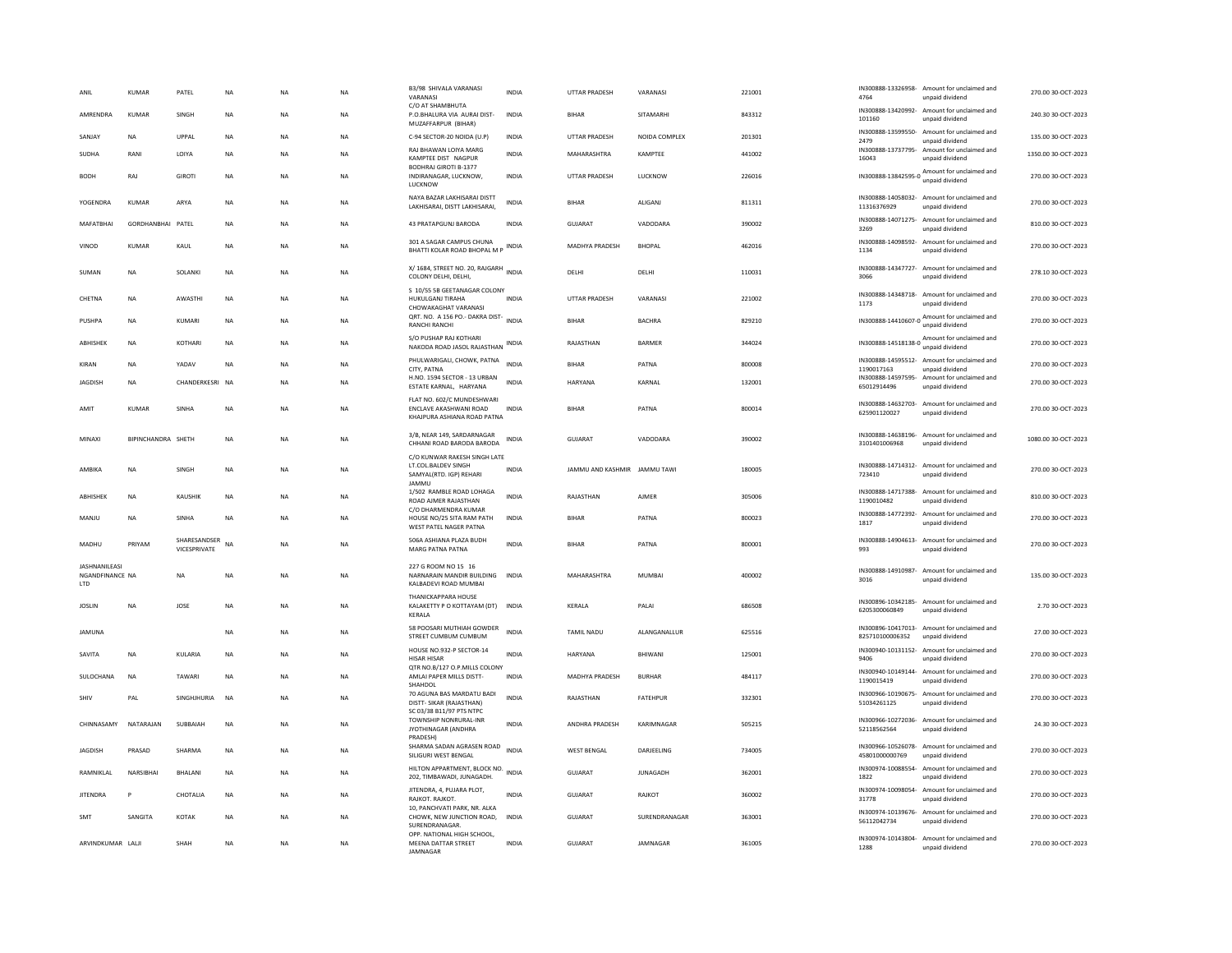|                                               | <b>KUMAR</b>              | PATEL                        | NA        | NA        | <b>NA</b> | B3/98 SHIVALA VARANASI<br>VARANASI                                                             | <b>INDIA</b> | <b>UTTAR PRADESH</b>         | VARANASI        | 221001 | 4764                                  | IN300888-13326958- Amount for unclaimed and<br>unpaid dividend  | 270.00 30-OCT-2023  |
|-----------------------------------------------|---------------------------|------------------------------|-----------|-----------|-----------|------------------------------------------------------------------------------------------------|--------------|------------------------------|-----------------|--------|---------------------------------------|-----------------------------------------------------------------|---------------------|
| AMRENDRA                                      | <b>KUMAR</b>              | SINGH                        | <b>NA</b> | <b>NA</b> | <b>NA</b> | C/O AT SHAMBHUTA<br>P.O.BHALURA VIA AURAI DIST-<br>MUZAFFARPUR (BIHAR)                         | <b>INDIA</b> | <b>BIHAR</b>                 | SITAMARHI       | 843312 | 101160                                | IN300888-13420992- Amount for unclaimed and<br>unpaid dividend  | 240.30 30-OCT-2023  |
| SANJAY                                        | <b>NA</b>                 | <b>UPPAI</b>                 | <b>NA</b> | <b>NA</b> | <b>NA</b> | C-94 SECTOR-20 NOIDA (U.P)                                                                     | INDIA        | <b>UTTAR PRADESH</b>         | NOIDA COMPLEX   | 201301 | IN300888-13599550-<br>2479            | Amount for unclaimed and<br>unpaid dividend                     | 135.00 30-OCT-2023  |
| SUDHA                                         | RANI                      | LOIYA                        | <b>NA</b> | <b>NA</b> | <b>NA</b> | RAJ BHAWAN LOIYA MARG<br>KAMPTEE DIST NAGPUR                                                   | <b>INDIA</b> | MAHARASHTRA                  | KAMPTEE         | 441002 | IN300888-13737795<br>16043            | Amount for unclaimed and<br>unpaid dividend                     | 1350.00 30-OCT-2023 |
| <b>BODH</b>                                   | RAJ                       | <b>GIROTI</b>                | NA        | <b>NA</b> | NA        | <b>BODHRAJ GIROTI B-1377</b><br>INDIRANAGAR, LUCKNOW,<br>LUCKNOW                               | <b>INDIA</b> | UTTAR PRADESH                | LUCKNOW         | 226016 |                                       | IN300888-13842595-0 Amount for unclaimed and<br>unpaid dividend | 270.00 30-OCT-2023  |
| YOGENDRA                                      | <b>KUMAR</b>              | ARYA                         | <b>NA</b> | <b>NA</b> | <b>NA</b> | NAYA BAZAR LAKHISARAI DISTT<br>LAKHISARAI, DISTT LAKHISARAI,                                   | <b>INDIA</b> | <b>BIHAR</b>                 | ALIGANI         | 811311 | 11316376929                           | IN300888-14058032- Amount for unclaimed and<br>unpaid dividend  | 270.00 30-OCT-2023  |
| MAFATBHAI                                     | GORDHANBHAI PATEL         |                              | NA        | <b>NA</b> | <b>NA</b> | 43 PRATAPGUNJ BARODA                                                                           | <b>INDIA</b> | <b>GUJARAT</b>               | VADODARA        | 390002 | 3269                                  | IN300888-14071275- Amount for unclaimed and<br>unpaid dividend  | 810.00 30-OCT-2023  |
| VINOD                                         | <b>KUMAR</b>              | KAUL                         | <b>NA</b> | <b>NA</b> | <b>NA</b> | 301 A SAGAR CAMPUS CHUNA<br>BHATTI KOLAR ROAD BHOPAL M P                                       | <b>INDIA</b> | <b>MADHYA PRADESH</b>        | BHOPAL          | 462016 | IN300888-14098592-<br>1134            | Amount for unclaimed and<br>unpaid dividend                     | 270.00 30-OCT-2023  |
| SUMAN                                         | <b>NA</b>                 | <b>SOLANK</b>                | <b>NA</b> | <b>NA</b> | NA        | X/1684, STREET NO. 20, RAJGARH<br>COLONY DELHI, DELHI,                                         | <b>INDIA</b> | DELHI                        | DELHI           | 110031 | IN300888-14347727-<br>3066            | Amount for unclaimed and<br>unpaid dividend                     | 278.10 30-OCT-2023  |
| CHETNA                                        | NA                        | AWASTHI                      | NA        | <b>NA</b> | NA        | S 10/55 5B GEETANAGAR COLONY<br>HUKULGANJ TIRAHA<br>CHOWAKAGHAT VARANASI                       | <b>INDIA</b> | UTTAR PRADESH                | VARANASI        | 221002 | 1173                                  | IN300888-14348718- Amount for unclaimed and<br>unpaid dividend  | 270.00 30-OCT-2023  |
| PUSHPA                                        | <b>NA</b>                 | KUMARI                       | <b>NA</b> | <b>NA</b> | <b>NA</b> | QRT. NO. A 156 PO.- DAKRA DIST-<br><b>RANCHI RANCHI</b>                                        | <b>INDIA</b> | <b>BIHAR</b>                 | <b>BACHRA</b>   | 829210 |                                       | IN300888-14410607-0 Amount for unclaimed and<br>unpaid dividend | 270.00.30-OCT-2023  |
| ABHISHEK                                      | <b>NA</b>                 | KOTHARI                      | <b>NA</b> | <b>NA</b> | <b>NA</b> | S/O PUSHAP RAJ KOTHARI<br>NAKODA ROAD JASOL RAJASTHAN INDIA                                    |              | RAJASTHAN                    | <b>BARMER</b>   | 344024 |                                       | IN300888-14518138-0 Amount for unclaimed and<br>unpaid dividend | 270.00 30-OCT-2023  |
| KIRAN                                         | <b>NA</b>                 | YADAV                        | <b>NA</b> | <b>NA</b> | <b>NA</b> | PHULWARIGALI, CHOWK, PATNA<br>CITY, PATNA                                                      | <b>INDIA</b> | <b>BIHAR</b>                 | PATNA           | 800008 | IN300888-14595512-<br>1190017163      | Amount for unclaimed and<br>unpaid dividend                     | 270.00 30-OCT-2023  |
| <b>JAGDISH</b>                                | <b>NA</b>                 | CHANDERKESRI                 | <b>NA</b> | <b>NA</b> | <b>NA</b> | H.NO. 1594 SECTOR - 13 URBAN<br>ESTATE KARNAL, HARYANA                                         | <b>INDIA</b> | <b>HARYANA</b>               | KARNAL          | 132001 | IN300888-14597595-<br>65012914496     | Amount for unclaimed and<br>unpaid dividend                     | 270.00 30-OCT-2023  |
| AMIT                                          | KUMAR                     | <b>SINHA</b>                 | <b>NA</b> | <b>NA</b> | <b>NA</b> | FLAT NO. 602/C MUNDESHWARI<br><b>FNCLAVE AKASHWANI ROAD</b><br>KHAJPURA ASHIANA ROAD PATNA     | <b>INDIA</b> | <b>BIHAR</b>                 | PATNA           | 800014 | 625901120027                          | IN300888-14632703- Amount for unclaimed and<br>unpaid dividend  | 270.00 30-QCT-2023  |
| MINAXI                                        | <b>RIPINCHANDRA SHETH</b> |                              | <b>NA</b> | <b>NA</b> | <b>NA</b> | 3/B, NEAR 149, SARDARNAGAR<br>CHHANI ROAD BARODA BARODA                                        | <b>INDIA</b> | GUIARAT                      | VADODARA        | 390002 | 3101401006968                         | IN300888-14638196- Amount for unclaimed and<br>unpaid dividend  | 1080.00 30-OCT-2023 |
| AMRIKA                                        | <b>NA</b>                 | <b>SINGH</b>                 | <b>NA</b> | <b>NA</b> | <b>NA</b> | C/O KUNWAR RAKESH SINGH LATE<br>LT.COL.BALDEV SINGH<br>SAMYAL(RTD. IGP) REHARI<br><b>IAMMU</b> | <b>INDIA</b> | JAMMU AND KASHMIR JAMMU TAWI |                 | 180005 | 723410                                | IN300888-14714312- Amount for unclaimed and<br>unpaid dividend  | 270.00 30-OCT-2023  |
| ABHISHEK                                      | <b>NA</b>                 | KAUSHIK                      | <b>NA</b> | <b>NA</b> | <b>NA</b> | 1/502 RAMBLE ROAD LOHAGA<br>ROAD AJMER RAJASTHAN<br>C/O DHARMENDRA KUMAR                       | <b>INDIA</b> | RAJASTHAN                    | <b>AJMER</b>    | 305006 | 1190010482                            | IN300888-14717388- Amount for unclaimed and<br>unpaid dividend  | 810.00 30-OCT-2023  |
| MANJU                                         | NA                        | SINHA                        | <b>NA</b> | NA        | NA        | HOUSE NO/25 SITA RAM PATH<br>WEST PATEL NAGER PATNA                                            | INDIA        | <b>BIHAR</b>                 | PATNA           | 800023 | 1817                                  | IN300888-14772392- Amount for unclaimed and<br>unpaid dividend  | 270.00 30-OCT-2023  |
| MADHU                                         | PRIYAM                    | SHARESANDSER<br>VICESPRIVATE | NA        | <b>NA</b> | <b>NA</b> | 506A ASHIANA PLAZA BUDH<br>MARG PATNA PATNA                                                    | <b>INDIA</b> | <b>BIHAR</b>                 | PATNA           | 800001 | IN300888-14904613-<br>993             | Amount for unclaimed and<br>unpaid dividend                     | 270.00 30-OCT-2023  |
| <b>JASHNANILEAS</b><br>NGANDFINANCE NA<br>LTD |                           | <b>NA</b>                    | <b>NA</b> | <b>NA</b> | <b>NA</b> | 227 G ROOM NO 15 16<br>NARNARAIN MANDIR BUILDING<br>KALBADEVI ROAD MUMBAI                      | <b>INDIA</b> | MAHARASHTRA                  | <b>MUMBAI</b>   | 400002 | IN300888-14910987-<br>3016            | Amount for unclaimed and<br>unpaid dividend                     | 135.00 30-OCT-2023  |
| <b>JOSLIN</b>                                 | <b>NA</b>                 | JOSE                         | <b>NA</b> | <b>NA</b> | <b>NA</b> | <b>THANICKAPPARA HOUSE</b><br>KALAKETTY P O KOTTAYAM (DT) INDIA<br>KERALA                      |              | KERALA                       | PALAI           | 686508 | 6205300060849                         | IN300896-10342185- Amount for unclaimed and<br>unpaid dividend  | 2.70 30-OCT-2023    |
| <b>JAMUNA</b>                                 |                           |                              | <b>NA</b> | <b>NA</b> | <b>NA</b> | 58 POOSARI MUTHIAH GOWDER<br>STREET CUMBUM CUMBUM                                              | <b>INDIA</b> | <b>TAMIL NADU</b>            | ALANGANALLUR    | 625516 | IN300896-10417013-<br>825710100006352 | Amount for unclaimed and<br>unpaid dividend                     | 27.00 30-OCT-2023   |
| SAVITA                                        | <b>NA</b>                 | KULARIA                      | <b>NA</b> | <b>NA</b> | <b>NA</b> | HOUSE NO.932-P SECTOR-14<br>HISAR HISAR                                                        | <b>INDIA</b> | <b>HARYANA</b>               | BHIWANI         | 125001 | 9406                                  | IN300940-10131152- Amount for unclaimed and<br>unpaid dividend  | 270.00 30-OCT-2023  |
| SULOCHANA                                     | <b>NA</b>                 | TAWARI                       | <b>NA</b> | <b>NA</b> | <b>NA</b> | QTR NO.B/127 O.P.MILLS COLONY<br>AMLAI PAPER MILLS DISTT-<br>SHAHDOL                           | <b>INDIA</b> | <b>MADHYA PRADESH</b>        | <b>BURHAR</b>   | 484117 | 1190015419                            | IN300940-10149144- Amount for unclaimed and<br>unnaid dividend  | 270.00 30-OCT-2023  |
| SHIV                                          | PAL                       | SINGHJHURIA                  | <b>NA</b> | <b>NA</b> | <b>NA</b> | 70 AGUNA BAS MARDATU BADI<br>DISTT- SIKAR (RAJASTHAN)<br>SC 03/38 B11/97 PTS NTPC              | <b>INDIA</b> | RAJASTHAN                    | FATEHPUR        | 332301 | 51034261125                           | IN300966-10190675- Amount for unclaimed and<br>unpaid dividend  | 270.00 30-OCT-2023  |
| CHINNASAMY                                    | NATARAIAN                 | SUBBAIAH                     | <b>NA</b> | <b>NA</b> | <b>NA</b> | TOWNSHIP NONRURAL-INR<br>JYOTHINAGAR (ANDHRA<br>PRADESH)                                       | <b>INDIA</b> | <b>ANDHRA PRADESH</b>        | KARIMNAGAR      | 505215 | IN300966-10272036-<br>52118562564     | Amount for unclaimed and<br>unpaid dividend                     | 24.30.30-OCT-2023   |
| <b>JAGDISH</b>                                | PRASAD                    | SHARMA                       | NA        | NA        | NA        | SHARMA SADAN AGRASEN ROAD<br>SILIGURI WEST BENGAL                                              | <b>INDIA</b> | <b>WEST BENGAL</b>           | DARJEELING      | 734005 | 45801000000769                        | IN300966-10526078- Amount for unclaimed and<br>unpaid dividend  | 270.00 30-OCT-2023  |
| RAMNIKLAL                                     | NARSIBHAI                 | BHALANI                      | <b>NA</b> | <b>NA</b> | <b>NA</b> | HILTON APPARTMENT, BLOCK NO.<br>202, TIMBAWADI, JUNAGADH.                                      | <b>INDIA</b> | <b>GUJARAT</b>               | <b>JUNAGADH</b> | 362001 | IN300974-10088554-<br>1822            | Amount for unclaimed and<br>unpaid dividend                     | 270.00 30-OCT-2023  |
| <b>JITENDRA</b>                               | P                         | CHOTALIA                     | <b>NA</b> | <b>NA</b> | <b>NA</b> | JITENDRA, 4, PUJARA PLOT,<br>RAJKOT, RAJKOT,                                                   | <b>INDIA</b> | <b>GUJARAT</b>               | RAJKOT          | 360002 | 31778                                 | IN300974-10098054- Amount for unclaimed and<br>unpaid dividend  | 270.00 30-OCT-2023  |
| SMT                                           | SANGITA                   | KOTAK                        | <b>NA</b> | <b>NA</b> | <b>NA</b> | 10, PANCHVATI PARK, NR. ALKA<br>CHOWK, NEW JUNCTION ROAD,<br>SURENDRANAGAR                     | <b>INDIA</b> | <b>GUJARAT</b>               | SURENDRANAGAR   | 363001 | 56112042734                           | IN300974-10139676- Amount for unclaimed and<br>unpaid dividend  | 270.00 30-OCT-2023  |
| ARVINDKUMAR LALII                             |                           | SHAH                         | <b>NA</b> | <b>NA</b> | <b>NA</b> | OPP. NATIONAL HIGH SCHOOL,<br><b>MEENA DATTAR STREET</b><br><b>IAMNAGAR</b>                    | <b>INDIA</b> | GUIARAT                      | <b>IAMNAGAR</b> | 361005 | 1288                                  | IN300974-10143804- Amount for unclaimed and<br>unpaid dividend  | 270.00.30-OCT-2023  |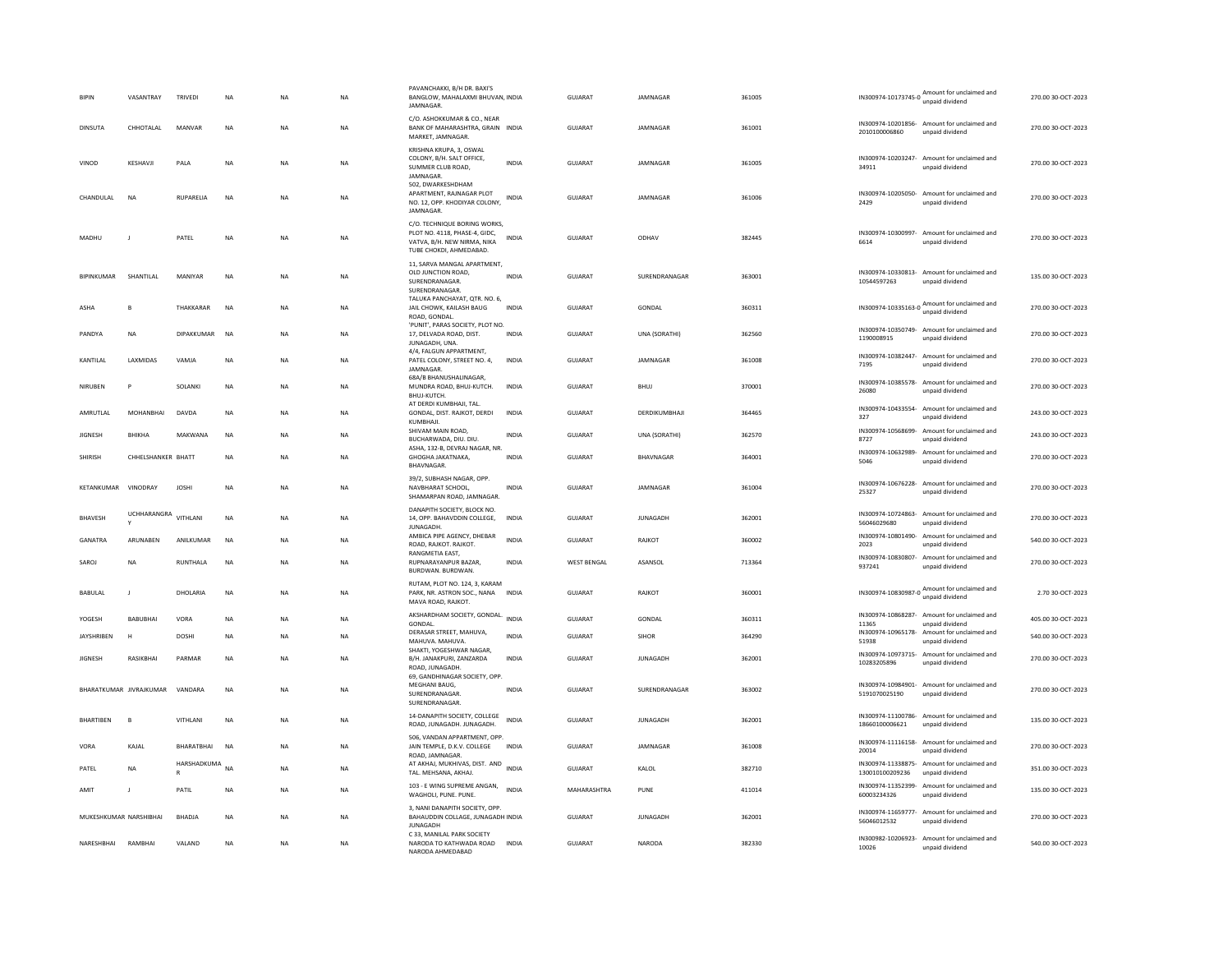| <b>BIPIN</b>           | VASANTRAY               | <b>TRIVEDI</b>  | <b>NA</b> | <b>NA</b> | <b>NA</b> | PAVANCHAKKI, B/H DR. BAXI'S<br>BANGLOW, MAHALAXMI BHUVAN, INDIA<br><b>JAMNAGAR</b>                                      |              | <b>GUJARAT</b>     | JAMNAGAR        | 361005 | IN300974-10173745-0 unpaid dividend | Amount for unclaimed and                                        | 270.00 30-OCT-2023 |
|------------------------|-------------------------|-----------------|-----------|-----------|-----------|-------------------------------------------------------------------------------------------------------------------------|--------------|--------------------|-----------------|--------|-------------------------------------|-----------------------------------------------------------------|--------------------|
| DINSUTA                | CHHOTALAL               | MANVAR          | <b>NA</b> | <b>NA</b> | NA        | C/O. ASHOKKUMAR & CO., NEAR<br>BANK OF MAHARASHTRA, GRAIN INDIA<br>MARKET, JAMNAGAR.                                    |              | GUJARAT            | JAMNAGAR        | 361001 | 2010100006860                       | IN300974-10201856- Amount for unclaimed and<br>unpaid dividend  | 270.00 30-OCT-2023 |
| VINOD                  | KESHAVJ                 | PALA            | <b>NA</b> | <b>NA</b> | <b>NA</b> | KRISHNA KRUPA, 3, OSWAL<br>COLONY, B/H. SALT OFFICE,<br>SUMMER CLUB ROAD,<br>JAMNAGAR                                   | <b>INDIA</b> | GUJARAT            | JAMNAGAR        | 361005 | 34911                               | IN300974-10203247- Amount for unclaimed and<br>unpaid dividend  | 270.00 30-OCT-2023 |
| CHANDULAL              | <b>NA</b>               | RUPARELIA       | <b>NA</b> | <b>NA</b> | <b>NA</b> | 502. DWARKESHDHAM<br>APARTMENT, RAJNAGAR PLOT<br>NO. 12, OPP. KHODIYAR COLONY,<br><b>JAMNAGAR</b>                       | <b>INDIA</b> | <b>GUJARAT</b>     | JAMNAGAR        | 361006 | IN300974-10205050-<br>2429          | Amount for unclaimed and<br>unpaid dividend                     | 270.00 30-OCT-2023 |
| MADHU                  |                         | PATEL           | NA        | <b>NA</b> | NA        | C/O. TECHNIQUE BORING WORKS,<br>PLOT NO. 4118, PHASE-4, GIDC.<br>VATVA, B/H. NEW NIRMA, NIKA<br>TUBE CHOKDI, AHMEDABAD. | <b>INDIA</b> | GUJARAT            | ODHAV           | 382445 | 6614                                | IN300974-10300997- Amount for unclaimed and<br>unpaid dividend  | 270.00 30-OCT-2023 |
| <b>BIPINKUMAR</b>      | SHANTILAL               | MANIYAR         | <b>NA</b> | <b>NA</b> | <b>NA</b> | 11, SARVA MANGAL APARTMENT,<br>OLD JUNCTION ROAD,<br>SURENDRANAGAR.<br>SURENDRANAGAR                                    | <b>INDIA</b> | GUJARAT            | SURENDRANAGAR   | 363001 | 10544597263                         | IN300974-10330813- Amount for unclaimed and<br>unpaid dividend  | 135.00 30-OCT-2023 |
| ASHA                   | B                       | THAKKARAR       | <b>NA</b> | <b>NA</b> | <b>NA</b> | TALUKA PANCHAYAT, QTR. NO. 6,<br>JAIL CHOWK, KAILASH BAUG<br>ROAD, GONDAL.                                              | <b>INDIA</b> | GUJARAT            | <b>GONDAL</b>   | 360311 |                                     | IN300974-10335163-0 Amount for unclaimed and<br>unpaid dividend | 270.00 30-OCT-2023 |
| PANDYA                 | <b>NA</b>               | DIPAKKUMAR      | <b>NA</b> | <b>NA</b> | <b>NA</b> | 'PUNIT', PARAS SOCIETY, PLOT NO.<br>17, DELVADA ROAD, DIST.<br>JUNAGADH, UNA<br>4/4, FALGUN APPARTMENT.                 | <b>INDIA</b> | GUIARAT            | UNA (SORATHI)   | 362560 | IN300974-10350749-<br>1190008915    | Amount for unclaimed and<br>unpaid dividend                     | 270.00 30-OCT-2023 |
| KANTILAI               | LAXMIDAS                | VAMJA           | <b>NA</b> | <b>NA</b> | NA        | PATEL COLONY, STREET NO. 4,<br>JAMNAGAR                                                                                 | INDIA        | <b>GUJARAT</b>     | JAMNAGAR        | 361008 | IN300974-10382447-<br>7195          | Amount for unclaimed and<br>unpaid dividend                     | 270.00 30-OCT-2023 |
| NIRUBEN                | P                       | SOLANKI         | NA        | NA        | <b>NA</b> | 68A/B BHANUSHALINAGAR,<br>MUNDRA ROAD, BHUJ-KUTCH.<br>BHUJ-KUTCH.                                                       | <b>INDIA</b> | GUJARAT            | <b>BHUJ</b>     | 370001 | 26080                               | IN300974-10385578- Amount for unclaimed and<br>unpaid dividend  | 270.00 30-OCT-2023 |
| AMRUTLAL               | MOHANBHAI               | DAVDA           | <b>NA</b> | <b>NA</b> | NA        | AT DERDI KUMBHAJI, TAL.<br>GONDAL, DIST. RAJKOT, DERDI<br>KUMBHAJI                                                      | INDIA        | GUJARAT            | DERDIKUMBHAJI   | 364465 | 327                                 | IN300974-10433554- Amount for unclaimed and<br>unpaid dividend  | 243.00 30-OCT-2023 |
| <b>JIGNESH</b>         | RHIKHA                  | MAKWANA         | <b>NA</b> | <b>NA</b> | <b>NA</b> | SHIVAM MAIN ROAD.<br>BUCHARWADA, DIU, DIU,                                                                              | <b>INDIA</b> | <b>GUJARAT</b>     | UNA (SORATHI)   | 362570 | IN300974-10568699-<br>8727          | Amount for unclaimed and<br>unpaid dividend                     | 243.00 30-OCT-2023 |
| SHIRISH                | CHHELSHANKER BHATT      |                 | <b>NA</b> | <b>NA</b> | <b>NA</b> | ASHA, 132-B, DEVRAJ NAGAR, NR.<br>GHOGHA JAKATNAKA,<br>BHAVNAGAR                                                        | <b>INDIA</b> | GUJARAT            | BHAVNAGAR       | 364001 | IN300974-10632989-<br>5046          | Amount for unclaimed and<br>unpaid dividend                     | 270.00 30-OCT-2023 |
|                        |                         |                 |           |           |           |                                                                                                                         |              |                    |                 |        |                                     |                                                                 |                    |
| KETANKUMAR             | VINODRAY                | <b>JOSHI</b>    | <b>NA</b> | <b>NA</b> | <b>NA</b> | 39/2, SUBHASH NAGAR, OPP<br>NAVBHARAT SCHOOL.<br>SHAMARPAN ROAD, JAMNAGAR.                                              | <b>INDIA</b> | GUJARAT            | JAMNAGAR        | 361004 | 25327                               | IN300974-10676228- Amount for unclaimed and<br>unpaid dividend  | 270.00 30-OCT-2023 |
| BHAVESH                | <b>UCHHARANGRA</b>      | VITHLANI        | <b>NA</b> | <b>NA</b> | <b>NA</b> | DANAPITH SOCIETY, BLOCK NO.<br>14, OPP. BAHAVDDIN COLLEGE,                                                              | <b>INDIA</b> | <b>GUJARAT</b>     | <b>JUNAGADH</b> | 362001 | 56046029680                         | IN300974-10724863- Amount for unclaimed and<br>unpaid dividend  | 270.00 30-OCT-2023 |
| GANATRA                | ARUNABEN                | ANILKUMAR       | <b>NA</b> | <b>NA</b> | NA        | JUNAGADH.<br>AMBICA PIPE AGENCY, DHEBAR<br>ROAD, RAJKOT, RAJKOT,                                                        | <b>INDIA</b> | <b>GUJARAT</b>     | RAJKOT          | 360002 | IN300974-10801490-<br>2023          | Amount for unclaimed and<br>unpaid dividend                     | 540.00 30-OCT-2023 |
| SAROJ                  | <b>NA</b>               | <b>RUNTHALA</b> | <b>NA</b> | <b>NA</b> | <b>NA</b> | RANGMETIA EAST,<br>RUPNARAYANPUR BAZAR.<br>BURDWAN, BURDWAN                                                             | <b>INDIA</b> | <b>WEST BENGAL</b> | ASANSOL         | 713364 | IN300974-10830807-<br>937241        | Amount for unclaimed and<br>unpaid dividend                     | 270.00 30-OCT-2023 |
| BABULAL                | $\mathbf{J}$            | DHOLARIA        | <b>NA</b> | <b>NA</b> | NA        | RUTAM, PLOT NO. 124, 3, KARAM<br>PARK, NR. ASTRON SOC., NANA<br>MAVA ROAD, RAJKOT                                       | <b>INDIA</b> | GUJARAT            | RAJKOT          | 360001 |                                     | IN300974-10830987-0 Amount for unclaimed and<br>unpaid dividend | 2.70 30-OCT-2023   |
| YOGESH                 | <b>BABUBHAI</b>         | VORA            | <b>NA</b> | <b>NA</b> | <b>NA</b> | AKSHARDHAM SOCIETY, GONDAL.<br>GONDAL                                                                                   | <b>INDIA</b> | <b>GUJARAT</b>     | <b>GONDAL</b>   | 360311 | IN300974-10868287-<br>11365         | Amount for unclaimed and<br>unpaid dividend                     | 405.00 30-OCT-2023 |
| <b>JAYSHRIBEN</b>      | н                       | DOSHI           | <b>NA</b> | <b>NA</b> | NA        | DERASAR STREET, MAHUVA,<br>MAHUVA, MAHUVA                                                                               | INDIA        | GUJARAT            | SIHOR           | 364290 | IN300974-10965178-<br>51938         | Amount for unclaimed and<br>unpaid dividend                     | 540.00 30-OCT-2023 |
| <b>JIGNESH</b>         | RASIKBHAI               | PARMAR          | <b>NA</b> | <b>NA</b> | NA        | SHAKTI, YOGESHWAR NAGAR.<br>B/H. JANAKPURI, ZANZARDA<br>ROAD, JUNAGADH.                                                 | <b>INDIA</b> | GUJARAT            | JUNAGADH        | 362001 | IN300974-10973715-<br>10283205896   | Amount for unclaimed and<br>unpaid dividend                     | 270.00 30-OCT-2023 |
|                        | BHARATKUMAR JIVRAJKUMAR | VANDARA         | <b>NA</b> | <b>NA</b> | NA        | 69, GANDHINAGAR SOCIETY, OPP<br>MEGHANI BAUG.<br>SURENDRANAGAR<br>SURENDRANAGAR                                         | INDIA        | GUJARAT            | SURENDRANAGAR   | 363002 | 5191070025190                       | IN300974-10984901- Amount for unclaimed and<br>unpaid dividend  | 270.00 30-OCT-2023 |
| <b>BHARTIBEN</b>       | $\overline{B}$          | VITHLANI        | <b>NA</b> | NA        | NA        | 14-DANAPITH SOCIETY, COLLEGE<br>ROAD, JUNAGADH. JUNAGADH.                                                               | <b>INDIA</b> | <b>GUJARAT</b>     | <b>JUNAGADH</b> | 362001 | 18660100006621                      | IN300974-11100786- Amount for unclaimed and<br>unpaid dividend  | 135.00 30-OCT-2023 |
| VORA                   | KAJAL                   | BHARATBHAI      | <b>NA</b> | <b>NA</b> | <b>NA</b> | 506, VANDAN APPARTMENT, OPP.<br>JAIN TEMPLE, D.K.V. COLLEGE<br>ROAD, JAMNAGAR.                                          | <b>INDIA</b> | GUJARAT            | JAMNAGAR        | 361008 | 20014                               | IN300974-11116158- Amount for unclaimed and<br>unpaid dividend  | 270.00 30-OCT-2023 |
| PATEL                  | NA.                     | HARSHADKUMA NA  |           | <b>NA</b> | <b>NA</b> | AT AKHAJ, MUKHIVAS, DIST. AND INDIA<br>TAL, MEHSANA, AKHAJ,                                                             |              | GUIARAT            | KAI OI          | 382710 | 130010100209236                     | IN300974-11338875- Amount for unclaimed and<br>unpaid dividend  | 351.00 30-OCT-2023 |
| AMIT                   | $\mathbf{J}$            | PATIL           | <b>NA</b> | <b>NA</b> | NA        | 103 - E WING SUPREME ANGAN,<br>WAGHOLI, PUNE. PUNE.                                                                     | <b>INDIA</b> | MAHARASHTRA        | PUNE            | 411014 | 60003234326                         | IN300974-11352399- Amount for unclaimed and<br>unpaid dividend  | 135.00 30-OCT-2023 |
| MUKESHKUMAR NARSHIBHAI |                         | <b>BHADJA</b>   | <b>NA</b> | <b>NA</b> | <b>NA</b> | 3, NANI DANAPITH SOCIETY, OPP<br>BAHAUDDIN COLLAGE, JUNAGADH INDIA<br><b>JUNAGADH</b><br>C 33, MANILAL PARK SOCIETY     |              | <b>GUJARAT</b>     | <b>JUNAGADH</b> | 362001 | 56046012532                         | IN300974-11659777- Amount for unclaimed and<br>unpaid dividend  | 270.00 30-OCT-2023 |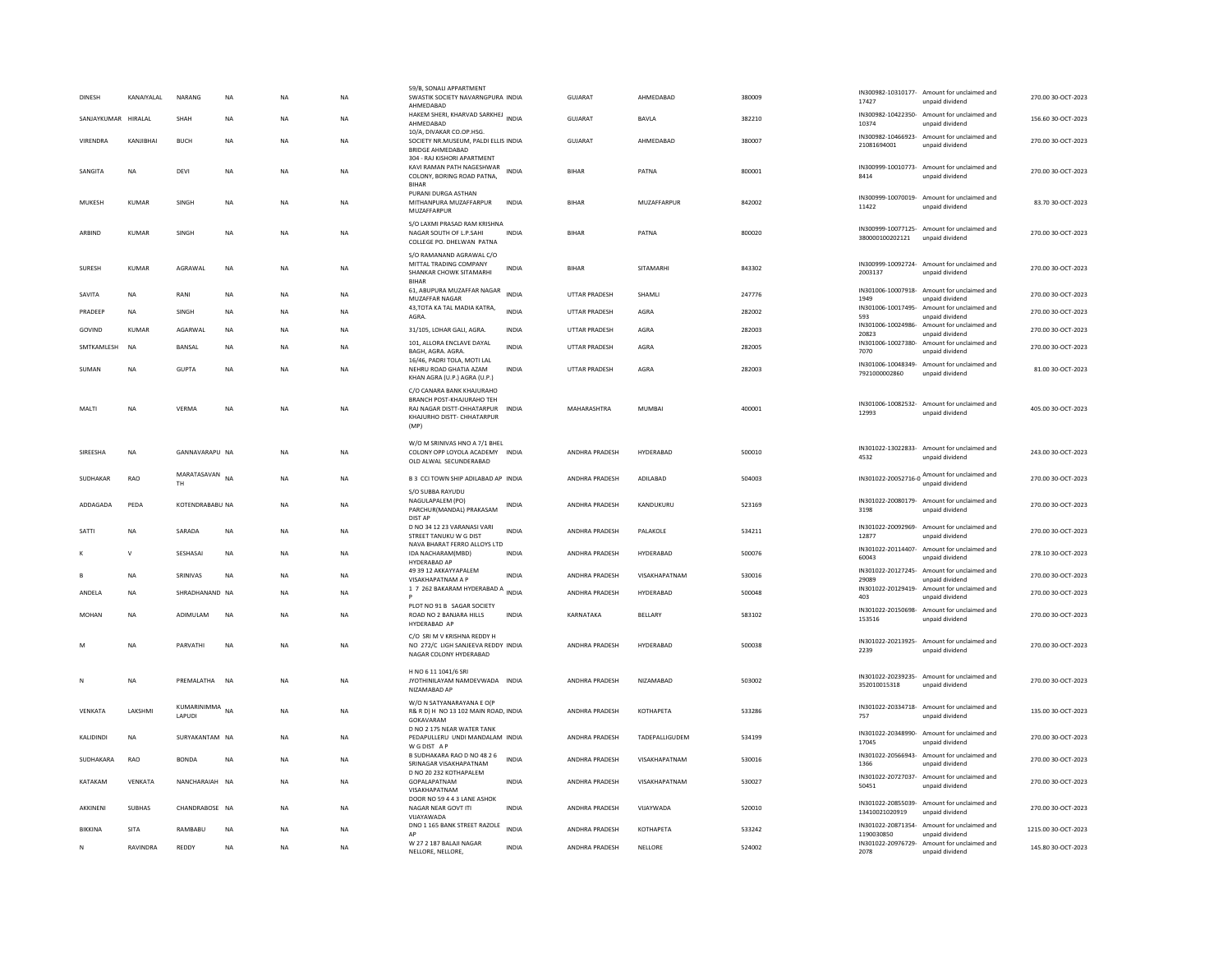| <b>DINESH</b>        | KANAIYALAL    | NARANG                | <b>NA</b>   | <b>NA</b>   | <b>NA</b> | 59/B, SONALI APPARTMENT<br>SWASTIK SOCIETY NAVARNGPURA INDIA<br>AHMFDARAD                                                         |              | <b>GUJARAT</b>        | AHMEDABAD             | 380009 | 17427                            | IN300982-10310177- Amount for unclaimed and<br>unpaid dividend  | 270.00 30-OCT-2023  |
|----------------------|---------------|-----------------------|-------------|-------------|-----------|-----------------------------------------------------------------------------------------------------------------------------------|--------------|-----------------------|-----------------------|--------|----------------------------------|-----------------------------------------------------------------|---------------------|
| SANIAYKUMAR HIRAI AI |               | SHAH                  | <b>NA</b>   | <b>NA</b>   | NA.       | HAKEM SHERI, KHARVAD SARKHEJ INDIA<br>AHMEDABAD                                                                                   |              | GUIARAT               | <b>RAVIA</b>          | 382210 | IN300982-10422350-<br>10374      | Amount for unclaimed and<br>unpaid dividend                     | 156.6030-007-2023   |
| VIRENDRA             | KANJIBHAI     | <b>BUCH</b>           | <b>NA</b>   | <b>NA</b>   | <b>NA</b> | 10/A, DIVAKAR CO.OP.HSG.<br>SOCIETY NR.MUSEUM, PALDI ELLIS INDIA<br><b>BRIDGE AHMEDARAD</b>                                       |              | <b>GUJARAT</b>        | AHMEDABAD             | 380007 | 21081694001                      | IN300982-10466923- Amount for unclaimed and<br>unpaid dividend  | 270.00 30-OCT-2023  |
| SANGITA              | NA            | DEVI                  | NA          | NA          | NA        | 304 - RAJ KISHORI APARTMENT<br>KAVI RAMAN PATH NAGESHWAR<br>COLONY, BORING ROAD PATNA,<br><b>BIHAR</b>                            | INDIA        | <b>BIHAR</b>          | PATNA                 | 800001 | 8414                             | IN300999-10010773- Amount for unclaimed and<br>unpaid dividend  | 270.00 30-OCT-2023  |
| MUKESH               | KUMAR         | SINGH                 | $_{\sf NA}$ | NA          | NA        | PURANI DURGA ASTHAN<br>MITHANPURA MUZAFFARPUR<br>MUZAFFARPUR                                                                      | INDIA        | <b>BIHAR</b>          | MUZAFFARPUR           | 842002 | 11422                            | IN300999-10070019- Amount for unclaimed and<br>unpaid dividend  | 83.70 30-OCT-2023   |
| ARBIND               | KUMAR         | SINGH                 | $_{\sf NA}$ | $_{\sf NA}$ | NA        | S/O LAXMI PRASAD RAM KRISHNA<br>NAGAR SOUTH OF L.P.SAHI<br>COLLEGE PO. DHELWAN PATNA                                              | <b>INDIA</b> | <b>BIHAR</b>          | PATNA                 | 800020 | 380000100202121                  | IN300999-10077125- Amount for unclaimed and<br>unpaid dividend  | 270.00 30-OCT-2023  |
| <b>SURESH</b>        | <b>KUMAR</b>  | AGRAWAL               | <b>NA</b>   | <b>NA</b>   | <b>NA</b> | S/O RAMANAND AGRAWAL C/O<br>MITTAL TRADING COMPANY<br>SHANKAR CHOWK SITAMARHI<br><b>BIHAR</b>                                     | <b>INDIA</b> | <b>BIHAR</b>          | SITAMARHI             | 843302 | 2003137                          | IN300999-10092724- Amount for unclaimed and<br>unpaid dividend  | 270.00 30-OCT-2023  |
| SAVITA               | <b>NA</b>     | RANI                  | <b>NA</b>   | <b>NA</b>   | <b>NA</b> | 61, ABUPURA MUZAFFAR NAGAR<br>MUZAFFAR NAGAR                                                                                      | <b>INDIA</b> | UTTAR PRADESH         | SHAMLI                | 247776 | 1949                             | IN301006-10007918- Amount for unclaimed and<br>unpaid dividend  | 270.00 30-OCT-2023  |
| PRADEEP              | <b>NA</b>     | SINGH                 | <b>NA</b>   | <b>NA</b>   | <b>NA</b> | 43, TOTA KA TAL MADIA KATRA,<br>AGRA.                                                                                             | <b>INDIA</b> | <b>UTTAR PRADESH</b>  | AGRA                  | 282002 | 593                              | IN301006-10017495- Amount for unclaimed and<br>unpaid dividend  | 270.00 30-OCT-2023  |
| GOVIND               | KUMAR         | AGARWAL               | NA          | <b>NA</b>   | NA        | 31/105, LOHAR GALI, AGRA.                                                                                                         | INDIA        | UTTAR PRADESH         | AGRA                  | 282003 | IN301006-10024986-<br>20823      | Amount for unclaimed and<br>unpaid dividend                     | 270.00 30-OCT-2023  |
| SMTKAMLESH           | <b>NA</b>     | <b>BANSAL</b>         | <b>NA</b>   | <b>NA</b>   | <b>NA</b> | 101, ALLORA ENCLAVE DAYAL<br>BAGH, AGRA. AGRA.                                                                                    | <b>INDIA</b> | <b>UTTAR PRADESH</b>  | AGRA                  | 282005 | 7070                             | IN301006-10027380- Amount for unclaimed and<br>unpaid dividend  | 270.00 30-OCT-2023  |
| SUMAN                | <b>NA</b>     | <b>GUPTA</b>          | <b>NA</b>   | <b>NA</b>   | <b>NA</b> | 16/46, PADRI TOLA, MOTI LAL<br>NEHRU ROAD GHATIA AZAM<br>KHAN AGRA (U.P.) AGRA (U.P.)                                             | <b>INDIA</b> | <b>UTTAR PRADESH</b>  | AGRA                  | 282003 | 7921000002860                    | IN301006-10048349- Amount for unclaimed and<br>unpaid dividend  | 81.00 30-OCT-2023   |
| MALTI                | <b>NA</b>     | VFRMA                 | <b>NA</b>   | <b>NA</b>   | <b>NA</b> | C/O CANARA BANK KHAJURAHO<br><b>BRANCH POST-KHAJURAHO TEH</b><br>RAJ NAGAR DISTT-CHHATARPUR<br>KHAJURHO DISTT- CHHATARPUR<br>(MP) | <b>INDIA</b> | MAHARASHTRA           | MUMBAL                | 400001 | 12993                            | IN301006-10082532- Amount for unclaimed and<br>unpaid dividend  | 405.00 30-OCT-2023  |
| SIREESHA             | NA            | GANNAVARAPU NA        |             | <b>NA</b>   | NA        | W/O M SRINIVAS HNO A 7/1 BHEL<br>COLONY OPP LOYOLA ACADEMY INDIA<br>OLD ALWAL SECUNDERABAD                                        |              | ANDHRA PRADESH        | HYDERABAD             | 500010 | 4532                             | IN301022-13022833- Amount for unclaimed and<br>unpaid dividend  | 243.00 30-OCT-2023  |
| SUDHAKAR             | RAO           | MARATASAVAN<br>TH     | <b>NA</b>   | <b>NA</b>   | <b>NA</b> | B 3 CCI TOWN SHIP ADILABAD AP INDIA                                                                                               |              | ANDHRA PRADESH        | ADILABAD              | 504003 |                                  | IN301022-20052716-0 Amount for unclaimed and<br>unpaid dividend | 270.00 30-OCT-2023  |
| ADDAGADA             | PEDA          | KOTENDRABABU NA       |             | <b>NA</b>   | NA        | S/O SUBBA RAYUDU<br>NAGULAPALEM (PO)<br>PARCHUR(MANDAL) PRAKASAM                                                                  | INDIA        | ANDHRA PRADESH        | KANDUKURU             | 523169 | 3198                             | IN301022-20080179- Amount for unclaimed and<br>unpaid dividend  | 270.00 30-OCT-2023  |
| SATTI                | <b>NA</b>     | SARADA                | <b>NA</b>   | <b>NA</b>   | <b>NA</b> | DIST AP<br>D NO 34 12 23 VARANASI VARI<br>STREET TANUKU W G DIST<br>NAVA BHARAT FERRO ALLOYS LTD                                  | <b>INDIA</b> | <b>ANDHRA PRADESH</b> | PAI AKOLE             | 534211 | IN301022-20092969-<br>12877      | Amount for unclaimed and<br>unpaid dividend                     | 270.00.30-OCT-2023  |
|                      | $\mathsf{v}$  | SESHASAI              | $_{\sf NA}$ | NA          | NA        | IDA NACHARAM(MBD)<br>HYDERABAD AP                                                                                                 | <b>INDIA</b> | ANDHRA PRADESH        | HYDERABAD             | 500076 | 60043                            | IN301022-20114407- Amount for unclaimed and<br>unpaid dividend  | 278.10 30-OCT-2023  |
| $\mathbf{B}$         | <b>NA</b>     | SRINIVAS              | <b>NA</b>   | <b>NA</b>   | <b>NA</b> | 49 39 12 AKKAYYAPALEM<br>VISAKHAPATNAM A P                                                                                        | <b>INDIA</b> | <b>ANDHRA PRADESH</b> | VISAKHAPATNAM         | 530016 | IN301022-20127245-<br>29089      | Amount for unclaimed and<br>unpaid dividend                     | 270.00 30-OCT-2023  |
| ANDELA               | <b>NA</b>     | SHRADHANAND NA        |             | <b>NA</b>   | <b>NA</b> | 17 262 BAKARAM HYDERABAD A INDIA                                                                                                  |              | ANDHRA PRADESH        | HYDERABAD             | 500048 | IN301022-20129419-<br>403        | Amount for unclaimed and<br>unpaid dividend                     | 270.00 30-OCT-2023  |
| MOHAN                | NA            | ADIMULAM              | $_{\sf NA}$ | NA          | NA        | PLOT NO 91 B SAGAR SOCIETY<br>ROAD NO 2 BANJARA HILLS<br>HYDERABAD AP                                                             | INDIA        | KARNATAKA             | BELLARY               | 583102 | 153516                           | IN301022-20150698- Amount for unclaimed and<br>unpaid dividend  | 270.00 30-OCT-2023  |
| M                    | <b>NA</b>     | PARVATHI              | <b>NA</b>   | NA          | <b>NA</b> | C/O SRI M V KRISHNA REDDY H<br>NO 272/C LIGH SANJEEVA REDDY INDIA<br>NAGAR COLONY HYDERABAD                                       |              | ANDHRA PRADESH        | HYDERABAD             | 500038 | 2239                             | IN301022-20213925- Amount for unclaimed and<br>unpaid dividend  | 270.00 30-OCT-2023  |
| N                    | <b>NA</b>     | PREMAI ATHA           | <b>NA</b>   | <b>NA</b>   | NA.       | H NO 6 11 1041/6 SRI<br>JYOTHINILAYAM NAMDEVWADA INDIA<br>NIZAMABAD AP                                                            |              | <b>ANDHRA PRADESH</b> | NIZAMARAD             | 503002 | 352010015318                     | IN301022-20239235- Amount for unclaimed and<br>unpaid dividend  | 270.00.30-OCT-2023  |
| VENKATA              | LAKSHMI       | KUMARINIMMA<br>LAPUDI | <b>NA</b>   | <b>NA</b>   | <b>NA</b> | W/O N SATYANARAYANA E O(P<br>R& R D) H NO 13 102 MAIN ROAD, INDIA<br>GOKAVARAM                                                    |              | ANDHRA PRADESH        | КОТНАРЕТА             | 533286 | 757                              | IN301022-20334718- Amount for unclaimed and<br>unpaid dividend  | 135.00 30-OCT-2023  |
| <b>KALIDINDI</b>     | <b>NA</b>     | SURYAKANTAM NA        |             | <b>NA</b>   | NA.       | D NO 2 175 NEAR WATER TANK<br>PEDAPULLERU UNDI MANDALAM INDIA<br>W G DIST A F                                                     |              | <b>ANDHRA PRADESH</b> | <b>TADEPALLIGUDEM</b> | 534199 | IN301022-20348990-<br>17045      | Amount for unclaimed and<br>unpaid dividend                     | 270.00.30-QCT-2023  |
| SUDHAKARA            | RAO           | <b>BONDA</b>          | <b>NA</b>   | <b>NA</b>   | <b>NA</b> | B SUDHAKARA RAO D NO 48 2 6<br>SRINAGAR VISAKHAPATNAM                                                                             | <b>INDIA</b> | ANDHRA PRADESH        | VISAKHAPATNAM         | 530016 | IN301022-20566943-<br>1366       | Amount for unclaimed and<br>unpaid dividend                     | 270.00 30-OCT-2023  |
| KATAKAM              | VENKATA       | NANCHARAIAH NA        |             | <b>NA</b>   | NA        | D NO 20 232 KOTHAPALEM<br>GOPALAPATNAM<br>VISAKHAPATNAM                                                                           | INDIA        | ANDHRA PRADESH        | VISAKHAPATNAM         | 530027 | 50451                            | IN301022-20727037- Amount for unclaimed and<br>unpaid dividend  | 270.00 30-OCT-2023  |
| AKKINENI             | <b>SUBHAS</b> | CHANDRABOSE NA        |             | NA          | NA        | DOOR NO 59 4 4 3 LANE ASHOK<br>NAGAR NEAR GOVT ITI<br>VUAYAWADA                                                                   | INDIA        | ANDHRA PRADESH        | VIJAYWADA             | 520010 | 13410021020919                   | IN301022-20855039- Amount for unclaimed and<br>unpaid dividend  | 270.00 30-OCT-2023  |
| <b>BIKKINA</b>       | SITA          | RAMBABU               | <b>NA</b>   | <b>NA</b>   | <b>NA</b> | DNO 1 165 BANK STREET RAZOLE<br>AP                                                                                                | <b>INDIA</b> | ANDHRA PRADESH        | <b>КОТНАРЕТА</b>      | 533242 | IN301022-20871354-<br>1190030850 | Amount for unclaimed and<br>unpaid dividend                     | 1215.00 30-OCT-2023 |
| ${\sf N}$            | RAVINDRA      | REDDY                 | <b>NA</b>   | <b>NA</b>   | <b>NA</b> | W 27 2 187 BALAJI NAGAR<br>NELLORE, NELLORE,                                                                                      | <b>INDIA</b> | ANDHRA PRADESH        | NELLORE               | 524002 | 2078                             | IN301022-20976729- Amount for unclaimed and<br>unpaid dividend  | 145.80 30-OCT-2023  |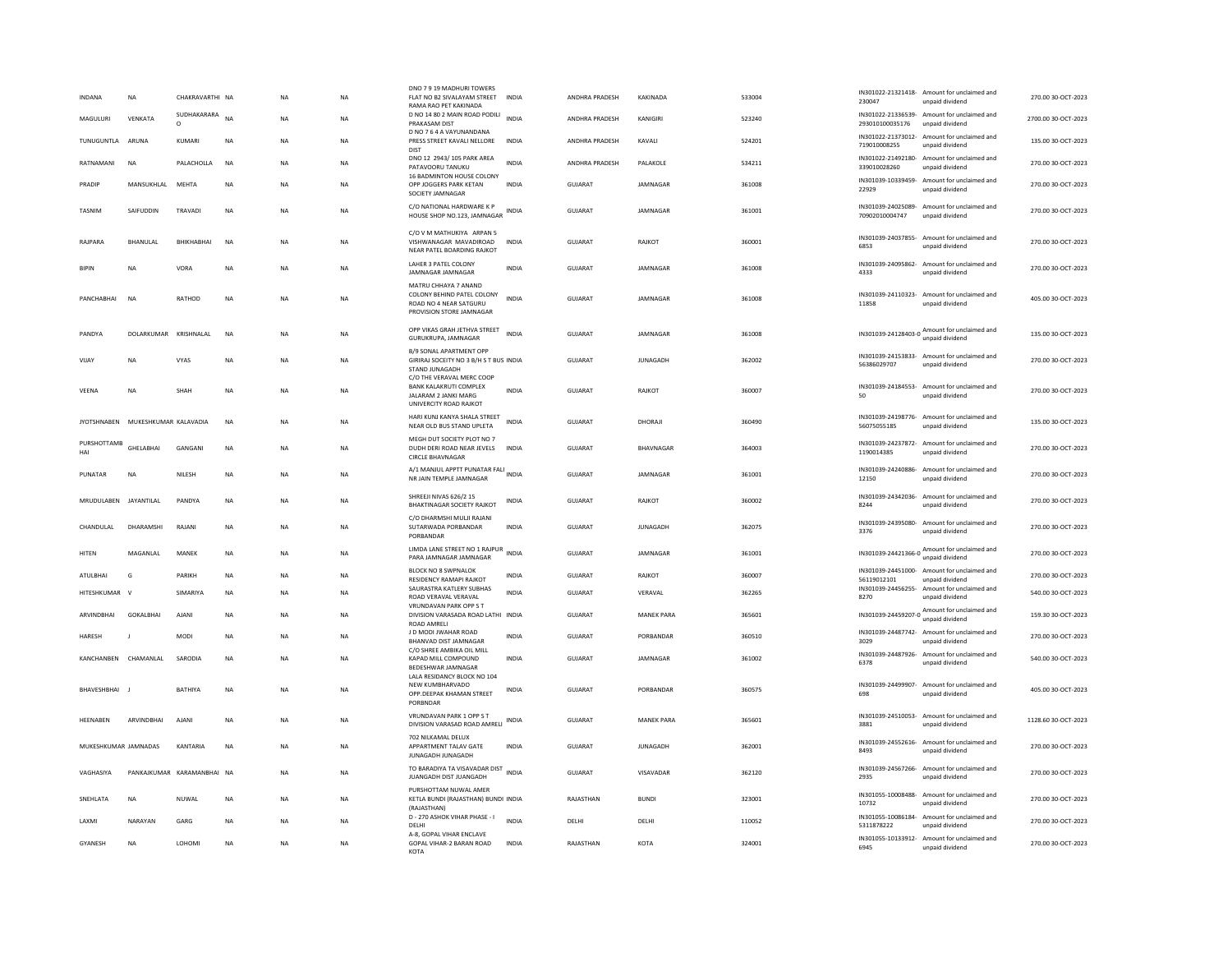| <b>INDANA</b><br><b>NA</b>        | CHAKRAVARTHI NA         |           | <b>NA</b> | <b>NA</b> | DNO 7 9 19 MADHURI TOWERS<br>FLAT NO B2 SIVALAYAM STREET<br>RAMA RAO PET KAKINADA                        | <b>INDIA</b> | ANDHRA PRADESH        | KAKINADA          | 533004 | 230047                           | IN301022-21321418- Amount for unclaimed and<br>unpaid dividend | 270.00 30-OCT-2023  |
|-----------------------------------|-------------------------|-----------|-----------|-----------|----------------------------------------------------------------------------------------------------------|--------------|-----------------------|-------------------|--------|----------------------------------|----------------------------------------------------------------|---------------------|
| VENKATA<br>MAGUIURI               | SUDHAKARARA<br>$\Omega$ | <b>NA</b> | <b>NA</b> | NA.       | D NO 14 80 2 MAIN ROAD PODILI<br>PRAKASAM DIST                                                           | <b>INDIA</b> | <b>ANDHRA PRADESH</b> | KANIGIRI          | 523240 | 293010100035176                  | IN301022-21336539- Amount for unclaimed and<br>unpaid dividend | 2700.00.30-QCT-2023 |
| TUNUGUNTLA<br>ARUNA               | KUMARI                  | NA        | <b>NA</b> | <b>NA</b> | D NO 7 6 4 A VAYUNANDANA<br>PRESS STREET KAVALI NELLORE<br>DIST                                          | <b>INDIA</b> | ANDHRA PRADESH        | KAVALI            | 524201 | 719010008255                     | IN301022-21373012- Amount for unclaimed and<br>unpaid dividend | 135.00 30-OCT-2023  |
| RATNAMANI<br><b>NA</b>            | PALACHOLLA              | <b>NA</b> | <b>NA</b> | <b>NA</b> | DNO 12 2943/105 PARK AREA<br>PATAVOORU TANUKU                                                            | <b>INDIA</b> | <b>ANDHRA PRADESH</b> | PAI AKOLE         | 534211 | 339010028260                     | IN301022-21492180- Amount for unclaimed and<br>unpaid dividend | 270.00 30-OCT-2023  |
| PRADIP<br>MANSUKHLAL              | MEHTA                   | NA        | NA        | NA        | 16 BADMINTON HOUSE COLONY<br>OPP JOGGERS PARK KETAN<br>SOCIETY JAMNAGAR                                  | <b>INDIA</b> | GUJARAT               | JAMNAGAR          | 361008 | 22929                            | IN301039-10339459- Amount for unclaimed and<br>unpaid dividend | 270.00 30-OCT-2023  |
| SAIFUDDIN<br><b>TASNIM</b>        | TRAVAD                  | <b>NA</b> | <b>NA</b> | <b>NA</b> | C/O NATIONAL HARDWARE K P<br>HOUSE SHOP NO.123, JAMNAGAR INDIA                                           |              | <b>GUJARAT</b>        | JAMNAGAR          | 361001 | 70902010004747                   | IN301039-24025089- Amount for unclaimed and<br>unpaid dividend | 270.00 30-OCT-2023  |
| RAJPARA<br>BHANULAL               | BHIKHABHAI              | <b>NA</b> | <b>NA</b> | <b>NA</b> | C/O V M MATHUKIYA ARPAN 5<br>VISHWANAGAR MAVADIROAD<br>NEAR PATEL BOARDING RAJKOT                        | <b>INDIA</b> | <b>GUJARAT</b>        | RAJKOT            | 360001 | 6853                             | IN301039-24037855- Amount for unclaimed and<br>unpaid dividend | 270.00 30-OCT-2023  |
| <b>NA</b><br><b>BIPIN</b>         | <b>VORA</b>             | NA        | <b>NA</b> | NA        | LAHER 3 PATEL COLONY<br>JAMNAGAR JAMNAGAR                                                                | <b>INDIA</b> | GUJARAT               | JAMNAGAR          | 361008 | 4333                             | IN301039-24095862- Amount for unclaimed and<br>unpaid dividend | 270.00 30-OCT-2023  |
| PANCHARHAI<br><b>NA</b>           | RATHOD                  | <b>NA</b> | <b>NA</b> | <b>NA</b> | MATRU CHHAYA 7 ANAND<br>COLONY BEHIND PATEL COLONY<br>ROAD NO 4 NEAR SATGURU<br>PROVISION STORE JAMNAGAR | <b>INDIA</b> | GUIARAT               | <b>IAMNAGAR</b>   | 361008 | 11858                            | IN301039-24110323- Amount for unclaimed and<br>unpaid dividend | 405.00 30-OCT-2023  |
| PANDYA<br>DOLARKUMAR              | KRISHNALAL              | <b>NA</b> | <b>NA</b> | <b>NA</b> | OPP VIKAS GRAH JETHVA STREET<br>GURUKRUPA, JAMNAGAR                                                      | <b>INDIA</b> | GUJARAT               | JAMNAGAR          | 361008 | IN301039-24128403-0              | Amount for unclaimed and<br>unpaid dividend                    | 135.00 30-OCT-2023  |
| VIIAY<br><b>NA</b>                | <b>VYAS</b>             | <b>NA</b> | <b>NA</b> | <b>NA</b> | B/9 SONAL APARTMENT OPP<br>GIRIRAJ SOCEITY NO 3 B/H S T BUS INDIA<br>STAND JUNAGADH                      |              | GUIARAT               | <b>IUNAGADH</b>   | 362002 | 56386029707                      | IN301039-24153833- Amount for unclaimed and<br>unpaid dividend | 270.00.30-QCT-2023  |
| VEENA<br><b>NA</b>                | SHAH                    | <b>NA</b> | <b>NA</b> | <b>NA</b> | C/O THE VERAVAL MERC COOP<br>BANK KALAKRUTI COMPLEX<br>JALARAM 2 JANKI MARG<br>UNIVERCITY ROAD RAJKOT    | <b>INDIA</b> | GUJARAT               | RAJKOT            | 360007 | 50                               | IN301039-24184553- Amount for unclaimed and<br>unpaid dividend | 270.00 30-OCT-2023  |
| JYOTSHNABEN MUKESHKUMAR KALAVADIA |                         | <b>NA</b> | <b>NA</b> | <b>NA</b> | HARI KUNJ KANYA SHALA STREET<br>NEAR OLD BUS STAND UPLETA                                                | <b>INDIA</b> | <b>GUJARAT</b>        | DHORAJI           | 360490 | 56075055185                      | IN301039-24198776- Amount for unclaimed and<br>unpaid dividend | 135.00 30-OCT-2023  |
| PURSHOTTAME<br>GHELABHAI<br>HAI   | GANGANI                 | <b>NA</b> | <b>NA</b> | <b>NA</b> | MEGH DUT SOCIETY PLOT NO 7<br>DUDH DERI ROAD NEAR JEVELS<br><b>CIRCLE BHAVNAGAR</b>                      | <b>INDIA</b> | GUJARAT               | BHAVNAGAR         | 364003 | 1190014385                       | IN301039-24237872- Amount for unclaimed and<br>unpaid dividend | 270.00 30-OCT-2023  |
| PUNATAR<br>NA                     | NILESH                  | NA        | <b>NA</b> | NA        | A/1 MANJUL APPTT PUNATAR FALI INDIA<br>NR JAIN TEMPLE JAMNAGAR                                           |              | GUJARAT               | JAMNAGAR          | 361001 | 12150                            | IN301039-24240886- Amount for unclaimed and<br>unpaid dividend | 270.00 30-OCT-2023  |
| MRUDULABEN<br>JAYANTILAL          | PANDYA                  | <b>NA</b> | <b>NA</b> | <b>NA</b> | SHREEJI NIVAS 626/2 15<br>BHAKTINAGAR SOCIETY RAJKOT                                                     | <b>INDIA</b> | GUJARAT               | RAJKOT            | 360002 | 8244                             | IN301039-24342036- Amount for unclaimed and<br>unpaid dividend | 270.00 30-OCT-2023  |
| CHANDULAL<br>DHARAMSHI            | RAIANI                  | <b>NA</b> | <b>NA</b> | <b>NA</b> | C/O DHARMSHI MULJI RAJANI<br>SUTARWADA PORBANDAR<br>PORBANDAR                                            | <b>INDIA</b> | GUIARAT               | <b>IUNAGADH</b>   | 362075 | 3376                             | IN301039-24395080- Amount for unclaimed and<br>unpaid dividend | 270.00.30-OCT-2023  |
| <b>HITEN</b><br>MAGANLAL          | MANEK                   | NA        | <b>NA</b> | NA        | LIMDA LANE STREET NO 1 RAJPUR<br>INDIA<br>PARA JAMNAGAR JAMNAGAR                                         |              | GUJARAT               | JAMNAGAR          | 361001 | IN301039-24421366-0              | Amount for unclaimed and<br>unpaid dividend                    | 270.00 30-OCT-2023  |
| ATULBHAI<br>G                     | PARIKH                  | <b>NA</b> | <b>NA</b> | <b>NA</b> | BLOCK NO 8 SWPNALOK<br>RESIDENCY RAMAPI RAJKOT                                                           | <b>INDIA</b> | <b>GUJARAT</b>        | RAJKOT            | 360007 | 56119012101                      | IN301039-24451000- Amount for unclaimed and<br>unpaid dividend | 270.00 30-OCT-2023  |
| HITESHKUMAR<br>$\mathbf{v}$       | SIMARIYA                | NA        | NA        | NA        | SAURASTRA KATLERY SUBHAS<br>ROAD VERAVAL VERAVAL<br>VRUNDAVAN PARK OPP S T                               | INDIA        | GUJARAT               | VERAVAL           | 362265 | 8270                             | IN301039-24456255- Amount for unclaimed and<br>unpaid dividend | 540.00 30-OCT-2023  |
| ARVINDRHAI<br><b>GOKALBHAL</b>    | AIANI                   | <b>NA</b> | <b>NA</b> | <b>NA</b> | DIVISION VARASADA ROAD LATHI INDIA<br><b>ROAD AMRELI</b>                                                 |              | GUIARAT               | <b>MANEK PARA</b> | 365601 | IN301039-24459207-0              | Amount for unclaimed and<br>unpaid dividend                    | 159.30 30-OCT-2023  |
| HARESH                            | MODI                    | NA        | <b>NA</b> | NA        | J D MODI JWAHAR ROAD<br>BHANVAD DIST JAMNAGAR                                                            | <b>INDIA</b> | GUJARAT               | PORBANDAR         | 360510 | 3029                             | IN301039-24487742- Amount for unclaimed and<br>unpaid dividend | 270.00 30-OCT-2023  |
| KANCHANBEN CHAMANLAL              | SARODIA                 | <b>NA</b> | <b>NA</b> | <b>NA</b> | C/O SHREE AMBIKA OIL MILL<br>KAPAD MILL COMPOUND<br>BEDESHWAR JAMNAGAR<br>LALA RESIDANCY BLOCK NO 104    | <b>INDIA</b> | GUIARAT               | <b>IAMNAGAR</b>   | 361002 | 6378                             | IN301039-24487926- Amount for unclaimed and<br>unpaid dividend | 540.00 30-OCT-2023  |
| BHAVESHBHAI                       | RATHIYA                 | <b>NA</b> | <b>NA</b> | <b>NA</b> | NEW KUMBHARVADO<br>OPP.DEEPAK KHAMAN STREET<br>PORBNDAR                                                  | INDIA        | GUJARAT               | PORRANDAR         | 360575 | 698                              | IN301039-24499907- Amount for unclaimed and<br>unpaid dividend | 405.00 30-OCT-2023  |
| HEENABEN<br>ARVINDBHAI            | <b>AJANI</b>            | <b>NA</b> | <b>NA</b> | <b>NA</b> | VRUNDAVAN PARK 1 OPP S T<br>DIVISION VARASAD ROAD AMRELI                                                 | <b>INDIA</b> | <b>GUJARAT</b>        | <b>MANEK PARA</b> | 365601 | 3881                             | IN301039-24510053- Amount for unclaimed and<br>unpaid dividend | 1128.60 30-OCT-2023 |
| MUKESHKUMAR JAMNADAS              | KANTARIA                | NA        | <b>NA</b> | NA        | 702 NILKAMAL DELUX<br>APPARTMENT TALAV GATE<br>JUNAGADH JUNAGADH                                         | INDIA        | GUJARAT               | <b>JUNAGADH</b>   | 362001 | 8493                             | IN301039-24552616- Amount for unclaimed and<br>unpaid dividend | 270.00 30-OCT-2023  |
| VAGHASIYA<br>PANKAJKUMAR          | KARAMANBHAI NA          |           | <b>NA</b> | <b>NA</b> | TO BARADIYA TA VISAVADAR DIST<br>INDIA<br>JUANGADH DIST JUANGADH                                         |              | <b>GUJARAT</b>        | VISAVADAR         | 362120 | 2935                             | IN301039-24567266- Amount for unclaimed and<br>unpaid dividend | 270.00 30-OCT-2023  |
| SNEHLATA<br><b>NA</b>             | NUWAL                   | <b>NA</b> | <b>NA</b> | <b>NA</b> | PURSHOTTAM NUWAL AMER<br>KETLA BUNDI (RAJASTHAN) BUNDI INDIA<br>(RAJASTHAN)                              |              | RAJASTHAN             | <b>BUNDI</b>      | 323001 | 10732                            | IN301055-10008488- Amount for unclaimed and<br>unpaid dividend | 270.00 30-OCT-2023  |
| <b>I AXMI</b><br>NARAYAN          | GARG                    | NA        | <b>NA</b> | NA        | D - 270 ASHOK VIHAR PHASE - I<br>DELHI                                                                   | <b>INDIA</b> | DELHI                 | DELHI             | 110052 | IN301055-10086184-<br>5311878222 | Amount for unclaimed and<br>unpaid dividend                    | 270.00 30-OCT-2023  |
| GYANESH<br><b>NA</b>              | LOHOMI                  | <b>NA</b> | <b>NA</b> | <b>NA</b> | A-8, GOPAL VIHAR ENCLAVE<br>GOPAL VIHAR-2 BARAN ROAD<br><b>KOTA</b>                                      | <b>INDIA</b> | RAJASTHAN             | KOTA              | 324001 | 6945                             | IN301055-10133912- Amount for unclaimed and<br>unpaid dividend | 270.00 30-OCT-2023  |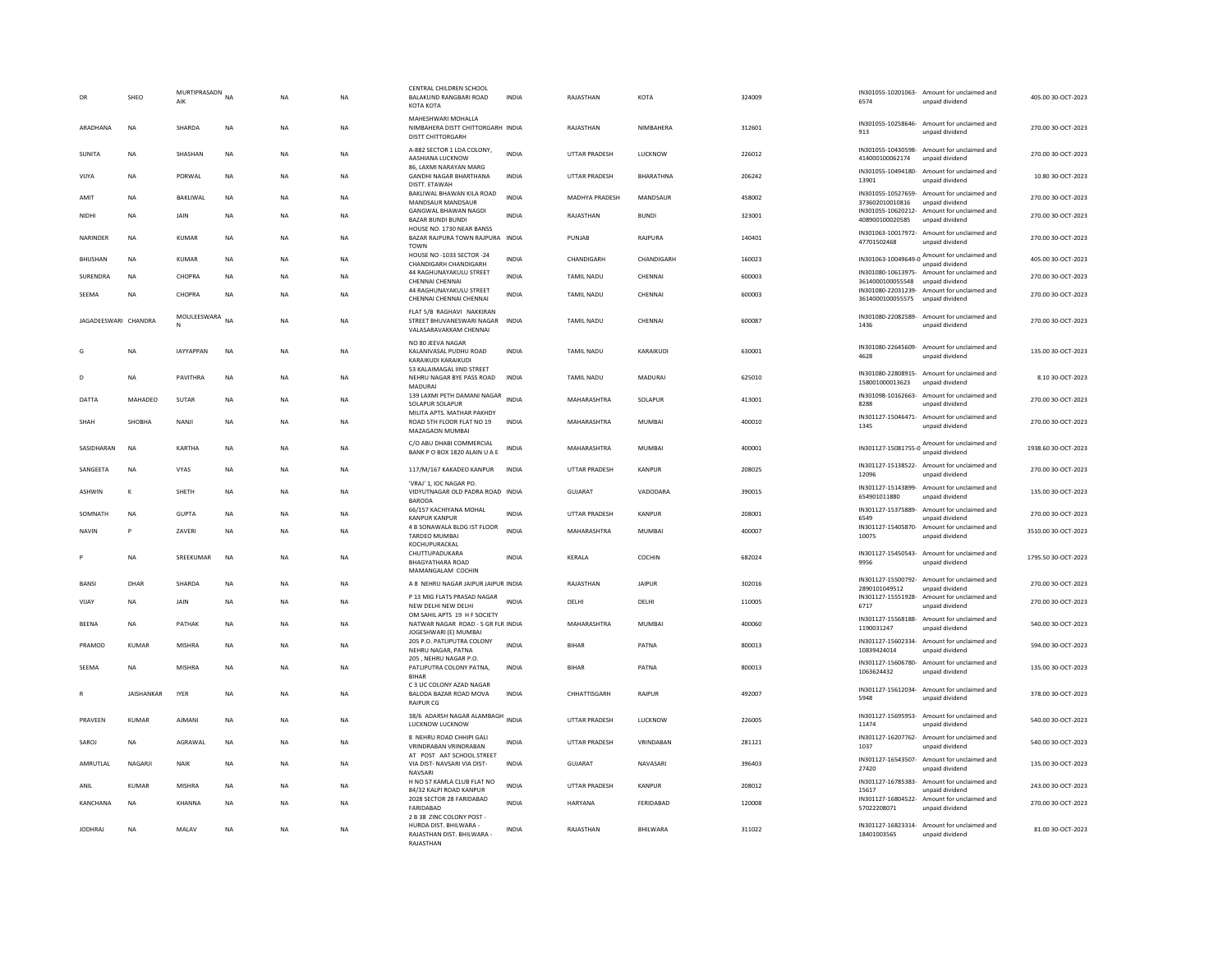|                      | SHEO              | MURTIPRASADN<br>AIK | <b>NA</b> | <b>NA</b> | <b>NA</b> | CENTRAL CHILDREN SCHOOL<br>BALAKUND RANGBARI ROAD<br>КОТА КОТА                               | <b>INDIA</b> | RAJASTHAN            | KOTA            | 324009 | 6574                             | IN301055-10201063- Amount for unclaimed and<br>unpaid dividend  | 405.00 30-OCT-2023  |
|----------------------|-------------------|---------------------|-----------|-----------|-----------|----------------------------------------------------------------------------------------------|--------------|----------------------|-----------------|--------|----------------------------------|-----------------------------------------------------------------|---------------------|
| ARADHANA             | <b>NA</b>         | SHARDA              | <b>NA</b> | <b>NA</b> | <b>NA</b> | MAHESHWARI MOHALLA<br>NIMBAHERA DISTT CHITTORGARH INDIA<br>DISTT CHITTORGARH                 |              | RAJASTHAN            | NIMBAHERA       | 312601 | 913                              | IN301055-10258646- Amount for unclaimed and<br>unpaid dividend  | 270.00 30-OCT-2023  |
| SUNITA               | NA                | SHASHAN             | <b>NA</b> | NA        | NA        | A-882 SECTOR 1 LDA COLONY,<br>AASHIANA LUCKNOW                                               | <b>INDIA</b> | UTTAR PRADESH        | LUCKNOW         | 226012 | 414000100062174                  | IN301055-10430598- Amount for unclaimed and<br>unpaid dividend  | 270.00 30-OCT-2023  |
| <b>VIJYA</b>         | <b>NA</b>         | PORWAL              | <b>NA</b> | <b>NA</b> | <b>NA</b> | 86, LAXMI NARAYAN MARG<br><b>GANDHI NAGAR BHARTHANA</b><br>DISTT. ETAWAH                     | <b>INDIA</b> | <b>UTTAR PRADESH</b> | BHARATHNA       | 206242 | 13901                            | IN301055-10494180- Amount for unclaimed and<br>unpaid dividend  | 10.80 30-OCT-2023   |
| AMIT                 | NA                | BAKLIWAL            | NA        | NA        | NA        | BAKLIWAL BHAWAN KILA ROAD<br>MANDSAUR MANDSAUR                                               | <b>INDIA</b> | MADHYA PRADESH       | MANDSAUR        | 458002 | 373602010010816                  | IN301055-10527659- Amount for unclaimed and<br>unpaid dividend  | 270.00 30-OCT-2023  |
| NIDHI                | NA                | JAIN                | NA        | NA        | NA        | <b>GANGWAL BHAWAN NAGDI</b><br><b>BAZAR BUNDI BUNDI</b>                                      | <b>INDIA</b> | RAJASTHAN            | <b>BUNDI</b>    | 323001 | 408900100020585                  | IN301055-10620212- Amount for unclaimed and<br>unpaid dividend  | 270.00 30-OCT-2023  |
| <b>NARINDER</b>      | <b>NA</b>         | KUMAR               | <b>NA</b> | <b>NA</b> | <b>NA</b> | HOUSE NO. 1730 NEAR BANSS<br>BAZAR RAJPURA TOWN RAJPURA INDIA<br><b>TOWN</b>                 |              | PUNIAR               | RAIPURA         | 140401 | 47701502468                      | IN301063-10017972- Amount for unclaimed and<br>unpaid dividend  | 270.00.30-OCT-2023  |
| <b>BHUSHAN</b>       | <b>NA</b>         | <b>KUMAR</b>        | <b>NA</b> | <b>NA</b> | <b>NA</b> | HOUSE NO -1033 SECTOR -24<br>CHANDIGARH CHANDIGARH                                           | <b>INDIA</b> | CHANDIGARH           | CHANDIGARH      | 160023 | IN301063-10049649-0              | Amount for unclaimed and<br>unpaid dividend                     | 405.00 30-OCT-2023  |
| SURENDRA             | <b>NA</b>         | CHOPRA              | <b>NA</b> | <b>NA</b> | NA        | 44 RAGHUNAYAKULU STREET<br>CHENNAI CHENNAI                                                   | <b>INDIA</b> | TAMIL NADU           | CHENNAI         | 600003 | 3614000100055548                 | IN301080-10613975- Amount for unclaimed and<br>unpaid dividend  | 270.00 30-OCT-2023  |
| SEEMA                | <b>NA</b>         | CHOPRA              | <b>NA</b> | <b>NA</b> | <b>NA</b> | 44 RAGHUNAYAKULU STREET<br>CHENNAI CHENNAI CHENNAI                                           | <b>INDIA</b> | TAMIL NADU           | CHENNAL         | 600003 | 3614000100055575                 | IN301080-22031239- Amount for unclaimed and<br>unpaid dividend  | 270.00 30-OCT-2023  |
| JAGADEESWARI CHANDRA |                   | MOULEESWARA NA      |           | <b>NA</b> | <b>NA</b> | FLAT 5/B RAGHAVI NAKKIRAN<br>STREET BHUVANESWARI NAGAR INDIA<br>VALASARAVAKKAM CHENNAI       |              | <b>TAMIL NADU</b>    | CHENNAL         | 600087 | 1436                             | IN301080-22082589- Amount for unclaimed and<br>unpaid dividend  | 270.00 30-OCT-2023  |
| G                    | <b>NA</b>         | <b>IAYYAPPAN</b>    | <b>NA</b> | <b>NA</b> | <b>NA</b> | NO 80 JEEVA NAGAR<br>KALANIVASAL PUDHU ROAD<br>KARAIKUDI KARAIKUDI                           | <b>INDIA</b> | <b>TAMIL NADU</b>    | KARAIKUDI       | 630001 | 4628                             | IN301080-22645609- Amount for unclaimed and<br>unpaid dividend  | 135.00.30-QCT-2023  |
| D                    | NA                | PAVITHRA            | <b>NA</b> | NA        | NA        | 53 KALAIMAGAL IIND STREET<br>NEHRU NAGAR BYE PASS ROAD<br>MADURAI                            | INDIA        | TAMIL NADU           | MADURAI         | 625010 | 158001000013623                  | IN301080-22808915- Amount for unclaimed and<br>unnaid dividend  | 8.10 30-OCT-2023    |
| DATTA                | MAHADEO           | <b>SUTAR</b>        | <b>NA</b> | <b>NA</b> | <b>NA</b> | 139 LAXMI PETH DAMANI NAGAR<br>SOLAPUR SOLAPUR                                               | <b>INDIA</b> | MAHARASHTRA          | SOLAPUR         | 413001 | IN301098-10162663-<br>8288       | Amount for unclaimed and<br>unpaid dividend                     | 270.00 30-OCT-2023  |
| SHAH                 | SHOBHA            | NANJI               | <b>NA</b> | <b>NA</b> | <b>NA</b> | MILITA APTS. MATHAR PAKHDY<br>ROAD 5TH FLOOR FLAT NO 19<br>MAZAGAON MUMBAI                   | <b>INDIA</b> | MAHARASHTRA          | <b>MUMBAI</b>   | 400010 | 1345                             | IN301127-15046471- Amount for unclaimed and<br>unpaid dividend  | 270.00 30-OCT-2023  |
| SASIDHARAN           | <b>NA</b>         | KARTHA              | <b>NA</b> | <b>NA</b> | <b>NA</b> | C/O ABU DHABI COMMERCIAL<br>BANK P O BOX 1820 ALAIN U A E                                    | INDIA        | MAHARASHTRA          | MUMBAI          | 400001 |                                  | IN301127-15081755-0 Amount for unclaimed and<br>unpaid dividend | 1938.60.30-OCT-2023 |
| SANGEETA             | NA                | VYAS                | NA        | NA        | NA        | 117/M/167 KAKADEO KANPUR                                                                     | <b>INDIA</b> | UTTAR PRADESH        | KANPUR          | 208025 | 12096                            | IN301127-15138522- Amount for unclaimed and<br>unpaid dividend  | 270.00 30-OCT-2023  |
| <b>ASHWIN</b>        | K                 | SHETH               | <b>NA</b> | <b>NA</b> | <b>NA</b> | 'VRAJ' 1, IOC NAGAR PO.<br>VIDYUTNAGAR OLD PADRA ROAD INDIA<br><b>BARODA</b>                 |              | <b>GUJARAT</b>       | VADODARA        | 390015 | 654901011880                     | IN301127-15143899- Amount for unclaimed and<br>unpaid dividend  | 135.00 30-OCT-2023  |
| SOMNATH              | <b>NA</b>         | <b>GUPTA</b>        | <b>NA</b> | <b>NA</b> | <b>NA</b> | 66/157 KACHIYANA MOHAL<br><b>KANPUR KANPUR</b>                                               | <b>INDIA</b> | <b>UTTAR PRADESH</b> | KANPUR          | 208001 | IN301127-15375889-<br>6549       | Amount for unclaimed and<br>unpaid dividend                     | 270.00 30-OCT-2023  |
| <b>NAVIN</b>         | P                 | ZAVERI              | <b>NA</b> | <b>NA</b> | <b>NA</b> | 4 B SONAWALA BLDG IST FLOOR<br>TARDEO MUMBAI                                                 | <b>INDIA</b> | MAHARASHTRA          | MUMBAI          | 400007 | 10075                            | IN301127-15405870- Amount for unclaimed and<br>unpaid dividend  | 3510.00 30-OCT-2023 |
|                      | NA                | SREEKUMAR           | <b>NA</b> | <b>NA</b> | NA        | KOCHUPURACKAL<br>CHUTTUPADUKARA<br><b>BHAGYATHARA ROAD</b><br>MAMANGALAM COCHIN              | <b>INDIA</b> | KERALA               | COCHIN          | 682024 | 9956                             | IN301127-15450543- Amount for unclaimed and<br>unnaid dividend  | 1795.50 30-OCT-2023 |
| <b>BANSI</b>         | DHAR              | SHARDA              | <b>NA</b> | <b>NA</b> | <b>NA</b> | A 8 NEHRU NAGAR JAIPUR JAIPUR INDIA                                                          |              | RAJASTHAN            | <b>JAIPUR</b>   | 302016 | 2890101049512                    | IN301127-15500792- Amount for unclaimed and<br>unpaid dividend  | 270.00 30-OCT-2023  |
| VIJAY                | NA                | JAIN                | NA        | NA        | NA        | P 13 MIG FLATS PRASAD NAGAR<br>NEW DELHI NEW DELHI                                           | <b>INDIA</b> | DELHI                | DELHI           | 110005 | 6717                             | IN301127-15551928- Amount for unclaimed and<br>unpaid dividend  | 270.00 30-OCT-2023  |
| <b>RFFNA</b>         | <b>NA</b>         | PATHAK              | <b>NA</b> | <b>NA</b> | <b>NA</b> | OM SAHIL APTS 19 H F SOCIETY<br>NATWAR NAGAR ROAD - 5 GR FLR INDIA<br>JOGESHWARI (E) MUMBAI  |              | MAHARASHTRA          | MUMBAI          | 400060 | 1190031247                       | IN301127-15568188- Amount for unclaimed and<br>unpaid dividend  | 540.00 30-OCT-2023  |
| PRAMOD               | <b>KUMAR</b>      | <b>MISHRA</b>       | <b>NA</b> | NA        | <b>NA</b> | 205 P.O. PATLIPUTRA COLONY<br>NEHRU NAGAR, PATNA                                             | <b>INDIA</b> | <b>BIHAR</b>         | PATNA           | 800013 | 10839424014                      | IN301127-15602334- Amount for unclaimed and<br>unpaid dividend  | 594.00 30-OCT-2023  |
| SEEMA                | NA                | MISHRA              | NA        | NA        | NA        | 205 . NEHRU NAGAR P.O.<br>PATLIPUTRA COLONY PATNA,<br><b>BIHAR</b>                           | INDIA        | <b>BIHAR</b>         | PATNA           | 800013 | IN301127-15606780-<br>1063624432 | Amount for unclaimed and<br>unpaid dividend                     | 135.00 30-OCT-2023  |
|                      | <b>JAISHANKAR</b> | <b>IYER</b>         | <b>NA</b> | NA        | NA        | C 3 LIC COLONY AZAD NAGAR<br>BALODA BAZAR ROAD MOVA<br><b>RAIPUR CG</b>                      | <b>INDIA</b> | CHHATTISGARH         | RAIPUR          | 492007 | 5948                             | IN301127-15612034- Amount for unclaimed and<br>unpaid dividend  | 378.00 30-OCT-2023  |
| PRAVEEN              | KUMAR             | AIMANI              | <b>NA</b> | <b>NA</b> | <b>NA</b> | 38/6 ADARSH NAGAR ALAMBAGH INDIA<br>LUCKNOW LUCKNOW                                          |              | <b>UTTAR PRADESH</b> | <b>ILICKNOW</b> | 226005 | 11474                            | IN301127-15695953- Amount for unclaimed and<br>unpaid dividend  | 540.00 30-OCT-2023  |
| SAROJ                | <b>NA</b>         | AGRAWAL             | NA        | NA        | <b>NA</b> | 8 NEHRU ROAD CHHIPI GALI<br>VRINDRABAN VRINDRABAN                                            | INDIA        | UTTAR PRADESH        | VRINDABAN       | 281121 | 1037                             | IN301127-16207762- Amount for unclaimed and<br>unpaid dividend  | 540.00 30-OCT-2023  |
| AMRUTLAL             | NAGARJI           | NAIK                | <b>NA</b> | NA        | NA        | AT POST AAT SCHOOL STREET<br>VIA DIST- NAVSARI VIA DIST-<br>NAVSARI                          | <b>INDIA</b> | GUJARAT              | NAVASARI        | 396403 | 27420                            | IN301127-16543507- Amount for unclaimed and<br>unpaid dividend  | 135.00 30-OCT-2023  |
| ANII                 | KUMAR             | <b>MISHRA</b>       | <b>NA</b> | <b>NA</b> | <b>NA</b> | H NO 57 KAMLA CLUB FLAT NO<br>84/32 KALPI ROAD KANPUR                                        | <b>INDIA</b> | <b>UTTAR PRADESH</b> | KANPUR          | 208012 | 15617                            | IN301127-16785383- Amount for unclaimed and<br>unpaid dividend  | 243.00.30-OCT-2023  |
| <b>KANCHANA</b>      | <b>NA</b>         | KHANNA              | <b>NA</b> | <b>NA</b> | <b>NA</b> | 2028 SECTOR 28 FARIDABAD<br>FARIDABAD                                                        | <b>INDIA</b> | <b>HARYANA</b>       | FERIDABAD       | 120008 | 57022208071                      | IN301127-16804522- Amount for unclaimed and<br>unpaid dividend  | 270.00 30-OCT-2023  |
| <b>JODHRAJ</b>       | <b>NA</b>         | MALAV               | <b>NA</b> | <b>NA</b> | NA        | 2 B 38 ZINC COLONY POST<br>HURDA DIST, BHILWARA -<br>RAJASTHAN DIST. BHILWARA -<br>RAIASTHAN | INDIA        | RAJASTHAN            | BHILWARA        | 311022 | 18401003565                      | IN301127-16823314- Amount for unclaimed and<br>unpaid dividend  | 81.00 30-OCT-2023   |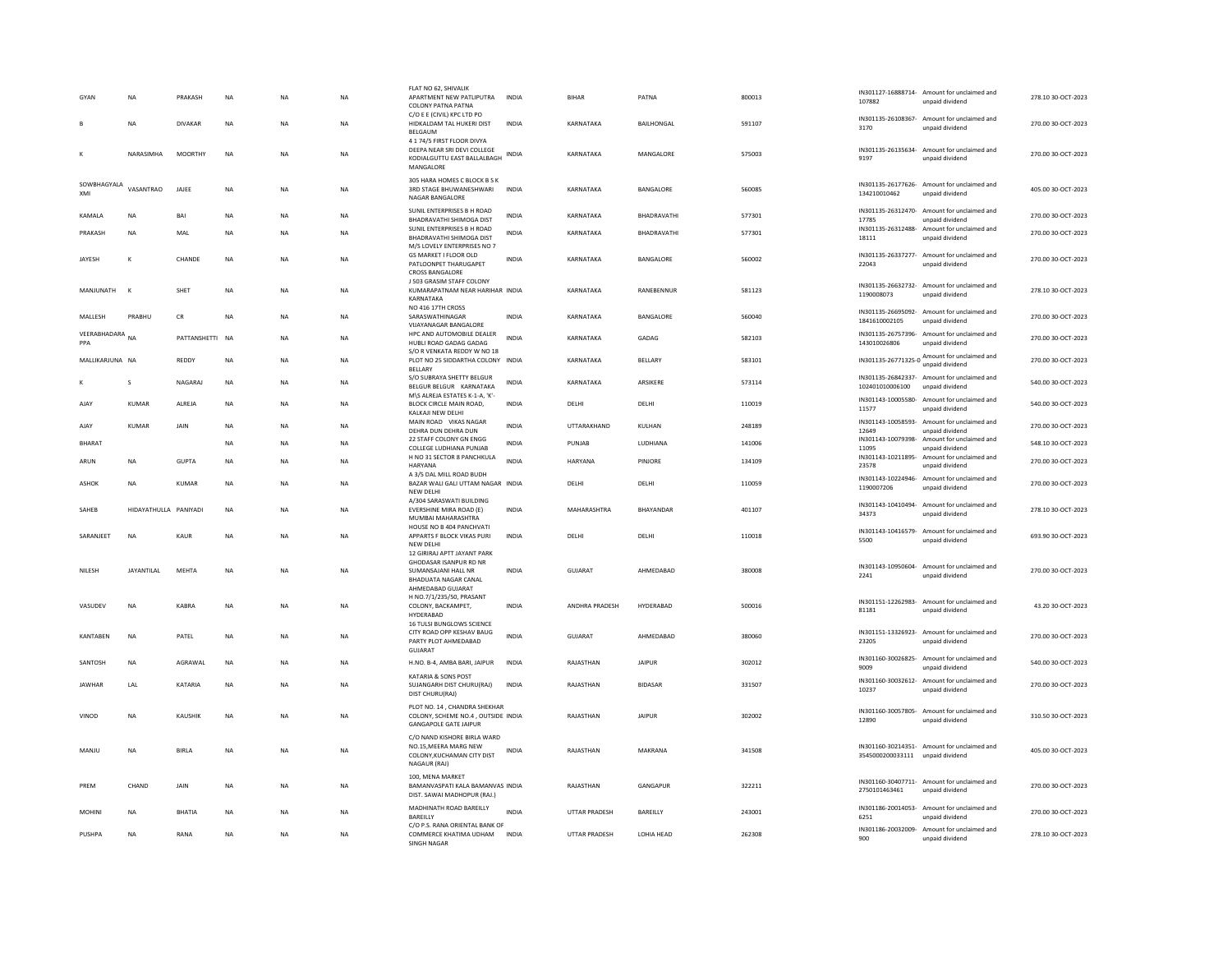| GYAN                   | <b>NA</b>             | PRAKASH        | NA        | NA        | NA        | FLAT NO 62, SHIVALIK<br>APARTMENT NEW PATLIPUTRA<br><b>COLONY PATNA PATNA</b>                               | <b>INDIA</b> | <b>BIHAR</b>         | PATNA              | 800013 | 107882                           | IN301127-16888714- Amount for unclaimed and<br>unpaid dividend | 278.10 30-OCT-2023 |
|------------------------|-----------------------|----------------|-----------|-----------|-----------|-------------------------------------------------------------------------------------------------------------|--------------|----------------------|--------------------|--------|----------------------------------|----------------------------------------------------------------|--------------------|
|                        | <b>NA</b>             | <b>DIVAKAR</b> | <b>NA</b> | <b>NA</b> | <b>NA</b> | C/O E E (CIVIL) KPC LTD PO<br>HIDKALDAM TAL HUKERI DIST<br>BELGAUM                                          | <b>INDIA</b> | KARNATAKA            | <b>BAILHONGAL</b>  | 591107 | 3170                             | IN301135-26108367- Amount for unclaimed and<br>unpaid dividend | 270.00.30-QCT-2023 |
| к                      | NARASIMHA             | MOORTHY        | <b>NA</b> | <b>NA</b> | <b>NA</b> | 4 1 74/5 FIRST FLOOR DIVYA<br>DEEPA NEAR SRI DEVI COLLEGE<br>KODIALGUTTU EAST BALLALBAGH<br>MANGALORE       | <b>INDIA</b> | KARNATAKA            | MANGALORE          | 575003 | 9197                             | IN301135-26135634- Amount for unclaimed and<br>unpaid dividend | 270.00.30-OCT-2023 |
| SOWBHAGYALA<br>XMI     | VASANTRAO             | JAJEE          | <b>NA</b> | <b>NA</b> | <b>NA</b> | 305 HARA HOMES C BLOCK B S K<br>3RD STAGE BHUWANESHWARI<br>NAGAR BANGALORE                                  | INDIA        | KARNATAKA            | BANGALORE          | 560085 | 134210010462                     | IN301135-26177626- Amount for unclaimed and<br>unpaid dividend | 405.00 30-OCT-2023 |
| KAMAI A                | <b>NA</b>             | <b>BAI</b>     | <b>NA</b> | <b>NA</b> | <b>NA</b> | SUNIL ENTERPRISES B H ROAD<br><b>BHADRAVATHI SHIMOGA DIST</b>                                               | <b>INDIA</b> | KARNATAKA            | BHADRAVATHI        | 577301 | 17785                            | IN301135-26312470- Amount for unclaimed and<br>unnaid dividend | 270.00 30-OCT-2023 |
| PRAKASH                | NA                    | MAL            | <b>NA</b> | <b>NA</b> | <b>NA</b> | SUNIL ENTERPRISES B H ROAD<br>BHADRAVATHI SHIMOGA DIST                                                      | <b>INDIA</b> | KARNATAKA            | BHADRAVATHI        | 577301 | IN301135-26312488-<br>18111      | Amount for unclaimed and<br>unpaid dividend                    | 270.00 30-OCT-2023 |
| <b>JAYESH</b>          | $\mathsf{K}$          | CHANDE         | <b>NA</b> | <b>NA</b> | <b>NA</b> | M/S LOVELY ENTERPRISES NO 7<br>GS MARKET I FLOOR OLD<br>PATLOONPET THARUGAPET<br><b>CROSS BANGALORE</b>     | <b>INDIA</b> | KARNATAKA            | BANGALORE          | 560002 | 22043                            | IN301135-26337277- Amount for unclaimed and<br>unpaid dividend | 270.00 30-OCT-2023 |
| MANJUNATH              | $\mathbf k$           | <b>SHET</b>    | <b>NA</b> | <b>NA</b> | <b>NA</b> | J 503 GRASIM STAFF COLONY<br>KUMARAPATNAM NEAR HARIHAR INDIA<br>KARNATAKA                                   |              | KARNATAKA            | RANEBENNUR         | 581123 | 1190008073                       | IN301135-26632732- Amount for unclaimed and<br>unpaid dividend | 278.10 30-OCT-2023 |
| MALLESH                | PRABHU                | <b>CR</b>      | <b>NA</b> | <b>NA</b> | <b>NA</b> | NO 416 17TH CROSS<br>SARASWATHINAGAR<br><b>VUAYANAGAR BANGALORE</b>                                         | <b>INDIA</b> | KARNATAKA            | BANGALORE          | 560040 | 1841610002105                    | IN301135-26695092- Amount for unclaimed and<br>unpaid dividend | 270.00 30-OCT-2023 |
| VEERABHADARA NA<br>PPA |                       | PATTANSHETTI   | <b>NA</b> | <b>NA</b> | NA        | HPC AND AUTOMOBILE DEALER<br>HUBLI ROAD GADAG GADAG                                                         | <b>INDIA</b> | KARNATAKA            | GADAG              | 582103 | 143010026806                     | IN301135-26757396- Amount for unclaimed and<br>unpaid dividend | 270.00 30-OCT-2023 |
| MALLIKARJUNA NA        |                       | REDDY          | NA        | NA        | NA        | S/O R VENKATA REDDY W NO 18<br>PLOT NO 25 SIDDARTHA COLONY INDIA<br>BELLARY                                 |              | KARNATAKA            | BELLARY            | 583101 |                                  | IN301135-26771325-0 Amount for unclaimed and                   | 270.00 30-OCT-2023 |
|                        | s                     | NAGARAJ        | <b>NA</b> | <b>NA</b> | <b>NA</b> | S/O SUBRAYA SHETTY BELGUR<br>BELGUR BELGUR KARNATAKA                                                        | <b>INDIA</b> | KARNATAKA            | ARSIKERE           | 573114 | 102401010006100                  | IN301135-26842337- Amount for unclaimed and<br>unpaid dividend | 540.00 30-OCT-2023 |
| AJAY                   | <b>KUMAR</b>          | ALREJA         | <b>NA</b> | <b>NA</b> | NA        | M\S ALREJA ESTATES K-1-A, 'K'-<br>BLOCK CIRCLE MAIN ROAD,<br>KALKAJI NEW DELHI                              | INDIA        | DELHI                | DELHI              | 110019 | 11577                            | IN301143-10005580- Amount for unclaimed and<br>unpaid dividend | 540.00 30-OCT-2023 |
| AJAY                   | <b>KUMAR</b>          | JAIN           | <b>NA</b> | <b>NA</b> | <b>NA</b> | MAIN ROAD VIKAS NAGAR<br>DEHRA DUN DEHRA DUN                                                                | <b>INDIA</b> | UTTARAKHAND          | KULHAN             | 248189 | IN301143-10058593-<br>12649      | Amount for unclaimed and<br>unpaid dividend                    | 270.00 30-OCT-2023 |
| <b>BHARAT</b>          |                       |                | <b>NA</b> | <b>NA</b> | <b>NA</b> | 22 STAFF COLONY GN ENGG<br>COLLEGE LUDHIANA PUNJAB                                                          | <b>INDIA</b> | PUNJAR               | <b>IUDHIANA</b>    | 141006 | IN301143-10079398-<br>11095      | Amount for unclaimed and<br>unpaid dividend                    | 548.10 30-OCT-2023 |
| ARUN                   | <b>NA</b>             | <b>GUPTA</b>   | <b>NA</b> | <b>NA</b> | <b>NA</b> | H NO 31 SECTOR 8 PANCHKULA<br>HARYANA                                                                       | <b>INDIA</b> | <b>HARYANA</b>       | PINIORE            | 134109 | 23578                            | IN301143-10211895- Amount for unclaimed and<br>unpaid dividend | 270.00 30-OCT-2023 |
| ASHOK                  | <b>NA</b>             | KUMAR          | <b>NA</b> | <b>NA</b> | NA        | A 3/5 DAL MILL ROAD BUDH<br>BAZAR WALI GALI UTTAM NAGAR INDIA<br>NEW DELHI                                  |              | DELHI                | DELHI              | 110059 | 1190007206                       | IN301143-10224946- Amount for unclaimed and<br>unpaid dividend | 270.00 30-OCT-2023 |
| SAHFR                  | HIDAYATHULLA PANIYADI |                | <b>NA</b> | <b>NA</b> | <b>NA</b> | A/304 SARASWATI BUILDING<br>EVERSHINE MIRA ROAD (E)<br>MUMBAI MAHARASHTRA                                   | <b>INDIA</b> | MAHARASHTRA          | <b>RHAYANDAR</b>   | 401107 | 34373                            | IN301143-10410494- Amount for unclaimed and<br>unpaid dividend | 278.10.30-OCT-2023 |
| SARANJEET              | <b>NA</b>             | KAUR           | <b>NA</b> | NA        | NA        | HOUSE NO B 404 PANCHVATI<br>APPARTS F BLOCK VIKAS PURI<br>NFW DFI HI                                        | <b>INDIA</b> | DELHI                | DELHI              | 110018 | 5500                             | IN301143-10416579- Amount for unclaimed and<br>unpaid dividend | 693.90 30-OCT-2023 |
| NILESH                 | <b>JAYANTILAL</b>     | MEHTA          | NA        | <b>NA</b> | NA        | 12 GIRIRAJ APTT JAYANT PARK<br>GHODASAR ISANPUR RD NR<br>SUMANSAJANI HALL NR<br><b>BHADUATA NAGAR CANAL</b> | INDIA        | GUJARAT              | AHMEDABAD          | 380008 | 2241                             | IN301143-10950604- Amount for unclaimed and<br>unnaid dividend | 270.00 30-OCT-2023 |
| VASUDEV                | <b>NA</b>             | KABRA          | <b>NA</b> | NA        | NA        | AHMEDABAD GUJARAT<br>H NO.7/1/235/50, PRASANT<br>COLONY, BACKAMPET,<br>HYDERABAD                            | <b>INDIA</b> | ANDHRA PRADESH       | HYDERABAD          | 500016 | 81181                            | IN301151-12262983- Amount for unclaimed and<br>unpaid dividend | 43.20 30-OCT-2023  |
| <b>KANTABEN</b>        | <b>NA</b>             | PATEL          | <b>NA</b> | <b>NA</b> | <b>NA</b> | <b>16 TULSI BUNGLOWS SCIENCE</b><br>CITY ROAD OPP KESHAV BAUG<br>PARTY PLOT AHMEDABAD<br>GUJARAT            | <b>INDIA</b> | <b>GUJARAT</b>       | AHMEDABAD          | 380060 | 23205                            | IN301151-13326923- Amount for unclaimed and<br>unpaid dividend | 270.00 30-OCT-2023 |
| SANTOSH                | NA                    | AGRAWAL        | NA        | NA        | NA        | H.NO. B-4, AMBA BARI, JAIPUR                                                                                | INDIA        | RAJASTHAN            | <b>JAIPUR</b>      | 302012 | 9009                             | IN301160-30026825- Amount for unclaimed and<br>unpaid dividend | 540.00 30-OCT-2023 |
| <b>JAWHAR</b>          | LAL                   | KATARIA        | <b>NA</b> | <b>NA</b> | <b>NA</b> | KATARIA & SONS POST<br>SUJANGARH DIST CHURU(RAJ)<br>DIST CHURU(RAJ)                                         | <b>INDIA</b> | RAJASTHAN            | <b>BIDASAR</b>     | 331507 | 10237                            | IN301160-30032612- Amount for unclaimed and<br>unpaid dividend | 270.00 30-OCT-2023 |
| VINOD                  | NA                    | KAUSHIK        | NA        | NA        | NA        | PLOT NO. 14 . CHANDRA SHEKHAR<br>COLONY, SCHEME NO.4, OUTSIDE INDIA<br><b>GANGAPOLE GATE JAIPUR</b>         |              | RAJASTHAN            | <b>JAIPUR</b>      | 302002 | 12890                            | IN301160-30057805- Amount for unclaimed and<br>unnaid dividend | 310.50 30-OCT-2023 |
| MANJU                  | NA                    | <b>BIRLA</b>   | <b>NA</b> | <b>NA</b> | <b>NA</b> | C/O NAND KISHORE BIRLA WARD<br>NO.15.MEERA MARG NEW<br>COLONY.KUCHAMAN CITY DIST<br>NAGAUR (RAJ)            | <b>INDIA</b> | RAJASTHAN            | MAKRANA            | 341508 | 3545000200033111 unpaid dividend | IN301160-30214351- Amount for unclaimed and                    | 405.00 30-OCT-2023 |
| PREM                   | CHAND                 | JAIN           | <b>NA</b> | <b>NA</b> | <b>NA</b> | 100, MENA MARKET<br>BAMANVASPATI KALA BAMANVAS INDIA<br>DIST. SAWAI MADHOPUR (RAJ.)                         |              | RAJASTHAN            | GANGAPUR           | 322211 | 2750101463461                    | IN301160-30407711- Amount for unclaimed and<br>unpaid dividend | 270.00 30-OCT-2023 |
| <b>MOHIN</b>           | <b>NA</b>             | <b>BHATIA</b>  | <b>NA</b> | <b>NA</b> | <b>NA</b> | MADHINATH ROAD BAREILLY<br>BAREILLY                                                                         | <b>INDIA</b> | <b>UTTAR PRADESH</b> | BAREILLY           | 243001 | 6251                             | IN301186-20014053- Amount for unclaimed and<br>unpaid dividend | 270.00 30-OCT-2023 |
| PUSHPA                 | <b>NA</b>             | RANA           | <b>NA</b> | <b>NA</b> | <b>NA</b> | C/O P.S. RANA ORIENTAL BANK OF<br>COMMERCE KHATIMA UDHAM<br><b>SINGH NAGAR</b>                              | <b>INDIA</b> | <b>UTTAR PRADESH</b> | <b>I OHIA HEAD</b> | 262308 | 900                              | IN301186-20032009- Amount for unclaimed and<br>unpaid dividend | 278.10.30-QCT-2023 |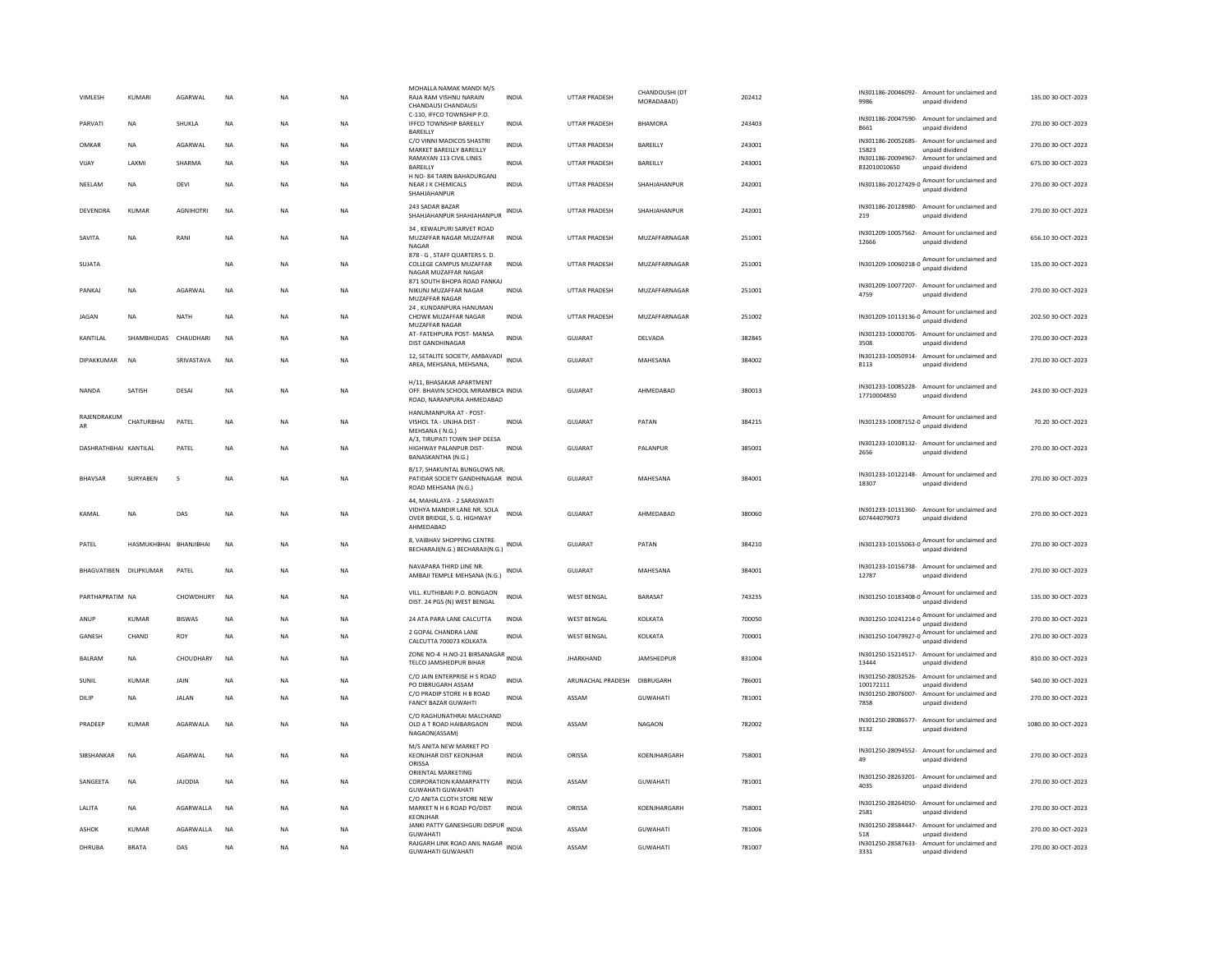| <b>VIMLESH</b>         | KUMARI                 | AGARWAI          | <b>NA</b>   | <b>NA</b>   | <b>NA</b> | MOHALLA NAMAK MANDI M/S<br>RAJA RAM VISHNU NARAIN<br>CHANDAUSI CHANDAUSI                             | <b>INDIA</b> | UTTAR PRADESH        | CHANDOUSHI (DT<br>MORADABAD) | 202412 | 9986                            | IN301186-20046092- Amount for unclaimed and<br>unpaid dividend  | 135.00 30-OCT-2023  |
|------------------------|------------------------|------------------|-------------|-------------|-----------|------------------------------------------------------------------------------------------------------|--------------|----------------------|------------------------------|--------|---------------------------------|-----------------------------------------------------------------|---------------------|
| PARVATI                | <b>NA</b>              | SHUKLA           | NA          | NA          | NA        | C-110. IFFCO TOWNSHIP P.O.<br>IFFCO TOWNSHIP BAREILLY<br>BAREILLY                                    | <b>INDIA</b> | UTTAR PRADESH        | <b>BHAMORA</b>               | 243403 | IN301186-20047590-<br>8661      | Amount for unclaimed and<br>unpaid dividend                     | 270.00 30-OCT-2023  |
| OMKAR                  | <b>NA</b>              | AGARWAL          | <b>NA</b>   | <b>NA</b>   | <b>NA</b> | C/O VINNI MADICOS SHASTRI<br>MARKET BAREILLY BAREILLY                                                | <b>INDIA</b> | <b>UTTAR PRADESH</b> | BAREILLY                     | 243001 | IN301186-20052685-<br>15823     | Amount for unclaimed and<br>unpaid dividend                     | 270.00 30-OCT-2023  |
| VIJAY                  | LAXMI                  | SHARMA           | $_{\sf NA}$ | NA          | NA        | RAMAYAN 113 CIVIL LINES<br>BAREILLY                                                                  | <b>INDIA</b> | UTTAR PRADESH        | BAREILLY                     | 243001 | 832010010650                    | IN301186-20094967- Amount for unclaimed and<br>unpaid dividend  | 675.00 30-OCT-2023  |
| NEELAM                 | <b>NA</b>              | <b>DEVI</b>      | <b>NA</b>   | <b>NA</b>   | <b>NA</b> | H NO- 84 TARIN BAHADURGANJ<br>NEAR J K CHEMICALS<br>SHAHJAHANPUR                                     | <b>INDIA</b> | <b>UTTAR PRADESH</b> | SHAHJAHANPUR                 | 242001 |                                 | IN301186-20127429-0 Amount for unclaimed and                    | 270.00 30-OCT-2023  |
| DEVENDRA               | KUMAR                  | <b>AGNIHOTRI</b> | <b>NA</b>   | <b>NA</b>   | <b>NA</b> | 243 SADAR BAZAR<br>SHAHJAHANPUR SHAHJAHANPUR                                                         | <b>INDIA</b> | <b>UTTAR PRADESH</b> | SHAHJAHANPUR                 | 242001 | IN301186-20128980-<br>219       | Amount for unclaimed and<br>unpaid dividend                     | 270.00 30-OCT-2023  |
| SAVITA                 | NA                     | RANI             | NA          | NA          | NA        | 34. KEWALPURI SARVET ROAD<br>MUZAFFAR NAGAR MUZAFFAR<br>NAGAR                                        | <b>INDIA</b> | <b>UTTAR PRADESH</b> | MUZAFFARNAGAR                | 251001 | 12666                           | IN301209-10057562- Amount for unclaimed and<br>unpaid dividend  | 656.10 30-OCT-2023  |
| SUJATA                 |                        |                  | ΝA          | NA          | NA        | 878 - G, STAFF QUARTERS S. D.<br>COLLEGE CAMPUS MUZAFFAR<br>NAGAR MUZAFFAR NAGAR                     | <b>INDIA</b> | UTTAR PRADESH        | MUZAFFARNAGAR                | 251001 |                                 | IN301209-10060218-0 Amount for unclaimed and<br>unpaid dividend | 135.00 30-OCT-2023  |
| PANKAJ                 | NA                     | AGARWAL          | <b>NA</b>   | $_{\sf NA}$ | <b>NA</b> | 871 SOUTH BHOPA ROAD PANKAJ<br>NIKUNJ MUZAFFAR NAGAR<br>MUZAFFAR NAGAR                               | <b>INDIA</b> | UTTAR PRADESH        | MUZAFFARNAGAR                | 251001 | 4759                            | IN301209-10077207- Amount for unclaimed and<br>unpaid dividend  | 270.00 30-OCT-2023  |
| <b>JAGAN</b>           | <b>NA</b>              | <b>NATH</b>      | <b>NA</b>   | <b>NA</b>   | <b>NA</b> | 24, KUNDANPURA HANUMAN<br>CHOWK MUZAFFAR NAGAR<br>MUZAFFAR NAGAR                                     | <b>INDIA</b> | <b>UTTAR PRADESH</b> | <b>MUZAFFARNAGAR</b>         | 251002 | IN301209-10113136-0             | Amount for unclaimed and<br>unpaid dividend                     | 202.50 30-OCT-2023  |
| KANTILAL               | SHAMBHUDAS             | CHAUDHARI        | NA          | NA          | NA        | AT- FATEHPURA POST- MANSA<br>DIST GANDHINAGAR                                                        | <b>INDIA</b> | GUJARAT              | DELVADA                      | 382845 | 3508                            | IN301233-10000705- Amount for unclaimed and<br>unpaid dividend  | 270.00 30-OCT-2023  |
| DIPAKKUMAR             | <b>NA</b>              | SRIVASTAVA       | <b>NA</b>   | <b>NA</b>   | <b>NA</b> | 12, SETALITE SOCIETY, AMBAVADI<br>AREA, MEHSANA, MEHSANA,                                            |              | GUIARAT              | MAHESANA                     | 384002 | 8113                            | IN301233-10050914- Amount for unclaimed and<br>unpaid dividend  | 270.00.30-QCT-2023  |
| <b>NANDA</b>           | SATISH                 | DESAI            | <b>NA</b>   | <b>NA</b>   | <b>NA</b> | H/11, BHASAKAR APARTMENT<br>OFF. BHAVIN SCHOOL MIRAMBICA INDIA<br>ROAD, NARANPURA AHMEDABAD          |              | GUJARAT              | AHMEDABAD                    | 380013 | 17710004850                     | IN301233-10085228- Amount for unclaimed and<br>unpaid dividend  | 243.00 30-OCT-2023  |
| RAJENDRAKUM            | CHATURBHAI             | PATEL            | <b>NA</b>   | <b>NA</b>   | <b>NA</b> | HANUMANPURA AT - POST-<br>VISHOL TA - UNJHA DIST -<br>MEHSANA (N.G.)                                 | <b>INDIA</b> | GUJARAT              | PATAN                        | 384215 | IN301233-10087152-0             | Amount for unclaimed and<br>unpaid dividend                     | 70.20 30-OCT-2023   |
| DASHRATHBHAI KANTILAL  |                        | PATEL            | <b>NA</b>   | <b>NA</b>   | <b>NA</b> | A/3, TIRUPATI TOWN SHIP DEESA<br>HIGHWAY PALANPUR DIST-<br>BANASKANTHA (N.G.)                        | <b>INDIA</b> | <b>GUJARAT</b>       | PALANPUR                     | 385001 | 2656                            | IN301233-10108132- Amount for unclaimed and<br>unpaid dividend  | 270.00 30-OCT-2023  |
| <b>BHAVSAR</b>         | SURYABEN               | <sub>S</sub>     | <b>NA</b>   | <b>NA</b>   | <b>NA</b> | <b>B/17, SHAKUNTAL BUNGLOWS NR</b><br>PATIDAR SOCIETY GANDHINAGAR INDIA<br>ROAD MEHSANA (N.G.)       |              | <b>GUJARAT</b>       | MAHESANA                     | 384001 | 18307                           | IN301233-10122148- Amount for unclaimed and<br>unpaid dividend  | 270.00 30-OCT-2023  |
| KAMAI                  | NA                     | DAS              | <b>NA</b>   | NA          | NA        | 44, MAHALAYA - 2 SARASWATI<br>VIDHYA MANDIR LANE NR. SOLA<br>OVER BRIDGE, S. G. HIGHWAY<br>AHMEDABAD | INDIA        | GUJARAT              | AHMEDABAD                    | 380060 | 607444079073                    | IN301233-10131360- Amount for unclaimed and<br>unpaid dividend  | 270.00 30-OCT-2023  |
| PATEL                  | HASMUKHBHAI BHANJIBHAI |                  | NA          | NA          | NA        | 8, VAIBHAV SHOPPING CENTRE<br>BECHARAJI(N.G.) BECHARAJI(N.G.)                                        | INDIA        | GUJARAT              | PATAN                        | 384210 | IN301233-10155063-0             | Amount for unclaimed and<br>unnaid dividend                     | 270.00 30-OCT-2023  |
| BHAGVATIBEN DILIPKUMAR |                        | PATEL            | <b>NA</b>   | <b>NA</b>   | <b>NA</b> | NAVAPARA THIRD LINE NR.<br>AMBAJI TEMPLE MEHSANA (N.G.)                                              | INDIA        | GUJARAT              | MAHESANA                     | 384001 | 12787                           | IN301233-10156738- Amount for unclaimed and<br>unpaid dividend  | 270.00 30-OCT-2023  |
| PARTHAPRATIM NA        |                        | CHOWDHURY        | <b>NA</b>   | <b>NA</b>   | <b>NA</b> | VILL. KUTHIBARI P.O. BONGAON<br>DIST. 24 PGS (N) WEST BENGAL                                         | <b>INDIA</b> | <b>WEST BENGAL</b>   | BARASAT                      | 743235 |                                 | IN301250-10183408-0 Amount for unclaimed and<br>unpaid dividend | 135.00 30-OCT-2023  |
| ANUP                   | <b>KUMAR</b>           | <b>BISWAS</b>    | NA          | NA          | <b>NA</b> | 24 ATA PARA LANE CALCUTTA                                                                            | <b>INDIA</b> | <b>WEST BENGAL</b>   | KOLKATA                      | 700050 |                                 | IN301250-10241214-0 Amount for unclaimed and<br>unpaid dividend | 270.00 30-OCT-2023  |
| GANESH                 | CHAND                  | <b>ROY</b>       | <b>NA</b>   | <b>NA</b>   | <b>NA</b> | 2 GOPAL CHANDRA LANE<br>CALCUTTA 700073 KOLKATA                                                      | <b>INDIA</b> | WEST BENGAL          | KOLKATA                      | 700001 |                                 | IN301250-10479927-0 Amount for unclaimed and<br>unpaid dividend | 270.00 30-OCT-2023  |
| <b>BALRAM</b>          | <b>NA</b>              | <b>CHOUDHARY</b> | <b>NA</b>   | <b>NA</b>   | <b>NA</b> | ZONE NO-4 H.NO-21 BIRSANAGAR<br>TELCO JAMSHEDPUR BIHAR                                               |              | <b>JHARKHAND</b>     | JAMSHEDPUR                   | 831004 | 13444                           | IN301250-15214517- Amount for unclaimed and<br>unpaid dividend  | 810.00 30-OCT-2023  |
| SUNIL                  | KUMAR                  | <b>JAIN</b>      | <b>NA</b>   | <b>NA</b>   | <b>NA</b> | C/O JAIN ENTERPRISE H S ROAD<br>PO DIBRUGARH ASSAM                                                   | <b>INDIA</b> | ARUNACHAL PRADESH    | DIBRUGARH                    | 786001 | IN301250-28032526-<br>100172111 | Amount for unclaimed and<br>unpaid dividend                     | 540.00 30-OCT-2023  |
| DILIP                  | <b>NA</b>              | <b>JALAN</b>     | <b>NA</b>   | <b>NA</b>   | <b>NA</b> | C/O PRADIP STORE H B ROAD<br><b>FANCY BAZAR GUWAHTI</b>                                              | <b>INDIA</b> | ASSAM                | <b>GUWAHATI</b>              | 781001 | 7858                            | IN301250-28076007- Amount for unclaimed and<br>unpaid dividend  | 270.00 30-OCT-2023  |
| <b>PRADEEP</b>         | KUMAR                  | <b>AGARWAI A</b> | <b>NA</b>   | <b>NA</b>   | <b>NA</b> | C/O RAGHUNATHRAI MALCHAND<br>OLD A T ROAD HAIBARGAON<br>NAGAON(ASSAM)                                | <b>INDIA</b> | ASSAM                | <b>NAGAON</b>                | 782002 | 9132                            | IN301250-28086577- Amount for unclaimed and<br>unpaid dividend  | 1080.00 30-OCT-2023 |
| <b>SIRSHANKAR</b>      | <b>NA</b>              | AGARWAI          | <b>NA</b>   | <b>NA</b>   | <b>NA</b> | M/S ANITA NEW MARKET PO<br>KEONJHAR DIST KEONJHAR<br>ORISSA                                          | <b>INDIA</b> | ORISSA               | KOFNIHARGARH                 | 758001 | 49                              | IN301250-28094552- Amount for unclaimed and<br>unpaid dividend  | 270.00.30-OCT-2023  |
| SANGEETA               | NA                     | <b>JAJODIA</b>   | NA          | NA          | NA        | ORIENTAL MARKETING<br>CORPORATION KAMARPATTY<br><b>GUWAHATI GUWAHATI</b>                             | <b>INDIA</b> | ASSAM                | <b>GUWAHATI</b>              | 781001 | 4035                            | IN301250-28263201- Amount for unclaimed and<br>unpaid dividend  | 270.00 30-OCT-2023  |
| LALITA                 | NA                     | AGARWALLA        | NA          | NA          | NA        | C/O ANITA CLOTH STORE NEW<br>MARKET N H 6 ROAD PO/DIST<br>KEONJHAR                                   | INDIA        | ORISSA               | KOENJHARGARH                 | 758001 | 2581                            | IN301250-28264050- Amount for unclaimed and<br>unnaid dividend  | 270.00 30-OCT-2023  |
| <b>ASHOK</b>           | KUMAR                  | AGARWALLA        | <b>NA</b>   | <b>NA</b>   | <b>NA</b> | JANKI PATTY GANESHGURI DISPUR INDIA<br><b>GUWAHATI</b>                                               |              | ASSAM                | <b>GUWAHATI</b>              | 781006 | IN301250-28584447-<br>518       | Amount for unclaimed and<br>unpaid dividend                     | 270.00 30-OCT-2023  |
| DHRUBA                 | <b>BRATA</b>           | DAS              | <b>NA</b>   | <b>NA</b>   | <b>NA</b> | RAJGARH LINK ROAD ANIL NAGAR INDIA<br><b>GUWAHATI GUWAHATI</b>                                       |              | ASSAM                | <b>GUWAHATI</b>              | 781007 | 3331                            | IN301250-28587633- Amount for unclaimed and<br>unpaid dividend  | 270.00 30-OCT-2023  |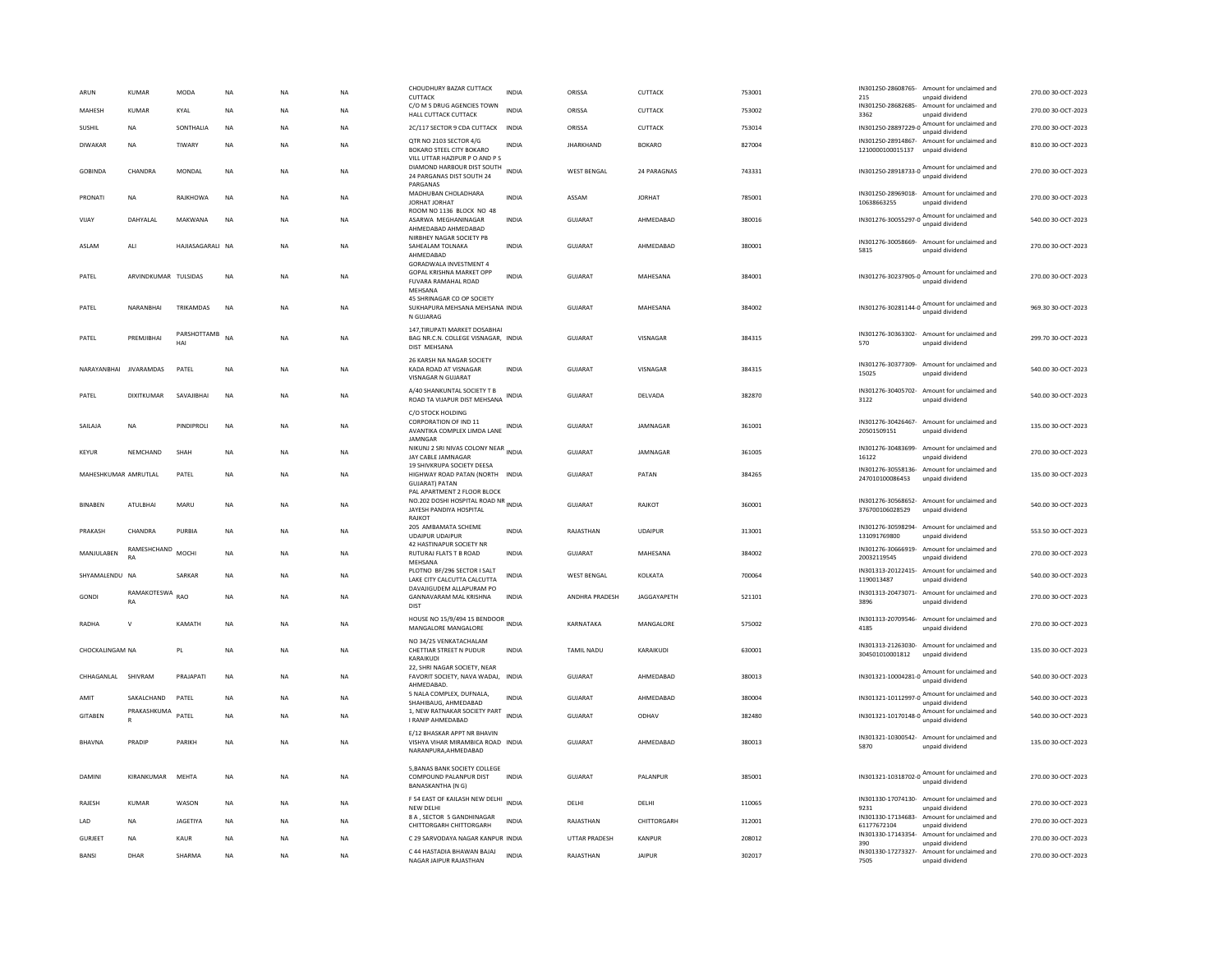| ARUN                   | <b>KUMAR</b>         | <b>MODA</b>        | NA        | <b>NA</b> | <b>NA</b> | CHOUDHURY BAZAR CUTTACK<br>CUTTACK                                                                | <b>INDIA</b> | ORISSA                | CUTTACK            | 753001 | 215                                   | IN301250-28608765- Amount for unclaimed and<br>unpaid dividend  | 270.00 30-OCT-2023 |
|------------------------|----------------------|--------------------|-----------|-----------|-----------|---------------------------------------------------------------------------------------------------|--------------|-----------------------|--------------------|--------|---------------------------------------|-----------------------------------------------------------------|--------------------|
| MAHESH                 | <b>KUMAR</b>         | KYAL               | <b>NA</b> | <b>NA</b> | <b>NA</b> | C/O M S DRUG AGENCIES TOWN<br>HALL CUTTACK CUTTACK                                                | <b>INDIA</b> | ORISSA                | CUTTACK            | 753002 | 3362                                  | IN301250-28682685- Amount for unclaimed and<br>unpaid dividend  | 270.00 30-OCT-2023 |
| SUSHIL                 | <b>NA</b>            | SONTHALIA          | <b>NA</b> | <b>NA</b> | <b>NA</b> | 2C/117 SECTOR 9 CDA CUTTACK INDIA                                                                 |              | ORISSA                | CUTTACK            | 753014 |                                       | IN301250-28897229-0 Amount for unclaimed and<br>unpaid dividend | 270.00 30-OCT-2023 |
| DIWAKAR                | NA                   | TIWARY             | <b>NA</b> | <b>NA</b> | NA        | QTR NO 2103 SECTOR 4/G<br>BOKARO STEEL CITY BOKARO<br>VILL UTTAR HAZIPUR P O AND P S              | INDIA        | <b>IHARKHAND</b>      | <b>BOKARO</b>      | 827004 | 1210000100015137                      | IN301250-28914867- Amount for unclaimed and<br>unpaid dividend  | 810.00 30-OCT-2023 |
| GOBINDA                | CHANDRA              | MONDAL             | <b>NA</b> | <b>NA</b> | <b>NA</b> | DIAMOND HARBOUR DIST SOUTH<br>24 PARGANAS DIST SOUTH 24<br>PARGANAS                               | <b>INDIA</b> | <b>WEST BENGAL</b>    | 24 PARAGNAS        | 743331 |                                       | IN301250-28918733-0 Amount for unclaimed and<br>unpaid dividend | 270.00 30-OCT-2023 |
| PRONATI                | NA                   | RAJKHOWA           | <b>NA</b> | NA        | NA        | MADHUBAN CHOLADHARA<br>JORHAT JORHAT<br>ROOM NO 1136 BLOCK NO 48                                  | <b>INDIA</b> | ASSAM                 | <b>JORHAT</b>      | 785001 | 10638663255                           | IN301250-28969018- Amount for unclaimed and<br>unpaid dividend  | 270.00 30-OCT-2023 |
| VIJAY                  | DAHYALAL             | MAKWANA            | <b>NA</b> | <b>NA</b> | <b>NA</b> | ASARWA MEGHANINAGAR<br>AHMEDABAD AHMEDABAD                                                        | <b>INDIA</b> | GUJARAT               | AHMEDABAD          | 380016 | IN301276-30055297-0                   | Amount for unclaimed and<br>unpaid dividend                     | 540.00 30-OCT-2023 |
| ASLAM                  | ALI                  | HAJIASAGARALI NA   |           | <b>NA</b> | <b>NA</b> | NIRBHEY NAGAR SOCIETY PB<br>SAHEALAM TOLNAKA<br>AHMEDABAD<br><b>GORADWALA INVESTMENT 4</b>        | <b>INDIA</b> | GUJARAT               | AHMEDABAD          | 380001 | 5815                                  | IN301276-30058669- Amount for unclaimed and<br>unpaid dividend  | 270.00 30-OCT-2023 |
| PATEL                  | ARVINDKUMAR TULSIDAS |                    | <b>NA</b> | <b>NA</b> | NA        | GOPAL KRISHNA MARKET OPP<br>FUVARA RAMAHAL ROAD<br>MEHSANA                                        | INDIA        | <b>GUJARAT</b>        | MAHESANA           | 384001 |                                       | IN301276-30237905-0 Amount for unclaimed and                    | 270.00 30-OCT-2023 |
| PATEL                  | NARANBHAI            | TRIKAMDAS          | NA        | <b>NA</b> | NA        | 45 SHRINAGAR CO OP SOCIETY<br>SUKHAPURA MEHSANA MEHSANA INDIA<br>N GUJARAG                        |              | GUJARAT               | MAHESANA           | 384002 |                                       | IN301276-30281144-0 Amount for unclaimed and<br>unpaid dividend | 969.30 30-OCT-2023 |
| PATFI                  | PREMIIRHAI           | PARSHOTTAMB<br>HAI | <b>NA</b> | <b>NA</b> | <b>NA</b> | 147, TIRUPATI MARKET DOSABHAI<br>BAG NR.C.N. COLLEGE VISNAGAR, INDIA<br>DIST MEHSANA              |              | GUIARAT               | VISNAGAR           | 384315 | IN301276-30363302-<br>570             | Amount for unclaimed and<br>unpaid dividend                     | 299.70.30-QCT-2023 |
| NARAYANBHAI JIVARAMDAS |                      | PATEL              | <b>NA</b> | <b>NA</b> | <b>NA</b> | 26 KARSH NA NAGAR SOCIETY<br>KADA ROAD AT VISNAGAR<br>VISNAGAR N GUJARAT                          | <b>INDIA</b> | GUJARAT               | VISNAGAR           | 384315 | IN301276-30377309-<br>15025           | Amount for unclaimed and<br>unpaid dividend                     | 540.00 30-OCT-2023 |
| PATEL                  | <b>DIXITKUMAR</b>    | SAVAJIBHAI         | <b>NA</b> | <b>NA</b> | <b>NA</b> | A/40 SHANKUNTAL SOCIETY T B<br>ROAD TA VIJAPUR DIST MEHSANA                                       | <b>INDIA</b> | <b>GUJARAT</b>        | DELVADA            | 382870 | 3122                                  | IN301276-30405702- Amount for unclaimed and<br>unpaid dividend  | 540.00 30-OCT-2023 |
| SAILAJA                | NA                   | PINDIPROLI         | NA        | <b>NA</b> | NA        | C/O STOCK HOLDING<br><b>CORPORATION OF IND 11</b><br>AVANTIKA COMPLEX LIMDA LANE<br>JAMNGAR       | INDIA        | GUJARAT               | JAMNAGAR           | 361001 | 20501509151                           | IN301276-30426467- Amount for unclaimed and<br>unpaid dividend  | 135.00 30-OCT-2023 |
| KEYUR                  | NEMCHAND             | SHAH               | NA        | <b>NA</b> | NA        | NIKUNJ 2 SRI NIVAS COLONY NEAR INDIA<br>JAY CABLE JAMNAGAR                                        |              | GUJARAT               | JAMNAGAR           | 361005 | 16122                                 | IN301276-30483699- Amount for unclaimed and<br>unpaid dividend  | 270.00 30-OCT-2023 |
| MAHESHKUMAR AMRUTLAL   |                      | PATEL              | <b>NA</b> | <b>NA</b> | <b>NA</b> | 19 SHIVKRUPA SOCIETY DEESA<br>HIGHWAY ROAD PATAN (NORTH INDIA<br><b>GUJARAT) PATAN</b>            |              | <b>GUJARAT</b>        | PATAN              | 384265 | IN301276-30558136-<br>247010100086453 | Amount for unclaimed and<br>unpaid dividend                     | 135.00 30-OCT-2023 |
| <b>BINABEN</b>         | <b>ATULBHAI</b>      | MARU               | <b>NA</b> | NA        | <b>NA</b> | PAL APARTMENT 2 FLOOR BLOCK<br>NO.202 DOSHI HOSPITAL ROAD NR<br>JAYESH PANDIYA HOSPITAL<br>RAJKOT |              | GUJARAT               | RAJKOT             | 360001 | 376700106028529                       | IN301276-30568652- Amount for unclaimed and<br>unpaid dividend  | 540.00 30-OCT-2023 |
| PRAKASH                | CHANDRA              | PURBIA             | <b>NA</b> | <b>NA</b> | <b>NA</b> | 205 AMBAMATA SCHEME<br><b>UDAIPUR UDAIPUR</b>                                                     | <b>INDIA</b> | RAJASTHAN             | <b>UDAIPUR</b>     | 313001 | 131091769800                          | IN301276-30598294- Amount for unclaimed and<br>unpaid dividend  | 553.50 30-OCT-2023 |
| MANJULABEN             | RAMESHCHAND<br>RA    | <b>MOCHI</b>       | <b>NA</b> | <b>NA</b> | <b>NA</b> | 42 HASTINAPUR SOCIETY NR<br>RUTURAJ FLATS T B ROAD<br>MEHSANA                                     | <b>INDIA</b> | <b>GUJARAT</b>        | MAHESANA           | 384002 | IN301276-30666919-<br>20032119545     | Amount for unclaimed and<br>unpaid dividend                     | 270.00 30-OCT-2023 |
| SHYAMALENDU NA         |                      | SARKAR             | <b>NA</b> | <b>NA</b> | <b>NA</b> | PLOTNO BF/296 SECTOR I SALT<br>LAKE CITY CALCUTTA CALCUTTA                                        | INDIA        | WEST BENGAL           | KOLKATA            | 700064 | IN301313-20122415-<br>1190013487      | Amount for unclaimed and<br>unpaid dividend                     | 540.00 30-OCT-2023 |
| GONDI                  | RAMAKOTESWA<br>RA    | <b>RAO</b>         | <b>NA</b> | <b>NA</b> | <b>NA</b> | DAVAIIGUDEM ALLAPURAM PO<br><b>GANNAVARAM MAI KRISHNA</b><br><b>DIST</b>                          | <b>INDIA</b> | <b>ANDHRA PRADESH</b> | <b>IAGGAYAPETH</b> | 521101 | IN301313-20473071-<br>3896            | Amount for unclaimed and<br>unpaid dividend                     | 270.00 30-QCT-2023 |
| RADHA                  | $\mathsf{v}$         | KAMATH             | <b>NA</b> | <b>NA</b> | <b>NA</b> | HOUSE NO 15/9/494 15 BENDOOR<br>MANGALORE MANGALORE                                               |              | KARNATAKA             | MANGALORE          | 575002 | IN301313-20709546-<br>4185            | Amount for unclaimed and<br>unpaid dividend                     | 270.00 30-OCT-2023 |
| CHOCKALINGAM NA        |                      | PI                 | <b>NA</b> | <b>NA</b> | <b>NA</b> | NO 34/25 VENKATACHALAM<br>CHETTIAR STREET N PUDUR<br>KARAIKUDI                                    | <b>INDIA</b> | <b>TAMIL NADU</b>     | KARAIKUDI          | 630001 | 304501010001812                       | IN301313-21263030- Amount for unclaimed and<br>unpaid dividend  | 135.00 30-QCT-2023 |
| CHHAGANI AI SHIVRAM    |                      | PRAIAPATI          | <b>NA</b> | <b>NA</b> | <b>NA</b> | 22, SHRI NAGAR SOCIETY, NEAR<br>FAVORIT SOCIETY, NAVA WADAJ, INDIA<br>AHMEDABAD                   |              | GUIARAT               | AHMEDARAD          | 380013 |                                       | IN301321-10004281-0 Amount for unclaimed and<br>unpaid dividend | 540.00 30-OCT-2023 |
| AMIT                   | SAKALCHAND           | PATEL              | <b>NA</b> | <b>NA</b> | <b>NA</b> | 5 NALA COMPLEX, DUFNALA,<br>SHAHIBAUG, AHMEDABAD                                                  | <b>INDIA</b> | <b>GUJARAT</b>        | AHMEDABAD          | 380004 |                                       | IN301321-10112997-0 Amount for unclaimed and<br>unpaid dividend | 540.00 30-OCT-2023 |
| <b>GITABEN</b>         | PRAKASHKUMA<br>R     | PATEL              | <b>NA</b> | <b>NA</b> | NA        | 1, NEW RATNAKAR SOCIETY PART<br>I RANIP AHMEDABAD                                                 | <b>INDIA</b> | <b>GUJARAT</b>        | ODHAV              | 382480 |                                       | IN301321-10170148-0 Amount for unclaimed and                    | 540.00 30-OCT-2023 |
| <b>BHAVNA</b>          | PRADIP               | PARIKH             | <b>NA</b> | <b>NA</b> | NA        | E/12 BHASKAR APPT NR BHAVIN<br>VISHYA VIHAR MIRAMBICA ROAD INDIA<br>NARANPURA, AHMEDABAD          |              | GUJARAT               | AHMEDARAD          | 380013 | 5870                                  | IN301321-10300542- Amount for unclaimed and<br>unpaid dividend  | 135.00 30-OCT-2023 |
| DAMINI                 | KIRANKUMAR           | MEHTA              | <b>NA</b> | <b>NA</b> | <b>NA</b> | 5, BANAS BANK SOCIETY COLLEGE<br>COMPOUND PALANPUR DIST<br>BANASKANTHA (N G)                      | <b>INDIA</b> | <b>GUJARAT</b>        | PALANPUR           | 385001 |                                       | IN301321-10318702-0 Amount for unclaimed and<br>unpaid dividend | 270.00 30-OCT-2023 |
| RAJESH                 | <b>KUMAR</b>         | WASON              | <b>NA</b> | <b>NA</b> | NA        | F 54 EAST OF KAILASH NEW DELHI<br>NEW DELHI                                                       | <b>INDIA</b> | DELHI                 | DELHI              | 110065 | 9231                                  | IN301330-17074130- Amount for unclaimed and<br>unpaid dividend  | 270.00 30-OCT-2023 |
| LAD                    | NA                   | <b>JAGETIYA</b>    | NA        | <b>NA</b> | NA        | 8 A . SECTOR 5 GANDHINAGAR<br>CHITTORGARH CHITTORGARH                                             | <b>INDIA</b> | RAJASTHAN             | CHITTORGARH        | 312001 | IN301330-17134683-<br>61177672104     | Amount for unclaimed and<br>unpaid dividend                     | 270.00 30-OCT-2023 |
| <b>GURIEFT</b>         | <b>NA</b>            | KAUR               | <b>NA</b> | <b>NA</b> | <b>NA</b> | C.29 SARVODAYA NAGAR KANPUR INDIA                                                                 |              | <b>UTTAR PRADESH</b>  | KANPUR             | 208012 | IN301330-17143354-<br>390             | Amount for unclaimed and<br>unpaid dividend                     | 270.00 30-QCT-2023 |
| BANSI                  | DHAR                 | SHARMA             | <b>NA</b> | NA        | NA        | C 44 HASTADIA BHAWAN BAJAJ<br>NAGAR JAIPUR RAJASTHAN                                              | <b>INDIA</b> | RAJASTHAN             | JAIPUR             | 302017 | 7505                                  | IN301330-17273327- Amount for unclaimed and<br>unpaid dividend  | 270.00 30-OCT-2023 |
|                        |                      |                    |           |           |           |                                                                                                   |              |                       |                    |        |                                       |                                                                 |                    |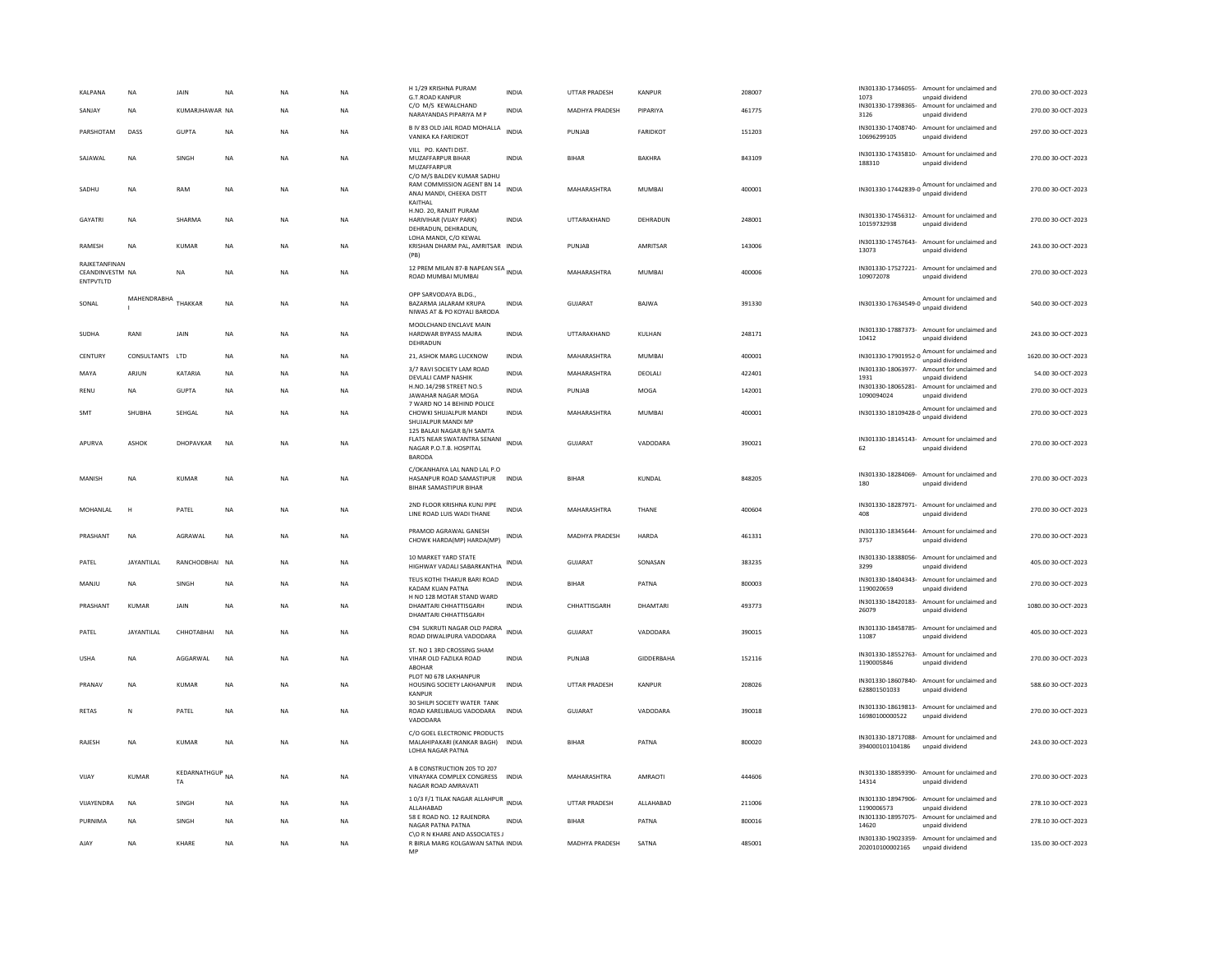| KALPANA<br>SANJAY                             | NA<br><b>NA</b>   | JAIN<br>KUMARJHAWAR NA       | NA        | <b>NA</b><br><b>NA</b> | NA<br><b>NA</b> | H 1/29 KRISHNA PURAM<br><b>G.T.ROAD KANPUR</b><br>C/O M/S KEWALCHAND                                     | INDIA<br><b>INDIA</b> | UTTAR PRADESH<br><b>MADHYA PRADESH</b> | KANPUR<br>PIPARIYA | 208007<br>461775 | 1073                         | IN301330-17346055- Amount for unclaimed and<br>unpaid dividend<br>IN301330-17398365- Amount for unclaimed and | 270.00 30-OCT-2023<br>270.00 30-OCT-2023 |
|-----------------------------------------------|-------------------|------------------------------|-----------|------------------------|-----------------|----------------------------------------------------------------------------------------------------------|-----------------------|----------------------------------------|--------------------|------------------|------------------------------|---------------------------------------------------------------------------------------------------------------|------------------------------------------|
|                                               |                   |                              |           |                        |                 | NARAYANDAS PIPARIYA M P<br>B IV 83 OLD JAIL ROAD MOHALLA                                                 |                       |                                        |                    |                  | 3126<br>IN301330-17408740-   | unpaid dividend<br>Amount for unclaimed and                                                                   |                                          |
| PARSHOTAM                                     | DASS              | <b>GUPTA</b>                 | <b>NA</b> | <b>NA</b>              | <b>NA</b>       | VANIKA KA FARIDKOT                                                                                       | <b>INDIA</b>          | PUNJAB                                 | <b>FARIDKOT</b>    | 151203           | 10696299105                  | unpaid dividend                                                                                               | 297.00 30-OCT-2023                       |
| SAJAWAL                                       | NA                | SINGH                        | NA        | <b>NA</b>              | NA              | VILL PO. KANTI DIST.<br>MUZAFFARPUR BIHAR<br>MUZAFFARPUR<br>C/O M/S BALDEV KUMAR SADHU                   | INDIA                 | <b>BIHAR</b>                           | BAKHRA             | 843109           | IN301330-17435810-<br>188310 | Amount for unclaimed and<br>unpaid dividend                                                                   | 270.00 30-OCT-2023                       |
| SADHU                                         | <b>NA</b>         | RAM                          | <b>NA</b> | <b>NA</b>              | <b>NA</b>       | RAM COMMISSION AGENT BN 14<br>ANAJ MANDI, CHEEKA DISTT<br>KAITHAL                                        | <b>INDIA</b>          | MAHARASHTRA                            | MUMBAI             | 400001           |                              | IN301330-17442839-0 Amount for unclaimed and<br>unpaid dividend                                               | 270.00 30-OCT-2023                       |
| GAYATRI                                       | <b>NA</b>         | SHARMA                       | <b>NA</b> | <b>NA</b>              | <b>NA</b>       | H.NO. 20, RANJIT PURAM<br>HARIVIHAR (VIJAY PARK)<br>DEHRADUN, DEHRADUN,<br>LOHA MANDI, C/O KEWAL         | <b>INDIA</b>          | UTTARAKHAND                            | DEHRADUN           | 248001           | 10159732938                  | IN301330-17456312- Amount for unclaimed and<br>unpaid dividend                                                | 270.00 30-OCT-2023                       |
| RAMESH                                        | <b>NA</b>         | <b>KUMAR</b>                 | NA        | <b>NA</b>              | NA              | KRISHAN DHARM PAL, AMRITSAR INDIA<br>(PB)                                                                |                       | PUNJAB                                 | AMRITSAR           | 143006           | 13073                        | IN301330-17457643- Amount for unclaimed and<br>unpaid dividend                                                | 243.00 30-OCT-2023                       |
| RAIKFTANFINAN<br>CEANDINVESTM NA<br>ENTPVTLTD |                   | <b>NA</b>                    | NA        | NA                     | NA              | 12 PREM MILAN 87-B NAPEAN SEA INDIA<br>ROAD MUMBAI MUMBAI                                                |                       | MAHARASHTRA                            | MUMBAI             | 400006           | 109072078                    | IN301330-17527221- Amount for unclaimed and<br>unpaid dividend                                                | 270.00 30-OCT-2023                       |
| SONAL                                         | MAHENDRABHA       | THAKKAR                      | NA        | <b>NA</b>              | <b>NA</b>       | OPP SARVODAYA BLDG<br>BAZARMA JALARAM KRUPA<br>NIWAS AT & PO KOYALI BARODA                               | <b>INDIA</b>          | GUJARAT                                | BAJWA              | 391330           |                              | unpaid dividend                                                                                               | 540.00 30-OCT-2023                       |
| <b>SUDHA</b>                                  | RANI              | JAIN                         | <b>NA</b> | <b>NA</b>              | <b>NA</b>       | MOOLCHAND ENCLAVE MAIN<br>HARDWAR BYPASS MAJRA<br>DEHRADUN                                               | INDIA                 | UTTARAKHAND                            | KULHAN             | 248171           | 10412                        | IN301330-17887373- Amount for unclaimed and<br>unpaid dividend                                                | 243.00 30-OCT-2023                       |
| CENTURY                                       | CONSULTANTS LTD   |                              | <b>NA</b> | <b>NA</b>              | <b>NA</b>       | 21. ASHOK MARG LUCKNOW                                                                                   | <b>INDIA</b>          | MAHARASHTRA                            | <b>MUMBAI</b>      | 400001           | IN301330-17901952-0          | Amount for unclaimed and<br>unpaid dividend                                                                   | 1620.00 30-OCT-2023                      |
| MAYA                                          | ARJUN             | KATARIA                      | NA        | <b>NA</b>              | NA              | 3/7 RAVI SOCIETY LAM ROAD<br>DEVLALI CAMP NASHIK                                                         | INDIA                 | MAHARASHTRA                            | DEOLALI            | 422401           | IN301330-18063977-<br>1931   | Amount for unclaimed and<br>unpaid dividend                                                                   | 54.00 30-OCT-2023                        |
| RENU                                          | NA                | <b>GUPTA</b>                 | NA        | <b>NA</b>              | NA              | H.NO.14/298 STREET NO.5<br>JAWAHAR NAGAR MOGA                                                            | INDIA                 | PUNJAB                                 | MOGA               | 142001           | 1090094024                   | IN301330-18065281- Amount for unclaimed and<br>unpaid dividend                                                | 270.00 30-OCT-2023                       |
| SMT                                           | SHUBHA            | <b>SEHGAI</b>                | <b>NA</b> | <b>NA</b>              | <b>NA</b>       | 7 WARD NO 14 BEHIND POLICE<br>CHOWKI SHUJALPUR MANDI<br>SHUJALPUR MANDI MP<br>125 BALAJI NAGAR B/H SAMTA | <b>INDIA</b>          | MAHARASHTRA                            | MUMBAI             | 400001           |                              | IN301330-18109428-0 Amount for unclaimed and<br>unpaid dividend                                               | 270.00 30-OCT-2023                       |
| APURVA                                        | <b>ASHOK</b>      | <b>DHOPAVKAR</b>             | <b>NA</b> | <b>NA</b>              | <b>NA</b>       | FLATS NEAR SWATANTRA SENANI<br>NAGAR P.O.T.B. HOSPITAL<br>BARODA                                         | INDIA                 | <b>GUJARAT</b>                         | VADODARA           | 390021           | 62                           | IN301330-18145143- Amount for unclaimed and<br>unpaid dividend                                                | 270.00 30-OCT-2023                       |
| MANISH                                        | NA                | KUMAR                        | NA        | NA                     | NA              | C/OKANHAIYA LAL NAND LAL P.O<br>HASANPUR ROAD SAMASTIPUR<br>BIHAR SAMASTIPUR BIHAR                       | <b>INDIA</b>          | BIHAR                                  | KUNDAL             | 848205           | 180                          | IN301330-18284069- Amount for unclaimed and<br>unpaid dividend                                                | 270.00 30-OCT-2023                       |
| MOHANLAL                                      | H                 | PATEL                        | NA        | NA                     | NA              | 2ND FLOOR KRISHNA KUNJ PIPE<br>LINE ROAD LUIS WADI THANE                                                 | INDIA                 | MAHARASHTRA                            | THANE              | 400604           | 408                          | IN301330-18287971- Amount for unclaimed and<br>unpaid dividend                                                | 270.00 30-OCT-2023                       |
| PRASHANT                                      | <b>NA</b>         | AGRAWAL                      | <b>NA</b> | <b>NA</b>              | <b>NA</b>       | PRAMOD AGRAWAL GANESH<br>CHOWK HARDA(MP) HARDA(MP)                                                       | <b>INDIA</b>          | <b>MADHYA PRADESH</b>                  | HARDA              | 461331           | 3757                         | IN301330-18345644- Amount for unclaimed and<br>unpaid dividend                                                | 270.00 30-OCT-2023                       |
| PATEL                                         | <b>JAYANTILAL</b> | RANCHODBHAI NA               |           | <b>NA</b>              | <b>NA</b>       | 10 MARKET YARD STATE<br>HIGHWAY VADALI SABARKANTHA                                                       | INDIA                 | <b>GUJARAT</b>                         | SONASAN            | 383235           | IN301330-18388056-<br>3299   | Amount for unclaimed and<br>unpaid dividend                                                                   | 405.00 30-OCT-2023                       |
| MANJU                                         | NA                | SINGH                        | NA        | NA                     | NA              | TEUS KOTHI THAKUR BARI ROAD<br>KADAM KUAN PATNA                                                          | <b>INDIA</b>          | BIHAR                                  | PATNA              | 800003           | 1190020659                   | IN301330-18404343- Amount for unclaimed and<br>unpaid dividend                                                | 270.00 30-OCT-2023                       |
| PRASHANT                                      | KUMAR             | <b>JAIN</b>                  | <b>NA</b> | <b>NA</b>              | <b>NA</b>       | H NO 128 MOTAR STAND WARD<br>DHAMTARI CHHATTISGARH<br>DHAMTARI CHHATTISGARH                              | <b>INDIA</b>          | CHHATTISGARH                           | DHAMTARI           | 493773           | IN301330-18420183-<br>26079  | Amount for unclaimed and<br>unpaid dividend                                                                   | 1080.00 30-OCT-2023                      |
| PATEL                                         | <b>JAYANTILAI</b> | CHHOTABHAI                   | <b>NA</b> | <b>NA</b>              | NA              | C94 SUKRUTI NAGAR OLD PADRA<br>ROAD DIWALIPURA VADODARA                                                  | <b>INDIA</b>          | <b>GUJARAT</b>                         | VADODARA           | 390015           | IN301330-18458785-<br>11087  | Amount for unclaimed and<br>unpaid dividend                                                                   | 405.00 30-OCT-2023                       |
| <b>USHA</b>                                   | NA                | AGGARWAL                     | NA        | NA                     | NA              | ST. NO 1 3RD CROSSING SHAM<br>VIHAR OLD FAZILKA ROAD<br>ABOHAR                                           | INDIA                 | PUNJAB                                 | GIDDERBAHA         | 152116           | 1190005846                   | IN301330-18552763- Amount for unclaimed and<br>unpaid dividend                                                | 270.00 30-OCT-2023                       |
| PRANAV                                        | NA                | KUMAR                        | NA        | <b>NA</b>              | NA              | PLOT NO 678 LAKHANPUR<br>HOUSING SOCIETY LAKHANPUR<br>KANPUR                                             | <b>INDIA</b>          | UTTAR PRADESH                          | KANPUR             | 208026           | 628801501033                 | IN301330-18607840- Amount for unclaimed and<br>unpaid dividend                                                | 588.60 30-OCT-2023                       |
| <b>RETAS</b>                                  | N                 | PATEL                        | <b>NA</b> | <b>NA</b>              | <b>NA</b>       | 30 SHILPI SOCIETY WATER TANK<br>ROAD KARELIBAUG VADODARA<br>VADODARA                                     | <b>INDIA</b>          | <b>GUJARAT</b>                         | VADODARA           | 390018           | 16980100000522               | IN301330-18619813- Amount for unclaimed and<br>unpaid dividend                                                | 270.00 30-OCT-2023                       |
| RAJESH                                        | <b>NA</b>         | <b>KUMAR</b>                 | <b>NA</b> | <b>NA</b>              | <b>NA</b>       | C/O GOEL ELECTRONIC PRODUCTS<br>MALAHIPAKARI (KANKAR BAGH) INDIA<br>LOHIA NAGAR PATNA                    |                       | <b>BIHAR</b>                           | PATNA              | 800020           | 394000101104186              | IN301330-18717088- Amount for unclaimed and<br>unpaid dividend                                                | 243.00 30-OCT-2023                       |
| VIJAY                                         | <b>KUMAR</b>      | KEDARNATHGUP NA<br><b>TA</b> |           | NA                     | NA              | A B CONSTRUCTION 205 TO 207<br>VINAYAKA COMPLEX CONGRESS INDIA<br>NAGAR ROAD AMRAVATI                    |                       | MAHARASHTRA                            | AMRAOTI            | 444606           | 14314                        | IN301330-18859390- Amount for unclaimed and<br>unpaid dividend                                                | 270.00 30-OCT-2023                       |
| VIJAYENDRA                                    | <b>NA</b>         | SINGH                        | NA        | <b>NA</b>              | NA              | 10/3 F/1 TILAK NAGAR ALLAHPUR<br>ALLAHABAD                                                               | <b>INDIA</b>          | UTTAR PRADESH                          | ALLAHABAD          | 211006           | 1190006573                   | IN301330-18947906- Amount for unclaimed and<br>unpaid dividend                                                | 278.10 30-OCT-2023                       |
| PURNIMA                                       | NA                | SINGH                        | NA        | NA                     | NA              | 58 E ROAD NO. 12 RAJENDRA<br>NAGAR PATNA PATNA                                                           | <b>INDIA</b>          | BIHAR                                  | PATNA              | 800016           | 14620                        | IN301330-18957075- Amount for unclaimed and<br>unpaid dividend                                                | 278.10 30-OCT-2023                       |
| AJAY                                          | <b>NA</b>         | KHARF                        | <b>NA</b> | <b>NA</b>              | <b>NA</b>       | C\O R N KHARE AND ASSOCIATES J<br>R BIRLA MARG KOLGAWAN SATNA INDIA                                      |                       | <b>MADHYA PRADESH</b>                  | SATNA              | 485001           | 202010100002165              | IN301330-19023359- Amount for unclaimed and<br>unpaid dividend                                                | 135.00 30-OCT-2023                       |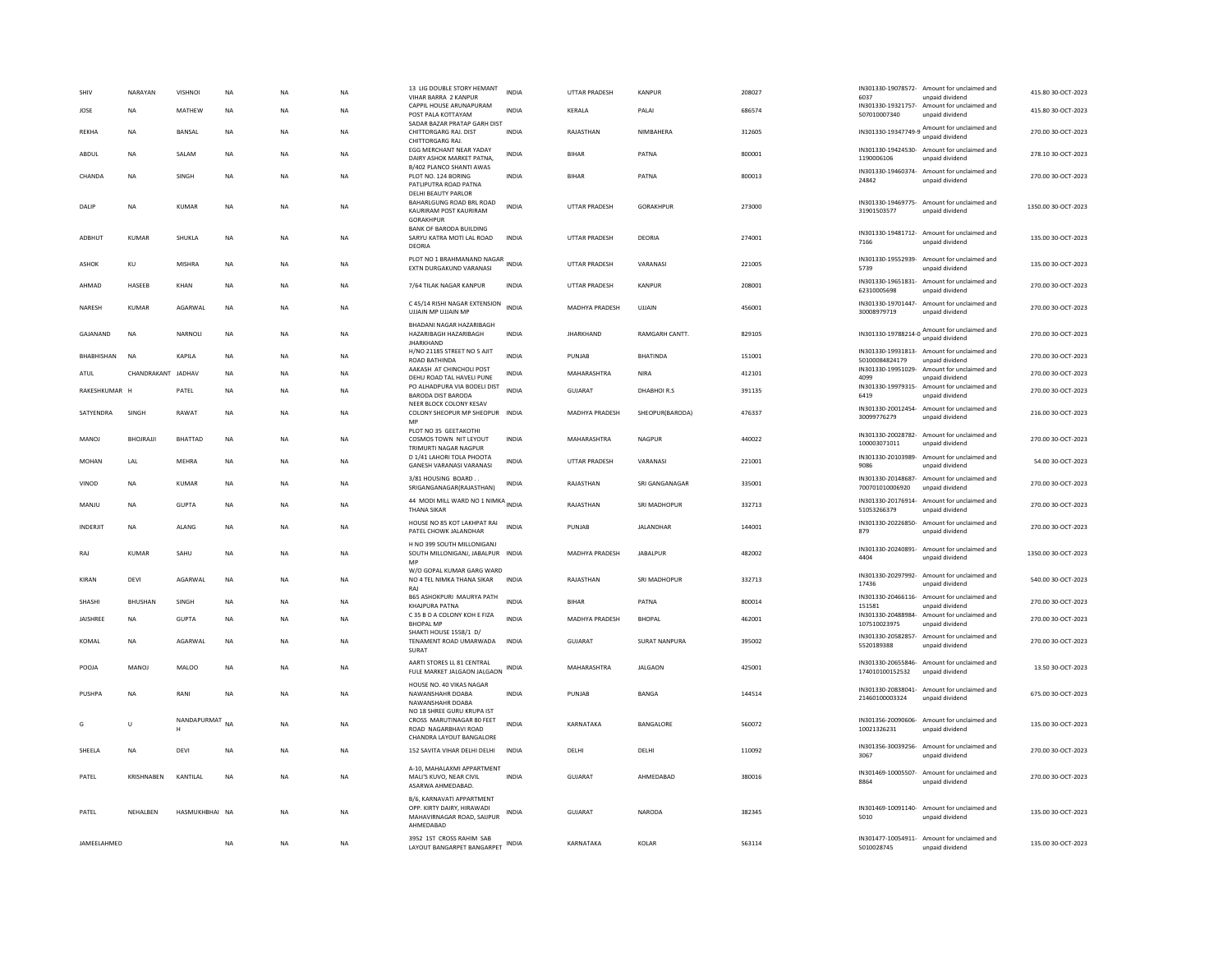| SHIV            | NARAYAN            | <b>VISHNOI</b> | NA        | <b>NA</b> | NA        | 13 LIG DOUBLE STORY HEMANT<br>VIHAR BARRA 2 KANPUR                                                          | INDIA        | UTTAR PRADESH         | <b>KANPUR</b>        | 208027 | 6037                              | IN301330-19078572- Amount for unclaimed and<br>unpaid dividend  | 415.80 30-OCT-2023  |
|-----------------|--------------------|----------------|-----------|-----------|-----------|-------------------------------------------------------------------------------------------------------------|--------------|-----------------------|----------------------|--------|-----------------------------------|-----------------------------------------------------------------|---------------------|
| JOSE            | <b>NA</b>          | MATHEW         | NA        | NA        | NA        | CAPPIL HOUSE ARUNAPURAM<br>POST PALA KOTTAYAM                                                               | <b>INDIA</b> | KERALA                | PALAI                | 686574 | 507010007340                      | IN301330-19321757- Amount for unclaimed and<br>unpaid dividend  | 415.80 30-OCT-2023  |
| <b>REKHA</b>    | <b>NA</b>          | BANSAL         | <b>NA</b> | <b>NA</b> | <b>NA</b> | SADAR BAZAR PRATAP GARH DIST<br>CHITTORGARG RAJ, DIST<br>CHITTORGARG RAJ.                                   | <b>INDIA</b> | RAJASTHAN             | NIMBAHERA            | 312605 |                                   | IN301330-19347749-9 Amount for unclaimed and<br>unpaid dividend | 270.00 30-OCT-2023  |
| ABDUL           | ΝA                 | SALAM          | NA        | NA        | NA        | EGG MERCHANT NEAR YADAY<br>DAIRY ASHOK MARKET PATNA,                                                        | INDIA        | <b>BIHAR</b>          | PATNA                | 800001 | 1190006106                        | IN301330-19424530- Amount for unclaimed and<br>unpaid dividend  | 278.10 30-OCT-2023  |
| CHANDA          | <b>NA</b>          | <b>SINGH</b>   | <b>NA</b> | <b>NA</b> | <b>NA</b> | B/402 PLANCO SHANTI AWAS<br>PLOT NO. 124 BORING<br>PATLIPUTRA ROAD PATNA                                    | <b>INDIA</b> | <b>BIHAR</b>          | PATNA                | 800013 | 24842                             | IN301330-19460374- Amount for unclaimed and<br>unpaid dividend  | 270.00.30-OCT-2023  |
| DALIF           | <b>NA</b>          | <b>KUMAR</b>   | <b>NA</b> | <b>NA</b> | <b>NA</b> | <b>DELHI BEAUTY PARLOR</b><br>BAHARLGUNG ROAD BRL ROAD<br>KAURIRAM POST KAURIRAM<br><b>GORAKHPUR</b>        | <b>INDIA</b> | UTTAR PRADESH         | GORAKHPUR            | 273000 | 31901503577                       | IN301330-19469775- Amount for unclaimed and<br>unpaid dividend  | 1350.00 30-OCT-2023 |
| ADBHUT          | <b>KUMAR</b>       | SHUKLA         | <b>NA</b> | <b>NA</b> | <b>NA</b> | <b>BANK OF BARODA BUILDING</b><br>SARYU KATRA MOTI LAL ROAD<br>DEORIA                                       | <b>INDIA</b> | <b>UTTAR PRADESH</b>  | DEORIA               | 274001 | 7166                              | IN301330-19481712- Amount for unclaimed and<br>unpaid dividend  | 135.00 30-OCT-2023  |
| ASHOK           | KU                 | <b>MISHRA</b>  | <b>NA</b> | <b>NA</b> | <b>NA</b> | PLOT NO 1 BRAHMANAND NAGAR INDIA<br>EXTN DURGAKUND VARANASI                                                 |              | <b>UTTAR PRADESH</b>  | VARANASI             | 221005 | 5739                              | IN301330-19552939- Amount for unclaimed and<br>unpaid dividend  | 135.00 30-OCT-2023  |
| AHMAD           | HASEEB             | KHAN           | NA        | NA        | NA        | 7/64 TILAK NAGAR KANPUR                                                                                     | INDIA        | UTTAR PRADESH         | KANPUR               | 208001 | 62310005698                       | IN301330-19651831- Amount for unclaimed and<br>unpaid dividend  | 270.00 30-OCT-2023  |
| NARESH          | <b>KUMAR</b>       | AGARWAL        | NA        | <b>NA</b> | NA        | C 45/14 RISHI NAGAR EXTENSION<br>UJJAIN MP UJJAIN MP                                                        | <b>INDIA</b> | MADHYA PRADESH        | UJJAIN               | 456001 | IN301330-19701447-<br>30008979719 | Amount for unclaimed and<br>unpaid dividend                     | 270.00 30-OCT-2023  |
| GAJANAND        | <b>NA</b>          | NARNOLI        | <b>NA</b> | <b>NA</b> | <b>NA</b> | BHADANI NAGAR HAZARIBAGH<br>HAZARIBAGH HAZARIBAGH<br><b>IHARKHAND</b>                                       | <b>INDIA</b> | <b>JHARKHAND</b>      | RAMGARH CANTT.       | 829105 |                                   | IN301330-19788214-0 Amount for unclaimed and<br>unpaid dividend | 270.00 30-OCT-2023  |
| RHARHISHAN      | <b>NA</b>          | <b>KAPILA</b>  | <b>NA</b> | <b>NA</b> | NA        | H/NO 21185 STREET NO 5 AJIT<br><b>ROAD BATHINDA</b>                                                         | <b>INDIA</b> | PUNJAR                | <b>BHATINDA</b>      | 151001 | 50100084824179                    | IN301330-19931813- Amount for unclaimed and<br>unpaid dividend  | 270.00 30-OCT-2023  |
| ATUL            | CHANDRAKANT JADHAV |                | <b>NA</b> | <b>NA</b> | <b>NA</b> | AAKASH AT CHINCHOLI POST<br>DEHU ROAD TAL HAVELI PUNE                                                       | <b>INDIA</b> | MAHARASHTRA           | <b>NIRA</b>          | 412101 | IN301330-19951029-<br>4099        | Amount for unclaimed and<br>unpaid dividend                     | 270.00 30-OCT-2023  |
| RAKESHKUMAR H   |                    | PATEL          | NA        | <b>NA</b> | NA        | PO ALHADPURA VIA BODELI DIST<br><b>BARODA DIST BARODA</b>                                                   | <b>INDIA</b> | <b>GUJARAT</b>        | DHABHOIR.S           | 391135 | 6419                              | IN301330-19979315- Amount for unclaimed and<br>unpaid dividend  | 270.00 30-OCT-2023  |
| SATYENDRA       | SINGH              | RAWAT          | <b>NA</b> | <b>NA</b> | <b>NA</b> | NEER BLOCK COLONY KESAV<br>COLONY SHEOPUR MP SHEOPUR INDIA<br>MF                                            |              | MADHYA PRADESH        | SHEOPUR(BARODA)      | 476337 | 30099776279                       | IN301330-20012454- Amount for unclaimed and<br>unpaid dividend  | 216.00 30-OCT-2023  |
| MANOJ           | BHOJRAJJI          | <b>BHATTAD</b> | NA        | <b>NA</b> | NA        | PLOT NO 35 GEETAKOTHI<br>COSMOS TOWN NIT LEYOUT<br>TRIMURTI NAGAR NAGPUR                                    | <b>INDIA</b> | MAHARASHTRA           | NAGPUR               | 440022 | 100003071011                      | IN301330-20028782- Amount for unclaimed and<br>unpaid dividend  | 270.00 30-OCT-2023  |
| MOHAN           | LAL                | MEHRA          | NA        | <b>NA</b> | <b>NA</b> | D 1/41 LAHORI TOLA PHOOTA<br>GANESH VARANASI VARANASI                                                       | <b>INDIA</b> | <b>UTTAR PRADESH</b>  | VARANASI             | 221001 | IN301330-20103989-<br>9086        | Amount for unclaimed and<br>unpaid dividend                     | 54.00 30-OCT-2023   |
| VINOD           | <b>NA</b>          | <b>KUMAR</b>   | <b>NA</b> | <b>NA</b> | <b>NA</b> | 3/81 HOUSING BOARD.<br>SRIGANGANAGAR(RAJASTHAN)                                                             | INDIA        | RAJASTHAN             | SRI GANGANAGAR       | 335001 | 700701010006920                   | IN301330-20148687- Amount for unclaimed and<br>unpaid dividend  | 270.00 30-OCT-2023  |
| MANJU           | <b>NA</b>          | <b>GUPTA</b>   | <b>NA</b> | <b>NA</b> | <b>NA</b> | 44 MODI MILL WARD NO 1 NIMKA INDIA<br><b>THANA SIKAR</b>                                                    |              | RAJASTHAN             | SRI MADHOPUR         | 332713 | IN301330-20176914-<br>51053266379 | Amount for unclaimed and<br>unpaid dividend                     | 270.00 30-OCT-2023  |
| <b>INDERJIT</b> | <b>NA</b>          | ALANG          | <b>NA</b> | <b>NA</b> | <b>NA</b> | HOUSE NO 85 KOT LAKHPAT RAI<br>PATEL CHOWK JALANDHAR                                                        | <b>INDIA</b> | PUNJAB                | JALANDHAR            | 144001 | 879                               | IN301330-20226850- Amount for unclaimed and<br>unpaid dividend  | 270.00 30-OCT-2023  |
| RAI             | KUMAR              | SAHU           | <b>NA</b> | <b>NA</b> | <b>NA</b> | H NO 399 SOUTH MILLONIGANJ<br>SOUTH MILLONIGANJ, JABALPUR INDIA<br>MP                                       |              | <b>MADHYA PRADESH</b> | <b>JARAI PUR</b>     | 482002 | 4404                              | IN301330-20240891- Amount for unclaimed and<br>unpaid dividend  | 1350.00 30-OCT-2023 |
| KIRAN           | <b>DEVI</b>        | AGARWAI        | <b>NA</b> | <b>NA</b> | <b>NA</b> | W/O GOPAL KUMAR GARG WARD<br>NO 4 TEL NIMKA THANA SIKAR<br>RAJ                                              | <b>INDIA</b> | RAJASTHAN             | SRI MADHOPUR         | 332713 | IN301330-20297992-<br>17436       | Amount for unclaimed and<br>unpaid dividend                     | 540.00 30-OCT-2023  |
| SHASHI          | BHUSHAN            | SINGH          | NA        | NA        | NA        | B65 ASHOKPURI MAURYA PATH<br><b>KHAJPURA PATNA</b>                                                          | <b>INDIA</b> | <b>BIHAR</b>          | PATNA                | 800014 | IN301330-20466116-<br>151581      | Amount for unclaimed and<br>unpaid dividend                     | 270.00 30-OCT-2023  |
| JAISHREE        | <b>NA</b>          | <b>GUPTA</b>   | NA        | <b>NA</b> | NA        | C 35 B D A COLONY KOH E FIZA<br><b>BHOPAL MP</b>                                                            | INDIA        | MADHYA PRADESH        | <b>BHOPAL</b>        | 462001 | 107510023975                      | IN301330-20488984- Amount for unclaimed and<br>unpaid dividend  | 270.00 30-OCT-2023  |
| KOMAL           | <b>NA</b>          | <b>AGARWAI</b> | <b>NA</b> | <b>NA</b> | <b>NA</b> | SHAKTI HOUSE 1558/1 D/<br>TENAMENT ROAD UMARWADA<br><b>SURAT</b>                                            | <b>INDIA</b> | GUJARAT               | <b>SURAT NANPURA</b> | 395002 | IN301330-20582857-<br>5520189388  | Amount for unclaimed and<br>unpaid dividend                     | 270.00 30-OCT-2023  |
| POOJA           | MANOJ              | MALOO          | NA        | NA        | NA        | AARTI STORES LL 81 CENTRAL<br>FULE MARKET JALGAON JALGAON                                                   | INDIA        | MAHARASHTRA           | <b>JALGAON</b>       | 425001 | 174010100152532                   | IN301330-20655846- Amount for unclaimed and<br>unpaid dividend  | 13.50 30-OCT-2023   |
| PUSHPA          | <b>NA</b>          | RANI           | <b>NA</b> | <b>NA</b> | <b>NA</b> | HOUSE NO. 40 VIKAS NAGAR<br>NAWANSHAHR DOABA<br>NAWANSHAHR DOARA                                            | <b>INDIA</b> | PUNJAB                | <b>BANGA</b>         | 144514 | 21460100003324                    | IN301330-20838041- Amount for unclaimed and<br>unpaid dividend  | 675.00 30-OCT-2023  |
| G               | Ù                  | NANDAPURMAT    | <b>NA</b> | <b>NA</b> | <b>NA</b> | NO 18 SHREE GURU KRUPA IST<br>CROSS MARUTINAGAR 80 FEET<br>ROAD NAGARBHAVI ROAD<br>CHANDRA LAYOUT BANGALORE | <b>INDIA</b> | KARNATAKA             | BANGALORE            | 560072 | 10021326231                       | IN301356-20090606- Amount for unclaimed and<br>unpaid dividend  | 135.00 30-OCT-2023  |
| SHEELA          | <b>NA</b>          | <b>DEVI</b>    | <b>NA</b> | <b>NA</b> | <b>NA</b> | 152 SAVITA VIHAR DELHI DELHI                                                                                | <b>INDIA</b> | DELHI                 | DELHI                | 110092 | 3067                              | IN301356-30039256- Amount for unclaimed and<br>unpaid dividend  | 270.00 30-OCT-2023  |
| PATEL           | KRISHNARFN         | KANTILAL       | <b>NA</b> | <b>NA</b> | <b>NA</b> | A-10, MAHALAXMI APPARTMENT<br>MALI'S KUVO, NEAR CIVIL<br>ASARWA AHMEDABAD                                   | <b>INDIA</b> | GUIARAT               | AHMEDABAD            | 380016 | 8864                              | IN301469-10005507- Amount for unclaimed and<br>unpaid dividend  | 270.00 30-OCT-2023  |
| PATEL           | NEHALBEN           | HASMUKHBHAI NA |           | <b>NA</b> | NA        | B/6, KARNAVATI APPARTMENT<br>OPP. KIRTY DAIRY, HIRAWADI<br>MAHAVIRNAGAR ROAD, SAIJPUR<br>AHMEDABAD          | <b>INDIA</b> | GUJARAT               | NARODA               | 382345 | 5010                              | IN301469-10091140- Amount for unclaimed and<br>unpaid dividend  | 135.00 30-OCT-2023  |
| JAMEELAHMED     |                    |                | <b>NA</b> | NA        | <b>NA</b> | 3952 1ST CROSS RAHIM SAB<br>LAYOUT BANGARPET BANGARPET                                                      |              | KARNATAKA             | KOLAR                | 563114 | 5010028745                        | IN301477-10054911- Amount for unclaimed and<br>unpaid dividend  | 135.00 30-OCT-2023  |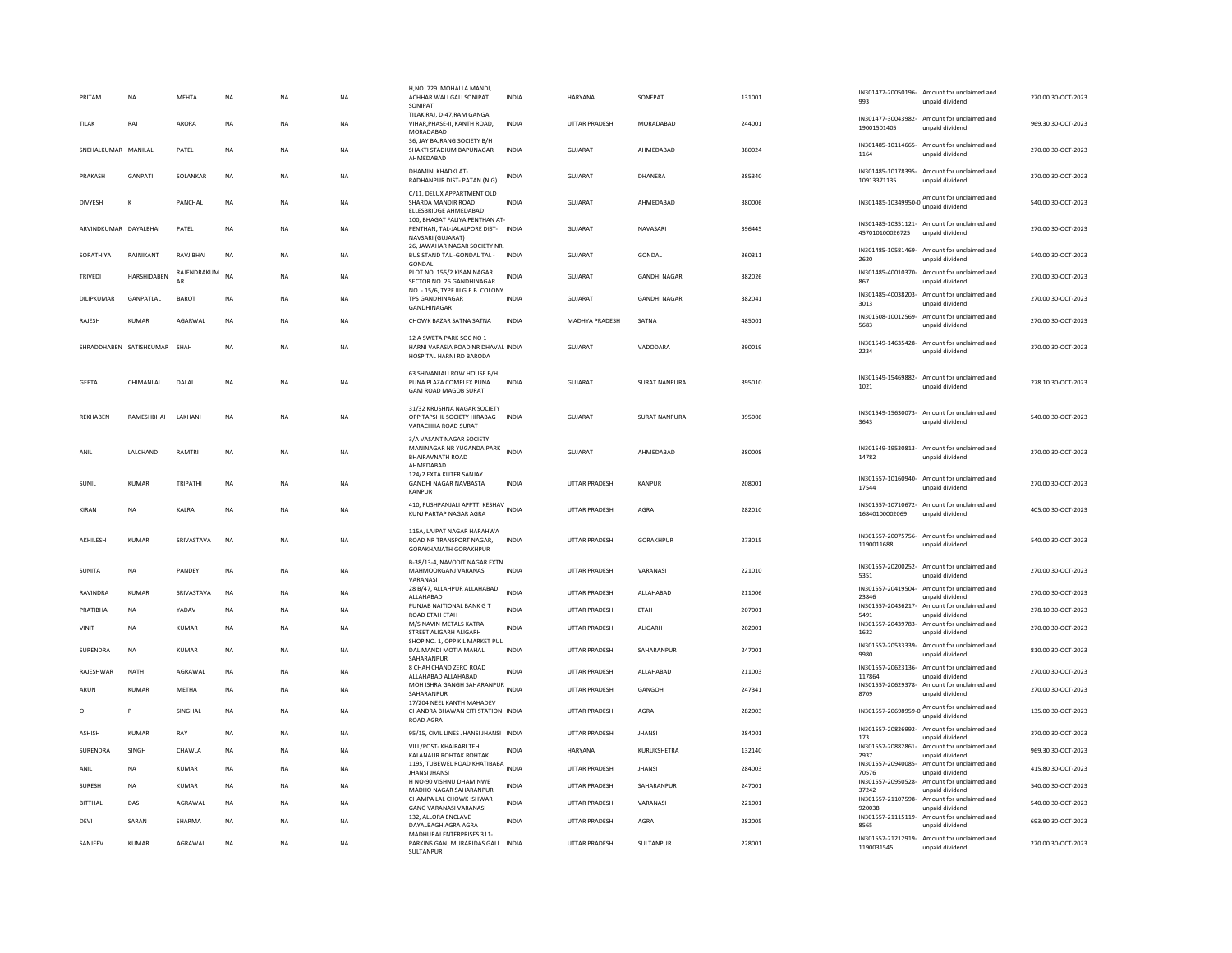| PRITAM                | <b>NA</b>                    | <b>MEHTA</b>      | <b>NA</b> | <b>NA</b> | <b>NA</b> | H,NO. 729 MOHALLA MANDI<br>ACHHAR WALI GALI SONIPAT<br>SONIPAT                                | <b>INDIA</b> | <b>HARYANA</b>        | SONEPAT              | 131001 | 993                                  | IN301477-20050196- Amount for unclaimed and<br>unpaid dividend  | 270.00 30-OCT-2023 |
|-----------------------|------------------------------|-------------------|-----------|-----------|-----------|-----------------------------------------------------------------------------------------------|--------------|-----------------------|----------------------|--------|--------------------------------------|-----------------------------------------------------------------|--------------------|
| TILAK                 | RAJ                          | <b>ARORA</b>      | <b>NA</b> | <b>NA</b> | <b>NA</b> | TILAK RAJ, D-47, RAM GANGA<br>VIHAR, PHASE-II, KANTH ROAD.<br>MORADABAD                       | <b>INDIA</b> | <b>UTTAR PRADESH</b>  | MORADABAD            | 244001 | 19001501405                          | IN301477-30043982- Amount for unclaimed and<br>unpaid dividend  | 969.30 30-OCT-2023 |
| SNEHALKUMAR MANILAL   |                              | PATEL             | <b>NA</b> | <b>NA</b> | <b>NA</b> | 36, JAY BAJRANG SOCIETY B/H<br>SHAKTI STADIUM BAPUNAGAR<br>AHMEDABAD                          | <b>INDIA</b> | <b>GUJARAT</b>        | AHMEDABAD            | 380024 | IN301485-10114665-<br>1164           | Amount for unclaimed and<br>unpaid dividend                     | 270.00 30-OCT-2023 |
| PRAKASH               | <b>GANPATI</b>               | SOLANKAR          | <b>NA</b> | <b>NA</b> | <b>NA</b> | DHAMINI KHADKI AT-<br>RADHANPUR DIST- PATAN (N.G)                                             | INDIA        | <b>GUJARAT</b>        | DHANERA              | 385340 | IN301485-10178395-<br>10913371135    | Amount for unclaimed and<br>unpaid dividend                     | 270.00 30-OCT-2023 |
| <b>DIVYESH</b>        |                              | PANCHAL           | NA        | <b>NA</b> | <b>NA</b> | C/11, DELUX APPARTMENT OLD<br>SHARDA MANDIR ROAD<br>ELLESBRIDGE AHMEDABAD                     | <b>INDIA</b> | GUJARAT               | AHMEDABAD            | 380006 |                                      | IN301485-10349950-0 Amount for unclaimed and                    | 540.00 30-OCT-2023 |
| ARVINDKUMAR DAYALBHAI |                              | PATEL             | <b>NA</b> | <b>NA</b> | NA        | 100, BHAGAT FALIYA PENTHAN AT-<br>PENTHAN, TAL-JALALPORE DIST-<br>NAVSARI (GUJARAT)           | <b>INDIA</b> | GUJARAT               | NAVASARI             | 396445 | 457010100026725                      | IN301485-10351121- Amount for unclaimed and<br>unpaid dividend  | 270.00 30-OCT-2023 |
| SORATHIYA             | RAJNIKANT                    | RAVJIBHAI         | <b>NA</b> | <b>NA</b> | <b>NA</b> | 26, JAWAHAR NAGAR SOCIETY NR.<br>BUS STAND TAL -GONDAL TAL -<br>GONDAL                        | <b>INDIA</b> | <b>GUJARAT</b>        | <b>GONDAL</b>        | 360311 | IN301485-10581469-<br>2620           | Amount for unclaimed and<br>unpaid dividend                     | 540.00 30-OCT-2023 |
| TRIVEDI               | <b>HARSHIDABEN</b>           | RAJENDRAKUM<br>AR | <b>NA</b> | <b>NA</b> | <b>NA</b> | PLOT NO. 155/2 KISAN NAGAR<br>SECTOR NO. 26 GANDHINAGAR                                       | <b>INDIA</b> | <b>GUJARAT</b>        | <b>GANDHI NAGAR</b>  | 382026 | 867                                  | IN301485-40010370- Amount for unclaimed and<br>unpaid dividend  | 270.00 30-OCT-2023 |
| DILIPKUMAR            | <b>GANPATI AI</b>            | <b>BAROT</b>      | <b>NA</b> | <b>NA</b> | <b>NA</b> | NO. - 15/6, TYPE III G.E.B. COLONY<br><b>TPS GANDHINAGAR</b><br>GANDHINAGAR                   | <b>INDIA</b> | GUIARAT               | <b>GANDHI NAGAR</b>  | 382041 | IN301485-40038203-<br>3013           | Amount for unclaimed and<br>unpaid dividend                     | 270.00 30-QCT-2023 |
| RAJESH                | <b>KUMAR</b>                 | AGARWAL           | <b>NA</b> | <b>NA</b> | <b>NA</b> | CHOWK BAZAR SATNA SATNA                                                                       | <b>INDIA</b> | <b>MADHYA PRADESH</b> | SATNA                | 485001 | IN301508-10012569-<br>5683           | Amount for unclaimed and<br>unpaid dividend                     | 270.00 30-OCT-2023 |
|                       | SHRADDHABEN SATISHKUMAR SHAH |                   | <b>NA</b> | <b>NA</b> | <b>NA</b> | 12 A SWETA PARK SOC NO 1<br>HARNI VARASIA ROAD NR DHAVAL INDIA<br>HOSPITAL HARNI RD BARODA    |              | GUJARAT               | VADODARA             | 390019 | 2234                                 | IN301549-14635428- Amount for unclaimed and<br>unpaid dividend  | 270.00 30-OCT-2023 |
| <b>GEETA</b>          | CHIMANLAL                    | DALAL             | <b>NA</b> | <b>NA</b> | NA        | 63 SHIVANJALI ROW HOUSE B/H<br>PUNA PLAZA COMPLEX PUNA<br><b>GAM ROAD MAGOB SURAT</b>         | INDIA        | GUJARAT               | SURAT NANPURA        | 395010 | 1021                                 | IN301549-15469882- Amount for unclaimed and<br>unpaid dividend  | 278.10 30-OCT-2023 |
| <b>REKHAREN</b>       | RAMESHRHAI                   | <b>I AKHANI</b>   | <b>NA</b> | <b>NA</b> | <b>NA</b> | 31/32 KRUSHNA NAGAR SOCIETY<br>OPP TAPSHIL SOCIETY HIRABAG INDIA<br>VARACHHA ROAD SURAT       |              | GUIARAT               | <b>SURAT NANPURA</b> | 395006 | IN301549-15630073-<br>3643           | Amount for unclaimed and<br>unpaid dividend                     | 540.00 30-OCT-2023 |
| ANIL                  | LALCHAND                     | <b>RAMTRI</b>     | <b>NA</b> | <b>NA</b> | <b>NA</b> | 3/A VASANT NAGAR SOCIETY<br>MANINAGAR NR YUGANDA PARK<br><b>BHAIRAVNATH ROAD</b><br>AHMEDABAD | <b>INDIA</b> | <b>GUJARAT</b>        | AHMEDABAD            | 380008 | 14782                                | IN301549-19530813- Amount for unclaimed and<br>unpaid dividend  | 270.00 30-OCT-2023 |
| SUNIL                 | KUMAR                        | TRIPATHI          | NA        | NA        | NA        | 124/2 EXTA KUTER SANJAY<br><b>GANDHI NAGAR NAVBASTA</b><br>KANPUR                             | INDIA        | UTTAR PRADESH         | KANPUR               | 208001 | 17544                                | IN301557-10160940- Amount for unclaimed and<br>unpaid dividend  | 270.00 30-OCT-2023 |
| KIRAN                 | <b>NA</b>                    | KALRA             | <b>NA</b> | <b>NA</b> | NA        | 410, PUSHPANJALI APPTT. KESHAV INDIA<br>KUNJ PARTAP NAGAR AGRA                                |              | <b>UTTAR PRADESH</b>  | AGRA                 | 282010 | IN301557-10710672-<br>16840100002069 | Amount for unclaimed and<br>unpaid dividend                     | 405.00 30-OCT-2023 |
| <b>AKHILFSH</b>       | KUMAR                        | SRIVASTAVA        | <b>NA</b> | <b>NA</b> | <b>NA</b> | 115A, LAJPAT NAGAR HARAHWA<br>ROAD NR TRANSPORT NAGAR.<br><b>GORAKHANATH GORAKHPUR</b>        | <b>INDIA</b> | <b>UTTAR PRADESH</b>  | <b>GORAKHPUR</b>     | 273015 | IN301557-20075756-<br>1190011688     | Amount for unclaimed and<br>unpaid dividend                     | 540.0030-0CT-2023  |
| SUNITA                | <b>NA</b>                    | PANDEY            | <b>NA</b> | <b>NA</b> | <b>NA</b> | B-38/13-4, NAVODIT NAGAR EXTN<br>MAHMOORGANJ VARANASI<br>VARANASI                             | <b>INDIA</b> | <b>UTTAR PRADESH</b>  | VARANASI             | 221010 | IN301557-20200252-<br>5351           | Amount for unclaimed and<br>unpaid dividend                     | 270.00 30-OCT-2023 |
| RAVINDRA              | KUMAR                        | SRIVASTAVA        | NA        | <b>NA</b> | NA        | 28 B/47, ALLAHPUR ALLAHABAD<br>ALLAHABAD                                                      | INDIA        | UTTAR PRADESH         | ALLAHABAD            | 211006 | IN301557-20419504-<br>23846          | Amount for unclaimed and<br>unpaid dividend                     | 270.00 30-OCT-2023 |
| PRATIBHA              | <b>NA</b>                    | YADAV             | <b>NA</b> | <b>NA</b> | <b>NA</b> | PUNJAB NAITIONAL BANK G T<br>ROAD ETAH ETAH                                                   | <b>INDIA</b> | <b>UTTAR PRADESH</b>  | <b>FTAH</b>          | 207001 | IN301557-20436217-<br>5491           | Amount for unclaimed and<br>unpaid dividend                     | 278.10 30-OCT-2023 |
| VINIT                 | <b>NA</b>                    | KUMAR             | <b>NA</b> | <b>NA</b> | <b>NA</b> | M/S NAVIN METALS KATRA<br>STREET ALIGARH ALIGARH                                              | <b>INDIA</b> | <b>UTTAR PRADESH</b>  | ALIGARH              | 202001 | IN301557-20439783-<br>1622           | Amount for unclaimed and<br>unpaid dividend                     | 270.00 30-OCT-2023 |
| SURENDRA              | NA                           | KUMAR             | <b>NA</b> | NA        | NA        | SHOP NO. 1, OPP K L MARKET PUL<br>DAL MANDI MOTIA MAHAL<br>SAHARANPUR                         | <b>INDIA</b> | UTTAR PRADESH         | SAHARANPUR           | 247001 | IN301557-20533339-<br>9980           | Amount for unclaimed and<br>unpaid dividend                     | 810.00 30-OCT-2023 |
| RAJESHWAR             | <b>NATH</b>                  | AGRAWAL           | <b>NA</b> | <b>NA</b> | NA        | 8 CHAH CHAND ZERO ROAD<br>ALLAHABAD ALLAHABAD                                                 | INDIA        | UTTAR PRADESH         | ALLAHABAD            | 211003 | IN301557-20623136-<br>117864         | Amount for unclaimed and<br>unpaid dividend                     | 270.00 30-OCT-2023 |
| ARUN                  | KUMAR                        | <b>METHA</b>      | <b>NA</b> | <b>NA</b> | <b>NA</b> | MOH ISHRA GANGH SAHARANPUR<br>SAHARANPUR                                                      | <b>INDIA</b> | <b>UTTAR PRADESH</b>  | GANGOH               | 247341 | IN301557-20629378-<br>8709           | Amount for unclaimed and<br>unpaid dividend                     | 270.00 30-OCT-2023 |
| $\circ$               | P                            | SINGHAL           | <b>NA</b> | <b>NA</b> | <b>NA</b> | 17/204 NEEL KANTH MAHADEV<br>CHANDRA BHAWAN CITI STATION INDIA<br><b>ROAD AGRA</b>            |              | <b>UTTAR PRADESH</b>  | AGRA                 | 282003 |                                      | IN301557-20698959-0 Amount for unclaimed and<br>unpaid dividend | 135.00 30-OCT-2023 |
| <b>ASHISH</b>         | <b>KUMAR</b>                 | RAY               | <b>NA</b> | <b>NA</b> | <b>NA</b> | 95/15, CIVIL LINES JHANSI JHANSI INDIA                                                        |              | <b>UTTAR PRADESH</b>  | <b>JHANSI</b>        | 284001 | IN301557-20826992-<br>173            | Amount for unclaimed and<br>unpaid dividend                     | 270.00 30-OCT-2023 |
| <b>SURFNDRA</b>       | <b>SINGH</b>                 | <b>CHAWIA</b>     | <b>NA</b> | <b>NA</b> | NA        | VILL/POST- KHAIRARI TEH<br>KALANAUR ROHTAK ROHTAK                                             | <b>INDIA</b> | <b>HARYANA</b>        | KURUKSHETRA          | 132140 | IN301557-20882861-<br>2937           | Amount for unclaimed and<br>unpaid dividend                     | 969.30.30-QCT-2023 |
| ANIL                  | <b>NA</b>                    | <b>KUMAR</b>      | <b>NA</b> | <b>NA</b> | <b>NA</b> | 1195, TUBEWEL ROAD KHATIBABA<br><b>JHANSI JHANSI</b>                                          | <b>INDIA</b> | <b>UTTAR PRADESH</b>  | <b>JHANSI</b>        | 284003 | IN301557-20940085-<br>70576          | Amount for unclaimed and<br>unpaid dividend                     | 415.80 30-OCT-2023 |
| <b>SURESH</b>         | <b>NA</b>                    | <b>KUMAR</b>      | <b>NA</b> | <b>NA</b> | <b>NA</b> | H NO-90 VISHNU DHAM NWE<br>MADHO NAGAR SAHARANPUR                                             | <b>INDIA</b> | UTTAR PRADESH         | SAHARANPUR           | 247001 | 37242                                | IN301557-20950528- Amount for unclaimed and<br>unpaid dividend  | 540.00 30-OCT-2023 |
| <b>BITTHAL</b>        | DAS                          | AGRAWAL           | NA        | NA        | NA        | CHAMPA LAL CHOWK ISHWAR<br><b>GANG VARANASI VARANASI</b>                                      | INDIA        | UTTAR PRADESH         | VARANASI             | 221001 | IN301557-21107598-<br>920038         | Amount for unclaimed and<br>unpaid dividend                     | 540.00 30-OCT-2023 |
| DEVI                  | SARAN                        | SHARMA            | <b>NA</b> | <b>NA</b> | NA        | 132, ALLORA ENCLAVE<br>DAYALBAGH AGRA AGRA                                                    | <b>INDIA</b> | <b>UTTAR PRADESH</b>  | AGRA                 | 282005 | 8565                                 | IN301557-21115119- Amount for unclaimed and<br>unpaid dividend  | 693.90 30-OCT-2023 |
| SANJEEV               | <b>KUMAR</b>                 | AGRAWAL           | <b>NA</b> | <b>NA</b> | <b>NA</b> | MADHURAJ ENTERPRISES 311-<br>PARKINS GANJ MURARIDAS GALI INDIA<br>SULTANPUR                   |              | <b>UTTAR PRADESH</b>  | SULTANPUR            | 228001 | 1190031545                           | IN301557-21212919- Amount for unclaimed and<br>unpaid dividend  | 270.00 30-OCT-2023 |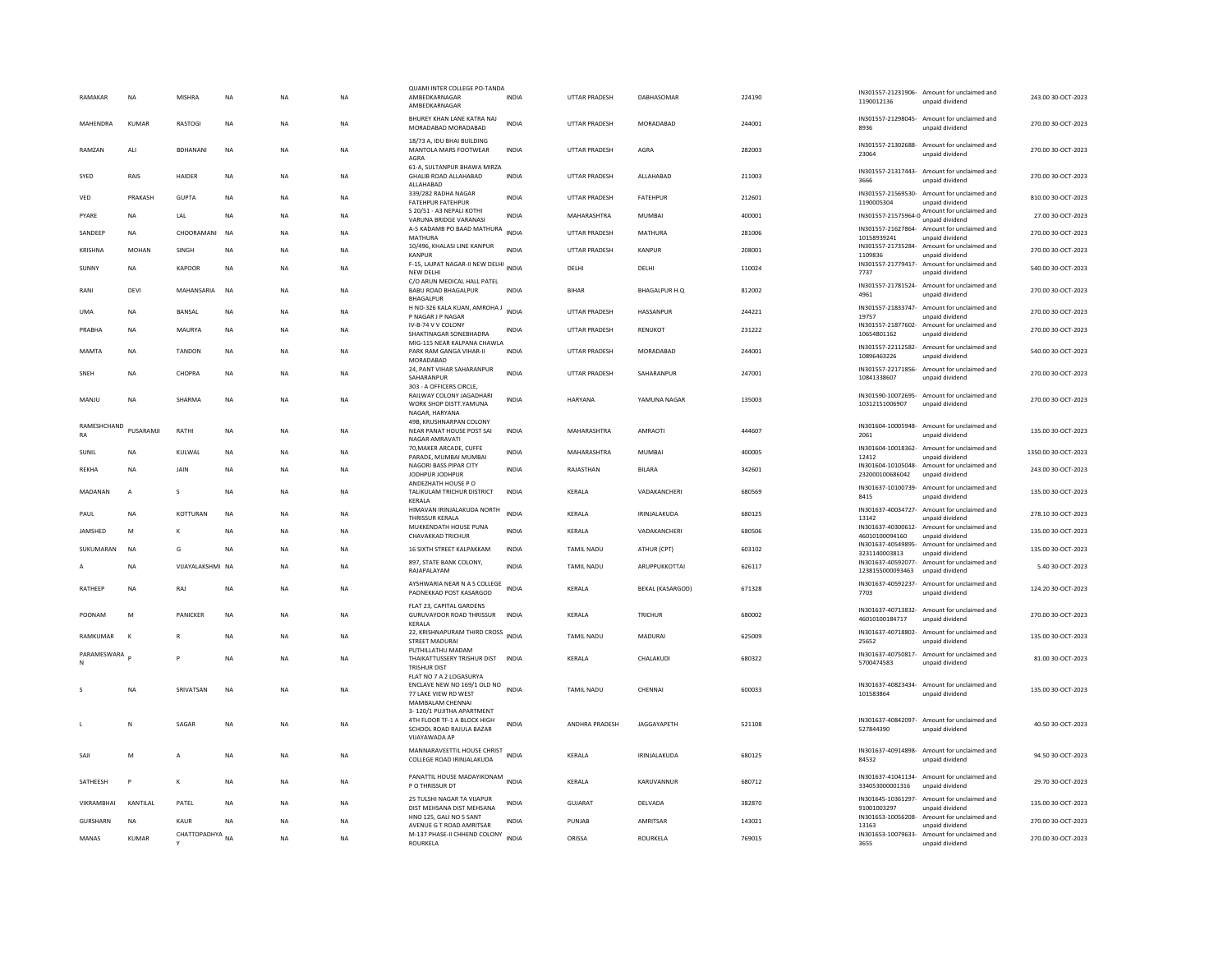| RAMAKAR           | <b>NA</b>    | MISHRA           | NA          | <b>NA</b> | <b>NA</b> | QUAMI INTER COLLEGE PO-TANDA<br>AMBEDKARNAGAR<br>AMBEDKARNAGAR                                        | INDIA        | UTTAR PRADESH        | DABHASOMAR              | 224190 | 1190012136                            | IN301557-21231906- Amount for unclaimed and<br>unpaid dividend  | 243.00 30-OCT-2023  |
|-------------------|--------------|------------------|-------------|-----------|-----------|-------------------------------------------------------------------------------------------------------|--------------|----------------------|-------------------------|--------|---------------------------------------|-----------------------------------------------------------------|---------------------|
| MAHENDRA          | KUMAR        | <b>RASTOGI</b>   | NA          | <b>NA</b> | NA.       | BHUREY KHAN LANE KATRA NAJ<br>MORADABAD MORADABAD                                                     | <b>INDIA</b> | <b>UTTAR PRADESH</b> | MORADARAD               | 244001 | 8936                                  | IN301557-21298045- Amount for unclaimed and<br>unpaid dividend  | 270.00 30-QCT-2023  |
| RAMZAN            | ALI          | <b>BDHANANI</b>  | $_{\sf NA}$ | <b>NA</b> | <b>NA</b> | 18/73 A. IDU BHAI BUILDING<br>MANTOLA MARS FOOTWEAR<br>AGRA                                           | <b>INDIA</b> | <b>UTTAR PRADESH</b> | AGRA                    | 282003 | IN301557-21302688-<br>23064           | Amount for unclaimed and<br>unpaid dividend                     | 270.00 30-OCT-2023  |
| SYED              | RAIS         | HAIDER           | <b>NA</b>   | <b>NA</b> | <b>NA</b> | 61-A, SULTANPUR BHAWA MIRZA<br>GHALIB ROAD ALLAHABAD<br><b>ALLAHARAD</b>                              | <b>INDIA</b> | <b>UTTAR PRADESH</b> | ALLAHABAD               | 211003 | 3666                                  | IN301557-21317443- Amount for unclaimed and<br>unpaid dividend  | 270.00 30-OCT-2023  |
| VED               | PRAKASH      | GUPTA            | <b>NA</b>   | <b>NA</b> | <b>NA</b> | 339/282 RADHA NAGAR<br><b>FATEHPUR FATEHPUR</b>                                                       | <b>INDIA</b> | UTTAR PRADESH        | <b>FATEHPUR</b>         | 212601 | IN301557-21569530-<br>1190005304      | Amount for unclaimed and<br>unpaid dividend                     | 810.00 30-OCT-2023  |
| PYARE             | <b>NA</b>    | LAL              | <b>NA</b>   | <b>NA</b> | <b>NA</b> | S 20/51 - A3 NEPALI KOTHI<br>VARUNA BRIDGE VARANASI                                                   | <b>INDIA</b> | MAHARASHTRA          | <b>MUMBAI</b>           | 400001 |                                       | IN301557-21575964-0 Amount for unclaimed and<br>unpaid dividend | 27.00 30-OCT-2023   |
| SANDEEP           | <b>NA</b>    | CHOORAMANI NA    |             | <b>NA</b> | <b>NA</b> | A-5 KADAMB PO BAAD MATHURA<br>MATHURA                                                                 | <b>INDIA</b> | <b>UTTAR PRADESH</b> | MATHURA                 | 281006 | 10158939241                           | IN301557-21627864- Amount for unclaimed and<br>unpaid dividend  | 270.00 30-OCT-2023  |
| KRISHNA           | <b>MOHAN</b> | SINGH            | <b>NA</b>   | <b>NA</b> | <b>NA</b> | 10/496, KHALASI LINE KANPUR<br><b>KANPUR</b>                                                          | <b>INDIA</b> | <b>UTTAR PRADESH</b> | <b>KANPUR</b>           | 208001 | 1109836                               | IN301557-21735284- Amount for unclaimed and<br>unpaid dividend  | 270.00 30-OCT-2023  |
| SUNNY             | <b>NA</b>    | KAPOOR           | <b>NA</b>   | <b>NA</b> | <b>NA</b> | F-15, LAJPAT NAGAR-II NEW DELHI<br>NEW DELH                                                           | <b>INDIA</b> | DELHI                | DELHI                   | 110024 | 7737                                  | IN301557-21779417- Amount for unclaimed and<br>unpaid dividend  | 540.00 30-OCT-2023  |
| RANI              | DEVI         | MAHANSARIA       | <b>NA</b>   | <b>NA</b> | <b>NA</b> | C/O ARUN MEDICAL HALL PATEL<br>BABU ROAD BHAGALPUR                                                    | <b>INDIA</b> | <b>BIHAR</b>         | <b>BHAGALPUR H.O.</b>   | 812002 | 4961                                  | IN301557-21781524- Amount for unclaimed and<br>unpaid dividend  | 270.00 30-OCT-2023  |
| <b>UMA</b>        | <b>NA</b>    | BANSAL           | <b>NA</b>   | <b>NA</b> | <b>NA</b> | <b>BHAGALPUR</b><br>H NO-326 KALA KUAN, AMROHA J<br>INDIA                                             |              | <b>UTTAR PRADESH</b> | HASSANPUR               | 244221 |                                       | IN301557-21833747- Amount for unclaimed and                     | 270.00 30-OCT-2023  |
| PRABHA            | <b>NA</b>    | MAURYA           | <b>NA</b>   | <b>NA</b> | <b>NA</b> | P NAGAR J P NAGAR<br>IV-B-74 V V COLONY                                                               | <b>INDIA</b> | <b>UTTAR PRADESH</b> | RENUKOT                 | 231222 | 19757<br>IN301557-21877602-           | unpaid dividend<br>Amount for unclaimed and                     | 270.00 30-OCT-2023  |
|                   |              |                  |             |           |           | SHAKTINAGAR SONEBHADRA<br>MIG-115 NEAR KALPANA CHAWLA                                                 |              |                      |                         |        | 10654801162                           | unpaid dividend                                                 |                     |
| <b>MAMTA</b>      | <b>NA</b>    | <b>TANDON</b>    | <b>NA</b>   | <b>NA</b> | <b>NA</b> | PARK RAM GANGA VIHAR-II<br>MORADABAD                                                                  | <b>INDIA</b> | UTTAR PRADESH        | MORADABAD               | 244001 | 10896463226                           | IN301557-22112582- Amount for unclaimed and<br>unpaid dividend  | 540.00 30-OCT-2023  |
| SNFH              | <b>NA</b>    | CHOPRA           | <b>NA</b>   | <b>NA</b> | NA.       | 24, PANT VIHAR SAHARANPUR<br>SAHARANPUR                                                               | <b>INDIA</b> | <b>UTTAR PRADESH</b> | SAHARANPUR              | 247001 | 10841338607                           | IN301557-22171856- Amount for unclaimed and<br>unpaid dividend  | 270.00.30-OCT-2023  |
| MANJU             | <b>NA</b>    | SHARMA           | $_{\sf NA}$ | NA        | NA        | 303 - A OFFICERS CIRCLE,<br>RAILWAY COLONY JAGADHARI<br>WORK SHOP DISTT.YAMUNA<br>NAGAR, HARYANA      | <b>INDIA</b> | HARYANA              | YAMUNA NAGAR            | 135003 | 10312151006907                        | IN301590-10072695- Amount for unclaimed and<br>unpaid dividend  | 270.00 30-OCT-2023  |
| RAMESHCHAND<br>RA | PUSARAMJI    | RATHI            | NA          | <b>NA</b> | NA        | 49B, KRUSHNARPAN COLONY<br>NEAR PANAT HOUSE POST SAI<br>NAGAR AMRAVATI                                | INDIA        | MAHARASHTRA          | AMRAOTI                 | 444607 | 2061                                  | IN301604-10005948- Amount for unclaimed and<br>unpaid dividend  | 135.00 30-OCT-2023  |
| SUNIL             | <b>NA</b>    | KULWAL           | <b>NA</b>   | <b>NA</b> | <b>NA</b> | 70, MAKER ARCADE, CUFFE<br>PARADE. MUMBAI MUMBAI                                                      | <b>INDIA</b> | MAHARASHTRA          | <b>MUMBAI</b>           | 400005 | IN301604-10018362-<br>12412           | Amount for unclaimed and<br>unpaid dividend                     | 1350.00 30-OCT-2023 |
| RFKHA             | <b>NA</b>    | <b>JAIN</b>      | <b>NA</b>   | <b>NA</b> | <b>NA</b> | NAGORI BASS PIPAR CITY<br>JODHPUR JODHPUR                                                             | <b>INDIA</b> | RAJASTHAN            | <b>BILARA</b>           | 342601 | IN301604-10105048-<br>232000100686042 | Amount for unclaimed and<br>unpaid dividend                     | 243.00 30-OCT-2023  |
| MADANAN           | A            | s                | NA          | <b>NA</b> | NA        | ANDEZHATH HOUSE PO<br>TALIKULAM TRICHUR DISTRICT                                                      | <b>INDIA</b> | KERALA               | VADAKANCHERI            | 680569 | IN301637-10100739-<br>8415            | Amount for unclaimed and<br>unpaid dividend                     | 135.00 30-OCT-2023  |
| PAUL              | <b>NA</b>    | KOTTURAN         | NA          | <b>NA</b> | NA        | KERALA<br>HIMAVAN IRINJALAKUDA NORTH                                                                  | <b>INDIA</b> | KERALA               | IRINJALAKUDA            | 680125 | IN301637-40034727-                    | Amount for unclaimed and                                        | 278.10 30-OCT-2023  |
| <b>IAMSHED</b>    | M            | K                | <b>NA</b>   | <b>NA</b> | <b>NA</b> | THRISSUR KERALA<br>MUKKENDATH HOUSE PUNA                                                              | <b>INDIA</b> | KERALA               | VADAKANCHERI            | 680506 | 13142                                 | unpaid dividend<br>IN301637-40300612- Amount for unclaimed and  | 135.00 30-OCT-2023  |
|                   |              |                  |             |           |           | <b>CHAVAKKAD TRICHUR</b>                                                                              |              |                      |                         |        | 46010100094160<br>IN301637-40549895-  | unpaid dividend<br>Amount for unclaimed and                     |                     |
| SUKUMARAN         | <b>NA</b>    | G                | <b>NA</b>   | <b>NA</b> | <b>NA</b> | 16 SIXTH STREET KALPAKKAM<br>897, STATE BANK COLONY,                                                  | <b>INDIA</b> | <b>TAMIL NADU</b>    | ATHUR (CPT)             | 603102 | 3231140003813<br>IN301637-40592077-   | unpaid dividend<br>Amount for unclaimed and                     | 135.00 30-OCT-2023  |
|                   | <b>NA</b>    | VIJAYALAKSHMI NA |             | <b>NA</b> | <b>NA</b> | RAJAPALAYAM                                                                                           | <b>INDIA</b> | TAMIL NADU           | ARUPPUKKOTTAI           | 626117 | 1238155000093463                      | unpaid dividend                                                 | 5.40 30-OCT-2023    |
| RATHEEP           | NA           | RAJ              | <b>NA</b>   | <b>NA</b> | <b>NA</b> | AYSHWARIA NEAR N A S COLLEGE<br>PADNEKKAD POST KASARGOD                                               | <b>INDIA</b> | KERALA               | <b>BEKAL (KASARGOD)</b> | 671328 | 7703                                  | IN301637-40592237- Amount for unclaimed and<br>unpaid dividend  | 124.20 30-OCT-2023  |
| POONAM            | M            | PANICKER         | <b>NA</b>   | <b>NA</b> | <b>NA</b> | FLAT 23, CAPITAL GARDENS<br><b>GURUVAYOOR ROAD THRISSUR</b><br><b>KFRAIA</b>                          | <b>INDIA</b> | KERALA               | <b>TRICHUR</b>          | 680002 | 46010100184717                        | IN301637-40713832- Amount for unclaimed and<br>unpaid dividend  | 270.00 30-OCT-2023  |
| RAMKUMAR          | $\mathbf{K}$ | R                | <b>NA</b>   | <b>NA</b> | <b>NA</b> | 22, KRISHNAPURAM THIRD CROSS INDIA<br>STREET MADURAI                                                  |              | <b>TAMIL NADU</b>    | <b>MADURAI</b>          | 625009 | 25652                                 | IN301637-40718802- Amount for unclaimed and<br>unpaid dividend  | 135.00 30-OCT-2023  |
| PARAMESWARA       |              | P                | <b>NA</b>   | <b>NA</b> | NA.       | PUTHILLATHU MADAM<br>THAIKATTUSSERY TRISHUR DIST INDIA<br><b>TRISHUR DIST</b>                         |              | <b>KFRAIA</b>        | CHALAKUDI               | 680322 | IN301637-40750817-<br>5700474583      | Amount for unclaimed and<br>unpaid dividend                     | 81.00.30-OCT-2023   |
|                   | <b>NA</b>    | SRIVATSAN        | <b>NA</b>   | <b>NA</b> | <b>NA</b> | FLAT NO 7 A 2 LOGASURYA<br>ENCLAVE NEW NO 169/1 OLD NO<br>77 LAKE VIEW RD WEST<br>MAMBALAM CHENNAI    | <b>INDIA</b> | <b>TAMIL NADU</b>    | CHENNAI                 | 600033 | 101583864                             | IN301637-40823434- Amount for unclaimed and<br>unpaid dividend  | 135.00 30-OCT-2023  |
|                   | N            | SAGAR            | <b>NA</b>   | <b>NA</b> | <b>NA</b> | 3-120/1 PUJITHA APARTMENT<br>4TH FLOOR TF-1 A BLOCK HIGH<br>SCHOOL ROAD RAJULA BAZAR<br>VIJAYAWADA AP | <b>INDIA</b> | ANDHRA PRADESH       | <b>JAGGAYAPETH</b>      | 521108 | 527844390                             | IN301637-40842097- Amount for unclaimed and<br>unpaid dividend  | 40.50 30-OCT-2023   |
| SAJI              | M            | A                | <b>NA</b>   | <b>NA</b> | <b>NA</b> | MANNARAVEETTIL HOUSE CHRIST<br>COLLEGE ROAD IRINJALAKUDA                                              | <b>INDIA</b> | <b>KFRAIA</b>        | IRINJALAKUDA            | 680125 | 84532                                 | IN301637-40914898- Amount for unclaimed and<br>unpaid dividend  | 94.50 30-OCT-2023   |
| SATHEESH          | P            | K                | <b>NA</b>   | NA        | NA        | PANATTIL HOUSE MADAYIKONAM<br>P O THRISSUR DT                                                         |              | KERALA               | KARUVANNUR              | 680712 | 334053000001316                       | IN301637-41041134- Amount for unclaimed and<br>unpaid dividend  | 29.70 30-OCT-2023   |
| VIKRAMBHAI        | KANTILAL     | PATEL            | <b>NA</b>   | <b>NA</b> | <b>NA</b> | 25 TULSHI NAGAR TA VIJAPUR<br>DIST MEHSANA DIST MEHSANA                                               | <b>INDIA</b> | GUJARAT              | DELVADA                 | 382870 | 91001003297                           | IN301645-10361297- Amount for unclaimed and<br>unpaid dividend  | 135.00 30-OCT-2023  |
| GURSHARN          | <b>NA</b>    | <b>KAUR</b>      | <b>NA</b>   | <b>NA</b> | <b>NA</b> | HNO 125, GALI NO 5 SANT<br>AVENUE G T ROAD AMRITSAR                                                   | <b>INDIA</b> | PUNJAB               | AMRITSAR                | 143021 | IN301653-10056208-<br>13163           | Amount for unclaimed and<br>unpaid dividend                     | 270.00 30-OCT-2023  |
| MANAS             | <b>KUMAR</b> | CHATTOPADHYA NA  |             | <b>NA</b> | <b>NA</b> | M-137 PHASE-II CHHEND COLONY INDIA                                                                    |              | ORISSA               | ROURKELA                | 769015 | 3655                                  | IN301653-10079633- Amount for unclaimed and                     | 270.00 30-OCT-2023  |
|                   |              |                  |             |           |           | ROURKELA                                                                                              |              |                      |                         |        |                                       | unpaid dividend                                                 |                     |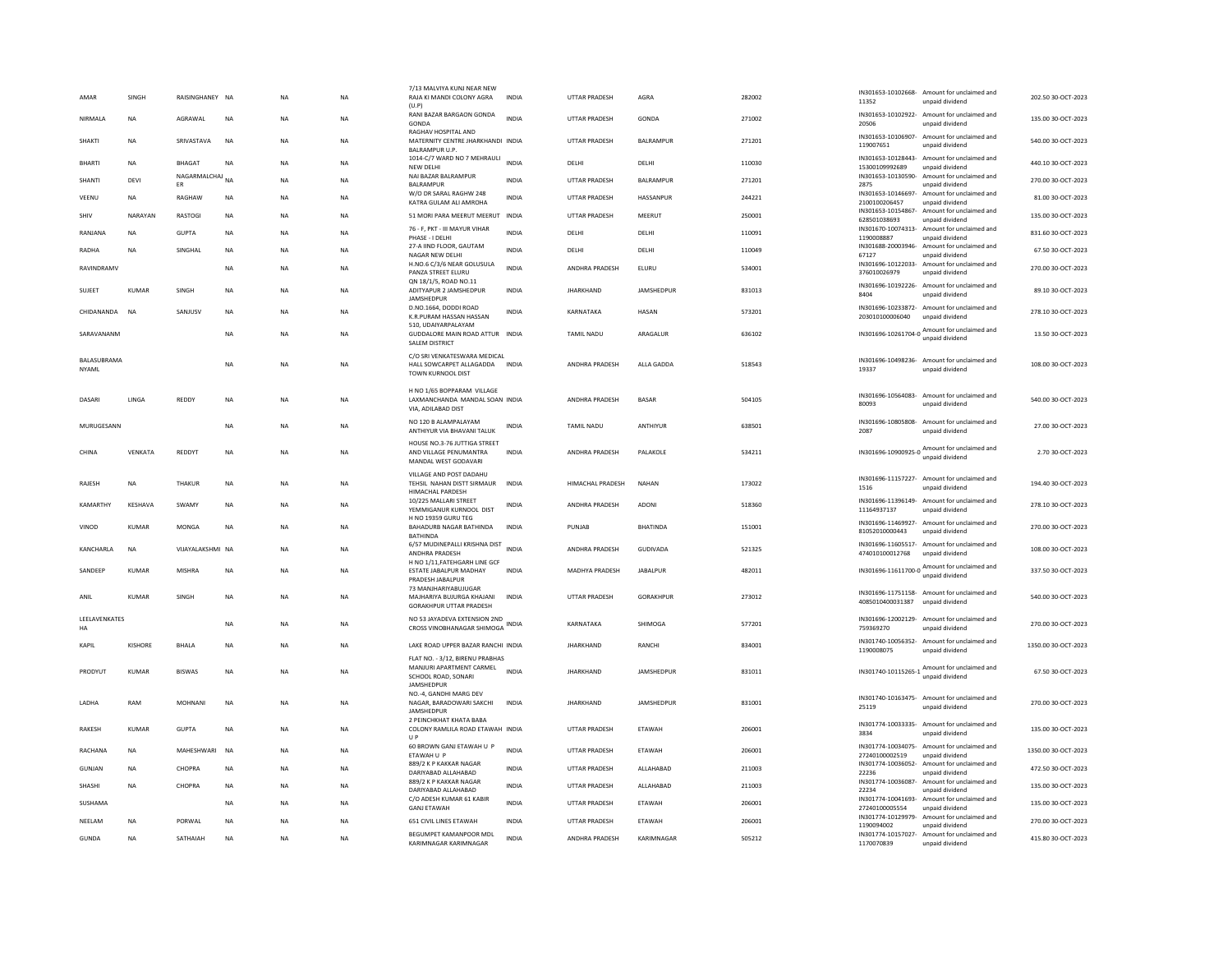| AMAR          | SINGH          | RAISINGHANEY NA       |             | <b>NA</b> | <b>NA</b> | 7/13 MAI VIYA KUNI NEAR NEW<br>RAJA KI MANDI COLONY AGRA<br>(U.P)                  | INDIA        | UTTAR PRADESH         | AGRA              | 282002 | 11352                            | IN301653-10102668- Amount for unclaimed and<br>unpaid dividend                             | 202.50 30-OCT-2023  |
|---------------|----------------|-----------------------|-------------|-----------|-----------|------------------------------------------------------------------------------------|--------------|-----------------------|-------------------|--------|----------------------------------|--------------------------------------------------------------------------------------------|---------------------|
| NIRMALA       | <b>NA</b>      | AGRAWAL               | <b>NA</b>   | <b>NA</b> | <b>NA</b> | RANI BAZAR BARGAON GONDA<br>GONDA                                                  | <b>INDIA</b> | UTTAR PRADESH         | GONDA             | 271002 | 20506                            | IN301653-10102922- Amount for unclaimed and<br>unpaid dividend                             | 135.00 30-OCT-2023  |
| <b>SHAKTI</b> | <b>NA</b>      | SRIVASTAVA            | <b>NA</b>   | <b>NA</b> | <b>NA</b> | RAGHAV HOSPITAL AND<br>MATERNITY CENTRE JHARKHANDI INDIA<br><b>BALRAMPUR U.P.</b>  |              | UTTAR PRADESH         | BALRAMPUR         | 271201 | 119007651                        | IN301653-10106907- Amount for unclaimed and<br>unpaid dividend                             | 540.00 30-OCT-2023  |
| <b>BHARTI</b> | <b>NA</b>      | <b>BHAGAT</b>         | <b>NA</b>   | <b>NA</b> | <b>NA</b> | 1014-C/7 WARD NO 7 MEHRAULI<br><b>NEW DELHI</b>                                    | <b>INDIA</b> | <b>DELHI</b>          | <b>DELHI</b>      | 110030 | 15300109992689                   | IN301653-10128443- Amount for unclaimed and<br>unpaid dividend                             | 440.10 30-OCT-2023  |
| SHANTI        | <b>DEVI</b>    | NAGARMALCHAJ NA<br>ER |             | <b>NA</b> | <b>NA</b> | NAI BAZAR BALRAMPUR<br>BALRAMPUR                                                   | <b>INDIA</b> | UTTAR PRADESH         | BALRAMPUR         | 271201 | IN301653-10130590-<br>2875       | Amount for unclaimed and<br>unpaid dividend                                                | 270.00 30-OCT-2023  |
| VEENU         | <b>NA</b>      | RAGHAW                | <b>NA</b>   | <b>NA</b> | NA        | W/O DR SARAL RAGHW 248<br>KATRA GULAM ALI AMROHA                                   | <b>INDIA</b> | UTTAR PRADESH         | HASSANPUR         | 244221 | 2100100206457                    | IN301653-10146697- Amount for unclaimed and<br>unpaid dividend                             | 81.00 30-OCT-2023   |
| SHIV          | NARAYAN        | RASTOGI               | NA          | <b>NA</b> | NA        | 51 MORI PARA MEERUT MEERUT INDIA                                                   |              | <b>UTTAR PRADESH</b>  | MEERUT            | 250001 | 628501038693                     | IN301653-10154867- Amount for unclaimed and<br>unpaid dividend                             | 135.00 30-OCT-2023  |
| RANJANA       | <b>NA</b>      | <b>GUPTA</b>          | <b>NA</b>   | <b>NA</b> | <b>NA</b> | 76 - F, PKT - III MAYUR VIHAR<br>PHASE - I DELHI                                   | INDIA        | DELHI                 | DELHI             | 110091 | 1190008887                       | IN301670-10074313- Amount for unclaimed and<br>unpaid dividend                             | 831.60 30-OCT-2023  |
| <b>RADHA</b>  | <b>NA</b>      | SINGHAL               | <b>NA</b>   | <b>NA</b> | <b>NA</b> | 27-A IIND FLOOR, GAUTAM<br>NAGAR NEW DELHI                                         | <b>INDIA</b> | DELHI                 | DELHI             | 110049 | 67127                            | IN301688-20003946- Amount for unclaimed and<br>unpaid dividend                             | 67.50 30-OCT-2023   |
| RAVINDRAMV    |                |                       | NA          | <b>NA</b> | NA        | H.NO.6 C/3/6 NEAR GOLUSULA<br>PANZA STREET ELURU                                   | <b>INDIA</b> | ANDHRA PRADESH        | ELURU             | 534001 | 376010026979                     | IN301696-10122033- Amount for unclaimed and<br>unpaid dividend                             | 270.00 30-OCT-2023  |
| <b>SUJEET</b> | <b>KUMAR</b>   | SINGH                 | <b>NA</b>   | <b>NA</b> | <b>NA</b> | QN 18/1/5, ROAD NO.11<br>ADITYAPUR 2 JAMSHEDPUR                                    | <b>INDIA</b> | <b>JHARKHAND</b>      | JAMSHEDPUR        | 831013 |                                  | IN301696-10192226- Amount for unclaimed and                                                | 89.10 30-OCT-2023   |
|               |                |                       |             |           |           | JAMSHEDPUF<br>D.NO.1664, DODDI ROAD                                                |              |                       |                   |        | 8404                             | unpaid dividend<br>IN301696-10233872- Amount for unclaimed and                             |                     |
| CHIDANANDA    | <b>NA</b>      | SANJUSV               | <b>NA</b>   | <b>NA</b> | <b>NA</b> | K.R.PURAM HASSAN HASSAN<br>510. UDAIYARPALAYAM                                     | <b>INDIA</b> | KARNATAKA             | <b>HASAN</b>      | 573201 | 203010100006040                  | unpaid dividend                                                                            | 278.10 30-OCT-2023  |
| SARAVANANM    |                |                       | NA          | NA        | NA        | GUDDALORE MAIN ROAD ATTUR INDIA<br><b>SALEM DISTRICT</b>                           |              | TAMIL NADU            | ARAGALUR          | 636102 | IN301696-10261704-0              | Amount for unclaimed and<br>unpaid dividend                                                | 13.50 30-OCT-2023   |
| BALASUBRAMA   |                |                       |             |           |           | C/O SRI VENKATESWARA MEDICAL                                                       |              |                       |                   |        |                                  | IN301696-10498236- Amount for unclaimed and                                                |                     |
| <b>NYAMI</b>  |                |                       | <b>NA</b>   | <b>NA</b> | <b>NA</b> | HALL SOWCARPET ALLAGADDA<br>TOWN KURNOOL DIST                                      | <b>INDIA</b> | ANDHRA PRADESH        | ALLA GADDA        | 518543 | 19337                            | unpaid dividend                                                                            | 108.00 30-OCT-2023  |
|               |                |                       |             |           |           | H NO 1/65 BOPPARAM VILLAGE                                                         |              |                       |                   |        |                                  | IN301696-10564083- Amount for unclaimed and                                                |                     |
| DASARI        | <b>IINGA</b>   | REDDY                 | <b>NA</b>   | <b>NA</b> | <b>NA</b> | LAXMANCHANDA MANDAL SOAN INDIA<br>VIA, ADILABAD DIST                               |              | <b>ANDHRA PRADESH</b> | <b>BASAR</b>      | 504105 | 80093                            | unpaid dividend                                                                            | 540.0030-0CT-2023   |
| MURUGESANN    |                |                       | <b>NA</b>   | <b>NA</b> | <b>NA</b> | NO 120 B ALAMPALAYAM<br>ANTHIYUR VIA BHAVANI TALUK                                 | INDIA        | <b>TAMIL NADU</b>     | ANTHIYUR          | 638501 | IN301696-10805808-<br>2087       | Amount for unclaimed and<br>unpaid dividend                                                | 27.00 30-OCT-2023   |
| CHINA         | VENKATA        | REDDYT                | <b>NA</b>   | <b>NA</b> | NA        | HOUSE NO.3-76 JUTTIGA STREET<br>AND VILLAGE PENUMANTRA                             | <b>INDIA</b> | ANDHRA PRADESH        | PALAKOLE          | 534211 | IN301696-10900925-0              | Amount for unclaimed and<br>unpaid dividend                                                | 2.70 30-OCT-2023    |
|               |                |                       |             |           |           | MANDAL WEST GODAVARI<br>VILLAGE AND POST DADAHU                                    |              |                       |                   |        |                                  |                                                                                            |                     |
| RAJESH        | <b>NA</b>      | THAKUR                | $_{\sf NA}$ | NA        | <b>NA</b> | TEHSIL NAHAN DISTT SIRMAUR<br>HIMACHAL PARDESH                                     | <b>INDIA</b> | HIMACHAL PRADESH      | <b>NAHAN</b>      | 173022 | 1516                             | IN301696-11157227- Amount for unclaimed and<br>unpaid dividend                             | 194.40 30-OCT-2023  |
| KAMARTHY      | KESHAVA        | SWAMY                 | NA          | <b>NA</b> | NA        | 10/225 MALLARI STREET<br>YEMMIGANUR KURNOOL DIST                                   | INDIA        | ANDHRA PRADESH        | ADONI             | 518360 | 11164937137                      | IN301696-11396149- Amount for unclaimed and<br>unnaid dividend                             | 278.10 30-OCT-2023  |
| VINOD         | KUMAR          | <b>MONGA</b>          | <b>NA</b>   | <b>NA</b> | <b>NA</b> | H NO 19359 GURU TEG<br>BAHADURB NAGAR BATHINDA                                     | <b>INDIA</b> | PUNJAR                | <b>BHATINDA</b>   | 151001 | 81052010000443                   | IN301696-11469927- Amount for unclaimed and<br>unpaid dividend                             | 270.00 30-OCT-2023  |
| KANCHARLA     | <b>NA</b>      | VIJAYALAKSHMI NA      |             | <b>NA</b> | <b>NA</b> | BATHINDA<br>6/57 MUDINEPALLI KRISHNA DIST                                          | <b>INDIA</b> | ANDHRA PRADESH        | <b>GUDIVADA</b>   | 521325 |                                  | IN301696-11605517- Amount for unclaimed and                                                | 108.00 30-OCT-2023  |
|               |                |                       |             |           |           | ANDHRA PRADESH<br>H NO 1/11, FATEHGARH LINE GCF                                    |              |                       |                   |        | 474010100012768                  | unpaid dividend<br>Amount for unclaimed and                                                |                     |
| SANDEEP       | <b>KUMAR</b>   | <b>MISHRA</b>         | NA          | <b>NA</b> | <b>NA</b> | ESTATE JABALPUR MADHAY<br>PRADESH JABALPUR                                         | <b>INDIA</b> | <b>MADHYA PRADESH</b> | <b>JABALPUR</b>   | 482011 | IN301696-11611700-0              | unpaid dividend                                                                            | 337.50 30-OCT-2023  |
| ANIL          | KUMAR          | SINGH                 | <b>NA</b>   | <b>NA</b> | <b>NA</b> | 73 MANJHARIYABUJUGAR<br>MAJHARIYA BUJURGA KHAJANI                                  | <b>INDIA</b> | UTTAR PRADESH         | GORAKHPUR         | 273012 | 4085010400031387                 | IN301696-11751158- Amount for unclaimed and<br>unpaid dividend                             | 540.00 30-OCT-2023  |
| LEELAVENKATES |                |                       |             |           |           | <b>GORAKHPUR UTTAR PRADESH</b><br>NO 53 JAYADEVA EXTENSION 2ND                     |              |                       |                   |        |                                  | IN301696-12002129- Amount for unclaimed and                                                |                     |
| HA            |                |                       | <b>NA</b>   | <b>NA</b> | <b>NA</b> | CROSS VINOBHANAGAR SHIMOGA                                                         | <b>INDIA</b> | KARNATAKA             | SHIMOGA           | 577201 | 759369270                        | unpaid dividend                                                                            | 270.00 30-OCT-2023  |
| <b>KAPIL</b>  | <b>KISHORE</b> | <b>BHALA</b>          | NA          | NA        | NA        | LAKE ROAD UPPER BAZAR RANCHI INDIA                                                 |              | <b>JHARKHAND</b>      | RANCHI            | 834001 | IN301740-10056352-<br>1190008075 | Amount for unclaimed and<br>unpaid dividend                                                | 1350.00 30-OCT-2023 |
| PRODYUT       | <b>KUMAR</b>   | <b>BISWAS</b>         | <b>NA</b>   | <b>NA</b> | <b>NA</b> | FLAT NO. - 3/12. BIRENU PRABHAS<br>MANJURI APARTMENT CARMEL<br>SCHOOL ROAD, SONARI | <b>INDIA</b> | <b>JHARKHAND</b>      | <b>JAMSHEDPUR</b> | 831011 | IN301740-10115265-1              | Amount for unclaimed and<br>unpaid dividend                                                | 67.50 30-OCT-2023   |
|               |                |                       |             |           |           | JAMSHEDPUR<br>NO.-4, GANDHI MARG DEV                                               |              |                       |                   |        |                                  | IN301740-10163475- Amount for unclaimed and                                                |                     |
| LADHA         | RAM            | MOHNANI               | <b>NA</b>   | NA        | NA        | NAGAR, BARADOWARI SAKCHI<br>JAMSHEDPUR                                             | <b>INDIA</b> | <b>JHARKHAND</b>      | JAMSHEDPUR        | 831001 | 25119                            | unpaid dividend                                                                            | 270.00 30-OCT-2023  |
| <b>RAKESH</b> | KUMAR          | GUPTA                 | <b>NA</b>   | <b>NA</b> | <b>NA</b> | 2 PEINCHKHAT KHATA BABA<br>COLONY RAMLILA ROAD ETAWAH INDIA                        |              | <b>UTTAR PRADESH</b>  | <b>FTAWAH</b>     | 206001 | 3834                             | IN301774-10033335- Amount for unclaimed and<br>unpaid dividend                             | 135.00 30-OCT-2023  |
|               |                |                       |             |           |           | UP<br>60 BROWN GANJ ETAWAH U P                                                     | <b>INDIA</b> |                       |                   |        |                                  | IN301774-10034075- Amount for unclaimed and                                                |                     |
| RACHANA       | <b>NA</b>      | MAHESHWARI            | NA          | NA        | NA        | ETAWAH U P<br>889/2 K P KAKKAR NAGAR                                               |              | UTTAR PRADESH         | ETAWAH            | 206001 | 27240100002519                   | unpaid dividend<br>IN301774-10036052- Amount for unclaimed and                             | 1350.00 30-OCT-2023 |
| GUNJAN        | <b>NA</b>      | CHOPRA                | <b>NA</b>   | <b>NA</b> | <b>NA</b> | DARIYABAD ALLAHABAD<br>889/2 K P KAKKAR NAGAR                                      | <b>INDIA</b> | <b>UTTAR PRADESH</b>  | ALLAHABAD         | 211003 | 22236                            | unpaid dividend<br>IN301774-10036087- Amount for unclaimed and                             | 472.50 30-OCT-2023  |
| SHASHI        | NA             | CHOPRA                | NA          | <b>NA</b> | NA        | DARIYABAD ALLAHABAD<br>C/O ADESH KUMAR 61 KABIR                                    | INDIA        | UTTAR PRADESH         | ALLAHABAD         | 211003 | 22234                            | unpaid dividend<br>IN301774-10041693- Amount for unclaimed and                             | 135.00 30-OCT-2023  |
| SUSHAMA       |                |                       | NA          | <b>NA</b> | NA        | <b>GANJ ETAWAH</b>                                                                 | <b>INDIA</b> | UTTAR PRADESH         | ETAWAH            | 206001 | 27240100005554                   | unpaid dividend                                                                            | 135.00 30-OCT-2023  |
| NEELAM        |                |                       |             |           |           |                                                                                    |              |                       |                   |        |                                  |                                                                                            |                     |
|               | <b>NA</b>      | PORWAL                | <b>NA</b>   | <b>NA</b> | NA        | 651 CIVIL LINES ETAWAH<br>BEGUMPET KAMANPOOR MDL                                   | INDIA        | <b>UTTAR PRADESH</b>  | ETAWAH            | 206001 | IN301774-10129979-<br>1190094002 | Amount for unclaimed and<br>unnaid dividend<br>IN301774-10157027- Amount for unclaimed and | 270.00 30-OCT-2023  |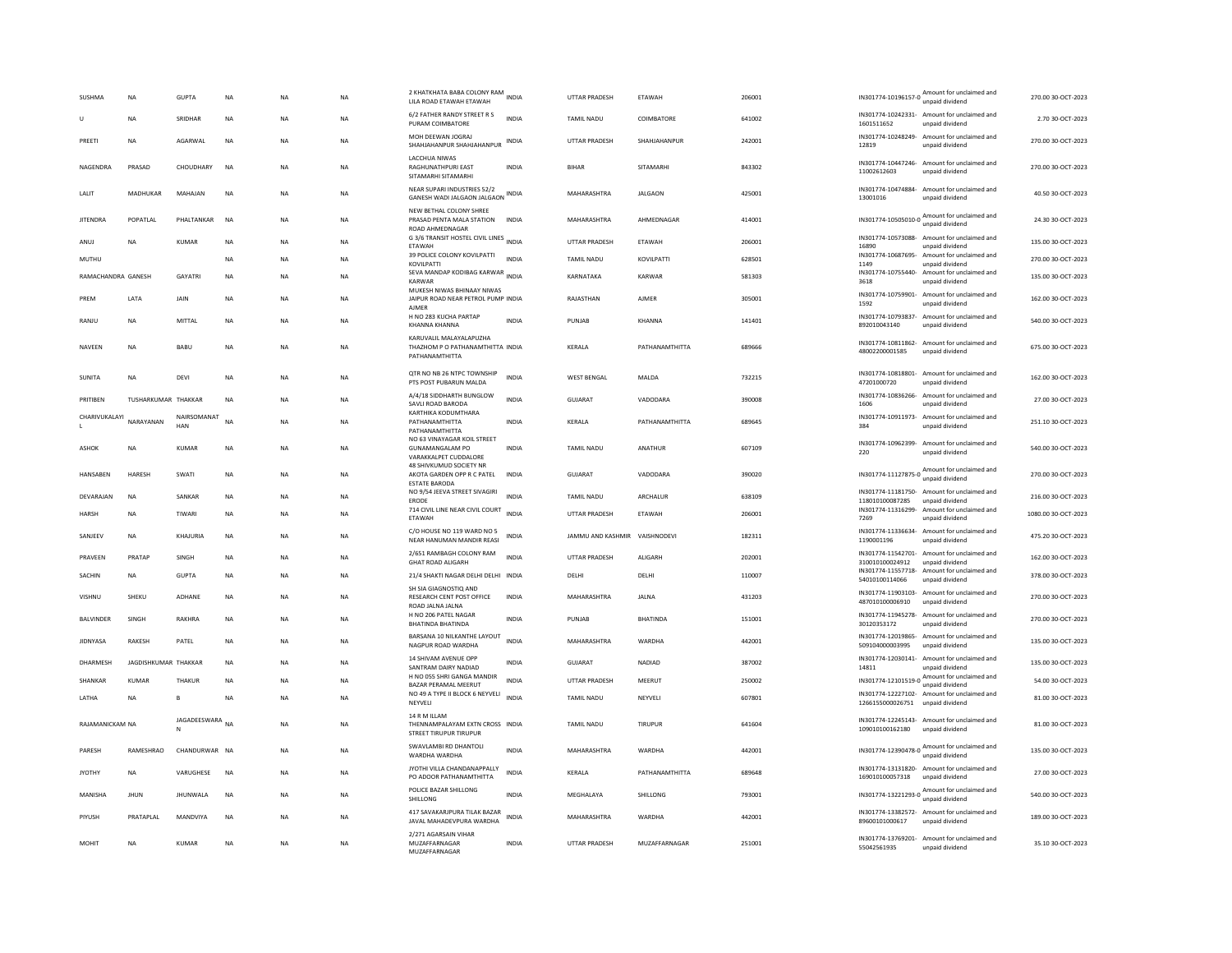| SUSHMA                        | <b>NA</b>            | <b>GUPTA</b>              | <b>NA</b>   | NA          | <b>NA</b> | 2 KHATKHATA BABA COLONY RAM<br>LILA ROAD ETAWAH ETAWAH                         |              | UTTAR PRADESH                 | ETAWAH               | 206001 |                                    | IN301774-10196157-0 Amount for unclaimed and<br>unpaid dividend | 270.00 30-OCT-2023  |
|-------------------------------|----------------------|---------------------------|-------------|-------------|-----------|--------------------------------------------------------------------------------|--------------|-------------------------------|----------------------|--------|------------------------------------|-----------------------------------------------------------------|---------------------|
| U                             | <b>NA</b>            | SRIDHAR                   | <b>NA</b>   | <b>NA</b>   | <b>NA</b> | 6/2 FATHER RANDY STREET R S<br>PURAM COIMBATORE                                | <b>INDIA</b> | <b>TAMIL NADU</b>             | COIMBATORE           | 641002 | 1601511652                         | IN301774-10242331- Amount for unclaimed and<br>unpaid dividend  | 2.70 30-OCT-2023    |
| PREETI                        | <b>NA</b>            | AGARWAL                   | <b>NA</b>   | <b>NA</b>   | <b>NA</b> | MOH DEEWAN IOGRAI<br>SHAHJAHANPUR SHAHJAHANPUR                                 | <b>INDIA</b> | UTTAR PRADESH                 | SHAHJAHANPUR         | 242001 | 12819                              | IN301774-10248249- Amount for unclaimed and<br>unpaid dividend  | 270.00 30-OCT-2023  |
| <b>NAGENDRA</b>               | PRASAD               | CHOUDHARY                 | <b>NA</b>   | <b>NA</b>   | <b>NA</b> | LACCHUA NIWAS<br><b>RAGHUNATHPURI FAST</b><br>SITAMARHI SITAMARHI              | <b>INDIA</b> | <b>BIHAR</b>                  | <b>SITAMARHI</b>     | 843302 | 11002612603                        | IN301774-10447246- Amount for unclaimed and<br>unpaid dividend  | 270.00 30-OCT-2023  |
| LALIT                         | MADHUKAR             | MAHAJAN                   | $_{\sf NA}$ | $_{\sf NA}$ | NA        | NEAR SUPARI INDUSTRIES 52/2<br>GANESH WADI JALGAON JALGAON INDIA               |              | MAHARASHTRA                   | <b>JALGAON</b>       | 425001 | IN301774-10474884-<br>13001016     | Amount for unclaimed and<br>unpaid dividend                     | 40.50 30-OCT-2023   |
| <b>JITENDRA</b>               | POPATLAL             | PHALTANKAR                | <b>NA</b>   | <b>NA</b>   | <b>NA</b> | NEW BETHAL COLONY SHREE<br>PRASAD PENTA MALA STATION                           | <b>INDIA</b> | MAHARASHTRA                   | AHMEDNAGAR           | 414001 | IN301774-10505010-0                | Amount for unclaimed and<br>unpaid dividend                     | 24.30 30-OCT-2023   |
| ANUJ                          | <b>NA</b>            | <b>KUMAR</b>              | <b>NA</b>   | <b>NA</b>   | <b>NA</b> | ROAD AHMEDNAGAR<br>G 3/6 TRANSIT HOSTEL CIVIL LINES INDIA<br>ETAWAH            |              | <b>UTTAR PRADESH</b>          | ETAWAH               | 206001 | IN301774-10573088-<br>16890        | Amount for unclaimed and<br>unpaid dividend                     | 135.00 30-OCT-2023  |
| MUTHU                         |                      |                           | <b>NA</b>   | <b>NA</b>   | <b>NA</b> | 39 POLICE COLONY KOVILPATTI<br>KOVILPATTI                                      | <b>INDIA</b> | <b>TAMIL NADU</b>             | KOVILPATTI           | 628501 | IN301774-10687695-<br>1149         | Amount for unclaimed and<br>unpaid dividend                     | 270.00 30-OCT-2023  |
| RAMACHANDRA GANESH            |                      | <b>GAYATRI</b>            | <b>NA</b>   | <b>NA</b>   | <b>NA</b> | SEVA MANDAP KODIBAG KARWAR<br>INDIA<br>KARWAR                                  |              | KARNATAKA                     | KARWAR               | 581303 | IN301774-10755440-<br>3618         | Amount for unclaimed and<br>unpaid dividend                     | 135.00 30-OCT-2023  |
| PREM                          | LATA                 | JAIN                      | $_{\sf NA}$ | NA          | NA        | MUKESH NIWAS BHINAAY NIWAS<br>JAIPUR ROAD NEAR PETROL PUMP INDIA               |              | RAJASTHAN                     | AJMER                | 305001 | 1592                               | IN301774-10759901- Amount for unclaimed and<br>unpaid dividend  | 162.00 30-OCT-2023  |
| RANIU                         | <b>NA</b>            | MITTAI                    | <b>NA</b>   | <b>NA</b>   | <b>NA</b> | AIMFR<br>H NO 283 KUCHA PARTAP<br><b>KHANNA KHANNA</b>                         | <b>INDIA</b> | PUNJAB                        | KHANNA               | 141401 | IN301774-10793837-<br>892010043140 | Amount for unclaimed and<br>unpaid dividend                     | 540.00 30-OCT-2023  |
| NAVEEN                        | NA                   | BABU                      | <b>NA</b>   | <b>NA</b>   | <b>NA</b> | KARUVALIL MALAYALAPUZHA<br>THAZHOM P O PATHANAMTHITTA INDIA<br>PATHANAMTHITTA  |              | KERALA                        | PATHANAMTHITTA       | 689666 | 48002200001585                     | IN301774-10811862- Amount for unclaimed and<br>unpaid dividend  | 675.00 30-OCT-2023  |
| SUNITA                        | NA                   | DEVI                      | $_{\sf NA}$ | NA          | NA        | QTR NO NB 26 NTPC TOWNSHIP<br>PTS POST PUBARUN MALDA                           | <b>INDIA</b> | <b>WEST BENGAL</b>            | MALDA                | 732215 | 47201000720                        | IN301774-10818801- Amount for unclaimed and<br>unnaid dividend  | 162.00 30-OCT-2023  |
| PRITIBEN                      | TUSHARKUMAR THAKKAR  |                           | <b>NA</b>   | <b>NA</b>   | <b>NA</b> | A/4/18 SIDDHARTH BUNGLOW<br>SAVLI ROAD BARODA                                  | <b>INDIA</b> | GUJARAT                       | VADODARA             | 390008 | IN301774-10836266-<br>1606         | Amount for unclaimed and<br>unpaid dividend                     | 27.00 30-OCT-2023   |
| CHARIVUKALAYI<br>$\mathbf{L}$ | NARAYANAN            | NAIRSOMANAT<br><b>HAN</b> | <b>NA</b>   | NA          | NA        | KARTHIKA KODUMTHARA<br>PATHANAMTHITTA<br>PATHANAMTHITTA                        | INDIA        | KERALA                        | PATHANAMTHITTA       | 689645 | 384                                | IN301774-10911973- Amount for unclaimed and<br>unpaid dividend  | 251.10 30-OCT-2023  |
| ASHOK                         | NA                   | KUMAR                     | <b>NA</b>   | <b>NA</b>   | NA        | NO 63 VINAYAGAR KOIL STREET<br><b>GUNAMANGALAM PO</b><br>VARAKKALPET CUDDALORE | INDIA        | TAMIL NADU                    | ANATHUR              | 607109 | IN301774-10962399-<br>220          | Amount for unclaimed and<br>unpaid dividend                     | 540.00 30-OCT-2023  |
| <b>HANSAREN</b>               | HARESH               | <b>SWATI</b>              | <b>NA</b>   | <b>NA</b>   | NA.       | 48 SHIVKUMUD SOCIETY NR<br>AKOTA GARDEN OPP R C PATEL<br><b>ESTATE BARODA</b>  | <b>INDIA</b> | GUIARAT                       | VADODARA             | 390020 |                                    | IN301774-11127875-0 Amount for unclaimed and<br>unpaid dividend | 270.00 30-QCT-2023  |
| DEVARAJAN                     | <b>NA</b>            | SANKAR                    | $_{\sf NA}$ | <b>NA</b>   | <b>NA</b> | NO 9/54 JEEVA STREET SIVAGIRI<br>ERODE                                         | <b>INDIA</b> | <b>TAMIL NADU</b>             | ARCHALUR             | 638109 | 118010100087285                    | IN301774-11181750- Amount for unclaimed and<br>unpaid dividend  | 216.00 30-OCT-2023  |
| <b>HARSH</b>                  | <b>NA</b>            | TIWARI                    | <b>NA</b>   | <b>NA</b>   | <b>NA</b> | 714 CIVIL LINE NEAR CIVIL COURT<br>ETAWAH                                      | <b>INDIA</b> | UTTAR PRADESH                 | ETAWAH               | 206001 | 7269                               | IN301774-11316299- Amount for unclaimed and<br>unpaid dividend  | 1080.00 30-OCT-2023 |
| SANJEEV                       | <b>NA</b>            | KHAJURIA                  | <b>NA</b>   | <b>NA</b>   | <b>NA</b> | C/O HOUSE NO 119 WARD NO 5<br>NEAR HANUMAN MANDIR REASI                        | INDIA        | JAMMU AND KASHMIR VAISHNODEVI |                      | 182311 | 1190001196                         | IN301774-11336634- Amount for unclaimed and<br>unpaid dividend  | 475.20 30-OCT-2023  |
| PRAVEEN                       | PRATAP               | SINGH                     | <b>NA</b>   | <b>NA</b>   | <b>NA</b> | 2/651 RAMBAGH COLONY RAM<br><b>GHAT ROAD ALIGARH</b>                           | <b>INDIA</b> | <b>UTTAR PRADESH</b>          | ALIGARH              | 202001 | 310010100024912                    | IN301774-11542701- Amount for unclaimed and<br>unpaid dividend  | 162.00 30-OCT-2023  |
| SACHIN                        | NA                   | <b>GUPTA</b>              | $_{\sf NA}$ | NA          | NA        | 21/4 SHAKTI NAGAR DELHI DELHI INDIA                                            |              | DELHI                         | DELHI                | 110007 | 54010100114066                     | IN301774-11557718- Amount for unclaimed and<br>unpaid dividend  | 378.00 30-OCT-2023  |
| VISHNU                        | SHEKU                | <b>ADHANE</b>             | <b>NA</b>   | <b>NA</b>   | <b>NA</b> | SH SIA GIAGNOSTIQ AND<br><b>RESEARCH CENT POST OFFICE</b><br>ROAD JALNA JALNA  | <b>INDIA</b> | MAHARASHTRA                   | <b>JALNA</b>         | 431203 | 487010100006910                    | IN301774-11903103- Amount for unclaimed and<br>unpaid dividend  | 270.00 30-OCT-2023  |
| <b>BALVINDER</b>              | SINGH                | RAKHRA                    | <b>NA</b>   | <b>NA</b>   | <b>NA</b> | H NO 206 PATEL NAGAR<br><b>BHATINDA BHATINDA</b>                               | <b>INDIA</b> | PUNJAB                        | <b>BHATINDA</b>      | 151001 | 30120353172                        | IN301774-11945278- Amount for unclaimed and<br>unpaid dividend  | 270.00 30-OCT-2023  |
| <b>JIDNYASA</b>               | RAKESH               | PATEL                     | <b>NA</b>   | <b>NA</b>   | <b>NA</b> | BARSANA 10 NILKANTHE LAYOUT<br>NAGPUR ROAD WARDHA                              | <b>INDIA</b> | MAHARASHTRA                   | WARDHA               | 442001 | 509104000003995                    | IN301774-12019865- Amount for unclaimed and<br>unpaid dividend  | 135.00 30-OCT-2023  |
| DHARMESH                      | JAGDISHKUMAR THAKKAR |                           | <b>NA</b>   | <b>NA</b>   | <b>NA</b> | <b>14 SHIVAM AVENUE OPP</b><br>SANTRAM DAIRY NADIAD                            | INDIA        | <b>GUJARAT</b>                | NADIAD               | 387002 | 14811                              | IN301774-12030141- Amount for unclaimed and<br>unpaid dividend  | 135.00 30-OCT-2023  |
| SHANKAR                       | <b>KUMAR</b>         | THAKUR                    | <b>NA</b>   | NA          | NA        | H NO 055 SHRI GANGA MANDIR<br>BAZAR PERAMAL MEERUT                             | <b>INDIA</b> | <b>UTTAR PRADESH</b>          | MEERUT               | 250002 | IN301774-12101519-0 Amount 10.1    | Amount for unclaimed and                                        | 54.00 30-OCT-2023   |
| LATHA                         | <b>NA</b>            |                           | <b>NA</b>   | <b>NA</b>   | <b>NA</b> | NO 49 A TYPE II BLOCK 6 NEYVELI<br>NEYVELI                                     | <b>INDIA</b> | <b>TAMIL NADU</b>             | NEYVELI              | 607801 | 1266155000026751                   | IN301774-12227102- Amount for unclaimed and<br>unpaid dividend  | 81.00 30-OCT-2023   |
| RAJAMANICKAM NA               |                      | JAGADEESWARA<br>N         | <b>NA</b>   | <b>NA</b>   | <b>NA</b> | 14 R M ILLAM<br>THENNAMPALAYAM EXTN CROSS INDIA<br>STREET TIRUPUR TIRUPUR      |              | <b>TAMIL NADU</b>             | <b>TIRUPUR</b>       | 641604 | 109010100162180                    | IN301774-12245143- Amount for unclaimed and<br>unpaid dividend  | 81.00 30-OCT-2023   |
| PARFSH                        | RAMESHRAO            | CHANDURWAR NA             |             | <b>NA</b>   | <b>NA</b> | SWAVLAMBI RD DHANTOLI<br>WARDHA WARDHA                                         | <b>INDIA</b> | MAHARASHTRA                   | <b>WARDHA</b>        | 442001 |                                    | IN301774-12390478-0 Amount for unclaimed and<br>unpaid dividend | 135.00.30-QCT-2023  |
| <b>JYOTHY</b>                 | NA                   | VARUGHESE                 | NA          | NA          | NA        | JYOTHI VILLA CHANDANAPPALLY<br>PO ADOOR PATHANAMTHITTA                         | INDIA        | KERALA                        | PATHANAMTHITTA       | 689648 | 169010100057318                    | IN301774-13131820- Amount for unclaimed and<br>unpaid dividend  | 27.00 30-OCT-2023   |
| MANISHA                       | <b>IHUN</b>          | <b>JHUNWALA</b>           | <b>NA</b>   | <b>NA</b>   | <b>NA</b> | POLICE BAZAR SHILLONG<br>SHILLONG                                              | <b>INDIA</b> | MEGHALAYA                     | SHILLONG             | 793001 |                                    | IN301774-13221293-0 Amount for unclaimed and<br>unpaid dividend | 540.00 30-OCT-2023  |
| PIYUSH                        | PRATAPLAL            | MANDVIYA                  | <b>NA</b>   | <b>NA</b>   | <b>NA</b> | 417 SAVAKARIPURA TILAK BAZAR<br>JAVAL MAHADEVPURA WARDHA                       | <b>INDIA</b> | MAHARASHTRA                   | WARDHA               | 442001 | 89600101000617                     | IN301774-13382572- Amount for unclaimed and<br>unpaid dividend  | 189.00 30-OCT-2023  |
| <b>MOHIT</b>                  | <b>NA</b>            | KUMAR                     | <b>NA</b>   | <b>NA</b>   | <b>NA</b> | 2/271 AGARSAIN VIHAR<br><b>MUZAFFARNAGAR</b><br><b>MUZAFFARNAGAR</b>           | <b>INDIA</b> | <b>UTTAR PRADESH</b>          | <b>MUZAFFARNAGAR</b> | 251001 | 55042561935                        | IN301774-13769201- Amount for unclaimed and<br>unpaid dividend  | 35.10.30-OCT-2023   |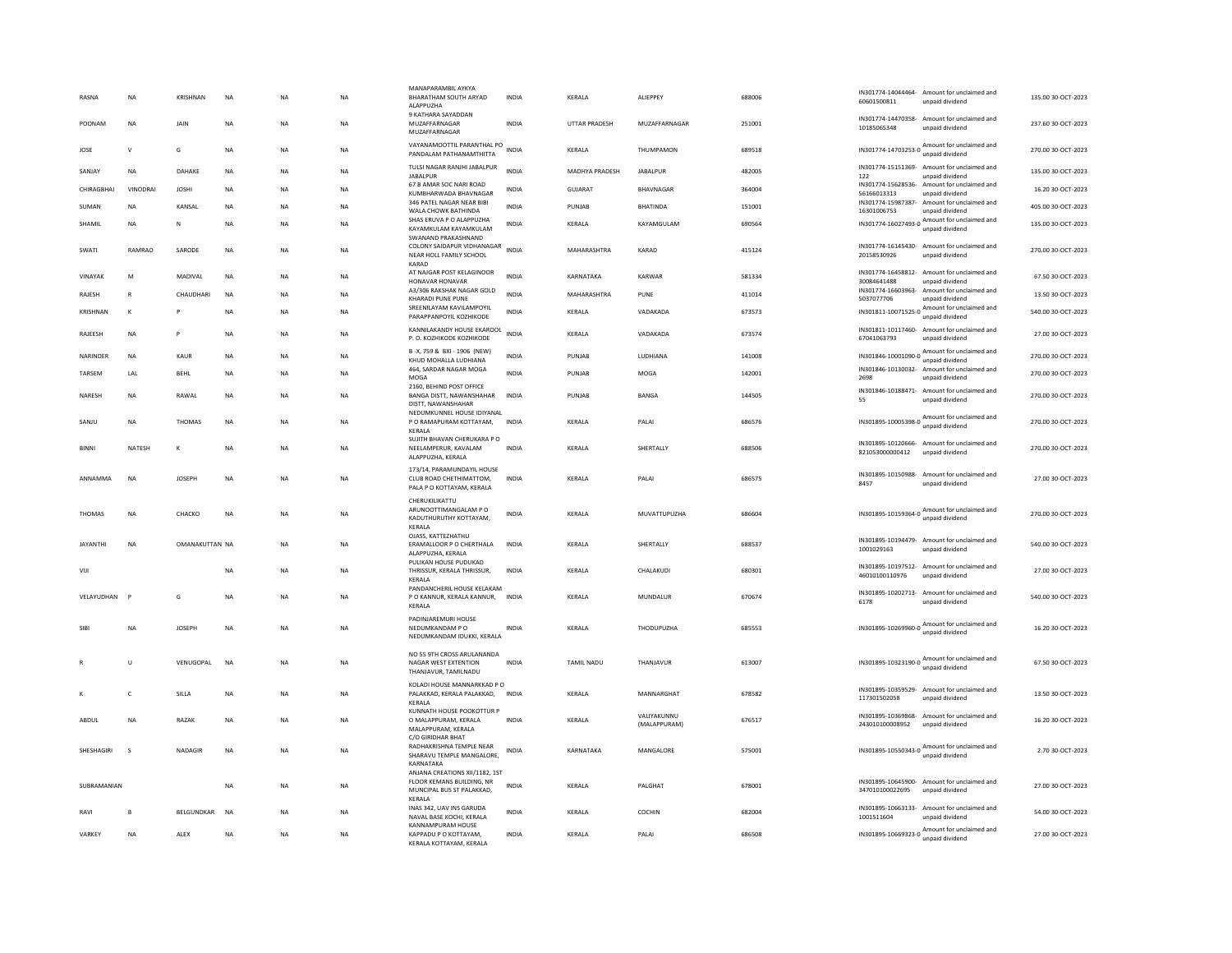| RASNA<br>POONAM | <b>NA</b><br>NA | <b>KRISHNAN</b><br>JAIN | <b>NA</b><br><b>NA</b> | <b>NA</b><br><b>NA</b> | <b>NA</b><br>NA | MANAPARAMBIL AYKYA<br>BHARATHAM SOUTH ARYAD<br>ALAPPUZHA<br>9 KATHARA SAYADDAN<br>MUZAFFARNAGAR    | <b>INDIA</b><br>INDIA | KERALA<br><b>UTTAR PRADESH</b> | ALIEPPEY<br>MUZAFFARNAGAR   | 688006<br>251001 | 60601500811<br>10185065348       | IN301774-14044464- Amount for unclaimed and<br>unpaid dividend<br>IN301774-14470358- Amount for unclaimed and<br>unpaid dividend | 135.00 30-OCT-2023<br>237.60 30-OCT-2023 |
|-----------------|-----------------|-------------------------|------------------------|------------------------|-----------------|----------------------------------------------------------------------------------------------------|-----------------------|--------------------------------|-----------------------------|------------------|----------------------------------|----------------------------------------------------------------------------------------------------------------------------------|------------------------------------------|
| JOSE            | $\mathbf{v}$    | G                       | <b>NA</b>              | <b>NA</b>              | <b>NA</b>       | MUZAFFARNAGAR<br>VAYANAMOOTTIL PARANTHAL PO<br>PANDALAM PATHANAMTHITTA                             | <b>INDIA</b>          | KERALA                         | THUMPAMON                   | 689518           |                                  | Amount for unclaimed and                                                                                                         | 270.00 30-OCT-2023                       |
| SANJAY          | <b>NA</b>       | DAHAKE                  | <b>NA</b>              | <b>NA</b>              | <b>NA</b>       | TULSI NAGAR RANJHI JABALPUR<br><b>JABALPUR</b>                                                     | <b>INDIA</b>          | <b>MADHYA PRADESH</b>          | <b>JABALPUR</b>             | 482005           | 122                              | IN301774-15151369- Amount for unclaimed and<br>unpaid dividend                                                                   | 135.00 30-OCT-2023                       |
| CHIRAGBHAI      | VINODRAI        | <b>JOSHI</b>            | <b>NA</b>              | <b>NA</b>              | <b>NA</b>       | 67 B AMAR SOC NARI ROAD                                                                            | <b>INDIA</b>          | GUJARAT                        | BHAVNAGAR                   | 364004           |                                  | IN301774-15628536- Amount for unclaimed and                                                                                      | 16.20 30-OCT-2023                        |
|                 |                 |                         |                        |                        |                 | KUMBHARWADA BHAVNAGAR<br>346 PATEL NAGAR NEAR BIBI                                                 |                       |                                |                             |                  | 56166013313                      | unpaid dividend<br>IN301774-15987387- Amount for unclaimed and                                                                   |                                          |
| SUMAN           | <b>NA</b>       | KANSAI                  | <b>NA</b>              | <b>NA</b>              | <b>NA</b>       | WALA CHOWK BATHINDA<br>SHAS ERUVA P O ALAPPUZHA                                                    | <b>INDIA</b>          | PUNIAR                         | <b>BHATINDA</b>             | 151001           | 16301006753                      | unpaid dividend                                                                                                                  | 405.00 30-OCT-2023                       |
| SHAMIL          | <b>NA</b>       | N                       | <b>NA</b>              | <b>NA</b>              | <b>NA</b>       | KAYAMKULAM KAYAMKULAM<br>SWANAND PRAKASHNAND                                                       | <b>INDIA</b>          | KERALA                         | KAYAMGULAM                  | 690564           |                                  | IN301774-16027493-0 Amount for unclaimed and<br>unpaid dividend                                                                  | 135.00 30-OCT-2023                       |
| SWATI           | RAMRAO          | SARODE                  | $_{\sf NA}$            | NA                     | NA              | COLONY SAIDAPUR VIDHANAGAR<br>NEAR HOLL FAMILY SCHOOL<br>KARAD                                     | INDIA                 | MAHARASHTRA                    | KARAD                       | 415124           | 20158530926                      | IN301774-16145430- Amount for unclaimed and<br>unpaid dividend                                                                   | 270.00 30-OCT-2023                       |
| VINAYAK         | M               | MADIVAL                 | NA                     | <b>NA</b>              | <b>NA</b>       | AT NAJGAR POST KELAGINOOR<br>HONAVAR HONAVAR                                                       | INDIA                 | KARNATAKA                      | KARWAR                      | 581334           | 30084641488                      | IN301774-16458812- Amount for unclaimed and<br>unpaid dividend                                                                   | 67.50 30-OCT-2023                        |
| RAJESH          | $\mathsf{R}$    | CHAUDHARI               | <b>NA</b>              | NA                     | <b>NA</b>       | A3/306 RAKSHAK NAGAR GOLD                                                                          | <b>INDIA</b>          | MAHARASHTRA                    | PUNE                        | 411014           |                                  | IN301774-16603963- Amount for unclaimed and                                                                                      | 13.50 30-OCT-2023                        |
| KRISHNAN        | $\mathbf{K}$    |                         | <b>NA</b>              | <b>NA</b>              | <b>NA</b>       | <b>KHARADI PUNE PUNE</b><br>SREENILAYAM KAVILAMPOYIL                                               | <b>INDIA</b>          | KERALA                         | VADAKADA                    | 673573           | 5037077706                       | unpaid dividend<br>IN301811-10071525-0 Amount for unclaimed and                                                                  | 540.00 30-OCT-2023                       |
|                 |                 |                         |                        |                        |                 | PARAPPANPOYIL KOZHIKODE                                                                            |                       |                                |                             |                  |                                  | unpaid dividend                                                                                                                  |                                          |
| RAJEESH         | <b>NA</b>       | P                       | <b>NA</b>              | <b>NA</b>              | <b>NA</b>       | KANNILAKANDY HOUSE EKAROOL<br>P.O. KOZHIKODE KOZHIKODE                                             | <b>INDIA</b>          | KERALA                         | VADAKADA                    | 673574           | 67041063793                      | IN301811-10117460- Amount for unclaimed and<br>unpaid dividend                                                                   | 27.00 30-OCT-2023                        |
| NARINDER        | <b>NA</b>       | KAUR                    | <b>NA</b>              | NA                     | <b>NA</b>       | B-X, 759 & BXI - 1906 (NEW)<br>KHUD MOHALLA LUDHIANA                                               | INDIA                 | PUNJAB                         | LUDHIANA                    | 141008           |                                  | IN301846-10001090-0 Amount for unclaimed and<br>unpaid dividend                                                                  | 270.00 30-OCT-2023                       |
| TARSEM          | LAL             | <b>BEHL</b>             | $_{\sf NA}$            | NA                     | <b>NA</b>       | 464. SARDAR NAGAR MOGA<br>MOGA                                                                     | <b>INDIA</b>          | PUNJAB                         | MOGA                        | 142001           | 2698                             | IN301846-10130032- Amount for unclaimed and<br>unpaid dividend                                                                   | 270.00 30-OCT-2023                       |
|                 |                 |                         |                        |                        |                 | 2160. BEHIND POST OFFICE                                                                           |                       |                                |                             |                  |                                  | IN301846-10188471- Amount for unclaimed and                                                                                      |                                          |
| NARESH          | NA              | RAWAL                   | $_{\sf NA}$            | NA                     | NA              | BANGA DISTT, NAWANSHAHAR<br>DISTT, NAWANSHAHAR<br>NEDUMKUNNEL HOUSE IDIYANAL                       | <b>INDIA</b>          | PUNJAB                         | BANGA                       | 144505           | 55                               | unpaid dividend                                                                                                                  | 270.00 30-OCT-2023                       |
| SANJU           | NA              | THOMAS                  | $_{\sf NA}$            | NA                     | <b>NA</b>       | P O RAMAPURAM KOTTAYAM,<br>KERALA                                                                  | <b>INDIA</b>          | KERALA                         | PALAI                       | 686576           | IN301895-10005398-0              | Amount for unclaimed and<br>unpaid dividend                                                                                      | 270.00 30-OCT-2023                       |
| <b>BINNI</b>    | <b>NATESH</b>   | к                       | <b>NA</b>              | <b>NA</b>              | <b>NA</b>       | SUJITH BHAVAN CHERUKARA P O<br>NEELAMPERUR, KAVALAM<br>ALAPPUZHA, KERALA                           | <b>INDIA</b>          | <b>KFRAIA</b>                  | <b>SHERTALLY</b>            | 688506           | 821053000000412                  | IN301895-10120666- Amount for unclaimed and<br>unpaid dividend                                                                   | 270.00.30-OCT-2023                       |
| ANNAMMA         | <b>NA</b>       | <b>JOSEPH</b>           | <b>NA</b>              | <b>NA</b>              | <b>NA</b>       | 173/14, PARAMUNDAYIL HOUSE<br>CLUB ROAD CHETHIMATTOM,<br>PALA P O KOTTAYAM, KERALA                 | <b>INDIA</b>          | KERALA                         | PALAI                       | 686575           | 8457                             | IN301895-10150988- Amount for unclaimed and<br>unpaid dividend                                                                   | 27.00 30-OCT-2023                        |
| <b>THOMAS</b>   | <b>NA</b>       | CHACKO                  | <b>NA</b>              | <b>NA</b>              | <b>NA</b>       | CHERUKILIKATTU<br>ARUNOOTTIMANGALAM PO<br>KADUTHURUTHY KOTTAYAM.                                   | <b>INDIA</b>          | KERALA                         | MUVATTUPUZHA                | 686604           | IN301895-10159364-0              | Amount for unclaimed and<br>unpaid dividend                                                                                      | 270.00 30-OCT-2023                       |
| <b>IAYANTHI</b> | <b>NA</b>       | OMANAKUTTAN NA          |                        | <b>NA</b>              | <b>NA</b>       | KERALA<br>OJASS, KATTEZHATHU<br>ERAMALLOOR P O CHERTHALA<br>ALAPPUZHA, KERALA                      | <b>INDIA</b>          | <b>KFRALA</b>                  | SHERTALLY                   | 688537           | IN301895-10194479-<br>1001029163 | Amount for unclaimed and<br>unpaid dividend                                                                                      | 540.00 30-OCT-2023                       |
| VIJI            |                 |                         | $_{\sf NA}$            | NA                     | NA              | PULIKAN HOUSE PUDUKAD<br>THRISSUR, KERALA THRISSUR,<br>KERALA                                      | INDIA                 | KERALA                         | CHALAKUDI                   | 680301           | 46010100110976                   | IN301895-10197512- Amount for unclaimed and<br>unnaid dividend                                                                   | 27.00 30-OCT-2023                        |
|                 |                 |                         |                        |                        |                 | PANDANCHERIL HOUSE KELAKAM                                                                         |                       |                                |                             |                  |                                  | IN301895-10202713- Amount for unclaimed and                                                                                      |                                          |
| VELAYUDHAN      |                 | G                       | $_{\sf NA}$            | NA                     | NA              | P O KANNUR, KERALA KANNUR, INDIA<br>KERALA                                                         |                       | KERALA                         | MUNDALUR                    | 670674           | 6178                             | unpaid dividend                                                                                                                  | 540.00 30-OCT-2023                       |
| <b>SIB</b>      | NA              | <b>JOSEPH</b>           | $_{\sf NA}$            | NA                     | <b>NA</b>       | PADINJAREMURI HOUSE<br>NEDUMKANDAM P O<br>NEDUMKANDAM IDUKKI, KERALA                               | <b>INDIA</b>          | KERALA                         | THODUPUZHA                  | 685553           |                                  | IN301895-10269960-0 Amount for unclaimed and<br>unpaid dividend                                                                  | 16.20 30-OCT-2023                        |
|                 | $\sf U$         | VENUGOPAL               | $\sf NA$               | NA                     | NA              | NO 55 9TH CROSS ARULANANDA<br>NAGAR WEST EXTENTION<br>THANJAVUR, TAMILNADU                         | <b>INDIA</b>          | TAMIL NADU                     | THANJAVUR                   | 613007           |                                  | IN301895-10323190-0 Amount for unclaimed and<br>unpaid dividend                                                                  | 67.50 30-OCT-2023                        |
| к               | $\mathsf{C}$    | SILLA                   | <b>NA</b>              | <b>NA</b>              | <b>NA</b>       | KOLADI HOUSE MANNARKKAD PO<br>PALAKKAD, KERALA PALAKKAD,                                           | <b>INDIA</b>          | KERALA                         | MANNARGHAT                  | 678582           |                                  | IN301895-10359529- Amount for unclaimed and                                                                                      | 13.50 30-OCT-2023                        |
|                 |                 |                         |                        |                        |                 | <b>KFRAIA</b><br>KUNNATH HOUSE POOKOTTUR P                                                         |                       |                                |                             |                  | 117301502058                     | unpaid dividend                                                                                                                  |                                          |
| ABDUL           | <b>NA</b>       | RAZAK                   | <b>NA</b>              | <b>NA</b>              | <b>NA</b>       | O MALAPPURAM, KERALA<br>MALAPPURAM, KERALA<br>C/O GIRIDHAR BHAT                                    | <b>INDIA</b>          | KERALA                         | VALIYAKUNNU<br>(MALAPPURAM) | 676517           | 243010100008952                  | IN301895-10369868- Amount for unclaimed and<br>unpaid dividend                                                                   | 16.20 30-OCT-2023                        |
| SHESHAGIRI      | $\mathbf{S}$    | NADAGIR                 | <b>NA</b>              | <b>NA</b>              | <b>NA</b>       | RADHAKRISHNA TEMPLE NEAR<br>SHARAVU TEMPLE MANGALORE.<br>KARNATAKA                                 | <b>INDIA</b>          | KARNATAKA                      | MANGALORE                   | 575001           |                                  | IN301895-10550343-0 Amount for unclaimed and<br>unpaid dividend                                                                  | 2.70 30-OCT-2023                         |
| SUBRAMANIAN     |                 |                         | <b>NA</b>              | <b>NA</b>              | <b>NA</b>       | ANJANA CREATIONS XII/1182, 1ST<br>FLOOR KEMANS BUILDING, NR<br>MUNCIPAL BUS ST PALAKKAD,<br>KERALA | INDIA                 | KERALA                         | PALGHAT                     | 678001           | 347010100022695                  | IN301895-10645900- Amount for unclaimed and<br>unpaid dividend                                                                   | 27.00 30-OCT-2023                        |
| RAVI            | $\mathbf{B}$    | BELGUNDKAR              | <b>NA</b>              | <b>NA</b>              | <b>NA</b>       | INAS 342, UAV INS GARUDA<br>NAVAL BASE KOCHI, KERALA                                               | <b>INDIA</b>          | <b>KFRAIA</b>                  | COCHIN                      | 682004           | 1001511604                       | IN301895-10663133- Amount for unclaimed and<br>unpaid dividend                                                                   | 54.00 30-OCT-2023                        |
| VARKEY          | <b>NA</b>       | ALEX                    | <b>NA</b>              | <b>NA</b>              | <b>NA</b>       | KANNAMPURAM HOUSE<br>KAPPADU P O KOTTAYAM,<br>KERALA KOTTAYAM, KERALA                              | <b>INDIA</b>          | KERALA                         | PALAI                       | 686508           |                                  | IN301895-10669323-0 Amount for unclaimed and<br>unpaid dividend                                                                  | 27.00 30-OCT-2023                        |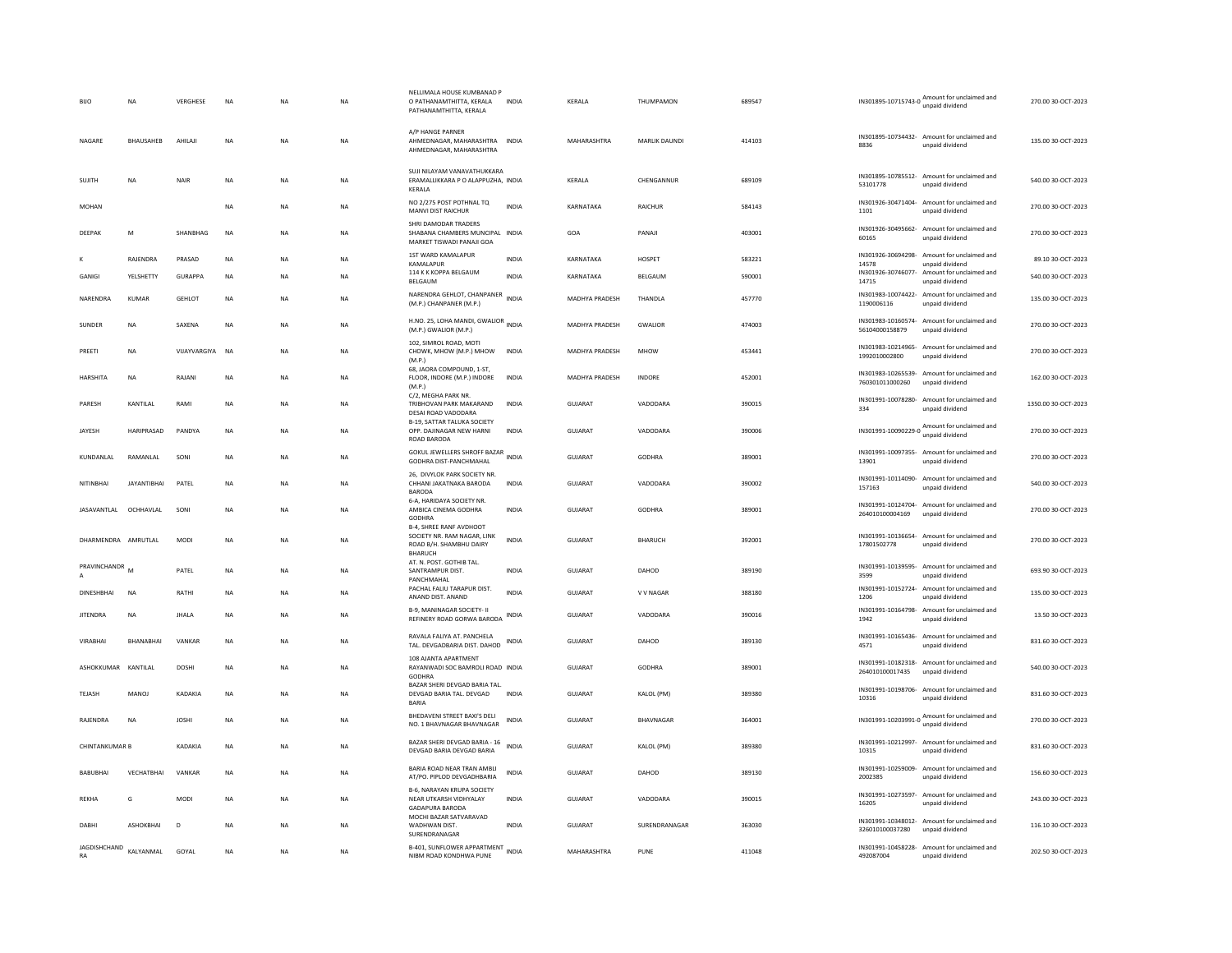| <b>BIJO</b>           | <b>NA</b>          | VERGHESE        | <b>NA</b>   | <b>NA</b> | <b>NA</b> | NELLIMALA HOUSE KUMBANAD F<br>O PATHANAMTHITTA, KERALA<br>PATHANAMTHITTA, KERALA                           | <b>INDIA</b> | KERALA                | THUMPAMON        | 689547 |                             | IN301895-10715743-0 Amount for unclaimed and<br>unpaid dividend | 270.00 30-OCT-2023  |
|-----------------------|--------------------|-----------------|-------------|-----------|-----------|------------------------------------------------------------------------------------------------------------|--------------|-----------------------|------------------|--------|-----------------------------|-----------------------------------------------------------------|---------------------|
| NAGARE                | BHAUSAHEB          | AHILAJI         | $_{\sf NA}$ | <b>NA</b> | NA        | A/P HANGE PARNER<br>AHMEDNAGAR, MAHARASHTRA<br>AHMEDNAGAR, MAHARASHTRA                                     | <b>INDIA</b> | MAHARASHTRA           | MARLIK DAUNDI    | 414103 | 8836                        | IN301895-10734432- Amount for unclaimed and<br>unpaid dividend  | 135.00 30-OCT-2023  |
| SUJITH                | <b>NA</b>          | NAIR            | <b>NA</b>   | <b>NA</b> | <b>NA</b> | SUJI NILAYAM VANAVATHUKKARA<br>ERAMALLIKKARA P O ALAPPUZHA. INDIA<br>KERALA                                |              | KERALA                | CHENGANNUR       | 689109 | 53101778                    | IN301895-10785512- Amount for unclaimed and<br>unpaid dividend  | 540.00 30-OCT-2023  |
| MOHAN                 |                    |                 | $_{\sf NA}$ | <b>NA</b> | NA        | NO 2/275 POST POTHNAL TQ<br>MANVI DIST RAICHUR                                                             | <b>INDIA</b> | KARNATAKA             | RAICHUR          | 584143 | 1101                        | IN301926-30471404- Amount for unclaimed and<br>unpaid dividend  | 270.00 30-OCT-2023  |
| DEEPAK                | M                  | SHANBHAG        | <b>NA</b>   | <b>NA</b> | NA        | SHRI DAMODAR TRADERS<br>SHABANA CHAMBERS MUNCIPAL INDIA<br>MARKET TISWADI PANAJI GOA                       |              | GOA                   | PANAJI           | 403001 | 60165                       | IN301926-30495662- Amount for unclaimed and<br>unpaid dividend  | 270.00 30-OCT-2023  |
|                       | RAJENDRA           | PRASAD          | $_{\sf NA}$ | <b>NA</b> | NA        | 1ST WARD KAMALAPUR<br>KAMALAPUR                                                                            | <b>INDIA</b> | KARNATAKA             | HOSPET           | 583221 | IN301926-30694298-<br>14578 | Amount for unclaimed and<br>unpaid dividend                     | 89.10 30-OCT-2023   |
| GANIGI                | YELSHETTY          | <b>GURAPPA</b>  | <b>NA</b>   | <b>NA</b> | <b>NA</b> | 114 K K KOPPA BELGAUM<br>BELGAUM                                                                           | <b>INDIA</b> | KARNATAKA             | BELGAUM          | 590001 | 14715                       | IN301926-30746077- Amount for unclaimed and<br>unpaid dividend  | 540.00 30-OCT-2023  |
| NARENDRA              | KUMAR              | <b>GEHLOT</b>   | <b>NA</b>   | <b>NA</b> | <b>NA</b> | NARENDRA GEHLOT, CHANPANER<br>(M.P.) CHANPANER (M.P.)                                                      | <b>INDIA</b> | MADHYA PRADESH        | THANDLA          | 457770 | 1190006116                  | IN301983-10074422- Amount for unclaimed and<br>unpaid dividend  | 135.00 30-OCT-2023  |
| SUNDER                | <b>NA</b>          | SAXENA          | <b>NA</b>   | <b>NA</b> | <b>NA</b> | H.NO. 25, LOHA MANDI, GWALIOR INDIA<br>(M.P.) GWALIOR (M.P.)                                               |              | <b>MADHYA PRADESH</b> | <b>GWALIOR</b>   | 474003 | 56104000158879              | IN301983-10160574- Amount for unclaimed and<br>unpaid dividend  | 270.00 30-OCT-2023  |
| PREETI                | <b>NA</b>          | VIJAYVARGIYA NA |             | <b>NA</b> | <b>NA</b> | 102, SIMROL ROAD, MOTI<br>CHOWK, MHOW (M.P.) MHOW<br>(M.P.)                                                | <b>INDIA</b> | <b>MADHYA PRADESH</b> | <b>MHOW</b>      | 453441 | 1992010002800               | IN301983-10214965- Amount for unclaimed and<br>unpaid dividend  | 270.00 30-OCT-2023  |
| HARSHITA              | NA                 | RAJANI          | $_{\sf NA}$ | <b>NA</b> | NA        | 68, JAORA COMPOUND, 1-ST,<br>FLOOR, INDORE (M.P.) INDORE<br>(M.P.)                                         | <b>INDIA</b> | MADHYA PRADESH        | <b>INDORE</b>    | 452001 | 760301011000260             | IN301983-10265539- Amount for unclaimed and<br>unpaid dividend  | 162.00 30-OCT-2023  |
| PARESH                | KANTILAL           | RAMI            | <b>NA</b>   | <b>NA</b> | <b>NA</b> | C/2, MEGHA PARK NR<br>TRIBHOVAN PARK MAKARAND<br>DESAI ROAD VADODARA                                       | <b>INDIA</b> | GUJARAT               | VADODARA         | 390015 | 334                         | IN301991-10078280- Amount for unclaimed and<br>unpaid dividend  | 1350.00 30-OCT-2023 |
| JAYESH                | HARIPRASAD         | PANDYA          | NA          | <b>NA</b> | NA        | B-19, SATTAR TALUKA SOCIETY<br>OPP. DAJINAGAR NEW HARNI<br>ROAD BARODA                                     | <b>INDIA</b> | GUJARAT               | VADODARA         | 390006 | IN301991-10090229-0         | Amount for unclaimed and<br>unpaid dividend                     | 270.00 30-OCT-2023  |
| KUNDANLAL             | RAMANLAL           | SONI            | <b>NA</b>   | <b>NA</b> | <b>NA</b> | GOKUL JEWELLERS SHROFF BAZAR INDIA<br>GODHRA DIST-PANCHMAHAL                                               |              | <b>GUJARAT</b>        | GODHRA           | 389001 | 13901                       | IN301991-10097355- Amount for unclaimed and<br>unpaid dividend  | 270.00 30-OCT-2023  |
| NITINRHAI             | <b>IAYANTIRHAI</b> | PATEL           | <b>NA</b>   | <b>NA</b> | <b>NA</b> | 26, DIVYLOK PARK SOCIETY NR.<br>CHHANI JAKATNAKA BARODA<br><b>BARODA</b>                                   | <b>INDIA</b> | <b>GUJARAT</b>        | VADODARA         | 390002 | 157163                      | IN301991-10114090- Amount for unclaimed and<br>unpaid dividend  | 540.00 30-OCT-2023  |
| JASAVANTLAL           | OCHHAVLAL          | SONI            | <b>NA</b>   | <b>NA</b> | NA        | 6-A. HARIDAYA SOCIETY NR.<br>AMBICA CINEMA GODHRA<br>GODHRA                                                | <b>INDIA</b> | <b>GUJARAT</b>        | <b>GODHRA</b>    | 389001 | 264010100004169             | IN301991-10124704- Amount for unclaimed and<br>unpaid dividend  | 270.00 30-OCT-2023  |
| DHARMENDRA AMRUTLAL   |                    | MODI            | $_{\sf NA}$ | <b>NA</b> | NA        | <b>B-4, SHREE RANF AVDHOOT</b><br>SOCIETY NR. RAM NAGAR, LINK<br>ROAD B/H. SHAMBHU DAIRY<br><b>BHARUCH</b> | <b>INDIA</b> | GUJARAT               | BHARUCH          | 392001 | 17801502778                 | IN301991-10136654- Amount for unclaimed and<br>unpaid dividend  | 270.00 30-OCT-2023  |
| PRAVINCHANDR          | M                  | PATEL           | $_{\sf NA}$ | <b>NA</b> | NA        | AT. N. POST. GOTHIB TAL.<br>SANTRAMPUR DIST.<br>PANCHMAHAL                                                 | <b>INDIA</b> | GUJARAT               | DAHOD            | 389190 | 3599                        | IN301991-10139595- Amount for unclaimed and<br>unpaid dividend  | 693.90 30-OCT-2023  |
| DINESHBHAI            | <b>NA</b>          | RATHI           | $_{\sf NA}$ | NA        | NA        | PACHAL FALIU TARAPUR DIST.<br>ANAND DIST. ANAND                                                            | INDIA        | GUJARAT               | V V NAGAR        | 388180 | 1206                        | IN301991-10152724- Amount for unclaimed and<br>unpaid dividend  | 135.00 30-OCT-2023  |
| <b>JITENDRA</b>       | NA                 | <b>JHALA</b>    | $_{\sf NA}$ | <b>NA</b> | NA        | <b>B-9. MANINAGAR SOCIETY- II</b><br>REFINERY ROAD GORWA BARODA INDIA                                      |              | <b>GUJARAT</b>        | VADODARA         | 390016 | 1942                        | IN301991-10164798- Amount for unclaimed and<br>unpaid dividend  | 13.50 30-OCT-2023   |
| VIRABHAI              | BHANABHAI          | VANKAR          | <b>NA</b>   | <b>NA</b> | <b>NA</b> | RAVALA FALIYA AT. PANCHELA<br>TAL. DEVGADBARIA DIST. DAHOD INDIA                                           |              | GUJARAT               | DAHOD            | 389130 | 4571                        | IN301991-10165436- Amount for unclaimed and<br>unpaid dividend  | 831.60 30-OCT-2023  |
| ASHOKKUMAR            | KANTILAL           | DOSHI           | NA          | <b>NA</b> | NA        | 108 AJANTA APARTMENT<br>RAYANWADI SOC BAMROLI ROAD INDIA<br>GODHRA                                         |              | GUJARAT               | GODHRA           | 389001 | 264010100017435             | IN301991-10182318- Amount for unclaimed and<br>unpaid dividend  | 540.00 30-OCT-2023  |
| <b>TEJASH</b>         | <b>MANOJ</b>       | KADAKIA         | <b>NA</b>   | <b>NA</b> | <b>NA</b> | BAZAR SHERI DEVGAD BARIA TAL.<br>DEVGAD BARIA TAL. DEVGAD<br><b>BARIA</b>                                  | <b>INDIA</b> | <b>GUJARAT</b>        | KALOL (PM)       | 389380 | 10316                       | IN301991-10198706- Amount for unclaimed and<br>unpaid dividend  | 831.60 30-OCT-2023  |
| RAIFNDRA              | <b>NA</b>          | <b>IOSHI</b>    | <b>NA</b>   | <b>NA</b> | <b>NA</b> | BHEDAVENI STREET BAXI'S DELI<br>NO. 1 BHAVNAGAR BHAVNAGAR                                                  | <b>INDIA</b> | GUIARAT               | <b>BHAVNAGAR</b> | 364001 |                             | IN301991-10203991-0 Amount for unclaimed and<br>unpaid dividend | 270.00 30-OCT-2023  |
| <b>CHINTANKUMAR B</b> |                    | KADAKIA         | <b>NA</b>   | <b>NA</b> | <b>NA</b> | BAZAR SHERI DEVGAD BARIA - 16<br>DEVGAD BARIA DEVGAD BARIA                                                 | <b>INDIA</b> | <b>GUJARAT</b>        | KALOL (PM)       | 389380 | 10315                       | IN301991-10212997- Amount for unclaimed and<br>unpaid dividend  | 831.60 30-OCT-2023  |
| <b>BABUBHAI</b>       | VECHATBHAI         | VANKAR          | NA          | <b>NA</b> | NA        | BARIA ROAD NEAR TRAN AMBLI<br>AT/PO. PIPLOD DEVGADHBARIA                                                   | INDIA        | GUJARAT               | DAHOD            | 389130 | 2002385                     | IN301991-10259009- Amount for unclaimed and<br>unpaid dividend  | 156.60 30-OCT-2023  |
| REKHA                 | G                  | <b>MODI</b>     | <b>NA</b>   | <b>NA</b> | <b>NA</b> | B-6, NARAYAN KRUPA SOCIETY<br>NEAR UTKARSH VIDHYALAY<br><b>GADAPURA BARODA</b>                             | <b>INDIA</b> | <b>GUJARAT</b>        | VADODARA         | 390015 | 16205                       | IN301991-10273597- Amount for unclaimed and<br>unpaid dividend  | 243.00 30-OCT-2023  |
| DARHI                 | <b>ASHOKRHAI</b>   | D               | <b>NA</b>   | <b>NA</b> | <b>NA</b> | MOCHI BAZAR SATVARAVAD<br>WADHWAN DIST.<br>SURENDRANAGAR                                                   | <b>INDIA</b> | GUIARAT               | SURENDRANAGAR    | 363030 | 326010100037280             | IN301991-10348012- Amount for unclaimed and<br>unpaid dividend  | 116.10 30-OCT-2023  |
| JAGDISHCHAND<br>RA    | KALYANMAL          | GOYAL           | <b>NA</b>   | <b>NA</b> | NA        | B-401, SUNFLOWER APPARTMENT<br>INDIA<br>NIBM ROAD KONDHWA PUNE                                             |              | MAHARASHTRA           | PUNE             | 411048 | 492087004                   | IN301991-10458228- Amount for unclaimed and<br>unpaid dividend  | 202.50 30-OCT-2023  |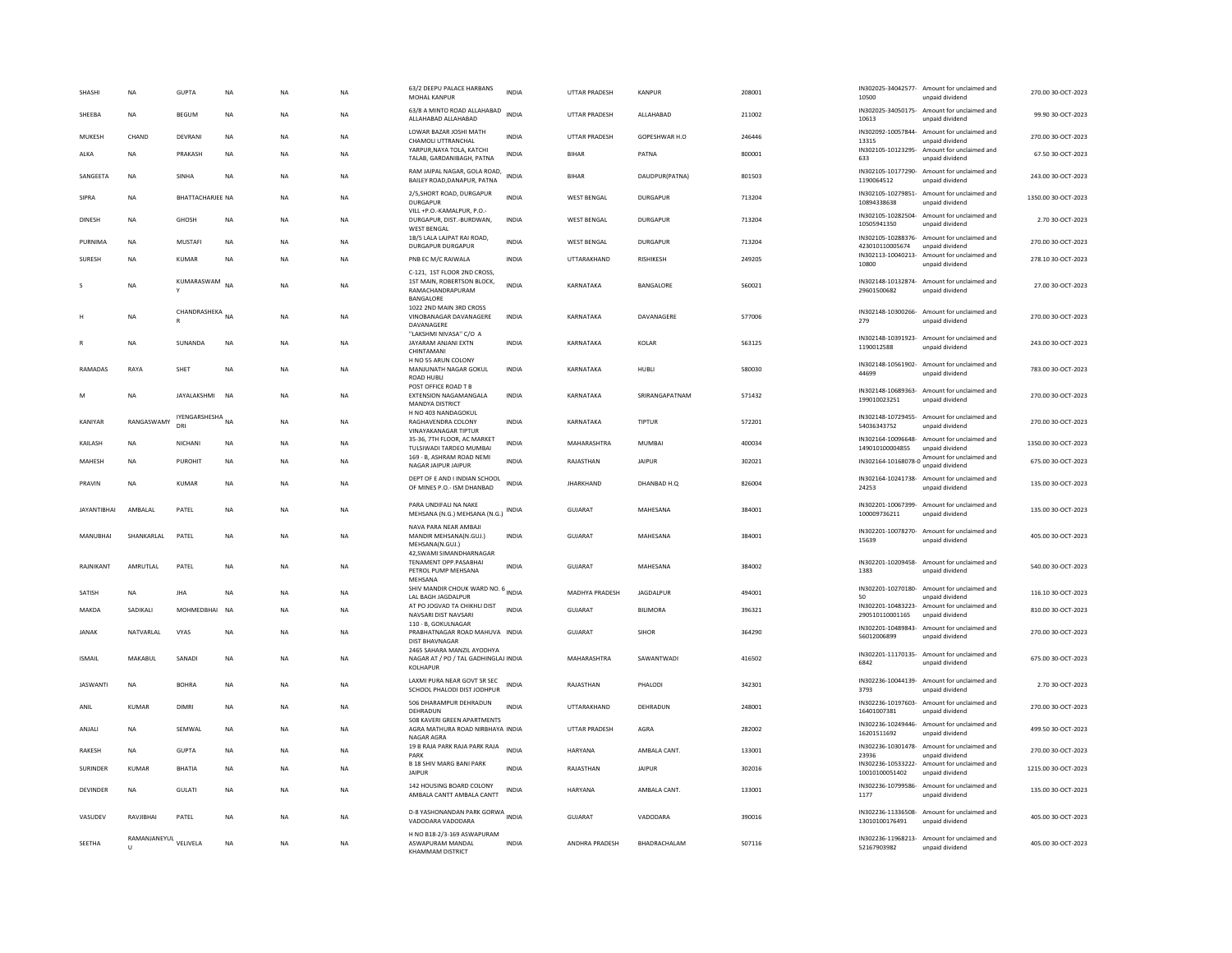| SHASH              | NA           | <b>GUPTA</b>            | NA        | <b>NA</b> | <b>NA</b> | 63/2 DEEPU PALACE HARBANS<br>MOHAL KANPUR                                                      | <b>INDIA</b> | UTTAR PRADESH        | KANPUR           | 208001 | 10500                                 | IN302025-34042577- Amount for unclaimed and<br>unpaid dividend  | 270.00 30-OCT-2023  |
|--------------------|--------------|-------------------------|-----------|-----------|-----------|------------------------------------------------------------------------------------------------|--------------|----------------------|------------------|--------|---------------------------------------|-----------------------------------------------------------------|---------------------|
| SHEEBA             | <b>NA</b>    | <b>BEGUM</b>            | <b>NA</b> | <b>NA</b> | <b>NA</b> | 63/8 A MINTO ROAD ALLAHABAD<br>ALLAHABAD ALLAHABAD                                             | <b>INDIA</b> | <b>UTTAR PRADESH</b> | ALLAHABAD        | 211002 | 10613                                 | IN302025-34050175- Amount for unclaimed and<br>unpaid dividend  | 99.90 30-OCT-2023   |
| MUKESH             | CHAND        | DEVRANI                 | <b>NA</b> | <b>NA</b> | <b>NA</b> | LOWAR BAZAR JOSHI MATH<br>CHAMOLI UTTRANCHAL                                                   | <b>INDIA</b> | <b>UTTAR PRADESH</b> | GOPESHWAR H.O    | 246446 | IN302092-10057844-<br>13315           | Amount for unclaimed and<br>unpaid dividend                     | 270.00 30-OCT-2023  |
| ALKA               | <b>NA</b>    | PRAKASH                 | <b>NA</b> | <b>NA</b> | <b>NA</b> | YARPUR, NAYA TOLA, KATCHI<br>TALAB, GARDANIBAGH, PATNA                                         | <b>INDIA</b> | <b>BIHAR</b>         | PATNA            | 800001 | IN302105-10123295-<br>633             | Amount for unclaimed and<br>unpaid dividend                     | 67.50 30-OCT-2023   |
| SANGEETA           | NA           | SINHA                   | NA        | <b>NA</b> | NA        | RAM JAIPAL NAGAR, GOLA ROAD,<br>BAILEY ROAD, DANAPUR, PATNA                                    | <b>INDIA</b> | <b>BIHAR</b>         | DAUDPUR(PATNA)   | 801503 | IN302105-10177290-<br>1190064512      | Amount for unclaimed and<br>unpaid dividend                     | 243.00 30-OCT-2023  |
| SIPRA              | <b>NA</b>    | <b>BHATTACHARIEF NA</b> |           | <b>NA</b> | <b>NA</b> | 2/5, SHORT ROAD, DURGAPUR<br><b>DURGAPUR</b>                                                   | <b>INDIA</b> | WEST BENGAL          | DURGAPUR         | 713204 | 10894338638                           | IN302105-10279851- Amount for unclaimed and<br>unpaid dividend  | 1350.00 30-OCT-2023 |
| DINESH             | NA           | GHOSH                   | <b>NA</b> | <b>NA</b> | <b>NA</b> | VILL +P.O.-KAMALPUR, P.O.-<br>DURGAPUR, DIST .- BURDWAN,<br><b>WEST BENGAL</b>                 | INDIA        | <b>WEST BENGAL</b>   | <b>DURGAPUR</b>  | 713204 | 10505941350                           | IN302105-10282504- Amount for unclaimed and<br>unpaid dividend  | 2.70 30-OCT-2023    |
| <b>PURNIMA</b>     | NA           | MUSTAFI                 | <b>NA</b> | NA        | NA        | 1B/5 LALA LAJPAT RAI ROAD,<br><b>DURGAPUR DURGAPUR</b>                                         | <b>INDIA</b> | <b>WEST BENGAL</b>   | <b>DURGAPUR</b>  | 713204 | IN302105-10288376-<br>423010110005674 | Amount for unclaimed and<br>unpaid dividend                     | 270.00 30-OCT-2023  |
| SURESH             | <b>NA</b>    | KUMAR                   | <b>NA</b> | <b>NA</b> | <b>NA</b> | PNB EC M/C RAIWALA                                                                             | <b>INDIA</b> | UTTARAKHAND          | <b>RISHIKESH</b> | 249205 | 10800                                 | IN302113-10040213- Amount for unclaimed and<br>unpaid dividend  | 278.10 30-OCT-2023  |
|                    | NA           | KUMARASWAM<br>Y         | <b>NA</b> | <b>NA</b> | <b>NA</b> | C-121. 1ST FLOOR 2ND CROSS<br>1ST MAIN, ROBERTSON BLOCK.<br>RAMACHANDRAPURAM<br>BANGALORE      | <b>INDIA</b> | KARNATAKA            | BANGALORE        | 560021 | 29601500682                           | IN302148-10132874- Amount for unclaimed and<br>unpaid dividend  | 27.00 30-OCT-2023   |
|                    | NA           | CHANDRASHEKA NA         |           | <b>NA</b> | NA        | 1022 2ND MAIN 3RD CROSS<br>VINOBANAGAR DAVANAGERE<br>DAVANAGERE                                | INDIA        | KARNATAKA            | DAVANAGERE       | 577006 | 279                                   | IN302148-10300266- Amount for unclaimed and<br>unpaid dividend  | 270.00 30-OCT-2023  |
|                    | <b>NA</b>    | SUNANDA                 | <b>NA</b> | <b>NA</b> | <b>NA</b> | "LAKSHMI NIVASA" C/O A<br>JAYARAM ANJANI EXTN<br>CHINTAMANI                                    | <b>INDIA</b> | KARNATAKA            | KOLAR            | 563125 | 1190012588                            | IN302148-10391923- Amount for unclaimed and<br>unpaid dividend  | 243.00 30-OCT-2023  |
| RAMADAS            | RAYA         | SHET                    | NA        | NA        | NA        | H NO 55 ARUN COLONY<br>MANJUNATH NAGAR GOKUL<br><b>ROAD HUBLI</b><br>POST OFFICE ROAD T B      | <b>INDIA</b> | KARNATAKA            | HUBLI            | 580030 | 44699                                 | IN302148-10561902- Amount for unclaimed and<br>unpaid dividend  | 783.00 30-OCT-2023  |
| M                  | <b>NA</b>    | JAYALAKSHMI             | <b>NA</b> | <b>NA</b> | <b>NA</b> | <b>EXTENSION NAGAMANGALA</b><br>MANDYA DISTRICT                                                | <b>INDIA</b> | KARNATAKA            | SRIRANGAPATNAM   | 571432 | 199010023251                          | IN302148-10689363- Amount for unclaimed and<br>unpaid dividend  | 270.00 30-OCT-2023  |
| KANIYAR            | RANGASWAMY   | IYENGARSHESHA NA<br>DRI |           | <b>NA</b> | <b>NA</b> | H NO 403 NANDAGOKUL<br>RAGHAVENDRA COLONY<br><b>VINAYAKANAGAR TIPTUR</b>                       | <b>INDIA</b> | KARNATAKA            | TIPTUR           | 572201 | 54036343752                           | IN302148-10729455- Amount for unclaimed and<br>unpaid dividend  | 270.00 30-OCT-2023  |
| KAILASH            | <b>NA</b>    | <b>NICHAN</b>           | <b>NA</b> | <b>NA</b> | <b>NA</b> | 35-36, 7TH FLOOR, AC MARKET<br>TULSIWADI TARDEO MUMBAI                                         | <b>INDIA</b> | MAHARASHTRA          | <b>MUMBAI</b>    | 400034 | IN302164-10096648-<br>149010100004855 | Amount for unclaimed and<br>unpaid dividend                     | 1350.00 30-OCT-2023 |
| MAHESH             | <b>NA</b>    | PUROHIT                 | <b>NA</b> | <b>NA</b> | <b>NA</b> | 169 - B. ASHRAM ROAD NEMI<br>NAGAR JAIPUR JAIPUR                                               | <b>INDIA</b> | RAJASTHAN            | <b>JAIPUR</b>    | 302021 |                                       | IN302164-10168078-0 Amount for unclaimed and<br>unpaid dividend | 675.00 30-OCT-2023  |
| PRAVIN             | <b>NA</b>    | <b>KUMAR</b>            | <b>NA</b> | <b>NA</b> | <b>NA</b> | DEPT OF E AND I INDIAN SCHOOL<br>OF MINES P.O.- ISM DHANBAD                                    | <b>INDIA</b> | <b>JHARKHAND</b>     | DHANBAD H.O      | 826004 | 24253                                 | IN302164-10241738- Amount for unclaimed and<br>unpaid dividend  | 135.00 30-OCT-2023  |
| <b>JAYANTIBHAI</b> | AMBALAL      | PATEL                   | <b>NA</b> | <b>NA</b> | NA        | PARA UNDIFALI NA NAKE<br>MEHSANA (N.G.) MEHSANA (N.G.)                                         | INDIA        | <b>GUJARAT</b>       | MAHESANA         | 384001 | 100009736211                          | IN302201-10067399- Amount for unclaimed and<br>unpaid dividend  | 135.00 30-OCT-2023  |
| MANUBHAI           | SHANKARLAL   | PATEL                   | <b>NA</b> | <b>NA</b> | <b>NA</b> | NAVA PARA NEAR AMBAJI<br>MANDIR MEHSANA(N.GUJ.)<br>MEHSANA(N.GUJ.)<br>42, SWAMI SIMANDHARNAGAR | <b>INDIA</b> | <b>GUJARAT</b>       | MAHESANA         | 384001 | 15639                                 | IN302201-10078270- Amount for unclaimed and<br>unpaid dividend  | 405.00 30-OCT-2023  |
| RAJNIKANT          | AMRUTLAL     | PATEL                   | NA        | <b>NA</b> | NA        | TENAMENT OPP.PASABHAI<br>PETROL PUMP MEHSANA<br>MEHSANA                                        | INDIA        | GUJARAT              | MAHESANA         | 384002 | 1383                                  | IN302201-10209458- Amount for unclaimed and<br>unpaid dividend  | 540.00 30-OCT-2023  |
| SATISH             | <b>NA</b>    | <b>JHA</b>              | <b>NA</b> | <b>NA</b> | NA        | SHIV MANDIR CHOUK WARD NO. 6 INDIA<br>LAL BAGH JAGDALPUR                                       |              | MADHYA PRADESH       | JAGDALPUR        | 494001 |                                       | IN302201-10270180- Amount for unclaimed and<br>unpaid dividend  | 116.10 30-OCT-2023  |
| MAKDA              | SADIKALI     | MOHMEDBHAI              | <b>NA</b> | <b>NA</b> | <b>NA</b> | AT PO JOGVAD TA CHIKHLI DIST<br>NAVSARI DIST NAVSARI<br>110 - B. GOKULNAGAR                    | <b>INDIA</b> | GUJARAT              | <b>BILIMORA</b>  | 396321 | 290510110001165                       | IN302201-10483223- Amount for unclaimed and<br>unpaid dividend  | 810.00 30-OCT-2023  |
| <b>JANAK</b>       | NATVARI AI   | <b>VYAS</b>             | <b>NA</b> | <b>NA</b> | <b>NA</b> | PRABHATNAGAR ROAD MAHUVA INDIA<br><b>DIST BHAVNAGAR</b>                                        |              | GUIARAT              | <b>SIHOR</b>     | 364290 | IN302201-10489843-<br>56012006899     | Amount for unclaimed and<br>unpaid dividend                     | 270.00 30-OCT-2023  |
| <b>ISMAIL</b>      | MAKABUL      | SANADI                  | <b>NA</b> | <b>NA</b> | NA        | 2465 SAHARA MANZIL AYODHYA<br>NAGAR AT / PO / TAL GADHINGLAJ INDIA<br>KOLHAPUF                 |              | MAHARASHTRA          | SAWANTWADI       | 416502 | 6842                                  | IN302201-11170135- Amount for unclaimed and<br>unpaid dividend  | 675.00 30-OCT-2023  |
| <b>JASWANTI</b>    | NA           | <b>BOHRA</b>            | NA        | <b>NA</b> | NA        | LAXMI PURA NEAR GOVT SR SEC<br>SCHOOL PHALODI DIST JODHPUR                                     | INDIA        | RAJASTHAN            | PHALODI          | 342301 | 3793                                  | IN302236-10044139- Amount for unclaimed and<br>unpaid dividend  | 2.70 30-OCT-2023    |
| ANII               | KUMAR        | DIMRI                   | <b>NA</b> | <b>NA</b> | <b>NA</b> | 506 DHARAMPUR DEHRADUN<br>DEHRADUN<br>508 KAVERI GREEN APARTMENTS                              | <b>INDIA</b> | <b>UTTARAKHAND</b>   | DEHRADUN         | 248001 | 16401007381                           | IN302236-10197603- Amount for unclaimed and<br>unpaid dividend  | 270.00 30-OCT-2023  |
| ANJALI             | NA           | SEMWAL                  | NA        | <b>NA</b> | NA        | AGRA MATHURA ROAD NIRBHAYA INDIA<br>NAGAR AGRA                                                 |              | UTTAR PRADESH        | AGRA             | 282002 | 16201511692                           | IN302236-10249446- Amount for unclaimed and<br>unpaid dividend  | 499.50 30-OCT-2023  |
| <b>RAKESH</b>      | <b>NA</b>    | GUPTA                   | <b>NA</b> | <b>NA</b> | <b>NA</b> | 19 B RAJA PARK RAJA PARK RAJA<br>PARK                                                          | <b>INDIA</b> | <b>HARYANA</b>       | AMBAI A CANT.    | 133001 | IN302236-10301478-<br>23936           | Amount for unclaimed and<br>unpaid dividend                     | 270.00 30-OCT-2023  |
| <b>SURINDER</b>    | <b>KUMAR</b> | <b>BHATIA</b>           | <b>NA</b> | <b>NA</b> | <b>NA</b> | <b>B 18 SHIV MARG BANI PARK</b><br><b>JAIPUR</b>                                               | <b>INDIA</b> | RAJASTHAN            | <b>JAIPUR</b>    | 302016 | 10010100051402                        | IN302236-10533222- Amount for unclaimed and<br>unpaid dividend  | 1215.00 30-OCT-2023 |
| DEVINDER           | NA           | GULATI                  | NA        | NA        | NA        | 142 HOUSING BOARD COLONY<br>AMBALA CANTT AMBALA CANTT                                          | INDIA        | HARYANA              | AMBALA CANT.     | 133001 | 1177                                  | IN302236-10799586- Amount for unclaimed and<br>unpaid dividend  | 135.00 30-OCT-2023  |
| VASUDEV            | RAVJIBHAI    | PATEL                   | <b>NA</b> | <b>NA</b> | NA        | <b>D-8 YASHONANDAN PARK GORWA</b>                                                              | <b>INDIA</b> | GUJARAT              | VADODARA         | 390016 | 13010100176491                        | IN302236-11336508- Amount for unclaimed and<br>unpaid dividend  | 405.00 30-OCT-2023  |
|                    |              |                         |           |           |           | VADODARA VADODARA<br>H NO B18-2/3-169 ASWAPURAM                                                |              |                      |                  |        |                                       |                                                                 |                     |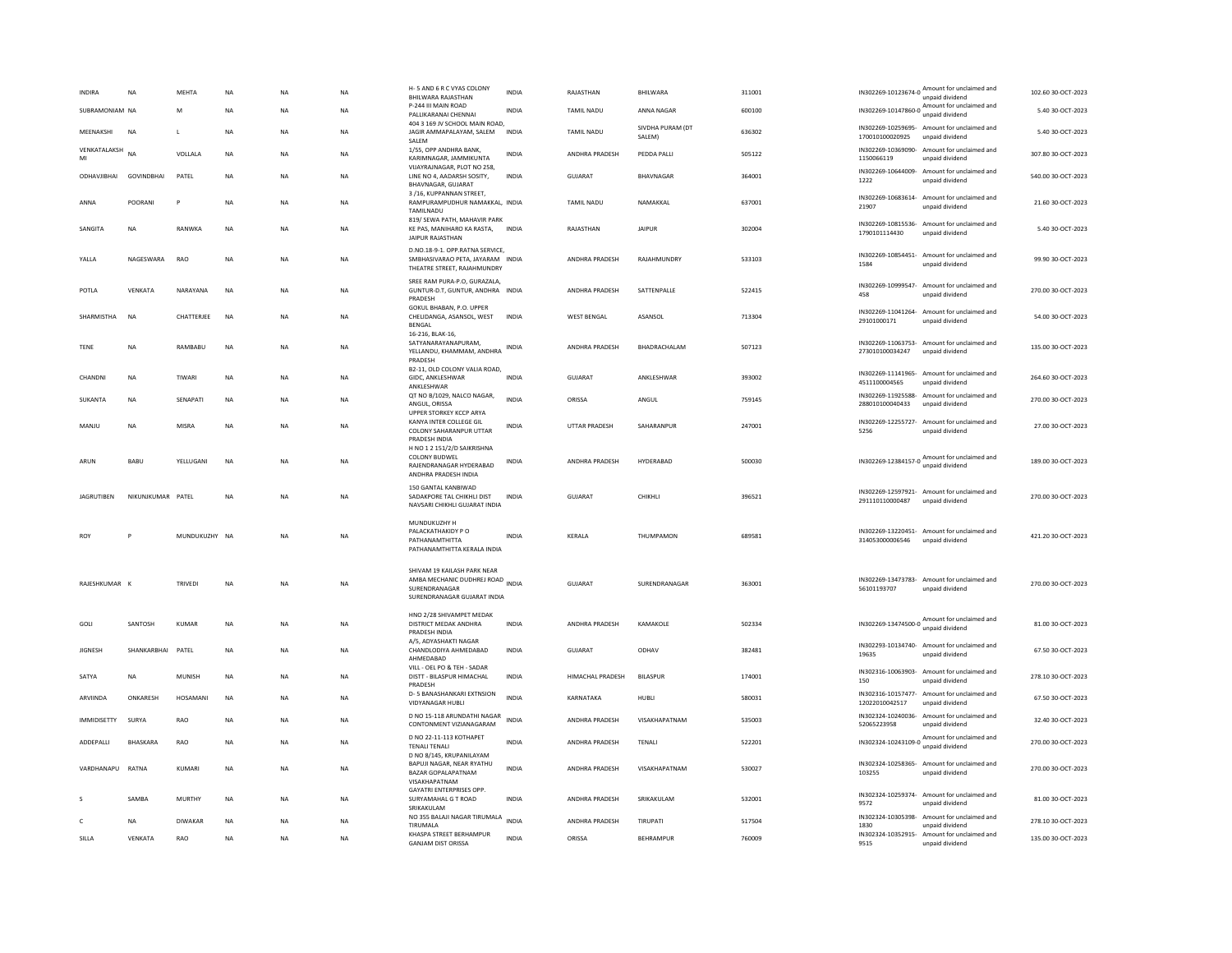| <b>INDIRA</b><br>NA          |                   | MEHTA          | NA        | <b>NA</b> | <b>NA</b>   | H-5 AND 6 R C VYAS COLONY<br>BHILWARA RAJASTHAN                                                                 | <b>INDIA</b> | RAJASTHAN               | BHILWARA                   | 311001 |                                       | IN302269-10123674-0 Amount for unclaimed and<br>unpaid dividend | 102.60 30-OCT-2023 |
|------------------------------|-------------------|----------------|-----------|-----------|-------------|-----------------------------------------------------------------------------------------------------------------|--------------|-------------------------|----------------------------|--------|---------------------------------------|-----------------------------------------------------------------|--------------------|
| SUBRAMONIAM NA               |                   | M              | <b>NA</b> | <b>NA</b> | <b>NA</b>   | P-244 III MAIN ROAD<br>PALLIKARANAI CHENNAI                                                                     | <b>INDIA</b> | <b>TAMIL NADU</b>       | ANNA NAGAR                 | 600100 |                                       | IN302269-10147860-0 Amount for unclaimed and                    | 5.40 30-OCT-2023   |
| MEENAKSHI<br><b>NA</b>       |                   | л.             | <b>NA</b> | <b>NA</b> | <b>NA</b>   | 404 3 169 JV SCHOOL MAIN ROAD,<br>JAGIR AMMAPALAYAM, SALEM<br><b>SAI FM</b>                                     | <b>INDIA</b> | <b>TAMIL NADU</b>       | SIVDHA PURAM (DT<br>SALEM) | 636302 | 170010100020925                       | IN302269-10259695- Amount for unclaimed and<br>unpaid dividend  | 5.40 30-OCT-2023   |
| <b>VENKATALAKSH</b> NA<br>MI |                   | VOLLALA        | <b>NA</b> | <b>NA</b> | NA          | 1/55, OPP ANDHRA BANK,<br>KARIMNAGAR, JAMMIKUNTA                                                                | INDIA        | ANDHRA PRADESH          | PEDDA PALLI                | 505122 | IN302269-10369090-<br>1150066119      | Amount for unclaimed and<br>unpaid dividend                     | 307.80 30-OCT-2023 |
| ODHAVJIBHAI GOVINDBHAI       |                   | PATEL          | <b>NA</b> | <b>NA</b> | <b>NA</b>   | VIJAYRAJNAGAR, PLOT NO 258,<br>LINE NO 4, AADARSH SOSITY,<br>BHAVNAGAR, GUJARAT                                 | <b>INDIA</b> | <b>GUJARAT</b>          | BHAVNAGAR                  | 364001 | 1222                                  | IN302269-10644009- Amount for unclaimed and<br>unpaid dividend  | 540.00 30-OCT-2023 |
| ANNA                         | POORANI           | Þ              | NA        | <b>NA</b> | NA          | 3/16, KUPPANNAN STREET,<br>RAMPURAMPUDHUR NAMAKKAL, INDIA<br>TAMILNADU                                          |              | <b>TAMIL NADU</b>       | NAMAKKAL                   | 637001 | 21907                                 | IN302269-10683614- Amount for unclaimed and<br>unpaid dividend  | 21.60 30-OCT-2023  |
| SANGITA<br>NA                |                   | RANWKA         | NA        | NA        | NA          | 819/ SEWA PATH, MAHAVIR PARK<br>KE PAS, MANIHARO KA RASTA,<br><b>JAIPUR RAJASTHAN</b>                           | <b>INDIA</b> | RAJASTHAN               | <b>JAIPUR</b>              | 302004 | 1790101114430                         | IN302269-10815536- Amount for unclaimed and<br>unpaid dividend  | 5.40 30-OCT-2023   |
| YALLA                        | NAGESWARA         | <b>RAO</b>     | <b>NA</b> | <b>NA</b> | <b>NA</b>   | D.NO.18-9-1. OPP.RATNA SERVICE,<br>SMBHASIVARAO PETA, JAYARAM INDIA<br>THEATRE STREET, RAJAHMUNDRY              |              | ANDHRA PRADESH          | RAJAHMUNDRY                | 533103 | 1584                                  | IN302269-10854451- Amount for unclaimed and<br>unpaid dividend  | 99.90 30-OCT-2023  |
| POTLA                        | VENKATA           | NARAYANA       | NA        | NA        | NA          | SREE RAM PURA-P.O, GURAZALA,<br>GUNTUR-D.T, GUNTUR, ANDHRA INDIA<br>PRADESH                                     |              | ANDHRA PRADESH          | SATTENPALLE                | 522415 | 458                                   | IN302269-10999547- Amount for unclaimed and<br>unpaid dividend  | 270.00 30-OCT-2023 |
| SHARMISTHA<br><b>NA</b>      |                   | CHATTERJEE     | <b>NA</b> | <b>NA</b> | NA          | GOKUL BHABAN, P.O. UPPER<br>CHELIDANGA, ASANSOL, WEST<br><b>BENGAL</b><br>16-216, BLAK-16                       | <b>INDIA</b> | <b>WEST BENGAL</b>      | ASANSOL                    | 713304 | 29101000171                           | IN302269-11041264- Amount for unclaimed and<br>unpaid dividend  | 54.00 30-OCT-2023  |
| <b>NA</b><br><b>TENE</b>     |                   | RAMBABU        | <b>NA</b> | <b>NA</b> | <b>NA</b>   | SATYANARAYANAPURAM,<br>YELLANDU, KHAMMAM, ANDHRA<br>PRADESH                                                     | <b>INDIA</b> | ANDHRA PRADESH          | BHADRACHALAM               | 507123 | 273010100034247                       | IN302269-11063753- Amount for unclaimed and<br>unpaid dividend  | 135.00 30-OCT-2023 |
| CHANDNI<br><b>NA</b>         |                   | TIWARI         | <b>NA</b> | <b>NA</b> | NA          | B2-11, OLD COLONY VALIA ROAD,<br>GIDC, ANKLESHWAR<br>ANKLESHWAR                                                 | <b>INDIA</b> | <b>GUJARAT</b>          | ANKLESHWAR                 | 393002 | 4511100004565                         | IN302269-11141965- Amount for unclaimed and<br>unpaid dividend  | 264.60 30-OCT-2023 |
| SUKANTA<br>NA                |                   | SENAPATI       | NA        | NA        | NA          | QT NO B/1029, NALCO NAGAR,<br>ANGUL, ORISSA<br>UPPER STORKEY KCCP ARYA                                          | <b>INDIA</b> | ORISSA                  | ANGUL                      | 759145 | IN302269-11925588-<br>288010100040433 | Amount for unclaimed and<br>unpaid dividend                     | 270.00 30-OCT-2023 |
| MANJU<br>NA                  |                   | MISRA          | NA        | <b>NA</b> | NA          | KANYA INTER COLLEGE GIL<br>COLONY SAHARANPUR UTTAR<br>PRADESH INDIA                                             | INDIA        | UTTAR PRADESH           | SAHARANPUR                 | 247001 | 5256                                  | IN302269-12255727- Amount for unclaimed and<br>unpaid dividend  | 27.00 30-OCT-2023  |
| ARUN<br>BABU                 |                   | YELLUGANI      | <b>NA</b> | <b>NA</b> | NA          | H NO 1 2 151/2/D SAIKRISHNA<br><b>COLONY BUDWEL</b><br>RAJENDRANAGAR HYDERABAD<br>ANDHRA PRADESH INDIA          | INDIA        | <b>ANDHRA PRADESH</b>   | HYDERABAD                  | 500030 |                                       | IN302269-12384157-0 Amount for unclaimed and<br>unpaid dividend | 189.00 30-OCT-2023 |
| <b>JAGRUTIBEN</b>            | NIKUNJKUMAR PATEL |                | <b>NA</b> | NA        | $_{\sf NA}$ | 150 GANTAL KANBIWAD<br>SADAKPORE TAL CHIKHLI DIST<br>NAVSARI CHIKHLI GUJARAT INDIA                              | <b>INDIA</b> | <b>GUJARAT</b>          | CHIKHLI                    | 396521 | 291110110000487                       | IN302269-12597921- Amount for unclaimed and<br>unpaid dividend  | 270.00 30-OCT-2023 |
| ROY                          |                   | MUNDUKUZHY NA  |           | <b>NA</b> | <b>NA</b>   | MUNDUKUZHY H<br>PAI ACKATHAKIDY PO<br>PATHANAMTHITTA<br>PATHANAMTHITTA KERALA INDIA                             | <b>INDIA</b> | KERALA                  | THUMPAMON                  | 689581 | 314053000006546                       | IN302269-13220451- Amount for unclaimed and<br>unpaid dividend  | 421.20 30-OCT-2023 |
| RAJESHKUMAR                  |                   | <b>TRIVEDI</b> | <b>NA</b> | <b>NA</b> | <b>NA</b>   | SHIVAM 19 KAILASH PARK NEAR<br>AMBA MECHANIC DUDHREJ ROAD INDIA<br>SURENDRANAGAR<br>SURENDRANAGAR GUJARAT INDIA |              | GUJARAT                 | SURENDRANAGAR              | 363001 | 56101193707                           | IN302269-13473783- Amount for unclaimed and<br>unpaid dividend  | 270.00 30-OCT-2023 |
| GOLI                         | SANTOSH           | KUMAR          | <b>NA</b> | <b>NA</b> | <b>NA</b>   | HNO 2/28 SHIVAMPET MEDAK<br>DISTRICT MEDAK ANDHRA<br>PRADESH INDIA                                              | <b>INDIA</b> | <b>ANDHRA PRADESH</b>   | <b>KAMAKOLE</b>            | 502334 |                                       | IN302269-13474500-0 Amount for unclaimed and<br>unpaid dividend | 81.00 30-OCT-2023  |
| <b>JIGNESH</b>               | SHANKARBHAI       | PATEL          | NA        | <b>NA</b> | NA          | A/5, ADYASHAKTI NAGAR<br>CHANDLODIYA AHMEDABAD<br>AHMEDABAD                                                     | INDIA        | <b>GUJARAT</b>          | ODHAV                      | 382481 | 19635                                 | IN302293-10134740- Amount for unclaimed and<br>unpaid dividend  | 67.50 30-OCT-2023  |
| SATYA<br><b>NA</b>           |                   | <b>MUNISH</b>  | <b>NA</b> | <b>NA</b> | NA          | VILL - OEL PO & TEH - SADAR<br>DISTT - BILASPUR HIMACHAL<br>PRADESH                                             | <b>INDIA</b> | <b>HIMACHAL PRADESH</b> | <b>BILASPUR</b>            | 174001 | 150                                   | IN302316-10063903- Amount for unclaimed and<br>unpaid dividend  | 278.10 30-OCT-2023 |
| ARVIINDA                     | ONKARESH          | HOSAMANI       | <b>NA</b> | <b>NA</b> | <b>NA</b>   | D-5 BANASHANKARI EXTNSION<br><b>VIDYANAGAR HUBLI</b>                                                            | <b>INDIA</b> | KARNATAKA               | <b>HUBLI</b>               | 580031 | 12022010042517                        | IN302316-10157477- Amount for unclaimed and<br>unpaid dividend  | 67.50 30-OCT-2023  |
| <b>IMMIDISETTY</b><br>SURYA  |                   | RAO            | <b>NA</b> | <b>NA</b> | NA          | D NO 15-118 ARUNDATHI NAGAR<br>CONTONMENT VIZIANAGARAM                                                          | <b>INDIA</b> | ANDHRA PRADESH          | VISAKHAPATNAM              | 535003 | IN302324-10240036-<br>52065223958     | Amount for unclaimed and<br>unpaid dividend                     | 32.40 30-OCT-2023  |
| ADDEPALLI                    | BHASKARA          | RAO            | <b>NA</b> | <b>NA</b> | NA          | D NO 22-11-113 KOTHAPET<br><b>TENALI TENALI</b><br>D NO 8/145, KRUPANILAYAM                                     | INDIA        | ANDHRA PRADESH          | TENALI                     | 522201 |                                       | IN302324-10243109-0 Amount for unclaimed and<br>unpaid dividend | 270.00 30-OCT-2023 |
| VARDHANAPU<br>RATNA          |                   | KUMARI         | <b>NA</b> | <b>NA</b> | NA          | BAPUJI NAGAR, NEAR RYATHU<br><b>BAZAR GOPALAPATNAM</b><br>VISAKHAPATNAM                                         | <b>INDIA</b> | ANDHRA PRADESH          | VISAKHAPATNAM              | 530027 | 103255                                | IN302324-10258365- Amount for unclaimed and<br>unpaid dividend  | 270.00 30-OCT-2023 |
|                              | SAMBA             | <b>MURTHY</b>  | <b>NA</b> | <b>NA</b> | <b>NA</b>   | GAYATRI ENTERPRISES OPP.<br>SURYAMAHAL G T ROAD<br>SRIKAKULAM                                                   | <b>INDIA</b> | ANDHRA PRADESH          | SRIKAKULAM                 | 532001 | 9572                                  | IN302324-10259374- Amount for unclaimed and<br>unpaid dividend  | 81.00 30-OCT-2023  |
| NA<br>c                      |                   | <b>DIWAKAR</b> | NA        | NA        | NA          | NO 355 BALAJI NAGAR TIRUMALA<br><b>TIRUMALA</b>                                                                 | <b>INDIA</b> | ANDHRA PRADESH          | TIRUPATI                   | 517504 | IN302324-10305398-<br>1830            | Amount for unclaimed and<br>unnaid dividend                     | 278.10 30-OCT-2023 |
| SILLA                        | VFNKATA           | <b>RAO</b>     | <b>NA</b> | <b>NA</b> | <b>NA</b>   | KHASPA STREET BERHAMPUR<br><b>GANJAM DIST ORISSA</b>                                                            | <b>INDIA</b> | ORISSA                  | <b>BEHRAMPUR</b>           | 760009 | 9515                                  | IN302324-10352915- Amount for unclaimed and<br>unpaid dividend  | 135.00 30-OCT-2023 |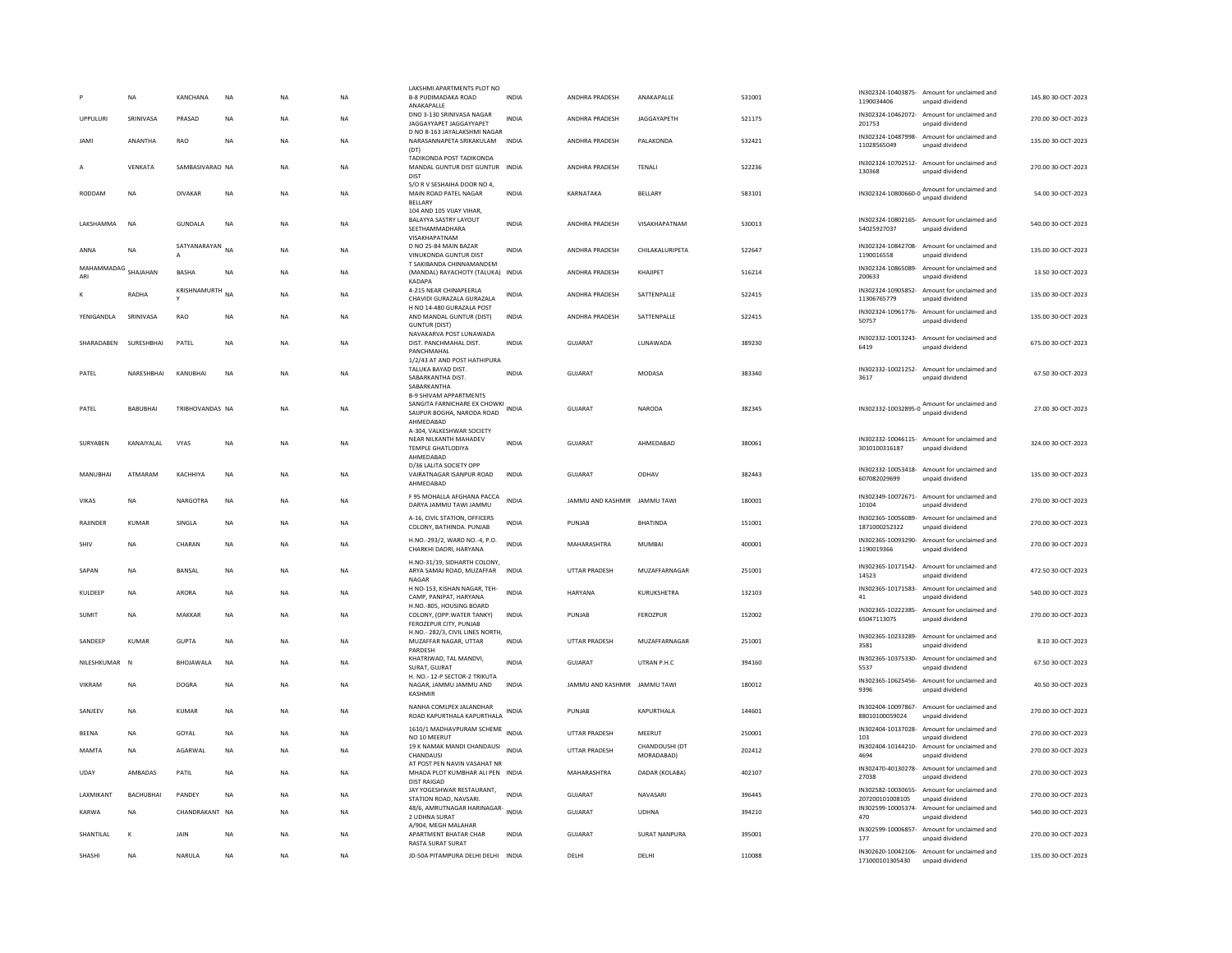|                            | <b>NA</b>        | KANCHANA        | <b>NA</b> | <b>NA</b> | <b>NA</b> | LAKSHMI APARTMENTS PLOT NO<br><b>B-8 PUDIMADAKA ROAD</b><br>ANAKAPALLE                                         | <b>INDIA</b> | ANDHRA PRADESH               | ANAKAPALLE                   | 531001 | 1190034406                        | IN302324-10403875- Amount for unclaimed and<br>unpaid dividend  | 145.80 30-OCT-2023 |
|----------------------------|------------------|-----------------|-----------|-----------|-----------|----------------------------------------------------------------------------------------------------------------|--------------|------------------------------|------------------------------|--------|-----------------------------------|-----------------------------------------------------------------|--------------------|
| <b>UPPULURE</b>            | SRINIVASA        | PRASAD          | <b>NA</b> | <b>NA</b> | <b>NA</b> | DNO 3-130 SRINIVASA NAGAR<br>JAGGAYYAPET JAGGAYYAPET                                                           | <b>INDIA</b> | <b>ANDHRA PRADESH</b>        | <b>IAGGAYAPETH</b>           | 521175 | 201753                            | IN302324-10462072- Amount for unclaimed and<br>unpaid dividend  | 270.00.30-OCT-2023 |
| <b>IMAL</b>                | ANANTHA          | RAO             | <b>NA</b> | <b>NA</b> | <b>NA</b> | D NO 8-163 JAYALAKSHMI NAGAR<br>NARASANNAPETA SRIKAKULAM<br>(DT)                                               | <b>INDIA</b> | ANDHRA PRADESH               | PALAKONDA                    | 532421 | 11028565049                       | IN302324-10487998- Amount for unclaimed and<br>unpaid dividend  | 135.00 30-OCT-2023 |
|                            | VENKATA          | SAMBASIVARAO NA |           | <b>NA</b> | <b>NA</b> | TADIKONDA POST TADIKONDA<br>MANDAL GUNTUR DIST GUNTUR INDIA<br><b>DIST</b>                                     |              | <b>ANDHRA PRADESH</b>        | TENALI                       | 522236 | 130368                            | IN302324-10702512- Amount for unclaimed and<br>unpaid dividend  | 270.00 30-OCT-2023 |
| RODDAM                     | NA               | <b>DIVAKAR</b>  | NA        | NA        | NA        | S/O R V SESHAIHA DOOR NO 4,<br>MAIN ROAD PATEL NAGAR<br><b>BELLARY</b>                                         | INDIA        | KARNATAKA                    | BELLARY                      | 583101 | IN302324-10800660-0               | Amount for unclaimed and<br>unpaid dividend                     | 54.00 30-OCT-2023  |
| LAKSHAMMA                  | <b>NA</b>        | <b>GUNDALA</b>  | <b>NA</b> | NA        | NA        | 104 AND 105 VIJAY VIHAR,<br>BALAYYA SASTRY LAYOUT<br>SEETHAMMADHARA                                            | <b>INDIA</b> | <b>ANDHRA PRADESH</b>        | VISAKHAPATNAM                | 530013 | 54025927037                       | IN302324-10802165- Amount for unclaimed and<br>unpaid dividend  | 540.00 30-OCT-2023 |
| ANNA                       | <b>NA</b>        | SATYANARAYAN NA |           | <b>NA</b> | <b>NA</b> | VISAKHAPATNAM<br>D NO 25-84 MAIN BAZAR<br>VINUKONDA GUNTUR DIST                                                | <b>INDIA</b> | <b>ANDHRA PRADESH</b>        | CHILAKALURIPETA              | 522647 | 1190016558                        | IN302324-10842708- Amount for unclaimed and<br>unpaid dividend  | 135.00 30-OCT-2023 |
| MAHAMMADAG SHAJAHAN<br>ARI |                  | <b>BASHA</b>    | <b>NA</b> | <b>NA</b> | <b>NA</b> | T SAKIBANDA CHINNAMANDEM<br>(MANDAL) RAYACHOTY (TALUKA) INDIA<br>KADAPA                                        |              | ANDHRA PRADESH               | KHAJIPET                     | 516214 | IN302324-10865089-<br>200633      | Amount for unclaimed and<br>unpaid dividend                     | 13.50 30-OCT-2023  |
|                            | RADHA            | KRISHNAMURTH NA |           | NA        | NA        | 4-215 NEAR CHINAPEERLA<br>CHAVIDI GURAZALA GURAZALA                                                            | INDIA        | ANDHRA PRADESH               | SATTENPALLE                  | 522415 | 11306765779                       | IN302324-10905852- Amount for unclaimed and<br>unpaid dividend  | 135.00 30-OCT-2023 |
| YENIGANDLA                 | SRINIVASA        | <b>RAO</b>      | <b>NA</b> | <b>NA</b> | <b>NA</b> | H NO 14-480 GURAZALA POST<br>AND MANDAL GUNTUR (DIST)<br><b>GUNTUR (DIST)</b>                                  | <b>INDIA</b> | ANDHRA PRADESH               | SATTENPALLE                  | 522415 | 50757                             | IN302324-10961776- Amount for unclaimed and<br>unpaid dividend  | 135.00 30-OCT-2023 |
| SHARADABEN                 | SURESHBHAI       | PATEL           | <b>NA</b> | <b>NA</b> | <b>NA</b> | NAVAKARVA POST LUNAWADA<br>DIST. PANCHMAHAL DIST.<br>PANCHMAHAL                                                | <b>INDIA</b> | <b>GUJARAT</b>               | LUNAWADA                     | 389230 | 6419                              | IN302332-10013243- Amount for unclaimed and<br>unpaid dividend  | 675.00 30-OCT-2023 |
| PATEL                      | NARESHBHAI       | KANUBHAI        | <b>NA</b> | <b>NA</b> | <b>NA</b> | 1/2/43 AT AND POST HATHIPURA<br>TALUKA BAYAD DIST.<br>SABARKANTHA DIST.<br>SABARKANTHA                         | <b>INDIA</b> | <b>GUJARAT</b>               | <b>MODASA</b>                | 383340 | 3617                              | IN302332-10021252- Amount for unclaimed and<br>unpaid dividend  | 67.50 30-OCT-2023  |
| PATFI                      | <b>BABURHAL</b>  | TRIBHOVANDAS NA |           | <b>NA</b> | <b>NA</b> | <b>B-9 SHIVAM APPARTMENTS</b><br>SANGITA FARNICHARE EX CHOWKI INDIA<br>SAIJPUR BOGHA, NARODA ROAD<br>AHMEDABAD |              | GUIARAT                      | NARODA                       | 382345 |                                   | IN302332-10032895-0 Amount for unclaimed and<br>unpaid dividend | 27.00.30-OCT-2023  |
| SURYABEN                   | KANAIYALAL       | VYAS            | NA        | NA        | NA        | A-304. VALKESHWAR SOCIETY<br>NEAR NILKANTH MAHADEV<br><b>TEMPLE GHATLODIYA</b><br>AHMEDABAD                    | <b>INDIA</b> | GUJARAT                      | AHMEDABAD                    | 380061 | 3010100316187                     | IN302332-10046115- Amount for unclaimed and<br>unpaid dividend  | 324.00 30-OCT-2023 |
| MANUBHAI                   | ATMARAM          | KACHHIYA        | <b>NA</b> | <b>NA</b> | <b>NA</b> | D/36 LALITA SOCIETY OPP<br>VAIRATNAGAR ISANPUR ROAD<br>AHMEDABAD                                               | <b>INDIA</b> | <b>GUJARAT</b>               | ODHAV                        | 382443 | 607082029699                      | IN302332-10053418- Amount for unclaimed and<br>unpaid dividend  | 135.00 30-OCT-2023 |
| VIKAS                      | NA               | <b>NARGOTRA</b> | NA        | NA        | NA        | F 95 MOHALLA AFGHANA PACCA<br>DARYA JAMMU TAWI JAMMU                                                           | <b>INDIA</b> | JAMMU AND KASHMIR            | <b>JAMMU TAWI</b>            | 180001 | 10104                             | IN302349-10072671- Amount for unclaimed and<br>unpaid dividend  | 270.00 30-OCT-2023 |
| RAJINDER                   | KUMAR            | SINGLA          | <b>NA</b> | <b>NA</b> | <b>NA</b> | A-16, CIVIL STATION, OFFICERS<br>COLONY, BATHINDA. PUNJAB                                                      | <b>INDIA</b> | PUNJAB                       | <b>BHATINDA</b>              | 151001 | 1871000252322                     | IN302365-10056089- Amount for unclaimed and<br>unpaid dividend  | 270.00 30-OCT-2023 |
| SHIV                       | NA               | CHARAN          | NA        | NA        | <b>NA</b> | H.NO.-293/2, WARD NO.-4, P.O.<br>CHARKHI DADRI, HARYANA                                                        | <b>INDIA</b> | MAHARASHTRA                  | <b>MUMBAI</b>                | 400001 | 1190019366                        | IN302365-10093290- Amount for unclaimed and<br>unpaid dividend  | 270.00 30-OCT-2023 |
| SAPAN                      | NA               | BANSAL          | <b>NA</b> | NA        | NA        | H.NO-31/19, SIDHARTH COLONY,<br>ARYA SAMAJ ROAD, MUZAFFAR<br>NAGAR                                             | <b>INDIA</b> | UTTAR PRADESH                | MUZAFFARNAGAR                | 251001 | 14523                             | IN302365-10171542- Amount for unclaimed and<br>unpaid dividend  | 472.50 30-OCT-2023 |
| KULDEEP                    | NA               | ARORA           | NA        | NA        | NA        | H NO-153, KISHAN NAGAR, TEH-<br>CAMP, PANIPAT, HARYANA                                                         | <b>INDIA</b> | <b>HARYANA</b>               | KURUKSHETRA                  | 132103 | 41                                | IN302365-10171583- Amount for unclaimed and<br>unpaid dividend  | 540.00 30-OCT-2023 |
| SUMIT                      | <b>NA</b>        | MAKKAR          | <b>NA</b> | NA        | <b>NA</b> | H.NO.-805, HOUSING BOARD<br>COLONY, (OPP.WATER TANKY)<br>FEROZEPUR CITY, PUNJAB                                | <b>INDIA</b> | PUNJAB                       | FEROZPUR                     | 152002 | IN302365-10222385-<br>65047113075 | Amount for unclaimed and<br>unpaid dividend                     | 270.00 30-OCT-2023 |
| SANDEEP                    | <b>KUMAR</b>     | <b>GUPTA</b>    | <b>NA</b> | NA        | <b>NA</b> | H.NO.- 282/3. CIVIL LINES NORTH.<br>MUZAFFAR NAGAR, UTTAR<br>PARDESH                                           | <b>INDIA</b> | <b>UTTAR PRADESH</b>         | MUZAFFARNAGAR                | 251001 | IN302365-10233289-<br>3581        | Amount for unclaimed and<br>unpaid dividend                     | 8.10 30-OCT-2023   |
| NILESHKUMAR                | N                | BHOJAWALA       | <b>NA</b> | <b>NA</b> | <b>NA</b> | KHATRIWAD, TAL MANDVI,<br>SURAT, GUJRAT                                                                        | <b>INDIA</b> | <b>GUJARAT</b>               | UTRAN P.H.C                  | 394160 | 5537                              | IN302365-10375330- Amount for unclaimed and<br>unpaid dividend  | 67.50 30-OCT-2023  |
| <b>VIKRAM</b>              | <b>NA</b>        | DOGRA           | <b>NA</b> | <b>NA</b> | <b>NA</b> | H. NO.- 12-P SECTOR-2 TRIKUTA<br>NAGAR, JAMMU JAMMU AND<br>KASHMIR                                             | <b>INDIA</b> | IAMMU AND KASHMIR IAMMU TAWI |                              | 180012 | 9396                              | IN302365-10625456- Amount for unclaimed and<br>unpaid dividend  | 40.50 30-OCT-2023  |
| SANIFFV                    | <b>NA</b>        | KUMAR           | <b>NA</b> | <b>NA</b> | <b>NA</b> | NANHA COMLPEX JALANDHAR<br>ROAD KAPURTHALA KAPURTHALA                                                          | <b>INDIA</b> | PUNIAR                       | KAPURTHALA                   | 144601 | 88010100059024                    | IN302404-10097867- Amount for unclaimed and<br>unpaid dividend  | 270.00 30-OCT-2023 |
| <b>BEENA</b>               | <b>NA</b>        | GOYAL           | <b>NA</b> | <b>NA</b> | <b>NA</b> | 1610/1 MADHAVPURAM SCHEME<br>NO 10 MEERUT                                                                      | <b>INDIA</b> | <b>UTTAR PRADESH</b>         | MEERUT                       | 250001 | 103                               | IN302404-10137028- Amount for unclaimed and<br>unpaid dividend  | 270.00 30-OCT-2023 |
| MAMTA                      | NA               | AGARWAL         | NA        | NA        | NA        | 19 K NAMAK MANDI CHANDAUSI<br>CHANDAUSI<br>AT POST PEN NAVIN VASAHAT NR                                        | <b>INDIA</b> | UTTAR PRADESH                | CHANDOUSHI (DT<br>MORADABAD) | 202412 | 4694                              | IN302404-10144210- Amount for unclaimed and<br>unpaid dividend  | 270.00 30-OCT-2023 |
| UDAY                       | AMBADAS          | PATIL           | <b>NA</b> | <b>NA</b> | <b>NA</b> | MHADA PLOT KUMBHAR ALI PEN INDIA<br><b>DIST RAIGAD</b>                                                         |              | MAHARASHTRA                  | DADAR (KOLABA)               | 402107 | 27038                             | IN302470-40130278- Amount for unclaimed and<br>unpaid dividend  | 270.00 30-OCT-2023 |
| <b>I AXMIKANT</b>          | <b>BACHURHAI</b> | <b>PANDEY</b>   | <b>NA</b> | <b>NA</b> | <b>NA</b> | JAY YOGESHWAR RESTAURANT.<br>STATION ROAD, NAVSARI                                                             | <b>INDIA</b> | <b>GUJARAT</b>               | NAVASARI                     | 396445 | 207200101008105                   | IN302582-10030655- Amount for unclaimed and<br>unpaid dividend  | 270.00 30-OCT-2023 |
| KARWA                      | <b>NA</b>        | CHANDRAKANT NA  |           | <b>NA</b> | <b>NA</b> | 48/6, AMRUTNAGAR HARINAGAR-<br>2 UDHNA SURAT<br>A/904, MEGH MALAHAR                                            | <b>INDIA</b> | <b>GUJARAT</b>               | <b>UDHNA</b>                 | 394210 | IN302599-10005374-<br>470         | Amount for unclaimed and<br>unpaid dividend                     | 540.00 30-OCT-2023 |
| SHANTILAL                  | K                | JAIN            | NA        | NA        | NA        | APARTMENT BHATAR CHAR<br><b>RASTA SURAT SURAT</b>                                                              | <b>INDIA</b> | GUJARAT                      | <b>SURAT NANPURA</b>         | 395001 | 177                               | IN302599-10006857- Amount for unclaimed and<br>unpaid dividend  | 270.00 30-OCT-2023 |
| SHASHI                     | <b>NA</b>        | NARULA          | <b>NA</b> | <b>NA</b> | <b>NA</b> | JD-50A PITAMPURA DELHI DELHI INDIA                                                                             |              | DELHI                        | DELHI                        | 110088 | 171000101305430                   | IN302620-10042106- Amount for unclaimed and<br>unpaid dividend  | 135.00 30-OCT-2023 |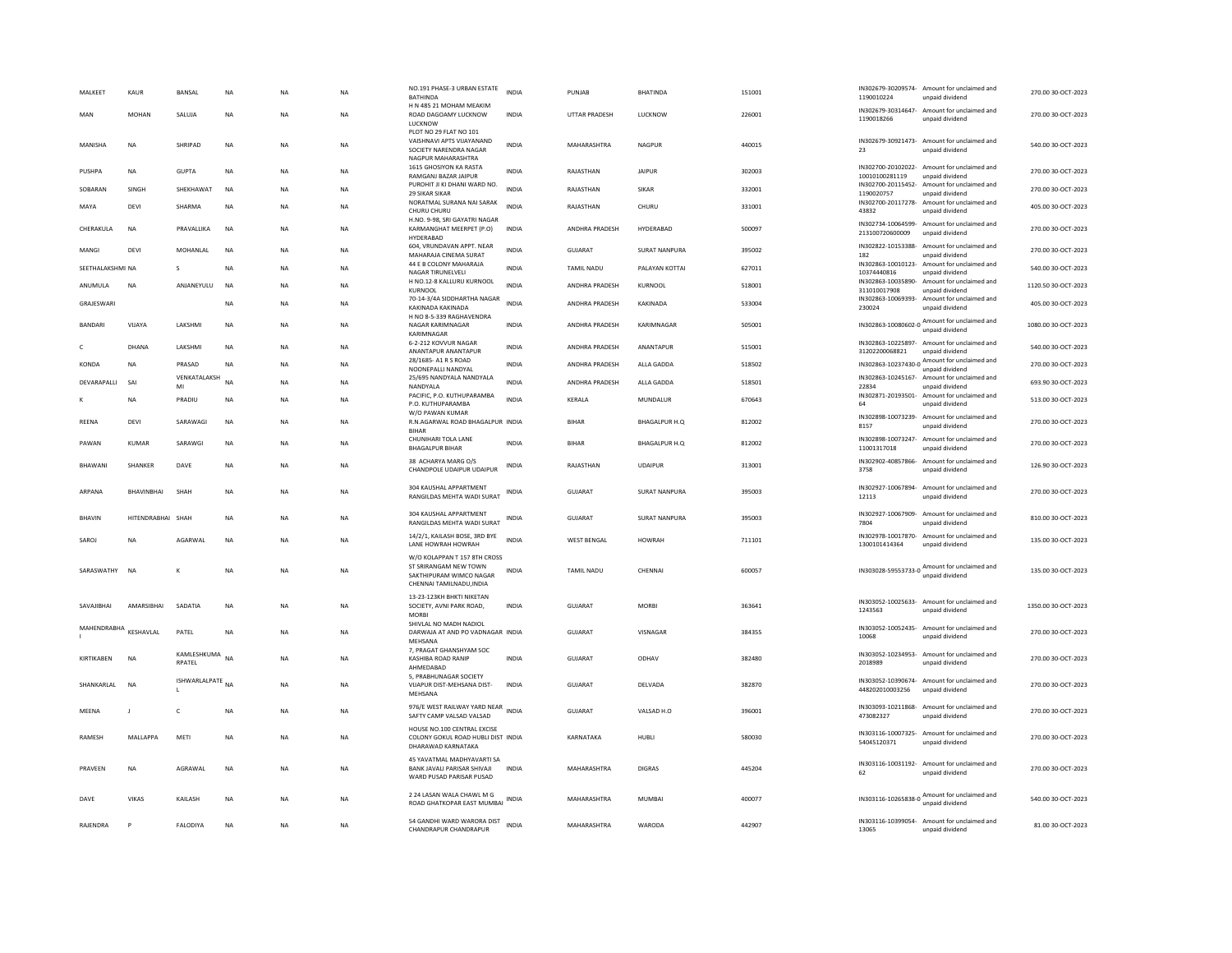| MALKEET          | KAUR              | <b>BANSAI</b>         | <b>NA</b>   | <b>NA</b> | <b>NA</b> | NO.191 PHASE-3 URBAN ESTATE<br><b>BATHINDA</b>                                                               | <b>INDIA</b> | PUNIAR               | <b>BHATINDA</b>      | 151001 | 1190010224                                                                             | IN302679-30209574- Amount for unclaimed and<br>unpaid dividend                    | 270.00.30-OCT-2023  |
|------------------|-------------------|-----------------------|-------------|-----------|-----------|--------------------------------------------------------------------------------------------------------------|--------------|----------------------|----------------------|--------|----------------------------------------------------------------------------------------|-----------------------------------------------------------------------------------|---------------------|
| MAN              | <b>MOHAN</b>      | SALUJA                | <b>NA</b>   | <b>NA</b> | <b>NA</b> | H N 485 21 MOHAM MEAKIM<br>ROAD DAGOAMY LUCKNOW<br>LUCKNOW                                                   | <b>INDIA</b> | <b>UTTAR PRADESH</b> | <b>LUCKNOW</b>       | 226001 | 1190018266                                                                             | IN302679-30314647- Amount for unclaimed and<br>unpaid dividend                    | 270.00 30-OCT-2023  |
| MANISHA          | <b>NA</b>         | SHRIPAD               | <b>NA</b>   | <b>NA</b> | <b>NA</b> | PLOT NO 29 FLAT NO 101<br>VAISHNAVI APTS VIJAYANAND<br>SOCIETY NARENDRA NAGAR                                | <b>INDIA</b> | MAHARASHTRA          | <b>NAGPUR</b>        | 440015 | 23                                                                                     | IN302679-30921473- Amount for unclaimed and<br>unpaid dividend                    | 540.00 30-OCT-2023  |
| PUSHPA           | NA                | <b>GUPTA</b>          | $_{\sf NA}$ | <b>NA</b> | NA        | NAGPUR MAHARASHTRA<br>1615 GHOSIYON KA RASTA<br>RAMGANJ BAZAR JAIPUR                                         | INDIA        | RAJASTHAN            | <b>JAIPUR</b>        | 302003 | 10010100281119                                                                         | IN302700-20102022- Amount for unclaimed and<br>unpaid dividend                    | 270.00 30-OCT-2023  |
| SOBARAN          | SINGH             | SHEKHAWAT             | NA          | <b>NA</b> | NA        | PUROHIT JI KI DHANI WARD NO.                                                                                 | <b>INDIA</b> | RAJASTHAN            | SIKAR                | 332001 |                                                                                        | IN302700-20115452- Amount for unclaimed and                                       | 270.00 30-OCT-2023  |
| MAYA             | DEVI              | SHARMA                | $_{\sf NA}$ | <b>NA</b> | NA        | 29 SIKAR SIKAR<br>NORATMAL SURANA NAI SARAK<br>CHURU CHURU                                                   | <b>INDIA</b> | RAJASTHAN            | CHURU                | 331001 | 1190020757<br>43832                                                                    | unpaid dividend<br>IN302700-20117278- Amount for unclaimed and<br>unpaid dividend | 405.00 30-OCT-2023  |
| CHERAKULA        | <b>NA</b>         | PRAVALLIKA            | <b>NA</b>   | <b>NA</b> | <b>NA</b> | H.NO. 9-98, SRI GAYATRI NAGAR<br>KARMANGHAT MEERPET (P.O)                                                    | INDIA        | ANDHRA PRADESH       | HYDERABAD            | 500097 | 213100720600009                                                                        | IN302734-10064599- Amount for unclaimed and<br>unpaid dividend                    | 270.00 30-OCT-2023  |
| MANGI            | DFVI              | <b>MOHANIAI</b>       | <b>NA</b>   | <b>NA</b> | NA        | HYDERABAD<br>604, VRUNDAVAN APPT. NEAR<br>MAHARAJA CINEMA SURAT                                              | <b>INDIA</b> | GUIARAT              | <b>SURAT NANPURA</b> | 395002 | IN302822-10153388-<br>182                                                              | Amount for unclaimed and<br>unpaid dividend                                       | 270.00 30-OCT-2023  |
| SEETHALAKSHMI NA |                   | s                     | <b>NA</b>   | <b>NA</b> | NA        | 44 E B COLONY MAHARAJA<br>NAGAR TIRUNELVELI                                                                  | <b>INDIA</b> | <b>TAMIL NADU</b>    | PALAYAN KOTTAI       | 627011 | 10374440816                                                                            | IN302863-10010123- Amount for unclaimed and<br>unpaid dividend                    | 540.00 30-OCT-2023  |
| ANUMULA          | <b>NA</b>         | ANJANEYULU            | <b>NA</b>   | <b>NA</b> | <b>NA</b> | H NO.12-8 KALLURU KURNOOL                                                                                    | <b>INDIA</b> | ANDHRA PRADESH       | KURNOOL              | 518001 |                                                                                        | IN302863-10035890- Amount for unclaimed and                                       | 1120.50 30-OCT-2023 |
| GRAJESWARI       |                   |                       | <b>NA</b>   | <b>NA</b> | <b>NA</b> | KURNOOL<br>70-14-3/4A SIDDHARTHA NAGAR                                                                       | <b>INDIA</b> | ANDHRA PRADESH       | KAKINADA             | 533004 | 311010017908                                                                           | unpaid dividend<br>IN302863-10069393- Amount for unclaimed and                    | 405.00 30-OCT-2023  |
|                  |                   |                       |             |           |           | KAKINADA KAKINADA<br>H NO 8-5-339 RAGHAVENDRA                                                                |              |                      |                      |        | 230024                                                                                 | unpaid dividend<br>Amount for unclaimed and                                       |                     |
| BANDARI          | VIJAYA            | LAKSHMI               | NA          | <b>NA</b> | NA        | NAGAR KARIMNAGAR<br>KARIMNAGAR                                                                               | <b>INDIA</b> | ANDHRA PRADESH       | KARIMNAGAR           | 505001 | $\n  \, \text{IN} 302863 - 10080602 - 0 \, \, \text{Annormal} \, \ldots \, \text{Con}$ |                                                                                   | 1080.00 30-OCT-2023 |
| c                | DHANA             | LAKSHMI               | <b>NA</b>   | <b>NA</b> | NA        | 6-2-212 KOVVUR NAGAR<br>ANANTAPUR ANANTAPUR                                                                  | <b>INDIA</b> | ANDHRA PRADESH       | ANANTAPUR            | 515001 | 31202200068821                                                                         | IN302863-10225897- Amount for unclaimed and<br>unpaid dividend                    | 540.00 30-OCT-2023  |
| KONDA            | <b>NA</b>         | PRASAD                | <b>NA</b>   | <b>NA</b> | NA        | 28/1685- A1 R S ROAD<br>NOONEPALLI NANDYAL                                                                   | <b>INDIA</b> | ANDHRA PRADESH       | ALLA GADDA           | 518502 |                                                                                        | IN302863-10237430-0 Amount for unclaimed and<br>unpaid dividend                   | 270.00 30-OCT-2023  |
| DEVARAPALLI      | SAI               | VENKATALAKSH<br>MI    | NΔ          | <b>NA</b> | NA        | 25/695 NANDYALA NANDYALA<br>NANDYALA                                                                         | <b>INDIA</b> | ANDHRA PRADESH       | ALLA GADDA           | 518501 | 22834                                                                                  | IN302863-10245167- Amount for unclaimed and<br>unpaid dividend                    | 693.90 30-OCT-2023  |
|                  | NA                | PRADIU                | NA          | <b>NA</b> | NA        | PACIFIC, P.O. KUTHUPARAMBA                                                                                   | <b>INDIA</b> | KERALA               | MUNDALUR             | 670643 |                                                                                        | IN302871-20193501- Amount for unclaimed and                                       | 513.00 30-OCT-2023  |
|                  |                   |                       |             |           |           | P.O. KUTHUPARAMBA<br>W/O PAWAN KUMAR                                                                         |              |                      |                      |        | 64                                                                                     | unpaid dividend<br>IN302898-10073239- Amount for unclaimed and                    |                     |
| REENA            | DEVI              | SARAWAGI              | <b>NA</b>   | <b>NA</b> | <b>NA</b> | R.N.AGARWAL ROAD BHAGALPUR INDIA<br><b>BIHAR</b>                                                             |              | <b>BIHAR</b>         | BHAGALPUR H.O.       | 812002 | 8157                                                                                   | unpaid dividend                                                                   | 270.00.30-OCT-2023  |
| PAWAN            | <b>KUMAR</b>      | SARAWGI               | <b>NA</b>   | <b>NA</b> | NA        | CHUNIHARI TOI A LANE<br><b>BHAGALPUR BIHAR</b>                                                               | <b>INDIA</b> | <b>BIHAR</b>         | BHAGALPUR H.O.       | 812002 | 11001317018                                                                            | IN302898-10073247- Amount for unclaimed and<br>unpaid dividend                    | 270.00 30-OCT-2023  |
| BHAWANI          | SHANKER           | DAVE                  | NA          | <b>NA</b> | NA        | 38 ACHARYA MARG O/S<br>CHANDPOLE UDAIPUR UDAIPUR                                                             | INDIA        | RAJASTHAN            | <b>UDAIPUR</b>       | 313001 | 3758                                                                                   | IN302902-40857866- Amount for unclaimed and<br>unpaid dividend                    | 126.90 30-OCT-2023  |
| ARPANA           | <b>BHAVINBHAI</b> | SHAH                  | <b>NA</b>   | <b>NA</b> | <b>NA</b> | 304 KAUSHAL APPARTMENT<br>RANGILDAS MEHTA WADI SURAT                                                         | <b>INDIA</b> | <b>GUJARAT</b>       | <b>SURAT NANPURA</b> | 395003 | 12113                                                                                  | IN302927-10067894- Amount for unclaimed and<br>unpaid dividend                    | 270.00 30-OCT-2023  |
| BHAVIN           | HITENDRABHAI SHAH |                       | $_{\sf NA}$ | <b>NA</b> | NA        | 304 KAUSHAL APPARTMENT<br>RANGILDAS MEHTA WADI SURAT                                                         | INDIA        | GUJARAT              | SURAT NANPURA        | 395003 | IN302927-10067909-<br>7804                                                             | Amount for unclaimed and<br>unpaid dividend                                       | 810.00 30-OCT-2023  |
| SAROJ            | <b>NA</b>         | AGARWAL               | <b>NA</b>   | <b>NA</b> | NA        | 14/2/1, KAILASH BOSE, 3RD BYE<br>LANE HOWRAH HOWRAH                                                          | <b>INDIA</b> | <b>WEST BENGAL</b>   | <b>HOWRAH</b>        | 711101 | 1300101414364                                                                          | IN302978-10017870- Amount for unclaimed and<br>unpaid dividend                    | 135.00 30-OCT-2023  |
| SARASWATHY NA    |                   | K                     | NA          | <b>NA</b> | NA        | W/O KOLAPPAN T 157 8TH CROSS<br>ST SRIRANGAM NEW TOWN<br>SAKTHIPURAM WIMCO NAGAR<br>CHENNAI TAMILNADU, INDIA | INDIA        | TAMIL NADU           | CHENNAI              | 600057 |                                                                                        | IN303028-59553733-0 Amount for unclaimed and                                      | 135.00 30-OCT-2023  |
| SAVAJIBHAI       | AMARSIBHAI        | SADATIA               | NA          | <b>NA</b> | NA        | 13-23-123KH BHKTI NIKETAN<br>SOCIETY, AVNI PARK ROAD,                                                        | INDIA        | GUJARAT              | <b>MORBI</b>         | 363641 | 1243563                                                                                | IN303052-10025633- Amount for unclaimed and<br>unpaid dividend                    | 1350.00 30-OCT-2023 |
|                  |                   |                       |             |           |           | <b>MORBI</b><br>SHIVLAL NO MADH NADIOL                                                                       |              |                      |                      |        |                                                                                        | IN303052-10052435- Amount for unclaimed and                                       |                     |
| MAHENDRABHA      | KESHAVLAL         | PATEL                 | <b>NA</b>   | <b>NA</b> | <b>NA</b> | DARWAJA AT AND PO VADNAGAR INDIA<br>MEHSANA                                                                  |              | <b>GUJARAT</b>       | VISNAGAR             | 384355 | 10068                                                                                  | unpaid dividend                                                                   | 270.00 30-OCT-2023  |
| KIRTIKABEN       | <b>NA</b>         | KAMLESHKUMA<br>RPATEL | <b>NA</b>   | <b>NA</b> | NA        | 7. PRAGAT GHANSHYAM SOC<br>KASHIBA ROAD RANIP<br>AHMEDABAD                                                   | <b>INDIA</b> | GUJARAT              | ODHAV                | 382480 | IN303052-10234953-<br>2018989                                                          | Amount for unclaimed and<br>unpaid dividend                                       | 270.00 30-OCT-2023  |
| SHANKARLAL       | <b>NA</b>         | ISHWARLALPATE NA      |             | <b>NA</b> | <b>NA</b> | 5, PRABHUNAGAR SOCIETY<br>VIJAPUR DIST-MEHSANA DIST-<br>MEHSANA                                              | <b>INDIA</b> | GUJARAT              | DELVADA              | 382870 | 448202010003256                                                                        | IN303052-10390674- Amount for unclaimed and<br>unpaid dividend                    | 270.00 30-OCT-2023  |
| MEENA            | $\mathbf{I}$      | c                     | NA          | <b>NA</b> | NA        | 976/E WEST RAILWAY YARD NEAR INDIA<br>SAFTY CAMP VALSAD VALSAD                                               |              | GUJARAT              | VALSAD H.O           | 396001 | 473082327                                                                              | IN303093-10211868- Amount for unclaimed and<br>unpaid dividend                    | 270.00 30-OCT-2023  |
| RAMESH           | MALLAPPA          | MET                   | <b>NA</b>   | <b>NA</b> | NA        | HOUSE NO.100 CENTRAL EXCISE<br>COLONY GOKUL ROAD HUBLI DIST INDIA<br>DHARAWAD KARNATAKA                      |              | KARNATAKA            | HUBLI                | 580030 | 54045120371                                                                            | IN303116-10007325- Amount for unclaimed and<br>unpaid dividend                    | 270.00 30-OCT-2023  |
| PRAVEEN          | <b>NA</b>         | AGRAWAL               | <b>NA</b>   | <b>NA</b> | <b>NA</b> | 45 YAVATMAL MADHYAVARTI SA<br>BANK JAVALI PARISAR SHIVAJI<br>WARD PUSAD PARISAR PUSAD                        | <b>INDIA</b> | MAHARASHTRA          | <b>DIGRAS</b>        | 445204 | 62                                                                                     | IN303116-10031192- Amount for unclaimed and<br>unpaid dividend                    | 270.00 30-OCT-2023  |
| DAVE             | VIKAS             | KAILASH               | <b>NA</b>   | <b>NA</b> | <b>NA</b> | 2 24 LASAN WALA CHAWL M G<br>ROAD GHATKOPAR EAST MUMBAL INDIA                                                |              | MAHARASHTRA          | MUMBAI               | 400077 | IN303116-10265838-0                                                                    | Amount for unclaimed and<br>unpaid dividend                                       | 540.00 30-OCT-2023  |
| RAJENDRA         | $\overline{P}$    | FALODIYA              | <b>NA</b>   | <b>NA</b> | <b>NA</b> | 54 GANDHI WARD WARORA DIST<br>CHANDRAPUR CHANDRAPUR                                                          | <b>INDIA</b> | MAHARASHTRA          | WARODA               | 442907 | 13065                                                                                  | IN303116-10399054- Amount for unclaimed and<br>unpaid dividend                    | 81.00 30-OCT-2023   |